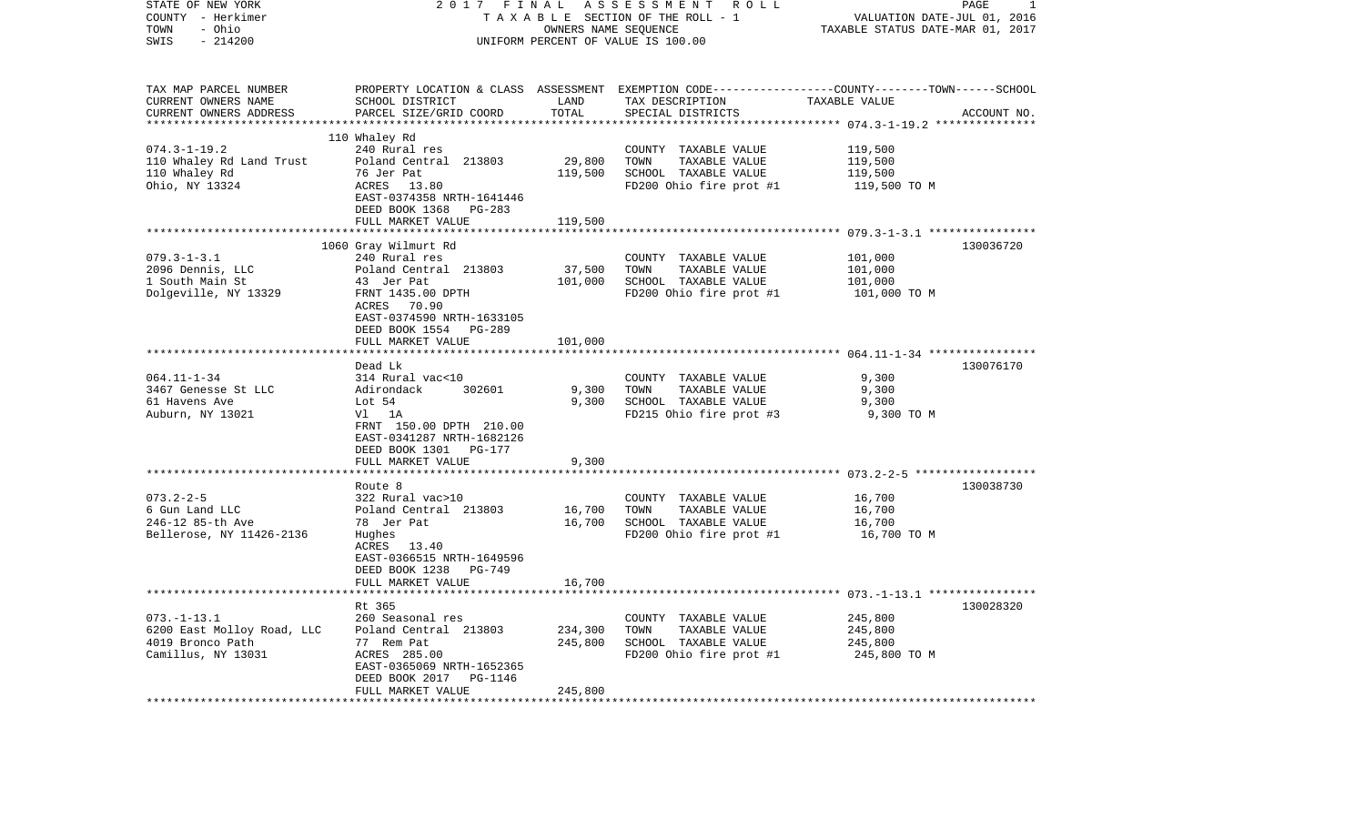| STATE OF NEW YORK<br>COUNTY - Herkimer | 2017<br>FINAL<br>ASSESSMENT ROLL<br>TAXABLE SECTION OF THE ROLL - 1 |                      |                                                                                                 | PAGE<br>1<br>VALUATION DATE-JUL 01, 2016 |             |  |
|----------------------------------------|---------------------------------------------------------------------|----------------------|-------------------------------------------------------------------------------------------------|------------------------------------------|-------------|--|
| - Ohio<br>TOWN                         |                                                                     | OWNERS NAME SEQUENCE |                                                                                                 | TAXABLE STATUS DATE-MAR 01, 2017         |             |  |
| SWIS<br>$-214200$                      |                                                                     |                      | UNIFORM PERCENT OF VALUE IS 100.00                                                              |                                          |             |  |
| TAX MAP PARCEL NUMBER                  |                                                                     |                      | PROPERTY LOCATION & CLASS ASSESSMENT EXEMPTION CODE---------------COUNTY-------TOWN------SCHOOL |                                          |             |  |
| CURRENT OWNERS NAME                    | SCHOOL DISTRICT                                                     | LAND                 | TAX DESCRIPTION                                                                                 | TAXABLE VALUE                            |             |  |
| CURRENT OWNERS ADDRESS                 | PARCEL SIZE/GRID COORD                                              | TOTAL                | SPECIAL DISTRICTS                                                                               |                                          | ACCOUNT NO. |  |
|                                        | 110 Whaley Rd                                                       |                      |                                                                                                 |                                          |             |  |
| $074.3 - 1 - 19.2$                     | 240 Rural res                                                       |                      | COUNTY TAXABLE VALUE                                                                            | 119,500                                  |             |  |
| 110 Whaley Rd Land Trust               | Poland Central 213803                                               | 29,800               | TOWN<br>TAXABLE VALUE                                                                           | 119,500                                  |             |  |
| 110 Whaley Rd                          | 76 Jer Pat                                                          | 119,500              | SCHOOL TAXABLE VALUE                                                                            | 119,500                                  |             |  |
| Ohio, NY 13324                         | ACRES<br>13.80                                                      |                      | FD200 Ohio fire prot #1                                                                         | 119,500 TO M                             |             |  |
|                                        | EAST-0374358 NRTH-1641446                                           |                      |                                                                                                 |                                          |             |  |
|                                        | DEED BOOK 1368 PG-283                                               |                      |                                                                                                 |                                          |             |  |
|                                        | FULL MARKET VALUE                                                   | 119,500              |                                                                                                 |                                          |             |  |
|                                        | 1060 Gray Wilmurt Rd                                                |                      |                                                                                                 |                                          | 130036720   |  |
| $079.3 - 1 - 3.1$                      | 240 Rural res                                                       |                      | COUNTY TAXABLE VALUE                                                                            | 101,000                                  |             |  |
| 2096 Dennis, LLC                       | Poland Central 213803                                               | 37,500               | TOWN<br>TAXABLE VALUE                                                                           | 101,000                                  |             |  |
| 1 South Main St                        | 43 Jer Pat                                                          | 101,000              | SCHOOL TAXABLE VALUE                                                                            | 101,000                                  |             |  |
| Dolgeville, NY 13329                   | FRNT 1435.00 DPTH                                                   |                      | FD200 Ohio fire prot #1                                                                         | 101,000 TO M                             |             |  |
|                                        | ACRES 70.90                                                         |                      |                                                                                                 |                                          |             |  |
|                                        | EAST-0374590 NRTH-1633105                                           |                      |                                                                                                 |                                          |             |  |
|                                        | DEED BOOK 1554 PG-289                                               |                      |                                                                                                 |                                          |             |  |
|                                        | FULL MARKET VALUE                                                   | 101,000              |                                                                                                 |                                          |             |  |
|                                        | Dead Lk                                                             |                      |                                                                                                 |                                          | 130076170   |  |
| $064.11 - 1 - 34$                      | 314 Rural vac<10                                                    |                      | COUNTY TAXABLE VALUE                                                                            | 9,300                                    |             |  |
| 3467 Genesse St LLC                    | Adirondack<br>302601                                                | 9,300                | TOWN<br>TAXABLE VALUE                                                                           | 9,300                                    |             |  |
| 61 Havens Ave                          | Lot 54                                                              | 9,300                | SCHOOL TAXABLE VALUE                                                                            | 9,300                                    |             |  |
| Auburn, NY 13021                       | Vl 1A                                                               |                      | FD215 Ohio fire prot #3                                                                         | 9,300 TO M                               |             |  |
|                                        | FRNT 150.00 DPTH 210.00                                             |                      |                                                                                                 |                                          |             |  |
|                                        | EAST-0341287 NRTH-1682126                                           |                      |                                                                                                 |                                          |             |  |
|                                        | DEED BOOK 1301 PG-177                                               | 9,300                |                                                                                                 |                                          |             |  |
|                                        | FULL MARKET VALUE                                                   |                      |                                                                                                 |                                          |             |  |
|                                        | Route 8                                                             |                      |                                                                                                 |                                          | 130038730   |  |
| $073.2 - 2 - 5$                        | 322 Rural vac>10                                                    |                      | COUNTY TAXABLE VALUE                                                                            | 16,700                                   |             |  |
| 6 Gun Land LLC                         | Poland Central 213803                                               | 16,700               | TOWN<br>TAXABLE VALUE                                                                           | 16,700                                   |             |  |
| 246-12 85-th Ave                       | 78 Jer Pat                                                          | 16,700               | SCHOOL TAXABLE VALUE                                                                            | 16,700                                   |             |  |
| Bellerose, NY 11426-2136               | Hughes                                                              |                      | FD200 Ohio fire prot #1                                                                         | 16,700 TO M                              |             |  |
|                                        | ACRES 13.40                                                         |                      |                                                                                                 |                                          |             |  |
|                                        | EAST-0366515 NRTH-1649596                                           |                      |                                                                                                 |                                          |             |  |
|                                        | DEED BOOK 1238 PG-749<br>FULL MARKET VALUE                          | 16,700               |                                                                                                 |                                          |             |  |
|                                        | **************************                                          |                      |                                                                                                 |                                          |             |  |
|                                        | Rt 365                                                              |                      |                                                                                                 |                                          | 130028320   |  |
| $073. - 1 - 13.1$                      | 260 Seasonal res                                                    |                      | COUNTY TAXABLE VALUE                                                                            | 245,800                                  |             |  |
| 6200 East Molloy Road, LLC             | Poland Central 213803                                               | 234,300              | TOWN<br>TAXABLE VALUE                                                                           | 245,800                                  |             |  |
| 4019 Bronco Path                       | 77 Rem Pat                                                          | 245,800              | SCHOOL TAXABLE VALUE                                                                            | 245,800                                  |             |  |
| Camillus, NY 13031                     | ACRES 285.00                                                        |                      | FD200 Ohio fire prot #1                                                                         | 245,800 TO M                             |             |  |
|                                        | EAST-0365069 NRTH-1652365                                           |                      |                                                                                                 |                                          |             |  |
|                                        | DEED BOOK 2017<br>PG-1146                                           |                      |                                                                                                 |                                          |             |  |
|                                        | FULL MARKET VALUE                                                   | 245,800              |                                                                                                 |                                          |             |  |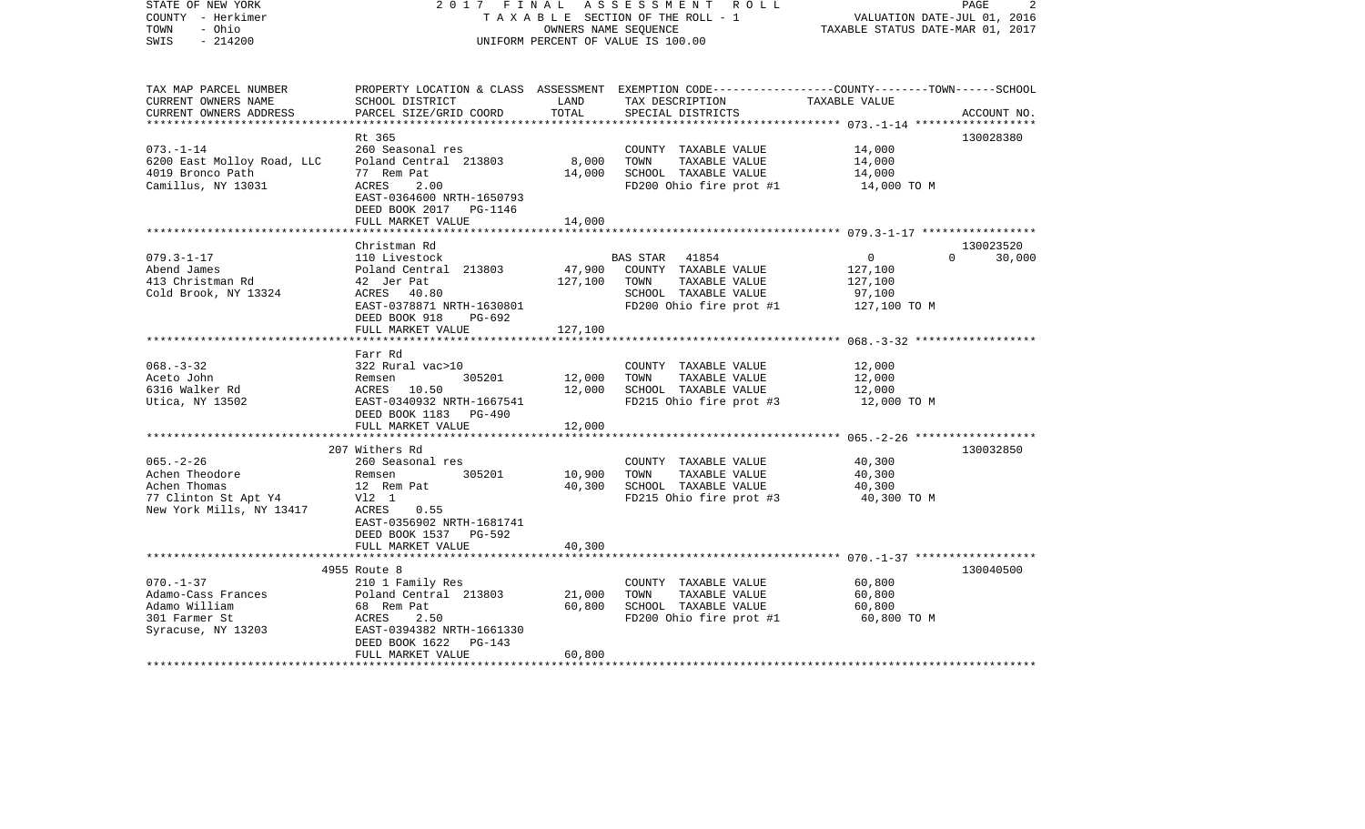| STATE OF NEW YORK<br>COUNTY - Herkimer<br>TOWN<br>- Ohio<br>$-214200$<br>SWIS                         | 2017 FINAL                                                                                                                                                                | OWNERS NAME SEQUENCE       | ASSESSMENT ROLL<br>TAXABLE SECTION OF THE ROLL - 1<br>UNIFORM PERCENT OF VALUE IS 100.00                                                 | VALUATION DATE-JUL 01, 2016<br>TAXABLE STATUS DATE-MAR 01, 2017            | PAGE<br>2           |
|-------------------------------------------------------------------------------------------------------|---------------------------------------------------------------------------------------------------------------------------------------------------------------------------|----------------------------|------------------------------------------------------------------------------------------------------------------------------------------|----------------------------------------------------------------------------|---------------------|
| TAX MAP PARCEL NUMBER<br>CURRENT OWNERS NAME<br>CURRENT OWNERS ADDRESS                                | SCHOOL DISTRICT<br>PARCEL SIZE/GRID COORD                                                                                                                                 | LAND<br>TOTAL              | PROPERTY LOCATION & CLASS ASSESSMENT EXEMPTION CODE----------------COUNTY-------TOWN------SCHOOL<br>TAX DESCRIPTION<br>SPECIAL DISTRICTS | TAXABLE VALUE                                                              | ACCOUNT NO.         |
| $073. - 1 - 14$<br>6200 East Molloy Road, LLC<br>4019 Bronco Path<br>Camillus, NY 13031               | Rt 365<br>260 Seasonal res<br>Poland Central 213803<br>77 Rem Pat<br>ACRES<br>2.00<br>EAST-0364600 NRTH-1650793<br>DEED BOOK 2017 PG-1146<br>FULL MARKET VALUE            | 8,000<br>14,000<br>14,000  | COUNTY TAXABLE VALUE<br>TOWN<br>TAXABLE VALUE<br>SCHOOL TAXABLE VALUE<br>FD200 Ohio fire prot #1                                         | 14,000<br>14,000<br>14,000<br>14,000 TO M                                  | 130028380           |
|                                                                                                       |                                                                                                                                                                           |                            |                                                                                                                                          |                                                                            |                     |
| $079.3 - 1 - 17$<br>Abend James<br>413 Christman Rd<br>Cold Brook, NY 13324                           | Christman Rd<br>110 Livestock<br>Poland Central 213803<br>42 Jer Pat<br>ACRES 40.80<br>EAST-0378871 NRTH-1630801<br>DEED BOOK 918<br>PG-692                               | 127,100                    | BAS STAR 41854<br>47,900 COUNTY TAXABLE VALUE<br>TAXABLE VALUE<br>TOWN<br>SCHOOL TAXABLE VALUE<br>FD200 Ohio fire prot #1                | $\overline{0}$<br>$\Omega$<br>127,100<br>127,100<br>97,100<br>127,100 TO M | 130023520<br>30,000 |
|                                                                                                       | FULL MARKET VALUE                                                                                                                                                         | 127,100                    |                                                                                                                                          |                                                                            |                     |
|                                                                                                       |                                                                                                                                                                           |                            |                                                                                                                                          |                                                                            |                     |
| $068. - 3 - 32$<br>Aceto John<br>6316 Walker Rd<br>Utica, NY 13502                                    | Farr Rd<br>322 Rural vac>10<br>305201<br>Remsen<br>ACRES 10.50<br>EAST-0340932 NRTH-1667541<br>DEED BOOK 1183 PG-490<br>FULL MARKET VALUE                                 | 12,000<br>12,000<br>12,000 | COUNTY TAXABLE VALUE<br>TOWN<br>TAXABLE VALUE<br>SCHOOL TAXABLE VALUE<br>FD215 Ohio fire prot #3                                         | 12,000<br>12,000<br>12,000<br>12,000 TO M                                  |                     |
|                                                                                                       |                                                                                                                                                                           |                            |                                                                                                                                          |                                                                            |                     |
| $065. - 2 - 26$<br>Achen Theodore<br>Achen Thomas<br>77 Clinton St Apt Y4<br>New York Mills, NY 13417 | 207 Withers Rd<br>260 Seasonal res<br>Remsen<br>305201<br>12 Rem Pat<br>Vl2 1<br>ACRES<br>0.55<br>EAST-0356902 NRTH-1681741<br>DEED BOOK 1537 PG-592<br>FULL MARKET VALUE | 10,900<br>40,300<br>40,300 | COUNTY TAXABLE VALUE<br>TAXABLE VALUE<br>TOWN<br>SCHOOL TAXABLE VALUE<br>FD215 Ohio fire prot #3                                         | 40,300<br>40,300<br>40,300<br>40,300 TO M                                  | 130032850           |
|                                                                                                       |                                                                                                                                                                           |                            |                                                                                                                                          |                                                                            |                     |
| $070. - 1 - 37$<br>Adamo-Cass Frances<br>Adamo William<br>301 Farmer St<br>Syracuse, NY 13203         | 4955 Route 8<br>210 1 Family Res<br>Poland Central 213803<br>68 Rem Pat<br>2.50<br>ACRES<br>EAST-0394382 NRTH-1661330<br>DEED BOOK 1622<br>PG-143<br>FULL MARKET VALUE    | 21,000<br>60,800<br>60,800 | COUNTY TAXABLE VALUE<br>TOWN<br>TAXABLE VALUE<br>SCHOOL TAXABLE VALUE<br>FD200 Ohio fire prot #1                                         | 60,800<br>60,800<br>60,800<br>60,800 TO M                                  | 130040500           |
|                                                                                                       |                                                                                                                                                                           |                            |                                                                                                                                          |                                                                            |                     |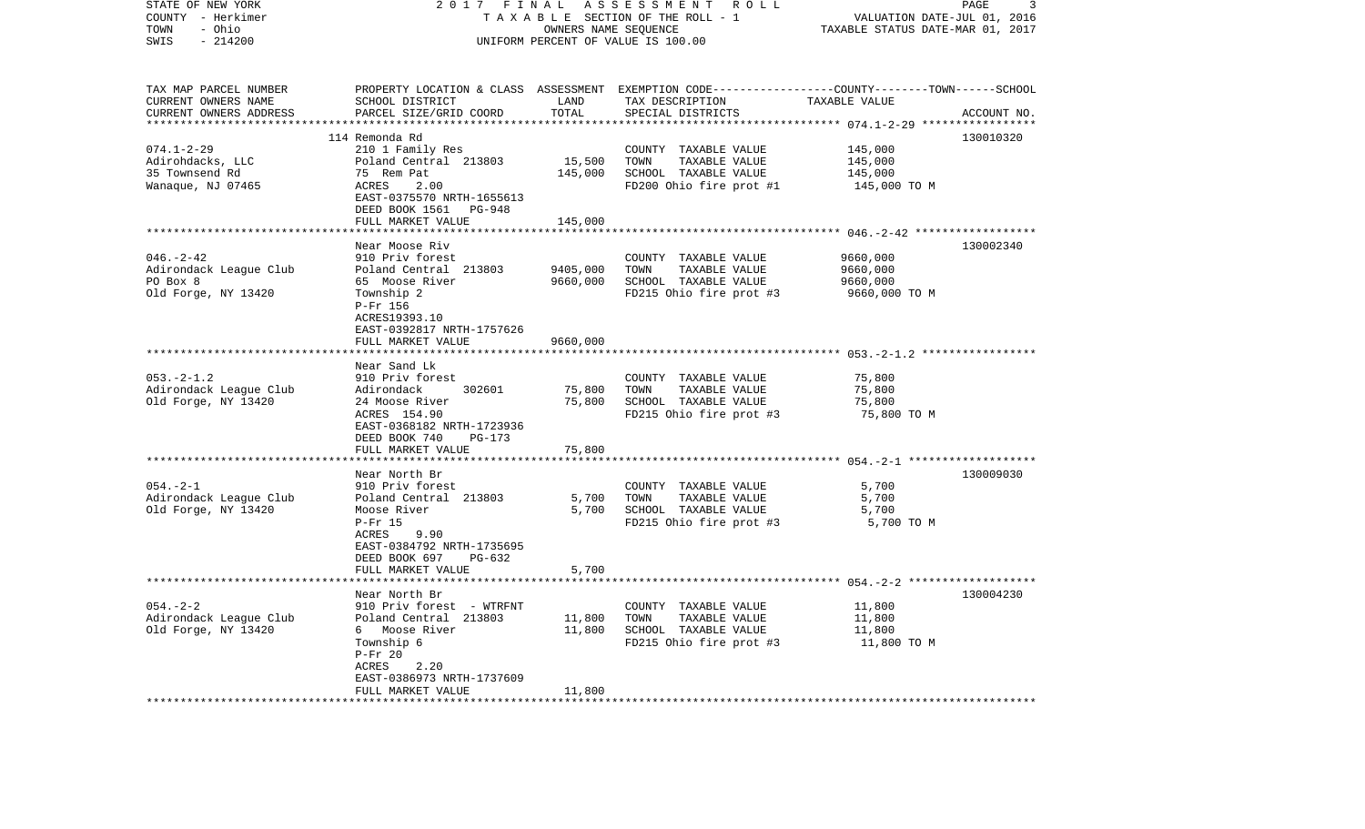| STATE OF NEW YORK<br>COUNTY - Herkimer<br>- Ohio<br>TOWN<br>SWIS<br>$-214200$ | 2017<br>FINAL                                                                                                                                                                     | OWNERS NAME SEQUENCE                            | ASSESSMENT<br>R O L L<br>TAXABLE SECTION OF THE ROLL - 1<br>UNIFORM PERCENT OF VALUE IS 100.00                                          | VALUATION DATE-JUL 01, 2016<br>TAXABLE STATUS DATE-MAR 01, 2017 | PAGE<br>3   |
|-------------------------------------------------------------------------------|-----------------------------------------------------------------------------------------------------------------------------------------------------------------------------------|-------------------------------------------------|-----------------------------------------------------------------------------------------------------------------------------------------|-----------------------------------------------------------------|-------------|
| TAX MAP PARCEL NUMBER<br>CURRENT OWNERS NAME<br>CURRENT OWNERS ADDRESS        | SCHOOL DISTRICT<br>PARCEL SIZE/GRID COORD                                                                                                                                         | LAND<br>TOTAL                                   | PROPERTY LOCATION & CLASS ASSESSMENT EXEMPTION CODE---------------COUNTY-------TOWN------SCHOOL<br>TAX DESCRIPTION<br>SPECIAL DISTRICTS | TAXABLE VALUE                                                   | ACCOUNT NO. |
|                                                                               |                                                                                                                                                                                   | * * * * * * * * * *                             |                                                                                                                                         | *********** 074.1-2-29 *****                                    |             |
| $074.1 - 2 - 29$<br>Adirohdacks, LLC<br>35 Townsend Rd<br>Wanaque, NJ 07465   | 114 Remonda Rd<br>210 1 Family Res<br>Poland Central 213803<br>75 Rem Pat<br>ACRES<br>2.00<br>EAST-0375570 NRTH-1655613<br>DEED BOOK 1561 PG-948<br>FULL MARKET VALUE             | 15,500<br>145,000<br>145,000                    | COUNTY TAXABLE VALUE<br>TOWN<br>TAXABLE VALUE<br>SCHOOL TAXABLE VALUE<br>FD200 Ohio fire prot #1                                        | 145,000<br>145,000<br>145,000<br>145,000 TO M                   | 130010320   |
|                                                                               |                                                                                                                                                                                   |                                                 |                                                                                                                                         |                                                                 |             |
| $046. - 2 - 42$<br>Adirondack League Club<br>PO Box 8<br>Old Forge, NY 13420  | Near Moose Riv<br>910 Priv forest<br>Poland Central 213803<br>65 Moose River<br>Township 2<br>P-Fr 156<br>ACRES19393.10<br>EAST-0392817 NRTH-1757626<br>FULL MARKET VALUE         | 9405,000<br>9660,000<br>9660,000                | COUNTY TAXABLE VALUE<br>TOWN<br>TAXABLE VALUE<br>SCHOOL TAXABLE VALUE<br>FD215 Ohio fire prot #3                                        | 9660,000<br>9660,000<br>9660,000<br>9660,000 TO M               | 130002340   |
|                                                                               |                                                                                                                                                                                   |                                                 |                                                                                                                                         |                                                                 |             |
| $053. -2 - 1.2$<br>Adirondack League Club<br>Old Forge, NY 13420              | Near Sand Lk<br>910 Priv forest<br>302601<br>Adirondack<br>24 Moose River<br>ACRES 154.90<br>EAST-0368182 NRTH-1723936<br>DEED BOOK 740<br>PG-173                                 | 75,800<br>75,800                                | COUNTY TAXABLE VALUE<br>TOWN<br>TAXABLE VALUE<br>SCHOOL TAXABLE VALUE<br>FD215 Ohio fire prot #3                                        | 75,800<br>75,800<br>75,800<br>75,800 TO M                       |             |
|                                                                               | FULL MARKET VALUE                                                                                                                                                                 | 75,800                                          |                                                                                                                                         |                                                                 |             |
| $054. - 2 - 1$<br>Adirondack League Club<br>Old Forge, NY 13420               | Near North Br<br>910 Priv forest<br>Poland Central 213803<br>Moose River<br>$P-Fr$ 15<br>ACRES<br>9.90<br>EAST-0384792 NRTH-1735695<br>DEED BOOK 697<br>PG-632                    | 5,700<br>5,700                                  | COUNTY TAXABLE VALUE<br>TAXABLE VALUE<br>TOWN<br>SCHOOL TAXABLE VALUE<br>FD215 Ohio fire prot #3                                        | 5,700<br>5,700<br>5,700<br>5,700 TO M                           | 130009030   |
|                                                                               | FULL MARKET VALUE<br>********************                                                                                                                                         | 5,700                                           |                                                                                                                                         |                                                                 |             |
| $054. - 2 - 2$<br>Adirondack League Club<br>Old Forge, NY 13420               | Near North Br<br>910 Priv forest - WTRFNT<br>Poland Central 213803<br>6 Moose River<br>Township 6<br>$P-Fr 20$<br>ACRES<br>2.20<br>EAST-0386973 NRTH-1737609<br>FULL MARKET VALUE | 11,800<br>11,800<br>11,800<br>***************** | COUNTY TAXABLE VALUE<br>TOWN<br>TAXABLE VALUE<br>SCHOOL TAXABLE VALUE<br>FD215 Ohio fire prot #3                                        | 11,800<br>11,800<br>11,800<br>11,800 TO M                       | 130004230   |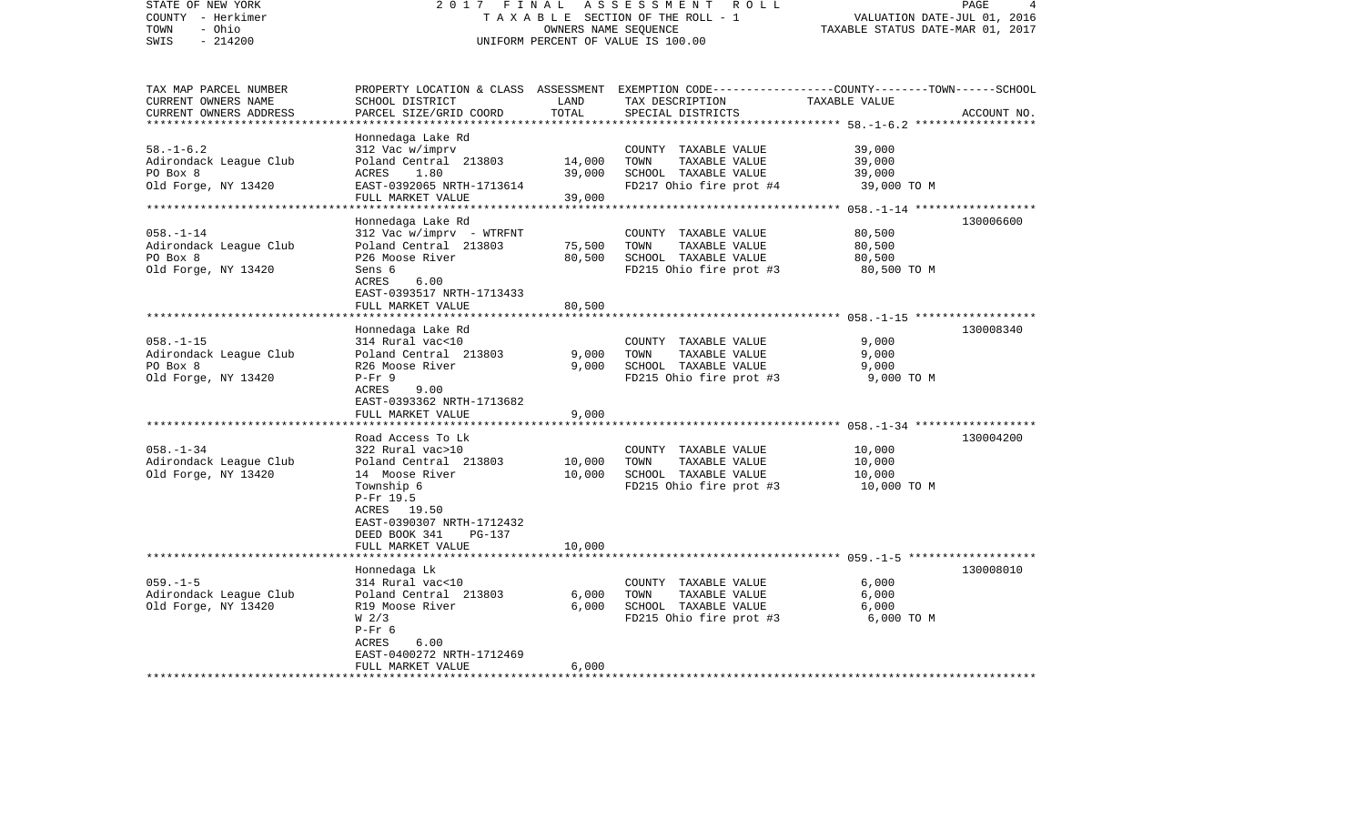| STATE OF NEW YORK<br>COUNTY - Herkimer<br>- Ohio<br>TOWN<br>$-214200$<br>SWIS                      | 2017 FINAL<br>ASSESSMENT ROLL<br>TAXABLE SECTION OF THE ROLL - 1<br>OWNERS NAME SEQUENCE<br>UNIFORM PERCENT OF VALUE IS 100.00                                                                            |                            |                                                                                                                                         | PAGE<br>4<br>VALUATION DATE-JUL 01, 2016<br>TAXABLE STATUS DATE-MAR 01, 2017 |             |
|----------------------------------------------------------------------------------------------------|-----------------------------------------------------------------------------------------------------------------------------------------------------------------------------------------------------------|----------------------------|-----------------------------------------------------------------------------------------------------------------------------------------|------------------------------------------------------------------------------|-------------|
| TAX MAP PARCEL NUMBER<br>CURRENT OWNERS NAME<br>CURRENT OWNERS ADDRESS<br>************************ | SCHOOL DISTRICT<br>PARCEL SIZE/GRID COORD                                                                                                                                                                 | LAND<br>TOTAL              | PROPERTY LOCATION & CLASS ASSESSMENT EXEMPTION CODE---------------COUNTY-------TOWN------SCHOOL<br>TAX DESCRIPTION<br>SPECIAL DISTRICTS | TAXABLE VALUE                                                                | ACCOUNT NO. |
| $58. - 1 - 6.2$<br>Adirondack League Club<br>PO Box 8<br>Old Forge, NY 13420                       | Honnedaga Lake Rd<br>312 Vac w/imprv<br>Poland Central 213803<br>ACRES<br>1.80<br>EAST-0392065 NRTH-1713614<br>FULL MARKET VALUE                                                                          | 14,000<br>39,000<br>39,000 | COUNTY TAXABLE VALUE<br>TOWN<br>TAXABLE VALUE<br>SCHOOL TAXABLE VALUE<br>FD217 Ohio fire prot #4                                        | 39,000<br>39,000<br>39,000<br>39,000 TO M                                    |             |
| $058. - 1 - 14$<br>Adirondack League Club<br>PO Box 8<br>Old Forge, NY 13420                       | Honnedaga Lake Rd<br>312 Vac w/imprv - WTRFNT<br>Poland Central 213803<br>P26 Moose River<br>Sens 6<br>ACRES<br>6.00<br>EAST-0393517 NRTH-1713433<br>FULL MARKET VALUE<br>*********************           | 75,500<br>80,500<br>80,500 | COUNTY TAXABLE VALUE<br>TOWN<br>TAXABLE VALUE<br>SCHOOL TAXABLE VALUE<br>FD215 Ohio fire prot #3                                        | 80,500<br>80,500<br>80,500<br>80,500 TO M                                    | 130006600   |
| $058. - 1 - 15$<br>Adirondack League Club<br>PO Box 8<br>Old Forge, NY 13420                       | Honnedaga Lake Rd<br>314 Rural vac<10<br>Poland Central 213803<br>R26 Moose River<br>$P-Fr$ 9<br>ACRES<br>9.00<br>EAST-0393362 NRTH-1713682<br>FULL MARKET VALUE                                          | 9,000<br>9,000<br>9,000    | COUNTY TAXABLE VALUE<br>TOWN<br>TAXABLE VALUE<br>SCHOOL TAXABLE VALUE<br>FD215 Ohio fire prot #3                                        | 9,000<br>9,000<br>9,000<br>9,000 TO M                                        | 130008340   |
| $058. - 1 - 34$<br>Adirondack League Club<br>Old Forge, NY 13420                                   | Road Access To Lk<br>322 Rural vac>10<br>Poland Central 213803<br>14 Moose River<br>Township 6<br>P-Fr 19.5<br>ACRES 19.50<br>EAST-0390307 NRTH-1712432<br>DEED BOOK 341<br>$PG-137$<br>FULL MARKET VALUE | 10,000<br>10,000<br>10,000 | COUNTY TAXABLE VALUE<br>TOWN<br>TAXABLE VALUE<br>SCHOOL TAXABLE VALUE<br>FD215 Ohio fire prot #3                                        | 10,000<br>10,000<br>10,000<br>10,000 TO M                                    | 130004200   |
| $059. -1 - 5$<br>Adirondack League Club<br>Old Forge, NY 13420<br>*********************            | Honnedaga Lk<br>314 Rural vac<10<br>Poland Central 213803<br>R19 Moose River<br>W <sub>2/3</sub><br>$P-Fr$ 6<br>6.00<br>ACRES<br>EAST-0400272 NRTH-1712469<br>FULL MARKET VALUE                           | 6,000<br>6,000<br>6,000    | COUNTY TAXABLE VALUE<br>TOWN<br>TAXABLE VALUE<br>SCHOOL TAXABLE VALUE<br>FD215 Ohio fire prot #3                                        | 6,000<br>6,000<br>6,000<br>6,000 TO M                                        | 130008010   |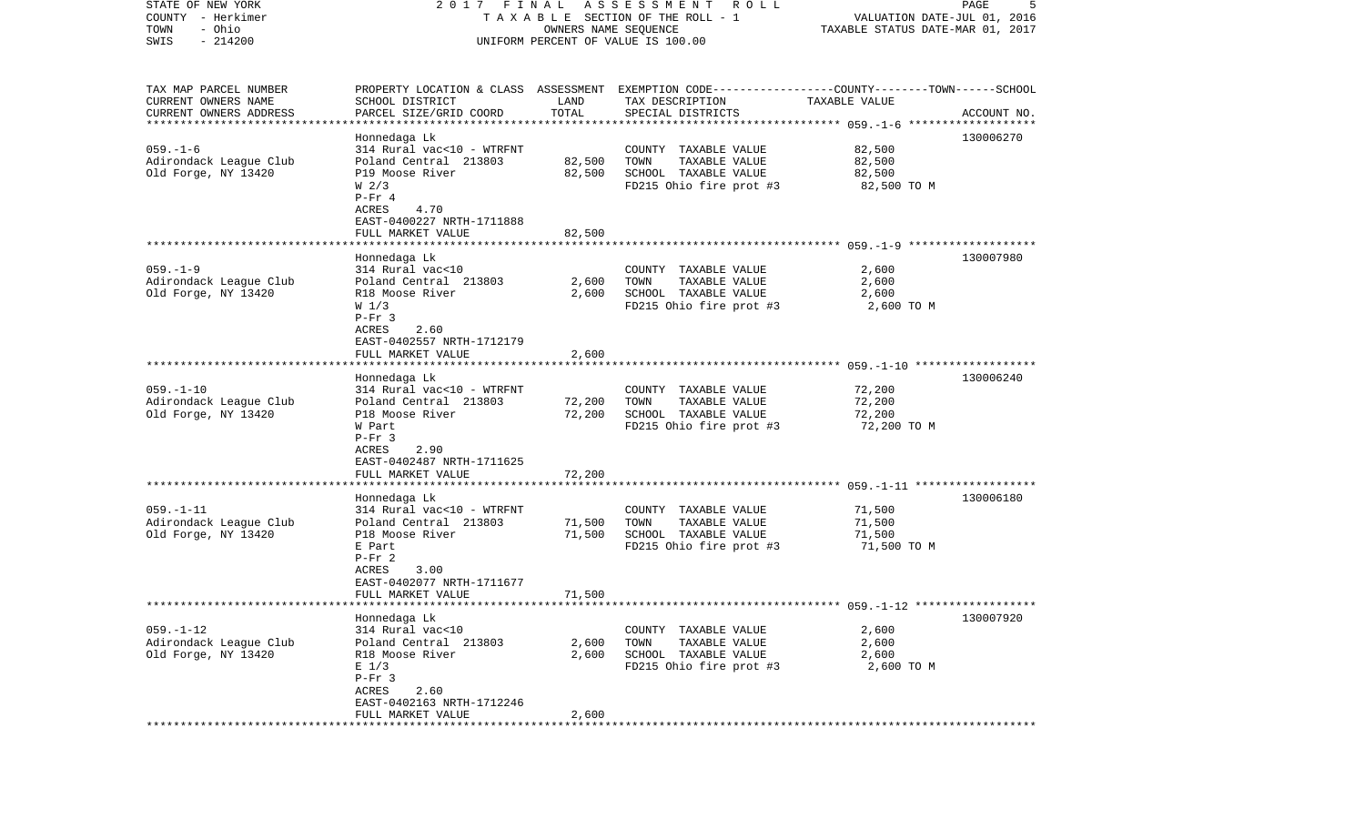| STATE OF NEW YORK<br>COUNTY - Herkimer        | 2017 FINAL                                     |                  | A S S E S S M E N T<br>ROLL<br>TAXABLE SECTION OF THE ROLL - 1                                  |                                  | PAGE<br>5<br>VALUATION DATE-JUL 01, 2016 |
|-----------------------------------------------|------------------------------------------------|------------------|-------------------------------------------------------------------------------------------------|----------------------------------|------------------------------------------|
| - Ohio<br>TOWN                                |                                                |                  | OWNERS NAME SEQUENCE                                                                            | TAXABLE STATUS DATE-MAR 01, 2017 |                                          |
| $-214200$<br>SWIS                             |                                                |                  | UNIFORM PERCENT OF VALUE IS 100.00                                                              |                                  |                                          |
| TAX MAP PARCEL NUMBER                         |                                                |                  | PROPERTY LOCATION & CLASS ASSESSMENT EXEMPTION CODE---------------COUNTY-------TOWN------SCHOOL |                                  |                                          |
| CURRENT OWNERS NAME                           | SCHOOL DISTRICT                                | LAND             | TAX DESCRIPTION                                                                                 | TAXABLE VALUE                    |                                          |
| CURRENT OWNERS ADDRESS                        | PARCEL SIZE/GRID COORD                         | TOTAL            | SPECIAL DISTRICTS                                                                               |                                  | ACCOUNT NO.                              |
| ***********************                       |                                                |                  |                                                                                                 |                                  |                                          |
|                                               | Honnedaga Lk                                   |                  |                                                                                                 |                                  | 130006270                                |
| $059. - 1 - 6$                                | 314 Rural vac<10 - WTRFNT                      |                  | COUNTY TAXABLE VALUE                                                                            | 82,500<br>82,500                 |                                          |
| Adirondack League Club<br>Old Forge, NY 13420 | Poland Central 213803<br>P19 Moose River       | 82,500<br>82,500 | TOWN<br>TAXABLE VALUE<br>SCHOOL TAXABLE VALUE                                                   | 82,500                           |                                          |
|                                               | W <sub>2/3</sub>                               |                  | FD215 Ohio fire prot #3                                                                         | 82,500 TO M                      |                                          |
|                                               | $P-Fr 4$                                       |                  |                                                                                                 |                                  |                                          |
|                                               | ACRES<br>4.70                                  |                  |                                                                                                 |                                  |                                          |
|                                               | EAST-0400227 NRTH-1711888                      |                  |                                                                                                 |                                  |                                          |
|                                               | FULL MARKET VALUE                              | 82,500           |                                                                                                 |                                  |                                          |
|                                               |                                                |                  |                                                                                                 |                                  |                                          |
| $059. -1 -9$                                  | Honnedaga Lk<br>314 Rural vac<10               |                  |                                                                                                 |                                  | 130007980                                |
| Adirondack League Club                        | Poland Central 213803                          | 2,600            | COUNTY TAXABLE VALUE<br>TOWN<br>TAXABLE VALUE                                                   | 2,600<br>2,600                   |                                          |
| Old Forge, NY 13420                           | R18 Moose River                                | 2,600            | SCHOOL TAXABLE VALUE                                                                            | 2,600                            |                                          |
|                                               | W <sub>1/3</sub>                               |                  | FD215 Ohio fire prot #3                                                                         | 2,600 TO M                       |                                          |
|                                               | $P-Fr$ 3                                       |                  |                                                                                                 |                                  |                                          |
|                                               | 2.60<br>ACRES                                  |                  |                                                                                                 |                                  |                                          |
|                                               | EAST-0402557 NRTH-1712179                      |                  |                                                                                                 |                                  |                                          |
|                                               | FULL MARKET VALUE                              | 2,600            |                                                                                                 |                                  |                                          |
|                                               | Honnedaga Lk                                   |                  |                                                                                                 |                                  | 130006240                                |
| $059. - 1 - 10$                               | 314 Rural vac<10 - WTRFNT                      |                  | COUNTY TAXABLE VALUE                                                                            | 72,200                           |                                          |
| Adirondack League Club                        | Poland Central 213803                          | 72,200           | TOWN<br>TAXABLE VALUE                                                                           | 72,200                           |                                          |
| Old Forge, NY 13420                           | P18 Moose River                                | 72,200           | SCHOOL TAXABLE VALUE                                                                            | 72,200                           |                                          |
|                                               | W Part                                         |                  | FD215 Ohio fire prot #3                                                                         | 72,200 TO M                      |                                          |
|                                               | $P-Fr$ 3                                       |                  |                                                                                                 |                                  |                                          |
|                                               | ACRES<br>2.90                                  |                  |                                                                                                 |                                  |                                          |
|                                               | EAST-0402487 NRTH-1711625<br>FULL MARKET VALUE | 72,200           |                                                                                                 |                                  |                                          |
|                                               | *********************                          |                  |                                                                                                 |                                  |                                          |
|                                               | Honnedaga Lk                                   |                  |                                                                                                 |                                  | 130006180                                |
| $059. -1 - 11$                                | 314 Rural vac<10 - WTRFNT                      |                  | COUNTY TAXABLE VALUE                                                                            | 71,500                           |                                          |
| Adirondack League Club                        | Poland Central 213803                          | 71,500           | TOWN<br>TAXABLE VALUE                                                                           | 71,500                           |                                          |
| Old Forge, NY 13420                           | P18 Moose River                                | 71,500           | SCHOOL TAXABLE VALUE                                                                            | 71,500                           |                                          |
|                                               | E Part                                         |                  | FD215 Ohio fire prot #3                                                                         | 71,500 TO M                      |                                          |
|                                               | $P-Fr 2$<br>ACRES<br>3.00                      |                  |                                                                                                 |                                  |                                          |
|                                               | EAST-0402077 NRTH-1711677                      |                  |                                                                                                 |                                  |                                          |
|                                               | FULL MARKET VALUE                              | 71,500           |                                                                                                 |                                  |                                          |
|                                               |                                                |                  |                                                                                                 |                                  |                                          |
|                                               | Honnedaga Lk                                   |                  |                                                                                                 |                                  | 130007920                                |
| $059. - 1 - 12$                               | 314 Rural vac<10                               |                  | COUNTY TAXABLE VALUE                                                                            | 2,600                            |                                          |
| Adirondack League Club                        | Poland Central 213803                          | 2,600            | TOWN<br>TAXABLE VALUE                                                                           | 2,600                            |                                          |
| Old Forge, NY 13420                           | R18 Moose River<br>$E$ 1/3                     | 2,600            | SCHOOL TAXABLE VALUE<br>FD215 Ohio fire prot #3                                                 | 2,600<br>2,600 TO M              |                                          |
|                                               | $P-Fr$ 3                                       |                  |                                                                                                 |                                  |                                          |
|                                               | ACRES<br>2.60                                  |                  |                                                                                                 |                                  |                                          |
|                                               | EAST-0402163 NRTH-1712246                      |                  |                                                                                                 |                                  |                                          |
|                                               | FULL MARKET VALUE                              | 2,600            |                                                                                                 |                                  |                                          |
|                                               |                                                |                  |                                                                                                 |                                  |                                          |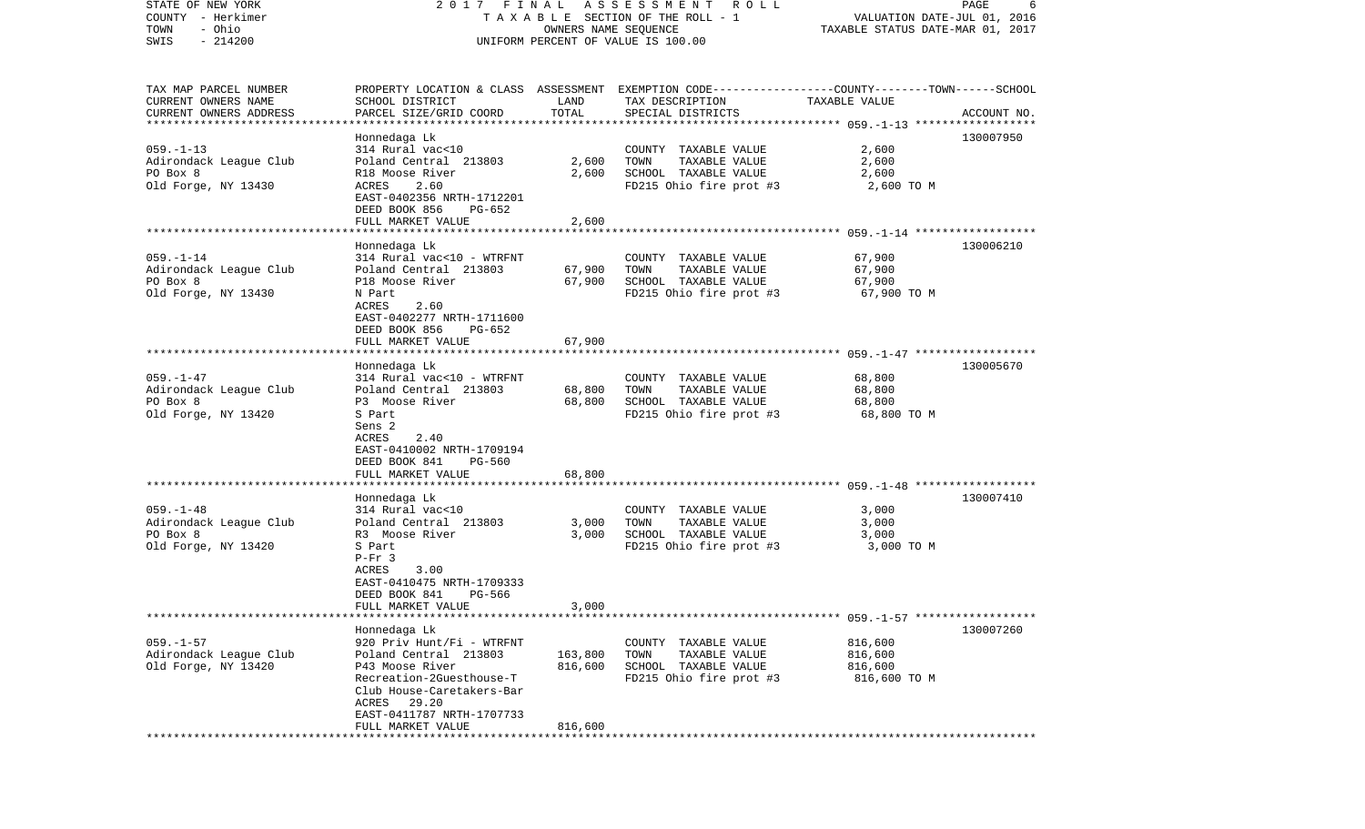| STATE OF NEW YORK                                | 2017 FINAL                                           |                      | A S S E S S M E N T R O L L                                                                      |                                  | PAGE<br>6   |
|--------------------------------------------------|------------------------------------------------------|----------------------|--------------------------------------------------------------------------------------------------|----------------------------------|-------------|
| COUNTY - Herkimer                                |                                                      |                      | TAXABLE SECTION OF THE ROLL - 1                                                                  | VALUATION DATE-JUL 01, 2016      |             |
| - Ohio<br>TOWN                                   |                                                      | OWNERS NAME SEQUENCE |                                                                                                  | TAXABLE STATUS DATE-MAR 01, 2017 |             |
| $-214200$<br>SWIS                                |                                                      |                      | UNIFORM PERCENT OF VALUE IS 100.00                                                               |                                  |             |
|                                                  |                                                      |                      |                                                                                                  |                                  |             |
|                                                  |                                                      |                      |                                                                                                  |                                  |             |
| TAX MAP PARCEL NUMBER                            |                                                      |                      | PROPERTY LOCATION & CLASS ASSESSMENT EXEMPTION CODE----------------COUNTY-------TOWN------SCHOOL |                                  |             |
| CURRENT OWNERS NAME                              | SCHOOL DISTRICT                                      | LAND                 | TAX DESCRIPTION                                                                                  | TAXABLE VALUE                    |             |
| CURRENT OWNERS ADDRESS<br>********************** | PARCEL SIZE/GRID COORD                               | TOTAL                | SPECIAL DISTRICTS                                                                                |                                  | ACCOUNT NO. |
|                                                  | Honnedaga Lk                                         |                      |                                                                                                  |                                  | 130007950   |
| $059. -1 - 13$                                   | 314 Rural vac<10                                     |                      | COUNTY TAXABLE VALUE                                                                             | 2,600                            |             |
| Adirondack League Club                           | Poland Central 213803                                | 2,600                | TOWN<br>TAXABLE VALUE                                                                            | 2,600                            |             |
| PO Box 8                                         | R18 Moose River                                      | 2,600                | SCHOOL TAXABLE VALUE                                                                             | 2,600                            |             |
| Old Forge, NY 13430                              | ACRES<br>2.60                                        |                      | FD215 Ohio fire prot #3                                                                          | 2,600 TO M                       |             |
|                                                  | EAST-0402356 NRTH-1712201                            |                      |                                                                                                  |                                  |             |
|                                                  | DEED BOOK 856<br>PG-652                              |                      |                                                                                                  |                                  |             |
|                                                  | FULL MARKET VALUE                                    | 2,600                |                                                                                                  |                                  |             |
|                                                  |                                                      |                      |                                                                                                  |                                  |             |
|                                                  | Honnedaga Lk                                         |                      |                                                                                                  |                                  | 130006210   |
| $059. - 1 - 14$                                  | 314 Rural vac<10 - WTRFNT                            |                      | COUNTY TAXABLE VALUE                                                                             | 67,900                           |             |
| Adirondack League Club                           | Poland Central 213803                                | 67,900               | TAXABLE VALUE<br>TOWN                                                                            | 67,900                           |             |
| PO Box 8                                         | P18 Moose River                                      | 67,900               | SCHOOL TAXABLE VALUE                                                                             | 67,900                           |             |
| Old Forge, NY 13430                              | N Part                                               |                      | FD215 Ohio fire prot #3                                                                          | 67,900 TO M                      |             |
|                                                  | 2.60<br>ACRES                                        |                      |                                                                                                  |                                  |             |
|                                                  | EAST-0402277 NRTH-1711600<br>DEED BOOK 856<br>PG-652 |                      |                                                                                                  |                                  |             |
|                                                  | FULL MARKET VALUE                                    | 67,900               |                                                                                                  |                                  |             |
|                                                  |                                                      |                      |                                                                                                  |                                  |             |
|                                                  | Honnedaga Lk                                         |                      |                                                                                                  |                                  | 130005670   |
| $059. - 1 - 47$                                  | 314 Rural vac<10 - WTRFNT                            |                      | COUNTY TAXABLE VALUE                                                                             | 68,800                           |             |
| Adirondack League Club                           | Poland Central 213803                                | 68,800               | TAXABLE VALUE<br>TOWN                                                                            | 68,800                           |             |
| PO Box 8                                         | P3 Moose River                                       | 68,800               | SCHOOL TAXABLE VALUE                                                                             | 68,800                           |             |
| Old Forge, NY 13420                              | S Part                                               |                      | FD215 Ohio fire prot #3                                                                          | 68,800 TO M                      |             |
|                                                  | Sens 2                                               |                      |                                                                                                  |                                  |             |
|                                                  | ACRES<br>2.40                                        |                      |                                                                                                  |                                  |             |
|                                                  | EAST-0410002 NRTH-1709194                            |                      |                                                                                                  |                                  |             |
|                                                  | DEED BOOK 841<br>PG-560                              |                      |                                                                                                  |                                  |             |
|                                                  | FULL MARKET VALUE                                    | 68,800               |                                                                                                  |                                  |             |
|                                                  |                                                      |                      |                                                                                                  |                                  |             |
|                                                  | Honnedaga Lk                                         |                      |                                                                                                  |                                  | 130007410   |
| $059. - 1 - 48$                                  | 314 Rural vac<10                                     |                      | COUNTY TAXABLE VALUE                                                                             | 3,000                            |             |
| Adirondack League Club<br>PO Box 8               | Poland Central 213803                                | 3,000                | TOWN<br>TAXABLE VALUE                                                                            | 3,000                            |             |
| Old Forge, NY 13420                              | R3 Moose River<br>S Part                             | 3,000                | SCHOOL TAXABLE VALUE<br>FD215 Ohio fire prot #3                                                  | 3,000<br>3,000 TO M              |             |
|                                                  | $P-Fr$ 3                                             |                      |                                                                                                  |                                  |             |
|                                                  | 3.00<br>ACRES                                        |                      |                                                                                                  |                                  |             |
|                                                  | EAST-0410475 NRTH-1709333                            |                      |                                                                                                  |                                  |             |
|                                                  | DEED BOOK 841<br>PG-566                              |                      |                                                                                                  |                                  |             |
|                                                  | FULL MARKET VALUE                                    | 3,000                |                                                                                                  |                                  |             |
|                                                  |                                                      |                      |                                                                                                  |                                  |             |
|                                                  | Honnedaga Lk                                         |                      |                                                                                                  |                                  | 130007260   |
| $059. - 1 - 57$                                  | 920 Priv Hunt/Fi - WTRFNT                            |                      | COUNTY TAXABLE VALUE                                                                             | 816,600                          |             |
| Adirondack League Club                           | Poland Central 213803                                | 163,800              | TOWN<br>TAXABLE VALUE                                                                            | 816,600                          |             |
| Old Forge, NY 13420                              | P43 Moose River                                      | 816,600              | SCHOOL TAXABLE VALUE                                                                             | 816,600                          |             |
|                                                  | Recreation-2Guesthouse-T                             |                      | FD215 Ohio fire prot #3                                                                          | 816,600 TO M                     |             |
|                                                  | Club House-Caretakers-Bar                            |                      |                                                                                                  |                                  |             |
|                                                  | ACRES 29.20<br>EAST-0411787 NRTH-1707733             |                      |                                                                                                  |                                  |             |
|                                                  | FULL MARKET VALUE                                    | 816,600              |                                                                                                  |                                  |             |
|                                                  |                                                      |                      |                                                                                                  |                                  |             |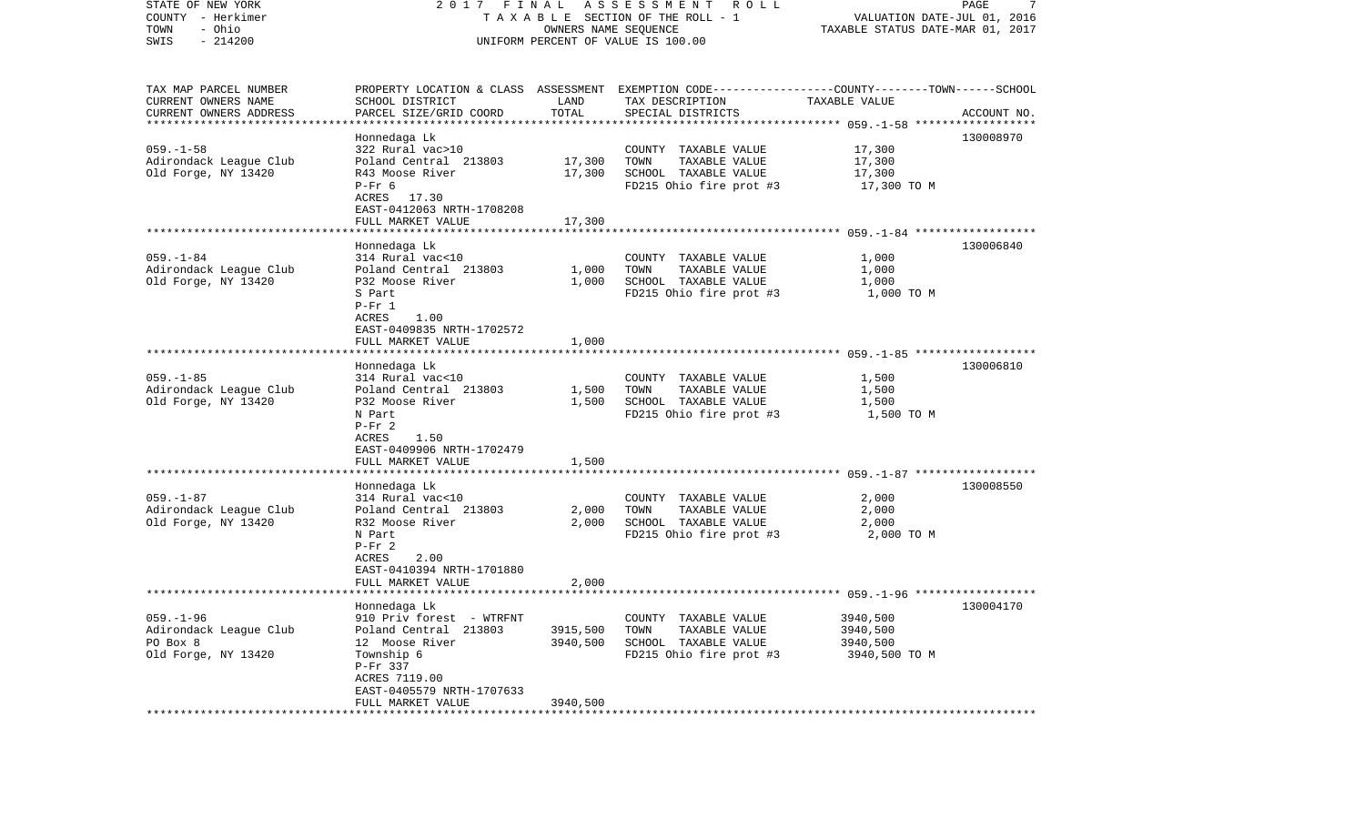| STATE OF NEW YORK<br>COUNTY - Herkimer<br>- Ohio<br>TOWN<br>$-214200$<br>SWIS | ASSESSMENT ROLL<br>2017 FINAL<br>TAXABLE SECTION OF THE ROLL - 1<br>OWNERS NAME SEQUENCE<br>UNIFORM PERCENT OF VALUE IS 100.00 |               |                                                                                                  | PAGE<br>7<br>VALUATION DATE-JUL 01, 2016<br>TAXABLE STATUS DATE-MAR 01, 2017 |             |  |
|-------------------------------------------------------------------------------|--------------------------------------------------------------------------------------------------------------------------------|---------------|--------------------------------------------------------------------------------------------------|------------------------------------------------------------------------------|-------------|--|
| TAX MAP PARCEL NUMBER                                                         |                                                                                                                                |               | PROPERTY LOCATION & CLASS ASSESSMENT EXEMPTION CODE----------------COUNTY-------TOWN------SCHOOL |                                                                              |             |  |
| CURRENT OWNERS NAME<br>CURRENT OWNERS ADDRESS                                 | SCHOOL DISTRICT<br>PARCEL SIZE/GRID COORD                                                                                      | LAND<br>TOTAL | TAX DESCRIPTION<br>SPECIAL DISTRICTS                                                             | TAXABLE VALUE                                                                | ACCOUNT NO. |  |
| ************************                                                      | Honnedaga Lk                                                                                                                   |               |                                                                                                  |                                                                              | 130008970   |  |
| $059. -1 - 58$                                                                | 322 Rural vac>10                                                                                                               |               | COUNTY TAXABLE VALUE                                                                             | 17,300                                                                       |             |  |
| Adirondack League Club                                                        | Poland Central 213803                                                                                                          | 17,300        | TAXABLE VALUE<br>TOWN                                                                            | 17,300                                                                       |             |  |
| Old Forge, NY 13420                                                           | R43 Moose River                                                                                                                | 17,300        | SCHOOL TAXABLE VALUE                                                                             | 17,300                                                                       |             |  |
|                                                                               | $P-Fr$ 6                                                                                                                       |               | FD215 Ohio fire prot #3                                                                          | 17,300 TO M                                                                  |             |  |
|                                                                               | ACRES 17.30<br>EAST-0412063 NRTH-1708208                                                                                       |               |                                                                                                  |                                                                              |             |  |
|                                                                               | FULL MARKET VALUE                                                                                                              | 17,300        |                                                                                                  |                                                                              |             |  |
|                                                                               |                                                                                                                                |               |                                                                                                  |                                                                              |             |  |
|                                                                               | Honnedaga Lk                                                                                                                   |               |                                                                                                  |                                                                              | 130006840   |  |
| $059. - 1 - 84$<br>Adirondack League Club                                     | 314 Rural vac<10<br>Poland Central 213803                                                                                      | 1,000         | COUNTY TAXABLE VALUE<br>TAXABLE VALUE<br>TOWN                                                    | 1,000                                                                        |             |  |
| Old Forge, NY 13420                                                           | P32 Moose River                                                                                                                | 1,000         | SCHOOL TAXABLE VALUE                                                                             | 1,000<br>1,000                                                               |             |  |
|                                                                               | S Part                                                                                                                         |               | FD215 Ohio fire prot #3                                                                          | 1,000 TO M                                                                   |             |  |
|                                                                               | $P-Fr 1$                                                                                                                       |               |                                                                                                  |                                                                              |             |  |
|                                                                               | ACRES<br>1.00                                                                                                                  |               |                                                                                                  |                                                                              |             |  |
|                                                                               | EAST-0409835 NRTH-1702572<br>FULL MARKET VALUE                                                                                 | 1,000         |                                                                                                  |                                                                              |             |  |
|                                                                               |                                                                                                                                |               |                                                                                                  |                                                                              |             |  |
|                                                                               | Honnedaga Lk                                                                                                                   |               |                                                                                                  |                                                                              | 130006810   |  |
| $059. -1 - 85$                                                                | 314 Rural vac<10                                                                                                               |               | COUNTY TAXABLE VALUE                                                                             | 1,500                                                                        |             |  |
| Adirondack League Club                                                        | Poland Central 213803                                                                                                          | 1,500         | TAXABLE VALUE<br>TOWN                                                                            | 1,500                                                                        |             |  |
| Old Forge, NY 13420                                                           | P32 Moose River<br>N Part                                                                                                      | 1,500         | SCHOOL TAXABLE VALUE<br>FD215 Ohio fire prot #3                                                  | 1,500<br>1,500 TO M                                                          |             |  |
|                                                                               | $P-Fr 2$                                                                                                                       |               |                                                                                                  |                                                                              |             |  |
|                                                                               | ACRES<br>1.50                                                                                                                  |               |                                                                                                  |                                                                              |             |  |
|                                                                               | EAST-0409906 NRTH-1702479                                                                                                      |               |                                                                                                  |                                                                              |             |  |
|                                                                               | FULL MARKET VALUE<br>*************************                                                                                 | 1,500         |                                                                                                  |                                                                              |             |  |
|                                                                               | Honnedaga Lk                                                                                                                   |               |                                                                                                  |                                                                              | 130008550   |  |
| $059. - 1 - 87$                                                               | 314 Rural vac<10                                                                                                               |               | COUNTY TAXABLE VALUE                                                                             | 2,000                                                                        |             |  |
| Adirondack League Club                                                        | Poland Central 213803                                                                                                          | 2,000         | TAXABLE VALUE<br>TOWN                                                                            | 2,000                                                                        |             |  |
| Old Forge, NY 13420                                                           | R32 Moose River                                                                                                                | 2,000         | SCHOOL TAXABLE VALUE                                                                             | 2,000                                                                        |             |  |
|                                                                               | N Part<br>$P-Fr 2$                                                                                                             |               | FD215 Ohio fire prot #3                                                                          | 2,000 TO M                                                                   |             |  |
|                                                                               | 2.00<br>ACRES                                                                                                                  |               |                                                                                                  |                                                                              |             |  |
|                                                                               | EAST-0410394 NRTH-1701880                                                                                                      |               |                                                                                                  |                                                                              |             |  |
|                                                                               | FULL MARKET VALUE                                                                                                              | 2,000         |                                                                                                  |                                                                              |             |  |
|                                                                               |                                                                                                                                |               |                                                                                                  |                                                                              |             |  |
| $059. - 1 - 96$                                                               | Honnedaga Lk<br>910 Priv forest - WTRFNT                                                                                       |               | COUNTY TAXABLE VALUE                                                                             | 3940,500                                                                     | 130004170   |  |
| Adirondack League Club                                                        | Poland Central 213803                                                                                                          | 3915,500      | TAXABLE VALUE<br>TOWN                                                                            | 3940,500                                                                     |             |  |
| PO Box 8                                                                      | 12 Moose River                                                                                                                 | 3940,500      | SCHOOL TAXABLE VALUE                                                                             | 3940,500                                                                     |             |  |
| Old Forge, NY 13420                                                           | Township 6                                                                                                                     |               | FD215 Ohio fire prot #3                                                                          | 3940,500 TO M                                                                |             |  |
|                                                                               | P-Fr 337<br>ACRES 7119.00                                                                                                      |               |                                                                                                  |                                                                              |             |  |
|                                                                               | EAST-0405579 NRTH-1707633                                                                                                      |               |                                                                                                  |                                                                              |             |  |
|                                                                               | FULL MARKET VALUE                                                                                                              | 3940,500      |                                                                                                  |                                                                              |             |  |
|                                                                               |                                                                                                                                |               |                                                                                                  |                                                                              |             |  |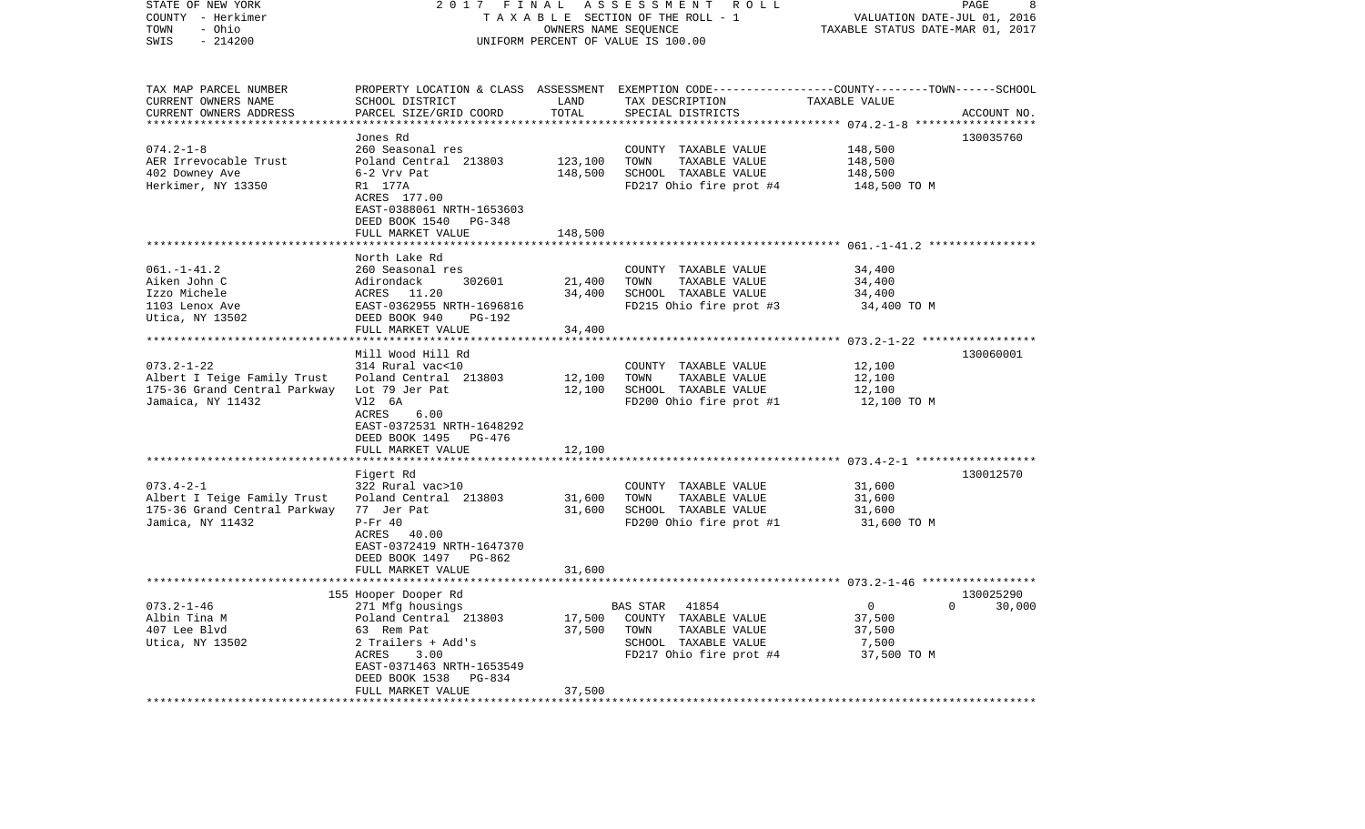| STATE OF NEW YORK<br>COUNTY - Herkimer           | 2017<br>FINAL<br>ASSESSMENT ROLL<br>TAXABLE SECTION OF THE ROLL - 1 |             |                                                                                                 | PAGE<br>8<br>VALUATION DATE-JUL 01, 2016                  |                    |  |
|--------------------------------------------------|---------------------------------------------------------------------|-------------|-------------------------------------------------------------------------------------------------|-----------------------------------------------------------|--------------------|--|
| - Ohio<br>TOWN                                   | OWNERS NAME SEQUENCE                                                |             |                                                                                                 | TAXABLE STATUS DATE-MAR 01, 2017                          |                    |  |
| SWIS<br>$-214200$                                |                                                                     |             | UNIFORM PERCENT OF VALUE IS 100.00                                                              |                                                           |                    |  |
|                                                  |                                                                     |             |                                                                                                 |                                                           |                    |  |
| TAX MAP PARCEL NUMBER                            |                                                                     |             | PROPERTY LOCATION & CLASS ASSESSMENT EXEMPTION CODE---------------COUNTY-------TOWN------SCHOOL |                                                           |                    |  |
| CURRENT OWNERS NAME                              | SCHOOL DISTRICT                                                     | LAND        | TAX DESCRIPTION                                                                                 | TAXABLE VALUE                                             |                    |  |
| CURRENT OWNERS ADDRESS                           | PARCEL SIZE/GRID COORD                                              | TOTAL       | SPECIAL DISTRICTS                                                                               |                                                           | ACCOUNT NO.        |  |
|                                                  |                                                                     | *********** |                                                                                                 | ************ 074.2-1-8 ******                             |                    |  |
|                                                  | Jones Rd                                                            |             |                                                                                                 |                                                           | 130035760          |  |
| $074.2 - 1 - 8$<br>AER Irrevocable Trust         | 260 Seasonal res<br>Poland Central 213803                           | 123,100     | COUNTY TAXABLE VALUE<br>TOWN<br>TAXABLE VALUE                                                   | 148,500<br>148,500                                        |                    |  |
| 402 Downey Ave                                   | 6-2 Vrv Pat                                                         | 148,500     | SCHOOL TAXABLE VALUE                                                                            | 148,500                                                   |                    |  |
| Herkimer, NY 13350                               | R1 177A                                                             |             | FD217 Ohio fire prot #4                                                                         | 148,500 TO M                                              |                    |  |
|                                                  | ACRES 177.00                                                        |             |                                                                                                 |                                                           |                    |  |
|                                                  | EAST-0388061 NRTH-1653603                                           |             |                                                                                                 |                                                           |                    |  |
|                                                  | DEED BOOK 1540<br>PG-348                                            |             |                                                                                                 |                                                           |                    |  |
|                                                  | FULL MARKET VALUE                                                   | 148,500     |                                                                                                 |                                                           |                    |  |
|                                                  |                                                                     |             |                                                                                                 |                                                           |                    |  |
|                                                  | North Lake Rd                                                       |             |                                                                                                 |                                                           |                    |  |
| $061. - 1 - 41.2$                                | 260 Seasonal res                                                    |             | COUNTY TAXABLE VALUE                                                                            | 34,400                                                    |                    |  |
| Aiken John C                                     | 302601<br>Adirondack                                                | 21,400      | TOWN<br>TAXABLE VALUE                                                                           | 34,400                                                    |                    |  |
| Izzo Michele                                     | ACRES 11.20                                                         | 34,400      | SCHOOL TAXABLE VALUE                                                                            | 34,400                                                    |                    |  |
| 1103 Lenox Ave                                   | EAST-0362955 NRTH-1696816                                           |             | FD215 Ohio fire prot #3                                                                         | 34,400 TO M                                               |                    |  |
| Utica, NY 13502                                  | DEED BOOK 940<br>PG-192                                             |             |                                                                                                 |                                                           |                    |  |
|                                                  | FULL MARKET VALUE                                                   | 34,400      |                                                                                                 |                                                           |                    |  |
|                                                  | Mill Wood Hill Rd                                                   |             |                                                                                                 | **************************** 073.2-1-22 ***************** | 130060001          |  |
| $073.2 - 1 - 22$                                 | 314 Rural vac<10                                                    |             | COUNTY TAXABLE VALUE                                                                            | 12,100                                                    |                    |  |
| Albert I Teige Family Trust                      | Poland Central 213803                                               | 12,100      | TOWN<br>TAXABLE VALUE                                                                           | 12,100                                                    |                    |  |
| 175-36 Grand Central Parkway                     | Lot 79 Jer Pat                                                      | 12,100      | SCHOOL TAXABLE VALUE                                                                            | 12,100                                                    |                    |  |
| Jamaica, NY 11432                                | V12 6A                                                              |             | FD200 Ohio fire prot #1                                                                         | 12,100 TO M                                               |                    |  |
|                                                  | ACRES<br>6.00                                                       |             |                                                                                                 |                                                           |                    |  |
|                                                  | EAST-0372531 NRTH-1648292                                           |             |                                                                                                 |                                                           |                    |  |
|                                                  | DEED BOOK 1495 PG-476                                               |             |                                                                                                 |                                                           |                    |  |
|                                                  | FULL MARKET VALUE                                                   | 12,100      |                                                                                                 |                                                           |                    |  |
| **************************                       | ************************                                            |             |                                                                                                 |                                                           |                    |  |
|                                                  | Figert Rd                                                           |             |                                                                                                 |                                                           | 130012570          |  |
| $073.4 - 2 - 1$                                  | 322 Rural vac>10                                                    |             | COUNTY TAXABLE VALUE                                                                            | 31,600                                                    |                    |  |
| Albert I Teige Family Trust                      | Poland Central 213803                                               | 31,600      | TAXABLE VALUE<br>TOWN                                                                           | 31,600                                                    |                    |  |
| 175-36 Grand Central Parkway<br>Jamica, NY 11432 | 77 Jer Pat<br>$P-Fr 40$                                             | 31,600      | SCHOOL TAXABLE VALUE<br>FD200 Ohio fire prot #1                                                 | 31,600<br>31,600 TO M                                     |                    |  |
|                                                  | ACRES<br>40.00                                                      |             |                                                                                                 |                                                           |                    |  |
|                                                  | EAST-0372419 NRTH-1647370                                           |             |                                                                                                 |                                                           |                    |  |
|                                                  | DEED BOOK 1497 PG-862                                               |             |                                                                                                 |                                                           |                    |  |
|                                                  | FULL MARKET VALUE                                                   | 31,600      |                                                                                                 |                                                           |                    |  |
|                                                  |                                                                     |             |                                                                                                 |                                                           |                    |  |
|                                                  | 155 Hooper Dooper Rd                                                |             |                                                                                                 |                                                           | 130025290          |  |
| $073.2 - 1 - 46$                                 | 271 Mfg housings                                                    |             | <b>BAS STAR</b><br>41854                                                                        | $\overline{0}$                                            | $\Omega$<br>30,000 |  |
| Albin Tina M                                     | Poland Central 213803                                               | 17,500      | COUNTY TAXABLE VALUE                                                                            | 37,500                                                    |                    |  |
| 407 Lee Blvd                                     | 63 Rem Pat                                                          | 37,500      | TOWN<br>TAXABLE VALUE                                                                           | 37,500                                                    |                    |  |
| Utica, NY 13502                                  | 2 Trailers + Add's                                                  |             | SCHOOL TAXABLE VALUE                                                                            | 7,500                                                     |                    |  |
|                                                  | ACRES<br>3.00                                                       |             | FD217 Ohio fire prot #4                                                                         | 37,500 TO M                                               |                    |  |
|                                                  | EAST-0371463 NRTH-1653549                                           |             |                                                                                                 |                                                           |                    |  |
|                                                  | DEED BOOK 1538<br>PG-834<br>FULL MARKET VALUE                       | 37,500      |                                                                                                 |                                                           |                    |  |
|                                                  |                                                                     |             |                                                                                                 |                                                           |                    |  |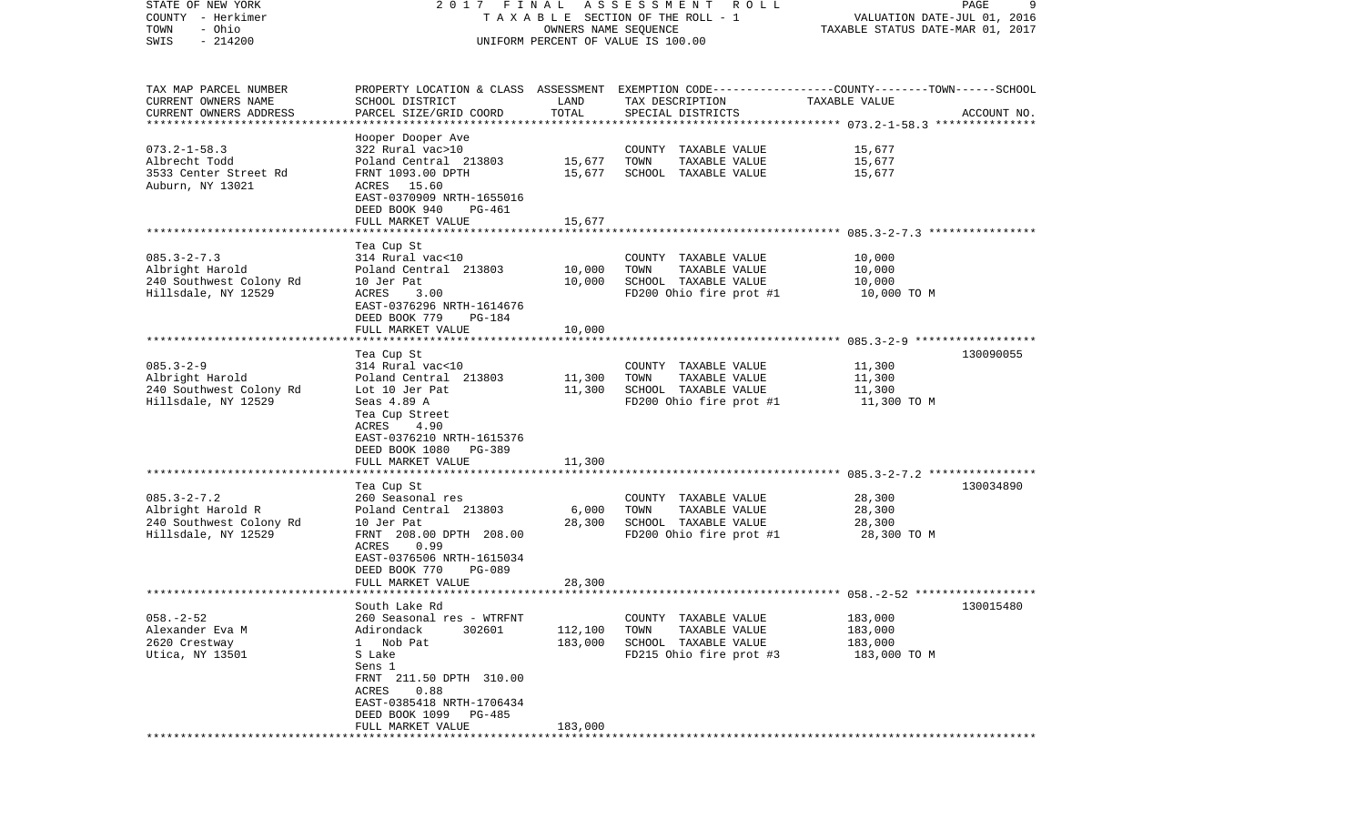| STATE OF NEW YORK        | 2017 FINAL                                                                                      |                      | A S S E S S M E N T R O L L           |                                  | 9<br>PAGE                   |
|--------------------------|-------------------------------------------------------------------------------------------------|----------------------|---------------------------------------|----------------------------------|-----------------------------|
| COUNTY - Herkimer        |                                                                                                 |                      | T A X A B L E SECTION OF THE ROLL - 1 |                                  | VALUATION DATE-JUL 01, 2016 |
| - Ohio<br>TOWN           |                                                                                                 | OWNERS NAME SEQUENCE |                                       | TAXABLE STATUS DATE-MAR 01, 2017 |                             |
| $-214200$<br>SWIS        |                                                                                                 |                      | UNIFORM PERCENT OF VALUE IS 100.00    |                                  |                             |
|                          |                                                                                                 |                      |                                       |                                  |                             |
|                          |                                                                                                 |                      |                                       |                                  |                             |
| TAX MAP PARCEL NUMBER    | PROPERTY LOCATION & CLASS ASSESSMENT EXEMPTION CODE---------------COUNTY-------TOWN------SCHOOL |                      |                                       |                                  |                             |
| CURRENT OWNERS NAME      | SCHOOL DISTRICT                                                                                 | LAND                 | TAX DESCRIPTION                       | TAXABLE VALUE                    |                             |
| CURRENT OWNERS ADDRESS   | PARCEL SIZE/GRID COORD                                                                          | TOTAL                | SPECIAL DISTRICTS                     |                                  | ACCOUNT NO.                 |
| ************************ |                                                                                                 |                      |                                       |                                  |                             |
|                          | Hooper Dooper Ave                                                                               |                      |                                       |                                  |                             |
| $073.2 - 1 - 58.3$       | 322 Rural vac>10                                                                                |                      | COUNTY TAXABLE VALUE                  | 15,677                           |                             |
| Albrecht Todd            | Poland Central 213803                                                                           | 15,677               | TOWN<br>TAXABLE VALUE                 | 15,677                           |                             |
| 3533 Center Street Rd    | FRNT 1093.00 DPTH                                                                               | 15,677               | SCHOOL TAXABLE VALUE                  | 15,677                           |                             |
| Auburn, NY 13021         | ACRES 15.60                                                                                     |                      |                                       |                                  |                             |
|                          | EAST-0370909 NRTH-1655016                                                                       |                      |                                       |                                  |                             |
|                          | DEED BOOK 940<br>PG-461                                                                         |                      |                                       |                                  |                             |
|                          | FULL MARKET VALUE                                                                               | 15,677               |                                       |                                  |                             |
|                          |                                                                                                 |                      |                                       |                                  |                             |
| $085.3 - 2 - 7.3$        | Tea Cup St<br>314 Rural vac<10                                                                  |                      | COUNTY TAXABLE VALUE                  | 10,000                           |                             |
| Albright Harold          | Poland Central 213803                                                                           | 10,000               | TOWN<br>TAXABLE VALUE                 | 10,000                           |                             |
| 240 Southwest Colony Rd  | 10 Jer Pat                                                                                      | 10,000               | SCHOOL TAXABLE VALUE                  | 10,000                           |                             |
| Hillsdale, NY 12529      | ACRES<br>3.00                                                                                   |                      | FD200 Ohio fire prot #1               | 10,000 TO M                      |                             |
|                          | EAST-0376296 NRTH-1614676                                                                       |                      |                                       |                                  |                             |
|                          | DEED BOOK 779<br>PG-184                                                                         |                      |                                       |                                  |                             |
|                          | FULL MARKET VALUE                                                                               | 10,000               |                                       |                                  |                             |
|                          |                                                                                                 |                      |                                       |                                  |                             |
|                          | Tea Cup St                                                                                      |                      |                                       |                                  | 130090055                   |
| $085.3 - 2 - 9$          | 314 Rural vac<10                                                                                |                      | COUNTY TAXABLE VALUE                  | 11,300                           |                             |
| Albright Harold          | Poland Central 213803                                                                           | 11,300               | TAXABLE VALUE<br>TOWN                 | 11,300                           |                             |
| 240 Southwest Colony Rd  | Lot 10 Jer Pat                                                                                  | 11,300               | SCHOOL TAXABLE VALUE                  | 11,300                           |                             |
| Hillsdale, NY 12529      | Seas 4.89 A                                                                                     |                      | FD200 Ohio fire prot #1               | 11,300 TO M                      |                             |
|                          | Tea Cup Street                                                                                  |                      |                                       |                                  |                             |
|                          | ACRES<br>4.90                                                                                   |                      |                                       |                                  |                             |
|                          | EAST-0376210 NRTH-1615376                                                                       |                      |                                       |                                  |                             |
|                          | DEED BOOK 1080<br>PG-389<br>FULL MARKET VALUE                                                   | 11,300               |                                       |                                  |                             |
|                          | **********************                                                                          |                      |                                       |                                  |                             |
|                          | Tea Cup St                                                                                      |                      |                                       |                                  | 130034890                   |
| $085.3 - 2 - 7.2$        | 260 Seasonal res                                                                                |                      | COUNTY TAXABLE VALUE                  | 28,300                           |                             |
| Albright Harold R        | Poland Central 213803                                                                           | 6,000                | TOWN<br>TAXABLE VALUE                 | 28,300                           |                             |
| 240 Southwest Colony Rd  | 10 Jer Pat                                                                                      | 28,300               | SCHOOL TAXABLE VALUE                  | 28,300                           |                             |
| Hillsdale, NY 12529      | FRNT 208.00 DPTH 208.00                                                                         |                      | FD200 Ohio fire prot #1               | 28,300 TO M                      |                             |
|                          | ACRES<br>0.99                                                                                   |                      |                                       |                                  |                             |
|                          | EAST-0376506 NRTH-1615034                                                                       |                      |                                       |                                  |                             |
|                          | DEED BOOK 770<br>PG-089                                                                         |                      |                                       |                                  |                             |
|                          | FULL MARKET VALUE                                                                               | 28,300               |                                       |                                  |                             |
|                          |                                                                                                 |                      |                                       |                                  |                             |
|                          | South Lake Rd                                                                                   |                      |                                       |                                  | 130015480                   |
| $058. - 2 - 52$          | 260 Seasonal res - WTRFNT                                                                       |                      | COUNTY TAXABLE VALUE                  | 183,000                          |                             |
| Alexander Eva M          | Adirondack<br>302601                                                                            | 112,100              | TOWN<br>TAXABLE VALUE                 | 183,000                          |                             |
| 2620 Crestway            | Nob Pat<br>$\mathbf{1}$                                                                         | 183,000              | SCHOOL TAXABLE VALUE                  | 183,000                          |                             |
| Utica, NY 13501          | S Lake                                                                                          |                      | FD215 Ohio fire prot #3               | 183,000 TO M                     |                             |
|                          | Sens 1<br>FRNT 211.50 DPTH 310.00                                                               |                      |                                       |                                  |                             |
|                          | ACRES<br>0.88                                                                                   |                      |                                       |                                  |                             |
|                          | EAST-0385418 NRTH-1706434                                                                       |                      |                                       |                                  |                             |
|                          | DEED BOOK 1099<br>PG-485                                                                        |                      |                                       |                                  |                             |
|                          | FULL MARKET VALUE                                                                               | 183,000              |                                       |                                  |                             |
|                          |                                                                                                 |                      |                                       |                                  |                             |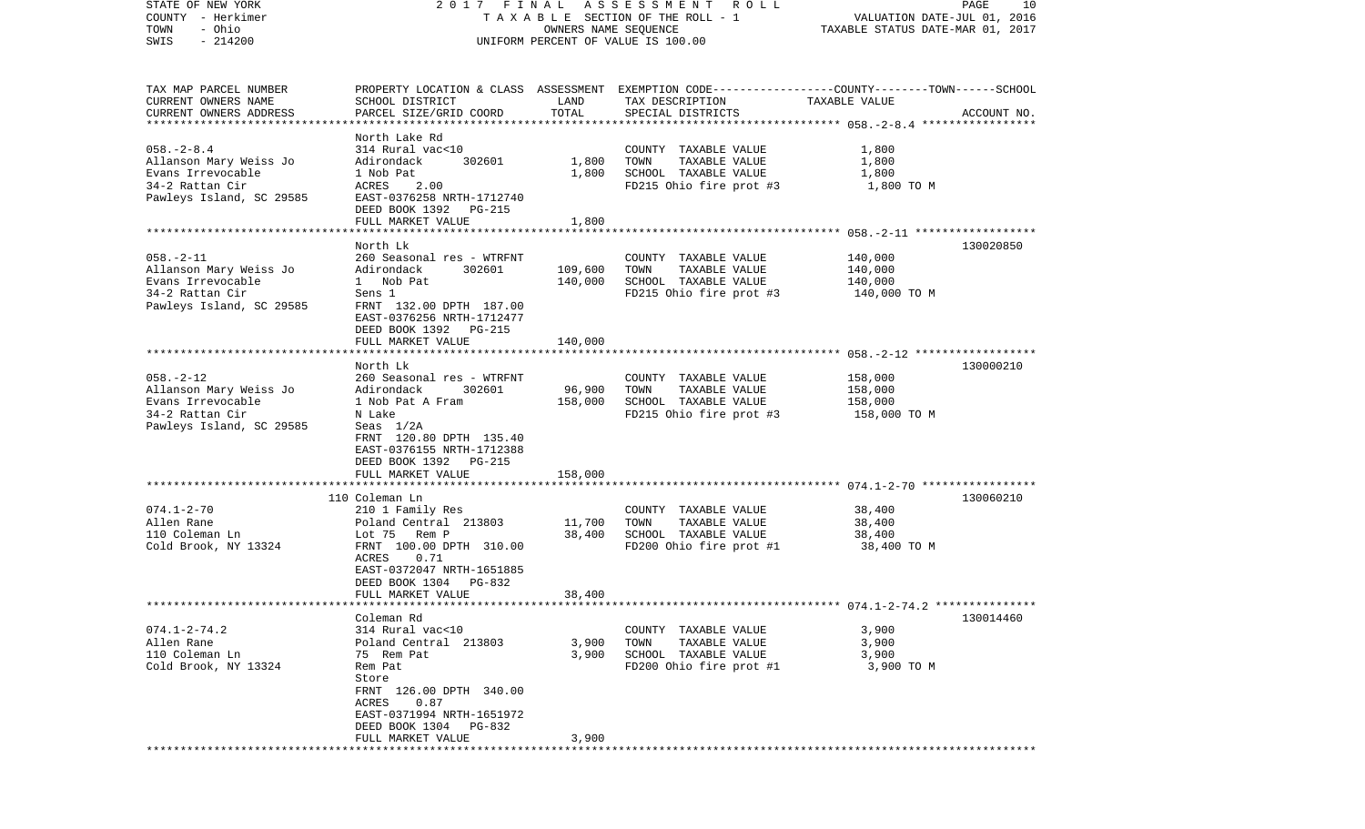| STATE OF NEW YORK<br>COUNTY - Herkimer<br>- Ohio<br>TOWN<br>$-214200$<br>SWIS                                  | FINAL<br>2017<br>TAXABLE SECTION OF THE ROLL - 1<br>UNIFORM PERCENT OF VALUE IS 100.00                                                                                                                              | PAGE<br>10<br>VALUATION DATE-JUL 01, 2016<br>TAXABLE STATUS DATE-MAR 01, 2017 |                                                                                                                                          |                                               |             |
|----------------------------------------------------------------------------------------------------------------|---------------------------------------------------------------------------------------------------------------------------------------------------------------------------------------------------------------------|-------------------------------------------------------------------------------|------------------------------------------------------------------------------------------------------------------------------------------|-----------------------------------------------|-------------|
| TAX MAP PARCEL NUMBER<br>CURRENT OWNERS NAME<br>CURRENT OWNERS ADDRESS<br>***********************              | SCHOOL DISTRICT<br>PARCEL SIZE/GRID COORD                                                                                                                                                                           | LAND<br>TOTAL                                                                 | PROPERTY LOCATION & CLASS ASSESSMENT EXEMPTION CODE----------------COUNTY-------TOWN------SCHOOL<br>TAX DESCRIPTION<br>SPECIAL DISTRICTS | TAXABLE VALUE                                 | ACCOUNT NO. |
| $058. - 2 - 8.4$<br>Allanson Mary Weiss Jo<br>Evans Irrevocable<br>34-2 Rattan Cir<br>Pawleys Island, SC 29585 | North Lake Rd<br>314 Rural vac<10<br>Adirondack<br>302601<br>1 Nob Pat<br>ACRES<br>2.00<br>EAST-0376258 NRTH-1712740<br>DEED BOOK 1392 PG-215<br>FULL MARKET VALUE<br>********************                          | 1,800<br>1,800<br>1,800                                                       | COUNTY TAXABLE VALUE<br>TOWN<br>TAXABLE VALUE<br>SCHOOL TAXABLE VALUE<br>FD215 Ohio fire prot #3                                         | 1,800<br>1,800<br>1,800<br>1,800 TO M         |             |
|                                                                                                                | North Lk                                                                                                                                                                                                            |                                                                               |                                                                                                                                          |                                               | 130020850   |
| $058. - 2 - 11$<br>Allanson Mary Weiss Jo<br>Evans Irrevocable<br>34-2 Rattan Cir<br>Pawleys Island, SC 29585  | 260 Seasonal res - WTRFNT<br>Adirondack<br>302601<br>1 Nob Pat<br>Sens 1<br>FRNT 132.00 DPTH 187.00<br>EAST-0376256 NRTH-1712477<br>DEED BOOK 1392 PG-215                                                           | 109,600<br>140,000                                                            | COUNTY TAXABLE VALUE<br>TAXABLE VALUE<br>TOWN<br>SCHOOL TAXABLE VALUE<br>FD215 Ohio fire prot #3                                         | 140,000<br>140,000<br>140,000<br>140,000 TO M |             |
|                                                                                                                | FULL MARKET VALUE                                                                                                                                                                                                   | 140,000                                                                       |                                                                                                                                          |                                               |             |
| $058. - 2 - 12$<br>Allanson Mary Weiss Jo<br>Evans Irrevocable<br>34-2 Rattan Cir<br>Pawleys Island, SC 29585  | North Lk<br>260 Seasonal res - WTRFNT<br>Adirondack<br>302601<br>1 Nob Pat A Fram<br>N Lake<br>Seas $1/2A$<br>FRNT 120.80 DPTH 135.40<br>EAST-0376155 NRTH-1712388<br>DEED BOOK 1392 PG-215                         | 96,900<br>158,000                                                             | COUNTY TAXABLE VALUE<br>TOWN<br>TAXABLE VALUE<br>SCHOOL TAXABLE VALUE<br>FD215 Ohio fire prot #3                                         | 158,000<br>158,000<br>158,000<br>158,000 TO M | 130000210   |
|                                                                                                                | FULL MARKET VALUE<br>***********************                                                                                                                                                                        | 158,000                                                                       |                                                                                                                                          |                                               |             |
| $074.1 - 2 - 70$<br>Allen Rane<br>110 Coleman Ln<br>Cold Brook, NY 13324                                       | 110 Coleman Ln<br>210 1 Family Res<br>Poland Central 213803<br>Rem P<br>Lot 75<br>FRNT 100.00 DPTH 310.00<br>0.71<br>ACRES<br>EAST-0372047 NRTH-1651885<br>DEED BOOK 1304<br>PG-832                                 | 11,700<br>38,400                                                              | COUNTY TAXABLE VALUE<br>TOWN<br>TAXABLE VALUE<br>SCHOOL TAXABLE VALUE<br>FD200 Ohio fire prot #1                                         | 38,400<br>38,400<br>38,400<br>38,400 TO M     | 130060210   |
|                                                                                                                | FULL MARKET VALUE                                                                                                                                                                                                   | 38,400                                                                        |                                                                                                                                          |                                               |             |
| ************************<br>$074.1 - 2 - 74.2$<br>Allen Rane<br>110 Coleman Ln<br>Cold Brook, NY 13324         | Coleman Rd<br>314 Rural vac<10<br>Poland Central 213803<br>75 Rem Pat<br>Rem Pat<br>Store<br>FRNT 126.00 DPTH 340.00<br>0.87<br>ACRES<br>EAST-0371994 NRTH-1651972<br>DEED BOOK 1304<br>PG-832<br>FULL MARKET VALUE | 3,900<br>3,900<br>3,900                                                       | COUNTY TAXABLE VALUE<br>TOWN<br>TAXABLE VALUE<br>SCHOOL TAXABLE VALUE<br>FD200 Ohio fire prot #1                                         | 3,900<br>3,900<br>3,900<br>3,900 TO M         | 130014460   |
|                                                                                                                |                                                                                                                                                                                                                     |                                                                               |                                                                                                                                          |                                               |             |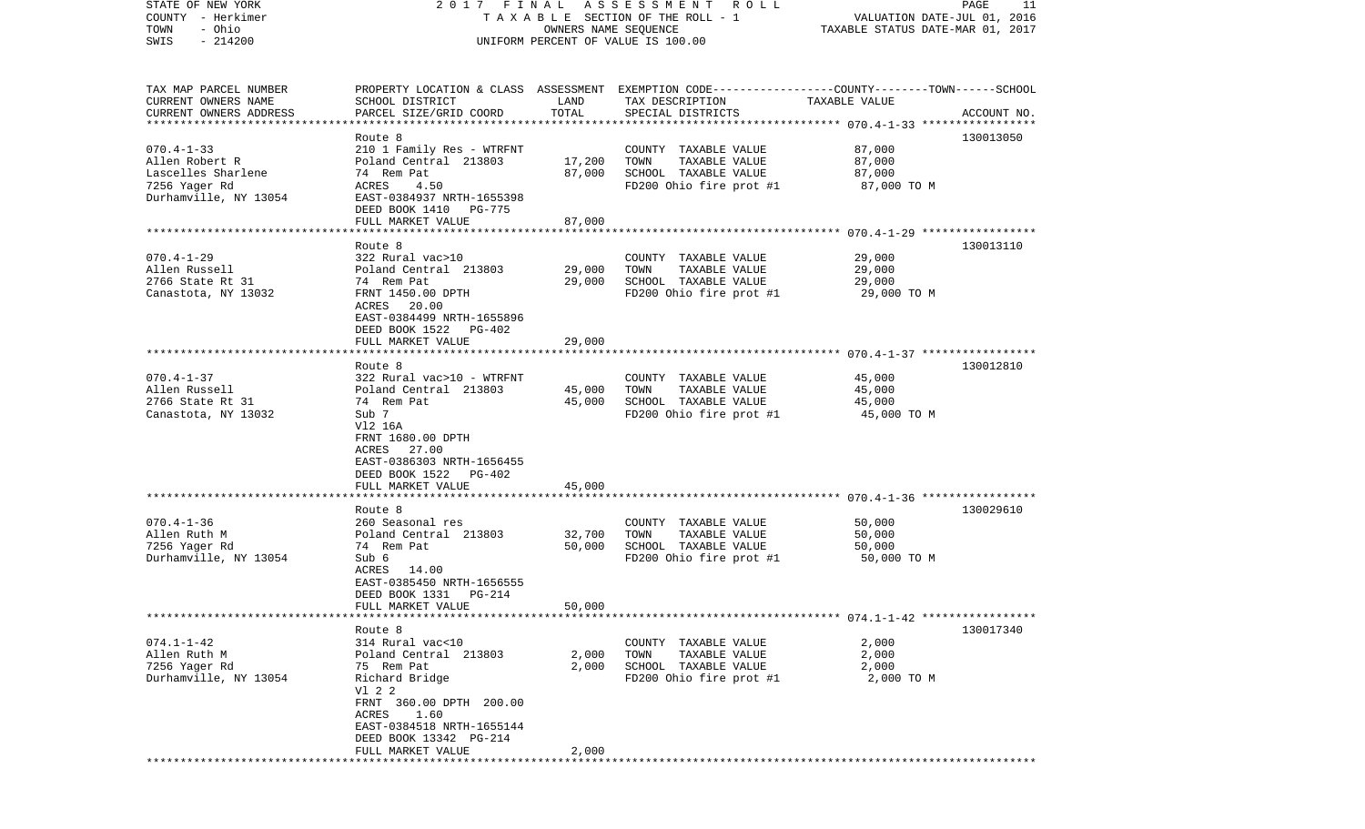| STATE OF NEW YORK<br>COUNTY - Herkimer<br>- Ohio<br>TOWN<br>$-214200$<br>SWIS                      | 2017 FINAL                                                                                                                                                                                                          | OWNERS NAME SEQUENCE       | A S S E S S M E N T R O L L<br>T A X A B L E SECTION OF THE ROLL - 1<br>UNIFORM PERCENT OF VALUE IS 100.00                              | VALUATION DATE-JUL 01, 2016<br>TAXABLE STATUS DATE-MAR 01, 2017 | PAGE<br>11  |
|----------------------------------------------------------------------------------------------------|---------------------------------------------------------------------------------------------------------------------------------------------------------------------------------------------------------------------|----------------------------|-----------------------------------------------------------------------------------------------------------------------------------------|-----------------------------------------------------------------|-------------|
| TAX MAP PARCEL NUMBER<br>CURRENT OWNERS NAME<br>CURRENT OWNERS ADDRESS<br>************************ | SCHOOL DISTRICT<br>PARCEL SIZE/GRID COORD                                                                                                                                                                           | LAND<br>TOTAL              | PROPERTY LOCATION & CLASS ASSESSMENT EXEMPTION CODE---------------COUNTY-------TOWN------SCHOOL<br>TAX DESCRIPTION<br>SPECIAL DISTRICTS | TAXABLE VALUE                                                   | ACCOUNT NO. |
| $070.4 - 1 - 33$<br>Allen Robert R<br>Lascelles Sharlene<br>7256 Yager Rd<br>Durhamville, NY 13054 | Route 8<br>210 1 Family Res - WTRFNT<br>Poland Central 213803<br>74 Rem Pat<br>ACRES<br>4.50<br>EAST-0384937 NRTH-1655398<br>DEED BOOK 1410 PG-775<br>FULL MARKET VALUE                                             | 17,200<br>87,000<br>87,000 | COUNTY TAXABLE VALUE<br>TOWN<br>TAXABLE VALUE<br>SCHOOL TAXABLE VALUE<br>FD200 Ohio fire prot #1                                        | 87,000<br>87,000<br>87,000<br>87,000 TO M                       | 130013050   |
|                                                                                                    |                                                                                                                                                                                                                     |                            |                                                                                                                                         |                                                                 |             |
| $070.4 - 1 - 29$<br>Allen Russell<br>2766 State Rt 31<br>Canastota, NY 13032                       | Route 8<br>322 Rural vac>10<br>Poland Central 213803<br>74 Rem Pat<br>FRNT 1450.00 DPTH<br>ACRES 20.00<br>EAST-0384499 NRTH-1655896<br>DEED BOOK 1522 PG-402                                                        | 29,000<br>29,000           | COUNTY TAXABLE VALUE<br>TOWN<br>TAXABLE VALUE<br>SCHOOL TAXABLE VALUE<br>FD200 Ohio fire prot #1                                        | 29,000<br>29,000<br>29,000<br>29,000 TO M                       | 130013110   |
|                                                                                                    | FULL MARKET VALUE                                                                                                                                                                                                   | 29,000                     |                                                                                                                                         |                                                                 |             |
|                                                                                                    |                                                                                                                                                                                                                     |                            |                                                                                                                                         |                                                                 |             |
| $070.4 - 1 - 37$<br>Allen Russell<br>2766 State Rt 31<br>Canastota, NY 13032                       | Route 8<br>322 Rural vac>10 - WTRFNT<br>Poland Central 213803<br>74 Rem Pat<br>Sub 7<br>V12 16A<br>FRNT 1680.00 DPTH<br>ACRES 27.00<br>EAST-0386303 NRTH-1656455<br>DEED BOOK 1522 PG-402                           | 45,000<br>45,000           | COUNTY TAXABLE VALUE<br>TOWN<br>TAXABLE VALUE<br>SCHOOL TAXABLE VALUE<br>FD200 Ohio fire prot #1                                        | 45,000<br>45,000<br>45,000<br>45,000 TO M                       | 130012810   |
|                                                                                                    | FULL MARKET VALUE<br>********************                                                                                                                                                                           | 45,000<br>********         |                                                                                                                                         |                                                                 |             |
| $070.4 - 1 - 36$<br>Allen Ruth M<br>7256 Yaqer Rd<br>Durhamville, NY 13054                         | Route 8<br>260 Seasonal res<br>Poland Central 213803<br>74 Rem Pat<br>Sub 6<br>ACRES 14.00<br>EAST-0385450 NRTH-1656555<br>DEED BOOK 1331<br>PG-214<br>FULL MARKET VALUE                                            | 32,700<br>50,000<br>50,000 | COUNTY TAXABLE VALUE<br>TOWN<br>TAXABLE VALUE<br>SCHOOL TAXABLE VALUE<br>FD200 Ohio fire prot #1                                        | 50,000<br>50,000<br>50,000<br>50,000 TO M                       | 130029610   |
|                                                                                                    |                                                                                                                                                                                                                     |                            |                                                                                                                                         |                                                                 |             |
| $074.1 - 1 - 42$<br>Allen Ruth M<br>7256 Yager Rd<br>Durhamville, NY 13054                         | Route 8<br>314 Rural vac<10<br>Poland Central 213803<br>75 Rem Pat<br>Richard Bridge<br>V1 2 2<br>FRNT 360.00 DPTH 200.00<br>ACRES 1.60<br>EAST-0384518 NRTH-1655144<br>DEED BOOK 13342 PG-214<br>FULL MARKET VALUE | 2,000<br>2,000<br>2,000    | COUNTY TAXABLE VALUE<br>TOWN<br>TAXABLE VALUE<br>SCHOOL TAXABLE VALUE<br>FD200 Ohio fire prot #1                                        | 2,000<br>2,000<br>2,000<br>2,000 TO M                           | 130017340   |
|                                                                                                    |                                                                                                                                                                                                                     |                            |                                                                                                                                         |                                                                 |             |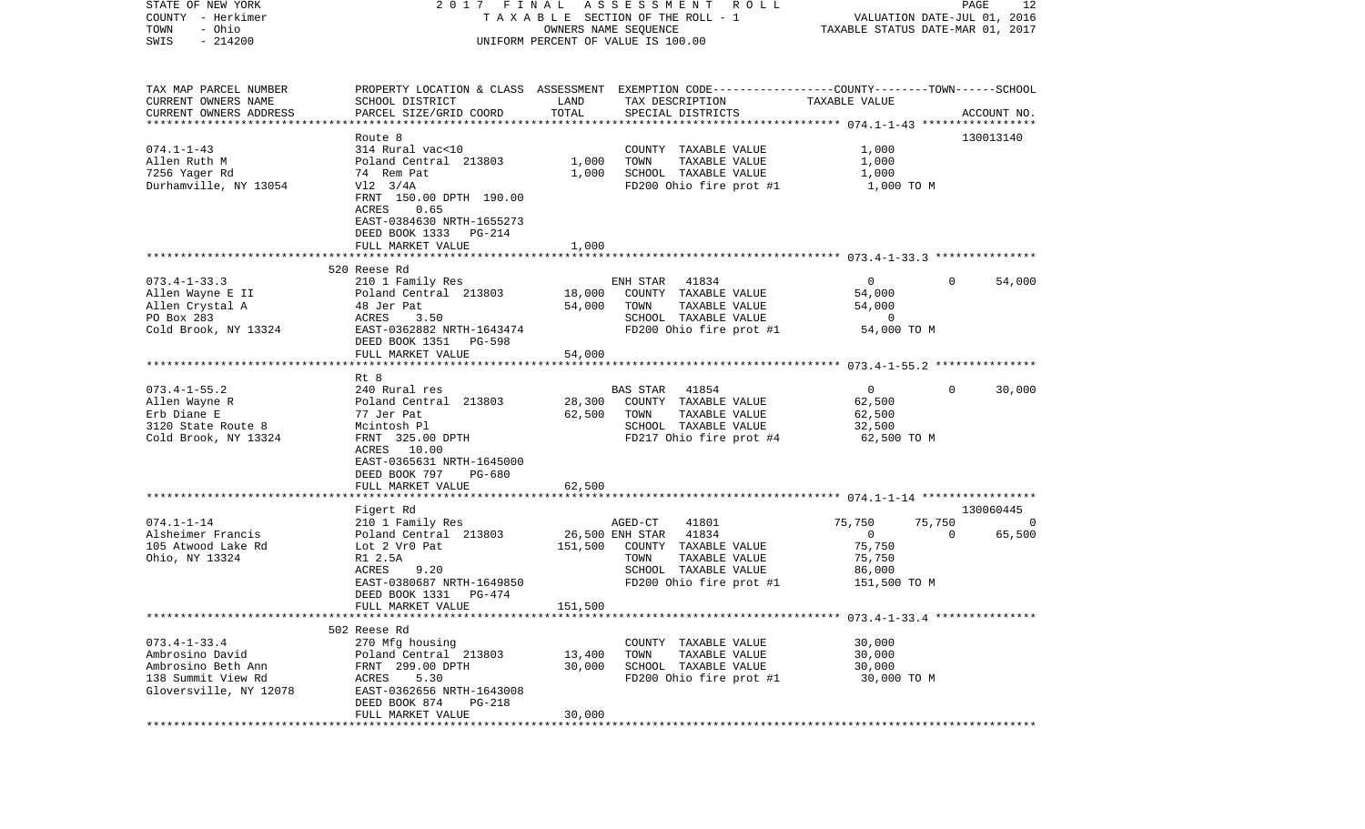| STATE OF NEW YORK<br>COUNTY - Herkimer<br>- Ohio<br>TOWN<br>$-214200$ | 2017 FINAL<br>T A X A B L E SECTION OF THE ROLL - 1                                            | PAGE<br>12<br>VALUATION DATE-JUL 01, 2016<br>TAXABLE STATUS DATE-MAR 01, 2017 |                                                                                                                    |                          |             |             |
|-----------------------------------------------------------------------|------------------------------------------------------------------------------------------------|-------------------------------------------------------------------------------|--------------------------------------------------------------------------------------------------------------------|--------------------------|-------------|-------------|
| SWIS                                                                  |                                                                                                |                                                                               | UNIFORM PERCENT OF VALUE IS 100.00                                                                                 |                          |             |             |
| TAX MAP PARCEL NUMBER<br>CURRENT OWNERS NAME                          | SCHOOL DISTRICT                                                                                | LAND                                                                          | PROPERTY LOCATION & CLASS ASSESSMENT EXEMPTION CODE---------------COUNTY-------TOWN------SCHOOL<br>TAX DESCRIPTION | TAXABLE VALUE            |             |             |
| CURRENT OWNERS ADDRESS                                                | PARCEL SIZE/GRID COORD                                                                         | TOTAL                                                                         | SPECIAL DISTRICTS                                                                                                  |                          |             | ACCOUNT NO. |
| *************************                                             | Route 8                                                                                        |                                                                               |                                                                                                                    |                          |             | 130013140   |
| $074.1 - 1 - 43$                                                      | 314 Rural vac<10                                                                               |                                                                               | COUNTY TAXABLE VALUE                                                                                               | 1,000                    |             |             |
| Allen Ruth M                                                          | Poland Central 213803                                                                          | 1,000                                                                         | TOWN<br>TAXABLE VALUE                                                                                              | 1,000                    |             |             |
| 7256 Yager Rd                                                         | 74 Rem Pat                                                                                     | 1,000                                                                         | SCHOOL TAXABLE VALUE                                                                                               | 1,000                    |             |             |
| Durhamville, NY 13054                                                 | $V12$ 3/4A                                                                                     |                                                                               | FD200 Ohio fire prot #1                                                                                            | 1,000 TO M               |             |             |
|                                                                       | FRNT 150.00 DPTH 190.00<br>ACRES<br>0.65<br>EAST-0384630 NRTH-1655273<br>DEED BOOK 1333 PG-214 |                                                                               |                                                                                                                    |                          |             |             |
|                                                                       | FULL MARKET VALUE                                                                              | 1,000                                                                         |                                                                                                                    |                          |             |             |
|                                                                       |                                                                                                |                                                                               |                                                                                                                    |                          |             |             |
|                                                                       | 520 Reese Rd                                                                                   |                                                                               |                                                                                                                    |                          |             |             |
| $073.4 - 1 - 33.3$                                                    | 210 1 Family Res                                                                               |                                                                               | ENH STAR 41834<br>COUNTY TAXABLE VALUE                                                                             | $\overline{0}$<br>54,000 | $\Omega$    | 54,000      |
| Allen Wayne E II<br>Allen Crystal A                                   | Poland Central 213803<br>48 Jer Pat                                                            | 18,000<br>54,000                                                              | TAXABLE VALUE<br>TOWN                                                                                              | 54,000                   |             |             |
| PO Box 283                                                            | ACRES<br>3.50                                                                                  |                                                                               | SCHOOL TAXABLE VALUE                                                                                               | $\overline{0}$           |             |             |
| Cold Brook, NY 13324                                                  | EAST-0362882 NRTH-1643474                                                                      |                                                                               | FD200 Ohio fire prot #1                                                                                            | 54,000 TO M              |             |             |
|                                                                       | DEED BOOK 1351 PG-598                                                                          |                                                                               |                                                                                                                    |                          |             |             |
|                                                                       | FULL MARKET VALUE                                                                              | 54,000                                                                        |                                                                                                                    |                          |             |             |
|                                                                       |                                                                                                |                                                                               |                                                                                                                    |                          |             |             |
|                                                                       | Rt 8                                                                                           |                                                                               |                                                                                                                    |                          |             |             |
| $073.4 - 1 - 55.2$                                                    | 240 Rural res                                                                                  |                                                                               | <b>BAS STAR</b><br>41854                                                                                           | $\mathbf{0}$             | $\Omega$    | 30,000      |
| Allen Wayne R                                                         | Poland Central 213803                                                                          | 28,300                                                                        | COUNTY TAXABLE VALUE                                                                                               | 62,500                   |             |             |
| Erb Diane E<br>3120 State Route 8                                     | 77 Jer Pat                                                                                     | 62,500                                                                        | TOWN<br>TAXABLE VALUE<br>SCHOOL TAXABLE VALUE                                                                      | 62,500                   |             |             |
| Cold Brook, NY 13324                                                  | Mcintosh Pl<br>FRNT 325.00 DPTH                                                                |                                                                               | FD217 Ohio fire prot #4                                                                                            | 32,500<br>62,500 TO M    |             |             |
|                                                                       | ACRES 10.00<br>EAST-0365631 NRTH-1645000<br>DEED BOOK 797<br>PG-680                            |                                                                               |                                                                                                                    |                          |             |             |
|                                                                       | FULL MARKET VALUE<br>********************                                                      | 62,500                                                                        |                                                                                                                    |                          |             |             |
|                                                                       | Figert Rd                                                                                      |                                                                               |                                                                                                                    |                          |             | 130060445   |
| $074.1 - 1 - 14$                                                      | 210 1 Family Res                                                                               |                                                                               | AGED-CT<br>41801                                                                                                   | 75,750                   | 75,750      | 0           |
| Alsheimer Francis                                                     | Poland Central 213803                                                                          |                                                                               | 26,500 ENH STAR<br>41834                                                                                           | $\overline{0}$           | $\mathbf 0$ | 65,500      |
| 105 Atwood Lake Rd                                                    | Lot 2 Vr0 Pat                                                                                  | 151,500                                                                       | COUNTY TAXABLE VALUE                                                                                               | 75,750                   |             |             |
| Ohio, NY 13324                                                        | R1 2.5A                                                                                        |                                                                               | TOWN<br>TAXABLE VALUE                                                                                              | 75,750                   |             |             |
|                                                                       | ACRES<br>9.20                                                                                  |                                                                               | SCHOOL TAXABLE VALUE                                                                                               | 86,000                   |             |             |
|                                                                       | EAST-0380687 NRTH-1649850                                                                      |                                                                               | FD200 Ohio fire prot #1                                                                                            | 151,500 TO M             |             |             |
|                                                                       | DEED BOOK 1331<br>PG-474                                                                       |                                                                               |                                                                                                                    |                          |             |             |
|                                                                       | FULL MARKET VALUE                                                                              | 151,500                                                                       |                                                                                                                    |                          |             |             |
|                                                                       |                                                                                                |                                                                               |                                                                                                                    |                          |             |             |
| $073.4 - 1 - 33.4$                                                    | 502 Reese Rd                                                                                   |                                                                               |                                                                                                                    | 30,000                   |             |             |
| Ambrosino David                                                       | 270 Mfg housing<br>Poland Central 213803                                                       | 13,400                                                                        | COUNTY TAXABLE VALUE<br>TOWN<br>TAXABLE VALUE                                                                      | 30,000                   |             |             |
| Ambrosino Beth Ann                                                    | FRNT 299.00 DPTH                                                                               | 30,000                                                                        | SCHOOL TAXABLE VALUE                                                                                               | 30,000                   |             |             |
| 138 Summit View Rd                                                    | ACRES<br>5.30                                                                                  |                                                                               | FD200 Ohio fire prot #1                                                                                            | 30,000 TO M              |             |             |
| Gloversville, NY 12078                                                | EAST-0362656 NRTH-1643008                                                                      |                                                                               |                                                                                                                    |                          |             |             |
|                                                                       | DEED BOOK 874<br>PG-218                                                                        |                                                                               |                                                                                                                    |                          |             |             |
|                                                                       | FULL MARKET VALUE                                                                              | 30,000                                                                        |                                                                                                                    |                          |             |             |
| ***********                                                           |                                                                                                |                                                                               |                                                                                                                    |                          |             |             |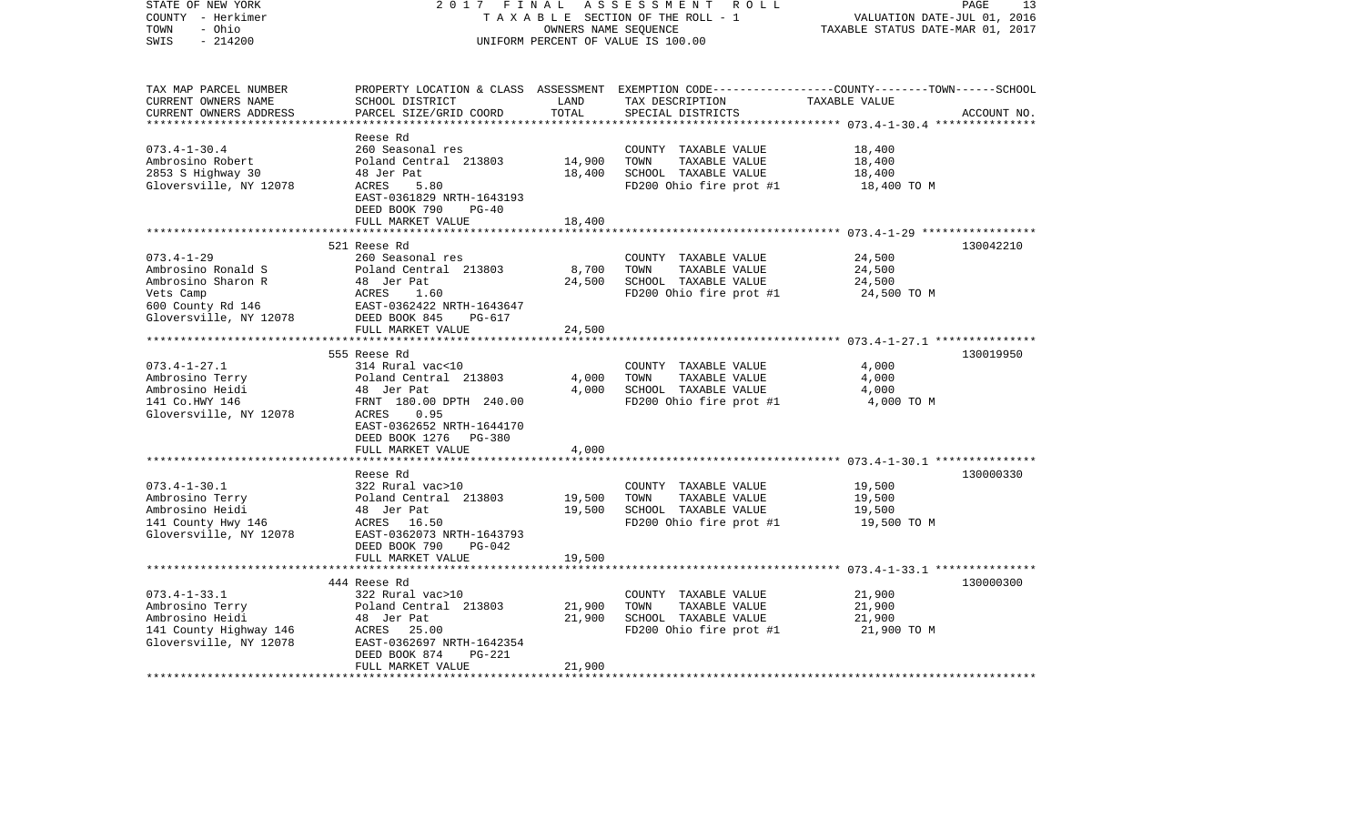| STATE OF NEW YORK<br>COUNTY - Herkimer<br>- Ohio<br>TOWN<br>$-214200$<br>SWIS | 2017 FINAL                                             | OWNERS NAME SEQUENCE | ASSESSMENT<br>R O L L<br>TAXABLE SECTION OF THE ROLL - 1<br>UNIFORM PERCENT OF VALUE IS 100.00 | PAGE<br>VALUATION DATE-JUL 01, 2016<br>TAXABLE STATUS DATE-MAR 01, 2017                         | 13          |
|-------------------------------------------------------------------------------|--------------------------------------------------------|----------------------|------------------------------------------------------------------------------------------------|-------------------------------------------------------------------------------------------------|-------------|
| TAX MAP PARCEL NUMBER                                                         |                                                        |                      |                                                                                                | PROPERTY LOCATION & CLASS ASSESSMENT EXEMPTION CODE---------------COUNTY-------TOWN------SCHOOL |             |
| CURRENT OWNERS NAME                                                           | SCHOOL DISTRICT                                        | LAND                 | TAX DESCRIPTION                                                                                | TAXABLE VALUE                                                                                   |             |
| CURRENT OWNERS ADDRESS                                                        | PARCEL SIZE/GRID COORD                                 | TOTAL                | SPECIAL DISTRICTS                                                                              |                                                                                                 | ACCOUNT NO. |
| ************************                                                      |                                                        |                      |                                                                                                |                                                                                                 |             |
|                                                                               | Reese Rd                                               |                      |                                                                                                |                                                                                                 |             |
| $073.4 - 1 - 30.4$                                                            | 260 Seasonal res                                       |                      | COUNTY TAXABLE VALUE                                                                           | 18,400                                                                                          |             |
| Ambrosino Robert                                                              | Poland Central 213803                                  | 14,900               | TOWN<br>TAXABLE VALUE                                                                          | 18,400                                                                                          |             |
| 2853 S Highway 30                                                             | 48 Jer Pat                                             | 18,400               | SCHOOL TAXABLE VALUE                                                                           | 18,400                                                                                          |             |
| Gloversville, NY 12078                                                        | ACRES<br>5.80                                          |                      | FD200 Ohio fire prot #1                                                                        | 18,400 TO M                                                                                     |             |
|                                                                               | EAST-0361829 NRTH-1643193                              |                      |                                                                                                |                                                                                                 |             |
|                                                                               | DEED BOOK 790<br>$PG-40$                               |                      |                                                                                                |                                                                                                 |             |
|                                                                               | FULL MARKET VALUE                                      | 18,400               |                                                                                                |                                                                                                 |             |
|                                                                               | 521 Reese Rd                                           |                      |                                                                                                |                                                                                                 | 130042210   |
| $073.4 - 1 - 29$                                                              | 260 Seasonal res                                       |                      |                                                                                                |                                                                                                 |             |
| Ambrosino Ronald S                                                            | Poland Central 213803                                  |                      | COUNTY TAXABLE VALUE<br>TOWN<br>TAXABLE VALUE                                                  | 24,500                                                                                          |             |
| Ambrosino Sharon R                                                            | 48 Jer Pat                                             | 8,700<br>24,500      | SCHOOL TAXABLE VALUE                                                                           | 24,500<br>24,500                                                                                |             |
| Vets Camp                                                                     | ACRES<br>1.60                                          |                      | FD200 Ohio fire prot #1                                                                        | 24,500 TO M                                                                                     |             |
| 600 County Rd 146                                                             | EAST-0362422 NRTH-1643647                              |                      |                                                                                                |                                                                                                 |             |
| Gloversville, NY 12078                                                        | DEED BOOK 845<br>PG-617                                |                      |                                                                                                |                                                                                                 |             |
|                                                                               | FULL MARKET VALUE                                      | 24,500               |                                                                                                |                                                                                                 |             |
|                                                                               |                                                        |                      |                                                                                                |                                                                                                 |             |
|                                                                               | 555 Reese Rd                                           |                      |                                                                                                |                                                                                                 | 130019950   |
| $073.4 - 1 - 27.1$                                                            | 314 Rural vac<10                                       |                      | COUNTY TAXABLE VALUE                                                                           | 4,000                                                                                           |             |
| Ambrosino Terry                                                               | Poland Central 213803                                  | 4,000                | TOWN<br>TAXABLE VALUE                                                                          | 4,000                                                                                           |             |
| Ambrosino Heidi                                                               | 48 Jer Pat                                             | 4,000                | SCHOOL TAXABLE VALUE                                                                           | 4,000                                                                                           |             |
| 141 Co.HWY 146                                                                | FRNT 180.00 DPTH 240.00                                |                      | FD200 Ohio fire prot #1                                                                        | 4,000 TO M                                                                                      |             |
| Gloversville, NY 12078                                                        | 0.95<br>ACRES                                          |                      |                                                                                                |                                                                                                 |             |
|                                                                               | EAST-0362652 NRTH-1644170                              |                      |                                                                                                |                                                                                                 |             |
|                                                                               | DEED BOOK 1276 PG-380                                  |                      |                                                                                                |                                                                                                 |             |
|                                                                               | FULL MARKET VALUE                                      | 4,000                |                                                                                                |                                                                                                 |             |
|                                                                               |                                                        |                      |                                                                                                |                                                                                                 |             |
|                                                                               | Reese Rd                                               |                      |                                                                                                |                                                                                                 | 130000330   |
| $073.4 - 1 - 30.1$                                                            | 322 Rural vac>10                                       |                      | COUNTY TAXABLE VALUE                                                                           | 19,500                                                                                          |             |
| Ambrosino Terry                                                               | Poland Central 213803                                  | 19,500               | TOWN<br>TAXABLE VALUE                                                                          | 19,500                                                                                          |             |
| Ambrosino Heidi                                                               | 48 Jer Pat                                             | 19,500               | SCHOOL TAXABLE VALUE                                                                           | 19,500                                                                                          |             |
| 141 County Hwy 146                                                            | ACRES 16.50                                            |                      | FD200 Ohio fire prot #1                                                                        | 19,500 TO M                                                                                     |             |
| Gloversville, NY 12078                                                        | EAST-0362073 NRTH-1643793<br>DEED BOOK 790<br>$PG-042$ |                      |                                                                                                |                                                                                                 |             |
|                                                                               | FULL MARKET VALUE                                      | 19,500               |                                                                                                |                                                                                                 |             |
|                                                                               | **************************                             |                      |                                                                                                |                                                                                                 |             |
|                                                                               | 444 Reese Rd                                           |                      |                                                                                                |                                                                                                 | 130000300   |
| $073.4 - 1 - 33.1$                                                            | 322 Rural vac>10                                       |                      | COUNTY TAXABLE VALUE                                                                           | 21,900                                                                                          |             |
| Ambrosino Terry                                                               | Poland Central 213803                                  | 21,900               | TOWN<br>TAXABLE VALUE                                                                          | 21,900                                                                                          |             |
| Ambrosino Heidi                                                               | 48 Jer Pat                                             | 21,900               | SCHOOL TAXABLE VALUE                                                                           | 21,900                                                                                          |             |
| 141 County Highway 146                                                        | ACRES 25.00                                            |                      | FD200 Ohio fire prot #1                                                                        | 21,900 TO M                                                                                     |             |
| Gloversville, NY 12078                                                        | EAST-0362697 NRTH-1642354                              |                      |                                                                                                |                                                                                                 |             |
|                                                                               | <b>PG-221</b><br>DEED BOOK 874                         |                      |                                                                                                |                                                                                                 |             |
|                                                                               | FULL MARKET VALUE                                      | 21,900               |                                                                                                |                                                                                                 |             |
|                                                                               |                                                        |                      |                                                                                                |                                                                                                 |             |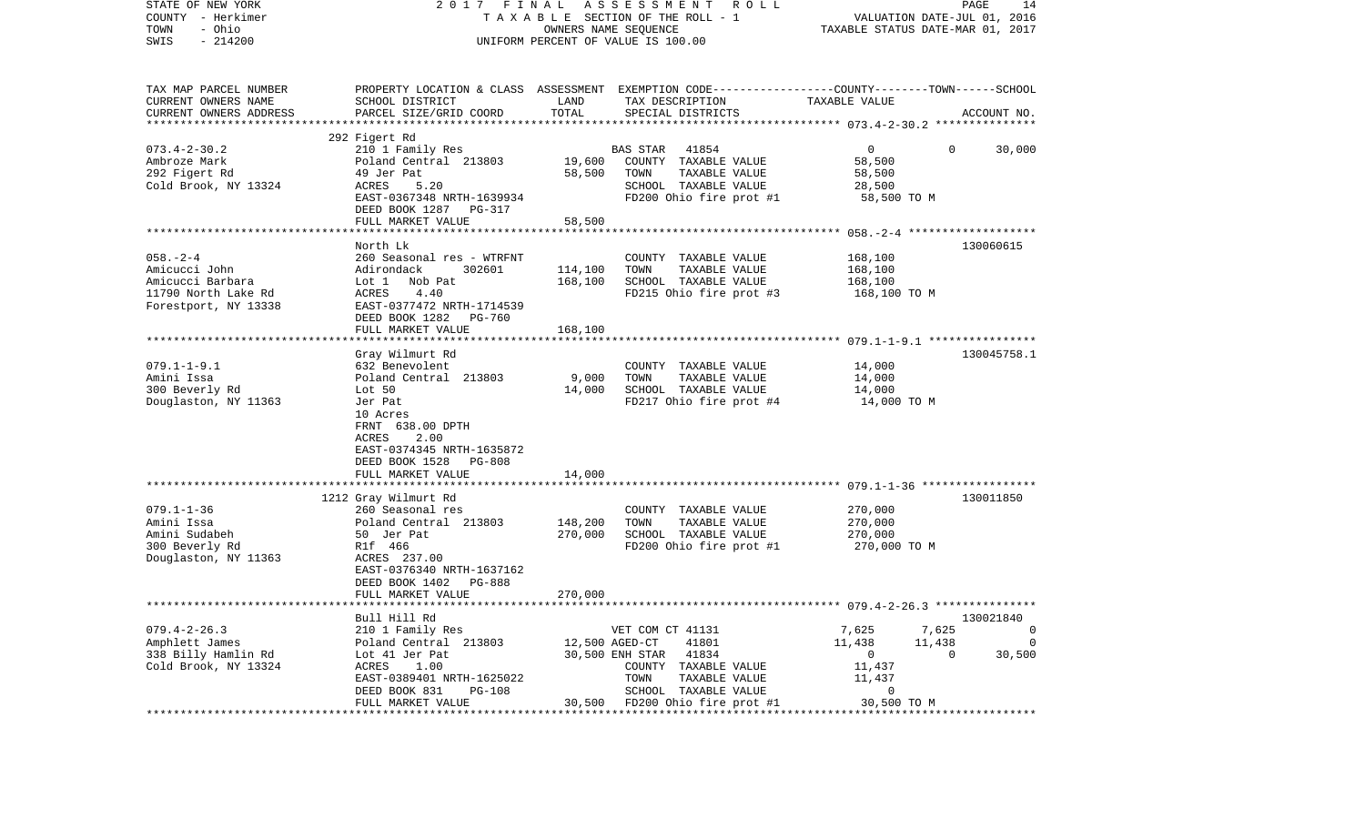| STATE OF NEW YORK                                   | 2017 FINAL                                              | PAGE<br>14         |                                                                                                 |                                                                 |                        |  |
|-----------------------------------------------------|---------------------------------------------------------|--------------------|-------------------------------------------------------------------------------------------------|-----------------------------------------------------------------|------------------------|--|
| COUNTY - Herkimer<br>- Ohio                         | TAXABLE SECTION OF THE ROLL - 1<br>OWNERS NAME SEQUENCE |                    |                                                                                                 | VALUATION DATE-JUL 01, 2016<br>TAXABLE STATUS DATE-MAR 01, 2017 |                        |  |
| TOWN<br>$-214200$<br>SWIS                           | UNIFORM PERCENT OF VALUE IS 100.00                      |                    |                                                                                                 |                                                                 |                        |  |
|                                                     |                                                         |                    |                                                                                                 |                                                                 |                        |  |
| TAX MAP PARCEL NUMBER                               |                                                         |                    | PROPERTY LOCATION & CLASS ASSESSMENT EXEMPTION CODE---------------COUNTY-------TOWN------SCHOOL |                                                                 |                        |  |
| CURRENT OWNERS NAME                                 | SCHOOL DISTRICT                                         | LAND               | TAX DESCRIPTION                                                                                 | TAXABLE VALUE                                                   |                        |  |
| CURRENT OWNERS ADDRESS<br>************************* | PARCEL SIZE/GRID COORD                                  | TOTAL              | SPECIAL DISTRICTS                                                                               |                                                                 | ACCOUNT NO.            |  |
|                                                     | 292 Figert Rd                                           |                    |                                                                                                 |                                                                 |                        |  |
| $073.4 - 2 - 30.2$                                  | 210 1 Family Res                                        |                    | 41854<br><b>BAS STAR</b>                                                                        | $\overline{0}$                                                  | 30,000<br>$\mathbf{0}$ |  |
| Ambroze Mark                                        | Poland Central 213803                                   | 19,600             | COUNTY TAXABLE VALUE                                                                            | 58,500                                                          |                        |  |
| 292 Figert Rd                                       | 49 Jer Pat                                              | 58,500             | TAXABLE VALUE<br>TOWN                                                                           | 58,500                                                          |                        |  |
| Cold Brook, NY 13324                                | ACRES<br>5.20                                           |                    | SCHOOL TAXABLE VALUE                                                                            | 28,500                                                          |                        |  |
|                                                     | EAST-0367348 NRTH-1639934                               |                    | FD200 Ohio fire prot #1                                                                         | 58,500 TO M                                                     |                        |  |
|                                                     | DEED BOOK 1287 PG-317                                   |                    |                                                                                                 |                                                                 |                        |  |
|                                                     | FULL MARKET VALUE                                       | 58,500             |                                                                                                 |                                                                 |                        |  |
|                                                     |                                                         |                    |                                                                                                 |                                                                 |                        |  |
|                                                     | North Lk                                                |                    |                                                                                                 |                                                                 | 130060615              |  |
| $058. - 2 - 4$<br>Amicucci John                     | 260 Seasonal res - WTRFNT<br>Adirondack<br>302601       |                    | COUNTY TAXABLE VALUE<br>TOWN                                                                    | 168,100                                                         |                        |  |
| Amicucci Barbara                                    | Lot 1 Nob Pat                                           | 114,100<br>168,100 | TAXABLE VALUE<br>SCHOOL TAXABLE VALUE                                                           | 168,100<br>168,100                                              |                        |  |
| 11790 North Lake Rd                                 | 4.40<br>ACRES                                           |                    | FD215 Ohio fire prot #3                                                                         | 168,100 TO M                                                    |                        |  |
| Forestport, NY 13338                                | EAST-0377472 NRTH-1714539                               |                    |                                                                                                 |                                                                 |                        |  |
|                                                     | DEED BOOK 1282<br>PG-760                                |                    |                                                                                                 |                                                                 |                        |  |
|                                                     | FULL MARKET VALUE                                       | 168,100            |                                                                                                 |                                                                 |                        |  |
|                                                     |                                                         |                    |                                                                                                 |                                                                 |                        |  |
|                                                     | Gray Wilmurt Rd                                         |                    |                                                                                                 |                                                                 | 130045758.1            |  |
| $079.1 - 1 - 9.1$                                   | 632 Benevolent                                          |                    | COUNTY TAXABLE VALUE                                                                            | 14,000                                                          |                        |  |
| Amini Issa                                          | Poland Central 213803                                   | 9,000              | TAXABLE VALUE<br>TOWN                                                                           | 14,000                                                          |                        |  |
| 300 Beverly Rd                                      | Lot 50                                                  | 14,000             | SCHOOL TAXABLE VALUE                                                                            | 14,000                                                          |                        |  |
| Douglaston, NY 11363                                | Jer Pat<br>10 Acres                                     |                    | FD217 Ohio fire prot #4                                                                         | 14,000 TO M                                                     |                        |  |
|                                                     | FRNT 638.00 DPTH                                        |                    |                                                                                                 |                                                                 |                        |  |
|                                                     | 2.00<br>ACRES                                           |                    |                                                                                                 |                                                                 |                        |  |
|                                                     | EAST-0374345 NRTH-1635872                               |                    |                                                                                                 |                                                                 |                        |  |
|                                                     | DEED BOOK 1528<br>PG-808                                |                    |                                                                                                 |                                                                 |                        |  |
|                                                     | FULL MARKET VALUE                                       | 14,000             |                                                                                                 |                                                                 |                        |  |
|                                                     | ***********************                                 |                    |                                                                                                 |                                                                 |                        |  |
|                                                     | 1212 Gray Wilmurt Rd                                    |                    |                                                                                                 |                                                                 | 130011850              |  |
| $079.1 - 1 - 36$                                    | 260 Seasonal res                                        |                    | COUNTY TAXABLE VALUE                                                                            | 270,000                                                         |                        |  |
| Amini Issa                                          | Poland Central 213803                                   | 148,200            | TOWN<br>TAXABLE VALUE                                                                           | 270,000                                                         |                        |  |
| Amini Sudabeh<br>300 Beverly Rd                     | 50 Jer Pat<br>R1f 466                                   | 270,000            | SCHOOL TAXABLE VALUE<br>FD200 Ohio fire prot #1                                                 | 270,000<br>270,000 TO M                                         |                        |  |
| Douglaston, NY 11363                                | ACRES 237.00                                            |                    |                                                                                                 |                                                                 |                        |  |
|                                                     | EAST-0376340 NRTH-1637162                               |                    |                                                                                                 |                                                                 |                        |  |
|                                                     | DEED BOOK 1402<br><b>PG-888</b>                         |                    |                                                                                                 |                                                                 |                        |  |
|                                                     | FULL MARKET VALUE                                       | 270,000            |                                                                                                 |                                                                 |                        |  |
|                                                     |                                                         |                    |                                                                                                 |                                                                 |                        |  |
|                                                     | Bull Hill Rd                                            |                    |                                                                                                 |                                                                 | 130021840              |  |
| $079.4 - 2 - 26.3$                                  | 210 1 Family Res                                        |                    | VET COM CT 41131                                                                                | 7,625<br>7,625                                                  | 0                      |  |
| Amphlett James                                      | Poland Central 213803                                   |                    | 12,500 AGED-CT<br>41801                                                                         | 11,438<br>11,438                                                | 0                      |  |
| 338 Billy Hamlin Rd                                 | Lot 41 Jer Pat                                          |                    | 41834<br>30,500 ENH STAR                                                                        | 0                                                               | 30,500<br>0            |  |
| Cold Brook, NY 13324                                | 1.00<br>ACRES                                           |                    | COUNTY<br>TAXABLE VALUE                                                                         | 11,437                                                          |                        |  |
|                                                     | EAST-0389401 NRTH-1625022<br>DEED BOOK 831<br>PG-108    |                    | TOWN<br>TAXABLE VALUE<br>SCHOOL TAXABLE VALUE                                                   | 11,437<br>0                                                     |                        |  |
|                                                     | FULL MARKET VALUE                                       | 30,500             | FD200 Ohio fire prot #1                                                                         | 30,500 TO M                                                     |                        |  |
|                                                     | ***************************                             |                    |                                                                                                 |                                                                 |                        |  |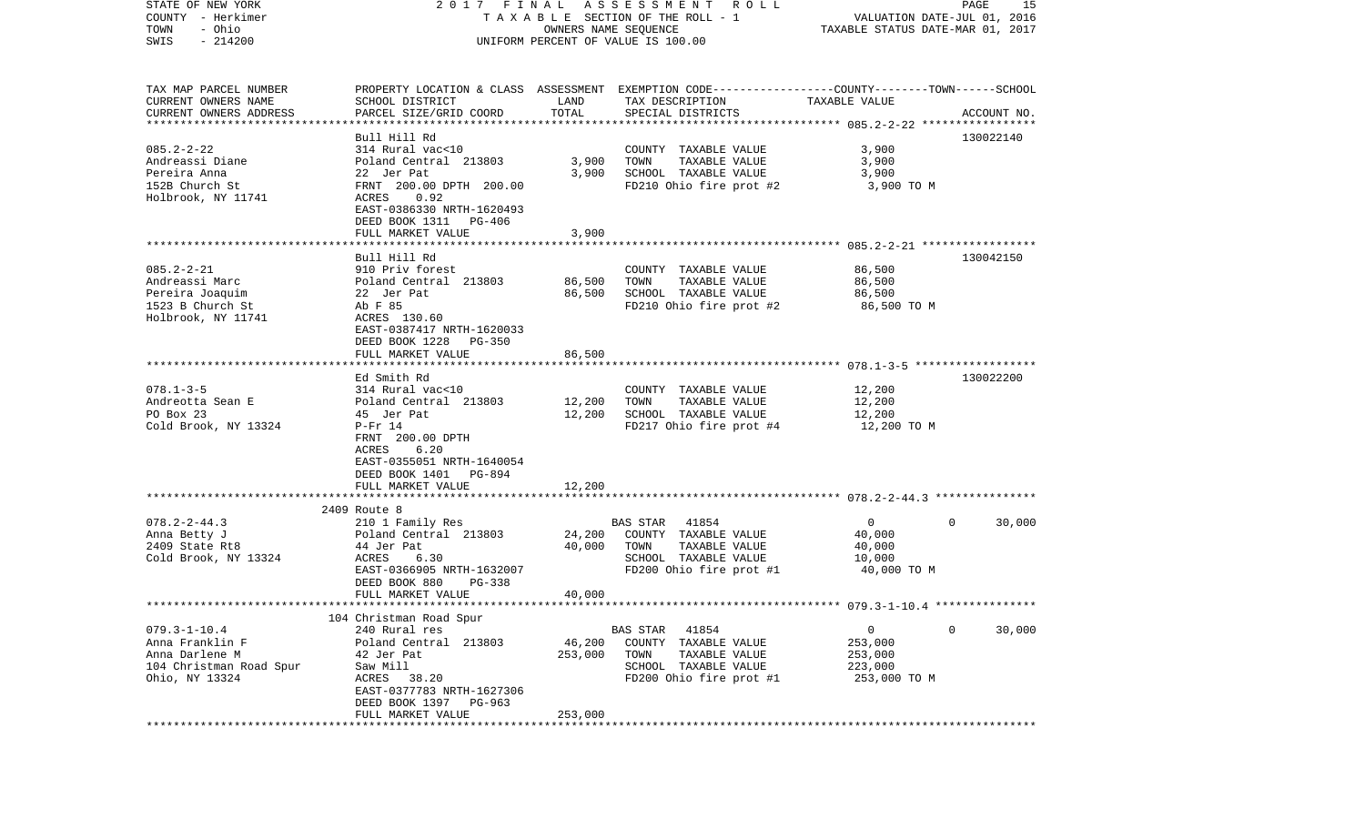| STATE OF NEW YORK         | 2017 FINAL                |                   | A S S E S S M E N T R O L L                                                                      |                                                          | PAGE         | 15          |
|---------------------------|---------------------------|-------------------|--------------------------------------------------------------------------------------------------|----------------------------------------------------------|--------------|-------------|
| COUNTY - Herkimer         |                           |                   | T A X A B L E SECTION OF THE ROLL - 1                                                            | VALUATION DATE-JUL 01, 2016                              |              |             |
| - Ohio<br>TOWN            |                           |                   | OWNERS NAME SEQUENCE                                                                             | TAXABLE STATUS DATE-MAR 01, 2017                         |              |             |
| $-214200$<br>SWIS         |                           |                   | UNIFORM PERCENT OF VALUE IS 100.00                                                               |                                                          |              |             |
|                           |                           |                   |                                                                                                  |                                                          |              |             |
| TAX MAP PARCEL NUMBER     |                           |                   | PROPERTY LOCATION & CLASS ASSESSMENT EXEMPTION CODE----------------COUNTY-------TOWN------SCHOOL |                                                          |              |             |
| CURRENT OWNERS NAME       | SCHOOL DISTRICT           | LAND              | TAX DESCRIPTION                                                                                  | TAXABLE VALUE                                            |              |             |
| CURRENT OWNERS ADDRESS    | PARCEL SIZE/GRID COORD    | TOTAL             | SPECIAL DISTRICTS                                                                                |                                                          |              | ACCOUNT NO. |
| ************************* |                           |                   |                                                                                                  |                                                          |              |             |
|                           | Bull Hill Rd              |                   |                                                                                                  |                                                          |              | 130022140   |
| $085.2 - 2 - 22$          | 314 Rural vac<10          |                   | COUNTY TAXABLE VALUE                                                                             | 3,900                                                    |              |             |
| Andreassi Diane           | Poland Central 213803     | 3,900             | TOWN<br>TAXABLE VALUE                                                                            | 3,900                                                    |              |             |
| Pereira Anna              | 22 Jer Pat                | 3,900             | SCHOOL TAXABLE VALUE                                                                             | 3,900                                                    |              |             |
| 152B Church St            | FRNT 200.00 DPTH 200.00   |                   | FD210 Ohio fire prot #2                                                                          | 3,900 TO M                                               |              |             |
| Holbrook, NY 11741        | 0.92<br>ACRES             |                   |                                                                                                  |                                                          |              |             |
|                           | EAST-0386330 NRTH-1620493 |                   |                                                                                                  |                                                          |              |             |
|                           | DEED BOOK 1311<br>PG-406  |                   |                                                                                                  |                                                          |              |             |
|                           | FULL MARKET VALUE         | 3,900             |                                                                                                  |                                                          |              |             |
|                           |                           |                   |                                                                                                  |                                                          |              |             |
|                           | Bull Hill Rd              |                   |                                                                                                  |                                                          |              | 130042150   |
| $085.2 - 2 - 21$          | 910 Priv forest           |                   | COUNTY TAXABLE VALUE                                                                             | 86,500                                                   |              |             |
| Andreassi Marc            | Poland Central 213803     | 86,500            | TOWN<br>TAXABLE VALUE                                                                            | 86,500                                                   |              |             |
| Pereira Joaquim           | 22 Jer Pat                | 86,500            | SCHOOL TAXABLE VALUE                                                                             | 86,500                                                   |              |             |
| 1523 B Church St          | Ab F 85                   |                   | FD210 Ohio fire prot #2                                                                          | 86,500 TO M                                              |              |             |
| Holbrook, NY 11741        | ACRES 130.60              |                   |                                                                                                  |                                                          |              |             |
|                           | EAST-0387417 NRTH-1620033 |                   |                                                                                                  |                                                          |              |             |
|                           | DEED BOOK 1228<br>PG-350  |                   |                                                                                                  |                                                          |              |             |
|                           | FULL MARKET VALUE         | 86,500            |                                                                                                  |                                                          |              |             |
|                           | Ed Smith Rd               |                   |                                                                                                  |                                                          |              | 130022200   |
| $078.1 - 3 - 5$           | 314 Rural vac<10          |                   | COUNTY TAXABLE VALUE                                                                             | 12,200                                                   |              |             |
| Andreotta Sean E          | Poland Central 213803     | 12,200            | TOWN<br>TAXABLE VALUE                                                                            | 12,200                                                   |              |             |
| PO Box 23                 | 45 Jer Pat                | 12,200            | SCHOOL TAXABLE VALUE                                                                             | 12,200                                                   |              |             |
| Cold Brook, NY 13324      | $P-Fr$ 14                 |                   | FD217 Ohio fire prot #4                                                                          | 12,200 TO M                                              |              |             |
|                           | FRNT 200.00 DPTH          |                   |                                                                                                  |                                                          |              |             |
|                           | 6.20<br>ACRES             |                   |                                                                                                  |                                                          |              |             |
|                           | EAST-0355051 NRTH-1640054 |                   |                                                                                                  |                                                          |              |             |
|                           | DEED BOOK 1401 PG-894     |                   |                                                                                                  |                                                          |              |             |
|                           | FULL MARKET VALUE         | 12,200            |                                                                                                  |                                                          |              |             |
|                           | ***********************   | * * * * * * * * * |                                                                                                  |                                                          |              |             |
|                           | 2409 Route 8              |                   |                                                                                                  |                                                          |              |             |
| $078.2 - 2 - 44.3$        | 210 1 Family Res          |                   | BAS STAR<br>41854                                                                                | $\overline{0}$                                           | $\mathbf{0}$ | 30,000      |
| Anna Betty J              | Poland Central 213803     | 24,200            | COUNTY TAXABLE VALUE                                                                             | 40,000                                                   |              |             |
| 2409 State Rt8            | 44 Jer Pat                | 40,000            | TAXABLE VALUE<br>TOWN                                                                            | 40,000                                                   |              |             |
| Cold Brook, NY 13324      | 6.30<br>ACRES             |                   | SCHOOL TAXABLE VALUE                                                                             | 10,000                                                   |              |             |
|                           | EAST-0366905 NRTH-1632007 |                   | FD200 Ohio fire prot #1                                                                          | 40,000 TO M                                              |              |             |
|                           | DEED BOOK 880<br>PG-338   |                   |                                                                                                  |                                                          |              |             |
|                           | FULL MARKET VALUE         | 40,000            |                                                                                                  |                                                          |              |             |
|                           |                           |                   |                                                                                                  | *************************** 079.3-1-10.4 *************** |              |             |
|                           | 104 Christman Road Spur   |                   |                                                                                                  |                                                          |              |             |
| $079.3 - 1 - 10.4$        | 240 Rural res             |                   | 41854<br>BAS STAR                                                                                | 0                                                        | 0            | 30,000      |
| Anna Franklin F           | Poland Central 213803     | 46,200            | COUNTY TAXABLE VALUE                                                                             | 253,000                                                  |              |             |
| Anna Darlene M            | 42 Jer Pat                | 253,000           | TOWN<br>TAXABLE VALUE                                                                            | 253,000                                                  |              |             |
| 104 Christman Road Spur   | Saw Mill                  |                   | SCHOOL TAXABLE VALUE                                                                             | 223,000                                                  |              |             |
| Ohio, NY 13324            | ACRES<br>38.20            |                   | FD200 Ohio fire prot #1                                                                          | 253,000 TO M                                             |              |             |
|                           | EAST-0377783 NRTH-1627306 |                   |                                                                                                  |                                                          |              |             |
|                           | DEED BOOK 1397<br>PG-963  |                   |                                                                                                  |                                                          |              |             |
|                           | FULL MARKET VALUE         | 253,000           |                                                                                                  |                                                          |              |             |
| ***********               |                           |                   |                                                                                                  |                                                          |              |             |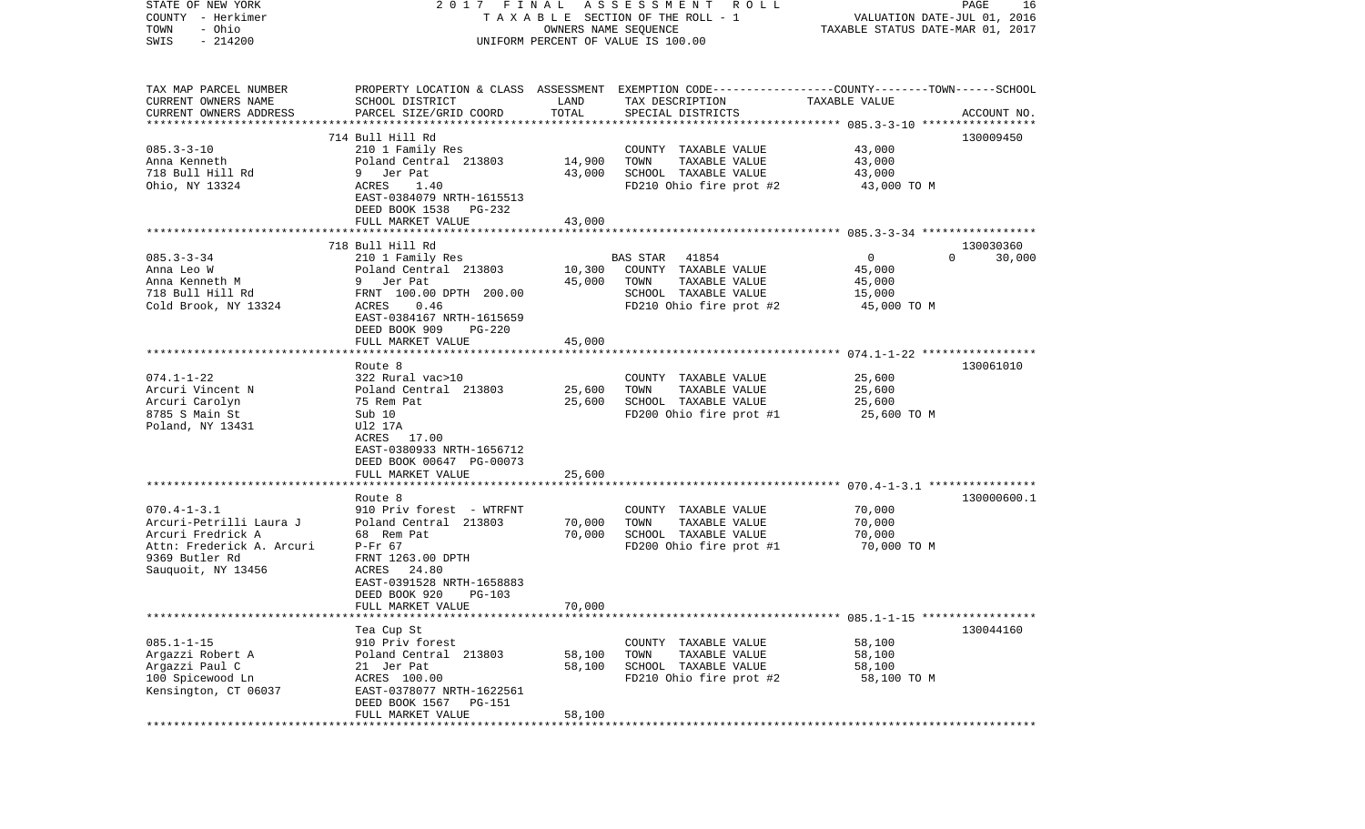| STATE OF NEW YORK                            | 2017 FINAL                                 |                  | A S S E S S M E N T<br>R O L L                                                                  |                                  | PAGE<br>16         |
|----------------------------------------------|--------------------------------------------|------------------|-------------------------------------------------------------------------------------------------|----------------------------------|--------------------|
| COUNTY - Herkimer                            |                                            |                  | T A X A B L E SECTION OF THE ROLL - 1                                                           | VALUATION DATE-JUL 01, 2016      |                    |
| - Ohio<br>TOWN                               |                                            |                  | OWNERS NAME SEQUENCE                                                                            | TAXABLE STATUS DATE-MAR 01, 2017 |                    |
| $-214200$<br>SWIS                            |                                            |                  | UNIFORM PERCENT OF VALUE IS 100.00                                                              |                                  |                    |
|                                              |                                            |                  |                                                                                                 |                                  |                    |
| TAX MAP PARCEL NUMBER                        |                                            |                  | PROPERTY LOCATION & CLASS ASSESSMENT EXEMPTION CODE---------------COUNTY-------TOWN------SCHOOL |                                  |                    |
| CURRENT OWNERS NAME                          | SCHOOL DISTRICT                            | LAND             | TAX DESCRIPTION                                                                                 | TAXABLE VALUE                    |                    |
| CURRENT OWNERS ADDRESS                       | PARCEL SIZE/GRID COORD                     | TOTAL            | SPECIAL DISTRICTS                                                                               |                                  | ACCOUNT NO.        |
| **********************                       |                                            |                  |                                                                                                 |                                  |                    |
|                                              | 714 Bull Hill Rd                           |                  |                                                                                                 |                                  | 130009450          |
| $085.3 - 3 - 10$                             | 210 1 Family Res                           |                  | COUNTY TAXABLE VALUE                                                                            | 43,000                           |                    |
| Anna Kenneth                                 | Poland Central 213803                      | 14,900<br>43,000 | TOWN<br>TAXABLE VALUE                                                                           | 43,000                           |                    |
| 718 Bull Hill Rd                             | 9 Jer Pat                                  |                  | SCHOOL TAXABLE VALUE                                                                            | 43,000                           |                    |
| Ohio, NY 13324                               | ACRES<br>1.40<br>EAST-0384079 NRTH-1615513 |                  | FD210 Ohio fire prot #2                                                                         | 43,000 TO M                      |                    |
|                                              | DEED BOOK 1538<br>PG-232                   |                  |                                                                                                 |                                  |                    |
|                                              | FULL MARKET VALUE                          | 43,000           |                                                                                                 |                                  |                    |
|                                              |                                            |                  |                                                                                                 |                                  |                    |
|                                              | 718 Bull Hill Rd                           |                  |                                                                                                 |                                  | 130030360          |
| $085.3 - 3 - 34$                             | 210 1 Family Res                           |                  | 41854<br>BAS STAR                                                                               | $\mathsf{O}$                     | 30,000<br>$\Omega$ |
| Anna Leo W                                   | Poland Central 213803                      | 10,300           | COUNTY TAXABLE VALUE                                                                            | 45,000                           |                    |
| Anna Kenneth M                               | 9 Jer Pat                                  | 45,000           | TOWN<br>TAXABLE VALUE                                                                           | 45,000                           |                    |
| 718 Bull Hill Rd                             | FRNT 100.00 DPTH 200.00                    |                  | SCHOOL TAXABLE VALUE                                                                            | 15,000                           |                    |
| Cold Brook, NY 13324                         | 0.46<br><b>ACRES</b>                       |                  | FD210 Ohio fire prot #2                                                                         | 45,000 TO M                      |                    |
|                                              | EAST-0384167 NRTH-1615659                  |                  |                                                                                                 |                                  |                    |
|                                              | DEED BOOK 909<br>$PG-220$                  |                  |                                                                                                 |                                  |                    |
|                                              | FULL MARKET VALUE                          | 45,000           |                                                                                                 |                                  |                    |
|                                              |                                            |                  |                                                                                                 |                                  |                    |
|                                              | Route 8                                    |                  |                                                                                                 |                                  | 130061010          |
| $074.1 - 1 - 22$                             | 322 Rural vac>10                           |                  | COUNTY TAXABLE VALUE                                                                            | 25,600                           |                    |
| Arcuri Vincent N                             | Poland Central 213803                      | 25,600           | TAXABLE VALUE<br>TOWN                                                                           | 25,600                           |                    |
| Arcuri Carolyn                               | 75 Rem Pat                                 | 25,600           | SCHOOL TAXABLE VALUE                                                                            | 25,600                           |                    |
| 8785 S Main St                               | Sub 10                                     |                  | FD200 Ohio fire prot #1                                                                         | 25,600 TO M                      |                    |
| Poland, NY 13431                             | U12 17A                                    |                  |                                                                                                 |                                  |                    |
|                                              | ACRES 17.00                                |                  |                                                                                                 |                                  |                    |
|                                              | EAST-0380933 NRTH-1656712                  |                  |                                                                                                 |                                  |                    |
|                                              | DEED BOOK 00647 PG-00073                   |                  |                                                                                                 |                                  |                    |
|                                              | FULL MARKET VALUE                          | 25,600           |                                                                                                 |                                  |                    |
|                                              | *****************                          |                  |                                                                                                 |                                  |                    |
|                                              | Route 8                                    |                  |                                                                                                 |                                  | 130000600.1        |
| $070.4 - 1 - 3.1$                            | 910 Priv forest - WTRFNT                   |                  | COUNTY TAXABLE VALUE                                                                            | 70,000                           |                    |
| Arcuri-Petrilli Laura J<br>Arcuri Fredrick A | Poland Central 213803<br>68 Rem Pat        | 70,000<br>70,000 | TOWN<br>TAXABLE VALUE<br>SCHOOL TAXABLE VALUE                                                   | 70,000<br>70,000                 |                    |
| Attn: Frederick A. Arcuri                    | $P-Fr$ 67                                  |                  | FD200 Ohio fire prot #1                                                                         | 70,000 TO M                      |                    |
| 9369 Butler Rd                               | FRNT 1263.00 DPTH                          |                  |                                                                                                 |                                  |                    |
| Sauquoit, NY 13456                           | ACRES 24.80                                |                  |                                                                                                 |                                  |                    |
|                                              | EAST-0391528 NRTH-1658883                  |                  |                                                                                                 |                                  |                    |
|                                              | DEED BOOK 920<br>PG-103                    |                  |                                                                                                 |                                  |                    |
|                                              | FULL MARKET VALUE                          | 70,000           |                                                                                                 |                                  |                    |
|                                              |                                            |                  |                                                                                                 |                                  |                    |
|                                              | Tea Cup St                                 |                  |                                                                                                 |                                  | 130044160          |
| $085.1 - 1 - 15$                             | 910 Priv forest                            |                  | COUNTY TAXABLE VALUE                                                                            | 58,100                           |                    |
| Argazzi Robert A                             | Poland Central 213803                      | 58,100           | TAXABLE VALUE<br>TOWN                                                                           | 58,100                           |                    |
| Argazzi Paul C                               | 21 Jer Pat                                 | 58,100           | SCHOOL TAXABLE VALUE                                                                            | 58,100                           |                    |
| 100 Spicewood Ln                             | ACRES 100.00                               |                  | FD210 Ohio fire prot #2                                                                         | 58,100 TO M                      |                    |
| Kensington, CT 06037                         | EAST-0378077 NRTH-1622561                  |                  |                                                                                                 |                                  |                    |
|                                              | DEED BOOK 1567<br>PG-151                   |                  |                                                                                                 |                                  |                    |
|                                              | FULL MARKET VALUE                          | 58,100           |                                                                                                 |                                  |                    |
|                                              |                                            |                  |                                                                                                 |                                  |                    |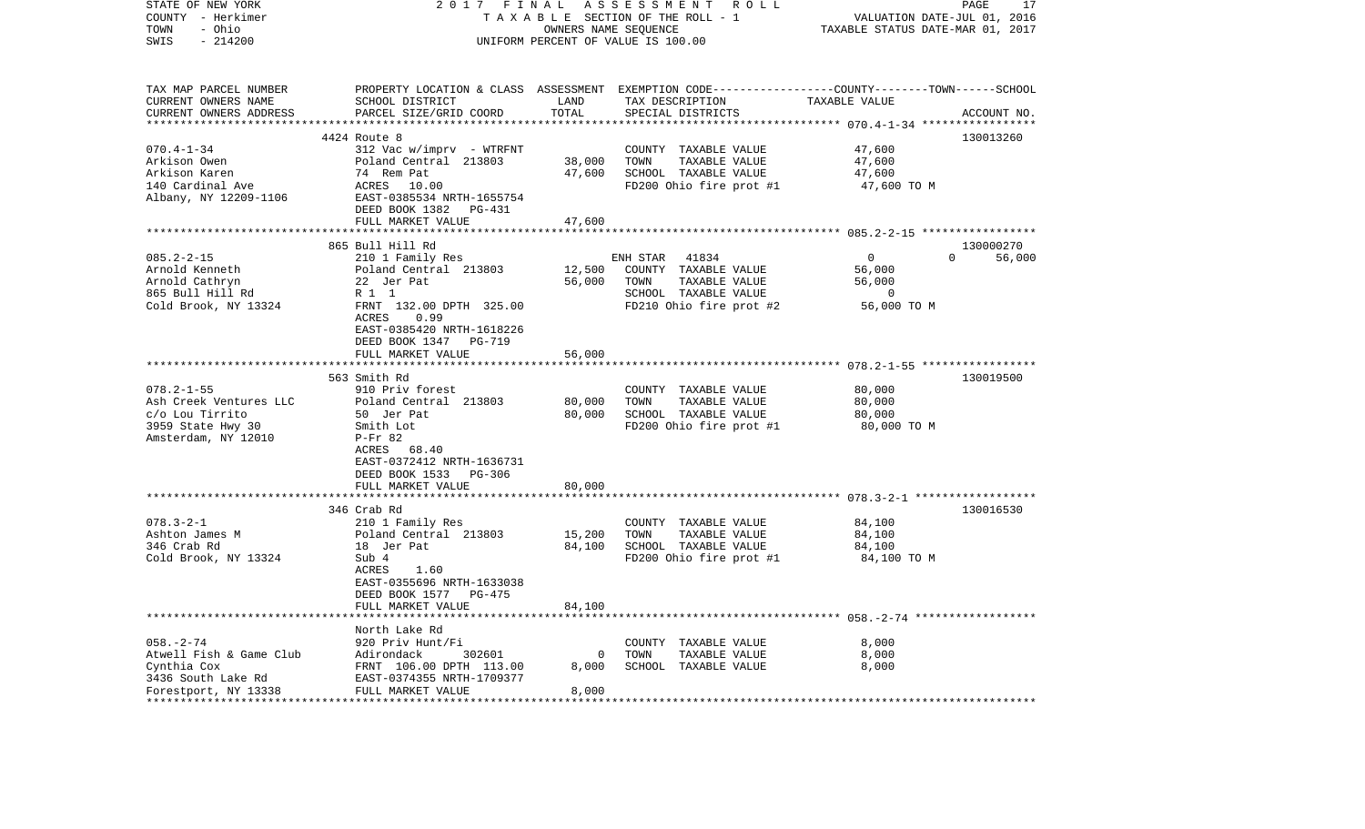| STATE OF NEW YORK<br>COUNTY - Herkimer                                                       | 2017 FINAL                                                                                                           |                                   | ASSESSMENT ROLL<br>TAXABLE SECTION OF THE ROLL - 1         | VALUATION DATE-JUL 01, 2016 | PAGE<br>17         |
|----------------------------------------------------------------------------------------------|----------------------------------------------------------------------------------------------------------------------|-----------------------------------|------------------------------------------------------------|-----------------------------|--------------------|
| - Ohio<br>TOWN                                                                               |                                                                                                                      | TAXABLE STATUS DATE-MAR 01, 2017  |                                                            |                             |                    |
| SWIS<br>$-214200$                                                                            |                                                                                                                      |                                   | OWNERS NAME SEQUENCE<br>UNIFORM PERCENT OF VALUE IS 100.00 |                             |                    |
|                                                                                              |                                                                                                                      |                                   |                                                            |                             |                    |
|                                                                                              | TAX MAP PARCEL NUMBER PROPERTY LOCATION & CLASS ASSESSMENT EXEMPTION CODE---------------COUNTY-------TOWN-----SCHOOL |                                   |                                                            |                             |                    |
| CURRENT OWNERS NAME                                                                          | SCHOOL DISTRICT                                                                                                      | LAND                              | TAX DESCRIPTION                                            | TAXABLE VALUE               |                    |
| CURRENT OWNERS ADDRESS                                                                       | PARCEL SIZE/GRID COORD                                                                                               | TOTAL                             | SPECIAL DISTRICTS                                          |                             | ACCOUNT NO.        |
| **********************************                                                           |                                                                                                                      |                                   |                                                            |                             |                    |
|                                                                                              | 4424 Route 8                                                                                                         |                                   |                                                            |                             | 130013260          |
| $070.4 - 1 - 34$                                                                             | 312 Vac w/imprv - WTRFNT                                                                                             |                                   | COUNTY TAXABLE VALUE                                       | 47,600                      |                    |
| Arkison Owen                                                                                 | Poland Central 213803                                                                                                | 38,000                            | TOWN<br>TAXABLE VALUE                                      | 47,600                      |                    |
| Arkison Karen<br>140 Cardinal Ave                                                            | 74 Rem Pat<br>ACRES 10.0                                                                                             | 47,600                            | SCHOOL TAXABLE VALUE                                       | 47,600                      |                    |
| Albany, NY 12209-1106                                                                        | 10.00                                                                                                                |                                   | FD200 Ohio fire prot #1                                    | 47,600 TO M                 |                    |
|                                                                                              | EAST-0385534 NRTH-1655754<br>DEED BOOK 1382 PG-431                                                                   |                                   |                                                            |                             |                    |
|                                                                                              | FULL MARKET VALUE                                                                                                    | 47,600                            |                                                            |                             |                    |
|                                                                                              |                                                                                                                      |                                   |                                                            |                             |                    |
|                                                                                              | 865 Bull Hill Rd                                                                                                     |                                   |                                                            |                             | 130000270          |
| $085.2 - 2 - 15$                                                                             | 210 1 Family Res                                                                                                     |                                   | ENH STAR<br>41834                                          | $\overline{0}$              | $\Omega$<br>56,000 |
| Arnold Kenneth                                                                               | Poland Central 213803                                                                                                |                                   | 12,500 COUNTY TAXABLE VALUE                                | 56,000                      |                    |
| Arnold Cathryn                                                                               | 22 Jer Pat                                                                                                           | 56,000 TOWN                       | TAXABLE VALUE                                              | 56,000                      |                    |
| 865 Bull Hill Rd                                                                             | R 1 1                                                                                                                |                                   | SCHOOL TAXABLE VALUE                                       | $\overline{0}$              |                    |
| Cold Brook, NY 13324                                                                         | FRNT 132.00 DPTH 325.00                                                                                              |                                   | FD210 Ohio fire prot #2                                    | 56,000 TO M                 |                    |
|                                                                                              | ACRES<br>0.99                                                                                                        |                                   |                                                            |                             |                    |
|                                                                                              | EAST-0385420 NRTH-1618226                                                                                            |                                   |                                                            |                             |                    |
|                                                                                              | DEED BOOK 1347 PG-719                                                                                                |                                   |                                                            |                             |                    |
|                                                                                              | FULL MARKET VALUE                                                                                                    | 56,000                            |                                                            |                             |                    |
|                                                                                              |                                                                                                                      |                                   |                                                            |                             |                    |
|                                                                                              | 563 Smith Rd                                                                                                         |                                   |                                                            |                             | 130019500          |
| $078.2 - 1 - 55$                                                                             | 910 Priv forest                                                                                                      |                                   | COUNTY TAXABLE VALUE                                       | 80,000                      |                    |
| Ash Creek Ventures LLC                                                                       | Poland Central 213803                                                                                                | 80,000                            | TOWN<br>TAXABLE VALUE                                      | 80,000                      |                    |
| c/o Lou Tirrito                                                                              | 50 Jer Pat                                                                                                           | 80,000                            | SCHOOL TAXABLE VALUE                                       | 80,000                      |                    |
| 3959 State Hwy 30                                                                            | Smith Lot                                                                                                            |                                   | FD200 Ohio fire prot #1                                    | 80,000 TO M                 |                    |
| Amsterdam, NY 12010                                                                          | P-Fr 82                                                                                                              |                                   |                                                            |                             |                    |
|                                                                                              | ACRES 68.40                                                                                                          |                                   |                                                            |                             |                    |
|                                                                                              | EAST-0372412 NRTH-1636731                                                                                            |                                   |                                                            |                             |                    |
|                                                                                              | DEED BOOK 1533 PG-306                                                                                                |                                   |                                                            |                             |                    |
|                                                                                              | FULL MARKET VALUE                                                                                                    | 80,000                            |                                                            |                             |                    |
|                                                                                              |                                                                                                                      |                                   |                                                            |                             |                    |
| $078.3 - 2 - 1$                                                                              | 346 Crab Rd                                                                                                          |                                   |                                                            |                             | 130016530          |
| Ashton James M                                                                               | 210 1 Family Res                                                                                                     |                                   | COUNTY TAXABLE VALUE<br>TOWN<br>TAXABLE VALUE              | 84,100<br>84,100            |                    |
| 346 Crab Rd                                                                                  | Poland Central 213803                                                                                                | 15,200<br>84,100                  | SCHOOL TAXABLE VALUE                                       | 84,100                      |                    |
| Cold Brook, NY 13324                                                                         | 18 Jer Pat<br>Sub 4                                                                                                  |                                   | FD200 Ohio fire prot #1                                    | 84,100 TO M                 |                    |
|                                                                                              | ACRES<br>1.60                                                                                                        |                                   |                                                            |                             |                    |
|                                                                                              | EAST-0355696 NRTH-1633038                                                                                            |                                   |                                                            |                             |                    |
|                                                                                              | DEED BOOK 1577 PG-475                                                                                                |                                   |                                                            |                             |                    |
|                                                                                              | FULL MARKET VALUE                                                                                                    | 84,100                            |                                                            |                             |                    |
|                                                                                              |                                                                                                                      |                                   |                                                            |                             |                    |
|                                                                                              | North Lake Rd                                                                                                        |                                   |                                                            |                             |                    |
| $058. - 2 - 74$                                                                              | 920 Priv Hunt/Fi                                                                                                     |                                   | COUNTY TAXABLE VALUE                                       | 8,000                       |                    |
| Atwell Fish & Game Club                                                                      | 302601                                                                                                               | $\overline{0}$                    | TOWN<br>TAXABLE VALUE                                      | 8,000                       |                    |
| Cynthia Cox                                                                                  | Adirondack 302601<br>FRNT 106.00 DPTH 113.00                                                                         | 8,000                             | SCHOOL TAXABLE VALUE                                       | 8,000                       |                    |
|                                                                                              |                                                                                                                      |                                   |                                                            |                             |                    |
| 3436 South Lake Rd<br>EAST-0374355 NRTH-1709377<br>Forestport, NY 13338<br>FULL MARKET VALUE |                                                                                                                      | 8,000                             |                                                            |                             |                    |
|                                                                                              |                                                                                                                      | * * * * * * * * * * * * * * * * * |                                                            |                             |                    |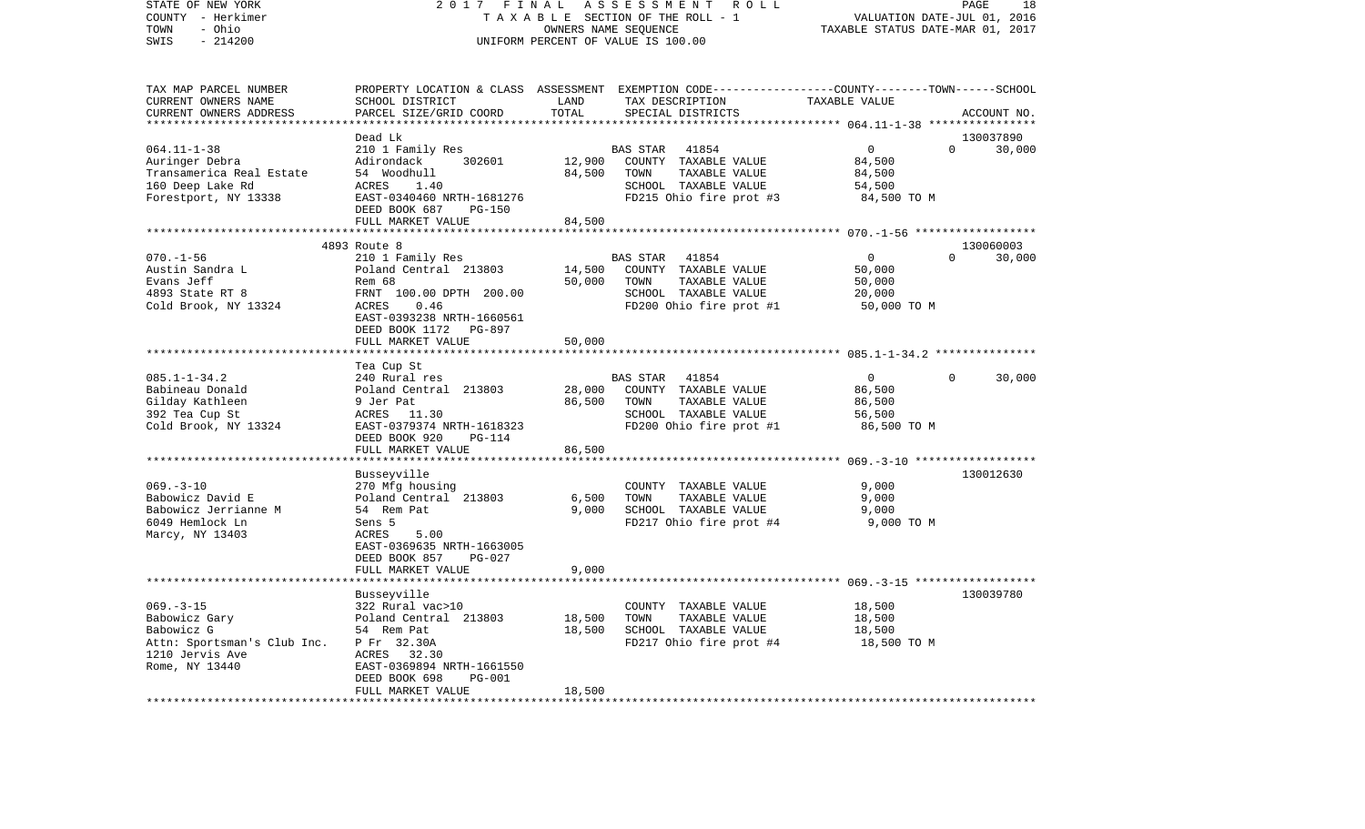| STATE OF NEW YORK<br>COUNTY - Herkimer<br>- Ohio<br>TOWN<br>$-214200$<br>SWIS                                     | 2017 FINAL                                                                                                                                                                          |                                   | ASSESSMENT<br>R O L L<br>TAXABLE SECTION OF THE ROLL - 1<br>OWNERS NAME SEQUENCE<br>UNIFORM PERCENT OF VALUE IS 100.00                   | VALUATION DATE-JUL 01, 2016<br>TAXABLE STATUS DATE-MAR 01, 2017      | PAGE<br>18         |
|-------------------------------------------------------------------------------------------------------------------|-------------------------------------------------------------------------------------------------------------------------------------------------------------------------------------|-----------------------------------|------------------------------------------------------------------------------------------------------------------------------------------|----------------------------------------------------------------------|--------------------|
| TAX MAP PARCEL NUMBER<br>CURRENT OWNERS NAME<br>CURRENT OWNERS ADDRESS                                            | SCHOOL DISTRICT<br>PARCEL SIZE/GRID COORD                                                                                                                                           | LAND<br>TOTAL<br>**************** | PROPERTY LOCATION & CLASS ASSESSMENT EXEMPTION CODE----------------COUNTY-------TOWN------SCHOOL<br>TAX DESCRIPTION<br>SPECIAL DISTRICTS | TAXABLE VALUE<br>********************** 064.11-1-38 **************** | ACCOUNT NO.        |
|                                                                                                                   | Dead Lk                                                                                                                                                                             |                                   |                                                                                                                                          |                                                                      | 130037890          |
| $064.11 - 1 - 38$<br>Auringer Debra<br>Transamerica Real Estate<br>160 Deep Lake Rd<br>Forestport, NY 13338       | 210 1 Family Res<br>302601<br>Adirondack<br>54 Woodhull<br>ACRES<br>1.40<br>EAST-0340460 NRTH-1681276<br>DEED BOOK 687<br><b>PG-150</b><br>FULL MARKET VALUE                        | 12,900<br>84,500<br>84,500        | BAS STAR 41854<br>COUNTY TAXABLE VALUE<br>TOWN<br>TAXABLE VALUE<br>SCHOOL TAXABLE VALUE<br>FD215 Ohio fire prot #3                       | $\overline{0}$<br>84,500<br>84,500<br>54,500<br>84,500 TO M          | $\Omega$<br>30,000 |
|                                                                                                                   |                                                                                                                                                                                     |                                   |                                                                                                                                          |                                                                      |                    |
|                                                                                                                   | 4893 Route 8                                                                                                                                                                        |                                   |                                                                                                                                          |                                                                      | 130060003          |
| $070. - 1 - 56$<br>Austin Sandra L<br>Evans Jeff<br>4893 State RT 8<br>Cold Brook, NY 13324                       | 210 1 Family Res<br>Poland Central 213803<br>Rem 68<br>FRNT 100.00 DPTH 200.00<br>0.46<br>ACRES<br>EAST-0393238 NRTH-1660561<br>DEED BOOK 1172 PG-897                               | 14,500<br>50,000                  | <b>BAS STAR</b><br>41854<br>COUNTY TAXABLE VALUE<br>TAXABLE VALUE<br>TOWN<br>SCHOOL TAXABLE VALUE<br>FD200 Ohio fire prot #1             | $\overline{0}$<br>50,000<br>50,000<br>20,000<br>50,000 TO M          | $\Omega$<br>30,000 |
|                                                                                                                   | FULL MARKET VALUE                                                                                                                                                                   | 50,000                            |                                                                                                                                          |                                                                      |                    |
|                                                                                                                   | ********************                                                                                                                                                                |                                   |                                                                                                                                          |                                                                      |                    |
| $085.1 - 1 - 34.2$<br>Babineau Donald<br>Gilday Kathleen<br>392 Tea Cup St<br>Cold Brook, NY 13324                | Tea Cup St<br>240 Rural res<br>Poland Central 213803<br>9 Jer Pat<br>ACRES 11.30<br>EAST-0379374 NRTH-1618323<br>DEED BOOK 920<br>PG-114                                            | 28,000<br>86,500                  | BAS STAR<br>41854<br>COUNTY TAXABLE VALUE<br>TOWN<br>TAXABLE VALUE<br>SCHOOL TAXABLE VALUE<br>FD200 Ohio fire prot #1                    | $\overline{0}$<br>86,500<br>86,500<br>56,500<br>86,500 TO M          | $\Omega$<br>30,000 |
|                                                                                                                   | FULL MARKET VALUE                                                                                                                                                                   | 86,500                            |                                                                                                                                          |                                                                      |                    |
| $069. -3 - 10$<br>Babowicz David E<br>Babowicz Jerrianne M<br>6049 Hemlock Ln<br>Marcy, NY 13403                  | ********************<br>Busseyville<br>270 Mfg housing<br>Poland Central 213803<br>54 Rem Pat<br>Sens 5<br>ACRES<br>5.00<br>EAST-0369635 NRTH-1663005                               | 6,500<br>9,000                    | COUNTY TAXABLE VALUE<br>TOWN<br>TAXABLE VALUE<br>SCHOOL TAXABLE VALUE<br>FD217 Ohio fire prot #4                                         | 9,000<br>9,000<br>9,000<br>9,000 TO M                                | 130012630          |
|                                                                                                                   | DEED BOOK 857<br><b>PG-027</b><br>FULL MARKET VALUE                                                                                                                                 | 9,000                             |                                                                                                                                          |                                                                      |                    |
|                                                                                                                   | *****************                                                                                                                                                                   |                                   |                                                                                                                                          |                                                                      |                    |
| $069. -3 - 15$<br>Babowicz Gary<br>Babowicz G<br>Attn: Sportsman's Club Inc.<br>1210 Jervis Ave<br>Rome, NY 13440 | Busseyville<br>322 Rural vac>10<br>Poland Central 213803<br>54 Rem Pat<br>P Fr 32.30A<br>ACRES 32.30<br>EAST-0369894 NRTH-1661550<br>DEED BOOK 698<br>$PG-001$<br>FULL MARKET VALUE | 18,500<br>18,500<br>18,500        | COUNTY TAXABLE VALUE<br>TOWN<br>TAXABLE VALUE<br>SCHOOL TAXABLE VALUE<br>FD217 Ohio fire prot #4                                         | 18,500<br>18,500<br>18,500<br>18,500 TO M                            | 130039780          |
|                                                                                                                   |                                                                                                                                                                                     | * * * * * * * *                   |                                                                                                                                          |                                                                      |                    |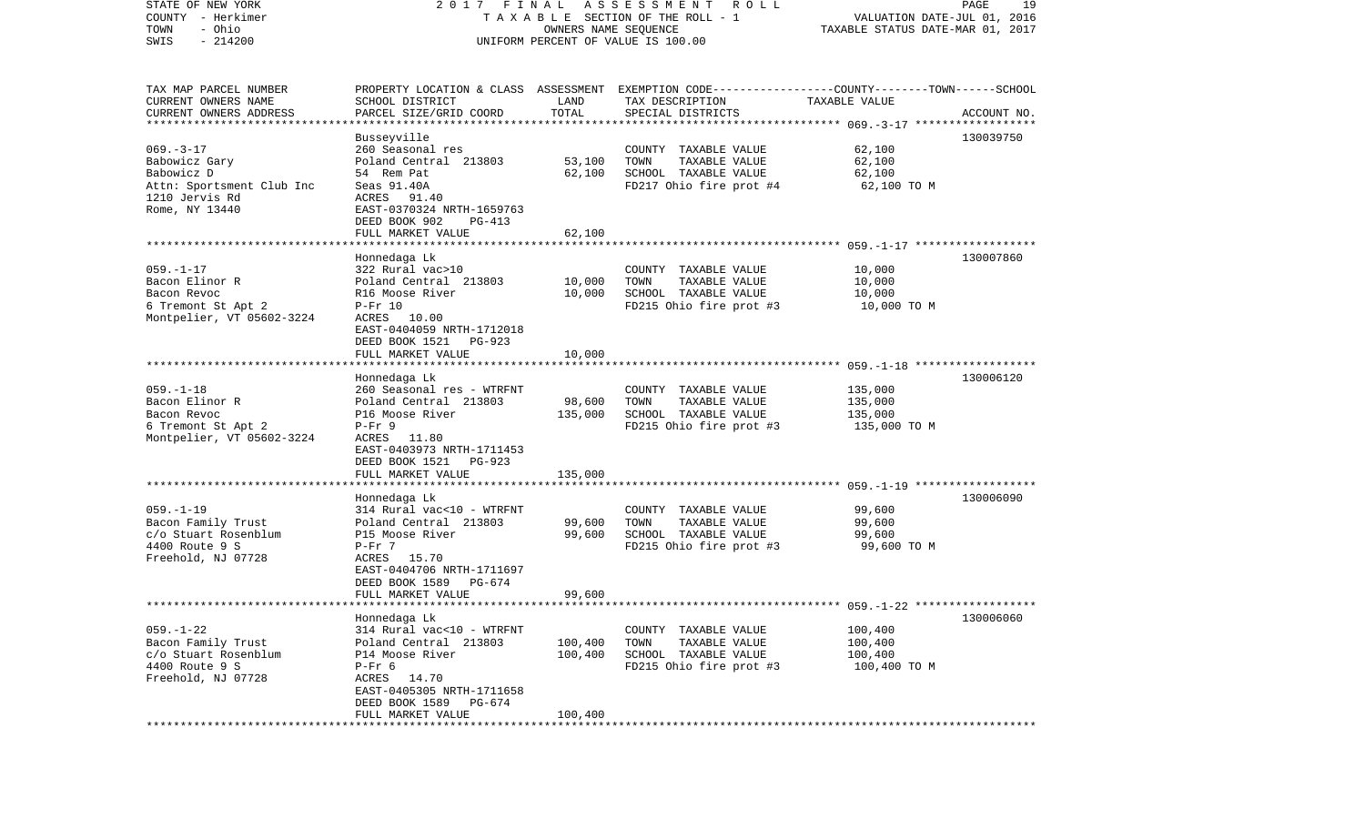| STATE OF NEW YORK                      | 2017 FINAL                         |         | A S S E S S M E N T A O L L                                                                      |                                  | PAGE<br>19                  |
|----------------------------------------|------------------------------------|---------|--------------------------------------------------------------------------------------------------|----------------------------------|-----------------------------|
| COUNTY - Herkimer                      |                                    |         | TAXABLE SECTION OF THE ROLL - 1                                                                  |                                  | VALUATION DATE-JUL 01, 2016 |
| - Ohio<br>TOWN                         |                                    |         | OWNERS NAME SEQUENCE                                                                             | TAXABLE STATUS DATE-MAR 01, 2017 |                             |
| $-214200$<br>SWIS                      |                                    |         | UNIFORM PERCENT OF VALUE IS 100.00                                                               |                                  |                             |
|                                        |                                    |         |                                                                                                  |                                  |                             |
| TAX MAP PARCEL NUMBER                  |                                    |         | PROPERTY LOCATION & CLASS ASSESSMENT EXEMPTION CODE----------------COUNTY-------TOWN------SCHOOL |                                  |                             |
| CURRENT OWNERS NAME                    | SCHOOL DISTRICT                    | LAND    | TAX DESCRIPTION                                                                                  | TAXABLE VALUE                    |                             |
| CURRENT OWNERS ADDRESS                 | PARCEL SIZE/GRID COORD             | TOTAL   | SPECIAL DISTRICTS                                                                                |                                  | ACCOUNT NO.                 |
| *************************              |                                    |         |                                                                                                  |                                  |                             |
|                                        | Busseyville                        |         |                                                                                                  |                                  | 130039750                   |
| $069. -3 - 17$                         | 260 Seasonal res                   |         | COUNTY TAXABLE VALUE                                                                             | 62,100                           |                             |
| Babowicz Gary                          | Poland Central 213803              | 53,100  | TOWN<br>TAXABLE VALUE                                                                            | 62,100                           |                             |
| Babowicz D                             | 54 Rem Pat                         | 62,100  | SCHOOL TAXABLE VALUE                                                                             | 62,100                           |                             |
| Attn: Sportsment Club Inc              | Seas 91.40A                        |         | FD217 Ohio fire prot #4                                                                          | 62,100 TO M                      |                             |
| 1210 Jervis Rd                         | ACRES 91.40                        |         |                                                                                                  |                                  |                             |
| Rome, NY 13440                         | EAST-0370324 NRTH-1659763          |         |                                                                                                  |                                  |                             |
|                                        | DEED BOOK 902<br>PG-413            |         |                                                                                                  |                                  |                             |
|                                        | FULL MARKET VALUE                  | 62,100  |                                                                                                  |                                  |                             |
|                                        |                                    |         |                                                                                                  |                                  |                             |
|                                        | Honnedaga Lk                       |         |                                                                                                  |                                  | 130007860                   |
| $059. - 1 - 17$                        | 322 Rural vac>10                   |         | COUNTY TAXABLE VALUE                                                                             | 10,000                           |                             |
| Bacon Elinor R                         | Poland Central 213803              | 10,000  | TOWN<br>TAXABLE VALUE                                                                            | 10,000                           |                             |
| Bacon Revoc                            | R16 Moose River                    | 10,000  | SCHOOL TAXABLE VALUE                                                                             | 10,000                           |                             |
| 6 Tremont St Apt 2                     | $P-Fr 10$                          |         | FD215 Ohio fire prot #3                                                                          | 10,000 TO M                      |                             |
| Montpelier, VT 05602-3224              | ACRES 10.00                        |         |                                                                                                  |                                  |                             |
|                                        | EAST-0404059 NRTH-1712018          |         |                                                                                                  |                                  |                             |
|                                        | DEED BOOK 1521<br>PG-923           |         |                                                                                                  |                                  |                             |
|                                        | FULL MARKET VALUE                  | 10,000  |                                                                                                  |                                  |                             |
|                                        |                                    |         |                                                                                                  |                                  |                             |
|                                        | Honnedaga Lk                       |         |                                                                                                  |                                  | 130006120                   |
| $059. - 1 - 18$                        | 260 Seasonal res - WTRFNT          |         | COUNTY TAXABLE VALUE                                                                             | 135,000                          |                             |
| Bacon Elinor R                         | Poland Central 213803              | 98,600  | TOWN<br>TAXABLE VALUE                                                                            | 135,000                          |                             |
| Bacon Revoc                            | P16 Moose River                    | 135,000 | SCHOOL TAXABLE VALUE                                                                             | 135,000                          |                             |
| 6 Tremont St Apt 2                     | $P-Fr$ 9                           |         | FD215 Ohio fire prot #3                                                                          | 135,000 TO M                     |                             |
| Montpelier, VT 05602-3224              | ACRES 11.80                        |         |                                                                                                  |                                  |                             |
|                                        | EAST-0403973 NRTH-1711453          |         |                                                                                                  |                                  |                             |
|                                        | DEED BOOK 1521 PG-923              |         |                                                                                                  |                                  |                             |
|                                        | FULL MARKET VALUE                  | 135,000 |                                                                                                  |                                  |                             |
|                                        |                                    |         |                                                                                                  |                                  |                             |
|                                        | Honnedaga Lk                       |         |                                                                                                  |                                  | 130006090                   |
| $059. -1 - 19$                         | 314 Rural vac<10 - WTRFNT          |         | COUNTY TAXABLE VALUE                                                                             | 99,600                           |                             |
| Bacon Family Trust                     | Poland Central 213803              | 99,600  | TOWN<br>TAXABLE VALUE                                                                            | 99,600                           |                             |
| c/o Stuart Rosenblum                   | P15 Moose River                    | 99,600  | SCHOOL TAXABLE VALUE                                                                             | 99,600                           |                             |
| 4400 Route 9 S                         | $P-Fr$ 7                           |         | FD215 Ohio fire prot #3                                                                          | 99,600 TO M                      |                             |
| Freehold, NJ 07728                     | ACRES 15.70                        |         |                                                                                                  |                                  |                             |
|                                        | EAST-0404706 NRTH-1711697          |         |                                                                                                  |                                  |                             |
|                                        | DEED BOOK 1589<br>PG-674           |         |                                                                                                  |                                  |                             |
|                                        | FULL MARKET VALUE                  | 99,600  |                                                                                                  |                                  |                             |
|                                        |                                    |         |                                                                                                  |                                  |                             |
|                                        | Honnedaga Lk                       |         |                                                                                                  |                                  | 130006060                   |
| $059. - 1 - 22$                        | 314 Rural vac<10 - WTRFNT          |         | COUNTY TAXABLE VALUE                                                                             | 100,400                          |                             |
| Bacon Family Trust                     | Poland Central 213803              | 100,400 | TOWN<br>TAXABLE VALUE                                                                            | 100,400                          |                             |
| c/o Stuart Rosenblum<br>4400 Route 9 S | P14 Moose River                    | 100,400 | SCHOOL TAXABLE VALUE                                                                             | 100,400                          |                             |
|                                        | $P-Fr$ 6<br>14.70                  |         | FD215 Ohio fire prot #3                                                                          | 100,400 TO M                     |                             |
| Freehold, NJ 07728                     | ACRES<br>EAST-0405305 NRTH-1711658 |         |                                                                                                  |                                  |                             |
|                                        | DEED BOOK 1589<br>PG-674           |         |                                                                                                  |                                  |                             |
|                                        | FULL MARKET VALUE                  | 100,400 |                                                                                                  |                                  |                             |
| ************                           |                                    |         |                                                                                                  |                                  |                             |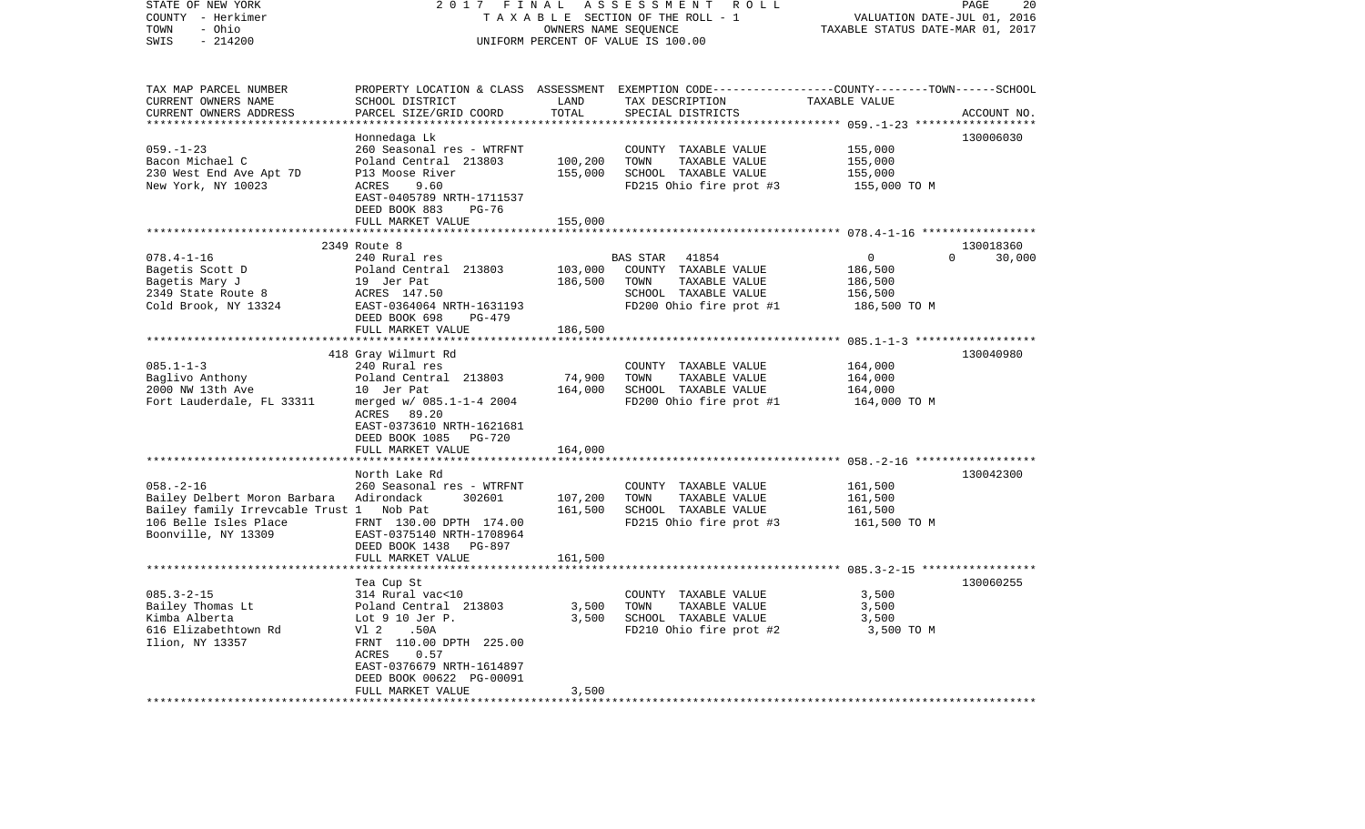| STATE OF NEW YORK<br>COUNTY - Herkimer<br>- Ohio<br>TOWN                                                                                    | 2017<br>FINAL<br>TAXABLE SECTION OF THE ROLL - 1                                                                                                                                                  | PAGE<br>20<br>VALUATION DATE-JUL 01, 2016<br>TAXABLE STATUS DATE-MAR 01, 2017 |                                                                                                                       |                                                                 |                    |
|---------------------------------------------------------------------------------------------------------------------------------------------|---------------------------------------------------------------------------------------------------------------------------------------------------------------------------------------------------|-------------------------------------------------------------------------------|-----------------------------------------------------------------------------------------------------------------------|-----------------------------------------------------------------|--------------------|
| SWIS<br>$-214200$                                                                                                                           |                                                                                                                                                                                                   |                                                                               | UNIFORM PERCENT OF VALUE IS 100.00                                                                                    |                                                                 |                    |
| TAX MAP PARCEL NUMBER<br>CURRENT OWNERS NAME                                                                                                | SCHOOL DISTRICT                                                                                                                                                                                   | LAND                                                                          | PROPERTY LOCATION & CLASS ASSESSMENT EXEMPTION CODE---------------COUNTY-------TOWN------SCHOOL<br>TAX DESCRIPTION    | TAXABLE VALUE                                                   |                    |
| CURRENT OWNERS ADDRESS                                                                                                                      | PARCEL SIZE/GRID COORD                                                                                                                                                                            | TOTAL<br>************                                                         | SPECIAL DISTRICTS                                                                                                     |                                                                 | ACCOUNT NO.        |
|                                                                                                                                             |                                                                                                                                                                                                   |                                                                               |                                                                                                                       | *************************** 059.-1-23 ******                    | 130006030          |
| $059. - 1 - 23$<br>Bacon Michael C<br>230 West End Ave Apt 7D<br>New York, NY 10023                                                         | Honnedaga Lk<br>260 Seasonal res - WTRFNT<br>Poland Central 213803<br>P13 Moose River<br>ACRES<br>9.60<br>EAST-0405789 NRTH-1711537<br>DEED BOOK 883<br><b>PG-76</b><br>FULL MARKET VALUE         | 100,200<br>155,000<br>155,000                                                 | COUNTY TAXABLE VALUE<br>TOWN<br>TAXABLE VALUE<br>SCHOOL TAXABLE VALUE<br>FD215 Ohio fire prot #3                      | 155,000<br>155,000<br>155,000<br>155,000 TO M                   |                    |
|                                                                                                                                             | *************************                                                                                                                                                                         | ***********                                                                   |                                                                                                                       |                                                                 |                    |
|                                                                                                                                             | 2349 Route 8                                                                                                                                                                                      |                                                                               |                                                                                                                       |                                                                 | 130018360          |
| $078.4 - 1 - 16$<br>Bagetis Scott D<br>Bagetis Mary J<br>2349 State Route 8<br>Cold Brook, NY 13324                                         | 240 Rural res<br>Poland Central 213803<br>19 Jer Pat<br>ACRES 147.50<br>EAST-0364064 NRTH-1631193<br>DEED BOOK 698<br>PG-479<br>FULL MARKET VALUE                                                 | 103,000<br>186,500<br>186,500                                                 | BAS STAR<br>41854<br>COUNTY TAXABLE VALUE<br>TAXABLE VALUE<br>TOWN<br>SCHOOL TAXABLE VALUE<br>FD200 Ohio fire prot #1 | $\overline{0}$<br>186,500<br>186,500<br>156,500<br>186,500 TO M | $\Omega$<br>30,000 |
|                                                                                                                                             |                                                                                                                                                                                                   | * * * * * * * * * *                                                           |                                                                                                                       |                                                                 |                    |
| $085.1 - 1 - 3$<br>Baglivo Anthony<br>2000 NW 13th Ave<br>Fort Lauderdale, FL 33311                                                         | 418 Gray Wilmurt Rd<br>240 Rural res<br>Poland Central 213803<br>10 Jer Pat<br>merged w/ 085.1-1-4 2004<br>ACRES 89.20<br>EAST-0373610 NRTH-1621681<br>DEED BOOK 1085<br><b>PG-720</b>            | 74,900<br>164,000                                                             | COUNTY TAXABLE VALUE<br>TOWN<br>TAXABLE VALUE<br>SCHOOL TAXABLE VALUE<br>FD200 Ohio fire prot #1                      | 164,000<br>164,000<br>164,000<br>164,000 TO M                   | 130040980          |
|                                                                                                                                             | FULL MARKET VALUE                                                                                                                                                                                 | 164,000                                                                       |                                                                                                                       |                                                                 |                    |
| $058. - 2 - 16$<br>Bailey Delbert Moron Barbara<br>Bailey family Irrevcable Trust 1 Nob Pat<br>106 Belle Isles Place<br>Boonville, NY 13309 | North Lake Rd<br>260 Seasonal res - WTRFNT<br>Adirondack<br>302601<br>FRNT 130.00 DPTH 174.00<br>EAST-0375140 NRTH-1708964<br>DEED BOOK 1438<br>PG-897                                            | 107,200<br>161,500                                                            | COUNTY TAXABLE VALUE<br>TAXABLE VALUE<br>TOWN<br>SCHOOL TAXABLE VALUE<br>FD215 Ohio fire prot #3                      | 161,500<br>161,500<br>161,500<br>161,500 TO M                   | 130042300          |
|                                                                                                                                             | FULL MARKET VALUE                                                                                                                                                                                 | 161,500                                                                       |                                                                                                                       |                                                                 |                    |
| $085.3 - 2 - 15$<br>Bailey Thomas Lt<br>Kimba Alberta<br>616 Elizabethtown Rd<br>Ilion, NY 13357                                            | Tea Cup St<br>314 Rural vac<10<br>Poland Central 213803<br>Lot $9$ 10 Jer P.<br>V1 2<br>.50A<br>FRNT 110.00 DPTH 225.00<br>ACRES<br>0.57<br>EAST-0376679 NRTH-1614897<br>DEED BOOK 00622 PG-00091 | 3,500<br>3,500                                                                | COUNTY TAXABLE VALUE<br>TOWN<br>TAXABLE VALUE<br>SCHOOL TAXABLE VALUE<br>FD210 Ohio fire prot #2                      | 3,500<br>3,500<br>3,500<br>3,500 TO M                           | 130060255          |
|                                                                                                                                             | FULL MARKET VALUE                                                                                                                                                                                 | 3,500                                                                         |                                                                                                                       |                                                                 |                    |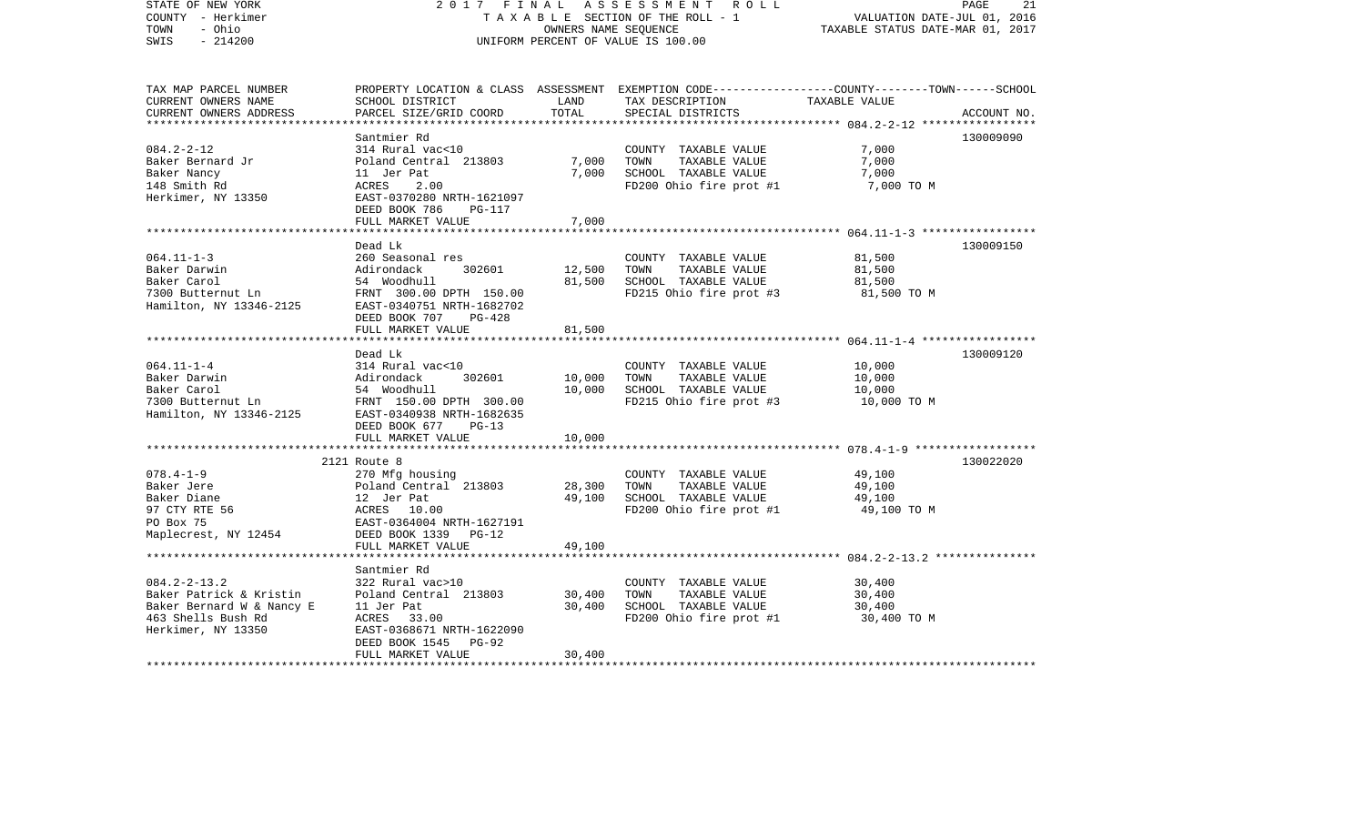| STATE OF NEW YORK<br>COUNTY - Herkimer<br>TOWN<br>- Ohio<br>$-214200$<br>SWIS | 2017 FINAL                                            | OWNERS NAME SEQUENCE | ASSESSMENT ROLL<br>TAXABLE SECTION OF THE ROLL - 1<br>UNIFORM PERCENT OF VALUE IS 100.00                                                 | VALUATION DATE-JUL 01, 2016<br>TAXABLE STATUS DATE-MAR 01, 2017 | PAGE<br>21  |
|-------------------------------------------------------------------------------|-------------------------------------------------------|----------------------|------------------------------------------------------------------------------------------------------------------------------------------|-----------------------------------------------------------------|-------------|
| TAX MAP PARCEL NUMBER<br>CURRENT OWNERS NAME<br>CURRENT OWNERS ADDRESS        | SCHOOL DISTRICT<br>PARCEL SIZE/GRID COORD             | LAND<br>TOTAL        | PROPERTY LOCATION & CLASS ASSESSMENT EXEMPTION CODE----------------COUNTY-------TOWN------SCHOOL<br>TAX DESCRIPTION<br>SPECIAL DISTRICTS | TAXABLE VALUE                                                   | ACCOUNT NO. |
|                                                                               |                                                       |                      |                                                                                                                                          |                                                                 |             |
| $084.2 - 2 - 12$                                                              | Santmier Rd<br>314 Rural vac<10                       |                      | COUNTY TAXABLE VALUE                                                                                                                     | 7,000                                                           | 130009090   |
| Baker Bernard Jr                                                              | Poland Central 213803                                 | 7,000                | TOWN<br>TAXABLE VALUE                                                                                                                    | 7,000                                                           |             |
| Baker Nancy                                                                   | 11 Jer Pat                                            | 7,000                | SCHOOL TAXABLE VALUE                                                                                                                     | 7,000                                                           |             |
| 148 Smith Rd                                                                  | ACRES<br>2.00                                         |                      | FD200 Ohio fire prot #1                                                                                                                  | 7,000 TO M                                                      |             |
| Herkimer, NY 13350                                                            | EAST-0370280 NRTH-1621097                             |                      |                                                                                                                                          |                                                                 |             |
|                                                                               | DEED BOOK 786<br>PG-117                               |                      |                                                                                                                                          |                                                                 |             |
|                                                                               | FULL MARKET VALUE                                     | 7,000                |                                                                                                                                          |                                                                 |             |
|                                                                               |                                                       |                      |                                                                                                                                          |                                                                 |             |
|                                                                               | Dead Lk                                               |                      |                                                                                                                                          |                                                                 | 130009150   |
| $064.11 - 1 - 3$                                                              | 260 Seasonal res                                      |                      | COUNTY TAXABLE VALUE                                                                                                                     | 81,500                                                          |             |
| Baker Darwin                                                                  | Adirondack<br>302601                                  | 12,500               | TOWN<br>TAXABLE VALUE                                                                                                                    | 81,500                                                          |             |
| Baker Carol<br>7300 Butternut Ln                                              | 54 Woodhull<br>FRNT 300.00 DPTH 150.00                | 81,500               | SCHOOL TAXABLE VALUE<br>FD215 Ohio fire prot #3                                                                                          | 81,500<br>81,500 TO M                                           |             |
| Hamilton, NY 13346-2125                                                       | EAST-0340751 NRTH-1682702                             |                      |                                                                                                                                          |                                                                 |             |
|                                                                               | DEED BOOK 707<br>PG-428                               |                      |                                                                                                                                          |                                                                 |             |
|                                                                               | FULL MARKET VALUE                                     | 81,500               |                                                                                                                                          |                                                                 |             |
|                                                                               |                                                       | ***************      |                                                                                                                                          |                                                                 |             |
|                                                                               | Dead Lk                                               |                      |                                                                                                                                          |                                                                 | 130009120   |
| $064.11 - 1 - 4$                                                              | 314 Rural vac<10                                      |                      | COUNTY TAXABLE VALUE                                                                                                                     | 10,000                                                          |             |
| Baker Darwin                                                                  | 302601<br>Adirondack                                  | 10,000               | TAXABLE VALUE<br>TOWN                                                                                                                    | 10,000                                                          |             |
| Baker Carol                                                                   | 54 Woodhull                                           | 10,000               | SCHOOL TAXABLE VALUE                                                                                                                     | 10,000                                                          |             |
| 7300 Butternut Ln                                                             | FRNT 150.00 DPTH 300.00                               |                      | FD215 Ohio fire prot #3                                                                                                                  | 10,000 TO M                                                     |             |
| Hamilton, NY 13346-2125                                                       | EAST-0340938 NRTH-1682635<br>DEED BOOK 677<br>$PG-13$ |                      |                                                                                                                                          |                                                                 |             |
|                                                                               | FULL MARKET VALUE                                     | 10,000               |                                                                                                                                          |                                                                 |             |
|                                                                               |                                                       |                      |                                                                                                                                          |                                                                 |             |
|                                                                               | 2121 Route 8                                          |                      |                                                                                                                                          |                                                                 | 130022020   |
| $078.4 - 1 - 9$                                                               | 270 Mfg housing                                       |                      | COUNTY TAXABLE VALUE                                                                                                                     | 49,100                                                          |             |
| Baker Jere                                                                    | Poland Central 213803                                 | 28,300               | TAXABLE VALUE<br>TOWN                                                                                                                    | 49,100                                                          |             |
| Baker Diane                                                                   | 12 Jer Pat                                            | 49,100               | SCHOOL TAXABLE VALUE                                                                                                                     | 49,100                                                          |             |
| 97 CTY RTE 56                                                                 | ACRES 10.00                                           |                      | FD200 Ohio fire prot #1                                                                                                                  | 49,100 TO M                                                     |             |
| PO Box 75                                                                     | EAST-0364004 NRTH-1627191                             |                      |                                                                                                                                          |                                                                 |             |
| Maplecrest, NY 12454                                                          | DEED BOOK 1339 PG-12                                  |                      |                                                                                                                                          |                                                                 |             |
|                                                                               | FULL MARKET VALUE                                     | 49,100               |                                                                                                                                          |                                                                 |             |
|                                                                               |                                                       |                      |                                                                                                                                          |                                                                 |             |
| $084.2 - 2 - 13.2$                                                            | Santmier Rd<br>322 Rural vac>10                       |                      | COUNTY TAXABLE VALUE                                                                                                                     | 30,400                                                          |             |
| Baker Patrick & Kristin                                                       | Poland Central 213803                                 | 30,400               | TOWN<br>TAXABLE VALUE                                                                                                                    | 30,400                                                          |             |
| Baker Bernard W & Nancy E                                                     | 11 Jer Pat                                            | 30,400               | SCHOOL TAXABLE VALUE                                                                                                                     | 30,400                                                          |             |
| 463 Shells Bush Rd                                                            | ACRES 33.00                                           |                      | FD200 Ohio fire prot #1                                                                                                                  | 30,400 TO M                                                     |             |
| Herkimer, NY 13350                                                            | EAST-0368671 NRTH-1622090                             |                      |                                                                                                                                          |                                                                 |             |
|                                                                               | DEED BOOK 1545<br>$PG-92$                             |                      |                                                                                                                                          |                                                                 |             |
|                                                                               | FULL MARKET VALUE                                     | 30,400               |                                                                                                                                          |                                                                 |             |
|                                                                               |                                                       |                      |                                                                                                                                          |                                                                 |             |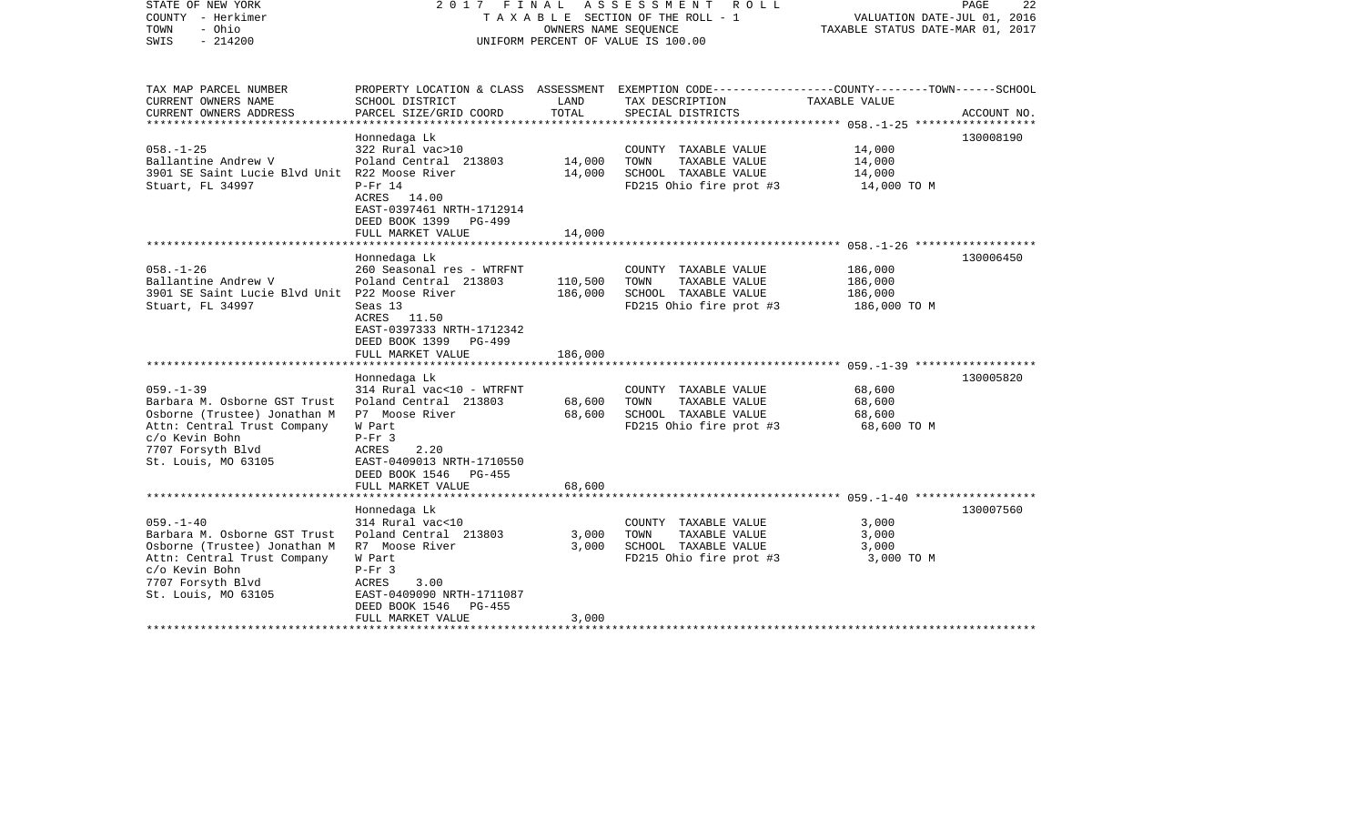| STATE OF NEW YORK<br>COUNTY - Herkimer<br>- Ohio<br>TOWN<br>$-214200$<br>SWIS                                                                                                | 2017 FINAL ASSESSMENT ROLL<br>TAXABLE SECTION OF THE ROLL - 1<br>UNIFORM PERCENT OF VALUE IS 100.00                                                                                                    | PAGE<br>22<br>VALUATION DATE-JUL 01, 2016<br>TAXABLE STATUS DATE-MAR 01, 2017 |                                                                                                                                         |                                               |             |
|------------------------------------------------------------------------------------------------------------------------------------------------------------------------------|--------------------------------------------------------------------------------------------------------------------------------------------------------------------------------------------------------|-------------------------------------------------------------------------------|-----------------------------------------------------------------------------------------------------------------------------------------|-----------------------------------------------|-------------|
| TAX MAP PARCEL NUMBER<br>CURRENT OWNERS NAME<br>CURRENT OWNERS ADDRESS                                                                                                       | SCHOOL DISTRICT<br>PARCEL SIZE/GRID COORD                                                                                                                                                              | LAND<br>TOTAL                                                                 | PROPERTY LOCATION & CLASS ASSESSMENT EXEMPTION CODE---------------COUNTY-------TOWN------SCHOOL<br>TAX DESCRIPTION<br>SPECIAL DISTRICTS | TAXABLE VALUE                                 | ACCOUNT NO. |
| $058. - 1 - 25$<br>Ballantine Andrew V<br>3901 SE Saint Lucie Blvd Unit R22 Moose River<br>Stuart, FL 34997                                                                  | Honnedaga Lk<br>322 Rural vac>10<br>Poland Central 213803<br>$P-Fr$ 14<br>ACRES 14.00<br>EAST-0397461 NRTH-1712914<br>DEED BOOK 1399 PG-499                                                            | 14,000<br>14,000                                                              | COUNTY TAXABLE VALUE<br>TAXABLE VALUE<br>TOWN<br>SCHOOL TAXABLE VALUE<br>FD215 Ohio fire prot #3                                        | 14,000<br>14,000<br>14,000<br>14,000 TO M     | 130008190   |
|                                                                                                                                                                              | FULL MARKET VALUE                                                                                                                                                                                      | 14,000                                                                        |                                                                                                                                         |                                               |             |
| $058. - 1 - 26$<br>Ballantine Andrew V<br>3901 SE Saint Lucie Blvd Unit P22 Moose River<br>Stuart, FL 34997                                                                  | Honnedaga Lk<br>260 Seasonal res - WTRFNT<br>Poland Central 213803<br>Seas 13<br>ACRES 11.50<br>EAST-0397333 NRTH-1712342<br>DEED BOOK 1399<br>PG-499<br>FULL MARKET VALUE                             | 110,500<br>186,000<br>186,000                                                 | COUNTY TAXABLE VALUE<br>TOWN<br>TAXABLE VALUE<br>SCHOOL TAXABLE VALUE<br>FD215 Ohio fire prot #3                                        | 186,000<br>186,000<br>186,000<br>186,000 TO M | 130006450   |
|                                                                                                                                                                              |                                                                                                                                                                                                        |                                                                               |                                                                                                                                         |                                               |             |
| $059. -1 - 39$<br>Barbara M. Osborne GST Trust<br>Osborne (Trustee) Jonathan M<br>Attn: Central Trust Company<br>c/o Kevin Bohn<br>7707 Forsyth Blvd<br>St. Louis, MO 63105  | Honnedaga Lk<br>314 Rural vac<10 - WTRFNT<br>Poland Central 213803<br>P7 Moose River<br>W Part<br>$P-Fr$ 3<br>ACRES<br>2.20<br>EAST-0409013 NRTH-1710550<br>DEED BOOK 1546 PG-455<br>FULL MARKET VALUE | 68,600<br>68,600<br>68,600                                                    | COUNTY TAXABLE VALUE<br>TAXABLE VALUE<br>TOWN<br>SCHOOL TAXABLE VALUE<br>FD215 Ohio fire prot #3                                        | 68,600<br>68,600<br>68,600<br>68,600 TO M     | 130005820   |
|                                                                                                                                                                              |                                                                                                                                                                                                        |                                                                               |                                                                                                                                         |                                               |             |
| $059. - 1 - 40$<br>Barbara M. Osborne GST Trust<br>Osborne (Trustee) Jonathan M<br>Attn: Central Trust Company<br>c/o Kevin Bohn<br>7707 Forsyth Blvd<br>St. Louis, MO 63105 | Honnedaga Lk<br>314 Rural vac<10<br>Poland Central 213803<br>R7 Moose River<br>W Part<br>$P-Fr$ 3<br>ACRES<br>3.00<br>EAST-0409090 NRTH-1711087<br>DEED BOOK 1546<br>PG-455<br>FULL MARKET VALUE       | 3,000<br>3,000<br>3,000                                                       | COUNTY TAXABLE VALUE<br>TAXABLE VALUE<br>TOWN<br>SCHOOL TAXABLE VALUE<br>FD215 Ohio fire prot #3                                        | 3,000<br>3,000<br>3,000<br>3,000 TO M         | 130007560   |
|                                                                                                                                                                              |                                                                                                                                                                                                        |                                                                               |                                                                                                                                         |                                               |             |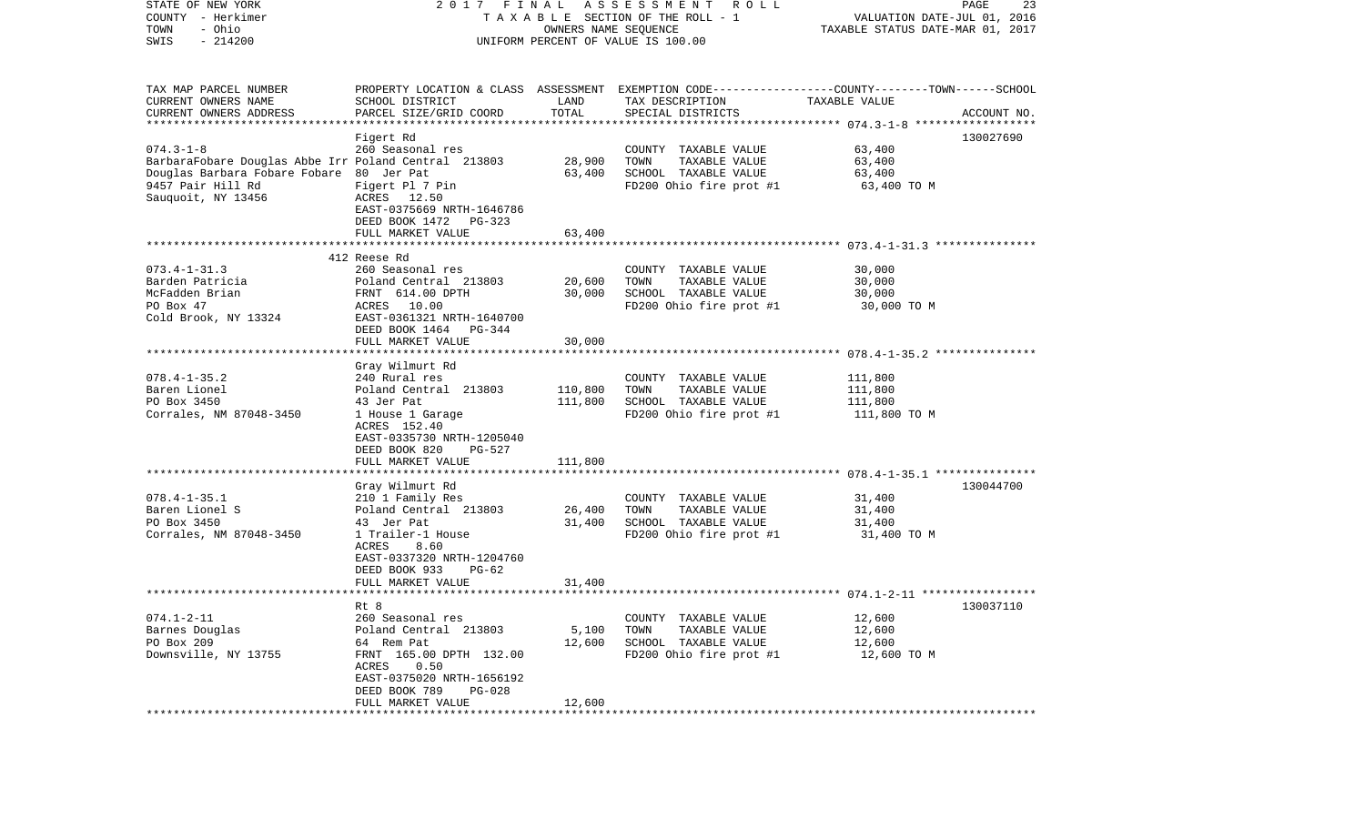| STATE OF NEW YORK<br>COUNTY - Herkimer<br>- Ohio<br>TOWN<br>$-214200$<br>SWIS |                                                | OWNERS NAME SEQUENCE | 2017 FINAL ASSESSMENT ROLL<br>TAXABLE SECTION OF THE ROLL - 1<br>UNIFORM PERCENT OF VALUE IS 100.00 | VALUATION DATE-JUL 01, 2016<br>TAXABLE STATUS DATE-MAR 01, 2017 | PAGE<br>23  |
|-------------------------------------------------------------------------------|------------------------------------------------|----------------------|-----------------------------------------------------------------------------------------------------|-----------------------------------------------------------------|-------------|
|                                                                               |                                                |                      |                                                                                                     |                                                                 |             |
| TAX MAP PARCEL NUMBER                                                         |                                                |                      | PROPERTY LOCATION & CLASS ASSESSMENT EXEMPTION CODE---------------COUNTY-------TOWN------SCHOOL     |                                                                 |             |
| CURRENT OWNERS NAME                                                           | SCHOOL DISTRICT                                | LAND                 | TAX DESCRIPTION                                                                                     | TAXABLE VALUE                                                   |             |
| CURRENT OWNERS ADDRESS                                                        | PARCEL SIZE/GRID COORD                         | TOTAL                | SPECIAL DISTRICTS                                                                                   |                                                                 | ACCOUNT NO. |
| ***********************                                                       |                                                |                      |                                                                                                     |                                                                 |             |
|                                                                               | Figert Rd                                      |                      |                                                                                                     |                                                                 | 130027690   |
| $074.3 - 1 - 8$                                                               | 260 Seasonal res                               |                      | COUNTY TAXABLE VALUE                                                                                | 63,400                                                          |             |
| BarbaraFobare Douglas Abbe Irr Poland Central 213803                          |                                                | 28,900               | TOWN<br>TAXABLE VALUE                                                                               | 63,400                                                          |             |
| Douglas Barbara Fobare Fobare 80 Jer Pat                                      |                                                | 63,400               | SCHOOL TAXABLE VALUE                                                                                | 63,400                                                          |             |
| 9457 Pair Hill Rd                                                             | Figert Pl 7 Pin                                |                      | FD200 Ohio fire prot #1                                                                             | 63,400 TO M                                                     |             |
| Sauquoit, NY 13456                                                            | ACRES 12.50                                    |                      |                                                                                                     |                                                                 |             |
|                                                                               | EAST-0375669 NRTH-1646786                      |                      |                                                                                                     |                                                                 |             |
|                                                                               | DEED BOOK 1472<br>PG-323                       |                      |                                                                                                     |                                                                 |             |
|                                                                               | FULL MARKET VALUE                              | 63,400               |                                                                                                     |                                                                 |             |
|                                                                               | 412 Reese Rd                                   |                      |                                                                                                     |                                                                 |             |
| $073.4 - 1 - 31.3$                                                            | 260 Seasonal res                               |                      | COUNTY TAXABLE VALUE                                                                                | 30,000                                                          |             |
| Barden Patricia                                                               | Poland Central 213803                          | 20,600               | TOWN<br>TAXABLE VALUE                                                                               | 30,000                                                          |             |
| McFadden Brian                                                                | FRNT 614.00 DPTH                               | 30,000               | SCHOOL TAXABLE VALUE                                                                                | 30,000                                                          |             |
| PO Box 47                                                                     | ACRES 10.00                                    |                      | FD200 Ohio fire prot #1                                                                             | 30,000 TO M                                                     |             |
| Cold Brook, NY 13324                                                          | EAST-0361321 NRTH-1640700                      |                      |                                                                                                     |                                                                 |             |
|                                                                               | DEED BOOK 1464<br>PG-344                       |                      |                                                                                                     |                                                                 |             |
|                                                                               | FULL MARKET VALUE                              | 30,000               |                                                                                                     |                                                                 |             |
|                                                                               |                                                |                      |                                                                                                     |                                                                 |             |
|                                                                               | Gray Wilmurt Rd                                |                      |                                                                                                     |                                                                 |             |
| $078.4 - 1 - 35.2$                                                            | 240 Rural res                                  |                      | COUNTY TAXABLE VALUE                                                                                | 111,800                                                         |             |
| Baren Lionel                                                                  | Poland Central 213803                          | 110,800              | TOWN<br>TAXABLE VALUE                                                                               | 111,800                                                         |             |
| PO Box 3450                                                                   | 43 Jer Pat                                     | 111,800              | SCHOOL TAXABLE VALUE                                                                                | 111,800                                                         |             |
| Corrales, NM 87048-3450                                                       | 1 House 1 Garage                               |                      | FD200 Ohio fire prot #1                                                                             | 111,800 TO M                                                    |             |
|                                                                               | ACRES 152.40                                   |                      |                                                                                                     |                                                                 |             |
|                                                                               | EAST-0335730 NRTH-1205040                      |                      |                                                                                                     |                                                                 |             |
|                                                                               | DEED BOOK 820<br>PG-527<br>FULL MARKET VALUE   | 111,800              |                                                                                                     |                                                                 |             |
|                                                                               | *******************                            |                      |                                                                                                     |                                                                 |             |
|                                                                               | Gray Wilmurt Rd                                |                      |                                                                                                     |                                                                 | 130044700   |
| $078.4 - 1 - 35.1$                                                            | 210 1 Family Res                               |                      | COUNTY TAXABLE VALUE                                                                                | 31,400                                                          |             |
| Baren Lionel S                                                                | Poland Central 213803                          | 26,400               | TOWN<br>TAXABLE VALUE                                                                               | 31,400                                                          |             |
| PO Box 3450                                                                   | 43 Jer Pat                                     | 31,400               | SCHOOL TAXABLE VALUE                                                                                | 31,400                                                          |             |
| Corrales, NM 87048-3450                                                       | 1 Trailer-1 House                              |                      | FD200 Ohio fire prot #1                                                                             | 31,400 TO M                                                     |             |
|                                                                               | ACRES<br>8.60                                  |                      |                                                                                                     |                                                                 |             |
|                                                                               | EAST-0337320 NRTH-1204760                      |                      |                                                                                                     |                                                                 |             |
|                                                                               | DEED BOOK 933<br>PG-62                         |                      |                                                                                                     |                                                                 |             |
|                                                                               | FULL MARKET VALUE                              | 31,400               |                                                                                                     |                                                                 |             |
|                                                                               |                                                |                      |                                                                                                     |                                                                 |             |
|                                                                               | Rt 8                                           |                      |                                                                                                     |                                                                 | 130037110   |
| $074.1 - 2 - 11$                                                              | 260 Seasonal res                               |                      | COUNTY TAXABLE VALUE                                                                                | 12,600                                                          |             |
| Barnes Douglas                                                                | Poland Central 213803                          | 5,100                | TAXABLE VALUE<br>TOWN                                                                               | 12,600                                                          |             |
| PO Box 209                                                                    | 64 Rem Pat                                     | 12,600               | SCHOOL TAXABLE VALUE                                                                                | 12,600                                                          |             |
| Downsville, NY 13755                                                          | FRNT 165.00 DPTH 132.00                        |                      | FD200 Ohio fire prot #1                                                                             | 12,600 TO M                                                     |             |
|                                                                               | 0.50<br>ACRES                                  |                      |                                                                                                     |                                                                 |             |
|                                                                               | EAST-0375020 NRTH-1656192                      |                      |                                                                                                     |                                                                 |             |
|                                                                               | DEED BOOK 789<br>$PG-028$<br>FULL MARKET VALUE | 12,600               |                                                                                                     |                                                                 |             |
|                                                                               |                                                |                      |                                                                                                     |                                                                 |             |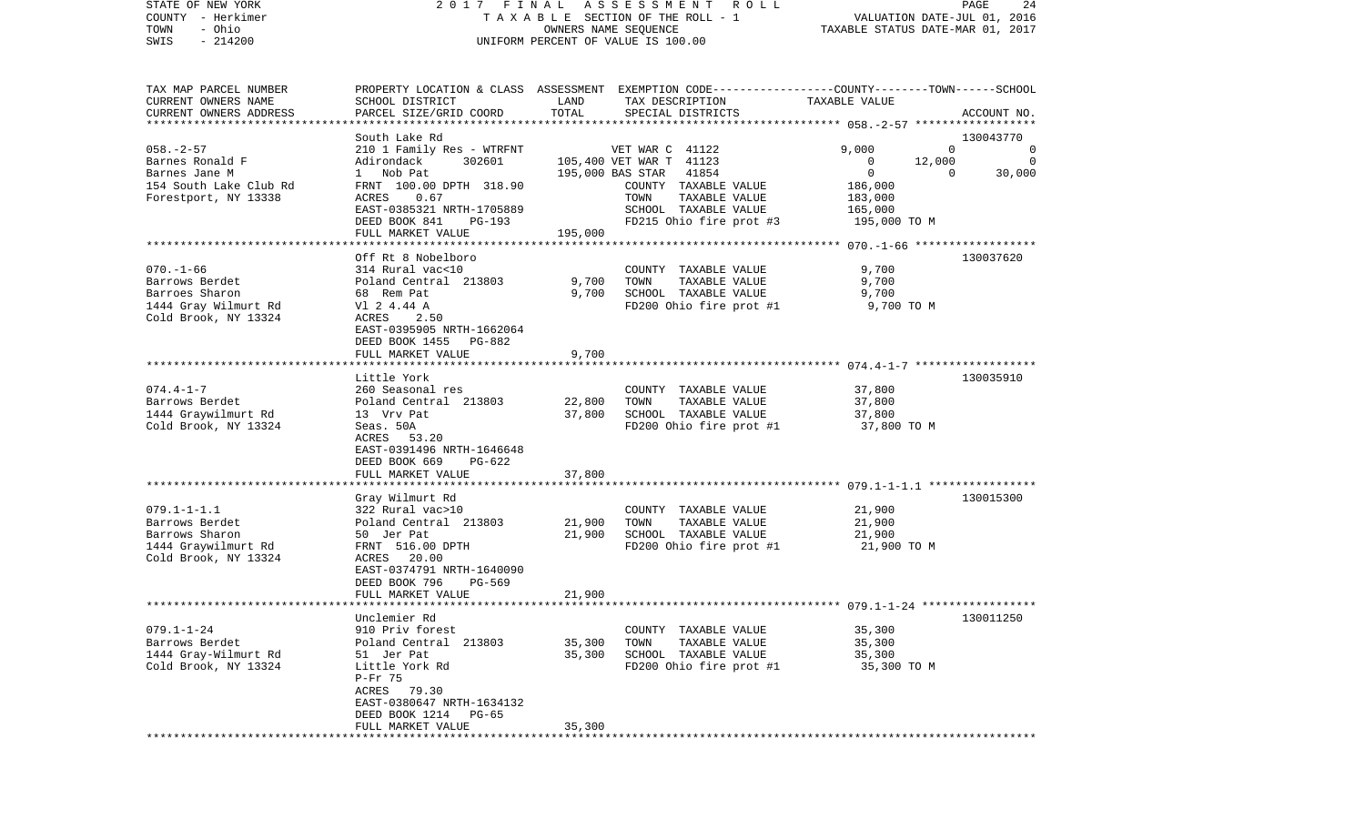| COUNTY<br>– Herkimer<br>- Ohio<br>TOWN         | TAXABLE                                  | VALUATION DATE-JUL 01, 2016<br>TAXABLE STATUS DATE-MAR 01, 2017 |                                                                                                 |                       |                        |
|------------------------------------------------|------------------------------------------|-----------------------------------------------------------------|-------------------------------------------------------------------------------------------------|-----------------------|------------------------|
| SWIS<br>$-214200$                              | UNIFORM PERCENT OF VALUE IS 100.00       |                                                                 |                                                                                                 |                       |                        |
|                                                |                                          |                                                                 |                                                                                                 |                       |                        |
| TAX MAP PARCEL NUMBER                          |                                          |                                                                 | PROPERTY LOCATION & CLASS ASSESSMENT EXEMPTION CODE---------------COUNTY-------TOWN------SCHOOL |                       |                        |
| CURRENT OWNERS NAME                            | SCHOOL DISTRICT                          | LAND                                                            | TAX DESCRIPTION                                                                                 | TAXABLE VALUE         |                        |
| CURRENT OWNERS ADDRESS                         | PARCEL SIZE/GRID COORD                   | TOTAL                                                           | SPECIAL DISTRICTS                                                                               |                       | ACCOUNT NO.            |
|                                                |                                          |                                                                 |                                                                                                 |                       |                        |
|                                                | South Lake Rd                            |                                                                 |                                                                                                 |                       | 130043770              |
| $058. - 2 - 57$                                | 210 1 Family Res - WTRFNT                |                                                                 | VET WAR C 41122                                                                                 | 9,000                 | $\Omega$<br>$\circ$    |
| Barnes Ronald F                                | Adirondack<br>302601                     |                                                                 | 105,400 VET WAR T 41123                                                                         | 12,000<br>0           | 0                      |
| Barnes Jane M                                  | Nob Pat<br>$\mathbf{1}$                  |                                                                 | 41854<br>195,000 BAS STAR                                                                       | 0                     | 30,000<br>$\mathbf{0}$ |
| 154 South Lake Club Rd<br>Forestport, NY 13338 | FRNT 100.00 DPTH 318.90<br>0.67<br>ACRES |                                                                 | COUNTY TAXABLE VALUE<br>TOWN<br>TAXABLE VALUE                                                   | 186,000<br>183,000    |                        |
|                                                | EAST-0385321 NRTH-1705889                |                                                                 | SCHOOL TAXABLE VALUE                                                                            | 165,000               |                        |
|                                                | DEED BOOK 841<br>PG-193                  |                                                                 | FD215 Ohio fire prot #3                                                                         | 195,000 TO M          |                        |
|                                                | FULL MARKET VALUE                        | 195,000                                                         |                                                                                                 |                       |                        |
|                                                |                                          |                                                                 |                                                                                                 |                       |                        |
|                                                | Off Rt 8 Nobelboro                       |                                                                 |                                                                                                 |                       | 130037620              |
| $070. - 1 - 66$                                | 314 Rural vac<10                         |                                                                 | COUNTY TAXABLE VALUE                                                                            | 9,700                 |                        |
| Barrows Berdet                                 | Poland Central 213803                    | 9,700                                                           | TOWN<br>TAXABLE VALUE                                                                           | 9,700                 |                        |
| Barroes Sharon                                 | 68 Rem Pat                               | 9,700                                                           | SCHOOL TAXABLE VALUE                                                                            | 9,700                 |                        |
| 1444 Gray Wilmurt Rd                           | V1 2 4.44 A                              |                                                                 | FD200 Ohio fire prot #1                                                                         | 9,700 TO M            |                        |
| Cold Brook, NY 13324                           | ACRES<br>2.50                            |                                                                 |                                                                                                 |                       |                        |
|                                                | EAST-0395905 NRTH-1662064                |                                                                 |                                                                                                 |                       |                        |
|                                                | DEED BOOK 1455<br>PG-882                 |                                                                 |                                                                                                 |                       |                        |
|                                                | FULL MARKET VALUE                        | 9,700                                                           |                                                                                                 |                       |                        |
|                                                | *****************                        |                                                                 |                                                                                                 |                       |                        |
|                                                | Little York                              |                                                                 |                                                                                                 |                       | 130035910              |
| $074.4 - 1 - 7$                                | 260 Seasonal res                         |                                                                 | COUNTY TAXABLE VALUE                                                                            | 37,800                |                        |
| Barrows Berdet                                 | Poland Central 213803                    | 22,800                                                          | TOWN<br>TAXABLE VALUE                                                                           | 37,800                |                        |
| 1444 Graywilmurt Rd<br>Cold Brook, NY 13324    | 13 Vrv Pat<br>Seas. 50A                  | 37,800                                                          | SCHOOL TAXABLE VALUE<br>FD200 Ohio fire prot #1                                                 | 37,800<br>37,800 TO M |                        |
|                                                | 53.20<br>ACRES                           |                                                                 |                                                                                                 |                       |                        |
|                                                | EAST-0391496 NRTH-1646648                |                                                                 |                                                                                                 |                       |                        |
|                                                | DEED BOOK 669<br>PG-622                  |                                                                 |                                                                                                 |                       |                        |
|                                                | FULL MARKET VALUE                        | 37,800                                                          |                                                                                                 |                       |                        |
|                                                |                                          |                                                                 |                                                                                                 |                       |                        |
|                                                | Gray Wilmurt Rd                          |                                                                 |                                                                                                 |                       | 130015300              |
| $079.1 - 1 - 1.1$                              | 322 Rural vac>10                         |                                                                 | COUNTY TAXABLE VALUE                                                                            | 21,900                |                        |
| Barrows Berdet                                 | Poland Central 213803                    | 21,900                                                          | TOWN<br>TAXABLE VALUE                                                                           | 21,900                |                        |
| Barrows Sharon                                 | 50 Jer Pat                               | 21,900                                                          | SCHOOL TAXABLE VALUE                                                                            | 21,900                |                        |
| 1444 Graywilmurt Rd                            | FRNT 516.00 DPTH                         |                                                                 | FD200 Ohio fire prot #1                                                                         | 21,900 TO M           |                        |
| Cold Brook, NY 13324                           | ACRES<br>20.00                           |                                                                 |                                                                                                 |                       |                        |
|                                                | EAST-0374791 NRTH-1640090                |                                                                 |                                                                                                 |                       |                        |
|                                                | DEED BOOK 796<br>PG-569                  |                                                                 |                                                                                                 |                       |                        |
|                                                | FULL MARKET VALUE                        | 21,900                                                          |                                                                                                 |                       |                        |
|                                                |                                          |                                                                 |                                                                                                 |                       |                        |
|                                                | Unclemier Rd                             |                                                                 |                                                                                                 |                       | 130011250              |
| $079.1 - 1 - 24$                               | 910 Priv forest                          |                                                                 | COUNTY TAXABLE VALUE                                                                            | 35,300                |                        |
| Barrows Berdet                                 | Poland Central 213803                    | 35,300                                                          | TOWN<br>TAXABLE VALUE                                                                           | 35,300                |                        |
| 1444 Gray-Wilmurt Rd                           | 51 Jer Pat                               | 35,300                                                          | SCHOOL TAXABLE VALUE                                                                            | 35,300                |                        |
| Cold Brook, NY 13324                           | Little York Rd<br>$P-Fr$ 75              |                                                                 | FD200 Ohio fire prot #1                                                                         | 35,300 TO M           |                        |
|                                                | ACRES 79.30                              |                                                                 |                                                                                                 |                       |                        |
|                                                | EAST-0380647 NRTH-1634132                |                                                                 |                                                                                                 |                       |                        |
|                                                | DEED BOOK 1214<br>PG-65                  |                                                                 |                                                                                                 |                       |                        |
|                                                | FULL MARKET VALUE                        | 35,300                                                          |                                                                                                 |                       |                        |
|                                                | ****************                         |                                                                 |                                                                                                 |                       |                        |

STATE OF NEW YORK 2 0 1 7 F I N A L A S S E S S M E N T R O L L PAGE 24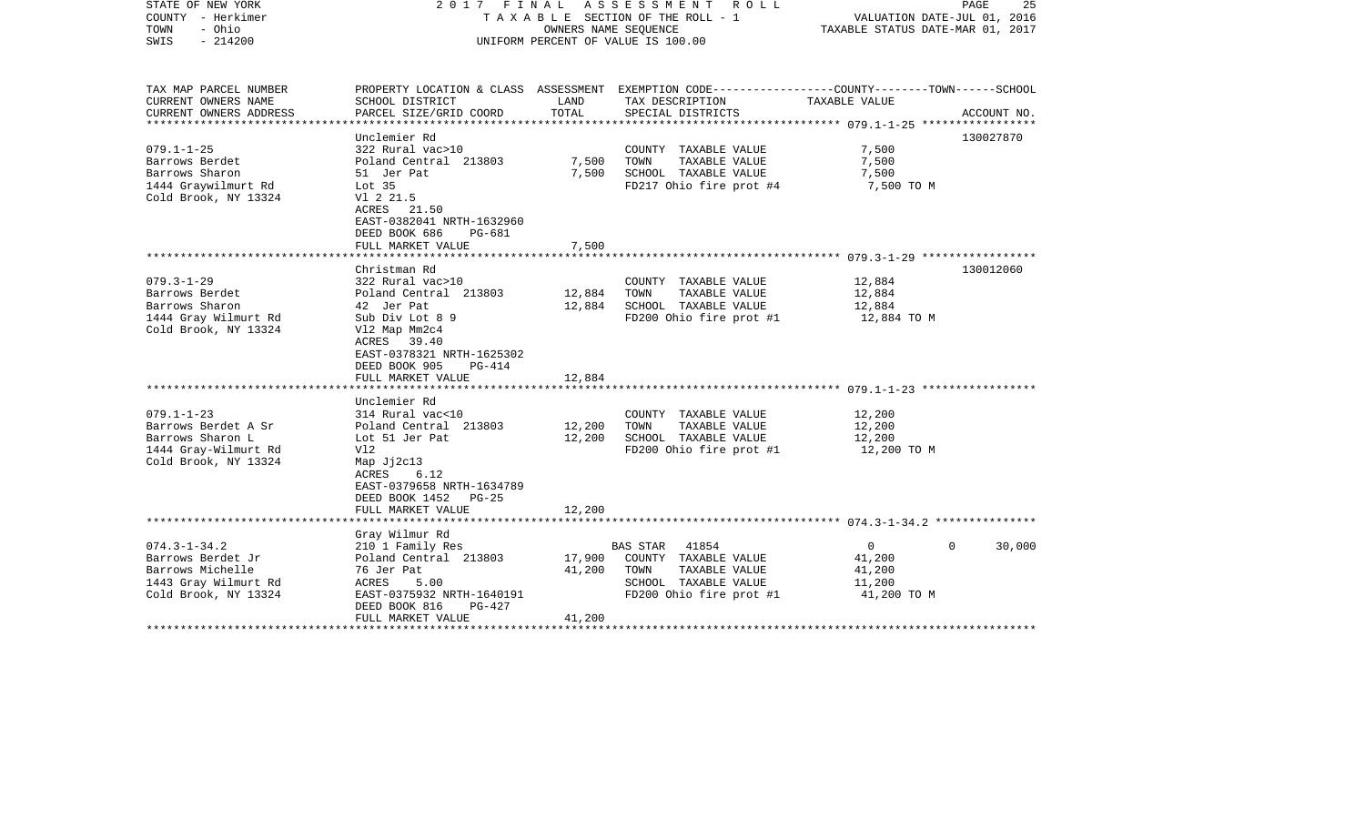| STATE OF NEW YORK<br>COUNTY - Herkimer<br>- Ohio<br>TOWN<br>$-214200$<br>SWIS                               |                                                                                                                                                                                                                |                            | 2017 FINAL ASSESSMENT ROLL<br>T A X A B L E SECTION OF THE ROLL - 1<br>OWNERS NAME SEQUENCE<br>UNIFORM PERCENT OF VALUE IS 100.00 | PAGE<br>25<br>VALUATION DATE-JUL 01, 2016<br>TAXABLE STATUS DATE-MAR 01, 2017 |                    |
|-------------------------------------------------------------------------------------------------------------|----------------------------------------------------------------------------------------------------------------------------------------------------------------------------------------------------------------|----------------------------|-----------------------------------------------------------------------------------------------------------------------------------|-------------------------------------------------------------------------------|--------------------|
| TAX MAP PARCEL NUMBER<br>CURRENT OWNERS NAME                                                                | SCHOOL DISTRICT                                                                                                                                                                                                | LAND                       | PROPERTY LOCATION & CLASS ASSESSMENT EXEMPTION CODE---------------COUNTY-------TOWN-----SCHOOL<br>TAX DESCRIPTION                 | TAXABLE VALUE                                                                 |                    |
| CURRENT OWNERS ADDRESS                                                                                      | PARCEL SIZE/GRID COORD                                                                                                                                                                                         | TOTAL                      | SPECIAL DISTRICTS                                                                                                                 |                                                                               | ACCOUNT NO.        |
| $079.1 - 1 - 25$<br>Barrows Berdet<br>Barrows Sharon<br>1444 Graywilmurt Rd<br>Cold Brook, NY 13324         | Unclemier Rd<br>322 Rural vac>10<br>Poland Central 213803<br>51 Jer Pat<br>Lot <sub>35</sub><br>V1 2 21.5<br>ACRES 21.50<br>EAST-0382041 NRTH-1632960<br>DEED BOOK 686<br><b>PG-681</b>                        | 7,500<br>7,500             | COUNTY TAXABLE VALUE<br>TAXABLE VALUE<br>TOWN<br>SCHOOL TAXABLE VALUE<br>FD217 Ohio fire prot #4                                  | 7,500<br>7,500<br>7,500<br>7,500 TO M                                         | 130027870          |
|                                                                                                             | FULL MARKET VALUE                                                                                                                                                                                              | 7,500                      |                                                                                                                                   |                                                                               |                    |
| $079.3 - 1 - 29$<br>Barrows Berdet<br>Barrows Sharon<br>1444 Gray Wilmurt Rd<br>Cold Brook, NY 13324        | Christman Rd<br>322 Rural vac>10<br>Poland Central 213803<br>42 Jer Pat<br>Sub Div Lot 8 9<br>V12 Map Mm2c4<br>ACRES 39.40<br>EAST-0378321 NRTH-1625302<br>DEED BOOK 905<br><b>PG-414</b><br>FULL MARKET VALUE | 12,884<br>12,884<br>12,884 | COUNTY TAXABLE VALUE<br>TAXABLE VALUE<br>TOWN<br>SCHOOL TAXABLE VALUE<br>FD200 Ohio fire prot #1                                  | 12,884<br>12,884<br>12,884<br>12,884 TO M                                     | 130012060          |
|                                                                                                             | Unclemier Rd                                                                                                                                                                                                   |                            |                                                                                                                                   |                                                                               |                    |
| $079.1 - 1 - 23$<br>Barrows Berdet A Sr<br>Barrows Sharon L<br>1444 Gray-Wilmurt Rd<br>Cold Brook, NY 13324 | 314 Rural vac<10<br>Poland Central 213803<br>Lot 51 Jer Pat<br>V12<br>Map $Jj2c13$<br>ACRES<br>6.12<br>EAST-0379658 NRTH-1634789<br>DEED BOOK 1452 PG-25                                                       | 12,200<br>12,200           | COUNTY TAXABLE VALUE<br>TOWN<br>TAXABLE VALUE<br>SCHOOL TAXABLE VALUE<br>FD200 Ohio fire prot #1                                  | 12,200<br>12,200<br>12,200<br>12,200 TO M                                     |                    |
|                                                                                                             | FULL MARKET VALUE                                                                                                                                                                                              | 12,200                     |                                                                                                                                   |                                                                               |                    |
|                                                                                                             | Gray Wilmur Rd                                                                                                                                                                                                 |                            |                                                                                                                                   |                                                                               |                    |
| $074.3 - 1 - 34.2$<br>Barrows Berdet Jr<br>Barrows Michelle<br>1443 Gray Wilmurt Rd<br>Cold Brook, NY 13324 | 210 1 Family Res<br>Poland Central 213803<br>76 Jer Pat<br>ACRES<br>5.00<br>EAST-0375932 NRTH-1640191<br>DEED BOOK 816<br>PG-427<br>FULL MARKET VALUE                                                          | 17,900<br>41,200<br>41,200 | 41854<br>BAS STAR<br>COUNTY TAXABLE VALUE<br>TOWN<br>TAXABLE VALUE<br>SCHOOL TAXABLE VALUE<br>FD200 Ohio fire prot #1             | $\overline{0}$<br>41,200<br>41,200<br>11,200<br>41,200 TO M                   | 30,000<br>$\Omega$ |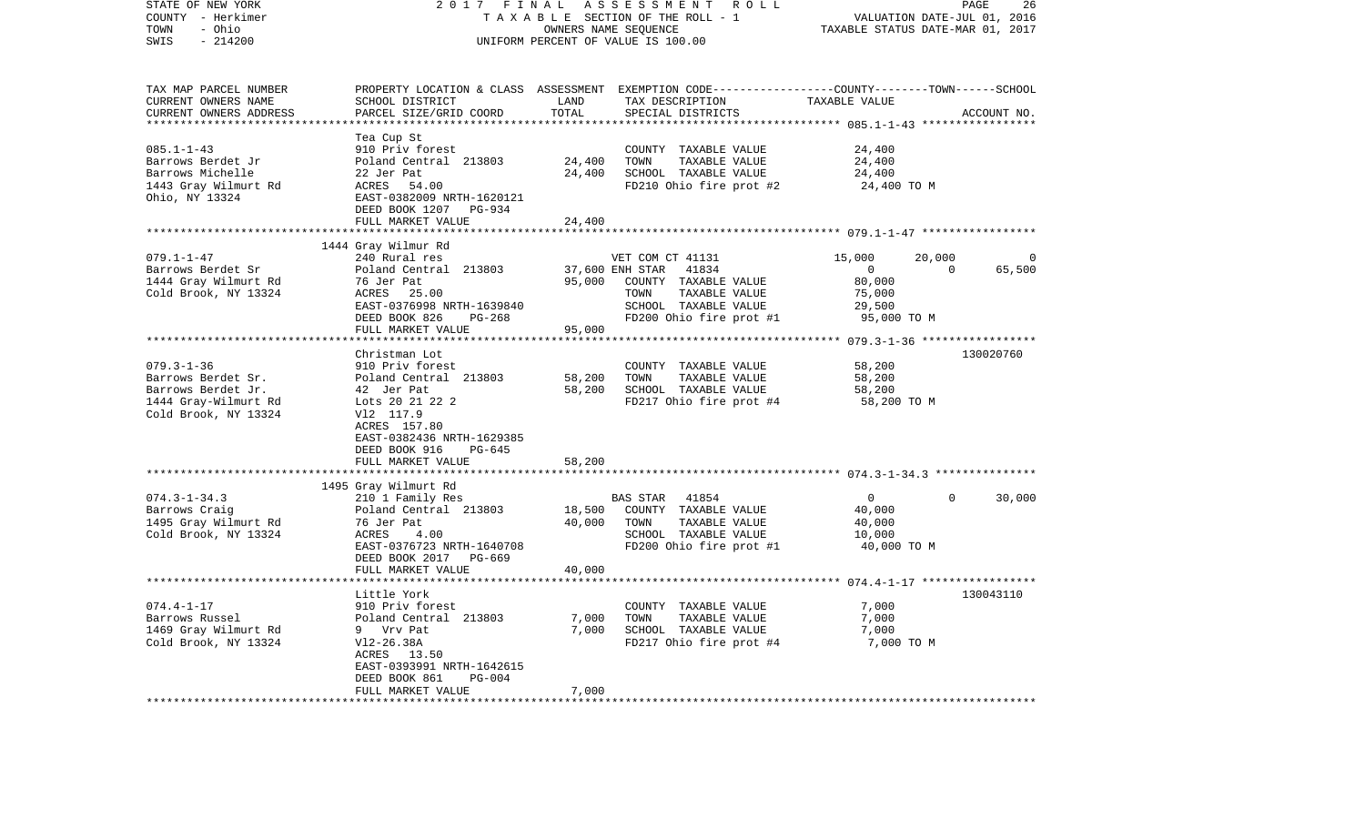| STATE OF NEW YORK<br>COUNTY - Herkimer<br>- Ohio<br>TOWN<br>$-214200$<br>SWIS                                | 2017 FINAL                                                                                                                                                                         |                                         | ASSESSMENT ROLL<br>TAXABLE SECTION OF THE ROLL - 1<br>OWNERS NAME SEQUENCE<br>UNIFORM PERCENT OF VALUE IS 100.00                                        | VALUATION DATE-JUL 01, 2016<br>TAXABLE STATUS DATE-MAR 01, 2017       | PAGE               | 26          |
|--------------------------------------------------------------------------------------------------------------|------------------------------------------------------------------------------------------------------------------------------------------------------------------------------------|-----------------------------------------|---------------------------------------------------------------------------------------------------------------------------------------------------------|-----------------------------------------------------------------------|--------------------|-------------|
| TAX MAP PARCEL NUMBER<br>CURRENT OWNERS NAME<br>CURRENT OWNERS ADDRESS                                       | SCHOOL DISTRICT<br>PARCEL SIZE/GRID COORD                                                                                                                                          | LAND<br>TOTAL<br>**********             | PROPERTY LOCATION & CLASS ASSESSMENT EXEMPTION CODE---------------COUNTY-------TOWN------SCHOOL<br>TAX DESCRIPTION<br>SPECIAL DISTRICTS                 | TAXABLE VALUE                                                         |                    | ACCOUNT NO. |
| $085.1 - 1 - 43$<br>Barrows Berdet Jr<br>Barrows Michelle<br>1443 Gray Wilmurt Rd<br>Ohio, NY 13324          | Tea Cup St<br>910 Priv forest<br>Poland Central 213803<br>22 Jer Pat<br>ACRES 54.00<br>EAST-0382009 NRTH-1620121<br>DEED BOOK 1207 PG-934<br>FULL MARKET VALUE                     | 24,400<br>24,400<br>24,400              | COUNTY TAXABLE VALUE<br>TOWN<br>TAXABLE VALUE<br>SCHOOL TAXABLE VALUE<br>FD210 Ohio fire prot #2                                                        | 24,400<br>24,400<br>24,400<br>24,400 TO M                             |                    |             |
|                                                                                                              |                                                                                                                                                                                    |                                         |                                                                                                                                                         |                                                                       |                    |             |
| $079.1 - 1 - 47$<br>Barrows Berdet Sr<br>1444 Gray Wilmurt Rd<br>Cold Brook, NY 13324                        | 1444 Gray Wilmur Rd<br>240 Rural res<br>Poland Central 213803<br>76 Jer Pat<br>ACRES 25.00<br>EAST-0376998 NRTH-1639840<br>DEED BOOK 826<br>PG-268<br>FULL MARKET VALUE            | 95,000                                  | VET COM CT 41131<br>37,600 ENH STAR<br>41834<br>95,000 COUNTY TAXABLE VALUE<br>TOWN<br>TAXABLE VALUE<br>SCHOOL TAXABLE VALUE<br>FD200 Ohio fire prot #1 | 15,000<br>$\overline{0}$<br>80,000<br>75,000<br>29,500<br>95,000 TO M | 20,000<br>$\Omega$ | 65,500      |
|                                                                                                              | **************************                                                                                                                                                         | ****************                        |                                                                                                                                                         |                                                                       |                    |             |
| $079.3 - 1 - 36$<br>Barrows Berdet Sr.<br>Barrows Berdet Jr.<br>1444 Gray-Wilmurt Rd<br>Cold Brook, NY 13324 | Christman Lot<br>910 Priv forest<br>Poland Central 213803<br>42 Jer Pat<br>Lots 20 21 22 2<br>V12 117.9<br>ACRES 157.80<br>EAST-0382436 NRTH-1629385<br>DEED BOOK 916<br>PG-645    | 58,200<br>58,200                        | COUNTY TAXABLE VALUE<br>TOWN<br>TAXABLE VALUE<br>SCHOOL TAXABLE VALUE<br>FD217 Ohio fire prot #4                                                        | 58,200<br>58,200<br>58,200<br>58,200 TO M                             |                    | 130020760   |
|                                                                                                              | FULL MARKET VALUE                                                                                                                                                                  | 58,200                                  |                                                                                                                                                         |                                                                       |                    |             |
|                                                                                                              | 1495 Gray Wilmurt Rd                                                                                                                                                               |                                         |                                                                                                                                                         |                                                                       |                    |             |
| $074.3 - 1 - 34.3$<br>Barrows Craig<br>1495 Gray Wilmurt Rd<br>Cold Brook, NY 13324                          | 210 1 Family Res<br>Poland Central 213803<br>76 Jer Pat<br>ACRES<br>4.00<br>EAST-0376723 NRTH-1640708<br>DEED BOOK 2017 PG-669<br>FULL MARKET VALUE                                | 18,500<br>40,000<br>40,000              | <b>BAS STAR</b><br>41854<br>COUNTY TAXABLE VALUE<br>TAXABLE VALUE<br>TOWN<br>SCHOOL TAXABLE VALUE<br>FD200 Ohio fire prot #1                            | $\overline{0}$<br>40,000<br>40,000<br>10,000<br>40,000 TO M           | $\Omega$           | 30,000      |
|                                                                                                              |                                                                                                                                                                                    |                                         |                                                                                                                                                         |                                                                       |                    |             |
| $074.4 - 1 - 17$<br>Barrows Russel<br>1469 Gray Wilmurt Rd<br>Cold Brook, NY 13324                           | Little York<br>910 Priv forest<br>Poland Central 213803<br>9 Vrv Pat<br>$V12-26.38A$<br>ACRES 13.50<br>EAST-0393991 NRTH-1642615<br>DEED BOOK 861<br>$PG-004$<br>FULL MARKET VALUE | 7,000<br>7,000<br>7,000<br>************ | COUNTY TAXABLE VALUE<br>TOWN<br>TAXABLE VALUE<br>SCHOOL TAXABLE VALUE<br>FD217 Ohio fire prot #4                                                        | 7,000<br>7,000<br>7,000<br>7,000 TO M                                 |                    | 130043110   |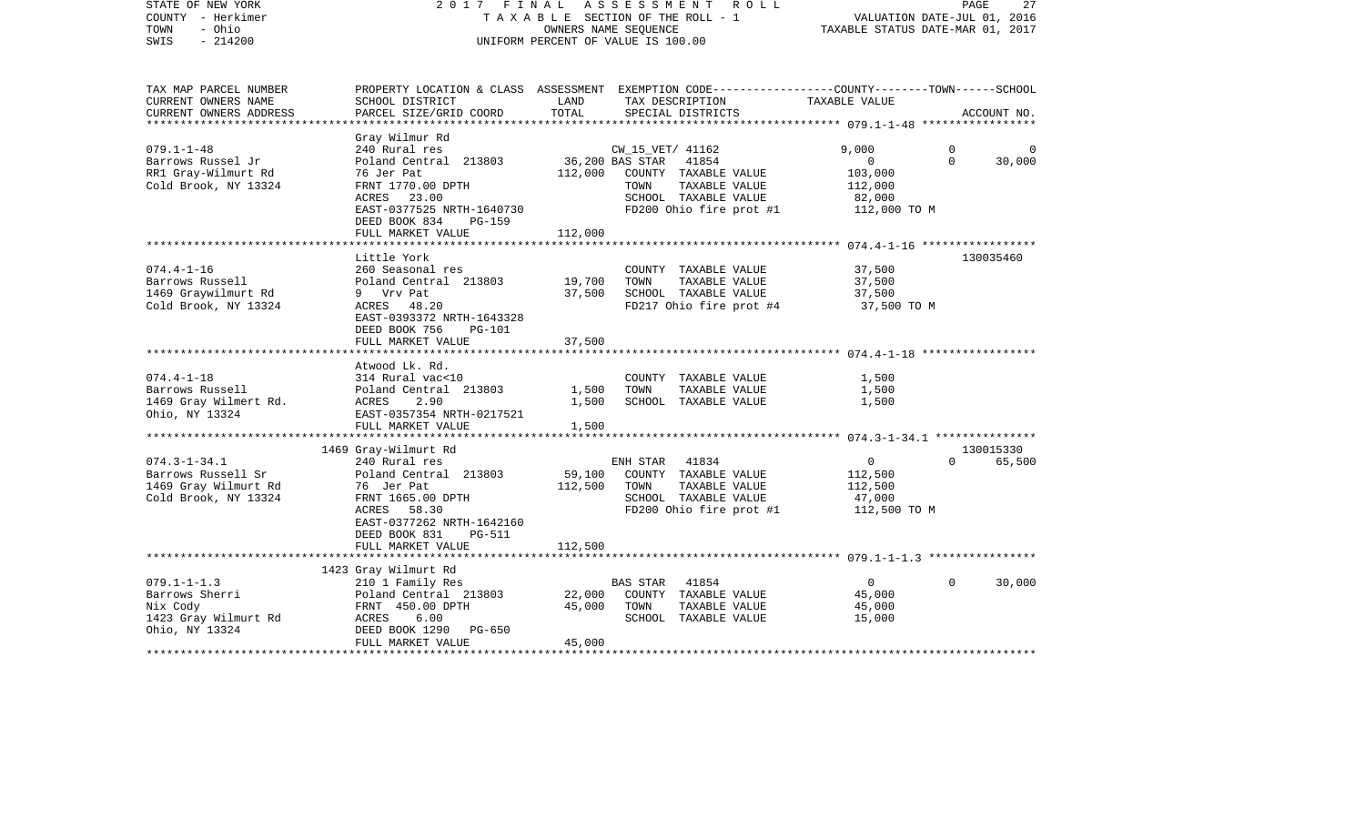| STATE OF NEW YORK<br>COUNTY - Herkimer<br>TOWN<br>- Ohio<br>$-214200$<br>SWIS             | 2017                                                                                                                                                                      | FINAL ASSESSMENT<br>TAXABLE SECTION OF THE ROLL - 1<br>OWNERS NAME SEQUENCE<br>UNIFORM PERCENT OF VALUE IS 100.00 |                          | R O L L                                                                                           | VALUATION DATE-JUL 01, 2016<br>TAXABLE STATUS DATE-MAR 01, 2017       | PAGE                    | 27                  |
|-------------------------------------------------------------------------------------------|---------------------------------------------------------------------------------------------------------------------------------------------------------------------------|-------------------------------------------------------------------------------------------------------------------|--------------------------|---------------------------------------------------------------------------------------------------|-----------------------------------------------------------------------|-------------------------|---------------------|
| TAX MAP PARCEL NUMBER<br>CURRENT OWNERS NAME<br>CURRENT OWNERS ADDRESS                    | PROPERTY LOCATION & CLASS ASSESSMENT EXEMPTION CODE---------------COUNTY-------TOWN------SCHOOL<br>SCHOOL DISTRICT<br>PARCEL SIZE/GRID COORD                              | LAND<br>TOTAL                                                                                                     |                          | TAX DESCRIPTION<br>SPECIAL DISTRICTS                                                              | TAXABLE VALUE                                                         |                         | ACCOUNT NO.         |
| ****************                                                                          |                                                                                                                                                                           |                                                                                                                   |                          |                                                                                                   |                                                                       |                         |                     |
| $079.1 - 1 - 48$<br>Barrows Russel Jr<br>RR1 Gray-Wilmurt Rd<br>Cold Brook, NY 13324      | Gray Wilmur Rd<br>240 Rural res<br>Poland Central 213803<br>76 Jer Pat<br>FRNT 1770.00 DPTH<br>ACRES 23.00<br>EAST-0377525 NRTH-1640730<br>DEED BOOK 834<br><b>PG-159</b> | 36,200 BAS STAR<br>112,000                                                                                        | CW_15_VET/ 41162<br>TOWN | 41854<br>COUNTY TAXABLE VALUE<br>TAXABLE VALUE<br>SCHOOL TAXABLE VALUE<br>FD200 Ohio fire prot #1 | 9,000<br>$\mathbf{0}$<br>103,000<br>112,000<br>82,000<br>112,000 TO M | $\mathbf 0$<br>$\Omega$ | 30,000              |
|                                                                                           | FULL MARKET VALUE                                                                                                                                                         | 112,000                                                                                                           |                          |                                                                                                   |                                                                       |                         |                     |
|                                                                                           | Little York                                                                                                                                                               |                                                                                                                   |                          |                                                                                                   |                                                                       |                         | 130035460           |
| $074.4 - 1 - 16$<br>Barrows Russell<br>1469 Graywilmurt Rd<br>Cold Brook, NY 13324        | 260 Seasonal res<br>Poland Central 213803<br>9 Vrv Pat<br>ACRES 48.20<br>EAST-0393372 NRTH-1643328<br>DEED BOOK 756<br><b>PG-101</b>                                      | 19,700<br>37,500                                                                                                  | TOWN                     | COUNTY TAXABLE VALUE<br>TAXABLE VALUE<br>SCHOOL TAXABLE VALUE<br>FD217 Ohio fire prot #4          | 37,500<br>37,500<br>37,500<br>37,500 TO M                             |                         |                     |
|                                                                                           | FULL MARKET VALUE                                                                                                                                                         | 37,500                                                                                                            |                          |                                                                                                   |                                                                       |                         |                     |
|                                                                                           | Atwood Lk. Rd.                                                                                                                                                            |                                                                                                                   |                          |                                                                                                   |                                                                       |                         |                     |
| $074.4 - 1 - 18$<br>Barrows Russell<br>1469 Gray Wilmert Rd.<br>Ohio, NY 13324            | 314 Rural vac<10<br>Poland Central 213803<br>ACRES<br>2.90<br>EAST-0357354 NRTH-0217521<br>FULL MARKET VALUE                                                              | 1,500<br>1,500<br>1,500                                                                                           | TOWN                     | COUNTY TAXABLE VALUE<br>TAXABLE VALUE<br>SCHOOL TAXABLE VALUE                                     | 1,500<br>1,500<br>1,500                                               |                         |                     |
|                                                                                           |                                                                                                                                                                           |                                                                                                                   |                          |                                                                                                   |                                                                       |                         |                     |
| $074.3 - 1 - 34.1$                                                                        | 1469 Gray-Wilmurt Rd<br>240 Rural res                                                                                                                                     |                                                                                                                   | ENH STAR 41834           |                                                                                                   | $\overline{0}$                                                        | $\Omega$                | 130015330<br>65,500 |
| Barrows Russell Sr<br>1469 Gray Wilmurt Rd<br>Cold Brook, NY 13324                        | Poland Central 213803<br>76 Jer Pat<br>FRNT 1665.00 DPTH<br>ACRES 58.30<br>EAST-0377262 NRTH-1642160<br>DEED BOOK 831<br><b>PG-511</b>                                    | 59,100<br>112,500                                                                                                 | TOWN                     | COUNTY TAXABLE VALUE<br>TAXABLE VALUE<br>SCHOOL TAXABLE VALUE<br>FD200 Ohio fire prot #1          | 112,500<br>112,500<br>47,000<br>112,500 TO M                          |                         |                     |
|                                                                                           | FULL MARKET VALUE                                                                                                                                                         | 112,500                                                                                                           |                          |                                                                                                   |                                                                       |                         |                     |
|                                                                                           |                                                                                                                                                                           |                                                                                                                   |                          |                                                                                                   |                                                                       |                         |                     |
| $079.1 - 1 - 1.3$<br>Barrows Sherri<br>Nix Cody<br>1423 Gray Wilmurt Rd<br>Ohio, NY 13324 | 1423 Gray Wilmurt Rd<br>210 1 Family Res<br>Poland Central 213803<br>FRNT 450.00 DPTH<br>ACRES<br>6.00<br>DEED BOOK 1290<br>PG-650                                        | 22,000<br>45,000                                                                                                  | <b>BAS STAR</b><br>TOWN  | 41854<br>COUNTY TAXABLE VALUE<br>TAXABLE VALUE<br>SCHOOL TAXABLE VALUE                            | $\overline{0}$<br>45,000<br>45,000<br>15,000                          | $\mathbf{0}$            | 30,000              |
|                                                                                           | FULL MARKET VALUE                                                                                                                                                         | 45,000                                                                                                            |                          |                                                                                                   |                                                                       |                         |                     |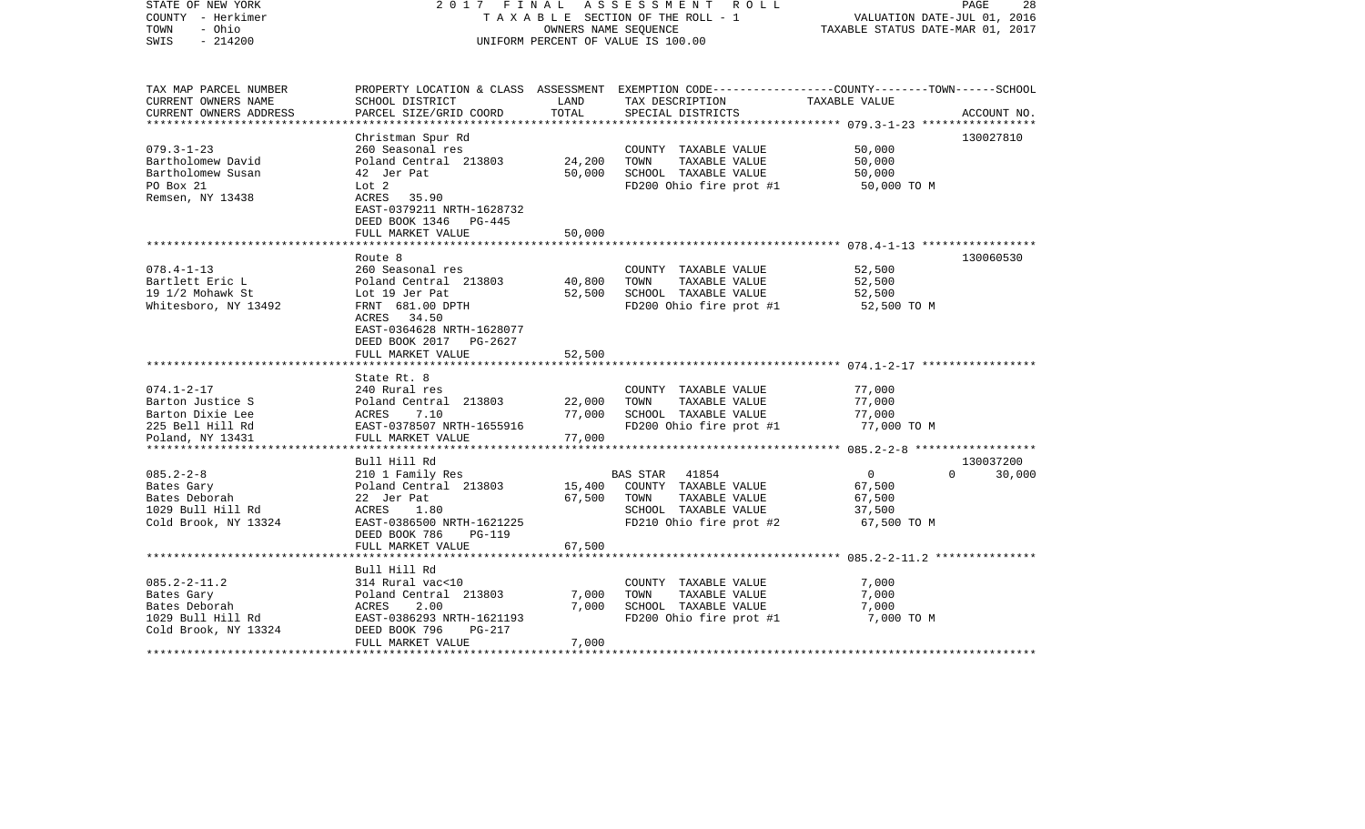| STATE OF NEW YORK<br>COUNTY - Herkimer<br>- Ohio<br>TOWN<br>$-214200$<br>SWIS                                                | 2017 FINAL                                                                                                                                                    | OWNERS NAME SEQUENCE       | ASSESSMENT ROLL<br>TAXABLE SECTION OF THE ROLL - 1<br>UNIFORM PERCENT OF VALUE IS 100.00                                                | VALUATION DATE-JUL 01, 2016<br>TAXABLE STATUS DATE-MAR 01, 2017 | PAGE<br>28         |
|------------------------------------------------------------------------------------------------------------------------------|---------------------------------------------------------------------------------------------------------------------------------------------------------------|----------------------------|-----------------------------------------------------------------------------------------------------------------------------------------|-----------------------------------------------------------------|--------------------|
| TAX MAP PARCEL NUMBER<br>CURRENT OWNERS NAME<br>CURRENT OWNERS ADDRESS                                                       | SCHOOL DISTRICT<br>PARCEL SIZE/GRID COORD                                                                                                                     | LAND<br>TOTAL              | PROPERTY LOCATION & CLASS ASSESSMENT EXEMPTION CODE---------------COUNTY-------TOWN------SCHOOL<br>TAX DESCRIPTION<br>SPECIAL DISTRICTS | TAXABLE VALUE                                                   | ACCOUNT NO.        |
| ********************                                                                                                         |                                                                                                                                                               |                            |                                                                                                                                         |                                                                 |                    |
| $079.3 - 1 - 23$<br>Bartholomew David<br>Bartholomew Susan<br>PO Box 21<br>Remsen, NY 13438                                  | Christman Spur Rd<br>260 Seasonal res<br>Poland Central 213803<br>42 Jer Pat<br>Lot 2<br>ACRES<br>35.90<br>EAST-0379211 NRTH-1628732<br>DEED BOOK 1346 PG-445 | 24,200<br>50,000           | COUNTY TAXABLE VALUE<br>TOWN<br>TAXABLE VALUE<br>SCHOOL TAXABLE VALUE<br>FD200 Ohio fire prot #1                                        | 50,000<br>50,000<br>50,000<br>50,000 TO M                       | 130027810          |
|                                                                                                                              | FULL MARKET VALUE                                                                                                                                             | 50,000                     |                                                                                                                                         |                                                                 |                    |
| $078.4 - 1 - 13$                                                                                                             | *************************<br>Route 8<br>260 Seasonal res                                                                                                      |                            | COUNTY TAXABLE VALUE                                                                                                                    | 52,500                                                          | 130060530          |
| Bartlett Eric L<br>19 1/2 Mohawk St<br>Whitesboro, NY 13492                                                                  | Poland Central 213803<br>Lot 19 Jer Pat<br>FRNT 681.00 DPTH<br>ACRES 34.50<br>EAST-0364628 NRTH-1628077<br>DEED BOOK 2017<br>PG-2627<br>FULL MARKET VALUE     | 40,800<br>52,500<br>52,500 | TAXABLE VALUE<br>TOWN<br>SCHOOL TAXABLE VALUE<br>FD200 Ohio fire prot #1                                                                | 52,500<br>52,500<br>52,500 TO M                                 |                    |
|                                                                                                                              |                                                                                                                                                               |                            |                                                                                                                                         |                                                                 |                    |
| $074.1 - 2 - 17$<br>Barton Justice S<br>Barton Dixie Lee<br>225 Bell Hill Rd<br>Poland, NY 13431<br>************************ | State Rt. 8<br>240 Rural res<br>Poland Central 213803<br>ACRES<br>7.10<br>EAST-0378507 NRTH-1655916<br>FULL MARKET VALUE                                      | 22,000<br>77,000<br>77,000 | COUNTY TAXABLE VALUE<br>TOWN<br>TAXABLE VALUE<br>SCHOOL TAXABLE VALUE<br>FD200 Ohio fire prot #1                                        | 77,000<br>77,000<br>77,000<br>77,000 TO M                       |                    |
|                                                                                                                              | Bull Hill Rd                                                                                                                                                  |                            |                                                                                                                                         |                                                                 | 130037200          |
| $085.2 - 2 - 8$<br>Bates Gary<br>Bates Deborah<br>1029 Bull Hill Rd<br>Cold Brook, NY 13324                                  | 210 1 Family Res<br>Poland Central 213803<br>22 Jer Pat<br>ACRES<br>1.80<br>EAST-0386500 NRTH-1621225<br>DEED BOOK 786<br><b>PG-119</b>                       | 15,400<br>67,500           | BAS STAR<br>41854<br>COUNTY TAXABLE VALUE<br>TAXABLE VALUE<br>TOWN<br>SCHOOL TAXABLE VALUE<br>FD210 Ohio fire prot #2                   | $\mathbf{0}$<br>67,500<br>67,500<br>37,500<br>67,500 TO M       | $\Omega$<br>30,000 |
|                                                                                                                              | FULL MARKET VALUE                                                                                                                                             | 67,500                     |                                                                                                                                         |                                                                 |                    |
|                                                                                                                              |                                                                                                                                                               |                            |                                                                                                                                         |                                                                 |                    |
| $085.2 - 2 - 11.2$<br>Bates Gary<br>Bates Deborah<br>1029 Bull Hill Rd<br>Cold Brook, NY 13324                               | Bull Hill Rd<br>314 Rural vac<10<br>Poland Central 213803<br>2.00<br>ACRES<br>EAST-0386293 NRTH-1621193<br>PG-217<br>DEED BOOK 796                            | 7,000<br>7,000             | COUNTY TAXABLE VALUE<br>TOWN<br>TAXABLE VALUE<br>SCHOOL TAXABLE VALUE<br>FD200 Ohio fire prot #1                                        | 7,000<br>7,000<br>7,000<br>7,000 TO M                           |                    |
| ***********                                                                                                                  | FULL MARKET VALUE<br>******************************                                                                                                           | 7,000<br>***************** |                                                                                                                                         |                                                                 |                    |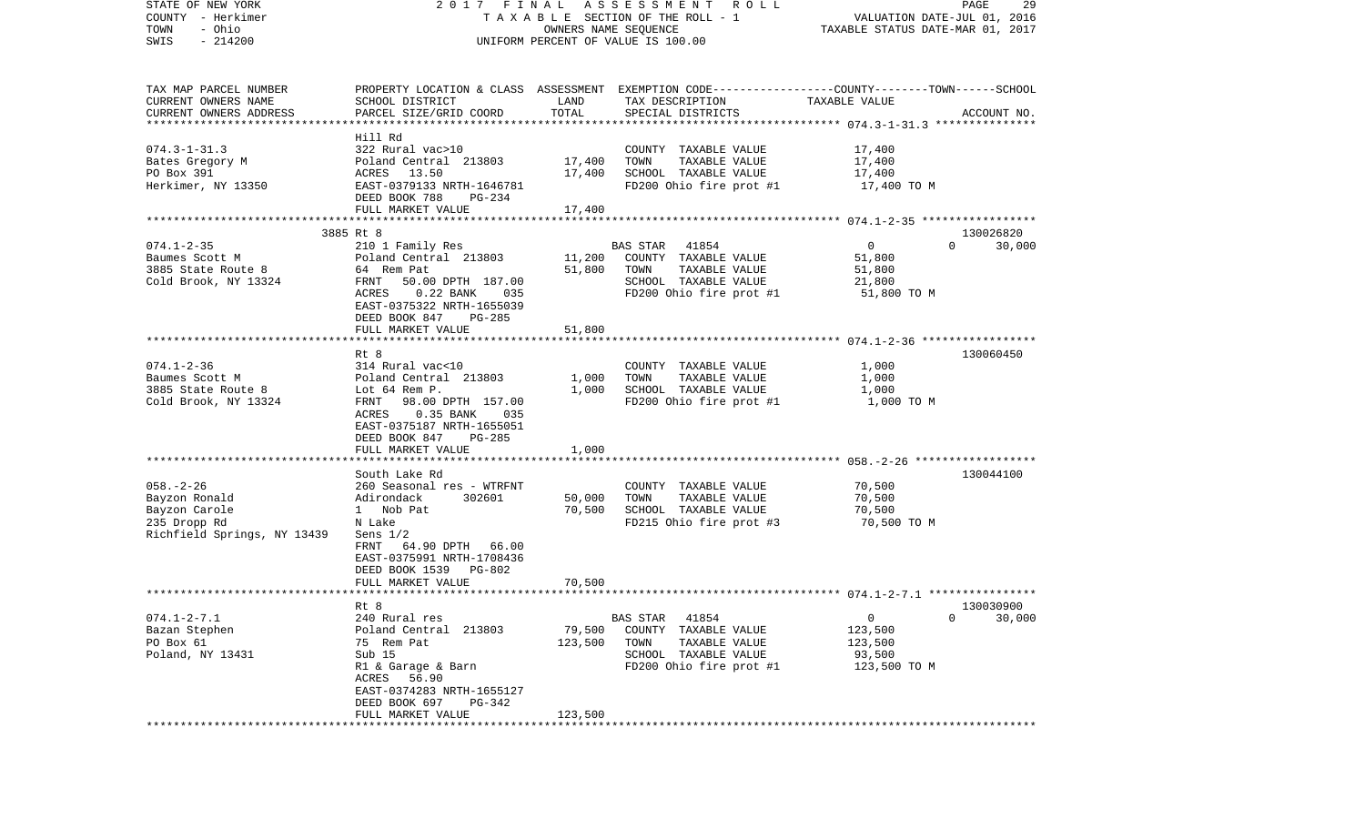| STATE OF NEW YORK           |                                |                      | 2017 FINAL ASSESSMENT<br>R O L L                                                               |                                  | PAGE<br>29               |
|-----------------------------|--------------------------------|----------------------|------------------------------------------------------------------------------------------------|----------------------------------|--------------------------|
| COUNTY - Herkimer           |                                |                      | TAXABLE SECTION OF THE ROLL - 1                                                                | VALUATION DATE-JUL 01, 2016      |                          |
| - Ohio<br>TOWN              |                                | OWNERS NAME SEQUENCE |                                                                                                | TAXABLE STATUS DATE-MAR 01, 2017 |                          |
| $-214200$<br>SWIS           |                                |                      | UNIFORM PERCENT OF VALUE IS 100.00                                                             |                                  |                          |
|                             |                                |                      |                                                                                                |                                  |                          |
|                             |                                |                      |                                                                                                |                                  |                          |
| TAX MAP PARCEL NUMBER       |                                |                      | PROPERTY LOCATION & CLASS ASSESSMENT EXEMPTION CODE---------------COUNTY-------TOWN-----SCHOOL |                                  |                          |
| CURRENT OWNERS NAME         | SCHOOL DISTRICT                | LAND                 | TAX DESCRIPTION                                                                                | TAXABLE VALUE                    |                          |
| CURRENT OWNERS ADDRESS      | PARCEL SIZE/GRID COORD         | TOTAL                | SPECIAL DISTRICTS                                                                              |                                  | ACCOUNT NO.              |
|                             | Hill Rd                        |                      |                                                                                                |                                  |                          |
| $074.3 - 1 - 31.3$          | 322 Rural vac>10               |                      | COUNTY TAXABLE VALUE                                                                           | 17,400                           |                          |
| Bates Gregory M             | Poland Central 213803          | 17,400               | TOWN<br>TAXABLE VALUE                                                                          | 17,400                           |                          |
| PO Box 391                  | ACRES 13.50                    | 17,400               | SCHOOL TAXABLE VALUE                                                                           | 17,400                           |                          |
| Herkimer, NY 13350          | EAST-0379133 NRTH-1646781      |                      | FD200 Ohio fire prot #1                                                                        | 17,400 TO M                      |                          |
|                             | DEED BOOK 788<br>PG-234        |                      |                                                                                                |                                  |                          |
|                             | FULL MARKET VALUE              | 17,400               |                                                                                                |                                  |                          |
|                             |                                |                      |                                                                                                |                                  |                          |
|                             | 3885 Rt 8                      |                      |                                                                                                |                                  | 130026820                |
| $074.1 - 2 - 35$            | 210 1 Family Res               |                      | 41854<br>BAS STAR                                                                              | $\overline{0}$                   | $\Omega$<br>30,000       |
| Baumes Scott M              | Poland Central 213803          | 11,200               | COUNTY TAXABLE VALUE                                                                           | 51,800                           |                          |
| 3885 State Route 8          | 64 Rem Pat                     | 51,800               | TAXABLE VALUE<br>TOWN                                                                          | 51,800                           |                          |
| Cold Brook, NY 13324        | FRNT<br>50.00 DPTH 187.00      |                      | SCHOOL TAXABLE VALUE                                                                           | 21,800                           |                          |
|                             | $0.22$ BANK<br>ACRES<br>035    |                      | FD200 Ohio fire prot #1                                                                        | 51,800 TO M                      |                          |
|                             | EAST-0375322 NRTH-1655039      |                      |                                                                                                |                                  |                          |
|                             | DEED BOOK 847<br><b>PG-285</b> |                      |                                                                                                |                                  |                          |
|                             | FULL MARKET VALUE              | 51,800               |                                                                                                |                                  |                          |
|                             |                                |                      |                                                                                                |                                  |                          |
|                             | Rt 8                           |                      |                                                                                                |                                  | 130060450                |
| $074.1 - 2 - 36$            | 314 Rural vac<10               |                      | COUNTY TAXABLE VALUE                                                                           | 1,000                            |                          |
| Baumes Scott M              | Poland Central 213803          | 1,000                | TAXABLE VALUE<br>TOWN                                                                          | 1,000                            |                          |
| 3885 State Route 8          | Lot 64 Rem P.                  | 1,000                | SCHOOL TAXABLE VALUE                                                                           | 1,000                            |                          |
| Cold Brook, NY 13324        | FRNT 98.00 DPTH 157.00         |                      | FD200 Ohio fire prot #1                                                                        | 1,000 TO M                       |                          |
|                             | $0.35$ BANK<br>ACRES<br>035    |                      |                                                                                                |                                  |                          |
|                             | EAST-0375187 NRTH-1655051      |                      |                                                                                                |                                  |                          |
|                             | DEED BOOK 847<br>PG-285        |                      |                                                                                                |                                  |                          |
|                             | FULL MARKET VALUE              | 1,000                |                                                                                                |                                  |                          |
|                             | South Lake Rd                  |                      |                                                                                                |                                  | 130044100                |
| $058. - 2 - 26$             | 260 Seasonal res - WTRFNT      |                      | COUNTY TAXABLE VALUE                                                                           | 70,500                           |                          |
| Bayzon Ronald               | Adirondack<br>302601           | 50,000               | TAXABLE VALUE<br>TOWN                                                                          | 70,500                           |                          |
| Bayzon Carole               | 1 Nob Pat                      | 70,500               | SCHOOL TAXABLE VALUE                                                                           | 70,500                           |                          |
| 235 Dropp Rd                | N Lake                         |                      | FD215 Ohio fire prot #3                                                                        | 70,500 TO M                      |                          |
| Richfield Springs, NY 13439 | Sens $1/2$                     |                      |                                                                                                |                                  |                          |
|                             | FRNT 64.90 DPTH 66.00          |                      |                                                                                                |                                  |                          |
|                             | EAST-0375991 NRTH-1708436      |                      |                                                                                                |                                  |                          |
|                             | DEED BOOK 1539 PG-802          |                      |                                                                                                |                                  |                          |
|                             | FULL MARKET VALUE              | 70,500               |                                                                                                |                                  |                          |
|                             |                                |                      |                                                                                                |                                  |                          |
|                             | Rt 8                           |                      |                                                                                                |                                  | 130030900                |
| $074.1 - 2 - 7.1$           | 240 Rural res                  |                      | 41854<br>BAS STAR                                                                              | $\mathbf 0$                      | 30,000<br>$\overline{0}$ |
| Bazan Stephen               | Poland Central 213803          | 79,500               | COUNTY TAXABLE VALUE                                                                           | 123,500                          |                          |
| PO Box 61                   | 75 Rem Pat                     | 123,500              | TAXABLE VALUE<br>TOWN                                                                          | 123,500                          |                          |
| Poland, NY 13431            | Sub 15                         |                      | SCHOOL TAXABLE VALUE                                                                           | 93,500                           |                          |
|                             | R1 & Garage & Barn             |                      | FD200 Ohio fire prot #1                                                                        | 123,500 TO M                     |                          |
|                             | ACRES<br>56.90                 |                      |                                                                                                |                                  |                          |
|                             | EAST-0374283 NRTH-1655127      |                      |                                                                                                |                                  |                          |
|                             | DEED BOOK 697<br>PG-342        |                      |                                                                                                |                                  |                          |
|                             | FULL MARKET VALUE              | 123,500              |                                                                                                |                                  |                          |
|                             |                                |                      |                                                                                                |                                  |                          |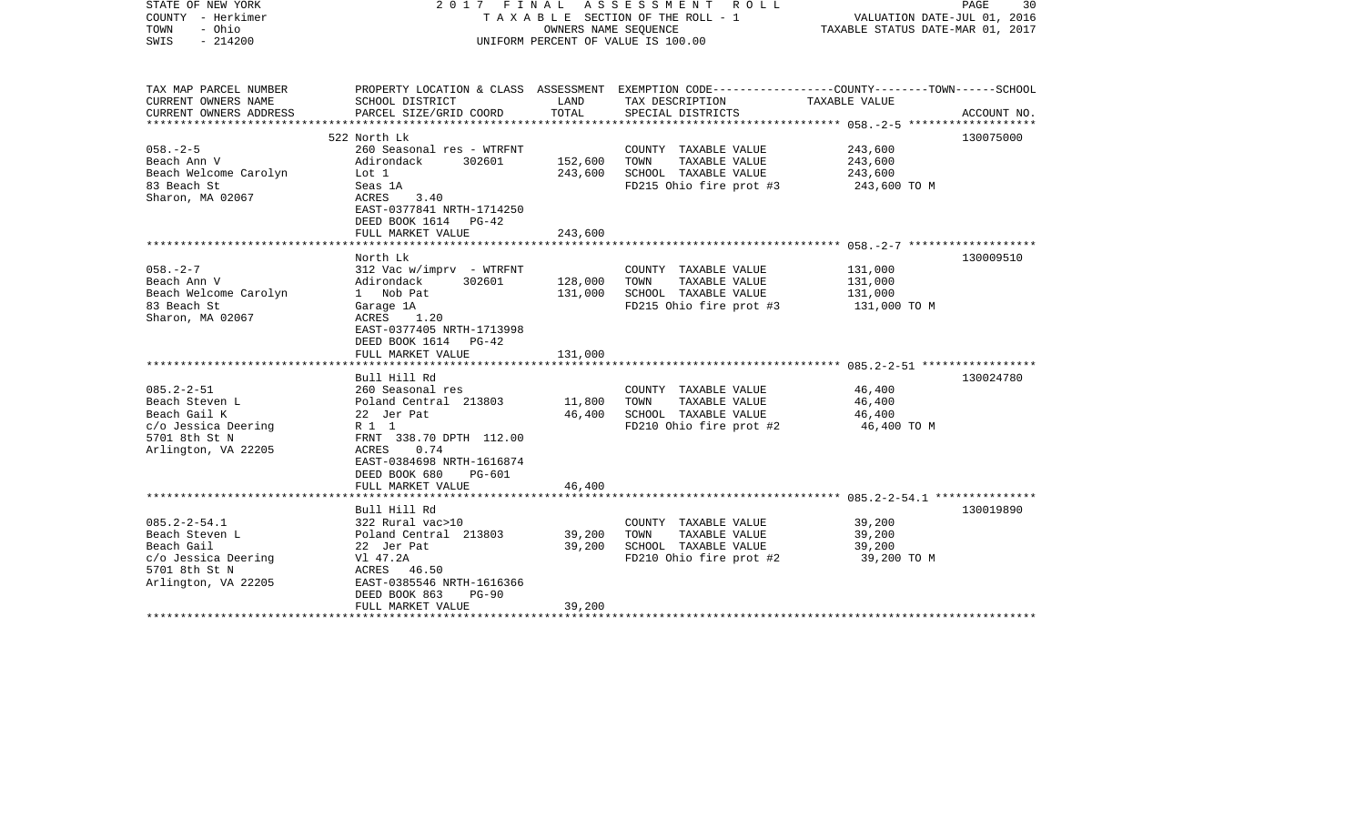| STATE OF NEW YORK<br>COUNTY - Herkimer<br>- Ohio<br>TOWN<br>$-214200$<br>SWIS                                     |                                                                                                                                                             | OWNERS NAME SEQUENCE | 2017 FINAL ASSESSMENT<br>R O L L<br>T A X A B L E SECTION OF THE ROLL - 1<br>UNIFORM PERCENT OF VALUE IS 100.00                        | VALUATION DATE-JUL 01, 2016<br>TAXABLE STATUS DATE-MAR 01, 2017 | PAGE<br>30  |
|-------------------------------------------------------------------------------------------------------------------|-------------------------------------------------------------------------------------------------------------------------------------------------------------|----------------------|----------------------------------------------------------------------------------------------------------------------------------------|-----------------------------------------------------------------|-------------|
| TAX MAP PARCEL NUMBER<br>CURRENT OWNERS NAME<br>CURRENT OWNERS ADDRESS<br>***********************                 | SCHOOL DISTRICT<br>PARCEL SIZE/GRID COORD                                                                                                                   | LAND<br>TOTAL        | PROPERTY LOCATION & CLASS ASSESSMENT EXEMPTION CODE---------------COUNTY-------TOWN-----SCHOOL<br>TAX DESCRIPTION<br>SPECIAL DISTRICTS | TAXABLE VALUE                                                   | ACCOUNT NO. |
|                                                                                                                   | 522 North Lk                                                                                                                                                |                      |                                                                                                                                        |                                                                 | 130075000   |
| $058. - 2 - 5$<br>Beach Ann V<br>Beach Welcome Carolyn<br>83 Beach St<br>Sharon, MA 02067                         | 260 Seasonal res - WTRFNT<br>Adirondack<br>302601<br>Lot 1<br>Seas 1A<br>ACRES<br>3.40<br>EAST-0377841 NRTH-1714250<br>DEED BOOK 1614 PG-42                 | 152,600<br>243,600   | COUNTY TAXABLE VALUE<br>TAXABLE VALUE<br>TOWN<br>SCHOOL TAXABLE VALUE<br>FD215 Ohio fire prot #3                                       | 243,600<br>243,600<br>243,600<br>243,600 TO M                   |             |
|                                                                                                                   | FULL MARKET VALUE                                                                                                                                           | 243,600              |                                                                                                                                        |                                                                 |             |
|                                                                                                                   | ************************<br>North Lk                                                                                                                        |                      |                                                                                                                                        |                                                                 | 130009510   |
| $058. - 2 - 7$<br>Beach Ann V<br>Beach Welcome Carolyn<br>83 Beach St<br>Sharon, MA 02067                         | $312$ Vac w/imprv - WTRFNT<br>302601<br>Adirondack<br>1 Nob Pat<br>Garage 1A<br>ACRES<br>1.20<br>EAST-0377405 NRTH-1713998<br>DEED BOOK 1614 PG-42          | 128,000<br>131,000   | COUNTY TAXABLE VALUE<br>TOWN<br>TAXABLE VALUE<br>SCHOOL TAXABLE VALUE<br>FD215 Ohio fire prot #3                                       | 131,000<br>131,000<br>131,000<br>131,000 TO M                   |             |
|                                                                                                                   | FULL MARKET VALUE                                                                                                                                           | 131,000              |                                                                                                                                        |                                                                 |             |
| $085.2 - 2 - 51$<br>Beach Steven L                                                                                | Bull Hill Rd<br>260 Seasonal res<br>Poland Central 213803                                                                                                   | 11,800               | COUNTY TAXABLE VALUE<br>TOWN<br>TAXABLE VALUE                                                                                          | 46,400<br>46,400                                                | 130024780   |
| Beach Gail K<br>c/o Jessica Deering<br>5701 8th St N<br>Arlington, VA 22205                                       | 22 Jer Pat<br>R 1 1<br>FRNT 338.70 DPTH 112.00<br>0.74<br>ACRES<br>EAST-0384698 NRTH-1616874<br>DEED BOOK 680<br><b>PG-601</b>                              | 46,400               | SCHOOL TAXABLE VALUE<br>FD210 Ohio fire prot #2                                                                                        | 46,400<br>46,400 TO M                                           |             |
|                                                                                                                   | FULL MARKET VALUE                                                                                                                                           | 46,400               |                                                                                                                                        |                                                                 |             |
|                                                                                                                   |                                                                                                                                                             |                      |                                                                                                                                        |                                                                 |             |
| $085.2 - 2 - 54.1$<br>Beach Steven L<br>Beach Gail<br>c/o Jessica Deering<br>5701 8th St N<br>Arlington, VA 22205 | Bull Hill Rd<br>322 Rural vac>10<br>Poland Central 213803<br>22 Jer Pat<br>V1 47.2A<br>ACRES 46.50<br>EAST-0385546 NRTH-1616366<br>DEED BOOK 863<br>$PG-90$ | 39,200<br>39,200     | COUNTY TAXABLE VALUE<br>TAXABLE VALUE<br>TOWN<br>SCHOOL TAXABLE VALUE<br>FD210 Ohio fire prot #2                                       | 39,200<br>39,200<br>39,200<br>39,200 TO M                       | 130019890   |
|                                                                                                                   | FULL MARKET VALUE                                                                                                                                           | 39,200               |                                                                                                                                        |                                                                 |             |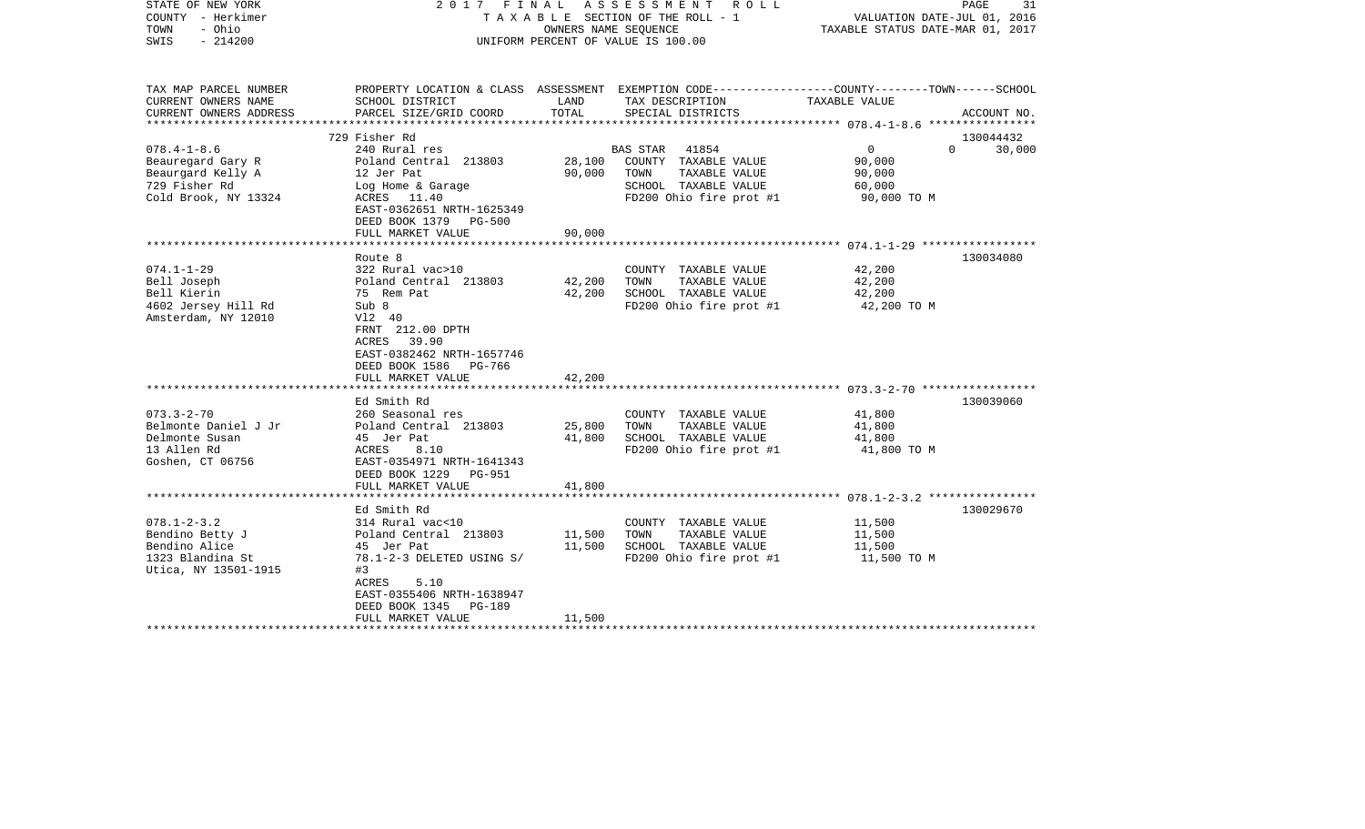| STATE OF NEW YORK<br>COUNTY - Herkimer<br>- Ohio<br>TOWN<br>$-214200$<br>SWIS                        |                                                                                                                                                                      | OWNERS NAME SEQUENCE       | 2017 FINAL ASSESSMENT ROLL<br>TAXABLE SECTION OF THE ROLL - 1<br>UNIFORM PERCENT OF VALUE IS 100.00                | VALUATION DATE-JUL 01, 2016<br>TAXABLE STATUS DATE-MAR 01, 2017 | PAGE<br>31         |
|------------------------------------------------------------------------------------------------------|----------------------------------------------------------------------------------------------------------------------------------------------------------------------|----------------------------|--------------------------------------------------------------------------------------------------------------------|-----------------------------------------------------------------|--------------------|
| TAX MAP PARCEL NUMBER<br>CURRENT OWNERS NAME                                                         | SCHOOL DISTRICT                                                                                                                                                      | LAND                       | PROPERTY LOCATION & CLASS ASSESSMENT EXEMPTION CODE---------------COUNTY-------TOWN-----SCHOOL<br>TAX DESCRIPTION  | TAXABLE VALUE                                                   |                    |
| CURRENT OWNERS ADDRESS                                                                               | PARCEL SIZE/GRID COORD                                                                                                                                               | TOTAL                      | SPECIAL DISTRICTS                                                                                                  |                                                                 | ACCOUNT NO.        |
|                                                                                                      | 729 Fisher Rd                                                                                                                                                        |                            |                                                                                                                    |                                                                 | 130044432          |
| $078.4 - 1 - 8.6$<br>Beauregard Gary R<br>Beaurgard Kelly A<br>729 Fisher Rd<br>Cold Brook, NY 13324 | 240 Rural res<br>Poland Central 213803<br>12 Jer Pat<br>Log Home & Garage<br>ACRES 11.40<br>EAST-0362651 NRTH-1625349<br>DEED BOOK 1379 PG-500                       | 28,100<br>90,000           | BAS STAR 41854<br>COUNTY TAXABLE VALUE<br>TAXABLE VALUE<br>TOWN<br>SCHOOL TAXABLE VALUE<br>FD200 Ohio fire prot #1 | $\overline{0}$<br>90,000<br>90,000<br>60,000<br>90,000 TO M     | $\Omega$<br>30,000 |
|                                                                                                      | FULL MARKET VALUE                                                                                                                                                    | 90,000                     |                                                                                                                    |                                                                 |                    |
| $074.1 - 1 - 29$                                                                                     | Route 8<br>322 Rural vac>10                                                                                                                                          |                            | COUNTY TAXABLE VALUE                                                                                               | 42,200                                                          | 130034080          |
| Bell Joseph<br>Bell Kierin<br>4602 Jersey Hill Rd<br>Amsterdam, NY 12010                             | Poland Central 213803<br>75 Rem Pat<br>Sub 8<br>V12 40<br>FRNT 212.00 DPTH<br>ACRES 39.90<br>EAST-0382462 NRTH-1657746<br>DEED BOOK 1586 PG-766<br>FULL MARKET VALUE | 42,200<br>42,200<br>42,200 | TOWN<br>TAXABLE VALUE<br>SCHOOL TAXABLE VALUE<br>FD200 Ohio fire prot #1                                           | 42,200<br>42,200<br>42,200 TO M                                 |                    |
|                                                                                                      |                                                                                                                                                                      |                            |                                                                                                                    |                                                                 |                    |
| $073.3 - 2 - 70$<br>Belmonte Daniel J Jr<br>Delmonte Susan<br>13 Allen Rd<br>Goshen, CT 06756        | Ed Smith Rd<br>260 Seasonal res<br>Poland Central 213803<br>45 Jer Pat<br>ACRES<br>8.10<br>EAST-0354971 NRTH-1641343<br>DEED BOOK 1229 PG-951<br>FULL MARKET VALUE   | 25,800<br>41,800<br>41,800 | COUNTY TAXABLE VALUE<br>TAXABLE VALUE<br>TOWN<br>SCHOOL TAXABLE VALUE<br>FD200 Ohio fire prot #1                   | 41,800<br>41,800<br>41,800<br>41,800 TO M                       | 130039060          |
|                                                                                                      |                                                                                                                                                                      |                            |                                                                                                                    |                                                                 |                    |
| $078.1 - 2 - 3.2$<br>Bendino Betty J<br>Bendino Alice<br>1323 Blandina St<br>Utica, NY 13501-1915    | Ed Smith Rd<br>314 Rural vac<10<br>Poland Central 213803<br>45 Jer Pat<br>78.1-2-3 DELETED USING S/<br>#3<br>5.10<br>ACRES<br>EAST-0355406 NRTH-1638947              | 11,500<br>11,500           | COUNTY TAXABLE VALUE<br>TAXABLE VALUE<br>TOWN<br>SCHOOL TAXABLE VALUE<br>FD200 Ohio fire prot #1                   | 11,500<br>11,500<br>11,500<br>11,500 TO M                       | 130029670          |
| **************************                                                                           | DEED BOOK 1345<br>PG-189<br>FULL MARKET VALUE                                                                                                                        | 11,500                     |                                                                                                                    |                                                                 |                    |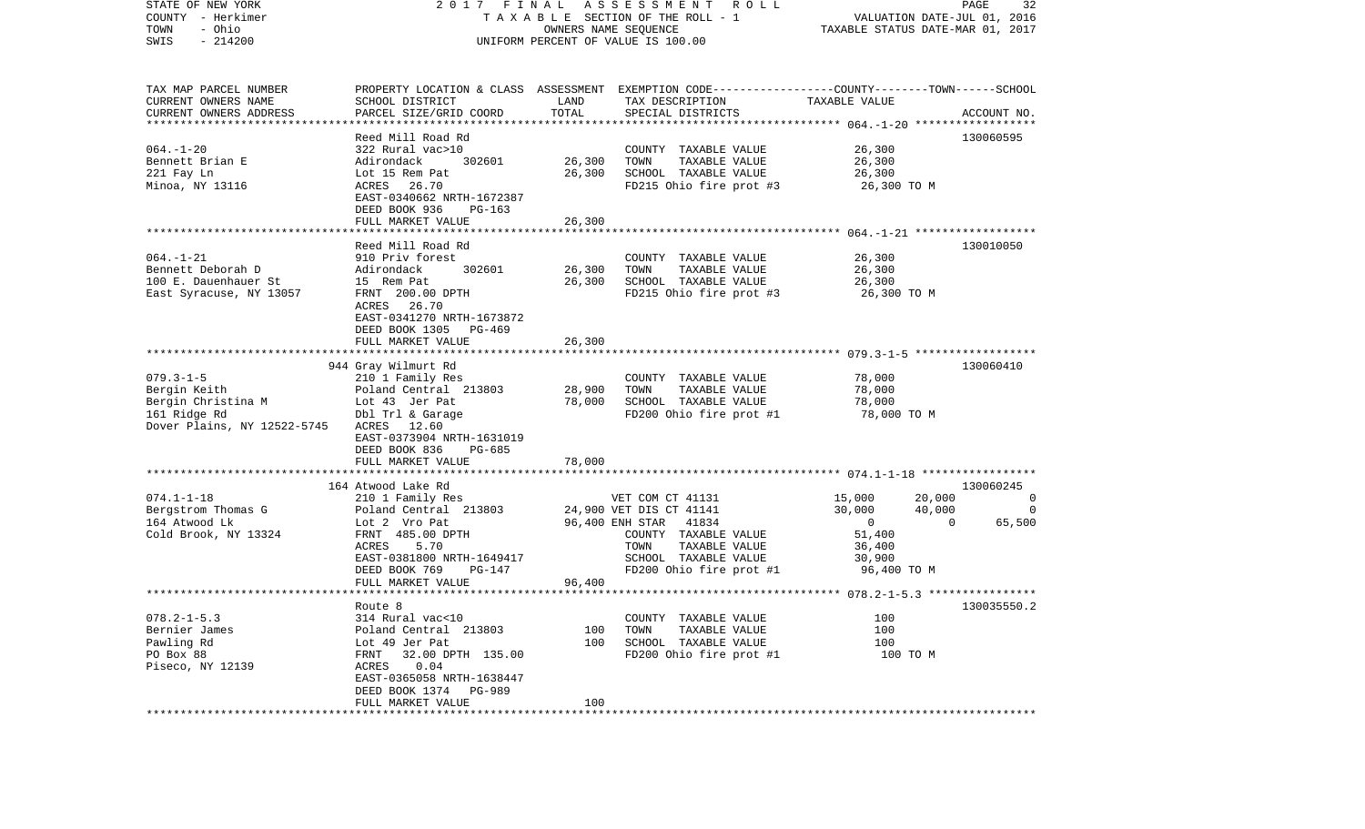| STATE OF NEW YORK<br>COUNTY - Herkimer<br>- Ohio<br>TOWN<br>$-214200$<br>SWIS                        | 2017 FINAL<br>TAXABLE SECTION OF THE ROLL - 1<br>UNIFORM PERCENT OF VALUE IS 100.00                                                                                                                | PAGE<br>32<br>VALUATION DATE-JUL 01, 2016<br>TAXABLE STATUS DATE-MAR 01, 2017 |                                                                                                                                                                          |                                                                                                     |                                                     |
|------------------------------------------------------------------------------------------------------|----------------------------------------------------------------------------------------------------------------------------------------------------------------------------------------------------|-------------------------------------------------------------------------------|--------------------------------------------------------------------------------------------------------------------------------------------------------------------------|-----------------------------------------------------------------------------------------------------|-----------------------------------------------------|
| TAX MAP PARCEL NUMBER<br>CURRENT OWNERS NAME<br>CURRENT OWNERS ADDRESS                               | SCHOOL DISTRICT<br>PARCEL SIZE/GRID COORD                                                                                                                                                          | LAND<br>TOTAL                                                                 | PROPERTY LOCATION & CLASS ASSESSMENT EXEMPTION CODE----------------COUNTY-------TOWN------SCHOOL<br>TAX DESCRIPTION<br>SPECIAL DISTRICTS                                 | TAXABLE VALUE                                                                                       | ACCOUNT NO.                                         |
| ************************<br>$064. -1 - 20$<br>Bennett Brian E<br>221 Fay Ln<br>Minoa, NY 13116       | Reed Mill Road Rd<br>322 Rural vac>10<br>Adirondack<br>302601<br>Lot 15 Rem Pat<br>ACRES 26.70<br>EAST-0340662 NRTH-1672387<br>DEED BOOK 936<br>$PG-163$<br>FULL MARKET VALUE                      | 26,300<br>26,300<br>26,300                                                    | COUNTY TAXABLE VALUE<br>TOWN<br>TAXABLE VALUE<br>SCHOOL TAXABLE VALUE<br>FD215 Ohio fire prot #3                                                                         | 26,300<br>26,300<br>26,300<br>26,300 TO M                                                           | 130060595                                           |
| $064. -1 - 21$<br>Bennett Deborah D<br>100 E. Dauenhauer St<br>East Syracuse, NY 13057               | Reed Mill Road Rd<br>910 Priv forest<br>Adirondack<br>302601<br>15 Rem Pat<br>FRNT 200.00 DPTH<br>ACRES 26.70<br>EAST-0341270 NRTH-1673872<br>DEED BOOK 1305<br>PG-469<br>FULL MARKET VALUE        | 26,300<br>26,300<br>26,300                                                    | COUNTY TAXABLE VALUE<br>TAXABLE VALUE<br>TOWN<br>SCHOOL TAXABLE VALUE<br>FD215 Ohio fire prot #3                                                                         | 26,300<br>26,300<br>26,300<br>26,300 TO M                                                           | 130010050                                           |
| $079.3 - 1 - 5$<br>Bergin Keith<br>Bergin Christina M<br>161 Ridge Rd<br>Dover Plains, NY 12522-5745 | 944 Gray Wilmurt Rd<br>210 1 Family Res<br>Poland Central 213803<br>Lot 43 Jer Pat<br>Dbl Trl & Garage<br>ACRES 12.60<br>EAST-0373904 NRTH-1631019<br>DEED BOOK 836<br>PG-685<br>FULL MARKET VALUE | 28,900<br>78,000<br>78,000                                                    | COUNTY TAXABLE VALUE<br>TOWN<br>TAXABLE VALUE<br>SCHOOL TAXABLE VALUE<br>FD200 Ohio fire prot #1                                                                         | 78,000<br>78,000<br>78,000<br>78,000 TO M                                                           | 130060410                                           |
| $074.1 - 1 - 18$<br>Bergstrom Thomas G<br>164 Atwood Lk<br>Cold Brook, NY 13324                      | 164 Atwood Lake Rd<br>210 1 Family Res<br>Poland Central 213803<br>Lot 2 Vro Pat<br>FRNT 485.00 DPTH<br>ACRES<br>5.70<br>EAST-0381800 NRTH-1649417<br>DEED BOOK 769<br>PG-147<br>FULL MARKET VALUE | 96,400                                                                        | VET COM CT 41131<br>24,900 VET DIS CT 41141<br>96,400 ENH STAR 41834<br>COUNTY TAXABLE VALUE<br>TOWN<br>TAXABLE VALUE<br>SCHOOL TAXABLE VALUE<br>FD200 Ohio fire prot #1 | 15,000<br>20,000<br>30,000<br>40,000<br>$\overline{0}$<br>51,400<br>36,400<br>30,900<br>96,400 TO M | 130060245<br>0<br>$\mathbf 0$<br>$\Omega$<br>65,500 |
| $078.2 - 1 - 5.3$<br>Bernier James<br>Pawling Rd<br>PO Box 88<br>Piseco, NY 12139                    | Route 8<br>314 Rural vac<10<br>Poland Central 213803<br>Lot 49 Jer Pat<br>32.00 DPTH 135.00<br>FRNT<br>ACRES<br>0.04<br>EAST-0365058 NRTH-1638447<br>DEED BOOK 1374 PG-989<br>FULL MARKET VALUE    | 100<br>100<br>100                                                             | COUNTY TAXABLE VALUE<br>TOWN<br>TAXABLE VALUE<br>SCHOOL TAXABLE VALUE<br>FD200 Ohio fire prot #1                                                                         | 100<br>100<br>100<br>100 TO M                                                                       | 130035550.2                                         |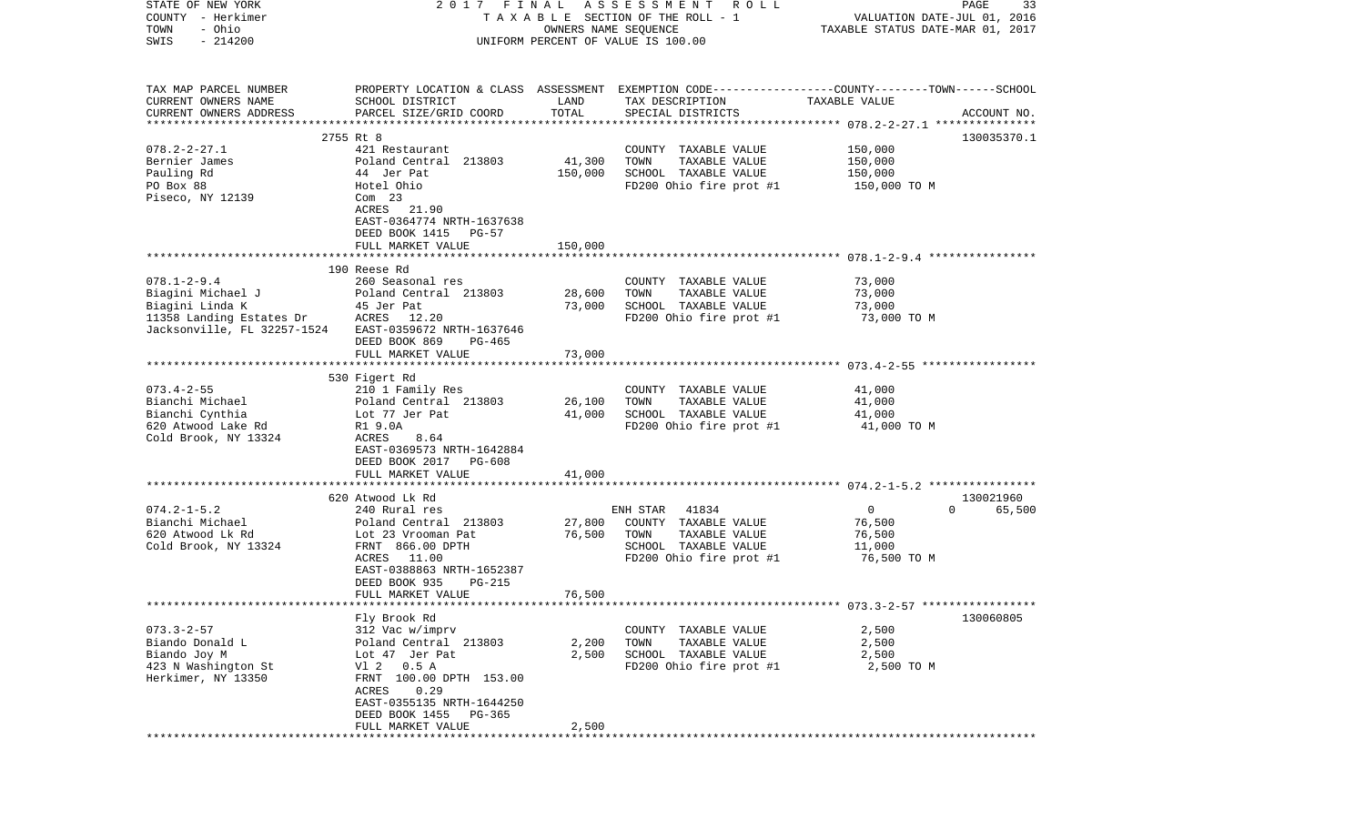| STATE OF NEW YORK           | 2017 FINAL                                 |                      | ASSESSMENT<br>R O L L                                                                           |                                  | PAGE<br>33         |
|-----------------------------|--------------------------------------------|----------------------|-------------------------------------------------------------------------------------------------|----------------------------------|--------------------|
| COUNTY - Herkimer           |                                            |                      | T A X A B L E SECTION OF THE ROLL - 1                                                           | VALUATION DATE-JUL 01, 2016      |                    |
| - Ohio<br>TOWN              |                                            | OWNERS NAME SEQUENCE |                                                                                                 | TAXABLE STATUS DATE-MAR 01, 2017 |                    |
| $-214200$<br>SWIS           |                                            |                      | UNIFORM PERCENT OF VALUE IS 100.00                                                              |                                  |                    |
|                             |                                            |                      |                                                                                                 |                                  |                    |
|                             |                                            |                      |                                                                                                 |                                  |                    |
| TAX MAP PARCEL NUMBER       |                                            |                      | PROPERTY LOCATION & CLASS ASSESSMENT EXEMPTION CODE---------------COUNTY-------TOWN------SCHOOL |                                  |                    |
| CURRENT OWNERS NAME         | SCHOOL DISTRICT                            | LAND                 | TAX DESCRIPTION                                                                                 | TAXABLE VALUE                    |                    |
| CURRENT OWNERS ADDRESS      | PARCEL SIZE/GRID COORD                     | TOTAL                | SPECIAL DISTRICTS                                                                               |                                  | ACCOUNT NO.        |
| *************************   |                                            |                      |                                                                                                 |                                  |                    |
|                             | 2755 Rt 8                                  |                      |                                                                                                 |                                  | 130035370.1        |
| $078.2 - 2 - 27.1$          | 421 Restaurant                             |                      | COUNTY TAXABLE VALUE                                                                            | 150,000                          |                    |
| Bernier James               | Poland Central 213803                      | 41,300               | TOWN<br>TAXABLE VALUE                                                                           | 150,000                          |                    |
| Pauling Rd                  | 44 Jer Pat                                 | 150,000              | SCHOOL TAXABLE VALUE                                                                            | 150,000                          |                    |
| PO Box 88                   | Hotel Ohio                                 |                      | FD200 Ohio fire prot #1                                                                         | 150,000 TO M                     |                    |
| Piseco, NY 12139            | $Com$ 23                                   |                      |                                                                                                 |                                  |                    |
|                             | ACRES 21.90                                |                      |                                                                                                 |                                  |                    |
|                             | EAST-0364774 NRTH-1637638                  |                      |                                                                                                 |                                  |                    |
|                             | DEED BOOK 1415<br>PG-57                    |                      |                                                                                                 |                                  |                    |
|                             | FULL MARKET VALUE                          | 150,000              |                                                                                                 |                                  |                    |
|                             |                                            |                      |                                                                                                 |                                  |                    |
|                             | 190 Reese Rd                               |                      |                                                                                                 |                                  |                    |
| $078.1 - 2 - 9.4$           | 260 Seasonal res                           |                      | COUNTY TAXABLE VALUE                                                                            | 73,000                           |                    |
| Biagini Michael J           | Poland Central 213803                      | 28,600               | TOWN<br>TAXABLE VALUE                                                                           | 73,000                           |                    |
| Biagini Linda K             | 45 Jer Pat                                 | 73,000               | SCHOOL TAXABLE VALUE                                                                            | 73,000                           |                    |
| 11358 Landing Estates Dr    | ACRES 12.20                                |                      | FD200 Ohio fire prot #1                                                                         | 73,000 TO M                      |                    |
| Jacksonville, FL 32257-1524 | EAST-0359672 NRTH-1637646                  |                      |                                                                                                 |                                  |                    |
|                             | DEED BOOK 869<br>PG-465                    |                      |                                                                                                 |                                  |                    |
|                             | FULL MARKET VALUE                          | 73,000               |                                                                                                 |                                  |                    |
|                             |                                            |                      |                                                                                                 |                                  |                    |
|                             | 530 Figert Rd                              |                      |                                                                                                 |                                  |                    |
| $073.4 - 2 - 55$            | 210 1 Family Res                           |                      | COUNTY TAXABLE VALUE                                                                            | 41,000                           |                    |
| Bianchi Michael             | Poland Central 213803                      | 26,100               | TOWN<br>TAXABLE VALUE                                                                           | 41,000                           |                    |
| Bianchi Cynthia             | Lot 77 Jer Pat                             | 41,000               | SCHOOL TAXABLE VALUE                                                                            | 41,000                           |                    |
| 620 Atwood Lake Rd          | R1 9.0A                                    |                      | FD200 Ohio fire prot #1                                                                         | 41,000 TO M                      |                    |
| Cold Brook, NY 13324        | ACRES<br>8.64<br>EAST-0369573 NRTH-1642884 |                      |                                                                                                 |                                  |                    |
|                             | DEED BOOK 2017 PG-608                      |                      |                                                                                                 |                                  |                    |
|                             | FULL MARKET VALUE                          | 41,000               |                                                                                                 |                                  |                    |
|                             | *******************************            |                      |                                                                                                 |                                  |                    |
|                             | 620 Atwood Lk Rd                           |                      |                                                                                                 |                                  | 130021960          |
| $074.2 - 1 - 5.2$           | 240 Rural res                              |                      | ENH STAR<br>41834                                                                               | $\overline{0}$                   | 65,500<br>$\Omega$ |
| Bianchi Michael             | Poland Central 213803                      | 27,800               | COUNTY TAXABLE VALUE                                                                            | 76,500                           |                    |
| 620 Atwood Lk Rd            | Lot 23 Vrooman Pat                         | 76,500               | TOWN<br>TAXABLE VALUE                                                                           | 76,500                           |                    |
| Cold Brook, NY 13324        | FRNT 866.00 DPTH                           |                      | SCHOOL TAXABLE VALUE                                                                            | 11,000                           |                    |
|                             | ACRES 11.00                                |                      | FD200 Ohio fire prot #1                                                                         | 76,500 то м                      |                    |
|                             | EAST-0388863 NRTH-1652387                  |                      |                                                                                                 |                                  |                    |
|                             | DEED BOOK 935<br>PG-215                    |                      |                                                                                                 |                                  |                    |
|                             | FULL MARKET VALUE                          | 76,500               |                                                                                                 |                                  |                    |
|                             |                                            |                      |                                                                                                 |                                  |                    |
|                             | Fly Brook Rd                               |                      |                                                                                                 |                                  | 130060805          |
| $073.3 - 2 - 57$            | 312 Vac w/imprv                            |                      | COUNTY TAXABLE VALUE                                                                            | 2,500                            |                    |
| Biando Donald L             | Poland Central 213803                      | 2,200                | TOWN<br>TAXABLE VALUE                                                                           | 2,500                            |                    |
| Biando Joy M                | Lot 47 Jer Pat                             | 2,500                | SCHOOL TAXABLE VALUE                                                                            | 2,500                            |                    |
| 423 N Washington St         | V1 2<br>0.5A                               |                      | FD200 Ohio fire prot #1                                                                         | 2,500 TO M                       |                    |
| Herkimer, NY 13350          | FRNT 100.00 DPTH 153.00                    |                      |                                                                                                 |                                  |                    |
|                             | 0.29<br>ACRES                              |                      |                                                                                                 |                                  |                    |
|                             | EAST-0355135 NRTH-1644250                  |                      |                                                                                                 |                                  |                    |
|                             | DEED BOOK 1455<br>PG-365                   |                      |                                                                                                 |                                  |                    |
|                             | FULL MARKET VALUE                          | 2,500                |                                                                                                 |                                  |                    |
|                             |                                            |                      |                                                                                                 |                                  |                    |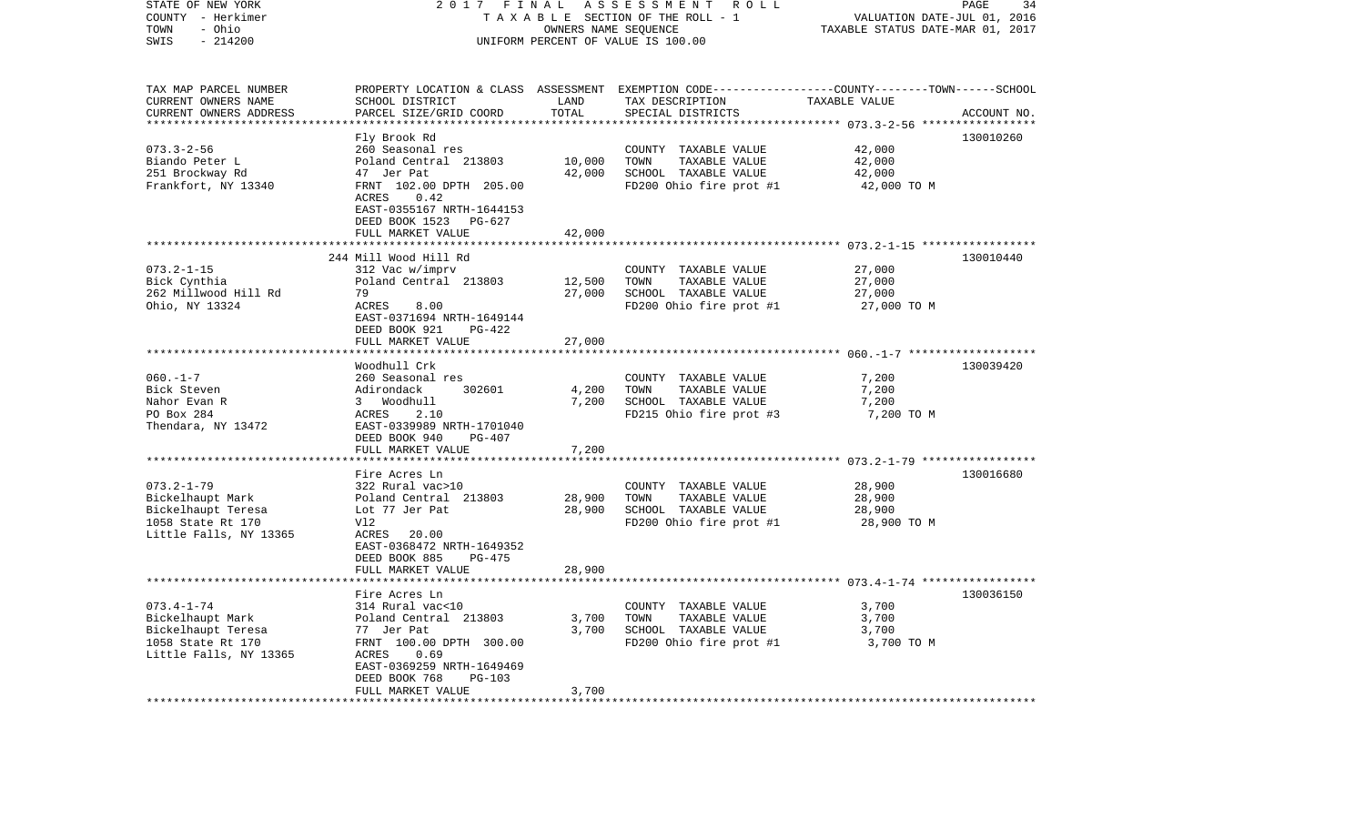| STATE OF NEW YORK<br>COUNTY - Herkimer | 2017                                                   | FINAL                | ASSESSMENT<br>R O L L<br>TAXABLE SECTION OF THE ROLL - 1                                        | VALUATION DATE-JUL 01, 2016                            | PAGE<br>34  |
|----------------------------------------|--------------------------------------------------------|----------------------|-------------------------------------------------------------------------------------------------|--------------------------------------------------------|-------------|
| - Ohio<br>TOWN                         |                                                        | OWNERS NAME SEQUENCE |                                                                                                 | TAXABLE STATUS DATE-MAR 01, 2017                       |             |
| SWIS<br>$-214200$                      |                                                        |                      | UNIFORM PERCENT OF VALUE IS 100.00                                                              |                                                        |             |
|                                        |                                                        |                      |                                                                                                 |                                                        |             |
| TAX MAP PARCEL NUMBER                  |                                                        |                      | PROPERTY LOCATION & CLASS ASSESSMENT EXEMPTION CODE---------------COUNTY-------TOWN------SCHOOL |                                                        |             |
| CURRENT OWNERS NAME                    | SCHOOL DISTRICT                                        | LAND                 | TAX DESCRIPTION                                                                                 | TAXABLE VALUE                                          |             |
| CURRENT OWNERS ADDRESS                 | PARCEL SIZE/GRID COORD                                 | TOTAL                | SPECIAL DISTRICTS                                                                               |                                                        | ACCOUNT NO. |
|                                        |                                                        |                      |                                                                                                 | ********* 073.3-2-56 *****                             |             |
|                                        | Fly Brook Rd                                           |                      |                                                                                                 |                                                        | 130010260   |
| $073.3 - 2 - 56$                       | 260 Seasonal res                                       |                      | COUNTY TAXABLE VALUE                                                                            | 42,000                                                 |             |
| Biando Peter L<br>251 Brockway Rd      | Poland Central 213803<br>47 Jer Pat                    | 10,000<br>42,000     | TOWN<br>TAXABLE VALUE<br>SCHOOL TAXABLE VALUE                                                   | 42,000<br>42,000                                       |             |
| Frankfort, NY 13340                    | FRNT 102.00 DPTH 205.00                                |                      | FD200 Ohio fire prot #1                                                                         | 42,000 TO M                                            |             |
|                                        | ACRES<br>0.42                                          |                      |                                                                                                 |                                                        |             |
|                                        | EAST-0355167 NRTH-1644153                              |                      |                                                                                                 |                                                        |             |
|                                        | DEED BOOK 1523<br>PG-627                               |                      |                                                                                                 |                                                        |             |
|                                        | FULL MARKET VALUE                                      | 42,000               |                                                                                                 |                                                        |             |
|                                        |                                                        |                      |                                                                                                 |                                                        |             |
|                                        | 244 Mill Wood Hill Rd                                  |                      |                                                                                                 |                                                        | 130010440   |
| $073.2 - 1 - 15$                       | 312 Vac w/imprv                                        |                      | COUNTY TAXABLE VALUE                                                                            | 27,000                                                 |             |
| Bick Cynthia                           | Poland Central 213803                                  | 12,500               | TOWN<br>TAXABLE VALUE                                                                           | 27,000                                                 |             |
| 262 Millwood Hill Rd                   | 79                                                     | 27,000               | SCHOOL TAXABLE VALUE                                                                            | 27,000                                                 |             |
| Ohio, NY 13324                         | ACRES<br>8.00                                          |                      | FD200 Ohio fire prot #1                                                                         | 27,000 TO M                                            |             |
|                                        | EAST-0371694 NRTH-1649144<br>DEED BOOK 921<br>$PG-422$ |                      |                                                                                                 |                                                        |             |
|                                        | FULL MARKET VALUE                                      | 27,000               |                                                                                                 |                                                        |             |
|                                        |                                                        |                      |                                                                                                 |                                                        |             |
|                                        | Woodhull Crk                                           |                      |                                                                                                 |                                                        | 130039420   |
| $060. -1 - 7$                          | 260 Seasonal res                                       |                      | COUNTY TAXABLE VALUE                                                                            | 7,200                                                  |             |
| Bick Steven                            | Adirondack<br>302601                                   | 4,200                | TOWN<br>TAXABLE VALUE                                                                           | 7,200                                                  |             |
| Nahor Evan R                           | 3 Woodhull                                             | 7,200                | SCHOOL TAXABLE VALUE                                                                            | 7,200                                                  |             |
| PO Box 284                             | ACRES<br>2.10                                          |                      | FD215 Ohio fire prot #3                                                                         | 7,200 TO M                                             |             |
| Thendara, NY 13472                     | EAST-0339989 NRTH-1701040                              |                      |                                                                                                 |                                                        |             |
|                                        | DEED BOOK 940<br>$PG-407$                              |                      |                                                                                                 |                                                        |             |
|                                        | FULL MARKET VALUE<br>******************                | 7,200                |                                                                                                 |                                                        |             |
|                                        |                                                        | * * * * * * * * *    |                                                                                                 | ************************ 073.2-1-79 ****************** |             |
| $073.2 - 1 - 79$                       | Fire Acres Ln                                          |                      |                                                                                                 | 28,900                                                 | 130016680   |
| Bickelhaupt Mark                       | 322 Rural vac>10<br>Poland Central 213803              | 28,900               | COUNTY TAXABLE VALUE<br>TOWN<br>TAXABLE VALUE                                                   | 28,900                                                 |             |
| Bickelhaupt Teresa                     | Lot 77 Jer Pat                                         | 28,900               | SCHOOL TAXABLE VALUE                                                                            | 28,900                                                 |             |
| 1058 State Rt 170                      | Vl2                                                    |                      | FD200 Ohio fire prot #1                                                                         | 28,900 TO M                                            |             |
| Little Falls, NY 13365                 | ACRES<br>20.00                                         |                      |                                                                                                 |                                                        |             |
|                                        | EAST-0368472 NRTH-1649352                              |                      |                                                                                                 |                                                        |             |
|                                        | DEED BOOK 885<br>PG-475                                |                      |                                                                                                 |                                                        |             |
|                                        | FULL MARKET VALUE                                      | 28,900               |                                                                                                 |                                                        |             |
|                                        | *****************                                      |                      |                                                                                                 |                                                        |             |
|                                        | Fire Acres Ln                                          |                      |                                                                                                 |                                                        | 130036150   |
| $073.4 - 1 - 74$                       | 314 Rural vac<10                                       |                      | COUNTY TAXABLE VALUE                                                                            | 3,700                                                  |             |
| Bickelhaupt Mark                       | Poland Central 213803                                  | 3,700                | TOWN<br>TAXABLE VALUE                                                                           | 3,700                                                  |             |
| Bickelhaupt Teresa                     | 77 Jer Pat                                             | 3,700                | SCHOOL TAXABLE VALUE                                                                            | 3,700                                                  |             |
| 1058 State Rt 170                      | FRNT 100.00 DPTH 300.00                                |                      | FD200 Ohio fire prot #1                                                                         | 3,700 TO M                                             |             |
| Little Falls, NY 13365                 | ACRES<br>0.69<br>EAST-0369259 NRTH-1649469             |                      |                                                                                                 |                                                        |             |
|                                        | DEED BOOK 768<br>$PG-103$                              |                      |                                                                                                 |                                                        |             |
|                                        | FULL MARKET VALUE                                      | 3,700                |                                                                                                 |                                                        |             |
|                                        | ******************                                     |                      |                                                                                                 |                                                        |             |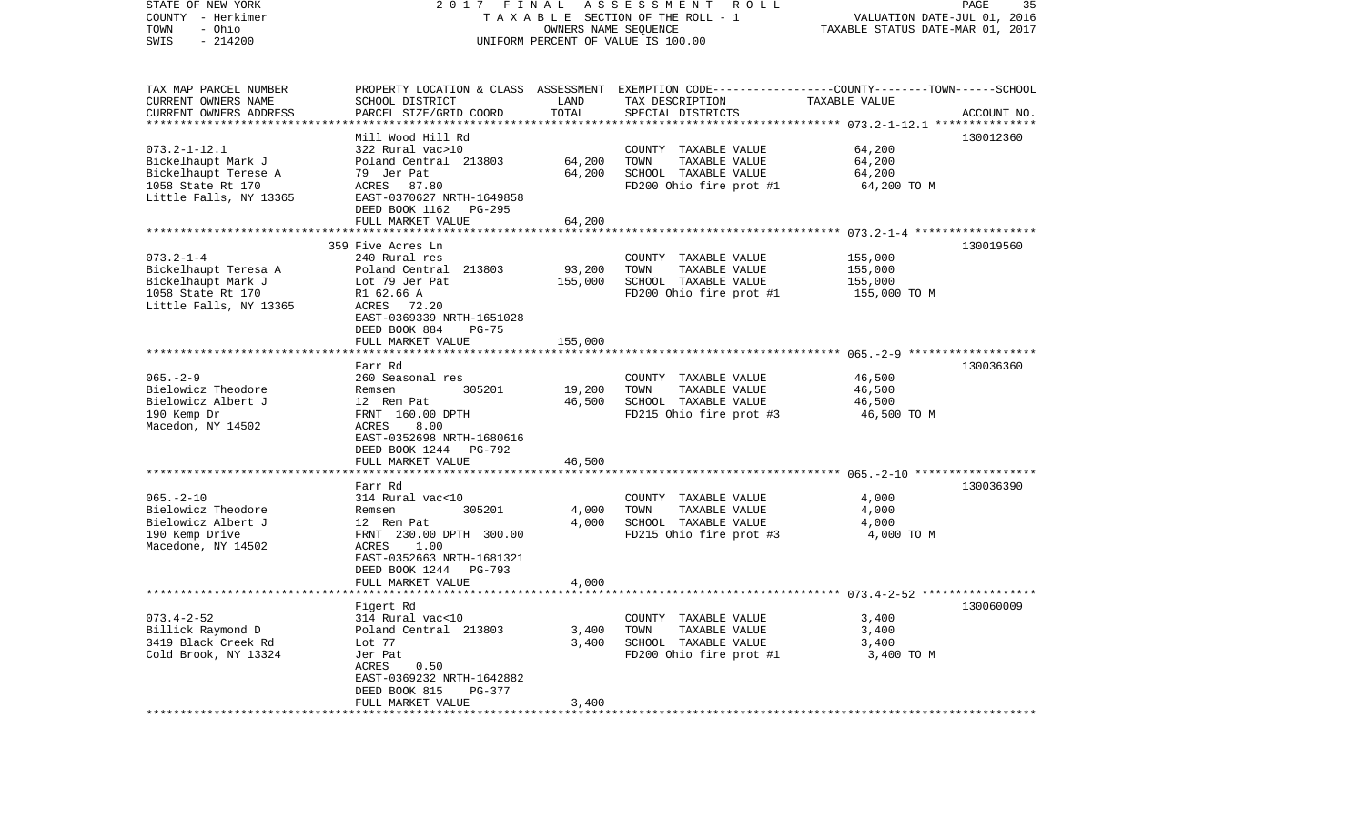| STATE OF NEW YORK<br>COUNTY - Herkimer<br>- Ohio<br>TOWN<br>$-214200$<br>SWIS | 2017 FINAL<br>A S S E S S M E N T R O L L<br>TAXABLE SECTION OF THE ROLL - 1<br>OWNERS NAME SEQUENCE<br>UNIFORM PERCENT OF VALUE IS 100.00 |                   |                                                                                                                    | PAGE<br>35<br>VALUATION DATE-JUL 01, 2016<br>TAXABLE STATUS DATE-MAR 01, 2017 |             |  |
|-------------------------------------------------------------------------------|--------------------------------------------------------------------------------------------------------------------------------------------|-------------------|--------------------------------------------------------------------------------------------------------------------|-------------------------------------------------------------------------------|-------------|--|
| TAX MAP PARCEL NUMBER<br>CURRENT OWNERS NAME                                  | SCHOOL DISTRICT                                                                                                                            | LAND              | PROPERTY LOCATION & CLASS ASSESSMENT EXEMPTION CODE---------------COUNTY-------TOWN------SCHOOL<br>TAX DESCRIPTION | TAXABLE VALUE                                                                 |             |  |
| CURRENT OWNERS ADDRESS<br>************************                            | PARCEL SIZE/GRID COORD                                                                                                                     | TOTAL             | SPECIAL DISTRICTS                                                                                                  |                                                                               | ACCOUNT NO. |  |
|                                                                               | Mill Wood Hill Rd                                                                                                                          |                   |                                                                                                                    |                                                                               | 130012360   |  |
| $073.2 - 1 - 12.1$                                                            | 322 Rural vac>10                                                                                                                           |                   | COUNTY TAXABLE VALUE                                                                                               | 64,200                                                                        |             |  |
| Bickelhaupt Mark J                                                            | Poland Central 213803                                                                                                                      | 64,200            | TAXABLE VALUE<br>TOWN                                                                                              | 64,200                                                                        |             |  |
| Bickelhaupt Terese A                                                          | 79 Jer Pat                                                                                                                                 | 64,200            | SCHOOL TAXABLE VALUE                                                                                               | 64,200                                                                        |             |  |
| 1058 State Rt 170                                                             | ACRES 87.80                                                                                                                                |                   | FD200 Ohio fire prot #1                                                                                            | 64,200 TO M                                                                   |             |  |
| Little Falls, NY 13365                                                        | EAST-0370627 NRTH-1649858<br>DEED BOOK 1162<br>PG-295                                                                                      |                   |                                                                                                                    |                                                                               |             |  |
|                                                                               | FULL MARKET VALUE                                                                                                                          | 64,200            |                                                                                                                    |                                                                               |             |  |
|                                                                               |                                                                                                                                            |                   |                                                                                                                    |                                                                               |             |  |
|                                                                               | 359 Five Acres Ln                                                                                                                          |                   |                                                                                                                    |                                                                               | 130019560   |  |
| $073.2 - 1 - 4$                                                               | 240 Rural res                                                                                                                              |                   | COUNTY TAXABLE VALUE                                                                                               | 155,000                                                                       |             |  |
| Bickelhaupt Teresa A<br>Bickelhaupt Mark J                                    | Poland Central 213803<br>Lot 79 Jer Pat                                                                                                    | 93,200<br>155,000 | TAXABLE VALUE<br>TOWN<br>SCHOOL TAXABLE VALUE                                                                      | 155,000<br>155,000                                                            |             |  |
| 1058 State Rt 170                                                             | R1 62.66 A                                                                                                                                 |                   | FD200 Ohio fire prot #1                                                                                            | 155,000 TO M                                                                  |             |  |
| Little Falls, NY 13365                                                        | ACRES<br>72.20                                                                                                                             |                   |                                                                                                                    |                                                                               |             |  |
|                                                                               | EAST-0369339 NRTH-1651028                                                                                                                  |                   |                                                                                                                    |                                                                               |             |  |
|                                                                               | DEED BOOK 884<br>$PG-75$                                                                                                                   |                   |                                                                                                                    |                                                                               |             |  |
|                                                                               | FULL MARKET VALUE                                                                                                                          | 155,000           |                                                                                                                    |                                                                               |             |  |
|                                                                               | Farr Rd                                                                                                                                    |                   |                                                                                                                    |                                                                               | 130036360   |  |
| $065. - 2 - 9$                                                                | 260 Seasonal res                                                                                                                           |                   | COUNTY TAXABLE VALUE                                                                                               | 46,500                                                                        |             |  |
| Bielowicz Theodore                                                            | 305201<br>Remsen                                                                                                                           | 19,200            | TAXABLE VALUE<br>TOWN                                                                                              | 46,500                                                                        |             |  |
| Bielowicz Albert J                                                            | 12 Rem Pat                                                                                                                                 | 46,500            | SCHOOL TAXABLE VALUE                                                                                               | 46,500                                                                        |             |  |
| 190 Kemp Dr<br>Macedon, NY 14502                                              | FRNT 160.00 DPTH<br>ACRES<br>8.00                                                                                                          |                   | FD215 Ohio fire prot #3                                                                                            | 46,500 TO M                                                                   |             |  |
|                                                                               | EAST-0352698 NRTH-1680616                                                                                                                  |                   |                                                                                                                    |                                                                               |             |  |
|                                                                               | DEED BOOK 1244 PG-792                                                                                                                      |                   |                                                                                                                    |                                                                               |             |  |
|                                                                               | FULL MARKET VALUE                                                                                                                          | 46,500            |                                                                                                                    |                                                                               |             |  |
|                                                                               | ***********************                                                                                                                    |                   |                                                                                                                    |                                                                               |             |  |
| $065. - 2 - 10$                                                               | Farr Rd<br>314 Rural vac<10                                                                                                                |                   | COUNTY TAXABLE VALUE                                                                                               | 4,000                                                                         | 130036390   |  |
| Bielowicz Theodore                                                            | Remsen<br>305201                                                                                                                           | 4,000             | TAXABLE VALUE<br>TOWN                                                                                              | 4,000                                                                         |             |  |
| Bielowicz Albert J                                                            | 12 Rem Pat                                                                                                                                 | 4,000             | SCHOOL TAXABLE VALUE                                                                                               | 4,000                                                                         |             |  |
| 190 Kemp Drive                                                                | FRNT 230.00 DPTH 300.00                                                                                                                    |                   | FD215 Ohio fire prot #3                                                                                            | 4,000 TO M                                                                    |             |  |
| Macedone, NY 14502                                                            | 1.00<br>ACRES                                                                                                                              |                   |                                                                                                                    |                                                                               |             |  |
|                                                                               | EAST-0352663 NRTH-1681321                                                                                                                  |                   |                                                                                                                    |                                                                               |             |  |
|                                                                               | DEED BOOK 1244<br>PG-793<br>FULL MARKET VALUE                                                                                              | 4,000             |                                                                                                                    |                                                                               |             |  |
|                                                                               |                                                                                                                                            |                   |                                                                                                                    |                                                                               |             |  |
|                                                                               | Figert Rd                                                                                                                                  |                   |                                                                                                                    |                                                                               | 130060009   |  |
| $073.4 - 2 - 52$                                                              | 314 Rural vac<10                                                                                                                           |                   | COUNTY TAXABLE VALUE                                                                                               | 3,400                                                                         |             |  |
| Billick Raymond D                                                             | Poland Central 213803                                                                                                                      | 3,400             | TOWN<br>TAXABLE VALUE                                                                                              | 3,400                                                                         |             |  |
| 3419 Black Creek Rd<br>Cold Brook, NY 13324                                   | Lot 77<br>Jer Pat                                                                                                                          | 3,400             | SCHOOL TAXABLE VALUE<br>FD200 Ohio fire prot #1                                                                    | 3,400<br>3,400 TO M                                                           |             |  |
|                                                                               | ACRES<br>0.50                                                                                                                              |                   |                                                                                                                    |                                                                               |             |  |
|                                                                               | EAST-0369232 NRTH-1642882                                                                                                                  |                   |                                                                                                                    |                                                                               |             |  |
|                                                                               | DEED BOOK 815<br>PG-377                                                                                                                    |                   |                                                                                                                    |                                                                               |             |  |
|                                                                               | FULL MARKET VALUE                                                                                                                          | 3,400             |                                                                                                                    |                                                                               |             |  |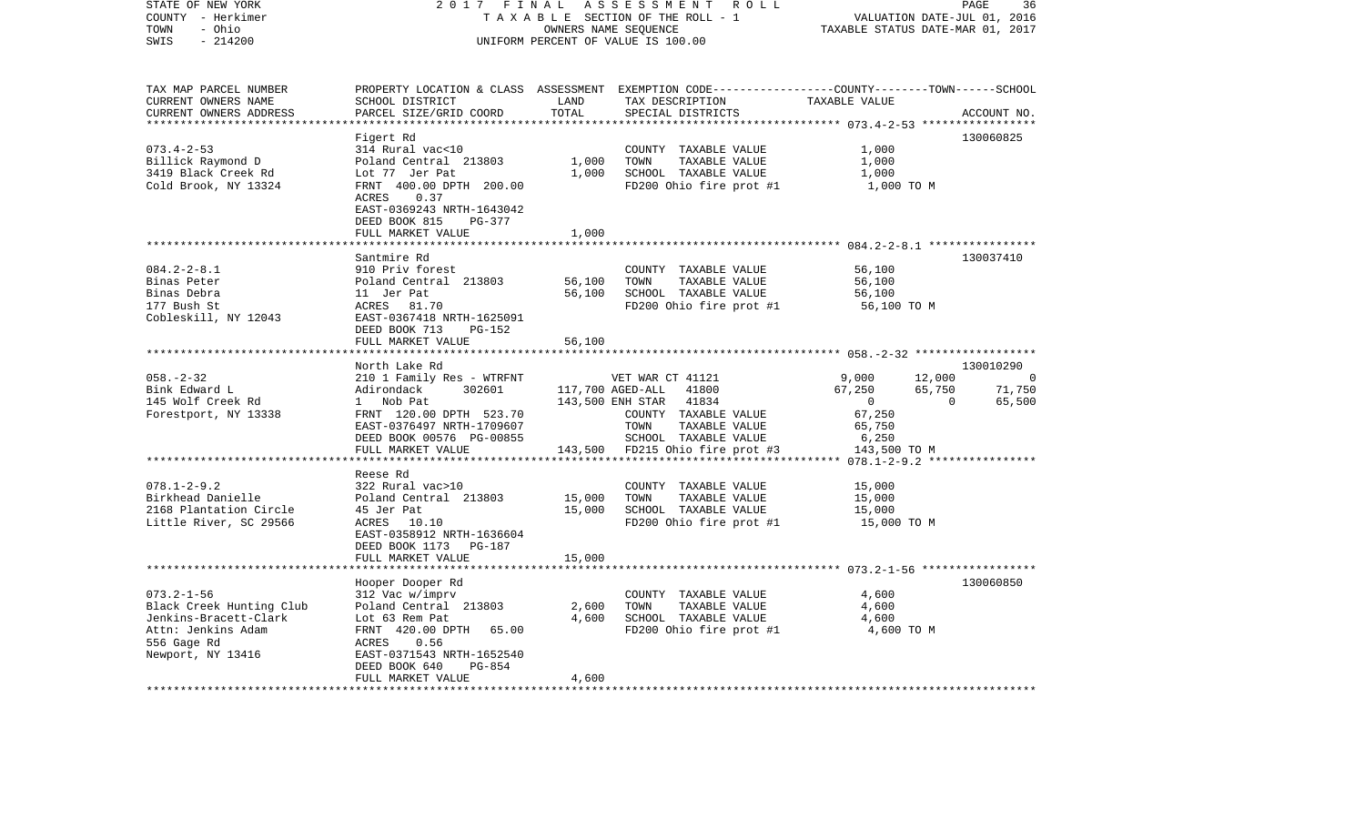| STATE OF NEW YORK<br>COUNTY - Herkimer<br>- Ohio<br>TOWN<br>$-214200$<br>SWIS                                                   | 2017<br>FINAL<br>ASSESSMENT ROLL<br>TAXABLE SECTION OF THE ROLL - 1<br>OWNERS NAME SEQUENCE<br>UNIFORM PERCENT OF VALUE IS 100.00                                                      |                                |                                                                                                                                                                                | PAGE<br>36<br>VALUATION DATE-JUL 01, 2016<br>TAXABLE STATUS DATE-MAR 01, 2017                                     |                                    |  |
|---------------------------------------------------------------------------------------------------------------------------------|----------------------------------------------------------------------------------------------------------------------------------------------------------------------------------------|--------------------------------|--------------------------------------------------------------------------------------------------------------------------------------------------------------------------------|-------------------------------------------------------------------------------------------------------------------|------------------------------------|--|
| TAX MAP PARCEL NUMBER<br>CURRENT OWNERS NAME<br>CURRENT OWNERS ADDRESS<br>**********************                                | SCHOOL DISTRICT<br>PARCEL SIZE/GRID COORD                                                                                                                                              | LAND<br>TOTAL<br>************* | PROPERTY LOCATION & CLASS ASSESSMENT EXEMPTION CODE---------------COUNTY-------TOWN------SCHOOL<br>TAX DESCRIPTION<br>SPECIAL DISTRICTS                                        | TAXABLE VALUE                                                                                                     | ACCOUNT NO.                        |  |
|                                                                                                                                 | Figert Rd                                                                                                                                                                              |                                |                                                                                                                                                                                |                                                                                                                   | 130060825                          |  |
| $073.4 - 2 - 53$<br>Billick Raymond D<br>3419 Black Creek Rd<br>Cold Brook, NY 13324                                            | 314 Rural vac<10<br>Poland Central 213803<br>Lot 77 Jer Pat<br>FRNT 400.00 DPTH 200.00<br>0.37<br>ACRES<br>EAST-0369243 NRTH-1643042<br>DEED BOOK 815<br>PG-377                        | 1,000<br>1,000                 | COUNTY TAXABLE VALUE<br>TOWN<br>TAXABLE VALUE<br>SCHOOL TAXABLE VALUE<br>FD200 Ohio fire prot #1                                                                               | 1,000<br>1,000<br>1,000<br>1,000 TO M                                                                             |                                    |  |
|                                                                                                                                 | FULL MARKET VALUE                                                                                                                                                                      | 1,000                          |                                                                                                                                                                                | ************************** 084.2-2-8.1 *****************                                                          |                                    |  |
| $084.2 - 2 - 8.1$<br>Binas Peter<br>Binas Debra<br>177 Bush St<br>Cobleskill, NY 12043                                          | Santmire Rd<br>910 Priv forest<br>Poland Central 213803<br>11 Jer Pat<br>ACRES<br>81.70<br>EAST-0367418 NRTH-1625091<br>DEED BOOK 713<br>$PG-152$                                      | 56,100<br>56,100               | COUNTY TAXABLE VALUE<br>TOWN<br>TAXABLE VALUE<br>SCHOOL TAXABLE VALUE<br>FD200 Ohio fire prot #1                                                                               | 56,100<br>56,100<br>56,100<br>56,100 TO M                                                                         | 130037410                          |  |
|                                                                                                                                 | FULL MARKET VALUE                                                                                                                                                                      | 56,100                         |                                                                                                                                                                                |                                                                                                                   |                                    |  |
|                                                                                                                                 | North Lake Rd                                                                                                                                                                          |                                |                                                                                                                                                                                |                                                                                                                   | 130010290                          |  |
| $058. - 2 - 32$<br>Bink Edward L<br>145 Wolf Creek Rd<br>Forestport, NY 13338                                                   | 210 1 Family Res - WTRFNT<br>Adirondack<br>302601<br>1 Nob Pat<br>FRNT 120.00 DPTH 523.70<br>EAST-0376497 NRTH-1709607<br>DEED BOOK 00576 PG-00855<br>FULL MARKET VALUE                | 143,500                        | VET WAR CT 41121<br>117,700 AGED-ALL<br>41800<br>143,500 ENH STAR<br>41834<br>COUNTY TAXABLE VALUE<br>TOWN<br>TAXABLE VALUE<br>SCHOOL TAXABLE VALUE<br>FD215 Ohio fire prot #3 | 9,000<br>12,000<br>67,250<br>65,750<br>$\overline{0}$<br>$\mathbf 0$<br>67,250<br>65,750<br>6,250<br>143,500 TO M | $\overline{0}$<br>71,750<br>65,500 |  |
|                                                                                                                                 | Reese Rd                                                                                                                                                                               |                                |                                                                                                                                                                                | $078.1 - 2 - 9.2$ *****************                                                                               |                                    |  |
| $078.1 - 2 - 9.2$<br>Birkhead Danielle<br>2168 Plantation Circle<br>Little River, SC 29566                                      | 322 Rural vac>10<br>Poland Central 213803<br>45 Jer Pat<br>ACRES 10.10<br>EAST-0358912 NRTH-1636604<br>DEED BOOK 1173<br>PG-187                                                        | 15,000<br>15,000               | COUNTY TAXABLE VALUE<br>TOWN<br>TAXABLE VALUE<br>SCHOOL TAXABLE VALUE<br>FD200 Ohio fire prot #1                                                                               | 15,000<br>15,000<br>15,000<br>15,000 TO M                                                                         |                                    |  |
|                                                                                                                                 | FULL MARKET VALUE                                                                                                                                                                      | 15,000                         |                                                                                                                                                                                |                                                                                                                   |                                    |  |
|                                                                                                                                 | ******************                                                                                                                                                                     |                                |                                                                                                                                                                                |                                                                                                                   | 130060850                          |  |
| $073.2 - 1 - 56$<br>Black Creek Hunting Club<br>Jenkins-Bracett-Clark<br>Attn: Jenkins Adam<br>556 Gage Rd<br>Newport, NY 13416 | Hooper Dooper Rd<br>312 Vac w/imprv<br>Poland Central 213803<br>Lot 63 Rem Pat<br>FRNT 420.00 DPTH<br>65.00<br>0.56<br>ACRES<br>EAST-0371543 NRTH-1652540<br>DEED BOOK 640<br>$PG-854$ | 2,600<br>4,600                 | COUNTY TAXABLE VALUE<br>TOWN<br>TAXABLE VALUE<br>SCHOOL TAXABLE VALUE<br>FD200 Ohio fire prot #1                                                                               | 4,600<br>4,600<br>4,600<br>4,600 TO M                                                                             |                                    |  |
|                                                                                                                                 | FULL MARKET VALUE                                                                                                                                                                      | 4,600                          |                                                                                                                                                                                |                                                                                                                   |                                    |  |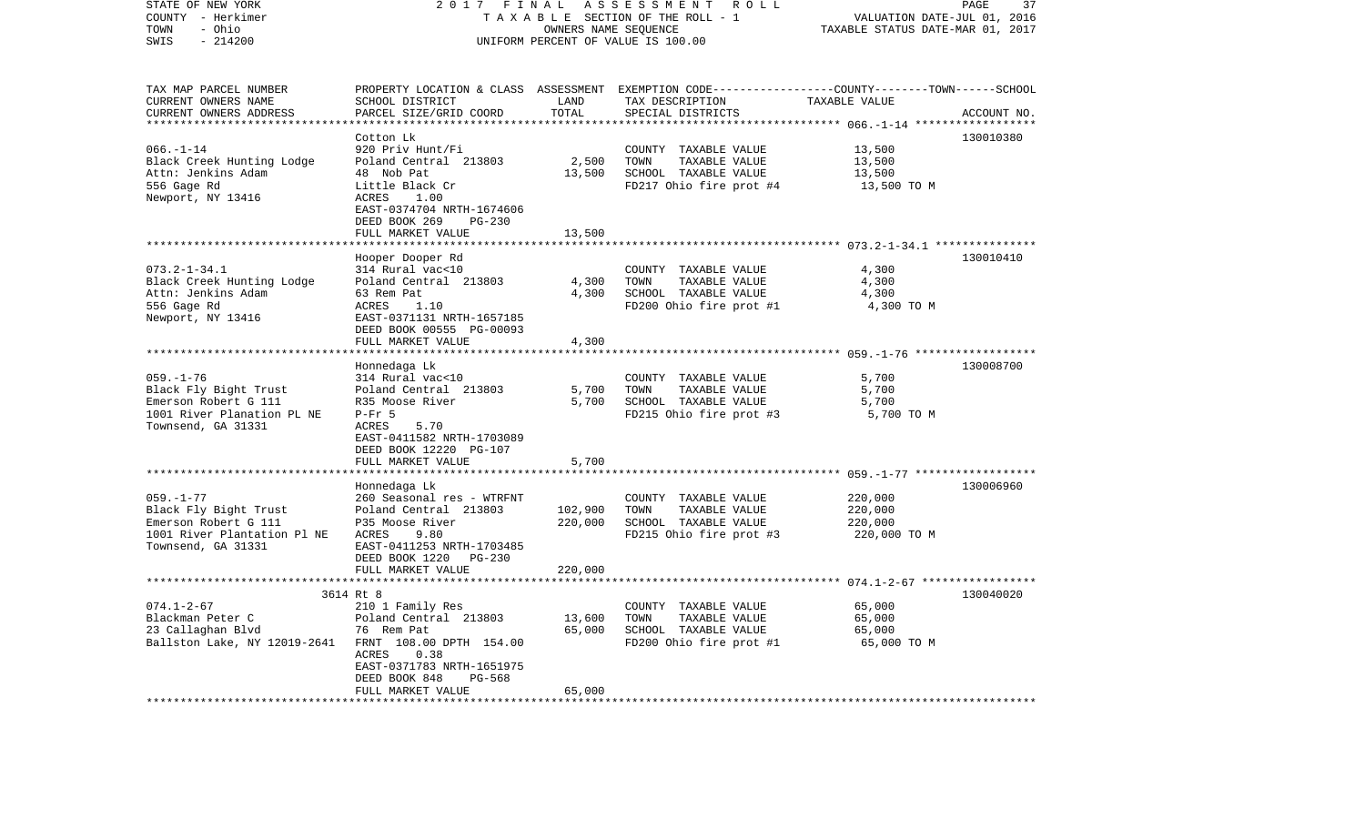| STATE OF NEW YORK<br>COUNTY - Herkimer<br>- Ohio<br>TOWN | 2 0 1 7                                                      | FINAL<br>OWNERS NAME SEQUENCE | ASSESSMENT<br>ROLL<br>TAXABLE SECTION OF THE ROLL - 1                                                               | VALUATION DATE-JUL 01, 2016<br>TAXABLE STATUS DATE-MAR 01, 2017 | 37<br>PAGE  |
|----------------------------------------------------------|--------------------------------------------------------------|-------------------------------|---------------------------------------------------------------------------------------------------------------------|-----------------------------------------------------------------|-------------|
| SWIS<br>$-214200$                                        |                                                              |                               | UNIFORM PERCENT OF VALUE IS 100.00                                                                                  |                                                                 |             |
| TAX MAP PARCEL NUMBER<br>CURRENT OWNERS NAME             | SCHOOL DISTRICT                                              | LAND                          | PROPERTY LOCATION & CLASS ASSESSMENT EXEMPTION CODE----------------COUNTY-------TOWN------SCHOOL<br>TAX DESCRIPTION | TAXABLE VALUE                                                   |             |
| CURRENT OWNERS ADDRESS                                   | PARCEL SIZE/GRID COORD                                       | TOTAL                         | SPECIAL DISTRICTS                                                                                                   |                                                                 | ACCOUNT NO. |
|                                                          |                                                              |                               |                                                                                                                     | ******** 066.-1-14 *****                                        |             |
|                                                          | Cotton Lk                                                    |                               |                                                                                                                     |                                                                 | 130010380   |
| $066. - 1 - 14$                                          | 920 Priv Hunt/Fi                                             |                               | COUNTY TAXABLE VALUE                                                                                                | 13,500                                                          |             |
| Black Creek Hunting Lodge                                | Poland Central 213803                                        | 2,500                         | TOWN<br>TAXABLE VALUE                                                                                               | 13,500                                                          |             |
| Attn: Jenkins Adam<br>556 Gage Rd                        | 48 Nob Pat<br>Little Black Cr                                | 13,500                        | SCHOOL TAXABLE VALUE<br>FD217 Ohio fire prot #4                                                                     | 13,500<br>13,500 TO M                                           |             |
| Newport, NY 13416                                        | ACRES<br>1.00                                                |                               |                                                                                                                     |                                                                 |             |
|                                                          | EAST-0374704 NRTH-1674606                                    |                               |                                                                                                                     |                                                                 |             |
|                                                          | DEED BOOK 269<br>$PG-230$                                    |                               |                                                                                                                     |                                                                 |             |
|                                                          | FULL MARKET VALUE                                            | 13,500                        |                                                                                                                     |                                                                 |             |
|                                                          |                                                              |                               |                                                                                                                     |                                                                 |             |
|                                                          | Hooper Dooper Rd                                             |                               |                                                                                                                     |                                                                 | 130010410   |
| $073.2 - 1 - 34.1$<br>Black Creek Hunting Lodge          | 314 Rural vac<10<br>Poland Central 213803                    | 4,300                         | COUNTY TAXABLE VALUE<br>TOWN<br>TAXABLE VALUE                                                                       | 4,300<br>4,300                                                  |             |
| Attn: Jenkins Adam                                       | 63 Rem Pat                                                   | 4,300                         | SCHOOL TAXABLE VALUE                                                                                                | 4,300                                                           |             |
| 556 Gage Rd                                              | ACRES<br>1.10                                                |                               | FD200 Ohio fire prot #1                                                                                             | 4,300 TO M                                                      |             |
| Newport, NY 13416                                        | EAST-0371131 NRTH-1657185                                    |                               |                                                                                                                     |                                                                 |             |
|                                                          | DEED BOOK 00555 PG-00093                                     |                               |                                                                                                                     |                                                                 |             |
|                                                          | FULL MARKET VALUE                                            | 4,300                         |                                                                                                                     |                                                                 |             |
|                                                          |                                                              |                               |                                                                                                                     |                                                                 | 130008700   |
| $059. - 1 - 76$                                          | Honnedaga Lk<br>314 Rural vac<10                             |                               | COUNTY TAXABLE VALUE                                                                                                | 5,700                                                           |             |
| Black Fly Bight Trust                                    | Poland Central 213803                                        | 5,700                         | TOWN<br>TAXABLE VALUE                                                                                               | 5,700                                                           |             |
| Emerson Robert G 111                                     | R35 Moose River                                              | 5,700                         | SCHOOL TAXABLE VALUE                                                                                                | 5,700                                                           |             |
| 1001 River Planation PL NE                               | $P-Fr$ 5                                                     |                               | FD215 Ohio fire prot #3                                                                                             | 5,700 TO M                                                      |             |
| Townsend, GA 31331                                       | ACRES<br>5.70                                                |                               |                                                                                                                     |                                                                 |             |
|                                                          | EAST-0411582 NRTH-1703089                                    |                               |                                                                                                                     |                                                                 |             |
|                                                          | DEED BOOK 12220 PG-107<br>FULL MARKET VALUE                  | 5,700                         |                                                                                                                     |                                                                 |             |
|                                                          | ******************                                           | *************                 |                                                                                                                     |                                                                 |             |
|                                                          | Honnedaga Lk                                                 |                               |                                                                                                                     |                                                                 | 130006960   |
| $059. - 1 - 77$                                          | 260 Seasonal res - WTRFNT                                    |                               | COUNTY TAXABLE VALUE                                                                                                | 220,000                                                         |             |
| Black Fly Bight Trust                                    | Poland Central 213803                                        | 102,900                       | TOWN<br>TAXABLE VALUE                                                                                               | 220,000                                                         |             |
| Emerson Robert G 111                                     | P35 Moose River                                              | 220,000                       | SCHOOL TAXABLE VALUE                                                                                                | 220,000                                                         |             |
| 1001 River Plantation Pl NE                              | ACRES<br>9.80                                                |                               | FD215 Ohio fire prot #3                                                                                             | 220,000 TO M                                                    |             |
| Townsend, GA 31331                                       | EAST-0411253 NRTH-1703485<br>DEED BOOK 1220<br><b>PG-230</b> |                               |                                                                                                                     |                                                                 |             |
|                                                          | FULL MARKET VALUE                                            | 220,000                       |                                                                                                                     |                                                                 |             |
|                                                          | **************************                                   |                               |                                                                                                                     |                                                                 |             |
|                                                          | 3614 Rt 8                                                    |                               |                                                                                                                     |                                                                 | 130040020   |
| $074.1 - 2 - 67$                                         | 210 1 Family Res                                             |                               | COUNTY TAXABLE VALUE                                                                                                | 65,000                                                          |             |
| Blackman Peter C                                         | Poland Central 213803                                        | 13,600                        | TOWN<br>TAXABLE VALUE                                                                                               | 65,000                                                          |             |
| 23 Callaghan Blvd                                        | 76 Rem Pat<br>FRNT 108.00 DPTH 154.00                        | 65,000                        | SCHOOL TAXABLE VALUE                                                                                                | 65,000                                                          |             |
| Ballston Lake, NY 12019-2641                             | ACRES<br>0.38                                                |                               | FD200 Ohio fire prot #1                                                                                             | 65,000 TO M                                                     |             |
|                                                          | EAST-0371783 NRTH-1651975                                    |                               |                                                                                                                     |                                                                 |             |
|                                                          | DEED BOOK 848<br>PG-568                                      |                               |                                                                                                                     |                                                                 |             |
|                                                          | FULL MARKET VALUE                                            | 65,000                        |                                                                                                                     |                                                                 |             |
|                                                          |                                                              | **********                    |                                                                                                                     |                                                                 |             |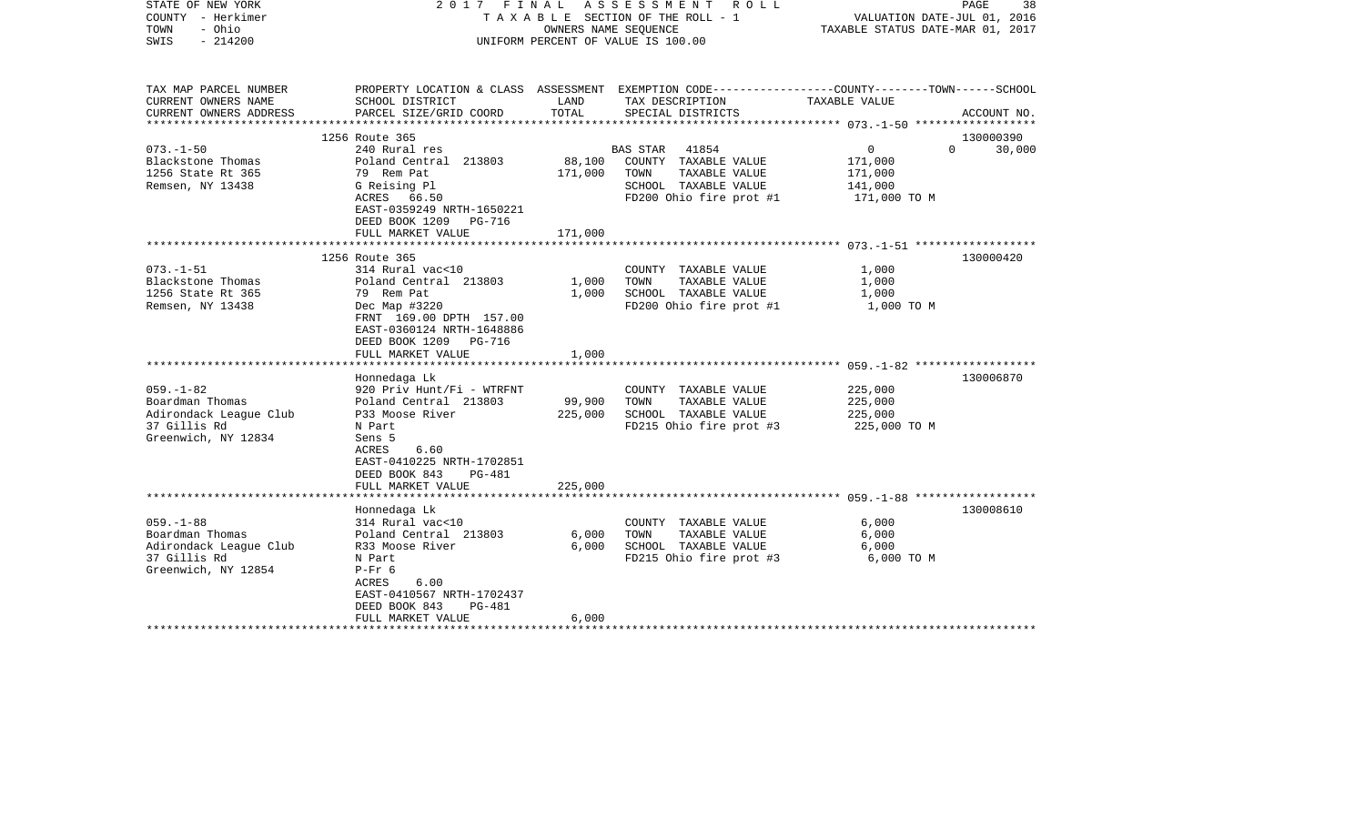| STATE OF NEW YORK<br>COUNTY - Herkimer<br>TOWN<br>- Ohio<br>$-214200$<br>SWIS | 2017 FINAL ASSESSMENT ROLL<br>TAXABLE SECTION OF THE ROLL - 1<br>OWNERS NAME SEQUENCE<br>UNIFORM PERCENT OF VALUE IS 100.00 |         | PAGE<br>38<br>VALUATION DATE-JUL 01, 2016<br>TAXABLE STATUS DATE-MAR 01, 2017                                      |                         |             |
|-------------------------------------------------------------------------------|-----------------------------------------------------------------------------------------------------------------------------|---------|--------------------------------------------------------------------------------------------------------------------|-------------------------|-------------|
| TAX MAP PARCEL NUMBER<br>CURRENT OWNERS NAME                                  | SCHOOL DISTRICT                                                                                                             | LAND    | PROPERTY LOCATION & CLASS ASSESSMENT EXEMPTION CODE---------------COUNTY-------TOWN------SCHOOL<br>TAX DESCRIPTION | TAXABLE VALUE           |             |
| CURRENT OWNERS ADDRESS                                                        | PARCEL SIZE/GRID COORD                                                                                                      | TOTAL   | SPECIAL DISTRICTS                                                                                                  |                         | ACCOUNT NO. |
|                                                                               |                                                                                                                             |         |                                                                                                                    |                         |             |
| $073. - 1 - 50$                                                               | 1256 Route 365<br>240 Rural res                                                                                             |         | 41854                                                                                                              | $\mathbf 0$<br>$\Omega$ | 130000390   |
| Blackstone Thomas                                                             | Poland Central 213803                                                                                                       | 88,100  | BAS STAR<br>COUNTY TAXABLE VALUE                                                                                   | 171,000                 | 30,000      |
| 1256 State Rt 365                                                             | 79 Rem Pat                                                                                                                  | 171,000 | TAXABLE VALUE<br>TOWN                                                                                              | 171,000                 |             |
| Remsen, NY 13438                                                              | G Reising Pl                                                                                                                |         | SCHOOL TAXABLE VALUE                                                                                               | 141,000                 |             |
|                                                                               | ACRES 66.50                                                                                                                 |         | FD200 Ohio fire prot #1                                                                                            | 171,000 TO M            |             |
|                                                                               | EAST-0359249 NRTH-1650221                                                                                                   |         |                                                                                                                    |                         |             |
|                                                                               | DEED BOOK 1209<br>PG-716                                                                                                    |         |                                                                                                                    |                         |             |
|                                                                               | FULL MARKET VALUE                                                                                                           | 171,000 |                                                                                                                    |                         |             |
|                                                                               |                                                                                                                             |         |                                                                                                                    |                         |             |
| $073. - 1 - 51$                                                               | 1256 Route 365<br>314 Rural vac<10                                                                                          |         | COUNTY TAXABLE VALUE                                                                                               | 1,000                   | 130000420   |
| Blackstone Thomas                                                             | Poland Central 213803                                                                                                       | 1,000   | TAXABLE VALUE<br>TOWN                                                                                              | 1,000                   |             |
| 1256 State Rt 365                                                             | 79 Rem Pat                                                                                                                  | 1,000   | SCHOOL TAXABLE VALUE                                                                                               | 1,000                   |             |
| Remsen, NY 13438                                                              | Dec Map #3220                                                                                                               |         | FD200 Ohio fire prot #1                                                                                            | 1,000 TO M              |             |
|                                                                               | FRNT 169.00 DPTH 157.00<br>EAST-0360124 NRTH-1648886<br>DEED BOOK 1209<br>PG-716<br>FULL MARKET VALUE                       | 1,000   |                                                                                                                    |                         |             |
|                                                                               |                                                                                                                             |         |                                                                                                                    |                         |             |
|                                                                               | Honnedaga Lk                                                                                                                |         |                                                                                                                    |                         | 130006870   |
| $059. - 1 - 82$                                                               | 920 Priv Hunt/Fi - WTRFNT                                                                                                   |         | COUNTY TAXABLE VALUE                                                                                               | 225,000                 |             |
| Boardman Thomas                                                               | Poland Central 213803                                                                                                       | 99,900  | TOWN<br>TAXABLE VALUE                                                                                              | 225,000                 |             |
| Adirondack League Club                                                        | P33 Moose River                                                                                                             | 225,000 | SCHOOL TAXABLE VALUE                                                                                               | 225,000                 |             |
| 37 Gillis Rd<br>Greenwich, NY 12834                                           | N Part<br>Sens 5<br>ACRES<br>6.60<br>EAST-0410225 NRTH-1702851<br>DEED BOOK 843<br>PG-481<br>FULL MARKET VALUE              | 225,000 | FD215 Ohio fire prot #3                                                                                            | 225,000 TO M            |             |
|                                                                               | *********************                                                                                                       |         |                                                                                                                    |                         |             |
|                                                                               | Honnedaga Lk                                                                                                                |         |                                                                                                                    |                         | 130008610   |
| $059. -1 - 88$                                                                | 314 Rural vac<10                                                                                                            |         | COUNTY TAXABLE VALUE                                                                                               | 6,000                   |             |
| Boardman Thomas                                                               | Poland Central 213803                                                                                                       | 6,000   | TAXABLE VALUE<br>TOWN                                                                                              | 6,000                   |             |
| Adirondack League Club<br>37 Gillis Rd                                        | R33 Moose River                                                                                                             | 6,000   | SCHOOL TAXABLE VALUE                                                                                               | 6,000                   |             |
| Greenwich, NY 12854                                                           | N Part<br>$P-Fr$ 6<br>6.00<br>ACRES<br>EAST-0410567 NRTH-1702437                                                            |         | FD215 Ohio fire prot #3                                                                                            | 6,000 TO M              |             |
|                                                                               | DEED BOOK 843<br><b>PG-481</b><br>FULL MARKET VALUE                                                                         | 6.000   |                                                                                                                    |                         |             |
|                                                                               |                                                                                                                             |         |                                                                                                                    |                         |             |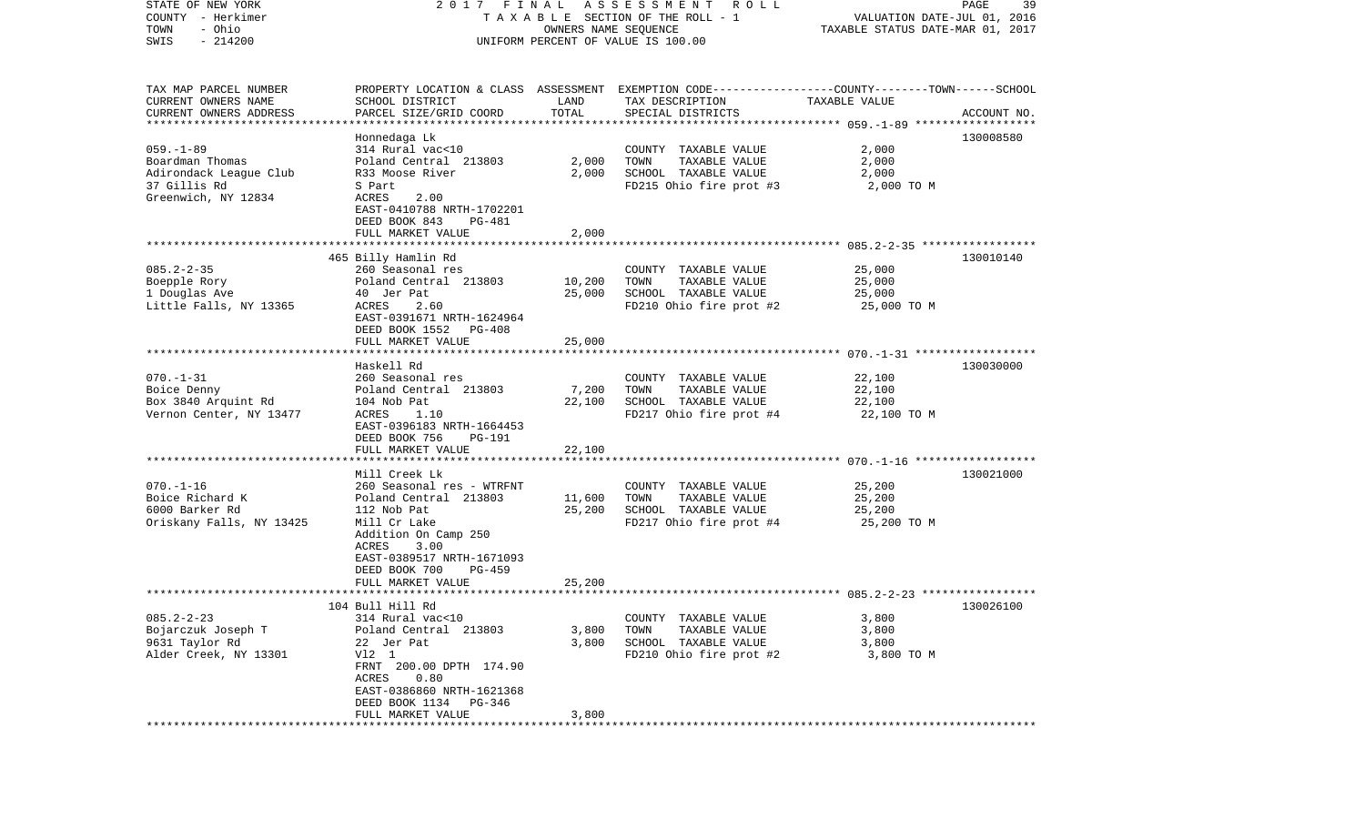| STATE OF NEW YORK         | 2017 FINAL                                                                                       |                      | A S S E S S M E N T R O L L        |                                  | 39<br>PAGE  |
|---------------------------|--------------------------------------------------------------------------------------------------|----------------------|------------------------------------|----------------------------------|-------------|
| COUNTY - Herkimer         |                                                                                                  |                      | TAXABLE SECTION OF THE ROLL - 1    | VALUATION DATE-JUL 01, 2016      |             |
| - Ohio<br>TOWN            |                                                                                                  | OWNERS NAME SEQUENCE |                                    | TAXABLE STATUS DATE-MAR 01, 2017 |             |
| $-214200$<br>SWIS         |                                                                                                  |                      | UNIFORM PERCENT OF VALUE IS 100.00 |                                  |             |
|                           |                                                                                                  |                      |                                    |                                  |             |
| TAX MAP PARCEL NUMBER     | PROPERTY LOCATION & CLASS ASSESSMENT EXEMPTION CODE----------------COUNTY-------TOWN------SCHOOL |                      |                                    |                                  |             |
| CURRENT OWNERS NAME       | SCHOOL DISTRICT                                                                                  | LAND                 | TAX DESCRIPTION                    | TAXABLE VALUE                    |             |
| CURRENT OWNERS ADDRESS    | PARCEL SIZE/GRID COORD                                                                           | TOTAL                | SPECIAL DISTRICTS                  |                                  | ACCOUNT NO. |
| ************************* |                                                                                                  |                      |                                    |                                  |             |
|                           | Honnedaga Lk                                                                                     |                      |                                    |                                  | 130008580   |
| $059. - 1 - 89$           | 314 Rural vac<10                                                                                 |                      | COUNTY TAXABLE VALUE               | 2,000                            |             |
| Boardman Thomas           | Poland Central 213803                                                                            | 2,000                | TOWN<br>TAXABLE VALUE              | 2,000                            |             |
| Adirondack League Club    | R33 Moose River                                                                                  | 2,000                | SCHOOL TAXABLE VALUE               | 2,000                            |             |
| 37 Gillis Rd              | S Part                                                                                           |                      | FD215 Ohio fire prot #3            | 2,000 TO M                       |             |
| Greenwich, NY 12834       | ACRES<br>2.00                                                                                    |                      |                                    |                                  |             |
|                           | EAST-0410788 NRTH-1702201                                                                        |                      |                                    |                                  |             |
|                           | DEED BOOK 843<br>PG-481                                                                          |                      |                                    |                                  |             |
|                           | FULL MARKET VALUE                                                                                | 2,000                |                                    |                                  |             |
|                           |                                                                                                  |                      |                                    |                                  |             |
|                           | 465 Billy Hamlin Rd                                                                              |                      |                                    |                                  | 130010140   |
| $085.2 - 2 - 35$          | 260 Seasonal res                                                                                 |                      | COUNTY TAXABLE VALUE               | 25,000                           |             |
| Boepple Rory              | Poland Central 213803                                                                            | 10,200               | TOWN<br>TAXABLE VALUE              | 25,000                           |             |
| 1 Douglas Ave             | 40 Jer Pat                                                                                       | 25,000               | SCHOOL TAXABLE VALUE               | 25,000                           |             |
| Little Falls, NY 13365    | 2.60<br>ACRES                                                                                    |                      | FD210 Ohio fire prot #2            | 25,000 TO M                      |             |
|                           | EAST-0391671 NRTH-1624964                                                                        |                      |                                    |                                  |             |
|                           | DEED BOOK 1552<br>PG-408                                                                         |                      |                                    |                                  |             |
|                           | FULL MARKET VALUE                                                                                | 25,000               |                                    |                                  |             |
|                           |                                                                                                  |                      |                                    |                                  |             |
|                           | Haskell Rd                                                                                       |                      |                                    |                                  | 130030000   |
| $070. - 1 - 31$           | 260 Seasonal res                                                                                 |                      | COUNTY TAXABLE VALUE               | 22,100                           |             |
| Boice Denny               | Poland Central 213803                                                                            | 7,200                | TOWN<br>TAXABLE VALUE              | 22,100                           |             |
| Box 3840 Arquint Rd       | 104 Nob Pat                                                                                      | 22,100               | SCHOOL TAXABLE VALUE               | 22,100                           |             |
| Vernon Center, NY 13477   | ACRES<br>1.10                                                                                    |                      | FD217 Ohio fire prot #4            | 22,100 TO M                      |             |
|                           | EAST-0396183 NRTH-1664453                                                                        |                      |                                    |                                  |             |
|                           | DEED BOOK 756<br>PG-191                                                                          |                      |                                    |                                  |             |
|                           | FULL MARKET VALUE                                                                                | 22,100               |                                    |                                  |             |
|                           |                                                                                                  |                      |                                    |                                  |             |
|                           | Mill Creek Lk                                                                                    |                      |                                    |                                  | 130021000   |
| $070. - 1 - 16$           | 260 Seasonal res - WTRFNT                                                                        |                      | COUNTY TAXABLE VALUE               | 25,200                           |             |
| Boice Richard K           | Poland Central 213803                                                                            | 11,600               | TAXABLE VALUE<br>TOWN              | 25,200                           |             |
| 6000 Barker Rd            | 112 Nob Pat                                                                                      | 25,200               | SCHOOL TAXABLE VALUE               | 25,200                           |             |
| Oriskany Falls, NY 13425  | Mill Cr Lake                                                                                     |                      | FD217 Ohio fire prot #4            | 25,200 TO M                      |             |
|                           | Addition On Camp 250                                                                             |                      |                                    |                                  |             |
|                           | ACRES<br>3.00                                                                                    |                      |                                    |                                  |             |
|                           | EAST-0389517 NRTH-1671093                                                                        |                      |                                    |                                  |             |
|                           | DEED BOOK 700<br>PG-459                                                                          |                      |                                    |                                  |             |
|                           | FULL MARKET VALUE                                                                                | 25,200               |                                    |                                  |             |
|                           |                                                                                                  |                      |                                    |                                  |             |
|                           | 104 Bull Hill Rd                                                                                 |                      |                                    |                                  | 130026100   |
| $085.2 - 2 - 23$          | 314 Rural vac<10                                                                                 |                      | COUNTY TAXABLE VALUE               | 3,800                            |             |
| Bojarczuk Joseph T        | Poland Central 213803                                                                            | 3,800                | TOWN<br>TAXABLE VALUE              | 3,800                            |             |
| 9631 Taylor Rd            | 22 Jer Pat                                                                                       | 3,800                | SCHOOL TAXABLE VALUE               | 3,800                            |             |
| Alder Creek, NY 13301     | V12 1                                                                                            |                      | FD210 Ohio fire prot #2            | 3,800 TO M                       |             |
|                           | FRNT 200.00 DPTH 174.90                                                                          |                      |                                    |                                  |             |
|                           | ACRES<br>0.80                                                                                    |                      |                                    |                                  |             |
|                           | EAST-0386860 NRTH-1621368                                                                        |                      |                                    |                                  |             |
|                           | DEED BOOK 1134<br>PG-346                                                                         |                      |                                    |                                  |             |
|                           | FULL MARKET VALUE                                                                                | 3,800                |                                    |                                  |             |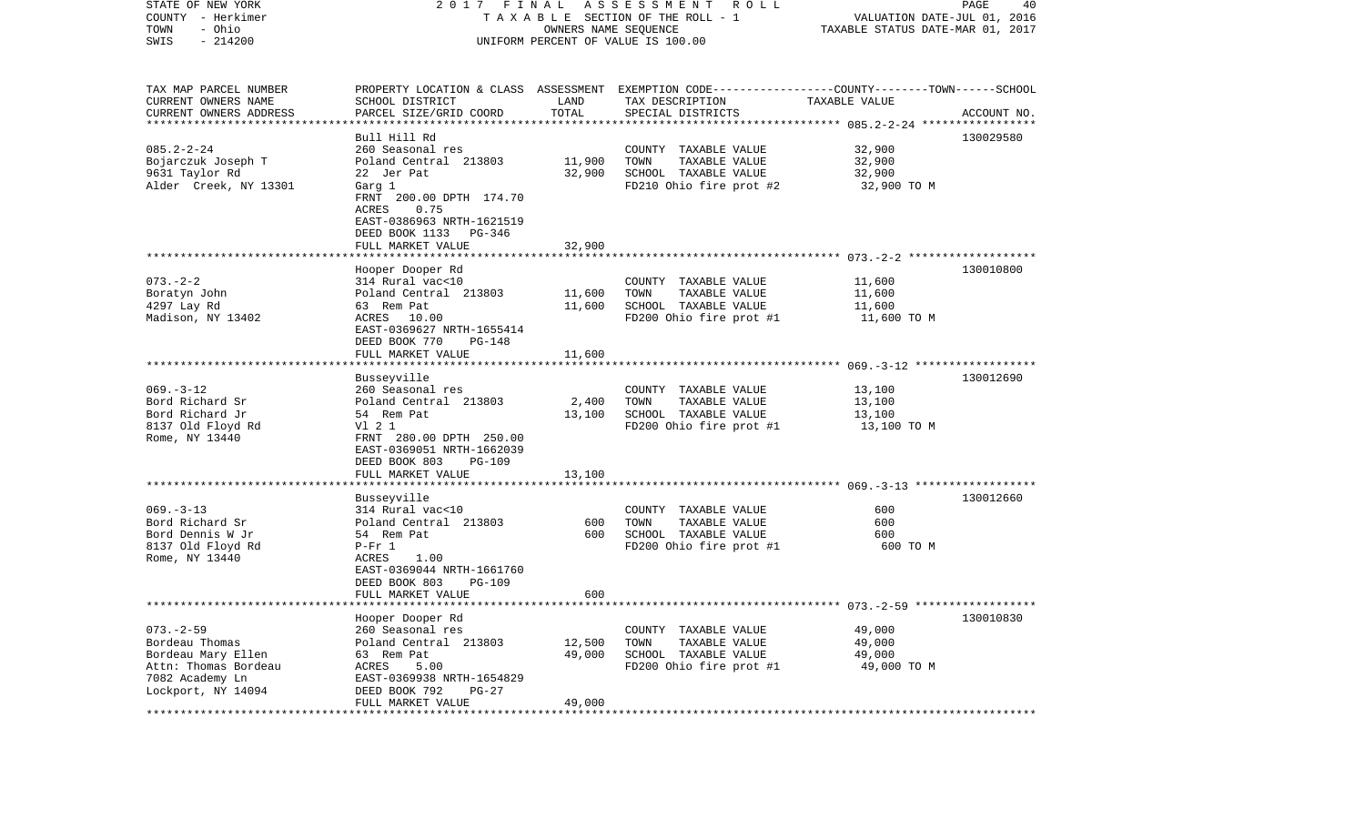| STATE OF NEW YORK<br>COUNTY - Herkimer<br>- Ohio<br>TOWN |                                                  | OWNERS NAME SEQUENCE | 2017 FINAL ASSESSMENT ROLL<br>T A X A B L E SECTION OF THE ROLL - 1                                                 | VALUATION DATE-JUL 01, 2016<br>TAXABLE STATUS DATE-MAR 01, 2017 | PAGE<br>40  |
|----------------------------------------------------------|--------------------------------------------------|----------------------|---------------------------------------------------------------------------------------------------------------------|-----------------------------------------------------------------|-------------|
| $-214200$<br>SWIS                                        |                                                  |                      | UNIFORM PERCENT OF VALUE IS 100.00                                                                                  |                                                                 |             |
| TAX MAP PARCEL NUMBER<br>CURRENT OWNERS NAME             | SCHOOL DISTRICT                                  | LAND                 | PROPERTY LOCATION & CLASS ASSESSMENT EXEMPTION CODE----------------COUNTY-------TOWN------SCHOOL<br>TAX DESCRIPTION | TAXABLE VALUE                                                   |             |
| CURRENT OWNERS ADDRESS                                   | PARCEL SIZE/GRID COORD                           | TOTAL                | SPECIAL DISTRICTS                                                                                                   |                                                                 | ACCOUNT NO. |
| *************************                                | Bull Hill Rd                                     |                      |                                                                                                                     |                                                                 | 130029580   |
| $085.2 - 2 - 24$                                         | 260 Seasonal res                                 |                      | COUNTY TAXABLE VALUE                                                                                                | 32,900                                                          |             |
| Bojarczuk Joseph T                                       | Poland Central 213803                            | 11,900               | TAXABLE VALUE<br>TOWN                                                                                               | 32,900                                                          |             |
| 9631 Taylor Rd                                           | 22 Jer Pat                                       | 32,900               | SCHOOL TAXABLE VALUE                                                                                                | 32,900                                                          |             |
| Alder Creek, NY 13301                                    | Garg 1<br>FRNT 200.00 DPTH 174.70                |                      | FD210 Ohio fire prot #2                                                                                             | 32,900 TO M                                                     |             |
|                                                          | ACRES<br>0.75                                    |                      |                                                                                                                     |                                                                 |             |
|                                                          | EAST-0386963 NRTH-1621519                        |                      |                                                                                                                     |                                                                 |             |
|                                                          | DEED BOOK 1133 PG-346                            |                      |                                                                                                                     |                                                                 |             |
|                                                          | FULL MARKET VALUE                                | 32,900               |                                                                                                                     |                                                                 |             |
|                                                          | Hooper Dooper Rd                                 |                      |                                                                                                                     |                                                                 | 130010800   |
| $073. - 2 - 2$                                           | 314 Rural vac<10                                 |                      | COUNTY TAXABLE VALUE                                                                                                | 11,600                                                          |             |
| Boratyn John                                             | Poland Central 213803<br>63 Rem Pat              | 11,600               | TOWN<br>TAXABLE VALUE                                                                                               | 11,600                                                          |             |
| 4297 Lay Rd<br>Madison, NY 13402                         | ACRES 10.00                                      | 11,600               | SCHOOL TAXABLE VALUE<br>FD200 Ohio fire prot #1                                                                     | 11,600<br>11,600 TO M                                           |             |
|                                                          | EAST-0369627 NRTH-1655414                        |                      |                                                                                                                     |                                                                 |             |
|                                                          | DEED BOOK 770<br>PG-148                          |                      |                                                                                                                     |                                                                 |             |
|                                                          | FULL MARKET VALUE                                | 11,600               |                                                                                                                     |                                                                 |             |
|                                                          | Busseyville                                      |                      |                                                                                                                     |                                                                 | 130012690   |
| $069. -3 - 12$                                           | 260 Seasonal res                                 |                      | COUNTY TAXABLE VALUE                                                                                                | 13,100                                                          |             |
| Bord Richard Sr                                          | Poland Central 213803                            | 2,400                | TOWN<br>TAXABLE VALUE                                                                                               | 13,100                                                          |             |
| Bord Richard Jr<br>8137 Old Floyd Rd                     | 54 Rem Pat<br>V1 2 1                             | 13,100               | SCHOOL TAXABLE VALUE<br>FD200 Ohio fire prot #1                                                                     | 13,100<br>13,100 TO M                                           |             |
| Rome, NY 13440                                           | FRNT 280.00 DPTH 250.00                          |                      |                                                                                                                     |                                                                 |             |
|                                                          | EAST-0369051 NRTH-1662039                        |                      |                                                                                                                     |                                                                 |             |
|                                                          | DEED BOOK 803<br><b>PG-109</b>                   |                      |                                                                                                                     |                                                                 |             |
|                                                          | FULL MARKET VALUE<br>*************************** | 13,100               |                                                                                                                     |                                                                 |             |
|                                                          | Busseyville                                      |                      |                                                                                                                     |                                                                 | 130012660   |
| $069. -3 - 13$                                           | 314 Rural vac<10                                 |                      | COUNTY TAXABLE VALUE                                                                                                | 600                                                             |             |
| Bord Richard Sr                                          | Poland Central 213803                            | 600                  | TOWN<br>TAXABLE VALUE                                                                                               | 600                                                             |             |
| Bord Dennis W Jr<br>8137 Old Floyd Rd                    | 54 Rem Pat<br>$P-Fr 1$                           | 600                  | SCHOOL TAXABLE VALUE<br>FD200 Ohio fire prot #1                                                                     | 600<br>600 TO M                                                 |             |
| Rome, NY 13440                                           | 1.00<br>ACRES                                    |                      |                                                                                                                     |                                                                 |             |
|                                                          | EAST-0369044 NRTH-1661760                        |                      |                                                                                                                     |                                                                 |             |
|                                                          | DEED BOOK 803<br><b>PG-109</b>                   |                      |                                                                                                                     |                                                                 |             |
|                                                          | FULL MARKET VALUE                                | 600                  | ******************************* 073.-2-59 ******************                                                        |                                                                 |             |
|                                                          | Hooper Dooper Rd                                 |                      |                                                                                                                     |                                                                 | 130010830   |
| $073. - 2 - 59$                                          | 260 Seasonal res                                 |                      | COUNTY TAXABLE VALUE                                                                                                | 49,000                                                          |             |
| Bordeau Thomas                                           | Poland Central 213803<br>63 Rem Pat              | 12,500               | TOWN<br>TAXABLE VALUE<br>SCHOOL TAXABLE VALUE                                                                       | 49,000                                                          |             |
| Bordeau Mary Ellen<br>Attn: Thomas Bordeau               | ACRES<br>5.00                                    | 49,000               | FD200 Ohio fire prot #1                                                                                             | 49,000<br>49,000 TO M                                           |             |
| 7082 Academy Ln                                          | EAST-0369938 NRTH-1654829                        |                      |                                                                                                                     |                                                                 |             |
| Lockport, NY 14094                                       | DEED BOOK 792<br>PG-27                           |                      |                                                                                                                     |                                                                 |             |
|                                                          | FULL MARKET VALUE                                | 49,000               |                                                                                                                     |                                                                 |             |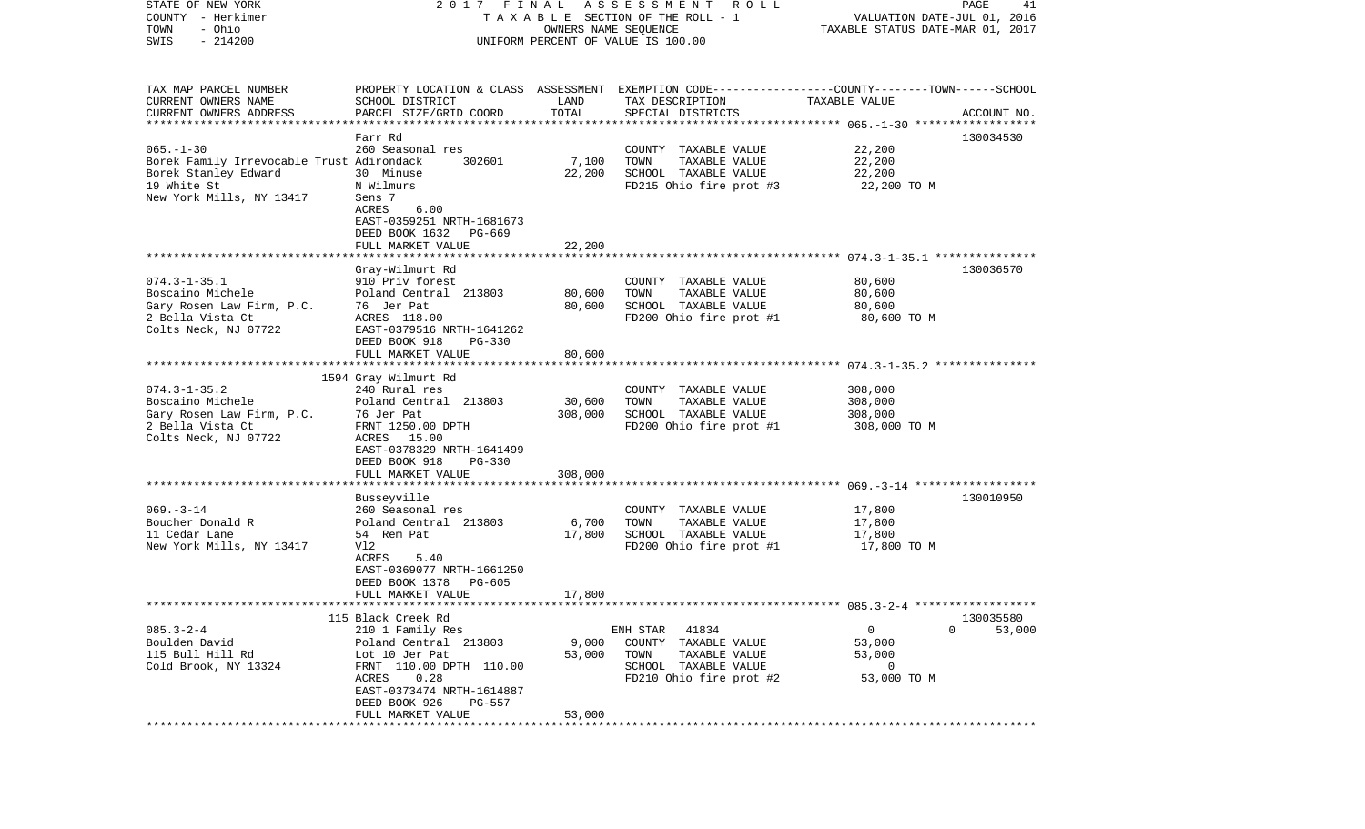| STATE OF NEW YORK<br>COUNTY - Herkimer<br>- Ohio<br>TOWN | FINAL<br>2 0 1 7                                 | OWNERS NAME SEQUENCE | ASSESSMENT<br>R O L L<br>TAXABLE SECTION OF THE ROLL - 1                                        | VALUATION DATE-JUL 01, 2016<br>TAXABLE STATUS DATE-MAR 01, 2017 | PAGE<br>41  |
|----------------------------------------------------------|--------------------------------------------------|----------------------|-------------------------------------------------------------------------------------------------|-----------------------------------------------------------------|-------------|
| $-214200$<br>SWIS                                        | UNIFORM PERCENT OF VALUE IS 100.00               |                      |                                                                                                 |                                                                 |             |
| TAX MAP PARCEL NUMBER                                    |                                                  |                      | PROPERTY LOCATION & CLASS ASSESSMENT EXEMPTION CODE---------------COUNTY-------TOWN------SCHOOL |                                                                 |             |
| CURRENT OWNERS NAME                                      | SCHOOL DISTRICT                                  | LAND                 | TAX DESCRIPTION                                                                                 | TAXABLE VALUE                                                   |             |
| CURRENT OWNERS ADDRESS<br>**********************         | PARCEL SIZE/GRID COORD<br>********************** | TOTAL                | SPECIAL DISTRICTS                                                                               |                                                                 | ACCOUNT NO. |
|                                                          | Farr Rd                                          |                      |                                                                                                 |                                                                 | 130034530   |
| $065. -1 - 30$                                           | 260 Seasonal res                                 |                      | COUNTY TAXABLE VALUE                                                                            | 22,200                                                          |             |
| Borek Family Irrevocable Trust Adirondack                | 302601                                           | 7,100                | TOWN<br>TAXABLE VALUE                                                                           | 22,200                                                          |             |
| Borek Stanley Edward                                     | 30 Minuse                                        | 22,200               | SCHOOL TAXABLE VALUE                                                                            | 22,200                                                          |             |
| 19 White St                                              | N Wilmurs                                        |                      | FD215 Ohio fire prot #3                                                                         | 22,200 TO M                                                     |             |
| New York Mills, NY 13417                                 | Sens 7<br>ACRES<br>6.00                          |                      |                                                                                                 |                                                                 |             |
|                                                          | EAST-0359251 NRTH-1681673                        |                      |                                                                                                 |                                                                 |             |
|                                                          | DEED BOOK 1632<br>PG-669                         |                      |                                                                                                 |                                                                 |             |
|                                                          | FULL MARKET VALUE                                | 22,200               |                                                                                                 |                                                                 |             |
|                                                          |                                                  |                      |                                                                                                 |                                                                 |             |
|                                                          | Gray-Wilmurt Rd                                  |                      |                                                                                                 |                                                                 | 130036570   |
| $074.3 - 1 - 35.1$                                       | 910 Priv forest                                  |                      | COUNTY TAXABLE VALUE                                                                            | 80,600                                                          |             |
| Boscaino Michele<br>Gary Rosen Law Firm, P.C.            | Poland Central 213803<br>76 Jer Pat              | 80,600<br>80,600     | TOWN<br>TAXABLE VALUE<br>SCHOOL TAXABLE VALUE                                                   | 80,600<br>80,600                                                |             |
| 2 Bella Vista Ct                                         | ACRES 118.00                                     |                      | FD200 Ohio fire prot #1                                                                         | 80,600 TO M                                                     |             |
| Colts Neck, NJ 07722                                     | EAST-0379516 NRTH-1641262                        |                      |                                                                                                 |                                                                 |             |
|                                                          | DEED BOOK 918<br>$PG-330$                        |                      |                                                                                                 |                                                                 |             |
|                                                          | FULL MARKET VALUE                                | 80,600               |                                                                                                 |                                                                 |             |
|                                                          |                                                  |                      |                                                                                                 |                                                                 |             |
| $074.3 - 1 - 35.2$                                       | 1594 Gray Wilmurt Rd<br>240 Rural res            |                      | COUNTY TAXABLE VALUE                                                                            | 308,000                                                         |             |
| Boscaino Michele                                         | Poland Central 213803                            | 30,600               | TOWN<br>TAXABLE VALUE                                                                           | 308,000                                                         |             |
| Gary Rosen Law Firm, P.C.                                | 76 Jer Pat                                       | 308,000              | SCHOOL TAXABLE VALUE                                                                            | 308,000                                                         |             |
| 2 Bella Vista Ct                                         | FRNT 1250.00 DPTH                                |                      | FD200 Ohio fire prot #1                                                                         | 308,000 TO M                                                    |             |
| Colts Neck, NJ 07722                                     | ACRES 15.00                                      |                      |                                                                                                 |                                                                 |             |
|                                                          | EAST-0378329 NRTH-1641499                        |                      |                                                                                                 |                                                                 |             |
|                                                          | DEED BOOK 918<br>$PG-330$<br>FULL MARKET VALUE   | 308,000              |                                                                                                 |                                                                 |             |
|                                                          |                                                  |                      |                                                                                                 |                                                                 |             |
|                                                          | Busseyville                                      |                      |                                                                                                 |                                                                 | 130010950   |
| $069. -3 - 14$                                           | 260 Seasonal res                                 |                      | COUNTY TAXABLE VALUE                                                                            | 17,800                                                          |             |
| Boucher Donald R                                         | Poland Central 213803                            | 6,700                | TOWN<br>TAXABLE VALUE                                                                           | 17,800                                                          |             |
| 11 Cedar Lane                                            | 54 Rem Pat                                       | 17,800               | SCHOOL TAXABLE VALUE                                                                            | 17,800                                                          |             |
| New York Mills, NY 13417                                 | Vl2<br>ACRES<br>5.40                             |                      | FD200 Ohio fire prot #1                                                                         | 17,800 TO M                                                     |             |
|                                                          | EAST-0369077 NRTH-1661250                        |                      |                                                                                                 |                                                                 |             |
|                                                          | DEED BOOK 1378<br>PG-605                         |                      |                                                                                                 |                                                                 |             |
|                                                          | FULL MARKET VALUE                                | 17,800               |                                                                                                 |                                                                 |             |
|                                                          |                                                  |                      |                                                                                                 |                                                                 |             |
|                                                          | 115 Black Creek Rd                               |                      |                                                                                                 |                                                                 | 130035580   |
| $085.3 - 2 - 4$<br>Boulden David                         | 210 1 Family Res<br>Poland Central 213803        | 9,000                | 41834<br>ENH STAR<br>COUNTY TAXABLE VALUE                                                       | 0<br>0<br>53,000                                                | 53,000      |
| 115 Bull Hill Rd                                         | Lot 10 Jer Pat                                   | 53,000               | TAXABLE VALUE<br>TOWN                                                                           | 53,000                                                          |             |
| Cold Brook, NY 13324                                     | FRNT 110.00 DPTH 110.00                          |                      | SCHOOL TAXABLE VALUE                                                                            | 0                                                               |             |
|                                                          | ACRES<br>0.28                                    |                      | FD210 Ohio fire prot #2                                                                         | 53,000 TO M                                                     |             |
|                                                          | EAST-0373474 NRTH-1614887                        |                      |                                                                                                 |                                                                 |             |
|                                                          | DEED BOOK 926<br>PG-557                          |                      |                                                                                                 |                                                                 |             |
|                                                          | FULL MARKET VALUE                                | 53,000               |                                                                                                 |                                                                 |             |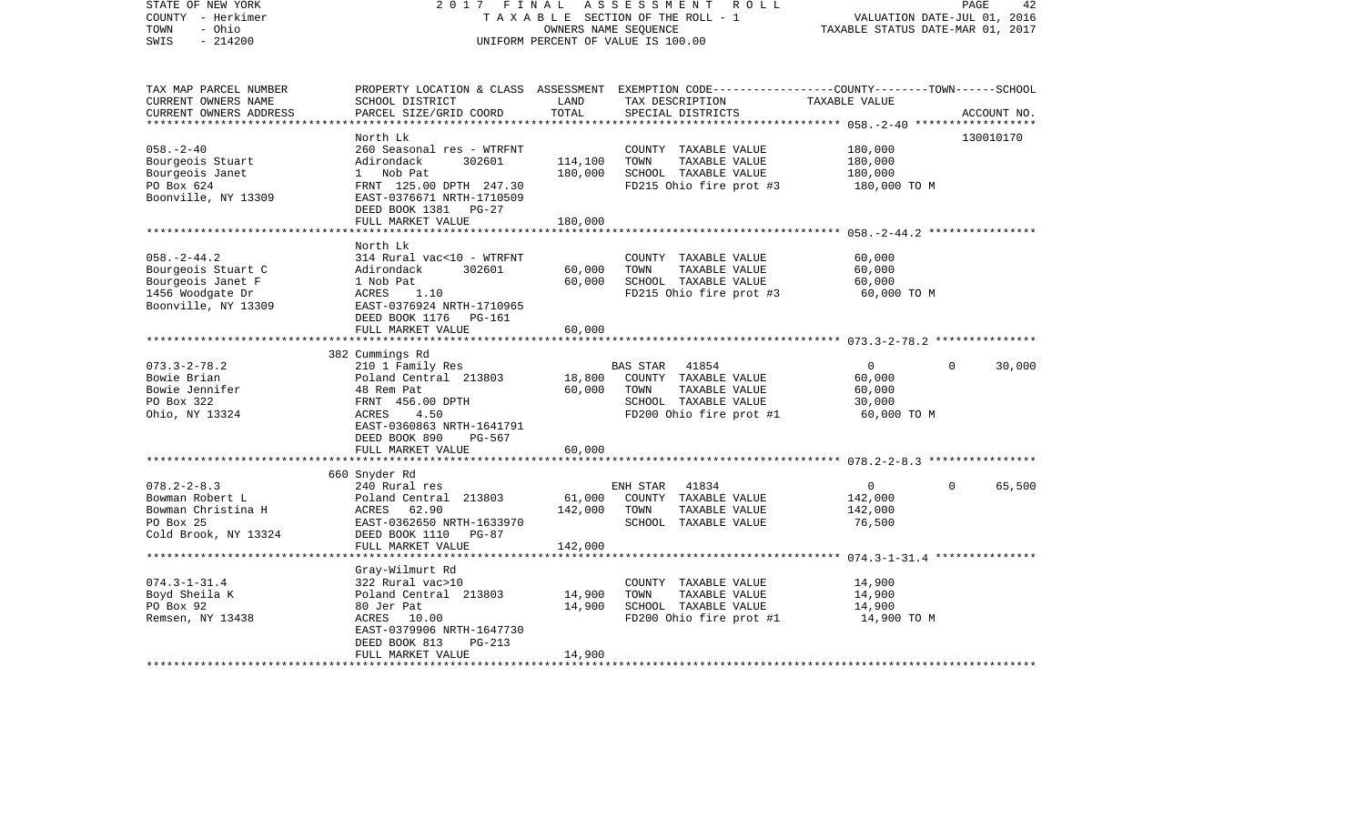| STATE OF NEW YORK<br>COUNTY - Herkimer<br>- Ohio<br>TOWN<br>$-214200$<br>SWIS                           | 2017 FINAL                                                                                                                                                                | OWNERS NAME SEQUENCE | ASSESSMENT ROLL<br>TAXABLE SECTION OF THE ROLL - 1<br>UNIFORM PERCENT OF VALUE IS 100.00                                                | VALUATION DATE-JUL 01, 2016<br>TAXABLE STATUS DATE-MAR 01, 2017 | PAGE<br>42         |
|---------------------------------------------------------------------------------------------------------|---------------------------------------------------------------------------------------------------------------------------------------------------------------------------|----------------------|-----------------------------------------------------------------------------------------------------------------------------------------|-----------------------------------------------------------------|--------------------|
| TAX MAP PARCEL NUMBER<br>CURRENT OWNERS NAME<br>CURRENT OWNERS ADDRESS                                  | SCHOOL DISTRICT<br>PARCEL SIZE/GRID COORD                                                                                                                                 | LAND<br>TOTAL        | PROPERTY LOCATION & CLASS ASSESSMENT EXEMPTION CODE---------------COUNTY-------TOWN------SCHOOL<br>TAX DESCRIPTION<br>SPECIAL DISTRICTS | TAXABLE VALUE                                                   | ACCOUNT NO.        |
|                                                                                                         | North Lk                                                                                                                                                                  |                      |                                                                                                                                         |                                                                 | 130010170          |
| $058. - 2 - 40$<br>Bourgeois Stuart<br>Bourgeois Janet<br>PO Box 624<br>Boonville, NY 13309             | 260 Seasonal res - WTRFNT<br>302601<br>Adirondack<br>1 Nob Pat<br>FRNT 125.00 DPTH 247.30<br>EAST-0376671 NRTH-1710509<br>DEED BOOK 1381 PG-27                            | 114,100<br>180,000   | COUNTY TAXABLE VALUE<br>TOWN<br>TAXABLE VALUE<br>SCHOOL TAXABLE VALUE<br>FD215 Ohio fire prot #3                                        | 180,000<br>180,000<br>180,000<br>180,000 TO M                   |                    |
|                                                                                                         | FULL MARKET VALUE                                                                                                                                                         | 180,000              |                                                                                                                                         |                                                                 |                    |
| $058. - 2 - 44.2$<br>Bourgeois Stuart C<br>Bourgeois Janet F<br>1456 Woodgate Dr<br>Boonville, NY 13309 | North Lk<br>314 Rural vac<10 - WTRFNT<br>Adirondack<br>302601<br>1 Nob Pat<br>ACRES<br>1.10<br>EAST-0376924 NRTH-1710965<br>DEED BOOK 1176 PG-161                         | 60,000<br>60,000     | COUNTY TAXABLE VALUE<br>TOWN<br>TAXABLE VALUE<br>SCHOOL TAXABLE VALUE<br>FD215 Ohio fire prot #3                                        | 60,000<br>60,000<br>60,000<br>60,000 TO M                       |                    |
|                                                                                                         | FULL MARKET VALUE                                                                                                                                                         | 60,000               |                                                                                                                                         |                                                                 |                    |
|                                                                                                         |                                                                                                                                                                           |                      |                                                                                                                                         |                                                                 |                    |
| $073.3 - 2 - 78.2$<br>Bowie Brian<br>Bowie Jennifer<br>PO Box 322<br>Ohio, NY 13324                     | 382 Cummings Rd<br>210 1 Family Res<br>Poland Central 213803<br>48 Rem Pat<br>FRNT 456.00 DPTH<br>ACRES<br>4.50<br>EAST-0360863 NRTH-1641791<br>DEED BOOK 890<br>$PG-567$ | 18,800<br>60,000     | 41854<br><b>BAS STAR</b><br>COUNTY TAXABLE VALUE<br>TOWN<br>TAXABLE VALUE<br>SCHOOL TAXABLE VALUE<br>FD200 Ohio fire prot #1            | $\circ$<br>60,000<br>60,000<br>30,000<br>60,000 TO M            | $\Omega$<br>30,000 |
|                                                                                                         | FULL MARKET VALUE                                                                                                                                                         | 60,000               |                                                                                                                                         |                                                                 |                    |
|                                                                                                         | 660 Snyder Rd                                                                                                                                                             |                      |                                                                                                                                         |                                                                 |                    |
| $078.2 - 2 - 8.3$<br>Bowman Robert L<br>Bowman Christina H<br>PO Box 25<br>Cold Brook, NY 13324         | 240 Rural res<br>Poland Central 213803<br>ACRES 62.90<br>EAST-0362650 NRTH-1633970<br>DEED BOOK 1110<br>PG-87                                                             | 61,000<br>142,000    | ENH STAR<br>41834<br>COUNTY TAXABLE VALUE<br>TAXABLE VALUE<br>TOWN<br>SCHOOL TAXABLE VALUE                                              | $\mathbf{0}$<br>142,000<br>142,000<br>76,500                    | 65,500<br>$\Omega$ |
|                                                                                                         | FULL MARKET VALUE                                                                                                                                                         | 142,000              |                                                                                                                                         |                                                                 |                    |
| $074.3 - 1 - 31.4$<br>Boyd Sheila K<br>PO Box 92<br>Remsen, NY 13438                                    | Gray-Wilmurt Rd<br>322 Rural vac>10<br>Poland Central 213803<br>80 Jer Pat<br>ACRES 10.00<br>EAST-0379906 NRTH-1647730                                                    | 14,900<br>14,900     | COUNTY TAXABLE VALUE<br>TOWN<br>TAXABLE VALUE<br>SCHOOL TAXABLE VALUE<br>FD200 Ohio fire prot #1                                        | 14,900<br>14,900<br>14,900<br>14,900 TO M                       |                    |
|                                                                                                         | DEED BOOK 813<br>$PG-213$<br>FULL MARKET VALUE                                                                                                                            | 14,900               |                                                                                                                                         |                                                                 |                    |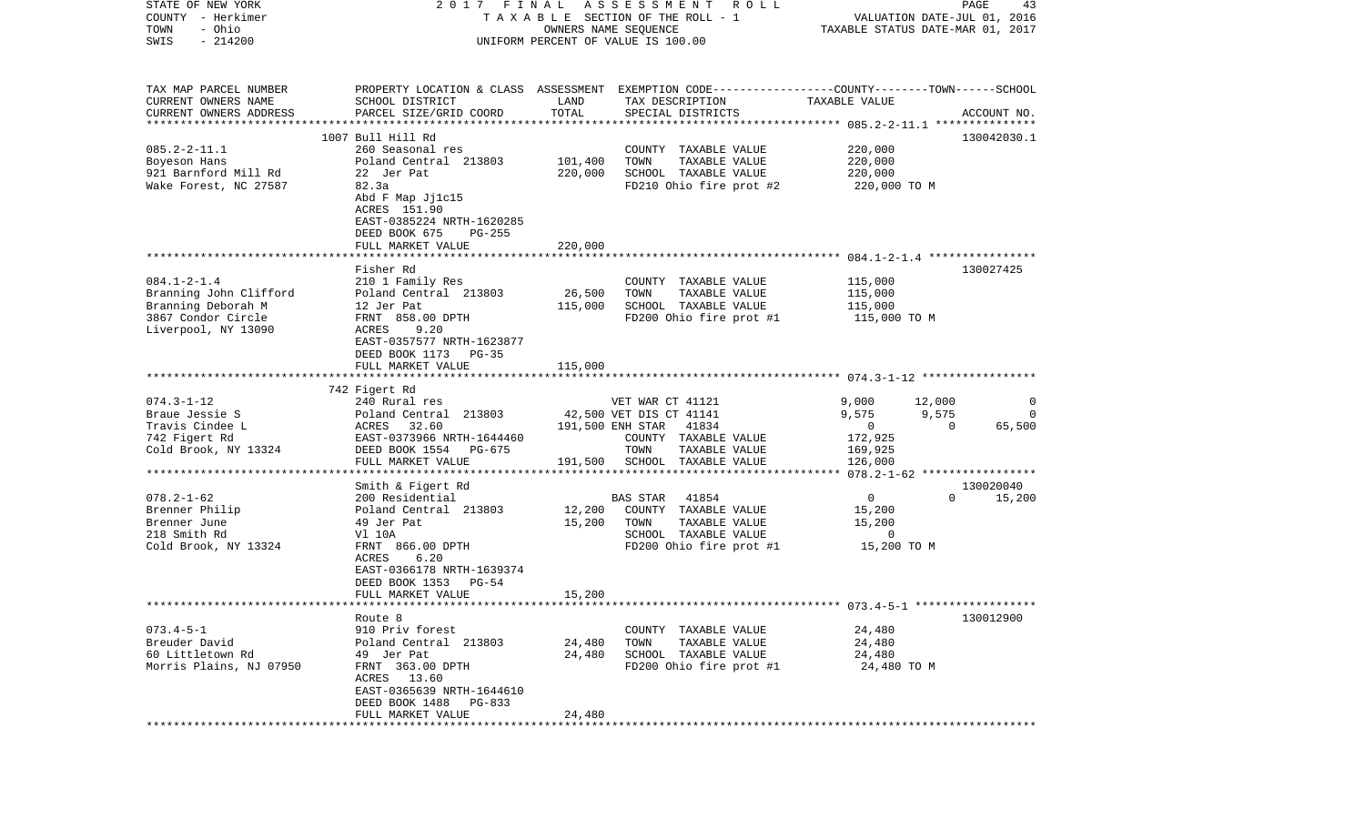| TAXABLE SECTION OF THE ROLL - 1<br>- Ohio<br>TOWN<br>OWNERS NAME SEQUENCE<br>$-214200$<br>SWIS<br>UNIFORM PERCENT OF VALUE IS 100.00                                  | VALUATION DATE-JUL 01, 2016<br>TAXABLE STATUS DATE-MAR 01, 2017 |
|-----------------------------------------------------------------------------------------------------------------------------------------------------------------------|-----------------------------------------------------------------|
| TAX MAP PARCEL NUMBER<br>PROPERTY LOCATION & CLASS ASSESSMENT EXEMPTION CODE---------------COUNTY-------TOWN------SCHOOL                                              |                                                                 |
| CURRENT OWNERS NAME<br>SCHOOL DISTRICT<br>LAND<br>TAX DESCRIPTION<br>TAXABLE VALUE<br>TOTAL                                                                           |                                                                 |
| CURRENT OWNERS ADDRESS<br>PARCEL SIZE/GRID COORD<br>SPECIAL DISTRICTS<br>**********************                                                                       | ACCOUNT NO.                                                     |
| 1007 Bull Hill Rd                                                                                                                                                     | 130042030.1                                                     |
| $085.2 - 2 - 11.1$<br>220,000<br>260 Seasonal res<br>COUNTY TAXABLE VALUE                                                                                             |                                                                 |
| Poland Central 213803<br>101,400<br>TOWN<br>TAXABLE VALUE<br>220,000<br>Boyeson Hans                                                                                  |                                                                 |
| 921 Barnford Mill Rd<br>22 Jer Pat<br>220,000<br>SCHOOL TAXABLE VALUE<br>220,000                                                                                      |                                                                 |
| 82.3a<br>FD210 Ohio fire prot #2<br>Wake Forest, NC 27587<br>220,000 TO M<br>Abd F Map Jj1c15<br>ACRES 151.90<br>EAST-0385224 NRTH-1620285<br>DEED BOOK 675<br>PG-255 |                                                                 |
| 220,000<br>FULL MARKET VALUE                                                                                                                                          |                                                                 |
| Fisher Rd                                                                                                                                                             | 130027425                                                       |
| $084.1 - 2 - 1.4$<br>115,000<br>210 1 Family Res<br>COUNTY TAXABLE VALUE                                                                                              |                                                                 |
| 26,500<br>Branning John Clifford<br>Poland Central 213803<br>TOWN<br>TAXABLE VALUE<br>115,000                                                                         |                                                                 |
| Branning Deborah M<br>115,000<br>SCHOOL TAXABLE VALUE<br>115,000<br>12 Jer Pat                                                                                        |                                                                 |
| 3867 Condor Circle<br>FRNT 858.00 DPTH<br>FD200 Ohio fire prot #1<br>115,000 TO M                                                                                     |                                                                 |
| Liverpool, NY 13090<br>ACRES<br>9.20<br>EAST-0357577 NRTH-1623877<br>DEED BOOK 1173<br>PG-35<br>FULL MARKET VALUE<br>115,000                                          |                                                                 |
|                                                                                                                                                                       |                                                                 |
| 742 Figert Rd                                                                                                                                                         |                                                                 |
| $074.3 - 1 - 12$<br>240 Rural res<br>9,000<br>VET WAR CT 41121                                                                                                        | 12,000<br>0                                                     |
| Braue Jessie S<br>9,575<br>Poland Central 213803<br>42,500 VET DIS CT 41141<br>Travis Cindee L<br>$\mathbf 0$<br>ACRES 32.60<br>191,500 ENH STAR<br>41834             | 9,575<br>$\Omega$<br>$\Omega$<br>65,500                         |
| 172,925<br>742 Figert Rd<br>EAST-0373966 NRTH-1644460<br>COUNTY TAXABLE VALUE                                                                                         |                                                                 |
| Cold Brook, NY 13324<br>DEED BOOK 1554<br>PG-675<br>TOWN<br>TAXABLE VALUE<br>169,925                                                                                  |                                                                 |
| FULL MARKET VALUE<br>191,500<br>SCHOOL TAXABLE VALUE<br>126,000                                                                                                       |                                                                 |
| ********************                                                                                                                                                  | ****** 078.2-1-62 ******************                            |
| Smith & Figert Rd                                                                                                                                                     | 130020040                                                       |
| $078.2 - 1 - 62$<br>$\mathbf 0$<br>200 Residential<br><b>BAS STAR</b><br>41854<br>Brenner Philip<br>Poland Central 213803<br>12,200<br>COUNTY TAXABLE VALUE<br>15,200 | $\Omega$<br>15,200                                              |
| Brenner June<br>49 Jer Pat<br>15,200<br>TOWN<br>TAXABLE VALUE<br>15,200                                                                                               |                                                                 |
| 218 Smith Rd<br>V1 10A<br>SCHOOL TAXABLE VALUE<br>0                                                                                                                   |                                                                 |
| Cold Brook, NY 13324<br>FRNT 866.00 DPTH<br>FD200 Ohio fire prot #1<br>15,200 TO M                                                                                    |                                                                 |
| ACRES<br>6.20<br>EAST-0366178 NRTH-1639374<br>DEED BOOK 1353<br>$PG-54$<br>15,200<br>FULL MARKET VALUE                                                                |                                                                 |
| *********************<br>******************************* 073.4-5-1 ******************                                                                                 |                                                                 |
| Route 8                                                                                                                                                               | 130012900                                                       |
| $073.4 - 5 - 1$<br>910 Priv forest<br>COUNTY TAXABLE VALUE<br>24,480                                                                                                  |                                                                 |
| Breuder David<br>Poland Central 213803<br>24,480<br>TOWN<br>TAXABLE VALUE<br>24,480                                                                                   |                                                                 |
| 60 Littletown Rd<br>49 Jer Pat<br>24,480<br>SCHOOL TAXABLE VALUE<br>24,480                                                                                            |                                                                 |
| Morris Plains, NJ 07950<br>FRNT 363.00 DPTH<br>FD200 Ohio fire prot #1<br>ACRES<br>13.60<br>EAST-0365639 NRTH-1644610<br>DEED BOOK 1488<br>$PG-833$                   | 24,480 TO M                                                     |
| 24,480<br>FULL MARKET VALUE                                                                                                                                           |                                                                 |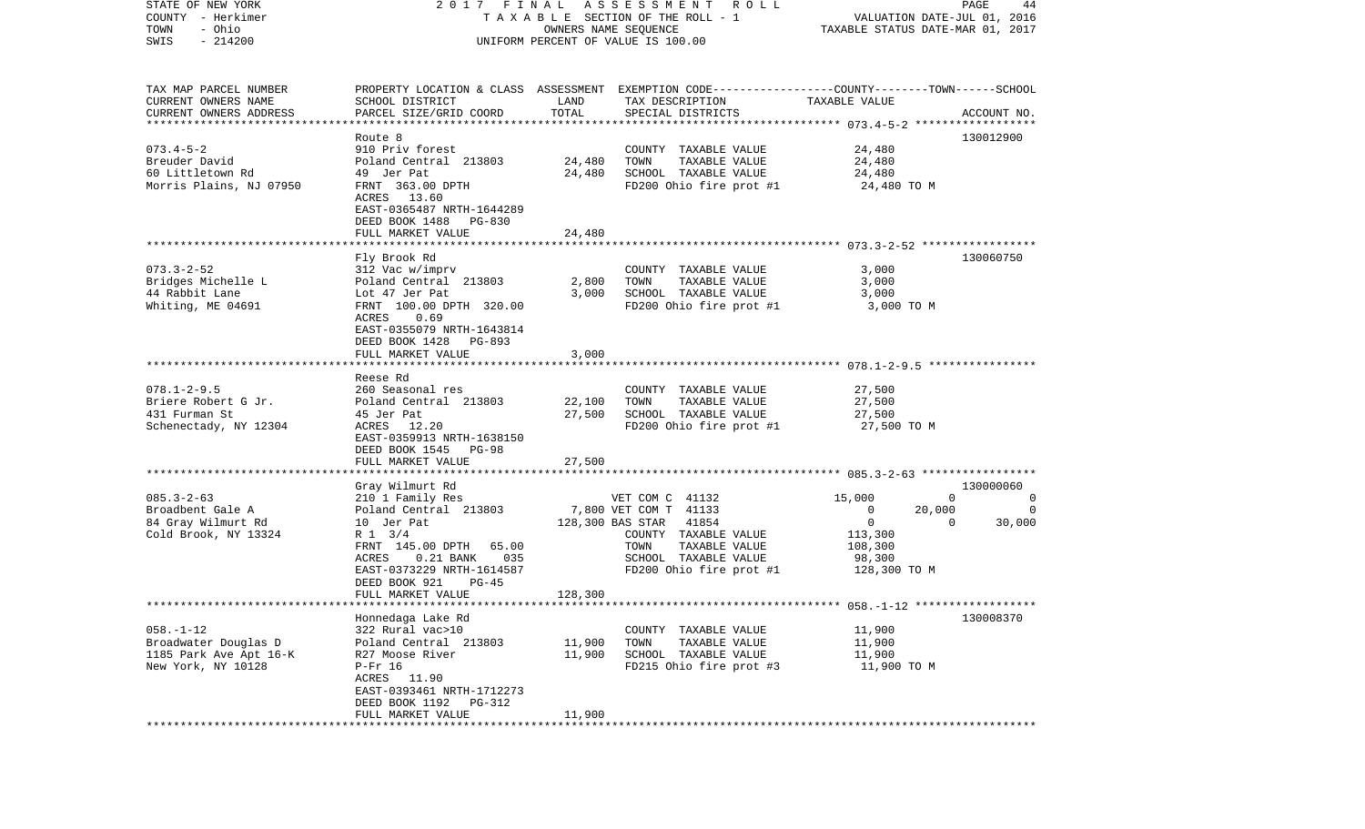| STATE OF NEW YORK                                   |                                |         | 2017 FINAL ASSESSMENT ROLL                                                                      |                                  | PAGE<br>44         |
|-----------------------------------------------------|--------------------------------|---------|-------------------------------------------------------------------------------------------------|----------------------------------|--------------------|
| COUNTY - Herkimer                                   |                                |         | TAXABLE SECTION OF THE ROLL - 1                                                                 | VALUATION DATE-JUL 01, 2016      |                    |
| - Ohio<br>TOWN                                      |                                |         | OWNERS NAME SEQUENCE                                                                            | TAXABLE STATUS DATE-MAR 01, 2017 |                    |
| $-214200$<br>SWIS                                   |                                |         | UNIFORM PERCENT OF VALUE IS 100.00                                                              |                                  |                    |
|                                                     |                                |         |                                                                                                 |                                  |                    |
|                                                     |                                |         |                                                                                                 |                                  |                    |
| TAX MAP PARCEL NUMBER                               |                                |         | PROPERTY LOCATION & CLASS ASSESSMENT EXEMPTION CODE---------------COUNTY-------TOWN------SCHOOL |                                  |                    |
| CURRENT OWNERS NAME                                 | SCHOOL DISTRICT                | LAND    | TAX DESCRIPTION                                                                                 | TAXABLE VALUE                    |                    |
| CURRENT OWNERS ADDRESS<br>************************* | PARCEL SIZE/GRID COORD         | TOTAL   | SPECIAL DISTRICTS                                                                               |                                  | ACCOUNT NO.        |
|                                                     | Route <sub>8</sub>             |         |                                                                                                 |                                  | 130012900          |
| $073.4 - 5 - 2$                                     | 910 Priv forest                |         | COUNTY TAXABLE VALUE                                                                            | 24,480                           |                    |
| Breuder David                                       | Poland Central 213803          | 24,480  | TOWN<br>TAXABLE VALUE                                                                           | 24,480                           |                    |
| 60 Littletown Rd                                    | 49 Jer Pat                     | 24,480  | SCHOOL TAXABLE VALUE                                                                            | 24,480                           |                    |
| Morris Plains, NJ 07950                             | FRNT 363.00 DPTH               |         | FD200 Ohio fire prot #1                                                                         | 24,480 TO M                      |                    |
|                                                     | ACRES 13.60                    |         |                                                                                                 |                                  |                    |
|                                                     | EAST-0365487 NRTH-1644289      |         |                                                                                                 |                                  |                    |
|                                                     | DEED BOOK 1488<br>PG-830       |         |                                                                                                 |                                  |                    |
|                                                     | FULL MARKET VALUE              | 24,480  |                                                                                                 |                                  |                    |
|                                                     |                                |         |                                                                                                 |                                  |                    |
|                                                     | Fly Brook Rd                   |         |                                                                                                 |                                  | 130060750          |
| $073.3 - 2 - 52$                                    | 312 Vac w/imprv                |         | COUNTY TAXABLE VALUE                                                                            | 3,000                            |                    |
| Bridges Michelle L                                  | Poland Central 213803          | 2,800   | TOWN<br>TAXABLE VALUE                                                                           | 3,000                            |                    |
| 44 Rabbit Lane                                      | Lot 47 Jer Pat                 | 3,000   | SCHOOL TAXABLE VALUE                                                                            | 3,000                            |                    |
| Whiting, ME 04691                                   | FRNT 100.00 DPTH 320.00        |         | FD200 Ohio fire prot #1                                                                         | 3,000 TO M                       |                    |
|                                                     | ACRES<br>0.69                  |         |                                                                                                 |                                  |                    |
|                                                     | EAST-0355079 NRTH-1643814      |         |                                                                                                 |                                  |                    |
|                                                     | DEED BOOK 1428<br>PG-893       |         |                                                                                                 |                                  |                    |
|                                                     | FULL MARKET VALUE              | 3,000   |                                                                                                 |                                  |                    |
|                                                     |                                |         |                                                                                                 |                                  |                    |
|                                                     | Reese Rd                       |         |                                                                                                 |                                  |                    |
| $078.1 - 2 - 9.5$                                   | 260 Seasonal res               |         | COUNTY TAXABLE VALUE                                                                            | 27,500                           |                    |
| Briere Robert G Jr.                                 | Poland Central 213803          | 22,100  | TOWN<br>TAXABLE VALUE                                                                           | 27,500                           |                    |
| 431 Furman St                                       | 45 Jer Pat                     | 27,500  | SCHOOL TAXABLE VALUE                                                                            | 27,500                           |                    |
| Schenectady, NY 12304                               | ACRES 12.20                    |         | FD200 Ohio fire prot #1                                                                         | 27,500 TO M                      |                    |
|                                                     | EAST-0359913 NRTH-1638150      |         |                                                                                                 |                                  |                    |
|                                                     | DEED BOOK 1545<br><b>PG-98</b> |         |                                                                                                 |                                  |                    |
|                                                     | FULL MARKET VALUE              | 27,500  |                                                                                                 |                                  |                    |
|                                                     | *******************            |         |                                                                                                 |                                  |                    |
|                                                     | Gray Wilmurt Rd                |         |                                                                                                 |                                  | 130000060          |
| $085.3 - 2 - 63$                                    | 210 1 Family Res               |         | VET COM C 41132                                                                                 | 15,000                           | $\mathbf 0$<br>0   |
| Broadbent Gale A                                    | Poland Central 213803          |         | 7,800 VET COM T 41133                                                                           | $\overline{0}$<br>20,000         | 0                  |
| 84 Gray Wilmurt Rd                                  | 10 Jer Pat                     |         | 128,300 BAS STAR<br>41854                                                                       | $\overline{0}$                   | 30,000<br>$\Omega$ |
| Cold Brook, NY 13324                                | R 1 3/4                        |         | COUNTY TAXABLE VALUE                                                                            | 113,300                          |                    |
|                                                     | FRNT 145.00 DPTH 65.00         |         | TAXABLE VALUE<br>TOWN                                                                           | 108,300                          |                    |
|                                                     | $0.21$ BANK<br>035<br>ACRES    |         | SCHOOL TAXABLE VALUE                                                                            | 98,300                           |                    |
|                                                     | EAST-0373229 NRTH-1614587      |         | FD200 Ohio fire prot #1                                                                         | 128,300 TO M                     |                    |
|                                                     | DEED BOOK 921<br>$PG-45$       |         |                                                                                                 |                                  |                    |
|                                                     | FULL MARKET VALUE              | 128,300 |                                                                                                 |                                  |                    |
|                                                     |                                |         |                                                                                                 |                                  |                    |
|                                                     | Honnedaga Lake Rd              |         |                                                                                                 |                                  | 130008370          |
| $058. - 1 - 12$                                     | 322 Rural vac>10               |         | COUNTY TAXABLE VALUE                                                                            | 11,900                           |                    |
| Broadwater Douglas D                                | Poland Central 213803          | 11,900  | TOWN<br>TAXABLE VALUE                                                                           | 11,900                           |                    |
| 1185 Park Ave Apt 16-K                              | R27 Moose River                | 11,900  | SCHOOL TAXABLE VALUE                                                                            | 11,900                           |                    |
| New York, NY 10128                                  | $P-Fr$ 16                      |         | FD215 Ohio fire prot #3                                                                         | 11,900 TO M                      |                    |
|                                                     | ACRES<br>11.90                 |         |                                                                                                 |                                  |                    |
|                                                     | EAST-0393461 NRTH-1712273      |         |                                                                                                 |                                  |                    |
|                                                     | DEED BOOK 1192<br>PG-312       |         |                                                                                                 |                                  |                    |
|                                                     | FULL MARKET VALUE              | 11,900  |                                                                                                 |                                  |                    |
| ************                                        |                                |         |                                                                                                 |                                  |                    |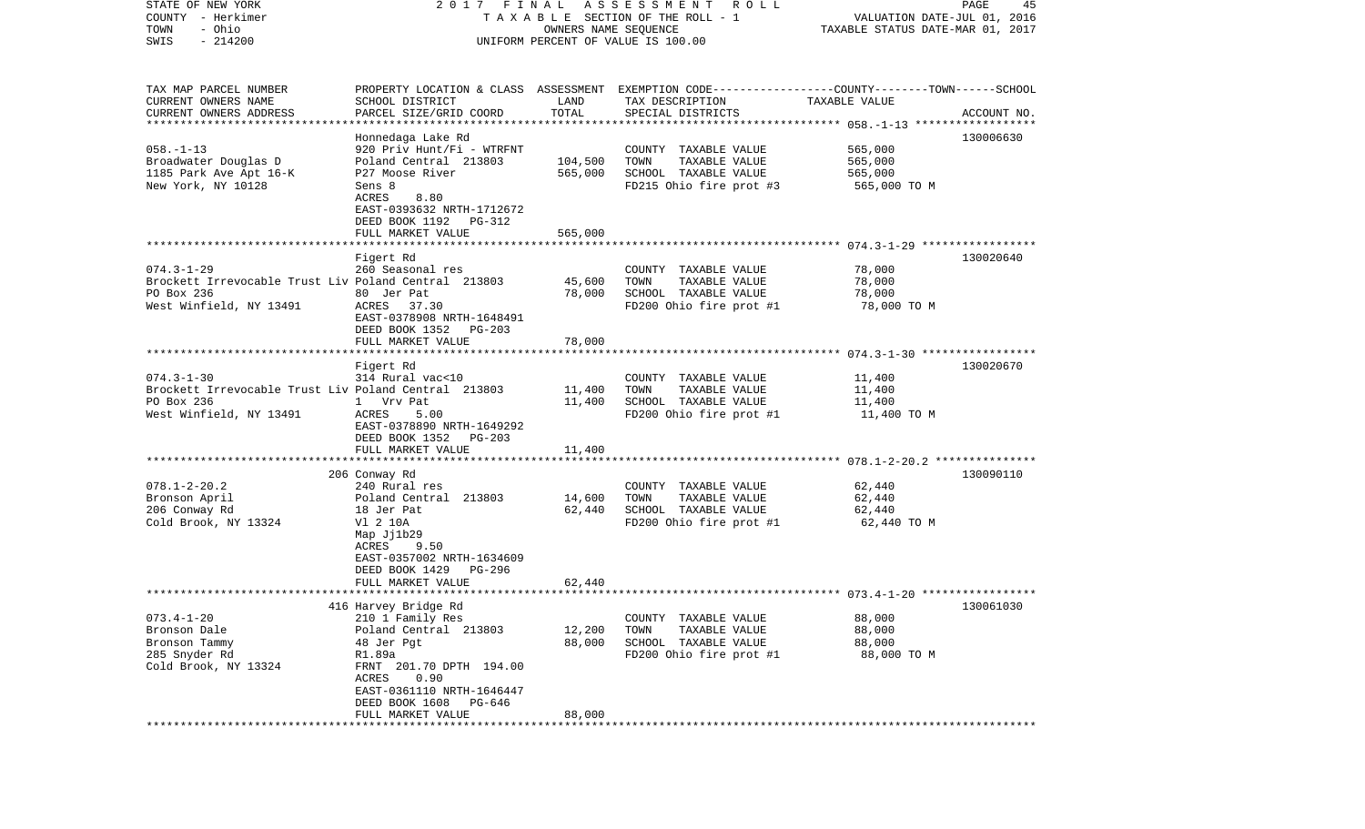| STATE OF NEW YORK                                    | 2017 FINAL                |                      | A S S E S S M E N T<br>R O L L                                                                  |                                  | PAGE<br>45  |
|------------------------------------------------------|---------------------------|----------------------|-------------------------------------------------------------------------------------------------|----------------------------------|-------------|
| COUNTY - Herkimer                                    |                           |                      | TAXABLE SECTION OF THE ROLL - 1                                                                 | VALUATION DATE-JUL 01, 2016      |             |
| - Ohio<br>TOWN                                       |                           | OWNERS NAME SEQUENCE |                                                                                                 | TAXABLE STATUS DATE-MAR 01, 2017 |             |
| $-214200$<br>SWIS                                    |                           |                      | UNIFORM PERCENT OF VALUE IS 100.00                                                              |                                  |             |
|                                                      |                           |                      |                                                                                                 |                                  |             |
| TAX MAP PARCEL NUMBER                                |                           |                      | PROPERTY LOCATION & CLASS ASSESSMENT EXEMPTION CODE---------------COUNTY-------TOWN------SCHOOL |                                  |             |
| CURRENT OWNERS NAME                                  | SCHOOL DISTRICT           | LAND                 | TAX DESCRIPTION                                                                                 | TAXABLE VALUE                    |             |
| CURRENT OWNERS ADDRESS                               | PARCEL SIZE/GRID COORD    | TOTAL                | SPECIAL DISTRICTS                                                                               |                                  | ACCOUNT NO. |
| *************************                            |                           |                      |                                                                                                 |                                  |             |
|                                                      | Honnedaga Lake Rd         |                      |                                                                                                 |                                  | 130006630   |
| $058. - 1 - 13$                                      | 920 Priv Hunt/Fi - WTRFNT |                      | COUNTY TAXABLE VALUE                                                                            | 565,000                          |             |
| Broadwater Douglas D                                 | Poland Central 213803     | 104,500              | TOWN<br>TAXABLE VALUE                                                                           | 565,000                          |             |
| 1185 Park Ave Apt 16-K                               | P27 Moose River           | 565,000              | SCHOOL TAXABLE VALUE                                                                            | 565,000                          |             |
| New York, NY 10128                                   | Sens 8                    |                      | FD215 Ohio fire prot #3                                                                         | 565,000 TO M                     |             |
|                                                      | ACRES<br>8.80             |                      |                                                                                                 |                                  |             |
|                                                      | EAST-0393632 NRTH-1712672 |                      |                                                                                                 |                                  |             |
|                                                      | DEED BOOK 1192 PG-312     |                      |                                                                                                 |                                  |             |
|                                                      | FULL MARKET VALUE         | 565,000              |                                                                                                 |                                  |             |
|                                                      |                           |                      |                                                                                                 |                                  |             |
|                                                      | Figert Rd                 |                      |                                                                                                 |                                  | 130020640   |
| $074.3 - 1 - 29$                                     | 260 Seasonal res          |                      | COUNTY TAXABLE VALUE                                                                            | 78,000                           |             |
| Brockett Irrevocable Trust Liv Poland Central 213803 |                           | 45,600               | TOWN<br>TAXABLE VALUE                                                                           | 78,000                           |             |
| PO Box 236                                           | 80 Jer Pat                | 78,000               | SCHOOL TAXABLE VALUE                                                                            | 78,000                           |             |
| West Winfield, NY 13491                              | ACRES 37.30               |                      | FD200 Ohio fire prot #1                                                                         | 78,000 TO M                      |             |
|                                                      | EAST-0378908 NRTH-1648491 |                      |                                                                                                 |                                  |             |
|                                                      | DEED BOOK 1352<br>PG-203  |                      |                                                                                                 |                                  |             |
|                                                      | FULL MARKET VALUE         | 78,000               |                                                                                                 |                                  |             |
|                                                      |                           |                      |                                                                                                 |                                  |             |
|                                                      | Figert Rd                 |                      |                                                                                                 |                                  | 130020670   |
| $074.3 - 1 - 30$                                     | 314 Rural vac<10          |                      | COUNTY TAXABLE VALUE                                                                            | 11,400                           |             |
| Brockett Irrevocable Trust Liv Poland Central 213803 |                           | 11,400               | TAXABLE VALUE<br>TOWN                                                                           | 11,400                           |             |
| PO Box 236                                           | 1 Vrv Pat                 | 11,400               | SCHOOL TAXABLE VALUE                                                                            | 11,400                           |             |
| West Winfield, NY 13491                              | ACRES<br>5.00             |                      | FD200 Ohio fire prot #1                                                                         | 11,400 TO M                      |             |
|                                                      | EAST-0378890 NRTH-1649292 |                      |                                                                                                 |                                  |             |
|                                                      | DEED BOOK 1352<br>PG-203  |                      |                                                                                                 |                                  |             |
|                                                      | FULL MARKET VALUE         | 11,400               |                                                                                                 |                                  |             |
|                                                      | 206 Conway Rd             |                      |                                                                                                 |                                  | 130090110   |
| $078.1 - 2 - 20.2$                                   | 240 Rural res             |                      | COUNTY TAXABLE VALUE                                                                            | 62,440                           |             |
| Bronson April                                        | Poland Central 213803     | 14,600               | TAXABLE VALUE<br>TOWN                                                                           | 62,440                           |             |
| 206 Conway Rd                                        | 18 Jer Pat                | 62,440               | SCHOOL TAXABLE VALUE                                                                            | 62,440                           |             |
| Cold Brook, NY 13324                                 | V1 2 10A                  |                      | FD200 Ohio fire prot #1                                                                         | 62,440 TO M                      |             |
|                                                      | Map Jj1b29                |                      |                                                                                                 |                                  |             |
|                                                      | 9.50<br>ACRES             |                      |                                                                                                 |                                  |             |
|                                                      | EAST-0357002 NRTH-1634609 |                      |                                                                                                 |                                  |             |
|                                                      | DEED BOOK 1429<br>PG-296  |                      |                                                                                                 |                                  |             |
|                                                      | FULL MARKET VALUE         | 62,440               |                                                                                                 |                                  |             |
|                                                      |                           |                      |                                                                                                 |                                  |             |
|                                                      | 416 Harvey Bridge Rd      |                      |                                                                                                 |                                  | 130061030   |
| $073.4 - 1 - 20$                                     | 210 1 Family Res          |                      | COUNTY TAXABLE VALUE                                                                            | 88,000                           |             |
| Bronson Dale                                         | Poland Central 213803     | 12,200               | TOWN<br>TAXABLE VALUE                                                                           | 88,000                           |             |
| Bronson Tammy                                        | 48 Jer Pgt                | 88,000               | SCHOOL TAXABLE VALUE                                                                            | 88,000                           |             |
| 285 Snyder Rd                                        | R1.89a                    |                      | FD200 Ohio fire prot #1                                                                         | 88,000 TO M                      |             |
| Cold Brook, NY 13324                                 | FRNT 201.70 DPTH 194.00   |                      |                                                                                                 |                                  |             |
|                                                      | ACRES<br>0.90             |                      |                                                                                                 |                                  |             |
|                                                      | EAST-0361110 NRTH-1646447 |                      |                                                                                                 |                                  |             |
|                                                      | DEED BOOK 1608<br>PG-646  |                      |                                                                                                 |                                  |             |
|                                                      | FULL MARKET VALUE         | 88,000               |                                                                                                 |                                  |             |
|                                                      |                           |                      |                                                                                                 |                                  |             |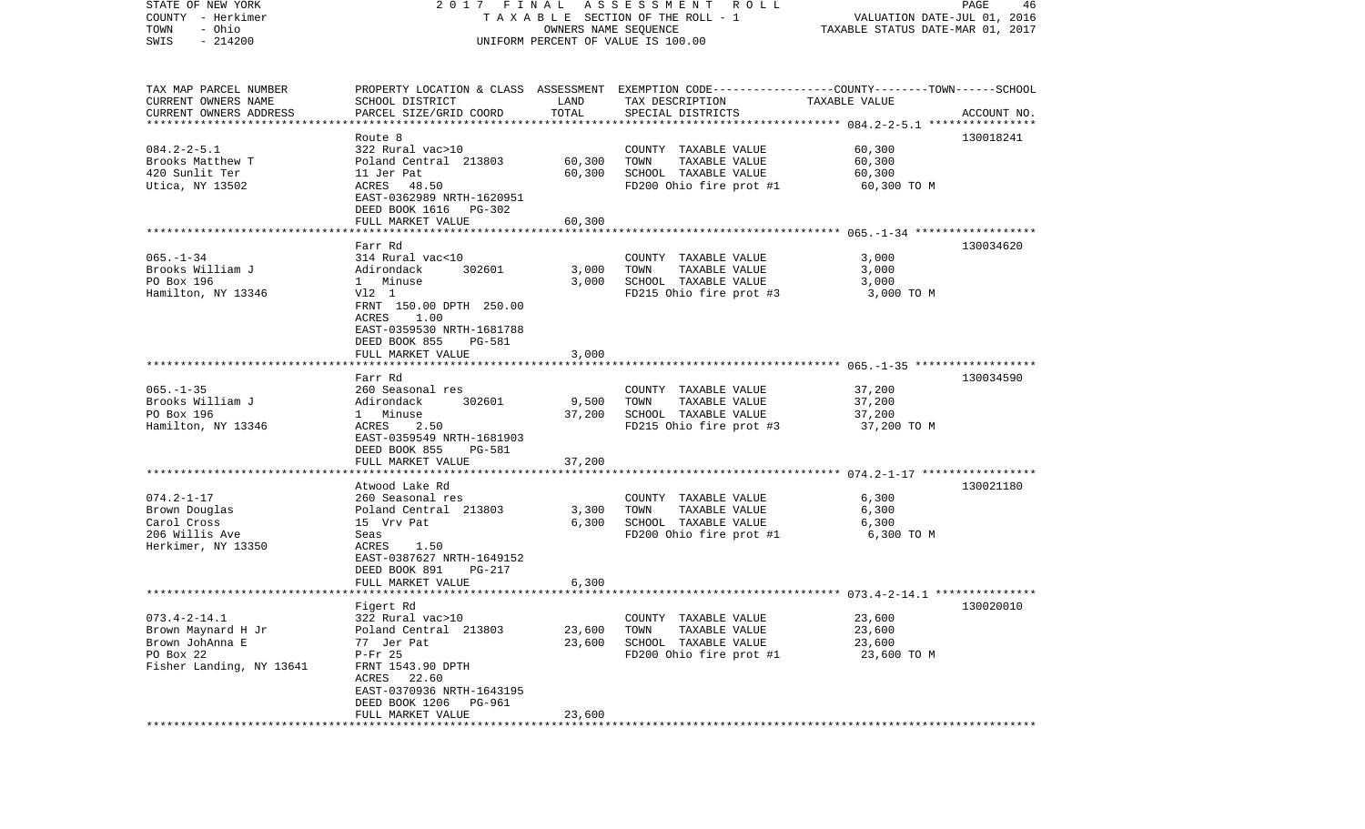| STATE OF NEW YORK        | 2017 FINAL                |                      | A S S E S S M E N T R O L L                                                                      |                                  | PAGE<br>46  |
|--------------------------|---------------------------|----------------------|--------------------------------------------------------------------------------------------------|----------------------------------|-------------|
| COUNTY - Herkimer        |                           |                      | TAXABLE SECTION OF THE ROLL - 1                                                                  | VALUATION DATE-JUL 01, 2016      |             |
| - Ohio<br>TOWN           |                           | OWNERS NAME SEQUENCE |                                                                                                  | TAXABLE STATUS DATE-MAR 01, 2017 |             |
| $-214200$<br>SWIS        |                           |                      | UNIFORM PERCENT OF VALUE IS 100.00                                                               |                                  |             |
|                          |                           |                      |                                                                                                  |                                  |             |
|                          |                           |                      |                                                                                                  |                                  |             |
| TAX MAP PARCEL NUMBER    |                           |                      | PROPERTY LOCATION & CLASS ASSESSMENT EXEMPTION CODE----------------COUNTY-------TOWN------SCHOOL |                                  |             |
| CURRENT OWNERS NAME      | SCHOOL DISTRICT           | LAND                 | TAX DESCRIPTION                                                                                  | TAXABLE VALUE                    |             |
| CURRENT OWNERS ADDRESS   | PARCEL SIZE/GRID COORD    | TOTAL                | SPECIAL DISTRICTS                                                                                |                                  | ACCOUNT NO. |
| ************************ |                           |                      |                                                                                                  |                                  |             |
|                          | Route 8                   |                      |                                                                                                  |                                  | 130018241   |
| $084.2 - 2 - 5.1$        | 322 Rural vac>10          |                      | COUNTY TAXABLE VALUE                                                                             | 60,300                           |             |
| Brooks Matthew T         | Poland Central 213803     | 60,300               | TAXABLE VALUE<br>TOWN                                                                            | 60,300                           |             |
| 420 Sunlit Ter           | 11 Jer Pat                | 60,300               | SCHOOL TAXABLE VALUE                                                                             | 60,300                           |             |
| Utica, NY 13502          | ACRES 48.50               |                      | FD200 Ohio fire prot #1                                                                          | 60,300 TO M                      |             |
|                          | EAST-0362989 NRTH-1620951 |                      |                                                                                                  |                                  |             |
|                          | DEED BOOK 1616 PG-302     |                      |                                                                                                  |                                  |             |
|                          | FULL MARKET VALUE         | 60,300               |                                                                                                  |                                  |             |
|                          |                           |                      |                                                                                                  |                                  |             |
|                          | Farr Rd                   |                      |                                                                                                  |                                  | 130034620   |
| $065. - 1 - 34$          | 314 Rural vac<10          |                      | COUNTY TAXABLE VALUE                                                                             | 3,000                            |             |
| Brooks William J         | Adirondack<br>302601      | 3,000                | TAXABLE VALUE<br>TOWN                                                                            | 3,000                            |             |
| PO Box 196               | 1 Minuse                  | 3,000                | SCHOOL TAXABLE VALUE                                                                             | 3,000                            |             |
| Hamilton, NY 13346       | V12 1                     |                      | FD215 Ohio fire prot #3                                                                          | 3,000 TO M                       |             |
|                          | FRNT 150.00 DPTH 250.00   |                      |                                                                                                  |                                  |             |
|                          | ACRES<br>1.00             |                      |                                                                                                  |                                  |             |
|                          | EAST-0359530 NRTH-1681788 |                      |                                                                                                  |                                  |             |
|                          | DEED BOOK 855<br>PG-581   |                      |                                                                                                  |                                  |             |
|                          | FULL MARKET VALUE         | 3,000                |                                                                                                  |                                  |             |
|                          |                           |                      |                                                                                                  |                                  |             |
|                          | Farr Rd                   |                      |                                                                                                  |                                  | 130034590   |
| $065. -1 - 35$           | 260 Seasonal res          |                      | COUNTY TAXABLE VALUE                                                                             | 37,200                           |             |
| Brooks William J         | 302601<br>Adirondack      | 9,500                | TAXABLE VALUE<br>TOWN                                                                            | 37,200                           |             |
| PO Box 196               | 1 Minuse                  | 37,200               | SCHOOL TAXABLE VALUE                                                                             | 37,200                           |             |
| Hamilton, NY 13346       | ACRES<br>2.50             |                      | FD215 Ohio fire prot #3                                                                          | 37,200 TO M                      |             |
|                          | EAST-0359549 NRTH-1681903 |                      |                                                                                                  |                                  |             |
|                          | DEED BOOK 855<br>PG-581   |                      |                                                                                                  |                                  |             |
|                          | FULL MARKET VALUE         | 37,200               |                                                                                                  |                                  |             |
|                          | *******************       |                      |                                                                                                  |                                  |             |
|                          | Atwood Lake Rd            |                      |                                                                                                  |                                  | 130021180   |
| $074.2 - 1 - 17$         | 260 Seasonal res          |                      | COUNTY TAXABLE VALUE                                                                             | 6,300                            |             |
| Brown Douglas            | Poland Central 213803     | 3,300                | TOWN<br>TAXABLE VALUE                                                                            | 6,300                            |             |
| Carol Cross              | 15 Vrv Pat                | 6,300                | SCHOOL TAXABLE VALUE                                                                             | 6,300                            |             |
| 206 Willis Ave           | Seas                      |                      | FD200 Ohio fire prot #1                                                                          | 6,300 TO M                       |             |
| Herkimer, NY 13350       | 1.50<br>ACRES             |                      |                                                                                                  |                                  |             |
|                          | EAST-0387627 NRTH-1649152 |                      |                                                                                                  |                                  |             |
|                          | DEED BOOK 891<br>PG-217   |                      |                                                                                                  |                                  |             |
|                          | FULL MARKET VALUE         | 6,300                |                                                                                                  |                                  |             |
|                          |                           |                      |                                                                                                  |                                  |             |
|                          | Figert Rd                 |                      |                                                                                                  |                                  | 130020010   |
| $073.4 - 2 - 14.1$       | 322 Rural vac>10          |                      | COUNTY TAXABLE VALUE                                                                             | 23,600                           |             |
| Brown Maynard H Jr       | Poland Central 213803     | 23,600               | TOWN<br>TAXABLE VALUE                                                                            | 23,600                           |             |
| Brown JohAnna E          | 77 Jer Pat                | 23,600               | SCHOOL TAXABLE VALUE                                                                             | 23,600                           |             |
| PO Box 22                | $P-Fr$ 25                 |                      | FD200 Ohio fire prot #1                                                                          | 23,600 TO M                      |             |
| Fisher Landing, NY 13641 | FRNT 1543.90 DPTH         |                      |                                                                                                  |                                  |             |
|                          | 22.60<br>ACRES            |                      |                                                                                                  |                                  |             |
|                          | EAST-0370936 NRTH-1643195 |                      |                                                                                                  |                                  |             |
|                          | DEED BOOK 1206<br>PG-961  |                      |                                                                                                  |                                  |             |
|                          | FULL MARKET VALUE         | 23,600               |                                                                                                  |                                  |             |
|                          |                           |                      |                                                                                                  |                                  |             |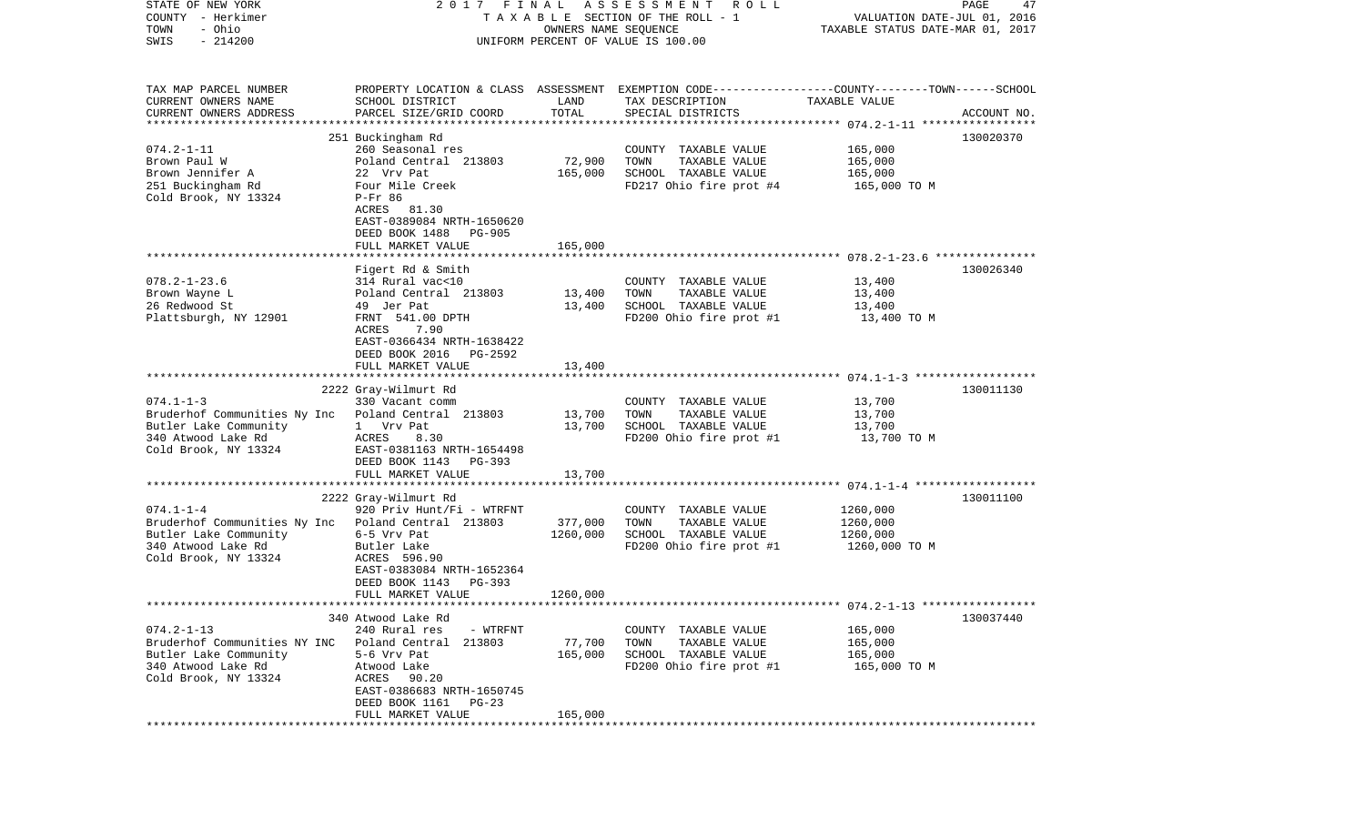| STATE OF NEW YORK<br>COUNTY - Herkimer<br>- Ohio<br>TOWN<br>$-214200$<br>SWIS                                                                | 2017 FINAL<br>TAXABLE SECTION OF THE ROLL - 1<br>UNIFORM PERCENT OF VALUE IS 100.00                                                                                                                          | PAGE<br>VALUATION DATE-JUL 01, 2016<br>TAXABLE STATUS DATE-MAR 01, 2017 |                                                                                                                                         |                                                   |             |
|----------------------------------------------------------------------------------------------------------------------------------------------|--------------------------------------------------------------------------------------------------------------------------------------------------------------------------------------------------------------|-------------------------------------------------------------------------|-----------------------------------------------------------------------------------------------------------------------------------------|---------------------------------------------------|-------------|
| TAX MAP PARCEL NUMBER<br>CURRENT OWNERS NAME<br>CURRENT OWNERS ADDRESS<br>**********************                                             | SCHOOL DISTRICT<br>PARCEL SIZE/GRID COORD                                                                                                                                                                    | LAND<br>TOTAL                                                           | PROPERTY LOCATION & CLASS ASSESSMENT EXEMPTION CODE---------------COUNTY-------TOWN------SCHOOL<br>TAX DESCRIPTION<br>SPECIAL DISTRICTS | TAXABLE VALUE                                     | ACCOUNT NO. |
| $074.2 - 1 - 11$<br>Brown Paul W<br>Brown Jennifer A<br>251 Buckingham Rd<br>Cold Brook, NY 13324                                            | 251 Buckingham Rd<br>260 Seasonal res<br>Poland Central 213803<br>22 Vrv Pat<br>Four Mile Creek<br>$P-Fr$ 86<br>ACRES<br>81.30<br>EAST-0389084 NRTH-1650620<br>DEED BOOK 1488<br>PG-905<br>FULL MARKET VALUE | 72,900<br>165,000<br>165,000                                            | COUNTY TAXABLE VALUE<br>TOWN<br>TAXABLE VALUE<br>SCHOOL TAXABLE VALUE<br>FD217 Ohio fire prot #4                                        | 165,000<br>165,000<br>165,000<br>165,000 TO M     | 130020370   |
|                                                                                                                                              |                                                                                                                                                                                                              |                                                                         |                                                                                                                                         |                                                   |             |
| $078.2 - 1 - 23.6$<br>Brown Wayne L<br>26 Redwood St<br>Plattsburgh, NY 12901                                                                | Figert Rd & Smith<br>314 Rural vac<10<br>Poland Central 213803<br>49 Jer Pat<br>FRNT 541.00 DPTH<br>ACRES<br>7.90<br>EAST-0366434 NRTH-1638422<br>DEED BOOK 2016<br>PG-2592                                  | 13,400<br>13,400                                                        | COUNTY TAXABLE VALUE<br>TOWN<br>TAXABLE VALUE<br>SCHOOL TAXABLE VALUE<br>FD200 Ohio fire prot #1                                        | 13,400<br>13,400<br>13,400<br>13,400 TO M         | 130026340   |
|                                                                                                                                              | FULL MARKET VALUE                                                                                                                                                                                            | 13,400                                                                  |                                                                                                                                         |                                                   |             |
| $074.1 - 1 - 3$<br>Bruderhof Communities Ny Inc<br>Butler Lake Community<br>340 Atwood Lake Rd<br>Cold Brook, NY 13324                       | 2222 Gray-Wilmurt Rd<br>330 Vacant comm<br>Poland Central 213803<br>1 Vrv Pat<br>ACRES<br>8.30<br>EAST-0381163 NRTH-1654498<br>DEED BOOK 1143<br>PG-393                                                      | 13,700<br>13,700                                                        | COUNTY TAXABLE VALUE<br>TAXABLE VALUE<br>TOWN<br>SCHOOL TAXABLE VALUE<br>FD200 Ohio fire prot #1                                        | 13,700<br>13,700<br>13,700<br>13,700 TO M         | 130011130   |
|                                                                                                                                              | FULL MARKET VALUE<br>*****************************                                                                                                                                                           | 13,700                                                                  |                                                                                                                                         |                                                   |             |
| $074.1 - 1 - 4$<br>Bruderhof Communities Ny Inc Poland Central 213803<br>Butler Lake Community<br>340 Atwood Lake Rd<br>Cold Brook, NY 13324 | 2222 Gray-Wilmurt Rd<br>920 Priv Hunt/Fi - WTRFNT<br>6-5 Vrv Pat<br>Butler Lake<br>ACRES 596.90<br>EAST-0383084 NRTH-1652364<br>DEED BOOK 1143<br>PG-393<br>FULL MARKET VALUE                                | 377,000<br>1260,000<br>1260,000                                         | COUNTY TAXABLE VALUE<br>TOWN<br>TAXABLE VALUE<br>SCHOOL TAXABLE VALUE<br>FD200 Ohio fire prot #1                                        | 1260,000<br>1260,000<br>1260,000<br>1260,000 TO M | 130011100   |
|                                                                                                                                              |                                                                                                                                                                                                              |                                                                         |                                                                                                                                         |                                                   |             |
| $074.2 - 1 - 13$<br>Bruderhof Communities NY INC<br>Butler Lake Community<br>340 Atwood Lake Rd<br>Cold Brook, NY 13324                      | 340 Atwood Lake Rd<br>240 Rural res<br>- WTRFNT<br>Poland Central 213803<br>5-6 Vrv Pat<br>Atwood Lake<br>ACRES<br>90.20<br>EAST-0386683 NRTH-1650745<br>DEED BOOK 1161<br>PG-23<br>FULL MARKET VALUE        | 77,700<br>165,000<br>165,000                                            | COUNTY TAXABLE VALUE<br>TOWN<br>TAXABLE VALUE<br>SCHOOL TAXABLE VALUE<br>FD200 Ohio fire prot #1                                        | 165,000<br>165,000<br>165,000<br>165,000 TO M     | 130037440   |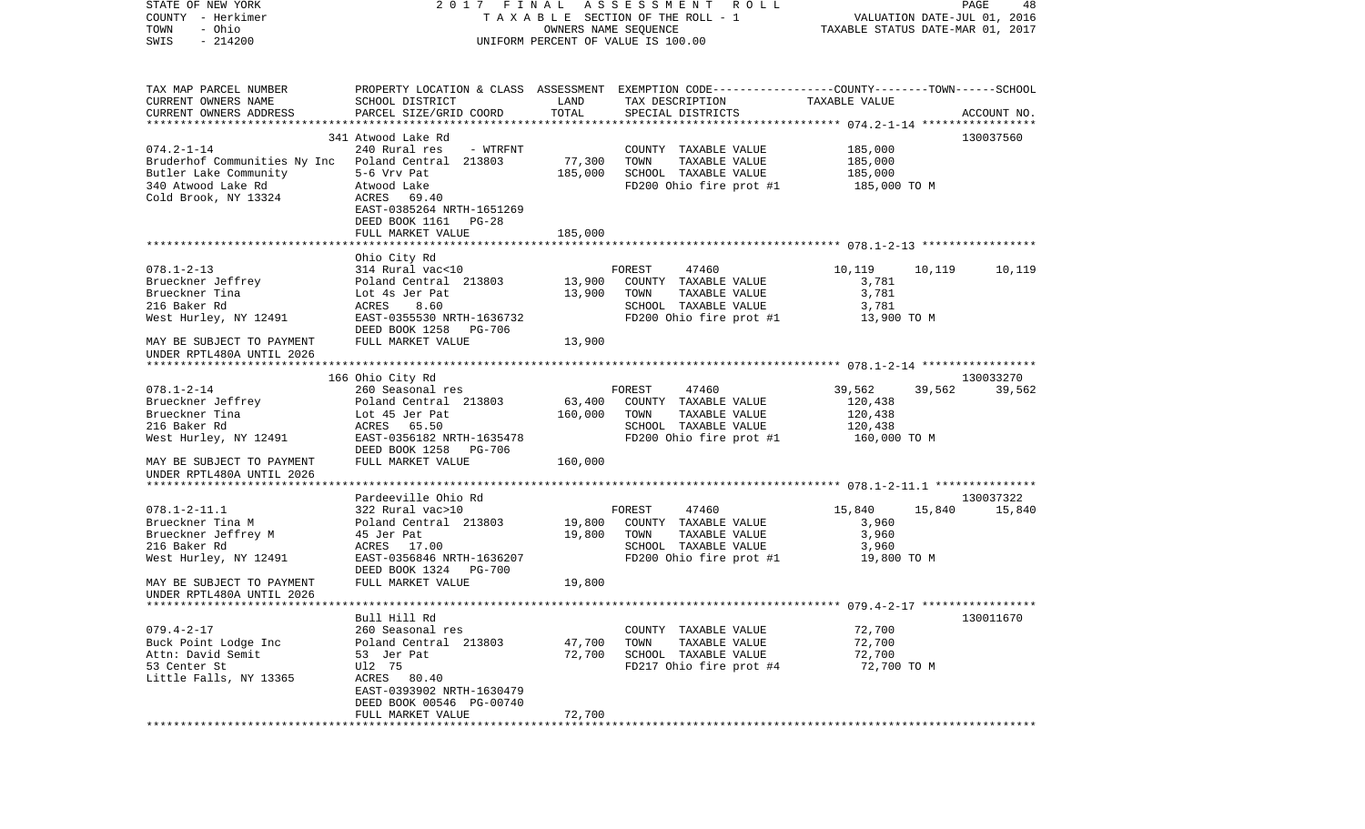| STATE OF NEW YORK<br>COUNTY - Herkimer                                      | 2017 FINAL                                                                                       |         | A S S E S S M E N T R O L L<br>TAXABLE SECTION OF THE ROLL - 1 | VALUATION DATE-JUL 01, 2016      | PAGE<br>48       |
|-----------------------------------------------------------------------------|--------------------------------------------------------------------------------------------------|---------|----------------------------------------------------------------|----------------------------------|------------------|
| - Ohio<br>TOWN                                                              |                                                                                                  |         | OWNERS NAME SEQUENCE                                           | TAXABLE STATUS DATE-MAR 01, 2017 |                  |
| $-214200$<br>SWIS                                                           |                                                                                                  |         | UNIFORM PERCENT OF VALUE IS 100.00                             |                                  |                  |
|                                                                             |                                                                                                  |         |                                                                |                                  |                  |
| TAX MAP PARCEL NUMBER                                                       | PROPERTY LOCATION & CLASS ASSESSMENT EXEMPTION CODE----------------COUNTY-------TOWN------SCHOOL |         |                                                                |                                  |                  |
| CURRENT OWNERS NAME                                                         | SCHOOL DISTRICT                                                                                  | LAND    | TAX DESCRIPTION                                                | TAXABLE VALUE                    |                  |
| CURRENT OWNERS ADDRESS                                                      | PARCEL SIZE/GRID COORD                                                                           | TOTAL   | SPECIAL DISTRICTS                                              |                                  | ACCOUNT NO.      |
|                                                                             |                                                                                                  |         |                                                                |                                  |                  |
|                                                                             | 341 Atwood Lake Rd                                                                               |         |                                                                |                                  | 130037560        |
| $074.2 - 1 - 14$                                                            | 240 Rural res<br>- WTRFNT                                                                        | 77,300  | COUNTY TAXABLE VALUE<br>TOWN                                   | 185,000<br>185,000               |                  |
| Bruderhof Communities Ny Inc Poland Central 213803<br>Butler Lake Community | 5-6 Vrv Pat                                                                                      | 185,000 | TAXABLE VALUE<br>SCHOOL TAXABLE VALUE                          | 185,000                          |                  |
| 340 Atwood Lake Rd                                                          | Atwood Lake                                                                                      |         | FD200 Ohio fire prot #1                                        | 185,000 TO M                     |                  |
| Cold Brook, NY 13324                                                        | ACRES 69.40                                                                                      |         |                                                                |                                  |                  |
|                                                                             | EAST-0385264 NRTH-1651269                                                                        |         |                                                                |                                  |                  |
|                                                                             | DEED BOOK 1161 PG-28                                                                             |         |                                                                |                                  |                  |
|                                                                             | FULL MARKET VALUE                                                                                | 185,000 |                                                                |                                  |                  |
|                                                                             |                                                                                                  |         |                                                                |                                  |                  |
| $078.1 - 2 - 13$                                                            | Ohio City Rd<br>314 Rural vac<10                                                                 |         | FOREST<br>47460                                                | 10,119                           | 10,119<br>10,119 |
| Brueckner Jeffrey                                                           | Poland Central 213803                                                                            | 13,900  | COUNTY TAXABLE VALUE                                           | 3,781                            |                  |
| Brueckner Tina                                                              | Lot 4s Jer Pat                                                                                   | 13,900  | TOWN<br>TAXABLE VALUE                                          | 3,781                            |                  |
| 216 Baker Rd                                                                | 8.60<br>ACRES                                                                                    |         | SCHOOL TAXABLE VALUE                                           | 3,781                            |                  |
| West Hurley, NY 12491                                                       | EAST-0355530 NRTH-1636732                                                                        |         | FD200 Ohio fire prot #1                                        | 13,900 TO M                      |                  |
|                                                                             | DEED BOOK 1258<br>PG-706                                                                         |         |                                                                |                                  |                  |
| MAY BE SUBJECT TO PAYMENT                                                   | FULL MARKET VALUE                                                                                | 13,900  |                                                                |                                  |                  |
| UNDER RPTL480A UNTIL 2026                                                   |                                                                                                  |         |                                                                |                                  |                  |
|                                                                             | 166 Ohio City Rd                                                                                 |         |                                                                |                                  | 130033270        |
| $078.1 - 2 - 14$                                                            | 260 Seasonal res                                                                                 |         | FOREST<br>47460                                                | 39,562                           | 39,562<br>39,562 |
| Brueckner Jeffrey                                                           | Poland Central 213803                                                                            | 63,400  | COUNTY TAXABLE VALUE                                           | 120,438                          |                  |
| Brueckner Tina                                                              | Lot 45 Jer Pat                                                                                   | 160,000 | TOWN<br>TAXABLE VALUE                                          | 120,438                          |                  |
| 216 Baker Rd                                                                | ACRES<br>65.50                                                                                   |         | SCHOOL TAXABLE VALUE                                           | 120,438                          |                  |
| West Hurley, NY 12491                                                       | EAST-0356182 NRTH-1635478                                                                        |         | FD200 Ohio fire prot #1                                        | 160,000 TO M                     |                  |
| MAY BE SUBJECT TO PAYMENT                                                   | DEED BOOK 1258<br>PG-706<br>FULL MARKET VALUE                                                    | 160,000 |                                                                |                                  |                  |
| UNDER RPTL480A UNTIL 2026                                                   |                                                                                                  |         |                                                                |                                  |                  |
|                                                                             |                                                                                                  |         |                                                                |                                  |                  |
|                                                                             | Pardeeville Ohio Rd                                                                              |         |                                                                |                                  | 130037322        |
| $078.1 - 2 - 11.1$                                                          | 322 Rural vac>10                                                                                 |         | FOREST<br>47460                                                | 15,840                           | 15,840<br>15,840 |
| Brueckner Tina M                                                            | Poland Central 213803                                                                            | 19,800  | COUNTY TAXABLE VALUE                                           | 3,960                            |                  |
| Brueckner Jeffrey M                                                         | 45 Jer Pat                                                                                       | 19,800  | TOWN<br>TAXABLE VALUE                                          | 3,960                            |                  |
| 216 Baker Rd<br>West Hurley, NY 12491                                       | ACRES 17.00<br>EAST-0356846 NRTH-1636207                                                         |         | SCHOOL TAXABLE VALUE<br>FD200 Ohio fire prot #1                | 3,960<br>19,800 TO M             |                  |
|                                                                             | DEED BOOK 1324<br>PG-700                                                                         |         |                                                                |                                  |                  |
| MAY BE SUBJECT TO PAYMENT                                                   | FULL MARKET VALUE                                                                                | 19,800  |                                                                |                                  |                  |
| UNDER RPTL480A UNTIL 2026                                                   |                                                                                                  |         |                                                                |                                  |                  |
| **********************                                                      |                                                                                                  |         |                                                                |                                  |                  |
|                                                                             | Bull Hill Rd                                                                                     |         |                                                                |                                  | 130011670        |
| $079.4 - 2 - 17$                                                            | 260 Seasonal res                                                                                 |         | COUNTY TAXABLE VALUE                                           | 72,700                           |                  |
| Buck Point Lodge Inc<br>Attn: David Semit                                   | Poland Central 213803                                                                            | 47,700  | TOWN<br>TAXABLE VALUE                                          | 72,700                           |                  |
| 53 Center St                                                                | 53 Jer Pat<br>U12 75                                                                             | 72,700  | SCHOOL TAXABLE VALUE<br>FD217 Ohio fire prot #4                | 72,700<br>72,700 TO M            |                  |
| Little Falls, NY 13365                                                      | ACRES<br>80.40                                                                                   |         |                                                                |                                  |                  |
|                                                                             | EAST-0393902 NRTH-1630479                                                                        |         |                                                                |                                  |                  |
|                                                                             | DEED BOOK 00546 PG-00740                                                                         |         |                                                                |                                  |                  |
|                                                                             | FULL MARKET VALUE                                                                                | 72,700  |                                                                |                                  |                  |
|                                                                             |                                                                                                  |         |                                                                |                                  |                  |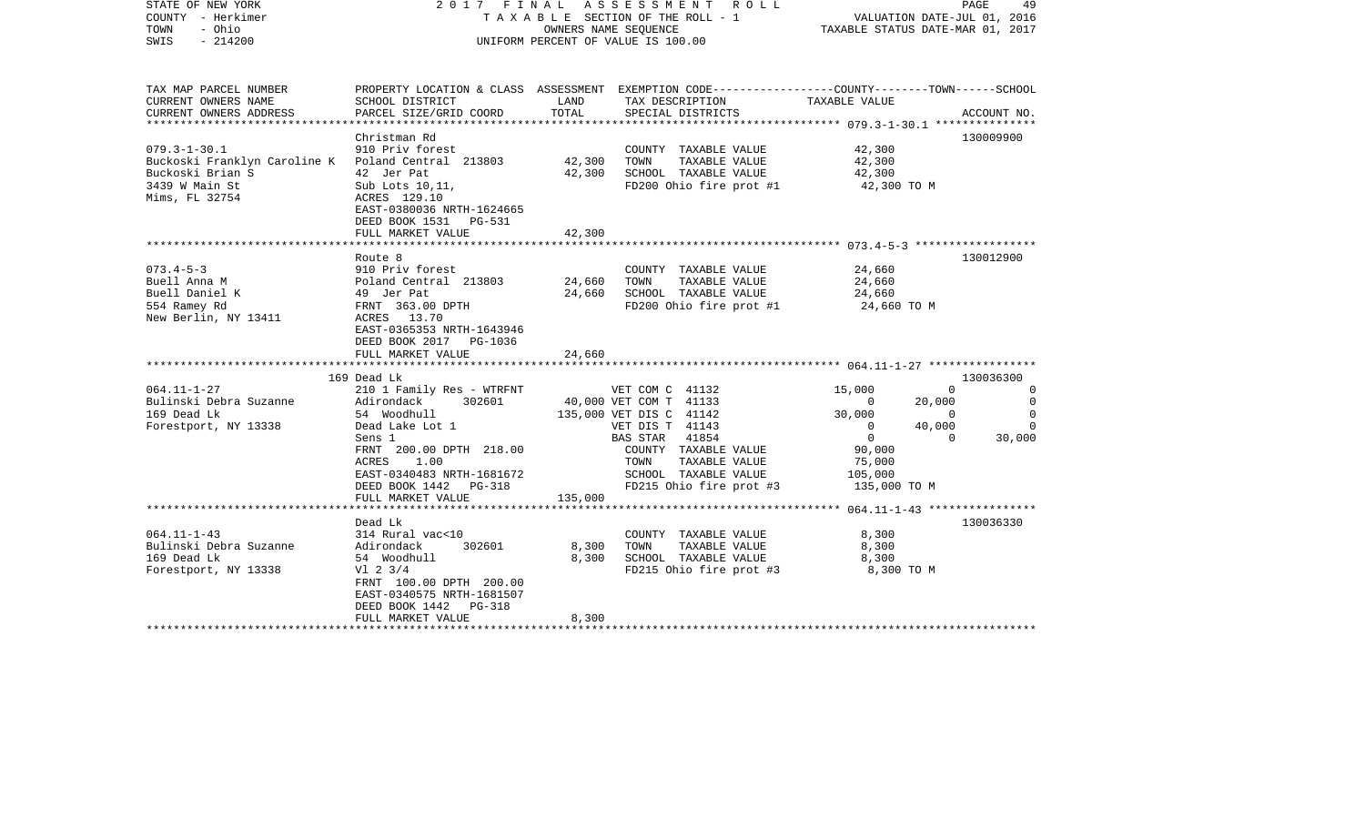| STATE OF NEW YORK<br>COUNTY - Herkimer<br>TOWN<br>- Ohio<br>$-214200$<br>SWIS                                                    | 2017 FINAL ASSESSMENT ROLL<br>TAXABLE SECTION OF THE ROLL - 1<br>OWNERS NAME SEQUENCE<br>UNIFORM PERCENT OF VALUE IS 100.00                                                                                        |                            |                                                                                                                                          | PAGE<br>49<br>VALUATION DATE-JUL 01, 2016<br>TAXABLE STATUS DATE-MAR 01, 2017                        |                        |
|----------------------------------------------------------------------------------------------------------------------------------|--------------------------------------------------------------------------------------------------------------------------------------------------------------------------------------------------------------------|----------------------------|------------------------------------------------------------------------------------------------------------------------------------------|------------------------------------------------------------------------------------------------------|------------------------|
| TAX MAP PARCEL NUMBER<br>CURRENT OWNERS NAME<br>CURRENT OWNERS ADDRESS                                                           | SCHOOL DISTRICT<br>PARCEL SIZE/GRID COORD                                                                                                                                                                          | LAND<br>TOTAL              | PROPERTY LOCATION & CLASS ASSESSMENT EXEMPTION CODE----------------COUNTY-------TOWN------SCHOOL<br>TAX DESCRIPTION<br>SPECIAL DISTRICTS | TAXABLE VALUE                                                                                        | ACCOUNT NO.            |
| *****************                                                                                                                |                                                                                                                                                                                                                    |                            |                                                                                                                                          |                                                                                                      |                        |
| $079.3 - 1 - 30.1$<br>Buckoski Franklyn Caroline K Poland Central 213803<br>Buckoski Brian S<br>3439 W Main St<br>Mims, FL 32754 | Christman Rd<br>910 Priv forest<br>42 Jer Pat<br>Sub Lots 10,11,<br>ACRES 129.10<br>EAST-0380036 NRTH-1624665<br>DEED BOOK 1531 PG-531                                                                             | 42,300<br>42,300           | COUNTY TAXABLE VALUE<br>TAXABLE VALUE<br>TOWN<br>SCHOOL TAXABLE VALUE<br>FD200 Ohio fire prot #1                                         | 42,300<br>42,300<br>42,300<br>42,300 TO M                                                            | 130009900              |
|                                                                                                                                  | FULL MARKET VALUE                                                                                                                                                                                                  | 42,300                     |                                                                                                                                          |                                                                                                      |                        |
| $073.4 - 5 - 3$<br>Buell Anna M<br>Buell Daniel K<br>554 Ramey Rd<br>New Berlin, NY 13411                                        | Route 8<br>910 Priv forest<br>Poland Central 213803<br>49 Jer Pat<br>FRNT 363.00 DPTH<br>ACRES 13.70<br>EAST-0365353 NRTH-1643946<br>DEED BOOK 2017 PG-1036<br>FULL MARKET VALUE<br>169 Dead Lk                    | 24,660<br>24,660<br>24,660 | COUNTY TAXABLE VALUE<br>TOWN<br>TAXABLE VALUE<br>SCHOOL TAXABLE VALUE<br>FD200 Ohio fire prot #1                                         | 24,660<br>24,660<br>24,660<br>24,660 TO M                                                            | 130012900<br>130036300 |
| $064.11 - 1 - 27$<br>Bulinski Debra Suzanne                                                                                      | 210 1 Family Res - WTRFNT<br>Adirondack<br>302601                                                                                                                                                                  |                            | VET COM C 41132<br>40,000 VET COM T 41133                                                                                                | 15,000<br>20,000<br>$\mathbf{0}$                                                                     | $\Omega$<br>0<br>0     |
| 169 Dead Lk                                                                                                                      | 54 Woodhull                                                                                                                                                                                                        |                            | 135,000 VET DIS C 41142                                                                                                                  | 30,000<br>$\overline{0}$                                                                             | $\mathbf 0$            |
| Forestport, NY 13338                                                                                                             | Dead Lake Lot 1<br>Sens 1<br>FRNT 200.00 DPTH 218.00<br>1.00<br>ACRES<br>EAST-0340483 NRTH-1681672<br>DEED BOOK 1442 PG-318                                                                                        |                            | VET DIS T 41143<br>BAS STAR 41854<br>COUNTY TAXABLE VALUE<br>TAXABLE VALUE<br>TOWN<br>SCHOOL TAXABLE VALUE<br>FD215 Ohio fire prot #3    | $\circ$<br>40,000<br>$\overline{0}$<br>$\overline{0}$<br>90,000<br>75,000<br>105,000<br>135,000 TO M | $\mathbf 0$<br>30,000  |
|                                                                                                                                  | FULL MARKET VALUE<br>**********************                                                                                                                                                                        | 135,000                    |                                                                                                                                          |                                                                                                      |                        |
| $064.11 - 1 - 43$<br>Bulinski Debra Suzanne<br>169 Dead Lk<br>Forestport, NY 13338<br>**********************                     | Dead Lk<br>314 Rural vac<10<br>302601<br>Adirondack<br>54 Woodhull<br>$V1$ 2 3/4<br>FRNT 100.00 DPTH 200.00<br>EAST-0340575 NRTH-1681507<br>DEED BOOK 1442<br>PG-318<br>FULL MARKET VALUE<br>********************* | 8,300<br>8,300<br>8,300    | COUNTY TAXABLE VALUE<br>TOWN<br>TAXABLE VALUE<br>SCHOOL TAXABLE VALUE<br>FD215 Ohio fire prot #3                                         | 8,300<br>8,300<br>8,300<br>8,300 TO M                                                                | 130036330              |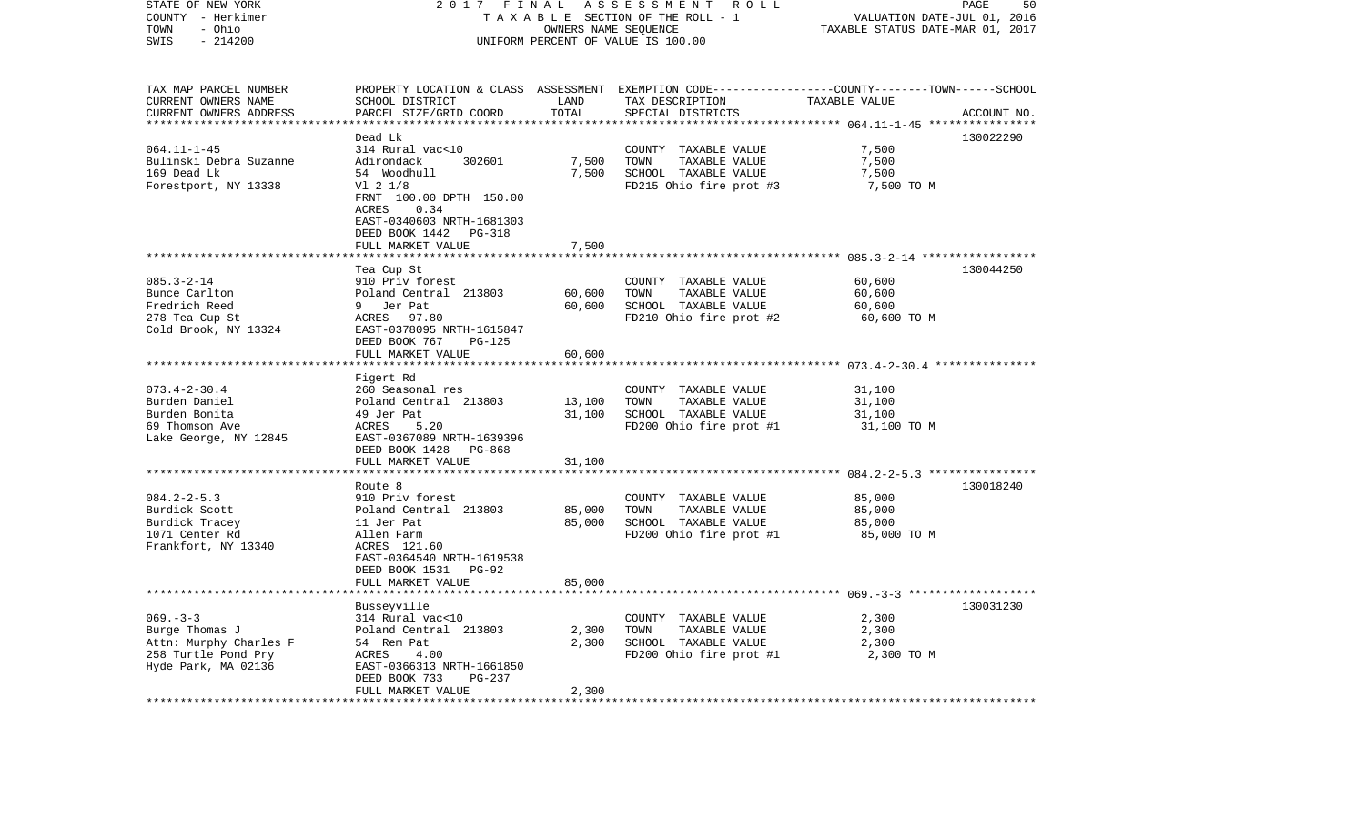| STATE OF NEW YORK<br>COUNTY - Herkimer<br>- Ohio<br>TOWN<br>SWIS<br>$-214200$                          | 2017<br>FINAL<br>ASSESSMENT ROLL<br>TAXABLE SECTION OF THE ROLL - 1<br>OWNERS NAME SEQUENCE<br>UNIFORM PERCENT OF VALUE IS 100.00                                                     |                            |                                                                                                                                         | PAGE<br>50<br>VALUATION DATE-JUL 01, 2016<br>TAXABLE STATUS DATE-MAR 01, 2017 |             |
|--------------------------------------------------------------------------------------------------------|---------------------------------------------------------------------------------------------------------------------------------------------------------------------------------------|----------------------------|-----------------------------------------------------------------------------------------------------------------------------------------|-------------------------------------------------------------------------------|-------------|
| TAX MAP PARCEL NUMBER<br>CURRENT OWNERS NAME<br>CURRENT OWNERS ADDRESS                                 | SCHOOL DISTRICT<br>PARCEL SIZE/GRID COORD                                                                                                                                             | LAND<br>TOTAL              | PROPERTY LOCATION & CLASS ASSESSMENT EXEMPTION CODE---------------COUNTY-------TOWN------SCHOOL<br>TAX DESCRIPTION<br>SPECIAL DISTRICTS | TAXABLE VALUE<br>********** 064.11-1-45 ****                                  | ACCOUNT NO. |
|                                                                                                        | Dead Lk                                                                                                                                                                               |                            |                                                                                                                                         |                                                                               | 130022290   |
| $064.11 - 1 - 45$<br>Bulinski Debra Suzanne<br>169 Dead Lk<br>Forestport, NY 13338                     | 314 Rural vac<10<br>302601<br>Adirondack<br>54 Woodhull<br>V1 2 1/8<br>FRNT 100.00 DPTH 150.00<br>ACRES<br>0.34<br>EAST-0340603 NRTH-1681303<br>DEED BOOK 1442<br>PG-318              | 7,500<br>7,500             | COUNTY TAXABLE VALUE<br>TOWN<br>TAXABLE VALUE<br>SCHOOL TAXABLE VALUE<br>FD215 Ohio fire prot #3                                        | 7,500<br>7,500<br>7,500<br>7,500 TO M                                         |             |
|                                                                                                        | FULL MARKET VALUE                                                                                                                                                                     | 7,500                      |                                                                                                                                         |                                                                               |             |
| $085.3 - 2 - 14$<br>Bunce Carlton<br>Fredrich Reed<br>278 Tea Cup St<br>Cold Brook, NY 13324           | ******************<br>Tea Cup St<br>910 Priv forest<br>Poland Central 213803<br>9 Jer Pat<br>ACRES 97.80<br>EAST-0378095 NRTH-1615847<br>DEED BOOK 767<br>PG-125<br>FULL MARKET VALUE | 60,600<br>60,600<br>60,600 | COUNTY TAXABLE VALUE<br>TOWN<br>TAXABLE VALUE<br>SCHOOL TAXABLE VALUE<br>FD210 Ohio fire prot #2                                        | 60,600<br>60,600<br>60,600<br>60,600 TO M                                     | 130044250   |
|                                                                                                        |                                                                                                                                                                                       |                            |                                                                                                                                         |                                                                               |             |
| $073.4 - 2 - 30.4$<br>Burden Daniel<br>Burden Bonita<br>69 Thomson Ave<br>Lake George, NY 12845        | Figert Rd<br>260 Seasonal res<br>Poland Central 213803<br>49 Jer Pat<br>ACRES<br>5.20<br>EAST-0367089 NRTH-1639396<br>DEED BOOK 1428<br>PG-868                                        | 13,100<br>31,100           | COUNTY TAXABLE VALUE<br>TOWN<br>TAXABLE VALUE<br>SCHOOL TAXABLE VALUE<br>FD200 Ohio fire prot #1                                        | 31,100<br>31,100<br>31,100<br>31,100 TO M                                     |             |
|                                                                                                        | FULL MARKET VALUE<br>*************************                                                                                                                                        | 31,100                     |                                                                                                                                         |                                                                               |             |
| $084.2 - 2 - 5.3$<br>Burdick Scott<br>Burdick Tracey<br>1071 Center Rd<br>Frankfort, NY 13340          | Route 8<br>910 Priv forest<br>Poland Central 213803<br>11 Jer Pat<br>Allen Farm<br>ACRES 121.60<br>EAST-0364540 NRTH-1619538<br>DEED BOOK 1531<br>PG-92                               | 85,000<br>85,000           | COUNTY TAXABLE VALUE<br>TOWN<br>TAXABLE VALUE<br>SCHOOL TAXABLE VALUE<br>FD200 Ohio fire prot #1                                        | 85,000<br>85,000<br>85,000<br>85,000 TO M                                     | 130018240   |
|                                                                                                        | FULL MARKET VALUE                                                                                                                                                                     | 85,000                     |                                                                                                                                         |                                                                               |             |
| $069. -3 -3$<br>Burge Thomas J<br>Attn: Murphy Charles F<br>258 Turtle Pond Pry<br>Hyde Park, MA 02136 | ********************<br>Busseyville<br>314 Rural vac<10<br>Poland Central 213803<br>54 Rem Pat<br>ACRES<br>4.00<br>EAST-0366313 NRTH-1661850<br>DEED BOOK 733<br>PG-237               | 2,300<br>2,300             | COUNTY TAXABLE VALUE<br>TOWN<br>TAXABLE VALUE<br>SCHOOL TAXABLE VALUE<br>FD200 Ohio fire prot #1                                        | 2,300<br>2,300<br>2,300<br>2,300 TO M                                         | 130031230   |
|                                                                                                        | FULL MARKET VALUE                                                                                                                                                                     | 2,300                      |                                                                                                                                         |                                                                               |             |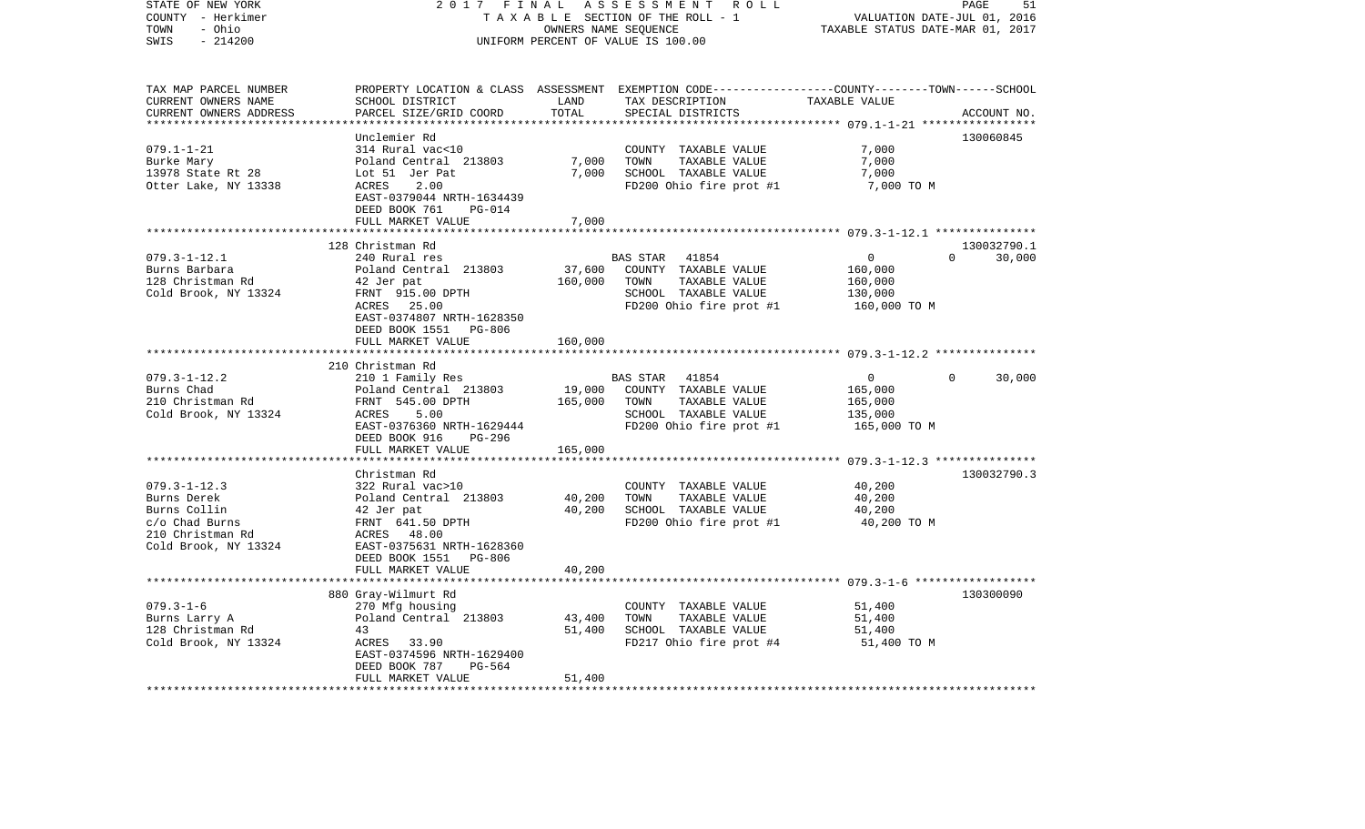| STATE OF NEW YORK       | 2017<br>FINAL                               |                             | ASSESSMENT<br>R O L L              | 51<br>PAGE                                                                                       |
|-------------------------|---------------------------------------------|-----------------------------|------------------------------------|--------------------------------------------------------------------------------------------------|
| COUNTY - Herkimer       | TAXABLE SECTION OF THE ROLL - 1             | VALUATION DATE-JUL 01, 2016 |                                    |                                                                                                  |
| - Ohio<br>TOWN          |                                             |                             | OWNERS NAME SEQUENCE               | TAXABLE STATUS DATE-MAR 01, 2017                                                                 |
| SWIS<br>$-214200$       |                                             |                             | UNIFORM PERCENT OF VALUE IS 100.00 |                                                                                                  |
|                         |                                             |                             |                                    |                                                                                                  |
| TAX MAP PARCEL NUMBER   |                                             |                             |                                    | PROPERTY LOCATION & CLASS ASSESSMENT EXEMPTION CODE----------------COUNTY-------TOWN------SCHOOL |
| CURRENT OWNERS NAME     | SCHOOL DISTRICT                             | LAND                        | TAX DESCRIPTION                    | TAXABLE VALUE                                                                                    |
| CURRENT OWNERS ADDRESS  | PARCEL SIZE/GRID COORD                      | TOTAL                       | SPECIAL DISTRICTS                  | ACCOUNT NO.                                                                                      |
| *********************** |                                             | **********                  |                                    |                                                                                                  |
|                         | Unclemier Rd                                |                             |                                    | 130060845                                                                                        |
| $079.1 - 1 - 21$        | 314 Rural vac<10                            |                             | COUNTY TAXABLE VALUE               | 7,000                                                                                            |
| Burke Mary              | Poland Central 213803                       | 7,000                       | TOWN<br>TAXABLE VALUE              | 7,000                                                                                            |
| 13978 State Rt 28       | Lot 51 Jer Pat                              | 7,000                       | SCHOOL TAXABLE VALUE               | 7,000                                                                                            |
| Otter Lake, NY 13338    | ACRES<br>2.00                               |                             | FD200 Ohio fire prot #1            | 7,000 TO M                                                                                       |
|                         |                                             |                             |                                    |                                                                                                  |
|                         | EAST-0379044 NRTH-1634439                   |                             |                                    |                                                                                                  |
|                         | DEED BOOK 761<br><b>PG-014</b>              |                             |                                    |                                                                                                  |
|                         | FULL MARKET VALUE                           | 7,000                       |                                    |                                                                                                  |
|                         |                                             |                             |                                    | *********** 079.3-1-12.1 ***************                                                         |
|                         | 128 Christman Rd                            |                             |                                    | 130032790.1                                                                                      |
| $079.3 - 1 - 12.1$      | 240 Rural res                               |                             | BAS STAR<br>41854                  | $\overline{0}$<br>$\Omega$<br>30,000                                                             |
| Burns Barbara           | Poland Central 213803                       | 37,600                      | COUNTY TAXABLE VALUE               | 160,000                                                                                          |
| 128 Christman Rd        | 42 Jer pat                                  | 160,000                     | TAXABLE VALUE<br>TOWN              | 160,000                                                                                          |
| Cold Brook, NY 13324    | FRNT 915.00 DPTH                            |                             | SCHOOL TAXABLE VALUE               | 130,000                                                                                          |
|                         | ACRES<br>25.00                              |                             | FD200 Ohio fire prot #1            | 160,000 TO M                                                                                     |
|                         | EAST-0374807 NRTH-1628350                   |                             |                                    |                                                                                                  |
|                         | DEED BOOK 1551 PG-806                       |                             |                                    |                                                                                                  |
|                         | FULL MARKET VALUE                           | 160,000                     |                                    |                                                                                                  |
|                         |                                             |                             |                                    | ******************** 079.3-1-12.2 **************                                                 |
|                         | 210 Christman Rd                            |                             |                                    |                                                                                                  |
| $079.3 - 1 - 12.2$      | 210 1 Family Res                            |                             | BAS STAR<br>41854                  | $\overline{0}$<br>$\Omega$<br>30,000                                                             |
| Burns Chad              | Poland Central 213803                       | 19,000                      | COUNTY TAXABLE VALUE               | 165,000                                                                                          |
| 210 Christman Rd        | FRNT 545.00 DPTH                            | 165,000                     | TOWN<br>TAXABLE VALUE              | 165,000                                                                                          |
| Cold Brook, NY 13324    | ACRES<br>5.00                               |                             | SCHOOL TAXABLE VALUE               | 135,000                                                                                          |
|                         | EAST-0376360 NRTH-1629444                   |                             | FD200 Ohio fire prot #1            | 165,000 TO M                                                                                     |
|                         | DEED BOOK 916<br>PG-296                     |                             |                                    |                                                                                                  |
|                         | FULL MARKET VALUE                           | 165,000                     |                                    |                                                                                                  |
|                         | ******************                          |                             |                                    | ************************ 079.3-1-12.3 ***************                                            |
|                         | Christman Rd                                |                             |                                    | 130032790.3                                                                                      |
| $079.3 - 1 - 12.3$      | 322 Rural vac>10                            |                             | COUNTY TAXABLE VALUE               | 40,200                                                                                           |
| Burns Derek             | Poland Central 213803                       | 40,200                      | TOWN<br>TAXABLE VALUE              | 40,200                                                                                           |
| Burns Collin            | 42 Jer pat                                  | 40,200                      | SCHOOL TAXABLE VALUE               | 40,200                                                                                           |
| c/o Chad Burns          | FRNT 641.50 DPTH                            |                             | FD200 Ohio fire prot #1            | 40,200 TO M                                                                                      |
|                         |                                             |                             |                                    |                                                                                                  |
| 210 Christman Rd        | ACRES 48.00                                 |                             |                                    |                                                                                                  |
| Cold Brook, NY 13324    | EAST-0375631 NRTH-1628360                   |                             |                                    |                                                                                                  |
|                         | DEED BOOK 1551<br>PG-806                    |                             |                                    |                                                                                                  |
|                         | FULL MARKET VALUE<br>********************** | 40,200                      |                                    |                                                                                                  |
|                         |                                             |                             |                                    |                                                                                                  |
|                         | 880 Gray-Wilmurt Rd                         |                             |                                    | 130300090                                                                                        |
| $079.3 - 1 - 6$         | 270 Mfg housing                             |                             | COUNTY TAXABLE VALUE               | 51,400                                                                                           |
| Burns Larry A           | Poland Central 213803                       | 43,400                      | TOWN<br>TAXABLE VALUE              | 51,400                                                                                           |
| 128 Christman Rd        | 43                                          | 51,400                      | SCHOOL TAXABLE VALUE               | 51,400                                                                                           |
| Cold Brook, NY 13324    | ACRES<br>33.90                              |                             | FD217 Ohio fire prot #4            | 51,400 TO M                                                                                      |
|                         | EAST-0374596 NRTH-1629400                   |                             |                                    |                                                                                                  |
|                         | DEED BOOK 787<br>PG-564                     |                             |                                    |                                                                                                  |
|                         | FULL MARKET VALUE                           | 51,400                      |                                    |                                                                                                  |
|                         | ********************                        | * * * * * * * * * * *       |                                    |                                                                                                  |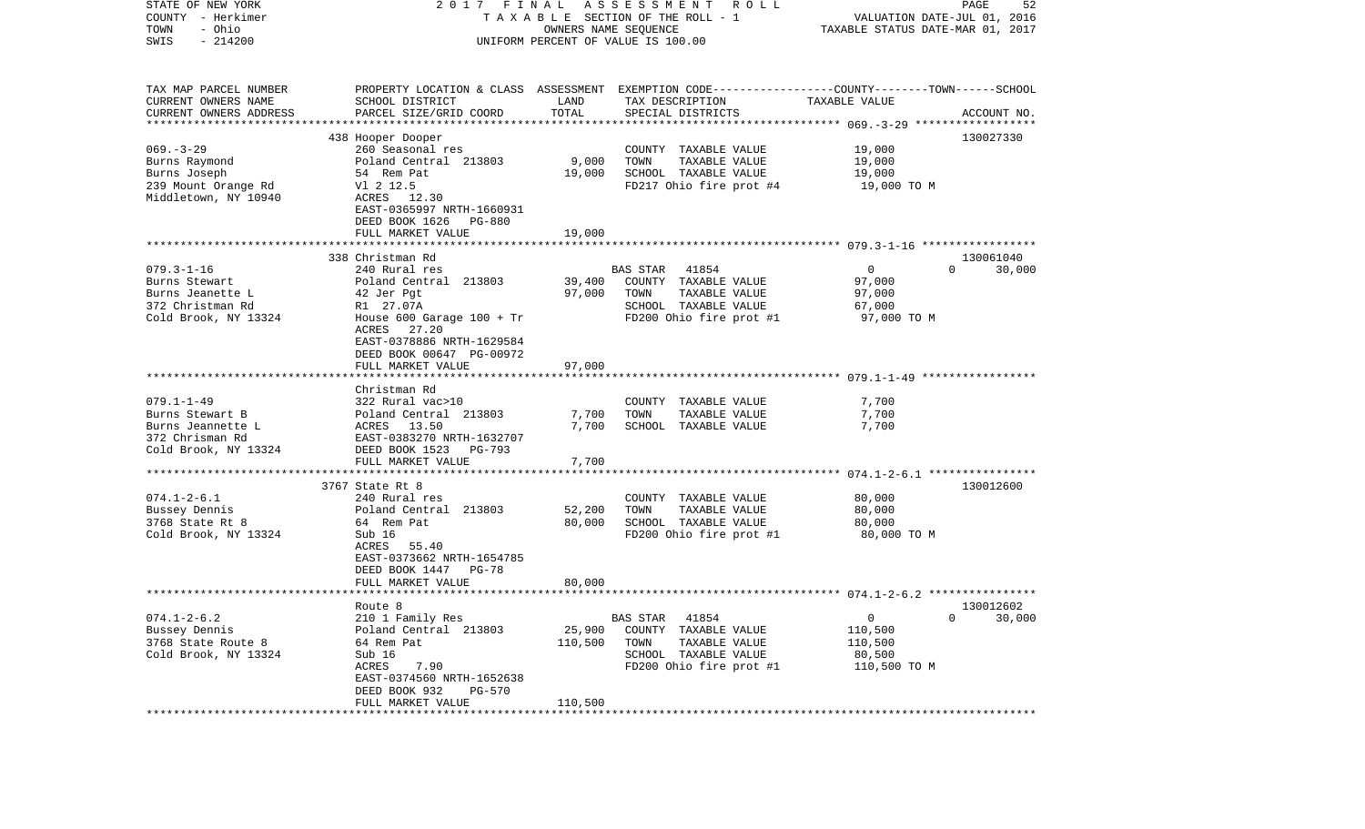| PAGE<br>52<br>VALUATION DATE-JUL 01, 2016<br>TAXABLE STATUS DATE-MAR 01, 2017                                  |
|----------------------------------------------------------------------------------------------------------------|
| PROPERTY LOCATION & CLASS ASSESSMENT EXEMPTION CODE---------------COUNTY-------TOWN------SCHOOL<br>ACCOUNT NO. |
| 130027330                                                                                                      |
|                                                                                                                |
| 130061040<br>30,000                                                                                            |
|                                                                                                                |
|                                                                                                                |
|                                                                                                                |
| 130012600                                                                                                      |
|                                                                                                                |
| 130012602<br>30,000                                                                                            |
|                                                                                                                |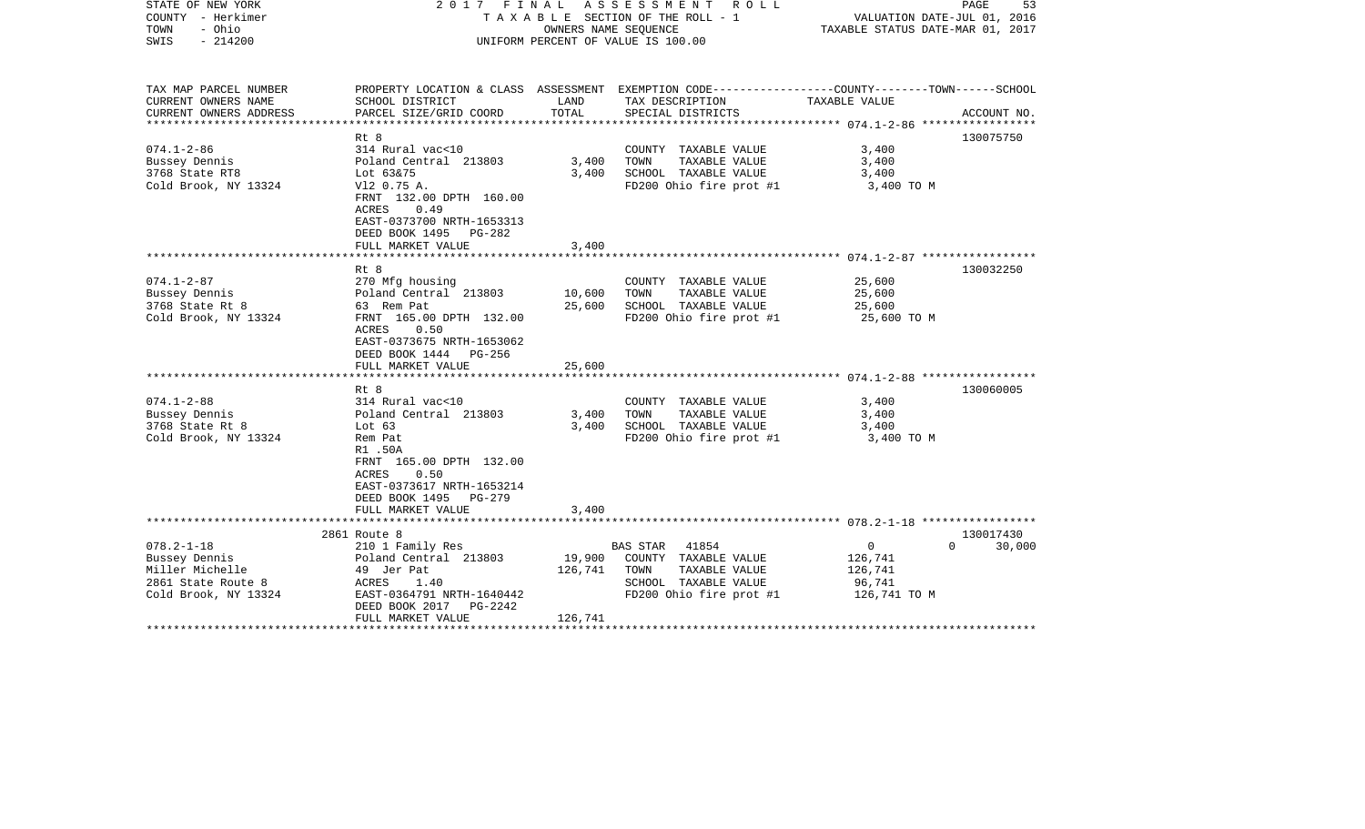| STATE OF NEW YORK<br>COUNTY - Herkimer<br>- Ohio<br>TOWN<br>SWIS<br>$-214200$  | 2017 FINAL ASSESSMENT ROLL<br>T A X A B L E SECTION OF THE ROLL - 1<br>OWNERS NAME SEQUENCE<br>UNIFORM PERCENT OF VALUE IS 100.00 |                   |                                                                                                                    | PAGE<br>53<br>VALUATION DATE-JUL 01, 2016<br>TAXABLE STATUS DATE-MAR 01, 2017 |                                 |
|--------------------------------------------------------------------------------|-----------------------------------------------------------------------------------------------------------------------------------|-------------------|--------------------------------------------------------------------------------------------------------------------|-------------------------------------------------------------------------------|---------------------------------|
| TAX MAP PARCEL NUMBER<br>CURRENT OWNERS NAME                                   | SCHOOL DISTRICT                                                                                                                   | LAND              | PROPERTY LOCATION & CLASS ASSESSMENT EXEMPTION CODE---------------COUNTY-------TOWN------SCHOOL<br>TAX DESCRIPTION | TAXABLE VALUE                                                                 |                                 |
| CURRENT OWNERS ADDRESS                                                         | PARCEL SIZE/GRID COORD                                                                                                            | TOTAL             | SPECIAL DISTRICTS                                                                                                  |                                                                               | ACCOUNT NO.                     |
|                                                                                |                                                                                                                                   |                   |                                                                                                                    |                                                                               |                                 |
|                                                                                | Rt 8                                                                                                                              |                   |                                                                                                                    |                                                                               | 130075750                       |
| $074.1 - 2 - 86$                                                               | 314 Rural vac<10                                                                                                                  |                   | COUNTY TAXABLE VALUE                                                                                               | 3,400                                                                         |                                 |
| Bussey Dennis<br>3768 State RT8                                                | Poland Central 213803<br>Lot 63&75                                                                                                | 3,400<br>3,400    | TOWN<br>TAXABLE VALUE<br>SCHOOL TAXABLE VALUE                                                                      | 3,400<br>3,400                                                                |                                 |
| Cold Brook, NY 13324                                                           | V12 0.75 A.                                                                                                                       |                   | FD200 Ohio fire prot #1                                                                                            | 3,400 TO M                                                                    |                                 |
|                                                                                | FRNT 132.00 DPTH 160.00<br>ACRES<br>0.49<br>EAST-0373700 NRTH-1653313<br>DEED BOOK 1495 PG-282                                    |                   |                                                                                                                    |                                                                               |                                 |
|                                                                                | FULL MARKET VALUE                                                                                                                 | 3,400             |                                                                                                                    |                                                                               |                                 |
|                                                                                | Rt 8                                                                                                                              |                   |                                                                                                                    |                                                                               | 130032250                       |
| $074.1 - 2 - 87$                                                               | 270 Mfg housing                                                                                                                   |                   | COUNTY TAXABLE VALUE                                                                                               | 25,600                                                                        |                                 |
| Bussey Dennis                                                                  | Poland Central 213803                                                                                                             | 10,600            | TAXABLE VALUE<br>TOWN                                                                                              | 25,600                                                                        |                                 |
| 3768 State Rt 8                                                                | 63 Rem Pat                                                                                                                        | 25,600            | SCHOOL TAXABLE VALUE                                                                                               | 25,600                                                                        |                                 |
| Cold Brook, NY 13324                                                           | FRNT 165.00 DPTH 132.00<br>ACRES<br>0.50<br>EAST-0373675 NRTH-1653062<br>DEED BOOK 1444 PG-256<br>FULL MARKET VALUE               | 25,600            | FD200 Ohio fire prot #1                                                                                            | 25,600 TO M                                                                   |                                 |
|                                                                                |                                                                                                                                   |                   |                                                                                                                    |                                                                               |                                 |
| $074.1 - 2 - 88$                                                               | Rt 8<br>314 Rural vac<10                                                                                                          |                   |                                                                                                                    |                                                                               | 130060005                       |
| Bussey Dennis                                                                  | Poland Central 213803                                                                                                             | 3,400             | COUNTY TAXABLE VALUE<br>TOWN<br>TAXABLE VALUE                                                                      | 3,400<br>3,400                                                                |                                 |
| 3768 State Rt 8                                                                | Lot $63$                                                                                                                          | 3,400             | SCHOOL TAXABLE VALUE                                                                                               | 3,400                                                                         |                                 |
| Cold Brook, NY 13324                                                           | Rem Pat<br>R1.50A<br>FRNT 165.00 DPTH 132.00<br>0.50<br>ACRES<br>EAST-0373617 NRTH-1653214                                        |                   | FD200 Ohio fire prot #1                                                                                            | 3,400 TO M                                                                    |                                 |
|                                                                                | DEED BOOK 1495 PG-279                                                                                                             |                   |                                                                                                                    |                                                                               |                                 |
|                                                                                | FULL MARKET VALUE                                                                                                                 | 3,400             |                                                                                                                    |                                                                               |                                 |
|                                                                                |                                                                                                                                   |                   |                                                                                                                    |                                                                               |                                 |
| $078.2 - 1 - 18$                                                               | 2861 Route 8<br>210 1 Family Res                                                                                                  |                   | BAS STAR 41854                                                                                                     | $\overline{0}$                                                                | 130017430<br>30,000<br>$\Omega$ |
| Bussey Dennis<br>Miller Michelle<br>2861 State Route 8<br>Cold Brook, NY 13324 | Poland Central 213803<br>49 Jer Pat<br>ACRES 1.40<br>EAST-0364791 NRTH-1640442<br>DEED BOOK 2017    PG-2242                       | 19,900<br>126,741 | COUNTY TAXABLE VALUE<br>TAXABLE VALUE<br>TOWN<br>SCHOOL TAXABLE VALUE<br>FD200 Ohio fire prot #1                   | 126,741<br>126,741<br>96,741<br>126,741 TO M                                  |                                 |
|                                                                                | FULL MARKET VALUE                                                                                                                 | 126,741           |                                                                                                                    |                                                                               |                                 |
|                                                                                |                                                                                                                                   |                   |                                                                                                                    |                                                                               |                                 |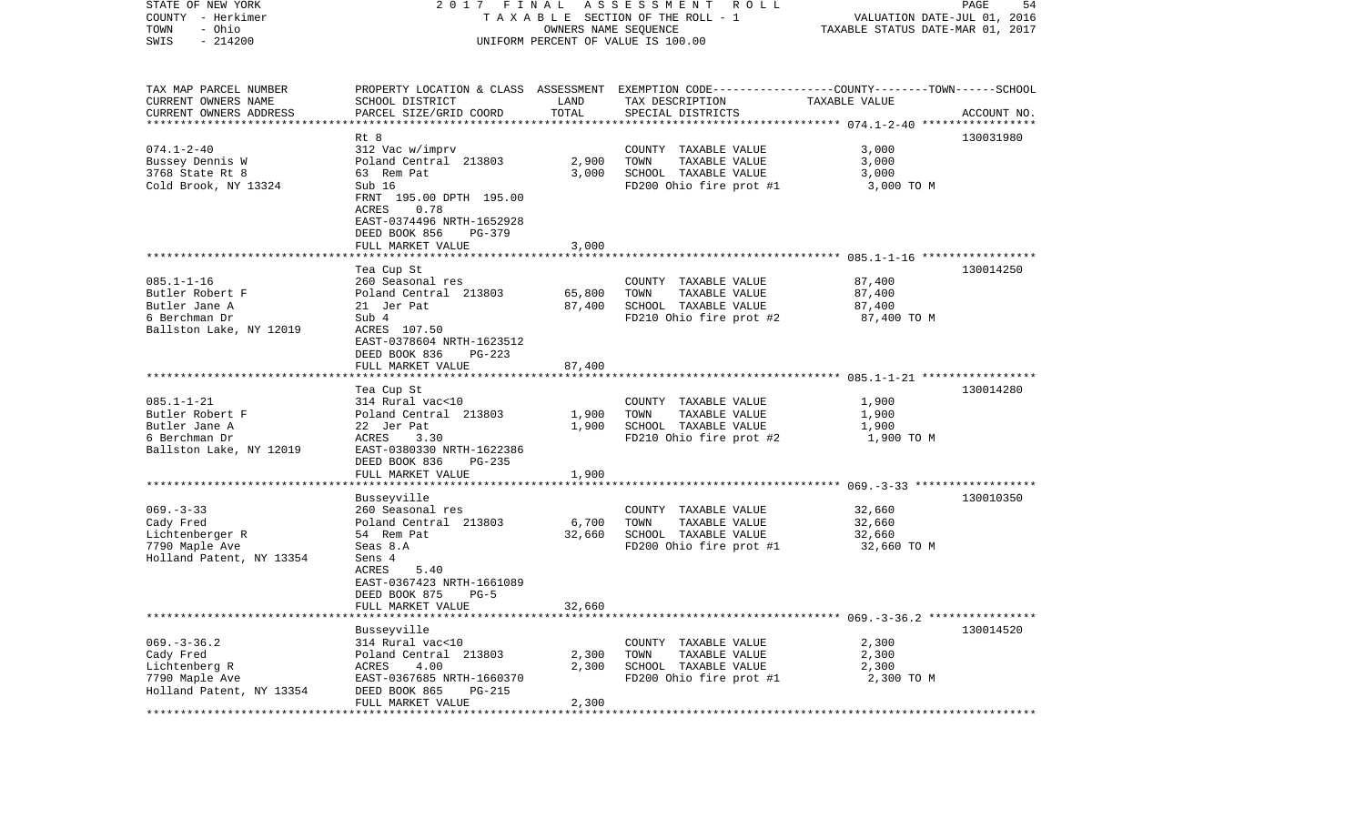| STATE OF NEW YORK<br>COUNTY - Herkimer<br>- Ohio<br>TOWN | 2017 FINAL                               | OWNERS NAME SEQUENCE | A S S E S S M E N T R O L L<br>T A X A B L E SECTION OF THE ROLL - 1                            | VALUATION DATE-JUL 01, 2016<br>TAXABLE STATUS DATE-MAR 01, 2017 | 54<br>PAGE  |
|----------------------------------------------------------|------------------------------------------|----------------------|-------------------------------------------------------------------------------------------------|-----------------------------------------------------------------|-------------|
| $-214200$<br>SWIS                                        |                                          |                      | UNIFORM PERCENT OF VALUE IS 100.00                                                              |                                                                 |             |
| TAX MAP PARCEL NUMBER                                    |                                          |                      | PROPERTY LOCATION & CLASS ASSESSMENT EXEMPTION CODE---------------COUNTY-------TOWN------SCHOOL |                                                                 |             |
| CURRENT OWNERS NAME                                      | SCHOOL DISTRICT                          | LAND                 | TAX DESCRIPTION                                                                                 | TAXABLE VALUE                                                   |             |
| CURRENT OWNERS ADDRESS<br>*************************      | PARCEL SIZE/GRID COORD                   | TOTAL                | SPECIAL DISTRICTS                                                                               |                                                                 | ACCOUNT NO. |
|                                                          | Rt 8                                     |                      |                                                                                                 |                                                                 | 130031980   |
| $074.1 - 2 - 40$                                         | 312 Vac w/imprv                          |                      | COUNTY TAXABLE VALUE                                                                            | 3,000                                                           |             |
| Bussey Dennis W                                          | Poland Central 213803                    | 2,900                | TOWN<br>TAXABLE VALUE                                                                           | 3,000                                                           |             |
| 3768 State Rt 8                                          | 63 Rem Pat                               | 3.000                | SCHOOL TAXABLE VALUE                                                                            | 3,000                                                           |             |
| Cold Brook, NY 13324                                     | Sub 16                                   |                      | FD200 Ohio fire prot #1                                                                         | 3,000 TO M                                                      |             |
|                                                          | FRNT 195.00 DPTH 195.00<br>ACRES<br>0.78 |                      |                                                                                                 |                                                                 |             |
|                                                          | EAST-0374496 NRTH-1652928                |                      |                                                                                                 |                                                                 |             |
|                                                          | DEED BOOK 856<br>PG-379                  |                      |                                                                                                 |                                                                 |             |
|                                                          | FULL MARKET VALUE                        | 3,000                |                                                                                                 |                                                                 |             |
|                                                          |                                          |                      |                                                                                                 |                                                                 |             |
|                                                          | Tea Cup St                               |                      |                                                                                                 |                                                                 | 130014250   |
| $085.1 - 1 - 16$                                         | 260 Seasonal res                         |                      | COUNTY TAXABLE VALUE                                                                            | 87,400                                                          |             |
| Butler Robert F                                          | Poland Central 213803                    | 65,800               | TAXABLE VALUE<br>TOWN                                                                           | 87,400                                                          |             |
| Butler Jane A                                            | 21 Jer Pat                               | 87,400               | SCHOOL TAXABLE VALUE                                                                            | 87,400                                                          |             |
| 6 Berchman Dr<br>Ballston Lake, NY 12019                 | Sub 4<br>ACRES 107.50                    |                      | FD210 Ohio fire prot #2                                                                         | 87,400 TO M                                                     |             |
|                                                          | EAST-0378604 NRTH-1623512                |                      |                                                                                                 |                                                                 |             |
|                                                          | DEED BOOK 836<br>PG-223                  |                      |                                                                                                 |                                                                 |             |
|                                                          | FULL MARKET VALUE                        | 87,400               |                                                                                                 |                                                                 |             |
| *************************                                |                                          |                      |                                                                                                 |                                                                 |             |
|                                                          | Tea Cup St                               |                      |                                                                                                 |                                                                 | 130014280   |
| $085.1 - 1 - 21$                                         | 314 Rural vac<10                         |                      | COUNTY TAXABLE VALUE                                                                            | 1,900                                                           |             |
| Butler Robert F<br>Butler Jane A                         | Poland Central 213803                    | 1,900<br>1,900       | TOWN<br>TAXABLE VALUE<br>SCHOOL TAXABLE VALUE                                                   | 1,900                                                           |             |
| 6 Berchman Dr                                            | 22 Jer Pat<br>ACRES<br>3.30              |                      | FD210 Ohio fire prot #2                                                                         | 1,900<br>1,900 TO M                                             |             |
| Ballston Lake, NY 12019                                  | EAST-0380330 NRTH-1622386                |                      |                                                                                                 |                                                                 |             |
|                                                          | DEED BOOK 836<br>PG-235                  |                      |                                                                                                 |                                                                 |             |
|                                                          | FULL MARKET VALUE                        | 1,900                |                                                                                                 |                                                                 |             |
|                                                          |                                          |                      |                                                                                                 |                                                                 |             |
|                                                          | Busseyville                              |                      |                                                                                                 |                                                                 | 130010350   |
| $069. -3 - 33$                                           | 260 Seasonal res                         |                      | COUNTY TAXABLE VALUE                                                                            | 32,660                                                          |             |
| Cady Fred                                                | Poland Central 213803                    | 6,700                | TOWN<br>TAXABLE VALUE                                                                           | 32,660                                                          |             |
| Lichtenberger R<br>7790 Maple Ave                        | 54 Rem Pat<br>Seas 8.A                   | 32,660               | SCHOOL TAXABLE VALUE                                                                            | 32,660                                                          |             |
| Holland Patent, NY 13354                                 | Sens 4                                   |                      | FD200 Ohio fire prot #1                                                                         | 32,660 TO M                                                     |             |
|                                                          | ACRES<br>5.40                            |                      |                                                                                                 |                                                                 |             |
|                                                          | EAST-0367423 NRTH-1661089                |                      |                                                                                                 |                                                                 |             |
|                                                          | DEED BOOK 875<br>$PG-5$                  |                      |                                                                                                 |                                                                 |             |
|                                                          | FULL MARKET VALUE                        | 32,660               |                                                                                                 |                                                                 |             |
|                                                          |                                          |                      |                                                                                                 |                                                                 |             |
|                                                          | Busseyville                              |                      |                                                                                                 |                                                                 | 130014520   |
| $069. -3 -36.2$                                          | 314 Rural vac<10                         |                      | COUNTY TAXABLE VALUE                                                                            | 2,300                                                           |             |
| Cady Fred<br>Lichtenberg R                               | Poland Central 213803<br>ACRES<br>4.00   | 2,300<br>2,300       | TOWN<br>TAXABLE VALUE<br>SCHOOL TAXABLE VALUE                                                   | 2,300<br>2,300                                                  |             |
| 7790 Maple Ave                                           | EAST-0367685 NRTH-1660370                |                      | FD200 Ohio fire prot #1                                                                         | 2,300 TO M                                                      |             |
| Holland Patent, NY 13354                                 | DEED BOOK 865<br>PG-215                  |                      |                                                                                                 |                                                                 |             |
|                                                          | FULL MARKET VALUE                        | 2,300                |                                                                                                 |                                                                 |             |
|                                                          |                                          |                      |                                                                                                 |                                                                 |             |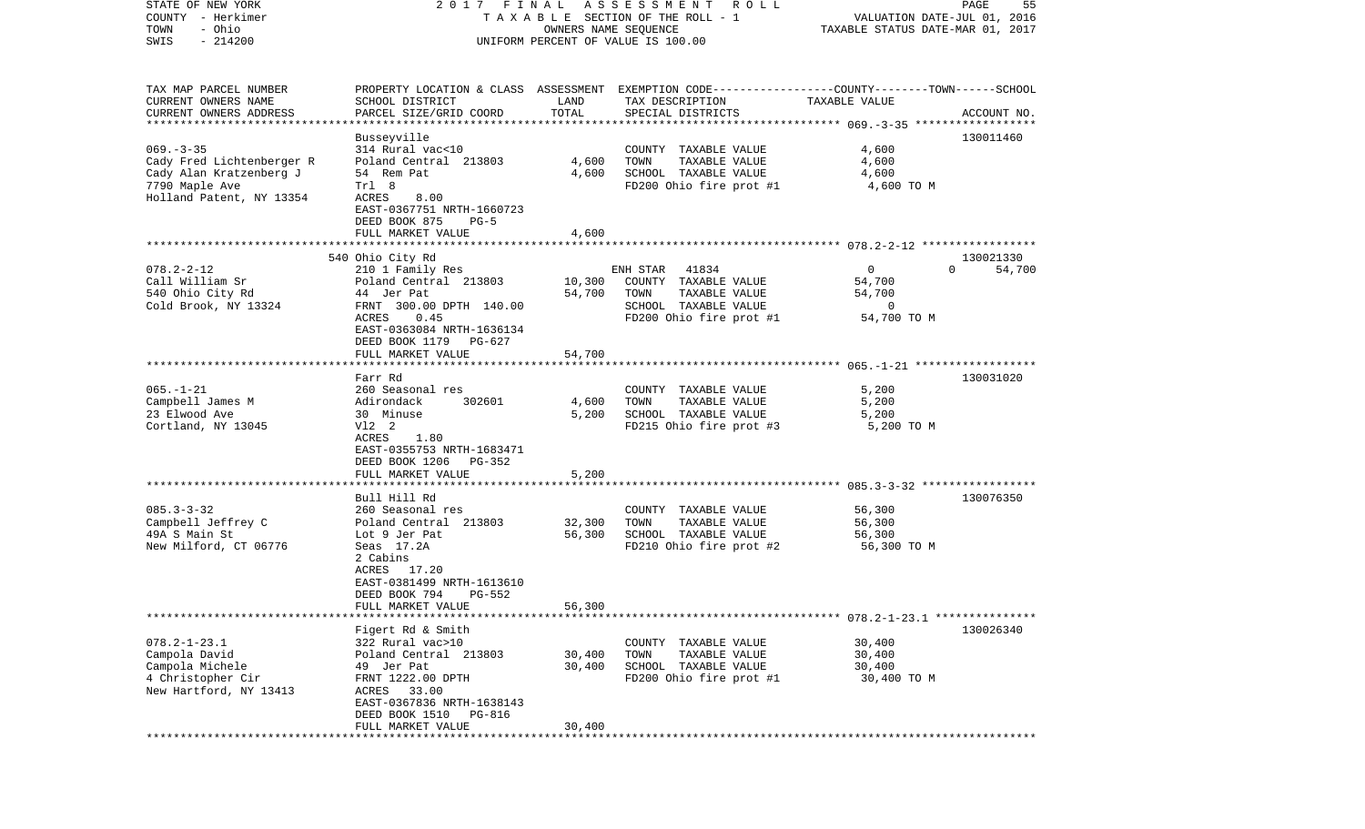| STATE OF NEW YORK                      | FINAL<br>2017                                 |                      | A S S E S S M E N T R O L L                                                                      |                                                                 | PAGE<br>55         |
|----------------------------------------|-----------------------------------------------|----------------------|--------------------------------------------------------------------------------------------------|-----------------------------------------------------------------|--------------------|
| COUNTY - Herkimer<br>- Ohio<br>TOWN    |                                               | OWNERS NAME SEQUENCE | TAXABLE SECTION OF THE ROLL - 1                                                                  | VALUATION DATE-JUL 01, 2016<br>TAXABLE STATUS DATE-MAR 01, 2017 |                    |
| $-214200$<br>SWIS                      |                                               |                      | UNIFORM PERCENT OF VALUE IS 100.00                                                               |                                                                 |                    |
|                                        |                                               |                      |                                                                                                  |                                                                 |                    |
| TAX MAP PARCEL NUMBER                  |                                               |                      | PROPERTY LOCATION & CLASS ASSESSMENT EXEMPTION CODE----------------COUNTY-------TOWN------SCHOOL |                                                                 |                    |
| CURRENT OWNERS NAME                    | SCHOOL DISTRICT                               | LAND                 | TAX DESCRIPTION                                                                                  | TAXABLE VALUE                                                   |                    |
| CURRENT OWNERS ADDRESS                 | PARCEL SIZE/GRID COORD                        | TOTAL                | SPECIAL DISTRICTS                                                                                |                                                                 | ACCOUNT NO.        |
| ************************               |                                               |                      |                                                                                                  |                                                                 |                    |
| $069. -3 -35$                          | Busseyville<br>314 Rural vac<10               |                      | COUNTY TAXABLE VALUE                                                                             | 4,600                                                           | 130011460          |
| Cady Fred Lichtenberger R              | Poland Central 213803                         | 4,600                | TOWN<br>TAXABLE VALUE                                                                            | 4,600                                                           |                    |
| Cady Alan Kratzenberg J                | 54 Rem Pat                                    | 4,600                | SCHOOL TAXABLE VALUE                                                                             | 4,600                                                           |                    |
| 7790 Maple Ave                         | Trl 8                                         |                      | FD200 Ohio fire prot #1                                                                          | 4,600 TO M                                                      |                    |
| Holland Patent, NY 13354               | ACRES<br>8.00                                 |                      |                                                                                                  |                                                                 |                    |
|                                        | EAST-0367751 NRTH-1660723                     |                      |                                                                                                  |                                                                 |                    |
|                                        | DEED BOOK 875<br>$PG-5$                       |                      |                                                                                                  |                                                                 |                    |
|                                        | FULL MARKET VALUE                             | 4,600                |                                                                                                  |                                                                 |                    |
|                                        | 540 Ohio City Rd                              |                      |                                                                                                  |                                                                 | 130021330          |
| $078.2 - 2 - 12$                       | 210 1 Family Res                              |                      | ENH STAR<br>41834                                                                                | $\circ$                                                         | $\Omega$<br>54,700 |
| Call William Sr                        | Poland Central 213803                         | 10,300               | COUNTY TAXABLE VALUE                                                                             | 54,700                                                          |                    |
| 540 Ohio City Rd                       | 44 Jer Pat                                    | 54,700               | TOWN<br>TAXABLE VALUE                                                                            | 54,700                                                          |                    |
| Cold Brook, NY 13324                   | FRNT 300.00 DPTH 140.00                       |                      | SCHOOL TAXABLE VALUE                                                                             | 0                                                               |                    |
|                                        | ACRES<br>0.45                                 |                      | FD200 Ohio fire prot #1                                                                          | 54,700 TO M                                                     |                    |
|                                        | EAST-0363084 NRTH-1636134                     |                      |                                                                                                  |                                                                 |                    |
|                                        | DEED BOOK 1179<br>PG-627<br>FULL MARKET VALUE | 54,700               |                                                                                                  |                                                                 |                    |
|                                        |                                               |                      |                                                                                                  |                                                                 |                    |
|                                        | Farr Rd                                       |                      |                                                                                                  |                                                                 | 130031020          |
| $065. - 1 - 21$                        | 260 Seasonal res                              |                      | COUNTY TAXABLE VALUE                                                                             | 5,200                                                           |                    |
| Campbell James M                       | Adirondack<br>302601                          | 4,600                | TOWN<br>TAXABLE VALUE                                                                            | 5,200                                                           |                    |
| 23 Elwood Ave                          | 30 Minuse                                     | 5,200                | SCHOOL TAXABLE VALUE                                                                             | 5,200                                                           |                    |
| Cortland, NY 13045                     | V12 2<br>ACRES<br>1.80                        |                      | FD215 Ohio fire prot #3                                                                          | 5,200 TO M                                                      |                    |
|                                        | EAST-0355753 NRTH-1683471                     |                      |                                                                                                  |                                                                 |                    |
|                                        | DEED BOOK 1206<br>PG-352                      |                      |                                                                                                  |                                                                 |                    |
|                                        | FULL MARKET VALUE                             | 5,200                |                                                                                                  |                                                                 |                    |
|                                        | **********************                        |                      |                                                                                                  |                                                                 |                    |
|                                        | Bull Hill Rd                                  |                      |                                                                                                  |                                                                 | 130076350          |
| $085.3 - 3 - 32$                       | 260 Seasonal res                              |                      | COUNTY TAXABLE VALUE                                                                             | 56,300                                                          |                    |
| Campbell Jeffrey C                     | Poland Central 213803                         | 32,300               | TOWN<br>TAXABLE VALUE<br>SCHOOL TAXABLE VALUE                                                    | 56,300                                                          |                    |
| 49A S Main St<br>New Milford, CT 06776 | Lot 9 Jer Pat<br>Seas 17.2A                   | 56,300               | FD210 Ohio fire prot #2                                                                          | 56,300<br>56,300 TO M                                           |                    |
|                                        | 2 Cabins                                      |                      |                                                                                                  |                                                                 |                    |
|                                        | ACRES 17.20                                   |                      |                                                                                                  |                                                                 |                    |
|                                        | EAST-0381499 NRTH-1613610                     |                      |                                                                                                  |                                                                 |                    |
|                                        | DEED BOOK 794<br>PG-552                       |                      |                                                                                                  |                                                                 |                    |
|                                        | FULL MARKET VALUE                             | 56,300               |                                                                                                  |                                                                 |                    |
|                                        | Figert Rd & Smith                             |                      |                                                                                                  |                                                                 | 130026340          |
| $078.2 - 1 - 23.1$                     | 322 Rural vac>10                              |                      | COUNTY TAXABLE VALUE                                                                             | 30,400                                                          |                    |
| Campola David                          | Poland Central 213803                         | 30,400               | TOWN<br>TAXABLE VALUE                                                                            | 30,400                                                          |                    |
| Campola Michele                        | 49 Jer Pat                                    | 30,400               | SCHOOL TAXABLE VALUE                                                                             | 30,400                                                          |                    |
| 4 Christopher Cir                      | FRNT 1222.00 DPTH                             |                      | FD200 Ohio fire prot #1                                                                          | 30,400 TO M                                                     |                    |
| New Hartford, NY 13413                 | ACRES 33.00                                   |                      |                                                                                                  |                                                                 |                    |
|                                        | EAST-0367836 NRTH-1638143                     |                      |                                                                                                  |                                                                 |                    |
|                                        | DEED BOOK 1510 PG-816                         |                      |                                                                                                  |                                                                 |                    |
|                                        | FULL MARKET VALUE                             | 30,400               |                                                                                                  |                                                                 |                    |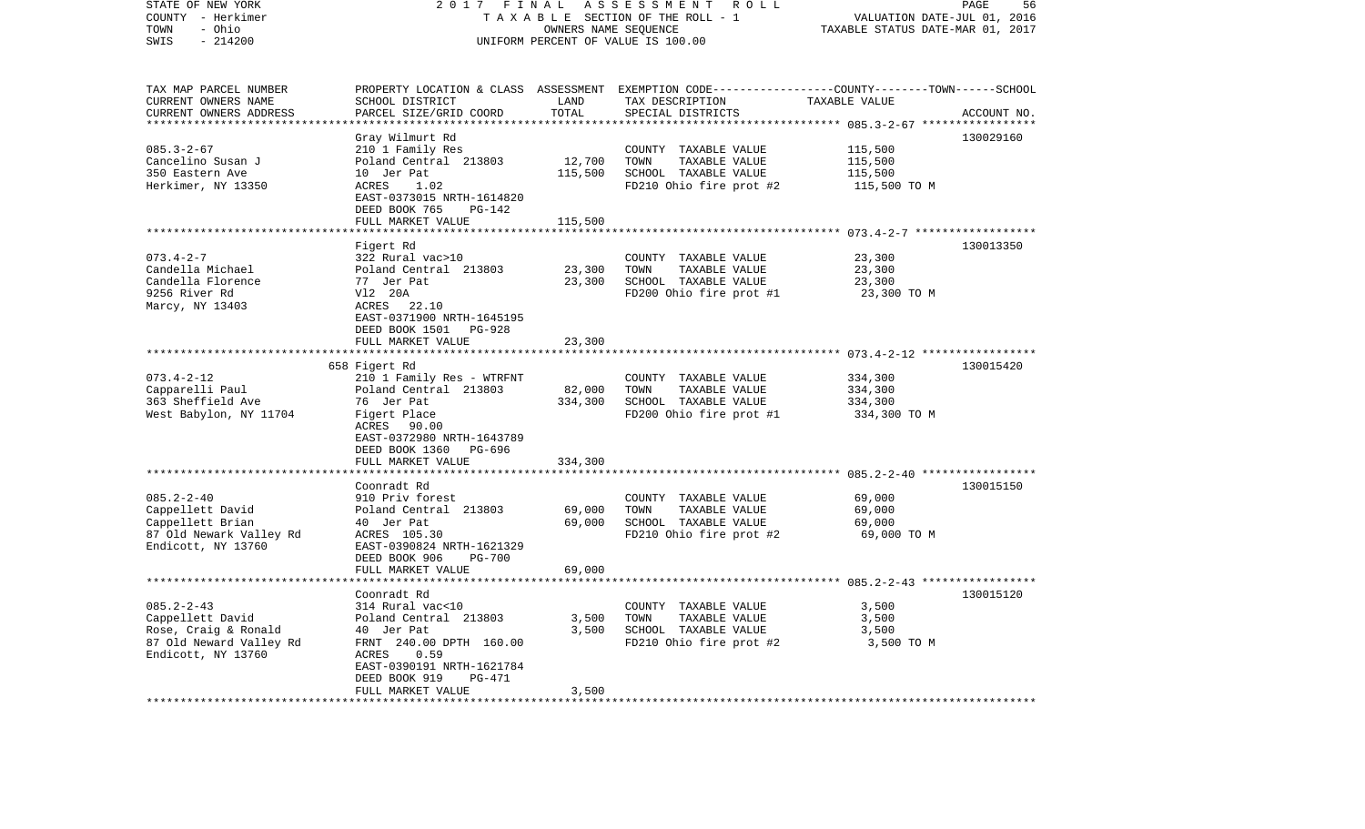| STATE OF NEW YORK<br>COUNTY - Herkimer<br>- Ohio<br>TOWN<br>SWIS<br>$-214200$ | 2017                                      | FINAL<br>OWNERS NAME SEQUENCE | ASSESSMENT<br>ROLL<br>TAXABLE SECTION OF THE ROLL - 1<br>UNIFORM PERCENT OF VALUE IS 100.00      | VALUATION DATE-JUL 01, 2016<br>TAXABLE STATUS DATE-MAR 01, 2017 | PAGE<br>56  |
|-------------------------------------------------------------------------------|-------------------------------------------|-------------------------------|--------------------------------------------------------------------------------------------------|-----------------------------------------------------------------|-------------|
|                                                                               |                                           |                               |                                                                                                  |                                                                 |             |
| TAX MAP PARCEL NUMBER                                                         |                                           |                               | PROPERTY LOCATION & CLASS ASSESSMENT EXEMPTION CODE----------------COUNTY-------TOWN------SCHOOL |                                                                 |             |
| CURRENT OWNERS NAME<br>CURRENT OWNERS ADDRESS                                 | SCHOOL DISTRICT<br>PARCEL SIZE/GRID COORD | LAND<br>TOTAL                 | TAX DESCRIPTION                                                                                  | TAXABLE VALUE                                                   |             |
|                                                                               |                                           | * * * * * * * * *             | SPECIAL DISTRICTS                                                                                | ************ 085.3-2-67 *****                                   | ACCOUNT NO. |
|                                                                               | Gray Wilmurt Rd                           |                               |                                                                                                  |                                                                 | 130029160   |
| $085.3 - 2 - 67$                                                              | 210 1 Family Res                          |                               | COUNTY TAXABLE VALUE                                                                             | 115,500                                                         |             |
| Cancelino Susan J                                                             | Poland Central 213803                     | 12,700                        | TOWN<br>TAXABLE VALUE                                                                            | 115,500                                                         |             |
| 350 Eastern Ave                                                               | 10 Jer Pat                                | 115,500                       | SCHOOL TAXABLE VALUE                                                                             | 115,500                                                         |             |
| Herkimer, NY 13350                                                            | ACRES<br>1.02                             |                               | FD210 Ohio fire prot #2                                                                          | 115,500 TO M                                                    |             |
|                                                                               | EAST-0373015 NRTH-1614820                 |                               |                                                                                                  |                                                                 |             |
|                                                                               | DEED BOOK 765<br>PG-142                   |                               |                                                                                                  |                                                                 |             |
|                                                                               | FULL MARKET VALUE                         | 115,500                       |                                                                                                  |                                                                 |             |
|                                                                               | Figert Rd                                 |                               |                                                                                                  |                                                                 | 130013350   |
| $073.4 - 2 - 7$                                                               | 322 Rural vac>10                          |                               | COUNTY TAXABLE VALUE                                                                             | 23,300                                                          |             |
| Candella Michael                                                              | Poland Central 213803                     | 23,300                        | TOWN<br>TAXABLE VALUE                                                                            | 23,300                                                          |             |
| Candella Florence                                                             | 77 Jer Pat                                | 23,300                        | SCHOOL TAXABLE VALUE                                                                             | 23,300                                                          |             |
| 9256 River Rd                                                                 | V12 20A                                   |                               | FD200 Ohio fire prot #1                                                                          | 23,300 TO M                                                     |             |
| Marcy, NY 13403                                                               | 22.10<br>ACRES                            |                               |                                                                                                  |                                                                 |             |
|                                                                               | EAST-0371900 NRTH-1645195                 |                               |                                                                                                  |                                                                 |             |
|                                                                               | DEED BOOK 1501<br><b>PG-928</b>           |                               |                                                                                                  |                                                                 |             |
|                                                                               | FULL MARKET VALUE                         | 23,300                        |                                                                                                  |                                                                 |             |
|                                                                               | 658 Figert Rd                             |                               |                                                                                                  |                                                                 | 130015420   |
| $073.4 - 2 - 12$                                                              | 210 1 Family Res - WTRFNT                 |                               | COUNTY TAXABLE VALUE                                                                             | 334,300                                                         |             |
| Capparelli Paul                                                               | Poland Central 213803                     | 82,000                        | TOWN<br>TAXABLE VALUE                                                                            | 334,300                                                         |             |
| 363 Sheffield Ave                                                             | 76 Jer Pat                                | 334,300                       | SCHOOL TAXABLE VALUE                                                                             | 334,300                                                         |             |
| West Babylon, NY 11704                                                        | Figert Place                              |                               | FD200 Ohio fire prot #1                                                                          | 334,300 TO M                                                    |             |
|                                                                               | ACRES 90.00                               |                               |                                                                                                  |                                                                 |             |
|                                                                               | EAST-0372980 NRTH-1643789                 |                               |                                                                                                  |                                                                 |             |
|                                                                               | DEED BOOK 1360 PG-696                     |                               |                                                                                                  |                                                                 |             |
|                                                                               | FULL MARKET VALUE                         | 334,300                       |                                                                                                  |                                                                 |             |
|                                                                               | Coonradt Rd                               |                               |                                                                                                  |                                                                 | 130015150   |
| $085.2 - 2 - 40$                                                              | 910 Priv forest                           |                               | COUNTY TAXABLE VALUE                                                                             | 69,000                                                          |             |
| Cappellett David                                                              | Poland Central 213803                     | 69,000                        | TOWN<br>TAXABLE VALUE                                                                            | 69,000                                                          |             |
| Cappellett Brian                                                              | 40 Jer Pat                                | 69,000                        | SCHOOL TAXABLE VALUE                                                                             | 69,000                                                          |             |
| 87 Old Newark Valley Rd                                                       | ACRES 105.30                              |                               | FD210 Ohio fire prot #2                                                                          | 69,000 TO M                                                     |             |
| Endicott, NY 13760                                                            | EAST-0390824 NRTH-1621329                 |                               |                                                                                                  |                                                                 |             |
|                                                                               | DEED BOOK 906<br><b>PG-700</b>            |                               |                                                                                                  |                                                                 |             |
|                                                                               | FULL MARKET VALUE<br>******************   | 69,000                        |                                                                                                  |                                                                 |             |
|                                                                               |                                           |                               |                                                                                                  |                                                                 |             |
| $085.2 - 2 - 43$                                                              | Coonradt Rd<br>314 Rural vac<10           |                               | COUNTY TAXABLE VALUE                                                                             | 3,500                                                           | 130015120   |
| Cappellett David                                                              | Poland Central 213803                     | 3,500                         | TOWN<br>TAXABLE VALUE                                                                            | 3,500                                                           |             |
| Rose, Craig & Ronald                                                          | 40 Jer Pat                                | 3,500                         | SCHOOL TAXABLE VALUE                                                                             | 3,500                                                           |             |
| 87 Old Neward Valley Rd                                                       | FRNT 240.00 DPTH 160.00                   |                               | FD210 Ohio fire prot #2                                                                          | 3,500 TO M                                                      |             |
| Endicott, NY 13760                                                            | ACRES<br>0.59                             |                               |                                                                                                  |                                                                 |             |
|                                                                               | EAST-0390191 NRTH-1621784                 |                               |                                                                                                  |                                                                 |             |
|                                                                               | DEED BOOK 919<br>PG-471                   |                               |                                                                                                  |                                                                 |             |
|                                                                               | FULL MARKET VALUE<br>.                    | 3,500                         |                                                                                                  |                                                                 |             |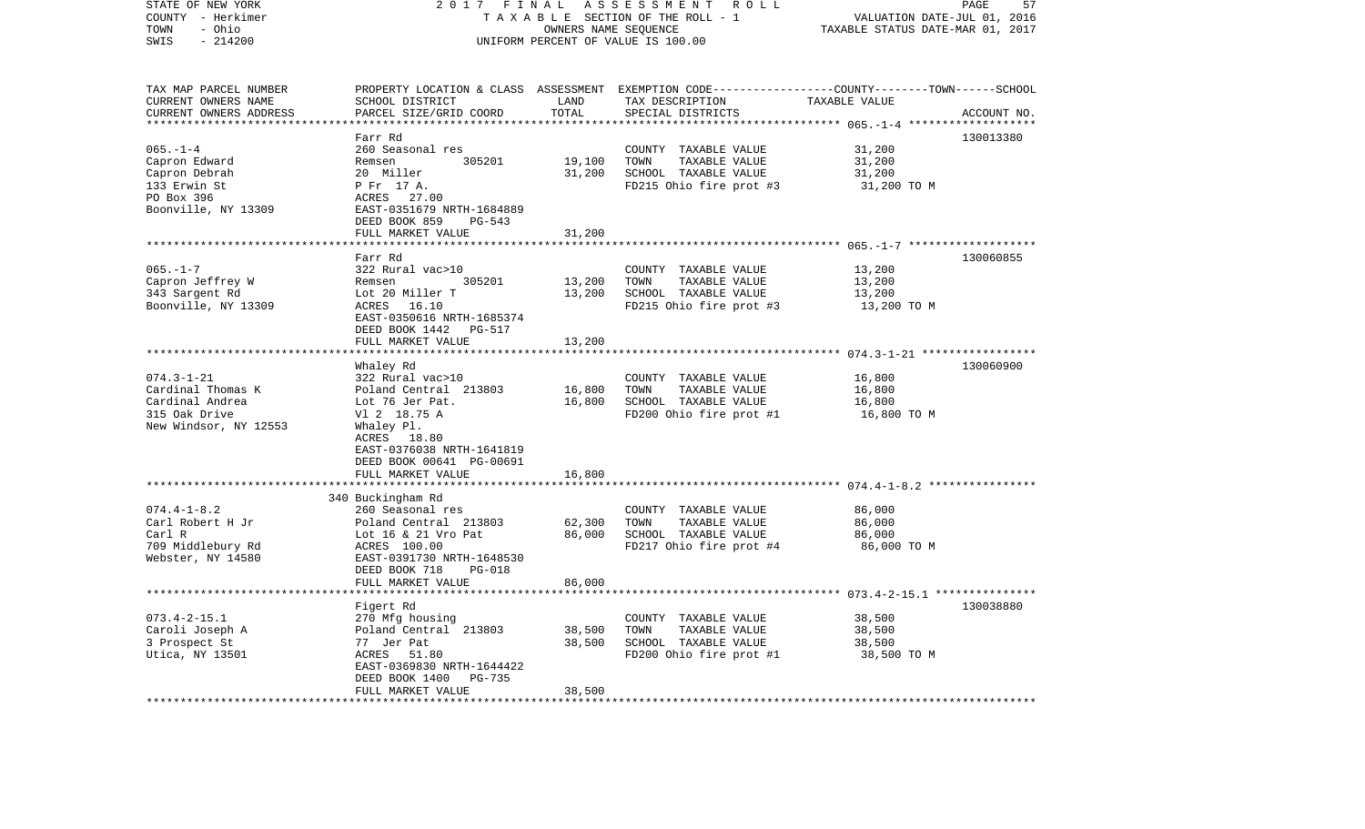| STATE OF NEW YORK<br>COUNTY - Herkimer<br>- Ohio<br>TOWN<br>SWIS<br>$-214200$                         | 2017<br>FINAL<br>ASSESSMENT ROLL<br>TAXABLE SECTION OF THE ROLL - 1<br>OWNERS NAME SEQUENCE<br>UNIFORM PERCENT OF VALUE IS 100.00                                                                    |                            |                                                                                                                                          | PAGE<br>57<br>VALUATION DATE-JUL 01, 2016<br>TAXABLE STATUS DATE-MAR 01, 2017 |             |
|-------------------------------------------------------------------------------------------------------|------------------------------------------------------------------------------------------------------------------------------------------------------------------------------------------------------|----------------------------|------------------------------------------------------------------------------------------------------------------------------------------|-------------------------------------------------------------------------------|-------------|
| TAX MAP PARCEL NUMBER<br>CURRENT OWNERS NAME<br>CURRENT OWNERS ADDRESS                                | SCHOOL DISTRICT<br>PARCEL SIZE/GRID COORD                                                                                                                                                            | LAND<br>TOTAL              | PROPERTY LOCATION & CLASS ASSESSMENT EXEMPTION CODE----------------COUNTY-------TOWN------SCHOOL<br>TAX DESCRIPTION<br>SPECIAL DISTRICTS | TAXABLE VALUE<br>********* 065.-1-4 ****                                      | ACCOUNT NO. |
| $065. - 1 - 4$<br>Capron Edward<br>Capron Debrah<br>133 Erwin St<br>PO Box 396<br>Boonville, NY 13309 | Farr Rd<br>260 Seasonal res<br>305201<br>Remsen<br>20 Miller<br>P Fr 17 A.<br>ACRES 27.00<br>EAST-0351679 NRTH-1684889<br>DEED BOOK 859<br>PG-543<br>FULL MARKET VALUE                               | 19,100<br>31,200<br>31,200 | COUNTY TAXABLE VALUE<br>TOWN<br>TAXABLE VALUE<br>SCHOOL TAXABLE VALUE<br>FD215 Ohio fire prot #3                                         | 31,200<br>31,200<br>31,200<br>31,200 TO M                                     | 130013380   |
|                                                                                                       |                                                                                                                                                                                                      |                            |                                                                                                                                          |                                                                               |             |
| $065. - 1 - 7$<br>Capron Jeffrey W<br>343 Sargent Rd<br>Boonville, NY 13309                           | Farr Rd<br>322 Rural vac>10<br>305201<br>Remsen<br>Lot 20 Miller T<br>16.10<br>ACRES<br>EAST-0350616 NRTH-1685374<br>DEED BOOK 1442 PG-517                                                           | 13,200<br>13,200           | COUNTY TAXABLE VALUE<br>TOWN<br>TAXABLE VALUE<br>SCHOOL TAXABLE VALUE<br>FD215 Ohio fire prot #3                                         | 13,200<br>13,200<br>13,200<br>13,200 TO M                                     | 130060855   |
|                                                                                                       | FULL MARKET VALUE                                                                                                                                                                                    | 13,200                     |                                                                                                                                          |                                                                               |             |
|                                                                                                       |                                                                                                                                                                                                      |                            |                                                                                                                                          |                                                                               |             |
| $074.3 - 1 - 21$<br>Cardinal Thomas K<br>Cardinal Andrea<br>315 Oak Drive<br>New Windsor, NY 12553    | Whaley Rd<br>322 Rural vac>10<br>Poland Central 213803<br>Lot 76 Jer Pat.<br>V1 2 18.75 A<br>Whaley Pl.<br>ACRES 18.80<br>EAST-0376038 NRTH-1641819<br>DEED BOOK 00641 PG-00691<br>FULL MARKET VALUE | 16,800<br>16,800<br>16,800 | COUNTY TAXABLE VALUE<br>TOWN<br>TAXABLE VALUE<br>SCHOOL TAXABLE VALUE<br>FD200 Ohio fire prot #1                                         | 16,800<br>16,800<br>16,800<br>16,800 TO M                                     | 130060900   |
|                                                                                                       | 340 Buckingham Rd                                                                                                                                                                                    |                            |                                                                                                                                          |                                                                               |             |
| $074.4 - 1 - 8.2$<br>Carl Robert H Jr<br>Carl R<br>709 Middlebury Rd<br>Webster, NY 14580             | 260 Seasonal res<br>Poland Central 213803<br>Lot $16$ & $21$ Vro Pat<br>ACRES 100.00<br>EAST-0391730 NRTH-1648530<br><b>PG-018</b>                                                                   | 62,300<br>86,000           | COUNTY TAXABLE VALUE<br>TOWN<br>TAXABLE VALUE<br>SCHOOL TAXABLE VALUE<br>FD217 Ohio fire prot #4                                         | 86,000<br>86,000<br>86,000<br>86,000 TO M                                     |             |
|                                                                                                       | DEED BOOK 718<br>FULL MARKET VALUE                                                                                                                                                                   | 86,000                     |                                                                                                                                          |                                                                               |             |
|                                                                                                       | *************************                                                                                                                                                                            |                            |                                                                                                                                          |                                                                               |             |
| $073.4 - 2 - 15.1$<br>Caroli Joseph A<br>3 Prospect St<br>Utica, NY 13501                             | Figert Rd<br>270 Mfg housing<br>Poland Central 213803<br>77 Jer Pat<br>51.80<br>ACRES<br>EAST-0369830 NRTH-1644422<br>DEED BOOK 1400<br>PG-735<br>FULL MARKET VALUE                                  | 38,500<br>38,500<br>38,500 | COUNTY TAXABLE VALUE<br>TOWN<br>TAXABLE VALUE<br>SCHOOL TAXABLE VALUE<br>FD200 Ohio fire prot #1                                         | 38,500<br>38,500<br>38,500<br>38,500 TO M                                     | 130038880   |
|                                                                                                       |                                                                                                                                                                                                      |                            |                                                                                                                                          |                                                                               |             |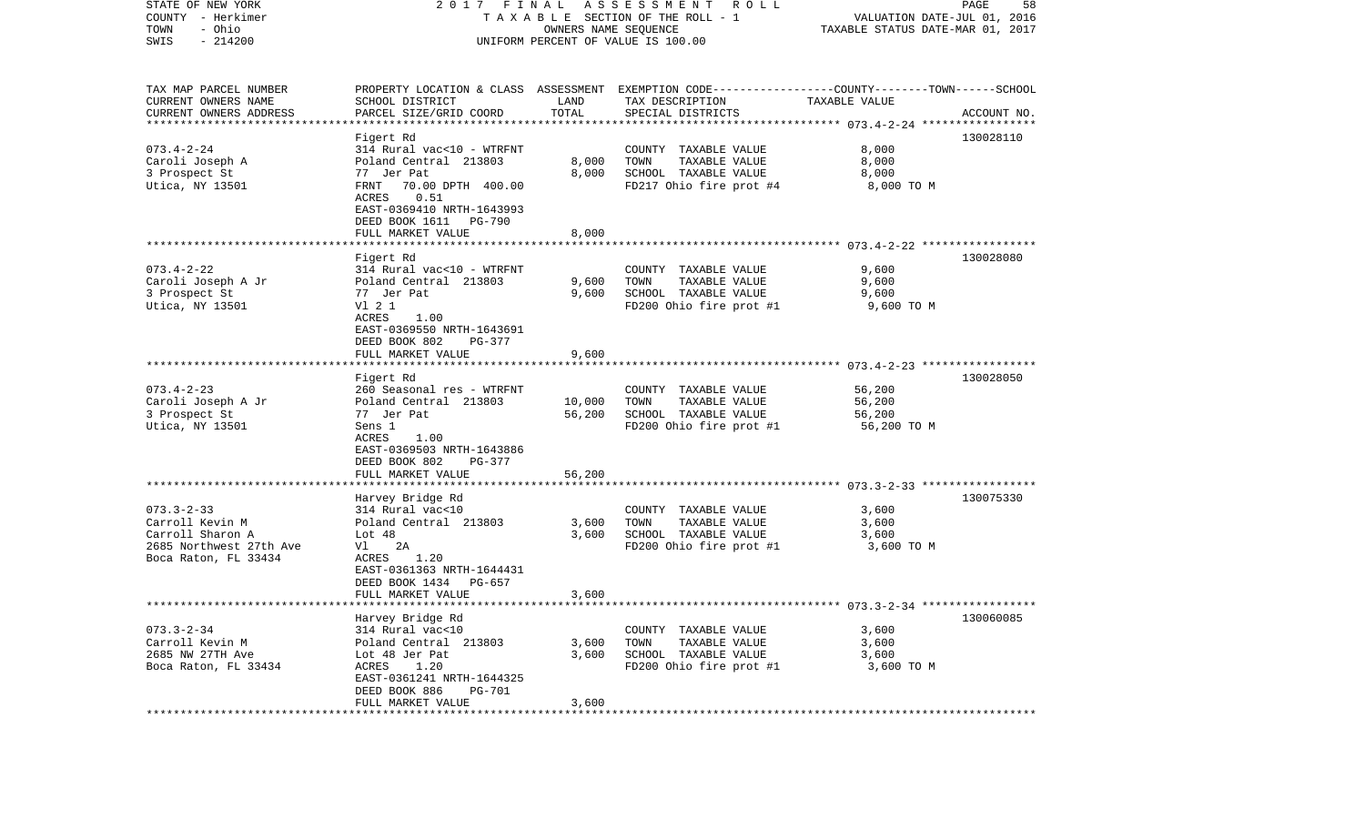| STATE OF NEW YORK<br>COUNTY - Herkimer<br>- Ohio<br>TOWN | FINAL<br>2017<br>TAXABLE SECTION OF THE ROLL - 1                       | PAGE<br>58<br>VALUATION DATE-JUL 01, 2016<br>TAXABLE STATUS DATE-MAR 01, 2017 |                                                                                                                    |                  |             |
|----------------------------------------------------------|------------------------------------------------------------------------|-------------------------------------------------------------------------------|--------------------------------------------------------------------------------------------------------------------|------------------|-------------|
| $-214200$<br>SWIS                                        |                                                                        |                                                                               | UNIFORM PERCENT OF VALUE IS 100.00                                                                                 |                  |             |
| TAX MAP PARCEL NUMBER<br>CURRENT OWNERS NAME             | SCHOOL DISTRICT                                                        | LAND                                                                          | PROPERTY LOCATION & CLASS ASSESSMENT EXEMPTION CODE---------------COUNTY-------TOWN------SCHOOL<br>TAX DESCRIPTION | TAXABLE VALUE    |             |
| CURRENT OWNERS ADDRESS                                   | PARCEL SIZE/GRID COORD                                                 | TOTAL                                                                         | SPECIAL DISTRICTS                                                                                                  |                  | ACCOUNT NO. |
| ***********************                                  | Figert Rd                                                              |                                                                               |                                                                                                                    |                  | 130028110   |
| $073.4 - 2 - 24$                                         | 314 Rural vac<10 - WTRFNT                                              |                                                                               | COUNTY TAXABLE VALUE                                                                                               | 8,000            |             |
| Caroli Joseph A                                          | Poland Central 213803                                                  | 8,000                                                                         | TOWN<br>TAXABLE VALUE                                                                                              | 8,000            |             |
| 3 Prospect St                                            | 77 Jer Pat                                                             | 8,000                                                                         | SCHOOL TAXABLE VALUE                                                                                               | 8,000            |             |
| Utica, NY 13501                                          | FRNT<br>70.00 DPTH 400.00<br>ACRES<br>0.51                             |                                                                               | FD217 Ohio fire prot #4                                                                                            | 8,000 TO M       |             |
|                                                          | EAST-0369410 NRTH-1643993<br>DEED BOOK 1611<br>PG-790                  |                                                                               |                                                                                                                    |                  |             |
|                                                          | FULL MARKET VALUE                                                      | 8,000                                                                         |                                                                                                                    |                  |             |
|                                                          |                                                                        |                                                                               |                                                                                                                    |                  |             |
|                                                          | Figert Rd                                                              |                                                                               |                                                                                                                    |                  | 130028080   |
| $073.4 - 2 - 22$<br>Caroli Joseph A Jr                   | 314 Rural vac<10 - WTRFNT<br>Poland Central 213803                     | 9,600                                                                         | COUNTY TAXABLE VALUE<br>TOWN<br>TAXABLE VALUE                                                                      | 9,600<br>9,600   |             |
| 3 Prospect St                                            | 77 Jer Pat                                                             | 9,600                                                                         | SCHOOL TAXABLE VALUE                                                                                               | 9,600            |             |
| Utica, NY 13501                                          | V1 2 1                                                                 |                                                                               | FD200 Ohio fire prot #1                                                                                            | 9,600 TO M       |             |
|                                                          | ACRES<br>1.00                                                          |                                                                               |                                                                                                                    |                  |             |
|                                                          | EAST-0369550 NRTH-1643691                                              |                                                                               |                                                                                                                    |                  |             |
|                                                          | DEED BOOK 802<br>PG-377<br>FULL MARKET VALUE                           | 9,600                                                                         |                                                                                                                    |                  |             |
|                                                          |                                                                        |                                                                               |                                                                                                                    |                  |             |
|                                                          | Figert Rd                                                              |                                                                               |                                                                                                                    |                  | 130028050   |
| $073.4 - 2 - 23$                                         | 260 Seasonal res - WTRFNT                                              |                                                                               | COUNTY TAXABLE VALUE                                                                                               | 56,200           |             |
| Caroli Joseph A Jr                                       | Poland Central 213803                                                  | 10,000<br>56,200                                                              | TOWN<br>TAXABLE VALUE<br>SCHOOL TAXABLE VALUE                                                                      | 56,200<br>56,200 |             |
| 3 Prospect St<br>Utica, NY 13501                         | 77 Jer Pat<br>Sens 1                                                   |                                                                               | FD200 Ohio fire prot #1                                                                                            | 56,200 TO M      |             |
|                                                          | ACRES<br>1.00                                                          |                                                                               |                                                                                                                    |                  |             |
|                                                          | EAST-0369503 NRTH-1643886<br>DEED BOOK 802<br>PG-377                   |                                                                               |                                                                                                                    |                  |             |
|                                                          | FULL MARKET VALUE                                                      | 56,200                                                                        |                                                                                                                    |                  |             |
|                                                          | Harvey Bridge Rd                                                       |                                                                               |                                                                                                                    |                  | 130075330   |
| $073.3 - 2 - 33$                                         | 314 Rural vac<10                                                       |                                                                               | COUNTY TAXABLE VALUE                                                                                               | 3,600            |             |
| Carroll Kevin M                                          | Poland Central 213803                                                  | 3,600                                                                         | TOWN<br>TAXABLE VALUE                                                                                              | 3,600            |             |
| Carroll Sharon A                                         | Lot $48$                                                               | 3,600                                                                         | SCHOOL TAXABLE VALUE                                                                                               | 3,600            |             |
| 2685 Northwest 27th Ave                                  | 2A<br>Vl                                                               |                                                                               | FD200 Ohio fire prot #1                                                                                            | 3,600 TO M       |             |
| Boca Raton, FL 33434                                     | 1.20<br>ACRES<br>EAST-0361363 NRTH-1644431<br>DEED BOOK 1434<br>PG-657 |                                                                               |                                                                                                                    |                  |             |
|                                                          | FULL MARKET VALUE                                                      | 3,600                                                                         |                                                                                                                    |                  |             |
|                                                          |                                                                        |                                                                               | ******************************* 073.3-2-34 *****************                                                       |                  |             |
|                                                          | Harvey Bridge Rd                                                       |                                                                               |                                                                                                                    |                  | 130060085   |
| $073.3 - 2 - 34$                                         | 314 Rural vac<10                                                       |                                                                               | COUNTY TAXABLE VALUE                                                                                               | 3,600            |             |
| Carroll Kevin M<br>2685 NW 27TH Ave                      | Poland Central 213803<br>Lot 48 Jer Pat                                | 3,600<br>3,600                                                                | TOWN<br>TAXABLE VALUE<br>SCHOOL TAXABLE VALUE                                                                      | 3,600<br>3,600   |             |
| Boca Raton, FL 33434                                     | ACRES<br>1.20                                                          |                                                                               | FD200 Ohio fire prot #1                                                                                            | 3,600 TO M       |             |
|                                                          | EAST-0361241 NRTH-1644325                                              |                                                                               |                                                                                                                    |                  |             |
|                                                          | DEED BOOK 886<br><b>PG-701</b>                                         |                                                                               |                                                                                                                    |                  |             |
|                                                          | FULL MARKET VALUE                                                      | 3,600                                                                         |                                                                                                                    |                  |             |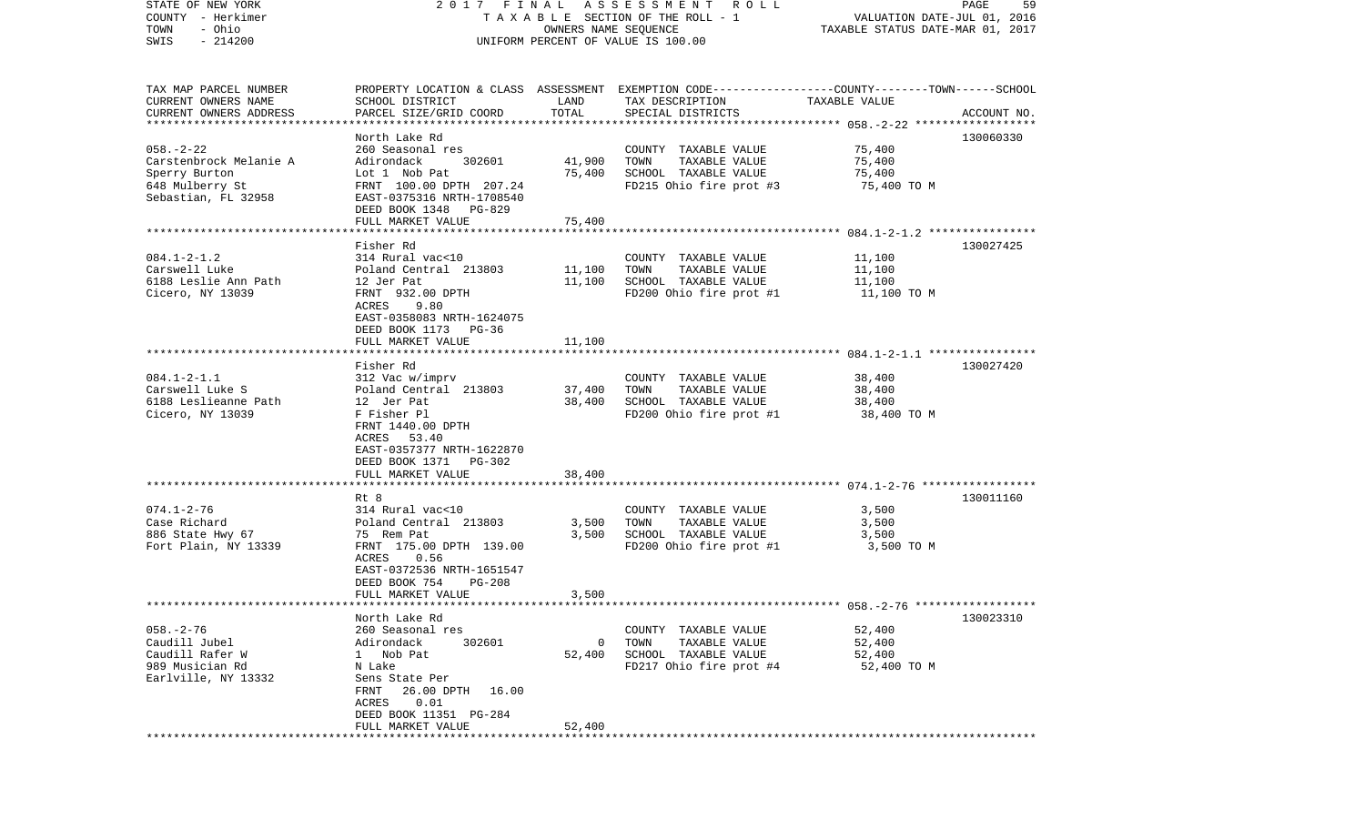| STATE OF NEW YORK                                 | 2017 FINAL                                        |                      | A S S E S S M E N T R O L L                                                                      |                                                                 | PAGE<br>59  |
|---------------------------------------------------|---------------------------------------------------|----------------------|--------------------------------------------------------------------------------------------------|-----------------------------------------------------------------|-------------|
| COUNTY - Herkimer<br>- Ohio<br>TOWN               |                                                   | OWNERS NAME SEQUENCE | T A X A B L E SECTION OF THE ROLL - 1                                                            | VALUATION DATE-JUL 01, 2016<br>TAXABLE STATUS DATE-MAR 01, 2017 |             |
| $-214200$<br>SWIS                                 |                                                   |                      | UNIFORM PERCENT OF VALUE IS 100.00                                                               |                                                                 |             |
|                                                   |                                                   |                      |                                                                                                  |                                                                 |             |
|                                                   |                                                   |                      |                                                                                                  |                                                                 |             |
| TAX MAP PARCEL NUMBER                             |                                                   |                      | PROPERTY LOCATION & CLASS ASSESSMENT EXEMPTION CODE----------------COUNTY-------TOWN------SCHOOL |                                                                 |             |
| CURRENT OWNERS NAME                               | SCHOOL DISTRICT                                   | LAND                 | TAX DESCRIPTION                                                                                  | TAXABLE VALUE                                                   |             |
| CURRENT OWNERS ADDRESS<br>*********************** | PARCEL SIZE/GRID COORD                            | TOTAL                | SPECIAL DISTRICTS                                                                                |                                                                 | ACCOUNT NO. |
|                                                   | North Lake Rd                                     |                      |                                                                                                  |                                                                 | 130060330   |
| $058. - 2 - 22$                                   | 260 Seasonal res                                  |                      | COUNTY TAXABLE VALUE                                                                             | 75,400                                                          |             |
| Carstenbrock Melanie A                            | Adirondack<br>302601                              | 41,900               | TOWN<br>TAXABLE VALUE                                                                            | 75,400                                                          |             |
| Sperry Burton                                     | Lot 1 Nob Pat                                     | 75,400               | SCHOOL TAXABLE VALUE                                                                             | 75,400                                                          |             |
| 648 Mulberry St                                   | FRNT 100.00 DPTH 207.24                           |                      | FD215 Ohio fire prot #3                                                                          | 75,400 TO M                                                     |             |
| Sebastian, FL 32958                               | EAST-0375316 NRTH-1708540                         |                      |                                                                                                  |                                                                 |             |
|                                                   | DEED BOOK 1348 PG-829                             |                      |                                                                                                  |                                                                 |             |
|                                                   | FULL MARKET VALUE<br>***********************      | 75,400               |                                                                                                  |                                                                 |             |
|                                                   | Fisher Rd                                         |                      |                                                                                                  |                                                                 | 130027425   |
| $084.1 - 2 - 1.2$                                 | 314 Rural vac<10                                  |                      | COUNTY TAXABLE VALUE                                                                             | 11,100                                                          |             |
| Carswell Luke                                     | Poland Central 213803                             | 11,100               | TAXABLE VALUE<br>TOWN                                                                            | 11,100                                                          |             |
| 6188 Leslie Ann Path                              | 12 Jer Pat                                        | 11,100               | SCHOOL TAXABLE VALUE                                                                             | 11,100                                                          |             |
| Cicero, NY 13039                                  | FRNT 932.00 DPTH                                  |                      | FD200 Ohio fire prot #1                                                                          | 11,100 TO M                                                     |             |
|                                                   | 9.80<br>ACRES                                     |                      |                                                                                                  |                                                                 |             |
|                                                   | EAST-0358083 NRTH-1624075                         |                      |                                                                                                  |                                                                 |             |
|                                                   | DEED BOOK 1173 PG-36                              |                      |                                                                                                  |                                                                 |             |
|                                                   | FULL MARKET VALUE<br>**************************** | 11,100               |                                                                                                  |                                                                 |             |
|                                                   | Fisher Rd                                         |                      |                                                                                                  |                                                                 | 130027420   |
| $084.1 - 2 - 1.1$                                 | 312 Vac w/imprv                                   |                      | COUNTY TAXABLE VALUE                                                                             | 38,400                                                          |             |
| Carswell Luke S                                   | Poland Central 213803                             | 37,400               | TAXABLE VALUE<br>TOWN                                                                            | 38,400                                                          |             |
| 6188 Leslieanne Path                              | 12 Jer Pat                                        | 38,400               | SCHOOL TAXABLE VALUE                                                                             | 38,400                                                          |             |
| Cicero, NY 13039                                  | F Fisher Pl                                       |                      | FD200 Ohio fire prot #1                                                                          | 38,400 TO M                                                     |             |
|                                                   | FRNT 1440.00 DPTH                                 |                      |                                                                                                  |                                                                 |             |
|                                                   | ACRES 53.40<br>EAST-0357377 NRTH-1622870          |                      |                                                                                                  |                                                                 |             |
|                                                   | DEED BOOK 1371 PG-302                             |                      |                                                                                                  |                                                                 |             |
|                                                   | FULL MARKET VALUE                                 | 38,400               |                                                                                                  |                                                                 |             |
|                                                   | *********************                             |                      |                                                                                                  |                                                                 |             |
|                                                   | Rt 8                                              |                      |                                                                                                  |                                                                 | 130011160   |
| $074.1 - 2 - 76$                                  | 314 Rural vac<10                                  |                      | COUNTY TAXABLE VALUE                                                                             | 3,500                                                           |             |
| Case Richard                                      | Poland Central 213803                             | 3,500                | TOWN<br>TAXABLE VALUE                                                                            | 3,500                                                           |             |
| 886 State Hwy 67                                  | 75 Rem Pat                                        | 3,500                | SCHOOL TAXABLE VALUE                                                                             | 3,500                                                           |             |
| Fort Plain, NY 13339                              | FRNT 175.00 DPTH 139.00                           |                      | FD200 Ohio fire prot #1                                                                          | 3,500 TO M                                                      |             |
|                                                   | ACRES<br>0.56<br>EAST-0372536 NRTH-1651547        |                      |                                                                                                  |                                                                 |             |
|                                                   | DEED BOOK 754<br>$PG-208$                         |                      |                                                                                                  |                                                                 |             |
|                                                   | FULL MARKET VALUE                                 | 3,500                |                                                                                                  |                                                                 |             |
| ************************                          | ***************************                       |                      |                                                                                                  |                                                                 |             |
|                                                   | North Lake Rd                                     |                      |                                                                                                  |                                                                 | 130023310   |
| $058. - 2 - 76$                                   | 260 Seasonal res                                  |                      | COUNTY TAXABLE VALUE                                                                             | 52,400                                                          |             |
| Caudill Jubel                                     | Adirondack<br>302601                              | 0                    | TOWN<br>TAXABLE VALUE                                                                            | 52,400                                                          |             |
| Caudill Rafer W                                   | Nob Pat<br>$\mathbf{1}$                           | 52,400               | SCHOOL TAXABLE VALUE                                                                             | 52,400                                                          |             |
| 989 Musician Rd                                   | N Lake<br>Sens State Per                          |                      | FD217 Ohio fire prot #4                                                                          | 52,400 TO M                                                     |             |
| Earlville, NY 13332                               | FRNT<br>26.00 DPTH<br>16.00                       |                      |                                                                                                  |                                                                 |             |
|                                                   | 0.01<br>ACRES                                     |                      |                                                                                                  |                                                                 |             |
|                                                   | DEED BOOK 11351 PG-284                            |                      |                                                                                                  |                                                                 |             |
|                                                   | FULL MARKET VALUE                                 | 52,400               |                                                                                                  |                                                                 |             |
|                                                   |                                                   |                      |                                                                                                  |                                                                 |             |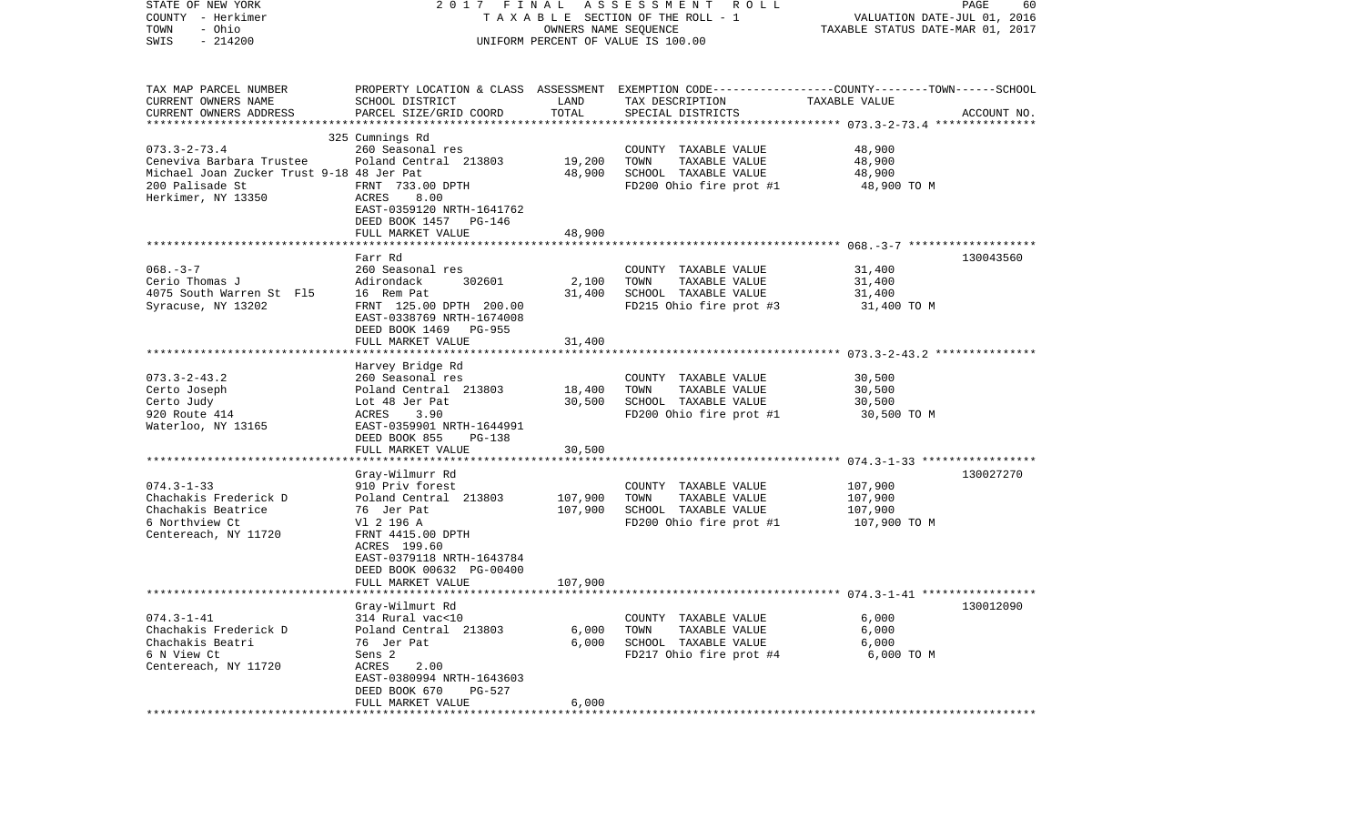| STATE OF NEW YORK<br>COUNTY - Herkimer<br>- Ohio<br>TOWN<br>$-214200$<br>SWIS                                                        | 2017 FINAL                                                                                                                                                                                                 | OWNERS NAME SEQUENCE          | A S S E S S M E N T R O L L<br>T A X A B L E SECTION OF THE ROLL - 1<br>UNIFORM PERCENT OF VALUE IS 100.00 | VALUATION DATE-JUL 01, 2016<br>TAXABLE STATUS DATE-MAR 01, 2017 | PAGE<br>60  |
|--------------------------------------------------------------------------------------------------------------------------------------|------------------------------------------------------------------------------------------------------------------------------------------------------------------------------------------------------------|-------------------------------|------------------------------------------------------------------------------------------------------------|-----------------------------------------------------------------|-------------|
| TAX MAP PARCEL NUMBER<br>CURRENT OWNERS NAME<br>CURRENT OWNERS ADDRESS                                                               | PROPERTY LOCATION & CLASS ASSESSMENT EXEMPTION CODE---------------COUNTY-------TOWN------SCHOOL<br>SCHOOL DISTRICT<br>PARCEL SIZE/GRID COORD                                                               | LAND<br>TOTAL                 | TAX DESCRIPTION<br>SPECIAL DISTRICTS                                                                       | TAXABLE VALUE                                                   | ACCOUNT NO. |
| $073.3 - 2 - 73.4$<br>Ceneviva Barbara Trustee<br>Michael Joan Zucker Trust 9-18 48 Jer Pat<br>200 Palisade St<br>Herkimer, NY 13350 | 325 Cumnings Rd<br>260 Seasonal res<br>Poland Central 213803<br>FRNT 733.00 DPTH<br>ACRES<br>8.00<br>EAST-0359120 NRTH-1641762<br>DEED BOOK 1457 PG-146                                                    | 19,200<br>48,900              | COUNTY TAXABLE VALUE<br>TOWN<br>TAXABLE VALUE<br>SCHOOL TAXABLE VALUE<br>FD200 Ohio fire prot #1           | 48,900<br>48,900<br>48,900<br>48,900 TO M                       |             |
|                                                                                                                                      | FULL MARKET VALUE                                                                                                                                                                                          | 48,900                        |                                                                                                            |                                                                 |             |
| $068. - 3 - 7$<br>Cerio Thomas J<br>4075 South Warren St F15<br>Syracuse, NY 13202                                                   | Farr Rd<br>260 Seasonal res<br>Adirondack<br>302601<br>16 Rem Pat<br>FRNT 125.00 DPTH 200.00<br>EAST-0338769 NRTH-1674008<br>DEED BOOK 1469 PG-955<br>FULL MARKET VALUE                                    | 2,100<br>31,400<br>31,400     | COUNTY TAXABLE VALUE<br>TOWN<br>TAXABLE VALUE<br>SCHOOL TAXABLE VALUE<br>FD215 Ohio fire prot #3           | 31,400<br>31,400<br>31,400<br>31,400 TO M                       | 130043560   |
|                                                                                                                                      |                                                                                                                                                                                                            |                               |                                                                                                            |                                                                 |             |
| $073.3 - 2 - 43.2$<br>Certo Joseph<br>Certo Judy<br>920 Route 414<br>Waterloo, NY 13165                                              | Harvey Bridge Rd<br>260 Seasonal res<br>Poland Central 213803<br>Lot 48 Jer Pat<br>ACRES<br>3.90<br>EAST-0359901 NRTH-1644991<br>DEED BOOK 855<br>PG-138                                                   | 18,400<br>30,500              | COUNTY TAXABLE VALUE<br>TAXABLE VALUE<br>TOWN<br>SCHOOL TAXABLE VALUE<br>FD200 Ohio fire prot #1           | 30,500<br>30,500<br>30,500<br>30,500 TO M                       |             |
|                                                                                                                                      | FULL MARKET VALUE                                                                                                                                                                                          | 30,500                        |                                                                                                            |                                                                 |             |
| $074.3 - 1 - 33$<br>Chachakis Frederick D<br>Chachakis Beatrice<br>6 Northview Ct<br>Centereach, NY 11720                            | Gray-Wilmurr Rd<br>910 Priv forest<br>Poland Central 213803<br>76 Jer Pat<br>Vl 2 196 A<br>FRNT 4415.00 DPTH<br>ACRES 199.60<br>EAST-0379118 NRTH-1643784<br>DEED BOOK 00632 PG-00400<br>FULL MARKET VALUE | 107,900<br>107,900<br>107,900 | COUNTY TAXABLE VALUE<br>TAXABLE VALUE<br>TOWN<br>SCHOOL TAXABLE VALUE<br>FD200 Ohio fire prot #1           | 107,900<br>107,900<br>107,900<br>107,900 TO M                   | 130027270   |
|                                                                                                                                      |                                                                                                                                                                                                            |                               |                                                                                                            |                                                                 |             |
| $074.3 - 1 - 41$<br>Chachakis Frederick D<br>Chachakis Beatri<br>6 N View Ct<br>Centereach, NY 11720                                 | Gray-Wilmurt Rd<br>314 Rural vac<10<br>Poland Central 213803<br>76 Jer Pat<br>Sens 2<br>ACRES<br>2.00<br>EAST-0380994 NRTH-1643603<br>DEED BOOK 670<br>PG-527<br>FULL MARKET VALUE                         | 6,000<br>6,000<br>6,000       | COUNTY TAXABLE VALUE<br>TAXABLE VALUE<br>TOWN<br>SCHOOL TAXABLE VALUE<br>FD217 Ohio fire prot #4           | 130012090<br>6,000<br>6,000<br>6,000<br>6,000 TO M              |             |
|                                                                                                                                      |                                                                                                                                                                                                            |                               |                                                                                                            |                                                                 |             |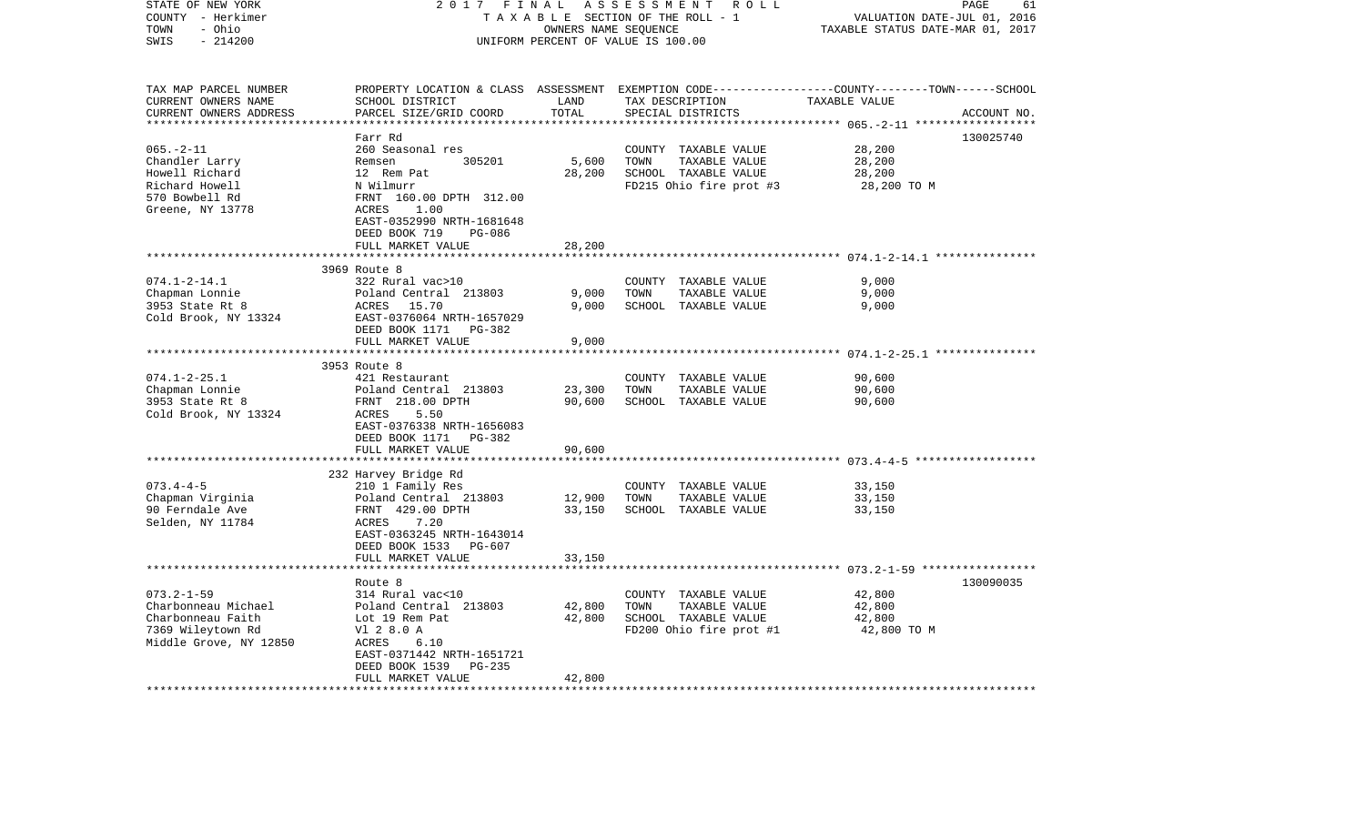| STATE OF NEW YORK<br>COUNTY - Herkimer<br>- Ohio<br>TOWN | 2017                                         | FINAL<br>OWNERS NAME SEQUENCE  | ASSESSMENT<br>R O L L<br>TAXABLE SECTION OF THE ROLL - 1 | 61<br>PAGE<br>VALUATION DATE-JUL 01, 2016<br>TAXABLE STATUS DATE-MAR 01, 2017 |
|----------------------------------------------------------|----------------------------------------------|--------------------------------|----------------------------------------------------------|-------------------------------------------------------------------------------|
| SWIS<br>$-214200$                                        |                                              |                                | UNIFORM PERCENT OF VALUE IS 100.00                       |                                                                               |
| TAX MAP PARCEL NUMBER<br>CURRENT OWNERS NAME             | PROPERTY LOCATION & CLASS<br>SCHOOL DISTRICT | ASSESSMENT<br>LAND             | TAX DESCRIPTION                                          | EXEMPTION CODE-----------------COUNTY-------TOWN------SCHOOL<br>TAXABLE VALUE |
| CURRENT OWNERS ADDRESS                                   | PARCEL SIZE/GRID COORD                       | TOTAL<br>* * * * * * * * * * * | SPECIAL DISTRICTS                                        | ACCOUNT NO.                                                                   |
|                                                          | Farr Rd                                      |                                |                                                          | 130025740                                                                     |
| $065. -2 - 11$                                           | 260 Seasonal res                             |                                | COUNTY TAXABLE VALUE                                     | 28,200                                                                        |
| Chandler Larry                                           | Remsen<br>305201                             | 5,600                          | TOWN<br>TAXABLE VALUE                                    | 28,200                                                                        |
| Howell Richard                                           | 12 Rem Pat                                   | 28,200                         | SCHOOL TAXABLE VALUE                                     | 28,200                                                                        |
| Richard Howell                                           | N Wilmurr                                    |                                | FD215 Ohio fire prot #3                                  | 28,200 TO M                                                                   |
| 570 Bowbell Rd<br>Greene, NY 13778                       | FRNT 160.00 DPTH 312.00<br>1.00<br>ACRES     |                                |                                                          |                                                                               |
|                                                          | EAST-0352990 NRTH-1681648                    |                                |                                                          |                                                                               |
|                                                          | DEED BOOK 719<br>PG-086                      |                                |                                                          |                                                                               |
|                                                          | FULL MARKET VALUE                            | 28,200                         |                                                          |                                                                               |
|                                                          |                                              |                                |                                                          |                                                                               |
|                                                          | 3969 Route 8                                 |                                |                                                          |                                                                               |
| $074.1 - 2 - 14.1$<br>Chapman Lonnie                     | 322 Rural vac>10<br>Poland Central 213803    | 9,000                          | COUNTY TAXABLE VALUE<br>TOWN<br>TAXABLE VALUE            | 9,000<br>9,000                                                                |
| 3953 State Rt 8                                          | ACRES<br>15.70                               | 9,000                          | SCHOOL TAXABLE VALUE                                     | 9,000                                                                         |
| Cold Brook, NY 13324                                     | EAST-0376064 NRTH-1657029                    |                                |                                                          |                                                                               |
|                                                          | DEED BOOK 1171<br>PG-382                     |                                |                                                          |                                                                               |
|                                                          | FULL MARKET VALUE                            | 9,000                          |                                                          |                                                                               |
|                                                          | **********************                       | ************                   |                                                          |                                                                               |
|                                                          | 3953 Route 8                                 |                                |                                                          |                                                                               |
| $074.1 - 2 - 25.1$<br>Chapman Lonnie                     | 421 Restaurant<br>Poland Central 213803      | 23,300                         | COUNTY TAXABLE VALUE<br>TOWN<br>TAXABLE VALUE            | 90,600<br>90,600                                                              |
| 3953 State Rt 8                                          | FRNT 218.00 DPTH                             | 90,600                         | SCHOOL TAXABLE VALUE                                     | 90,600                                                                        |
| Cold Brook, NY 13324                                     | ACRES<br>5.50                                |                                |                                                          |                                                                               |
|                                                          | EAST-0376338 NRTH-1656083                    |                                |                                                          |                                                                               |
|                                                          | DEED BOOK 1171<br>PG-382                     |                                |                                                          |                                                                               |
|                                                          | FULL MARKET VALUE                            | 90,600                         |                                                          |                                                                               |
|                                                          | ***************************                  |                                |                                                          |                                                                               |
| $073.4 - 4 - 5$                                          | 232 Harvey Bridge Rd                         |                                |                                                          |                                                                               |
| Chapman Virginia                                         | 210 1 Family Res<br>Poland Central 213803    | 12,900                         | COUNTY TAXABLE VALUE<br>TOWN<br>TAXABLE VALUE            | 33,150<br>33,150                                                              |
| 90 Ferndale Ave                                          | FRNT 429.00 DPTH                             | 33,150                         | SCHOOL TAXABLE VALUE                                     | 33,150                                                                        |
| Selden, NY 11784                                         | ACRES<br>7.20                                |                                |                                                          |                                                                               |
|                                                          | EAST-0363245 NRTH-1643014                    |                                |                                                          |                                                                               |
|                                                          | DEED BOOK 1533<br>PG-607                     |                                |                                                          |                                                                               |
|                                                          | FULL MARKET VALUE                            | 33,150                         |                                                          |                                                                               |
|                                                          |                                              |                                |                                                          | 130090035                                                                     |
| $073.2 - 1 - 59$                                         | Route 8<br>314 Rural vac<10                  |                                | COUNTY TAXABLE VALUE                                     | 42,800                                                                        |
| Charbonneau Michael                                      | Poland Central 213803                        | 42,800                         | TOWN<br>TAXABLE VALUE                                    | 42,800                                                                        |
| Charbonneau Faith                                        | Lot 19 Rem Pat                               | 42,800                         | SCHOOL TAXABLE VALUE                                     | 42,800                                                                        |
| 7369 Wileytown Rd                                        | V1 2 8.0 A                                   |                                | FD200 Ohio fire prot #1                                  | 42,800 TO M                                                                   |
| Middle Grove, NY 12850                                   | ACRES<br>6.10                                |                                |                                                          |                                                                               |
|                                                          | EAST-0371442 NRTH-1651721                    |                                |                                                          |                                                                               |
|                                                          | DEED BOOK 1539<br><b>PG-235</b>              |                                |                                                          |                                                                               |
| *******************                                      | FULL MARKET VALUE                            | 42,800                         |                                                          |                                                                               |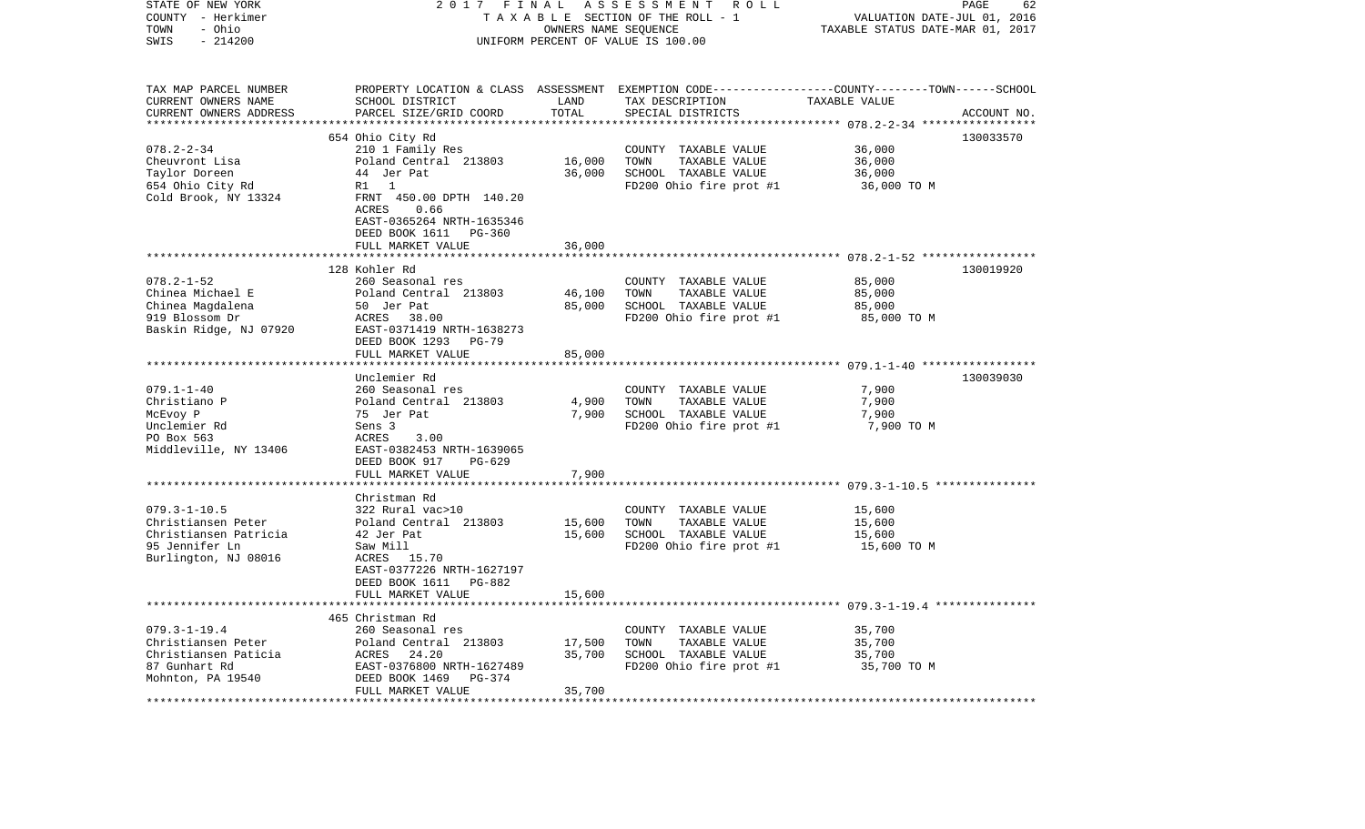| STATE OF NEW YORK<br>COUNTY - Herkimer<br>- Ohio<br>TOWN<br>SWIS<br>$-214200$                               | 2017 FINAL                                                                                                                                                                            | OWNERS NAME SEQUENCE               | ASSESSMENT<br>ROLL<br>TAXABLE SECTION OF THE ROLL - 1<br>UNIFORM PERCENT OF VALUE IS 100.00                                             | VALUATION DATE-JUL 01, 2016<br>TAXABLE STATUS DATE-MAR 01, 2017                                      | PAGE<br>62  |
|-------------------------------------------------------------------------------------------------------------|---------------------------------------------------------------------------------------------------------------------------------------------------------------------------------------|------------------------------------|-----------------------------------------------------------------------------------------------------------------------------------------|------------------------------------------------------------------------------------------------------|-------------|
| TAX MAP PARCEL NUMBER<br>CURRENT OWNERS NAME<br>CURRENT OWNERS ADDRESS                                      | SCHOOL DISTRICT<br>PARCEL SIZE/GRID COORD                                                                                                                                             | LAND<br>TOTAL<br>***************** | PROPERTY LOCATION & CLASS ASSESSMENT EXEMPTION CODE---------------COUNTY-------TOWN------SCHOOL<br>TAX DESCRIPTION<br>SPECIAL DISTRICTS | TAXABLE VALUE                                                                                        | ACCOUNT NO. |
| $078.2 - 2 - 34$<br>Cheuvront Lisa<br>Taylor Doreen<br>654 Ohio City Rd<br>Cold Brook, NY 13324             | 654 Ohio City Rd<br>210 1 Family Res<br>Poland Central 213803<br>44 Jer Pat<br>R1 1<br>FRNT 450.00 DPTH 140.20<br>0.66<br>ACRES<br>EAST-0365264 NRTH-1635346<br>DEED BOOK 1611 PG-360 | 16,000<br>36,000                   | COUNTY TAXABLE VALUE<br>TOWN<br>TAXABLE VALUE<br>SCHOOL TAXABLE VALUE<br>FD200 Ohio fire prot #1                                        | 36,000<br>36,000<br>36,000<br>36,000 TO M                                                            | 130033570   |
|                                                                                                             | FULL MARKET VALUE                                                                                                                                                                     | 36,000                             |                                                                                                                                         |                                                                                                      |             |
| $078.2 - 1 - 52$<br>Chinea Michael E<br>Chinea Magdalena<br>919 Blossom Dr<br>Baskin Ridge, NJ 07920        | 128 Kohler Rd<br>260 Seasonal res<br>Poland Central 213803<br>50 Jer Pat<br>ACRES 38.00<br>EAST-0371419 NRTH-1638273<br>DEED BOOK 1293<br><b>PG-79</b><br>FULL MARKET VALUE           | 46,100<br>85,000<br>85,000         | COUNTY TAXABLE VALUE<br>TAXABLE VALUE<br>TOWN<br>SCHOOL TAXABLE VALUE<br>FD200 Ohio fire prot #1                                        | ************************* 078.2-1-52 ******************<br>85,000<br>85,000<br>85,000<br>85,000 TO M | 130019920   |
| $079.1 - 1 - 40$<br>Christiano P<br>McEvoy P<br>Unclemier Rd<br>PO Box 563<br>Middleville, NY 13406         | Unclemier Rd<br>260 Seasonal res<br>Poland Central 213803<br>75 Jer Pat<br>Sens 3<br>ACRES<br>3.00<br>EAST-0382453 NRTH-1639065<br>DEED BOOK 917<br>PG-629<br>FULL MARKET VALUE       | 4,900<br>7,900<br>7,900            | COUNTY TAXABLE VALUE<br>TOWN<br>TAXABLE VALUE<br>SCHOOL TAXABLE VALUE<br>FD200 Ohio fire prot #1                                        | 7,900<br>7,900<br>7,900<br>7,900 TO M                                                                | 130039030   |
|                                                                                                             |                                                                                                                                                                                       |                                    |                                                                                                                                         |                                                                                                      |             |
| $079.3 - 1 - 10.5$<br>Christiansen Peter<br>Christiansen Patricia<br>95 Jennifer Ln<br>Burlington, NJ 08016 | Christman Rd<br>322 Rural vac>10<br>Poland Central 213803<br>42 Jer Pat<br>Saw Mill<br>ACRES 15.70<br>EAST-0377226 NRTH-1627197<br>DEED BOOK 1611 PG-882<br>FULL MARKET VALUE         | 15,600<br>15,600<br>15,600         | COUNTY TAXABLE VALUE<br>TOWN<br>TAXABLE VALUE<br>SCHOOL TAXABLE VALUE<br>FD200 Ohio fire prot #1                                        | 15,600<br>15,600<br>15,600<br>15,600 TO M                                                            |             |
|                                                                                                             | ********************                                                                                                                                                                  | * * * * * * * * * * *              |                                                                                                                                         |                                                                                                      |             |
| $079.3 - 1 - 19.4$<br>Christiansen Peter<br>Christiansen Paticia<br>87 Gunhart Rd<br>Mohnton, PA 19540      | 465 Christman Rd<br>260 Seasonal res<br>Poland Central 213803<br>ACRES<br>24.20<br>EAST-0376800 NRTH-1627489<br>DEED BOOK 1469<br>PG-374<br>FULL MARKET VALUE                         | 17,500<br>35,700<br>35,700         | COUNTY TAXABLE VALUE<br>TOWN<br>TAXABLE VALUE<br>SCHOOL TAXABLE VALUE<br>FD200 Ohio fire prot #1                                        | 35,700<br>35,700<br>35,700<br>35,700 TO M                                                            |             |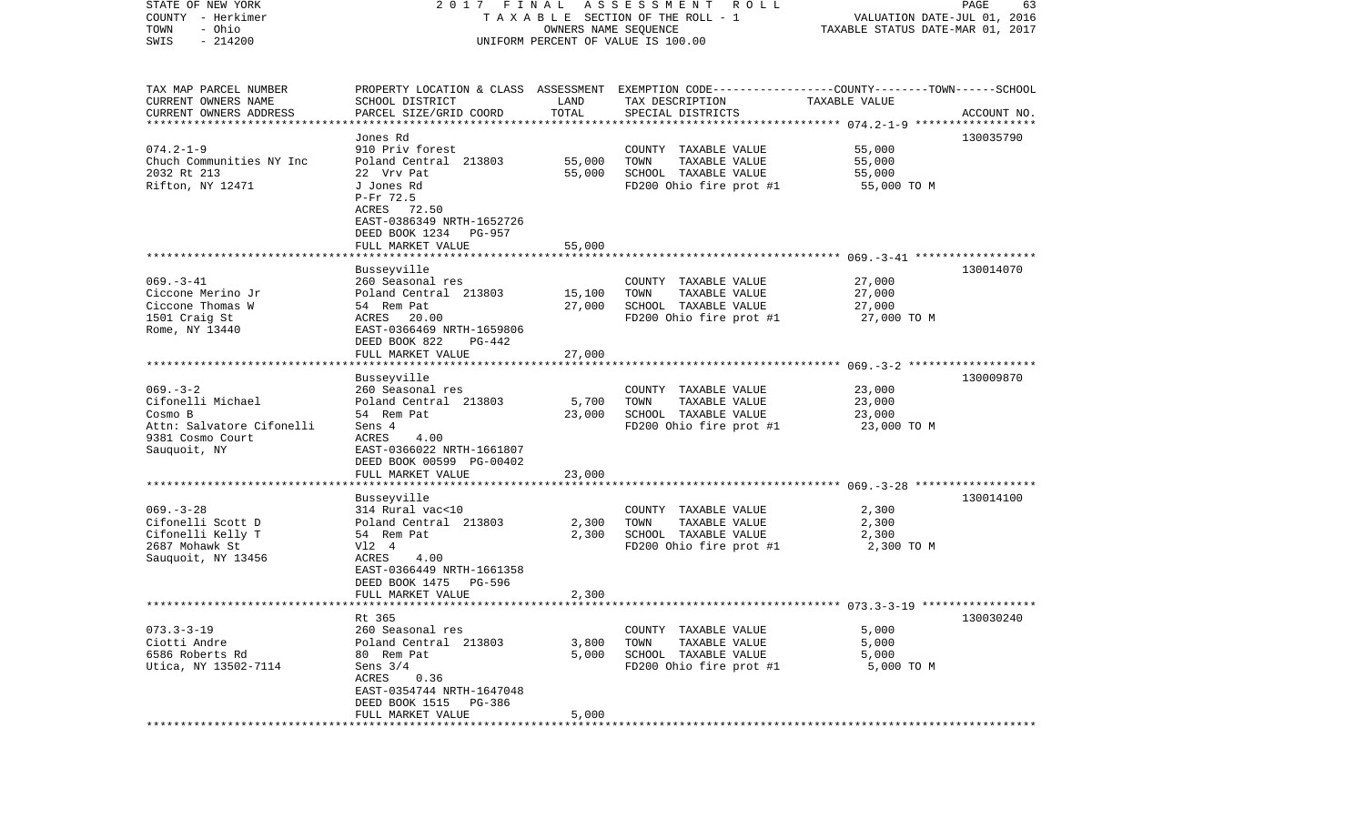| STATE OF NEW YORK<br>COUNTY - Herkimer       | 2017 FINAL                                 |                      | A S S E S S M E N T A O L L<br>T A X A B L E SECTION OF THE ROLL - 1                                               | VALUATION DATE-JUL 01, 2016      | PAGE<br>63  |
|----------------------------------------------|--------------------------------------------|----------------------|--------------------------------------------------------------------------------------------------------------------|----------------------------------|-------------|
| - Ohio<br>TOWN                               |                                            | OWNERS NAME SEQUENCE |                                                                                                                    | TAXABLE STATUS DATE-MAR 01, 2017 |             |
| $-214200$<br>SWIS                            |                                            |                      | UNIFORM PERCENT OF VALUE IS 100.00                                                                                 |                                  |             |
|                                              |                                            |                      |                                                                                                                    |                                  |             |
| TAX MAP PARCEL NUMBER<br>CURRENT OWNERS NAME | SCHOOL DISTRICT                            | LAND                 | PROPERTY LOCATION & CLASS ASSESSMENT EXEMPTION CODE---------------COUNTY-------TOWN------SCHOOL<br>TAX DESCRIPTION | TAXABLE VALUE                    |             |
| CURRENT OWNERS ADDRESS                       | PARCEL SIZE/GRID COORD                     | TOTAL                | SPECIAL DISTRICTS                                                                                                  |                                  | ACCOUNT NO. |
| **************************                   |                                            |                      |                                                                                                                    |                                  |             |
|                                              | Jones Rd                                   |                      |                                                                                                                    |                                  | 130035790   |
| $074.2 - 1 - 9$                              | 910 Priv forest                            |                      | COUNTY TAXABLE VALUE                                                                                               | 55,000                           |             |
| Chuch Communities NY Inc                     | Poland Central 213803                      | 55,000               | TOWN<br>TAXABLE VALUE                                                                                              | 55,000                           |             |
| 2032 Rt 213                                  | 22 Vrv Pat                                 | 55,000               | SCHOOL TAXABLE VALUE                                                                                               | 55,000                           |             |
| Rifton, NY 12471                             | J Jones Rd                                 |                      | FD200 Ohio fire prot #1                                                                                            | 55,000 TO M                      |             |
|                                              | P-Fr 72.5                                  |                      |                                                                                                                    |                                  |             |
|                                              | ACRES 72.50                                |                      |                                                                                                                    |                                  |             |
|                                              | EAST-0386349 NRTH-1652726                  |                      |                                                                                                                    |                                  |             |
|                                              | DEED BOOK 1234 PG-957<br>FULL MARKET VALUE | 55,000               |                                                                                                                    |                                  |             |
|                                              |                                            |                      |                                                                                                                    |                                  |             |
|                                              | Busseyville                                |                      |                                                                                                                    |                                  | 130014070   |
| $069. -3 - 41$                               | 260 Seasonal res                           |                      | COUNTY TAXABLE VALUE                                                                                               | 27,000                           |             |
| Ciccone Merino Jr                            | Poland Central 213803                      | 15,100               | TOWN<br>TAXABLE VALUE                                                                                              | 27,000                           |             |
| Ciccone Thomas W                             | 54 Rem Pat                                 | 27,000               | SCHOOL TAXABLE VALUE                                                                                               | 27,000                           |             |
| 1501 Craig St                                | ACRES 20.00                                |                      | FD200 Ohio fire prot #1                                                                                            | 27,000 TO M                      |             |
| Rome, NY 13440                               | EAST-0366469 NRTH-1659806                  |                      |                                                                                                                    |                                  |             |
|                                              | DEED BOOK 822<br>PG-442                    |                      |                                                                                                                    |                                  |             |
|                                              | FULL MARKET VALUE                          | 27,000               |                                                                                                                    |                                  |             |
|                                              | Busseyville                                |                      |                                                                                                                    |                                  | 130009870   |
| $069. -3 - 2$                                | 260 Seasonal res                           |                      | COUNTY TAXABLE VALUE                                                                                               | 23,000                           |             |
| Cifonelli Michael                            | Poland Central 213803                      | 5,700                | TOWN<br>TAXABLE VALUE                                                                                              | 23,000                           |             |
| Cosmo B                                      | 54 Rem Pat                                 | 23,000               | SCHOOL TAXABLE VALUE                                                                                               | 23,000                           |             |
| Attn: Salvatore Cifonelli                    | Sens 4                                     |                      | FD200 Ohio fire prot #1                                                                                            | 23,000 TO M                      |             |
| 9381 Cosmo Court                             | ACRES<br>4.00                              |                      |                                                                                                                    |                                  |             |
| Sauquoit, NY                                 | EAST-0366022 NRTH-1661807                  |                      |                                                                                                                    |                                  |             |
|                                              | DEED BOOK 00599 PG-00402                   |                      |                                                                                                                    |                                  |             |
|                                              | FULL MARKET VALUE                          | 23,000               |                                                                                                                    |                                  |             |
|                                              |                                            |                      |                                                                                                                    |                                  |             |
| $069. -3 - 28$                               | Busseyville<br>314 Rural vac<10            |                      | COUNTY TAXABLE VALUE                                                                                               | 2,300                            | 130014100   |
| Cifonelli Scott D                            | Poland Central 213803                      | 2,300                | TOWN<br>TAXABLE VALUE                                                                                              | 2,300                            |             |
| Cifonelli Kelly T                            | 54 Rem Pat                                 | 2,300                | SCHOOL TAXABLE VALUE                                                                                               | 2,300                            |             |
| 2687 Mohawk St                               | V12 4                                      |                      | FD200 Ohio fire prot #1                                                                                            | 2,300 TO M                       |             |
| Sauquoit, NY 13456                           | 4.00<br>ACRES                              |                      |                                                                                                                    |                                  |             |
|                                              | EAST-0366449 NRTH-1661358                  |                      |                                                                                                                    |                                  |             |
|                                              | DEED BOOK 1475<br>PG-596                   |                      |                                                                                                                    |                                  |             |
|                                              | FULL MARKET VALUE                          | 2,300                |                                                                                                                    |                                  |             |
|                                              |                                            |                      |                                                                                                                    |                                  |             |
| $073.3 - 3 - 19$                             | Rt 365<br>260 Seasonal res                 |                      | COUNTY TAXABLE VALUE                                                                                               | 5,000                            | 130030240   |
| Ciotti Andre                                 | Poland Central 213803                      | 3,800                | TOWN<br>TAXABLE VALUE                                                                                              | 5,000                            |             |
| 6586 Roberts Rd                              | 80 Rem Pat                                 | 5,000                | SCHOOL TAXABLE VALUE                                                                                               | 5,000                            |             |
| Utica, NY 13502-7114                         | Sens $3/4$                                 |                      | FD200 Ohio fire prot #1                                                                                            | 5,000 TO M                       |             |
|                                              | 0.36<br>ACRES                              |                      |                                                                                                                    |                                  |             |
|                                              | EAST-0354744 NRTH-1647048                  |                      |                                                                                                                    |                                  |             |
|                                              | DEED BOOK 1515<br>PG-386                   |                      |                                                                                                                    |                                  |             |
|                                              | FULL MARKET VALUE                          | 5,000                |                                                                                                                    |                                  |             |
| *********                                    |                                            |                      |                                                                                                                    |                                  |             |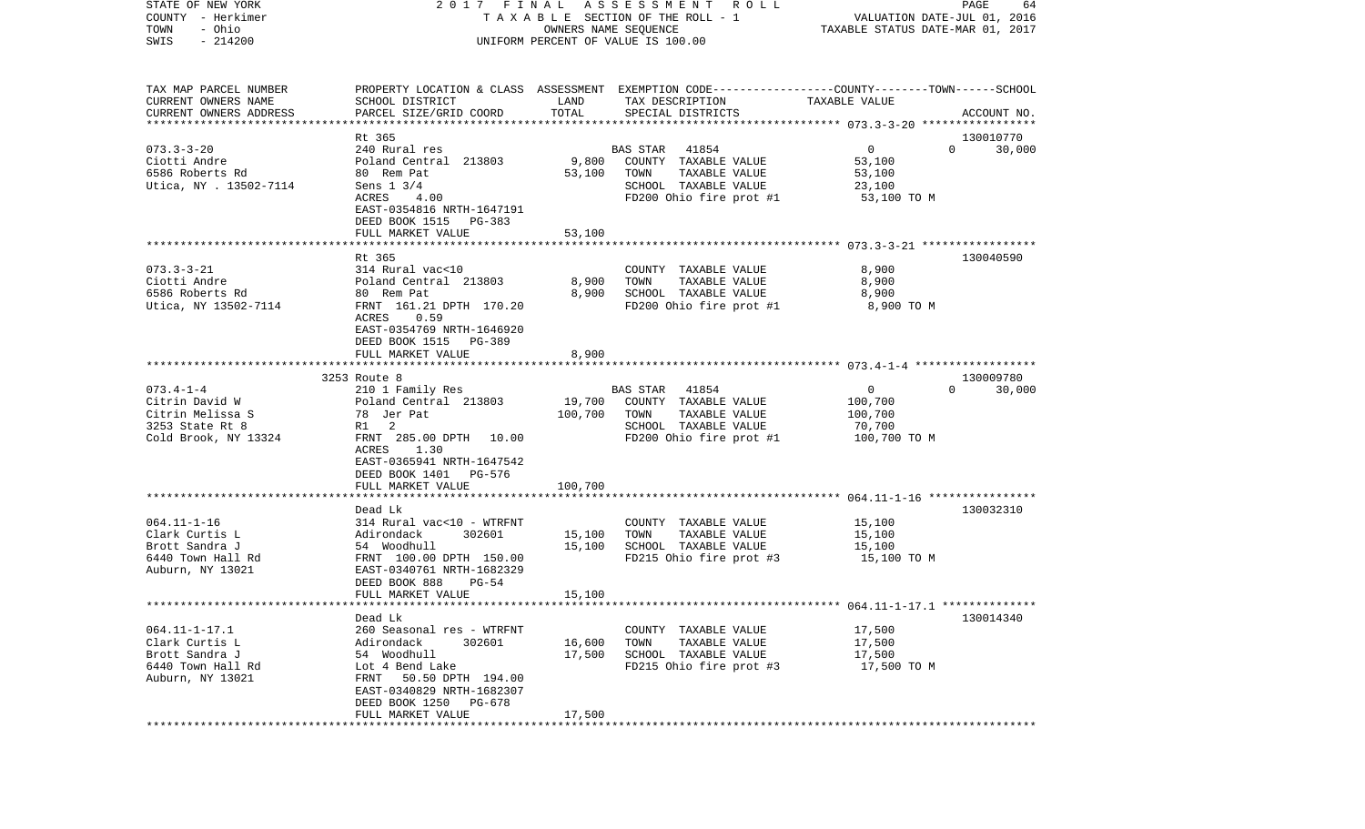| STATE OF NEW YORK       | 2017 FINAL                                            |          | A S S E S S M E N T R O L L                                                                     |                                                          | PAGE<br>64         |
|-------------------------|-------------------------------------------------------|----------|-------------------------------------------------------------------------------------------------|----------------------------------------------------------|--------------------|
| COUNTY - Herkimer       |                                                       |          | T A X A B L E SECTION OF THE ROLL - 1                                                           | VALUATION DATE-JUL 01, 2016                              |                    |
| - Ohio<br>TOWN          |                                                       |          | OWNERS NAME SEQUENCE                                                                            | TAXABLE STATUS DATE-MAR 01, 2017                         |                    |
| $-214200$<br>SWIS       |                                                       |          | UNIFORM PERCENT OF VALUE IS 100.00                                                              |                                                          |                    |
|                         |                                                       |          |                                                                                                 |                                                          |                    |
| TAX MAP PARCEL NUMBER   |                                                       |          | PROPERTY LOCATION & CLASS ASSESSMENT EXEMPTION CODE---------------COUNTY-------TOWN------SCHOOL |                                                          |                    |
| CURRENT OWNERS NAME     | SCHOOL DISTRICT                                       | LAND     | TAX DESCRIPTION                                                                                 | TAXABLE VALUE                                            |                    |
| CURRENT OWNERS ADDRESS  | PARCEL SIZE/GRID COORD                                | TOTAL    | SPECIAL DISTRICTS                                                                               |                                                          | ACCOUNT NO.        |
| *********************** |                                                       |          |                                                                                                 |                                                          |                    |
|                         | Rt 365                                                |          |                                                                                                 |                                                          | 130010770          |
| $073.3 - 3 - 20$        | 240 Rural res                                         |          | 41854<br>BAS STAR                                                                               | 0                                                        | $\Omega$<br>30,000 |
| Ciotti Andre            | Poland Central 213803                                 | 9,800    | COUNTY TAXABLE VALUE                                                                            | 53,100                                                   |                    |
| 6586 Roberts Rd         | 80 Rem Pat                                            | 53,100   | TAXABLE VALUE<br>TOWN                                                                           | 53,100                                                   |                    |
| Utica, NY . 13502-7114  | Sens 1 3/4                                            |          | SCHOOL TAXABLE VALUE                                                                            | 23,100                                                   |                    |
|                         | ACRES<br>4.00                                         |          | FD200 Ohio fire prot #1                                                                         | 53,100 TO M                                              |                    |
|                         | EAST-0354816 NRTH-1647191<br>DEED BOOK 1515<br>PG-383 |          |                                                                                                 |                                                          |                    |
|                         | FULL MARKET VALUE                                     | 53,100   |                                                                                                 |                                                          |                    |
|                         |                                                       |          |                                                                                                 |                                                          |                    |
|                         | Rt 365                                                |          |                                                                                                 |                                                          | 130040590          |
| $073.3 - 3 - 21$        | 314 Rural vac<10                                      |          | COUNTY TAXABLE VALUE                                                                            | 8,900                                                    |                    |
| Ciotti Andre            | Poland Central 213803                                 | 8,900    | TAXABLE VALUE<br>TOWN                                                                           | 8,900                                                    |                    |
| 6586 Roberts Rd         | 80 Rem Pat                                            | 8,900    | SCHOOL TAXABLE VALUE                                                                            | 8,900                                                    |                    |
| Utica, NY 13502-7114    | FRNT 161.21 DPTH 170.20                               |          | FD200 Ohio fire prot #1                                                                         | 8,900 TO M                                               |                    |
|                         | ACRES<br>0.59                                         |          |                                                                                                 |                                                          |                    |
|                         | EAST-0354769 NRTH-1646920                             |          |                                                                                                 |                                                          |                    |
|                         | DEED BOOK 1515<br>PG-389                              |          |                                                                                                 |                                                          |                    |
|                         | FULL MARKET VALUE                                     | 8,900    |                                                                                                 |                                                          |                    |
|                         |                                                       |          |                                                                                                 |                                                          |                    |
|                         | 3253 Route 8                                          |          |                                                                                                 |                                                          | 130009780          |
| $073.4 - 1 - 4$         | 210 1 Family Res                                      |          | BAS STAR<br>41854                                                                               | 0                                                        | $\Omega$<br>30,000 |
| Citrin David W          | Poland Central 213803                                 | 19,700   | COUNTY TAXABLE VALUE                                                                            | 100,700                                                  |                    |
| Citrin Melissa S        | 78 Jer Pat                                            | 100,700  | TOWN<br>TAXABLE VALUE                                                                           | 100,700                                                  |                    |
| 3253 State Rt 8         | R1<br>2                                               |          | SCHOOL TAXABLE VALUE                                                                            | 70,700                                                   |                    |
| Cold Brook, NY 13324    | FRNT 285.00 DPTH 10.00                                |          | FD200 Ohio fire prot #1                                                                         | 100,700 TO M                                             |                    |
|                         | ACRES<br>1.30                                         |          |                                                                                                 |                                                          |                    |
|                         | EAST-0365941 NRTH-1647542                             |          |                                                                                                 |                                                          |                    |
|                         | DEED BOOK 1401<br>PG-576                              |          |                                                                                                 |                                                          |                    |
|                         | FULL MARKET VALUE                                     | 100,700  |                                                                                                 |                                                          |                    |
|                         | ******************                                    | ******** |                                                                                                 | *************************** 064.11-1-16 **************** |                    |
|                         | Dead Lk                                               |          |                                                                                                 |                                                          | 130032310          |
| $064.11 - 1 - 16$       | 314 Rural vac<10 - WTRFNT                             |          | COUNTY TAXABLE VALUE                                                                            | 15,100                                                   |                    |
| Clark Curtis L          | Adirondack<br>302601                                  | 15,100   | TOWN<br>TAXABLE VALUE                                                                           | 15,100                                                   |                    |
| Brott Sandra J          | 54 Woodhull                                           | 15,100   | SCHOOL TAXABLE VALUE                                                                            | 15,100                                                   |                    |
| 6440 Town Hall Rd       | FRNT 100.00 DPTH 150.00                               |          | FD215 Ohio fire prot #3                                                                         | 15,100 TO M                                              |                    |
| Auburn, NY 13021        | EAST-0340761 NRTH-1682329                             |          |                                                                                                 |                                                          |                    |
|                         | DEED BOOK 888<br>$PG-54$                              |          |                                                                                                 |                                                          |                    |
|                         | FULL MARKET VALUE                                     | 15,100   |                                                                                                 |                                                          |                    |
|                         |                                                       |          |                                                                                                 |                                                          |                    |
|                         | Dead Lk                                               |          |                                                                                                 |                                                          | 130014340          |
| $064.11 - 1 - 17.1$     | 260 Seasonal res - WTRFNT                             |          | COUNTY TAXABLE VALUE                                                                            | 17,500                                                   |                    |
| Clark Curtis L          | Adirondack<br>302601                                  | 16,600   | TOWN<br>TAXABLE VALUE                                                                           | 17,500                                                   |                    |
| Brott Sandra J          | 54 Woodhull                                           | 17,500   | SCHOOL TAXABLE VALUE                                                                            | 17,500                                                   |                    |
| 6440 Town Hall Rd       | Lot 4 Bend Lake                                       |          | FD215 Ohio fire prot #3                                                                         | 17,500 TO M                                              |                    |
| Auburn, NY 13021        | 50.50 DPTH 194.00<br>FRNT                             |          |                                                                                                 |                                                          |                    |
|                         | EAST-0340829 NRTH-1682307                             |          |                                                                                                 |                                                          |                    |
|                         | DEED BOOK 1250<br>PG-678                              |          |                                                                                                 |                                                          |                    |
|                         | FULL MARKET VALUE                                     | 17,500   |                                                                                                 |                                                          |                    |
| **********              |                                                       |          |                                                                                                 |                                                          |                    |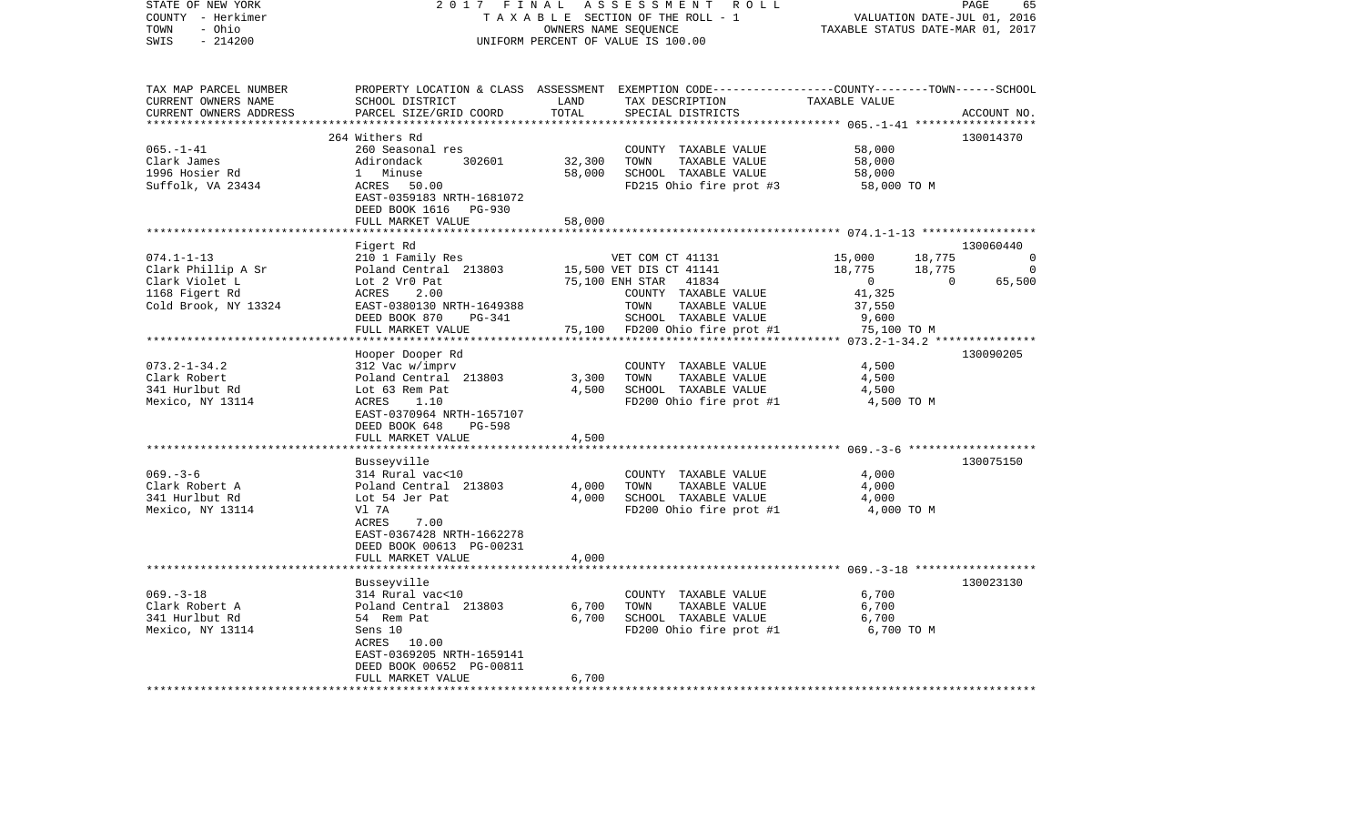| STATE OF NEW YORK        | 2017 FINAL                                   |                   | ASSESSMENT ROLL                                                                                 |                                                     | PAGE                        | 65          |
|--------------------------|----------------------------------------------|-------------------|-------------------------------------------------------------------------------------------------|-----------------------------------------------------|-----------------------------|-------------|
| COUNTY - Herkimer        |                                              |                   | TAXABLE SECTION OF THE ROLL - 1                                                                 |                                                     | VALUATION DATE-JUL 01, 2016 |             |
| TOWN<br>- Ohio           |                                              |                   | OWNERS NAME SEQUENCE                                                                            | TAXABLE STATUS DATE-MAR 01, 2017                    |                             |             |
| $-214200$<br>SWIS        |                                              |                   | UNIFORM PERCENT OF VALUE IS 100.00                                                              |                                                     |                             |             |
|                          |                                              |                   |                                                                                                 |                                                     |                             |             |
|                          |                                              |                   |                                                                                                 |                                                     |                             |             |
| TAX MAP PARCEL NUMBER    |                                              |                   | PROPERTY LOCATION & CLASS ASSESSMENT EXEMPTION CODE---------------COUNTY-------TOWN------SCHOOL |                                                     |                             |             |
| CURRENT OWNERS NAME      | SCHOOL DISTRICT                              | LAND              | TAX DESCRIPTION                                                                                 | TAXABLE VALUE                                       |                             |             |
| CURRENT OWNERS ADDRESS   | PARCEL SIZE/GRID COORD                       | TOTAL             | SPECIAL DISTRICTS                                                                               |                                                     |                             | ACCOUNT NO. |
| ***********************  |                                              |                   |                                                                                                 |                                                     |                             |             |
|                          | 264 Withers Rd                               |                   |                                                                                                 |                                                     |                             | 130014370   |
| $065. - 1 - 41$          | 260 Seasonal res                             |                   | COUNTY TAXABLE VALUE                                                                            | 58,000                                              |                             |             |
| Clark James              | Adirondack<br>302601                         | 32,300            | TOWN<br>TAXABLE VALUE                                                                           | 58,000                                              |                             |             |
| 1996 Hosier Rd           | 1 Minuse                                     | 58,000            | SCHOOL TAXABLE VALUE                                                                            | 58,000                                              |                             |             |
| Suffolk, VA 23434        | ACRES<br>50.00                               |                   | FD215 Ohio fire prot #3                                                                         | 58,000 TO M                                         |                             |             |
|                          | EAST-0359183 NRTH-1681072                    |                   |                                                                                                 |                                                     |                             |             |
|                          | DEED BOOK 1616 PG-930                        |                   |                                                                                                 |                                                     |                             |             |
|                          | FULL MARKET VALUE                            | 58,000            |                                                                                                 |                                                     |                             |             |
|                          |                                              | *******           |                                                                                                 | ********************* 074.1-1-13 ****************** |                             |             |
|                          | Figert Rd                                    |                   |                                                                                                 |                                                     |                             | 130060440   |
| $074.1 - 1 - 13$         | 210 1 Family Res                             |                   | VET COM CT 41131                                                                                | 15,000                                              | 18,775                      | 0           |
| Clark Phillip A Sr       | Poland Central 213803                        |                   | 15,500 VET DIS CT 41141                                                                         | 18,775                                              | 18,775                      | $\Omega$    |
| Clark Violet L           | Lot 2 Vr0 Pat                                |                   | 75,100 ENH STAR<br>41834                                                                        | $\overline{0}$                                      | $\Omega$                    | 65,500      |
| 1168 Figert Rd           | 2.00<br>ACRES                                |                   | COUNTY TAXABLE VALUE                                                                            | 41,325                                              |                             |             |
| Cold Brook, NY 13324     | EAST-0380130 NRTH-1649388                    |                   | TOWN<br>TAXABLE VALUE                                                                           | 37,550                                              |                             |             |
|                          | DEED BOOK 870<br>PG-341                      |                   | SCHOOL TAXABLE VALUE                                                                            | 9,600                                               |                             |             |
|                          | FULL MARKET VALUE                            |                   | 75,100 FD200 Ohio fire prot #1                                                                  | 75,100 TO M                                         |                             |             |
|                          | ***************************                  |                   |                                                                                                 |                                                     |                             |             |
|                          | Hooper Dooper Rd                             |                   |                                                                                                 |                                                     |                             | 130090205   |
| $073.2 - 1 - 34.2$       | 312 Vac w/imprv                              |                   |                                                                                                 | 4,500                                               |                             |             |
| Clark Robert             |                                              |                   | COUNTY TAXABLE VALUE<br>TOWN<br>TAXABLE VALUE                                                   |                                                     |                             |             |
| 341 Hurlbut Rd           | Poland Central 213803<br>Lot 63 Rem Pat      | 3,300<br>4,500    |                                                                                                 | 4,500<br>4,500                                      |                             |             |
|                          | ACRES<br>1.10                                |                   | SCHOOL TAXABLE VALUE                                                                            |                                                     |                             |             |
| Mexico, NY 13114         |                                              |                   | FD200 Ohio fire prot #1                                                                         | 4,500 TO M                                          |                             |             |
|                          | EAST-0370964 NRTH-1657107                    |                   |                                                                                                 |                                                     |                             |             |
|                          | DEED BOOK 648<br>PG-598                      |                   |                                                                                                 |                                                     |                             |             |
|                          | FULL MARKET VALUE<br>*********************** | 4,500             |                                                                                                 |                                                     |                             |             |
|                          |                                              |                   |                                                                                                 |                                                     |                             |             |
| $069. -3 - 6$            | Busseyville                                  |                   |                                                                                                 |                                                     |                             | 130075150   |
|                          | 314 Rural vac<10                             |                   | COUNTY TAXABLE VALUE                                                                            | 4,000                                               |                             |             |
| Clark Robert A           | Poland Central 213803                        | 4,000             | TOWN<br>TAXABLE VALUE                                                                           | 4,000                                               |                             |             |
| 341 Hurlbut Rd           | Lot 54 Jer Pat                               | 4,000             | SCHOOL TAXABLE VALUE                                                                            | 4,000                                               |                             |             |
| Mexico, NY 13114         | Vl 7A                                        |                   | FD200 Ohio fire prot #1                                                                         | 4,000 TO M                                          |                             |             |
|                          | 7.00<br>ACRES                                |                   |                                                                                                 |                                                     |                             |             |
|                          | EAST-0367428 NRTH-1662278                    |                   |                                                                                                 |                                                     |                             |             |
|                          | DEED BOOK 00613 PG-00231                     |                   |                                                                                                 |                                                     |                             |             |
|                          | FULL MARKET VALUE                            | 4,000             |                                                                                                 |                                                     |                             |             |
|                          | *****************                            |                   |                                                                                                 |                                                     |                             |             |
|                          | Busseyville                                  |                   |                                                                                                 |                                                     |                             | 130023130   |
| $069. -3 - 18$           | 314 Rural vac<10                             |                   | COUNTY TAXABLE VALUE                                                                            | 6,700                                               |                             |             |
| Clark Robert A           | Poland Central 213803                        | 6,700             | TOWN<br>TAXABLE VALUE                                                                           | 6,700                                               |                             |             |
| 341 Hurlbut Rd           | 54 Rem Pat                                   | 6,700             | SCHOOL TAXABLE VALUE                                                                            | 6,700                                               |                             |             |
| Mexico, NY 13114         | Sens 10                                      |                   | FD200 Ohio fire prot #1                                                                         | 6,700 TO M                                          |                             |             |
|                          | 10.00<br>ACRES                               |                   |                                                                                                 |                                                     |                             |             |
|                          | EAST-0369205 NRTH-1659141                    |                   |                                                                                                 |                                                     |                             |             |
|                          | DEED BOOK 00652 PG-00811                     |                   |                                                                                                 |                                                     |                             |             |
| ************************ | FULL MARKET VALUE                            | 6,700             |                                                                                                 |                                                     |                             |             |
|                          | **********************                       | ***************** |                                                                                                 |                                                     |                             |             |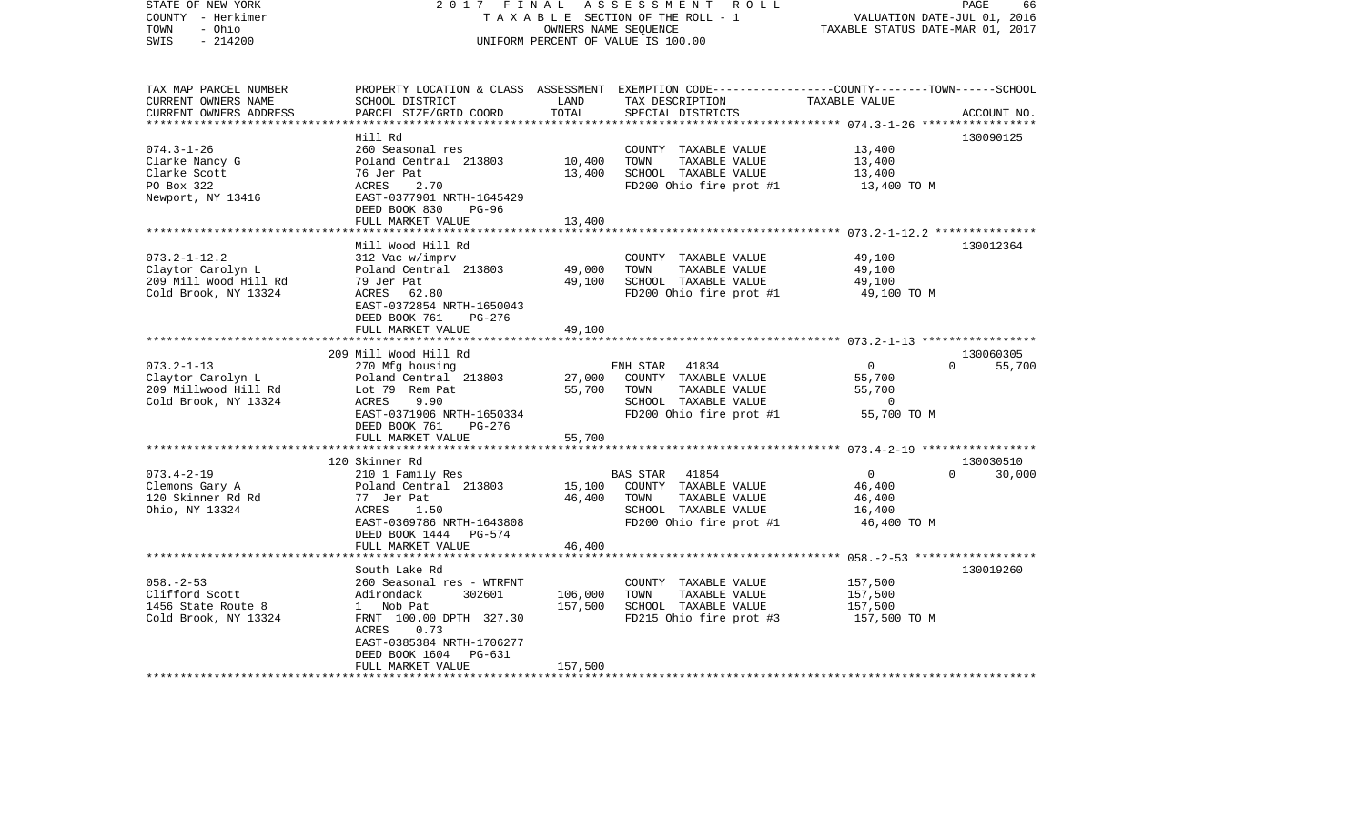| STATE OF NEW YORK<br>COUNTY - Herkimer<br>- Ohio<br>TOWN<br>$-214200$<br>SWIS            | 2017                                                                                                                                                                                                                    | FINAL                         | ASSESSMENT<br>ROLL<br>TAXABLE SECTION OF THE ROLL - 1<br>OWNERS NAME SEQUENCE<br>UNIFORM PERCENT OF VALUE IS 100.00          | VALUATION DATE-JUL 01,<br>TAXABLE STATUS DATE-MAR 01, 2017 | PAGE<br>66<br>2016              |
|------------------------------------------------------------------------------------------|-------------------------------------------------------------------------------------------------------------------------------------------------------------------------------------------------------------------------|-------------------------------|------------------------------------------------------------------------------------------------------------------------------|------------------------------------------------------------|---------------------------------|
| TAX MAP PARCEL NUMBER<br>CURRENT OWNERS NAME<br>CURRENT OWNERS ADDRESS                   | PROPERTY LOCATION & CLASS<br>SCHOOL DISTRICT<br>PARCEL SIZE/GRID COORD                                                                                                                                                  | LAND<br>TOTAL                 | ASSESSMENT EXEMPTION CODE------------------COUNTY-------TOWN------SCHOOL<br>TAX DESCRIPTION<br>SPECIAL DISTRICTS             | TAXABLE VALUE                                              | ACCOUNT NO.                     |
|                                                                                          | Hill Rd                                                                                                                                                                                                                 | $***************$             |                                                                                                                              |                                                            | 130090125                       |
| $074.3 - 1 - 26$<br>Clarke Nancy G<br>Clarke Scott<br>PO Box 322<br>Newport, NY 13416    | 260 Seasonal res<br>Poland Central 213803<br>76 Jer Pat<br><b>ACRES</b><br>2.70<br>EAST-0377901 NRTH-1645429<br>DEED BOOK 830<br>$PG-96$                                                                                | 10,400<br>13,400              | COUNTY TAXABLE VALUE<br>TOWN<br>TAXABLE VALUE<br>SCHOOL TAXABLE VALUE<br>FD200 Ohio fire prot #1                             | 13,400<br>13,400<br>13,400<br>13,400 TO M                  |                                 |
|                                                                                          | FULL MARKET VALUE<br>*******************************                                                                                                                                                                    | 13,400                        |                                                                                                                              |                                                            |                                 |
| $073.2 - 1 - 12.2$<br>Claytor Carolyn L<br>209 Mill Wood Hill Rd<br>Cold Brook, NY 13324 | Mill Wood Hill Rd<br>312 Vac w/imprv<br>Poland Central 213803<br>79 Jer Pat<br>ACRES<br>62.80<br>EAST-0372854 NRTH-1650043<br>DEED BOOK 761<br>PG-276                                                                   | 49,000<br>49,100              | COUNTY TAXABLE VALUE<br>TOWN<br>TAXABLE VALUE<br>SCHOOL TAXABLE VALUE<br>FD200 Ohio fire prot #1                             | 49,100<br>49,100<br>49,100<br>49,100 TO M                  | 130012364                       |
|                                                                                          | FULL MARKET VALUE<br>******************                                                                                                                                                                                 | 49,100                        |                                                                                                                              |                                                            |                                 |
| $073.2 - 1 - 13$<br>Claytor Carolyn L<br>209 Millwood Hill Rd<br>Cold Brook, NY 13324    | 209 Mill Wood Hill Rd<br>270 Mfg housing<br>Poland Central 213803<br>Lot 79 Rem Pat<br>ACRES<br>9.90<br>EAST-0371906 NRTH-1650334<br>DEED BOOK 761<br>PG-276                                                            | 27,000<br>55,700              | ENH STAR<br>41834<br>COUNTY TAXABLE VALUE<br>TOWN<br>TAXABLE VALUE<br>SCHOOL TAXABLE VALUE<br>FD200 Ohio fire prot #1        | 0<br>55,700<br>55,700<br>0<br>55,700 TO M                  | 130060305<br>$\Omega$<br>55,700 |
|                                                                                          | FULL MARKET VALUE                                                                                                                                                                                                       | 55,700                        |                                                                                                                              | ******************** 073.4-2-19 ******************         |                                 |
|                                                                                          | 120 Skinner Rd                                                                                                                                                                                                          |                               |                                                                                                                              |                                                            | 130030510                       |
| $073.4 - 2 - 19$<br>Clemons Gary A<br>120 Skinner Rd Rd<br>Ohio, NY 13324                | 210 1 Family Res<br>Poland Central 213803<br>77 Jer Pat<br>1.50<br>ACRES<br>EAST-0369786 NRTH-1643808<br>DEED BOOK 1444<br>PG-574<br>FULL MARKET VALUE                                                                  | 15,100<br>46,400<br>46,400    | <b>BAS STAR</b><br>41854<br>COUNTY TAXABLE VALUE<br>TOWN<br>TAXABLE VALUE<br>SCHOOL TAXABLE VALUE<br>FD200 Ohio fire prot #1 | 0<br>46,400<br>46,400<br>16,400<br>46,400 TO M             | 30,000<br>$\Omega$              |
|                                                                                          |                                                                                                                                                                                                                         |                               |                                                                                                                              | ********* 058. -2-53 ******************                    |                                 |
| $058. - 2 - 53$<br>Clifford Scott<br>1456 State Route 8<br>Cold Brook, NY 13324          | South Lake Rd<br>260 Seasonal res - WTRFNT<br>Adirondack<br>302601<br>Nob Pat<br>$\mathbf{1}$<br>FRNT 100.00 DPTH 327.30<br>ACRES<br>0.73<br>EAST-0385384 NRTH-1706277<br>DEED BOOK 1604<br>PG-631<br>FULL MARKET VALUE | 106,000<br>157,500<br>157,500 | COUNTY TAXABLE VALUE<br>TOWN<br>TAXABLE VALUE<br>SCHOOL TAXABLE VALUE<br>FD215 Ohio fire prot #3                             | 157,500<br>157,500<br>157,500<br>157,500 TO M              | 130019260                       |
|                                                                                          |                                                                                                                                                                                                                         |                               |                                                                                                                              |                                                            |                                 |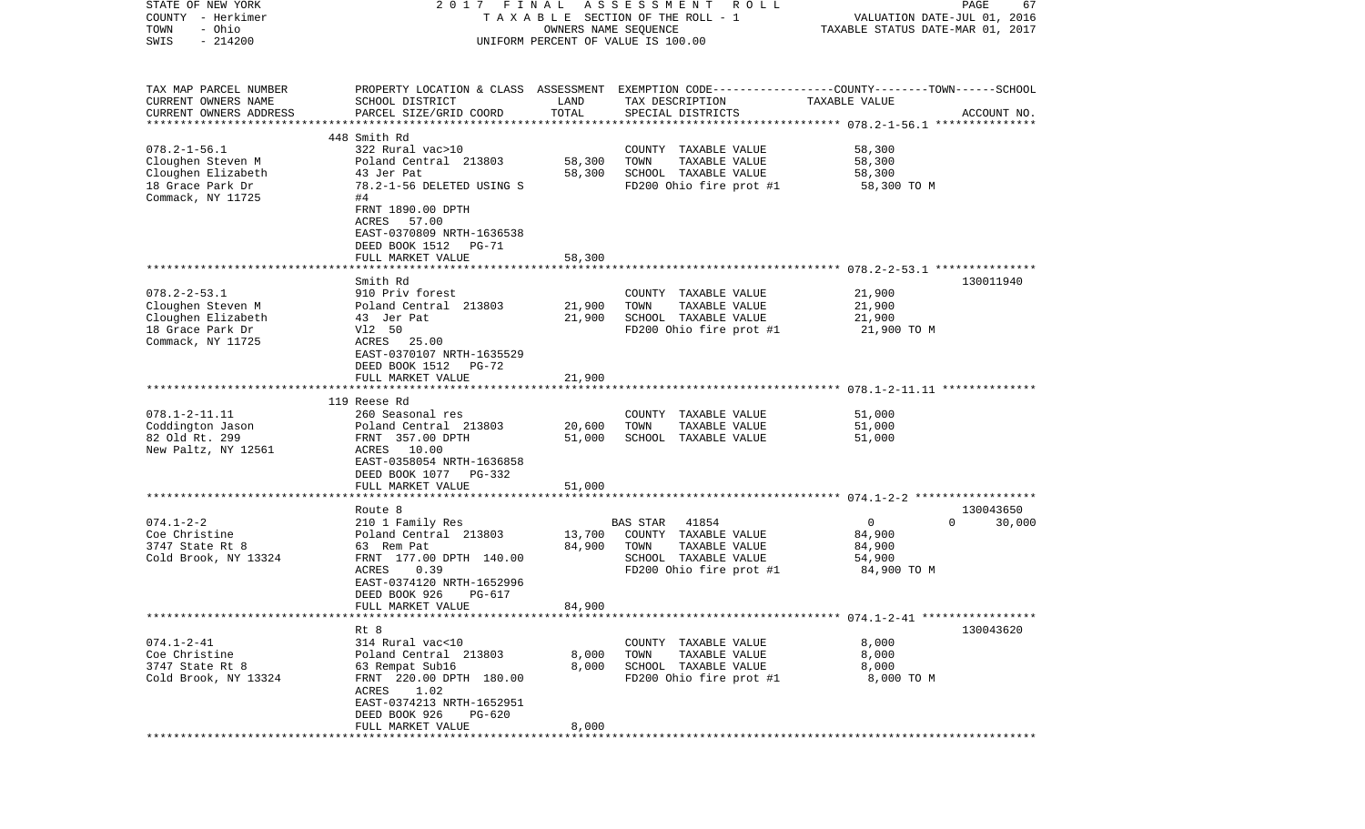| STATE OF NEW YORK                                  | 2017 FINAL                                   |                      | A S S E S S M E N T A O L L                                                                      |                                                         | PAGE<br>67         |
|----------------------------------------------------|----------------------------------------------|----------------------|--------------------------------------------------------------------------------------------------|---------------------------------------------------------|--------------------|
| COUNTY - Herkimer                                  |                                              |                      | TAXABLE SECTION OF THE ROLL - 1                                                                  | VALUATION DATE-JUL 01, 2016                             |                    |
| - Ohio<br>TOWN<br>$-214200$<br>SWIS                |                                              | OWNERS NAME SEQUENCE |                                                                                                  | TAXABLE STATUS DATE-MAR 01, 2017                        |                    |
|                                                    |                                              |                      | UNIFORM PERCENT OF VALUE IS 100.00                                                               |                                                         |                    |
|                                                    |                                              |                      |                                                                                                  |                                                         |                    |
|                                                    |                                              |                      |                                                                                                  |                                                         |                    |
| TAX MAP PARCEL NUMBER                              |                                              |                      | PROPERTY LOCATION & CLASS ASSESSMENT EXEMPTION CODE----------------COUNTY-------TOWN------SCHOOL |                                                         |                    |
| CURRENT OWNERS NAME                                | SCHOOL DISTRICT                              | LAND                 | TAX DESCRIPTION                                                                                  | TAXABLE VALUE                                           |                    |
| CURRENT OWNERS ADDRESS<br>************************ | PARCEL SIZE/GRID COORD                       | TOTAL                | SPECIAL DISTRICTS                                                                                |                                                         | ACCOUNT NO.        |
|                                                    | 448 Smith Rd                                 |                      |                                                                                                  |                                                         |                    |
| $078.2 - 1 - 56.1$                                 | 322 Rural vac>10                             |                      | COUNTY TAXABLE VALUE                                                                             | 58,300                                                  |                    |
| Cloughen Steven M                                  | Poland Central 213803                        | 58,300               | TOWN<br>TAXABLE VALUE                                                                            | 58,300                                                  |                    |
| Cloughen Elizabeth                                 | 43 Jer Pat                                   | 58,300               | SCHOOL TAXABLE VALUE                                                                             | 58,300                                                  |                    |
| 18 Grace Park Dr                                   | 78.2-1-56 DELETED USING S                    |                      | FD200 Ohio fire prot #1                                                                          | 58,300 TO M                                             |                    |
| Commack, NY 11725                                  | #4                                           |                      |                                                                                                  |                                                         |                    |
|                                                    | FRNT 1890.00 DPTH                            |                      |                                                                                                  |                                                         |                    |
|                                                    | ACRES 57.00                                  |                      |                                                                                                  |                                                         |                    |
|                                                    | EAST-0370809 NRTH-1636538                    |                      |                                                                                                  |                                                         |                    |
|                                                    | DEED BOOK 1512<br>PG-71                      |                      |                                                                                                  |                                                         |                    |
|                                                    | FULL MARKET VALUE                            | 58,300               |                                                                                                  |                                                         |                    |
|                                                    | Smith Rd                                     |                      |                                                                                                  |                                                         | 130011940          |
| $078.2 - 2 - 53.1$                                 | 910 Priv forest                              |                      | COUNTY TAXABLE VALUE                                                                             | 21,900                                                  |                    |
| Cloughen Steven M                                  | Poland Central 213803                        | 21,900               | TAXABLE VALUE<br>TOWN                                                                            | 21,900                                                  |                    |
| Cloughen Elizabeth                                 | 43 Jer Pat                                   | 21,900               | SCHOOL TAXABLE VALUE                                                                             | 21,900                                                  |                    |
| 18 Grace Park Dr                                   | V12 50                                       |                      | FD200 Ohio fire prot #1                                                                          | 21,900 TO M                                             |                    |
| Commack, NY 11725                                  | ACRES 25.00                                  |                      |                                                                                                  |                                                         |                    |
|                                                    | EAST-0370107 NRTH-1635529                    |                      |                                                                                                  |                                                         |                    |
|                                                    | DEED BOOK 1512 PG-72                         |                      |                                                                                                  |                                                         |                    |
|                                                    | FULL MARKET VALUE                            | 21,900               |                                                                                                  |                                                         |                    |
|                                                    |                                              |                      |                                                                                                  |                                                         |                    |
|                                                    | 119 Reese Rd                                 |                      |                                                                                                  |                                                         |                    |
| $078.1 - 2 - 11.11$                                | 260 Seasonal res                             |                      | COUNTY TAXABLE VALUE                                                                             | 51,000                                                  |                    |
| Coddington Jason                                   | Poland Central 213803                        | 20,600               | TAXABLE VALUE<br>TOWN                                                                            | 51,000                                                  |                    |
| 82 Old Rt. 299                                     | FRNT 357.00 DPTH                             | 51,000               | SCHOOL TAXABLE VALUE                                                                             | 51,000                                                  |                    |
| New Paltz, NY 12561                                | ACRES 10.00                                  |                      |                                                                                                  |                                                         |                    |
|                                                    | EAST-0358054 NRTH-1636858                    |                      |                                                                                                  |                                                         |                    |
|                                                    | DEED BOOK 1077 PG-332                        |                      |                                                                                                  |                                                         |                    |
|                                                    | FULL MARKET VALUE<br>*******************     | 51,000<br>******     |                                                                                                  | ************************* 074.1-2-2 ******************* |                    |
|                                                    | Route 8                                      |                      |                                                                                                  |                                                         | 130043650          |
| $074.1 - 2 - 2$                                    | 210 1 Family Res                             |                      | BAS STAR<br>41854                                                                                | $\mathbf 0$                                             | $\Omega$<br>30,000 |
| Coe Christine                                      | Poland Central 213803                        | 13,700               | COUNTY TAXABLE VALUE                                                                             | 84,900                                                  |                    |
| 3747 State Rt 8                                    | 63 Rem Pat                                   | 84,900               | TAXABLE VALUE<br>TOWN                                                                            | 84,900                                                  |                    |
| Cold Brook, NY 13324                               | FRNT 177.00 DPTH 140.00                      |                      | SCHOOL TAXABLE VALUE                                                                             | 54,900                                                  |                    |
|                                                    | ACRES<br>0.39                                |                      | FD200 Ohio fire prot #1                                                                          | 84,900 TO M                                             |                    |
|                                                    | EAST-0374120 NRTH-1652996                    |                      |                                                                                                  |                                                         |                    |
|                                                    | DEED BOOK 926<br>PG-617                      |                      |                                                                                                  |                                                         |                    |
|                                                    | FULL MARKET VALUE                            | 84,900               |                                                                                                  |                                                         |                    |
|                                                    |                                              |                      |                                                                                                  |                                                         |                    |
|                                                    | Rt 8                                         |                      |                                                                                                  |                                                         | 130043620          |
| $074.1 - 2 - 41$                                   | 314 Rural vac<10                             |                      | COUNTY TAXABLE VALUE                                                                             | 8,000                                                   |                    |
| Coe Christine                                      | Poland Central 213803                        | 8,000                | TOWN<br>TAXABLE VALUE                                                                            | 8,000                                                   |                    |
| 3747 State Rt 8                                    | 63 Rempat Sub16                              | 8,000                | SCHOOL TAXABLE VALUE                                                                             | 8,000                                                   |                    |
| Cold Brook, NY 13324                               | FRNT 220.00 DPTH 180.00                      |                      | FD200 Ohio fire prot #1                                                                          | 8,000 TO M                                              |                    |
|                                                    | ACRES 1.02                                   |                      |                                                                                                  |                                                         |                    |
|                                                    | EAST-0374213 NRTH-1652951                    |                      |                                                                                                  |                                                         |                    |
|                                                    | DEED BOOK 926<br>PG-620<br>FULL MARKET VALUE | 8,000                |                                                                                                  |                                                         |                    |
|                                                    |                                              |                      |                                                                                                  |                                                         |                    |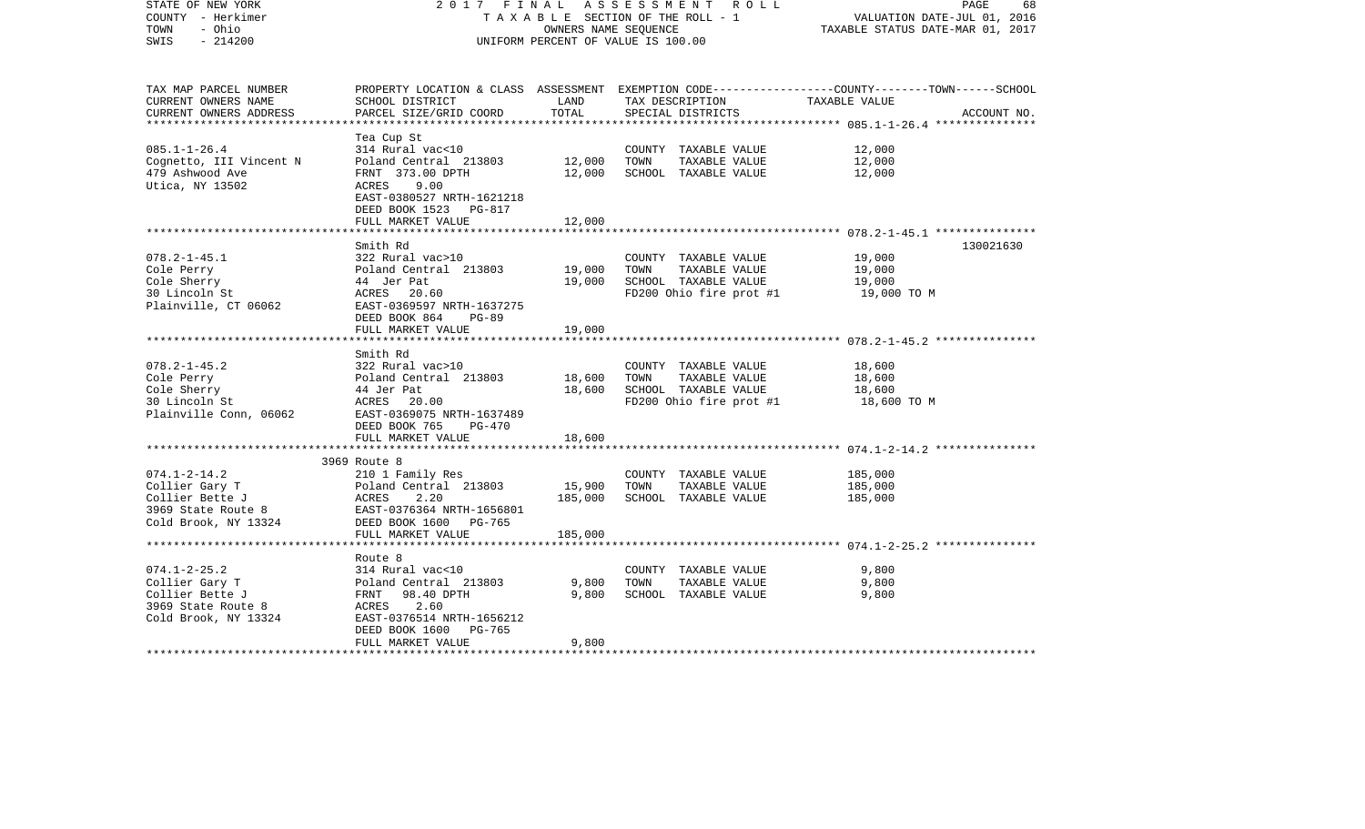| STATE OF NEW YORK<br>COUNTY - Herkimer<br>- Ohio<br>TOWN<br>$-214200$<br>SWIS                                                   | 2017 FINAL                                                                                                                                                                                 | OWNERS NAME SEQUENCE         | ASSESSMENT ROLL<br>TAXABLE SECTION OF THE ROLL - 1<br>UNIFORM PERCENT OF VALUE IS 100.00         | PAGE<br>68<br>VALUATION DATE-JUL 01, 2016<br>TAXABLE STATUS DATE-MAR 01, 2017                                   |
|---------------------------------------------------------------------------------------------------------------------------------|--------------------------------------------------------------------------------------------------------------------------------------------------------------------------------------------|------------------------------|--------------------------------------------------------------------------------------------------|-----------------------------------------------------------------------------------------------------------------|
| TAX MAP PARCEL NUMBER<br>CURRENT OWNERS NAME<br>CURRENT OWNERS ADDRESS                                                          | SCHOOL DISTRICT<br>PARCEL SIZE/GRID COORD                                                                                                                                                  | LAND<br>TOTAL                | TAX DESCRIPTION TAXABLE VALUE<br>SPECIAL DISTRICTS                                               | PROPERTY LOCATION & CLASS ASSESSMENT EXEMPTION CODE----------------COUNTY-------TOWN------SCHOOL<br>ACCOUNT NO. |
| $085.1 - 1 - 26.4$<br>Cognetto, III Vincent N<br>479 Ashwood Ave<br>Utica, NY 13502                                             | Tea Cup St<br>314 Rural vac<10<br>Poland Central 213803<br>FRNT 373.00 DPTH<br>ACRES<br>9.00<br>EAST-0380527 NRTH-1621218<br>DEED BOOK 1523 PG-817<br>FULL MARKET VALUE                    | 12,000<br>12,000<br>12,000   | COUNTY TAXABLE VALUE<br>TOWN<br>TAXABLE VALUE<br>SCHOOL TAXABLE VALUE                            | 12,000<br>12,000<br>12,000                                                                                      |
|                                                                                                                                 |                                                                                                                                                                                            |                              |                                                                                                  |                                                                                                                 |
| $078.2 - 1 - 45.1$<br>Cole Perry<br>Cole Sherry<br>30 Lincoln St<br>Plainville, CT 06062                                        | Smith Rd<br>322 Rural vac>10<br>Poland Central 213803<br>44 Jer Pat<br>ACRES 20.60<br>EAST-0369597 NRTH-1637275<br>DEED BOOK 864<br>$PG-89$                                                | 19,000<br>19,000             | COUNTY TAXABLE VALUE<br>TAXABLE VALUE<br>TOWN<br>SCHOOL TAXABLE VALUE<br>FD200 Ohio fire prot #1 | 130021630<br>19,000<br>19,000<br>19,000<br>19,000 TO M                                                          |
|                                                                                                                                 | FULL MARKET VALUE                                                                                                                                                                          | 19,000                       |                                                                                                  |                                                                                                                 |
| $078.2 - 1 - 45.2$<br>Cole Perry<br>Cole Sherry<br>30 Lincoln St<br>Plainville Conn, 06062                                      | Smith Rd<br>322 Rural vac>10<br>Poland Central 213803<br>44 Jer Pat<br>ACRES 20.00<br>EAST-0369075 NRTH-1637489<br>DEED BOOK 765<br><b>PG-470</b>                                          | 18,600<br>18,600             | COUNTY TAXABLE VALUE<br>TAXABLE VALUE<br>TOWN<br>SCHOOL TAXABLE VALUE<br>FD200 Ohio fire prot #1 | 18,600<br>18,600<br>18,600<br>18,600 TO M                                                                       |
|                                                                                                                                 | FULL MARKET VALUE                                                                                                                                                                          | 18,600                       |                                                                                                  |                                                                                                                 |
| **********************<br>$074.1 - 2 - 14.2$<br>Collier Gary T<br>Collier Bette J<br>3969 State Route 8<br>Cold Brook, NY 13324 | *********************************<br>3969 Route 8<br>210 1 Family Res<br>Poland Central 213803<br>ACRES<br>2.20<br>EAST-0376364 NRTH-1656801<br>DEED BOOK 1600 PG-765<br>FULL MARKET VALUE | 15,900<br>185,000<br>185,000 | COUNTY TAXABLE VALUE<br>TOWN<br>TAXABLE VALUE<br>SCHOOL TAXABLE VALUE                            | 185,000<br>185,000<br>185,000                                                                                   |
|                                                                                                                                 |                                                                                                                                                                                            |                              |                                                                                                  |                                                                                                                 |
| $074.1 - 2 - 25.2$<br>Collier Gary T<br>Collier Bette J<br>3969 State Route 8<br>Cold Brook, NY 13324                           | Route 8<br>314 Rural vac<10<br>Poland Central 213803<br>FRNT 98.40 DPTH<br>ACRES<br>2.60<br>EAST-0376514 NRTH-1656212<br>DEED BOOK 1600<br>PG-765                                          | 9,800<br>9,800               | COUNTY TAXABLE VALUE<br>TOWN<br>TAXABLE VALUE<br>SCHOOL TAXABLE VALUE                            | 9,800<br>9,800<br>9,800                                                                                         |
| *******************                                                                                                             | FULL MARKET VALUE                                                                                                                                                                          | 9,800                        |                                                                                                  |                                                                                                                 |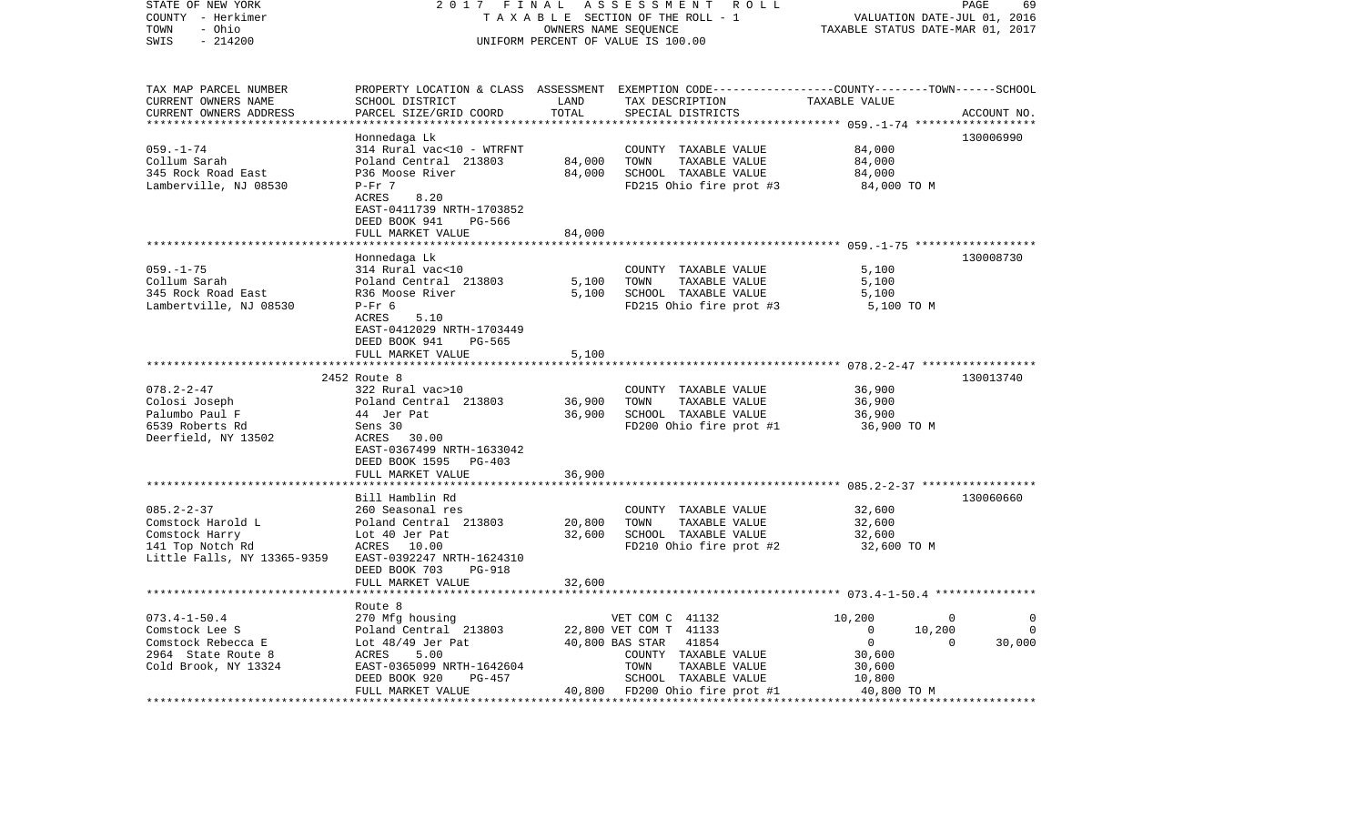| STATE OF NEW YORK<br>COUNTY - Herkimer | 2017                                                 | FINAL  | ASSESSMENT ROLL<br>TAXABLE SECTION OF THE ROLL - 1                                              |                                                      | PAGE<br>69<br>VALUATION DATE-JUL 01, 2016 |
|----------------------------------------|------------------------------------------------------|--------|-------------------------------------------------------------------------------------------------|------------------------------------------------------|-------------------------------------------|
| - Ohio<br>TOWN                         |                                                      |        | OWNERS NAME SEQUENCE                                                                            | TAXABLE STATUS DATE-MAR 01, 2017                     |                                           |
| SWIS<br>$-214200$                      |                                                      |        | UNIFORM PERCENT OF VALUE IS 100.00                                                              |                                                      |                                           |
| TAX MAP PARCEL NUMBER                  |                                                      |        | PROPERTY LOCATION & CLASS ASSESSMENT EXEMPTION CODE----------------COUNTY-------TOWN-----SCHOOL |                                                      |                                           |
| CURRENT OWNERS NAME                    | SCHOOL DISTRICT                                      | LAND   | TAX DESCRIPTION                                                                                 | TAXABLE VALUE                                        |                                           |
| CURRENT OWNERS ADDRESS                 | PARCEL SIZE/GRID COORD                               | TOTAL  | SPECIAL DISTRICTS                                                                               |                                                      | ACCOUNT NO.                               |
|                                        |                                                      |        |                                                                                                 |                                                      |                                           |
|                                        | Honnedaga Lk                                         |        |                                                                                                 |                                                      | 130006990                                 |
| $059. - 1 - 74$                        | 314 Rural vac<10 - WTRFNT                            |        | COUNTY TAXABLE VALUE                                                                            | 84,000                                               |                                           |
| Collum Sarah                           | Poland Central 213803                                | 84,000 | TOWN<br>TAXABLE VALUE                                                                           | 84,000                                               |                                           |
| 345 Rock Road East                     | P36 Moose River                                      | 84,000 | SCHOOL TAXABLE VALUE                                                                            | 84,000                                               |                                           |
| Lamberville, NJ 08530                  | $P-Fr$ 7<br>ACRES<br>8.20                            |        | FD215 Ohio fire prot #3                                                                         | 84,000 TO M                                          |                                           |
|                                        | EAST-0411739 NRTH-1703852                            |        |                                                                                                 |                                                      |                                           |
|                                        | DEED BOOK 941<br>PG-566                              |        |                                                                                                 |                                                      |                                           |
|                                        | FULL MARKET VALUE                                    | 84,000 |                                                                                                 |                                                      |                                           |
|                                        |                                                      |        |                                                                                                 |                                                      |                                           |
|                                        | Honnedaga Lk                                         |        |                                                                                                 |                                                      | 130008730                                 |
| $059. - 1 - 75$                        | 314 Rural vac<10                                     |        | COUNTY TAXABLE VALUE                                                                            | 5,100                                                |                                           |
| Collum Sarah                           | Poland Central 213803                                | 5,100  | TOWN<br>TAXABLE VALUE                                                                           | 5,100                                                |                                           |
| 345 Rock Road East                     | R36 Moose River                                      | 5,100  | SCHOOL TAXABLE VALUE                                                                            | 5,100                                                |                                           |
| Lambertville, NJ 08530                 | $P-Fr$ 6                                             |        | FD215 Ohio fire prot #3                                                                         | 5,100 TO M                                           |                                           |
|                                        | ACRES<br>5.10                                        |        |                                                                                                 |                                                      |                                           |
|                                        | EAST-0412029 NRTH-1703449<br>DEED BOOK 941<br>PG-565 |        |                                                                                                 |                                                      |                                           |
|                                        | FULL MARKET VALUE                                    | 5,100  |                                                                                                 |                                                      |                                           |
|                                        |                                                      |        |                                                                                                 |                                                      |                                           |
|                                        | 2452 Route 8                                         |        |                                                                                                 |                                                      | 130013740                                 |
| $078.2 - 2 - 47$                       | 322 Rural vac>10                                     |        | COUNTY TAXABLE VALUE                                                                            | 36,900                                               |                                           |
| Colosi Joseph                          | Poland Central 213803                                | 36,900 | TOWN<br>TAXABLE VALUE                                                                           | 36,900                                               |                                           |
| Palumbo Paul F                         | 44 Jer Pat                                           | 36,900 | SCHOOL TAXABLE VALUE                                                                            | 36,900                                               |                                           |
| 6539 Roberts Rd                        | Sens 30                                              |        | FD200 Ohio fire prot #1                                                                         | 36,900 TO M                                          |                                           |
| Deerfield, NY 13502                    | ACRES 30.00                                          |        |                                                                                                 |                                                      |                                           |
|                                        | EAST-0367499 NRTH-1633042                            |        |                                                                                                 |                                                      |                                           |
|                                        | DEED BOOK 1595<br>PG-403<br>FULL MARKET VALUE        | 36,900 |                                                                                                 |                                                      |                                           |
|                                        | ****************************                         |        |                                                                                                 |                                                      |                                           |
|                                        | Bill Hamblin Rd                                      |        |                                                                                                 |                                                      | 130060660                                 |
| $085.2 - 2 - 37$                       | 260 Seasonal res                                     |        | COUNTY TAXABLE VALUE                                                                            | 32,600                                               |                                           |
| Comstock Harold L                      | Poland Central 213803                                | 20,800 | TOWN<br>TAXABLE VALUE                                                                           | 32,600                                               |                                           |
| Comstock Harry                         | Lot 40 Jer Pat                                       | 32,600 | SCHOOL TAXABLE VALUE                                                                            | 32,600                                               |                                           |
| 141 Top Notch Rd                       | ACRES 10.00                                          |        | FD210 Ohio fire prot #2                                                                         | 32,600 TO M                                          |                                           |
| Little Falls, NY 13365-9359            | EAST-0392247 NRTH-1624310                            |        |                                                                                                 |                                                      |                                           |
|                                        | DEED BOOK 703<br><b>PG-918</b>                       |        |                                                                                                 |                                                      |                                           |
|                                        | FULL MARKET VALUE                                    | 32,600 |                                                                                                 |                                                      |                                           |
|                                        |                                                      |        |                                                                                                 | ********************** 073.4-1-50.4 **************** |                                           |
| $073.4 - 1 - 50.4$                     | Route 8<br>270 Mfg housing                           |        | VET COM C 41132                                                                                 | 10,200                                               | 0<br>$\overline{0}$                       |
| Comstock Lee S                         | Poland Central 213803                                |        | 22,800 VET COM T 41133                                                                          | $\overline{0}$<br>10,200                             | 0                                         |
| Comstock Rebecca E                     | Lot $48/49$ Jer Pat                                  |        | 40,800 BAS STAR<br>41854                                                                        | $\overline{0}$                                       | 30,000<br>$\Omega$                        |
| 2964 State Route 8                     | ACRES<br>5.00                                        |        | COUNTY TAXABLE VALUE                                                                            | 30,600                                               |                                           |
| Cold Brook, NY 13324                   | EAST-0365099 NRTH-1642604                            |        | TOWN<br>TAXABLE VALUE                                                                           | 30,600                                               |                                           |
|                                        | DEED BOOK 920<br>PG-457                              |        | SCHOOL TAXABLE VALUE                                                                            | 10,800                                               |                                           |
|                                        | FULL MARKET VALUE                                    |        | 40,800 FD200 Ohio fire prot #1                                                                  | 40,800 TO M                                          |                                           |
|                                        |                                                      |        |                                                                                                 |                                                      |                                           |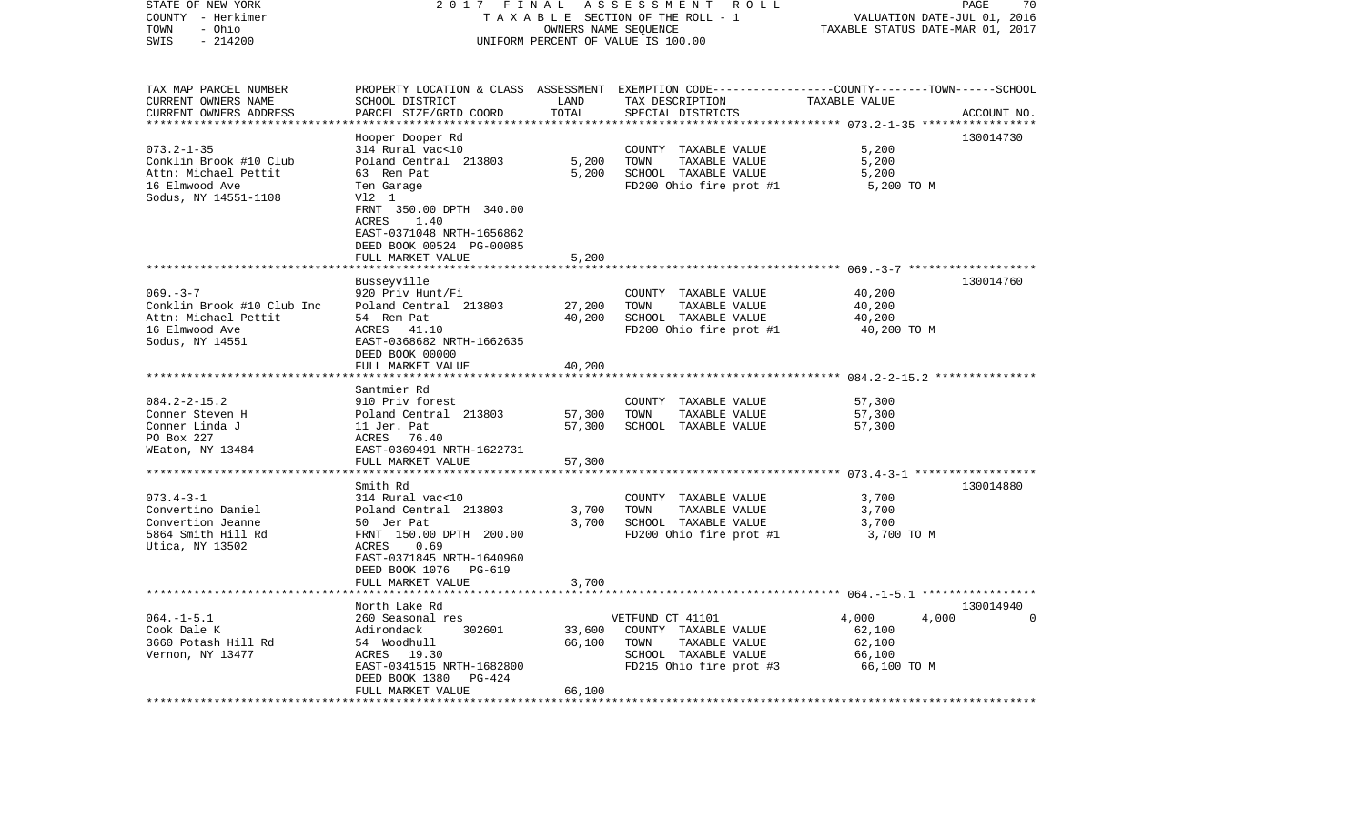| STATE OF NEW YORK<br>COUNTY - Herkimer<br>- Ohio<br>TOWN<br>SWIS<br>$-214200$ | 2017                                          | FINAL      | ASSESSMENT ROLL<br>TAXABLE SECTION OF THE ROLL - 1<br>OWNERS NAME SEQUENCE<br>UNIFORM PERCENT OF VALUE IS 100.00   | VALUATION DATE-JUL 01, 2016<br>TAXABLE STATUS DATE-MAR 01, 2017 | PAGE<br>70  |
|-------------------------------------------------------------------------------|-----------------------------------------------|------------|--------------------------------------------------------------------------------------------------------------------|-----------------------------------------------------------------|-------------|
| TAX MAP PARCEL NUMBER<br>CURRENT OWNERS NAME                                  | SCHOOL DISTRICT                               | LAND       | PROPERTY LOCATION & CLASS ASSESSMENT EXEMPTION CODE---------------COUNTY-------TOWN------SCHOOL<br>TAX DESCRIPTION | TAXABLE VALUE                                                   |             |
| CURRENT OWNERS ADDRESS                                                        | PARCEL SIZE/GRID COORD                        | TOTAL      | SPECIAL DISTRICTS                                                                                                  |                                                                 | ACCOUNT NO. |
|                                                                               |                                               | ********** |                                                                                                                    | ************** 073.2-1-35 *****                                 |             |
| $073.2 - 1 - 35$                                                              | Hooper Dooper Rd<br>314 Rural vac<10          |            | COUNTY TAXABLE VALUE                                                                                               | 5,200                                                           | 130014730   |
| Conklin Brook #10 Club                                                        | Poland Central 213803                         | 5,200      | TOWN<br>TAXABLE VALUE                                                                                              | 5,200                                                           |             |
| Attn: Michael Pettit                                                          | 63 Rem Pat                                    | 5,200      | SCHOOL TAXABLE VALUE                                                                                               | 5,200                                                           |             |
| 16 Elmwood Ave                                                                | Ten Garage                                    |            | FD200 Ohio fire prot #1                                                                                            | 5,200 TO M                                                      |             |
| Sodus, NY 14551-1108                                                          | V12 1                                         |            |                                                                                                                    |                                                                 |             |
|                                                                               | FRNT 350.00 DPTH 340.00                       |            |                                                                                                                    |                                                                 |             |
|                                                                               | ACRES<br>1.40                                 |            |                                                                                                                    |                                                                 |             |
|                                                                               | EAST-0371048 NRTH-1656862                     |            |                                                                                                                    |                                                                 |             |
|                                                                               | DEED BOOK 00524 PG-00085                      |            |                                                                                                                    |                                                                 |             |
|                                                                               | FULL MARKET VALUE                             | 5,200      |                                                                                                                    |                                                                 |             |
|                                                                               | Busseyville                                   |            |                                                                                                                    |                                                                 | 130014760   |
| $069. -3 -7$                                                                  | 920 Priv Hunt/Fi                              |            | COUNTY TAXABLE VALUE                                                                                               | 40,200                                                          |             |
| Conklin Brook #10 Club Inc                                                    | Poland Central 213803                         | 27,200     | TOWN<br>TAXABLE VALUE                                                                                              | 40,200                                                          |             |
| Attn: Michael Pettit                                                          | 54 Rem Pat                                    | 40,200     | SCHOOL TAXABLE VALUE                                                                                               | 40,200                                                          |             |
| 16 Elmwood Ave                                                                | ACRES 41.10                                   |            | FD200 Ohio fire prot #1                                                                                            | 40,200 TO M                                                     |             |
| Sodus, NY 14551                                                               | EAST-0368682 NRTH-1662635                     |            |                                                                                                                    |                                                                 |             |
|                                                                               | DEED BOOK 00000                               |            |                                                                                                                    |                                                                 |             |
|                                                                               | FULL MARKET VALUE                             | 40,200     |                                                                                                                    |                                                                 |             |
|                                                                               | Santmier Rd                                   |            |                                                                                                                    |                                                                 |             |
| $084.2 - 2 - 15.2$                                                            | 910 Priv forest                               |            | COUNTY TAXABLE VALUE                                                                                               | 57,300                                                          |             |
| Conner Steven H                                                               | Poland Central 213803                         | 57,300     | TOWN<br>TAXABLE VALUE                                                                                              | 57,300                                                          |             |
| Conner Linda J                                                                | 11 Jer. Pat                                   | 57,300     | SCHOOL TAXABLE VALUE                                                                                               | 57,300                                                          |             |
| PO Box 227                                                                    | ACRES<br>76.40                                |            |                                                                                                                    |                                                                 |             |
| WEaton, NY 13484                                                              | EAST-0369491 NRTH-1622731                     |            |                                                                                                                    |                                                                 |             |
|                                                                               | FULL MARKET VALUE                             | 57,300     |                                                                                                                    | *************** 073.4-3-1 **************                        |             |
|                                                                               | Smith Rd                                      |            |                                                                                                                    |                                                                 | 130014880   |
| $073.4 - 3 - 1$                                                               | 314 Rural vac<10                              |            | COUNTY TAXABLE VALUE                                                                                               | 3,700                                                           |             |
| Convertino Daniel                                                             | Poland Central 213803                         | 3,700      | TOWN<br>TAXABLE VALUE                                                                                              | 3,700                                                           |             |
| Convertion Jeanne                                                             | 50 Jer Pat                                    | 3,700      | SCHOOL TAXABLE VALUE                                                                                               | 3,700                                                           |             |
| 5864 Smith Hill Rd                                                            | FRNT 150.00 DPTH 200.00                       |            | FD200 Ohio fire prot #1                                                                                            | 3,700 TO M                                                      |             |
| Utica, NY 13502                                                               | ACRES<br>0.69                                 |            |                                                                                                                    |                                                                 |             |
|                                                                               | EAST-0371845 NRTH-1640960                     |            |                                                                                                                    |                                                                 |             |
|                                                                               | DEED BOOK 1076<br>PG-619<br>FULL MARKET VALUE | 3,700      |                                                                                                                    |                                                                 |             |
|                                                                               | *******************                           |            |                                                                                                                    |                                                                 |             |
|                                                                               | North Lake Rd                                 |            |                                                                                                                    |                                                                 | 130014940   |
| $064. -1 - 5.1$                                                               | 260 Seasonal res                              |            | VETFUND CT 41101                                                                                                   | 4,000<br>4,000                                                  | $\cap$      |
| Cook Dale K                                                                   | Adirondack<br>302601                          | 33,600     | COUNTY TAXABLE VALUE                                                                                               | 62,100                                                          |             |
| 3660 Potash Hill Rd                                                           | 54 Woodhull                                   | 66,100     | TOWN<br>TAXABLE VALUE                                                                                              | 62,100                                                          |             |
| Vernon, NY 13477                                                              | ACRES 19.30                                   |            | SCHOOL TAXABLE VALUE                                                                                               | 66,100                                                          |             |
|                                                                               | EAST-0341515 NRTH-1682800                     |            | FD215 Ohio fire prot #3                                                                                            | 66,100 TO M                                                     |             |
|                                                                               | DEED BOOK 1380<br>PG-424<br>FULL MARKET VALUE | 66,100     |                                                                                                                    |                                                                 |             |
|                                                                               |                                               |            |                                                                                                                    |                                                                 |             |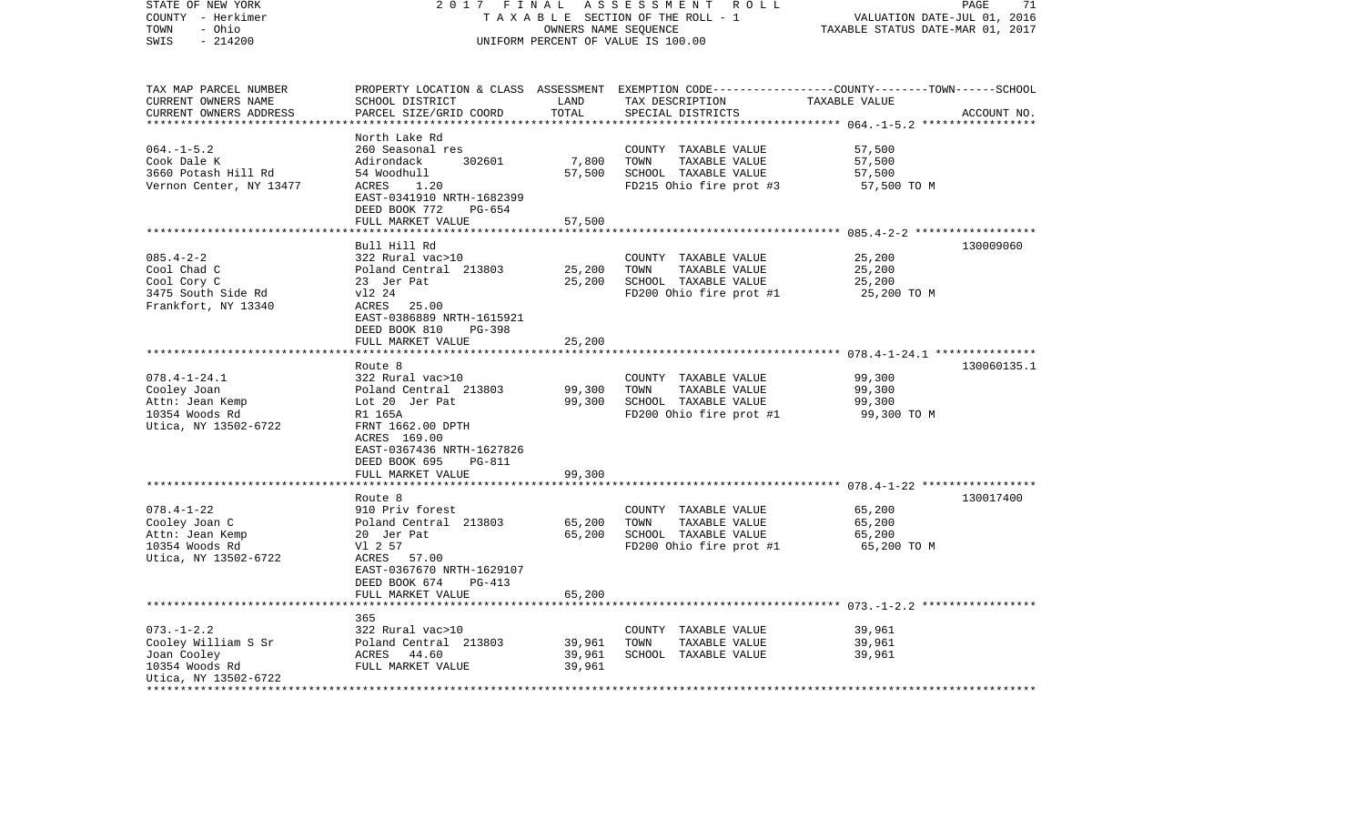| STATE OF NEW YORK<br>COUNTY - Herkimer<br>- Ohio<br>TOWN | 2017 FINAL                                                            | OWNERS NAME SEQUENCE | ASSESSMENT ROLL<br>TAXABLE SECTION OF THE ROLL - 1                                                                 | VALUATION DATE-JUL 01, 2016<br>TAXABLE STATUS DATE-MAR 01, 2017 | PAGE<br>71  |
|----------------------------------------------------------|-----------------------------------------------------------------------|----------------------|--------------------------------------------------------------------------------------------------------------------|-----------------------------------------------------------------|-------------|
| $-214200$<br>SWIS                                        |                                                                       |                      | UNIFORM PERCENT OF VALUE IS 100.00                                                                                 |                                                                 |             |
| TAX MAP PARCEL NUMBER<br>CURRENT OWNERS NAME             | SCHOOL DISTRICT                                                       | LAND                 | PROPERTY LOCATION & CLASS ASSESSMENT EXEMPTION CODE---------------COUNTY-------TOWN------SCHOOL<br>TAX DESCRIPTION | TAXABLE VALUE                                                   |             |
| CURRENT OWNERS ADDRESS<br>***********************        | PARCEL SIZE/GRID COORD                                                | TOTAL                | SPECIAL DISTRICTS                                                                                                  |                                                                 | ACCOUNT NO. |
|                                                          | North Lake Rd                                                         |                      |                                                                                                                    |                                                                 |             |
| $064. -1 - 5.2$                                          | 260 Seasonal res                                                      |                      | COUNTY TAXABLE VALUE                                                                                               | 57,500                                                          |             |
| Cook Dale K                                              | 302601<br>Adirondack                                                  | 7,800                | TOWN<br>TAXABLE VALUE                                                                                              | 57,500                                                          |             |
| 3660 Potash Hill Rd                                      | 54 Woodhull                                                           | 57,500               | SCHOOL TAXABLE VALUE                                                                                               | 57,500                                                          |             |
| Vernon Center, NY 13477                                  | ACRES<br>1.20<br>EAST-0341910 NRTH-1682399<br>DEED BOOK 772<br>PG-654 |                      | FD215 Ohio fire prot #3                                                                                            | 57,500 TO M                                                     |             |
|                                                          | FULL MARKET VALUE                                                     | 57,500               |                                                                                                                    |                                                                 |             |
|                                                          | *************************                                             | **************       |                                                                                                                    |                                                                 |             |
|                                                          | Bull Hill Rd                                                          |                      |                                                                                                                    |                                                                 | 130009060   |
| $085.4 - 2 - 2$<br>Cool Chad C                           | 322 Rural vac>10<br>Poland Central 213803                             | 25,200               | COUNTY TAXABLE VALUE<br>TAXABLE VALUE<br>TOWN                                                                      | 25,200<br>25,200                                                |             |
| Cool Cory C                                              | 23 Jer Pat                                                            | 25,200               | SCHOOL TAXABLE VALUE                                                                                               | 25,200                                                          |             |
| 3475 South Side Rd                                       | v12 24                                                                |                      | FD200 Ohio fire prot #1                                                                                            | 25,200 TO M                                                     |             |
| Frankfort, NY 13340                                      | ACRES 25.00                                                           |                      |                                                                                                                    |                                                                 |             |
|                                                          | EAST-0386889 NRTH-1615921                                             |                      |                                                                                                                    |                                                                 |             |
|                                                          | DEED BOOK 810<br>PG-398                                               |                      |                                                                                                                    |                                                                 |             |
|                                                          | FULL MARKET VALUE                                                     | 25,200               |                                                                                                                    |                                                                 |             |
|                                                          |                                                                       |                      |                                                                                                                    |                                                                 |             |
|                                                          | Route 8                                                               |                      |                                                                                                                    |                                                                 | 130060135.1 |
| $078.4 - 1 - 24.1$<br>Cooley Joan                        | 322 Rural vac>10<br>Poland Central 213803                             | 99,300               | COUNTY TAXABLE VALUE<br>TOWN<br>TAXABLE VALUE                                                                      | 99,300<br>99,300                                                |             |
| Attn: Jean Kemp                                          | Lot 20 Jer Pat                                                        | 99,300               | SCHOOL TAXABLE VALUE                                                                                               | 99,300                                                          |             |
| 10354 Woods Rd                                           | R1 165A                                                               |                      | FD200 Ohio fire prot #1                                                                                            | 99,300 TO M                                                     |             |
| Utica, NY 13502-6722                                     | FRNT 1662.00 DPTH                                                     |                      |                                                                                                                    |                                                                 |             |
|                                                          | ACRES 169.00                                                          |                      |                                                                                                                    |                                                                 |             |
|                                                          | EAST-0367436 NRTH-1627826                                             |                      |                                                                                                                    |                                                                 |             |
|                                                          | DEED BOOK 695<br>PG-811                                               |                      |                                                                                                                    |                                                                 |             |
|                                                          | FULL MARKET VALUE                                                     | 99,300               |                                                                                                                    |                                                                 |             |
|                                                          | ***********************                                               |                      |                                                                                                                    |                                                                 |             |
| $078.4 - 1 - 22$                                         | Route 8<br>910 Priv forest                                            |                      | COUNTY TAXABLE VALUE                                                                                               | 65,200                                                          | 130017400   |
| Cooley Joan C                                            | Poland Central 213803                                                 | 65,200               | TOWN<br>TAXABLE VALUE                                                                                              | 65,200                                                          |             |
| Attn: Jean Kemp                                          | 20 Jer Pat                                                            | 65,200               | SCHOOL TAXABLE VALUE                                                                                               | 65,200                                                          |             |
| 10354 Woods Rd                                           | V1 2 57                                                               |                      | FD200 Ohio fire prot #1                                                                                            | 65,200 TO M                                                     |             |
| Utica, NY 13502-6722                                     | ACRES 57.00                                                           |                      |                                                                                                                    |                                                                 |             |
|                                                          | EAST-0367670 NRTH-1629107                                             |                      |                                                                                                                    |                                                                 |             |
|                                                          | DEED BOOK 674<br><b>PG-413</b>                                        |                      |                                                                                                                    |                                                                 |             |
|                                                          | FULL MARKET VALUE                                                     | 65,200               |                                                                                                                    |                                                                 |             |
|                                                          | *******************                                                   | * * * * * * * * *    |                                                                                                                    |                                                                 |             |
| $073. - 1 - 2.2$                                         | 365<br>322 Rural vac>10                                               |                      | COUNTY TAXABLE VALUE                                                                                               | 39,961                                                          |             |
| Cooley William S Sr                                      | Poland Central 213803                                                 | 39,961               | TOWN<br>TAXABLE VALUE                                                                                              | 39,961                                                          |             |
| Joan Cooley                                              | ACRES 44.60                                                           | 39,961               | SCHOOL TAXABLE VALUE                                                                                               | 39,961                                                          |             |
| 10354 Woods Rd                                           | FULL MARKET VALUE                                                     | 39,961               |                                                                                                                    |                                                                 |             |
| Utica, NY 13502-6722                                     |                                                                       |                      |                                                                                                                    |                                                                 |             |
|                                                          |                                                                       |                      |                                                                                                                    |                                                                 |             |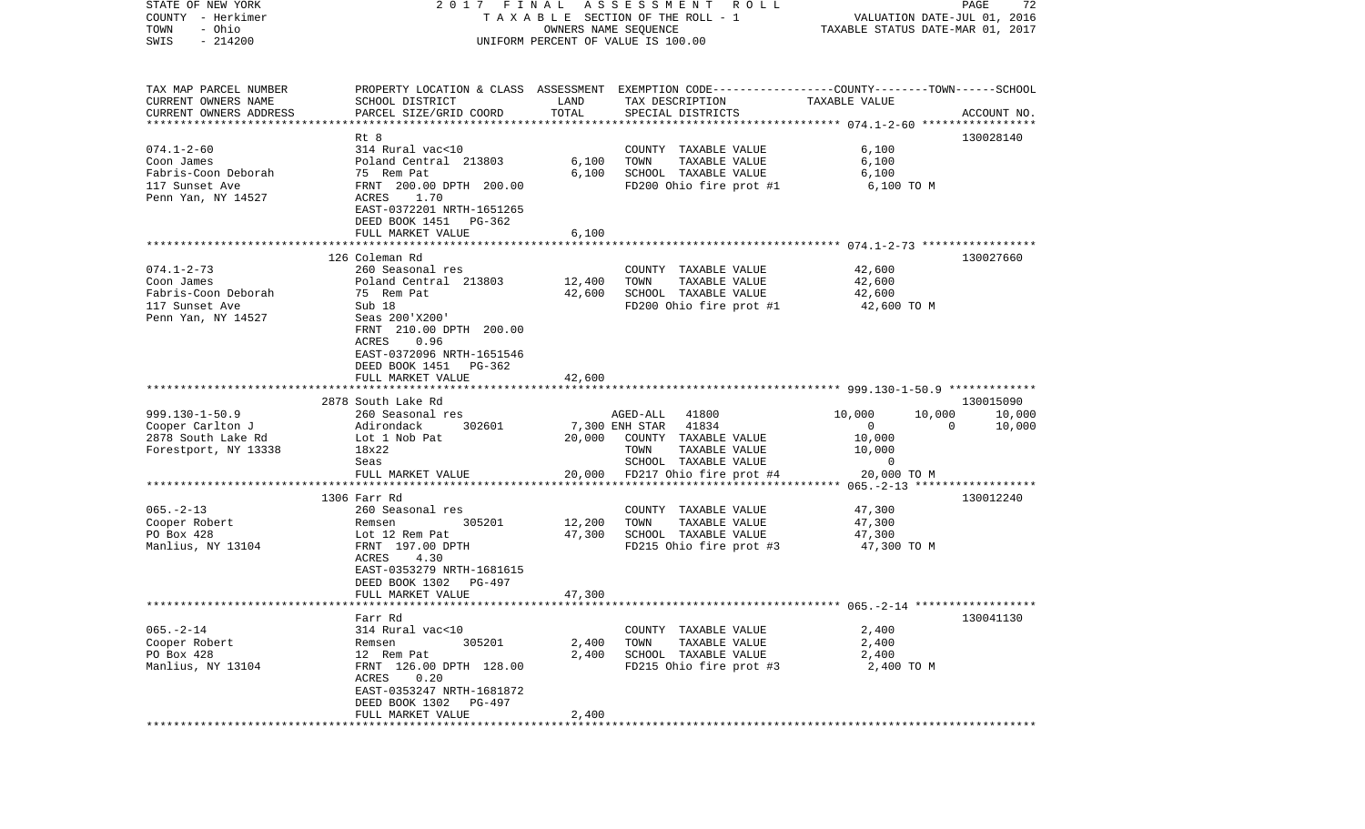| STATE OF NEW YORK         | 2017 FINAL                                            |        | ASSESSMENT ROLL                                                                                  |                                  | PAGE<br>72         |
|---------------------------|-------------------------------------------------------|--------|--------------------------------------------------------------------------------------------------|----------------------------------|--------------------|
| COUNTY - Herkimer         |                                                       |        | TAXABLE SECTION OF THE ROLL - 1                                                                  | VALUATION DATE-JUL 01, 2016      |                    |
| TOWN<br>- Ohio            |                                                       |        | OWNERS NAME SEQUENCE                                                                             | TAXABLE STATUS DATE-MAR 01, 2017 |                    |
| $-214200$<br>SWIS         |                                                       |        | UNIFORM PERCENT OF VALUE IS 100.00                                                               |                                  |                    |
|                           |                                                       |        |                                                                                                  |                                  |                    |
|                           |                                                       |        |                                                                                                  |                                  |                    |
| TAX MAP PARCEL NUMBER     |                                                       |        | PROPERTY LOCATION & CLASS ASSESSMENT EXEMPTION CODE----------------COUNTY-------TOWN------SCHOOL |                                  |                    |
| CURRENT OWNERS NAME       | SCHOOL DISTRICT                                       | LAND   | TAX DESCRIPTION                                                                                  | TAXABLE VALUE                    |                    |
| CURRENT OWNERS ADDRESS    | PARCEL SIZE/GRID COORD                                | TOTAL  | SPECIAL DISTRICTS                                                                                |                                  | ACCOUNT NO.        |
| ************************* |                                                       |        |                                                                                                  |                                  |                    |
|                           | Rt 8                                                  |        |                                                                                                  |                                  | 130028140          |
| $074.1 - 2 - 60$          | 314 Rural vac<10                                      |        | COUNTY TAXABLE VALUE                                                                             | 6,100                            |                    |
| Coon James                | Poland Central 213803                                 | 6,100  | TOWN<br>TAXABLE VALUE                                                                            | 6,100                            |                    |
| Fabris-Coon Deborah       | 75 Rem Pat                                            | 6,100  | SCHOOL TAXABLE VALUE                                                                             | 6,100                            |                    |
| 117 Sunset Ave            | FRNT 200.00 DPTH 200.00                               |        | FD200 Ohio fire prot #1                                                                          | 6,100 TO M                       |                    |
| Penn Yan, NY 14527        | 1.70<br>ACRES                                         |        |                                                                                                  |                                  |                    |
|                           | EAST-0372201 NRTH-1651265                             |        |                                                                                                  |                                  |                    |
|                           | DEED BOOK 1451<br>PG-362                              |        |                                                                                                  |                                  |                    |
|                           | FULL MARKET VALUE                                     | 6,100  |                                                                                                  |                                  |                    |
|                           |                                                       |        |                                                                                                  |                                  |                    |
|                           | 126 Coleman Rd                                        |        |                                                                                                  |                                  | 130027660          |
| $074.1 - 2 - 73$          | 260 Seasonal res                                      |        | COUNTY TAXABLE VALUE                                                                             | 42,600                           |                    |
| Coon James                | Poland Central 213803                                 | 12,400 | TOWN<br>TAXABLE VALUE                                                                            | 42,600                           |                    |
| Fabris-Coon Deborah       | 75 Rem Pat                                            | 42,600 | SCHOOL TAXABLE VALUE                                                                             | 42,600                           |                    |
| 117 Sunset Ave            | Sub 18                                                |        | FD200 Ohio fire prot #1                                                                          | 42,600 TO M                      |                    |
| Penn Yan, NY 14527        | Seas 200'X200'                                        |        |                                                                                                  |                                  |                    |
|                           | FRNT 210.00 DPTH 200.00                               |        |                                                                                                  |                                  |                    |
|                           | 0.96<br>ACRES                                         |        |                                                                                                  |                                  |                    |
|                           | EAST-0372096 NRTH-1651546                             |        |                                                                                                  |                                  |                    |
|                           | DEED BOOK 1451<br>PG-362                              |        |                                                                                                  |                                  |                    |
|                           | FULL MARKET VALUE                                     | 42,600 |                                                                                                  |                                  |                    |
|                           |                                                       |        |                                                                                                  |                                  |                    |
|                           | 2878 South Lake Rd                                    |        |                                                                                                  |                                  | 130015090          |
| $999.130 - 1 - 50.9$      | 260 Seasonal res                                      |        | AGED-ALL 41800                                                                                   | 10,000<br>10,000                 | 10,000             |
| Cooper Carlton J          | 302601<br>Adirondack                                  |        | 7,300 ENH STAR<br>41834                                                                          | $\overline{0}$                   | $\Omega$<br>10,000 |
| 2878 South Lake Rd        | Lot 1 Nob Pat                                         | 20,000 | COUNTY TAXABLE VALUE                                                                             | 10,000                           |                    |
| Forestport, NY 13338      | 18x22                                                 |        | TOWN<br>TAXABLE VALUE                                                                            | 10,000                           |                    |
|                           | Seas                                                  |        | SCHOOL TAXABLE VALUE                                                                             | 0                                |                    |
|                           | FULL MARKET VALUE<br>*************************        | 20,000 | FD217 Ohio fire prot #4                                                                          | 20,000 TO M                      |                    |
|                           |                                                       |        |                                                                                                  |                                  |                    |
|                           | 1306 Farr Rd                                          |        |                                                                                                  |                                  | 130012240          |
| $065. - 2 - 13$           | 260 Seasonal res                                      |        | COUNTY TAXABLE VALUE                                                                             | 47,300                           |                    |
| Cooper Robert             | 305201<br>Remsen                                      | 12,200 | TOWN<br>TAXABLE VALUE                                                                            | 47,300                           |                    |
| PO Box 428                | Lot 12 Rem Pat<br>FRNT 197.00 DPTH                    | 47,300 | SCHOOL TAXABLE VALUE                                                                             | 47,300                           |                    |
| Manlius, NY 13104         | 4.30                                                  |        | FD215 Ohio fire prot #3                                                                          | 47,300 TO M                      |                    |
|                           | ACRES                                                 |        |                                                                                                  |                                  |                    |
|                           | EAST-0353279 NRTH-1681615<br>DEED BOOK 1302<br>PG-497 |        |                                                                                                  |                                  |                    |
|                           | FULL MARKET VALUE                                     | 47,300 |                                                                                                  |                                  |                    |
|                           |                                                       |        |                                                                                                  |                                  |                    |
|                           | Farr Rd                                               |        |                                                                                                  |                                  | 130041130          |
| $065. - 2 - 14$           | 314 Rural vac<10                                      |        | COUNTY TAXABLE VALUE                                                                             | 2,400                            |                    |
| Cooper Robert             | Remsen<br>305201                                      | 2,400  | TOWN<br>TAXABLE VALUE                                                                            | 2,400                            |                    |
| PO Box 428                | 12 Rem Pat                                            | 2,400  | SCHOOL TAXABLE VALUE                                                                             | 2,400                            |                    |
| Manlius, NY 13104         | FRNT 126.00 DPTH 128.00                               |        | FD215 Ohio fire prot #3                                                                          | 2,400 TO M                       |                    |
|                           | 0.20<br>ACRES                                         |        |                                                                                                  |                                  |                    |
|                           | EAST-0353247 NRTH-1681872                             |        |                                                                                                  |                                  |                    |
|                           | DEED BOOK 1302<br>PG-497                              |        |                                                                                                  |                                  |                    |
|                           | FULL MARKET VALUE                                     | 2,400  |                                                                                                  |                                  |                    |
| **********                |                                                       |        |                                                                                                  |                                  |                    |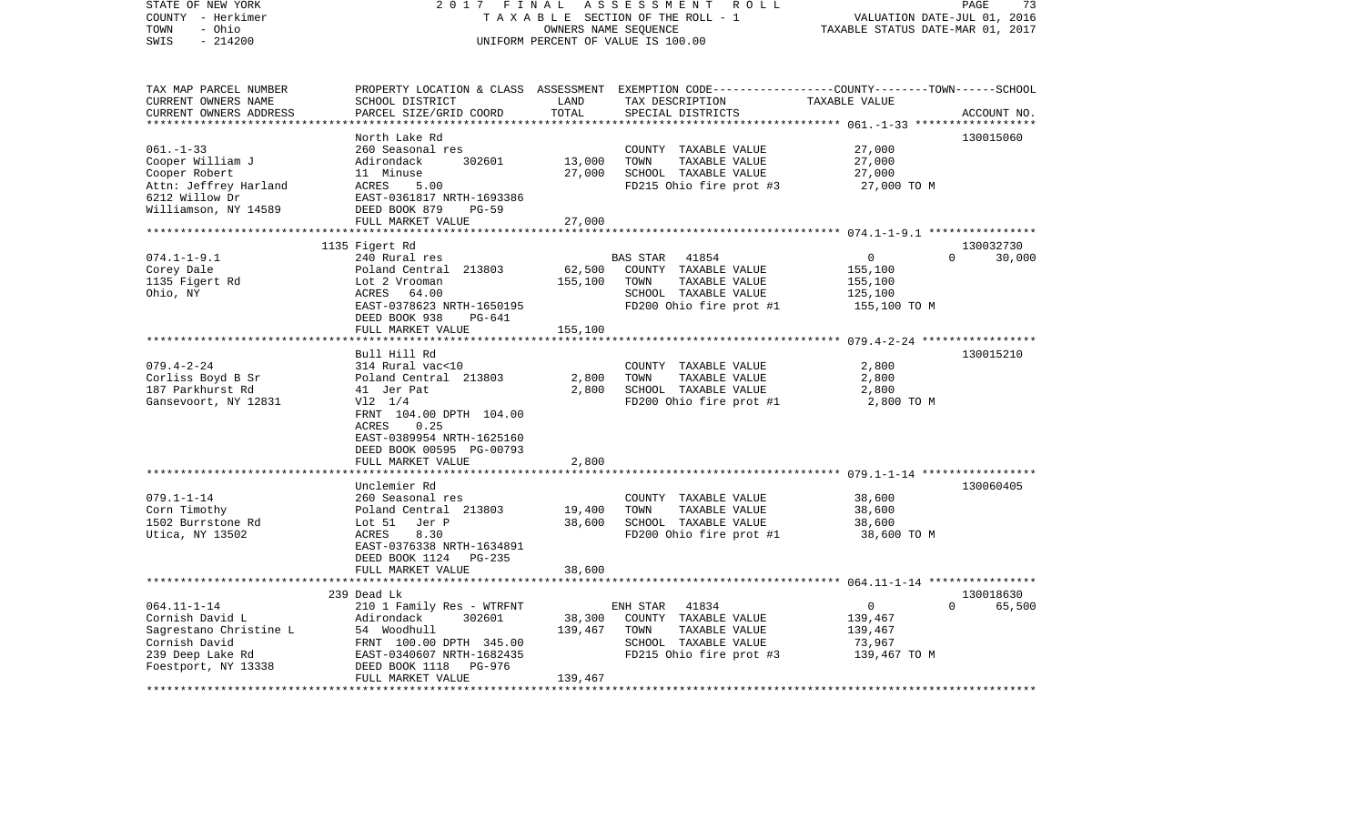| STATE OF NEW YORK<br>COUNTY - Herkimer  | 2017 FINAL<br>TAXABLE SECTION OF THE ROLL - 1        | PAGE<br>73<br>VALUATION DATE-JUL 01, 2016 |                                                                                                  |                                                     |             |
|-----------------------------------------|------------------------------------------------------|-------------------------------------------|--------------------------------------------------------------------------------------------------|-----------------------------------------------------|-------------|
| TOWN<br>- Ohio                          |                                                      | TAXABLE STATUS DATE-MAR 01, 2017          |                                                                                                  |                                                     |             |
| $-214200$<br>SWIS                       |                                                      |                                           | UNIFORM PERCENT OF VALUE IS 100.00                                                               |                                                     |             |
|                                         |                                                      |                                           |                                                                                                  |                                                     |             |
| TAX MAP PARCEL NUMBER                   |                                                      |                                           | PROPERTY LOCATION & CLASS ASSESSMENT EXEMPTION CODE----------------COUNTY-------TOWN------SCHOOL |                                                     |             |
| CURRENT OWNERS NAME                     | SCHOOL DISTRICT                                      | LAND                                      | TAX DESCRIPTION                                                                                  | TAXABLE VALUE                                       |             |
| CURRENT OWNERS ADDRESS                  | PARCEL SIZE/GRID COORD                               | TOTAL                                     | SPECIAL DISTRICTS                                                                                |                                                     | ACCOUNT NO. |
| ************************                |                                                      |                                           |                                                                                                  |                                                     |             |
|                                         | North Lake Rd                                        |                                           |                                                                                                  |                                                     | 130015060   |
| $061. -1 - 33$                          | 260 Seasonal res                                     |                                           | COUNTY TAXABLE VALUE                                                                             | 27,000                                              |             |
| Cooper William J                        | Adirondack<br>302601                                 | 13,000                                    | TOWN<br>TAXABLE VALUE                                                                            | 27,000                                              |             |
| Cooper Robert                           | 11 Minuse<br>ACRES<br>5.00                           | 27,000                                    | SCHOOL TAXABLE VALUE                                                                             | 27,000                                              |             |
| Attn: Jeffrey Harland<br>6212 Willow Dr | EAST-0361817 NRTH-1693386                            |                                           | FD215 Ohio fire prot #3                                                                          | 27,000 TO M                                         |             |
| Williamson, NY 14589                    | DEED BOOK 879<br>$PG-59$                             |                                           |                                                                                                  |                                                     |             |
|                                         | FULL MARKET VALUE                                    | 27,000                                    |                                                                                                  |                                                     |             |
|                                         |                                                      | ********                                  |                                                                                                  | ********************* 074.1-1-9.1 ***************** |             |
|                                         | 1135 Figert Rd                                       |                                           |                                                                                                  |                                                     | 130032730   |
| $074.1 - 1 - 9.1$                       | 240 Rural res                                        |                                           | BAS STAR<br>41854                                                                                | $\mathsf{O}$<br>$\Omega$                            | 30,000      |
| Corey Dale                              | Poland Central 213803                                | 62,500                                    | COUNTY TAXABLE VALUE                                                                             | 155,100                                             |             |
| 1135 Figert Rd                          | Lot 2 Vrooman                                        | 155,100                                   | TOWN<br>TAXABLE VALUE                                                                            | 155,100                                             |             |
| Ohio, NY                                | ACRES 64.00                                          |                                           | SCHOOL TAXABLE VALUE                                                                             | 125,100                                             |             |
|                                         | EAST-0378623 NRTH-1650195                            |                                           | FD200 Ohio fire prot #1                                                                          | 155,100 TO M                                        |             |
|                                         | DEED BOOK 938<br>PG-641                              |                                           |                                                                                                  |                                                     |             |
|                                         | FULL MARKET VALUE                                    | 155,100                                   |                                                                                                  |                                                     |             |
|                                         |                                                      |                                           |                                                                                                  |                                                     |             |
|                                         | Bull Hill Rd                                         |                                           |                                                                                                  |                                                     | 130015210   |
| $079.4 - 2 - 24$                        | 314 Rural vac<10                                     |                                           | COUNTY TAXABLE VALUE                                                                             | 2,800                                               |             |
| Corliss Boyd B Sr                       | Poland Central 213803                                | 2,800                                     | TOWN<br>TAXABLE VALUE                                                                            | 2,800                                               |             |
| 187 Parkhurst Rd                        | 41 Jer Pat                                           | 2,800                                     | SCHOOL TAXABLE VALUE                                                                             | 2,800                                               |             |
| Gansevoort, NY 12831                    | $V12 \t1/4$                                          |                                           | FD200 Ohio fire prot #1                                                                          | 2,800 TO M                                          |             |
|                                         | FRNT 104.00 DPTH 104.00                              |                                           |                                                                                                  |                                                     |             |
|                                         | ACRES<br>0.25                                        |                                           |                                                                                                  |                                                     |             |
|                                         | EAST-0389954 NRTH-1625160                            |                                           |                                                                                                  |                                                     |             |
|                                         | DEED BOOK 00595 PG-00793<br>FULL MARKET VALUE        | 2,800                                     |                                                                                                  |                                                     |             |
|                                         |                                                      |                                           |                                                                                                  |                                                     |             |
|                                         | Unclemier Rd                                         |                                           |                                                                                                  |                                                     | 130060405   |
| $079.1 - 1 - 14$                        | 260 Seasonal res                                     |                                           | COUNTY TAXABLE VALUE                                                                             | 38,600                                              |             |
| Corn Timothy                            | Poland Central 213803                                | 19,400                                    | TOWN<br>TAXABLE VALUE                                                                            | 38,600                                              |             |
| 1502 Burrstone Rd                       | Lot 51<br>Jer P                                      | 38,600                                    | SCHOOL TAXABLE VALUE                                                                             | 38,600                                              |             |
| Utica, NY 13502                         | ACRES<br>8.30                                        |                                           | FD200 Ohio fire prot #1                                                                          | 38,600 TO M                                         |             |
|                                         | EAST-0376338 NRTH-1634891                            |                                           |                                                                                                  |                                                     |             |
|                                         | DEED BOOK 1124<br>PG-235                             |                                           |                                                                                                  |                                                     |             |
|                                         | FULL MARKET VALUE                                    | 38,600                                    |                                                                                                  |                                                     |             |
|                                         |                                                      |                                           |                                                                                                  |                                                     |             |
|                                         | 239 Dead Lk                                          |                                           |                                                                                                  |                                                     | 130018630   |
| $064.11 - 1 - 14$                       | 210 1 Family Res - WTRFNT                            |                                           | ENH STAR<br>41834                                                                                | $\overline{0}$<br>$\Omega$                          | 65,500      |
| Cornish David L                         | Adirondack<br>302601                                 | 38,300                                    | COUNTY TAXABLE VALUE                                                                             | 139,467                                             |             |
| Sagrestano Christine L                  | 54 Woodhull                                          | 139,467                                   | TOWN<br>TAXABLE VALUE                                                                            | 139,467                                             |             |
| Cornish David                           | FRNT 100.00 DPTH 345.00                              |                                           | SCHOOL TAXABLE VALUE                                                                             | 73,967                                              |             |
| 239 Deep Lake Rd                        | EAST-0340607 NRTH-1682435                            |                                           | FD215 Ohio fire prot #3                                                                          | 139,467 TO M                                        |             |
| Foestport, NY 13338                     | DEED BOOK 1118<br>PG-976                             |                                           |                                                                                                  |                                                     |             |
|                                         | FULL MARKET VALUE<br>******************************* | 139,467                                   |                                                                                                  |                                                     |             |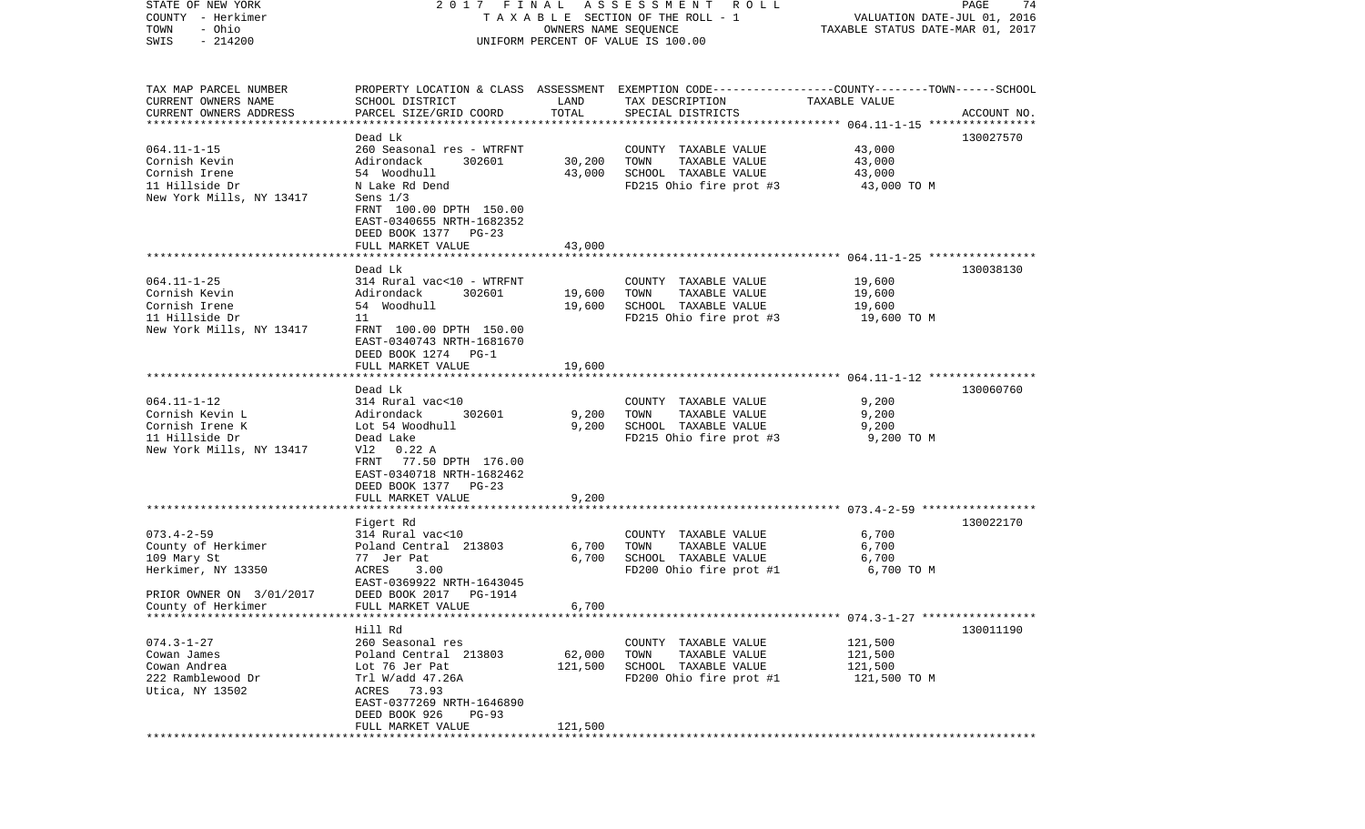| STATE OF NEW YORK         | 2017 FINAL                                                                                       |                      | A S S E S S M E N T<br>R O L L     |                                  | PAGE<br>74  |
|---------------------------|--------------------------------------------------------------------------------------------------|----------------------|------------------------------------|----------------------------------|-------------|
| COUNTY - Herkimer         |                                                                                                  |                      | TAXABLE SECTION OF THE ROLL - 1    | VALUATION DATE-JUL 01, 2016      |             |
| TOWN<br>- Ohio            |                                                                                                  | OWNERS NAME SEQUENCE |                                    | TAXABLE STATUS DATE-MAR 01, 2017 |             |
| SWIS<br>$-214200$         |                                                                                                  |                      | UNIFORM PERCENT OF VALUE IS 100.00 |                                  |             |
|                           |                                                                                                  |                      |                                    |                                  |             |
|                           |                                                                                                  |                      |                                    |                                  |             |
| TAX MAP PARCEL NUMBER     | PROPERTY LOCATION & CLASS ASSESSMENT EXEMPTION CODE----------------COUNTY-------TOWN------SCHOOL |                      |                                    |                                  |             |
| CURRENT OWNERS NAME       | SCHOOL DISTRICT                                                                                  | LAND                 | TAX DESCRIPTION                    | TAXABLE VALUE                    |             |
| CURRENT OWNERS ADDRESS    | PARCEL SIZE/GRID COORD                                                                           | TOTAL                | SPECIAL DISTRICTS                  |                                  | ACCOUNT NO. |
| ************************* |                                                                                                  |                      |                                    |                                  |             |
|                           | Dead Lk                                                                                          |                      |                                    |                                  | 130027570   |
| $064.11 - 1 - 15$         | 260 Seasonal res - WTRFNT                                                                        |                      | COUNTY TAXABLE VALUE               | 43,000                           |             |
| Cornish Kevin             | Adirondack<br>302601                                                                             | 30,200               | TOWN<br>TAXABLE VALUE              | 43,000                           |             |
| Cornish Irene             | 54 Woodhull                                                                                      | 43,000               | SCHOOL TAXABLE VALUE               | 43,000                           |             |
| 11 Hillside Dr            | N Lake Rd Dend                                                                                   |                      | FD215 Ohio fire prot #3            | 43,000 TO M                      |             |
| New York Mills, NY 13417  | Sens $1/3$                                                                                       |                      |                                    |                                  |             |
|                           | FRNT 100.00 DPTH 150.00                                                                          |                      |                                    |                                  |             |
|                           | EAST-0340655 NRTH-1682352                                                                        |                      |                                    |                                  |             |
|                           | DEED BOOK 1377 PG-23                                                                             |                      |                                    |                                  |             |
|                           | FULL MARKET VALUE                                                                                | 43,000               |                                    |                                  |             |
|                           |                                                                                                  |                      |                                    |                                  |             |
|                           | Dead Lk                                                                                          |                      |                                    |                                  | 130038130   |
| $064.11 - 1 - 25$         | 314 Rural vac<10 - WTRFNT                                                                        |                      | COUNTY TAXABLE VALUE               | 19,600                           |             |
| Cornish Kevin             | Adirondack<br>302601                                                                             | 19,600               | TOWN<br>TAXABLE VALUE              | 19,600                           |             |
| Cornish Irene             | 54 Woodhull                                                                                      | 19,600               | SCHOOL TAXABLE VALUE               | 19,600                           |             |
| 11 Hillside Dr            | 11                                                                                               |                      | FD215 Ohio fire prot #3            | 19,600 TO M                      |             |
| New York Mills, NY 13417  | FRNT 100.00 DPTH 150.00                                                                          |                      |                                    |                                  |             |
|                           | EAST-0340743 NRTH-1681670                                                                        |                      |                                    |                                  |             |
|                           | DEED BOOK 1274 PG-1                                                                              |                      |                                    |                                  |             |
|                           | FULL MARKET VALUE                                                                                | 19,600               |                                    |                                  |             |
|                           |                                                                                                  |                      |                                    |                                  |             |
|                           | Dead Lk                                                                                          |                      |                                    |                                  | 130060760   |
| $064.11 - 1 - 12$         | 314 Rural vac<10                                                                                 |                      | COUNTY TAXABLE VALUE               | 9,200                            |             |
| Cornish Kevin L           | Adirondack<br>302601                                                                             | 9,200                | TAXABLE VALUE<br>TOWN              | 9,200                            |             |
| Cornish Irene K           | Lot 54 Woodhull                                                                                  | 9,200                | SCHOOL TAXABLE VALUE               | 9,200                            |             |
| 11 Hillside Dr            | Dead Lake                                                                                        |                      | FD215 Ohio fire prot #3            | 9,200 TO M                       |             |
| New York Mills, NY 13417  | $0.22$ A<br>Vl2                                                                                  |                      |                                    |                                  |             |
|                           | FRNT<br>77.50 DPTH 176.00                                                                        |                      |                                    |                                  |             |
|                           | EAST-0340718 NRTH-1682462                                                                        |                      |                                    |                                  |             |
|                           | DEED BOOK 1377 PG-23                                                                             |                      |                                    |                                  |             |
|                           | FULL MARKET VALUE                                                                                | 9,200                |                                    |                                  |             |
|                           |                                                                                                  |                      |                                    |                                  |             |
|                           | Figert Rd<br>314 Rural vac<10                                                                    |                      |                                    |                                  | 130022170   |
| $073.4 - 2 - 59$          |                                                                                                  |                      | COUNTY TAXABLE VALUE               | 6,700                            |             |
| County of Herkimer        | Poland Central 213803                                                                            | 6,700                | TAXABLE VALUE<br>TOWN              | 6,700                            |             |
| 109 Mary St               | 77 Jer Pat                                                                                       | 6,700                | SCHOOL TAXABLE VALUE               | 6,700                            |             |
| Herkimer, NY 13350        | ACRES<br>3.00<br>EAST-0369922 NRTH-1643045                                                       |                      | FD200 Ohio fire prot #1            | 6,700 TO M                       |             |
|                           | DEED BOOK 2017                                                                                   |                      |                                    |                                  |             |
| PRIOR OWNER ON 3/01/2017  | PG-1914                                                                                          |                      |                                    |                                  |             |
| County of Herkimer        | FULL MARKET VALUE                                                                                | 6,700                |                                    |                                  |             |
|                           | Hill Rd                                                                                          |                      |                                    |                                  | 130011190   |
| $074.3 - 1 - 27$          | 260 Seasonal res                                                                                 |                      | COUNTY TAXABLE VALUE               | 121,500                          |             |
| Cowan James               | Poland Central 213803                                                                            | 62,000               | TOWN<br>TAXABLE VALUE              | 121,500                          |             |
| Cowan Andrea              | Lot 76 Jer Pat                                                                                   | 121,500              | SCHOOL TAXABLE VALUE               | 121,500                          |             |
| 222 Ramblewood Dr         | Trl W/add 47.26A                                                                                 |                      | FD200 Ohio fire prot #1            | 121,500 TO M                     |             |
| Utica, NY 13502           | ACRES 73.93                                                                                      |                      |                                    |                                  |             |
|                           | EAST-0377269 NRTH-1646890                                                                        |                      |                                    |                                  |             |
|                           | DEED BOOK 926<br>$PG-93$                                                                         |                      |                                    |                                  |             |
|                           | FULL MARKET VALUE                                                                                | 121,500              |                                    |                                  |             |
|                           |                                                                                                  |                      |                                    |                                  |             |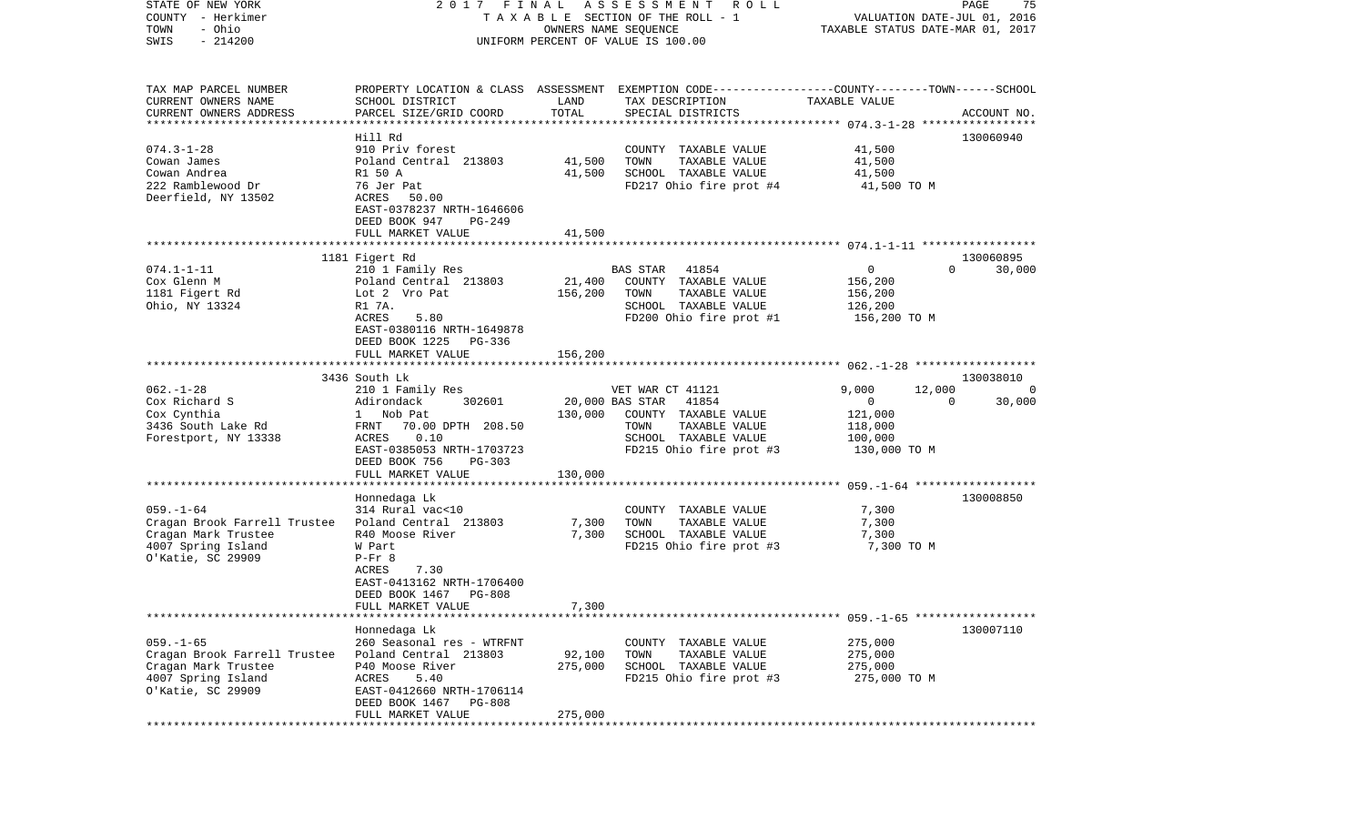| COUNTY<br>- Herkimer<br>TOWN<br>- Ohio              | TAXABLE SECTION OF THE ROLL - 1               | VALUATION DATE-JUL 01, 2016<br>TAXABLE STATUS DATE-MAR 01, 2017 |                                                                                                 |                         |                          |
|-----------------------------------------------------|-----------------------------------------------|-----------------------------------------------------------------|-------------------------------------------------------------------------------------------------|-------------------------|--------------------------|
| SWIS<br>$-214200$                                   |                                               |                                                                 | UNIFORM PERCENT OF VALUE IS 100.00                                                              |                         |                          |
| TAX MAP PARCEL NUMBER                               |                                               |                                                                 | PROPERTY LOCATION & CLASS ASSESSMENT EXEMPTION CODE---------------COUNTY-------TOWN------SCHOOL |                         |                          |
| CURRENT OWNERS NAME                                 | SCHOOL DISTRICT                               | LAND                                                            | TAX DESCRIPTION                                                                                 | TAXABLE VALUE           |                          |
| CURRENT OWNERS ADDRESS                              | PARCEL SIZE/GRID COORD                        | TOTAL                                                           | SPECIAL DISTRICTS                                                                               |                         | ACCOUNT NO.              |
|                                                     |                                               |                                                                 |                                                                                                 |                         |                          |
|                                                     | Hill Rd                                       |                                                                 |                                                                                                 |                         | 130060940                |
| $074.3 - 1 - 28$                                    | 910 Priv forest                               |                                                                 | COUNTY TAXABLE VALUE                                                                            | 41,500                  |                          |
| Cowan James<br>Cowan Andrea                         | Poland Central 213803<br>R1 50 A              | 41,500<br>41,500                                                | TOWN<br>TAXABLE VALUE<br>SCHOOL TAXABLE VALUE                                                   | 41,500<br>41,500        |                          |
| 222 Ramblewood Dr                                   | 76 Jer Pat                                    |                                                                 | FD217 Ohio fire prot #4                                                                         | 41,500 TO M             |                          |
| Deerfield, NY 13502                                 | ACRES<br>50.00                                |                                                                 |                                                                                                 |                         |                          |
|                                                     | EAST-0378237 NRTH-1646606                     |                                                                 |                                                                                                 |                         |                          |
|                                                     | DEED BOOK 947<br>$PG-249$                     |                                                                 |                                                                                                 |                         |                          |
|                                                     | FULL MARKET VALUE                             | 41,500                                                          |                                                                                                 |                         |                          |
|                                                     |                                               |                                                                 |                                                                                                 |                         |                          |
|                                                     | 1181 Figert Rd                                |                                                                 |                                                                                                 |                         | 130060895                |
| $074.1 - 1 - 11$                                    | 210 1 Family Res                              |                                                                 | 41854<br>BAS STAR                                                                               | $\mathbf{0}$            | 30,000<br>$\Omega$       |
| Cox Glenn M                                         | Poland Central 213803                         | 21,400                                                          | COUNTY TAXABLE VALUE                                                                            | 156,200                 |                          |
| 1181 Figert Rd                                      | Lot 2 Vro Pat                                 | 156,200                                                         | TOWN<br>TAXABLE VALUE                                                                           | 156,200                 |                          |
| Ohio, NY 13324                                      | R1 7A.                                        |                                                                 | SCHOOL TAXABLE VALUE                                                                            | 126,200                 |                          |
|                                                     | ACRES<br>5.80                                 |                                                                 | FD200 Ohio fire prot #1                                                                         | 156,200 TO M            |                          |
|                                                     | EAST-0380116 NRTH-1649878                     |                                                                 |                                                                                                 |                         |                          |
|                                                     | DEED BOOK 1225<br>PG-336<br>FULL MARKET VALUE | 156,200                                                         |                                                                                                 |                         |                          |
|                                                     | *************************************         |                                                                 |                                                                                                 |                         |                          |
|                                                     | 3436 South Lk                                 |                                                                 |                                                                                                 |                         | 130038010                |
| $062. - 1 - 28$                                     | 210 1 Family Res                              |                                                                 | VET WAR CT 41121                                                                                | 9,000<br>12,000         | 0                        |
| Cox Richard S                                       | Adirondack<br>302601                          |                                                                 | 20,000 BAS STAR<br>41854                                                                        | $\overline{0}$          | $\overline{0}$<br>30,000 |
| Cox Cynthia                                         | 1 Nob Pat                                     | 130,000                                                         | COUNTY TAXABLE VALUE                                                                            | 121,000                 |                          |
| 3436 South Lake Rd                                  | FRNT<br>70.00 DPTH 208.50                     |                                                                 | TOWN<br>TAXABLE VALUE                                                                           | 118,000                 |                          |
| Forestport, NY 13338                                | ACRES<br>0.10                                 |                                                                 | SCHOOL TAXABLE VALUE                                                                            | 100,000                 |                          |
|                                                     | EAST-0385053 NRTH-1703723                     |                                                                 | FD215 Ohio fire prot #3                                                                         | 130,000 TO M            |                          |
|                                                     | DEED BOOK 756<br>PG-303                       |                                                                 |                                                                                                 |                         |                          |
|                                                     | FULL MARKET VALUE                             | 130,000                                                         |                                                                                                 |                         |                          |
|                                                     |                                               |                                                                 |                                                                                                 |                         |                          |
| $059. - 1 - 64$                                     | Honnedaga Lk<br>314 Rural vac<10              |                                                                 | COUNTY TAXABLE VALUE                                                                            | 7,300                   | 130008850                |
| Cragan Brook Farrell Trustee Poland Central 213803  |                                               | 7,300                                                           | TOWN<br>TAXABLE VALUE                                                                           | 7,300                   |                          |
| Cragan Mark Trustee                                 | R40 Moose River                               | 7,300                                                           | SCHOOL TAXABLE VALUE                                                                            | 7,300                   |                          |
| 4007 Spring Island                                  | W Part                                        |                                                                 | FD215 Ohio fire prot #3                                                                         | 7,300 TO M              |                          |
| 0'Katie, SC 29909                                   | $P-Fr$ 8                                      |                                                                 |                                                                                                 |                         |                          |
|                                                     | ACRES<br>7.30                                 |                                                                 |                                                                                                 |                         |                          |
|                                                     | EAST-0413162 NRTH-1706400                     |                                                                 |                                                                                                 |                         |                          |
|                                                     | DEED BOOK 1467<br><b>PG-808</b>               |                                                                 |                                                                                                 |                         |                          |
|                                                     | FULL MARKET VALUE                             | 7,300                                                           |                                                                                                 |                         |                          |
|                                                     |                                               |                                                                 |                                                                                                 |                         |                          |
|                                                     | Honnedaga Lk                                  |                                                                 |                                                                                                 |                         | 130007110                |
| $059. -1 - 65$                                      | 260 Seasonal res - WTRFNT                     |                                                                 | COUNTY TAXABLE VALUE                                                                            | 275,000                 |                          |
| Cragan Brook Farrell Trustee<br>Cragan Mark Trustee | Poland Central 213803                         | 92,100<br>275,000                                               | TOWN<br>TAXABLE VALUE                                                                           | 275,000                 |                          |
| 4007 Spring Island                                  | P40 Moose River<br>5.40<br>ACRES              |                                                                 | SCHOOL TAXABLE VALUE<br>FD215 Ohio fire prot #3                                                 | 275,000<br>275,000 TO M |                          |
| 0'Katie, SC 29909                                   | EAST-0412660 NRTH-1706114                     |                                                                 |                                                                                                 |                         |                          |
|                                                     | DEED BOOK 1467<br><b>PG-808</b>               |                                                                 |                                                                                                 |                         |                          |
|                                                     | FULL MARKET VALUE                             | 275,000                                                         |                                                                                                 |                         |                          |
|                                                     |                                               |                                                                 |                                                                                                 |                         |                          |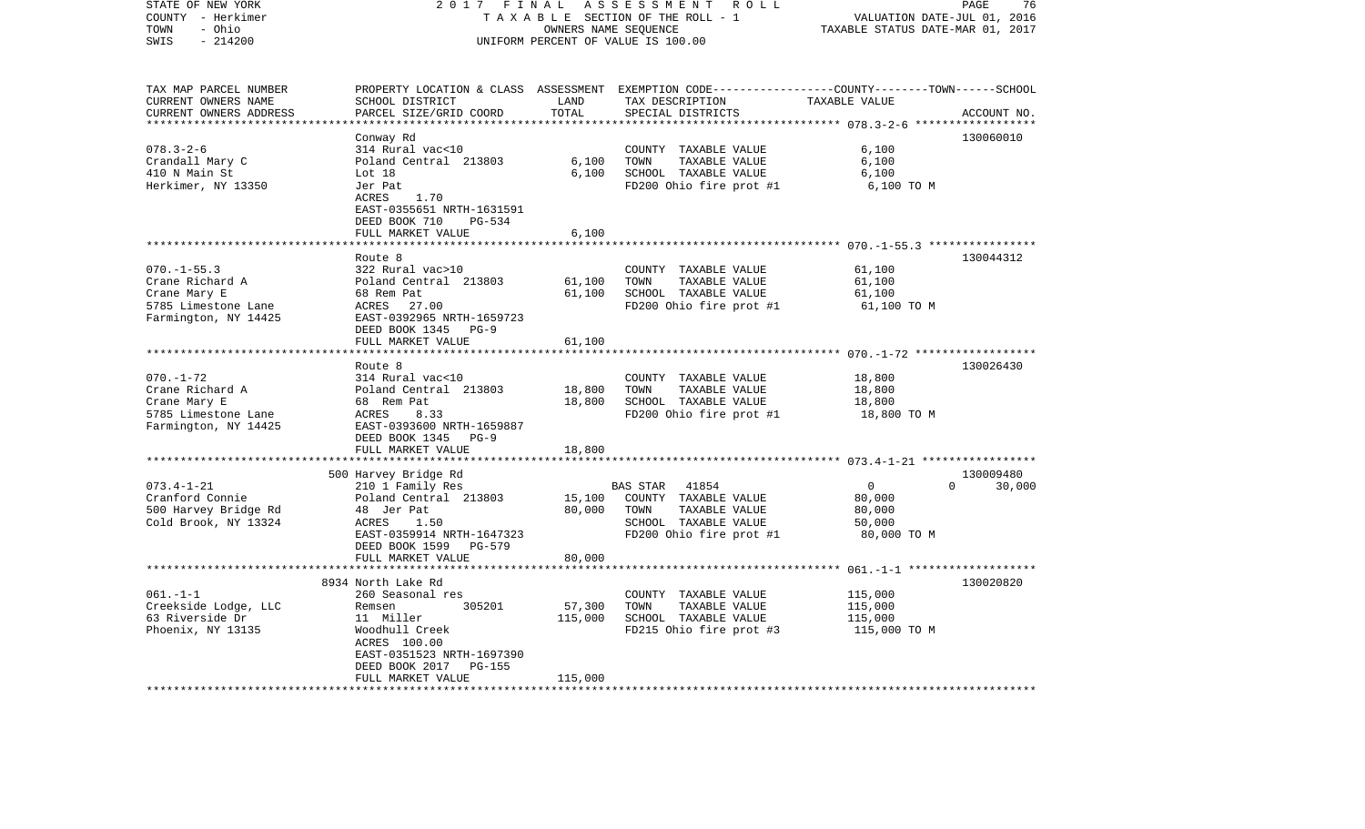| STATE OF NEW YORK                  | 2017<br>FINAL                             |                             | ASSESSMENT<br>R O L L                                                                            |                                       | PAGE<br>76  |
|------------------------------------|-------------------------------------------|-----------------------------|--------------------------------------------------------------------------------------------------|---------------------------------------|-------------|
| COUNTY - Herkimer                  | TAXABLE SECTION OF THE ROLL - 1           | VALUATION DATE-JUL 01, 2016 |                                                                                                  |                                       |             |
| - Ohio<br>TOWN                     |                                           | OWNERS NAME SEQUENCE        |                                                                                                  | TAXABLE STATUS DATE-MAR 01, 2017      |             |
| SWIS<br>$-214200$                  |                                           |                             | UNIFORM PERCENT OF VALUE IS 100.00                                                               |                                       |             |
|                                    |                                           |                             |                                                                                                  |                                       |             |
| TAX MAP PARCEL NUMBER              |                                           |                             | PROPERTY LOCATION & CLASS ASSESSMENT EXEMPTION CODE----------------COUNTY-------TOWN------SCHOOL |                                       |             |
| CURRENT OWNERS NAME                | SCHOOL DISTRICT                           | LAND                        | TAX DESCRIPTION                                                                                  | TAXABLE VALUE                         |             |
| CURRENT OWNERS ADDRESS             | PARCEL SIZE/GRID COORD                    | TOTAL                       | SPECIAL DISTRICTS                                                                                |                                       | ACCOUNT NO. |
| *********************              |                                           |                             |                                                                                                  |                                       |             |
|                                    | Conway Rd                                 |                             |                                                                                                  |                                       | 130060010   |
| $078.3 - 2 - 6$                    | 314 Rural vac<10                          |                             | COUNTY TAXABLE VALUE                                                                             | 6,100                                 |             |
| Crandall Mary C                    | Poland Central 213803                     | 6,100                       | TOWN<br>TAXABLE VALUE                                                                            | 6,100                                 |             |
| 410 N Main St                      | Lot 18                                    | 6,100                       | SCHOOL TAXABLE VALUE                                                                             | 6,100                                 |             |
| Herkimer, NY 13350                 | Jer Pat                                   |                             | FD200 Ohio fire prot #1                                                                          | 6,100 TO M                            |             |
|                                    | <b>ACRES</b><br>1.70                      |                             |                                                                                                  |                                       |             |
|                                    | EAST-0355651 NRTH-1631591                 |                             |                                                                                                  |                                       |             |
|                                    | DEED BOOK 710<br><b>PG-534</b>            |                             |                                                                                                  |                                       |             |
|                                    | FULL MARKET VALUE                         | 6,100                       |                                                                                                  |                                       |             |
|                                    |                                           |                             |                                                                                                  |                                       |             |
|                                    | Route 8                                   |                             |                                                                                                  |                                       | 130044312   |
| $070. -1 - 55.3$                   | 322 Rural vac>10                          |                             | COUNTY TAXABLE VALUE                                                                             | 61,100                                |             |
| Crane Richard A                    | Poland Central 213803                     | 61,100                      | TAXABLE VALUE<br>TOWN                                                                            | 61,100                                |             |
| Crane Mary E                       | 68 Rem Pat                                | 61,100                      | SCHOOL TAXABLE VALUE                                                                             | 61,100                                |             |
| 5785 Limestone Lane                | ACRES<br>27.00                            |                             | FD200 Ohio fire prot #1                                                                          | 61,100 TO M                           |             |
| Farmington, NY 14425               | EAST-0392965 NRTH-1659723                 |                             |                                                                                                  |                                       |             |
|                                    | DEED BOOK 1345 PG-9                       |                             |                                                                                                  |                                       |             |
|                                    | FULL MARKET VALUE                         | 61,100                      |                                                                                                  |                                       |             |
|                                    |                                           |                             |                                                                                                  | ************ 070.-1-72 ************** |             |
|                                    | Route 8                                   |                             |                                                                                                  |                                       | 130026430   |
| $070. - 1 - 72$<br>Crane Richard A | 314 Rural vac<10                          |                             | COUNTY TAXABLE VALUE<br>TOWN                                                                     | 18,800                                |             |
| Crane Mary E                       | Poland Central 213803<br>68 Rem Pat       | 18,800<br>18,800            | TAXABLE VALUE<br>SCHOOL TAXABLE VALUE                                                            | 18,800<br>18,800                      |             |
| 5785 Limestone Lane                | ACRES<br>8.33                             |                             | FD200 Ohio fire prot #1                                                                          | 18,800 TO M                           |             |
| Farmington, NY 14425               | EAST-0393600 NRTH-1659887                 |                             |                                                                                                  |                                       |             |
|                                    | DEED BOOK 1345<br>$PG-9$                  |                             |                                                                                                  |                                       |             |
|                                    | FULL MARKET VALUE                         | 18,800                      |                                                                                                  |                                       |             |
|                                    | ******************                        |                             |                                                                                                  |                                       |             |
|                                    | 500 Harvey Bridge Rd                      |                             |                                                                                                  |                                       | 130009480   |
| $073.4 - 1 - 21$                   | 210 1 Family Res                          |                             | 41854<br><b>BAS STAR</b>                                                                         | $\overline{0}$<br>$\Omega$            | 30,000      |
| Cranford Connie                    | Poland Central 213803                     | 15,100                      | COUNTY TAXABLE VALUE                                                                             | 80,000                                |             |
| 500 Harvey Bridge Rd               | 48 Jer Pat                                | 80,000                      | TOWN<br>TAXABLE VALUE                                                                            | 80,000                                |             |
| Cold Brook, NY 13324               | ACRES<br>1.50                             |                             | SCHOOL TAXABLE VALUE                                                                             | 50,000                                |             |
|                                    | EAST-0359914 NRTH-1647323                 |                             | FD200 Ohio fire prot #1                                                                          | 80,000 TO M                           |             |
|                                    | DEED BOOK 1599<br><b>PG-579</b>           |                             |                                                                                                  |                                       |             |
|                                    | FULL MARKET VALUE                         | 80,000                      |                                                                                                  |                                       |             |
|                                    | ***************                           |                             |                                                                                                  | $061 - 1 - 1$ ********************    |             |
|                                    | 8934 North Lake Rd                        |                             |                                                                                                  |                                       | 130020820   |
| $061. -1 -1$                       | 260 Seasonal res                          |                             | COUNTY TAXABLE VALUE                                                                             | 115,000                               |             |
| Creekside Lodge, LLC               | Remsen<br>305201                          | 57,300                      | TOWN<br>TAXABLE VALUE                                                                            | 115,000                               |             |
| 63 Riverside Dr                    | 11 Miller                                 | 115,000                     | SCHOOL TAXABLE VALUE                                                                             | 115,000                               |             |
| Phoenix, NY 13135                  | Woodhull Creek                            |                             | FD215 Ohio fire prot #3                                                                          | 115,000 TO M                          |             |
|                                    | ACRES 100.00                              |                             |                                                                                                  |                                       |             |
|                                    | EAST-0351523 NRTH-1697390                 |                             |                                                                                                  |                                       |             |
|                                    | DEED BOOK 2017<br>PG-155                  |                             |                                                                                                  |                                       |             |
| ************************           | FULL MARKET VALUE<br>******************** | 115,000<br>*********        |                                                                                                  |                                       |             |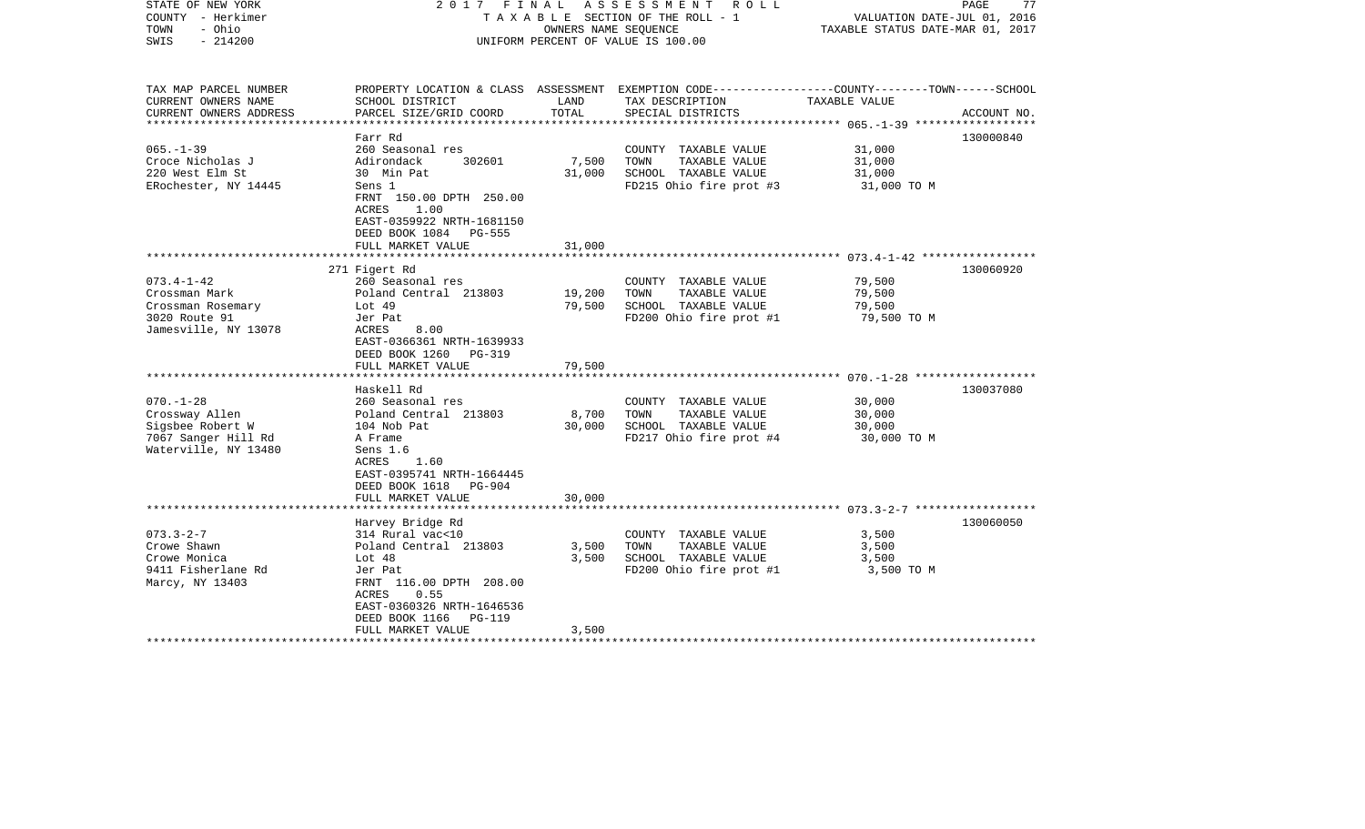| STATE OF NEW YORK<br>COUNTY - Herkimer<br>- Ohio<br>TOWN<br>$-214200$<br>SWIS | 2017 FINAL                                                                                                   | OWNERS NAME SEQUENCE | ASSESSMENT<br>R O L L<br>TAXABLE SECTION OF THE ROLL - 1<br>UNIFORM PERCENT OF VALUE IS 100.00   | VALUATION DATE-JUL 01, 2016<br>TAXABLE STATUS DATE-MAR 01, 2017 | PAGE<br>77  |
|-------------------------------------------------------------------------------|--------------------------------------------------------------------------------------------------------------|----------------------|--------------------------------------------------------------------------------------------------|-----------------------------------------------------------------|-------------|
| TAX MAP PARCEL NUMBER                                                         |                                                                                                              |                      | PROPERTY LOCATION & CLASS ASSESSMENT EXEMPTION CODE----------------COUNTY-------TOWN------SCHOOL |                                                                 |             |
| CURRENT OWNERS NAME<br>CURRENT OWNERS ADDRESS                                 | SCHOOL DISTRICT<br>PARCEL SIZE/GRID COORD                                                                    | LAND<br>TOTAL        | TAX DESCRIPTION<br>SPECIAL DISTRICTS                                                             | TAXABLE VALUE                                                   | ACCOUNT NO. |
| **********************                                                        |                                                                                                              |                      |                                                                                                  |                                                                 |             |
| $065. -1 - 39$                                                                | Farr Rd<br>260 Seasonal res                                                                                  |                      | COUNTY TAXABLE VALUE                                                                             | 31,000                                                          | 130000840   |
| Croce Nicholas J                                                              | 302601<br>Adirondack                                                                                         | 7,500                | TOWN<br>TAXABLE VALUE                                                                            | 31,000                                                          |             |
| 220 West Elm St                                                               | 30 Min Pat                                                                                                   | 31,000               | SCHOOL TAXABLE VALUE                                                                             | 31,000                                                          |             |
| ERochester, NY 14445                                                          | Sens 1                                                                                                       |                      | FD215 Ohio fire prot #3                                                                          | 31,000 TO M                                                     |             |
|                                                                               | FRNT 150.00 DPTH 250.00<br>ACRES<br>1.00<br>EAST-0359922 NRTH-1681150<br>DEED BOOK 1084 PG-555               |                      |                                                                                                  |                                                                 |             |
|                                                                               | FULL MARKET VALUE                                                                                            | 31,000               |                                                                                                  |                                                                 |             |
|                                                                               |                                                                                                              |                      | ****************************** 073.4-1-42 *****************                                      |                                                                 |             |
| $073.4 - 1 - 42$                                                              | 271 Figert Rd                                                                                                |                      |                                                                                                  | 79,500                                                          | 130060920   |
| Crossman Mark                                                                 | 260 Seasonal res<br>Poland Central 213803                                                                    | 19,200               | COUNTY TAXABLE VALUE<br>TOWN<br>TAXABLE VALUE                                                    | 79,500                                                          |             |
| Crossman Rosemary                                                             | Lot $49$                                                                                                     | 79,500               | SCHOOL TAXABLE VALUE                                                                             | 79,500                                                          |             |
| 3020 Route 91                                                                 | Jer Pat                                                                                                      |                      | FD200 Ohio fire prot #1                                                                          | 79,500 TO M                                                     |             |
| Jamesville, NY 13078                                                          | 8.00<br>ACRES<br>EAST-0366361 NRTH-1639933<br>DEED BOOK 1260 PG-319                                          |                      |                                                                                                  |                                                                 |             |
|                                                                               | FULL MARKET VALUE                                                                                            | 79,500               |                                                                                                  |                                                                 |             |
|                                                                               |                                                                                                              |                      |                                                                                                  |                                                                 |             |
|                                                                               | Haskell Rd                                                                                                   |                      |                                                                                                  |                                                                 | 130037080   |
| $070. - 1 - 28$                                                               | 260 Seasonal res                                                                                             |                      | COUNTY TAXABLE VALUE                                                                             | 30,000                                                          |             |
| Crossway Allen                                                                | Poland Central 213803                                                                                        | 8,700                | TOWN<br>TAXABLE VALUE                                                                            | 30,000                                                          |             |
| Sigsbee Robert W<br>7067 Sanger Hill Rd                                       | 104 Nob Pat<br>A Frame                                                                                       | 30,000               | SCHOOL TAXABLE VALUE<br>FD217 Ohio fire prot #4                                                  | 30,000<br>30,000 TO M                                           |             |
| Waterville, NY 13480                                                          | Sens 1.6<br>ACRES<br>1.60<br>EAST-0395741 NRTH-1664445<br>DEED BOOK 1618<br>PG-904<br>FULL MARKET VALUE      | 30,000               |                                                                                                  |                                                                 |             |
|                                                                               |                                                                                                              |                      |                                                                                                  |                                                                 |             |
|                                                                               | Harvey Bridge Rd                                                                                             |                      |                                                                                                  |                                                                 | 130060050   |
| $073.3 - 2 - 7$                                                               | 314 Rural vac<10                                                                                             |                      | COUNTY TAXABLE VALUE                                                                             | 3,500                                                           |             |
| Crowe Shawn                                                                   | Poland Central 213803                                                                                        | 3,500                | TOWN<br>TAXABLE VALUE                                                                            | 3,500                                                           |             |
| Crowe Monica                                                                  | Lot <sub>48</sub>                                                                                            | 3,500                | SCHOOL TAXABLE VALUE                                                                             | 3,500                                                           |             |
| 9411 Fisherlane Rd<br>Marcy, NY 13403                                         | Jer Pat<br>FRNT 116.00 DPTH 208.00<br>ACRES<br>0.55<br>EAST-0360326 NRTH-1646536<br>DEED BOOK 1166<br>PG-119 |                      | FD200 Ohio fire prot #1                                                                          | 3,500 TO M                                                      |             |
|                                                                               | FULL MARKET VALUE                                                                                            | 3,500                |                                                                                                  |                                                                 |             |
|                                                                               |                                                                                                              |                      |                                                                                                  |                                                                 |             |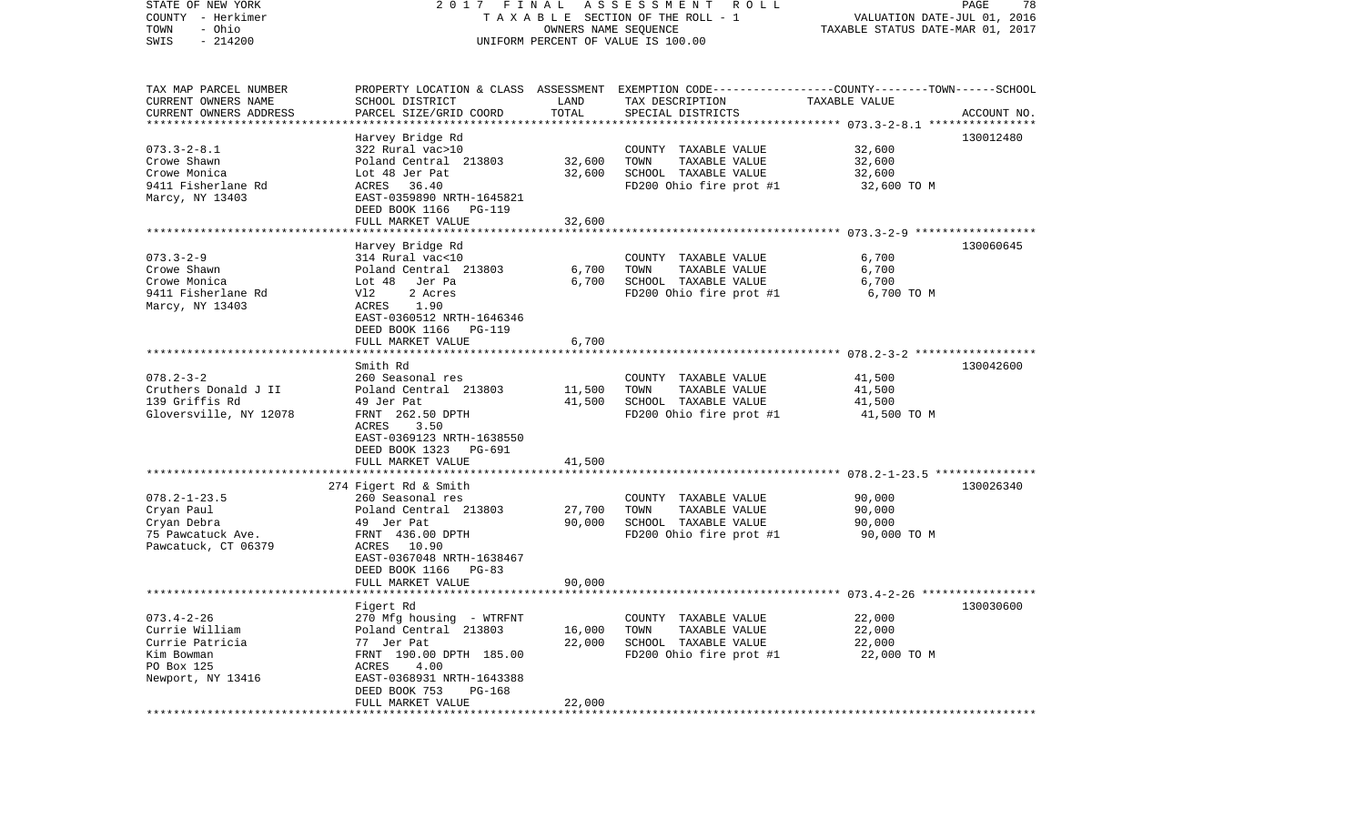| STATE OF NEW YORK<br>COUNTY - Herkimer<br>- Ohio<br>TOWN<br>$-214200$<br>SWIS                          | 2017 FINAL                                                                                                                                                                                            | OWNERS NAME SEQUENCE       | ASSESSMENT ROLL<br>TAXABLE SECTION OF THE ROLL - 1<br>UNIFORM PERCENT OF VALUE IS 100.00                                                 | VALUATION DATE-JUL 01, 2016<br>TAXABLE STATUS DATE-MAR 01, 2017 | PAGE<br>78  |
|--------------------------------------------------------------------------------------------------------|-------------------------------------------------------------------------------------------------------------------------------------------------------------------------------------------------------|----------------------------|------------------------------------------------------------------------------------------------------------------------------------------|-----------------------------------------------------------------|-------------|
| TAX MAP PARCEL NUMBER<br>CURRENT OWNERS NAME<br>CURRENT OWNERS ADDRESS<br>***********************      | SCHOOL DISTRICT<br>PARCEL SIZE/GRID COORD                                                                                                                                                             | LAND<br>TOTAL              | PROPERTY LOCATION & CLASS ASSESSMENT EXEMPTION CODE----------------COUNTY-------TOWN------SCHOOL<br>TAX DESCRIPTION<br>SPECIAL DISTRICTS | TAXABLE VALUE                                                   | ACCOUNT NO. |
| $073.3 - 2 - 8.1$<br>Crowe Shawn<br>Crowe Monica<br>9411 Fisherlane Rd<br>Marcy, NY 13403              | Harvey Bridge Rd<br>322 Rural vac>10<br>Poland Central 213803<br>Lot 48 Jer Pat<br>ACRES 36.40<br>EAST-0359890 NRTH-1645821<br>DEED BOOK 1166 PG-119<br>FULL MARKET VALUE                             | 32,600<br>32,600<br>32,600 | COUNTY TAXABLE VALUE<br>TAXABLE VALUE<br>TOWN<br>SCHOOL TAXABLE VALUE<br>FD200 Ohio fire prot #1                                         | 32,600<br>32,600<br>32,600<br>32,600 TO M                       | 130012480   |
|                                                                                                        |                                                                                                                                                                                                       |                            |                                                                                                                                          |                                                                 |             |
| $073.3 - 2 - 9$<br>Crowe Shawn<br>Crowe Monica<br>9411 Fisherlane Rd<br>Marcy, NY 13403                | Harvey Bridge Rd<br>314 Rural vac<10<br>Poland Central 213803<br>Lot 48 Jer Pa<br>Vl2<br>2 Acres<br>1.90<br>ACRES<br>EAST-0360512 NRTH-1646346<br>DEED BOOK 1166 PG-119<br>FULL MARKET VALUE          | 6,700<br>6,700<br>6,700    | COUNTY TAXABLE VALUE<br>TAXABLE VALUE<br>TOWN<br>SCHOOL TAXABLE VALUE<br>FD200 Ohio fire prot #1                                         | 6,700<br>6,700<br>6,700<br>6,700 TO M                           | 130060645   |
|                                                                                                        |                                                                                                                                                                                                       |                            |                                                                                                                                          |                                                                 |             |
| $078.2 - 3 - 2$<br>Cruthers Donald J II<br>139 Griffis Rd<br>Gloversville, NY 12078                    | Smith Rd<br>260 Seasonal res<br>Poland Central 213803<br>49 Jer Pat<br>FRNT 262.50 DPTH<br>3.50<br>ACRES<br>EAST-0369123 NRTH-1638550<br>DEED BOOK 1323<br>PG-691                                     | 11,500<br>41,500           | COUNTY TAXABLE VALUE<br>TAXABLE VALUE<br>TOWN<br>SCHOOL TAXABLE VALUE<br>FD200 Ohio fire prot #1                                         | 41,500<br>41,500<br>41,500<br>41,500 TO M                       | 130042600   |
|                                                                                                        | FULL MARKET VALUE<br>*****************************                                                                                                                                                    | 41,500                     |                                                                                                                                          |                                                                 |             |
| $078.2 - 1 - 23.5$<br>Cryan Paul<br>Cryan Debra<br>75 Pawcatuck Ave.<br>Pawcatuck, CT 06379            | 274 Figert Rd & Smith<br>260 Seasonal res<br>Poland Central 213803<br>49 Jer Pat<br>FRNT 436.00 DPTH<br>ACRES 10.90<br>EAST-0367048 NRTH-1638467<br>DEED BOOK 1166<br>PG-83<br>FULL MARKET VALUE      | 27,700<br>90,000<br>90,000 | COUNTY TAXABLE VALUE<br>TAXABLE VALUE<br>TOWN<br>SCHOOL TAXABLE VALUE<br>FD200 Ohio fire prot #1                                         | 90,000<br>90,000<br>90,000<br>90,000 TO M                       | 130026340   |
|                                                                                                        |                                                                                                                                                                                                       |                            |                                                                                                                                          |                                                                 |             |
| $073.4 - 2 - 26$<br>Currie William<br>Currie Patricia<br>Kim Bowman<br>PO Box 125<br>Newport, NY 13416 | Figert Rd<br>270 Mfg housing - WTRFNT<br>Poland Central 213803<br>77 Jer Pat<br>FRNT 190.00 DPTH 185.00<br>ACRES<br>4.00<br>EAST-0368931 NRTH-1643388<br>DEED BOOK 753<br>PG-168<br>FULL MARKET VALUE | 16,000<br>22,000<br>22,000 | COUNTY TAXABLE VALUE<br>TOWN<br>TAXABLE VALUE<br>SCHOOL TAXABLE VALUE<br>FD200 Ohio fire prot #1                                         | 22,000<br>22,000<br>22,000<br>22,000 TO M                       | 130030600   |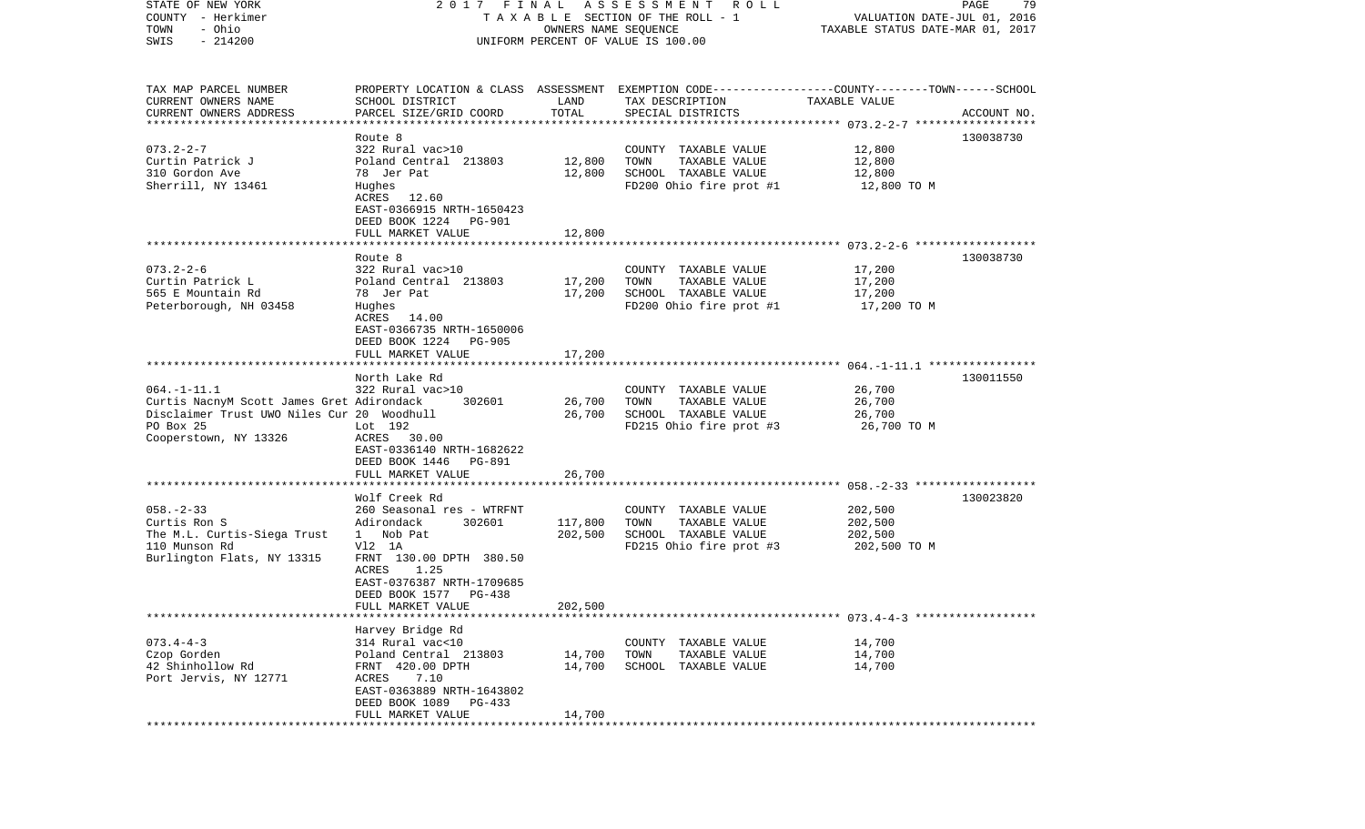| STATE OF NEW YORK                                   |                                            |                      | 2017 FINAL ASSESSMENT ROLL                                                                      |                                  | PAGE<br>79  |
|-----------------------------------------------------|--------------------------------------------|----------------------|-------------------------------------------------------------------------------------------------|----------------------------------|-------------|
| COUNTY - Herkimer                                   |                                            |                      | TAXABLE SECTION OF THE ROLL - 1                                                                 | VALUATION DATE-JUL 01, 2016      |             |
| TOWN<br>- Ohio                                      |                                            | OWNERS NAME SEQUENCE |                                                                                                 | TAXABLE STATUS DATE-MAR 01, 2017 |             |
| SWIS<br>$-214200$                                   |                                            |                      | UNIFORM PERCENT OF VALUE IS 100.00                                                              |                                  |             |
|                                                     |                                            |                      |                                                                                                 |                                  |             |
|                                                     |                                            |                      |                                                                                                 |                                  |             |
| TAX MAP PARCEL NUMBER                               |                                            |                      | PROPERTY LOCATION & CLASS ASSESSMENT EXEMPTION CODE---------------COUNTY-------TOWN------SCHOOL |                                  |             |
| CURRENT OWNERS NAME                                 | SCHOOL DISTRICT                            | LAND                 | TAX DESCRIPTION                                                                                 | TAXABLE VALUE                    |             |
| CURRENT OWNERS ADDRESS<br>************************* | PARCEL SIZE/GRID COORD                     | TOTAL                | SPECIAL DISTRICTS                                                                               |                                  | ACCOUNT NO. |
|                                                     | Route 8                                    |                      |                                                                                                 |                                  | 130038730   |
| $073.2 - 2 - 7$                                     | 322 Rural vac>10                           |                      | COUNTY TAXABLE VALUE                                                                            | 12,800                           |             |
| Curtin Patrick J                                    | Poland Central 213803                      | 12,800               | TOWN<br>TAXABLE VALUE                                                                           | 12,800                           |             |
| 310 Gordon Ave                                      | 78 Jer Pat                                 | 12,800               | SCHOOL TAXABLE VALUE                                                                            | 12,800                           |             |
| Sherrill, NY 13461                                  | Hughes                                     |                      | FD200 Ohio fire prot #1                                                                         | 12,800 TO M                      |             |
|                                                     | ACRES 12.60                                |                      |                                                                                                 |                                  |             |
|                                                     | EAST-0366915 NRTH-1650423                  |                      |                                                                                                 |                                  |             |
|                                                     | DEED BOOK 1224<br>PG-901                   |                      |                                                                                                 |                                  |             |
|                                                     | FULL MARKET VALUE                          | 12,800               |                                                                                                 |                                  |             |
|                                                     |                                            |                      |                                                                                                 |                                  |             |
|                                                     | Route 8                                    |                      |                                                                                                 |                                  | 130038730   |
| $073.2 - 2 - 6$                                     | 322 Rural vac>10                           |                      | COUNTY TAXABLE VALUE                                                                            | 17,200                           |             |
| Curtin Patrick L                                    | Poland Central 213803                      | 17,200               | TAXABLE VALUE<br>TOWN                                                                           | 17,200                           |             |
| 565 E Mountain Rd                                   | 78 Jer Pat                                 | 17,200               | SCHOOL TAXABLE VALUE                                                                            | 17,200                           |             |
| Peterborough, NH 03458                              | Hughes                                     |                      | FD200 Ohio fire prot #1                                                                         | 17,200 TO M                      |             |
|                                                     | ACRES 14.00                                |                      |                                                                                                 |                                  |             |
|                                                     | EAST-0366735 NRTH-1650006                  |                      |                                                                                                 |                                  |             |
|                                                     | DEED BOOK 1224<br>PG-905                   |                      |                                                                                                 |                                  |             |
|                                                     | FULL MARKET VALUE                          | 17,200               |                                                                                                 |                                  |             |
|                                                     |                                            |                      |                                                                                                 |                                  |             |
|                                                     | North Lake Rd                              |                      |                                                                                                 |                                  | 130011550   |
| $064. -1 - 11.1$                                    | 322 Rural vac>10                           |                      | COUNTY TAXABLE VALUE                                                                            | 26,700                           |             |
| Curtis NacnyM Scott James Gret Adirondack           | 302601                                     | 26,700               | TOWN<br>TAXABLE VALUE                                                                           | 26,700                           |             |
| Disclaimer Trust UWO Niles Cur 20 Woodhull          |                                            | 26,700               | SCHOOL TAXABLE VALUE                                                                            | 26,700                           |             |
| PO Box 25                                           | Lot 192                                    |                      | FD215 Ohio fire prot #3                                                                         | 26,700 TO M                      |             |
| Cooperstown, NY 13326                               | ACRES 30.00                                |                      |                                                                                                 |                                  |             |
|                                                     | EAST-0336140 NRTH-1682622                  |                      |                                                                                                 |                                  |             |
|                                                     | DEED BOOK 1446<br>PG-891                   |                      |                                                                                                 |                                  |             |
|                                                     | FULL MARKET VALUE                          | 26,700               |                                                                                                 |                                  |             |
|                                                     | *******************                        |                      |                                                                                                 |                                  |             |
| $058. - 2 - 33$                                     | Wolf Creek Rd<br>260 Seasonal res - WTRFNT |                      | COUNTY TAXABLE VALUE                                                                            | 202,500                          | 130023820   |
| Curtis Ron S                                        | Adirondack<br>302601                       | 117,800              | TOWN<br>TAXABLE VALUE                                                                           | 202,500                          |             |
| The M.L. Curtis-Siega Trust                         | 1 Nob Pat                                  | 202,500              | SCHOOL TAXABLE VALUE                                                                            | 202,500                          |             |
| 110 Munson Rd                                       | V12 1A                                     |                      | FD215 Ohio fire prot #3                                                                         | 202,500 TO M                     |             |
| Burlington Flats, NY 13315                          | FRNT 130.00 DPTH 380.50                    |                      |                                                                                                 |                                  |             |
|                                                     | ACRES<br>1.25                              |                      |                                                                                                 |                                  |             |
|                                                     | EAST-0376387 NRTH-1709685                  |                      |                                                                                                 |                                  |             |
|                                                     | DEED BOOK 1577<br>PG-438                   |                      |                                                                                                 |                                  |             |
|                                                     | FULL MARKET VALUE                          | 202,500              |                                                                                                 |                                  |             |
|                                                     |                                            |                      |                                                                                                 |                                  |             |
|                                                     | Harvey Bridge Rd                           |                      |                                                                                                 |                                  |             |
| $073.4 - 4 - 3$                                     | 314 Rural vac<10                           |                      | COUNTY TAXABLE VALUE                                                                            | 14,700                           |             |
| Czop Gorden                                         | Poland Central 213803                      | 14,700               | TOWN<br>TAXABLE VALUE                                                                           | 14,700                           |             |
| 42 Shinhollow Rd                                    | FRNT 420.00 DPTH                           | 14,700               | SCHOOL TAXABLE VALUE                                                                            | 14,700                           |             |
| Port Jervis, NY 12771                               | ACRES<br>7.10                              |                      |                                                                                                 |                                  |             |
|                                                     | EAST-0363889 NRTH-1643802                  |                      |                                                                                                 |                                  |             |
|                                                     | DEED BOOK 1089<br>PG-433                   |                      |                                                                                                 |                                  |             |
|                                                     | FULL MARKET VALUE                          | 14,700               |                                                                                                 |                                  |             |
|                                                     |                                            |                      |                                                                                                 |                                  |             |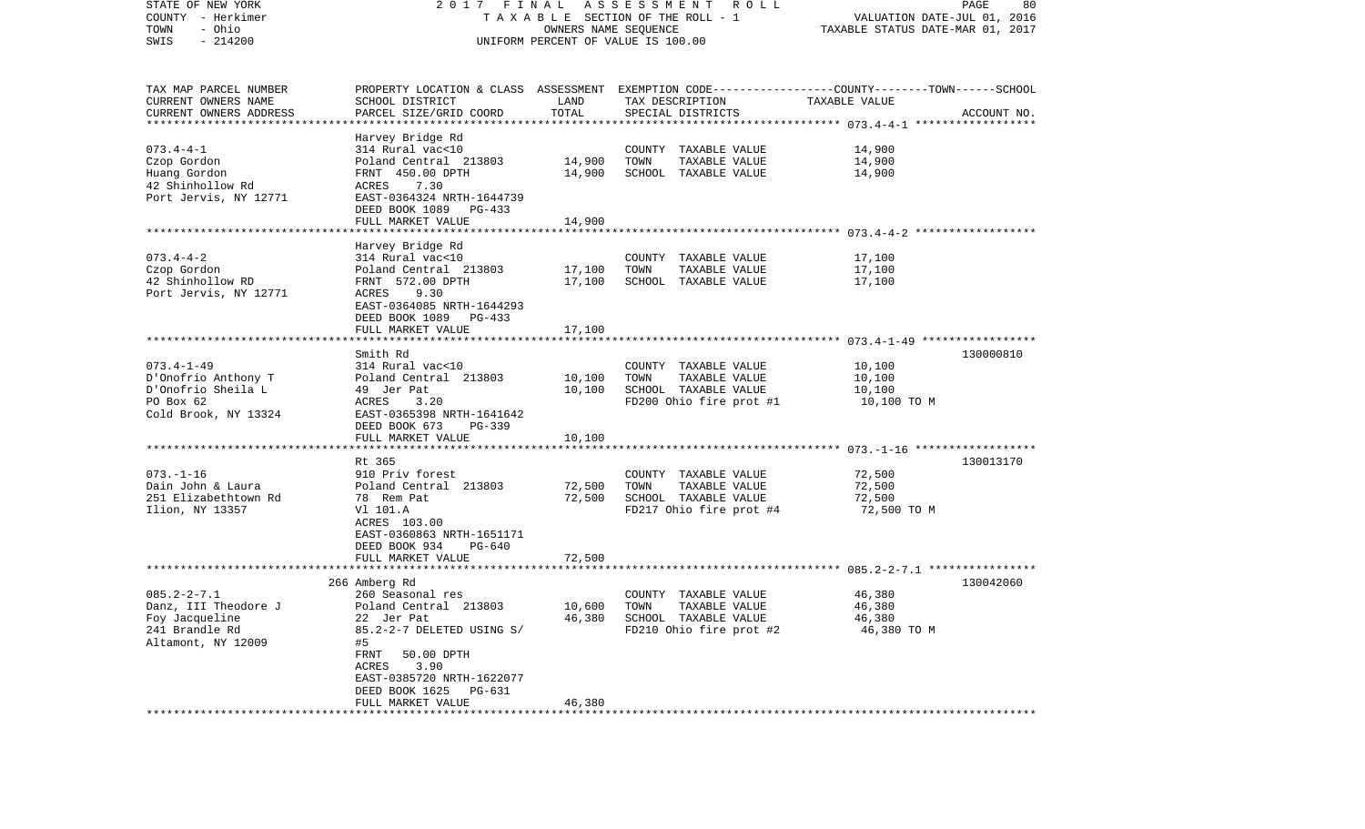| STATE OF NEW YORK<br>COUNTY - Herkimer<br>- Ohio<br>TOWN<br>$-214200$<br>SWIS |                                           | OWNERS NAME SEQUENCE | 2017 FINAL ASSESSMENT ROLL<br>TAXABLE SECTION OF THE ROLL - 1<br>UNIFORM PERCENT OF VALUE IS 100.00 | VALUATION DATE-JUL 01, 2016<br>TAXABLE STATUS DATE-MAR 01, 2017 | PAGE<br>80  |
|-------------------------------------------------------------------------------|-------------------------------------------|----------------------|-----------------------------------------------------------------------------------------------------|-----------------------------------------------------------------|-------------|
| TAX MAP PARCEL NUMBER                                                         |                                           |                      | PROPERTY LOCATION & CLASS ASSESSMENT EXEMPTION CODE----------------COUNTY-------TOWN------SCHOOL    |                                                                 |             |
| CURRENT OWNERS NAME                                                           | SCHOOL DISTRICT                           | LAND                 | TAX DESCRIPTION                                                                                     | TAXABLE VALUE                                                   |             |
| CURRENT OWNERS ADDRESS                                                        | PARCEL SIZE/GRID COORD                    | TOTAL                | SPECIAL DISTRICTS                                                                                   |                                                                 | ACCOUNT NO. |
| *************************                                                     |                                           |                      |                                                                                                     |                                                                 |             |
|                                                                               | Harvey Bridge Rd                          |                      |                                                                                                     |                                                                 |             |
| $073.4 - 4 - 1$                                                               | 314 Rural vac<10                          |                      | COUNTY TAXABLE VALUE                                                                                | 14,900                                                          |             |
| Czop Gordon                                                                   | Poland Central 213803                     | 14,900               | TOWN<br>TAXABLE VALUE                                                                               | 14,900                                                          |             |
| Huang Gordon                                                                  | FRNT 450.00 DPTH                          | 14,900               | SCHOOL TAXABLE VALUE                                                                                | 14,900                                                          |             |
| 42 Shinhollow Rd                                                              | 7.30<br>ACRES                             |                      |                                                                                                     |                                                                 |             |
| Port Jervis, NY 12771                                                         | EAST-0364324 NRTH-1644739                 |                      |                                                                                                     |                                                                 |             |
|                                                                               | DEED BOOK 1089 PG-433                     |                      |                                                                                                     |                                                                 |             |
|                                                                               | FULL MARKET VALUE                         | 14,900               |                                                                                                     |                                                                 |             |
|                                                                               |                                           |                      |                                                                                                     |                                                                 |             |
|                                                                               | Harvey Bridge Rd                          |                      |                                                                                                     |                                                                 |             |
| $073.4 - 4 - 2$<br>Czop Gordon                                                | 314 Rural vac<10<br>Poland Central 213803 | 17,100               | COUNTY TAXABLE VALUE<br>TOWN<br>TAXABLE VALUE                                                       | 17,100<br>17,100                                                |             |
| 42 Shinhollow RD                                                              | FRNT 572.00 DPTH                          | 17,100               | SCHOOL TAXABLE VALUE                                                                                | 17,100                                                          |             |
| Port Jervis, NY 12771                                                         | ACRES<br>9.30                             |                      |                                                                                                     |                                                                 |             |
|                                                                               | EAST-0364085 NRTH-1644293                 |                      |                                                                                                     |                                                                 |             |
|                                                                               | DEED BOOK 1089 PG-433                     |                      |                                                                                                     |                                                                 |             |
|                                                                               | FULL MARKET VALUE                         | 17,100               |                                                                                                     |                                                                 |             |
|                                                                               |                                           |                      |                                                                                                     |                                                                 |             |
|                                                                               | Smith Rd                                  |                      |                                                                                                     |                                                                 | 130000810   |
| $073.4 - 1 - 49$                                                              | 314 Rural vac<10                          |                      | COUNTY TAXABLE VALUE                                                                                | 10,100                                                          |             |
| D'Onofrio Anthony T                                                           | Poland Central 213803                     | 10,100               | TAXABLE VALUE<br>TOWN                                                                               | 10,100                                                          |             |
| D'Onofrio Sheila L                                                            | 49 Jer Pat                                | 10,100               | SCHOOL TAXABLE VALUE                                                                                | 10,100                                                          |             |
| PO Box 62                                                                     | 3.20<br>ACRES                             |                      | FD200 Ohio fire prot #1                                                                             | 10,100 TO M                                                     |             |
| Cold Brook, NY 13324                                                          | EAST-0365398 NRTH-1641642                 |                      |                                                                                                     |                                                                 |             |
|                                                                               | DEED BOOK 673<br>PG-339                   |                      |                                                                                                     |                                                                 |             |
|                                                                               | FULL MARKET VALUE                         | 10,100               |                                                                                                     |                                                                 |             |
|                                                                               | Rt 365                                    |                      |                                                                                                     |                                                                 | 130013170   |
| $073. - 1 - 16$                                                               | 910 Priv forest                           |                      | COUNTY TAXABLE VALUE                                                                                | 72,500                                                          |             |
| Dain John & Laura                                                             | Poland Central 213803                     | 72,500               | TAXABLE VALUE<br>TOWN                                                                               | 72,500                                                          |             |
| 251 Elizabethtown Rd                                                          | 78 Rem Pat                                | 72,500               | SCHOOL TAXABLE VALUE                                                                                | 72,500                                                          |             |
| Ilion, NY 13357                                                               | V1 101.A                                  |                      | FD217 Ohio fire prot #4                                                                             | 72,500 TO M                                                     |             |
|                                                                               | ACRES 103.00                              |                      |                                                                                                     |                                                                 |             |
|                                                                               | EAST-0360863 NRTH-1651171                 |                      |                                                                                                     |                                                                 |             |
|                                                                               | DEED BOOK 934<br>PG-640                   |                      |                                                                                                     |                                                                 |             |
|                                                                               | FULL MARKET VALUE                         | 72,500               |                                                                                                     |                                                                 |             |
|                                                                               |                                           |                      |                                                                                                     |                                                                 |             |
|                                                                               | 266 Amberg Rd                             |                      |                                                                                                     |                                                                 | 130042060   |
| $085.2 - 2 - 7.1$                                                             | 260 Seasonal res                          |                      | COUNTY TAXABLE VALUE                                                                                | 46,380                                                          |             |
| Danz, III Theodore J                                                          | Poland Central 213803                     | 10,600               | TOWN<br>TAXABLE VALUE                                                                               | 46,380                                                          |             |
| Foy Jacqueline                                                                | 22 Jer Pat                                | 46,380               | SCHOOL TAXABLE VALUE                                                                                | 46,380                                                          |             |
| 241 Brandle Rd                                                                | 85.2-2-7 DELETED USING S/                 |                      | FD210 Ohio fire prot #2                                                                             | 46,380 TO M                                                     |             |
| Altamont, NY 12009                                                            | #5<br>FRNT<br>50.00 DPTH                  |                      |                                                                                                     |                                                                 |             |
|                                                                               | ACRES<br>3.90                             |                      |                                                                                                     |                                                                 |             |
|                                                                               | EAST-0385720 NRTH-1622077                 |                      |                                                                                                     |                                                                 |             |
|                                                                               | DEED BOOK 1625<br>PG-631                  |                      |                                                                                                     |                                                                 |             |
|                                                                               | FULL MARKET VALUE                         | 46,380               |                                                                                                     |                                                                 |             |
|                                                                               |                                           |                      |                                                                                                     |                                                                 |             |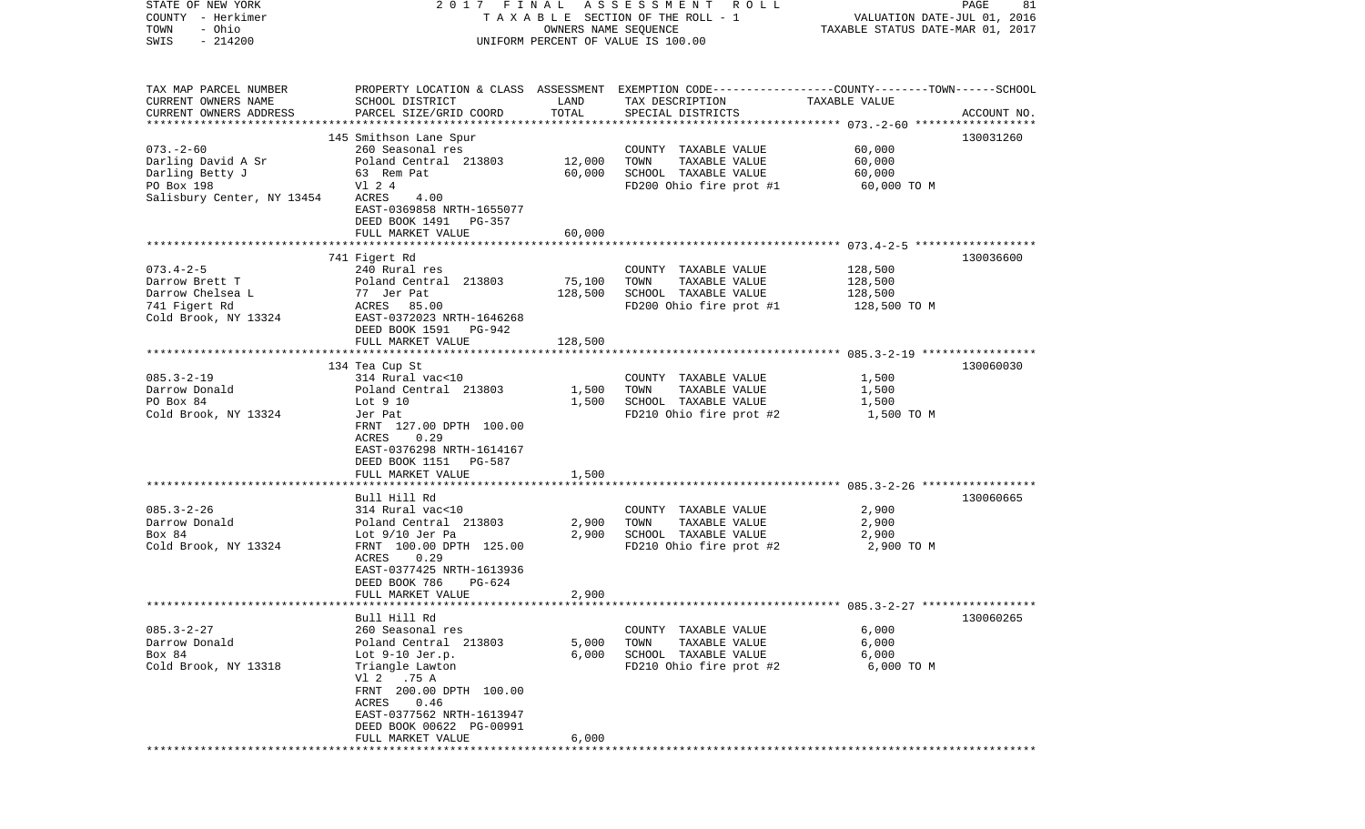| STATE OF NEW YORK<br>COUNTY - Herkimer<br>- Ohio<br>TOWN                                             | 2017 FINAL                                                                                                                                                                                                              | OWNERS NAME SEQUENCE | A S S E S S M E N T A O L L<br>T A X A B L E SECTION OF THE ROLL - 1                                                                    | VALUATION DATE-JUL 01, 2016<br>TAXABLE STATUS DATE-MAR 01, 2017 | PAGE<br>81  |
|------------------------------------------------------------------------------------------------------|-------------------------------------------------------------------------------------------------------------------------------------------------------------------------------------------------------------------------|----------------------|-----------------------------------------------------------------------------------------------------------------------------------------|-----------------------------------------------------------------|-------------|
| $-214200$<br>SWIS                                                                                    |                                                                                                                                                                                                                         |                      | UNIFORM PERCENT OF VALUE IS 100.00                                                                                                      |                                                                 |             |
| TAX MAP PARCEL NUMBER<br>CURRENT OWNERS NAME<br>CURRENT OWNERS ADDRESS                               | SCHOOL DISTRICT<br>PARCEL SIZE/GRID COORD                                                                                                                                                                               | LAND<br>TOTAL        | PROPERTY LOCATION & CLASS ASSESSMENT EXEMPTION CODE---------------COUNTY-------TOWN------SCHOOL<br>TAX DESCRIPTION<br>SPECIAL DISTRICTS | TAXABLE VALUE                                                   | ACCOUNT NO. |
|                                                                                                      | 145 Smithson Lane Spur                                                                                                                                                                                                  |                      |                                                                                                                                         |                                                                 | 130031260   |
| $073. - 2 - 60$<br>Darling David A Sr<br>Darling Betty J<br>PO Box 198<br>Salisbury Center, NY 13454 | 260 Seasonal res<br>Poland Central 213803<br>63 Rem Pat<br>V1 2 4<br>ACRES<br>4.00<br>EAST-0369858 NRTH-1655077<br>DEED BOOK 1491<br>PG-357                                                                             | 12,000<br>60,000     | COUNTY TAXABLE VALUE<br>TOWN<br>TAXABLE VALUE<br>SCHOOL TAXABLE VALUE<br>FD200 Ohio fire prot #1                                        | 60,000<br>60,000<br>60,000<br>60,000 TO M                       |             |
|                                                                                                      | FULL MARKET VALUE                                                                                                                                                                                                       | 60,000               |                                                                                                                                         |                                                                 |             |
| $073.4 - 2 - 5$<br>Darrow Brett T<br>Darrow Chelsea L<br>741 Figert Rd<br>Cold Brook, NY 13324       | 741 Figert Rd<br>240 Rural res<br>Poland Central 213803<br>77 Jer Pat<br>ACRES 85.00<br>EAST-0372023 NRTH-1646268<br>DEED BOOK 1591<br>PG-942                                                                           | 75,100<br>128,500    | COUNTY TAXABLE VALUE<br>TOWN<br>TAXABLE VALUE<br>SCHOOL TAXABLE VALUE<br>FD200 Ohio fire prot #1                                        | 128,500<br>128,500<br>128,500<br>128,500 TO M                   | 130036600   |
|                                                                                                      | FULL MARKET VALUE                                                                                                                                                                                                       | 128,500              |                                                                                                                                         |                                                                 |             |
|                                                                                                      | 134 Tea Cup St                                                                                                                                                                                                          |                      |                                                                                                                                         |                                                                 | 130060030   |
| $085.3 - 2 - 19$<br>Darrow Donald<br>PO Box 84<br>Cold Brook, NY 13324                               | 314 Rural vac<10<br>Poland Central 213803<br>Lot 9 10<br>Jer Pat<br>FRNT 127.00 DPTH 100.00<br>ACRES<br>0.29<br>EAST-0376298 NRTH-1614167<br>DEED BOOK 1151 PG-587                                                      | 1,500<br>1,500       | COUNTY TAXABLE VALUE<br>TOWN<br>TAXABLE VALUE<br>SCHOOL TAXABLE VALUE<br>FD210 Ohio fire prot #2                                        | 1,500<br>1,500<br>1,500<br>1,500 TO M                           |             |
|                                                                                                      | FULL MARKET VALUE                                                                                                                                                                                                       | 1,500                |                                                                                                                                         |                                                                 |             |
| $085.3 - 2 - 26$<br>Darrow Donald<br>Box 84<br>Cold Brook, NY 13324                                  | *************************<br>Bull Hill Rd<br>314 Rural vac<10<br>Poland Central 213803<br>Lot 9/10 Jer Pa<br>FRNT 100.00 DPTH 125.00<br>0.29<br>ACRES<br>EAST-0377425 NRTH-1613936<br>DEED BOOK 786<br>PG-624           | 2,900<br>2,900       | COUNTY TAXABLE VALUE<br>TOWN<br>TAXABLE VALUE<br>SCHOOL TAXABLE VALUE<br>FD210 Ohio fire prot #2                                        | 2,900<br>2,900<br>2,900<br>2,900 TO M                           | 130060665   |
|                                                                                                      | FULL MARKET VALUE                                                                                                                                                                                                       | 2,900                |                                                                                                                                         |                                                                 |             |
|                                                                                                      |                                                                                                                                                                                                                         |                      |                                                                                                                                         |                                                                 |             |
| $085.3 - 2 - 27$<br>Darrow Donald<br>Box 84<br>Cold Brook, NY 13318                                  | Bull Hill Rd<br>260 Seasonal res<br>Poland Central 213803<br>Lot $9-10$ Jer.p.<br>Triangle Lawton<br>V1 2<br>.75 A<br>FRNT 200.00 DPTH 100.00<br>ACRES<br>0.46<br>EAST-0377562 NRTH-1613947<br>DEED BOOK 00622 PG-00991 | 5,000<br>6,000       | COUNTY TAXABLE VALUE<br>TOWN<br>TAXABLE VALUE<br>SCHOOL TAXABLE VALUE<br>FD210 Ohio fire prot #2                                        | 6,000<br>6,000<br>6,000<br>6,000 TO M                           | 130060265   |
|                                                                                                      | FULL MARKET VALUE<br>*****************************                                                                                                                                                                      | 6,000                | **********************                                                                                                                  |                                                                 |             |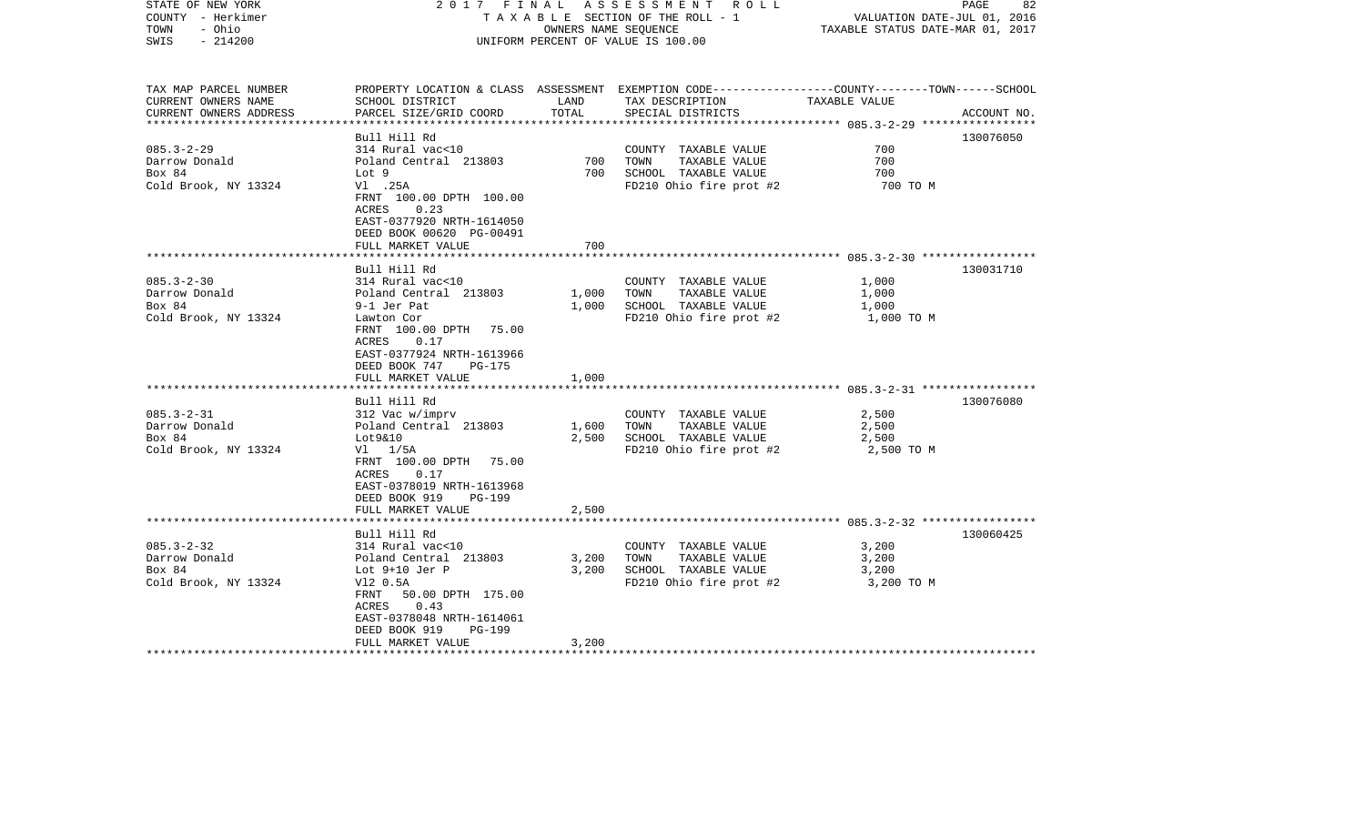| STATE OF NEW YORK<br>COUNTY - Herkimer<br>- Ohio<br>TOWN<br>$-214200$<br>SWIS                                                              | 2017 FINAL                                                                                                                                                                                                                                                                                                                                                                                                  | OWNERS NAME SEQUENCE                      | ASSESSMENT ROLL<br>TAXABLE SECTION OF THE ROLL - 1<br>UNIFORM PERCENT OF VALUE IS 100.00                                                                                                             | VALUATION DATE-JUL 01, 2016<br>TAXABLE STATUS DATE-MAR 01, 2017                | PAGE<br>82             |
|--------------------------------------------------------------------------------------------------------------------------------------------|-------------------------------------------------------------------------------------------------------------------------------------------------------------------------------------------------------------------------------------------------------------------------------------------------------------------------------------------------------------------------------------------------------------|-------------------------------------------|------------------------------------------------------------------------------------------------------------------------------------------------------------------------------------------------------|--------------------------------------------------------------------------------|------------------------|
| TAX MAP PARCEL NUMBER<br>CURRENT OWNERS NAME<br>CURRENT OWNERS ADDRESS                                                                     | SCHOOL DISTRICT<br>PARCEL SIZE/GRID COORD                                                                                                                                                                                                                                                                                                                                                                   | LAND<br>TOTAL                             | PROPERTY LOCATION & CLASS ASSESSMENT EXEMPTION CODE---------------COUNTY-------TOWN------SCHOOL<br>TAX DESCRIPTION TAXABLE VALUE<br>SPECIAL DISTRICTS                                                |                                                                                | ACCOUNT NO.            |
|                                                                                                                                            | Bull Hill Rd                                                                                                                                                                                                                                                                                                                                                                                                |                                           |                                                                                                                                                                                                      |                                                                                | 130076050              |
| $085.3 - 2 - 29$<br>Darrow Donald<br>Box 84<br>Cold Brook, NY 13324                                                                        | 314 Rural vac<10<br>Poland Central 213803<br>Lot 9<br>V1.25A<br>FRNT 100.00 DPTH 100.00                                                                                                                                                                                                                                                                                                                     | 700<br>700                                | COUNTY TAXABLE VALUE<br>TOWN<br>TAXABLE VALUE<br>SCHOOL TAXABLE VALUE<br>FD210 Ohio fire prot #2                                                                                                     | 700<br>700<br>700<br>700 TO M                                                  |                        |
|                                                                                                                                            | 0.23<br>ACRES<br>EAST-0377920 NRTH-1614050<br>DEED BOOK 00620 PG-00491<br>FULL MARKET VALUE                                                                                                                                                                                                                                                                                                                 | 700                                       |                                                                                                                                                                                                      |                                                                                |                        |
|                                                                                                                                            |                                                                                                                                                                                                                                                                                                                                                                                                             |                                           |                                                                                                                                                                                                      |                                                                                |                        |
| $085.3 - 2 - 30$<br>Darrow Donald<br>Box 84<br>Cold Brook, NY 13324<br>$085.3 - 2 - 31$<br>Darrow Donald<br>Box 84<br>Cold Brook, NY 13324 | Bull Hill Rd<br>314 Rural vac<10<br>Poland Central 213803<br>9-1 Jer Pat<br>Lawton Cor<br>FRNT 100.00 DPTH 75.00<br>0.17<br>ACRES<br>EAST-0377924 NRTH-1613966<br>DEED BOOK 747<br>PG-175<br>FULL MARKET VALUE<br>Bull Hill Rd<br>312 Vac w/imprv<br>Poland Central 213803<br>Lot9&10<br>$VI$ $1/5A$<br>FRNT 100.00 DPTH 75.00<br>ACRES 0.17<br>EAST-0378019 NRTH-1613968<br>DEED BOOK 919<br><b>PG-199</b> | 1,000<br>1,000<br>1,000<br>1,600<br>2,500 | COUNTY TAXABLE VALUE<br>TAXABLE VALUE<br>TOWN<br>SCHOOL TAXABLE VALUE<br>FD210 Ohio fire prot #2<br>COUNTY TAXABLE VALUE<br>TOWN<br>TAXABLE VALUE<br>SCHOOL TAXABLE VALUE<br>FD210 Ohio fire prot #2 | 1,000<br>1,000<br>1,000<br>1,000 TO M<br>2,500<br>2,500<br>2,500<br>2,500 TO M | 130031710<br>130076080 |
|                                                                                                                                            | FULL MARKET VALUE                                                                                                                                                                                                                                                                                                                                                                                           | 2,500                                     |                                                                                                                                                                                                      |                                                                                |                        |
|                                                                                                                                            | Bull Hill Rd                                                                                                                                                                                                                                                                                                                                                                                                |                                           |                                                                                                                                                                                                      |                                                                                | 130060425              |
| $085.3 - 2 - 32$<br>Darrow Donald<br>Box 84<br>Cold Brook, NY 13324                                                                        | 314 Rural vac<10<br>Poland Central 213803<br>Lot $9+10$ Jer P<br>V12 0.5A<br>FRNT 50.00 DPTH 175.00<br>ACRES<br>0.43<br>EAST-0378048 NRTH-1614061<br>DEED BOOK 919<br><b>PG-199</b><br>FULL MARKET VALUE                                                                                                                                                                                                    | 3,200<br>3,200<br>3,200                   | COUNTY TAXABLE VALUE<br>TOWN<br>TAXABLE VALUE<br>SCHOOL TAXABLE VALUE<br>FD210 Ohio fire prot #2                                                                                                     | 3,200<br>3,200<br>3,200<br>3,200 TO M                                          |                        |
|                                                                                                                                            |                                                                                                                                                                                                                                                                                                                                                                                                             |                                           |                                                                                                                                                                                                      |                                                                                |                        |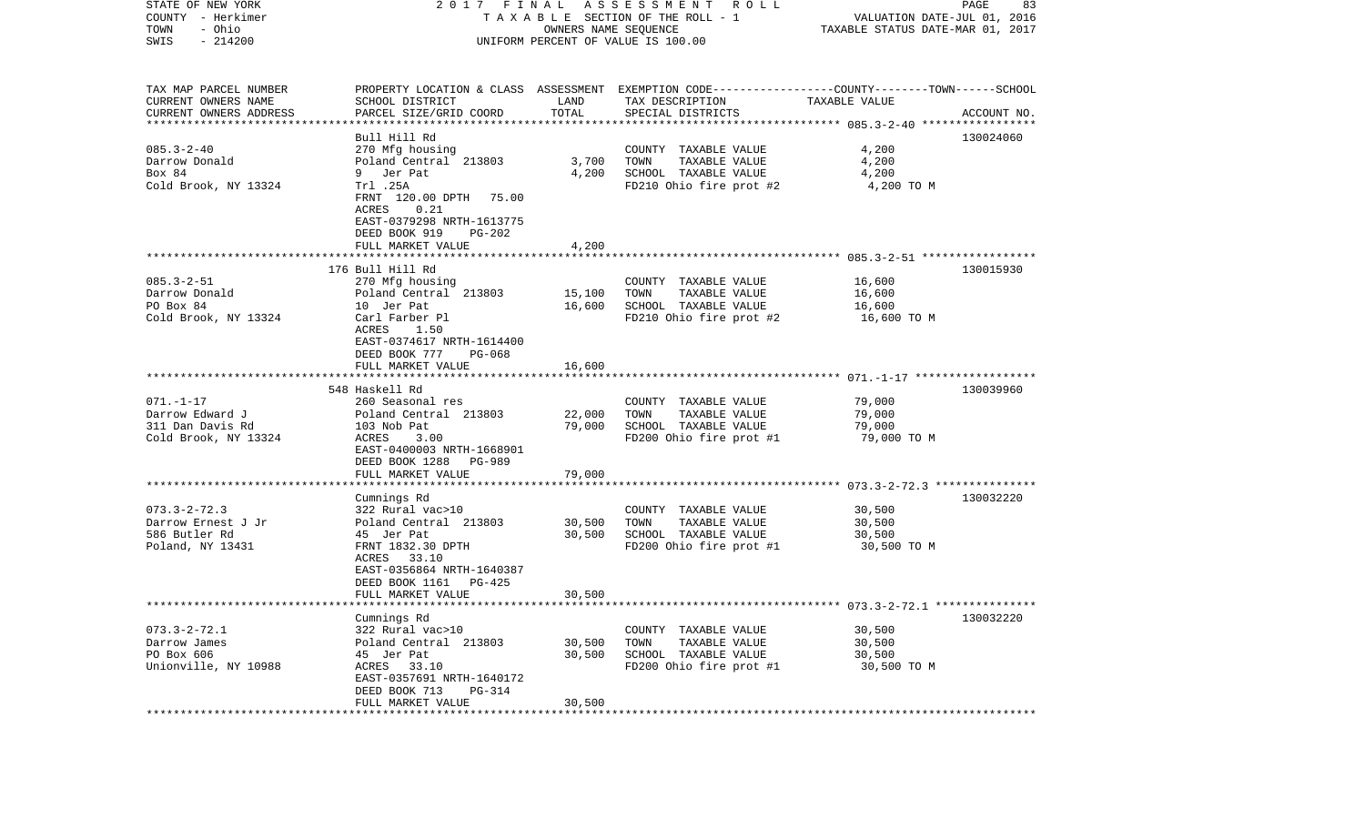| STATE OF NEW YORK<br>COUNTY - Herkimer                                 | 2017 FINAL                                                                |                      | A S S E S S M E N T A O L L<br>TAXABLE SECTION OF THE ROLL - 1                                                                           | VALUATION DATE-JUL 01, 2016      | PAGE<br>83  |
|------------------------------------------------------------------------|---------------------------------------------------------------------------|----------------------|------------------------------------------------------------------------------------------------------------------------------------------|----------------------------------|-------------|
| - Ohio<br>TOWN<br>$-214200$<br>SWIS                                    |                                                                           | OWNERS NAME SEQUENCE | UNIFORM PERCENT OF VALUE IS 100.00                                                                                                       | TAXABLE STATUS DATE-MAR 01, 2017 |             |
| TAX MAP PARCEL NUMBER<br>CURRENT OWNERS NAME<br>CURRENT OWNERS ADDRESS | SCHOOL DISTRICT<br>PARCEL SIZE/GRID COORD                                 | LAND<br>TOTAL        | PROPERTY LOCATION & CLASS ASSESSMENT EXEMPTION CODE----------------COUNTY-------TOWN------SCHOOL<br>TAX DESCRIPTION<br>SPECIAL DISTRICTS | TAXABLE VALUE                    | ACCOUNT NO. |
| **********************                                                 |                                                                           |                      |                                                                                                                                          |                                  |             |
|                                                                        | Bull Hill Rd                                                              |                      |                                                                                                                                          |                                  | 130024060   |
| $085.3 - 2 - 40$<br>Darrow Donald<br>Box 84                            | 270 Mfg housing<br>Poland Central 213803<br>Jer Pat                       | 3,700<br>4,200       | COUNTY TAXABLE VALUE<br>TOWN<br>TAXABLE VALUE                                                                                            | 4,200<br>4,200<br>4,200          |             |
| Cold Brook, NY 13324                                                   | 9<br>Trl .25A<br>FRNT 120.00 DPTH<br>75.00<br>ACRES<br>0.21               |                      | SCHOOL TAXABLE VALUE<br>FD210 Ohio fire prot #2                                                                                          | 4,200 TO M                       |             |
|                                                                        | EAST-0379298 NRTH-1613775<br>DEED BOOK 919<br>PG-202<br>FULL MARKET VALUE | 4,200                |                                                                                                                                          |                                  |             |
|                                                                        |                                                                           |                      |                                                                                                                                          |                                  |             |
| $085.3 - 2 - 51$                                                       | 176 Bull Hill Rd<br>270 Mfg housing                                       |                      | COUNTY TAXABLE VALUE                                                                                                                     | 16,600                           | 130015930   |
| Darrow Donald                                                          | Poland Central 213803                                                     | 15,100               | TOWN<br>TAXABLE VALUE                                                                                                                    | 16,600                           |             |
| PO Box 84<br>Cold Brook, NY 13324                                      | 10 Jer Pat<br>Carl Farber Pl<br>1.50<br>ACRES                             | 16,600               | SCHOOL TAXABLE VALUE<br>FD210 Ohio fire prot #2                                                                                          | 16,600<br>16,600 TO M            |             |
|                                                                        | EAST-0374617 NRTH-1614400<br>DEED BOOK 777<br>PG-068<br>FULL MARKET VALUE | 16,600               |                                                                                                                                          |                                  |             |
|                                                                        |                                                                           |                      |                                                                                                                                          |                                  |             |
|                                                                        | 548 Haskell Rd                                                            |                      |                                                                                                                                          |                                  | 130039960   |
| $071. - 1 - 17$                                                        | 260 Seasonal res                                                          |                      | COUNTY TAXABLE VALUE                                                                                                                     | 79,000                           |             |
| Darrow Edward J<br>311 Dan Davis Rd                                    | Poland Central 213803<br>103 Nob Pat                                      | 22,000<br>79,000     | TAXABLE VALUE<br>TOWN<br>SCHOOL TAXABLE VALUE                                                                                            | 79,000<br>79,000                 |             |
| Cold Brook, NY 13324                                                   | ACRES<br>3.00                                                             |                      | FD200 Ohio fire prot #1                                                                                                                  | 79,000 TO M                      |             |
|                                                                        | EAST-0400003 NRTH-1668901<br>DEED BOOK 1288<br>PG-989                     |                      |                                                                                                                                          |                                  |             |
|                                                                        | FULL MARKET VALUE<br>************************                             | 79,000               |                                                                                                                                          |                                  |             |
|                                                                        | Cumnings Rd                                                               |                      |                                                                                                                                          |                                  | 130032220   |
| $073.3 - 2 - 72.3$                                                     | 322 Rural vac>10                                                          |                      | COUNTY TAXABLE VALUE                                                                                                                     | 30,500                           |             |
| Darrow Ernest J Jr                                                     | Poland Central 213803                                                     | 30,500               | TOWN<br>TAXABLE VALUE                                                                                                                    | 30,500                           |             |
| 586 Butler Rd                                                          | 45 Jer Pat                                                                | 30,500               | SCHOOL TAXABLE VALUE                                                                                                                     | 30,500                           |             |
| Poland, NY 13431                                                       | FRNT 1832.30 DPTH<br>33.10<br>ACRES<br>EAST-0356864 NRTH-1640387          |                      | FD200 Ohio fire prot #1                                                                                                                  | 30,500 TO M                      |             |
|                                                                        | DEED BOOK 1161<br>PG-425                                                  |                      |                                                                                                                                          |                                  |             |
|                                                                        | FULL MARKET VALUE                                                         | 30,500               |                                                                                                                                          |                                  |             |
|                                                                        |                                                                           |                      | ******************************* 073.3-2-72.1 ***************                                                                             |                                  |             |
|                                                                        | Cumnings Rd                                                               |                      |                                                                                                                                          |                                  | 130032220   |
| $073.3 - 2 - 72.1$<br>Darrow James                                     | 322 Rural vac>10<br>Poland Central 213803                                 | 30,500               | COUNTY TAXABLE VALUE<br>TOWN<br>TAXABLE VALUE                                                                                            | 30,500<br>30,500                 |             |
| PO Box 606                                                             | 45 Jer Pat                                                                | 30,500               | SCHOOL TAXABLE VALUE                                                                                                                     | 30,500                           |             |
| Unionville, NY 10988                                                   | ACRES 33.10<br>EAST-0357691 NRTH-1640172                                  |                      | FD200 Ohio fire prot #1                                                                                                                  | 30,500 TO M                      |             |
|                                                                        | DEED BOOK 713<br>PG-314                                                   |                      |                                                                                                                                          |                                  |             |
|                                                                        | FULL MARKET VALUE                                                         | 30,500               |                                                                                                                                          |                                  |             |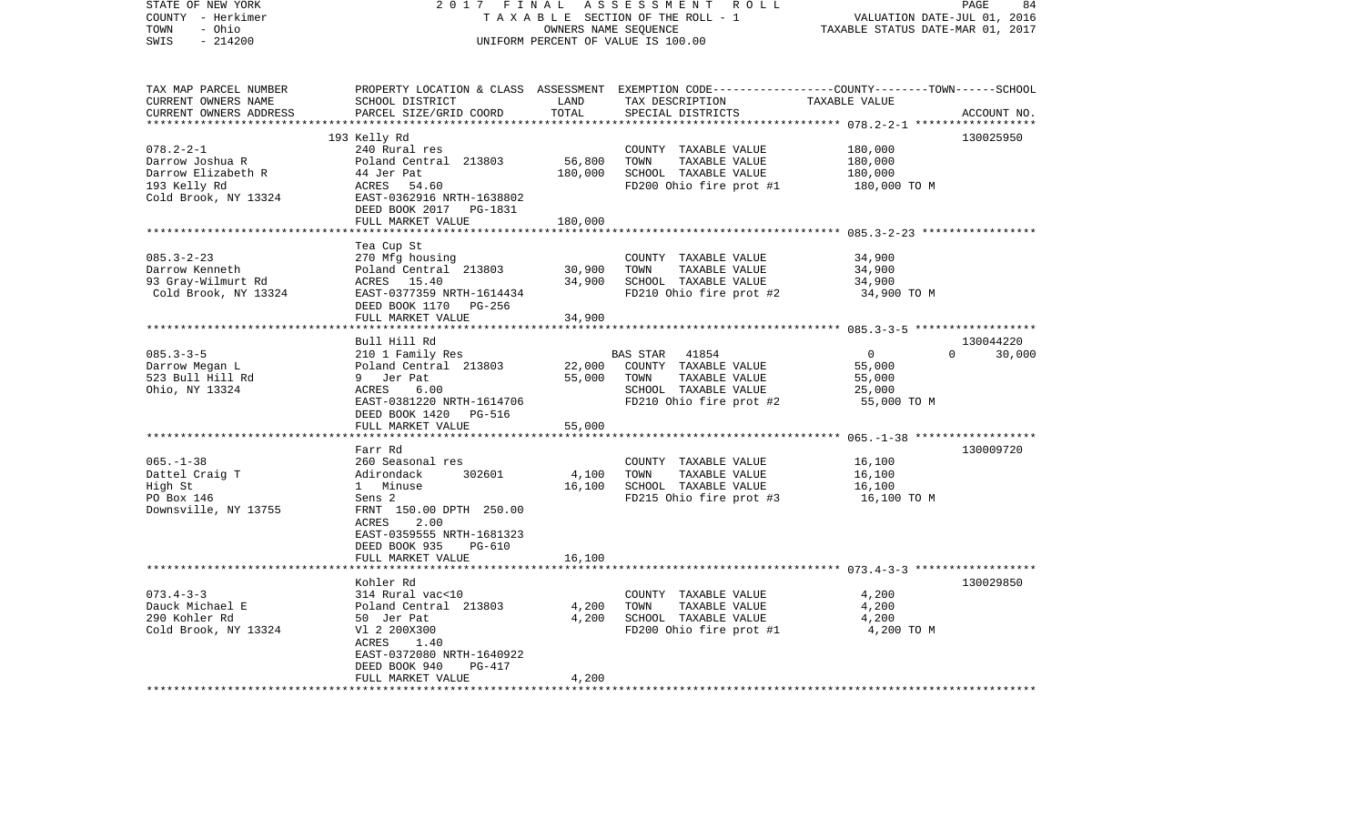| STATE OF NEW YORK                  | 2017<br>FINAL                                       |                                    | ASSESSMENT<br>R O L L                                                                            |                                                    | PAGE<br>84  |
|------------------------------------|-----------------------------------------------------|------------------------------------|--------------------------------------------------------------------------------------------------|----------------------------------------------------|-------------|
| COUNTY - Herkimer                  | TAXABLE SECTION OF THE ROLL - 1                     | VALUATION DATE-JUL 01, 2016        |                                                                                                  |                                                    |             |
| - Ohio<br>TOWN                     |                                                     | TAXABLE STATUS DATE-MAR 01, 2017   |                                                                                                  |                                                    |             |
| $-214200$<br>SWIS                  |                                                     | UNIFORM PERCENT OF VALUE IS 100.00 |                                                                                                  |                                                    |             |
|                                    |                                                     |                                    |                                                                                                  |                                                    |             |
| TAX MAP PARCEL NUMBER              |                                                     |                                    | PROPERTY LOCATION & CLASS ASSESSMENT EXEMPTION CODE----------------COUNTY-------TOWN------SCHOOL |                                                    |             |
| CURRENT OWNERS NAME                | SCHOOL DISTRICT                                     | LAND                               | TAX DESCRIPTION                                                                                  | TAXABLE VALUE                                      |             |
| CURRENT OWNERS ADDRESS             | PARCEL SIZE/GRID COORD                              | TOTAL                              | SPECIAL DISTRICTS                                                                                |                                                    | ACCOUNT NO. |
| ***********************            |                                                     |                                    |                                                                                                  |                                                    |             |
|                                    | 193 Kelly Rd                                        |                                    |                                                                                                  |                                                    | 130025950   |
| $078.2 - 2 - 1$                    | 240 Rural res                                       |                                    | COUNTY TAXABLE VALUE                                                                             | 180,000                                            |             |
| Darrow Joshua R                    | Poland Central 213803                               | 56,800                             | TOWN<br>TAXABLE VALUE                                                                            | 180,000                                            |             |
| Darrow Elizabeth R                 | 44 Jer Pat                                          | 180,000                            | SCHOOL TAXABLE VALUE                                                                             | 180,000                                            |             |
| 193 Kelly Rd                       | ACRES 54.60                                         |                                    | FD200 Ohio fire prot #1                                                                          | 180,000 TO M                                       |             |
| Cold Brook, NY 13324               | EAST-0362916 NRTH-1638802<br>DEED BOOK 2017 PG-1831 |                                    |                                                                                                  |                                                    |             |
|                                    | FULL MARKET VALUE                                   | 180,000                            |                                                                                                  |                                                    |             |
|                                    |                                                     | ********                           |                                                                                                  | ******************** 085.3-2-23 ****************** |             |
|                                    | Tea Cup St                                          |                                    |                                                                                                  |                                                    |             |
| $085.3 - 2 - 23$                   | 270 Mfg housing                                     |                                    | COUNTY TAXABLE VALUE                                                                             | 34,900                                             |             |
| Darrow Kenneth                     | Poland Central 213803                               | 30,900                             | TAXABLE VALUE<br>TOWN                                                                            | 34,900                                             |             |
| 93 Gray-Wilmurt Rd                 | ACRES 15.40                                         | 34,900                             | SCHOOL TAXABLE VALUE                                                                             | 34,900                                             |             |
| Cold Brook, NY 13324               | EAST-0377359 NRTH-1614434                           |                                    | FD210 Ohio fire prot #2                                                                          | 34,900 TO M                                        |             |
|                                    | DEED BOOK 1170<br>PG-256                            |                                    |                                                                                                  |                                                    |             |
|                                    | FULL MARKET VALUE                                   | 34,900                             |                                                                                                  |                                                    |             |
|                                    |                                                     |                                    |                                                                                                  |                                                    |             |
|                                    | Bull Hill Rd                                        |                                    |                                                                                                  |                                                    | 130044220   |
| $085.3 - 3 - 5$                    | 210 1 Family Res                                    |                                    | <b>BAS STAR</b><br>41854                                                                         | $\mathbf{0}$<br>$\Omega$                           | 30,000      |
| Darrow Megan L                     | Poland Central 213803                               | 22,000                             | COUNTY TAXABLE VALUE                                                                             | 55,000                                             |             |
| 523 Bull Hill Rd<br>Ohio, NY 13324 | 9 Jer Pat<br>ACRES<br>6.00                          | 55,000                             | TOWN<br>TAXABLE VALUE<br>SCHOOL TAXABLE VALUE                                                    | 55,000<br>25,000                                   |             |
|                                    | EAST-0381220 NRTH-1614706                           |                                    | FD210 Ohio fire prot #2                                                                          | 55,000 TO M                                        |             |
|                                    | DEED BOOK 1420<br>PG-516                            |                                    |                                                                                                  |                                                    |             |
|                                    | FULL MARKET VALUE                                   | 55,000                             |                                                                                                  |                                                    |             |
|                                    |                                                     |                                    |                                                                                                  | $065, -1-38$ *******************                   |             |
|                                    | Farr Rd                                             |                                    |                                                                                                  |                                                    | 130009720   |
| $065. - 1 - 38$                    | 260 Seasonal res                                    |                                    | COUNTY TAXABLE VALUE                                                                             | 16,100                                             |             |
| Dattel Craig T                     | Adirondack<br>302601                                | 4,100                              | TAXABLE VALUE<br>TOWN                                                                            | 16,100                                             |             |
| High St                            | Minuse<br>$1 \quad$                                 | 16,100                             | SCHOOL TAXABLE VALUE                                                                             | 16,100                                             |             |
| PO Box 146                         | Sens <sub>2</sub>                                   |                                    | FD215 Ohio fire prot #3                                                                          | 16,100 TO M                                        |             |
| Downsville, NY 13755               | FRNT 150.00 DPTH 250.00                             |                                    |                                                                                                  |                                                    |             |
|                                    | ACRES<br>2.00                                       |                                    |                                                                                                  |                                                    |             |
|                                    | EAST-0359555 NRTH-1681323                           |                                    |                                                                                                  |                                                    |             |
|                                    | DEED BOOK 935<br><b>PG-610</b>                      |                                    |                                                                                                  |                                                    |             |
|                                    | FULL MARKET VALUE                                   | 16,100                             |                                                                                                  |                                                    |             |
|                                    | Kohler Rd                                           |                                    |                                                                                                  |                                                    | 130029850   |
| $073.4 - 3 - 3$                    | 314 Rural vac<10                                    |                                    | COUNTY TAXABLE VALUE                                                                             | 4,200                                              |             |
| Dauck Michael E                    | Poland Central 213803                               | 4,200                              | TOWN<br>TAXABLE VALUE                                                                            | 4,200                                              |             |
| 290 Kohler Rd                      | 50 Jer Pat                                          | 4,200                              | SCHOOL TAXABLE VALUE                                                                             | 4,200                                              |             |
| Cold Brook, NY 13324               | V1 2 200X300                                        |                                    | FD200 Ohio fire prot #1                                                                          | 4,200 TO M                                         |             |
|                                    | ACRES<br>1.40                                       |                                    |                                                                                                  |                                                    |             |
|                                    | EAST-0372080 NRTH-1640922                           |                                    |                                                                                                  |                                                    |             |
|                                    | DEED BOOK 940<br>PG-417                             |                                    |                                                                                                  |                                                    |             |
|                                    | FULL MARKET VALUE                                   | 4,200                              |                                                                                                  |                                                    |             |
| *********************              |                                                     |                                    |                                                                                                  |                                                    |             |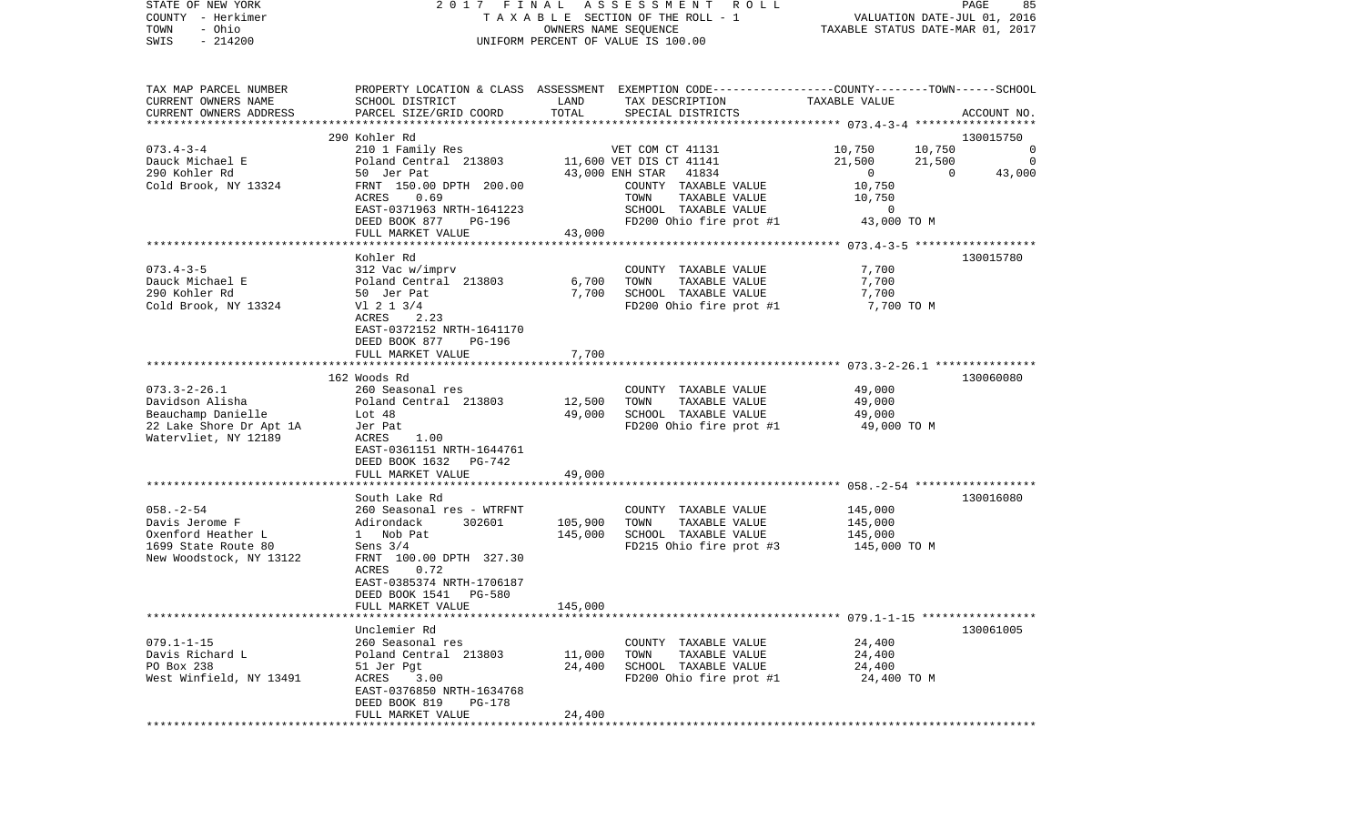| COUNTY<br>– Herkimer             |                                               |          | T A X A B L E SECTION OF THE ROLL - 1                                                           | VALUATION DATE-JUL 01, 2016                             |                   |
|----------------------------------|-----------------------------------------------|----------|-------------------------------------------------------------------------------------------------|---------------------------------------------------------|-------------------|
| - Ohio<br>TOWN                   |                                               |          | OWNERS NAME SEQUENCE                                                                            | TAXABLE STATUS DATE-MAR 01, 2017                        |                   |
| SWIS<br>$-214200$                | UNIFORM PERCENT OF VALUE IS 100.00            |          |                                                                                                 |                                                         |                   |
|                                  |                                               |          |                                                                                                 |                                                         |                   |
| TAX MAP PARCEL NUMBER            |                                               |          | PROPERTY LOCATION & CLASS ASSESSMENT EXEMPTION CODE----------------COUNTY-------TOWN-----SCHOOL |                                                         |                   |
| CURRENT OWNERS NAME              | SCHOOL DISTRICT                               | LAND     | TAX DESCRIPTION                                                                                 | TAXABLE VALUE                                           |                   |
| CURRENT OWNERS ADDRESS           | PARCEL SIZE/GRID COORD                        | TOTAL    | SPECIAL DISTRICTS                                                                               |                                                         | ACCOUNT NO.       |
|                                  |                                               |          |                                                                                                 |                                                         |                   |
|                                  | 290 Kohler Rd                                 |          |                                                                                                 |                                                         | 130015750         |
| $073.4 - 3 - 4$                  | 210 1 Family Res                              |          | VET COM CT 41131                                                                                | 10,750<br>10,750                                        | 0                 |
| Dauck Michael E<br>290 Kohler Rd | Poland Central 213803                         |          | 11,600 VET DIS CT 41141<br>43,000 ENH STAR<br>41834                                             | 21,500<br>21,500<br>$\overline{0}$                      | 0<br>$\mathbf{0}$ |
| Cold Brook, NY 13324             | 50 Jer Pat<br>FRNT 150.00 DPTH 200.00         |          | COUNTY TAXABLE VALUE                                                                            | 10,750                                                  | 43,000            |
|                                  | 0.69<br>ACRES                                 |          | TOWN<br>TAXABLE VALUE                                                                           | 10,750                                                  |                   |
|                                  | EAST-0371963 NRTH-1641223                     |          | SCHOOL TAXABLE VALUE                                                                            | 0                                                       |                   |
|                                  | DEED BOOK 877<br>PG-196                       |          | FD200 Ohio fire prot #1                                                                         | 43,000 TO M                                             |                   |
|                                  | FULL MARKET VALUE                             | 43,000   |                                                                                                 |                                                         |                   |
|                                  |                                               |          |                                                                                                 | *********************** 073.4-3-5 *******************   |                   |
|                                  | Kohler Rd                                     |          |                                                                                                 |                                                         | 130015780         |
| $073.4 - 3 - 5$                  | 312 Vac w/imprv                               |          | COUNTY TAXABLE VALUE                                                                            | 7,700                                                   |                   |
| Dauck Michael E                  | Poland Central 213803                         | 6,700    | TAXABLE VALUE<br>TOWN                                                                           | 7,700                                                   |                   |
| 290 Kohler Rd                    | 50 Jer Pat                                    | 7,700    | SCHOOL TAXABLE VALUE                                                                            | 7,700                                                   |                   |
| Cold Brook, NY 13324             | $V1$ 2 1 3/4                                  |          | FD200 Ohio fire prot #1                                                                         | 7,700 TO M                                              |                   |
|                                  | ACRES<br>2.23<br>EAST-0372152 NRTH-1641170    |          |                                                                                                 |                                                         |                   |
|                                  | DEED BOOK 877<br>PG-196                       |          |                                                                                                 |                                                         |                   |
|                                  | FULL MARKET VALUE                             | 7,700    |                                                                                                 |                                                         |                   |
|                                  | **********************                        | ******** |                                                                                                 | ************************* 073.3-2-26.1 **************** |                   |
|                                  | 162 Woods Rd                                  |          |                                                                                                 |                                                         | 130060080         |
| $073.3 - 2 - 26.1$               | 260 Seasonal res                              |          | COUNTY TAXABLE VALUE                                                                            | 49,000                                                  |                   |
| Davidson Alisha                  | Poland Central 213803                         | 12,500   | TOWN<br>TAXABLE VALUE                                                                           | 49,000                                                  |                   |
| Beauchamp Danielle               | Lot 48                                        | 49,000   | SCHOOL TAXABLE VALUE                                                                            | 49,000                                                  |                   |
| 22 Lake Shore Dr Apt 1A          | Jer Pat                                       |          | FD200 Ohio fire prot #1                                                                         | 49,000 TO M                                             |                   |
| Watervliet, NY 12189             | 1.00<br>ACRES                                 |          |                                                                                                 |                                                         |                   |
|                                  | EAST-0361151 NRTH-1644761                     |          |                                                                                                 |                                                         |                   |
|                                  | DEED BOOK 1632<br>PG-742<br>FULL MARKET VALUE | 49,000   |                                                                                                 |                                                         |                   |
|                                  |                                               |          |                                                                                                 |                                                         |                   |
|                                  | South Lake Rd                                 |          |                                                                                                 |                                                         | 130016080         |
| $058. - 2 - 54$                  | 260 Seasonal res - WTRFNT                     |          | COUNTY TAXABLE VALUE                                                                            | 145,000                                                 |                   |
| Davis Jerome F                   | Adirondack<br>302601                          | 105,900  | TAXABLE VALUE<br>TOWN                                                                           | 145,000                                                 |                   |
| Oxenford Heather L               | 1 Nob Pat                                     | 145,000  | SCHOOL TAXABLE VALUE                                                                            | 145,000                                                 |                   |
| 1699 State Route 80              | Sens $3/4$                                    |          | FD215 Ohio fire prot #3                                                                         | 145,000 TO M                                            |                   |
| New Woodstock, NY 13122          | FRNT 100.00 DPTH 327.30                       |          |                                                                                                 |                                                         |                   |
|                                  | ACRES<br>0.72                                 |          |                                                                                                 |                                                         |                   |
|                                  | EAST-0385374 NRTH-1706187                     |          |                                                                                                 |                                                         |                   |
|                                  | DEED BOOK 1541<br>PG-580                      |          |                                                                                                 |                                                         |                   |
|                                  | FULL MARKET VALUE                             | 145,000  |                                                                                                 |                                                         |                   |
|                                  | Unclemier Rd                                  |          |                                                                                                 |                                                         | 130061005         |
| $079.1 - 1 - 15$                 | 260 Seasonal res                              |          | COUNTY TAXABLE VALUE                                                                            | 24,400                                                  |                   |
| Davis Richard L                  | Poland Central 213803                         | 11,000   | TOWN<br>TAXABLE VALUE                                                                           | 24,400                                                  |                   |
| PO Box 238                       | 51 Jer Pgt                                    | 24,400   | SCHOOL TAXABLE VALUE                                                                            | 24,400                                                  |                   |
| West Winfield, NY 13491          | ACRES<br>3.00                                 |          | FD200 Ohio fire prot #1                                                                         | 24,400 TO M                                             |                   |
|                                  | EAST-0376850 NRTH-1634768                     |          |                                                                                                 |                                                         |                   |
|                                  | DEED BOOK 819<br>PG-178                       |          |                                                                                                 |                                                         |                   |
|                                  | FULL MARKET VALUE                             | 24,400   |                                                                                                 |                                                         |                   |
|                                  |                                               |          |                                                                                                 |                                                         |                   |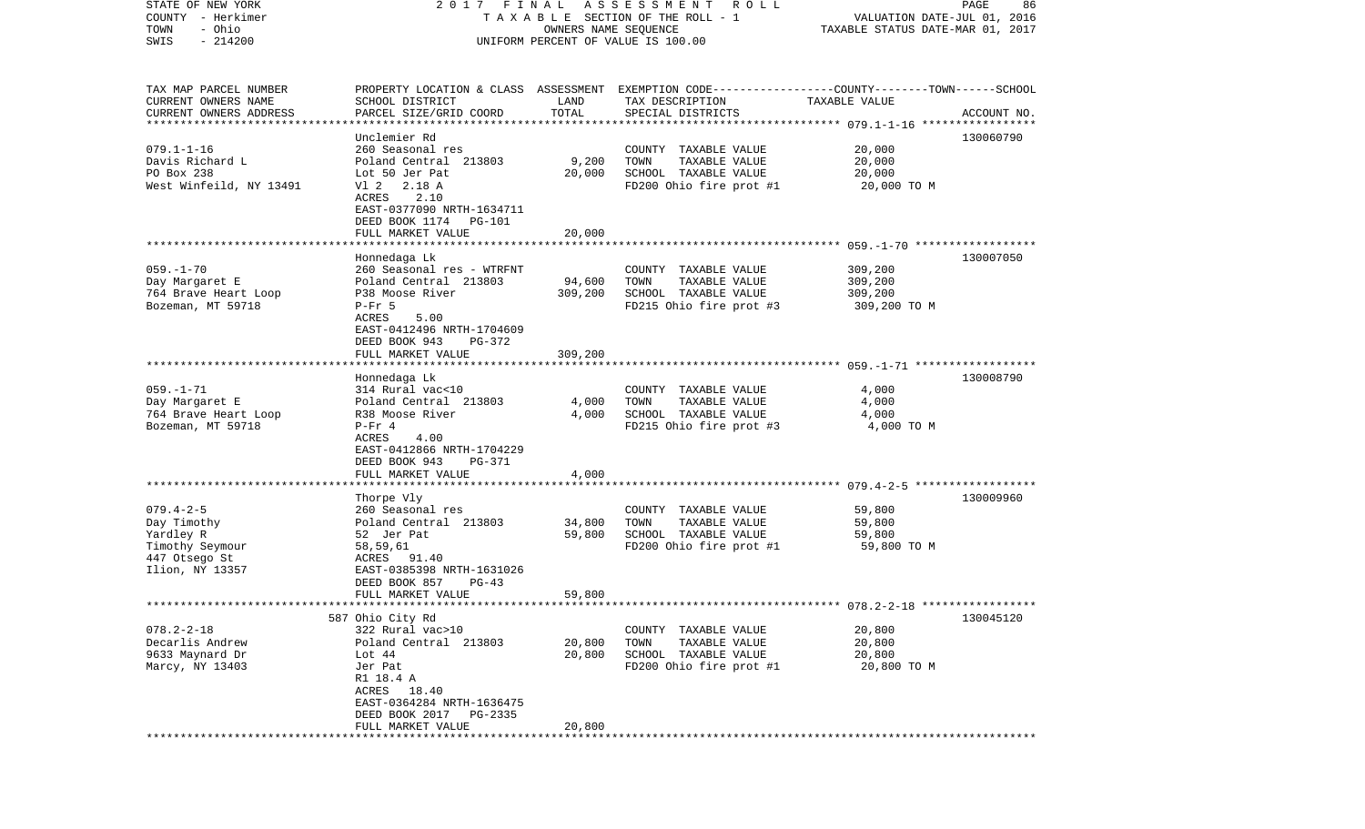| STATE OF NEW YORK                                   | 2017 FINAL                                     |                      | A S S E S S M E N T A O L L                                                                      |                                  | PAGE<br>86  |
|-----------------------------------------------------|------------------------------------------------|----------------------|--------------------------------------------------------------------------------------------------|----------------------------------|-------------|
| COUNTY - Herkimer                                   |                                                |                      | TAXABLE SECTION OF THE ROLL - 1                                                                  | VALUATION DATE-JUL 01, 2016      |             |
| - Ohio<br>TOWN                                      |                                                | OWNERS NAME SEQUENCE |                                                                                                  | TAXABLE STATUS DATE-MAR 01, 2017 |             |
| $-214200$<br>SWIS                                   |                                                |                      | UNIFORM PERCENT OF VALUE IS 100.00                                                               |                                  |             |
|                                                     |                                                |                      |                                                                                                  |                                  |             |
|                                                     |                                                |                      |                                                                                                  |                                  |             |
| TAX MAP PARCEL NUMBER                               |                                                |                      | PROPERTY LOCATION & CLASS ASSESSMENT EXEMPTION CODE----------------COUNTY-------TOWN------SCHOOL |                                  |             |
| CURRENT OWNERS NAME                                 | SCHOOL DISTRICT                                | LAND                 | TAX DESCRIPTION                                                                                  | TAXABLE VALUE                    |             |
| CURRENT OWNERS ADDRESS<br>************************* | PARCEL SIZE/GRID COORD                         | TOTAL                | SPECIAL DISTRICTS                                                                                |                                  | ACCOUNT NO. |
|                                                     |                                                |                      |                                                                                                  |                                  |             |
|                                                     | Unclemier Rd                                   |                      |                                                                                                  |                                  | 130060790   |
| $079.1 - 1 - 16$                                    | 260 Seasonal res<br>Poland Central 213803      |                      | COUNTY TAXABLE VALUE                                                                             | 20,000                           |             |
| Davis Richard L<br>PO Box 238                       |                                                | 9,200                | TOWN<br>TAXABLE VALUE                                                                            | 20,000                           |             |
|                                                     | Lot 50 Jer Pat                                 | 20,000               | SCHOOL TAXABLE VALUE                                                                             | 20,000                           |             |
| West Winfeild, NY 13491                             | V1 2 2.18 A<br>ACRES<br>2.10                   |                      | FD200 Ohio fire prot #1                                                                          | 20,000 TO M                      |             |
|                                                     | EAST-0377090 NRTH-1634711                      |                      |                                                                                                  |                                  |             |
|                                                     | DEED BOOK 1174<br>PG-101                       |                      |                                                                                                  |                                  |             |
|                                                     | FULL MARKET VALUE                              | 20,000               |                                                                                                  |                                  |             |
|                                                     |                                                |                      |                                                                                                  |                                  |             |
|                                                     | Honnedaga Lk                                   |                      |                                                                                                  |                                  | 130007050   |
| $059. - 1 - 70$                                     | 260 Seasonal res - WTRFNT                      |                      | COUNTY TAXABLE VALUE                                                                             | 309,200                          |             |
| Day Margaret E                                      | Poland Central 213803                          | 94,600               | TOWN<br>TAXABLE VALUE                                                                            | 309,200                          |             |
| 764 Brave Heart Loop                                | P38 Moose River                                | 309,200              | SCHOOL TAXABLE VALUE                                                                             | 309,200                          |             |
| Bozeman, MT 59718                                   | $P-Fr$ 5                                       |                      | FD215 Ohio fire prot #3                                                                          | 309,200 TO M                     |             |
|                                                     | ACRES<br>5.00                                  |                      |                                                                                                  |                                  |             |
|                                                     | EAST-0412496 NRTH-1704609                      |                      |                                                                                                  |                                  |             |
|                                                     | DEED BOOK 943<br>PG-372                        |                      |                                                                                                  |                                  |             |
|                                                     | FULL MARKET VALUE                              | 309,200              |                                                                                                  |                                  |             |
|                                                     |                                                |                      |                                                                                                  |                                  |             |
|                                                     | Honnedaga Lk                                   |                      |                                                                                                  |                                  | 130008790   |
| $059. -1 - 71$                                      | 314 Rural vac<10                               |                      | COUNTY TAXABLE VALUE                                                                             | 4,000                            |             |
| Day Margaret E                                      | Poland Central 213803                          | 4,000                | TOWN<br>TAXABLE VALUE                                                                            | 4,000                            |             |
| 764 Brave Heart Loop                                | R38 Moose River                                | 4,000                | SCHOOL TAXABLE VALUE                                                                             | 4,000                            |             |
| Bozeman, MT 59718                                   | $P-Fr 4$                                       |                      | FD215 Ohio fire prot #3                                                                          | 4,000 TO M                       |             |
|                                                     | ACRES<br>4.00                                  |                      |                                                                                                  |                                  |             |
|                                                     | EAST-0412866 NRTH-1704229                      |                      |                                                                                                  |                                  |             |
|                                                     | DEED BOOK 943<br>PG-371                        |                      |                                                                                                  |                                  |             |
|                                                     | FULL MARKET VALUE                              | 4,000                |                                                                                                  |                                  |             |
|                                                     |                                                |                      |                                                                                                  |                                  |             |
|                                                     | Thorpe Vly                                     |                      |                                                                                                  |                                  | 130009960   |
| $079.4 - 2 - 5$                                     | 260 Seasonal res                               |                      | COUNTY TAXABLE VALUE                                                                             | 59,800                           |             |
| Day Timothy                                         | Poland Central 213803                          | 34,800               | TOWN<br>TAXABLE VALUE                                                                            | 59,800                           |             |
| Yardley R                                           | 52 Jer Pat                                     | 59,800               | SCHOOL TAXABLE VALUE                                                                             | 59,800                           |             |
| Timothy Seymour                                     | 58,59,61                                       |                      | FD200 Ohio fire prot #1                                                                          | 59,800 TO M                      |             |
| 447 Otsego St                                       | ACRES 91.40                                    |                      |                                                                                                  |                                  |             |
| Ilion, NY 13357                                     | EAST-0385398 NRTH-1631026                      |                      |                                                                                                  |                                  |             |
|                                                     | DEED BOOK 857<br>$PG-43$                       |                      |                                                                                                  |                                  |             |
|                                                     | FULL MARKET VALUE                              | 59,800               |                                                                                                  |                                  |             |
|                                                     |                                                |                      |                                                                                                  |                                  |             |
|                                                     | 587 Ohio City Rd                               |                      |                                                                                                  |                                  | 130045120   |
| $078.2 - 2 - 18$                                    | 322 Rural vac>10                               |                      | COUNTY TAXABLE VALUE                                                                             | 20,800                           |             |
| Decarlis Andrew                                     | Poland Central 213803                          | 20,800               | TOWN<br>TAXABLE VALUE                                                                            | 20,800                           |             |
| 9633 Maynard Dr                                     | Lot 44                                         | 20,800               | SCHOOL TAXABLE VALUE                                                                             | 20,800                           |             |
| Marcy, NY 13403                                     | Jer Pat                                        |                      | FD200 Ohio fire prot #1                                                                          | 20,800 TO M                      |             |
|                                                     | R1 18.4 A                                      |                      |                                                                                                  |                                  |             |
|                                                     | ACRES<br>18.40                                 |                      |                                                                                                  |                                  |             |
|                                                     | EAST-0364284 NRTH-1636475                      |                      |                                                                                                  |                                  |             |
|                                                     | DEED BOOK 2017<br>PG-2335<br>FULL MARKET VALUE | 20,800               |                                                                                                  |                                  |             |
|                                                     |                                                |                      |                                                                                                  |                                  |             |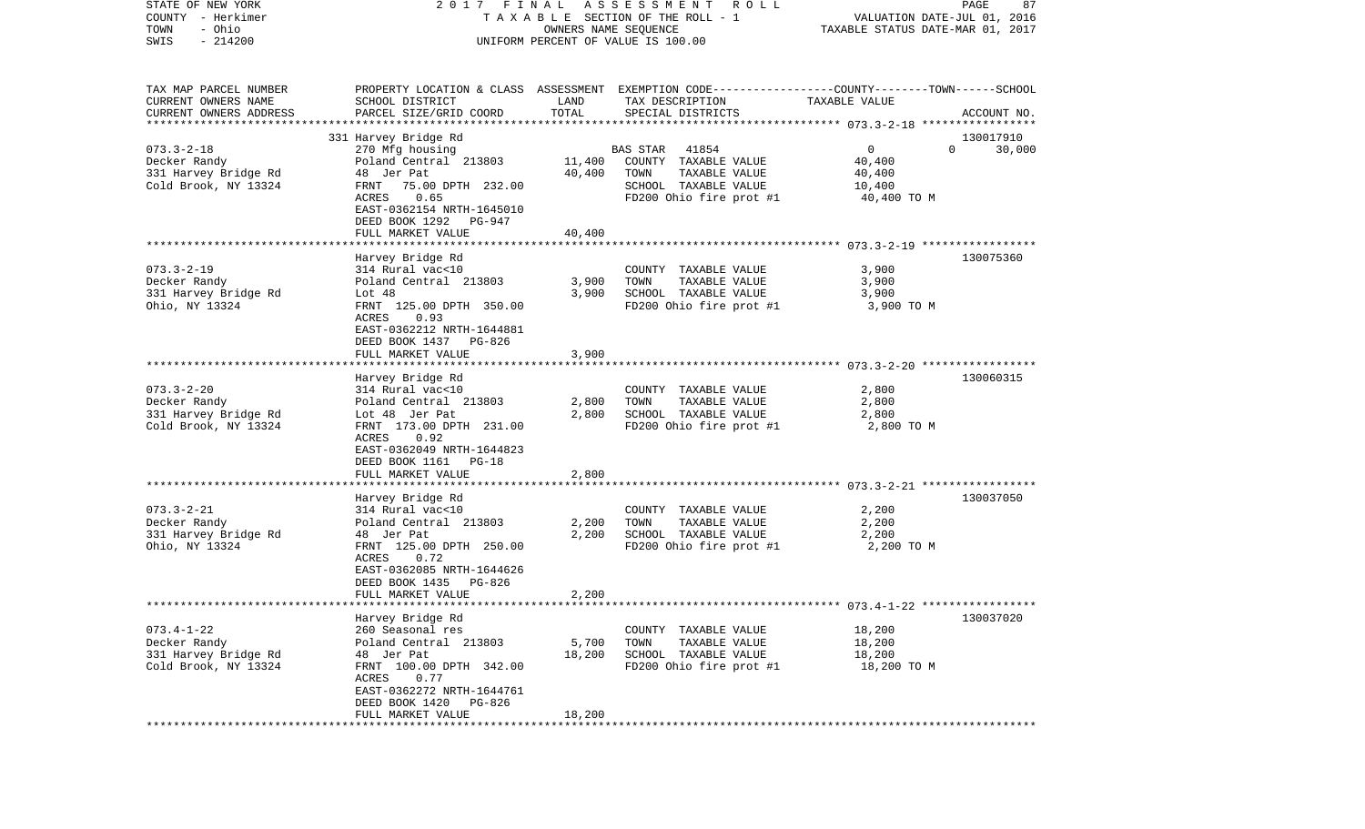| PROPERTY LOCATION & CLASS ASSESSMENT EXEMPTION CODE---------------COUNTY-------TOWN------SCHOOL<br>SCHOOL DISTRICT<br>LAND<br>TAX DESCRIPTION<br>TAXABLE VALUE<br>CURRENT OWNERS ADDRESS<br>PARCEL SIZE/GRID COORD<br>TOTAL<br>SPECIAL DISTRICTS<br>ACCOUNT NO.<br>331 Harvey Bridge Rd<br>130017910<br>$073.3 - 2 - 18$<br>41854<br>$\overline{0}$<br>270 Mfg housing<br><b>BAS STAR</b><br>$\Omega$<br>30,000<br>Decker Randy<br>Poland Central 213803<br>11,400<br>COUNTY TAXABLE VALUE<br>40,400<br>331 Harvey Bridge Rd<br>48 Jer Pat<br>40,400<br>TOWN<br>TAXABLE VALUE<br>40,400<br>Cold Brook, NY 13324<br>FRNT<br>75.00 DPTH 232.00<br>SCHOOL TAXABLE VALUE<br>10,400<br>ACRES<br>0.65<br>FD200 Ohio fire prot #1<br>40,400 TO M<br>EAST-0362154 NRTH-1645010<br>DEED BOOK 1292<br>PG-947<br>FULL MARKET VALUE<br>40,400<br>Harvey Bridge Rd<br>130075360<br>$073.3 - 2 - 19$<br>314 Rural vac<10<br>3,900<br>COUNTY TAXABLE VALUE<br>TAXABLE VALUE<br>Decker Randy<br>Poland Central 213803<br>3,900<br>TOWN<br>3,900<br>SCHOOL TAXABLE VALUE<br>331 Harvey Bridge Rd<br>Lot 48<br>3,900<br>3,900<br>Ohio, NY 13324<br>FD200 Ohio fire prot #1<br>FRNT 125.00 DPTH 350.00<br>3,900 TO M<br>0.93<br>ACRES<br>EAST-0362212 NRTH-1644881<br>DEED BOOK 1437<br>PG-826<br>FULL MARKET VALUE<br>3,900<br>130060315<br>Harvey Bridge Rd<br>2,800<br>314 Rural vac<10<br>COUNTY TAXABLE VALUE<br>TOWN<br>TAXABLE VALUE<br>Decker Randy<br>Poland Central 213803<br>2,800<br>2,800<br>2,800<br>SCHOOL TAXABLE VALUE<br>331 Harvey Bridge Rd<br>Lot 48 Jer Pat<br>2,800<br>Cold Brook, NY 13324<br>FRNT 173.00 DPTH 231.00<br>FD200 Ohio fire prot #1<br>2,800 TO M<br>ACRES<br>0.92<br>EAST-0362049 NRTH-1644823<br>DEED BOOK 1161<br>$PG-18$<br>FULL MARKET VALUE<br>2,800<br>Harvey Bridge Rd<br>130037050<br>2,200<br>314 Rural vac<10<br>COUNTY TAXABLE VALUE<br>Poland Central 213803<br>2,200<br>TOWN<br>TAXABLE VALUE<br>2,200<br>SCHOOL TAXABLE VALUE<br>2,200<br>2,200<br>48 Jer Pat<br>FRNT 125.00 DPTH 250.00<br>FD200 Ohio fire prot #1<br>2,200 TO M<br>ACRES<br>0.72<br>EAST-0362085 NRTH-1644626<br>DEED BOOK 1435<br>PG-826<br>FULL MARKET VALUE<br>2,200<br>Harvey Bridge Rd<br>130037020<br>$073.4 - 1 - 22$<br>260 Seasonal res<br>COUNTY TAXABLE VALUE<br>18,200<br>Decker Randy<br>Poland Central 213803<br>5,700<br>TOWN<br>TAXABLE VALUE<br>18,200<br>48 Jer Pat<br>18,200<br>SCHOOL TAXABLE VALUE<br>18,200<br>FD200 Ohio fire prot #1<br>18,200 TO M<br>FRNT 100.00 DPTH 342.00<br>ACRES<br>0.77<br>EAST-0362272 NRTH-1644761<br>DEED BOOK 1420<br>PG-826<br>18,200<br>FULL MARKET VALUE | COUNTY<br>– Herkimer<br>TOWN<br>- Ohio<br>$-214200$<br>SWIS | T A X A B L E SECTION OF THE ROLL - 1<br>UNIFORM PERCENT OF VALUE IS 100.00 | VALUATION DATE-JUL 01, 2016<br>TAXABLE STATUS DATE-MAR 01, 2017 |  |  |
|--------------------------------------------------------------------------------------------------------------------------------------------------------------------------------------------------------------------------------------------------------------------------------------------------------------------------------------------------------------------------------------------------------------------------------------------------------------------------------------------------------------------------------------------------------------------------------------------------------------------------------------------------------------------------------------------------------------------------------------------------------------------------------------------------------------------------------------------------------------------------------------------------------------------------------------------------------------------------------------------------------------------------------------------------------------------------------------------------------------------------------------------------------------------------------------------------------------------------------------------------------------------------------------------------------------------------------------------------------------------------------------------------------------------------------------------------------------------------------------------------------------------------------------------------------------------------------------------------------------------------------------------------------------------------------------------------------------------------------------------------------------------------------------------------------------------------------------------------------------------------------------------------------------------------------------------------------------------------------------------------------------------------------------------------------------------------------------------------------------------------------------------------------------------------------------------------------------------------------------------------------------------------------------------------------------------------------------------------------------------------------------------------------------------------------------------------------------------------------------------------------------------------------------------------------------------------------------------------------------------|-------------------------------------------------------------|-----------------------------------------------------------------------------|-----------------------------------------------------------------|--|--|
|                                                                                                                                                                                                                                                                                                                                                                                                                                                                                                                                                                                                                                                                                                                                                                                                                                                                                                                                                                                                                                                                                                                                                                                                                                                                                                                                                                                                                                                                                                                                                                                                                                                                                                                                                                                                                                                                                                                                                                                                                                                                                                                                                                                                                                                                                                                                                                                                                                                                                                                                                                                                                    |                                                             |                                                                             |                                                                 |  |  |
|                                                                                                                                                                                                                                                                                                                                                                                                                                                                                                                                                                                                                                                                                                                                                                                                                                                                                                                                                                                                                                                                                                                                                                                                                                                                                                                                                                                                                                                                                                                                                                                                                                                                                                                                                                                                                                                                                                                                                                                                                                                                                                                                                                                                                                                                                                                                                                                                                                                                                                                                                                                                                    | TAX MAP PARCEL NUMBER                                       |                                                                             |                                                                 |  |  |
|                                                                                                                                                                                                                                                                                                                                                                                                                                                                                                                                                                                                                                                                                                                                                                                                                                                                                                                                                                                                                                                                                                                                                                                                                                                                                                                                                                                                                                                                                                                                                                                                                                                                                                                                                                                                                                                                                                                                                                                                                                                                                                                                                                                                                                                                                                                                                                                                                                                                                                                                                                                                                    | CURRENT OWNERS NAME                                         |                                                                             |                                                                 |  |  |
|                                                                                                                                                                                                                                                                                                                                                                                                                                                                                                                                                                                                                                                                                                                                                                                                                                                                                                                                                                                                                                                                                                                                                                                                                                                                                                                                                                                                                                                                                                                                                                                                                                                                                                                                                                                                                                                                                                                                                                                                                                                                                                                                                                                                                                                                                                                                                                                                                                                                                                                                                                                                                    |                                                             |                                                                             |                                                                 |  |  |
|                                                                                                                                                                                                                                                                                                                                                                                                                                                                                                                                                                                                                                                                                                                                                                                                                                                                                                                                                                                                                                                                                                                                                                                                                                                                                                                                                                                                                                                                                                                                                                                                                                                                                                                                                                                                                                                                                                                                                                                                                                                                                                                                                                                                                                                                                                                                                                                                                                                                                                                                                                                                                    |                                                             |                                                                             |                                                                 |  |  |
|                                                                                                                                                                                                                                                                                                                                                                                                                                                                                                                                                                                                                                                                                                                                                                                                                                                                                                                                                                                                                                                                                                                                                                                                                                                                                                                                                                                                                                                                                                                                                                                                                                                                                                                                                                                                                                                                                                                                                                                                                                                                                                                                                                                                                                                                                                                                                                                                                                                                                                                                                                                                                    |                                                             |                                                                             |                                                                 |  |  |
|                                                                                                                                                                                                                                                                                                                                                                                                                                                                                                                                                                                                                                                                                                                                                                                                                                                                                                                                                                                                                                                                                                                                                                                                                                                                                                                                                                                                                                                                                                                                                                                                                                                                                                                                                                                                                                                                                                                                                                                                                                                                                                                                                                                                                                                                                                                                                                                                                                                                                                                                                                                                                    |                                                             |                                                                             |                                                                 |  |  |
|                                                                                                                                                                                                                                                                                                                                                                                                                                                                                                                                                                                                                                                                                                                                                                                                                                                                                                                                                                                                                                                                                                                                                                                                                                                                                                                                                                                                                                                                                                                                                                                                                                                                                                                                                                                                                                                                                                                                                                                                                                                                                                                                                                                                                                                                                                                                                                                                                                                                                                                                                                                                                    |                                                             |                                                                             |                                                                 |  |  |
|                                                                                                                                                                                                                                                                                                                                                                                                                                                                                                                                                                                                                                                                                                                                                                                                                                                                                                                                                                                                                                                                                                                                                                                                                                                                                                                                                                                                                                                                                                                                                                                                                                                                                                                                                                                                                                                                                                                                                                                                                                                                                                                                                                                                                                                                                                                                                                                                                                                                                                                                                                                                                    |                                                             |                                                                             |                                                                 |  |  |
|                                                                                                                                                                                                                                                                                                                                                                                                                                                                                                                                                                                                                                                                                                                                                                                                                                                                                                                                                                                                                                                                                                                                                                                                                                                                                                                                                                                                                                                                                                                                                                                                                                                                                                                                                                                                                                                                                                                                                                                                                                                                                                                                                                                                                                                                                                                                                                                                                                                                                                                                                                                                                    |                                                             |                                                                             |                                                                 |  |  |
|                                                                                                                                                                                                                                                                                                                                                                                                                                                                                                                                                                                                                                                                                                                                                                                                                                                                                                                                                                                                                                                                                                                                                                                                                                                                                                                                                                                                                                                                                                                                                                                                                                                                                                                                                                                                                                                                                                                                                                                                                                                                                                                                                                                                                                                                                                                                                                                                                                                                                                                                                                                                                    |                                                             |                                                                             |                                                                 |  |  |
|                                                                                                                                                                                                                                                                                                                                                                                                                                                                                                                                                                                                                                                                                                                                                                                                                                                                                                                                                                                                                                                                                                                                                                                                                                                                                                                                                                                                                                                                                                                                                                                                                                                                                                                                                                                                                                                                                                                                                                                                                                                                                                                                                                                                                                                                                                                                                                                                                                                                                                                                                                                                                    |                                                             |                                                                             |                                                                 |  |  |
|                                                                                                                                                                                                                                                                                                                                                                                                                                                                                                                                                                                                                                                                                                                                                                                                                                                                                                                                                                                                                                                                                                                                                                                                                                                                                                                                                                                                                                                                                                                                                                                                                                                                                                                                                                                                                                                                                                                                                                                                                                                                                                                                                                                                                                                                                                                                                                                                                                                                                                                                                                                                                    |                                                             |                                                                             |                                                                 |  |  |
|                                                                                                                                                                                                                                                                                                                                                                                                                                                                                                                                                                                                                                                                                                                                                                                                                                                                                                                                                                                                                                                                                                                                                                                                                                                                                                                                                                                                                                                                                                                                                                                                                                                                                                                                                                                                                                                                                                                                                                                                                                                                                                                                                                                                                                                                                                                                                                                                                                                                                                                                                                                                                    |                                                             |                                                                             |                                                                 |  |  |
|                                                                                                                                                                                                                                                                                                                                                                                                                                                                                                                                                                                                                                                                                                                                                                                                                                                                                                                                                                                                                                                                                                                                                                                                                                                                                                                                                                                                                                                                                                                                                                                                                                                                                                                                                                                                                                                                                                                                                                                                                                                                                                                                                                                                                                                                                                                                                                                                                                                                                                                                                                                                                    |                                                             |                                                                             |                                                                 |  |  |
|                                                                                                                                                                                                                                                                                                                                                                                                                                                                                                                                                                                                                                                                                                                                                                                                                                                                                                                                                                                                                                                                                                                                                                                                                                                                                                                                                                                                                                                                                                                                                                                                                                                                                                                                                                                                                                                                                                                                                                                                                                                                                                                                                                                                                                                                                                                                                                                                                                                                                                                                                                                                                    |                                                             |                                                                             |                                                                 |  |  |
|                                                                                                                                                                                                                                                                                                                                                                                                                                                                                                                                                                                                                                                                                                                                                                                                                                                                                                                                                                                                                                                                                                                                                                                                                                                                                                                                                                                                                                                                                                                                                                                                                                                                                                                                                                                                                                                                                                                                                                                                                                                                                                                                                                                                                                                                                                                                                                                                                                                                                                                                                                                                                    |                                                             |                                                                             |                                                                 |  |  |
|                                                                                                                                                                                                                                                                                                                                                                                                                                                                                                                                                                                                                                                                                                                                                                                                                                                                                                                                                                                                                                                                                                                                                                                                                                                                                                                                                                                                                                                                                                                                                                                                                                                                                                                                                                                                                                                                                                                                                                                                                                                                                                                                                                                                                                                                                                                                                                                                                                                                                                                                                                                                                    |                                                             |                                                                             |                                                                 |  |  |
|                                                                                                                                                                                                                                                                                                                                                                                                                                                                                                                                                                                                                                                                                                                                                                                                                                                                                                                                                                                                                                                                                                                                                                                                                                                                                                                                                                                                                                                                                                                                                                                                                                                                                                                                                                                                                                                                                                                                                                                                                                                                                                                                                                                                                                                                                                                                                                                                                                                                                                                                                                                                                    |                                                             |                                                                             |                                                                 |  |  |
|                                                                                                                                                                                                                                                                                                                                                                                                                                                                                                                                                                                                                                                                                                                                                                                                                                                                                                                                                                                                                                                                                                                                                                                                                                                                                                                                                                                                                                                                                                                                                                                                                                                                                                                                                                                                                                                                                                                                                                                                                                                                                                                                                                                                                                                                                                                                                                                                                                                                                                                                                                                                                    |                                                             |                                                                             |                                                                 |  |  |
|                                                                                                                                                                                                                                                                                                                                                                                                                                                                                                                                                                                                                                                                                                                                                                                                                                                                                                                                                                                                                                                                                                                                                                                                                                                                                                                                                                                                                                                                                                                                                                                                                                                                                                                                                                                                                                                                                                                                                                                                                                                                                                                                                                                                                                                                                                                                                                                                                                                                                                                                                                                                                    |                                                             |                                                                             |                                                                 |  |  |
|                                                                                                                                                                                                                                                                                                                                                                                                                                                                                                                                                                                                                                                                                                                                                                                                                                                                                                                                                                                                                                                                                                                                                                                                                                                                                                                                                                                                                                                                                                                                                                                                                                                                                                                                                                                                                                                                                                                                                                                                                                                                                                                                                                                                                                                                                                                                                                                                                                                                                                                                                                                                                    |                                                             |                                                                             |                                                                 |  |  |
|                                                                                                                                                                                                                                                                                                                                                                                                                                                                                                                                                                                                                                                                                                                                                                                                                                                                                                                                                                                                                                                                                                                                                                                                                                                                                                                                                                                                                                                                                                                                                                                                                                                                                                                                                                                                                                                                                                                                                                                                                                                                                                                                                                                                                                                                                                                                                                                                                                                                                                                                                                                                                    |                                                             |                                                                             |                                                                 |  |  |
|                                                                                                                                                                                                                                                                                                                                                                                                                                                                                                                                                                                                                                                                                                                                                                                                                                                                                                                                                                                                                                                                                                                                                                                                                                                                                                                                                                                                                                                                                                                                                                                                                                                                                                                                                                                                                                                                                                                                                                                                                                                                                                                                                                                                                                                                                                                                                                                                                                                                                                                                                                                                                    |                                                             |                                                                             |                                                                 |  |  |
|                                                                                                                                                                                                                                                                                                                                                                                                                                                                                                                                                                                                                                                                                                                                                                                                                                                                                                                                                                                                                                                                                                                                                                                                                                                                                                                                                                                                                                                                                                                                                                                                                                                                                                                                                                                                                                                                                                                                                                                                                                                                                                                                                                                                                                                                                                                                                                                                                                                                                                                                                                                                                    | $073.3 - 2 - 20$                                            |                                                                             |                                                                 |  |  |
|                                                                                                                                                                                                                                                                                                                                                                                                                                                                                                                                                                                                                                                                                                                                                                                                                                                                                                                                                                                                                                                                                                                                                                                                                                                                                                                                                                                                                                                                                                                                                                                                                                                                                                                                                                                                                                                                                                                                                                                                                                                                                                                                                                                                                                                                                                                                                                                                                                                                                                                                                                                                                    |                                                             |                                                                             |                                                                 |  |  |
|                                                                                                                                                                                                                                                                                                                                                                                                                                                                                                                                                                                                                                                                                                                                                                                                                                                                                                                                                                                                                                                                                                                                                                                                                                                                                                                                                                                                                                                                                                                                                                                                                                                                                                                                                                                                                                                                                                                                                                                                                                                                                                                                                                                                                                                                                                                                                                                                                                                                                                                                                                                                                    |                                                             |                                                                             |                                                                 |  |  |
|                                                                                                                                                                                                                                                                                                                                                                                                                                                                                                                                                                                                                                                                                                                                                                                                                                                                                                                                                                                                                                                                                                                                                                                                                                                                                                                                                                                                                                                                                                                                                                                                                                                                                                                                                                                                                                                                                                                                                                                                                                                                                                                                                                                                                                                                                                                                                                                                                                                                                                                                                                                                                    |                                                             |                                                                             |                                                                 |  |  |
|                                                                                                                                                                                                                                                                                                                                                                                                                                                                                                                                                                                                                                                                                                                                                                                                                                                                                                                                                                                                                                                                                                                                                                                                                                                                                                                                                                                                                                                                                                                                                                                                                                                                                                                                                                                                                                                                                                                                                                                                                                                                                                                                                                                                                                                                                                                                                                                                                                                                                                                                                                                                                    |                                                             |                                                                             |                                                                 |  |  |
|                                                                                                                                                                                                                                                                                                                                                                                                                                                                                                                                                                                                                                                                                                                                                                                                                                                                                                                                                                                                                                                                                                                                                                                                                                                                                                                                                                                                                                                                                                                                                                                                                                                                                                                                                                                                                                                                                                                                                                                                                                                                                                                                                                                                                                                                                                                                                                                                                                                                                                                                                                                                                    |                                                             |                                                                             |                                                                 |  |  |
|                                                                                                                                                                                                                                                                                                                                                                                                                                                                                                                                                                                                                                                                                                                                                                                                                                                                                                                                                                                                                                                                                                                                                                                                                                                                                                                                                                                                                                                                                                                                                                                                                                                                                                                                                                                                                                                                                                                                                                                                                                                                                                                                                                                                                                                                                                                                                                                                                                                                                                                                                                                                                    |                                                             |                                                                             |                                                                 |  |  |
|                                                                                                                                                                                                                                                                                                                                                                                                                                                                                                                                                                                                                                                                                                                                                                                                                                                                                                                                                                                                                                                                                                                                                                                                                                                                                                                                                                                                                                                                                                                                                                                                                                                                                                                                                                                                                                                                                                                                                                                                                                                                                                                                                                                                                                                                                                                                                                                                                                                                                                                                                                                                                    |                                                             |                                                                             |                                                                 |  |  |
|                                                                                                                                                                                                                                                                                                                                                                                                                                                                                                                                                                                                                                                                                                                                                                                                                                                                                                                                                                                                                                                                                                                                                                                                                                                                                                                                                                                                                                                                                                                                                                                                                                                                                                                                                                                                                                                                                                                                                                                                                                                                                                                                                                                                                                                                                                                                                                                                                                                                                                                                                                                                                    |                                                             |                                                                             |                                                                 |  |  |
|                                                                                                                                                                                                                                                                                                                                                                                                                                                                                                                                                                                                                                                                                                                                                                                                                                                                                                                                                                                                                                                                                                                                                                                                                                                                                                                                                                                                                                                                                                                                                                                                                                                                                                                                                                                                                                                                                                                                                                                                                                                                                                                                                                                                                                                                                                                                                                                                                                                                                                                                                                                                                    | $073.3 - 2 - 21$                                            |                                                                             |                                                                 |  |  |
|                                                                                                                                                                                                                                                                                                                                                                                                                                                                                                                                                                                                                                                                                                                                                                                                                                                                                                                                                                                                                                                                                                                                                                                                                                                                                                                                                                                                                                                                                                                                                                                                                                                                                                                                                                                                                                                                                                                                                                                                                                                                                                                                                                                                                                                                                                                                                                                                                                                                                                                                                                                                                    | Decker Randy                                                |                                                                             |                                                                 |  |  |
|                                                                                                                                                                                                                                                                                                                                                                                                                                                                                                                                                                                                                                                                                                                                                                                                                                                                                                                                                                                                                                                                                                                                                                                                                                                                                                                                                                                                                                                                                                                                                                                                                                                                                                                                                                                                                                                                                                                                                                                                                                                                                                                                                                                                                                                                                                                                                                                                                                                                                                                                                                                                                    | 331 Harvey Bridge Rd                                        |                                                                             |                                                                 |  |  |
|                                                                                                                                                                                                                                                                                                                                                                                                                                                                                                                                                                                                                                                                                                                                                                                                                                                                                                                                                                                                                                                                                                                                                                                                                                                                                                                                                                                                                                                                                                                                                                                                                                                                                                                                                                                                                                                                                                                                                                                                                                                                                                                                                                                                                                                                                                                                                                                                                                                                                                                                                                                                                    | Ohio, NY 13324                                              |                                                                             |                                                                 |  |  |
|                                                                                                                                                                                                                                                                                                                                                                                                                                                                                                                                                                                                                                                                                                                                                                                                                                                                                                                                                                                                                                                                                                                                                                                                                                                                                                                                                                                                                                                                                                                                                                                                                                                                                                                                                                                                                                                                                                                                                                                                                                                                                                                                                                                                                                                                                                                                                                                                                                                                                                                                                                                                                    |                                                             |                                                                             |                                                                 |  |  |
|                                                                                                                                                                                                                                                                                                                                                                                                                                                                                                                                                                                                                                                                                                                                                                                                                                                                                                                                                                                                                                                                                                                                                                                                                                                                                                                                                                                                                                                                                                                                                                                                                                                                                                                                                                                                                                                                                                                                                                                                                                                                                                                                                                                                                                                                                                                                                                                                                                                                                                                                                                                                                    |                                                             |                                                                             |                                                                 |  |  |
|                                                                                                                                                                                                                                                                                                                                                                                                                                                                                                                                                                                                                                                                                                                                                                                                                                                                                                                                                                                                                                                                                                                                                                                                                                                                                                                                                                                                                                                                                                                                                                                                                                                                                                                                                                                                                                                                                                                                                                                                                                                                                                                                                                                                                                                                                                                                                                                                                                                                                                                                                                                                                    |                                                             |                                                                             |                                                                 |  |  |
|                                                                                                                                                                                                                                                                                                                                                                                                                                                                                                                                                                                                                                                                                                                                                                                                                                                                                                                                                                                                                                                                                                                                                                                                                                                                                                                                                                                                                                                                                                                                                                                                                                                                                                                                                                                                                                                                                                                                                                                                                                                                                                                                                                                                                                                                                                                                                                                                                                                                                                                                                                                                                    |                                                             |                                                                             |                                                                 |  |  |
|                                                                                                                                                                                                                                                                                                                                                                                                                                                                                                                                                                                                                                                                                                                                                                                                                                                                                                                                                                                                                                                                                                                                                                                                                                                                                                                                                                                                                                                                                                                                                                                                                                                                                                                                                                                                                                                                                                                                                                                                                                                                                                                                                                                                                                                                                                                                                                                                                                                                                                                                                                                                                    |                                                             |                                                                             |                                                                 |  |  |
|                                                                                                                                                                                                                                                                                                                                                                                                                                                                                                                                                                                                                                                                                                                                                                                                                                                                                                                                                                                                                                                                                                                                                                                                                                                                                                                                                                                                                                                                                                                                                                                                                                                                                                                                                                                                                                                                                                                                                                                                                                                                                                                                                                                                                                                                                                                                                                                                                                                                                                                                                                                                                    |                                                             |                                                                             |                                                                 |  |  |
|                                                                                                                                                                                                                                                                                                                                                                                                                                                                                                                                                                                                                                                                                                                                                                                                                                                                                                                                                                                                                                                                                                                                                                                                                                                                                                                                                                                                                                                                                                                                                                                                                                                                                                                                                                                                                                                                                                                                                                                                                                                                                                                                                                                                                                                                                                                                                                                                                                                                                                                                                                                                                    |                                                             |                                                                             |                                                                 |  |  |
|                                                                                                                                                                                                                                                                                                                                                                                                                                                                                                                                                                                                                                                                                                                                                                                                                                                                                                                                                                                                                                                                                                                                                                                                                                                                                                                                                                                                                                                                                                                                                                                                                                                                                                                                                                                                                                                                                                                                                                                                                                                                                                                                                                                                                                                                                                                                                                                                                                                                                                                                                                                                                    | 331 Harvey Bridge Rd                                        |                                                                             |                                                                 |  |  |
|                                                                                                                                                                                                                                                                                                                                                                                                                                                                                                                                                                                                                                                                                                                                                                                                                                                                                                                                                                                                                                                                                                                                                                                                                                                                                                                                                                                                                                                                                                                                                                                                                                                                                                                                                                                                                                                                                                                                                                                                                                                                                                                                                                                                                                                                                                                                                                                                                                                                                                                                                                                                                    | Cold Brook, NY 13324                                        |                                                                             |                                                                 |  |  |
|                                                                                                                                                                                                                                                                                                                                                                                                                                                                                                                                                                                                                                                                                                                                                                                                                                                                                                                                                                                                                                                                                                                                                                                                                                                                                                                                                                                                                                                                                                                                                                                                                                                                                                                                                                                                                                                                                                                                                                                                                                                                                                                                                                                                                                                                                                                                                                                                                                                                                                                                                                                                                    |                                                             |                                                                             |                                                                 |  |  |
|                                                                                                                                                                                                                                                                                                                                                                                                                                                                                                                                                                                                                                                                                                                                                                                                                                                                                                                                                                                                                                                                                                                                                                                                                                                                                                                                                                                                                                                                                                                                                                                                                                                                                                                                                                                                                                                                                                                                                                                                                                                                                                                                                                                                                                                                                                                                                                                                                                                                                                                                                                                                                    |                                                             |                                                                             |                                                                 |  |  |
|                                                                                                                                                                                                                                                                                                                                                                                                                                                                                                                                                                                                                                                                                                                                                                                                                                                                                                                                                                                                                                                                                                                                                                                                                                                                                                                                                                                                                                                                                                                                                                                                                                                                                                                                                                                                                                                                                                                                                                                                                                                                                                                                                                                                                                                                                                                                                                                                                                                                                                                                                                                                                    |                                                             |                                                                             |                                                                 |  |  |
|                                                                                                                                                                                                                                                                                                                                                                                                                                                                                                                                                                                                                                                                                                                                                                                                                                                                                                                                                                                                                                                                                                                                                                                                                                                                                                                                                                                                                                                                                                                                                                                                                                                                                                                                                                                                                                                                                                                                                                                                                                                                                                                                                                                                                                                                                                                                                                                                                                                                                                                                                                                                                    |                                                             |                                                                             |                                                                 |  |  |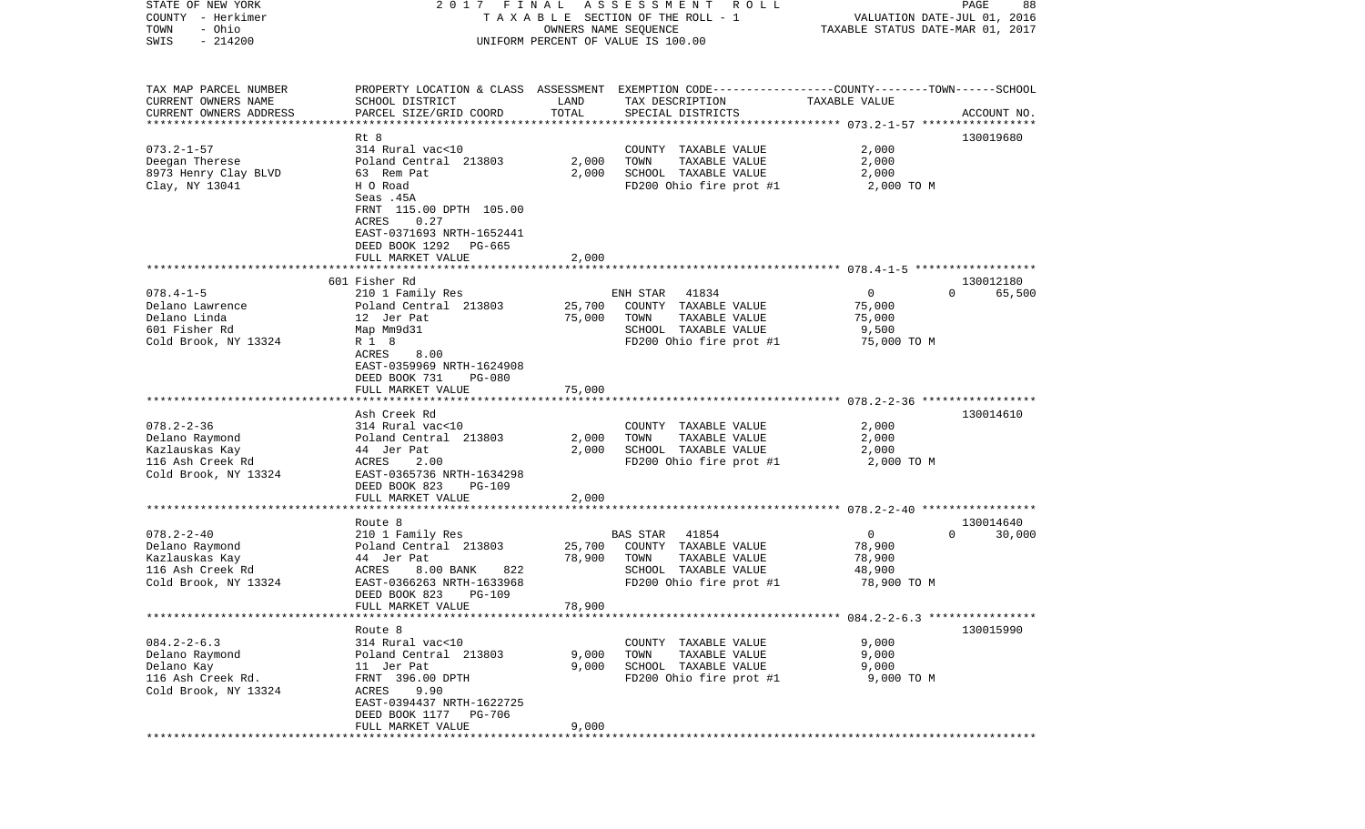| STATE OF NEW YORK         | FINAL<br>2017                                                                                   |                      | A S S E S S M E N T<br>R O L L     |                                  | PAGE<br>88                  |
|---------------------------|-------------------------------------------------------------------------------------------------|----------------------|------------------------------------|----------------------------------|-----------------------------|
| COUNTY - Herkimer         |                                                                                                 |                      | TAXABLE SECTION OF THE ROLL - 1    |                                  | VALUATION DATE-JUL 01, 2016 |
| - Ohio<br>TOWN            |                                                                                                 | OWNERS NAME SEQUENCE |                                    | TAXABLE STATUS DATE-MAR 01, 2017 |                             |
| $-214200$<br>SWIS         |                                                                                                 |                      | UNIFORM PERCENT OF VALUE IS 100.00 |                                  |                             |
|                           |                                                                                                 |                      |                                    |                                  |                             |
|                           |                                                                                                 |                      |                                    |                                  |                             |
|                           |                                                                                                 |                      |                                    |                                  |                             |
| TAX MAP PARCEL NUMBER     | PROPERTY LOCATION & CLASS ASSESSMENT EXEMPTION CODE---------------COUNTY-------TOWN------SCHOOL |                      |                                    |                                  |                             |
| CURRENT OWNERS NAME       | SCHOOL DISTRICT                                                                                 | LAND                 | TAX DESCRIPTION                    | TAXABLE VALUE                    |                             |
| CURRENT OWNERS ADDRESS    | PARCEL SIZE/GRID COORD                                                                          | TOTAL                | SPECIAL DISTRICTS                  |                                  | ACCOUNT NO.                 |
| ************************* |                                                                                                 |                      |                                    |                                  |                             |
|                           | Rt 8                                                                                            |                      |                                    |                                  | 130019680                   |
| $073.2 - 1 - 57$          | 314 Rural vac<10                                                                                |                      | COUNTY TAXABLE VALUE               | 2,000                            |                             |
| Deegan Therese            | Poland Central 213803                                                                           | 2,000                | TOWN<br>TAXABLE VALUE              | 2,000                            |                             |
| 8973 Henry Clay BLVD      | 63 Rem Pat                                                                                      | 2,000                | SCHOOL TAXABLE VALUE               | 2,000                            |                             |
| Clay, NY 13041            | H O Road                                                                                        |                      | FD200 Ohio fire prot #1            | 2,000 TO M                       |                             |
|                           | Seas .45A                                                                                       |                      |                                    |                                  |                             |
|                           | FRNT 115.00 DPTH 105.00                                                                         |                      |                                    |                                  |                             |
|                           | ACRES<br>0.27                                                                                   |                      |                                    |                                  |                             |
|                           | EAST-0371693 NRTH-1652441                                                                       |                      |                                    |                                  |                             |
|                           | DEED BOOK 1292<br>PG-665                                                                        |                      |                                    |                                  |                             |
|                           | FULL MARKET VALUE                                                                               | 2,000                |                                    |                                  |                             |
|                           |                                                                                                 |                      |                                    |                                  |                             |
|                           | 601 Fisher Rd                                                                                   |                      |                                    |                                  | 130012180                   |
| $078.4 - 1 - 5$           | 210 1 Family Res                                                                                |                      | 41834<br>ENH STAR                  | $\mathbf{0}$                     | $\Omega$<br>65,500          |
| Delano Lawrence           | Poland Central 213803                                                                           | 25,700               | COUNTY TAXABLE VALUE               | 75,000                           |                             |
| Delano Linda              | 12 Jer Pat                                                                                      | 75,000               | TOWN<br>TAXABLE VALUE              | 75,000                           |                             |
| 601 Fisher Rd             | Map Mm9d31                                                                                      |                      | SCHOOL TAXABLE VALUE               | 9,500                            |                             |
| Cold Brook, NY 13324      | R 1 8                                                                                           |                      | FD200 Ohio fire prot #1            | 75,000 TO M                      |                             |
|                           | ACRES<br>8.00                                                                                   |                      |                                    |                                  |                             |
|                           | EAST-0359969 NRTH-1624908                                                                       |                      |                                    |                                  |                             |
|                           | DEED BOOK 731<br><b>PG-080</b>                                                                  |                      |                                    |                                  |                             |
|                           | FULL MARKET VALUE                                                                               | 75,000               |                                    |                                  |                             |
|                           |                                                                                                 |                      |                                    |                                  |                             |
|                           | Ash Creek Rd                                                                                    |                      |                                    |                                  | 130014610                   |
| $078.2 - 2 - 36$          | 314 Rural vac<10                                                                                |                      | COUNTY TAXABLE VALUE               | 2,000                            |                             |
| Delano Raymond            | Poland Central 213803                                                                           | 2,000                | TAXABLE VALUE<br>TOWN              | 2,000                            |                             |
| Kazlauskas Kay            | 44 Jer Pat                                                                                      | 2,000                | SCHOOL TAXABLE VALUE               | 2,000                            |                             |
| 116 Ash Creek Rd          | ACRES<br>2.00                                                                                   |                      | FD200 Ohio fire prot #1            | 2,000 TO M                       |                             |
| Cold Brook, NY 13324      | EAST-0365736 NRTH-1634298                                                                       |                      |                                    |                                  |                             |
|                           | DEED BOOK 823<br><b>PG-109</b>                                                                  |                      |                                    |                                  |                             |
|                           |                                                                                                 |                      |                                    |                                  |                             |
|                           | FULL MARKET VALUE                                                                               | 2,000                |                                    |                                  |                             |
|                           |                                                                                                 |                      |                                    |                                  |                             |
|                           | Route 8                                                                                         |                      |                                    |                                  | 130014640                   |
| $078.2 - 2 - 40$          | 210 1 Family Res                                                                                |                      | 41854<br>BAS STAR                  | $\mathbf 0$                      | $\Omega$<br>30,000          |
| Delano Raymond            | Poland Central 213803                                                                           | 25,700               | COUNTY TAXABLE VALUE               | 78,900                           |                             |
| Kazlauskas Kay            | 44 Jer Pat                                                                                      | 78,900               | TOWN<br>TAXABLE VALUE              | 78,900                           |                             |
| 116 Ash Creek Rd          | ACRES<br>8.00 BANK<br>822                                                                       |                      | SCHOOL TAXABLE VALUE               | 48,900                           |                             |
| Cold Brook, NY 13324      | EAST-0366263 NRTH-1633968                                                                       |                      | FD200 Ohio fire prot #1            | 78,900 TO M                      |                             |
|                           | DEED BOOK 823<br><b>PG-109</b>                                                                  |                      |                                    |                                  |                             |
|                           | FULL MARKET VALUE                                                                               | 78,900               |                                    |                                  |                             |
|                           |                                                                                                 |                      |                                    |                                  |                             |
|                           | Route 8                                                                                         |                      |                                    |                                  | 130015990                   |
| $084.2 - 2 - 6.3$         | 314 Rural vac<10                                                                                |                      | COUNTY TAXABLE VALUE               | 9,000                            |                             |
| Delano Raymond            | Poland Central 213803                                                                           | 9,000                | TOWN<br>TAXABLE VALUE              | 9,000                            |                             |
| Delano Kay                | 11 Jer Pat                                                                                      | 9,000                | SCHOOL TAXABLE VALUE               | 9,000                            |                             |
| 116 Ash Creek Rd.         | FRNT 396.00 DPTH                                                                                |                      | FD200 Ohio fire prot #1            | 9,000 TO M                       |                             |
| Cold Brook, NY 13324      | ACRES 9.90                                                                                      |                      |                                    |                                  |                             |
|                           | EAST-0394437 NRTH-1622725                                                                       |                      |                                    |                                  |                             |
|                           | DEED BOOK 1177 PG-706                                                                           |                      |                                    |                                  |                             |
|                           | FULL MARKET VALUE                                                                               | 9,000                |                                    |                                  |                             |
|                           |                                                                                                 |                      |                                    |                                  |                             |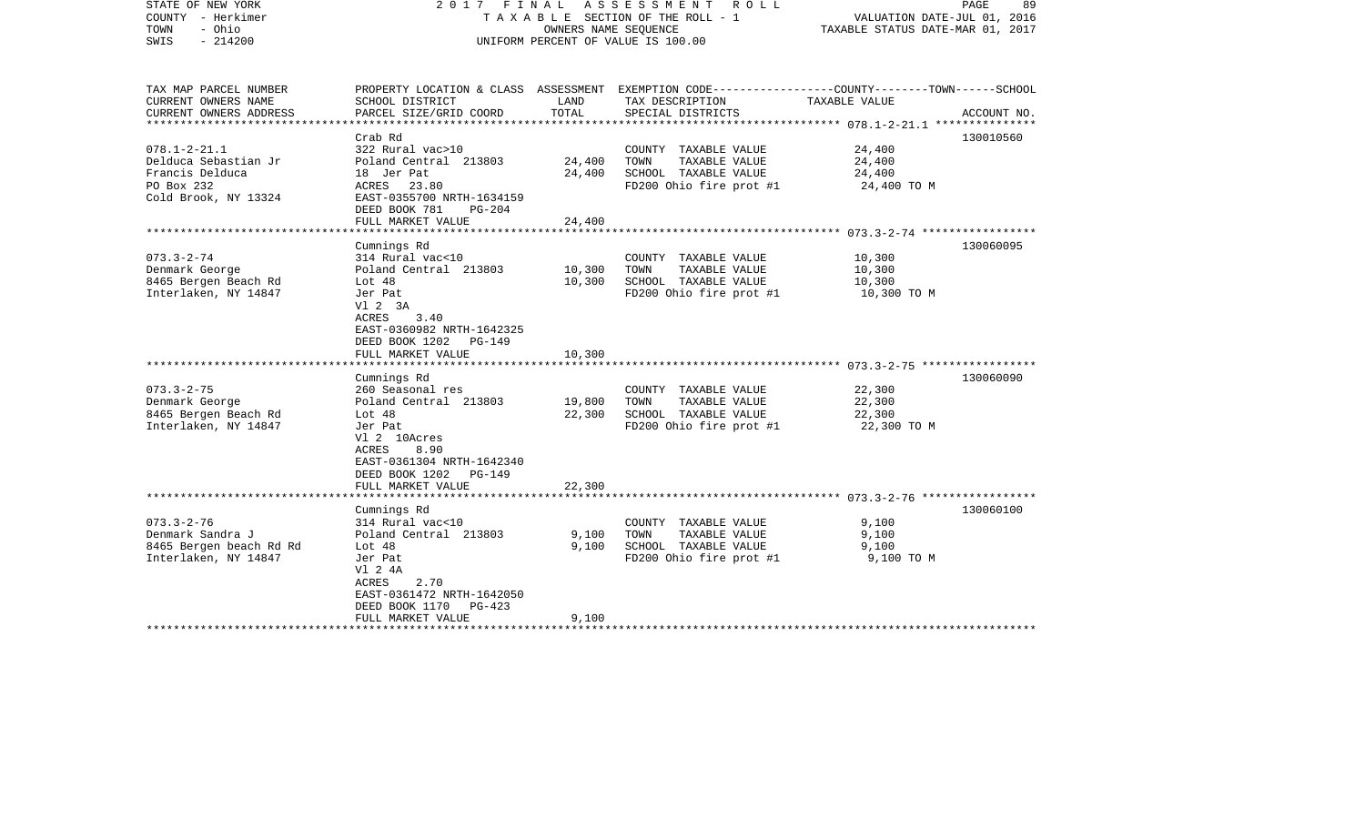| STATE OF NEW YORK<br>COUNTY - Herkimer<br>- Ohio<br>TOWN<br>$-214200$<br>SWIS                       | 2017 FINAL ASSESSMENT<br>ROLL<br>TAXABLE SECTION OF THE ROLL - 1<br>OWNERS NAME SEQUENCE<br>UNIFORM PERCENT OF VALUE IS 100.00                                                                 |                            |                                                                                                                    | PAGE<br>89<br>VALUATION DATE-JUL 01, 2016<br>TAXABLE STATUS DATE-MAR 01, 2017 |             |
|-----------------------------------------------------------------------------------------------------|------------------------------------------------------------------------------------------------------------------------------------------------------------------------------------------------|----------------------------|--------------------------------------------------------------------------------------------------------------------|-------------------------------------------------------------------------------|-------------|
| TAX MAP PARCEL NUMBER<br>CURRENT OWNERS NAME                                                        | SCHOOL DISTRICT                                                                                                                                                                                | LAND                       | PROPERTY LOCATION & CLASS ASSESSMENT EXEMPTION CODE---------------COUNTY-------TOWN------SCHOOL<br>TAX DESCRIPTION | TAXABLE VALUE                                                                 |             |
| CURRENT OWNERS ADDRESS<br>**********************                                                    | PARCEL SIZE/GRID COORD                                                                                                                                                                         | TOTAL                      | SPECIAL DISTRICTS                                                                                                  |                                                                               | ACCOUNT NO. |
|                                                                                                     | Crab Rd                                                                                                                                                                                        |                            |                                                                                                                    |                                                                               | 130010560   |
| $078.1 - 2 - 21.1$<br>Delduca Sebastian Jr<br>Francis Delduca<br>PO Box 232<br>Cold Brook, NY 13324 | 322 Rural vac>10<br>Poland Central 213803<br>18 Jer Pat<br>ACRES 23.80<br>EAST-0355700 NRTH-1634159<br>DEED BOOK 781<br>$PG-204$                                                               | 24,400<br>24,400           | COUNTY TAXABLE VALUE<br>TOWN<br>TAXABLE VALUE<br>SCHOOL TAXABLE VALUE<br>FD200 Ohio fire prot #1                   | 24,400<br>24,400<br>24,400<br>24,400 TO M                                     |             |
|                                                                                                     | FULL MARKET VALUE<br>*******************************                                                                                                                                           | 24,400                     |                                                                                                                    |                                                                               |             |
| $073.3 - 2 - 74$<br>Denmark George                                                                  | Cumnings Rd<br>314 Rural vac<10<br>Poland Central 213803                                                                                                                                       | 10,300                     | COUNTY TAXABLE VALUE<br>TOWN<br>TAXABLE VALUE                                                                      | 10,300<br>10,300                                                              | 130060095   |
| 8465 Bergen Beach Rd<br>Interlaken, NY 14847                                                        | Lot $48$<br>Jer Pat<br>V1 2 3A<br>3.40<br>ACRES<br>EAST-0360982 NRTH-1642325<br>DEED BOOK 1202<br>PG-149<br>FULL MARKET VALUE                                                                  | 10,300<br>10,300           | SCHOOL TAXABLE VALUE<br>FD200 Ohio fire prot #1                                                                    | 10,300<br>10,300 TO M                                                         |             |
|                                                                                                     |                                                                                                                                                                                                |                            |                                                                                                                    |                                                                               |             |
| $073.3 - 2 - 75$<br>Denmark George<br>8465 Bergen Beach Rd<br>Interlaken, NY 14847                  | Cumnings Rd<br>260 Seasonal res<br>Poland Central 213803<br>Lot $48$<br>Jer Pat<br>Vl 2 10Acres<br>ACRES<br>8.90<br>EAST-0361304 NRTH-1642340<br>DEED BOOK 1202<br>PG-149<br>FULL MARKET VALUE | 19,800<br>22,300<br>22,300 | COUNTY TAXABLE VALUE<br>TOWN<br>TAXABLE VALUE<br>SCHOOL TAXABLE VALUE<br>FD200 Ohio fire prot #1                   | 22,300<br>22,300<br>22,300<br>22,300 TO M                                     | 130060090   |
|                                                                                                     | **********************                                                                                                                                                                         |                            |                                                                                                                    |                                                                               |             |
| $073.3 - 2 - 76$<br>Denmark Sandra J<br>8465 Bergen beach Rd Rd<br>Interlaken, NY 14847             | Cumnings Rd<br>314 Rural vac<10<br>Poland Central 213803<br>Lot $48$<br>Jer Pat<br>V1 2 4A<br>2.70<br>ACRES<br>EAST-0361472 NRTH-1642050<br>DEED BOOK 1170<br>PG-423                           | 9,100<br>9,100             | COUNTY TAXABLE VALUE<br>TAXABLE VALUE<br>TOWN<br>SCHOOL TAXABLE VALUE<br>FD200 Ohio fire prot #1                   | 9,100<br>9,100<br>9,100<br>9,100 TO M                                         | 130060100   |
|                                                                                                     | FULL MARKET VALUE                                                                                                                                                                              | 9,100                      |                                                                                                                    |                                                                               |             |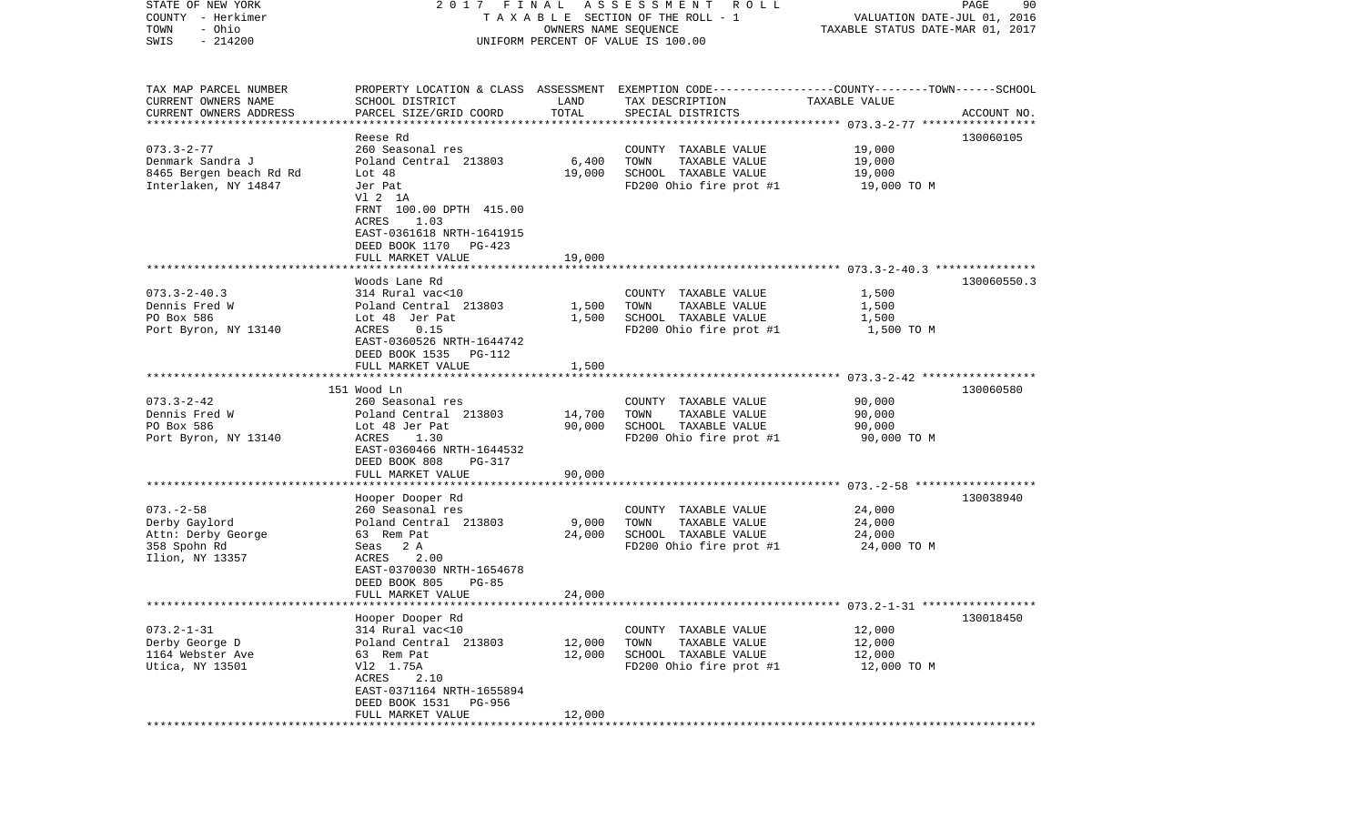| STATE OF NEW YORK<br>COUNTY - Herkimer          | 2017 FINAL<br>TAXABLE SECTION OF THE ROLL - 1                | PAGE<br>90<br>VALUATION DATE-JUL 01, 2016 |                                                                                                 |                       |             |
|-------------------------------------------------|--------------------------------------------------------------|-------------------------------------------|-------------------------------------------------------------------------------------------------|-----------------------|-------------|
| - Ohio<br>TOWN                                  |                                                              | TAXABLE STATUS DATE-MAR 01, 2017          |                                                                                                 |                       |             |
| $-214200$<br>SWIS                               |                                                              | OWNERS NAME SEQUENCE                      | UNIFORM PERCENT OF VALUE IS 100.00                                                              |                       |             |
|                                                 |                                                              |                                           |                                                                                                 |                       |             |
| TAX MAP PARCEL NUMBER                           |                                                              |                                           | PROPERTY LOCATION & CLASS ASSESSMENT EXEMPTION CODE---------------COUNTY-------TOWN------SCHOOL |                       |             |
| CURRENT OWNERS NAME                             | SCHOOL DISTRICT                                              | LAND                                      | TAX DESCRIPTION                                                                                 | TAXABLE VALUE         |             |
| CURRENT OWNERS ADDRESS                          | PARCEL SIZE/GRID COORD                                       | TOTAL                                     | SPECIAL DISTRICTS                                                                               |                       | ACCOUNT NO. |
| *************************                       |                                                              |                                           |                                                                                                 |                       |             |
|                                                 | Reese Rd                                                     |                                           |                                                                                                 |                       | 130060105   |
| $073.3 - 2 - 77$                                | 260 Seasonal res                                             |                                           | COUNTY TAXABLE VALUE                                                                            | 19,000                |             |
| Denmark Sandra J                                | Poland Central 213803                                        | 6,400                                     | TOWN<br>TAXABLE VALUE                                                                           | 19,000                |             |
| 8465 Bergen beach Rd Rd<br>Interlaken, NY 14847 | Lot 48<br>Jer Pat                                            | 19,000                                    | SCHOOL TAXABLE VALUE<br>FD200 Ohio fire prot #1                                                 | 19,000<br>19,000 TO M |             |
|                                                 | V1 2 1A                                                      |                                           |                                                                                                 |                       |             |
|                                                 | FRNT 100.00 DPTH 415.00                                      |                                           |                                                                                                 |                       |             |
|                                                 | ACRES<br>1.03                                                |                                           |                                                                                                 |                       |             |
|                                                 | EAST-0361618 NRTH-1641915                                    |                                           |                                                                                                 |                       |             |
|                                                 | DEED BOOK 1170<br>PG-423                                     |                                           |                                                                                                 |                       |             |
|                                                 | FULL MARKET VALUE                                            | 19,000                                    |                                                                                                 |                       |             |
|                                                 |                                                              |                                           |                                                                                                 |                       |             |
|                                                 | Woods Lane Rd                                                |                                           |                                                                                                 |                       | 130060550.3 |
| $073.3 - 2 - 40.3$                              | 314 Rural vac<10                                             |                                           | COUNTY TAXABLE VALUE                                                                            | 1,500                 |             |
| Dennis Fred W                                   | Poland Central 213803                                        | 1,500                                     | TOWN<br>TAXABLE VALUE                                                                           | 1,500                 |             |
| PO Box 586                                      | Lot 48 Jer Pat                                               | 1,500                                     | SCHOOL TAXABLE VALUE                                                                            | 1,500                 |             |
| Port Byron, NY 13140                            | ACRES<br>0.15<br>EAST-0360526 NRTH-1644742                   |                                           | FD200 Ohio fire prot #1                                                                         | 1,500 TO M            |             |
|                                                 | DEED BOOK 1535<br>PG-112                                     |                                           |                                                                                                 |                       |             |
|                                                 | FULL MARKET VALUE                                            | 1,500                                     |                                                                                                 |                       |             |
|                                                 |                                                              |                                           |                                                                                                 |                       |             |
|                                                 | 151 Wood Ln                                                  |                                           |                                                                                                 |                       | 130060580   |
| $073.3 - 2 - 42$                                | 260 Seasonal res                                             |                                           | COUNTY TAXABLE VALUE                                                                            | 90,000                |             |
| Dennis Fred W                                   | Poland Central 213803                                        | 14,700                                    | TAXABLE VALUE<br>TOWN                                                                           | 90,000                |             |
| PO Box 586                                      | Lot 48 Jer Pat                                               | 90,000                                    | SCHOOL TAXABLE VALUE                                                                            | 90,000                |             |
| Port Byron, NY 13140                            | ACRES<br>1.30                                                |                                           | FD200 Ohio fire prot #1                                                                         | 90,000 TO M           |             |
|                                                 | EAST-0360466 NRTH-1644532                                    |                                           |                                                                                                 |                       |             |
|                                                 | DEED BOOK 808<br>PG-317                                      |                                           |                                                                                                 |                       |             |
|                                                 | FULL MARKET VALUE<br>* * * * * * * * * * * * * * * * * * * * | 90,000                                    |                                                                                                 |                       |             |
|                                                 |                                                              |                                           |                                                                                                 |                       |             |
| $073. - 2 - 58$                                 | Hooper Dooper Rd<br>260 Seasonal res                         |                                           | COUNTY TAXABLE VALUE                                                                            | 24,000                | 130038940   |
| Derby Gaylord                                   | Poland Central 213803                                        | 9,000                                     | TOWN<br>TAXABLE VALUE                                                                           | 24,000                |             |
| Attn: Derby George                              | 63 Rem Pat                                                   | 24,000                                    | SCHOOL TAXABLE VALUE                                                                            | 24,000                |             |
| 358 Spohn Rd                                    | Seas 2A                                                      |                                           | FD200 Ohio fire prot #1                                                                         | 24,000 TO M           |             |
| Ilion, NY 13357                                 | 2.00<br>ACRES                                                |                                           |                                                                                                 |                       |             |
|                                                 | EAST-0370030 NRTH-1654678                                    |                                           |                                                                                                 |                       |             |
|                                                 | DEED BOOK 805<br>$PG-85$                                     |                                           |                                                                                                 |                       |             |
|                                                 | FULL MARKET VALUE                                            | 24,000                                    |                                                                                                 |                       |             |
|                                                 |                                                              |                                           |                                                                                                 |                       |             |
|                                                 | Hooper Dooper Rd                                             |                                           |                                                                                                 |                       | 130018450   |
| $073.2 - 1 - 31$                                | 314 Rural vac<10                                             |                                           | TAXABLE VALUE<br>COUNTY                                                                         | 12,000                |             |
| Derby George D                                  | Poland Central 213803                                        | 12,000                                    | TOWN<br>TAXABLE VALUE                                                                           | 12,000                |             |
| 1164 Webster Ave<br>Utica, NY 13501             | 63 Rem Pat<br>V12 1.75A                                      | 12,000                                    | SCHOOL TAXABLE VALUE<br>FD200 Ohio fire prot #1                                                 | 12,000                |             |
|                                                 | ACRES<br>2.10                                                |                                           |                                                                                                 | 12,000 TO M           |             |
|                                                 | EAST-0371164 NRTH-1655894                                    |                                           |                                                                                                 |                       |             |
|                                                 | DEED BOOK 1531<br>PG-956                                     |                                           |                                                                                                 |                       |             |
|                                                 | FULL MARKET VALUE                                            | 12,000                                    |                                                                                                 |                       |             |
|                                                 | ****************************                                 |                                           |                                                                                                 |                       |             |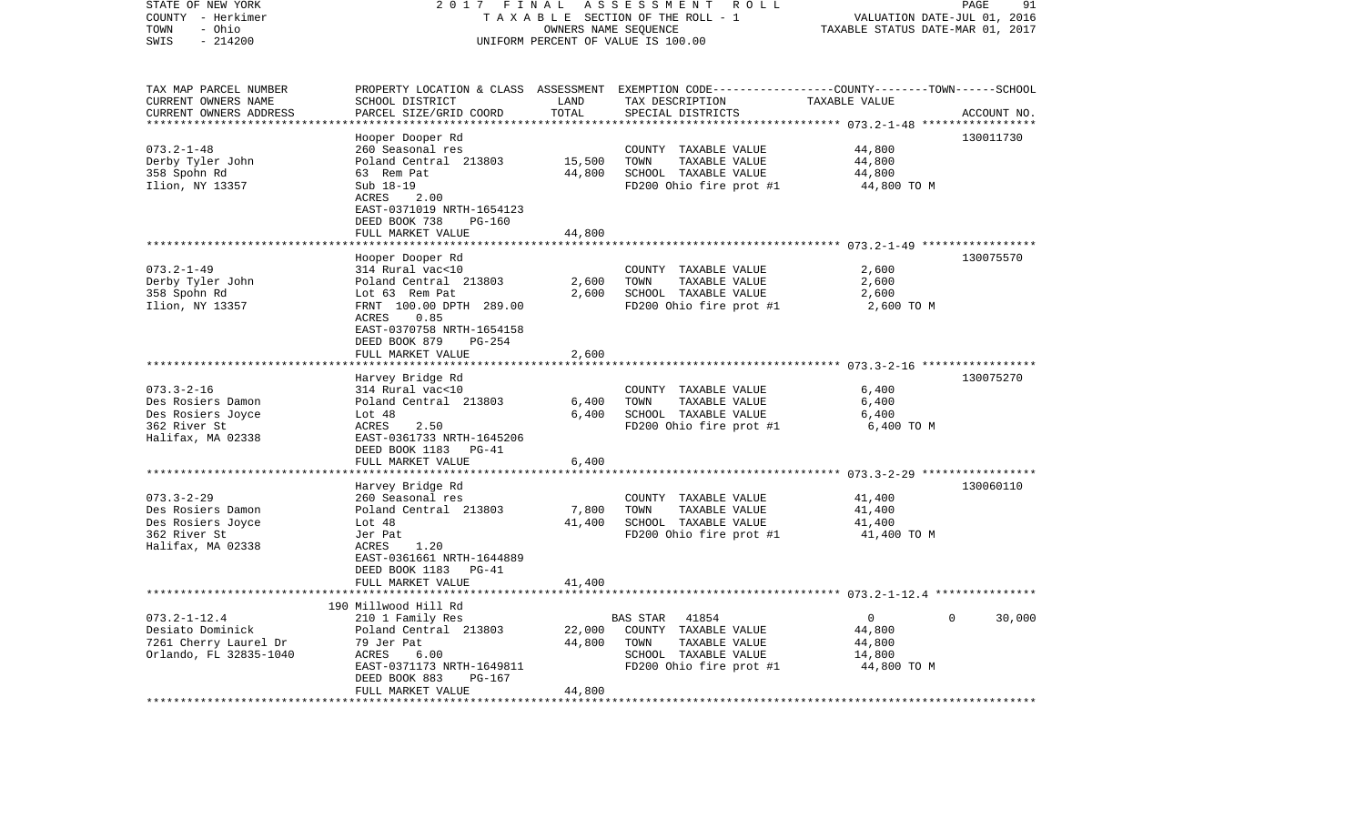| STATE OF NEW YORK<br>COUNTY - Herkimer<br>- Ohio<br>TOWN | 2017<br>FINAL<br>TAXABLE SECTION OF THE ROLL - 1 | PAGE<br>91<br>VALUATION DATE-JUL 01, 2016<br>TAXABLE STATUS DATE-MAR 01, 2017 |                                                                                                  |                                                      |                       |
|----------------------------------------------------------|--------------------------------------------------|-------------------------------------------------------------------------------|--------------------------------------------------------------------------------------------------|------------------------------------------------------|-----------------------|
| $-214200$<br>SWIS                                        |                                                  |                                                                               | UNIFORM PERCENT OF VALUE IS 100.00                                                               |                                                      |                       |
| TAX MAP PARCEL NUMBER                                    |                                                  |                                                                               | PROPERTY LOCATION & CLASS ASSESSMENT EXEMPTION CODE----------------COUNTY-------TOWN------SCHOOL |                                                      |                       |
| CURRENT OWNERS NAME                                      | SCHOOL DISTRICT                                  | LAND                                                                          | TAX DESCRIPTION                                                                                  | TAXABLE VALUE                                        |                       |
| CURRENT OWNERS ADDRESS                                   | PARCEL SIZE/GRID COORD                           | TOTAL                                                                         | SPECIAL DISTRICTS                                                                                | *********** 073.2-1-48 ******************            | ACCOUNT NO.           |
|                                                          | Hooper Dooper Rd                                 |                                                                               |                                                                                                  |                                                      | 130011730             |
| $073.2 - 1 - 48$                                         | 260 Seasonal res                                 |                                                                               | COUNTY TAXABLE VALUE                                                                             | 44,800                                               |                       |
| Derby Tyler John                                         | Poland Central 213803                            | 15,500                                                                        | TOWN<br>TAXABLE VALUE                                                                            | 44,800                                               |                       |
| 358 Spohn Rd                                             | 63 Rem Pat                                       | 44,800                                                                        | SCHOOL TAXABLE VALUE                                                                             | 44,800                                               |                       |
| Ilion, NY 13357                                          | Sub 18-19                                        |                                                                               | FD200 Ohio fire prot #1                                                                          | 44,800 TO M                                          |                       |
|                                                          | 2.00<br>ACRES<br>EAST-0371019 NRTH-1654123       |                                                                               |                                                                                                  |                                                      |                       |
|                                                          | DEED BOOK 738<br>$PG-160$                        |                                                                               |                                                                                                  |                                                      |                       |
|                                                          | FULL MARKET VALUE                                | 44,800                                                                        |                                                                                                  |                                                      |                       |
|                                                          |                                                  |                                                                               |                                                                                                  |                                                      |                       |
|                                                          | Hooper Dooper Rd                                 |                                                                               |                                                                                                  |                                                      | 130075570             |
| $073.2 - 1 - 49$                                         | 314 Rural vac<10                                 |                                                                               | COUNTY TAXABLE VALUE                                                                             | 2,600                                                |                       |
| Derby Tyler John                                         | Poland Central 213803                            | 2,600                                                                         | TOWN<br>TAXABLE VALUE                                                                            | 2,600                                                |                       |
| 358 Spohn Rd                                             | Lot 63 Rem Pat                                   | 2,600                                                                         | SCHOOL TAXABLE VALUE                                                                             | 2,600                                                |                       |
| Ilion, NY 13357                                          | FRNT 100.00 DPTH 289.00<br>ACRES<br>0.85         |                                                                               | FD200 Ohio fire prot #1                                                                          | 2,600 TO M                                           |                       |
|                                                          | EAST-0370758 NRTH-1654158                        |                                                                               |                                                                                                  |                                                      |                       |
|                                                          | DEED BOOK 879<br>PG-254                          |                                                                               |                                                                                                  |                                                      |                       |
|                                                          | FULL MARKET VALUE                                | 2,600                                                                         |                                                                                                  |                                                      |                       |
|                                                          |                                                  |                                                                               |                                                                                                  |                                                      |                       |
|                                                          | Harvey Bridge Rd                                 |                                                                               |                                                                                                  |                                                      | 130075270             |
| $073.3 - 2 - 16$                                         | 314 Rural vac<10                                 |                                                                               | COUNTY TAXABLE VALUE                                                                             | 6,400                                                |                       |
| Des Rosiers Damon<br>Des Rosiers Joyce                   | Poland Central 213803<br>Lot 48                  | 6,400<br>6,400                                                                | TOWN<br>TAXABLE VALUE<br>SCHOOL TAXABLE VALUE                                                    | 6,400<br>6,400                                       |                       |
| 362 River St                                             | ACRES<br>2.50                                    |                                                                               | FD200 Ohio fire prot #1                                                                          | 6,400 TO M                                           |                       |
| Halifax, MA 02338                                        | EAST-0361733 NRTH-1645206                        |                                                                               |                                                                                                  |                                                      |                       |
|                                                          | DEED BOOK 1183 PG-41                             |                                                                               |                                                                                                  |                                                      |                       |
|                                                          | FULL MARKET VALUE                                | 6,400                                                                         |                                                                                                  |                                                      |                       |
|                                                          | *******************************                  |                                                                               |                                                                                                  |                                                      |                       |
|                                                          | Harvey Bridge Rd                                 |                                                                               |                                                                                                  |                                                      | 130060110             |
| $073.3 - 2 - 29$                                         | 260 Seasonal res                                 |                                                                               | COUNTY TAXABLE VALUE                                                                             | 41,400                                               |                       |
| Des Rosiers Damon<br>Des Rosiers Joyce                   | Poland Central 213803<br>Lot $48$                | 7,800<br>41,400                                                               | TOWN<br>TAXABLE VALUE<br>SCHOOL TAXABLE VALUE                                                    | 41,400<br>41,400                                     |                       |
| 362 River St                                             | Jer Pat                                          |                                                                               | FD200 Ohio fire prot #1                                                                          | 41,400 TO M                                          |                       |
| Halifax, MA 02338                                        | 1.20<br>ACRES                                    |                                                                               |                                                                                                  |                                                      |                       |
|                                                          | EAST-0361661 NRTH-1644889                        |                                                                               |                                                                                                  |                                                      |                       |
|                                                          | DEED BOOK 1183<br>PG-41                          |                                                                               |                                                                                                  |                                                      |                       |
|                                                          | FULL MARKET VALUE                                | 41,400                                                                        |                                                                                                  |                                                      |                       |
|                                                          |                                                  |                                                                               |                                                                                                  | *********************** 073.2-1-12.4 *************** |                       |
| $073.2 - 1 - 12.4$                                       | 190 Millwood Hill Rd<br>210 1 Family Res         |                                                                               | BAS STAR<br>41854                                                                                | $\overline{0}$                                       | 30,000<br>$\mathbf 0$ |
| Desiato Dominick                                         | Poland Central 213803                            | 22,000                                                                        | COUNTY TAXABLE VALUE                                                                             | 44,800                                               |                       |
| 7261 Cherry Laurel Dr                                    | 79 Jer Pat                                       | 44,800                                                                        | TOWN<br>TAXABLE VALUE                                                                            | 44,800                                               |                       |
| Orlando, FL 32835-1040                                   | ACRES<br>6.00                                    |                                                                               | SCHOOL TAXABLE VALUE                                                                             | 14,800                                               |                       |
|                                                          | EAST-0371173 NRTH-1649811                        |                                                                               | FD200 Ohio fire prot #1                                                                          | 44,800 TO M                                          |                       |
|                                                          | DEED BOOK 883<br>PG-167                          |                                                                               |                                                                                                  |                                                      |                       |
|                                                          | FULL MARKET VALUE                                | 44,800<br>************                                                        |                                                                                                  |                                                      |                       |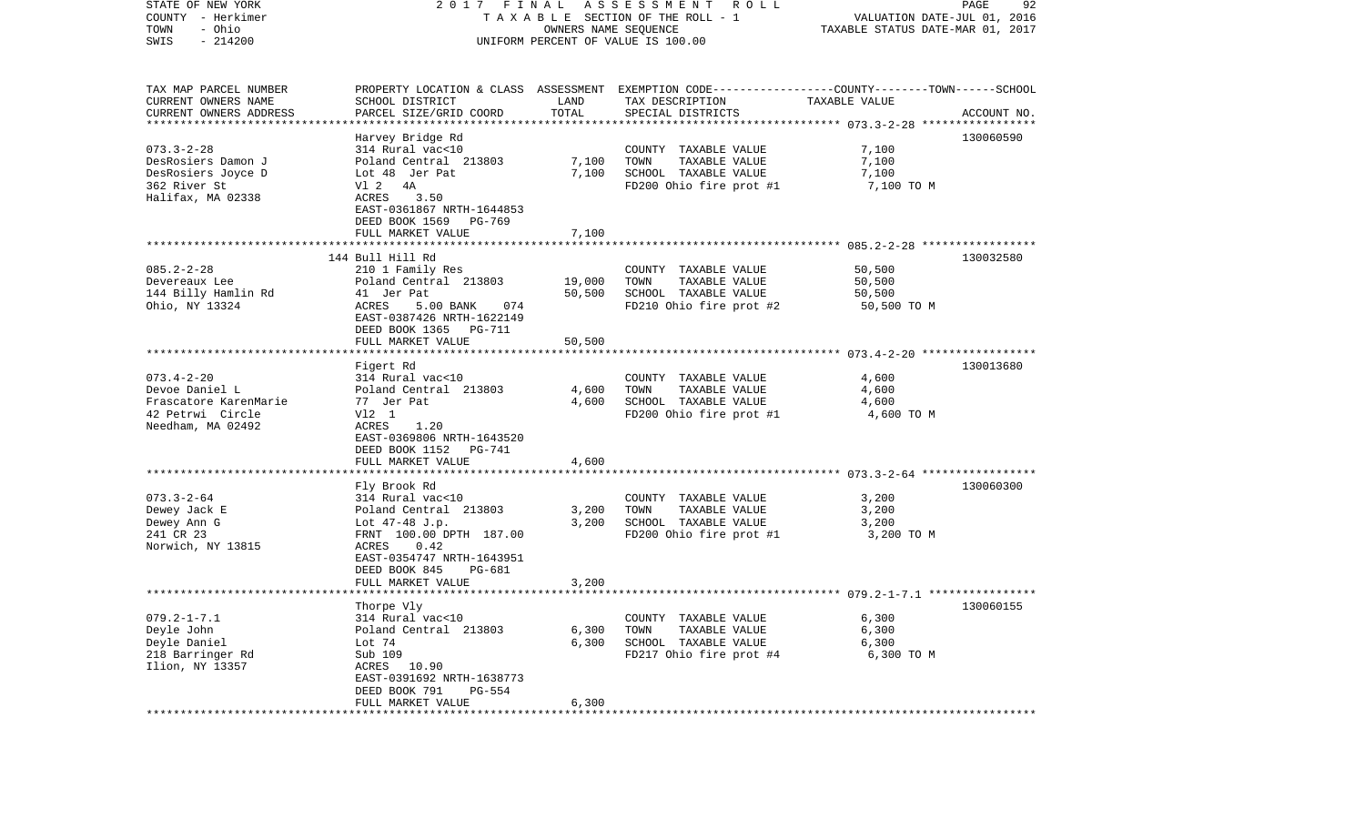| STATE OF NEW YORK<br>COUNTY - Herkimer<br>- Ohio<br>TOWN<br>$-214200$<br>SWIS | 2017 FINAL<br>A S S E S S M E N T<br>R O L L<br>TAXABLE SECTION OF THE ROLL - 1<br>OWNERS NAME SEQUENCE<br>UNIFORM PERCENT OF VALUE IS 100.00 |                |                                                                                                                    | PAGE<br>92<br>VALUATION DATE-JUL 01, 2016<br>TAXABLE STATUS DATE-MAR 01, 2017 |             |  |
|-------------------------------------------------------------------------------|-----------------------------------------------------------------------------------------------------------------------------------------------|----------------|--------------------------------------------------------------------------------------------------------------------|-------------------------------------------------------------------------------|-------------|--|
| TAX MAP PARCEL NUMBER<br>CURRENT OWNERS NAME                                  | SCHOOL DISTRICT                                                                                                                               | LAND           | PROPERTY LOCATION & CLASS ASSESSMENT EXEMPTION CODE---------------COUNTY-------TOWN------SCHOOL<br>TAX DESCRIPTION | TAXABLE VALUE                                                                 |             |  |
| CURRENT OWNERS ADDRESS                                                        | PARCEL SIZE/GRID COORD                                                                                                                        | TOTAL          | SPECIAL DISTRICTS                                                                                                  |                                                                               | ACCOUNT NO. |  |
| **********************                                                        |                                                                                                                                               |                |                                                                                                                    |                                                                               | 130060590   |  |
| $073.3 - 2 - 28$                                                              | Harvey Bridge Rd<br>314 Rural vac<10                                                                                                          |                | COUNTY TAXABLE VALUE                                                                                               | 7,100                                                                         |             |  |
| DesRosiers Damon J                                                            | Poland Central 213803                                                                                                                         | 7,100          | TOWN<br>TAXABLE VALUE                                                                                              | 7,100                                                                         |             |  |
| DesRosiers Joyce D                                                            | Lot 48 Jer Pat                                                                                                                                | 7,100          | SCHOOL TAXABLE VALUE                                                                                               | 7,100                                                                         |             |  |
| 362 River St                                                                  | V1 2 4A                                                                                                                                       |                | FD200 Ohio fire prot #1                                                                                            | 7,100 TO M                                                                    |             |  |
| Halifax, MA 02338                                                             | ACRES<br>3.50                                                                                                                                 |                |                                                                                                                    |                                                                               |             |  |
|                                                                               | EAST-0361867 NRTH-1644853                                                                                                                     |                |                                                                                                                    |                                                                               |             |  |
|                                                                               | DEED BOOK 1569<br>PG-769                                                                                                                      |                |                                                                                                                    |                                                                               |             |  |
|                                                                               | FULL MARKET VALUE                                                                                                                             | 7,100          |                                                                                                                    |                                                                               |             |  |
|                                                                               | 144 Bull Hill Rd                                                                                                                              |                |                                                                                                                    |                                                                               | 130032580   |  |
| $085.2 - 2 - 28$                                                              | 210 1 Family Res                                                                                                                              |                | COUNTY TAXABLE VALUE                                                                                               | 50,500                                                                        |             |  |
| Devereaux Lee                                                                 | Poland Central 213803                                                                                                                         | 19,000         | TOWN<br>TAXABLE VALUE                                                                                              | 50,500                                                                        |             |  |
| 144 Billy Hamlin Rd                                                           | 41 Jer Pat                                                                                                                                    | 50,500         | SCHOOL TAXABLE VALUE                                                                                               | 50,500                                                                        |             |  |
| Ohio, NY 13324                                                                | ACRES<br>5.00 BANK<br>074<br>EAST-0387426 NRTH-1622149<br>DEED BOOK 1365 PG-711                                                               |                | FD210 Ohio fire prot #2                                                                                            | 50,500 TO M                                                                   |             |  |
|                                                                               | FULL MARKET VALUE                                                                                                                             | 50,500         |                                                                                                                    |                                                                               |             |  |
|                                                                               |                                                                                                                                               |                |                                                                                                                    |                                                                               |             |  |
|                                                                               | Figert Rd                                                                                                                                     |                |                                                                                                                    |                                                                               | 130013680   |  |
| $073.4 - 2 - 20$                                                              | 314 Rural vac<10                                                                                                                              |                | COUNTY TAXABLE VALUE                                                                                               | 4,600                                                                         |             |  |
| Devoe Daniel L<br>Frascatore KarenMarie                                       | Poland Central 213803<br>77 Jer Pat                                                                                                           | 4,600<br>4,600 | TOWN<br>TAXABLE VALUE<br>SCHOOL TAXABLE VALUE                                                                      | 4,600<br>4,600                                                                |             |  |
| 42 Petrwi Circle                                                              | V12 1                                                                                                                                         |                | FD200 Ohio fire prot #1                                                                                            | 4,600 TO M                                                                    |             |  |
| Needham, MA 02492                                                             | ACRES<br>1.20                                                                                                                                 |                |                                                                                                                    |                                                                               |             |  |
|                                                                               | EAST-0369806 NRTH-1643520                                                                                                                     |                |                                                                                                                    |                                                                               |             |  |
|                                                                               | DEED BOOK 1152<br>PG-741                                                                                                                      |                |                                                                                                                    |                                                                               |             |  |
|                                                                               | FULL MARKET VALUE                                                                                                                             | 4,600          |                                                                                                                    |                                                                               |             |  |
|                                                                               | ********************                                                                                                                          |                |                                                                                                                    |                                                                               |             |  |
| $073.3 - 2 - 64$                                                              | Fly Brook Rd<br>314 Rural vac<10                                                                                                              |                | COUNTY TAXABLE VALUE                                                                                               | 3,200                                                                         | 130060300   |  |
| Dewey Jack E                                                                  | Poland Central 213803                                                                                                                         | 3,200          | TOWN<br>TAXABLE VALUE                                                                                              | 3,200                                                                         |             |  |
| Dewey Ann G                                                                   | Lot $47-48$ J.p.                                                                                                                              | 3,200          | SCHOOL TAXABLE VALUE                                                                                               | 3,200                                                                         |             |  |
| 241 CR 23                                                                     | FRNT 100.00 DPTH 187.00                                                                                                                       |                | FD200 Ohio fire prot #1                                                                                            | 3,200 TO M                                                                    |             |  |
| Norwich, NY 13815                                                             | 0.42<br>ACRES                                                                                                                                 |                |                                                                                                                    |                                                                               |             |  |
|                                                                               | EAST-0354747 NRTH-1643951                                                                                                                     |                |                                                                                                                    |                                                                               |             |  |
|                                                                               | DEED BOOK 845<br>PG-681                                                                                                                       | 3,200          |                                                                                                                    |                                                                               |             |  |
|                                                                               | FULL MARKET VALUE                                                                                                                             |                |                                                                                                                    |                                                                               |             |  |
|                                                                               | Thorpe Vly                                                                                                                                    |                |                                                                                                                    |                                                                               | 130060155   |  |
| $079.2 - 1 - 7.1$                                                             | 314 Rural vac<10                                                                                                                              |                | COUNTY TAXABLE VALUE                                                                                               | 6,300                                                                         |             |  |
| Deyle John                                                                    | Poland Central 213803                                                                                                                         | 6,300          | TOWN<br>TAXABLE VALUE                                                                                              | 6,300                                                                         |             |  |
| Deyle Daniel                                                                  | Lot 74                                                                                                                                        | 6,300          | SCHOOL TAXABLE VALUE                                                                                               | 6,300                                                                         |             |  |
| 218 Barringer Rd                                                              | Sub 109                                                                                                                                       |                | FD217 Ohio fire prot #4                                                                                            | 6,300 TO M                                                                    |             |  |
| Ilion, NY 13357                                                               | ACRES 10.90<br>EAST-0391692 NRTH-1638773                                                                                                      |                |                                                                                                                    |                                                                               |             |  |
|                                                                               | DEED BOOK 791<br>PG-554                                                                                                                       |                |                                                                                                                    |                                                                               |             |  |
|                                                                               | FULL MARKET VALUE                                                                                                                             | 6,300          |                                                                                                                    |                                                                               |             |  |
|                                                                               | *********************                                                                                                                         |                |                                                                                                                    |                                                                               |             |  |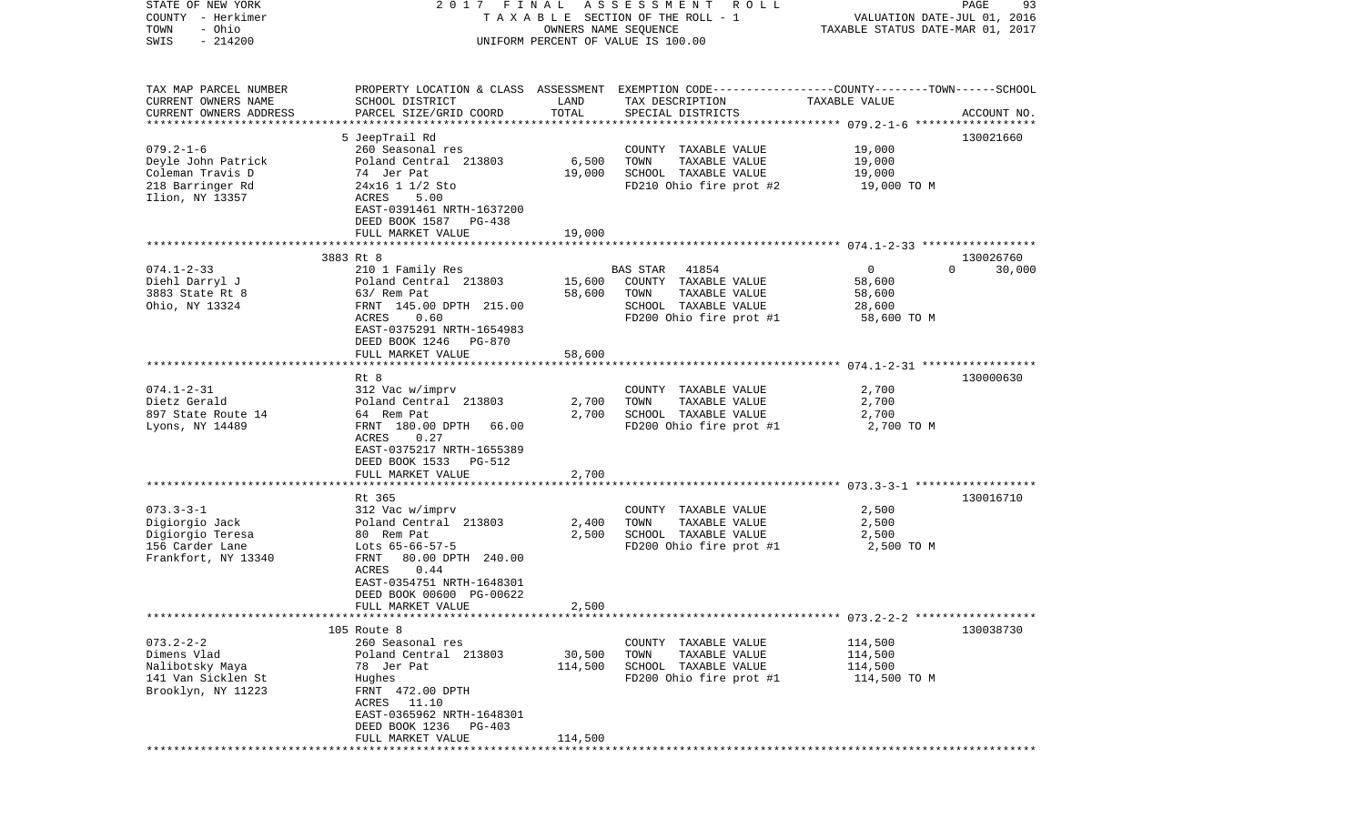| COUNTY<br>- Herkimer<br>- Ohio<br>TOWN           | T A X A B L E SECTION OF THE ROLL - 1                 | VALUATION DATE-JUL 01, 2016<br>TAXABLE STATUS DATE-MAR 01, 2017 |                                                                                                 |                    |                    |
|--------------------------------------------------|-------------------------------------------------------|-----------------------------------------------------------------|-------------------------------------------------------------------------------------------------|--------------------|--------------------|
| $-214200$<br>SWIS                                | UNIFORM PERCENT OF VALUE IS 100.00                    |                                                                 |                                                                                                 |                    |                    |
|                                                  |                                                       |                                                                 |                                                                                                 |                    |                    |
| TAX MAP PARCEL NUMBER                            |                                                       |                                                                 | PROPERTY LOCATION & CLASS ASSESSMENT EXEMPTION CODE---------------COUNTY-------TOWN------SCHOOL |                    |                    |
| CURRENT OWNERS NAME                              | SCHOOL DISTRICT                                       | LAND                                                            | TAX DESCRIPTION                                                                                 | TAXABLE VALUE      |                    |
| CURRENT OWNERS ADDRESS<br>********************** | PARCEL SIZE/GRID COORD                                | TOTAL                                                           | SPECIAL DISTRICTS                                                                               |                    | ACCOUNT NO.        |
|                                                  | 5 JeepTrail Rd                                        |                                                                 |                                                                                                 |                    | 130021660          |
| $079.2 - 1 - 6$                                  | 260 Seasonal res                                      |                                                                 | COUNTY TAXABLE VALUE                                                                            | 19,000             |                    |
| Deyle John Patrick                               | Poland Central 213803                                 | 6,500                                                           | TOWN<br>TAXABLE VALUE                                                                           | 19,000             |                    |
| Coleman Travis D                                 | 74 Jer Pat                                            | 19,000                                                          | SCHOOL TAXABLE VALUE                                                                            | 19,000             |                    |
| 218 Barringer Rd                                 | 24x16 1 1/2 Sto                                       |                                                                 | FD210 Ohio fire prot #2                                                                         | 19,000 TO M        |                    |
| Ilion, NY 13357                                  | 5.00<br>ACRES                                         |                                                                 |                                                                                                 |                    |                    |
|                                                  | EAST-0391461 NRTH-1637200                             |                                                                 |                                                                                                 |                    |                    |
|                                                  | DEED BOOK 1587 PG-438                                 |                                                                 |                                                                                                 |                    |                    |
|                                                  | FULL MARKET VALUE                                     | 19,000                                                          |                                                                                                 |                    |                    |
|                                                  | 3883 Rt 8                                             |                                                                 |                                                                                                 |                    | 130026760          |
| $074.1 - 2 - 33$                                 | 210 1 Family Res                                      |                                                                 | 41854<br>BAS STAR                                                                               | $\mathbf 0$        | 30,000<br>$\Omega$ |
| Diehl Darryl J                                   | Poland Central 213803                                 | 15,600                                                          | COUNTY TAXABLE VALUE                                                                            | 58,600             |                    |
| 3883 State Rt 8                                  | 63/ Rem Pat                                           | 58,600                                                          | TOWN<br>TAXABLE VALUE                                                                           | 58,600             |                    |
| Ohio, NY 13324                                   | FRNT 145.00 DPTH 215.00                               |                                                                 | SCHOOL TAXABLE VALUE                                                                            | 28,600             |                    |
|                                                  | 0.60<br>ACRES                                         |                                                                 | FD200 Ohio fire prot #1                                                                         | 58,600 TO M        |                    |
|                                                  | EAST-0375291 NRTH-1654983                             |                                                                 |                                                                                                 |                    |                    |
|                                                  | DEED BOOK 1246<br>PG-870<br>FULL MARKET VALUE         | 58,600                                                          |                                                                                                 |                    |                    |
|                                                  |                                                       |                                                                 |                                                                                                 |                    |                    |
|                                                  | Rt 8                                                  |                                                                 |                                                                                                 |                    | 130000630          |
| $074.1 - 2 - 31$                                 | 312 Vac w/imprv                                       |                                                                 | COUNTY TAXABLE VALUE                                                                            | 2,700              |                    |
| Dietz Gerald                                     | Poland Central 213803                                 | 2,700                                                           | TAXABLE VALUE<br>TOWN                                                                           | 2,700              |                    |
| 897 State Route 14                               | 64 Rem Pat                                            | 2,700                                                           | SCHOOL TAXABLE VALUE                                                                            | 2,700              |                    |
| Lyons, NY 14489                                  | FRNT 180.00 DPTH 66.00                                |                                                                 | FD200 Ohio fire prot #1                                                                         | 2,700 TO M         |                    |
|                                                  | ACRES<br>0.27                                         |                                                                 |                                                                                                 |                    |                    |
|                                                  | EAST-0375217 NRTH-1655389<br>DEED BOOK 1533<br>PG-512 |                                                                 |                                                                                                 |                    |                    |
|                                                  | FULL MARKET VALUE                                     | 2,700                                                           |                                                                                                 |                    |                    |
|                                                  | **********************                                |                                                                 |                                                                                                 |                    |                    |
|                                                  | Rt 365                                                |                                                                 |                                                                                                 |                    | 130016710          |
| $073.3 - 3 - 1$                                  | 312 Vac w/imprv                                       |                                                                 | COUNTY TAXABLE VALUE                                                                            | 2,500              |                    |
| Digiorgio Jack                                   | Poland Central 213803                                 | 2,400                                                           | TAXABLE VALUE<br>TOWN                                                                           | 2,500              |                    |
| Digiorgio Teresa                                 | 80 Rem Pat                                            | 2,500                                                           | SCHOOL TAXABLE VALUE                                                                            | 2,500              |                    |
| 156 Carder Lane                                  | Lots $65-66-57-5$<br>FRNT                             |                                                                 | FD200 Ohio fire prot #1                                                                         | 2,500 TO M         |                    |
| Frankfort, NY 13340                              | 80.00 DPTH 240.00<br>0.44<br>ACRES                    |                                                                 |                                                                                                 |                    |                    |
|                                                  | EAST-0354751 NRTH-1648301                             |                                                                 |                                                                                                 |                    |                    |
|                                                  | DEED BOOK 00600 PG-00622                              |                                                                 |                                                                                                 |                    |                    |
|                                                  | FULL MARKET VALUE                                     | 2,500                                                           |                                                                                                 |                    |                    |
|                                                  |                                                       |                                                                 |                                                                                                 |                    |                    |
|                                                  | 105 Route 8                                           |                                                                 |                                                                                                 |                    | 130038730          |
| $073.2 - 2 - 2$                                  | 260 Seasonal res                                      |                                                                 | COUNTY TAXABLE VALUE                                                                            | 114,500            |                    |
| Dimens Vlad<br>Nalibotsky Maya                   | Poland Central 213803<br>78 Jer Pat                   | 30,500<br>114,500                                               | TAXABLE VALUE<br>TOWN<br>SCHOOL TAXABLE VALUE                                                   | 114,500<br>114,500 |                    |
| 141 Van Sicklen St                               | Hughes                                                |                                                                 | FD200 Ohio fire prot #1                                                                         | 114,500 TO M       |                    |
| Brooklyn, NY 11223                               | FRNT 472.00 DPTH                                      |                                                                 |                                                                                                 |                    |                    |
|                                                  | ACRES<br>11.10                                        |                                                                 |                                                                                                 |                    |                    |
|                                                  | EAST-0365962 NRTH-1648301                             |                                                                 |                                                                                                 |                    |                    |
|                                                  | DEED BOOK 1236<br>PG-403                              |                                                                 |                                                                                                 |                    |                    |
|                                                  | FULL MARKET VALUE                                     | 114,500                                                         |                                                                                                 |                    |                    |
|                                                  |                                                       |                                                                 |                                                                                                 |                    |                    |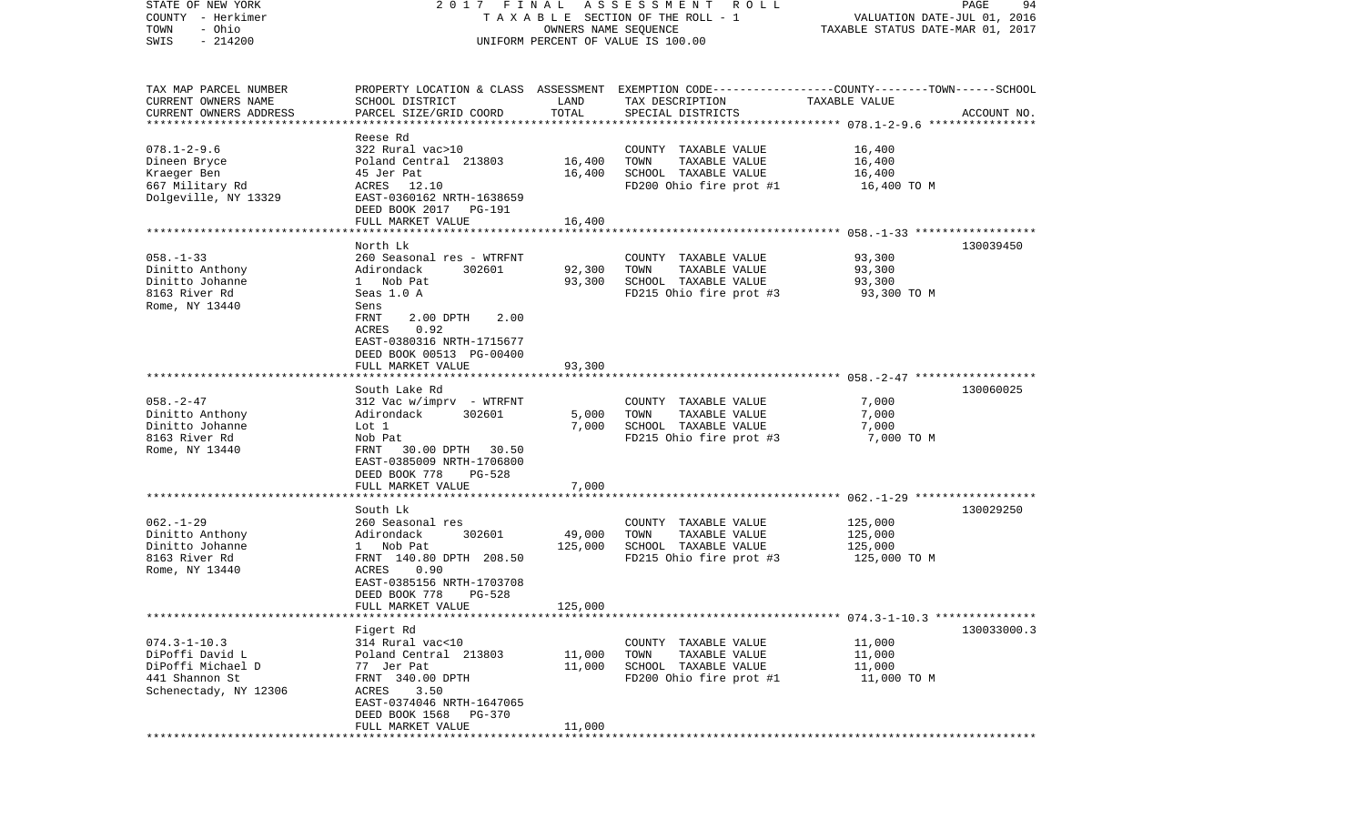| STATE OF NEW YORK                             | 2017 FINAL                        |                      | A S S E S S M E N T R O L L                                                                      |                                  | PAGE<br>94  |
|-----------------------------------------------|-----------------------------------|----------------------|--------------------------------------------------------------------------------------------------|----------------------------------|-------------|
| COUNTY - Herkimer                             |                                   |                      | TAXABLE SECTION OF THE ROLL - 1                                                                  | VALUATION DATE-JUL 01, 2016      |             |
| - Ohio<br>TOWN                                |                                   | OWNERS NAME SEQUENCE |                                                                                                  | TAXABLE STATUS DATE-MAR 01, 2017 |             |
| $-214200$<br>SWIS                             |                                   |                      | UNIFORM PERCENT OF VALUE IS 100.00                                                               |                                  |             |
|                                               |                                   |                      |                                                                                                  |                                  |             |
| TAX MAP PARCEL NUMBER                         |                                   |                      | PROPERTY LOCATION & CLASS ASSESSMENT EXEMPTION CODE----------------COUNTY-------TOWN------SCHOOL |                                  |             |
|                                               |                                   | LAND                 |                                                                                                  | TAXABLE VALUE                    |             |
| CURRENT OWNERS NAME<br>CURRENT OWNERS ADDRESS | SCHOOL DISTRICT                   | TOTAL                | TAX DESCRIPTION                                                                                  |                                  |             |
| *************************                     | PARCEL SIZE/GRID COORD            |                      | SPECIAL DISTRICTS                                                                                |                                  | ACCOUNT NO. |
|                                               | Reese Rd                          |                      |                                                                                                  |                                  |             |
| $078.1 - 2 - 9.6$                             | 322 Rural vac>10                  |                      | COUNTY TAXABLE VALUE                                                                             | 16,400                           |             |
| Dineen Bryce                                  | Poland Central 213803             | 16,400               | TOWN<br>TAXABLE VALUE                                                                            | 16,400                           |             |
| Kraeger Ben                                   | 45 Jer Pat                        | 16,400               | SCHOOL TAXABLE VALUE                                                                             | 16,400                           |             |
| 667 Military Rd                               | ACRES<br>12.10                    |                      | FD200 Ohio fire prot #1                                                                          | 16,400 TO M                      |             |
| Dolgeville, NY 13329                          | EAST-0360162 NRTH-1638659         |                      |                                                                                                  |                                  |             |
|                                               | DEED BOOK 2017 PG-191             |                      |                                                                                                  |                                  |             |
|                                               | FULL MARKET VALUE                 | 16,400               |                                                                                                  |                                  |             |
|                                               | North Lk                          |                      |                                                                                                  |                                  | 130039450   |
| $058. - 1 - 33$                               | 260 Seasonal res - WTRFNT         |                      | COUNTY TAXABLE VALUE                                                                             | 93,300                           |             |
| Dinitto Anthony                               | Adirondack<br>302601              | 92,300               | TAXABLE VALUE<br>TOWN                                                                            | 93,300                           |             |
| Dinitto Johanne                               | 1 Nob Pat                         | 93,300               | SCHOOL TAXABLE VALUE                                                                             | 93,300                           |             |
| 8163 River Rd                                 | Seas 1.0 A                        |                      | FD215 Ohio fire prot #3                                                                          | 93,300 TO M                      |             |
|                                               |                                   |                      |                                                                                                  |                                  |             |
| Rome, NY 13440                                | Sens<br>FRNT<br>2.00 DPTH<br>2.00 |                      |                                                                                                  |                                  |             |
|                                               | ACRES<br>0.92                     |                      |                                                                                                  |                                  |             |
|                                               | EAST-0380316 NRTH-1715677         |                      |                                                                                                  |                                  |             |
|                                               | DEED BOOK 00513 PG-00400          |                      |                                                                                                  |                                  |             |
|                                               | FULL MARKET VALUE                 | 93,300               |                                                                                                  |                                  |             |
|                                               |                                   |                      |                                                                                                  |                                  |             |
|                                               | South Lake Rd                     |                      |                                                                                                  |                                  | 130060025   |
| $058. - 2 - 47$                               | $312$ Vac w/imprv - WTRFNT        |                      | COUNTY TAXABLE VALUE                                                                             | 7,000                            |             |
| Dinitto Anthony                               | Adirondack<br>302601              | 5,000                | TAXABLE VALUE<br>TOWN                                                                            | 7,000                            |             |
| Dinitto Johanne                               | Lot 1                             | 7,000                | SCHOOL TAXABLE VALUE                                                                             | 7,000                            |             |
| 8163 River Rd                                 | Nob Pat                           |                      | FD215 Ohio fire prot #3                                                                          | 7,000 TO M                       |             |
| Rome, NY 13440                                | FRNT<br>30.00 DPTH 30.50          |                      |                                                                                                  |                                  |             |
|                                               | EAST-0385009 NRTH-1706800         |                      |                                                                                                  |                                  |             |
|                                               | DEED BOOK 778<br>PG-528           |                      |                                                                                                  |                                  |             |
|                                               | FULL MARKET VALUE                 | 7,000                |                                                                                                  |                                  |             |
|                                               | ************************          |                      |                                                                                                  |                                  |             |
|                                               | South Lk                          |                      |                                                                                                  |                                  | 130029250   |
| $062. -1 - 29$                                | 260 Seasonal res                  |                      | COUNTY TAXABLE VALUE                                                                             | 125,000                          |             |
| Dinitto Anthony                               | Adirondack<br>302601              | 49,000               | TOWN<br>TAXABLE VALUE                                                                            | 125,000                          |             |
| Dinitto Johanne                               | 1 Nob Pat                         | 125,000              | SCHOOL TAXABLE VALUE                                                                             | 125,000                          |             |
| 8163 River Rd                                 | FRNT 140.80 DPTH 208.50           |                      | FD215 Ohio fire prot #3                                                                          | 125,000 TO M                     |             |
| Rome, NY 13440                                | ACRES<br>0.90                     |                      |                                                                                                  |                                  |             |
|                                               | EAST-0385156 NRTH-1703708         |                      |                                                                                                  |                                  |             |
|                                               | DEED BOOK 778<br><b>PG-528</b>    |                      |                                                                                                  |                                  |             |
|                                               | FULL MARKET VALUE                 | 125,000              |                                                                                                  |                                  |             |
|                                               |                                   |                      |                                                                                                  |                                  |             |
|                                               | Figert Rd                         |                      |                                                                                                  |                                  | 130033000.3 |
| $074.3 - 1 - 10.3$                            | 314 Rural vac<10                  |                      | COUNTY TAXABLE VALUE                                                                             | 11,000                           |             |
| DiPoffi David L                               | Poland Central 213803             | 11,000               | TOWN<br>TAXABLE VALUE                                                                            | 11,000                           |             |
| DiPoffi Michael D                             | 77 Jer Pat                        | 11,000               | SCHOOL TAXABLE VALUE                                                                             | 11,000                           |             |
| 441 Shannon St                                | FRNT 340.00 DPTH                  |                      | FD200 Ohio fire prot #1                                                                          | 11,000 TO M                      |             |
| Schenectady, NY 12306                         | 3.50<br>ACRES                     |                      |                                                                                                  |                                  |             |
|                                               | EAST-0374046 NRTH-1647065         |                      |                                                                                                  |                                  |             |
|                                               | DEED BOOK 1568<br>PG-370          |                      |                                                                                                  |                                  |             |
|                                               | FULL MARKET VALUE                 | 11,000               |                                                                                                  |                                  |             |
|                                               |                                   |                      |                                                                                                  |                                  |             |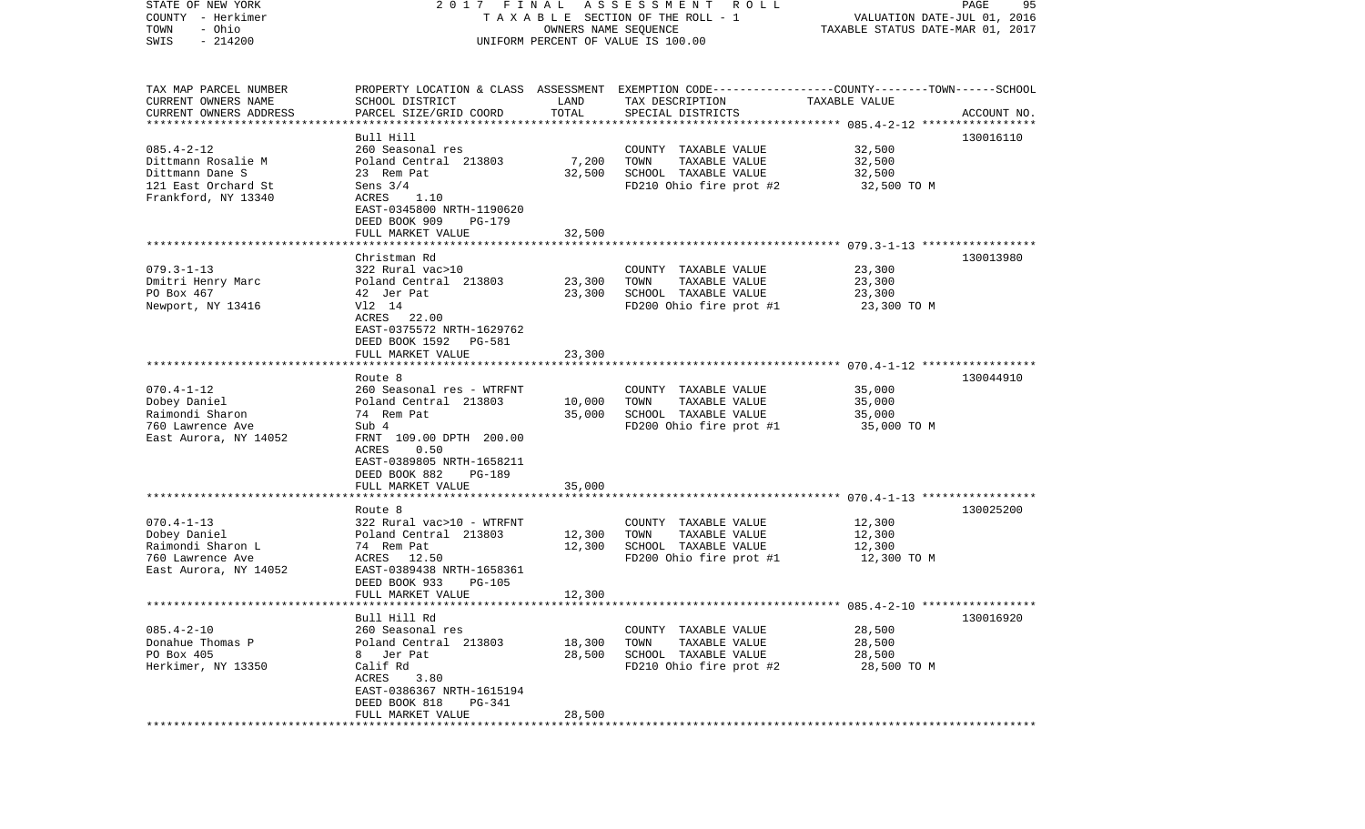| STATE OF NEW YORK      |                                      |                                  | 2017 FINAL ASSESSMENT ROLL<br>TAXABLE SECTION OF THE ROLL - 1                                    |               | PAGE<br>95  |
|------------------------|--------------------------------------|----------------------------------|--------------------------------------------------------------------------------------------------|---------------|-------------|
| COUNTY - Herkimer      |                                      | VALUATION DATE-JUL 01, 2016      |                                                                                                  |               |             |
| - Ohio<br>TOWN         |                                      | TAXABLE STATUS DATE-MAR 01, 2017 |                                                                                                  |               |             |
| $-214200$<br>SWIS      |                                      |                                  | UNIFORM PERCENT OF VALUE IS 100.00                                                               |               |             |
|                        |                                      |                                  |                                                                                                  |               |             |
| TAX MAP PARCEL NUMBER  |                                      |                                  | PROPERTY LOCATION & CLASS ASSESSMENT EXEMPTION CODE----------------COUNTY-------TOWN------SCHOOL |               |             |
| CURRENT OWNERS NAME    | SCHOOL DISTRICT                      | LAND                             | TAX DESCRIPTION                                                                                  | TAXABLE VALUE |             |
| CURRENT OWNERS ADDRESS | PARCEL SIZE/GRID COORD               | TOTAL                            | SPECIAL DISTRICTS                                                                                |               | ACCOUNT NO. |
| ********************** |                                      |                                  |                                                                                                  |               |             |
| $085.4 - 2 - 12$       | Bull Hill<br>260 Seasonal res        |                                  | COUNTY TAXABLE VALUE                                                                             | 32,500        | 130016110   |
| Dittmann Rosalie M     | Poland Central 213803                | 7,200                            | TOWN<br>TAXABLE VALUE                                                                            | 32,500        |             |
| Dittmann Dane S        | 23 Rem Pat                           | 32,500                           | SCHOOL TAXABLE VALUE                                                                             | 32,500        |             |
| 121 East Orchard St    | Sens $3/4$                           |                                  | FD210 Ohio fire prot #2                                                                          | 32,500 TO M   |             |
| Frankford, NY 13340    | ACRES<br>1.10                        |                                  |                                                                                                  |               |             |
|                        | EAST-0345800 NRTH-1190620            |                                  |                                                                                                  |               |             |
|                        | DEED BOOK 909<br>PG-179              |                                  |                                                                                                  |               |             |
|                        | FULL MARKET VALUE                    | 32,500                           |                                                                                                  |               |             |
|                        |                                      |                                  |                                                                                                  |               |             |
|                        | Christman Rd                         |                                  |                                                                                                  |               | 130013980   |
| $079.3 - 1 - 13$       | 322 Rural vac>10                     |                                  | COUNTY TAXABLE VALUE                                                                             | 23,300        |             |
| Dmitri Henry Marc      | Poland Central 213803                | 23,300                           | TAXABLE VALUE<br>TOWN                                                                            | 23,300        |             |
| PO Box 467             | 42 Jer Pat                           | 23,300                           | SCHOOL TAXABLE VALUE                                                                             | 23,300        |             |
| Newport, NY 13416      | V12 14                               |                                  | FD200 Ohio fire prot #1                                                                          | 23,300 TO M   |             |
|                        | ACRES 22.00                          |                                  |                                                                                                  |               |             |
|                        | EAST-0375572 NRTH-1629762            |                                  |                                                                                                  |               |             |
|                        | DEED BOOK 1592<br>PG-581             |                                  |                                                                                                  |               |             |
|                        | FULL MARKET VALUE                    | 23,300                           |                                                                                                  |               |             |
|                        |                                      |                                  |                                                                                                  |               |             |
| $070.4 - 1 - 12$       | Route 8<br>260 Seasonal res - WTRFNT |                                  | COUNTY TAXABLE VALUE                                                                             | 35,000        | 130044910   |
| Dobey Daniel           | Poland Central 213803                | 10,000                           | TAXABLE VALUE<br>TOWN                                                                            | 35,000        |             |
| Raimondi Sharon        | 74 Rem Pat                           | 35,000                           | SCHOOL TAXABLE VALUE                                                                             | 35,000        |             |
| 760 Lawrence Ave       | Sub 4                                |                                  | FD200 Ohio fire prot #1                                                                          | 35,000 TO M   |             |
| East Aurora, NY 14052  | FRNT 109.00 DPTH 200.00              |                                  |                                                                                                  |               |             |
|                        | 0.50<br>ACRES                        |                                  |                                                                                                  |               |             |
|                        | EAST-0389805 NRTH-1658211            |                                  |                                                                                                  |               |             |
|                        | DEED BOOK 882<br>PG-189              |                                  |                                                                                                  |               |             |
|                        | FULL MARKET VALUE                    | 35,000                           |                                                                                                  |               |             |
|                        | ***********************              | ********                         |                                                                                                  |               |             |
|                        | Route 8                              |                                  |                                                                                                  |               | 130025200   |
| $070.4 - 1 - 13$       | 322 Rural vac>10 - WTRFNT            |                                  | COUNTY TAXABLE VALUE                                                                             | 12,300        |             |
| Dobey Daniel           | Poland Central 213803                | 12,300                           | TOWN<br>TAXABLE VALUE                                                                            | 12,300        |             |
| Raimondi Sharon L      | 74 Rem Pat                           | 12,300                           | SCHOOL TAXABLE VALUE                                                                             | 12,300        |             |
| 760 Lawrence Ave       | ACRES<br>12.50                       |                                  | FD200 Ohio fire prot #1                                                                          | 12,300 TO M   |             |
| East Aurora, NY 14052  | EAST-0389438 NRTH-1658361            |                                  |                                                                                                  |               |             |
|                        | DEED BOOK 933<br><b>PG-105</b>       |                                  |                                                                                                  |               |             |
|                        | FULL MARKET VALUE                    | 12,300                           |                                                                                                  |               |             |
|                        | Bull Hill Rd                         |                                  |                                                                                                  |               | 130016920   |
| $085.4 - 2 - 10$       | 260 Seasonal res                     |                                  | COUNTY TAXABLE VALUE                                                                             | 28,500        |             |
| Donahue Thomas P       | Poland Central 213803                | 18,300                           | TOWN<br>TAXABLE VALUE                                                                            | 28,500        |             |
| PO Box 405             | Jer Pat<br>8                         | 28,500                           | SCHOOL TAXABLE VALUE                                                                             | 28,500        |             |
| Herkimer, NY 13350     | Calif Rd                             |                                  | FD210 Ohio fire prot #2                                                                          | 28,500 TO M   |             |
|                        | 3.80<br>ACRES                        |                                  |                                                                                                  |               |             |
|                        | EAST-0386367 NRTH-1615194            |                                  |                                                                                                  |               |             |
|                        | DEED BOOK 818<br><b>PG-341</b>       |                                  |                                                                                                  |               |             |
|                        | FULL MARKET VALUE                    | 28,500                           |                                                                                                  |               |             |
|                        |                                      |                                  |                                                                                                  |               |             |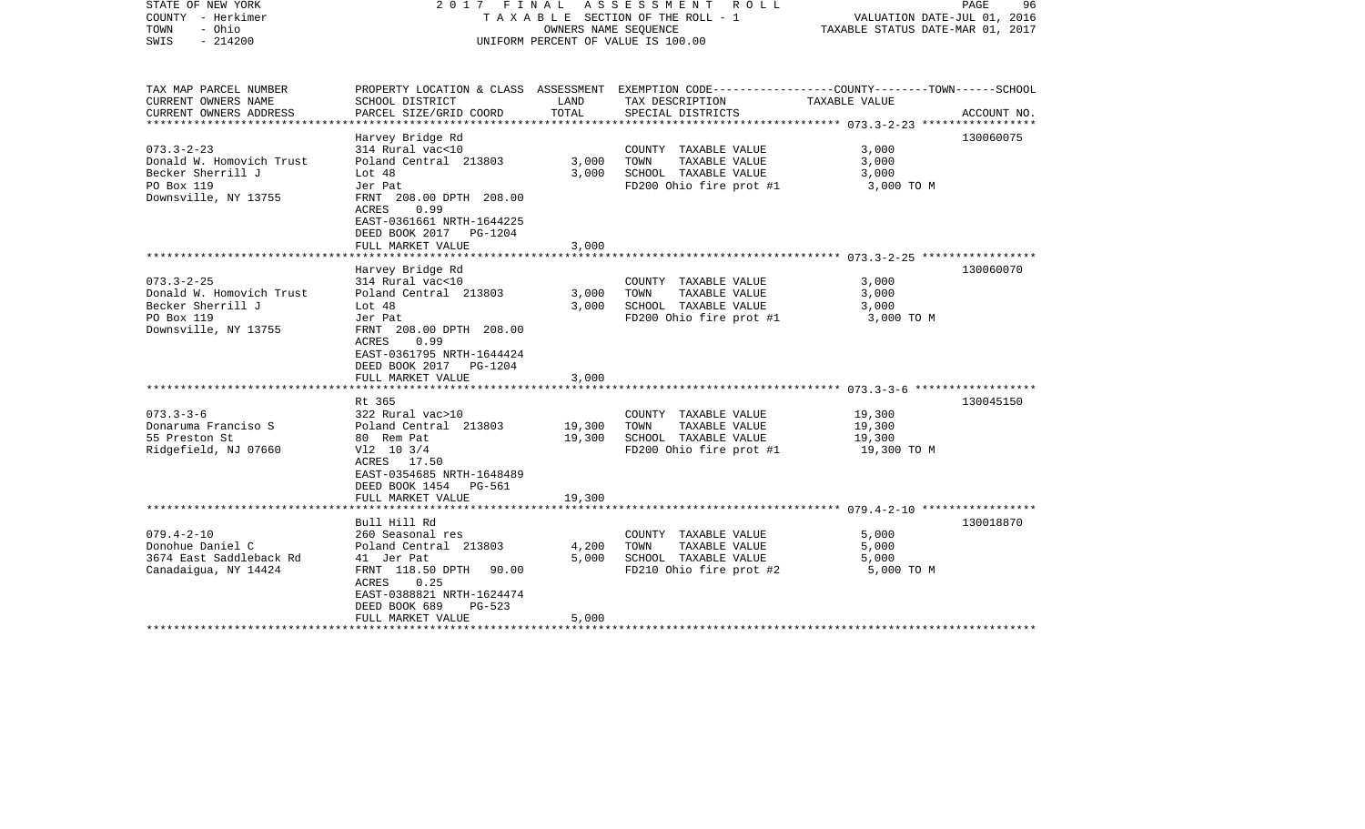| TAX MAP PARCEL NUMBER<br>PROPERTY LOCATION & CLASS ASSESSMENT EXEMPTION CODE---------------COUNTY-------TOWN------SCHOOL<br>CURRENT OWNERS NAME<br>SCHOOL DISTRICT<br>LAND<br>TAX DESCRIPTION<br>TAXABLE VALUE<br>CURRENT OWNERS ADDRESS<br>PARCEL SIZE/GRID COORD<br>TOTAL<br>SPECIAL DISTRICTS<br>ACCOUNT NO.<br>Harvey Bridge Rd<br>130060075<br>$073.3 - 2 - 23$<br>314 Rural vac<10<br>3,000<br>COUNTY TAXABLE VALUE<br>Donald W. Homovich Trust<br>Poland Central 213803<br>TAXABLE VALUE<br>3,000<br>3,000<br>TOWN<br>Becker Sherrill J<br>3,000<br>SCHOOL TAXABLE VALUE<br>Lot $48$<br>3,000<br>PO Box 119<br>FD200 Ohio fire prot #1<br>Jer Pat<br>3,000 TO M<br>Downsville, NY 13755<br>FRNT 208.00 DPTH 208.00<br>0.99<br>ACRES<br>EAST-0361661 NRTH-1644225<br>DEED BOOK 2017 PG-1204<br>FULL MARKET VALUE<br>3,000<br>Harvey Bridge Rd<br>130060070<br>$073.3 - 2 - 25$<br>314 Rural vac<10<br>COUNTY TAXABLE VALUE<br>3,000<br>Donald W. Homovich Trust<br>Poland Central 213803<br>3,000<br>TAXABLE VALUE<br>3,000<br>TOWN<br>Becker Sherrill J<br>3,000<br>SCHOOL TAXABLE VALUE<br>Lot 48<br>3,000<br>PO Box 119<br>Jer Pat<br>FD200 Ohio fire prot #1<br>3,000 TO M<br>Downsville, NY 13755<br>FRNT 208.00 DPTH 208.00<br>ACRES<br>0.99<br>EAST-0361795 NRTH-1644424<br>DEED BOOK 2017 PG-1204 |
|-----------------------------------------------------------------------------------------------------------------------------------------------------------------------------------------------------------------------------------------------------------------------------------------------------------------------------------------------------------------------------------------------------------------------------------------------------------------------------------------------------------------------------------------------------------------------------------------------------------------------------------------------------------------------------------------------------------------------------------------------------------------------------------------------------------------------------------------------------------------------------------------------------------------------------------------------------------------------------------------------------------------------------------------------------------------------------------------------------------------------------------------------------------------------------------------------------------------------------------------------------------------------------------------------------------------|
|                                                                                                                                                                                                                                                                                                                                                                                                                                                                                                                                                                                                                                                                                                                                                                                                                                                                                                                                                                                                                                                                                                                                                                                                                                                                                                                 |
|                                                                                                                                                                                                                                                                                                                                                                                                                                                                                                                                                                                                                                                                                                                                                                                                                                                                                                                                                                                                                                                                                                                                                                                                                                                                                                                 |
|                                                                                                                                                                                                                                                                                                                                                                                                                                                                                                                                                                                                                                                                                                                                                                                                                                                                                                                                                                                                                                                                                                                                                                                                                                                                                                                 |
|                                                                                                                                                                                                                                                                                                                                                                                                                                                                                                                                                                                                                                                                                                                                                                                                                                                                                                                                                                                                                                                                                                                                                                                                                                                                                                                 |
|                                                                                                                                                                                                                                                                                                                                                                                                                                                                                                                                                                                                                                                                                                                                                                                                                                                                                                                                                                                                                                                                                                                                                                                                                                                                                                                 |
|                                                                                                                                                                                                                                                                                                                                                                                                                                                                                                                                                                                                                                                                                                                                                                                                                                                                                                                                                                                                                                                                                                                                                                                                                                                                                                                 |
|                                                                                                                                                                                                                                                                                                                                                                                                                                                                                                                                                                                                                                                                                                                                                                                                                                                                                                                                                                                                                                                                                                                                                                                                                                                                                                                 |
|                                                                                                                                                                                                                                                                                                                                                                                                                                                                                                                                                                                                                                                                                                                                                                                                                                                                                                                                                                                                                                                                                                                                                                                                                                                                                                                 |
|                                                                                                                                                                                                                                                                                                                                                                                                                                                                                                                                                                                                                                                                                                                                                                                                                                                                                                                                                                                                                                                                                                                                                                                                                                                                                                                 |
|                                                                                                                                                                                                                                                                                                                                                                                                                                                                                                                                                                                                                                                                                                                                                                                                                                                                                                                                                                                                                                                                                                                                                                                                                                                                                                                 |
|                                                                                                                                                                                                                                                                                                                                                                                                                                                                                                                                                                                                                                                                                                                                                                                                                                                                                                                                                                                                                                                                                                                                                                                                                                                                                                                 |
|                                                                                                                                                                                                                                                                                                                                                                                                                                                                                                                                                                                                                                                                                                                                                                                                                                                                                                                                                                                                                                                                                                                                                                                                                                                                                                                 |
|                                                                                                                                                                                                                                                                                                                                                                                                                                                                                                                                                                                                                                                                                                                                                                                                                                                                                                                                                                                                                                                                                                                                                                                                                                                                                                                 |
| 3,000<br>FULL MARKET VALUE                                                                                                                                                                                                                                                                                                                                                                                                                                                                                                                                                                                                                                                                                                                                                                                                                                                                                                                                                                                                                                                                                                                                                                                                                                                                                      |
|                                                                                                                                                                                                                                                                                                                                                                                                                                                                                                                                                                                                                                                                                                                                                                                                                                                                                                                                                                                                                                                                                                                                                                                                                                                                                                                 |
| Rt 365<br>130045150                                                                                                                                                                                                                                                                                                                                                                                                                                                                                                                                                                                                                                                                                                                                                                                                                                                                                                                                                                                                                                                                                                                                                                                                                                                                                             |
| $073.3 - 3 - 6$<br>322 Rural vac>10<br>19,300<br>COUNTY TAXABLE VALUE                                                                                                                                                                                                                                                                                                                                                                                                                                                                                                                                                                                                                                                                                                                                                                                                                                                                                                                                                                                                                                                                                                                                                                                                                                           |
| Poland Central 213803<br>19,300<br>Donaruma Franciso S<br>TOWN<br>TAXABLE VALUE<br>19,300<br>55 Preston St<br>80 Rem Pat<br>19,300<br>SCHOOL TAXABLE VALUE<br>19,300                                                                                                                                                                                                                                                                                                                                                                                                                                                                                                                                                                                                                                                                                                                                                                                                                                                                                                                                                                                                                                                                                                                                            |
| Ridgefield, NJ 07660<br>$V12$ 10 3/4<br>FD200 Ohio fire prot #1<br>19,300 TO M<br>ACRES 17.50<br>EAST-0354685 NRTH-1648489                                                                                                                                                                                                                                                                                                                                                                                                                                                                                                                                                                                                                                                                                                                                                                                                                                                                                                                                                                                                                                                                                                                                                                                      |
| DEED BOOK 1454 PG-561                                                                                                                                                                                                                                                                                                                                                                                                                                                                                                                                                                                                                                                                                                                                                                                                                                                                                                                                                                                                                                                                                                                                                                                                                                                                                           |
| 19,300<br>FULL MARKET VALUE                                                                                                                                                                                                                                                                                                                                                                                                                                                                                                                                                                                                                                                                                                                                                                                                                                                                                                                                                                                                                                                                                                                                                                                                                                                                                     |
|                                                                                                                                                                                                                                                                                                                                                                                                                                                                                                                                                                                                                                                                                                                                                                                                                                                                                                                                                                                                                                                                                                                                                                                                                                                                                                                 |
| Bull Hill Rd<br>130018870                                                                                                                                                                                                                                                                                                                                                                                                                                                                                                                                                                                                                                                                                                                                                                                                                                                                                                                                                                                                                                                                                                                                                                                                                                                                                       |
| $079.4 - 2 - 10$<br>260 Seasonal res<br>5,000<br>COUNTY TAXABLE VALUE<br>Donohue Daniel C<br>Poland Central 213803<br>4,200<br>TOWN<br>TAXABLE VALUE<br>5,000                                                                                                                                                                                                                                                                                                                                                                                                                                                                                                                                                                                                                                                                                                                                                                                                                                                                                                                                                                                                                                                                                                                                                   |
| 3674 East Saddleback Rd<br>5,000<br>SCHOOL TAXABLE VALUE<br>41 Jer Pat<br>5,000                                                                                                                                                                                                                                                                                                                                                                                                                                                                                                                                                                                                                                                                                                                                                                                                                                                                                                                                                                                                                                                                                                                                                                                                                                 |
| Canadaigua, NY 14424<br>FRNT 118.50 DPTH 90.00<br>FD210 Ohio fire prot #2<br>5,000 TO M<br>0.25<br>ACRES<br>EAST-0388821 NRTH-1624474                                                                                                                                                                                                                                                                                                                                                                                                                                                                                                                                                                                                                                                                                                                                                                                                                                                                                                                                                                                                                                                                                                                                                                           |
| DEED BOOK 689<br>$PG-523$                                                                                                                                                                                                                                                                                                                                                                                                                                                                                                                                                                                                                                                                                                                                                                                                                                                                                                                                                                                                                                                                                                                                                                                                                                                                                       |
| FULL MARKET VALUE<br>5,000                                                                                                                                                                                                                                                                                                                                                                                                                                                                                                                                                                                                                                                                                                                                                                                                                                                                                                                                                                                                                                                                                                                                                                                                                                                                                      |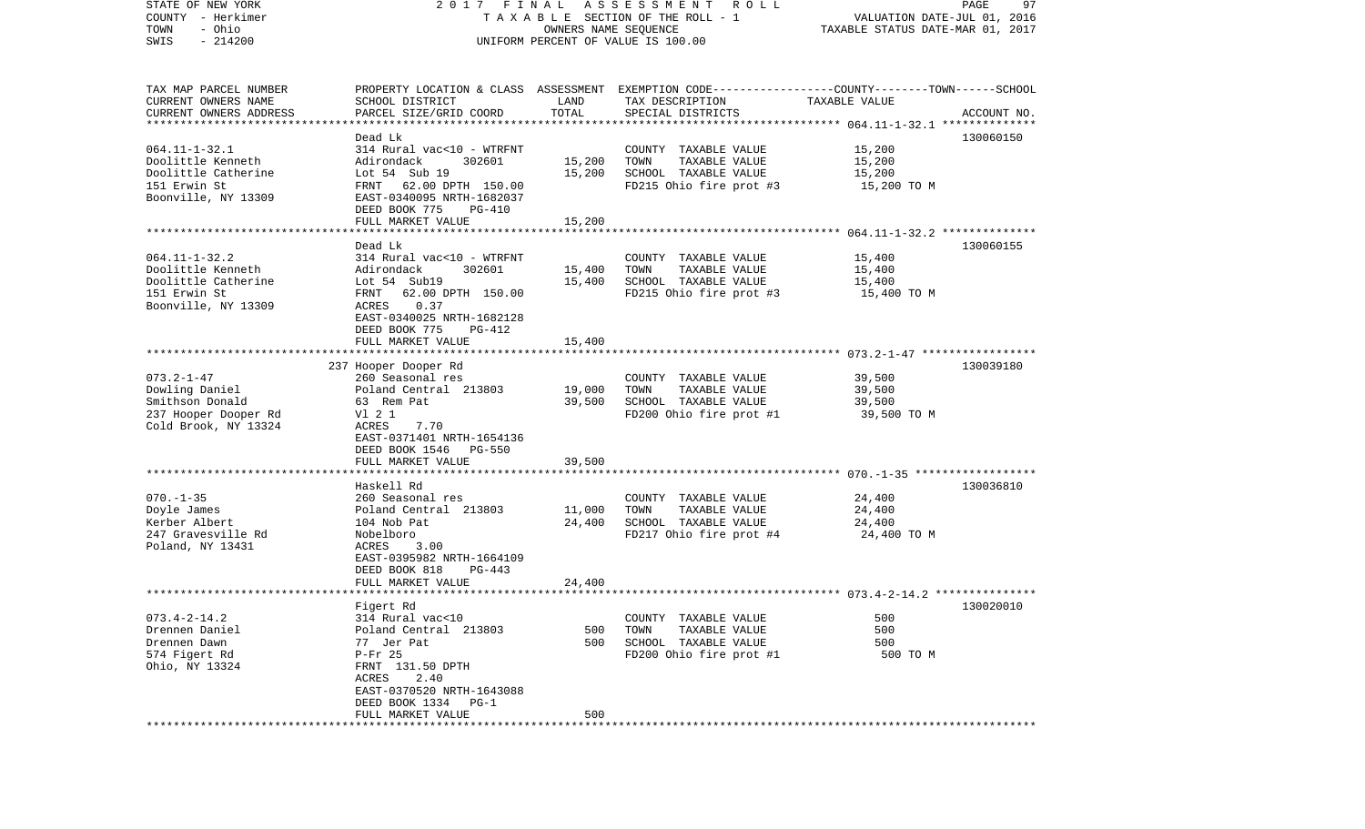| STATE OF NEW YORK        | 2017 FINAL                |                      | A S S E S S M E N T R O L L                                                                     |                                  | 97<br>PAGE  |
|--------------------------|---------------------------|----------------------|-------------------------------------------------------------------------------------------------|----------------------------------|-------------|
| COUNTY - Herkimer        |                           |                      | TAXABLE SECTION OF THE ROLL - 1                                                                 | VALUATION DATE-JUL 01, 2016      |             |
| - Ohio<br>TOWN           |                           | OWNERS NAME SEQUENCE |                                                                                                 | TAXABLE STATUS DATE-MAR 01, 2017 |             |
| $-214200$<br>SWIS        |                           |                      | UNIFORM PERCENT OF VALUE IS 100.00                                                              |                                  |             |
|                          |                           |                      |                                                                                                 |                                  |             |
|                          |                           |                      |                                                                                                 |                                  |             |
| TAX MAP PARCEL NUMBER    |                           |                      | PROPERTY LOCATION & CLASS ASSESSMENT EXEMPTION CODE---------------COUNTY-------TOWN------SCHOOL |                                  |             |
| CURRENT OWNERS NAME      | SCHOOL DISTRICT           | LAND                 | TAX DESCRIPTION                                                                                 | TAXABLE VALUE                    |             |
| CURRENT OWNERS ADDRESS   | PARCEL SIZE/GRID COORD    | TOTAL                | SPECIAL DISTRICTS                                                                               |                                  | ACCOUNT NO. |
| ************************ |                           |                      |                                                                                                 |                                  |             |
|                          | Dead Lk                   |                      |                                                                                                 |                                  | 130060150   |
| $064.11 - 1 - 32.1$      | 314 Rural vac<10 - WTRFNT |                      | COUNTY TAXABLE VALUE                                                                            | 15,200                           |             |
| Doolittle Kenneth        | Adirondack<br>302601      | 15,200               | TAXABLE VALUE<br>TOWN                                                                           | 15,200                           |             |
| Doolittle Catherine      | Lot 54 Sub 19             | 15,200               | SCHOOL TAXABLE VALUE                                                                            | 15,200                           |             |
| 151 Erwin St             | FRNT 62.00 DPTH 150.00    |                      | FD215 Ohio fire prot #3                                                                         | 15,200 TO M                      |             |
| Boonville, NY 13309      | EAST-0340095 NRTH-1682037 |                      |                                                                                                 |                                  |             |
|                          | DEED BOOK 775<br>PG-410   |                      |                                                                                                 |                                  |             |
|                          | FULL MARKET VALUE         | 15,200               |                                                                                                 |                                  |             |
|                          |                           |                      |                                                                                                 |                                  |             |
|                          | Dead Lk                   |                      |                                                                                                 |                                  | 130060155   |
| $064.11 - 1 - 32.2$      | 314 Rural vac<10 - WTRFNT |                      | COUNTY TAXABLE VALUE                                                                            | 15,400                           |             |
| Doolittle Kenneth        | Adirondack<br>302601      | 15,400               | TAXABLE VALUE<br>TOWN                                                                           | 15,400                           |             |
| Doolittle Catherine      | Lot 54 Sub19              | 15,400               | SCHOOL TAXABLE VALUE                                                                            | 15,400                           |             |
| 151 Erwin St             | FRNT 62.00 DPTH 150.00    |                      | FD215 Ohio fire prot #3                                                                         | 15,400 TO M                      |             |
| Boonville, NY 13309      | 0.37<br>ACRES             |                      |                                                                                                 |                                  |             |
|                          | EAST-0340025 NRTH-1682128 |                      |                                                                                                 |                                  |             |
|                          | DEED BOOK 775<br>PG-412   |                      |                                                                                                 |                                  |             |
|                          | FULL MARKET VALUE         | 15,400               |                                                                                                 |                                  |             |
|                          |                           |                      |                                                                                                 |                                  |             |
|                          | 237 Hooper Dooper Rd      |                      |                                                                                                 |                                  | 130039180   |
| $073.2 - 1 - 47$         | 260 Seasonal res          |                      | COUNTY TAXABLE VALUE                                                                            | 39,500                           |             |
| Dowling Daniel           | Poland Central 213803     | 19,000               | TAXABLE VALUE<br>TOWN                                                                           | 39,500                           |             |
| Smithson Donald          | 63 Rem Pat                | 39,500               | SCHOOL TAXABLE VALUE                                                                            | 39,500                           |             |
| 237 Hooper Dooper Rd     | V1 2 1                    |                      | FD200 Ohio fire prot #1                                                                         | 39,500 TO M                      |             |
| Cold Brook, NY 13324     | ACRES<br>7.70             |                      |                                                                                                 |                                  |             |
|                          | EAST-0371401 NRTH-1654136 |                      |                                                                                                 |                                  |             |
|                          | DEED BOOK 1546 PG-550     |                      |                                                                                                 |                                  |             |
|                          | FULL MARKET VALUE         | 39,500               |                                                                                                 |                                  |             |
|                          | *******************       |                      |                                                                                                 |                                  |             |
|                          |                           |                      |                                                                                                 |                                  |             |
|                          | Haskell Rd                |                      |                                                                                                 |                                  | 130036810   |
| $070. - 1 - 35$          | 260 Seasonal res          |                      | COUNTY TAXABLE VALUE                                                                            | 24,400                           |             |
| Doyle James              | Poland Central 213803     | 11,000               | TAXABLE VALUE<br>TOWN                                                                           | 24,400                           |             |
| Kerber Albert            | 104 Nob Pat               | 24,400               | SCHOOL TAXABLE VALUE                                                                            | 24,400                           |             |
| 247 Gravesville Rd       | Nobelboro                 |                      | FD217 Ohio fire prot #4                                                                         | 24,400 TO M                      |             |
| Poland, NY 13431         | 3.00<br>ACRES             |                      |                                                                                                 |                                  |             |
|                          | EAST-0395982 NRTH-1664109 |                      |                                                                                                 |                                  |             |
|                          | DEED BOOK 818<br>$PG-443$ |                      |                                                                                                 |                                  |             |
|                          | FULL MARKET VALUE         | 24,400               |                                                                                                 |                                  |             |
|                          |                           |                      |                                                                                                 |                                  |             |
|                          | Figert Rd                 |                      |                                                                                                 |                                  | 130020010   |
| $073.4 - 2 - 14.2$       | 314 Rural vac<10          |                      | COUNTY TAXABLE VALUE                                                                            | 500                              |             |
| Drennen Daniel           | Poland Central 213803     | 500                  | TAXABLE VALUE<br>TOWN                                                                           | 500                              |             |
| Drennen Dawn             | 77 Jer Pat                | 500                  | SCHOOL TAXABLE VALUE                                                                            | 500                              |             |
| 574 Figert Rd            | $P-Fr$ 25                 |                      | FD200 Ohio fire prot #1                                                                         | 500 TO M                         |             |
| Ohio, NY 13324           | FRNT 131.50 DPTH          |                      |                                                                                                 |                                  |             |
|                          | ACRES<br>2.40             |                      |                                                                                                 |                                  |             |
|                          | EAST-0370520 NRTH-1643088 |                      |                                                                                                 |                                  |             |
|                          | DEED BOOK 1334 PG-1       |                      |                                                                                                 |                                  |             |
|                          | FULL MARKET VALUE         | 500                  |                                                                                                 |                                  |             |
|                          |                           |                      |                                                                                                 |                                  |             |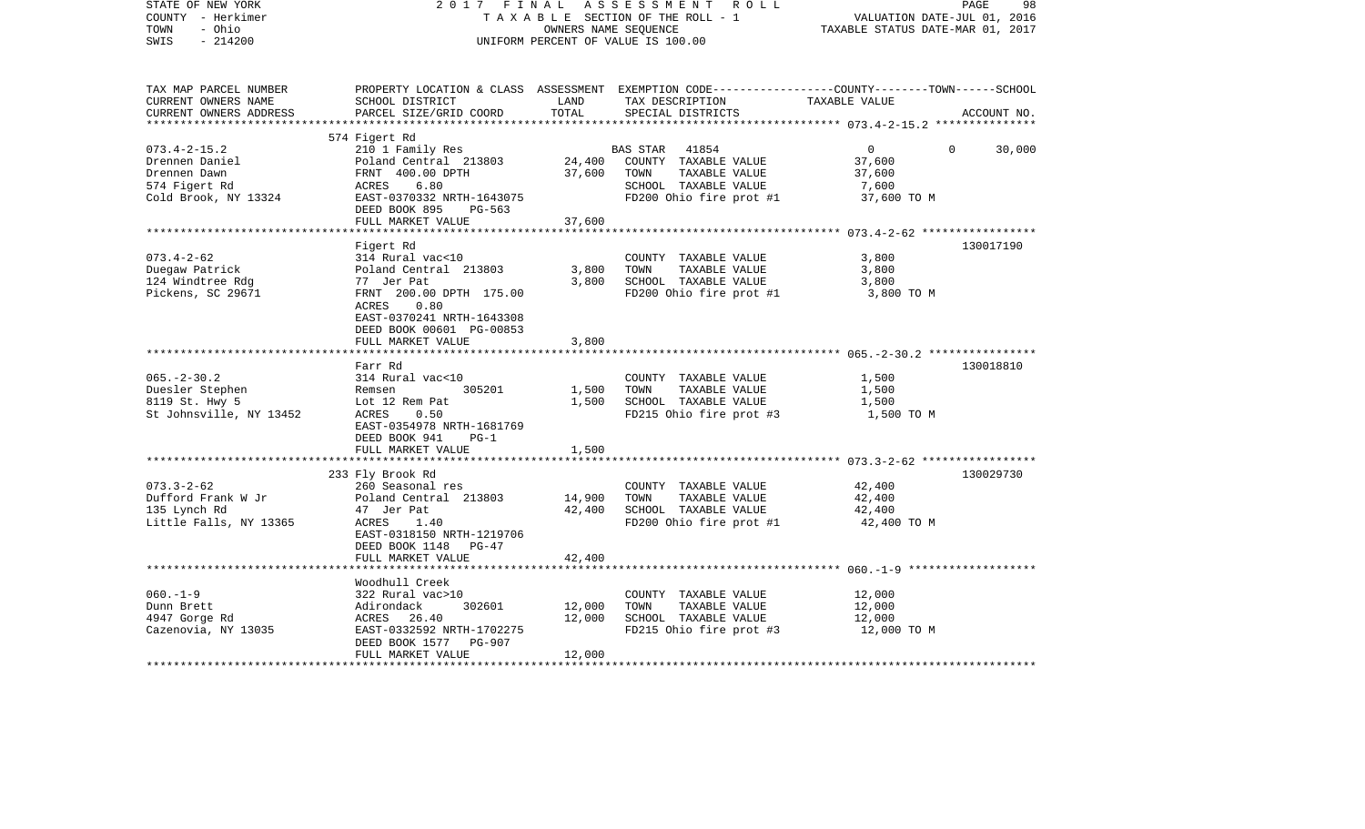| STATE OF NEW YORK<br>COUNTY - Herkimer<br>TOWN<br>- Ohio<br>$-214200$<br>SWIS |                                                      | OWNERS NAME SEQUENCE | 2017 FINAL ASSESSMENT ROLL<br>TAXABLE SECTION OF THE ROLL - 1<br>UNIFORM PERCENT OF VALUE IS 100.00               | VALUATION DATE-JUL 01, 2016<br>TAXABLE STATUS DATE-MAR 01, 2017 | PAGE<br>98               |
|-------------------------------------------------------------------------------|------------------------------------------------------|----------------------|-------------------------------------------------------------------------------------------------------------------|-----------------------------------------------------------------|--------------------------|
| TAX MAP PARCEL NUMBER<br>CURRENT OWNERS NAME                                  | SCHOOL DISTRICT                                      | LAND                 | PROPERTY LOCATION & CLASS ASSESSMENT EXEMPTION CODE---------------COUNTY-------TOWN-----SCHOOL<br>TAX DESCRIPTION | TAXABLE VALUE                                                   |                          |
| CURRENT OWNERS ADDRESS<br>***********************                             | PARCEL SIZE/GRID COORD                               | TOTAL                | SPECIAL DISTRICTS                                                                                                 |                                                                 | ACCOUNT NO.              |
|                                                                               | 574 Figert Rd                                        |                      |                                                                                                                   |                                                                 |                          |
| $073.4 - 2 - 15.2$                                                            | 210 1 Family Res                                     |                      | BAS STAR 41854                                                                                                    | $\overline{0}$                                                  | $\overline{0}$<br>30,000 |
| Drennen Daniel                                                                | Poland Central 213803                                |                      | 24,400 COUNTY TAXABLE VALUE                                                                                       | 37,600                                                          |                          |
| Drennen Dawn                                                                  | FRNT 400.00 DPTH                                     | 37,600               | TOWN<br>TAXABLE VALUE                                                                                             | 37,600                                                          |                          |
| 574 Figert Rd                                                                 | ACRES<br>6.80                                        |                      | SCHOOL TAXABLE VALUE                                                                                              | 7,600                                                           |                          |
| Cold Brook, NY 13324                                                          | EAST-0370332 NRTH-1643075<br>DEED BOOK 895<br>PG-563 |                      | FD200 Ohio fire prot #1                                                                                           | 37,600 TO M                                                     |                          |
|                                                                               | FULL MARKET VALUE                                    | 37,600               |                                                                                                                   |                                                                 |                          |
|                                                                               |                                                      |                      |                                                                                                                   |                                                                 |                          |
|                                                                               | Figert Rd                                            |                      |                                                                                                                   |                                                                 | 130017190                |
| $073.4 - 2 - 62$                                                              | 314 Rural vac<10                                     |                      | COUNTY TAXABLE VALUE                                                                                              | 3,800                                                           |                          |
| Duegaw Patrick                                                                | Poland Central 213803                                | 3,800                | TOWN<br>TAXABLE VALUE                                                                                             | 3,800                                                           |                          |
| 124 Windtree Rdg                                                              | 77 Jer Pat                                           | 3,800                | SCHOOL TAXABLE VALUE                                                                                              | 3,800                                                           |                          |
| Pickens, SC 29671                                                             | FRNT 200.00 DPTH 175.00<br>ACRES<br>0.80             |                      | FD200 Ohio fire prot #1                                                                                           | 3,800 TO M                                                      |                          |
|                                                                               | EAST-0370241 NRTH-1643308                            |                      |                                                                                                                   |                                                                 |                          |
|                                                                               | DEED BOOK 00601 PG-00853                             |                      |                                                                                                                   |                                                                 |                          |
|                                                                               | FULL MARKET VALUE                                    | 3,800                |                                                                                                                   |                                                                 |                          |
|                                                                               |                                                      |                      |                                                                                                                   |                                                                 |                          |
|                                                                               | Farr Rd                                              |                      |                                                                                                                   |                                                                 | 130018810                |
| $065. - 2 - 30.2$                                                             | 314 Rural vac<10                                     |                      | COUNTY TAXABLE VALUE                                                                                              | 1,500                                                           |                          |
| Duesler Stephen<br>8119 St. Hwy 5                                             | Remsen<br>305201<br>Lot 12 Rem Pat                   | 1,500<br>1,500       | TOWN<br>TAXABLE VALUE<br>SCHOOL TAXABLE VALUE                                                                     | 1,500<br>1,500                                                  |                          |
| St Johnsville, NY 13452                                                       | 0.50<br>ACRES                                        |                      | FD215 Ohio fire prot #3                                                                                           | 1,500 TO M                                                      |                          |
|                                                                               | EAST-0354978 NRTH-1681769                            |                      |                                                                                                                   |                                                                 |                          |
|                                                                               | DEED BOOK 941<br>$PG-1$                              |                      |                                                                                                                   |                                                                 |                          |
|                                                                               | FULL MARKET VALUE                                    | 1,500                |                                                                                                                   |                                                                 |                          |
|                                                                               | *************************                            |                      |                                                                                                                   |                                                                 |                          |
|                                                                               | 233 Fly Brook Rd                                     |                      |                                                                                                                   |                                                                 | 130029730                |
| $073.3 - 2 - 62$                                                              | 260 Seasonal res<br>Poland Central 213803            |                      | COUNTY TAXABLE VALUE<br>TOWN<br>TAXABLE VALUE                                                                     | 42,400                                                          |                          |
| Dufford Frank W Jr<br>135 Lynch Rd                                            | 47 Jer Pat                                           | 14,900<br>42,400     | SCHOOL TAXABLE VALUE                                                                                              | 42,400<br>42,400                                                |                          |
| Little Falls, NY 13365                                                        | ACRES<br>1.40                                        |                      | FD200 Ohio fire prot #1                                                                                           | 42,400 TO M                                                     |                          |
|                                                                               | EAST-0318150 NRTH-1219706                            |                      |                                                                                                                   |                                                                 |                          |
|                                                                               | DEED BOOK 1148 PG-47                                 |                      |                                                                                                                   |                                                                 |                          |
|                                                                               | FULL MARKET VALUE                                    | 42,400               |                                                                                                                   |                                                                 |                          |
|                                                                               |                                                      |                      |                                                                                                                   |                                                                 |                          |
|                                                                               | Woodhull Creek                                       |                      |                                                                                                                   |                                                                 |                          |
| $060. -1 -9$<br>Dunn Brett                                                    | 322 Rural vac>10<br>302601<br>Adirondack             | 12,000               | COUNTY TAXABLE VALUE<br>TOWN<br>TAXABLE VALUE                                                                     | 12,000<br>12,000                                                |                          |
| 4947 Gorge Rd                                                                 | ACRES 26.40                                          | 12,000               | SCHOOL TAXABLE VALUE                                                                                              | 12,000                                                          |                          |
| Cazenovia, NY 13035                                                           | EAST-0332592 NRTH-1702275                            |                      | FD215 Ohio fire prot #3                                                                                           | 12,000 TO M                                                     |                          |
|                                                                               | DEED BOOK 1577 PG-907                                |                      |                                                                                                                   |                                                                 |                          |
|                                                                               | FULL MARKET VALUE                                    | 12,000               |                                                                                                                   |                                                                 |                          |
|                                                                               |                                                      |                      |                                                                                                                   |                                                                 |                          |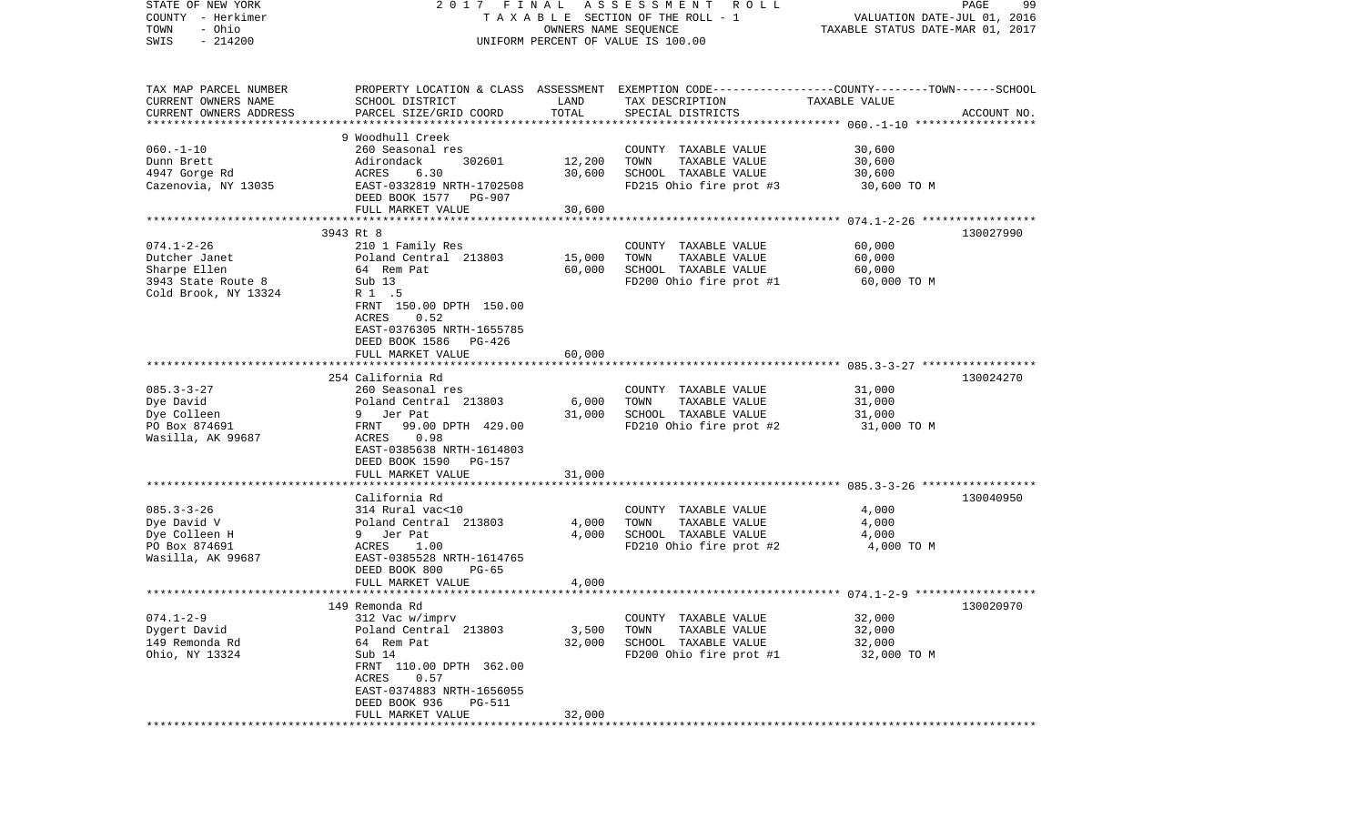| STATE OF NEW YORK         |                                            |                      | 2017 FINAL ASSESSMENT<br>R O L L                                                                |                                  | PAGE<br>99  |
|---------------------------|--------------------------------------------|----------------------|-------------------------------------------------------------------------------------------------|----------------------------------|-------------|
| COUNTY - Herkimer         |                                            |                      | T A X A B L E SECTION OF THE ROLL - 1                                                           | VALUATION DATE-JUL 01, 2016      |             |
| - Ohio<br>TOWN            |                                            | OWNERS NAME SEQUENCE |                                                                                                 | TAXABLE STATUS DATE-MAR 01, 2017 |             |
| $-214200$<br>SWIS         |                                            |                      | UNIFORM PERCENT OF VALUE IS 100.00                                                              |                                  |             |
|                           |                                            |                      |                                                                                                 |                                  |             |
|                           |                                            |                      |                                                                                                 |                                  |             |
| TAX MAP PARCEL NUMBER     |                                            |                      | PROPERTY LOCATION & CLASS ASSESSMENT EXEMPTION CODE---------------COUNTY-------TOWN------SCHOOL |                                  |             |
| CURRENT OWNERS NAME       | SCHOOL DISTRICT                            | LAND                 | TAX DESCRIPTION                                                                                 | TAXABLE VALUE                    |             |
| CURRENT OWNERS ADDRESS    | PARCEL SIZE/GRID COORD                     | TOTAL                | SPECIAL DISTRICTS                                                                               |                                  | ACCOUNT NO. |
| ************************* |                                            |                      |                                                                                                 |                                  |             |
|                           | 9 Woodhull Creek                           |                      |                                                                                                 |                                  |             |
| $060. -1 - 10$            | 260 Seasonal res                           |                      | COUNTY TAXABLE VALUE                                                                            | 30,600                           |             |
| Dunn Brett                | Adirondack<br>302601                       | 12,200               | TOWN<br>TAXABLE VALUE                                                                           | 30,600                           |             |
| 4947 Gorge Rd             | ACRES<br>6.30                              | 30,600               | SCHOOL TAXABLE VALUE                                                                            | 30,600                           |             |
| Cazenovia, NY 13035       | EAST-0332819 NRTH-1702508                  |                      | FD215 Ohio fire prot #3                                                                         | 30,600 TO M                      |             |
|                           | DEED BOOK 1577 PG-907                      |                      |                                                                                                 |                                  |             |
|                           | FULL MARKET VALUE                          | 30,600               |                                                                                                 |                                  |             |
|                           |                                            |                      |                                                                                                 |                                  |             |
|                           | 3943 Rt 8                                  |                      |                                                                                                 |                                  | 130027990   |
| $074.1 - 2 - 26$          | 210 1 Family Res                           |                      | COUNTY TAXABLE VALUE                                                                            | 60,000                           |             |
| Dutcher Janet             | Poland Central 213803                      | 15,000               | TOWN<br>TAXABLE VALUE                                                                           | 60,000                           |             |
| Sharpe Ellen              | 64 Rem Pat                                 | 60,000               | SCHOOL TAXABLE VALUE                                                                            | 60,000                           |             |
| 3943 State Route 8        | Sub 13                                     |                      | FD200 Ohio fire prot #1                                                                         | 60,000 TO M                      |             |
| Cold Brook, NY 13324      | R 1 .5                                     |                      |                                                                                                 |                                  |             |
|                           | FRNT 150.00 DPTH 150.00                    |                      |                                                                                                 |                                  |             |
|                           | 0.52<br>ACRES                              |                      |                                                                                                 |                                  |             |
|                           | EAST-0376305 NRTH-1655785                  |                      |                                                                                                 |                                  |             |
|                           | DEED BOOK 1586<br>PG-426                   |                      |                                                                                                 |                                  |             |
|                           | FULL MARKET VALUE                          | 60,000               |                                                                                                 |                                  |             |
|                           |                                            |                      |                                                                                                 |                                  |             |
|                           | 254 California Rd                          |                      |                                                                                                 |                                  | 130024270   |
| $085.3 - 3 - 27$          | 260 Seasonal res                           |                      | COUNTY TAXABLE VALUE                                                                            | 31,000                           |             |
| Dye David                 | Poland Central 213803                      | 6,000                | TAXABLE VALUE<br>TOWN                                                                           | 31,000                           |             |
| Dye Colleen               | 9 Jer Pat                                  | 31,000               | SCHOOL TAXABLE VALUE                                                                            | 31,000                           |             |
| PO Box 874691             | FRNT 99.00 DPTH 429.00                     |                      | FD210 Ohio fire prot #2                                                                         | 31,000 TO M                      |             |
| Wasilla, AK 99687         | 0.98<br>ACRES                              |                      |                                                                                                 |                                  |             |
|                           | EAST-0385638 NRTH-1614803                  |                      |                                                                                                 |                                  |             |
|                           | DEED BOOK 1590 PG-157                      |                      |                                                                                                 |                                  |             |
|                           | FULL MARKET VALUE                          | 31,000               |                                                                                                 |                                  |             |
|                           |                                            |                      |                                                                                                 |                                  |             |
|                           | California Rd                              |                      |                                                                                                 |                                  | 130040950   |
| $085.3 - 3 - 26$          | 314 Rural vac<10                           |                      | COUNTY TAXABLE VALUE                                                                            | 4,000                            |             |
| Dye David V               | Poland Central 213803                      | 4,000                | TOWN<br>TAXABLE VALUE                                                                           | 4,000                            |             |
| Dye Colleen H             | 9 Jer Pat                                  | 4,000                | SCHOOL TAXABLE VALUE                                                                            | 4,000                            |             |
| PO Box 874691             | ACRES<br>1.00                              |                      | FD210 Ohio fire prot #2                                                                         | 4,000 TO M                       |             |
| Wasilla, AK 99687         | EAST-0385528 NRTH-1614765                  |                      |                                                                                                 |                                  |             |
|                           | DEED BOOK 800<br>$PG-65$                   |                      |                                                                                                 |                                  |             |
|                           | FULL MARKET VALUE                          | 4,000                |                                                                                                 |                                  |             |
|                           |                                            |                      |                                                                                                 |                                  |             |
|                           | 149 Remonda Rd                             |                      |                                                                                                 |                                  | 130020970   |
| $074.1 - 2 - 9$           | 312 Vac w/imprv                            |                      | COUNTY TAXABLE VALUE                                                                            | 32,000                           |             |
| Dygert David              | Poland Central 213803                      | 3,500                | TAXABLE VALUE<br>TOWN                                                                           | 32,000                           |             |
| 149 Remonda Rd            | 64 Rem Pat                                 | 32,000               | SCHOOL TAXABLE VALUE                                                                            | 32,000                           |             |
| Ohio, NY 13324            | Sub 14                                     |                      | FD200 Ohio fire prot #1                                                                         | 32,000 TO M                      |             |
|                           | FRNT 110.00 DPTH 362.00                    |                      |                                                                                                 |                                  |             |
|                           | 0.57<br>ACRES<br>EAST-0374883 NRTH-1656055 |                      |                                                                                                 |                                  |             |
|                           | DEED BOOK 936                              |                      |                                                                                                 |                                  |             |
|                           | <b>PG-511</b>                              |                      |                                                                                                 |                                  |             |
|                           | FULL MARKET VALUE                          | 32,000               |                                                                                                 |                                  |             |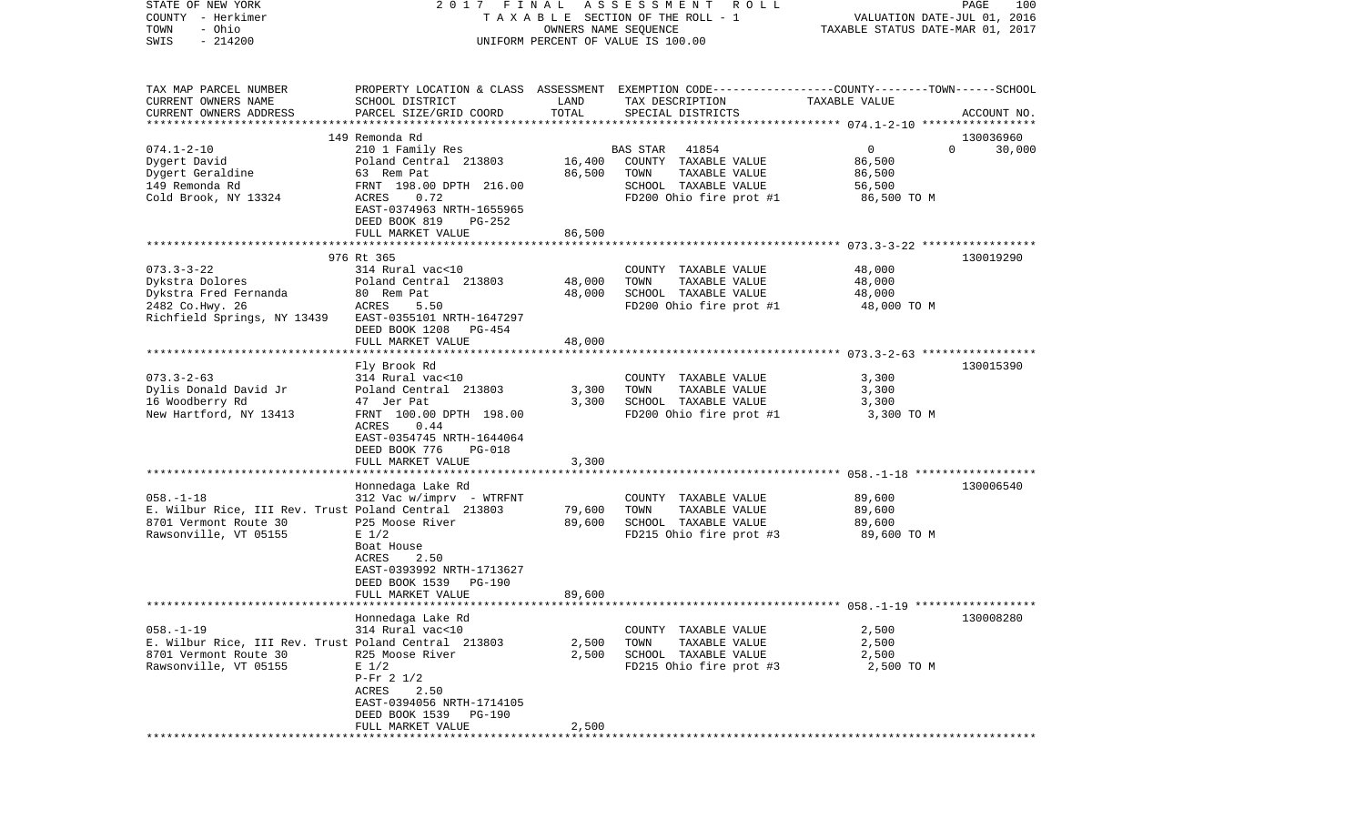| COUNTY<br>– Herkimer<br>- Ohio<br>TOWN<br>SWIS<br>$-214200$            |                                                                       |                  | T A X A B L E SECTION OF THE ROLL - 1<br>OWNERS NAME SEQUENCE<br>UNIFORM PERCENT OF VALUE IS 100.00                                     | VALUATION DATE-JUL 01, 2016<br>TAXABLE STATUS DATE-MAR 01, 2017 |                    |
|------------------------------------------------------------------------|-----------------------------------------------------------------------|------------------|-----------------------------------------------------------------------------------------------------------------------------------------|-----------------------------------------------------------------|--------------------|
| TAX MAP PARCEL NUMBER<br>CURRENT OWNERS NAME<br>CURRENT OWNERS ADDRESS | SCHOOL DISTRICT<br>PARCEL SIZE/GRID COORD                             | LAND<br>TOTAL    | PROPERTY LOCATION & CLASS ASSESSMENT EXEMPTION CODE---------------COUNTY-------TOWN------SCHOOL<br>TAX DESCRIPTION<br>SPECIAL DISTRICTS | TAXABLE VALUE                                                   | ACCOUNT NO.        |
|                                                                        |                                                                       |                  |                                                                                                                                         |                                                                 |                    |
|                                                                        | 149 Remonda Rd                                                        |                  |                                                                                                                                         |                                                                 | 130036960          |
| $074.1 - 2 - 10$                                                       | 210 1 Family Res                                                      |                  | <b>BAS STAR</b><br>41854                                                                                                                | $\mathbf 0$                                                     | 30,000<br>$\Omega$ |
| Dygert David<br>Dygert Geraldine                                       | Poland Central 213803<br>63 Rem Pat                                   | 16,400<br>86,500 | COUNTY TAXABLE VALUE<br>TAXABLE VALUE<br>TOWN                                                                                           | 86,500<br>86,500                                                |                    |
| 149 Remonda Rd                                                         | FRNT 198.00 DPTH 216.00                                               |                  | SCHOOL TAXABLE VALUE                                                                                                                    | 56,500                                                          |                    |
| Cold Brook, NY 13324                                                   | 0.72<br>ACRES<br>EAST-0374963 NRTH-1655965<br>DEED BOOK 819<br>PG-252 |                  | FD200 Ohio fire prot #1                                                                                                                 | 86,500 TO M                                                     |                    |
|                                                                        | FULL MARKET VALUE                                                     | 86,500           |                                                                                                                                         |                                                                 |                    |
|                                                                        | 976 Rt 365                                                            |                  |                                                                                                                                         |                                                                 | 130019290          |
| $073.3 - 3 - 22$                                                       | 314 Rural vac<10                                                      |                  | COUNTY TAXABLE VALUE                                                                                                                    | 48,000                                                          |                    |
| Dykstra Dolores                                                        | Poland Central 213803                                                 | 48,000           | TAXABLE VALUE<br>TOWN                                                                                                                   | 48,000                                                          |                    |
| Dykstra Fred Fernanda                                                  | 80 Rem Pat                                                            | 48,000           | SCHOOL TAXABLE VALUE                                                                                                                    | 48,000                                                          |                    |
| 2482 Co.Hwy. 26<br>Richfield Springs, NY 13439                         | ACRES<br>5.50<br>EAST-0355101 NRTH-1647297                            |                  | FD200 Ohio fire prot #1                                                                                                                 | 48,000 TO M                                                     |                    |
|                                                                        | DEED BOOK 1208<br>PG-454                                              |                  |                                                                                                                                         |                                                                 |                    |
|                                                                        | FULL MARKET VALUE                                                     | 48,000           |                                                                                                                                         |                                                                 |                    |
|                                                                        |                                                                       |                  |                                                                                                                                         |                                                                 |                    |
| $073.3 - 2 - 63$                                                       | Fly Brook Rd<br>314 Rural vac<10                                      |                  | COUNTY TAXABLE VALUE                                                                                                                    | 3,300                                                           | 130015390          |
| Dylis Donald David Jr                                                  | Poland Central 213803                                                 | 3,300            | TOWN<br>TAXABLE VALUE                                                                                                                   | 3,300                                                           |                    |
| 16 Woodberry Rd                                                        | 47 Jer Pat                                                            | 3,300            | SCHOOL TAXABLE VALUE                                                                                                                    | 3,300                                                           |                    |
| New Hartford, NY 13413                                                 | FRNT 100.00 DPTH 198.00                                               |                  | FD200 Ohio fire prot #1                                                                                                                 | 3,300 TO M                                                      |                    |
|                                                                        | 0.44<br>ACRES                                                         |                  |                                                                                                                                         |                                                                 |                    |
|                                                                        | EAST-0354745 NRTH-1644064                                             |                  |                                                                                                                                         |                                                                 |                    |
|                                                                        | DEED BOOK 776<br><b>PG-018</b><br>FULL MARKET VALUE                   | 3,300            |                                                                                                                                         |                                                                 |                    |
|                                                                        |                                                                       |                  |                                                                                                                                         |                                                                 |                    |
|                                                                        | Honnedaga Lake Rd                                                     |                  |                                                                                                                                         |                                                                 | 130006540          |
| $058. - 1 - 18$                                                        | 312 Vac w/imprv - WTRFNT                                              |                  | COUNTY TAXABLE VALUE                                                                                                                    | 89,600                                                          |                    |
| E. Wilbur Rice, III Rev. Trust Poland Central 213803                   |                                                                       | 79,600           | TAXABLE VALUE<br>TOWN                                                                                                                   | 89,600                                                          |                    |
| 8701 Vermont Route 30                                                  | P25 Moose River                                                       | 89,600           | SCHOOL TAXABLE VALUE                                                                                                                    | 89,600                                                          |                    |
| Rawsonville, VT 05155                                                  | $E$ 1/2<br>Boat House                                                 |                  | FD215 Ohio fire prot #3                                                                                                                 | 89,600 TO M                                                     |                    |
|                                                                        | 2.50<br>ACRES                                                         |                  |                                                                                                                                         |                                                                 |                    |
|                                                                        | EAST-0393992 NRTH-1713627                                             |                  |                                                                                                                                         |                                                                 |                    |
|                                                                        | DEED BOOK 1539<br>PG-190                                              |                  |                                                                                                                                         |                                                                 |                    |
|                                                                        | FULL MARKET VALUE                                                     | 89,600           |                                                                                                                                         |                                                                 |                    |
|                                                                        | Honnedaga Lake Rd                                                     |                  |                                                                                                                                         |                                                                 | 130008280          |
| $058. - 1 - 19$                                                        | 314 Rural vac<10                                                      |                  | COUNTY TAXABLE VALUE                                                                                                                    | 2,500                                                           |                    |
| E. Wilbur Rice, III Rev. Trust Poland Central 213803                   |                                                                       | 2,500            | TOWN<br>TAXABLE VALUE                                                                                                                   | 2,500                                                           |                    |
| 8701 Vermont Route 30                                                  | R25 Moose River                                                       | 2,500            | SCHOOL TAXABLE VALUE                                                                                                                    | 2,500                                                           |                    |
| Rawsonville, VT 05155                                                  | $E$ 1/2                                                               |                  | FD215 Ohio fire prot #3                                                                                                                 | 2,500 TO M                                                      |                    |
|                                                                        | $P-Fr$ 2 1/2                                                          |                  |                                                                                                                                         |                                                                 |                    |
|                                                                        | ACRES<br>2.50<br>EAST-0394056 NRTH-1714105                            |                  |                                                                                                                                         |                                                                 |                    |
|                                                                        | DEED BOOK 1539<br>PG-190                                              |                  |                                                                                                                                         |                                                                 |                    |
|                                                                        | FULL MARKET VALUE                                                     | 2,500            |                                                                                                                                         |                                                                 |                    |
|                                                                        | ****************                                                      |                  |                                                                                                                                         |                                                                 |                    |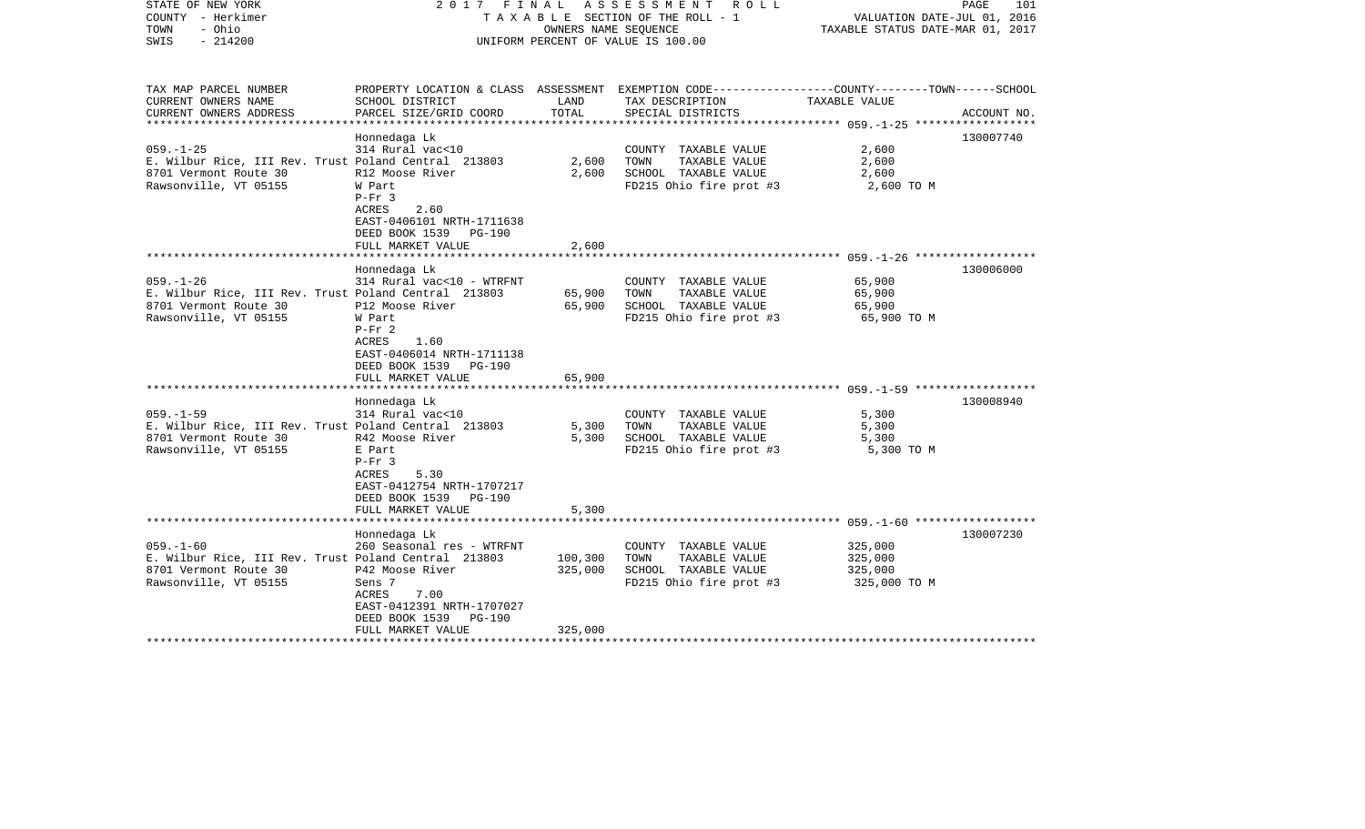| STATE OF NEW YORK<br>COUNTY - Herkimer<br>- Ohio<br>TOWN<br>$-214200$<br>SWIS                                             | 2017 FINAL                                                                                                                                                                      | OWNERS NAME SEOUENCE          | A S S E S S M E N T<br>R O L L<br>TAXABLE SECTION OF THE ROLL - 1<br>UNIFORM PERCENT OF VALUE IS 100.00                                  | VALUATION DATE-JUL 01, 2016<br>TAXABLE STATUS DATE-MAR 01, 2017 | PAGE<br>101 |
|---------------------------------------------------------------------------------------------------------------------------|---------------------------------------------------------------------------------------------------------------------------------------------------------------------------------|-------------------------------|------------------------------------------------------------------------------------------------------------------------------------------|-----------------------------------------------------------------|-------------|
| TAX MAP PARCEL NUMBER<br>CURRENT OWNERS NAME<br>CURRENT OWNERS ADDRESS                                                    | SCHOOL DISTRICT<br>PARCEL SIZE/GRID COORD                                                                                                                                       | LAND<br>TOTAL                 | PROPERTY LOCATION & CLASS ASSESSMENT EXEMPTION CODE----------------COUNTY-------TOWN------SCHOOL<br>TAX DESCRIPTION<br>SPECIAL DISTRICTS | TAXABLE VALUE                                                   | ACCOUNT NO. |
| ***********************                                                                                                   |                                                                                                                                                                                 |                               |                                                                                                                                          |                                                                 |             |
| $059. - 1 - 25$<br>E. Wilbur Rice, III Rev. Trust Poland Central 213803<br>8701 Vermont Route 30<br>Rawsonville, VT 05155 | Honnedaga Lk<br>314 Rural vac<10<br>R12 Moose River<br>W Part<br>$P-Fr$ 3<br>ACRES<br>2.60<br>EAST-0406101 NRTH-1711638<br>DEED BOOK 1539 PG-190                                | 2,600<br>2,600                | COUNTY TAXABLE VALUE<br>TOWN<br>TAXABLE VALUE<br>SCHOOL TAXABLE VALUE<br>FD215 Ohio fire prot #3                                         | 2,600<br>2,600<br>2,600<br>2,600 TO M                           | 130007740   |
|                                                                                                                           | FULL MARKET VALUE                                                                                                                                                               | 2,600                         |                                                                                                                                          | ********************** 059.-1-26 ******************             |             |
| $059. - 1 - 26$<br>E. Wilbur Rice, III Rev. Trust Poland Central 213803<br>8701 Vermont Route 30<br>Rawsonville, VT 05155 | Honnedaga Lk<br>314 Rural vac<10 - WTRFNT<br>P12 Moose River<br>W Part<br>$P-Fr$ 2<br>1.60<br>ACRES<br>EAST-0406014 NRTH-1711138<br>DEED BOOK 1539<br>PG-190                    | 65,900<br>65,900              | COUNTY TAXABLE VALUE<br>TAXABLE VALUE<br>TOWN<br>SCHOOL TAXABLE VALUE<br>FD215 Ohio fire prot #3                                         | 65,900<br>65,900<br>65,900<br>65,900 TO M                       | 130006000   |
|                                                                                                                           | FULL MARKET VALUE<br>******************                                                                                                                                         | 65,900                        |                                                                                                                                          |                                                                 |             |
| $059. -1 - 59$<br>E. Wilbur Rice, III Rev. Trust Poland Central 213803<br>8701 Vermont Route 30<br>Rawsonville, VT 05155  | Honnedaga Lk<br>314 Rural vac<10<br>R42 Moose River<br>E Part<br>$P-Fr$ 3<br>ACRES<br>5.30<br>EAST-0412754 NRTH-1707217<br>DEED BOOK 1539<br><b>PG-190</b><br>FULL MARKET VALUE | 5,300<br>5,300<br>5,300       | COUNTY TAXABLE VALUE<br>TOWN<br>TAXABLE VALUE<br>SCHOOL TAXABLE VALUE<br>FD215 Ohio fire prot #3                                         | 5,300<br>5,300<br>5,300<br>5,300 TO M                           | 130008940   |
|                                                                                                                           |                                                                                                                                                                                 |                               |                                                                                                                                          |                                                                 |             |
| $059. - 1 - 60$<br>E. Wilbur Rice, III Rev. Trust Poland Central 213803<br>8701 Vermont Route 30<br>Rawsonville, VT 05155 | Honnedaga Lk<br>260 Seasonal res - WTRFNT<br>P42 Moose River<br>Sens 7<br>ACRES<br>7.00<br>EAST-0412391 NRTH-1707027<br>DEED BOOK 1539<br>PG-190<br>FULL MARKET VALUE           | 100,300<br>325,000<br>325,000 | COUNTY TAXABLE VALUE<br>TAXABLE VALUE<br>TOWN<br>SCHOOL TAXABLE VALUE<br>FD215 Ohio fire prot #3                                         | 325,000<br>325,000<br>325,000<br>325,000 TO M                   | 130007230   |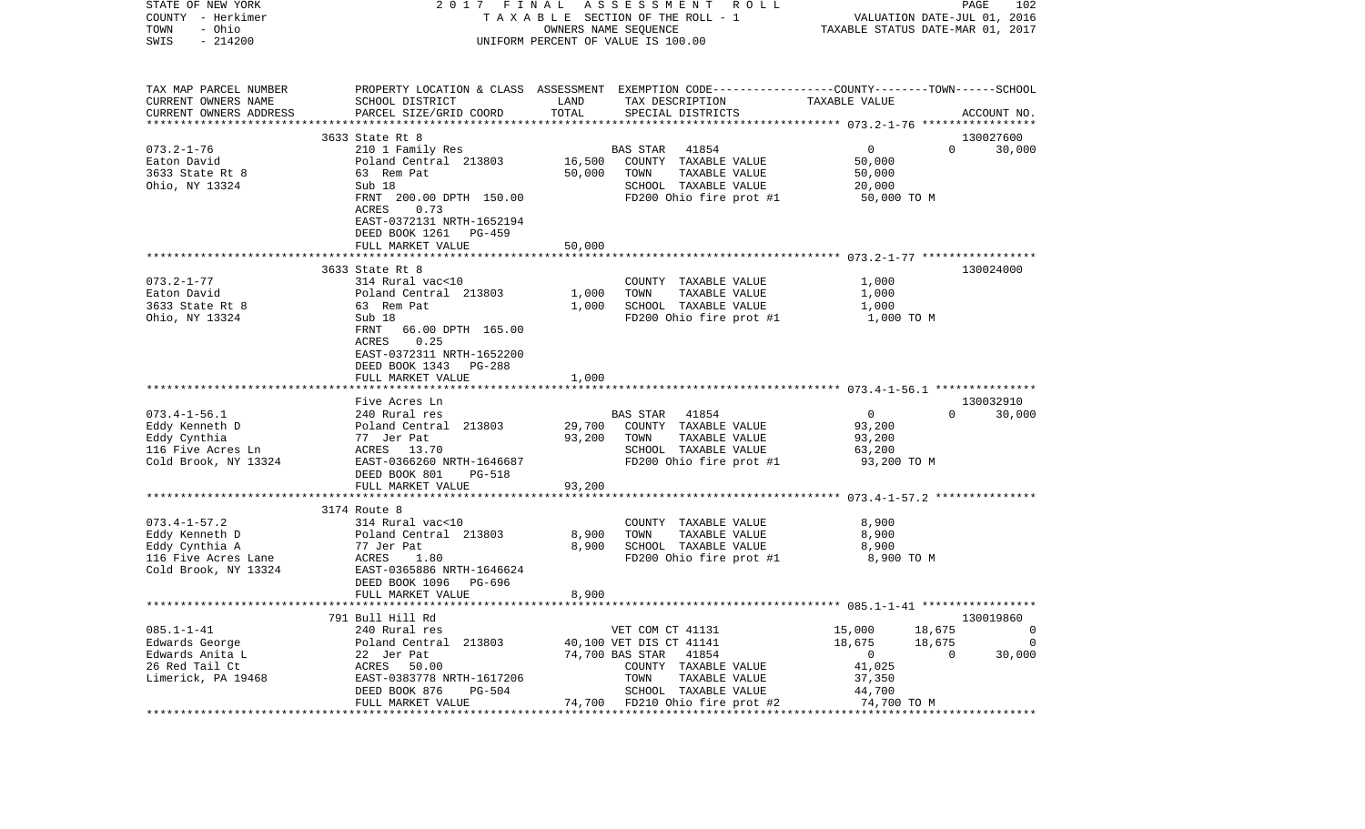| STATE OF NEW YORK                     | 2017 FINAL                                          | A S S E S S M E N T A O L L                                                                      | PAGE<br>102                                            |
|---------------------------------------|-----------------------------------------------------|--------------------------------------------------------------------------------------------------|--------------------------------------------------------|
| COUNTY - Herkimer                     |                                                     | T A X A B L E SECTION OF THE ROLL - 1                                                            | VALUATION DATE-JUL 01, 2016                            |
| - Ohio<br>TOWN<br>$-214200$           |                                                     | OWNERS NAME SEQUENCE                                                                             | TAXABLE STATUS DATE-MAR 01, 2017                       |
| SWIS                                  |                                                     | UNIFORM PERCENT OF VALUE IS 100.00                                                               |                                                        |
| TAX MAP PARCEL NUMBER                 |                                                     | PROPERTY LOCATION & CLASS ASSESSMENT EXEMPTION CODE----------------COUNTY-------TOWN------SCHOOL |                                                        |
| CURRENT OWNERS NAME                   | SCHOOL DISTRICT                                     | LAND<br>TAX DESCRIPTION                                                                          | TAXABLE VALUE                                          |
| CURRENT OWNERS ADDRESS                | PARCEL SIZE/GRID COORD                              | TOTAL<br>SPECIAL DISTRICTS                                                                       | ACCOUNT NO.                                            |
| *************************             | 3633 State Rt 8                                     |                                                                                                  |                                                        |
| $073.2 - 1 - 76$                      | 210 1 Family Res                                    | <b>BAS STAR</b><br>41854                                                                         | 130027600<br>$\mathbf{0}$<br>$\Omega$<br>30,000        |
| Eaton David                           | Poland Central 213803                               | 16,500<br>COUNTY TAXABLE VALUE                                                                   | 50,000                                                 |
| 3633 State Rt 8                       | 63 Rem Pat                                          | TAXABLE VALUE<br>50,000<br>TOWN                                                                  | 50,000                                                 |
| Ohio, NY 13324                        | Sub 18                                              | SCHOOL TAXABLE VALUE                                                                             | 20,000                                                 |
|                                       | FRNT 200.00 DPTH 150.00                             | FD200 Ohio fire prot #1                                                                          | 50,000 TO M                                            |
|                                       | ACRES<br>0.73                                       |                                                                                                  |                                                        |
|                                       | EAST-0372131 NRTH-1652194<br>DEED BOOK 1261 PG-459  |                                                                                                  |                                                        |
|                                       | FULL MARKET VALUE                                   | 50,000                                                                                           |                                                        |
|                                       |                                                     |                                                                                                  |                                                        |
|                                       | 3633 State Rt 8                                     |                                                                                                  | 130024000                                              |
| $073.2 - 1 - 77$                      | 314 Rural vac<10                                    | COUNTY TAXABLE VALUE                                                                             | 1,000                                                  |
| Eaton David<br>3633 State Rt 8        | Poland Central 213803<br>63 Rem Pat                 | 1,000<br>TOWN<br>TAXABLE VALUE<br>SCHOOL TAXABLE VALUE<br>1,000                                  | 1,000<br>1,000                                         |
| Ohio, NY 13324                        | Sub 18                                              | FD200 Ohio fire prot #1                                                                          | 1,000 TO M                                             |
|                                       | FRNT<br>66.00 DPTH 165.00                           |                                                                                                  |                                                        |
|                                       | 0.25<br>ACRES                                       |                                                                                                  |                                                        |
|                                       | EAST-0372311 NRTH-1652200                           |                                                                                                  |                                                        |
|                                       | DEED BOOK 1343 PG-288                               |                                                                                                  |                                                        |
|                                       | FULL MARKET VALUE                                   | 1,000                                                                                            |                                                        |
|                                       |                                                     |                                                                                                  |                                                        |
| $073.4 - 1 - 56.1$                    | Five Acres Ln<br>240 Rural res                      | 41854<br>BAS STAR                                                                                | 130032910<br>$\overline{0}$<br>$\Omega$<br>30,000      |
| Eddy Kenneth D                        | Poland Central 213803                               | COUNTY TAXABLE VALUE<br>29,700                                                                   | 93,200                                                 |
| Eddy Cynthia                          | 77 Jer Pat                                          | 93,200<br>TAXABLE VALUE<br>TOWN                                                                  | 93,200                                                 |
| 116 Five Acres Ln                     | ACRES 13.70                                         | SCHOOL TAXABLE VALUE                                                                             | 63,200                                                 |
| Cold Brook, NY 13324                  | EAST-0366260 NRTH-1646687                           | FD200 Ohio fire prot #1                                                                          | 93,200 TO M                                            |
|                                       | DEED BOOK 801<br>PG-518                             |                                                                                                  |                                                        |
|                                       | FULL MARKET VALUE                                   | 93,200                                                                                           |                                                        |
|                                       |                                                     | * * * * * * * * * * *                                                                            | ************************* 073.4-1-57.2 *************** |
|                                       | 3174 Route 8                                        |                                                                                                  |                                                        |
| $073.4 - 1 - 57.2$                    | 314 Rural vac<10                                    | COUNTY TAXABLE VALUE                                                                             | 8,900                                                  |
| Eddy Kenneth D                        | Poland Central 213803                               | 8,900<br>TOWN<br>TAXABLE VALUE                                                                   | 8,900                                                  |
| Eddy Cynthia A<br>116 Five Acres Lane | 77 Jer Pat<br>1.80<br>ACRES                         | 8,900<br>SCHOOL TAXABLE VALUE<br>FD200 Ohio fire prot #1                                         | 8,900<br>8,900 TO M                                    |
| Cold Brook, NY 13324                  | EAST-0365886 NRTH-1646624                           |                                                                                                  |                                                        |
|                                       | DEED BOOK 1096<br>PG-696                            |                                                                                                  |                                                        |
|                                       | FULL MARKET VALUE                                   | 8,900                                                                                            |                                                        |
|                                       |                                                     |                                                                                                  |                                                        |
|                                       | 791 Bull Hill Rd                                    |                                                                                                  | 130019860                                              |
| $085.1 - 1 - 41$                      | 240 Rural res                                       | VET COM CT 41131                                                                                 | 18,675<br>15,000<br>0                                  |
| Edwards George                        | Poland Central 213803                               | 40,100 VET DIS CT 41141                                                                          | 18,675<br>18,675<br>0                                  |
| Edwards Anita L                       | 22 Jer Pat                                          | 41854<br>74,700 BAS STAR                                                                         | $\mathbf 0$<br>0<br>30,000                             |
| 26 Red Tail Ct                        | ACRES<br>50.00                                      | COUNTY TAXABLE VALUE                                                                             | 41,025                                                 |
| Limerick, PA 19468                    | EAST-0383778 NRTH-1617206                           | TOWN<br>TAXABLE VALUE                                                                            | 37,350                                                 |
|                                       | DEED BOOK 876<br><b>PG-504</b><br>FULL MARKET VALUE | SCHOOL TAXABLE VALUE<br>74,700<br>FD210 Ohio fire prot #2                                        | 44,700<br>74,700 TO M                                  |
|                                       |                                                     |                                                                                                  |                                                        |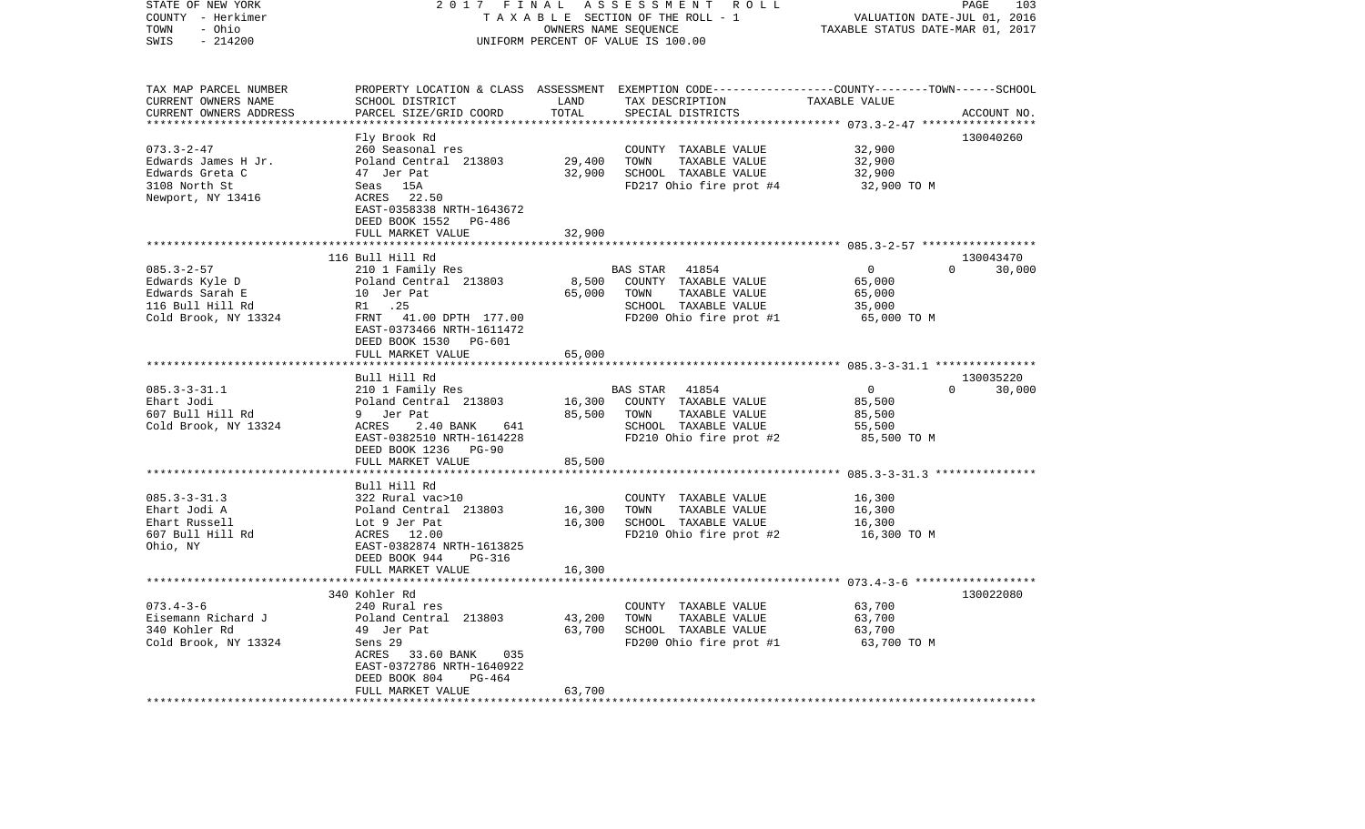| STATE OF NEW YORK<br>COUNTY - Herkimer<br>- Ohio<br>TOWN<br>SWIS<br>$-214200$ | 2017 FINAL                                                                   | OWNERS NAME SEQUENCE    | ASSESSMENT ROLL<br>TAXABLE SECTION OF THE ROLL - 1<br>UNIFORM PERCENT OF VALUE IS 100.00                           | VALUATION DATE-JUL 01, 2016<br>TAXABLE STATUS DATE-MAR 01, 2017 | PAGE<br>103        |
|-------------------------------------------------------------------------------|------------------------------------------------------------------------------|-------------------------|--------------------------------------------------------------------------------------------------------------------|-----------------------------------------------------------------|--------------------|
| TAX MAP PARCEL NUMBER<br>CURRENT OWNERS NAME                                  | SCHOOL DISTRICT                                                              | LAND                    | PROPERTY LOCATION & CLASS ASSESSMENT EXEMPTION CODE---------------COUNTY-------TOWN------SCHOOL<br>TAX DESCRIPTION | TAXABLE VALUE                                                   |                    |
| CURRENT OWNERS ADDRESS                                                        | PARCEL SIZE/GRID COORD                                                       | TOTAL                   | SPECIAL DISTRICTS                                                                                                  |                                                                 | ACCOUNT NO.        |
|                                                                               |                                                                              | *************           |                                                                                                                    |                                                                 |                    |
|                                                                               | Fly Brook Rd                                                                 |                         |                                                                                                                    |                                                                 | 130040260          |
| $073.3 - 2 - 47$                                                              | 260 Seasonal res                                                             |                         | COUNTY TAXABLE VALUE                                                                                               | 32,900                                                          |                    |
| Edwards James H Jr.<br>Edwards Greta C                                        | Poland Central 213803<br>47 Jer Pat                                          | 29,400<br>32,900        | TOWN<br>TAXABLE VALUE                                                                                              | 32,900                                                          |                    |
| 3108 North St                                                                 | Seas 15A                                                                     |                         | SCHOOL TAXABLE VALUE<br>FD217 Ohio fire prot #4                                                                    | 32,900<br>32,900 TO M                                           |                    |
| Newport, NY 13416                                                             | ACRES 22.50<br>EAST-0358338 NRTH-1643672<br>DEED BOOK 1552 PG-486            |                         |                                                                                                                    |                                                                 |                    |
|                                                                               | FULL MARKET VALUE                                                            | 32,900                  |                                                                                                                    |                                                                 |                    |
|                                                                               | 116 Bull Hill Rd                                                             |                         |                                                                                                                    |                                                                 | 130043470          |
| $085.3 - 2 - 57$                                                              | 210 1 Family Res                                                             |                         | BAS STAR 41854                                                                                                     | $\overline{0}$                                                  | $\Omega$<br>30,000 |
| Edwards Kyle D                                                                | Poland Central 213803                                                        |                         | 8,500 COUNTY TAXABLE VALUE                                                                                         | 65,000                                                          |                    |
| Edwards Sarah E                                                               | 10 Jer Pat                                                                   | 65,000                  | TOWN<br>TAXABLE VALUE                                                                                              | 65,000                                                          |                    |
| 116 Bull Hill Rd                                                              | R1 .25                                                                       |                         | SCHOOL TAXABLE VALUE                                                                                               | 35,000                                                          |                    |
| Cold Brook, NY 13324                                                          | FRNT 41.00 DPTH 177.00<br>EAST-0373466 NRTH-1611472<br>DEED BOOK 1530 PG-601 |                         | FD200 Ohio fire prot #1                                                                                            | 65,000 TO M                                                     |                    |
|                                                                               | FULL MARKET VALUE                                                            | 65,000                  |                                                                                                                    |                                                                 |                    |
|                                                                               | Bull Hill Rd                                                                 |                         |                                                                                                                    |                                                                 | 130035220          |
| $085.3 - 3 - 31.1$                                                            | 210 1 Family Res                                                             |                         | 41854<br>BAS STAR                                                                                                  | $\overline{0}$                                                  | $\Omega$<br>30,000 |
| Ehart Jodi                                                                    | Poland Central 213803                                                        |                         | 16,300 COUNTY TAXABLE VALUE                                                                                        | 85,500                                                          |                    |
| 607 Bull Hill Rd                                                              | 9 Jer Pat                                                                    | 85,500                  | TOWN<br>TAXABLE VALUE                                                                                              | 85,500                                                          |                    |
| Cold Brook, NY 13324                                                          | ACRES<br>2.40 BANK<br>641                                                    |                         | SCHOOL TAXABLE VALUE                                                                                               | 55,500                                                          |                    |
|                                                                               | EAST-0382510 NRTH-1614228                                                    |                         | FD210 Ohio fire prot #2                                                                                            | 85,500 TO M                                                     |                    |
|                                                                               | DEED BOOK 1236 PG-90                                                         |                         |                                                                                                                    |                                                                 |                    |
|                                                                               | FULL MARKET VALUE                                                            | 85,500                  |                                                                                                                    |                                                                 |                    |
|                                                                               | Bull Hill Rd                                                                 |                         |                                                                                                                    |                                                                 |                    |
| $085.3 - 3 - 31.3$                                                            | 322 Rural vac>10                                                             |                         | COUNTY TAXABLE VALUE                                                                                               | 16,300                                                          |                    |
| Ehart Jodi A                                                                  | Poland Central 213803                                                        | 16,300                  | TOWN<br>TAXABLE VALUE                                                                                              | 16,300                                                          |                    |
| Ehart Russell                                                                 | Lot 9 Jer Pat                                                                | 16,300                  | SCHOOL TAXABLE VALUE                                                                                               | 16,300                                                          |                    |
| 607 Bull Hill Rd                                                              | ACRES 12.00                                                                  |                         | FD210 Ohio fire prot #2                                                                                            | 16,300 TO M                                                     |                    |
| Ohio, NY                                                                      | EAST-0382874 NRTH-1613825<br>PG-316                                          |                         |                                                                                                                    |                                                                 |                    |
|                                                                               | DEED BOOK 944<br>FULL MARKET VALUE                                           | 16,300                  |                                                                                                                    |                                                                 |                    |
|                                                                               |                                                                              |                         |                                                                                                                    |                                                                 |                    |
|                                                                               | 340 Kohler Rd                                                                |                         |                                                                                                                    |                                                                 | 130022080          |
| $073.4 - 3 - 6$                                                               | 240 Rural res                                                                |                         | COUNTY TAXABLE VALUE                                                                                               | 63,700                                                          |                    |
| Eisemann Richard J                                                            | Poland Central 213803                                                        | 43,200                  | TOWN<br>TAXABLE VALUE                                                                                              | 63,700                                                          |                    |
| 340 Kohler Rd                                                                 | 49 Jer Pat                                                                   | 63,700                  | SCHOOL TAXABLE VALUE                                                                                               | 63,700                                                          |                    |
| Cold Brook, NY 13324                                                          | Sens 29                                                                      |                         | FD200 Ohio fire prot #1                                                                                            | 63,700 TO M                                                     |                    |
|                                                                               | ACRES 33.60 BANK<br>035<br>EAST-0372786 NRTH-1640922                         |                         |                                                                                                                    |                                                                 |                    |
|                                                                               | DEED BOOK 804<br>PG-464                                                      |                         |                                                                                                                    |                                                                 |                    |
|                                                                               | FULL MARKET VALUE                                                            | 63,700                  |                                                                                                                    |                                                                 |                    |
| ***********************                                                       | *******************                                                          | * * * * * * * * * * * * |                                                                                                                    |                                                                 |                    |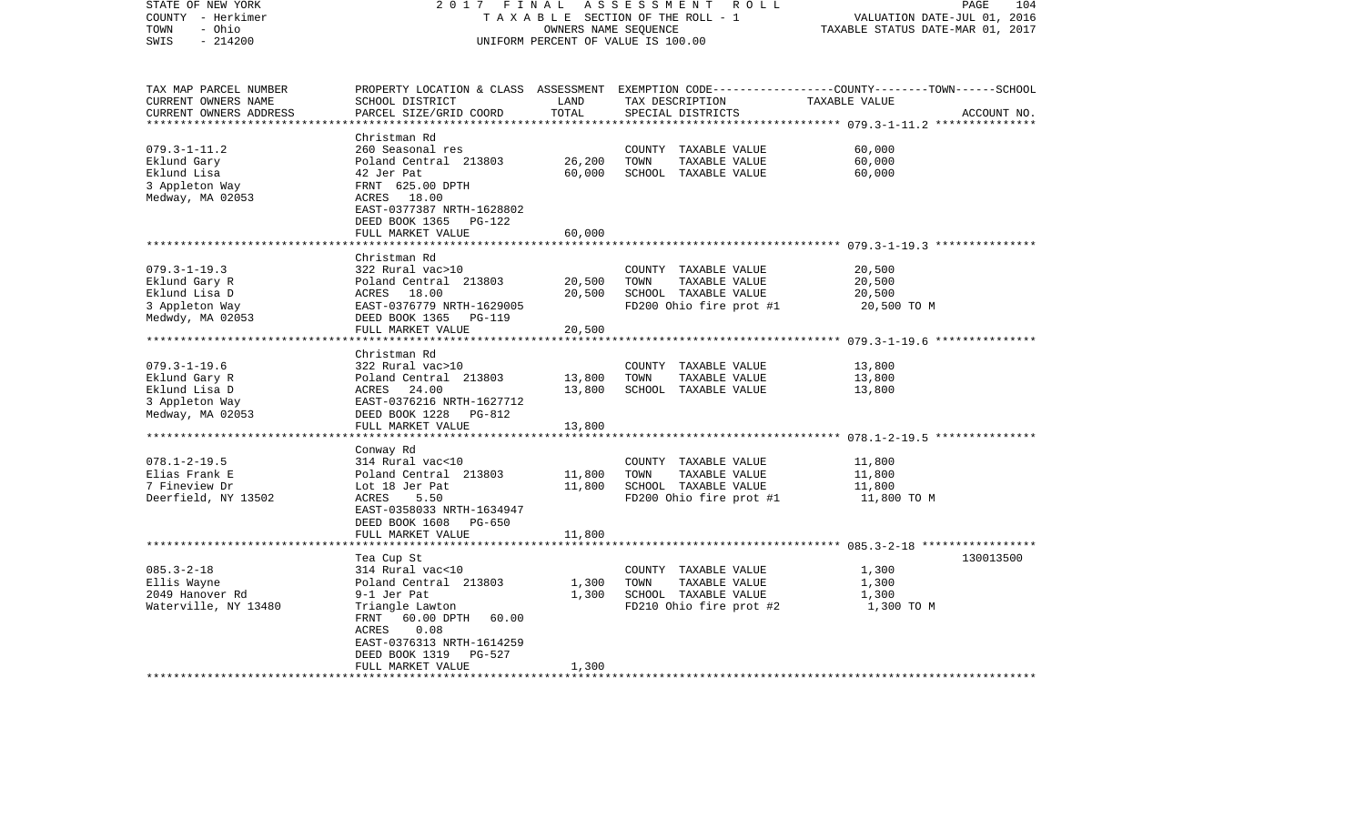| STATE OF NEW YORK<br>COUNTY - Herkimer<br>- Ohio<br>TOWN<br>$-214200$<br>SWIS                     | 2017<br>FINAL                                                                                                                                                                                                             | OWNERS NAME SEQUENCE                       | ASSESSMENT<br>R O L L<br>TAXABLE SECTION OF THE ROLL - 1<br>UNIFORM PERCENT OF VALUE IS 100.00   | 104<br>PAGE<br>VALUATION DATE-JUL 01, 2016<br>TAXABLE STATUS DATE-MAR 01, 2017                                                   |
|---------------------------------------------------------------------------------------------------|---------------------------------------------------------------------------------------------------------------------------------------------------------------------------------------------------------------------------|--------------------------------------------|--------------------------------------------------------------------------------------------------|----------------------------------------------------------------------------------------------------------------------------------|
| TAX MAP PARCEL NUMBER<br>CURRENT OWNERS NAME<br>CURRENT OWNERS ADDRESS<br>*********************** | SCHOOL DISTRICT<br>PARCEL SIZE/GRID COORD                                                                                                                                                                                 | LAND<br>TOTAL                              | TAX DESCRIPTION<br>SPECIAL DISTRICTS                                                             | PROPERTY LOCATION & CLASS ASSESSMENT EXEMPTION CODE----------------COUNTY-------TOWN------SCHOOL<br>TAXABLE VALUE<br>ACCOUNT NO. |
| $079.3 - 1 - 11.2$<br>Eklund Gary<br>Eklund Lisa<br>3 Appleton Way<br>Medway, MA 02053            | Christman Rd<br>260 Seasonal res<br>Poland Central 213803<br>42 Jer Pat<br>FRNT 625.00 DPTH<br>ACRES 18.00<br>EAST-0377387 NRTH-1628802<br>DEED BOOK 1365<br>PG-122                                                       | 26,200<br>60,000                           | COUNTY TAXABLE VALUE<br>TOWN<br>TAXABLE VALUE<br>SCHOOL TAXABLE VALUE                            | 60,000<br>60,000<br>60,000                                                                                                       |
|                                                                                                   | FULL MARKET VALUE                                                                                                                                                                                                         | 60,000                                     |                                                                                                  |                                                                                                                                  |
| $079.3 - 1 - 19.3$<br>Eklund Gary R<br>Eklund Lisa D<br>3 Appleton Way<br>Medwdy, MA 02053        | Christman Rd<br>322 Rural vac>10<br>Poland Central 213803<br>ACRES 18.00<br>EAST-0376779 NRTH-1629005<br>DEED BOOK 1365<br>PG-119<br>FULL MARKET VALUE<br>*******************                                             | 20,500<br>20,500<br>20,500                 | COUNTY TAXABLE VALUE<br>TAXABLE VALUE<br>TOWN<br>SCHOOL TAXABLE VALUE<br>FD200 Ohio fire prot #1 | 20,500<br>20,500<br>20,500<br>20,500 TO M<br>************************* 079.3-1-19.6 ***************                              |
| $079.3 - 1 - 19.6$<br>Eklund Gary R<br>Eklund Lisa D<br>3 Appleton Way<br>Medway, MA 02053        | Christman Rd<br>322 Rural vac>10<br>Poland Central 213803<br>ACRES<br>24.00<br>EAST-0376216 NRTH-1627712<br>DEED BOOK 1228<br>PG-812<br>FULL MARKET VALUE                                                                 | 13,800<br>13,800<br>13,800                 | COUNTY TAXABLE VALUE<br>TOWN<br>TAXABLE VALUE<br>SCHOOL TAXABLE VALUE                            | 13,800<br>13,800<br>13,800                                                                                                       |
| $078.1 - 2 - 19.5$<br>Elias Frank E<br>7 Fineview Dr<br>Deerfield, NY 13502                       | Conway Rd<br>314 Rural vac<10<br>Poland Central 213803<br>Lot 18 Jer Pat<br>ACRES<br>5.50<br>EAST-0358033 NRTH-1634947<br>DEED BOOK 1608<br>PG-650<br>FULL MARKET VALUE<br>*********************                          | 11,800<br>11,800<br>11,800<br>************ | COUNTY TAXABLE VALUE<br>TOWN<br>TAXABLE VALUE<br>SCHOOL TAXABLE VALUE<br>FD200 Ohio fire prot #1 | 11,800<br>11,800<br>11,800<br>11,800 TO M                                                                                        |
| $085.3 - 2 - 18$<br>Ellis Wayne<br>2049 Hanover Rd<br>Waterville, NY 13480                        | Tea Cup St<br>314 Rural vac<10<br>Poland Central 213803<br>9-1 Jer Pat<br>Triangle Lawton<br>FRNT<br>60.00 DPTH<br>60.00<br>ACRES<br>0.08<br>EAST-0376313 NRTH-1614259<br>DEED BOOK 1319<br>$PG-527$<br>FULL MARKET VALUE | 1,300<br>1,300<br>1,300                    | COUNTY TAXABLE VALUE<br>TOWN<br>TAXABLE VALUE<br>SCHOOL TAXABLE VALUE<br>FD210 Ohio fire prot #2 | 130013500<br>1,300<br>1,300<br>1,300<br>1,300 TO M                                                                               |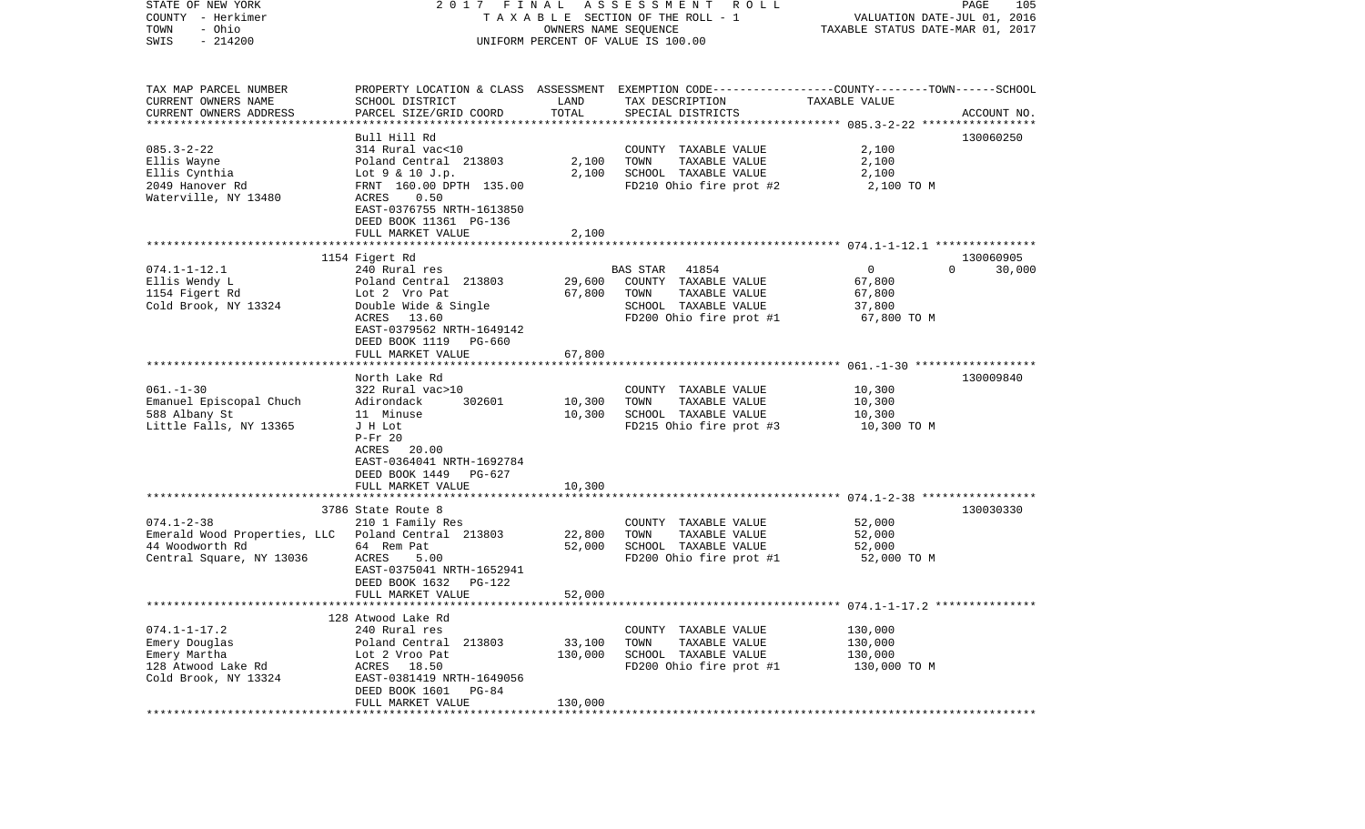| STATE OF NEW YORK                                   | 2017 FINAL                                         |                       | A S S E S S M E N T R O L L                                                                      |                                                                 | PAGE<br>105         |
|-----------------------------------------------------|----------------------------------------------------|-----------------------|--------------------------------------------------------------------------------------------------|-----------------------------------------------------------------|---------------------|
| COUNTY - Herkimer<br>- Ohio<br>TOWN                 |                                                    | OWNERS NAME SEQUENCE  | T A X A B L E SECTION OF THE ROLL - 1                                                            | VALUATION DATE-JUL 01, 2016<br>TAXABLE STATUS DATE-MAR 01, 2017 |                     |
| $-214200$<br>SWIS                                   |                                                    |                       | UNIFORM PERCENT OF VALUE IS 100.00                                                               |                                                                 |                     |
|                                                     |                                                    |                       |                                                                                                  |                                                                 |                     |
| TAX MAP PARCEL NUMBER                               |                                                    |                       | PROPERTY LOCATION & CLASS ASSESSMENT EXEMPTION CODE----------------COUNTY-------TOWN------SCHOOL |                                                                 |                     |
| CURRENT OWNERS NAME                                 | SCHOOL DISTRICT                                    | LAND                  | TAX DESCRIPTION                                                                                  | TAXABLE VALUE                                                   |                     |
| CURRENT OWNERS ADDRESS<br>************************* | PARCEL SIZE/GRID COORD                             | TOTAL                 | SPECIAL DISTRICTS                                                                                |                                                                 | ACCOUNT NO.         |
|                                                     | Bull Hill Rd                                       |                       |                                                                                                  |                                                                 | 130060250           |
| $085.3 - 2 - 22$                                    | 314 Rural vac<10                                   |                       | COUNTY TAXABLE VALUE                                                                             | 2,100                                                           |                     |
| Ellis Wayne                                         | Poland Central 213803                              | 2,100                 | TOWN<br>TAXABLE VALUE                                                                            | 2,100                                                           |                     |
| Ellis Cynthia                                       | Lot 9 & 10 J.p.                                    | 2,100                 | SCHOOL TAXABLE VALUE                                                                             | 2,100                                                           |                     |
| 2049 Hanover Rd                                     | FRNT 160.00 DPTH 135.00                            |                       | FD210 Ohio fire prot #2                                                                          | 2,100 TO M                                                      |                     |
| Waterville, NY 13480                                | 0.50<br>ACRES                                      |                       |                                                                                                  |                                                                 |                     |
|                                                     | EAST-0376755 NRTH-1613850                          |                       |                                                                                                  |                                                                 |                     |
|                                                     | DEED BOOK 11361 PG-136                             |                       |                                                                                                  |                                                                 |                     |
|                                                     | FULL MARKET VALUE                                  | 2,100                 |                                                                                                  |                                                                 |                     |
|                                                     |                                                    |                       |                                                                                                  |                                                                 |                     |
| $074.1 - 1 - 12.1$                                  | 1154 Figert Rd<br>240 Rural res                    |                       | <b>BAS STAR</b><br>41854                                                                         | $\overline{0}$<br>$\Omega$                                      | 130060905<br>30,000 |
| Ellis Wendy L                                       | Poland Central 213803                              | 29,600                | COUNTY TAXABLE VALUE                                                                             | 67,800                                                          |                     |
| 1154 Figert Rd                                      | Lot 2 Vro Pat                                      | 67,800                | TAXABLE VALUE<br>TOWN                                                                            | 67,800                                                          |                     |
| Cold Brook, NY 13324                                | Double Wide & Single                               |                       | SCHOOL TAXABLE VALUE                                                                             | 37,800                                                          |                     |
|                                                     | ACRES 13.60                                        |                       | FD200 Ohio fire prot #1                                                                          | 67,800 TO M                                                     |                     |
|                                                     | EAST-0379562 NRTH-1649142                          |                       |                                                                                                  |                                                                 |                     |
|                                                     | DEED BOOK 1119<br>PG-660                           |                       |                                                                                                  |                                                                 |                     |
|                                                     | FULL MARKET VALUE                                  | 67,800                |                                                                                                  |                                                                 |                     |
|                                                     | North Lake Rd                                      |                       |                                                                                                  |                                                                 | 130009840           |
| $061. - 1 - 30$                                     | 322 Rural vac>10                                   |                       | COUNTY TAXABLE VALUE                                                                             | 10,300                                                          |                     |
| Emanuel Episcopal Chuch                             | Adirondack<br>302601                               | 10,300                | TOWN<br>TAXABLE VALUE                                                                            | 10,300                                                          |                     |
| 588 Albany St                                       | 11 Minuse                                          | 10,300                | SCHOOL TAXABLE VALUE                                                                             | 10,300                                                          |                     |
| Little Falls, NY 13365                              | J H Lot                                            |                       | FD215 Ohio fire prot #3                                                                          | 10,300 TO M                                                     |                     |
|                                                     | $P-Fr 20$                                          |                       |                                                                                                  |                                                                 |                     |
|                                                     | ACRES 20.00                                        |                       |                                                                                                  |                                                                 |                     |
|                                                     | EAST-0364041 NRTH-1692784                          |                       |                                                                                                  |                                                                 |                     |
|                                                     | DEED BOOK 1449<br>PG-627                           |                       |                                                                                                  |                                                                 |                     |
|                                                     | FULL MARKET VALUE<br>*************************     | 10,300<br>*********** |                                                                                                  |                                                                 |                     |
|                                                     | 3786 State Route 8                                 |                       |                                                                                                  |                                                                 | 130030330           |
| $074.1 - 2 - 38$                                    | 210 1 Family Res                                   |                       | COUNTY TAXABLE VALUE                                                                             | 52,000                                                          |                     |
|                                                     | Emerald Wood Properties, LLC Poland Central 213803 | 22,800                | TOWN<br>TAXABLE VALUE                                                                            | 52,000                                                          |                     |
| 44 Woodworth Rd                                     | 64 Rem Pat                                         | 52,000                | SCHOOL TAXABLE VALUE                                                                             | 52,000                                                          |                     |
| Central Square, NY 13036                            | ACRES<br>5.00                                      |                       | FD200 Ohio fire prot #1                                                                          | 52,000 TO M                                                     |                     |
|                                                     | EAST-0375041 NRTH-1652941                          |                       |                                                                                                  |                                                                 |                     |
|                                                     | DEED BOOK 1632<br>PG-122                           |                       |                                                                                                  |                                                                 |                     |
|                                                     | FULL MARKET VALUE                                  | 52,000                |                                                                                                  |                                                                 |                     |
|                                                     | 128 Atwood Lake Rd                                 |                       |                                                                                                  |                                                                 |                     |
| $074.1 - 1 - 17.2$                                  | 240 Rural res                                      |                       | COUNTY TAXABLE VALUE                                                                             | 130,000                                                         |                     |
| Emery Douglas                                       | Poland Central<br>213803                           | 33,100                | TOWN<br>TAXABLE VALUE                                                                            | 130,000                                                         |                     |
| Emery Martha                                        | Lot 2 Vroo Pat                                     | 130,000               | SCHOOL TAXABLE VALUE                                                                             | 130,000                                                         |                     |
| 128 Atwood Lake Rd                                  | ACRES<br>18.50                                     |                       | FD200 Ohio fire prot #1                                                                          | 130,000 TO M                                                    |                     |
| Cold Brook, NY 13324                                | EAST-0381419 NRTH-1649056                          |                       |                                                                                                  |                                                                 |                     |
|                                                     | DEED BOOK 1601<br>PG-84                            |                       |                                                                                                  |                                                                 |                     |
|                                                     | FULL MARKET VALUE                                  | 130,000               |                                                                                                  |                                                                 |                     |
| ************                                        |                                                    |                       |                                                                                                  |                                                                 |                     |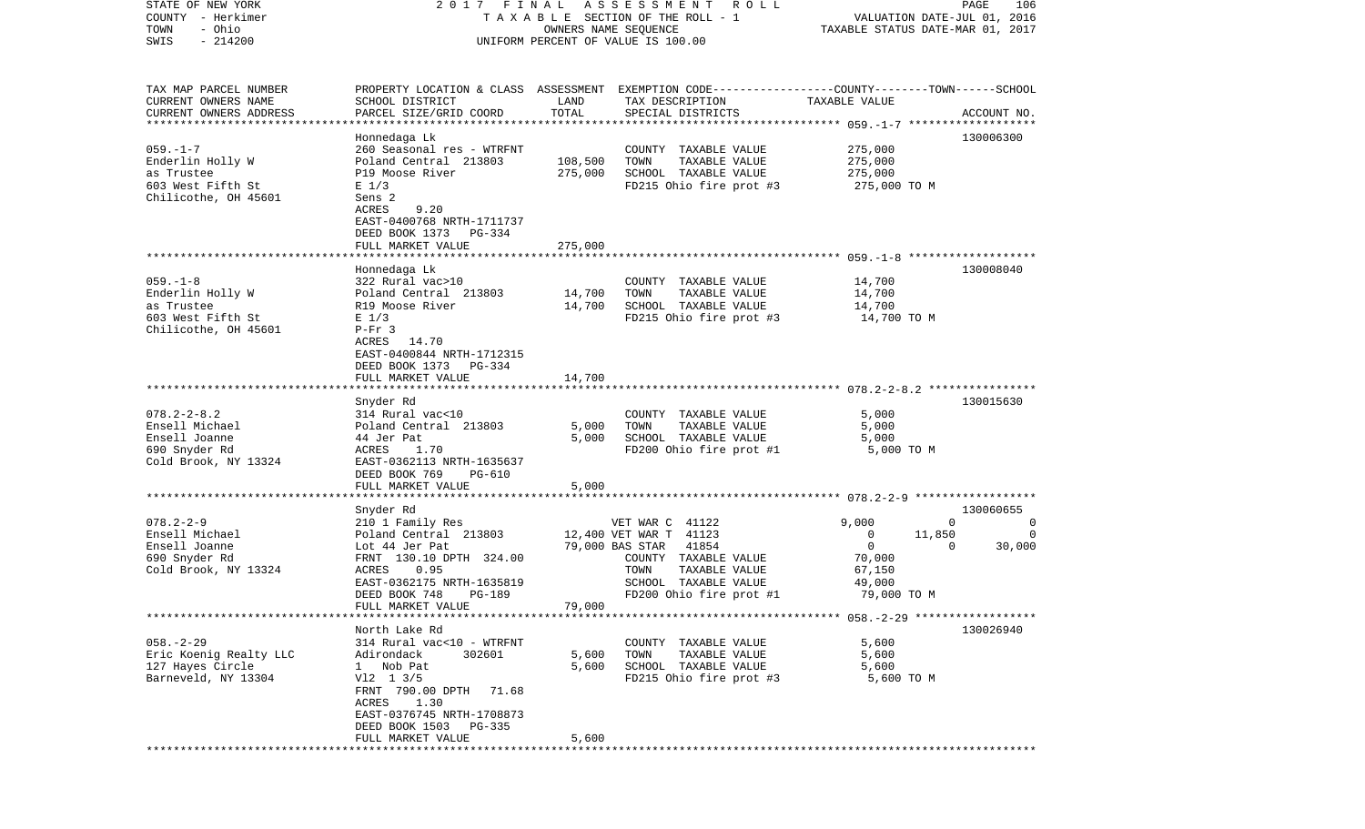| STATE OF NEW YORK<br>COUNTY - Herkimer<br>- Ohio<br>TOWN<br>$-214200$<br>SWIS                     | 2017                                                                                                                                                                                 | FINAL<br>ASSESSMENT<br>TAXABLE SECTION OF THE ROLL - 1<br>OWNERS NAME SEQUENCE<br>UNIFORM PERCENT OF VALUE IS 100.00 | PAGE<br>106<br>VALUATION DATE-JUL 01, 2016<br>TAXABLE STATUS DATE-MAR 01, 2017                                                                                            |                                                                                                                  |                         |
|---------------------------------------------------------------------------------------------------|--------------------------------------------------------------------------------------------------------------------------------------------------------------------------------------|----------------------------------------------------------------------------------------------------------------------|---------------------------------------------------------------------------------------------------------------------------------------------------------------------------|------------------------------------------------------------------------------------------------------------------|-------------------------|
| TAX MAP PARCEL NUMBER<br>CURRENT OWNERS NAME<br>CURRENT OWNERS ADDRESS<br>*********************** | SCHOOL DISTRICT<br>PARCEL SIZE/GRID COORD                                                                                                                                            | LAND<br>TOTAL                                                                                                        | PROPERTY LOCATION & CLASS ASSESSMENT EXEMPTION CODE----------------COUNTY-------TOWN------SCHOOL<br>TAX DESCRIPTION<br>SPECIAL DISTRICTS                                  | TAXABLE VALUE                                                                                                    | ACCOUNT NO.<br>******** |
| $059. -1 - 7$<br>Enderlin Holly W<br>as Trustee<br>603 West Fifth St<br>Chilicothe, OH 45601      | Honnedaga Lk<br>260 Seasonal res - WTRFNT<br>Poland Central 213803<br>P19 Moose River<br>$E$ 1/3<br>Sens 2<br>ACRES<br>9.20<br>EAST-0400768 NRTH-1711737<br>DEED BOOK 1373<br>PG-334 | 108,500<br>275,000                                                                                                   | COUNTY TAXABLE VALUE<br>TOWN<br>TAXABLE VALUE<br>SCHOOL TAXABLE VALUE<br>FD215 Ohio fire prot #3                                                                          | 275,000<br>275,000<br>275,000<br>275,000 TO M                                                                    | 130006300               |
|                                                                                                   | FULL MARKET VALUE                                                                                                                                                                    | 275,000                                                                                                              |                                                                                                                                                                           |                                                                                                                  |                         |
| $059. -1 - 8$<br>Enderlin Holly W<br>as Trustee<br>603 West Fifth St<br>Chilicothe, OH 45601      | Honnedaga Lk<br>322 Rural vac>10<br>Poland Central 213803<br>R19 Moose River<br>$E$ 1/3<br>$P-Fr$ 3<br>ACRES<br>14.70<br>EAST-0400844 NRTH-1712315<br>DEED BOOK 1373 PG-334          | 14,700<br>14,700                                                                                                     | COUNTY TAXABLE VALUE<br>TOWN<br>TAXABLE VALUE<br>SCHOOL TAXABLE VALUE<br>FD215 Ohio fire prot #3                                                                          | 14,700<br>14,700<br>14,700<br>14,700 TO M                                                                        | 130008040               |
|                                                                                                   | FULL MARKET VALUE                                                                                                                                                                    | 14,700                                                                                                               |                                                                                                                                                                           |                                                                                                                  |                         |
| $078.2 - 2 - 8.2$<br>Ensell Michael<br>Ensell Joanne<br>690 Snyder Rd<br>Cold Brook, NY 13324     | Snyder Rd<br>314 Rural vac<10<br>Poland Central 213803<br>44 Jer Pat<br>ACRES<br>1.70<br>EAST-0362113 NRTH-1635637<br>DEED BOOK 769<br>PG-610                                        | 5,000<br>5,000                                                                                                       | COUNTY TAXABLE VALUE<br>TOWN<br>TAXABLE VALUE<br>SCHOOL TAXABLE VALUE<br>FD200 Ohio fire prot #1                                                                          | 5,000<br>5,000<br>5,000<br>5,000 TO M                                                                            | 130015630               |
|                                                                                                   | FULL MARKET VALUE                                                                                                                                                                    | 5,000                                                                                                                |                                                                                                                                                                           |                                                                                                                  |                         |
|                                                                                                   | ******************<br>Snyder Rd                                                                                                                                                      |                                                                                                                      |                                                                                                                                                                           | *********************** 078.2-2-9 *******************                                                            | 130060655               |
| $078.2 - 2 - 9$<br>Ensell Michael<br>Ensell Joanne<br>690 Snyder Rd<br>Cold Brook, NY 13324       | 210 1 Family Res<br>Poland Central 213803<br>Lot 44 Jer Pat<br>FRNT 130.10 DPTH 324.00<br>0.95<br>ACRES<br>EAST-0362175 NRTH-1635819<br>DEED BOOK 748<br>PG-189                      |                                                                                                                      | VET WAR C 41122<br>12,400 VET WAR T 41123<br>79,000 BAS STAR<br>41854<br>COUNTY TAXABLE VALUE<br>TAXABLE VALUE<br>TOWN<br>SCHOOL TAXABLE VALUE<br>FD200 Ohio fire prot #1 | 9,000<br>$\mathbf{0}$<br>0<br>11,850<br>$\mathbf 0$<br>$\mathbf{0}$<br>70,000<br>67,150<br>49,000<br>79,000 TO M | 0<br>$\Omega$<br>30,000 |
|                                                                                                   | FULL MARKET VALUE                                                                                                                                                                    | 79,000                                                                                                               |                                                                                                                                                                           |                                                                                                                  |                         |
| $058. - 2 - 29$<br>Eric Koenig Realty LLC<br>127 Hayes Circle<br>Barneveld, NY 13304              | North Lake Rd<br>314 Rural vac<10 - WTRFNT<br>302601<br>Adirondack<br>1 Nob Pat<br>$V12 \t13/5$<br>FRNT 790.00 DPTH 71.68<br>ACRES 1.30<br>EAST-0376745 NRTH-1708873                 | 5,600<br>5,600                                                                                                       | COUNTY TAXABLE VALUE<br>TOWN<br>TAXABLE VALUE<br>SCHOOL TAXABLE VALUE<br>FD215 Ohio fire prot #3                                                                          | 5,600<br>5,600<br>5,600<br>5,600 TO M                                                                            | 130026940               |
|                                                                                                   | DEED BOOK 1503 PG-335<br>FULL MARKET VALUE                                                                                                                                           | 5,600                                                                                                                |                                                                                                                                                                           |                                                                                                                  |                         |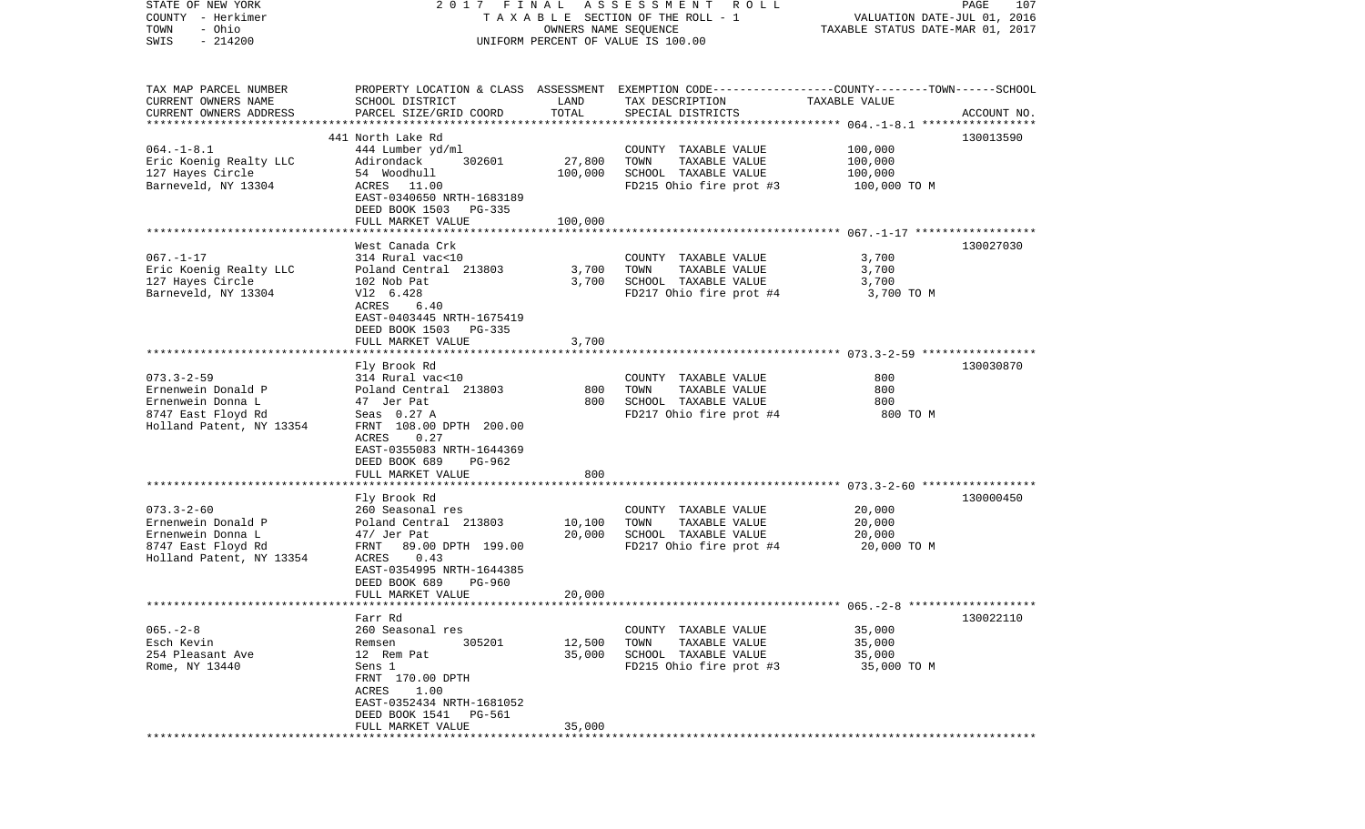| STATE OF NEW YORK<br>COUNTY - Herkimer<br>- Ohio<br>TOWN |                                                    | OWNERS NAME SEQUENCE | 2017 FINAL ASSESSMENT ROLL<br>TAXABLE SECTION OF THE ROLL - 1                                    | VALUATION DATE-JUL 01, 2016<br>TAXABLE STATUS DATE-MAR 01, 2017 | PAGE<br>107 |
|----------------------------------------------------------|----------------------------------------------------|----------------------|--------------------------------------------------------------------------------------------------|-----------------------------------------------------------------|-------------|
| $-214200$<br>SWIS                                        |                                                    |                      | UNIFORM PERCENT OF VALUE IS 100.00                                                               |                                                                 |             |
|                                                          |                                                    |                      |                                                                                                  |                                                                 |             |
| TAX MAP PARCEL NUMBER                                    |                                                    |                      | PROPERTY LOCATION & CLASS ASSESSMENT EXEMPTION CODE----------------COUNTY-------TOWN------SCHOOL |                                                                 |             |
| CURRENT OWNERS NAME<br>CURRENT OWNERS ADDRESS            | SCHOOL DISTRICT<br>PARCEL SIZE/GRID COORD          | LAND<br>TOTAL        | TAX DESCRIPTION<br>SPECIAL DISTRICTS                                                             | TAXABLE VALUE                                                   | ACCOUNT NO. |
| *************************                                |                                                    |                      |                                                                                                  |                                                                 |             |
|                                                          | 441 North Lake Rd                                  |                      |                                                                                                  |                                                                 | 130013590   |
| $064. -1 - 8.1$                                          | 444 Lumber yd/ml                                   |                      | COUNTY TAXABLE VALUE                                                                             | 100,000                                                         |             |
| Eric Koenig Realty LLC<br>127 Hayes Circle               | Adirondack<br>302601<br>54 Woodhull                | 27,800<br>100,000    | TOWN<br>TAXABLE VALUE<br>SCHOOL TAXABLE VALUE                                                    | 100,000<br>100,000                                              |             |
| Barneveld, NY 13304                                      | ACRES 11.00                                        |                      | FD215 Ohio fire prot #3                                                                          | 100,000 TO M                                                    |             |
|                                                          | EAST-0340650 NRTH-1683189<br>DEED BOOK 1503 PG-335 |                      |                                                                                                  |                                                                 |             |
|                                                          | FULL MARKET VALUE                                  | 100,000              |                                                                                                  |                                                                 |             |
|                                                          |                                                    |                      |                                                                                                  |                                                                 |             |
|                                                          | West Canada Crk                                    |                      |                                                                                                  |                                                                 | 130027030   |
| $067. - 1 - 17$<br>Eric Koenig Realty LLC                | 314 Rural vac<10<br>Poland Central 213803          | 3,700                | COUNTY TAXABLE VALUE<br>TAXABLE VALUE<br>TOWN                                                    | 3,700<br>3,700                                                  |             |
| 127 Hayes Circle                                         | 102 Nob Pat                                        | 3,700                | SCHOOL TAXABLE VALUE                                                                             | 3,700                                                           |             |
| Barneveld, NY 13304                                      | V12 6.428                                          |                      | FD217 Ohio fire prot #4                                                                          | 3,700 TO M                                                      |             |
|                                                          | ACRES<br>6.40<br>EAST-0403445 NRTH-1675419         |                      |                                                                                                  |                                                                 |             |
|                                                          | DEED BOOK 1503<br><b>PG-335</b>                    |                      |                                                                                                  |                                                                 |             |
|                                                          | FULL MARKET VALUE                                  | 3,700                |                                                                                                  |                                                                 |             |
|                                                          | Fly Brook Rd                                       |                      |                                                                                                  |                                                                 | 130030870   |
| $073.3 - 2 - 59$                                         | 314 Rural vac<10                                   |                      | COUNTY TAXABLE VALUE                                                                             | 800                                                             |             |
| Ernenwein Donald P                                       | Poland Central 213803                              | 800                  | TAXABLE VALUE<br>TOWN                                                                            | 800                                                             |             |
| Ernenwein Donna L                                        | 47 Jer Pat                                         | 800                  | SCHOOL TAXABLE VALUE                                                                             | 800                                                             |             |
| 8747 East Floyd Rd                                       | Seas 0.27 A                                        |                      | FD217 Ohio fire prot #4                                                                          | 800 TO M                                                        |             |
| Holland Patent, NY 13354                                 | FRNT 108.00 DPTH 200.00<br>ACRES<br>0.27           |                      |                                                                                                  |                                                                 |             |
|                                                          | EAST-0355083 NRTH-1644369                          |                      |                                                                                                  |                                                                 |             |
|                                                          | DEED BOOK 689<br>PG-962                            |                      |                                                                                                  |                                                                 |             |
|                                                          | FULL MARKET VALUE                                  | 800                  |                                                                                                  |                                                                 |             |
|                                                          | ************************                           |                      |                                                                                                  |                                                                 |             |
| $073.3 - 2 - 60$                                         | Fly Brook Rd<br>260 Seasonal res                   |                      | COUNTY TAXABLE VALUE                                                                             | 20,000                                                          | 130000450   |
| Ernenwein Donald P                                       | Poland Central 213803                              | 10,100               | TOWN<br>TAXABLE VALUE                                                                            | 20,000                                                          |             |
| Ernenwein Donna L                                        | 47/ Jer Pat                                        | 20,000               | SCHOOL TAXABLE VALUE                                                                             | 20,000                                                          |             |
| 8747 East Floyd Rd                                       | FRNT 89.00 DPTH 199.00                             |                      | FD217 Ohio fire prot #4                                                                          | 20,000 TO M                                                     |             |
| Holland Patent, NY 13354                                 | 0.43<br>ACRES                                      |                      |                                                                                                  |                                                                 |             |
|                                                          | EAST-0354995 NRTH-1644385                          |                      |                                                                                                  |                                                                 |             |
|                                                          | DEED BOOK 689<br>PG-960                            |                      |                                                                                                  |                                                                 |             |
|                                                          | FULL MARKET VALUE                                  | 20,000               |                                                                                                  |                                                                 |             |
|                                                          | Farr Rd                                            |                      |                                                                                                  |                                                                 | 130022110   |
| $065. - 2 - 8$                                           | 260 Seasonal res                                   |                      | COUNTY TAXABLE VALUE                                                                             | 35,000                                                          |             |
| Esch Kevin                                               | 305201<br>Remsen                                   | 12,500               | TOWN<br>TAXABLE VALUE                                                                            | 35,000                                                          |             |
| 254 Pleasant Ave                                         | 12 Rem Pat                                         | 35,000               | SCHOOL TAXABLE VALUE                                                                             | 35,000                                                          |             |
| Rome, NY 13440                                           | Sens 1                                             |                      | FD215 Ohio fire prot #3                                                                          | 35,000 TO M                                                     |             |
|                                                          | FRNT 170.00 DPTH<br>1.00<br>ACRES                  |                      |                                                                                                  |                                                                 |             |
|                                                          | EAST-0352434 NRTH-1681052                          |                      |                                                                                                  |                                                                 |             |
|                                                          | DEED BOOK 1541<br>PG-561                           |                      |                                                                                                  |                                                                 |             |
|                                                          | FULL MARKET VALUE                                  | 35,000               |                                                                                                  |                                                                 |             |
|                                                          |                                                    |                      |                                                                                                  |                                                                 |             |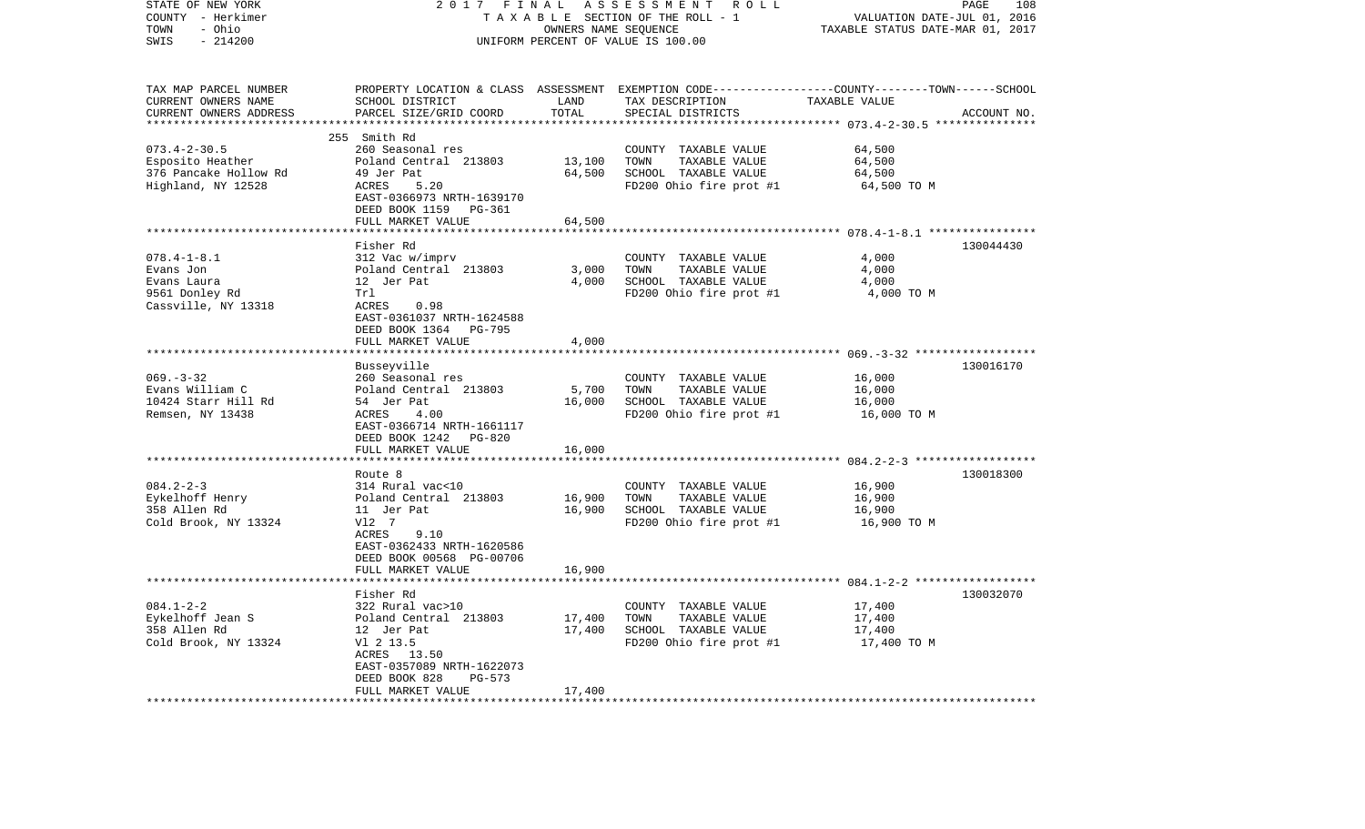| STATE OF NEW YORK<br>COUNTY - Herkimer<br>- Ohio<br>TOWN<br>SWIS<br>$-214200$          | 2017 FINAL                                                                                                                                                                 | OWNERS NAME SEQUENCE       | ASSESSMENT ROLL<br>TAXABLE SECTION OF THE ROLL - 1<br>UNIFORM PERCENT OF VALUE IS 100.00                                                | VALUATION DATE-JUL 01, 2016<br>TAXABLE STATUS DATE-MAR 01, 2017 | PAGE<br>108 |
|----------------------------------------------------------------------------------------|----------------------------------------------------------------------------------------------------------------------------------------------------------------------------|----------------------------|-----------------------------------------------------------------------------------------------------------------------------------------|-----------------------------------------------------------------|-------------|
| TAX MAP PARCEL NUMBER<br>CURRENT OWNERS NAME<br>CURRENT OWNERS ADDRESS                 | SCHOOL DISTRICT<br>PARCEL SIZE/GRID COORD                                                                                                                                  | LAND<br>TOTAL              | PROPERTY LOCATION & CLASS ASSESSMENT EXEMPTION CODE---------------COUNTY-------TOWN------SCHOOL<br>TAX DESCRIPTION<br>SPECIAL DISTRICTS | TAXABLE VALUE                                                   | ACCOUNT NO. |
|                                                                                        |                                                                                                                                                                            | * * * * * * * * * *        |                                                                                                                                         |                                                                 |             |
| $073.4 - 2 - 30.5$<br>Esposito Heather<br>376 Pancake Hollow Rd<br>Highland, NY 12528  | 255 Smith Rd<br>260 Seasonal res<br>Poland Central 213803<br>49 Jer Pat<br>ACRES<br>5.20                                                                                   | 13,100<br>64,500           | COUNTY TAXABLE VALUE<br>TAXABLE VALUE<br>TOWN<br>SCHOOL TAXABLE VALUE<br>FD200 Ohio fire prot #1                                        | 64,500<br>64,500<br>64,500<br>64,500 TO M                       |             |
|                                                                                        | EAST-0366973 NRTH-1639170<br>DEED BOOK 1159 PG-361<br>FULL MARKET VALUE                                                                                                    | 64,500                     |                                                                                                                                         |                                                                 |             |
|                                                                                        |                                                                                                                                                                            |                            |                                                                                                                                         |                                                                 |             |
| $078.4 - 1 - 8.1$<br>Evans Jon<br>Evans Laura<br>9561 Donley Rd<br>Cassville, NY 13318 | Fisher Rd<br>312 Vac w/imprv<br>Poland Central 213803<br>12 Jer Pat<br>Trl<br>0.98<br>ACRES<br>EAST-0361037 NRTH-1624588                                                   | 3,000<br>4,000             | COUNTY TAXABLE VALUE<br>TOWN<br>TAXABLE VALUE<br>SCHOOL TAXABLE VALUE<br>FD200 Ohio fire prot #1                                        | 4,000<br>4,000<br>4,000<br>4,000 TO M                           | 130044430   |
|                                                                                        | DEED BOOK 1364 PG-795<br>FULL MARKET VALUE                                                                                                                                 | 4,000                      |                                                                                                                                         |                                                                 |             |
| $069. -3 - 32$<br>Evans William C<br>10424 Starr Hill Rd<br>Remsen, NY 13438           | Busseyville<br>260 Seasonal res<br>Poland Central 213803<br>54 Jer Pat<br>ACRES<br>4.00<br>EAST-0366714 NRTH-1661117<br>DEED BOOK 1242 PG-820                              | 5,700<br>16,000            | COUNTY TAXABLE VALUE<br>TOWN<br>TAXABLE VALUE<br>SCHOOL TAXABLE VALUE<br>FD200 Ohio fire prot #1                                        | 16,000<br>16,000<br>16,000<br>16,000 TO M                       | 130016170   |
|                                                                                        | FULL MARKET VALUE                                                                                                                                                          | 16,000                     |                                                                                                                                         |                                                                 |             |
| $084.2 - 2 - 3$<br>Eykelhoff Henry<br>358 Allen Rd<br>Cold Brook, NY 13324             | Route 8<br>314 Rural vac<10<br>Poland Central 213803<br>11 Jer Pat<br>V12 7<br>ACRES<br>9.10<br>EAST-0362433 NRTH-1620586<br>DEED BOOK 00568 PG-00706<br>FULL MARKET VALUE | 16,900<br>16,900<br>16,900 | COUNTY TAXABLE VALUE<br>TOWN<br>TAXABLE VALUE<br>SCHOOL TAXABLE VALUE<br>FD200 Ohio fire prot #1                                        | 16,900<br>16,900<br>16,900<br>16,900 TO M                       | 130018300   |
|                                                                                        |                                                                                                                                                                            |                            |                                                                                                                                         |                                                                 |             |
| $084.1 - 2 - 2$<br>Eykelhoff Jean S<br>358 Allen Rd<br>Cold Brook, NY 13324            | Fisher Rd<br>322 Rural vac>10<br>Poland Central 213803<br>12 Jer Pat<br>V1 2 13.5<br>ACRES 13.50<br>EAST-0357089 NRTH-1622073<br>DEED BOOK 828<br>PG-573                   | 17,400<br>17,400<br>17,400 | COUNTY TAXABLE VALUE<br>TOWN<br>TAXABLE VALUE<br>SCHOOL TAXABLE VALUE<br>FD200 Ohio fire prot #1                                        | 17,400<br>17,400<br>17,400<br>17,400 TO M                       | 130032070   |
|                                                                                        | FULL MARKET VALUE                                                                                                                                                          | *************              |                                                                                                                                         |                                                                 |             |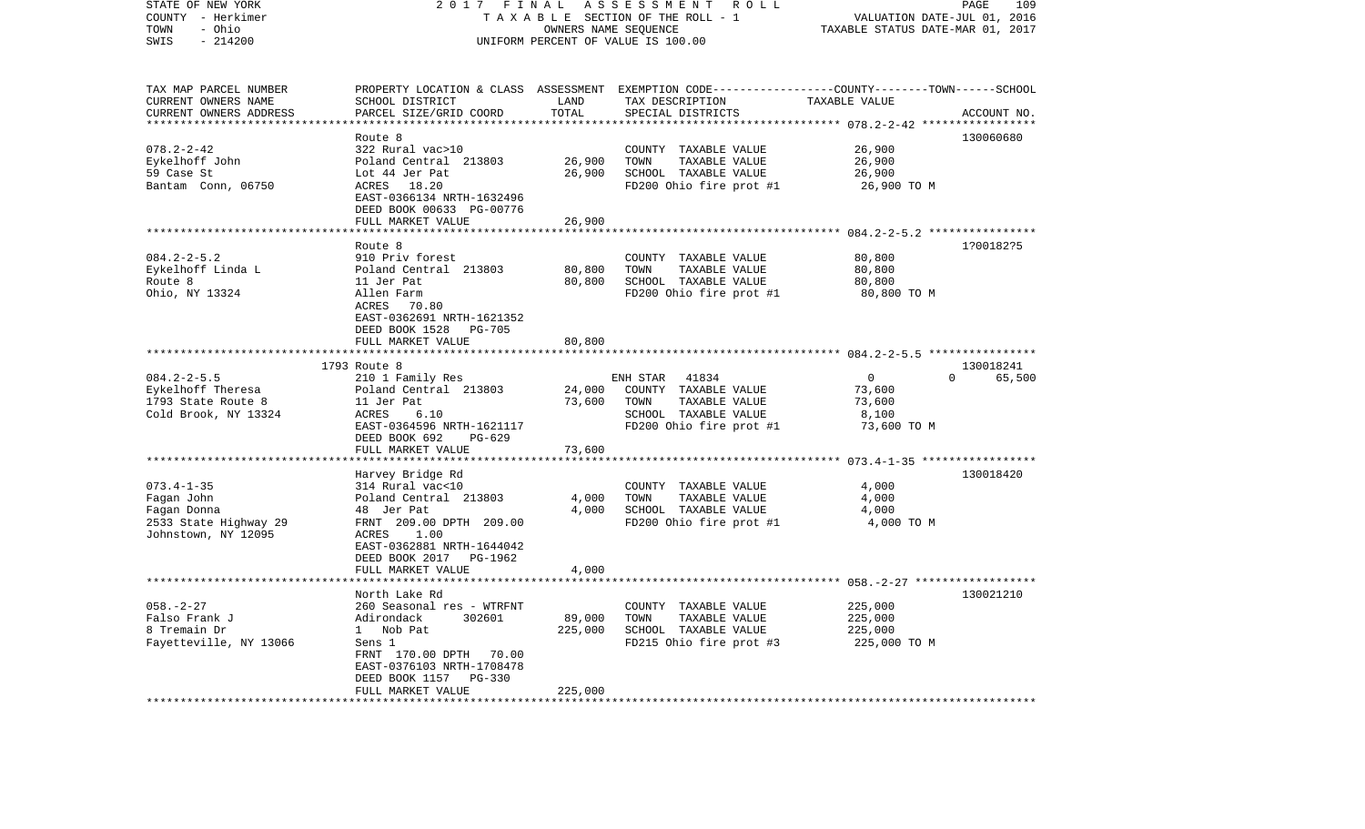| STATE OF NEW YORK<br>COUNTY - Herkimer<br>- Ohio<br>TOWN<br>SWIS<br>$-214200$                 | 2017                                                                                                                                                                                                                              | FINAL<br>OWNERS NAME SEQUENCE | ASSESSMENT<br>ROLL<br>TAXABLE SECTION OF THE ROLL - 1<br>UNIFORM PERCENT OF VALUE IS 100.00                                              | VALUATION DATE-JUL 01, 2016<br>TAXABLE STATUS DATE-MAR 01, 2017 | PAGE<br>109                     |
|-----------------------------------------------------------------------------------------------|-----------------------------------------------------------------------------------------------------------------------------------------------------------------------------------------------------------------------------------|-------------------------------|------------------------------------------------------------------------------------------------------------------------------------------|-----------------------------------------------------------------|---------------------------------|
| TAX MAP PARCEL NUMBER<br>CURRENT OWNERS NAME<br>CURRENT OWNERS ADDRESS                        | SCHOOL DISTRICT<br>PARCEL SIZE/GRID COORD                                                                                                                                                                                         | LAND<br>TOTAL                 | PROPERTY LOCATION & CLASS ASSESSMENT EXEMPTION CODE----------------COUNTY-------TOWN------SCHOOL<br>TAX DESCRIPTION<br>SPECIAL DISTRICTS | TAXABLE VALUE<br>************ 078.2-2-42 *****                  | ACCOUNT NO.                     |
|                                                                                               | Route 8                                                                                                                                                                                                                           |                               |                                                                                                                                          |                                                                 | 130060680                       |
| $078.2 - 2 - 42$<br>Eykelhoff John<br>59 Case St<br>Bantam Conn, 06750                        | 322 Rural vac>10<br>Poland Central 213803<br>Lot 44 Jer Pat<br>ACRES 18.20<br>EAST-0366134 NRTH-1632496<br>DEED BOOK 00633 PG-00776<br>FULL MARKET VALUE                                                                          | 26,900<br>26,900<br>26,900    | COUNTY TAXABLE VALUE<br>TOWN<br>TAXABLE VALUE<br>SCHOOL TAXABLE VALUE<br>FD200 Ohio fire prot #1                                         | 26,900<br>26,900<br>26,900<br>26,900 TO M                       |                                 |
|                                                                                               |                                                                                                                                                                                                                                   |                               |                                                                                                                                          |                                                                 |                                 |
| $084.2 - 2 - 5.2$<br>Eykelhoff Linda L<br>Route 8<br>Ohio, NY 13324                           | Route 8<br>910 Priv forest<br>Poland Central 213803<br>11 Jer Pat<br>Allen Farm<br>ACRES<br>70.80<br>EAST-0362691 NRTH-1621352<br>DEED BOOK 1528<br><b>PG-705</b>                                                                 | 80,800<br>80,800              | COUNTY TAXABLE VALUE<br>TOWN<br>TAXABLE VALUE<br>SCHOOL TAXABLE VALUE<br>FD200 Ohio fire prot #1                                         | 80,800<br>80,800<br>80,800<br>80,800 TO M                       | 1?00182?5                       |
|                                                                                               | FULL MARKET VALUE                                                                                                                                                                                                                 | 80,800                        |                                                                                                                                          |                                                                 |                                 |
| $084.2 - 2 - 5.5$<br>Eykelhoff Theresa<br>1793 State Route 8<br>Cold Brook, NY 13324          | 1793 Route 8<br>210 1 Family Res<br>Poland Central 213803<br>11 Jer Pat<br>ACRES<br>6.10<br>EAST-0364596 NRTH-1621117<br>DEED BOOK 692<br>$PG-629$                                                                                | 24,000<br>73,600              | ENH STAR<br>41834<br>COUNTY TAXABLE VALUE<br>TAXABLE VALUE<br>TOWN<br>SCHOOL TAXABLE VALUE<br>FD200 Ohio fire prot #1                    | $\mathbf 0$<br>73,600<br>73,600<br>8,100<br>73,600 TO M         | 130018241<br>$\Omega$<br>65,500 |
|                                                                                               | FULL MARKET VALUE                                                                                                                                                                                                                 | 73,600                        |                                                                                                                                          |                                                                 |                                 |
| $073.4 - 1 - 35$<br>Fagan John<br>Fagan Donna<br>2533 State Highway 29<br>Johnstown, NY 12095 | ***********************<br>Harvey Bridge Rd<br>314 Rural vac<10<br>Poland Central 213803<br>48 Jer Pat<br>FRNT 209.00 DPTH 209.00<br>ACRES<br>1.00<br>EAST-0362881 NRTH-1644042<br>DEED BOOK 2017<br>PG-1962<br>FULL MARKET VALUE | 4,000<br>4,000<br>4,000       | COUNTY TAXABLE VALUE<br>TAXABLE VALUE<br>TOWN<br>SCHOOL TAXABLE VALUE<br>FD200 Ohio fire prot #1                                         | 4,000<br>4,000<br>4,000<br>4,000 TO M                           | 130018420                       |
|                                                                                               | *******************                                                                                                                                                                                                               |                               |                                                                                                                                          |                                                                 |                                 |
| $058. - 2 - 27$<br>Falso Frank J<br>8 Tremain Dr<br>Fayetteville, NY 13066                    | North Lake Rd<br>260 Seasonal res - WTRFNT<br>Adirondack<br>302601<br>Nob Pat<br>$1 \quad$<br>Sens 1<br>FRNT 170.00 DPTH<br>70.00<br>EAST-0376103 NRTH-1708478<br>DEED BOOK 1157<br>PG-330<br>FULL MARKET VALUE                   | 89,000<br>225,000<br>225,000  | COUNTY TAXABLE VALUE<br>TOWN<br>TAXABLE VALUE<br>SCHOOL TAXABLE VALUE<br>FD215 Ohio fire prot #3                                         | 225,000<br>225,000<br>225,000<br>225,000 TO M                   | 130021210                       |
|                                                                                               | .                                                                                                                                                                                                                                 |                               |                                                                                                                                          |                                                                 |                                 |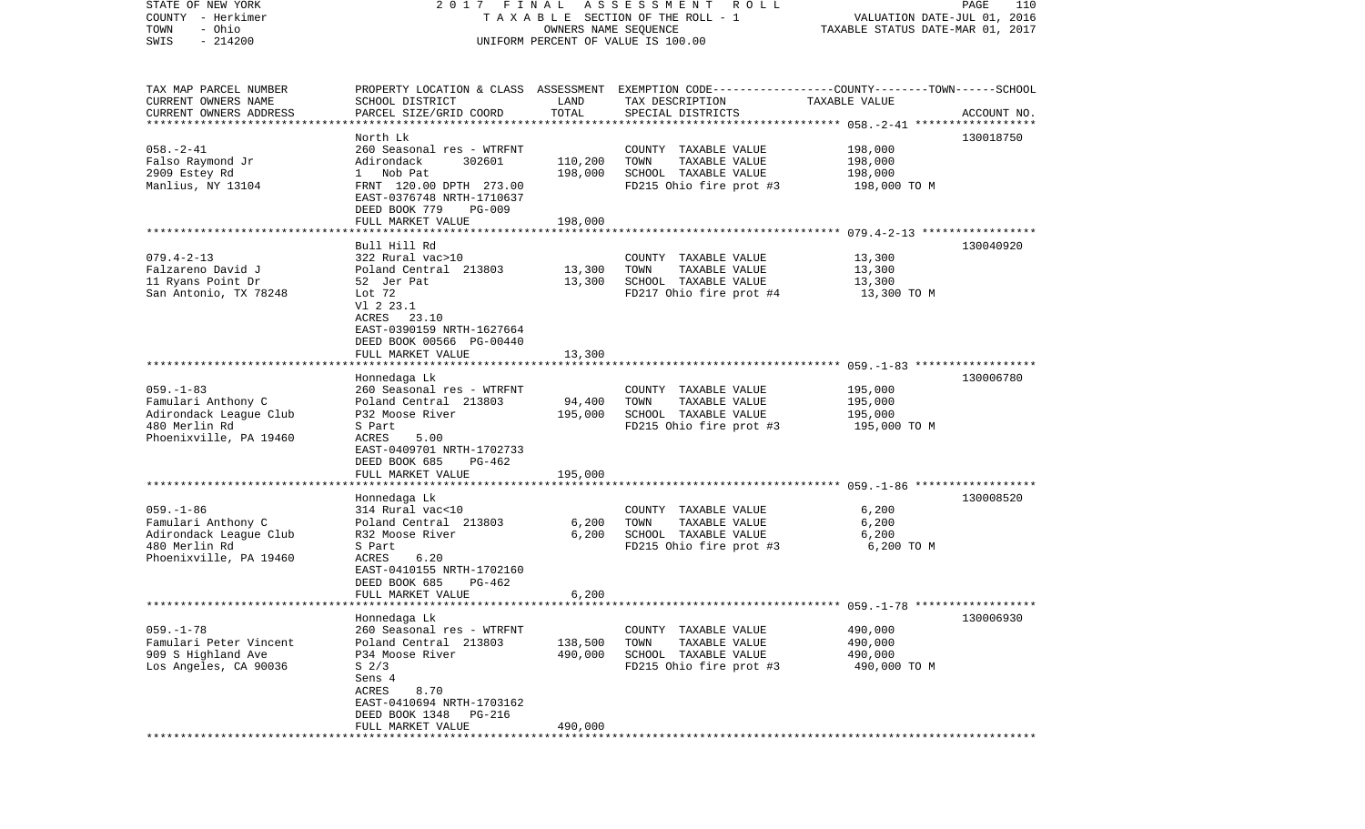| STATE OF NEW YORK                   | 2017 FINAL                                           |                      | A S S E S S M E N T<br>R O L L                                                                   |                                  | PAGE<br>110 |
|-------------------------------------|------------------------------------------------------|----------------------|--------------------------------------------------------------------------------------------------|----------------------------------|-------------|
| COUNTY - Herkimer                   |                                                      |                      | TAXABLE SECTION OF THE ROLL - 1                                                                  | VALUATION DATE-JUL 01, 2016      |             |
| - Ohio<br>TOWN<br>$-214200$<br>SWIS |                                                      | OWNERS NAME SEQUENCE | UNIFORM PERCENT OF VALUE IS 100.00                                                               | TAXABLE STATUS DATE-MAR 01, 2017 |             |
|                                     |                                                      |                      |                                                                                                  |                                  |             |
|                                     |                                                      |                      |                                                                                                  |                                  |             |
| TAX MAP PARCEL NUMBER               |                                                      |                      | PROPERTY LOCATION & CLASS ASSESSMENT EXEMPTION CODE----------------COUNTY-------TOWN------SCHOOL |                                  |             |
| CURRENT OWNERS NAME                 | SCHOOL DISTRICT                                      | LAND                 | TAX DESCRIPTION                                                                                  | TAXABLE VALUE                    |             |
| CURRENT OWNERS ADDRESS              | PARCEL SIZE/GRID COORD                               | TOTAL                | SPECIAL DISTRICTS                                                                                |                                  | ACCOUNT NO. |
| **********************              |                                                      |                      |                                                                                                  |                                  |             |
|                                     | North Lk                                             |                      |                                                                                                  |                                  | 130018750   |
| $058. - 2 - 41$                     | 260 Seasonal res - WTRFNT                            |                      | COUNTY TAXABLE VALUE                                                                             | 198,000                          |             |
| Falso Raymond Jr                    | Adirondack<br>302601                                 | 110,200              | TOWN<br>TAXABLE VALUE                                                                            | 198,000                          |             |
| 2909 Estey Rd                       | 1 Nob Pat                                            | 198,000              | SCHOOL TAXABLE VALUE                                                                             | 198,000                          |             |
| Manlius, NY 13104                   | FRNT 120.00 DPTH 273.00                              |                      | FD215 Ohio fire prot #3                                                                          | 198,000 TO M                     |             |
|                                     | EAST-0376748 NRTH-1710637                            |                      |                                                                                                  |                                  |             |
|                                     | DEED BOOK 779<br><b>PG-009</b><br>FULL MARKET VALUE  | 198,000              |                                                                                                  |                                  |             |
|                                     |                                                      |                      |                                                                                                  |                                  |             |
|                                     | Bull Hill Rd                                         |                      |                                                                                                  |                                  | 130040920   |
| $079.4 - 2 - 13$                    | 322 Rural vac>10                                     |                      | COUNTY TAXABLE VALUE                                                                             | 13,300                           |             |
| Falzareno David J                   | Poland Central 213803                                | 13,300               | TAXABLE VALUE<br>TOWN                                                                            | 13,300                           |             |
| 11 Ryans Point Dr                   | 52 Jer Pat                                           | 13,300               | SCHOOL TAXABLE VALUE                                                                             | 13,300                           |             |
| San Antonio, TX 78248               | Lot 72                                               |                      | FD217 Ohio fire prot #4                                                                          | 13,300 TO M                      |             |
|                                     | V1 2 23.1                                            |                      |                                                                                                  |                                  |             |
|                                     | ACRES 23.10                                          |                      |                                                                                                  |                                  |             |
|                                     | EAST-0390159 NRTH-1627664                            |                      |                                                                                                  |                                  |             |
|                                     | DEED BOOK 00566 PG-00440                             |                      |                                                                                                  |                                  |             |
|                                     | FULL MARKET VALUE                                    | 13,300               |                                                                                                  |                                  |             |
|                                     |                                                      |                      |                                                                                                  |                                  |             |
| $059. -1 - 83$                      | Honnedaga Lk<br>260 Seasonal res - WTRFNT            |                      | COUNTY TAXABLE VALUE                                                                             | 195,000                          | 130006780   |
| Famulari Anthony C                  | Poland Central 213803                                | 94,400               | TAXABLE VALUE<br>TOWN                                                                            | 195,000                          |             |
| Adirondack League Club              | P32 Moose River                                      | 195,000              | SCHOOL TAXABLE VALUE                                                                             | 195,000                          |             |
| 480 Merlin Rd                       | S Part                                               |                      | FD215 Ohio fire prot #3                                                                          | 195,000 TO M                     |             |
| Phoenixville, PA 19460              | ACRES<br>5.00                                        |                      |                                                                                                  |                                  |             |
|                                     | EAST-0409701 NRTH-1702733                            |                      |                                                                                                  |                                  |             |
|                                     | DEED BOOK 685<br>PG-462                              |                      |                                                                                                  |                                  |             |
|                                     | FULL MARKET VALUE                                    | 195,000              |                                                                                                  |                                  |             |
|                                     |                                                      |                      |                                                                                                  |                                  |             |
|                                     | Honnedaga Lk                                         |                      |                                                                                                  |                                  | 130008520   |
| $059. - 1 - 86$                     | 314 Rural vac<10                                     |                      | COUNTY TAXABLE VALUE                                                                             | 6,200                            |             |
| Famulari Anthony C                  | Poland Central 213803                                | 6,200                | TOWN<br>TAXABLE VALUE                                                                            | 6,200                            |             |
| Adirondack League Club              | R32 Moose River                                      | 6,200                | SCHOOL TAXABLE VALUE                                                                             | 6,200                            |             |
| 480 Merlin Rd                       | S Part                                               |                      | FD215 Ohio fire prot #3                                                                          | 6,200 TO M                       |             |
| Phoenixville, PA 19460              | 6.20<br>ACRES<br>EAST-0410155 NRTH-1702160           |                      |                                                                                                  |                                  |             |
|                                     | DEED BOOK 685<br>$PG-462$                            |                      |                                                                                                  |                                  |             |
|                                     | FULL MARKET VALUE                                    | 6,200                |                                                                                                  |                                  |             |
|                                     |                                                      |                      |                                                                                                  |                                  |             |
|                                     | Honnedaga Lk                                         |                      |                                                                                                  |                                  | 130006930   |
| $059. -1 - 78$                      | 260 Seasonal res - WTRFNT                            |                      | COUNTY TAXABLE VALUE                                                                             | 490,000                          |             |
| Famulari Peter Vincent              | Poland Central 213803                                | 138,500              | TOWN<br>TAXABLE VALUE                                                                            | 490,000                          |             |
| 909 S Highland Ave                  | P34 Moose River                                      | 490,000              | SCHOOL TAXABLE VALUE                                                                             | 490,000                          |             |
| Los Angeles, CA 90036               | S <sub>2/3</sub>                                     |                      | FD215 Ohio fire prot #3                                                                          | 490,000 TO M                     |             |
|                                     | Sens 4                                               |                      |                                                                                                  |                                  |             |
|                                     | ACRES<br>8.70                                        |                      |                                                                                                  |                                  |             |
|                                     | EAST-0410694 NRTH-1703162                            |                      |                                                                                                  |                                  |             |
|                                     | DEED BOOK 1348<br><b>PG-216</b><br>FULL MARKET VALUE | 490,000              |                                                                                                  |                                  |             |
|                                     |                                                      |                      |                                                                                                  |                                  |             |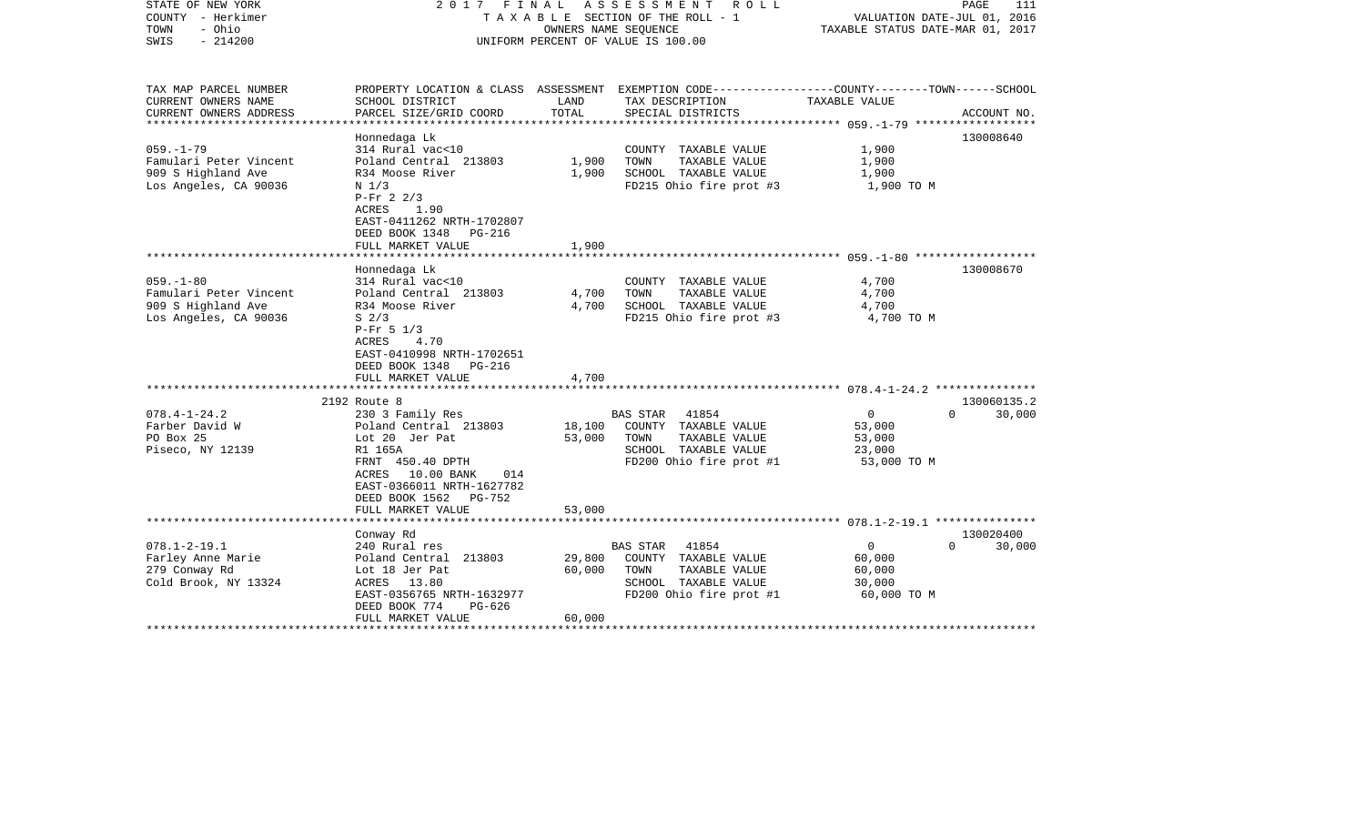| STATE OF NEW YORK<br>COUNTY - Herkimer<br>- Ohio<br>TOWN<br>$-214200$<br>SWIS            |                                                                                                                                                                                                              |                            | 2017 FINAL ASSESSMENT ROLL<br>T A X A B L E SECTION OF THE ROLL - 1<br>OWNERS NAME SEQUENCE<br>UNIFORM PERCENT OF VALUE IS 100.00 | VALUATION DATE-JUL 01, 2016<br>TAXABLE STATUS DATE-MAR 01, 2017         | PAGE<br>111        |
|------------------------------------------------------------------------------------------|--------------------------------------------------------------------------------------------------------------------------------------------------------------------------------------------------------------|----------------------------|-----------------------------------------------------------------------------------------------------------------------------------|-------------------------------------------------------------------------|--------------------|
| TAX MAP PARCEL NUMBER<br>CURRENT OWNERS NAME                                             | SCHOOL DISTRICT                                                                                                                                                                                              | LAND                       | PROPERTY LOCATION & CLASS ASSESSMENT EXEMPTION CODE---------------COUNTY-------TOWN-----SCHOOL<br>TAX DESCRIPTION                 | TAXABLE VALUE                                                           |                    |
| CURRENT OWNERS ADDRESS                                                                   | PARCEL SIZE/GRID COORD                                                                                                                                                                                       | TOTAL                      | SPECIAL DISTRICTS                                                                                                                 |                                                                         | ACCOUNT NO.        |
| $059. -1 - 79$<br>Famulari Peter Vincent<br>909 S Highland Ave<br>Los Angeles, CA 90036  | Honnedaga Lk<br>314 Rural vac<10<br>Poland Central 213803<br>R34 Moose River<br>N <sub>1/3</sub><br>$P-Fr$ 2 2/3<br>1.90<br>ACRES<br>EAST-0411262 NRTH-1702807<br>DEED BOOK 1348 PG-216                      | 1,900<br>1,900             | COUNTY TAXABLE VALUE<br>TAXABLE VALUE<br>TOWN<br>SCHOOL TAXABLE VALUE<br>FD215 Ohio fire prot #3                                  | 1,900<br>1,900<br>1,900<br>1,900 TO M                                   | 130008640          |
|                                                                                          | FULL MARKET VALUE                                                                                                                                                                                            | 1,900                      |                                                                                                                                   |                                                                         |                    |
| $059. - 1 - 80$<br>Famulari Peter Vincent<br>909 S Highland Ave<br>Los Angeles, CA 90036 | Honnedaga Lk<br>314 Rural vac<10<br>Poland Central 213803<br>R34 Moose River<br>S <sub>2/3</sub><br>$P-Fr$ 5 1/3<br>4.70<br>ACRES<br>EAST-0410998 NRTH-1702651<br>DEED BOOK 1348 PG-216<br>FULL MARKET VALUE | 4,700<br>4,700<br>4,700    | COUNTY TAXABLE VALUE<br>TAXABLE VALUE<br>TOWN<br>SCHOOL TAXABLE VALUE<br>FD215 Ohio fire prot #3                                  | 4,700<br>4,700<br>4,700<br>4,700 TO M                                   | 130008670          |
|                                                                                          | 2192 Route 8                                                                                                                                                                                                 |                            |                                                                                                                                   |                                                                         | 130060135.2        |
| $078.4 - 1 - 24.2$<br>Farber David W<br>PO Box 25<br>Piseco, NY 12139                    | 230 3 Family Res<br>Poland Central 213803<br>Lot 20 Jer Pat<br>R1 165A<br>FRNT 450.40 DPTH<br>ACRES 10.00 BANK<br>014<br>EAST-0366011 NRTH-1627782<br>DEED BOOK 1562 PG-752                                  | 18,100<br>53,000           | BAS STAR 41854<br>COUNTY TAXABLE VALUE<br>TOWN<br>TAXABLE VALUE<br>SCHOOL TAXABLE VALUE<br>FD200 Ohio fire prot #1                | $\overline{0}$<br>53,000<br>53,000<br>23,000<br>53,000 TO M             | 30,000<br>$\Omega$ |
|                                                                                          | FULL MARKET VALUE                                                                                                                                                                                            | 53,000                     |                                                                                                                                   |                                                                         |                    |
|                                                                                          | Conway Rd                                                                                                                                                                                                    |                            |                                                                                                                                   |                                                                         | 130020400          |
| $078.1 - 2 - 19.1$<br>Farley Anne Marie<br>279 Conway Rd<br>Cold Brook, NY 13324         | 240 Rural res<br>Poland Central 213803<br>Lot 18 Jer Pat<br>ACRES<br>13.80<br>EAST-0356765 NRTH-1632977<br>DEED BOOK 774<br>PG-626<br>FULL MARKET VALUE                                                      | 29,800<br>60,000<br>60,000 | 41854<br>BAS STAR<br>COUNTY TAXABLE VALUE<br>TOWN<br>TAXABLE VALUE<br>SCHOOL TAXABLE VALUE<br>FD200 Ohio fire prot #1             | $\overline{0}$<br>$\Omega$<br>60,000<br>60,000<br>30,000<br>60,000 TO M | 30,000             |
|                                                                                          | ***********************                                                                                                                                                                                      |                            |                                                                                                                                   |                                                                         |                    |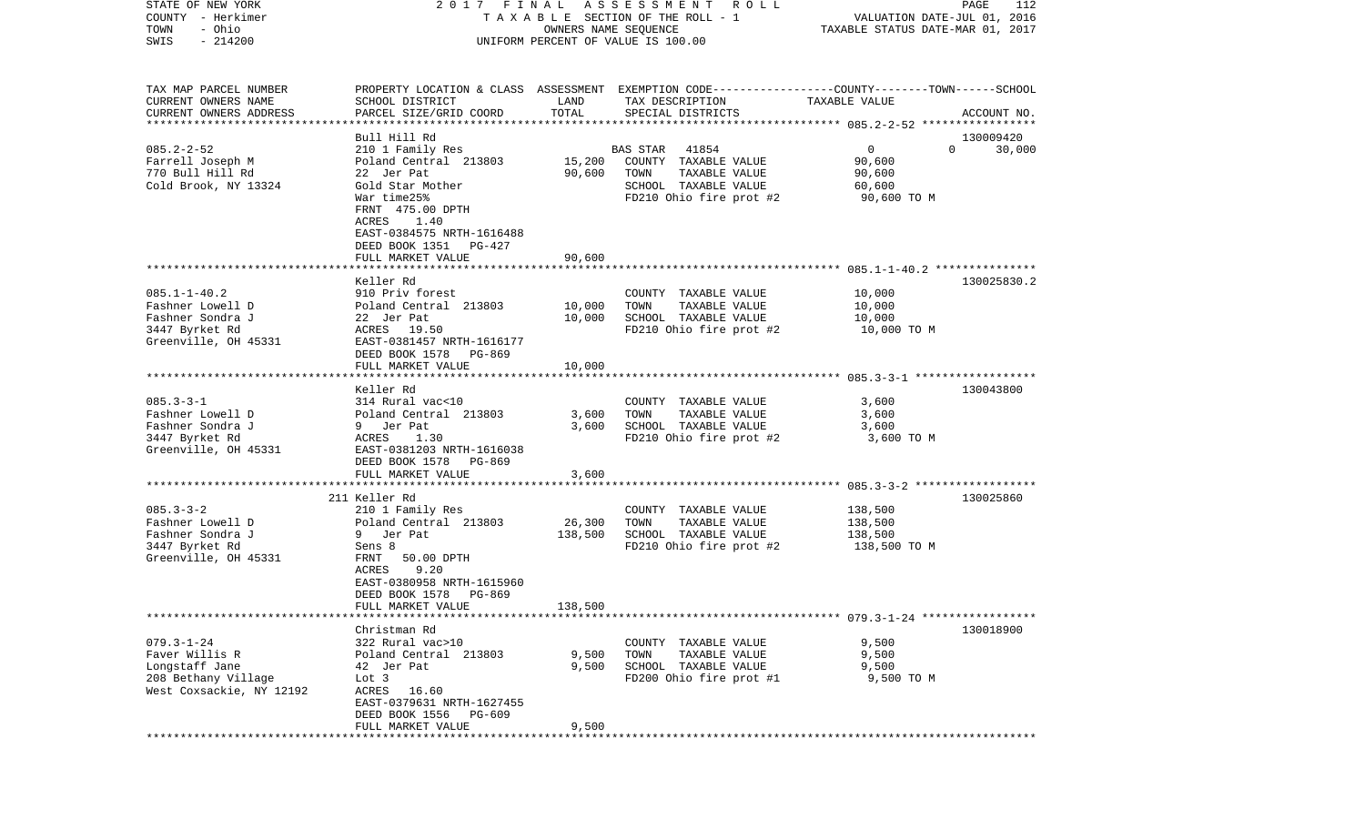| COUNTY<br>– Herkimer<br>TOWN<br>- Ohio<br>$-214200$<br>SWIS |                                           | T A X A B L E SECTION OF THE ROLL - 1<br>OWNERS NAME SEQUENCE<br>UNIFORM PERCENT OF VALUE IS 100.00 |                                                                                                 |                                                                  | VALUATION DATE-JUL 01, 2016<br>TAXABLE STATUS DATE-MAR 01, 2017 |
|-------------------------------------------------------------|-------------------------------------------|-----------------------------------------------------------------------------------------------------|-------------------------------------------------------------------------------------------------|------------------------------------------------------------------|-----------------------------------------------------------------|
| TAX MAP PARCEL NUMBER                                       |                                           |                                                                                                     | PROPERTY LOCATION & CLASS ASSESSMENT EXEMPTION CODE---------------COUNTY-------TOWN------SCHOOL |                                                                  |                                                                 |
| CURRENT OWNERS NAME<br>CURRENT OWNERS ADDRESS               | SCHOOL DISTRICT<br>PARCEL SIZE/GRID COORD | LAND<br>TOTAL                                                                                       | TAX DESCRIPTION<br>SPECIAL DISTRICTS                                                            | TAXABLE VALUE                                                    |                                                                 |
| *************************                                   |                                           |                                                                                                     |                                                                                                 |                                                                  | ACCOUNT NO.                                                     |
|                                                             | Bull Hill Rd                              |                                                                                                     |                                                                                                 |                                                                  | 130009420                                                       |
| $085.2 - 2 - 52$                                            | 210 1 Family Res                          |                                                                                                     | 41854<br>BAS STAR                                                                               | $\overline{0}$                                                   | 30,000<br>$\Omega$                                              |
| Farrell Joseph M                                            | Poland Central 213803                     | 15,200                                                                                              | COUNTY TAXABLE VALUE                                                                            | 90,600                                                           |                                                                 |
| 770 Bull Hill Rd                                            | 22 Jer Pat                                | 90,600                                                                                              | TOWN<br>TAXABLE VALUE                                                                           | 90,600                                                           |                                                                 |
| Cold Brook, NY 13324                                        | Gold Star Mother                          |                                                                                                     | SCHOOL TAXABLE VALUE                                                                            | 60,600                                                           |                                                                 |
|                                                             | War time25%                               |                                                                                                     | FD210 Ohio fire prot #2                                                                         | 90,600 TO M                                                      |                                                                 |
|                                                             | FRNT 475.00 DPTH<br>1.40<br>ACRES         |                                                                                                     |                                                                                                 |                                                                  |                                                                 |
|                                                             | EAST-0384575 NRTH-1616488                 |                                                                                                     |                                                                                                 |                                                                  |                                                                 |
|                                                             | DEED BOOK 1351<br>PG-427                  |                                                                                                     |                                                                                                 |                                                                  |                                                                 |
|                                                             | FULL MARKET VALUE                         | 90,600                                                                                              |                                                                                                 |                                                                  |                                                                 |
|                                                             | ********************                      |                                                                                                     |                                                                                                 | ***************************** 085.1-1-40.2 ***************       |                                                                 |
|                                                             | Keller Rd                                 |                                                                                                     |                                                                                                 |                                                                  | 130025830.2                                                     |
| $085.1 - 1 - 40.2$                                          | 910 Priv forest                           |                                                                                                     | COUNTY<br>TAXABLE VALUE                                                                         | 10,000                                                           |                                                                 |
| Fashner Lowell D<br>Fashner Sondra J                        | Poland Central 213803                     | 10,000<br>10,000                                                                                    | TOWN<br>TAXABLE VALUE<br>SCHOOL TAXABLE VALUE                                                   | 10,000<br>10,000                                                 |                                                                 |
| 3447 Byrket Rd                                              | 22 Jer Pat<br>ACRES<br>19.50              |                                                                                                     | FD210 Ohio fire prot #2                                                                         | 10,000 TO M                                                      |                                                                 |
| Greenville, OH 45331                                        | EAST-0381457 NRTH-1616177                 |                                                                                                     |                                                                                                 |                                                                  |                                                                 |
|                                                             | DEED BOOK 1578<br>PG-869                  |                                                                                                     |                                                                                                 |                                                                  |                                                                 |
|                                                             | FULL MARKET VALUE                         | 10,000                                                                                              |                                                                                                 |                                                                  |                                                                 |
|                                                             |                                           |                                                                                                     |                                                                                                 |                                                                  |                                                                 |
|                                                             | Keller Rd                                 |                                                                                                     |                                                                                                 |                                                                  | 130043800                                                       |
| $085.3 - 3 - 1$                                             | 314 Rural vac<10                          |                                                                                                     | COUNTY TAXABLE VALUE                                                                            | 3,600                                                            |                                                                 |
| Fashner Lowell D<br>Fashner Sondra J                        | Poland Central 213803<br>9 Jer Pat        | 3,600<br>3,600                                                                                      | TOWN<br>TAXABLE VALUE<br>SCHOOL TAXABLE VALUE                                                   | 3,600<br>3,600                                                   |                                                                 |
| 3447 Byrket Rd                                              | ACRES<br>1.30                             |                                                                                                     | FD210 Ohio fire prot #2                                                                         | 3,600 TO M                                                       |                                                                 |
| Greenville, OH 45331                                        | EAST-0381203 NRTH-1616038                 |                                                                                                     |                                                                                                 |                                                                  |                                                                 |
|                                                             | DEED BOOK 1578<br>PG-869                  |                                                                                                     |                                                                                                 |                                                                  |                                                                 |
|                                                             | FULL MARKET VALUE                         | 3,600                                                                                               |                                                                                                 |                                                                  |                                                                 |
|                                                             |                                           |                                                                                                     |                                                                                                 |                                                                  |                                                                 |
| $085.3 - 3 - 2$                                             | 211 Keller Rd                             |                                                                                                     |                                                                                                 |                                                                  | 130025860                                                       |
| Fashner Lowell D                                            | 210 1 Family Res<br>Poland Central 213803 | 26,300                                                                                              | COUNTY TAXABLE VALUE<br>TOWN<br>TAXABLE VALUE                                                   | 138,500<br>138,500                                               |                                                                 |
| Fashner Sondra J                                            | 9 Jer Pat                                 | 138,500                                                                                             | SCHOOL TAXABLE VALUE                                                                            | 138,500                                                          |                                                                 |
| 3447 Byrket Rd                                              | Sens 8                                    |                                                                                                     | FD210 Ohio fire prot #2                                                                         | 138,500 TO M                                                     |                                                                 |
| Greenville, OH 45331                                        | FRNT<br>50.00 DPTH                        |                                                                                                     |                                                                                                 |                                                                  |                                                                 |
|                                                             | 9.20<br>ACRES                             |                                                                                                     |                                                                                                 |                                                                  |                                                                 |
|                                                             | EAST-0380958 NRTH-1615960                 |                                                                                                     |                                                                                                 |                                                                  |                                                                 |
|                                                             | DEED BOOK 1578<br>PG-869                  |                                                                                                     |                                                                                                 |                                                                  |                                                                 |
|                                                             | FULL MARKET VALUE                         | 138,500                                                                                             |                                                                                                 | *********************************** 079.3-1-24 ***************** |                                                                 |
|                                                             | Christman Rd                              |                                                                                                     |                                                                                                 |                                                                  | 130018900                                                       |
| $079.3 - 1 - 24$                                            | 322 Rural vac>10                          |                                                                                                     | TAXABLE VALUE<br>COUNTY                                                                         | 9,500                                                            |                                                                 |
| Faver Willis R                                              | Poland Central 213803                     | 9,500                                                                                               | TOWN<br>TAXABLE VALUE                                                                           | 9,500                                                            |                                                                 |
| Longstaff Jane                                              | 42 Jer Pat                                | 9,500                                                                                               | SCHOOL TAXABLE VALUE                                                                            | 9,500                                                            |                                                                 |
| 208 Bethany Village                                         | Lot 3                                     |                                                                                                     | FD200 Ohio fire prot #1                                                                         | 9,500 TO M                                                       |                                                                 |
| West Coxsackie, NY 12192                                    | 16.60<br>ACRES                            |                                                                                                     |                                                                                                 |                                                                  |                                                                 |
|                                                             | EAST-0379631 NRTH-1627455                 |                                                                                                     |                                                                                                 |                                                                  |                                                                 |
|                                                             | DEED BOOK 1556<br>PG-609                  |                                                                                                     |                                                                                                 |                                                                  |                                                                 |
|                                                             | FULL MARKET VALUE                         | 9,500                                                                                               |                                                                                                 |                                                                  |                                                                 |

STATE OF NEW YORK 2 0 1 7 F I N A L A S S E S S M E N T R O L L PAGE 112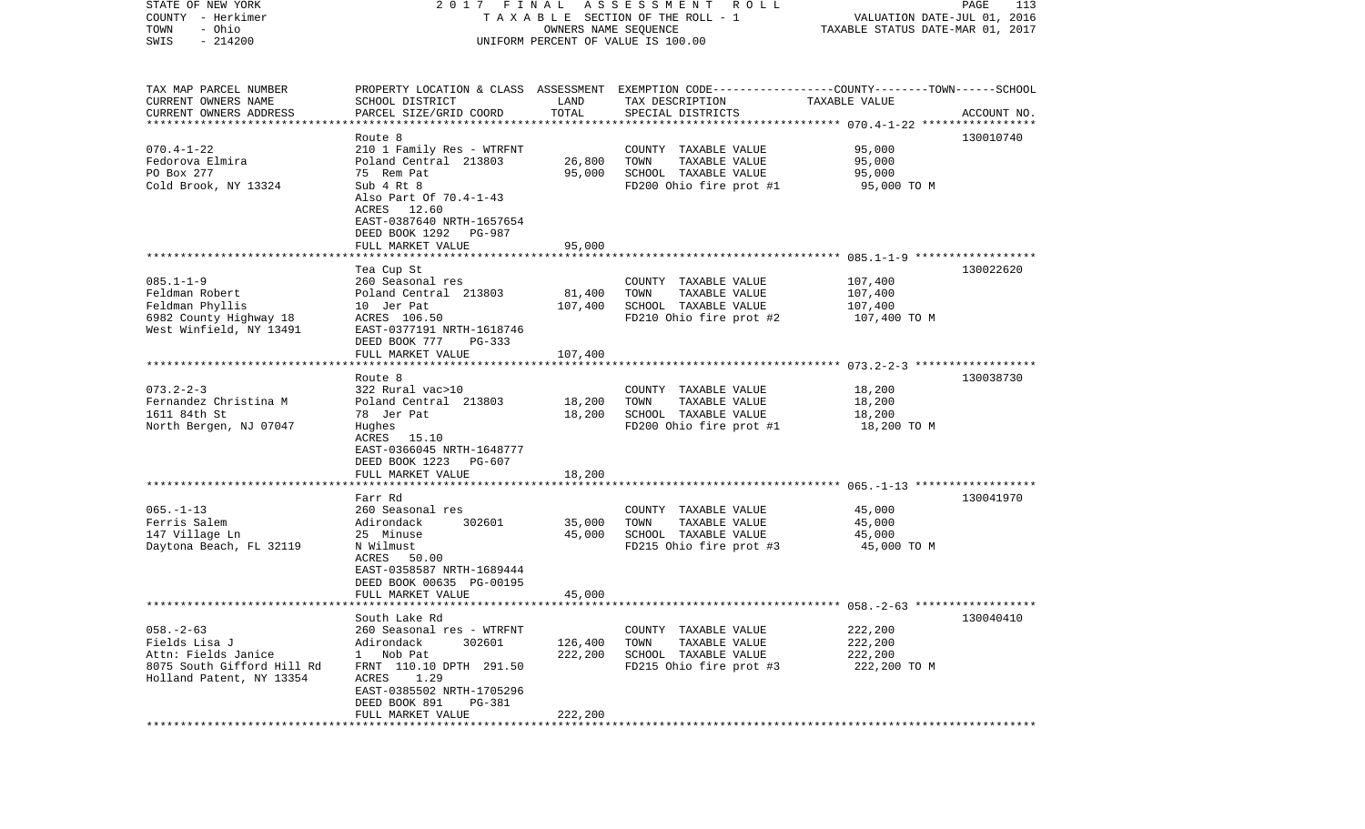| STATE OF NEW YORK<br>COUNTY - Herkimer<br>- Ohio<br>TOWN<br>$-214200$<br>SWIS | 2017 FINAL<br>A S S E S S M E N T R O L L<br>T A X A B L E SECTION OF THE ROLL - 1<br>OWNERS NAME SEQUENCE<br>UNIFORM PERCENT OF VALUE IS 100.00 |         |                                                                                                                     | PAGE<br>113<br>VALUATION DATE-JUL 01, 2016<br>TAXABLE STATUS DATE-MAR 01, 2017 |             |
|-------------------------------------------------------------------------------|--------------------------------------------------------------------------------------------------------------------------------------------------|---------|---------------------------------------------------------------------------------------------------------------------|--------------------------------------------------------------------------------|-------------|
| TAX MAP PARCEL NUMBER<br>CURRENT OWNERS NAME                                  | SCHOOL DISTRICT                                                                                                                                  | LAND    | PROPERTY LOCATION & CLASS ASSESSMENT EXEMPTION CODE----------------COUNTY-------TOWN------SCHOOL<br>TAX DESCRIPTION | TAXABLE VALUE                                                                  |             |
| CURRENT OWNERS ADDRESS                                                        | PARCEL SIZE/GRID COORD                                                                                                                           | TOTAL   | SPECIAL DISTRICTS                                                                                                   |                                                                                | ACCOUNT NO. |
| ***********************                                                       | Route 8                                                                                                                                          |         |                                                                                                                     |                                                                                | 130010740   |
| $070.4 - 1 - 22$                                                              | 210 1 Family Res - WTRFNT                                                                                                                        |         | COUNTY TAXABLE VALUE                                                                                                | 95,000                                                                         |             |
| Fedorova Elmira                                                               | Poland Central 213803                                                                                                                            | 26,800  | TOWN<br>TAXABLE VALUE                                                                                               | 95,000                                                                         |             |
| PO Box 277                                                                    | 75 Rem Pat                                                                                                                                       | 95,000  | SCHOOL TAXABLE VALUE                                                                                                | 95,000                                                                         |             |
| Cold Brook, NY 13324                                                          | Sub 4 Rt 8<br>Also Part Of 70.4-1-43<br>ACRES 12.60<br>EAST-0387640 NRTH-1657654<br>DEED BOOK 1292 PG-987                                        |         | FD200 Ohio fire prot #1                                                                                             | 95,000 TO M                                                                    |             |
|                                                                               | FULL MARKET VALUE                                                                                                                                | 95,000  |                                                                                                                     |                                                                                |             |
|                                                                               |                                                                                                                                                  |         |                                                                                                                     |                                                                                |             |
| $085.1 - 1 - 9$                                                               | Tea Cup St                                                                                                                                       |         |                                                                                                                     |                                                                                | 130022620   |
| Feldman Robert                                                                | 260 Seasonal res<br>Poland Central 213803                                                                                                        | 81,400  | COUNTY TAXABLE VALUE<br>TOWN<br>TAXABLE VALUE                                                                       | 107,400<br>107,400                                                             |             |
| Feldman Phyllis                                                               | 10 Jer Pat                                                                                                                                       | 107,400 | SCHOOL TAXABLE VALUE                                                                                                | 107,400                                                                        |             |
| 6982 County Highway 18                                                        | ACRES 106.50                                                                                                                                     |         | FD210 Ohio fire prot #2                                                                                             | 107,400 TO M                                                                   |             |
| West Winfield, NY 13491                                                       | EAST-0377191 NRTH-1618746                                                                                                                        |         |                                                                                                                     |                                                                                |             |
|                                                                               | DEED BOOK 777<br>PG-333                                                                                                                          |         |                                                                                                                     |                                                                                |             |
|                                                                               | FULL MARKET VALUE                                                                                                                                | 107,400 |                                                                                                                     |                                                                                |             |
|                                                                               | Route 8                                                                                                                                          |         |                                                                                                                     |                                                                                | 130038730   |
| $073.2 - 2 - 3$                                                               | 322 Rural vac>10                                                                                                                                 |         | COUNTY TAXABLE VALUE                                                                                                | 18,200                                                                         |             |
| Fernandez Christina M                                                         | Poland Central 213803                                                                                                                            | 18,200  | TOWN<br>TAXABLE VALUE                                                                                               | 18,200                                                                         |             |
| 1611 84th St                                                                  | 78 Jer Pat                                                                                                                                       | 18,200  | SCHOOL TAXABLE VALUE                                                                                                | 18,200                                                                         |             |
| North Bergen, NJ 07047                                                        | Hughes<br>ACRES 15.10                                                                                                                            |         | FD200 Ohio fire prot #1                                                                                             | 18,200 TO M                                                                    |             |
|                                                                               | EAST-0366045 NRTH-1648777                                                                                                                        |         |                                                                                                                     |                                                                                |             |
|                                                                               | DEED BOOK 1223 PG-607                                                                                                                            |         |                                                                                                                     |                                                                                |             |
|                                                                               | FULL MARKET VALUE                                                                                                                                | 18,200  |                                                                                                                     |                                                                                |             |
|                                                                               | Farr Rd                                                                                                                                          |         |                                                                                                                     |                                                                                | 130041970   |
| $065. -1 - 13$                                                                | 260 Seasonal res                                                                                                                                 |         | COUNTY TAXABLE VALUE                                                                                                | 45,000                                                                         |             |
| Ferris Salem                                                                  | Adirondack<br>302601                                                                                                                             | 35,000  | TOWN<br>TAXABLE VALUE                                                                                               | 45,000                                                                         |             |
| 147 Village Ln                                                                | 25 Minuse                                                                                                                                        | 45,000  | SCHOOL TAXABLE VALUE                                                                                                | 45,000                                                                         |             |
| Daytona Beach, FL 32119                                                       | N Wilmust                                                                                                                                        |         | FD215 Ohio fire prot #3                                                                                             | 45,000 TO M                                                                    |             |
|                                                                               | ACRES<br>50.00<br>EAST-0358587 NRTH-1689444                                                                                                      |         |                                                                                                                     |                                                                                |             |
|                                                                               | DEED BOOK 00635 PG-00195                                                                                                                         |         |                                                                                                                     |                                                                                |             |
|                                                                               | FULL MARKET VALUE                                                                                                                                | 45,000  |                                                                                                                     |                                                                                |             |
|                                                                               |                                                                                                                                                  |         |                                                                                                                     |                                                                                |             |
|                                                                               | South Lake Rd                                                                                                                                    |         |                                                                                                                     |                                                                                | 130040410   |
| $058. - 2 - 63$<br>Fields Lisa J                                              | 260 Seasonal res - WTRFNT<br>Adirondack<br>302601                                                                                                | 126,400 | COUNTY TAXABLE VALUE<br>TOWN<br>TAXABLE VALUE                                                                       | 222,200<br>222,200                                                             |             |
| Attn: Fields Janice                                                           | Nob Pat<br>$\mathbf{1}$                                                                                                                          | 222,200 | SCHOOL TAXABLE VALUE                                                                                                | 222,200                                                                        |             |
| 8075 South Gifford Hill Rd                                                    | FRNT 110.10 DPTH 291.50                                                                                                                          |         | FD215 Ohio fire prot #3                                                                                             | 222,200 TO M                                                                   |             |
| Holland Patent, NY 13354                                                      | ACRES<br>1.29                                                                                                                                    |         |                                                                                                                     |                                                                                |             |
|                                                                               | EAST-0385502 NRTH-1705296                                                                                                                        |         |                                                                                                                     |                                                                                |             |
|                                                                               | DEED BOOK 891<br>PG-381                                                                                                                          | 222,200 |                                                                                                                     |                                                                                |             |
|                                                                               | FULL MARKET VALUE                                                                                                                                |         |                                                                                                                     |                                                                                |             |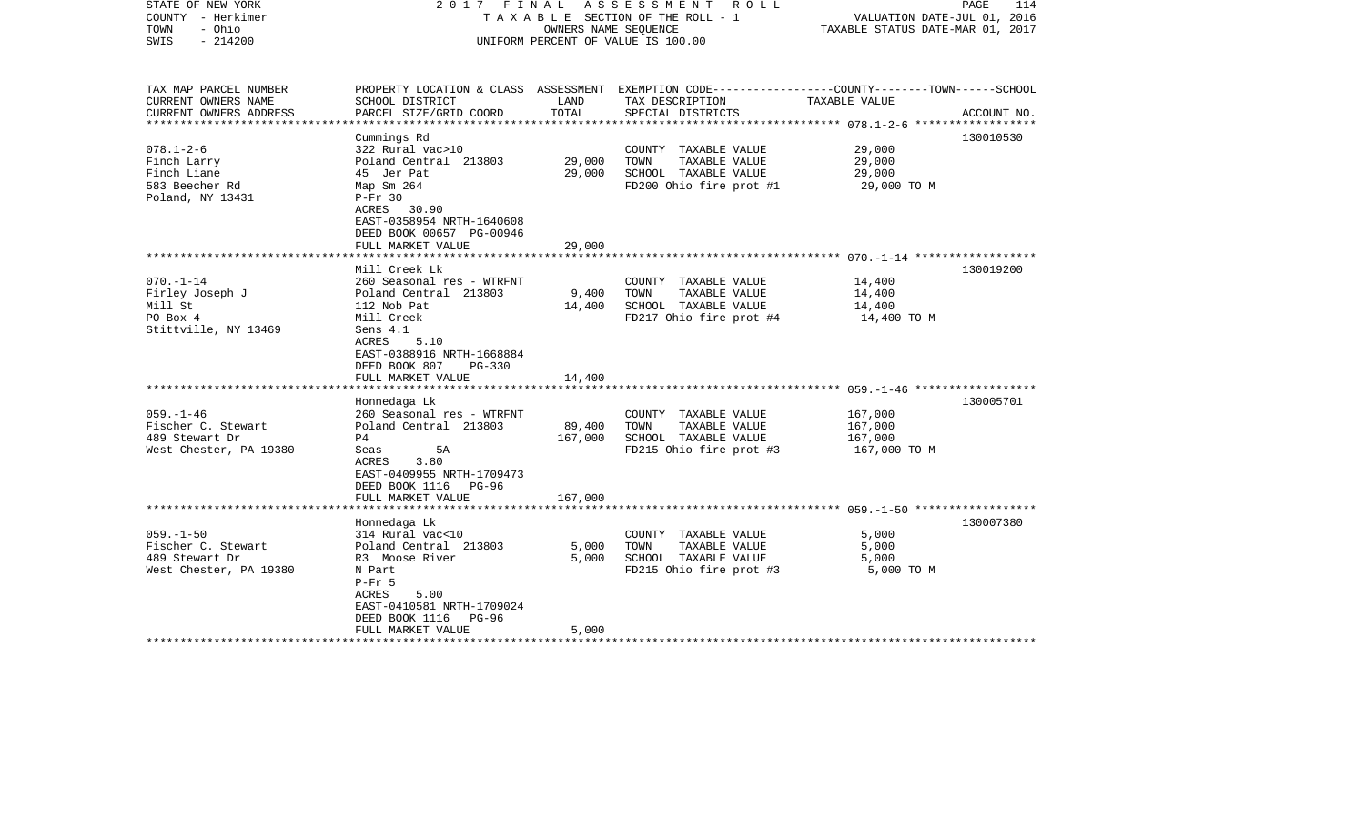| STATE OF NEW YORK<br>COUNTY - Herkimer<br>TOWN<br>- Ohio<br>$-214200$<br>SWIS                                                                                          |                                                                                                                                                                                                                                                                                                                    | OWNERS NAME SEOUENCE                           | 2017 FINAL ASSESSMENT ROLL<br>TAXABLE SECTION OF THE ROLL - 1<br>UNIFORM PERCENT OF VALUE IS 100.00                                                                                                  | VALUATION DATE-JUL 01, 2016<br>TAXABLE STATUS DATE-MAR 01, 2017                            | PAGE<br>114            |
|------------------------------------------------------------------------------------------------------------------------------------------------------------------------|--------------------------------------------------------------------------------------------------------------------------------------------------------------------------------------------------------------------------------------------------------------------------------------------------------------------|------------------------------------------------|------------------------------------------------------------------------------------------------------------------------------------------------------------------------------------------------------|--------------------------------------------------------------------------------------------|------------------------|
| TAX MAP PARCEL NUMBER<br>CURRENT OWNERS NAME<br>CURRENT OWNERS ADDRESS                                                                                                 | SCHOOL DISTRICT<br>PARCEL SIZE/GRID COORD                                                                                                                                                                                                                                                                          | LAND<br>TOTAL                                  | PROPERTY LOCATION & CLASS ASSESSMENT EXEMPTION CODE---------------COUNTY-------TOWN------SCHOOL<br>TAX DESCRIPTION<br>SPECIAL DISTRICTS                                                              | TAXABLE VALUE                                                                              | ACCOUNT NO.            |
| **********************                                                                                                                                                 |                                                                                                                                                                                                                                                                                                                    |                                                |                                                                                                                                                                                                      |                                                                                            |                        |
| $078.1 - 2 - 6$<br>Finch Larry<br>Finch Liane<br>583 Beecher Rd<br>Poland, NY 13431                                                                                    | Cummings Rd<br>322 Rural vac>10<br>Poland Central 213803<br>45 Jer Pat<br>Map Sm 264<br>$P-Fr$ 30<br>ACRES 30.90<br>EAST-0358954 NRTH-1640608                                                                                                                                                                      | 29,000<br>29,000                               | COUNTY TAXABLE VALUE<br>TOWN<br>TAXABLE VALUE<br>SCHOOL TAXABLE VALUE<br>FD200 Ohio fire prot #1                                                                                                     | 29,000<br>29,000<br>29,000<br>29,000 TO M                                                  | 130010530              |
|                                                                                                                                                                        | DEED BOOK 00657 PG-00946                                                                                                                                                                                                                                                                                           |                                                |                                                                                                                                                                                                      |                                                                                            |                        |
|                                                                                                                                                                        | FULL MARKET VALUE                                                                                                                                                                                                                                                                                                  | 29,000                                         |                                                                                                                                                                                                      |                                                                                            |                        |
|                                                                                                                                                                        | Mill Creek Lk                                                                                                                                                                                                                                                                                                      |                                                |                                                                                                                                                                                                      |                                                                                            |                        |
| $070. - 1 - 14$<br>Firley Joseph J<br>Mill St<br>PO Box 4<br>Stittville, NY 13469<br>$059. - 1 - 46$<br>Fischer C. Stewart<br>489 Stewart Dr<br>West Chester, PA 19380 | 260 Seasonal res - WTRFNT<br>Poland Central 213803<br>112 Nob Pat<br>Mill Creek<br>Sens 4.1<br>ACRES<br>5.10<br>EAST-0388916 NRTH-1668884<br>DEED BOOK 807<br>$PG-330$<br>FULL MARKET VALUE<br>Honnedaga Lk<br>260 Seasonal res - WTRFNT<br>Poland Central 213803<br>P <sub>4</sub><br>5A<br>Seas<br>3.80<br>ACRES | 9,400<br>14,400<br>14,400<br>89,400<br>167,000 | COUNTY TAXABLE VALUE<br>TOWN<br>TAXABLE VALUE<br>SCHOOL TAXABLE VALUE<br>FD217 Ohio fire prot #4<br>COUNTY TAXABLE VALUE<br>TAXABLE VALUE<br>TOWN<br>SCHOOL TAXABLE VALUE<br>FD215 Ohio fire prot #3 | 14,400<br>14,400<br>14,400<br>14,400 TO M<br>167,000<br>167,000<br>167,000<br>167,000 TO M | 130019200<br>130005701 |
|                                                                                                                                                                        | EAST-0409955 NRTH-1709473<br>DEED BOOK 1116<br>$PG-96$<br>FULL MARKET VALUE                                                                                                                                                                                                                                        | 167,000                                        |                                                                                                                                                                                                      |                                                                                            |                        |
|                                                                                                                                                                        | Honnedaga Lk                                                                                                                                                                                                                                                                                                       |                                                |                                                                                                                                                                                                      |                                                                                            | 130007380              |
| $059. - 1 - 50$<br>Fischer C. Stewart<br>489 Stewart Dr<br>West Chester, PA 19380                                                                                      | 314 Rural vac<10<br>Poland Central 213803<br>R3 Moose River<br>N Part<br>$P-Fr$ 5<br>5.00<br>ACRES<br>EAST-0410581 NRTH-1709024<br>DEED BOOK 1116<br>PG-96                                                                                                                                                         | 5,000<br>5,000                                 | COUNTY TAXABLE VALUE<br>TOWN<br>TAXABLE VALUE<br>SCHOOL TAXABLE VALUE<br>FD215 Ohio fire prot #3                                                                                                     | 5,000<br>5,000<br>5,000<br>5,000 TO M                                                      |                        |
|                                                                                                                                                                        | FULL MARKET VALUE                                                                                                                                                                                                                                                                                                  | 5,000                                          |                                                                                                                                                                                                      |                                                                                            |                        |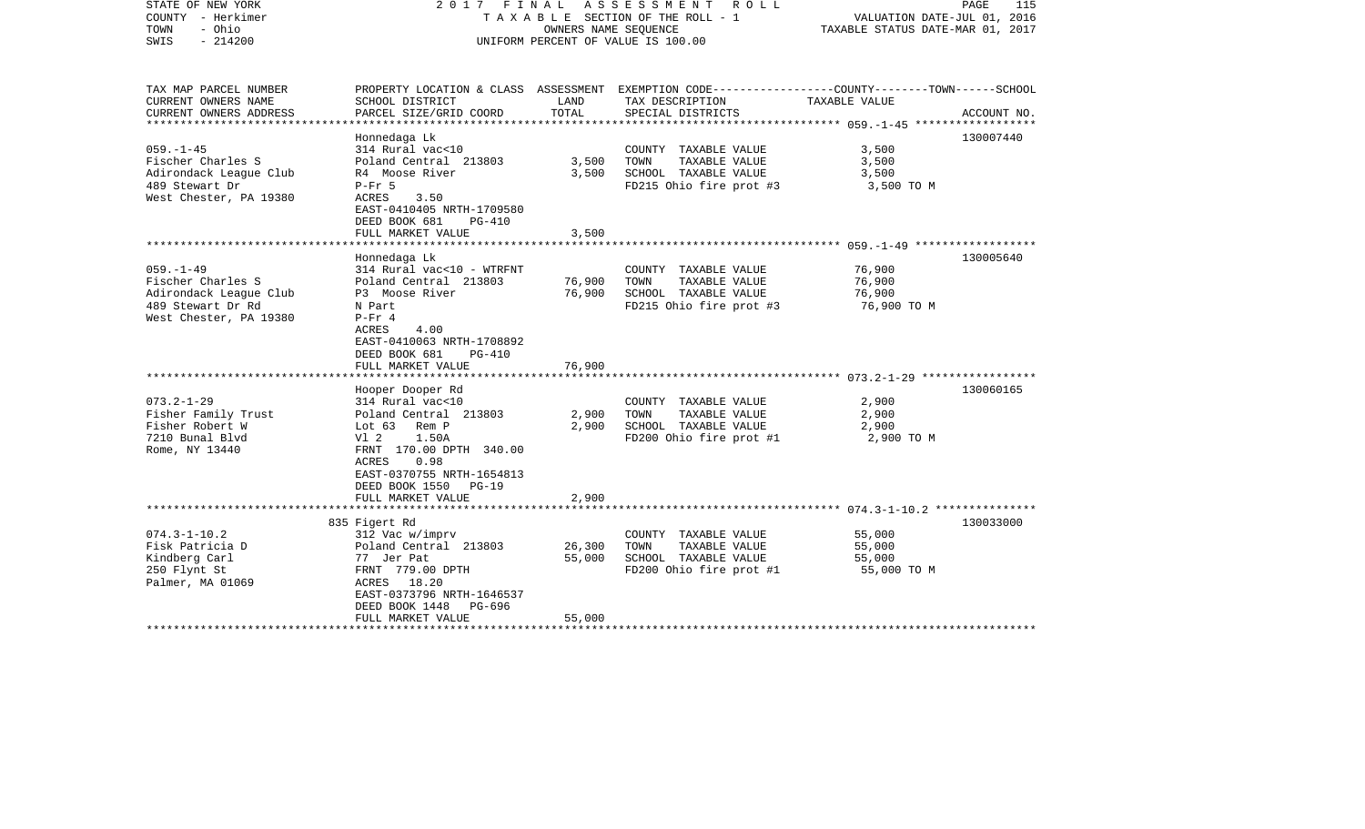| STATE OF NEW YORK<br>COUNTY - Herkimer<br>- Ohio<br>TOWN<br>$-214200$<br>SWIS                                 |                                                                                                                                                                                                 | OWNERS NAME SEQUENCE       | 2017 FINAL ASSESSMENT<br>ROLL<br>TAXABLE SECTION OF THE ROLL - 1<br>UNIFORM PERCENT OF VALUE IS 100.00                                   | VALUATION DATE-JUL 01, 2016<br>TAXABLE STATUS DATE-MAR 01, 2017 | PAGE<br>115 |
|---------------------------------------------------------------------------------------------------------------|-------------------------------------------------------------------------------------------------------------------------------------------------------------------------------------------------|----------------------------|------------------------------------------------------------------------------------------------------------------------------------------|-----------------------------------------------------------------|-------------|
| TAX MAP PARCEL NUMBER<br>CURRENT OWNERS NAME<br>CURRENT OWNERS ADDRESS                                        | SCHOOL DISTRICT<br>PARCEL SIZE/GRID COORD                                                                                                                                                       | LAND<br>TOTAL              | PROPERTY LOCATION & CLASS ASSESSMENT EXEMPTION CODE----------------COUNTY-------TOWN------SCHOOL<br>TAX DESCRIPTION<br>SPECIAL DISTRICTS | TAXABLE VALUE                                                   | ACCOUNT NO. |
|                                                                                                               |                                                                                                                                                                                                 |                            |                                                                                                                                          |                                                                 |             |
| $059. -1 - 45$<br>Fischer Charles S<br>Adirondack League Club<br>489 Stewart Dr<br>West Chester, PA 19380     | Honnedaga Lk<br>314 Rural vac<10<br>Poland Central 213803<br>R4 Moose River<br>$P-Fr$ 5<br>ACRES<br>3.50<br>EAST-0410405 NRTH-1709580<br>DEED BOOK 681<br>$PG-410$<br>FULL MARKET VALUE         | 3,500<br>3,500<br>3,500    | COUNTY TAXABLE VALUE<br>TAXABLE VALUE<br>TOWN<br>SCHOOL TAXABLE VALUE<br>FD215 Ohio fire prot #3                                         | 3,500<br>3,500<br>3,500<br>3,500 TO M                           | 130007440   |
|                                                                                                               |                                                                                                                                                                                                 |                            |                                                                                                                                          |                                                                 |             |
| $059. - 1 - 49$<br>Fischer Charles S<br>Adirondack League Club<br>489 Stewart Dr Rd<br>West Chester, PA 19380 | Honnedaga Lk<br>314 Rural vac<10 - WTRFNT<br>Poland Central 213803<br>P3 Moose River<br>N Part<br>$P-Fr 4$<br>ACRES<br>4.00<br>EAST-0410063 NRTH-1708892<br>DEED BOOK 681<br>PG-410             | 76,900<br>76,900           | COUNTY TAXABLE VALUE<br>TOWN<br>TAXABLE VALUE<br>SCHOOL TAXABLE VALUE<br>FD215 Ohio fire prot #3                                         | 76,900<br>76,900<br>76,900<br>76,900 TO M                       | 130005640   |
|                                                                                                               | FULL MARKET VALUE                                                                                                                                                                               | 76,900                     |                                                                                                                                          |                                                                 |             |
| $073.2 - 1 - 29$<br>Fisher Family Trust<br>Fisher Robert W<br>7210 Bunal Blvd<br>Rome, NY 13440               | Hooper Dooper Rd<br>314 Rural vac<10<br>Poland Central 213803<br>Lot 63 Rem P<br>V1 2<br>1.50A<br>FRNT 170.00 DPTH 340.00<br>0.98<br>ACRES<br>EAST-0370755 NRTH-1654813<br>DEED BOOK 1550 PG-19 | 2,900<br>2,900             | COUNTY TAXABLE VALUE<br>TOWN<br>TAXABLE VALUE<br>SCHOOL TAXABLE VALUE<br>FD200 Ohio fire prot #1                                         | 2,900<br>2,900<br>2,900<br>2,900 TO M                           | 130060165   |
|                                                                                                               | FULL MARKET VALUE                                                                                                                                                                               | 2,900                      |                                                                                                                                          |                                                                 |             |
| $074.3 - 1 - 10.2$<br>Fisk Patricia D<br>Kindberg Carl<br>250 Flynt St<br>Palmer, MA 01069                    | 835 Figert Rd<br>312 Vac w/imprv<br>Poland Central 213803<br>77 Jer Pat<br>FRNT 779.00 DPTH<br>ACRES 18.20<br>EAST-0373796 NRTH-1646537<br>DEED BOOK 1448<br>PG-696<br>FULL MARKET VALUE        | 26,300<br>55,000<br>55,000 | COUNTY TAXABLE VALUE<br>TAXABLE VALUE<br>TOWN<br>SCHOOL TAXABLE VALUE<br>FD200 Ohio fire prot #1                                         | 55,000<br>55,000<br>55,000<br>55,000 TO M                       | 130033000   |
|                                                                                                               |                                                                                                                                                                                                 |                            |                                                                                                                                          |                                                                 |             |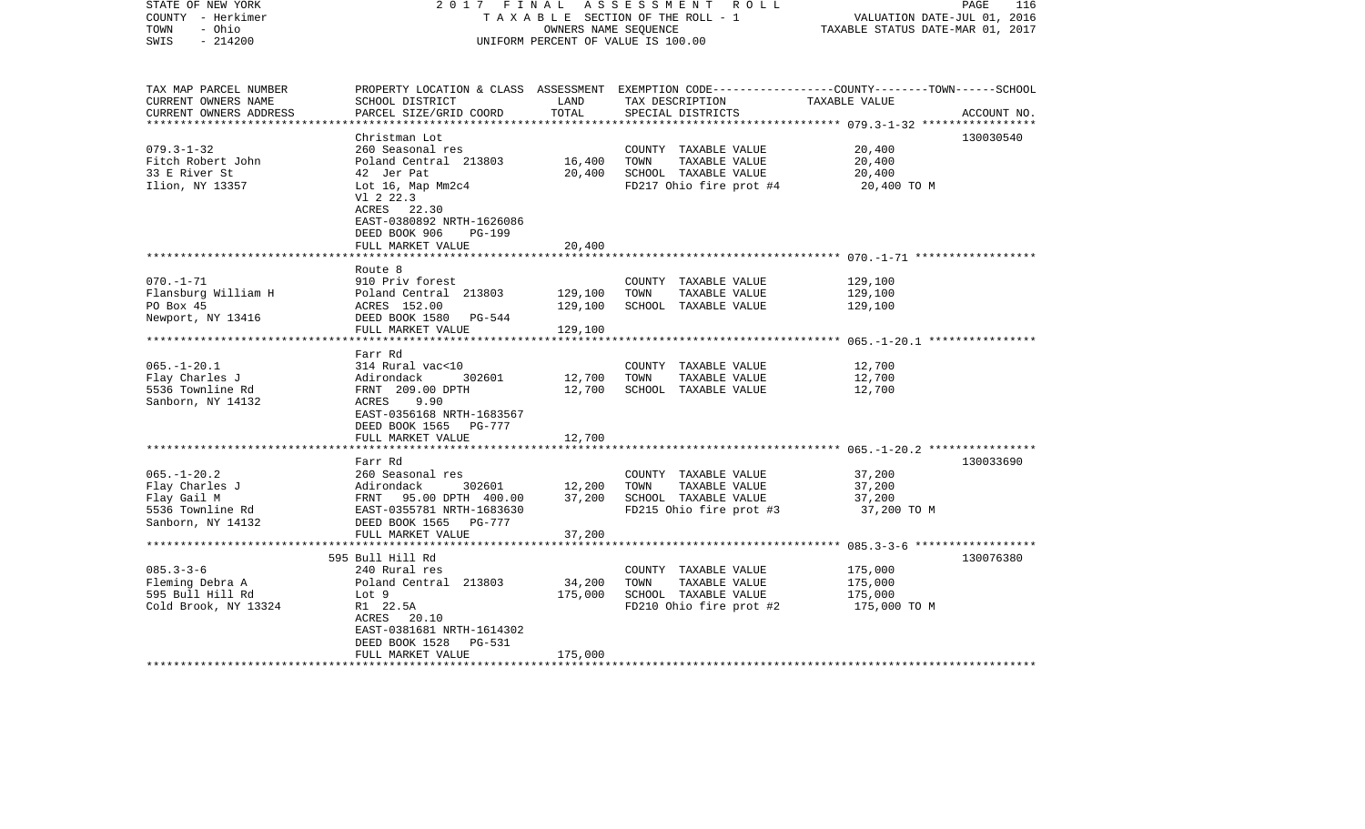| STATE OF NEW YORK<br>COUNTY - Herkimer<br>- Ohio<br>TOWN<br>$-214200$<br>SWIS | 2017 FINAL                                                                                                   | OWNERS NAME SEQUENCE | ASSESSMENT ROLL<br>TAXABLE SECTION OF THE ROLL - 1<br>UNIFORM PERCENT OF VALUE IS 100.00 | PAGE<br>116<br>VALUATION DATE-JUL 01, 2016<br>TAXABLE STATUS DATE-MAR 01, 2017                                 |
|-------------------------------------------------------------------------------|--------------------------------------------------------------------------------------------------------------|----------------------|------------------------------------------------------------------------------------------|----------------------------------------------------------------------------------------------------------------|
| TAX MAP PARCEL NUMBER<br>CURRENT OWNERS NAME<br>CURRENT OWNERS ADDRESS        | SCHOOL DISTRICT<br>PARCEL SIZE/GRID COORD                                                                    | LAND<br>TOTAL        | TAX DESCRIPTION TAXABLE VALUE<br>SPECIAL DISTRICTS                                       | PROPERTY LOCATION & CLASS ASSESSMENT EXEMPTION CODE---------------COUNTY-------TOWN------SCHOOL<br>ACCOUNT NO. |
|                                                                               | Christman Lot                                                                                                |                      |                                                                                          | 130030540                                                                                                      |
| $079.3 - 1 - 32$                                                              | 260 Seasonal res                                                                                             |                      | COUNTY TAXABLE VALUE                                                                     | 20,400                                                                                                         |
| Fitch Robert John                                                             | Poland Central 213803                                                                                        | 16,400               | TOWN<br>TAXABLE VALUE                                                                    | 20,400                                                                                                         |
| 33 E River St                                                                 | 42 Jer Pat                                                                                                   | 20,400               | SCHOOL TAXABLE VALUE                                                                     | 20,400                                                                                                         |
| Ilion, NY 13357                                                               | Lot 16, Map Mm2c4<br>V1 2 22.3<br>ACRES 22.30<br>EAST-0380892 NRTH-1626086<br>DEED BOOK 906<br><b>PG-199</b> |                      | FD217 Ohio fire prot #4                                                                  | 20,400 TO M                                                                                                    |
|                                                                               | FULL MARKET VALUE                                                                                            | 20,400               |                                                                                          |                                                                                                                |
|                                                                               | *************************                                                                                    |                      |                                                                                          |                                                                                                                |
|                                                                               | Route 8                                                                                                      |                      |                                                                                          |                                                                                                                |
| $070. - 1 - 71$<br>Flansburg William H                                        | 910 Priv forest<br>Poland Central 213803                                                                     | 129,100              | COUNTY TAXABLE VALUE<br>TOWN<br>TAXABLE VALUE                                            | 129,100<br>129,100                                                                                             |
| PO Box 45                                                                     | ACRES 152.00                                                                                                 | 129,100              | SCHOOL TAXABLE VALUE                                                                     | 129,100                                                                                                        |
| Newport, NY 13416                                                             | DEED BOOK 1580 PG-544                                                                                        |                      |                                                                                          |                                                                                                                |
|                                                                               | FULL MARKET VALUE                                                                                            | 129,100              |                                                                                          |                                                                                                                |
|                                                                               |                                                                                                              | ******************   |                                                                                          |                                                                                                                |
|                                                                               | Farr Rd                                                                                                      |                      |                                                                                          |                                                                                                                |
| $065. - 1 - 20.1$                                                             | 314 Rural vac<10                                                                                             |                      | COUNTY TAXABLE VALUE                                                                     | 12,700                                                                                                         |
| Flay Charles J                                                                | Adirondack<br>302601                                                                                         | 12,700               | TOWN<br>TAXABLE VALUE                                                                    | 12,700                                                                                                         |
| 5536 Townline Rd                                                              | FRNT 209.00 DPTH                                                                                             | 12,700               | SCHOOL TAXABLE VALUE                                                                     | 12,700                                                                                                         |
| Sanborn, NY 14132                                                             | ACRES<br>9.90<br>EAST-0356168 NRTH-1683567                                                                   |                      |                                                                                          |                                                                                                                |
|                                                                               | DEED BOOK 1565 PG-777                                                                                        |                      |                                                                                          |                                                                                                                |
|                                                                               | FULL MARKET VALUE                                                                                            | 12,700               |                                                                                          |                                                                                                                |
|                                                                               |                                                                                                              |                      |                                                                                          |                                                                                                                |
|                                                                               | Farr Rd                                                                                                      |                      |                                                                                          | 130033690                                                                                                      |
| $065. - 1 - 20.2$                                                             | 260 Seasonal res                                                                                             |                      | COUNTY TAXABLE VALUE                                                                     | 37,200                                                                                                         |
| Flay Charles J                                                                |                                                                                                              | 302601 12,200        | TOWN<br>TAXABLE VALUE                                                                    | 37,200                                                                                                         |
| Flay Gail M                                                                   | 2000 Dealboard 100<br>Reirondack 302601<br>FRNT 95.00 DPTH 400.00<br>EAST-0355781 NRTH-1683630               | 37,200               | SCHOOL TAXABLE VALUE                                                                     | 37,200                                                                                                         |
| 5536 Townline Rd                                                              |                                                                                                              |                      | FD215 Ohio fire prot #3                                                                  | 37,200 TO M                                                                                                    |
| Sanborn, NY 14132                                                             | DEED BOOK 1565 PG-777                                                                                        |                      |                                                                                          |                                                                                                                |
|                                                                               | FULL MARKET VALUE                                                                                            | 37,200               |                                                                                          |                                                                                                                |
|                                                                               | 595 Bull Hill Rd                                                                                             |                      |                                                                                          | 130076380                                                                                                      |
| $085.3 - 3 - 6$                                                               | 240 Rural res                                                                                                |                      | COUNTY TAXABLE VALUE                                                                     | 175,000                                                                                                        |
| Fleming Debra A                                                               | Poland Central 213803                                                                                        | 34,200               | TAXABLE VALUE<br>TOWN                                                                    | 175,000                                                                                                        |
| 595 Bull Hill Rd                                                              | Lot 9                                                                                                        | 175,000              | SCHOOL TAXABLE VALUE                                                                     | 175,000                                                                                                        |
| Cold Brook, NY 13324                                                          | R1 22.5A                                                                                                     |                      | FD210 Ohio fire prot #2                                                                  | 175,000 TO M                                                                                                   |
|                                                                               | ACRES 20.10                                                                                                  |                      |                                                                                          |                                                                                                                |
|                                                                               | EAST-0381681 NRTH-1614302                                                                                    |                      |                                                                                          |                                                                                                                |
|                                                                               | DEED BOOK 1528<br>PG-531                                                                                     |                      |                                                                                          |                                                                                                                |
| *********************                                                         | FULL MARKET VALUE                                                                                            | 175,000              |                                                                                          |                                                                                                                |
|                                                                               |                                                                                                              |                      |                                                                                          |                                                                                                                |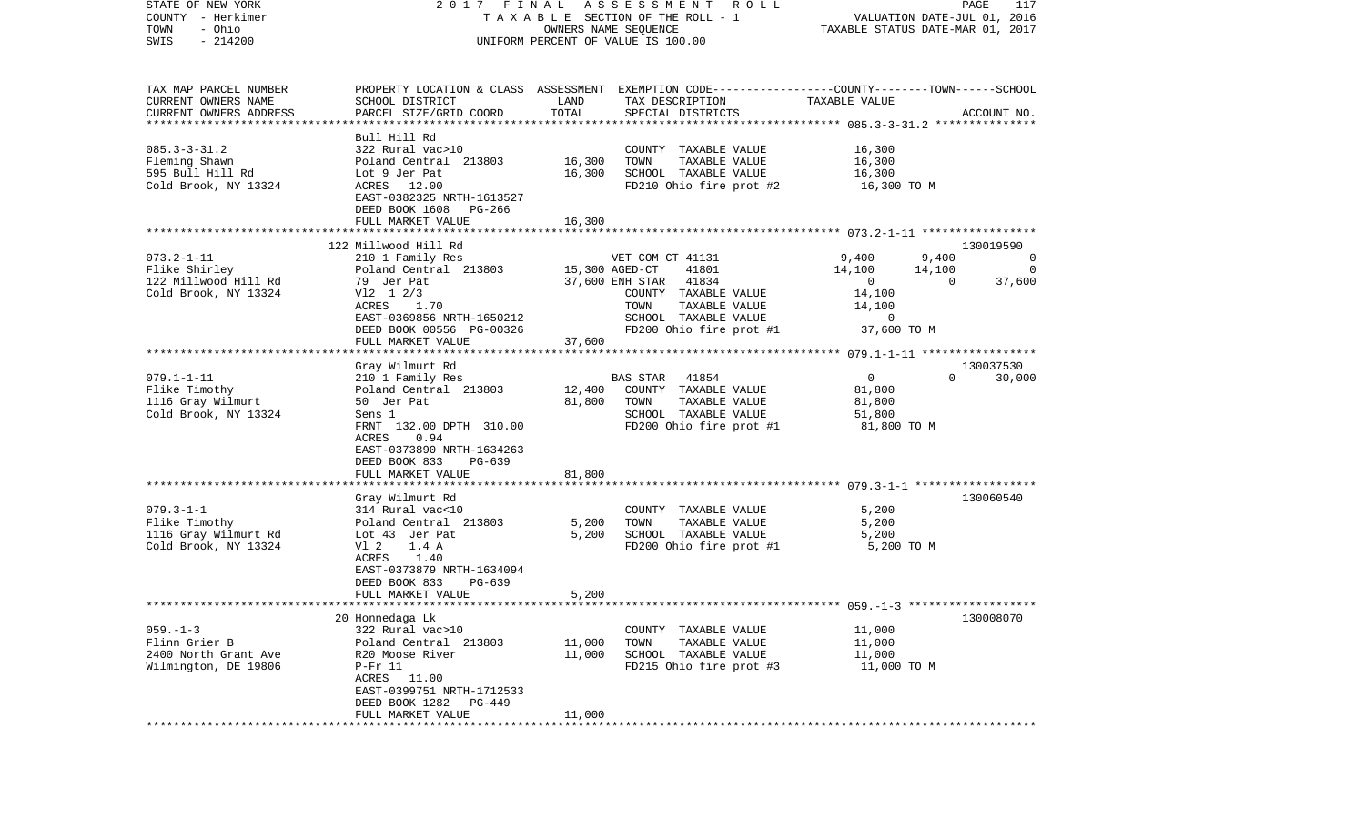| STATE OF NEW YORK<br>COUNTY - Herkimer             | 2017 FINAL                                   |                      | A S S E S S M E N T R O L L<br>TAXABLE SECTION OF THE ROLL - 1                                  |                | PAGE<br>117<br>VALUATION DATE-JUL 01, 2016 |
|----------------------------------------------------|----------------------------------------------|----------------------|-------------------------------------------------------------------------------------------------|----------------|--------------------------------------------|
| - Ohio<br>TOWN                                     |                                              | OWNERS NAME SEQUENCE |                                                                                                 |                | TAXABLE STATUS DATE-MAR 01, 2017           |
| $-214200$<br>SWIS                                  |                                              |                      | UNIFORM PERCENT OF VALUE IS 100.00                                                              |                |                                            |
|                                                    |                                              |                      |                                                                                                 |                |                                            |
| TAX MAP PARCEL NUMBER                              |                                              |                      | PROPERTY LOCATION & CLASS ASSESSMENT EXEMPTION CODE---------------COUNTY-------TOWN------SCHOOL |                |                                            |
| CURRENT OWNERS NAME                                | SCHOOL DISTRICT                              | LAND                 | TAX DESCRIPTION                                                                                 | TAXABLE VALUE  |                                            |
| CURRENT OWNERS ADDRESS<br>************************ | PARCEL SIZE/GRID COORD                       | TOTAL                | SPECIAL DISTRICTS                                                                               |                | ACCOUNT NO.                                |
|                                                    |                                              |                      |                                                                                                 |                |                                            |
| $085.3 - 3 - 31.2$                                 | Bull Hill Rd<br>322 Rural vac>10             |                      |                                                                                                 | 16,300         |                                            |
| Fleming Shawn                                      | Poland Central 213803                        | 16,300               | COUNTY TAXABLE VALUE<br>TAXABLE VALUE<br>TOWN                                                   | 16,300         |                                            |
| 595 Bull Hill Rd                                   | Lot 9 Jer Pat                                | 16,300               | SCHOOL TAXABLE VALUE                                                                            | 16,300         |                                            |
| Cold Brook, NY 13324                               | ACRES 12.00                                  |                      | FD210 Ohio fire prot #2                                                                         | 16,300 TO M    |                                            |
|                                                    | EAST-0382325 NRTH-1613527                    |                      |                                                                                                 |                |                                            |
|                                                    | DEED BOOK 1608 PG-266                        |                      |                                                                                                 |                |                                            |
|                                                    | FULL MARKET VALUE                            | 16,300               |                                                                                                 |                |                                            |
|                                                    |                                              |                      |                                                                                                 |                |                                            |
|                                                    | 122 Millwood Hill Rd                         |                      |                                                                                                 |                | 130019590                                  |
| $073.2 - 1 - 11$                                   | 210 1 Family Res                             |                      | VET COM CT 41131                                                                                | 9,400          | 9,400<br>$\circ$                           |
| Flike Shirley                                      | Poland Central 213803                        | 15,300 AGED-CT       | 41801                                                                                           | 14,100         | 14,100<br>0                                |
| 122 Millwood Hill Rd                               | 79 Jer Pat                                   |                      | 37,600 ENH STAR 41834                                                                           | $\overline{0}$ | $\Omega$<br>37,600                         |
| Cold Brook, NY 13324                               | $V12 \t1 \t2/3$                              |                      | COUNTY TAXABLE VALUE                                                                            | 14,100         |                                            |
|                                                    | 1.70<br>ACRES                                |                      | TAXABLE VALUE<br>TOWN                                                                           | 14,100         |                                            |
|                                                    | EAST-0369856 NRTH-1650212                    |                      | SCHOOL TAXABLE VALUE                                                                            | $\overline{0}$ |                                            |
|                                                    | DEED BOOK 00556 PG-00326                     |                      | FD200 Ohio fire prot #1                                                                         | 37,600 TO M    |                                            |
|                                                    | FULL MARKET VALUE                            | 37,600               |                                                                                                 |                |                                            |
|                                                    |                                              |                      |                                                                                                 |                |                                            |
|                                                    | Gray Wilmurt Rd                              |                      |                                                                                                 |                | 130037530                                  |
| $079.1 - 1 - 11$                                   | 210 1 Family Res                             |                      | BAS STAR<br>41854                                                                               | $\mathbf 0$    | $\Omega$<br>30,000                         |
| Flike Timothy                                      | Poland Central 213803                        |                      | 12,400 COUNTY TAXABLE VALUE                                                                     | 81,800         |                                            |
| 1116 Gray Wilmurt                                  | 50 Jer Pat                                   | 81,800               | TAXABLE VALUE<br>TOWN                                                                           | 81,800         |                                            |
| Cold Brook, NY 13324                               | Sens 1                                       |                      | SCHOOL TAXABLE VALUE                                                                            | 51,800         |                                            |
|                                                    | FRNT 132.00 DPTH 310.00                      |                      | FD200 Ohio fire prot #1                                                                         | 81,800 TO M    |                                            |
|                                                    | ACRES<br>0.94                                |                      |                                                                                                 |                |                                            |
|                                                    | EAST-0373890 NRTH-1634263                    |                      |                                                                                                 |                |                                            |
|                                                    | DEED BOOK 833<br>PG-639<br>FULL MARKET VALUE | 81,800               |                                                                                                 |                |                                            |
|                                                    | ************************                     |                      |                                                                                                 |                |                                            |
|                                                    | Gray Wilmurt Rd                              |                      |                                                                                                 |                | 130060540                                  |
| $079.3 - 1 - 1$                                    | 314 Rural vac<10                             |                      | COUNTY TAXABLE VALUE                                                                            | 5,200          |                                            |
| Flike Timothy                                      | Poland Central 213803                        | 5,200                | TOWN<br>TAXABLE VALUE                                                                           | 5,200          |                                            |
| 1116 Gray Wilmurt Rd                               | Lot 43 Jer Pat                               | 5,200                | SCHOOL TAXABLE VALUE                                                                            | 5,200          |                                            |
| Cold Brook, NY 13324                               | V1 2<br>1.4 A                                |                      | FD200 Ohio fire prot #1                                                                         | 5,200 TO M     |                                            |
|                                                    | ACRES<br>1.40                                |                      |                                                                                                 |                |                                            |
|                                                    | EAST-0373879 NRTH-1634094                    |                      |                                                                                                 |                |                                            |
|                                                    | DEED BOOK 833<br>PG-639                      |                      |                                                                                                 |                |                                            |
|                                                    | FULL MARKET VALUE                            | 5,200                |                                                                                                 |                |                                            |
|                                                    |                                              |                      |                                                                                                 |                |                                            |
|                                                    | 20 Honnedaga Lk                              |                      |                                                                                                 |                | 130008070                                  |
| $059. -1 -3$                                       | 322 Rural vac>10                             |                      | COUNTY TAXABLE VALUE                                                                            | 11,000         |                                            |
| Flinn Grier B                                      | Poland Central 213803                        | 11,000               | TOWN<br>TAXABLE VALUE                                                                           | 11,000         |                                            |
| 2400 North Grant Ave                               | R20 Moose River                              | 11,000               | SCHOOL TAXABLE VALUE                                                                            | 11,000         |                                            |
| Wilmington, DE 19806                               | $P-Fr$ 11                                    |                      | FD215 Ohio fire prot #3                                                                         | 11,000 TO M    |                                            |
|                                                    | ACRES 11.00                                  |                      |                                                                                                 |                |                                            |
|                                                    | EAST-0399751 NRTH-1712533                    |                      |                                                                                                 |                |                                            |
|                                                    | DEED BOOK 1282<br>PG-449                     |                      |                                                                                                 |                |                                            |
|                                                    | FULL MARKET VALUE                            | 11,000               |                                                                                                 |                |                                            |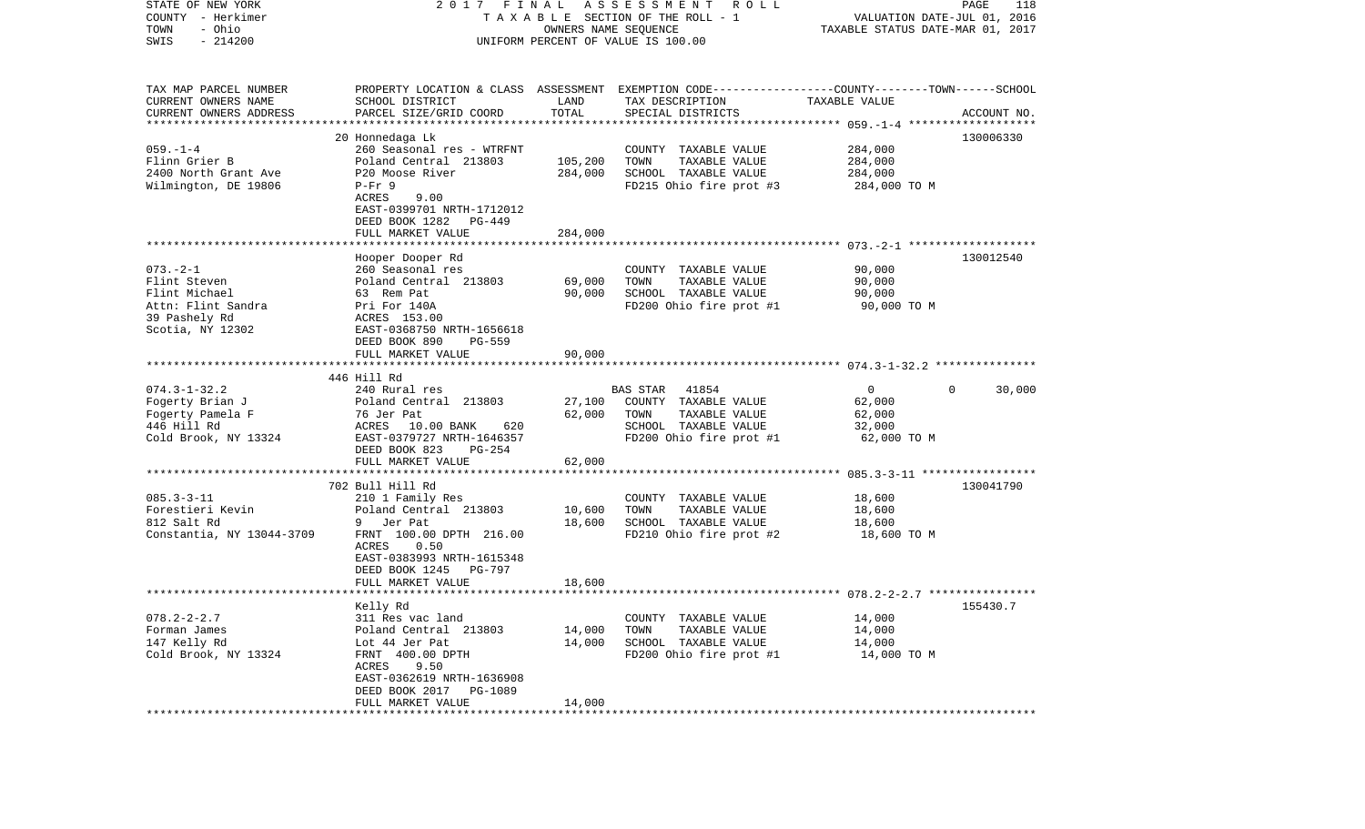| STATE OF NEW YORK<br>COUNTY - Herkimer<br>- Ohio<br>TOWN<br>$-214200$<br>SWIS                              | 2017 FINAL                                                                                                                                                                                           |                            | A S S E S S M E N T A O L L<br>T A X A B L E SECTION OF THE ROLL - 1<br>OWNERS NAME SEQUENCE<br>UNIFORM PERCENT OF VALUE IS 100.00      | VALUATION DATE-JUL 01, 2016<br>TAXABLE STATUS DATE-MAR 01, 2017 | PAGE<br>118        |
|------------------------------------------------------------------------------------------------------------|------------------------------------------------------------------------------------------------------------------------------------------------------------------------------------------------------|----------------------------|-----------------------------------------------------------------------------------------------------------------------------------------|-----------------------------------------------------------------|--------------------|
| TAX MAP PARCEL NUMBER<br>CURRENT OWNERS NAME<br>CURRENT OWNERS ADDRESS                                     | SCHOOL DISTRICT<br>PARCEL SIZE/GRID COORD                                                                                                                                                            | LAND<br>TOTAL              | PROPERTY LOCATION & CLASS ASSESSMENT EXEMPTION CODE---------------COUNTY-------TOWN------SCHOOL<br>TAX DESCRIPTION<br>SPECIAL DISTRICTS | TAXABLE VALUE                                                   | ACCOUNT NO.        |
| $059. - 1 - 4$<br>Flinn Grier B<br>2400 North Grant Ave<br>Wilmington, DE 19806                            | 20 Honnedaga Lk<br>260 Seasonal res - WTRFNT<br>Poland Central 213803<br>P20 Moose River<br>$P-Fr$ 9<br>ACRES<br>9.00<br>EAST-0399701 NRTH-1712012<br>DEED BOOK 1282<br>PG-449                       | 105,200<br>284,000         | COUNTY TAXABLE VALUE<br>TOWN<br>TAXABLE VALUE<br>SCHOOL TAXABLE VALUE<br>FD215 Ohio fire prot #3                                        | 284,000<br>284,000<br>284,000<br>284,000 TO M                   | 130006330          |
|                                                                                                            | FULL MARKET VALUE                                                                                                                                                                                    | 284,000                    |                                                                                                                                         |                                                                 |                    |
| $073. - 2 - 1$<br>Flint Steven<br>Flint Michael<br>Attn: Flint Sandra<br>39 Pashely Rd<br>Scotia, NY 12302 | Hooper Dooper Rd<br>260 Seasonal res<br>Poland Central 213803<br>63 Rem Pat<br>Pri For 140A<br>ACRES 153.00<br>EAST-0368750 NRTH-1656618<br>DEED BOOK 890                                            | 69,000<br>90,000           | COUNTY TAXABLE VALUE<br>TOWN<br>TAXABLE VALUE<br>SCHOOL TAXABLE VALUE<br>FD200 Ohio fire prot #1                                        | 90,000<br>90,000<br>90,000<br>90,000 TO M                       | 130012540          |
|                                                                                                            | PG-559<br>FULL MARKET VALUE                                                                                                                                                                          | 90,000                     |                                                                                                                                         |                                                                 |                    |
| $074.3 - 1 - 32.2$<br>Fogerty Brian J<br>Fogerty Pamela F<br>446 Hill Rd<br>Cold Brook, NY 13324           | 446 Hill Rd<br>240 Rural res<br>Poland Central 213803<br>76 Jer Pat<br>ACRES 10.00 BANK<br>620<br>EAST-0379727 NRTH-1646357<br>DEED BOOK 823<br>PG-254<br>FULL MARKET VALUE                          | 27,100<br>62,000<br>62,000 | BAS STAR 41854<br>COUNTY TAXABLE VALUE<br>TOWN<br>TAXABLE VALUE<br>SCHOOL TAXABLE VALUE<br>FD200 Ohio fire prot #1                      | $\mathbf 0$<br>62,000<br>62,000<br>32,000<br>62,000 TO M        | $\Omega$<br>30,000 |
|                                                                                                            |                                                                                                                                                                                                      |                            |                                                                                                                                         |                                                                 |                    |
| $085.3 - 3 - 11$<br>Forestieri Kevin<br>812 Salt Rd<br>Constantia, NY 13044-3709                           | 702 Bull Hill Rd<br>210 1 Family Res<br>Poland Central 213803<br>9 Jer Pat<br>FRNT 100.00 DPTH 216.00<br>0.50<br>ACRES<br>EAST-0383993 NRTH-1615348<br>DEED BOOK 1245<br>PG-797<br>FULL MARKET VALUE | 10,600<br>18,600<br>18,600 | COUNTY TAXABLE VALUE<br>TOWN<br>TAXABLE VALUE<br>SCHOOL TAXABLE VALUE<br>FD210 Ohio fire prot #2                                        | 18,600<br>18,600<br>18,600<br>18,600 TO M                       | 130041790          |
|                                                                                                            |                                                                                                                                                                                                      |                            |                                                                                                                                         |                                                                 |                    |
| $078.2 - 2 - 2.7$<br>Forman James<br>147 Kelly Rd<br>Cold Brook, NY 13324                                  | Kelly Rd<br>311 Res vac land<br>Poland Central 213803<br>Lot 44 Jer Pat<br>FRNT 400.00 DPTH<br>ACRES<br>9.50<br>EAST-0362619 NRTH-1636908<br>DEED BOOK 2017<br>PG-1089<br>FULL MARKET VALUE          | 14,000<br>14,000<br>14,000 | COUNTY TAXABLE VALUE<br>TOWN<br>TAXABLE VALUE<br>SCHOOL TAXABLE VALUE<br>FD200 Ohio fire prot #1                                        | 14,000<br>14,000<br>14,000<br>14,000 TO M                       | 155430.7           |
|                                                                                                            |                                                                                                                                                                                                      |                            |                                                                                                                                         |                                                                 |                    |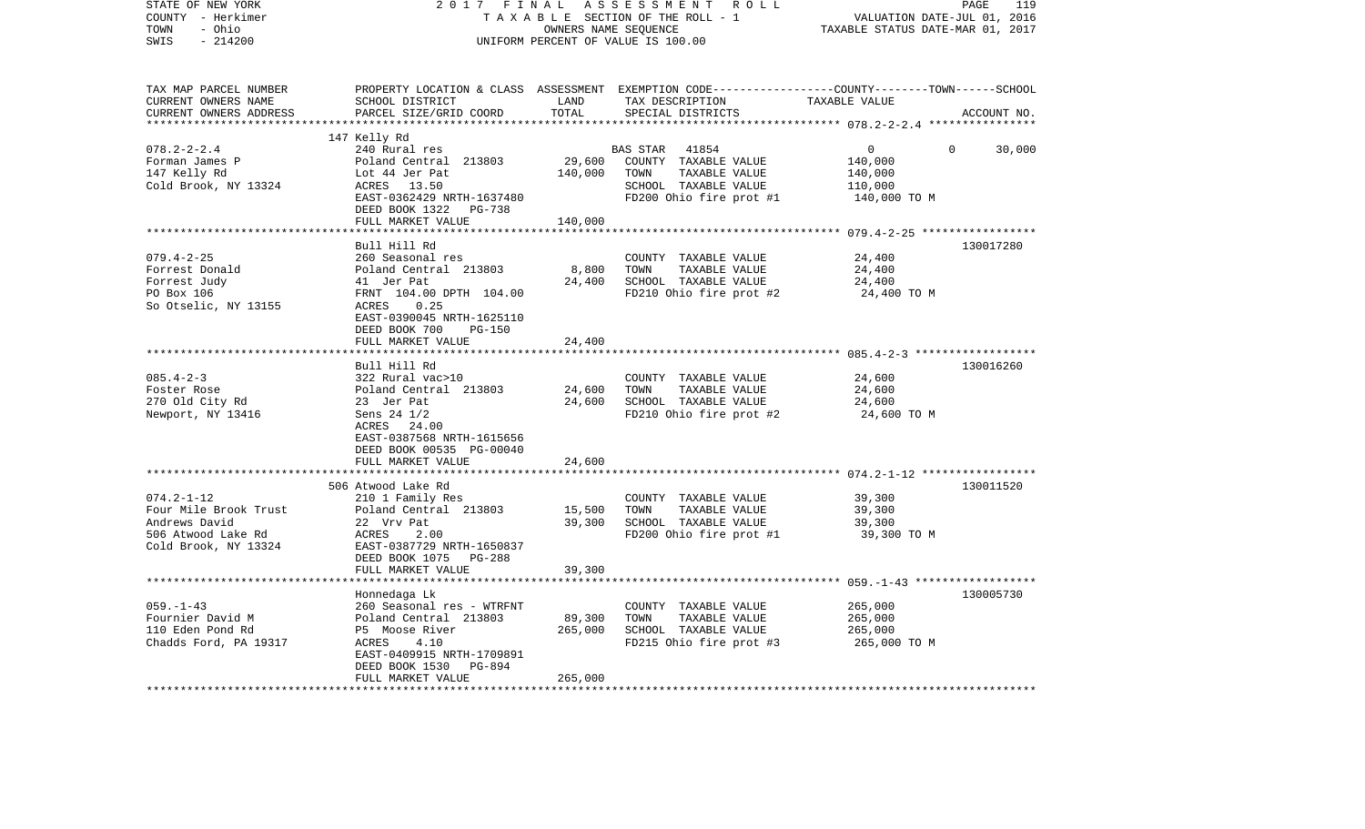| STATE OF NEW YORK<br>COUNTY - Herkimer<br>- Ohio<br>TOWN<br>SWIS<br>$-214200$                            | 2017 FINAL<br>TAXABLE SECTION OF THE ROLL - 1<br>UNIFORM PERCENT OF VALUE IS 100.00                                                                                                                             | VALUATION DATE-JUL 01, 2016<br>TAXABLE STATUS DATE-MAR 01, 2017 | PAGE<br>119                                                                                                                             |                                                                 |             |
|----------------------------------------------------------------------------------------------------------|-----------------------------------------------------------------------------------------------------------------------------------------------------------------------------------------------------------------|-----------------------------------------------------------------|-----------------------------------------------------------------------------------------------------------------------------------------|-----------------------------------------------------------------|-------------|
| TAX MAP PARCEL NUMBER<br>CURRENT OWNERS NAME<br>CURRENT OWNERS ADDRESS<br>***********************        | SCHOOL DISTRICT<br>PARCEL SIZE/GRID COORD                                                                                                                                                                       | LAND<br>TOTAL                                                   | PROPERTY LOCATION & CLASS ASSESSMENT EXEMPTION CODE---------------COUNTY-------TOWN------SCHOOL<br>TAX DESCRIPTION<br>SPECIAL DISTRICTS | TAXABLE VALUE                                                   | ACCOUNT NO. |
| $078.2 - 2 - 2.4$<br>Forman James P<br>147 Kelly Rd<br>Cold Brook, NY 13324                              | 147 Kelly Rd<br>240 Rural res<br>Poland Central 213803<br>Lot 44 Jer Pat<br>ACRES 13.50<br>EAST-0362429 NRTH-1637480<br>DEED BOOK 1322<br>PG-738<br>FULL MARKET VALUE                                           | 29,600<br>140,000<br>140,000                                    | BAS STAR<br>41854<br>COUNTY TAXABLE VALUE<br>TOWN<br>TAXABLE VALUE<br>SCHOOL TAXABLE VALUE<br>FD200 Ohio fire prot #1                   | $\overline{0}$<br>140,000<br>140,000<br>110,000<br>140,000 TO M | 0<br>30,000 |
|                                                                                                          |                                                                                                                                                                                                                 |                                                                 |                                                                                                                                         | ********* 079.4-2-25 ******************                         |             |
| $079.4 - 2 - 25$<br>Forrest Donald<br>Forrest Judy<br>PO Box 106<br>So Otselic, NY 13155                 | Bull Hill Rd<br>260 Seasonal res<br>Poland Central 213803<br>41 Jer Pat<br>FRNT 104.00 DPTH 104.00<br>ACRES<br>0.25<br>EAST-0390045 NRTH-1625110<br>DEED BOOK 700<br><b>PG-150</b>                              | 8,800<br>24,400                                                 | COUNTY TAXABLE VALUE<br>TOWN<br>TAXABLE VALUE<br>SCHOOL TAXABLE VALUE<br>FD210 Ohio fire prot #2                                        | 24,400<br>24,400<br>24,400<br>24,400 TO M                       | 130017280   |
|                                                                                                          | FULL MARKET VALUE                                                                                                                                                                                               | 24,400                                                          |                                                                                                                                         |                                                                 |             |
| $085.4 - 2 - 3$<br>Foster Rose<br>270 Old City Rd<br>Newport, NY 13416                                   | Bull Hill Rd<br>322 Rural vac>10<br>Poland Central 213803<br>23 Jer Pat<br>Sens 24 1/2<br>ACRES 24.00<br>EAST-0387568 NRTH-1615656<br>DEED BOOK 00535 PG-00040<br>FULL MARKET VALUE                             | 24,600<br>24,600<br>24,600                                      | COUNTY TAXABLE VALUE<br>TOWN<br>TAXABLE VALUE<br>SCHOOL TAXABLE VALUE<br>FD210 Ohio fire prot #2                                        | 24,600<br>24,600<br>24,600<br>24,600 TO M                       | 130016260   |
|                                                                                                          | 506 Atwood Lake Rd                                                                                                                                                                                              | *******                                                         |                                                                                                                                         | ************************** 074.2-1-12 *****************         | 130011520   |
| $074.2 - 1 - 12$<br>Four Mile Brook Trust<br>Andrews David<br>506 Atwood Lake Rd<br>Cold Brook, NY 13324 | 210 1 Family Res<br>Poland Central 213803<br>22 Vrv Pat<br>ACRES<br>2.00<br>EAST-0387729 NRTH-1650837<br>DEED BOOK 1075 PG-288                                                                                  | 15,500<br>39,300                                                | COUNTY TAXABLE VALUE<br>TOWN<br>TAXABLE VALUE<br>SCHOOL TAXABLE VALUE<br>FD200 Ohio fire prot #1                                        | 39,300<br>39,300<br>39,300<br>39,300 TO M                       |             |
|                                                                                                          | FULL MARKET VALUE                                                                                                                                                                                               | 39,300                                                          |                                                                                                                                         |                                                                 |             |
| $059. -1 - 43$<br>Fournier David M<br>110 Eden Pond Rd<br>Chadds Ford, PA 19317                          | ************************<br>Honnedaga Lk<br>260 Seasonal res - WTRFNT<br>Poland Central 213803<br>P5 Moose River<br>ACRES<br>4.10<br>EAST-0409915 NRTH-1709891<br>DEED BOOK 1530<br>PG-894<br>FULL MARKET VALUE | 89,300<br>265,000<br>265,000                                    | COUNTY TAXABLE VALUE<br>TOWN<br>TAXABLE VALUE<br>SCHOOL TAXABLE VALUE<br>FD215 Ohio fire prot #3                                        | 265,000<br>265,000<br>265,000<br>265,000 TO M                   | 130005730   |
|                                                                                                          |                                                                                                                                                                                                                 |                                                                 |                                                                                                                                         |                                                                 |             |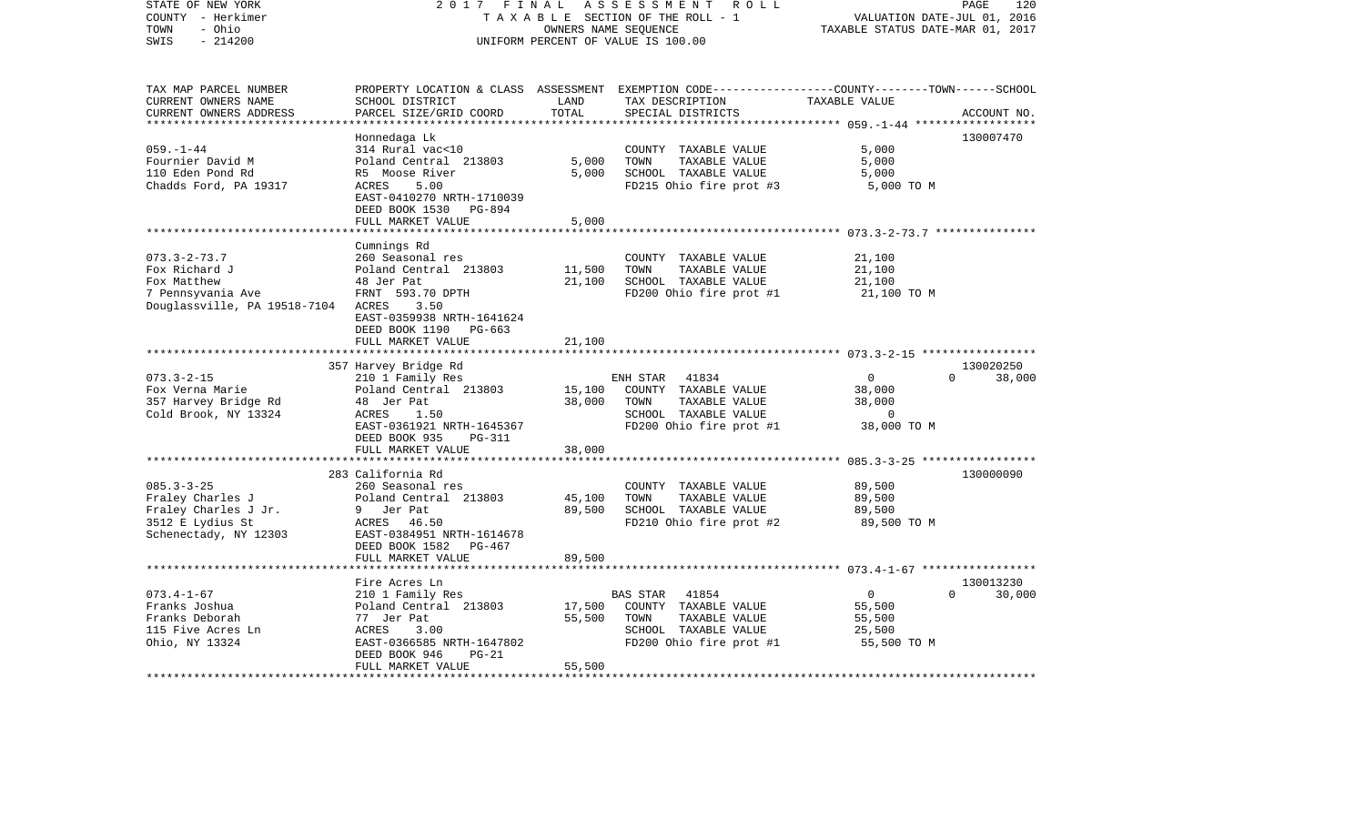| STATE OF NEW YORK<br>COUNTY - Herkimer<br>- Ohio<br>TOWN<br>SWIS<br>$-214200$                                      | 2017 FINAL<br>TAXABLE SECTION OF THE ROLL - 1<br>UNIFORM PERCENT OF VALUE IS 100.00                                                                                     | PAGE<br>120<br>VALUATION DATE-JUL 01, 2016<br>TAXABLE STATUS DATE-MAR 01, 2017 |                                                                                                                                         |                                                                     |                                 |
|--------------------------------------------------------------------------------------------------------------------|-------------------------------------------------------------------------------------------------------------------------------------------------------------------------|--------------------------------------------------------------------------------|-----------------------------------------------------------------------------------------------------------------------------------------|---------------------------------------------------------------------|---------------------------------|
| TAX MAP PARCEL NUMBER<br>CURRENT OWNERS NAME<br>CURRENT OWNERS ADDRESS                                             | SCHOOL DISTRICT<br>PARCEL SIZE/GRID COORD                                                                                                                               | LAND<br>TOTAL                                                                  | PROPERTY LOCATION & CLASS ASSESSMENT EXEMPTION CODE---------------COUNTY-------TOWN------SCHOOL<br>TAX DESCRIPTION<br>SPECIAL DISTRICTS | TAXABLE VALUE                                                       | ACCOUNT NO.                     |
| $059. - 1 - 44$<br>Fournier David M<br>110 Eden Pond Rd<br>Chadds Ford, PA 19317                                   | Honnedaga Lk<br>314 Rural vac<10<br>Poland Central 213803<br>R5 Moose River<br>5.00<br>ACRES<br>EAST-0410270 NRTH-1710039<br>DEED BOOK 1530 PG-894<br>FULL MARKET VALUE | 5,000<br>5,000<br>5,000                                                        | COUNTY TAXABLE VALUE<br>TOWN<br>TAXABLE VALUE<br>SCHOOL TAXABLE VALUE<br>FD215 Ohio fire prot #3                                        | 5,000<br>5,000<br>5,000<br>5,000 TO M                               | 130007470                       |
|                                                                                                                    | *******************************                                                                                                                                         |                                                                                |                                                                                                                                         |                                                                     |                                 |
| $073.3 - 2 - 73.7$<br>Fox Richard J<br>Fox Matthew<br>7 Pennsyvania Ave<br>Douglassville, PA 19518-7104 ACRES 3.50 | Cumnings Rd<br>260 Seasonal res<br>Poland Central 213803<br>48 Jer Pat<br>FRNT 593.70 DPTH<br>EAST-0359938 NRTH-1641624<br>DEED BOOK 1190 PG-663                        | 11,500<br>21,100                                                               | COUNTY TAXABLE VALUE<br>TOWN<br>TAXABLE VALUE<br>SCHOOL TAXABLE VALUE<br>FD200 Ohio fire prot #1                                        | 21,100<br>21,100<br>21,100<br>21,100 TO M                           |                                 |
|                                                                                                                    | FULL MARKET VALUE                                                                                                                                                       | 21,100                                                                         |                                                                                                                                         |                                                                     |                                 |
| $073.3 - 2 - 15$<br>Fox Verna Marie<br>357 Harvey Bridge Rd<br>Cold Brook, NY 13324                                | 357 Harvey Bridge Rd<br>210 1 Family Res<br>Poland Central 213803<br>48 Jer Pat<br>ACRES<br>1.50<br>EAST-0361921 NRTH-1645367<br>DEED BOOK 935<br>PG-311                | 15,100<br>38,000                                                               | ENH STAR<br>41834<br>COUNTY TAXABLE VALUE<br>TOWN<br>TAXABLE VALUE<br>SCHOOL TAXABLE VALUE<br>FD200 Ohio fire prot #1                   | $\overline{0}$<br>38,000<br>38,000<br>$\overline{0}$<br>38,000 TO M | 130020250<br>$\Omega$<br>38,000 |
|                                                                                                                    | FULL MARKET VALUE                                                                                                                                                       | 38,000                                                                         |                                                                                                                                         |                                                                     |                                 |
| $085.3 - 3 - 25$<br>Fraley Charles J<br>Fraley Charles J Jr.<br>3512 E Lydius St<br>Schenectady, NY 12303          | 283 California Rd<br>260 Seasonal res<br>Poland Central 213803<br>9 Jer Pat<br>ACRES 46.50<br>EAST-0384951 NRTH-1614678<br>DEED BOOK 1582 PG-467                        | 45,100<br>89,500                                                               | COUNTY TAXABLE VALUE<br>TAXABLE VALUE<br>TOWN<br>SCHOOL TAXABLE VALUE<br>FD210 Ohio fire prot #2                                        | 89,500<br>89,500<br>89,500<br>89,500 TO M                           | 130000090                       |
|                                                                                                                    | FULL MARKET VALUE                                                                                                                                                       | 89,500                                                                         |                                                                                                                                         |                                                                     |                                 |
| $073.4 - 1 - 67$<br>Franks Joshua<br>Franks Deborah<br>115 Five Acres Ln<br>Ohio, NY 13324                         | Fire Acres Ln<br>210 1 Family Res<br>Poland Central 213803<br>77 Jer Pat<br>ACRES<br>3.00<br>EAST-0366585 NRTH-1647802                                                  | 17,500<br>55,500                                                               | 41854<br>BAS STAR<br>COUNTY TAXABLE VALUE<br>TOWN<br>TAXABLE VALUE<br>SCHOOL TAXABLE VALUE<br>FD200 Ohio fire prot #1                   | $\overline{0}$<br>55,500<br>55,500<br>25,500<br>55,500 TO M         | 130013230<br>$\Omega$<br>30,000 |
|                                                                                                                    | DEED BOOK 946<br>PG-21<br>FULL MARKET VALUE                                                                                                                             | 55,500                                                                         |                                                                                                                                         |                                                                     |                                 |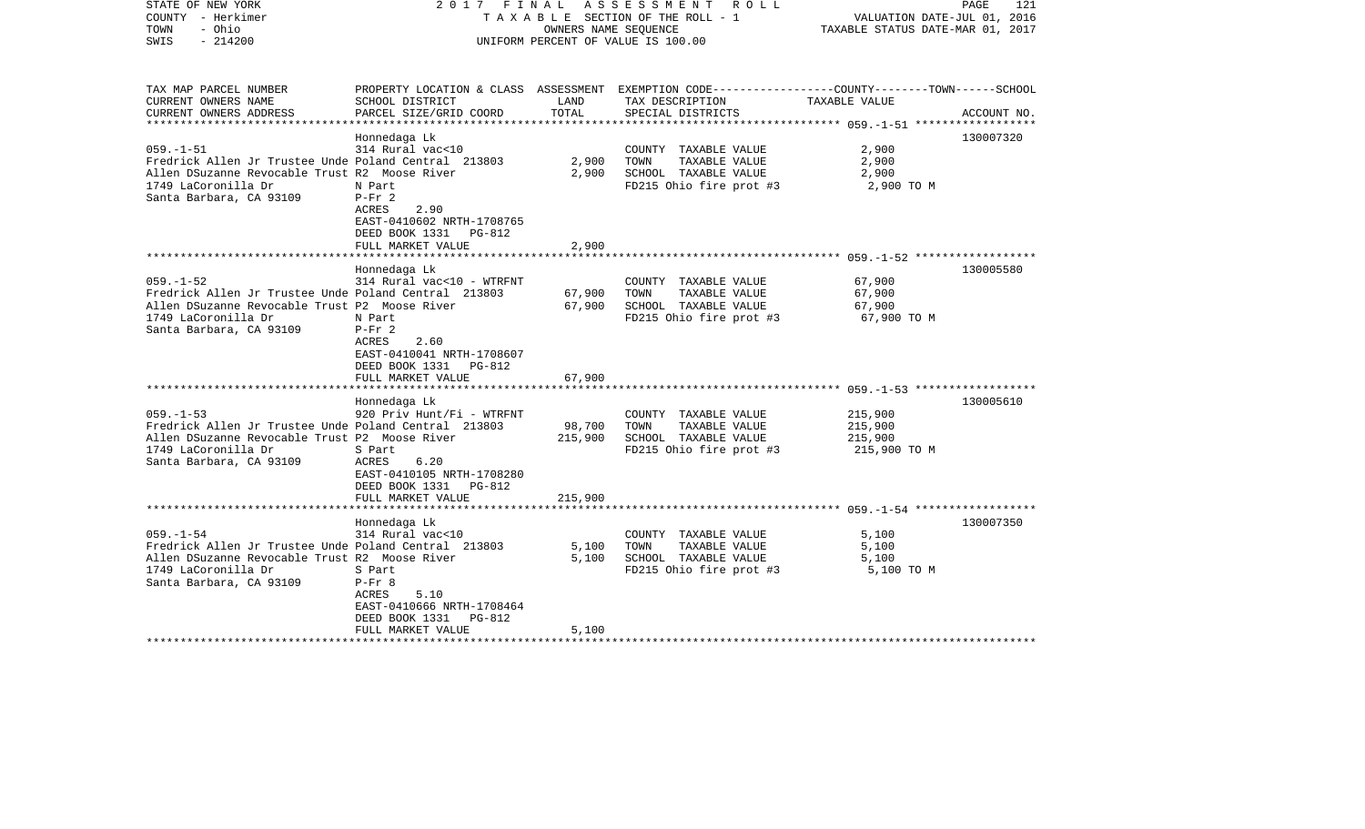| STATE OF NEW YORK<br>COUNTY - Herkimer<br>- Ohio<br>TOWN<br>$-214200$<br>SWIS                                                                                              |                                                                                                                                                    |                              | 2017 FINAL ASSESSMENT ROLL<br>TAXABLE SECTION OF THE ROLL - 1<br>OWNERS NAME SEOUENCE<br>UNIFORM PERCENT OF VALUE IS 100.00            | VALUATION DATE-JUL 01, 2016<br>TAXABLE STATUS DATE-MAR 01, 2017 | PAGE<br>121 |
|----------------------------------------------------------------------------------------------------------------------------------------------------------------------------|----------------------------------------------------------------------------------------------------------------------------------------------------|------------------------------|----------------------------------------------------------------------------------------------------------------------------------------|-----------------------------------------------------------------|-------------|
| TAX MAP PARCEL NUMBER<br>CURRENT OWNERS NAME<br>CURRENT OWNERS ADDRESS<br>***********************                                                                          | SCHOOL DISTRICT<br>PARCEL SIZE/GRID COORD                                                                                                          | LAND<br>TOTAL                | PROPERTY LOCATION & CLASS ASSESSMENT EXEMPTION CODE---------------COUNTY-------TOWN-----SCHOOL<br>TAX DESCRIPTION<br>SPECIAL DISTRICTS | TAXABLE VALUE                                                   | ACCOUNT NO. |
| $059. -1 - 51$<br>Fredrick Allen Jr Trustee Unde Poland Central 213803<br>Allen DSuzanne Revocable Trust R2 Moose River<br>1749 LaCoronilla Dr<br>Santa Barbara, CA 93109  | Honnedaga Lk<br>314 Rural vac<10<br>N Part<br>$P-Fr 2$<br>2.90<br>ACRES<br>EAST-0410602 NRTH-1708765<br>DEED BOOK 1331 PG-812<br>FULL MARKET VALUE | 2,900<br>2,900<br>2,900      | COUNTY TAXABLE VALUE<br>TOWN<br>TAXABLE VALUE<br>SCHOOL TAXABLE VALUE<br>FD215 Ohio fire prot #3                                       | 2,900<br>2,900<br>2,900<br>2,900 TO M                           | 130007320   |
|                                                                                                                                                                            |                                                                                                                                                    |                              |                                                                                                                                        |                                                                 |             |
| $059. -1 - 52$<br>Fredrick Allen Jr Trustee Unde Poland Central 213803<br>Allen DSuzanne Revocable Trust P2 Moose River<br>1749 LaCoronilla Dr<br>Santa Barbara, CA 93109  | Honnedaga Lk<br>314 Rural vac<10 - WTRFNT<br>N Part<br>$P-Fr 2$<br>ACRES<br>2.60<br>EAST-0410041 NRTH-1708607<br>DEED BOOK 1331 PG-812             | 67,900<br>67,900             | COUNTY TAXABLE VALUE<br>TOWN<br>TAXABLE VALUE<br>SCHOOL TAXABLE VALUE<br>FD215 Ohio fire prot #3                                       | 67,900<br>67,900<br>67,900<br>67,900 TO M                       | 130005580   |
|                                                                                                                                                                            | FULL MARKET VALUE                                                                                                                                  | 67,900                       |                                                                                                                                        |                                                                 |             |
| $059. -1 - 53$<br>Fredrick Allen Jr Trustee Unde Poland Central 213803<br>Allen DSuzanne Revocable Trust P2 Moose River<br>1749 LaCoronilla Dr<br>Santa Barbara, CA 93109  | Honnedaga Lk<br>920 Priv Hunt/Fi - WTRFNT<br>S Part<br>6.20<br>ACRES<br>EAST-0410105 NRTH-1708280<br>DEED BOOK 1331 PG-812<br>FULL MARKET VALUE    | 98,700<br>215,900<br>215,900 | COUNTY TAXABLE VALUE<br>TOWN<br>TAXABLE VALUE<br>SCHOOL TAXABLE VALUE<br>FD215 Ohio fire prot #3                                       | 215,900<br>215,900<br>215,900<br>215,900 TO M                   | 130005610   |
|                                                                                                                                                                            |                                                                                                                                                    |                              |                                                                                                                                        |                                                                 |             |
| $059. - 1 - 54$<br>Fredrick Allen Jr Trustee Unde Poland Central 213803<br>Allen DSuzanne Revocable Trust R2 Moose River<br>1749 LaCoronilla Dr<br>Santa Barbara, CA 93109 | Honnedaga Lk<br>314 Rural vac<10<br>S Part<br>$P-Fr$ 8<br>5.10<br>ACRES<br>EAST-0410666 NRTH-1708464<br>DEED BOOK 1331<br>PG-812                   | 5,100<br>5,100               | COUNTY TAXABLE VALUE<br>TAXABLE VALUE<br>TOWN<br>SCHOOL TAXABLE VALUE<br>FD215 Ohio fire prot #3                                       | 5,100<br>5,100<br>5,100<br>5,100 TO M                           | 130007350   |
| *********************                                                                                                                                                      | FULL MARKET VALUE                                                                                                                                  | 5,100                        |                                                                                                                                        |                                                                 |             |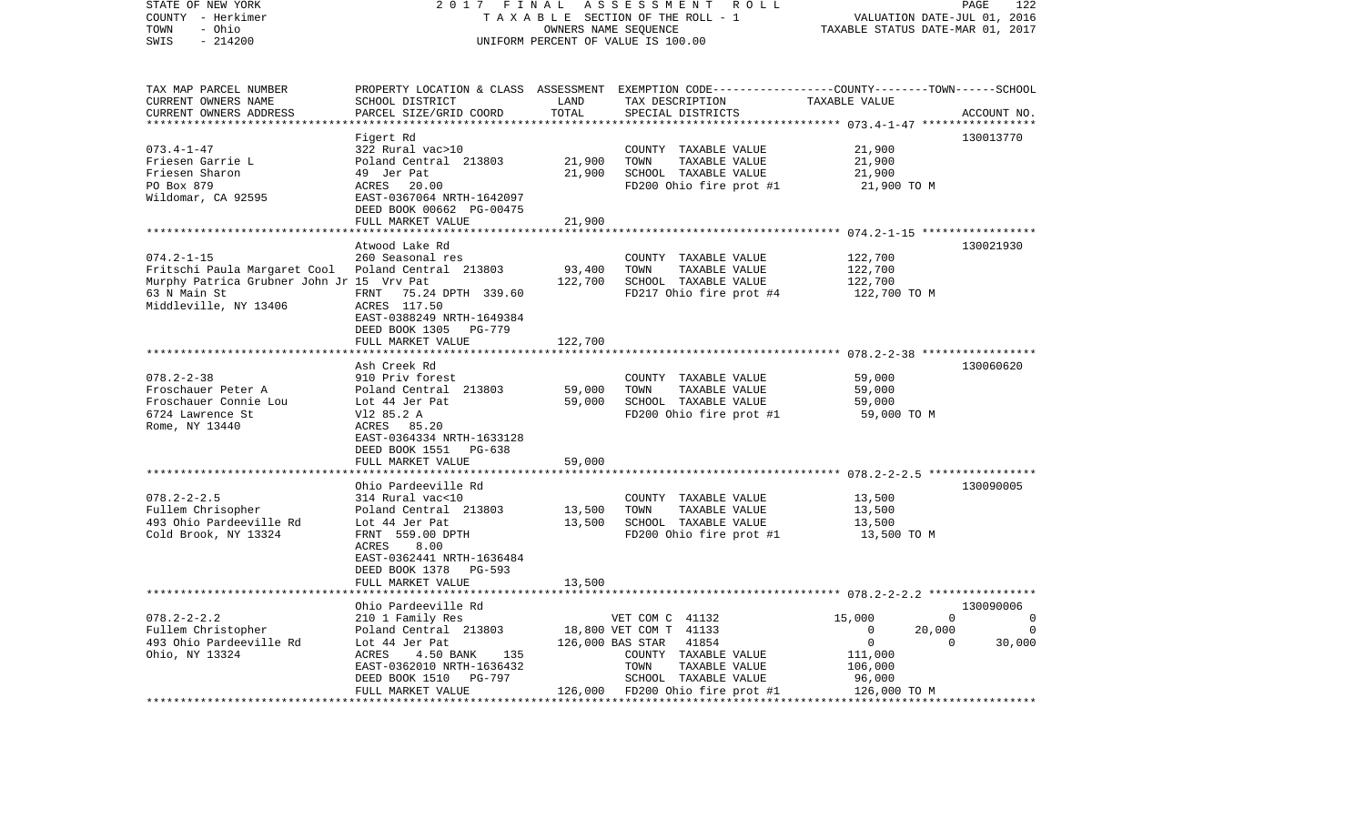| STATE OF NEW YORK<br>COUNTY - Herkimer<br>TOWN<br>- Ohio<br>SWIS<br>$-214200$ | 2017 FINAL                                                            |                   | ASSESSMENT<br>R O L L<br>TAXABLE SECTION OF THE ROLL - 1<br>OWNERS NAME SEOUENCE<br>UNIFORM PERCENT OF VALUE IS 100.00                   | VALUATION DATE-JUL 01, 2016<br>TAXABLE STATUS DATE-MAR 01, 2017 | PAGE<br>122    |
|-------------------------------------------------------------------------------|-----------------------------------------------------------------------|-------------------|------------------------------------------------------------------------------------------------------------------------------------------|-----------------------------------------------------------------|----------------|
| TAX MAP PARCEL NUMBER<br>CURRENT OWNERS NAME<br>CURRENT OWNERS ADDRESS        | SCHOOL DISTRICT<br>PARCEL SIZE/GRID COORD                             | LAND<br>TOTAL     | PROPERTY LOCATION & CLASS ASSESSMENT EXEMPTION CODE----------------COUNTY-------TOWN------SCHOOL<br>TAX DESCRIPTION<br>SPECIAL DISTRICTS | TAXABLE VALUE                                                   | ACCOUNT NO.    |
|                                                                               |                                                                       | **********        |                                                                                                                                          |                                                                 |                |
|                                                                               | Figert Rd                                                             |                   |                                                                                                                                          |                                                                 | 130013770      |
| $073.4 - 1 - 47$                                                              | 322 Rural vac>10                                                      |                   | COUNTY TAXABLE VALUE                                                                                                                     | 21,900                                                          |                |
| Friesen Garrie L<br>Friesen Sharon                                            | Poland Central 213803<br>49 Jer Pat                                   | 21,900<br>21,900  | TOWN<br>TAXABLE VALUE<br>SCHOOL TAXABLE VALUE                                                                                            | 21,900<br>21,900                                                |                |
| PO Box 879                                                                    | ACRES<br>20.00                                                        |                   | FD200 Ohio fire prot #1                                                                                                                  | 21,900 TO M                                                     |                |
| Wildomar, CA 92595                                                            | EAST-0367064 NRTH-1642097<br>DEED BOOK 00662 PG-00475                 |                   |                                                                                                                                          |                                                                 |                |
|                                                                               | FULL MARKET VALUE                                                     | 21,900            |                                                                                                                                          |                                                                 |                |
|                                                                               |                                                                       |                   |                                                                                                                                          |                                                                 |                |
|                                                                               | Atwood Lake Rd                                                        |                   |                                                                                                                                          |                                                                 | 130021930      |
| $074.2 - 1 - 15$                                                              | 260 Seasonal res                                                      |                   | COUNTY TAXABLE VALUE                                                                                                                     | 122,700                                                         |                |
| Fritschi Paula Margaret Cool<br>Murphy Patrica Grubner John Jr 15 Vrv Pat     | Poland Central 213803                                                 | 93,400<br>122,700 | TOWN<br>TAXABLE VALUE<br>SCHOOL TAXABLE VALUE                                                                                            | 122,700<br>122,700                                              |                |
| 63 N Main St                                                                  | FRNT<br>75.24 DPTH 339.60                                             |                   | FD217 Ohio fire prot #4                                                                                                                  | 122,700 TO M                                                    |                |
| Middleville, NY 13406                                                         | ACRES 117.50<br>EAST-0388249 NRTH-1649384<br>DEED BOOK 1305<br>PG-779 |                   |                                                                                                                                          |                                                                 |                |
|                                                                               | FULL MARKET VALUE                                                     | 122,700           |                                                                                                                                          |                                                                 |                |
|                                                                               | Ash Creek Rd                                                          |                   |                                                                                                                                          |                                                                 | 130060620      |
| $078.2 - 2 - 38$                                                              | 910 Priv forest                                                       |                   | COUNTY TAXABLE VALUE                                                                                                                     | 59,000                                                          |                |
| Froschauer Peter A                                                            | Poland Central 213803                                                 | 59,000            | TOWN<br>TAXABLE VALUE                                                                                                                    | 59,000                                                          |                |
| Froschauer Connie Lou                                                         | Lot 44 Jer Pat                                                        | 59,000            | SCHOOL TAXABLE VALUE                                                                                                                     | 59,000                                                          |                |
| 6724 Lawrence St                                                              | V12 85.2 A                                                            |                   | FD200 Ohio fire prot #1                                                                                                                  | 59,000 TO M                                                     |                |
| Rome, NY 13440                                                                | ACRES 85.20                                                           |                   |                                                                                                                                          |                                                                 |                |
|                                                                               | EAST-0364334 NRTH-1633128                                             |                   |                                                                                                                                          |                                                                 |                |
|                                                                               | DEED BOOK 1551 PG-638<br>FULL MARKET VALUE                            | 59,000            |                                                                                                                                          |                                                                 |                |
|                                                                               | ************************                                              |                   |                                                                                                                                          |                                                                 |                |
|                                                                               | Ohio Pardeeville Rd                                                   |                   |                                                                                                                                          |                                                                 | 130090005      |
| $078.2 - 2 - 2.5$                                                             | 314 Rural vac<10                                                      |                   | COUNTY TAXABLE VALUE                                                                                                                     | 13,500                                                          |                |
| Fullem Chrisopher                                                             | Poland Central 213803                                                 | 13,500            | TOWN<br>TAXABLE VALUE                                                                                                                    | 13,500                                                          |                |
| 493 Ohio Pardeeville Rd                                                       | Lot 44 Jer Pat                                                        | 13,500            | SCHOOL TAXABLE VALUE                                                                                                                     | 13,500                                                          |                |
| Cold Brook, NY 13324                                                          | FRNT 559.00 DPTH                                                      |                   | FD200 Ohio fire prot #1                                                                                                                  | 13,500 TO M                                                     |                |
|                                                                               | ACRES<br>8.00                                                         |                   |                                                                                                                                          |                                                                 |                |
|                                                                               | EAST-0362441 NRTH-1636484<br>DEED BOOK 1378 PG-593                    |                   |                                                                                                                                          |                                                                 |                |
|                                                                               | FULL MARKET VALUE                                                     | 13,500            |                                                                                                                                          |                                                                 |                |
|                                                                               |                                                                       | *********         |                                                                                                                                          |                                                                 |                |
|                                                                               | Ohio Pardeeville Rd                                                   |                   |                                                                                                                                          |                                                                 | 130090006      |
| $078.2 - 2 - 2.2$                                                             | 210 1 Family Res                                                      |                   | VET COM C 41132                                                                                                                          | 15,000<br>$\Omega$                                              | $\overline{0}$ |
| Fullem Christopher                                                            | Poland Central 213803                                                 |                   | 18,800 VET COM T 41133                                                                                                                   | $\Omega$<br>20,000                                              | $\Omega$       |
| 493 Ohio Pardeeville Rd                                                       | Lot 44 Jer Pat                                                        |                   | 126,000 BAS STAR<br>41854                                                                                                                | $\circ$<br>$\Omega$                                             | 30,000         |
| Ohio, NY 13324                                                                | ACRES<br>4.50 BANK<br>135                                             |                   | COUNTY TAXABLE VALUE                                                                                                                     | 111,000                                                         |                |
|                                                                               | EAST-0362010 NRTH-1636432<br>DEED BOOK 1510 PG-797                    |                   | TOWN<br>TAXABLE VALUE<br>SCHOOL TAXABLE VALUE                                                                                            | 106,000<br>96,000                                               |                |
|                                                                               | FULL MARKET VALUE                                                     |                   | 126,000 FD200 Ohio fire prot #1                                                                                                          | 126,000 TO M                                                    |                |
| ****************************                                                  | * * * * * * * * * * * * * * * * * * * *                               |                   |                                                                                                                                          |                                                                 |                |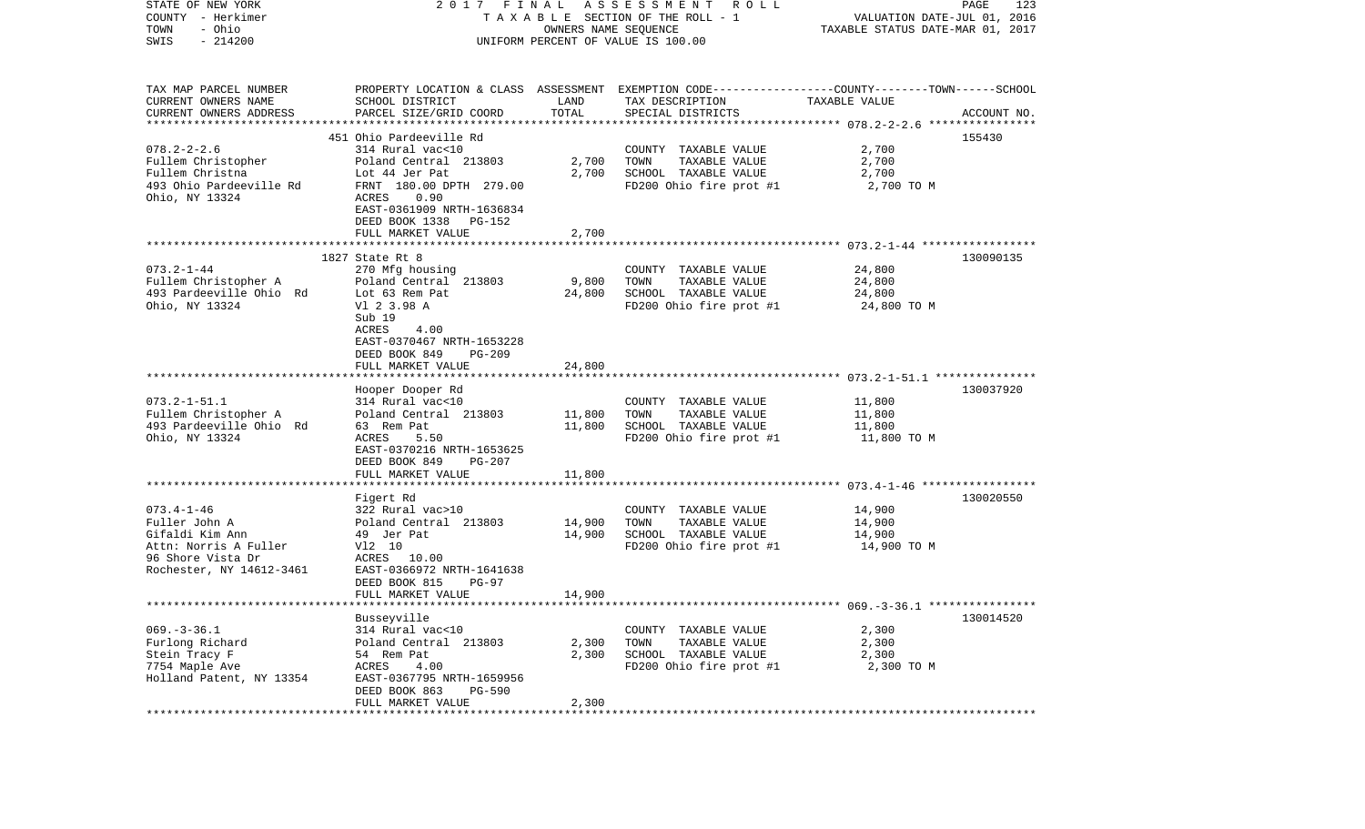| STATE OF NEW YORK<br>COUNTY - Herkimer<br>- Ohio<br>TOWN<br>$-214200$<br>SWIS                                                  | 2017 FINAL                                                                                                                                                                                  | OWNERS NAME SEQUENCE    | ASSESSMENT ROLL<br>TAXABLE SECTION OF THE ROLL - 1<br>UNIFORM PERCENT OF VALUE IS 100.00                                                | VALUATION DATE-JUL 01, 2016<br>TAXABLE STATUS DATE-MAR 01, 2017 | 123<br>PAGE |
|--------------------------------------------------------------------------------------------------------------------------------|---------------------------------------------------------------------------------------------------------------------------------------------------------------------------------------------|-------------------------|-----------------------------------------------------------------------------------------------------------------------------------------|-----------------------------------------------------------------|-------------|
| TAX MAP PARCEL NUMBER<br>CURRENT OWNERS NAME<br>CURRENT OWNERS ADDRESS                                                         | SCHOOL DISTRICT<br>PARCEL SIZE/GRID COORD                                                                                                                                                   | LAND<br>TOTAL           | PROPERTY LOCATION & CLASS ASSESSMENT EXEMPTION CODE---------------COUNTY-------TOWN------SCHOOL<br>TAX DESCRIPTION<br>SPECIAL DISTRICTS | TAXABLE VALUE                                                   | ACCOUNT NO. |
| *************************                                                                                                      |                                                                                                                                                                                             |                         |                                                                                                                                         |                                                                 |             |
| $078.2 - 2 - 2.6$<br>Fullem Christopher<br>Fullem Christna<br>493 Ohio Pardeeville Rd<br>Ohio, NY 13324                        | 451 Ohio Pardeeville Rd<br>314 Rural vac<10<br>Poland Central 213803<br>Lot 44 Jer Pat<br>FRNT 180.00 DPTH 279.00<br>0.90<br>ACRES<br>EAST-0361909 NRTH-1636834<br>DEED BOOK 1338<br>PG-152 | 2,700<br>2,700          | COUNTY TAXABLE VALUE<br>TOWN<br>TAXABLE VALUE<br>SCHOOL TAXABLE VALUE<br>FD200 Ohio fire prot #1                                        | 2,700<br>2,700<br>2,700<br>2,700 TO M                           | 155430      |
|                                                                                                                                | FULL MARKET VALUE                                                                                                                                                                           | 2,700                   |                                                                                                                                         |                                                                 |             |
| $073.2 - 1 - 44$<br>Fullem Christopher A<br>493 Pardeeville Ohio Rd<br>Ohio, NY 13324                                          | 1827 State Rt 8<br>270 Mfg housing<br>Poland Central 213803<br>Lot 63 Rem Pat<br>V1 2 3.98 A<br>Sub 19<br>ACRES<br>4.00<br>EAST-0370467 NRTH-1653228                                        | 9,800<br>24,800         | COUNTY TAXABLE VALUE<br>TAXABLE VALUE<br>TOWN<br>SCHOOL TAXABLE VALUE<br>FD200 Ohio fire prot #1                                        | 24,800<br>24,800<br>24,800<br>24,800 TO M                       | 130090135   |
|                                                                                                                                | DEED BOOK 849<br><b>PG-209</b><br>FULL MARKET VALUE                                                                                                                                         | 24,800                  |                                                                                                                                         |                                                                 |             |
| $073.2 - 1 - 51.1$<br>Fullem Christopher A<br>493 Pardeeville Ohio Rd<br>Ohio, NY 13324                                        | Hooper Dooper Rd<br>314 Rural vac<10<br>Poland Central 213803<br>63 Rem Pat<br>ACRES<br>5.50<br>EAST-0370216 NRTH-1653625<br>DEED BOOK 849<br>PG-207                                        | 11,800<br>11,800        | COUNTY TAXABLE VALUE<br>TAXABLE VALUE<br>TOWN<br>SCHOOL TAXABLE VALUE<br>FD200 Ohio fire prot #1                                        | 11,800<br>11,800<br>11,800<br>11,800 TO M                       | 130037920   |
|                                                                                                                                | FULL MARKET VALUE                                                                                                                                                                           | 11,800                  |                                                                                                                                         |                                                                 |             |
| $073.4 - 1 - 46$<br>Fuller John A<br>Gifaldi Kim Ann<br>Attn: Norris A Fuller<br>96 Shore Vista Dr<br>Rochester, NY 14612-3461 | *************************<br>Figert Rd<br>322 Rural vac>10<br>Poland Central 213803<br>49 Jer Pat<br>V12 10<br>ACRES 10.00<br>EAST-0366972 NRTH-1641638<br>DEED BOOK 815<br>$PG-97$         | 14,900<br>14,900        | COUNTY TAXABLE VALUE<br>TOWN<br>TAXABLE VALUE<br>SCHOOL TAXABLE VALUE<br>FD200 Ohio fire prot #1                                        | 14,900<br>14,900<br>14,900<br>14,900 TO M                       | 130020550   |
|                                                                                                                                | FULL MARKET VALUE                                                                                                                                                                           | 14,900                  |                                                                                                                                         |                                                                 |             |
| $069. -3 - 36.1$<br>Furlong Richard<br>Stein Tracy F<br>7754 Maple Ave<br>Holland Patent, NY 13354                             | Busseyville<br>314 Rural vac<10<br>Poland Central 213803<br>54 Rem Pat<br>ACRES<br>4.00<br>EAST-0367795 NRTH-1659956<br>DEED BOOK 863<br><b>PG-590</b><br>FULL MARKET VALUE                 | 2,300<br>2,300<br>2,300 | COUNTY TAXABLE VALUE<br>TOWN<br>TAXABLE VALUE<br>SCHOOL TAXABLE VALUE<br>FD200 Ohio fire prot #1                                        | 2,300<br>2,300<br>2,300<br>2,300 TO M                           | 130014520   |
|                                                                                                                                |                                                                                                                                                                                             |                         |                                                                                                                                         |                                                                 |             |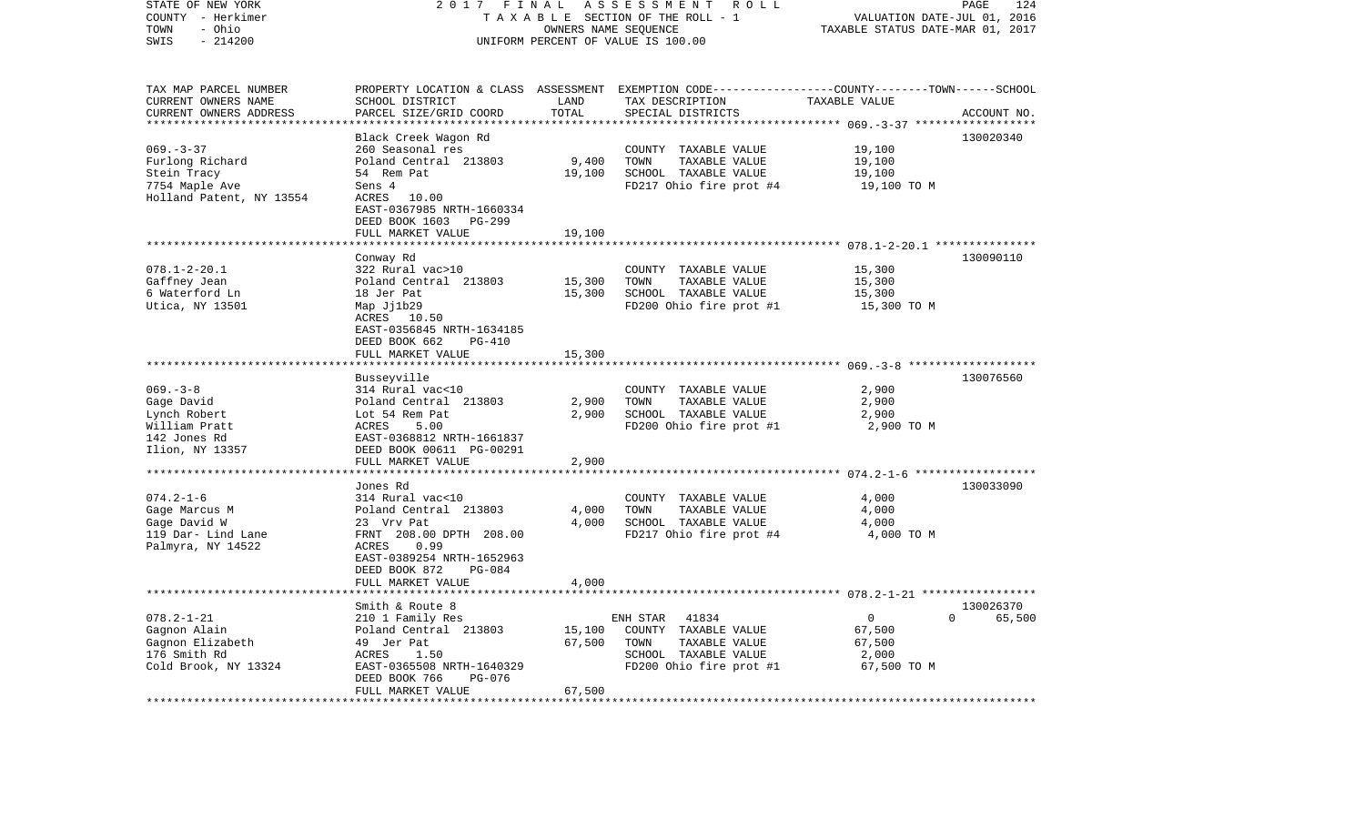| STATE OF NEW YORK<br>COUNTY - Herkimer<br>TOWN<br>- Ohio<br>$-214200$<br>SWIS                   | 2017 FINAL<br>TAXABLE SECTION OF THE ROLL - 1<br>UNIFORM PERCENT OF VALUE IS 100.00                                                                                                 | 124<br>PAGE<br>VALUATION DATE-JUL 01, 2016<br>TAXABLE STATUS DATE-MAR 01, 2017 |                                                                                                                                         |                                                            |                                 |
|-------------------------------------------------------------------------------------------------|-------------------------------------------------------------------------------------------------------------------------------------------------------------------------------------|--------------------------------------------------------------------------------|-----------------------------------------------------------------------------------------------------------------------------------------|------------------------------------------------------------|---------------------------------|
| TAX MAP PARCEL NUMBER<br>CURRENT OWNERS NAME<br>CURRENT OWNERS ADDRESS                          | SCHOOL DISTRICT<br>PARCEL SIZE/GRID COORD                                                                                                                                           | LAND<br>TOTAL<br>* * * * * * * * * *                                           | PROPERTY LOCATION & CLASS ASSESSMENT EXEMPTION CODE----------------COUNTY-------TOWN-----SCHOOL<br>TAX DESCRIPTION<br>SPECIAL DISTRICTS | TAXABLE VALUE<br>********** 069. - 3 - 37 ****             | ACCOUNT NO.                     |
| $069. -3 - 37$<br>Furlong Richard<br>Stein Tracy<br>7754 Maple Ave<br>Holland Patent, NY 13554  | Black Creek Wagon Rd<br>260 Seasonal res<br>Poland Central 213803<br>54 Rem Pat<br>Sens 4<br>ACRES 10.00<br>EAST-0367985 NRTH-1660334<br>DEED BOOK 1603 PG-299<br>FULL MARKET VALUE | 9,400<br>19,100<br>19,100                                                      | COUNTY TAXABLE VALUE<br>TOWN<br>TAXABLE VALUE<br>SCHOOL TAXABLE VALUE<br>FD217 Ohio fire prot #4                                        | 19,100<br>19,100<br>19,100<br>19,100 TO M                  | 130020340                       |
|                                                                                                 |                                                                                                                                                                                     |                                                                                |                                                                                                                                         |                                                            |                                 |
| $078.1 - 2 - 20.1$<br>Gaffney Jean<br>6 Waterford Ln<br>Utica, NY 13501                         | Conway Rd<br>322 Rural vac>10<br>Poland Central 213803<br>18 Jer Pat<br>Map Jj1b29<br>ACRES 10.50<br>EAST-0356845 NRTH-1634185<br>DEED BOOK 662<br>PG-410                           | 15,300<br>15,300                                                               | COUNTY TAXABLE VALUE<br>TOWN<br>TAXABLE VALUE<br>SCHOOL TAXABLE VALUE<br>FD200 Ohio fire prot #1                                        | 15,300<br>15,300<br>15,300<br>15,300 TO M                  | 130090110                       |
|                                                                                                 | FULL MARKET VALUE                                                                                                                                                                   | 15,300                                                                         |                                                                                                                                         |                                                            |                                 |
|                                                                                                 | Busseyville                                                                                                                                                                         |                                                                                |                                                                                                                                         |                                                            | 130076560                       |
| $069. -3 - 8$<br>Gage David<br>Lynch Robert<br>William Pratt<br>142 Jones Rd<br>Ilion, NY 13357 | 314 Rural vac<10<br>Poland Central 213803<br>Lot 54 Rem Pat<br>ACRES<br>5.00<br>EAST-0368812 NRTH-1661837<br>DEED BOOK 00611 PG-00291                                               | 2,900<br>2,900                                                                 | COUNTY TAXABLE VALUE<br>TOWN<br>TAXABLE VALUE<br>SCHOOL TAXABLE VALUE<br>FD200 Ohio fire prot #1                                        | 2,900<br>2,900<br>2,900<br>2,900 TO M                      |                                 |
|                                                                                                 | FULL MARKET VALUE                                                                                                                                                                   | 2,900                                                                          |                                                                                                                                         |                                                            |                                 |
| $074.2 - 1 - 6$<br>Gage Marcus M<br>Gage David W<br>119 Dar- Lind Lane<br>Palmyra, NY 14522     | Jones Rd<br>314 Rural vac<10<br>Poland Central 213803<br>23 Vrv Pat<br>FRNT 208.00 DPTH 208.00<br>ACRES<br>0.99<br>EAST-0389254 NRTH-1652963                                        | 4,000<br>4,000                                                                 | COUNTY TAXABLE VALUE<br>TOWN<br>TAXABLE VALUE<br>SCHOOL TAXABLE VALUE<br>FD217 Ohio fire prot #4                                        | 4,000<br>4,000<br>4,000<br>4,000 TO M                      | 130033090                       |
|                                                                                                 | DEED BOOK 872<br>$PG-084$<br>FULL MARKET VALUE                                                                                                                                      | 4,000                                                                          |                                                                                                                                         |                                                            |                                 |
|                                                                                                 |                                                                                                                                                                                     |                                                                                |                                                                                                                                         |                                                            |                                 |
| $078.2 - 1 - 21$<br>Gagnon Alain<br>Gagnon Elizabeth<br>176 Smith Rd<br>Cold Brook, NY 13324    | Smith & Route 8<br>210 1 Family Res<br>Poland Central 213803<br>49 Jer Pat<br>ACRES<br>1.50<br>EAST-0365508 NRTH-1640329<br>DEED BOOK 766<br>PG-076<br>FULL MARKET VALUE            | 15,100<br>67,500<br>67,500                                                     | ENH STAR<br>41834<br>COUNTY TAXABLE VALUE<br>TOWN<br>TAXABLE VALUE<br>SCHOOL TAXABLE VALUE<br>FD200 Ohio fire prot #1                   | $\overline{0}$<br>67,500<br>67,500<br>2,000<br>67,500 TO M | 130026370<br>$\Omega$<br>65,500 |
|                                                                                                 |                                                                                                                                                                                     |                                                                                |                                                                                                                                         |                                                            |                                 |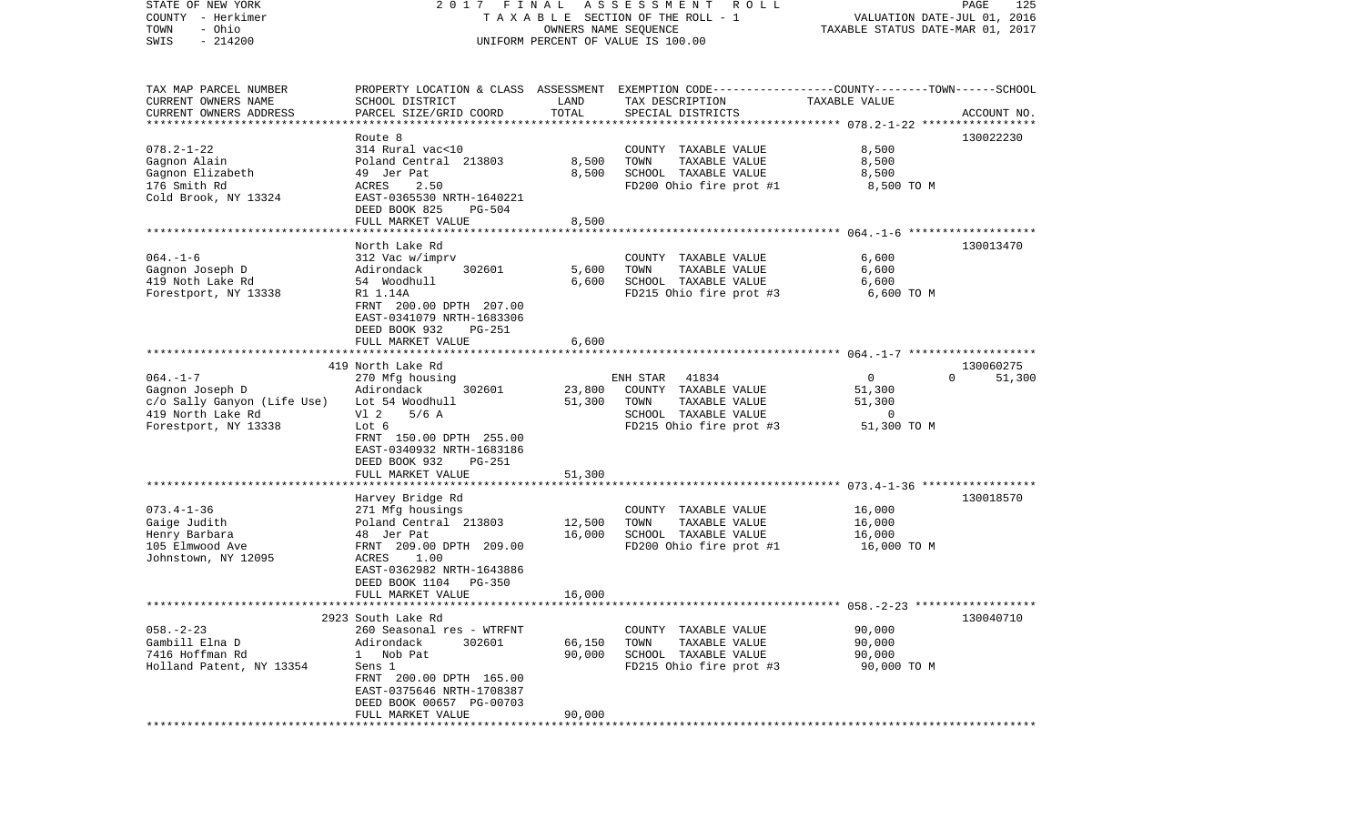| STATE OF NEW YORK                | 2017                                    | FINAL                            | ASSESSMENT<br>R O L L                                                                            |                             | PAGE<br>125        |
|----------------------------------|-----------------------------------------|----------------------------------|--------------------------------------------------------------------------------------------------|-----------------------------|--------------------|
| COUNTY - Herkimer                |                                         | OWNERS NAME SEQUENCE             | TAXABLE SECTION OF THE ROLL - 1                                                                  | VALUATION DATE-JUL 01, 2016 |                    |
| - Ohio<br>TOWN                   |                                         | TAXABLE STATUS DATE-MAR 01, 2017 |                                                                                                  |                             |                    |
| $-214200$<br>SWIS                |                                         |                                  | UNIFORM PERCENT OF VALUE IS 100.00                                                               |                             |                    |
|                                  |                                         |                                  |                                                                                                  |                             |                    |
|                                  |                                         |                                  |                                                                                                  |                             |                    |
| TAX MAP PARCEL NUMBER            |                                         |                                  | PROPERTY LOCATION & CLASS ASSESSMENT EXEMPTION CODE----------------COUNTY-------TOWN------SCHOOL |                             |                    |
| CURRENT OWNERS NAME              | SCHOOL DISTRICT                         | LAND                             | TAX DESCRIPTION                                                                                  | TAXABLE VALUE               |                    |
| CURRENT OWNERS ADDRESS           | PARCEL SIZE/GRID COORD                  | TOTAL                            | SPECIAL DISTRICTS                                                                                |                             | ACCOUNT NO.        |
| **********************           |                                         |                                  |                                                                                                  |                             |                    |
|                                  | Route 8                                 |                                  |                                                                                                  |                             | 130022230          |
| $078.2 - 1 - 22$                 | 314 Rural vac<10                        |                                  | COUNTY TAXABLE VALUE                                                                             | 8,500                       |                    |
| Gagnon Alain                     | Poland Central 213803                   | 8,500                            | TOWN<br>TAXABLE VALUE                                                                            | 8,500                       |                    |
| Gagnon Elizabeth                 | 49 Jer Pat                              | 8,500                            | SCHOOL TAXABLE VALUE                                                                             | 8,500                       |                    |
| 176 Smith Rd                     | ACRES<br>2.50                           |                                  | FD200 Ohio fire prot #1                                                                          | 8,500 TO M                  |                    |
| Cold Brook, NY 13324             | EAST-0365530 NRTH-1640221               |                                  |                                                                                                  |                             |                    |
|                                  | DEED BOOK 825<br>PG-504                 |                                  |                                                                                                  |                             |                    |
|                                  | FULL MARKET VALUE                       | 8,500                            |                                                                                                  |                             |                    |
|                                  | ************************                |                                  |                                                                                                  |                             |                    |
|                                  | North Lake Rd                           |                                  |                                                                                                  |                             | 130013470          |
| $064. -1 - 6$                    | 312 Vac w/imprv                         |                                  | COUNTY TAXABLE VALUE                                                                             | 6,600                       |                    |
| Gagnon Joseph D                  | Adirondack<br>302601                    | 5,600                            | TOWN<br>TAXABLE VALUE                                                                            | 6,600                       |                    |
| 419 Noth Lake Rd                 | 54 Woodhull                             | 6,600                            | SCHOOL TAXABLE VALUE                                                                             | 6,600                       |                    |
| Forestport, NY 13338             | R1 1.14A                                |                                  | FD215 Ohio fire prot #3                                                                          | 6,600 TO M                  |                    |
|                                  | FRNT 200.00 DPTH 207.00                 |                                  |                                                                                                  |                             |                    |
|                                  | EAST-0341079 NRTH-1683306               |                                  |                                                                                                  |                             |                    |
|                                  | DEED BOOK 932<br><b>PG-251</b>          |                                  |                                                                                                  |                             |                    |
|                                  | FULL MARKET VALUE                       | 6,600                            |                                                                                                  |                             |                    |
|                                  | ***************************             |                                  |                                                                                                  |                             |                    |
|                                  | 419 North Lake Rd                       |                                  |                                                                                                  |                             | 130060275          |
| $064. -1 - 7$                    | 270 Mfg housing                         |                                  | ENH STAR<br>41834                                                                                | 0                           | 51,300<br>$\Omega$ |
| Gagnon Joseph D                  | Adirondack<br>302601                    | 23,800                           | COUNTY TAXABLE VALUE                                                                             | 51,300                      |                    |
| c/o Sally Ganyon (Life Use)      | Lot 54 Woodhull                         | 51,300                           | TOWN<br>TAXABLE VALUE                                                                            | 51,300                      |                    |
| 419 North Lake Rd                | V1 2<br>$5/6$ A                         |                                  | SCHOOL TAXABLE VALUE                                                                             | $\mathbf 0$                 |                    |
| Forestport, NY 13338             | Lot 6                                   |                                  | FD215 Ohio fire prot #3                                                                          | 51,300 TO M                 |                    |
|                                  | FRNT 150.00 DPTH 255.00                 |                                  |                                                                                                  |                             |                    |
|                                  | EAST-0340932 NRTH-1683186               |                                  |                                                                                                  |                             |                    |
|                                  | DEED BOOK 932<br><b>PG-251</b>          |                                  |                                                                                                  |                             |                    |
|                                  | FULL MARKET VALUE                       | 51,300                           |                                                                                                  |                             |                    |
|                                  |                                         |                                  |                                                                                                  |                             |                    |
|                                  | Harvey Bridge Rd                        |                                  |                                                                                                  |                             | 130018570          |
| $073.4 - 1 - 36$                 | 271 Mfg housings                        |                                  | COUNTY TAXABLE VALUE                                                                             | 16,000                      |                    |
| Gaige Judith                     | Poland Central 213803                   | 12,500                           | TOWN<br>TAXABLE VALUE                                                                            | 16,000                      |                    |
|                                  |                                         |                                  |                                                                                                  |                             |                    |
| Henry Barbara<br>105 Elmwood Ave | 48 Jer Pat<br>FRNT 209.00 DPTH 209.00   | 16,000                           | SCHOOL TAXABLE VALUE                                                                             | 16,000                      |                    |
|                                  |                                         |                                  | FD200 Ohio fire prot #1                                                                          | 16,000 TO M                 |                    |
| Johnstown, NY 12095              | 1.00<br>ACRES                           |                                  |                                                                                                  |                             |                    |
|                                  | EAST-0362982 NRTH-1643886               |                                  |                                                                                                  |                             |                    |
|                                  | DEED BOOK 1104<br>$PG-350$              |                                  |                                                                                                  |                             |                    |
| ********************             | FULL MARKET VALUE                       | 16,000                           |                                                                                                  |                             |                    |
|                                  |                                         |                                  |                                                                                                  |                             |                    |
|                                  | 2923 South Lake Rd                      |                                  |                                                                                                  |                             | 130040710          |
| $058. - 2 - 23$                  | 260 Seasonal res - WTRFNT               |                                  | COUNTY TAXABLE VALUE                                                                             | 90,000                      |                    |
| Gambill Elna D                   | Adirondack<br>302601                    | 66,150                           | TOWN<br>TAXABLE VALUE                                                                            | 90,000                      |                    |
| 7416 Hoffman Rd                  | Nob Pat<br>$\mathbf{1}$                 | 90,000                           | SCHOOL TAXABLE VALUE                                                                             | 90,000                      |                    |
| Holland Patent, NY 13354         | Sens 1                                  |                                  | FD215 Ohio fire prot #3                                                                          | 90,000 TO M                 |                    |
|                                  | FRNT 200.00 DPTH 165.00                 |                                  |                                                                                                  |                             |                    |
|                                  | EAST-0375646 NRTH-1708387               |                                  |                                                                                                  |                             |                    |
|                                  | DEED BOOK 00657 PG-00703                |                                  |                                                                                                  |                             |                    |
|                                  | FULL MARKET VALUE<br>****************** | 90,000<br>********************   |                                                                                                  |                             |                    |
|                                  |                                         |                                  |                                                                                                  |                             |                    |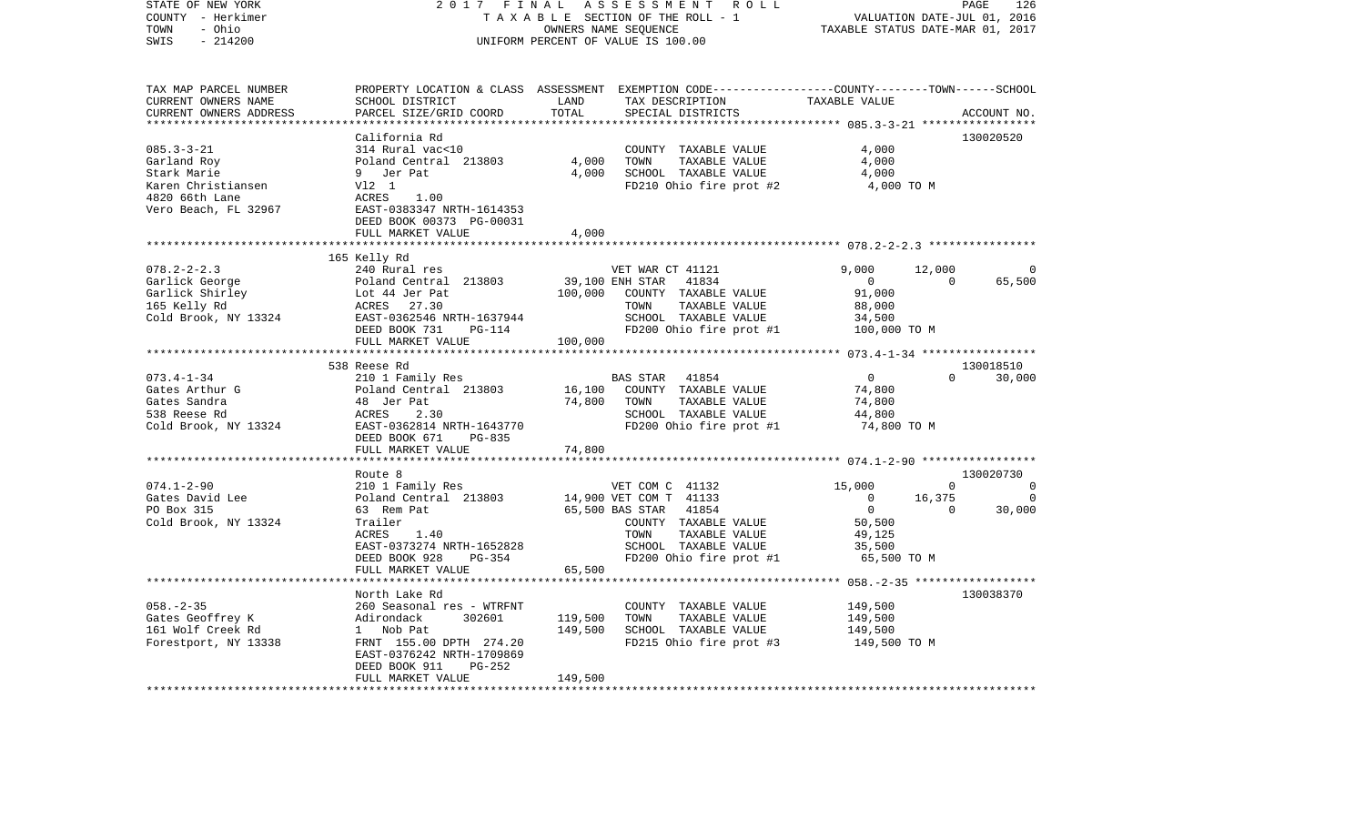| STATE OF NEW YORK<br>COUNTY - Herkimer<br>- Ohio<br>TOWN<br>$-214200$<br>SWIS | ASSESSMENT ROLL<br>2017 FINAL<br>TAXABLE SECTION OF THE ROLL - 1<br>OWNERS NAME SEQUENCE<br>UNIFORM PERCENT OF VALUE IS 100.00 |               |                                                                                                  |                          | PAGE<br>126<br>VALUATION DATE-JUL 01, 2016<br>TAXABLE STATUS DATE-MAR 01, 2017 |             |  |
|-------------------------------------------------------------------------------|--------------------------------------------------------------------------------------------------------------------------------|---------------|--------------------------------------------------------------------------------------------------|--------------------------|--------------------------------------------------------------------------------|-------------|--|
| TAX MAP PARCEL NUMBER                                                         |                                                                                                                                |               | PROPERTY LOCATION & CLASS ASSESSMENT EXEMPTION CODE----------------COUNTY-------TOWN------SCHOOL |                          |                                                                                |             |  |
| CURRENT OWNERS NAME<br>CURRENT OWNERS ADDRESS                                 | SCHOOL DISTRICT<br>PARCEL SIZE/GRID COORD                                                                                      | LAND<br>TOTAL | TAX DESCRIPTION<br>SPECIAL DISTRICTS                                                             | TAXABLE VALUE            |                                                                                | ACCOUNT NO. |  |
| ************************                                                      | California Rd                                                                                                                  |               |                                                                                                  |                          |                                                                                | 130020520   |  |
| $085.3 - 3 - 21$                                                              | 314 Rural vac<10                                                                                                               |               | COUNTY TAXABLE VALUE                                                                             | 4,000                    |                                                                                |             |  |
| Garland Roy                                                                   | Poland Central 213803                                                                                                          | 4,000         | TOWN<br>TAXABLE VALUE                                                                            | 4,000                    |                                                                                |             |  |
| Stark Marie                                                                   | 9 Jer Pat                                                                                                                      | 4,000         | SCHOOL TAXABLE VALUE                                                                             | 4,000                    |                                                                                |             |  |
| Karen Christiansen                                                            | V12 1                                                                                                                          |               | FD210 Ohio fire prot #2                                                                          | 4,000 TO M               |                                                                                |             |  |
| 4820 66th Lane                                                                | ACRES<br>1.00                                                                                                                  |               |                                                                                                  |                          |                                                                                |             |  |
| Vero Beach, FL 32967                                                          | EAST-0383347 NRTH-1614353<br>DEED BOOK 00373 PG-00031                                                                          |               |                                                                                                  |                          |                                                                                |             |  |
|                                                                               | FULL MARKET VALUE                                                                                                              | 4,000         |                                                                                                  |                          |                                                                                |             |  |
|                                                                               | ***********************                                                                                                        |               |                                                                                                  |                          |                                                                                |             |  |
|                                                                               | 165 Kelly Rd                                                                                                                   |               |                                                                                                  |                          |                                                                                |             |  |
| $078.2 - 2 - 2.3$                                                             | 240 Rural res                                                                                                                  |               | VET WAR CT 41121                                                                                 | 9.000                    | 12,000                                                                         |             |  |
| Garlick George                                                                | Poland Central 213803                                                                                                          |               | 41834<br>39,100 ENH STAR                                                                         | $\overline{0}$           | $\Omega$                                                                       | 65,500      |  |
| Garlick Shirley<br>165 Kelly Rd                                               | Lot 44 Jer Pat<br>ACRES 27.30                                                                                                  | 100,000       | COUNTY TAXABLE VALUE<br>TAXABLE VALUE<br>TOWN                                                    | 91,000<br>88,000         |                                                                                |             |  |
| Cold Brook, NY 13324                                                          | EAST-0362546 NRTH-1637944                                                                                                      |               | SCHOOL TAXABLE VALUE                                                                             | 34,500                   |                                                                                |             |  |
|                                                                               | DEED BOOK 731<br>PG-114                                                                                                        |               | FD200 Ohio fire prot #1                                                                          | 100,000 TO M             |                                                                                |             |  |
|                                                                               | FULL MARKET VALUE                                                                                                              | 100,000       |                                                                                                  |                          |                                                                                |             |  |
|                                                                               | ***********************                                                                                                        |               |                                                                                                  |                          |                                                                                |             |  |
|                                                                               | 538 Reese Rd                                                                                                                   |               |                                                                                                  |                          |                                                                                | 130018510   |  |
| $073.4 - 1 - 34$<br>Gates Arthur G                                            | 210 1 Family Res<br>Poland Central 213803                                                                                      | 16,100        | BAS STAR 41854<br>COUNTY TAXABLE VALUE                                                           | $\overline{0}$<br>74,800 | $\Omega$                                                                       | 30,000      |  |
| Gates Sandra                                                                  | 48 Jer Pat                                                                                                                     | 74,800        | TOWN<br>TAXABLE VALUE                                                                            | 74,800                   |                                                                                |             |  |
| 538 Reese Rd                                                                  | ACRES<br>2.30                                                                                                                  |               | SCHOOL TAXABLE VALUE                                                                             | 44,800                   |                                                                                |             |  |
| Cold Brook, NY 13324                                                          | EAST-0362814 NRTH-1643770                                                                                                      |               | FD200 Ohio fire prot #1                                                                          | 74,800 TO M              |                                                                                |             |  |
|                                                                               | DEED BOOK 671<br>PG-835                                                                                                        |               |                                                                                                  |                          |                                                                                |             |  |
|                                                                               | FULL MARKET VALUE                                                                                                              | 74,800        |                                                                                                  |                          |                                                                                |             |  |
|                                                                               |                                                                                                                                |               |                                                                                                  |                          |                                                                                | 130020730   |  |
| $074.1 - 2 - 90$                                                              | Route 8<br>210 1 Family Res                                                                                                    |               | VET COM C 41132                                                                                  | 15,000                   | 0                                                                              | 0           |  |
| Gates David Lee                                                               | Poland Central 213803                                                                                                          |               | 14,900 VET COM T 41133                                                                           | $\overline{0}$           | 16,375                                                                         | $\Omega$    |  |
| PO Box 315                                                                    | 63 Rem Pat                                                                                                                     |               | 65,500 BAS STAR<br>41854                                                                         | $\overline{0}$           | $\overline{0}$                                                                 | 30,000      |  |
| Cold Brook, NY 13324                                                          | Trailer                                                                                                                        |               | COUNTY TAXABLE VALUE                                                                             | 50,500                   |                                                                                |             |  |
|                                                                               | ACRES<br>1.40                                                                                                                  |               | TOWN<br>TAXABLE VALUE                                                                            | 49,125                   |                                                                                |             |  |
|                                                                               | EAST-0373274 NRTH-1652828                                                                                                      |               | SCHOOL TAXABLE VALUE                                                                             | 35,500                   |                                                                                |             |  |
|                                                                               | DEED BOOK 928<br>PG-354<br>FULL MARKET VALUE                                                                                   | 65,500        | FD200 Ohio fire prot #1                                                                          | 65,500 TO M              |                                                                                |             |  |
|                                                                               | ************************                                                                                                       |               |                                                                                                  |                          |                                                                                |             |  |
|                                                                               | North Lake Rd                                                                                                                  |               |                                                                                                  |                          |                                                                                | 130038370   |  |
| $058. - 2 - 35$                                                               | 260 Seasonal res - WTRFNT                                                                                                      |               | COUNTY TAXABLE VALUE                                                                             | 149,500                  |                                                                                |             |  |
| Gates Geoffrey K                                                              | Adirondack<br>302601                                                                                                           | 119,500       | TOWN<br>TAXABLE VALUE                                                                            | 149,500                  |                                                                                |             |  |
| 161 Wolf Creek Rd                                                             | 1 Nob Pat                                                                                                                      | 149,500       | SCHOOL TAXABLE VALUE                                                                             | 149,500                  |                                                                                |             |  |
| Forestport, NY 13338                                                          | FRNT 155.00 DPTH 274.20<br>EAST-0376242 NRTH-1709869                                                                           |               | FD215 Ohio fire prot #3                                                                          | 149,500 TO M             |                                                                                |             |  |
|                                                                               | $PG-252$<br>DEED BOOK 911<br>FULL MARKET VALUE                                                                                 | 149,500       |                                                                                                  |                          |                                                                                |             |  |
|                                                                               |                                                                                                                                |               |                                                                                                  |                          |                                                                                |             |  |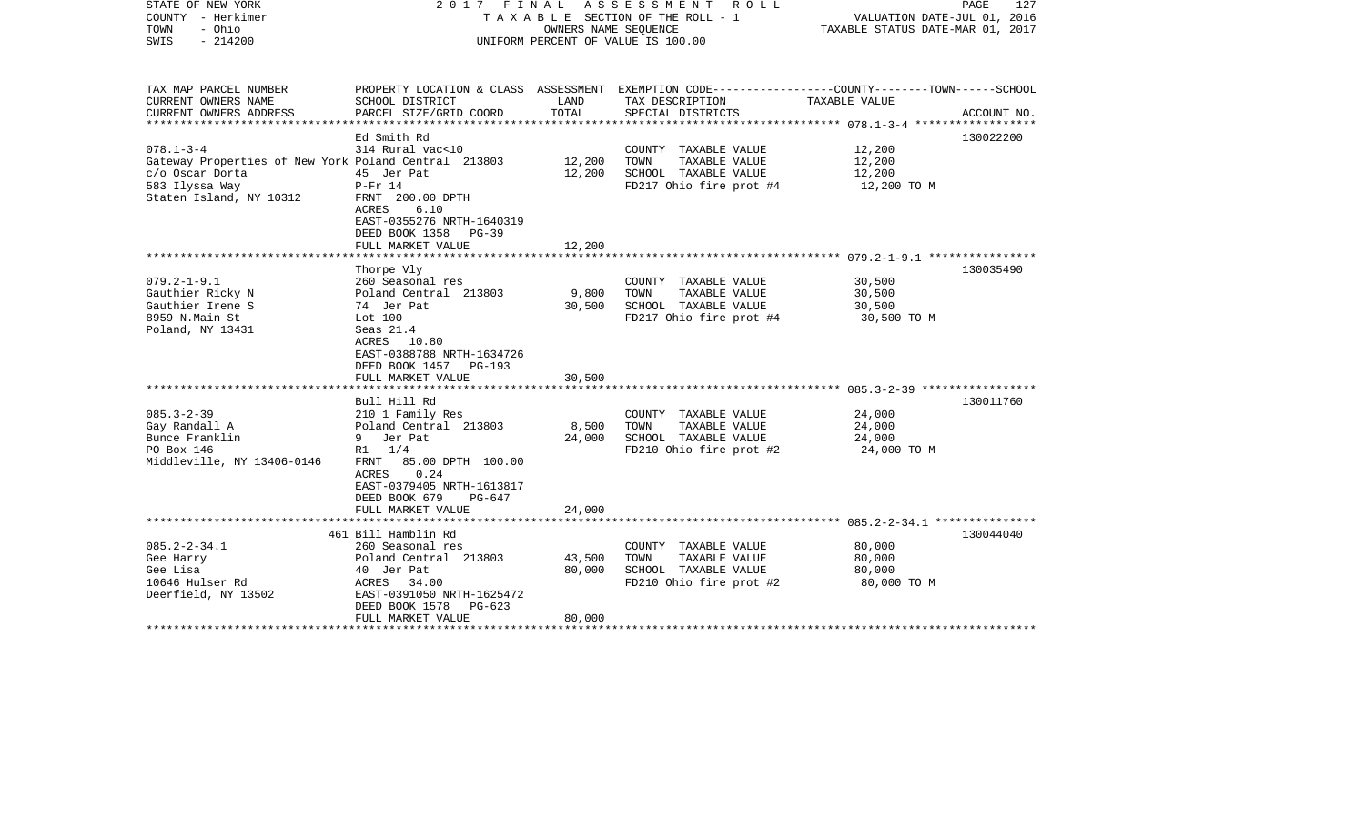| STATE OF NEW YORK<br>COUNTY - Herkimer<br>- Ohio<br>TOWN<br>$-214200$<br>SWIS |                                           | OWNERS NAME SEOUENCE | 2017 FINAL ASSESSMENT ROLL<br>T A X A B L E SECTION OF THE ROLL - 1<br>UNIFORM PERCENT OF VALUE IS 100.00          | VALUATION DATE-JUL 01, 2016<br>TAXABLE STATUS DATE-MAR 01, 2017 | 127<br>PAGE |
|-------------------------------------------------------------------------------|-------------------------------------------|----------------------|--------------------------------------------------------------------------------------------------------------------|-----------------------------------------------------------------|-------------|
| TAX MAP PARCEL NUMBER<br>CURRENT OWNERS NAME                                  | SCHOOL DISTRICT                           | LAND                 | PROPERTY LOCATION & CLASS ASSESSMENT EXEMPTION CODE---------------COUNTY-------TOWN------SCHOOL<br>TAX DESCRIPTION | TAXABLE VALUE                                                   |             |
| CURRENT OWNERS ADDRESS                                                        | PARCEL SIZE/GRID COORD                    | TOTAL                | SPECIAL DISTRICTS                                                                                                  |                                                                 | ACCOUNT NO. |
|                                                                               | Ed Smith Rd                               |                      |                                                                                                                    |                                                                 | 130022200   |
| $078.1 - 3 - 4$                                                               | 314 Rural vac<10                          |                      | COUNTY TAXABLE VALUE                                                                                               | 12,200                                                          |             |
| Gateway Properties of New York Poland Central 213803                          |                                           | 12,200               | TAXABLE VALUE<br>TOWN                                                                                              | 12,200                                                          |             |
| c/o Oscar Dorta                                                               | 45 Jer Pat                                | 12,200               | SCHOOL TAXABLE VALUE                                                                                               | 12,200                                                          |             |
| 583 Ilyssa Way                                                                | $P-Fr$ 14                                 |                      | FD217 Ohio fire prot #4                                                                                            | 12,200 TO M                                                     |             |
| Staten Island, NY 10312                                                       | FRNT 200.00 DPTH                          |                      |                                                                                                                    |                                                                 |             |
|                                                                               | 6.10<br>ACRES                             |                      |                                                                                                                    |                                                                 |             |
|                                                                               | EAST-0355276 NRTH-1640319                 |                      |                                                                                                                    |                                                                 |             |
|                                                                               | DEED BOOK 1358 PG-39<br>FULL MARKET VALUE | 12,200               |                                                                                                                    |                                                                 |             |
|                                                                               |                                           |                      |                                                                                                                    |                                                                 |             |
|                                                                               | Thorpe Vly                                |                      |                                                                                                                    |                                                                 | 130035490   |
| $079.2 - 1 - 9.1$                                                             | 260 Seasonal res                          |                      | COUNTY TAXABLE VALUE                                                                                               | 30,500                                                          |             |
| Gauthier Ricky N                                                              | Poland Central 213803                     | 9,800                | TAXABLE VALUE<br>TOWN                                                                                              | 30,500                                                          |             |
| Gauthier Irene S                                                              | 74 Jer Pat                                | 30,500               | SCHOOL TAXABLE VALUE                                                                                               | 30,500                                                          |             |
| 8959 N.Main St                                                                | Lot 100                                   |                      | FD217 Ohio fire prot #4                                                                                            | 30,500 TO M                                                     |             |
| Poland, NY 13431                                                              | Seas $21.4$<br>ACRES 10.80                |                      |                                                                                                                    |                                                                 |             |
|                                                                               | EAST-0388788 NRTH-1634726                 |                      |                                                                                                                    |                                                                 |             |
|                                                                               | DEED BOOK 1457 PG-193                     |                      |                                                                                                                    |                                                                 |             |
|                                                                               | FULL MARKET VALUE                         | 30,500               |                                                                                                                    |                                                                 |             |
|                                                                               |                                           |                      |                                                                                                                    |                                                                 |             |
|                                                                               | Bull Hill Rd                              |                      |                                                                                                                    |                                                                 | 130011760   |
| $085.3 - 2 - 39$                                                              | 210 1 Family Res                          |                      | COUNTY TAXABLE VALUE                                                                                               | 24,000                                                          |             |
| Gay Randall A                                                                 | Poland Central 213803                     | 8,500                | TAXABLE VALUE<br>TOWN                                                                                              | 24,000                                                          |             |
| Bunce Franklin<br>PO Box 146                                                  | 9 Jer Pat<br>$R1 \t1/4$                   | 24,000               | SCHOOL TAXABLE VALUE<br>FD210 Ohio fire prot #2                                                                    | 24,000                                                          |             |
| Middleville, NY 13406-0146                                                    | FRNT 85.00 DPTH 100.00                    |                      |                                                                                                                    | 24,000 TO M                                                     |             |
|                                                                               | ACRES<br>0.24                             |                      |                                                                                                                    |                                                                 |             |
|                                                                               | EAST-0379405 NRTH-1613817                 |                      |                                                                                                                    |                                                                 |             |
|                                                                               | DEED BOOK 679<br>$PG-647$                 |                      |                                                                                                                    |                                                                 |             |
|                                                                               | FULL MARKET VALUE                         | 24,000               |                                                                                                                    |                                                                 |             |
|                                                                               |                                           |                      |                                                                                                                    |                                                                 |             |
|                                                                               | 461 Bill Hamblin Rd                       |                      |                                                                                                                    |                                                                 | 130044040   |
| $085.2 - 2 - 34.1$<br>Gee Harry                                               | 260 Seasonal res<br>Poland Central 213803 | 43,500               | COUNTY TAXABLE VALUE<br>TOWN<br>TAXABLE VALUE                                                                      | 80,000<br>80,000                                                |             |
| Gee Lisa                                                                      | 40 Jer Pat                                | 80,000               | SCHOOL TAXABLE VALUE                                                                                               | 80,000                                                          |             |
| 10646 Hulser Rd                                                               | ACRES 34.00                               |                      | FD210 Ohio fire prot #2                                                                                            | 80,000 TO M                                                     |             |
| Deerfield, NY 13502                                                           | EAST-0391050 NRTH-1625472                 |                      |                                                                                                                    |                                                                 |             |
|                                                                               | DEED BOOK 1578<br>PG-623                  |                      |                                                                                                                    |                                                                 |             |
|                                                                               | FULL MARKET VALUE                         | 80,000               |                                                                                                                    |                                                                 |             |
|                                                                               |                                           |                      |                                                                                                                    |                                                                 |             |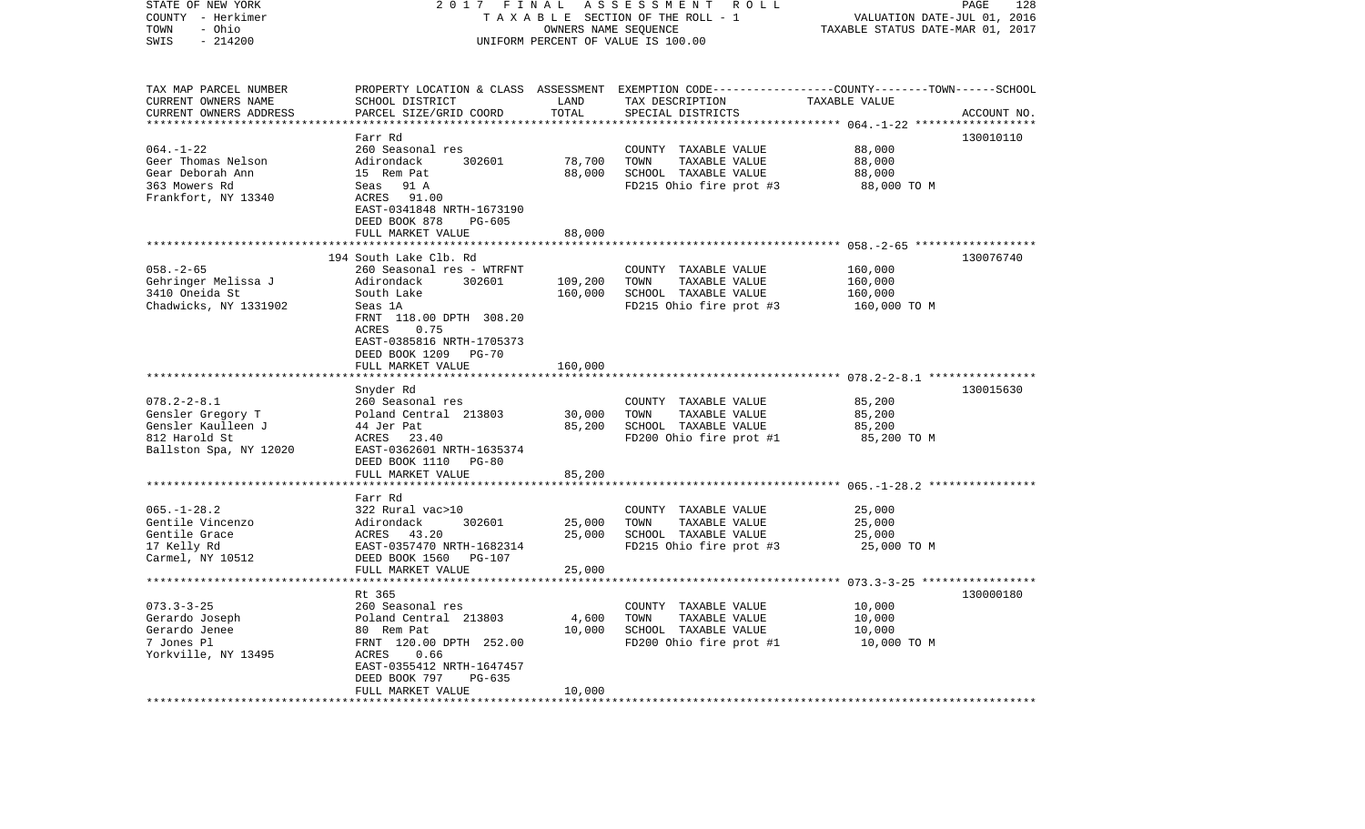| STATE OF NEW YORK<br>COUNTY - Herkimer<br>- Ohio<br>TOWN<br>SWIS<br>$-214200$                           | 2017<br>FINAL<br>TAXABLE SECTION OF THE ROLL - 1<br>UNIFORM PERCENT OF VALUE IS 100.00                                                                                                                                        | PAGE<br>128<br>VALUATION DATE-JUL 01, 2016<br>TAXABLE STATUS DATE-MAR 01, 2017 |                                                                                                                                         |                                               |             |
|---------------------------------------------------------------------------------------------------------|-------------------------------------------------------------------------------------------------------------------------------------------------------------------------------------------------------------------------------|--------------------------------------------------------------------------------|-----------------------------------------------------------------------------------------------------------------------------------------|-----------------------------------------------|-------------|
| TAX MAP PARCEL NUMBER<br>CURRENT OWNERS NAME<br>CURRENT OWNERS ADDRESS                                  | SCHOOL DISTRICT<br>PARCEL SIZE/GRID COORD                                                                                                                                                                                     | LAND<br>TOTAL                                                                  | PROPERTY LOCATION & CLASS ASSESSMENT EXEMPTION CODE---------------COUNTY-------TOWN------SCHOOL<br>TAX DESCRIPTION<br>SPECIAL DISTRICTS | TAXABLE VALUE<br>******** $064. -1 - 22$ **** | ACCOUNT NO. |
|                                                                                                         | Farr Rd                                                                                                                                                                                                                       |                                                                                |                                                                                                                                         |                                               | 130010110   |
| $064. - 1 - 22$<br>Geer Thomas Nelson<br>Gear Deborah Ann<br>363 Mowers Rd<br>Frankfort, NY 13340       | 260 Seasonal res<br>Adirondack<br>302601<br>15 Rem Pat<br>Seas 91 A<br>ACRES<br>91.00<br>EAST-0341848 NRTH-1673190<br>DEED BOOK 878<br>$PG-605$                                                                               | 78,700<br>88,000                                                               | COUNTY TAXABLE VALUE<br>TOWN<br>TAXABLE VALUE<br>SCHOOL TAXABLE VALUE<br>FD215 Ohio fire prot #3                                        | 88,000<br>88,000<br>88,000<br>88,000 TO M     |             |
|                                                                                                         | FULL MARKET VALUE                                                                                                                                                                                                             | 88,000                                                                         |                                                                                                                                         |                                               |             |
| $058. - 2 - 65$<br>Gehringer Melissa J<br>3410 Oneida St<br>Chadwicks, NY 1331902                       | 194 South Lake Clb. Rd<br>260 Seasonal res - WTRFNT<br>Adirondack<br>302601<br>South Lake<br>Seas 1A<br>FRNT 118.00 DPTH 308.20<br>ACRES<br>0.75<br>EAST-0385816 NRTH-1705373<br>DEED BOOK 1209<br>PG-70<br>FULL MARKET VALUE | 109,200<br>160,000<br>160,000                                                  | COUNTY TAXABLE VALUE<br>TOWN<br>TAXABLE VALUE<br>SCHOOL TAXABLE VALUE<br>FD215 Ohio fire prot #3                                        | 160,000<br>160,000<br>160,000<br>160,000 TO M | 130076740   |
|                                                                                                         |                                                                                                                                                                                                                               |                                                                                |                                                                                                                                         |                                               |             |
| $078.2 - 2 - 8.1$<br>Gensler Gregory T<br>Gensler Kaulleen J<br>812 Harold St<br>Ballston Spa, NY 12020 | Snyder Rd<br>260 Seasonal res<br>Poland Central 213803<br>44 Jer Pat<br>ACRES<br>23.40<br>EAST-0362601 NRTH-1635374<br>DEED BOOK 1110<br>PG-80<br>FULL MARKET VALUE                                                           | 30,000<br>85,200<br>85,200                                                     | COUNTY TAXABLE VALUE<br>TOWN<br>TAXABLE VALUE<br>SCHOOL TAXABLE VALUE<br>FD200 Ohio fire prot #1                                        | 85,200<br>85,200<br>85,200<br>85,200 TO M     | 130015630   |
|                                                                                                         | * * * * * * * * * * * * * * * * * * *                                                                                                                                                                                         |                                                                                |                                                                                                                                         | ********* 065. -1-28.2 ****************       |             |
| $065. -1 - 28.2$<br>Gentile Vincenzo<br>Gentile Grace<br>17 Kelly Rd<br>Carmel, NY 10512                | Farr Rd<br>322 Rural vac>10<br>302601<br>Adirondack<br>43.20<br>ACRES<br>EAST-0357470 NRTH-1682314<br>DEED BOOK 1560<br>PG-107<br>FULL MARKET VALUE                                                                           | 25,000<br>25,000<br>25,000                                                     | COUNTY TAXABLE VALUE<br>TOWN<br>TAXABLE VALUE<br>SCHOOL TAXABLE VALUE<br>FD215 Ohio fire prot #3                                        | 25,000<br>25,000<br>25,000<br>25,000 TO M     |             |
|                                                                                                         | ********************                                                                                                                                                                                                          |                                                                                |                                                                                                                                         |                                               |             |
| $073.3 - 3 - 25$<br>Gerardo Joseph<br>Gerardo Jenee<br>7 Jones Pl<br>Yorkville, NY 13495                | Rt 365<br>260 Seasonal res<br>Poland Central 213803<br>80 Rem Pat<br>FRNT 120.00 DPTH 252.00<br>ACRES<br>0.66<br>EAST-0355412 NRTH-1647457<br>DEED BOOK 797<br>PG-635<br>FULL MARKET VALUE                                    | 4,600<br>10,000<br>10,000                                                      | COUNTY TAXABLE VALUE<br>TOWN<br>TAXABLE VALUE<br>SCHOOL TAXABLE VALUE<br>FD200 Ohio fire prot #1                                        | 10,000<br>10,000<br>10,000<br>10,000 TO M     | 130000180   |
|                                                                                                         |                                                                                                                                                                                                                               | ***********                                                                    |                                                                                                                                         |                                               |             |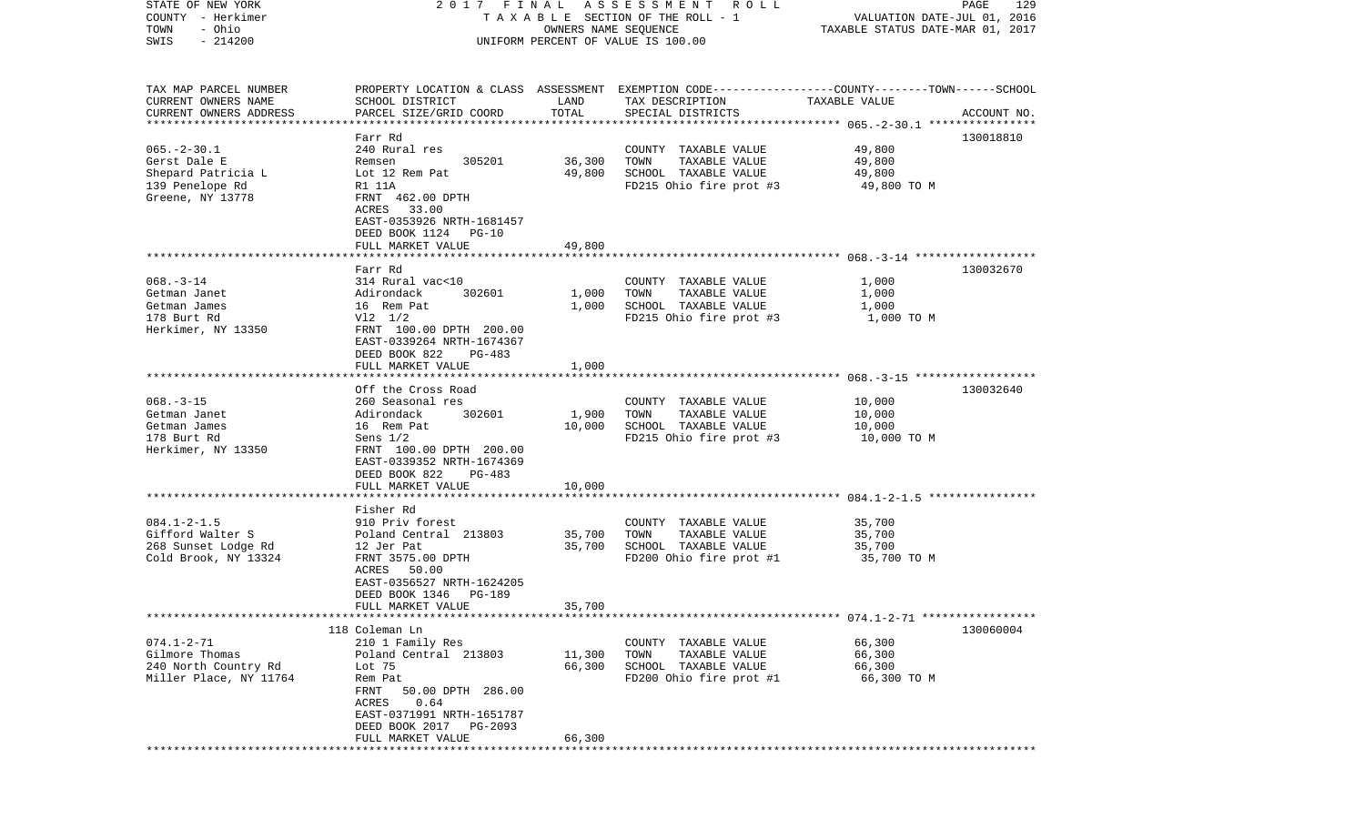| STATE OF NEW YORK                                 |                           |                      | 2017 FINAL ASSESSMENT ROLL         | PAGE                                                                                            | 129         |
|---------------------------------------------------|---------------------------|----------------------|------------------------------------|-------------------------------------------------------------------------------------------------|-------------|
| COUNTY - Herkimer                                 |                           |                      | TAXABLE SECTION OF THE ROLL - 1    | VALUATION DATE-JUL 01, 2016                                                                     |             |
| TOWN<br>- Ohio                                    |                           | OWNERS NAME SEQUENCE |                                    | TAXABLE STATUS DATE-MAR 01, 2017                                                                |             |
| SWIS<br>$-214200$                                 |                           |                      | UNIFORM PERCENT OF VALUE IS 100.00 |                                                                                                 |             |
|                                                   |                           |                      |                                    |                                                                                                 |             |
|                                                   |                           |                      |                                    |                                                                                                 |             |
| TAX MAP PARCEL NUMBER                             |                           |                      |                                    | PROPERTY LOCATION & CLASS ASSESSMENT EXEMPTION CODE---------------COUNTY-------TOWN------SCHOOL |             |
| CURRENT OWNERS NAME                               | SCHOOL DISTRICT           | LAND                 | TAX DESCRIPTION                    | TAXABLE VALUE                                                                                   |             |
| CURRENT OWNERS ADDRESS<br>*********************** | PARCEL SIZE/GRID COORD    | TOTAL                | SPECIAL DISTRICTS                  |                                                                                                 | ACCOUNT NO. |
|                                                   |                           |                      |                                    |                                                                                                 |             |
|                                                   | Farr Rd                   |                      |                                    |                                                                                                 | 130018810   |
| $065. - 2 - 30.1$                                 | 240 Rural res             |                      | TAXABLE VALUE<br>COUNTY            | 49,800                                                                                          |             |
| Gerst Dale E                                      | 305201<br>Remsen          | 36,300               | TOWN<br>TAXABLE VALUE              | 49,800                                                                                          |             |
| Shepard Patricia L                                | Lot 12 Rem Pat            | 49,800               | SCHOOL TAXABLE VALUE               | 49,800                                                                                          |             |
| 139 Penelope Rd                                   | R1 11A                    |                      | FD215 Ohio fire prot #3            | 49,800 TO M                                                                                     |             |
| Greene, NY 13778                                  | FRNT 462.00 DPTH          |                      |                                    |                                                                                                 |             |
|                                                   | ACRES<br>33.00            |                      |                                    |                                                                                                 |             |
|                                                   | EAST-0353926 NRTH-1681457 |                      |                                    |                                                                                                 |             |
|                                                   | DEED BOOK 1124 PG-10      |                      |                                    |                                                                                                 |             |
|                                                   | FULL MARKET VALUE         | 49,800               |                                    |                                                                                                 |             |
|                                                   |                           |                      |                                    |                                                                                                 |             |
|                                                   | Farr Rd                   |                      |                                    |                                                                                                 | 130032670   |
| $068. - 3 - 14$                                   | 314 Rural vac<10          |                      | COUNTY TAXABLE VALUE               | 1,000                                                                                           |             |
| Getman Janet                                      | 302601<br>Adirondack      | 1,000                | TOWN<br>TAXABLE VALUE              | 1,000                                                                                           |             |
| Getman James                                      | 16 Rem Pat                | 1,000                | SCHOOL TAXABLE VALUE               | 1,000                                                                                           |             |
| 178 Burt Rd                                       | $V12 \t1/2$               |                      | FD215 Ohio fire prot #3            | 1,000 TO M                                                                                      |             |
| Herkimer, NY 13350                                | FRNT 100.00 DPTH 200.00   |                      |                                    |                                                                                                 |             |
|                                                   | EAST-0339264 NRTH-1674367 |                      |                                    |                                                                                                 |             |
|                                                   | DEED BOOK 822<br>PG-483   |                      |                                    |                                                                                                 |             |
|                                                   | FULL MARKET VALUE         | 1,000                |                                    |                                                                                                 |             |
|                                                   |                           |                      |                                    |                                                                                                 |             |
|                                                   | Off the Cross Road        |                      |                                    |                                                                                                 | 130032640   |
| $068. -3 - 15$                                    | 260 Seasonal res          |                      | COUNTY TAXABLE VALUE               | 10,000                                                                                          |             |
| Getman Janet                                      | Adirondack<br>302601      | 1,900                | TAXABLE VALUE<br>TOWN              | 10,000                                                                                          |             |
| Getman James                                      | 16 Rem Pat                | 10,000               | SCHOOL TAXABLE VALUE               | 10,000                                                                                          |             |
| 178 Burt Rd                                       | Sens $1/2$                |                      | FD215 Ohio fire prot #3            | 10,000 TO M                                                                                     |             |
| Herkimer, NY 13350                                | FRNT 100.00 DPTH 200.00   |                      |                                    |                                                                                                 |             |
|                                                   | EAST-0339352 NRTH-1674369 |                      |                                    |                                                                                                 |             |
|                                                   | DEED BOOK 822<br>PG-483   |                      |                                    |                                                                                                 |             |
|                                                   | FULL MARKET VALUE         | 10,000               |                                    |                                                                                                 |             |
|                                                   | *****************         |                      |                                    |                                                                                                 |             |
|                                                   | Fisher Rd                 |                      |                                    |                                                                                                 |             |
|                                                   |                           |                      |                                    |                                                                                                 |             |
| $084.1 - 2 - 1.5$                                 | 910 Priv forest           |                      | COUNTY TAXABLE VALUE               | 35,700                                                                                          |             |
| Gifford Walter S                                  | Poland Central 213803     | 35,700               | TOWN<br>TAXABLE VALUE              | 35,700                                                                                          |             |
| 268 Sunset Lodge Rd                               | 12 Jer Pat                | 35,700               | SCHOOL TAXABLE VALUE               | 35,700                                                                                          |             |
| Cold Brook, NY 13324                              | FRNT 3575.00 DPTH         |                      | FD200 Ohio fire prot #1            | 35,700 TO M                                                                                     |             |
|                                                   | ACRES 50.00               |                      |                                    |                                                                                                 |             |
|                                                   | EAST-0356527 NRTH-1624205 |                      |                                    |                                                                                                 |             |
|                                                   | DEED BOOK 1346<br>PG-189  |                      |                                    |                                                                                                 |             |
|                                                   | FULL MARKET VALUE         | 35,700               |                                    |                                                                                                 |             |
|                                                   |                           |                      |                                    |                                                                                                 |             |
|                                                   | 118 Coleman Ln            |                      |                                    |                                                                                                 | 130060004   |
| $074.1 - 2 - 71$                                  | 210 1 Family Res          |                      | COUNTY TAXABLE VALUE               | 66,300                                                                                          |             |
| Gilmore Thomas                                    | Poland Central 213803     | 11,300               | TOWN<br>TAXABLE VALUE              | 66,300                                                                                          |             |
| 240 North Country Rd                              | Lot 75                    | 66,300               | SCHOOL TAXABLE VALUE               | 66,300                                                                                          |             |
| Miller Place, NY 11764                            | Rem Pat                   |                      | FD200 Ohio fire prot #1            | 66,300 TO M                                                                                     |             |
|                                                   | FRNT 50.00 DPTH 286.00    |                      |                                    |                                                                                                 |             |
|                                                   | 0.64<br>ACRES             |                      |                                    |                                                                                                 |             |
|                                                   | EAST-0371991 NRTH-1651787 |                      |                                    |                                                                                                 |             |
|                                                   | DEED BOOK 2017 PG-2093    |                      |                                    |                                                                                                 |             |
|                                                   | FULL MARKET VALUE         | 66,300               |                                    |                                                                                                 |             |
|                                                   |                           |                      |                                    |                                                                                                 |             |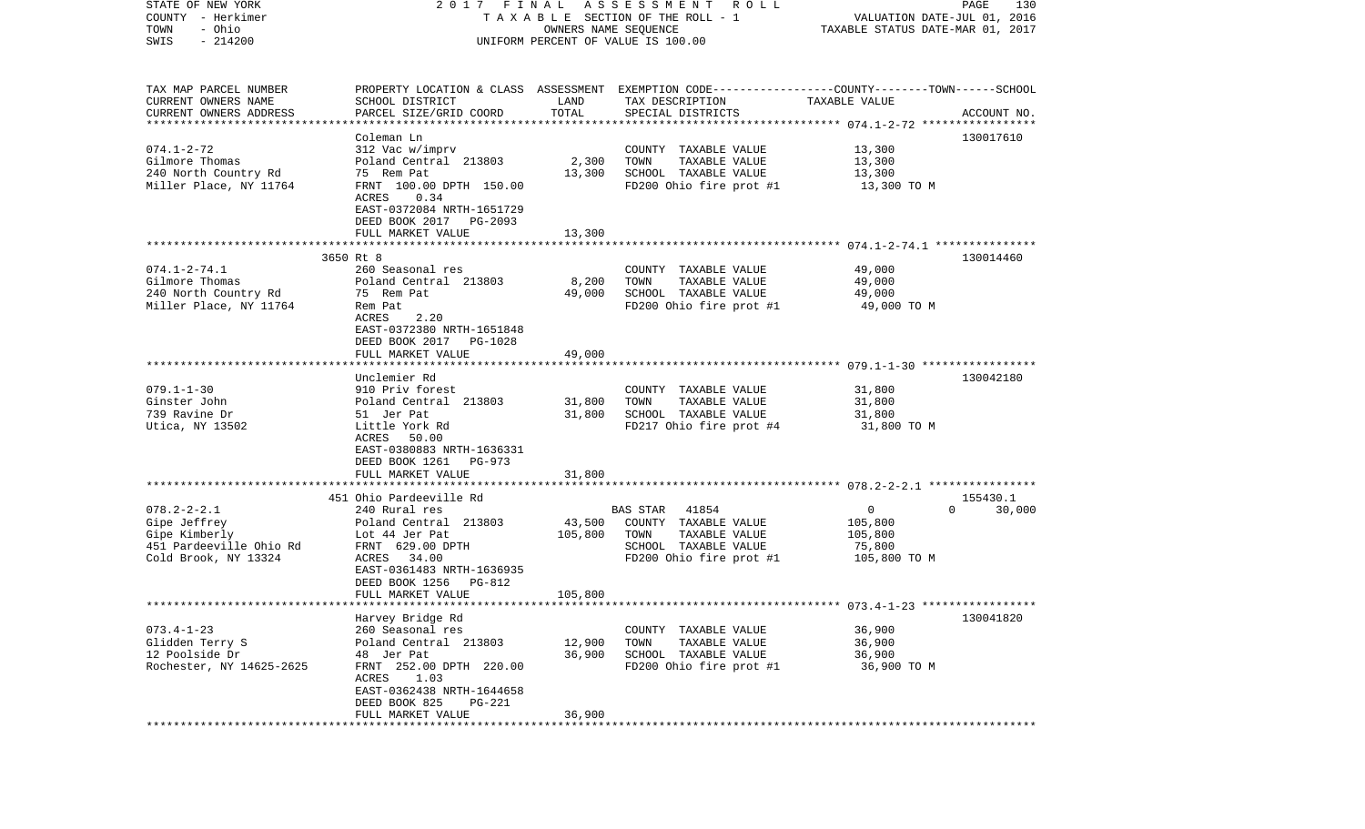| STATE OF NEW YORK                                   | 2017 FINAL                                          |                      | A S S E S S M E N T<br><b>ROLL</b>                                                              |                                  | PAGE<br>130        |
|-----------------------------------------------------|-----------------------------------------------------|----------------------|-------------------------------------------------------------------------------------------------|----------------------------------|--------------------|
| COUNTY - Herkimer                                   |                                                     |                      | TAXABLE SECTION OF THE ROLL - 1                                                                 | VALUATION DATE-JUL 01, 2016      |                    |
| - Ohio<br>TOWN                                      |                                                     | OWNERS NAME SEQUENCE |                                                                                                 | TAXABLE STATUS DATE-MAR 01, 2017 |                    |
| $-214200$<br>SWIS                                   |                                                     |                      | UNIFORM PERCENT OF VALUE IS 100.00                                                              |                                  |                    |
|                                                     |                                                     |                      |                                                                                                 |                                  |                    |
|                                                     |                                                     |                      |                                                                                                 |                                  |                    |
| TAX MAP PARCEL NUMBER                               |                                                     |                      | PROPERTY LOCATION & CLASS ASSESSMENT EXEMPTION CODE---------------COUNTY-------TOWN------SCHOOL |                                  |                    |
| CURRENT OWNERS NAME                                 | SCHOOL DISTRICT                                     | LAND                 | TAX DESCRIPTION                                                                                 | TAXABLE VALUE                    |                    |
| CURRENT OWNERS ADDRESS<br>************************* | PARCEL SIZE/GRID COORD                              | TOTAL                | SPECIAL DISTRICTS                                                                               |                                  | ACCOUNT NO.        |
|                                                     | Coleman Ln                                          |                      |                                                                                                 |                                  | 130017610          |
| $074.1 - 2 - 72$                                    | 312 Vac w/imprv                                     |                      | COUNTY TAXABLE VALUE                                                                            | 13,300                           |                    |
| Gilmore Thomas                                      | Poland Central 213803                               | 2,300                | TOWN<br>TAXABLE VALUE                                                                           | 13,300                           |                    |
| 240 North Country Rd                                | 75 Rem Pat                                          | 13,300               | SCHOOL TAXABLE VALUE                                                                            | 13,300                           |                    |
| Miller Place, NY 11764                              | FRNT 100.00 DPTH 150.00                             |                      | FD200 Ohio fire prot #1                                                                         | 13,300 TO M                      |                    |
|                                                     | ACRES<br>0.34                                       |                      |                                                                                                 |                                  |                    |
|                                                     | EAST-0372084 NRTH-1651729                           |                      |                                                                                                 |                                  |                    |
|                                                     | DEED BOOK 2017<br>PG-2093                           |                      |                                                                                                 |                                  |                    |
|                                                     | FULL MARKET VALUE                                   | 13,300               |                                                                                                 |                                  |                    |
|                                                     |                                                     |                      |                                                                                                 |                                  |                    |
|                                                     | 3650 Rt 8                                           |                      |                                                                                                 |                                  | 130014460          |
| $074.1 - 2 - 74.1$                                  | 260 Seasonal res                                    |                      | COUNTY TAXABLE VALUE                                                                            | 49,000                           |                    |
| Gilmore Thomas                                      | Poland Central 213803                               | 8,200                | TOWN<br>TAXABLE VALUE                                                                           | 49,000                           |                    |
| 240 North Country Rd                                | 75 Rem Pat                                          | 49,000               | SCHOOL TAXABLE VALUE                                                                            | 49,000                           |                    |
| Miller Place, NY 11764                              | Rem Pat                                             |                      | FD200 Ohio fire prot #1                                                                         | 49,000 TO M                      |                    |
|                                                     | ACRES<br>2.20                                       |                      |                                                                                                 |                                  |                    |
|                                                     | EAST-0372380 NRTH-1651848                           |                      |                                                                                                 |                                  |                    |
|                                                     | DEED BOOK 2017<br>PG-1028                           |                      |                                                                                                 |                                  |                    |
|                                                     | FULL MARKET VALUE                                   | 49,000               |                                                                                                 |                                  |                    |
|                                                     |                                                     |                      |                                                                                                 |                                  |                    |
| $079.1 - 1 - 30$                                    | Unclemier Rd<br>910 Priv forest                     |                      |                                                                                                 |                                  | 130042180          |
| Ginster John                                        |                                                     |                      | COUNTY TAXABLE VALUE<br>TOWN                                                                    | 31,800                           |                    |
|                                                     | Poland Central 213803                               | 31,800               | TAXABLE VALUE<br>SCHOOL TAXABLE VALUE                                                           | 31,800                           |                    |
| 739 Ravine Dr<br>Utica, NY 13502                    | 51 Jer Pat<br>Little York Rd                        | 31,800               | FD217 Ohio fire prot #4                                                                         | 31,800<br>31,800 TO M            |                    |
|                                                     | ACRES<br>50.00                                      |                      |                                                                                                 |                                  |                    |
|                                                     | EAST-0380883 NRTH-1636331                           |                      |                                                                                                 |                                  |                    |
|                                                     | DEED BOOK 1261<br>PG-973                            |                      |                                                                                                 |                                  |                    |
|                                                     | FULL MARKET VALUE                                   | 31,800               |                                                                                                 |                                  |                    |
|                                                     | ***********************                             |                      |                                                                                                 |                                  |                    |
|                                                     | 451 Ohio Pardeeville Rd                             |                      |                                                                                                 |                                  | 155430.1           |
| $078.2 - 2 - 2.1$                                   | 240 Rural res                                       |                      | BAS STAR<br>41854                                                                               | $\overline{0}$                   | $\Omega$<br>30,000 |
| Gipe Jeffrey                                        | Poland Central 213803                               | 43,500               | COUNTY TAXABLE VALUE                                                                            | 105,800                          |                    |
| Gipe Kimberly                                       | Lot 44 Jer Pat                                      | 105,800              | TOWN<br>TAXABLE VALUE                                                                           | 105,800                          |                    |
| 451 Pardeeville Ohio Rd                             | FRNT 629.00 DPTH                                    |                      | SCHOOL TAXABLE VALUE                                                                            | 75,800                           |                    |
| Cold Brook, NY 13324                                | 34.00<br>ACRES                                      |                      | FD200 Ohio fire prot #1                                                                         | 105,800 TO M                     |                    |
|                                                     | EAST-0361483 NRTH-1636935                           |                      |                                                                                                 |                                  |                    |
|                                                     | DEED BOOK 1256<br>PG-812                            |                      |                                                                                                 |                                  |                    |
|                                                     | FULL MARKET VALUE                                   | 105,800              |                                                                                                 |                                  |                    |
|                                                     |                                                     |                      |                                                                                                 |                                  |                    |
|                                                     | Harvey Bridge Rd                                    |                      |                                                                                                 |                                  | 130041820          |
| $073.4 - 1 - 23$                                    | 260 Seasonal res                                    |                      | COUNTY TAXABLE VALUE                                                                            | 36,900                           |                    |
| Glidden Terry S                                     | Poland Central 213803                               | 12,900               | TOWN<br>TAXABLE VALUE                                                                           | 36,900                           |                    |
| 12 Poolside Dr                                      | 48 Jer Pat                                          | 36,900               | SCHOOL TAXABLE VALUE                                                                            | 36,900                           |                    |
| Rochester, NY 14625-2625                            | FRNT 252.00 DPTH 220.00                             |                      | FD200 Ohio fire prot #1                                                                         | 36,900 TO M                      |                    |
|                                                     | ACRES<br>1.03                                       |                      |                                                                                                 |                                  |                    |
|                                                     | EAST-0362438 NRTH-1644658                           |                      |                                                                                                 |                                  |                    |
|                                                     | DEED BOOK 825<br><b>PG-221</b><br>FULL MARKET VALUE | 36,900               |                                                                                                 |                                  |                    |
| *************                                       |                                                     |                      |                                                                                                 |                                  |                    |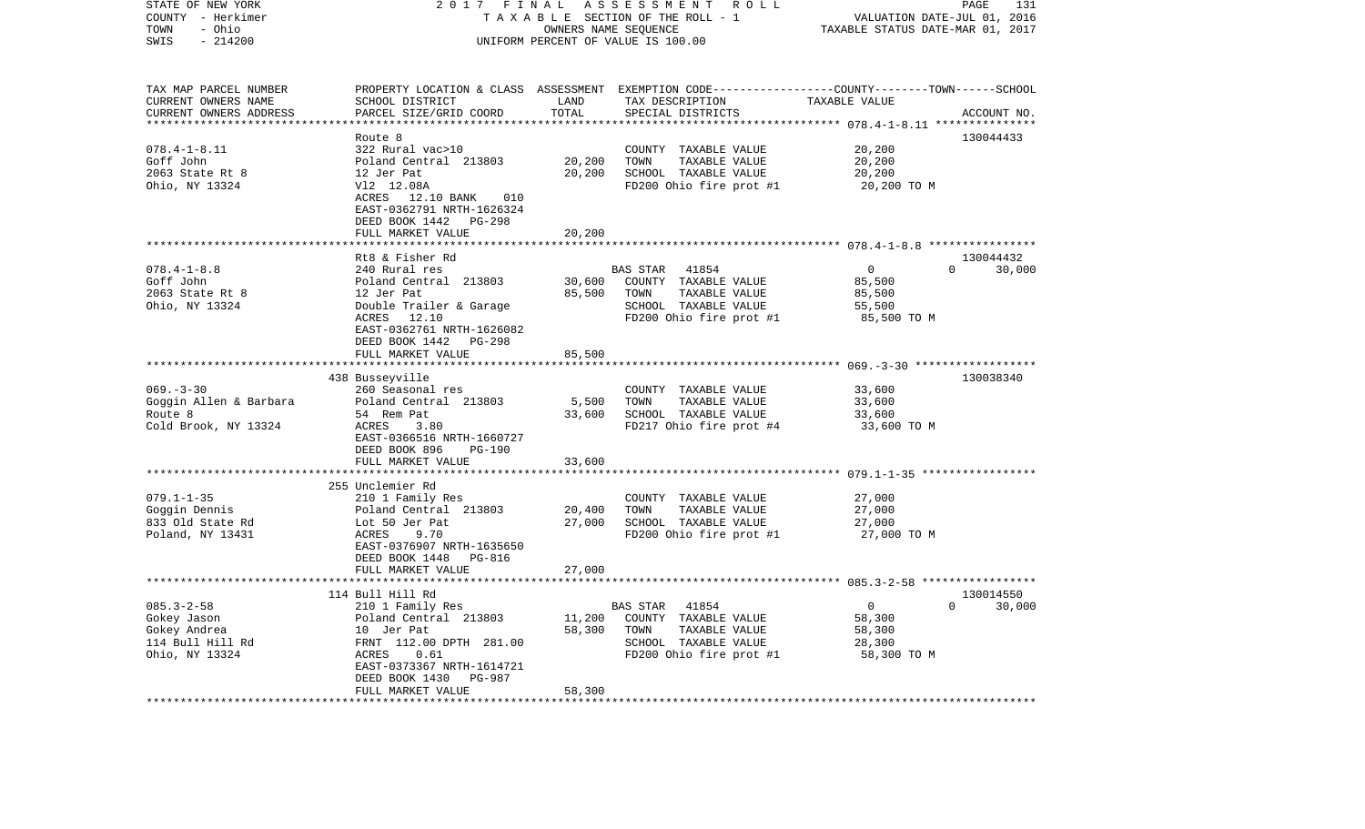| STATE OF NEW YORK<br>COUNTY - Herkimer<br>- Ohio<br>TOWN<br>$-214200$<br>SWIS         | 2017 FINAL<br>TAXABLE SECTION OF THE ROLL - 1<br>UNIFORM PERCENT OF VALUE IS 100.00                                                                                     | PAGE<br>131<br>VALUATION DATE-JUL 01, 2016<br>TAXABLE STATUS DATE-MAR 01, 2017 |                                                                                                                                         |                                                             |                                 |
|---------------------------------------------------------------------------------------|-------------------------------------------------------------------------------------------------------------------------------------------------------------------------|--------------------------------------------------------------------------------|-----------------------------------------------------------------------------------------------------------------------------------------|-------------------------------------------------------------|---------------------------------|
| TAX MAP PARCEL NUMBER<br>CURRENT OWNERS NAME<br>CURRENT OWNERS ADDRESS                | SCHOOL DISTRICT<br>PARCEL SIZE/GRID COORD                                                                                                                               | LAND<br>TOTAL                                                                  | PROPERTY LOCATION & CLASS ASSESSMENT EXEMPTION CODE---------------COUNTY-------TOWN------SCHOOL<br>TAX DESCRIPTION<br>SPECIAL DISTRICTS | TAXABLE VALUE                                               | ACCOUNT NO.                     |
|                                                                                       |                                                                                                                                                                         | ********                                                                       |                                                                                                                                         | *********** 078.4-1-8.11 ***************                    |                                 |
|                                                                                       | Route 8                                                                                                                                                                 |                                                                                |                                                                                                                                         |                                                             | 130044433                       |
| $078.4 - 1 - 8.11$<br>Goff John<br>2063 State Rt 8<br>Ohio, NY 13324                  | 322 Rural vac>10<br>Poland Central 213803<br>12 Jer Pat<br>V12 12.08A<br>ACRES 12.10 BANK 010<br>EAST-0362791 NRTH-1626324<br>DEED BOOK 1442 PG-298                     | 20,200<br>20,200                                                               | COUNTY TAXABLE VALUE<br>TOWN<br>TAXABLE VALUE<br>SCHOOL TAXABLE VALUE<br>FD200 Ohio fire prot #1                                        | 20,200<br>20,200<br>20,200<br>20,200 TO M                   |                                 |
|                                                                                       | FULL MARKET VALUE                                                                                                                                                       | 20,200                                                                         |                                                                                                                                         |                                                             |                                 |
|                                                                                       |                                                                                                                                                                         |                                                                                |                                                                                                                                         |                                                             |                                 |
| $078.4 - 1 - 8.8$<br>Goff John<br>2063 State Rt 8<br>Ohio, NY 13324                   | Rt8 & Fisher Rd<br>240 Rural res<br>Poland Central 213803<br>12 Jer Pat<br>Double Trailer & Garage<br>ACRES 12.10<br>EAST-0362761 NRTH-1626082<br>DEED BOOK 1442 PG-298 | 30,600<br>85,500                                                               | <b>BAS STAR</b><br>41854<br>COUNTY TAXABLE VALUE<br>TOWN<br>TAXABLE VALUE<br>SCHOOL TAXABLE VALUE<br>FD200 Ohio fire prot #1            | $\overline{0}$<br>85,500<br>85,500<br>55,500<br>85,500 TO M | 130044432<br>$\Omega$<br>30,000 |
|                                                                                       | FULL MARKET VALUE                                                                                                                                                       | 85,500                                                                         |                                                                                                                                         |                                                             |                                 |
|                                                                                       |                                                                                                                                                                         |                                                                                |                                                                                                                                         |                                                             |                                 |
|                                                                                       | 438 Busseyville                                                                                                                                                         |                                                                                |                                                                                                                                         |                                                             | 130038340                       |
| $069. -3 - 30$                                                                        | 260 Seasonal res                                                                                                                                                        |                                                                                | COUNTY TAXABLE VALUE                                                                                                                    | 33,600                                                      |                                 |
| Goggin Allen & Barbara                                                                | Poland Central 213803                                                                                                                                                   | 5,500                                                                          | TOWN<br>TAXABLE VALUE                                                                                                                   | 33,600                                                      |                                 |
| Route 8<br>Cold Brook, NY 13324                                                       | 54 Rem Pat<br>ACRES<br>3.80<br>EAST-0366516 NRTH-1660727<br>DEED BOOK 896<br>PG-190                                                                                     | 33,600                                                                         | SCHOOL TAXABLE VALUE<br>FD217 Ohio fire prot #4                                                                                         | 33,600<br>33,600 TO M                                       |                                 |
|                                                                                       | FULL MARKET VALUE                                                                                                                                                       | 33,600                                                                         |                                                                                                                                         |                                                             |                                 |
|                                                                                       | *************************                                                                                                                                               |                                                                                |                                                                                                                                         |                                                             |                                 |
|                                                                                       | 255 Unclemier Rd                                                                                                                                                        |                                                                                |                                                                                                                                         |                                                             |                                 |
| $079.1 - 1 - 35$                                                                      | 210 1 Family Res                                                                                                                                                        |                                                                                | COUNTY TAXABLE VALUE                                                                                                                    | 27,000                                                      |                                 |
| Goggin Dennis                                                                         | Poland Central 213803                                                                                                                                                   | 20,400                                                                         | TOWN<br>TAXABLE VALUE                                                                                                                   | 27,000                                                      |                                 |
| 833 Old State Rd<br>Poland, NY 13431                                                  | Lot 50 Jer Pat<br>ACRES<br>9.70<br>EAST-0376907 NRTH-1635650<br>DEED BOOK 1448 PG-816                                                                                   | 27,000                                                                         | SCHOOL TAXABLE VALUE<br>FD200 Ohio fire prot #1                                                                                         | 27,000<br>27,000 TO M                                       |                                 |
|                                                                                       | FULL MARKET VALUE                                                                                                                                                       | 27,000                                                                         |                                                                                                                                         |                                                             |                                 |
|                                                                                       |                                                                                                                                                                         |                                                                                |                                                                                                                                         |                                                             |                                 |
|                                                                                       | 114 Bull Hill Rd                                                                                                                                                        |                                                                                |                                                                                                                                         |                                                             | 130014550                       |
| $085.3 - 2 - 58$<br>Gokey Jason<br>Gokey Andrea<br>114 Bull Hill Rd<br>Ohio, NY 13324 | 210 1 Family Res<br>Poland Central 213803<br>10 Jer Pat<br>FRNT 112.00 DPTH 281.00<br>ACRES<br>0.61<br>EAST-0373367 NRTH-1614721<br>DEED BOOK 1430<br>PG-987            | 11,200<br>58,300                                                               | 41854<br>BAS STAR<br>COUNTY TAXABLE VALUE<br>TOWN<br>TAXABLE VALUE<br>SCHOOL TAXABLE VALUE<br>FD200 Ohio fire prot #1                   | $\mathbf{0}$<br>58,300<br>58,300<br>28,300<br>58,300 TO M   | 30,000<br>$\mathbf{0}$          |
|                                                                                       | FULL MARKET VALUE                                                                                                                                                       | 58,300                                                                         |                                                                                                                                         |                                                             |                                 |
|                                                                                       |                                                                                                                                                                         |                                                                                |                                                                                                                                         |                                                             |                                 |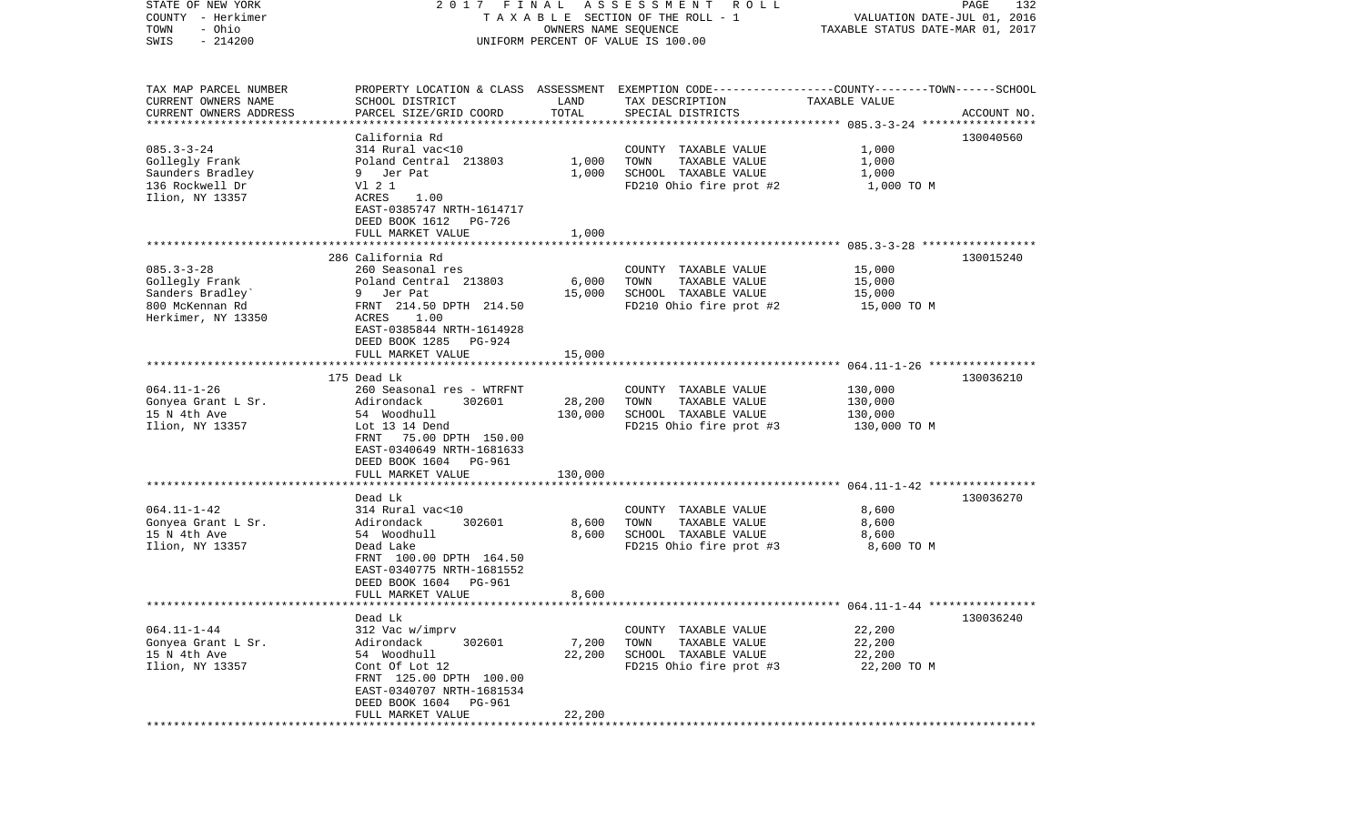| STATE OF NEW YORK       | 2017 FINAL                                            |                      | ASSESSMENT ROLL                                                                                  |                                  | PAGE<br>132 |
|-------------------------|-------------------------------------------------------|----------------------|--------------------------------------------------------------------------------------------------|----------------------------------|-------------|
| COUNTY - Herkimer       |                                                       |                      | TAXABLE SECTION OF THE ROLL - 1                                                                  | VALUATION DATE-JUL 01, 2016      |             |
| - Ohio<br>TOWN          |                                                       | OWNERS NAME SEQUENCE |                                                                                                  | TAXABLE STATUS DATE-MAR 01, 2017 |             |
| $-214200$<br>SWIS       |                                                       |                      | UNIFORM PERCENT OF VALUE IS 100.00                                                               |                                  |             |
|                         |                                                       |                      |                                                                                                  |                                  |             |
| TAX MAP PARCEL NUMBER   |                                                       |                      | PROPERTY LOCATION & CLASS ASSESSMENT EXEMPTION CODE----------------COUNTY-------TOWN------SCHOOL |                                  |             |
| CURRENT OWNERS NAME     | SCHOOL DISTRICT                                       | LAND                 | TAX DESCRIPTION                                                                                  | TAXABLE VALUE                    |             |
| CURRENT OWNERS ADDRESS  | PARCEL SIZE/GRID COORD                                | TOTAL                | SPECIAL DISTRICTS                                                                                |                                  | ACCOUNT NO. |
| *********************** |                                                       |                      |                                                                                                  |                                  |             |
|                         | California Rd                                         |                      |                                                                                                  |                                  | 130040560   |
| $085.3 - 3 - 24$        | 314 Rural vac<10                                      |                      | COUNTY TAXABLE VALUE                                                                             | 1,000                            |             |
| Gollegly Frank          | Poland Central 213803                                 | 1,000                | TOWN<br>TAXABLE VALUE                                                                            | 1,000                            |             |
| Saunders Bradley        | 9 Jer Pat                                             | 1,000                | SCHOOL TAXABLE VALUE                                                                             | 1,000                            |             |
| 136 Rockwell Dr         | V1 2 1                                                |                      | FD210 Ohio fire prot #2                                                                          | 1,000 TO M                       |             |
| Ilion, NY 13357         | ACRES<br>1.00                                         |                      |                                                                                                  |                                  |             |
|                         | EAST-0385747 NRTH-1614717<br>DEED BOOK 1612<br>PG-726 |                      |                                                                                                  |                                  |             |
|                         | FULL MARKET VALUE                                     | 1,000                |                                                                                                  |                                  |             |
|                         |                                                       |                      |                                                                                                  |                                  |             |
|                         | 286 California Rd                                     |                      |                                                                                                  |                                  | 130015240   |
| $085.3 - 3 - 28$        | 260 Seasonal res                                      |                      | COUNTY TAXABLE VALUE                                                                             | 15,000                           |             |
| Gollegly Frank          | Poland Central 213803                                 | 6,000                | TOWN<br>TAXABLE VALUE                                                                            | 15,000                           |             |
| Sanders Bradley         | 9 Jer Pat                                             | 15,000               | SCHOOL TAXABLE VALUE                                                                             | 15,000                           |             |
| 800 McKennan Rd         | FRNT 214.50 DPTH 214.50                               |                      | FD210 Ohio fire prot #2                                                                          | 15,000 TO M                      |             |
| Herkimer, NY 13350      | ACRES<br>1.00                                         |                      |                                                                                                  |                                  |             |
|                         | EAST-0385844 NRTH-1614928                             |                      |                                                                                                  |                                  |             |
|                         | DEED BOOK 1285<br>PG-924                              |                      |                                                                                                  |                                  |             |
|                         | FULL MARKET VALUE                                     | 15,000               |                                                                                                  |                                  |             |
|                         |                                                       |                      |                                                                                                  |                                  |             |
|                         | 175 Dead Lk                                           |                      |                                                                                                  |                                  | 130036210   |
| $064.11 - 1 - 26$       | 260 Seasonal res - WTRFNT                             |                      | COUNTY TAXABLE VALUE                                                                             | 130,000                          |             |
| Gonyea Grant L Sr.      | Adirondack<br>302601                                  | 28,200               | TOWN<br>TAXABLE VALUE                                                                            | 130,000                          |             |
| 15 N 4th Ave            | 54 Woodhull                                           | 130,000              | SCHOOL TAXABLE VALUE                                                                             | 130,000                          |             |
| Ilion, NY 13357         | Lot 13 14 Dend                                        |                      | FD215 Ohio fire prot #3                                                                          | 130,000 TO M                     |             |
|                         | FRNT 75.00 DPTH 150.00                                |                      |                                                                                                  |                                  |             |
|                         | EAST-0340649 NRTH-1681633                             |                      |                                                                                                  |                                  |             |
|                         | DEED BOOK 1604 PG-961                                 |                      |                                                                                                  |                                  |             |
|                         | FULL MARKET VALUE                                     | 130,000              |                                                                                                  |                                  |             |
|                         | ******************                                    |                      |                                                                                                  |                                  |             |
|                         | Dead Lk                                               |                      |                                                                                                  |                                  | 130036270   |
| $064.11 - 1 - 42$       | 314 Rural vac<10                                      |                      | COUNTY TAXABLE VALUE                                                                             | 8,600                            |             |
| Gonyea Grant L Sr.      | 302601<br>Adirondack                                  | 8,600                | TOWN<br>TAXABLE VALUE                                                                            | 8,600                            |             |
| 15 N 4th Ave            | 54 Woodhull                                           | 8,600                | SCHOOL TAXABLE VALUE                                                                             | 8,600                            |             |
| Ilion, NY 13357         | Dead Lake                                             |                      | FD215 Ohio fire prot #3                                                                          | 8,600 TO M                       |             |
|                         | FRNT 100.00 DPTH 164.50                               |                      |                                                                                                  |                                  |             |
|                         | EAST-0340775 NRTH-1681552                             |                      |                                                                                                  |                                  |             |
|                         | DEED BOOK 1604<br>PG-961                              |                      |                                                                                                  |                                  |             |
|                         | FULL MARKET VALUE                                     | 8,600                |                                                                                                  |                                  |             |
|                         |                                                       |                      |                                                                                                  |                                  |             |
|                         | Dead Lk                                               |                      |                                                                                                  |                                  | 130036240   |
| $064.11 - 1 - 44$       |                                                       |                      | COUNTY TAXABLE VALUE                                                                             | 22,200                           |             |
| Gonyea Grant L Sr.      | 312 Vac w/imprv<br>Adirondack<br>302601               | 7,200                | TOWN<br>TAXABLE VALUE                                                                            | 22,200                           |             |
|                         |                                                       |                      |                                                                                                  |                                  |             |
| 15 N 4th Ave            | 54 Woodhull<br>Cont Of Lot 12                         | 22,200               | SCHOOL TAXABLE VALUE                                                                             | 22,200                           |             |
| Ilion, NY 13357         | FRNT 125.00 DPTH 100.00                               |                      | FD215 Ohio fire prot #3                                                                          | 22,200 TO M                      |             |
|                         | EAST-0340707 NRTH-1681534                             |                      |                                                                                                  |                                  |             |
|                         | DEED BOOK 1604<br>PG-961                              |                      |                                                                                                  |                                  |             |
|                         | FULL MARKET VALUE                                     | 22,200               |                                                                                                  |                                  |             |
|                         |                                                       |                      |                                                                                                  |                                  |             |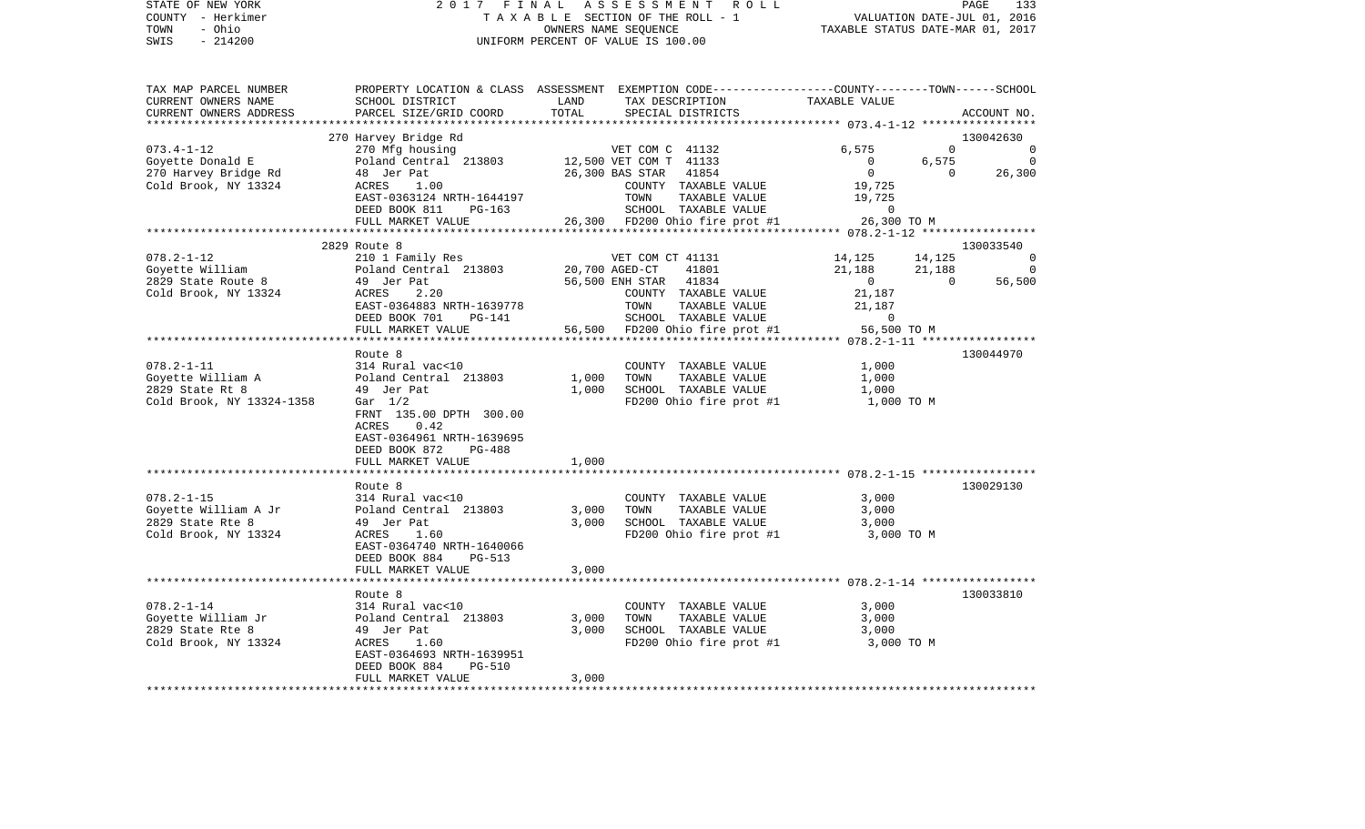| STATE OF NEW YORK | 2017 FINAL ASSESSMENT ROLL         | 133<br>PAGE                      |
|-------------------|------------------------------------|----------------------------------|
| COUNTY - Herkimer | TAXABLE SECTION OF THE ROLL - 1    | VALUATION DATE-JUL 01, 2016      |
| TOWN<br>- Ohio    | OWNERS NAME SEOUENCE               | TAXABLE STATUS DATE-MAR 01, 2017 |
| - 214200<br>SWIS  | UNIFORM PERCENT OF VALUE IS 100.00 |                                  |

| TAX MAP PARCEL NUMBER                |                                              |                |                                            | PROPERTY LOCATION & CLASS ASSESSMENT EXEMPTION CODE---------------COUNTY-------TOWN-----SCHOOL |                |
|--------------------------------------|----------------------------------------------|----------------|--------------------------------------------|------------------------------------------------------------------------------------------------|----------------|
| CURRENT OWNERS NAME                  | SCHOOL DISTRICT                              | LAND           | TAX DESCRIPTION                            | TAXABLE VALUE                                                                                  |                |
| CURRENT OWNERS ADDRESS               | PARCEL SIZE/GRID COORD                       | TOTAL          | SPECIAL DISTRICTS                          |                                                                                                | ACCOUNT NO.    |
|                                      |                                              |                |                                            | ****************** 073.4-1-12 ******************                                               |                |
|                                      | 270 Harvey Bridge Rd                         |                |                                            |                                                                                                | 130042630      |
| $073.4 - 1 - 12$                     | 270 Mfg housing                              |                | VET COM C 41132                            | 6,575<br>$\overline{0}$                                                                        | $\mathbf 0$    |
|                                      |                                              |                |                                            |                                                                                                | $\overline{0}$ |
| Goyette Donald E                     | Poland Central 213803 12,500 VET COM T 41133 |                |                                            | $\overline{0}$<br>6,575<br>$\overline{0}$                                                      |                |
| 270 Harvey Bridge Rd                 | 48  Jer Pat<br>ACRES    1.00                 |                | 26,300 BAS STAR 41854                      | $\overline{0}$                                                                                 | 26,300         |
| Cold Brook, NY 13324                 | ACRES<br>1.00                                |                | COUNTY TAXABLE VALUE                       | 19,725                                                                                         |                |
|                                      | EAST-0363124 NRTH-1644197                    |                | TOWN<br>TAXABLE VALUE                      | 19,725                                                                                         |                |
|                                      | DEED BOOK 811<br>PG-163                      |                | SCHOOL TAXABLE VALUE                       | $\overline{0}$                                                                                 |                |
|                                      | FULL MARKET VALUE                            |                | 26,300 FD200 Ohio fire prot #1 26,300 TO M |                                                                                                |                |
|                                      |                                              |                |                                            |                                                                                                |                |
|                                      | 2829 Route 8                                 |                |                                            |                                                                                                | 130033540      |
| $078.2 - 1 - 12$                     | 210 1 Family Res                             |                | VET COM CT 41131                           | 14,125<br>14,125                                                                               | $\Omega$       |
|                                      |                                              |                |                                            | $21,188$ $21,188$                                                                              |                |
| Goyette William                      | Poland Central 213803                        | 20,700 AGED-CT | 41801                                      |                                                                                                | $\overline{0}$ |
| 2829 State Route 8                   | 49 Jer Pat                                   |                | 56,500 ENH STAR 41834                      | $\overline{0}$<br>$\overline{0}$                                                               | 56,500         |
| Cold Brook, NY 13324                 | <b>ACRES</b><br>2.20                         |                | COUNTY TAXABLE VALUE                       | 21,187                                                                                         |                |
|                                      | EAST-0364883 NRTH-1639778                    |                | TAXABLE VALUE<br>TOWN                      | 21,187                                                                                         |                |
|                                      | DEED BOOK 701<br>PG-141                      |                | SCHOOL TAXABLE VALUE                       | $\overline{0}$                                                                                 |                |
|                                      | FULL MARKET VALUE                            |                | 56,500 FD200 Ohio fire prot #1             | 56,500 TO M                                                                                    |                |
|                                      |                                              |                |                                            |                                                                                                |                |
|                                      | Route 8                                      |                |                                            |                                                                                                | 130044970      |
|                                      |                                              |                |                                            |                                                                                                |                |
| $078.2 - 1 - 11$                     | 314 Rural vac<10                             | 1,000          | COUNTY TAXABLE VALUE                       | 1,000                                                                                          |                |
| Goyette William A<br>2020 State Rt 8 | Poland Central 213803                        |                | TOWN<br>TAXABLE VALUE                      | 1,000                                                                                          |                |
|                                      | 49 Jer Pat                                   | 1,000          | SCHOOL TAXABLE VALUE                       | 1,000                                                                                          |                |
| Cold Brook, NY 13324-1358            | Gar $1/2$                                    |                | FD200 Ohio fire prot #1                    | 1,000 TO M                                                                                     |                |
|                                      | FRNT 135.00 DPTH 300.00                      |                |                                            |                                                                                                |                |
|                                      | 0.42<br>ACRES                                |                |                                            |                                                                                                |                |
|                                      | EAST-0364961 NRTH-1639695                    |                |                                            |                                                                                                |                |
|                                      | DEED BOOK 872<br>PG-488                      |                |                                            |                                                                                                |                |
|                                      |                                              | 1,000          |                                            |                                                                                                |                |
|                                      | FULL MARKET VALUE                            |                |                                            |                                                                                                |                |
|                                      |                                              |                |                                            |                                                                                                |                |
|                                      | Route 8                                      |                |                                            |                                                                                                | 130029130      |
| $078.2 - 1 - 15$                     | 314 Rural vac<10                             |                | COUNTY TAXABLE VALUE                       | 3,000                                                                                          |                |
| Goyette William A Jr                 | Poland Central 213803                        | 3,000          | TAXABLE VALUE<br>TOWN                      | 3,000                                                                                          |                |
| 2829 State Rte 8                     | 49 Jer Pat                                   | 3,000          | SCHOOL TAXABLE VALUE                       | 3,000                                                                                          |                |
| Cold Brook, NY 13324                 | 1.60<br>ACRES                                |                | FD200 Ohio fire prot #1 3,000 TO M         |                                                                                                |                |
|                                      | EAST-0364740 NRTH-1640066                    |                |                                            |                                                                                                |                |
|                                      | DEED BOOK 884<br>PG-513                      |                |                                            |                                                                                                |                |
|                                      |                                              |                |                                            |                                                                                                |                |
|                                      | FULL MARKET VALUE                            | 3,000          |                                            |                                                                                                |                |
|                                      |                                              |                |                                            |                                                                                                |                |
|                                      | Route 8                                      |                |                                            |                                                                                                | 130033810      |
| $078.2 - 1 - 14$                     | 314 Rural vac<10                             |                | COUNTY TAXABLE VALUE                       | 3,000                                                                                          |                |
| Goyette William Jr                   | Poland Central 213803                        | 3,000          | TOWN<br>TAXABLE VALUE                      | 3,000                                                                                          |                |
| 2829 State Rte 8                     | 49 Jer Pat                                   | 3,000          | SCHOOL TAXABLE VALUE                       | 3,000                                                                                          |                |
| Cold Brook, NY 13324                 | ACRES<br>1.60                                |                | FD200 Ohio fire prot #1                    | 3,000 TO M                                                                                     |                |
|                                      | EAST-0364693 NRTH-1639951                    |                |                                            |                                                                                                |                |
|                                      |                                              |                |                                            |                                                                                                |                |
|                                      | DEED BOOK 884<br><b>PG-510</b>               |                |                                            |                                                                                                |                |
|                                      | FULL MARKET VALUE                            | 3,000          |                                            |                                                                                                |                |
|                                      |                                              |                |                                            |                                                                                                |                |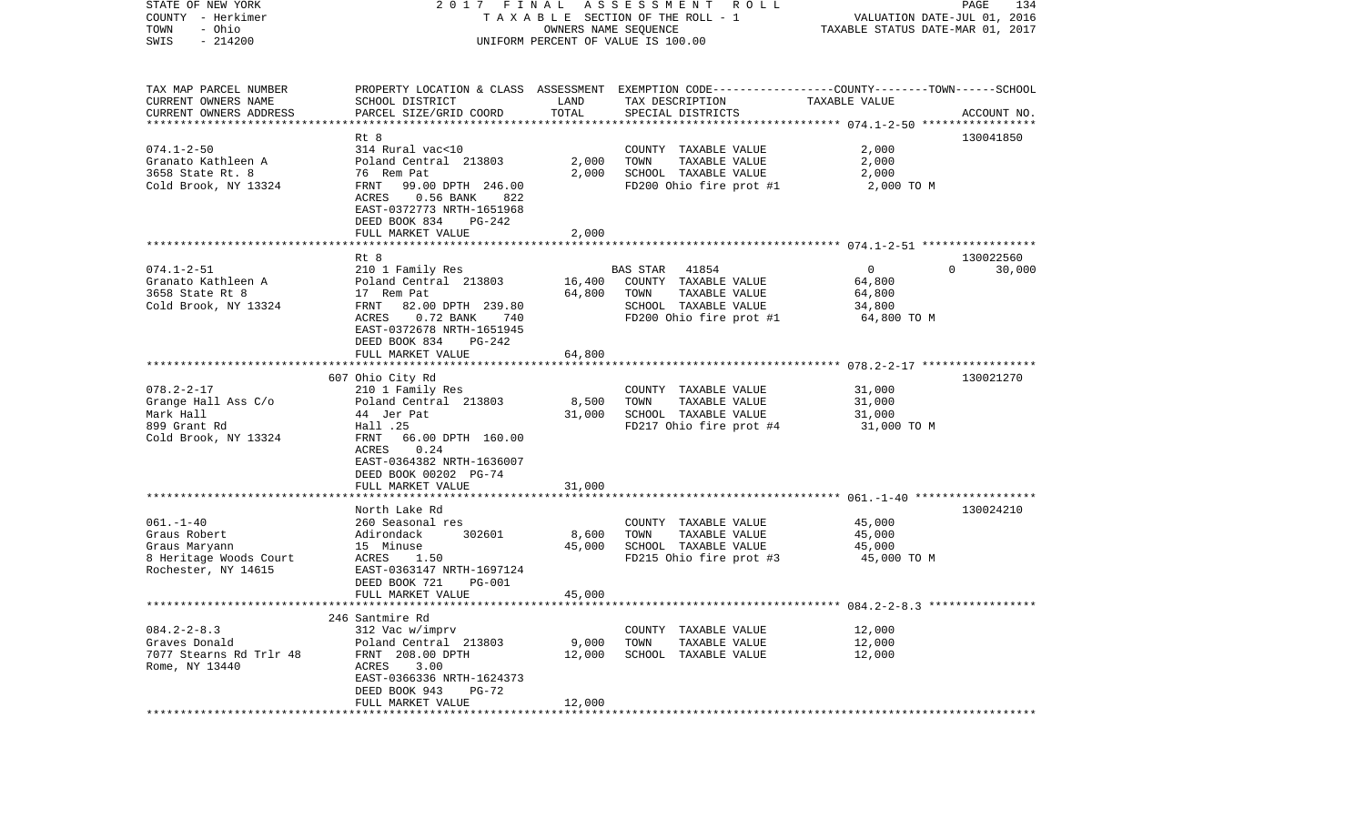| $-214200$<br>SWIS<br>UNIFORM PERCENT OF VALUE IS 100.00<br>TAX MAP PARCEL NUMBER<br>PROPERTY LOCATION & CLASS ASSESSMENT EXEMPTION CODE----------------COUNTY-------TOWN------SCHOOL<br>CURRENT OWNERS NAME<br>SCHOOL DISTRICT<br>LAND<br>TAX DESCRIPTION<br>TAXABLE VALUE<br>TOTAL<br>CURRENT OWNERS ADDRESS<br>PARCEL SIZE/GRID COORD<br>SPECIAL DISTRICTS<br>ACCOUNT NO.<br>**********************<br>130041850<br>Rt 8<br>2,000<br>$074.1 - 2 - 50$<br>314 Rural vac<10<br>COUNTY TAXABLE VALUE<br>Granato Kathleen A<br>Poland Central 213803<br>2,000<br>TOWN<br>TAXABLE VALUE<br>2,000<br>3658 State Rt. 8<br>76 Rem Pat<br>2,000<br>SCHOOL TAXABLE VALUE<br>2,000<br>Cold Brook, NY 13324<br>99.00 DPTH 246.00<br>FD200 Ohio fire prot #1<br>FRNT<br>2,000 TO M<br>ACRES<br>$0.56$ BANK<br>822<br>EAST-0372773 NRTH-1651968<br>DEED BOOK 834<br>PG-242<br>FULL MARKET VALUE<br>2,000<br>Rt 8<br>130022560<br>$074.1 - 2 - 51$<br>$\circ$<br>210 1 Family Res<br>BAS STAR<br>41854<br>$\Omega$<br>30,000<br>16,400<br>Granato Kathleen A<br>Poland Central 213803<br>COUNTY TAXABLE VALUE<br>64,800<br>3658 State Rt 8<br>64,800<br>17 Rem Pat<br>TOWN<br>TAXABLE VALUE<br>64,800<br>82.00 DPTH 239.80<br>Cold Brook, NY 13324<br>FRNT<br>SCHOOL TAXABLE VALUE<br>34,800<br>ACRES<br>$0.72$ BANK<br>FD200 Ohio fire prot #1<br>64,800 TO M<br>740<br>EAST-0372678 NRTH-1651945<br>DEED BOOK 834<br>$PG-242$<br>FULL MARKET VALUE<br>64,800<br>607 Ohio City Rd<br>130021270<br>$078.2 - 2 - 17$<br>210 1 Family Res<br>31,000<br>COUNTY TAXABLE VALUE | STATE OF NEW YORK<br>COUNTY - Herkimer<br>- Ohio<br>TOWN | 2017 FINAL | A S S E S S M E N T      R O L L<br>TAXABLE SECTION OF THE ROLL - 1<br>OWNERS NAME SEQUENCE | VALUATION DATE-JUL 01, 2016<br>TAXABLE STATUS DATE-MAR 01, 2017 | PAGE<br>134 |
|--------------------------------------------------------------------------------------------------------------------------------------------------------------------------------------------------------------------------------------------------------------------------------------------------------------------------------------------------------------------------------------------------------------------------------------------------------------------------------------------------------------------------------------------------------------------------------------------------------------------------------------------------------------------------------------------------------------------------------------------------------------------------------------------------------------------------------------------------------------------------------------------------------------------------------------------------------------------------------------------------------------------------------------------------------------------------------------------------------------------------------------------------------------------------------------------------------------------------------------------------------------------------------------------------------------------------------------------------------------------------------------------------------------------------------------------------------------------------------------------------------------------------------------------------------------|----------------------------------------------------------|------------|---------------------------------------------------------------------------------------------|-----------------------------------------------------------------|-------------|
|                                                                                                                                                                                                                                                                                                                                                                                                                                                                                                                                                                                                                                                                                                                                                                                                                                                                                                                                                                                                                                                                                                                                                                                                                                                                                                                                                                                                                                                                                                                                                              |                                                          |            |                                                                                             |                                                                 |             |
|                                                                                                                                                                                                                                                                                                                                                                                                                                                                                                                                                                                                                                                                                                                                                                                                                                                                                                                                                                                                                                                                                                                                                                                                                                                                                                                                                                                                                                                                                                                                                              |                                                          |            |                                                                                             |                                                                 |             |
|                                                                                                                                                                                                                                                                                                                                                                                                                                                                                                                                                                                                                                                                                                                                                                                                                                                                                                                                                                                                                                                                                                                                                                                                                                                                                                                                                                                                                                                                                                                                                              |                                                          |            |                                                                                             |                                                                 |             |
|                                                                                                                                                                                                                                                                                                                                                                                                                                                                                                                                                                                                                                                                                                                                                                                                                                                                                                                                                                                                                                                                                                                                                                                                                                                                                                                                                                                                                                                                                                                                                              |                                                          |            |                                                                                             |                                                                 |             |
|                                                                                                                                                                                                                                                                                                                                                                                                                                                                                                                                                                                                                                                                                                                                                                                                                                                                                                                                                                                                                                                                                                                                                                                                                                                                                                                                                                                                                                                                                                                                                              |                                                          |            |                                                                                             |                                                                 |             |
|                                                                                                                                                                                                                                                                                                                                                                                                                                                                                                                                                                                                                                                                                                                                                                                                                                                                                                                                                                                                                                                                                                                                                                                                                                                                                                                                                                                                                                                                                                                                                              |                                                          |            |                                                                                             |                                                                 |             |
|                                                                                                                                                                                                                                                                                                                                                                                                                                                                                                                                                                                                                                                                                                                                                                                                                                                                                                                                                                                                                                                                                                                                                                                                                                                                                                                                                                                                                                                                                                                                                              |                                                          |            |                                                                                             |                                                                 |             |
|                                                                                                                                                                                                                                                                                                                                                                                                                                                                                                                                                                                                                                                                                                                                                                                                                                                                                                                                                                                                                                                                                                                                                                                                                                                                                                                                                                                                                                                                                                                                                              |                                                          |            |                                                                                             |                                                                 |             |
|                                                                                                                                                                                                                                                                                                                                                                                                                                                                                                                                                                                                                                                                                                                                                                                                                                                                                                                                                                                                                                                                                                                                                                                                                                                                                                                                                                                                                                                                                                                                                              |                                                          |            |                                                                                             |                                                                 |             |
|                                                                                                                                                                                                                                                                                                                                                                                                                                                                                                                                                                                                                                                                                                                                                                                                                                                                                                                                                                                                                                                                                                                                                                                                                                                                                                                                                                                                                                                                                                                                                              |                                                          |            |                                                                                             |                                                                 |             |
|                                                                                                                                                                                                                                                                                                                                                                                                                                                                                                                                                                                                                                                                                                                                                                                                                                                                                                                                                                                                                                                                                                                                                                                                                                                                                                                                                                                                                                                                                                                                                              |                                                          |            |                                                                                             |                                                                 |             |
|                                                                                                                                                                                                                                                                                                                                                                                                                                                                                                                                                                                                                                                                                                                                                                                                                                                                                                                                                                                                                                                                                                                                                                                                                                                                                                                                                                                                                                                                                                                                                              |                                                          |            |                                                                                             |                                                                 |             |
|                                                                                                                                                                                                                                                                                                                                                                                                                                                                                                                                                                                                                                                                                                                                                                                                                                                                                                                                                                                                                                                                                                                                                                                                                                                                                                                                                                                                                                                                                                                                                              |                                                          |            |                                                                                             |                                                                 |             |
|                                                                                                                                                                                                                                                                                                                                                                                                                                                                                                                                                                                                                                                                                                                                                                                                                                                                                                                                                                                                                                                                                                                                                                                                                                                                                                                                                                                                                                                                                                                                                              |                                                          |            |                                                                                             |                                                                 |             |
|                                                                                                                                                                                                                                                                                                                                                                                                                                                                                                                                                                                                                                                                                                                                                                                                                                                                                                                                                                                                                                                                                                                                                                                                                                                                                                                                                                                                                                                                                                                                                              |                                                          |            |                                                                                             |                                                                 |             |
|                                                                                                                                                                                                                                                                                                                                                                                                                                                                                                                                                                                                                                                                                                                                                                                                                                                                                                                                                                                                                                                                                                                                                                                                                                                                                                                                                                                                                                                                                                                                                              |                                                          |            |                                                                                             |                                                                 |             |
|                                                                                                                                                                                                                                                                                                                                                                                                                                                                                                                                                                                                                                                                                                                                                                                                                                                                                                                                                                                                                                                                                                                                                                                                                                                                                                                                                                                                                                                                                                                                                              |                                                          |            |                                                                                             |                                                                 |             |
|                                                                                                                                                                                                                                                                                                                                                                                                                                                                                                                                                                                                                                                                                                                                                                                                                                                                                                                                                                                                                                                                                                                                                                                                                                                                                                                                                                                                                                                                                                                                                              |                                                          |            |                                                                                             |                                                                 |             |
|                                                                                                                                                                                                                                                                                                                                                                                                                                                                                                                                                                                                                                                                                                                                                                                                                                                                                                                                                                                                                                                                                                                                                                                                                                                                                                                                                                                                                                                                                                                                                              |                                                          |            |                                                                                             |                                                                 |             |
|                                                                                                                                                                                                                                                                                                                                                                                                                                                                                                                                                                                                                                                                                                                                                                                                                                                                                                                                                                                                                                                                                                                                                                                                                                                                                                                                                                                                                                                                                                                                                              |                                                          |            |                                                                                             |                                                                 |             |
|                                                                                                                                                                                                                                                                                                                                                                                                                                                                                                                                                                                                                                                                                                                                                                                                                                                                                                                                                                                                                                                                                                                                                                                                                                                                                                                                                                                                                                                                                                                                                              |                                                          |            |                                                                                             |                                                                 |             |
| TAXABLE VALUE<br>Grange Hall Ass C/o<br>Poland Central 213803<br>8,500<br>TOWN<br>31,000                                                                                                                                                                                                                                                                                                                                                                                                                                                                                                                                                                                                                                                                                                                                                                                                                                                                                                                                                                                                                                                                                                                                                                                                                                                                                                                                                                                                                                                                     |                                                          |            |                                                                                             |                                                                 |             |
| Mark Hall<br>44 Jer Pat<br>SCHOOL TAXABLE VALUE<br>31,000<br>31,000                                                                                                                                                                                                                                                                                                                                                                                                                                                                                                                                                                                                                                                                                                                                                                                                                                                                                                                                                                                                                                                                                                                                                                                                                                                                                                                                                                                                                                                                                          |                                                          |            |                                                                                             |                                                                 |             |
| FD217 Ohio fire prot #4<br>899 Grant Rd<br>Hall .25<br>31,000 TO M                                                                                                                                                                                                                                                                                                                                                                                                                                                                                                                                                                                                                                                                                                                                                                                                                                                                                                                                                                                                                                                                                                                                                                                                                                                                                                                                                                                                                                                                                           |                                                          |            |                                                                                             |                                                                 |             |
| Cold Brook, NY 13324<br>FRNT<br>66.00 DPTH 160.00                                                                                                                                                                                                                                                                                                                                                                                                                                                                                                                                                                                                                                                                                                                                                                                                                                                                                                                                                                                                                                                                                                                                                                                                                                                                                                                                                                                                                                                                                                            |                                                          |            |                                                                                             |                                                                 |             |
| 0.24<br>ACRES                                                                                                                                                                                                                                                                                                                                                                                                                                                                                                                                                                                                                                                                                                                                                                                                                                                                                                                                                                                                                                                                                                                                                                                                                                                                                                                                                                                                                                                                                                                                                |                                                          |            |                                                                                             |                                                                 |             |
| EAST-0364382 NRTH-1636007<br>DEED BOOK 00202 PG-74                                                                                                                                                                                                                                                                                                                                                                                                                                                                                                                                                                                                                                                                                                                                                                                                                                                                                                                                                                                                                                                                                                                                                                                                                                                                                                                                                                                                                                                                                                           |                                                          |            |                                                                                             |                                                                 |             |
| FULL MARKET VALUE<br>31,000                                                                                                                                                                                                                                                                                                                                                                                                                                                                                                                                                                                                                                                                                                                                                                                                                                                                                                                                                                                                                                                                                                                                                                                                                                                                                                                                                                                                                                                                                                                                  |                                                          |            |                                                                                             |                                                                 |             |
| *********<br>*********************                                                                                                                                                                                                                                                                                                                                                                                                                                                                                                                                                                                                                                                                                                                                                                                                                                                                                                                                                                                                                                                                                                                                                                                                                                                                                                                                                                                                                                                                                                                           |                                                          |            |                                                                                             |                                                                 |             |
| North Lake Rd<br>130024210                                                                                                                                                                                                                                                                                                                                                                                                                                                                                                                                                                                                                                                                                                                                                                                                                                                                                                                                                                                                                                                                                                                                                                                                                                                                                                                                                                                                                                                                                                                                   |                                                          |            |                                                                                             |                                                                 |             |
| $061. - 1 - 40$<br>260 Seasonal res<br>COUNTY TAXABLE VALUE<br>45,000                                                                                                                                                                                                                                                                                                                                                                                                                                                                                                                                                                                                                                                                                                                                                                                                                                                                                                                                                                                                                                                                                                                                                                                                                                                                                                                                                                                                                                                                                        |                                                          |            |                                                                                             |                                                                 |             |
| Graus Robert<br>Adirondack<br>302601<br>8,600<br>TOWN<br>TAXABLE VALUE<br>45,000                                                                                                                                                                                                                                                                                                                                                                                                                                                                                                                                                                                                                                                                                                                                                                                                                                                                                                                                                                                                                                                                                                                                                                                                                                                                                                                                                                                                                                                                             |                                                          |            |                                                                                             |                                                                 |             |
| Graus Maryann<br>45,000<br>SCHOOL TAXABLE VALUE<br>15 Minuse<br>45,000<br>8 Heritage Woods Court<br>1.50<br>FD215 Ohio fire prot #3<br>ACRES<br>45,000 TO M                                                                                                                                                                                                                                                                                                                                                                                                                                                                                                                                                                                                                                                                                                                                                                                                                                                                                                                                                                                                                                                                                                                                                                                                                                                                                                                                                                                                  |                                                          |            |                                                                                             |                                                                 |             |
| Rochester, NY 14615<br>EAST-0363147 NRTH-1697124                                                                                                                                                                                                                                                                                                                                                                                                                                                                                                                                                                                                                                                                                                                                                                                                                                                                                                                                                                                                                                                                                                                                                                                                                                                                                                                                                                                                                                                                                                             |                                                          |            |                                                                                             |                                                                 |             |
| DEED BOOK 721<br><b>PG-001</b>                                                                                                                                                                                                                                                                                                                                                                                                                                                                                                                                                                                                                                                                                                                                                                                                                                                                                                                                                                                                                                                                                                                                                                                                                                                                                                                                                                                                                                                                                                                               |                                                          |            |                                                                                             |                                                                 |             |
| 45,000<br>FULL MARKET VALUE                                                                                                                                                                                                                                                                                                                                                                                                                                                                                                                                                                                                                                                                                                                                                                                                                                                                                                                                                                                                                                                                                                                                                                                                                                                                                                                                                                                                                                                                                                                                  |                                                          |            |                                                                                             |                                                                 |             |
|                                                                                                                                                                                                                                                                                                                                                                                                                                                                                                                                                                                                                                                                                                                                                                                                                                                                                                                                                                                                                                                                                                                                                                                                                                                                                                                                                                                                                                                                                                                                                              |                                                          |            |                                                                                             |                                                                 |             |
| 246 Santmire Rd                                                                                                                                                                                                                                                                                                                                                                                                                                                                                                                                                                                                                                                                                                                                                                                                                                                                                                                                                                                                                                                                                                                                                                                                                                                                                                                                                                                                                                                                                                                                              |                                                          |            |                                                                                             |                                                                 |             |
| $084.2 - 2 - 8.3$<br>312 Vac w/imprv<br>12,000<br>COUNTY<br>TAXABLE VALUE<br>Graves Donald<br>Poland Central 213803<br>9,000<br>TOWN<br>TAXABLE VALUE<br>12,000                                                                                                                                                                                                                                                                                                                                                                                                                                                                                                                                                                                                                                                                                                                                                                                                                                                                                                                                                                                                                                                                                                                                                                                                                                                                                                                                                                                              |                                                          |            |                                                                                             |                                                                 |             |
| 7077 Stearns Rd Trlr 48<br>FRNT 208.00 DPTH<br>12,000<br>12,000<br>SCHOOL TAXABLE VALUE                                                                                                                                                                                                                                                                                                                                                                                                                                                                                                                                                                                                                                                                                                                                                                                                                                                                                                                                                                                                                                                                                                                                                                                                                                                                                                                                                                                                                                                                      |                                                          |            |                                                                                             |                                                                 |             |
| Rome, NY 13440<br>ACRES<br>3.00                                                                                                                                                                                                                                                                                                                                                                                                                                                                                                                                                                                                                                                                                                                                                                                                                                                                                                                                                                                                                                                                                                                                                                                                                                                                                                                                                                                                                                                                                                                              |                                                          |            |                                                                                             |                                                                 |             |
| EAST-0366336 NRTH-1624373                                                                                                                                                                                                                                                                                                                                                                                                                                                                                                                                                                                                                                                                                                                                                                                                                                                                                                                                                                                                                                                                                                                                                                                                                                                                                                                                                                                                                                                                                                                                    |                                                          |            |                                                                                             |                                                                 |             |
| DEED BOOK 943<br>PG-72                                                                                                                                                                                                                                                                                                                                                                                                                                                                                                                                                                                                                                                                                                                                                                                                                                                                                                                                                                                                                                                                                                                                                                                                                                                                                                                                                                                                                                                                                                                                       |                                                          |            |                                                                                             |                                                                 |             |
| 12,000<br>FULL MARKET VALUE                                                                                                                                                                                                                                                                                                                                                                                                                                                                                                                                                                                                                                                                                                                                                                                                                                                                                                                                                                                                                                                                                                                                                                                                                                                                                                                                                                                                                                                                                                                                  |                                                          |            |                                                                                             |                                                                 |             |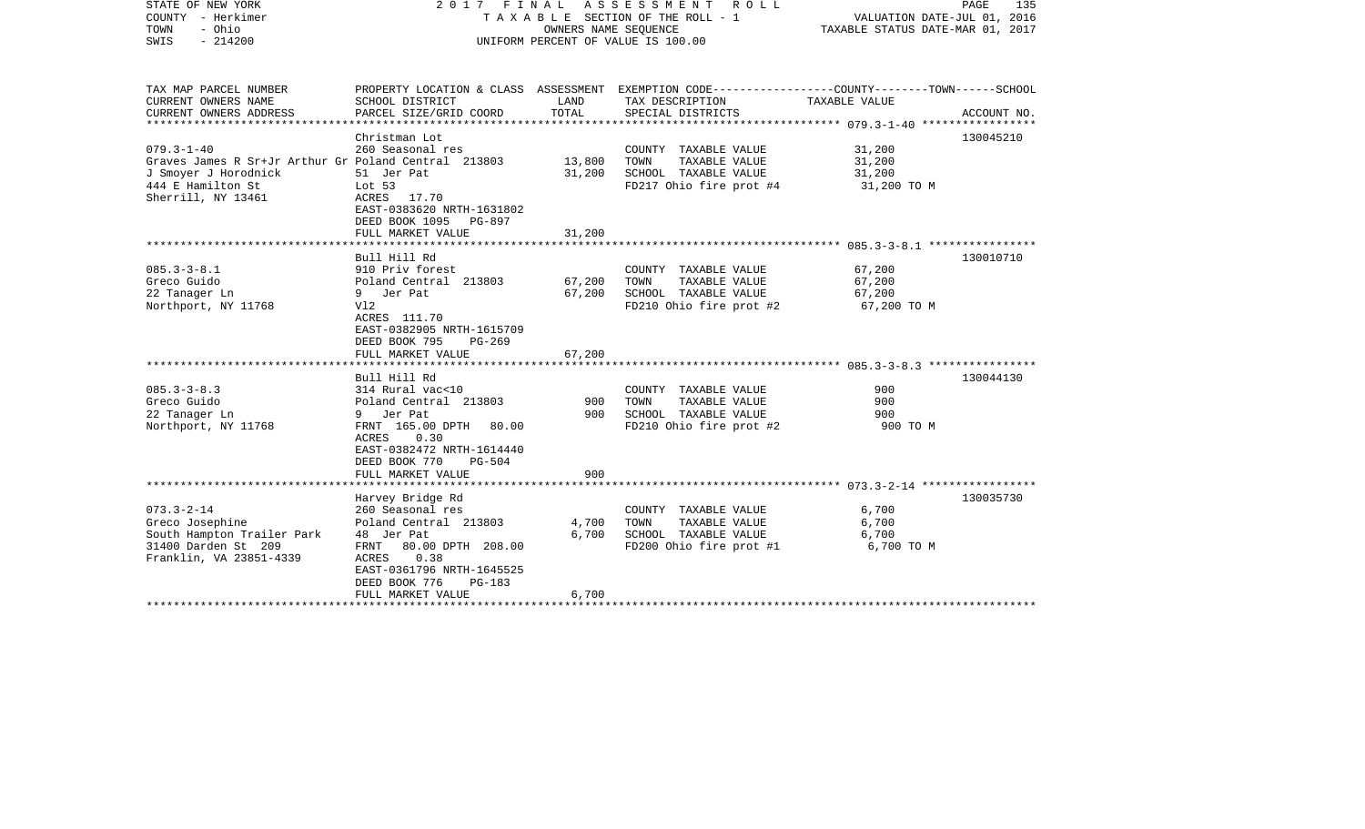| STATE OF NEW YORK<br>COUNTY - Herkimer<br>- Ohio<br>TOWN<br>$-214200$<br>SWIS                                                               | 2017<br>FINAL                                                                                                                                                                                            | OWNERS NAME SEQUENCE       | A S S E S S M E N T R O L L<br>TAXABLE SECTION OF THE ROLL - 1<br>UNIFORM PERCENT OF VALUE IS 100.00                                     | VALUATION DATE-JUL 01, 2016<br>TAXABLE STATUS DATE-MAR 01, 2017 | PAGE<br>135 |
|---------------------------------------------------------------------------------------------------------------------------------------------|----------------------------------------------------------------------------------------------------------------------------------------------------------------------------------------------------------|----------------------------|------------------------------------------------------------------------------------------------------------------------------------------|-----------------------------------------------------------------|-------------|
| TAX MAP PARCEL NUMBER<br>CURRENT OWNERS NAME<br>CURRENT OWNERS ADDRESS<br>********************                                              | SCHOOL DISTRICT<br>PARCEL SIZE/GRID COORD                                                                                                                                                                | LAND<br>TOTAL              | PROPERTY LOCATION & CLASS ASSESSMENT EXEMPTION CODE----------------COUNTY-------TOWN------SCHOOL<br>TAX DESCRIPTION<br>SPECIAL DISTRICTS | TAXABLE VALUE                                                   | ACCOUNT NO. |
| $079.3 - 1 - 40$<br>Graves James R Sr+Jr Arthur Gr Poland Central 213803<br>J Smoyer J Horodnick<br>444 E Hamilton St<br>Sherrill, NY 13461 | Christman Lot<br>260 Seasonal res<br>51 Jer Pat<br>Lot $53$<br>ACRES 17.70<br>EAST-0383620 NRTH-1631802<br>DEED BOOK 1095<br>PG-897<br>FULL MARKET VALUE                                                 | 13,800<br>31,200<br>31,200 | COUNTY TAXABLE VALUE<br>TOWN<br>TAXABLE VALUE<br>SCHOOL TAXABLE VALUE<br>FD217 Ohio fire prot #4                                         | 31,200<br>31,200<br>31,200<br>31,200 TO M                       | 130045210   |
| $085.3 - 3 - 8.1$<br>Greco Guido<br>22 Tanager Ln<br>Northport, NY 11768                                                                    | Bull Hill Rd<br>910 Priv forest<br>Poland Central 213803<br>Jer Pat<br>9<br>V12<br>ACRES 111.70<br>EAST-0382905 NRTH-1615709<br>DEED BOOK 795<br>$PG-269$<br>FULL MARKET VALUE                           | 67,200<br>67,200<br>67,200 | COUNTY TAXABLE VALUE<br>TAXABLE VALUE<br>TOWN<br>SCHOOL TAXABLE VALUE<br>FD210 Ohio fire prot #2                                         | 67,200<br>67,200<br>67,200<br>67,200 TO M                       | 130010710   |
| $085.3 - 3 - 8.3$<br>Greco Guido<br>22 Tanager Ln<br>Northport, NY 11768                                                                    | Bull Hill Rd<br>314 Rural vac<10<br>Poland Central 213803<br>9 Jer Pat<br>FRNT 165.00 DPTH<br>80.00<br>ACRES<br>0.30<br>EAST-0382472 NRTH-1614440<br>DEED BOOK 770<br>$PG-504$<br>FULL MARKET VALUE      | 900<br>900<br>900          | COUNTY TAXABLE VALUE<br>TAXABLE VALUE<br>TOWN<br>SCHOOL TAXABLE VALUE<br>FD210 Ohio fire prot #2                                         | 900<br>900<br>900<br>900 TO M                                   | 130044130   |
| $073.3 - 2 - 14$<br>Greco Josephine<br>South Hampton Trailer Park<br>31400 Darden St 209<br>Franklin, VA 23851-4339                         | Harvey Bridge Rd<br>260 Seasonal res<br>Poland Central 213803<br>48 Jer Pat<br>80.00 DPTH 208.00<br>FRNT<br>0.38<br>ACRES<br>EAST-0361796 NRTH-1645525<br>DEED BOOK 776<br>$PG-183$<br>FULL MARKET VALUE | 4,700<br>6,700<br>6,700    | COUNTY TAXABLE VALUE<br>TOWN<br>TAXABLE VALUE<br>SCHOOL TAXABLE VALUE<br>FD200 Ohio fire prot #1                                         | 6,700<br>6,700<br>6,700<br>6,700 TO M                           | 130035730   |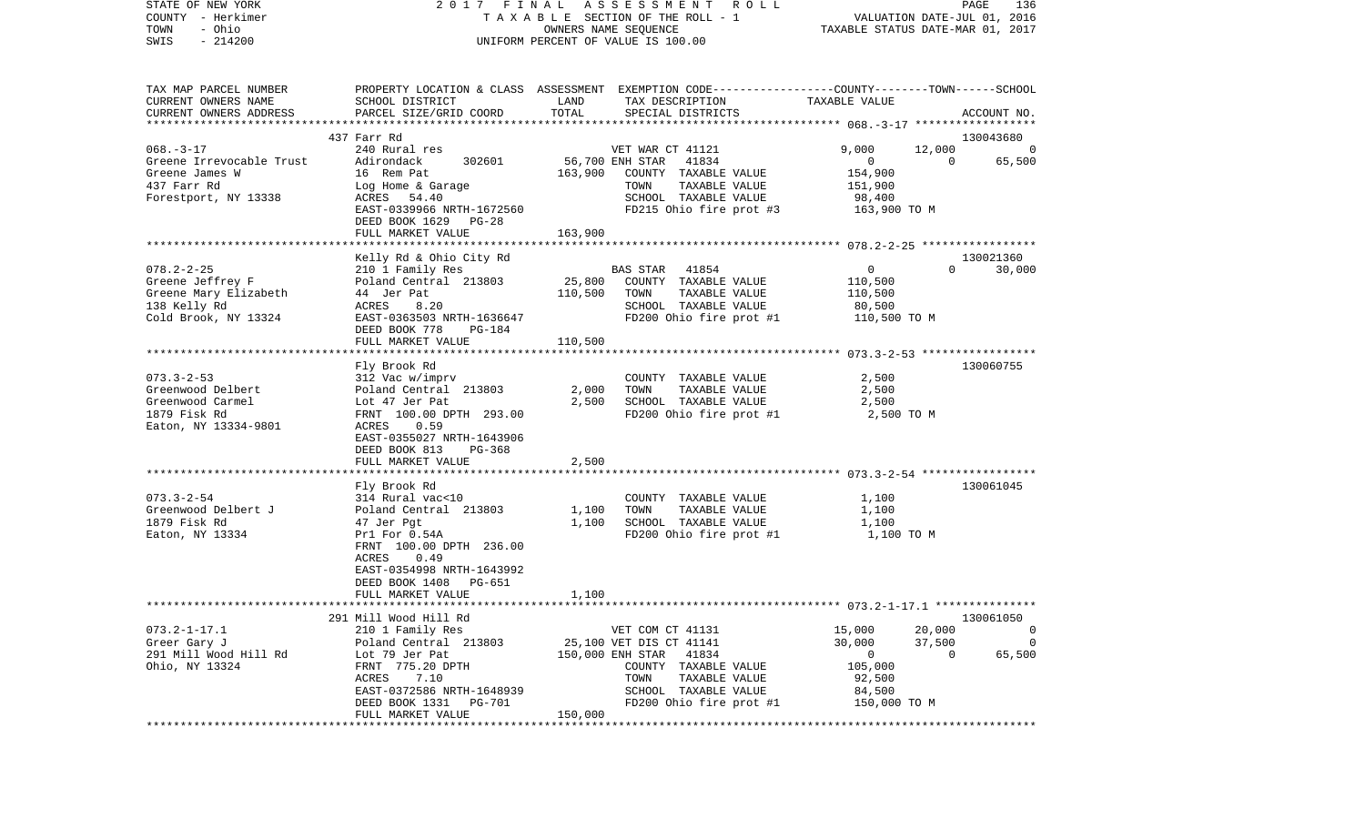| STATE OF NEW YORK          | 2017 FINAL                                 |         | A S S E S S M E N T<br>R O L L                                                                   |                  | PAGE<br>136                      |
|----------------------------|--------------------------------------------|---------|--------------------------------------------------------------------------------------------------|------------------|----------------------------------|
| COUNTY - Herkimer          |                                            |         | TAXABLE SECTION OF THE ROLL - 1                                                                  |                  | VALUATION DATE-JUL 01, 2016      |
| - Ohio<br>TOWN             |                                            |         | OWNERS NAME SEQUENCE                                                                             |                  | TAXABLE STATUS DATE-MAR 01, 2017 |
| $-214200$<br>SWIS          |                                            |         | UNIFORM PERCENT OF VALUE IS 100.00                                                               |                  |                                  |
|                            |                                            |         |                                                                                                  |                  |                                  |
| TAX MAP PARCEL NUMBER      |                                            |         | PROPERTY LOCATION & CLASS ASSESSMENT EXEMPTION CODE----------------COUNTY-------TOWN------SCHOOL |                  |                                  |
| CURRENT OWNERS NAME        | SCHOOL DISTRICT                            | LAND    | TAX DESCRIPTION                                                                                  | TAXABLE VALUE    |                                  |
| CURRENT OWNERS ADDRESS     | PARCEL SIZE/GRID COORD                     | TOTAL   | SPECIAL DISTRICTS                                                                                |                  | ACCOUNT NO.                      |
| ************************** |                                            |         |                                                                                                  |                  |                                  |
|                            | 437 Farr Rd                                |         |                                                                                                  |                  | 130043680                        |
| $068. - 3 - 17$            | 240 Rural res                              |         | VET WAR CT 41121                                                                                 | 9,000            | 12,000                           |
| Greene Irrevocable Trust   | Adirondack<br>302601                       |         | 56,700 ENH STAR 41834                                                                            | $\mathbf 0$      | 65,500<br>$\overline{0}$         |
| Greene James W             | 16 Rem Pat                                 | 163,900 | COUNTY TAXABLE VALUE                                                                             | 154,900          |                                  |
| 437 Farr Rd                | Log Home & Garage                          |         | TAXABLE VALUE<br>TOWN                                                                            | 151,900          |                                  |
| Forestport, NY 13338       | ACRES 54.40                                |         | SCHOOL TAXABLE VALUE                                                                             | 98,400           |                                  |
|                            | EAST-0339966 NRTH-1672560                  |         | FD215 Ohio fire prot #3                                                                          | 163,900 TO M     |                                  |
|                            | DEED BOOK 1629<br>PG-28                    |         |                                                                                                  |                  |                                  |
|                            | FULL MARKET VALUE                          | 163,900 |                                                                                                  |                  |                                  |
|                            |                                            |         |                                                                                                  |                  |                                  |
|                            | Kelly Rd & Ohio City Rd                    |         |                                                                                                  |                  | 130021360                        |
| $078.2 - 2 - 25$           | 210 1 Family Res                           |         | BAS STAR<br>41854                                                                                | $\overline{0}$   | $\Omega$<br>30,000               |
| Greene Jeffrey F           | Poland Central 213803                      | 25,800  | COUNTY TAXABLE VALUE                                                                             | 110,500          |                                  |
| Greene Mary Elizabeth      | 44 Jer Pat                                 | 110,500 | TOWN<br>TAXABLE VALUE                                                                            | 110,500          |                                  |
| 138 Kelly Rd               | 8.20<br>ACRES                              |         | SCHOOL TAXABLE VALUE                                                                             | 80,500           |                                  |
| Cold Brook, NY 13324       | EAST-0363503 NRTH-1636647                  |         | FD200 Ohio fire prot #1                                                                          | 110,500 TO M     |                                  |
|                            | DEED BOOK 778<br>PG-184                    |         |                                                                                                  |                  |                                  |
|                            | FULL MARKET VALUE                          | 110,500 |                                                                                                  |                  |                                  |
|                            | Fly Brook Rd                               |         |                                                                                                  |                  | 130060755                        |
| $073.3 - 2 - 53$           | 312 Vac w/imprv                            |         | COUNTY TAXABLE VALUE                                                                             | 2,500            |                                  |
| Greenwood Delbert          | Poland Central 213803                      | 2,000   | TOWN<br>TAXABLE VALUE                                                                            | 2,500            |                                  |
| Greenwood Carmel           | Lot 47 Jer Pat                             | 2,500   | SCHOOL TAXABLE VALUE                                                                             | 2,500            |                                  |
| 1879 Fisk Rd               | FRNT 100.00 DPTH 293.00                    |         | FD200 Ohio fire prot #1                                                                          | 2,500 TO M       |                                  |
| Eaton, NY 13334-9801       | 0.59<br>ACRES                              |         |                                                                                                  |                  |                                  |
|                            | EAST-0355027 NRTH-1643906                  |         |                                                                                                  |                  |                                  |
|                            | DEED BOOK 813<br>PG-368                    |         |                                                                                                  |                  |                                  |
|                            | FULL MARKET VALUE                          | 2,500   |                                                                                                  |                  |                                  |
|                            | *******************                        |         |                                                                                                  |                  |                                  |
|                            | Fly Brook Rd                               |         |                                                                                                  |                  | 130061045                        |
| $073.3 - 2 - 54$           | 314 Rural vac<10                           |         | COUNTY TAXABLE VALUE                                                                             | 1,100            |                                  |
| Greenwood Delbert J        | Poland Central 213803                      | 1,100   | TOWN<br>TAXABLE VALUE                                                                            | 1,100            |                                  |
| 1879 Fisk Rd               | 47 Jer Pgt                                 | 1,100   | SCHOOL TAXABLE VALUE                                                                             | 1,100            |                                  |
| Eaton, NY 13334            | Pr1 For 0.54A                              |         | FD200 Ohio fire prot #1                                                                          | 1,100 TO M       |                                  |
|                            | FRNT 100.00 DPTH 236.00                    |         |                                                                                                  |                  |                                  |
|                            | 0.49<br>ACRES                              |         |                                                                                                  |                  |                                  |
|                            | EAST-0354998 NRTH-1643992                  |         |                                                                                                  |                  |                                  |
|                            | DEED BOOK 1408<br>PG-651                   |         |                                                                                                  |                  |                                  |
|                            | FULL MARKET VALUE                          | 1,100   |                                                                                                  |                  |                                  |
|                            |                                            |         | ******************************* 073.2-1-17.1 ***************                                     |                  |                                  |
|                            | 291 Mill Wood Hill Rd                      |         |                                                                                                  |                  | 130061050                        |
| $073.2 - 1 - 17.1$         | 210 1 Family Res                           |         | VET COM CT 41131                                                                                 | 15,000           | 20,000<br>0                      |
| Greer Gary J               | Poland Central 213803                      |         | 25,100 VET DIS CT 41141                                                                          | 30,000           | 37,500<br>0                      |
| 291 Mill Wood Hill Rd      | Lot 79 Jer Pat                             |         | 150,000 ENH STAR<br>41834                                                                        | $\mathbf 0$      | 65,500<br>0                      |
| Ohio, NY 13324             | FRNT 775.20 DPTH                           |         | COUNTY TAXABLE VALUE                                                                             | 105,000          |                                  |
|                            | 7.10<br>ACRES<br>EAST-0372586 NRTH-1648939 |         | TOWN<br>TAXABLE VALUE<br>SCHOOL TAXABLE VALUE                                                    | 92,500<br>84,500 |                                  |
|                            | DEED BOOK 1331<br>PG-701                   |         | FD200 Ohio fire prot #1                                                                          | 150,000 TO M     |                                  |
|                            | FULL MARKET VALUE                          | 150,000 |                                                                                                  |                  |                                  |
|                            |                                            |         |                                                                                                  |                  |                                  |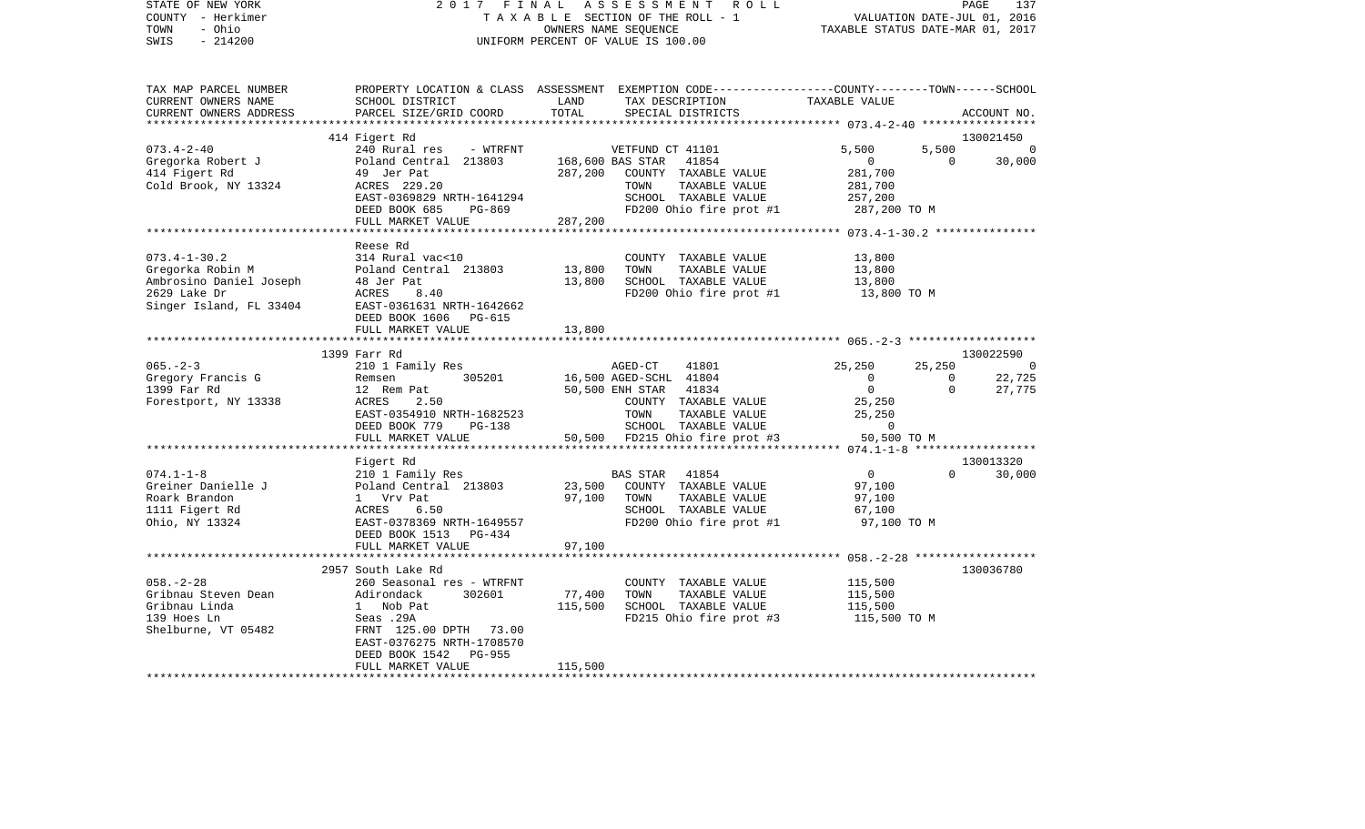| COUNTY - Herkimer<br>- Ohio<br>TOWN<br>SWIS<br>$-214200$ |                                                       |         | T A X A B L E SECTION OF THE ROLL - 1<br>OWNERS NAME SEQUENCE<br>UNIFORM PERCENT OF VALUE IS 100.00 | VALUATION DATE-JUL 01, 2016<br>TAXABLE STATUS DATE-MAR 01, 2017 |                |                |
|----------------------------------------------------------|-------------------------------------------------------|---------|-----------------------------------------------------------------------------------------------------|-----------------------------------------------------------------|----------------|----------------|
|                                                          |                                                       |         |                                                                                                     |                                                                 |                |                |
| TAX MAP PARCEL NUMBER                                    |                                                       |         | PROPERTY LOCATION & CLASS ASSESSMENT EXEMPTION CODE---------------COUNTY-------TOWN-----SCHOOL      |                                                                 |                |                |
| CURRENT OWNERS NAME                                      | SCHOOL DISTRICT                                       | LAND    | TAX DESCRIPTION                                                                                     | TAXABLE VALUE                                                   |                |                |
| CURRENT OWNERS ADDRESS                                   | PARCEL SIZE/GRID COORD                                | TOTAL   | SPECIAL DISTRICTS                                                                                   |                                                                 |                | ACCOUNT NO.    |
|                                                          |                                                       |         |                                                                                                     |                                                                 |                |                |
|                                                          | 414 Figert Rd                                         |         |                                                                                                     |                                                                 |                | 130021450      |
| $073.4 - 2 - 40$                                         | 240 Rural res<br>- WTRFNT                             |         | VETFUND CT 41101                                                                                    | 5,500                                                           | 5,500          | $\overline{0}$ |
| Gregorka Robert J                                        | Poland Central 213803                                 |         | 41854<br>168,600 BAS STAR                                                                           | $\overline{0}$                                                  | $\overline{0}$ | 30,000         |
| 414 Figert Rd                                            | 49 Jer Pat                                            | 287,200 | COUNTY TAXABLE VALUE                                                                                | 281,700                                                         |                |                |
| Cold Brook, NY 13324                                     | ACRES 229.20                                          |         | TOWN<br>TAXABLE VALUE                                                                               | 281,700                                                         |                |                |
|                                                          | EAST-0369829 NRTH-1641294                             |         | SCHOOL TAXABLE VALUE                                                                                | 257,200                                                         |                |                |
|                                                          | DEED BOOK 685<br>PG-869                               |         | FD200 Ohio fire prot #1                                                                             | 287,200 TO M                                                    |                |                |
|                                                          | FULL MARKET VALUE                                     | 287,200 |                                                                                                     |                                                                 |                |                |
|                                                          | *********************                                 |         | ********************************                                                                    | ************ 073.4-1-30.2 ***************                       |                |                |
|                                                          | Reese Rd                                              |         |                                                                                                     |                                                                 |                |                |
| $073.4 - 1 - 30.2$                                       | 314 Rural vac<10                                      |         | COUNTY TAXABLE VALUE                                                                                | 13,800                                                          |                |                |
| Gregorka Robin M                                         | Poland Central 213803                                 | 13,800  | TOWN<br>TAXABLE VALUE                                                                               | 13,800                                                          |                |                |
| Ambrosino Daniel Joseph                                  | 48 Jer Pat                                            | 13,800  | SCHOOL TAXABLE VALUE                                                                                | 13,800                                                          |                |                |
| 2629 Lake Dr                                             | ACRES<br>8.40                                         |         | FD200 Ohio fire prot #1                                                                             | 13,800 TO M                                                     |                |                |
| Singer Island, FL 33404                                  | EAST-0361631 NRTH-1642662                             |         |                                                                                                     |                                                                 |                |                |
|                                                          | DEED BOOK 1606<br>PG-615                              |         |                                                                                                     |                                                                 |                |                |
|                                                          | FULL MARKET VALUE                                     | 13,800  |                                                                                                     |                                                                 |                |                |
|                                                          |                                                       |         |                                                                                                     |                                                                 |                |                |
|                                                          | 1399 Farr Rd                                          |         |                                                                                                     |                                                                 |                | 130022590      |
| $065. - 2 - 3$                                           | 210 1 Family Res                                      |         | AGED-CT<br>41801                                                                                    | 25,250                                                          | 25,250         | $\overline{0}$ |
| Gregory Francis G                                        | 305201<br>Remsen                                      |         | 16,500 AGED-SCHL 41804                                                                              | $\overline{0}$                                                  | $\overline{0}$ | 22,725         |
| 1399 Far Rd                                              | 12 Rem Pat<br>12 Re<br>ACRES                          |         | 50,500 ENH STAR 41834                                                                               | $\overline{0}$                                                  | $\overline{0}$ | 27,775         |
| Forestport, NY 13338                                     | 2.50                                                  |         | COUNTY TAXABLE VALUE                                                                                | 25,250                                                          |                |                |
|                                                          | EAST-0354910 NRTH-1682523                             |         | TOWN<br>TAXABLE VALUE                                                                               | 25,250                                                          |                |                |
|                                                          | DEED BOOK 779<br>PG-138                               |         | SCHOOL TAXABLE VALUE                                                                                | $\overline{0}$                                                  |                |                |
|                                                          | FULL MARKET VALUE                                     |         | 50,500 FD215 Ohio fire prot #3                                                                      | 50,500 TO M                                                     |                |                |
|                                                          |                                                       |         |                                                                                                     |                                                                 |                |                |
|                                                          | Figert Rd                                             |         |                                                                                                     |                                                                 |                | 130013320      |
| $074.1 - 1 - 8$                                          | 210 1 Family Res                                      |         | BAS STAR<br>41854                                                                                   | $\overline{0}$                                                  | $\Omega$       | 30,000         |
| Greiner Danielle J                                       |                                                       | 23,500  | COUNTY TAXABLE VALUE                                                                                | 97,100                                                          |                |                |
| Roark Brandon                                            | Poland Central 213803<br>1 Vrv Pat<br>ACRES 6.50      | 97,100  | TAXABLE VALUE<br>TOWN                                                                               | 97,100                                                          |                |                |
| 1111 Figert Rd                                           |                                                       |         | SCHOOL TAXABLE VALUE                                                                                | 67,100                                                          |                |                |
| Ohio, NY 13324                                           | EAST-0378369 NRTH-1649557<br>DEED BOOK 1513<br>PG-434 |         | FD200 Ohio fire prot #1                                                                             | 97,100 TO M                                                     |                |                |
|                                                          | FULL MARKET VALUE                                     | 97,100  |                                                                                                     |                                                                 |                |                |
|                                                          |                                                       |         |                                                                                                     |                                                                 |                |                |
|                                                          | 2957 South Lake Rd                                    |         |                                                                                                     |                                                                 |                | 130036780      |
| $058. - 2 - 28$                                          | 260 Seasonal res - WTRFNT                             |         | COUNTY TAXABLE VALUE                                                                                | 115,500                                                         |                |                |
| Gribnau Steven Dean                                      | Adirondack<br>302601<br>Adirondack<br>1 Nob Pat       | 77,400  | TOWN<br>TAXABLE VALUE                                                                               | 115,500                                                         |                |                |
| Gribnau Linda                                            |                                                       | 115,500 | SCHOOL TAXABLE VALUE                                                                                | 115,500                                                         |                |                |
| 139 Hoes Ln                                              | Seas .29A                                             |         | FD215 Ohio fire prot #3                                                                             | 115,500 TO M                                                    |                |                |
| Shelburne, VT 05482                                      | FRNT 125.00 DPTH 73.00                                |         |                                                                                                     |                                                                 |                |                |
|                                                          | EAST-0376275 NRTH-1708570                             |         |                                                                                                     |                                                                 |                |                |
|                                                          | DEED BOOK 1542<br>PG-955                              |         |                                                                                                     |                                                                 |                |                |
|                                                          | FULL MARKET VALUE                                     | 115,500 |                                                                                                     |                                                                 |                |                |
|                                                          |                                                       |         |                                                                                                     |                                                                 |                |                |

STATE OF NEW YORK 2 0 1 7 F I N A L A S S E S S M E N T R O L L PAGE 137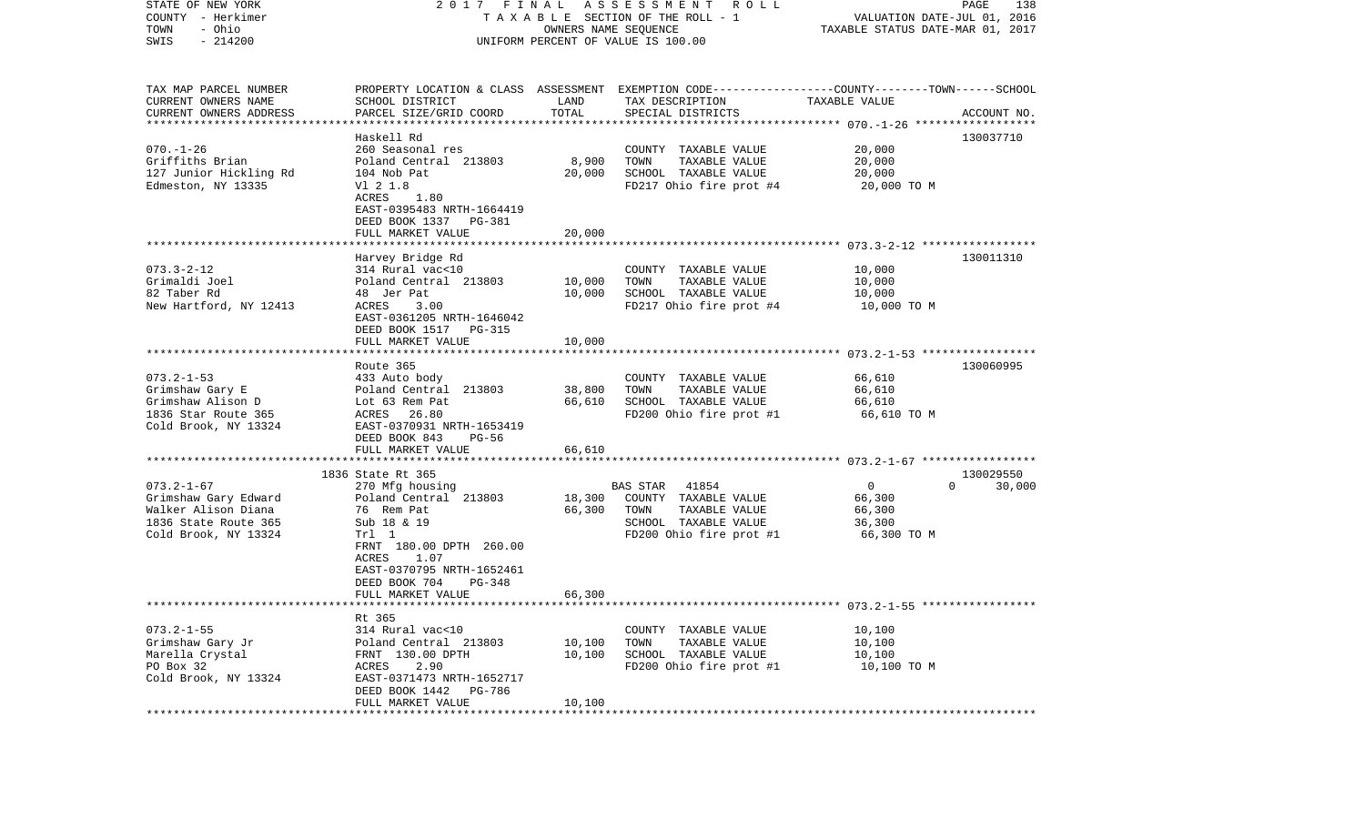| STATE OF NEW YORK<br>COUNTY - Herkimer<br>- Ohio<br>TOWN<br>$-214200$<br>SWIS | 2017 FINAL                                                             | OWNERS NAME SEQUENCE | A S S E S S M E N T<br><b>ROLL</b><br>TAXABLE SECTION OF THE ROLL - 1<br>UNIFORM PERCENT OF VALUE IS 100.00        | VALUATION DATE-JUL 01, 2016<br>TAXABLE STATUS DATE-MAR 01, 2017 | PAGE<br>138        |
|-------------------------------------------------------------------------------|------------------------------------------------------------------------|----------------------|--------------------------------------------------------------------------------------------------------------------|-----------------------------------------------------------------|--------------------|
| TAX MAP PARCEL NUMBER<br>CURRENT OWNERS NAME                                  | SCHOOL DISTRICT                                                        | LAND                 | PROPERTY LOCATION & CLASS ASSESSMENT EXEMPTION CODE---------------COUNTY-------TOWN------SCHOOL<br>TAX DESCRIPTION | TAXABLE VALUE                                                   |                    |
| CURRENT OWNERS ADDRESS<br>************************                            | PARCEL SIZE/GRID COORD                                                 | TOTAL                | SPECIAL DISTRICTS                                                                                                  |                                                                 | ACCOUNT NO.        |
|                                                                               | Haskell Rd                                                             |                      |                                                                                                                    |                                                                 | 130037710          |
| $070. - 1 - 26$                                                               | 260 Seasonal res                                                       |                      | COUNTY TAXABLE VALUE                                                                                               | 20,000                                                          |                    |
| Griffiths Brian                                                               | Poland Central 213803                                                  | 8,900                | TOWN<br>TAXABLE VALUE                                                                                              | 20,000                                                          |                    |
| 127 Junior Hickling Rd<br>Edmeston, NY 13335                                  | 104 Nob Pat<br>V1 2 1.8                                                | 20,000               | SCHOOL TAXABLE VALUE<br>FD217 Ohio fire prot #4                                                                    | 20,000<br>20,000 TO M                                           |                    |
|                                                                               | ACRES<br>1.80                                                          |                      |                                                                                                                    |                                                                 |                    |
|                                                                               | EAST-0395483 NRTH-1664419<br>DEED BOOK 1337 PG-381                     |                      |                                                                                                                    |                                                                 |                    |
|                                                                               | FULL MARKET VALUE                                                      | 20,000               |                                                                                                                    |                                                                 |                    |
|                                                                               |                                                                        |                      |                                                                                                                    |                                                                 | 130011310          |
| $073.3 - 2 - 12$                                                              | Harvey Bridge Rd<br>314 Rural vac<10                                   |                      | COUNTY TAXABLE VALUE                                                                                               | 10,000                                                          |                    |
| Grimaldi Joel                                                                 | Poland Central 213803                                                  | 10,000               | TOWN<br>TAXABLE VALUE                                                                                              | 10,000                                                          |                    |
| 82 Taber Rd                                                                   | 48 Jer Pat                                                             | 10,000               | SCHOOL TAXABLE VALUE                                                                                               | 10,000                                                          |                    |
| New Hartford, NY 12413                                                        | ACRES<br>3.00<br>EAST-0361205 NRTH-1646042<br>DEED BOOK 1517<br>PG-315 |                      | FD217 Ohio fire prot #4                                                                                            | 10,000 TO M                                                     |                    |
|                                                                               | FULL MARKET VALUE                                                      | 10,000               |                                                                                                                    |                                                                 |                    |
|                                                                               | Route 365                                                              |                      |                                                                                                                    |                                                                 | 130060995          |
| $073.2 - 1 - 53$                                                              | 433 Auto body                                                          |                      | COUNTY TAXABLE VALUE                                                                                               | 66,610                                                          |                    |
| Grimshaw Gary E                                                               | Poland Central 213803                                                  | 38,800               | TOWN<br>TAXABLE VALUE                                                                                              | 66,610                                                          |                    |
| Grimshaw Alison D<br>1836 Star Route 365                                      | Lot 63 Rem Pat<br>ACRES<br>26.80                                       | 66,610               | SCHOOL TAXABLE VALUE<br>FD200 Ohio fire prot #1                                                                    | 66,610<br>66,610 TO M                                           |                    |
| Cold Brook, NY 13324                                                          | EAST-0370931 NRTH-1653419<br>DEED BOOK 843<br>PG-56                    |                      |                                                                                                                    |                                                                 |                    |
|                                                                               | FULL MARKET VALUE                                                      | 66,610               |                                                                                                                    |                                                                 |                    |
|                                                                               | ************************<br>1836 State Rt 365                          |                      |                                                                                                                    |                                                                 | 130029550          |
| $073.2 - 1 - 67$                                                              | 270 Mfg housing                                                        |                      | <b>BAS STAR</b><br>41854                                                                                           | $\mathbf 0$                                                     | $\Omega$<br>30,000 |
| Grimshaw Gary Edward                                                          | Poland Central 213803                                                  | 18,300               | COUNTY TAXABLE VALUE                                                                                               | 66,300                                                          |                    |
| Walker Alison Diana                                                           | 76 Rem Pat                                                             | 66,300               | TOWN<br>TAXABLE VALUE                                                                                              | 66,300                                                          |                    |
| 1836 State Route 365                                                          | Sub 18 & 19                                                            |                      | SCHOOL TAXABLE VALUE                                                                                               | 36,300                                                          |                    |
| Cold Brook, NY 13324                                                          | Trl 1<br>FRNT 180.00 DPTH 260.00<br>ACRES<br>1.07                      |                      | FD200 Ohio fire prot #1                                                                                            | 66,300 TO M                                                     |                    |
|                                                                               | EAST-0370795 NRTH-1652461                                              |                      |                                                                                                                    |                                                                 |                    |
|                                                                               | DEED BOOK 704<br>PG-348<br>FULL MARKET VALUE                           |                      |                                                                                                                    |                                                                 |                    |
|                                                                               |                                                                        | 66,300               |                                                                                                                    |                                                                 |                    |
|                                                                               | Rt 365                                                                 |                      |                                                                                                                    |                                                                 |                    |
| $073.2 - 1 - 55$                                                              | 314 Rural vac<10                                                       |                      | COUNTY TAXABLE VALUE                                                                                               | 10,100                                                          |                    |
| Grimshaw Gary Jr<br>Marella Crystal                                           | Poland Central 213803<br>FRNT 130.00 DPTH                              | 10,100<br>10,100     | TOWN<br>TAXABLE VALUE<br>SCHOOL TAXABLE VALUE                                                                      | 10,100<br>10,100                                                |                    |
| PO Box 32                                                                     | ACRES<br>2.90                                                          |                      | FD200 Ohio fire prot #1                                                                                            | 10,100 TO M                                                     |                    |
| Cold Brook, NY 13324                                                          | EAST-0371473 NRTH-1652717<br>DEED BOOK 1442<br>PG-786                  |                      |                                                                                                                    |                                                                 |                    |
|                                                                               | FULL MARKET VALUE                                                      | 10,100               |                                                                                                                    |                                                                 |                    |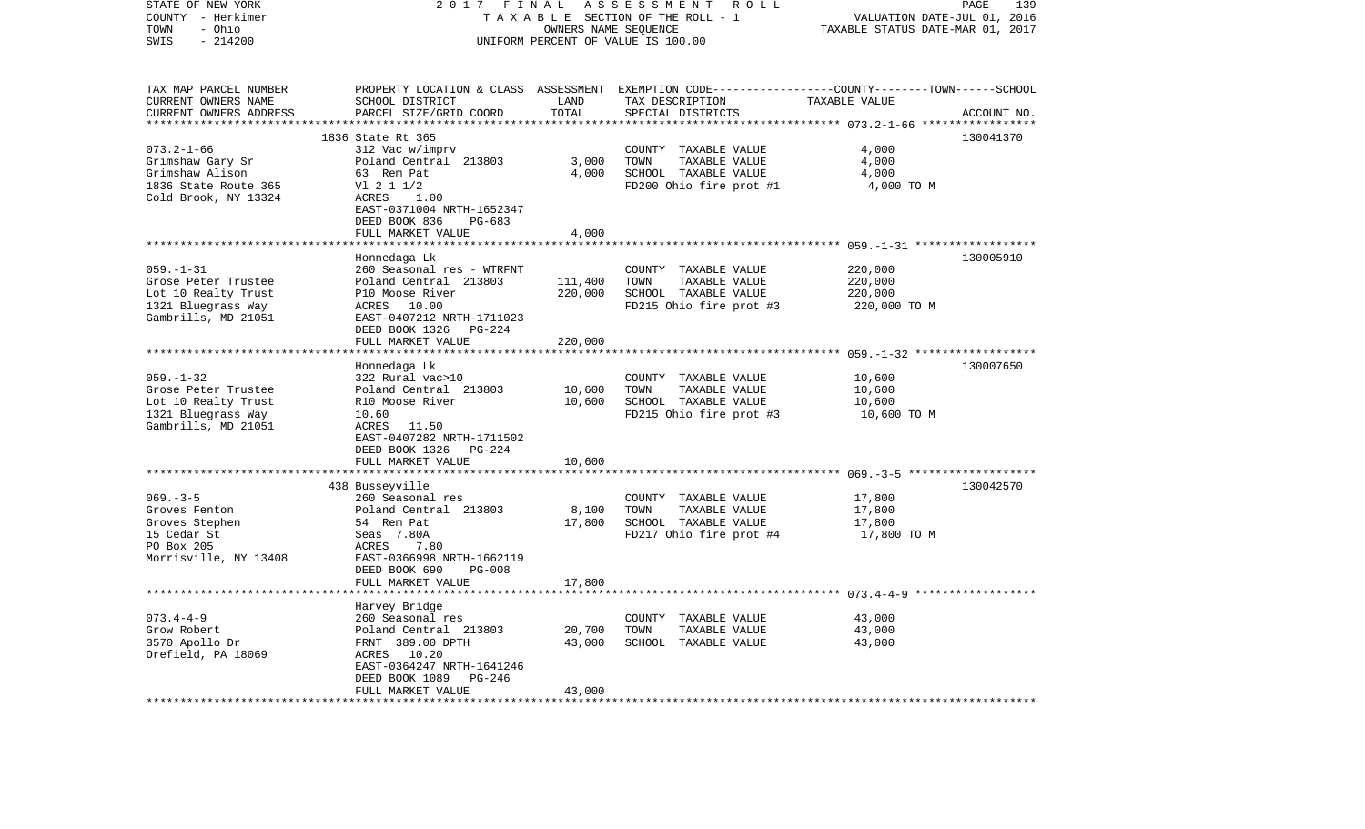| STATE OF NEW YORK<br>COUNTY - Herkimer<br>- Ohio<br>TOWN | 2017                                      | FINAL            | ASSESSMENT<br>R O L L<br>TAXABLE SECTION OF THE ROLL - 1<br>OWNERS NAME SEQUENCE                                   | VALUATION DATE-JUL 01, 2016<br>TAXABLE STATUS DATE-MAR 01, 2017 | PAGE<br>139 |
|----------------------------------------------------------|-------------------------------------------|------------------|--------------------------------------------------------------------------------------------------------------------|-----------------------------------------------------------------|-------------|
| $-214200$<br>SWIS                                        |                                           |                  | UNIFORM PERCENT OF VALUE IS 100.00                                                                                 |                                                                 |             |
| TAX MAP PARCEL NUMBER<br>CURRENT OWNERS NAME             | SCHOOL DISTRICT                           | LAND             | PROPERTY LOCATION & CLASS ASSESSMENT EXEMPTION CODE---------------COUNTY-------TOWN------SCHOOL<br>TAX DESCRIPTION | TAXABLE VALUE                                                   |             |
| CURRENT OWNERS ADDRESS                                   | PARCEL SIZE/GRID COORD                    | TOTAL            | SPECIAL DISTRICTS                                                                                                  |                                                                 | ACCOUNT NO. |
|                                                          |                                           |                  |                                                                                                                    | ********* 073.2-1-66 *****                                      |             |
|                                                          | 1836 State Rt 365                         |                  |                                                                                                                    |                                                                 | 130041370   |
| $073.2 - 1 - 66$                                         | 312 Vac w/imprv                           |                  | COUNTY TAXABLE VALUE                                                                                               | 4,000                                                           |             |
| Grimshaw Gary Sr                                         | Poland Central 213803                     | 3,000            | TOWN<br>TAXABLE VALUE                                                                                              | 4,000                                                           |             |
| Grimshaw Alison                                          | 63 Rem Pat                                | 4,000            | SCHOOL TAXABLE VALUE                                                                                               | 4,000                                                           |             |
| 1836 State Route 365<br>Cold Brook, NY 13324             | $VI$ 2 1 1/2<br>ACRES<br>1.00             |                  | FD200 Ohio fire prot #1                                                                                            | 4,000 TO M                                                      |             |
|                                                          | EAST-0371004 NRTH-1652347                 |                  |                                                                                                                    |                                                                 |             |
|                                                          | DEED BOOK 836<br>PG-683                   |                  |                                                                                                                    |                                                                 |             |
|                                                          | FULL MARKET VALUE                         | 4,000            |                                                                                                                    |                                                                 |             |
|                                                          |                                           |                  |                                                                                                                    |                                                                 |             |
|                                                          | Honnedaga Lk                              |                  |                                                                                                                    |                                                                 | 130005910   |
| $059. - 1 - 31$                                          | 260 Seasonal res - WTRFNT                 |                  | COUNTY TAXABLE VALUE                                                                                               | 220,000                                                         |             |
| Grose Peter Trustee                                      | Poland Central 213803                     | 111,400          | TOWN<br>TAXABLE VALUE                                                                                              | 220,000                                                         |             |
| Lot 10 Realty Trust<br>1321 Bluegrass Way                | P10 Moose River<br>10.00<br>ACRES         | 220,000          | SCHOOL TAXABLE VALUE<br>FD215 Ohio fire prot #3                                                                    | 220,000<br>220,000 TO M                                         |             |
| Gambrills, MD 21051                                      | EAST-0407212 NRTH-1711023                 |                  |                                                                                                                    |                                                                 |             |
|                                                          | DEED BOOK 1326<br>PG-224                  |                  |                                                                                                                    |                                                                 |             |
|                                                          | FULL MARKET VALUE                         | 220,000          |                                                                                                                    |                                                                 |             |
|                                                          |                                           | *************    |                                                                                                                    |                                                                 |             |
|                                                          | Honnedaga Lk                              |                  |                                                                                                                    |                                                                 | 130007650   |
| $059. -1 - 32$                                           | 322 Rural vac>10                          |                  | COUNTY TAXABLE VALUE                                                                                               | 10,600                                                          |             |
| Grose Peter Trustee                                      | Poland Central 213803                     | 10,600           | TOWN<br>TAXABLE VALUE                                                                                              | 10,600                                                          |             |
| Lot 10 Realty Trust                                      | R10 Moose River                           | 10,600           | SCHOOL TAXABLE VALUE                                                                                               | 10,600                                                          |             |
| 1321 Bluegrass Way<br>Gambrills, MD 21051                | 10.60<br>ACRES<br>11.50                   |                  | FD215 Ohio fire prot #3                                                                                            | 10,600 TO M                                                     |             |
|                                                          | EAST-0407282 NRTH-1711502                 |                  |                                                                                                                    |                                                                 |             |
|                                                          | DEED BOOK 1326<br>PG-224                  |                  |                                                                                                                    |                                                                 |             |
|                                                          | FULL MARKET VALUE                         | 10,600           |                                                                                                                    |                                                                 |             |
|                                                          |                                           |                  |                                                                                                                    |                                                                 |             |
|                                                          | 438 Busseyville                           |                  |                                                                                                                    |                                                                 | 130042570   |
| $069. -3 - 5$                                            | 260 Seasonal res                          |                  | COUNTY TAXABLE VALUE                                                                                               | 17,800                                                          |             |
| Groves Fenton                                            | Poland Central 213803                     | 8,100            | TOWN<br>TAXABLE VALUE                                                                                              | 17,800                                                          |             |
| Groves Stephen<br>15 Cedar St                            | 54 Rem Pat<br>Seas 7.80A                  | 17,800           | SCHOOL TAXABLE VALUE<br>FD217 Ohio fire prot #4                                                                    | 17,800<br>17,800 TO M                                           |             |
| PO Box 205                                               | ACRES<br>7.80                             |                  |                                                                                                                    |                                                                 |             |
| Morrisville, NY 13408                                    | EAST-0366998 NRTH-1662119                 |                  |                                                                                                                    |                                                                 |             |
|                                                          | DEED BOOK 690<br>$PG-008$                 |                  |                                                                                                                    |                                                                 |             |
|                                                          | FULL MARKET VALUE                         | 17,800           |                                                                                                                    |                                                                 |             |
|                                                          |                                           |                  |                                                                                                                    | ********************** 073.4-4-9 *******************            |             |
|                                                          | Harvey Bridge                             |                  |                                                                                                                    |                                                                 |             |
| $073.4 - 4 - 9$                                          | 260 Seasonal res                          |                  | COUNTY TAXABLE VALUE                                                                                               | 43,000                                                          |             |
| Grow Robert<br>3570 Apollo Dr                            | Poland Central 213803<br>FRNT 389.00 DPTH | 20,700<br>43,000 | TOWN<br>TAXABLE VALUE<br>SCHOOL TAXABLE VALUE                                                                      | 43,000<br>43,000                                                |             |
| Orefield, PA 18069                                       | ACRES<br>10.20                            |                  |                                                                                                                    |                                                                 |             |
|                                                          | EAST-0364247 NRTH-1641246                 |                  |                                                                                                                    |                                                                 |             |
|                                                          | DEED BOOK 1089<br>PG-246                  |                  |                                                                                                                    |                                                                 |             |
|                                                          | FULL MARKET VALUE                         | 43,000           |                                                                                                                    |                                                                 |             |
|                                                          | *****************                         |                  |                                                                                                                    |                                                                 |             |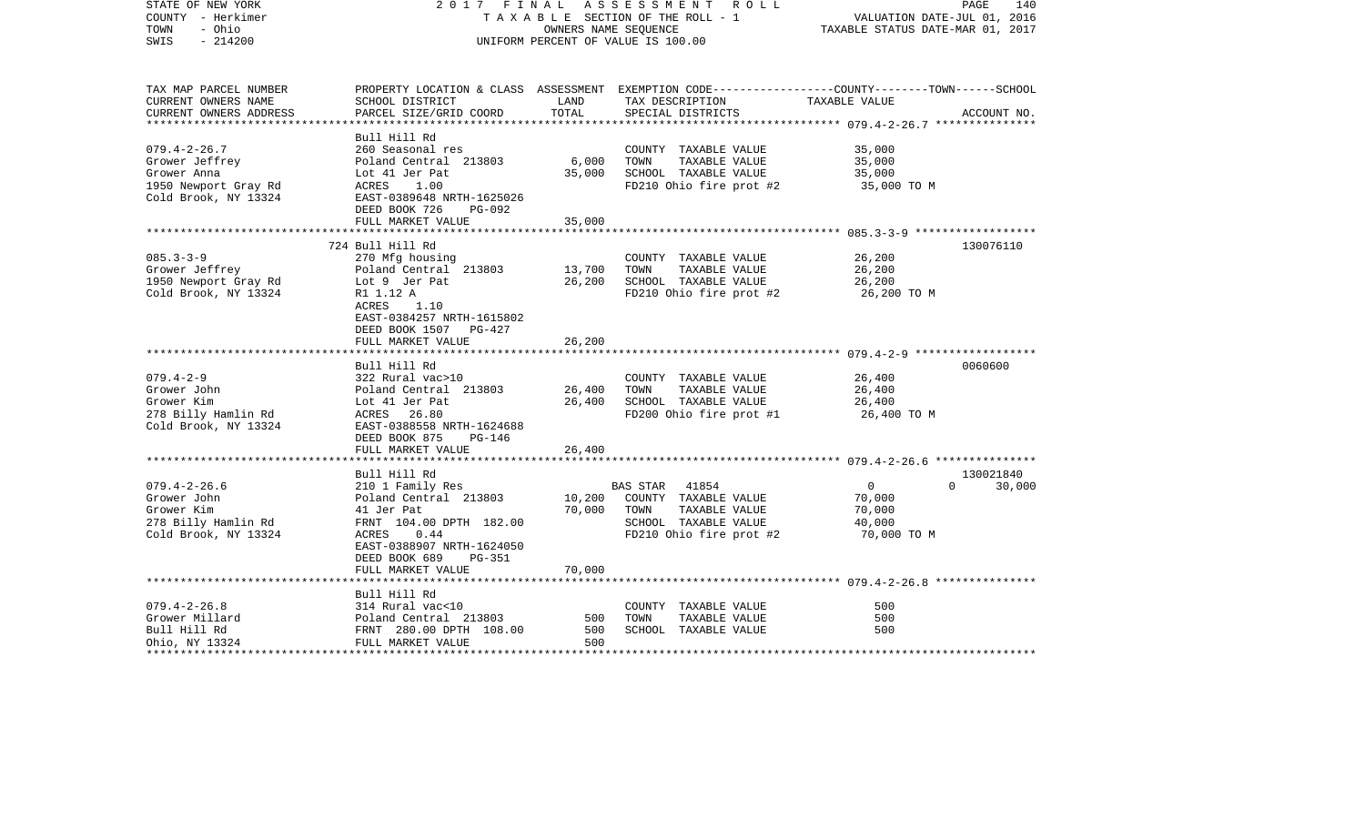| STATE OF NEW YORK<br>COUNTY - Herkimer<br>- Ohio<br>TOWN<br>$-214200$<br>SWIS                       | 2017 FINAL                                                                                                                                                                             |                                     | ASSESSMENT ROLL<br>TAXABLE SECTION OF THE ROLL - 1<br>OWNERS NAME SEQUENCE<br>UNIFORM PERCENT OF VALUE IS 100.00                                      | VALUATION DATE-JUL 01, 2016<br>TAXABLE STATUS DATE-MAR 01, 2017 | PAGE<br>140         |
|-----------------------------------------------------------------------------------------------------|----------------------------------------------------------------------------------------------------------------------------------------------------------------------------------------|-------------------------------------|-------------------------------------------------------------------------------------------------------------------------------------------------------|-----------------------------------------------------------------|---------------------|
| TAX MAP PARCEL NUMBER<br>CURRENT OWNERS NAME<br>CURRENT OWNERS ADDRESS                              | SCHOOL DISTRICT<br>PARCEL SIZE/GRID COORD                                                                                                                                              | LAND<br>TOTAL                       | PROPERTY LOCATION & CLASS ASSESSMENT EXEMPTION CODE---------------COUNTY-------TOWN------SCHOOL<br>TAX DESCRIPTION TAXABLE VALUE<br>SPECIAL DISTRICTS |                                                                 | ACCOUNT NO.         |
| $079.4 - 2 - 26.7$<br>Grower Jeffrey<br>Grower Anna<br>1950 Newport Gray Rd<br>Cold Brook, NY 13324 | Bull Hill Rd<br>260 Seasonal res<br>Poland Central 213803 6,000<br>Lot 41 Jer Pat<br>ACRES<br>1.00<br>EAST-0389648 NRTH-1625026<br>DEED BOOK 726<br>PG-092                             | 35,000                              | COUNTY TAXABLE VALUE<br>TOWN<br>TAXABLE VALUE<br>SCHOOL TAXABLE VALUE<br>FD210 Ohio fire prot #2 35,000 TO M                                          | 35,000<br>35,000<br>35,000                                      |                     |
|                                                                                                     | FULL MARKET VALUE                                                                                                                                                                      | 35,000                              |                                                                                                                                                       |                                                                 |                     |
| $085.3 - 3 - 9$<br>Grower Jeffrey<br>1950 Newport Gray Rd<br>Cold Brook, NY 13324                   | 724 Bull Hill Rd<br>270 Mfg housing<br>Poland Central 213803<br>Lot 9 Jer Pat<br>R1 1.12 A<br>ACRES<br>1.10<br>EAST-0384257 NRTH-1615802<br>DEED BOOK 1507 PG-427<br>FULL MARKET VALUE | 13,700<br>26,200<br>26,200          | COUNTY TAXABLE VALUE<br>TOWN<br>TAXABLE VALUE<br>SCHOOL TAXABLE VALUE<br>FD210 Ohio fire prot #2                                                      | 26,200<br>26,200<br>26,200<br>26,200 TO M                       | 130076110           |
|                                                                                                     |                                                                                                                                                                                        | *****************                   |                                                                                                                                                       |                                                                 |                     |
| $079.4 - 2 - 9$<br>Grower John<br>Grower Kim<br>278 Billy Hamlin Rd<br>Cold Brook, NY 13324         | Bull Hill Rd<br>322 Rural vac>10<br>Poland Central 213803 26,400<br>Lot 41 Jer Pat<br>ACRES 26.80<br>EAST-0388558 NRTH-1624688<br>DEED BOOK 875<br>PG-146                              | 26,400                              | COUNTY TAXABLE VALUE<br>TOWN<br>TAXABLE VALUE<br>SCHOOL TAXABLE VALUE<br>$FD200$ Ohio fire prot #1 26,400 TO M                                        | 26,400<br>26,400<br>26,400                                      | 0060600             |
|                                                                                                     | FULL MARKET VALUE                                                                                                                                                                      | 26,400                              |                                                                                                                                                       |                                                                 |                     |
| $079.4 - 2 - 26.6$<br>Grower John                                                                   | Bull Hill Rd<br>210 1 Family Res<br>Poland Central 213803                                                                                                                              | 10,200                              | BAS STAR<br>41854<br>COUNTY TAXABLE VALUE                                                                                                             | $\overline{0}$<br>$\Omega$<br>70,000                            | 130021840<br>30,000 |
| Grower Kim<br>278 Billy Hamlin Rd<br>Cold Brook, NY 13324                                           | 41 Jer Pat<br>FRNT 104.00 DPTH 182.00<br>ACRES<br>0.44<br>EAST-0388907 NRTH-1624050<br>DEED BOOK 689<br>PG-351                                                                         | 70,000                              | TOWN<br>TAXABLE VALUE<br>SCHOOL TAXABLE VALUE<br>FD210 Ohio fire prot #2                                                                              | 70,000<br>40,000<br>70,000 TO M                                 |                     |
|                                                                                                     | FULL MARKET VALUE                                                                                                                                                                      | 70,000                              |                                                                                                                                                       |                                                                 |                     |
| $079.4 - 2 - 26.8$<br>Ohio, NY 13324<br>*************************************                       | Bull Hill Rd<br>314 Rural vac<10<br>FRNT 280.00 DPTH 108.00<br>FULL MARKET VALUE                                                                                                       | 500<br>500<br>500<br>************** | COUNTY TAXABLE VALUE<br>TOWN<br>TAXABLE VALUE<br>SCHOOL TAXABLE VALUE                                                                                 | 500<br>500<br>500                                               |                     |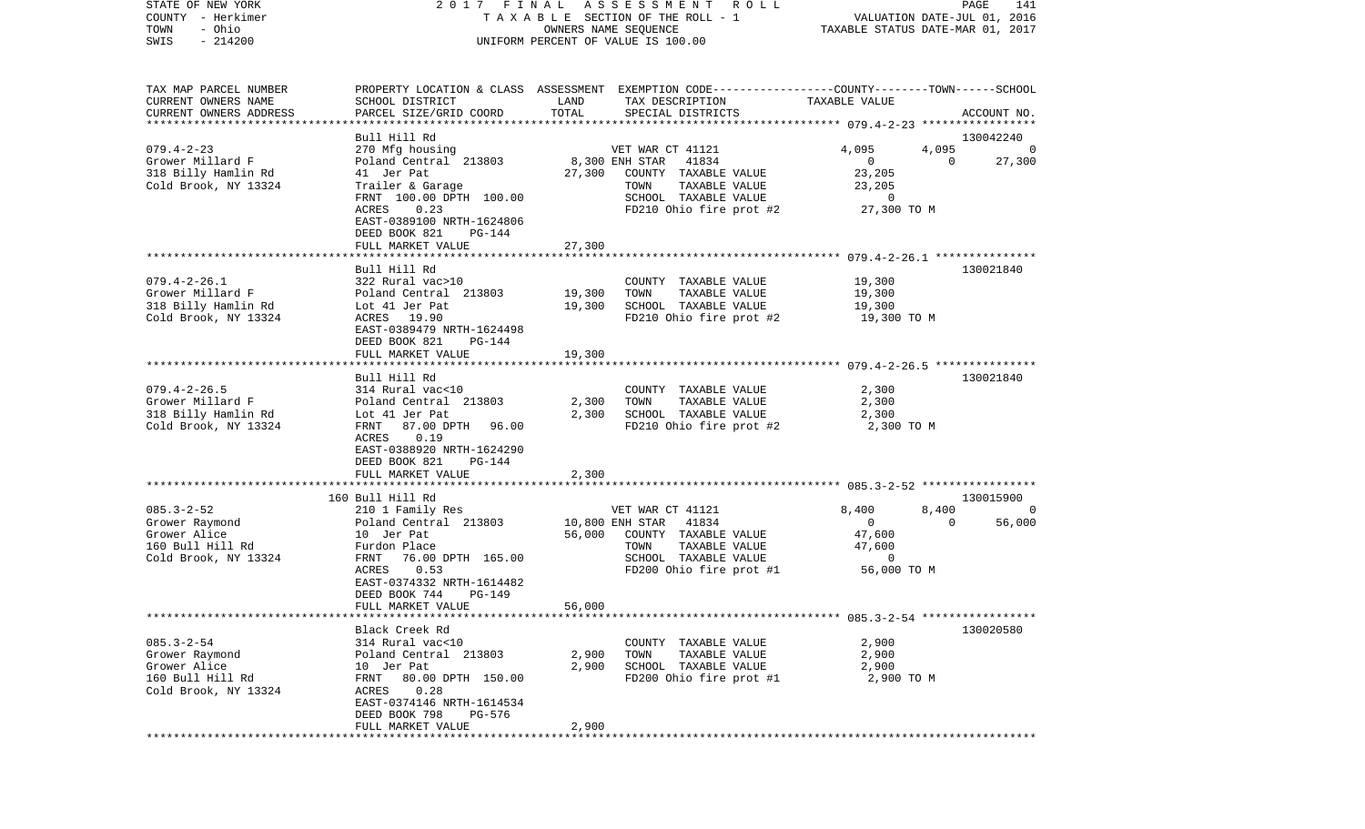| STATE OF NEW YORK      | 2017 FINAL                                         |                 | A S S E S S M E N T A O L L                                                                     |                | PAGE<br>141                       |
|------------------------|----------------------------------------------------|-----------------|-------------------------------------------------------------------------------------------------|----------------|-----------------------------------|
| COUNTY - Herkimer      |                                                    |                 | TAXABLE SECTION OF THE ROLL - 1                                                                 |                | VALUATION DATE-JUL 01, 2016       |
| - Ohio<br>TOWN         |                                                    |                 | OWNERS NAME SEQUENCE                                                                            |                | TAXABLE STATUS DATE-MAR 01, 2017  |
| $-214200$<br>SWIS      |                                                    |                 | UNIFORM PERCENT OF VALUE IS 100.00                                                              |                |                                   |
|                        |                                                    |                 |                                                                                                 |                |                                   |
|                        |                                                    |                 |                                                                                                 |                |                                   |
| TAX MAP PARCEL NUMBER  |                                                    |                 | PROPERTY LOCATION & CLASS ASSESSMENT EXEMPTION CODE---------------COUNTY-------TOWN------SCHOOL |                |                                   |
| CURRENT OWNERS NAME    | SCHOOL DISTRICT                                    | LAND            | TAX DESCRIPTION                                                                                 | TAXABLE VALUE  |                                   |
| CURRENT OWNERS ADDRESS | PARCEL SIZE/GRID COORD                             | TOTAL           | SPECIAL DISTRICTS                                                                               |                | ACCOUNT NO.                       |
| ********************** |                                                    |                 |                                                                                                 |                |                                   |
|                        | Bull Hill Rd                                       |                 |                                                                                                 |                | 130042240                         |
| $079.4 - 2 - 23$       | 270 Mfg housing                                    |                 | VET WAR CT 41121                                                                                | 4,095          | 4,095<br>0                        |
| Grower Millard F       | Poland Central 213803                              |                 | 8,300 ENH STAR<br>41834                                                                         | $\overline{0}$ | 27,300<br>$\overline{0}$          |
| 318 Billy Hamlin Rd    | 41 Jer Pat                                         | 27,300          | COUNTY TAXABLE VALUE                                                                            | 23,205         |                                   |
| Cold Brook, NY 13324   | Trailer & Garage                                   |                 | TAXABLE VALUE<br>TOWN                                                                           | 23,205         |                                   |
|                        | FRNT 100.00 DPTH 100.00                            |                 | SCHOOL TAXABLE VALUE                                                                            | $\overline{0}$ |                                   |
|                        | ACRES<br>0.23                                      |                 | FD210 Ohio fire prot #2                                                                         | 27,300 TO M    |                                   |
|                        | EAST-0389100 NRTH-1624806                          |                 |                                                                                                 |                |                                   |
|                        | DEED BOOK 821<br>PG-144                            |                 |                                                                                                 |                |                                   |
|                        | FULL MARKET VALUE                                  | 27,300          |                                                                                                 |                |                                   |
|                        |                                                    |                 |                                                                                                 |                |                                   |
|                        | Bull Hill Rd                                       |                 |                                                                                                 |                | 130021840                         |
| $079.4 - 2 - 26.1$     | 322 Rural vac>10                                   |                 | COUNTY TAXABLE VALUE                                                                            | 19,300         |                                   |
| Grower Millard F       | Poland Central 213803                              | 19,300          | TOWN<br>TAXABLE VALUE                                                                           | 19,300         |                                   |
| 318 Billy Hamlin Rd    | Lot 41 Jer Pat                                     | 19,300          | SCHOOL TAXABLE VALUE                                                                            | 19,300         |                                   |
| Cold Brook, NY 13324   | ACRES 19.90                                        |                 | FD210 Ohio fire prot #2                                                                         | 19,300 TO M    |                                   |
|                        | EAST-0389479 NRTH-1624498                          |                 |                                                                                                 |                |                                   |
|                        | DEED BOOK 821<br>PG-144                            |                 |                                                                                                 |                |                                   |
|                        | FULL MARKET VALUE                                  | 19,300          |                                                                                                 |                |                                   |
|                        |                                                    |                 |                                                                                                 |                |                                   |
|                        | Bull Hill Rd                                       |                 |                                                                                                 |                | 130021840                         |
| $079.4 - 2 - 26.5$     | 314 Rural vac<10                                   |                 | COUNTY TAXABLE VALUE                                                                            | 2,300          |                                   |
| Grower Millard F       | Poland Central 213803                              | 2,300           | TAXABLE VALUE<br>TOWN                                                                           | 2,300          |                                   |
| 318 Billy Hamlin Rd    | Lot 41 Jer Pat                                     | 2,300           | SCHOOL TAXABLE VALUE                                                                            | 2,300          |                                   |
| Cold Brook, NY 13324   | 87.00 DPTH<br>FRNT<br>96.00                        |                 | FD210 Ohio fire prot #2                                                                         | 2,300 TO M     |                                   |
|                        | 0.19<br>ACRES                                      |                 |                                                                                                 |                |                                   |
|                        | EAST-0388920 NRTH-1624290                          |                 |                                                                                                 |                |                                   |
|                        | DEED BOOK 821<br>PG-144                            |                 |                                                                                                 |                |                                   |
|                        | FULL MARKET VALUE<br>***************************** | 2,300           |                                                                                                 |                |                                   |
|                        | 160 Bull Hill Rd                                   |                 |                                                                                                 |                | 130015900                         |
| $085.3 - 2 - 52$       | 210 1 Family Res                                   |                 | VET WAR CT 41121                                                                                | 8,400          | 8,400<br>$\overline{\phantom{0}}$ |
| Grower Raymond         | Poland Central 213803                              | 10,800 ENH STAR | 41834                                                                                           | $\overline{0}$ | 56,000<br>$\Omega$                |
| Grower Alice           | 10 Jer Pat                                         | 56,000          | COUNTY TAXABLE VALUE                                                                            | 47,600         |                                   |
| 160 Bull Hill Rd       | Furdon Place                                       |                 | TAXABLE VALUE<br>TOWN                                                                           | 47,600         |                                   |
| Cold Brook, NY 13324   | FRNT 76.00 DPTH 165.00                             |                 | SCHOOL TAXABLE VALUE                                                                            | $\mathbf 0$    |                                   |
|                        | ACRES<br>0.53                                      |                 | FD200 Ohio fire prot #1                                                                         | 56,000 TO M    |                                   |
|                        | EAST-0374332 NRTH-1614482                          |                 |                                                                                                 |                |                                   |
|                        | DEED BOOK 744<br><b>PG-149</b>                     |                 |                                                                                                 |                |                                   |
|                        | FULL MARKET VALUE                                  | 56,000          |                                                                                                 |                |                                   |
|                        |                                                    |                 |                                                                                                 |                |                                   |
|                        | Black Creek Rd                                     |                 |                                                                                                 |                | 130020580                         |
| $085.3 - 2 - 54$       | 314 Rural vac<10                                   |                 | COUNTY TAXABLE VALUE                                                                            | 2,900          |                                   |
| Grower Raymond         | Poland Central 213803                              | 2,900           | TOWN<br>TAXABLE VALUE                                                                           | 2,900          |                                   |
| Grower Alice           | 10 Jer Pat                                         | 2,900           | SCHOOL TAXABLE VALUE                                                                            | 2,900          |                                   |
| 160 Bull Hill Rd       | FRNT 80.00 DPTH 150.00                             |                 | FD200 Ohio fire prot #1                                                                         | 2,900 TO M     |                                   |
| Cold Brook, NY 13324   | ACRES 0.28                                         |                 |                                                                                                 |                |                                   |
|                        | EAST-0374146 NRTH-1614534                          |                 |                                                                                                 |                |                                   |
|                        | DEED BOOK 798<br>PG-576                            |                 |                                                                                                 |                |                                   |
|                        | FULL MARKET VALUE                                  | 2,900           |                                                                                                 |                |                                   |
|                        |                                                    |                 |                                                                                                 |                |                                   |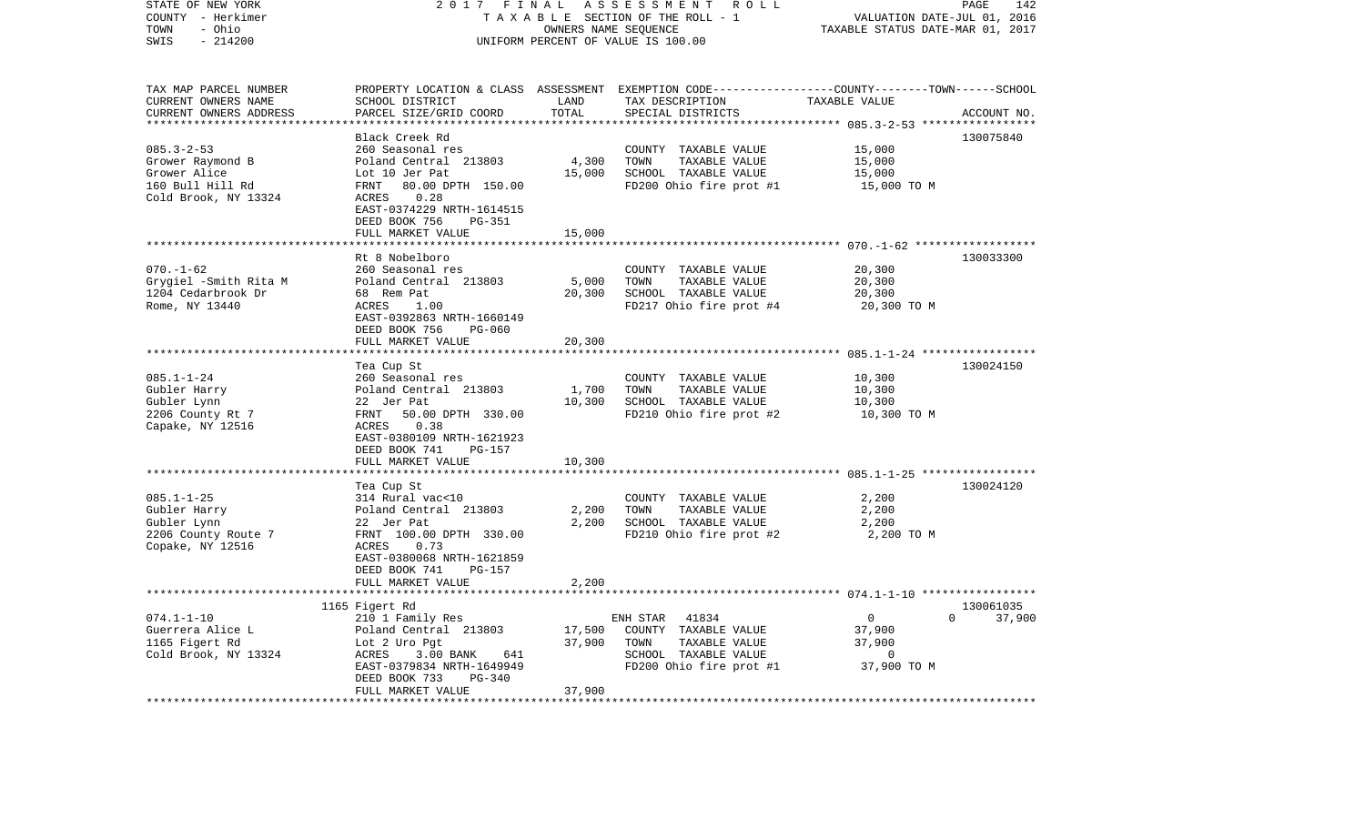| STATE OF NEW YORK<br>COUNTY - Herkimer<br>- Ohio<br>TOWN<br>SWIS<br>$-214200$                    | 2017<br>FINAL                                                                                                                                                                                                   | OWNERS NAME SEQUENCE          | ASSESSMENT ROLL<br>TAXABLE SECTION OF THE ROLL - 1<br>UNIFORM PERCENT OF VALUE IS 100.00                                                | VALUATION DATE-JUL 01, 2016<br>TAXABLE STATUS DATE-MAR 01, 2017 | PAGE<br>142                     |
|--------------------------------------------------------------------------------------------------|-----------------------------------------------------------------------------------------------------------------------------------------------------------------------------------------------------------------|-------------------------------|-----------------------------------------------------------------------------------------------------------------------------------------|-----------------------------------------------------------------|---------------------------------|
| TAX MAP PARCEL NUMBER<br>CURRENT OWNERS NAME<br>CURRENT OWNERS ADDRESS                           | SCHOOL DISTRICT<br>PARCEL SIZE/GRID COORD                                                                                                                                                                       | LAND<br>TOTAL<br>************ | PROPERTY LOCATION & CLASS ASSESSMENT EXEMPTION CODE---------------COUNTY-------TOWN------SCHOOL<br>TAX DESCRIPTION<br>SPECIAL DISTRICTS | TAXABLE VALUE<br>*********** 085.3-2-53 *****                   | ACCOUNT NO.                     |
| $085.3 - 2 - 53$<br>Grower Raymond B<br>Grower Alice<br>160 Bull Hill Rd<br>Cold Brook, NY 13324 | Black Creek Rd<br>260 Seasonal res<br>Poland Central 213803<br>Lot 10 Jer Pat<br>80.00 DPTH 150.00<br>FRNT<br>ACRES<br>0.28<br>EAST-0374229 NRTH-1614515<br>DEED BOOK 756<br><b>PG-351</b><br>FULL MARKET VALUE | 4,300<br>15,000<br>15,000     | COUNTY TAXABLE VALUE<br>TOWN<br>TAXABLE VALUE<br>SCHOOL TAXABLE VALUE<br>FD200 Ohio fire prot #1                                        | 15,000<br>15,000<br>15,000<br>15,000 TO M                       | 130075840                       |
|                                                                                                  |                                                                                                                                                                                                                 |                               |                                                                                                                                         |                                                                 |                                 |
| $070. - 1 - 62$<br>Grygiel -Smith Rita M<br>1204 Cedarbrook Dr<br>Rome, NY 13440                 | Rt 8 Nobelboro<br>260 Seasonal res<br>Poland Central 213803<br>68 Rem Pat<br>ACRES<br>1.00<br>EAST-0392863 NRTH-1660149<br>DEED BOOK 756<br><b>PG-060</b>                                                       | 5,000<br>20,300               | COUNTY TAXABLE VALUE<br>TOWN<br>TAXABLE VALUE<br>SCHOOL TAXABLE VALUE<br>FD217 Ohio fire prot #4                                        | 20,300<br>20,300<br>20,300<br>20,300 TO M                       | 130033300                       |
|                                                                                                  | FULL MARKET VALUE                                                                                                                                                                                               | 20,300                        |                                                                                                                                         |                                                                 |                                 |
|                                                                                                  | ********************************                                                                                                                                                                                |                               |                                                                                                                                         |                                                                 |                                 |
| $085.1 - 1 - 24$<br>Gubler Harry<br>Gubler Lynn<br>2206 County Rt 7<br>Capake, NY 12516          | Tea Cup St<br>260 Seasonal res<br>Poland Central 213803<br>22 Jer Pat<br>50.00 DPTH 330.00<br>FRNT<br>ACRES<br>0.38<br>EAST-0380109 NRTH-1621923<br>DEED BOOK 741<br>PG-157<br>FULL MARKET VALUE                | 1,700<br>10,300<br>10,300     | COUNTY TAXABLE VALUE<br>TAXABLE VALUE<br>TOWN<br>SCHOOL TAXABLE VALUE<br>FD210 Ohio fire prot #2                                        | 10,300<br>10,300<br>10,300<br>10,300 TO M                       | 130024150                       |
|                                                                                                  | ************************                                                                                                                                                                                        |                               |                                                                                                                                         |                                                                 |                                 |
| $085.1 - 1 - 25$<br>Gubler Harry<br>Gubler Lynn<br>2206 County Route 7<br>Copake, NY 12516       | Tea Cup St<br>314 Rural vac<10<br>Poland Central 213803<br>22 Jer Pat<br>FRNT 100.00 DPTH 330.00<br>ACRES<br>0.73<br>EAST-0380068 NRTH-1621859<br>DEED BOOK 741<br>PG-157                                       | 2,200<br>2,200                | COUNTY TAXABLE VALUE<br>TOWN<br>TAXABLE VALUE<br>SCHOOL TAXABLE VALUE<br>FD210 Ohio fire prot #2                                        | 2,200<br>2,200<br>2,200<br>2,200 TO M                           | 130024120                       |
|                                                                                                  | FULL MARKET VALUE                                                                                                                                                                                               | 2,200                         |                                                                                                                                         |                                                                 |                                 |
|                                                                                                  |                                                                                                                                                                                                                 |                               |                                                                                                                                         |                                                                 |                                 |
| $074.1 - 1 - 10$<br>Guerrera Alice L<br>1165 Figert Rd<br>Cold Brook, NY 13324                   | 1165 Figert Rd<br>210 1 Family Res<br>Poland Central 213803<br>Lot 2 Uro Pgt<br>ACRES<br>3.00 BANK<br>641<br>EAST-0379834 NRTH-1649949<br>$PG-340$<br>DEED BOOK 733<br>FULL MARKET VALUE                        | 17,500<br>37,900<br>37,900    | ENH STAR<br>41834<br>COUNTY TAXABLE VALUE<br>TAXABLE VALUE<br>TOWN<br>SCHOOL TAXABLE VALUE<br>FD200 Ohio fire prot #1                   | $\overline{0}$<br>37,900<br>37,900<br>0<br>37,900 TO M          | 130061035<br>$\Omega$<br>37,900 |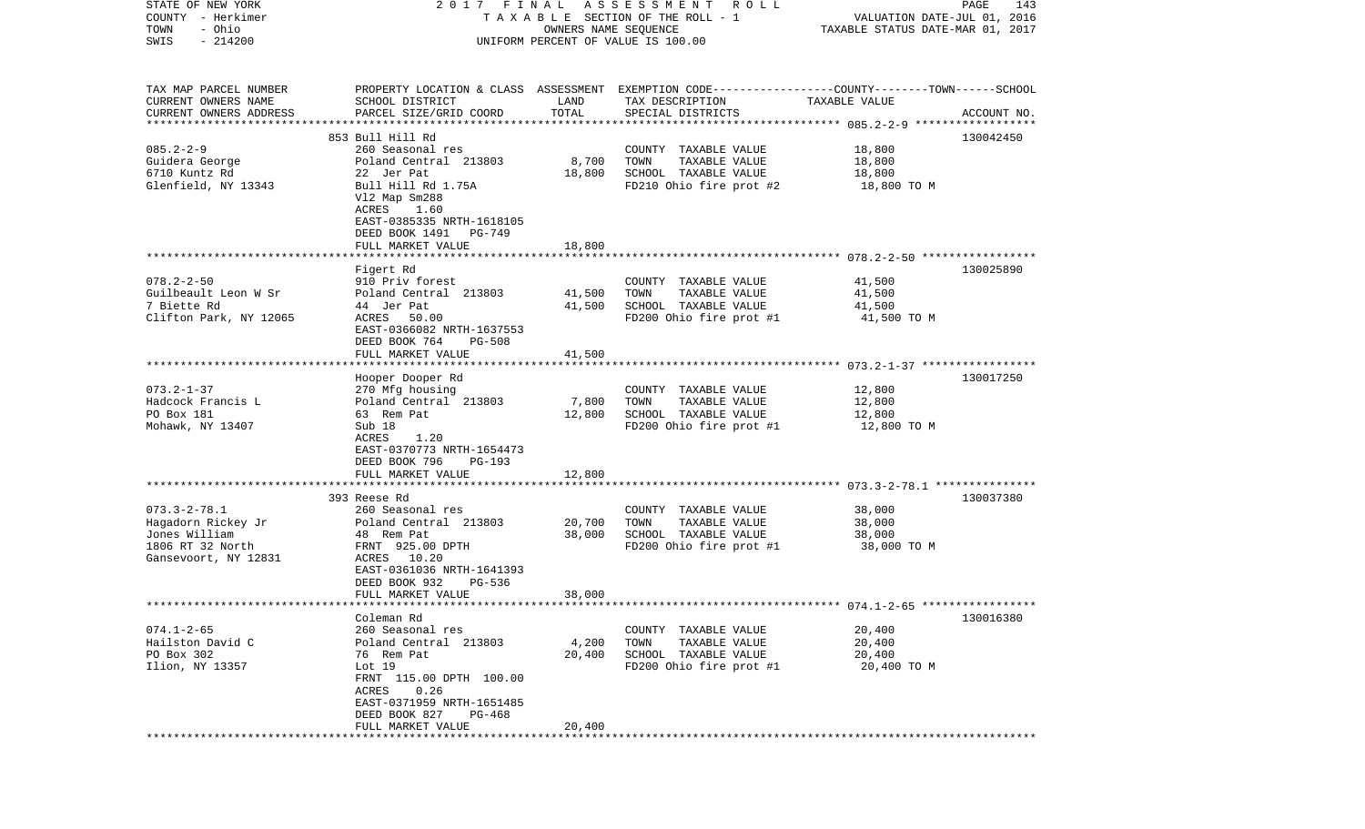| STATE OF NEW YORK                 | 2017 FINAL                                                                                      |        | A S S E S S M E N T A O L L                     |                                  | PAGE<br>143 |
|-----------------------------------|-------------------------------------------------------------------------------------------------|--------|-------------------------------------------------|----------------------------------|-------------|
| COUNTY - Herkimer                 |                                                                                                 |        | TAXABLE SECTION OF THE ROLL - 1                 | VALUATION DATE-JUL 01, 2016      |             |
| - Ohio<br>TOWN                    | OWNERS NAME SEQUENCE                                                                            |        |                                                 | TAXABLE STATUS DATE-MAR 01, 2017 |             |
| $-214200$<br>SWIS                 | UNIFORM PERCENT OF VALUE IS 100.00                                                              |        |                                                 |                                  |             |
|                                   |                                                                                                 |        |                                                 |                                  |             |
|                                   |                                                                                                 |        |                                                 |                                  |             |
| TAX MAP PARCEL NUMBER             | PROPERTY LOCATION & CLASS ASSESSMENT EXEMPTION CODE---------------COUNTY-------TOWN------SCHOOL |        |                                                 |                                  |             |
| CURRENT OWNERS NAME               | SCHOOL DISTRICT                                                                                 | LAND   | TAX DESCRIPTION                                 | TAXABLE VALUE                    |             |
| CURRENT OWNERS ADDRESS            | PARCEL SIZE/GRID COORD                                                                          | TOTAL  | SPECIAL DISTRICTS                               |                                  | ACCOUNT NO. |
| *************************         |                                                                                                 |        |                                                 |                                  |             |
| $085.2 - 2 - 9$                   | 853 Bull Hill Rd<br>260 Seasonal res                                                            |        |                                                 | 18,800                           | 130042450   |
| Guidera George                    | Poland Central 213803                                                                           | 8,700  | COUNTY TAXABLE VALUE<br>TOWN<br>TAXABLE VALUE   | 18,800                           |             |
| 6710 Kuntz Rd                     | 22 Jer Pat                                                                                      | 18,800 | SCHOOL TAXABLE VALUE                            | 18,800                           |             |
| Glenfield, NY 13343               | Bull Hill Rd 1.75A                                                                              |        | FD210 Ohio fire prot #2                         | 18,800 TO M                      |             |
|                                   | V12 Map Sm288                                                                                   |        |                                                 |                                  |             |
|                                   | ACRES<br>1.60                                                                                   |        |                                                 |                                  |             |
|                                   | EAST-0385335 NRTH-1618105                                                                       |        |                                                 |                                  |             |
|                                   | DEED BOOK 1491<br>PG-749                                                                        |        |                                                 |                                  |             |
|                                   | FULL MARKET VALUE                                                                               | 18,800 |                                                 |                                  |             |
|                                   |                                                                                                 |        |                                                 |                                  |             |
|                                   | Figert Rd                                                                                       |        |                                                 |                                  | 130025890   |
| $078.2 - 2 - 50$                  | 910 Priv forest                                                                                 |        | COUNTY TAXABLE VALUE                            | 41,500                           |             |
| Guilbeault Leon W Sr              | Poland Central 213803                                                                           | 41,500 | TOWN<br>TAXABLE VALUE                           | 41,500                           |             |
| 7 Biette Rd                       | 44 Jer Pat                                                                                      | 41,500 | SCHOOL TAXABLE VALUE                            | 41,500                           |             |
| Clifton Park, NY 12065            | ACRES 50.00                                                                                     |        | FD200 Ohio fire prot #1                         | 41,500 TO M                      |             |
|                                   | EAST-0366082 NRTH-1637553                                                                       |        |                                                 |                                  |             |
|                                   | DEED BOOK 764<br>PG-508                                                                         |        |                                                 |                                  |             |
|                                   | FULL MARKET VALUE                                                                               | 41,500 |                                                 |                                  |             |
|                                   |                                                                                                 |        |                                                 |                                  |             |
|                                   | Hooper Dooper Rd                                                                                |        |                                                 |                                  | 130017250   |
| $073.2 - 1 - 37$                  | 270 Mfg housing                                                                                 |        | COUNTY TAXABLE VALUE                            | 12,800                           |             |
| Hadcock Francis L                 | Poland Central 213803                                                                           | 7,800  | TOWN<br>TAXABLE VALUE                           | 12,800                           |             |
| PO Box 181                        | 63 Rem Pat                                                                                      | 12,800 | SCHOOL TAXABLE VALUE                            | 12,800                           |             |
| Mohawk, NY 13407                  | Sub 18                                                                                          |        | FD200 Ohio fire prot #1                         | 12,800 TO M                      |             |
|                                   | ACRES<br>1.20                                                                                   |        |                                                 |                                  |             |
|                                   | EAST-0370773 NRTH-1654473                                                                       |        |                                                 |                                  |             |
|                                   | DEED BOOK 796<br>PG-193                                                                         |        |                                                 |                                  |             |
|                                   | FULL MARKET VALUE                                                                               | 12,800 |                                                 |                                  |             |
|                                   | ****************************                                                                    |        |                                                 |                                  |             |
|                                   | 393 Reese Rd                                                                                    |        |                                                 |                                  | 130037380   |
| $073.3 - 2 - 78.1$                | 260 Seasonal res                                                                                |        | COUNTY TAXABLE VALUE                            | 38,000                           |             |
| Hagadorn Rickey Jr                | Poland Central 213803                                                                           | 20,700 | TOWN<br>TAXABLE VALUE                           | 38,000                           |             |
| Jones William<br>1806 RT 32 North | 48 Rem Pat<br>FRNT 925.00 DPTH                                                                  | 38,000 | SCHOOL TAXABLE VALUE<br>FD200 Ohio fire prot #1 | 38,000                           |             |
| Gansevoort, NY 12831              | ACRES 10.20                                                                                     |        |                                                 | 38,000 TO M                      |             |
|                                   | EAST-0361036 NRTH-1641393                                                                       |        |                                                 |                                  |             |
|                                   | DEED BOOK 932<br>PG-536                                                                         |        |                                                 |                                  |             |
|                                   | FULL MARKET VALUE                                                                               | 38,000 |                                                 |                                  |             |
|                                   |                                                                                                 |        |                                                 |                                  |             |
|                                   | Coleman Rd                                                                                      |        |                                                 |                                  | 130016380   |
| $074.1 - 2 - 65$                  | 260 Seasonal res                                                                                |        | COUNTY TAXABLE VALUE                            | 20,400                           |             |
| Hailston David C                  | Poland Central 213803                                                                           | 4,200  | TOWN<br>TAXABLE VALUE                           | 20,400                           |             |
| PO Box 302                        | 76 Rem Pat                                                                                      | 20,400 | SCHOOL TAXABLE VALUE                            | 20,400                           |             |
| Ilion, NY 13357                   | Lot $19$                                                                                        |        | FD200 Ohio fire prot #1                         | 20,400 TO M                      |             |
|                                   | FRNT 115.00 DPTH 100.00                                                                         |        |                                                 |                                  |             |
|                                   | 0.26<br>ACRES                                                                                   |        |                                                 |                                  |             |
|                                   | EAST-0371959 NRTH-1651485                                                                       |        |                                                 |                                  |             |
|                                   | DEED BOOK 827<br>PG-468                                                                         |        |                                                 |                                  |             |
|                                   | FULL MARKET VALUE                                                                               | 20,400 |                                                 |                                  |             |
|                                   |                                                                                                 |        |                                                 |                                  |             |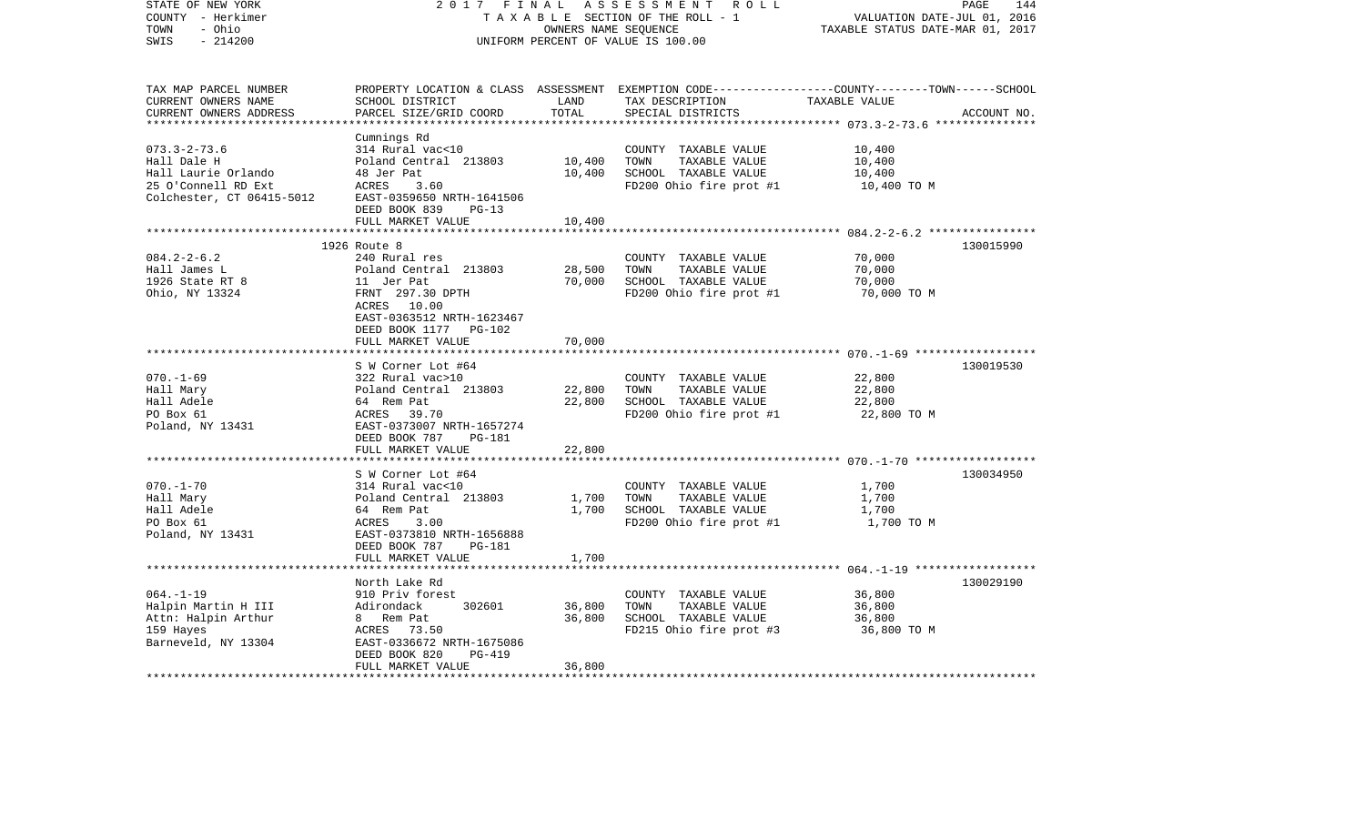| STATE OF NEW YORK<br>COUNTY - Herkimer<br>- Ohio<br>TOWN | 2017 FINAL                                   |                  | A S S E S S M E N T R O L L<br>TAXABLE SECTION OF THE ROLL - 1<br>OWNERS NAME SEQUENCE | PAGE<br>VALUATION DATE-JUL 01, 2016<br>TAXABLE STATUS DATE-MAR 01, 2017                        | 144         |
|----------------------------------------------------------|----------------------------------------------|------------------|----------------------------------------------------------------------------------------|------------------------------------------------------------------------------------------------|-------------|
| $-214200$<br>SWIS                                        |                                              |                  | UNIFORM PERCENT OF VALUE IS 100.00                                                     |                                                                                                |             |
| TAX MAP PARCEL NUMBER                                    |                                              |                  |                                                                                        | PROPERTY LOCATION & CLASS ASSESSMENT EXEMPTION CODE---------------COUNTY-------TOWN-----SCHOOL |             |
| CURRENT OWNERS NAME                                      | SCHOOL DISTRICT                              | LAND             | TAX DESCRIPTION TAXABLE VALUE                                                          |                                                                                                |             |
| CURRENT OWNERS ADDRESS<br>*************************      | PARCEL SIZE/GRID COORD                       | TOTAL            | SPECIAL DISTRICTS                                                                      |                                                                                                | ACCOUNT NO. |
|                                                          | Cumnings Rd                                  |                  |                                                                                        |                                                                                                |             |
| $073.3 - 2 - 73.6$                                       | 314 Rural vac<10                             |                  | COUNTY TAXABLE VALUE                                                                   | 10,400                                                                                         |             |
| Hall Dale H                                              | Poland Central 213803                        | 10,400           | TOWN<br>TAXABLE VALUE                                                                  | 10,400                                                                                         |             |
| Hall Laurie Orlando                                      | 48 Jer Pat                                   | 10,400           | SCHOOL TAXABLE VALUE                                                                   | 10,400                                                                                         |             |
| 25 O'Connell RD Ext                                      | ACRES<br>3.60                                |                  | FD200 Ohio fire prot #1                                                                | 10,400 TO M                                                                                    |             |
| Colchester, CT 06415-5012                                | EAST-0359650 NRTH-1641506                    |                  |                                                                                        |                                                                                                |             |
|                                                          | DEED BOOK 839<br>$PG-13$                     |                  |                                                                                        |                                                                                                |             |
|                                                          | FULL MARKET VALUE                            | 10,400           |                                                                                        |                                                                                                |             |
|                                                          |                                              |                  |                                                                                        |                                                                                                |             |
|                                                          | 1926 Route 8                                 |                  |                                                                                        | 130015990                                                                                      |             |
| $084.2 - 2 - 6.2$<br>Hall James L                        | 240 Rural res<br>Poland Central 213803       | 28,500           | COUNTY TAXABLE VALUE<br>TOWN<br>TAXABLE VALUE                                          | 70,000<br>70,000                                                                               |             |
| 1926 State RT 8                                          | 11 Jer Pat                                   | 70,000           | SCHOOL TAXABLE VALUE                                                                   | 70,000                                                                                         |             |
| Ohio, NY 13324                                           | FRNT 297.30 DPTH                             |                  | FD200 Ohio fire prot #1                                                                | 70,000 TO M                                                                                    |             |
|                                                          | ACRES 10.00                                  |                  |                                                                                        |                                                                                                |             |
|                                                          | EAST-0363512 NRTH-1623467                    |                  |                                                                                        |                                                                                                |             |
|                                                          | DEED BOOK 1177 PG-102                        |                  |                                                                                        |                                                                                                |             |
|                                                          | FULL MARKET VALUE                            | 70,000           |                                                                                        |                                                                                                |             |
|                                                          |                                              |                  |                                                                                        |                                                                                                |             |
|                                                          | S W Corner Lot #64                           |                  |                                                                                        | 130019530                                                                                      |             |
| $070. - 1 - 69$                                          | 322 Rural vac>10                             |                  | COUNTY TAXABLE VALUE                                                                   | 22,800                                                                                         |             |
| Hall Mary                                                | Poland Central 213803                        | 22,800<br>22,800 | TAXABLE VALUE<br>TOWN                                                                  | 22,800<br>22,800                                                                               |             |
| Hall Adele<br>PO Box 61                                  | 64 Rem Pat<br>ACRES<br>39.70                 |                  | SCHOOL TAXABLE VALUE<br>FD200 Ohio fire prot #1                                        | 22,800 TO M                                                                                    |             |
| Poland, NY 13431                                         | EAST-0373007 NRTH-1657274                    |                  |                                                                                        |                                                                                                |             |
|                                                          | DEED BOOK 787<br>PG-181                      |                  |                                                                                        |                                                                                                |             |
|                                                          | FULL MARKET VALUE                            | 22,800           |                                                                                        |                                                                                                |             |
|                                                          |                                              |                  |                                                                                        |                                                                                                |             |
|                                                          | S W Corner Lot #64                           |                  |                                                                                        | 130034950                                                                                      |             |
| $070. - 1 - 70$                                          | 314 Rural vac<10                             |                  | COUNTY TAXABLE VALUE                                                                   | 1,700                                                                                          |             |
| Hall Mary                                                | Poland Central 213803                        | 1,700            | TOWN<br>TAXABLE VALUE                                                                  | 1,700                                                                                          |             |
| Hall Adele                                               | 64 Rem Pat                                   | 1,700            | SCHOOL TAXABLE VALUE                                                                   | 1,700                                                                                          |             |
| PO Box 61                                                | ACRES<br>3.00                                |                  | FD200 Ohio fire prot #1                                                                | 1,700 TO M                                                                                     |             |
| Poland, NY 13431                                         | EAST-0373810 NRTH-1656888                    |                  |                                                                                        |                                                                                                |             |
|                                                          | DEED BOOK 787<br>PG-181<br>FULL MARKET VALUE | 1,700            |                                                                                        |                                                                                                |             |
|                                                          |                                              |                  |                                                                                        |                                                                                                |             |
|                                                          | North Lake Rd                                |                  |                                                                                        | 130029190                                                                                      |             |
| $064. -1 -19$                                            | 910 Priv forest                              |                  | COUNTY TAXABLE VALUE                                                                   | 36,800                                                                                         |             |
| Halpin Martin H III                                      | 302601<br>Adirondack                         | 36,800           | TOWN<br>TAXABLE VALUE                                                                  | 36,800                                                                                         |             |
| Attn: Halpin Arthur                                      | 8 Rem Pat                                    | 36,800           | SCHOOL TAXABLE VALUE                                                                   | 36,800                                                                                         |             |
| 159 Hayes                                                | ACRES 73.50                                  |                  | FD215 Ohio fire prot #3                                                                | 36,800 TO M                                                                                    |             |
| Barneveld, NY 13304                                      | EAST-0336672 NRTH-1675086                    |                  |                                                                                        |                                                                                                |             |
|                                                          | PG-419<br>DEED BOOK 820                      |                  |                                                                                        |                                                                                                |             |
|                                                          | FULL MARKET VALUE                            | 36,800           |                                                                                        |                                                                                                |             |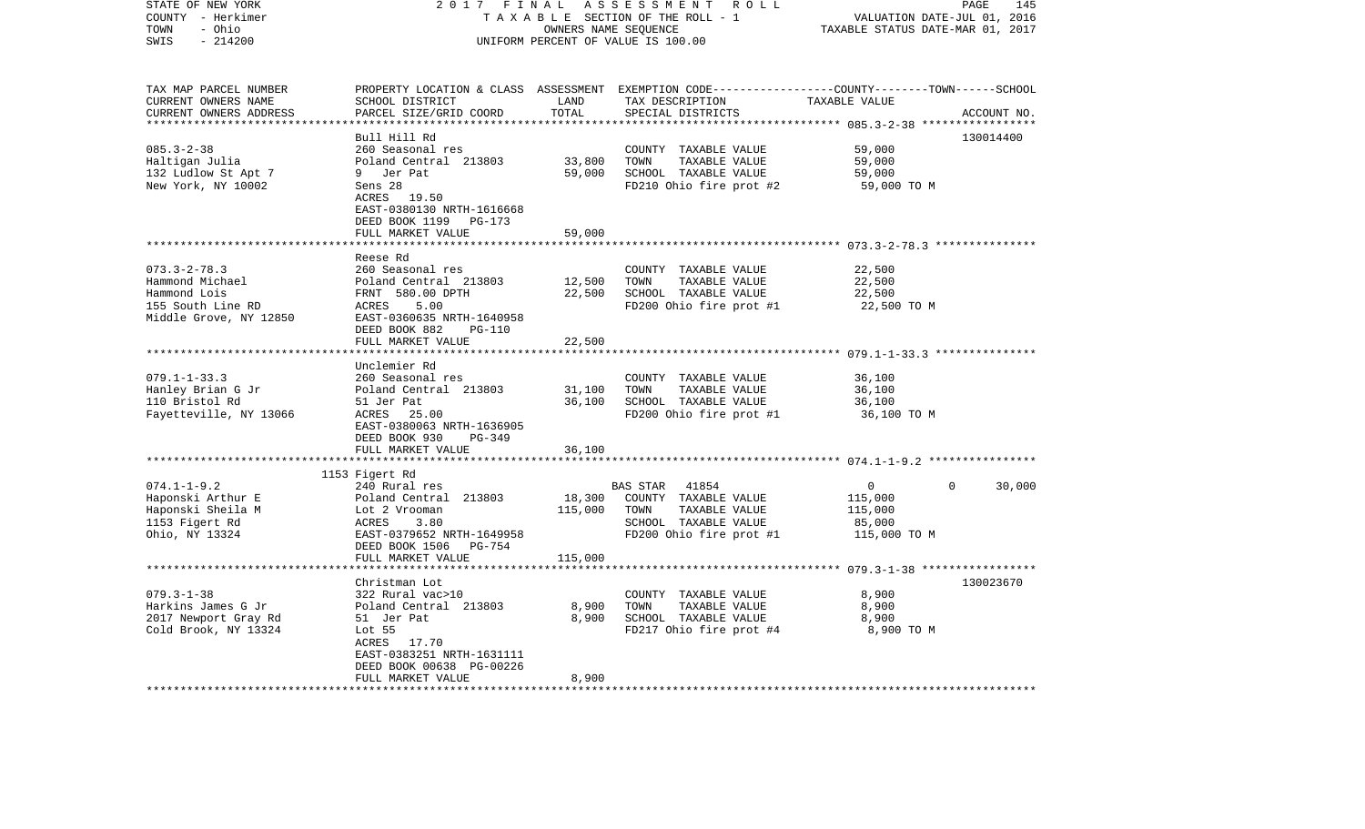| STATE OF NEW YORK<br>COUNTY - Herkimer<br>- Ohio<br>TOWN<br>SWIS<br>$-214200$                        | 2017<br>FINAL<br>ASSESSMENT<br>R O L L<br>TAXABLE SECTION OF THE ROLL - 1<br>OWNERS NAME SEQUENCE<br>UNIFORM PERCENT OF VALUE IS 100.00                                           |                                        |                                                                                                                                          | PAGE<br>145<br>VALUATION DATE-JUL 01, 2016<br>TAXABLE STATUS DATE-MAR 01, 2017                  |             |
|------------------------------------------------------------------------------------------------------|-----------------------------------------------------------------------------------------------------------------------------------------------------------------------------------|----------------------------------------|------------------------------------------------------------------------------------------------------------------------------------------|-------------------------------------------------------------------------------------------------|-------------|
| TAX MAP PARCEL NUMBER<br>CURRENT OWNERS NAME<br>CURRENT OWNERS ADDRESS<br>**********************     | SCHOOL DISTRICT<br>PARCEL SIZE/GRID COORD<br>************************                                                                                                             | LAND<br>TOTAL<br>* * * * * * * * * * * | PROPERTY LOCATION & CLASS ASSESSMENT EXEMPTION CODE----------------COUNTY-------TOWN------SCHOOL<br>TAX DESCRIPTION<br>SPECIAL DISTRICTS | TAXABLE VALUE                                                                                   | ACCOUNT NO. |
| $085.3 - 2 - 38$<br>Haltigan Julia<br>132 Ludlow St Apt 7<br>New York, NY 10002                      | Bull Hill Rd<br>260 Seasonal res<br>Poland Central 213803<br>9 Jer Pat<br>Sens 28<br>ACRES 19.50<br>EAST-0380130 NRTH-1616668<br>DEED BOOK 1199<br>PG-173<br>FULL MARKET VALUE    | 33,800<br>59,000<br>59,000             | COUNTY TAXABLE VALUE<br>TOWN<br>TAXABLE VALUE<br>SCHOOL TAXABLE VALUE<br>FD210 Ohio fire prot #2                                         | 59,000<br>59,000<br>59,000<br>59,000 TO M                                                       | 130014400   |
|                                                                                                      |                                                                                                                                                                                   |                                        |                                                                                                                                          | ****************************** 073.3-2-78.3 ***************                                     |             |
| $073.3 - 2 - 78.3$<br>Hammond Michael<br>Hammond Lois<br>155 South Line RD<br>Middle Grove, NY 12850 | Reese Rd<br>260 Seasonal res<br>Poland Central 213803<br>FRNT 580.00 DPTH<br>ACRES<br>5.00<br>EAST-0360635 NRTH-1640958<br>DEED BOOK 882<br><b>PG-110</b>                         | 12,500<br>22,500                       | COUNTY TAXABLE VALUE<br>TOWN<br>TAXABLE VALUE<br>SCHOOL TAXABLE VALUE<br>FD200 Ohio fire prot #1                                         | 22,500<br>22,500<br>22,500<br>22,500 TO M                                                       |             |
|                                                                                                      | FULL MARKET VALUE                                                                                                                                                                 | 22,500                                 |                                                                                                                                          |                                                                                                 |             |
| $079.1 - 1 - 33.3$<br>Hanley Brian G Jr<br>110 Bristol Rd<br>Fayetteville, NY 13066                  | Unclemier Rd<br>260 Seasonal res<br>Poland Central 213803<br>51 Jer Pat<br>ACRES 25.00<br>EAST-0380063 NRTH-1636905                                                               | 31,100<br>36,100                       | COUNTY TAXABLE VALUE<br>TOWN<br>TAXABLE VALUE<br>SCHOOL TAXABLE VALUE<br>FD200 Ohio fire prot #1                                         | ********************* 079.1-1-33.3 ***************<br>36,100<br>36,100<br>36,100<br>36,100 TO M |             |
|                                                                                                      | DEED BOOK 930<br>$PG-349$                                                                                                                                                         |                                        |                                                                                                                                          |                                                                                                 |             |
|                                                                                                      | FULL MARKET VALUE<br>*********************                                                                                                                                        | 36,100                                 |                                                                                                                                          |                                                                                                 |             |
| $074.1 - 1 - 9.2$<br>Haponski Arthur E<br>Haponski Sheila M<br>1153 Figert Rd<br>Ohio, NY 13324      | 1153 Figert Rd<br>240 Rural res<br>Poland Central 213803<br>Lot 2 Vrooman<br>ACRES<br>3.80<br>EAST-0379652 NRTH-1649958<br>DEED BOOK 1506<br><b>PG-754</b>                        | 18,300<br>115,000                      | 41854<br>BAS STAR<br>COUNTY TAXABLE VALUE<br>TOWN<br>TAXABLE VALUE<br>SCHOOL TAXABLE VALUE<br>FD200 Ohio fire prot #1                    | 0<br>0<br>115,000<br>115,000<br>85,000<br>115,000 TO M                                          | 30,000      |
|                                                                                                      | FULL MARKET VALUE<br>***************                                                                                                                                              | 115,000                                |                                                                                                                                          | *********************** 079.3-1-38 *****************                                            |             |
| $079.3 - 1 - 38$<br>Harkins James G Jr<br>2017 Newport Gray Rd<br>Cold Brook, NY 13324               | Christman Lot<br>322 Rural vac>10<br>Poland Central 213803<br>51 Jer Pat<br>Lot $55$<br>ACRES 17.70<br>EAST-0383251 NRTH-1631111<br>DEED BOOK 00638 PG-00226<br>FULL MARKET VALUE | 8,900<br>8,900<br>8,900<br>********    | COUNTY TAXABLE VALUE<br>TOWN<br>TAXABLE VALUE<br>SCHOOL TAXABLE VALUE<br>FD217 Ohio fire prot #4                                         | 8,900<br>8,900<br>8,900<br>8,900 TO M                                                           | 130023670   |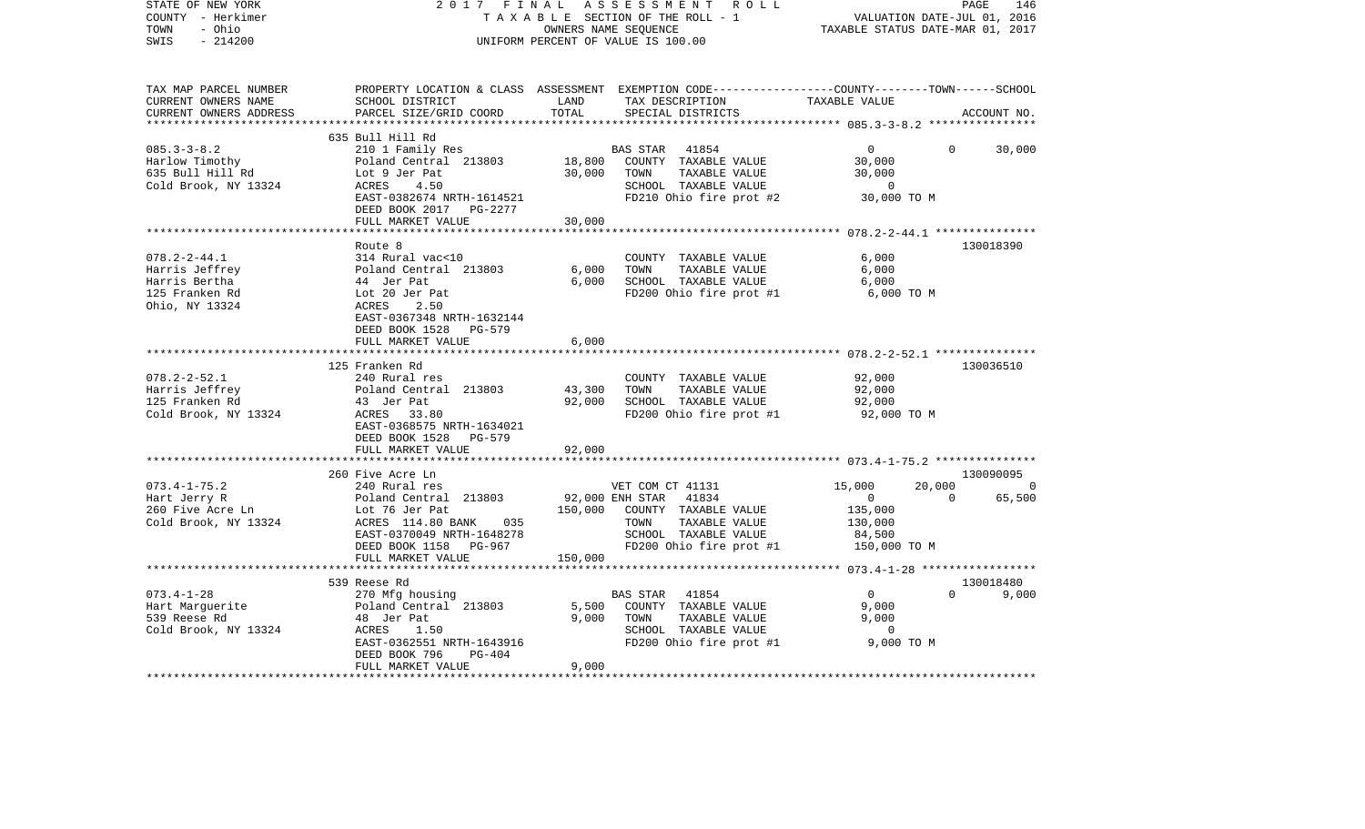| STATE OF NEW YORK<br>COUNTY - Herkimer<br>- Ohio<br>TOWN<br>SWIS<br>$-214200$             | 2017 FINAL                                                                                                                                                                       |                         | A S S E S S M E N T R O L L<br>TAXABLE SECTION OF THE ROLL - 1<br>OWNERS NAME SEQUENCE<br>UNIFORM PERCENT OF VALUE IS 100.00                                                 | VALUATION DATE-JUL 01, 2016<br>TAXABLE STATUS DATE-MAR 01, 2017                                      | PAGE<br>146                     |
|-------------------------------------------------------------------------------------------|----------------------------------------------------------------------------------------------------------------------------------------------------------------------------------|-------------------------|------------------------------------------------------------------------------------------------------------------------------------------------------------------------------|------------------------------------------------------------------------------------------------------|---------------------------------|
| TAX MAP PARCEL NUMBER<br>CURRENT OWNERS NAME<br>CURRENT OWNERS ADDRESS                    | SCHOOL DISTRICT<br>PARCEL SIZE/GRID COORD                                                                                                                                        | LAND<br>TOTAL           | PROPERTY LOCATION & CLASS ASSESSMENT EXEMPTION CODE---------------COUNTY-------TOWN------SCHOOL<br>TAX DESCRIPTION<br>TAX DESCRIPTION<br>--------------<br>SPECIAL DISTRICTS | TAXABLE VALUE                                                                                        | ACCOUNT NO.                     |
|                                                                                           | 635 Bull Hill Rd                                                                                                                                                                 |                         |                                                                                                                                                                              |                                                                                                      |                                 |
| $085.3 - 3 - 8.2$<br>Harlow Timothy<br>635 Bull Hill Rd<br>Cold Brook, NY 13324           | 210 1 Family Res<br>Poland Central 213803<br>Lot 9 Jer Pat<br>ACRES<br>4.50<br>EAST-0382674 NRTH-1614521<br>DEED BOOK 2017 PG-2277                                               | 18,800<br>30,000        | BAS STAR 41854<br>COUNTY TAXABLE VALUE<br>TOWN<br>TAXABLE VALUE<br>SCHOOL TAXABLE VALUE<br>FD210 Ohio fire prot #2                                                           | $\Omega$<br>30,000<br>30,000<br>$\overline{0}$<br>30,000 TO M                                        | 30,000<br>$\Omega$              |
|                                                                                           | FULL MARKET VALUE                                                                                                                                                                | 30,000                  |                                                                                                                                                                              |                                                                                                      |                                 |
| $078.2 - 2 - 44.1$<br>Harris Jeffrey<br>Harris Bertha<br>125 Franken Rd<br>Ohio, NY 13324 | Route 8<br>314 Rural vac<10<br>Poland Central 213803<br>44 Jer Pat<br>Lot 20 Jer Pat<br>2.50<br>ACRES<br>EAST-0367348 NRTH-1632144<br>DEED BOOK 1528 PG-579<br>FULL MARKET VALUE | 6,000<br>6,000<br>6,000 | COUNTY TAXABLE VALUE<br>TOWN<br>TAXABLE VALUE<br>SCHOOL TAXABLE VALUE<br>FD200 Ohio fire prot #1                                                                             | 6,000<br>6,000<br>6,000<br>6,000 TO M                                                                | 130018390                       |
|                                                                                           |                                                                                                                                                                                  |                         |                                                                                                                                                                              |                                                                                                      |                                 |
| $078.2 - 2 - 52.1$<br>Harris Jeffrey<br>125 Franken Rd<br>Cold Brook, NY 13324            | 125 Franken Rd<br>240 Rural res<br>Poland Central 213803<br>43 Jer Pat<br>ACRES 33.80<br>EAST-0368575 NRTH-1634021<br>DEED BOOK 1528<br>PG-579                                   | 43,300<br>92,000        | COUNTY TAXABLE VALUE<br>TOWN<br>TAXABLE VALUE<br>SCHOOL TAXABLE VALUE<br>FD200 Ohio fire prot #1                                                                             | 92,000<br>92,000<br>92,000<br>92,000 TO M                                                            | 130036510                       |
|                                                                                           | FULL MARKET VALUE                                                                                                                                                                | 92,000                  |                                                                                                                                                                              |                                                                                                      |                                 |
|                                                                                           | *************************                                                                                                                                                        |                         |                                                                                                                                                                              |                                                                                                      |                                 |
| $073.4 - 1 - 75.2$<br>Hart Jerry R<br>260 Five Acre Ln<br>Cold Brook, NY 13324            | 260 Five Acre Ln<br>240 Rural res<br>Poland Central 213803<br>Lot 76 Jer Pat<br>ACRES 114.80 BANK 035<br>EAST-0370049 NRTH-1648278<br>DEED BOOK 1158 PG-967                      |                         | VET COM CT 41131<br>92,000 ENH STAR 41834<br>150,000 COUNTY TAXABLE VALUE<br>TOWN<br>TAXABLE VALUE<br>SCHOOL TAXABLE VALUE<br>FD200 Ohio fire prot #1                        | 15,000<br>20,000<br>$\overline{0}$<br>$\overline{0}$<br>135,000<br>130,000<br>84,500<br>150,000 TO M | 130090095<br>$\sim$ 0<br>65,500 |
|                                                                                           | FULL MARKET VALUE                                                                                                                                                                | 150,000                 |                                                                                                                                                                              |                                                                                                      |                                 |
|                                                                                           | 539 Reese Rd                                                                                                                                                                     |                         |                                                                                                                                                                              |                                                                                                      | 130018480                       |
| $073.4 - 1 - 28$<br>Hart Marquerite<br>539 Reese Rd<br>Cold Brook, NY 13324               | 270 Mfg housing<br>Poland Central 213803<br>48 Jer Pat<br>ACRES<br>1.50<br>EAST-0362551 NRTH-1643916<br>DEED BOOK 796<br>PG-404<br>FULL MARKET VALUE                             | 5,500<br>9,000<br>9,000 | BAS STAR 41854<br>COUNTY TAXABLE VALUE<br>TOWN<br>TAXABLE VALUE<br>SCHOOL TAXABLE VALUE<br>FD200 Ohio fire prot #1                                                           | $\overline{0}$<br>9,000<br>9,000<br>$\overline{\phantom{0}}$<br>9,000 TO M                           | $\Omega$<br>9,000               |
|                                                                                           |                                                                                                                                                                                  |                         |                                                                                                                                                                              |                                                                                                      |                                 |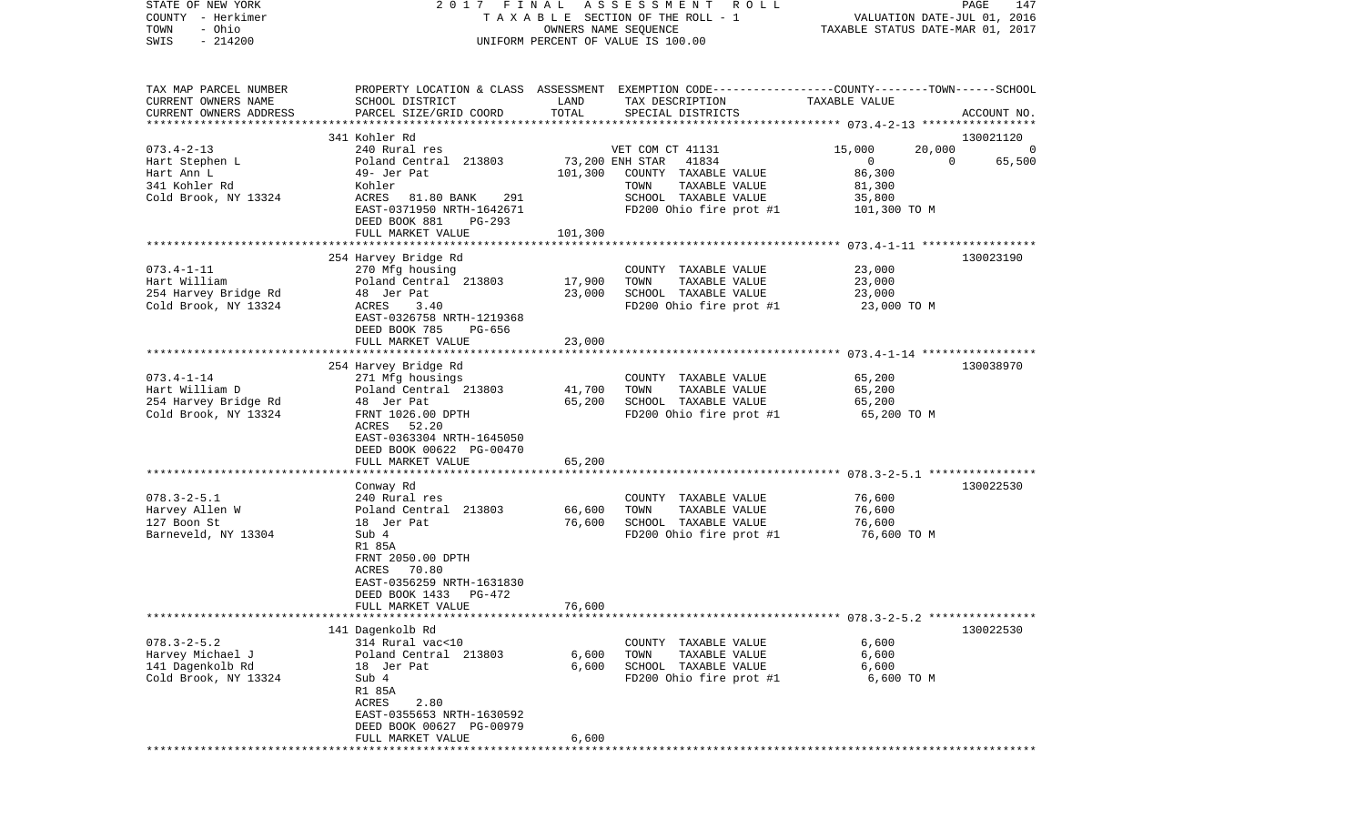| STATE OF NEW YORK<br>COUNTY - Herkimer<br>- Ohio<br>TOWN<br>$-214200$<br>SWIS                        | FINAL<br>2017                                                                                                                                                                                 | OWNERS NAME SEQUENCE                  | A S S E S S M E N T<br>R O L L<br>TAXABLE SECTION OF THE ROLL - 1<br>UNIFORM PERCENT OF VALUE IS 100.00                       | VALUATION DATE-JUL 01, 2016<br>TAXABLE STATUS DATE-MAR 01, 2017                                  | PAGE<br>147 |
|------------------------------------------------------------------------------------------------------|-----------------------------------------------------------------------------------------------------------------------------------------------------------------------------------------------|---------------------------------------|-------------------------------------------------------------------------------------------------------------------------------|--------------------------------------------------------------------------------------------------|-------------|
| TAX MAP PARCEL NUMBER<br>CURRENT OWNERS NAME<br>CURRENT OWNERS ADDRESS<br>************************** | PROPERTY LOCATION & CLASS ASSESSMENT EXEMPTION CODE----------------COUNTY-------TOWN------SCHOOL<br>SCHOOL DISTRICT<br>PARCEL SIZE/GRID COORD                                                 | LAND<br>TOTAL                         | TAX DESCRIPTION<br>SPECIAL DISTRICTS                                                                                          | TAXABLE VALUE                                                                                    | ACCOUNT NO. |
|                                                                                                      | 341 Kohler Rd                                                                                                                                                                                 |                                       |                                                                                                                               |                                                                                                  | 130021120   |
| $073.4 - 2 - 13$<br>Hart Stephen L<br>Hart Ann L<br>341 Kohler Rd<br>Cold Brook, NY 13324            | 240 Rural res<br>Poland Central 213803<br>49- Jer Pat<br>Kohler<br>ACRES<br>81.80 BANK<br>291<br>EAST-0371950 NRTH-1642671<br>DEED BOOK 881<br>PG-293<br>FULL MARKET VALUE                    | 73,200 ENH STAR<br>101,300<br>101,300 | VET COM CT 41131<br>41834<br>COUNTY TAXABLE VALUE<br>TAXABLE VALUE<br>TOWN<br>SCHOOL TAXABLE VALUE<br>FD200 Ohio fire prot #1 | 15,000<br>20,000<br>$\mathbf{0}$<br>$\overline{0}$<br>86,300<br>81,300<br>35,800<br>101,300 TO M | 65,500      |
|                                                                                                      |                                                                                                                                                                                               |                                       |                                                                                                                               |                                                                                                  |             |
| $073.4 - 1 - 11$<br>Hart William<br>254 Harvey Bridge Rd<br>Cold Brook, NY 13324                     | 254 Harvey Bridge Rd<br>270 Mfg housing<br>Poland Central 213803<br>48 Jer Pat<br>ACRES<br>3.40<br>EAST-0326758 NRTH-1219368<br>DEED BOOK 785<br>PG-656                                       | 17,900<br>23,000                      | COUNTY TAXABLE VALUE<br>TAXABLE VALUE<br>TOWN<br>SCHOOL TAXABLE VALUE<br>FD200 Ohio fire prot #1                              | 23,000<br>23,000<br>23,000<br>23,000 TO M                                                        | 130023190   |
|                                                                                                      | FULL MARKET VALUE                                                                                                                                                                             | 23,000                                |                                                                                                                               |                                                                                                  |             |
| $073.4 - 1 - 14$<br>Hart William D<br>254 Harvey Bridge Rd<br>Cold Brook, NY 13324                   | 254 Harvey Bridge Rd<br>271 Mfg housings<br>Poland Central 213803<br>48 Jer Pat<br>FRNT 1026.00 DPTH<br>ACRES<br>52.20<br>EAST-0363304 NRTH-1645050<br>DEED BOOK 00622 PG-00470               | 41,700<br>65,200                      | COUNTY TAXABLE VALUE<br>TAXABLE VALUE<br>TOWN<br>SCHOOL TAXABLE VALUE<br>FD200 Ohio fire prot #1                              | 65,200<br>65,200<br>65,200<br>65,200 TO M                                                        | 130038970   |
|                                                                                                      | FULL MARKET VALUE<br>******************                                                                                                                                                       | 65,200                                |                                                                                                                               |                                                                                                  |             |
| $078.3 - 2 - 5.1$<br>Harvey Allen W<br>127 Boon St<br>Barneveld, NY 13304                            | Conway Rd<br>240 Rural res<br>Poland Central 213803<br>18 Jer Pat<br>Sub 4<br>R1 85A<br>FRNT 2050.00 DPTH<br>ACRES<br>70.80<br>EAST-0356259 NRTH-1631830<br>DEED BOOK 1433<br>PG-472          | 66,600<br>76,600                      | COUNTY TAXABLE VALUE<br>TOWN<br>TAXABLE VALUE<br>SCHOOL TAXABLE VALUE<br>FD200 Ohio fire prot #1                              | 76,600<br>76,600<br>76,600<br>76,600 TO M                                                        | 130022530   |
|                                                                                                      | FULL MARKET VALUE                                                                                                                                                                             | 76,600                                |                                                                                                                               |                                                                                                  |             |
| $078.3 - 2 - 5.2$<br>Harvey Michael J<br>141 Dagenkolb Rd<br>Cold Brook, NY 13324                    | 141 Dagenkolb Rd<br>314 Rural vac<10<br>Poland Central 213803<br>18 Jer Pat<br>Sub 4<br>R1 85A<br>ACRES<br>2.80<br>EAST-0355653 NRTH-1630592<br>DEED BOOK 00627 PG-00979<br>FULL MARKET VALUE | 6,600<br>6,600<br>6,600               | COUNTY TAXABLE VALUE<br>TAXABLE VALUE<br>TOWN<br>SCHOOL TAXABLE VALUE<br>FD200 Ohio fire prot #1                              | 6,600<br>6,600<br>6,600<br>6,600 TO M                                                            | 130022530   |
|                                                                                                      |                                                                                                                                                                                               |                                       |                                                                                                                               |                                                                                                  |             |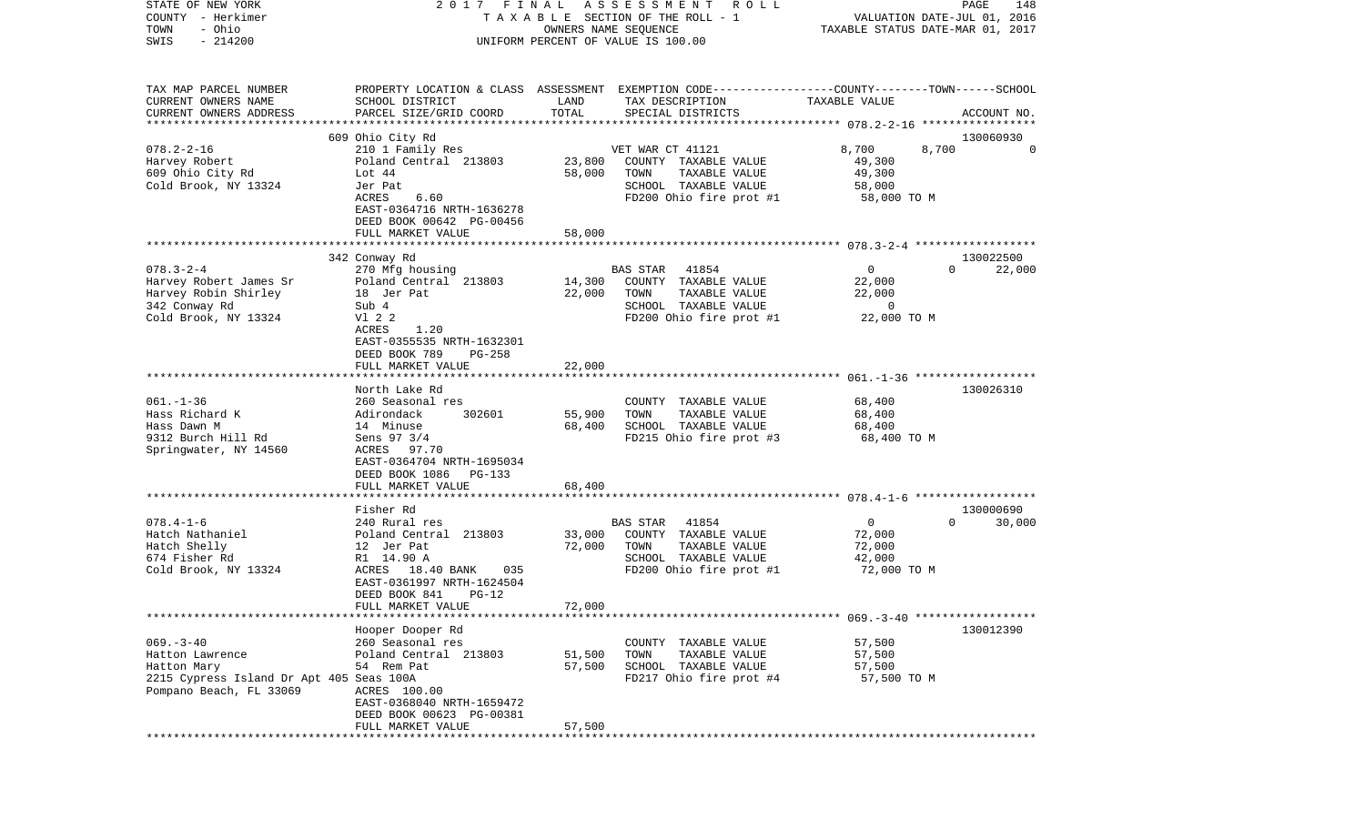| COUNTY<br>- Herkimer<br>TOWN<br>- Ohio<br>SWIS<br>$-214200$         | TAXABLE SECTION OF THE ROLL - 1<br>OWNERS NAME SEQUENCE<br>UNIFORM PERCENT OF VALUE IS 100.00 |        |                                                                                                 | VALUATION DATE-JUL 01, 2016<br>TAXABLE STATUS DATE-MAR 01, 2017 |                       |
|---------------------------------------------------------------------|-----------------------------------------------------------------------------------------------|--------|-------------------------------------------------------------------------------------------------|-----------------------------------------------------------------|-----------------------|
| TAX MAP PARCEL NUMBER                                               |                                                                                               |        | PROPERTY LOCATION & CLASS ASSESSMENT EXEMPTION CODE---------------COUNTY-------TOWN------SCHOOL |                                                                 |                       |
| CURRENT OWNERS NAME                                                 | SCHOOL DISTRICT                                                                               | LAND   | TAX DESCRIPTION                                                                                 | TAXABLE VALUE                                                   |                       |
| CURRENT OWNERS ADDRESS                                              | PARCEL SIZE/GRID COORD                                                                        | TOTAL  | SPECIAL DISTRICTS                                                                               |                                                                 | ACCOUNT NO.           |
| **************************                                          |                                                                                               |        |                                                                                                 |                                                                 |                       |
|                                                                     | 609 Ohio City Rd                                                                              |        |                                                                                                 |                                                                 | 130060930<br>$\Omega$ |
| $078.2 - 2 - 16$<br>Harvey Robert                                   | 210 1 Family Res<br>Poland Central 213803                                                     | 23,800 | VET WAR CT 41121<br>COUNTY TAXABLE VALUE                                                        | 8,700<br>8,700<br>49,300                                        |                       |
| 609 Ohio City Rd                                                    | Lot 44                                                                                        | 58,000 | TAXABLE VALUE<br>TOWN                                                                           | 49,300                                                          |                       |
| Cold Brook, NY 13324                                                | Jer Pat                                                                                       |        | SCHOOL TAXABLE VALUE                                                                            | 58,000                                                          |                       |
|                                                                     | ACRES<br>6.60                                                                                 |        | FD200 Ohio fire prot #1                                                                         | 58,000 TO M                                                     |                       |
|                                                                     | EAST-0364716 NRTH-1636278                                                                     |        |                                                                                                 |                                                                 |                       |
|                                                                     | DEED BOOK 00642 PG-00456                                                                      |        |                                                                                                 |                                                                 |                       |
|                                                                     | FULL MARKET VALUE                                                                             | 58,000 |                                                                                                 |                                                                 |                       |
|                                                                     |                                                                                               |        |                                                                                                 |                                                                 |                       |
| $078.3 - 2 - 4$                                                     | 342 Conway Rd                                                                                 |        |                                                                                                 | $\mathbf 0$                                                     | 130022500<br>$\Omega$ |
| Harvey Robert James Sr                                              | 270 Mfg housing<br>Poland Central 213803                                                      | 14,300 | BAS STAR<br>41854<br>COUNTY TAXABLE VALUE                                                       | 22,000                                                          | 22,000                |
| Harvey Robin Shirley                                                | 18 Jer Pat                                                                                    | 22,000 | TOWN<br>TAXABLE VALUE                                                                           | 22,000                                                          |                       |
| 342 Conway Rd                                                       | Sub 4                                                                                         |        | SCHOOL TAXABLE VALUE                                                                            | $\mathbf 0$                                                     |                       |
| Cold Brook, NY 13324                                                | V1 2 2                                                                                        |        | FD200 Ohio fire prot #1                                                                         | 22,000 TO M                                                     |                       |
|                                                                     | 1.20<br>ACRES                                                                                 |        |                                                                                                 |                                                                 |                       |
|                                                                     | EAST-0355535 NRTH-1632301                                                                     |        |                                                                                                 |                                                                 |                       |
|                                                                     | DEED BOOK 789<br>PG-258                                                                       |        |                                                                                                 |                                                                 |                       |
|                                                                     | FULL MARKET VALUE                                                                             | 22,000 |                                                                                                 |                                                                 |                       |
|                                                                     | North Lake Rd                                                                                 |        |                                                                                                 |                                                                 | 130026310             |
| $061. - 1 - 36$                                                     | 260 Seasonal res                                                                              |        | COUNTY TAXABLE VALUE                                                                            | 68,400                                                          |                       |
| Hass Richard K                                                      | Adirondack<br>302601                                                                          | 55,900 | TOWN<br>TAXABLE VALUE                                                                           | 68,400                                                          |                       |
| Hass Dawn M                                                         | 14 Minuse                                                                                     | 68,400 | SCHOOL TAXABLE VALUE                                                                            | 68,400                                                          |                       |
| 9312 Burch Hill Rd                                                  | Sens 97 3/4                                                                                   |        | FD215 Ohio fire prot #3                                                                         | 68,400 TO M                                                     |                       |
| Springwater, NY 14560                                               | 97.70<br>ACRES                                                                                |        |                                                                                                 |                                                                 |                       |
|                                                                     | EAST-0364704 NRTH-1695034                                                                     |        |                                                                                                 |                                                                 |                       |
|                                                                     | DEED BOOK 1086<br>$PG-133$<br>FULL MARKET VALUE                                               | 68,400 |                                                                                                 |                                                                 |                       |
|                                                                     |                                                                                               |        |                                                                                                 |                                                                 |                       |
|                                                                     | Fisher Rd                                                                                     |        |                                                                                                 |                                                                 | 130000690             |
| $078.4 - 1 - 6$                                                     | 240 Rural res                                                                                 |        | BAS STAR<br>41854                                                                               | $\overline{0}$                                                  | $\Omega$<br>30,000    |
| Hatch Nathaniel                                                     | Poland Central 213803                                                                         | 33,000 | COUNTY TAXABLE VALUE                                                                            | 72,000                                                          |                       |
| Hatch Shelly                                                        | 12 Jer Pat                                                                                    | 72,000 | TOWN<br>TAXABLE VALUE                                                                           | 72,000                                                          |                       |
| 674 Fisher Rd                                                       | R1 14.90 A                                                                                    |        | SCHOOL TAXABLE VALUE                                                                            | 42,000                                                          |                       |
| Cold Brook, NY 13324                                                | ACRES 18.40 BANK<br>035<br>EAST-0361997 NRTH-1624504                                          |        | FD200 Ohio fire prot #1                                                                         | 72,000 TO M                                                     |                       |
|                                                                     | DEED BOOK 841<br>$PG-12$                                                                      |        |                                                                                                 |                                                                 |                       |
|                                                                     | FULL MARKET VALUE                                                                             | 72,000 |                                                                                                 |                                                                 |                       |
|                                                                     |                                                                                               |        |                                                                                                 |                                                                 |                       |
|                                                                     | Hooper Dooper Rd                                                                              |        |                                                                                                 |                                                                 | 130012390             |
| $069. -3 - 40$                                                      | 260 Seasonal res                                                                              |        | COUNTY TAXABLE VALUE                                                                            | 57,500                                                          |                       |
| Hatton Lawrence                                                     | Poland Central 213803                                                                         | 51,500 | TOWN<br>TAXABLE VALUE                                                                           | 57,500                                                          |                       |
| Hatton Mary                                                         | 54 Rem Pat                                                                                    | 57,500 | SCHOOL TAXABLE VALUE                                                                            | 57,500                                                          |                       |
| 2215 Cypress Island Dr Apt 405 Seas 100A<br>Pompano Beach, FL 33069 |                                                                                               |        | FD217 Ohio fire prot #4                                                                         | 57,500 TO M                                                     |                       |
|                                                                     | ACRES 100.00<br>EAST-0368040 NRTH-1659472                                                     |        |                                                                                                 |                                                                 |                       |
|                                                                     | DEED BOOK 00623 PG-00381                                                                      |        |                                                                                                 |                                                                 |                       |
|                                                                     | FULL MARKET VALUE                                                                             | 57,500 |                                                                                                 |                                                                 |                       |
|                                                                     | *****************                                                                             |        |                                                                                                 |                                                                 |                       |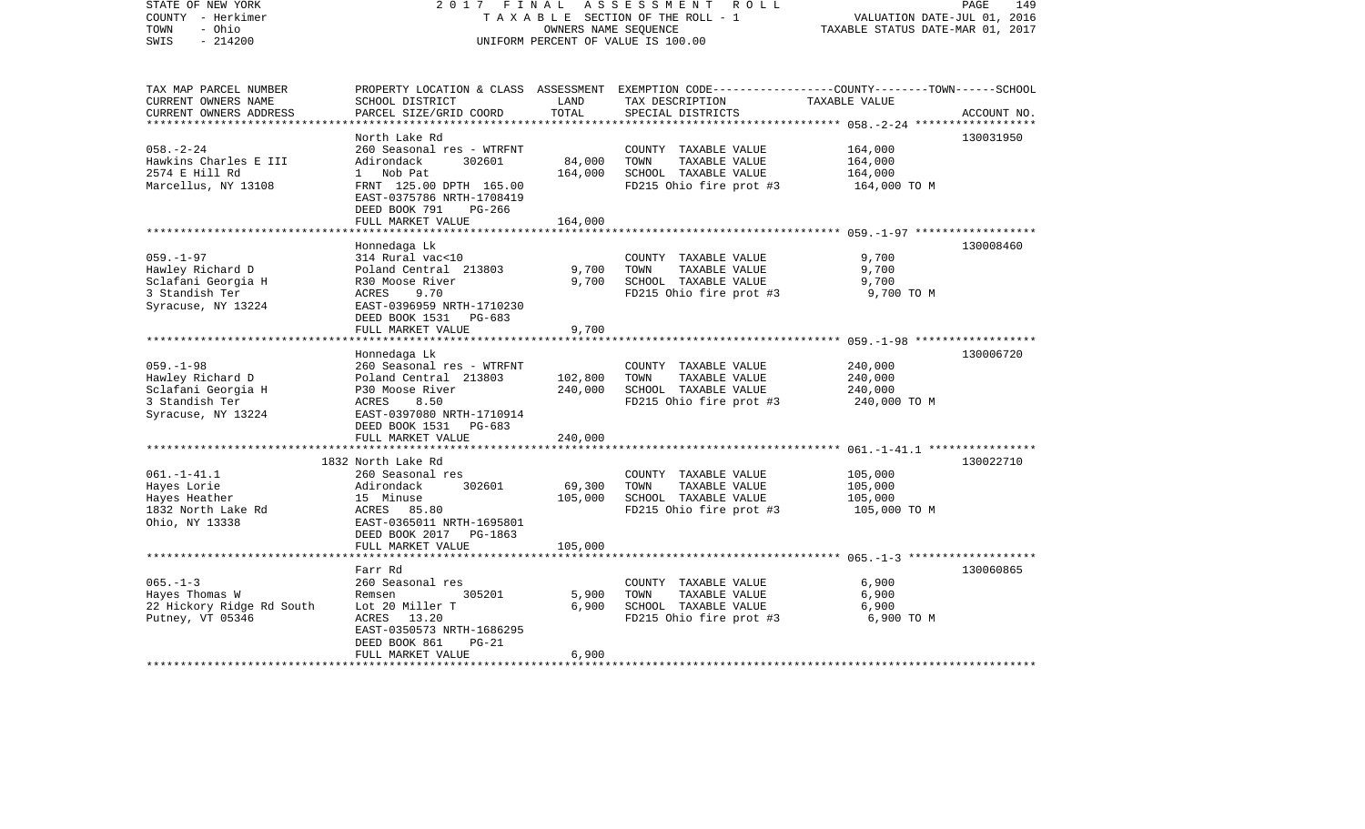| STATE OF NEW YORK<br>COUNTY - Herkimer<br>- Ohio<br>TOWN<br>$-214200$<br>SWIS                     | 2017 FINAL                                                                                                                                                                              | OWNERS NAME SEQUENCE          | ASSESSMENT<br>R O L L<br>TAXABLE SECTION OF THE ROLL - 1<br>UNIFORM PERCENT OF VALUE IS 100.00                                           | VALUATION DATE-JUL 01, 2016<br>TAXABLE STATUS DATE-MAR 01, 2017 | PAGE<br>149 |
|---------------------------------------------------------------------------------------------------|-----------------------------------------------------------------------------------------------------------------------------------------------------------------------------------------|-------------------------------|------------------------------------------------------------------------------------------------------------------------------------------|-----------------------------------------------------------------|-------------|
| TAX MAP PARCEL NUMBER<br>CURRENT OWNERS NAME<br>CURRENT OWNERS ADDRESS                            | SCHOOL DISTRICT<br>PARCEL SIZE/GRID COORD                                                                                                                                               | LAND<br>TOTAL                 | PROPERTY LOCATION & CLASS ASSESSMENT EXEMPTION CODE----------------COUNTY-------TOWN------SCHOOL<br>TAX DESCRIPTION<br>SPECIAL DISTRICTS | TAXABLE VALUE                                                   | ACCOUNT NO. |
| $058. - 2 - 24$<br>Hawkins Charles E III<br>2574 E Hill Rd<br>Marcellus, NY 13108                 | North Lake Rd<br>260 Seasonal res - WTRFNT<br>Adirondack<br>302601<br>1 Nob Pat<br>FRNT 125.00 DPTH 165.00<br>EAST-0375786 NRTH-1708419<br>DEED BOOK 791<br>PG-266<br>FULL MARKET VALUE | 84,000<br>164,000<br>164,000  | COUNTY TAXABLE VALUE<br>TOWN<br>TAXABLE VALUE<br>SCHOOL TAXABLE VALUE<br>FD215 Ohio fire prot #3                                         | 164,000<br>164,000<br>164,000<br>164,000 TO M                   | 130031950   |
|                                                                                                   |                                                                                                                                                                                         |                               |                                                                                                                                          |                                                                 |             |
| $059. - 1 - 97$<br>Hawley Richard D<br>Sclafani Georgia H<br>3 Standish Ter<br>Syracuse, NY 13224 | Honnedaga Lk<br>314 Rural vac<10<br>Poland Central 213803<br>R30 Moose River<br>ACRES<br>9.70<br>EAST-0396959 NRTH-1710230                                                              | 9,700<br>9,700                | COUNTY TAXABLE VALUE<br>TOWN<br>TAXABLE VALUE<br>SCHOOL TAXABLE VALUE<br>FD215 Ohio fire prot #3                                         | 9,700<br>9,700<br>9,700<br>9,700 TO M                           | 130008460   |
|                                                                                                   | DEED BOOK 1531 PG-683<br>FULL MARKET VALUE                                                                                                                                              | 9,700                         |                                                                                                                                          |                                                                 |             |
|                                                                                                   |                                                                                                                                                                                         |                               |                                                                                                                                          |                                                                 |             |
| $059. - 1 - 98$<br>Hawley Richard D<br>Sclafani Georgia H<br>3 Standish Ter<br>Syracuse, NY 13224 | Honnedaga Lk<br>260 Seasonal res - WTRFNT<br>Poland Central 213803<br>P30 Moose River<br>8.50<br>ACRES<br>EAST-0397080 NRTH-1710914<br>DEED BOOK 1531<br>PG-683<br>FULL MARKET VALUE    | 102,800<br>240,000<br>240,000 | COUNTY TAXABLE VALUE<br>TOWN<br>TAXABLE VALUE<br>SCHOOL TAXABLE VALUE<br>FD215 Ohio fire prot #3                                         | 240,000<br>240,000<br>240,000<br>240,000 TO M                   | 130006720   |
|                                                                                                   |                                                                                                                                                                                         |                               |                                                                                                                                          |                                                                 |             |
| $061. - 1 - 41.1$<br>Hayes Lorie<br>Hayes Heather<br>1832 North Lake Rd<br>Ohio, NY 13338         | 1832 North Lake Rd<br>260 Seasonal res<br>302601<br>Adirondack<br>15 Minuse<br>ACRES 85.80<br>EAST-0365011 NRTH-1695801<br>DEED BOOK 2017 PG-1863                                       | 69,300<br>105,000             | COUNTY TAXABLE VALUE<br>TOWN<br>TAXABLE VALUE<br>SCHOOL TAXABLE VALUE<br>FD215 Ohio fire prot #3                                         | 105,000<br>105,000<br>105,000<br>105,000 TO M                   | 130022710   |
|                                                                                                   | FULL MARKET VALUE                                                                                                                                                                       | 105,000                       |                                                                                                                                          |                                                                 |             |
| $065. - 1 - 3$<br>Hayes Thomas W<br>22 Hickory Ridge Rd South<br>Putney, VT 05346                 | Farr Rd<br>260 Seasonal res<br>305201<br>Remsen<br>Lot 20 Miller T<br>ACRES<br>13.20<br>EAST-0350573 NRTH-1686295<br>DEED BOOK 861<br>$PG-21$<br>FULL MARKET VALUE                      | 5,900<br>6,900<br>6,900       | COUNTY TAXABLE VALUE<br>TOWN<br>TAXABLE VALUE<br>SCHOOL TAXABLE VALUE<br>FD215 Ohio fire prot #3                                         | 6,900<br>6,900<br>6,900<br>6,900 ТО М                           | 130060865   |
|                                                                                                   |                                                                                                                                                                                         |                               |                                                                                                                                          |                                                                 |             |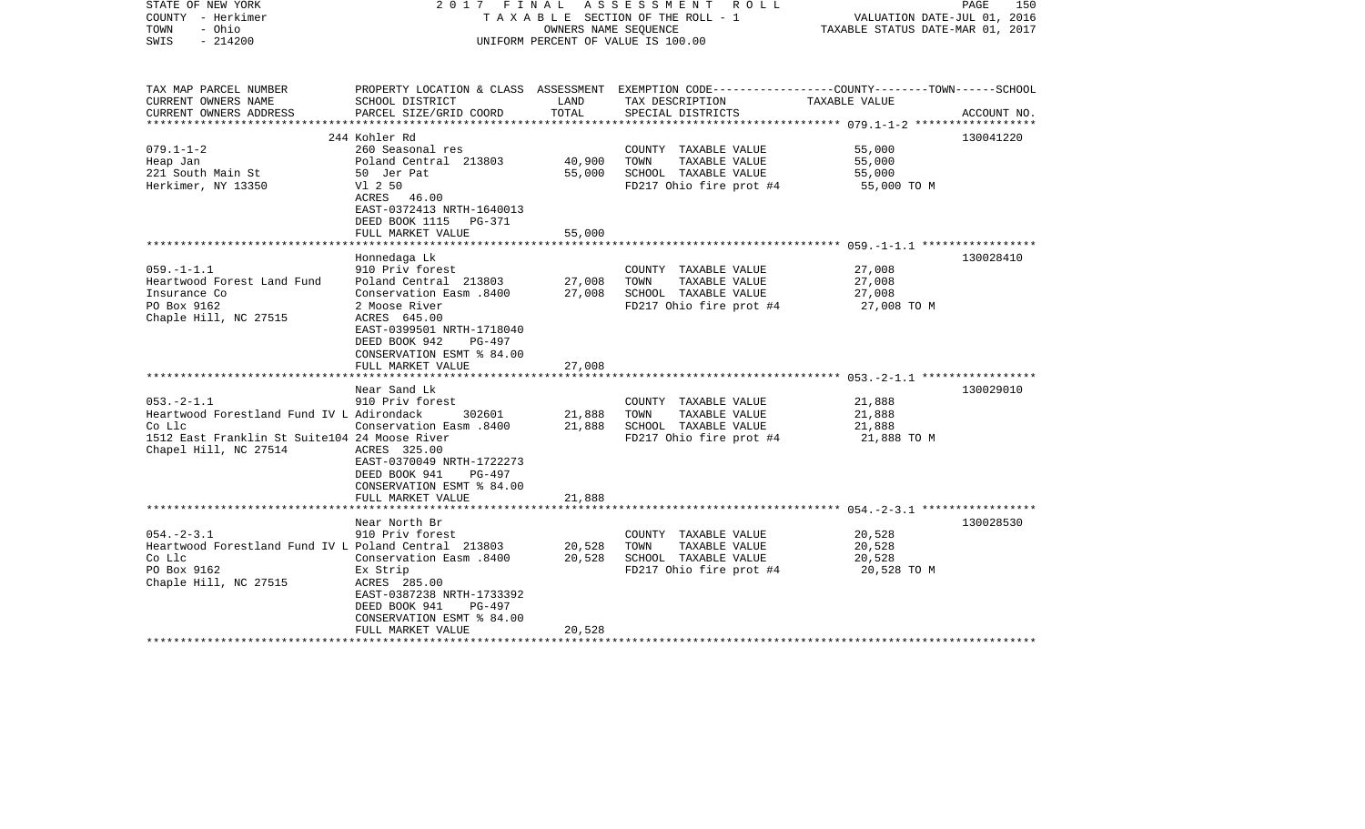| STATE OF NEW YORK<br>COUNTY - Herkimer<br>- Ohio<br>TOWN<br>$-214200$<br>SWIS | 2017 FINAL                                                                                                                           | OWNERS NAME SEOUENCE | ASSESSMENT<br>R O L L<br>TAXABLE SECTION OF THE ROLL - 1<br>UNIFORM PERCENT OF VALUE IS 100.00                      | VALUATION DATE-JUL 01, 2016<br>TAXABLE STATUS DATE-MAR 01, 2017 | PAGE<br>150 |
|-------------------------------------------------------------------------------|--------------------------------------------------------------------------------------------------------------------------------------|----------------------|---------------------------------------------------------------------------------------------------------------------|-----------------------------------------------------------------|-------------|
| TAX MAP PARCEL NUMBER<br>CURRENT OWNERS NAME                                  | SCHOOL DISTRICT                                                                                                                      | LAND                 | PROPERTY LOCATION & CLASS ASSESSMENT EXEMPTION CODE----------------COUNTY-------TOWN------SCHOOL<br>TAX DESCRIPTION | TAXABLE VALUE                                                   |             |
| CURRENT OWNERS ADDRESS                                                        | PARCEL SIZE/GRID COORD                                                                                                               | TOTAL                | SPECIAL DISTRICTS                                                                                                   |                                                                 | ACCOUNT NO. |
|                                                                               | 244 Kohler Rd                                                                                                                        |                      |                                                                                                                     |                                                                 | 130041220   |
| $079.1 - 1 - 2$                                                               | 260 Seasonal res                                                                                                                     |                      | COUNTY TAXABLE VALUE                                                                                                | 55,000                                                          |             |
| Heap Jan                                                                      | Poland Central 213803                                                                                                                | 40,900               | TOWN<br>TAXABLE VALUE                                                                                               | 55,000                                                          |             |
| 221 South Main St                                                             | 50 Jer Pat                                                                                                                           | 55,000               | SCHOOL TAXABLE VALUE                                                                                                | 55,000                                                          |             |
| Herkimer, NY 13350                                                            | V1 2 50                                                                                                                              |                      | FD217 Ohio fire prot #4                                                                                             | 55,000 TO M                                                     |             |
|                                                                               | ACRES 46.00<br>EAST-0372413 NRTH-1640013                                                                                             |                      |                                                                                                                     |                                                                 |             |
|                                                                               | DEED BOOK 1115 PG-371<br>FULL MARKET VALUE                                                                                           | 55,000               |                                                                                                                     |                                                                 |             |
|                                                                               |                                                                                                                                      |                      |                                                                                                                     |                                                                 |             |
|                                                                               | Honnedaga Lk                                                                                                                         |                      |                                                                                                                     |                                                                 | 130028410   |
| $059. -1 - 1.1$                                                               | 910 Priv forest                                                                                                                      |                      | COUNTY TAXABLE VALUE                                                                                                | 27,008                                                          |             |
| Heartwood Forest Land Fund                                                    | Poland Central 213803                                                                                                                | 27,008               | TAXABLE VALUE<br>TOWN                                                                                               | 27,008                                                          |             |
| Insurance Co                                                                  | Conservation Easm .8400                                                                                                              | 27,008               | SCHOOL TAXABLE VALUE                                                                                                | 27,008                                                          |             |
| PO Box 9162                                                                   | 2 Moose River                                                                                                                        |                      | FD217 Ohio fire prot #4                                                                                             | 27,008 TO M                                                     |             |
| Chaple Hill, NC 27515                                                         | ACRES 645.00<br>EAST-0399501 NRTH-1718040<br>DEED BOOK 942<br>$PG-497$<br>CONSERVATION ESMT % 84.00                                  |                      |                                                                                                                     |                                                                 |             |
|                                                                               | FULL MARKET VALUE                                                                                                                    | 27,008               |                                                                                                                     |                                                                 |             |
|                                                                               | *********************<br>Near Sand Lk                                                                                                |                      |                                                                                                                     |                                                                 | 130029010   |
| $053. -2 - 1.1$                                                               | 910 Priv forest                                                                                                                      |                      | COUNTY TAXABLE VALUE                                                                                                | 21,888                                                          |             |
| Heartwood Forestland Fund IV L Adirondack                                     | 302601                                                                                                                               | 21,888               | TOWN<br>TAXABLE VALUE                                                                                               | 21,888                                                          |             |
| Co Llc                                                                        | Conservation Easm .8400                                                                                                              | 21,888               | SCHOOL TAXABLE VALUE                                                                                                | 21,888                                                          |             |
| 1512 East Franklin St Suite104 24 Moose River<br>Chapel Hill, NC 27514        | ACRES 325.00<br>EAST-0370049 NRTH-1722273<br>DEED BOOK 941<br>PG-497<br>CONSERVATION ESMT % 84.00<br>FULL MARKET VALUE               | 21,888               | FD217 Ohio fire prot #4                                                                                             | 21,888 TO M                                                     |             |
|                                                                               | *******************                                                                                                                  | ***********          |                                                                                                                     |                                                                 |             |
|                                                                               | Near North Br                                                                                                                        |                      |                                                                                                                     |                                                                 | 130028530   |
| $054. -2 - 3.1$                                                               | 910 Priv forest                                                                                                                      |                      | COUNTY TAXABLE VALUE                                                                                                | 20,528                                                          |             |
| Heartwood Forestland Fund IV L Poland Central 213803                          |                                                                                                                                      | 20,528               | TOWN<br>TAXABLE VALUE                                                                                               | 20,528                                                          |             |
| Co Llc                                                                        | 008. Conservation Easm                                                                                                               | 20,528               | SCHOOL TAXABLE VALUE                                                                                                | 20,528                                                          |             |
| PO Box 9162<br>Chaple Hill, NC 27515                                          | Ex Strip<br>ACRES 285.00<br>EAST-0387238 NRTH-1733392<br>DEED BOOK 941<br>$PG-497$<br>CONSERVATION ESMT % 84.00<br>FULL MARKET VALUE | 20,528               | FD217 Ohio fire prot #4                                                                                             | 20,528 TO M                                                     |             |
|                                                                               | *******************                                                                                                                  |                      |                                                                                                                     |                                                                 |             |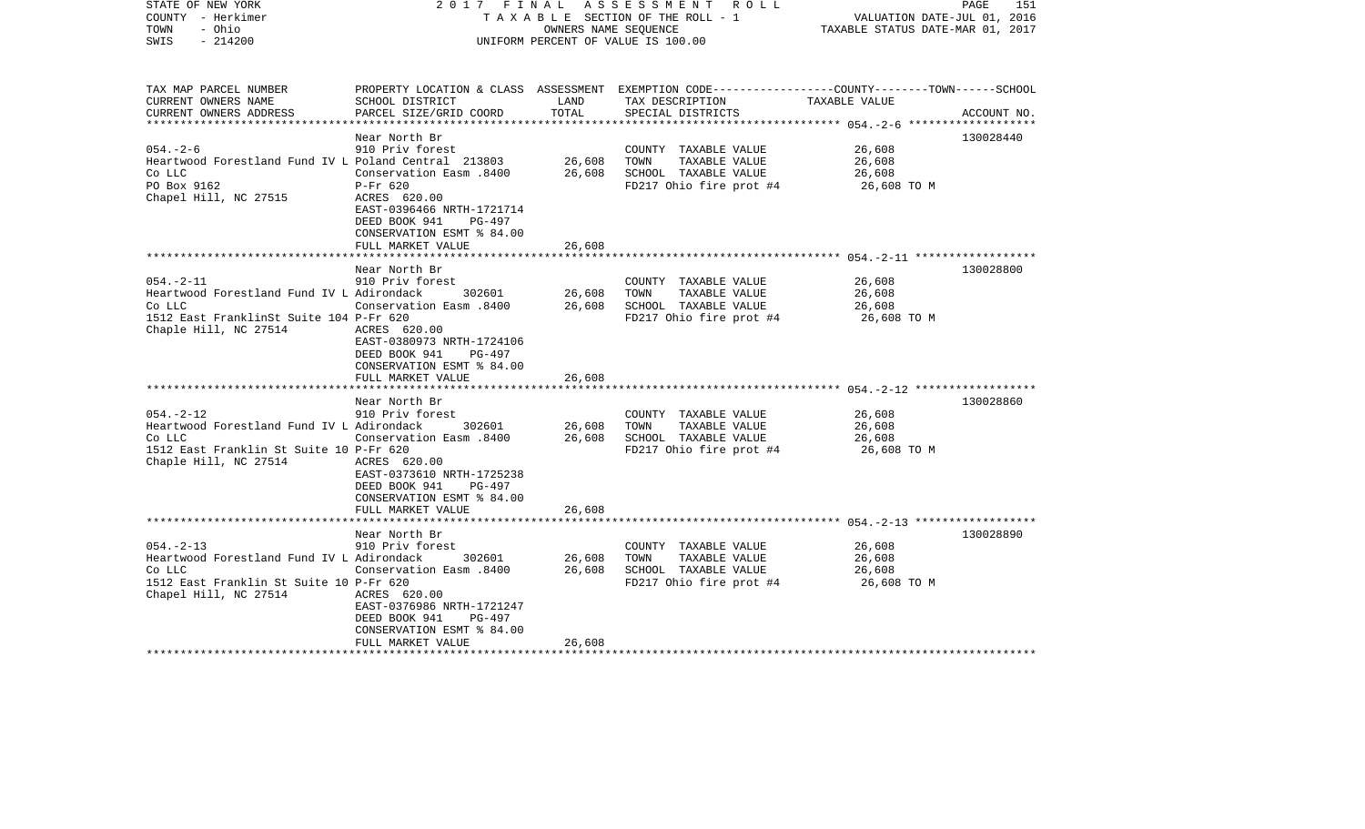| STATE OF NEW YORK<br>COUNTY - Herkimer<br>- Ohio<br>TOWN<br>SWIS<br>$-214200$                                                              | FINAL<br>2017                                                                                                                                                                                   | OWNERS NAME SEQUENCE       | ASSESSMENT<br>R O L L<br>TAXABLE SECTION OF THE ROLL - 1<br>UNIFORM PERCENT OF VALUE IS 100.00                                          | VALUATION DATE-JUL 01, 2016<br>TAXABLE STATUS DATE-MAR 01, 2017 | PAGE<br>151 |
|--------------------------------------------------------------------------------------------------------------------------------------------|-------------------------------------------------------------------------------------------------------------------------------------------------------------------------------------------------|----------------------------|-----------------------------------------------------------------------------------------------------------------------------------------|-----------------------------------------------------------------|-------------|
| TAX MAP PARCEL NUMBER<br>CURRENT OWNERS NAME<br>CURRENT OWNERS ADDRESS                                                                     | SCHOOL DISTRICT<br>PARCEL SIZE/GRID COORD                                                                                                                                                       | LAND<br>TOTAL              | PROPERTY LOCATION & CLASS ASSESSMENT EXEMPTION CODE---------------COUNTY-------TOWN------SCHOOL<br>TAX DESCRIPTION<br>SPECIAL DISTRICTS | TAXABLE VALUE                                                   | ACCOUNT NO. |
|                                                                                                                                            | Near North Br                                                                                                                                                                                   | *************              |                                                                                                                                         | ************* 054.-2-6                                          | 130028440   |
| $054. - 2 - 6$<br>Heartwood Forestland Fund IV L Poland Central 213803<br>Co LLC<br>PO Box 9162<br>Chapel Hill, NC 27515                   | 910 Priv forest<br>Conservation Easm .8400<br>$P-Fr$ 620<br>ACRES 620.00<br>EAST-0396466 NRTH-1721714<br>DEED BOOK 941<br>PG-497<br>CONSERVATION ESMT % 84.00                                   | 26,608<br>26,608           | COUNTY TAXABLE VALUE<br>TOWN<br>TAXABLE VALUE<br>SCHOOL TAXABLE VALUE<br>FD217 Ohio fire prot #4                                        | 26,608<br>26,608<br>26,608<br>26,608 ТО М                       |             |
|                                                                                                                                            | FULL MARKET VALUE                                                                                                                                                                               | 26,608                     |                                                                                                                                         |                                                                 |             |
|                                                                                                                                            |                                                                                                                                                                                                 |                            |                                                                                                                                         |                                                                 |             |
| $054. -2 - 11$<br>Heartwood Forestland Fund IV L Adirondack<br>Co LLC<br>1512 East FranklinSt Suite 104 P-Fr 620<br>Chaple Hill, NC 27514  | Near North Br<br>910 Priv forest<br>302601<br>Conservation Easm .8400<br>ACRES 620.00<br>EAST-0380973 NRTH-1724106<br>DEED BOOK 941<br>PG-497<br>CONSERVATION ESMT % 84.00<br>FULL MARKET VALUE | 26,608<br>26,608<br>26,608 | COUNTY TAXABLE VALUE<br>TAXABLE VALUE<br>TOWN<br>SCHOOL TAXABLE VALUE<br>FD217 Ohio fire prot #4                                        | 26,608<br>26,608<br>26,608<br>26,608 TO M                       | 130028800   |
|                                                                                                                                            | * * * * * * * * * * * * * * * * * * *<br>Near North Br                                                                                                                                          | **************             |                                                                                                                                         |                                                                 | 130028860   |
| $054. -2 - 12$<br>Heartwood Forestland Fund IV L Adirondack<br>Co LLC<br>1512 East Franklin St Suite 10 P-Fr 620<br>Chaple Hill, NC 27514  | 910 Priv forest<br>302601<br>Conservation Easm .8400<br>ACRES 620.00<br>EAST-0373610 NRTH-1725238<br>DEED BOOK 941<br>PG-497<br>CONSERVATION ESMT % 84.00                                       | 26,608<br>26,608           | COUNTY TAXABLE VALUE<br>TAXABLE VALUE<br>TOWN<br>SCHOOL TAXABLE VALUE<br>FD217 Ohio fire prot #4                                        | 26,608<br>26,608<br>26,608<br>26,608 TO M                       |             |
|                                                                                                                                            | FULL MARKET VALUE<br>********************                                                                                                                                                       | 26,608                     |                                                                                                                                         |                                                                 |             |
| $054. - 2 - 13$<br>Heartwood Forestland Fund IV L Adirondack<br>Co LLC<br>1512 East Franklin St Suite 10 P-Fr 620<br>Chapel Hill, NC 27514 | Near North Br<br>910 Priv forest<br>302601<br>Conservation Easm .8400<br>ACRES 620.00<br>EAST-0376986 NRTH-1721247<br>DEED BOOK 941<br>PG-497<br>CONSERVATION ESMT % 84.00<br>FULL MARKET VALUE | 26,608<br>26,608<br>26,608 | COUNTY TAXABLE VALUE<br>TOWN<br>TAXABLE VALUE<br>SCHOOL TAXABLE VALUE<br>FD217 Ohio fire prot #4                                        | 26,608<br>26,608<br>26,608<br>26,608 TO M                       | 130028890   |
|                                                                                                                                            |                                                                                                                                                                                                 |                            |                                                                                                                                         |                                                                 |             |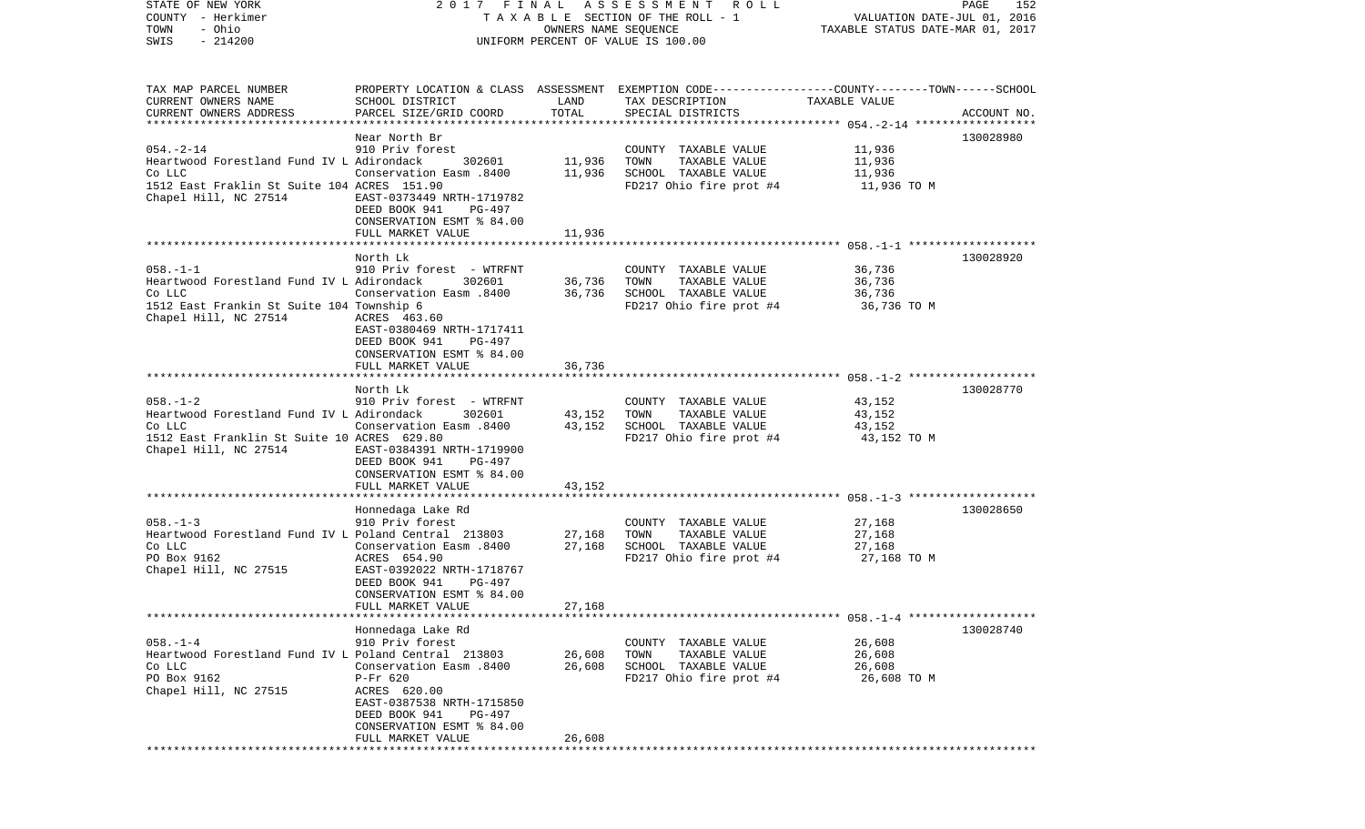COUNTY - Herkimer **T A X A B L E** SECTION OF THE ROLL - 1 VALUATION DATE-JUL 01, 2016 TOWN - Ohio OWNERS NAME SEQUENCE TAXABLE STATUS DATE-MAR 01, 2017 SWIS - 214200 UNIFORM PERCENT OF VALUE IS 100.00TAX MAP PARCEL NUMBER PROPERTY LOCATION & CLASS ASSESSMENT EXEMPTION CODE------------------COUNTY--------TOWN------SCHOOL CURRENT OWNERS NAME SCHOOL DISTRICT LAND TAX DESCRIPTION TAXABLE VALUECURRENT OWNERS ADDRESS PARCEL SIZE/GRID COORD TOTAL SPECIAL DISTRICTS ACCOUNT NO. \*\*\*\*\*\*\*\*\*\*\*\*\*\*\*\*\*\*\*\*\*\*\*\*\*\*\*\*\*\*\*\*\*\*\*\*\*\*\*\*\*\*\*\*\*\*\*\*\*\*\*\*\*\*\*\*\*\*\*\*\*\*\*\*\*\*\*\*\*\*\*\*\*\*\*\*\*\*\*\*\*\*\*\*\*\*\*\*\*\*\*\*\*\*\*\*\*\*\*\*\*\*\* 054.-2-14 \*\*\*\*\*\*\*\*\*\*\*\*\*\*\*\*\*\*Near North Br 130028980 054.-2-14 910 Priv forest COUNTY TAXABLE VALUE 11,936 Heartwood Forestland Fund IV L Adirondack 302601 11,936 TOWN TAXABLE VALUE 11,936 Co LLC Conservation Easm .8400 11,936 SCHOOL TAXABLE VALUE 11,936 1512 East Fraklin St Suite 104 ACRES 151.90 FD217 Ohio fire prot #4 11,936 TO M Chapel Hill, NC 27514 EAST-0373449 NRTH-1719782 DEED BOOK 941 PG-497 CONSERVATION ESMT % 84.00 FULL MARKET VALUE 11,936 \*\*\*\*\*\*\*\*\*\*\*\*\*\*\*\*\*\*\*\*\*\*\*\*\*\*\*\*\*\*\*\*\*\*\*\*\*\*\*\*\*\*\*\*\*\*\*\*\*\*\*\*\*\*\*\*\*\*\*\*\*\*\*\*\*\*\*\*\*\*\*\*\*\*\*\*\*\*\*\*\*\*\*\*\*\*\*\*\*\*\*\*\*\*\*\*\*\*\*\*\*\*\* 058.-1-1 \*\*\*\*\*\*\*\*\*\*\*\*\*\*\*\*\*\*\* North Lk 130028920058.-1-1 910 Priv forest - WTRFNT COUNTY TAXABLE VALUE 36,736 Heartwood Forestland Fund IV L Adirondack 302601 36,736 TOWN TAXABLE VALUE 36,736 Co LLC Conservation Easm .8400 36,736 SCHOOL TAXABLE VALUE 36,736 1512 East Frankin St Suite 104 Township 6 FD217 Ohio fire prot #4 36,736 TO M Chapel Hill, NC 27514 ACRES 463.60 EAST-0380469 NRTH-1717411 DEED BOOK 941 PG-497 CONSERVATION ESMT % 84.00FULL MARKET VALUE 36,736 \*\*\*\*\*\*\*\*\*\*\*\*\*\*\*\*\*\*\*\*\*\*\*\*\*\*\*\*\*\*\*\*\*\*\*\*\*\*\*\*\*\*\*\*\*\*\*\*\*\*\*\*\*\*\*\*\*\*\*\*\*\*\*\*\*\*\*\*\*\*\*\*\*\*\*\*\*\*\*\*\*\*\*\*\*\*\*\*\*\*\*\*\*\*\*\*\*\*\*\*\*\*\* 058.-1-2 \*\*\*\*\*\*\*\*\*\*\*\*\*\*\*\*\*\*\* North Lk 130028770058.-1-2 910 Priv forest - WTRFNT COUNTY TAXABLE VALUE 43,152 Heartwood Forestland Fund IV L Adirondack 302601 43,152 TOWN TAXABLE VALUE 43,152 Co LLC Conservation Easm .8400 43,152 SCHOOL TAXABLE VALUE 43,152 1512 East Franklin St Suite 10 ACRES 629.80 FD217 Ohio fire prot #4 43,152 TO M Chapel Hill, NC 27514 EAST-0384391 NRTH-1719900 DEED BOOK 941 PG-497 CONSERVATION ESMT % 84.00FULL MARKET VALUE 43.152 \*\*\*\*\*\*\*\*\*\*\*\*\*\*\*\*\*\*\*\*\*\*\*\*\*\*\*\*\*\*\*\*\*\*\*\*\*\*\*\*\*\*\*\*\*\*\*\*\*\*\*\*\*\*\*\*\*\*\*\*\*\*\*\*\*\*\*\*\*\*\*\*\*\*\*\*\*\*\*\*\*\*\*\*\*\*\*\*\*\*\*\*\*\*\*\*\*\*\*\*\*\*\* 058.-1-3 \*\*\*\*\*\*\*\*\*\*\*\*\*\*\*\*\*\*\* Honnedaga Lake Rd 130028650 058.-1-3 910 Priv forest COUNTY TAXABLE VALUE 27,168 Heartwood Forestland Fund IV L Poland Central 213803 27,168 TOWN TAXABLE VALUE 27,168 Co LLC Conservation Easm .8400 27,168 SCHOOL TAXABLE VALUE 27,168 PO Box 9162 ACRES 654.90 FD217 Ohio fire prot #4 27,168 TO M EAST-0392022 NRTH-1718767 DEED BOOK 941 PG-497 CONSERVATION ESMT % 84.00 FULL MARKET VALUE 27,168 \*\*\*\*\*\*\*\*\*\*\*\*\*\*\*\*\*\*\*\*\*\*\*\*\*\*\*\*\*\*\*\*\*\*\*\*\*\*\*\*\*\*\*\*\*\*\*\*\*\*\*\*\*\*\*\*\*\*\*\*\*\*\*\*\*\*\*\*\*\*\*\*\*\*\*\*\*\*\*\*\*\*\*\*\*\*\*\*\*\*\*\*\*\*\*\*\*\*\*\*\*\*\* 058.-1-4 \*\*\*\*\*\*\*\*\*\*\*\*\*\*\*\*\*\*\* Honnedaga Lake Rd 130028740 058.-1-4 910 Priv forest COUNTY TAXABLE VALUE 26,608 Heartwood Forestland Fund IV L Poland Central 213803 26,608 TOWN TAXABLE VALUE 26,608 Co LLC Conservation Easm .8400 26,608 SCHOOL TAXABLE VALUE 26,608 PO Box 9162 **P-Fr 620** P-Fr 620 **FD217** Ohio fire prot #4 26,608 TO M Chapel Hill, NC 27515 ACRES 620.00 EAST-0387538 NRTH-1715850 DEED BOOK 941 PG-497 CONSERVATION ESMT % 84.00FULL MARKET VALUE 26,608 \*\*\*\*\*\*\*\*\*\*\*\*\*\*\*\*\*\*\*\*\*\*\*\*\*\*\*\*\*\*\*\*\*\*\*\*\*\*\*\*\*\*\*\*\*\*\*\*\*\*\*\*\*\*\*\*\*\*\*\*\*\*\*\*\*\*\*\*\*\*\*\*\*\*\*\*\*\*\*\*\*\*\*\*\*\*\*\*\*\*\*\*\*\*\*\*\*\*\*\*\*\*\*\*\*\*\*\*\*\*\*\*\*\*\*\*\*\*\*\*\*\*\*\*\*\*\*\*\*\*\*\*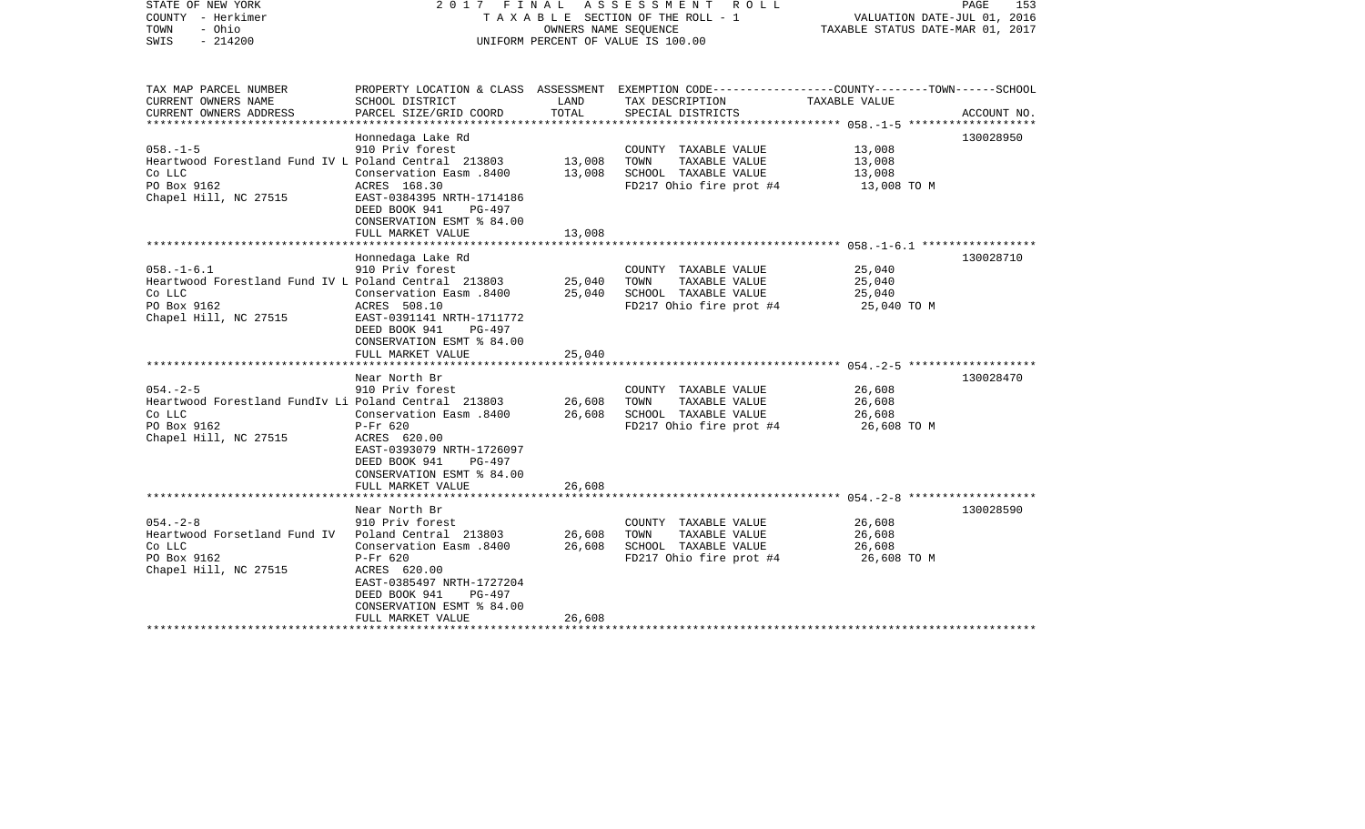| STATE OF NEW YORK<br>COUNTY - Herkimer<br>- Ohio<br>TOWN<br>SWIS<br>$-214200$                                                                | A S S E S S M E N T<br>2017 FINAL<br>R O L L<br>TAXABLE SECTION OF THE ROLL - 1<br>OWNERS NAME SEQUENCE<br>UNIFORM PERCENT OF VALUE IS 100.00                                                                                                     |                                                 |                                                                                                                          | PAGE<br>153<br>VALUATION DATE-JUL 01, 2016<br>TAXABLE STATUS DATE-MAR 01, 2017 |                        |
|----------------------------------------------------------------------------------------------------------------------------------------------|---------------------------------------------------------------------------------------------------------------------------------------------------------------------------------------------------------------------------------------------------|-------------------------------------------------|--------------------------------------------------------------------------------------------------------------------------|--------------------------------------------------------------------------------|------------------------|
| TAX MAP PARCEL NUMBER<br>CURRENT OWNERS NAME                                                                                                 | SCHOOL DISTRICT                                                                                                                                                                                                                                   | LAND                                            | PROPERTY LOCATION & CLASS ASSESSMENT EXEMPTION CODE---------------COUNTY-------TOWN------SCHOOL<br>TAX DESCRIPTION       | TAXABLE VALUE                                                                  |                        |
| CURRENT OWNERS ADDRESS                                                                                                                       | PARCEL SIZE/GRID COORD<br>***********************                                                                                                                                                                                                 | TOTAL                                           | SPECIAL DISTRICTS                                                                                                        |                                                                                | ACCOUNT NO.            |
| $058. - 1 - 5$<br>Heartwood Forestland Fund IV L Poland Central 213803<br>Co LLC<br>PO Box 9162<br>Chapel Hill, NC 27515                     | Honnedaga Lake Rd<br>910 Priv forest<br><b>Conservation Easm.8400</b><br>ACRES 168.30<br>EAST-0384395 NRTH-1714186<br>DEED BOOK 941<br>PG-497<br>CONSERVATION ESMT % 84.00                                                                        | 13,008<br>13,008                                | COUNTY TAXABLE VALUE<br>TOWN<br>TAXABLE VALUE<br>SCHOOL TAXABLE VALUE<br>FD217 Ohio fire prot #4                         | 13,008<br>13,008<br>13,008<br>13,008 TO M                                      | 130028950              |
| ******************************                                                                                                               | FULL MARKET VALUE<br>******************                                                                                                                                                                                                           | 13,008                                          |                                                                                                                          |                                                                                |                        |
| $058. - 1 - 6.1$<br>Heartwood Forestland Fund IV L Poland Central 213803<br>Co LLC<br>PO Box 9162<br>Chapel Hill, NC 27515<br>$054. - 2 - 5$ | Honnedaga Lake Rd<br>910 Priv forest<br>Conservation Easm .8400<br>ACRES 508.10<br>EAST-0391141 NRTH-1711772<br>DEED BOOK 941<br>PG-497<br>CONSERVATION ESMT % 84.00<br>FULL MARKET VALUE<br>****************<br>Near North Br<br>910 Priv forest | 25,040<br>25,040<br>25,040<br>* * * * * * * * * | COUNTY TAXABLE VALUE<br>TAXABLE VALUE<br>TOWN<br>SCHOOL TAXABLE VALUE<br>FD217 Ohio fire prot #4<br>COUNTY TAXABLE VALUE | 25,040<br>25,040<br>25,040<br>25,040 TO M<br>26,608                            | 130028710<br>130028470 |
| Heartwood Forestland FundIv Li Poland Central 213803<br>Co LLC<br>PO Box 9162<br>Chapel Hill, NC 27515                                       | <b>Conservation Easm.8400</b><br>$P-Fr$ 620<br>ACRES 620.00<br>EAST-0393079 NRTH-1726097<br>DEED BOOK 941<br>PG-497<br>CONSERVATION ESMT % 84.00<br>FULL MARKET VALUE                                                                             | 26,608<br>26,608<br>26,608                      | TOWN<br>TAXABLE VALUE<br>SCHOOL TAXABLE VALUE<br>FD217 Ohio fire prot #4                                                 | 26,608<br>26,608<br>26,608 TO M                                                |                        |
|                                                                                                                                              | Near North Br                                                                                                                                                                                                                                     |                                                 |                                                                                                                          |                                                                                | 130028590              |
| $054. - 2 - 8$<br>Heartwood Forsetland Fund IV<br>Co LLC<br>PO Box 9162<br>Chapel Hill, NC 27515                                             | 910 Priv forest<br>Poland Central 213803<br>Conservation Easm .8400<br>P-Fr 620<br>ACRES 620.00<br>EAST-0385497 NRTH-1727204<br>DEED BOOK 941<br>$PG-497$<br>CONSERVATION ESMT % 84.00<br>FULL MARKET VALUE                                       | 26,608<br>26,608<br>26,608                      | COUNTY TAXABLE VALUE<br>TOWN<br>TAXABLE VALUE<br>SCHOOL TAXABLE VALUE<br>FD217 Ohio fire prot #4                         | 26,608<br>26,608<br>26,608<br>26,608 TO M                                      |                        |
|                                                                                                                                              |                                                                                                                                                                                                                                                   |                                                 |                                                                                                                          |                                                                                |                        |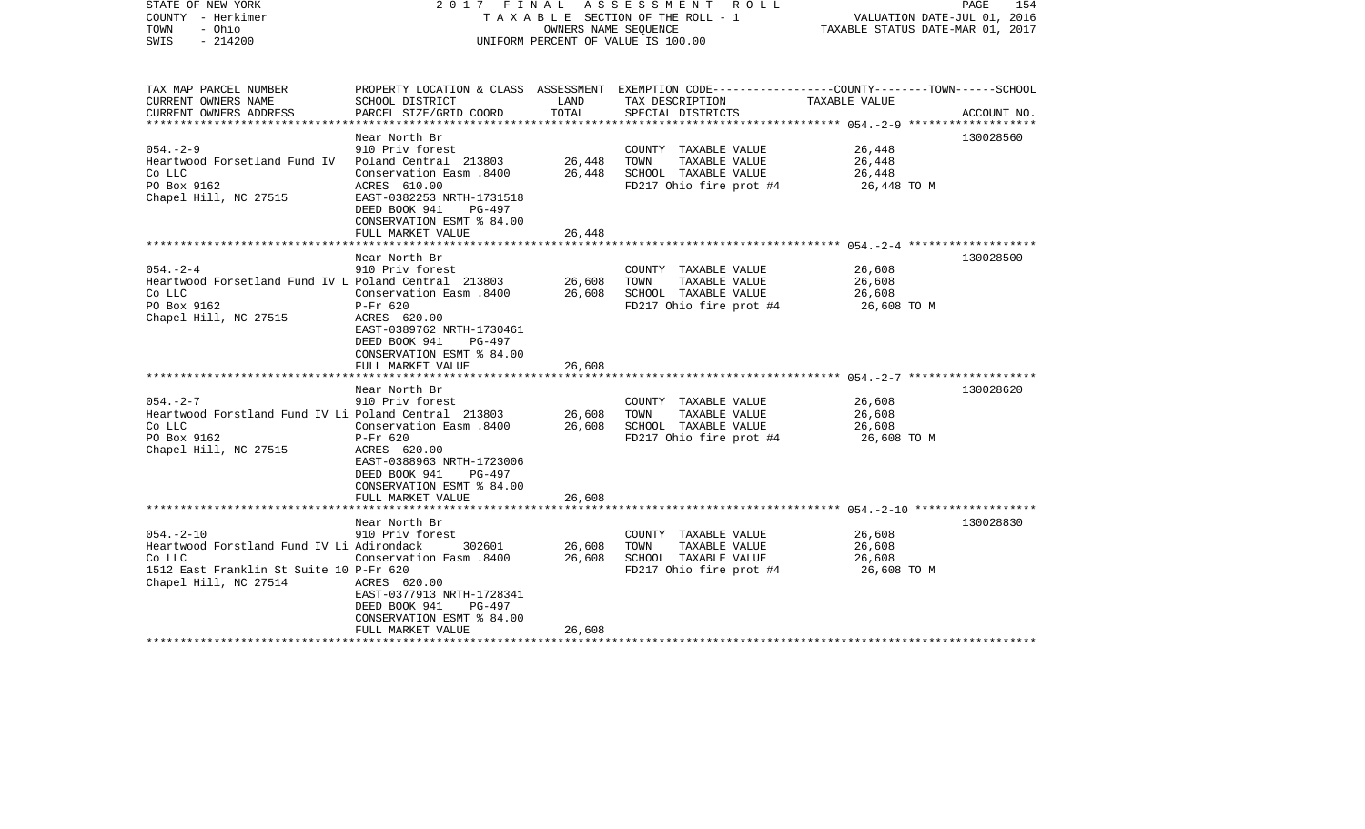| STATE OF NEW YORK<br>COUNTY - Herkimer<br>TOWN<br>- Ohio<br>$-214200$<br>SWIS                                                              | 2017 FINAL                                                                                                                                                | OWNERS NAME SEQUENCE | ASSESSMENT ROLL<br>T A X A B L E SECTION OF THE ROLL - 1<br>UNIFORM PERCENT OF VALUE IS 100.00                     | VALUATION DATE-JUL 01, 2016<br>TAXABLE STATUS DATE-MAR 01, 2017 | PAGE<br>154 |
|--------------------------------------------------------------------------------------------------------------------------------------------|-----------------------------------------------------------------------------------------------------------------------------------------------------------|----------------------|--------------------------------------------------------------------------------------------------------------------|-----------------------------------------------------------------|-------------|
| TAX MAP PARCEL NUMBER<br>CURRENT OWNERS NAME                                                                                               | SCHOOL DISTRICT                                                                                                                                           | LAND                 | PROPERTY LOCATION & CLASS ASSESSMENT EXEMPTION CODE---------------COUNTY-------TOWN------SCHOOL<br>TAX DESCRIPTION | TAXABLE VALUE                                                   |             |
| CURRENT OWNERS ADDRESS                                                                                                                     | PARCEL SIZE/GRID COORD                                                                                                                                    | TOTAL                | SPECIAL DISTRICTS                                                                                                  | **************** 054.-2-9 **************                        | ACCOUNT NO. |
|                                                                                                                                            | Near North Br                                                                                                                                             |                      |                                                                                                                    |                                                                 | 130028560   |
| $054. - 2 - 9$<br>Heartwood Forsetland Fund IV<br>Co LLC<br>PO Box 9162                                                                    | 910 Priv forest<br>Poland Central 213803<br>Conservation Easm .8400<br>ACRES 610.00                                                                       | 26,448<br>26,448     | COUNTY TAXABLE VALUE<br>TOWN<br>TAXABLE VALUE<br>SCHOOL TAXABLE VALUE<br>FD217 Ohio fire prot #4                   | 26,448<br>26,448<br>26,448<br>26,448 TO M                       |             |
| Chapel Hill, NC 27515                                                                                                                      | EAST-0382253 NRTH-1731518<br>DEED BOOK 941<br>PG-497<br>CONSERVATION ESMT % 84.00                                                                         |                      |                                                                                                                    |                                                                 |             |
|                                                                                                                                            | FULL MARKET VALUE                                                                                                                                         | 26,448               |                                                                                                                    |                                                                 |             |
|                                                                                                                                            | Near North Br                                                                                                                                             |                      |                                                                                                                    |                                                                 | 130028500   |
| $054. - 2 - 4$<br>Heartwood Forsetland Fund IV L Poland Central 213803<br>Co LLC<br>PO Box 9162                                            | 910 Priv forest<br>0400 Conservation Easm                                                                                                                 | 26,608<br>26,608     | COUNTY TAXABLE VALUE<br>TOWN<br>TAXABLE VALUE<br>SCHOOL TAXABLE VALUE                                              | 26,608<br>26,608<br>26,608                                      |             |
| Chapel Hill, NC 27515                                                                                                                      | $P-Fr$ 620<br>ACRES 620.00<br>EAST-0389762 NRTH-1730461<br>DEED BOOK 941<br>PG-497<br>CONSERVATION ESMT % 84.00                                           |                      | FD217 Ohio fire prot #4                                                                                            | 26,608 TO M                                                     |             |
|                                                                                                                                            | FULL MARKET VALUE                                                                                                                                         | 26,608               |                                                                                                                    |                                                                 |             |
|                                                                                                                                            | Near North Br                                                                                                                                             |                      |                                                                                                                    |                                                                 | 130028620   |
| $054. - 2 - 7$<br>Heartwood Forstland Fund IV Li Poland Central 213803<br>Co LLC                                                           | 910 Priv forest<br>Conservation Easm .8400                                                                                                                | 26,608<br>26,608     | COUNTY TAXABLE VALUE<br>TAXABLE VALUE<br>TOWN<br>SCHOOL TAXABLE VALUE                                              | 26,608<br>26,608<br>26,608                                      |             |
| PO Box 9162<br>Chapel Hill, NC 27515                                                                                                       | $P-Fr$ 620<br>ACRES 620.00<br>EAST-0388963 NRTH-1723006<br>DEED BOOK 941<br>PG-497<br>CONSERVATION ESMT % 84.00<br>FULL MARKET VALUE                      | 26,608               | FD217 Ohio fire prot #4                                                                                            | 26,608 TO M                                                     |             |
|                                                                                                                                            |                                                                                                                                                           |                      |                                                                                                                    | ************************* 054.-2-10 *******************         |             |
|                                                                                                                                            | Near North Br                                                                                                                                             |                      |                                                                                                                    |                                                                 | 130028830   |
| $054. - 2 - 10$<br>Heartwood Forstland Fund IV Li Adirondack<br>Co LLC<br>1512 East Franklin St Suite 10 P-Fr 620<br>Chapel Hill, NC 27514 | 910 Priv forest<br>302601<br>Conservation Easm .8400<br>ACRES 620.00<br>EAST-0377913 NRTH-1728341<br>DEED BOOK 941<br>PG-497<br>CONSERVATION ESMT % 84.00 | 26,608<br>26,608     | COUNTY TAXABLE VALUE<br>TOWN<br>TAXABLE VALUE<br>SCHOOL TAXABLE VALUE<br>FD217 Ohio fire prot #4                   | 26,608<br>26,608<br>26,608<br>26,608 TO M                       |             |
|                                                                                                                                            | FULL MARKET VALUE                                                                                                                                         | 26,608               |                                                                                                                    |                                                                 |             |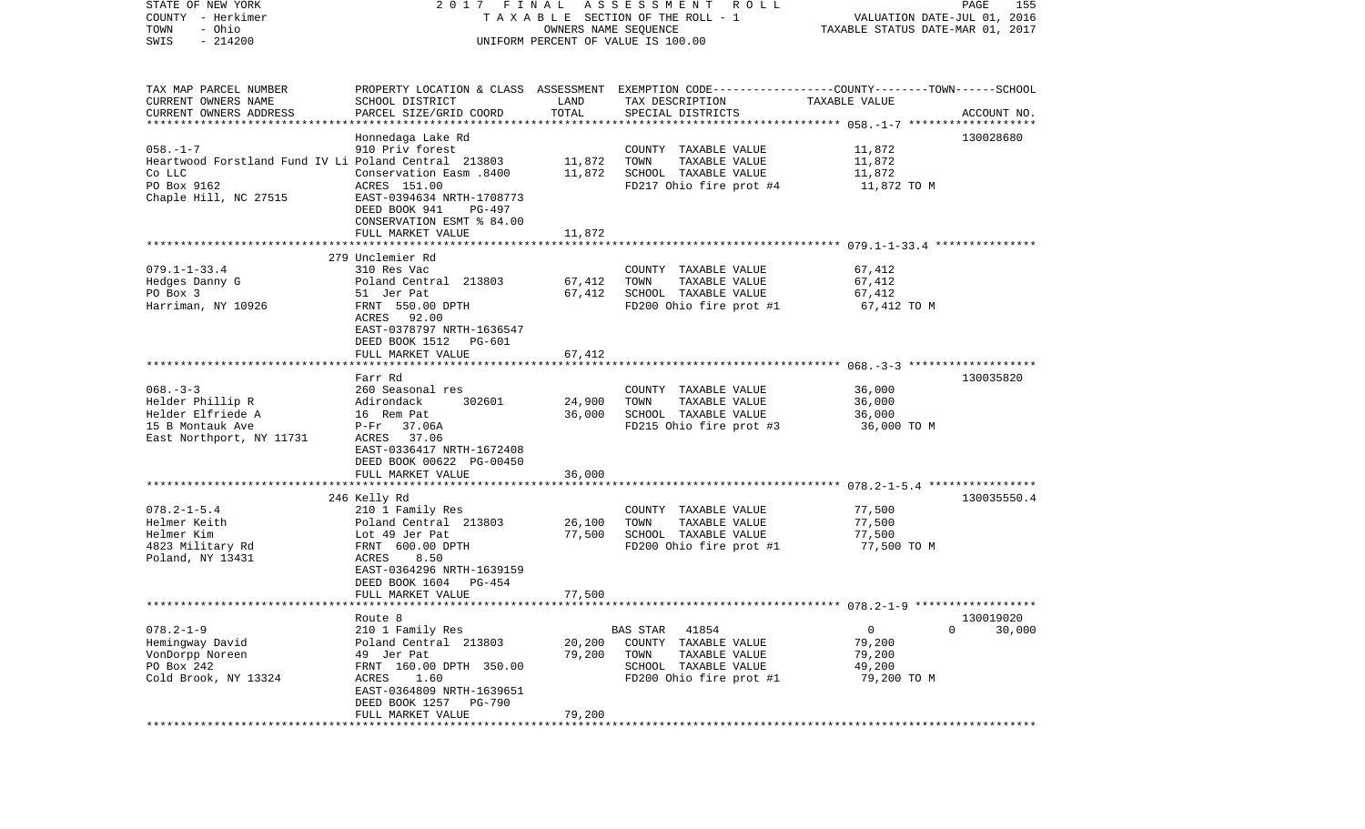| COUNTY<br>– Herkimer<br>- Ohio<br>TOWN<br>$-214200$<br>SWIS                                                              | T A X A B L E SECTION OF THE ROLL - 1<br>OWNERS NAME SEQUENCE<br>UNIFORM PERCENT OF VALUE IS 100.00                                                                                            |                            | VALUATION DATE-JUL 01, 2016<br>TAXABLE STATUS DATE-MAR 01, 2017                                                                         |                                                                  |                     |
|--------------------------------------------------------------------------------------------------------------------------|------------------------------------------------------------------------------------------------------------------------------------------------------------------------------------------------|----------------------------|-----------------------------------------------------------------------------------------------------------------------------------------|------------------------------------------------------------------|---------------------|
| TAX MAP PARCEL NUMBER<br>CURRENT OWNERS NAME<br>CURRENT OWNERS ADDRESS                                                   | SCHOOL DISTRICT<br>PARCEL SIZE/GRID COORD                                                                                                                                                      | LAND<br>TOTAL              | PROPERTY LOCATION & CLASS ASSESSMENT EXEMPTION CODE---------------COUNTY-------TOWN------SCHOOL<br>TAX DESCRIPTION<br>SPECIAL DISTRICTS | TAXABLE VALUE                                                    | ACCOUNT NO.         |
|                                                                                                                          |                                                                                                                                                                                                |                            |                                                                                                                                         |                                                                  |                     |
| $058. - 1 - 7$<br>Heartwood Forstland Fund IV Li Poland Central 213803<br>Co LLC<br>PO Box 9162<br>Chaple Hill, NC 27515 | Honnedaga Lake Rd<br>910 Priv forest<br>Conservation Easm .8400<br>ACRES 151.00<br>EAST-0394634 NRTH-1708773<br>DEED BOOK 941<br>PG-497<br>CONSERVATION ESMT % 84.00                           | 11,872<br>11,872           | COUNTY TAXABLE VALUE<br>TOWN<br>TAXABLE VALUE<br>SCHOOL TAXABLE VALUE<br>FD217 Ohio fire prot #4                                        | 11,872<br>11,872<br>11,872<br>11,872 TO M                        | 130028680           |
|                                                                                                                          | FULL MARKET VALUE                                                                                                                                                                              | 11,872                     |                                                                                                                                         |                                                                  |                     |
|                                                                                                                          |                                                                                                                                                                                                |                            |                                                                                                                                         |                                                                  |                     |
| $079.1 - 1 - 33.4$<br>Hedges Danny G<br>PO Box 3<br>Harriman, NY 10926                                                   | 279 Unclemier Rd<br>310 Res Vac<br>Poland Central 213803<br>51 Jer Pat<br>FRNT 550.00 DPTH<br>ACRES<br>92.00<br>EAST-0378797 NRTH-1636547<br>DEED BOOK 1512<br>PG-601                          | 67,412<br>67,412           | COUNTY TAXABLE VALUE<br>TAXABLE VALUE<br>TOWN<br>SCHOOL TAXABLE VALUE<br>FD200 Ohio fire prot #1                                        | 67,412<br>67,412<br>67,412<br>67,412 TO M                        |                     |
|                                                                                                                          | FULL MARKET VALUE                                                                                                                                                                              | 67,412                     |                                                                                                                                         |                                                                  |                     |
| $068. - 3 - 3$<br>Helder Phillip R<br>Helder Elfriede A<br>15 B Montauk Ave<br>East Northport, NY 11731                  | Farr Rd<br>260 Seasonal res<br>Adirondack<br>302601<br>16 Rem Pat<br>$P-Fr$ 37.06A<br>ACRES 37.06<br>EAST-0336417 NRTH-1672408<br>DEED BOOK 00622 PG-00450<br>FULL MARKET VALUE                | 24,900<br>36,000<br>36,000 | COUNTY TAXABLE VALUE<br>TOWN<br>TAXABLE VALUE<br>SCHOOL TAXABLE VALUE<br>FD215 Ohio fire prot #3                                        | 36,000<br>36,000<br>36,000<br>36,000 TO M                        | 130035820           |
|                                                                                                                          |                                                                                                                                                                                                |                            |                                                                                                                                         |                                                                  |                     |
| $078.2 - 1 - 5.4$<br>Helmer Keith<br>Helmer Kim<br>4823 Military Rd<br>Poland, NY 13431                                  | 246 Kelly Rd<br>210 1 Family Res<br>Poland Central 213803<br>Lot 49 Jer Pat<br>FRNT 600.00 DPTH<br>ACRES<br>8.50<br>EAST-0364296 NRTH-1639159<br>DEED BOOK 1604<br>PG-454<br>FULL MARKET VALUE | 26,100<br>77,500<br>77,500 | COUNTY TAXABLE VALUE<br>TOWN<br>TAXABLE VALUE<br>SCHOOL TAXABLE VALUE<br>FD200 Ohio fire prot #1                                        | 77,500<br>77,500<br>77,500<br>77,500 TO M                        | 130035550.4         |
|                                                                                                                          |                                                                                                                                                                                                |                            |                                                                                                                                         |                                                                  |                     |
| $078.2 - 1 - 9$<br>Hemingway David<br>VonDorpp Noreen<br>PO Box 242<br>Cold Brook, NY 13324                              | Route 8<br>210 1 Family Res<br>Poland Central 213803<br>49 Jer Pat<br>FRNT 160.00 DPTH 350.00<br>ACRES<br>1.60<br>EAST-0364809 NRTH-1639651<br>DEED BOOK 1257<br>PG-790<br>FULL MARKET VALUE   | 20,200<br>79,200<br>79,200 | 41854<br><b>BAS STAR</b><br>COUNTY TAXABLE VALUE<br>TOWN<br>TAXABLE VALUE<br>SCHOOL TAXABLE VALUE<br>FD200 Ohio fire prot #1            | 0<br>$\overline{0}$<br>79,200<br>79,200<br>49,200<br>79,200 TO M | 130019020<br>30,000 |
|                                                                                                                          |                                                                                                                                                                                                |                            |                                                                                                                                         |                                                                  |                     |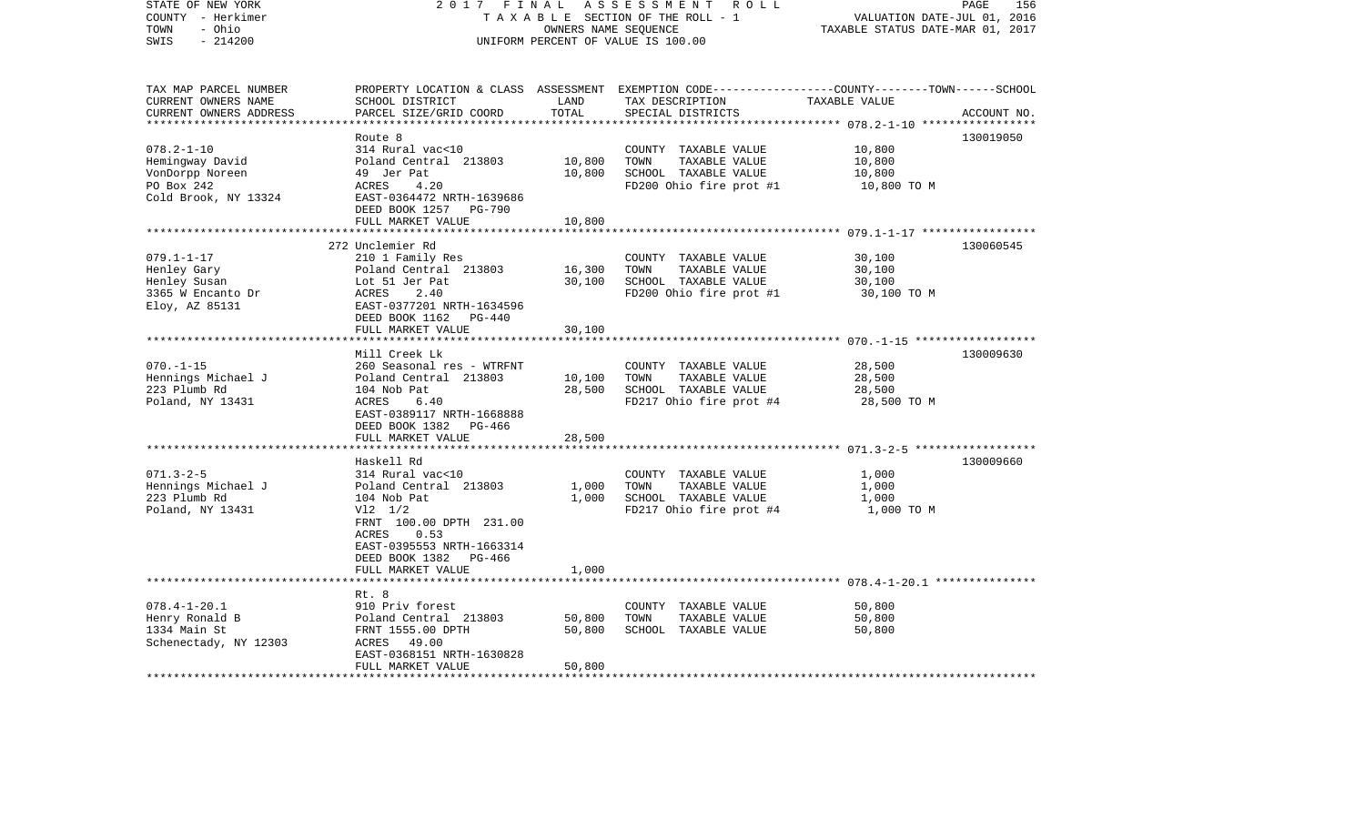| STATE OF NEW YORK<br>COUNTY - Herkimer<br>- Ohio<br>TOWN<br>$-214200$<br>SWIS | 2017 FINAL                                            | OWNERS NAME SEQUENCE    | ASSESSMENT<br>ROLL<br>TAXABLE SECTION OF THE ROLL - 1<br>UNIFORM PERCENT OF VALUE IS 100.00 | 156<br>PAGE<br>VALUATION DATE-JUL 01, 2016<br>TAXABLE STATUS DATE-MAR 01, 2017                                    |
|-------------------------------------------------------------------------------|-------------------------------------------------------|-------------------------|---------------------------------------------------------------------------------------------|-------------------------------------------------------------------------------------------------------------------|
|                                                                               |                                                       |                         |                                                                                             |                                                                                                                   |
| TAX MAP PARCEL NUMBER<br>CURRENT OWNERS NAME                                  | SCHOOL DISTRICT                                       | LAND                    | TAX DESCRIPTION                                                                             | PROPERTY LOCATION & CLASS ASSESSMENT EXEMPTION CODE----------------COUNTY-------TOWN------SCHOOL<br>TAXABLE VALUE |
| CURRENT OWNERS ADDRESS                                                        | PARCEL SIZE/GRID COORD                                | TOTAL                   | SPECIAL DISTRICTS                                                                           | ACCOUNT NO.                                                                                                       |
|                                                                               |                                                       | **************          |                                                                                             |                                                                                                                   |
|                                                                               | Route 8                                               |                         |                                                                                             | 130019050                                                                                                         |
| $078.2 - 1 - 10$                                                              | 314 Rural vac<10                                      |                         | COUNTY TAXABLE VALUE                                                                        | 10,800                                                                                                            |
| Hemingway David                                                               | Poland Central 213803                                 | 10,800                  | TOWN<br>TAXABLE VALUE                                                                       | 10,800                                                                                                            |
| VonDorpp Noreen                                                               | 49 Jer Pat                                            | 10,800                  | SCHOOL TAXABLE VALUE                                                                        | 10,800                                                                                                            |
| PO Box 242                                                                    | 4.20<br>ACRES                                         |                         | FD200 Ohio fire prot #1                                                                     | 10,800 TO M                                                                                                       |
| Cold Brook, NY 13324                                                          | EAST-0364472 NRTH-1639686                             |                         |                                                                                             |                                                                                                                   |
|                                                                               | DEED BOOK 1257 PG-790                                 |                         |                                                                                             |                                                                                                                   |
|                                                                               | FULL MARKET VALUE                                     | 10,800                  |                                                                                             |                                                                                                                   |
|                                                                               | ************************                              |                         |                                                                                             | ************************ 079.1-1-17 *****************                                                             |
|                                                                               | 272 Unclemier Rd                                      |                         |                                                                                             | 130060545                                                                                                         |
| $079.1 - 1 - 17$                                                              | 210 1 Family Res                                      |                         | COUNTY TAXABLE VALUE                                                                        | 30,100                                                                                                            |
| Henley Gary                                                                   | Poland Central 213803                                 | 16,300                  | TOWN<br>TAXABLE VALUE                                                                       | 30,100                                                                                                            |
| Henley Susan                                                                  | Lot 51 Jer Pat                                        | 30,100                  | SCHOOL TAXABLE VALUE                                                                        | 30,100                                                                                                            |
| 3365 W Encanto Dr                                                             | ACRES<br>2.40                                         |                         | FD200 Ohio fire prot #1                                                                     | 30,100 TO M                                                                                                       |
| Eloy, AZ 85131                                                                | EAST-0377201 NRTH-1634596<br>DEED BOOK 1162<br>PG-440 |                         |                                                                                             |                                                                                                                   |
|                                                                               | FULL MARKET VALUE                                     | 30,100                  |                                                                                             |                                                                                                                   |
|                                                                               |                                                       |                         |                                                                                             |                                                                                                                   |
|                                                                               | Mill Creek Lk                                         |                         |                                                                                             | 130009630                                                                                                         |
| $070. -1 -15$                                                                 | 260 Seasonal res - WTRFNT                             |                         | COUNTY TAXABLE VALUE                                                                        | 28,500                                                                                                            |
| Hennings Michael J                                                            | Poland Central 213803                                 | 10,100                  | TOWN<br>TAXABLE VALUE                                                                       | 28,500                                                                                                            |
| 223 Plumb Rd                                                                  | 104 Nob Pat                                           | 28,500                  | SCHOOL TAXABLE VALUE                                                                        | 28,500                                                                                                            |
| Poland, NY 13431                                                              | ACRES<br>6.40                                         |                         | FD217 Ohio fire prot #4                                                                     | 28,500 TO M                                                                                                       |
|                                                                               | EAST-0389117 NRTH-1668888                             |                         |                                                                                             |                                                                                                                   |
|                                                                               | DEED BOOK 1382<br>PG-466                              |                         |                                                                                             |                                                                                                                   |
|                                                                               | FULL MARKET VALUE                                     | 28,500                  |                                                                                             |                                                                                                                   |
|                                                                               |                                                       |                         |                                                                                             |                                                                                                                   |
|                                                                               | Haskell Rd                                            |                         |                                                                                             | 130009660                                                                                                         |
| $071.3 - 2 - 5$                                                               | 314 Rural vac<10                                      |                         | COUNTY TAXABLE VALUE                                                                        | 1,000                                                                                                             |
| Hennings Michael J                                                            | Poland Central 213803                                 | 1,000                   | TOWN<br>TAXABLE VALUE                                                                       | 1,000                                                                                                             |
| 223 Plumb Rd                                                                  | 104 Nob Pat                                           | 1,000                   | SCHOOL TAXABLE VALUE                                                                        | 1,000                                                                                                             |
| Poland, NY 13431                                                              | $V12 \t1/2$                                           |                         | FD217 Ohio fire prot #4                                                                     | 1,000 TO M                                                                                                        |
|                                                                               | FRNT 100.00 DPTH 231.00                               |                         |                                                                                             |                                                                                                                   |
|                                                                               | 0.53<br>ACRES                                         |                         |                                                                                             |                                                                                                                   |
|                                                                               | EAST-0395553 NRTH-1663314                             |                         |                                                                                             |                                                                                                                   |
|                                                                               | DEED BOOK 1382 PG-466                                 |                         |                                                                                             |                                                                                                                   |
|                                                                               |                                                       | 1,000                   |                                                                                             |                                                                                                                   |
|                                                                               | FULL MARKET VALUE                                     |                         |                                                                                             |                                                                                                                   |
|                                                                               |                                                       |                         |                                                                                             |                                                                                                                   |
|                                                                               | Rt. 8                                                 |                         |                                                                                             |                                                                                                                   |
| $078.4 - 1 - 20.1$                                                            | 910 Priv forest                                       |                         | COUNTY TAXABLE VALUE                                                                        | 50,800                                                                                                            |
| Henry Ronald B                                                                | Poland Central 213803                                 | 50,800                  | TOWN<br>TAXABLE VALUE                                                                       | 50,800                                                                                                            |
| 1334 Main St                                                                  | FRNT 1555.00 DPTH                                     | 50,800                  | SCHOOL TAXABLE VALUE                                                                        | 50,800                                                                                                            |
| Schenectady, NY 12303                                                         | ACRES 49.00                                           |                         |                                                                                             |                                                                                                                   |
|                                                                               | EAST-0368151 NRTH-1630828                             |                         |                                                                                             |                                                                                                                   |
| *********************                                                         | FULL MARKET VALUE<br>*************************        | 50,800<br>************* |                                                                                             |                                                                                                                   |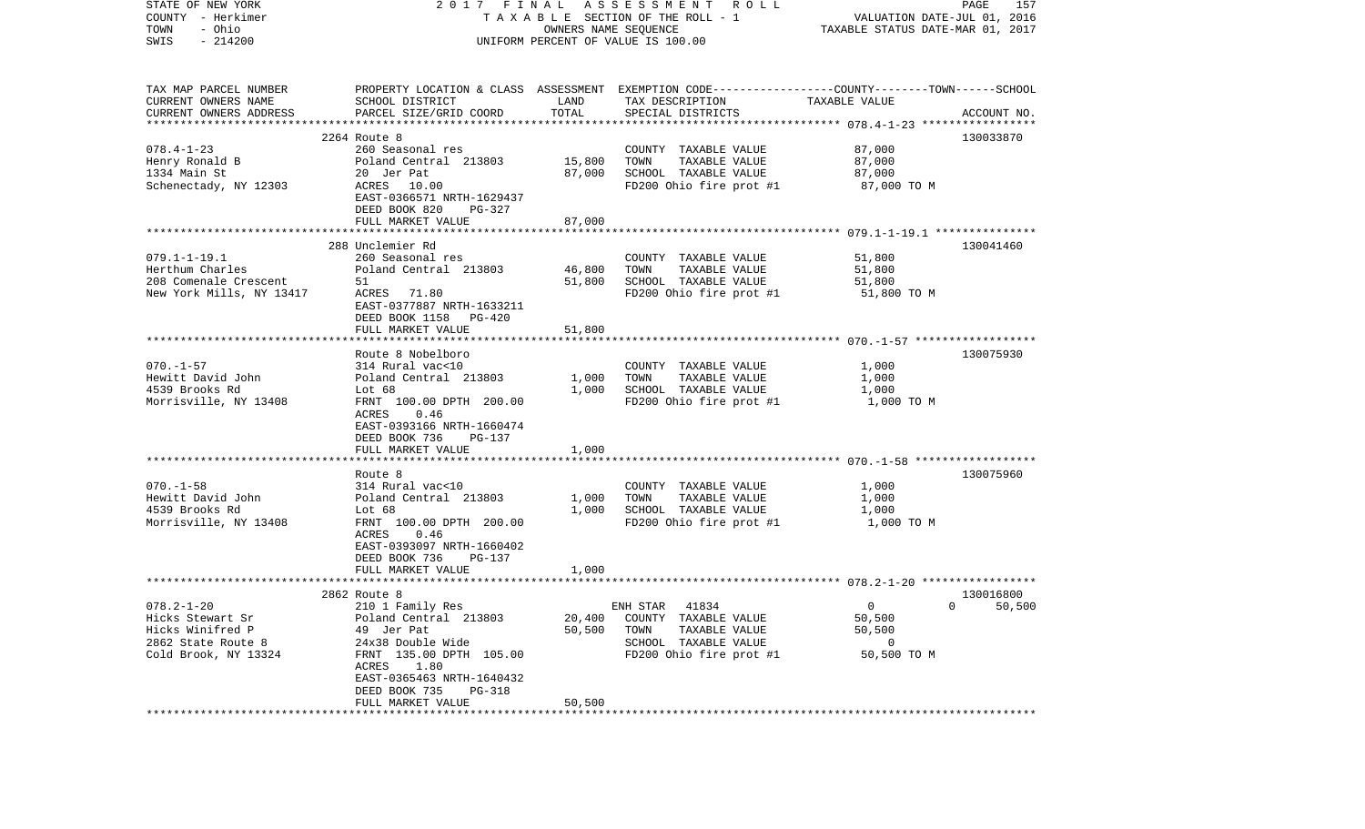| STATE OF NEW YORK<br>COUNTY - Herkimer<br>- Ohio<br>TOWN<br>$-214200$<br>SWIS                          |                                                                                                                                                                                                                    | OWNERS NAME SEQUENCE       | 2017 FINAL ASSESSMENT ROLL<br>TAXABLE SECTION OF THE ROLL - 1<br>UNIFORM PERCENT OF VALUE IS 100.00                                     | VALUATION DATE-JUL 01, 2016<br>TAXABLE STATUS DATE-MAR 01, 2017 | PAGE<br>157                |
|--------------------------------------------------------------------------------------------------------|--------------------------------------------------------------------------------------------------------------------------------------------------------------------------------------------------------------------|----------------------------|-----------------------------------------------------------------------------------------------------------------------------------------|-----------------------------------------------------------------|----------------------------|
| TAX MAP PARCEL NUMBER<br>CURRENT OWNERS NAME<br>CURRENT OWNERS ADDRESS<br>*************************    | SCHOOL DISTRICT<br>PARCEL SIZE/GRID COORD                                                                                                                                                                          | LAND<br>TOTAL              | PROPERTY LOCATION & CLASS ASSESSMENT EXEMPTION CODE---------------COUNTY-------TOWN------SCHOOL<br>TAX DESCRIPTION<br>SPECIAL DISTRICTS | TAXABLE VALUE                                                   | ACCOUNT NO.                |
| $078.4 - 1 - 23$<br>Henry Ronald B<br>1334 Main St<br>Schenectady, NY 12303                            | 2264 Route 8<br>260 Seasonal res<br>Poland Central 213803<br>20 Jer Pat<br>ACRES 10.00<br>EAST-0366571 NRTH-1629437<br>DEED BOOK 820<br>PG-327<br>FULL MARKET VALUE                                                | 15,800<br>87,000<br>87,000 | COUNTY TAXABLE VALUE<br>TOWN<br>TAXABLE VALUE<br>SCHOOL TAXABLE VALUE<br>FD200 Ohio fire prot #1                                        | 87,000<br>87,000<br>87,000<br>87,000 TO M                       | 130033870                  |
| $079.1 - 1 - 19.1$<br>Herthum Charles<br>208 Comenale Crescent<br>New York Mills, NY 13417             | 288 Unclemier Rd<br>260 Seasonal res<br>Poland Central 213803<br>51<br>ACRES 71.80<br>EAST-0377887 NRTH-1633211<br>DEED BOOK 1158 PG-420<br>FULL MARKET VALUE                                                      | 46,800<br>51,800<br>51,800 | COUNTY TAXABLE VALUE<br>TAXABLE VALUE<br>TOWN<br>SCHOOL TAXABLE VALUE<br>FD200 Ohio fire prot #1                                        | 51,800<br>51,800<br>51,800<br>51,800 TO M                       | 130041460                  |
| $070. - 1 - 57$<br>Hewitt David John<br>4539 Brooks Rd<br>Morrisville, NY 13408                        | Route 8 Nobelboro<br>314 Rural vac<10<br>Poland Central 213803<br>Lot $68$<br>FRNT 100.00 DPTH 200.00<br>0.46<br>ACRES<br>EAST-0393166 NRTH-1660474<br>DEED BOOK 736<br>PG-137<br>FULL MARKET VALUE                | 1,000<br>1,000<br>1,000    | COUNTY TAXABLE VALUE<br>TAXABLE VALUE<br>TOWN<br>SCHOOL TAXABLE VALUE<br>FD200 Ohio fire prot #1                                        | 1,000<br>1,000<br>1,000<br>1,000 TO M                           | 130075930                  |
| $070. - 1 - 58$<br>Hewitt David John<br>4539 Brooks Rd<br>Morrisville, NY 13408                        | ***********************<br>Route 8<br>314 Rural vac<10<br>Poland Central 213803<br>Lot 68<br>FRNT 100.00 DPTH 200.00<br>ACRES<br>0.46<br>EAST-0393097 NRTH-1660402<br>DEED BOOK 736<br>PG-137<br>FULL MARKET VALUE | 1,000<br>1,000<br>1,000    | COUNTY TAXABLE VALUE<br>TAXABLE VALUE<br>TOWN<br>SCHOOL TAXABLE VALUE<br>FD200 Ohio fire prot #1                                        | 1,000<br>1,000<br>1,000<br>1,000 TO M                           | 130075960                  |
| $078.2 - 1 - 20$<br>Hicks Stewart Sr<br>Hicks Winifred P<br>2862 State Route 8<br>Cold Brook, NY 13324 | 2862 Route 8<br>210 1 Family Res<br>Poland Central 213803<br>49 Jer Pat<br>24x38 Double Wide<br>FRNT 135.00 DPTH 105.00<br>ACRES 1.80<br>EAST-0365463 NRTH-1640432<br>DEED BOOK 735<br>PG-318<br>FULL MARKET VALUE | 20,400<br>50,500<br>50,500 | ENH STAR 41834<br>COUNTY TAXABLE VALUE<br>TAXABLE VALUE<br>TOWN<br>SCHOOL TAXABLE VALUE<br>FD200 Ohio fire prot #1                      | $\Omega$<br>50,500<br>50,500<br>0<br>50,500 TO M                | 130016800<br>$0 \t 50,500$ |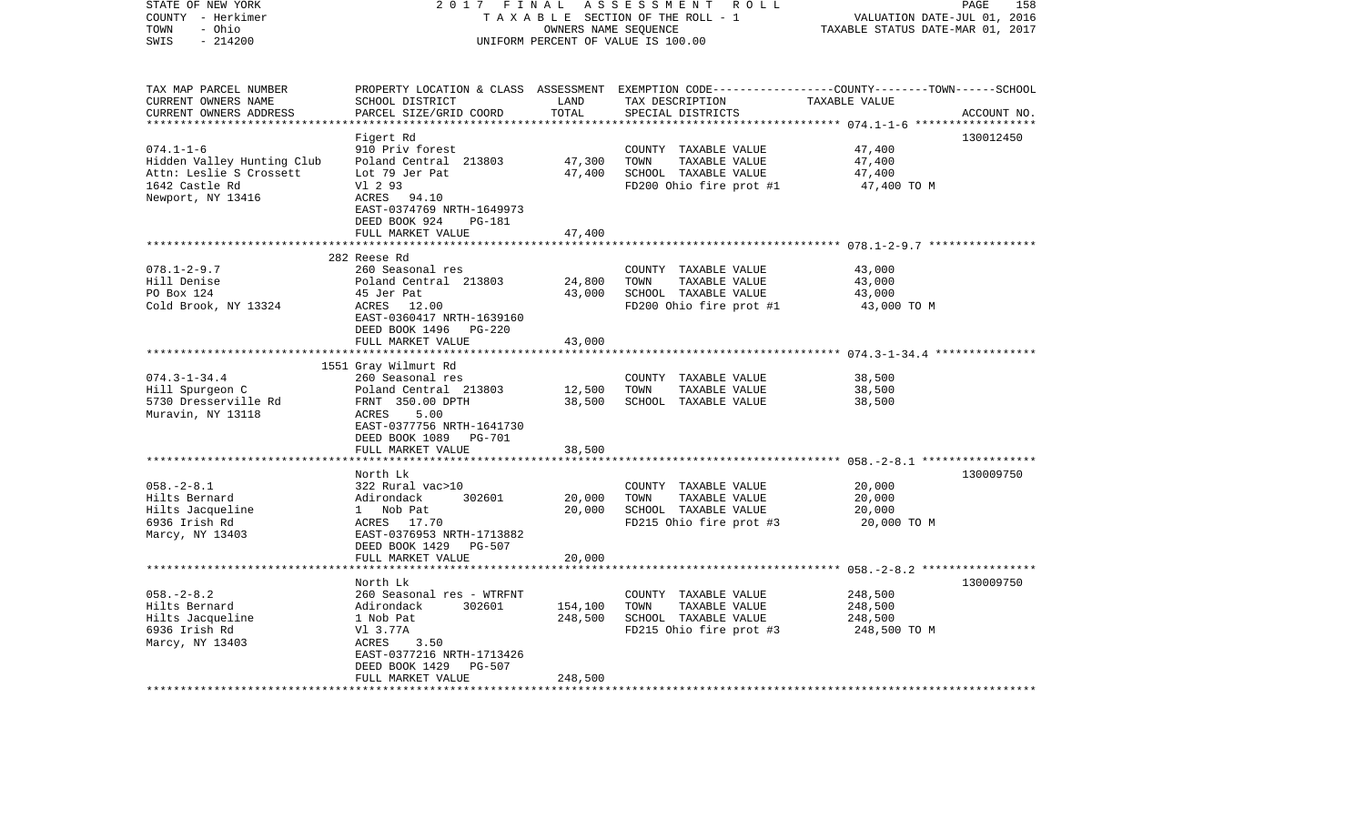| STATE OF NEW YORK<br>COUNTY - Herkimer<br>- Ohio<br>TOWN | 2 0 1 7<br>FINAL<br>TAXABLE SECTION OF THE ROLL - 1                 | 158<br>PAGE<br>VALUATION DATE-JUL 01,<br>2016<br>TAXABLE STATUS DATE-MAR 01, 2017 |                                                                                            |               |             |
|----------------------------------------------------------|---------------------------------------------------------------------|-----------------------------------------------------------------------------------|--------------------------------------------------------------------------------------------|---------------|-------------|
| SWIS<br>$-214200$                                        | UNIFORM PERCENT OF VALUE IS 100.00                                  |                                                                                   |                                                                                            |               |             |
| TAX MAP PARCEL NUMBER<br>CURRENT OWNERS NAME             | PROPERTY LOCATION & CLASS<br>SCHOOL DISTRICT                        | LAND                                                                              | ASSESSMENT EXEMPTION CODE-----------------COUNTY-------TOWN------SCHOOL<br>TAX DESCRIPTION | TAXABLE VALUE |             |
| CURRENT OWNERS ADDRESS                                   | PARCEL SIZE/GRID COORD                                              | TOTAL                                                                             | SPECIAL DISTRICTS                                                                          |               | ACCOUNT NO. |
|                                                          |                                                                     | * * * * * * * * * * *                                                             |                                                                                            |               |             |
| $074.1 - 1 - 6$                                          | Figert Rd<br>910 Priv forest                                        |                                                                                   | COUNTY TAXABLE VALUE                                                                       | 47,400        | 130012450   |
| Hidden Valley Hunting Club                               | Poland Central 213803                                               | 47,300                                                                            | TAXABLE VALUE<br>TOWN                                                                      | 47,400        |             |
| Attn: Leslie S Crossett                                  | Lot 79 Jer Pat                                                      | 47,400                                                                            | SCHOOL TAXABLE VALUE                                                                       | 47,400        |             |
| 1642 Castle Rd                                           | V1 2 93                                                             |                                                                                   | FD200 Ohio fire prot #1                                                                    | 47,400 TO M   |             |
| Newport, NY 13416                                        | ACRES 94.10<br>EAST-0374769 NRTH-1649973<br>DEED BOOK 924<br>PG-181 |                                                                                   |                                                                                            |               |             |
|                                                          | FULL MARKET VALUE                                                   | 47,400                                                                            |                                                                                            |               |             |
|                                                          | 282 Reese Rd                                                        |                                                                                   |                                                                                            |               |             |
| $078.1 - 2 - 9.7$                                        | 260 Seasonal res                                                    |                                                                                   | COUNTY TAXABLE VALUE                                                                       | 43,000        |             |
| Hill Denise                                              | Poland Central 213803                                               | 24,800                                                                            | TOWN<br>TAXABLE VALUE                                                                      | 43,000        |             |
| PO Box 124                                               | 45 Jer Pat                                                          | 43,000                                                                            | SCHOOL TAXABLE VALUE                                                                       | 43,000        |             |
| Cold Brook, NY 13324                                     | ACRES 12.00                                                         |                                                                                   | FD200 Ohio fire prot #1                                                                    | 43,000 TO M   |             |
|                                                          | EAST-0360417 NRTH-1639160                                           |                                                                                   |                                                                                            |               |             |
|                                                          | DEED BOOK 1496<br>PG-220                                            |                                                                                   |                                                                                            |               |             |
|                                                          | FULL MARKET VALUE<br>********************                           | 43,000                                                                            |                                                                                            |               |             |
|                                                          | 1551 Gray Wilmurt Rd                                                |                                                                                   |                                                                                            |               |             |
| $074.3 - 1 - 34.4$                                       | 260 Seasonal res                                                    |                                                                                   | COUNTY<br>TAXABLE VALUE                                                                    | 38,500        |             |
| Hill Spurgeon C                                          | Poland Central 213803                                               | 12,500                                                                            | TOWN<br>TAXABLE VALUE                                                                      | 38,500        |             |
| 5730 Dresserville Rd                                     | FRNT 350.00 DPTH                                                    | 38,500                                                                            | SCHOOL TAXABLE VALUE                                                                       | 38,500        |             |
| Muravin, NY 13118                                        | ACRES<br>5.00                                                       |                                                                                   |                                                                                            |               |             |
|                                                          | EAST-0377756 NRTH-1641730<br>DEED BOOK 1089                         |                                                                                   |                                                                                            |               |             |
|                                                          | PG-701<br>FULL MARKET VALUE                                         | 38,500                                                                            |                                                                                            |               |             |
|                                                          | **********************                                              |                                                                                   |                                                                                            |               |             |
|                                                          | North Lk                                                            |                                                                                   |                                                                                            |               | 130009750   |
| $058. - 2 - 8.1$                                         | 322 Rural vac>10                                                    |                                                                                   | COUNTY TAXABLE VALUE                                                                       | 20,000        |             |
| Hilts Bernard                                            | Adirondack<br>302601                                                | 20,000                                                                            | TOWN<br>TAXABLE VALUE                                                                      | 20,000        |             |
| Hilts Jacqueline                                         | $\mathbf{1}$<br>Nob Pat                                             | 20,000                                                                            | SCHOOL TAXABLE VALUE                                                                       | 20,000        |             |
| 6936 Irish Rd                                            | ACRES 17.70                                                         |                                                                                   | FD215 Ohio fire prot #3                                                                    | 20,000 TO M   |             |
| Marcy, NY 13403                                          | EAST-0376953 NRTH-1713882<br>DEED BOOK 1429<br>PG-507               |                                                                                   |                                                                                            |               |             |
|                                                          | FULL MARKET VALUE                                                   | 20,000                                                                            |                                                                                            |               |             |
|                                                          |                                                                     |                                                                                   |                                                                                            |               |             |
|                                                          | North Lk                                                            |                                                                                   |                                                                                            |               | 130009750   |
| $058. - 2 - 8.2$                                         | 260 Seasonal res - WTRFNT                                           |                                                                                   | COUNTY TAXABLE VALUE                                                                       | 248,500       |             |
| Hilts Bernard                                            | Adirondack<br>302601                                                | 154,100                                                                           | TOWN<br>TAXABLE VALUE                                                                      | 248,500       |             |
| Hilts Jacqueline                                         | 1 Nob Pat                                                           | 248,500                                                                           | SCHOOL TAXABLE VALUE                                                                       | 248,500       |             |
| 6936 Irish Rd<br>Marcy, NY 13403                         | V1 3.77A<br>ACRES<br>3.50                                           |                                                                                   | FD215 Ohio fire prot #3                                                                    | 248,500 TO M  |             |
|                                                          | EAST-0377216 NRTH-1713426                                           |                                                                                   |                                                                                            |               |             |
|                                                          | DEED BOOK 1429<br><b>PG-507</b>                                     |                                                                                   |                                                                                            |               |             |
|                                                          | FULL MARKET VALUE                                                   | 248,500                                                                           |                                                                                            |               |             |
|                                                          |                                                                     |                                                                                   |                                                                                            |               |             |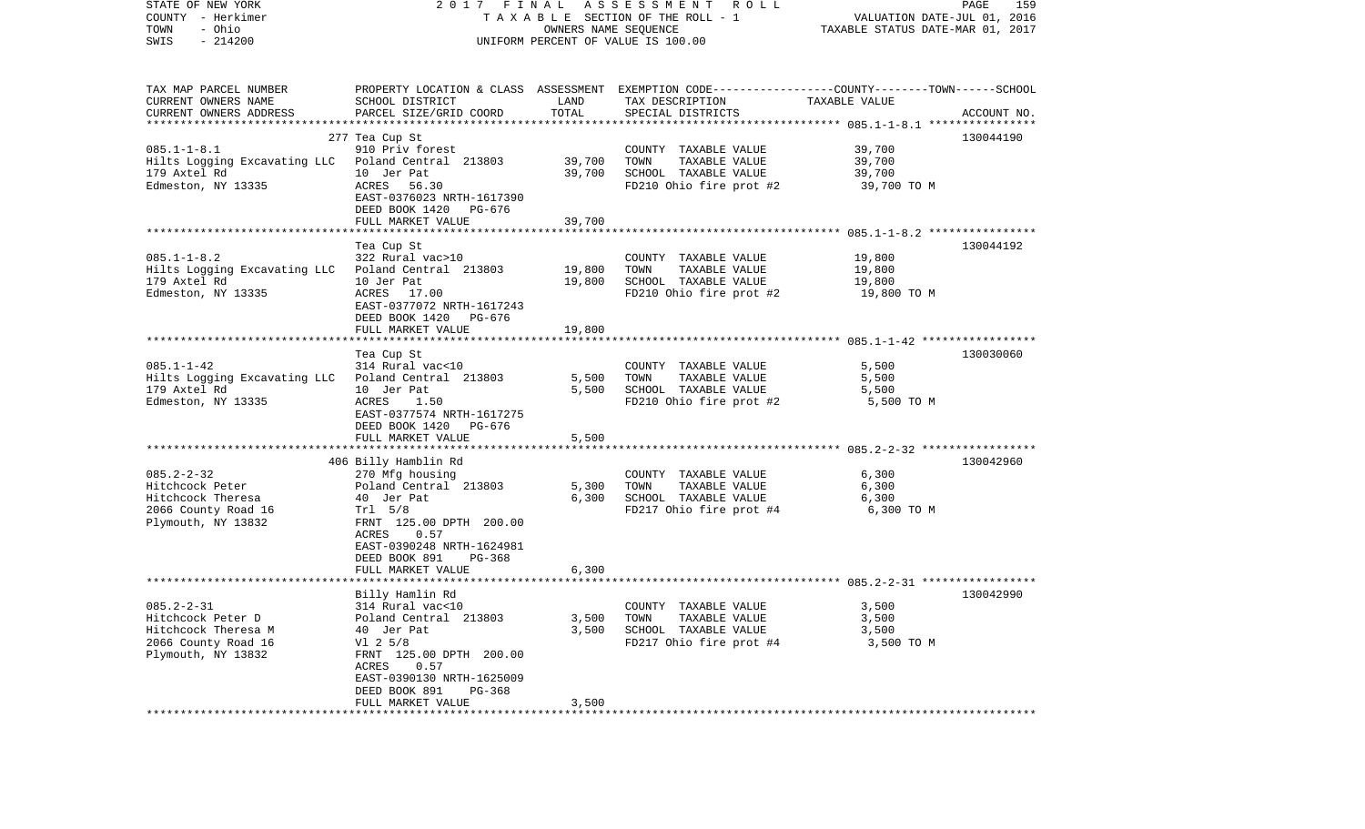| STATE OF NEW YORK<br>COUNTY - Herkimer<br>- Ohio<br>TOWN<br>$-214200$<br>SWIS | 2017 FINAL                                                                                       | OWNERS NAME SEQUENCE | A S S E S S M E N T R O L L<br>TAXABLE SECTION OF THE ROLL - 1<br>UNIFORM PERCENT OF VALUE IS 100.00 | VALUATION DATE-JUL 01, 2016<br>TAXABLE STATUS DATE-MAR 01, 2017 | PAGE<br>159 |
|-------------------------------------------------------------------------------|--------------------------------------------------------------------------------------------------|----------------------|------------------------------------------------------------------------------------------------------|-----------------------------------------------------------------|-------------|
|                                                                               |                                                                                                  |                      |                                                                                                      |                                                                 |             |
| TAX MAP PARCEL NUMBER                                                         | PROPERTY LOCATION & CLASS ASSESSMENT EXEMPTION CODE----------------COUNTY-------TOWN------SCHOOL |                      |                                                                                                      |                                                                 |             |
| CURRENT OWNERS NAME                                                           | SCHOOL DISTRICT                                                                                  | LAND                 | TAX DESCRIPTION                                                                                      | TAXABLE VALUE                                                   |             |
| CURRENT OWNERS ADDRESS                                                        | PARCEL SIZE/GRID COORD                                                                           | TOTAL                | SPECIAL DISTRICTS                                                                                    |                                                                 | ACCOUNT NO. |
|                                                                               |                                                                                                  |                      |                                                                                                      |                                                                 |             |
|                                                                               | 277 Tea Cup St                                                                                   |                      |                                                                                                      |                                                                 | 130044190   |
| $085.1 - 1 - 8.1$                                                             | 910 Priv forest                                                                                  |                      | COUNTY TAXABLE VALUE                                                                                 | 39,700                                                          |             |
| Hilts Logging Excavating LLC Poland Central 213803<br>179 Axtel Rd            | 10 Jer Pat                                                                                       | 39,700               | TOWN<br>TAXABLE VALUE<br>SCHOOL TAXABLE VALUE                                                        | 39,700<br>39,700                                                |             |
| Edmeston, NY 13335                                                            | 56.30<br>ACRES                                                                                   | 39,700               | FD210 Ohio fire prot #2                                                                              | 39,700 TO M                                                     |             |
|                                                                               | EAST-0376023 NRTH-1617390                                                                        |                      |                                                                                                      |                                                                 |             |
|                                                                               | DEED BOOK 1420 PG-676                                                                            |                      |                                                                                                      |                                                                 |             |
|                                                                               | FULL MARKET VALUE                                                                                | 39,700               |                                                                                                      |                                                                 |             |
|                                                                               |                                                                                                  |                      |                                                                                                      |                                                                 |             |
|                                                                               | Tea Cup St                                                                                       |                      |                                                                                                      |                                                                 | 130044192   |
| $085.1 - 1 - 8.2$                                                             | 322 Rural vac>10                                                                                 |                      | COUNTY TAXABLE VALUE                                                                                 | 19,800                                                          |             |
| Hilts Logging Excavating LLC Poland Central 213803                            |                                                                                                  | 19,800               | TAXABLE VALUE<br>TOWN                                                                                | 19,800                                                          |             |
| 179 Axtel Rd                                                                  | 10 Jer Pat                                                                                       | 19,800               | SCHOOL TAXABLE VALUE                                                                                 | 19,800                                                          |             |
| Edmeston, NY 13335                                                            | ACRES 17.00                                                                                      |                      | FD210 Ohio fire prot #2                                                                              | 19,800 TO M                                                     |             |
|                                                                               | EAST-0377072 NRTH-1617243                                                                        |                      |                                                                                                      |                                                                 |             |
|                                                                               | DEED BOOK 1420 PG-676<br>FULL MARKET VALUE                                                       | 19,800               |                                                                                                      |                                                                 |             |
|                                                                               |                                                                                                  |                      |                                                                                                      |                                                                 |             |
|                                                                               | Tea Cup St                                                                                       |                      |                                                                                                      |                                                                 | 130030060   |
| $085.1 - 1 - 42$                                                              | 314 Rural vac<10                                                                                 |                      | COUNTY TAXABLE VALUE                                                                                 | 5,500                                                           |             |
| Hilts Logging Excavating LLC Poland Central 213803                            |                                                                                                  | 5,500                | TAXABLE VALUE<br>TOWN                                                                                | 5,500                                                           |             |
| 179 Axtel Rd                                                                  | 10 Jer Pat                                                                                       | 5,500                | SCHOOL TAXABLE VALUE                                                                                 | 5,500                                                           |             |
| Edmeston, NY 13335                                                            | ACRES<br>1.50                                                                                    |                      | FD210 Ohio fire prot #2                                                                              | 5,500 TO M                                                      |             |
|                                                                               | EAST-0377574 NRTH-1617275                                                                        |                      |                                                                                                      |                                                                 |             |
|                                                                               | DEED BOOK 1420<br>PG-676                                                                         |                      |                                                                                                      |                                                                 |             |
|                                                                               | FULL MARKET VALUE                                                                                | 5,500                |                                                                                                      |                                                                 |             |
|                                                                               | 406 Billy Hamblin Rd                                                                             |                      |                                                                                                      |                                                                 | 130042960   |
| $085.2 - 2 - 32$                                                              | 270 Mfg housing                                                                                  |                      | COUNTY TAXABLE VALUE                                                                                 | 6,300                                                           |             |
| Hitchcock Peter                                                               | Poland Central 213803                                                                            | 5,300                | TAXABLE VALUE<br>TOWN                                                                                | 6,300                                                           |             |
| Hitchcock Theresa                                                             | 40 Jer Pat                                                                                       | 6,300                | SCHOOL TAXABLE VALUE                                                                                 | 6,300                                                           |             |
| 2066 County Road 16                                                           | Tr1 5/8                                                                                          |                      | FD217 Ohio fire prot #4                                                                              | 6,300 TO M                                                      |             |
| Plymouth, NY 13832                                                            | FRNT 125.00 DPTH 200.00                                                                          |                      |                                                                                                      |                                                                 |             |
|                                                                               | ACRES<br>0.57                                                                                    |                      |                                                                                                      |                                                                 |             |
|                                                                               | EAST-0390248 NRTH-1624981                                                                        |                      |                                                                                                      |                                                                 |             |
|                                                                               | DEED BOOK 891<br>PG-368                                                                          |                      |                                                                                                      |                                                                 |             |
|                                                                               | FULL MARKET VALUE                                                                                | 6,300                |                                                                                                      |                                                                 |             |
|                                                                               | Billy Hamlin Rd                                                                                  |                      |                                                                                                      |                                                                 | 130042990   |
| $085.2 - 2 - 31$                                                              | 314 Rural vac<10                                                                                 |                      | COUNTY TAXABLE VALUE                                                                                 | 3,500                                                           |             |
| Hitchcock Peter D                                                             | Poland Central 213803                                                                            | 3,500                | TAXABLE VALUE<br>TOWN                                                                                | 3,500                                                           |             |
| Hitchcock Theresa M                                                           | 40 Jer Pat                                                                                       | 3,500                | SCHOOL TAXABLE VALUE                                                                                 | 3,500                                                           |             |
| 2066 County Road 16                                                           | $VI$ 2 5/8                                                                                       |                      | FD217 Ohio fire prot #4                                                                              | 3,500 TO M                                                      |             |
| Plymouth, NY 13832                                                            | FRNT 125.00 DPTH 200.00                                                                          |                      |                                                                                                      |                                                                 |             |
|                                                                               | 0.57<br>ACRES                                                                                    |                      |                                                                                                      |                                                                 |             |
|                                                                               | EAST-0390130 NRTH-1625009                                                                        |                      |                                                                                                      |                                                                 |             |
|                                                                               | DEED BOOK 891<br>PG-368                                                                          |                      |                                                                                                      |                                                                 |             |
|                                                                               | FULL MARKET VALUE                                                                                | 3,500                |                                                                                                      |                                                                 |             |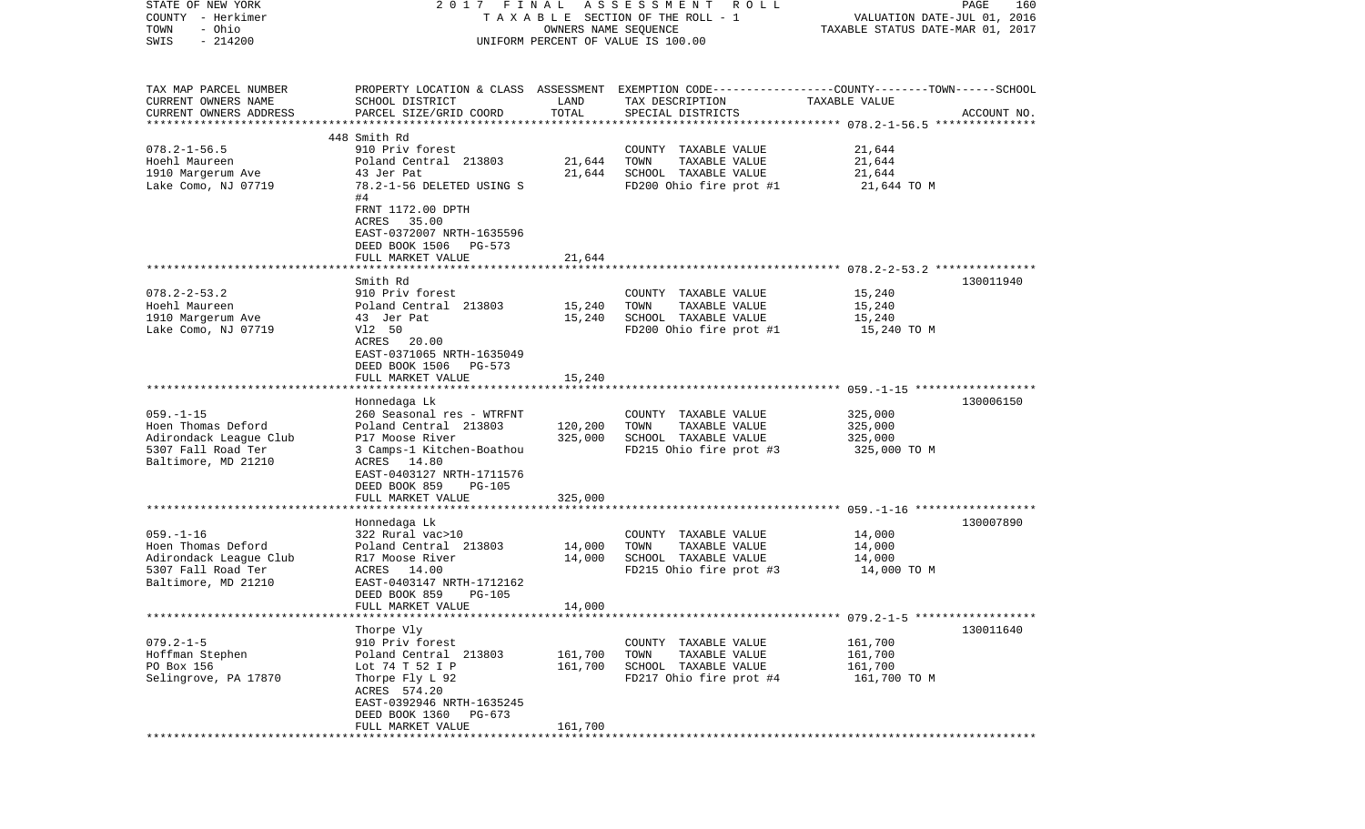| STATE OF NEW YORK      |                                                                                                 |                      | 2017 FINAL ASSESSMENT ROLL         |                                  | PAGE<br>160 |
|------------------------|-------------------------------------------------------------------------------------------------|----------------------|------------------------------------|----------------------------------|-------------|
| COUNTY - Herkimer      |                                                                                                 |                      | TAXABLE SECTION OF THE ROLL - 1    | VALUATION DATE-JUL 01, 2016      |             |
| - Ohio<br>TOWN         |                                                                                                 | OWNERS NAME SEQUENCE |                                    | TAXABLE STATUS DATE-MAR 01, 2017 |             |
| $-214200$<br>SWIS      |                                                                                                 |                      | UNIFORM PERCENT OF VALUE IS 100.00 |                                  |             |
|                        |                                                                                                 |                      |                                    |                                  |             |
|                        |                                                                                                 |                      |                                    |                                  |             |
| TAX MAP PARCEL NUMBER  | PROPERTY LOCATION & CLASS ASSESSMENT EXEMPTION CODE---------------COUNTY-------TOWN------SCHOOL |                      |                                    |                                  |             |
| CURRENT OWNERS NAME    | SCHOOL DISTRICT                                                                                 | LAND                 | TAX DESCRIPTION                    | TAXABLE VALUE                    |             |
| CURRENT OWNERS ADDRESS | PARCEL SIZE/GRID COORD                                                                          | TOTAL                | SPECIAL DISTRICTS                  |                                  | ACCOUNT NO. |
|                        |                                                                                                 |                      |                                    |                                  |             |
|                        | 448 Smith Rd                                                                                    |                      |                                    |                                  |             |
| $078.2 - 1 - 56.5$     | 910 Priv forest                                                                                 |                      | COUNTY TAXABLE VALUE               | 21,644                           |             |
| Hoehl Maureen          | Poland Central 213803                                                                           | 21,644               | TOWN<br>TAXABLE VALUE              | 21,644                           |             |
| 1910 Margerum Ave      | 43 Jer Pat                                                                                      | 21,644               | SCHOOL TAXABLE VALUE               | 21,644                           |             |
| Lake Como, NJ 07719    | 78.2-1-56 DELETED USING S                                                                       |                      | FD200 Ohio fire prot #1            | 21,644 TO M                      |             |
|                        | #4                                                                                              |                      |                                    |                                  |             |
|                        | FRNT 1172.00 DPTH                                                                               |                      |                                    |                                  |             |
|                        | ACRES 35.00                                                                                     |                      |                                    |                                  |             |
|                        | EAST-0372007 NRTH-1635596                                                                       |                      |                                    |                                  |             |
|                        | DEED BOOK 1506 PG-573                                                                           |                      |                                    |                                  |             |
|                        | FULL MARKET VALUE                                                                               | 21,644               |                                    |                                  |             |
|                        |                                                                                                 |                      |                                    |                                  |             |
|                        | Smith Rd                                                                                        |                      |                                    |                                  | 130011940   |
| $078.2 - 2 - 53.2$     | 910 Priv forest                                                                                 |                      | COUNTY TAXABLE VALUE               | 15,240                           |             |
| Hoehl Maureen          | Poland Central 213803                                                                           | 15,240               | TOWN<br>TAXABLE VALUE              | 15,240                           |             |
| 1910 Margerum Ave      | 43 Jer Pat                                                                                      | 15,240               | SCHOOL TAXABLE VALUE               | 15,240                           |             |
| Lake Como, NJ 07719    | V12 50                                                                                          |                      | FD200 Ohio fire prot #1            | 15,240 TO M                      |             |
|                        | ACRES 20.00                                                                                     |                      |                                    |                                  |             |
|                        | EAST-0371065 NRTH-1635049                                                                       |                      |                                    |                                  |             |
|                        | DEED BOOK 1506 PG-573                                                                           |                      |                                    |                                  |             |
|                        | FULL MARKET VALUE                                                                               | 15,240               |                                    |                                  |             |
|                        |                                                                                                 |                      |                                    |                                  |             |
|                        | Honnedaga Lk                                                                                    |                      |                                    |                                  | 130006150   |
| $059. -1 -15$          | 260 Seasonal res - WTRFNT                                                                       |                      | COUNTY TAXABLE VALUE               | 325,000                          |             |
| Hoen Thomas Deford     | Poland Central 213803                                                                           | 120,200              | TOWN<br>TAXABLE VALUE              | 325,000                          |             |
| Adirondack League Club | P17 Moose River                                                                                 | 325,000              | SCHOOL TAXABLE VALUE               | 325,000                          |             |
| 5307 Fall Road Ter     | 3 Camps-1 Kitchen-Boathou                                                                       |                      | FD215 Ohio fire prot #3            | 325,000 TO M                     |             |
| Baltimore, MD 21210    | ACRES 14.80                                                                                     |                      |                                    |                                  |             |
|                        | EAST-0403127 NRTH-1711576                                                                       |                      |                                    |                                  |             |
|                        | DEED BOOK 859<br>PG-105                                                                         |                      |                                    |                                  |             |
|                        | FULL MARKET VALUE                                                                               | 325,000              |                                    |                                  |             |
|                        |                                                                                                 |                      |                                    |                                  |             |
|                        | Honnedaga Lk                                                                                    |                      |                                    |                                  | 130007890   |
| $059. - 1 - 16$        | 322 Rural vac>10                                                                                |                      | COUNTY TAXABLE VALUE               | 14,000                           |             |
| Hoen Thomas Deford     | Poland Central 213803                                                                           | 14,000               | TAXABLE VALUE<br>TOWN              | 14,000                           |             |
| Adirondack League Club | R17 Moose River                                                                                 | 14,000               | SCHOOL TAXABLE VALUE               | 14,000                           |             |
| 5307 Fall Road Ter     | ACRES 14.00                                                                                     |                      | FD215 Ohio fire prot #3            | 14,000 TO M                      |             |
| Baltimore, MD 21210    | EAST-0403147 NRTH-1712162                                                                       |                      |                                    |                                  |             |
|                        | DEED BOOK 859<br><b>PG-105</b>                                                                  |                      |                                    |                                  |             |
|                        | FULL MARKET VALUE                                                                               | 14,000               |                                    |                                  |             |
|                        |                                                                                                 |                      |                                    |                                  |             |
|                        | Thorpe Vly                                                                                      |                      |                                    |                                  | 130011640   |
| $079.2 - 1 - 5$        | 910 Priv forest                                                                                 |                      | COUNTY TAXABLE VALUE               | 161,700                          |             |
| Hoffman Stephen        | Poland Central 213803                                                                           | 161,700              | TOWN<br>TAXABLE VALUE              | 161,700                          |             |
| PO Box 156             | Lot 74 T 52 I P                                                                                 | 161,700              | SCHOOL TAXABLE VALUE               | 161,700                          |             |
| Selingrove, PA 17870   | Thorpe Fly L 92                                                                                 |                      | FD217 Ohio fire prot #4            | 161,700 TO M                     |             |
|                        | ACRES 574.20                                                                                    |                      |                                    |                                  |             |
|                        | EAST-0392946 NRTH-1635245                                                                       |                      |                                    |                                  |             |
|                        | DEED BOOK 1360 PG-673                                                                           |                      |                                    |                                  |             |
|                        | FULL MARKET VALUE                                                                               | 161,700              |                                    |                                  |             |
|                        |                                                                                                 |                      |                                    |                                  |             |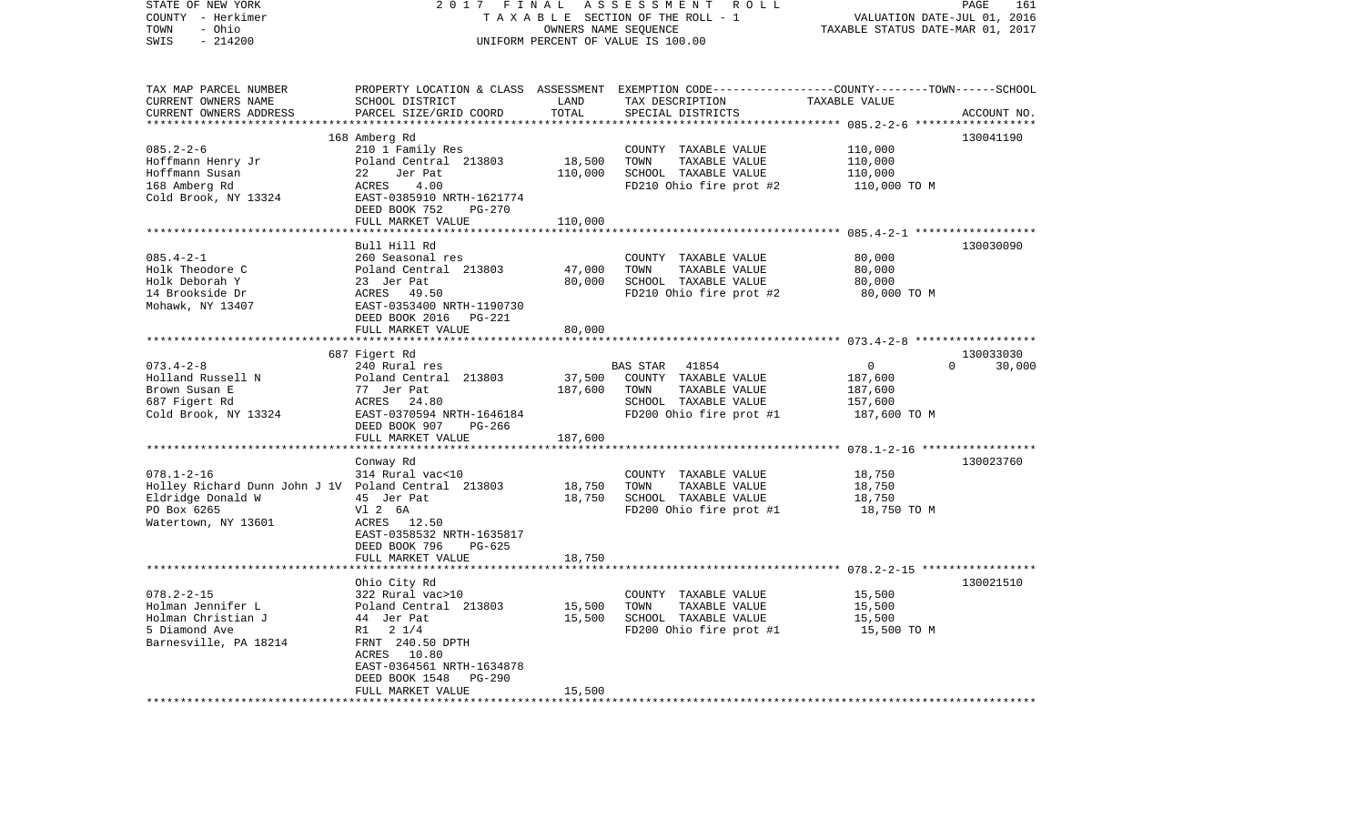| STATE OF NEW YORK<br>COUNTY - Herkimer<br>- Ohio<br>TOWN<br>$-214200$<br>SWIS | 2017                                       | FINAL<br>OWNERS NAME SEQUENCE | ASSESSMENT ROLL<br>TAXABLE SECTION OF THE ROLL - 1<br>UNIFORM PERCENT OF VALUE IS 100.00                           | VALUATION DATE-JUL 01, 2016<br>TAXABLE STATUS DATE-MAR 01, 2017 | PAGE<br>161        |
|-------------------------------------------------------------------------------|--------------------------------------------|-------------------------------|--------------------------------------------------------------------------------------------------------------------|-----------------------------------------------------------------|--------------------|
|                                                                               |                                            |                               |                                                                                                                    |                                                                 |                    |
| TAX MAP PARCEL NUMBER<br>CURRENT OWNERS NAME                                  | SCHOOL DISTRICT                            | LAND                          | PROPERTY LOCATION & CLASS ASSESSMENT EXEMPTION CODE---------------COUNTY-------TOWN------SCHOOL<br>TAX DESCRIPTION | TAXABLE VALUE                                                   |                    |
| CURRENT OWNERS ADDRESS                                                        | PARCEL SIZE/GRID COORD                     | TOTAL                         | SPECIAL DISTRICTS                                                                                                  |                                                                 | ACCOUNT NO.        |
| ******************                                                            |                                            |                               |                                                                                                                    |                                                                 |                    |
|                                                                               | 168 Amberg Rd                              |                               |                                                                                                                    |                                                                 | 130041190          |
| $085.2 - 2 - 6$                                                               | 210 1 Family Res                           |                               | COUNTY TAXABLE VALUE                                                                                               | 110,000                                                         |                    |
| Hoffmann Henry Jr<br>Hoffmann Susan                                           | Poland Central 213803<br>22<br>Jer Pat     | 18,500                        | TOWN<br>TAXABLE VALUE<br>SCHOOL TAXABLE VALUE                                                                      | 110,000<br>110,000                                              |                    |
| 168 Amberg Rd                                                                 | ACRES<br>4.00                              | 110,000                       | FD210 Ohio fire prot #2                                                                                            | 110,000 TO M                                                    |                    |
| Cold Brook, NY 13324                                                          | EAST-0385910 NRTH-1621774                  |                               |                                                                                                                    |                                                                 |                    |
|                                                                               | DEED BOOK 752<br><b>PG-270</b>             |                               |                                                                                                                    |                                                                 |                    |
|                                                                               | FULL MARKET VALUE                          | 110,000                       |                                                                                                                    |                                                                 |                    |
|                                                                               |                                            |                               |                                                                                                                    |                                                                 |                    |
|                                                                               | Bull Hill Rd                               |                               |                                                                                                                    |                                                                 | 130030090          |
| $085.4 - 2 - 1$                                                               | 260 Seasonal res                           |                               | COUNTY TAXABLE VALUE                                                                                               | 80,000                                                          |                    |
| Holk Theodore C                                                               | Poland Central 213803                      | 47,000                        | TAXABLE VALUE<br>TOWN                                                                                              | 80,000                                                          |                    |
| Holk Deborah Y<br>14 Brookside Dr                                             | 23 Jer Pat<br>ACRES 49.50                  | 80,000                        | SCHOOL TAXABLE VALUE<br>FD210 Ohio fire prot #2                                                                    | 80,000<br>80,000 TO M                                           |                    |
| Mohawk, NY 13407                                                              | EAST-0353400 NRTH-1190730                  |                               |                                                                                                                    |                                                                 |                    |
|                                                                               | DEED BOOK 2016 PG-221                      |                               |                                                                                                                    |                                                                 |                    |
|                                                                               | FULL MARKET VALUE                          | 80,000                        |                                                                                                                    |                                                                 |                    |
|                                                                               |                                            |                               |                                                                                                                    |                                                                 |                    |
|                                                                               | 687 Figert Rd                              |                               |                                                                                                                    |                                                                 | 130033030          |
| $073.4 - 2 - 8$                                                               | 240 Rural res                              |                               | BAS STAR<br>41854                                                                                                  | $\overline{0}$                                                  | $\Omega$<br>30,000 |
| Holland Russell N<br>Brown Susan E                                            | Poland Central 213803<br>77 Jer Pat        | 37,500<br>187,600             | COUNTY TAXABLE VALUE<br>TOWN<br>TAXABLE VALUE                                                                      | 187,600<br>187,600                                              |                    |
| 687 Figert Rd                                                                 | ACRES 24.80                                |                               | SCHOOL TAXABLE VALUE                                                                                               | 157,600                                                         |                    |
| Cold Brook, NY 13324                                                          | EAST-0370594 NRTH-1646184                  |                               | FD200 Ohio fire prot #1                                                                                            | 187,600 TO M                                                    |                    |
|                                                                               | DEED BOOK 907<br>PG-266                    |                               |                                                                                                                    |                                                                 |                    |
|                                                                               | FULL MARKET VALUE                          | 187,600                       |                                                                                                                    |                                                                 |                    |
|                                                                               | ********************                       |                               |                                                                                                                    | ************************ 078.1-2-16 ******************          |                    |
|                                                                               | Conway Rd                                  |                               |                                                                                                                    |                                                                 | 130023760          |
| $078.1 - 2 - 16$<br>Holley Richard Dunn John J 1V Poland Central 213803       | 314 Rural vac<10                           | 18,750                        | COUNTY TAXABLE VALUE<br>TOWN<br>TAXABLE VALUE                                                                      | 18,750<br>18,750                                                |                    |
| Eldridge Donald W                                                             | 45 Jer Pat                                 | 18,750                        | SCHOOL TAXABLE VALUE                                                                                               | 18,750                                                          |                    |
| PO Box 6265                                                                   | V1 2 6A                                    |                               | FD200 Ohio fire prot #1                                                                                            | 18,750 TO M                                                     |                    |
| Watertown, NY 13601                                                           | ACRES 12.50                                |                               |                                                                                                                    |                                                                 |                    |
|                                                                               | EAST-0358532 NRTH-1635817                  |                               |                                                                                                                    |                                                                 |                    |
|                                                                               | DEED BOOK 796<br>PG-625                    |                               |                                                                                                                    |                                                                 |                    |
|                                                                               | FULL MARKET VALUE                          | 18,750                        |                                                                                                                    |                                                                 |                    |
|                                                                               | Ohio City Rd                               |                               |                                                                                                                    |                                                                 | 130021510          |
| $078.2 - 2 - 15$                                                              | 322 Rural vac>10                           |                               | COUNTY TAXABLE VALUE                                                                                               | 15,500                                                          |                    |
| Holman Jennifer L                                                             | Poland Central 213803                      | 15,500                        | TAXABLE VALUE<br>TOWN                                                                                              | 15,500                                                          |                    |
| Holman Christian J                                                            | 44 Jer Pat                                 | 15,500                        | SCHOOL TAXABLE VALUE                                                                                               | 15,500                                                          |                    |
| 5 Diamond Ave                                                                 | R1 2 1/4                                   |                               | FD200 Ohio fire prot #1                                                                                            | 15,500 TO M                                                     |                    |
| Barnesville, PA 18214                                                         | FRNT 240.50 DPTH                           |                               |                                                                                                                    |                                                                 |                    |
|                                                                               | ACRES 10.80                                |                               |                                                                                                                    |                                                                 |                    |
|                                                                               | EAST-0364561 NRTH-1634878<br><b>PG-290</b> |                               |                                                                                                                    |                                                                 |                    |
|                                                                               | DEED BOOK 1548<br>FULL MARKET VALUE        | 15,500                        |                                                                                                                    |                                                                 |                    |
| *************************                                                     | ******************************             |                               |                                                                                                                    |                                                                 |                    |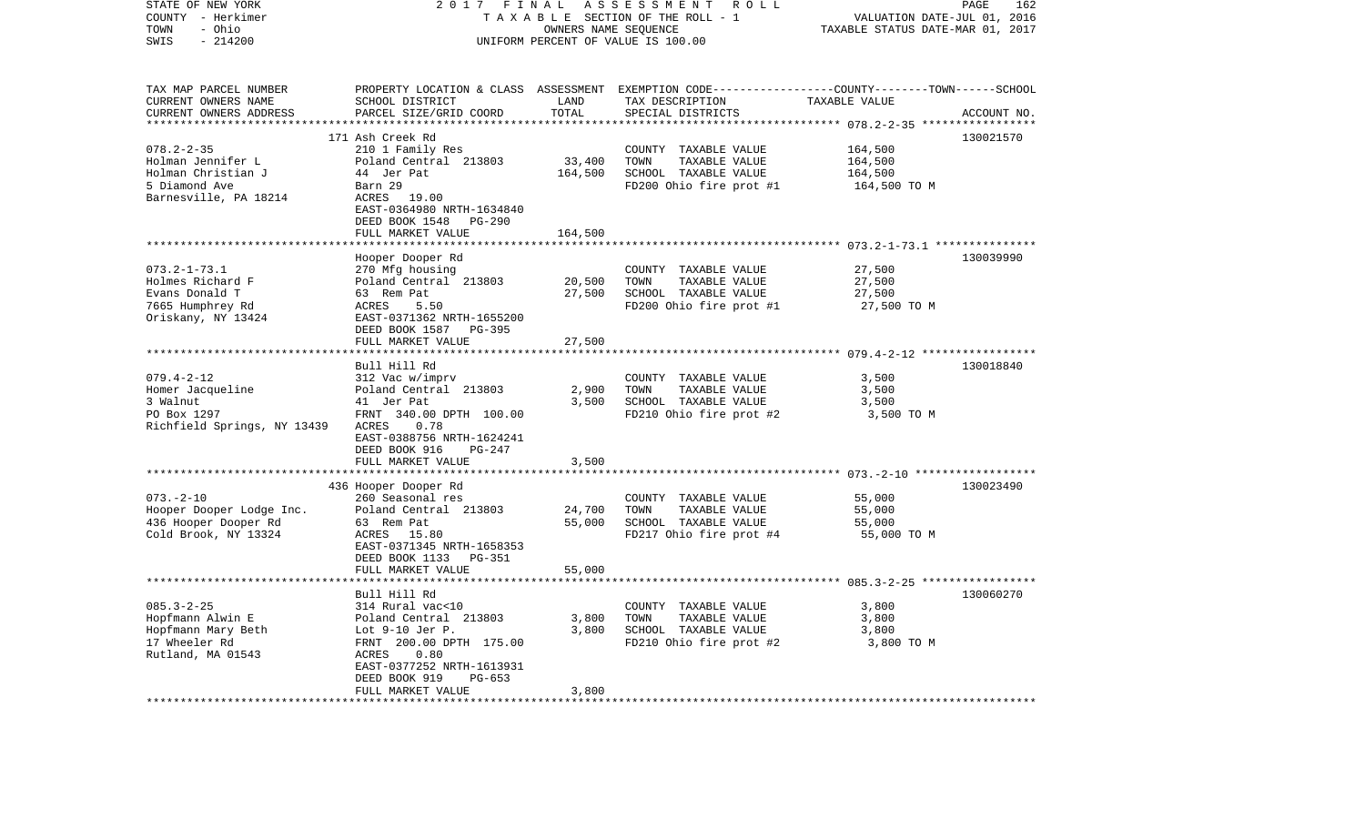| STATE OF NEW YORK<br>COUNTY - Herkimer<br>- Ohio<br>TOWN<br>$-214200$<br>SWIS                         | 2017<br>FINAL<br>ASSESSMENT<br>ROLL<br>TAXABLE SECTION OF THE ROLL - 1<br>OWNERS NAME SEQUENCE<br>UNIFORM PERCENT OF VALUE IS 100.00                                                   |                              | PAGE<br>162<br>VALUATION DATE-JUL 01, 2016<br>TAXABLE STATUS DATE-MAR 01, 2017                                                          |                                                             |             |
|-------------------------------------------------------------------------------------------------------|----------------------------------------------------------------------------------------------------------------------------------------------------------------------------------------|------------------------------|-----------------------------------------------------------------------------------------------------------------------------------------|-------------------------------------------------------------|-------------|
| TAX MAP PARCEL NUMBER<br>CURRENT OWNERS NAME<br>CURRENT OWNERS ADDRESS                                | SCHOOL DISTRICT<br>PARCEL SIZE/GRID COORD                                                                                                                                              | LAND<br>TOTAL<br>*********** | PROPERTY LOCATION & CLASS ASSESSMENT EXEMPTION CODE---------------COUNTY-------TOWN------SCHOOL<br>TAX DESCRIPTION<br>SPECIAL DISTRICTS | TAXABLE VALUE<br>********* 078.2-2-35 *****                 | ACCOUNT NO. |
| $078.2 - 2 - 35$<br>Holman Jennifer L<br>Holman Christian J<br>5 Diamond Ave<br>Barnesville, PA 18214 | 171 Ash Creek Rd<br>210 1 Family Res<br>Poland Central 213803<br>44 Jer Pat<br>Barn 29<br>ACRES<br>19.00<br>EAST-0364980 NRTH-1634840<br>DEED BOOK 1548<br>PG-290<br>FULL MARKET VALUE | 33,400<br>164,500<br>164,500 | COUNTY TAXABLE VALUE<br>TOWN<br>TAXABLE VALUE<br>SCHOOL TAXABLE VALUE<br>FD200 Ohio fire prot #1                                        | 164,500<br>164,500<br>164,500<br>164,500 TO M               | 130021570   |
| $073.2 - 1 - 73.1$<br>Holmes Richard F<br>Evans Donald T<br>7665 Humphrey Rd<br>Oriskany, NY 13424    | *********************<br>Hooper Dooper Rd<br>270 Mfg housing<br>Poland Central 213803<br>63 Rem Pat<br>ACRES<br>5.50<br>EAST-0371362 NRTH-1655200<br>DEED BOOK 1587<br>PG-395          | 20,500<br>27,500             | COUNTY TAXABLE VALUE<br>TOWN<br>TAXABLE VALUE<br>SCHOOL TAXABLE VALUE<br>FD200 Ohio fire prot #1                                        | 27,500<br>27,500<br>27,500<br>27,500 TO M                   | 130039990   |
|                                                                                                       | FULL MARKET VALUE<br>********************<br>Bull Hill Rd                                                                                                                              | 27,500                       |                                                                                                                                         | ************************ 079.4-2-12 ******************      | 130018840   |
| $079.4 - 2 - 12$<br>Homer Jacqueline<br>3 Walnut<br>PO Box 1297<br>Richfield Springs, NY 13439        | 312 Vac w/imprv<br>Poland Central 213803<br>41 Jer Pat<br>FRNT 340.00 DPTH 100.00<br>ACRES<br>0.78<br>EAST-0388756 NRTH-1624241                                                        | 2,900<br>3,500               | COUNTY TAXABLE VALUE<br>TOWN<br>TAXABLE VALUE<br>SCHOOL TAXABLE VALUE<br>FD210 Ohio fire prot #2                                        | 3,500<br>3,500<br>3,500<br>3,500 TO M                       |             |
|                                                                                                       | DEED BOOK 916<br>PG-247<br>FULL MARKET VALUE                                                                                                                                           | 3,500                        |                                                                                                                                         | ************************ 073.-2-10 *******************      |             |
| $073. - 2 - 10$<br>Hooper Dooper Lodge Inc.<br>436 Hooper Dooper Rd<br>Cold Brook, NY 13324           | 436 Hooper Dooper Rd<br>260 Seasonal res<br>Poland Central 213803<br>63 Rem Pat<br>ACRES<br>15.80<br>EAST-0371345 NRTH-1658353<br>DEED BOOK 1133<br>PG-351                             | 24,700<br>55,000             | COUNTY TAXABLE VALUE<br>TOWN<br>TAXABLE VALUE<br>SCHOOL TAXABLE VALUE<br>FD217 Ohio fire prot #4                                        | 55,000<br>55,000<br>55,000<br>55,000 TO M                   | 130023490   |
|                                                                                                       | FULL MARKET VALUE<br>*************                                                                                                                                                     | 55,000                       |                                                                                                                                         | ****************************** 085.3-2-25 ***************** |             |
| $085.3 - 2 - 25$<br>Hopfmann Alwin E<br>Hopfmann Mary Beth<br>17 Wheeler Rd<br>Rutland, MA 01543      | Bull Hill Rd<br>314 Rural vac<10<br>Poland Central 213803<br>Lot $9-10$ Jer P.<br>FRNT 200.00 DPTH 175.00<br>ACRES<br>0.80<br>EAST-0377252 NRTH-1613931                                | 3,800<br>3,800               | COUNTY TAXABLE VALUE<br>TOWN<br>TAXABLE VALUE<br>SCHOOL TAXABLE VALUE<br>FD210 Ohio fire prot #2                                        | 3,800<br>3,800<br>3,800<br>3,800 TO M                       | 130060270   |
| ************************                                                                              | DEED BOOK 919<br>$PG-653$<br>FULL MARKET VALUE<br>***********************                                                                                                              | 3,800                        |                                                                                                                                         |                                                             |             |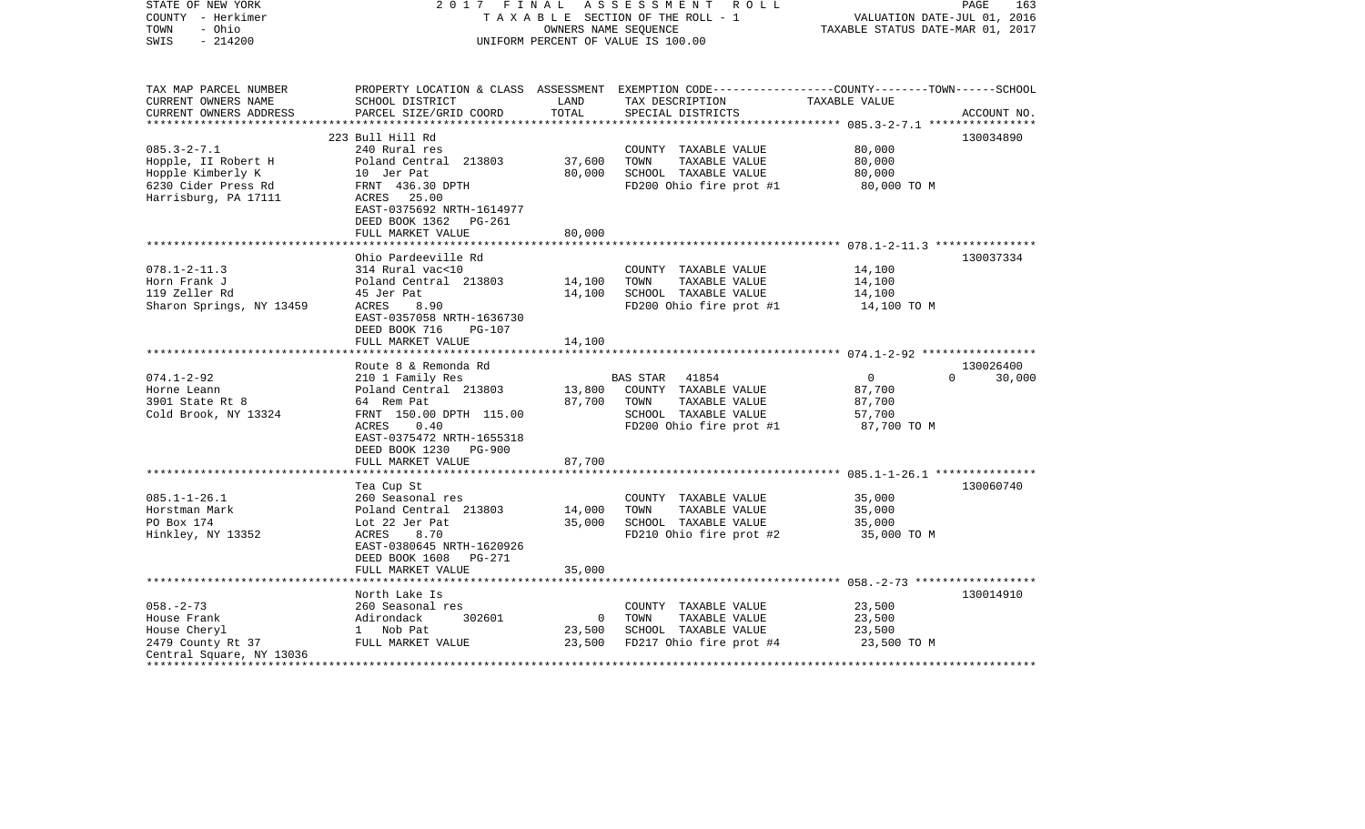| STATE OF NEW YORK<br>COUNTY - Herkimer<br>- Ohio<br>TOWN<br>$-214200$<br>SWIS | 2017 FINAL                                                   | OWNERS NAME SEQUENCE | ASSESSMENT<br>R O L L<br>TAXABLE SECTION OF THE ROLL - 1<br>UNIFORM PERCENT OF VALUE IS 100.00                     | VALUATION DATE-JUL 01, 2016<br>TAXABLE STATUS DATE-MAR 01, 2017 | PAGE<br>163 |
|-------------------------------------------------------------------------------|--------------------------------------------------------------|----------------------|--------------------------------------------------------------------------------------------------------------------|-----------------------------------------------------------------|-------------|
| TAX MAP PARCEL NUMBER<br>CURRENT OWNERS NAME                                  | SCHOOL DISTRICT                                              | LAND                 | PROPERTY LOCATION & CLASS ASSESSMENT EXEMPTION CODE---------------COUNTY-------TOWN------SCHOOL<br>TAX DESCRIPTION | TAXABLE VALUE                                                   |             |
| CURRENT OWNERS ADDRESS                                                        | PARCEL SIZE/GRID COORD                                       | TOTAL                | SPECIAL DISTRICTS                                                                                                  |                                                                 | ACCOUNT NO. |
| ************************                                                      |                                                              |                      |                                                                                                                    |                                                                 |             |
|                                                                               | 223 Bull Hill Rd                                             |                      |                                                                                                                    |                                                                 | 130034890   |
| $085.3 - 2 - 7.1$                                                             | 240 Rural res                                                |                      | COUNTY TAXABLE VALUE                                                                                               | 80,000                                                          |             |
| Hopple, II Robert H                                                           | Poland Central 213803                                        | 37,600               | TOWN<br>TAXABLE VALUE                                                                                              | 80,000                                                          |             |
| Hopple Kimberly K                                                             | 10 Jer Pat                                                   | 80,000               | SCHOOL TAXABLE VALUE                                                                                               | 80,000                                                          |             |
| 6230 Cider Press Rd<br>Harrisburg, PA 17111                                   | FRNT 436.30 DPTH<br>ACRES 25.00<br>EAST-0375692 NRTH-1614977 |                      | FD200 Ohio fire prot #1                                                                                            | 80,000 TO M                                                     |             |
|                                                                               | DEED BOOK 1362 PG-261                                        |                      |                                                                                                                    |                                                                 |             |
|                                                                               | FULL MARKET VALUE                                            | 80,000               |                                                                                                                    |                                                                 |             |
|                                                                               | ***************************                                  |                      |                                                                                                                    |                                                                 |             |
|                                                                               | Ohio Pardeeville Rd                                          |                      |                                                                                                                    |                                                                 | 130037334   |
| $078.1 - 2 - 11.3$                                                            | 314 Rural vac<10                                             |                      | COUNTY TAXABLE VALUE                                                                                               | 14,100                                                          |             |
| Horn Frank J                                                                  | Poland Central 213803                                        | 14,100               | TAXABLE VALUE<br>TOWN                                                                                              | 14,100                                                          |             |
| 119 Zeller Rd                                                                 | 45 Jer Pat                                                   | 14,100               | SCHOOL TAXABLE VALUE                                                                                               | 14,100                                                          |             |
| Sharon Springs, NY 13459                                                      | ACRES<br>8.90                                                |                      | FD200 Ohio fire prot #1                                                                                            | 14,100 TO M                                                     |             |
|                                                                               | EAST-0357058 NRTH-1636730                                    |                      |                                                                                                                    |                                                                 |             |
|                                                                               | DEED BOOK 716<br><b>PG-107</b>                               |                      |                                                                                                                    |                                                                 |             |
|                                                                               | FULL MARKET VALUE                                            | 14,100               |                                                                                                                    |                                                                 |             |
|                                                                               | Route 8 & Remonda Rd                                         |                      |                                                                                                                    |                                                                 | 130026400   |
| $074.1 - 2 - 92$                                                              | 210 1 Family Res                                             |                      | BAS STAR<br>41854                                                                                                  | $\overline{0}$<br>$\Omega$                                      | 30,000      |
| Horne Leann                                                                   | Poland Central 213803                                        | 13,800               | COUNTY TAXABLE VALUE                                                                                               | 87,700                                                          |             |
| 3901 State Rt 8                                                               | 64 Rem Pat                                                   | 87,700               | TAXABLE VALUE<br>TOWN                                                                                              | 87,700                                                          |             |
| Cold Brook, NY 13324                                                          | FRNT 150.00 DPTH 115.00                                      |                      | SCHOOL TAXABLE VALUE                                                                                               | 57,700                                                          |             |
|                                                                               | ACRES<br>0.40                                                |                      | FD200 Ohio fire prot #1                                                                                            | 87,700 TO M                                                     |             |
|                                                                               | EAST-0375472 NRTH-1655318                                    |                      |                                                                                                                    |                                                                 |             |
|                                                                               | DEED BOOK 1230<br>PG-900                                     |                      |                                                                                                                    |                                                                 |             |
|                                                                               | FULL MARKET VALUE                                            | 87,700               |                                                                                                                    |                                                                 |             |
|                                                                               |                                                              |                      |                                                                                                                    |                                                                 |             |
|                                                                               | Tea Cup St                                                   |                      |                                                                                                                    |                                                                 | 130060740   |
| $085.1 - 1 - 26.1$                                                            | 260 Seasonal res                                             |                      | COUNTY TAXABLE VALUE                                                                                               | 35,000                                                          |             |
| Horstman Mark                                                                 | Poland Central 213803                                        | 14,000               | TAXABLE VALUE<br>TOWN                                                                                              | 35,000                                                          |             |
| PO Box 174                                                                    | Lot 22 Jer Pat                                               | 35,000               | SCHOOL TAXABLE VALUE                                                                                               | 35,000                                                          |             |
| Hinkley, NY 13352                                                             | ACRES<br>8.70                                                |                      | FD210 Ohio fire prot #2                                                                                            | 35,000 TO M                                                     |             |
|                                                                               | EAST-0380645 NRTH-1620926<br>DEED BOOK 1608<br><b>PG-271</b> |                      |                                                                                                                    |                                                                 |             |
|                                                                               | FULL MARKET VALUE                                            | 35,000               |                                                                                                                    |                                                                 |             |
|                                                                               |                                                              |                      |                                                                                                                    |                                                                 |             |
|                                                                               | North Lake Is                                                |                      |                                                                                                                    |                                                                 | 130014910   |
| $058. - 2 - 73$                                                               | 260 Seasonal res                                             |                      | COUNTY TAXABLE VALUE                                                                                               | 23,500                                                          |             |
| House Frank                                                                   | Adirondack<br>302601                                         | $\mathbf 0$          | TOWN<br>TAXABLE VALUE                                                                                              | 23,500                                                          |             |
| House Cheryl                                                                  | 1 Nob Pat                                                    | 23,500               | SCHOOL TAXABLE VALUE                                                                                               | 23,500                                                          |             |
| 2479 County Rt 37                                                             | FULL MARKET VALUE                                            | 23,500               | FD217 Ohio fire prot #4                                                                                            | 23,500 TO M                                                     |             |
| Central Square, NY 13036                                                      |                                                              |                      |                                                                                                                    |                                                                 |             |
|                                                                               |                                                              |                      |                                                                                                                    |                                                                 |             |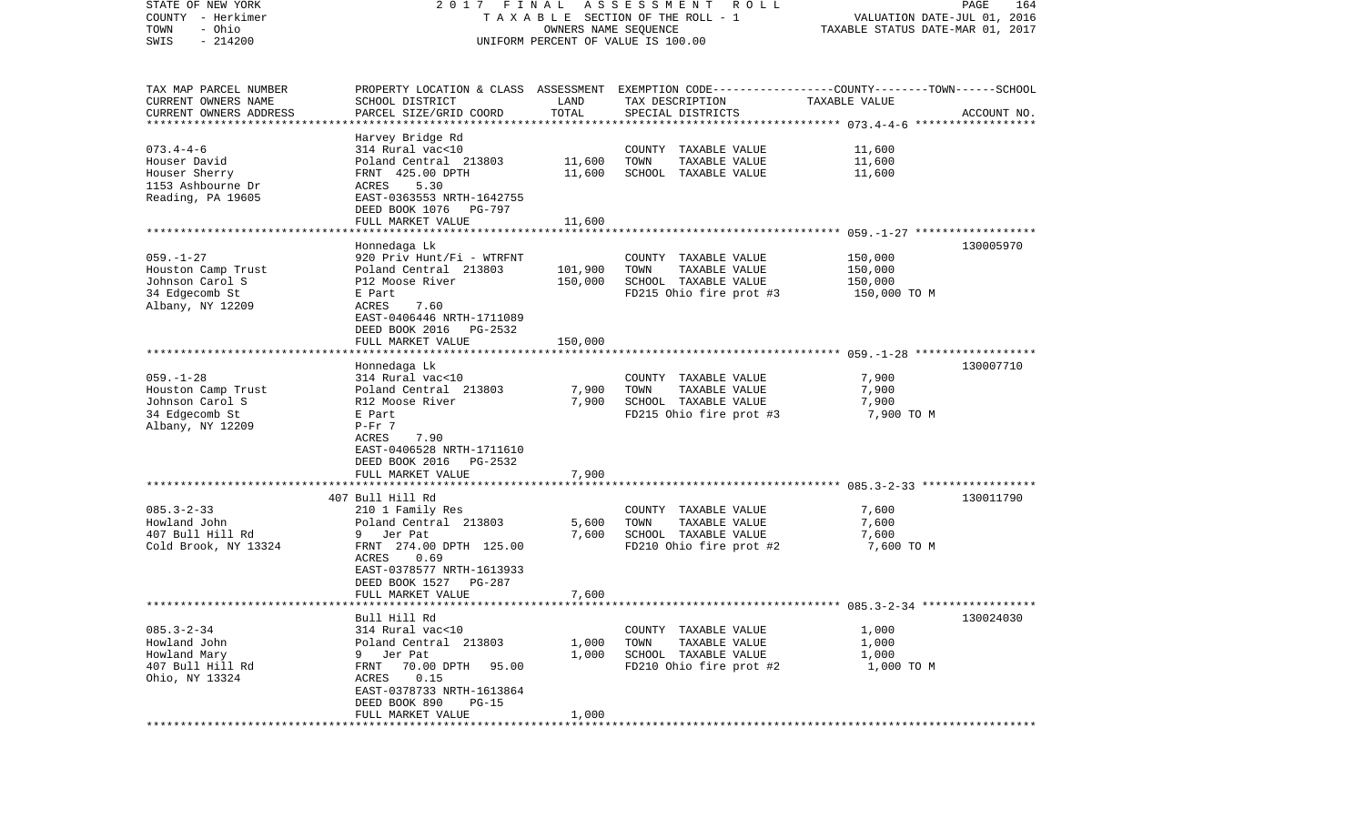| STATE OF NEW YORK                               | 2017 FINAL                                            |                      | A S S E S S M E N T<br>R O L L                                                                   |                                  | PAGE<br>164 |
|-------------------------------------------------|-------------------------------------------------------|----------------------|--------------------------------------------------------------------------------------------------|----------------------------------|-------------|
| COUNTY - Herkimer                               |                                                       |                      | TAXABLE SECTION OF THE ROLL - 1                                                                  | VALUATION DATE-JUL 01, 2016      |             |
| - Ohio<br>TOWN                                  |                                                       | OWNERS NAME SEQUENCE |                                                                                                  | TAXABLE STATUS DATE-MAR 01, 2017 |             |
| $-214200$<br>SWIS                               |                                                       |                      | UNIFORM PERCENT OF VALUE IS 100.00                                                               |                                  |             |
|                                                 |                                                       |                      |                                                                                                  |                                  |             |
|                                                 |                                                       |                      |                                                                                                  |                                  |             |
| TAX MAP PARCEL NUMBER<br>CURRENT OWNERS NAME    | SCHOOL DISTRICT                                       | LAND                 | PROPERTY LOCATION & CLASS ASSESSMENT EXEMPTION CODE----------------COUNTY-------TOWN------SCHOOL | TAXABLE VALUE                    |             |
|                                                 |                                                       | TOTAL                | TAX DESCRIPTION                                                                                  |                                  |             |
| CURRENT OWNERS ADDRESS<br>********************* | PARCEL SIZE/GRID COORD<br>***********************     |                      | SPECIAL DISTRICTS                                                                                |                                  | ACCOUNT NO. |
|                                                 | Harvey Bridge Rd                                      |                      |                                                                                                  |                                  |             |
| $073.4 - 4 - 6$                                 | 314 Rural vac<10                                      |                      | COUNTY TAXABLE VALUE                                                                             | 11,600                           |             |
| Houser David                                    | Poland Central 213803                                 | 11,600               | TOWN<br>TAXABLE VALUE                                                                            | 11,600                           |             |
| Houser Sherry                                   | FRNT 425.00 DPTH                                      | 11,600               | SCHOOL TAXABLE VALUE                                                                             | 11,600                           |             |
| 1153 Ashbourne Dr                               | ACRES<br>5.30                                         |                      |                                                                                                  |                                  |             |
| Reading, PA 19605                               | EAST-0363553 NRTH-1642755                             |                      |                                                                                                  |                                  |             |
|                                                 | DEED BOOK 1076 PG-797                                 |                      |                                                                                                  |                                  |             |
|                                                 | FULL MARKET VALUE                                     | 11,600               |                                                                                                  |                                  |             |
|                                                 | ********************                                  |                      |                                                                                                  |                                  |             |
|                                                 | Honnedaga Lk                                          |                      |                                                                                                  |                                  | 130005970   |
| $059. - 1 - 27$                                 | 920 Priv Hunt/Fi - WTRFNT                             |                      | COUNTY TAXABLE VALUE                                                                             | 150,000                          |             |
| Houston Camp Trust                              | Poland Central 213803                                 | 101,900              | TAXABLE VALUE<br>TOWN                                                                            | 150,000                          |             |
| Johnson Carol S                                 | P12 Moose River                                       | 150,000              | SCHOOL TAXABLE VALUE                                                                             | 150,000                          |             |
| 34 Edgecomb St                                  | E Part                                                |                      | FD215 Ohio fire prot #3                                                                          | 150,000 TO M                     |             |
|                                                 | 7.60<br>ACRES                                         |                      |                                                                                                  |                                  |             |
| Albany, NY 12209                                | EAST-0406446 NRTH-1711089                             |                      |                                                                                                  |                                  |             |
|                                                 | DEED BOOK 2016<br>PG-2532                             |                      |                                                                                                  |                                  |             |
|                                                 | FULL MARKET VALUE                                     |                      |                                                                                                  |                                  |             |
|                                                 |                                                       | 150,000              |                                                                                                  |                                  |             |
|                                                 | Honnedaga Lk                                          |                      |                                                                                                  |                                  | 130007710   |
| $059. - 1 - 28$                                 | 314 Rural vac<10                                      |                      | COUNTY TAXABLE VALUE                                                                             | 7,900                            |             |
| Houston Camp Trust                              | Poland Central 213803                                 | 7,900                | TOWN<br>TAXABLE VALUE                                                                            | 7,900                            |             |
|                                                 |                                                       | 7,900                | SCHOOL TAXABLE VALUE                                                                             |                                  |             |
| Johnson Carol S                                 | R12 Moose River                                       |                      |                                                                                                  | 7,900                            |             |
| 34 Edgecomb St                                  | E Part                                                |                      | FD215 Ohio fire prot #3                                                                          | 7,900 TO M                       |             |
| Albany, NY 12209                                | $P-Fr$ 7                                              |                      |                                                                                                  |                                  |             |
|                                                 | 7.90<br>ACRES                                         |                      |                                                                                                  |                                  |             |
|                                                 | EAST-0406528 NRTH-1711610                             |                      |                                                                                                  |                                  |             |
|                                                 | DEED BOOK 2016 PG-2532                                |                      |                                                                                                  |                                  |             |
|                                                 | FULL MARKET VALUE<br>*********************            | 7,900                |                                                                                                  |                                  |             |
|                                                 | 407 Bull Hill Rd                                      |                      |                                                                                                  |                                  | 130011790   |
| $085.3 - 2 - 33$                                | 210 1 Family Res                                      |                      | COUNTY TAXABLE VALUE                                                                             | 7,600                            |             |
| Howland John                                    | Poland Central 213803                                 | 5,600                | TOWN<br>TAXABLE VALUE                                                                            | 7,600                            |             |
| 407 Bull Hill Rd                                | 9 Jer Pat                                             | 7,600                | SCHOOL TAXABLE VALUE                                                                             | 7,600                            |             |
| Cold Brook, NY 13324                            | FRNT 274.00 DPTH 125.00                               |                      | FD210 Ohio fire prot #2                                                                          | 7,600 TO M                       |             |
|                                                 | ACRES<br>0.69                                         |                      |                                                                                                  |                                  |             |
|                                                 |                                                       |                      |                                                                                                  |                                  |             |
|                                                 | EAST-0378577 NRTH-1613933<br>DEED BOOK 1527           |                      |                                                                                                  |                                  |             |
|                                                 | <b>PG-287</b><br>FULL MARKET VALUE                    | 7,600                |                                                                                                  |                                  |             |
| *******************                             |                                                       |                      |                                                                                                  |                                  |             |
|                                                 | Bull Hill Rd                                          |                      |                                                                                                  |                                  | 130024030   |
| $085.3 - 2 - 34$                                | 314 Rural vac<10                                      |                      | COUNTY TAXABLE VALUE                                                                             | 1,000                            |             |
| Howland John                                    | Poland Central 213803                                 | 1,000                | TAXABLE VALUE<br>TOWN                                                                            | 1,000                            |             |
| Howland Mary                                    | Jer Pat<br>9                                          | 1,000                | SCHOOL TAXABLE VALUE                                                                             | 1,000                            |             |
| 407 Bull Hill Rd                                | 95.00                                                 |                      | FD210 Ohio fire prot #2                                                                          |                                  |             |
|                                                 | 70.00 DPTH<br>FRNT                                    |                      |                                                                                                  | 1,000 TO M                       |             |
| Ohio, NY 13324                                  | 0.15<br>ACRES                                         |                      |                                                                                                  |                                  |             |
|                                                 | EAST-0378733 NRTH-1613864<br>DEED BOOK 890<br>$PG-15$ |                      |                                                                                                  |                                  |             |
|                                                 |                                                       | 1,000                |                                                                                                  |                                  |             |
|                                                 | FULL MARKET VALUE<br>****************************     |                      | ***********************************                                                              |                                  |             |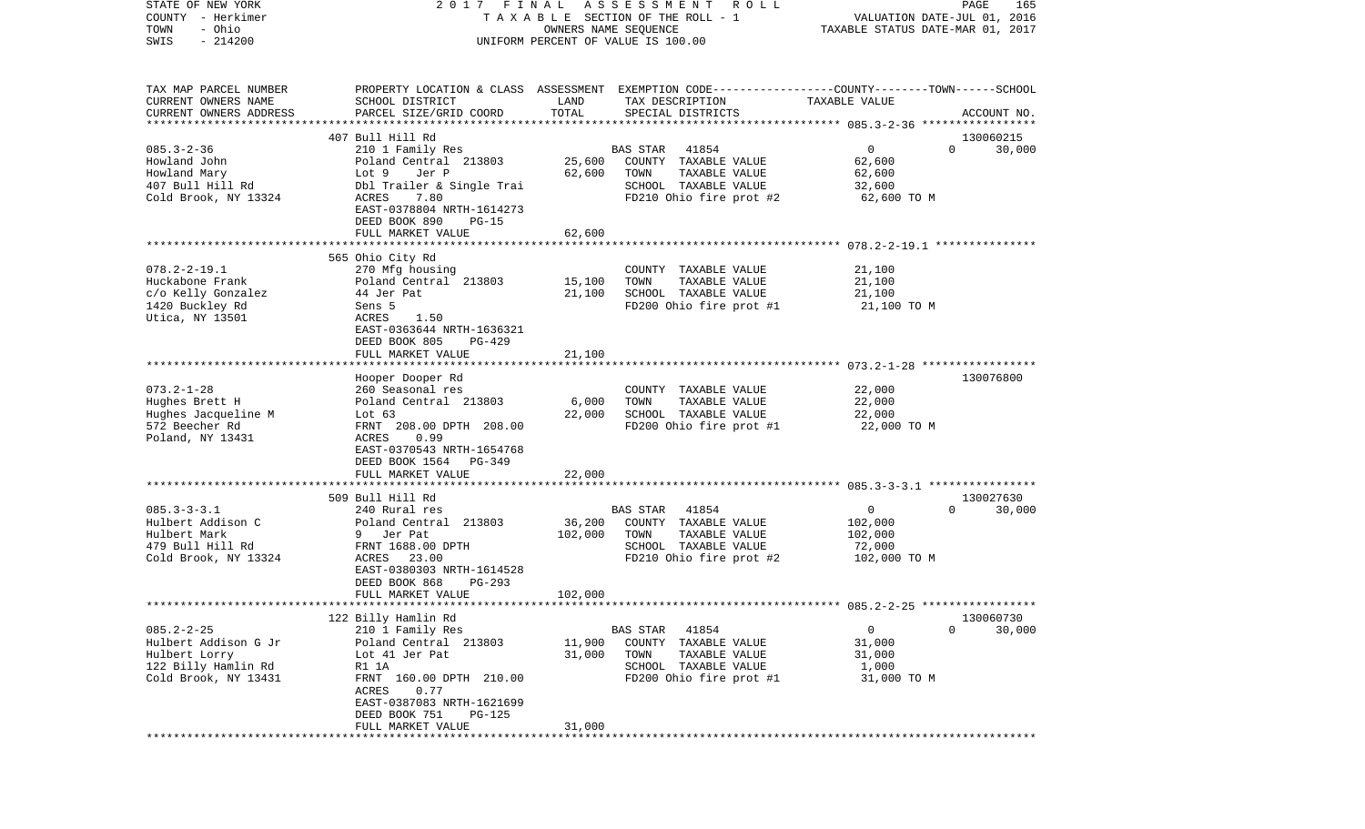| STATE OF NEW YORK      | 2017                       | FINAL                | A S S E S S M E N T R O L L                                                                     |                                  | PAGE<br>165 |
|------------------------|----------------------------|----------------------|-------------------------------------------------------------------------------------------------|----------------------------------|-------------|
| COUNTY - Herkimer      |                            |                      | T A X A B L E SECTION OF THE ROLL - 1                                                           | VALUATION DATE-JUL 01, 2016      |             |
| - Ohio<br>TOWN         |                            | OWNERS NAME SEQUENCE |                                                                                                 | TAXABLE STATUS DATE-MAR 01, 2017 |             |
| $-214200$<br>SWIS      |                            |                      | UNIFORM PERCENT OF VALUE IS 100.00                                                              |                                  |             |
|                        |                            |                      |                                                                                                 |                                  |             |
|                        |                            |                      |                                                                                                 |                                  |             |
| TAX MAP PARCEL NUMBER  |                            |                      | PROPERTY LOCATION & CLASS ASSESSMENT EXEMPTION CODE---------------COUNTY-------TOWN------SCHOOL |                                  |             |
| CURRENT OWNERS NAME    | SCHOOL DISTRICT            | LAND                 | TAX DESCRIPTION                                                                                 | TAXABLE VALUE                    |             |
| CURRENT OWNERS ADDRESS | PARCEL SIZE/GRID COORD     | TOTAL                | SPECIAL DISTRICTS                                                                               |                                  | ACCOUNT NO. |
|                        |                            |                      |                                                                                                 |                                  |             |
|                        | 407 Bull Hill Rd           |                      |                                                                                                 |                                  | 130060215   |
| $085.3 - 2 - 36$       | 210 1 Family Res           |                      | 41854<br>BAS STAR                                                                               | $\overline{0}$<br>$\Omega$       | 30,000      |
| Howland John           | Poland Central 213803      | 25,600               | COUNTY TAXABLE VALUE                                                                            | 62,600                           |             |
| Howland Mary           | Lot 9<br>Jer P             | 62,600               | TOWN<br>TAXABLE VALUE                                                                           | 62,600                           |             |
| 407 Bull Hill Rd       | Dbl Trailer & Single Trai  |                      | SCHOOL TAXABLE VALUE                                                                            | 32,600                           |             |
| Cold Brook, NY 13324   | ACRES<br>7.80              |                      | FD210 Ohio fire prot #2                                                                         | 62,600 TO M                      |             |
|                        | EAST-0378804 NRTH-1614273  |                      |                                                                                                 |                                  |             |
|                        | DEED BOOK 890<br>PG-15     |                      |                                                                                                 |                                  |             |
|                        | FULL MARKET VALUE          | 62,600               |                                                                                                 |                                  |             |
|                        |                            |                      |                                                                                                 |                                  |             |
|                        | 565 Ohio City Rd           |                      |                                                                                                 |                                  |             |
| $078.2 - 2 - 19.1$     | 270 Mfg housing            |                      | COUNTY TAXABLE VALUE                                                                            | 21,100                           |             |
| Huckabone Frank        | Poland Central 213803      | 15,100               | TOWN<br>TAXABLE VALUE                                                                           | 21,100                           |             |
| c/o Kelly Gonzalez     | 44 Jer Pat                 | 21,100               | SCHOOL TAXABLE VALUE                                                                            | 21,100                           |             |
| 1420 Buckley Rd        | Sens 5                     |                      | FD200 Ohio fire prot #1                                                                         | 21,100 TO M                      |             |
| Utica, NY 13501        | ACRES<br>1.50              |                      |                                                                                                 |                                  |             |
|                        | EAST-0363644 NRTH-1636321  |                      |                                                                                                 |                                  |             |
|                        | DEED BOOK 805<br>PG-429    |                      |                                                                                                 |                                  |             |
|                        | FULL MARKET VALUE          | 21,100               |                                                                                                 |                                  |             |
|                        | Hooper Dooper Rd           |                      |                                                                                                 |                                  | 130076800   |
| $073.2 - 1 - 28$       | 260 Seasonal res           |                      | COUNTY TAXABLE VALUE                                                                            | 22,000                           |             |
| Hughes Brett H         | Poland Central 213803      | 6,000                | TOWN<br>TAXABLE VALUE                                                                           | 22,000                           |             |
| Hughes Jacqueline M    | Lot $63$                   | 22,000               | SCHOOL TAXABLE VALUE                                                                            | 22,000                           |             |
| 572 Beecher Rd         | FRNT 208.00 DPTH 208.00    |                      | FD200 Ohio fire prot #1                                                                         | 22,000 TO M                      |             |
| Poland, NY 13431       | ACRES<br>0.99              |                      |                                                                                                 |                                  |             |
|                        | EAST-0370543 NRTH-1654768  |                      |                                                                                                 |                                  |             |
|                        | DEED BOOK 1564 PG-349      |                      |                                                                                                 |                                  |             |
|                        | FULL MARKET VALUE          | 22,000               |                                                                                                 |                                  |             |
|                        |                            |                      |                                                                                                 |                                  |             |
|                        | 509 Bull Hill Rd           |                      |                                                                                                 |                                  | 130027630   |
| $085.3 - 3 - 3.1$      | 240 Rural res              |                      | BAS STAR 41854                                                                                  | $\overline{0}$<br>$\Omega$       | 30,000      |
| Hulbert Addison C      | Poland Central 213803      | 36,200               | COUNTY TAXABLE VALUE                                                                            | 102,000                          |             |
| Hulbert Mark           | 9 Jer Pat                  | 102,000              | TOWN<br>TAXABLE VALUE                                                                           | 102,000                          |             |
| 479 Bull Hill Rd       | FRNT 1688.00 DPTH          |                      | SCHOOL TAXABLE VALUE                                                                            | 72,000                           |             |
| Cold Brook, NY 13324   | 23.00<br>ACRES             |                      | FD210 Ohio fire prot #2                                                                         | 102,000 TO M                     |             |
|                        | EAST-0380303 NRTH-1614528  |                      |                                                                                                 |                                  |             |
|                        | DEED BOOK 868<br>PG-293    |                      |                                                                                                 |                                  |             |
|                        | FULL MARKET VALUE          | 102,000              |                                                                                                 |                                  |             |
|                        |                            |                      |                                                                                                 |                                  |             |
|                        | 122 Billy Hamlin Rd        |                      |                                                                                                 |                                  | 130060730   |
| $085.2 - 2 - 25$       | 210 1 Family Res           |                      | 41854<br>BAS STAR                                                                               | 0<br>0                           | 30,000      |
| Hulbert Addison G Jr   | Poland Central 213803      | 11,900               | COUNTY<br>TAXABLE VALUE                                                                         | 31,000                           |             |
| Hulbert Lorry          | Lot 41 Jer Pat             | 31,000               | TOWN<br>TAXABLE VALUE                                                                           | 31,000                           |             |
| 122 Billy Hamlin Rd    | R1 1A                      |                      | SCHOOL TAXABLE VALUE                                                                            | 1,000                            |             |
| Cold Brook, NY 13431   | 160.00 DPTH 210.00<br>FRNT |                      | FD200 Ohio fire prot #1                                                                         | 31,000 TO M                      |             |
|                        | ACRES<br>0.77              |                      |                                                                                                 |                                  |             |
|                        | EAST-0387083 NRTH-1621699  |                      |                                                                                                 |                                  |             |
|                        | DEED BOOK 751<br>PG-125    |                      |                                                                                                 |                                  |             |
|                        | FULL MARKET VALUE          | 31,000               |                                                                                                 |                                  |             |
|                        |                            |                      |                                                                                                 |                                  |             |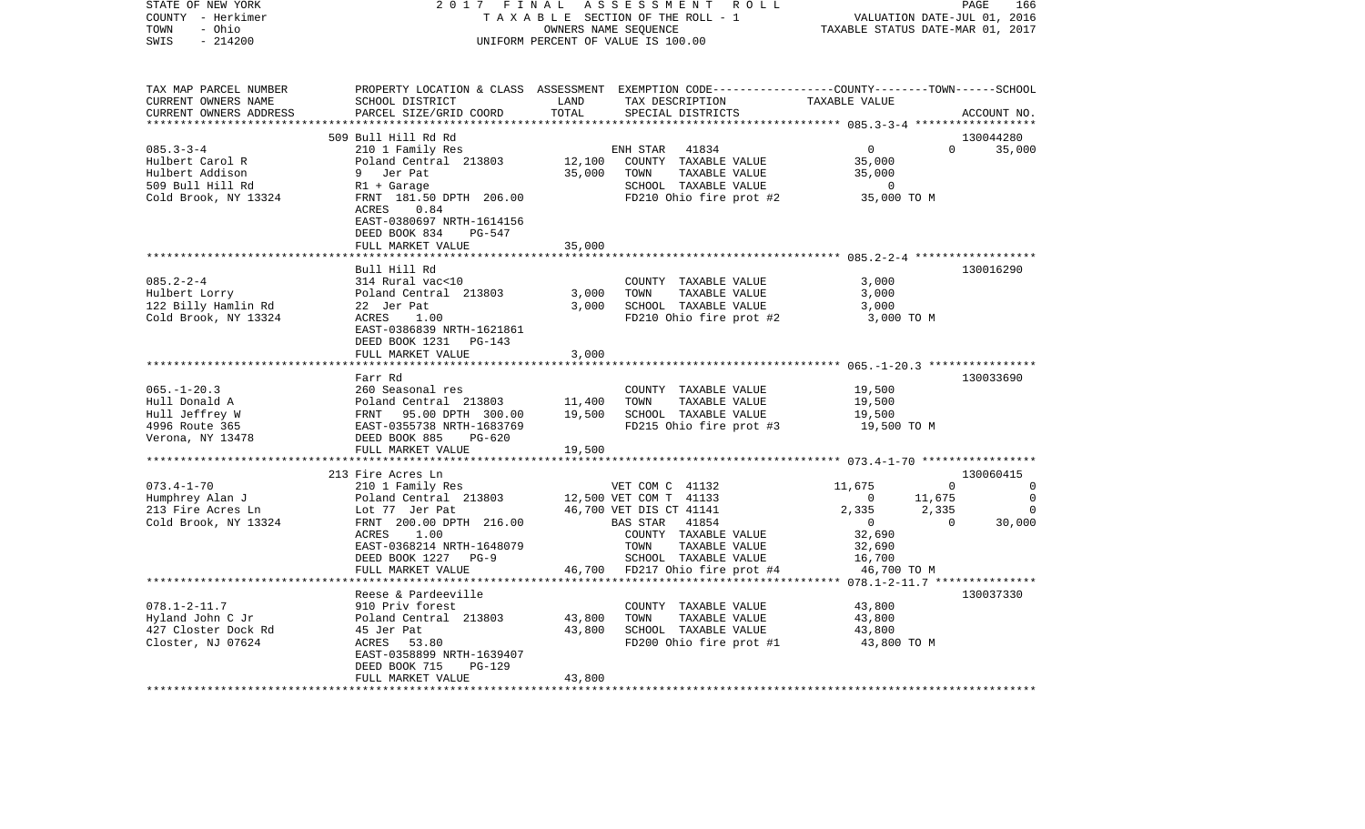| TOWN<br>- Ohio<br>OWNERS NAME SEQUENCE<br>SWIS<br>$-214200$<br>UNIFORM PERCENT OF VALUE IS 100.00                                            | VALUATION DATE-JUL 01, 2016      |
|----------------------------------------------------------------------------------------------------------------------------------------------|----------------------------------|
|                                                                                                                                              | TAXABLE STATUS DATE-MAR 01, 2017 |
|                                                                                                                                              |                                  |
|                                                                                                                                              |                                  |
|                                                                                                                                              |                                  |
|                                                                                                                                              |                                  |
| TAX MAP PARCEL NUMBER<br>PROPERTY LOCATION & CLASS ASSESSMENT EXEMPTION CODE----------------COUNTY-------TOWN------SCHOOL                    |                                  |
| CURRENT OWNERS NAME<br>SCHOOL DISTRICT<br>LAND<br>TAX DESCRIPTION<br>TAXABLE VALUE                                                           |                                  |
| TOTAL<br>CURRENT OWNERS ADDRESS<br>PARCEL SIZE/GRID COORD<br>SPECIAL DISTRICTS                                                               | ACCOUNT NO.                      |
| *****************************                                                                                                                |                                  |
| 509 Bull Hill Rd Rd                                                                                                                          | 130044280                        |
| $085.3 - 3 - 4$<br>ENH STAR 41834<br>$\overline{0}$<br>210 1 Family Res                                                                      | $\Omega$<br>35,000               |
| 12,100<br>35,000<br>Hulbert Carol R<br>Poland Central 213803<br>COUNTY TAXABLE VALUE                                                         |                                  |
| Hulbert Addison<br>35,000<br>9 Jer Pat<br>TOWN<br>TAXABLE VALUE<br>35,000                                                                    |                                  |
| SCHOOL TAXABLE VALUE<br>$\sim$ 0                                                                                                             |                                  |
| nuibert Addison<br>509 Bull Hill Rd<br>Cold Brook, NY 13324<br>FRNT 181.50 DPTH 206.00<br>FD210 Ohio fire prot #2 35,000 TO M                |                                  |
| ACRES<br>0.84                                                                                                                                |                                  |
| EAST-0380697 NRTH-1614156                                                                                                                    |                                  |
| DEED BOOK 834<br>PG-547                                                                                                                      |                                  |
| FULL MARKET VALUE<br>35,000                                                                                                                  |                                  |
|                                                                                                                                              |                                  |
| Bull Hill Rd                                                                                                                                 | 130016290                        |
| $085.2 - 2 - 4$<br>3,000<br>314 Rural vac<10<br>COUNTY TAXABLE VALUE                                                                         |                                  |
| Poland Central 213803<br>TAXABLE VALUE                                                                                                       |                                  |
| 3,000<br>Hulbert Lorry<br>TOWN<br>3,000                                                                                                      |                                  |
| 22 Jer Pat<br>ACRES 1.0<br>122 Billy Hamlin Rd<br>3,000<br>SCHOOL TAXABLE VALUE<br>3,000                                                     |                                  |
| Cold Brook, NY 13324<br>1.00<br>FD210 Ohio fire prot #2<br>3,000 TO M                                                                        |                                  |
| EAST-0386839 NRTH-1621861                                                                                                                    |                                  |
| DEED BOOK 1231<br>PG-143                                                                                                                     |                                  |
| 3,000<br>FULL MARKET VALUE                                                                                                                   |                                  |
|                                                                                                                                              |                                  |
| Farr Rd                                                                                                                                      | 130033690                        |
| $065. - 1 - 20.3$<br>19,500<br>COUNTY TAXABLE VALUE                                                                                          |                                  |
| 11,400<br>TAXABLE VALUE<br>19,500<br>Hull Donald A<br>TOWN                                                                                   |                                  |
| 19,500<br>Hull Jeffrey W<br>SCHOOL TAXABLE VALUE<br>19,500                                                                                   |                                  |
| 4996 Route 365<br>FD215 Ohio fire prot #3<br>19,500 TO M                                                                                     |                                  |
| 260 Seasonal res<br>Poland Central 213803<br>FRNT 95.00 DPTH 300.00<br>EAST-0355738 NRTH-1683769<br>DEED BOOK 885 PG-620<br>Verona, NY 13478 |                                  |
| 19,500<br>FULL MARKET VALUE                                                                                                                  |                                  |
|                                                                                                                                              |                                  |
| 213 Fire Acres Ln                                                                                                                            | 130060415                        |
| 11,675<br>$073.4 - 1 - 70$<br>210 1 Family Res<br>VET COM C 41132                                                                            | $\overline{0}$<br>0              |
| Humphrey Alan J<br>Poland Central 213803<br>12,500 VET COM T 41133<br>$\overline{0}$                                                         | 11,675<br>$\overline{0}$         |
| Lot 77 Jer Pat<br>213 Fire Acres Ln<br>46,700 VET DIS CT 41141<br>2,335                                                                      | 2,335<br>0                       |
| Cold Brook, NY 13324<br>FRNT 200.00 DPTH 216.00<br>BAS STAR<br>41854<br>$\overline{0}$                                                       | 30,000<br>$\Omega$               |
| 32,690<br>1.00<br>COUNTY TAXABLE VALUE<br>ACRES                                                                                              |                                  |
| EAST-0368214 NRTH-1648079<br>TOWN<br>TAXABLE VALUE<br>32,690                                                                                 |                                  |
| $PG-9$<br>16,700                                                                                                                             |                                  |
|                                                                                                                                              |                                  |
| DEED BOOK 1227<br>SCHOOL TAXABLE VALUE                                                                                                       |                                  |
| 46,700 TO M<br>46,700 FD217 Ohio fire prot #4<br>FULL MARKET VALUE                                                                           | 130037330                        |
|                                                                                                                                              |                                  |
| Reese & Pardeeville                                                                                                                          |                                  |
| $078.1 - 2 - 11.7$<br>43,800<br>COUNTY TAXABLE VALUE                                                                                         |                                  |
| 910 Priv forest<br>Poland Central 213803<br>Hyland John C Jr<br>43,800<br>TOWN<br>TAXABLE VALUE<br>43,800                                    |                                  |
| 427 Closter Dock Rd<br>43,800<br>SCHOOL TAXABLE VALUE<br>45 Jer Pat<br>43,800                                                                |                                  |
| <b>ACRES</b><br>Closter, NJ 07624<br>43,800 TO M<br>53.80<br>FD200 Ohio fire prot #1                                                         |                                  |
| EAST-0358899 NRTH-1639407                                                                                                                    |                                  |
| <b>PG-129</b><br>DEED BOOK 715<br>FULL MARKET VALUE<br>43,800                                                                                |                                  |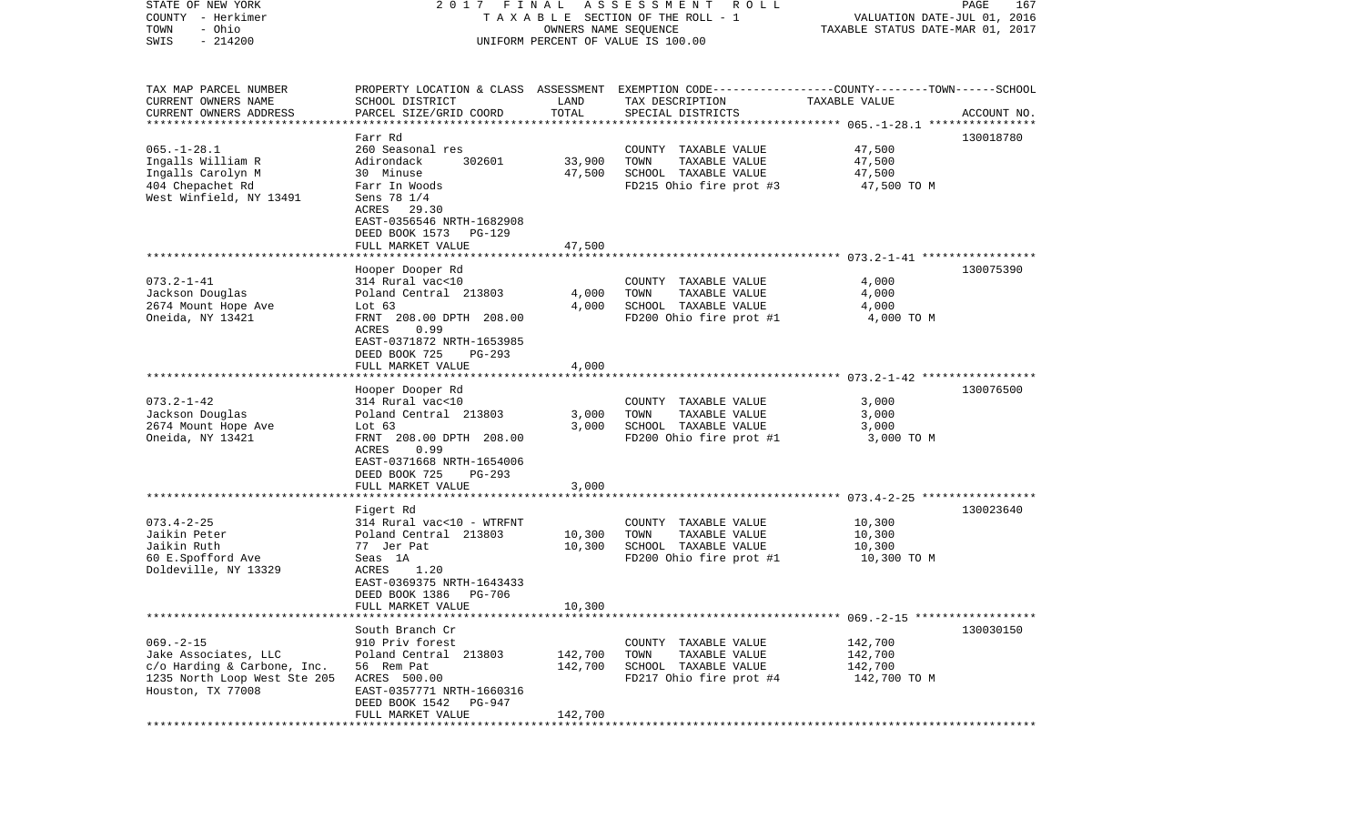| STATE OF NEW YORK<br>COUNTY - Herkimer<br>- Ohio<br>TOWN<br>$-214200$<br>SWIS                                                          | FINAL<br>2017<br>TAXABLE SECTION OF THE ROLL - 1<br>UNIFORM PERCENT OF VALUE IS 100.00                                                                                                             | PAGE<br>167<br>VALUATION DATE-JUL 01, 2016<br>TAXABLE STATUS DATE-MAR 01, 2017 |                                                                                                                                          |                                                         |             |
|----------------------------------------------------------------------------------------------------------------------------------------|----------------------------------------------------------------------------------------------------------------------------------------------------------------------------------------------------|--------------------------------------------------------------------------------|------------------------------------------------------------------------------------------------------------------------------------------|---------------------------------------------------------|-------------|
| TAX MAP PARCEL NUMBER<br>CURRENT OWNERS NAME<br>CURRENT OWNERS ADDRESS<br>**********************                                       | SCHOOL DISTRICT<br>PARCEL SIZE/GRID COORD<br>***********************                                                                                                                               | LAND<br>TOTAL                                                                  | PROPERTY LOCATION & CLASS ASSESSMENT EXEMPTION CODE----------------COUNTY-------TOWN------SCHOOL<br>TAX DESCRIPTION<br>SPECIAL DISTRICTS | TAXABLE VALUE                                           | ACCOUNT NO. |
| $065. -1 - 28.1$<br>Ingalls William R<br>Ingalls Carolyn M<br>404 Chepachet Rd<br>West Winfield, NY 13491                              | Farr Rd<br>260 Seasonal res<br>Adirondack<br>302601<br>30 Minuse<br>Farr In Woods<br>Sens 78 1/4<br>ACRES<br>29.30<br>EAST-0356546 NRTH-1682908<br>DEED BOOK 1573<br>PG-129<br>FULL MARKET VALUE   | 33,900<br>47,500<br>47,500                                                     | COUNTY TAXABLE VALUE<br>TOWN<br>TAXABLE VALUE<br>SCHOOL TAXABLE VALUE<br>FD215 Ohio fire prot #3                                         | 47,500<br>47,500<br>47,500<br>47,500 TO M               | 130018780   |
|                                                                                                                                        |                                                                                                                                                                                                    |                                                                                |                                                                                                                                          |                                                         |             |
| $073.2 - 1 - 41$<br>Jackson Douglas<br>2674 Mount Hope Ave<br>Oneida, NY 13421                                                         | Hooper Dooper Rd<br>314 Rural vac<10<br>Poland Central 213803<br>Lot $63$<br>FRNT 208.00 DPTH 208.00<br>0.99<br>ACRES<br>EAST-0371872 NRTH-1653985<br>DEED BOOK 725<br>PG-293<br>FULL MARKET VALUE | 4,000<br>4,000<br>4,000                                                        | COUNTY TAXABLE VALUE<br>TOWN<br>TAXABLE VALUE<br>SCHOOL TAXABLE VALUE<br>FD200 Ohio fire prot #1                                         | 4,000<br>4,000<br>4,000<br>4,000 TO M                   | 130075390   |
|                                                                                                                                        |                                                                                                                                                                                                    |                                                                                |                                                                                                                                          |                                                         |             |
| $073.2 - 1 - 42$<br>Jackson Douglas<br>2674 Mount Hope Ave<br>Oneida, NY 13421                                                         | Hooper Dooper Rd<br>314 Rural vac<10<br>Poland Central 213803<br>Lot $63$<br>FRNT 208.00 DPTH 208.00<br>ACRES<br>0.99<br>EAST-0371668 NRTH-1654006<br>DEED BOOK 725<br>PG-293                      | 3,000<br>3,000                                                                 | COUNTY TAXABLE VALUE<br>TAXABLE VALUE<br>TOWN<br>SCHOOL TAXABLE VALUE<br>FD200 Ohio fire prot #1                                         | 3,000<br>3,000<br>3,000<br>3,000 TO M                   | 130076500   |
|                                                                                                                                        | FULL MARKET VALUE                                                                                                                                                                                  | 3,000                                                                          |                                                                                                                                          | ************************* 073.4-2-25 ****************** |             |
| $073.4 - 2 - 25$<br>Jaikin Peter<br>Jaikin Ruth<br>60 E.Spofford Ave<br>Doldeville, NY 13329                                           | Figert Rd<br>314 Rural vac<10 - WTRFNT<br>Poland Central 213803<br>77 Jer Pat<br>Seas 1A<br>1.20<br>ACRES<br>EAST-0369375 NRTH-1643433<br>DEED BOOK 1386<br><b>PG-706</b>                          | 10,300<br>10,300                                                               | COUNTY TAXABLE VALUE<br>TOWN<br>TAXABLE VALUE<br>SCHOOL TAXABLE VALUE<br>FD200 Ohio fire prot #1                                         | 10,300<br>10,300<br>10,300<br>10,300 TO M               | 130023640   |
|                                                                                                                                        | FULL MARKET VALUE                                                                                                                                                                                  | 10,300                                                                         |                                                                                                                                          |                                                         |             |
| $069. -2 -15$<br>Jake Associates, LLC<br>c/o Harding & Carbone, Inc.<br>1235 North Loop West Ste 205 ACRES 500.00<br>Houston, TX 77008 | South Branch Cr<br>910 Priv forest<br>Poland Central 213803<br>56 Rem Pat<br>EAST-0357771 NRTH-1660316<br>DEED BOOK 1542<br>PG-947<br>FULL MARKET VALUE                                            | 142,700<br>142,700<br>142,700                                                  | COUNTY TAXABLE VALUE<br>TAXABLE VALUE<br>TOWN<br>SCHOOL TAXABLE VALUE<br>FD217 Ohio fire prot #4                                         | 142,700<br>142,700<br>142,700<br>142,700 TO M           | 130030150   |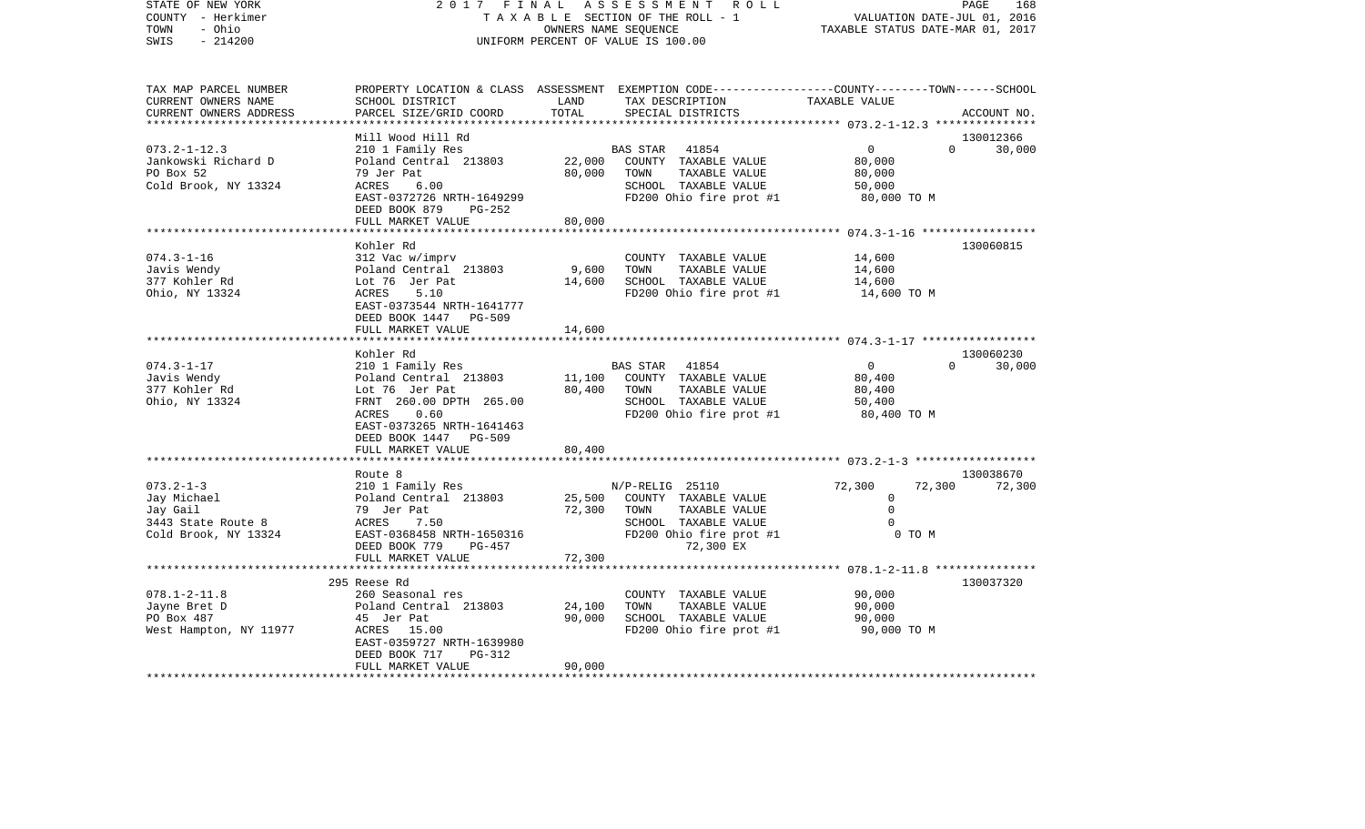| - Herkimer<br>COUNTY<br>TOWN<br>- Ohio<br>$-214200$<br>SWIS | TAXABLE SECTION OF THE ROLL - 1<br>OWNERS NAME SEQUENCE<br>UNIFORM PERCENT OF VALUE IS 100.00 |                                     |                                                                                                                     | VALUATION DATE-JUL 01, 2016<br>TAXABLE STATUS DATE-MAR 01, 2017 |                    |
|-------------------------------------------------------------|-----------------------------------------------------------------------------------------------|-------------------------------------|---------------------------------------------------------------------------------------------------------------------|-----------------------------------------------------------------|--------------------|
| TAX MAP PARCEL NUMBER<br>CURRENT OWNERS NAME                | SCHOOL DISTRICT                                                                               | LAND                                | PROPERTY LOCATION & CLASS ASSESSMENT EXEMPTION CODE----------------COUNTY-------TOWN------SCHOOL<br>TAX DESCRIPTION | TAXABLE VALUE                                                   |                    |
| CURRENT OWNERS ADDRESS                                      | PARCEL SIZE/GRID COORD                                                                        | TOTAL                               | SPECIAL DISTRICTS                                                                                                   |                                                                 | ACCOUNT NO.        |
| ********************                                        |                                                                                               |                                     |                                                                                                                     |                                                                 |                    |
|                                                             | Mill Wood Hill Rd                                                                             |                                     |                                                                                                                     |                                                                 | 130012366          |
| $073.2 - 1 - 12.3$                                          | 210 1 Family Res                                                                              |                                     | BAS STAR<br>41854                                                                                                   | $\overline{0}$                                                  | $\Omega$<br>30,000 |
| Jankowski Richard D                                         | Poland Central 213803                                                                         | 22,000                              | COUNTY TAXABLE VALUE                                                                                                | 80,000                                                          |                    |
| PO Box 52                                                   | 79 Jer Pat                                                                                    | 80,000                              | TOWN<br>TAXABLE VALUE                                                                                               | 80,000                                                          |                    |
| Cold Brook, NY 13324                                        | <b>ACRES</b><br>6.00                                                                          |                                     | SCHOOL TAXABLE VALUE                                                                                                | 50,000                                                          |                    |
|                                                             | EAST-0372726 NRTH-1649299                                                                     |                                     | FD200 Ohio fire prot #1                                                                                             | 80,000 TO M                                                     |                    |
|                                                             | DEED BOOK 879<br>PG-252                                                                       |                                     |                                                                                                                     |                                                                 |                    |
|                                                             | FULL MARKET VALUE                                                                             | 80,000<br>* * * * * * * * * * * * * |                                                                                                                     |                                                                 |                    |
|                                                             | Kohler Rd                                                                                     |                                     |                                                                                                                     |                                                                 | 130060815          |
| $074.3 - 1 - 16$                                            | 312 Vac w/imprv                                                                               |                                     | COUNTY TAXABLE VALUE                                                                                                | 14,600                                                          |                    |
| Javis Wendy                                                 | Poland Central 213803                                                                         | 9,600                               | TOWN<br>TAXABLE VALUE                                                                                               | 14,600                                                          |                    |
| 377 Kohler Rd                                               | Lot 76 Jer Pat                                                                                | 14,600                              | SCHOOL TAXABLE VALUE                                                                                                | 14,600                                                          |                    |
| Ohio, NY 13324                                              | 5.10<br>ACRES                                                                                 |                                     | FD200 Ohio fire prot #1                                                                                             | 14,600 TO M                                                     |                    |
|                                                             | EAST-0373544 NRTH-1641777                                                                     |                                     |                                                                                                                     |                                                                 |                    |
|                                                             | DEED BOOK 1447 PG-509                                                                         |                                     |                                                                                                                     |                                                                 |                    |
|                                                             | FULL MARKET VALUE                                                                             | 14,600                              |                                                                                                                     |                                                                 |                    |
|                                                             | Kohler Rd                                                                                     |                                     |                                                                                                                     |                                                                 | 130060230          |
| $074.3 - 1 - 17$                                            | 210 1 Family Res                                                                              |                                     | 41854<br>BAS STAR                                                                                                   | $\overline{0}$                                                  | $\Omega$<br>30,000 |
| Javis Wendy                                                 | Poland Central 213803                                                                         | 11,100                              | COUNTY TAXABLE VALUE                                                                                                | 80,400                                                          |                    |
| 377 Kohler Rd                                               | Lot 76 Jer Pat                                                                                | 80,400                              | TOWN<br>TAXABLE VALUE                                                                                               | 80,400                                                          |                    |
| Ohio, NY 13324                                              | FRNT 260.00 DPTH 265.00                                                                       |                                     | SCHOOL TAXABLE VALUE                                                                                                | 50,400                                                          |                    |
|                                                             | ACRES<br>0.60                                                                                 |                                     | FD200 Ohio fire prot #1                                                                                             | 80,400 TO M                                                     |                    |
|                                                             | EAST-0373265 NRTH-1641463                                                                     |                                     |                                                                                                                     |                                                                 |                    |
|                                                             | DEED BOOK 1447 PG-509                                                                         |                                     |                                                                                                                     |                                                                 |                    |
|                                                             | FULL MARKET VALUE                                                                             | 80,400                              |                                                                                                                     |                                                                 |                    |
|                                                             |                                                                                               |                                     |                                                                                                                     |                                                                 |                    |
|                                                             | Route 8                                                                                       |                                     |                                                                                                                     |                                                                 | 130038670          |
| $073.2 - 1 - 3$                                             | 210 1 Family Res<br>Poland Central 213803                                                     |                                     | N/P-RELIG 25110<br>COUNTY TAXABLE VALUE                                                                             | 72,300<br>$\Omega$                                              | 72,300<br>72,300   |
| Jay Michael<br>Jay Gail                                     | 79 Jer Pat                                                                                    | 25,500<br>72,300                    | TAXABLE VALUE<br>TOWN                                                                                               | $\mathbf 0$                                                     |                    |
| 3443 State Route 8                                          | ACRES<br>7.50                                                                                 |                                     | SCHOOL TAXABLE VALUE                                                                                                | $\Omega$                                                        |                    |
| Cold Brook, NY 13324                                        | EAST-0368458 NRTH-1650316                                                                     |                                     | FD200 Ohio fire prot #1                                                                                             | 0 TO M                                                          |                    |
|                                                             | DEED BOOK 779<br>PG-457                                                                       |                                     | 72,300 EX                                                                                                           |                                                                 |                    |
|                                                             | FULL MARKET VALUE                                                                             | 72,300                              |                                                                                                                     |                                                                 |                    |
|                                                             |                                                                                               |                                     |                                                                                                                     |                                                                 |                    |
|                                                             | 295 Reese Rd                                                                                  |                                     |                                                                                                                     |                                                                 | 130037320          |
| $078.1 - 2 - 11.8$                                          | 260 Seasonal res                                                                              |                                     | COUNTY TAXABLE VALUE                                                                                                | 90,000                                                          |                    |
| Jayne Bret D                                                | Poland Central 213803                                                                         | 24,100                              | TAXABLE VALUE<br>TOWN                                                                                               | 90,000                                                          |                    |
| PO Box 487                                                  | 45 Jer Pat                                                                                    | 90,000                              | SCHOOL TAXABLE VALUE                                                                                                | 90,000                                                          |                    |
| West Hampton, NY 11977                                      | ACRES 15.00<br>EAST-0359727 NRTH-1639980                                                      |                                     | FD200 Ohio fire prot #1                                                                                             | 90,000 TO M                                                     |                    |
|                                                             | DEED BOOK 717<br>PG-312                                                                       |                                     |                                                                                                                     |                                                                 |                    |
|                                                             | FULL MARKET VALUE                                                                             | 90,000                              |                                                                                                                     |                                                                 |                    |
|                                                             |                                                                                               |                                     |                                                                                                                     |                                                                 |                    |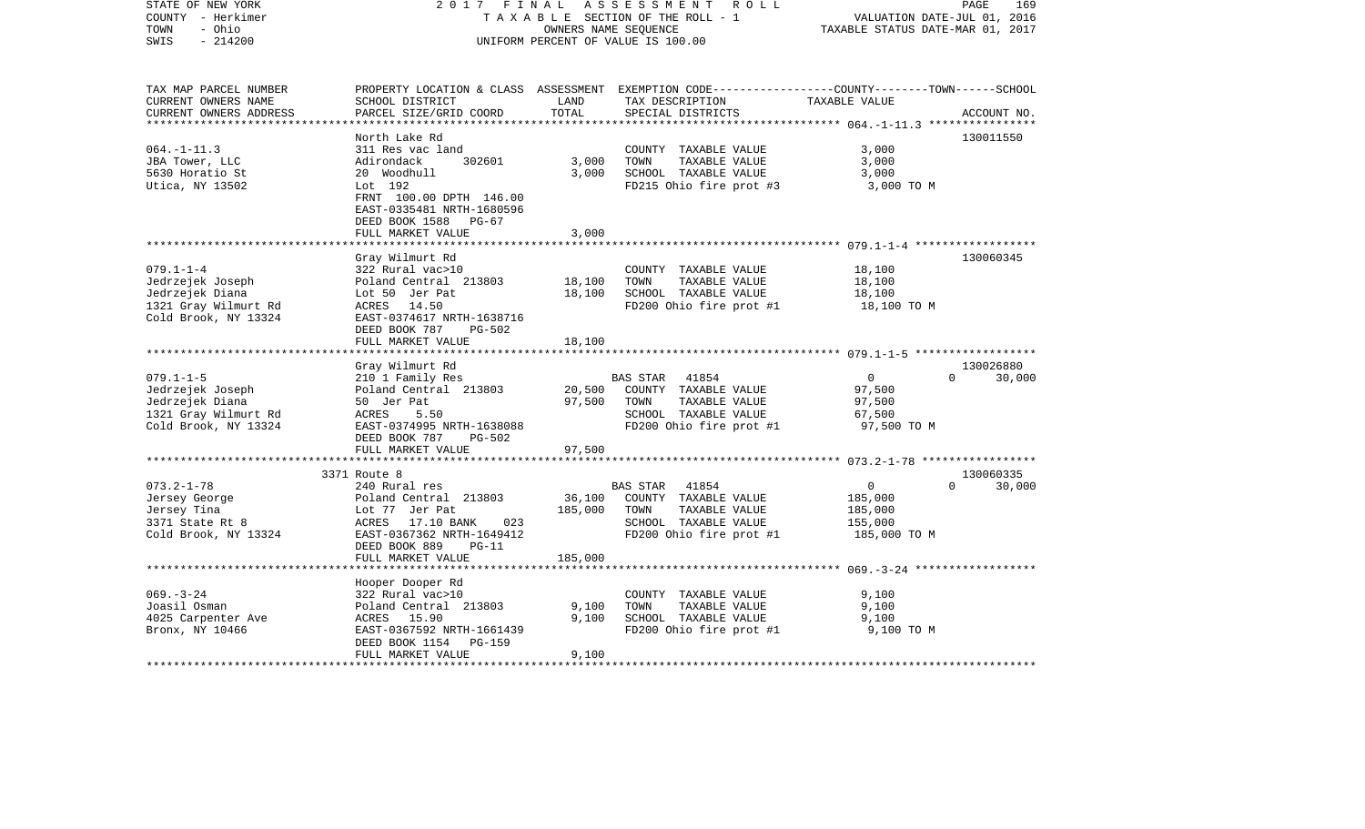| STATE OF NEW YORK<br>COUNTY - Herkimer<br>- Ohio<br>TOWN<br>$-214200$<br>SWIS | 2017 FINAL                 | OWNERS NAME SEQUENCE | ASSESSMENT<br>R O L L<br>TAXABLE SECTION OF THE ROLL - 1<br>UNIFORM PERCENT OF VALUE IS 100.00 | VALUATION DATE-JUL 01, 2016<br>TAXABLE STATUS DATE-MAR 01, 2017 | PAGE<br>169 |
|-------------------------------------------------------------------------------|----------------------------|----------------------|------------------------------------------------------------------------------------------------|-----------------------------------------------------------------|-------------|
| TAX MAP PARCEL NUMBER                                                         |                            |                      | PROPERTY LOCATION & CLASS ASSESSMENT EXEMPTION CODE---------------COUNTY-------TOWN-----SCHOOL |                                                                 |             |
| CURRENT OWNERS NAME                                                           | SCHOOL DISTRICT            | LAND                 | TAX DESCRIPTION                                                                                | TAXABLE VALUE                                                   |             |
| CURRENT OWNERS ADDRESS                                                        | PARCEL SIZE/GRID COORD     | TOTAL                | SPECIAL DISTRICTS                                                                              |                                                                 | ACCOUNT NO. |
|                                                                               | North Lake Rd              |                      |                                                                                                |                                                                 | 130011550   |
| $064. -1 - 11.3$                                                              | 311 Res vac land           |                      | COUNTY TAXABLE VALUE                                                                           | 3,000                                                           |             |
| JBA Tower, LLC                                                                | 302601<br>Adirondack       | 3,000                | TOWN<br>TAXABLE VALUE                                                                          | 3,000                                                           |             |
| 5630 Horatio St                                                               | 20 Woodhull                | 3,000                | SCHOOL TAXABLE VALUE                                                                           | 3,000                                                           |             |
| Utica, NY 13502                                                               | Lot 192                    |                      | FD215 Ohio fire prot #3                                                                        | 3,000 TO M                                                      |             |
|                                                                               | FRNT 100.00 DPTH 146.00    |                      |                                                                                                |                                                                 |             |
|                                                                               | EAST-0335481 NRTH-1680596  |                      |                                                                                                |                                                                 |             |
|                                                                               | DEED BOOK 1588 PG-67       |                      |                                                                                                |                                                                 |             |
|                                                                               | FULL MARKET VALUE          | 3,000                |                                                                                                |                                                                 |             |
|                                                                               | **********************     | ************         |                                                                                                |                                                                 |             |
|                                                                               | Gray Wilmurt Rd            |                      |                                                                                                |                                                                 | 130060345   |
| $079.1 - 1 - 4$                                                               | 322 Rural vac>10           |                      | COUNTY TAXABLE VALUE                                                                           | 18,100                                                          |             |
| Jedrzejek Joseph                                                              | Poland Central 213803      | 18,100               | TOWN<br>TAXABLE VALUE                                                                          | 18,100                                                          |             |
| Jedrzejek Diana                                                               | Lot 50 Jer Pat             | 18,100               | SCHOOL TAXABLE VALUE                                                                           | 18,100                                                          |             |
| 1321 Gray Wilmurt Rd                                                          | 14.50<br>ACRES             |                      | FD200 Ohio fire prot #1                                                                        | 18,100 TO M                                                     |             |
| Cold Brook, NY 13324                                                          | EAST-0374617 NRTH-1638716  |                      |                                                                                                |                                                                 |             |
|                                                                               | DEED BOOK 787<br>PG-502    |                      |                                                                                                |                                                                 |             |
|                                                                               | FULL MARKET VALUE          | 18,100               |                                                                                                |                                                                 |             |
|                                                                               |                            |                      |                                                                                                |                                                                 |             |
|                                                                               | Gray Wilmurt Rd            |                      |                                                                                                |                                                                 | 130026880   |
| $079.1 - 1 - 5$                                                               | 210 1 Family Res           |                      | <b>BAS STAR</b><br>41854                                                                       | $\Omega$<br>$\Omega$                                            | 30,000      |
| Jedrzejek Joseph                                                              | Poland Central 213803      | 20,500               | COUNTY TAXABLE VALUE                                                                           | 97,500                                                          |             |
| Jedrzejek Diana                                                               | 50 Jer Pat                 | 97,500               | TAXABLE VALUE<br>TOWN                                                                          | 97,500                                                          |             |
| 1321 Gray Wilmurt Rd                                                          | ACRES<br>5.50              |                      | SCHOOL TAXABLE VALUE                                                                           | 67,500                                                          |             |
| Cold Brook, NY 13324                                                          | EAST-0374995 NRTH-1638088  |                      | FD200 Ohio fire prot #1                                                                        | 97,500 TO M                                                     |             |
|                                                                               | DEED BOOK 787<br>PG-502    |                      |                                                                                                |                                                                 |             |
|                                                                               | FULL MARKET VALUE          | 97,500               |                                                                                                |                                                                 |             |
|                                                                               | ***********************    |                      |                                                                                                |                                                                 |             |
|                                                                               | 3371 Route 8               |                      |                                                                                                |                                                                 | 130060335   |
| $073.2 - 1 - 78$                                                              | 240 Rural res              |                      | <b>BAS STAR</b><br>41854                                                                       | $\overline{0}$<br>$\Omega$                                      | 30,000      |
| Jersey George                                                                 | Poland Central 213803      | 36,100               | COUNTY TAXABLE VALUE                                                                           | 185,000                                                         |             |
| Jersey Tina                                                                   | Lot 77 Jer Pat             | 185,000              | TOWN<br>TAXABLE VALUE                                                                          | 185,000                                                         |             |
| 3371 State Rt 8                                                               | 023<br>ACRES<br>17.10 BANK |                      | SCHOOL TAXABLE VALUE                                                                           | 155,000                                                         |             |
| Cold Brook, NY 13324                                                          | EAST-0367362 NRTH-1649412  |                      | FD200 Ohio fire prot #1                                                                        | 185,000 TO M                                                    |             |
|                                                                               | DEED BOOK 889<br>$PG-11$   |                      |                                                                                                |                                                                 |             |
|                                                                               | FULL MARKET VALUE          | 185,000              |                                                                                                |                                                                 |             |
|                                                                               |                            |                      |                                                                                                |                                                                 |             |
|                                                                               | Hooper Dooper Rd           |                      |                                                                                                |                                                                 |             |
| $069. -3 - 24$                                                                | 322 Rural vac>10           |                      | COUNTY TAXABLE VALUE                                                                           | 9,100                                                           |             |
| Joasil Osman                                                                  | Poland Central 213803      | 9,100                | TOWN<br>TAXABLE VALUE                                                                          | 9,100                                                           |             |
| 4025 Carpenter Ave                                                            | ACRES 15.90                | 9,100                | SCHOOL TAXABLE VALUE                                                                           | 9,100                                                           |             |
| Bronx, NY 10466                                                               | EAST-0367592 NRTH-1661439  |                      | FD200 Ohio fire prot #1                                                                        | 9,100 TO M                                                      |             |
|                                                                               | DEED BOOK 1154<br>PG-159   |                      |                                                                                                |                                                                 |             |
|                                                                               | FULL MARKET VALUE          | 9,100                |                                                                                                |                                                                 |             |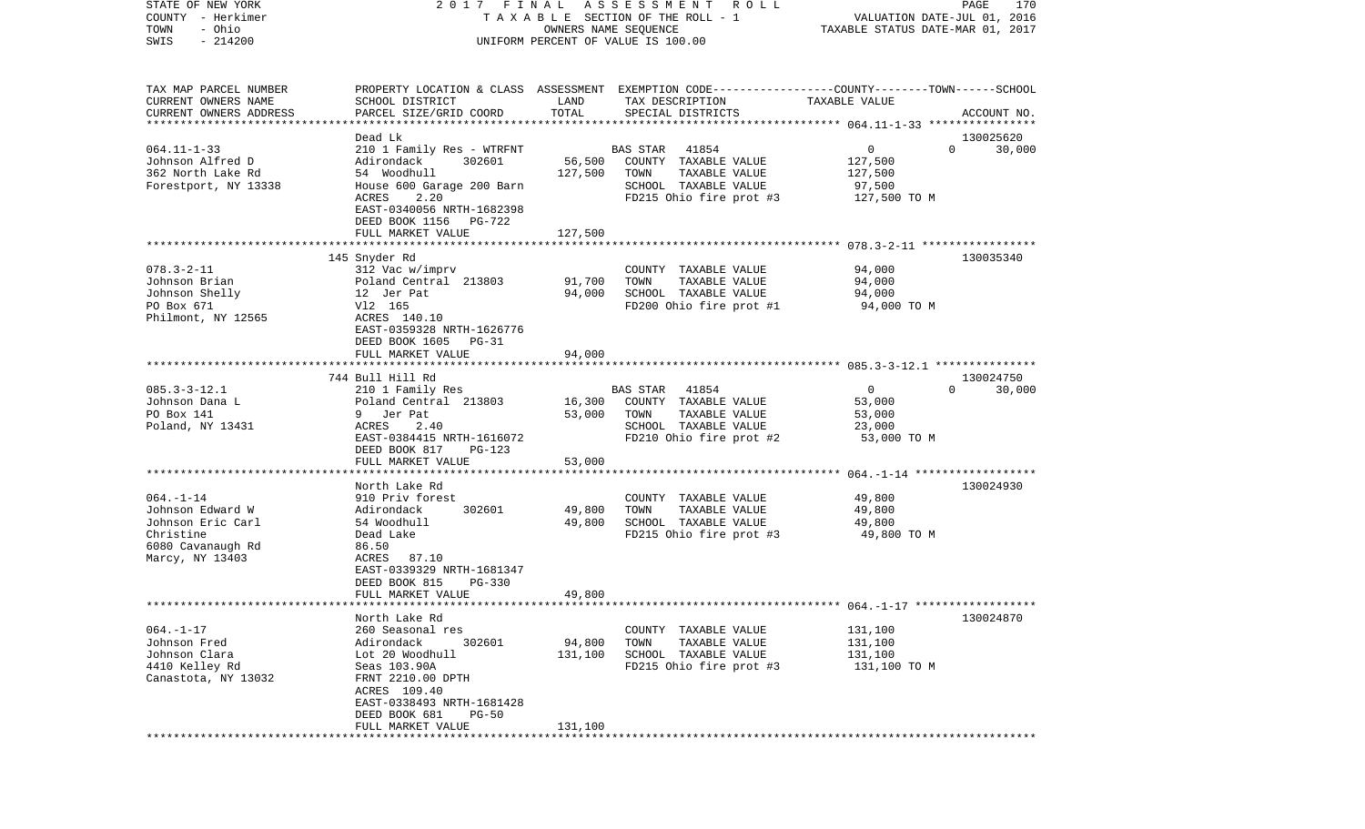| STATE OF NEW YORK<br>COUNTY - Herkimer            | 2017 FINAL                                         |                      | ASSESSMENT<br>R O L L<br>TAXABLE SECTION OF THE ROLL - 1                                        | VALUATION DATE-JUL 01, 2016      | PAGE<br>170        |
|---------------------------------------------------|----------------------------------------------------|----------------------|-------------------------------------------------------------------------------------------------|----------------------------------|--------------------|
| - Ohio<br>TOWN                                    |                                                    | OWNERS NAME SEQUENCE |                                                                                                 | TAXABLE STATUS DATE-MAR 01, 2017 |                    |
| $-214200$<br>SWIS                                 |                                                    |                      | UNIFORM PERCENT OF VALUE IS 100.00                                                              |                                  |                    |
|                                                   |                                                    |                      |                                                                                                 |                                  |                    |
| TAX MAP PARCEL NUMBER                             |                                                    |                      | PROPERTY LOCATION & CLASS ASSESSMENT EXEMPTION CODE---------------COUNTY-------TOWN------SCHOOL |                                  |                    |
| CURRENT OWNERS NAME                               | SCHOOL DISTRICT                                    | LAND                 | TAX DESCRIPTION                                                                                 | TAXABLE VALUE                    |                    |
| CURRENT OWNERS ADDRESS<br>*********************** | PARCEL SIZE/GRID COORD                             | TOTAL                | SPECIAL DISTRICTS                                                                               |                                  | ACCOUNT NO.        |
|                                                   | Dead Lk                                            |                      |                                                                                                 |                                  | 130025620          |
| $064.11 - 1 - 33$                                 | 210 1 Family Res - WTRFNT                          |                      | BAS STAR<br>41854                                                                               | 0                                | $\Omega$<br>30,000 |
| Johnson Alfred D                                  | Adirondack<br>302601                               | 56,500               | COUNTY TAXABLE VALUE                                                                            | 127,500                          |                    |
| 362 North Lake Rd                                 | 54 Woodhull                                        | 127,500              | TOWN<br>TAXABLE VALUE                                                                           | 127,500                          |                    |
| Forestport, NY 13338                              | House 600 Garage 200 Barn                          |                      | SCHOOL TAXABLE VALUE                                                                            | 97,500                           |                    |
|                                                   | ACRES<br>2.20                                      |                      | FD215 Ohio fire prot #3                                                                         | 127,500 TO M                     |                    |
|                                                   | EAST-0340056 NRTH-1682398<br>DEED BOOK 1156 PG-722 |                      |                                                                                                 |                                  |                    |
|                                                   | FULL MARKET VALUE                                  | 127,500              |                                                                                                 |                                  |                    |
|                                                   |                                                    |                      |                                                                                                 |                                  |                    |
|                                                   | 145 Snyder Rd                                      |                      |                                                                                                 |                                  | 130035340          |
| $078.3 - 2 - 11$                                  | 312 Vac w/imprv                                    |                      | COUNTY TAXABLE VALUE                                                                            | 94,000                           |                    |
| Johnson Brian                                     | Poland Central 213803                              | 91,700               | TOWN<br>TAXABLE VALUE                                                                           | 94,000                           |                    |
| Johnson Shelly                                    | 12 Jer Pat                                         | 94,000               | SCHOOL TAXABLE VALUE                                                                            | 94,000                           |                    |
| PO Box 671                                        | V12 165<br>ACRES 140.10                            |                      | FD200 Ohio fire prot #1                                                                         | 94,000 TO M                      |                    |
| Philmont, NY 12565                                | EAST-0359328 NRTH-1626776                          |                      |                                                                                                 |                                  |                    |
|                                                   | DEED BOOK 1605<br>PG-31                            |                      |                                                                                                 |                                  |                    |
|                                                   | FULL MARKET VALUE                                  | 94,000               |                                                                                                 |                                  |                    |
|                                                   |                                                    |                      |                                                                                                 |                                  |                    |
|                                                   | 744 Bull Hill Rd                                   |                      |                                                                                                 |                                  | 130024750          |
| $085.3 - 3 - 12.1$                                | 210 1 Family Res                                   |                      | BAS STAR<br>41854                                                                               | $\mathbf 0$                      | $\Omega$<br>30,000 |
| Johnson Dana L                                    | Poland Central 213803                              | 16,300               | COUNTY TAXABLE VALUE                                                                            | 53,000                           |                    |
| PO Box 141                                        | 9 Jer Pat                                          | 53,000               | TOWN<br>TAXABLE VALUE                                                                           | 53,000                           |                    |
| Poland, NY 13431                                  | ACRES<br>2.40                                      |                      | SCHOOL TAXABLE VALUE                                                                            | 23,000                           |                    |
|                                                   | EAST-0384415 NRTH-1616072                          |                      | FD210 Ohio fire prot #2                                                                         | 53,000 TO M                      |                    |
|                                                   | DEED BOOK 817<br>PG-123                            |                      |                                                                                                 |                                  |                    |
|                                                   | FULL MARKET VALUE<br>********************          | 53,000               |                                                                                                 |                                  |                    |
|                                                   | North Lake Rd                                      |                      |                                                                                                 |                                  | 130024930          |
| $064. -1 -14$                                     | 910 Priv forest                                    |                      | COUNTY TAXABLE VALUE                                                                            | 49,800                           |                    |
| Johnson Edward W                                  | 302601<br>Adirondack                               | 49,800               | TOWN<br>TAXABLE VALUE                                                                           | 49,800                           |                    |
| Johnson Eric Carl                                 | 54 Woodhull                                        | 49,800               | SCHOOL TAXABLE VALUE                                                                            | 49,800                           |                    |
| Christine                                         | Dead Lake                                          |                      | FD215 Ohio fire prot #3                                                                         | 49,800 TO M                      |                    |
| 6080 Cavanaugh Rd                                 | 86.50                                              |                      |                                                                                                 |                                  |                    |
| Marcy, NY 13403                                   | 87.10<br>ACRES                                     |                      |                                                                                                 |                                  |                    |
|                                                   | EAST-0339329 NRTH-1681347                          |                      |                                                                                                 |                                  |                    |
|                                                   | DEED BOOK 815<br>PG-330                            |                      |                                                                                                 |                                  |                    |
|                                                   | FULL MARKET VALUE                                  | 49,800               |                                                                                                 |                                  |                    |
|                                                   |                                                    |                      |                                                                                                 |                                  |                    |
|                                                   | North Lake Rd                                      |                      |                                                                                                 |                                  | 130024870          |
| $064. -1 - 17$<br>Johnson Fred                    | 260 Seasonal res<br>Adirondack<br>302601           | 94,800               | COUNTY TAXABLE VALUE<br>TOWN<br>TAXABLE VALUE                                                   | 131,100<br>131,100               |                    |
| Johnson Clara                                     | Lot 20 Woodhull                                    | 131,100              | SCHOOL TAXABLE VALUE                                                                            | 131,100                          |                    |
| 4410 Kelley Rd                                    | Seas 103.90A                                       |                      | FD215 Ohio fire prot #3                                                                         | 131,100 TO M                     |                    |
| Canastota, NY 13032                               | FRNT 2210.00 DPTH                                  |                      |                                                                                                 |                                  |                    |
|                                                   | ACRES 109.40                                       |                      |                                                                                                 |                                  |                    |
|                                                   | EAST-0338493 NRTH-1681428                          |                      |                                                                                                 |                                  |                    |
|                                                   | DEED BOOK 681<br>$PG-50$                           |                      |                                                                                                 |                                  |                    |
|                                                   | FULL MARKET VALUE                                  | 131,100              |                                                                                                 |                                  |                    |
|                                                   |                                                    |                      |                                                                                                 |                                  |                    |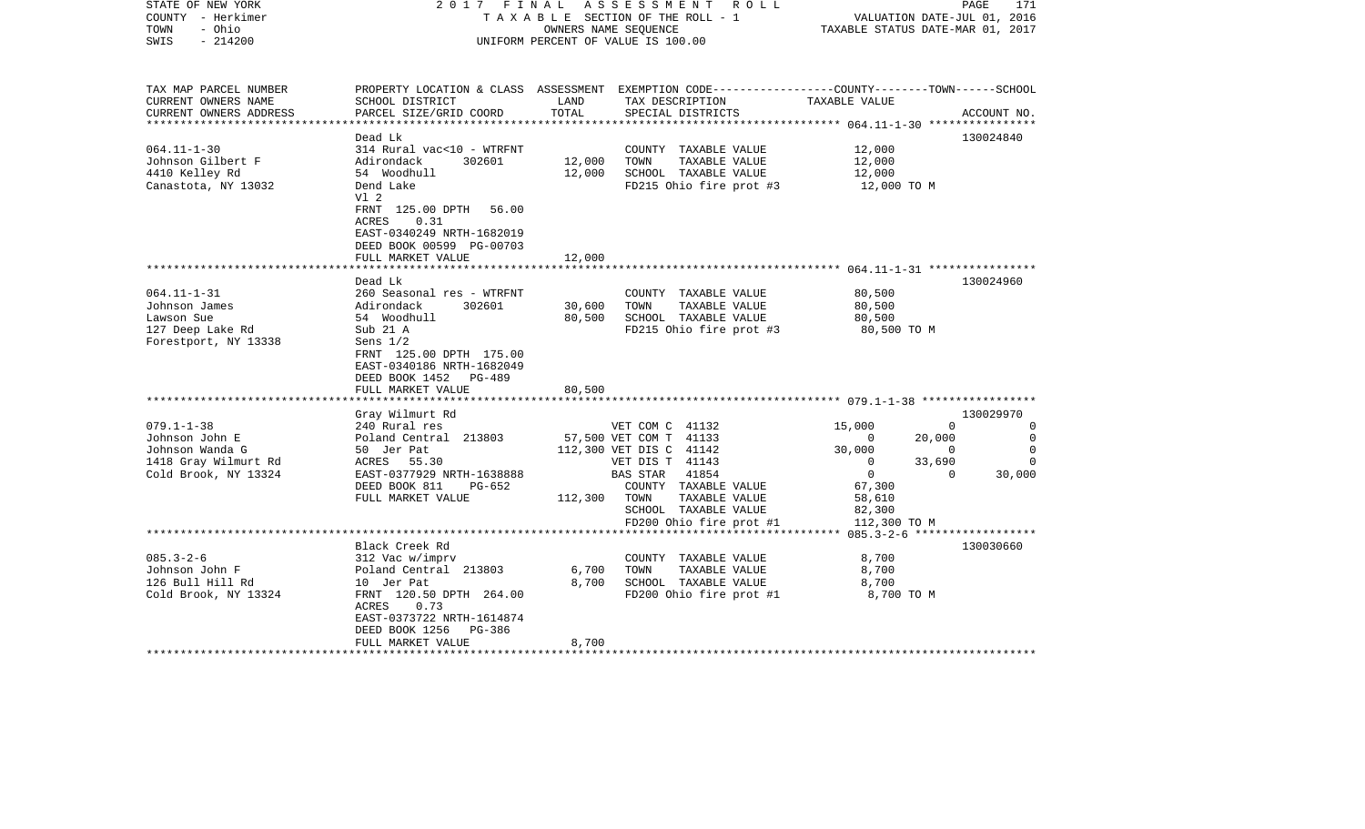| STATE OF NEW YORK<br>COUNTY - Herkimer<br>TOWN<br>- Ohio<br>$-214200$<br>SWIS                         | 2017 FINAL                                                                                                                                                                                                  |                            | ASSESSMENT<br>R O L L<br>TAXABLE SECTION OF THE ROLL - 1<br>OWNERS NAME SEQUENCE<br>UNIFORM PERCENT OF VALUE IS 100.00                                                                | VALUATION DATE-JUL 01, 2016<br>TAXABLE STATUS DATE-MAR 01, 2017                                                              | PAGE<br>171                                                                                                   |
|-------------------------------------------------------------------------------------------------------|-------------------------------------------------------------------------------------------------------------------------------------------------------------------------------------------------------------|----------------------------|---------------------------------------------------------------------------------------------------------------------------------------------------------------------------------------|------------------------------------------------------------------------------------------------------------------------------|---------------------------------------------------------------------------------------------------------------|
| TAX MAP PARCEL NUMBER<br>CURRENT OWNERS NAME<br>CURRENT OWNERS ADDRESS                                | SCHOOL DISTRICT<br>PARCEL SIZE/GRID COORD                                                                                                                                                                   | LAND<br>TOTAL              | PROPERTY LOCATION & CLASS ASSESSMENT EXEMPTION CODE----------------COUNTY-------TOWN------SCHOOL<br>TAX DESCRIPTION<br>SPECIAL DISTRICTS                                              | TAXABLE VALUE                                                                                                                | ACCOUNT NO.                                                                                                   |
|                                                                                                       | Dead Lk                                                                                                                                                                                                     |                            |                                                                                                                                                                                       |                                                                                                                              | 130024840                                                                                                     |
| $064.11 - 1 - 30$<br>Johnson Gilbert F<br>4410 Kelley Rd<br>Canastota, NY 13032                       | 314 Rural vac<10 - WTRFNT<br>Adirondack<br>302601<br>54 Woodhull<br>Dend Lake<br>VI <sub>2</sub><br>FRNT 125.00 DPTH 56.00                                                                                  | 12,000<br>12,000           | COUNTY TAXABLE VALUE<br>TOWN<br>TAXABLE VALUE<br>SCHOOL TAXABLE VALUE<br>FD215 Ohio fire prot #3                                                                                      | 12,000<br>12,000<br>12,000<br>12,000 TO M                                                                                    |                                                                                                               |
|                                                                                                       | ACRES<br>0.31<br>EAST-0340249 NRTH-1682019<br>DEED BOOK 00599 PG-00703<br>FULL MARKET VALUE                                                                                                                 | 12,000                     |                                                                                                                                                                                       |                                                                                                                              |                                                                                                               |
|                                                                                                       |                                                                                                                                                                                                             |                            |                                                                                                                                                                                       |                                                                                                                              |                                                                                                               |
| $064.11 - 1 - 31$<br>Johnson James<br>Lawson Sue<br>127 Deep Lake Rd<br>Forestport, NY 13338          | Dead Lk<br>260 Seasonal res - WTRFNT<br>Adirondack<br>302601<br>54 Woodhull<br>Sub 21 A<br>Sens $1/2$<br>FRNT 125.00 DPTH 175.00<br>EAST-0340186 NRTH-1682049<br>DEED BOOK 1452 PG-489<br>FULL MARKET VALUE | 30,600<br>80,500<br>80,500 | COUNTY TAXABLE VALUE<br>TAXABLE VALUE<br>TOWN<br>SCHOOL TAXABLE VALUE<br>FD215 Ohio fire prot #3                                                                                      | 80,500<br>80,500<br>80,500<br>80,500 TO M                                                                                    | 130024960                                                                                                     |
|                                                                                                       |                                                                                                                                                                                                             |                            |                                                                                                                                                                                       |                                                                                                                              |                                                                                                               |
| $079.1 - 1 - 38$<br>Johnson John E<br>Johnson Wanda G<br>1418 Gray Wilmurt Rd<br>Cold Brook, NY 13324 | Gray Wilmurt Rd<br>240 Rural res<br>Poland Central 213803<br>50 Jer Pat<br>ACRES<br>55.30<br>EAST-0377929 NRTH-1638888<br>DEED BOOK 811<br>PG-652<br>FULL MARKET VALUE                                      | 112,300                    | VET COM C 41132<br>57,500 VET COM T 41133<br>112,300 VET DIS C 41142<br>VET DIS T 41143<br>BAS STAR<br>41854<br>COUNTY TAXABLE VALUE<br>TAXABLE VALUE<br>TOWN<br>SCHOOL TAXABLE VALUE | 15,000<br>20,000<br>$\Omega$<br>30,000<br>33,690<br>$\Omega$<br>$\overline{0}$<br>67,300<br>58,610<br>82,300<br>112,300 TO M | 130029970<br>$\overline{0}$<br>0<br>$\mathbf 0$<br>$\Omega$<br>$\Omega$<br>$\Omega$<br>$\mathbf{0}$<br>30,000 |
|                                                                                                       |                                                                                                                                                                                                             |                            | FD200 Ohio fire prot #1                                                                                                                                                               |                                                                                                                              |                                                                                                               |
| $085.3 - 2 - 6$<br>Johnson John F<br>126 Bull Hill Rd<br>Cold Brook, NY 13324                         | Black Creek Rd<br>312 Vac w/imprv<br>Poland Central 213803<br>10 Jer Pat<br>FRNT 120.50 DPTH 264.00<br>ACRES<br>0.73<br>EAST-0373722 NRTH-1614874<br>DEED BOOK 1256<br>PG-386<br>FULL MARKET VALUE          | 6,700<br>8,700<br>8,700    | COUNTY TAXABLE VALUE<br>TOWN<br>TAXABLE VALUE<br>SCHOOL TAXABLE VALUE<br>FD200 Ohio fire prot #1                                                                                      | 8,700<br>8,700<br>8,700<br>8,700 TO M                                                                                        | 130030660                                                                                                     |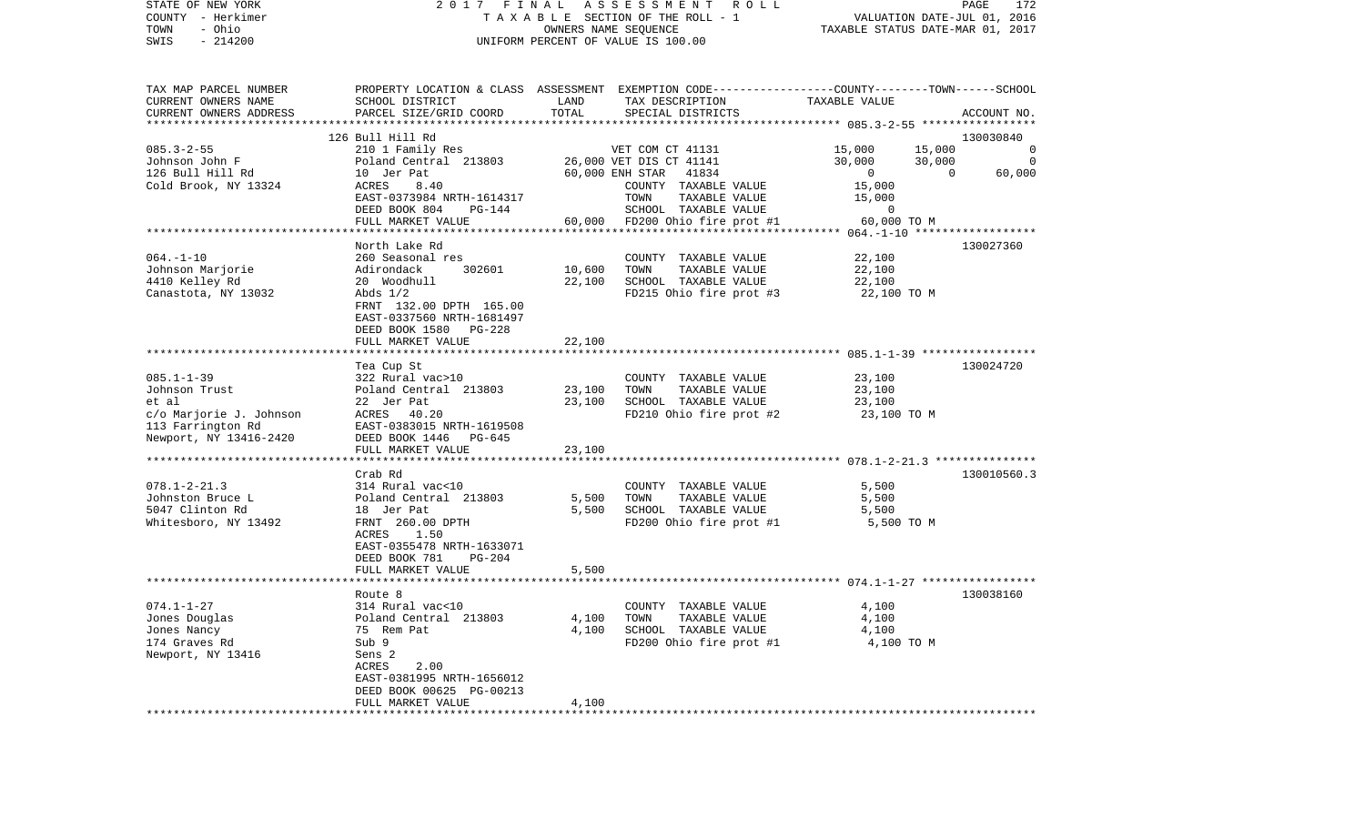| STATE OF NEW YORK<br>COUNTY - Herkimer<br>- Ohio<br>TOWN<br>$-214200$<br>SWIS                                        | 2017 FINAL ASSESSMENT ROLL<br>TAXABLE SECTION OF THE ROLL - 1<br>OWNERS NAME SEQUENCE<br>UNIFORM PERCENT OF VALUE IS 100.00                                                                                                |                            |                                                                                                                                         | PAGE<br>172<br>VALUATION DATE-JUL 01, 2016<br>TAXABLE STATUS DATE-MAR 01, 2017 |                                                                            |  |
|----------------------------------------------------------------------------------------------------------------------|----------------------------------------------------------------------------------------------------------------------------------------------------------------------------------------------------------------------------|----------------------------|-----------------------------------------------------------------------------------------------------------------------------------------|--------------------------------------------------------------------------------|----------------------------------------------------------------------------|--|
| TAX MAP PARCEL NUMBER<br>CURRENT OWNERS NAME<br>CURRENT OWNERS ADDRESS<br>*************************                  | SCHOOL DISTRICT<br>PARCEL SIZE/GRID COORD                                                                                                                                                                                  | LAND<br>TOTAL              | PROPERTY LOCATION & CLASS ASSESSMENT EXEMPTION CODE---------------COUNTY-------TOWN------SCHOOL<br>TAX DESCRIPTION<br>SPECIAL DISTRICTS | TAXABLE VALUE                                                                  | ACCOUNT NO.                                                                |  |
| $085.3 - 2 - 55$<br>Johnson John F<br>126 Bull Hill Rd<br>Cold Brook, NY 13324                                       | 126 Bull Hill Rd<br>210 1 Family Res<br>Poland Central 213803<br>10 Jer Pat<br>ACRES<br>8.40<br>EAST-0373984 NRTH-1614317                                                                                                  |                            | VET COM CT 41131<br>26,000 VET DIS CT 41141<br>60,000 ENH STAR 41834<br>COUNTY TAXABLE VALUE<br>TOWN<br>TAXABLE VALUE                   | 15,000<br>30,000<br>$\overline{0}$<br>15,000<br>15,000                         | 130030840<br>15,000<br>0<br>30,000<br>$\overline{0}$<br>60,000<br>$\Omega$ |  |
|                                                                                                                      | DEED BOOK 804<br>PG-144<br>FULL MARKET VALUE                                                                                                                                                                               |                            | SCHOOL TAXABLE VALUE<br>60,000 FD200 Ohio fire prot #1                                                                                  | $\mathbf{0}$<br>60,000 TO M                                                    |                                                                            |  |
| $064. -1 - 10$<br>Johnson Marjorie<br>4410 Kelley Rd<br>Canastota, NY 13032                                          | North Lake Rd<br>260 Seasonal res<br>Adirondack<br>302601<br>20 Woodhull<br>Abds $1/2$<br>FRNT 132.00 DPTH 165.00<br>EAST-0337560 NRTH-1681497<br>DEED BOOK 1580 PG-228<br>FULL MARKET VALUE                               | 10,600<br>22,100<br>22,100 | COUNTY TAXABLE VALUE<br>TAXABLE VALUE<br>TOWN<br>SCHOOL TAXABLE VALUE<br>FD215 Ohio fire prot #3                                        | 22,100<br>22,100<br>22,100<br>22,100 TO M                                      | 130027360                                                                  |  |
|                                                                                                                      |                                                                                                                                                                                                                            |                            |                                                                                                                                         |                                                                                |                                                                            |  |
| $085.1 - 1 - 39$<br>Johnson Trust<br>et al<br>c/o Marjorie J. Johnson<br>113 Farrington Rd<br>Newport, NY 13416-2420 | Tea Cup St<br>322 Rural vac>10<br>Poland Central 213803<br>22 Jer Pat<br>ACRES 40.20<br>EAST-0383015 NRTH-1619508<br>DEED BOOK 1446 PG-645<br>FULL MARKET VALUE                                                            | 23,100<br>23,100<br>23,100 | COUNTY TAXABLE VALUE<br>TAXABLE VALUE<br>TOWN<br>SCHOOL TAXABLE VALUE<br>FD210 Ohio fire prot #2                                        | 23,100<br>23,100<br>23,100<br>23,100 TO M                                      | 130024720                                                                  |  |
|                                                                                                                      | ********************************                                                                                                                                                                                           |                            |                                                                                                                                         |                                                                                |                                                                            |  |
| $078.1 - 2 - 21.3$<br>Johnston Bruce L<br>5047 Clinton Rd<br>Whitesboro, NY 13492                                    | Crab Rd<br>314 Rural vac<10<br>Poland Central 213803<br>18 Jer Pat<br>FRNT 260.00 DPTH<br>ACRES 1.50<br>EAST-0355478 NRTH-1633071<br>DEED BOOK 781<br>$PG-204$<br>FULL MARKET VALUE                                        | 5,500<br>5,500<br>5,500    | COUNTY TAXABLE VALUE<br>TAXABLE VALUE<br>TOWN<br>SCHOOL TAXABLE VALUE<br>FD200 Ohio fire prot #1                                        | 5,500<br>5,500<br>5,500<br>5,500 TO M                                          | 130010560.3                                                                |  |
|                                                                                                                      |                                                                                                                                                                                                                            |                            |                                                                                                                                         |                                                                                |                                                                            |  |
| $074.1 - 1 - 27$<br>Jones Douglas<br>Jones Nancy<br>174 Graves Rd<br>Newport, NY 13416                               | Route 8<br>314 Rural vac<10<br>Poland Central 213803<br>75 Rem Pat<br>Sub 9<br>Sens <sub>2</sub><br>ACRES<br>2.00<br>EAST-0381995 NRTH-1656012<br>DEED BOOK 00625 PG-00213<br>FULL MARKET VALUE<br>*********************** | 4,100<br>4,100<br>4,100    | COUNTY TAXABLE VALUE<br>TAXABLE VALUE<br>TOWN<br>SCHOOL TAXABLE VALUE<br>FD200 Ohio fire prot #1                                        | 4,100<br>4,100<br>4,100<br>4,100 TO M                                          | 130038160                                                                  |  |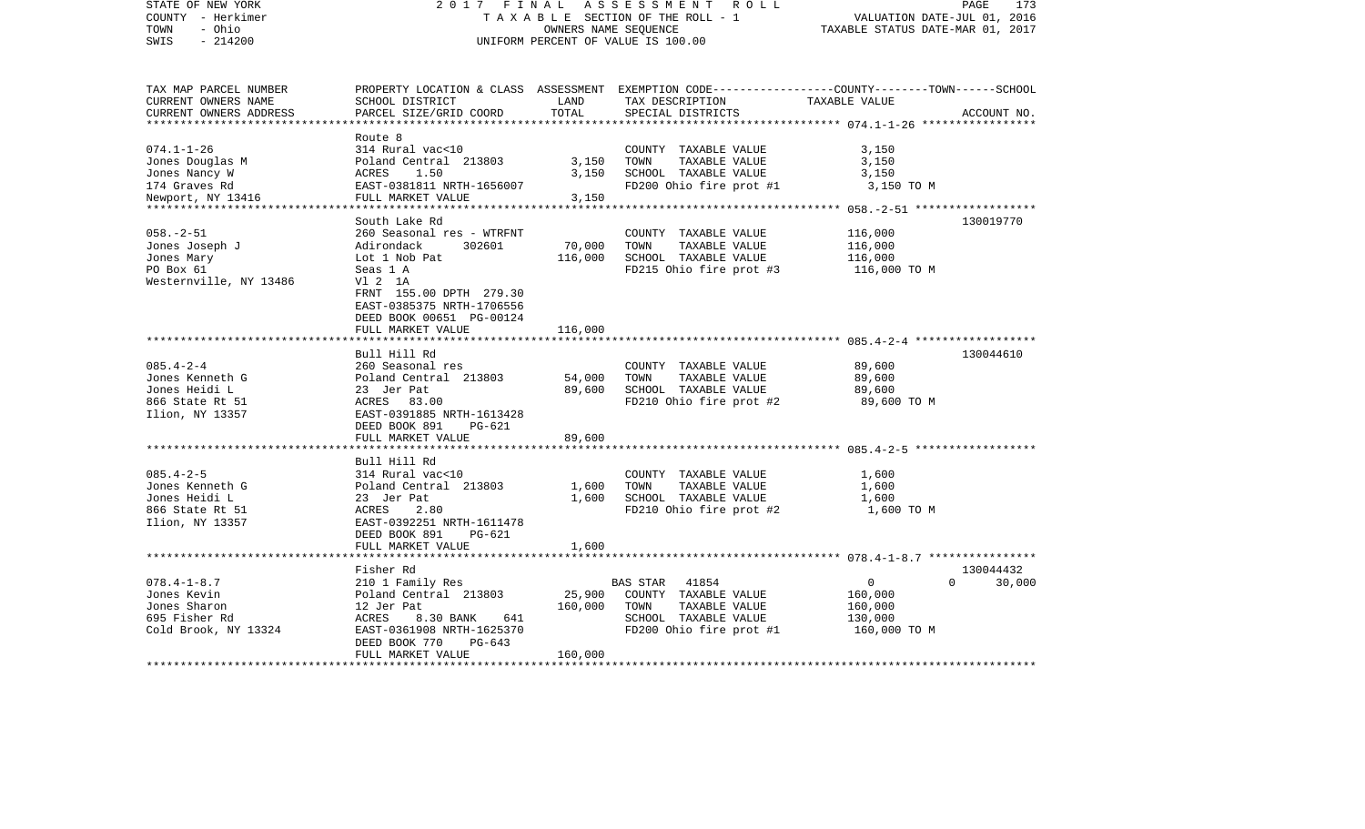| STATE OF NEW YORK<br>COUNTY - Herkimer<br>- Ohio<br>TOWN<br>$-214200$<br>SWIS              | 2017 FINAL<br>ASSESSMENT<br>R O L L<br>TAXABLE SECTION OF THE ROLL - 1<br>OWNERS NAME SEQUENCE<br>UNIFORM PERCENT OF VALUE IS 100.00                                                           |                                      |                                                                                                                                         | PAGE<br>173<br>VALUATION DATE-JUL 01, 2016<br>TAXABLE STATUS DATE-MAR 01, 2017 |                     |
|--------------------------------------------------------------------------------------------|------------------------------------------------------------------------------------------------------------------------------------------------------------------------------------------------|--------------------------------------|-----------------------------------------------------------------------------------------------------------------------------------------|--------------------------------------------------------------------------------|---------------------|
| TAX MAP PARCEL NUMBER<br>CURRENT OWNERS NAME<br>CURRENT OWNERS ADDRESS                     | SCHOOL DISTRICT<br>PARCEL SIZE/GRID COORD                                                                                                                                                      | LAND<br>TOTAL                        | PROPERTY LOCATION & CLASS ASSESSMENT EXEMPTION CODE---------------COUNTY-------TOWN------SCHOOL<br>TAX DESCRIPTION<br>SPECIAL DISTRICTS | TAXABLE VALUE                                                                  | ACCOUNT NO.         |
| $074.1 - 1 - 26$<br>Jones Douglas M<br>Jones Nancy W<br>174 Graves Rd<br>Newport, NY 13416 | Route 8<br>314 Rural vac<10<br>Poland Central 213803<br>ACRES<br>1.50<br>EAST-0381811 NRTH-1656007<br>FULL MARKET VALUE                                                                        | 3,150<br>3,150<br>3,150<br>********* | COUNTY TAXABLE VALUE<br>TOWN<br>TAXABLE VALUE<br>SCHOOL TAXABLE VALUE<br>FD200 Ohio fire prot #1                                        | 3,150<br>3,150<br>3,150<br>3,150 TO M                                          |                     |
| $058. - 2 - 51$<br>Jones Joseph J<br>Jones Mary<br>PO Box 61<br>Westernville, NY 13486     | South Lake Rd<br>260 Seasonal res - WTRFNT<br>Adirondack<br>302601<br>Lot 1 Nob Pat<br>Seas 1 A<br>V1 2 1A<br>FRNT 155.00 DPTH 279.30<br>EAST-0385375 NRTH-1706556<br>DEED BOOK 00651 PG-00124 | 70,000<br>116,000                    | COUNTY TAXABLE VALUE<br>TOWN<br>TAXABLE VALUE<br>SCHOOL TAXABLE VALUE<br>FD215 Ohio fire prot #3                                        | 116,000<br>116,000<br>116,000<br>116,000 TO M                                  | 130019770           |
|                                                                                            | FULL MARKET VALUE                                                                                                                                                                              | 116,000                              |                                                                                                                                         |                                                                                |                     |
| $085.4 - 2 - 4$<br>Jones Kenneth G<br>Jones Heidi L<br>866 State Rt 51<br>Ilion, NY 13357  | Bull Hill Rd<br>260 Seasonal res<br>Poland Central 213803<br>23 Jer Pat<br>ACRES 83.00<br>EAST-0391885 NRTH-1613428<br>DEED BOOK 891<br>PG-621                                                 | 54,000<br>89,600                     | COUNTY TAXABLE VALUE<br>TAXABLE VALUE<br>TOWN<br>SCHOOL TAXABLE VALUE<br>FD210 Ohio fire prot #2                                        | 89,600<br>89,600<br>89,600<br>89,600 TO M                                      | 130044610           |
|                                                                                            | FULL MARKET VALUE                                                                                                                                                                              | 89,600                               |                                                                                                                                         |                                                                                |                     |
| $085.4 - 2 - 5$<br>Jones Kenneth G<br>Jones Heidi L<br>866 State Rt 51<br>Ilion, NY 13357  | Bull Hill Rd<br>314 Rural vac<10<br>Poland Central 213803<br>23 Jer Pat<br>2.80<br>ACRES<br>EAST-0392251 NRTH-1611478<br>DEED BOOK 891<br>$PG-621$                                             | 1,600<br>1,600                       | COUNTY TAXABLE VALUE<br>TOWN<br>TAXABLE VALUE<br>SCHOOL TAXABLE VALUE<br>FD210 Ohio fire prot #2                                        | 1,600<br>1,600<br>1,600<br>1,600 TO M                                          |                     |
|                                                                                            | FULL MARKET VALUE                                                                                                                                                                              | 1,600                                |                                                                                                                                         | ***************************** 078.4-1-8.7 ****************                     |                     |
| $078.4 - 1 - 8.7$<br>Jones Kevin<br>Jones Sharon<br>695 Fisher Rd<br>Cold Brook, NY 13324  | Fisher Rd<br>210 1 Family Res<br>Poland Central 213803<br>12 Jer Pat<br>ACRES<br>8.30 BANK<br>641<br>EAST-0361908 NRTH-1625370<br>DEED BOOK 770<br>$PG-643$<br>FULL MARKET VALUE               | 25,900<br>160,000<br>160,000         | <b>BAS STAR</b><br>41854<br>COUNTY TAXABLE VALUE<br>TOWN<br>TAXABLE VALUE<br>SCHOOL TAXABLE VALUE<br>FD200 Ohio fire prot #1            | $\mathbf{0}$<br>$\Omega$<br>160,000<br>160,000<br>130,000<br>160,000 TO M      | 130044432<br>30,000 |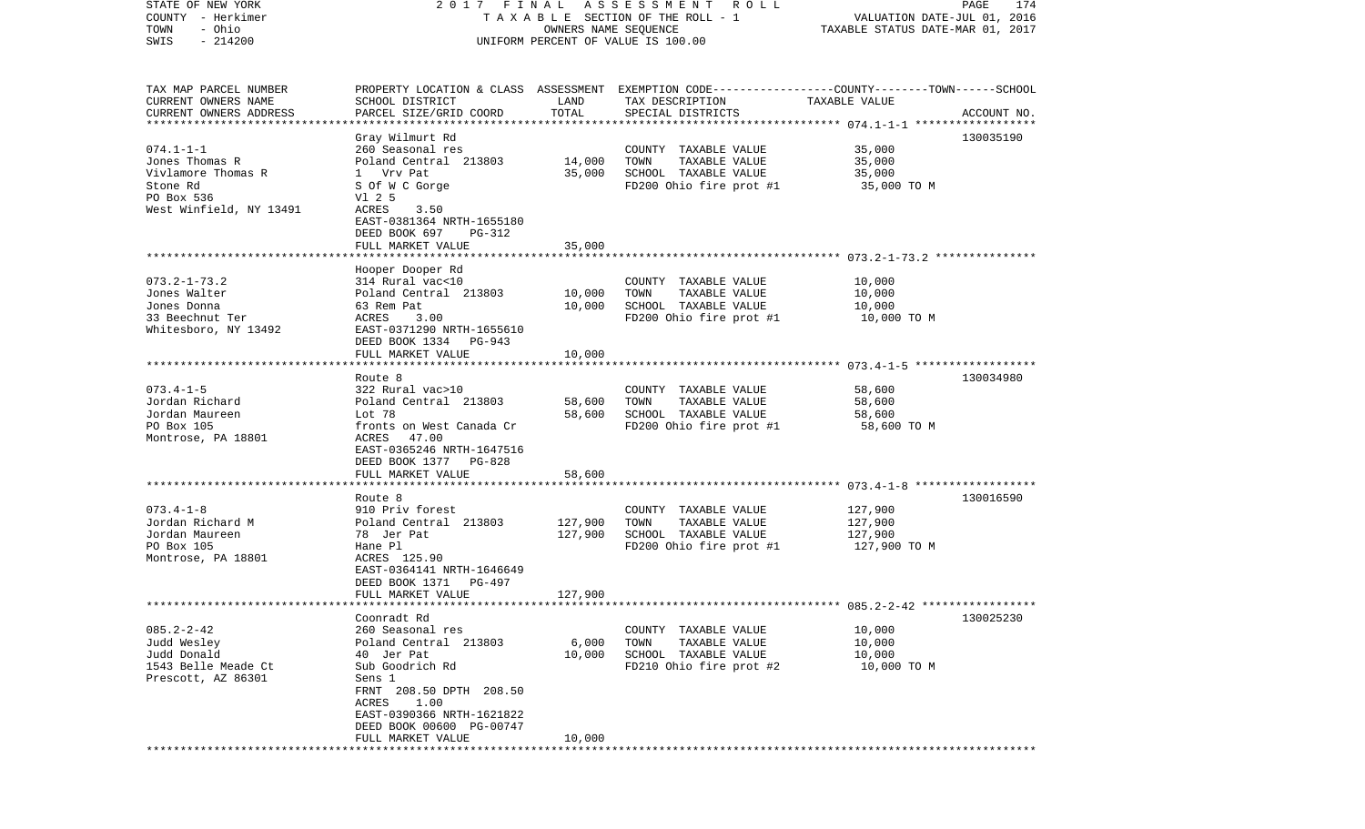| STATE OF NEW YORK<br>COUNTY - Herkimer<br>- Ohio<br>TOWN                                           | 2017 FINAL                                                                                                                                                    | OWNERS NAME SEQUENCE | A S S E S S M E N T R O L L<br>TAXABLE SECTION OF THE ROLL - 1                                                                          | VALUATION DATE-JUL 01, 2016<br>TAXABLE STATUS DATE-MAR 01, 2017 | PAGE<br>174 |
|----------------------------------------------------------------------------------------------------|---------------------------------------------------------------------------------------------------------------------------------------------------------------|----------------------|-----------------------------------------------------------------------------------------------------------------------------------------|-----------------------------------------------------------------|-------------|
| SWIS<br>$-214200$                                                                                  |                                                                                                                                                               |                      | UNIFORM PERCENT OF VALUE IS 100.00                                                                                                      |                                                                 |             |
| TAX MAP PARCEL NUMBER<br>CURRENT OWNERS NAME<br>CURRENT OWNERS ADDRESS<br>************************ | SCHOOL DISTRICT<br>PARCEL SIZE/GRID COORD                                                                                                                     | LAND<br>TOTAL        | PROPERTY LOCATION & CLASS ASSESSMENT EXEMPTION CODE---------------COUNTY-------TOWN------SCHOOL<br>TAX DESCRIPTION<br>SPECIAL DISTRICTS | TAXABLE VALUE                                                   | ACCOUNT NO. |
|                                                                                                    | Gray Wilmurt Rd                                                                                                                                               |                      |                                                                                                                                         |                                                                 | 130035190   |
| $074.1 - 1 - 1$<br>Jones Thomas R<br>Vivlamore Thomas R<br>Stone Rd<br>PO Box 536                  | 260 Seasonal res<br>Poland Central 213803<br>1 Vrv Pat<br>S Of W C Gorge<br>V1 2 5                                                                            | 14,000<br>35,000     | COUNTY TAXABLE VALUE<br>TOWN<br>TAXABLE VALUE<br>SCHOOL TAXABLE VALUE<br>FD200 Ohio fire prot #1                                        | 35,000<br>35,000<br>35,000<br>35,000 TO M                       |             |
| West Winfield, NY 13491                                                                            | ACRES<br>3.50<br>EAST-0381364 NRTH-1655180<br>DEED BOOK 697<br>PG-312<br>FULL MARKET VALUE                                                                    | 35,000               |                                                                                                                                         |                                                                 |             |
|                                                                                                    |                                                                                                                                                               |                      |                                                                                                                                         |                                                                 |             |
| $073.2 - 1 - 73.2$<br>Jones Walter<br>Jones Donna<br>33 Beechnut Ter<br>Whitesboro, NY 13492       | Hooper Dooper Rd<br>314 Rural vac<10<br>Poland Central 213803<br>63 Rem Pat<br>ACRES<br>3.00<br>EAST-0371290 NRTH-1655610                                     | 10,000<br>10,000     | COUNTY TAXABLE VALUE<br>TOWN<br>TAXABLE VALUE<br>SCHOOL TAXABLE VALUE<br>FD200 Ohio fire prot #1                                        | 10,000<br>10,000<br>10,000<br>10,000 TO M                       |             |
|                                                                                                    | DEED BOOK 1334<br>PG-943<br>FULL MARKET VALUE                                                                                                                 | 10,000               |                                                                                                                                         |                                                                 |             |
|                                                                                                    | Route 8                                                                                                                                                       |                      |                                                                                                                                         |                                                                 | 130034980   |
| $073.4 - 1 - 5$<br>Jordan Richard<br>Jordan Maureen<br>PO Box 105<br>Montrose, PA 18801            | 322 Rural vac>10<br>Poland Central 213803<br>Lot 78<br>fronts on West Canada Cr<br>ACRES<br>47.00<br>EAST-0365246 NRTH-1647516<br>DEED BOOK 1377 PG-828       | 58,600<br>58,600     | COUNTY TAXABLE VALUE<br>TOWN<br>TAXABLE VALUE<br>SCHOOL TAXABLE VALUE<br>FD200 Ohio fire prot #1                                        | 58,600<br>58,600<br>58,600<br>58,600 TO M                       |             |
|                                                                                                    | FULL MARKET VALUE                                                                                                                                             | 58,600               |                                                                                                                                         |                                                                 |             |
|                                                                                                    | ********************<br>Route 8                                                                                                                               |                      |                                                                                                                                         |                                                                 | 130016590   |
| $073.4 - 1 - 8$<br>Jordan Richard M<br>Jordan Maureen<br>PO Box 105<br>Montrose, PA 18801          | 910 Priv forest<br>Poland Central 213803<br>78 Jer Pat<br>Hane Pl<br>ACRES 125.90<br>EAST-0364141 NRTH-1646649<br>DEED BOOK 1371<br>PG-497                    | 127,900<br>127,900   | COUNTY TAXABLE VALUE<br>TOWN<br>TAXABLE VALUE<br>SCHOOL TAXABLE VALUE<br>FD200 Ohio fire prot #1                                        | 127,900<br>127,900<br>127,900<br>127,900 TO M                   |             |
|                                                                                                    | FULL MARKET VALUE                                                                                                                                             | 127,900              |                                                                                                                                         |                                                                 |             |
|                                                                                                    | Coonradt Rd                                                                                                                                                   |                      |                                                                                                                                         |                                                                 |             |
| $085.2 - 2 - 42$<br>Judd Wesley<br>Judd Donald<br>1543 Belle Meade Ct<br>Prescott, AZ 86301        | 260 Seasonal res<br>Poland Central 213803<br>40 Jer Pat<br>Sub Goodrich Rd<br>Sens 1<br>FRNT 208.50 DPTH 208.50<br>1.00<br>ACRES<br>EAST-0390366 NRTH-1621822 | 6,000<br>10,000      | COUNTY<br>TAXABLE VALUE<br>TOWN<br>TAXABLE VALUE<br>SCHOOL TAXABLE VALUE<br>FD210 Ohio fire prot #2                                     | 10,000<br>10,000<br>10,000<br>10,000 TO M                       | 130025230   |
|                                                                                                    | DEED BOOK 00600 PG-00747<br>FULL MARKET VALUE<br>************************                                                                                     | 10,000               |                                                                                                                                         |                                                                 |             |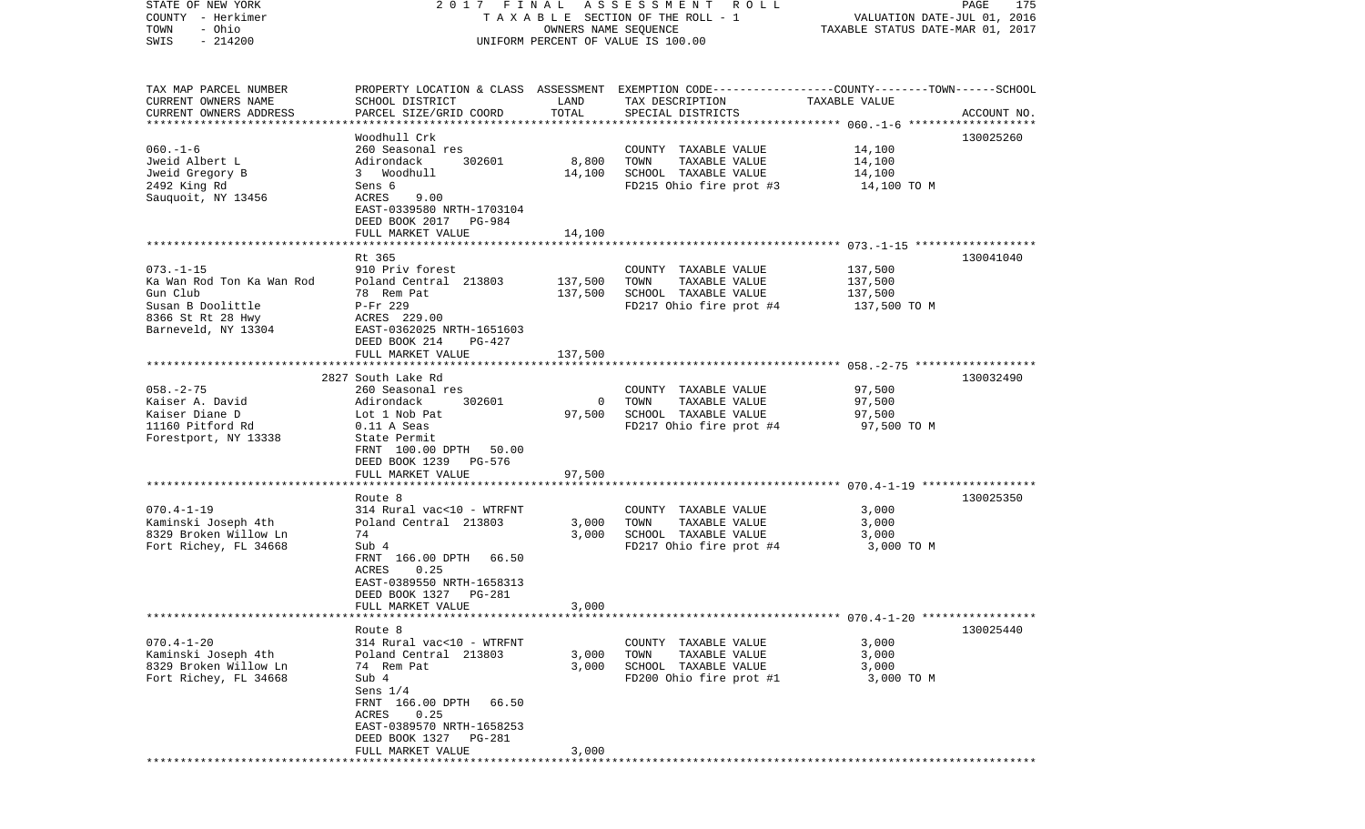| STATE OF NEW YORK<br>COUNTY - Herkimer<br>- Ohio<br>TOWN<br>$-214200$<br>SWIS                                             | 2017 FINAL                                                                                                                                                                                                                  | OWNERS NAME SEQUENCE          | A S S E S S M E N T R O L L<br>T A X A B L E SECTION OF THE ROLL - 1<br>UNIFORM PERCENT OF VALUE IS 100.00                              | VALUATION DATE-JUL 01, 2016<br>TAXABLE STATUS DATE-MAR 01, 2017 | PAGE<br>175 |
|---------------------------------------------------------------------------------------------------------------------------|-----------------------------------------------------------------------------------------------------------------------------------------------------------------------------------------------------------------------------|-------------------------------|-----------------------------------------------------------------------------------------------------------------------------------------|-----------------------------------------------------------------|-------------|
| TAX MAP PARCEL NUMBER<br>CURRENT OWNERS NAME<br>CURRENT OWNERS ADDRESS                                                    | SCHOOL DISTRICT<br>PARCEL SIZE/GRID COORD                                                                                                                                                                                   | LAND<br>TOTAL                 | PROPERTY LOCATION & CLASS ASSESSMENT EXEMPTION CODE---------------COUNTY-------TOWN------SCHOOL<br>TAX DESCRIPTION<br>SPECIAL DISTRICTS | TAXABLE VALUE                                                   | ACCOUNT NO. |
| $060. -1 - 6$<br>Jweid Albert L<br>Jweid Gregory B<br>2492 King Rd<br>Sauquoit, NY 13456                                  | Woodhull Crk<br>260 Seasonal res<br>Adirondack<br>302601<br>3 Woodhull<br>Sens 6<br>ACRES<br>9.00<br>EAST-0339580 NRTH-1703104<br>DEED BOOK 2017 PG-984<br>FULL MARKET VALUE                                                | 8,800<br>14,100<br>14,100     | COUNTY TAXABLE VALUE<br>TOWN<br>TAXABLE VALUE<br>SCHOOL TAXABLE VALUE<br>FD215 Ohio fire prot #3                                        | 14,100<br>14,100<br>14,100<br>14,100 TO M                       | 130025260   |
|                                                                                                                           |                                                                                                                                                                                                                             |                               |                                                                                                                                         |                                                                 |             |
| $073. - 1 - 15$<br>Ka Wan Rod Ton Ka Wan Rod<br>Gun Club<br>Susan B Doolittle<br>8366 St Rt 28 Hwy<br>Barneveld, NY 13304 | Rt 365<br>910 Priv forest<br>Poland Central 213803<br>78 Rem Pat<br>P-Fr 229<br>ACRES 229.00<br>EAST-0362025 NRTH-1651603<br>DEED BOOK 214<br>PG-427<br>FULL MARKET VALUE                                                   | 137,500<br>137,500<br>137,500 | COUNTY TAXABLE VALUE<br>TOWN<br>TAXABLE VALUE<br>SCHOOL TAXABLE VALUE<br>FD217 Ohio fire prot #4                                        | 137,500<br>137,500<br>137,500<br>137,500 TO M                   | 130041040   |
|                                                                                                                           |                                                                                                                                                                                                                             |                               |                                                                                                                                         |                                                                 |             |
| $058. - 2 - 75$<br>Kaiser A. David<br>Kaiser Diane D<br>11160 Pitford Rd<br>Forestport, NY 13338                          | 2827 South Lake Rd<br>260 Seasonal res<br>302601<br>Adirondack<br>Lot 1 Nob Pat<br>$0.11$ A Seas<br>State Permit<br>FRNT 100.00 DPTH<br>50.00<br>DEED BOOK 1239 PG-576                                                      | $\Omega$<br>97,500            | COUNTY TAXABLE VALUE<br>TAXABLE VALUE<br>TOWN<br>SCHOOL TAXABLE VALUE<br>FD217 Ohio fire prot #4                                        | 97,500<br>97,500<br>97,500<br>97,500 TO M                       | 130032490   |
|                                                                                                                           | FULL MARKET VALUE                                                                                                                                                                                                           | 97,500                        |                                                                                                                                         |                                                                 |             |
| $070.4 - 1 - 19$<br>Kaminski Joseph 4th<br>8329 Broken Willow Ln<br>Fort Richey, FL 34668                                 | Route 8<br>314 Rural vac<10 - WTRFNT<br>Poland Central 213803<br>74<br>Sub 4<br>FRNT 166.00 DPTH 66.50<br>0.25<br>ACRES<br>EAST-0389550 NRTH-1658313<br>DEED BOOK 1327<br>PG-281                                            | 3,000<br>3,000                | COUNTY TAXABLE VALUE<br>TOWN<br>TAXABLE VALUE<br>SCHOOL TAXABLE VALUE<br>FD217 Ohio fire prot #4                                        | 3,000<br>3,000<br>3,000<br>3,000 TO M                           | 130025350   |
|                                                                                                                           | FULL MARKET VALUE                                                                                                                                                                                                           | 3,000                         |                                                                                                                                         |                                                                 |             |
| $070.4 - 1 - 20$<br>Kaminski Joseph 4th<br>8329 Broken Willow Ln<br>Fort Richey, FL 34668                                 | Route 8<br>314 Rural vac<10 - WTRFNT<br>Poland Central 213803<br>74 Rem Pat<br>Sub 4<br>Sens $1/4$<br>FRNT 166.00 DPTH<br>66.50<br>0.25<br>ACRES<br>EAST-0389570 NRTH-1658253<br>DEED BOOK 1327 PG-281<br>FULL MARKET VALUE | 3,000<br>3,000<br>3,000       | COUNTY TAXABLE VALUE<br>TOWN<br>TAXABLE VALUE<br>SCHOOL TAXABLE VALUE<br>FD200 Ohio fire prot #1                                        | 3,000<br>3,000<br>3,000<br>3,000 TO M                           | 130025440   |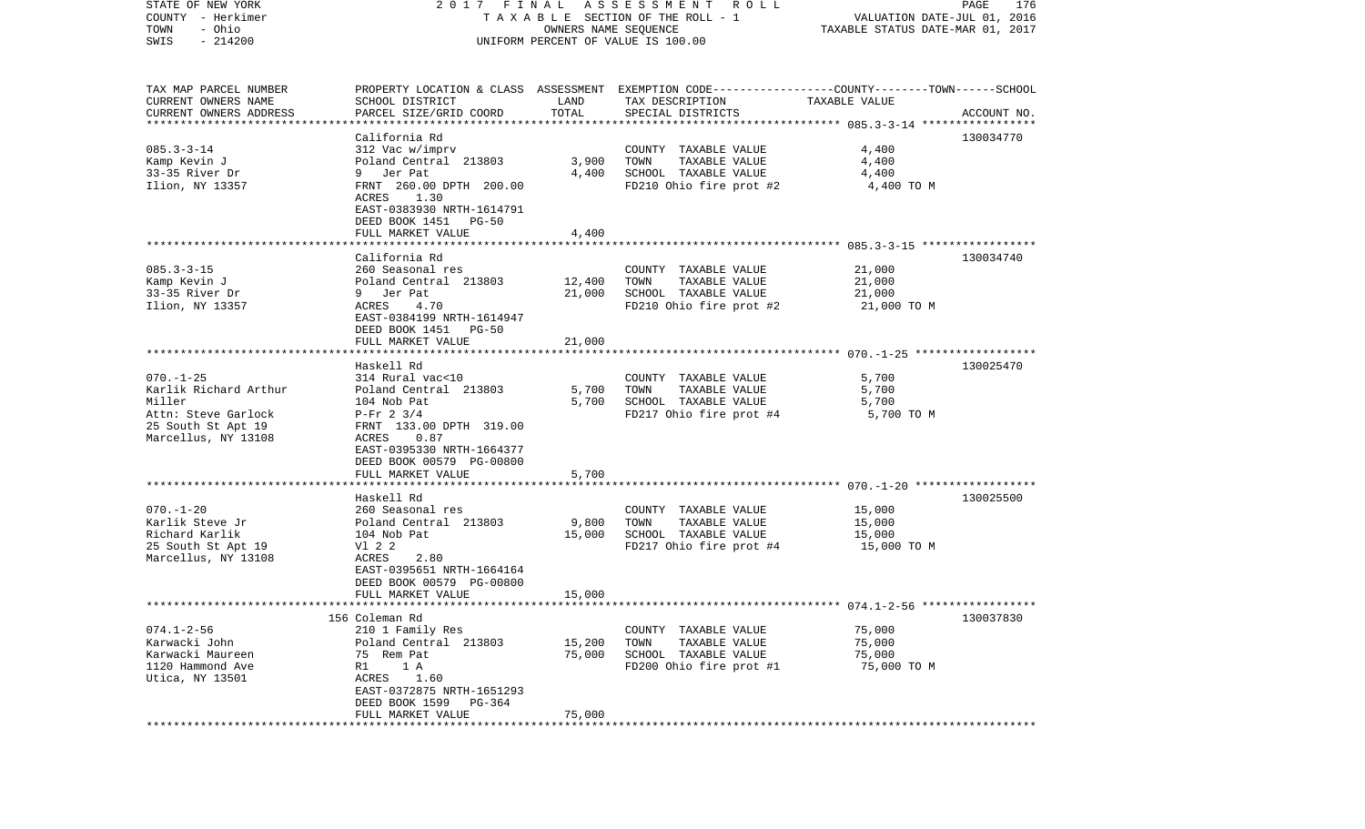| STATE OF NEW YORK      | 2017 FINAL                                   |                      | A S S E S S M E N T<br>R O L L                                                                   |                                  | PAGE<br>176 |
|------------------------|----------------------------------------------|----------------------|--------------------------------------------------------------------------------------------------|----------------------------------|-------------|
| COUNTY - Herkimer      |                                              |                      | T A X A B L E SECTION OF THE ROLL - 1                                                            | VALUATION DATE-JUL 01, 2016      |             |
| - Ohio<br>TOWN         |                                              |                      | OWNERS NAME SEQUENCE                                                                             | TAXABLE STATUS DATE-MAR 01, 2017 |             |
| $-214200$<br>SWIS      |                                              |                      | UNIFORM PERCENT OF VALUE IS 100.00                                                               |                                  |             |
|                        |                                              |                      |                                                                                                  |                                  |             |
| TAX MAP PARCEL NUMBER  |                                              |                      | PROPERTY LOCATION & CLASS ASSESSMENT EXEMPTION CODE----------------COUNTY-------TOWN------SCHOOL |                                  |             |
| CURRENT OWNERS NAME    | SCHOOL DISTRICT                              | LAND                 | TAX DESCRIPTION                                                                                  | TAXABLE VALUE                    |             |
| CURRENT OWNERS ADDRESS | PARCEL SIZE/GRID COORD                       | TOTAL                | SPECIAL DISTRICTS                                                                                |                                  | ACCOUNT NO. |
| *******************    |                                              |                      |                                                                                                  |                                  |             |
|                        | California Rd                                |                      |                                                                                                  |                                  | 130034770   |
| $085.3 - 3 - 14$       | 312 Vac w/imprv                              |                      | COUNTY TAXABLE VALUE                                                                             | 4,400                            |             |
| Kamp Kevin J           | Poland Central 213803                        | 3,900                | TOWN<br>TAXABLE VALUE                                                                            | 4,400                            |             |
| 33-35 River Dr         | Jer Pat<br>9                                 | 4,400                | SCHOOL TAXABLE VALUE                                                                             | 4,400                            |             |
| Ilion, NY 13357        | FRNT 260.00 DPTH 200.00                      |                      | FD210 Ohio fire prot #2                                                                          | 4,400 TO M                       |             |
|                        | ACRES<br>1.30                                |                      |                                                                                                  |                                  |             |
|                        | EAST-0383930 NRTH-1614791                    |                      |                                                                                                  |                                  |             |
|                        | DEED BOOK 1451<br>PG-50                      |                      |                                                                                                  |                                  |             |
|                        | FULL MARKET VALUE                            | 4,400                |                                                                                                  |                                  |             |
|                        |                                              |                      |                                                                                                  |                                  |             |
|                        | California Rd                                |                      |                                                                                                  |                                  | 130034740   |
| $085.3 - 3 - 15$       | 260 Seasonal res                             |                      | COUNTY TAXABLE VALUE                                                                             | 21,000                           |             |
| Kamp Kevin J           | Poland Central 213803                        | 12,400               | TAXABLE VALUE<br>TOWN                                                                            | 21,000                           |             |
| 33-35 River Dr         | 9 Jer Pat                                    |                      | SCHOOL TAXABLE VALUE                                                                             |                                  |             |
|                        |                                              | 21,000               |                                                                                                  | 21,000                           |             |
| Ilion, NY 13357        | 4.70<br>ACRES                                |                      | FD210 Ohio fire prot #2                                                                          | 21,000 TO M                      |             |
|                        | EAST-0384199 NRTH-1614947                    |                      |                                                                                                  |                                  |             |
|                        | DEED BOOK 1451<br>$PG-50$                    |                      |                                                                                                  |                                  |             |
|                        | FULL MARKET VALUE<br>*********************** | 21,000<br>********** |                                                                                                  |                                  |             |
|                        |                                              |                      |                                                                                                  |                                  |             |
|                        | Haskell Rd                                   |                      |                                                                                                  |                                  | 130025470   |
| $070. - 1 - 25$        | 314 Rural vac<10                             |                      | COUNTY TAXABLE VALUE                                                                             | 5,700                            |             |
| Karlik Richard Arthur  | Poland Central 213803                        | 5,700                | TOWN<br>TAXABLE VALUE                                                                            | 5,700                            |             |
| Miller                 | 104 Nob Pat                                  | 5,700                | SCHOOL TAXABLE VALUE                                                                             | 5,700                            |             |
| Attn: Steve Garlock    | $P-Fr$ 2 3/4                                 |                      | FD217 Ohio fire prot #4                                                                          | 5,700 TO M                       |             |
| 25 South St Apt 19     | FRNT 133.00 DPTH 319.00                      |                      |                                                                                                  |                                  |             |
| Marcellus, NY 13108    | ACRES<br>0.87                                |                      |                                                                                                  |                                  |             |
|                        | EAST-0395330 NRTH-1664377                    |                      |                                                                                                  |                                  |             |
|                        | DEED BOOK 00579 PG-00800                     |                      |                                                                                                  |                                  |             |
|                        | FULL MARKET VALUE                            | 5,700                |                                                                                                  |                                  |             |
|                        |                                              |                      |                                                                                                  |                                  |             |
|                        | Haskell Rd                                   |                      |                                                                                                  |                                  | 130025500   |
| $070. - 1 - 20$        | 260 Seasonal res                             |                      | COUNTY TAXABLE VALUE                                                                             | 15,000                           |             |
| Karlik Steve Jr        | Poland Central 213803                        | 9,800                | TOWN<br>TAXABLE VALUE                                                                            | 15,000                           |             |
| Richard Karlik         | 104 Nob Pat                                  | 15,000               | SCHOOL TAXABLE VALUE                                                                             | 15,000                           |             |
| 25 South St Apt 19     | V1 2 2                                       |                      | FD217 Ohio fire prot #4                                                                          | 15,000 TO M                      |             |
| Marcellus, NY 13108    | 2.80<br>ACRES                                |                      |                                                                                                  |                                  |             |
|                        | EAST-0395651 NRTH-1664164                    |                      |                                                                                                  |                                  |             |
|                        | DEED BOOK 00579 PG-00800                     |                      |                                                                                                  |                                  |             |
|                        | FULL MARKET VALUE                            | 15,000               |                                                                                                  |                                  |             |
| ********************   | ***********************                      |                      |                                                                                                  |                                  |             |
|                        | 156 Coleman Rd                               |                      |                                                                                                  |                                  | 130037830   |
| $074.1 - 2 - 56$       | 210 1 Family Res                             |                      | COUNTY<br>TAXABLE VALUE                                                                          | 75,000                           |             |
| Karwacki John          | Poland Central 213803                        | 15,200               | TOWN<br>TAXABLE VALUE                                                                            | 75,000                           |             |
| Karwacki Maureen       | 75<br>Rem Pat                                | 75,000               | SCHOOL TAXABLE VALUE                                                                             | 75,000                           |             |
| 1120 Hammond Ave       | 1 A<br>R1                                    |                      | FD200 Ohio fire prot #1                                                                          | 75,000 TO M                      |             |
| Utica, NY 13501        | ACRES<br>1.60                                |                      |                                                                                                  |                                  |             |
|                        | EAST-0372875 NRTH-1651293                    |                      |                                                                                                  |                                  |             |
|                        | DEED BOOK 1599<br>PG-364                     |                      |                                                                                                  |                                  |             |
|                        | FULL MARKET VALUE                            | 75,000               |                                                                                                  |                                  |             |
|                        |                                              |                      |                                                                                                  |                                  |             |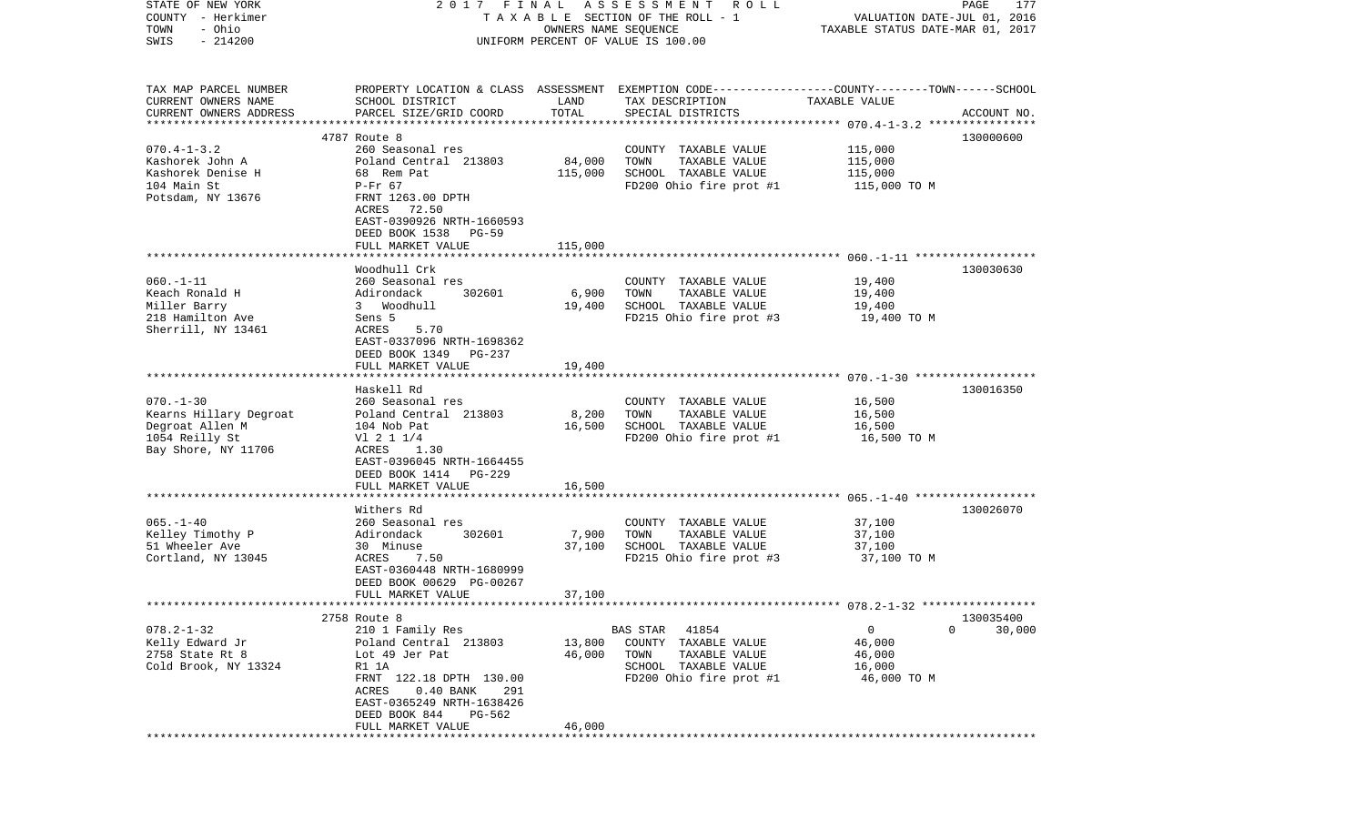| STATE OF NEW YORK                    | 2017 FINAL                                                                                      |                      | A S S E S S M E N T<br><b>ROLL</b>            |                                                          | PAGE<br>177 |
|--------------------------------------|-------------------------------------------------------------------------------------------------|----------------------|-----------------------------------------------|----------------------------------------------------------|-------------|
| COUNTY - Herkimer                    |                                                                                                 |                      | TAXABLE SECTION OF THE ROLL - 1               | VALUATION DATE-JUL 01, 2016                              |             |
| - Ohio<br>TOWN                       |                                                                                                 | OWNERS NAME SEQUENCE |                                               | TAXABLE STATUS DATE-MAR 01, 2017                         |             |
| $-214200$<br>SWIS                    |                                                                                                 |                      | UNIFORM PERCENT OF VALUE IS 100.00            |                                                          |             |
|                                      |                                                                                                 |                      |                                               |                                                          |             |
|                                      |                                                                                                 |                      |                                               |                                                          |             |
| TAX MAP PARCEL NUMBER                | PROPERTY LOCATION & CLASS ASSESSMENT EXEMPTION CODE---------------COUNTY-------TOWN------SCHOOL |                      |                                               |                                                          |             |
| CURRENT OWNERS NAME                  | SCHOOL DISTRICT                                                                                 | LAND                 | TAX DESCRIPTION                               | TAXABLE VALUE                                            |             |
| CURRENT OWNERS ADDRESS               | PARCEL SIZE/GRID COORD                                                                          | TOTAL                | SPECIAL DISTRICTS                             |                                                          | ACCOUNT NO. |
| *************************            |                                                                                                 |                      |                                               |                                                          |             |
|                                      | 4787 Route 8<br>260 Seasonal res                                                                |                      |                                               |                                                          | 130000600   |
| $070.4 - 1 - 3.2$<br>Kashorek John A | Poland Central 213803                                                                           | 84,000               | COUNTY TAXABLE VALUE<br>TOWN<br>TAXABLE VALUE | 115,000<br>115,000                                       |             |
| Kashorek Denise H                    | 68 Rem Pat                                                                                      | 115,000              | SCHOOL TAXABLE VALUE                          | 115,000                                                  |             |
| 104 Main St                          | $P-Fr$ 67                                                                                       |                      | FD200 Ohio fire prot #1                       | 115,000 TO M                                             |             |
| Potsdam, NY 13676                    | FRNT 1263.00 DPTH                                                                               |                      |                                               |                                                          |             |
|                                      | ACRES<br>72.50                                                                                  |                      |                                               |                                                          |             |
|                                      | EAST-0390926 NRTH-1660593                                                                       |                      |                                               |                                                          |             |
|                                      | DEED BOOK 1538<br>PG-59                                                                         |                      |                                               |                                                          |             |
|                                      | FULL MARKET VALUE                                                                               | 115,000              |                                               |                                                          |             |
|                                      |                                                                                                 |                      |                                               |                                                          |             |
|                                      | Woodhull Crk                                                                                    |                      |                                               |                                                          | 130030630   |
| $060. - 1 - 11$                      | 260 Seasonal res                                                                                |                      | COUNTY TAXABLE VALUE                          | 19,400                                                   |             |
| Keach Ronald H                       | Adirondack<br>302601                                                                            | 6,900                | TOWN<br>TAXABLE VALUE                         | 19,400                                                   |             |
| Miller Barry                         | 3 Woodhull                                                                                      | 19,400               | SCHOOL TAXABLE VALUE                          | 19,400                                                   |             |
| 218 Hamilton Ave                     | Sens 5                                                                                          |                      | FD215 Ohio fire prot #3                       | 19,400 TO M                                              |             |
| Sherrill, NY 13461                   | ACRES<br>5.70                                                                                   |                      |                                               |                                                          |             |
|                                      | EAST-0337096 NRTH-1698362                                                                       |                      |                                               |                                                          |             |
|                                      | DEED BOOK 1349<br>PG-237                                                                        |                      |                                               |                                                          |             |
|                                      | FULL MARKET VALUE                                                                               | 19,400               |                                               |                                                          |             |
|                                      |                                                                                                 |                      |                                               |                                                          |             |
| $070. - 1 - 30$                      | Haskell Rd<br>260 Seasonal res                                                                  |                      |                                               | 16,500                                                   | 130016350   |
| Kearns Hillary Degroat               | Poland Central 213803                                                                           | 8,200                | COUNTY TAXABLE VALUE<br>TAXABLE VALUE<br>TOWN | 16,500                                                   |             |
| Degroat Allen M                      | 104 Nob Pat                                                                                     | 16,500               | SCHOOL TAXABLE VALUE                          | 16,500                                                   |             |
| 1054 Reilly St                       | $VI$ 2 1 1/4                                                                                    |                      | FD200 Ohio fire prot #1                       | 16,500 TO M                                              |             |
| Bay Shore, NY 11706                  | ACRES<br>1.30                                                                                   |                      |                                               |                                                          |             |
|                                      | EAST-0396045 NRTH-1664455                                                                       |                      |                                               |                                                          |             |
|                                      | DEED BOOK 1414<br><b>PG-229</b>                                                                 |                      |                                               |                                                          |             |
|                                      | FULL MARKET VALUE                                                                               | 16,500               |                                               |                                                          |             |
|                                      | *****************                                                                               |                      |                                               | ************************** 065.-1-40 ******************* |             |
|                                      | Withers Rd                                                                                      |                      |                                               |                                                          | 130026070   |
| $065. - 1 - 40$                      | 260 Seasonal res                                                                                |                      | COUNTY TAXABLE VALUE                          | 37,100                                                   |             |
| Kelley Timothy P                     | Adirondack<br>302601                                                                            | 7,900                | TOWN<br>TAXABLE VALUE                         | 37,100                                                   |             |
| 51 Wheeler Ave                       | 30 Minuse                                                                                       | 37,100               | SCHOOL TAXABLE VALUE                          | 37,100                                                   |             |
| Cortland, NY 13045                   | ACRES<br>7.50                                                                                   |                      | FD215 Ohio fire prot #3                       | 37,100 TO M                                              |             |
|                                      | EAST-0360448 NRTH-1680999                                                                       |                      |                                               |                                                          |             |
|                                      | DEED BOOK 00629 PG-00267                                                                        |                      |                                               |                                                          |             |
|                                      | FULL MARKET VALUE                                                                               | 37,100               |                                               |                                                          |             |
|                                      |                                                                                                 |                      |                                               |                                                          |             |
|                                      | 2758 Route 8                                                                                    |                      |                                               |                                                          | 130035400   |
| $078.2 - 1 - 32$                     | 210 1 Family Res                                                                                |                      | BAS STAR<br>41854                             | 0<br>0                                                   | 30,000      |
| Kelly Edward Jr                      | Poland Central 213803                                                                           | 13,800               | COUNTY<br>TAXABLE VALUE                       | 46,000                                                   |             |
| 2758 State Rt 8                      | Lot 49 Jer Pat                                                                                  | 46,000               | TOWN<br>TAXABLE VALUE                         | 46,000                                                   |             |
| Cold Brook, NY 13324                 | R1 1A                                                                                           |                      | SCHOOL TAXABLE VALUE                          | 16,000                                                   |             |
|                                      | FRNT 122.18 DPTH 130.00<br>ACRES<br>$0.40$ BANK<br>291                                          |                      | FD200 Ohio fire prot #1                       | 46,000 TO M                                              |             |
|                                      | EAST-0365249 NRTH-1638426                                                                       |                      |                                               |                                                          |             |
|                                      | DEED BOOK 844<br>PG-562                                                                         |                      |                                               |                                                          |             |
|                                      | FULL MARKET VALUE                                                                               | 46,000               |                                               |                                                          |             |
|                                      | ******************************                                                                  |                      | *************************************         |                                                          |             |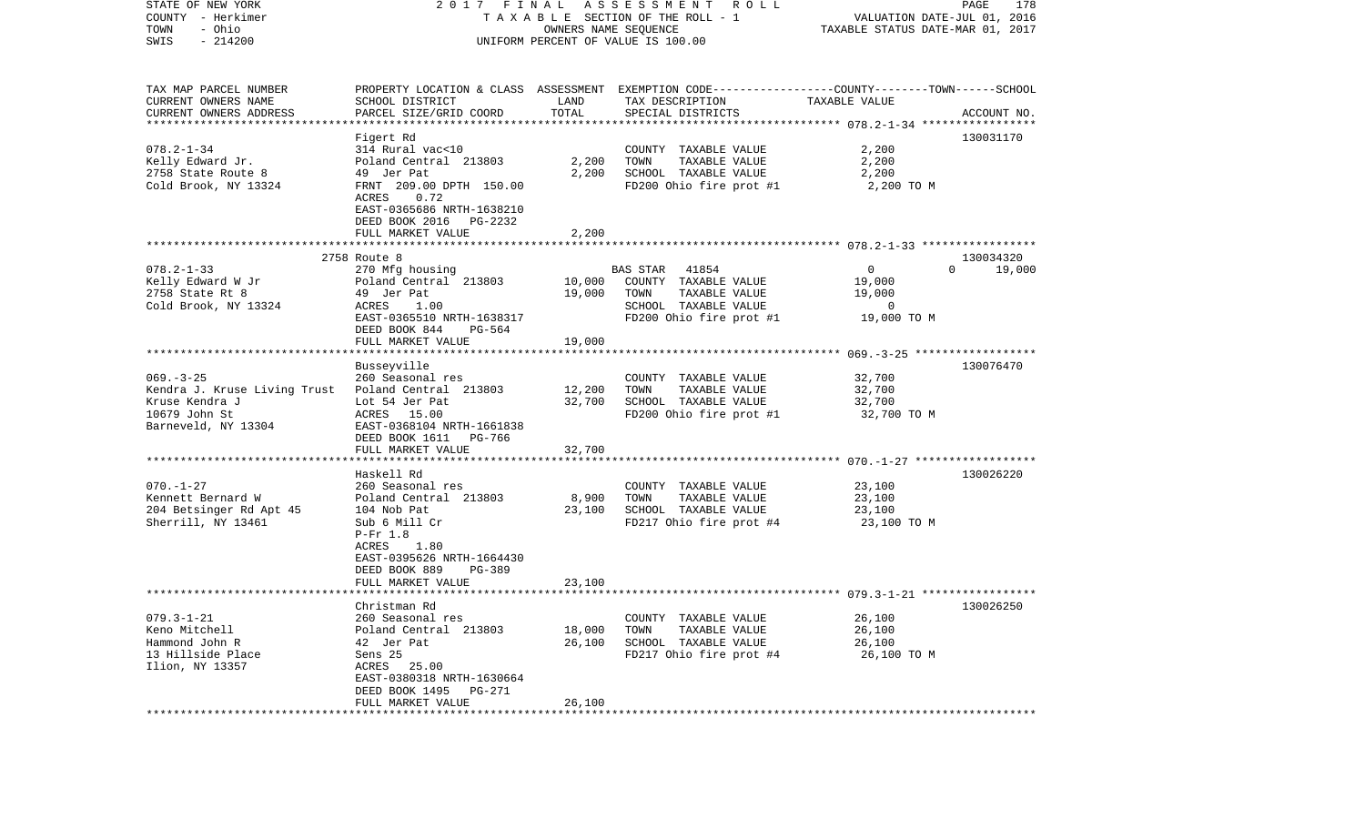| STATE OF NEW YORK<br>COUNTY - Herkimer<br>- Ohio<br>TOWN<br>$-214200$<br>SWIS                                                  |                                                                                                                                                                                 | OWNERS NAME SEQUENCE       | 2017 FINAL ASSESSMENT ROLL<br>TAXABLE SECTION OF THE ROLL - 1<br>UNIFORM PERCENT OF VALUE IS 100.00                   | VALUATION DATE-JUL 01, 2016<br>TAXABLE STATUS DATE-MAR 01, 2017     | PAGE<br>178                     |
|--------------------------------------------------------------------------------------------------------------------------------|---------------------------------------------------------------------------------------------------------------------------------------------------------------------------------|----------------------------|-----------------------------------------------------------------------------------------------------------------------|---------------------------------------------------------------------|---------------------------------|
| TAX MAP PARCEL NUMBER<br>CURRENT OWNERS NAME                                                                                   | SCHOOL DISTRICT                                                                                                                                                                 | LAND<br>TOTAL              | PROPERTY LOCATION & CLASS ASSESSMENT EXEMPTION CODE---------------COUNTY-------TOWN------SCHOOL<br>TAX DESCRIPTION    | TAXABLE VALUE                                                       |                                 |
| CURRENT OWNERS ADDRESS<br>*************************                                                                            | PARCEL SIZE/GRID COORD                                                                                                                                                          |                            | SPECIAL DISTRICTS                                                                                                     |                                                                     | ACCOUNT NO.                     |
|                                                                                                                                | Figert Rd                                                                                                                                                                       |                            |                                                                                                                       |                                                                     | 130031170                       |
| $078.2 - 1 - 34$<br>Kelly Edward Jr.<br>2758 State Route 8<br>Cold Brook, NY 13324                                             | 314 Rural vac<10<br>Poland Central 213803<br>49 Jer Pat<br>FRNT 209.00 DPTH 150.00<br>ACRES<br>0.72                                                                             | 2,200<br>2,200             | COUNTY TAXABLE VALUE<br>TOWN<br>TAXABLE VALUE<br>SCHOOL TAXABLE VALUE<br>FD200 Ohio fire prot #1                      | 2,200<br>2,200<br>2,200<br>2,200 TO M                               |                                 |
|                                                                                                                                | EAST-0365686 NRTH-1638210<br>DEED BOOK 2016<br>PG-2232                                                                                                                          |                            |                                                                                                                       |                                                                     |                                 |
|                                                                                                                                | FULL MARKET VALUE                                                                                                                                                               | 2,200                      |                                                                                                                       |                                                                     |                                 |
|                                                                                                                                |                                                                                                                                                                                 |                            |                                                                                                                       |                                                                     |                                 |
| $078.2 - 1 - 33$<br>Kelly Edward W Jr<br>2758 State Rt 8<br>Cold Brook, NY 13324                                               | 2758 Route 8<br>270 Mfg housing<br>Poland Central 213803<br>49 Jer Pat<br>1.00<br>ACRES<br>EAST-0365510 NRTH-1638317<br>DEED BOOK 844<br>PG-564<br>FULL MARKET VALUE            | 10,000<br>19,000<br>19,000 | 41854<br>BAS STAR<br>COUNTY TAXABLE VALUE<br>TAXABLE VALUE<br>TOWN<br>SCHOOL TAXABLE VALUE<br>FD200 Ohio fire prot #1 | $\overline{0}$<br>19,000<br>19,000<br>$\overline{0}$<br>19,000 TO M | 130034320<br>$\Omega$<br>19,000 |
|                                                                                                                                |                                                                                                                                                                                 |                            |                                                                                                                       |                                                                     |                                 |
| $069. -3 - 25$<br>Kendra J. Kruse Living Trust Poland Central 213803<br>Kruse Kendra J<br>10679 John St<br>Barneveld, NY 13304 | Busseyville<br>260 Seasonal res<br>Lot 54 Jer Pat<br>ACRES 15.00<br>EAST-0368104 NRTH-1661838<br>DEED BOOK 1611 PG-766<br>FULL MARKET VALUE                                     | 12,200<br>32,700<br>32,700 | COUNTY TAXABLE VALUE<br>TAXABLE VALUE<br>TOWN<br>SCHOOL TAXABLE VALUE<br>FD200 Ohio fire prot #1                      | 32,700<br>32,700<br>32,700<br>32,700 TO M                           | 130076470                       |
|                                                                                                                                |                                                                                                                                                                                 |                            |                                                                                                                       |                                                                     |                                 |
| $070. - 1 - 27$<br>Kennett Bernard W<br>204 Betsinger Rd Apt 45<br>Sherrill, NY 13461                                          | Haskell Rd<br>260 Seasonal res<br>Poland Central 213803<br>104 Nob Pat<br>Sub 6 Mill Cr<br>$P-Fr 1.8$<br>1.80<br>ACRES<br>EAST-0395626 NRTH-1664430<br>DEED BOOK 889<br>PG-389  | 8,900<br>23,100            | COUNTY TAXABLE VALUE<br>TOWN<br>TAXABLE VALUE<br>SCHOOL TAXABLE VALUE<br>FD217 Ohio fire prot #4                      | 23,100<br>23,100<br>23,100<br>23,100 TO M                           | 130026220                       |
|                                                                                                                                |                                                                                                                                                                                 |                            |                                                                                                                       |                                                                     |                                 |
| $079.3 - 1 - 21$<br>Keno Mitchell<br>Hammond John R<br>13 Hillside Place<br>Ilion, NY 13357                                    | Christman Rd<br>260 Seasonal res<br>Poland Central 213803<br>42 Jer Pat<br>Sens 25<br>ACRES 25.00<br>EAST-0380318 NRTH-1630664<br>DEED BOOK 1495<br>PG-271<br>FULL MARKET VALUE | 18,000<br>26,100<br>26,100 | COUNTY TAXABLE VALUE<br>TOWN<br>TAXABLE VALUE<br>SCHOOL TAXABLE VALUE<br>FD217 Ohio fire prot #4                      | 26,100<br>26,100<br>26,100<br>26,100 TO M                           | 130026250                       |
|                                                                                                                                | FULL MARKET VALUE<br>**********************                                                                                                                                     | 23,100                     |                                                                                                                       |                                                                     |                                 |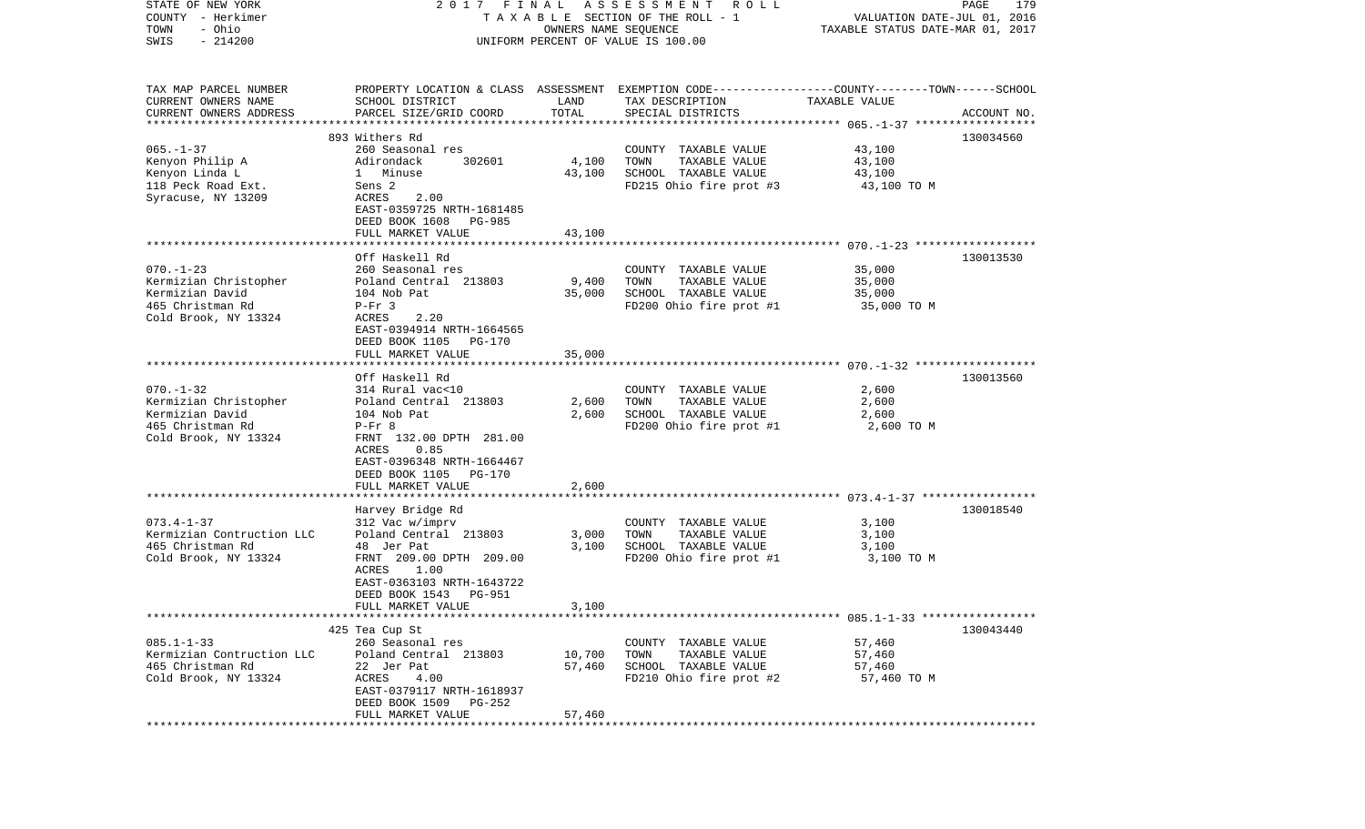| STATE OF NEW YORK         | 2017 FINAL                                    |                       | A S S E S S M E N T R O L L                                                                     |                                  | PAGE<br>179 |
|---------------------------|-----------------------------------------------|-----------------------|-------------------------------------------------------------------------------------------------|----------------------------------|-------------|
| COUNTY - Herkimer         |                                               |                       | T A X A B L E SECTION OF THE ROLL - 1                                                           | VALUATION DATE-JUL 01, 2016      |             |
| - Ohio<br>TOWN            |                                               | OWNERS NAME SEQUENCE  |                                                                                                 | TAXABLE STATUS DATE-MAR 01, 2017 |             |
| $-214200$<br>SWIS         |                                               |                       | UNIFORM PERCENT OF VALUE IS 100.00                                                              |                                  |             |
|                           |                                               |                       |                                                                                                 |                                  |             |
| TAX MAP PARCEL NUMBER     |                                               |                       | PROPERTY LOCATION & CLASS ASSESSMENT EXEMPTION CODE---------------COUNTY-------TOWN------SCHOOL |                                  |             |
| CURRENT OWNERS NAME       | SCHOOL DISTRICT                               | LAND                  | TAX DESCRIPTION                                                                                 | TAXABLE VALUE                    |             |
| CURRENT OWNERS ADDRESS    | PARCEL SIZE/GRID COORD                        | TOTAL                 | SPECIAL DISTRICTS                                                                               |                                  | ACCOUNT NO. |
|                           |                                               |                       |                                                                                                 |                                  |             |
|                           | 893 Withers Rd                                |                       |                                                                                                 |                                  | 130034560   |
| $065. - 1 - 37$           | 260 Seasonal res                              |                       | COUNTY TAXABLE VALUE                                                                            | 43,100                           |             |
| Kenyon Philip A           | Adirondack<br>302601                          | 4,100                 | TOWN<br>TAXABLE VALUE                                                                           | 43,100                           |             |
| Kenyon Linda L            | 1 Minuse                                      | 43,100                | SCHOOL TAXABLE VALUE                                                                            | 43,100                           |             |
| 118 Peck Road Ext.        | Sens 2                                        |                       | FD215 Ohio fire prot #3                                                                         | 43,100 TO M                      |             |
| Syracuse, NY 13209        | ACRES<br>2.00                                 |                       |                                                                                                 |                                  |             |
|                           | EAST-0359725 NRTH-1681485                     |                       |                                                                                                 |                                  |             |
|                           | DEED BOOK 1608<br>PG-985                      |                       |                                                                                                 |                                  |             |
|                           | FULL MARKET VALUE                             | 43,100                |                                                                                                 |                                  |             |
|                           | Off Haskell Rd                                |                       |                                                                                                 |                                  | 130013530   |
| $070. - 1 - 23$           | 260 Seasonal res                              |                       | COUNTY TAXABLE VALUE                                                                            | 35,000                           |             |
| Kermizian Christopher     | Poland Central 213803                         | 9,400                 | TOWN<br>TAXABLE VALUE                                                                           | 35,000                           |             |
| Kermizian David           | 104 Nob Pat                                   | 35,000                | SCHOOL TAXABLE VALUE                                                                            | 35,000                           |             |
| 465 Christman Rd          | $P-Fr$ 3                                      |                       | FD200 Ohio fire prot #1                                                                         | 35,000 TO M                      |             |
| Cold Brook, NY 13324      | ACRES<br>2.20                                 |                       |                                                                                                 |                                  |             |
|                           | EAST-0394914 NRTH-1664565                     |                       |                                                                                                 |                                  |             |
|                           | DEED BOOK 1105<br>PG-170                      |                       |                                                                                                 |                                  |             |
|                           | FULL MARKET VALUE                             | 35,000                |                                                                                                 |                                  |             |
|                           |                                               |                       |                                                                                                 |                                  |             |
|                           | Off Haskell Rd                                |                       |                                                                                                 |                                  | 130013560   |
| $070. - 1 - 32$           | 314 Rural vac<10                              |                       | COUNTY TAXABLE VALUE                                                                            | 2,600                            |             |
| Kermizian Christopher     | Poland Central 213803                         | 2,600                 | TOWN<br>TAXABLE VALUE                                                                           | 2,600                            |             |
| Kermizian David           | 104 Nob Pat                                   | 2,600                 | SCHOOL TAXABLE VALUE                                                                            | 2,600                            |             |
| 465 Christman Rd          | $P-Fr$ 8                                      |                       | FD200 Ohio fire prot #1                                                                         | 2,600 TO M                       |             |
| Cold Brook, NY 13324      | FRNT 132.00 DPTH 281.00                       |                       |                                                                                                 |                                  |             |
|                           | ACRES<br>0.85                                 |                       |                                                                                                 |                                  |             |
|                           | EAST-0396348 NRTH-1664467                     |                       |                                                                                                 |                                  |             |
|                           | DEED BOOK 1105<br>PG-170                      |                       |                                                                                                 |                                  |             |
|                           | FULL MARKET VALUE<br>************************ | 2,600<br>************ |                                                                                                 |                                  |             |
|                           | Harvey Bridge Rd                              |                       |                                                                                                 |                                  | 130018540   |
| $073.4 - 1 - 37$          | 312 Vac w/imprv                               |                       | COUNTY TAXABLE VALUE                                                                            | 3,100                            |             |
| Kermizian Contruction LLC | Poland Central 213803                         | 3,000                 | TOWN<br>TAXABLE VALUE                                                                           | 3,100                            |             |
| 465 Christman Rd          | 48 Jer Pat                                    | 3,100                 | SCHOOL TAXABLE VALUE                                                                            | 3,100                            |             |
| Cold Brook, NY 13324      | FRNT 209.00 DPTH 209.00                       |                       | FD200 Ohio fire prot #1                                                                         | 3,100 TO M                       |             |
|                           | ACRES<br>1.00                                 |                       |                                                                                                 |                                  |             |
|                           | EAST-0363103 NRTH-1643722                     |                       |                                                                                                 |                                  |             |
|                           | DEED BOOK 1543<br>PG-951                      |                       |                                                                                                 |                                  |             |
|                           | FULL MARKET VALUE                             | 3,100                 |                                                                                                 |                                  |             |
|                           |                                               |                       |                                                                                                 |                                  |             |
|                           | 425 Tea Cup St                                |                       |                                                                                                 |                                  | 130043440   |
| $085.1 - 1 - 33$          | 260 Seasonal res                              |                       | COUNTY TAXABLE VALUE                                                                            | 57,460                           |             |
| Kermizian Contruction LLC | Poland Central 213803                         | 10,700                | TAXABLE VALUE<br>TOWN                                                                           | 57,460                           |             |
| 465 Christman Rd          | 22 Jer Pat                                    | 57,460                | SCHOOL TAXABLE VALUE                                                                            | 57,460                           |             |
| Cold Brook, NY 13324      | ACRES<br>4.00                                 |                       | FD210 Ohio fire prot #2                                                                         | 57,460 TO M                      |             |
|                           | EAST-0379117 NRTH-1618937                     |                       |                                                                                                 |                                  |             |
|                           | DEED BOOK 1509 PG-252                         |                       |                                                                                                 |                                  |             |
|                           | FULL MARKET VALUE                             | 57,460                |                                                                                                 |                                  |             |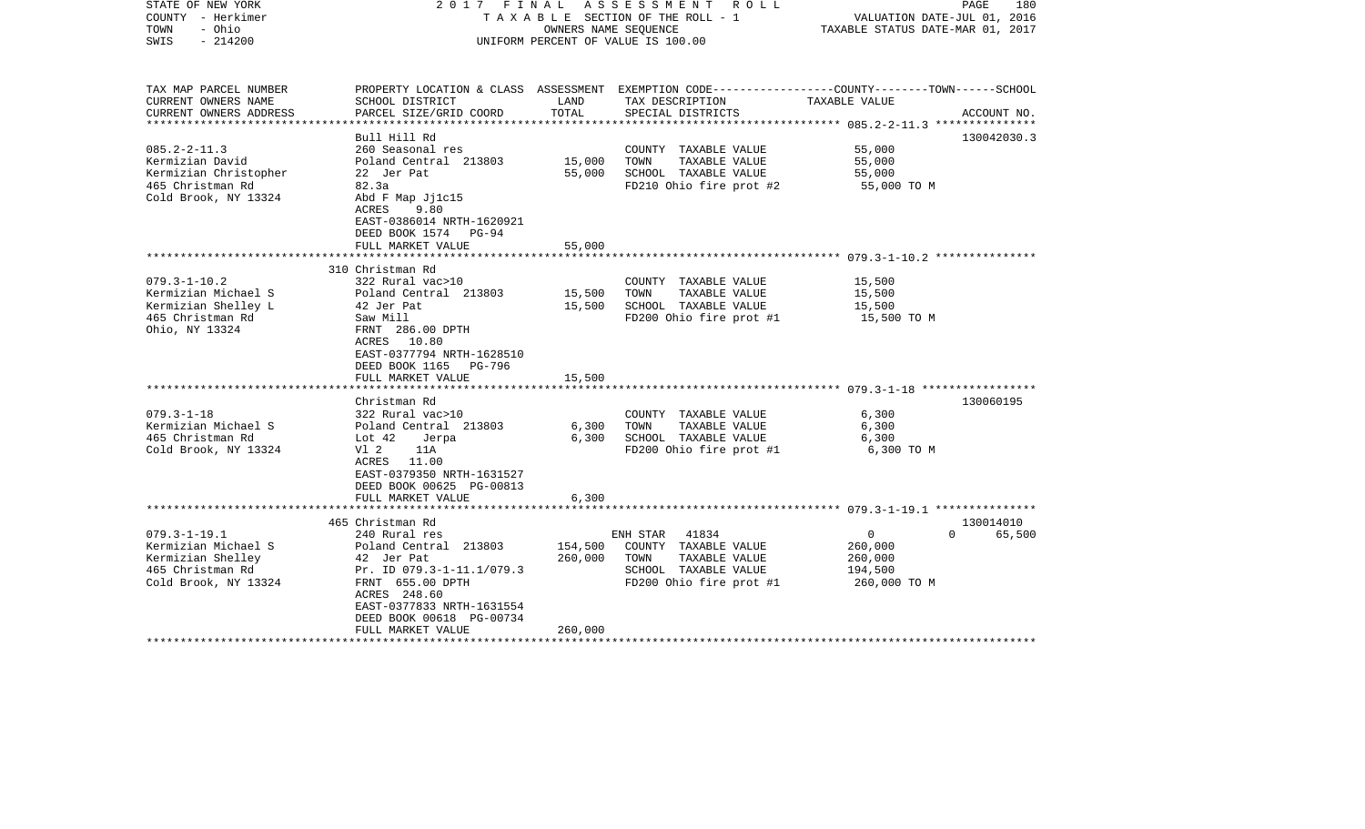| STATE OF NEW YORK<br>COUNTY - Herkimer<br>- Ohio<br>TOWN<br>$-214200$<br>SWIS                                                      | 2017 FINAL                                                                                                                                                                                                              |                               | ASSESSMENT ROLL<br>TAXABLE SECTION OF THE ROLL - 1<br>OWNERS NAME SEOUENCE<br>UNIFORM PERCENT OF VALUE IS 100.00                        | VALUATION DATE-JUL 01, 2016<br>TAXABLE STATUS DATE-MAR 01, 2017 | PAGE<br>180                     |
|------------------------------------------------------------------------------------------------------------------------------------|-------------------------------------------------------------------------------------------------------------------------------------------------------------------------------------------------------------------------|-------------------------------|-----------------------------------------------------------------------------------------------------------------------------------------|-----------------------------------------------------------------|---------------------------------|
| TAX MAP PARCEL NUMBER<br>CURRENT OWNERS NAME<br>CURRENT OWNERS ADDRESS<br>************************                                 | SCHOOL DISTRICT<br>PARCEL SIZE/GRID COORD                                                                                                                                                                               | LAND<br>TOTAL                 | PROPERTY LOCATION & CLASS ASSESSMENT EXEMPTION CODE---------------COUNTY-------TOWN------SCHOOL<br>TAX DESCRIPTION<br>SPECIAL DISTRICTS | TAXABLE VALUE                                                   | ACCOUNT NO.                     |
| $085.2 - 2 - 11.3$<br>Kermizian David<br>Kermizian Christopher<br>465 Christman Rd<br>Cold Brook, NY 13324                         | Bull Hill Rd<br>260 Seasonal res<br>Poland Central 213803<br>22 Jer Pat<br>82.3a<br>Abd F Map Jj1c15<br>ACRES<br>9.80<br>EAST-0386014 NRTH-1620921<br>DEED BOOK 1574 PG-94<br>FULL MARKET VALUE                         | 15,000<br>55,000<br>55,000    | COUNTY TAXABLE VALUE<br>TOWN<br>TAXABLE VALUE<br>SCHOOL TAXABLE VALUE<br>FD210 Ohio fire prot #2                                        | 55,000<br>55,000<br>55,000<br>55,000 TO M                       | 130042030.3                     |
|                                                                                                                                    |                                                                                                                                                                                                                         |                               |                                                                                                                                         |                                                                 |                                 |
| $079.3 - 1 - 10.2$<br>Kermizian Michael S<br>Kermizian Shelley L<br>465 Christman Rd<br>Ohio, NY 13324                             | 310 Christman Rd<br>322 Rural vac>10<br>Poland Central 213803<br>42 Jer Pat<br>Saw Mill<br>FRNT 286.00 DPTH<br>ACRES 10.80<br>EAST-0377794 NRTH-1628510<br>DEED BOOK 1165 PG-796<br>FULL MARKET VALUE                   | 15,500<br>15,500<br>15,500    | COUNTY TAXABLE VALUE<br>TOWN<br>TAXABLE VALUE<br>SCHOOL TAXABLE VALUE<br>FD200 Ohio fire prot #1                                        | 15,500<br>15,500<br>15,500<br>15,500 TO M                       |                                 |
|                                                                                                                                    | Christman Rd                                                                                                                                                                                                            |                               |                                                                                                                                         |                                                                 | 130060195                       |
| $079.3 - 1 - 18$<br>Kermizian Michael S<br>465 Christman Rd<br>Cold Brook, NY 13324                                                | 322 Rural vac>10<br>Poland Central 213803<br>Lot 42<br>Jerpa<br>V1 2<br>11A<br>ACRES<br>11.00<br>EAST-0379350 NRTH-1631527<br>DEED BOOK 00625 PG-00813<br>FULL MARKET VALUE                                             | 6,300<br>6,300<br>6,300       | COUNTY TAXABLE VALUE<br>TOWN<br>TAXABLE VALUE<br>SCHOOL TAXABLE VALUE<br>FD200 Ohio fire prot #1                                        | 6,300<br>6,300<br>6,300<br>6,300 TO M                           |                                 |
|                                                                                                                                    | *************************                                                                                                                                                                                               |                               |                                                                                                                                         |                                                                 |                                 |
| $079.3 - 1 - 19.1$<br>Kermizian Michael S<br>Kermizian Shelley<br>465 Christman Rd<br>Cold Brook, NY 13324<br>******************** | 465 Christman Rd<br>240 Rural res<br>Poland Central 213803<br>42 Jer Pat<br>Pr. ID 079.3-1-11.1/079.3<br>FRNT 655.00 DPTH<br>ACRES 248.60<br>EAST-0377833 NRTH-1631554<br>DEED BOOK 00618 PG-00734<br>FULL MARKET VALUE | 154,500<br>260,000<br>260,000 | ENH STAR<br>41834<br>COUNTY TAXABLE VALUE<br>TOWN<br>TAXABLE VALUE<br>SCHOOL TAXABLE VALUE<br>FD200 Ohio fire prot #1                   | 0<br>260,000<br>260,000<br>194,500<br>260,000 то м              | 130014010<br>$\Omega$<br>65,500 |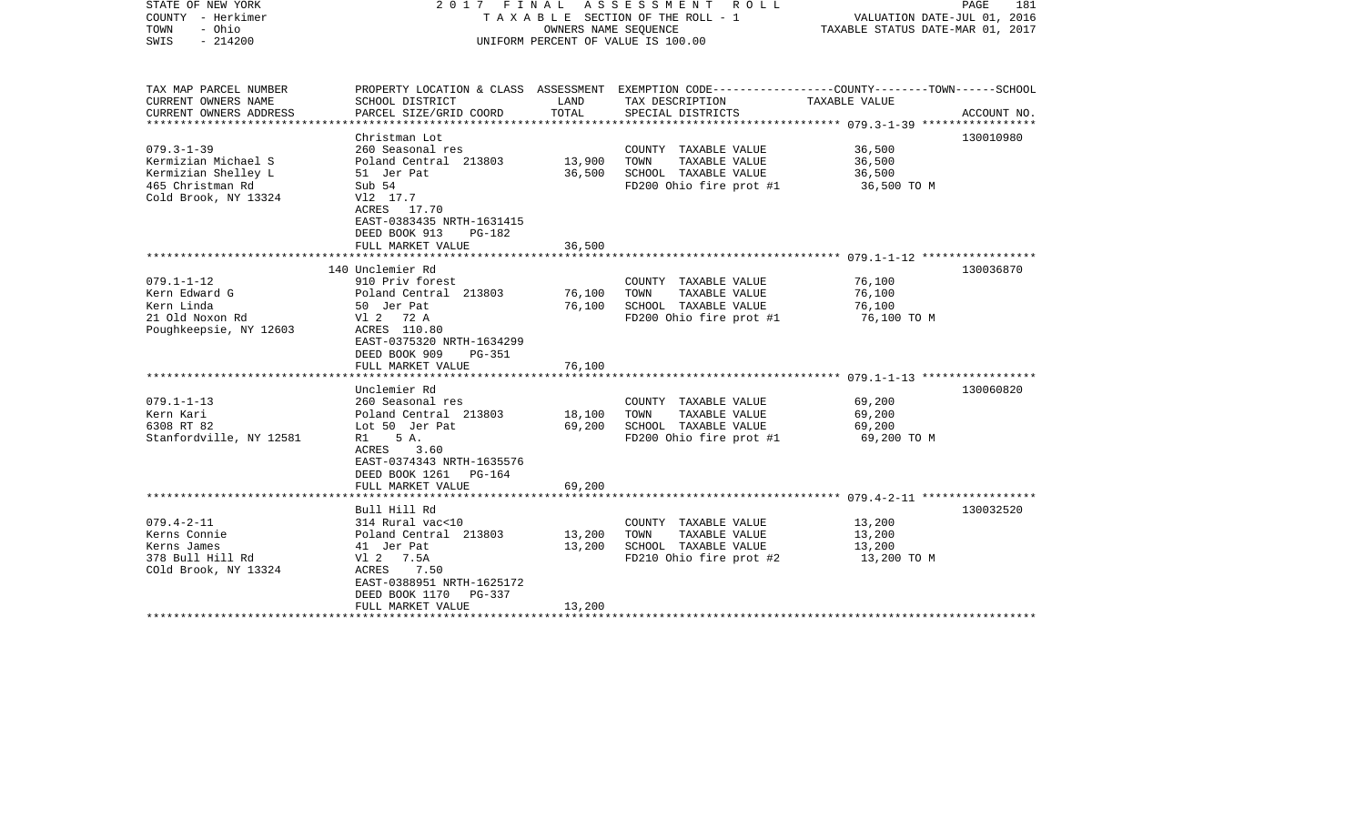| STATE OF NEW YORK<br>COUNTY - Herkimer<br>- Ohio<br>TOWN<br>$-214200$<br>SWIS                              | 2017 FINAL                                                                                                                                                                          | OWNERS NAME SEQUENCE       | A S S E S S M E N T<br>R O L L<br>T A X A B L E SECTION OF THE ROLL - 1<br>UNIFORM PERCENT OF VALUE IS 100.00                           | VALUATION DATE-JUL 01, 2016<br>TAXABLE STATUS DATE-MAR 01, 2017 | PAGE<br>181 |
|------------------------------------------------------------------------------------------------------------|-------------------------------------------------------------------------------------------------------------------------------------------------------------------------------------|----------------------------|-----------------------------------------------------------------------------------------------------------------------------------------|-----------------------------------------------------------------|-------------|
| TAX MAP PARCEL NUMBER<br>CURRENT OWNERS NAME<br>CURRENT OWNERS ADDRESS                                     | SCHOOL DISTRICT<br>PARCEL SIZE/GRID COORD                                                                                                                                           | LAND<br>TOTAL              | PROPERTY LOCATION & CLASS ASSESSMENT EXEMPTION CODE---------------COUNTY-------TOWN------SCHOOL<br>TAX DESCRIPTION<br>SPECIAL DISTRICTS | TAXABLE VALUE                                                   | ACCOUNT NO. |
| *****************                                                                                          | ********************                                                                                                                                                                |                            |                                                                                                                                         |                                                                 |             |
| $079.3 - 1 - 39$<br>Kermizian Michael S<br>Kermizian Shelley L<br>465 Christman Rd<br>Cold Brook, NY 13324 | Christman Lot<br>260 Seasonal res<br>Poland Central 213803<br>51 Jer Pat<br>Sub 54<br>V12 17.7<br>ACRES 17.70<br>EAST-0383435 NRTH-1631415                                          | 13,900<br>36,500           | COUNTY TAXABLE VALUE<br>TAXABLE VALUE<br>TOWN<br>SCHOOL TAXABLE VALUE<br>FD200 Ohio fire prot #1                                        | 36,500<br>36,500<br>36,500<br>36,500 TO M                       | 130010980   |
|                                                                                                            | DEED BOOK 913<br>PG-182                                                                                                                                                             |                            |                                                                                                                                         |                                                                 |             |
|                                                                                                            | FULL MARKET VALUE                                                                                                                                                                   | 36,500                     |                                                                                                                                         |                                                                 |             |
|                                                                                                            | 140 Unclemier Rd                                                                                                                                                                    |                            |                                                                                                                                         |                                                                 | 130036870   |
| $079.1 - 1 - 12$                                                                                           | 910 Priv forest                                                                                                                                                                     |                            | COUNTY TAXABLE VALUE                                                                                                                    | 76,100                                                          |             |
| Kern Edward G<br>Kern Linda<br>21 Old Noxon Rd<br>Poughkeepsie, NY 12603                                   | Poland Central 213803<br>50 Jer Pat<br>V1 2 72 A<br>ACRES 110.80                                                                                                                    | 76,100<br>76,100           | TOWN<br>TAXABLE VALUE<br>SCHOOL TAXABLE VALUE<br>FD200 Ohio fire prot #1                                                                | 76,100<br>76,100<br>76,100 TO M                                 |             |
|                                                                                                            | EAST-0375320 NRTH-1634299<br>DEED BOOK 909<br>$PG-351$<br>FULL MARKET VALUE                                                                                                         | 76,100                     |                                                                                                                                         |                                                                 |             |
|                                                                                                            |                                                                                                                                                                                     |                            |                                                                                                                                         |                                                                 |             |
| $079.1 - 1 - 13$<br>Kern Kari<br>6308 RT 82<br>Stanfordville, NY 12581                                     | Unclemier Rd<br>260 Seasonal res<br>Poland Central 213803<br>Lot 50 Jer Pat<br>5 A.<br>R1<br>ACRES<br>3.60<br>EAST-0374343 NRTH-1635576<br>DEED BOOK 1261 PG-164                    | 18,100<br>69,200           | COUNTY TAXABLE VALUE<br>TOWN<br>TAXABLE VALUE<br>SCHOOL TAXABLE VALUE<br>FD200 Ohio fire prot #1                                        | 69,200<br>69,200<br>69,200<br>69,200 TO M                       | 130060820   |
|                                                                                                            | FULL MARKET VALUE                                                                                                                                                                   | 69,200                     |                                                                                                                                         |                                                                 |             |
|                                                                                                            |                                                                                                                                                                                     |                            |                                                                                                                                         |                                                                 |             |
| $079.4 - 2 - 11$<br>Kerns Connie<br>Kerns James<br>378 Bull Hill Rd<br>COld Brook, NY 13324                | Bull Hill Rd<br>314 Rural vac<10<br>Poland Central 213803<br>41 Jer Pat<br>V1 2 7.5A<br>7.50<br>ACRES<br>EAST-0388951 NRTH-1625172<br>DEED BOOK 1170<br>PG-337<br>FULL MARKET VALUE | 13,200<br>13,200<br>13,200 | COUNTY TAXABLE VALUE<br>TOWN<br>TAXABLE VALUE<br>SCHOOL TAXABLE VALUE<br>FD210 Ohio fire prot #2                                        | 13,200<br>13,200<br>13,200<br>13,200 TO M                       | 130032520   |
|                                                                                                            |                                                                                                                                                                                     |                            |                                                                                                                                         |                                                                 |             |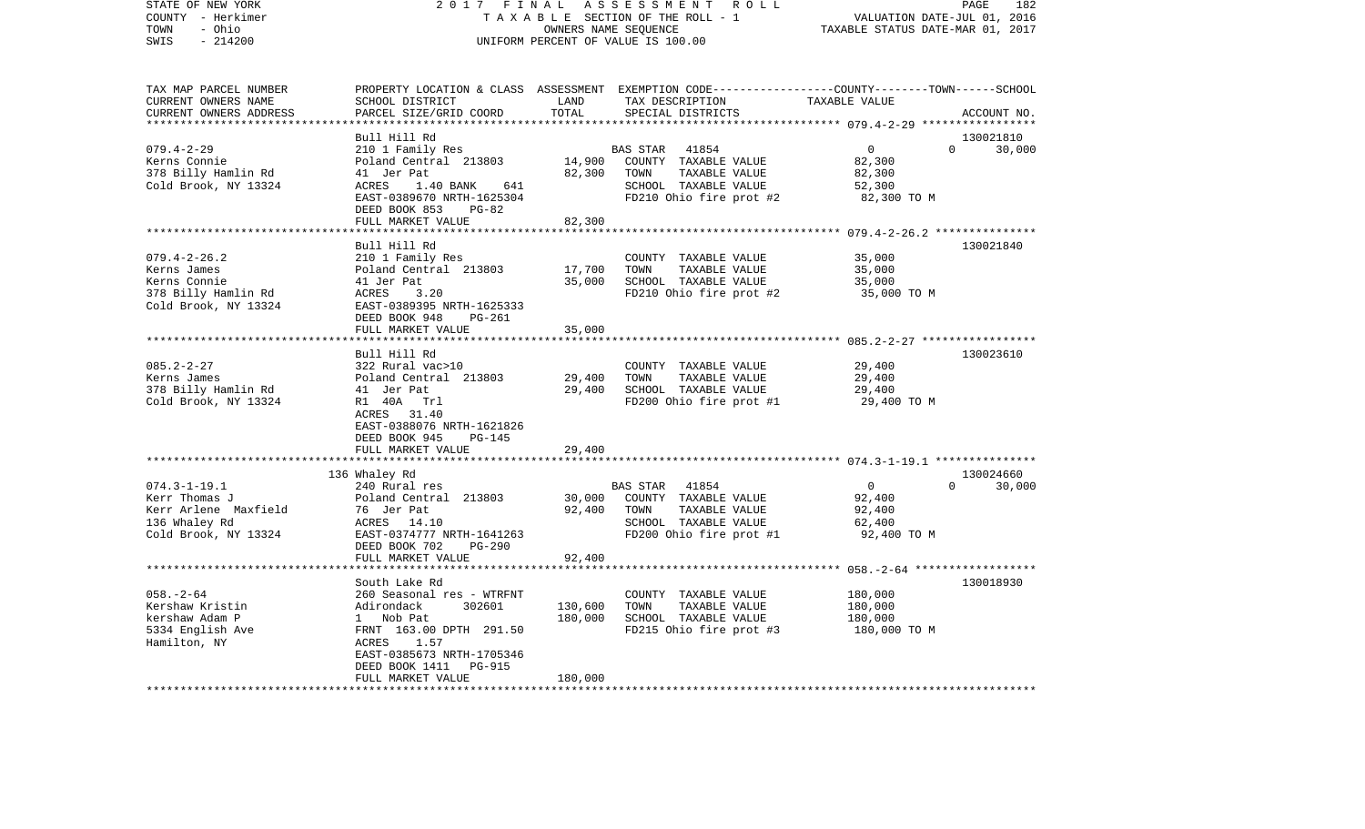| COUNTY<br>- Herkimer<br>- Ohio<br>TOWN<br>$-214200$<br>SWIS                                          |                                                                                                                                                                                                           | OWNERS NAME SEQUENCE          | TAXABLE SECTION OF THE ROLL - 1<br>UNIFORM PERCENT OF VALUE IS 100.00                                                                   | VALUATION DATE-JUL 01, 2016<br>TAXABLE STATUS DATE-MAR 01, 2017 |                                 |
|------------------------------------------------------------------------------------------------------|-----------------------------------------------------------------------------------------------------------------------------------------------------------------------------------------------------------|-------------------------------|-----------------------------------------------------------------------------------------------------------------------------------------|-----------------------------------------------------------------|---------------------------------|
| TAX MAP PARCEL NUMBER<br>CURRENT OWNERS NAME<br>CURRENT OWNERS ADDRESS                               | SCHOOL DISTRICT<br>PARCEL SIZE/GRID COORD                                                                                                                                                                 | LAND<br>TOTAL                 | PROPERTY LOCATION & CLASS ASSESSMENT EXEMPTION CODE---------------COUNTY-------TOWN------SCHOOL<br>TAX DESCRIPTION<br>SPECIAL DISTRICTS | TAXABLE VALUE                                                   | ACCOUNT NO.                     |
| $079.4 - 2 - 29$<br>Kerns Connie<br>378 Billy Hamlin Rd<br>Cold Brook, NY 13324                      | Bull Hill Rd<br>210 1 Family Res<br>Poland Central 213803<br>41 Jer Pat<br>ACRES<br>1.40 BANK<br>641 —<br>EAST-0389670 NRTH-1625304<br>DEED BOOK 853<br>PG-82<br>FULL MARKET VALUE                        | 14,900<br>82,300<br>82,300    | 41854<br>BAS STAR<br>COUNTY TAXABLE VALUE<br>TOWN<br>TAXABLE VALUE<br>SCHOOL TAXABLE VALUE<br>FD210 Ohio fire prot #2                   | $\overline{0}$<br>82,300<br>82,300<br>52,300<br>82,300 TO M     | 130021810<br>$\Omega$<br>30,000 |
|                                                                                                      |                                                                                                                                                                                                           |                               |                                                                                                                                         |                                                                 |                                 |
| $079.4 - 2 - 26.2$<br>Kerns James<br>Kerns Connie<br>378 Billy Hamlin Rd<br>Cold Brook, NY 13324     | Bull Hill Rd<br>210 1 Family Res<br>Poland Central 213803<br>41 Jer Pat<br>3.20<br>ACRES<br>EAST-0389395 NRTH-1625333<br>DEED BOOK 948<br>PG-261<br>FULL MARKET VALUE                                     | 17,700<br>35,000<br>35,000    | COUNTY TAXABLE VALUE<br>TOWN<br>TAXABLE VALUE<br>SCHOOL TAXABLE VALUE<br>FD210 Ohio fire prot #2                                        | 35,000<br>35,000<br>35,000<br>35,000 TO M                       | 130021840                       |
|                                                                                                      |                                                                                                                                                                                                           |                               |                                                                                                                                         |                                                                 |                                 |
| $085.2 - 2 - 27$<br>Kerns James<br>378 Billy Hamlin Rd<br>Cold Brook, NY 13324                       | Bull Hill Rd<br>322 Rural vac>10<br>Poland Central 213803<br>41 Jer Pat<br>R1 40A Trl<br>ACRES 31.40<br>EAST-0388076 NRTH-1621826<br>DEED BOOK 945<br><b>PG-145</b>                                       | 29,400<br>29,400              | COUNTY TAXABLE VALUE<br>TOWN<br>TAXABLE VALUE<br>SCHOOL TAXABLE VALUE<br>FD200 Ohio fire prot #1                                        | 29,400<br>29,400<br>29,400<br>29,400 TO M                       | 130023610                       |
|                                                                                                      | FULL MARKET VALUE                                                                                                                                                                                         | 29,400<br>**********          |                                                                                                                                         |                                                                 |                                 |
|                                                                                                      | 136 Whaley Rd                                                                                                                                                                                             |                               |                                                                                                                                         |                                                                 | 130024660                       |
| $074.3 - 1 - 19.1$<br>Kerr Thomas J<br>Kerr Arlene Maxfield<br>136 Whaley Rd<br>Cold Brook, NY 13324 | 240 Rural res<br>Poland Central 213803<br>76 Jer Pat<br>ACRES 14.10<br>EAST-0374777 NRTH-1641263<br>DEED BOOK 702<br>$PG-290$<br>FULL MARKET VALUE                                                        | 30,000<br>92,400<br>92,400    | BAS STAR<br>41854<br>COUNTY TAXABLE VALUE<br>TOWN<br>TAXABLE VALUE<br>SCHOOL TAXABLE VALUE<br>FD200 Ohio fire prot #1                   | $\overline{0}$<br>92,400<br>92,400<br>62,400<br>92,400 TO M     | $\Omega$<br>30,000              |
|                                                                                                      |                                                                                                                                                                                                           |                               |                                                                                                                                         | ************* 058.-2-64 *******************                     |                                 |
| $058. - 2 - 64$<br>Kershaw Kristin<br>kershaw Adam P<br>5334 English Ave<br>Hamilton, NY             | South Lake Rd<br>260 Seasonal res - WTRFNT<br>Adirondack<br>302601<br>1 Nob Pat<br>FRNT 163.00 DPTH 291.50<br>ACRES<br>1.57<br>EAST-0385673 NRTH-1705346<br>DEED BOOK 1411<br>PG-915<br>FULL MARKET VALUE | 130,600<br>180,000<br>180,000 | COUNTY TAXABLE VALUE<br>TOWN<br>TAXABLE VALUE<br>SCHOOL TAXABLE VALUE<br>FD215 Ohio fire prot #3                                        | 180,000<br>180,000<br>180,000<br>180,000 TO M                   | 130018930                       |
| *********************                                                                                |                                                                                                                                                                                                           |                               |                                                                                                                                         |                                                                 |                                 |

PAGE 182

STATE OF NEW YORK 2 0 1 7 F I N A L A S S E S S M E N T R O L L PAGE 182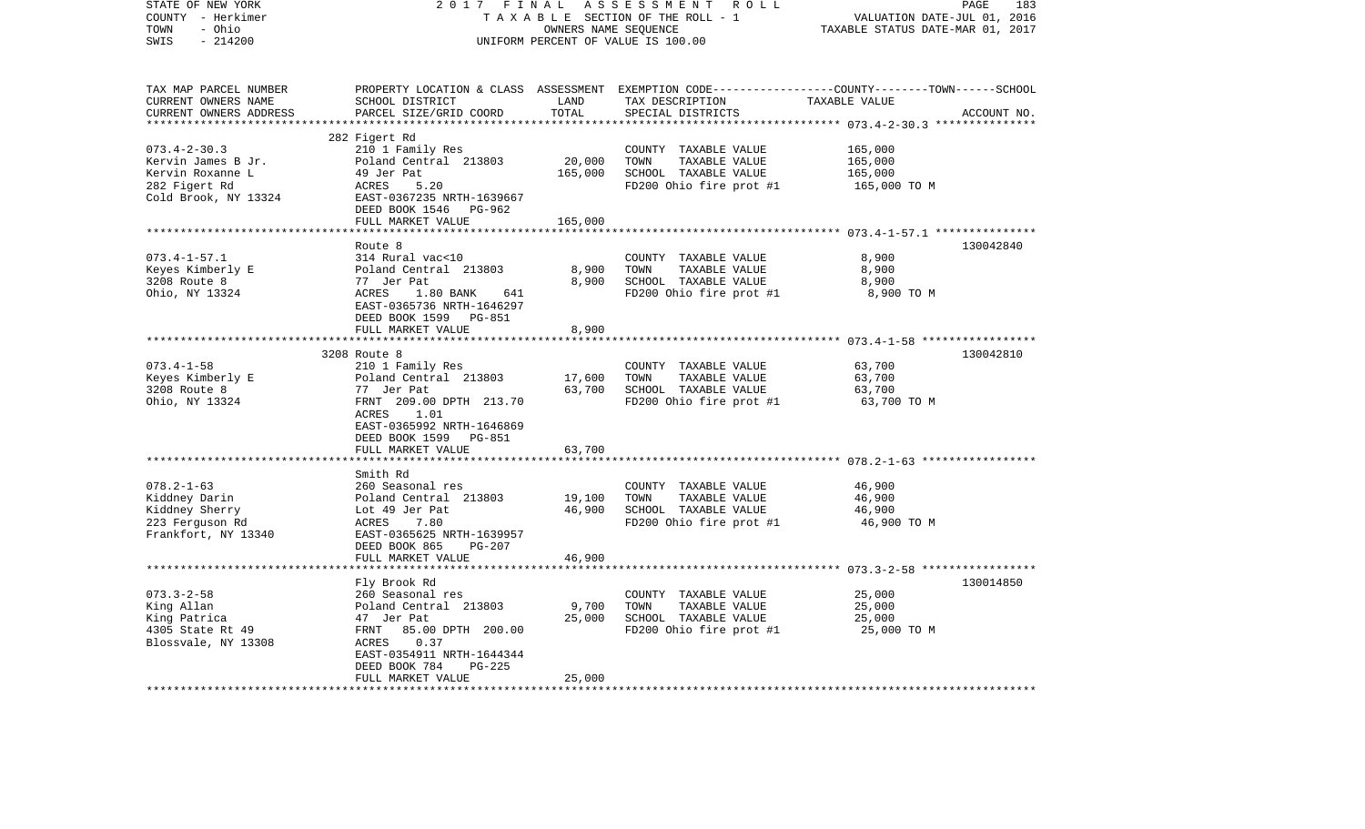| STATE OF NEW YORK<br>COUNTY - Herkimer  | 2017 FINAL                          | OWNERS NAME SEQUENCE             | ASSESSMENT<br>R O L L<br>TAXABLE SECTION OF THE ROLL - 1 | PAGE<br>183<br>VALUATION DATE-JUL 01, 2016                                                       |  |
|-----------------------------------------|-------------------------------------|----------------------------------|----------------------------------------------------------|--------------------------------------------------------------------------------------------------|--|
| - Ohio<br>TOWN<br>$-214200$<br>SWIS     | UNIFORM PERCENT OF VALUE IS 100.00  | TAXABLE STATUS DATE-MAR 01, 2017 |                                                          |                                                                                                  |  |
|                                         |                                     |                                  |                                                          |                                                                                                  |  |
| TAX MAP PARCEL NUMBER                   |                                     |                                  |                                                          | PROPERTY LOCATION & CLASS ASSESSMENT EXEMPTION CODE----------------COUNTY-------TOWN------SCHOOL |  |
| CURRENT OWNERS NAME                     | SCHOOL DISTRICT                     | LAND                             | TAX DESCRIPTION                                          | TAXABLE VALUE                                                                                    |  |
| CURRENT OWNERS ADDRESS                  | PARCEL SIZE/GRID COORD              | TOTAL                            | SPECIAL DISTRICTS                                        | ACCOUNT NO.                                                                                      |  |
| ***********************                 |                                     |                                  |                                                          |                                                                                                  |  |
|                                         | 282 Figert Rd                       |                                  |                                                          |                                                                                                  |  |
| $073.4 - 2 - 30.3$                      | 210 1 Family Res                    | 20,000                           | COUNTY TAXABLE VALUE<br>TOWN                             | 165,000                                                                                          |  |
| Kervin James B Jr.<br>Kervin Roxanne L  | Poland Central 213803<br>49 Jer Pat | 165,000                          | TAXABLE VALUE                                            | 165,000                                                                                          |  |
| 282 Figert Rd                           | ACRES<br>5.20                       |                                  | SCHOOL TAXABLE VALUE<br>FD200 Ohio fire prot #1          | 165,000<br>165,000 TO M                                                                          |  |
| Cold Brook, NY 13324                    | EAST-0367235 NRTH-1639667           |                                  |                                                          |                                                                                                  |  |
|                                         | DEED BOOK 1546 PG-962               |                                  |                                                          |                                                                                                  |  |
|                                         | FULL MARKET VALUE                   | 165,000                          |                                                          |                                                                                                  |  |
|                                         | ***********************             | ************                     |                                                          |                                                                                                  |  |
|                                         | Route 8                             |                                  |                                                          | 130042840                                                                                        |  |
| $073.4 - 1 - 57.1$                      | 314 Rural vac<10                    |                                  | COUNTY TAXABLE VALUE                                     | 8,900                                                                                            |  |
| Keyes Kimberly E                        | Poland Central 213803               | 8,900                            | TAXABLE VALUE<br>TOWN                                    | 8,900                                                                                            |  |
| 3208 Route 8                            | 77 Jer Pat                          | 8,900                            | SCHOOL TAXABLE VALUE                                     | 8,900                                                                                            |  |
| Ohio, NY 13324                          | ACRES<br>$1.80$ BANK<br>641         |                                  | FD200 Ohio fire prot #1                                  | 8,900 TO M                                                                                       |  |
|                                         | EAST-0365736 NRTH-1646297           |                                  |                                                          |                                                                                                  |  |
|                                         | DEED BOOK 1599 PG-851               |                                  |                                                          |                                                                                                  |  |
|                                         | FULL MARKET VALUE                   | 8,900                            |                                                          |                                                                                                  |  |
|                                         |                                     |                                  |                                                          |                                                                                                  |  |
|                                         | 3208 Route 8                        |                                  |                                                          | 130042810                                                                                        |  |
| $073.4 - 1 - 58$                        | 210 1 Family Res                    |                                  | COUNTY TAXABLE VALUE                                     | 63,700                                                                                           |  |
| Keyes Kimberly E                        | Poland Central 213803               | 17,600                           | TOWN<br>TAXABLE VALUE                                    | 63,700                                                                                           |  |
| 3208 Route 8                            | 77 Jer Pat                          | 63,700                           | SCHOOL TAXABLE VALUE                                     | 63,700                                                                                           |  |
| Ohio, NY 13324                          | FRNT 209.00 DPTH 213.70             |                                  | FD200 Ohio fire prot #1                                  | 63,700 TO M                                                                                      |  |
|                                         | ACRES<br>1.01                       |                                  |                                                          |                                                                                                  |  |
|                                         | EAST-0365992 NRTH-1646869           |                                  |                                                          |                                                                                                  |  |
|                                         | DEED BOOK 1599<br>PG-851            |                                  |                                                          |                                                                                                  |  |
|                                         | FULL MARKET VALUE                   | 63,700                           |                                                          |                                                                                                  |  |
|                                         | ******************************      |                                  |                                                          |                                                                                                  |  |
|                                         | Smith Rd                            |                                  |                                                          |                                                                                                  |  |
| $078.2 - 1 - 63$                        | 260 Seasonal res                    |                                  | COUNTY TAXABLE VALUE                                     | 46,900                                                                                           |  |
| Kiddney Darin                           | Poland Central 213803               | 19,100                           | TOWN<br>TAXABLE VALUE                                    | 46,900                                                                                           |  |
| Kiddney Sherry                          | Lot 49 Jer Pat                      | 46,900                           | SCHOOL TAXABLE VALUE                                     | 46,900                                                                                           |  |
| 223 Ferguson Rd                         | ACRES<br>7.80                       |                                  | FD200 Ohio fire prot #1                                  | 46,900 TO M                                                                                      |  |
| Frankfort, NY 13340                     | EAST-0365625 NRTH-1639957           |                                  |                                                          |                                                                                                  |  |
|                                         | DEED BOOK 865<br>PG-207             |                                  |                                                          |                                                                                                  |  |
|                                         | FULL MARKET VALUE                   | 46,900                           |                                                          |                                                                                                  |  |
|                                         | *******************************     |                                  |                                                          |                                                                                                  |  |
|                                         | Fly Brook Rd                        |                                  |                                                          | 130014850                                                                                        |  |
| $073.3 - 2 - 58$                        | 260 Seasonal res                    |                                  | COUNTY TAXABLE VALUE                                     | 25,000                                                                                           |  |
| King Allan                              | Poland Central 213803<br>47 Jer Pat | 9,700<br>25,000                  | TOWN<br>TAXABLE VALUE                                    | 25,000                                                                                           |  |
| King Patrica                            | FRNT<br>85.00 DPTH 200.00           |                                  | SCHOOL TAXABLE VALUE                                     | 25,000                                                                                           |  |
| 4305 State Rt 49<br>Blossvale, NY 13308 | 0.37<br>ACRES                       |                                  | FD200 Ohio fire prot #1                                  | 25,000 TO M                                                                                      |  |
|                                         | EAST-0354911 NRTH-1644344           |                                  |                                                          |                                                                                                  |  |
|                                         | DEED BOOK 784<br>$PG-225$           |                                  |                                                          |                                                                                                  |  |
|                                         | FULL MARKET VALUE                   | 25,000                           |                                                          |                                                                                                  |  |
|                                         |                                     |                                  |                                                          |                                                                                                  |  |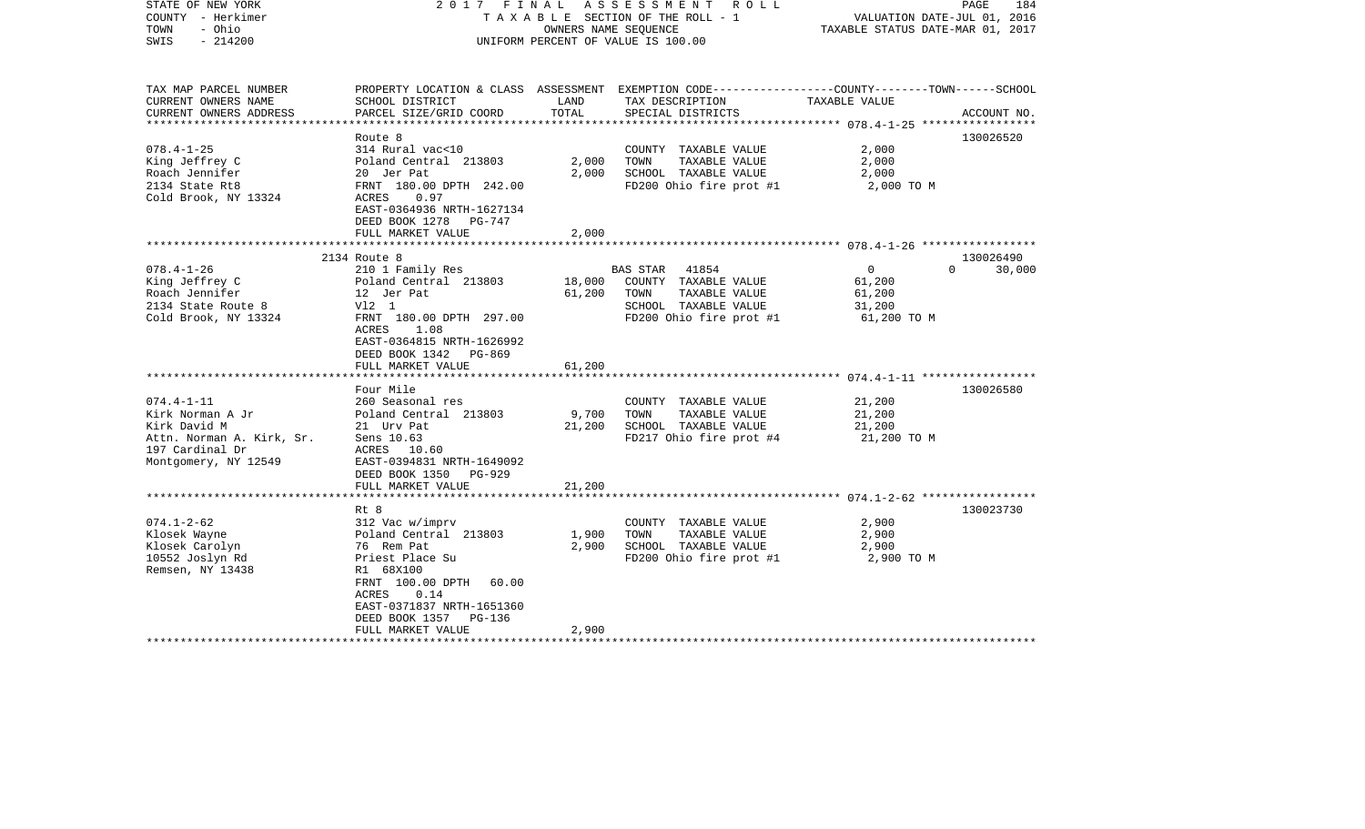| STATE OF NEW YORK<br>COUNTY - Herkimer<br>TOWN<br>- Ohio<br>$-214200$<br>SWIS | 2017 FINAL                                                                                     |                 | ASSESSMENT ROLL<br>TAXABLE SECTION OF THE ROLL - 1<br>OWNERS NAME SEOUENCE<br>UNIFORM PERCENT OF VALUE IS 100.00 | VALUATION DATE-JUL 01, 2016<br>TAXABLE STATUS DATE-MAR 01, 2017 | PAGE<br>184        |
|-------------------------------------------------------------------------------|------------------------------------------------------------------------------------------------|-----------------|------------------------------------------------------------------------------------------------------------------|-----------------------------------------------------------------|--------------------|
| TAX MAP PARCEL NUMBER                                                         |                                                                                                |                 | PROPERTY LOCATION & CLASS ASSESSMENT EXEMPTION CODE---------------COUNTY-------TOWN------SCHOOL                  |                                                                 |                    |
| CURRENT OWNERS NAME<br>CURRENT OWNERS ADDRESS                                 | SCHOOL DISTRICT<br>PARCEL SIZE/GRID COORD                                                      | LAND<br>TOTAL   | TAX DESCRIPTION<br>SPECIAL DISTRICTS                                                                             | TAXABLE VALUE                                                   | ACCOUNT NO.        |
|                                                                               |                                                                                                |                 |                                                                                                                  | ******************** 078.4-1-25 ******************              |                    |
| $078.4 - 1 - 25$                                                              | Route 8<br>314 Rural vac<10                                                                    |                 | COUNTY TAXABLE VALUE                                                                                             | 2,000                                                           | 130026520          |
| King Jeffrey C                                                                | Poland Central 213803                                                                          | 2,000           | TAXABLE VALUE<br>TOWN                                                                                            | 2,000                                                           |                    |
| Roach Jennifer                                                                | 20 Jer Pat                                                                                     | 2,000           | SCHOOL TAXABLE VALUE                                                                                             | 2,000                                                           |                    |
| 2134 State Rt8                                                                | FRNT 180.00 DPTH 242.00                                                                        |                 | FD200 Ohio fire prot #1                                                                                          | 2,000 TO M                                                      |                    |
| Cold Brook, NY 13324                                                          | ACRES<br>0.97<br>EAST-0364936 NRTH-1627134<br>DEED BOOK 1278<br>PG-747                         |                 |                                                                                                                  |                                                                 |                    |
|                                                                               | FULL MARKET VALUE                                                                              | 2,000           |                                                                                                                  |                                                                 |                    |
|                                                                               | 2134 Route 8                                                                                   |                 |                                                                                                                  |                                                                 | 130026490          |
| $078.4 - 1 - 26$                                                              | 210 1 Family Res                                                                               |                 | BAS STAR<br>41854                                                                                                | $\overline{0}$                                                  | 30,000<br>$\Omega$ |
| King Jeffrey C                                                                | Poland Central 213803                                                                          | 18,000          | COUNTY TAXABLE VALUE                                                                                             | 61,200                                                          |                    |
| Roach Jennifer                                                                | 12 Jer Pat                                                                                     | 61,200          | TOWN<br>TAXABLE VALUE                                                                                            | 61,200                                                          |                    |
| 2134 State Route 8                                                            | V12 1                                                                                          |                 | SCHOOL TAXABLE VALUE                                                                                             | 31,200                                                          |                    |
| Cold Brook, NY 13324                                                          | FRNT 180.00 DPTH 297.00<br>1.08<br>ACRES<br>EAST-0364815 NRTH-1626992<br>DEED BOOK 1342 PG-869 |                 | FD200 Ohio fire prot #1                                                                                          | 61,200 TO M                                                     |                    |
|                                                                               | FULL MARKET VALUE                                                                              | 61,200          |                                                                                                                  |                                                                 |                    |
|                                                                               |                                                                                                |                 |                                                                                                                  |                                                                 |                    |
| $074.4 - 1 - 11$                                                              | Four Mile                                                                                      |                 |                                                                                                                  |                                                                 | 130026580          |
| Kirk Norman A Jr                                                              | 260 Seasonal res                                                                               |                 | COUNTY TAXABLE VALUE<br>TOWN<br>TAXABLE VALUE                                                                    | 21,200                                                          |                    |
| Kirk David M                                                                  | Poland Central 213803<br>21 Urv Pat                                                            | 9,700<br>21,200 | SCHOOL TAXABLE VALUE                                                                                             | 21,200<br>21,200                                                |                    |
| Attn. Norman A. Kirk, Sr.                                                     | Sens 10.63                                                                                     |                 | FD217 Ohio fire prot #4                                                                                          | 21,200 TO M                                                     |                    |
| 197 Cardinal Dr<br>Montgomery, NY 12549                                       | ACRES 10.60<br>EAST-0394831 NRTH-1649092<br>DEED BOOK 1350<br>PG-929<br>FULL MARKET VALUE      | 21,200          |                                                                                                                  |                                                                 |                    |
|                                                                               |                                                                                                |                 |                                                                                                                  |                                                                 |                    |
|                                                                               | Rt 8                                                                                           |                 |                                                                                                                  |                                                                 | 130023730          |
| $074.1 - 2 - 62$                                                              | 312 Vac w/imprv                                                                                |                 | COUNTY TAXABLE VALUE                                                                                             | 2,900                                                           |                    |
| Klosek Wayne                                                                  | Poland Central 213803                                                                          | 1,900           | TOWN<br>TAXABLE VALUE                                                                                            | 2,900                                                           |                    |
| Klosek Carolyn                                                                | 76 Rem Pat                                                                                     | 2,900           | SCHOOL TAXABLE VALUE                                                                                             | 2,900                                                           |                    |
| 10552 Joslyn Rd                                                               | Priest Place Su                                                                                |                 | FD200 Ohio fire prot #1                                                                                          | 2,900 TO M                                                      |                    |
| Remsen, NY 13438                                                              | R1 68X100<br>FRNT 100.00 DPTH<br>60.00<br>0.14<br>ACRES                                        |                 |                                                                                                                  |                                                                 |                    |
|                                                                               | EAST-0371837 NRTH-1651360                                                                      |                 |                                                                                                                  |                                                                 |                    |
|                                                                               | DEED BOOK 1357<br>PG-136                                                                       |                 |                                                                                                                  |                                                                 |                    |
|                                                                               | FULL MARKET VALUE                                                                              | 2,900           |                                                                                                                  |                                                                 |                    |
|                                                                               |                                                                                                |                 | *****************************                                                                                    |                                                                 |                    |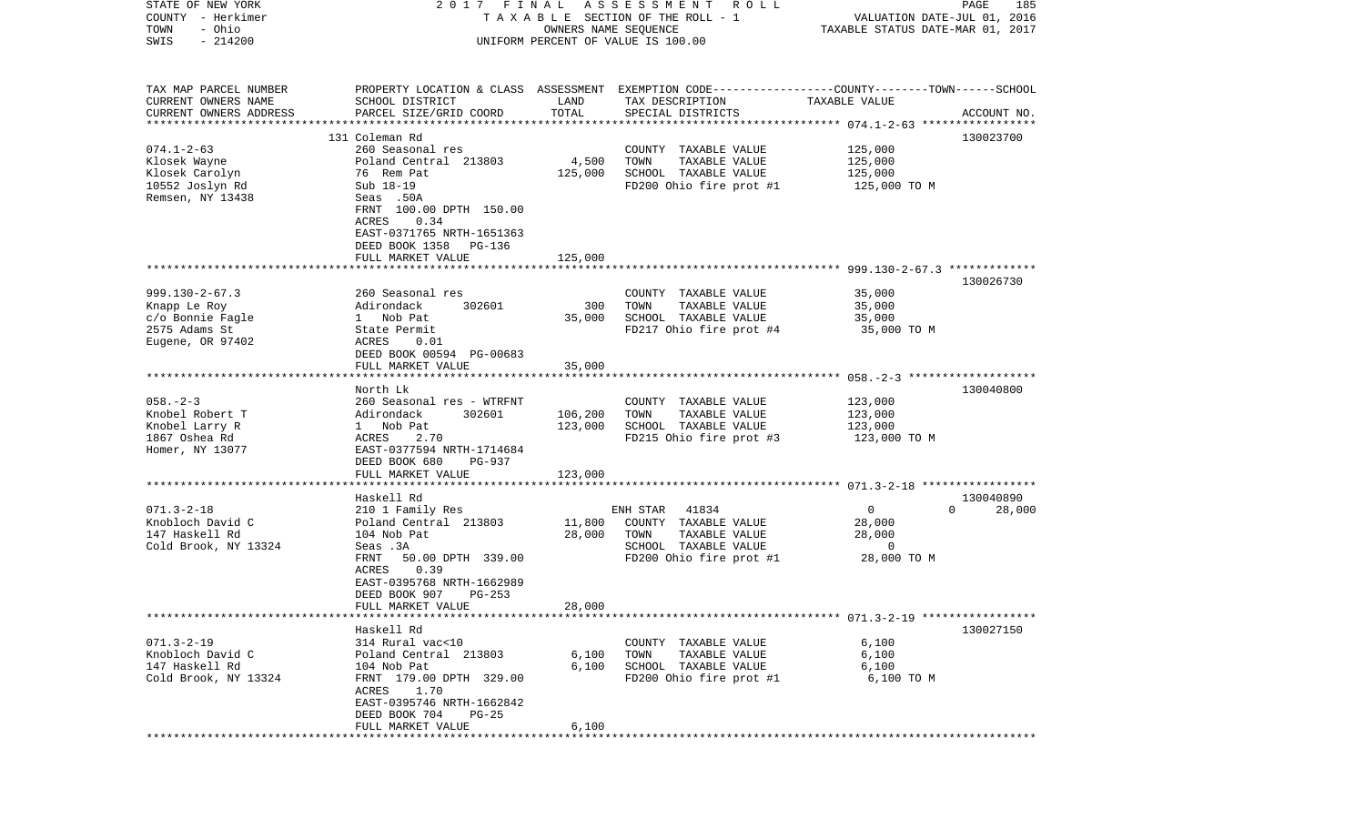| STATE OF NEW YORK      | 2017 FINAL                                                                                      |         | A S S E S S M E N T A O L L                   |                                  | PAGE<br>185        |
|------------------------|-------------------------------------------------------------------------------------------------|---------|-----------------------------------------------|----------------------------------|--------------------|
| COUNTY - Herkimer      |                                                                                                 |         | TAXABLE SECTION OF THE ROLL - 1               | VALUATION DATE-JUL 01, 2016      |                    |
| - Ohio<br>TOWN         |                                                                                                 |         | OWNERS NAME SEQUENCE                          | TAXABLE STATUS DATE-MAR 01, 2017 |                    |
| $-214200$<br>SWIS      |                                                                                                 |         | UNIFORM PERCENT OF VALUE IS 100.00            |                                  |                    |
|                        |                                                                                                 |         |                                               |                                  |                    |
|                        |                                                                                                 |         |                                               |                                  |                    |
| TAX MAP PARCEL NUMBER  | PROPERTY LOCATION & CLASS ASSESSMENT EXEMPTION CODE---------------COUNTY-------TOWN------SCHOOL |         |                                               |                                  |                    |
| CURRENT OWNERS NAME    | SCHOOL DISTRICT                                                                                 | LAND    | TAX DESCRIPTION                               | TAXABLE VALUE                    |                    |
| CURRENT OWNERS ADDRESS | PARCEL SIZE/GRID COORD                                                                          | TOTAL   | SPECIAL DISTRICTS                             |                                  | ACCOUNT NO.        |
|                        |                                                                                                 |         |                                               |                                  |                    |
|                        | 131 Coleman Rd                                                                                  |         |                                               |                                  | 130023700          |
| $074.1 - 2 - 63$       | 260 Seasonal res                                                                                |         | COUNTY TAXABLE VALUE                          | 125,000                          |                    |
| Klosek Wayne           | Poland Central 213803                                                                           | 4,500   | TOWN<br>TAXABLE VALUE                         | 125,000                          |                    |
| Klosek Carolyn         | 76 Rem Pat                                                                                      | 125,000 | SCHOOL TAXABLE VALUE                          | 125,000                          |                    |
| 10552 Joslyn Rd        | Sub 18-19                                                                                       |         | FD200 Ohio fire prot #1                       | 125,000 TO M                     |                    |
| Remsen, NY 13438       | Seas .50A                                                                                       |         |                                               |                                  |                    |
|                        | FRNT 100.00 DPTH 150.00                                                                         |         |                                               |                                  |                    |
|                        | ACRES<br>0.34                                                                                   |         |                                               |                                  |                    |
|                        | EAST-0371765 NRTH-1651363                                                                       |         |                                               |                                  |                    |
|                        | DEED BOOK 1358<br>PG-136<br>FULL MARKET VALUE                                                   | 125,000 |                                               |                                  |                    |
|                        |                                                                                                 |         |                                               |                                  |                    |
|                        |                                                                                                 |         |                                               |                                  | 130026730          |
| $999.130 - 2 - 67.3$   | 260 Seasonal res                                                                                |         | COUNTY TAXABLE VALUE                          | 35,000                           |                    |
| Knapp Le Roy           | 302601<br>Adirondack                                                                            | 300     | TOWN<br>TAXABLE VALUE                         | 35,000                           |                    |
| c/o Bonnie Fagle       | 1 Nob Pat                                                                                       | 35,000  | SCHOOL TAXABLE VALUE                          | 35,000                           |                    |
| 2575 Adams St          | State Permit                                                                                    |         | FD217 Ohio fire prot #4                       | 35,000 TO M                      |                    |
| Eugene, OR 97402       | ACRES<br>0.01                                                                                   |         |                                               |                                  |                    |
|                        | DEED BOOK 00594 PG-00683                                                                        |         |                                               |                                  |                    |
|                        | FULL MARKET VALUE                                                                               | 35,000  |                                               |                                  |                    |
|                        |                                                                                                 |         |                                               |                                  |                    |
|                        | North Lk                                                                                        |         |                                               |                                  | 130040800          |
| $058. - 2 - 3$         | 260 Seasonal res - WTRFNT                                                                       |         | COUNTY TAXABLE VALUE                          | 123,000                          |                    |
| Knobel Robert T        | Adirondack<br>302601                                                                            | 106,200 | TOWN<br>TAXABLE VALUE                         | 123,000                          |                    |
| Knobel Larry R         | 1 Nob Pat                                                                                       | 123,000 | SCHOOL TAXABLE VALUE                          | 123,000                          |                    |
| 1867 Oshea Rd          | ACRES<br>2.70                                                                                   |         | FD215 Ohio fire prot #3                       | 123,000 TO M                     |                    |
| Homer, NY 13077        | EAST-0377594 NRTH-1714684                                                                       |         |                                               |                                  |                    |
|                        | DEED BOOK 680<br>PG-937                                                                         |         |                                               |                                  |                    |
|                        | FULL MARKET VALUE                                                                               | 123,000 |                                               |                                  |                    |
|                        |                                                                                                 |         |                                               |                                  |                    |
|                        | Haskell Rd                                                                                      |         |                                               |                                  | 130040890          |
| $071.3 - 2 - 18$       | 210 1 Family Res                                                                                |         | ENH STAR<br>41834                             | $\overline{0}$                   | $\Omega$<br>28,000 |
| Knobloch David C       | Poland Central 213803                                                                           | 11,800  | COUNTY TAXABLE VALUE                          | 28,000                           |                    |
| 147 Haskell Rd         | 104 Nob Pat                                                                                     | 28,000  | TOWN<br>TAXABLE VALUE<br>SCHOOL TAXABLE VALUE | 28,000<br>$\overline{0}$         |                    |
| Cold Brook, NY 13324   | Seas .3A<br>50.00 DPTH 339.00                                                                   |         |                                               | 28,000 TO M                      |                    |
|                        | FRNT<br>0.39<br>ACRES                                                                           |         | FD200 Ohio fire prot #1                       |                                  |                    |
|                        | EAST-0395768 NRTH-1662989                                                                       |         |                                               |                                  |                    |
|                        | DEED BOOK 907<br>$PG-253$                                                                       |         |                                               |                                  |                    |
|                        | FULL MARKET VALUE                                                                               | 28,000  |                                               |                                  |                    |
|                        |                                                                                                 |         |                                               |                                  |                    |
|                        | Haskell Rd                                                                                      |         |                                               |                                  | 130027150          |
| $071.3 - 2 - 19$       | 314 Rural vac<10                                                                                |         | COUNTY TAXABLE VALUE                          | 6,100                            |                    |
| Knobloch David C       | Poland Central 213803                                                                           | 6,100   | TOWN<br>TAXABLE VALUE                         | 6,100                            |                    |
| 147 Haskell Rd         | 104 Nob Pat                                                                                     | 6,100   | SCHOOL TAXABLE VALUE                          | 6,100                            |                    |
| Cold Brook, NY 13324   | FRNT 179.00 DPTH 329.00                                                                         |         | FD200 Ohio fire prot #1                       | 6,100 TO M                       |                    |
|                        | ACRES 1.70                                                                                      |         |                                               |                                  |                    |
|                        | EAST-0395746 NRTH-1662842                                                                       |         |                                               |                                  |                    |
|                        | DEED BOOK 704<br>PG-25                                                                          |         |                                               |                                  |                    |
|                        | FULL MARKET VALUE                                                                               | 6,100   |                                               |                                  |                    |
|                        |                                                                                                 |         |                                               |                                  |                    |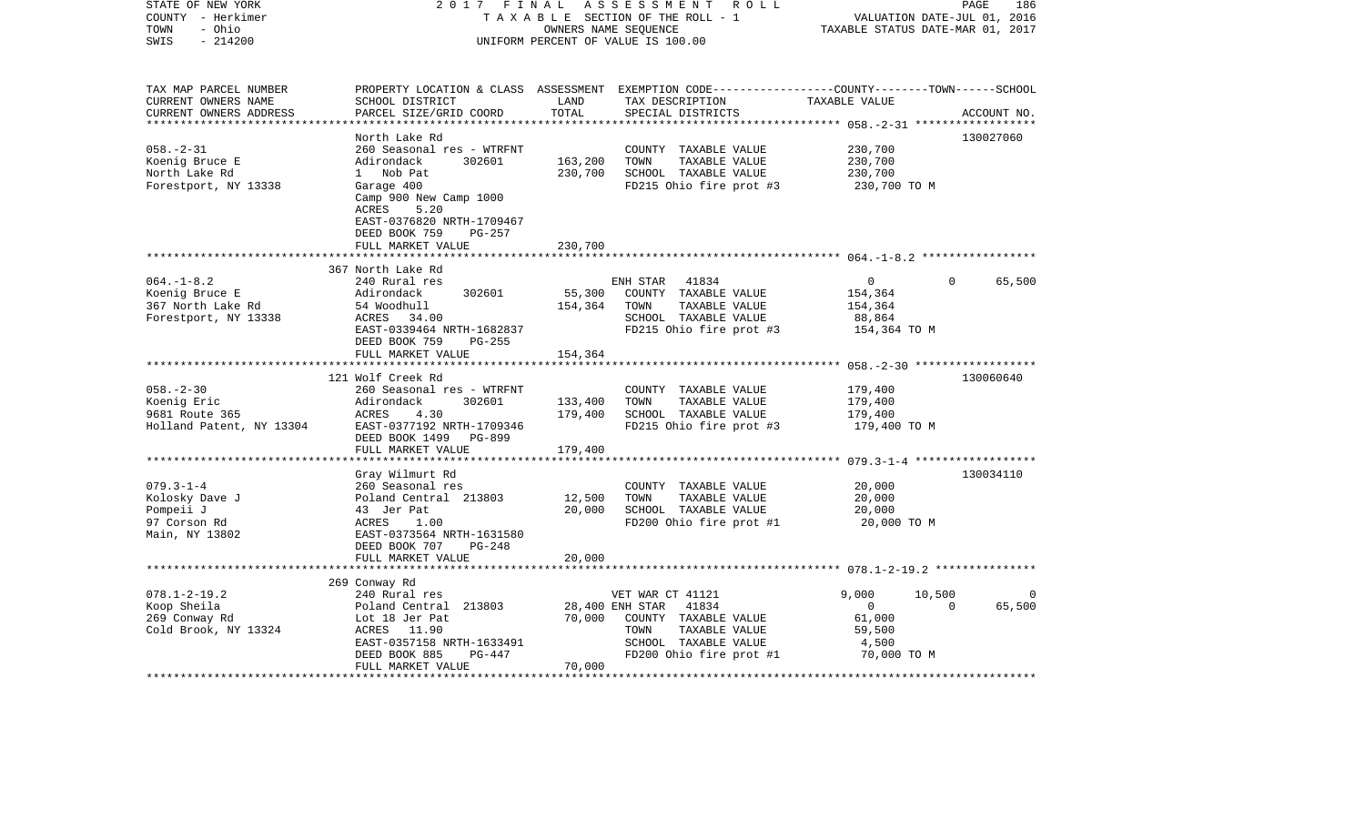| STATE OF NEW YORK<br>COUNTY - Herkimer | 2017<br>FINAL<br>TAXABLE SECTION OF THE ROLL - 1            | 186<br>PAGE<br>VALUATION DATE-JUL 01, 2016 |                                                                                                 |                        |                    |
|----------------------------------------|-------------------------------------------------------------|--------------------------------------------|-------------------------------------------------------------------------------------------------|------------------------|--------------------|
| - Ohio<br>TOWN<br>$-214200$<br>SWIS    | UNIFORM PERCENT OF VALUE IS 100.00                          | TAXABLE STATUS DATE-MAR 01, 2017           |                                                                                                 |                        |                    |
| TAX MAP PARCEL NUMBER                  |                                                             |                                            | PROPERTY LOCATION & CLASS ASSESSMENT EXEMPTION CODE---------------COUNTY-------TOWN------SCHOOL |                        |                    |
| CURRENT OWNERS NAME                    | SCHOOL DISTRICT                                             | LAND                                       | TAX DESCRIPTION                                                                                 | TAXABLE VALUE          |                    |
| CURRENT OWNERS ADDRESS                 | PARCEL SIZE/GRID COORD                                      | TOTAL                                      | SPECIAL DISTRICTS                                                                               |                        | ACCOUNT NO.        |
| *************************              |                                                             |                                            |                                                                                                 |                        |                    |
|                                        | North Lake Rd                                               |                                            |                                                                                                 |                        | 130027060          |
| $058. - 2 - 31$                        | 260 Seasonal res - WTRFNT                                   |                                            | COUNTY TAXABLE VALUE                                                                            | 230,700                |                    |
| Koenig Bruce E                         | Adirondack<br>302601                                        | 163,200                                    | TOWN<br>TAXABLE VALUE                                                                           | 230,700                |                    |
| North Lake Rd                          | 1 Nob Pat                                                   | 230,700                                    | SCHOOL TAXABLE VALUE                                                                            | 230,700                |                    |
| Forestport, NY 13338                   | Garage 400<br>Camp 900 New Camp 1000<br>ACRES<br>5.20       |                                            | FD215 Ohio fire prot #3                                                                         | 230,700 TO M           |                    |
|                                        | EAST-0376820 NRTH-1709467<br>DEED BOOK 759<br><b>PG-257</b> |                                            |                                                                                                 |                        |                    |
|                                        | FULL MARKET VALUE                                           | 230,700                                    |                                                                                                 |                        |                    |
|                                        |                                                             |                                            |                                                                                                 |                        |                    |
|                                        | 367 North Lake Rd                                           |                                            |                                                                                                 |                        |                    |
| $064. -1 - 8.2$                        | 240 Rural res                                               |                                            | ENH STAR 41834                                                                                  | $\overline{0}$         | $\Omega$<br>65,500 |
| Koenig Bruce E                         | 302601<br>Adirondack                                        | 55,300                                     | COUNTY TAXABLE VALUE                                                                            | 154,364                |                    |
| 367 North Lake Rd                      | 54 Woodhull                                                 | 154,364                                    | TOWN<br>TAXABLE VALUE                                                                           | 154,364                |                    |
| Forestport, NY 13338                   | ACRES 34.00<br>EAST-0339464 NRTH-1682837                    |                                            | SCHOOL TAXABLE VALUE<br>FD215 Ohio fire prot #3                                                 | 88,864<br>154,364 TO M |                    |
|                                        | DEED BOOK 759<br>PG-255                                     |                                            |                                                                                                 |                        |                    |
|                                        | FULL MARKET VALUE                                           | 154,364                                    |                                                                                                 |                        |                    |
|                                        |                                                             |                                            |                                                                                                 |                        |                    |
|                                        | 121 Wolf Creek Rd                                           |                                            |                                                                                                 |                        | 130060640          |
| $058. - 2 - 30$                        | 260 Seasonal res - WTRFNT                                   |                                            | COUNTY TAXABLE VALUE                                                                            | 179,400                |                    |
| Koenig Eric                            | Adirondack<br>302601                                        | 133,400                                    | TOWN<br>TAXABLE VALUE                                                                           | 179,400                |                    |
| 9681 Route 365                         | ACRES<br>4.30                                               | 179,400                                    | SCHOOL TAXABLE VALUE                                                                            | 179,400                |                    |
| Holland Patent, NY 13304               | EAST-0377192 NRTH-1709346                                   |                                            | FD215 Ohio fire prot #3                                                                         | 179,400 TO M           |                    |
|                                        | DEED BOOK 1499 PG-899                                       |                                            |                                                                                                 |                        |                    |
|                                        | FULL MARKET VALUE                                           | 179,400                                    |                                                                                                 |                        |                    |
|                                        | *****************************                               |                                            |                                                                                                 |                        |                    |
|                                        | Gray Wilmurt Rd                                             |                                            |                                                                                                 |                        | 130034110          |
| $079.3 - 1 - 4$                        | 260 Seasonal res                                            |                                            | COUNTY TAXABLE VALUE                                                                            | 20,000                 |                    |
| Kolosky Dave J                         | Poland Central 213803                                       | 12,500                                     | TOWN<br>TAXABLE VALUE                                                                           | 20,000                 |                    |
| Pompeii J                              | 43 Jer Pat                                                  | 20,000                                     | SCHOOL TAXABLE VALUE                                                                            | 20,000                 |                    |
| 97 Corson Rd<br>Main, NY 13802         | ACRES<br>1.00<br>EAST-0373564 NRTH-1631580                  |                                            | FD200 Ohio fire prot #1                                                                         | 20,000 TO M            |                    |
|                                        | DEED BOOK 707<br>$PG-248$                                   |                                            |                                                                                                 |                        |                    |
|                                        | FULL MARKET VALUE                                           | 20,000                                     |                                                                                                 |                        |                    |
|                                        |                                                             |                                            |                                                                                                 |                        |                    |
|                                        | 269 Conway Rd                                               |                                            |                                                                                                 |                        |                    |
| $078.1 - 2 - 19.2$                     | 240 Rural res                                               |                                            | VET WAR CT 41121                                                                                | 9,000                  | 10,500             |
| Koop Sheila                            | Poland Central 213803                                       |                                            | 28,400 ENH STAR<br>41834                                                                        | $\overline{0}$         | $\Omega$<br>65,500 |
| 269 Conway Rd                          | Lot 18 Jer Pat                                              | 70,000                                     | COUNTY TAXABLE VALUE                                                                            | 61,000                 |                    |
| Cold Brook, NY 13324                   | ACRES 11.90                                                 |                                            | TOWN<br>TAXABLE VALUE                                                                           | 59,500                 |                    |
|                                        | EAST-0357158 NRTH-1633491<br>PG-447<br>DEED BOOK 885        |                                            | SCHOOL TAXABLE VALUE<br>FD200 Ohio fire prot #1                                                 | 4,500<br>70,000 TO M   |                    |
|                                        | FULL MARKET VALUE                                           | 70,000                                     |                                                                                                 |                        |                    |
|                                        |                                                             |                                            |                                                                                                 |                        |                    |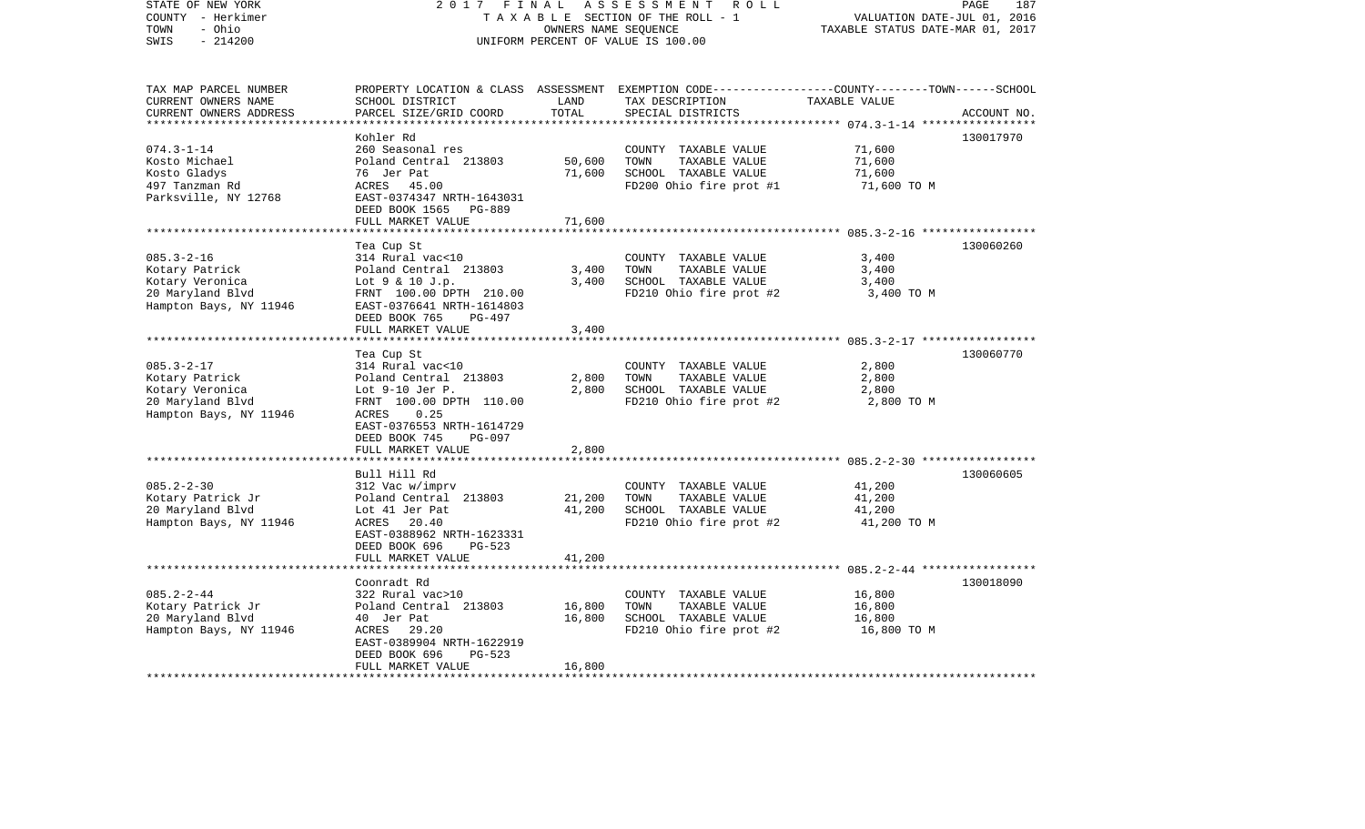| STATE OF NEW YORK<br>COUNTY - Herkimer<br>- Ohio<br>TOWN<br>$-214200$<br>SWIS                       | 2017 FINAL                                                                                                                                                                                     |                                     | ASSESSMENT<br>R O L L<br>TAXABLE SECTION OF THE ROLL - 1<br>OWNERS NAME SEQUENCE<br>UNIFORM PERCENT OF VALUE IS 100.00                   | VALUATION DATE-JUL 01, 2016<br>TAXABLE STATUS DATE-MAR 01, 2017                           | PAGE<br>187 |
|-----------------------------------------------------------------------------------------------------|------------------------------------------------------------------------------------------------------------------------------------------------------------------------------------------------|-------------------------------------|------------------------------------------------------------------------------------------------------------------------------------------|-------------------------------------------------------------------------------------------|-------------|
| TAX MAP PARCEL NUMBER<br>CURRENT OWNERS NAME<br>CURRENT OWNERS ADDRESS                              | SCHOOL DISTRICT<br>PARCEL SIZE/GRID COORD                                                                                                                                                      | LAND<br>TOTAL                       | PROPERTY LOCATION & CLASS ASSESSMENT EXEMPTION CODE----------------COUNTY-------TOWN------SCHOOL<br>TAX DESCRIPTION<br>SPECIAL DISTRICTS | TAXABLE VALUE                                                                             | ACCOUNT NO. |
| $074.3 - 1 - 14$<br>Kosto Michael<br>Kosto Gladys<br>497 Tanzman Rd<br>Parksville, NY 12768         | Kohler Rd<br>260 Seasonal res<br>Poland Central 213803<br>76 Jer Pat<br>ACRES<br>45.00<br>EAST-0374347 NRTH-1643031<br>DEED BOOK 1565 PG-889<br>FULL MARKET VALUE                              | 50,600<br>71,600<br>71,600          | COUNTY TAXABLE VALUE<br>TOWN<br>TAXABLE VALUE<br>SCHOOL TAXABLE VALUE<br>FD200 Ohio fire prot #1                                         | 71,600<br>71,600<br>71,600<br>71,600 TO M                                                 | 130017970   |
| $085.3 - 2 - 16$<br>Kotary Patrick<br>Kotary Veronica<br>20 Maryland Blvd<br>Hampton Bays, NY 11946 | Tea Cup St<br>314 Rural vac<10<br>Poland Central 213803<br>Lot 9 & 10 J.p.<br>FRNT 100.00 DPTH 210.00<br>EAST-0376641 NRTH-1614803<br>DEED BOOK 765<br>PG-497<br>FULL MARKET VALUE             | 3,400<br>3,400<br>3,400             | COUNTY TAXABLE VALUE<br>TOWN<br>TAXABLE VALUE<br>SCHOOL TAXABLE VALUE<br>FD210 Ohio fire prot #2                                         | 3,400<br>3,400<br>3,400<br>3,400 TO M                                                     | 130060260   |
| $085.3 - 2 - 17$<br>Kotary Patrick<br>Kotary Veronica<br>20 Maryland Blvd<br>Hampton Bays, NY 11946 | Tea Cup St<br>314 Rural vac<10<br>Poland Central 213803<br>Lot 9-10 Jer P.<br>FRNT 100.00 DPTH 110.00<br>0.25<br>ACRES<br>EAST-0376553 NRTH-1614729<br>DEED BOOK 745<br>PG-097                 | 2,800<br>2,800                      | COUNTY TAXABLE VALUE<br>TAXABLE VALUE<br>TOWN<br>SCHOOL TAXABLE VALUE<br>FD210 Ohio fire prot #2                                         | 2,800<br>2,800<br>2,800<br>2,800 TO M                                                     | 130060770   |
| $085.2 - 2 - 30$<br>Kotary Patrick Jr<br>20 Maryland Blvd<br>Hampton Bays, NY 11946                 | FULL MARKET VALUE<br>Bull Hill Rd<br>312 Vac w/imprv<br>Poland Central 213803<br>Lot 41 Jer Pat<br>20.40<br>ACRES<br>EAST-0388962 NRTH-1623331<br>DEED BOOK 696<br>PG-523<br>FULL MARKET VALUE | 2,800<br>21,200<br>41,200<br>41,200 | COUNTY TAXABLE VALUE<br>TOWN<br>TAXABLE VALUE<br>SCHOOL TAXABLE VALUE<br>FD210 Ohio fire prot #2                                         | 41,200<br>41,200<br>41,200<br>41,200 TO M                                                 | 130060605   |
| $085.2 - 2 - 44$<br>Kotary Patrick Jr<br>20 Maryland Blvd<br>Hampton Bays, NY 11946                 | ******************<br>Coonradt Rd<br>322 Rural vac>10<br>Poland Central 213803<br>40 Jer Pat<br>29.20<br>ACRES<br>EAST-0389904 NRTH-1622919<br>PG-523<br>DEED BOOK 696<br>FULL MARKET VALUE    | 16,800<br>16,800<br>16,800          | COUNTY TAXABLE VALUE<br>TOWN<br>TAXABLE VALUE<br>SCHOOL TAXABLE VALUE<br>FD210 Ohio fire prot #2                                         | ****************** 085.2-2-44 **************<br>16,800<br>16,800<br>16,800<br>16,800 TO M | 130018090   |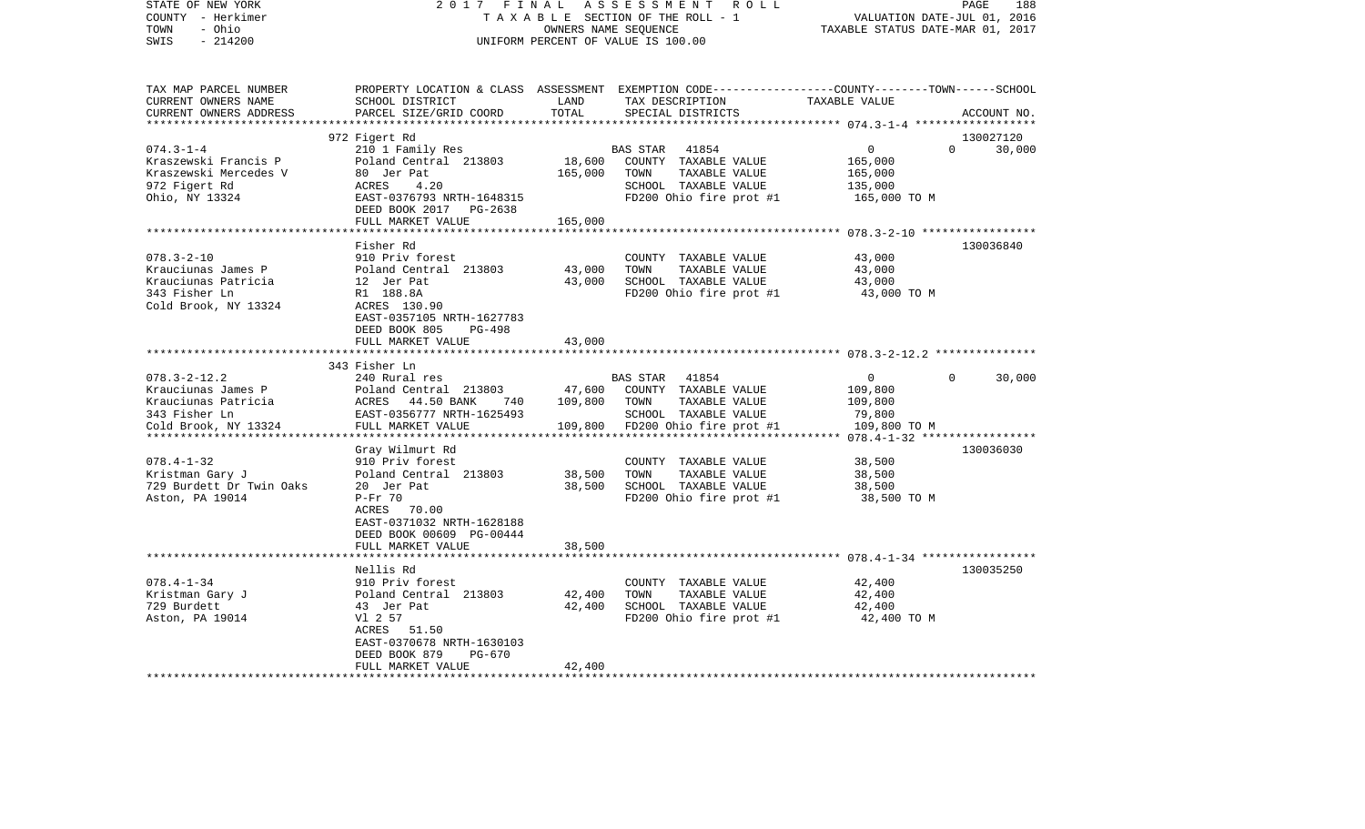| STATE OF NEW YORK<br>COUNTY - Herkimer<br>- Ohio<br>TOWN<br>$-214200$<br>SWIS                                             | 2017 FINAL<br>TAXABLE SECTION OF THE ROLL - 1<br>UNIFORM PERCENT OF VALUE IS 100.00                                                                                                                  | PAGE<br>188<br>VALUATION DATE-JUL 01, 2016<br>TAXABLE STATUS DATE-MAR 01, 2017 |                                                                                                                                         |                                                                |                    |
|---------------------------------------------------------------------------------------------------------------------------|------------------------------------------------------------------------------------------------------------------------------------------------------------------------------------------------------|--------------------------------------------------------------------------------|-----------------------------------------------------------------------------------------------------------------------------------------|----------------------------------------------------------------|--------------------|
| TAX MAP PARCEL NUMBER<br>CURRENT OWNERS NAME<br>CURRENT OWNERS ADDRESS                                                    | SCHOOL DISTRICT<br>PARCEL SIZE/GRID COORD                                                                                                                                                            | LAND<br>TOTAL                                                                  | PROPERTY LOCATION & CLASS ASSESSMENT EXEMPTION CODE---------------COUNTY-------TOWN------SCHOOL<br>TAX DESCRIPTION<br>SPECIAL DISTRICTS | TAXABLE VALUE                                                  | ACCOUNT NO.        |
|                                                                                                                           | 972 Figert Rd                                                                                                                                                                                        |                                                                                |                                                                                                                                         |                                                                | 130027120          |
| $074.3 - 1 - 4$<br>Kraszewski Francis P<br>Kraszewski Mercedes V<br>972 Figert Rd<br>Ohio, NY 13324                       | 210 1 Family Res<br>Poland Central 213803<br>80 Jer Pat<br>4.20<br>ACRES<br>EAST-0376793 NRTH-1648315<br>DEED BOOK 2017 PG-2638                                                                      | 18,600<br>165,000                                                              | BAS STAR<br>41854<br>COUNTY TAXABLE VALUE<br>TOWN<br>TAXABLE VALUE<br>SCHOOL TAXABLE VALUE<br>FD200 Ohio fire prot #1                   | $\mathbf{0}$<br>165,000<br>165,000<br>135,000<br>165,000 TO M  | $\Omega$<br>30,000 |
|                                                                                                                           | FULL MARKET VALUE                                                                                                                                                                                    | 165,000<br>**********************                                              |                                                                                                                                         | ************************ 078.3-2-10 ******************         |                    |
| $078.3 - 2 - 10$<br>Krauciunas James P<br>Krauciunas Patricia<br>343 Fisher Ln<br>Cold Brook, NY 13324                    | Fisher Rd<br>910 Priv forest<br>Poland Central 213803<br>12 Jer Pat<br>R1 188.8A<br>ACRES 130.90<br>EAST-0357105 NRTH-1627783<br>DEED BOOK 805<br>PG-498<br>FULL MARKET VALUE                        | 43,000<br>43,000<br>43,000                                                     | COUNTY TAXABLE VALUE<br>TOWN<br>TAXABLE VALUE<br>SCHOOL TAXABLE VALUE<br>FD200 Ohio fire prot #1                                        | 43,000<br>43,000<br>43,000<br>43,000 TO M                      | 130036840          |
|                                                                                                                           |                                                                                                                                                                                                      |                                                                                |                                                                                                                                         |                                                                |                    |
| $078.3 - 2 - 12.2$<br>Krauciunas James P<br>Krauciunas Patricia<br>343 Fisher Ln<br>Cold Brook, NY 13324<br>************* | 343 Fisher Ln<br>240 Rural res<br>Poland Central 213803<br>ACRES 44.50 BANK<br>740<br>EAST-0356777 NRTH-1625493<br>FULL MARKET VALUE<br>*********************                                        | 47,600<br>109,800<br>109,800<br>* * * * * * * * * *                            | BAS STAR<br>41854<br>COUNTY TAXABLE VALUE<br>TOWN<br>TAXABLE VALUE<br>SCHOOL TAXABLE VALUE<br>FD200 Ohio fire prot #1                   | $\overline{0}$<br>109,800<br>109,800<br>79,800<br>109,800 TO M | $\Omega$<br>30,000 |
|                                                                                                                           | Gray Wilmurt Rd                                                                                                                                                                                      |                                                                                |                                                                                                                                         | ****** 078.4-1-32 *****************                            | 130036030          |
| $078.4 - 1 - 32$<br>Kristman Gary J<br>729 Burdett Dr Twin Oaks<br>Aston, PA 19014                                        | 910 Priv forest<br>Poland Central 213803<br>20 Jer Pat<br>$P-Fr$ 70<br>ACRES 70.00<br>EAST-0371032 NRTH-1628188<br>DEED BOOK 00609 PG-00444                                                          | 38,500<br>38,500                                                               | COUNTY TAXABLE VALUE<br>TOWN<br>TAXABLE VALUE<br>SCHOOL TAXABLE VALUE<br>FD200 Ohio fire prot #1                                        | 38,500<br>38,500<br>38,500<br>38,500 TO M                      |                    |
|                                                                                                                           | FULL MARKET VALUE                                                                                                                                                                                    | 38,500                                                                         |                                                                                                                                         |                                                                |                    |
| $078.4 - 1 - 34$<br>Kristman Gary J<br>729 Burdett<br>Aston, PA 19014                                                     | *******************<br>Nellis Rd<br>910 Priv forest<br>Poland Central 213803<br>43 Jer Pat<br>V1 2 57<br>ACRES<br>51.50<br>EAST-0370678 NRTH-1630103<br>DEED BOOK 879<br>PG-670<br>FULL MARKET VALUE | *********<br>42,400<br>42,400<br>42,400                                        | COUNTY TAXABLE VALUE<br>TOWN<br>TAXABLE VALUE<br>SCHOOL TAXABLE VALUE<br>FD200 Ohio fire prot #1                                        | 42,400<br>42,400<br>42,400<br>42,400 TO M                      | 130035250          |
| ***********************                                                                                                   | *******************************                                                                                                                                                                      | *************                                                                  |                                                                                                                                         |                                                                |                    |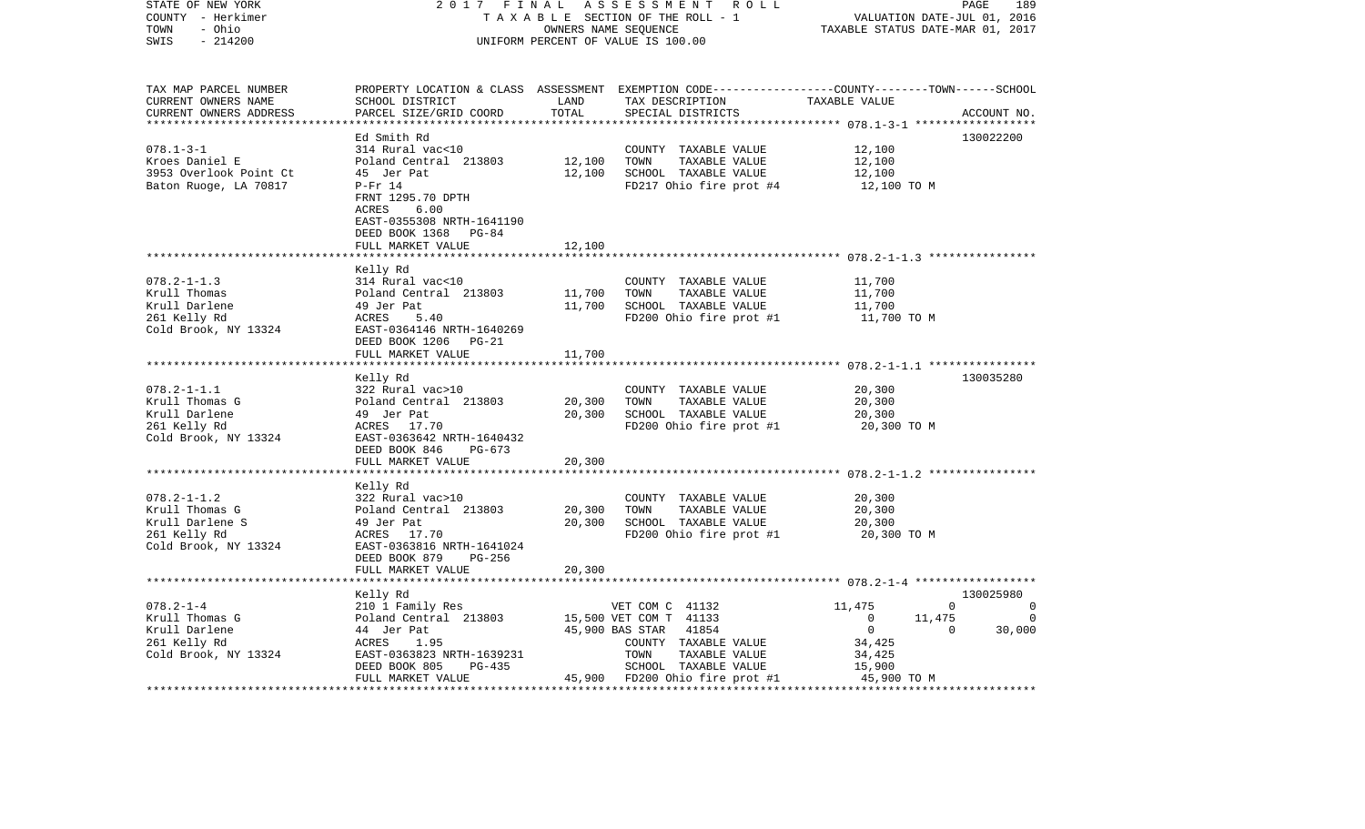| STATE OF NEW YORK<br>COUNTY - Herkimer<br>TOWN<br>- Ohio<br>$-214200$<br>SWIS                       | 2017 FINAL<br>TAXABLE SECTION OF THE ROLL - 1<br>UNIFORM PERCENT OF VALUE IS 100.00                                                                                            | PAGE<br>189<br>VALUATION DATE-JUL 01, 2016<br>TAXABLE STATUS DATE-MAR 01, 2017 |                                                                                                                        |                                                             |                                                              |
|-----------------------------------------------------------------------------------------------------|--------------------------------------------------------------------------------------------------------------------------------------------------------------------------------|--------------------------------------------------------------------------------|------------------------------------------------------------------------------------------------------------------------|-------------------------------------------------------------|--------------------------------------------------------------|
| TAX MAP PARCEL NUMBER<br>CURRENT OWNERS NAME<br>CURRENT OWNERS ADDRESS<br>************************* | PROPERTY LOCATION & CLASS ASSESSMENT EXEMPTION CODE----------------COUNTY-------TOWN------SCHOOL<br>SCHOOL DISTRICT<br>PARCEL SIZE/GRID COORD                                  | LAND<br>TOTAL                                                                  | TAX DESCRIPTION<br>SPECIAL DISTRICTS                                                                                   | TAXABLE VALUE                                               | ACCOUNT NO.                                                  |
| $078.1 - 3 - 1$<br>Kroes Daniel E<br>3953 Overlook Point Ct<br>Baton Ruoge, LA 70817                | Ed Smith Rd<br>314 Rural vac<10<br>Poland Central 213803<br>45 Jer Pat<br>$P-Fr$ 14<br>FRNT 1295.70 DPTH<br>ACRES<br>6.00<br>EAST-0355308 NRTH-1641190<br>DEED BOOK 1368 PG-84 | 12,100<br>12,100                                                               | COUNTY TAXABLE VALUE<br>TOWN<br>TAXABLE VALUE<br>SCHOOL TAXABLE VALUE<br>FD217 Ohio fire prot #4                       | 12,100<br>12,100<br>12,100<br>12,100 TO M                   | 130022200                                                    |
|                                                                                                     | FULL MARKET VALUE                                                                                                                                                              | 12,100                                                                         |                                                                                                                        |                                                             |                                                              |
| $078.2 - 1 - 1.3$<br>Krull Thomas<br>Krull Darlene<br>261 Kelly Rd<br>Cold Brook, NY 13324          | Kelly Rd<br>314 Rural vac<10<br>Poland Central 213803<br>49 Jer Pat<br>ACRES<br>5.40<br>EAST-0364146 NRTH-1640269<br>DEED BOOK 1206 PG-21<br>FULL MARKET VALUE                 | 11,700<br>11,700<br>11,700                                                     | COUNTY TAXABLE VALUE<br>TOWN<br>TAXABLE VALUE<br>SCHOOL TAXABLE VALUE<br>FD200 Ohio fire prot #1                       | 11,700<br>11,700<br>11,700<br>11,700 TO M                   |                                                              |
|                                                                                                     |                                                                                                                                                                                |                                                                                |                                                                                                                        |                                                             |                                                              |
| $078.2 - 1 - 1.1$<br>Krull Thomas G<br>Krull Darlene<br>261 Kelly Rd<br>Cold Brook, NY 13324        | Kelly Rd<br>322 Rural vac>10<br>Poland Central 213803<br>49 Jer Pat<br>ACRES 17.70<br>EAST-0363642 NRTH-1640432<br>DEED BOOK 846<br>PG-673<br>FULL MARKET VALUE                | 20,300<br>20,300<br>20,300                                                     | COUNTY TAXABLE VALUE<br>TOWN<br>TAXABLE VALUE<br>SCHOOL TAXABLE VALUE<br>FD200 Ohio fire prot #1                       | 20,300<br>20,300<br>20,300<br>20,300 TO M                   | 130035280                                                    |
|                                                                                                     |                                                                                                                                                                                | ********                                                                       |                                                                                                                        | ************************ 078.2-1-1.2 *****************      |                                                              |
| $078.2 - 1 - 1.2$<br>Krull Thomas G<br>Krull Darlene S<br>261 Kelly Rd<br>Cold Brook, NY 13324      | Kelly Rd<br>322 Rural vac>10<br>Poland Central 213803<br>49 Jer Pat<br>ACRES 17.70<br>EAST-0363816 NRTH-1641024                                                                | 20,300<br>20,300                                                               | COUNTY TAXABLE VALUE<br>TAXABLE VALUE<br>TOWN<br>SCHOOL TAXABLE VALUE<br>FD200 Ohio fire prot #1                       | 20,300<br>20,300<br>20,300<br>20,300 TO M                   |                                                              |
|                                                                                                     | DEED BOOK 879<br>PG-256<br>FULL MARKET VALUE<br>*****************************                                                                                                  | 20,300                                                                         |                                                                                                                        |                                                             |                                                              |
|                                                                                                     | Kelly Rd                                                                                                                                                                       |                                                                                |                                                                                                                        |                                                             | 130025980                                                    |
| $078.2 - 1 - 4$<br>Krull Thomas G<br>Krull Darlene<br>261 Kelly Rd<br>Cold Brook, NY 13324          | 210 1 Family Res<br>Poland Central 213803<br>44 Jer Pat<br>ACRES<br>1.95<br>EAST-0363823 NRTH-1639231                                                                          |                                                                                | VET COM C 41132<br>15,500 VET COM T 41133<br>45,900 BAS STAR<br>41854<br>COUNTY TAXABLE VALUE<br>TOWN<br>TAXABLE VALUE | 11,475<br>$\overline{0}$<br>$\mathbf 0$<br>34,425<br>34,425 | $\Omega$<br>0<br>11,475<br>$\Omega$<br>30,000<br>$\mathbf 0$ |
|                                                                                                     | DEED BOOK 805<br>PG-435<br>FULL MARKET VALUE                                                                                                                                   |                                                                                | SCHOOL TAXABLE VALUE<br>45,900 FD200 Ohio fire prot #1                                                                 | 15,900<br>45,900 TO M                                       |                                                              |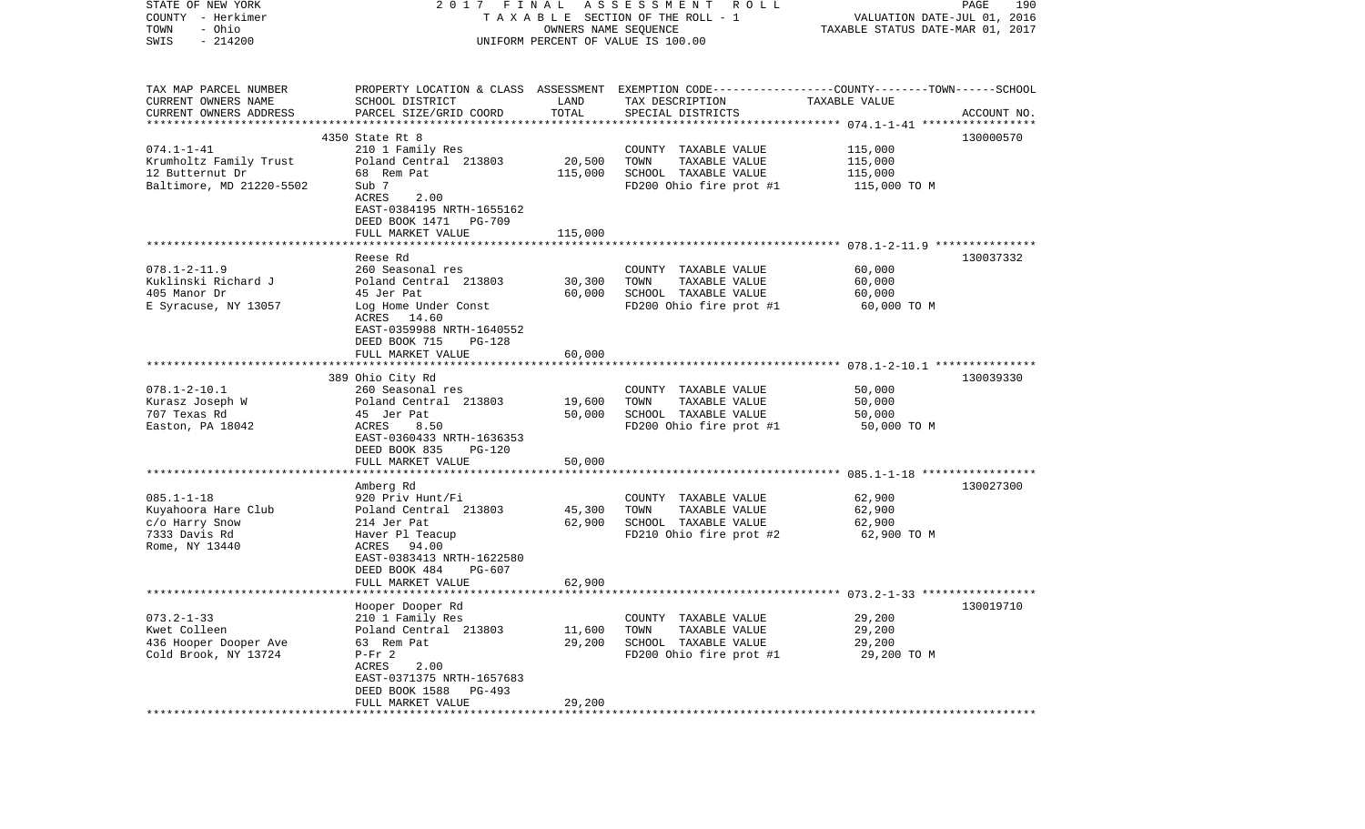| STATE OF NEW YORK<br>COUNTY - Herkimer<br>- Ohio<br>TOWN | 2017 FINAL                                           | OWNERS NAME SEQUENCE | A S S E S S M E N T<br>R O L L<br>TAXABLE SECTION OF THE ROLL - 1                                                  | VALUATION DATE-JUL 01, 2016<br>TAXABLE STATUS DATE-MAR 01, 2017 | 190<br>PAGE |
|----------------------------------------------------------|------------------------------------------------------|----------------------|--------------------------------------------------------------------------------------------------------------------|-----------------------------------------------------------------|-------------|
| $-214200$<br>SWIS                                        |                                                      |                      | UNIFORM PERCENT OF VALUE IS 100.00                                                                                 |                                                                 |             |
| TAX MAP PARCEL NUMBER<br>CURRENT OWNERS NAME             | SCHOOL DISTRICT                                      | LAND                 | PROPERTY LOCATION & CLASS ASSESSMENT EXEMPTION CODE---------------COUNTY-------TOWN------SCHOOL<br>TAX DESCRIPTION | TAXABLE VALUE                                                   |             |
| CURRENT OWNERS ADDRESS                                   | PARCEL SIZE/GRID COORD                               | TOTAL                | SPECIAL DISTRICTS                                                                                                  |                                                                 | ACCOUNT NO. |
|                                                          | 4350 State Rt 8                                      |                      |                                                                                                                    |                                                                 | 130000570   |
| $074.1 - 1 - 41$                                         | 210 1 Family Res                                     |                      | COUNTY TAXABLE VALUE                                                                                               | 115,000                                                         |             |
| Krumholtz Family Trust                                   | Poland Central 213803                                | 20,500               | TOWN<br>TAXABLE VALUE                                                                                              | 115,000                                                         |             |
| 12 Butternut Dr                                          | 68 Rem Pat                                           | 115,000              | SCHOOL TAXABLE VALUE                                                                                               | 115,000                                                         |             |
| Baltimore, MD 21220-5502                                 | Sub 7<br>ACRES<br>2.00                               |                      | FD200 Ohio fire prot #1                                                                                            | 115,000 TO M                                                    |             |
|                                                          | EAST-0384195 NRTH-1655162                            |                      |                                                                                                                    |                                                                 |             |
|                                                          | DEED BOOK 1471<br>PG-709                             |                      |                                                                                                                    |                                                                 |             |
|                                                          | FULL MARKET VALUE                                    | 115,000              |                                                                                                                    |                                                                 |             |
|                                                          | Reese Rd                                             |                      |                                                                                                                    |                                                                 | 130037332   |
| $078.1 - 2 - 11.9$                                       | 260 Seasonal res                                     |                      | COUNTY TAXABLE VALUE                                                                                               | 60,000                                                          |             |
| Kuklinski Richard J                                      | Poland Central 213803                                | 30,300               | TOWN<br>TAXABLE VALUE                                                                                              | 60,000                                                          |             |
| 405 Manor Dr                                             | 45 Jer Pat                                           | 60,000               | SCHOOL TAXABLE VALUE                                                                                               | 60,000                                                          |             |
| E Syracuse, NY 13057                                     | Log Home Under Const                                 |                      | FD200 Ohio fire prot #1                                                                                            | 60,000 TO M                                                     |             |
|                                                          | ACRES<br>14.60<br>EAST-0359988 NRTH-1640552          |                      |                                                                                                                    |                                                                 |             |
|                                                          | DEED BOOK 715<br>$PG-128$                            |                      |                                                                                                                    |                                                                 |             |
|                                                          | FULL MARKET VALUE                                    | 60,000               |                                                                                                                    |                                                                 |             |
|                                                          |                                                      |                      |                                                                                                                    |                                                                 | 130039330   |
| $078.1 - 2 - 10.1$                                       | 389 Ohio City Rd<br>260 Seasonal res                 |                      | COUNTY TAXABLE VALUE                                                                                               | 50,000                                                          |             |
| Kurasz Joseph W                                          | Poland Central 213803                                | 19,600               | TAXABLE VALUE<br>TOWN                                                                                              | 50,000                                                          |             |
| 707 Texas Rd                                             | 45 Jer Pat                                           | 50,000               | SCHOOL TAXABLE VALUE                                                                                               | 50,000                                                          |             |
| Easton, PA 18042                                         | ACRES<br>8.50                                        |                      | FD200 Ohio fire prot #1                                                                                            | 50,000 TO M                                                     |             |
|                                                          | EAST-0360433 NRTH-1636353<br>DEED BOOK 835<br>PG-120 |                      |                                                                                                                    |                                                                 |             |
|                                                          | FULL MARKET VALUE                                    | 50,000               |                                                                                                                    |                                                                 |             |
|                                                          | ********************                                 |                      |                                                                                                                    |                                                                 |             |
|                                                          | Amberg Rd                                            |                      |                                                                                                                    |                                                                 | 130027300   |
| $085.1 - 1 - 18$<br>Kuyahoora Hare Club                  | 920 Priv Hunt/Fi<br>Poland Central 213803            | 45,300               | COUNTY TAXABLE VALUE<br>TOWN<br>TAXABLE VALUE                                                                      | 62,900<br>62,900                                                |             |
| c/o Harry Snow                                           | 214 Jer Pat                                          | 62,900               | SCHOOL TAXABLE VALUE                                                                                               | 62,900                                                          |             |
| 7333 Davis Rd                                            | Haver Pl Teacup                                      |                      | FD210 Ohio fire prot #2                                                                                            | 62,900 TO M                                                     |             |
| Rome, NY 13440                                           | ACRES<br>94.00                                       |                      |                                                                                                                    |                                                                 |             |
|                                                          | EAST-0383413 NRTH-1622580                            |                      |                                                                                                                    |                                                                 |             |
|                                                          | DEED BOOK 484<br>PG-607<br>FULL MARKET VALUE         | 62,900               |                                                                                                                    |                                                                 |             |
|                                                          |                                                      |                      |                                                                                                                    |                                                                 |             |
|                                                          | Hooper Dooper Rd                                     |                      |                                                                                                                    |                                                                 | 130019710   |
| $073.2 - 1 - 33$                                         | 210 1 Family Res                                     |                      | COUNTY TAXABLE VALUE                                                                                               | 29,200                                                          |             |
| Kwet Colleen<br>436 Hooper Dooper Ave                    | Poland Central 213803<br>63 Rem Pat                  | 11,600<br>29,200     | TOWN<br>TAXABLE VALUE<br>SCHOOL TAXABLE VALUE                                                                      | 29,200<br>29,200                                                |             |
| Cold Brook, NY 13724                                     | $P-Fr 2$                                             |                      | FD200 Ohio fire prot #1                                                                                            | 29,200 TO M                                                     |             |
|                                                          | ACRES<br>2.00                                        |                      |                                                                                                                    |                                                                 |             |
|                                                          | EAST-0371375 NRTH-1657683                            |                      |                                                                                                                    |                                                                 |             |
|                                                          | DEED BOOK 1588<br>PG-493<br>FULL MARKET VALUE        | 29,200               |                                                                                                                    |                                                                 |             |
|                                                          |                                                      |                      |                                                                                                                    |                                                                 |             |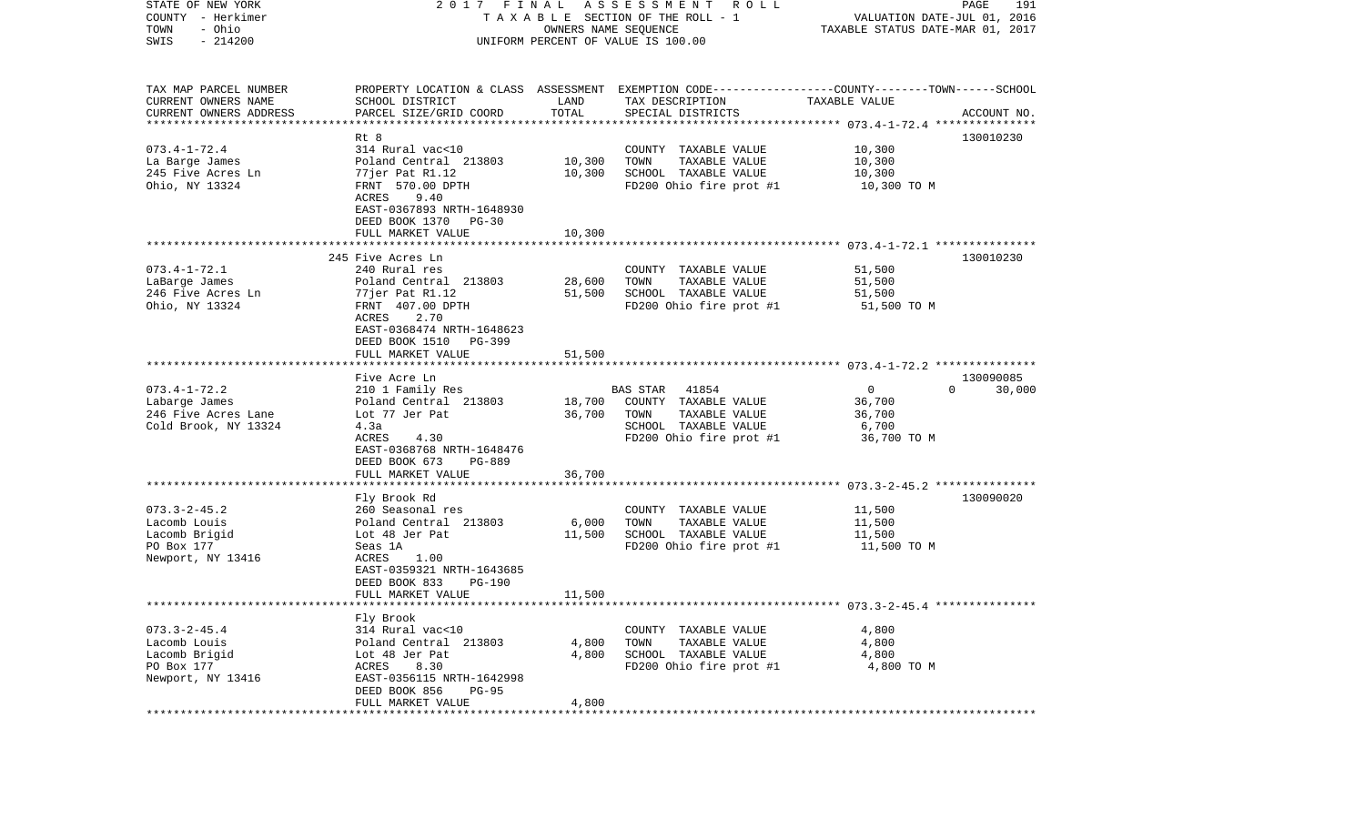| STATE OF NEW YORK<br>COUNTY - Herkimer<br>- Ohio<br>TOWN<br>$-214200$<br>SWIS                     | 2017 FINAL                                                                                                                                                                                        | OWNERS NAME SEQUENCE    | A S S E S S M E N T A O L L<br>TAXABLE SECTION OF THE ROLL - 1<br>UNIFORM PERCENT OF VALUE IS 100.00                                    | VALUATION DATE-JUL 01, 2016<br>TAXABLE STATUS DATE-MAR 01, 2017 | 191<br>PAGE                     |
|---------------------------------------------------------------------------------------------------|---------------------------------------------------------------------------------------------------------------------------------------------------------------------------------------------------|-------------------------|-----------------------------------------------------------------------------------------------------------------------------------------|-----------------------------------------------------------------|---------------------------------|
| TAX MAP PARCEL NUMBER<br>CURRENT OWNERS NAME<br>CURRENT OWNERS ADDRESS<br>*********************** | SCHOOL DISTRICT<br>PARCEL SIZE/GRID COORD                                                                                                                                                         | LAND<br>TOTAL           | PROPERTY LOCATION & CLASS ASSESSMENT EXEMPTION CODE---------------COUNTY-------TOWN------SCHOOL<br>TAX DESCRIPTION<br>SPECIAL DISTRICTS | TAXABLE VALUE                                                   | ACCOUNT NO.                     |
| $073.4 - 1 - 72.4$<br>La Barge James<br>245 Five Acres Ln<br>Ohio, NY 13324                       | Rt 8<br>314 Rural vac<10<br>Poland Central 213803<br>77jer Pat R1.12<br>FRNT 570.00 DPTH<br>9.40<br>ACRES<br>EAST-0367893 NRTH-1648930<br>DEED BOOK 1370 PG-30                                    | 10,300<br>10,300        | COUNTY TAXABLE VALUE<br>TOWN<br>TAXABLE VALUE<br>SCHOOL TAXABLE VALUE<br>FD200 Ohio fire prot #1                                        | 10,300<br>10,300<br>10,300<br>10,300 TO M                       | 130010230                       |
|                                                                                                   | FULL MARKET VALUE                                                                                                                                                                                 | 10,300                  |                                                                                                                                         |                                                                 |                                 |
| $073.4 - 1 - 72.1$<br>LaBarge James<br>246 Five Acres Ln<br>Ohio, NY 13324                        | 245 Five Acres Ln<br>240 Rural res<br>Poland Central 213803<br>77jer Pat R1.12<br>FRNT 407.00 DPTH<br>2.70<br>ACRES<br>EAST-0368474 NRTH-1648623                                                  | 28,600<br>51,500        | COUNTY TAXABLE VALUE<br>TAXABLE VALUE<br>TOWN<br>SCHOOL TAXABLE VALUE<br>FD200 Ohio fire prot #1                                        | 51,500<br>51,500<br>51,500<br>51,500 TO M                       | 130010230                       |
|                                                                                                   | DEED BOOK 1510 PG-399<br>FULL MARKET VALUE                                                                                                                                                        | 51,500                  |                                                                                                                                         |                                                                 |                                 |
| $073.4 - 1 - 72.2$<br>Labarge James<br>246 Five Acres Lane<br>Cold Brook, NY 13324                | Five Acre Ln<br>210 1 Family Res<br>Poland Central 213803<br>Lot 77 Jer Pat<br>4.3a<br>ACRES<br>4.30<br>EAST-0368768 NRTH-1648476<br>DEED BOOK 673<br>PG-889                                      | 18,700<br>36,700        | 41854<br>BAS STAR<br>COUNTY TAXABLE VALUE<br>TAXABLE VALUE<br>TOWN<br>SCHOOL TAXABLE VALUE<br>FD200 Ohio fire prot #1                   | $\mathbf 0$<br>36,700<br>36,700<br>6,700<br>36,700 TO M         | 130090085<br>$\Omega$<br>30,000 |
|                                                                                                   | FULL MARKET VALUE                                                                                                                                                                                 | 36,700                  |                                                                                                                                         |                                                                 |                                 |
| $073.3 - 2 - 45.2$<br>Lacomb Louis<br>Lacomb Brigid<br>PO Box 177<br>Newport, NY 13416            | ***********************<br>Fly Brook Rd<br>260 Seasonal res<br>Poland Central 213803<br>Lot 48 Jer Pat<br>Seas 1A<br>ACRES<br>1.00<br>EAST-0359321 NRTH-1643685<br>DEED BOOK 833<br><b>PG-190</b> | 6,000<br>11,500         | COUNTY TAXABLE VALUE<br>TOWN<br>TAXABLE VALUE<br>SCHOOL TAXABLE VALUE<br>FD200 Ohio fire prot #1                                        | 11,500<br>11,500<br>11,500<br>11,500 TO M                       | 130090020                       |
|                                                                                                   | FULL MARKET VALUE                                                                                                                                                                                 | 11,500                  |                                                                                                                                         |                                                                 |                                 |
| $073.3 - 2 - 45.4$<br>Lacomb Louis<br>Lacomb Brigid<br>PO Box 177<br>Newport, NY 13416            | Fly Brook<br>314 Rural vac<10<br>Poland Central 213803<br>Lot 48 Jer Pat<br>ACRES<br>8.30<br>EAST-0356115 NRTH-1642998<br>DEED BOOK 856<br>$PG-95$<br>FULL MARKET VALUE                           | 4,800<br>4,800<br>4,800 | COUNTY TAXABLE VALUE<br>TOWN<br>TAXABLE VALUE<br>SCHOOL TAXABLE VALUE<br>FD200 Ohio fire prot #1                                        | 4,800<br>4,800<br>4,800<br>4,800 TO M                           |                                 |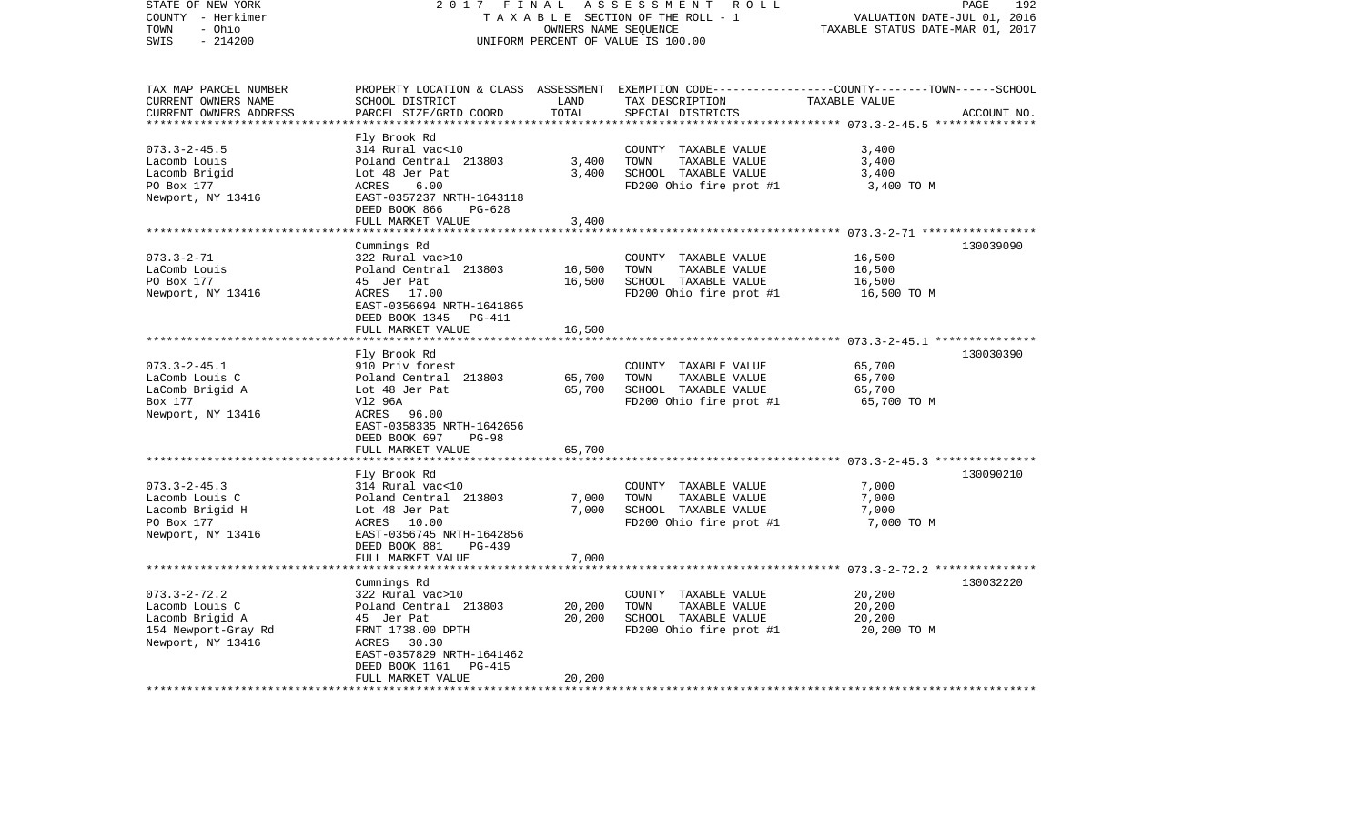| STATE OF NEW YORK<br>COUNTY - Herkimer<br>- Ohio<br>TOWN               | 2017<br>FINAL                                                         | OWNERS NAME SEQUENCE         | ASSESSMENT<br>R O L L<br>TAXABLE SECTION OF THE ROLL - 1                | VALUATION DATE-JUL 01, 2016<br>TAXABLE STATUS DATE-MAR 01, 2017 | PAGE<br>192 |
|------------------------------------------------------------------------|-----------------------------------------------------------------------|------------------------------|-------------------------------------------------------------------------|-----------------------------------------------------------------|-------------|
| SWIS<br>$-214200$                                                      |                                                                       |                              | UNIFORM PERCENT OF VALUE IS 100.00                                      |                                                                 |             |
| TAX MAP PARCEL NUMBER                                                  | PROPERTY LOCATION & CLASS                                             |                              | ASSESSMENT EXEMPTION CODE-----------------COUNTY-------TOWN------SCHOOL |                                                                 |             |
| CURRENT OWNERS NAME<br>CURRENT OWNERS ADDRESS<br>********************* | SCHOOL DISTRICT<br>PARCEL SIZE/GRID COORD<br>************************ | LAND<br>TOTAL<br>*********** | TAX DESCRIPTION<br>SPECIAL DISTRICTS                                    | TAXABLE VALUE                                                   | ACCOUNT NO. |
|                                                                        | Fly Brook Rd                                                          |                              |                                                                         |                                                                 |             |
| $073.3 - 2 - 45.5$                                                     | 314 Rural vac<10                                                      |                              | COUNTY TAXABLE VALUE                                                    | 3,400                                                           |             |
| Lacomb Louis                                                           | Poland Central 213803                                                 | 3,400                        | TAXABLE VALUE<br>TOWN                                                   | 3,400                                                           |             |
| Lacomb Brigid                                                          | Lot 48 Jer Pat                                                        | 3,400                        | SCHOOL TAXABLE VALUE                                                    | 3,400                                                           |             |
| PO Box 177                                                             | 6.00<br>ACRES                                                         |                              | FD200 Ohio fire prot #1                                                 | 3,400 TO M                                                      |             |
| Newport, NY 13416                                                      | EAST-0357237 NRTH-1643118<br>DEED BOOK 866<br>$PG-628$                |                              |                                                                         |                                                                 |             |
|                                                                        | FULL MARKET VALUE                                                     | 3,400                        |                                                                         |                                                                 |             |
|                                                                        | *****************                                                     | *******                      |                                                                         | ************* 073.3-2-71 ******************                     |             |
|                                                                        | Cummings Rd                                                           |                              |                                                                         |                                                                 | 130039090   |
| $073.3 - 2 - 71$                                                       | 322 Rural vac>10                                                      |                              | COUNTY TAXABLE VALUE                                                    | 16,500                                                          |             |
| LaComb Louis                                                           | Poland Central 213803                                                 | 16,500                       | TAXABLE VALUE<br>TOWN                                                   | 16,500                                                          |             |
| PO Box 177                                                             | 45 Jer Pat                                                            | 16,500                       | SCHOOL TAXABLE VALUE                                                    | 16,500                                                          |             |
| Newport, NY 13416                                                      | ACRES 17.00                                                           |                              | FD200 Ohio fire prot #1                                                 | 16,500 TO M                                                     |             |
|                                                                        | EAST-0356694 NRTH-1641865<br>DEED BOOK 1345<br>PG-411                 |                              |                                                                         |                                                                 |             |
|                                                                        | FULL MARKET VALUE                                                     | 16,500                       |                                                                         |                                                                 |             |
|                                                                        |                                                                       |                              |                                                                         |                                                                 |             |
|                                                                        | Fly Brook Rd                                                          |                              |                                                                         |                                                                 | 130030390   |
| $073.3 - 2 - 45.1$                                                     | 910 Priv forest                                                       |                              | COUNTY TAXABLE VALUE                                                    | 65,700                                                          |             |
| LaComb Louis C                                                         | Poland Central 213803                                                 | 65,700                       | TOWN<br>TAXABLE VALUE                                                   | 65,700                                                          |             |
| LaComb Brigid A                                                        | Lot 48 Jer Pat                                                        | 65,700                       | SCHOOL TAXABLE VALUE                                                    | 65,700                                                          |             |
| Box 177                                                                | V12 96A                                                               |                              | FD200 Ohio fire prot #1                                                 | 65,700 TO M                                                     |             |
| Newport, NY 13416                                                      | ACRES<br>96.00                                                        |                              |                                                                         |                                                                 |             |
|                                                                        | EAST-0358335 NRTH-1642656                                             |                              |                                                                         |                                                                 |             |
|                                                                        | DEED BOOK 697<br>$PG-98$                                              |                              |                                                                         |                                                                 |             |
|                                                                        | FULL MARKET VALUE                                                     | 65,700                       |                                                                         |                                                                 |             |
|                                                                        | **************************                                            |                              |                                                                         |                                                                 |             |
|                                                                        | Fly Brook Rd                                                          |                              |                                                                         |                                                                 | 130090210   |
| $073.3 - 2 - 45.3$                                                     | 314 Rural vac<10                                                      |                              | COUNTY TAXABLE VALUE                                                    | 7,000                                                           |             |
| Lacomb Louis C                                                         | Poland Central 213803                                                 | 7,000                        | TOWN<br>TAXABLE VALUE                                                   | 7,000                                                           |             |
| Lacomb Brigid H                                                        | Lot 48 Jer Pat                                                        | 7,000                        | SCHOOL TAXABLE VALUE                                                    | 7,000                                                           |             |
| PO Box 177                                                             | ACRES<br>10.00                                                        |                              | FD200 Ohio fire prot #1                                                 | 7,000 TO M                                                      |             |
| Newport, NY 13416                                                      | EAST-0356745 NRTH-1642856<br>DEED BOOK 881                            |                              |                                                                         |                                                                 |             |
|                                                                        | PG-439<br>FULL MARKET VALUE                                           | 7,000                        |                                                                         |                                                                 |             |
|                                                                        |                                                                       |                              |                                                                         |                                                                 |             |
|                                                                        | Cumnings Rd                                                           |                              |                                                                         |                                                                 | 130032220   |
| $073.3 - 2 - 72.2$                                                     |                                                                       |                              |                                                                         | 20,200                                                          |             |
| Lacomb Louis C                                                         | 322 Rural vac>10<br>Poland Central 213803                             | 20,200                       | COUNTY TAXABLE VALUE<br>TOWN<br>TAXABLE VALUE                           | 20,200                                                          |             |
| Lacomb Brigid A                                                        | 45 Jer Pat                                                            | 20,200                       | SCHOOL TAXABLE VALUE                                                    | 20,200                                                          |             |
| 154 Newport-Gray Rd                                                    | FRNT 1738.00 DPTH                                                     |                              | FD200 Ohio fire prot #1                                                 | 20,200 TO M                                                     |             |
| Newport, NY 13416                                                      | ACRES<br>30.30                                                        |                              |                                                                         |                                                                 |             |
|                                                                        | EAST-0357829 NRTH-1641462                                             |                              |                                                                         |                                                                 |             |
|                                                                        | DEED BOOK 1161<br><b>PG-415</b>                                       |                              |                                                                         |                                                                 |             |
|                                                                        | FULL MARKET VALUE                                                     | 20,200                       |                                                                         |                                                                 |             |
| *********************                                                  |                                                                       |                              |                                                                         |                                                                 |             |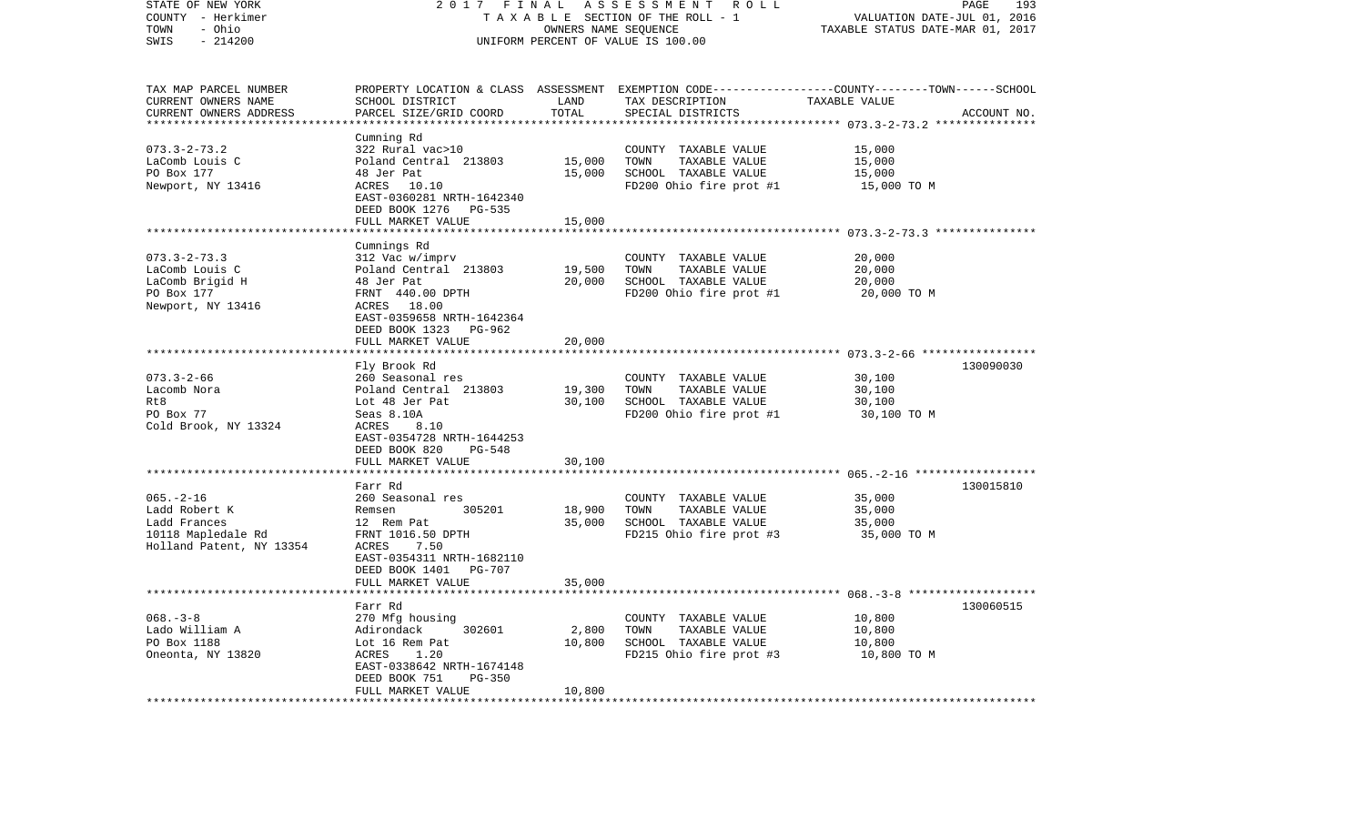| STATE OF NEW YORK<br>COUNTY - Herkimer        | 2017                                                                 | FINAL                 | ASSESSMENT ROLL<br>TAXABLE SECTION OF THE ROLL - 1 | PAGE<br>VALUATION DATE-JUL 01, 2016                                                             | 193         |
|-----------------------------------------------|----------------------------------------------------------------------|-----------------------|----------------------------------------------------|-------------------------------------------------------------------------------------------------|-------------|
| - Ohio<br>TOWN<br>SWIS<br>$-214200$           |                                                                      | OWNERS NAME SEQUENCE  | UNIFORM PERCENT OF VALUE IS 100.00                 | TAXABLE STATUS DATE-MAR 01, 2017                                                                |             |
| TAX MAP PARCEL NUMBER                         |                                                                      |                       |                                                    | PROPERTY LOCATION & CLASS ASSESSMENT EXEMPTION CODE---------------COUNTY-------TOWN------SCHOOL |             |
| CURRENT OWNERS NAME<br>CURRENT OWNERS ADDRESS | SCHOOL DISTRICT<br>PARCEL SIZE/GRID COORD                            | LAND<br>TOTAL         | TAX DESCRIPTION<br>SPECIAL DISTRICTS               | TAXABLE VALUE                                                                                   | ACCOUNT NO. |
|                                               |                                                                      | * * * * * * * * * * * |                                                    | **************************** 073.3-2-73.2 ***************                                       |             |
|                                               | Cumning Rd                                                           |                       |                                                    |                                                                                                 |             |
| $073.3 - 2 - 73.2$                            | 322 Rural vac>10                                                     |                       | COUNTY TAXABLE VALUE                               | 15,000                                                                                          |             |
| LaComb Louis C                                | Poland Central 213803                                                | 15,000                | TAXABLE VALUE<br>TOWN                              | 15,000                                                                                          |             |
| PO Box 177                                    | 48 Jer Pat                                                           | 15,000                | SCHOOL TAXABLE VALUE                               | 15,000                                                                                          |             |
| Newport, NY 13416                             | 10.10<br>ACRES<br>EAST-0360281 NRTH-1642340<br>DEED BOOK 1276 PG-535 |                       | FD200 Ohio fire prot #1                            | 15,000 TO M                                                                                     |             |
|                                               | FULL MARKET VALUE                                                    | 15,000                |                                                    |                                                                                                 |             |
|                                               | **********************************                                   |                       |                                                    |                                                                                                 |             |
|                                               | Cumnings Rd                                                          |                       |                                                    |                                                                                                 |             |
| $073.3 - 2 - 73.3$                            | 312 Vac w/imprv                                                      |                       | COUNTY TAXABLE VALUE                               | 20,000                                                                                          |             |
| LaComb Louis C                                | Poland Central 213803                                                | 19,500                | TOWN<br>TAXABLE VALUE                              | 20,000                                                                                          |             |
| LaComb Brigid H                               | 48 Jer Pat<br>FRNT 440.00 DPTH                                       | 20,000                | SCHOOL TAXABLE VALUE<br>FD200 Ohio fire prot #1    | 20,000                                                                                          |             |
| PO Box 177<br>Newport, NY 13416               | ACRES 18.00                                                          |                       |                                                    | 20,000 TO M                                                                                     |             |
|                                               | EAST-0359658 NRTH-1642364<br>DEED BOOK 1323 PG-962                   |                       |                                                    |                                                                                                 |             |
|                                               | FULL MARKET VALUE                                                    | 20,000                |                                                    |                                                                                                 |             |
|                                               |                                                                      |                       |                                                    |                                                                                                 |             |
|                                               | Fly Brook Rd                                                         |                       |                                                    |                                                                                                 | 130090030   |
| $073.3 - 2 - 66$<br>Lacomb Nora               | 260 Seasonal res<br>Poland Central 213803                            | 19,300                | COUNTY TAXABLE VALUE<br>TOWN<br>TAXABLE VALUE      | 30,100<br>30,100                                                                                |             |
| Rt8                                           | Lot 48 Jer Pat                                                       | 30,100                | SCHOOL TAXABLE VALUE                               | 30,100                                                                                          |             |
| PO Box 77                                     | Seas 8.10A                                                           |                       | FD200 Ohio fire prot #1                            | 30,100 TO M                                                                                     |             |
| Cold Brook, NY 13324                          | ACRES<br>8.10                                                        |                       |                                                    |                                                                                                 |             |
|                                               | EAST-0354728 NRTH-1644253                                            |                       |                                                    |                                                                                                 |             |
|                                               | DEED BOOK 820<br>PG-548                                              |                       |                                                    |                                                                                                 |             |
|                                               | FULL MARKET VALUE                                                    | 30,100                |                                                    |                                                                                                 |             |
|                                               | Farr Rd                                                              |                       |                                                    |                                                                                                 | 130015810   |
| $065. -2 - 16$                                | 260 Seasonal res                                                     |                       | COUNTY TAXABLE VALUE                               | 35,000                                                                                          |             |
| Ladd Robert K                                 | 305201<br>Remsen                                                     | 18,900                | TOWN<br>TAXABLE VALUE                              | 35,000                                                                                          |             |
| Ladd Frances                                  | 12 Rem Pat                                                           | 35,000                | SCHOOL TAXABLE VALUE                               | 35,000                                                                                          |             |
| 10118 Mapledale Rd                            | FRNT 1016.50 DPTH                                                    |                       | FD215 Ohio fire prot #3                            | 35,000 TO M                                                                                     |             |
| Holland Patent, NY 13354                      | ACRES<br>7.50                                                        |                       |                                                    |                                                                                                 |             |
|                                               | EAST-0354311 NRTH-1682110                                            |                       |                                                    |                                                                                                 |             |
|                                               | DEED BOOK 1401 PG-707<br>FULL MARKET VALUE                           | 35,000                |                                                    |                                                                                                 |             |
|                                               | *************************                                            |                       |                                                    |                                                                                                 |             |
|                                               | Farr Rd                                                              |                       |                                                    |                                                                                                 | 130060515   |
| $068. -3 - 8$                                 | 270 Mfg housing                                                      |                       | COUNTY TAXABLE VALUE                               | 10,800                                                                                          |             |
| Lado William A                                | 302601<br>Adirondack                                                 | 2,800                 | TOWN<br>TAXABLE VALUE                              | 10,800                                                                                          |             |
| PO Box 1188                                   | Lot 16 Rem Pat                                                       | 10,800                | SCHOOL TAXABLE VALUE                               | 10,800                                                                                          |             |
| Oneonta, NY 13820                             | 1.20<br>ACRES                                                        |                       | FD215 Ohio fire prot #3                            | 10,800 TO M                                                                                     |             |
|                                               | EAST-0338642 NRTH-1674148                                            |                       |                                                    |                                                                                                 |             |
|                                               | DEED BOOK 751<br><b>PG-350</b><br>FULL MARKET VALUE                  | 10,800                |                                                    |                                                                                                 |             |
|                                               |                                                                      |                       |                                                    |                                                                                                 |             |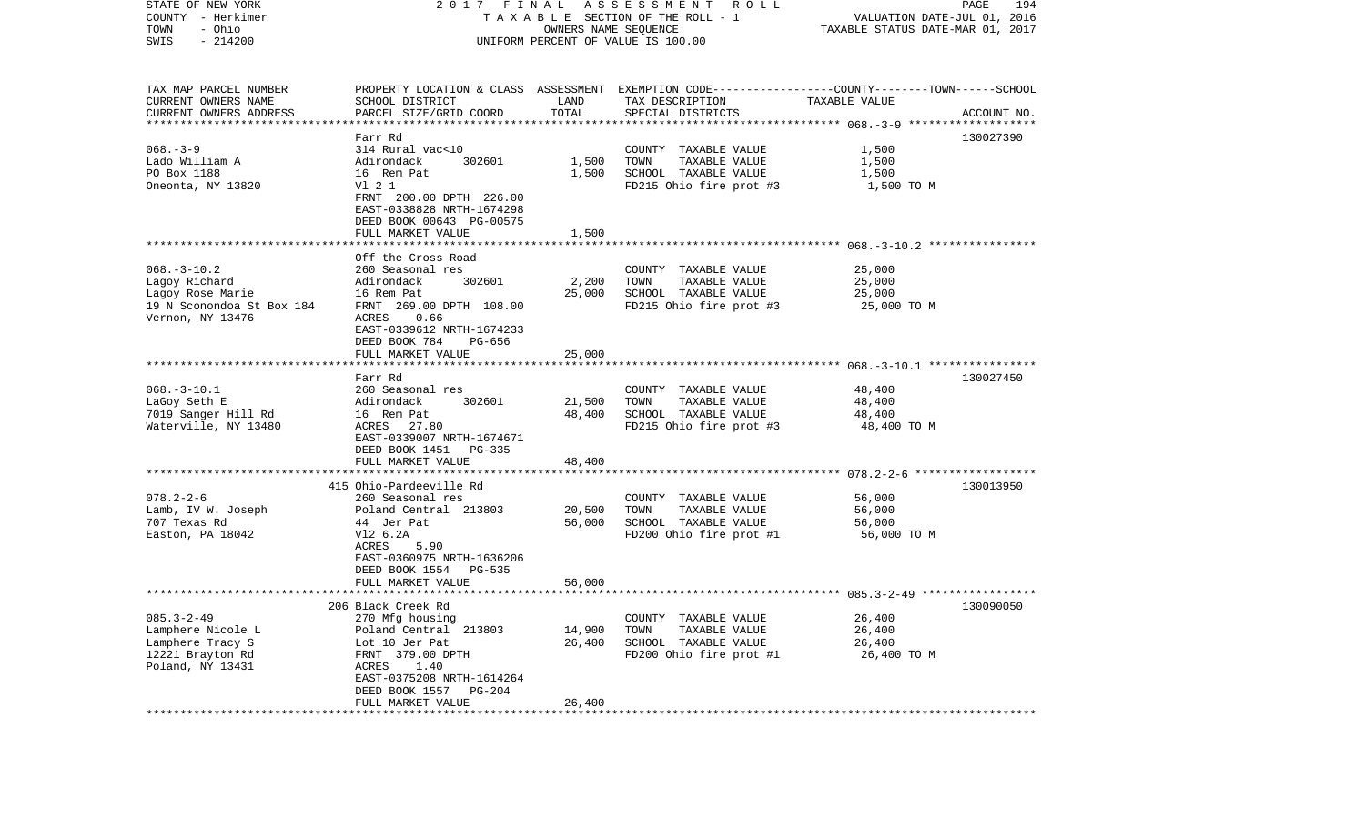| STATE OF NEW YORK<br>COUNTY - Herkimer<br>- Ohio<br>TOWN<br>$-214200$<br>SWIS                           | 2017 FINAL                                                                                                                                                                       | OWNERS NAME SEQUENCE | A S S E S S M E N T R O L L<br>TAXABLE SECTION OF THE ROLL - 1<br>UNIFORM PERCENT OF VALUE IS 100.00               | VALUATION DATE-JUL 01, 2016<br>TAXABLE STATUS DATE-MAR 01, 2017 | 194<br>PAGE |
|---------------------------------------------------------------------------------------------------------|----------------------------------------------------------------------------------------------------------------------------------------------------------------------------------|----------------------|--------------------------------------------------------------------------------------------------------------------|-----------------------------------------------------------------|-------------|
| TAX MAP PARCEL NUMBER<br>CURRENT OWNERS NAME                                                            | SCHOOL DISTRICT                                                                                                                                                                  | LAND                 | PROPERTY LOCATION & CLASS ASSESSMENT EXEMPTION CODE---------------COUNTY-------TOWN------SCHOOL<br>TAX DESCRIPTION | TAXABLE VALUE                                                   |             |
| CURRENT OWNERS ADDRESS<br>*************************                                                     | PARCEL SIZE/GRID COORD                                                                                                                                                           | TOTAL                | SPECIAL DISTRICTS                                                                                                  |                                                                 | ACCOUNT NO. |
|                                                                                                         | Farr Rd                                                                                                                                                                          |                      |                                                                                                                    |                                                                 | 130027390   |
| $068. - 3 - 9$<br>Lado William A<br>PO Box 1188<br>Oneonta, NY 13820                                    | 314 Rural vac<10<br>Adirondack<br>302601<br>16 Rem Pat<br>V1 2 1                                                                                                                 | 1,500<br>1,500       | COUNTY TAXABLE VALUE<br>TOWN<br>TAXABLE VALUE<br>SCHOOL TAXABLE VALUE<br>FD215 Ohio fire prot #3                   | 1,500<br>1,500<br>1,500<br>1,500 TO M                           |             |
|                                                                                                         | FRNT 200.00 DPTH 226.00<br>EAST-0338828 NRTH-1674298<br>DEED BOOK 00643 PG-00575<br>FULL MARKET VALUE                                                                            | 1,500                |                                                                                                                    |                                                                 |             |
|                                                                                                         |                                                                                                                                                                                  |                      |                                                                                                                    |                                                                 |             |
| $068. - 3 - 10.2$<br>Lagoy Richard<br>Lagoy Rose Marie<br>19 N Sconondoa St Box 184<br>Vernon, NY 13476 | Off the Cross Road<br>260 Seasonal res<br>Adirondack<br>302601<br>16 Rem Pat<br>FRNT 269.00 DPTH 108.00<br>0.66<br>ACRES<br>EAST-0339612 NRTH-1674233<br>DEED BOOK 784<br>PG-656 | 2,200<br>25,000      | COUNTY TAXABLE VALUE<br>TOWN<br>TAXABLE VALUE<br>SCHOOL TAXABLE VALUE<br>FD215 Ohio fire prot #3                   | 25,000<br>25,000<br>25,000<br>25,000 TO M                       |             |
|                                                                                                         | FULL MARKET VALUE                                                                                                                                                                | 25,000               |                                                                                                                    |                                                                 |             |
|                                                                                                         |                                                                                                                                                                                  |                      |                                                                                                                    |                                                                 |             |
| $068. -3 - 10.1$<br>LaGoy Seth E<br>7019 Sanger Hill Rd<br>Waterville, NY 13480                         | Farr Rd<br>260 Seasonal res<br>Adirondack<br>302601<br>16 Rem Pat<br>ACRES 27.80<br>EAST-0339007 NRTH-1674671<br>DEED BOOK 1451 PG-335                                           | 21,500<br>48,400     | COUNTY TAXABLE VALUE<br>TAXABLE VALUE<br>TOWN<br>SCHOOL TAXABLE VALUE<br>FD215 Ohio fire prot #3                   | 48,400<br>48,400<br>48,400<br>48,400 TO M                       | 130027450   |
|                                                                                                         | FULL MARKET VALUE                                                                                                                                                                | 48,400               |                                                                                                                    |                                                                 |             |
|                                                                                                         |                                                                                                                                                                                  |                      |                                                                                                                    |                                                                 |             |
| $078.2 - 2 - 6$<br>Lamb, IV W. Joseph<br>707 Texas Rd<br>Easton, PA 18042                               | 415 Ohio-Pardeeville Rd<br>260 Seasonal res<br>Poland Central 213803<br>44 Jer Pat<br>V12 6.2A<br>ACRES<br>5.90<br>EAST-0360975 NRTH-1636206<br>DEED BOOK 1554<br>PG-535         | 20,500<br>56,000     | COUNTY TAXABLE VALUE<br>TOWN<br>TAXABLE VALUE<br>SCHOOL TAXABLE VALUE<br>FD200 Ohio fire prot #1                   | 56,000<br>56,000<br>56,000<br>56,000 TO M                       | 130013950   |
|                                                                                                         | FULL MARKET VALUE                                                                                                                                                                | 56,000               |                                                                                                                    |                                                                 |             |
| $085.3 - 2 - 49$<br>Lamphere Nicole L<br>Lamphere Tracy S<br>12221 Brayton Rd<br>Poland, NY 13431       | 206 Black Creek Rd<br>270 Mfg housing<br>Poland Central 213803<br>Lot 10 Jer Pat<br>FRNT 379.00 DPTH<br>ACRES<br>1.40<br>EAST-0375208 NRTH-1614264<br>DEED BOOK 1557<br>$PG-204$ | 14,900<br>26,400     | COUNTY TAXABLE VALUE<br>TOWN<br>TAXABLE VALUE<br>SCHOOL TAXABLE VALUE<br>FD200 Ohio fire prot #1                   | 26,400<br>26,400<br>26,400<br>26,400 TO M                       | 130090050   |
|                                                                                                         | FULL MARKET VALUE                                                                                                                                                                | 26,400               |                                                                                                                    |                                                                 |             |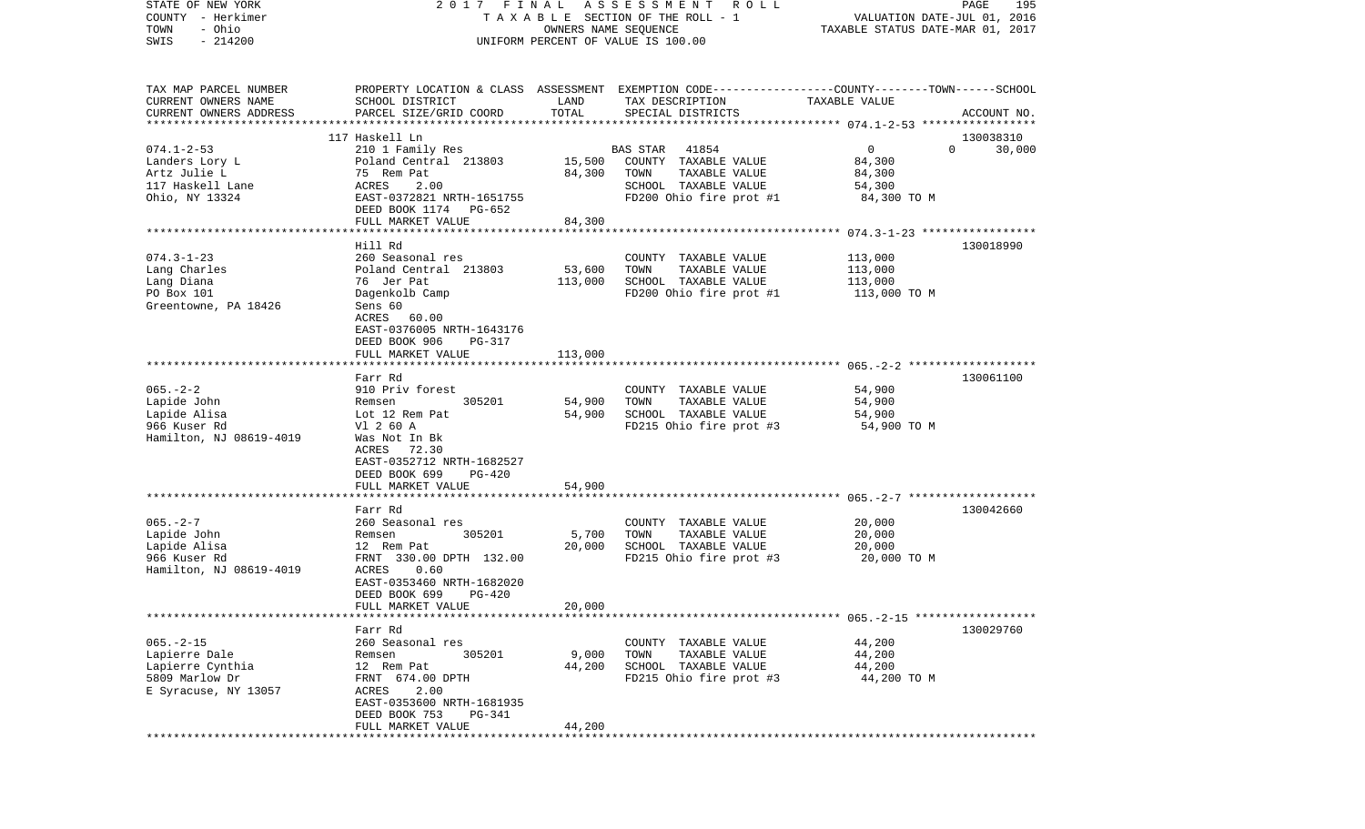| STATE OF NEW YORK<br>COUNTY - Herkimer<br>- Ohio<br>TOWN                                       |                                                                                                                                                                        | OWNERS NAME SEQUENCE          | 2017 FINAL ASSESSMENT ROLL<br>TAXABLE SECTION OF THE ROLL - 1                                                                           | VALUATION DATE-JUL 01, 2016<br>TAXABLE STATUS DATE-MAR 01, 2017         | PAGE<br>195 |
|------------------------------------------------------------------------------------------------|------------------------------------------------------------------------------------------------------------------------------------------------------------------------|-------------------------------|-----------------------------------------------------------------------------------------------------------------------------------------|-------------------------------------------------------------------------|-------------|
| $-214200$<br>SWIS                                                                              |                                                                                                                                                                        |                               | UNIFORM PERCENT OF VALUE IS 100.00                                                                                                      |                                                                         |             |
| TAX MAP PARCEL NUMBER<br>CURRENT OWNERS NAME<br>CURRENT OWNERS ADDRESS                         | SCHOOL DISTRICT<br>PARCEL SIZE/GRID COORD                                                                                                                              | LAND<br>TOTAL                 | PROPERTY LOCATION & CLASS ASSESSMENT EXEMPTION CODE---------------COUNTY-------TOWN------SCHOOL<br>TAX DESCRIPTION<br>SPECIAL DISTRICTS | TAXABLE VALUE                                                           | ACCOUNT NO. |
|                                                                                                | 117 Haskell Ln                                                                                                                                                         |                               |                                                                                                                                         |                                                                         | 130038310   |
| $074.1 - 2 - 53$<br>Landers Lory L<br>Artz Julie L<br>117 Haskell Lane<br>Ohio, NY 13324       | 210 1 Family Res<br>Poland Central 213803<br>75 Rem Pat<br>ACRES<br>2.00<br>EAST-0372821 NRTH-1651755<br>DEED BOOK 1174 PG-652<br>FULL MARKET VALUE                    | 15,500<br>84,300<br>84,300    | 41854<br>BAS STAR<br>COUNTY TAXABLE VALUE<br>TOWN<br>TAXABLE VALUE<br>SCHOOL TAXABLE VALUE<br>FD200 Ohio fire prot #1                   | $\overline{0}$<br>$\Omega$<br>84,300<br>84,300<br>54,300<br>84,300 TO M | 30,000      |
|                                                                                                |                                                                                                                                                                        |                               |                                                                                                                                         |                                                                         |             |
| $074.3 - 1 - 23$<br>Lang Charles<br>Lang Diana<br>PO Box 101<br>Greentowne, PA 18426           | Hill Rd<br>260 Seasonal res<br>Poland Central 213803<br>76 Jer Pat<br>Dagenkolb Camp<br>Sens 60<br>ACRES 60.00<br>EAST-0376005 NRTH-1643176<br>DEED BOOK 906<br>PG-317 | 53,600<br>113,000             | COUNTY TAXABLE VALUE<br>TOWN<br>TAXABLE VALUE<br>SCHOOL TAXABLE VALUE<br>FD200 Ohio fire prot #1                                        | 113,000<br>113,000<br>113,000<br>113,000 TO M                           | 130018990   |
|                                                                                                | FULL MARKET VALUE                                                                                                                                                      | 113,000                       |                                                                                                                                         |                                                                         |             |
| $065. - 2 - 2$<br>Lapide John<br>Lapide Alisa<br>966 Kuser Rd<br>Hamilton, NJ 08619-4019       | Farr Rd<br>910 Priv forest<br>305201<br>Remsen<br>Lot 12 Rem Pat<br>V1 2 60 A<br>Was Not In Bk<br>ACRES<br>72.30<br>EAST-0352712 NRTH-1682527                          | 54,900<br>54,900              | COUNTY TAXABLE VALUE<br>TOWN<br>TAXABLE VALUE<br>SCHOOL TAXABLE VALUE<br>FD215 Ohio fire prot #3                                        | 54,900<br>54,900<br>54,900<br>54,900 TO M                               | 130061100   |
|                                                                                                | DEED BOOK 699<br>PG-420                                                                                                                                                |                               |                                                                                                                                         |                                                                         |             |
| $065. - 2 - 7$                                                                                 | FULL MARKET VALUE<br>********************<br>Farr Rd<br>260 Seasonal res                                                                                               | 54,900<br>* * * * * * * * * * | COUNTY TAXABLE VALUE                                                                                                                    | 20,000                                                                  | 130042660   |
| Lapide John<br>Lapide Alisa<br>966 Kuser Rd<br>Hamilton, NJ 08619-4019                         | 305201<br>Remsen<br>12 Rem Pat<br>FRNT 330.00 DPTH 132.00<br>ACRES<br>0.60<br>EAST-0353460 NRTH-1682020<br>DEED BOOK 699<br>PG-420                                     | 5,700<br>20,000               | TOWN<br>TAXABLE VALUE<br>SCHOOL TAXABLE VALUE<br>FD215 Ohio fire prot #3                                                                | 20,000<br>20,000<br>20,000 то м                                         |             |
|                                                                                                | FULL MARKET VALUE                                                                                                                                                      | 20,000                        |                                                                                                                                         |                                                                         |             |
| $065. - 2 - 15$<br>Lapierre Dale<br>Lapierre Cynthia<br>5809 Marlow Dr<br>E Syracuse, NY 13057 | Farr Rd<br>260 Seasonal res<br>305201<br>Remsen<br>12 Rem Pat<br>FRNT 674.00 DPTH<br>2.00<br>ACRES<br>EAST-0353600 NRTH-1681935<br>DEED BOOK 753<br>PG-341             | 9,000<br>44,200               | COUNTY TAXABLE VALUE<br>TOWN<br>TAXABLE VALUE<br>SCHOOL TAXABLE VALUE<br>FD215 Ohio fire prot #3                                        | 44,200<br>44,200<br>44,200<br>44,200 TO M                               | 130029760   |
|                                                                                                | FULL MARKET VALUE                                                                                                                                                      | 44,200                        |                                                                                                                                         |                                                                         |             |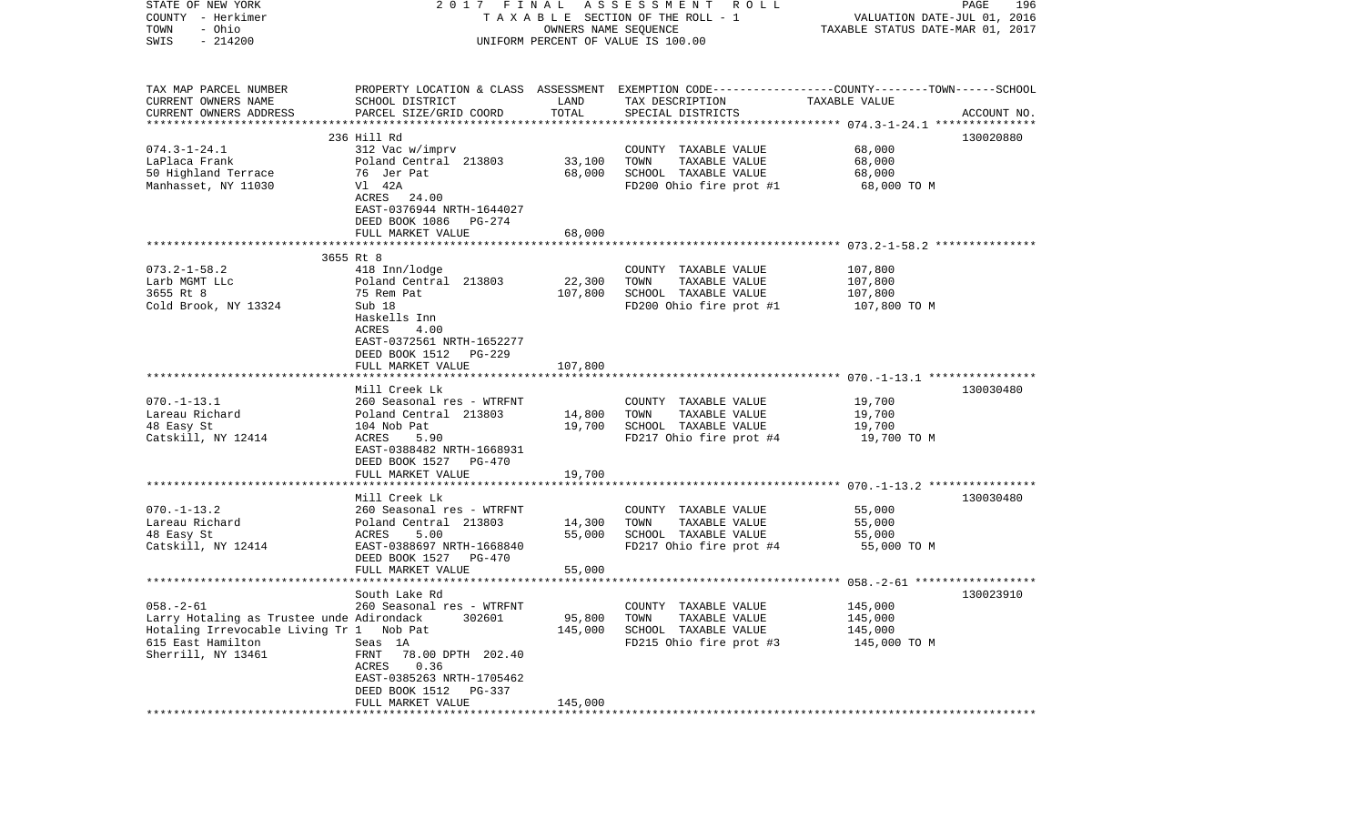| PROPERTY LOCATION & CLASS ASSESSMENT EXEMPTION CODE---------------COUNTY-------TOWN------SCHOOL<br>CURRENT OWNERS NAME<br>SCHOOL DISTRICT<br>LAND<br>TAX DESCRIPTION<br>TAXABLE VALUE<br>TOTAL<br>PARCEL SIZE/GRID COORD<br>SPECIAL DISTRICTS<br>ACCOUNT NO.<br>*************************<br>236 Hill Rd<br>130020880<br>$074.3 - 1 - 24.1$<br>68,000<br>312 Vac w/imprv<br>COUNTY TAXABLE VALUE<br>Poland Central 213803<br>33,100<br>TOWN<br>TAXABLE VALUE<br>68,000<br>SCHOOL TAXABLE VALUE<br>76 Jer Pat<br>68,000<br>68,000<br>V1 42A<br>FD200 Ohio fire prot #1<br>68,000 TO M<br>ACRES 24.00<br>EAST-0376944 NRTH-1644027<br>DEED BOOK 1086<br>PG-274<br>FULL MARKET VALUE<br>68,000<br>3655 Rt 8<br>418 Inn/lodge<br>107,800<br>COUNTY TAXABLE VALUE<br>Larb MGMT LLc<br>22,300<br>Poland Central 213803<br>TOWN<br>TAXABLE VALUE<br>107,800<br>3655 Rt 8<br>107,800<br>SCHOOL TAXABLE VALUE<br>75 Rem Pat<br>107,800<br>Sub 18<br>Cold Brook, NY 13324<br>FD200 Ohio fire prot #1<br>107,800 TO M<br>Haskells Inn<br>ACRES<br>4.00<br>EAST-0372561 NRTH-1652277<br>DEED BOOK 1512<br>PG-229<br>FULL MARKET VALUE<br>107,800<br>Mill Creek Lk<br>130030480<br>$070. -1 - 13.1$<br>260 Seasonal res - WTRFNT<br>COUNTY TAXABLE VALUE<br>19,700<br>Lareau Richard<br>TOWN<br>TAXABLE VALUE<br>19,700<br>Poland Central 213803<br>14,800<br>19,700<br>104 Nob Pat<br>SCHOOL TAXABLE VALUE<br>19,700<br>FD217 Ohio fire prot #4<br>ACRES<br>5.90<br>19,700 TO M<br>EAST-0388482 NRTH-1668931<br>DEED BOOK 1527 PG-470<br>19,700<br>FULL MARKET VALUE<br>Mill Creek Lk<br>130030480<br>260 Seasonal res - WTRFNT<br>COUNTY TAXABLE VALUE<br>55,000<br>Poland Central 213803<br>14,300<br>TOWN<br>TAXABLE VALUE<br>55,000<br>48 Easy St<br>ACRES<br>5.00<br>55,000<br>SCHOOL TAXABLE VALUE<br>55,000<br>Catskill, NY 12414<br>EAST-0388697 NRTH-1668840<br>FD217 Ohio fire prot #4<br>55,000 TO M<br>DEED BOOK 1527<br>PG-470<br>55,000<br>FULL MARKET VALUE<br>130023910<br>South Lake Rd<br>145,000<br>260 Seasonal res - WTRFNT<br>COUNTY TAXABLE VALUE<br>Larry Hotaling as Trustee unde Adirondack<br>95,800<br>TAXABLE VALUE<br>145,000<br>302601<br>TOWN<br>Hotaling Irrevocable Living Tr 1 Nob Pat<br>145,000<br>SCHOOL TAXABLE VALUE<br>145,000<br>615 East Hamilton<br>FD215 Ohio fire prot #3<br>Seas 1A<br>145,000 TO M<br>Sherrill, NY 13461<br>FRNT<br>78.00 DPTH 202.40<br>ACRES<br>0.36<br>EAST-0385263 NRTH-1705462<br>DEED BOOK 1512<br>PG-337 | STATE OF NEW YORK<br>COUNTY - Herkimer<br>- Ohio<br>TOWN<br>$-214200$<br>SWIS | 2017 FINAL | OWNERS NAME SEQUENCE | A S S E S S M E N T R O L L<br>TAXABLE SECTION OF THE ROLL - 1<br>UNIFORM PERCENT OF VALUE IS 100.00 | VALUATION DATE-JUL 01, 2016<br>TAXABLE STATUS DATE-MAR 01, 2017 | PAGE<br>196 |
|---------------------------------------------------------------------------------------------------------------------------------------------------------------------------------------------------------------------------------------------------------------------------------------------------------------------------------------------------------------------------------------------------------------------------------------------------------------------------------------------------------------------------------------------------------------------------------------------------------------------------------------------------------------------------------------------------------------------------------------------------------------------------------------------------------------------------------------------------------------------------------------------------------------------------------------------------------------------------------------------------------------------------------------------------------------------------------------------------------------------------------------------------------------------------------------------------------------------------------------------------------------------------------------------------------------------------------------------------------------------------------------------------------------------------------------------------------------------------------------------------------------------------------------------------------------------------------------------------------------------------------------------------------------------------------------------------------------------------------------------------------------------------------------------------------------------------------------------------------------------------------------------------------------------------------------------------------------------------------------------------------------------------------------------------------------------------------------------------------------------------------------------------------------------------------------------------------------------------------------------------------------------------------------------------------------------------------------------------------------------------------------------------------------------------------------------------------------------|-------------------------------------------------------------------------------|------------|----------------------|------------------------------------------------------------------------------------------------------|-----------------------------------------------------------------|-------------|
|                                                                                                                                                                                                                                                                                                                                                                                                                                                                                                                                                                                                                                                                                                                                                                                                                                                                                                                                                                                                                                                                                                                                                                                                                                                                                                                                                                                                                                                                                                                                                                                                                                                                                                                                                                                                                                                                                                                                                                                                                                                                                                                                                                                                                                                                                                                                                                                                                                                                     | TAX MAP PARCEL NUMBER                                                         |            |                      |                                                                                                      |                                                                 |             |
|                                                                                                                                                                                                                                                                                                                                                                                                                                                                                                                                                                                                                                                                                                                                                                                                                                                                                                                                                                                                                                                                                                                                                                                                                                                                                                                                                                                                                                                                                                                                                                                                                                                                                                                                                                                                                                                                                                                                                                                                                                                                                                                                                                                                                                                                                                                                                                                                                                                                     | CURRENT OWNERS ADDRESS                                                        |            |                      |                                                                                                      |                                                                 |             |
|                                                                                                                                                                                                                                                                                                                                                                                                                                                                                                                                                                                                                                                                                                                                                                                                                                                                                                                                                                                                                                                                                                                                                                                                                                                                                                                                                                                                                                                                                                                                                                                                                                                                                                                                                                                                                                                                                                                                                                                                                                                                                                                                                                                                                                                                                                                                                                                                                                                                     |                                                                               |            |                      |                                                                                                      |                                                                 |             |
|                                                                                                                                                                                                                                                                                                                                                                                                                                                                                                                                                                                                                                                                                                                                                                                                                                                                                                                                                                                                                                                                                                                                                                                                                                                                                                                                                                                                                                                                                                                                                                                                                                                                                                                                                                                                                                                                                                                                                                                                                                                                                                                                                                                                                                                                                                                                                                                                                                                                     |                                                                               |            |                      |                                                                                                      |                                                                 |             |
|                                                                                                                                                                                                                                                                                                                                                                                                                                                                                                                                                                                                                                                                                                                                                                                                                                                                                                                                                                                                                                                                                                                                                                                                                                                                                                                                                                                                                                                                                                                                                                                                                                                                                                                                                                                                                                                                                                                                                                                                                                                                                                                                                                                                                                                                                                                                                                                                                                                                     | LaPlaca Frank                                                                 |            |                      |                                                                                                      |                                                                 |             |
|                                                                                                                                                                                                                                                                                                                                                                                                                                                                                                                                                                                                                                                                                                                                                                                                                                                                                                                                                                                                                                                                                                                                                                                                                                                                                                                                                                                                                                                                                                                                                                                                                                                                                                                                                                                                                                                                                                                                                                                                                                                                                                                                                                                                                                                                                                                                                                                                                                                                     | 50 Highland Terrace                                                           |            |                      |                                                                                                      |                                                                 |             |
|                                                                                                                                                                                                                                                                                                                                                                                                                                                                                                                                                                                                                                                                                                                                                                                                                                                                                                                                                                                                                                                                                                                                                                                                                                                                                                                                                                                                                                                                                                                                                                                                                                                                                                                                                                                                                                                                                                                                                                                                                                                                                                                                                                                                                                                                                                                                                                                                                                                                     | Manhasset, NY 11030                                                           |            |                      |                                                                                                      |                                                                 |             |
|                                                                                                                                                                                                                                                                                                                                                                                                                                                                                                                                                                                                                                                                                                                                                                                                                                                                                                                                                                                                                                                                                                                                                                                                                                                                                                                                                                                                                                                                                                                                                                                                                                                                                                                                                                                                                                                                                                                                                                                                                                                                                                                                                                                                                                                                                                                                                                                                                                                                     |                                                                               |            |                      |                                                                                                      |                                                                 |             |
|                                                                                                                                                                                                                                                                                                                                                                                                                                                                                                                                                                                                                                                                                                                                                                                                                                                                                                                                                                                                                                                                                                                                                                                                                                                                                                                                                                                                                                                                                                                                                                                                                                                                                                                                                                                                                                                                                                                                                                                                                                                                                                                                                                                                                                                                                                                                                                                                                                                                     |                                                                               |            |                      |                                                                                                      |                                                                 |             |
|                                                                                                                                                                                                                                                                                                                                                                                                                                                                                                                                                                                                                                                                                                                                                                                                                                                                                                                                                                                                                                                                                                                                                                                                                                                                                                                                                                                                                                                                                                                                                                                                                                                                                                                                                                                                                                                                                                                                                                                                                                                                                                                                                                                                                                                                                                                                                                                                                                                                     |                                                                               |            |                      |                                                                                                      |                                                                 |             |
|                                                                                                                                                                                                                                                                                                                                                                                                                                                                                                                                                                                                                                                                                                                                                                                                                                                                                                                                                                                                                                                                                                                                                                                                                                                                                                                                                                                                                                                                                                                                                                                                                                                                                                                                                                                                                                                                                                                                                                                                                                                                                                                                                                                                                                                                                                                                                                                                                                                                     |                                                                               |            |                      |                                                                                                      |                                                                 |             |
|                                                                                                                                                                                                                                                                                                                                                                                                                                                                                                                                                                                                                                                                                                                                                                                                                                                                                                                                                                                                                                                                                                                                                                                                                                                                                                                                                                                                                                                                                                                                                                                                                                                                                                                                                                                                                                                                                                                                                                                                                                                                                                                                                                                                                                                                                                                                                                                                                                                                     |                                                                               |            |                      |                                                                                                      |                                                                 |             |
|                                                                                                                                                                                                                                                                                                                                                                                                                                                                                                                                                                                                                                                                                                                                                                                                                                                                                                                                                                                                                                                                                                                                                                                                                                                                                                                                                                                                                                                                                                                                                                                                                                                                                                                                                                                                                                                                                                                                                                                                                                                                                                                                                                                                                                                                                                                                                                                                                                                                     | $073.2 - 1 - 58.2$                                                            |            |                      |                                                                                                      |                                                                 |             |
|                                                                                                                                                                                                                                                                                                                                                                                                                                                                                                                                                                                                                                                                                                                                                                                                                                                                                                                                                                                                                                                                                                                                                                                                                                                                                                                                                                                                                                                                                                                                                                                                                                                                                                                                                                                                                                                                                                                                                                                                                                                                                                                                                                                                                                                                                                                                                                                                                                                                     |                                                                               |            |                      |                                                                                                      |                                                                 |             |
|                                                                                                                                                                                                                                                                                                                                                                                                                                                                                                                                                                                                                                                                                                                                                                                                                                                                                                                                                                                                                                                                                                                                                                                                                                                                                                                                                                                                                                                                                                                                                                                                                                                                                                                                                                                                                                                                                                                                                                                                                                                                                                                                                                                                                                                                                                                                                                                                                                                                     |                                                                               |            |                      |                                                                                                      |                                                                 |             |
|                                                                                                                                                                                                                                                                                                                                                                                                                                                                                                                                                                                                                                                                                                                                                                                                                                                                                                                                                                                                                                                                                                                                                                                                                                                                                                                                                                                                                                                                                                                                                                                                                                                                                                                                                                                                                                                                                                                                                                                                                                                                                                                                                                                                                                                                                                                                                                                                                                                                     |                                                                               |            |                      |                                                                                                      |                                                                 |             |
|                                                                                                                                                                                                                                                                                                                                                                                                                                                                                                                                                                                                                                                                                                                                                                                                                                                                                                                                                                                                                                                                                                                                                                                                                                                                                                                                                                                                                                                                                                                                                                                                                                                                                                                                                                                                                                                                                                                                                                                                                                                                                                                                                                                                                                                                                                                                                                                                                                                                     |                                                                               |            |                      |                                                                                                      |                                                                 |             |
|                                                                                                                                                                                                                                                                                                                                                                                                                                                                                                                                                                                                                                                                                                                                                                                                                                                                                                                                                                                                                                                                                                                                                                                                                                                                                                                                                                                                                                                                                                                                                                                                                                                                                                                                                                                                                                                                                                                                                                                                                                                                                                                                                                                                                                                                                                                                                                                                                                                                     |                                                                               |            |                      |                                                                                                      |                                                                 |             |
|                                                                                                                                                                                                                                                                                                                                                                                                                                                                                                                                                                                                                                                                                                                                                                                                                                                                                                                                                                                                                                                                                                                                                                                                                                                                                                                                                                                                                                                                                                                                                                                                                                                                                                                                                                                                                                                                                                                                                                                                                                                                                                                                                                                                                                                                                                                                                                                                                                                                     |                                                                               |            |                      |                                                                                                      |                                                                 |             |
|                                                                                                                                                                                                                                                                                                                                                                                                                                                                                                                                                                                                                                                                                                                                                                                                                                                                                                                                                                                                                                                                                                                                                                                                                                                                                                                                                                                                                                                                                                                                                                                                                                                                                                                                                                                                                                                                                                                                                                                                                                                                                                                                                                                                                                                                                                                                                                                                                                                                     |                                                                               |            |                      |                                                                                                      |                                                                 |             |
|                                                                                                                                                                                                                                                                                                                                                                                                                                                                                                                                                                                                                                                                                                                                                                                                                                                                                                                                                                                                                                                                                                                                                                                                                                                                                                                                                                                                                                                                                                                                                                                                                                                                                                                                                                                                                                                                                                                                                                                                                                                                                                                                                                                                                                                                                                                                                                                                                                                                     |                                                                               |            |                      |                                                                                                      |                                                                 |             |
|                                                                                                                                                                                                                                                                                                                                                                                                                                                                                                                                                                                                                                                                                                                                                                                                                                                                                                                                                                                                                                                                                                                                                                                                                                                                                                                                                                                                                                                                                                                                                                                                                                                                                                                                                                                                                                                                                                                                                                                                                                                                                                                                                                                                                                                                                                                                                                                                                                                                     |                                                                               |            |                      |                                                                                                      |                                                                 |             |
|                                                                                                                                                                                                                                                                                                                                                                                                                                                                                                                                                                                                                                                                                                                                                                                                                                                                                                                                                                                                                                                                                                                                                                                                                                                                                                                                                                                                                                                                                                                                                                                                                                                                                                                                                                                                                                                                                                                                                                                                                                                                                                                                                                                                                                                                                                                                                                                                                                                                     |                                                                               |            |                      |                                                                                                      |                                                                 |             |
|                                                                                                                                                                                                                                                                                                                                                                                                                                                                                                                                                                                                                                                                                                                                                                                                                                                                                                                                                                                                                                                                                                                                                                                                                                                                                                                                                                                                                                                                                                                                                                                                                                                                                                                                                                                                                                                                                                                                                                                                                                                                                                                                                                                                                                                                                                                                                                                                                                                                     | 48 Easy St                                                                    |            |                      |                                                                                                      |                                                                 |             |
|                                                                                                                                                                                                                                                                                                                                                                                                                                                                                                                                                                                                                                                                                                                                                                                                                                                                                                                                                                                                                                                                                                                                                                                                                                                                                                                                                                                                                                                                                                                                                                                                                                                                                                                                                                                                                                                                                                                                                                                                                                                                                                                                                                                                                                                                                                                                                                                                                                                                     | Catskill, NY 12414                                                            |            |                      |                                                                                                      |                                                                 |             |
|                                                                                                                                                                                                                                                                                                                                                                                                                                                                                                                                                                                                                                                                                                                                                                                                                                                                                                                                                                                                                                                                                                                                                                                                                                                                                                                                                                                                                                                                                                                                                                                                                                                                                                                                                                                                                                                                                                                                                                                                                                                                                                                                                                                                                                                                                                                                                                                                                                                                     |                                                                               |            |                      |                                                                                                      |                                                                 |             |
|                                                                                                                                                                                                                                                                                                                                                                                                                                                                                                                                                                                                                                                                                                                                                                                                                                                                                                                                                                                                                                                                                                                                                                                                                                                                                                                                                                                                                                                                                                                                                                                                                                                                                                                                                                                                                                                                                                                                                                                                                                                                                                                                                                                                                                                                                                                                                                                                                                                                     |                                                                               |            |                      |                                                                                                      |                                                                 |             |
|                                                                                                                                                                                                                                                                                                                                                                                                                                                                                                                                                                                                                                                                                                                                                                                                                                                                                                                                                                                                                                                                                                                                                                                                                                                                                                                                                                                                                                                                                                                                                                                                                                                                                                                                                                                                                                                                                                                                                                                                                                                                                                                                                                                                                                                                                                                                                                                                                                                                     |                                                                               |            |                      |                                                                                                      |                                                                 |             |
|                                                                                                                                                                                                                                                                                                                                                                                                                                                                                                                                                                                                                                                                                                                                                                                                                                                                                                                                                                                                                                                                                                                                                                                                                                                                                                                                                                                                                                                                                                                                                                                                                                                                                                                                                                                                                                                                                                                                                                                                                                                                                                                                                                                                                                                                                                                                                                                                                                                                     |                                                                               |            |                      |                                                                                                      |                                                                 |             |
|                                                                                                                                                                                                                                                                                                                                                                                                                                                                                                                                                                                                                                                                                                                                                                                                                                                                                                                                                                                                                                                                                                                                                                                                                                                                                                                                                                                                                                                                                                                                                                                                                                                                                                                                                                                                                                                                                                                                                                                                                                                                                                                                                                                                                                                                                                                                                                                                                                                                     | $070. -1 - 13.2$                                                              |            |                      |                                                                                                      |                                                                 |             |
|                                                                                                                                                                                                                                                                                                                                                                                                                                                                                                                                                                                                                                                                                                                                                                                                                                                                                                                                                                                                                                                                                                                                                                                                                                                                                                                                                                                                                                                                                                                                                                                                                                                                                                                                                                                                                                                                                                                                                                                                                                                                                                                                                                                                                                                                                                                                                                                                                                                                     | Lareau Richard                                                                |            |                      |                                                                                                      |                                                                 |             |
|                                                                                                                                                                                                                                                                                                                                                                                                                                                                                                                                                                                                                                                                                                                                                                                                                                                                                                                                                                                                                                                                                                                                                                                                                                                                                                                                                                                                                                                                                                                                                                                                                                                                                                                                                                                                                                                                                                                                                                                                                                                                                                                                                                                                                                                                                                                                                                                                                                                                     |                                                                               |            |                      |                                                                                                      |                                                                 |             |
|                                                                                                                                                                                                                                                                                                                                                                                                                                                                                                                                                                                                                                                                                                                                                                                                                                                                                                                                                                                                                                                                                                                                                                                                                                                                                                                                                                                                                                                                                                                                                                                                                                                                                                                                                                                                                                                                                                                                                                                                                                                                                                                                                                                                                                                                                                                                                                                                                                                                     |                                                                               |            |                      |                                                                                                      |                                                                 |             |
|                                                                                                                                                                                                                                                                                                                                                                                                                                                                                                                                                                                                                                                                                                                                                                                                                                                                                                                                                                                                                                                                                                                                                                                                                                                                                                                                                                                                                                                                                                                                                                                                                                                                                                                                                                                                                                                                                                                                                                                                                                                                                                                                                                                                                                                                                                                                                                                                                                                                     |                                                                               |            |                      |                                                                                                      |                                                                 |             |
|                                                                                                                                                                                                                                                                                                                                                                                                                                                                                                                                                                                                                                                                                                                                                                                                                                                                                                                                                                                                                                                                                                                                                                                                                                                                                                                                                                                                                                                                                                                                                                                                                                                                                                                                                                                                                                                                                                                                                                                                                                                                                                                                                                                                                                                                                                                                                                                                                                                                     |                                                                               |            |                      |                                                                                                      |                                                                 |             |
|                                                                                                                                                                                                                                                                                                                                                                                                                                                                                                                                                                                                                                                                                                                                                                                                                                                                                                                                                                                                                                                                                                                                                                                                                                                                                                                                                                                                                                                                                                                                                                                                                                                                                                                                                                                                                                                                                                                                                                                                                                                                                                                                                                                                                                                                                                                                                                                                                                                                     |                                                                               |            |                      |                                                                                                      |                                                                 |             |
|                                                                                                                                                                                                                                                                                                                                                                                                                                                                                                                                                                                                                                                                                                                                                                                                                                                                                                                                                                                                                                                                                                                                                                                                                                                                                                                                                                                                                                                                                                                                                                                                                                                                                                                                                                                                                                                                                                                                                                                                                                                                                                                                                                                                                                                                                                                                                                                                                                                                     | $058. - 2 - 61$                                                               |            |                      |                                                                                                      |                                                                 |             |
|                                                                                                                                                                                                                                                                                                                                                                                                                                                                                                                                                                                                                                                                                                                                                                                                                                                                                                                                                                                                                                                                                                                                                                                                                                                                                                                                                                                                                                                                                                                                                                                                                                                                                                                                                                                                                                                                                                                                                                                                                                                                                                                                                                                                                                                                                                                                                                                                                                                                     |                                                                               |            |                      |                                                                                                      |                                                                 |             |
|                                                                                                                                                                                                                                                                                                                                                                                                                                                                                                                                                                                                                                                                                                                                                                                                                                                                                                                                                                                                                                                                                                                                                                                                                                                                                                                                                                                                                                                                                                                                                                                                                                                                                                                                                                                                                                                                                                                                                                                                                                                                                                                                                                                                                                                                                                                                                                                                                                                                     |                                                                               |            |                      |                                                                                                      |                                                                 |             |
|                                                                                                                                                                                                                                                                                                                                                                                                                                                                                                                                                                                                                                                                                                                                                                                                                                                                                                                                                                                                                                                                                                                                                                                                                                                                                                                                                                                                                                                                                                                                                                                                                                                                                                                                                                                                                                                                                                                                                                                                                                                                                                                                                                                                                                                                                                                                                                                                                                                                     |                                                                               |            |                      |                                                                                                      |                                                                 |             |
|                                                                                                                                                                                                                                                                                                                                                                                                                                                                                                                                                                                                                                                                                                                                                                                                                                                                                                                                                                                                                                                                                                                                                                                                                                                                                                                                                                                                                                                                                                                                                                                                                                                                                                                                                                                                                                                                                                                                                                                                                                                                                                                                                                                                                                                                                                                                                                                                                                                                     |                                                                               |            |                      |                                                                                                      |                                                                 |             |
|                                                                                                                                                                                                                                                                                                                                                                                                                                                                                                                                                                                                                                                                                                                                                                                                                                                                                                                                                                                                                                                                                                                                                                                                                                                                                                                                                                                                                                                                                                                                                                                                                                                                                                                                                                                                                                                                                                                                                                                                                                                                                                                                                                                                                                                                                                                                                                                                                                                                     |                                                                               |            |                      |                                                                                                      |                                                                 |             |
|                                                                                                                                                                                                                                                                                                                                                                                                                                                                                                                                                                                                                                                                                                                                                                                                                                                                                                                                                                                                                                                                                                                                                                                                                                                                                                                                                                                                                                                                                                                                                                                                                                                                                                                                                                                                                                                                                                                                                                                                                                                                                                                                                                                                                                                                                                                                                                                                                                                                     |                                                                               |            |                      |                                                                                                      |                                                                 |             |
| 145,000<br>FULL MARKET VALUE                                                                                                                                                                                                                                                                                                                                                                                                                                                                                                                                                                                                                                                                                                                                                                                                                                                                                                                                                                                                                                                                                                                                                                                                                                                                                                                                                                                                                                                                                                                                                                                                                                                                                                                                                                                                                                                                                                                                                                                                                                                                                                                                                                                                                                                                                                                                                                                                                                        |                                                                               |            |                      |                                                                                                      |                                                                 |             |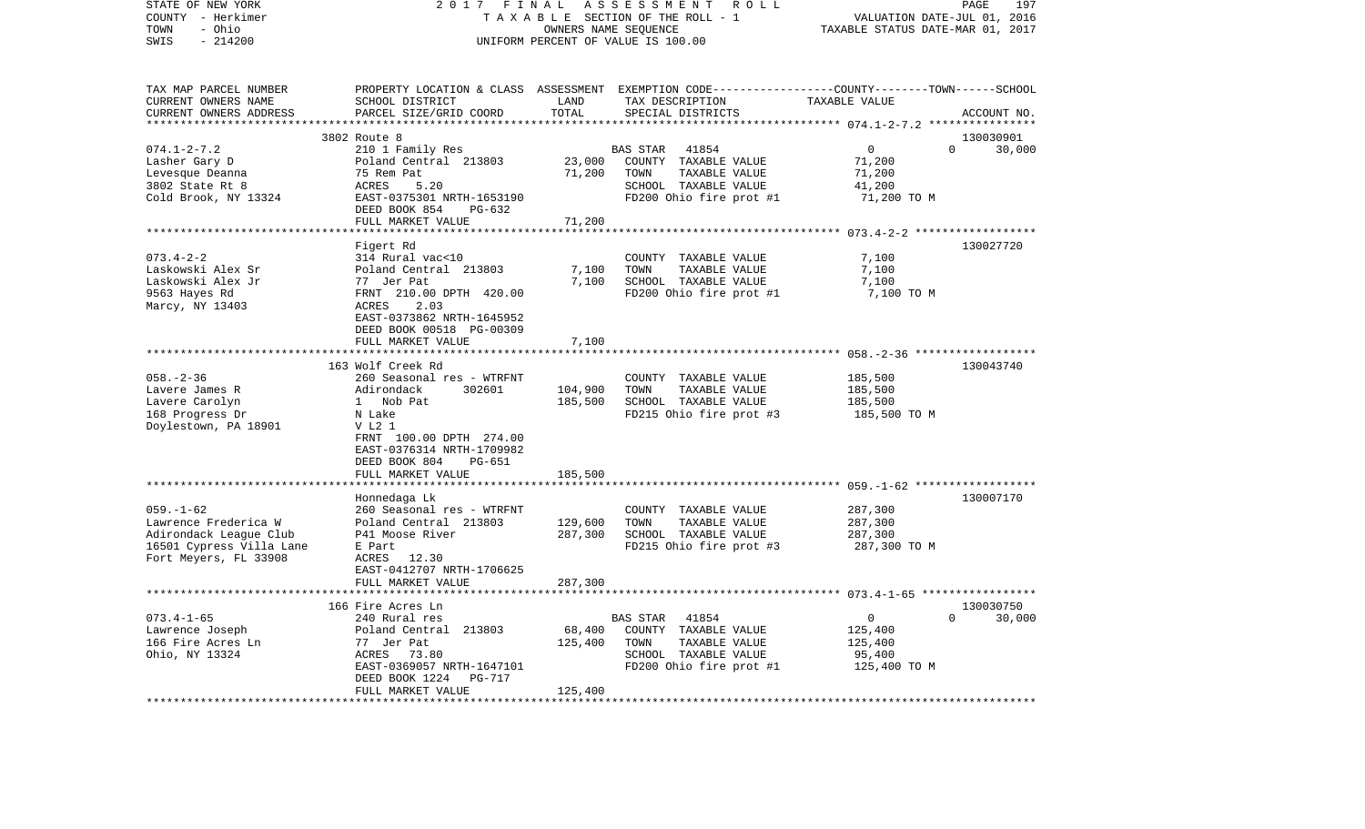| - Ohio<br>TAXABLE STATUS DATE-MAR 01, 2017<br>TOWN<br>OWNERS NAME SEQUENCE<br>$-214200$<br>SWIS<br>UNIFORM PERCENT OF VALUE IS 100.00<br>PROPERTY LOCATION & CLASS ASSESSMENT EXEMPTION CODE----------------COUNTY-------TOWN------SCHOOL<br>TAX MAP PARCEL NUMBER<br>CURRENT OWNERS NAME<br>SCHOOL DISTRICT<br>LAND<br>TAX DESCRIPTION<br>TAXABLE VALUE<br>TOTAL<br>CURRENT OWNERS ADDRESS<br>PARCEL SIZE/GRID COORD<br>SPECIAL DISTRICTS<br>ACCOUNT NO.<br>* * * * * * * * * *<br>************ 074.1-2-7.2 *****************<br>3802 Route 8<br>130030901<br>$\Omega$<br>$\overline{0}$<br>$074.1 - 2 - 7.2$<br>210 1 Family Res<br>BAS STAR<br>41854<br>30,000<br>23,000<br>Lasher Gary D<br>Poland Central 213803<br>COUNTY TAXABLE VALUE<br>71,200<br>75 Rem Pat<br>71,200<br>TAXABLE VALUE<br>Levesque Deanna<br>TOWN<br>71,200<br>3802 State Rt 8<br>ACRES<br>5.20<br>SCHOOL TAXABLE VALUE<br>41,200<br>Cold Brook, NY 13324<br>EAST-0375301 NRTH-1653190<br>FD200 Ohio fire prot #1<br>71,200 TO M<br>DEED BOOK 854<br>PG-632<br>FULL MARKET VALUE<br>71,200<br>Figert Rd<br>130027720<br>$073.4 - 2 - 2$<br>314 Rural vac<10<br>7,100<br>COUNTY TAXABLE VALUE<br>Poland Central 213803<br>7,100<br>7,100<br>Laskowski Alex Sr<br>TOWN<br>TAXABLE VALUE<br>Laskowski Alex Jr<br>77 Jer Pat<br>7,100<br>SCHOOL TAXABLE VALUE<br>7,100<br>FRNT 210.00 DPTH 420.00<br>FD200 Ohio fire prot #1<br>7,100 TO M<br>9563 Hayes Rd<br>Marcy, NY 13403<br>2.03<br>ACRES<br>EAST-0373862 NRTH-1645952<br>DEED BOOK 00518 PG-00309<br>7,100<br>FULL MARKET VALUE<br>163 Wolf Creek Rd<br>130043740<br>$058. - 2 - 36$<br>260 Seasonal res - WTRFNT<br>185,500<br>COUNTY TAXABLE VALUE<br>302601<br>104,900<br>TOWN<br>TAXABLE VALUE<br>185,500<br>Lavere James R<br>Adirondack<br>Lavere Carolyn<br>1 Nob Pat<br>185,500<br>SCHOOL TAXABLE VALUE<br>185,500<br>168 Progress Dr<br>FD215 Ohio fire prot #3<br>185,500 TO M<br>N Lake<br>Doylestown, PA 18901<br>V L2 1<br>FRNT 100.00 DPTH 274.00<br>EAST-0376314 NRTH-1709982<br>DEED BOOK 804<br>PG-651<br>185,500<br>FULL MARKET VALUE<br>Honnedaga Lk<br>130007170<br>$059. - 1 - 62$<br>287,300<br>260 Seasonal res - WTRFNT<br>COUNTY TAXABLE VALUE<br>TOWN<br>287,300<br>Lawrence Frederica W<br>Poland Central 213803<br>129,600<br>TAXABLE VALUE<br>Adirondack League Club<br>P41 Moose River<br>287,300<br>SCHOOL TAXABLE VALUE<br>287,300<br>16501 Cypress Villa Lane<br>FD215 Ohio fire prot #3<br>287,300 TO M<br>E Part<br>Fort Meyers, FL 33908<br>ACRES 12.30<br>EAST-0412707 NRTH-1706625<br>287,300<br>FULL MARKET VALUE<br>* * * * * * * * *<br>166 Fire Acres Ln<br>130030750<br>$073.4 - 1 - 65$<br>$\mathbf 0$<br>$\Omega$<br>30,000<br>240 Rural res<br>BAS STAR<br>41854<br>Lawrence Joseph<br>Poland Central 213803<br>68,400<br>COUNTY TAXABLE VALUE<br>125,400<br>166 Fire Acres Ln<br>77 Jer Pat<br>125,400<br>TOWN<br>TAXABLE VALUE<br>125,400<br>Ohio, NY 13324<br>ACRES<br>73.80<br>SCHOOL TAXABLE VALUE<br>95,400<br>FD200 Ohio fire prot #1<br>EAST-0369057 NRTH-1647101<br>125,400 TO M<br>DEED BOOK 1224<br>PG-717<br>FULL MARKET VALUE<br>125,400<br>*****************************<br>********** | STATE OF NEW YORK<br>COUNTY - Herkimer | 2017 | FINAL | ASSESSMENT ROLL<br>TAXABLE SECTION OF THE ROLL - 1 | VALUATION DATE-JUL 01, 2016 | PAGE<br>197 |
|---------------------------------------------------------------------------------------------------------------------------------------------------------------------------------------------------------------------------------------------------------------------------------------------------------------------------------------------------------------------------------------------------------------------------------------------------------------------------------------------------------------------------------------------------------------------------------------------------------------------------------------------------------------------------------------------------------------------------------------------------------------------------------------------------------------------------------------------------------------------------------------------------------------------------------------------------------------------------------------------------------------------------------------------------------------------------------------------------------------------------------------------------------------------------------------------------------------------------------------------------------------------------------------------------------------------------------------------------------------------------------------------------------------------------------------------------------------------------------------------------------------------------------------------------------------------------------------------------------------------------------------------------------------------------------------------------------------------------------------------------------------------------------------------------------------------------------------------------------------------------------------------------------------------------------------------------------------------------------------------------------------------------------------------------------------------------------------------------------------------------------------------------------------------------------------------------------------------------------------------------------------------------------------------------------------------------------------------------------------------------------------------------------------------------------------------------------------------------------------------------------------------------------------------------------------------------------------------------------------------------------------------------------------------------------------------------------------------------------------------------------------------------------------------------------------------------------------------------------------------------------------------------------------------------------------------------------------------------------------------------------------------------------------------------------------------------------------------------------------------------------------------------------------------------------|----------------------------------------|------|-------|----------------------------------------------------|-----------------------------|-------------|
|                                                                                                                                                                                                                                                                                                                                                                                                                                                                                                                                                                                                                                                                                                                                                                                                                                                                                                                                                                                                                                                                                                                                                                                                                                                                                                                                                                                                                                                                                                                                                                                                                                                                                                                                                                                                                                                                                                                                                                                                                                                                                                                                                                                                                                                                                                                                                                                                                                                                                                                                                                                                                                                                                                                                                                                                                                                                                                                                                                                                                                                                                                                                                                                 |                                        |      |       |                                                    |                             |             |
|                                                                                                                                                                                                                                                                                                                                                                                                                                                                                                                                                                                                                                                                                                                                                                                                                                                                                                                                                                                                                                                                                                                                                                                                                                                                                                                                                                                                                                                                                                                                                                                                                                                                                                                                                                                                                                                                                                                                                                                                                                                                                                                                                                                                                                                                                                                                                                                                                                                                                                                                                                                                                                                                                                                                                                                                                                                                                                                                                                                                                                                                                                                                                                                 |                                        |      |       |                                                    |                             |             |
|                                                                                                                                                                                                                                                                                                                                                                                                                                                                                                                                                                                                                                                                                                                                                                                                                                                                                                                                                                                                                                                                                                                                                                                                                                                                                                                                                                                                                                                                                                                                                                                                                                                                                                                                                                                                                                                                                                                                                                                                                                                                                                                                                                                                                                                                                                                                                                                                                                                                                                                                                                                                                                                                                                                                                                                                                                                                                                                                                                                                                                                                                                                                                                                 |                                        |      |       |                                                    |                             |             |
|                                                                                                                                                                                                                                                                                                                                                                                                                                                                                                                                                                                                                                                                                                                                                                                                                                                                                                                                                                                                                                                                                                                                                                                                                                                                                                                                                                                                                                                                                                                                                                                                                                                                                                                                                                                                                                                                                                                                                                                                                                                                                                                                                                                                                                                                                                                                                                                                                                                                                                                                                                                                                                                                                                                                                                                                                                                                                                                                                                                                                                                                                                                                                                                 |                                        |      |       |                                                    |                             |             |
|                                                                                                                                                                                                                                                                                                                                                                                                                                                                                                                                                                                                                                                                                                                                                                                                                                                                                                                                                                                                                                                                                                                                                                                                                                                                                                                                                                                                                                                                                                                                                                                                                                                                                                                                                                                                                                                                                                                                                                                                                                                                                                                                                                                                                                                                                                                                                                                                                                                                                                                                                                                                                                                                                                                                                                                                                                                                                                                                                                                                                                                                                                                                                                                 |                                        |      |       |                                                    |                             |             |
|                                                                                                                                                                                                                                                                                                                                                                                                                                                                                                                                                                                                                                                                                                                                                                                                                                                                                                                                                                                                                                                                                                                                                                                                                                                                                                                                                                                                                                                                                                                                                                                                                                                                                                                                                                                                                                                                                                                                                                                                                                                                                                                                                                                                                                                                                                                                                                                                                                                                                                                                                                                                                                                                                                                                                                                                                                                                                                                                                                                                                                                                                                                                                                                 |                                        |      |       |                                                    |                             |             |
|                                                                                                                                                                                                                                                                                                                                                                                                                                                                                                                                                                                                                                                                                                                                                                                                                                                                                                                                                                                                                                                                                                                                                                                                                                                                                                                                                                                                                                                                                                                                                                                                                                                                                                                                                                                                                                                                                                                                                                                                                                                                                                                                                                                                                                                                                                                                                                                                                                                                                                                                                                                                                                                                                                                                                                                                                                                                                                                                                                                                                                                                                                                                                                                 |                                        |      |       |                                                    |                             |             |
|                                                                                                                                                                                                                                                                                                                                                                                                                                                                                                                                                                                                                                                                                                                                                                                                                                                                                                                                                                                                                                                                                                                                                                                                                                                                                                                                                                                                                                                                                                                                                                                                                                                                                                                                                                                                                                                                                                                                                                                                                                                                                                                                                                                                                                                                                                                                                                                                                                                                                                                                                                                                                                                                                                                                                                                                                                                                                                                                                                                                                                                                                                                                                                                 |                                        |      |       |                                                    |                             |             |
|                                                                                                                                                                                                                                                                                                                                                                                                                                                                                                                                                                                                                                                                                                                                                                                                                                                                                                                                                                                                                                                                                                                                                                                                                                                                                                                                                                                                                                                                                                                                                                                                                                                                                                                                                                                                                                                                                                                                                                                                                                                                                                                                                                                                                                                                                                                                                                                                                                                                                                                                                                                                                                                                                                                                                                                                                                                                                                                                                                                                                                                                                                                                                                                 |                                        |      |       |                                                    |                             |             |
|                                                                                                                                                                                                                                                                                                                                                                                                                                                                                                                                                                                                                                                                                                                                                                                                                                                                                                                                                                                                                                                                                                                                                                                                                                                                                                                                                                                                                                                                                                                                                                                                                                                                                                                                                                                                                                                                                                                                                                                                                                                                                                                                                                                                                                                                                                                                                                                                                                                                                                                                                                                                                                                                                                                                                                                                                                                                                                                                                                                                                                                                                                                                                                                 |                                        |      |       |                                                    |                             |             |
|                                                                                                                                                                                                                                                                                                                                                                                                                                                                                                                                                                                                                                                                                                                                                                                                                                                                                                                                                                                                                                                                                                                                                                                                                                                                                                                                                                                                                                                                                                                                                                                                                                                                                                                                                                                                                                                                                                                                                                                                                                                                                                                                                                                                                                                                                                                                                                                                                                                                                                                                                                                                                                                                                                                                                                                                                                                                                                                                                                                                                                                                                                                                                                                 |                                        |      |       |                                                    |                             |             |
|                                                                                                                                                                                                                                                                                                                                                                                                                                                                                                                                                                                                                                                                                                                                                                                                                                                                                                                                                                                                                                                                                                                                                                                                                                                                                                                                                                                                                                                                                                                                                                                                                                                                                                                                                                                                                                                                                                                                                                                                                                                                                                                                                                                                                                                                                                                                                                                                                                                                                                                                                                                                                                                                                                                                                                                                                                                                                                                                                                                                                                                                                                                                                                                 |                                        |      |       |                                                    |                             |             |
|                                                                                                                                                                                                                                                                                                                                                                                                                                                                                                                                                                                                                                                                                                                                                                                                                                                                                                                                                                                                                                                                                                                                                                                                                                                                                                                                                                                                                                                                                                                                                                                                                                                                                                                                                                                                                                                                                                                                                                                                                                                                                                                                                                                                                                                                                                                                                                                                                                                                                                                                                                                                                                                                                                                                                                                                                                                                                                                                                                                                                                                                                                                                                                                 |                                        |      |       |                                                    |                             |             |
|                                                                                                                                                                                                                                                                                                                                                                                                                                                                                                                                                                                                                                                                                                                                                                                                                                                                                                                                                                                                                                                                                                                                                                                                                                                                                                                                                                                                                                                                                                                                                                                                                                                                                                                                                                                                                                                                                                                                                                                                                                                                                                                                                                                                                                                                                                                                                                                                                                                                                                                                                                                                                                                                                                                                                                                                                                                                                                                                                                                                                                                                                                                                                                                 |                                        |      |       |                                                    |                             |             |
|                                                                                                                                                                                                                                                                                                                                                                                                                                                                                                                                                                                                                                                                                                                                                                                                                                                                                                                                                                                                                                                                                                                                                                                                                                                                                                                                                                                                                                                                                                                                                                                                                                                                                                                                                                                                                                                                                                                                                                                                                                                                                                                                                                                                                                                                                                                                                                                                                                                                                                                                                                                                                                                                                                                                                                                                                                                                                                                                                                                                                                                                                                                                                                                 |                                        |      |       |                                                    |                             |             |
|                                                                                                                                                                                                                                                                                                                                                                                                                                                                                                                                                                                                                                                                                                                                                                                                                                                                                                                                                                                                                                                                                                                                                                                                                                                                                                                                                                                                                                                                                                                                                                                                                                                                                                                                                                                                                                                                                                                                                                                                                                                                                                                                                                                                                                                                                                                                                                                                                                                                                                                                                                                                                                                                                                                                                                                                                                                                                                                                                                                                                                                                                                                                                                                 |                                        |      |       |                                                    |                             |             |
|                                                                                                                                                                                                                                                                                                                                                                                                                                                                                                                                                                                                                                                                                                                                                                                                                                                                                                                                                                                                                                                                                                                                                                                                                                                                                                                                                                                                                                                                                                                                                                                                                                                                                                                                                                                                                                                                                                                                                                                                                                                                                                                                                                                                                                                                                                                                                                                                                                                                                                                                                                                                                                                                                                                                                                                                                                                                                                                                                                                                                                                                                                                                                                                 |                                        |      |       |                                                    |                             |             |
|                                                                                                                                                                                                                                                                                                                                                                                                                                                                                                                                                                                                                                                                                                                                                                                                                                                                                                                                                                                                                                                                                                                                                                                                                                                                                                                                                                                                                                                                                                                                                                                                                                                                                                                                                                                                                                                                                                                                                                                                                                                                                                                                                                                                                                                                                                                                                                                                                                                                                                                                                                                                                                                                                                                                                                                                                                                                                                                                                                                                                                                                                                                                                                                 |                                        |      |       |                                                    |                             |             |
|                                                                                                                                                                                                                                                                                                                                                                                                                                                                                                                                                                                                                                                                                                                                                                                                                                                                                                                                                                                                                                                                                                                                                                                                                                                                                                                                                                                                                                                                                                                                                                                                                                                                                                                                                                                                                                                                                                                                                                                                                                                                                                                                                                                                                                                                                                                                                                                                                                                                                                                                                                                                                                                                                                                                                                                                                                                                                                                                                                                                                                                                                                                                                                                 |                                        |      |       |                                                    |                             |             |
|                                                                                                                                                                                                                                                                                                                                                                                                                                                                                                                                                                                                                                                                                                                                                                                                                                                                                                                                                                                                                                                                                                                                                                                                                                                                                                                                                                                                                                                                                                                                                                                                                                                                                                                                                                                                                                                                                                                                                                                                                                                                                                                                                                                                                                                                                                                                                                                                                                                                                                                                                                                                                                                                                                                                                                                                                                                                                                                                                                                                                                                                                                                                                                                 |                                        |      |       |                                                    |                             |             |
|                                                                                                                                                                                                                                                                                                                                                                                                                                                                                                                                                                                                                                                                                                                                                                                                                                                                                                                                                                                                                                                                                                                                                                                                                                                                                                                                                                                                                                                                                                                                                                                                                                                                                                                                                                                                                                                                                                                                                                                                                                                                                                                                                                                                                                                                                                                                                                                                                                                                                                                                                                                                                                                                                                                                                                                                                                                                                                                                                                                                                                                                                                                                                                                 |                                        |      |       |                                                    |                             |             |
|                                                                                                                                                                                                                                                                                                                                                                                                                                                                                                                                                                                                                                                                                                                                                                                                                                                                                                                                                                                                                                                                                                                                                                                                                                                                                                                                                                                                                                                                                                                                                                                                                                                                                                                                                                                                                                                                                                                                                                                                                                                                                                                                                                                                                                                                                                                                                                                                                                                                                                                                                                                                                                                                                                                                                                                                                                                                                                                                                                                                                                                                                                                                                                                 |                                        |      |       |                                                    |                             |             |
|                                                                                                                                                                                                                                                                                                                                                                                                                                                                                                                                                                                                                                                                                                                                                                                                                                                                                                                                                                                                                                                                                                                                                                                                                                                                                                                                                                                                                                                                                                                                                                                                                                                                                                                                                                                                                                                                                                                                                                                                                                                                                                                                                                                                                                                                                                                                                                                                                                                                                                                                                                                                                                                                                                                                                                                                                                                                                                                                                                                                                                                                                                                                                                                 |                                        |      |       |                                                    |                             |             |
|                                                                                                                                                                                                                                                                                                                                                                                                                                                                                                                                                                                                                                                                                                                                                                                                                                                                                                                                                                                                                                                                                                                                                                                                                                                                                                                                                                                                                                                                                                                                                                                                                                                                                                                                                                                                                                                                                                                                                                                                                                                                                                                                                                                                                                                                                                                                                                                                                                                                                                                                                                                                                                                                                                                                                                                                                                                                                                                                                                                                                                                                                                                                                                                 |                                        |      |       |                                                    |                             |             |
|                                                                                                                                                                                                                                                                                                                                                                                                                                                                                                                                                                                                                                                                                                                                                                                                                                                                                                                                                                                                                                                                                                                                                                                                                                                                                                                                                                                                                                                                                                                                                                                                                                                                                                                                                                                                                                                                                                                                                                                                                                                                                                                                                                                                                                                                                                                                                                                                                                                                                                                                                                                                                                                                                                                                                                                                                                                                                                                                                                                                                                                                                                                                                                                 |                                        |      |       |                                                    |                             |             |
|                                                                                                                                                                                                                                                                                                                                                                                                                                                                                                                                                                                                                                                                                                                                                                                                                                                                                                                                                                                                                                                                                                                                                                                                                                                                                                                                                                                                                                                                                                                                                                                                                                                                                                                                                                                                                                                                                                                                                                                                                                                                                                                                                                                                                                                                                                                                                                                                                                                                                                                                                                                                                                                                                                                                                                                                                                                                                                                                                                                                                                                                                                                                                                                 |                                        |      |       |                                                    |                             |             |
|                                                                                                                                                                                                                                                                                                                                                                                                                                                                                                                                                                                                                                                                                                                                                                                                                                                                                                                                                                                                                                                                                                                                                                                                                                                                                                                                                                                                                                                                                                                                                                                                                                                                                                                                                                                                                                                                                                                                                                                                                                                                                                                                                                                                                                                                                                                                                                                                                                                                                                                                                                                                                                                                                                                                                                                                                                                                                                                                                                                                                                                                                                                                                                                 |                                        |      |       |                                                    |                             |             |
|                                                                                                                                                                                                                                                                                                                                                                                                                                                                                                                                                                                                                                                                                                                                                                                                                                                                                                                                                                                                                                                                                                                                                                                                                                                                                                                                                                                                                                                                                                                                                                                                                                                                                                                                                                                                                                                                                                                                                                                                                                                                                                                                                                                                                                                                                                                                                                                                                                                                                                                                                                                                                                                                                                                                                                                                                                                                                                                                                                                                                                                                                                                                                                                 |                                        |      |       |                                                    |                             |             |
|                                                                                                                                                                                                                                                                                                                                                                                                                                                                                                                                                                                                                                                                                                                                                                                                                                                                                                                                                                                                                                                                                                                                                                                                                                                                                                                                                                                                                                                                                                                                                                                                                                                                                                                                                                                                                                                                                                                                                                                                                                                                                                                                                                                                                                                                                                                                                                                                                                                                                                                                                                                                                                                                                                                                                                                                                                                                                                                                                                                                                                                                                                                                                                                 |                                        |      |       |                                                    |                             |             |
|                                                                                                                                                                                                                                                                                                                                                                                                                                                                                                                                                                                                                                                                                                                                                                                                                                                                                                                                                                                                                                                                                                                                                                                                                                                                                                                                                                                                                                                                                                                                                                                                                                                                                                                                                                                                                                                                                                                                                                                                                                                                                                                                                                                                                                                                                                                                                                                                                                                                                                                                                                                                                                                                                                                                                                                                                                                                                                                                                                                                                                                                                                                                                                                 |                                        |      |       |                                                    |                             |             |
|                                                                                                                                                                                                                                                                                                                                                                                                                                                                                                                                                                                                                                                                                                                                                                                                                                                                                                                                                                                                                                                                                                                                                                                                                                                                                                                                                                                                                                                                                                                                                                                                                                                                                                                                                                                                                                                                                                                                                                                                                                                                                                                                                                                                                                                                                                                                                                                                                                                                                                                                                                                                                                                                                                                                                                                                                                                                                                                                                                                                                                                                                                                                                                                 |                                        |      |       |                                                    |                             |             |
|                                                                                                                                                                                                                                                                                                                                                                                                                                                                                                                                                                                                                                                                                                                                                                                                                                                                                                                                                                                                                                                                                                                                                                                                                                                                                                                                                                                                                                                                                                                                                                                                                                                                                                                                                                                                                                                                                                                                                                                                                                                                                                                                                                                                                                                                                                                                                                                                                                                                                                                                                                                                                                                                                                                                                                                                                                                                                                                                                                                                                                                                                                                                                                                 |                                        |      |       |                                                    |                             |             |
|                                                                                                                                                                                                                                                                                                                                                                                                                                                                                                                                                                                                                                                                                                                                                                                                                                                                                                                                                                                                                                                                                                                                                                                                                                                                                                                                                                                                                                                                                                                                                                                                                                                                                                                                                                                                                                                                                                                                                                                                                                                                                                                                                                                                                                                                                                                                                                                                                                                                                                                                                                                                                                                                                                                                                                                                                                                                                                                                                                                                                                                                                                                                                                                 |                                        |      |       |                                                    |                             |             |
|                                                                                                                                                                                                                                                                                                                                                                                                                                                                                                                                                                                                                                                                                                                                                                                                                                                                                                                                                                                                                                                                                                                                                                                                                                                                                                                                                                                                                                                                                                                                                                                                                                                                                                                                                                                                                                                                                                                                                                                                                                                                                                                                                                                                                                                                                                                                                                                                                                                                                                                                                                                                                                                                                                                                                                                                                                                                                                                                                                                                                                                                                                                                                                                 |                                        |      |       |                                                    |                             |             |
|                                                                                                                                                                                                                                                                                                                                                                                                                                                                                                                                                                                                                                                                                                                                                                                                                                                                                                                                                                                                                                                                                                                                                                                                                                                                                                                                                                                                                                                                                                                                                                                                                                                                                                                                                                                                                                                                                                                                                                                                                                                                                                                                                                                                                                                                                                                                                                                                                                                                                                                                                                                                                                                                                                                                                                                                                                                                                                                                                                                                                                                                                                                                                                                 |                                        |      |       |                                                    |                             |             |
|                                                                                                                                                                                                                                                                                                                                                                                                                                                                                                                                                                                                                                                                                                                                                                                                                                                                                                                                                                                                                                                                                                                                                                                                                                                                                                                                                                                                                                                                                                                                                                                                                                                                                                                                                                                                                                                                                                                                                                                                                                                                                                                                                                                                                                                                                                                                                                                                                                                                                                                                                                                                                                                                                                                                                                                                                                                                                                                                                                                                                                                                                                                                                                                 |                                        |      |       |                                                    |                             |             |
|                                                                                                                                                                                                                                                                                                                                                                                                                                                                                                                                                                                                                                                                                                                                                                                                                                                                                                                                                                                                                                                                                                                                                                                                                                                                                                                                                                                                                                                                                                                                                                                                                                                                                                                                                                                                                                                                                                                                                                                                                                                                                                                                                                                                                                                                                                                                                                                                                                                                                                                                                                                                                                                                                                                                                                                                                                                                                                                                                                                                                                                                                                                                                                                 |                                        |      |       |                                                    |                             |             |
|                                                                                                                                                                                                                                                                                                                                                                                                                                                                                                                                                                                                                                                                                                                                                                                                                                                                                                                                                                                                                                                                                                                                                                                                                                                                                                                                                                                                                                                                                                                                                                                                                                                                                                                                                                                                                                                                                                                                                                                                                                                                                                                                                                                                                                                                                                                                                                                                                                                                                                                                                                                                                                                                                                                                                                                                                                                                                                                                                                                                                                                                                                                                                                                 |                                        |      |       |                                                    |                             |             |
|                                                                                                                                                                                                                                                                                                                                                                                                                                                                                                                                                                                                                                                                                                                                                                                                                                                                                                                                                                                                                                                                                                                                                                                                                                                                                                                                                                                                                                                                                                                                                                                                                                                                                                                                                                                                                                                                                                                                                                                                                                                                                                                                                                                                                                                                                                                                                                                                                                                                                                                                                                                                                                                                                                                                                                                                                                                                                                                                                                                                                                                                                                                                                                                 |                                        |      |       |                                                    |                             |             |
|                                                                                                                                                                                                                                                                                                                                                                                                                                                                                                                                                                                                                                                                                                                                                                                                                                                                                                                                                                                                                                                                                                                                                                                                                                                                                                                                                                                                                                                                                                                                                                                                                                                                                                                                                                                                                                                                                                                                                                                                                                                                                                                                                                                                                                                                                                                                                                                                                                                                                                                                                                                                                                                                                                                                                                                                                                                                                                                                                                                                                                                                                                                                                                                 |                                        |      |       |                                                    |                             |             |
|                                                                                                                                                                                                                                                                                                                                                                                                                                                                                                                                                                                                                                                                                                                                                                                                                                                                                                                                                                                                                                                                                                                                                                                                                                                                                                                                                                                                                                                                                                                                                                                                                                                                                                                                                                                                                                                                                                                                                                                                                                                                                                                                                                                                                                                                                                                                                                                                                                                                                                                                                                                                                                                                                                                                                                                                                                                                                                                                                                                                                                                                                                                                                                                 |                                        |      |       |                                                    |                             |             |
|                                                                                                                                                                                                                                                                                                                                                                                                                                                                                                                                                                                                                                                                                                                                                                                                                                                                                                                                                                                                                                                                                                                                                                                                                                                                                                                                                                                                                                                                                                                                                                                                                                                                                                                                                                                                                                                                                                                                                                                                                                                                                                                                                                                                                                                                                                                                                                                                                                                                                                                                                                                                                                                                                                                                                                                                                                                                                                                                                                                                                                                                                                                                                                                 |                                        |      |       |                                                    |                             |             |
|                                                                                                                                                                                                                                                                                                                                                                                                                                                                                                                                                                                                                                                                                                                                                                                                                                                                                                                                                                                                                                                                                                                                                                                                                                                                                                                                                                                                                                                                                                                                                                                                                                                                                                                                                                                                                                                                                                                                                                                                                                                                                                                                                                                                                                                                                                                                                                                                                                                                                                                                                                                                                                                                                                                                                                                                                                                                                                                                                                                                                                                                                                                                                                                 |                                        |      |       |                                                    |                             |             |
|                                                                                                                                                                                                                                                                                                                                                                                                                                                                                                                                                                                                                                                                                                                                                                                                                                                                                                                                                                                                                                                                                                                                                                                                                                                                                                                                                                                                                                                                                                                                                                                                                                                                                                                                                                                                                                                                                                                                                                                                                                                                                                                                                                                                                                                                                                                                                                                                                                                                                                                                                                                                                                                                                                                                                                                                                                                                                                                                                                                                                                                                                                                                                                                 |                                        |      |       |                                                    |                             |             |
|                                                                                                                                                                                                                                                                                                                                                                                                                                                                                                                                                                                                                                                                                                                                                                                                                                                                                                                                                                                                                                                                                                                                                                                                                                                                                                                                                                                                                                                                                                                                                                                                                                                                                                                                                                                                                                                                                                                                                                                                                                                                                                                                                                                                                                                                                                                                                                                                                                                                                                                                                                                                                                                                                                                                                                                                                                                                                                                                                                                                                                                                                                                                                                                 |                                        |      |       |                                                    |                             |             |
|                                                                                                                                                                                                                                                                                                                                                                                                                                                                                                                                                                                                                                                                                                                                                                                                                                                                                                                                                                                                                                                                                                                                                                                                                                                                                                                                                                                                                                                                                                                                                                                                                                                                                                                                                                                                                                                                                                                                                                                                                                                                                                                                                                                                                                                                                                                                                                                                                                                                                                                                                                                                                                                                                                                                                                                                                                                                                                                                                                                                                                                                                                                                                                                 |                                        |      |       |                                                    |                             |             |
|                                                                                                                                                                                                                                                                                                                                                                                                                                                                                                                                                                                                                                                                                                                                                                                                                                                                                                                                                                                                                                                                                                                                                                                                                                                                                                                                                                                                                                                                                                                                                                                                                                                                                                                                                                                                                                                                                                                                                                                                                                                                                                                                                                                                                                                                                                                                                                                                                                                                                                                                                                                                                                                                                                                                                                                                                                                                                                                                                                                                                                                                                                                                                                                 |                                        |      |       |                                                    |                             |             |
|                                                                                                                                                                                                                                                                                                                                                                                                                                                                                                                                                                                                                                                                                                                                                                                                                                                                                                                                                                                                                                                                                                                                                                                                                                                                                                                                                                                                                                                                                                                                                                                                                                                                                                                                                                                                                                                                                                                                                                                                                                                                                                                                                                                                                                                                                                                                                                                                                                                                                                                                                                                                                                                                                                                                                                                                                                                                                                                                                                                                                                                                                                                                                                                 |                                        |      |       |                                                    |                             |             |
|                                                                                                                                                                                                                                                                                                                                                                                                                                                                                                                                                                                                                                                                                                                                                                                                                                                                                                                                                                                                                                                                                                                                                                                                                                                                                                                                                                                                                                                                                                                                                                                                                                                                                                                                                                                                                                                                                                                                                                                                                                                                                                                                                                                                                                                                                                                                                                                                                                                                                                                                                                                                                                                                                                                                                                                                                                                                                                                                                                                                                                                                                                                                                                                 |                                        |      |       |                                                    |                             |             |
|                                                                                                                                                                                                                                                                                                                                                                                                                                                                                                                                                                                                                                                                                                                                                                                                                                                                                                                                                                                                                                                                                                                                                                                                                                                                                                                                                                                                                                                                                                                                                                                                                                                                                                                                                                                                                                                                                                                                                                                                                                                                                                                                                                                                                                                                                                                                                                                                                                                                                                                                                                                                                                                                                                                                                                                                                                                                                                                                                                                                                                                                                                                                                                                 |                                        |      |       |                                                    |                             |             |
|                                                                                                                                                                                                                                                                                                                                                                                                                                                                                                                                                                                                                                                                                                                                                                                                                                                                                                                                                                                                                                                                                                                                                                                                                                                                                                                                                                                                                                                                                                                                                                                                                                                                                                                                                                                                                                                                                                                                                                                                                                                                                                                                                                                                                                                                                                                                                                                                                                                                                                                                                                                                                                                                                                                                                                                                                                                                                                                                                                                                                                                                                                                                                                                 |                                        |      |       |                                                    |                             |             |
|                                                                                                                                                                                                                                                                                                                                                                                                                                                                                                                                                                                                                                                                                                                                                                                                                                                                                                                                                                                                                                                                                                                                                                                                                                                                                                                                                                                                                                                                                                                                                                                                                                                                                                                                                                                                                                                                                                                                                                                                                                                                                                                                                                                                                                                                                                                                                                                                                                                                                                                                                                                                                                                                                                                                                                                                                                                                                                                                                                                                                                                                                                                                                                                 |                                        |      |       |                                                    |                             |             |
|                                                                                                                                                                                                                                                                                                                                                                                                                                                                                                                                                                                                                                                                                                                                                                                                                                                                                                                                                                                                                                                                                                                                                                                                                                                                                                                                                                                                                                                                                                                                                                                                                                                                                                                                                                                                                                                                                                                                                                                                                                                                                                                                                                                                                                                                                                                                                                                                                                                                                                                                                                                                                                                                                                                                                                                                                                                                                                                                                                                                                                                                                                                                                                                 |                                        |      |       |                                                    |                             |             |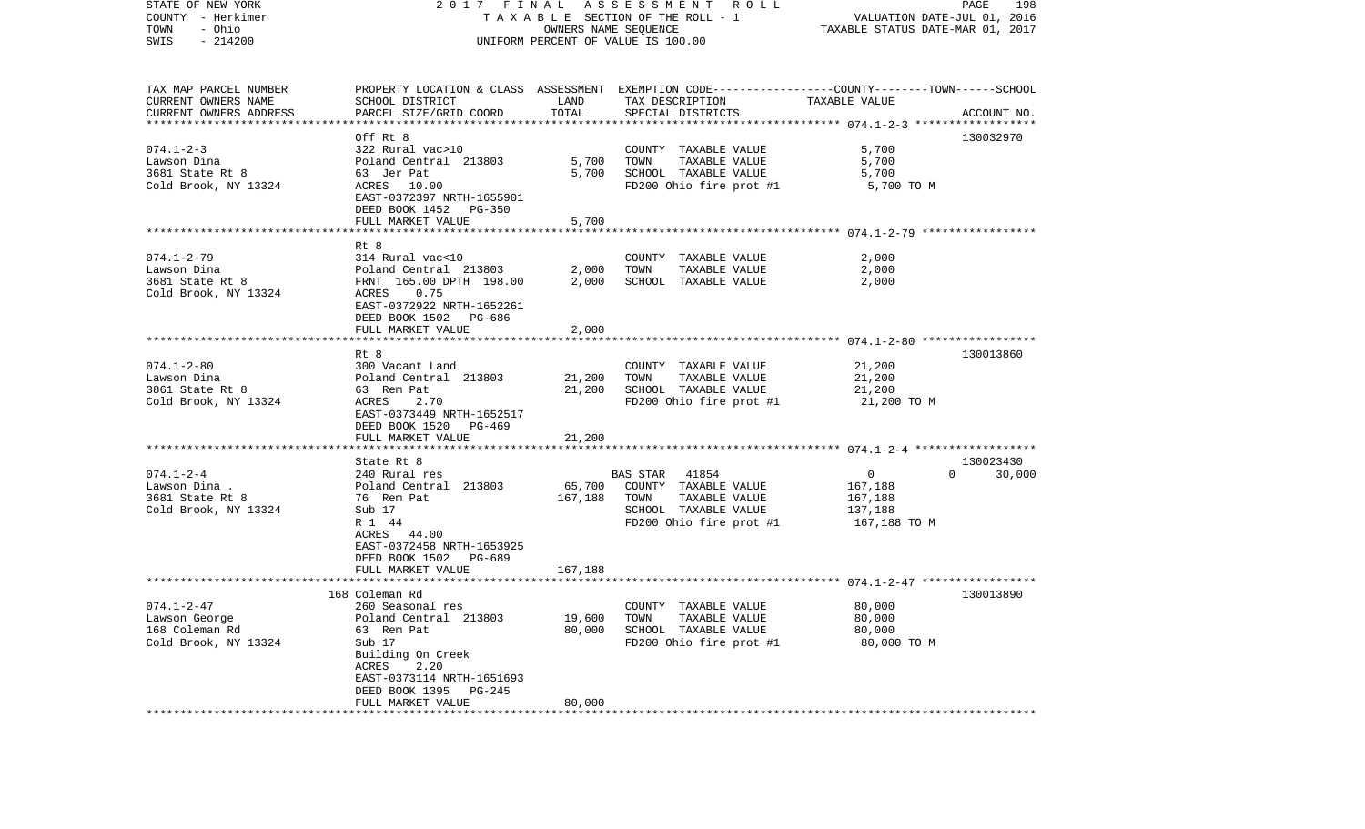| STATE OF NEW YORK<br>COUNTY - Herkimer<br>- Ohio<br>TOWN<br>$-214200$<br>SWIS | 2017 FINAL                                                                                                                                                                  | OWNERS NAME SEQUENCE       | A S S E S S M E N T R O L L<br>TAXABLE SECTION OF THE ROLL - 1<br>UNIFORM PERCENT OF VALUE IS 100.00                                    | VALUATION DATE-JUL 01, 2016<br>TAXABLE STATUS DATE-MAR 01, 2017 | PAGE<br>198        |
|-------------------------------------------------------------------------------|-----------------------------------------------------------------------------------------------------------------------------------------------------------------------------|----------------------------|-----------------------------------------------------------------------------------------------------------------------------------------|-----------------------------------------------------------------|--------------------|
| TAX MAP PARCEL NUMBER<br>CURRENT OWNERS NAME<br>CURRENT OWNERS ADDRESS        | SCHOOL DISTRICT<br>PARCEL SIZE/GRID COORD                                                                                                                                   | LAND<br>TOTAL              | PROPERTY LOCATION & CLASS ASSESSMENT EXEMPTION CODE---------------COUNTY-------TOWN------SCHOOL<br>TAX DESCRIPTION<br>SPECIAL DISTRICTS | TAXABLE VALUE                                                   | ACCOUNT NO.        |
| ************************                                                      |                                                                                                                                                                             |                            |                                                                                                                                         |                                                                 |                    |
| $074.1 - 2 - 3$<br>Lawson Dina<br>3681 State Rt 8<br>Cold Brook, NY 13324     | Off Rt 8<br>322 Rural vac>10<br>Poland Central 213803<br>63 Jer Pat<br>ACRES 10.00<br>EAST-0372397 NRTH-1655901<br>DEED BOOK 1452 PG-350                                    | 5,700<br>5,700             | COUNTY TAXABLE VALUE<br>TOWN<br>TAXABLE VALUE<br>SCHOOL TAXABLE VALUE<br>FD200 Ohio fire prot #1                                        | 5,700<br>5,700<br>5,700<br>5,700 TO M                           | 130032970          |
|                                                                               | FULL MARKET VALUE                                                                                                                                                           | 5,700                      |                                                                                                                                         |                                                                 |                    |
| $074.1 - 2 - 79$<br>Lawson Dina<br>3681 State Rt 8<br>Cold Brook, NY 13324    | Rt 8<br>314 Rural vac<10<br>Poland Central 213803<br>FRNT 165.00 DPTH 198.00<br>ACRES<br>0.75<br>EAST-0372922 NRTH-1652261<br>DEED BOOK 1502<br>PG-686<br>FULL MARKET VALUE | 2,000<br>2,000<br>2,000    | COUNTY TAXABLE VALUE<br>TOWN<br>TAXABLE VALUE<br>SCHOOL TAXABLE VALUE                                                                   | 2,000<br>2,000<br>2,000                                         |                    |
|                                                                               | ***************************                                                                                                                                                 |                            |                                                                                                                                         |                                                                 |                    |
| $074.1 - 2 - 80$<br>Lawson Dina<br>3861 State Rt 8<br>Cold Brook, NY 13324    | Rt 8<br>300 Vacant Land<br>Poland Central 213803<br>63 Rem Pat<br>2.70<br>ACRES<br>EAST-0373449 NRTH-1652517<br>DEED BOOK 1520<br>PG-469                                    | 21,200<br>21,200           | COUNTY TAXABLE VALUE<br>TOWN<br>TAXABLE VALUE<br>SCHOOL TAXABLE VALUE<br>FD200 Ohio fire prot #1                                        | 21,200<br>21,200<br>21,200<br>21,200 TO M                       | 130013860          |
|                                                                               | FULL MARKET VALUE                                                                                                                                                           | 21,200                     |                                                                                                                                         |                                                                 |                    |
|                                                                               | State Rt 8                                                                                                                                                                  |                            |                                                                                                                                         |                                                                 | 130023430          |
| $074.1 - 2 - 4$<br>Lawson Dina .<br>3681 State Rt 8<br>Cold Brook, NY 13324   | 240 Rural res<br>Poland Central 213803<br>76 Rem Pat<br>Sub 17<br>R 1 44<br>ACRES 44.00<br>EAST-0372458 NRTH-1653925<br>DEED BOOK 1502<br>PG-689                            | 65,700<br>167,188          | <b>BAS STAR</b><br>41854<br>COUNTY TAXABLE VALUE<br>TAXABLE VALUE<br>TOWN<br>SCHOOL TAXABLE VALUE<br>FD200 Ohio fire prot #1            | 0<br>167,188<br>167,188<br>137,188<br>167,188 TO M              | 30,000<br>$\Omega$ |
|                                                                               | FULL MARKET VALUE                                                                                                                                                           | 167,188                    |                                                                                                                                         |                                                                 |                    |
| $074.1 - 2 - 47$                                                              | 168 Coleman Rd<br>260 Seasonal res                                                                                                                                          |                            | COUNTY TAXABLE VALUE                                                                                                                    | 80,000                                                          | 130013890          |
| Lawson George<br>168 Coleman Rd<br>Cold Brook, NY 13324                       | Poland Central 213803<br>63 Rem Pat<br>Sub 17<br>Building On Creek<br>ACRES<br>2.20<br>EAST-0373114 NRTH-1651693<br>DEED BOOK 1395<br>PG-245<br>FULL MARKET VALUE           | 19,600<br>80,000<br>80,000 | TAXABLE VALUE<br>TOWN<br>SCHOOL TAXABLE VALUE<br>FD200 Ohio fire prot #1                                                                | 80,000<br>80,000<br>80,000 TO M                                 |                    |
|                                                                               |                                                                                                                                                                             |                            |                                                                                                                                         |                                                                 |                    |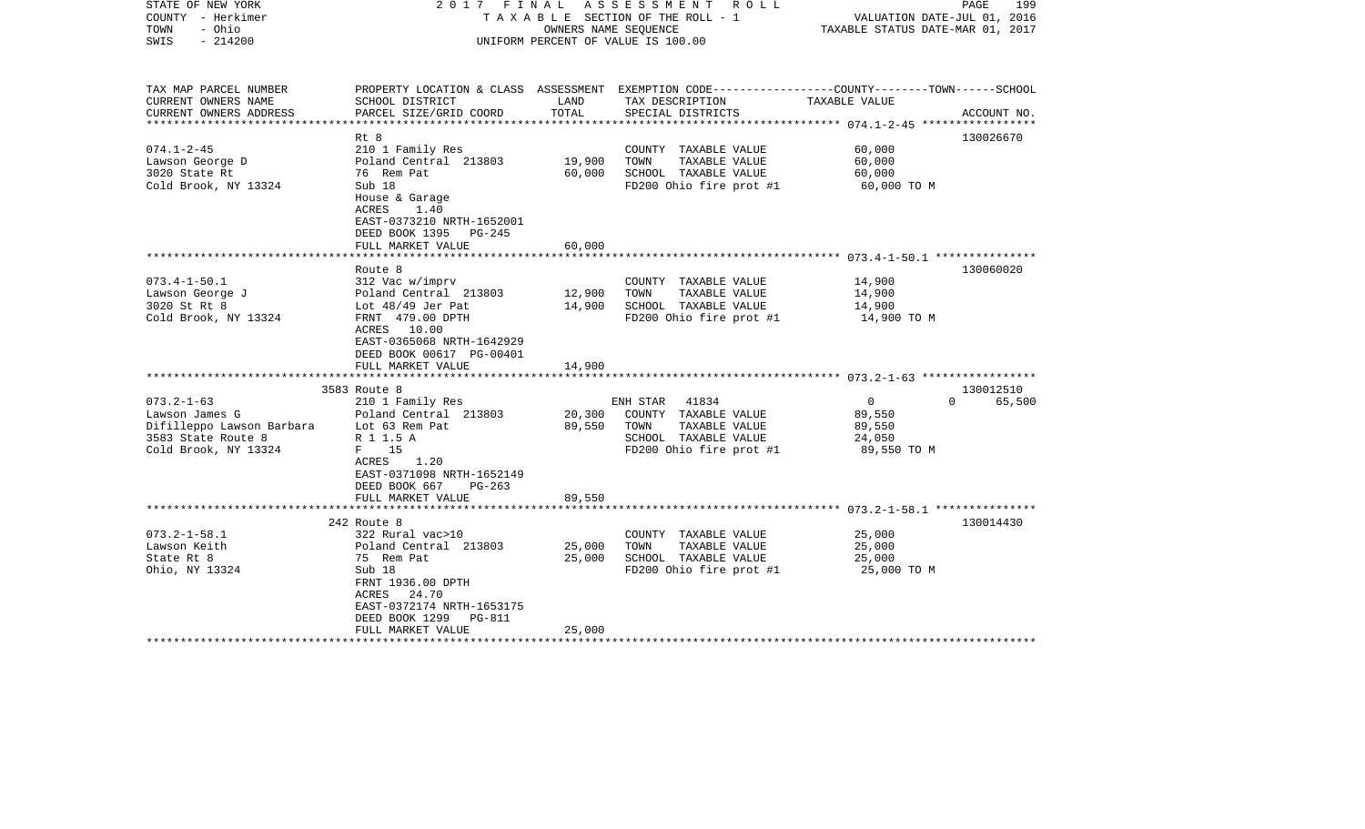| STATE OF NEW YORK<br>COUNTY - Herkimer<br>TOWN<br>- Ohio<br>$-214200$<br>SWIS | 2017 FINAL                                         | OWNERS NAME SEOUENCE | A S S E S S M E N T R O L L<br>T A X A B L E SECTION OF THE ROLL - 1<br>UNIFORM PERCENT OF VALUE IS 100.00 | VALUATION DATE-JUL 01, 2016<br>TAXABLE STATUS DATE-MAR 01, 2017 | PAGE<br>199 |
|-------------------------------------------------------------------------------|----------------------------------------------------|----------------------|------------------------------------------------------------------------------------------------------------|-----------------------------------------------------------------|-------------|
| TAX MAP PARCEL NUMBER                                                         |                                                    |                      | PROPERTY LOCATION & CLASS ASSESSMENT EXEMPTION CODE----------------COUNTY-------TOWN------SCHOOL           |                                                                 |             |
| CURRENT OWNERS NAME<br>CURRENT OWNERS ADDRESS                                 | SCHOOL DISTRICT<br>PARCEL SIZE/GRID COORD          | LAND<br>TOTAL        | TAX DESCRIPTION<br>SPECIAL DISTRICTS                                                                       | TAXABLE VALUE                                                   | ACCOUNT NO. |
| *****************                                                             |                                                    |                      |                                                                                                            | ********************* 074.1-2-45 ******************             |             |
|                                                                               | Rt 8                                               |                      |                                                                                                            |                                                                 | 130026670   |
| $074.1 - 2 - 45$                                                              | 210 1 Family Res                                   |                      | COUNTY TAXABLE VALUE                                                                                       | 60,000                                                          |             |
| Lawson George D                                                               | Poland Central 213803                              | 19,900               | TOWN<br>TAXABLE VALUE                                                                                      | 60,000                                                          |             |
| 3020 State Rt                                                                 | 76 Rem Pat                                         | 60,000               | SCHOOL TAXABLE VALUE                                                                                       | 60,000                                                          |             |
| Cold Brook, NY 13324                                                          | Sub 18                                             |                      | FD200 Ohio fire prot #1                                                                                    | 60,000 TO M                                                     |             |
|                                                                               | House & Garage<br>ACRES<br>1.40                    |                      |                                                                                                            |                                                                 |             |
|                                                                               | EAST-0373210 NRTH-1652001                          |                      |                                                                                                            |                                                                 |             |
|                                                                               | DEED BOOK 1395<br>PG-245                           |                      |                                                                                                            |                                                                 |             |
|                                                                               | FULL MARKET VALUE<br>***************************** | 60,000               |                                                                                                            |                                                                 |             |
|                                                                               | Route 8                                            |                      |                                                                                                            |                                                                 | 130060020   |
| $073.4 - 1 - 50.1$                                                            | 312 Vac w/imprv                                    |                      | COUNTY TAXABLE VALUE                                                                                       | 14,900                                                          |             |
| Lawson George J                                                               | Poland Central 213803                              | 12,900               | TOWN<br>TAXABLE VALUE                                                                                      | 14,900                                                          |             |
| 3020 St Rt 8                                                                  | Lot $48/49$ Jer Pat                                | 14,900               | SCHOOL TAXABLE VALUE                                                                                       | 14,900                                                          |             |
| Cold Brook, NY 13324                                                          | FRNT 479.00 DPTH                                   |                      | FD200 Ohio fire prot #1                                                                                    | 14,900 TO M                                                     |             |
|                                                                               | ACRES 10.00                                        |                      |                                                                                                            |                                                                 |             |
|                                                                               | EAST-0365068 NRTH-1642929                          |                      |                                                                                                            |                                                                 |             |
|                                                                               | DEED BOOK 00617 PG-00401                           |                      |                                                                                                            |                                                                 |             |
|                                                                               | FULL MARKET VALUE                                  | 14,900               |                                                                                                            |                                                                 |             |
|                                                                               | 3583 Route 8                                       |                      |                                                                                                            |                                                                 | 130012510   |
| $073.2 - 1 - 63$                                                              | 210 1 Family Res                                   |                      | ENH STAR 41834                                                                                             | $\overline{0}$<br>$\Omega$                                      | 65,500      |
| Lawson James G                                                                | Poland Central 213803                              | 20,300               | COUNTY TAXABLE VALUE                                                                                       | 89,550                                                          |             |
| Difilleppo Lawson Barbara                                                     | Lot 63 Rem Pat                                     | 89,550               | TAXABLE VALUE<br>TOWN                                                                                      | 89,550                                                          |             |
| 3583 State Route 8                                                            | R 1 1.5 A                                          |                      | SCHOOL TAXABLE VALUE                                                                                       | 24,050                                                          |             |
| Cold Brook, NY 13324                                                          | $F = 15$                                           |                      | FD200 Ohio fire prot #1                                                                                    | 89,550 TO M                                                     |             |
|                                                                               | 1.20<br>ACRES                                      |                      |                                                                                                            |                                                                 |             |
|                                                                               | EAST-0371098 NRTH-1652149                          |                      |                                                                                                            |                                                                 |             |
|                                                                               | DEED BOOK 667<br>$PG-263$                          |                      |                                                                                                            |                                                                 |             |
|                                                                               | FULL MARKET VALUE                                  | 89,550               |                                                                                                            |                                                                 |             |
|                                                                               | 242 Route 8                                        |                      |                                                                                                            |                                                                 | 130014430   |
| $073.2 - 1 - 58.1$                                                            | 322 Rural vac>10                                   |                      | COUNTY TAXABLE VALUE                                                                                       | 25,000                                                          |             |
| Lawson Keith                                                                  | Poland Central 213803                              | 25,000               | TOWN<br>TAXABLE VALUE                                                                                      | 25,000                                                          |             |
| State Rt 8                                                                    | 75 Rem Pat                                         | 25,000               | SCHOOL TAXABLE VALUE                                                                                       | 25,000                                                          |             |
| Ohio, NY 13324                                                                | Sub 18                                             |                      | FD200 Ohio fire prot #1                                                                                    | 25,000 TO M                                                     |             |
|                                                                               | FRNT 1936.00 DPTH                                  |                      |                                                                                                            |                                                                 |             |
|                                                                               | 24.70<br>ACRES                                     |                      |                                                                                                            |                                                                 |             |
|                                                                               | EAST-0372174 NRTH-1653175                          |                      |                                                                                                            |                                                                 |             |
|                                                                               | DEED BOOK 1299<br>PG-811                           |                      |                                                                                                            |                                                                 |             |
|                                                                               | FULL MARKET VALUE<br>*******************           | 25,000               |                                                                                                            |                                                                 |             |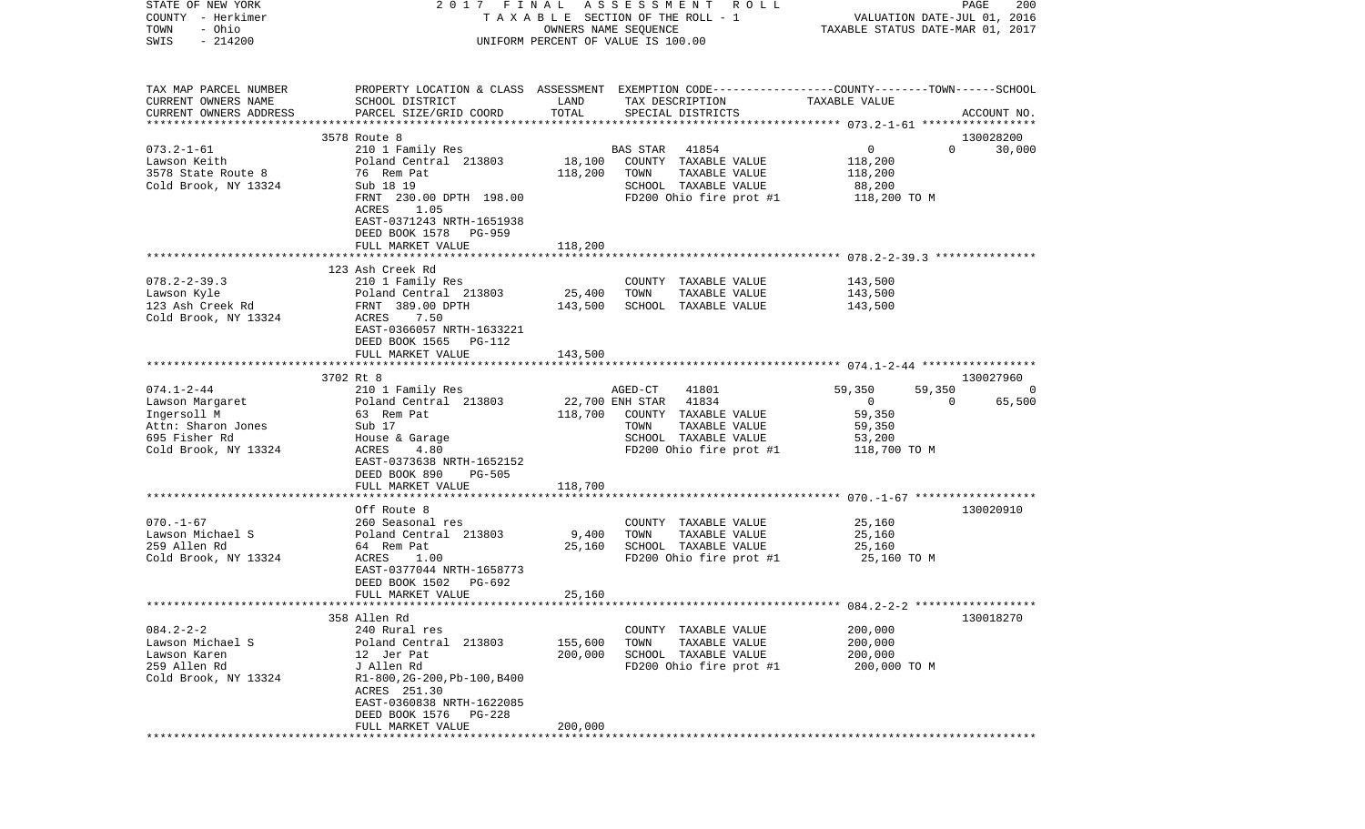| STATE OF NEW YORK      | 2017 FINAL                                                                                       |                      | A S S E S S M E N T R O L L        |                                  | PAGE<br>200                 |
|------------------------|--------------------------------------------------------------------------------------------------|----------------------|------------------------------------|----------------------------------|-----------------------------|
| COUNTY - Herkimer      |                                                                                                  |                      | TAXABLE SECTION OF THE ROLL - 1    |                                  | VALUATION DATE-JUL 01, 2016 |
| - Ohio<br>TOWN         |                                                                                                  | OWNERS NAME SEQUENCE |                                    | TAXABLE STATUS DATE-MAR 01, 2017 |                             |
| $-214200$<br>SWIS      |                                                                                                  |                      | UNIFORM PERCENT OF VALUE IS 100.00 |                                  |                             |
|                        |                                                                                                  |                      |                                    |                                  |                             |
|                        |                                                                                                  |                      |                                    |                                  |                             |
| TAX MAP PARCEL NUMBER  | PROPERTY LOCATION & CLASS ASSESSMENT EXEMPTION CODE----------------COUNTY-------TOWN------SCHOOL |                      |                                    |                                  |                             |
| CURRENT OWNERS NAME    | SCHOOL DISTRICT                                                                                  | LAND                 | TAX DESCRIPTION                    | TAXABLE VALUE                    |                             |
| CURRENT OWNERS ADDRESS | PARCEL SIZE/GRID COORD                                                                           | TOTAL                | SPECIAL DISTRICTS                  |                                  | ACCOUNT NO.                 |
|                        |                                                                                                  |                      |                                    |                                  |                             |
|                        | 3578 Route 8                                                                                     |                      |                                    |                                  | 130028200                   |
| $073.2 - 1 - 61$       | 210 1 Family Res                                                                                 |                      | <b>BAS STAR</b><br>41854           | $\mathbf 0$                      | $\Omega$<br>30,000          |
| Lawson Keith           | Poland Central 213803                                                                            | 18,100               | COUNTY TAXABLE VALUE               | 118,200                          |                             |
| 3578 State Route 8     | 76 Rem Pat                                                                                       | 118,200              | TOWN<br>TAXABLE VALUE              | 118,200                          |                             |
| Cold Brook, NY 13324   | Sub 18 19                                                                                        |                      | SCHOOL TAXABLE VALUE               | 88,200                           |                             |
|                        | FRNT 230.00 DPTH 198.00                                                                          |                      | FD200 Ohio fire prot #1            | 118,200 TO M                     |                             |
|                        | ACRES<br>1.05                                                                                    |                      |                                    |                                  |                             |
|                        | EAST-0371243 NRTH-1651938                                                                        |                      |                                    |                                  |                             |
|                        | DEED BOOK 1578<br>PG-959                                                                         |                      |                                    |                                  |                             |
|                        | FULL MARKET VALUE                                                                                | 118,200              |                                    |                                  |                             |
|                        |                                                                                                  |                      |                                    |                                  |                             |
|                        | 123 Ash Creek Rd                                                                                 |                      |                                    |                                  |                             |
| $078.2 - 2 - 39.3$     | 210 1 Family Res                                                                                 |                      | COUNTY TAXABLE VALUE               | 143,500                          |                             |
| Lawson Kyle            | Poland Central 213803                                                                            | 25,400               | TOWN<br>TAXABLE VALUE              | 143,500                          |                             |
| 123 Ash Creek Rd       | FRNT 389.00 DPTH                                                                                 | 143,500              | SCHOOL TAXABLE VALUE               | 143,500                          |                             |
| Cold Brook, NY 13324   | ACRES<br>7.50                                                                                    |                      |                                    |                                  |                             |
|                        | EAST-0366057 NRTH-1633221                                                                        |                      |                                    |                                  |                             |
|                        | DEED BOOK 1565<br>PG-112                                                                         |                      |                                    |                                  |                             |
|                        | FULL MARKET VALUE                                                                                | 143,500              |                                    |                                  |                             |
|                        |                                                                                                  |                      |                                    |                                  |                             |
|                        | 3702 Rt 8                                                                                        |                      |                                    |                                  | 130027960                   |
| $074.1 - 2 - 44$       | 210 1 Family Res                                                                                 |                      | 41801<br>AGED-CT                   | 59,350                           | 59,350<br>0                 |
| Lawson Margaret        | Poland Central 213803                                                                            | 22,700 ENH STAR      | 41834                              | $\overline{0}$                   | 65,500<br>$\Omega$          |
| Ingersoll M            | 63 Rem Pat                                                                                       | 118,700              | COUNTY TAXABLE VALUE               | 59,350                           |                             |
| Attn: Sharon Jones     | Sub 17                                                                                           |                      | TOWN<br>TAXABLE VALUE              | 59,350                           |                             |
| 695 Fisher Rd          | House & Garage                                                                                   |                      | SCHOOL TAXABLE VALUE               | 53,200                           |                             |
| Cold Brook, NY 13324   | ACRES<br>4.80                                                                                    |                      | FD200 Ohio fire prot #1            | 118,700 TO M                     |                             |
|                        | EAST-0373638 NRTH-1652152                                                                        |                      |                                    |                                  |                             |
|                        | DEED BOOK 890<br><b>PG-505</b>                                                                   |                      |                                    |                                  |                             |
|                        | FULL MARKET VALUE                                                                                | 118,700              |                                    |                                  |                             |
|                        | **************************                                                                       | *************        |                                    |                                  |                             |
|                        | Off Route 8                                                                                      |                      |                                    |                                  | 130020910                   |
| $070. - 1 - 67$        | 260 Seasonal res                                                                                 |                      | COUNTY TAXABLE VALUE               | 25,160                           |                             |
| Lawson Michael S       | Poland Central 213803                                                                            | 9,400                | TOWN<br>TAXABLE VALUE              | 25,160                           |                             |
| 259 Allen Rd           | 64 Rem Pat                                                                                       | 25,160               | SCHOOL TAXABLE VALUE               | 25,160                           |                             |
| Cold Brook, NY 13324   | ACRES<br>1.00                                                                                    |                      | FD200 Ohio fire prot #1            | 25,160 TO M                      |                             |
|                        | EAST-0377044 NRTH-1658773                                                                        |                      |                                    |                                  |                             |
|                        | DEED BOOK 1502<br>PG-692                                                                         |                      |                                    |                                  |                             |
|                        | FULL MARKET VALUE                                                                                | 25,160               |                                    |                                  |                             |
|                        |                                                                                                  |                      |                                    |                                  |                             |
|                        | 358 Allen Rd                                                                                     |                      |                                    |                                  | 130018270                   |
| $084.2 - 2 - 2$        | 240 Rural res                                                                                    |                      | COUNTY<br>TAXABLE VALUE            | 200,000                          |                             |
| Lawson Michael S       | Poland Central 213803                                                                            | 155,600              | TOWN<br>TAXABLE VALUE              | 200,000                          |                             |
| Lawson Karen           |                                                                                                  | 200,000              | SCHOOL TAXABLE VALUE               |                                  |                             |
| 259 Allen Rd           | 12 Jer Pat<br>J Allen Rd                                                                         |                      |                                    | 200,000                          |                             |
|                        |                                                                                                  |                      | FD200 Ohio fire prot #1            | 200,000 TO M                     |                             |
| Cold Brook, NY 13324   | R1-800, 2G-200, Pb-100, B400                                                                     |                      |                                    |                                  |                             |
|                        | ACRES 251.30                                                                                     |                      |                                    |                                  |                             |
|                        | EAST-0360838 NRTH-1622085                                                                        |                      |                                    |                                  |                             |
|                        | DEED BOOK 1576<br><b>PG-228</b>                                                                  |                      |                                    |                                  |                             |
|                        | FULL MARKET VALUE                                                                                | 200,000              |                                    |                                  |                             |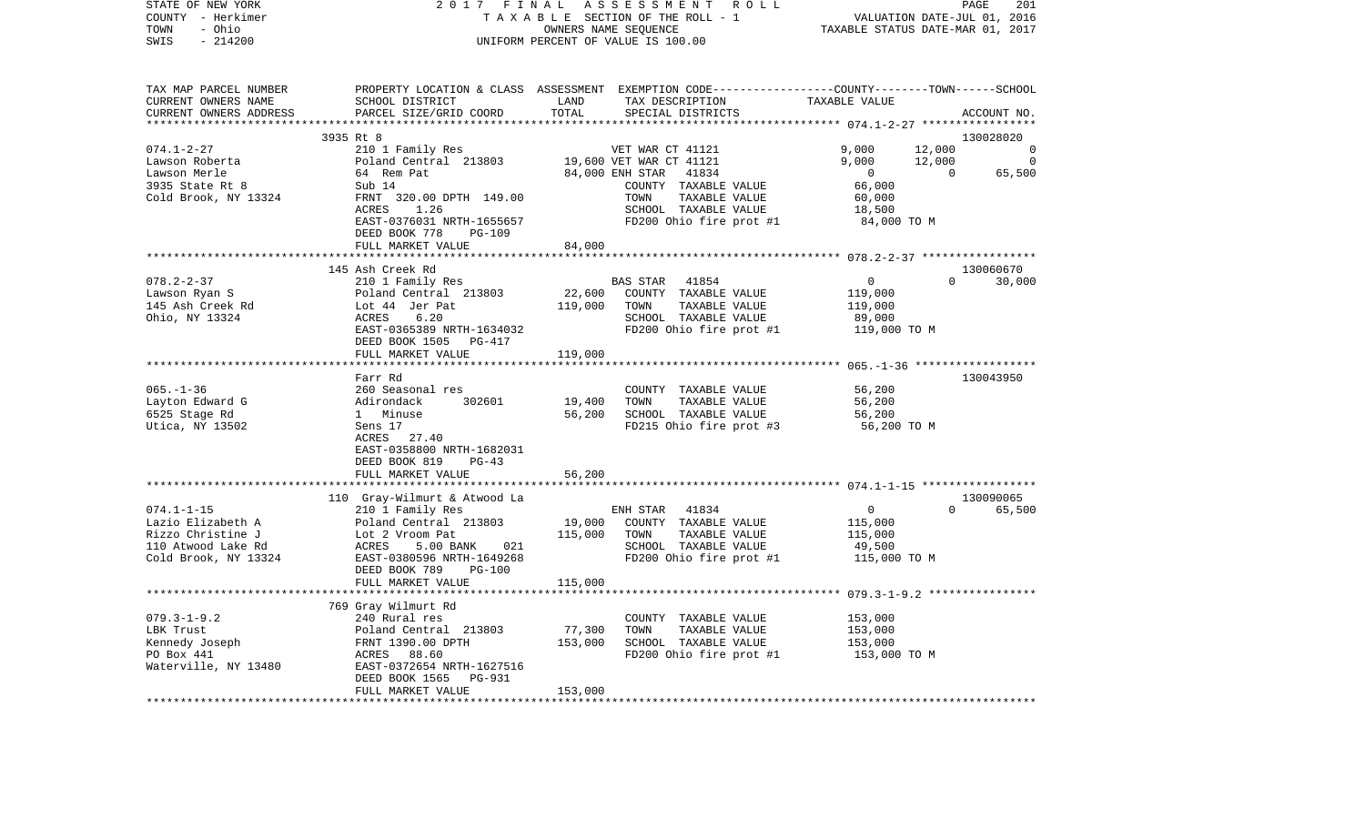| STATE OF NEW YORK<br>COUNTY - Herkimer<br>- Ohio<br>TOWN<br>$-214200$<br>SWIS | 2017 FINAL                                                                                       |              | ASSESSMENT ROLL<br>TAXABLE SECTION OF THE ROLL - 1<br>OWNERS NAME SEQUENCE<br>UNIFORM PERCENT OF VALUE IS 100.00 | TAXABLE STATUS DATE-MAR 01, 2017                     | PAGE<br>VALUATION DATE-JUL 01, 2016 | 201         |
|-------------------------------------------------------------------------------|--------------------------------------------------------------------------------------------------|--------------|------------------------------------------------------------------------------------------------------------------|------------------------------------------------------|-------------------------------------|-------------|
| TAX MAP PARCEL NUMBER                                                         | PROPERTY LOCATION & CLASS ASSESSMENT EXEMPTION CODE----------------COUNTY-------TOWN------SCHOOL |              |                                                                                                                  |                                                      |                                     |             |
| CURRENT OWNERS NAME                                                           | SCHOOL DISTRICT                                                                                  | LAND         | TAX DESCRIPTION                                                                                                  | TAXABLE VALUE                                        |                                     |             |
| CURRENT OWNERS ADDRESS                                                        | PARCEL SIZE/GRID COORD                                                                           | TOTAL        | SPECIAL DISTRICTS                                                                                                |                                                      |                                     | ACCOUNT NO. |
|                                                                               | 3935 Rt 8                                                                                        |              |                                                                                                                  |                                                      |                                     | 130028020   |
| $074.1 - 2 - 27$                                                              | 210 1 Family Res                                                                                 |              | VET WAR CT 41121                                                                                                 | 9,000                                                | 12,000                              | 0           |
| Lawson Roberta                                                                | Poland Central 213803                                                                            |              | 19,600 VET WAR CT 41121                                                                                          | 9,000                                                | 12,000                              | 0           |
| Lawson Merle                                                                  | 64 Rem Pat                                                                                       |              | 41834<br>84,000 ENH STAR                                                                                         | $\overline{0}$                                       | $\Omega$                            | 65,500      |
| 3935 State Rt 8                                                               | Sub 14                                                                                           |              | COUNTY TAXABLE VALUE                                                                                             | 66,000                                               |                                     |             |
| Cold Brook, NY 13324                                                          | FRNT 320.00 DPTH 149.00                                                                          |              | TOWN<br>TAXABLE VALUE                                                                                            | 60,000                                               |                                     |             |
|                                                                               | ACRES<br>1.26                                                                                    |              | SCHOOL TAXABLE VALUE                                                                                             | 18,500                                               |                                     |             |
|                                                                               | EAST-0376031 NRTH-1655657                                                                        |              | FD200 Ohio fire prot #1                                                                                          | 84,000 TO M                                          |                                     |             |
|                                                                               | DEED BOOK 778<br>PG-109<br>FULL MARKET VALUE                                                     | 84,000       |                                                                                                                  |                                                      |                                     |             |
|                                                                               |                                                                                                  | ************ |                                                                                                                  | *********************** 078.2-2-37 ***************** |                                     |             |
|                                                                               | 145 Ash Creek Rd                                                                                 |              |                                                                                                                  |                                                      |                                     | 130060670   |
| $078.2 - 2 - 37$                                                              | 210 1 Family Res                                                                                 |              | 41854<br>BAS STAR                                                                                                | $\overline{0}$                                       | $\Omega$                            | 30,000      |
| Lawson Ryan S                                                                 | Poland Central 213803                                                                            | 22,600       | COUNTY TAXABLE VALUE                                                                                             | 119,000                                              |                                     |             |
| 145 Ash Creek Rd                                                              | Lot 44 Jer Pat                                                                                   | 119,000      | TOWN<br>TAXABLE VALUE                                                                                            | 119,000                                              |                                     |             |
| Ohio, NY 13324                                                                | ACRES<br>6.20                                                                                    |              | SCHOOL TAXABLE VALUE                                                                                             | 89,000                                               |                                     |             |
|                                                                               | EAST-0365389 NRTH-1634032                                                                        |              | FD200 Ohio fire prot #1                                                                                          | 119,000 TO M                                         |                                     |             |
|                                                                               | DEED BOOK 1505<br>PG-417<br>FULL MARKET VALUE                                                    | 119,000      |                                                                                                                  |                                                      |                                     |             |
|                                                                               |                                                                                                  |              |                                                                                                                  |                                                      |                                     |             |
|                                                                               | Farr Rd                                                                                          |              |                                                                                                                  |                                                      |                                     | 130043950   |
| $065. - 1 - 36$                                                               | 260 Seasonal res                                                                                 |              | COUNTY TAXABLE VALUE                                                                                             | 56,200                                               |                                     |             |
| Layton Edward G                                                               | 302601<br>Adirondack                                                                             | 19,400       | TOWN<br>TAXABLE VALUE                                                                                            | 56,200                                               |                                     |             |
| 6525 Stage Rd                                                                 | 1 Minuse                                                                                         | 56,200       | SCHOOL TAXABLE VALUE                                                                                             | 56,200                                               |                                     |             |
| Utica, NY 13502                                                               | Sens 17                                                                                          |              | FD215 Ohio fire prot #3                                                                                          | 56,200 TO M                                          |                                     |             |
|                                                                               | ACRES<br>27.40                                                                                   |              |                                                                                                                  |                                                      |                                     |             |
|                                                                               | EAST-0358800 NRTH-1682031<br>DEED BOOK 819<br>$PG-43$                                            |              |                                                                                                                  |                                                      |                                     |             |
|                                                                               | FULL MARKET VALUE                                                                                | 56,200       |                                                                                                                  |                                                      |                                     |             |
|                                                                               |                                                                                                  |              |                                                                                                                  |                                                      |                                     |             |
|                                                                               | 110 Gray-Wilmurt & Atwood La                                                                     |              |                                                                                                                  |                                                      |                                     | 130090065   |
| $074.1 - 1 - 15$                                                              | 210 1 Family Res                                                                                 |              | 41834<br>ENH STAR                                                                                                | $\overline{0}$                                       | $\Omega$                            | 65,500      |
| Lazio Elizabeth A                                                             | Poland Central 213803                                                                            | 19,000       | COUNTY TAXABLE VALUE                                                                                             | 115,000                                              |                                     |             |
| Rizzo Christine J                                                             | Lot 2 Vroom Pat                                                                                  | 115,000      | TOWN<br>TAXABLE VALUE                                                                                            | 115,000                                              |                                     |             |
| 110 Atwood Lake Rd                                                            | 5.00 BANK<br>ACRES<br>021                                                                        |              | SCHOOL TAXABLE VALUE                                                                                             | 49,500                                               |                                     |             |
| Cold Brook, NY 13324                                                          | EAST-0380596 NRTH-1649268<br><b>PG-100</b>                                                       |              | FD200 Ohio fire prot #1                                                                                          | 115,000 TO M                                         |                                     |             |
|                                                                               | DEED BOOK 789<br>FULL MARKET VALUE                                                               | 115,000      |                                                                                                                  |                                                      |                                     |             |
|                                                                               |                                                                                                  |              |                                                                                                                  |                                                      |                                     |             |
|                                                                               | 769 Gray Wilmurt Rd                                                                              |              |                                                                                                                  |                                                      |                                     |             |
| $079.3 - 1 - 9.2$                                                             | 240 Rural res                                                                                    |              | COUNTY TAXABLE VALUE                                                                                             | 153,000                                              |                                     |             |
| LBK Trust                                                                     | Poland Central 213803                                                                            | 77,300       | TAXABLE VALUE<br>TOWN                                                                                            | 153,000                                              |                                     |             |
| Kennedy Joseph                                                                | FRNT 1390.00 DPTH                                                                                | 153,000      | SCHOOL TAXABLE VALUE                                                                                             | 153,000                                              |                                     |             |
| PO Box 441                                                                    | ACRES 88.60<br>EAST-0372654 NRTH-1627516                                                         |              | FD200 Ohio fire prot #1                                                                                          | 153,000 TO M                                         |                                     |             |
| Waterville, NY 13480                                                          |                                                                                                  |              |                                                                                                                  |                                                      |                                     |             |
|                                                                               | PG-931<br>DEED BOOK 1565<br>FULL MARKET VALUE                                                    | 153,000      |                                                                                                                  |                                                      |                                     |             |
|                                                                               |                                                                                                  |              |                                                                                                                  |                                                      |                                     |             |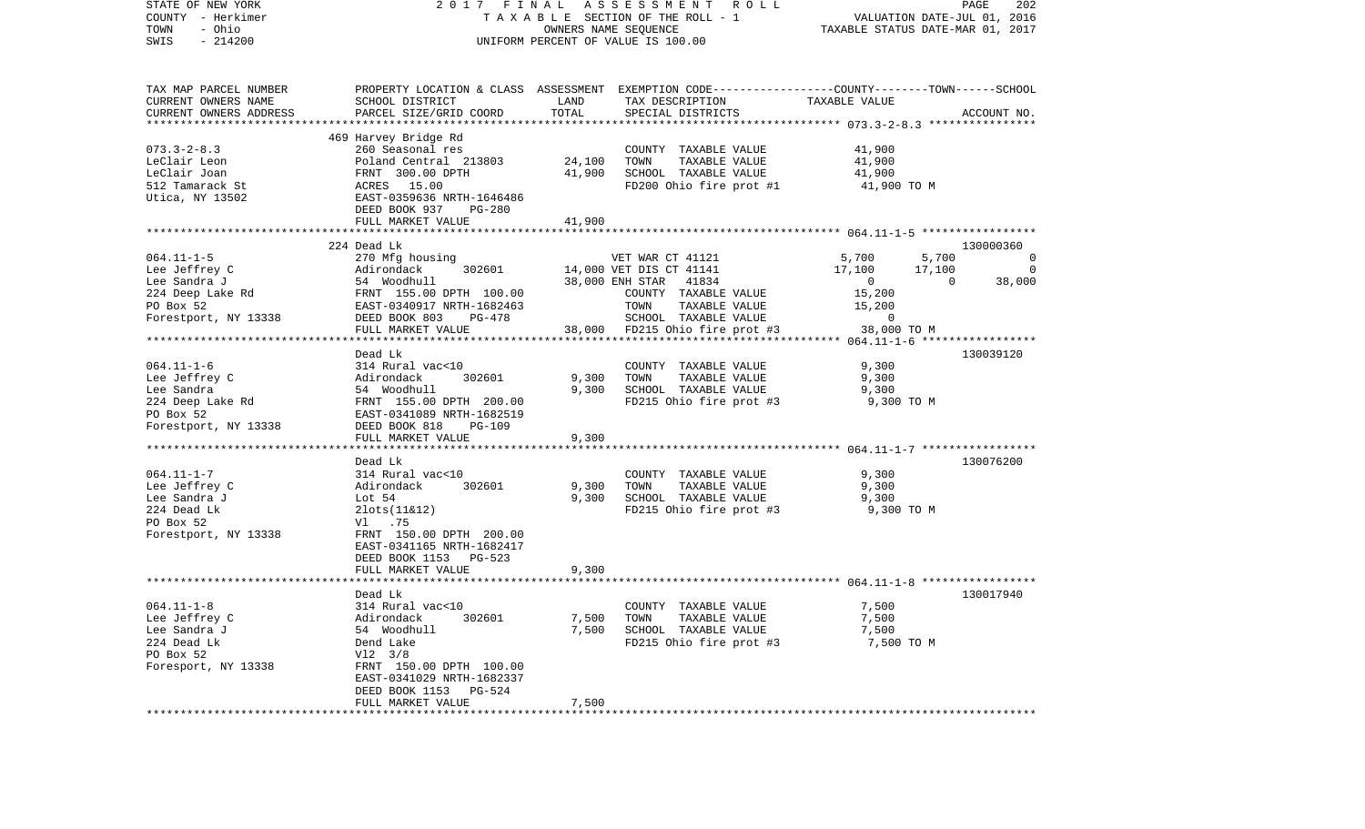| STATE OF NEW YORK<br>COUNTY - Herkimer<br>- Ohio<br>TOWN | 2017 FINAL                                                                                                                                                                                    |        | A S S E S S M E N T R O L L<br>TAXABLE SECTION OF THE ROLL - 1<br>OWNERS NAME SEQUENCE | VALUATION DATE-JUL 01, 2016<br>TAXABLE STATUS DATE-MAR 01, 2017 | PAGE           | 202          |
|----------------------------------------------------------|-----------------------------------------------------------------------------------------------------------------------------------------------------------------------------------------------|--------|----------------------------------------------------------------------------------------|-----------------------------------------------------------------|----------------|--------------|
| $-214200$<br>SWIS                                        |                                                                                                                                                                                               |        | UNIFORM PERCENT OF VALUE IS 100.00                                                     |                                                                 |                |              |
| TAX MAP PARCEL NUMBER                                    | PROPERTY LOCATION & CLASS ASSESSMENT EXEMPTION CODE----------------COUNTY-------TOWN------SCHOOL                                                                                              |        |                                                                                        |                                                                 |                |              |
| CURRENT OWNERS NAME                                      | SCHOOL DISTRICT                                                                                                                                                                               | LAND   | TAX DESCRIPTION                                                                        | TAXABLE VALUE                                                   |                |              |
| CURRENT OWNERS ADDRESS                                   | PARCEL SIZE/GRID COORD                                                                                                                                                                        | TOTAL  | SPECIAL DISTRICTS                                                                      |                                                                 |                | ACCOUNT NO.  |
|                                                          |                                                                                                                                                                                               |        |                                                                                        |                                                                 |                |              |
| $073.3 - 2 - 8.3$                                        | 469 Harvey Bridge Rd<br>260 Seasonal res                                                                                                                                                      |        | COUNTY TAXABLE VALUE                                                                   | 41,900                                                          |                |              |
| LeClair Leon                                             | Poland Central 213803                                                                                                                                                                         | 24,100 | TOWN<br>TAXABLE VALUE                                                                  | 41,900                                                          |                |              |
| LeClair Joan                                             | FRNT 300.00 DPTH                                                                                                                                                                              | 41,900 | SCHOOL TAXABLE VALUE                                                                   | 41,900                                                          |                |              |
| 512 Tamarack St                                          | ACRES 15.00                                                                                                                                                                                   |        | FD200 Ohio fire prot #1                                                                | 41,900 TO M                                                     |                |              |
| Utica, NY 13502                                          | EAST-0359636 NRTH-1646486                                                                                                                                                                     |        |                                                                                        |                                                                 |                |              |
|                                                          | DEED BOOK 937 PG-280                                                                                                                                                                          |        |                                                                                        |                                                                 |                |              |
|                                                          | FULL MARKET VALUE                                                                                                                                                                             | 41,900 |                                                                                        |                                                                 |                |              |
|                                                          |                                                                                                                                                                                               |        |                                                                                        |                                                                 |                |              |
|                                                          | 224 Dead Lk                                                                                                                                                                                   |        |                                                                                        |                                                                 |                | 130000360    |
| $064.11 - 1 - 5$                                         | 270 Mfg housing                                                                                                                                                                               |        | VET WAR CT 41121                                                                       | 5,700                                                           | 5,700          | $\mathbf{0}$ |
|                                                          | Example the Sandra J<br>Lee Sandra J<br>224 Deep Lake Rd<br>224 Deep Lake Rd<br>224 Deep Lake Rd<br>224 Deep Lake Rd<br>224 Deep Lake Rd<br>225 Deep Lake Rd<br>225 BAST-0340917 NRTH-1682463 |        | 14,000 VET DIS CT 41141<br>38,000 ENH STAR 41834                                       | 17,100                                                          | 17,100         | $\circ$      |
|                                                          |                                                                                                                                                                                               |        |                                                                                        | $\sim$ 0                                                        | $\overline{0}$ | 38,000       |
|                                                          |                                                                                                                                                                                               |        | COUNTY TAXABLE VALUE                                                                   | 15,200<br>15,200                                                |                |              |
|                                                          | DEED BOOK 803<br>PG-478                                                                                                                                                                       |        | TOWN<br>TAXABLE VALUE<br>SCHOOL TAXABLE VALUE                                          | $\overline{0}$                                                  |                |              |
| Forestport, NY 13338                                     | FULL MARKET VALUE                                                                                                                                                                             |        | 38,000 FD215 Ohio fire prot #3                                                         | 38,000 TO M                                                     |                |              |
|                                                          |                                                                                                                                                                                               |        |                                                                                        |                                                                 |                |              |
|                                                          | Dead Lk                                                                                                                                                                                       |        |                                                                                        |                                                                 |                | 130039120    |
| $064.11 - 1 - 6$                                         | 314 Rural vac<10                                                                                                                                                                              |        | COUNTY TAXABLE VALUE                                                                   | 9,300                                                           |                |              |
| Lee Jeffrey C                                            |                                                                                                                                                                                               | 9,300  | TAXABLE VALUE<br>TOWN                                                                  | 9,300                                                           |                |              |
| Lee Sandra                                               |                                                                                                                                                                                               | 9,300  | SCHOOL TAXABLE VALUE                                                                   | 9,300                                                           |                |              |
| 224 Deep Lake Rd                                         | Adirondack 302601<br>54 Woodhull<br>FRNT 155.00 DPTH 200.00<br>EAST-0341089 NRTH-1682519                                                                                                      |        | FD215 Ohio fire prot #3                                                                | 9,300 TO M                                                      |                |              |
| PO Box 52                                                |                                                                                                                                                                                               |        |                                                                                        |                                                                 |                |              |
| Forestport, NY 13338                                     | DEED BOOK 818<br><b>PG-109</b>                                                                                                                                                                |        |                                                                                        |                                                                 |                |              |
|                                                          | FULL MARKET VALUE                                                                                                                                                                             | 9,300  |                                                                                        |                                                                 |                |              |
|                                                          |                                                                                                                                                                                               |        |                                                                                        |                                                                 |                | 130076200    |
| $064.11 - 1 - 7$                                         | Dead Lk<br>314 Rural vac<10                                                                                                                                                                   |        | COUNTY TAXABLE VALUE                                                                   | 9,300                                                           |                |              |
| Lee Jeffrey C                                            | Adirondack<br>302601                                                                                                                                                                          | 9,300  | TOWN<br>TAXABLE VALUE                                                                  | 9,300                                                           |                |              |
| Lee Sandra J                                             | Lot $54$                                                                                                                                                                                      | 9,300  | SCHOOL TAXABLE VALUE                                                                   | 9,300                                                           |                |              |
| 224 Dead Lk                                              | $2$ lots $(11 \& 12)$                                                                                                                                                                         |        | FD215 Ohio fire prot #3                                                                | 9,300 TO M                                                      |                |              |
| PO Box 52                                                | V1.75                                                                                                                                                                                         |        |                                                                                        |                                                                 |                |              |
| Forestport, NY 13338                                     | FRNT 150.00 DPTH 200.00                                                                                                                                                                       |        |                                                                                        |                                                                 |                |              |
|                                                          | EAST-0341165 NRTH-1682417                                                                                                                                                                     |        |                                                                                        |                                                                 |                |              |
|                                                          | DEED BOOK 1153 PG-523                                                                                                                                                                         |        |                                                                                        |                                                                 |                |              |
|                                                          | FULL MARKET VALUE                                                                                                                                                                             | 9,300  |                                                                                        |                                                                 |                |              |
|                                                          |                                                                                                                                                                                               |        |                                                                                        |                                                                 |                |              |
|                                                          | Dead Lk                                                                                                                                                                                       |        |                                                                                        |                                                                 |                | 130017940    |
| $064.11 - 1 - 8$                                         | 314 Rural vac<10                                                                                                                                                                              |        | COUNTY TAXABLE VALUE                                                                   | 7,500                                                           |                |              |
| Lee Jeffrey C                                            | Adirondack<br>302601                                                                                                                                                                          | 7,500  | TAXABLE VALUE<br>TOWN                                                                  | 7,500                                                           |                |              |
| Lee Sandra J<br>224 Dead Lk                              | 54 Woodhull<br>Dend Lake                                                                                                                                                                      | 7,500  | SCHOOL TAXABLE VALUE                                                                   | 7,500<br>7,500 TO M                                             |                |              |
| PO Box 52                                                | $V12 \t3/8$                                                                                                                                                                                   |        | FD215 Ohio fire prot #3                                                                |                                                                 |                |              |
| Foresport, NY 13338                                      | FRNT 150.00 DPTH 100.00                                                                                                                                                                       |        |                                                                                        |                                                                 |                |              |
|                                                          | EAST-0341029 NRTH-1682337                                                                                                                                                                     |        |                                                                                        |                                                                 |                |              |
|                                                          | DEED BOOK 1153<br>PG-524                                                                                                                                                                      |        |                                                                                        |                                                                 |                |              |
|                                                          | FULL MARKET VALUE                                                                                                                                                                             | 7,500  |                                                                                        |                                                                 |                |              |
|                                                          |                                                                                                                                                                                               |        |                                                                                        |                                                                 |                |              |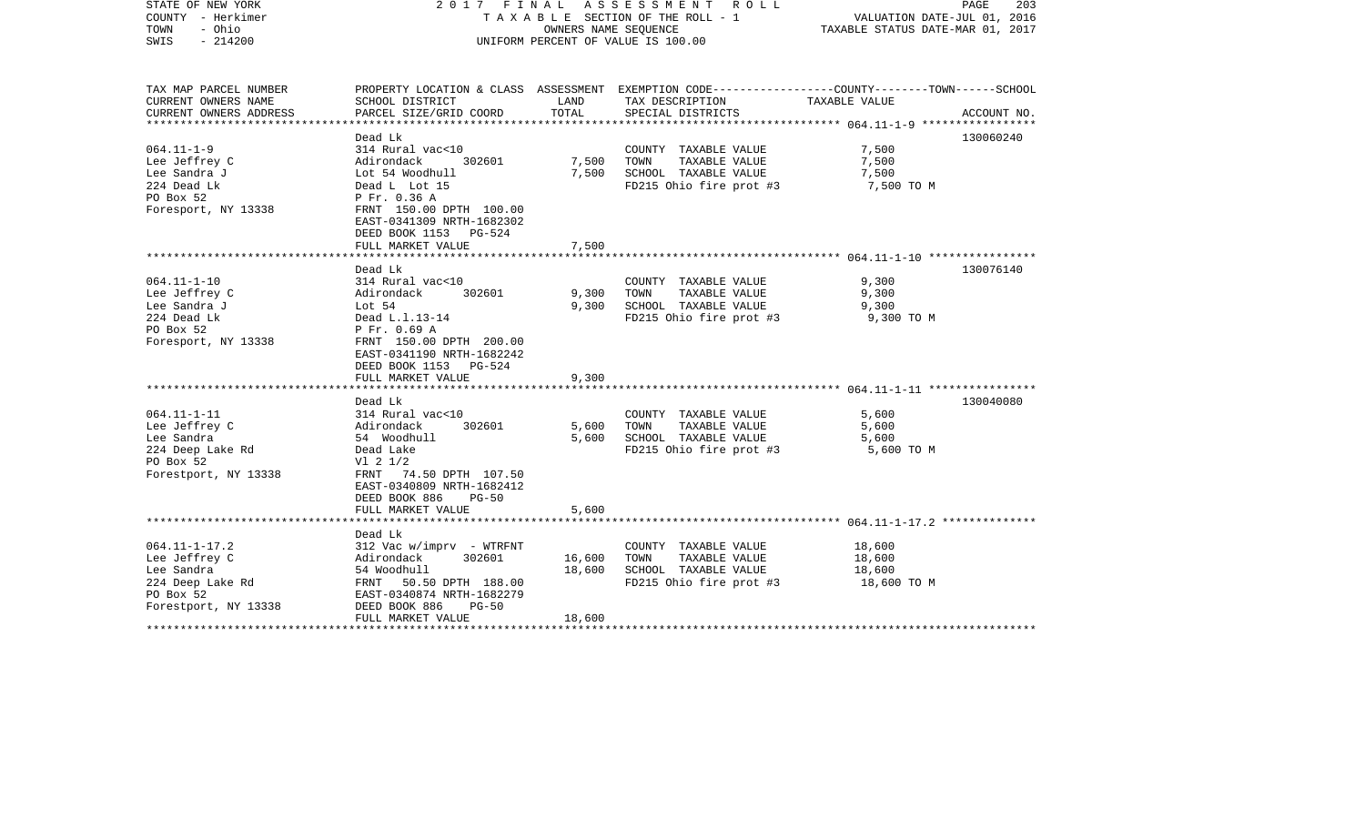| STATE OF NEW YORK<br>COUNTY - Herkimer<br>- Ohio<br>TOWN<br>$-214200$<br>SWIS                               |                                                                                                                                                                       |                  | 2017 FINAL ASSESSMENT ROLL<br>TAXABLE SECTION OF THE ROLL - 1<br>OWNERS NAME SEQUENCE<br>UNIFORM PERCENT OF VALUE IS 100.00 | VALUATION DATE-JUL 01, 2016<br>TAXABLE STATUS DATE-MAR 01, 2017 | PAGE<br>203 |
|-------------------------------------------------------------------------------------------------------------|-----------------------------------------------------------------------------------------------------------------------------------------------------------------------|------------------|-----------------------------------------------------------------------------------------------------------------------------|-----------------------------------------------------------------|-------------|
| TAX MAP PARCEL NUMBER<br>CURRENT OWNERS NAME                                                                | SCHOOL DISTRICT                                                                                                                                                       | LAND             | PROPERTY LOCATION & CLASS ASSESSMENT EXEMPTION CODE---------------COUNTY-------TOWN-----SCHOOL<br>TAX DESCRIPTION           | TAXABLE VALUE                                                   |             |
| CURRENT OWNERS ADDRESS                                                                                      | PARCEL SIZE/GRID COORD                                                                                                                                                | TOTAL            | SPECIAL DISTRICTS                                                                                                           |                                                                 | ACCOUNT NO. |
|                                                                                                             | Dead Lk                                                                                                                                                               |                  |                                                                                                                             |                                                                 | 130060240   |
| $064.11 - 1 - 9$<br>Lee Jeffrey C<br>Lee Sandra J<br>224 Dead Lk<br>PO Box 52                               | 314 Rural vac<10<br>Adirondack<br>302601<br>Lot 54 Woodhull<br>Dead L Lot 15<br>P Fr. 0.36 A                                                                          | 7,500<br>7,500   | COUNTY TAXABLE VALUE<br>TOWN<br>TAXABLE VALUE<br>SCHOOL TAXABLE VALUE<br>FD215 Ohio fire prot #3                            | 7,500<br>7,500<br>7,500<br>7,500 TO M                           |             |
| Foresport, NY 13338                                                                                         | FRNT 150.00 DPTH 100.00<br>EAST-0341309 NRTH-1682302<br>DEED BOOK 1153 PG-524<br>FULL MARKET VALUE                                                                    | 7,500            |                                                                                                                             |                                                                 |             |
|                                                                                                             | Dead Lk                                                                                                                                                               |                  |                                                                                                                             |                                                                 | 130076140   |
| $064.11 - 1 - 10$<br>Lee Jeffrey C<br>Lee Sandra J<br>224 Dead Lk<br>PO Box 52<br>Foresport, NY 13338       | 314 Rural vac<10<br>Adirondack<br>302601<br>Lot 54<br>Dead L.1.13-14<br>P Fr. 0.69 A<br>FRNT 150.00 DPTH 200.00<br>EAST-0341190 NRTH-1682242<br>DEED BOOK 1153 PG-524 | 9,300<br>9,300   | COUNTY TAXABLE VALUE<br>TAXABLE VALUE<br>TOWN<br>SCHOOL TAXABLE VALUE<br>FD215 Ohio fire prot #3                            | 9,300<br>9,300<br>9,300<br>9,300 TO M                           |             |
|                                                                                                             | FULL MARKET VALUE                                                                                                                                                     | 9,300            |                                                                                                                             |                                                                 |             |
| $064.11 - 1 - 11$<br>Lee Jeffrey C<br>Lee Sandra<br>224 Deep Lake Rd<br>PO Box 52<br>Forestport, NY 13338   | Dead Lk<br>314 Rural vac<10<br>Adirondack<br>302601<br>54 Woodhull<br>Dead Lake<br>$VI$ 2 $1/2$<br>FRNT 74.50 DPTH 107.50<br>EAST-0340809 NRTH-1682412                | 5,600<br>5,600   | COUNTY TAXABLE VALUE<br>TOWN<br>TAXABLE VALUE<br>SCHOOL TAXABLE VALUE<br>FD215 Ohio fire prot #3                            | 5,600<br>5,600<br>5,600<br>5,600 TO M                           | 130040080   |
|                                                                                                             | DEED BOOK 886<br>$PG-50$<br>FULL MARKET VALUE                                                                                                                         | 5,600            |                                                                                                                             |                                                                 |             |
|                                                                                                             | Dead Lk                                                                                                                                                               |                  |                                                                                                                             |                                                                 |             |
| $064.11 - 1 - 17.2$<br>Lee Jeffrey C<br>Lee Sandra<br>224 Deep Lake Rd<br>PO Box 52<br>Forestport, NY 13338 | $312$ Vac w/imprv - WTRFNT<br>302601<br>Adirondack<br>54 Woodhull<br>FRNT 50.50 DPTH 188.00<br>EAST-0340874 NRTH-1682279<br>DEED BOOK 886<br>$PG-50$                  | 16,600<br>18,600 | COUNTY TAXABLE VALUE<br>TOWN<br>TAXABLE VALUE<br>SCHOOL TAXABLE VALUE<br>FD215 Ohio fire prot #3                            | 18,600<br>18,600<br>18,600<br>18,600 TO M                       |             |
|                                                                                                             | FULL MARKET VALUE                                                                                                                                                     | 18,600           |                                                                                                                             |                                                                 |             |
|                                                                                                             |                                                                                                                                                                       |                  |                                                                                                                             |                                                                 |             |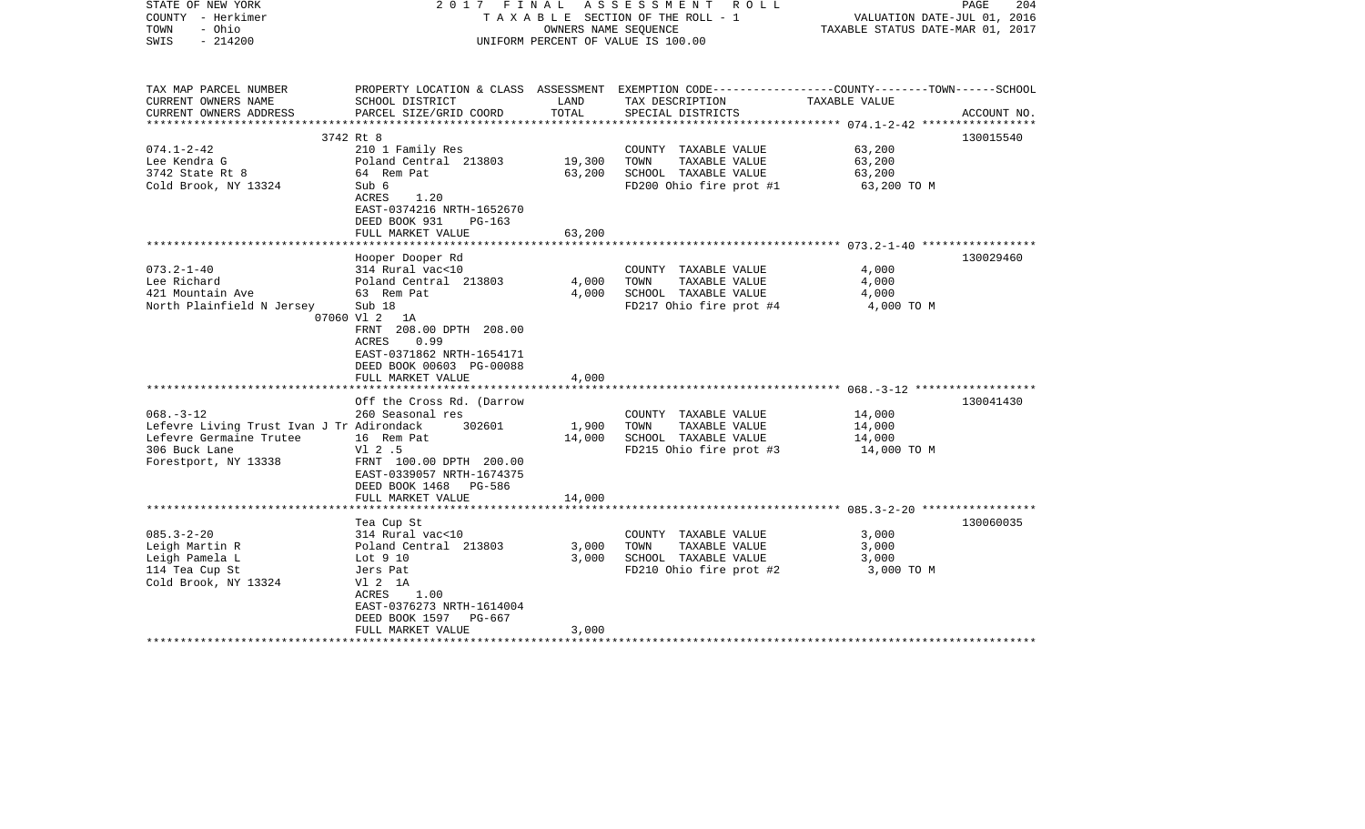| STATE OF NEW YORK<br>COUNTY - Herkimer<br>- Ohio<br>TOWN<br>$-214200$<br>SWIS                                                    |                                                                                                                                                                                                                                            |                         | 2017 FINAL ASSESSMENT ROLL<br>TAXABLE SECTION OF THE ROLL - 1<br>OWNERS NAME SEOUENCE<br>UNIFORM PERCENT OF VALUE IS 100.00             | VALUATION DATE-JUL 01, 2016<br>TAXABLE STATUS DATE-MAR 01, 2017 | PAGE<br>204 |
|----------------------------------------------------------------------------------------------------------------------------------|--------------------------------------------------------------------------------------------------------------------------------------------------------------------------------------------------------------------------------------------|-------------------------|-----------------------------------------------------------------------------------------------------------------------------------------|-----------------------------------------------------------------|-------------|
| TAX MAP PARCEL NUMBER<br>CURRENT OWNERS NAME<br>CURRENT OWNERS ADDRESS                                                           | SCHOOL DISTRICT<br>PARCEL SIZE/GRID COORD                                                                                                                                                                                                  | LAND<br>TOTAL           | PROPERTY LOCATION & CLASS ASSESSMENT EXEMPTION CODE---------------COUNTY-------TOWN------SCHOOL<br>TAX DESCRIPTION<br>SPECIAL DISTRICTS | TAXABLE VALUE                                                   | ACCOUNT NO. |
|                                                                                                                                  |                                                                                                                                                                                                                                            |                         |                                                                                                                                         |                                                                 |             |
| $074.1 - 2 - 42$<br>Lee Kendra G<br>3742 State Rt 8<br>Cold Brook, NY 13324                                                      | 3742 Rt 8<br>210 1 Family Res<br>Poland Central 213803<br>64 Rem Pat<br>Sub 6<br>ACRES<br>1.20<br>EAST-0374216 NRTH-1652670<br>DEED BOOK 931<br>PG-163                                                                                     | 19,300<br>63,200        | COUNTY TAXABLE VALUE<br>TOWN<br>TAXABLE VALUE<br>SCHOOL TAXABLE VALUE<br>FD200 Ohio fire prot #1                                        | 63,200<br>63,200<br>63,200<br>63,200 TO M                       | 130015540   |
|                                                                                                                                  | FULL MARKET VALUE                                                                                                                                                                                                                          | 63,200                  |                                                                                                                                         |                                                                 |             |
|                                                                                                                                  |                                                                                                                                                                                                                                            |                         |                                                                                                                                         |                                                                 |             |
| $073.2 - 1 - 40$<br>Lee Richard<br>421 Mountain Ave<br>North Plainfield N Jersey                                                 | Hooper Dooper Rd<br>314 Rural vac<10<br>Poland Central 213803<br>63 Rem Pat<br>Sub 18<br>07060 Vl 2<br>1A<br>FRNT 208.00 DPTH 208.00<br><b>ACRES</b><br>0.99<br>EAST-0371862 NRTH-1654171<br>DEED BOOK 00603 PG-00088<br>FULL MARKET VALUE | 4,000<br>4,000<br>4,000 | COUNTY TAXABLE VALUE<br>TAXABLE VALUE<br>TOWN<br>SCHOOL TAXABLE VALUE<br>FD217 Ohio fire prot #4                                        | 4,000<br>4,000<br>4,000<br>4,000 TO M                           | 130029460   |
|                                                                                                                                  |                                                                                                                                                                                                                                            |                         |                                                                                                                                         |                                                                 |             |
| $068. - 3 - 12$<br>Lefevre Living Trust Ivan J Tr Adirondack<br>Lefevre Germaine Trutee<br>306 Buck Lane<br>Forestport, NY 13338 | Off the Cross Rd. (Darrow<br>260 Seasonal res<br>302601<br>16 Rem Pat<br>V1 2 .5<br>FRNT 100.00 DPTH 200.00<br>EAST-0339057 NRTH-1674375<br>DEED BOOK 1468 PG-586                                                                          | 1,900<br>14,000         | COUNTY TAXABLE VALUE<br>TAXABLE VALUE<br>TOWN<br>SCHOOL TAXABLE VALUE<br>FD215 Ohio fire prot #3                                        | 14,000<br>14,000<br>14,000<br>14,000 TO M                       | 130041430   |
|                                                                                                                                  | FULL MARKET VALUE                                                                                                                                                                                                                          | 14,000                  |                                                                                                                                         |                                                                 |             |
| $085.3 - 2 - 20$<br>Leigh Martin R<br>Leigh Pamela L<br>114 Tea Cup St<br>Cold Brook, NY 13324                                   | Tea Cup St<br>314 Rural vac<10<br>Poland Central 213803<br>Lot 9 10<br>Jers Pat<br>V1 2 1A<br>ACRES<br>1.00<br>EAST-0376273 NRTH-1614004<br>DEED BOOK 1597<br>PG-667                                                                       | 3,000<br>3,000          | COUNTY TAXABLE VALUE<br>TAXABLE VALUE<br>TOWN<br>SCHOOL TAXABLE VALUE<br>FD210 Ohio fire prot #2                                        | 3,000<br>3,000<br>3,000<br>3,000 TO M                           | 130060035   |
| **********************                                                                                                           | FULL MARKET VALUE                                                                                                                                                                                                                          | 3,000                   |                                                                                                                                         |                                                                 |             |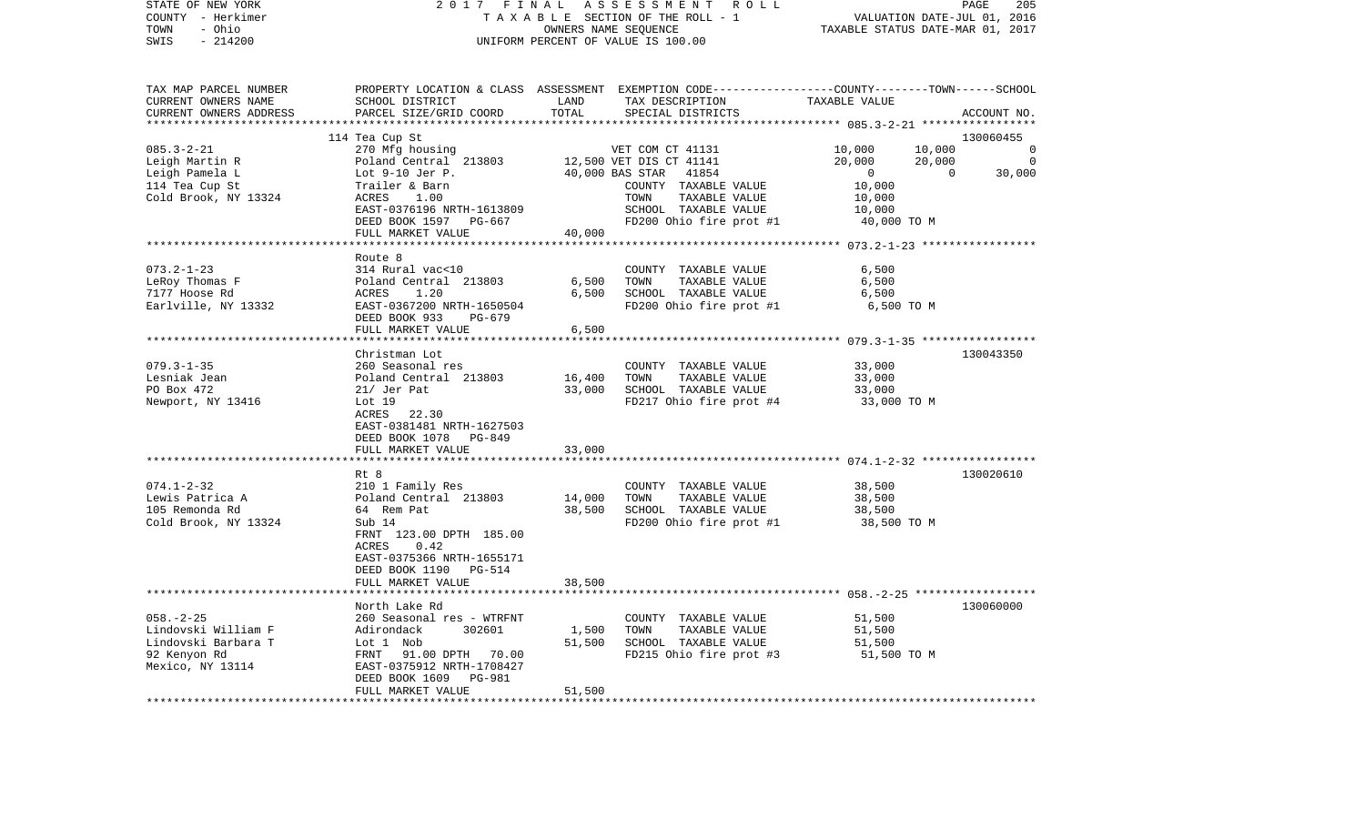| STATE OF NEW YORK<br>COUNTY - Herkimer       | 2017<br>FINAL                                        |                                  | ASSESSMENT<br>R O L L<br>TAXABLE SECTION OF THE ROLL - 1                                                           |                                                     | PAGE<br>205<br>VALUATION DATE-JUL 01, 2016 |
|----------------------------------------------|------------------------------------------------------|----------------------------------|--------------------------------------------------------------------------------------------------------------------|-----------------------------------------------------|--------------------------------------------|
| - Ohio<br>TOWN<br>$-214200$<br>SWIS          | UNIFORM PERCENT OF VALUE IS 100.00                   | TAXABLE STATUS DATE-MAR 01, 2017 |                                                                                                                    |                                                     |                                            |
|                                              |                                                      |                                  |                                                                                                                    |                                                     |                                            |
| TAX MAP PARCEL NUMBER<br>CURRENT OWNERS NAME | SCHOOL DISTRICT                                      | LAND                             | PROPERTY LOCATION & CLASS ASSESSMENT EXEMPTION CODE---------------COUNTY-------TOWN------SCHOOL<br>TAX DESCRIPTION | TAXABLE VALUE                                       |                                            |
| CURRENT OWNERS ADDRESS                       | PARCEL SIZE/GRID COORD                               | TOTAL                            | SPECIAL DISTRICTS                                                                                                  |                                                     | ACCOUNT NO.                                |
|                                              |                                                      | ***********                      |                                                                                                                    | ****************** 085.3-2-21 *****                 | ************                               |
|                                              | 114 Tea Cup St                                       |                                  |                                                                                                                    |                                                     | 130060455                                  |
| $085.3 - 2 - 21$                             | 270 Mfg housing                                      |                                  | VET COM CT 41131                                                                                                   | 10,000                                              | 10,000<br>0                                |
| Leigh Martin R                               | Poland Central 213803                                |                                  | 12,500 VET DIS CT 41141                                                                                            | 20,000                                              | 20,000<br>$\overline{0}$                   |
| Leigh Pamela L                               | Lot $9-10$ Jer P.                                    |                                  | 40,000 BAS STAR<br>41854                                                                                           | $\overline{0}$                                      | $\Omega$<br>30,000                         |
| 114 Tea Cup St                               | Trailer & Barn                                       |                                  | COUNTY TAXABLE VALUE                                                                                               | 10,000                                              |                                            |
| Cold Brook, NY 13324                         | ACRES<br>1.00                                        |                                  | TOWN<br>TAXABLE VALUE                                                                                              | 10,000                                              |                                            |
|                                              | EAST-0376196 NRTH-1613809                            |                                  | SCHOOL TAXABLE VALUE                                                                                               | 10,000                                              |                                            |
|                                              | DEED BOOK 1597 PG-667<br>FULL MARKET VALUE           | 40,000                           | FD200 Ohio fire prot #1                                                                                            | 40,000 TO M                                         |                                            |
|                                              | ****************************                         |                                  |                                                                                                                    |                                                     |                                            |
|                                              | Route 8                                              |                                  |                                                                                                                    |                                                     |                                            |
| $073.2 - 1 - 23$                             | 314 Rural vac<10                                     |                                  | COUNTY TAXABLE VALUE                                                                                               | 6,500                                               |                                            |
| LeRoy Thomas F                               | Poland Central 213803                                | 6,500                            | TOWN<br>TAXABLE VALUE                                                                                              | 6,500                                               |                                            |
| 7177 Hoose Rd                                | ACRES<br>1.20                                        | 6,500                            | SCHOOL TAXABLE VALUE                                                                                               | 6,500                                               |                                            |
| Earlville, NY 13332                          | EAST-0367200 NRTH-1650504<br>DEED BOOK 933<br>PG-679 |                                  | FD200 Ohio fire prot #1                                                                                            | 6,500 TO M                                          |                                            |
|                                              | FULL MARKET VALUE                                    | 6,500                            |                                                                                                                    |                                                     |                                            |
|                                              |                                                      | ********                         |                                                                                                                    | ********************* 079.3-1-35 ****************** |                                            |
| $079.3 - 1 - 35$                             | Christman Lot                                        |                                  |                                                                                                                    |                                                     | 130043350                                  |
| Lesniak Jean                                 | 260 Seasonal res<br>Poland Central 213803            | 16,400                           | COUNTY TAXABLE VALUE<br>TOWN<br>TAXABLE VALUE                                                                      | 33,000<br>33,000                                    |                                            |
| PO Box 472                                   | 21/ Jer Pat                                          | 33,000                           | SCHOOL TAXABLE VALUE                                                                                               | 33,000                                              |                                            |
| Newport, NY 13416                            | Lot 19                                               |                                  | FD217 Ohio fire prot #4                                                                                            | 33,000 TO M                                         |                                            |
|                                              | ACRES<br>22.30                                       |                                  |                                                                                                                    |                                                     |                                            |
|                                              | EAST-0381481 NRTH-1627503                            |                                  |                                                                                                                    |                                                     |                                            |
|                                              | DEED BOOK 1078<br>PG-849                             |                                  |                                                                                                                    |                                                     |                                            |
|                                              | FULL MARKET VALUE                                    | 33,000                           |                                                                                                                    |                                                     |                                            |
|                                              | ********************                                 | ***********                      |                                                                                                                    |                                                     |                                            |
|                                              | Rt 8                                                 |                                  |                                                                                                                    |                                                     | 130020610                                  |
| $074.1 - 2 - 32$                             | 210 1 Family Res                                     |                                  | COUNTY TAXABLE VALUE                                                                                               | 38,500                                              |                                            |
| Lewis Patrica A                              | Poland Central 213803<br>64 Rem Pat                  | 14,000                           | TOWN<br>TAXABLE VALUE                                                                                              | 38,500                                              |                                            |
| 105 Remonda Rd<br>Cold Brook, NY 13324       | Sub 14                                               | 38,500                           | SCHOOL TAXABLE VALUE<br>FD200 Ohio fire prot #1                                                                    | 38,500<br>38,500 TO M                               |                                            |
|                                              | FRNT 123.00 DPTH 185.00                              |                                  |                                                                                                                    |                                                     |                                            |
|                                              | ACRES<br>0.42                                        |                                  |                                                                                                                    |                                                     |                                            |
|                                              | EAST-0375366 NRTH-1655171                            |                                  |                                                                                                                    |                                                     |                                            |
|                                              | DEED BOOK 1190<br><b>PG-514</b>                      |                                  |                                                                                                                    |                                                     |                                            |
|                                              | FULL MARKET VALUE                                    | 38,500                           |                                                                                                                    |                                                     |                                            |
|                                              | *********************                                |                                  |                                                                                                                    |                                                     |                                            |
|                                              | North Lake Rd                                        |                                  |                                                                                                                    |                                                     | 130060000                                  |
| $058. - 2 - 25$                              | 260 Seasonal res - WTRFNT                            |                                  | COUNTY TAXABLE VALUE                                                                                               | 51,500                                              |                                            |
| Lindovski William F                          | Adirondack<br>302601                                 | 1,500                            | TOWN<br>TAXABLE VALUE                                                                                              | 51,500                                              |                                            |
| Lindovski Barbara T                          | Lot 1 Nob                                            | 51,500                           | SCHOOL TAXABLE VALUE                                                                                               | 51,500                                              |                                            |
| 92 Kenyon Rd                                 | FRNT 91.00 DPTH 70.00                                |                                  | FD215 Ohio fire prot #3                                                                                            | 51,500 TO M                                         |                                            |
| Mexico, NY 13114                             | EAST-0375912 NRTH-1708427                            |                                  |                                                                                                                    |                                                     |                                            |
|                                              | DEED BOOK 1609<br><b>PG-981</b>                      |                                  |                                                                                                                    |                                                     |                                            |
|                                              | FULL MARKET VALUE                                    | 51,500                           |                                                                                                                    |                                                     |                                            |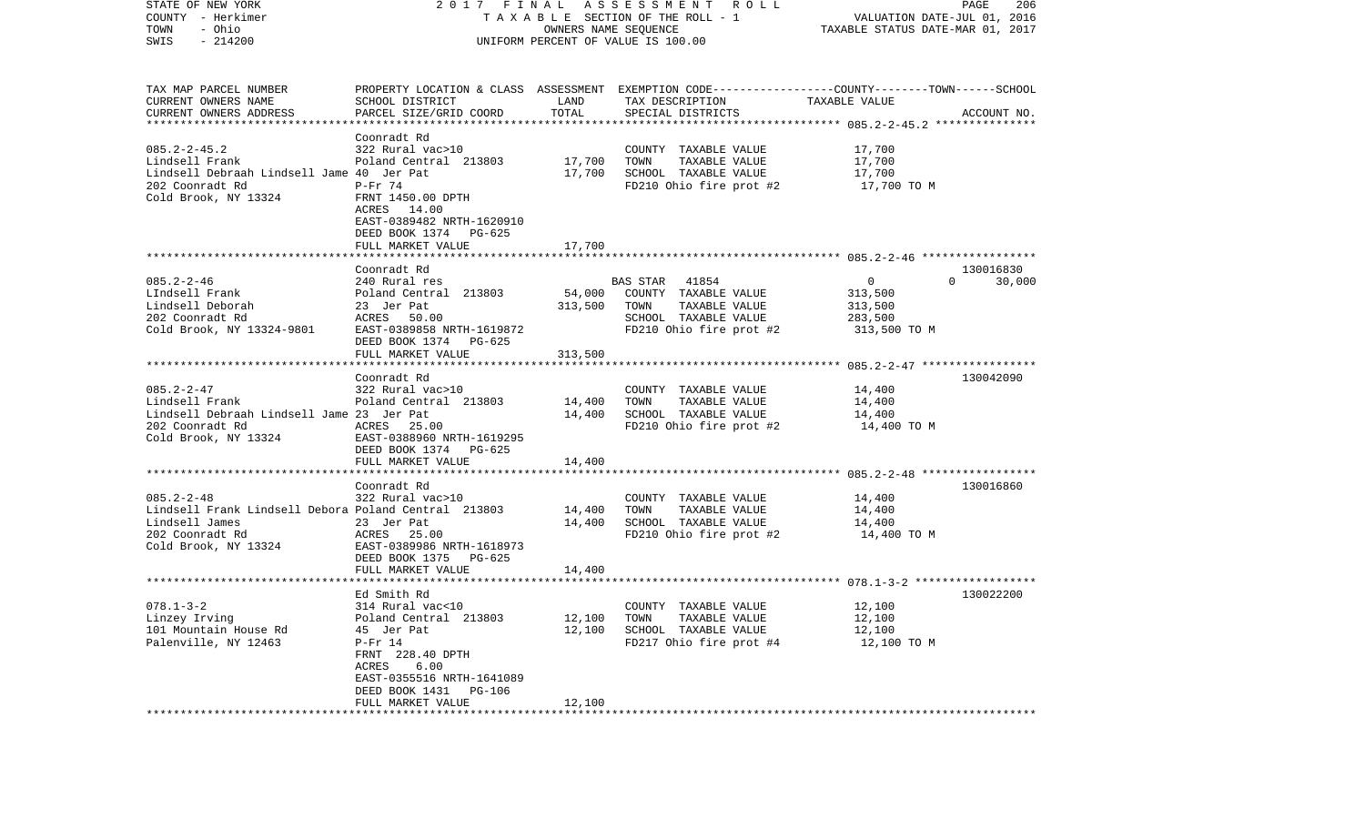| STATE OF NEW YORK<br>COUNTY - Herkimer<br>- Ohio<br>TOWN<br>$-214200$<br>SWIS                                                         |                                                                                                                                                                                                        | OWNERS NAME SEQUENCE       | 2017 FINAL ASSESSMENT ROLL<br>TAXABLE SECTION OF THE ROLL - 1<br>UNIFORM PERCENT OF VALUE IS 100.00                                      | VALUATION DATE-JUL 01, 2016<br>TAXABLE STATUS DATE-MAR 01, 2017 | PAGE<br>206                     |
|---------------------------------------------------------------------------------------------------------------------------------------|--------------------------------------------------------------------------------------------------------------------------------------------------------------------------------------------------------|----------------------------|------------------------------------------------------------------------------------------------------------------------------------------|-----------------------------------------------------------------|---------------------------------|
| TAX MAP PARCEL NUMBER<br>CURRENT OWNERS NAME<br>CURRENT OWNERS ADDRESS                                                                | SCHOOL DISTRICT<br>PARCEL SIZE/GRID COORD                                                                                                                                                              | LAND<br>TOTAL              | PROPERTY LOCATION & CLASS ASSESSMENT EXEMPTION CODE----------------COUNTY-------TOWN------SCHOOL<br>TAX DESCRIPTION<br>SPECIAL DISTRICTS | TAXABLE VALUE                                                   | ACCOUNT NO.                     |
| $085.2 - 2 - 45.2$<br>Lindsell Frank<br>Lindsell Debraah Lindsell Jame 40 Jer Pat<br>202 Coonradt Rd<br>Cold Brook, NY 13324          | Coonradt Rd<br>322 Rural vac>10<br>Poland Central 213803<br>$P-Fr$ 74<br>FRNT 1450.00 DPTH<br>ACRES 14.00<br>EAST-0389482 NRTH-1620910<br>DEED BOOK 1374 PG-625                                        | 17,700<br>17,700           | COUNTY TAXABLE VALUE<br>TOWN<br>TAXABLE VALUE<br>SCHOOL TAXABLE VALUE<br>FD210 Ohio fire prot #2                                         | 17,700<br>17,700<br>17,700<br>17,700 TO M                       |                                 |
|                                                                                                                                       | FULL MARKET VALUE                                                                                                                                                                                      | 17,700                     |                                                                                                                                          |                                                                 |                                 |
| $085.2 - 2 - 46$<br>LIndsell Frank<br>Lindsell Deborah<br>202 Coonradt Rd<br>Cold Brook, NY 13324-9801                                | Coonradt Rd<br>240 Rural res<br>Poland Central 213803<br>23 Jer Pat<br>ACRES 50.00<br>EAST-0389858 NRTH-1619872                                                                                        | 54,000<br>313,500          | BAS STAR 41854<br>COUNTY TAXABLE VALUE<br>TAXABLE VALUE<br>TOWN<br>SCHOOL TAXABLE VALUE<br>FD210 Ohio fire prot #2                       | $\mathbf 0$<br>313,500<br>313,500<br>283,500<br>313,500 TO M    | 130016830<br>30,000<br>$\Omega$ |
|                                                                                                                                       | DEED BOOK 1374 PG-625                                                                                                                                                                                  |                            |                                                                                                                                          |                                                                 |                                 |
|                                                                                                                                       | FULL MARKET VALUE                                                                                                                                                                                      | 313,500                    |                                                                                                                                          |                                                                 |                                 |
| $085.2 - 2 - 47$<br>Lindsell Frank<br>Lindsell Debraah Lindsell Jame 23 Jer Pat<br>202 Coonradt Rd<br>Cold Brook, NY 13324            | Coonradt Rd<br>322 Rural vac>10<br>Poland Central 213803<br>ACRES 25.00<br>EAST-0388960 NRTH-1619295<br>DEED BOOK 1374 PG-625                                                                          | 14,400<br>14,400           | COUNTY TAXABLE VALUE<br>TAXABLE VALUE<br>TOWN<br>SCHOOL TAXABLE VALUE<br>FD210 Ohio fire prot #2                                         | 14,400<br>14,400<br>14,400<br>14,400 TO M                       | 130042090                       |
|                                                                                                                                       | FULL MARKET VALUE<br>*************************                                                                                                                                                         | 14,400                     |                                                                                                                                          | ****************************** 085.2-2-48 *****************     |                                 |
| $085.2 - 2 - 48$<br>Lindsell Frank Lindsell Debora Poland Central 213803<br>Lindsell James<br>202 Coonradt Rd<br>Cold Brook, NY 13324 | Coonradt Rd<br>322 Rural vac>10<br>23 Jer Pat<br>ACRES 25.00<br>EAST-0389986 NRTH-1618973<br>DEED BOOK 1375 PG-625                                                                                     | 14,400<br>14,400           | COUNTY TAXABLE VALUE<br>TOWN<br>TAXABLE VALUE<br>SCHOOL TAXABLE VALUE<br>FD210 Ohio fire prot #2                                         | 14,400<br>14,400<br>14,400<br>14,400 TO M                       | 130016860                       |
|                                                                                                                                       | FULL MARKET VALUE                                                                                                                                                                                      | 14,400                     |                                                                                                                                          |                                                                 |                                 |
| $078.1 - 3 - 2$<br>Linzey Irving<br>101 Mountain House Rd<br>Palenville, NY 12463                                                     | Ed Smith Rd<br>314 Rural vac<10<br>Poland Central 213803<br>45 Jer Pat<br>$P-Fr 14$<br>FRNT 228.40 DPTH<br>ACRES<br>6.00<br>EAST-0355516 NRTH-1641089<br>DEED BOOK 1431<br>PG-106<br>FULL MARKET VALUE | 12,100<br>12,100<br>12,100 | COUNTY TAXABLE VALUE<br>TAXABLE VALUE<br>TOWN<br>SCHOOL TAXABLE VALUE<br>FD217 Ohio fire prot #4                                         | 12,100<br>12,100<br>12,100<br>12,100 TO M                       | 130022200                       |
|                                                                                                                                       |                                                                                                                                                                                                        |                            |                                                                                                                                          |                                                                 |                                 |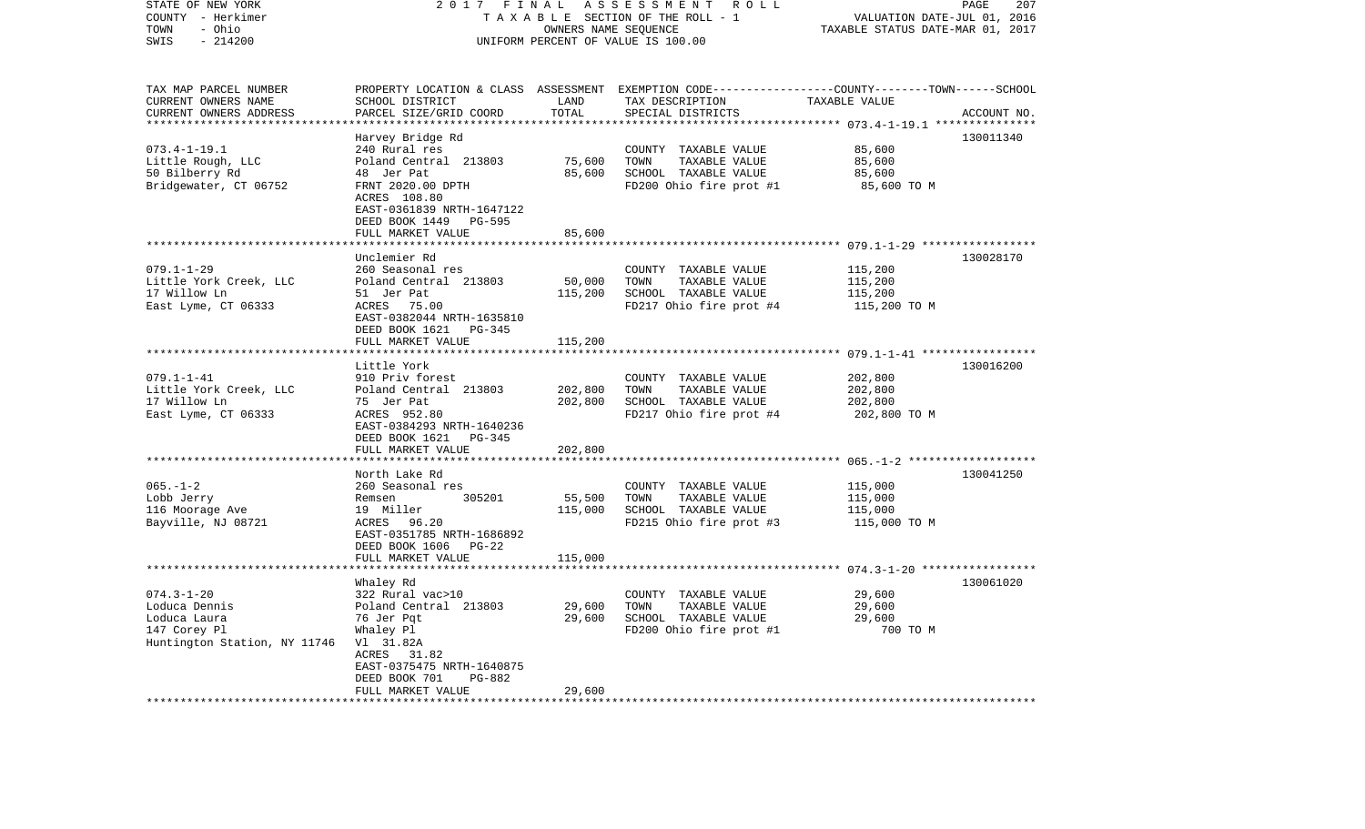| STATE OF NEW YORK<br>COUNTY - Herkimer<br>- Ohio<br>TOWN<br>SWIS<br>$-214200$                     | 2017                                                                                                                                                      | FINAL<br>OWNERS NAME SEQUENCE | ASSESSMENT<br>R O L L<br>TAXABLE SECTION OF THE ROLL - 1<br>UNIFORM PERCENT OF VALUE IS 100.00                                           | VALUATION DATE-JUL 01, 2016<br>TAXABLE STATUS DATE-MAR 01, 2017 | PAGE<br>207 |
|---------------------------------------------------------------------------------------------------|-----------------------------------------------------------------------------------------------------------------------------------------------------------|-------------------------------|------------------------------------------------------------------------------------------------------------------------------------------|-----------------------------------------------------------------|-------------|
| TAX MAP PARCEL NUMBER<br>CURRENT OWNERS NAME<br>CURRENT OWNERS ADDRESS                            | SCHOOL DISTRICT<br>PARCEL SIZE/GRID COORD                                                                                                                 | LAND<br>TOTAL                 | PROPERTY LOCATION & CLASS ASSESSMENT EXEMPTION CODE----------------COUNTY-------TOWN------SCHOOL<br>TAX DESCRIPTION<br>SPECIAL DISTRICTS | TAXABLE VALUE                                                   | ACCOUNT NO. |
|                                                                                                   | Harvey Bridge Rd                                                                                                                                          |                               |                                                                                                                                          |                                                                 | 130011340   |
| $073.4 - 1 - 19.1$<br>Little Rough, LLC<br>50 Bilberry Rd<br>Bridgewater, CT 06752                | 240 Rural res<br>Poland Central 213803<br>48 Jer Pat<br>FRNT 2020.00 DPTH<br>ACRES 108.80<br>EAST-0361839 NRTH-1647122<br>DEED BOOK 1449<br><b>PG-595</b> | 75,600<br>85,600              | COUNTY TAXABLE VALUE<br>TOWN<br>TAXABLE VALUE<br>SCHOOL TAXABLE VALUE<br>FD200 Ohio fire prot #1                                         | 85,600<br>85,600<br>85,600<br>85,600 TO M                       |             |
|                                                                                                   | FULL MARKET VALUE                                                                                                                                         | 85,600                        |                                                                                                                                          |                                                                 |             |
| $079.1 - 1 - 29$<br>Little York Creek, LLC<br>17 Willow Ln<br>East Lyme, CT 06333                 | Unclemier Rd<br>260 Seasonal res<br>Poland Central 213803<br>51 Jer Pat<br>ACRES<br>75.00<br>EAST-0382044 NRTH-1635810<br>DEED BOOK 1621<br>$PG-345$      | 50,000<br>115,200             | COUNTY TAXABLE VALUE<br>TOWN<br>TAXABLE VALUE<br>SCHOOL TAXABLE VALUE<br>FD217 Ohio fire prot #4                                         | 115,200<br>115,200<br>115,200<br>115,200 TO M                   | 130028170   |
|                                                                                                   | FULL MARKET VALUE                                                                                                                                         | 115,200                       |                                                                                                                                          |                                                                 |             |
| $079.1 - 1 - 41$<br>Little York Creek, LLC<br>17 Willow Ln<br>East Lyme, CT 06333                 | Little York<br>910 Priv forest<br>Poland Central 213803<br>75 Jer Pat<br>ACRES 952.80<br>EAST-0384293 NRTH-1640236<br>DEED BOOK 1621 PG-345               | 202,800<br>202,800            | COUNTY TAXABLE VALUE<br>TOWN<br>TAXABLE VALUE<br>SCHOOL TAXABLE VALUE<br>FD217 Ohio fire prot #4                                         | 202,800<br>202,800<br>202,800<br>202,800 TO M                   | 130016200   |
|                                                                                                   | FULL MARKET VALUE                                                                                                                                         | 202,800                       |                                                                                                                                          |                                                                 |             |
| $065. -1 - 2$<br>Lobb Jerry<br>116 Moorage Ave<br>Bayville, NJ 08721                              | North Lake Rd<br>260 Seasonal res<br>305201<br>Remsen<br>19 Miller<br>ACRES<br>96.20<br>EAST-0351785 NRTH-1686892<br>DEED BOOK 1606<br>PG-22              | 55,500<br>115,000             | COUNTY TAXABLE VALUE<br>TOWN<br>TAXABLE VALUE<br>SCHOOL TAXABLE VALUE<br>FD215 Ohio fire prot #3                                         | 115,000<br>115,000<br>115,000<br>115,000 TO M                   | 130041250   |
|                                                                                                   | FULL MARKET VALUE                                                                                                                                         | 115,000                       |                                                                                                                                          |                                                                 |             |
| $074.3 - 1 - 20$<br>Loduca Dennis<br>Loduca Laura<br>147 Corey Pl<br>Huntington Station, NY 11746 | Whaley Rd<br>322 Rural vac>10<br>Poland Central 213803<br>76 Jer Pqt<br>Whaley Pl<br>V1 31.82A<br>ACRES 31.82<br>EAST-0375475 NRTH-1640875                | 29,600<br>29,600              | COUNTY TAXABLE VALUE<br>TOWN<br>TAXABLE VALUE<br>SCHOOL TAXABLE VALUE<br>FD200 Ohio fire prot #1                                         | 29,600<br>29,600<br>29,600<br>700 TO M                          | 130061020   |
| ************************                                                                          | DEED BOOK 701<br>PG-882<br>FULL MARKET VALUE<br>* * * * * * * * * * * * * * * * * * * *                                                                   | 29,600                        |                                                                                                                                          |                                                                 |             |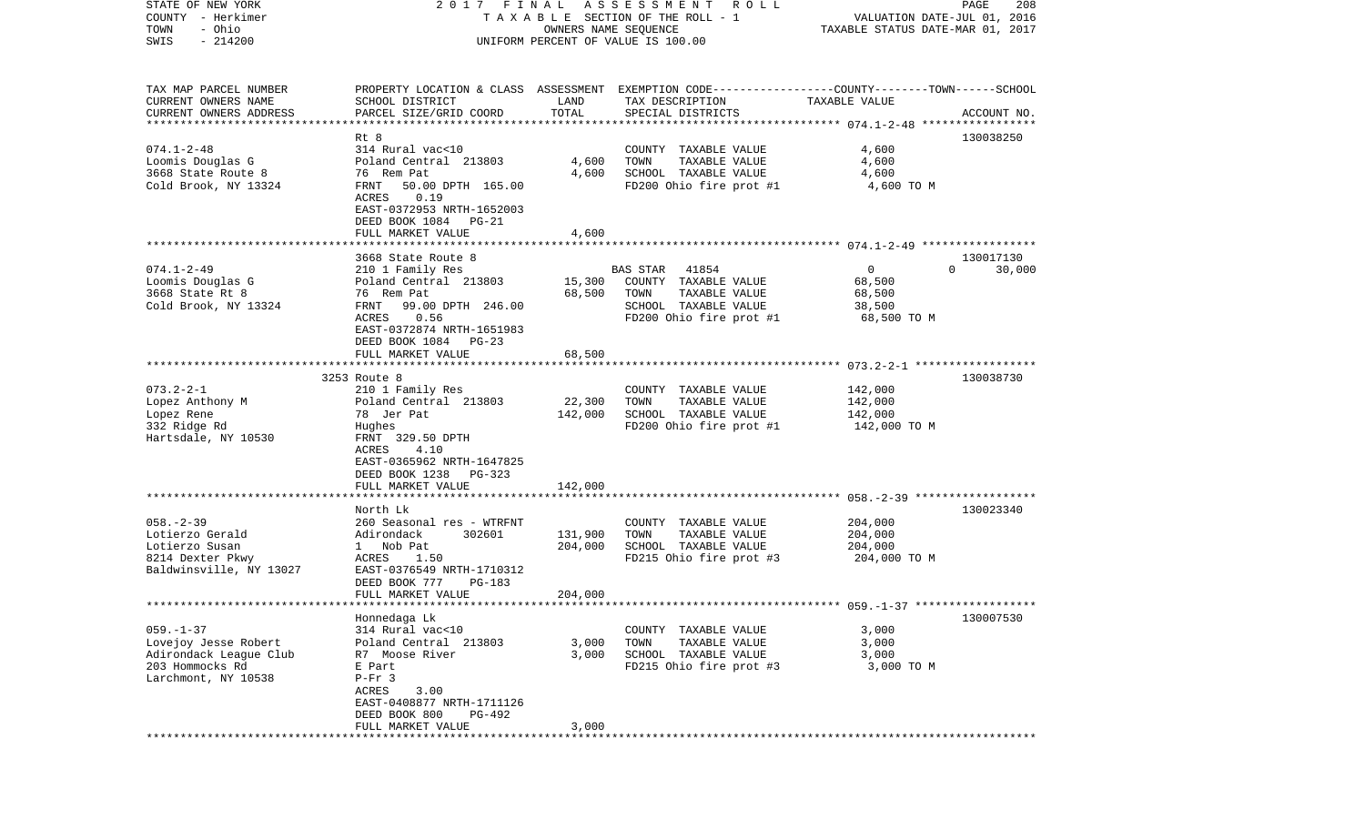| STATE OF NEW YORK         | 2017 FINAL                                                                                      |                      | A S S E S S M E N T A O L L           |                                  | PAGE<br>208        |
|---------------------------|-------------------------------------------------------------------------------------------------|----------------------|---------------------------------------|----------------------------------|--------------------|
| COUNTY - Herkimer         |                                                                                                 |                      | T A X A B L E SECTION OF THE ROLL - 1 | VALUATION DATE-JUL 01, 2016      |                    |
| - Ohio<br>TOWN            |                                                                                                 | OWNERS NAME SEQUENCE |                                       | TAXABLE STATUS DATE-MAR 01, 2017 |                    |
| $-214200$<br>SWIS         |                                                                                                 |                      | UNIFORM PERCENT OF VALUE IS 100.00    |                                  |                    |
|                           |                                                                                                 |                      |                                       |                                  |                    |
|                           |                                                                                                 |                      |                                       |                                  |                    |
| TAX MAP PARCEL NUMBER     | PROPERTY LOCATION & CLASS ASSESSMENT EXEMPTION CODE---------------COUNTY-------TOWN------SCHOOL |                      |                                       |                                  |                    |
| CURRENT OWNERS NAME       | SCHOOL DISTRICT                                                                                 | LAND                 | TAX DESCRIPTION                       | TAXABLE VALUE                    |                    |
| CURRENT OWNERS ADDRESS    | PARCEL SIZE/GRID COORD                                                                          | TOTAL                | SPECIAL DISTRICTS                     |                                  | ACCOUNT NO.        |
| ************************* |                                                                                                 |                      |                                       |                                  |                    |
|                           | Rt 8                                                                                            |                      |                                       |                                  | 130038250          |
| $074.1 - 2 - 48$          | 314 Rural vac<10                                                                                |                      | COUNTY TAXABLE VALUE                  | 4,600                            |                    |
| Loomis Douglas G          | Poland Central 213803                                                                           | 4,600                | TOWN<br>TAXABLE VALUE                 | 4,600                            |                    |
| 3668 State Route 8        | 76 Rem Pat                                                                                      | 4,600                | SCHOOL TAXABLE VALUE                  | 4,600                            |                    |
| Cold Brook, NY 13324      | FRNT<br>50.00 DPTH 165.00                                                                       |                      | FD200 Ohio fire prot #1               | 4,600 TO M                       |                    |
|                           | ACRES<br>0.19<br>EAST-0372953 NRTH-1652003                                                      |                      |                                       |                                  |                    |
|                           |                                                                                                 |                      |                                       |                                  |                    |
|                           | DEED BOOK 1084 PG-21                                                                            |                      |                                       |                                  |                    |
|                           | FULL MARKET VALUE                                                                               | 4,600                |                                       |                                  |                    |
|                           | 3668 State Route 8                                                                              |                      |                                       |                                  | 130017130          |
| $074.1 - 2 - 49$          | 210 1 Family Res                                                                                |                      | 41854<br><b>BAS STAR</b>              | $\overline{0}$                   | $\Omega$<br>30,000 |
| Loomis Douglas G          | Poland Central 213803                                                                           | 15,300               | COUNTY TAXABLE VALUE                  | 68,500                           |                    |
| 3668 State Rt 8           | 76 Rem Pat                                                                                      | 68,500               | TAXABLE VALUE<br>TOWN                 | 68,500                           |                    |
| Cold Brook, NY 13324      | FRNT 99.00 DPTH 246.00                                                                          |                      | SCHOOL TAXABLE VALUE                  | 38,500                           |                    |
|                           | 0.56<br>ACRES                                                                                   |                      | FD200 Ohio fire prot #1               | 68,500 TO M                      |                    |
|                           | EAST-0372874 NRTH-1651983                                                                       |                      |                                       |                                  |                    |
|                           | DEED BOOK 1084<br>$PG-23$                                                                       |                      |                                       |                                  |                    |
|                           | FULL MARKET VALUE                                                                               | 68,500               |                                       |                                  |                    |
|                           |                                                                                                 |                      |                                       |                                  |                    |
|                           | 3253 Route 8                                                                                    |                      |                                       |                                  | 130038730          |
| $073.2 - 2 - 1$           | 210 1 Family Res                                                                                |                      | COUNTY TAXABLE VALUE                  | 142,000                          |                    |
| Lopez Anthony M           | Poland Central 213803                                                                           | 22,300               | TOWN<br>TAXABLE VALUE                 | 142,000                          |                    |
| Lopez Rene                | 78 Jer Pat                                                                                      | 142,000              | SCHOOL TAXABLE VALUE                  | 142,000                          |                    |
| 332 Ridge Rd              | Hughes                                                                                          |                      | FD200 Ohio fire prot #1               | 142,000 TO M                     |                    |
| Hartsdale, NY 10530       | FRNT 329.50 DPTH                                                                                |                      |                                       |                                  |                    |
|                           | ACRES<br>4.10                                                                                   |                      |                                       |                                  |                    |
|                           | EAST-0365962 NRTH-1647825                                                                       |                      |                                       |                                  |                    |
|                           | DEED BOOK 1238<br>PG-323                                                                        |                      |                                       |                                  |                    |
|                           | FULL MARKET VALUE                                                                               | 142,000              |                                       |                                  |                    |
|                           | *********************                                                                           | *********            |                                       |                                  |                    |
|                           | North Lk                                                                                        |                      |                                       |                                  | 130023340          |
| $058. - 2 - 39$           | 260 Seasonal res - WTRFNT                                                                       |                      | COUNTY TAXABLE VALUE                  | 204,000                          |                    |
| Lotierzo Gerald           | Adirondack<br>302601                                                                            | 131,900              | TOWN<br>TAXABLE VALUE                 | 204,000                          |                    |
| Lotierzo Susan            | 1 Nob Pat                                                                                       | 204,000              | SCHOOL TAXABLE VALUE                  | 204,000                          |                    |
| 8214 Dexter Pkwy          | 1.50<br>ACRES                                                                                   |                      | FD215 Ohio fire prot #3               | 204,000 TO M                     |                    |
| Baldwinsville, NY 13027   | EAST-0376549 NRTH-1710312                                                                       |                      |                                       |                                  |                    |
|                           | DEED BOOK 777<br>PG-183                                                                         |                      |                                       |                                  |                    |
|                           | FULL MARKET VALUE                                                                               | 204,000              |                                       |                                  |                    |
| *******************       |                                                                                                 |                      |                                       |                                  |                    |
|                           | Honnedaga Lk                                                                                    |                      |                                       |                                  | 130007530          |
| $059. - 1 - 37$           | 314 Rural vac<10                                                                                |                      | COUNTY TAXABLE VALUE                  | 3,000                            |                    |
| Lovejoy Jesse Robert      | Poland Central 213803                                                                           | 3,000                | TOWN<br>TAXABLE VALUE                 | 3,000                            |                    |
| Adirondack League Club    | R7 Moose River                                                                                  | 3,000                | SCHOOL TAXABLE VALUE                  | 3,000                            |                    |
| 203 Hommocks Rd           | E Part                                                                                          |                      | FD215 Ohio fire prot #3               | 3,000 TO M                       |                    |
| Larchmont, NY 10538       | $P-Fr$ 3<br>3.00                                                                                |                      |                                       |                                  |                    |
|                           | ACRES<br>EAST-0408877 NRTH-1711126                                                              |                      |                                       |                                  |                    |
|                           | DEED BOOK 800<br>PG-492                                                                         |                      |                                       |                                  |                    |
|                           | FULL MARKET VALUE                                                                               | 3,000                |                                       |                                  |                    |
|                           |                                                                                                 |                      |                                       |                                  |                    |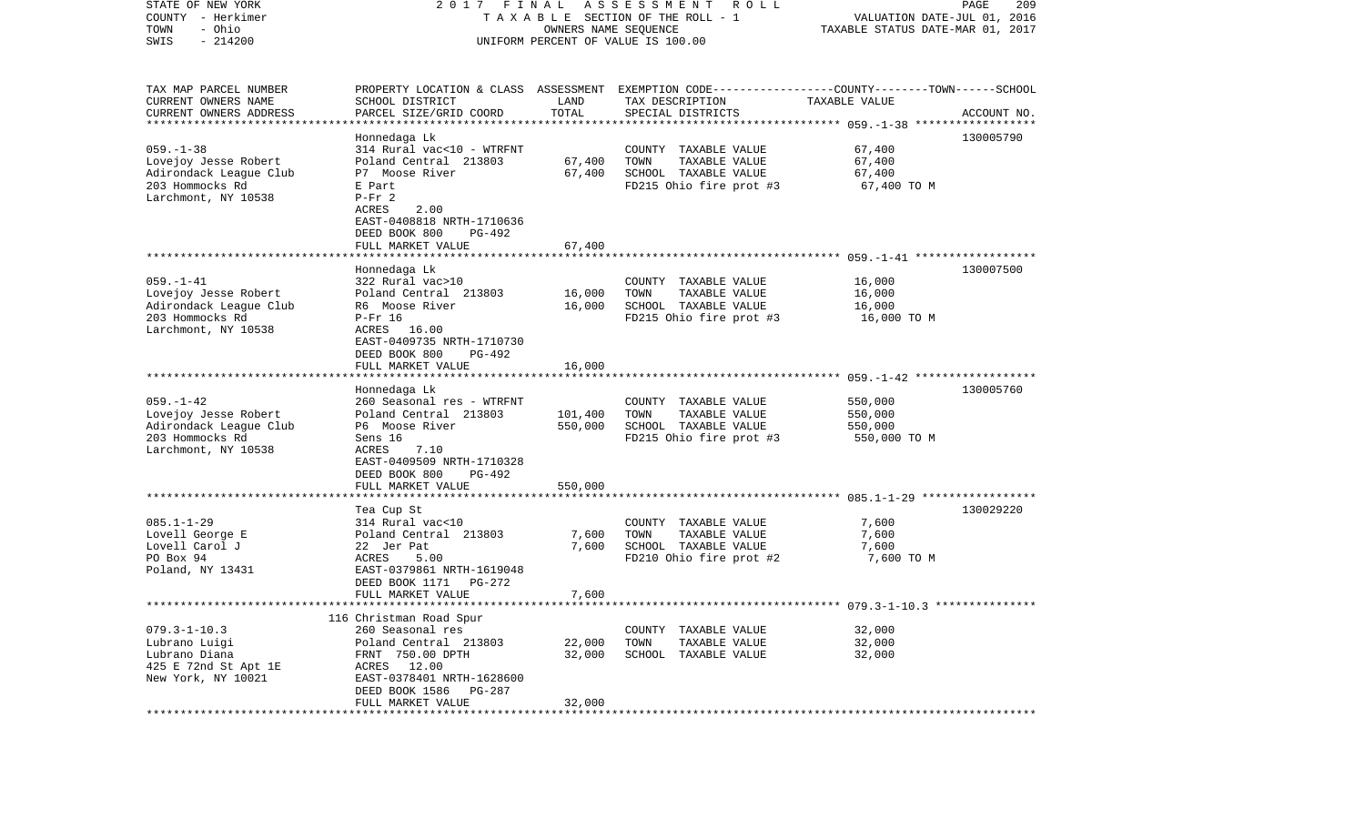| STATE OF NEW YORK<br>COUNTY - Herkimer         | 2017 FINAL                                            |                      | A S S E S S M E N T<br>R O L L<br>TAXABLE SECTION OF THE ROLL - 1                                | VALUATION DATE-JUL 01, 2016                              | 209<br>PAGE |
|------------------------------------------------|-------------------------------------------------------|----------------------|--------------------------------------------------------------------------------------------------|----------------------------------------------------------|-------------|
| - Ohio<br>TOWN<br>$-214200$<br>SWIS            |                                                       | OWNERS NAME SEQUENCE | UNIFORM PERCENT OF VALUE IS 100.00                                                               | TAXABLE STATUS DATE-MAR 01, 2017                         |             |
| TAX MAP PARCEL NUMBER                          |                                                       |                      | PROPERTY LOCATION & CLASS ASSESSMENT EXEMPTION CODE----------------COUNTY-------TOWN------SCHOOL |                                                          |             |
| CURRENT OWNERS NAME                            | SCHOOL DISTRICT                                       | LAND                 | TAX DESCRIPTION                                                                                  | TAXABLE VALUE                                            |             |
| CURRENT OWNERS ADDRESS                         | PARCEL SIZE/GRID COORD                                | TOTAL                | SPECIAL DISTRICTS                                                                                |                                                          | ACCOUNT NO. |
| **********************                         |                                                       |                      |                                                                                                  |                                                          |             |
|                                                | Honnedaga Lk                                          |                      |                                                                                                  |                                                          | 130005790   |
| $059. -1 - 38$<br>Lovejoy Jesse Robert         | 314 Rural vac<10 - WTRFNT<br>Poland Central 213803    | 67,400               | COUNTY TAXABLE VALUE<br>TOWN<br>TAXABLE VALUE                                                    | 67,400<br>67,400                                         |             |
| Adirondack League Club                         | P7 Moose River                                        | 67,400               | SCHOOL TAXABLE VALUE                                                                             | 67,400                                                   |             |
| 203 Hommocks Rd                                | E Part                                                |                      | FD215 Ohio fire prot #3                                                                          | 67,400 TO M                                              |             |
| Larchmont, NY 10538                            | $P-Fr$ 2                                              |                      |                                                                                                  |                                                          |             |
|                                                | 2.00<br>ACRES                                         |                      |                                                                                                  |                                                          |             |
|                                                | EAST-0408818 NRTH-1710636                             |                      |                                                                                                  |                                                          |             |
|                                                | DEED BOOK 800<br>PG-492                               |                      |                                                                                                  |                                                          |             |
|                                                | FULL MARKET VALUE                                     | 67,400               |                                                                                                  |                                                          |             |
|                                                | Honnedaga Lk                                          |                      |                                                                                                  |                                                          | 130007500   |
| $059. -1 - 41$                                 | 322 Rural vac>10                                      |                      | COUNTY TAXABLE VALUE                                                                             | 16,000                                                   |             |
| Lovejoy Jesse Robert                           | Poland Central 213803                                 | 16,000               | TOWN<br>TAXABLE VALUE                                                                            | 16,000                                                   |             |
| Adirondack League Club                         | R6 Moose River                                        | 16,000               | SCHOOL TAXABLE VALUE                                                                             | 16,000                                                   |             |
| 203 Hommocks Rd                                | $P-Fr$ 16                                             |                      | FD215 Ohio fire prot #3                                                                          | 16,000 TO M                                              |             |
| Larchmont, NY 10538                            | ACRES 16.00<br>EAST-0409735 NRTH-1710730              |                      |                                                                                                  |                                                          |             |
|                                                | DEED BOOK 800<br>PG-492                               |                      |                                                                                                  |                                                          |             |
|                                                | FULL MARKET VALUE                                     | 16,000               |                                                                                                  |                                                          |             |
|                                                |                                                       |                      |                                                                                                  |                                                          |             |
|                                                | Honnedaga Lk                                          |                      |                                                                                                  |                                                          | 130005760   |
| $059. -1 - 42$                                 | 260 Seasonal res - WTRFNT                             |                      | COUNTY TAXABLE VALUE                                                                             | 550,000                                                  |             |
| Lovejoy Jesse Robert<br>Adirondack League Club | Poland Central 213803<br>P6 Moose River               | 101,400<br>550,000   | TAXABLE VALUE<br>TOWN<br>SCHOOL TAXABLE VALUE                                                    | 550,000<br>550,000                                       |             |
| 203 Hommocks Rd                                | Sens 16                                               |                      | FD215 Ohio fire prot #3                                                                          | 550,000 TO M                                             |             |
| Larchmont, NY 10538                            | ACRES<br>7.10                                         |                      |                                                                                                  |                                                          |             |
|                                                | EAST-0409509 NRTH-1710328                             |                      |                                                                                                  |                                                          |             |
|                                                | DEED BOOK 800<br>PG-492                               |                      |                                                                                                  |                                                          |             |
|                                                | FULL MARKET VALUE                                     | 550,000              |                                                                                                  |                                                          |             |
|                                                |                                                       |                      |                                                                                                  | ************************* 085.1-1-29 ******************  | 130029220   |
| $085.1 - 1 - 29$                               | Tea Cup St<br>314 Rural vac<10                        |                      | COUNTY TAXABLE VALUE                                                                             | 7,600                                                    |             |
| Lovell George E                                | Poland Central 213803                                 | 7,600                | TOWN<br>TAXABLE VALUE                                                                            | 7,600                                                    |             |
| Lovell Carol J                                 | 22 Jer Pat                                            | 7,600                | SCHOOL TAXABLE VALUE                                                                             | 7,600                                                    |             |
| PO Box 94                                      | ACRES<br>5.00                                         |                      | FD210 Ohio fire prot #2                                                                          | 7,600 TO M                                               |             |
| Poland, NY 13431                               | EAST-0379861 NRTH-1619048                             |                      |                                                                                                  |                                                          |             |
|                                                | DEED BOOK 1171<br>PG-272                              |                      |                                                                                                  |                                                          |             |
| *************************                      | FULL MARKET VALUE<br>***********************          | 7,600                |                                                                                                  | *************************** 079.3-1-10.3 *************** |             |
|                                                | 116 Christman Road Spur                               |                      |                                                                                                  |                                                          |             |
| $079.3 - 1 - 10.3$                             | 260 Seasonal res                                      |                      | COUNTY<br>TAXABLE VALUE                                                                          | 32,000                                                   |             |
| Lubrano Luigi                                  | Poland Central 213803                                 | 22,000               | TOWN<br>TAXABLE VALUE                                                                            | 32,000                                                   |             |
| Lubrano Diana                                  | FRNT 750.00 DPTH                                      | 32,000               | SCHOOL<br>TAXABLE VALUE                                                                          | 32,000                                                   |             |
| 425 E 72nd St Apt 1E                           | ACRES 12.00                                           |                      |                                                                                                  |                                                          |             |
| New York, NY 10021                             | EAST-0378401 NRTH-1628600<br>DEED BOOK 1586<br>PG-287 |                      |                                                                                                  |                                                          |             |
|                                                | FULL MARKET VALUE                                     | 32,000               |                                                                                                  |                                                          |             |
|                                                |                                                       |                      |                                                                                                  |                                                          |             |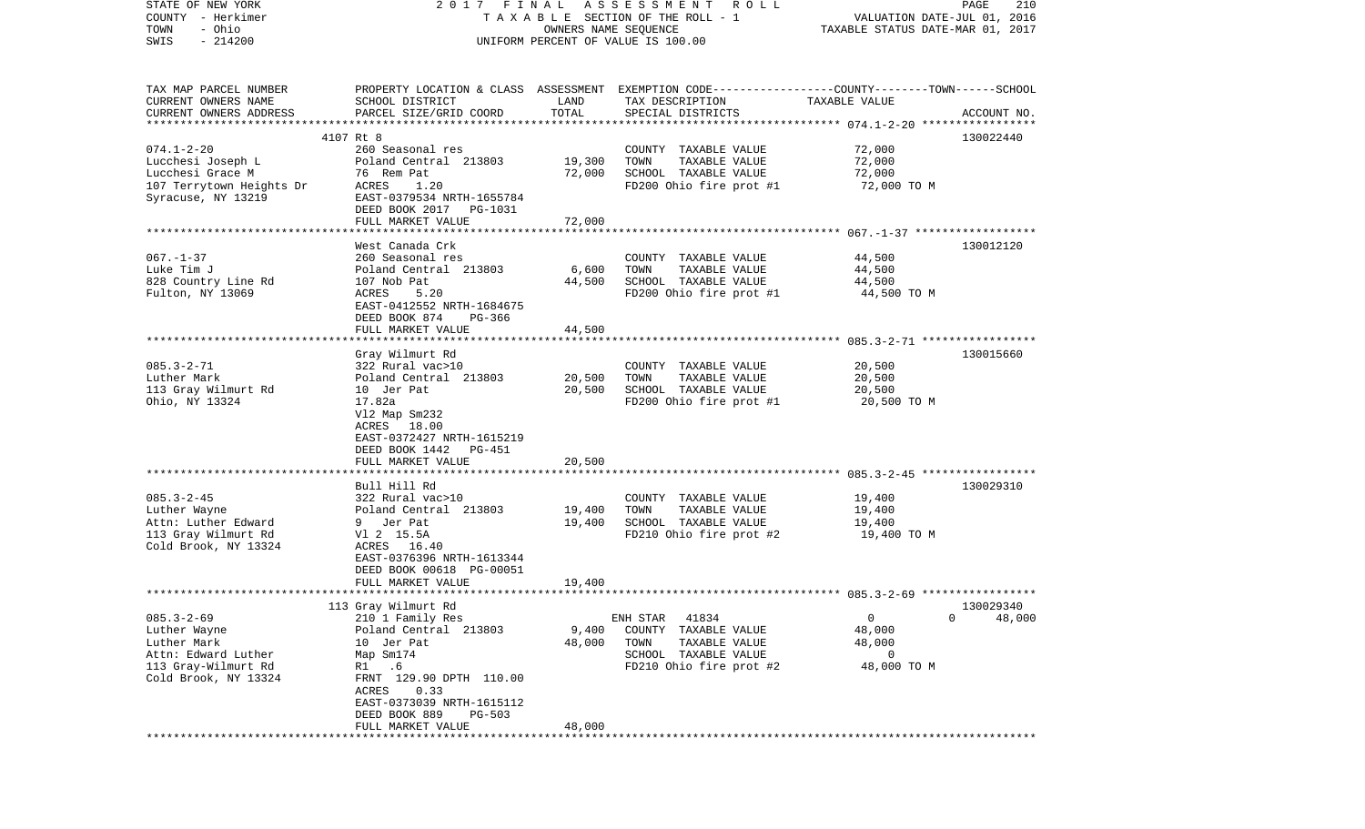| STATE OF NEW YORK                     |                                                                                                |                      | 2017 FINAL ASSESSMENT ROLL                    |                                  | PAGE<br>210 |
|---------------------------------------|------------------------------------------------------------------------------------------------|----------------------|-----------------------------------------------|----------------------------------|-------------|
| COUNTY - Herkimer                     |                                                                                                |                      | TAXABLE SECTION OF THE ROLL - 1               | VALUATION DATE-JUL 01, 2016      |             |
| - Ohio<br>TOWN<br>$-214200$<br>SWIS   |                                                                                                | OWNERS NAME SEQUENCE | UNIFORM PERCENT OF VALUE IS 100.00            | TAXABLE STATUS DATE-MAR 01, 2017 |             |
|                                       |                                                                                                |                      |                                               |                                  |             |
|                                       |                                                                                                |                      |                                               |                                  |             |
| TAX MAP PARCEL NUMBER                 | PROPERTY LOCATION & CLASS ASSESSMENT EXEMPTION CODE---------------COUNTY-------TOWN-----SCHOOL |                      |                                               |                                  |             |
| CURRENT OWNERS NAME                   | SCHOOL DISTRICT                                                                                | LAND                 | TAX DESCRIPTION                               | TAXABLE VALUE                    |             |
| CURRENT OWNERS ADDRESS                | PARCEL SIZE/GRID COORD                                                                         | TOTAL                | SPECIAL DISTRICTS                             |                                  | ACCOUNT NO. |
|                                       |                                                                                                |                      |                                               |                                  |             |
|                                       | 4107 Rt 8                                                                                      |                      |                                               |                                  | 130022440   |
| $074.1 - 2 - 20$<br>Lucchesi Joseph L | 260 Seasonal res<br>Poland Central 213803                                                      | 19,300               | COUNTY TAXABLE VALUE<br>TOWN<br>TAXABLE VALUE | 72,000<br>72,000                 |             |
| Lucchesi Grace M                      | 76 Rem Pat                                                                                     | 72,000               | SCHOOL TAXABLE VALUE                          | 72,000                           |             |
| 107 Terrytown Heights Dr              | ACRES<br>1.20                                                                                  |                      | FD200 Ohio fire prot #1                       | 72,000 TO M                      |             |
| Syracuse, NY 13219                    | EAST-0379534 NRTH-1655784                                                                      |                      |                                               |                                  |             |
|                                       | DEED BOOK 2017 PG-1031                                                                         |                      |                                               |                                  |             |
|                                       | FULL MARKET VALUE                                                                              | 72,000               |                                               |                                  |             |
|                                       |                                                                                                |                      |                                               |                                  |             |
|                                       | West Canada Crk                                                                                |                      |                                               |                                  | 130012120   |
| $067. - 1 - 37$                       | 260 Seasonal res                                                                               |                      | COUNTY TAXABLE VALUE                          | 44,500                           |             |
| Luke Tim J                            | Poland Central 213803                                                                          | 6,600                | TAXABLE VALUE<br>TOWN                         | 44,500                           |             |
| 828 Country Line Rd                   | 107 Nob Pat                                                                                    | 44,500               | SCHOOL TAXABLE VALUE                          | 44,500                           |             |
| Fulton, NY 13069                      | ACRES<br>5.20                                                                                  |                      | FD200 Ohio fire prot #1                       | 44,500 TO M                      |             |
|                                       | EAST-0412552 NRTH-1684675<br>DEED BOOK 874<br>PG-366                                           |                      |                                               |                                  |             |
|                                       | FULL MARKET VALUE                                                                              | 44,500               |                                               |                                  |             |
|                                       |                                                                                                |                      |                                               |                                  |             |
|                                       | Gray Wilmurt Rd                                                                                |                      |                                               |                                  | 130015660   |
| $085.3 - 2 - 71$                      | 322 Rural vac>10                                                                               |                      | COUNTY TAXABLE VALUE                          | 20,500                           |             |
| Luther Mark                           | Poland Central 213803                                                                          | 20,500               | TAXABLE VALUE<br>TOWN                         | 20,500                           |             |
| 113 Gray Wilmurt Rd                   | 10 Jer Pat                                                                                     | 20,500               | SCHOOL TAXABLE VALUE                          | 20,500                           |             |
| Ohio, NY 13324                        | 17.82a                                                                                         |                      | FD200 Ohio fire prot #1                       | 20,500 TO M                      |             |
|                                       | V12 Map Sm232                                                                                  |                      |                                               |                                  |             |
|                                       | ACRES 18.00                                                                                    |                      |                                               |                                  |             |
|                                       | EAST-0372427 NRTH-1615219                                                                      |                      |                                               |                                  |             |
|                                       | DEED BOOK 1442<br>PG-451<br>FULL MARKET VALUE                                                  | 20,500               |                                               |                                  |             |
|                                       | *******************************                                                                |                      |                                               |                                  |             |
|                                       | Bull Hill Rd                                                                                   |                      |                                               |                                  | 130029310   |
| $085.3 - 2 - 45$                      | 322 Rural vac>10                                                                               |                      | COUNTY TAXABLE VALUE                          | 19,400                           |             |
| Luther Wayne                          | Poland Central 213803                                                                          | 19,400               | TOWN<br>TAXABLE VALUE                         | 19,400                           |             |
| Attn: Luther Edward                   | 9 Jer Pat                                                                                      | 19,400               | SCHOOL TAXABLE VALUE                          | 19,400                           |             |
| 113 Gray Wilmurt Rd                   | Vl 2 15.5A                                                                                     |                      | FD210 Ohio fire prot #2                       | 19,400 TO M                      |             |
| Cold Brook, NY 13324                  | ACRES 16.40                                                                                    |                      |                                               |                                  |             |
|                                       | EAST-0376396 NRTH-1613344                                                                      |                      |                                               |                                  |             |
|                                       | DEED BOOK 00618 PG-00051                                                                       |                      |                                               |                                  |             |
|                                       | FULL MARKET VALUE                                                                              | 19,400               |                                               |                                  |             |
|                                       |                                                                                                |                      |                                               |                                  |             |
| $085.3 - 2 - 69$                      | 113 Gray Wilmurt Rd<br>210 1 Family Res                                                        |                      | 41834<br>ENH STAR                             | 130029340<br>$\mathsf{O}$        | 0<br>48,000 |
| Luther Wayne                          | Poland Central 213803                                                                          | 9,400                | COUNTY TAXABLE VALUE                          | 48,000                           |             |
| Luther Mark                           | 10 Jer Pat                                                                                     | 48,000               | TOWN<br>TAXABLE VALUE                         | 48,000                           |             |
| Attn: Edward Luther                   | Map Sm174                                                                                      |                      | SCHOOL TAXABLE VALUE                          | 0                                |             |
| 113 Gray-Wilmurt Rd                   | .6<br>R1                                                                                       |                      | FD210 Ohio fire prot #2                       | 48,000 TO M                      |             |
| Cold Brook, NY 13324                  | FRNT 129.90 DPTH 110.00                                                                        |                      |                                               |                                  |             |
|                                       | 0.33<br>ACRES                                                                                  |                      |                                               |                                  |             |
|                                       | EAST-0373039 NRTH-1615112                                                                      |                      |                                               |                                  |             |
|                                       | DEED BOOK 889<br>PG-503                                                                        |                      |                                               |                                  |             |
|                                       | FULL MARKET VALUE                                                                              | 48,000               |                                               |                                  |             |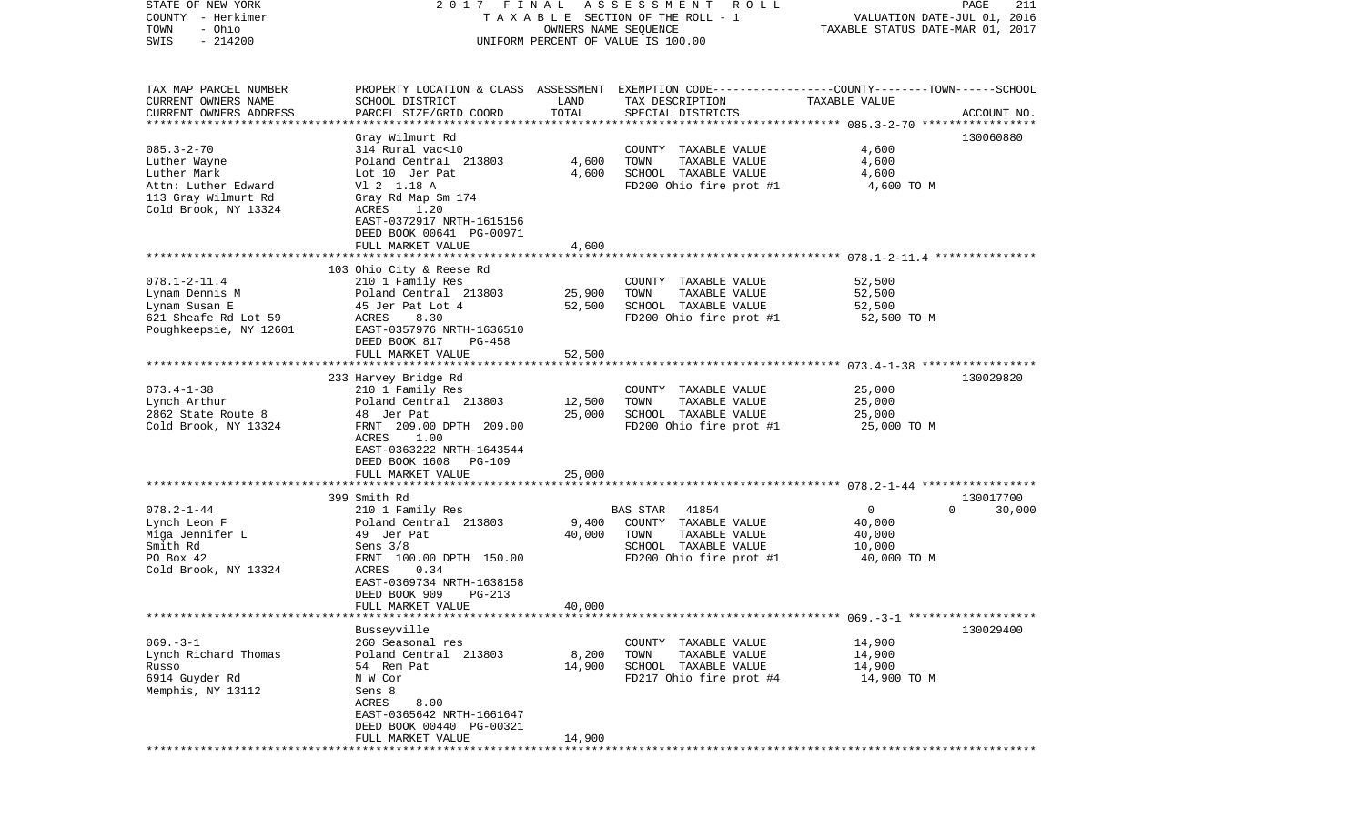| STATE OF NEW YORK        | 2017 FINAL                |                      | A S S E S S M E N T R O L L        | PAGE                                                                                             | 211         |
|--------------------------|---------------------------|----------------------|------------------------------------|--------------------------------------------------------------------------------------------------|-------------|
| COUNTY - Herkimer        |                           |                      | TAXABLE SECTION OF THE ROLL - 1    | VALUATION DATE-JUL 01, 2016                                                                      |             |
| - Ohio<br>TOWN           |                           | OWNERS NAME SEQUENCE |                                    | TAXABLE STATUS DATE-MAR 01, 2017                                                                 |             |
| $-214200$<br>SWIS        |                           |                      | UNIFORM PERCENT OF VALUE IS 100.00 |                                                                                                  |             |
|                          |                           |                      |                                    |                                                                                                  |             |
|                          |                           |                      |                                    |                                                                                                  |             |
| TAX MAP PARCEL NUMBER    |                           |                      |                                    | PROPERTY LOCATION & CLASS ASSESSMENT EXEMPTION CODE----------------COUNTY-------TOWN------SCHOOL |             |
| CURRENT OWNERS NAME      | SCHOOL DISTRICT           | LAND                 | TAX DESCRIPTION                    | TAXABLE VALUE                                                                                    |             |
| CURRENT OWNERS ADDRESS   | PARCEL SIZE/GRID COORD    | TOTAL                | SPECIAL DISTRICTS                  |                                                                                                  | ACCOUNT NO. |
| ************************ |                           |                      |                                    |                                                                                                  |             |
|                          | Gray Wilmurt Rd           |                      |                                    |                                                                                                  | 130060880   |
| $085.3 - 2 - 70$         | 314 Rural vac<10          |                      | COUNTY TAXABLE VALUE               | 4,600                                                                                            |             |
| Luther Wayne             | Poland Central 213803     | 4,600                | TOWN<br>TAXABLE VALUE              | 4,600                                                                                            |             |
| Luther Mark              | Lot 10 Jer Pat            | 4,600                | SCHOOL TAXABLE VALUE               | 4,600                                                                                            |             |
| Attn: Luther Edward      | V1 2 1.18 A               |                      | FD200 Ohio fire prot #1            | 4,600 TO M                                                                                       |             |
| 113 Gray Wilmurt Rd      | Gray Rd Map Sm 174        |                      |                                    |                                                                                                  |             |
| Cold Brook, NY 13324     | ACRES<br>1.20             |                      |                                    |                                                                                                  |             |
|                          | EAST-0372917 NRTH-1615156 |                      |                                    |                                                                                                  |             |
|                          | DEED BOOK 00641 PG-00971  |                      |                                    |                                                                                                  |             |
|                          | FULL MARKET VALUE         | 4,600                |                                    |                                                                                                  |             |
|                          |                           |                      |                                    |                                                                                                  |             |
|                          | 103 Ohio City & Reese Rd  |                      |                                    |                                                                                                  |             |
| $078.1 - 2 - 11.4$       | 210 1 Family Res          |                      | COUNTY TAXABLE VALUE               | 52,500                                                                                           |             |
| Lynam Dennis M           | Poland Central 213803     | 25,900               | TOWN<br>TAXABLE VALUE              | 52,500                                                                                           |             |
| Lynam Susan E            | 45 Jer Pat Lot 4          | 52,500               | SCHOOL TAXABLE VALUE               | 52,500                                                                                           |             |
| 621 Sheafe Rd Lot 59     | ACRES<br>8.30             |                      | FD200 Ohio fire prot #1            | 52,500 TO M                                                                                      |             |
| Poughkeepsie, NY 12601   | EAST-0357976 NRTH-1636510 |                      |                                    |                                                                                                  |             |
|                          | DEED BOOK 817<br>PG-458   |                      |                                    |                                                                                                  |             |
|                          | FULL MARKET VALUE         | 52,500               |                                    |                                                                                                  |             |
|                          |                           |                      |                                    |                                                                                                  |             |
|                          | 233 Harvey Bridge Rd      |                      |                                    |                                                                                                  | 130029820   |
| $073.4 - 1 - 38$         | 210 1 Family Res          |                      | COUNTY TAXABLE VALUE               | 25,000                                                                                           |             |
| Lynch Arthur             | Poland Central 213803     | 12,500               | TOWN<br>TAXABLE VALUE              | 25,000                                                                                           |             |
| 2862 State Route 8       | 48 Jer Pat                | 25,000               | SCHOOL TAXABLE VALUE               | 25,000                                                                                           |             |
| Cold Brook, NY 13324     | FRNT 209.00 DPTH 209.00   |                      | FD200 Ohio fire prot #1            | 25,000 TO M                                                                                      |             |
|                          | 1.00<br>ACRES             |                      |                                    |                                                                                                  |             |
|                          | EAST-0363222 NRTH-1643544 |                      |                                    |                                                                                                  |             |
|                          | DEED BOOK 1608 PG-109     |                      |                                    |                                                                                                  |             |
|                          | FULL MARKET VALUE         | 25,000               |                                    |                                                                                                  |             |
|                          |                           |                      |                                    |                                                                                                  |             |
|                          | 399 Smith Rd              |                      |                                    |                                                                                                  | 130017700   |
| $078.2 - 1 - 44$         | 210 1 Family Res          |                      | 41854<br>BAS STAR                  | $\overline{0}$<br>$\Omega$                                                                       | 30,000      |
| Lynch Leon F             | Poland Central 213803     | 9,400                | COUNTY TAXABLE VALUE               | 40,000                                                                                           |             |
| Miga Jennifer L          | 49 Jer Pat                | 40,000               | TOWN<br>TAXABLE VALUE              | 40,000                                                                                           |             |
| Smith Rd                 | Sens $3/8$                |                      | SCHOOL TAXABLE VALUE               | 10,000                                                                                           |             |
| PO Box 42                | FRNT 100.00 DPTH 150.00   |                      | FD200 Ohio fire prot #1            | 40,000 TO M                                                                                      |             |
| Cold Brook, NY 13324     | ACRES<br>0.34             |                      |                                    |                                                                                                  |             |
|                          | EAST-0369734 NRTH-1638158 |                      |                                    |                                                                                                  |             |
|                          | DEED BOOK 909<br>PG-213   |                      |                                    |                                                                                                  |             |
|                          | FULL MARKET VALUE         | 40,000               |                                    |                                                                                                  |             |
|                          |                           |                      |                                    |                                                                                                  |             |
|                          | Busseyville               |                      |                                    |                                                                                                  | 130029400   |
| $069. -3 - 1$            | 260 Seasonal res          |                      | COUNTY TAXABLE VALUE               | 14,900                                                                                           |             |
| Lynch Richard Thomas     | Poland Central 213803     | 8,200                | TOWN<br>TAXABLE VALUE              | 14,900                                                                                           |             |
| Russo                    | 54 Rem Pat                | 14,900               | SCHOOL TAXABLE VALUE               | 14,900                                                                                           |             |
| 6914 Guyder Rd           | N W Cor                   |                      | FD217 Ohio fire prot #4            | 14,900 TO M                                                                                      |             |
| Memphis, NY 13112        | Sens 8                    |                      |                                    |                                                                                                  |             |
|                          | ACRES<br>8.00             |                      |                                    |                                                                                                  |             |
|                          | EAST-0365642 NRTH-1661647 |                      |                                    |                                                                                                  |             |
|                          | DEED BOOK 00440 PG-00321  |                      |                                    |                                                                                                  |             |
|                          | FULL MARKET VALUE         | 14,900               |                                    |                                                                                                  |             |
|                          |                           |                      |                                    |                                                                                                  |             |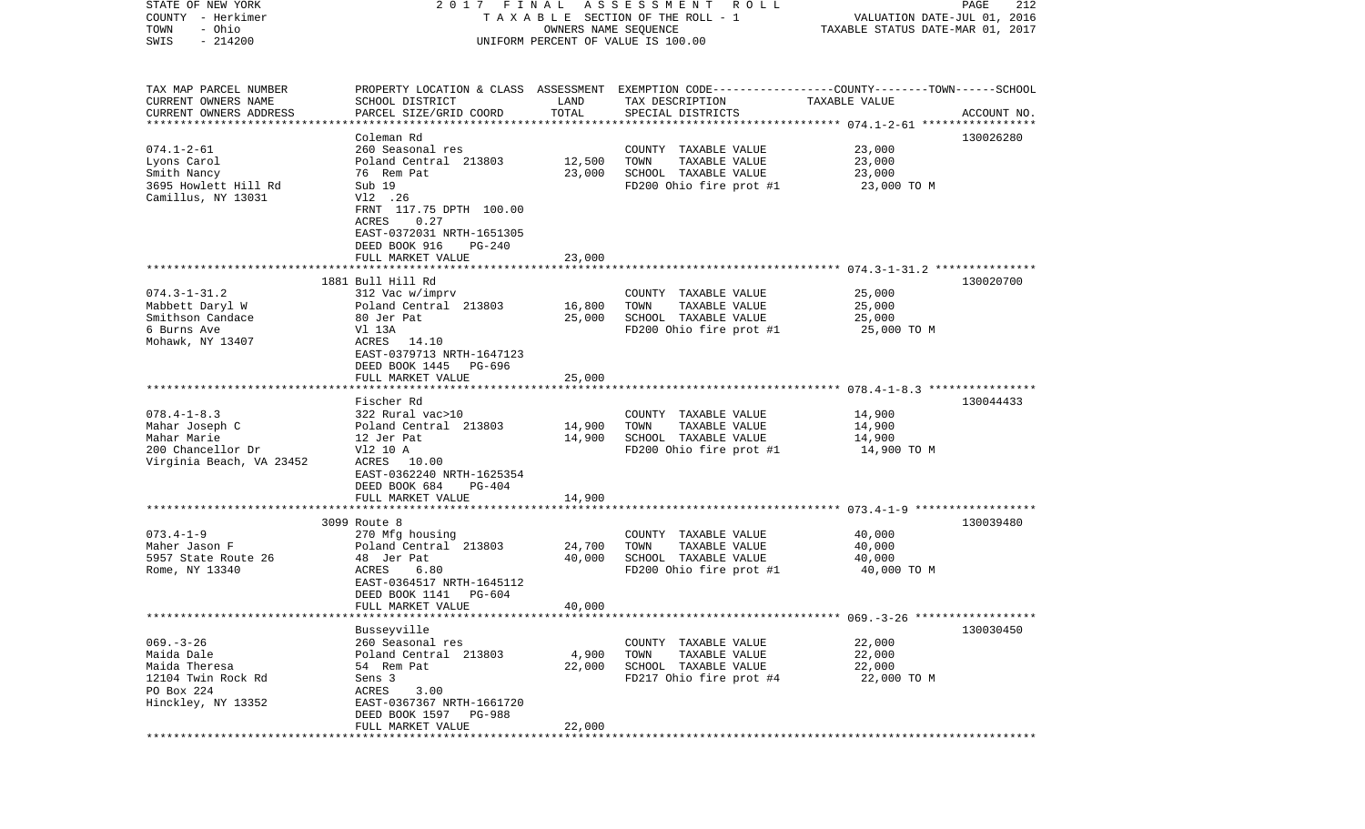| STATE OF NEW YORK         | 2017 FINAL                                                                                      |                      | A S S E S S M E N T R O L L           |                                  | PAGE<br>212 |
|---------------------------|-------------------------------------------------------------------------------------------------|----------------------|---------------------------------------|----------------------------------|-------------|
| COUNTY - Herkimer         |                                                                                                 |                      | T A X A B L E SECTION OF THE ROLL - 1 | VALUATION DATE-JUL 01, 2016      |             |
| - Ohio<br>TOWN            |                                                                                                 | OWNERS NAME SEQUENCE |                                       | TAXABLE STATUS DATE-MAR 01, 2017 |             |
| $-214200$<br>SWIS         |                                                                                                 |                      | UNIFORM PERCENT OF VALUE IS 100.00    |                                  |             |
|                           |                                                                                                 |                      |                                       |                                  |             |
|                           |                                                                                                 |                      |                                       |                                  |             |
|                           |                                                                                                 |                      |                                       |                                  |             |
| TAX MAP PARCEL NUMBER     | PROPERTY LOCATION & CLASS ASSESSMENT EXEMPTION CODE---------------COUNTY-------TOWN------SCHOOL |                      |                                       |                                  |             |
| CURRENT OWNERS NAME       | SCHOOL DISTRICT                                                                                 | LAND                 | TAX DESCRIPTION                       | TAXABLE VALUE                    |             |
| CURRENT OWNERS ADDRESS    | PARCEL SIZE/GRID COORD                                                                          | TOTAL                | SPECIAL DISTRICTS                     |                                  | ACCOUNT NO. |
| ************************* |                                                                                                 |                      |                                       |                                  |             |
|                           | Coleman Rd                                                                                      |                      |                                       |                                  | 130026280   |
| $074.1 - 2 - 61$          | 260 Seasonal res                                                                                |                      | COUNTY TAXABLE VALUE                  | 23,000                           |             |
| Lyons Carol               | Poland Central 213803                                                                           | 12,500               | TOWN<br>TAXABLE VALUE                 | 23,000                           |             |
| Smith Nancy               | 76 Rem Pat                                                                                      | 23,000               | SCHOOL TAXABLE VALUE                  | 23,000                           |             |
| 3695 Howlett Hill Rd      | Sub 19                                                                                          |                      | FD200 Ohio fire prot #1               | 23,000 TO M                      |             |
| Camillus, NY 13031        | V12 .26                                                                                         |                      |                                       |                                  |             |
|                           | FRNT 117.75 DPTH 100.00                                                                         |                      |                                       |                                  |             |
|                           | ACRES<br>0.27                                                                                   |                      |                                       |                                  |             |
|                           | EAST-0372031 NRTH-1651305                                                                       |                      |                                       |                                  |             |
|                           | DEED BOOK 916<br>PG-240                                                                         |                      |                                       |                                  |             |
|                           | FULL MARKET VALUE                                                                               | 23,000               |                                       |                                  |             |
|                           |                                                                                                 |                      |                                       |                                  |             |
|                           | 1881 Bull Hill Rd                                                                               |                      |                                       |                                  | 130020700   |
| $074.3 - 1 - 31.2$        | 312 Vac w/imprv                                                                                 |                      | COUNTY TAXABLE VALUE                  | 25,000                           |             |
| Mabbett Daryl W           | Poland Central 213803                                                                           | 16,800               | TOWN<br>TAXABLE VALUE                 | 25,000                           |             |
| Smithson Candace          | 80 Jer Pat                                                                                      | 25,000               | SCHOOL TAXABLE VALUE                  | 25,000                           |             |
| 6 Burns Ave               | V1 13A                                                                                          |                      | FD200 Ohio fire prot #1               | 25,000 TO M                      |             |
| Mohawk, NY 13407          | ACRES 14.10                                                                                     |                      |                                       |                                  |             |
|                           | EAST-0379713 NRTH-1647123                                                                       |                      |                                       |                                  |             |
|                           | DEED BOOK 1445 PG-696                                                                           |                      |                                       |                                  |             |
|                           | FULL MARKET VALUE                                                                               | 25,000               |                                       |                                  |             |
|                           |                                                                                                 |                      |                                       |                                  |             |
|                           | Fischer Rd                                                                                      |                      |                                       |                                  | 130044433   |
| $078.4 - 1 - 8.3$         | 322 Rural vac>10                                                                                |                      | COUNTY TAXABLE VALUE                  | 14,900                           |             |
| Mahar Joseph C            | Poland Central 213803                                                                           | 14,900               | TOWN<br>TAXABLE VALUE                 | 14,900                           |             |
| Mahar Marie               | 12 Jer Pat                                                                                      | 14,900               | SCHOOL TAXABLE VALUE                  | 14,900                           |             |
| 200 Chancellor Dr         |                                                                                                 |                      | FD200 Ohio fire prot #1               |                                  |             |
|                           | V12 10 A<br>ACRES 10.00                                                                         |                      |                                       | 14,900 TO M                      |             |
| Virginia Beach, VA 23452  |                                                                                                 |                      |                                       |                                  |             |
|                           | EAST-0362240 NRTH-1625354                                                                       |                      |                                       |                                  |             |
|                           | DEED BOOK 684<br>PG-404                                                                         |                      |                                       |                                  |             |
|                           | FULL MARKET VALUE                                                                               | 14,900               |                                       |                                  |             |
|                           |                                                                                                 |                      |                                       |                                  |             |
|                           | 3099 Route 8                                                                                    |                      |                                       |                                  | 130039480   |
| $073.4 - 1 - 9$           | 270 Mfg housing                                                                                 |                      | COUNTY TAXABLE VALUE                  | 40,000                           |             |
| Maher Jason F             | Poland Central 213803                                                                           | 24,700               | TOWN<br>TAXABLE VALUE                 | 40,000                           |             |
| 5957 State Route 26       | 48 Jer Pat                                                                                      | 40,000               | SCHOOL TAXABLE VALUE                  | 40,000                           |             |
| Rome, NY 13340            | ACRES<br>6.80                                                                                   |                      | FD200 Ohio fire prot #1               | 40,000 TO M                      |             |
|                           | EAST-0364517 NRTH-1645112                                                                       |                      |                                       |                                  |             |
|                           | DEED BOOK 1141<br>PG-604                                                                        |                      |                                       |                                  |             |
|                           | FULL MARKET VALUE                                                                               | 40,000               |                                       |                                  |             |
|                           |                                                                                                 |                      |                                       |                                  |             |
|                           | Busseyville                                                                                     |                      |                                       |                                  | 130030450   |
| $069. -3 - 26$            | 260 Seasonal res                                                                                |                      | COUNTY TAXABLE VALUE                  | 22,000                           |             |
| Maida Dale                | Poland Central 213803                                                                           | 4,900                | TOWN<br>TAXABLE VALUE                 | 22,000                           |             |
| Maida Theresa             | 54 Rem Pat                                                                                      | 22,000               | SCHOOL TAXABLE VALUE                  | 22,000                           |             |
| 12104 Twin Rock Rd        | Sens 3                                                                                          |                      | FD217 Ohio fire prot #4               | 22,000 TO M                      |             |
| PO Box 224                | ACRES<br>3.00                                                                                   |                      |                                       |                                  |             |
| Hinckley, NY 13352        | EAST-0367367 NRTH-1661720                                                                       |                      |                                       |                                  |             |
|                           | DEED BOOK 1597 PG-988                                                                           |                      |                                       |                                  |             |
|                           | FULL MARKET VALUE                                                                               | 22,000               |                                       |                                  |             |
|                           |                                                                                                 |                      |                                       |                                  |             |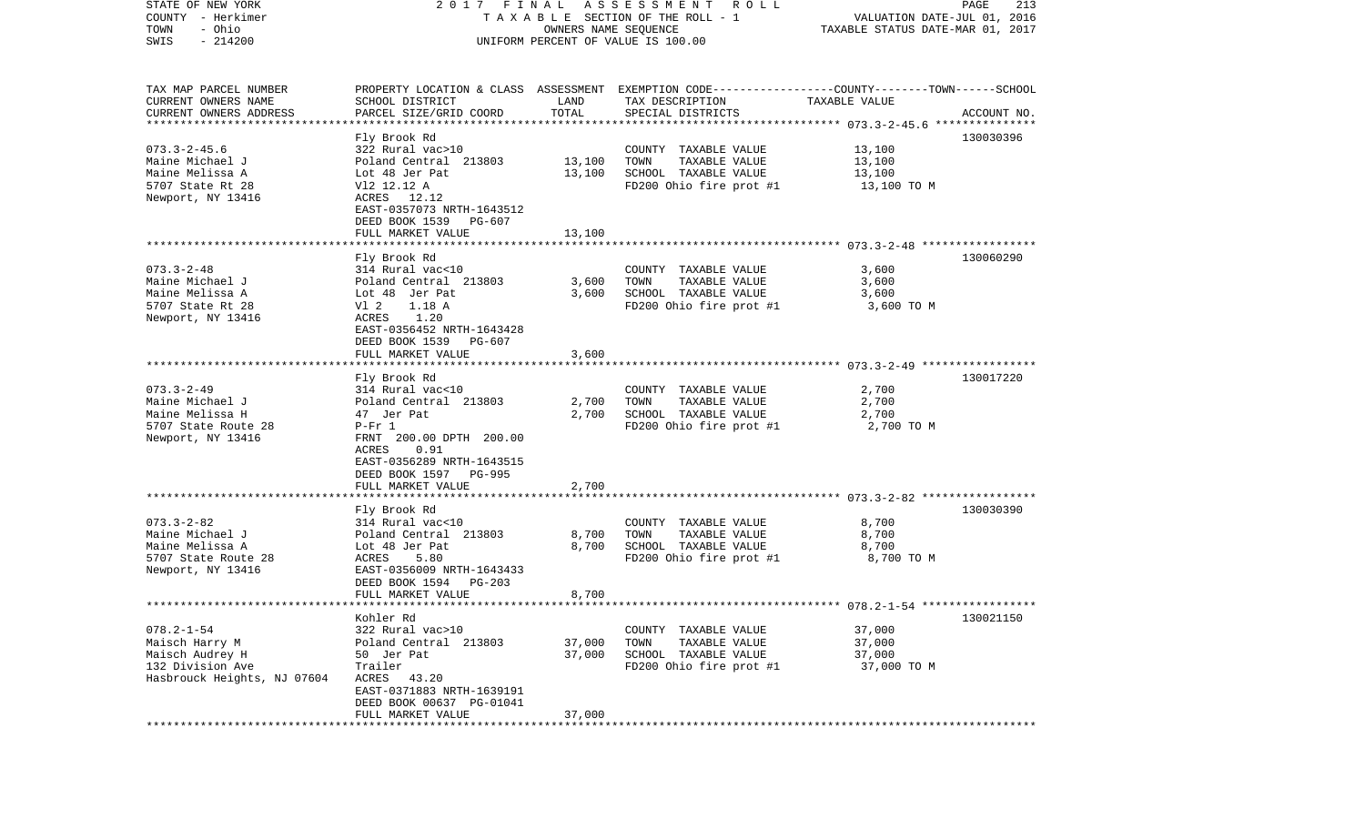| STATE OF NEW YORK<br>COUNTY - Herkimer<br>- Ohio<br>TOWN<br>$-214200$<br>SWIS                            | 2017 FINAL                                                                                                                                                                                                 | OWNERS NAME SEQUENCE    | A S S E S S M E N T<br>R O L L<br>TAXABLE SECTION OF THE ROLL - 1<br>UNIFORM PERCENT OF VALUE IS 100.00                                  | VALUATION DATE-JUL 01, 2016<br>TAXABLE STATUS DATE-MAR 01, 2017 | PAGE<br>213 |
|----------------------------------------------------------------------------------------------------------|------------------------------------------------------------------------------------------------------------------------------------------------------------------------------------------------------------|-------------------------|------------------------------------------------------------------------------------------------------------------------------------------|-----------------------------------------------------------------|-------------|
| TAX MAP PARCEL NUMBER<br>CURRENT OWNERS NAME<br>CURRENT OWNERS ADDRESS<br>***********************        | SCHOOL DISTRICT<br>PARCEL SIZE/GRID COORD                                                                                                                                                                  | LAND<br>TOTAL           | PROPERTY LOCATION & CLASS ASSESSMENT EXEMPTION CODE----------------COUNTY-------TOWN------SCHOOL<br>TAX DESCRIPTION<br>SPECIAL DISTRICTS | TAXABLE VALUE                                                   | ACCOUNT NO. |
| $073.3 - 2 - 45.6$<br>Maine Michael J<br>Maine Melissa A<br>5707 State Rt 28<br>Newport, NY 13416        | Fly Brook Rd<br>322 Rural vac>10<br>Poland Central 213803<br>Lot 48 Jer Pat<br>V12 12.12 A<br>ACRES 12.12<br>EAST-0357073 NRTH-1643512<br>DEED BOOK 1539 PG-607                                            | 13,100<br>13,100        | COUNTY TAXABLE VALUE<br>TOWN<br>TAXABLE VALUE<br>SCHOOL TAXABLE VALUE<br>FD200 Ohio fire prot #1                                         | 13,100<br>13,100<br>13,100<br>13,100 TO M                       | 130030396   |
|                                                                                                          | FULL MARKET VALUE                                                                                                                                                                                          | 13,100                  |                                                                                                                                          |                                                                 |             |
| $073.3 - 2 - 48$<br>Maine Michael J<br>Maine Melissa A<br>5707 State Rt 28<br>Newport, NY 13416          | Fly Brook Rd<br>314 Rural vac<10<br>Poland Central 213803<br>Lot 48 Jer Pat<br>V1 2<br>1.18 A<br>1.20<br>ACRES<br>EAST-0356452 NRTH-1643428                                                                | 3,600<br>3,600          | COUNTY TAXABLE VALUE<br>TOWN<br>TAXABLE VALUE<br>SCHOOL TAXABLE VALUE<br>FD200 Ohio fire prot #1                                         | 3,600<br>3,600<br>3,600<br>3,600 TO M                           | 130060290   |
|                                                                                                          | DEED BOOK 1539<br>PG-607<br>FULL MARKET VALUE                                                                                                                                                              | 3,600                   |                                                                                                                                          |                                                                 |             |
| $073.3 - 2 - 49$<br>Maine Michael J<br>Maine Melissa H<br>5707 State Route 28<br>Newport, NY 13416       | Fly Brook Rd<br>314 Rural vac<10<br>Poland Central 213803<br>47 Jer Pat<br>$P-Fr 1$<br>FRNT 200.00 DPTH 200.00<br>0.91<br>ACRES<br>EAST-0356289 NRTH-1643515<br>DEED BOOK 1597 PG-995<br>FULL MARKET VALUE | 2,700<br>2,700<br>2,700 | COUNTY TAXABLE VALUE<br>TAXABLE VALUE<br>TOWN<br>SCHOOL TAXABLE VALUE<br>FD200 Ohio fire prot #1                                         | 2,700<br>2,700<br>2,700<br>2,700 TO M                           | 130017220   |
|                                                                                                          | * * * * * * * * * * * * * * * * * *                                                                                                                                                                        | ********                |                                                                                                                                          | *************************** 073.3-2-82 ******************       |             |
| $073.3 - 2 - 82$<br>Maine Michael J<br>Maine Melissa A<br>5707 State Route 28<br>Newport, NY 13416       | Fly Brook Rd<br>314 Rural vac<10<br>Poland Central 213803<br>Lot 48 Jer Pat<br>ACRES<br>5.80<br>EAST-0356009 NRTH-1643433<br>DEED BOOK 1594<br>PG-203                                                      | 8,700<br>8,700          | COUNTY TAXABLE VALUE<br>TOWN<br>TAXABLE VALUE<br>SCHOOL TAXABLE VALUE<br>FD200 Ohio fire prot #1                                         | 8,700<br>8,700<br>8,700<br>8,700 TO M                           | 130030390   |
|                                                                                                          | FULL MARKET VALUE                                                                                                                                                                                          | 8,700                   |                                                                                                                                          |                                                                 |             |
|                                                                                                          | Kohler Rd                                                                                                                                                                                                  |                         |                                                                                                                                          |                                                                 |             |
| $078.2 - 1 - 54$<br>Maisch Harry M<br>Maisch Audrey H<br>132 Division Ave<br>Hasbrouck Heights, NJ 07604 | 322 Rural vac>10<br>Poland Central 213803<br>50 Jer Pat<br>Trailer<br>43.20<br>ACRES<br>EAST-0371883 NRTH-1639191<br>DEED BOOK 00637 PG-01041                                                              | 37,000<br>37,000        | COUNTY TAXABLE VALUE<br>TOWN<br>TAXABLE VALUE<br>SCHOOL TAXABLE VALUE<br>FD200 Ohio fire prot #1                                         | 37,000<br>37,000<br>37,000<br>37,000 TO M                       | 130021150   |
|                                                                                                          | FULL MARKET VALUE                                                                                                                                                                                          | 37,000                  |                                                                                                                                          |                                                                 |             |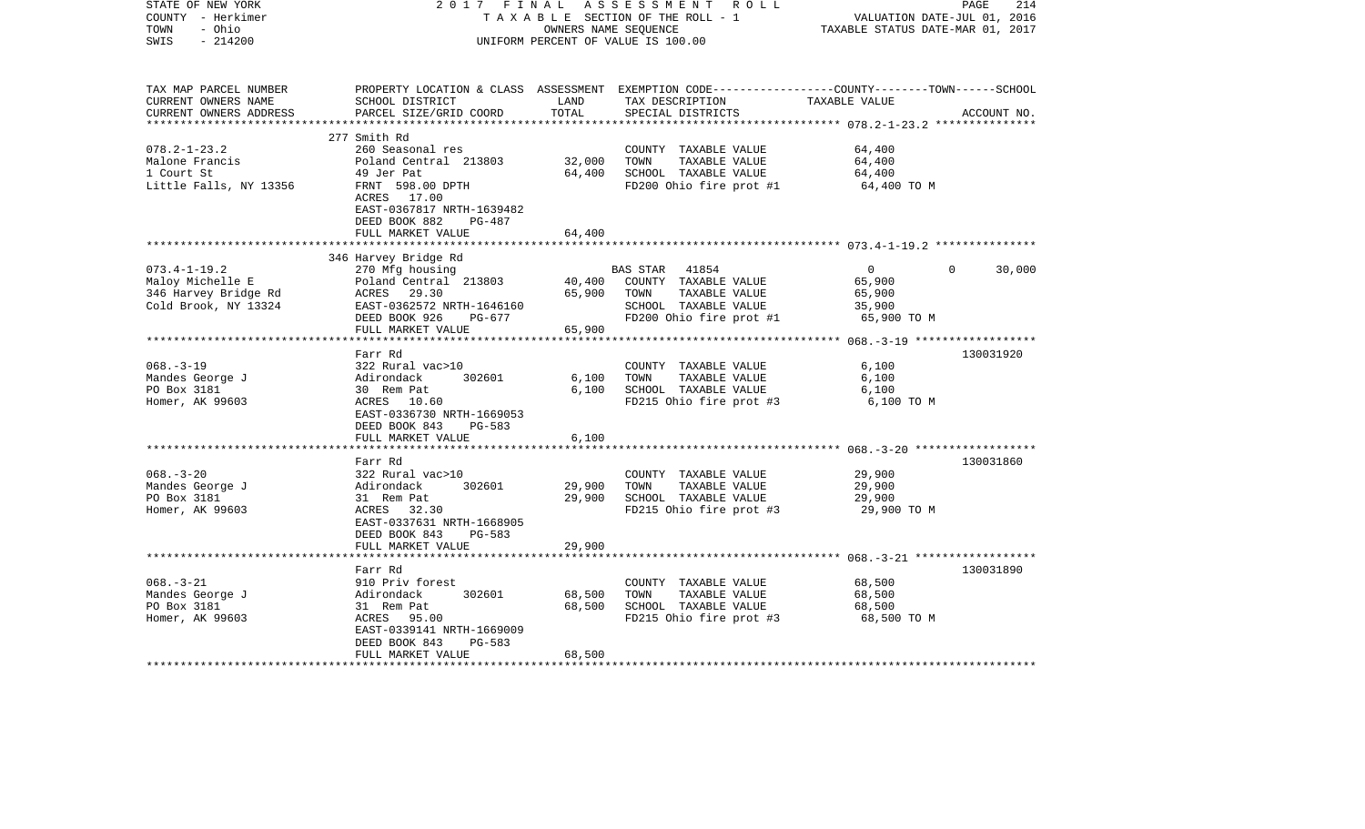| STATE OF NEW YORK<br>COUNTY - Herkimer<br>- Ohio<br>TOWN<br>$-214200$<br>SWIS | 2017 FINAL                                                                              | OWNERS NAME SEQUENCE | ASSESSMENT ROLL<br>TAXABLE SECTION OF THE ROLL - 1<br>UNIFORM PERCENT OF VALUE IS 100.00                                                | VALUATION DATE-JUL 01, 2016<br>TAXABLE STATUS DATE-MAR 01, 2017 | PAGE<br>214 |
|-------------------------------------------------------------------------------|-----------------------------------------------------------------------------------------|----------------------|-----------------------------------------------------------------------------------------------------------------------------------------|-----------------------------------------------------------------|-------------|
| TAX MAP PARCEL NUMBER<br>CURRENT OWNERS NAME<br>CURRENT OWNERS ADDRESS        | SCHOOL DISTRICT<br>PARCEL SIZE/GRID COORD                                               | LAND<br>TOTAL        | PROPERTY LOCATION & CLASS ASSESSMENT EXEMPTION CODE---------------COUNTY-------TOWN------SCHOOL<br>TAX DESCRIPTION<br>SPECIAL DISTRICTS | TAXABLE VALUE                                                   | ACCOUNT NO. |
| $078.2 - 1 - 23.2$                                                            | 277 Smith Rd<br>260 Seasonal res                                                        |                      | COUNTY TAXABLE VALUE                                                                                                                    | 64,400                                                          |             |
| Malone Francis                                                                | Poland Central 213803                                                                   | 32,000               | TOWN<br>TAXABLE VALUE                                                                                                                   | 64,400                                                          |             |
| 1 Court St                                                                    | 49 Jer Pat                                                                              | 64,400               | SCHOOL TAXABLE VALUE                                                                                                                    | 64,400                                                          |             |
| Little Falls, NY 13356                                                        | FRNT 598.00 DPTH<br>ACRES 17.00<br>EAST-0367817 NRTH-1639482<br>DEED BOOK 882<br>PG-487 |                      | FD200 Ohio fire prot #1                                                                                                                 | 64,400 TO M                                                     |             |
|                                                                               | FULL MARKET VALUE                                                                       | 64,400<br>*********  |                                                                                                                                         |                                                                 |             |
|                                                                               |                                                                                         |                      |                                                                                                                                         |                                                                 |             |
| $073.4 - 1 - 19.2$                                                            | 346 Harvey Bridge Rd<br>270 Mfg housing                                                 |                      | BAS STAR<br>41854                                                                                                                       | $\overline{0}$<br>$\Omega$                                      | 30,000      |
| Maloy Michelle E                                                              | Poland Central 213803                                                                   |                      | 40,400 COUNTY TAXABLE VALUE                                                                                                             | 65,900                                                          |             |
| 346 Harvey Bridge Rd                                                          | ACRES 29.30                                                                             | 65,900               | TOWN<br>TAXABLE VALUE                                                                                                                   | 65,900                                                          |             |
| Cold Brook, NY 13324                                                          |                                                                                         |                      | SCHOOL TAXABLE VALUE                                                                                                                    | 35,900                                                          |             |
|                                                                               |                                                                                         |                      | FD200 Ohio fire prot #1                                                                                                                 | 65,900 TO M                                                     |             |
|                                                                               | FULL MARKET VALUE                                                                       | 65,900               |                                                                                                                                         |                                                                 |             |
|                                                                               |                                                                                         |                      |                                                                                                                                         |                                                                 |             |
|                                                                               | Farr Rd                                                                                 |                      |                                                                                                                                         |                                                                 | 130031920   |
| $068. - 3 - 19$                                                               | 322 Rural vac>10                                                                        |                      | COUNTY TAXABLE VALUE                                                                                                                    | 6,100                                                           |             |
| Mandes George J                                                               | 302601<br>Adirondack                                                                    | 6,100                | TOWN<br>TAXABLE VALUE                                                                                                                   | 6,100                                                           |             |
| PO Box 3181                                                                   | 30 Rem Pat                                                                              | 6,100                | SCHOOL TAXABLE VALUE                                                                                                                    | 6,100                                                           |             |
| Homer, AK 99603                                                               | ACRES 10.60<br>EAST-0336730 NRTH-1669053<br>DEED BOOK 843<br>PG-583                     |                      | FD215 Ohio fire prot #3                                                                                                                 | 6,100 TO M                                                      |             |
|                                                                               | FULL MARKET VALUE                                                                       | 6,100                |                                                                                                                                         |                                                                 |             |
|                                                                               | Farr Rd                                                                                 |                      |                                                                                                                                         |                                                                 |             |
| $068. - 3 - 20$                                                               | 322 Rural vac>10                                                                        |                      | COUNTY TAXABLE VALUE                                                                                                                    | 29,900                                                          | 130031860   |
| Mandes George J                                                               | 302601<br>Adirondack                                                                    | 29,900               | TOWN<br>TAXABLE VALUE                                                                                                                   | 29,900                                                          |             |
| PO Box 3181                                                                   | 31 Rem Pat                                                                              | 29,900               | SCHOOL TAXABLE VALUE                                                                                                                    | 29,900                                                          |             |
| Homer, AK 99603                                                               | ACRES<br>32.30<br>EAST-0337631 NRTH-1668905<br>DEED BOOK 843<br>$PG-583$                |                      | FD215 Ohio fire prot #3                                                                                                                 | 29,900 TO M                                                     |             |
|                                                                               | FULL MARKET VALUE<br>*********************                                              | 29,900               |                                                                                                                                         |                                                                 |             |
|                                                                               |                                                                                         |                      |                                                                                                                                         |                                                                 |             |
| $068. - 3 - 21$                                                               | Farr Rd<br>910 Priv forest                                                              |                      | COUNTY TAXABLE VALUE                                                                                                                    | 68,500                                                          | 130031890   |
|                                                                               | 302601                                                                                  |                      | TOWN                                                                                                                                    |                                                                 |             |
| Mandes George J<br>PO Box 3181                                                | Adirondack<br>31 Rem Pat                                                                | 68,500<br>68,500     | TAXABLE VALUE<br>SCHOOL TAXABLE VALUE                                                                                                   | 68,500<br>68,500                                                |             |
| Homer, AK 99603                                                               | ACRES 95.00                                                                             |                      | FD215 Ohio fire prot #3                                                                                                                 | 68,500 TO M                                                     |             |
|                                                                               | EAST-0339141 NRTH-1669009                                                               |                      |                                                                                                                                         |                                                                 |             |
|                                                                               | DEED BOOK 843<br>$PG-583$                                                               |                      |                                                                                                                                         |                                                                 |             |
|                                                                               | FULL MARKET VALUE                                                                       | 68,500               |                                                                                                                                         |                                                                 |             |
|                                                                               |                                                                                         |                      |                                                                                                                                         |                                                                 |             |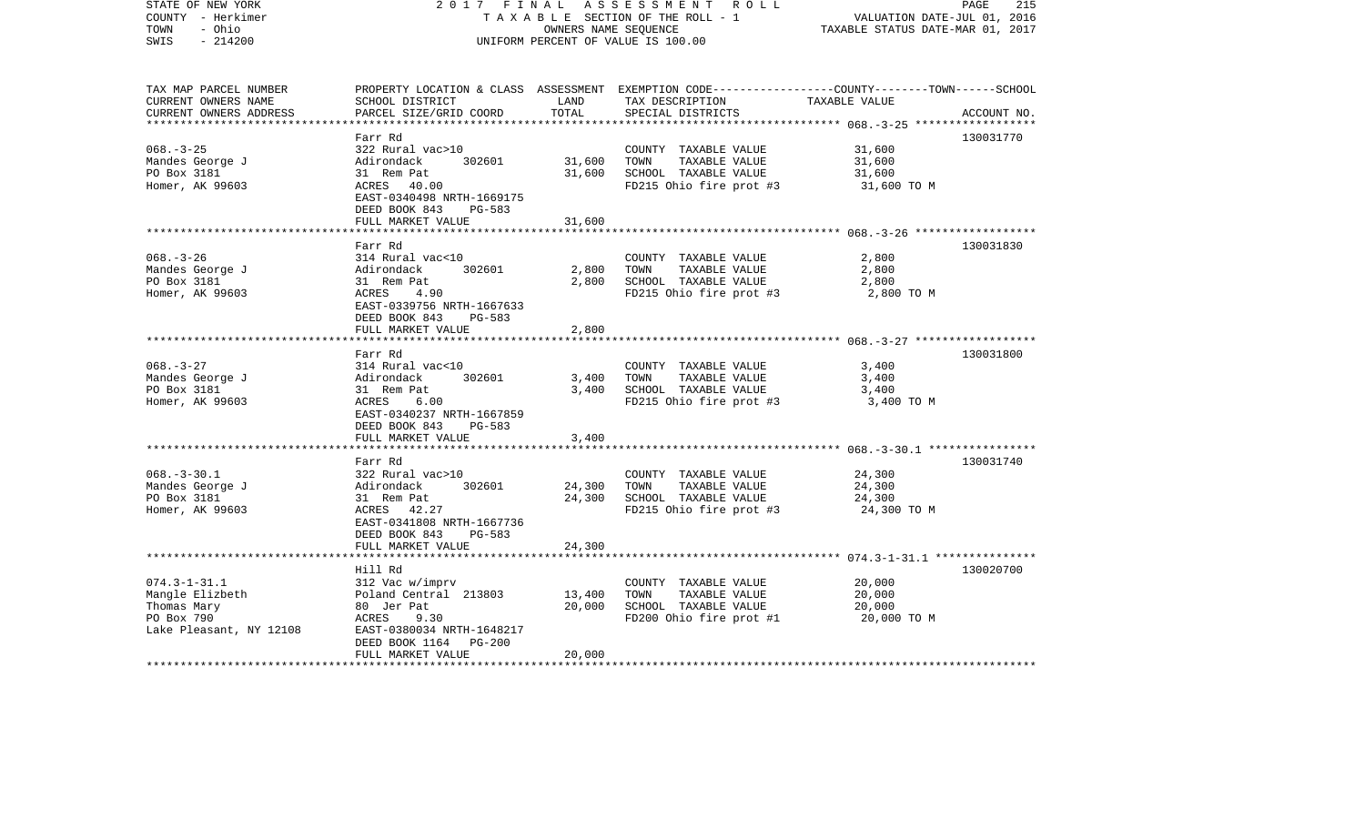| STATE OF NEW YORK<br>COUNTY - Herkimer<br>TOWN<br>- Ohio<br>$-214200$<br>SWIS | 2017 FINAL                                                            | OWNERS NAME SEQUENCE | ASSESSMENT<br>R O L L<br>TAXABLE SECTION OF THE ROLL - 1<br>UNIFORM PERCENT OF VALUE IS 100.00                                           | VALUATION DATE-JUL 01, 2016<br>TAXABLE STATUS DATE-MAR 01, 2017 | PAGE<br>215 |
|-------------------------------------------------------------------------------|-----------------------------------------------------------------------|----------------------|------------------------------------------------------------------------------------------------------------------------------------------|-----------------------------------------------------------------|-------------|
| TAX MAP PARCEL NUMBER<br>CURRENT OWNERS NAME<br>CURRENT OWNERS ADDRESS        | SCHOOL DISTRICT<br>PARCEL SIZE/GRID COORD                             | LAND<br>TOTAL        | PROPERTY LOCATION & CLASS ASSESSMENT EXEMPTION CODE----------------COUNTY-------TOWN------SCHOOL<br>TAX DESCRIPTION<br>SPECIAL DISTRICTS | TAXABLE VALUE                                                   | ACCOUNT NO. |
|                                                                               | Farr Rd                                                               |                      |                                                                                                                                          |                                                                 | 130031770   |
| $068. - 3 - 25$                                                               | 322 Rural vac>10                                                      |                      | COUNTY TAXABLE VALUE                                                                                                                     | 31,600                                                          |             |
| Mandes George J                                                               | 302601<br>Adirondack                                                  | 31,600               | TOWN<br>TAXABLE VALUE                                                                                                                    | 31,600                                                          |             |
| PO Box 3181                                                                   | 31 Rem Pat                                                            | 31,600               | SCHOOL TAXABLE VALUE                                                                                                                     | 31,600                                                          |             |
| Homer, AK 99603                                                               | ACRES 40.00<br>EAST-0340498 NRTH-1669175<br>DEED BOOK 843<br>PG-583   |                      | FD215 Ohio fire prot #3                                                                                                                  | 31,600 TO M                                                     |             |
|                                                                               | FULL MARKET VALUE                                                     | 31,600               |                                                                                                                                          |                                                                 |             |
|                                                                               | Farr Rd                                                               |                      |                                                                                                                                          |                                                                 | 130031830   |
| $068. - 3 - 26$                                                               | 314 Rural vac<10                                                      |                      | COUNTY TAXABLE VALUE                                                                                                                     | 2,800                                                           |             |
| Mandes George J                                                               | 302601<br>Adirondack                                                  | 2,800                | TOWN<br>TAXABLE VALUE                                                                                                                    | 2,800                                                           |             |
| PO Box 3181                                                                   | 31 Rem Pat                                                            | 2,800                | SCHOOL TAXABLE VALUE                                                                                                                     | 2,800                                                           |             |
| Homer, AK 99603                                                               | ACRES<br>4.90<br>EAST-0339756 NRTH-1667633<br>DEED BOOK 843<br>PG-583 |                      | FD215 Ohio fire prot #3                                                                                                                  | 2,800 TO M                                                      |             |
|                                                                               | FULL MARKET VALUE                                                     | 2,800                |                                                                                                                                          |                                                                 |             |
|                                                                               |                                                                       |                      |                                                                                                                                          |                                                                 |             |
| $068. - 3 - 27$                                                               | Farr Rd<br>314 Rural vac<10                                           |                      | COUNTY TAXABLE VALUE                                                                                                                     | 3,400                                                           | 130031800   |
| Mandes George J                                                               | 302601<br>Adirondack                                                  | 3,400                | TOWN<br>TAXABLE VALUE                                                                                                                    | 3,400                                                           |             |
| PO Box 3181                                                                   | 31 Rem Pat                                                            | 3,400                | SCHOOL TAXABLE VALUE                                                                                                                     | 3,400                                                           |             |
| Homer, AK 99603                                                               | 6.00<br>ACRES<br>EAST-0340237 NRTH-1667859<br>DEED BOOK 843<br>PG-583 |                      | FD215 Ohio fire prot #3                                                                                                                  | 3,400 TO M                                                      |             |
|                                                                               | FULL MARKET VALUE                                                     | 3,400                |                                                                                                                                          |                                                                 |             |
|                                                                               | Farr Rd                                                               |                      |                                                                                                                                          |                                                                 | 130031740   |
| $068. - 3 - 30.1$                                                             | 322 Rural vac>10                                                      |                      | COUNTY TAXABLE VALUE                                                                                                                     | 24,300                                                          |             |
| Mandes George J                                                               | 302601<br>Adirondack                                                  | 24,300               | TOWN<br>TAXABLE VALUE                                                                                                                    | 24,300                                                          |             |
| PO Box 3181                                                                   | 31 Rem Pat                                                            | 24,300               | SCHOOL TAXABLE VALUE                                                                                                                     | 24,300                                                          |             |
| Homer, AK 99603                                                               | ACRES 42.27<br>EAST-0341808 NRTH-1667736<br>DEED BOOK 843<br>PG-583   |                      | FD215 Ohio fire prot #3                                                                                                                  | 24,300 TO M                                                     |             |
|                                                                               | FULL MARKET VALUE                                                     | 24,300               |                                                                                                                                          |                                                                 |             |
|                                                                               | Hill Rd                                                               |                      |                                                                                                                                          |                                                                 | 130020700   |
| $074.3 - 1 - 31.1$                                                            | 312 Vac w/imprv                                                       |                      | COUNTY TAXABLE VALUE                                                                                                                     | 20,000                                                          |             |
| Mangle Elizbeth                                                               | Poland Central 213803                                                 | 13,400               | TOWN<br>TAXABLE VALUE                                                                                                                    | 20,000                                                          |             |
| Thomas Mary                                                                   | 80 Jer Pat                                                            | 20,000               | SCHOOL TAXABLE VALUE                                                                                                                     | 20,000                                                          |             |
| PO Box 790                                                                    | ACRES<br>9.30                                                         |                      | FD200 Ohio fire prot #1                                                                                                                  | 20,000 TO M                                                     |             |
| Lake Pleasant, NY 12108                                                       | EAST-0380034 NRTH-1648217                                             |                      |                                                                                                                                          |                                                                 |             |
|                                                                               | DEED BOOK 1164<br>PG-200                                              |                      |                                                                                                                                          |                                                                 |             |
|                                                                               | FULL MARKET VALUE                                                     | 20,000               |                                                                                                                                          |                                                                 |             |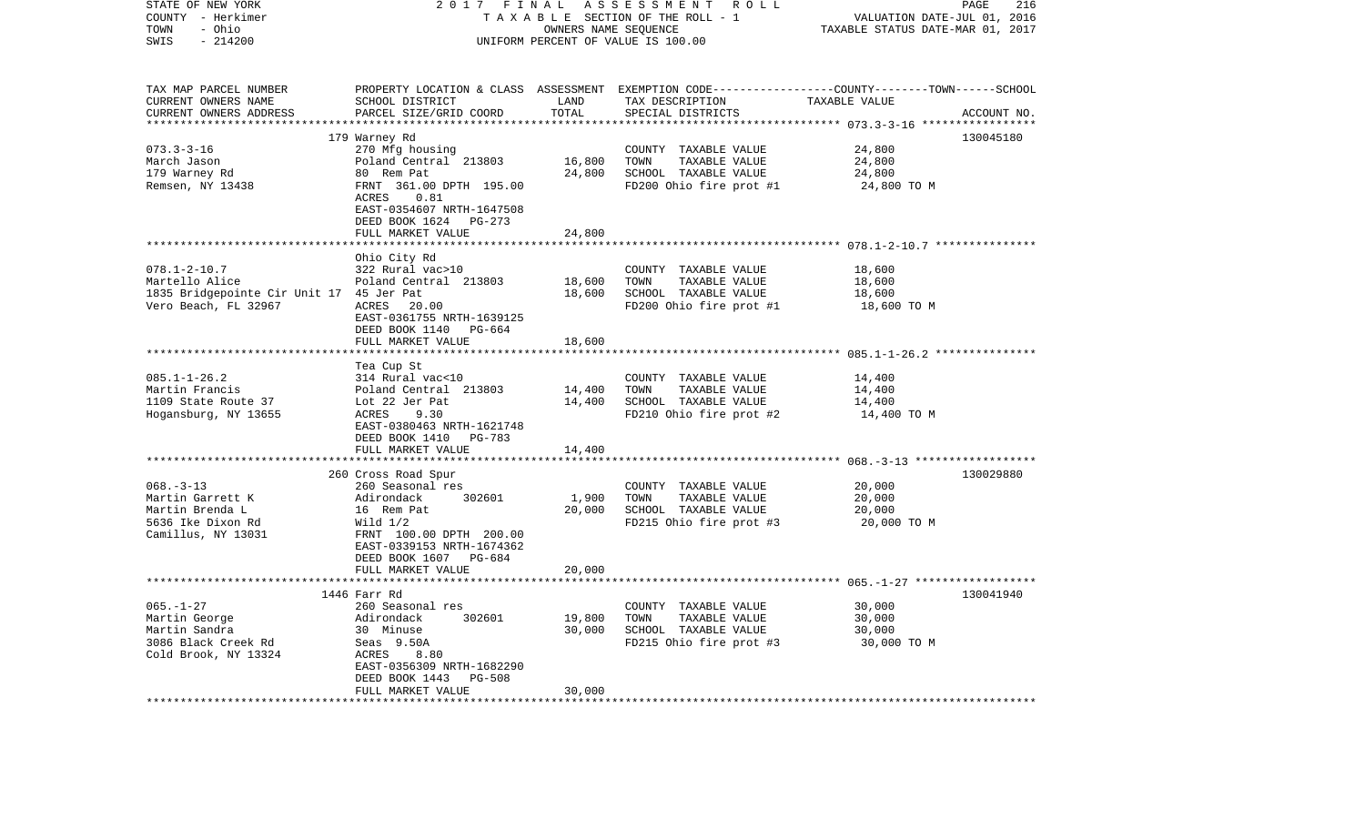| STATE OF NEW YORK<br>COUNTY - Herkimer   | 2017                                                                   | FINAL                | ASSESSMENT ROLL<br>TAXABLE SECTION OF THE ROLL - 1                                              | VALUATION DATE-JUL 01, 2016      | PAGE<br>216 |
|------------------------------------------|------------------------------------------------------------------------|----------------------|-------------------------------------------------------------------------------------------------|----------------------------------|-------------|
| - Ohio<br>TOWN<br>SWIS<br>$-214200$      |                                                                        | OWNERS NAME SEQUENCE | UNIFORM PERCENT OF VALUE IS 100.00                                                              | TAXABLE STATUS DATE-MAR 01, 2017 |             |
|                                          |                                                                        |                      |                                                                                                 |                                  |             |
| TAX MAP PARCEL NUMBER                    |                                                                        |                      | PROPERTY LOCATION & CLASS ASSESSMENT EXEMPTION CODE---------------COUNTY-------TOWN------SCHOOL |                                  |             |
| CURRENT OWNERS NAME                      | SCHOOL DISTRICT                                                        | LAND                 | TAX DESCRIPTION                                                                                 | TAXABLE VALUE                    |             |
| CURRENT OWNERS ADDRESS                   | PARCEL SIZE/GRID COORD                                                 | TOTAL                | SPECIAL DISTRICTS                                                                               | ********** 073.3-3-16 *****      | ACCOUNT NO. |
|                                          | 179 Warney Rd                                                          |                      |                                                                                                 |                                  | 130045180   |
| $073.3 - 3 - 16$                         | 270 Mfg housing                                                        |                      | COUNTY TAXABLE VALUE                                                                            | 24,800                           |             |
| March Jason                              | Poland Central 213803                                                  | 16,800               | TOWN<br>TAXABLE VALUE                                                                           | 24,800                           |             |
| 179 Warney Rd                            | 80 Rem Pat                                                             | 24,800               | SCHOOL TAXABLE VALUE                                                                            | 24,800                           |             |
| Remsen, NY 13438                         | FRNT 361.00 DPTH 195.00                                                |                      | FD200 Ohio fire prot #1                                                                         | 24,800 TO M                      |             |
|                                          | ACRES<br>0.81<br>EAST-0354607 NRTH-1647508<br>DEED BOOK 1624<br>PG-273 |                      |                                                                                                 |                                  |             |
|                                          | FULL MARKET VALUE                                                      | 24,800               |                                                                                                 |                                  |             |
|                                          |                                                                        |                      |                                                                                                 |                                  |             |
|                                          | Ohio City Rd                                                           |                      |                                                                                                 |                                  |             |
| $078.1 - 2 - 10.7$                       | 322 Rural vac>10                                                       |                      | COUNTY TAXABLE VALUE                                                                            | 18,600                           |             |
| Martello Alice                           | Poland Central 213803                                                  | 18,600               | TOWN<br>TAXABLE VALUE                                                                           | 18,600                           |             |
| 1835 Bridgepointe Cir Unit 17 45 Jer Pat |                                                                        | 18,600               | SCHOOL TAXABLE VALUE                                                                            | 18,600                           |             |
| Vero Beach, FL 32967                     | ACRES<br>20.00                                                         |                      | FD200 Ohio fire prot #1                                                                         | 18,600 TO M                      |             |
|                                          | EAST-0361755 NRTH-1639125                                              |                      |                                                                                                 |                                  |             |
|                                          | DEED BOOK 1140<br>PG-664                                               |                      |                                                                                                 |                                  |             |
|                                          | FULL MARKET VALUE                                                      | 18,600               |                                                                                                 |                                  |             |
|                                          |                                                                        |                      |                                                                                                 |                                  |             |
| $085.1 - 1 - 26.2$                       | Tea Cup St                                                             |                      |                                                                                                 |                                  |             |
| Martin Francis                           | 314 Rural vac<10<br>Poland Central 213803                              | 14,400               | COUNTY TAXABLE VALUE<br>TOWN<br>TAXABLE VALUE                                                   | 14,400<br>14,400                 |             |
| 1109 State Route 37                      | Lot 22 Jer Pat                                                         | 14,400               | SCHOOL TAXABLE VALUE                                                                            | 14,400                           |             |
| Hogansburg, NY 13655                     | ACRES<br>9.30                                                          |                      | FD210 Ohio fire prot #2                                                                         | 14,400 TO M                      |             |
|                                          | EAST-0380463 NRTH-1621748                                              |                      |                                                                                                 |                                  |             |
|                                          | DEED BOOK 1410<br>PG-783                                               |                      |                                                                                                 |                                  |             |
|                                          | FULL MARKET VALUE                                                      | 14,400               |                                                                                                 |                                  |             |
|                                          |                                                                        | ************         |                                                                                                 |                                  |             |
|                                          | 260 Cross Road Spur                                                    |                      |                                                                                                 |                                  | 130029880   |
| $068. -3 - 13$                           | 260 Seasonal res                                                       |                      | COUNTY TAXABLE VALUE                                                                            | 20,000                           |             |
| Martin Garrett K                         | Adirondack<br>302601                                                   | 1,900                | TOWN<br>TAXABLE VALUE                                                                           | 20,000                           |             |
| Martin Brenda L                          | 16 Rem Pat                                                             | 20,000               | SCHOOL TAXABLE VALUE                                                                            | 20,000                           |             |
| 5636 Ike Dixon Rd                        | Wild $1/2$                                                             |                      | FD215 Ohio fire prot #3                                                                         | 20,000 TO M                      |             |
| Camillus, NY 13031                       | FRNT 100.00 DPTH 200.00                                                |                      |                                                                                                 |                                  |             |
|                                          | EAST-0339153 NRTH-1674362                                              |                      |                                                                                                 |                                  |             |
|                                          | DEED BOOK 1607 PG-684                                                  |                      |                                                                                                 |                                  |             |
|                                          | FULL MARKET VALUE                                                      | 20,000               |                                                                                                 |                                  |             |
|                                          | 1446 Farr Rd                                                           |                      |                                                                                                 |                                  | 130041940   |
| $065. - 1 - 27$                          | 260 Seasonal res                                                       |                      | COUNTY TAXABLE VALUE                                                                            | 30,000                           |             |
| Martin George                            | Adirondack<br>302601                                                   | 19,800               | TOWN<br>TAXABLE VALUE                                                                           | 30,000                           |             |
| Martin Sandra                            | 30 Minuse                                                              | 30,000               | SCHOOL TAXABLE VALUE                                                                            | 30,000                           |             |
| 3086 Black Creek Rd                      | Seas 9.50A                                                             |                      | FD215 Ohio fire prot #3                                                                         | 30,000 TO M                      |             |
| Cold Brook, NY 13324                     | ACRES<br>8.80                                                          |                      |                                                                                                 |                                  |             |
|                                          | EAST-0356309 NRTH-1682290                                              |                      |                                                                                                 |                                  |             |
|                                          | DEED BOOK 1443<br><b>PG-508</b>                                        |                      |                                                                                                 |                                  |             |
|                                          | FULL MARKET VALUE                                                      | 30,000               |                                                                                                 |                                  |             |
| **********************                   | .                                                                      |                      |                                                                                                 |                                  |             |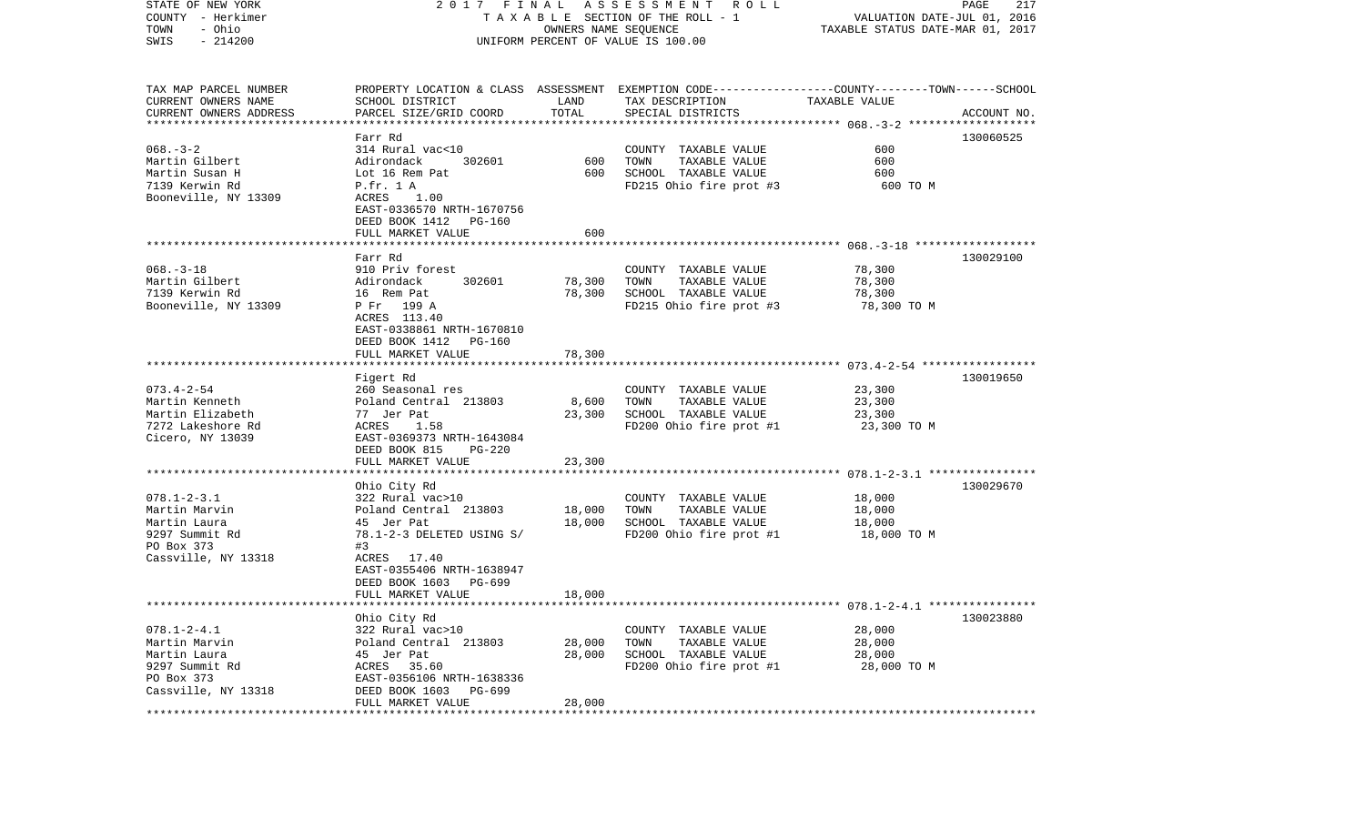| STATE OF NEW YORK<br>COUNTY - Herkimer<br>- Ohio<br>TOWN | 2017 FINAL                                            | OWNERS NAME SEQUENCE           | A S S E S S M E N T R O L L<br>TAXABLE SECTION OF THE ROLL - 1                                                     | VALUATION DATE-JUL 01, 2016<br>TAXABLE STATUS DATE-MAR 01, 2017 | PAGE<br>217 |
|----------------------------------------------------------|-------------------------------------------------------|--------------------------------|--------------------------------------------------------------------------------------------------------------------|-----------------------------------------------------------------|-------------|
| $-214200$<br>SWIS                                        |                                                       |                                | UNIFORM PERCENT OF VALUE IS 100.00                                                                                 |                                                                 |             |
| TAX MAP PARCEL NUMBER<br>CURRENT OWNERS NAME             | SCHOOL DISTRICT                                       | LAND<br>TOTAL                  | PROPERTY LOCATION & CLASS ASSESSMENT EXEMPTION CODE---------------COUNTY-------TOWN------SCHOOL<br>TAX DESCRIPTION | TAXABLE VALUE                                                   |             |
| CURRENT OWNERS ADDRESS<br>*************************      | PARCEL SIZE/GRID COORD                                |                                | SPECIAL DISTRICTS                                                                                                  |                                                                 | ACCOUNT NO. |
|                                                          | Farr Rd                                               |                                |                                                                                                                    |                                                                 | 130060525   |
| $068. - 3 - 2$                                           | 314 Rural vac<10                                      |                                | COUNTY TAXABLE VALUE                                                                                               | 600                                                             |             |
| Martin Gilbert                                           | Adirondack<br>302601                                  | 600                            | TOWN<br>TAXABLE VALUE                                                                                              | 600                                                             |             |
| Martin Susan H<br>7139 Kerwin Rd                         | Lot 16 Rem Pat<br>P.fr. 1 A                           | 600                            | SCHOOL TAXABLE VALUE<br>FD215 Ohio fire prot #3                                                                    | 600<br>600 TO M                                                 |             |
| Booneville, NY 13309                                     | ACRES<br>1.00                                         |                                |                                                                                                                    |                                                                 |             |
|                                                          | EAST-0336570 NRTH-1670756<br>DEED BOOK 1412 PG-160    |                                |                                                                                                                    |                                                                 |             |
|                                                          | FULL MARKET VALUE                                     | 600                            |                                                                                                                    |                                                                 |             |
|                                                          |                                                       |                                |                                                                                                                    |                                                                 |             |
| $068. -3 - 18$                                           | Farr Rd<br>910 Priv forest                            |                                | COUNTY TAXABLE VALUE                                                                                               | 78,300                                                          | 130029100   |
| Martin Gilbert                                           | 302601<br>Adirondack                                  | 78,300                         | TOWN<br>TAXABLE VALUE                                                                                              | 78,300                                                          |             |
| 7139 Kerwin Rd                                           | 16 Rem Pat                                            | 78,300                         | SCHOOL TAXABLE VALUE                                                                                               | 78,300                                                          |             |
| Booneville, NY 13309                                     | P Fr 199 A                                            |                                | FD215 Ohio fire prot #3                                                                                            | 78,300 TO M                                                     |             |
|                                                          | ACRES 113.40                                          |                                |                                                                                                                    |                                                                 |             |
|                                                          | EAST-0338861 NRTH-1670810<br>DEED BOOK 1412<br>PG-160 |                                |                                                                                                                    |                                                                 |             |
|                                                          | FULL MARKET VALUE                                     | 78,300                         |                                                                                                                    |                                                                 |             |
|                                                          |                                                       |                                |                                                                                                                    |                                                                 |             |
|                                                          | Figert Rd                                             |                                |                                                                                                                    |                                                                 | 130019650   |
| $073.4 - 2 - 54$                                         | 260 Seasonal res                                      |                                | COUNTY TAXABLE VALUE                                                                                               | 23,300                                                          |             |
| Martin Kenneth<br>Martin Elizabeth                       | Poland Central 213803<br>77 Jer Pat                   | 8,600<br>23,300                | TOWN<br>TAXABLE VALUE<br>SCHOOL TAXABLE VALUE                                                                      | 23,300<br>23,300                                                |             |
| 7272 Lakeshore Rd                                        | ACRES<br>1.58                                         |                                | FD200 Ohio fire prot #1                                                                                            | 23,300 TO M                                                     |             |
| Cicero, NY 13039                                         | EAST-0369373 NRTH-1643084                             |                                |                                                                                                                    |                                                                 |             |
|                                                          | DEED BOOK 815<br><b>PG-220</b>                        |                                |                                                                                                                    |                                                                 |             |
|                                                          | FULL MARKET VALUE<br>********************             | 23,300<br>******************** |                                                                                                                    |                                                                 |             |
|                                                          | Ohio City Rd                                          |                                |                                                                                                                    |                                                                 | 130029670   |
| $078.1 - 2 - 3.1$                                        | 322 Rural vac>10                                      |                                | COUNTY TAXABLE VALUE                                                                                               | 18,000                                                          |             |
| Martin Marvin                                            | Poland Central 213803                                 | 18,000                         | TOWN<br>TAXABLE VALUE                                                                                              | 18,000                                                          |             |
| Martin Laura                                             | 45 Jer Pat                                            | 18,000                         | SCHOOL TAXABLE VALUE                                                                                               | 18,000                                                          |             |
| 9297 Summit Rd                                           | 78.1-2-3 DELETED USING S/                             |                                | FD200 Ohio fire prot #1                                                                                            | 18,000 TO M                                                     |             |
| PO Box 373<br>Cassville, NY 13318                        | #3<br>ACRES 17.40                                     |                                |                                                                                                                    |                                                                 |             |
|                                                          | EAST-0355406 NRTH-1638947                             |                                |                                                                                                                    |                                                                 |             |
|                                                          | DEED BOOK 1603<br>PG-699                              |                                |                                                                                                                    |                                                                 |             |
|                                                          | FULL MARKET VALUE                                     | 18,000                         |                                                                                                                    |                                                                 |             |
|                                                          |                                                       |                                |                                                                                                                    |                                                                 |             |
| $078.1 - 2 - 4.1$                                        | Ohio City Rd                                          |                                |                                                                                                                    |                                                                 | 130023880   |
| Martin Marvin                                            | 322 Rural vac>10<br>Poland Central 213803             | 28,000                         | COUNTY TAXABLE VALUE<br>TOWN<br>TAXABLE VALUE                                                                      | 28,000<br>28,000                                                |             |
| Martin Laura                                             | 45 Jer Pat                                            | 28,000                         | SCHOOL TAXABLE VALUE                                                                                               | 28,000                                                          |             |
| 9297 Summit Rd                                           | ACRES<br>35.60                                        |                                | FD200 Ohio fire prot #1                                                                                            | 28,000 TO M                                                     |             |
| PO Box 373                                               | EAST-0356106 NRTH-1638336                             |                                |                                                                                                                    |                                                                 |             |
| Cassville, NY 13318                                      | DEED BOOK 1603<br>PG-699                              |                                |                                                                                                                    |                                                                 |             |
|                                                          | FULL MARKET VALUE<br>****************************     | 28,000<br>*************        |                                                                                                                    |                                                                 |             |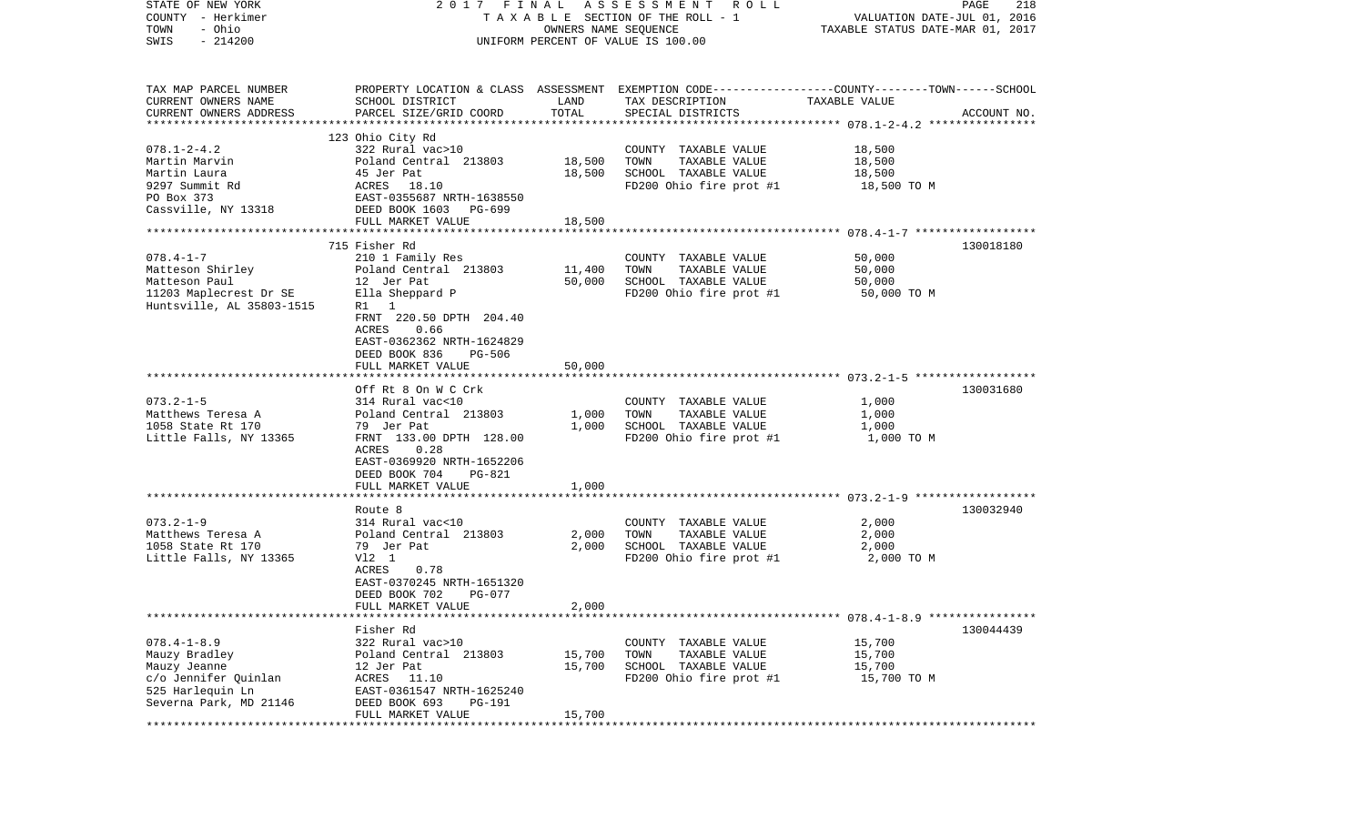| STATE OF NEW YORK<br>COUNTY - Herkimer<br>- Ohio<br>TOWN |                                                                                                                    | OWNERS NAME SEQUENCE | 2017 FINAL ASSESSMENT ROLL<br>TAXABLE SECTION OF THE ROLL - 1 | VALUATION DATE-JUL 01, 2016<br>TAXABLE STATUS DATE-MAR 01, 2017 | PAGE<br>218 |
|----------------------------------------------------------|--------------------------------------------------------------------------------------------------------------------|----------------------|---------------------------------------------------------------|-----------------------------------------------------------------|-------------|
| $-214200$<br>SWIS                                        |                                                                                                                    |                      | UNIFORM PERCENT OF VALUE IS 100.00                            |                                                                 |             |
| TAX MAP PARCEL NUMBER<br>CURRENT OWNERS NAME             | PROPERTY LOCATION & CLASS ASSESSMENT EXEMPTION CODE----------------COUNTY-------TOWN-----SCHOOL<br>SCHOOL DISTRICT | LAND                 | TAX DESCRIPTION                                               | TAXABLE VALUE                                                   |             |
| CURRENT OWNERS ADDRESS                                   | PARCEL SIZE/GRID COORD                                                                                             | TOTAL                | SPECIAL DISTRICTS                                             |                                                                 | ACCOUNT NO. |
|                                                          | 123 Ohio City Rd                                                                                                   |                      |                                                               |                                                                 |             |
| $078.1 - 2 - 4.2$                                        | 322 Rural vac>10                                                                                                   |                      | COUNTY TAXABLE VALUE                                          | 18,500                                                          |             |
| Martin Marvin                                            | Poland Central 213803                                                                                              | 18,500               | TOWN<br>TAXABLE VALUE                                         | 18,500                                                          |             |
| Martin Laura                                             | 45 Jer Pat                                                                                                         | 18,500               | SCHOOL TAXABLE VALUE                                          | 18,500                                                          |             |
| 9297 Summit Rd<br>PO Box 373                             | ACRES 18.10                                                                                                        |                      | FD200 Ohio fire prot #1                                       | 18,500 TO M                                                     |             |
| Cassville, NY 13318                                      | EAST-0355687 NRTH-1638550<br>DEED BOOK 1603 PG-699<br>DEED BOOK 1603 PG-699                                        |                      |                                                               |                                                                 |             |
|                                                          | FULL MARKET VALUE                                                                                                  | 18,500               |                                                               |                                                                 |             |
|                                                          |                                                                                                                    |                      |                                                               |                                                                 |             |
|                                                          | 715 Fisher Rd                                                                                                      |                      |                                                               |                                                                 | 130018180   |
| $078.4 - 1 - 7$                                          | 210 1 Family Res                                                                                                   |                      | COUNTY TAXABLE VALUE                                          | 50,000                                                          |             |
| Matteson Shirley                                         | Poland Central 213803<br>12 Jer Pat                                                                                | 11,400<br>50,000     | TAXABLE VALUE<br>TOWN<br>SCHOOL TAXABLE VALUE                 | 50,000                                                          |             |
| Matteson Paul<br>11203 Maplecrest Dr SE                  | Ella Sheppard P                                                                                                    |                      | FD200 Ohio fire prot #1                                       | 50,000<br>50,000 TO M                                           |             |
| Huntsville, AL 35803-1515                                | R1 1                                                                                                               |                      |                                                               |                                                                 |             |
|                                                          | FRNT 220.50 DPTH 204.40                                                                                            |                      |                                                               |                                                                 |             |
|                                                          | 0.66<br>ACRES                                                                                                      |                      |                                                               |                                                                 |             |
|                                                          | EAST-0362362 NRTH-1624829                                                                                          |                      |                                                               |                                                                 |             |
|                                                          | DEED BOOK 836<br>PG-506                                                                                            |                      |                                                               |                                                                 |             |
|                                                          | FULL MARKET VALUE                                                                                                  | 50,000               |                                                               |                                                                 |             |
|                                                          | Off Rt 8 On W C Crk                                                                                                |                      |                                                               |                                                                 | 130031680   |
| $073.2 - 1 - 5$                                          | 314 Rural vac<10                                                                                                   |                      | COUNTY TAXABLE VALUE                                          | 1,000                                                           |             |
| Matthews Teresa A                                        | Poland Central 213803                                                                                              | 1,000                | TAXABLE VALUE<br>TOWN                                         | 1,000                                                           |             |
| 1058 State Rt 170                                        | 79 Jer Pat                                                                                                         | 1,000                | SCHOOL TAXABLE VALUE                                          | 1,000                                                           |             |
| Little Falls, NY 13365                                   | FRNT 133.00 DPTH 128.00                                                                                            |                      | FD200 Ohio fire prot #1                                       | 1,000 TO M                                                      |             |
|                                                          | ACRES<br>0.28<br>EAST-0369920 NRTH-1652206                                                                         |                      |                                                               |                                                                 |             |
|                                                          | DEED BOOK 704<br>PG-821                                                                                            |                      |                                                               |                                                                 |             |
|                                                          | FULL MARKET VALUE                                                                                                  | 1,000                |                                                               |                                                                 |             |
|                                                          |                                                                                                                    |                      |                                                               |                                                                 |             |
|                                                          | Route 8                                                                                                            |                      |                                                               |                                                                 | 130032940   |
| $073.2 - 1 - 9$                                          | 314 Rural vac<10                                                                                                   |                      | COUNTY TAXABLE VALUE                                          | 2,000                                                           |             |
| Matthews Teresa A<br>1058 State Rt 170                   | Poland Central 213803<br>79 Jer Pat                                                                                | 2,000<br>2,000       | TOWN<br>TAXABLE VALUE<br>SCHOOL TAXABLE VALUE                 | 2,000<br>2,000                                                  |             |
| Little Falls, NY 13365                                   | $V12$ 1                                                                                                            |                      | FD200 Ohio fire prot #1                                       | 2,000 TO M                                                      |             |
|                                                          | 0.78<br>ACRES                                                                                                      |                      |                                                               |                                                                 |             |
|                                                          | EAST-0370245 NRTH-1651320                                                                                          |                      |                                                               |                                                                 |             |
|                                                          | DEED BOOK 702<br>PG-077                                                                                            |                      |                                                               |                                                                 |             |
|                                                          | FULL MARKET VALUE                                                                                                  | 2,000                |                                                               |                                                                 |             |
|                                                          |                                                                                                                    |                      |                                                               |                                                                 | 130044439   |
| $078.4 - 1 - 8.9$                                        | Fisher Rd<br>322 Rural vac>10                                                                                      |                      | COUNTY TAXABLE VALUE                                          | 15,700                                                          |             |
| Mauzy Bradley                                            | Poland Central 213803                                                                                              | 15,700               | TAXABLE VALUE<br>TOWN                                         | 15,700                                                          |             |
| Mauzy Jeanne                                             | 12 Jer Pat                                                                                                         | 15,700               | SCHOOL TAXABLE VALUE                                          | 15,700                                                          |             |
| c/o Jennifer Quinlan                                     | ACRES 11.10                                                                                                        |                      | FD200 Ohio fire prot #1                                       | 15,700 TO M                                                     |             |
| 525 Harlequin Ln                                         | EAST-0361547 NRTH-1625240                                                                                          |                      |                                                               |                                                                 |             |
| Severna Park, MD 21146                                   | DEED BOOK 693<br><b>PG-191</b>                                                                                     |                      |                                                               |                                                                 |             |
|                                                          | FULL MARKET VALUE                                                                                                  | 15,700               |                                                               |                                                                 |             |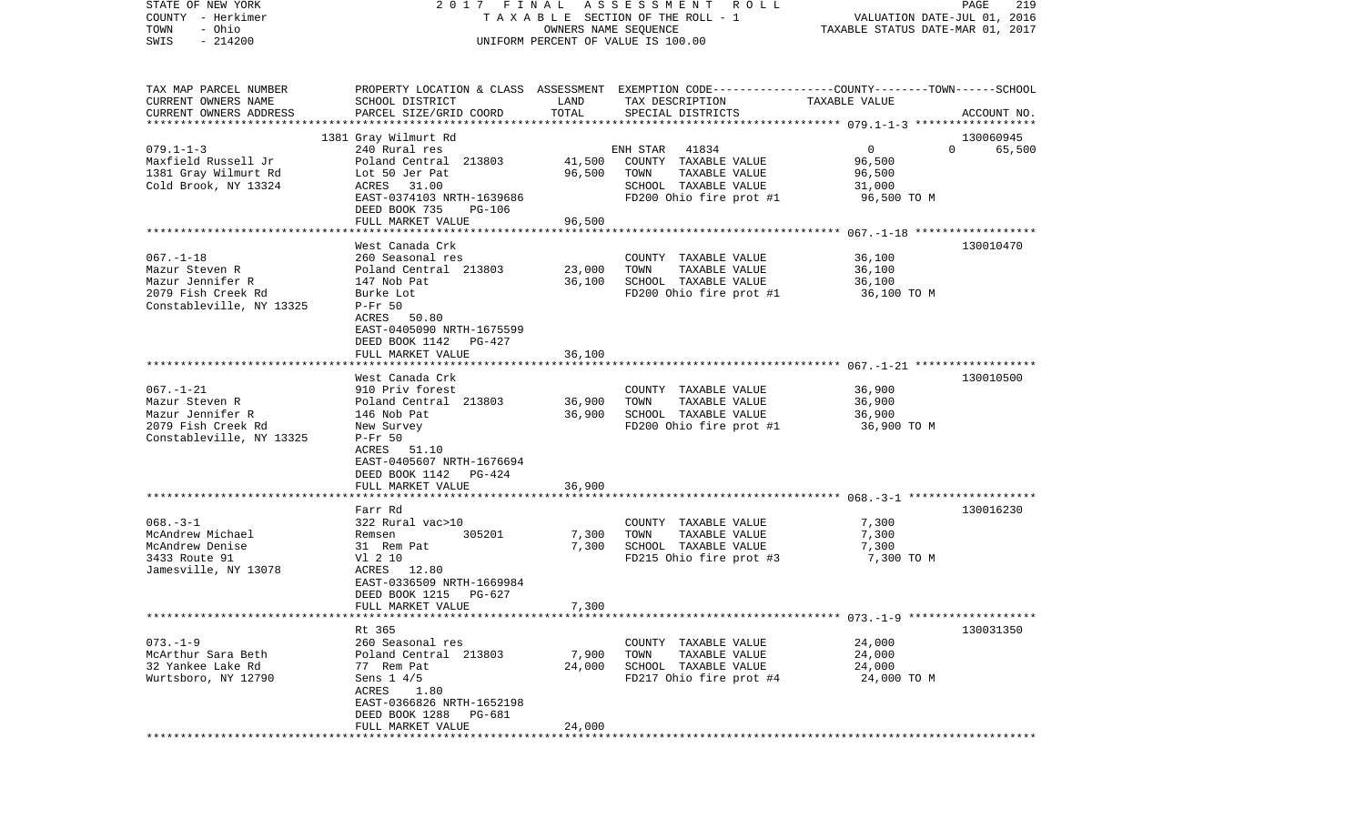| STATE OF NEW YORK<br>COUNTY - Herkimer |                                               |                      | 2017 FINAL ASSESSMENT ROLL<br>TAXABLE SECTION OF THE ROLL - 1                                   | VALUATION DATE-JUL 01, 2016      | PAGE<br>219 |
|----------------------------------------|-----------------------------------------------|----------------------|-------------------------------------------------------------------------------------------------|----------------------------------|-------------|
| - Ohio<br>TOWN                         |                                               | OWNERS NAME SEQUENCE |                                                                                                 | TAXABLE STATUS DATE-MAR 01, 2017 |             |
| $-214200$<br>SWIS                      |                                               |                      | UNIFORM PERCENT OF VALUE IS 100.00                                                              |                                  |             |
|                                        |                                               |                      |                                                                                                 |                                  |             |
| TAX MAP PARCEL NUMBER                  |                                               |                      | PROPERTY LOCATION & CLASS ASSESSMENT EXEMPTION CODE---------------COUNTY-------TOWN------SCHOOL |                                  |             |
| CURRENT OWNERS NAME                    | SCHOOL DISTRICT                               | LAND                 | TAX DESCRIPTION                                                                                 | TAXABLE VALUE                    |             |
| CURRENT OWNERS ADDRESS                 | PARCEL SIZE/GRID COORD                        | TOTAL                | SPECIAL DISTRICTS                                                                               |                                  | ACCOUNT NO. |
|                                        |                                               |                      |                                                                                                 |                                  |             |
|                                        | 1381 Gray Wilmurt Rd                          |                      |                                                                                                 |                                  | 130060945   |
| $079.1 - 1 - 3$                        | 240 Rural res                                 |                      | 41834<br>ENH STAR                                                                               | $\mathbf 0$<br>$\Omega$          | 65,500      |
| Maxfield Russell Jr                    | Poland Central 213803                         | 41,500               | COUNTY TAXABLE VALUE                                                                            | 96,500                           |             |
| 1381 Gray Wilmurt Rd                   | Lot 50 Jer Pat                                | 96,500               | TOWN<br>TAXABLE VALUE                                                                           | 96,500                           |             |
| Cold Brook, NY 13324                   | ACRES 31.00                                   |                      | SCHOOL TAXABLE VALUE                                                                            | 31,000                           |             |
|                                        | EAST-0374103 NRTH-1639686                     |                      | FD200 Ohio fire prot #1                                                                         | 96,500 TO M                      |             |
|                                        | DEED BOOK 735<br>PG-106                       |                      |                                                                                                 |                                  |             |
|                                        | FULL MARKET VALUE                             | 96,500               |                                                                                                 |                                  |             |
|                                        | West Canada Crk                               |                      |                                                                                                 |                                  | 130010470   |
| $067. - 1 - 18$                        | 260 Seasonal res                              |                      | COUNTY TAXABLE VALUE                                                                            | 36,100                           |             |
| Mazur Steven R                         | Poland Central 213803                         | 23,000               | TAXABLE VALUE<br>TOWN                                                                           | 36,100                           |             |
| Mazur Jennifer R                       | 147 Nob Pat                                   | 36,100               | SCHOOL TAXABLE VALUE                                                                            | 36,100                           |             |
| 2079 Fish Creek Rd                     | Burke Lot                                     |                      | FD200 Ohio fire prot #1                                                                         | 36,100 TO M                      |             |
| Constableville, NY 13325               | $P-Fr$ 50                                     |                      |                                                                                                 |                                  |             |
|                                        | ACRES 50.80                                   |                      |                                                                                                 |                                  |             |
|                                        | EAST-0405090 NRTH-1675599                     |                      |                                                                                                 |                                  |             |
|                                        | DEED BOOK 1142<br>PG-427                      |                      |                                                                                                 |                                  |             |
|                                        | FULL MARKET VALUE                             | 36,100               |                                                                                                 |                                  |             |
|                                        |                                               |                      |                                                                                                 |                                  |             |
|                                        | West Canada Crk                               |                      |                                                                                                 |                                  | 130010500   |
| $067. - 1 - 21$<br>Mazur Steven R      | 910 Priv forest<br>Poland Central 213803      | 36,900               | COUNTY TAXABLE VALUE<br>TAXABLE VALUE<br>TOWN                                                   | 36,900<br>36,900                 |             |
| Mazur Jennifer R                       | 146 Nob Pat                                   | 36,900               | SCHOOL TAXABLE VALUE                                                                            | 36,900                           |             |
| 2079 Fish Creek Rd                     | New Survey                                    |                      | FD200 Ohio fire prot #1                                                                         | 36,900 TO M                      |             |
| Constableville, NY 13325               | $P-Fr$ 50                                     |                      |                                                                                                 |                                  |             |
|                                        | ACRES 51.10                                   |                      |                                                                                                 |                                  |             |
|                                        | EAST-0405607 NRTH-1676694                     |                      |                                                                                                 |                                  |             |
|                                        | DEED BOOK 1142<br>PG-424                      |                      |                                                                                                 |                                  |             |
|                                        | FULL MARKET VALUE                             | 36,900               |                                                                                                 |                                  |             |
|                                        | ********************                          | * * * * * * * * * *  |                                                                                                 |                                  |             |
|                                        | Farr Rd                                       |                      |                                                                                                 |                                  | 130016230   |
| $068. -3 - 1$                          | 322 Rural vac>10                              |                      | COUNTY TAXABLE VALUE                                                                            | 7,300                            |             |
| McAndrew Michael                       | 305201<br>Remsen                              | 7,300                | TOWN<br>TAXABLE VALUE                                                                           | 7,300                            |             |
| McAndrew Denise                        | 31 Rem Pat                                    | 7,300                | SCHOOL TAXABLE VALUE                                                                            | 7,300                            |             |
| 3433 Route 91<br>Jamesville, NY 13078  | V1 2 10<br>ACRES 12.80                        |                      | FD215 Ohio fire prot #3                                                                         | 7,300 TO M                       |             |
|                                        | EAST-0336509 NRTH-1669984                     |                      |                                                                                                 |                                  |             |
|                                        | DEED BOOK 1215<br>PG-627                      |                      |                                                                                                 |                                  |             |
|                                        | FULL MARKET VALUE                             | 7,300                |                                                                                                 |                                  |             |
|                                        |                                               |                      |                                                                                                 |                                  |             |
|                                        | Rt 365                                        |                      |                                                                                                 |                                  | 130031350   |
| $073. - 1 - 9$                         | 260 Seasonal res                              |                      | COUNTY TAXABLE VALUE                                                                            | 24,000                           |             |
| McArthur Sara Beth                     | Poland Central 213803                         | 7,900                | TOWN<br>TAXABLE VALUE                                                                           | 24,000                           |             |
| 32 Yankee Lake Rd                      | 77 Rem Pat                                    | 24,000               | SCHOOL TAXABLE VALUE                                                                            | 24,000                           |             |
| Wurtsboro, NY 12790                    | Sens $1 \frac{4}{5}$                          |                      | FD217 Ohio fire prot #4                                                                         | 24,000 TO M                      |             |
|                                        | ACRES 1.80                                    |                      |                                                                                                 |                                  |             |
|                                        | EAST-0366826 NRTH-1652198                     |                      |                                                                                                 |                                  |             |
|                                        | DEED BOOK 1288<br>PG-681<br>FULL MARKET VALUE | 24,000               |                                                                                                 |                                  |             |
|                                        |                                               |                      |                                                                                                 |                                  |             |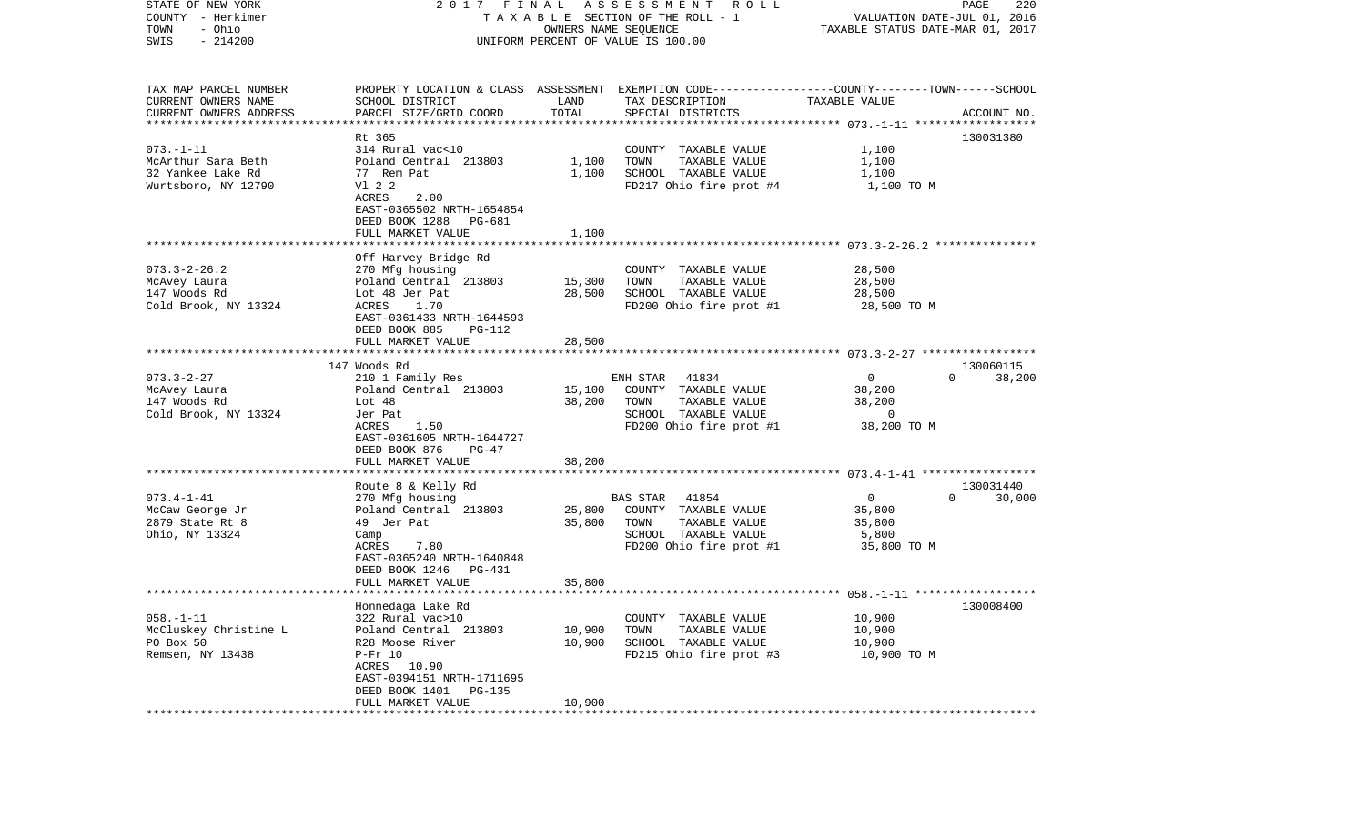| STATE OF NEW YORK<br>COUNTY - Herkimer<br>- Ohio<br>TOWN<br>$-214200$<br>SWIS | 2017 FINAL                                    |        | A S S E S S M E N T<br><b>ROLL</b><br>TAXABLE SECTION OF THE ROLL - 1<br>OWNERS NAME SEQUENCE<br>UNIFORM PERCENT OF VALUE IS 100.00 | VALUATION DATE-JUL 01, 2016<br>TAXABLE STATUS DATE-MAR 01, 2017 | PAGE<br>220        |
|-------------------------------------------------------------------------------|-----------------------------------------------|--------|-------------------------------------------------------------------------------------------------------------------------------------|-----------------------------------------------------------------|--------------------|
|                                                                               |                                               |        |                                                                                                                                     |                                                                 |                    |
| TAX MAP PARCEL NUMBER<br>CURRENT OWNERS NAME                                  | SCHOOL DISTRICT                               | LAND   | PROPERTY LOCATION & CLASS ASSESSMENT EXEMPTION CODE---------------COUNTY-------TOWN------SCHOOL<br>TAX DESCRIPTION                  | TAXABLE VALUE                                                   |                    |
| CURRENT OWNERS ADDRESS<br>*************************                           | PARCEL SIZE/GRID COORD                        | TOTAL  | SPECIAL DISTRICTS                                                                                                                   |                                                                 | ACCOUNT NO.        |
|                                                                               | Rt 365                                        |        |                                                                                                                                     |                                                                 | 130031380          |
| $073. - 1 - 11$                                                               | 314 Rural vac<10                              |        | COUNTY TAXABLE VALUE                                                                                                                | 1,100                                                           |                    |
| McArthur Sara Beth                                                            | Poland Central 213803                         | 1,100  | TOWN<br>TAXABLE VALUE                                                                                                               | 1,100                                                           |                    |
| 32 Yankee Lake Rd                                                             | 77 Rem Pat                                    | 1,100  | SCHOOL TAXABLE VALUE                                                                                                                | 1,100                                                           |                    |
| Wurtsboro, NY 12790                                                           | V1 2 2                                        |        | FD217 Ohio fire prot #4                                                                                                             | 1,100 TO M                                                      |                    |
|                                                                               | ACRES<br>2.00                                 |        |                                                                                                                                     |                                                                 |                    |
|                                                                               | EAST-0365502 NRTH-1654854                     |        |                                                                                                                                     |                                                                 |                    |
|                                                                               | DEED BOOK 1288<br>PG-681<br>FULL MARKET VALUE | 1,100  |                                                                                                                                     |                                                                 |                    |
|                                                                               |                                               |        |                                                                                                                                     |                                                                 |                    |
|                                                                               | Off Harvey Bridge Rd                          |        |                                                                                                                                     |                                                                 |                    |
| $073.3 - 2 - 26.2$                                                            | 270 Mfg housing                               |        | COUNTY TAXABLE VALUE                                                                                                                | 28,500                                                          |                    |
| McAvey Laura                                                                  | Poland Central 213803                         | 15,300 | TOWN<br>TAXABLE VALUE                                                                                                               | 28,500                                                          |                    |
| 147 Woods Rd                                                                  | Lot 48 Jer Pat                                | 28,500 | SCHOOL TAXABLE VALUE                                                                                                                | 28,500                                                          |                    |
| Cold Brook, NY 13324                                                          | ACRES<br>1.70                                 |        | FD200 Ohio fire prot #1                                                                                                             | 28,500 TO M                                                     |                    |
|                                                                               | EAST-0361433 NRTH-1644593                     |        |                                                                                                                                     |                                                                 |                    |
|                                                                               | DEED BOOK 885<br>PG-112                       |        |                                                                                                                                     |                                                                 |                    |
|                                                                               | FULL MARKET VALUE                             | 28,500 |                                                                                                                                     |                                                                 |                    |
|                                                                               | 147 Woods Rd                                  |        |                                                                                                                                     |                                                                 | 130060115          |
| $073.3 - 2 - 27$                                                              | 210 1 Family Res                              |        | ENH STAR<br>41834                                                                                                                   | $\mathbf 0$                                                     | $\Omega$<br>38,200 |
| McAvey Laura                                                                  | Poland Central 213803                         | 15,100 | COUNTY TAXABLE VALUE                                                                                                                | 38,200                                                          |                    |
| 147 Woods Rd                                                                  | Lot 48                                        | 38,200 | TOWN<br>TAXABLE VALUE                                                                                                               | 38,200                                                          |                    |
| Cold Brook, NY 13324                                                          | Jer Pat                                       |        | SCHOOL TAXABLE VALUE                                                                                                                | $\Omega$                                                        |                    |
|                                                                               | ACRES<br>1.50                                 |        | FD200 Ohio fire prot #1                                                                                                             | 38,200 TO M                                                     |                    |
|                                                                               | EAST-0361605 NRTH-1644727                     |        |                                                                                                                                     |                                                                 |                    |
|                                                                               | DEED BOOK 876<br>$PG-47$<br>FULL MARKET VALUE |        |                                                                                                                                     |                                                                 |                    |
|                                                                               | ********************                          | 38,200 |                                                                                                                                     |                                                                 |                    |
|                                                                               | Route 8 & Kelly Rd                            |        |                                                                                                                                     |                                                                 | 130031440          |
| $073.4 - 1 - 41$                                                              | 270 Mfg housing                               |        | <b>BAS STAR</b><br>41854                                                                                                            | $\overline{0}$                                                  | $\Omega$<br>30,000 |
| McCaw George Jr                                                               | Poland Central 213803                         | 25,800 | COUNTY TAXABLE VALUE                                                                                                                | 35,800                                                          |                    |
| 2879 State Rt 8                                                               | 49 Jer Pat                                    | 35,800 | TOWN<br>TAXABLE VALUE                                                                                                               | 35,800                                                          |                    |
| Ohio, NY 13324                                                                | Camp                                          |        | SCHOOL TAXABLE VALUE                                                                                                                | 5,800                                                           |                    |
|                                                                               | 7.80<br>ACRES                                 |        | FD200 Ohio fire prot #1                                                                                                             | 35,800 TO M                                                     |                    |
|                                                                               | EAST-0365240 NRTH-1640848                     |        |                                                                                                                                     |                                                                 |                    |
|                                                                               | DEED BOOK 1246<br>PG-431                      |        |                                                                                                                                     |                                                                 |                    |
|                                                                               | FULL MARKET VALUE                             | 35,800 |                                                                                                                                     |                                                                 |                    |
|                                                                               | Honnedaga Lake Rd                             |        |                                                                                                                                     |                                                                 | 130008400          |
| $058. -1 - 11$                                                                | 322 Rural vac>10                              |        | COUNTY TAXABLE VALUE                                                                                                                | 10,900                                                          |                    |
| McCluskey Christine L                                                         | Poland Central 213803                         | 10,900 | TOWN<br>TAXABLE VALUE                                                                                                               | 10,900                                                          |                    |
| PO Box 50                                                                     | R28 Moose River                               | 10,900 | SCHOOL TAXABLE VALUE                                                                                                                | 10,900                                                          |                    |
| Remsen, NY 13438                                                              | $P-Fr 10$                                     |        | FD215 Ohio fire prot #3                                                                                                             | 10,900 TO M                                                     |                    |
|                                                                               | ACRES 10.90                                   |        |                                                                                                                                     |                                                                 |                    |
|                                                                               | EAST-0394151 NRTH-1711695                     |        |                                                                                                                                     |                                                                 |                    |
|                                                                               | DEED BOOK 1401<br><b>PG-135</b>               |        |                                                                                                                                     |                                                                 |                    |
|                                                                               | FULL MARKET VALUE                             | 10,900 |                                                                                                                                     |                                                                 |                    |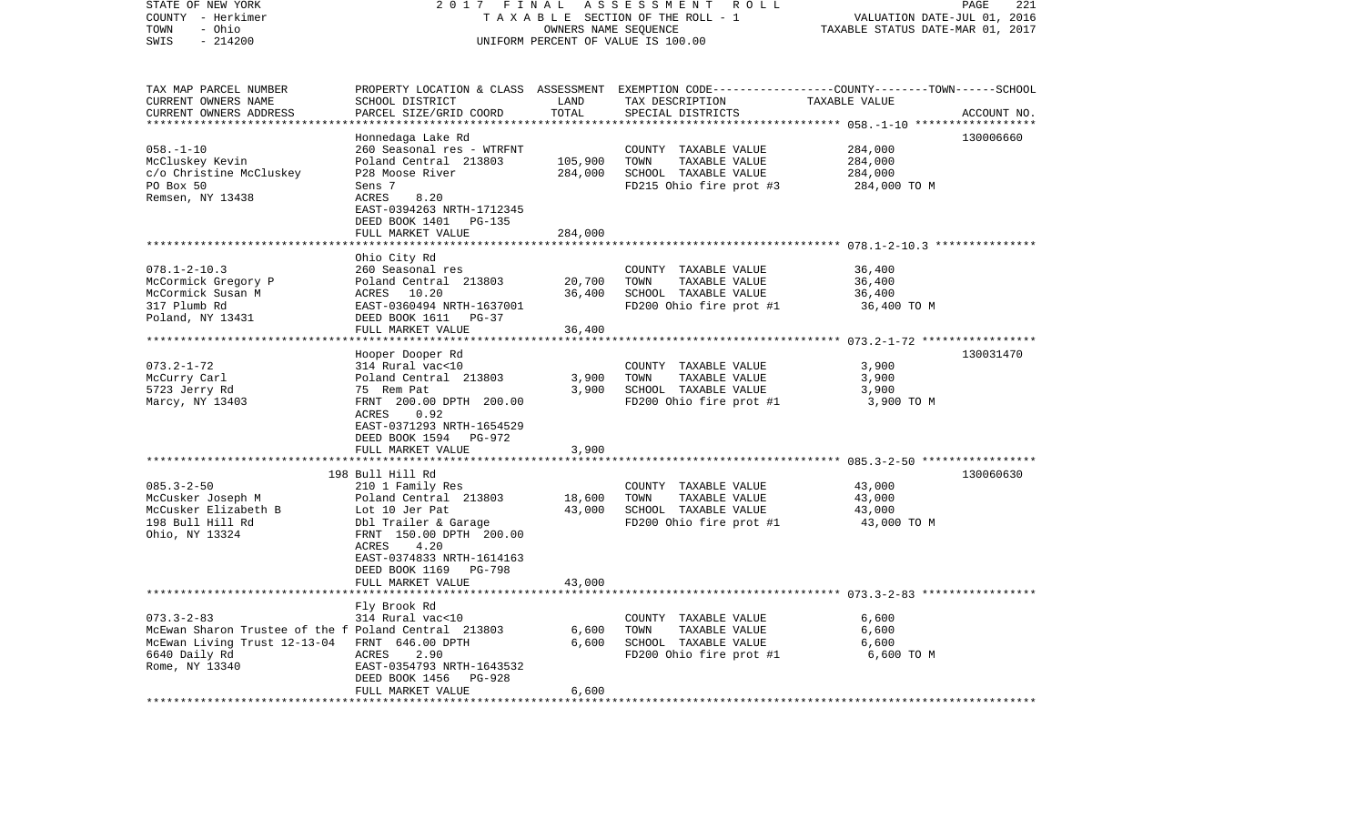| STATE OF NEW YORK<br>COUNTY - Herkimer<br>TOWN<br>- Ohio<br>$-214200$<br>SWIS                                                                                | 2017<br>FINAL<br>TAXABLE SECTION OF THE ROLL - 1<br>UNIFORM PERCENT OF VALUE IS 100.00                                                                                                           | PAGE<br>221<br>VALUATION DATE-JUL 01, 2016<br>TAXABLE STATUS DATE-MAR 01, 2017 |                                                                                                                                        |                                               |             |
|--------------------------------------------------------------------------------------------------------------------------------------------------------------|--------------------------------------------------------------------------------------------------------------------------------------------------------------------------------------------------|--------------------------------------------------------------------------------|----------------------------------------------------------------------------------------------------------------------------------------|-----------------------------------------------|-------------|
| TAX MAP PARCEL NUMBER<br>CURRENT OWNERS NAME<br>CURRENT OWNERS ADDRESS                                                                                       | SCHOOL DISTRICT<br>PARCEL SIZE/GRID COORD                                                                                                                                                        | LAND<br>TOTAL<br>************                                                  | PROPERTY LOCATION & CLASS ASSESSMENT EXEMPTION CODE---------------COUNTY-------TOWN-----SCHOOL<br>TAX DESCRIPTION<br>SPECIAL DISTRICTS | TAXABLE VALUE<br>*********** 058.-1-10 ****** | ACCOUNT NO. |
| $058. - 1 - 10$<br>McCluskey Kevin<br>c/o Christine McCluskey<br>PO Box 50<br>Remsen, NY 13438                                                               | Honnedaga Lake Rd<br>260 Seasonal res - WTRFNT<br>Poland Central 213803<br>P28 Moose River<br>Sens 7<br>ACRES<br>8.20<br>EAST-0394263 NRTH-1712345<br>DEED BOOK 1401 PG-135<br>FULL MARKET VALUE | 105,900<br>284,000<br>284,000                                                  | COUNTY TAXABLE VALUE<br>TOWN<br>TAXABLE VALUE<br>SCHOOL TAXABLE VALUE<br>FD215 Ohio fire prot #3                                       | 284,000<br>284,000<br>284,000<br>284,000 TO M | 130006660   |
|                                                                                                                                                              |                                                                                                                                                                                                  |                                                                                |                                                                                                                                        |                                               |             |
| $078.1 - 2 - 10.3$<br>McCormick Gregory P<br>McCormick Susan M<br>317 Plumb Rd<br>Poland, NY 13431                                                           | Ohio City Rd<br>260 Seasonal res<br>Poland Central 213803<br>ACRES 10.20<br>EAST-0360494 NRTH-1637001<br>DEED BOOK 1611 PG-37<br>FULL MARKET VALUE<br>*******************                        | 20,700<br>36,400<br>36,400<br>*************                                    | COUNTY TAXABLE VALUE<br>TOWN<br>TAXABLE VALUE<br>SCHOOL TAXABLE VALUE<br>FD200 Ohio fire prot #1                                       | 36,400<br>36,400<br>36,400<br>36,400 TO M     |             |
|                                                                                                                                                              | Hooper Dooper Rd                                                                                                                                                                                 |                                                                                |                                                                                                                                        |                                               | 130031470   |
| $073.2 - 1 - 72$<br>McCurry Carl<br>5723 Jerry Rd<br>Marcy, NY 13403                                                                                         | 314 Rural vac<10<br>Poland Central 213803<br>75 Rem Pat<br>FRNT 200.00 DPTH 200.00<br>ACRES<br>0.92<br>EAST-0371293 NRTH-1654529<br>DEED BOOK 1594 PG-972<br>FULL MARKET VALUE                   | 3,900<br>3,900<br>3,900                                                        | COUNTY TAXABLE VALUE<br>TOWN<br>TAXABLE VALUE<br>SCHOOL TAXABLE VALUE<br>FD200 Ohio fire prot #1                                       | 3,900<br>3,900<br>3,900<br>3,900 TO M         |             |
|                                                                                                                                                              |                                                                                                                                                                                                  |                                                                                |                                                                                                                                        |                                               |             |
| $085.3 - 2 - 50$<br>McCusker Joseph M<br>McCusker Elizabeth B<br>198 Bull Hill Rd<br>Ohio, NY 13324                                                          | 198 Bull Hill Rd<br>210 1 Family Res<br>Poland Central 213803<br>Lot 10 Jer Pat<br>Dbl Trailer & Garage<br>FRNT 150.00 DPTH 200.00<br>ACRES<br>4.20<br>EAST-0374833 NRTH-1614163                 | 18,600<br>43,000                                                               | COUNTY TAXABLE VALUE<br>TAXABLE VALUE<br>TOWN<br>SCHOOL TAXABLE VALUE<br>FD200 Ohio fire prot #1                                       | 43,000<br>43,000<br>43,000<br>43,000 TO M     | 130060630   |
|                                                                                                                                                              | DEED BOOK 1169 PG-798<br>FULL MARKET VALUE                                                                                                                                                       | 43,000                                                                         |                                                                                                                                        |                                               |             |
|                                                                                                                                                              | ******************************                                                                                                                                                                   |                                                                                |                                                                                                                                        |                                               |             |
| $073.3 - 2 - 83$<br>McEwan Sharon Trustee of the f Poland Central 213803<br>McEwan Living Trust 12-13-04 FRNT 646.00 DPTH<br>6640 Daily Rd<br>Rome, NY 13340 | Fly Brook Rd<br>314 Rural vac<10<br>ACRES<br>2.90<br>EAST-0354793 NRTH-1643532<br>DEED BOOK 1456<br>PG-928<br>FULL MARKET VALUE                                                                  | 6,600<br>6,600<br>6,600                                                        | COUNTY TAXABLE VALUE<br>TOWN<br>TAXABLE VALUE<br>SCHOOL TAXABLE VALUE<br>FD200 Ohio fire prot #1                                       | 6,600<br>6,600<br>6,600<br>6,600 TO M         |             |
|                                                                                                                                                              |                                                                                                                                                                                                  |                                                                                |                                                                                                                                        |                                               |             |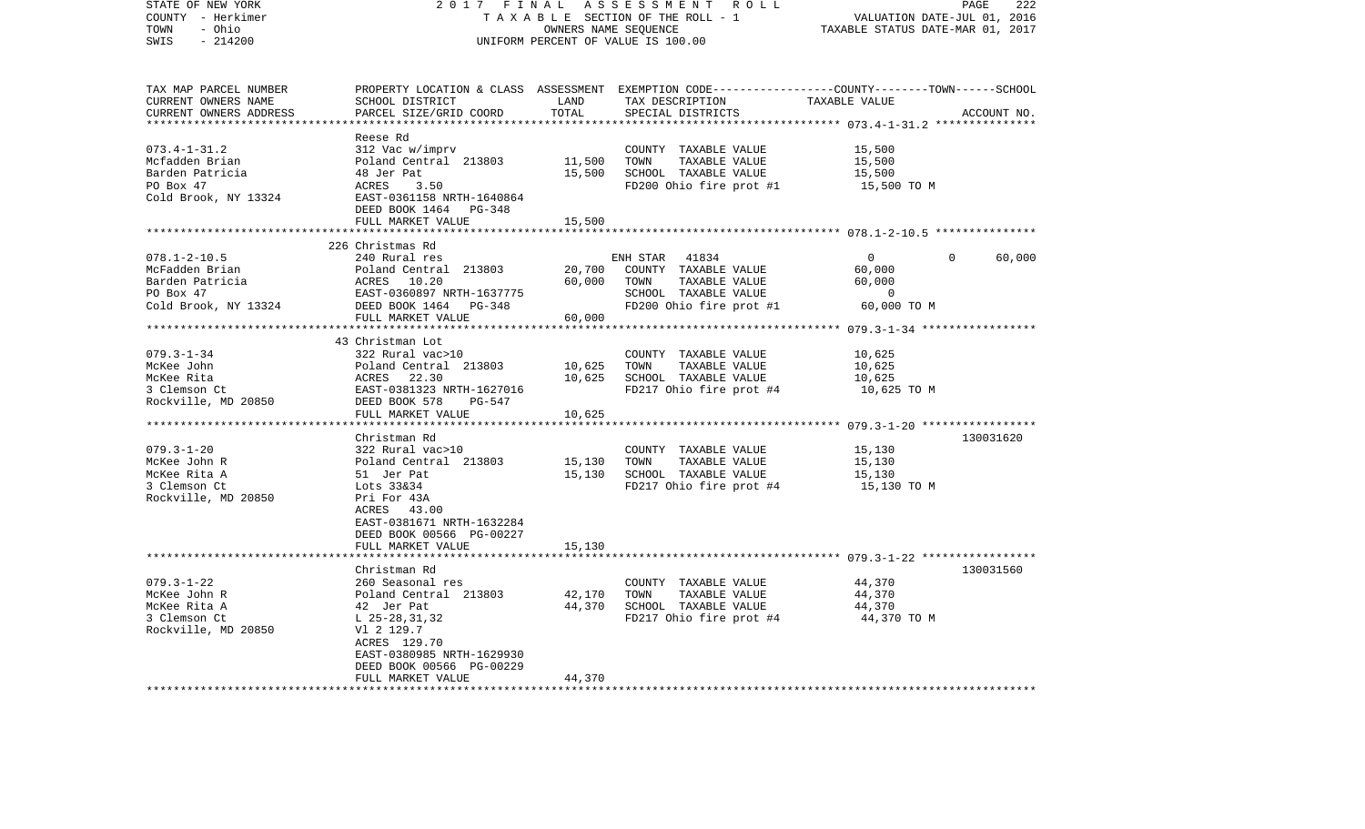| STATE OF NEW YORK                                | 2017 FINAL                                          |                          | ASSESSMENT<br>ROLL                                                                              | PAGE                                                        | 222         |
|--------------------------------------------------|-----------------------------------------------------|--------------------------|-------------------------------------------------------------------------------------------------|-------------------------------------------------------------|-------------|
| COUNTY - Herkimer                                |                                                     |                          | TAXABLE SECTION OF THE ROLL - 1                                                                 | VALUATION DATE-JUL 01, 2016                                 |             |
| - Ohio<br>TOWN                                   |                                                     | OWNERS NAME SEQUENCE     |                                                                                                 | TAXABLE STATUS DATE-MAR 01, 2017                            |             |
| SWIS<br>$-214200$                                |                                                     |                          | UNIFORM PERCENT OF VALUE IS 100.00                                                              |                                                             |             |
|                                                  |                                                     |                          |                                                                                                 |                                                             |             |
|                                                  |                                                     |                          |                                                                                                 |                                                             |             |
| TAX MAP PARCEL NUMBER                            |                                                     |                          | PROPERTY LOCATION & CLASS ASSESSMENT EXEMPTION CODE---------------COUNTY-------TOWN------SCHOOL |                                                             |             |
| CURRENT OWNERS NAME                              | SCHOOL DISTRICT                                     | LAND                     | TAX DESCRIPTION                                                                                 | TAXABLE VALUE                                               |             |
| CURRENT OWNERS ADDRESS<br>********************** | PARCEL SIZE/GRID COORD<br>************************* | TOTAL<br>*************** | SPECIAL DISTRICTS                                                                               |                                                             | ACCOUNT NO. |
|                                                  | Reese Rd                                            |                          |                                                                                                 |                                                             |             |
| $073.4 - 1 - 31.2$                               | 312 Vac w/imprv                                     |                          | COUNTY TAXABLE VALUE                                                                            | 15,500                                                      |             |
| Mcfadden Brian                                   | Poland Central 213803                               | 11,500                   | TOWN<br>TAXABLE VALUE                                                                           | 15,500                                                      |             |
| Barden Patricia                                  | 48 Jer Pat                                          | 15,500                   | SCHOOL TAXABLE VALUE                                                                            | 15,500                                                      |             |
| PO Box 47                                        | ACRES<br>3.50                                       |                          | FD200 Ohio fire prot #1                                                                         | 15,500 TO M                                                 |             |
| Cold Brook, NY 13324                             | EAST-0361158 NRTH-1640864                           |                          |                                                                                                 |                                                             |             |
|                                                  | DEED BOOK 1464 PG-348                               |                          |                                                                                                 |                                                             |             |
|                                                  | FULL MARKET VALUE                                   | 15,500                   |                                                                                                 |                                                             |             |
|                                                  |                                                     | *******                  |                                                                                                 | ******************* 078.1-2-10.5 ***************            |             |
|                                                  | 226 Christmas Rd                                    |                          |                                                                                                 |                                                             |             |
| $078.1 - 2 - 10.5$                               | 240 Rural res                                       |                          | 41834<br>ENH STAR                                                                               | 0<br>0                                                      | 60,000      |
| McFadden Brian                                   | Poland Central 213803                               | 20,700                   | COUNTY TAXABLE VALUE                                                                            | 60,000                                                      |             |
| Barden Patricia                                  | ACRES<br>10.20                                      | 60,000                   | TOWN<br>TAXABLE VALUE                                                                           | 60,000                                                      |             |
| PO Box 47                                        | EAST-0360897 NRTH-1637775                           |                          | SCHOOL TAXABLE VALUE                                                                            | $\mathbf 0$                                                 |             |
| Cold Brook, NY 13324                             | DEED BOOK 1464<br>$PG-348$                          |                          | FD200 Ohio fire prot #1                                                                         | 60,000 TO M                                                 |             |
|                                                  | FULL MARKET VALUE                                   | 60,000                   |                                                                                                 |                                                             |             |
|                                                  |                                                     |                          |                                                                                                 |                                                             |             |
| $079.3 - 1 - 34$                                 | 43 Christman Lot                                    |                          |                                                                                                 | 10,625                                                      |             |
|                                                  | 322 Rural vac>10                                    | 10,625                   | COUNTY TAXABLE VALUE<br>TAXABLE VALUE<br>TOWN                                                   | 10,625                                                      |             |
| McKee John<br>McKee Rita                         | Poland Central 213803<br>ACRES 22.30                | 10,625                   | SCHOOL TAXABLE VALUE                                                                            | 10,625                                                      |             |
| 3 Clemson Ct                                     | EAST-0381323 NRTH-1627016                           |                          | FD217 Ohio fire prot #4                                                                         | 10,625 TO M                                                 |             |
| Rockville, MD 20850                              | DEED BOOK 578<br>PG-547                             |                          |                                                                                                 |                                                             |             |
|                                                  | FULL MARKET VALUE                                   | 10,625                   |                                                                                                 |                                                             |             |
|                                                  | *******************                                 |                          |                                                                                                 | ************************* 079.3-1-20 ******************     |             |
|                                                  | Christman Rd                                        |                          |                                                                                                 |                                                             | 130031620   |
| $079.3 - 1 - 20$                                 | 322 Rural vac>10                                    |                          | COUNTY TAXABLE VALUE                                                                            | 15,130                                                      |             |
| McKee John R                                     | Poland Central 213803                               | 15,130                   | TOWN<br>TAXABLE VALUE                                                                           | 15,130                                                      |             |
| McKee Rita A                                     | 51 Jer Pat                                          | 15,130                   | SCHOOL TAXABLE VALUE                                                                            | 15,130                                                      |             |
| 3 Clemson Ct                                     | Lots 33&34                                          |                          | FD217 Ohio fire prot #4                                                                         | 15,130 TO M                                                 |             |
| Rockville, MD 20850                              | Pri For 43A                                         |                          |                                                                                                 |                                                             |             |
|                                                  | ACRES 43.00                                         |                          |                                                                                                 |                                                             |             |
|                                                  | EAST-0381671 NRTH-1632284                           |                          |                                                                                                 |                                                             |             |
|                                                  | DEED BOOK 00566 PG-00227                            |                          |                                                                                                 |                                                             |             |
|                                                  | FULL MARKET VALUE                                   | 15,130                   |                                                                                                 |                                                             |             |
|                                                  | ***********                                         |                          |                                                                                                 | ****************************** 079.3-1-22 ***************** |             |
|                                                  | Christman Rd                                        |                          |                                                                                                 |                                                             | 130031560   |
| $079.3 - 1 - 22$                                 | 260 Seasonal res                                    |                          | COUNTY TAXABLE VALUE                                                                            | 44,370                                                      |             |
| McKee John R                                     | Poland Central 213803                               | 42,170                   | TOWN<br>TAXABLE VALUE                                                                           | 44,370                                                      |             |
| McKee Rita A<br>3 Clemson Ct                     | 42 Jer Pat                                          | 44,370                   | SCHOOL TAXABLE VALUE                                                                            | 44,370                                                      |             |
| Rockville, MD 20850                              | $L$ 25-28, 31, 32<br>V1 2 129.7                     |                          | FD217 Ohio fire prot #4                                                                         | 44,370 TO M                                                 |             |
|                                                  | ACRES 129.70                                        |                          |                                                                                                 |                                                             |             |
|                                                  | EAST-0380985 NRTH-1629930                           |                          |                                                                                                 |                                                             |             |
|                                                  | DEED BOOK 00566 PG-00229                            |                          |                                                                                                 |                                                             |             |
|                                                  | FULL MARKET VALUE                                   | 44,370                   |                                                                                                 |                                                             |             |
| ************************                         |                                                     |                          |                                                                                                 |                                                             |             |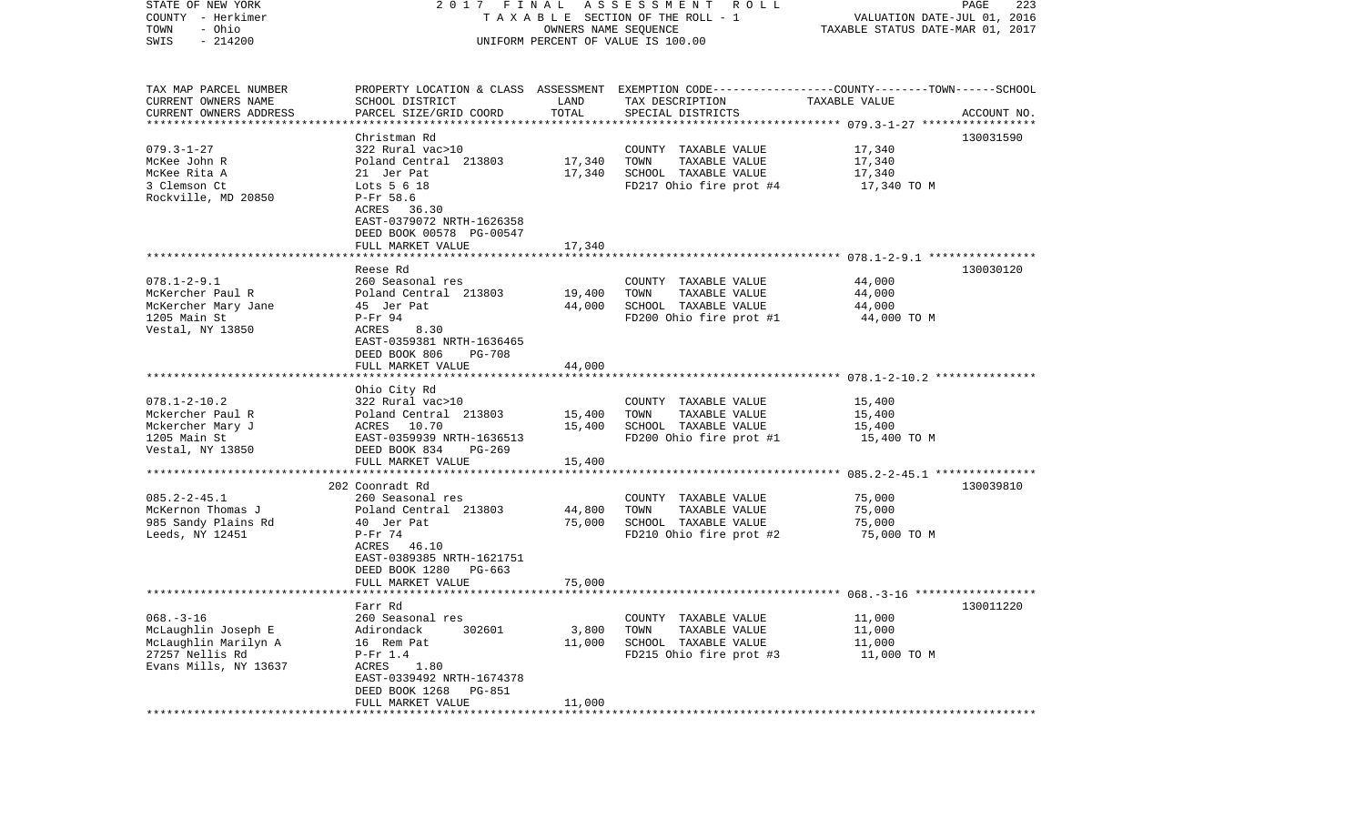| STATE OF NEW YORK<br>COUNTY - Herkimer<br>- Ohio<br>TOWN | 2017 FINAL                                     | OWNERS NAME SEQUENCE | A S S E S S M E N T R O L L<br>TAXABLE SECTION OF THE ROLL - 1                                  | VALUATION DATE-JUL 01, 2016<br>TAXABLE STATUS DATE-MAR 01, 2017 | 223<br>PAGE |
|----------------------------------------------------------|------------------------------------------------|----------------------|-------------------------------------------------------------------------------------------------|-----------------------------------------------------------------|-------------|
| $-214200$<br>SWIS                                        |                                                |                      | UNIFORM PERCENT OF VALUE IS 100.00                                                              |                                                                 |             |
| TAX MAP PARCEL NUMBER                                    |                                                |                      | PROPERTY LOCATION & CLASS ASSESSMENT EXEMPTION CODE---------------COUNTY-------TOWN------SCHOOL |                                                                 |             |
| CURRENT OWNERS NAME                                      | SCHOOL DISTRICT                                | LAND                 | TAX DESCRIPTION                                                                                 | TAXABLE VALUE                                                   |             |
| CURRENT OWNERS ADDRESS                                   | PARCEL SIZE/GRID COORD                         | TOTAL                | SPECIAL DISTRICTS                                                                               |                                                                 | ACCOUNT NO. |
| *************************                                |                                                |                      |                                                                                                 |                                                                 |             |
|                                                          | Christman Rd                                   |                      |                                                                                                 |                                                                 | 130031590   |
| $079.3 - 1 - 27$                                         | 322 Rural vac>10                               |                      | COUNTY TAXABLE VALUE                                                                            | 17,340                                                          |             |
| McKee John R                                             | Poland Central 213803                          | 17,340               | TOWN<br>TAXABLE VALUE                                                                           | 17,340                                                          |             |
| McKee Rita A<br>3 Clemson Ct                             | 21 Jer Pat<br>Lots 5 6 18                      | 17,340               | SCHOOL TAXABLE VALUE<br>FD217 Ohio fire prot #4                                                 | 17,340                                                          |             |
| Rockville, MD 20850                                      | P-Fr 58.6                                      |                      |                                                                                                 | 17,340 TO M                                                     |             |
|                                                          | ACRES<br>36.30                                 |                      |                                                                                                 |                                                                 |             |
|                                                          | EAST-0379072 NRTH-1626358                      |                      |                                                                                                 |                                                                 |             |
|                                                          | DEED BOOK 00578 PG-00547                       |                      |                                                                                                 |                                                                 |             |
|                                                          | FULL MARKET VALUE                              | 17,340               |                                                                                                 |                                                                 |             |
|                                                          |                                                |                      |                                                                                                 |                                                                 |             |
|                                                          | Reese Rd                                       |                      |                                                                                                 |                                                                 | 130030120   |
| $078.1 - 2 - 9.1$                                        | 260 Seasonal res                               |                      | COUNTY TAXABLE VALUE                                                                            | 44,000                                                          |             |
| McKercher Paul R                                         | Poland Central 213803                          | 19,400               | TOWN<br>TAXABLE VALUE                                                                           | 44,000                                                          |             |
| McKercher Mary Jane                                      | 45 Jer Pat                                     | 44,000               | SCHOOL TAXABLE VALUE                                                                            | 44,000                                                          |             |
| 1205 Main St                                             | $P-Fr$ 94                                      |                      | FD200 Ohio fire prot #1                                                                         | 44,000 TO M                                                     |             |
| Vestal, NY 13850                                         | ACRES<br>8.30                                  |                      |                                                                                                 |                                                                 |             |
|                                                          | EAST-0359381 NRTH-1636465                      |                      |                                                                                                 |                                                                 |             |
|                                                          | DEED BOOK 806<br>PG-708                        |                      |                                                                                                 |                                                                 |             |
|                                                          | FULL MARKET VALUE                              | 44,000               |                                                                                                 |                                                                 |             |
|                                                          |                                                |                      |                                                                                                 |                                                                 |             |
|                                                          | Ohio City Rd                                   |                      |                                                                                                 |                                                                 |             |
| $078.1 - 2 - 10.2$                                       | 322 Rural vac>10                               |                      | COUNTY TAXABLE VALUE                                                                            | 15,400                                                          |             |
| Mckercher Paul R                                         | Poland Central 213803                          | 15,400               | TAXABLE VALUE<br>TOWN                                                                           | 15,400                                                          |             |
| Mckercher Mary J                                         | ACRES 10.70                                    | 15,400               | SCHOOL TAXABLE VALUE                                                                            | 15,400                                                          |             |
| 1205 Main St                                             | EAST-0359939 NRTH-1636513                      |                      | FD200 Ohio fire prot #1                                                                         | 15,400 TO M                                                     |             |
| Vestal, NY 13850                                         | DEED BOOK 834<br>$PG-269$<br>FULL MARKET VALUE |                      |                                                                                                 |                                                                 |             |
|                                                          |                                                | 15,400               |                                                                                                 |                                                                 |             |
|                                                          | 202 Coonradt Rd                                |                      |                                                                                                 |                                                                 | 130039810   |
| $085.2 - 2 - 45.1$                                       | 260 Seasonal res                               |                      | COUNTY TAXABLE VALUE                                                                            | 75,000                                                          |             |
| McKernon Thomas J                                        | Poland Central 213803                          | 44,800               | TOWN<br>TAXABLE VALUE                                                                           | 75,000                                                          |             |
| 985 Sandy Plains Rd                                      | 40 Jer Pat                                     | 75,000               | SCHOOL TAXABLE VALUE                                                                            | 75,000                                                          |             |
| Leeds, NY 12451                                          | $P-Fr$ 74                                      |                      | FD210 Ohio fire prot #2                                                                         | 75,000 TO M                                                     |             |
|                                                          | ACRES 46.10                                    |                      |                                                                                                 |                                                                 |             |
|                                                          | EAST-0389385 NRTH-1621751                      |                      |                                                                                                 |                                                                 |             |
|                                                          | DEED BOOK 1280<br>PG-663                       |                      |                                                                                                 |                                                                 |             |
|                                                          | FULL MARKET VALUE                              | 75,000               |                                                                                                 |                                                                 |             |
|                                                          |                                                |                      |                                                                                                 |                                                                 |             |
|                                                          | Farr Rd                                        |                      |                                                                                                 |                                                                 | 130011220   |
| $068. -3 - 16$                                           | 260 Seasonal res                               |                      | COUNTY TAXABLE VALUE                                                                            | 11,000                                                          |             |
| McLaughlin Joseph E                                      | Adirondack<br>302601                           | 3,800                | TOWN<br>TAXABLE VALUE                                                                           | 11,000                                                          |             |
| McLaughlin Marilyn A                                     | 16 Rem Pat                                     | 11,000               | SCHOOL TAXABLE VALUE                                                                            | 11,000                                                          |             |
| 27257 Nellis Rd                                          | $P-Fr$ 1.4                                     |                      | FD215 Ohio fire prot #3                                                                         | 11,000 TO M                                                     |             |
| Evans Mills, NY 13637                                    | 1.80<br>ACRES                                  |                      |                                                                                                 |                                                                 |             |
|                                                          | EAST-0339492 NRTH-1674378                      |                      |                                                                                                 |                                                                 |             |
|                                                          | DEED BOOK 1268<br>PG-851                       |                      |                                                                                                 |                                                                 |             |
|                                                          | FULL MARKET VALUE<br>**********************    | 11,000<br>*********  |                                                                                                 |                                                                 |             |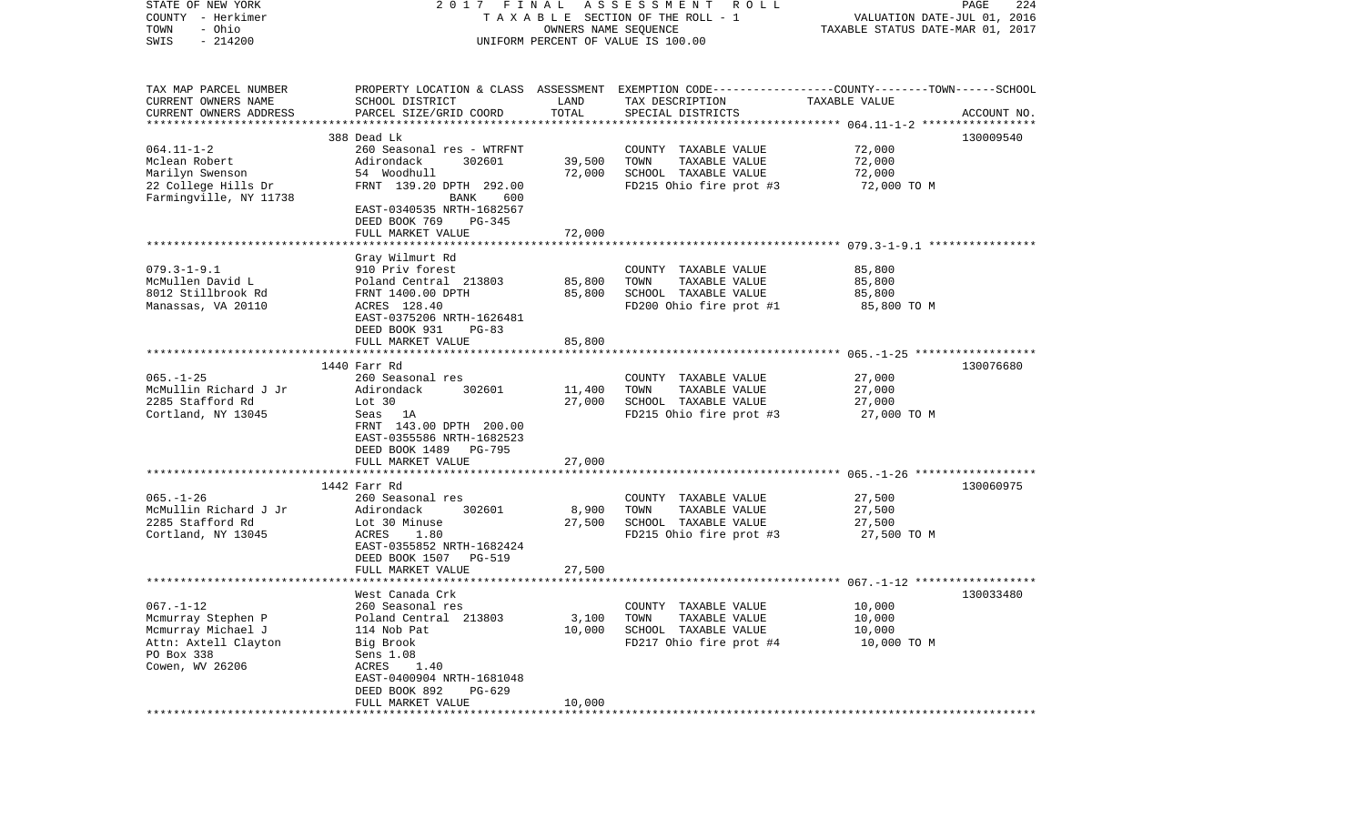| STATE OF NEW YORK<br>COUNTY - Herkimer<br>- Ohio<br>TOWN<br>$-214200$<br>SWIS                                        | 2017 FINAL<br>A S S E S S M E N T<br>R O L L<br>TAXABLE SECTION OF THE ROLL - 1<br>OWNERS NAME SEQUENCE<br>UNIFORM PERCENT OF VALUE IS 100.00                                                           |                           |                                                                                                                                         | 224<br>PAGE<br>VALUATION DATE-JUL 01, 2016<br>TAXABLE STATUS DATE-MAR 01, 2017 |             |
|----------------------------------------------------------------------------------------------------------------------|---------------------------------------------------------------------------------------------------------------------------------------------------------------------------------------------------------|---------------------------|-----------------------------------------------------------------------------------------------------------------------------------------|--------------------------------------------------------------------------------|-------------|
| TAX MAP PARCEL NUMBER<br>CURRENT OWNERS NAME<br>CURRENT OWNERS ADDRESS<br>***********************                    | SCHOOL DISTRICT<br>PARCEL SIZE/GRID COORD                                                                                                                                                               | LAND<br>TOTAL             | PROPERTY LOCATION & CLASS ASSESSMENT EXEMPTION CODE---------------COUNTY-------TOWN------SCHOOL<br>TAX DESCRIPTION<br>SPECIAL DISTRICTS | TAXABLE VALUE                                                                  | ACCOUNT NO. |
| $064.11 - 1 - 2$<br>Mclean Robert<br>Marilyn Swenson<br>22 College Hills Dr<br>Farmingville, NY 11738                | 388 Dead Lk<br>260 Seasonal res - WTRFNT<br>302601<br>Adirondack<br>54 Woodhull<br>FRNT 139.20 DPTH 292.00<br>BANK<br>600<br>EAST-0340535 NRTH-1682567<br>DEED BOOK 769<br>PG-345                       | 39,500<br>72,000          | COUNTY TAXABLE VALUE<br>TOWN<br>TAXABLE VALUE<br>SCHOOL TAXABLE VALUE<br>FD215 Ohio fire prot #3                                        | 72,000<br>72,000<br>72,000<br>72,000 TO M                                      | 130009540   |
|                                                                                                                      | FULL MARKET VALUE                                                                                                                                                                                       | 72,000                    |                                                                                                                                         |                                                                                |             |
| $079.3 - 1 - 9.1$<br>McMullen David L<br>8012 Stillbrook Rd<br>Manassas, VA 20110                                    | Gray Wilmurt Rd<br>910 Priv forest<br>Poland Central 213803<br>FRNT 1400.00 DPTH<br>ACRES 128.40<br>EAST-0375206 NRTH-1626481<br>DEED BOOK 931<br>$PG-83$                                               | 85,800<br>85,800          | COUNTY TAXABLE VALUE<br>TOWN<br>TAXABLE VALUE<br>SCHOOL TAXABLE VALUE<br>FD200 Ohio fire prot #1                                        | 85,800<br>85,800<br>85,800<br>85,800 TO M                                      |             |
|                                                                                                                      | FULL MARKET VALUE                                                                                                                                                                                       | 85,800                    |                                                                                                                                         |                                                                                |             |
|                                                                                                                      |                                                                                                                                                                                                         | ************              |                                                                                                                                         |                                                                                |             |
| $065. -1 - 25$<br>McMullin Richard J Jr<br>2285 Stafford Rd<br>Cortland, NY 13045                                    | 1440 Farr Rd<br>260 Seasonal res<br>302601<br>Adirondack<br>Lot 30<br>Seas 1A<br>FRNT 143.00 DPTH 200.00<br>EAST-0355586 NRTH-1682523<br>DEED BOOK 1489<br>PG-795                                       | 11,400<br>27,000          | COUNTY TAXABLE VALUE<br>TOWN<br>TAXABLE VALUE<br>SCHOOL TAXABLE VALUE<br>FD215 Ohio fire prot #3                                        | 27,000<br>27,000<br>27,000<br>27,000 TO M                                      | 130076680   |
|                                                                                                                      | FULL MARKET VALUE                                                                                                                                                                                       | 27,000                    |                                                                                                                                         |                                                                                |             |
| $065. - 1 - 26$<br>McMullin Richard J Jr<br>2285 Stafford Rd<br>Cortland, NY 13045                                   | ********************<br>1442 Farr Rd<br>260 Seasonal res<br>Adirondack<br>302601<br>Lot 30 Minuse<br>ACRES<br>1.80<br>EAST-0355852 NRTH-1682424<br>DEED BOOK 1507<br><b>PG-519</b><br>FULL MARKET VALUE | 8,900<br>27,500<br>27,500 | COUNTY TAXABLE VALUE<br>TOWN<br>TAXABLE VALUE<br>SCHOOL TAXABLE VALUE<br>FD215 Ohio fire prot #3                                        | 27,500<br>27,500<br>27,500<br>27,500 TO M                                      | 130060975   |
|                                                                                                                      |                                                                                                                                                                                                         |                           |                                                                                                                                         |                                                                                |             |
| $067. - 1 - 12$<br>Mcmurray Stephen P<br>Mcmurray Michael J<br>Attn: Axtell Clayton<br>PO Box 338<br>Cowen, WV 26206 | West Canada Crk<br>260 Seasonal res<br>Poland Central 213803<br>114 Nob Pat<br>Big Brook<br>Sens 1.08<br>ACRES<br>1.40<br>EAST-0400904 NRTH-1681048<br>DEED BOOK 892<br>$PG-629$<br>FULL MARKET VALUE   | 3,100<br>10,000<br>10,000 | COUNTY TAXABLE VALUE<br>TAXABLE VALUE<br>TOWN<br>SCHOOL TAXABLE VALUE<br>FD217 Ohio fire prot #4                                        | 10,000<br>10,000<br>10,000<br>10,000 TO M                                      | 130033480   |
|                                                                                                                      |                                                                                                                                                                                                         |                           |                                                                                                                                         |                                                                                |             |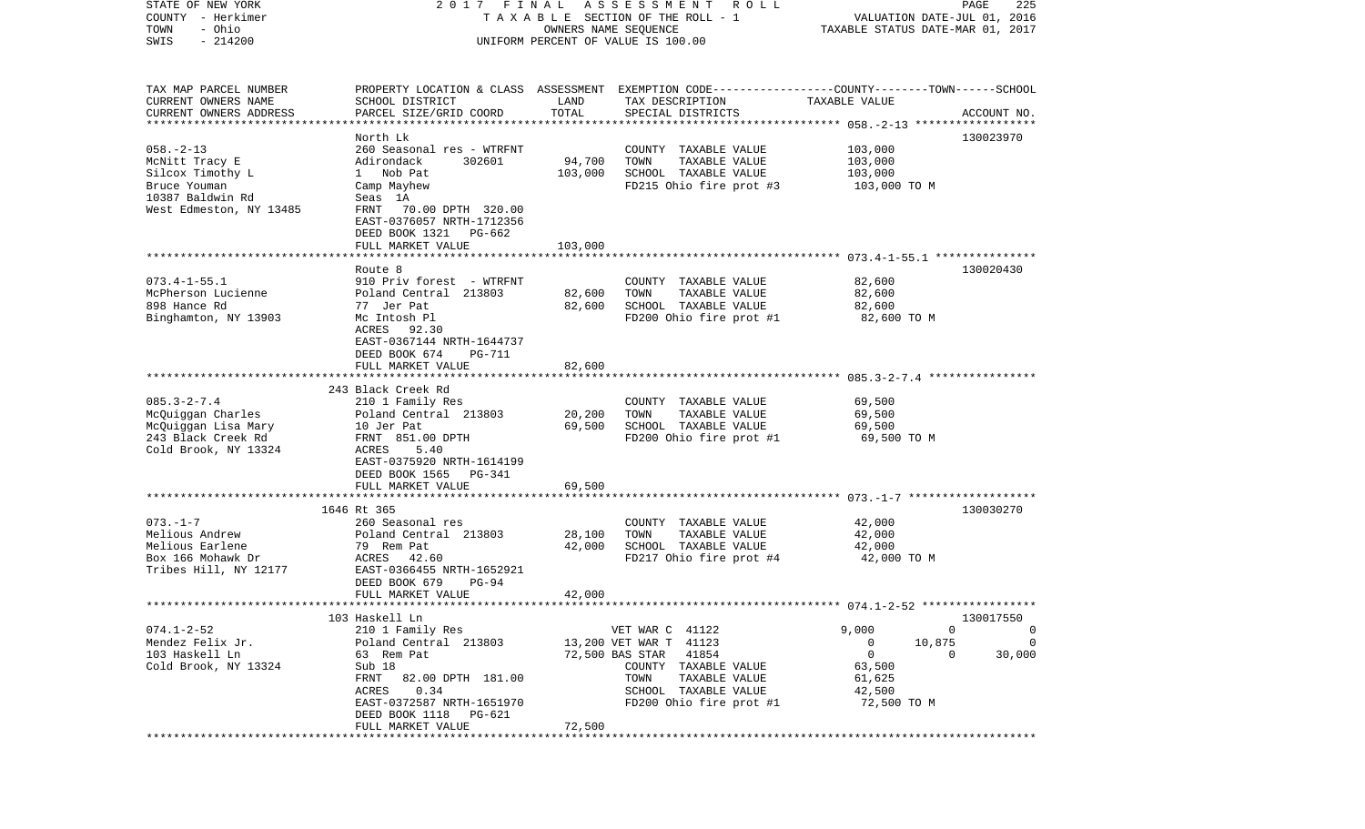| STATE OF NEW YORK                             | 2017 FINAL                                                                                      |                      | A S S E S S M E N T<br>R O L L       |                                  | 225<br>PAGE       |
|-----------------------------------------------|-------------------------------------------------------------------------------------------------|----------------------|--------------------------------------|----------------------------------|-------------------|
| COUNTY - Herkimer                             |                                                                                                 |                      | TAXABLE SECTION OF THE ROLL - 1      | VALUATION DATE-JUL 01, 2016      |                   |
| - Ohio<br>TOWN<br>$-214200$<br>SWIS           |                                                                                                 | OWNERS NAME SEQUENCE | UNIFORM PERCENT OF VALUE IS 100.00   | TAXABLE STATUS DATE-MAR 01, 2017 |                   |
|                                               |                                                                                                 |                      |                                      |                                  |                   |
|                                               |                                                                                                 |                      |                                      |                                  |                   |
|                                               |                                                                                                 |                      |                                      |                                  |                   |
| TAX MAP PARCEL NUMBER                         | PROPERTY LOCATION & CLASS ASSESSMENT EXEMPTION CODE---------------COUNTY-------TOWN------SCHOOL | LAND                 |                                      |                                  |                   |
| CURRENT OWNERS NAME<br>CURRENT OWNERS ADDRESS | SCHOOL DISTRICT<br>PARCEL SIZE/GRID COORD                                                       | TOTAL                | TAX DESCRIPTION<br>SPECIAL DISTRICTS | TAXABLE VALUE                    | ACCOUNT NO.       |
| ************************                      |                                                                                                 |                      |                                      |                                  |                   |
|                                               | North Lk                                                                                        |                      |                                      |                                  | 130023970         |
| $058. - 2 - 13$                               | 260 Seasonal res - WTRFNT                                                                       |                      | COUNTY TAXABLE VALUE                 | 103,000                          |                   |
| McNitt Tracy E                                | Adirondack<br>302601                                                                            | 94,700               | TOWN<br>TAXABLE VALUE                | 103,000                          |                   |
| Silcox Timothy L                              | 1 Nob Pat                                                                                       | 103,000              | SCHOOL TAXABLE VALUE                 | 103,000                          |                   |
| Bruce Youman                                  | Camp Mayhew                                                                                     |                      | FD215 Ohio fire prot #3              | 103,000 TO M                     |                   |
| 10387 Baldwin Rd                              | Seas 1A                                                                                         |                      |                                      |                                  |                   |
| West Edmeston, NY 13485                       | FRNT 70.00 DPTH 320.00                                                                          |                      |                                      |                                  |                   |
|                                               | EAST-0376057 NRTH-1712356                                                                       |                      |                                      |                                  |                   |
|                                               | DEED BOOK 1321<br>PG-662                                                                        |                      |                                      |                                  |                   |
|                                               | FULL MARKET VALUE                                                                               | 103,000              |                                      |                                  |                   |
|                                               |                                                                                                 |                      |                                      |                                  |                   |
|                                               | Route <sub>8</sub>                                                                              |                      |                                      |                                  | 130020430         |
| $073.4 - 1 - 55.1$                            | 910 Priv forest - WTRFNT                                                                        |                      | COUNTY TAXABLE VALUE                 | 82,600                           |                   |
| McPherson Lucienne                            | Poland Central 213803                                                                           | 82,600               | TOWN<br>TAXABLE VALUE                | 82,600                           |                   |
| 898 Hance Rd                                  | 77 Jer Pat                                                                                      | 82,600               | SCHOOL TAXABLE VALUE                 | 82,600                           |                   |
| Binghamton, NY 13903                          | Mc Intosh Pl                                                                                    |                      | FD200 Ohio fire prot #1              | 82,600 TO M                      |                   |
|                                               | 92.30<br>ACRES                                                                                  |                      |                                      |                                  |                   |
|                                               | EAST-0367144 NRTH-1644737<br>DEED BOOK 674<br>PG-711                                            |                      |                                      |                                  |                   |
|                                               | FULL MARKET VALUE                                                                               | 82,600               |                                      |                                  |                   |
|                                               |                                                                                                 |                      |                                      |                                  |                   |
|                                               | 243 Black Creek Rd                                                                              |                      |                                      |                                  |                   |
| $085.3 - 2 - 7.4$                             | 210 1 Family Res                                                                                |                      | COUNTY TAXABLE VALUE                 | 69,500                           |                   |
| McQuiggan Charles                             | Poland Central 213803                                                                           | 20,200               | TOWN<br>TAXABLE VALUE                | 69,500                           |                   |
| McQuiggan Lisa Mary                           | 10 Jer Pat                                                                                      | 69,500               | SCHOOL TAXABLE VALUE                 | 69,500                           |                   |
| 243 Black Creek Rd                            | FRNT 851.00 DPTH                                                                                |                      | FD200 Ohio fire prot #1              | 69,500 TO M                      |                   |
| Cold Brook, NY 13324                          | ACRES<br>5.40                                                                                   |                      |                                      |                                  |                   |
|                                               | EAST-0375920 NRTH-1614199                                                                       |                      |                                      |                                  |                   |
|                                               | DEED BOOK 1565<br>PG-341                                                                        |                      |                                      |                                  |                   |
|                                               | FULL MARKET VALUE                                                                               | 69,500               |                                      |                                  |                   |
|                                               | **********************                                                                          |                      |                                      |                                  |                   |
|                                               | 1646 Rt 365                                                                                     |                      |                                      |                                  | 130030270         |
| $073. - 1 - 7$                                | 260 Seasonal res                                                                                |                      | COUNTY TAXABLE VALUE                 | 42,000                           |                   |
| Melious Andrew                                | Poland Central 213803                                                                           | 28,100               | TOWN<br>TAXABLE VALUE                | 42,000                           |                   |
| Melious Earlene                               | 79 Rem Pat                                                                                      | 42,000               | SCHOOL TAXABLE VALUE                 | 42,000                           |                   |
| Box 166 Mohawk Dr                             | 42.60<br>ACRES                                                                                  |                      | FD217 Ohio fire prot #4              | 42,000 TO M                      |                   |
| Tribes Hill, NY 12177                         | EAST-0366455 NRTH-1652921                                                                       |                      |                                      |                                  |                   |
|                                               | DEED BOOK 679<br>$PG-94$                                                                        |                      |                                      |                                  |                   |
|                                               | FULL MARKET VALUE                                                                               | 42,000               |                                      |                                  |                   |
|                                               | 103 Haskell Ln                                                                                  |                      |                                      |                                  | 130017550         |
| $074.1 - 2 - 52$                              | 210 1 Family Res                                                                                |                      | VET WAR C 41122                      | 9,000                            | $\mathbf{0}$<br>0 |
| Mendez Felix Jr.                              | Poland Central 213803                                                                           |                      | 13,200 VET WAR T 41123               | 10,875<br>0                      | 0                 |
| 103 Haskell Ln                                | 63 Rem Pat                                                                                      |                      | 72,500 BAS STAR<br>41854             | 0                                | 30,000<br>0       |
| Cold Brook, NY 13324                          | Sub 18                                                                                          |                      | COUNTY TAXABLE VALUE                 | 63,500                           |                   |
|                                               | FRNT<br>82.00 DPTH 181.00                                                                       |                      | TOWN<br>TAXABLE VALUE                | 61,625                           |                   |
|                                               | 0.34<br>ACRES                                                                                   |                      | SCHOOL TAXABLE VALUE                 | 42,500                           |                   |
|                                               | EAST-0372587 NRTH-1651970                                                                       |                      | FD200 Ohio fire prot #1              | 72,500 TO M                      |                   |
|                                               | DEED BOOK 1118<br>PG-621                                                                        |                      |                                      |                                  |                   |
|                                               | FULL MARKET VALUE                                                                               | 72,500               |                                      |                                  |                   |
|                                               | **************************                                                                      |                      | ***********************************  |                                  |                   |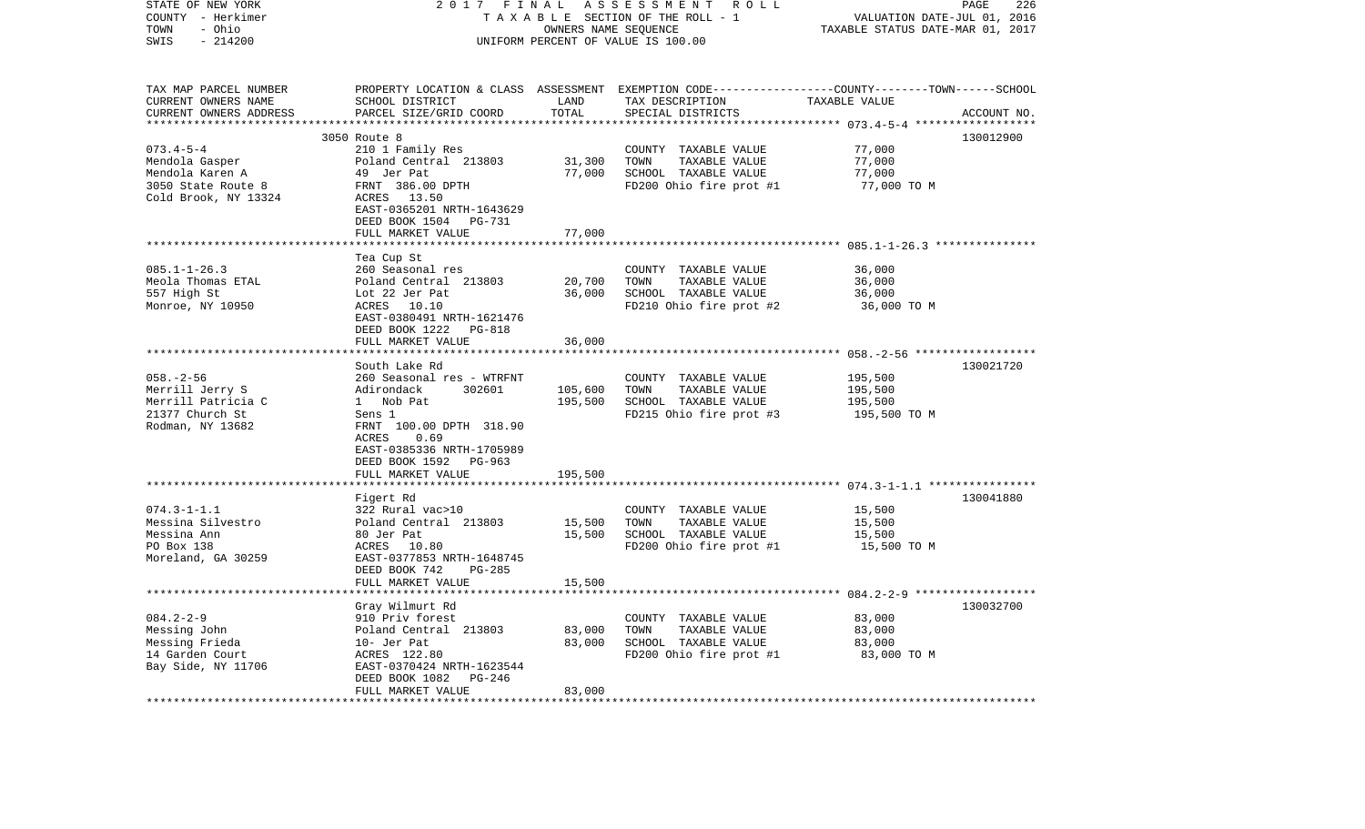| STATE OF NEW YORK<br>COUNTY - Herkimer<br>- Ohio<br>TOWN<br>$-214200$<br>SWIS                      | 2017 FINAL<br>ASSESSMENT<br>ROLL<br>TAXABLE SECTION OF THE ROLL - 1<br>OWNERS NAME SEQUENCE<br>UNIFORM PERCENT OF VALUE IS 100.00                                                           |                           |                                                                                                  | PAGE<br>226<br>VALUATION DATE-JUL 01, 2016<br>TAXABLE STATUS DATE-MAR 01, 2017                                                               |             |
|----------------------------------------------------------------------------------------------------|---------------------------------------------------------------------------------------------------------------------------------------------------------------------------------------------|---------------------------|--------------------------------------------------------------------------------------------------|----------------------------------------------------------------------------------------------------------------------------------------------|-------------|
| TAX MAP PARCEL NUMBER<br>CURRENT OWNERS NAME<br>CURRENT OWNERS ADDRESS                             | SCHOOL DISTRICT<br>PARCEL SIZE/GRID COORD                                                                                                                                                   | LAND<br>TOTAL<br>******** | TAX DESCRIPTION<br>SPECIAL DISTRICTS                                                             | PROPERTY LOCATION & CLASS ASSESSMENT EXEMPTION CODE---------------COUNTY-------TOWN------SCHOOL<br>TAXABLE VALUE<br>********* 073.4-5-4 **** | ACCOUNT NO. |
| $073.4 - 5 - 4$<br>Mendola Gasper<br>Mendola Karen A<br>3050 State Route 8<br>Cold Brook, NY 13324 | 3050 Route 8<br>210 1 Family Res<br>Poland Central 213803<br>49 Jer Pat<br>FRNT 386.00 DPTH<br>ACRES 13.50<br>EAST-0365201 NRTH-1643629<br>DEED BOOK 1504 PG-731                            | 31,300<br>77,000          | COUNTY TAXABLE VALUE<br>TOWN<br>TAXABLE VALUE<br>SCHOOL TAXABLE VALUE<br>FD200 Ohio fire prot #1 | 77,000<br>77,000<br>77,000<br>77,000 TO M                                                                                                    | 130012900   |
|                                                                                                    | FULL MARKET VALUE<br>********************                                                                                                                                                   | 77,000                    |                                                                                                  |                                                                                                                                              |             |
| $085.1 - 1 - 26.3$<br>Meola Thomas ETAL<br>557 High St<br>Monroe, NY 10950                         | Tea Cup St<br>260 Seasonal res<br>Poland Central 213803<br>Lot 22 Jer Pat<br>ACRES 10.10<br>EAST-0380491 NRTH-1621476<br>DEED BOOK 1222<br>PG-818                                           | 20,700<br>36,000          | COUNTY TAXABLE VALUE<br>TOWN<br>TAXABLE VALUE<br>SCHOOL TAXABLE VALUE<br>FD210 Ohio fire prot #2 | 36,000<br>36,000<br>36,000<br>36,000 TO M                                                                                                    |             |
|                                                                                                    | FULL MARKET VALUE                                                                                                                                                                           | 36,000                    |                                                                                                  |                                                                                                                                              |             |
|                                                                                                    | **********************                                                                                                                                                                      |                           |                                                                                                  |                                                                                                                                              |             |
| $058. - 2 - 56$<br>Merrill Jerry S<br>Merrill Patricia C<br>21377 Church St<br>Rodman, NY 13682    | South Lake Rd<br>260 Seasonal res - WTRFNT<br>Adirondack<br>302601<br>1 Nob Pat<br>Sens 1<br>FRNT 100.00 DPTH 318.90<br>ACRES<br>0.69<br>EAST-0385336 NRTH-1705989<br>DEED BOOK 1592 PG-963 | 105,600<br>195,500        | COUNTY TAXABLE VALUE<br>TOWN<br>TAXABLE VALUE<br>SCHOOL TAXABLE VALUE<br>FD215 Ohio fire prot #3 | 195,500<br>195,500<br>195,500<br>195,500 TO M                                                                                                | 130021720   |
|                                                                                                    | FULL MARKET VALUE                                                                                                                                                                           | 195,500                   |                                                                                                  |                                                                                                                                              |             |
| $074.3 - 1 - 1.1$<br>Messina Silvestro<br>Messina Ann<br>PO Box 138<br>Moreland, GA 30259          | Figert Rd<br>322 Rural vac>10<br>Poland Central 213803<br>80 Jer Pat<br>ACRES 10.80<br>EAST-0377853 NRTH-1648745<br>DEED BOOK 742<br>$PG-285$                                               | 15,500<br>15,500          | COUNTY TAXABLE VALUE<br>TOWN<br>TAXABLE VALUE<br>SCHOOL TAXABLE VALUE<br>FD200 Ohio fire prot #1 | 15,500<br>15,500<br>15,500<br>15,500 TO M                                                                                                    | 130041880   |
|                                                                                                    | FULL MARKET VALUE                                                                                                                                                                           | 15,500                    |                                                                                                  |                                                                                                                                              |             |
| $084.2 - 2 - 9$<br>Messing John<br>Messing Frieda<br>14 Garden Court<br>Bay Side, NY 11706         | Gray Wilmurt Rd<br>910 Priv forest<br>Poland Central 213803<br>10- Jer Pat<br>ACRES 122.80<br>EAST-0370424 NRTH-1623544                                                                     | 83,000<br>83,000          | COUNTY TAXABLE VALUE<br>TOWN<br>TAXABLE VALUE<br>SCHOOL TAXABLE VALUE<br>FD200 Ohio fire prot #1 | 83,000<br>83,000<br>83,000<br>83,000 TO M                                                                                                    | 130032700   |
| *********************                                                                              | DEED BOOK 1082<br>$PG-246$<br>FULL MARKET VALUE                                                                                                                                             | 83,000                    |                                                                                                  |                                                                                                                                              |             |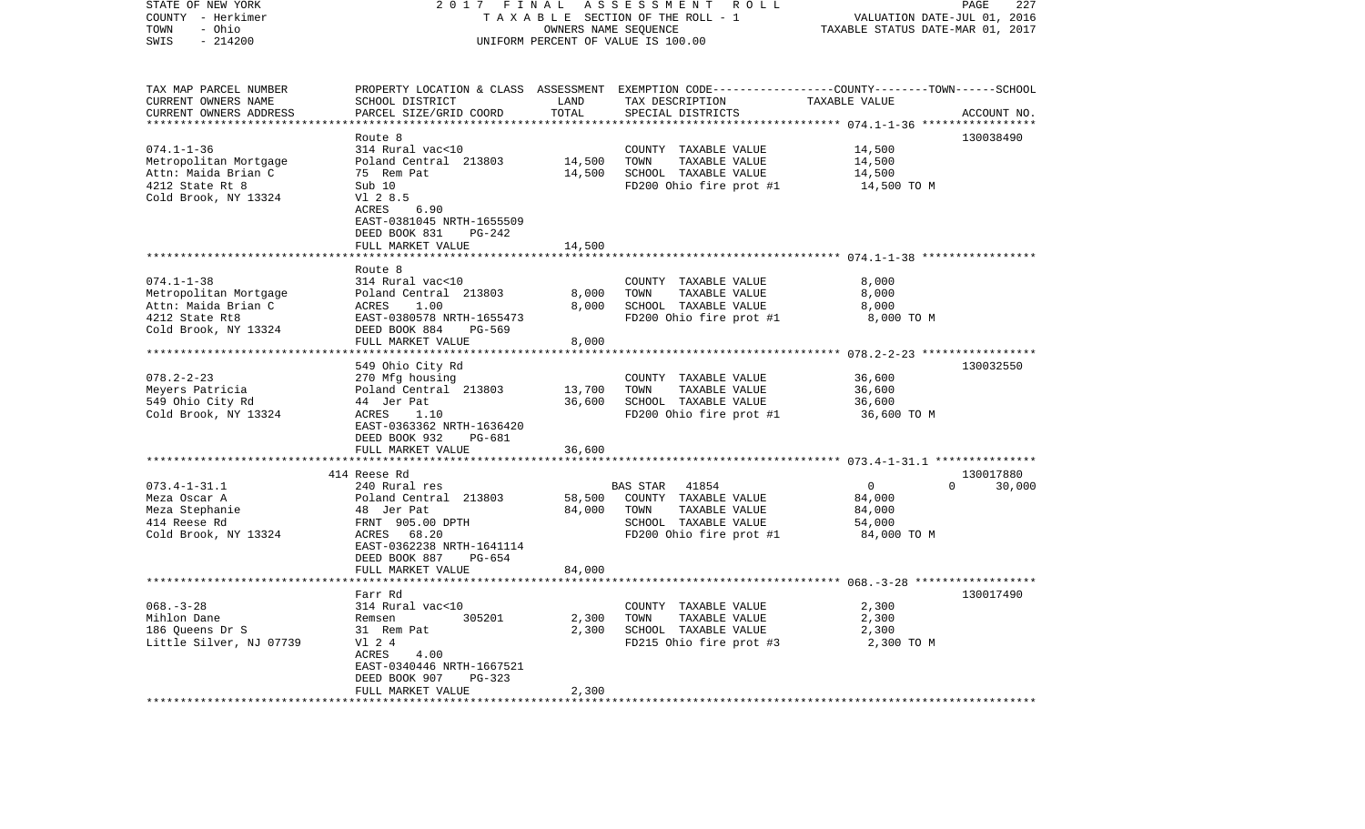| STATE OF NEW YORK<br>COUNTY - Herkimer<br>- Ohio<br>TOWN<br>SWIS<br>$-214200$                               | 2017<br>FINAL<br>TAXABLE SECTION OF THE ROLL - 1<br>UNIFORM PERCENT OF VALUE IS 100.00                                                                                                        | PAGE<br>227<br>VALUATION DATE-JUL 01, 2016<br>TAXABLE STATUS DATE-MAR 01, 2017 |                                                                                                                                         |                                                             |                                 |
|-------------------------------------------------------------------------------------------------------------|-----------------------------------------------------------------------------------------------------------------------------------------------------------------------------------------------|--------------------------------------------------------------------------------|-----------------------------------------------------------------------------------------------------------------------------------------|-------------------------------------------------------------|---------------------------------|
| TAX MAP PARCEL NUMBER<br>CURRENT OWNERS NAME<br>CURRENT OWNERS ADDRESS                                      | SCHOOL DISTRICT<br>PARCEL SIZE/GRID COORD                                                                                                                                                     | LAND<br>TOTAL                                                                  | PROPERTY LOCATION & CLASS ASSESSMENT EXEMPTION CODE---------------COUNTY-------TOWN------SCHOOL<br>TAX DESCRIPTION<br>SPECIAL DISTRICTS | TAXABLE VALUE<br>********* 074.1-1-36 *****                 | ACCOUNT NO.                     |
| $074.1 - 1 - 36$<br>Metropolitan Mortgage<br>Attn: Maida Brian C<br>4212 State Rt 8<br>Cold Brook, NY 13324 | Route 8<br>314 Rural vac<10<br>Poland Central 213803<br>75 Rem Pat<br>Sub 10<br>V1 2 8.5<br><b>ACRES</b><br>6.90                                                                              | 14,500<br>14,500                                                               | COUNTY TAXABLE VALUE<br>TOWN<br>TAXABLE VALUE<br>SCHOOL TAXABLE VALUE<br>FD200 Ohio fire prot #1                                        | 14,500<br>14,500<br>14,500<br>14,500 TO M                   | 130038490                       |
|                                                                                                             | EAST-0381045 NRTH-1655509<br>DEED BOOK 831<br>PG-242<br>FULL MARKET VALUE<br>*******************                                                                                              | 14,500                                                                         |                                                                                                                                         |                                                             |                                 |
| $074.1 - 1 - 38$<br>Metropolitan Mortgage<br>Attn: Maida Brian C<br>4212 State Rt8<br>Cold Brook, NY 13324  | Route 8<br>314 Rural vac<10<br>Poland Central 213803<br>ACRES<br>1.00<br>EAST-0380578 NRTH-1655473<br>DEED BOOK 884<br>$PG-569$<br>FULL MARKET VALUE                                          | 8,000<br>8,000<br>8,000                                                        | COUNTY TAXABLE VALUE<br>TOWN<br>TAXABLE VALUE<br>SCHOOL TAXABLE VALUE<br>FD200 Ohio fire prot #1                                        | 8,000<br>8,000<br>8,000<br>8,000 TO M                       |                                 |
| $078.2 - 2 - 23$<br>Meyers Patricia<br>549 Ohio City Rd<br>Cold Brook, NY 13324                             | 549 Ohio City Rd<br>270 Mfg housing<br>Poland Central 213803<br>44 Jer Pat<br>ACRES<br>1.10<br>EAST-0363362 NRTH-1636420<br>DEED BOOK 932<br>PG-681<br>FULL MARKET VALUE                      | 13,700<br>36,600<br>36,600                                                     | COUNTY TAXABLE VALUE<br>TAXABLE VALUE<br>TOWN<br>SCHOOL TAXABLE VALUE<br>FD200 Ohio fire prot #1                                        | 36,600<br>36,600<br>36,600<br>36,600 TO M                   | 130032550                       |
|                                                                                                             |                                                                                                                                                                                               |                                                                                |                                                                                                                                         |                                                             |                                 |
| $073.4 - 1 - 31.1$<br>Meza Oscar A<br>Meza Stephanie<br>414 Reese Rd<br>Cold Brook, NY 13324                | 414 Reese Rd<br>240 Rural res<br>Poland Central 213803<br>48 Jer Pat<br>FRNT 905.00 DPTH<br>ACRES<br>68.20<br>EAST-0362238 NRTH-1641114<br>DEED BOOK 887<br>$PG-654$                          | 58,500<br>84,000                                                               | 41854<br>BAS STAR<br>COUNTY TAXABLE VALUE<br>TAXABLE VALUE<br>TOWN<br>SCHOOL TAXABLE VALUE<br>FD200 Ohio fire prot #1                   | $\overline{0}$<br>84,000<br>84,000<br>54,000<br>84,000 TO M | 130017880<br>$\Omega$<br>30,000 |
|                                                                                                             | FULL MARKET VALUE<br>*******************                                                                                                                                                      | 84,000                                                                         |                                                                                                                                         |                                                             |                                 |
| $068. - 3 - 28$<br>Mihlon Dane<br>186 Queens Dr S<br>Little Silver, NJ 07739<br>************************    | Farr Rd<br>314 Rural vac<10<br>305201<br>Remsen<br>31 Rem Pat<br>V1 2 4<br>ACRES<br>4.00<br>EAST-0340446 NRTH-1667521<br>DEED BOOK 907<br>PG-323<br>FULL MARKET VALUE<br>******************** | 2,300<br>2,300<br>2,300                                                        | COUNTY TAXABLE VALUE<br>TOWN<br>TAXABLE VALUE<br>SCHOOL TAXABLE VALUE<br>FD215 Ohio fire prot #3                                        | 2,300<br>2,300<br>2,300<br>2,300 TO M                       | 130017490                       |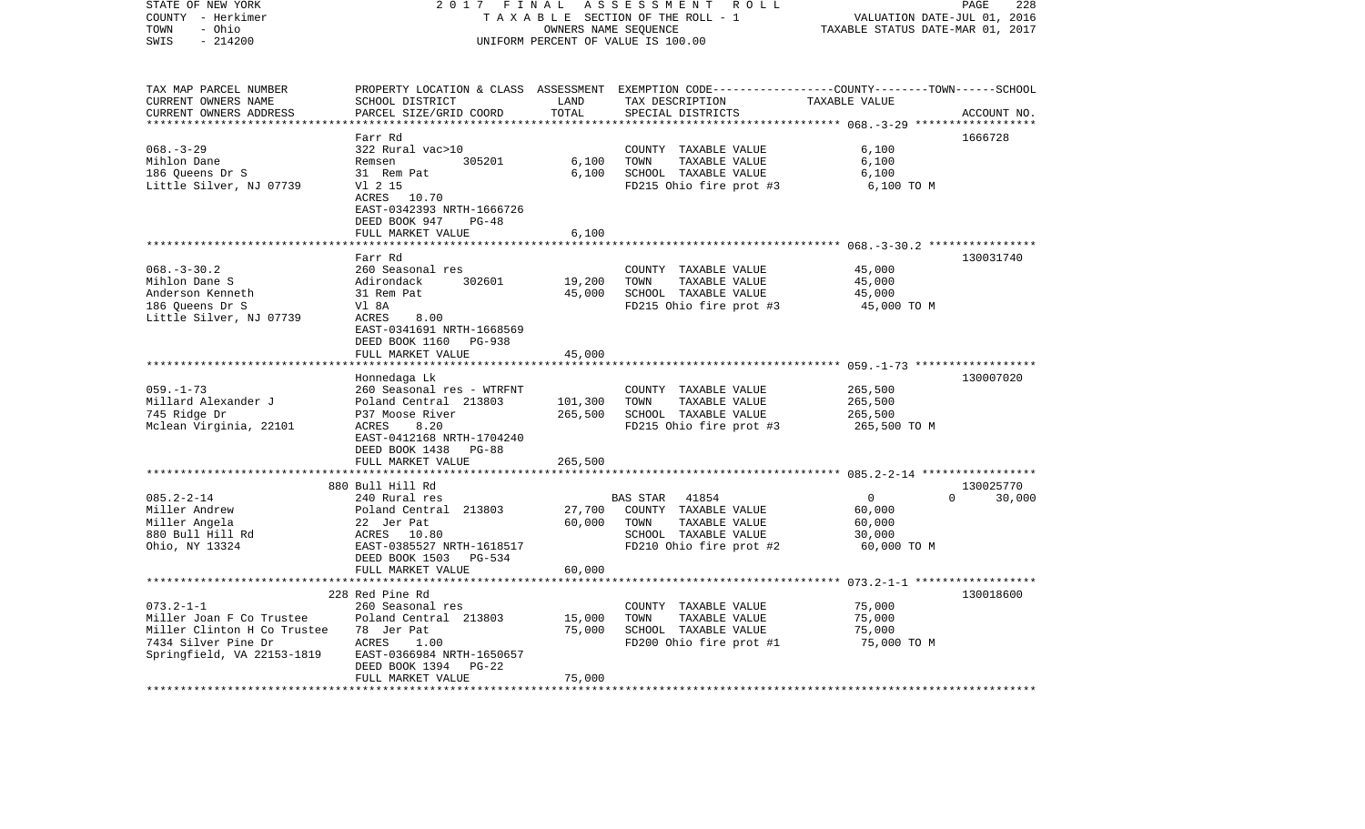| STATE OF NEW YORK<br>COUNTY - Herkimer<br>- Ohio<br>TOWN<br>SWIS<br>$-214200$ | 2017<br>FINAL<br>TAXABLE SECTION OF THE ROLL - 1<br>UNIFORM PERCENT OF VALUE IS 100.00      | PAGE<br>228<br>VALUATION DATE-JUL 01, 2016<br>TAXABLE STATUS DATE-MAR 01, 2017 |                                                                                                                    |                |                    |
|-------------------------------------------------------------------------------|---------------------------------------------------------------------------------------------|--------------------------------------------------------------------------------|--------------------------------------------------------------------------------------------------------------------|----------------|--------------------|
| TAX MAP PARCEL NUMBER<br>CURRENT OWNERS NAME                                  | SCHOOL DISTRICT                                                                             | LAND                                                                           | PROPERTY LOCATION & CLASS ASSESSMENT EXEMPTION CODE---------------COUNTY-------TOWN------SCHOOL<br>TAX DESCRIPTION | TAXABLE VALUE  |                    |
| CURRENT OWNERS ADDRESS                                                        | PARCEL SIZE/GRID COORD                                                                      | TOTAL                                                                          | SPECIAL DISTRICTS                                                                                                  |                | ACCOUNT NO.        |
| ***********************                                                       | **************************<br>Farr Rd                                                       | ***********                                                                    |                                                                                                                    |                | 1666728            |
| $068. - 3 - 29$                                                               | 322 Rural vac>10                                                                            |                                                                                | COUNTY TAXABLE VALUE                                                                                               | 6,100          |                    |
| Mihlon Dane                                                                   | Remsen<br>305201                                                                            | 6,100                                                                          | TOWN<br>TAXABLE VALUE                                                                                              | 6,100          |                    |
| 186 Queens Dr S                                                               | 31 Rem Pat                                                                                  | 6,100                                                                          | SCHOOL TAXABLE VALUE                                                                                               | 6,100          |                    |
| Little Silver, NJ 07739                                                       | V1 2 15<br>ACRES 10.70<br>EAST-0342393 NRTH-1666726<br>DEED BOOK 947<br>PG-48               |                                                                                | FD215 Ohio fire prot #3                                                                                            | 6,100 TO M     |                    |
|                                                                               | FULL MARKET VALUE                                                                           | 6,100                                                                          |                                                                                                                    |                |                    |
|                                                                               | Farr Rd                                                                                     |                                                                                |                                                                                                                    |                | 130031740          |
| $068. - 3 - 30.2$                                                             | 260 Seasonal res                                                                            |                                                                                | COUNTY TAXABLE VALUE                                                                                               | 45,000         |                    |
| Mihlon Dane S                                                                 | Adirondack<br>302601                                                                        | 19,200                                                                         | TOWN<br>TAXABLE VALUE                                                                                              | 45,000         |                    |
| Anderson Kenneth                                                              | 31 Rem Pat                                                                                  | 45,000                                                                         | SCHOOL TAXABLE VALUE                                                                                               | 45,000         |                    |
| 186 Queens Dr S                                                               | Vl 8A                                                                                       |                                                                                | FD215 Ohio fire prot #3                                                                                            | 45,000 TO M    |                    |
| Little Silver, NJ 07739                                                       | ACRES<br>8.00<br>EAST-0341691 NRTH-1668569<br>DEED BOOK 1160<br>PG-938<br>FULL MARKET VALUE | 45,000                                                                         |                                                                                                                    |                |                    |
|                                                                               |                                                                                             | ***********                                                                    |                                                                                                                    |                |                    |
|                                                                               | Honnedaga Lk                                                                                |                                                                                |                                                                                                                    |                | 130007020          |
| $059. - 1 - 73$                                                               | 260 Seasonal res - WTRFNT                                                                   |                                                                                | COUNTY TAXABLE VALUE                                                                                               | 265,500        |                    |
| Millard Alexander J                                                           | Poland Central 213803                                                                       | 101,300                                                                        | TAXABLE VALUE<br>TOWN                                                                                              | 265,500        |                    |
| 745 Ridge Dr                                                                  | P37 Moose River                                                                             | 265,500                                                                        | SCHOOL TAXABLE VALUE                                                                                               | 265,500        |                    |
| Mclean Virginia, 22101                                                        | 8.20<br>ACRES<br>EAST-0412168 NRTH-1704240<br>DEED BOOK 1438<br>PG-88                       |                                                                                | FD215 Ohio fire prot #3                                                                                            | 265,500 TO M   |                    |
|                                                                               | FULL MARKET VALUE                                                                           | 265,500                                                                        |                                                                                                                    |                |                    |
|                                                                               | *****************************<br>880 Bull Hill Rd                                           | *************                                                                  |                                                                                                                    |                | 130025770          |
| $085.2 - 2 - 14$                                                              | 240 Rural res                                                                               |                                                                                | <b>BAS STAR</b><br>41854                                                                                           | $\overline{0}$ | $\Omega$<br>30,000 |
| Miller Andrew                                                                 | Poland Central 213803                                                                       | 27,700                                                                         | COUNTY TAXABLE VALUE                                                                                               | 60,000         |                    |
| Miller Angela                                                                 | 22 Jer Pat                                                                                  | 60,000                                                                         | TOWN<br>TAXABLE VALUE                                                                                              | 60,000         |                    |
| 880 Bull Hill Rd                                                              | ACRES<br>10.80                                                                              |                                                                                | SCHOOL TAXABLE VALUE                                                                                               | 30,000         |                    |
| Ohio, NY 13324                                                                | EAST-0385527 NRTH-1618517                                                                   |                                                                                | FD210 Ohio fire prot #2                                                                                            | 60,000 TO M    |                    |
|                                                                               | DEED BOOK 1503<br>PG-534                                                                    |                                                                                |                                                                                                                    |                |                    |
|                                                                               | FULL MARKET VALUE                                                                           | 60,000                                                                         |                                                                                                                    |                |                    |
|                                                                               |                                                                                             |                                                                                |                                                                                                                    |                |                    |
| $073.2 - 1 - 1$                                                               | 228 Red Pine Rd<br>260 Seasonal res                                                         |                                                                                |                                                                                                                    | 75,000         | 130018600          |
| Miller Joan F Co Trustee                                                      | Poland Central 213803                                                                       | 15,000                                                                         | COUNTY TAXABLE VALUE<br>TOWN<br>TAXABLE VALUE                                                                      | 75,000         |                    |
| Miller Clinton H Co Trustee                                                   | 78 Jer Pat                                                                                  | 75,000                                                                         | SCHOOL TAXABLE VALUE                                                                                               | 75,000         |                    |
| 7434 Silver Pine Dr                                                           | ACRES<br>1.00                                                                               |                                                                                | FD200 Ohio fire prot #1                                                                                            | 75,000 TO M    |                    |
| Springfield, VA 22153-1819                                                    | EAST-0366984 NRTH-1650657<br>DEED BOOK 1394<br>$PG-22$                                      |                                                                                |                                                                                                                    |                |                    |
|                                                                               | FULL MARKET VALUE                                                                           | 75,000                                                                         |                                                                                                                    |                |                    |
| *******************                                                           |                                                                                             |                                                                                |                                                                                                                    |                |                    |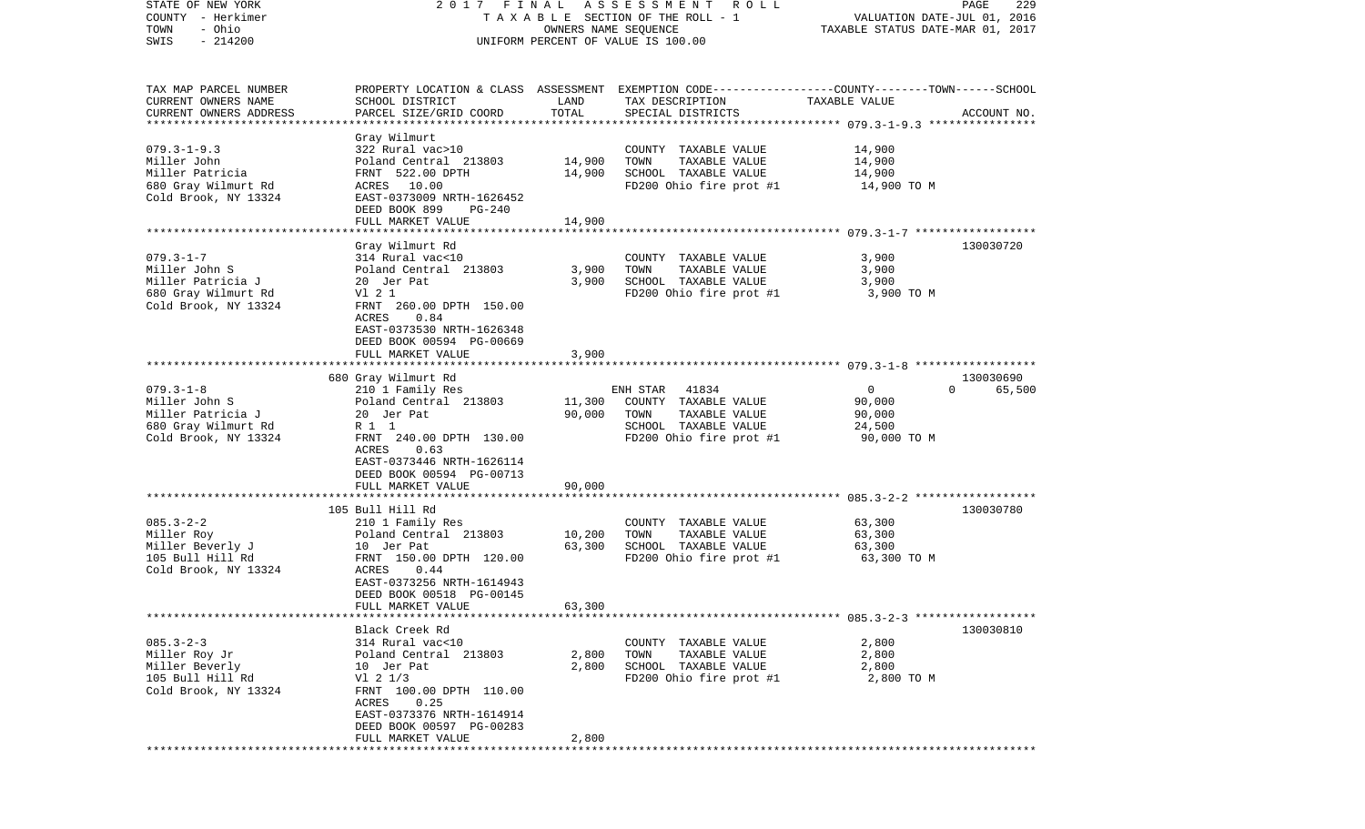| STATE OF NEW YORK<br>COUNTY - Herkimer<br>- Ohio<br>TOWN<br>$-214200$<br>SWIS                        |                                                                                                                                                                                                                | OWNERS NAME SEQUENCE       | 2017 FINAL ASSESSMENT<br>R O L L<br>TAXABLE SECTION OF THE ROLL - 1<br>UNIFORM PERCENT OF VALUE IS 100.00                              | VALUATION DATE-JUL 01, 2016<br>TAXABLE STATUS DATE-MAR 01, 2017 | 229<br>PAGE        |
|------------------------------------------------------------------------------------------------------|----------------------------------------------------------------------------------------------------------------------------------------------------------------------------------------------------------------|----------------------------|----------------------------------------------------------------------------------------------------------------------------------------|-----------------------------------------------------------------|--------------------|
| TAX MAP PARCEL NUMBER<br>CURRENT OWNERS NAME<br>CURRENT OWNERS ADDRESS                               | SCHOOL DISTRICT<br>PARCEL SIZE/GRID COORD                                                                                                                                                                      | LAND<br>TOTAL              | PROPERTY LOCATION & CLASS ASSESSMENT EXEMPTION CODE---------------COUNTY-------TOWN-----SCHOOL<br>TAX DESCRIPTION<br>SPECIAL DISTRICTS | TAXABLE VALUE                                                   | ACCOUNT NO.        |
| $079.3 - 1 - 9.3$<br>Miller John<br>Miller Patricia<br>680 Gray Wilmurt Rd<br>Cold Brook, NY 13324   | Gray Wilmurt<br>322 Rural vac>10<br>Poland Central 213803<br>FRNT 522.00 DPTH<br>ACRES 10.00<br>EAST-0373009 NRTH-1626452<br>DEED BOOK 899<br>PG-240<br>FULL MARKET VALUE                                      | 14,900<br>14,900<br>14,900 | COUNTY TAXABLE VALUE<br>TOWN<br>TAXABLE VALUE<br>SCHOOL TAXABLE VALUE<br>FD200 Ohio fire prot #1                                       | 14,900<br>14,900<br>14,900<br>14,900 TO M                       |                    |
|                                                                                                      |                                                                                                                                                                                                                |                            |                                                                                                                                        |                                                                 |                    |
| $079.3 - 1 - 7$<br>Miller John S<br>Miller Patricia J<br>680 Gray Wilmurt Rd<br>Cold Brook, NY 13324 | Gray Wilmurt Rd<br>314 Rural vac<10<br>Poland Central 213803<br>20 Jer Pat<br>V1 2 1<br>FRNT 260.00 DPTH 150.00<br>ACRES<br>0.84<br>EAST-0373530 NRTH-1626348<br>DEED BOOK 00594 PG-00669<br>FULL MARKET VALUE | 3,900<br>3,900<br>3,900    | COUNTY TAXABLE VALUE<br>TOWN<br>TAXABLE VALUE<br>SCHOOL TAXABLE VALUE<br>FD200 Ohio fire prot #1                                       | 3,900<br>3,900<br>3,900<br>3,900 TO M                           | 130030720          |
|                                                                                                      |                                                                                                                                                                                                                |                            |                                                                                                                                        |                                                                 |                    |
|                                                                                                      | 680 Gray Wilmurt Rd                                                                                                                                                                                            |                            |                                                                                                                                        |                                                                 | 130030690          |
| $079.3 - 1 - 8$<br>Miller John S<br>Miller Patricia J<br>680 Gray Wilmurt Rd<br>Cold Brook, NY 13324 | 210 1 Family Res<br>Poland Central 213803<br>20 Jer Pat<br>R 1 1<br>FRNT 240.00 DPTH 130.00<br>ACRES<br>0.63<br>EAST-0373446 NRTH-1626114<br>DEED BOOK 00594 PG-00713                                          | 11,300<br>90,000           | ENH STAR 41834<br>COUNTY TAXABLE VALUE<br>TAXABLE VALUE<br>TOWN<br>SCHOOL TAXABLE VALUE<br>FD200 Ohio fire prot #1                     | $\mathsf{O}$<br>90,000<br>90,000<br>24,500<br>90,000 TO M       | $\Omega$<br>65,500 |
|                                                                                                      | FULL MARKET VALUE<br>************************                                                                                                                                                                  | 90,000<br>**********       |                                                                                                                                        |                                                                 |                    |
| $085.3 - 2 - 2$<br>Miller Roy<br>Miller Beverly J<br>105 Bull Hill Rd<br>Cold Brook, NY 13324        | 105 Bull Hill Rd<br>210 1 Family Res<br>Poland Central 213803<br>10 Jer Pat<br>FRNT 150.00 DPTH 120.00<br>ACRES<br>0.44<br>EAST-0373256 NRTH-1614943<br>DEED BOOK 00518 PG-00145                               | 10,200<br>63,300           | COUNTY TAXABLE VALUE<br>TOWN<br>TAXABLE VALUE<br>SCHOOL TAXABLE VALUE<br>FD200 Ohio fire prot #1                                       | 63,300<br>63,300<br>63,300<br>63,300 TO M                       | 130030780          |
|                                                                                                      | FULL MARKET VALUE                                                                                                                                                                                              | 63,300                     |                                                                                                                                        |                                                                 |                    |
| $085.3 - 2 - 3$<br>Miller Roy Jr<br>Miller Beverly<br>105 Bull Hill Rd                               | Black Creek Rd<br>314 Rural vac<10<br>Poland Central 213803<br>10 Jer Pat<br>$VI$ 2 $1/3$                                                                                                                      | 2,800<br>2,800             | COUNTY TAXABLE VALUE<br>TOWN<br>TAXABLE VALUE<br>SCHOOL TAXABLE VALUE<br>FD200 Ohio fire prot #1                                       | 2,800<br>2,800<br>2,800<br>2,800 TO M                           | 130030810          |
| Cold Brook, NY 13324                                                                                 | FRNT 100.00 DPTH 110.00<br>0.25<br>ACRES<br>EAST-0373376 NRTH-1614914<br>DEED BOOK 00597 PG-00283<br>FULL MARKET VALUE                                                                                         | 2,800                      |                                                                                                                                        |                                                                 |                    |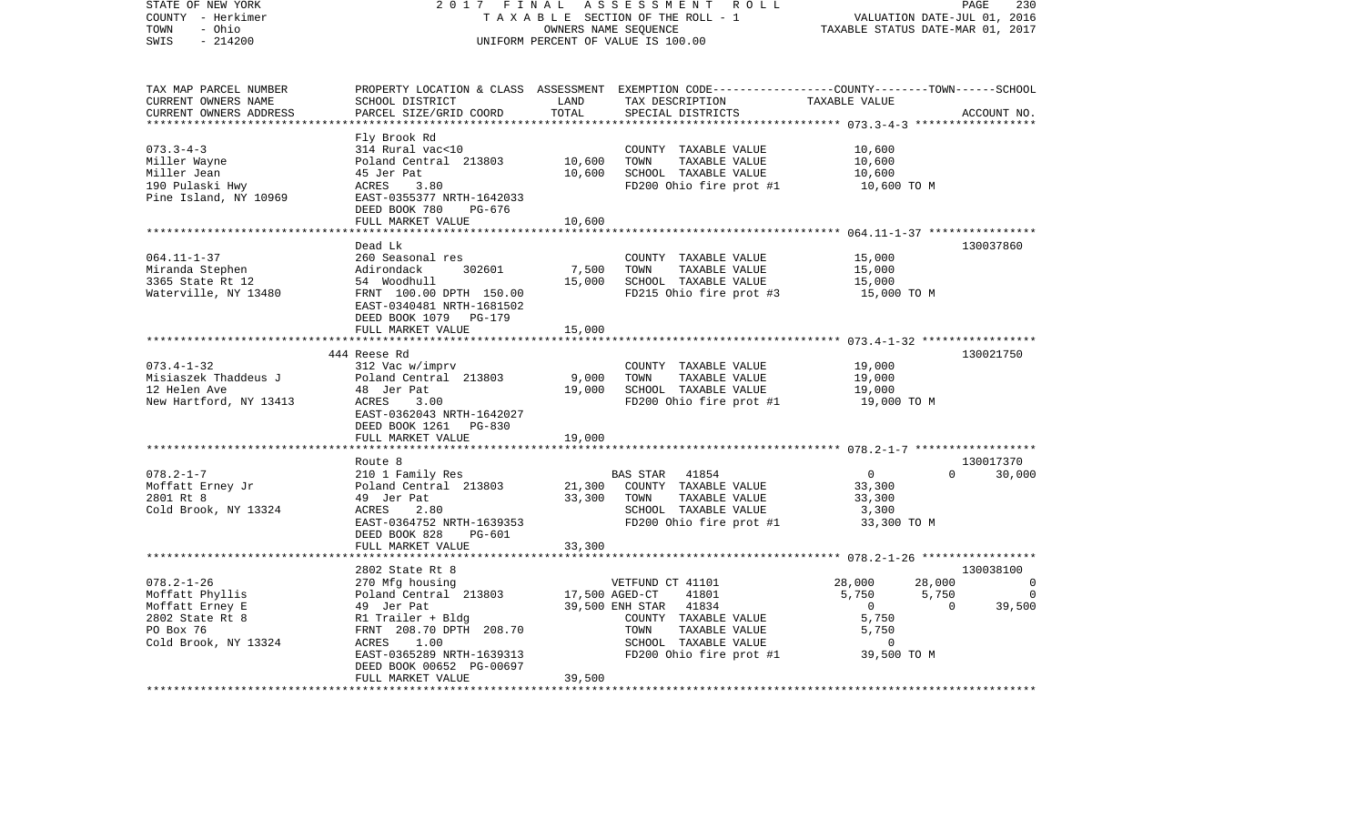| STATE OF NEW YORK<br>COUNTY - Herkimer<br>- Ohio<br>TOWN<br>SWIS<br>$-214200$                                  | 2017 FINAL<br>TAXABLE SECTION OF THE ROLL - 1<br>UNIFORM PERCENT OF VALUE IS 100.00                                                                                     | PAGE<br>230<br>VALUATION DATE-JUL 01, 2016<br>TAXABLE STATUS DATE-MAR 01, 2017 |                                                                                                                                                                             |                                                                                                                           |                                            |
|----------------------------------------------------------------------------------------------------------------|-------------------------------------------------------------------------------------------------------------------------------------------------------------------------|--------------------------------------------------------------------------------|-----------------------------------------------------------------------------------------------------------------------------------------------------------------------------|---------------------------------------------------------------------------------------------------------------------------|--------------------------------------------|
| TAX MAP PARCEL NUMBER<br>CURRENT OWNERS NAME<br>CURRENT OWNERS ADDRESS<br>************************             | SCHOOL DISTRICT<br>PARCEL SIZE/GRID COORD                                                                                                                               | LAND<br>TOTAL                                                                  | PROPERTY LOCATION & CLASS ASSESSMENT EXEMPTION CODE----------------COUNTY-------TOWN-----SCHOOL<br>TAX DESCRIPTION<br>SPECIAL DISTRICTS                                     | TAXABLE VALUE                                                                                                             | ACCOUNT NO.                                |
| $073.3 - 4 - 3$<br>Miller Wayne<br>Miller Jean<br>190 Pulaski Hwy<br>Pine Island, NY 10969                     | Fly Brook Rd<br>314 Rural vac<10<br>Poland Central 213803<br>45 Jer Pat<br>ACRES<br>3.80<br>EAST-0355377 NRTH-1642033<br>DEED BOOK 780<br>PG-676<br>FULL MARKET VALUE   | 10,600<br>10,600<br>10,600                                                     | COUNTY TAXABLE VALUE<br>TAXABLE VALUE<br>TOWN<br>SCHOOL TAXABLE VALUE<br>FD200 Ohio fire prot #1                                                                            | 10,600<br>10,600<br>10,600<br>10,600 TO M                                                                                 |                                            |
| $064.11 - 1 - 37$<br>Miranda Stephen<br>3365 State Rt 12<br>Waterville, NY 13480                               | Dead Lk<br>260 Seasonal res<br>Adirondack<br>302601<br>54 Woodhull<br>FRNT 100.00 DPTH 150.00<br>EAST-0340481 NRTH-1681502<br>DEED BOOK 1079 PG-179                     | 7,500<br>15,000                                                                | COUNTY TAXABLE VALUE<br>TAXABLE VALUE<br>TOWN<br>SCHOOL TAXABLE VALUE<br>FD215 Ohio fire prot #3                                                                            | 15,000<br>15,000<br>15,000<br>15,000 TO M                                                                                 | 130037860                                  |
|                                                                                                                | FULL MARKET VALUE<br>* * * * * * * * * * * * * * * * * * * *                                                                                                            | 15,000                                                                         |                                                                                                                                                                             |                                                                                                                           |                                            |
| $073.4 - 1 - 32$<br>Misiaszek Thaddeus J<br>12 Helen Ave<br>New Hartford, NY 13413                             | 444 Reese Rd<br>312 Vac w/imprv<br>Poland Central 213803<br>48 Jer Pat<br>ACRES<br>3.00<br>EAST-0362043 NRTH-1642027<br>DEED BOOK 1261 PG-830                           | 9,000<br>19,000                                                                | COUNTY TAXABLE VALUE<br>TOWN<br>TAXABLE VALUE<br>SCHOOL TAXABLE VALUE<br>FD200 Ohio fire prot #1                                                                            | 19,000<br>19,000<br>19,000<br>19,000 TO M                                                                                 | 130021750                                  |
|                                                                                                                | FULL MARKET VALUE                                                                                                                                                       | 19,000                                                                         |                                                                                                                                                                             |                                                                                                                           |                                            |
| $078.2 - 1 - 7$<br>Moffatt Erney Jr<br>2801 Rt 8<br>Cold Brook, NY 13324                                       | Route 8<br>210 1 Family Res<br>Poland Central 213803<br>49 Jer Pat<br>ACRES<br>2.80<br>EAST-0364752 NRTH-1639353<br>DEED BOOK 828<br>PG-601<br>FULL MARKET VALUE        | 21,300<br>33,300<br>33,300                                                     | 41854<br>BAS STAR<br>COUNTY TAXABLE VALUE<br>TAXABLE VALUE<br>TOWN<br>SCHOOL TAXABLE VALUE<br>FD200 Ohio fire prot #1                                                       | $\overline{0}$<br>33,300<br>33,300<br>3,300<br>33,300 TO M                                                                | 130017370<br>$\Omega$<br>30,000            |
| $078.2 - 1 - 26$<br>Moffatt Phyllis<br>Moffatt Erney E<br>2802 State Rt 8<br>PO Box 76<br>Cold Brook, NY 13324 | 2802 State Rt 8<br>270 Mfg housing<br>Poland Central 213803<br>49 Jer Pat<br>R1 Trailer + Bldg<br>FRNT 208.70 DPTH 208.70<br>ACRES<br>1.00<br>EAST-0365289 NRTH-1639313 |                                                                                | VETFUND CT 41101<br>17,500 AGED-CT<br>41801<br>39,500 ENH STAR<br>41834<br>COUNTY TAXABLE VALUE<br>TOWN<br>TAXABLE VALUE<br>SCHOOL TAXABLE VALUE<br>FD200 Ohio fire prot #1 | 28,000<br>28,000<br>5,750<br>5,750<br>$\overline{0}$<br>$\overline{0}$<br>5,750<br>5,750<br>$\overline{0}$<br>39,500 TO M | 130038100<br>0<br>$\overline{0}$<br>39,500 |
|                                                                                                                | DEED BOOK 00652 PG-00697<br>FULL MARKET VALUE                                                                                                                           | 39,500                                                                         |                                                                                                                                                                             |                                                                                                                           |                                            |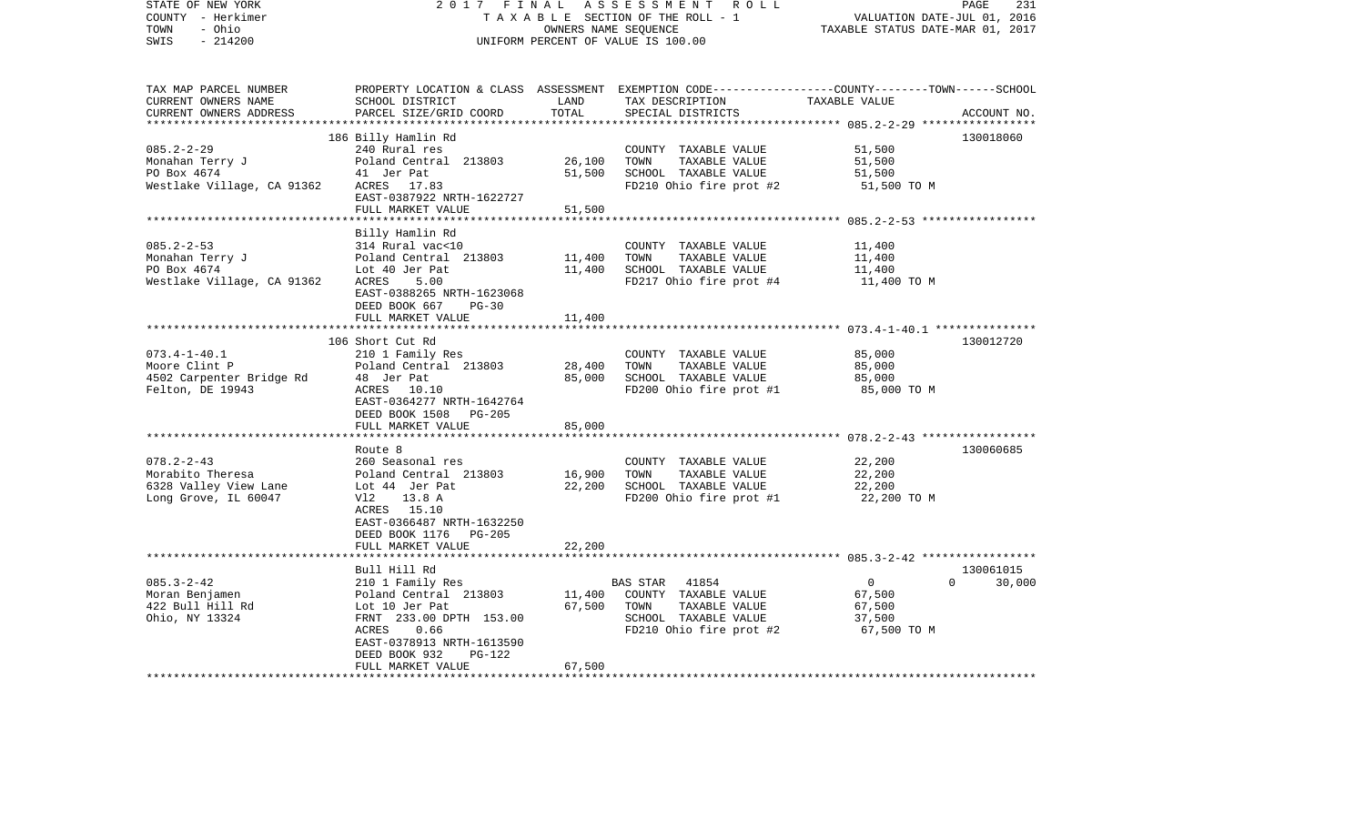| STATE OF NEW YORK<br>COUNTY - Herkimer<br>- Ohio<br>TOWN<br>$-214200$<br>SWIS         | 2017 FINAL<br>TAXABLE SECTION OF THE ROLL - 1<br>UNIFORM PERCENT OF VALUE IS 100.00                                                                                                                  | PAGE<br>231<br>VALUATION DATE-JUL 01, 2016<br>TAXABLE STATUS DATE-MAR 01, 2017 |                                                                                                                                         |                                                             |                                 |
|---------------------------------------------------------------------------------------|------------------------------------------------------------------------------------------------------------------------------------------------------------------------------------------------------|--------------------------------------------------------------------------------|-----------------------------------------------------------------------------------------------------------------------------------------|-------------------------------------------------------------|---------------------------------|
| TAX MAP PARCEL NUMBER<br>CURRENT OWNERS NAME<br>CURRENT OWNERS ADDRESS                | SCHOOL DISTRICT<br>PARCEL SIZE/GRID COORD                                                                                                                                                            | LAND<br>TOTAL                                                                  | PROPERTY LOCATION & CLASS ASSESSMENT EXEMPTION CODE---------------COUNTY-------TOWN------SCHOOL<br>TAX DESCRIPTION<br>SPECIAL DISTRICTS | TAXABLE VALUE                                               | ACCOUNT NO.                     |
| $085.2 - 2 - 29$<br>Monahan Terry J<br>PO Box 4674<br>Westlake Village, CA 91362      | 186 Billy Hamlin Rd<br>240 Rural res<br>Poland Central 213803<br>41 Jer Pat<br>ACRES 17.83<br>EAST-0387922 NRTH-1622727<br>FULL MARKET VALUE                                                         | 26,100<br>51,500<br>51,500                                                     | COUNTY TAXABLE VALUE<br>TOWN<br>TAXABLE VALUE<br>SCHOOL TAXABLE VALUE<br>FD210 Ohio fire prot #2                                        | 51,500<br>51,500<br>51,500<br>51,500 TO M                   | 130018060                       |
|                                                                                       |                                                                                                                                                                                                      |                                                                                |                                                                                                                                         |                                                             |                                 |
| $085.2 - 2 - 53$<br>Monahan Terry J<br>PO Box 4674<br>Westlake Village, CA 91362      | Billy Hamlin Rd<br>314 Rural vac<10<br>Poland Central 213803<br>Lot 40 Jer Pat<br>ACRES<br>5.00<br>EAST-0388265 NRTH-1623068<br>DEED BOOK 667<br>$PG-30$                                             | 11,400<br>11,400<br>11,400                                                     | COUNTY TAXABLE VALUE<br>TAXABLE VALUE<br>TOWN<br>SCHOOL TAXABLE VALUE<br>FD217 Ohio fire prot #4                                        | 11,400<br>11,400<br>11,400<br>11,400 TO M                   |                                 |
|                                                                                       | FULL MARKET VALUE                                                                                                                                                                                    |                                                                                |                                                                                                                                         |                                                             |                                 |
| $073.4 - 1 - 40.1$<br>Moore Clint P<br>4502 Carpenter Bridge Rd<br>Felton, DE 19943   | 106 Short Cut Rd<br>210 1 Family Res<br>Poland Central 213803<br>48 Jer Pat<br>ACRES 10.10<br>EAST-0364277 NRTH-1642764<br>DEED BOOK 1508 PG-205<br>FULL MARKET VALUE                                | 28,400<br>85,000<br>85,000                                                     | COUNTY TAXABLE VALUE<br>TOWN<br>TAXABLE VALUE<br>SCHOOL TAXABLE VALUE<br>FD200 Ohio fire prot #1                                        | 85,000<br>85,000<br>85,000<br>85,000 TO M                   | 130012720                       |
|                                                                                       |                                                                                                                                                                                                      |                                                                                |                                                                                                                                         |                                                             |                                 |
| $078.2 - 2 - 43$<br>Morabito Theresa<br>6328 Valley View Lane<br>Long Grove, IL 60047 | Route 8<br>260 Seasonal res<br>Poland Central 213803<br>Lot 44 Jer Pat<br>Vl2<br>13.8 A<br>ACRES 15.10<br>EAST-0366487 NRTH-1632250<br>DEED BOOK 1176 PG-205<br>FULL MARKET VALUE                    | 16,900<br>22,200<br>22,200                                                     | COUNTY TAXABLE VALUE<br>TAXABLE VALUE<br>TOWN<br>SCHOOL TAXABLE VALUE<br>FD200 Ohio fire prot #1                                        | 22,200<br>22,200<br>22,200<br>22,200 TO M                   | 130060685                       |
|                                                                                       |                                                                                                                                                                                                      |                                                                                |                                                                                                                                         | ********************* 085.3-2-42 ******************         |                                 |
| $085.3 - 2 - 42$<br>Moran Benjamen<br>422 Bull Hill Rd<br>Ohio, NY 13324              | Bull Hill Rd<br>210 1 Family Res<br>Poland Central 213803<br>Lot 10 Jer Pat<br>FRNT 233.00 DPTH 153.00<br>ACRES<br>0.66<br>EAST-0378913 NRTH-1613590<br>DEED BOOK 932<br>PG-122<br>FULL MARKET VALUE | 11,400<br>67,500<br>67,500                                                     | BAS STAR<br>41854<br>COUNTY TAXABLE VALUE<br>TAXABLE VALUE<br>TOWN<br>SCHOOL TAXABLE VALUE<br>FD210 Ohio fire prot #2                   | $\overline{0}$<br>67,500<br>67,500<br>37,500<br>67,500 TO M | 130061015<br>$\Omega$<br>30,000 |
|                                                                                       |                                                                                                                                                                                                      |                                                                                |                                                                                                                                         |                                                             |                                 |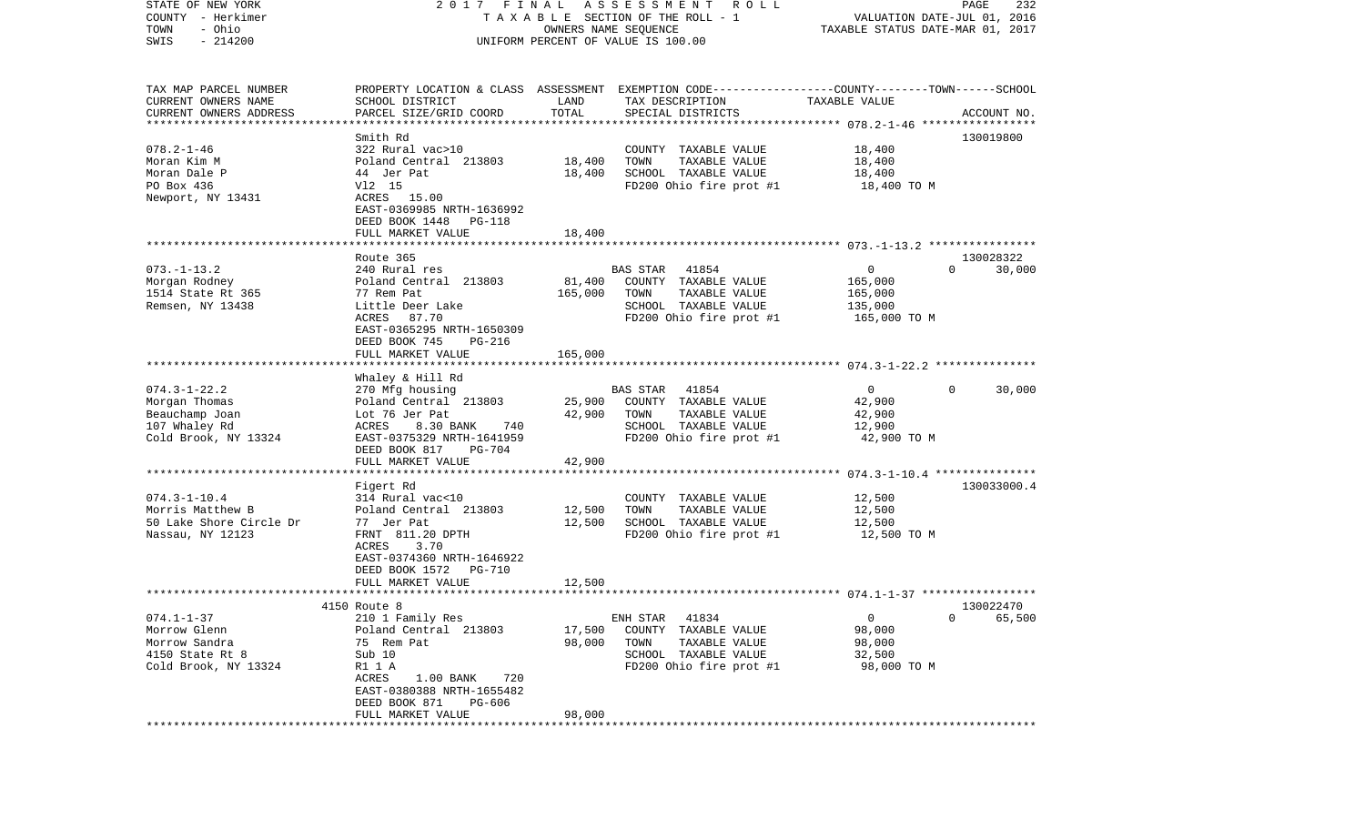| STATE OF NEW YORK       | 2017 FINAL                                                                                      |         | A S S E S S M E N T R O L L        |                                  | PAGE<br>232                 |
|-------------------------|-------------------------------------------------------------------------------------------------|---------|------------------------------------|----------------------------------|-----------------------------|
| COUNTY - Herkimer       |                                                                                                 |         | TAXABLE SECTION OF THE ROLL - 1    |                                  | VALUATION DATE-JUL 01, 2016 |
| - Ohio<br>TOWN          |                                                                                                 |         | OWNERS NAME SEQUENCE               | TAXABLE STATUS DATE-MAR 01, 2017 |                             |
| $-214200$<br>SWIS       |                                                                                                 |         | UNIFORM PERCENT OF VALUE IS 100.00 |                                  |                             |
|                         |                                                                                                 |         |                                    |                                  |                             |
| TAX MAP PARCEL NUMBER   | PROPERTY LOCATION & CLASS ASSESSMENT EXEMPTION CODE---------------COUNTY-------TOWN------SCHOOL |         |                                    |                                  |                             |
| CURRENT OWNERS NAME     | SCHOOL DISTRICT                                                                                 | LAND    | TAX DESCRIPTION                    | TAXABLE VALUE                    |                             |
| CURRENT OWNERS ADDRESS  | PARCEL SIZE/GRID COORD                                                                          | TOTAL   | SPECIAL DISTRICTS                  |                                  | ACCOUNT NO.                 |
|                         |                                                                                                 |         |                                    |                                  |                             |
|                         | Smith Rd                                                                                        |         |                                    |                                  | 130019800                   |
| $078.2 - 1 - 46$        | 322 Rural vac>10                                                                                |         | COUNTY TAXABLE VALUE               | 18,400                           |                             |
| Moran Kim M             | Poland Central 213803                                                                           | 18,400  | TOWN<br>TAXABLE VALUE              | 18,400                           |                             |
| Moran Dale P            | 44 Jer Pat                                                                                      | 18,400  | SCHOOL TAXABLE VALUE               | 18,400                           |                             |
| PO Box 436              | V12 15                                                                                          |         | FD200 Ohio fire prot #1            | 18,400 TO M                      |                             |
| Newport, NY 13431       | ACRES 15.00                                                                                     |         |                                    |                                  |                             |
|                         | EAST-0369985 NRTH-1636992                                                                       |         |                                    |                                  |                             |
|                         | DEED BOOK 1448<br>PG-118                                                                        |         |                                    |                                  |                             |
|                         | FULL MARKET VALUE                                                                               | 18,400  |                                    |                                  |                             |
|                         |                                                                                                 |         |                                    |                                  |                             |
|                         | Route 365                                                                                       |         |                                    |                                  | 130028322                   |
| $073. - 1 - 13.2$       | 240 Rural res                                                                                   |         | 41854<br><b>BAS STAR</b>           | $\overline{0}$                   | $\Omega$<br>30,000          |
| Morgan Rodney           | Poland Central 213803                                                                           | 81,400  | COUNTY TAXABLE VALUE               | 165,000                          |                             |
| 1514 State Rt 365       | 77 Rem Pat                                                                                      | 165,000 | TAXABLE VALUE<br>TOWN              | 165,000                          |                             |
| Remsen, NY 13438        | Little Deer Lake                                                                                |         | SCHOOL TAXABLE VALUE               | 135,000                          |                             |
|                         | ACRES<br>87.70                                                                                  |         | FD200 Ohio fire prot #1            | 165,000 TO M                     |                             |
|                         | EAST-0365295 NRTH-1650309                                                                       |         |                                    |                                  |                             |
|                         | DEED BOOK 745<br>PG-216                                                                         |         |                                    |                                  |                             |
|                         | FULL MARKET VALUE                                                                               | 165,000 |                                    |                                  |                             |
|                         |                                                                                                 |         |                                    |                                  |                             |
|                         | Whaley & Hill Rd                                                                                |         |                                    |                                  |                             |
| $074.3 - 1 - 22.2$      | 270 Mfg housing                                                                                 |         | 41854<br>BAS STAR                  | $\overline{0}$                   | $\Omega$<br>30,000          |
| Morgan Thomas           | Poland Central 213803                                                                           | 25,900  | COUNTY TAXABLE VALUE               | 42,900                           |                             |
| Beauchamp Joan          | Lot 76 Jer Pat                                                                                  | 42,900  | TOWN<br>TAXABLE VALUE              | 42,900                           |                             |
| 107 Whaley Rd           | 8.30 BANK<br>ACRES<br>740                                                                       |         | SCHOOL TAXABLE VALUE               | 12,900                           |                             |
| Cold Brook, NY 13324    | EAST-0375329 NRTH-1641959                                                                       |         | FD200 Ohio fire prot #1            | 42,900 TO M                      |                             |
|                         | DEED BOOK 817<br>PG-704                                                                         |         |                                    |                                  |                             |
|                         | FULL MARKET VALUE                                                                               | 42,900  |                                    |                                  |                             |
|                         | **********************************                                                              |         |                                    |                                  |                             |
|                         | Figert Rd                                                                                       |         |                                    |                                  | 130033000.4                 |
| $074.3 - 1 - 10.4$      | 314 Rural vac<10                                                                                |         | COUNTY TAXABLE VALUE               | 12,500                           |                             |
| Morris Matthew B        | Poland Central 213803                                                                           | 12,500  | TOWN<br>TAXABLE VALUE              | 12,500                           |                             |
| 50 Lake Shore Circle Dr | 77 Jer Pat                                                                                      | 12,500  | SCHOOL TAXABLE VALUE               | 12,500                           |                             |
| Nassau, NY 12123        | FRNT 811.20 DPTH                                                                                |         | FD200 Ohio fire prot #1            | 12,500 TO M                      |                             |
|                         | 3.70<br>ACRES                                                                                   |         |                                    |                                  |                             |
|                         | EAST-0374360 NRTH-1646922                                                                       |         |                                    |                                  |                             |
|                         | DEED BOOK 1572<br>PG-710                                                                        |         |                                    |                                  |                             |
|                         | FULL MARKET VALUE                                                                               | 12,500  |                                    |                                  |                             |
|                         |                                                                                                 |         |                                    |                                  |                             |
|                         | 4150 Route 8                                                                                    |         |                                    |                                  | 130022470                   |
| $074.1 - 1 - 37$        | 210 1 Family Res                                                                                |         | 41834<br>ENH STAR                  | $\mathbf 0$                      | 65,500<br>$\overline{0}$    |
| Morrow Glenn            | Poland Central 213803                                                                           | 17,500  | COUNTY TAXABLE VALUE               | 98,000                           |                             |
| Morrow Sandra           | 75 Rem Pat                                                                                      | 98,000  | TOWN<br>TAXABLE VALUE              | 98,000                           |                             |
| 4150 State Rt 8         | Sub 10                                                                                          |         | SCHOOL TAXABLE VALUE               | 32,500                           |                             |
| Cold Brook, NY 13324    | R1 1 A                                                                                          |         | FD200 Ohio fire prot #1            | 98,000 TO M                      |                             |
|                         | ACRES<br>1.00 BANK<br>720                                                                       |         |                                    |                                  |                             |
|                         | EAST-0380388 NRTH-1655482                                                                       |         |                                    |                                  |                             |
|                         | DEED BOOK 871<br>PG-606                                                                         |         |                                    |                                  |                             |
|                         | FULL MARKET VALUE                                                                               | 98,000  |                                    |                                  |                             |
|                         |                                                                                                 |         |                                    |                                  |                             |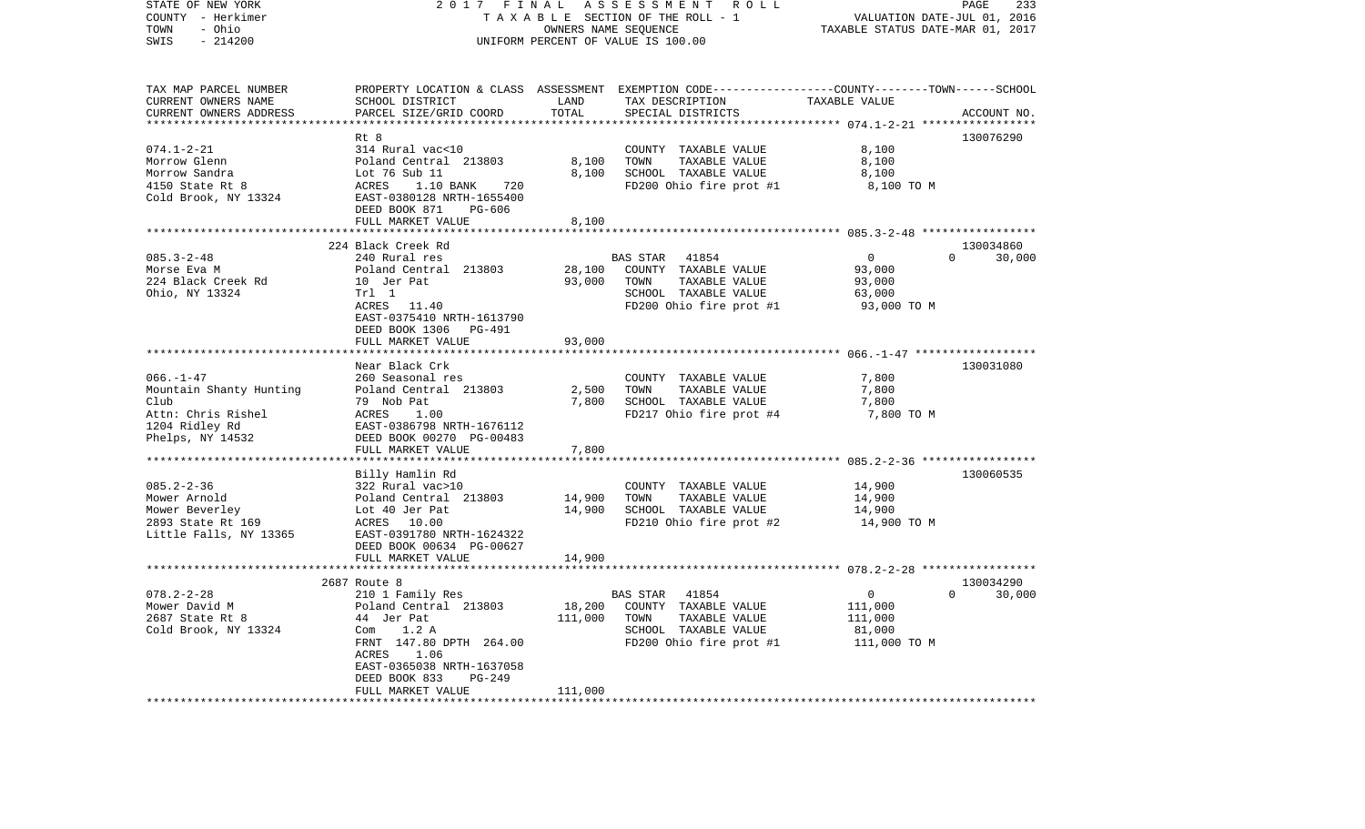| STATE OF NEW YORK<br>COUNTY - Herkimer<br>TOWN<br>- Ohio<br>$-214200$<br>SWIS                                  | 2017 FINAL<br>TAXABLE SECTION OF THE ROLL - 1<br>UNIFORM PERCENT OF VALUE IS 100.00                                                                                                                | PAGE<br>233<br>VALUATION DATE-JUL 01, 2016<br>TAXABLE STATUS DATE-MAR 01, 2017 |                                                                                                                                          |                                                             |                                 |
|----------------------------------------------------------------------------------------------------------------|----------------------------------------------------------------------------------------------------------------------------------------------------------------------------------------------------|--------------------------------------------------------------------------------|------------------------------------------------------------------------------------------------------------------------------------------|-------------------------------------------------------------|---------------------------------|
| TAX MAP PARCEL NUMBER<br>CURRENT OWNERS NAME<br>CURRENT OWNERS ADDRESS                                         | SCHOOL DISTRICT<br>PARCEL SIZE/GRID COORD                                                                                                                                                          | LAND<br>TOTAL<br>***********                                                   | PROPERTY LOCATION & CLASS ASSESSMENT EXEMPTION CODE----------------COUNTY-------TOWN------SCHOOL<br>TAX DESCRIPTION<br>SPECIAL DISTRICTS | TAXABLE VALUE                                               | ACCOUNT NO.                     |
|                                                                                                                | Rt 8                                                                                                                                                                                               |                                                                                |                                                                                                                                          |                                                             | 130076290                       |
| $074.1 - 2 - 21$<br>Morrow Glenn<br>Morrow Sandra<br>4150 State Rt 8<br>Cold Brook, NY 13324                   | 314 Rural vac<10<br>Poland Central 213803<br>Lot 76 Sub 11<br>ACRES<br>1.10 BANK<br>720<br>EAST-0380128 NRTH-1655400<br>DEED BOOK 871<br>PG-606<br>FULL MARKET VALUE                               | 8,100<br>8,100<br>8,100                                                        | COUNTY TAXABLE VALUE<br>TOWN<br>TAXABLE VALUE<br>SCHOOL TAXABLE VALUE<br>FD200 Ohio fire prot #1                                         | 8,100<br>8,100<br>8,100<br>8,100 TO M                       |                                 |
|                                                                                                                |                                                                                                                                                                                                    |                                                                                |                                                                                                                                          |                                                             |                                 |
| $085.3 - 2 - 48$<br>Morse Eva M<br>224 Black Creek Rd<br>Ohio, NY 13324                                        | 224 Black Creek Rd<br>240 Rural res<br>Poland Central 213803<br>10 Jer Pat<br>Trl 1<br>ACRES 11.40<br>EAST-0375410 NRTH-1613790<br>DEED BOOK 1306 PG-491<br>FULL MARKET VALUE                      | 28,100<br>93,000<br>93,000                                                     | BAS STAR<br>41854<br>COUNTY TAXABLE VALUE<br>TOWN<br>TAXABLE VALUE<br>SCHOOL TAXABLE VALUE<br>FD200 Ohio fire prot #1                    | $\overline{0}$<br>93,000<br>93,000<br>63,000<br>93,000 TO M | 130034860<br>$\Omega$<br>30,000 |
|                                                                                                                |                                                                                                                                                                                                    |                                                                                |                                                                                                                                          |                                                             |                                 |
| $066. - 1 - 47$<br>Mountain Shanty Hunting<br>Club<br>Attn: Chris Rishel<br>1204 Ridley Rd<br>Phelps, NY 14532 | Near Black Crk<br>260 Seasonal res<br>Poland Central 213803<br>79 Nob Pat<br>ACRES<br>1.00<br>EAST-0386798 NRTH-1676112<br>DEED BOOK 00270 PG-00483<br>FULL MARKET VALUE                           | 2,500<br>7,800<br>7,800                                                        | COUNTY TAXABLE VALUE<br>TOWN<br>TAXABLE VALUE<br>SCHOOL TAXABLE VALUE<br>FD217 Ohio fire prot #4                                         | 7,800<br>7,800<br>7,800<br>7,800 TO M                       | 130031080                       |
|                                                                                                                |                                                                                                                                                                                                    | * * * * * * * * * * * * * * *                                                  |                                                                                                                                          |                                                             |                                 |
| $085.2 - 2 - 36$<br>Mower Arnold<br>Mower Beverley<br>2893 State Rt 169<br>Little Falls, NY 13365              | Billy Hamlin Rd<br>322 Rural vac>10<br>Poland Central 213803<br>Lot 40 Jer Pat<br>ACRES<br>10.00<br>EAST-0391780 NRTH-1624322<br>DEED BOOK 00634 PG-00627                                          | 14,900<br>14,900                                                               | COUNTY TAXABLE VALUE<br>TOWN<br>TAXABLE VALUE<br>SCHOOL TAXABLE VALUE<br>FD210 Ohio fire prot #2                                         | 14,900<br>14,900<br>14,900<br>14,900 TO M                   | 130060535                       |
|                                                                                                                | FULL MARKET VALUE<br>***********************                                                                                                                                                       | 14,900                                                                         |                                                                                                                                          |                                                             |                                 |
|                                                                                                                | 2687 Route 8                                                                                                                                                                                       |                                                                                |                                                                                                                                          |                                                             | 130034290                       |
| $078.2 - 2 - 28$<br>Mower David M<br>2687 State Rt 8<br>Cold Brook, NY 13324                                   | 210 1 Family Res<br>Poland Central 213803<br>44 Jer Pat<br>1.2 A<br>Com<br>FRNT 147.80 DPTH 264.00<br>ACRES<br>1.06<br>EAST-0365038 NRTH-1637058<br>$PG-249$<br>DEED BOOK 833<br>FULL MARKET VALUE | 18,200<br>111,000<br>111,000                                                   | BAS STAR<br>41854<br>COUNTY TAXABLE VALUE<br>TOWN<br>TAXABLE VALUE<br>SCHOOL TAXABLE VALUE<br>FD200 Ohio fire prot #1                    | $\mathbf 0$<br>111,000<br>111,000<br>81,000<br>111,000 TO M | $\Omega$<br>30,000              |
| ************************                                                                                       | ********************                                                                                                                                                                               | .                                                                              |                                                                                                                                          |                                                             |                                 |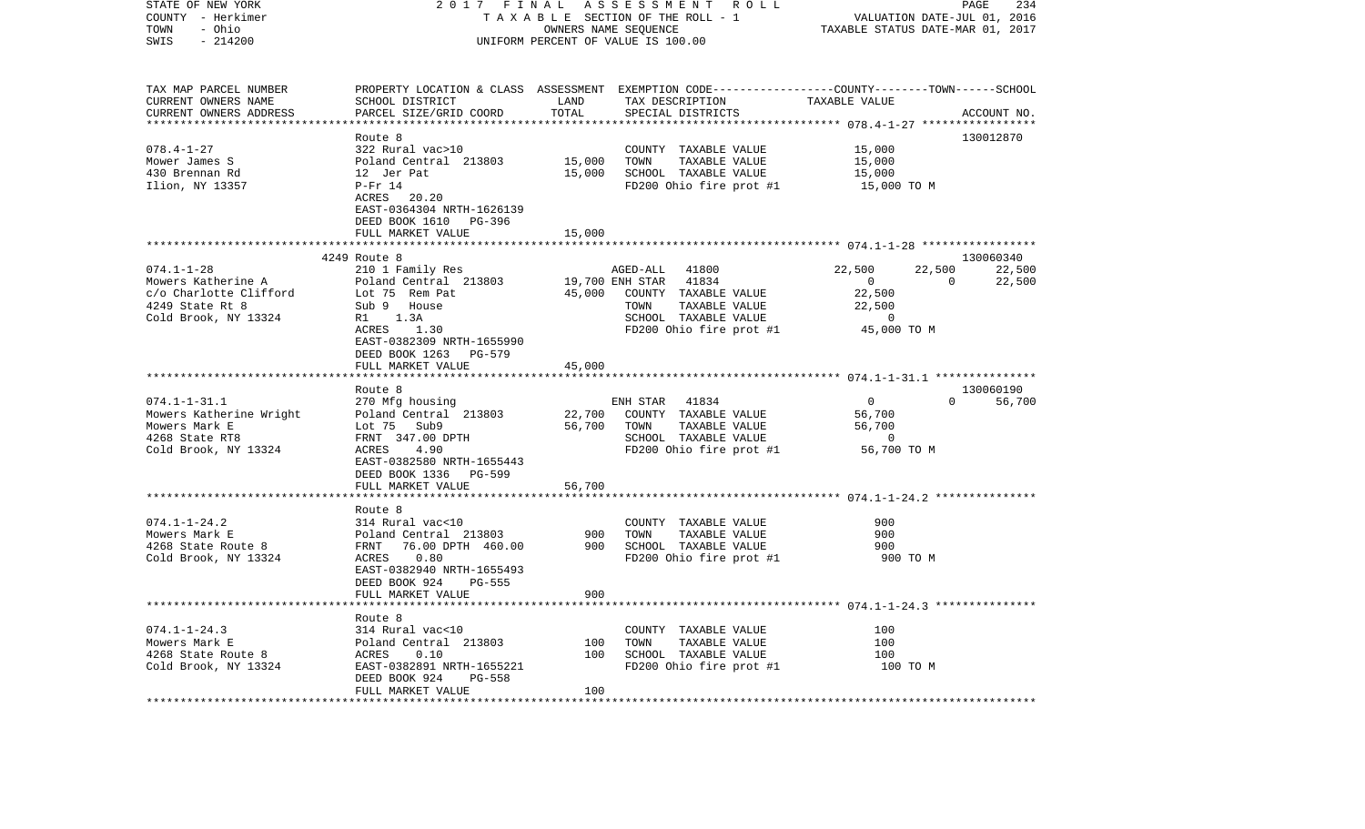| STATE OF NEW YORK<br>COUNTY - Herkimer<br>- Ohio<br>TOWN<br>$-214200$<br>SWIS                               | 2017 FINAL<br>TAXABLE SECTION OF THE ROLL - 1<br>UNIFORM PERCENT OF VALUE IS 100.00                                                                     | A S S E S S M E N T R O L L<br>PAGE<br>234<br>VALUATION DATE-JUL 01, 2016<br>TAXABLE STATUS DATE-MAR 01, 2017 |                                                                                                                                    |                                                                               |                                    |                               |
|-------------------------------------------------------------------------------------------------------------|---------------------------------------------------------------------------------------------------------------------------------------------------------|---------------------------------------------------------------------------------------------------------------|------------------------------------------------------------------------------------------------------------------------------------|-------------------------------------------------------------------------------|------------------------------------|-------------------------------|
| TAX MAP PARCEL NUMBER<br>CURRENT OWNERS NAME<br>CURRENT OWNERS ADDRESS                                      | PROPERTY LOCATION & CLASS ASSESSMENT EXEMPTION CODE---------------COUNTY-------TOWN-----SCHOOL<br>SCHOOL DISTRICT<br>PARCEL SIZE/GRID COORD             | LAND<br>TOTAL                                                                                                 | TAX DESCRIPTION<br>SPECIAL DISTRICTS                                                                                               | TAXABLE VALUE                                                                 |                                    | ACCOUNT NO.                   |
|                                                                                                             |                                                                                                                                                         | * * * * * * * * * * * * * *                                                                                   |                                                                                                                                    |                                                                               |                                    |                               |
| 078.4-1-27<br>Mower James S<br>430 Brennan Rd<br>Ilion, NY 13357                                            | Route 8<br>322 Rural vac>10<br>Poland Central 213803<br>12 Jer Pat<br>P-Fr 14<br>ACRES 20.20<br>EAST-0364304 NRTH-1626139<br>DEED BOOK 1610 PG-396      | 15,000<br>15,000                                                                                              | COUNTY TAXABLE VALUE<br>TAXABLE VALUE<br>TOWN<br>SCHOOL TAXABLE VALUE<br>FD200 Ohio fire prot #1                                   | 15,000<br>15,000<br>15,000<br>15,000 TO M                                     |                                    | 130012870                     |
|                                                                                                             | FULL MARKET VALUE                                                                                                                                       | 15,000                                                                                                        |                                                                                                                                    |                                                                               |                                    |                               |
| $074.1 - 1 - 28$<br>Mowers Katherine A<br>c/o Charlotte Clifford<br>4249 State Rt 8<br>Cold Brook, NY 13324 | 4249 Route 8<br>210 1 Family Res<br>Poland Central 213803<br>Lot 75 Rem Pat<br>Sub 9 House<br>R1 1.3A<br>ACRES<br>1.30<br>EAST-0382309 NRTH-1655990     | 19,700 ENH STAR                                                                                               | AGED-ALL 41800<br>41834<br>45,000 COUNTY TAXABLE VALUE<br>TOWN<br>TAXABLE VALUE<br>SCHOOL TAXABLE VALUE<br>FD200 Ohio fire prot #1 | 22,500<br>$\overline{0}$<br>22,500<br>22,500<br>$\overline{0}$<br>45,000 TO M | 22,500<br>$\overline{\phantom{0}}$ | 130060340<br>22,500<br>22,500 |
|                                                                                                             | DEED BOOK 1263 PG-579                                                                                                                                   |                                                                                                               |                                                                                                                                    |                                                                               |                                    |                               |
|                                                                                                             | FULL MARKET VALUE                                                                                                                                       | 45,000                                                                                                        |                                                                                                                                    |                                                                               |                                    |                               |
|                                                                                                             | Route 8                                                                                                                                                 |                                                                                                               |                                                                                                                                    |                                                                               |                                    | 130060190                     |
| $074.1 - 1 - 31.1$<br>Mowers Katherine Wright<br>Mowers Mark E<br>4268 State RT8<br>Cold Brook, NY 13324    | 270 Mfg housing<br>Poland Central 213803<br>Lot 75 Sub9<br>FRNT 347.00 DPTH<br>ACRES<br>4.90<br>EAST-0382580 NRTH-1655443<br>DEED BOOK 1336 PG-599      | 22,700<br>56,700                                                                                              | 41834<br>ENH STAR<br>COUNTY TAXABLE VALUE<br>TAXABLE VALUE<br>TOWN<br>SCHOOL TAXABLE VALUE<br>FD200 Ohio fire prot #1              | $\overline{0}$<br>56,700<br>56,700<br>$\overline{0}$<br>56,700 TO M           | $\Omega$                           | 56,700                        |
|                                                                                                             | FULL MARKET VALUE                                                                                                                                       | 56,700                                                                                                        |                                                                                                                                    |                                                                               |                                    |                               |
| $074.1 - 1 - 24.2$<br>Mowers Mark E<br>4268 State Route 8<br>Cold Brook, NY 13324                           | Route 8<br>314 Rural vac<10<br>Poland Central 213803<br>FRNT 76.00 DPTH 460.00<br>0.80<br>ACRES<br>EAST-0382940 NRTH-1655493<br>DEED BOOK 924<br>PG-555 | 900<br>900                                                                                                    | COUNTY TAXABLE VALUE<br>TAXABLE VALUE<br>TOWN<br>SCHOOL TAXABLE VALUE<br>FD200 Ohio fire prot #1                                   | 900<br>900<br>900<br>900 TO M                                                 |                                    |                               |
|                                                                                                             | FULL MARKET VALUE<br>*********************                                                                                                              | 900                                                                                                           |                                                                                                                                    |                                                                               |                                    |                               |
| $074.1 - 1 - 24.3$<br>Mowers Mark E<br>4268 State Route 8<br>Cold Brook, NY 13324                           | Route 8<br>314 Rural vac<10<br>Poland Central 213803<br>ACRES<br>0.10<br>EAST-0382891 NRTH-1655221<br>DEED BOOK 924<br>PG-558<br>FULL MARKET VALUE      | 100<br>100<br>100                                                                                             | COUNTY TAXABLE VALUE<br>TOWN<br>TAXABLE VALUE<br>SCHOOL TAXABLE VALUE<br>FD200 Ohio fire prot #1                                   | 100<br>100<br>100<br>100 TO M                                                 |                                    |                               |
|                                                                                                             |                                                                                                                                                         |                                                                                                               |                                                                                                                                    |                                                                               |                                    |                               |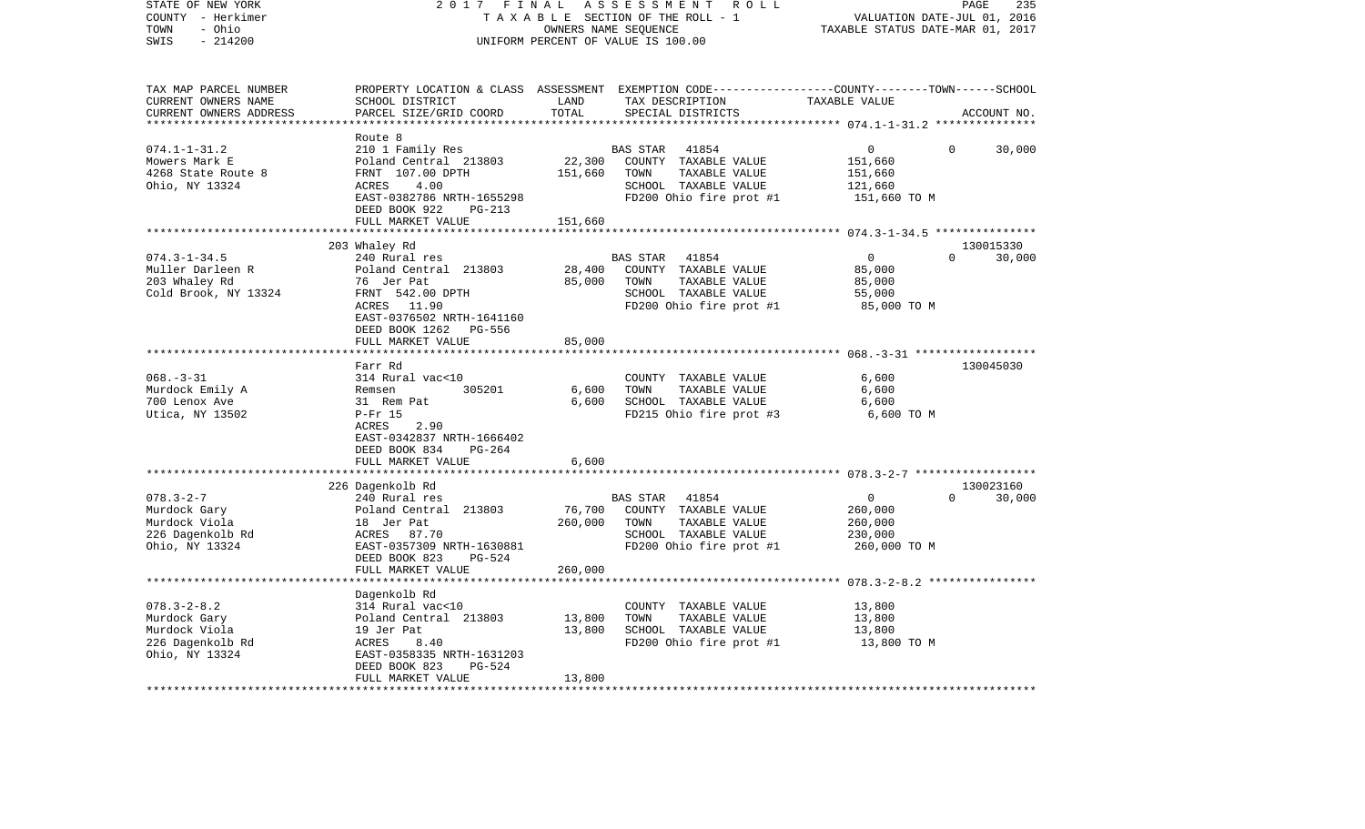| STATE OF NEW YORK<br>COUNTY - Herkimer<br>- Ohio<br>TOWN<br>$-214200$<br>SWIS                     | 2017<br>F I N A L                                                                                                                                                        |                              | ASSESSMENT<br>R O L L<br>TAXABLE SECTION OF THE ROLL - 1<br>OWNERS NAME SEQUENCE<br>UNIFORM PERCENT OF VALUE IS 100.00                   | VALUATION DATE-JUL 01, 2016<br>TAXABLE STATUS DATE-MAR 01, 2017                                                                    | PAGE<br>235         |
|---------------------------------------------------------------------------------------------------|--------------------------------------------------------------------------------------------------------------------------------------------------------------------------|------------------------------|------------------------------------------------------------------------------------------------------------------------------------------|------------------------------------------------------------------------------------------------------------------------------------|---------------------|
| TAX MAP PARCEL NUMBER<br>CURRENT OWNERS NAME<br>CURRENT OWNERS ADDRESS<br>*********************** | SCHOOL DISTRICT<br>PARCEL SIZE/GRID COORD<br>*************************                                                                                                   | LAND<br>TOTAL                | PROPERTY LOCATION & CLASS ASSESSMENT EXEMPTION CODE----------------COUNTY-------TOWN------SCHOOL<br>TAX DESCRIPTION<br>SPECIAL DISTRICTS | TAXABLE VALUE                                                                                                                      | ACCOUNT NO.         |
| $074.1 - 1 - 31.2$<br>Mowers Mark E<br>4268 State Route 8<br>Ohio, NY 13324                       | Route 8<br>210 1 Family Res<br>Poland Central 213803<br>FRNT 107.00 DPTH<br>ACRES<br>4.00<br>EAST-0382786 NRTH-1655298<br>DEED BOOK 922<br>$PG-213$<br>FULL MARKET VALUE | 22,300<br>151,660<br>151,660 | <b>BAS STAR</b><br>41854<br>COUNTY TAXABLE VALUE<br>TOWN<br>TAXABLE VALUE<br>SCHOOL TAXABLE VALUE<br>FD200 Ohio fire prot #1             | 0<br>0<br>151,660<br>151,660<br>121,660<br>151,660 TO M                                                                            | 30,000              |
|                                                                                                   |                                                                                                                                                                          | ********                     |                                                                                                                                          | ********* 074.3-1-34.5 ****************                                                                                            |                     |
| $074.3 - 1 - 34.5$<br>Muller Darleen R<br>203 Whaley Rd<br>Cold Brook, NY 13324                   | 203 Whaley Rd<br>240 Rural res<br>Poland Central 213803<br>76 Jer Pat<br>FRNT 542.00 DPTH<br>ACRES 11.90<br>EAST-0376502 NRTH-1641160<br>DEED BOOK 1262 PG-556           | 28,400<br>85,000             | 41854<br>BAS STAR<br>COUNTY TAXABLE VALUE<br>TOWN<br>TAXABLE VALUE<br>SCHOOL TAXABLE VALUE<br>FD200 Ohio fire prot #1                    | $\overline{0}$<br>$\Omega$<br>85,000<br>85,000<br>55,000<br>85,000 TO M                                                            | 130015330<br>30,000 |
|                                                                                                   | FULL MARKET VALUE                                                                                                                                                        | 85,000                       |                                                                                                                                          |                                                                                                                                    |                     |
|                                                                                                   |                                                                                                                                                                          |                              |                                                                                                                                          |                                                                                                                                    |                     |
| $068. - 3 - 31$<br>Murdock Emily A<br>700 Lenox Ave<br>Utica, NY 13502                            | Farr Rd<br>314 Rural vac<10<br>Remsen<br>305201<br>31 Rem Pat<br>$P-Fr$ 15<br>2.90<br>ACRES<br>EAST-0342837 NRTH-1666402<br>DEED BOOK 834<br>$PG-264$                    | 6,600<br>6,600               | COUNTY TAXABLE VALUE<br>TAXABLE VALUE<br>TOWN<br>SCHOOL TAXABLE VALUE<br>FD215 Ohio fire prot #3                                         | 6,600<br>6,600<br>6,600<br>6,600 TO M                                                                                              | 130045030           |
|                                                                                                   | FULL MARKET VALUE                                                                                                                                                        | 6,600<br>********            |                                                                                                                                          |                                                                                                                                    |                     |
| $078.3 - 2 - 7$<br>Murdock Gary<br>Murdock Viola<br>226 Dagenkolb Rd<br>Ohio, NY 13324            | 226 Dagenkolb Rd<br>240 Rural res<br>Poland Central 213803<br>18 Jer Pat<br>ACRES 87.70<br>EAST-0357309 NRTH-1630881                                                     | 76,700<br>260,000            | <b>BAS STAR</b><br>41854<br>COUNTY TAXABLE VALUE<br>TOWN<br>TAXABLE VALUE<br>SCHOOL TAXABLE VALUE<br>FD200 Ohio fire prot #1             | ********************* 078.3-2-7 *******************<br>$\overline{0}$<br>$\Omega$<br>260,000<br>260,000<br>230,000<br>260,000 TO M | 130023160<br>30,000 |
|                                                                                                   | DEED BOOK 823<br>$PG-524$<br>FULL MARKET VALUE                                                                                                                           | 260,000                      |                                                                                                                                          |                                                                                                                                    |                     |
|                                                                                                   |                                                                                                                                                                          |                              |                                                                                                                                          |                                                                                                                                    |                     |
| $078.3 - 2 - 8.2$<br>Murdock Gary<br>Murdock Viola<br>226 Dagenkolb Rd<br>Ohio, NY 13324          | Dagenkolb Rd<br>314 Rural vac<10<br>Poland Central 213803<br>19 Jer Pat<br>8.40<br>ACRES<br>EAST-0358335 NRTH-1631203<br>$PG-524$<br>DEED BOOK 823<br>FULL MARKET VALUE  | 13,800<br>13,800<br>13,800   | COUNTY TAXABLE VALUE<br>TOWN<br>TAXABLE VALUE<br>SCHOOL TAXABLE VALUE<br>FD200 Ohio fire prot #1                                         | 13,800<br>13,800<br>13,800<br>13,800 TO M                                                                                          |                     |
|                                                                                                   |                                                                                                                                                                          |                              |                                                                                                                                          |                                                                                                                                    |                     |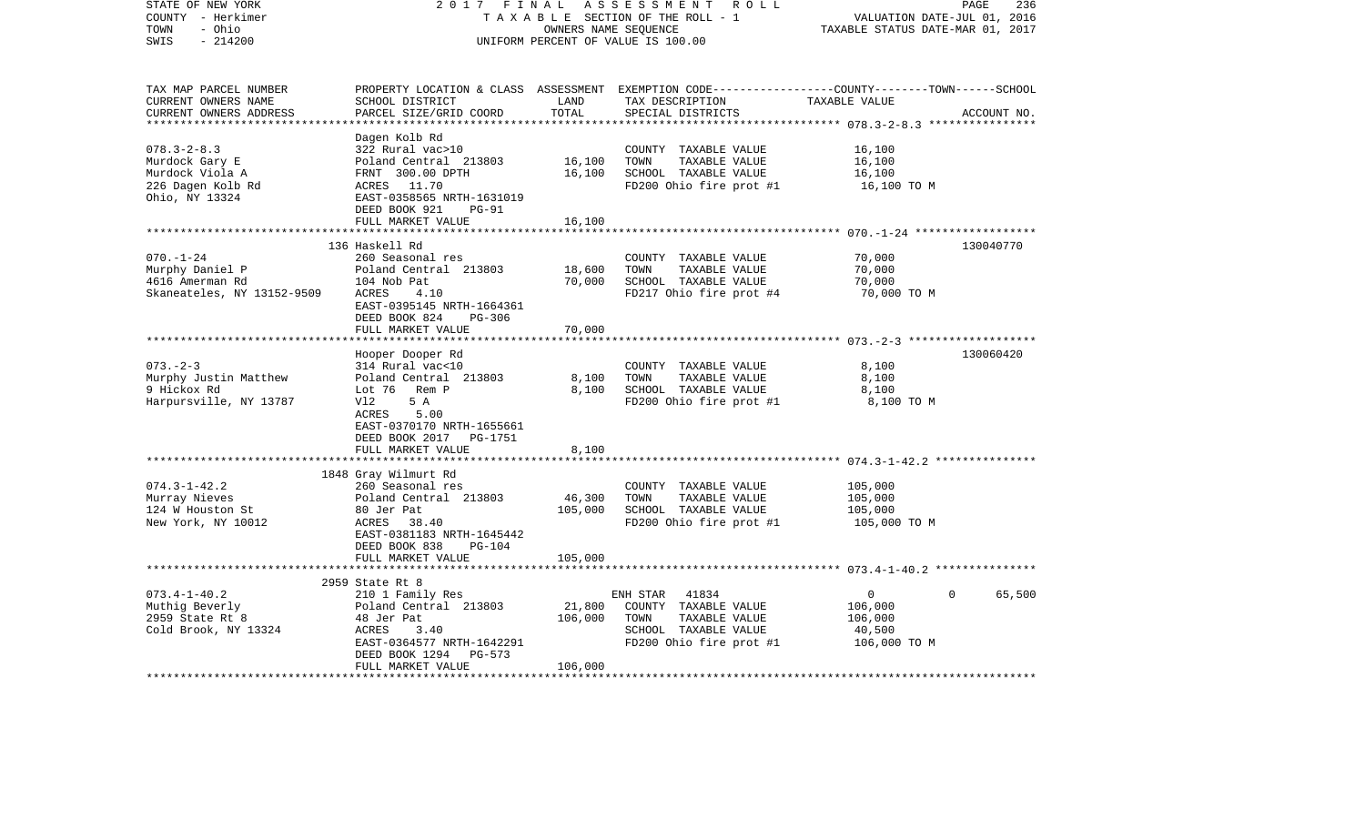| STATE OF NEW YORK<br>COUNTY - Herkimer<br>- Ohio<br>TOWN<br>$-214200$<br>SWIS                  | 2017 FINAL                                                                                                                                                                                                         | OWNERS NAME SEQUENCE                           | ASSESSMENT<br>R O L L<br>TAXABLE SECTION OF THE ROLL - 1<br>UNIFORM PERCENT OF VALUE IS 100.00                                          | PAGE<br>VALUATION DATE-JUL 01,<br>TAXABLE STATUS DATE-MAR 01, 2017 | 236<br>2016 |
|------------------------------------------------------------------------------------------------|--------------------------------------------------------------------------------------------------------------------------------------------------------------------------------------------------------------------|------------------------------------------------|-----------------------------------------------------------------------------------------------------------------------------------------|--------------------------------------------------------------------|-------------|
| TAX MAP PARCEL NUMBER<br>CURRENT OWNERS NAME<br>CURRENT OWNERS ADDRESS<br>******************** | SCHOOL DISTRICT<br>PARCEL SIZE/GRID COORD                                                                                                                                                                          | LAND<br>TOTAL                                  | PROPERTY LOCATION & CLASS ASSESSMENT EXEMPTION CODE---------------COUNTY-------TOWN------SCHOOL<br>TAX DESCRIPTION<br>SPECIAL DISTRICTS | TAXABLE VALUE                                                      | ACCOUNT NO. |
| $078.3 - 2 - 8.3$<br>Murdock Gary E<br>Murdock Viola A<br>226 Dagen Kolb Rd<br>Ohio, NY 13324  | Dagen Kolb Rd<br>322 Rural vac>10<br>Poland Central 213803<br>FRNT 300.00 DPTH<br>ACRES<br>11.70<br>EAST-0358565 NRTH-1631019<br>DEED BOOK 921<br>$PG-91$                                                          | 16,100<br>16,100                               | COUNTY TAXABLE VALUE<br>TOWN<br>TAXABLE VALUE<br>SCHOOL TAXABLE VALUE<br>FD200 Ohio fire prot #1                                        | 16,100<br>16,100<br>16,100<br>16,100 TO M                          |             |
|                                                                                                | FULL MARKET VALUE                                                                                                                                                                                                  | 16,100                                         |                                                                                                                                         |                                                                    |             |
| $070. - 1 - 24$<br>Murphy Daniel P<br>4616 Amerman Rd<br>Skaneateles, NY 13152-9509            | 136 Haskell Rd<br>260 Seasonal res<br>Poland Central 213803<br>104 Nob Pat<br>ACRES<br>4.10<br>EAST-0395145 NRTH-1664361<br>DEED BOOK 824<br>$PG-306$                                                              | 18,600<br>70,000                               | COUNTY TAXABLE VALUE<br>TOWN<br><b>TAXABLE VALUE</b><br>SCHOOL TAXABLE VALUE<br>FD217 Ohio fire prot #4                                 | 70,000<br>70,000<br>70,000<br>70,000 TO M                          | 130040770   |
|                                                                                                | FULL MARKET VALUE                                                                                                                                                                                                  | 70,000                                         |                                                                                                                                         |                                                                    |             |
|                                                                                                | ******************                                                                                                                                                                                                 |                                                |                                                                                                                                         | *************************** 073.-2-3 ********************          |             |
| $073. - 2 - 3$<br>Murphy Justin Matthew<br>9 Hickox Rd<br>Harpursville, NY 13787               | Hooper Dooper Rd<br>314 Rural vac<10<br>Poland Central 213803<br>Lot 76<br>Rem P<br>Vl2<br>5 A<br>5.00<br>ACRES<br>EAST-0370170 NRTH-1655661<br>DEED BOOK 2017<br>PG-1751                                          | 8,100<br>8,100                                 | COUNTY TAXABLE VALUE<br>TOWN<br>TAXABLE VALUE<br>SCHOOL TAXABLE VALUE<br>FD200 Ohio fire prot #1                                        | 8,100<br>8,100<br>8,100<br>8,100 TO M                              | 130060420   |
|                                                                                                | FULL MARKET VALUE                                                                                                                                                                                                  | 8,100                                          |                                                                                                                                         |                                                                    |             |
| $074.3 - 1 - 42.2$<br>Murray Nieves<br>124 W Houston St<br>New York, NY 10012                  | *************************<br>1848 Gray Wilmurt Rd<br>260 Seasonal res<br>Poland Central 213803<br>80 Jer Pat<br>ACRES<br>38.40<br>EAST-0381183 NRTH-1645442<br>DEED BOOK 838<br><b>PG-104</b><br>FULL MARKET VALUE | **************<br>46,300<br>105,000<br>105,000 | COUNTY TAXABLE VALUE<br>TOWN<br>TAXABLE VALUE<br>SCHOOL TAXABLE VALUE<br>FD200 Ohio fire prot #1                                        | 105,000<br>105,000<br>105,000<br>105,000 TO M                      |             |
|                                                                                                |                                                                                                                                                                                                                    |                                                |                                                                                                                                         |                                                                    |             |
| $073.4 - 1 - 40.2$<br>Muthig Beverly<br>2959 State Rt 8<br>Cold Brook, NY 13324                | 2959 State Rt 8<br>210 1 Family Res<br>Poland Central 213803<br>48 Jer Pat<br>ACRES<br>3.40<br>EAST-0364577 NRTH-1642291<br>DEED BOOK 1294<br>$PG-573$<br>FULL MARKET VALUE                                        | 21,800<br>106,000<br>106,000                   | 41834<br>ENH STAR<br>COUNTY TAXABLE VALUE<br>TAXABLE VALUE<br>TOWN<br>SCHOOL TAXABLE VALUE<br>FD200 Ohio fire prot #1                   | 0<br>0<br>106,000<br>106,000<br>40,500<br>106,000 TO M             | 65,500      |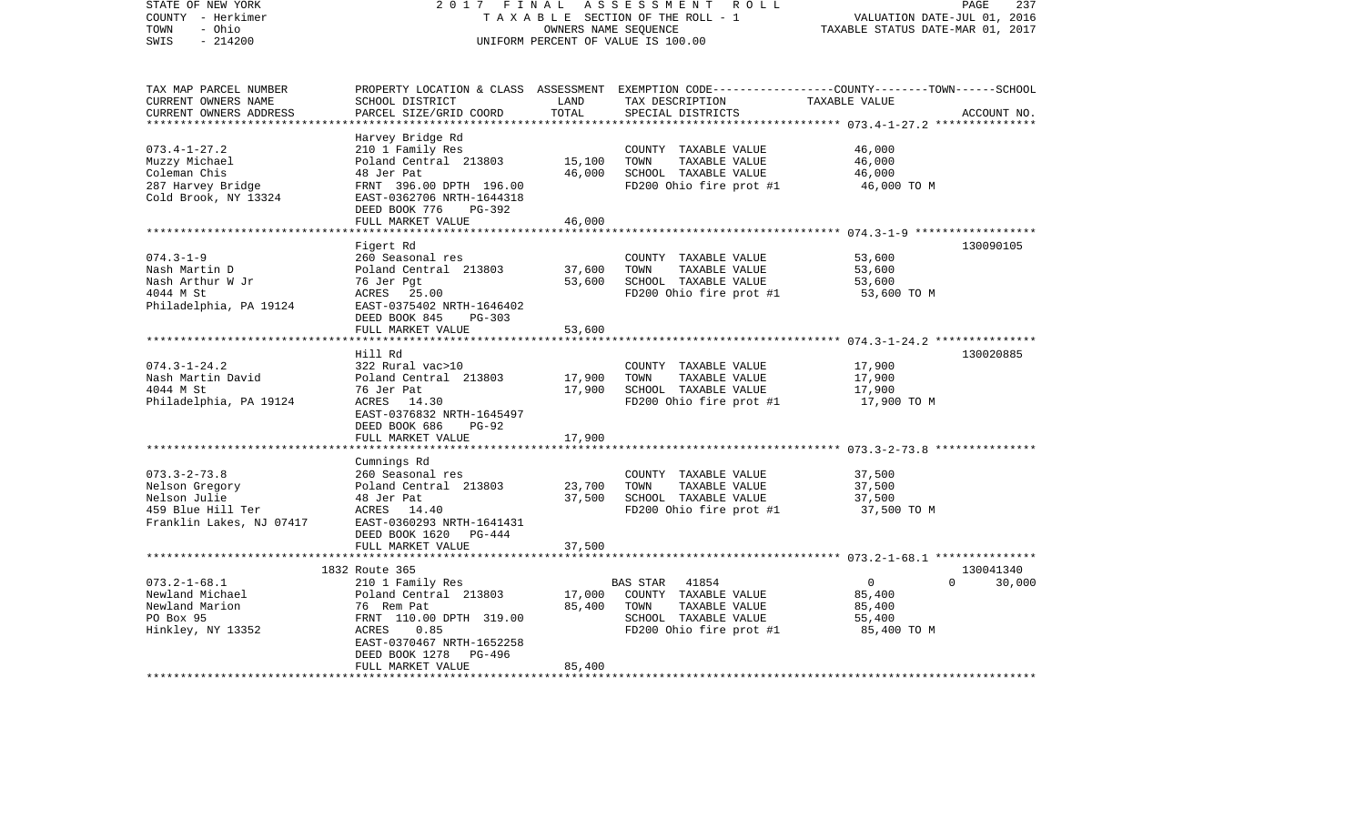| STATE OF NEW YORK<br>COUNTY - Herkimer<br>- Ohio<br>TOWN<br>$-214200$<br>SWIS                         | 2017<br>FINAL<br>TAXABLE SECTION OF THE ROLL - 1<br>UNIFORM PERCENT OF VALUE IS 100.00                                                                              | PAGE<br>237<br>VALUATION DATE-JUL 01, 2016<br>TAXABLE STATUS DATE-MAR 01, 2017 |                                                                                                                                          |                                                                      |                     |
|-------------------------------------------------------------------------------------------------------|---------------------------------------------------------------------------------------------------------------------------------------------------------------------|--------------------------------------------------------------------------------|------------------------------------------------------------------------------------------------------------------------------------------|----------------------------------------------------------------------|---------------------|
| TAX MAP PARCEL NUMBER<br>CURRENT OWNERS NAME<br>CURRENT OWNERS ADDRESS<br>**********************      | SCHOOL DISTRICT<br>PARCEL SIZE/GRID COORD                                                                                                                           | LAND<br>TOTAL                                                                  | PROPERTY LOCATION & CLASS ASSESSMENT EXEMPTION CODE----------------COUNTY-------TOWN------SCHOOL<br>TAX DESCRIPTION<br>SPECIAL DISTRICTS | TAXABLE VALUE                                                        | ACCOUNT NO.         |
| $073.4 - 1 - 27.2$<br>Muzzy Michael<br>Coleman Chis<br>287 Harvey Bridge<br>Cold Brook, NY 13324      | Harvey Bridge Rd<br>210 1 Family Res<br>Poland Central 213803<br>48 Jer Pat<br>FRNT 396.00 DPTH 196.00<br>EAST-0362706 NRTH-1644318<br>DEED BOOK 776<br>PG-392      | 15,100<br>46,000                                                               | COUNTY TAXABLE VALUE<br>TOWN<br>TAXABLE VALUE<br>SCHOOL TAXABLE VALUE<br>FD200 Ohio fire prot #1                                         | 46,000<br>46,000<br>46,000<br>46,000 TO M                            |                     |
|                                                                                                       | FULL MARKET VALUE                                                                                                                                                   | 46,000                                                                         |                                                                                                                                          |                                                                      |                     |
| $074.3 - 1 - 9$<br>Nash Martin D<br>Nash Arthur W Jr<br>4044 M St<br>Philadelphia, PA 19124           | Figert Rd<br>260 Seasonal res<br>Poland Central 213803<br>76 Jer Pgt<br>ACRES<br>25.00<br>EAST-0375402 NRTH-1646402<br>DEED BOOK 845<br>$PG-303$                    | 37,600<br>53,600                                                               | COUNTY TAXABLE VALUE<br>TOWN<br>TAXABLE VALUE<br>SCHOOL TAXABLE VALUE<br>FD200 Ohio fire prot #1                                         | 53,600<br>53,600<br>53,600<br>53,600 TO M                            | 130090105           |
|                                                                                                       | FULL MARKET VALUE                                                                                                                                                   | 53,600                                                                         |                                                                                                                                          |                                                                      |                     |
|                                                                                                       | *******************                                                                                                                                                 |                                                                                |                                                                                                                                          | *********************** 074.3-1-24.2 ****************                |                     |
|                                                                                                       | Hill Rd                                                                                                                                                             |                                                                                |                                                                                                                                          |                                                                      | 130020885           |
| $074.3 - 1 - 24.2$<br>Nash Martin David<br>4044 M St<br>Philadelphia, PA 19124                        | 322 Rural vac>10<br>Poland Central 213803<br>76 Jer Pat<br>ACRES<br>14.30<br>EAST-0376832 NRTH-1645497<br>DEED BOOK 686<br>$PG-92$                                  | 17,900<br>17,900                                                               | COUNTY TAXABLE VALUE<br>TOWN<br>TAXABLE VALUE<br>SCHOOL TAXABLE VALUE<br>FD200 Ohio fire prot #1                                         | 17,900<br>17,900<br>17,900<br>17,900 TO M                            |                     |
|                                                                                                       | FULL MARKET VALUE                                                                                                                                                   | 17,900                                                                         |                                                                                                                                          |                                                                      |                     |
|                                                                                                       | *************************                                                                                                                                           |                                                                                |                                                                                                                                          |                                                                      |                     |
| $073.3 - 2 - 73.8$<br>Nelson Gregory<br>Nelson Julie<br>459 Blue Hill Ter<br>Franklin Lakes, NJ 07417 | Cumnings Rd<br>260 Seasonal res<br>Poland Central 213803<br>48 Jer Pat<br>ACRES 14.40<br>EAST-0360293 NRTH-1641431<br>DEED BOOK 1620<br>PG-444<br>FULL MARKET VALUE | 23,700<br>37,500<br>37,500                                                     | COUNTY TAXABLE VALUE<br>TOWN<br>TAXABLE VALUE<br>SCHOOL TAXABLE VALUE<br>FD200 Ohio fire prot #1                                         | 37,500<br>37,500<br>37,500<br>37,500 TO M                            |                     |
|                                                                                                       |                                                                                                                                                                     |                                                                                |                                                                                                                                          | ************* 073.2-1-68.1 ****************                          |                     |
| $073.2 - 1 - 68.1$<br>Newland Michael<br>Newland Marion<br>PO Box 95<br>Hinkley, NY 13352             | 1832 Route 365<br>210 1 Family Res<br>Poland Central 213803<br>76 Rem Pat<br>FRNT 110.00 DPTH 319.00<br>ACRES<br>0.85                                               | 17,000<br>85,400                                                               | <b>BAS STAR</b><br>41854<br>COUNTY TAXABLE VALUE<br>TOWN<br>TAXABLE VALUE<br>SCHOOL TAXABLE VALUE<br>FD200 Ohio fire prot #1             | $\mathbf 0$<br>$\Omega$<br>85,400<br>85,400<br>55,400<br>85,400 TO M | 130041340<br>30,000 |
|                                                                                                       | EAST-0370467 NRTH-1652258<br>DEED BOOK 1278<br>PG-496<br>FULL MARKET VALUE                                                                                          | 85,400                                                                         |                                                                                                                                          |                                                                      |                     |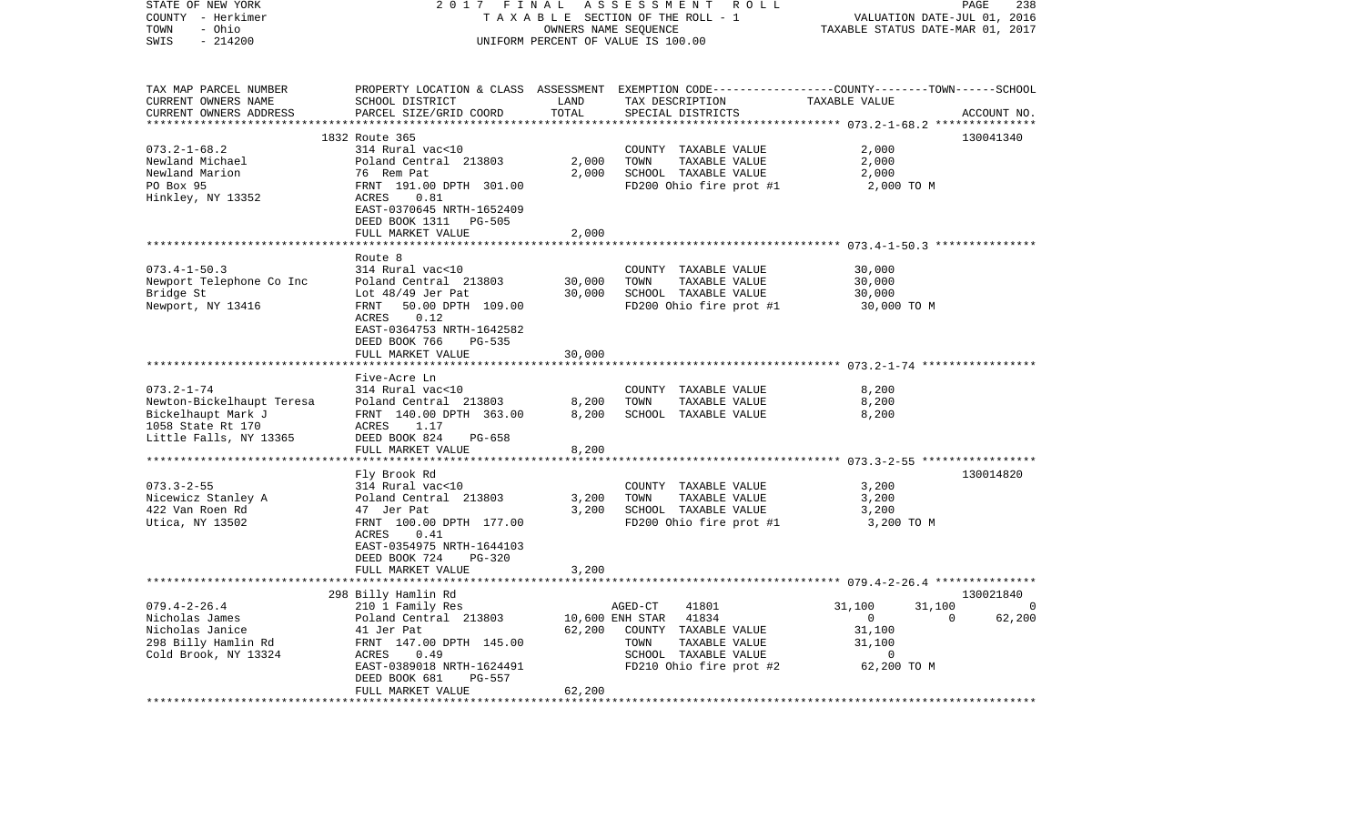| STATE OF NEW YORK<br>COUNTY - Herkimer<br>- Ohio<br>TOWN<br>SWIS<br>$-214200$ | 2017<br>FINAL<br>TAXABLE SECTION OF THE ROLL - 1<br>UNIFORM PERCENT OF VALUE IS 100.00                                  | PAGE<br>238<br>VALUATION DATE-JUL 01, 2016<br>TAXABLE STATUS DATE-MAR 01, 2017 |                                                                                                                    |                                    |                         |
|-------------------------------------------------------------------------------|-------------------------------------------------------------------------------------------------------------------------|--------------------------------------------------------------------------------|--------------------------------------------------------------------------------------------------------------------|------------------------------------|-------------------------|
|                                                                               |                                                                                                                         |                                                                                |                                                                                                                    |                                    |                         |
| TAX MAP PARCEL NUMBER<br>CURRENT OWNERS NAME                                  | SCHOOL DISTRICT                                                                                                         | LAND                                                                           | PROPERTY LOCATION & CLASS ASSESSMENT EXEMPTION CODE---------------COUNTY-------TOWN------SCHOOL<br>TAX DESCRIPTION | TAXABLE VALUE                      |                         |
| CURRENT OWNERS ADDRESS                                                        | PARCEL SIZE/GRID COORD                                                                                                  | TOTAL                                                                          | SPECIAL DISTRICTS                                                                                                  |                                    | ACCOUNT NO.             |
|                                                                               |                                                                                                                         | **************                                                                 |                                                                                                                    |                                    |                         |
|                                                                               | 1832 Route 365                                                                                                          |                                                                                |                                                                                                                    |                                    | 130041340               |
| $073.2 - 1 - 68.2$                                                            | 314 Rural vac<10                                                                                                        |                                                                                | COUNTY TAXABLE VALUE                                                                                               | 2,000                              |                         |
| Newland Michael                                                               | Poland Central 213803                                                                                                   | 2,000                                                                          | TAXABLE VALUE<br>TOWN                                                                                              | 2,000                              |                         |
| Newland Marion<br>PO Box 95                                                   | 76 Rem Pat<br>FRNT 191.00 DPTH 301.00                                                                                   | 2,000                                                                          | SCHOOL TAXABLE VALUE<br>FD200 Ohio fire prot #1                                                                    | 2,000<br>2,000 TO M                |                         |
| Hinkley, NY 13352                                                             | ACRES<br>0.81<br>EAST-0370645 NRTH-1652409<br>DEED BOOK 1311 PG-505                                                     |                                                                                |                                                                                                                    |                                    |                         |
|                                                                               | FULL MARKET VALUE                                                                                                       | 2,000                                                                          |                                                                                                                    |                                    |                         |
|                                                                               |                                                                                                                         |                                                                                |                                                                                                                    |                                    |                         |
|                                                                               | Route 8                                                                                                                 |                                                                                |                                                                                                                    |                                    |                         |
| $073.4 - 1 - 50.3$                                                            | 314 Rural vac<10                                                                                                        |                                                                                | COUNTY TAXABLE VALUE                                                                                               | 30,000                             |                         |
| Newport Telephone Co Inc                                                      | Poland Central 213803                                                                                                   | 30,000                                                                         | TOWN<br>TAXABLE VALUE                                                                                              | 30,000                             |                         |
| Bridge St                                                                     | Lot $48/49$ Jer Pat                                                                                                     | 30,000                                                                         | SCHOOL TAXABLE VALUE                                                                                               | 30,000                             |                         |
| Newport, NY 13416                                                             | 50.00 DPTH 109.00<br>FRNT<br>0.12<br>ACRES<br>EAST-0364753 NRTH-1642582<br>DEED BOOK 766<br>PG-535<br>FULL MARKET VALUE | 30,000                                                                         | FD200 Ohio fire prot #1                                                                                            | 30,000 TO M                        |                         |
|                                                                               |                                                                                                                         |                                                                                |                                                                                                                    |                                    |                         |
|                                                                               | Five-Acre Ln                                                                                                            |                                                                                |                                                                                                                    |                                    |                         |
| $073.2 - 1 - 74$                                                              | 314 Rural vac<10                                                                                                        |                                                                                | COUNTY TAXABLE VALUE                                                                                               | 8,200                              |                         |
| Newton-Bickelhaupt Teresa                                                     | Poland Central 213803                                                                                                   | 8,200                                                                          | TAXABLE VALUE<br>TOWN                                                                                              | 8,200                              |                         |
| Bickelhaupt Mark J                                                            | FRNT 140.00 DPTH 363.00                                                                                                 | 8,200                                                                          | SCHOOL TAXABLE VALUE                                                                                               | 8,200                              |                         |
| 1058 State Rt 170<br>Little Falls, NY 13365                                   | ACRES<br>1.17<br>DEED BOOK 824<br>PG-658                                                                                |                                                                                |                                                                                                                    |                                    |                         |
|                                                                               | FULL MARKET VALUE                                                                                                       | 8,200                                                                          |                                                                                                                    |                                    |                         |
|                                                                               |                                                                                                                         |                                                                                |                                                                                                                    |                                    |                         |
|                                                                               | Fly Brook Rd                                                                                                            |                                                                                |                                                                                                                    |                                    | 130014820               |
| $073.3 - 2 - 55$                                                              | 314 Rural vac<10                                                                                                        |                                                                                | COUNTY TAXABLE VALUE                                                                                               | 3,200                              |                         |
| Nicewicz Stanley A                                                            | Poland Central 213803                                                                                                   | 3,200                                                                          | TOWN<br>TAXABLE VALUE                                                                                              | 3,200                              |                         |
| 422 Van Roen Rd                                                               | 47 Jer Pat                                                                                                              | 3,200                                                                          | SCHOOL TAXABLE VALUE                                                                                               | 3,200                              |                         |
| Utica, NY 13502                                                               | FRNT 100.00 DPTH 177.00<br>ACRES<br>0.41<br>EAST-0354975 NRTH-1644103<br>DEED BOOK 724<br>PG-320                        |                                                                                | FD200 Ohio fire prot #1                                                                                            | 3,200 TO M                         |                         |
|                                                                               | FULL MARKET VALUE                                                                                                       | 3,200                                                                          |                                                                                                                    |                                    |                         |
|                                                                               |                                                                                                                         |                                                                                |                                                                                                                    |                                    |                         |
|                                                                               | 298 Billy Hamlin Rd                                                                                                     |                                                                                |                                                                                                                    |                                    | 130021840               |
| $079.4 - 2 - 26.4$<br>Nicholas James                                          | 210 1 Family Res<br>Poland Central 213803                                                                               | 10,600 ENH STAR                                                                | 41801<br>AGED-CT<br>41834                                                                                          | 31,100<br>31,100<br>$\overline{0}$ | $\Omega$<br>62,200<br>0 |
| Nicholas Janice                                                               | 41 Jer Pat                                                                                                              | 62,200                                                                         | COUNTY TAXABLE VALUE                                                                                               | 31,100                             |                         |
| 298 Billy Hamlin Rd                                                           | FRNT 147.00 DPTH 145.00                                                                                                 |                                                                                | TOWN<br>TAXABLE VALUE                                                                                              | 31,100                             |                         |
| Cold Brook, NY 13324                                                          | 0.49<br>ACRES                                                                                                           |                                                                                | SCHOOL TAXABLE VALUE                                                                                               | 0                                  |                         |
|                                                                               | EAST-0389018 NRTH-1624491<br>DEED BOOK 681<br>PG-557                                                                    |                                                                                | FD210 Ohio fire prot #2                                                                                            | 62,200 TO M                        |                         |
|                                                                               | FULL MARKET VALUE                                                                                                       | 62,200                                                                         |                                                                                                                    |                                    |                         |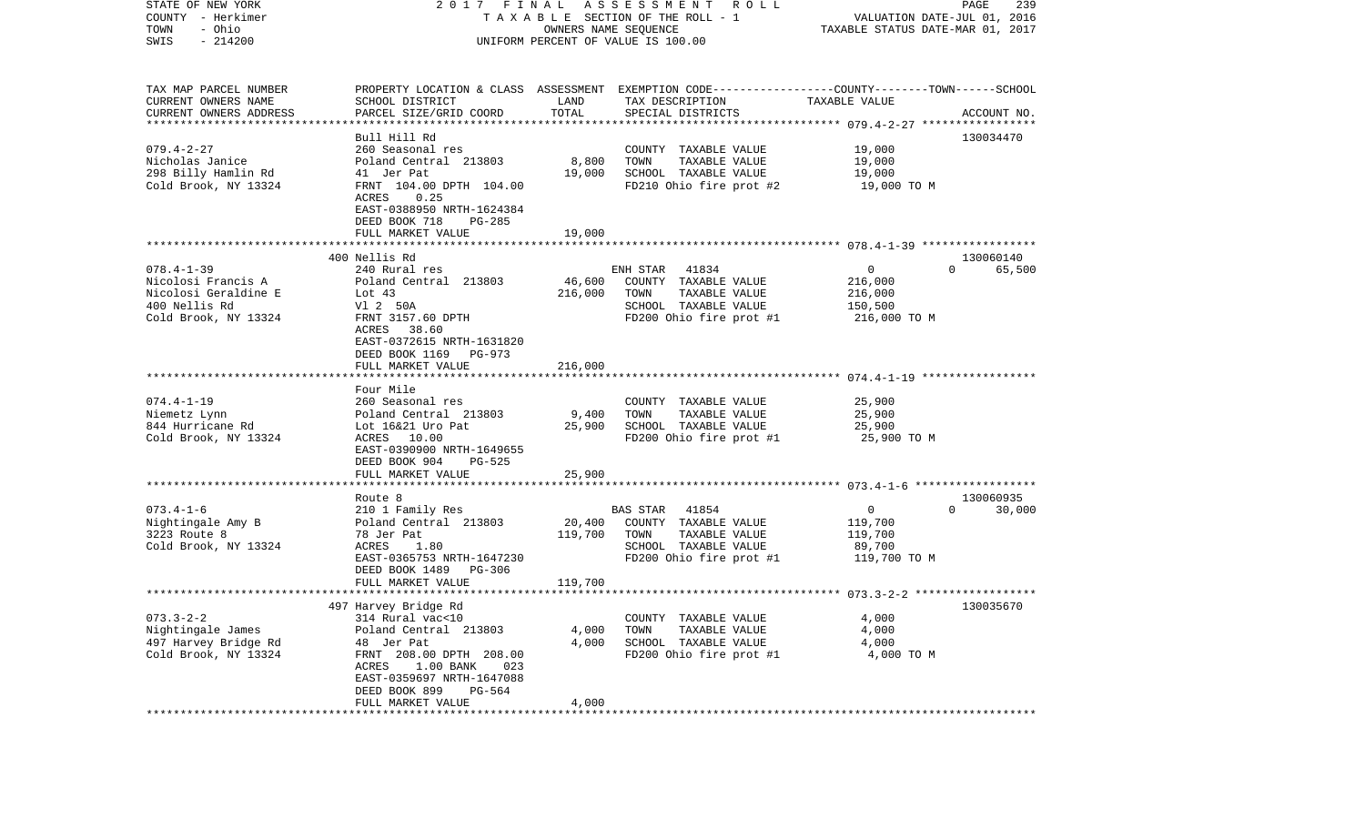| STATE OF NEW YORK<br>COUNTY - Herkimer<br>- Ohio<br>TOWN<br>$-214200$<br>SWIS                           | 2017 FINAL                                                                                                                                                                                                             |                              | A S S E S S M E N T R O L L<br>TAXABLE SECTION OF THE ROLL - 1<br>OWNERS NAME SEQUENCE<br>UNIFORM PERCENT OF VALUE IS 100.00            | VALUATION DATE-JUL 01, 2016<br>TAXABLE STATUS DATE-MAR 01, 2017 | PAGE<br>239                     |
|---------------------------------------------------------------------------------------------------------|------------------------------------------------------------------------------------------------------------------------------------------------------------------------------------------------------------------------|------------------------------|-----------------------------------------------------------------------------------------------------------------------------------------|-----------------------------------------------------------------|---------------------------------|
| TAX MAP PARCEL NUMBER<br>CURRENT OWNERS NAME<br>CURRENT OWNERS ADDRESS                                  | SCHOOL DISTRICT<br>PARCEL SIZE/GRID COORD                                                                                                                                                                              | LAND<br>TOTAL                | PROPERTY LOCATION & CLASS ASSESSMENT EXEMPTION CODE---------------COUNTY-------TOWN------SCHOOL<br>TAX DESCRIPTION<br>SPECIAL DISTRICTS | TAXABLE VALUE                                                   | ACCOUNT NO.                     |
| $079.4 - 2 - 27$<br>Nicholas Janice<br>298 Billy Hamlin Rd<br>Cold Brook, NY 13324                      | Bull Hill Rd<br>260 Seasonal res<br>Poland Central 213803<br>41 Jer Pat<br>FRNT 104.00 DPTH 104.00<br>ACRES<br>0.25<br>EAST-0388950 NRTH-1624384<br>DEED BOOK 718<br>PG-285                                            | 8,800<br>19,000              | COUNTY TAXABLE VALUE<br>TOWN<br>TAXABLE VALUE<br>SCHOOL TAXABLE VALUE<br>FD210 Ohio fire prot #2                                        | 19,000<br>19,000<br>19,000<br>19,000 TO M                       | 130034470                       |
|                                                                                                         | FULL MARKET VALUE                                                                                                                                                                                                      | 19,000                       |                                                                                                                                         |                                                                 |                                 |
| $078.4 - 1 - 39$<br>Nicolosi Francis A<br>Nicolosi Geraldine E<br>400 Nellis Rd<br>Cold Brook, NY 13324 | 400 Nellis Rd<br>240 Rural res<br>Poland Central 213803<br>Lot 43<br>V1 2 50A<br>FRNT 3157.60 DPTH<br>ACRES 38.60<br>EAST-0372615 NRTH-1631820<br>DEED BOOK 1169 PG-973<br>FULL MARKET VALUE                           | 46,600<br>216,000<br>216,000 | ENH STAR<br>41834<br>COUNTY TAXABLE VALUE<br>TAXABLE VALUE<br>TOWN<br>SCHOOL TAXABLE VALUE<br>FD200 Ohio fire prot #1                   | $\overline{0}$<br>216,000<br>216,000<br>150,500<br>216,000 TO M | 130060140<br>65,500<br>$\Omega$ |
|                                                                                                         |                                                                                                                                                                                                                        |                              |                                                                                                                                         |                                                                 |                                 |
| $074.4 - 1 - 19$<br>Niemetz Lynn<br>844 Hurricane Rd<br>Cold Brook, NY 13324                            | Four Mile<br>260 Seasonal res<br>Poland Central 213803<br>Lot 16&21 Uro Pat<br>ACRES 10.00<br>EAST-0390900 NRTH-1649655<br>DEED BOOK 904<br>PG-525                                                                     | 9,400<br>25,900              | COUNTY TAXABLE VALUE<br>TOWN<br>TAXABLE VALUE<br>SCHOOL TAXABLE VALUE<br>FD200 Ohio fire prot #1                                        | 25,900<br>25,900<br>25,900<br>25,900 TO M                       |                                 |
|                                                                                                         | FULL MARKET VALUE                                                                                                                                                                                                      | 25,900                       |                                                                                                                                         |                                                                 |                                 |
| $073.4 - 1 - 6$<br>Nightingale Amy B<br>3223 Route 8<br>Cold Brook, NY 13324                            | Route 8<br>210 1 Family Res<br>Poland Central 213803<br>78 Jer Pat<br>1.80<br>ACRES<br>EAST-0365753 NRTH-1647230<br>DEED BOOK 1489<br>PG-306<br>FULL MARKET VALUE                                                      | 20,400<br>119,700<br>119,700 | BAS STAR 41854<br>COUNTY TAXABLE VALUE<br>TOWN<br>TAXABLE VALUE<br>SCHOOL TAXABLE VALUE<br>FD200 Ohio fire prot #1                      | $\overline{0}$<br>119,700<br>119,700<br>89,700<br>119,700 TO M  | 130060935<br>30,000<br>$\Omega$ |
|                                                                                                         |                                                                                                                                                                                                                        |                              |                                                                                                                                         |                                                                 |                                 |
| $073.3 - 2 - 2$<br>Nightingale James<br>497 Harvey Bridge Rd<br>Cold Brook, NY 13324                    | 497 Harvey Bridge Rd<br>314 Rural vac<10<br>Poland Central 213803<br>48 Jer Pat<br>FRNT 208.00 DPTH 208.00<br>ACRES<br>$1.00$ BANK<br>023<br>EAST-0359697 NRTH-1647088<br>DEED BOOK 899<br>PG-564<br>FULL MARKET VALUE | 4,000<br>4,000<br>4,000      | COUNTY TAXABLE VALUE<br>TOWN<br>TAXABLE VALUE<br>SCHOOL TAXABLE VALUE<br>FD200 Ohio fire prot #1                                        | 4,000<br>4,000<br>4,000<br>4,000 TO M                           | 130035670                       |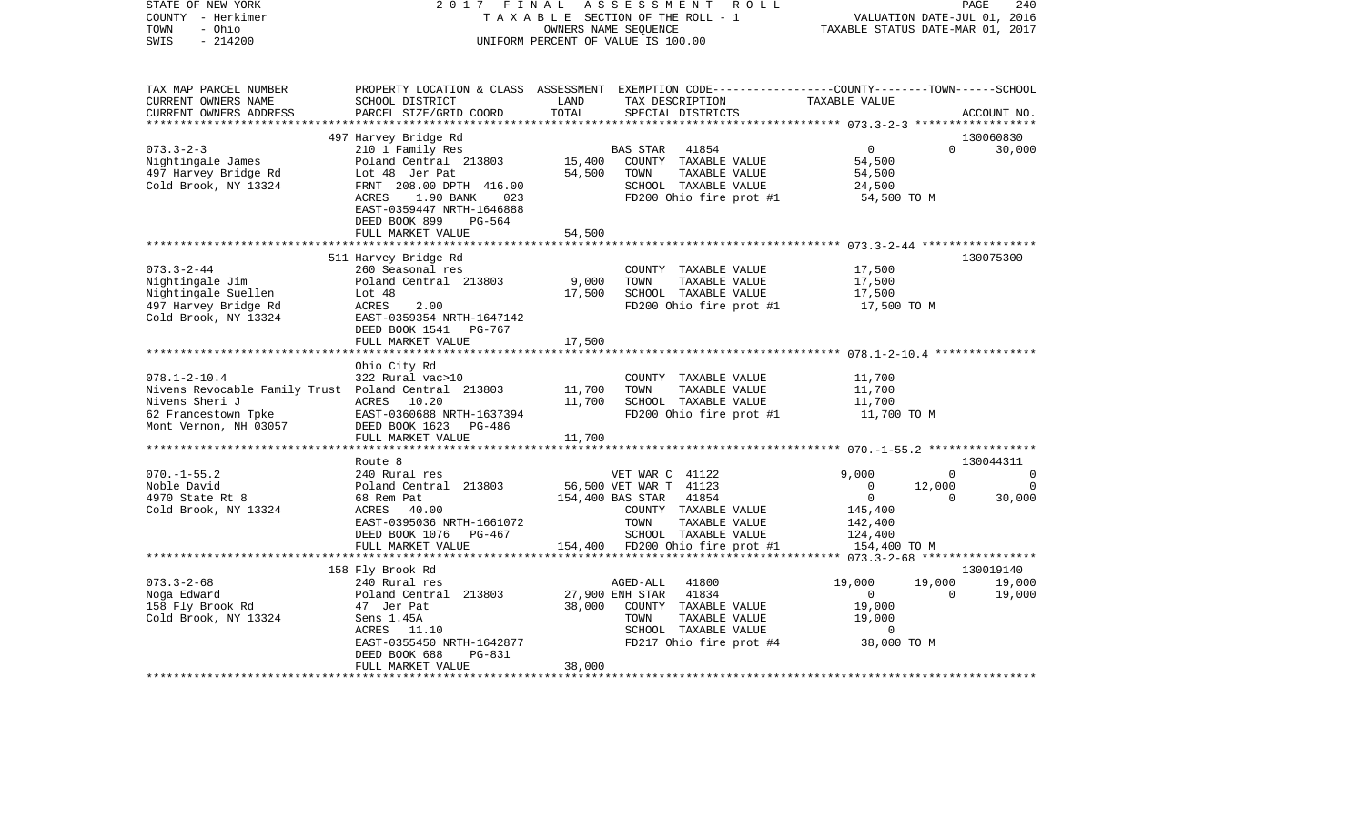| STATE OF NEW YORK<br>COUNTY - Herkimer<br>- Ohio<br>TOWN<br>$-214200$<br>SWIS                                                               | 2017 FINAL<br>TAXABLE SECTION OF THE ROLL - 1<br>UNIFORM PERCENT OF VALUE IS 100.00                                                                                                                       | PAGE<br>240<br>VALUATION DATE-JUL 01, 2016<br>TAXABLE STATUS DATE-MAR 01, 2017 |                                                                                                                                                   |                                                                        |                                                                        |
|---------------------------------------------------------------------------------------------------------------------------------------------|-----------------------------------------------------------------------------------------------------------------------------------------------------------------------------------------------------------|--------------------------------------------------------------------------------|---------------------------------------------------------------------------------------------------------------------------------------------------|------------------------------------------------------------------------|------------------------------------------------------------------------|
| TAX MAP PARCEL NUMBER<br>CURRENT OWNERS NAME<br>CURRENT OWNERS ADDRESS                                                                      | SCHOOL DISTRICT<br>PARCEL SIZE/GRID COORD                                                                                                                                                                 | LAND<br>TOTAL                                                                  | PROPERTY LOCATION & CLASS ASSESSMENT EXEMPTION CODE---------------COUNTY-------TOWN------SCHOOL<br>TAX DESCRIPTION<br>SPECIAL DISTRICTS           | TAXABLE VALUE                                                          | ACCOUNT NO.                                                            |
|                                                                                                                                             | 497 Harvey Bridge Rd                                                                                                                                                                                      |                                                                                |                                                                                                                                                   |                                                                        | 130060830                                                              |
| $073.3 - 2 - 3$<br>Nightingale James<br>497 Harvey Bridge Rd<br>Cold Brook, NY 13324                                                        | 210 1 Family Res<br>Poland Central 213803<br>Lot 48 Jer Pat<br>FRNT 208.00 DPTH 416.00<br>ACRES<br>1.90 BANK<br>023<br>EAST-0359447 NRTH-1646888<br>DEED BOOK 899<br>PG-564                               | 15,400<br>54,500                                                               | BAS STAR<br>41854<br>COUNTY TAXABLE VALUE<br>TAXABLE VALUE<br>TOWN<br>SCHOOL TAXABLE VALUE<br>FD200 Ohio fire prot #1                             | $\overline{0}$<br>54,500<br>54,500<br>24,500<br>54,500 TO M            | $\Omega$<br>30,000                                                     |
|                                                                                                                                             | FULL MARKET VALUE                                                                                                                                                                                         | 54,500                                                                         |                                                                                                                                                   |                                                                        |                                                                        |
| $073.3 - 2 - 44$<br>Nightingale Jim<br>Nightingale Suellen<br>497 Harvey Bridge Rd<br>Cold Brook, NY 13324                                  | *************************<br>511 Harvey Bridge Rd<br>260 Seasonal res<br>Poland Central 213803<br>Lot $48$<br>ACRES<br>2.00<br>EAST-0359354 NRTH-1647142<br>DEED BOOK 1541<br>PG-767<br>FULL MARKET VALUE | 9,000<br>17,500<br>17,500                                                      | COUNTY TAXABLE VALUE<br>TAXABLE VALUE<br>TOWN<br>SCHOOL TAXABLE VALUE<br>FD200 Ohio fire prot #1                                                  | 17,500<br>17,500<br>17,500<br>17,500 TO M                              | 130075300                                                              |
|                                                                                                                                             | Ohio City Rd                                                                                                                                                                                              |                                                                                |                                                                                                                                                   |                                                                        |                                                                        |
| $078.1 - 2 - 10.4$<br>Nivens Revocable Family Trust Poland Central 213803<br>Nivens Sheri J<br>62 Francestown Tpke<br>Mont Vernon, NH 03057 | 322 Rural vac>10<br>ACRES 10.20<br>EAST-0360688 NRTH-1637394<br>DEED BOOK 1623 PG-486<br>FULL MARKET VALUE                                                                                                | 11,700<br>11,700<br>11,700                                                     | COUNTY TAXABLE VALUE<br>TAXABLE VALUE<br>TOWN<br>SCHOOL TAXABLE VALUE<br>FD200 Ohio fire prot #1                                                  | 11,700<br>11,700<br>11,700<br>11,700 TO M                              |                                                                        |
|                                                                                                                                             |                                                                                                                                                                                                           |                                                                                |                                                                                                                                                   |                                                                        |                                                                        |
|                                                                                                                                             | Route 8                                                                                                                                                                                                   |                                                                                |                                                                                                                                                   |                                                                        | 130044311                                                              |
| $070. - 1 - 55.2$<br>Noble David<br>4970 State Rt 8<br>Cold Brook, NY 13324                                                                 | 240 Rural res<br>Poland Central 213803<br>68 Rem Pat<br>ACRES 40.00<br>EAST-0395036 NRTH-1661072<br>DEED BOOK 1076<br>PG-467                                                                              |                                                                                | VET WAR C 41122<br>56,500 VET WAR T 41123<br>41854<br>154,400 BAS STAR<br>COUNTY TAXABLE VALUE<br>TOWN<br>TAXABLE VALUE<br>SCHOOL TAXABLE VALUE   | 9,000<br>$\mathbf{0}$<br>$\mathsf{O}$<br>145,400<br>142,400<br>124,400 | $\mathbf 0$<br>$\Omega$<br>12,000<br>$\mathbf 0$<br>$\Omega$<br>30,000 |
|                                                                                                                                             | FULL MARKET VALUE<br>************************                                                                                                                                                             |                                                                                | 154,400 FD200 Ohio fire prot #1                                                                                                                   | 154,400 TO M                                                           |                                                                        |
|                                                                                                                                             | 158 Fly Brook Rd                                                                                                                                                                                          |                                                                                |                                                                                                                                                   |                                                                        | 130019140                                                              |
| $073.3 - 2 - 68$<br>Noga Edward<br>158 Fly Brook Rd<br>Cold Brook, NY 13324                                                                 | 240 Rural res<br>Poland Central 213803<br>47 Jer Pat<br>Sens 1.45A<br>ACRES 11.10<br>EAST-0355450 NRTH-1642877<br>DEED BOOK 688<br>PG-831<br>FULL MARKET VALUE                                            | 38,000<br>38,000                                                               | AGED-ALL<br>41800<br>27,900 ENH STAR<br>41834<br>COUNTY TAXABLE VALUE<br>TOWN<br>TAXABLE VALUE<br>SCHOOL TAXABLE VALUE<br>FD217 Ohio fire prot #4 | 19,000<br>$\mathbf 0$<br>19,000<br>19,000<br>$\circ$<br>38,000 TO M    | 19,000<br>19,000<br>$\Omega$<br>19,000                                 |
|                                                                                                                                             |                                                                                                                                                                                                           |                                                                                |                                                                                                                                                   |                                                                        |                                                                        |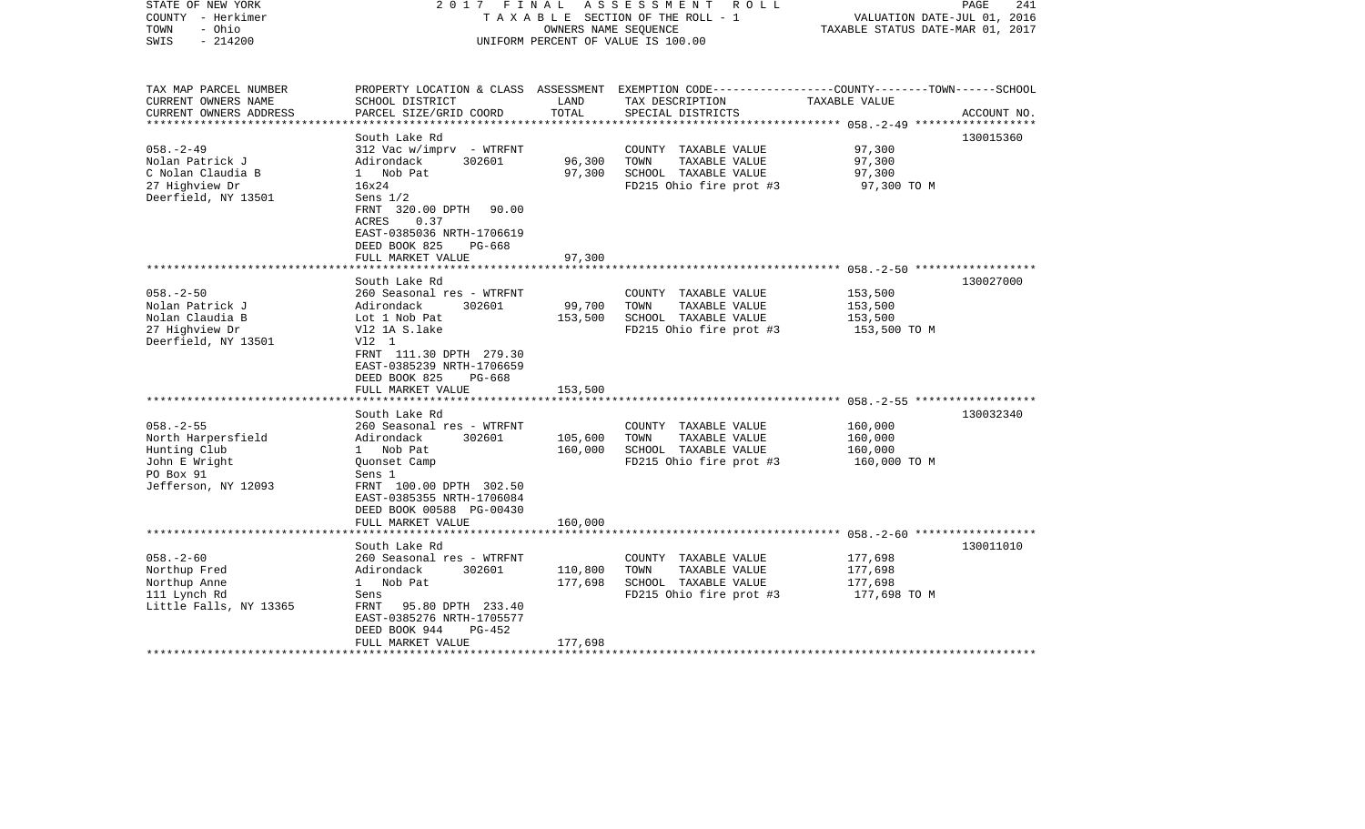| STATE OF NEW YORK<br>COUNTY - Herkimer<br>- Ohio<br>TOWN<br>$-214200$<br>SWIS                              | 2017 FINAL                                                                                                                                                                                                              | OWNERS NAME SEQUENCE          | ASSESSMENT<br>R O L L<br>T A X A B L E SECTION OF THE ROLL - 1<br>UNIFORM PERCENT OF VALUE IS 100.00                                    | VALUATION DATE-JUL 01, 2016<br>TAXABLE STATUS DATE-MAR 01, 2017 | 241<br>PAGE |
|------------------------------------------------------------------------------------------------------------|-------------------------------------------------------------------------------------------------------------------------------------------------------------------------------------------------------------------------|-------------------------------|-----------------------------------------------------------------------------------------------------------------------------------------|-----------------------------------------------------------------|-------------|
| TAX MAP PARCEL NUMBER<br>CURRENT OWNERS NAME<br>CURRENT OWNERS ADDRESS                                     | SCHOOL DISTRICT<br>PARCEL SIZE/GRID COORD                                                                                                                                                                               | LAND<br>TOTAL                 | PROPERTY LOCATION & CLASS ASSESSMENT EXEMPTION CODE---------------COUNTY-------TOWN------SCHOOL<br>TAX DESCRIPTION<br>SPECIAL DISTRICTS | TAXABLE VALUE                                                   | ACCOUNT NO. |
| $058. - 2 - 49$<br>Nolan Patrick J<br>C Nolan Claudia B<br>27 Highview Dr<br>Deerfield, NY 13501           | South Lake Rd<br>312 Vac w/imprv - WTRFNT<br>Adirondack<br>302601<br>1 Nob Pat<br>16x24<br>Sens $1/2$<br>FRNT 320.00 DPTH<br>90.00<br><b>ACRES</b><br>0.37<br>EAST-0385036 NRTH-1706619<br>DEED BOOK 825<br>PG-668      | 96,300<br>97,300              | COUNTY TAXABLE VALUE<br>TOWN<br>TAXABLE VALUE<br>SCHOOL TAXABLE VALUE<br>FD215 Ohio fire prot #3                                        | 97,300<br>97,300<br>97,300<br>97,300 TO M                       | 130015360   |
|                                                                                                            | FULL MARKET VALUE                                                                                                                                                                                                       | 97,300                        |                                                                                                                                         |                                                                 |             |
| $058. - 2 - 50$<br>Nolan Patrick J<br>Nolan Claudia B<br>27 Highview Dr<br>Deerfield, NY 13501             | South Lake Rd<br>260 Seasonal res - WTRFNT<br>Adirondack<br>302601<br>Lot 1 Nob Pat<br>V12 1A S.lake<br>V12 1<br>FRNT 111.30 DPTH 279.30<br>EAST-0385239 NRTH-1706659<br>DEED BOOK 825<br>$PG-668$<br>FULL MARKET VALUE | 99,700<br>153,500<br>153,500  | COUNTY TAXABLE VALUE<br>TOWN<br>TAXABLE VALUE<br>SCHOOL TAXABLE VALUE<br>FD215 Ohio fire prot #3                                        | 153,500<br>153,500<br>153,500<br>153,500 TO M                   | 130027000   |
| $058. - 2 - 55$<br>North Harpersfield<br>Hunting Club<br>John E Wright<br>PO Box 91<br>Jefferson, NY 12093 | South Lake Rd<br>260 Seasonal res - WTRFNT<br>Adirondack<br>302601<br>1 Nob Pat<br>Quonset Camp<br>Sens 1<br>FRNT 100.00 DPTH 302.50<br>EAST-0385355 NRTH-1706084<br>DEED BOOK 00588 PG-00430<br>FULL MARKET VALUE      | 105,600<br>160,000<br>160,000 | COUNTY TAXABLE VALUE<br>TOWN<br>TAXABLE VALUE<br>SCHOOL TAXABLE VALUE<br>FD215 Ohio fire prot #3                                        | 160,000<br>160,000<br>160,000<br>160,000 TO M                   | 130032340   |
| $058. - 2 - 60$<br>Northup Fred<br>Northup Anne<br>111 Lynch Rd<br>Little Falls, NY 13365                  | South Lake Rd<br>260 Seasonal res - WTRFNT<br>Adirondack<br>302601<br>1 Nob Pat<br>Sens<br>FRNT<br>95.80 DPTH 233.40<br>EAST-0385276 NRTH-1705577<br>DEED BOOK 944<br>$PG-452$<br>FULL MARKET VALUE                     | 110,800<br>177,698<br>177,698 | COUNTY TAXABLE VALUE<br>TOWN<br>TAXABLE VALUE<br>SCHOOL TAXABLE VALUE<br>FD215 Ohio fire prot #3                                        | 177,698<br>177,698<br>177,698<br>177,698 TO M                   | 130011010   |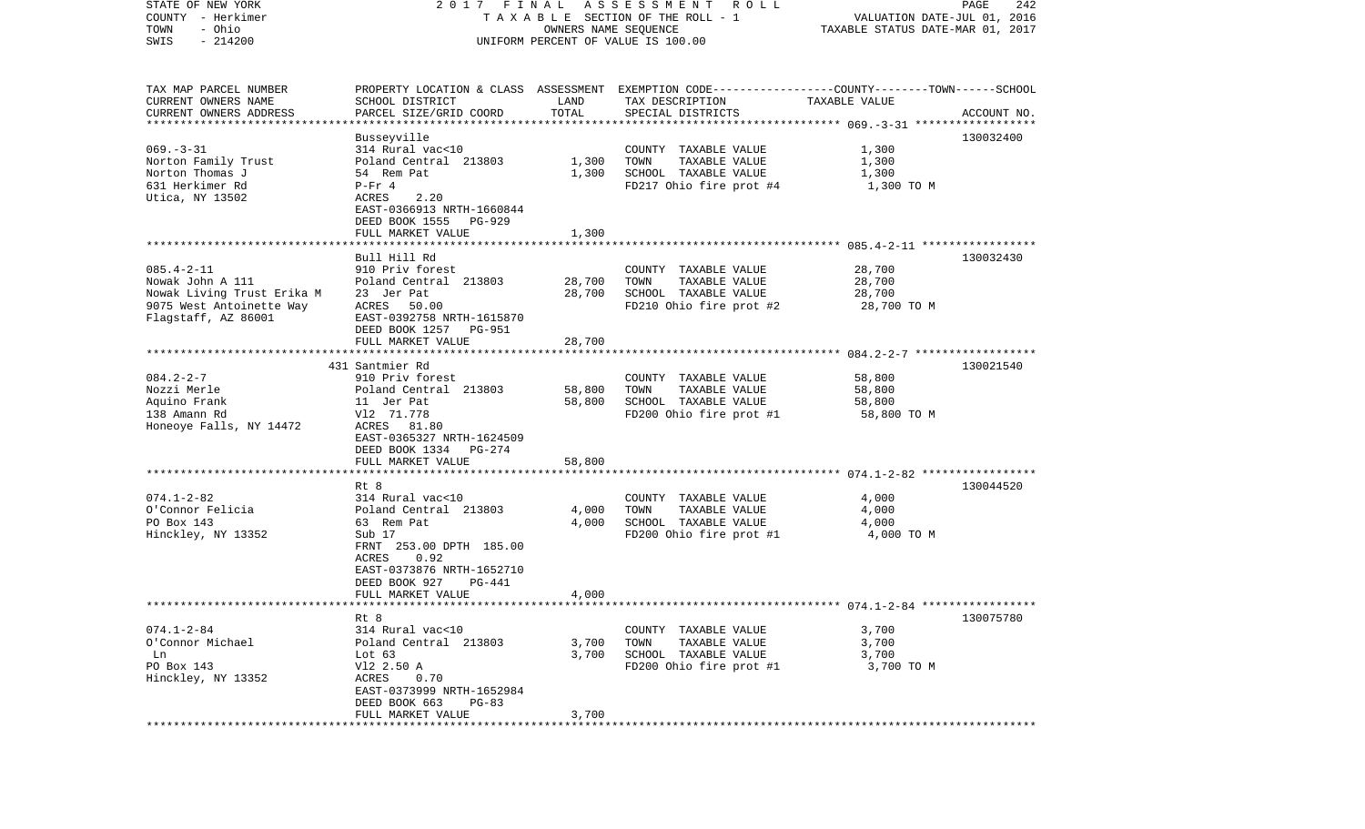| STATE OF NEW YORK                                | 2017 FINAL                |                      | ASSESSMENT<br>ROLL                                                                             |                                                     | PAGE<br>242 |
|--------------------------------------------------|---------------------------|----------------------|------------------------------------------------------------------------------------------------|-----------------------------------------------------|-------------|
| COUNTY - Herkimer                                |                           |                      | TAXABLE SECTION OF THE ROLL - 1                                                                | VALUATION DATE-JUL 01, 2016                         |             |
| - Ohio<br>TOWN                                   |                           | OWNERS NAME SEQUENCE |                                                                                                | TAXABLE STATUS DATE-MAR 01, 2017                    |             |
| $-214200$<br>SWIS                                |                           |                      | UNIFORM PERCENT OF VALUE IS 100.00                                                             |                                                     |             |
|                                                  |                           |                      |                                                                                                |                                                     |             |
|                                                  |                           |                      |                                                                                                |                                                     |             |
| TAX MAP PARCEL NUMBER                            |                           |                      | PROPERTY LOCATION & CLASS ASSESSMENT EXEMPTION CODE---------------COUNTY-------TOWN-----SCHOOL |                                                     |             |
| CURRENT OWNERS NAME                              | SCHOOL DISTRICT           | LAND                 | TAX DESCRIPTION                                                                                | TAXABLE VALUE                                       |             |
| CURRENT OWNERS ADDRESS<br>********************** | PARCEL SIZE/GRID COORD    | TOTAL                | SPECIAL DISTRICTS                                                                              |                                                     | ACCOUNT NO. |
|                                                  | Busseyville               |                      |                                                                                                |                                                     | 130032400   |
| $069. -3 - 31$                                   | 314 Rural vac<10          |                      | COUNTY TAXABLE VALUE                                                                           | 1,300                                               |             |
| Norton Family Trust                              | Poland Central 213803     | 1,300                | TOWN<br>TAXABLE VALUE                                                                          | 1,300                                               |             |
| Norton Thomas J                                  | 54 Rem Pat                | 1,300                | SCHOOL TAXABLE VALUE                                                                           | 1,300                                               |             |
| 631 Herkimer Rd                                  | $P-Fr 4$                  |                      | FD217 Ohio fire prot #4                                                                        | 1,300 TO M                                          |             |
| Utica, NY 13502                                  | 2.20<br>ACRES             |                      |                                                                                                |                                                     |             |
|                                                  | EAST-0366913 NRTH-1660844 |                      |                                                                                                |                                                     |             |
|                                                  | DEED BOOK 1555<br>PG-929  |                      |                                                                                                |                                                     |             |
|                                                  | FULL MARKET VALUE         | 1,300                |                                                                                                |                                                     |             |
|                                                  |                           |                      |                                                                                                |                                                     |             |
|                                                  | Bull Hill Rd              |                      |                                                                                                |                                                     | 130032430   |
| $085.4 - 2 - 11$                                 | 910 Priv forest           |                      | COUNTY TAXABLE VALUE                                                                           | 28,700                                              |             |
| Nowak John A 111                                 | Poland Central 213803     | 28,700               | TAXABLE VALUE<br>TOWN                                                                          | 28,700                                              |             |
| Nowak Living Trust Erika M                       | 23 Jer Pat                | 28,700               | SCHOOL TAXABLE VALUE                                                                           | 28,700                                              |             |
| 9075 West Antoinette Way                         | ACRES<br>50.00            |                      | FD210 Ohio fire prot #2                                                                        | 28,700 TO M                                         |             |
| Flagstaff, AZ 86001                              | EAST-0392758 NRTH-1615870 |                      |                                                                                                |                                                     |             |
|                                                  | DEED BOOK 1257<br>PG-951  |                      |                                                                                                |                                                     |             |
|                                                  | FULL MARKET VALUE         | 28,700               |                                                                                                |                                                     |             |
|                                                  |                           |                      |                                                                                                |                                                     |             |
|                                                  | 431 Santmier Rd           |                      |                                                                                                |                                                     | 130021540   |
| $084.2 - 2 - 7$                                  | 910 Priv forest           |                      | COUNTY TAXABLE VALUE                                                                           | 58,800                                              |             |
| Nozzi Merle                                      | Poland Central 213803     | 58,800               | TOWN<br>TAXABLE VALUE                                                                          | 58,800                                              |             |
| Aquino Frank                                     | 11 Jer Pat                | 58,800               | SCHOOL TAXABLE VALUE                                                                           | 58,800                                              |             |
| 138 Amann Rd                                     | V12 71.778                |                      | FD200 Ohio fire prot #1                                                                        | 58,800 TO M                                         |             |
| Honeoye Falls, NY 14472                          | ACRES 81.80               |                      |                                                                                                |                                                     |             |
|                                                  | EAST-0365327 NRTH-1624509 |                      |                                                                                                |                                                     |             |
|                                                  | DEED BOOK 1334<br>PG-274  |                      |                                                                                                |                                                     |             |
|                                                  | FULL MARKET VALUE         | 58,800               |                                                                                                |                                                     |             |
|                                                  |                           |                      |                                                                                                | ************************* 074.1-2-82 ************** |             |
|                                                  | Rt 8                      |                      |                                                                                                |                                                     | 130044520   |
| $074.1 - 2 - 82$                                 | 314 Rural vac<10          |                      | COUNTY TAXABLE VALUE                                                                           | 4,000                                               |             |
| O'Connor Felicia                                 | Poland Central 213803     | 4,000                | TOWN<br>TAXABLE VALUE                                                                          | 4,000                                               |             |
| PO Box 143                                       | 63 Rem Pat                | 4,000                | SCHOOL TAXABLE VALUE                                                                           | 4,000                                               |             |
| Hinckley, NY 13352                               | Sub 17                    |                      | FD200 Ohio fire prot #1                                                                        | 4,000 TO M                                          |             |
|                                                  | FRNT 253.00 DPTH 185.00   |                      |                                                                                                |                                                     |             |
|                                                  | 0.92<br>ACRES             |                      |                                                                                                |                                                     |             |
|                                                  | EAST-0373876 NRTH-1652710 |                      |                                                                                                |                                                     |             |
|                                                  | DEED BOOK 927<br>PG-441   |                      |                                                                                                |                                                     |             |
|                                                  | FULL MARKET VALUE         | 4,000                |                                                                                                |                                                     |             |
| *******************                              |                           |                      |                                                                                                |                                                     |             |
|                                                  | Rt 8                      |                      |                                                                                                |                                                     | 130075780   |
| $074.1 - 2 - 84$                                 | 314 Rural vac<10          |                      | COUNTY TAXABLE VALUE                                                                           | 3,700                                               |             |
| O'Connor Michael                                 | Poland Central 213803     | 3,700                | TOWN<br>TAXABLE VALUE                                                                          | 3,700                                               |             |
| Ln                                               | Lot $63$                  | 3,700                | SCHOOL TAXABLE VALUE                                                                           | 3,700                                               |             |
| PO Box 143                                       | V12 2.50 A                |                      | FD200 Ohio fire prot #1                                                                        | 3,700 TO M                                          |             |
| Hinckley, NY 13352                               | ACRES<br>0.70             |                      |                                                                                                |                                                     |             |
|                                                  | EAST-0373999 NRTH-1652984 |                      |                                                                                                |                                                     |             |
|                                                  | DEED BOOK 663<br>$PG-83$  |                      |                                                                                                |                                                     |             |
|                                                  | FULL MARKET VALUE         | 3,700                |                                                                                                |                                                     |             |
|                                                  | ************************  |                      | **********************                                                                         |                                                     |             |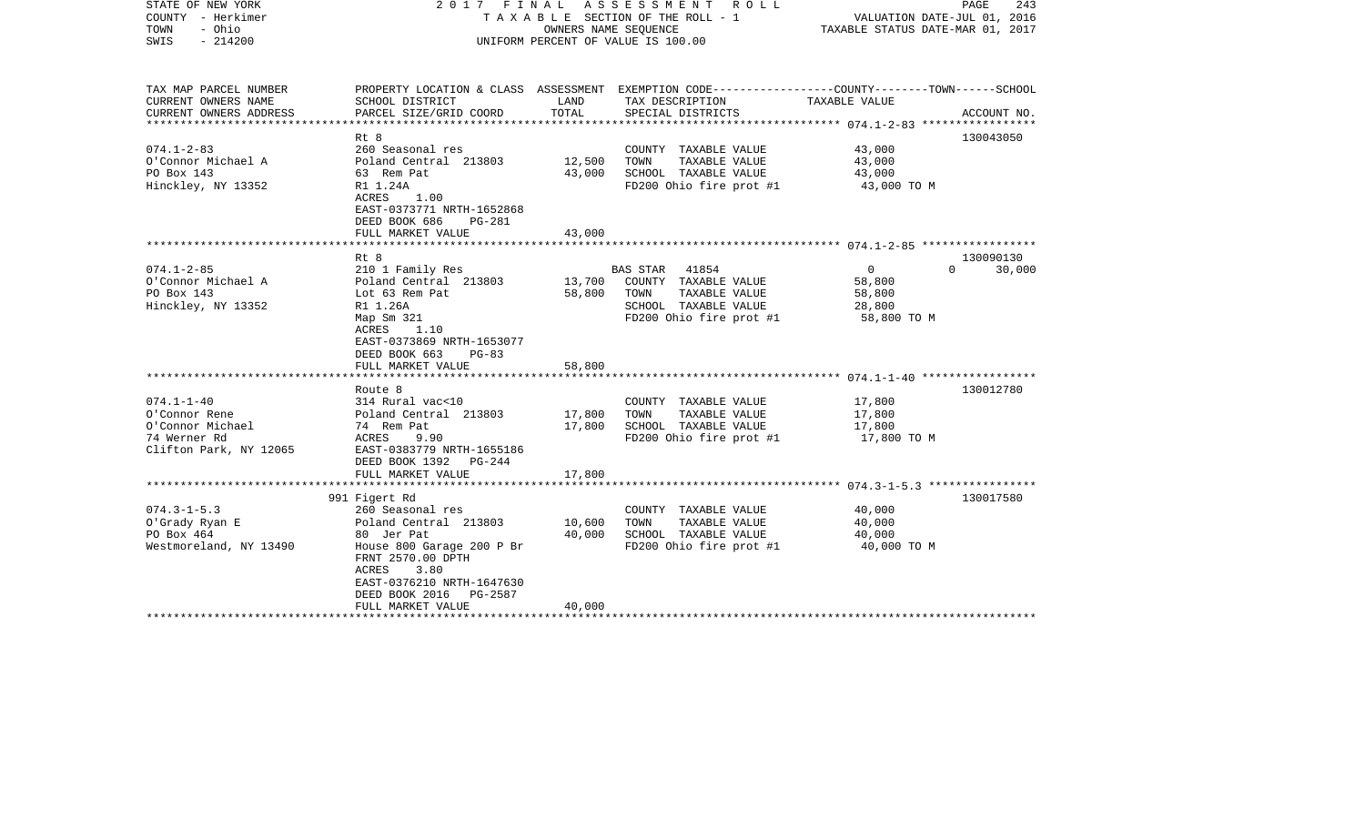| STATE OF NEW YORK<br>COUNTY - Herkimer<br>- Ohio<br>TOWN<br>$-214200$<br>SWIS | 2017 FINAL                                                                                                                | OWNERS NAME SEQUENCE    | A S S E S S M E N T<br>R O L L<br>T A X A B L E SECTION OF THE ROLL - 1<br>UNIFORM PERCENT OF VALUE IS 100.00      | VALUATION DATE-JUL 01, 2016<br>TAXABLE STATUS DATE-MAR 01, 2017 | PAGE<br>243 |
|-------------------------------------------------------------------------------|---------------------------------------------------------------------------------------------------------------------------|-------------------------|--------------------------------------------------------------------------------------------------------------------|-----------------------------------------------------------------|-------------|
| TAX MAP PARCEL NUMBER<br>CURRENT OWNERS NAME                                  | SCHOOL DISTRICT                                                                                                           | LAND                    | PROPERTY LOCATION & CLASS ASSESSMENT EXEMPTION CODE---------------COUNTY-------TOWN------SCHOOL<br>TAX DESCRIPTION | TAXABLE VALUE                                                   |             |
| CURRENT OWNERS ADDRESS<br>********************                                | PARCEL SIZE/GRID COORD<br>********************                                                                            | TOTAL<br>************** | SPECIAL DISTRICTS                                                                                                  |                                                                 | ACCOUNT NO. |
|                                                                               | Rt 8                                                                                                                      |                         |                                                                                                                    |                                                                 | 130043050   |
| $074.1 - 2 - 83$                                                              | 260 Seasonal res                                                                                                          |                         | COUNTY TAXABLE VALUE                                                                                               | 43,000                                                          |             |
| O'Connor Michael A                                                            | Poland Central 213803                                                                                                     | 12,500                  | TAXABLE VALUE<br>TOWN                                                                                              | 43,000                                                          |             |
| PO Box 143                                                                    | 63 Rem Pat                                                                                                                | 43,000                  | SCHOOL TAXABLE VALUE                                                                                               | 43,000                                                          |             |
| Hinckley, NY 13352                                                            | R1 1.24A<br>ACRES<br>1.00<br>EAST-0373771 NRTH-1652868<br>DEED BOOK 686<br><b>PG-281</b>                                  |                         | FD200 Ohio fire prot #1                                                                                            | 43,000 TO M                                                     |             |
|                                                                               | FULL MARKET VALUE                                                                                                         | 43,000                  |                                                                                                                    |                                                                 |             |
|                                                                               | ******************                                                                                                        |                         |                                                                                                                    |                                                                 |             |
|                                                                               | Rt 8                                                                                                                      |                         |                                                                                                                    |                                                                 | 130090130   |
| $074.1 - 2 - 85$<br>O'Connor Michael A                                        | 210 1 Family Res                                                                                                          | 13,700                  | 41854<br><b>BAS STAR</b><br>COUNTY TAXABLE VALUE                                                                   | $\mathbf{0}$<br>$\Omega$                                        | 30,000      |
| PO Box 143                                                                    | Poland Central 213803<br>Lot 63 Rem Pat                                                                                   | 58,800                  | TOWN<br>TAXABLE VALUE                                                                                              | 58,800<br>58,800                                                |             |
| Hinckley, NY 13352                                                            | R1 1.26A                                                                                                                  |                         | SCHOOL TAXABLE VALUE                                                                                               | 28,800                                                          |             |
|                                                                               | Map Sm 321<br>ACRES<br>1.10<br>EAST-0373869 NRTH-1653077<br>DEED BOOK 663<br>$PG-83$                                      |                         | FD200 Ohio fire prot #1                                                                                            | 58,800 TO M                                                     |             |
|                                                                               | FULL MARKET VALUE<br>***********************                                                                              | 58,800                  |                                                                                                                    |                                                                 |             |
|                                                                               | Route 8                                                                                                                   |                         |                                                                                                                    |                                                                 | 130012780   |
| $074.1 - 1 - 40$                                                              | 314 Rural vac<10                                                                                                          |                         | COUNTY TAXABLE VALUE                                                                                               | 17,800                                                          |             |
| O'Connor Rene                                                                 | Poland Central 213803                                                                                                     | 17,800                  | TOWN<br>TAXABLE VALUE                                                                                              | 17,800                                                          |             |
| O'Connor Michael                                                              | 74 Rem Pat                                                                                                                | 17,800                  | SCHOOL TAXABLE VALUE                                                                                               | 17,800                                                          |             |
| 74 Werner Rd                                                                  | ACRES<br>9.90                                                                                                             |                         | FD200 Ohio fire prot #1                                                                                            | 17,800 TO M                                                     |             |
| Clifton Park, NY 12065                                                        | EAST-0383779 NRTH-1655186<br>DEED BOOK 1392<br>PG-244                                                                     |                         |                                                                                                                    |                                                                 |             |
|                                                                               | FULL MARKET VALUE                                                                                                         | 17,800                  |                                                                                                                    |                                                                 |             |
|                                                                               | 991 Figert Rd                                                                                                             |                         |                                                                                                                    |                                                                 | 130017580   |
| $074.3 - 1 - 5.3$                                                             | 260 Seasonal res                                                                                                          |                         | COUNTY TAXABLE VALUE                                                                                               | 40,000                                                          |             |
| O'Grady Ryan E                                                                | Poland Central 213803                                                                                                     | 10,600                  | TAXABLE VALUE<br>TOWN                                                                                              | 40,000                                                          |             |
| PO Box 464                                                                    | 80 Jer Pat                                                                                                                | 40,000                  | SCHOOL TAXABLE VALUE                                                                                               | 40,000                                                          |             |
| Westmoreland, NY 13490                                                        | House 800 Garage 200 P Br<br>FRNT 2570.00 DPTH<br>ACRES<br>3.80<br>EAST-0376210 NRTH-1647630<br>DEED BOOK 2016<br>PG-2587 |                         | FD200 Ohio fire prot #1                                                                                            | 40,000 TO M                                                     |             |
|                                                                               | FULL MARKET VALUE                                                                                                         | 40,000                  |                                                                                                                    |                                                                 |             |
|                                                                               |                                                                                                                           |                         |                                                                                                                    |                                                                 |             |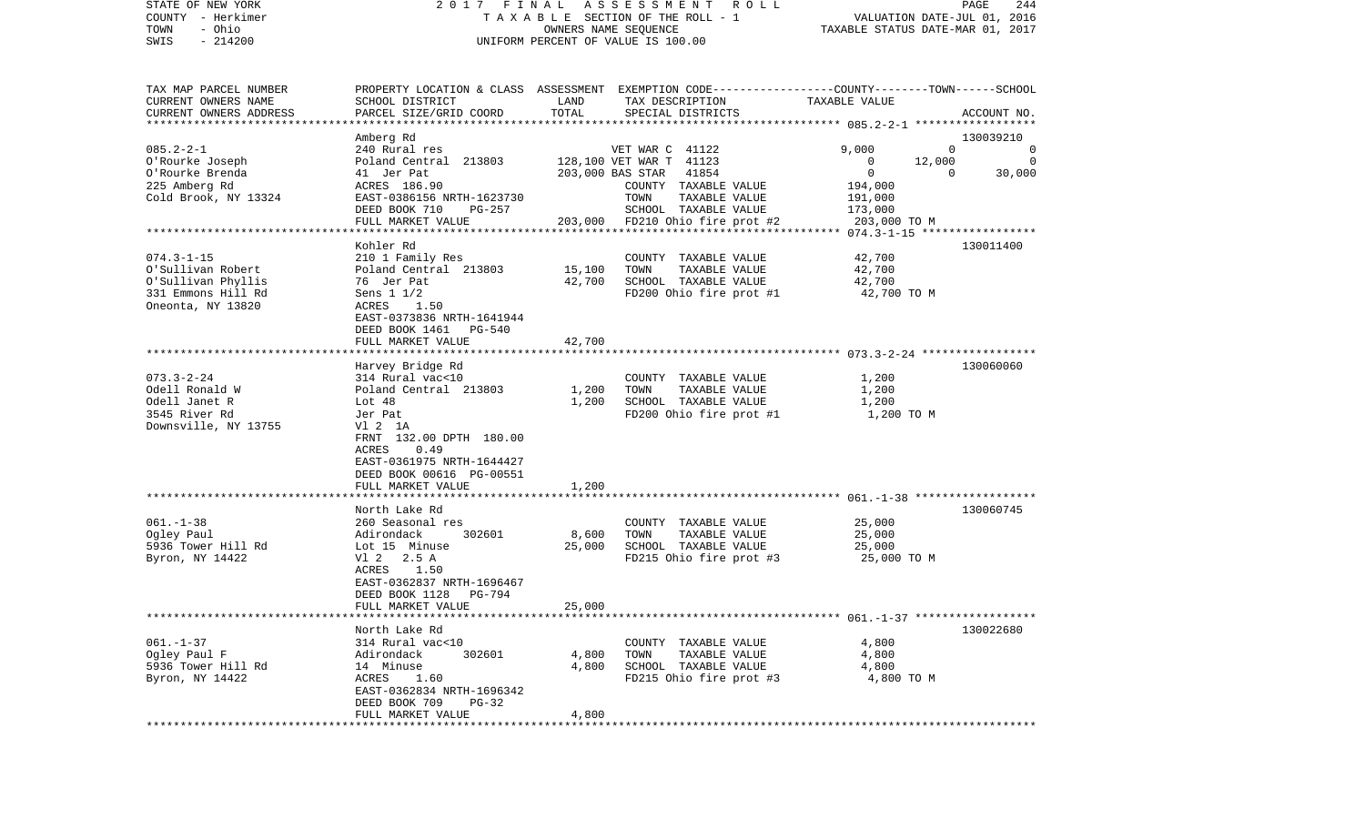| STATE OF NEW YORK<br>COUNTY - Herkimer<br>- Ohio<br>TOWN<br>$-214200$<br>SWIS                    |                                                                                                              |                 | 2017 FINAL ASSESSMENT ROLL<br>TAXABLE SECTION OF THE ROLL - 1<br>OWNERS NAME SEQUENCE<br>UNIFORM PERCENT OF VALUE IS 100.00            |                    | PAGE<br>244<br>VALUATION DATE-JUL 01, 2016<br>TAXABLE STATUS DATE-MAR 01, 2017 |
|--------------------------------------------------------------------------------------------------|--------------------------------------------------------------------------------------------------------------|-----------------|----------------------------------------------------------------------------------------------------------------------------------------|--------------------|--------------------------------------------------------------------------------|
| TAX MAP PARCEL NUMBER<br>CURRENT OWNERS NAME<br>CURRENT OWNERS ADDRESS<br>********************** | SCHOOL DISTRICT<br>PARCEL SIZE/GRID COORD                                                                    | LAND<br>TOTAL   | PROPERTY LOCATION & CLASS ASSESSMENT EXEMPTION CODE---------------COUNTY-------TOWN-----SCHOOL<br>TAX DESCRIPTION<br>SPECIAL DISTRICTS | TAXABLE VALUE      | ACCOUNT NO.                                                                    |
|                                                                                                  | Amberg Rd                                                                                                    |                 |                                                                                                                                        |                    | 130039210                                                                      |
| $085.2 - 2 - 1$                                                                                  | 240 Rural res                                                                                                |                 | VET WAR C 41122                                                                                                                        | 9,000              | $\Omega$<br>$\Omega$                                                           |
| O'Rourke Joseph                                                                                  | Poland Central 213803                                                                                        |                 | 128,100 VET WAR T 41123                                                                                                                | $\mathbf{0}$       | 12,000<br>$\overline{0}$                                                       |
| O'Rourke Brenda<br>225 Amberg Rd                                                                 | 41 Jer Pat<br>ACRES 186.90                                                                                   |                 | 203,000 BAS STAR 41854<br>COUNTY TAXABLE VALUE                                                                                         | $\circ$            | $\Omega$<br>30,000                                                             |
| Cold Brook, NY 13324                                                                             | EAST-0386156 NRTH-1623730                                                                                    |                 | TOWN<br>TAXABLE VALUE                                                                                                                  | 194,000<br>191,000 |                                                                                |
|                                                                                                  | DEED BOOK 710<br>PG-257                                                                                      |                 | SCHOOL TAXABLE VALUE                                                                                                                   | 173,000            |                                                                                |
|                                                                                                  | FULL MARKET VALUE                                                                                            |                 | 203,000 FD210 Ohio fire prot #2                                                                                                        | 203,000 TO M       |                                                                                |
|                                                                                                  |                                                                                                              |                 |                                                                                                                                        |                    |                                                                                |
|                                                                                                  | Kohler Rd                                                                                                    |                 |                                                                                                                                        |                    | 130011400                                                                      |
| $074.3 - 1 - 15$                                                                                 | 210 1 Family Res                                                                                             |                 | COUNTY TAXABLE VALUE                                                                                                                   | 42,700             |                                                                                |
| O'Sullivan Robert                                                                                | Poland Central 213803                                                                                        | 15,100          | TAXABLE VALUE<br>TOWN                                                                                                                  | 42,700             |                                                                                |
| O'Sullivan Phyllis                                                                               | 76 Jer Pat                                                                                                   | 42,700          | SCHOOL TAXABLE VALUE                                                                                                                   | 42,700             |                                                                                |
| 331 Emmons Hill Rd                                                                               | Sens $1 \frac{1}{2}$                                                                                         |                 | FD200 Ohio fire prot #1                                                                                                                | 42,700 TO M        |                                                                                |
| Oneonta, NY 13820                                                                                | ACRES 1.50<br>EAST-0373836 NRTH-1641944<br>DEED BOOK 1461<br><b>PG-540</b>                                   |                 |                                                                                                                                        |                    |                                                                                |
|                                                                                                  | FULL MARKET VALUE                                                                                            | 42,700          |                                                                                                                                        |                    |                                                                                |
|                                                                                                  |                                                                                                              |                 |                                                                                                                                        |                    |                                                                                |
|                                                                                                  | Harvey Bridge Rd                                                                                             |                 |                                                                                                                                        |                    | 130060060                                                                      |
| $073.3 - 2 - 24$                                                                                 | 314 Rural vac<10                                                                                             |                 | COUNTY TAXABLE VALUE                                                                                                                   | 1,200              |                                                                                |
| Odell Ronald W                                                                                   | Poland Central 213803                                                                                        | 1,200           | TAXABLE VALUE<br>TOWN                                                                                                                  | 1,200              |                                                                                |
| Odell Janet R                                                                                    | Lot 48                                                                                                       | 1,200           | SCHOOL TAXABLE VALUE                                                                                                                   | 1,200              |                                                                                |
| 3545 River Rd                                                                                    | Jer Pat                                                                                                      |                 | FD200 Ohio fire prot #1                                                                                                                | 1,200 TO M         |                                                                                |
| Downsville, NY 13755                                                                             | V1 2 1A<br>FRNT 132.00 DPTH 180.00<br>0.49<br>ACRES<br>EAST-0361975 NRTH-1644427<br>DEED BOOK 00616 PG-00551 |                 |                                                                                                                                        |                    |                                                                                |
|                                                                                                  | FULL MARKET VALUE                                                                                            | 1,200           |                                                                                                                                        |                    |                                                                                |
|                                                                                                  | ********************<br>North Lake Rd                                                                        | **********      |                                                                                                                                        |                    | 130060745                                                                      |
| $061. - 1 - 38$<br>Ogley Paul                                                                    | 260 Seasonal res<br>302601                                                                                   |                 | COUNTY TAXABLE VALUE<br>TOWN<br>TAXABLE VALUE                                                                                          | 25,000             |                                                                                |
| 5936 Tower Hill Rd                                                                               | Adirondack<br>Lot 15 Minuse                                                                                  | 8,600<br>25,000 | SCHOOL TAXABLE VALUE                                                                                                                   | 25,000<br>25,000   |                                                                                |
| Byron, NY 14422                                                                                  | V1 2 2.5 A                                                                                                   |                 | FD215 Ohio fire prot #3                                                                                                                | 25,000 TO M        |                                                                                |
|                                                                                                  | ACRES 1.50<br>EAST-0362837 NRTH-1696467<br>DEED BOOK 1128<br>PG-794<br>FULL MARKET VALUE                     | 25,000          |                                                                                                                                        |                    |                                                                                |
|                                                                                                  |                                                                                                              |                 |                                                                                                                                        |                    |                                                                                |
|                                                                                                  | North Lake Rd                                                                                                |                 |                                                                                                                                        |                    | 130022680                                                                      |
| $061. - 1 - 37$                                                                                  | 314 Rural vac<10                                                                                             |                 | COUNTY TAXABLE VALUE                                                                                                                   | 4,800              |                                                                                |
| Ogley Paul F                                                                                     | 302601<br>Adirondack                                                                                         | 4,800           | TOWN<br>TAXABLE VALUE                                                                                                                  | 4,800              |                                                                                |
| 5936 Tower Hill Rd                                                                               | 14 Minuse                                                                                                    | 4,800           | SCHOOL TAXABLE VALUE                                                                                                                   | 4,800              |                                                                                |
| Byron, NY 14422                                                                                  | ACRES<br>1.60<br>EAST-0362834 NRTH-1696342<br>DEED BOOK 709<br>$PG-32$                                       |                 | FD215 Ohio fire prot #3                                                                                                                | 4,800 TO M         |                                                                                |
|                                                                                                  | FULL MARKET VALUE                                                                                            | 4,800           |                                                                                                                                        |                    |                                                                                |
| *************                                                                                    |                                                                                                              |                 |                                                                                                                                        |                    |                                                                                |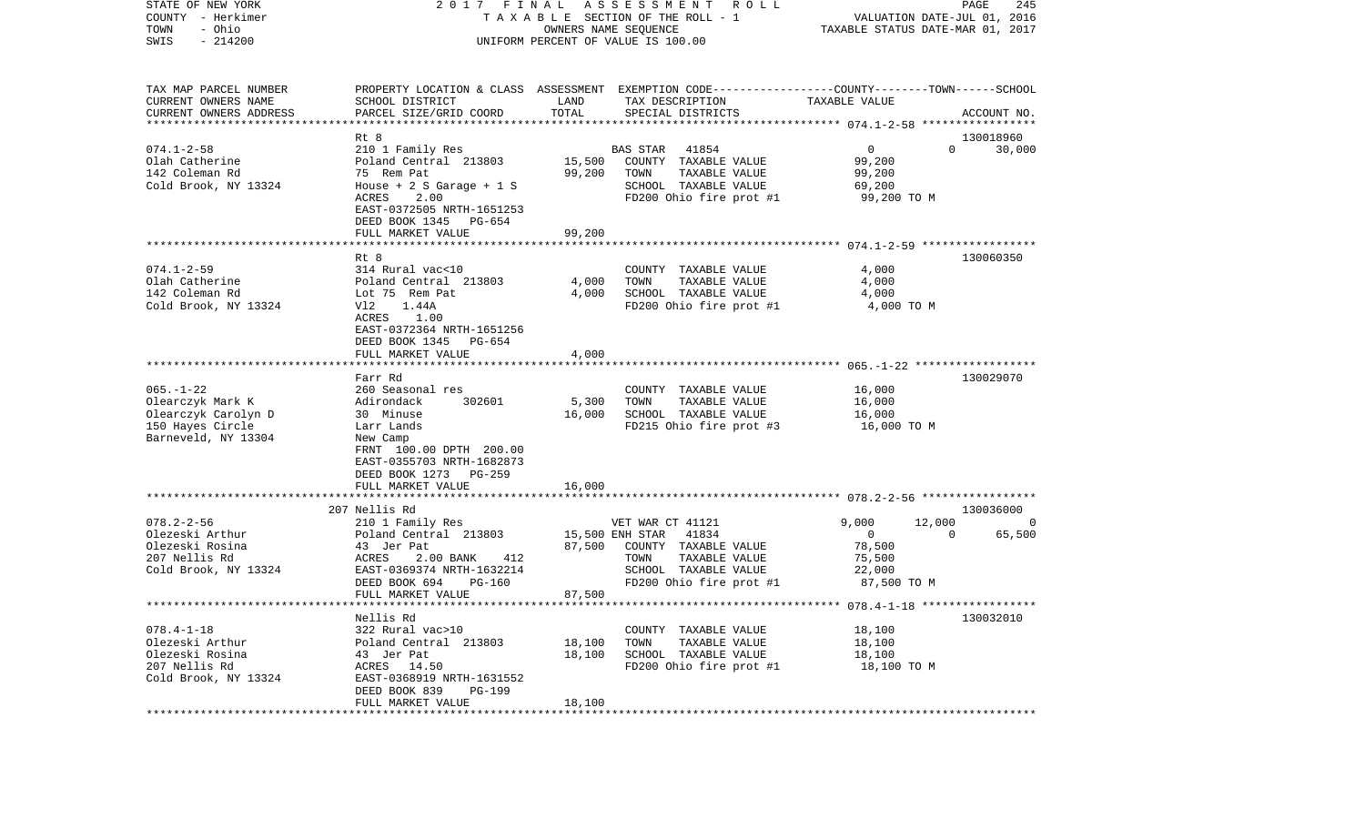| COUNTY<br>- Herkimer   | TAXABLE SECTION OF THE ROLL - 1 | VALUATION DATE-JUL 01, 2016                                                                     |                                      |  |
|------------------------|---------------------------------|-------------------------------------------------------------------------------------------------|--------------------------------------|--|
| - Ohio<br>TOWN         |                                 | TAXABLE STATUS DATE-MAR 01, 2017                                                                |                                      |  |
| $-214200$<br>SWIS      |                                 | UNIFORM PERCENT OF VALUE IS 100.00                                                              |                                      |  |
|                        |                                 |                                                                                                 |                                      |  |
|                        |                                 |                                                                                                 |                                      |  |
| TAX MAP PARCEL NUMBER  |                                 | PROPERTY LOCATION & CLASS ASSESSMENT EXEMPTION CODE---------------COUNTY-------TOWN------SCHOOL |                                      |  |
| CURRENT OWNERS NAME    | SCHOOL DISTRICT                 | LAND<br>TAX DESCRIPTION                                                                         | TAXABLE VALUE                        |  |
| CURRENT OWNERS ADDRESS | PARCEL SIZE/GRID COORD          | TOTAL<br>SPECIAL DISTRICTS                                                                      | ACCOUNT NO.                          |  |
|                        |                                 |                                                                                                 |                                      |  |
|                        | Rt 8                            |                                                                                                 | 130018960                            |  |
| $074.1 - 2 - 58$       | 210 1 Family Res                | 41854<br><b>BAS STAR</b>                                                                        | 0<br>$\Omega$<br>30,000              |  |
| Olah Catherine         | Poland Central 213803           | 15,500<br>COUNTY TAXABLE VALUE                                                                  | 99,200                               |  |
| 142 Coleman Rd         | 75 Rem Pat                      | 99,200<br>TOWN<br>TAXABLE VALUE                                                                 | 99,200                               |  |
| Cold Brook, NY 13324   | House + 2 S Garage + 1 S        | SCHOOL TAXABLE VALUE                                                                            | 69,200                               |  |
|                        | 2.00<br>ACRES                   | FD200 Ohio fire prot #1                                                                         | 99,200 TO M                          |  |
|                        | EAST-0372505 NRTH-1651253       |                                                                                                 |                                      |  |
|                        | DEED BOOK 1345<br>PG-654        |                                                                                                 |                                      |  |
|                        | FULL MARKET VALUE               | 99,200                                                                                          |                                      |  |
|                        |                                 |                                                                                                 |                                      |  |
|                        | Rt 8                            |                                                                                                 | 130060350                            |  |
| $074.1 - 2 - 59$       | 314 Rural vac<10                | COUNTY TAXABLE VALUE                                                                            | 4,000                                |  |
| Olah Catherine         | Poland Central 213803           | 4,000<br>TOWN<br>TAXABLE VALUE                                                                  | 4,000                                |  |
| 142 Coleman Rd         | Lot 75 Rem Pat                  | 4,000<br>SCHOOL TAXABLE VALUE                                                                   | 4,000                                |  |
| Cold Brook, NY 13324   | 1.44A<br>Vl2                    | FD200 Ohio fire prot #1                                                                         | 4,000 TO M                           |  |
|                        | ACRES<br>1.00                   |                                                                                                 |                                      |  |
|                        | EAST-0372364 NRTH-1651256       |                                                                                                 |                                      |  |
|                        | DEED BOOK 1345<br>PG-654        |                                                                                                 |                                      |  |
|                        | FULL MARKET VALUE               | 4,000                                                                                           |                                      |  |
|                        | ******************              | **********                                                                                      |                                      |  |
|                        | Farr Rd                         |                                                                                                 | 130029070                            |  |
| $065. - 1 - 22$        | 260 Seasonal res                | COUNTY TAXABLE VALUE                                                                            | 16,000                               |  |
| Olearczyk Mark K       | Adirondack<br>302601            | 5,300<br>TOWN<br>TAXABLE VALUE                                                                  | 16,000                               |  |
| Olearczyk Carolyn D    | 30 Minuse                       | 16,000<br>SCHOOL TAXABLE VALUE                                                                  | 16,000                               |  |
| 150 Hayes Circle       | Larr Lands                      | FD215 Ohio fire prot #3                                                                         | 16,000 TO M                          |  |
| Barneveld, NY 13304    | New Camp                        |                                                                                                 |                                      |  |
|                        | FRNT 100.00 DPTH 200.00         |                                                                                                 |                                      |  |
|                        | EAST-0355703 NRTH-1682873       |                                                                                                 |                                      |  |
|                        | DEED BOOK 1273<br>PG-259        |                                                                                                 |                                      |  |
|                        | FULL MARKET VALUE               | 16,000                                                                                          |                                      |  |
|                        |                                 |                                                                                                 |                                      |  |
|                        | 207 Nellis Rd                   |                                                                                                 | 130036000                            |  |
| $078.2 - 2 - 56$       | 210 1 Family Res                | VET WAR CT 41121                                                                                | 9,000<br>12,000<br>$\Omega$          |  |
| Olezeski Arthur        | Poland Central 213803           | 15,500 ENH STAR<br>41834                                                                        | $\overline{0}$<br>65,500<br>$\Omega$ |  |
| Olezeski Rosina        | 43 Jer Pat                      | 87,500<br>COUNTY TAXABLE VALUE                                                                  | 78,500                               |  |
| 207 Nellis Rd          | ACRES<br>$2.00$ BANK<br>412     | TAXABLE VALUE<br>TOWN                                                                           | 75,500                               |  |
| Cold Brook, NY 13324   | EAST-0369374 NRTH-1632214       | SCHOOL TAXABLE VALUE                                                                            | 22,000                               |  |
|                        | DEED BOOK 694<br>PG-160         | FD200 Ohio fire prot #1                                                                         | 87,500 TO M                          |  |
|                        | FULL MARKET VALUE               | 87,500                                                                                          |                                      |  |
|                        |                                 |                                                                                                 |                                      |  |
|                        | Nellis Rd                       |                                                                                                 | 130032010                            |  |
| $078.4 - 1 - 18$       | 322 Rural vac>10                | COUNTY TAXABLE VALUE                                                                            | 18,100                               |  |
| Olezeski Arthur        | Poland Central 213803           | 18,100<br>TOWN<br>TAXABLE VALUE                                                                 | 18,100                               |  |
| Olezeski Rosina        | 43 Jer Pat                      | SCHOOL TAXABLE VALUE<br>18,100                                                                  | 18,100                               |  |
| 207 Nellis Rd          | ACRES<br>14.50                  | FD200 Ohio fire prot #1                                                                         | 18,100 TO M                          |  |
| Cold Brook, NY 13324   | EAST-0368919 NRTH-1631552       |                                                                                                 |                                      |  |
|                        | DEED BOOK 839<br>PG-199         |                                                                                                 |                                      |  |
|                        | FULL MARKET VALUE               | 18,100                                                                                          |                                      |  |
|                        |                                 |                                                                                                 |                                      |  |

STATE OF NEW YORK 2 0 1 7 F I N A L A S S E S S M E N T R O L L PAGE 245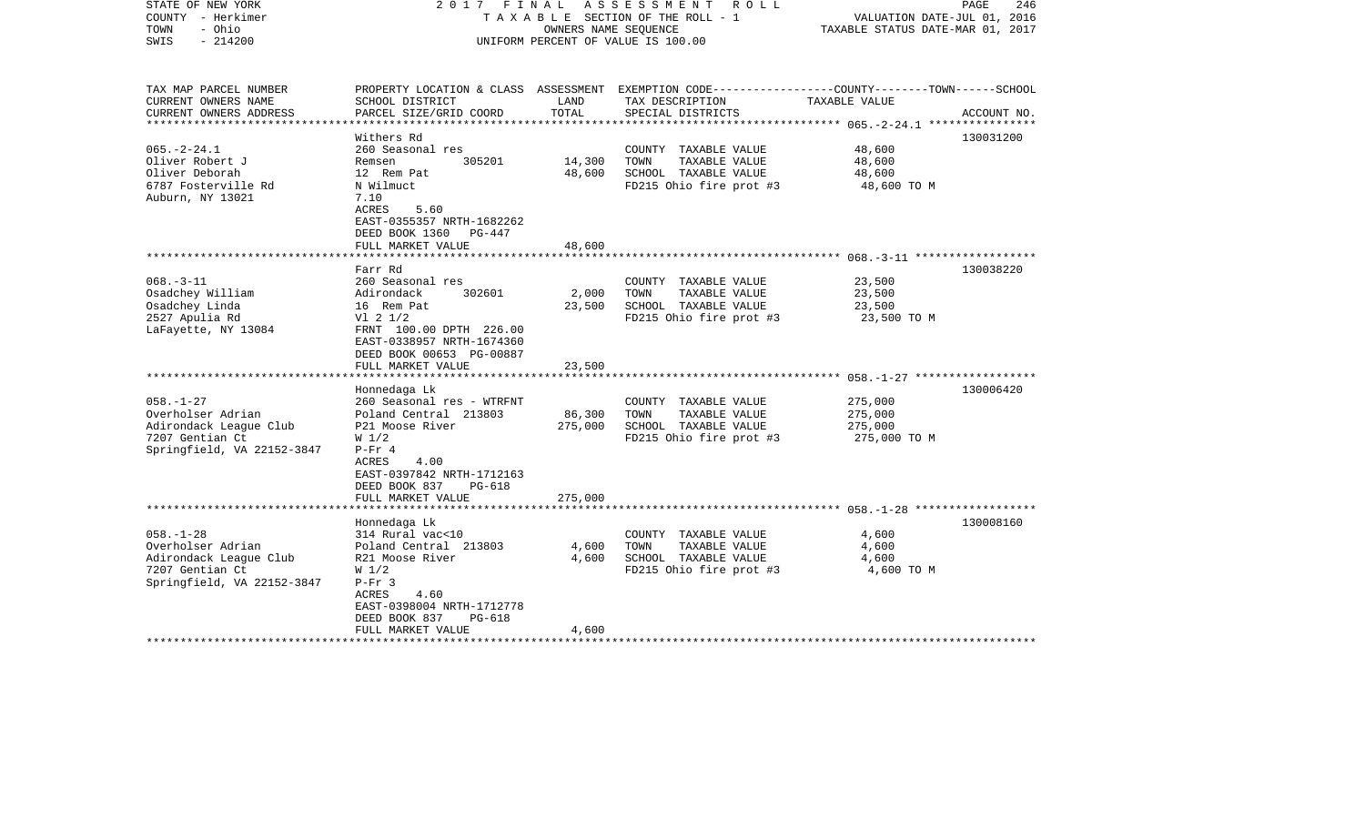| STATE OF NEW YORK<br>COUNTY - Herkimer<br>- Ohio<br>TOWN<br>$-214200$<br>SWIS                                                                                                                                    | 2017 FINAL                                                                                                                                                                                                                                                                                                          | OWNERS NAME SEQUENCE                           | ASSESSMENT<br>R O L L<br>TAXABLE SECTION OF THE ROLL - 1<br>UNIFORM PERCENT OF VALUE IS 100.00                                                                                                       | VALUATION DATE-JUL 01, 2016<br>TAXABLE STATUS DATE-MAR 01, 2017                            | PAGE<br>246            |
|------------------------------------------------------------------------------------------------------------------------------------------------------------------------------------------------------------------|---------------------------------------------------------------------------------------------------------------------------------------------------------------------------------------------------------------------------------------------------------------------------------------------------------------------|------------------------------------------------|------------------------------------------------------------------------------------------------------------------------------------------------------------------------------------------------------|--------------------------------------------------------------------------------------------|------------------------|
| TAX MAP PARCEL NUMBER<br>CURRENT OWNERS NAME                                                                                                                                                                     | SCHOOL DISTRICT                                                                                                                                                                                                                                                                                                     | LAND<br>TOTAL                                  | PROPERTY LOCATION & CLASS ASSESSMENT EXEMPTION CODE----------------COUNTY-------TOWN------SCHOOL<br>TAX DESCRIPTION                                                                                  | TAXABLE VALUE                                                                              |                        |
| CURRENT OWNERS ADDRESS<br>********************                                                                                                                                                                   | PARCEL SIZE/GRID COORD<br>***********************                                                                                                                                                                                                                                                                   | ***************                                | SPECIAL DISTRICTS                                                                                                                                                                                    |                                                                                            | ACCOUNT NO.            |
| $065. -2 - 24.1$<br>Oliver Robert J<br>Oliver Deborah<br>6787 Fosterville Rd<br>Auburn, NY 13021                                                                                                                 | Withers Rd<br>260 Seasonal res<br>Remsen<br>305201<br>12 Rem Pat<br>N Wilmuct<br>7.10<br>ACRES<br>5.60<br>EAST-0355357 NRTH-1682262                                                                                                                                                                                 | 14,300<br>48,600                               | COUNTY TAXABLE VALUE<br>TOWN<br>TAXABLE VALUE<br>SCHOOL TAXABLE VALUE<br>FD215 Ohio fire prot #3                                                                                                     | 48,600<br>48,600<br>48,600<br>48,600 TO M                                                  | 130031200              |
|                                                                                                                                                                                                                  | DEED BOOK 1360<br>PG-447<br>FULL MARKET VALUE                                                                                                                                                                                                                                                                       | 48,600                                         |                                                                                                                                                                                                      |                                                                                            |                        |
|                                                                                                                                                                                                                  |                                                                                                                                                                                                                                                                                                                     |                                                |                                                                                                                                                                                                      | $068 - 3 - 11$ *******************                                                         |                        |
| $068. -3 - 11$<br>Osadchey William<br>Osadchey Linda<br>2527 Apulia Rd<br>LaFayette, NY 13084<br>$058. - 1 - 27$<br>Overholser Adrian<br>Adirondack League Club<br>7207 Gentian Ct<br>Springfield, VA 22152-3847 | Farr Rd<br>260 Seasonal res<br>Adirondack<br>302601<br>16 Rem Pat<br>$VI$ 2 $1/2$<br>FRNT 100.00 DPTH 226.00<br>EAST-0338957 NRTH-1674360<br>DEED BOOK 00653 PG-00887<br>FULL MARKET VALUE<br>Honnedaga Lk<br>260 Seasonal res - WTRFNT<br>Poland Central 213803<br>P21 Moose River<br>W <sub>1/2</sub><br>$P-Fr 4$ | 2,000<br>23,500<br>23,500<br>86,300<br>275,000 | COUNTY TAXABLE VALUE<br>TOWN<br>TAXABLE VALUE<br>SCHOOL TAXABLE VALUE<br>FD215 Ohio fire prot #3<br>COUNTY TAXABLE VALUE<br>TOWN<br>TAXABLE VALUE<br>SCHOOL TAXABLE VALUE<br>FD215 Ohio fire prot #3 | 23,500<br>23,500<br>23,500<br>23,500 TO M<br>275,000<br>275,000<br>275,000<br>275,000 TO M | 130038220<br>130006420 |
|                                                                                                                                                                                                                  | ACRES<br>4.00<br>EAST-0397842 NRTH-1712163<br>DEED BOOK 837<br>PG-618<br>FULL MARKET VALUE<br>***********************                                                                                                                                                                                               | 275,000                                        |                                                                                                                                                                                                      |                                                                                            |                        |
|                                                                                                                                                                                                                  | Honnedaga Lk                                                                                                                                                                                                                                                                                                        |                                                |                                                                                                                                                                                                      |                                                                                            | 130008160              |
| $058. - 1 - 28$<br>Overholser Adrian<br>Adirondack League Club<br>7207 Gentian Ct<br>Springfield, VA 22152-3847                                                                                                  | 314 Rural vac<10<br>Poland Central 213803<br>R21 Moose River<br>W <sub>1/2</sub><br>$P-Fr$ 3<br>4.60<br>ACRES<br>EAST-0398004 NRTH-1712778<br>DEED BOOK 837<br><b>PG-618</b>                                                                                                                                        | 4,600<br>4,600                                 | COUNTY TAXABLE VALUE<br>TOWN<br>TAXABLE VALUE<br>SCHOOL TAXABLE VALUE<br>FD215 Ohio fire prot #3                                                                                                     | 4,600<br>4,600<br>4,600<br>4,600 TO M                                                      |                        |
|                                                                                                                                                                                                                  | FULL MARKET VALUE                                                                                                                                                                                                                                                                                                   | 4,600                                          |                                                                                                                                                                                                      |                                                                                            |                        |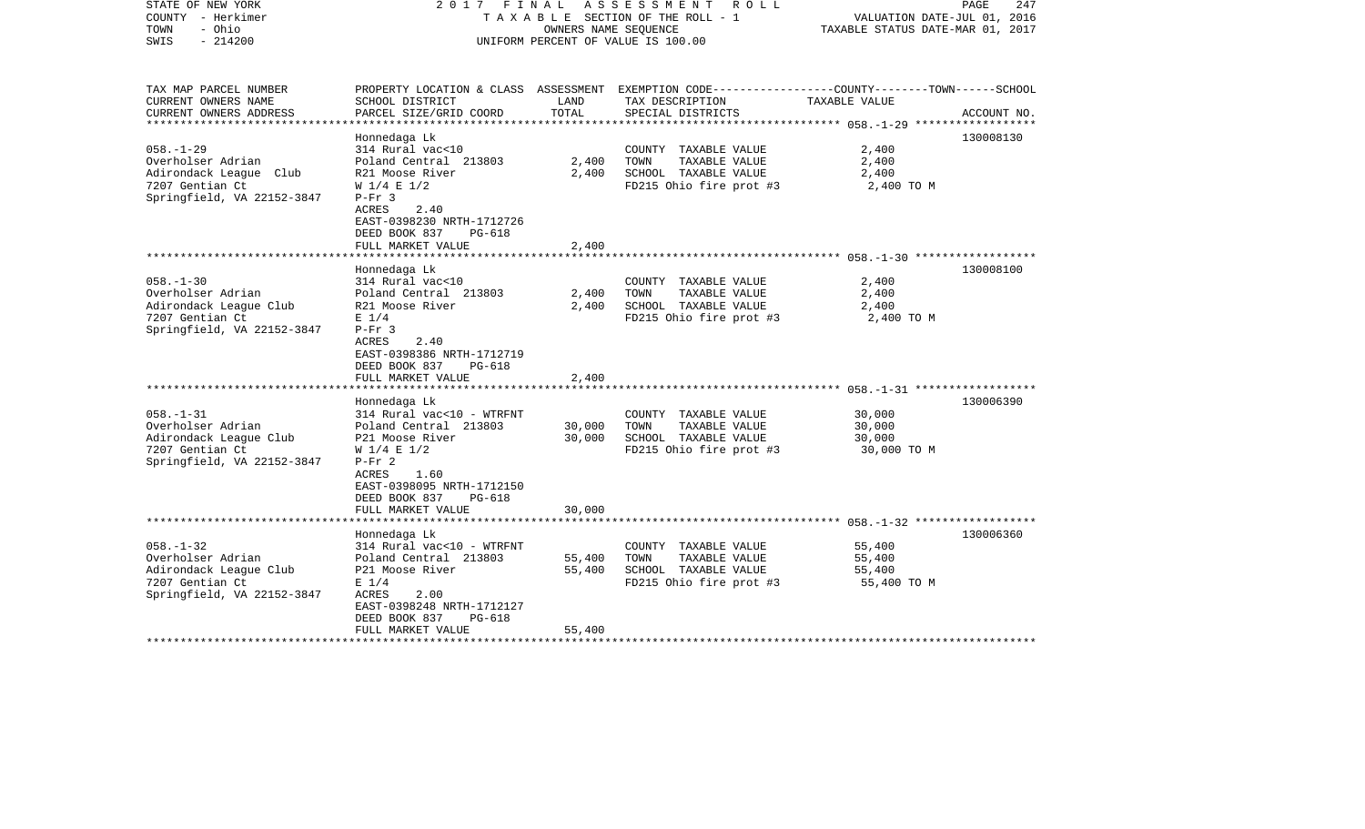| STATE OF NEW YORK<br>COUNTY - Herkimer<br>- Ohio<br>TOWN<br>$-214200$<br>SWIS                                                                           | 2017 FINAL                                                                                                                                                                                                                                                                                                |                                   | ASSESSMENT<br>R O L L<br>TAXABLE SECTION OF THE ROLL - 1<br>OWNERS NAME SEQUENCE<br>UNIFORM PERCENT OF VALUE IS 100.00                            | VALUATION DATE-JUL 01, 2016<br>TAXABLE STATUS DATE-MAR 01, 2017 | 247<br>PAGE            |
|---------------------------------------------------------------------------------------------------------------------------------------------------------|-----------------------------------------------------------------------------------------------------------------------------------------------------------------------------------------------------------------------------------------------------------------------------------------------------------|-----------------------------------|---------------------------------------------------------------------------------------------------------------------------------------------------|-----------------------------------------------------------------|------------------------|
| TAX MAP PARCEL NUMBER<br>CURRENT OWNERS NAME<br>CURRENT OWNERS ADDRESS                                                                                  | SCHOOL DISTRICT<br>PARCEL SIZE/GRID COORD                                                                                                                                                                                                                                                                 | LAND<br>TOTAL                     | PROPERTY LOCATION & CLASS ASSESSMENT EXEMPTION CODE----------------COUNTY-------TOWN------SCHOOL<br>TAX DESCRIPTION<br>SPECIAL DISTRICTS          | TAXABLE VALUE                                                   | ACCOUNT NO.            |
| **********************                                                                                                                                  |                                                                                                                                                                                                                                                                                                           |                                   |                                                                                                                                                   |                                                                 |                        |
| $058. - 1 - 29$<br>Overholser Adrian<br>Adirondack League Club<br>7207 Gentian Ct<br>Springfield, VA 22152-3847                                         | Honnedaga Lk<br>314 Rural vac<10<br>Poland Central 213803<br>R21 Moose River<br>$W$ 1/4 E 1/2<br>$P-Fr$ 3<br>2.40<br>ACRES<br>EAST-0398230 NRTH-1712726<br>DEED BOOK 837<br>PG-618                                                                                                                        | 2,400<br>2,400                    | COUNTY TAXABLE VALUE<br>TOWN<br>TAXABLE VALUE<br>SCHOOL TAXABLE VALUE<br>FD215 Ohio fire prot #3                                                  | 2,400<br>2,400<br>2,400<br>2,400 TO M                           | 130008130              |
|                                                                                                                                                         | FULL MARKET VALUE                                                                                                                                                                                                                                                                                         | 2,400                             |                                                                                                                                                   |                                                                 |                        |
| $058. - 1 - 30$<br>Overholser Adrian<br>Adirondack League Club<br>7207 Gentian Ct<br>Springfield, VA 22152-3847<br>$058. - 1 - 31$<br>Overholser Adrian | Honnedaga Lk<br>314 Rural vac<10<br>Poland Central 213803<br>R21 Moose River<br>$E$ 1/4<br>$P-Fr$ 3<br>ACRES<br>2.40<br>EAST-0398386 NRTH-1712719<br>DEED BOOK 837<br>PG-618<br>FULL MARKET VALUE<br>******************************<br>Honnedaga Lk<br>314 Rural vac<10 - WTRFNT<br>Poland Central 213803 | 2,400<br>2,400<br>2,400<br>30,000 | COUNTY TAXABLE VALUE<br>TOWN<br>TAXABLE VALUE<br>SCHOOL TAXABLE VALUE<br>FD215 Ohio fire prot #3<br>COUNTY TAXABLE VALUE<br>TAXABLE VALUE<br>TOWN | 2,400<br>2,400<br>2,400<br>2,400 TO M<br>30,000<br>30,000       | 130008100<br>130006390 |
| Adirondack League Club<br>7207 Gentian Ct<br>Springfield, VA 22152-3847                                                                                 | P21 Moose River<br>$W$ 1/4 E 1/2<br>$P-Fr 2$<br>1.60<br>ACRES<br>EAST-0398095 NRTH-1712150<br>DEED BOOK 837<br>PG-618<br>FULL MARKET VALUE                                                                                                                                                                | 30,000<br>30,000                  | SCHOOL TAXABLE VALUE<br>FD215 Ohio fire prot #3                                                                                                   | 30,000<br>30,000 TO M                                           |                        |
|                                                                                                                                                         |                                                                                                                                                                                                                                                                                                           |                                   |                                                                                                                                                   |                                                                 |                        |
| $058. - 1 - 32$<br>Overholser Adrian<br>Adirondack League Club<br>7207 Gentian Ct<br>Springfield, VA 22152-3847                                         | Honnedaga Lk<br>314 Rural vac<10 - WTRFNT<br>Poland Central 213803<br>P21 Moose River<br>$E$ 1/4<br>ACRES<br>2.00<br>EAST-0398248 NRTH-1712127<br>DEED BOOK 837<br><b>PG-618</b><br>FULL MARKET VALUE                                                                                                     | 55,400<br>55,400<br>55,400        | COUNTY TAXABLE VALUE<br>TOWN<br>TAXABLE VALUE<br>SCHOOL TAXABLE VALUE<br>FD215 Ohio fire prot #3                                                  | 55,400<br>55,400<br>55,400<br>55,400 TO M                       | 130006360              |
|                                                                                                                                                         |                                                                                                                                                                                                                                                                                                           |                                   |                                                                                                                                                   |                                                                 |                        |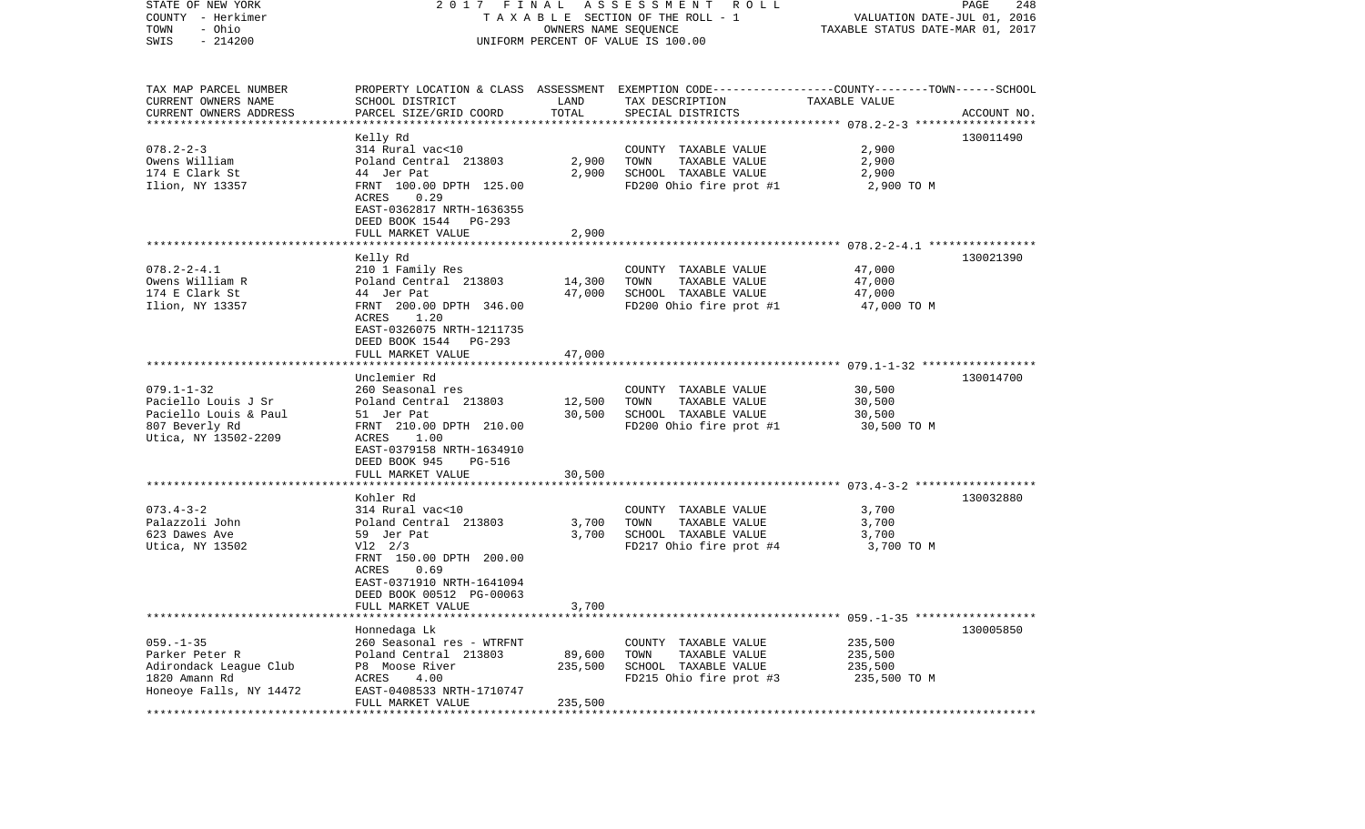| STATE OF NEW YORK<br>COUNTY - Herkimer<br>TOWN<br>- Ohio<br>$-214200$<br>SWIS                              |                                                                                                                                                                                          | OWNERS NAME SEQUENCE         | 2017 FINAL ASSESSMENT ROLL<br>T A X A B L E SECTION OF THE ROLL - 1<br>UNIFORM PERCENT OF VALUE IS 100.00          | VALUATION DATE-JUL 01, 2016<br>TAXABLE STATUS DATE-MAR 01, 2017 | PAGE<br>248 |
|------------------------------------------------------------------------------------------------------------|------------------------------------------------------------------------------------------------------------------------------------------------------------------------------------------|------------------------------|--------------------------------------------------------------------------------------------------------------------|-----------------------------------------------------------------|-------------|
| TAX MAP PARCEL NUMBER<br>CURRENT OWNERS NAME                                                               | SCHOOL DISTRICT                                                                                                                                                                          | LAND                         | PROPERTY LOCATION & CLASS ASSESSMENT EXEMPTION CODE---------------COUNTY-------TOWN------SCHOOL<br>TAX DESCRIPTION | TAXABLE VALUE                                                   |             |
| CURRENT OWNERS ADDRESS<br>**************************                                                       | PARCEL SIZE/GRID COORD                                                                                                                                                                   | TOTAL                        | SPECIAL DISTRICTS                                                                                                  |                                                                 | ACCOUNT NO. |
| $078.2 - 2 - 3$<br>Owens William<br>174 E Clark St<br>Ilion, NY 13357                                      | Kelly Rd<br>314 Rural vac<10<br>Poland Central 213803<br>44 Jer Pat<br>FRNT 100.00 DPTH 125.00<br>0.29<br>ACRES                                                                          | 2,900<br>2,900               | COUNTY TAXABLE VALUE<br>TOWN<br>TAXABLE VALUE<br>SCHOOL TAXABLE VALUE<br>FD200 Ohio fire prot #1                   | 2,900<br>2,900<br>2,900<br>2,900 TO M                           | 130011490   |
|                                                                                                            | EAST-0362817 NRTH-1636355<br>DEED BOOK 1544 PG-293                                                                                                                                       |                              |                                                                                                                    |                                                                 |             |
|                                                                                                            | FULL MARKET VALUE                                                                                                                                                                        | 2,900                        |                                                                                                                    |                                                                 |             |
| $078.2 - 2 - 4.1$<br>Owens William R<br>174 E Clark St<br>Ilion, NY 13357                                  | Kelly Rd<br>210 1 Family Res<br>Poland Central 213803<br>44 Jer Pat<br>FRNT 200.00 DPTH 346.00<br>ACRES<br>1.20<br>EAST-0326075 NRTH-1211735<br>DEED BOOK 1544<br>PG-293                 | 14,300<br>47,000             | COUNTY TAXABLE VALUE<br>TOWN<br>TAXABLE VALUE<br>SCHOOL TAXABLE VALUE<br>FD200 Ohio fire prot #1                   | 47,000<br>47,000<br>47,000<br>47,000 TO M                       | 130021390   |
|                                                                                                            | FULL MARKET VALUE                                                                                                                                                                        | 47,000                       |                                                                                                                    |                                                                 |             |
| $079.1 - 1 - 32$<br>Paciello Louis J Sr<br>Paciello Louis & Paul<br>807 Beverly Rd<br>Utica, NY 13502-2209 | Unclemier Rd<br>260 Seasonal res<br>Poland Central 213803<br>51 Jer Pat<br>FRNT 210.00 DPTH 210.00<br>ACRES 1.00<br>EAST-0379158 NRTH-1634910<br>DEED BOOK 945<br>PG-516                 | 12,500<br>30,500             | COUNTY TAXABLE VALUE<br>TOWN<br>TAXABLE VALUE<br>SCHOOL TAXABLE VALUE<br>FD200 Ohio fire prot #1                   | 30,500<br>30,500<br>30,500<br>30,500 TO M                       | 130014700   |
|                                                                                                            | FULL MARKET VALUE                                                                                                                                                                        | 30,500                       |                                                                                                                    |                                                                 |             |
| $073.4 - 3 - 2$<br>Palazzoli John<br>623 Dawes Ave<br>Utica, NY 13502                                      | Kohler Rd<br>314 Rural vac<10<br>Poland Central 213803<br>59 Jer Pat<br>$V12 \t2/3$<br>FRNT 150.00 DPTH 200.00<br>ACRES<br>0.69<br>EAST-0371910 NRTH-1641094<br>DEED BOOK 00512 PG-00063 | 3,700<br>3,700               | COUNTY TAXABLE VALUE<br>TOWN<br>TAXABLE VALUE<br>SCHOOL TAXABLE VALUE<br>FD217 Ohio fire prot #4                   | 3,700<br>3,700<br>3,700<br>3,700 TO M                           | 130032880   |
|                                                                                                            | FULL MARKET VALUE                                                                                                                                                                        | 3,700                        |                                                                                                                    |                                                                 |             |
| $059. - 1 - 35$<br>Parker Peter R<br>Adirondack League Club<br>1820 Amann Rd<br>Honeoye Falls, NY 14472    | Honnedaga Lk<br>260 Seasonal res - WTRFNT<br>Poland Central 213803<br>P8 Moose River<br>ACRES<br>4.00<br>EAST-0408533 NRTH-1710747<br>FULL MARKET VALUE                                  | 89,600<br>235,500<br>235,500 | COUNTY TAXABLE VALUE<br>TOWN<br>TAXABLE VALUE<br>SCHOOL TAXABLE VALUE<br>FD215 Ohio fire prot #3                   | 235,500<br>235,500<br>235,500<br>235,500 TO M                   | 130005850   |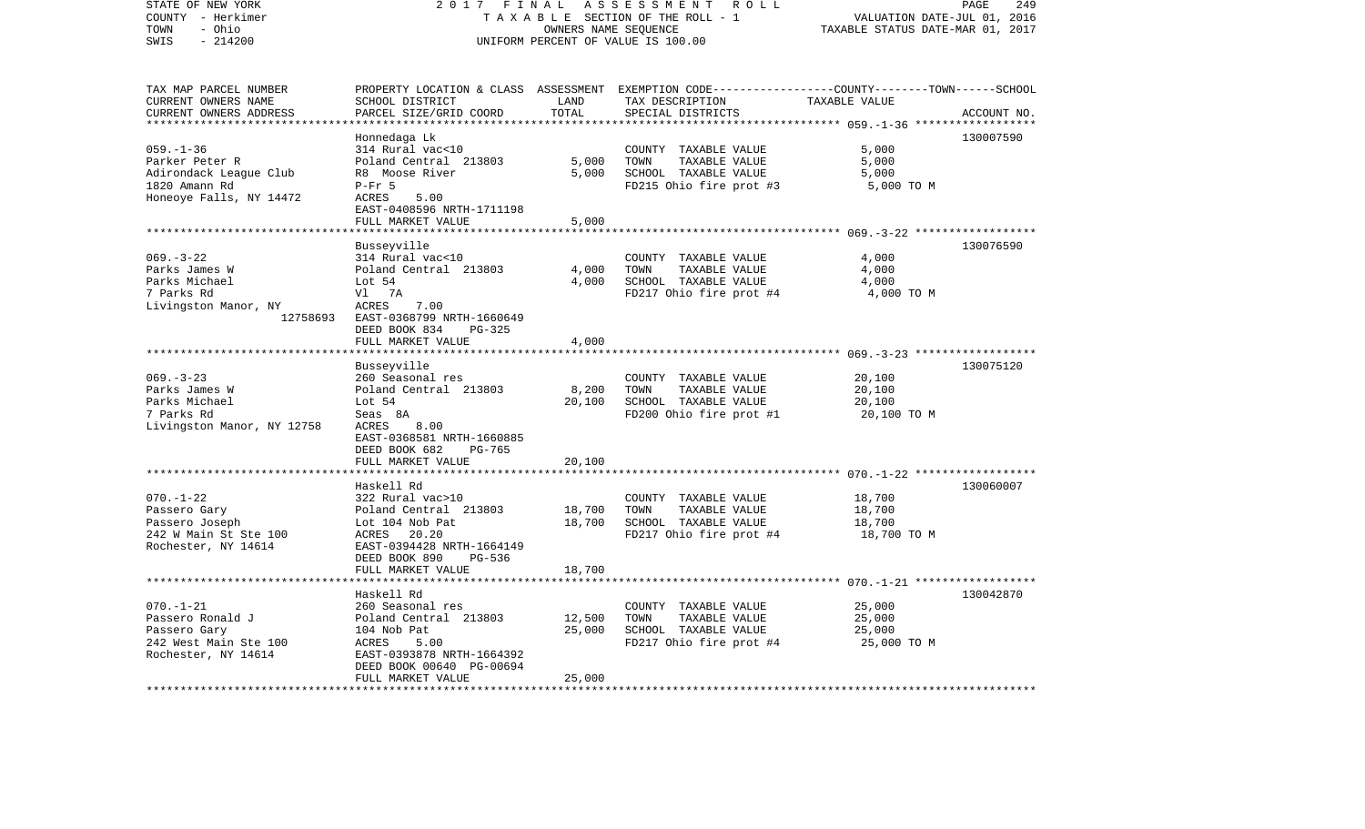| STATE OF NEW YORK<br>COUNTY - Herkimer<br>- Ohio<br>TOWN<br>SWIS<br>$-214200$                                               | 2017<br>FINAL<br>TAXABLE SECTION OF THE ROLL - 1<br>UNIFORM PERCENT OF VALUE IS 100.00                                                                                                                                                         | PAGE<br>249<br>VALUATION DATE-JUL 01, 2016<br>TAXABLE STATUS DATE-MAR 01, 2017 |                                                                                                                                          |                                                                                                       |             |
|-----------------------------------------------------------------------------------------------------------------------------|------------------------------------------------------------------------------------------------------------------------------------------------------------------------------------------------------------------------------------------------|--------------------------------------------------------------------------------|------------------------------------------------------------------------------------------------------------------------------------------|-------------------------------------------------------------------------------------------------------|-------------|
| TAX MAP PARCEL NUMBER<br>CURRENT OWNERS NAME<br>CURRENT OWNERS ADDRESS<br>***********************                           | SCHOOL DISTRICT<br>PARCEL SIZE/GRID COORD                                                                                                                                                                                                      | LAND<br>TOTAL                                                                  | PROPERTY LOCATION & CLASS ASSESSMENT EXEMPTION CODE----------------COUNTY-------TOWN------SCHOOL<br>TAX DESCRIPTION<br>SPECIAL DISTRICTS | TAXABLE VALUE                                                                                         | ACCOUNT NO. |
| $059. - 1 - 36$<br>Parker Peter R<br>Adirondack League Club<br>1820 Amann Rd<br>Honeoye Falls, NY 14472                     | Honnedaga Lk<br>314 Rural vac<10<br>Poland Central 213803<br>R8 Moose River<br>$P-Fr$ 5<br>ACRES<br>5.00<br>EAST-0408596 NRTH-1711198<br>FULL MARKET VALUE                                                                                     | 5,000<br>5,000<br>5,000                                                        | COUNTY TAXABLE VALUE<br>TOWN<br>TAXABLE VALUE<br>SCHOOL TAXABLE VALUE<br>FD215 Ohio fire prot #3                                         | 5,000<br>5,000<br>5,000<br>5,000 TO M                                                                 | 130007590   |
| $069. -3 - 22$<br>Parks James W<br>Parks Michael<br>7 Parks Rd<br>Livingston Manor, NY<br>12758693                          | Busseyville<br>314 Rural vac<10<br>Poland Central 213803<br>Lot 54<br>Vl 7A<br>ACRES<br>7.00<br>EAST-0368799 NRTH-1660649<br>DEED BOOK 834<br>PG-325                                                                                           | 4,000<br>4,000                                                                 | COUNTY TAXABLE VALUE<br>TOWN<br>TAXABLE VALUE<br>SCHOOL TAXABLE VALUE<br>FD217 Ohio fire prot #4                                         | *********** 069.-3-22 ******************<br>4,000<br>4,000<br>4,000<br>4,000 TO M                     | 130076590   |
| $069. -3 - 23$<br>Parks James W<br>Parks Michael<br>7 Parks Rd<br>Livingston Manor, NY 12758                                | FULL MARKET VALUE<br>Busseyville<br>260 Seasonal res<br>Poland Central 213803<br>Lot 54<br>Seas 8A<br>8.00<br>ACRES<br>EAST-0368581 NRTH-1660885<br>DEED BOOK 682<br><b>PG-765</b>                                                             | 4,000<br>8,200<br>20,100                                                       | COUNTY TAXABLE VALUE<br>TOWN<br>TAXABLE VALUE<br>SCHOOL TAXABLE VALUE<br>FD200 Ohio fire prot #1                                         | *************** 069.-3-23 *******************<br>20,100<br>20,100<br>20,100<br>20,100 TO M            | 130075120   |
| $070. - 1 - 22$<br>Passero Gary<br>Passero Joseph<br>242 W Main St Ste 100<br>Rochester, NY 14614                           | FULL MARKET VALUE<br>Haskell Rd<br>322 Rural vac>10<br>Poland Central 213803<br>Lot 104 Nob Pat<br>ACRES 20.20<br>EAST-0394428 NRTH-1664149                                                                                                    | 20,100<br>18,700<br>18,700                                                     | COUNTY TAXABLE VALUE<br>TOWN<br>TAXABLE VALUE<br>SCHOOL TAXABLE VALUE<br>FD217 Ohio fire prot #4                                         | ************************** 070.-1-22 *******************<br>18,700<br>18,700<br>18,700<br>18,700 TO M | 130060007   |
| ********************<br>$070. - 1 - 21$<br>Passero Ronald J<br>Passero Gary<br>242 West Main Ste 100<br>Rochester, NY 14614 | DEED BOOK 890<br>$PG-536$<br>FULL MARKET VALUE<br>*******************<br>Haskell Rd<br>260 Seasonal res<br>Poland Central 213803<br>104 Nob Pat<br>ACRES<br>5.00<br>EAST-0393878 NRTH-1664392<br>DEED BOOK 00640 PG-00694<br>FULL MARKET VALUE | 18,700<br>*********<br>12,500<br>25,000<br>25,000                              | COUNTY TAXABLE VALUE<br>TAXABLE VALUE<br>TOWN<br>SCHOOL TAXABLE VALUE<br>FD217 Ohio fire prot #4                                         | 25,000<br>25,000<br>25,000<br>25,000 TO M                                                             | 130042870   |
|                                                                                                                             |                                                                                                                                                                                                                                                | ***********                                                                    |                                                                                                                                          |                                                                                                       |             |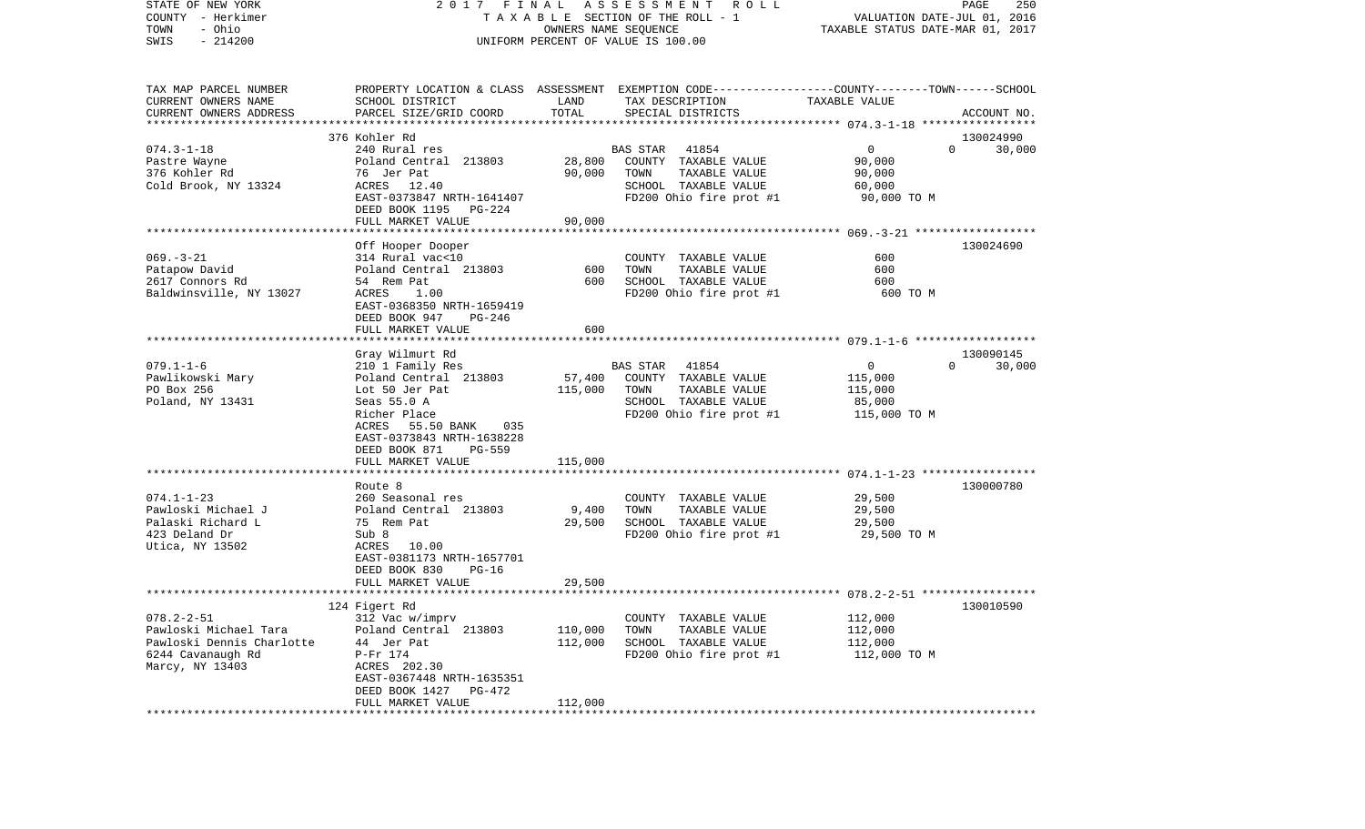| COUNTY<br>– Herkimer      |                                               |                             | T A X A B L E SECTION OF THE ROLL - 1                                                           | VALUATION DATE-JUL 01, 2016      |             |
|---------------------------|-----------------------------------------------|-----------------------------|-------------------------------------------------------------------------------------------------|----------------------------------|-------------|
| TOWN<br>- Ohio            |                                               |                             | OWNERS NAME SEQUENCE                                                                            | TAXABLE STATUS DATE-MAR 01, 2017 |             |
| SWIS<br>$-214200$         |                                               |                             | UNIFORM PERCENT OF VALUE IS 100.00                                                              |                                  |             |
|                           |                                               |                             |                                                                                                 |                                  |             |
|                           |                                               |                             |                                                                                                 |                                  |             |
| TAX MAP PARCEL NUMBER     |                                               |                             | PROPERTY LOCATION & CLASS ASSESSMENT EXEMPTION CODE---------------COUNTY-------TOWN------SCHOOL |                                  |             |
| CURRENT OWNERS NAME       | SCHOOL DISTRICT                               | LAND                        | TAX DESCRIPTION                                                                                 | TAXABLE VALUE                    |             |
| CURRENT OWNERS ADDRESS    | PARCEL SIZE/GRID COORD                        | TOTAL                       | SPECIAL DISTRICTS                                                                               |                                  | ACCOUNT NO. |
|                           |                                               |                             |                                                                                                 |                                  |             |
|                           | 376 Kohler Rd                                 |                             |                                                                                                 |                                  | 130024990   |
| $074.3 - 1 - 18$          | 240 Rural res                                 |                             | <b>BAS STAR</b><br>41854                                                                        | $\Omega$<br>$\mathbf 0$          | 30,000      |
| Pastre Wayne              | Poland Central 213803                         | 28,800                      | COUNTY TAXABLE VALUE                                                                            | 90,000                           |             |
| 376 Kohler Rd             | 76 Jer Pat                                    | 90,000                      | TOWN<br>TAXABLE VALUE                                                                           | 90,000                           |             |
| Cold Brook, NY 13324      | ACRES 12.40                                   |                             | SCHOOL TAXABLE VALUE                                                                            | 60,000                           |             |
|                           | EAST-0373847 NRTH-1641407                     |                             | FD200 Ohio fire prot #1                                                                         | 90,000 TO M                      |             |
|                           | DEED BOOK 1195<br>PG-224<br>FULL MARKET VALUE | 90,000                      |                                                                                                 |                                  |             |
|                           | *******************                           | * * * * * * * * * * * * * * |                                                                                                 |                                  |             |
|                           | Off Hooper Dooper                             |                             |                                                                                                 |                                  | 130024690   |
| $069. -3 - 21$            | 314 Rural vac<10                              |                             | COUNTY TAXABLE VALUE                                                                            | 600                              |             |
| Patapow David             | Poland Central 213803                         | 600                         | TAXABLE VALUE<br>TOWN                                                                           | 600                              |             |
| 2617 Connors Rd           | 54 Rem Pat                                    | 600                         | SCHOOL TAXABLE VALUE                                                                            | 600                              |             |
| Baldwinsville, NY 13027   | ACRES<br>1.00                                 |                             | FD200 Ohio fire prot #1                                                                         | 600 TO M                         |             |
|                           | EAST-0368350 NRTH-1659419                     |                             |                                                                                                 |                                  |             |
|                           | DEED BOOK 947<br>PG-246                       |                             |                                                                                                 |                                  |             |
|                           | FULL MARKET VALUE                             | 600                         |                                                                                                 |                                  |             |
|                           |                                               |                             |                                                                                                 |                                  |             |
|                           | Gray Wilmurt Rd                               |                             |                                                                                                 |                                  | 130090145   |
| $079.1 - 1 - 6$           | 210 1 Family Res                              |                             | BAS STAR<br>41854                                                                               | $\mathbf 0$<br>$\Omega$          | 30,000      |
| Pawlikowski Mary          | Poland Central 213803                         | 57,400                      | COUNTY TAXABLE VALUE                                                                            | 115,000                          |             |
| PO Box 256                | Lot 50 Jer Pat                                | 115,000                     | TOWN<br>TAXABLE VALUE                                                                           | 115,000                          |             |
| Poland, NY 13431          | Seas 55.0 A                                   |                             | SCHOOL TAXABLE VALUE                                                                            | 85,000                           |             |
|                           | Richer Place                                  |                             | FD200 Ohio fire prot #1                                                                         | 115,000 TO M                     |             |
|                           | 55.50 BANK<br>ACRES<br>035                    |                             |                                                                                                 |                                  |             |
|                           | EAST-0373843 NRTH-1638228                     |                             |                                                                                                 |                                  |             |
|                           | PG-559<br>DEED BOOK 871<br>FULL MARKET VALUE  | 115,000                     |                                                                                                 |                                  |             |
|                           |                                               |                             |                                                                                                 |                                  |             |
|                           | Route 8                                       |                             |                                                                                                 |                                  | 130000780   |
| $074.1 - 1 - 23$          | 260 Seasonal res                              |                             | COUNTY TAXABLE VALUE                                                                            | 29,500                           |             |
| Pawloski Michael J        | Poland Central 213803                         | 9,400                       | TOWN<br>TAXABLE VALUE                                                                           | 29,500                           |             |
| Palaski Richard L         | 75 Rem Pat                                    | 29,500                      | SCHOOL TAXABLE VALUE                                                                            | 29,500                           |             |
| 423 Deland Dr             | Sub 8                                         |                             | FD200 Ohio fire prot #1                                                                         | 29,500 TO M                      |             |
| Utica, NY 13502           | ACRES 10.00                                   |                             |                                                                                                 |                                  |             |
|                           | EAST-0381173 NRTH-1657701                     |                             |                                                                                                 |                                  |             |
|                           | DEED BOOK 830<br>$PG-16$                      |                             |                                                                                                 |                                  |             |
|                           | FULL MARKET VALUE                             | 29,500                      |                                                                                                 |                                  |             |
|                           | *********************                         |                             |                                                                                                 |                                  |             |
|                           | 124 Figert Rd                                 |                             |                                                                                                 |                                  | 130010590   |
| $078.2 - 2 - 51$          | 312 Vac w/imprv                               |                             | COUNTY TAXABLE VALUE                                                                            | 112,000                          |             |
| Pawloski Michael Tara     | Poland Central 213803                         | 110,000                     | TOWN<br>TAXABLE VALUE                                                                           | 112,000                          |             |
| Pawloski Dennis Charlotte | 44 Jer Pat                                    | 112,000                     | SCHOOL TAXABLE VALUE                                                                            | 112,000                          |             |
| 6244 Cavanaugh Rd         | P-Fr 174                                      |                             | FD200 Ohio fire prot #1                                                                         | 112,000 TO M                     |             |
| Marcy, NY 13403           | ACRES 202.30                                  |                             |                                                                                                 |                                  |             |
|                           | EAST-0367448 NRTH-1635351                     |                             |                                                                                                 |                                  |             |
|                           | DEED BOOK 1427<br>PG-472                      |                             |                                                                                                 |                                  |             |
|                           | FULL MARKET VALUE                             | 112,000                     |                                                                                                 |                                  |             |

STATE OF NEW YORK 2 0 1 7 F I N A L A S S E S S M E N T R O L L PAGE 250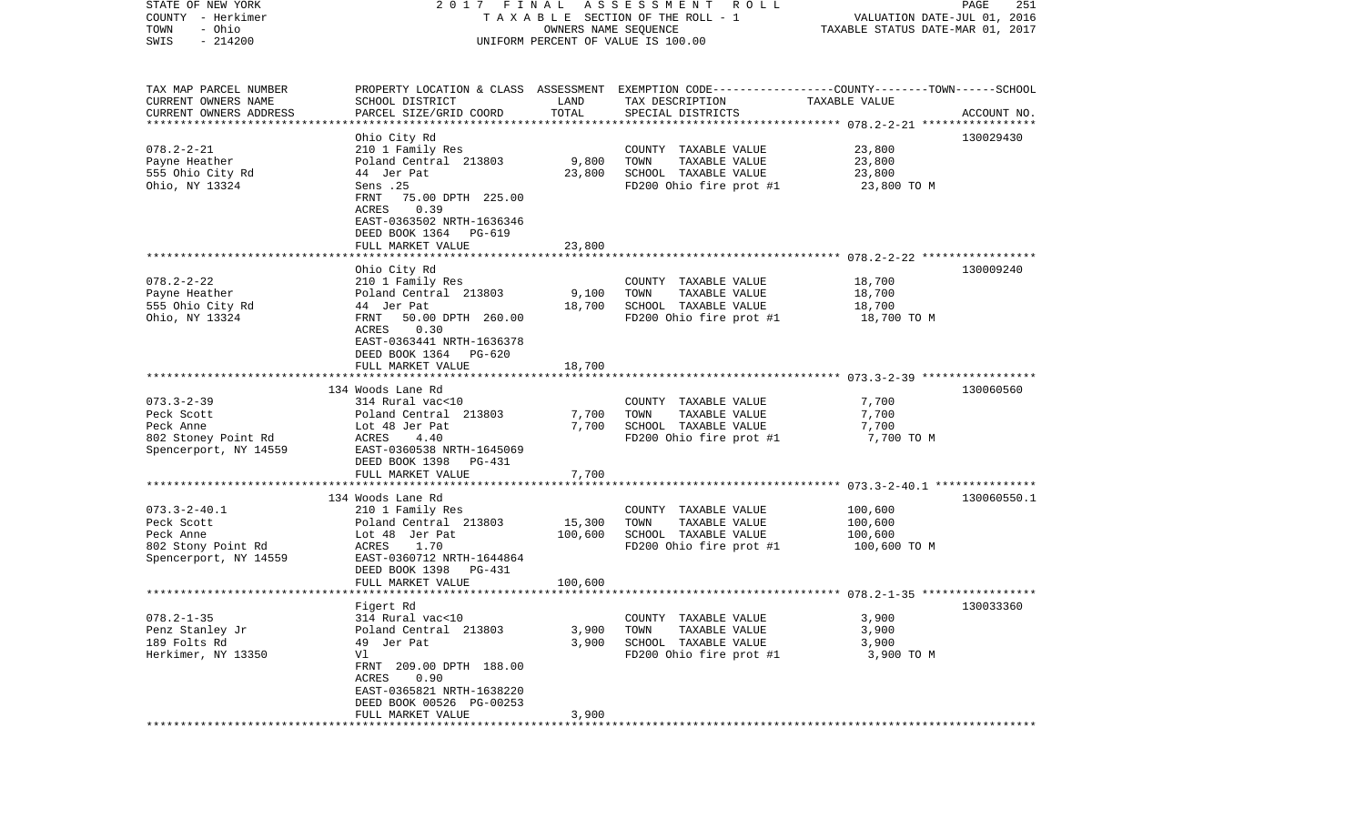| STATE OF NEW YORK<br>COUNTY - Herkimer                                                       | FINAL<br>2017                                                                                                                                                                   |                              | A S S E S S M E N T<br>R O L L<br>TAXABLE SECTION OF THE ROLL - 1                                                                       | VALUATION DATE-JUL 01, 2016                   | 251<br>PAGE |
|----------------------------------------------------------------------------------------------|---------------------------------------------------------------------------------------------------------------------------------------------------------------------------------|------------------------------|-----------------------------------------------------------------------------------------------------------------------------------------|-----------------------------------------------|-------------|
| - Ohio<br>TOWN<br>$-214200$<br>SWIS                                                          |                                                                                                                                                                                 | OWNERS NAME SEQUENCE         | UNIFORM PERCENT OF VALUE IS 100.00                                                                                                      | TAXABLE STATUS DATE-MAR 01, 2017              |             |
| TAX MAP PARCEL NUMBER<br>CURRENT OWNERS NAME<br>CURRENT OWNERS ADDRESS                       | SCHOOL DISTRICT<br>PARCEL SIZE/GRID COORD                                                                                                                                       | LAND<br>TOTAL                | PROPERTY LOCATION & CLASS ASSESSMENT EXEMPTION CODE---------------COUNTY-------TOWN------SCHOOL<br>TAX DESCRIPTION<br>SPECIAL DISTRICTS | TAXABLE VALUE                                 | ACCOUNT NO. |
| ***********************                                                                      |                                                                                                                                                                                 |                              |                                                                                                                                         |                                               |             |
|                                                                                              | Ohio City Rd                                                                                                                                                                    |                              |                                                                                                                                         |                                               | 130029430   |
| $078.2 - 2 - 21$<br>Payne Heather<br>555 Ohio City Rd<br>Ohio, NY 13324                      | 210 1 Family Res<br>Poland Central 213803<br>44 Jer Pat<br>Sens .25<br>FRNT<br>75.00 DPTH 225.00                                                                                | 9,800<br>23,800              | COUNTY TAXABLE VALUE<br>TAXABLE VALUE<br>TOWN<br>SCHOOL TAXABLE VALUE<br>FD200 Ohio fire prot #1                                        | 23,800<br>23,800<br>23,800<br>23,800 TO M     |             |
|                                                                                              | ACRES<br>0.39<br>EAST-0363502 NRTH-1636346<br>DEED BOOK 1364 PG-619<br>FULL MARKET VALUE                                                                                        | 23,800                       |                                                                                                                                         |                                               |             |
|                                                                                              |                                                                                                                                                                                 |                              |                                                                                                                                         |                                               |             |
| $078.2 - 2 - 22$<br>Payne Heather<br>555 Ohio City Rd<br>Ohio, NY 13324                      | Ohio City Rd<br>210 1 Family Res<br>Poland Central 213803<br>44 Jer Pat<br>FRNT<br>50.00 DPTH 260.00<br>0.30<br>ACRES<br>EAST-0363441 NRTH-1636378                              | 9,100<br>18,700              | COUNTY TAXABLE VALUE<br>TAXABLE VALUE<br>TOWN<br>SCHOOL TAXABLE VALUE<br>FD200 Ohio fire prot #1                                        | 18,700<br>18,700<br>18,700<br>18,700 TO M     | 130009240   |
|                                                                                              | DEED BOOK 1364 PG-620                                                                                                                                                           |                              |                                                                                                                                         |                                               |             |
|                                                                                              | FULL MARKET VALUE                                                                                                                                                               | 18,700                       |                                                                                                                                         |                                               |             |
|                                                                                              | 134 Woods Lane Rd                                                                                                                                                               |                              |                                                                                                                                         |                                               | 130060560   |
| $073.3 - 2 - 39$<br>Peck Scott<br>Peck Anne<br>802 Stoney Point Rd<br>Spencerport, NY 14559  | 314 Rural vac<10<br>Poland Central 213803<br>Lot 48 Jer Pat<br>ACRES<br>4.40<br>EAST-0360538 NRTH-1645069<br>DEED BOOK 1398 PG-431                                              | 7,700<br>7,700               | COUNTY TAXABLE VALUE<br>TAXABLE VALUE<br>TOWN<br>SCHOOL TAXABLE VALUE<br>FD200 Ohio fire prot #1                                        | 7,700<br>7,700<br>7,700<br>7,700 TO M         |             |
|                                                                                              | FULL MARKET VALUE                                                                                                                                                               | 7,700                        |                                                                                                                                         |                                               |             |
|                                                                                              | ***************************                                                                                                                                                     |                              | **********************************                                                                                                      | ********* 073.3-2-40.1 ****************       |             |
| $073.3 - 2 - 40.1$<br>Peck Scott<br>Peck Anne<br>802 Stony Point Rd<br>Spencerport, NY 14559 | 134 Woods Lane Rd<br>210 1 Family Res<br>Poland Central 213803<br>Lot 48 Jer Pat<br>ACRES<br>1.70<br>EAST-0360712 NRTH-1644864<br>DEED BOOK 1398<br>PG-431<br>FULL MARKET VALUE | 15,300<br>100,600<br>100,600 | COUNTY TAXABLE VALUE<br>TOWN<br>TAXABLE VALUE<br>SCHOOL TAXABLE VALUE<br>FD200 Ohio fire prot #1                                        | 100,600<br>100,600<br>100,600<br>100,600 TO M | 130060550.1 |
|                                                                                              |                                                                                                                                                                                 |                              |                                                                                                                                         |                                               |             |
| $078.2 - 1 - 35$<br>Penz Stanley Jr                                                          | Figert Rd<br>314 Rural vac<10<br>Poland Central 213803                                                                                                                          | 3,900                        | COUNTY TAXABLE VALUE<br>TAXABLE VALUE<br>TOWN                                                                                           | 3,900<br>3,900                                | 130033360   |
| 189 Folts Rd<br>Herkimer, NY 13350                                                           | 49 Jer Pat<br>Vl<br>FRNT 209.00 DPTH 188.00<br>0.90<br>ACRES<br>EAST-0365821 NRTH-1638220<br>DEED BOOK 00526 PG-00253<br>FULL MARKET VALUE                                      | 3,900<br>3,900               | SCHOOL TAXABLE VALUE<br>FD200 Ohio fire prot #1                                                                                         | 3,900<br>3,900 TO M                           |             |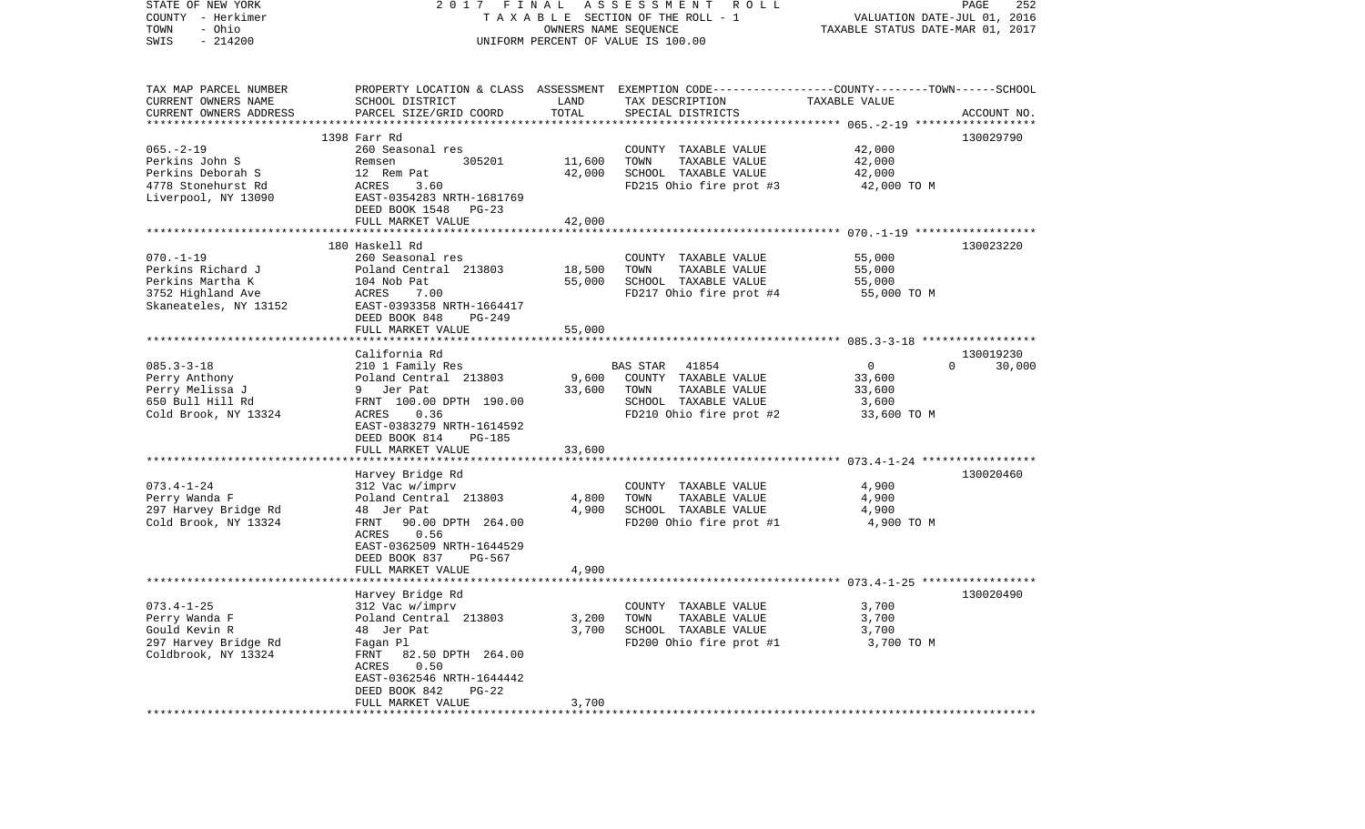| STATE OF NEW YORK<br>COUNTY - Herkimer<br>- Ohio<br>TOWN<br>$-214200$<br>SWIS                          | 2017 FINAL                                                                                                                                                           | OWNERS NAME SEQUENCE | A S S E S S M E N T R O L L<br>TAXABLE SECTION OF THE ROLL - 1<br>UNIFORM PERCENT OF VALUE IS 100.00                                    | VALUATION DATE-JUL 01, 2016<br>TAXABLE STATUS DATE-MAR 01, 2017 | PAGE<br>252        |
|--------------------------------------------------------------------------------------------------------|----------------------------------------------------------------------------------------------------------------------------------------------------------------------|----------------------|-----------------------------------------------------------------------------------------------------------------------------------------|-----------------------------------------------------------------|--------------------|
| TAX MAP PARCEL NUMBER<br>CURRENT OWNERS NAME<br>CURRENT OWNERS ADDRESS                                 | SCHOOL DISTRICT<br>PARCEL SIZE/GRID COORD                                                                                                                            | LAND<br>TOTAL        | PROPERTY LOCATION & CLASS ASSESSMENT EXEMPTION CODE---------------COUNTY-------TOWN------SCHOOL<br>TAX DESCRIPTION<br>SPECIAL DISTRICTS | TAXABLE VALUE                                                   | ACCOUNT NO.        |
| *************************                                                                              |                                                                                                                                                                      |                      |                                                                                                                                         |                                                                 |                    |
| $065. -2 - 19$<br>Perkins John S                                                                       | 1398 Farr Rd<br>260 Seasonal res<br>305201<br>Remsen                                                                                                                 | 11,600               | COUNTY TAXABLE VALUE<br>TOWN<br>TAXABLE VALUE                                                                                           | 42,000<br>42,000                                                | 130029790          |
| Perkins Deborah S<br>4778 Stonehurst Rd<br>Liverpool, NY 13090                                         | 12 Rem Pat<br>ACRES<br>3.60<br>EAST-0354283 NRTH-1681769<br>DEED BOOK 1548 PG-23                                                                                     | 42,000               | SCHOOL TAXABLE VALUE<br>FD215 Ohio fire prot #3                                                                                         | 42,000<br>42,000 TO M                                           |                    |
|                                                                                                        | FULL MARKET VALUE                                                                                                                                                    | 42,000               |                                                                                                                                         |                                                                 |                    |
| $070. - 1 - 19$<br>Perkins Richard J<br>Perkins Martha K<br>3752 Highland Ave<br>Skaneateles, NY 13152 | 180 Haskell Rd<br>260 Seasonal res<br>Poland Central 213803<br>104 Nob Pat<br>ACRES<br>7.00<br>EAST-0393358 NRTH-1664417                                             | 18,500<br>55,000     | COUNTY TAXABLE VALUE<br>TAXABLE VALUE<br>TOWN<br>SCHOOL TAXABLE VALUE<br>FD217 Ohio fire prot #4                                        | 55,000<br>55,000<br>55,000<br>55,000 TO M                       | 130023220          |
|                                                                                                        | DEED BOOK 848<br><b>PG-249</b>                                                                                                                                       |                      |                                                                                                                                         |                                                                 |                    |
|                                                                                                        | FULL MARKET VALUE                                                                                                                                                    | 55,000               |                                                                                                                                         |                                                                 |                    |
|                                                                                                        | California Rd                                                                                                                                                        |                      |                                                                                                                                         |                                                                 | 130019230          |
| $085.3 - 3 - 18$<br>Perry Anthony<br>Perry Melissa J<br>650 Bull Hill Rd<br>Cold Brook, NY 13324       | 210 1 Family Res<br>Poland Central 213803<br>9 Jer Pat<br>FRNT 100.00 DPTH 190.00<br>0.36<br>ACRES<br>EAST-0383279 NRTH-1614592<br>DEED BOOK 814<br>PG-185           | 9,600<br>33,600      | BAS STAR 41854<br>COUNTY TAXABLE VALUE<br>TAXABLE VALUE<br>TOWN<br>SCHOOL TAXABLE VALUE<br>FD210 Ohio fire prot #2                      | $\circ$<br>33,600<br>33,600<br>3,600<br>33,600 TO M             | $\Omega$<br>30,000 |
|                                                                                                        | FULL MARKET VALUE                                                                                                                                                    | 33,600               |                                                                                                                                         |                                                                 |                    |
| $073.4 - 1 - 24$                                                                                       | Harvey Bridge Rd<br>312 Vac w/imprv                                                                                                                                  |                      | COUNTY TAXABLE VALUE                                                                                                                    | 4,900                                                           | 130020460          |
| Perry Wanda F<br>297 Harvey Bridge Rd<br>Cold Brook, NY 13324                                          | Poland Central 213803<br>48 Jer Pat<br>FRNT<br>90.00 DPTH 264.00<br>ACRES<br>0.56<br>EAST-0362509 NRTH-1644529<br>DEED BOOK 837<br>PG-567                            | 4,800<br>4,900       | TAXABLE VALUE<br>TOWN<br>SCHOOL TAXABLE VALUE<br>FD200 Ohio fire prot #1                                                                | 4,900<br>4,900<br>4,900 TO M                                    |                    |
|                                                                                                        | FULL MARKET VALUE                                                                                                                                                    | 4,900                |                                                                                                                                         |                                                                 |                    |
|                                                                                                        | Harvey Bridge Rd                                                                                                                                                     |                      |                                                                                                                                         |                                                                 | 130020490          |
| $073.4 - 1 - 25$<br>Perry Wanda F<br>Gould Kevin R<br>297 Harvey Bridge Rd<br>Coldbrook, NY 13324      | 312 Vac w/imprv<br>Poland Central 213803<br>48 Jer Pat<br>Fagan Pl<br>FRNT 82.50 DPTH 264.00<br>ACRES<br>0.50<br>EAST-0362546 NRTH-1644442<br>DEED BOOK 842<br>PG-22 | 3,200<br>3,700       | COUNTY TAXABLE VALUE<br>TOWN<br>TAXABLE VALUE<br>SCHOOL TAXABLE VALUE<br>FD200 Ohio fire prot #1                                        | 3,700<br>3,700<br>3,700<br>3,700 TO M                           |                    |
|                                                                                                        | FULL MARKET VALUE                                                                                                                                                    | 3,700                |                                                                                                                                         |                                                                 |                    |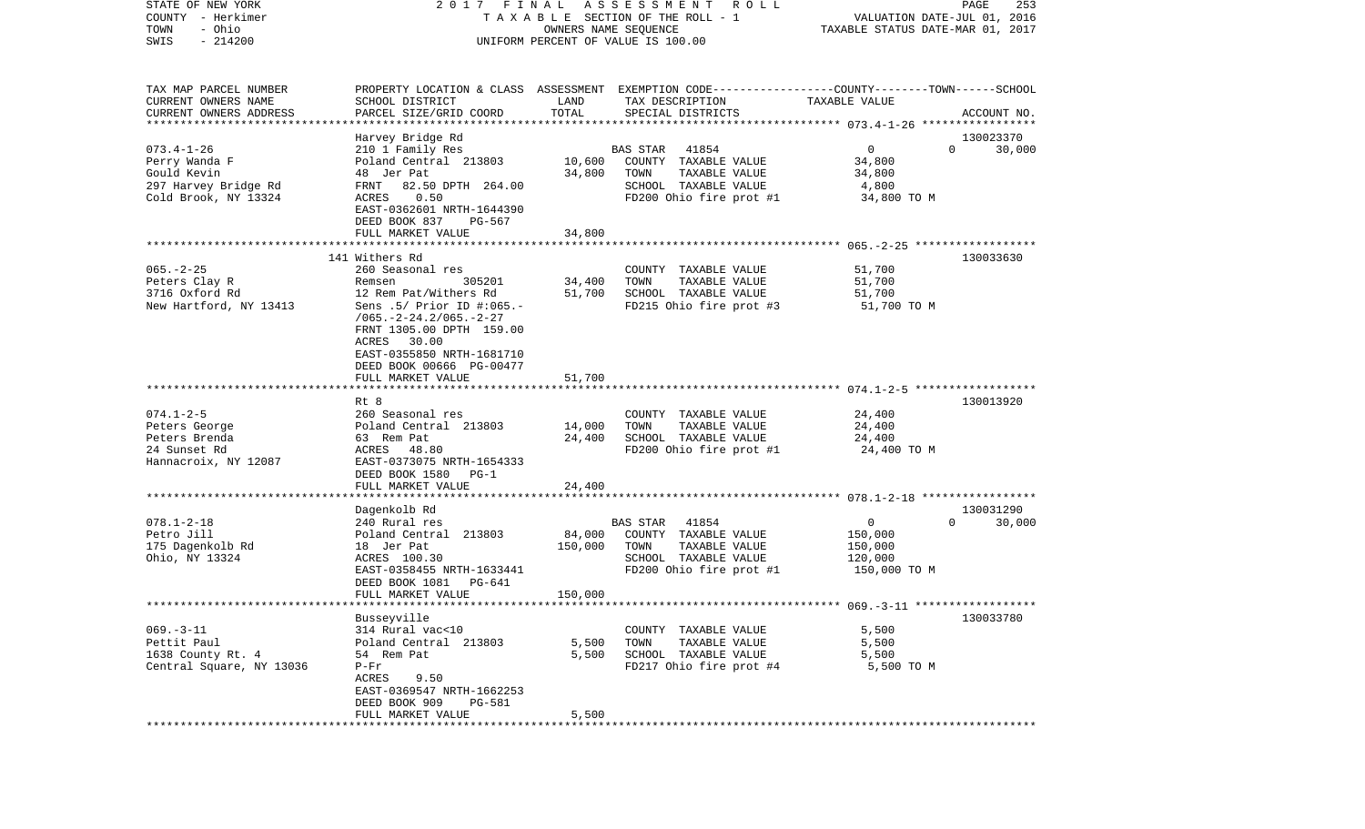| COUNTY<br>– Herkimer<br>- Ohio<br>TOWN<br>SWIS<br>$-214200$            |                                                                                                                                        |                  | T A X A B L E SECTION OF THE ROLL - 1<br>OWNERS NAME SEQUENCE<br>UNIFORM PERCENT OF VALUE IS 100.00                                     | VALUATION DATE-JUL 01, 2016<br>TAXABLE STATUS DATE-MAR 01, 2017 |                    |
|------------------------------------------------------------------------|----------------------------------------------------------------------------------------------------------------------------------------|------------------|-----------------------------------------------------------------------------------------------------------------------------------------|-----------------------------------------------------------------|--------------------|
| TAX MAP PARCEL NUMBER<br>CURRENT OWNERS NAME<br>CURRENT OWNERS ADDRESS | SCHOOL DISTRICT<br>PARCEL SIZE/GRID COORD                                                                                              | LAND<br>TOTAL    | PROPERTY LOCATION & CLASS ASSESSMENT EXEMPTION CODE---------------COUNTY-------TOWN------SCHOOL<br>TAX DESCRIPTION<br>SPECIAL DISTRICTS | TAXABLE VALUE                                                   | ACCOUNT NO.        |
| **************************                                             |                                                                                                                                        |                  |                                                                                                                                         |                                                                 |                    |
|                                                                        | Harvey Bridge Rd                                                                                                                       |                  |                                                                                                                                         |                                                                 | 130023370          |
| $073.4 - 1 - 26$                                                       | 210 1 Family Res                                                                                                                       |                  | 41854<br>BAS STAR                                                                                                                       | $\overline{0}$                                                  | 30,000<br>$\Omega$ |
| Perry Wanda F<br>Gould Kevin                                           | Poland Central 213803<br>48 Jer Pat                                                                                                    | 10,600<br>34,800 | COUNTY TAXABLE VALUE<br>TOWN<br>TAXABLE VALUE                                                                                           | 34,800<br>34,800                                                |                    |
| 297 Harvey Bridge Rd                                                   | 82.50 DPTH 264.00<br>FRNT                                                                                                              |                  | SCHOOL TAXABLE VALUE                                                                                                                    | 4,800                                                           |                    |
| Cold Brook, NY 13324                                                   | 0.50<br>ACRES                                                                                                                          |                  | FD200 Ohio fire prot #1                                                                                                                 | 34,800 TO M                                                     |                    |
|                                                                        | EAST-0362601 NRTH-1644390                                                                                                              |                  |                                                                                                                                         |                                                                 |                    |
|                                                                        | DEED BOOK 837<br>PG-567                                                                                                                |                  |                                                                                                                                         |                                                                 |                    |
|                                                                        | FULL MARKET VALUE                                                                                                                      | 34,800           |                                                                                                                                         |                                                                 |                    |
|                                                                        | 141 Withers Rd                                                                                                                         |                  |                                                                                                                                         |                                                                 | 130033630          |
| $065. - 2 - 25$                                                        | 260 Seasonal res                                                                                                                       |                  | COUNTY TAXABLE VALUE                                                                                                                    | 51,700                                                          |                    |
| Peters Clay R                                                          | 305201<br>Remsen                                                                                                                       | 34,400           | TOWN<br>TAXABLE VALUE                                                                                                                   | 51,700                                                          |                    |
| 3716 Oxford Rd                                                         | 12 Rem Pat/Withers Rd                                                                                                                  | 51,700           | SCHOOL TAXABLE VALUE                                                                                                                    | 51,700                                                          |                    |
| New Hartford, NY 13413                                                 | Sens .5/ Prior ID #:065.-<br>$/065. -2 - 24.2/065. -2 - 27$<br>FRNT 1305.00 DPTH 159.00<br>30.00<br>ACRES<br>EAST-0355850 NRTH-1681710 |                  | FD215 Ohio fire prot #3                                                                                                                 | 51,700 TO M                                                     |                    |
|                                                                        | DEED BOOK 00666 PG-00477                                                                                                               |                  |                                                                                                                                         |                                                                 |                    |
|                                                                        | FULL MARKET VALUE                                                                                                                      | 51,700           |                                                                                                                                         |                                                                 |                    |
|                                                                        | Rt 8                                                                                                                                   |                  |                                                                                                                                         |                                                                 | 130013920          |
| $074.1 - 2 - 5$                                                        | 260 Seasonal res                                                                                                                       |                  | COUNTY TAXABLE VALUE                                                                                                                    | 24,400                                                          |                    |
| Peters George                                                          | Poland Central 213803                                                                                                                  | 14,000           | TOWN<br>TAXABLE VALUE                                                                                                                   | 24,400                                                          |                    |
| Peters Brenda                                                          | 63 Rem Pat                                                                                                                             | 24,400           | SCHOOL TAXABLE VALUE                                                                                                                    | 24,400                                                          |                    |
| 24 Sunset Rd<br>Hannacroix, NY 12087                                   | ACRES<br>48.80<br>EAST-0373075 NRTH-1654333<br>DEED BOOK 1580<br>$PG-1$                                                                |                  | FD200 Ohio fire prot #1                                                                                                                 | 24,400 TO M                                                     |                    |
|                                                                        | FULL MARKET VALUE                                                                                                                      | 24,400           |                                                                                                                                         |                                                                 |                    |
|                                                                        | Dagenkolb Rd                                                                                                                           |                  |                                                                                                                                         |                                                                 | 130031290          |
| $078.1 - 2 - 18$                                                       | 240 Rural res                                                                                                                          |                  | <b>BAS STAR</b><br>41854                                                                                                                | 0                                                               | $\Omega$<br>30,000 |
| Petro Jill                                                             | Poland Central 213803                                                                                                                  | 84,000           | COUNTY TAXABLE VALUE                                                                                                                    | 150,000                                                         |                    |
| 175 Dagenkolb Rd                                                       | 18 Jer Pat                                                                                                                             | 150,000          | TOWN<br>TAXABLE VALUE                                                                                                                   | 150,000                                                         |                    |
| Ohio, NY 13324                                                         | ACRES 100.30                                                                                                                           |                  | SCHOOL TAXABLE VALUE                                                                                                                    | 120,000                                                         |                    |
|                                                                        | EAST-0358455 NRTH-1633441<br>DEED BOOK 1081<br>PG-641                                                                                  |                  | FD200 Ohio fire prot #1                                                                                                                 | 150,000 TO M                                                    |                    |
|                                                                        | FULL MARKET VALUE                                                                                                                      | 150,000          |                                                                                                                                         |                                                                 |                    |
|                                                                        |                                                                                                                                        |                  |                                                                                                                                         |                                                                 |                    |
|                                                                        | Busseyville                                                                                                                            |                  |                                                                                                                                         |                                                                 | 130033780          |
| $069. -3 - 11$                                                         | 314 Rural vac<10                                                                                                                       |                  | COUNTY TAXABLE VALUE                                                                                                                    | 5,500                                                           |                    |
| Pettit Paul<br>1638 County Rt. 4                                       | Poland Central 213803<br>54 Rem Pat                                                                                                    | 5,500<br>5,500   | TOWN<br>TAXABLE VALUE<br>SCHOOL TAXABLE VALUE                                                                                           | 5,500<br>5,500                                                  |                    |
| Central Square, NY 13036                                               | $P-Fr$                                                                                                                                 |                  | FD217 Ohio fire prot #4                                                                                                                 | 5,500 TO M                                                      |                    |
|                                                                        | 9.50<br>ACRES<br>EAST-0369547 NRTH-1662253                                                                                             |                  |                                                                                                                                         |                                                                 |                    |
|                                                                        | DEED BOOK 909<br>PG-581<br>FULL MARKET VALUE                                                                                           | 5,500            |                                                                                                                                         |                                                                 |                    |
| *************                                                          |                                                                                                                                        |                  |                                                                                                                                         |                                                                 |                    |

STATE OF NEW YORK 2 0 1 7 F I N A L A S S E S S M E N T R O L L PAGE 253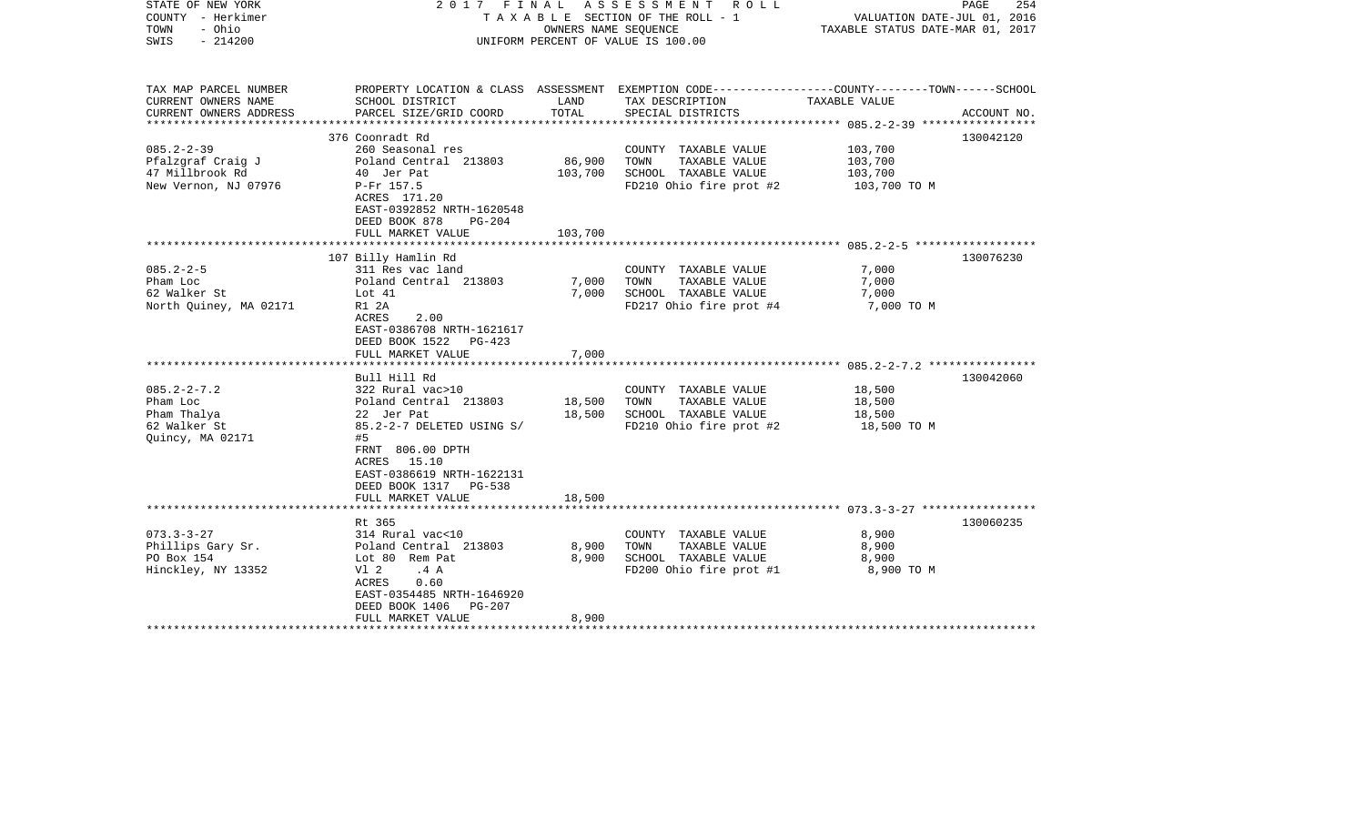| STATE OF NEW YORK<br>COUNTY - Herkimer<br>- Ohio<br>TOWN<br>$-214200$<br>SWIS                             |                                                                                                                                                                                                                      | OWNERS NAME SEQUENCE         | 2017 FINAL ASSESSMENT ROLL<br>T A X A B L E SECTION OF THE ROLL - 1<br>UNIFORM PERCENT OF VALUE IS 100.00                               | VALUATION DATE-JUL 01, 2016<br>TAXABLE STATUS DATE-MAR 01, 2017 | PAGE<br>254 |
|-----------------------------------------------------------------------------------------------------------|----------------------------------------------------------------------------------------------------------------------------------------------------------------------------------------------------------------------|------------------------------|-----------------------------------------------------------------------------------------------------------------------------------------|-----------------------------------------------------------------|-------------|
| TAX MAP PARCEL NUMBER<br>CURRENT OWNERS NAME<br>CURRENT OWNERS ADDRESS                                    | SCHOOL DISTRICT<br>PARCEL SIZE/GRID COORD                                                                                                                                                                            | LAND<br>TOTAL                | PROPERTY LOCATION & CLASS ASSESSMENT EXEMPTION CODE---------------COUNTY-------TOWN------SCHOOL<br>TAX DESCRIPTION<br>SPECIAL DISTRICTS | TAXABLE VALUE                                                   | ACCOUNT NO. |
| *********************<br>$085.2 - 2 - 39$<br>Pfalzgraf Craig J<br>47 Millbrook Rd<br>New Vernon, NJ 07976 | *************************<br>376 Coonradt Rd<br>260 Seasonal res<br>Poland Central 213803<br>40 Jer Pat<br>P-Fr 157.5<br>ACRES 171.20<br>EAST-0392852 NRTH-1620548<br>DEED BOOK 878<br>$PG-204$<br>FULL MARKET VALUE | 86,900<br>103,700<br>103,700 | COUNTY TAXABLE VALUE<br>TAXABLE VALUE<br>TOWN<br>SCHOOL TAXABLE VALUE<br>FD210 Ohio fire prot #2                                        | 103,700<br>103,700<br>103,700<br>103,700 TO M                   | 130042120   |
|                                                                                                           | ************************<br>107 Billy Hamlin Rd                                                                                                                                                                      |                              |                                                                                                                                         |                                                                 | 130076230   |
| $085.2 - 2 - 5$<br>Pham Loc<br>62 Walker St<br>North Quiney, MA 02171                                     | 311 Res vac land<br>Poland Central 213803<br>Lot 41<br>R1 2A<br>ACRES<br>2.00<br>EAST-0386708 NRTH-1621617<br>DEED BOOK 1522<br>PG-423<br>FULL MARKET VALUE                                                          | 7,000<br>7,000<br>7,000      | COUNTY TAXABLE VALUE<br>TAXABLE VALUE<br>TOWN<br>SCHOOL TAXABLE VALUE<br>FD217 Ohio fire prot #4                                        | 7,000<br>7,000<br>7,000<br>7,000 TO M                           |             |
|                                                                                                           | ******************************<br>Bull Hill Rd                                                                                                                                                                       |                              |                                                                                                                                         |                                                                 | 130042060   |
| $085.2 - 2 - 7.2$<br>Pham Loc<br>Pham Thalya<br>62 Walker St<br>Quincy, MA 02171                          | 322 Rural vac>10<br>Poland Central 213803<br>22 Jer Pat<br>85.2-2-7 DELETED USING S/<br>#5<br>FRNT 806.00 DPTH<br>ACRES 15.10<br>EAST-0386619 NRTH-1622131<br>DEED BOOK 1317 PG-538                                  | 18,500<br>18,500             | COUNTY TAXABLE VALUE<br>TOWN<br>TAXABLE VALUE<br>SCHOOL TAXABLE VALUE<br>FD210 Ohio fire prot #2                                        | 18,500<br>18,500<br>18,500<br>18,500 TO M                       |             |
|                                                                                                           | FULL MARKET VALUE                                                                                                                                                                                                    | 18,500                       |                                                                                                                                         |                                                                 |             |
| $073.3 - 3 - 27$<br>Phillips Gary Sr.<br>PO Box 154<br>Hinckley, NY 13352                                 | Rt 365<br>314 Rural vac<10<br>Poland Central 213803<br>Lot 80 Rem Pat<br>V1 2<br>.4A<br>ACRES<br>0.60<br>EAST-0354485 NRTH-1646920<br>DEED BOOK 1406<br>PG-207<br>FULL MARKET VALUE                                  | 8,900<br>8,900<br>8,900      | COUNTY TAXABLE VALUE<br>TOWN<br>TAXABLE VALUE<br>SCHOOL TAXABLE VALUE<br>FD200 Ohio fire prot #1                                        | 8,900<br>8,900<br>8,900<br>8,900 TO M                           | 130060235   |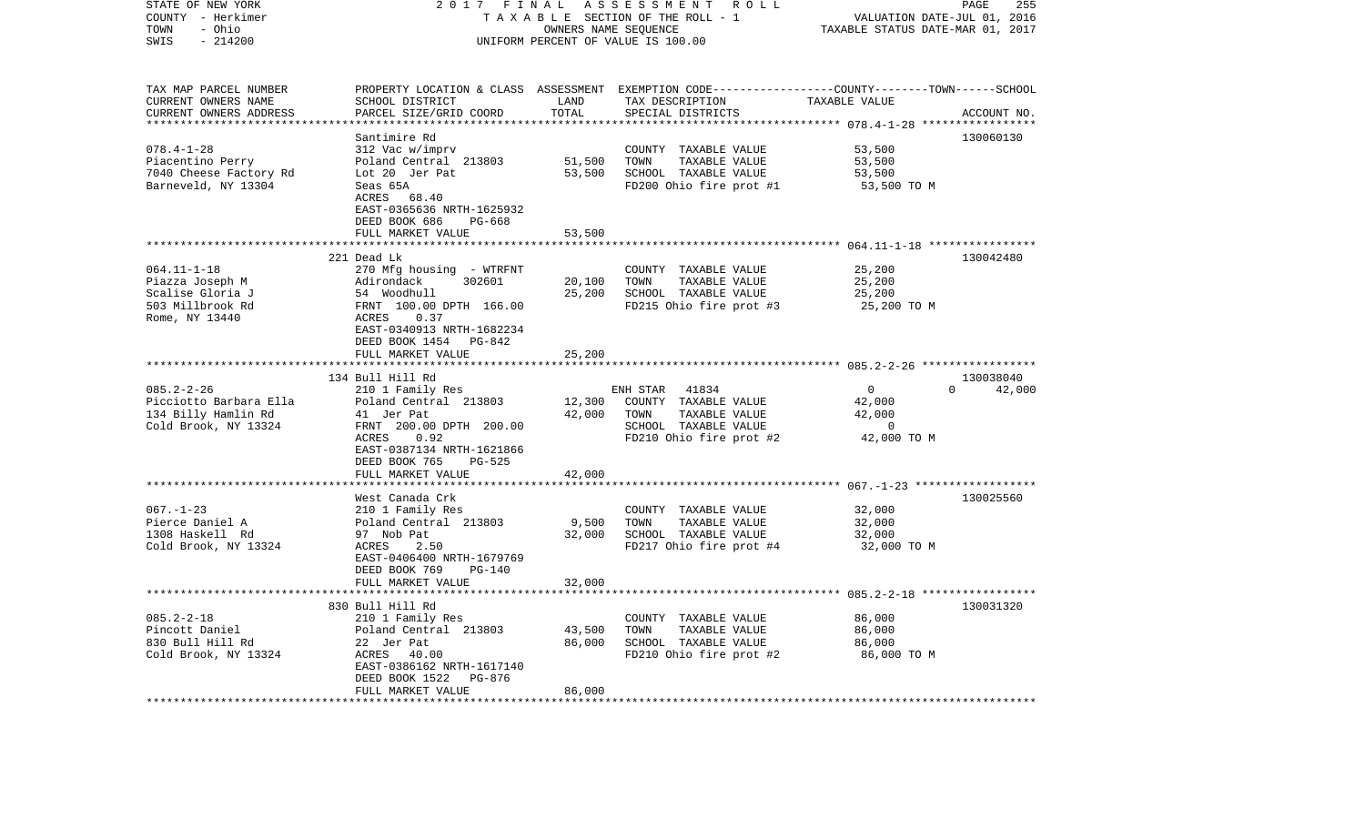| STATE OF NEW YORK<br>COUNTY - Herkimer<br>- Ohio<br>TOWN<br>$-214200$<br>SWIS | 2017 FINAL                                      |                             | ASSESSMENT ROLL<br>TAXABLE SECTION OF THE ROLL - 1<br>OWNERS NAME SEQUENCE<br>UNIFORM PERCENT OF VALUE IS 100.00 | VALUATION DATE-JUL 01, 2016<br>TAXABLE STATUS DATE-MAR 01, 2017 | PAGE<br>255   |
|-------------------------------------------------------------------------------|-------------------------------------------------|-----------------------------|------------------------------------------------------------------------------------------------------------------|-----------------------------------------------------------------|---------------|
| TAX MAP PARCEL NUMBER                                                         |                                                 |                             | PROPERTY LOCATION & CLASS ASSESSMENT EXEMPTION CODE---------------COUNTY-------TOWN------SCHOOL                  |                                                                 |               |
| CURRENT OWNERS NAME<br>CURRENT OWNERS ADDRESS                                 | SCHOOL DISTRICT<br>PARCEL SIZE/GRID COORD       | LAND<br>TOTAL               | TAX DESCRIPTION<br>SPECIAL DISTRICTS                                                                             | TAXABLE VALUE                                                   | ACCOUNT NO.   |
| **********************                                                        |                                                 |                             |                                                                                                                  |                                                                 |               |
|                                                                               | Santimire Rd                                    |                             |                                                                                                                  |                                                                 | 130060130     |
| $078.4 - 1 - 28$                                                              | 312 Vac w/imprv                                 |                             | COUNTY TAXABLE VALUE                                                                                             | 53,500                                                          |               |
| Piacentino Perry                                                              | Poland Central 213803                           | 51,500                      | TOWN<br>TAXABLE VALUE                                                                                            | 53,500                                                          |               |
| 7040 Cheese Factory Rd<br>Barneveld, NY 13304                                 | Lot 20 Jer Pat<br>Seas 65A                      | 53,500                      | SCHOOL TAXABLE VALUE<br>FD200 Ohio fire prot #1                                                                  | 53,500<br>53,500 TO M                                           |               |
|                                                                               | ACRES 68.40                                     |                             |                                                                                                                  |                                                                 |               |
|                                                                               | EAST-0365636 NRTH-1625932                       |                             |                                                                                                                  |                                                                 |               |
|                                                                               | DEED BOOK 686<br>PG-668                         |                             |                                                                                                                  |                                                                 |               |
|                                                                               | FULL MARKET VALUE<br>************************** | 53,500                      |                                                                                                                  |                                                                 |               |
|                                                                               | 221 Dead Lk                                     |                             |                                                                                                                  |                                                                 | 130042480     |
| $064.11 - 1 - 18$                                                             | 270 Mfg housing - WTRFNT                        |                             | COUNTY TAXABLE VALUE                                                                                             | 25,200                                                          |               |
| Piazza Joseph M                                                               | 302601<br>Adirondack                            | 20,100                      | TOWN<br>TAXABLE VALUE                                                                                            | 25,200                                                          |               |
| Scalise Gloria J                                                              | 54 Woodhull                                     | 25,200                      | SCHOOL TAXABLE VALUE                                                                                             | 25,200                                                          |               |
| 503 Millbrook Rd                                                              | FRNT 100.00 DPTH 166.00                         |                             | FD215 Ohio fire prot #3                                                                                          | 25,200 TO M                                                     |               |
| Rome, NY 13440                                                                | 0.37<br>ACRES<br>EAST-0340913 NRTH-1682234      |                             |                                                                                                                  |                                                                 |               |
|                                                                               | DEED BOOK 1454 PG-842                           |                             |                                                                                                                  |                                                                 |               |
|                                                                               | FULL MARKET VALUE                               | 25,200                      |                                                                                                                  |                                                                 |               |
|                                                                               | ************************                        | * * * * * * * * * * * * * * |                                                                                                                  |                                                                 |               |
|                                                                               | 134 Bull Hill Rd                                |                             |                                                                                                                  |                                                                 | 130038040     |
| $085.2 - 2 - 26$<br>Picciotto Barbara Ella                                    | 210 1 Family Res<br>Poland Central 213803       | 12,300                      | ENH STAR<br>41834<br>COUNTY TAXABLE VALUE                                                                        | $\overline{0}$<br>42,000                                        | $0 \t 42,000$ |
| 134 Billy Hamlin Rd                                                           | 41 Jer Pat                                      | 42,000                      | TOWN<br>TAXABLE VALUE                                                                                            | 42,000                                                          |               |
| Cold Brook, NY 13324                                                          | FRNT 200.00 DPTH 200.00                         |                             | SCHOOL TAXABLE VALUE                                                                                             | $\overline{0}$                                                  |               |
|                                                                               | 0.92<br>ACRES                                   |                             | FD210 Ohio fire prot #2                                                                                          | 42,000 TO M                                                     |               |
|                                                                               | EAST-0387134 NRTH-1621866<br><b>PG-525</b>      |                             |                                                                                                                  |                                                                 |               |
|                                                                               | DEED BOOK 765<br>FULL MARKET VALUE              | 42,000                      |                                                                                                                  |                                                                 |               |
|                                                                               |                                                 |                             |                                                                                                                  |                                                                 |               |
|                                                                               | West Canada Crk                                 |                             |                                                                                                                  |                                                                 | 130025560     |
| $067. - 1 - 23$                                                               | 210 1 Family Res                                |                             | COUNTY TAXABLE VALUE                                                                                             | 32,000                                                          |               |
| Pierce Daniel A                                                               | Poland Central 213803                           | 9,500                       | TOWN<br>TAXABLE VALUE                                                                                            | 32,000                                                          |               |
| 1308 Haskell Rd<br>Cold Brook, NY 13324                                       | 97 Nob Pat<br>ACRES<br>2.50                     | 32,000                      | SCHOOL TAXABLE VALUE<br>FD217 Ohio fire prot #4                                                                  | 32,000<br>32,000 TO M                                           |               |
|                                                                               | EAST-0406400 NRTH-1679769                       |                             |                                                                                                                  |                                                                 |               |
|                                                                               | DEED BOOK 769<br>PG-140                         |                             |                                                                                                                  |                                                                 |               |
|                                                                               | FULL MARKET VALUE                               | 32,000                      |                                                                                                                  |                                                                 |               |
|                                                                               |                                                 |                             |                                                                                                                  |                                                                 |               |
| $085.2 - 2 - 18$                                                              | 830 Bull Hill Rd<br>210 1 Family Res            |                             | COUNTY TAXABLE VALUE                                                                                             | 86,000                                                          | 130031320     |
| Pincott Daniel                                                                | Poland Central 213803                           | 43,500                      | TAXABLE VALUE<br>TOWN                                                                                            | 86,000                                                          |               |
| 830 Bull Hill Rd                                                              | 22 Jer Pat                                      | 86,000                      | SCHOOL TAXABLE VALUE                                                                                             | 86,000                                                          |               |
| Cold Brook, NY 13324                                                          | ACRES 40.00                                     |                             | FD210 Ohio fire prot #2                                                                                          | 86,000 то м                                                     |               |
|                                                                               | EAST-0386162 NRTH-1617140                       |                             |                                                                                                                  |                                                                 |               |
|                                                                               | PG-876<br>DEED BOOK 1522<br>FULL MARKET VALUE   | 86,000                      |                                                                                                                  |                                                                 |               |
| **********************                                                        | *********************                           |                             |                                                                                                                  |                                                                 |               |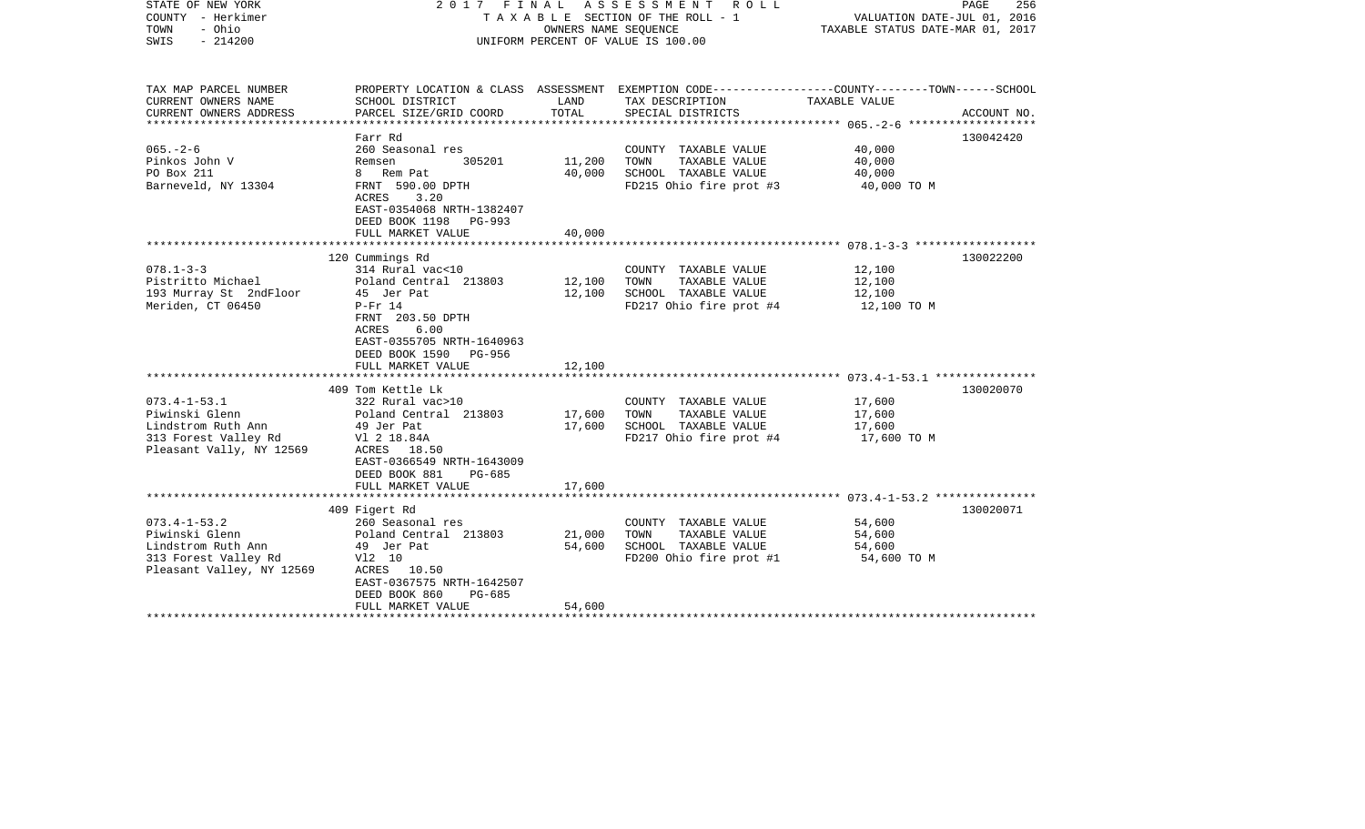| STATE OF NEW YORK<br>COUNTY - Herkimer<br>- Ohio<br>TOWN<br>$-214200$<br>SWIS                                   | 2017 FINAL                                                                                                                                                                                                 | OWNERS NAME SEQUENCE       | A S S E S S M E N T<br>R O L L<br>TAXABLE SECTION OF THE ROLL - 1<br>UNIFORM PERCENT OF VALUE IS 100.00                                | VALUATION DATE-JUL 01, 2016<br>TAXABLE STATUS DATE-MAR 01, 2017 | PAGE<br>256 |
|-----------------------------------------------------------------------------------------------------------------|------------------------------------------------------------------------------------------------------------------------------------------------------------------------------------------------------------|----------------------------|----------------------------------------------------------------------------------------------------------------------------------------|-----------------------------------------------------------------|-------------|
| TAX MAP PARCEL NUMBER<br>CURRENT OWNERS NAME<br>CURRENT OWNERS ADDRESS<br>************************              | SCHOOL DISTRICT<br>PARCEL SIZE/GRID COORD                                                                                                                                                                  | LAND<br>TOTAL              | PROPERTY LOCATION & CLASS ASSESSMENT EXEMPTION CODE---------------COUNTY-------TOWN-----SCHOOL<br>TAX DESCRIPTION<br>SPECIAL DISTRICTS | TAXABLE VALUE                                                   | ACCOUNT NO. |
| $065. - 2 - 6$<br>Pinkos John V<br>PO Box 211<br>Barneveld, NY 13304                                            | Farr Rd<br>260 Seasonal res<br>305201<br>Remsen<br>8 Rem Pat<br>FRNT 590.00 DPTH<br>3.20<br>ACRES<br>EAST-0354068 NRTH-1382407<br>DEED BOOK 1198<br><b>PG-993</b><br>FULL MARKET VALUE                     | 11,200<br>40,000<br>40,000 | COUNTY TAXABLE VALUE<br>TOWN<br>TAXABLE VALUE<br>SCHOOL TAXABLE VALUE<br>FD215 Ohio fire prot #3                                       | 40,000<br>40,000<br>40,000<br>40,000 TO M                       | 130042420   |
|                                                                                                                 |                                                                                                                                                                                                            | ***********                |                                                                                                                                        |                                                                 |             |
| $078.1 - 3 - 3$<br>Pistritto Michael<br>193 Murray St 2ndFloor<br>Meriden, CT 06450                             | 120 Cummings Rd<br>314 Rural vac<10<br>Poland Central 213803<br>45 Jer Pat<br>$P-Fr$ 14<br>FRNT 203.50 DPTH<br>6.00<br>ACRES<br>EAST-0355705 NRTH-1640963<br>DEED BOOK 1590<br>PG-956<br>FULL MARKET VALUE | 12,100<br>12,100<br>12,100 | COUNTY TAXABLE VALUE<br>TOWN<br>TAXABLE VALUE<br>SCHOOL TAXABLE VALUE<br>FD217 Ohio fire prot #4                                       | 12,100<br>12,100<br>12,100<br>12,100 TO M                       | 130022200   |
|                                                                                                                 |                                                                                                                                                                                                            | ***********                |                                                                                                                                        |                                                                 |             |
| $073.4 - 1 - 53.1$<br>Piwinski Glenn<br>Lindstrom Ruth Ann<br>313 Forest Valley Rd<br>Pleasant Vally, NY 12569  | 409 Tom Kettle Lk<br>322 Rural vac>10<br>Poland Central 213803<br>49 Jer Pat<br>V1 2 18.84A<br>ACRES 18.50<br>EAST-0366549 NRTH-1643009<br>DEED BOOK 881<br><b>PG-685</b><br>FULL MARKET VALUE             | 17,600<br>17,600<br>17,600 | COUNTY TAXABLE VALUE<br>TOWN<br>TAXABLE VALUE<br>SCHOOL TAXABLE VALUE<br>FD217 Ohio fire prot #4                                       | 17,600<br>17,600<br>17,600<br>17,600 TO M                       | 130020070   |
|                                                                                                                 |                                                                                                                                                                                                            |                            |                                                                                                                                        |                                                                 |             |
| $073.4 - 1 - 53.2$<br>Piwinski Glenn<br>Lindstrom Ruth Ann<br>313 Forest Valley Rd<br>Pleasant Valley, NY 12569 | 409 Figert Rd<br>260 Seasonal res<br>Poland Central 213803<br>49 Jer Pat<br>V12 10<br>ACRES 10.50<br>EAST-0367575 NRTH-1642507<br>DEED BOOK 860<br>$PG-685$<br>FULL MARKET VALUE<br>******************     | 21,000<br>54,600<br>54,600 | COUNTY TAXABLE VALUE<br>TAXABLE VALUE<br>TOWN<br>SCHOOL TAXABLE VALUE<br>FD200 Ohio fire prot #1                                       | 54,600<br>54,600<br>54,600<br>54,600 TO M                       | 130020071   |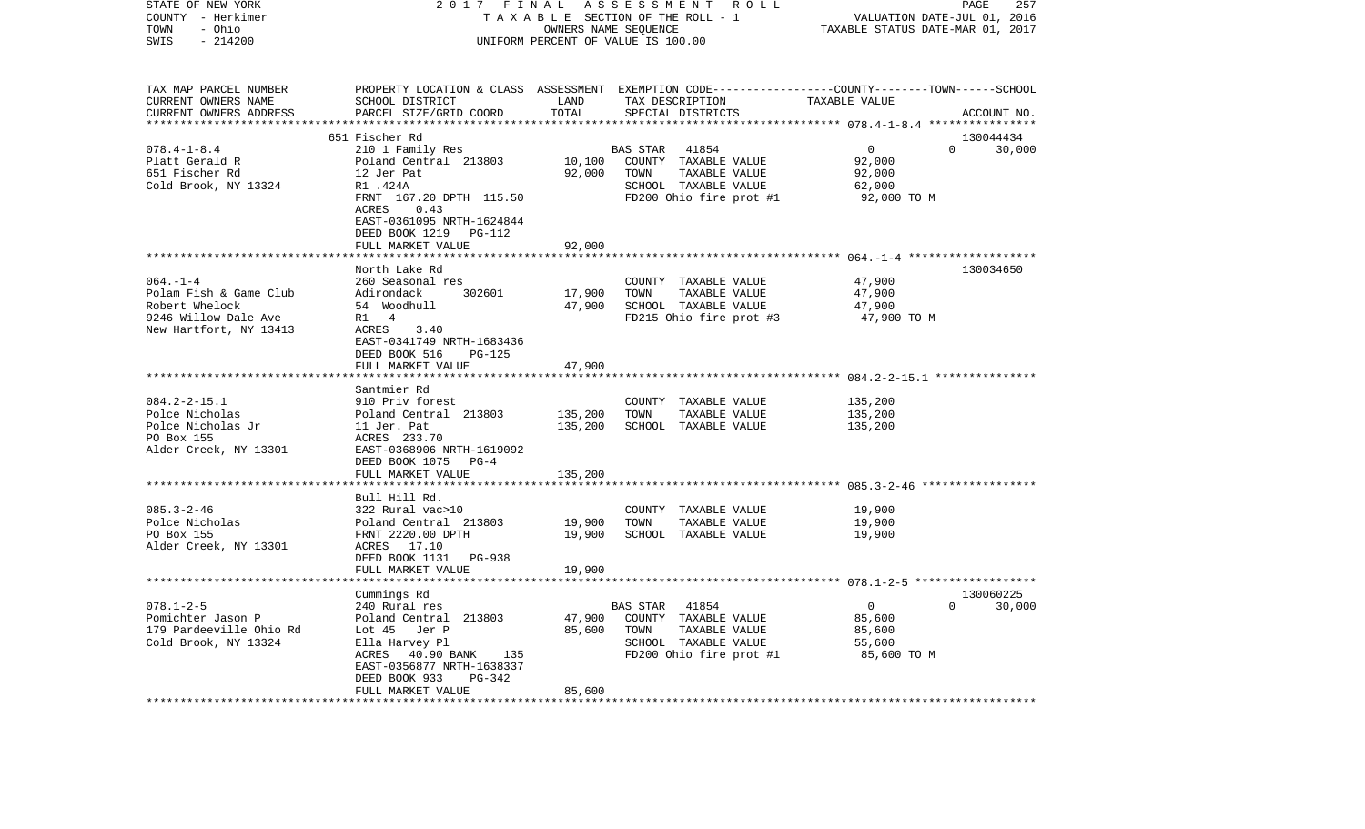| STATE OF NEW YORK<br>COUNTY - Herkimer<br>- Ohio<br>TOWN<br>SWIS<br>$-214200$                              | 2017<br>FINAL<br>ASSESSMENT ROLL<br>TAXABLE SECTION OF THE ROLL - 1<br>OWNERS NAME SEQUENCE<br>UNIFORM PERCENT OF VALUE IS 100.00                                                                             |                                            |                                                                                                                                         | PAGE<br>257<br>VALUATION DATE-JUL 01, 2016<br>TAXABLE STATUS DATE-MAR 01, 2017 |                    |  |
|------------------------------------------------------------------------------------------------------------|---------------------------------------------------------------------------------------------------------------------------------------------------------------------------------------------------------------|--------------------------------------------|-----------------------------------------------------------------------------------------------------------------------------------------|--------------------------------------------------------------------------------|--------------------|--|
| TAX MAP PARCEL NUMBER<br>CURRENT OWNERS NAME<br>CURRENT OWNERS ADDRESS                                     | SCHOOL DISTRICT<br>PARCEL SIZE/GRID COORD                                                                                                                                                                     | LAND<br>TOTAL<br>* * * * * * * * * *       | PROPERTY LOCATION & CLASS ASSESSMENT EXEMPTION CODE---------------COUNTY-------TOWN------SCHOOL<br>TAX DESCRIPTION<br>SPECIAL DISTRICTS | TAXABLE VALUE                                                                  | ACCOUNT NO.        |  |
|                                                                                                            | 651 Fischer Rd                                                                                                                                                                                                |                                            |                                                                                                                                         |                                                                                | 130044434          |  |
| $078.4 - 1 - 8.4$<br>Platt Gerald R<br>651 Fischer Rd<br>Cold Brook, NY 13324                              | 210 1 Family Res<br>Poland Central 213803<br>12 Jer Pat<br>R1 .424A<br>FRNT 167.20 DPTH 115.50<br>ACRES<br>0.43<br>EAST-0361095 NRTH-1624844<br>DEED BOOK 1219<br>PG-112                                      | 10,100<br>92,000                           | BAS STAR<br>41854<br>COUNTY TAXABLE VALUE<br>TOWN<br>TAXABLE VALUE<br>SCHOOL TAXABLE VALUE<br>FD200 Ohio fire prot #1                   | $\overline{0}$<br>92,000<br>92,000<br>62,000<br>92,000 TO M                    | $\Omega$<br>30,000 |  |
|                                                                                                            | FULL MARKET VALUE                                                                                                                                                                                             | 92,000                                     |                                                                                                                                         |                                                                                |                    |  |
| $064. -1 -4$<br>Polam Fish & Game Club<br>Robert Whelock<br>9246 Willow Dale Ave<br>New Hartfort, NY 13413 | ***************************<br>North Lake Rd<br>260 Seasonal res<br>Adirondack<br>302601<br>54 Woodhull<br>R1 4<br>3.40<br>ACRES<br>EAST-0341749 NRTH-1683436<br>DEED BOOK 516<br>PG-125<br>FULL MARKET VALUE | ************<br>17,900<br>47,900<br>47,900 | COUNTY TAXABLE VALUE<br>TOWN<br>TAXABLE VALUE<br>SCHOOL TAXABLE VALUE<br>FD215 Ohio fire prot #3                                        | 47,900<br>47,900<br>47,900<br>47,900 TO M                                      | 130034650          |  |
|                                                                                                            |                                                                                                                                                                                                               |                                            |                                                                                                                                         |                                                                                |                    |  |
| $084.2 - 2 - 15.1$<br>Polce Nicholas<br>Polce Nicholas Jr<br>PO Box 155<br>Alder Creek, NY 13301           | Santmier Rd<br>910 Priv forest<br>Poland Central 213803<br>11 Jer. Pat<br>ACRES 233.70<br>EAST-0368906 NRTH-1619092<br>DEED BOOK 1075 PG-4<br>FULL MARKET VALUE                                               | 135,200<br>135,200<br>135,200              | COUNTY TAXABLE VALUE<br>TOWN<br>TAXABLE VALUE<br>SCHOOL TAXABLE VALUE                                                                   | 135,200<br>135,200<br>135,200                                                  |                    |  |
|                                                                                                            |                                                                                                                                                                                                               |                                            |                                                                                                                                         |                                                                                |                    |  |
| $085.3 - 2 - 46$<br>Polce Nicholas<br>PO Box 155<br>Alder Creek, NY 13301                                  | Bull Hill Rd.<br>322 Rural vac>10<br>Poland Central 213803<br>FRNT 2220.00 DPTH<br>ACRES 17.10<br>DEED BOOK 1131 PG-938<br>FULL MARKET VALUE                                                                  | 19,900<br>19,900<br>19,900                 | COUNTY TAXABLE VALUE<br>TOWN<br>TAXABLE VALUE<br>SCHOOL TAXABLE VALUE                                                                   | 19,900<br>19,900<br>19,900                                                     |                    |  |
| ***********************                                                                                    |                                                                                                                                                                                                               |                                            |                                                                                                                                         |                                                                                |                    |  |
|                                                                                                            | Cummings Rd                                                                                                                                                                                                   |                                            |                                                                                                                                         |                                                                                | 130060225          |  |
| $078.1 - 2 - 5$<br>Pomichter Jason P<br>179 Pardeeville Ohio Rd<br>Cold Brook, NY 13324                    | 240 Rural res<br>Poland Central 213803<br>Lot 45<br>Jer P<br>Ella Harvey Pl<br>ACRES<br>40.90 BANK<br>135<br>EAST-0356877 NRTH-1638337<br>DEED BOOK 933<br>PG-342                                             | 47,900<br>85,600                           | BAS STAR<br>41854<br>COUNTY TAXABLE VALUE<br>TOWN<br>TAXABLE VALUE<br>SCHOOL TAXABLE VALUE<br>FD200 Ohio fire prot #1                   | $\overline{0}$<br>85,600<br>85,600<br>55,600<br>85,600 TO M                    | 30,000<br>$\Omega$ |  |
|                                                                                                            | FULL MARKET VALUE                                                                                                                                                                                             | 85,600<br>****************                 |                                                                                                                                         |                                                                                |                    |  |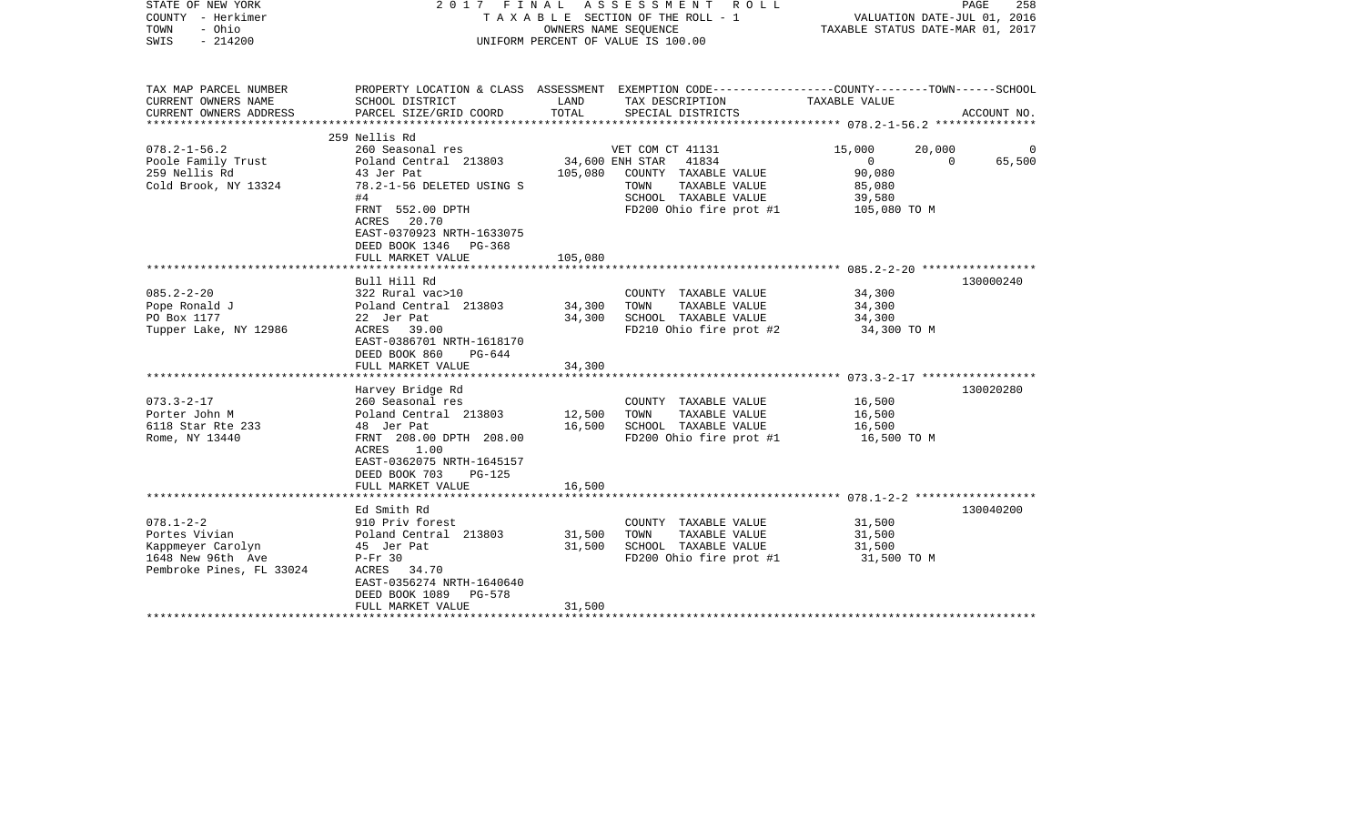| STATE OF NEW YORK<br>COUNTY - Herkimer<br>- Ohio<br>TOWN<br>$-214200$<br>SWIS                          |                                                                                                                                                                              | OWNERS NAME SEQUENCE       | 2017 FINAL ASSESSMENT ROLL<br>T A X A B L E SECTION OF THE ROLL - 1<br>UNIFORM PERCENT OF VALUE IS 100.00                                     | VALUATION DATE-JUL 01, 2016<br>TAXABLE STATUS DATE-MAR 01, 2017                              | PAGE<br>258 |
|--------------------------------------------------------------------------------------------------------|------------------------------------------------------------------------------------------------------------------------------------------------------------------------------|----------------------------|-----------------------------------------------------------------------------------------------------------------------------------------------|----------------------------------------------------------------------------------------------|-------------|
| TAX MAP PARCEL NUMBER<br>CURRENT OWNERS NAME<br>CURRENT OWNERS ADDRESS                                 | SCHOOL DISTRICT<br>PARCEL SIZE/GRID COORD                                                                                                                                    | LAND<br>TOTAL              | PROPERTY LOCATION & CLASS ASSESSMENT EXEMPTION CODE---------------COUNTY-------TOWN-----SCHOOL<br>TAX DESCRIPTION<br>SPECIAL DISTRICTS        | TAXABLE VALUE                                                                                | ACCOUNT NO. |
|                                                                                                        | 259 Nellis Rd                                                                                                                                                                |                            |                                                                                                                                               |                                                                                              |             |
| $078.2 - 1 - 56.2$<br>Poole Family Trust<br>259 Nellis Rd<br>Cold Brook, NY 13324                      | 260 Seasonal res<br>Poland Central 213803<br>43 Jer Pat<br>78.2-1-56 DELETED USING S<br>#4<br>FRNT 552.00 DPTH                                                               | 105,080                    | VET COM CT 41131<br>34,600 ENH STAR 41834<br>COUNTY TAXABLE VALUE<br>TAXABLE VALUE<br>TOWN<br>SCHOOL TAXABLE VALUE<br>FD200 Ohio fire prot #1 | 15,000<br>20,000<br>$\overline{0}$<br>$\Omega$<br>90,080<br>85,080<br>39,580<br>105,080 TO M | 65,500      |
|                                                                                                        | ACRES 20.70<br>EAST-0370923 NRTH-1633075<br>DEED BOOK 1346 PG-368<br>FULL MARKET VALUE                                                                                       | 105,080                    |                                                                                                                                               |                                                                                              |             |
|                                                                                                        | Bull Hill Rd                                                                                                                                                                 |                            |                                                                                                                                               |                                                                                              | 130000240   |
| $085.2 - 2 - 20$<br>Pope Ronald J<br>PO Box 1177<br>Tupper Lake, NY 12986                              | 322 Rural vac>10<br>Poland Central 213803<br>22 Jer Pat<br>ACRES 39.00<br>EAST-0386701 NRTH-1618170<br>DEED BOOK 860<br>PG-644                                               | 34,300<br>34,300           | COUNTY TAXABLE VALUE<br>TOWN<br>TAXABLE VALUE<br>SCHOOL TAXABLE VALUE<br>FD210 Ohio fire prot #2                                              | 34,300<br>34,300<br>34,300<br>34,300 TO M                                                    |             |
|                                                                                                        | FULL MARKET VALUE                                                                                                                                                            | 34,300                     |                                                                                                                                               |                                                                                              |             |
|                                                                                                        | Harvey Bridge Rd                                                                                                                                                             |                            |                                                                                                                                               |                                                                                              | 130020280   |
| $073.3 - 2 - 17$<br>Porter John M<br>6118 Star Rte 233<br>Rome, NY 13440                               | 260 Seasonal res<br>Poland Central 213803<br>48 Jer Pat<br>FRNT 208.00 DPTH 208.00<br>ACRES 1.00<br>EAST-0362075 NRTH-1645157                                                | 12,500<br>16,500           | COUNTY TAXABLE VALUE<br>TAXABLE VALUE<br>TOWN<br>SCHOOL TAXABLE VALUE<br>FD200 Ohio fire prot #1                                              | 16,500<br>16,500<br>16,500<br>16,500 TO M                                                    |             |
|                                                                                                        | DEED BOOK 703<br>$PG-125$<br>FULL MARKET VALUE                                                                                                                               | 16,500                     |                                                                                                                                               |                                                                                              |             |
|                                                                                                        |                                                                                                                                                                              |                            |                                                                                                                                               |                                                                                              |             |
| $078.1 - 2 - 2$<br>Portes Vivian<br>Kappmeyer Carolyn<br>1648 New 96th Ave<br>Pembroke Pines, FL 33024 | Ed Smith Rd<br>910 Priv forest<br>Poland Central 213803<br>45 Jer Pat<br>$P-Fr$ 30<br>ACRES 34.70<br>EAST-0356274 NRTH-1640640<br>DEED BOOK 1089 PG-578<br>FULL MARKET VALUE | 31,500<br>31,500<br>31,500 | COUNTY TAXABLE VALUE<br>TAXABLE VALUE<br>TOWN<br>SCHOOL TAXABLE VALUE<br>FD200 Ohio fire prot #1                                              | 31,500<br>31,500<br>31,500<br>31,500 TO M                                                    | 130040200   |
| **********************                                                                                 |                                                                                                                                                                              |                            |                                                                                                                                               |                                                                                              |             |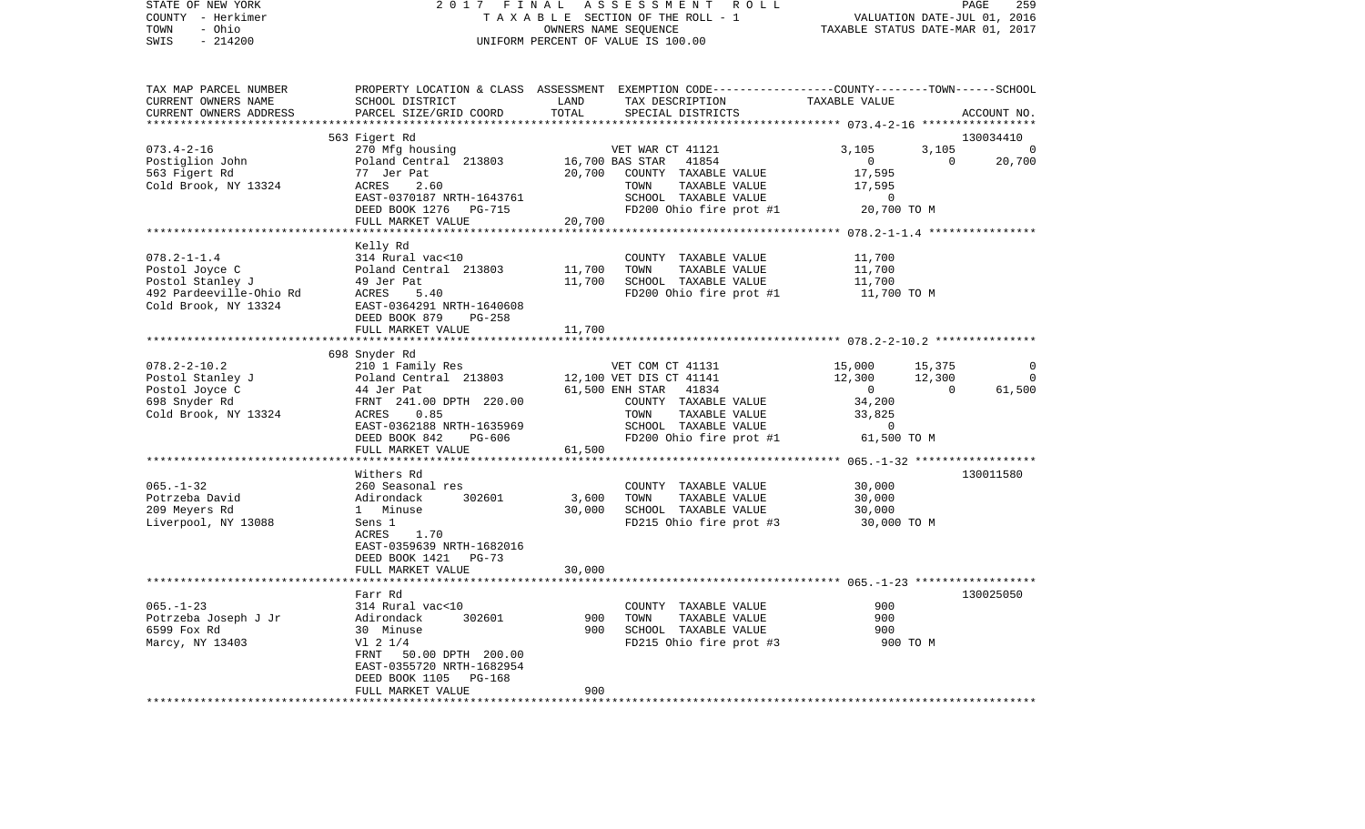| - Herkimer<br>COUNTY    | T A X A B L E SECTION OF THE ROLL - 1 | VALUATION DATE-JUL 01, 2016                                                                     |                                            |  |
|-------------------------|---------------------------------------|-------------------------------------------------------------------------------------------------|--------------------------------------------|--|
| TOWN<br>- Ohio          |                                       | OWNERS NAME SEQUENCE                                                                            | TAXABLE STATUS DATE-MAR 01, 2017           |  |
| $-214200$<br>SWIS       |                                       | UNIFORM PERCENT OF VALUE IS 100.00                                                              |                                            |  |
|                         |                                       |                                                                                                 |                                            |  |
|                         |                                       |                                                                                                 |                                            |  |
| TAX MAP PARCEL NUMBER   |                                       | PROPERTY LOCATION & CLASS ASSESSMENT EXEMPTION CODE---------------COUNTY-------TOWN------SCHOOL |                                            |  |
| CURRENT OWNERS NAME     | SCHOOL DISTRICT                       | LAND<br>TAX DESCRIPTION                                                                         | TAXABLE VALUE                              |  |
| CURRENT OWNERS ADDRESS  | PARCEL SIZE/GRID COORD                | TOTAL<br>SPECIAL DISTRICTS                                                                      | ACCOUNT NO.                                |  |
|                         |                                       |                                                                                                 |                                            |  |
|                         | 563 Figert Rd                         |                                                                                                 | 130034410                                  |  |
| $073.4 - 2 - 16$        | 270 Mfg housing                       | VET WAR CT 41121                                                                                | 3,105<br>3,105<br>$\overline{0}$           |  |
| Postiglion John         | Poland Central 213803                 | 16,700 BAS STAR<br>41854                                                                        | $\Omega$<br>20,700<br>$\overline{0}$       |  |
| 563 Figert Rd           | 77 Jer Pat                            | 20,700<br>COUNTY TAXABLE VALUE                                                                  | 17,595                                     |  |
| Cold Brook, NY 13324    | ACRES<br>2.60                         | TOWN<br>TAXABLE VALUE                                                                           | 17,595                                     |  |
|                         | EAST-0370187 NRTH-1643761             | SCHOOL TAXABLE VALUE                                                                            | $\mathbf 0$                                |  |
|                         | DEED BOOK 1276<br>PG-715              | FD200 Ohio fire prot #1                                                                         | 20,700 TO M                                |  |
|                         | FULL MARKET VALUE                     | 20,700                                                                                          |                                            |  |
|                         |                                       |                                                                                                 |                                            |  |
|                         | Kelly Rd                              |                                                                                                 |                                            |  |
| $078.2 - 1 - 1.4$       | 314 Rural vac<10                      | COUNTY TAXABLE VALUE                                                                            | 11,700                                     |  |
| Postol Joyce C          | Poland Central 213803                 | 11,700<br>TOWN<br>TAXABLE VALUE                                                                 | 11,700                                     |  |
| Postol Stanley J        | 49 Jer Pat                            | 11,700<br>SCHOOL TAXABLE VALUE                                                                  | 11,700                                     |  |
| 492 Pardeeville-Ohio Rd | ACRES<br>5.40                         | FD200 Ohio fire prot #1                                                                         | 11,700 TO M                                |  |
| Cold Brook, NY 13324    | EAST-0364291 NRTH-1640608             |                                                                                                 |                                            |  |
|                         | DEED BOOK 879<br><b>PG-258</b>        |                                                                                                 |                                            |  |
|                         | FULL MARKET VALUE                     | 11,700                                                                                          |                                            |  |
|                         |                                       |                                                                                                 |                                            |  |
|                         | 698 Snyder Rd                         |                                                                                                 |                                            |  |
| $078.2 - 2 - 10.2$      | 210 1 Family Res                      | VET COM CT 41131                                                                                | 15,000<br>15,375<br>0                      |  |
| Postol Stanley J        | Poland Central 213803                 | 12,100 VET DIS CT 41141                                                                         | 12,300<br>12,300<br>$\Omega$               |  |
| Postol Joyce C          | 44 Jer Pat                            | 61,500 ENH STAR 41834                                                                           | 61,500<br>$\overline{0}$<br>$\overline{0}$ |  |
| 698 Snyder Rd           | FRNT 241.00 DPTH 220.00               | COUNTY TAXABLE VALUE                                                                            | 34,200                                     |  |
| Cold Brook, NY 13324    | 0.85<br>ACRES                         | TOWN<br>TAXABLE VALUE                                                                           | 33,825                                     |  |
|                         | EAST-0362188 NRTH-1635969             | SCHOOL TAXABLE VALUE                                                                            | $\mathsf{O}$                               |  |
|                         | DEED BOOK 842<br>PG-606               | FD200 Ohio fire prot #1                                                                         | 61,500 TO M                                |  |
|                         | FULL MARKET VALUE                     | 61,500                                                                                          |                                            |  |
|                         | ***********************               | * * * * * * * * * * * * * * * * * * *                                                           | ************ 065.-1-32 ******************* |  |
|                         | Withers Rd                            |                                                                                                 | 130011580                                  |  |
| $065. - 1 - 32$         | 260 Seasonal res                      | COUNTY TAXABLE VALUE                                                                            | 30,000                                     |  |
| Potrzeba David          | Adirondack<br>302601                  | 3,600<br>TOWN<br>TAXABLE VALUE                                                                  | 30,000                                     |  |
| 209 Meyers Rd           | 1 Minuse                              | 30,000<br>SCHOOL TAXABLE VALUE                                                                  | 30,000                                     |  |
| Liverpool, NY 13088     | Sens 1                                | FD215 Ohio fire prot #3                                                                         | 30,000 TO M                                |  |
|                         | 1.70<br>ACRES                         |                                                                                                 |                                            |  |
|                         | EAST-0359639 NRTH-1682016             |                                                                                                 |                                            |  |
|                         | DEED BOOK 1421<br>$PG-73$             |                                                                                                 |                                            |  |
|                         | FULL MARKET VALUE                     | 30,000                                                                                          |                                            |  |
|                         |                                       |                                                                                                 |                                            |  |
|                         | Farr Rd                               |                                                                                                 | 130025050                                  |  |
| $065. - 1 - 23$         | 314 Rural vac<10                      | COUNTY TAXABLE VALUE                                                                            | 900                                        |  |
| Potrzeba Joseph J Jr    | 302601<br>Adirondack                  | 900<br>TOWN<br>TAXABLE VALUE                                                                    | 900                                        |  |
| 6599 Fox Rd             | 30 Minuse                             | 900<br>SCHOOL TAXABLE VALUE                                                                     | 900                                        |  |
| Marcy, NY 13403         | $VI$ 2 $1/4$                          | FD215 Ohio fire prot #3                                                                         | 900 TO M                                   |  |
|                         | 50.00 DPTH 200.00<br>FRNT             |                                                                                                 |                                            |  |
|                         | EAST-0355720 NRTH-1682954             |                                                                                                 |                                            |  |
|                         | DEED BOOK 1105<br><b>PG-168</b>       |                                                                                                 |                                            |  |
|                         | FULL MARKET VALUE                     | 900                                                                                             |                                            |  |
| *********************   | * * * * * * * * * * * * * * * * * * * |                                                                                                 |                                            |  |

STATE OF NEW YORK 2 0 1 7 F I N A L A S S E S S M E N T R O L L PAGE 259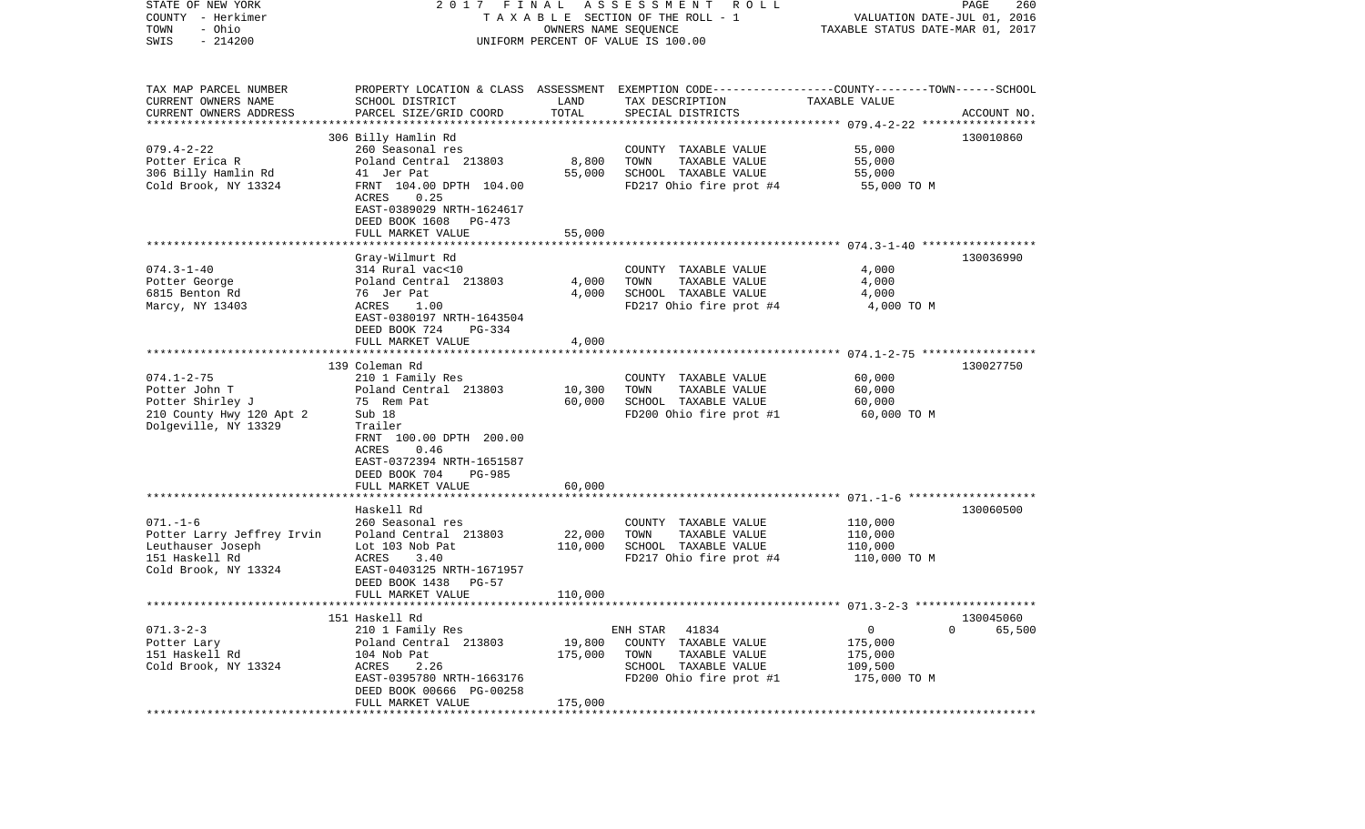| STATE OF NEW YORK<br>COUNTY - Herkimer<br>- Ohio<br>TOWN | 2017                                                                       | FINAL             | ASSESSMENT<br>ROLL<br>TAXABLE SECTION OF THE ROLL - 1<br>OWNERS NAME SEQUENCE                                      | VALUATION DATE-JUL 01, 2016<br>TAXABLE STATUS DATE-MAR 01, 2017 | PAGE<br>260              |
|----------------------------------------------------------|----------------------------------------------------------------------------|-------------------|--------------------------------------------------------------------------------------------------------------------|-----------------------------------------------------------------|--------------------------|
| $-214200$<br>SWIS                                        |                                                                            |                   | UNIFORM PERCENT OF VALUE IS 100.00                                                                                 |                                                                 |                          |
| TAX MAP PARCEL NUMBER<br>CURRENT OWNERS NAME             | SCHOOL DISTRICT                                                            | LAND              | PROPERTY LOCATION & CLASS ASSESSMENT EXEMPTION CODE---------------COUNTY-------TOWN------SCHOOL<br>TAX DESCRIPTION | TAXABLE VALUE                                                   |                          |
| CURRENT OWNERS ADDRESS                                   | PARCEL SIZE/GRID COORD                                                     | TOTAL             | SPECIAL DISTRICTS                                                                                                  |                                                                 | ACCOUNT NO.              |
| *************************                                | 306 Billy Hamlin Rd                                                        |                   |                                                                                                                    |                                                                 | 130010860                |
| $079.4 - 2 - 22$                                         | 260 Seasonal res                                                           |                   | COUNTY TAXABLE VALUE                                                                                               | 55,000                                                          |                          |
| Potter Erica R                                           | Poland Central 213803                                                      | 8,800             | TOWN<br>TAXABLE VALUE                                                                                              | 55,000                                                          |                          |
| 306 Billy Hamlin Rd                                      | 41 Jer Pat                                                                 | 55,000            | SCHOOL TAXABLE VALUE                                                                                               | 55,000                                                          |                          |
| Cold Brook, NY 13324                                     | FRNT 104.00 DPTH 104.00<br>ACRES<br>0.25                                   |                   | FD217 Ohio fire prot #4                                                                                            | 55,000 TO M                                                     |                          |
|                                                          | EAST-0389029 NRTH-1624617<br>DEED BOOK 1608<br>PG-473                      |                   |                                                                                                                    |                                                                 |                          |
|                                                          | FULL MARKET VALUE                                                          | 55,000            |                                                                                                                    |                                                                 |                          |
|                                                          |                                                                            |                   |                                                                                                                    |                                                                 |                          |
| $074.3 - 1 - 40$                                         | Gray-Wilmurt Rd<br>314 Rural vac<10                                        |                   |                                                                                                                    | 4,000                                                           | 130036990                |
| Potter George                                            | Poland Central 213803                                                      | 4,000             | COUNTY TAXABLE VALUE<br>TOWN<br>TAXABLE VALUE                                                                      | 4,000                                                           |                          |
| 6815 Benton Rd                                           | 76 Jer Pat                                                                 | 4,000             | SCHOOL TAXABLE VALUE                                                                                               | 4,000                                                           |                          |
| Marcy, NY 13403                                          | ACRES<br>1.00                                                              |                   | FD217 Ohio fire prot #4                                                                                            | 4,000 TO M                                                      |                          |
|                                                          | EAST-0380197 NRTH-1643504                                                  |                   |                                                                                                                    |                                                                 |                          |
|                                                          | DEED BOOK 724<br>$PG-334$<br>FULL MARKET VALUE                             | 4,000             |                                                                                                                    |                                                                 |                          |
|                                                          |                                                                            |                   |                                                                                                                    |                                                                 |                          |
|                                                          | 139 Coleman Rd                                                             |                   |                                                                                                                    |                                                                 | 130027750                |
| $074.1 - 2 - 75$                                         | 210 1 Family Res                                                           |                   | COUNTY TAXABLE VALUE                                                                                               | 60,000                                                          |                          |
| Potter John T<br>Potter Shirley J                        | Poland Central 213803<br>75 Rem Pat                                        | 10,300<br>60,000  | TAXABLE VALUE<br>TOWN<br>SCHOOL TAXABLE VALUE                                                                      | 60,000<br>60,000                                                |                          |
| 210 County Hwy 120 Apt 2                                 | Sub 18                                                                     |                   | FD200 Ohio fire prot #1                                                                                            | 60,000 TO M                                                     |                          |
| Dolgeville, NY 13329                                     | Trailer                                                                    |                   |                                                                                                                    |                                                                 |                          |
|                                                          | FRNT 100.00 DPTH 200.00                                                    |                   |                                                                                                                    |                                                                 |                          |
|                                                          | 0.46<br>ACRES                                                              |                   |                                                                                                                    |                                                                 |                          |
|                                                          | EAST-0372394 NRTH-1651587<br>DEED BOOK 704<br>PG-985                       |                   |                                                                                                                    |                                                                 |                          |
|                                                          | FULL MARKET VALUE                                                          | 60,000            |                                                                                                                    |                                                                 |                          |
|                                                          | ******************                                                         |                   |                                                                                                                    |                                                                 |                          |
|                                                          | Haskell Rd                                                                 |                   |                                                                                                                    |                                                                 | 130060500                |
| $071. - 1 - 6$                                           | 260 Seasonal res                                                           |                   | COUNTY TAXABLE VALUE                                                                                               | 110,000                                                         |                          |
| Potter Larry Jeffrey Irvin<br>Leuthauser Joseph          | Poland Central 213803<br>Lot 103 Nob Pat                                   | 22,000<br>110,000 | TOWN<br>TAXABLE VALUE<br>SCHOOL TAXABLE VALUE                                                                      | 110,000<br>110,000                                              |                          |
| 151 Haskell Rd                                           | ACRES<br>3.40                                                              |                   | FD217 Ohio fire prot #4                                                                                            | 110,000 TO M                                                    |                          |
| Cold Brook, NY 13324                                     | EAST-0403125 NRTH-1671957<br>DEED BOOK 1438<br>$PG-57$                     |                   |                                                                                                                    |                                                                 |                          |
|                                                          | FULL MARKET VALUE                                                          | 110,000           |                                                                                                                    |                                                                 |                          |
|                                                          | 151 Haskell Rd                                                             |                   |                                                                                                                    |                                                                 |                          |
| $071.3 - 2 - 3$                                          | 210 1 Family Res                                                           |                   | 41834<br>ENH STAR                                                                                                  | 0                                                               | 130045060<br>65,500<br>0 |
| Potter Lary                                              | Poland Central 213803                                                      | 19,800            | COUNTY<br>TAXABLE VALUE                                                                                            | 175,000                                                         |                          |
| 151 Haskell Rd                                           | 104 Nob Pat                                                                | 175,000           | TOWN<br>TAXABLE VALUE                                                                                              | 175,000                                                         |                          |
| Cold Brook, NY 13324                                     | ACRES<br>2.26                                                              |                   | SCHOOL TAXABLE VALUE                                                                                               | 109,500                                                         |                          |
|                                                          | EAST-0395780 NRTH-1663176<br>DEED BOOK 00666 PG-00258<br>FULL MARKET VALUE | 175,000           | FD200 Ohio fire prot #1                                                                                            | 175,000 TO M                                                    |                          |
| *************                                            |                                                                            |                   |                                                                                                                    |                                                                 |                          |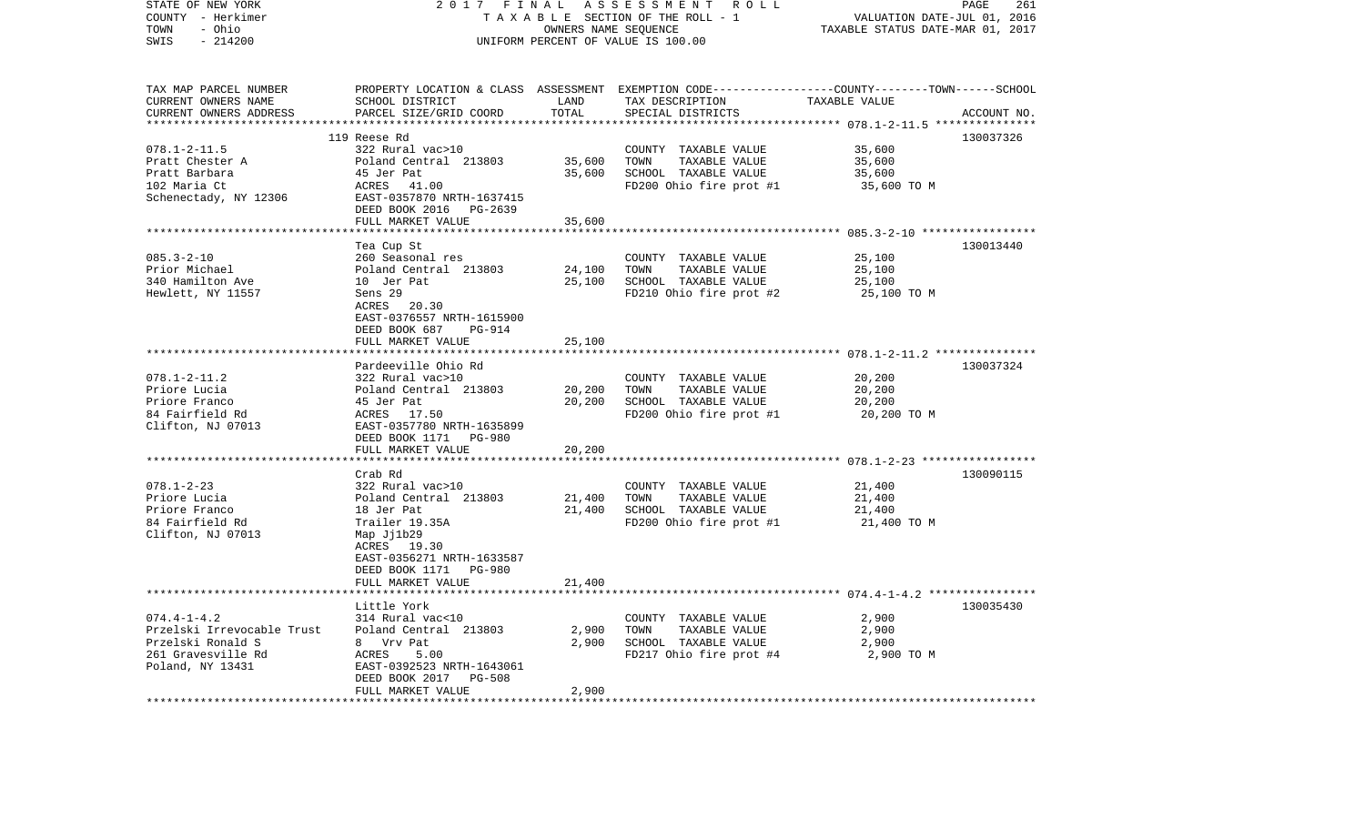| STATE OF NEW YORK<br>COUNTY - Herkimer          | 2017                                      | FINAL                | ASSESSMENT ROLL<br>TAXABLE SECTION OF THE ROLL - 1                                              | VALUATION DATE-JUL 01, 2016                          | PAGE<br>261 |
|-------------------------------------------------|-------------------------------------------|----------------------|-------------------------------------------------------------------------------------------------|------------------------------------------------------|-------------|
| - Ohio<br>TOWN<br>$-214200$<br>SWIS             |                                           | OWNERS NAME SEQUENCE | UNIFORM PERCENT OF VALUE IS 100.00                                                              | TAXABLE STATUS DATE-MAR 01, 2017                     |             |
|                                                 |                                           |                      |                                                                                                 |                                                      |             |
| TAX MAP PARCEL NUMBER                           |                                           |                      | PROPERTY LOCATION & CLASS ASSESSMENT EXEMPTION CODE---------------COUNTY-------TOWN------SCHOOL |                                                      |             |
| CURRENT OWNERS NAME                             | SCHOOL DISTRICT                           | LAND                 | TAX DESCRIPTION                                                                                 | TAXABLE VALUE                                        |             |
| CURRENT OWNERS ADDRESS                          | PARCEL SIZE/GRID COORD                    | TOTAL                | SPECIAL DISTRICTS                                                                               |                                                      | ACCOUNT NO. |
|                                                 |                                           |                      |                                                                                                 | *********** 078.1-2-11.5 ****************            |             |
|                                                 | 119 Reese Rd<br>322 Rural vac>10          |                      |                                                                                                 | 35,600                                               | 130037326   |
| $078.1 - 2 - 11.5$<br>Pratt Chester A           | Poland Central 213803                     | 35,600               | COUNTY TAXABLE VALUE<br>TAXABLE VALUE<br>TOWN                                                   | 35,600                                               |             |
| Pratt Barbara                                   | 45 Jer Pat                                | 35,600               | SCHOOL TAXABLE VALUE                                                                            | 35,600                                               |             |
| 102 Maria Ct                                    | ACRES<br>41.00                            |                      | FD200 Ohio fire prot #1                                                                         | 35,600 TO M                                          |             |
| Schenectady, NY 12306                           | EAST-0357870 NRTH-1637415                 |                      |                                                                                                 |                                                      |             |
|                                                 | DEED BOOK 2016 PG-2639                    |                      |                                                                                                 |                                                      |             |
|                                                 | FULL MARKET VALUE                         | 35,600               |                                                                                                 |                                                      |             |
|                                                 | ***********************                   |                      |                                                                                                 |                                                      |             |
|                                                 | Tea Cup St                                |                      |                                                                                                 |                                                      | 130013440   |
| $085.3 - 2 - 10$                                | 260 Seasonal res                          |                      | COUNTY TAXABLE VALUE                                                                            | 25,100                                               |             |
| Prior Michael                                   | Poland Central 213803                     | 24,100               | TOWN<br>TAXABLE VALUE                                                                           | 25,100                                               |             |
| 340 Hamilton Ave                                | 10 Jer Pat                                | 25,100               | SCHOOL TAXABLE VALUE                                                                            | 25,100                                               |             |
| Hewlett, NY 11557                               | Sens 29                                   |                      | FD210 Ohio fire prot #2                                                                         | 25,100 TO M                                          |             |
|                                                 | 20.30<br>ACRES                            |                      |                                                                                                 |                                                      |             |
|                                                 | EAST-0376557 NRTH-1615900                 |                      |                                                                                                 |                                                      |             |
|                                                 | DEED BOOK 687<br>PG-914                   |                      |                                                                                                 |                                                      |             |
|                                                 | FULL MARKET VALUE                         | 25,100               |                                                                                                 |                                                      |             |
|                                                 |                                           |                      |                                                                                                 |                                                      |             |
| $078.1 - 2 - 11.2$                              | Pardeeville Ohio Rd<br>322 Rural vac>10   |                      | COUNTY TAXABLE VALUE                                                                            | 20,200                                               | 130037324   |
| Priore Lucia                                    | Poland Central 213803                     | 20,200               | TAXABLE VALUE<br>TOWN                                                                           | 20,200                                               |             |
| Priore Franco                                   | 45 Jer Pat                                | 20,200               | SCHOOL TAXABLE VALUE                                                                            | 20,200                                               |             |
| 84 Fairfield Rd                                 | ACRES 17.50                               |                      | FD200 Ohio fire prot #1                                                                         | 20,200 TO M                                          |             |
| Clifton, NJ 07013                               | EAST-0357780 NRTH-1635899                 |                      |                                                                                                 |                                                      |             |
|                                                 | DEED BOOK 1171 PG-980                     |                      |                                                                                                 |                                                      |             |
|                                                 | FULL MARKET VALUE                         | 20,200               |                                                                                                 |                                                      |             |
|                                                 |                                           |                      |                                                                                                 |                                                      |             |
|                                                 | Crab Rd                                   |                      |                                                                                                 |                                                      | 130090115   |
| $078.1 - 2 - 23$                                | 322 Rural vac>10                          |                      | COUNTY TAXABLE VALUE                                                                            | 21,400                                               |             |
| Priore Lucia                                    | Poland Central 213803                     | 21,400               | TAXABLE VALUE<br>TOWN                                                                           | 21,400                                               |             |
| Priore Franco                                   | 18 Jer Pat                                | 21,400               | SCHOOL TAXABLE VALUE                                                                            | 21,400                                               |             |
| 84 Fairfield Rd                                 | Trailer 19.35A                            |                      | FD200 Ohio fire prot #1                                                                         | 21,400 TO M                                          |             |
| Clifton, NJ 07013                               | Map Jj1b29                                |                      |                                                                                                 |                                                      |             |
|                                                 | ACRES 19.30                               |                      |                                                                                                 |                                                      |             |
|                                                 | EAST-0356271 NRTH-1633587                 |                      |                                                                                                 |                                                      |             |
|                                                 | DEED BOOK 1171 PG-980                     |                      |                                                                                                 |                                                      |             |
|                                                 | FULL MARKET VALUE                         | 21,400               |                                                                                                 |                                                      |             |
|                                                 |                                           |                      |                                                                                                 | *********************** 074.4-1-4.2 **************** |             |
|                                                 | Little York                               |                      |                                                                                                 |                                                      | 130035430   |
| $074.4 - 1 - 4.2$<br>Przelski Irrevocable Trust | 314 Rural vac<10<br>Poland Central 213803 | 2,900                | COUNTY TAXABLE VALUE<br>TOWN<br>TAXABLE VALUE                                                   | 2,900<br>2,900                                       |             |
| Przelski Ronald S                               | 8 Vrv Pat                                 | 2,900                | SCHOOL TAXABLE VALUE                                                                            | 2,900                                                |             |
| 261 Gravesville Rd                              | ACRES<br>5.00                             |                      | FD217 Ohio fire prot #4                                                                         | 2,900 TO M                                           |             |
| Poland, NY 13431                                | EAST-0392523 NRTH-1643061                 |                      |                                                                                                 |                                                      |             |
|                                                 | DEED BOOK 2017<br><b>PG-508</b>           |                      |                                                                                                 |                                                      |             |
|                                                 | FULL MARKET VALUE                         | 2,900                |                                                                                                 |                                                      |             |
|                                                 |                                           | **********           |                                                                                                 |                                                      |             |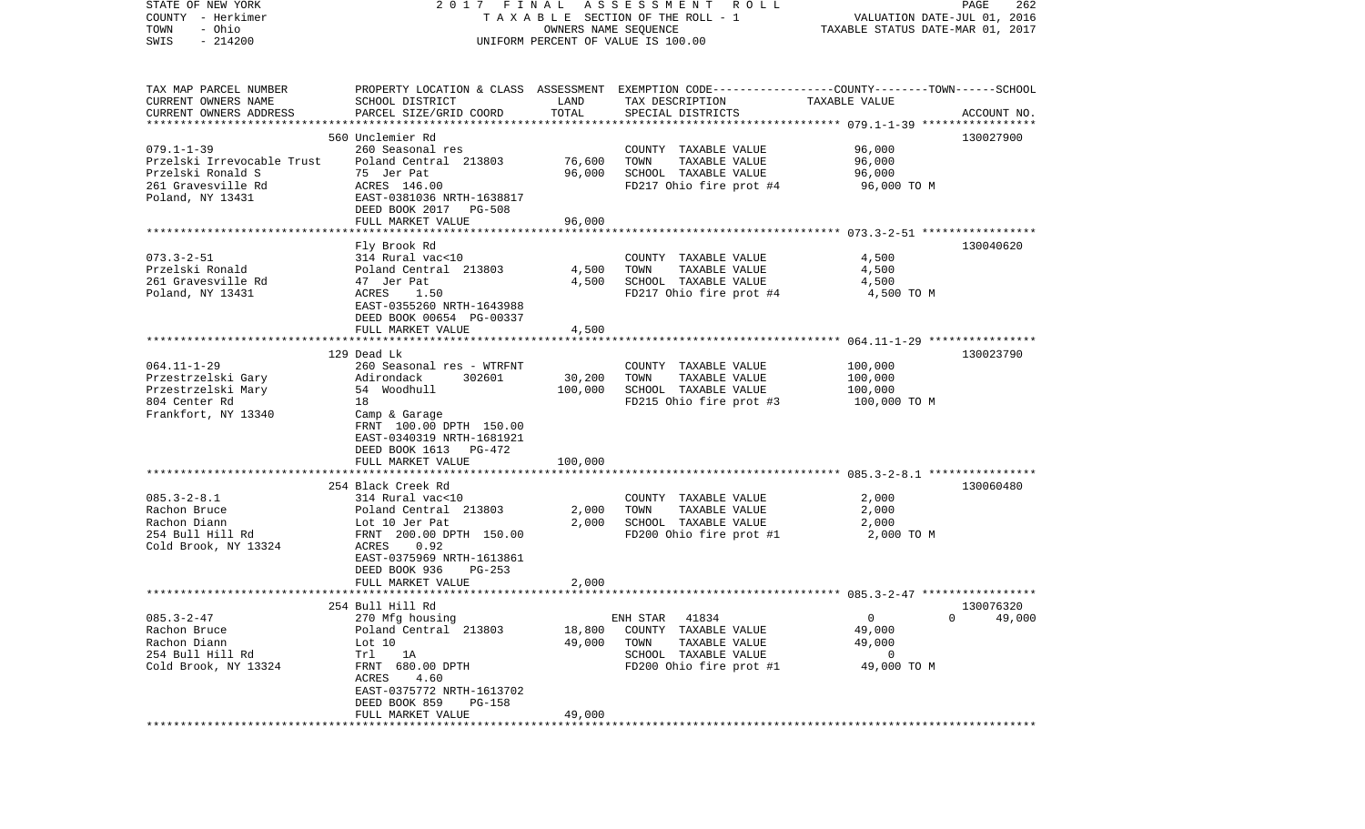| STATE OF NEW YORK                                    | 2017 FINAL                                 |                      | A S S E S S M E N T<br>R O L L                                                                  |                                  | PAGE<br>262            |
|------------------------------------------------------|--------------------------------------------|----------------------|-------------------------------------------------------------------------------------------------|----------------------------------|------------------------|
| COUNTY - Herkimer                                    |                                            |                      | TAXABLE SECTION OF THE ROLL - 1                                                                 | VALUATION DATE-JUL 01, 2016      |                        |
| - Ohio<br>TOWN                                       |                                            | OWNERS NAME SEQUENCE |                                                                                                 | TAXABLE STATUS DATE-MAR 01, 2017 |                        |
| $-214200$<br>SWIS                                    |                                            |                      | UNIFORM PERCENT OF VALUE IS 100.00                                                              |                                  |                        |
|                                                      |                                            |                      |                                                                                                 |                                  |                        |
|                                                      |                                            |                      | PROPERTY LOCATION & CLASS ASSESSMENT EXEMPTION CODE---------------COUNTY-------TOWN------SCHOOL |                                  |                        |
| TAX MAP PARCEL NUMBER<br>CURRENT OWNERS NAME         | SCHOOL DISTRICT                            | LAND                 |                                                                                                 | TAXABLE VALUE                    |                        |
|                                                      |                                            | TOTAL                | TAX DESCRIPTION                                                                                 |                                  |                        |
| CURRENT OWNERS ADDRESS<br>************************** | PARCEL SIZE/GRID COORD                     |                      | SPECIAL DISTRICTS                                                                               |                                  | ACCOUNT NO.            |
|                                                      | 560 Unclemier Rd                           |                      |                                                                                                 |                                  | 130027900              |
| $079.1 - 1 - 39$                                     | 260 Seasonal res                           |                      | COUNTY TAXABLE VALUE                                                                            | 96,000                           |                        |
| Przelski Irrevocable Trust                           | Poland Central 213803                      | 76,600               | TOWN<br>TAXABLE VALUE                                                                           | 96,000                           |                        |
| Przelski Ronald S                                    | 75 Jer Pat                                 | 96,000               | SCHOOL TAXABLE VALUE                                                                            | 96,000                           |                        |
| 261 Gravesville Rd                                   | ACRES 146.00                               |                      | FD217 Ohio fire prot #4                                                                         | 96,000 TO M                      |                        |
| Poland, NY 13431                                     | EAST-0381036 NRTH-1638817                  |                      |                                                                                                 |                                  |                        |
|                                                      | DEED BOOK 2017 PG-508                      |                      |                                                                                                 |                                  |                        |
|                                                      | FULL MARKET VALUE                          | 96,000               |                                                                                                 |                                  |                        |
|                                                      |                                            |                      |                                                                                                 |                                  |                        |
|                                                      | Fly Brook Rd                               |                      |                                                                                                 |                                  | 130040620              |
| $073.3 - 2 - 51$                                     | 314 Rural vac<10                           |                      | COUNTY TAXABLE VALUE                                                                            | 4,500                            |                        |
| Przelski Ronald                                      | Poland Central 213803                      | 4,500                | TAXABLE VALUE<br>TOWN                                                                           | 4,500                            |                        |
| 261 Gravesville Rd                                   | 47 Jer Pat                                 | 4,500                | SCHOOL TAXABLE VALUE                                                                            | 4,500                            |                        |
| Poland, NY 13431                                     | ACRES<br>1.50                              |                      | FD217 Ohio fire prot #4                                                                         | 4,500 TO M                       |                        |
|                                                      | EAST-0355260 NRTH-1643988                  |                      |                                                                                                 |                                  |                        |
|                                                      | DEED BOOK 00654 PG-00337                   |                      |                                                                                                 |                                  |                        |
|                                                      | FULL MARKET VALUE                          | 4,500                |                                                                                                 |                                  |                        |
|                                                      |                                            |                      |                                                                                                 |                                  |                        |
|                                                      | 129 Dead Lk                                |                      |                                                                                                 |                                  | 130023790              |
| $064.11 - 1 - 29$                                    | 260 Seasonal res - WTRFNT                  |                      | COUNTY TAXABLE VALUE                                                                            | 100,000                          |                        |
| Przestrzelski Gary                                   | Adirondack<br>302601                       | 30,200               | TAXABLE VALUE<br>TOWN                                                                           | 100,000                          |                        |
| Przestrzelski Mary                                   | 54 Woodhull                                | 100,000              | SCHOOL TAXABLE VALUE                                                                            | 100,000                          |                        |
|                                                      | 18                                         |                      | FD215 Ohio fire prot #3                                                                         |                                  |                        |
| 804 Center Rd                                        |                                            |                      |                                                                                                 | 100,000 TO M                     |                        |
| Frankfort, NY 13340                                  | Camp & Garage<br>FRNT 100.00 DPTH 150.00   |                      |                                                                                                 |                                  |                        |
|                                                      |                                            |                      |                                                                                                 |                                  |                        |
|                                                      | EAST-0340319 NRTH-1681921                  |                      |                                                                                                 |                                  |                        |
|                                                      | DEED BOOK 1613 PG-472                      |                      |                                                                                                 |                                  |                        |
|                                                      | FULL MARKET VALUE                          | 100,000              |                                                                                                 |                                  |                        |
|                                                      | 254 Black Creek Rd                         |                      |                                                                                                 |                                  | 130060480              |
| $085.3 - 2 - 8.1$                                    | 314 Rural vac<10                           |                      | COUNTY TAXABLE VALUE                                                                            | 2,000                            |                        |
|                                                      |                                            |                      | TOWN                                                                                            |                                  |                        |
| Rachon Bruce                                         | Poland Central 213803                      | 2,000                | TAXABLE VALUE                                                                                   | 2,000                            |                        |
| Rachon Diann                                         | Lot 10 Jer Pat                             | 2,000                | SCHOOL TAXABLE VALUE                                                                            | 2,000                            |                        |
| 254 Bull Hill Rd                                     | FRNT 200.00 DPTH 150.00                    |                      | FD200 Ohio fire prot #1                                                                         | 2,000 TO M                       |                        |
| Cold Brook, NY 13324                                 | 0.92<br>ACRES                              |                      |                                                                                                 |                                  |                        |
|                                                      | EAST-0375969 NRTH-1613861                  |                      |                                                                                                 |                                  |                        |
|                                                      | DEED BOOK 936<br>$PG-253$                  |                      |                                                                                                 |                                  |                        |
|                                                      | FULL MARKET VALUE                          | 2,000                |                                                                                                 |                                  |                        |
|                                                      | 254 Bull Hill Rd                           |                      |                                                                                                 |                                  | 130076320              |
| $085.3 - 2 - 47$                                     | 270 Mfg housing                            |                      | 41834<br>ENH STAR                                                                               | $\mathbf{0}$                     | 49,000<br>$\mathbf{0}$ |
| Rachon Bruce                                         |                                            |                      | COUNTY TAXABLE VALUE                                                                            |                                  |                        |
| Rachon Diann                                         | Poland Central 213803                      | 18,800               |                                                                                                 | 49,000<br>49,000                 |                        |
| 254 Bull Hill Rd                                     | Lot $10$                                   | 49,000               | TOWN<br>TAXABLE VALUE                                                                           |                                  |                        |
|                                                      | Trl<br>1A                                  |                      | SCHOOL TAXABLE VALUE<br>FD200 Ohio fire prot #1                                                 | 0                                |                        |
| Cold Brook, NY 13324                                 | FRNT 680.00 DPTH                           |                      |                                                                                                 | 49,000 TO M                      |                        |
|                                                      | 4.60<br>ACRES                              |                      |                                                                                                 |                                  |                        |
|                                                      | EAST-0375772 NRTH-1613702<br>DEED BOOK 859 |                      |                                                                                                 |                                  |                        |
|                                                      | PG-158<br>FULL MARKET VALUE                | 49,000               |                                                                                                 |                                  |                        |
|                                                      |                                            |                      |                                                                                                 |                                  |                        |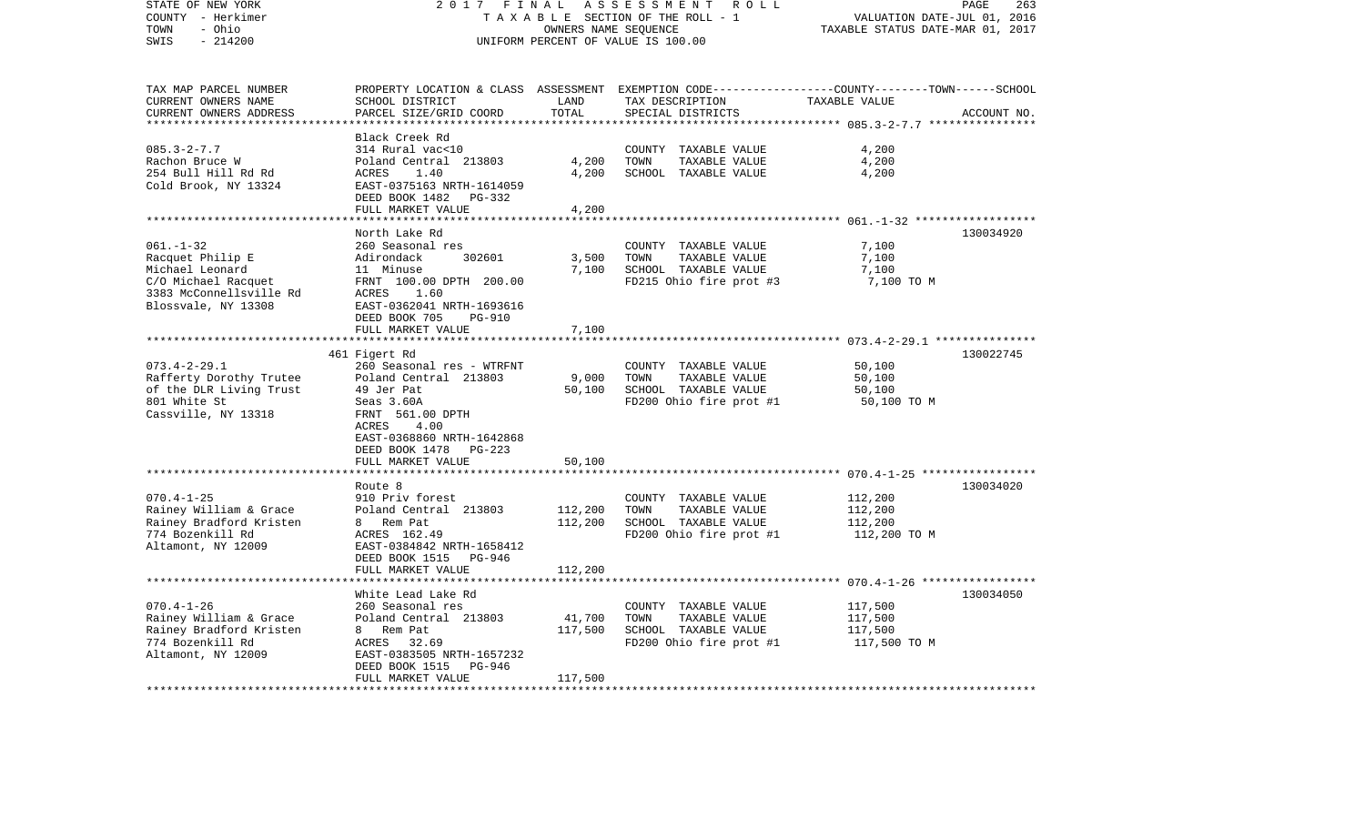| STATE OF NEW YORK<br>COUNTY - Herkimer<br>- Ohio<br>TOWN | 2017                                                  | FINAL                          | ASSESSMENT<br>R O L L<br>TAXABLE SECTION OF THE ROLL - 1<br>OWNERS NAME SEQUENCE                                    | VALUATION DATE-JUL 01, 2016<br>TAXABLE STATUS DATE-MAR 01, 2017 | PAGE<br>263 |
|----------------------------------------------------------|-------------------------------------------------------|--------------------------------|---------------------------------------------------------------------------------------------------------------------|-----------------------------------------------------------------|-------------|
| SWIS<br>$-214200$                                        |                                                       |                                | UNIFORM PERCENT OF VALUE IS 100.00                                                                                  |                                                                 |             |
| TAX MAP PARCEL NUMBER<br>CURRENT OWNERS NAME             | SCHOOL DISTRICT                                       | LAND                           | PROPERTY LOCATION & CLASS ASSESSMENT EXEMPTION CODE----------------COUNTY-------TOWN------SCHOOL<br>TAX DESCRIPTION | TAXABLE VALUE                                                   |             |
| CURRENT OWNERS ADDRESS<br>**********************         | PARCEL SIZE/GRID COORD<br>***********************     | TOTAL<br>* * * * * * * * * * * | SPECIAL DISTRICTS                                                                                                   |                                                                 | ACCOUNT NO. |
|                                                          | Black Creek Rd                                        |                                |                                                                                                                     |                                                                 |             |
| $085.3 - 2 - 7.7$                                        | 314 Rural vac<10                                      |                                | COUNTY TAXABLE VALUE                                                                                                | 4,200                                                           |             |
| Rachon Bruce W                                           | Poland Central 213803                                 | 4,200                          | TOWN<br>TAXABLE VALUE                                                                                               | 4,200                                                           |             |
| 254 Bull Hill Rd Rd                                      | ACRES<br>1.40                                         | 4,200                          | SCHOOL TAXABLE VALUE                                                                                                | 4,200                                                           |             |
| Cold Brook, NY 13324                                     | EAST-0375163 NRTH-1614059<br>DEED BOOK 1482<br>PG-332 |                                |                                                                                                                     |                                                                 |             |
|                                                          | FULL MARKET VALUE                                     | 4,200                          |                                                                                                                     |                                                                 |             |
|                                                          | ****************************                          |                                |                                                                                                                     |                                                                 |             |
|                                                          | North Lake Rd                                         |                                |                                                                                                                     |                                                                 | 130034920   |
| $061. - 1 - 32$                                          | 260 Seasonal res                                      |                                | COUNTY TAXABLE VALUE                                                                                                | 7,100                                                           |             |
| Racquet Philip E                                         | Adirondack<br>302601                                  | 3,500                          | TOWN<br>TAXABLE VALUE                                                                                               | 7,100                                                           |             |
| Michael Leonard<br>C/O Michael Racquet                   | 11 Minuse<br>FRNT 100.00 DPTH 200.00                  | 7,100                          | SCHOOL TAXABLE VALUE<br>FD215 Ohio fire prot #3                                                                     | 7,100<br>7,100 TO M                                             |             |
| 3383 McConnellsville Rd                                  | ACRES<br>1.60                                         |                                |                                                                                                                     |                                                                 |             |
| Blossvale, NY 13308                                      | EAST-0362041 NRTH-1693616                             |                                |                                                                                                                     |                                                                 |             |
|                                                          | DEED BOOK 705<br><b>PG-910</b>                        |                                |                                                                                                                     |                                                                 |             |
|                                                          | FULL MARKET VALUE                                     | 7,100                          |                                                                                                                     |                                                                 |             |
|                                                          | ************************                              |                                |                                                                                                                     |                                                                 |             |
|                                                          | 461 Figert Rd                                         |                                |                                                                                                                     |                                                                 | 130022745   |
| $073.4 - 2 - 29.1$<br>Rafferty Dorothy Trutee            | 260 Seasonal res - WTRFNT<br>Poland Central 213803    | 9,000                          | COUNTY TAXABLE VALUE<br>TOWN<br>TAXABLE VALUE                                                                       | 50,100<br>50,100                                                |             |
| of the DLR Living Trust                                  | 49 Jer Pat                                            | 50,100                         | SCHOOL TAXABLE VALUE                                                                                                | 50,100                                                          |             |
| 801 White St                                             | Seas 3.60A                                            |                                | FD200 Ohio fire prot #1                                                                                             | 50,100 TO M                                                     |             |
| Cassville, NY 13318                                      | FRNT 561.00 DPTH                                      |                                |                                                                                                                     |                                                                 |             |
|                                                          | ACRES<br>4.00                                         |                                |                                                                                                                     |                                                                 |             |
|                                                          | EAST-0368860 NRTH-1642868                             |                                |                                                                                                                     |                                                                 |             |
|                                                          | DEED BOOK 1478<br>PG-223<br>FULL MARKET VALUE         | 50,100                         |                                                                                                                     |                                                                 |             |
|                                                          |                                                       |                                |                                                                                                                     | ************************ 070.4-1-25 ******************          |             |
|                                                          | Route 8                                               |                                |                                                                                                                     |                                                                 | 130034020   |
| $070.4 - 1 - 25$                                         | 910 Priv forest                                       |                                | COUNTY TAXABLE VALUE                                                                                                | 112,200                                                         |             |
| Rainey William & Grace                                   | Poland Central 213803                                 | 112,200                        | TOWN<br>TAXABLE VALUE                                                                                               | 112,200                                                         |             |
| Rainey Bradford Kristen                                  | Rem Pat<br>8                                          | 112,200                        | SCHOOL TAXABLE VALUE                                                                                                | 112,200                                                         |             |
| 774 Bozenkill Rd<br>Altamont, NY 12009                   | ACRES 162.49<br>EAST-0384842 NRTH-1658412             |                                | FD200 Ohio fire prot #1                                                                                             | 112,200 TO M                                                    |             |
|                                                          | DEED BOOK 1515<br>PG-946                              |                                |                                                                                                                     |                                                                 |             |
|                                                          | FULL MARKET VALUE                                     | 112,200                        |                                                                                                                     |                                                                 |             |
| ***********************                                  | ******************                                    |                                |                                                                                                                     |                                                                 |             |
|                                                          | White Lead Lake Rd                                    |                                |                                                                                                                     |                                                                 | 130034050   |
| $070.4 - 1 - 26$                                         | 260 Seasonal res                                      |                                | COUNTY TAXABLE VALUE                                                                                                | 117,500                                                         |             |
| Rainey William & Grace                                   | Poland Central 213803                                 | 41,700                         | TOWN<br>TAXABLE VALUE                                                                                               | 117,500                                                         |             |
| Rainey Bradford Kristen<br>774 Bozenkill Rd              | 8 Rem Pat<br>ACRES<br>32.69                           | 117,500                        | SCHOOL TAXABLE VALUE<br>FD200 Ohio fire prot #1                                                                     | 117,500<br>117,500 TO M                                         |             |
| Altamont, NY 12009                                       | EAST-0383505 NRTH-1657232                             |                                |                                                                                                                     |                                                                 |             |
|                                                          | DEED BOOK 1515<br>PG-946                              |                                |                                                                                                                     |                                                                 |             |
|                                                          | FULL MARKET VALUE                                     | 117,500                        |                                                                                                                     |                                                                 |             |
|                                                          |                                                       |                                |                                                                                                                     |                                                                 |             |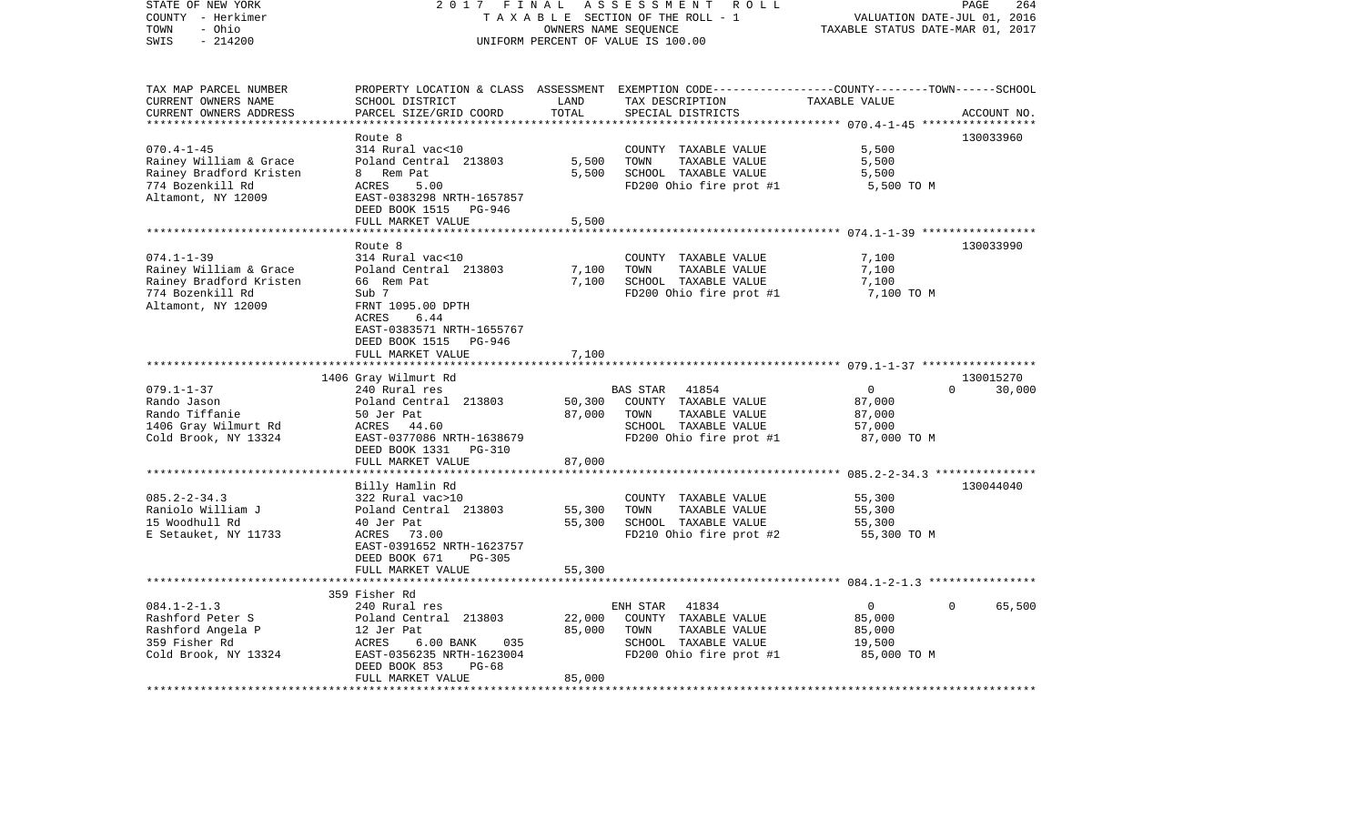| STATE OF NEW YORK<br>COUNTY - Herkimer<br>- Ohio<br>TOWN<br>SWIS<br>$-214200$                                   | 2017 FINAL                                                                                                                                                      |                            | ASSESSMENT<br>R O L L<br>TAXABLE SECTION OF THE ROLL - 1<br>OWNERS NAME SEQUENCE<br>UNIFORM PERCENT OF VALUE IS 100.00                  | VALUATION DATE-JUL 01, 2016<br>TAXABLE STATUS DATE-MAR 01, 2017 | PAGE<br>264        |
|-----------------------------------------------------------------------------------------------------------------|-----------------------------------------------------------------------------------------------------------------------------------------------------------------|----------------------------|-----------------------------------------------------------------------------------------------------------------------------------------|-----------------------------------------------------------------|--------------------|
| TAX MAP PARCEL NUMBER<br>CURRENT OWNERS NAME<br>CURRENT OWNERS ADDRESS<br>***********************               | SCHOOL DISTRICT<br>PARCEL SIZE/GRID COORD                                                                                                                       | LAND<br>TOTAL              | PROPERTY LOCATION & CLASS ASSESSMENT EXEMPTION CODE---------------COUNTY-------TOWN------SCHOOL<br>TAX DESCRIPTION<br>SPECIAL DISTRICTS | TAXABLE VALUE                                                   | ACCOUNT NO.        |
| $070.4 - 1 - 45$<br>Rainey William & Grace<br>Rainey Bradford Kristen<br>774 Bozenkill Rd<br>Altamont, NY 12009 | Route 8<br>314 Rural vac<10<br>Poland Central 213803<br>8 Rem Pat<br>ACRES<br>5.00<br>EAST-0383298 NRTH-1657857<br>DEED BOOK 1515 PG-946<br>FULL MARKET VALUE   | 5,500<br>5,500<br>5,500    | COUNTY TAXABLE VALUE<br>TOWN<br>TAXABLE VALUE<br>SCHOOL TAXABLE VALUE<br>FD200 Ohio fire prot #1                                        | 5,500<br>5,500<br>5,500<br>5,500 TO M                           | 130033960          |
|                                                                                                                 |                                                                                                                                                                 |                            |                                                                                                                                         |                                                                 |                    |
| $074.1 - 1 - 39$<br>Rainey William & Grace<br>Rainey Bradford Kristen<br>774 Bozenkill Rd<br>Altamont, NY 12009 | Route 8<br>314 Rural vac<10<br>Poland Central 213803<br>66 Rem Pat<br>Sub 7<br>FRNT 1095.00 DPTH<br>ACRES<br>6.44                                               | 7,100<br>7,100             | COUNTY TAXABLE VALUE<br>TOWN<br>TAXABLE VALUE<br>SCHOOL TAXABLE VALUE<br>FD200 Ohio fire prot #1                                        | 7,100<br>7,100<br>7,100<br>7,100 TO M                           | 130033990          |
|                                                                                                                 | EAST-0383571 NRTH-1655767<br>DEED BOOK 1515 PG-946<br>FULL MARKET VALUE                                                                                         | 7,100                      |                                                                                                                                         |                                                                 |                    |
|                                                                                                                 | 1406 Gray Wilmurt Rd                                                                                                                                            |                            |                                                                                                                                         |                                                                 | 130015270          |
| $079.1 - 1 - 37$<br>Rando Jason<br>Rando Tiffanie<br>1406 Gray Wilmurt Rd<br>Cold Brook, NY 13324               | 240 Rural res<br>Poland Central 213803<br>50 Jer Pat<br>ACRES 44.60<br>EAST-0377086 NRTH-1638679<br>DEED BOOK 1331 PG-310                                       | 50,300<br>87,000           | <b>BAS STAR</b><br>41854<br>COUNTY TAXABLE VALUE<br>TOWN<br>TAXABLE VALUE<br>SCHOOL TAXABLE VALUE<br>FD200 Ohio fire prot #1            | $\mathbf{0}$<br>87,000<br>87,000<br>57,000<br>87,000 TO M       | $\Omega$<br>30,000 |
|                                                                                                                 | FULL MARKET VALUE                                                                                                                                               | 87,000                     |                                                                                                                                         |                                                                 |                    |
| $085.2 - 2 - 34.3$<br>Raniolo William J<br>15 Woodhull Rd<br>E Setauket, NY 11733                               | Billy Hamlin Rd<br>322 Rural vac>10<br>Poland Central 213803<br>40 Jer Pat<br>ACRES<br>73.00<br>EAST-0391652 NRTH-1623757<br>DEED BOOK 671<br>$PG-305$          | 55,300<br>55,300           | COUNTY TAXABLE VALUE<br>TAXABLE VALUE<br>TOWN<br>SCHOOL TAXABLE VALUE<br>FD210 Ohio fire prot #2                                        | 55,300<br>55,300<br>55,300<br>55,300 TO M                       | 130044040          |
|                                                                                                                 | FULL MARKET VALUE                                                                                                                                               | 55,300                     |                                                                                                                                         |                                                                 |                    |
|                                                                                                                 | 359 Fisher Rd                                                                                                                                                   |                            |                                                                                                                                         | ******************** 084.1-2-1.3 ****************               |                    |
| $084.1 - 2 - 1.3$<br>Rashford Peter S<br>Rashford Angela P<br>359 Fisher Rd<br>Cold Brook, NY 13324             | 240 Rural res<br>Poland Central 213803<br>12 Jer Pat<br>ACRES<br>6.00 BANK<br>035<br>EAST-0356235 NRTH-1623004<br>DEED BOOK 853<br>$PG-68$<br>FULL MARKET VALUE | 22,000<br>85,000<br>85,000 | ENH STAR<br>41834<br>COUNTY TAXABLE VALUE<br>TOWN<br>TAXABLE VALUE<br>SCHOOL TAXABLE VALUE<br>FD200 Ohio fire prot #1                   | $\mathbf{0}$<br>85,000<br>85,000<br>19,500<br>85,000 TO M       | 65,500<br>$\Omega$ |
|                                                                                                                 |                                                                                                                                                                 |                            |                                                                                                                                         |                                                                 |                    |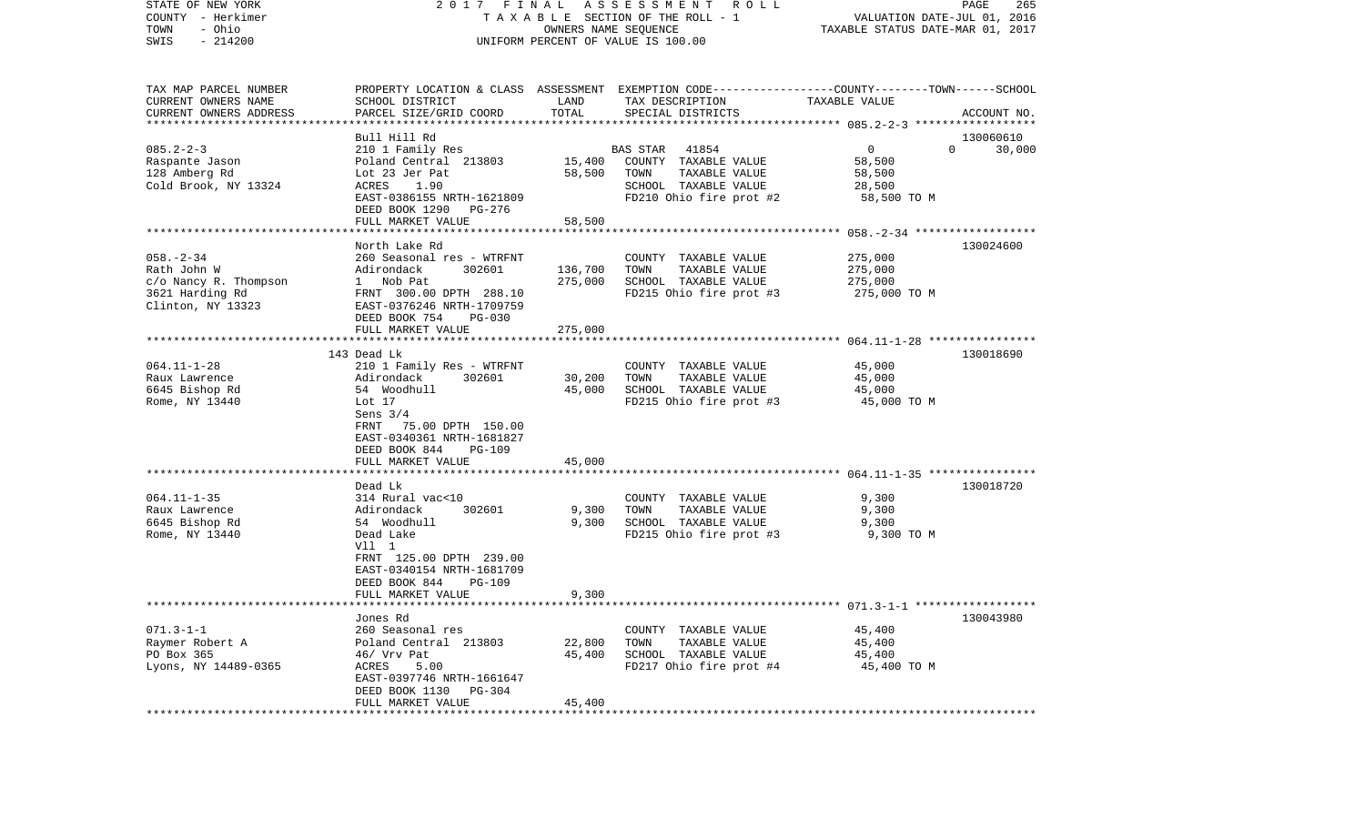| COUNTY<br>- Herkimer    |                                               |                        | T A X A B L E SECTION OF THE ROLL - 1                                                           | VALUATION DATE-JUL 01, 2016                             |             |
|-------------------------|-----------------------------------------------|------------------------|-------------------------------------------------------------------------------------------------|---------------------------------------------------------|-------------|
| - Ohio<br>TOWN          |                                               |                        | OWNERS NAME SEQUENCE                                                                            | TAXABLE STATUS DATE-MAR 01, 2017                        |             |
| SWIS<br>$-214200$       |                                               |                        | UNIFORM PERCENT OF VALUE IS 100.00                                                              |                                                         |             |
|                         |                                               |                        |                                                                                                 |                                                         |             |
| TAX MAP PARCEL NUMBER   |                                               |                        | PROPERTY LOCATION & CLASS ASSESSMENT EXEMPTION CODE---------------COUNTY-------TOWN------SCHOOL |                                                         |             |
| CURRENT OWNERS NAME     | SCHOOL DISTRICT                               | LAND                   | TAX DESCRIPTION                                                                                 | TAXABLE VALUE                                           |             |
| CURRENT OWNERS ADDRESS  | PARCEL SIZE/GRID COORD                        | TOTAL                  | SPECIAL DISTRICTS                                                                               |                                                         | ACCOUNT NO. |
|                         |                                               |                        |                                                                                                 |                                                         |             |
|                         | Bull Hill Rd                                  |                        |                                                                                                 |                                                         | 130060610   |
| $085.2 - 2 - 3$         | 210 1 Family Res                              |                        | <b>BAS STAR</b><br>41854                                                                        | 0<br>$\Omega$                                           | 30,000      |
| Raspante Jason          | Poland Central 213803                         | 15,400                 | COUNTY TAXABLE VALUE                                                                            | 58,500                                                  |             |
| 128 Amberg Rd           | Lot 23 Jer Pat                                | 58,500                 | TOWN<br>TAXABLE VALUE                                                                           | 58,500                                                  |             |
| Cold Brook, NY 13324    | ACRES<br>1.90                                 |                        | SCHOOL TAXABLE VALUE                                                                            | 28,500                                                  |             |
|                         | EAST-0386155 NRTH-1621809                     |                        | FD210 Ohio fire prot #2                                                                         | 58,500 TO M                                             |             |
|                         | DEED BOOK 1290<br>PG-276                      |                        |                                                                                                 |                                                         |             |
|                         | FULL MARKET VALUE                             | 58,500                 |                                                                                                 |                                                         |             |
|                         | *******************                           |                        |                                                                                                 | ************************* 058.-2-34 ******************* |             |
|                         | North Lake Rd                                 |                        |                                                                                                 |                                                         | 130024600   |
| $058. - 2 - 34$         | 260 Seasonal res - WTRFNT                     |                        | COUNTY TAXABLE VALUE                                                                            | 275,000                                                 |             |
| Rath John W             | Adirondack<br>302601                          | 136,700                | TOWN<br>TAXABLE VALUE                                                                           | 275,000                                                 |             |
| c/o Nancy R. Thompson   | Nob Pat<br>$\mathbf{1}$                       | 275,000                | SCHOOL TAXABLE VALUE                                                                            | 275,000                                                 |             |
| 3621 Harding Rd         | FRNT 300.00 DPTH 288.10                       |                        | FD215 Ohio fire prot #3                                                                         | 275,000 TO M                                            |             |
| Clinton, NY 13323       | EAST-0376246 NRTH-1709759                     |                        |                                                                                                 |                                                         |             |
|                         | DEED BOOK 754<br><b>PG-030</b>                |                        |                                                                                                 |                                                         |             |
|                         | FULL MARKET VALUE<br>***********************  | 275,000<br>*********** |                                                                                                 |                                                         |             |
|                         |                                               |                        |                                                                                                 |                                                         | 130018690   |
| $064.11 - 1 - 28$       | 143 Dead Lk<br>210 1 Family Res - WTRFNT      |                        | COUNTY TAXABLE VALUE                                                                            | 45,000                                                  |             |
| Raux Lawrence           | Adirondack<br>302601                          | 30,200                 | TAXABLE VALUE<br>TOWN                                                                           | 45,000                                                  |             |
| 6645 Bishop Rd          | 54 Woodhull                                   | 45,000                 | SCHOOL TAXABLE VALUE                                                                            | 45,000                                                  |             |
| Rome, NY 13440          | Lot 17                                        |                        | FD215 Ohio fire prot #3                                                                         | 45,000 TO M                                             |             |
|                         | Sens $3/4$                                    |                        |                                                                                                 |                                                         |             |
|                         | 75.00 DPTH 150.00<br>FRNT                     |                        |                                                                                                 |                                                         |             |
|                         | EAST-0340361 NRTH-1681827                     |                        |                                                                                                 |                                                         |             |
|                         | DEED BOOK 844<br><b>PG-109</b>                |                        |                                                                                                 |                                                         |             |
|                         | FULL MARKET VALUE                             | 45,000                 |                                                                                                 |                                                         |             |
|                         |                                               |                        |                                                                                                 |                                                         |             |
|                         | Dead Lk                                       |                        |                                                                                                 |                                                         | 130018720   |
| $064.11 - 1 - 35$       | 314 Rural vac<10                              |                        | COUNTY TAXABLE VALUE                                                                            | 9,300                                                   |             |
| Raux Lawrence           | 302601<br>Adirondack                          | 9,300                  | TAXABLE VALUE<br>TOWN                                                                           | 9,300                                                   |             |
| 6645 Bishop Rd          | 54 Woodhull                                   | 9,300                  | SCHOOL TAXABLE VALUE                                                                            | 9,300                                                   |             |
| Rome, NY 13440          | Dead Lake                                     |                        | FD215 Ohio fire prot #3                                                                         | 9,300 TO M                                              |             |
|                         | V11 1                                         |                        |                                                                                                 |                                                         |             |
|                         | FRNT 125.00 DPTH 239.00                       |                        |                                                                                                 |                                                         |             |
|                         | EAST-0340154 NRTH-1681709                     |                        |                                                                                                 |                                                         |             |
|                         | DEED BOOK 844<br>PG-109                       |                        |                                                                                                 |                                                         |             |
|                         | FULL MARKET VALUE                             | 9,300                  |                                                                                                 |                                                         |             |
|                         |                                               |                        |                                                                                                 | ************************* 071.3-1-1 ******************* |             |
|                         | Jones Rd                                      |                        |                                                                                                 |                                                         | 130043980   |
| $071.3 - 1 - 1$         | 260 Seasonal res                              |                        | COUNTY TAXABLE VALUE                                                                            | 45,400                                                  |             |
| Raymer Robert A         | Poland Central 213803                         | 22,800                 | TOWN<br>TAXABLE VALUE                                                                           | 45,400                                                  |             |
| PO Box 365              | 46/ Vrv Pat                                   | 45,400                 | SCHOOL TAXABLE VALUE                                                                            | 45,400                                                  |             |
| Lyons, NY 14489-0365    | ACRES<br>5.00                                 |                        | FD217 Ohio fire prot #4                                                                         | 45,400 TO M                                             |             |
|                         | EAST-0397746 NRTH-1661647                     |                        |                                                                                                 |                                                         |             |
|                         | DEED BOOK 1130<br>PG-304<br>FULL MARKET VALUE | 45,400                 |                                                                                                 |                                                         |             |
| *********************** | .                                             |                        |                                                                                                 |                                                         |             |

STATE OF NEW YORK 2 0 1 7 F I N A L A S S E S S M E N T R O L L PAGE 265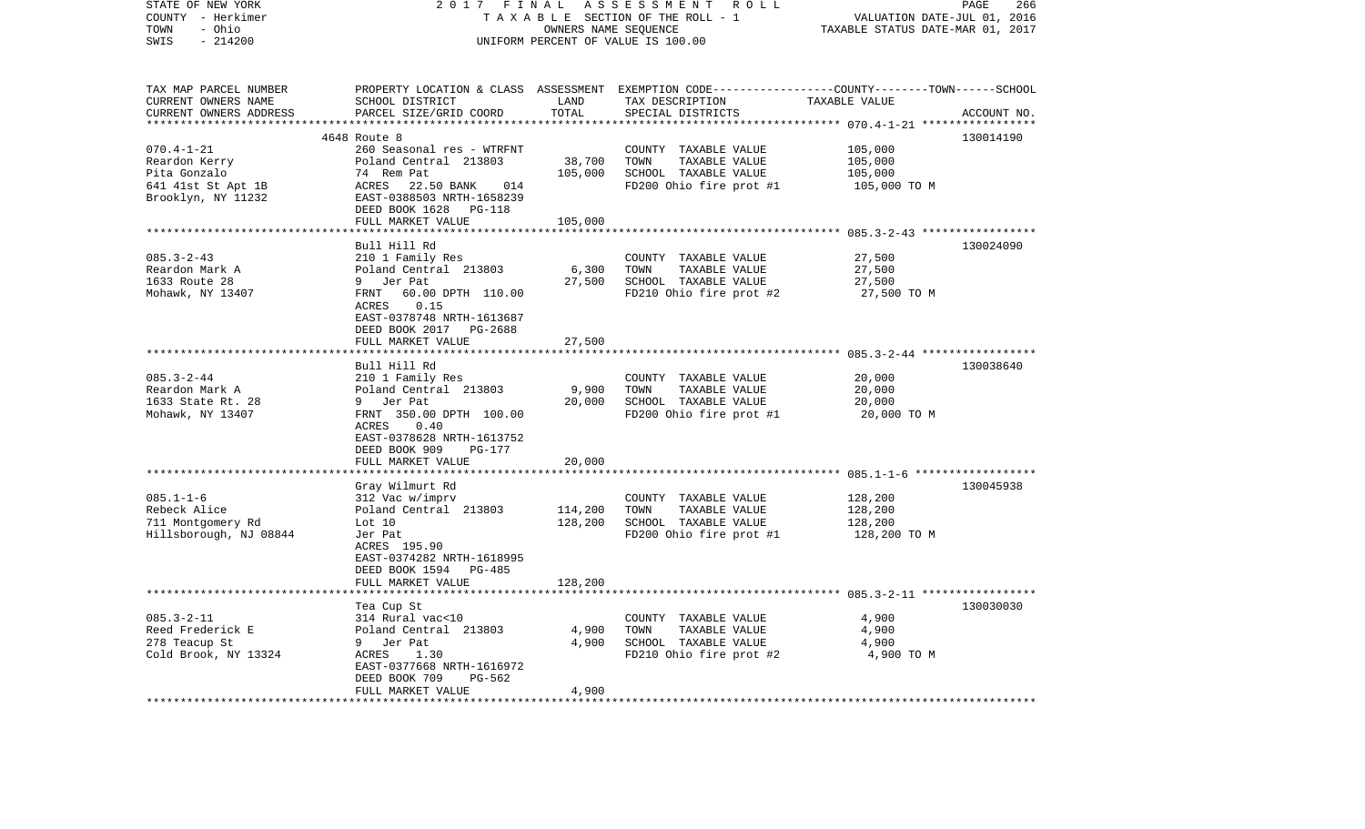| STATE OF NEW YORK<br>COUNTY - Herkimer<br>- Ohio<br>TOWN<br>SWIS<br>$-214200$                 | 2017 FINAL                                                                                                                                                                  | OWNERS NAME SEQUENCE            | ASSESSMENT ROLL<br>TAXABLE SECTION OF THE ROLL - 1<br>UNIFORM PERCENT OF VALUE IS 100.00                                                | VALUATION DATE-JUL 01, 2016<br>TAXABLE STATUS DATE-MAR 01, 2017 | PAGE<br>266 |
|-----------------------------------------------------------------------------------------------|-----------------------------------------------------------------------------------------------------------------------------------------------------------------------------|---------------------------------|-----------------------------------------------------------------------------------------------------------------------------------------|-----------------------------------------------------------------|-------------|
| TAX MAP PARCEL NUMBER<br>CURRENT OWNERS NAME<br>CURRENT OWNERS ADDRESS<br>******************  | SCHOOL DISTRICT<br>PARCEL SIZE/GRID COORD                                                                                                                                   | LAND<br>TOTAL<br>*************  | PROPERTY LOCATION & CLASS ASSESSMENT EXEMPTION CODE---------------COUNTY-------TOWN------SCHOOL<br>TAX DESCRIPTION<br>SPECIAL DISTRICTS | TAXABLE VALUE                                                   | ACCOUNT NO. |
|                                                                                               | 4648 Route 8                                                                                                                                                                |                                 |                                                                                                                                         |                                                                 | 130014190   |
| $070.4 - 1 - 21$<br>Reardon Kerry<br>Pita Gonzalo<br>641 41st St Apt 1B<br>Brooklyn, NY 11232 | 260 Seasonal res - WTRFNT<br>Poland Central 213803<br>74 Rem Pat<br>ACRES<br>22.50 BANK<br>014<br>EAST-0388503 NRTH-1658239<br>DEED BOOK 1628 PG-118<br>FULL MARKET VALUE   | 38,700<br>105,000<br>105,000    | COUNTY TAXABLE VALUE<br>TOWN<br>TAXABLE VALUE<br>SCHOOL TAXABLE VALUE<br>FD200 Ohio fire prot #1                                        | 105,000<br>105,000<br>105,000<br>105,000 TO M                   |             |
|                                                                                               |                                                                                                                                                                             |                                 |                                                                                                                                         |                                                                 |             |
| $085.3 - 2 - 43$<br>Reardon Mark A<br>1633 Route 28<br>Mohawk, NY 13407                       | Bull Hill Rd<br>210 1 Family Res<br>Poland Central 213803<br>9 Jer Pat<br>FRNT<br>60.00 DPTH 110.00<br>0.15<br>ACRES<br>EAST-0378748 NRTH-1613687<br>DEED BOOK 2017 PG-2688 | 6,300<br>27,500                 | COUNTY TAXABLE VALUE<br>TOWN<br>TAXABLE VALUE<br>SCHOOL TAXABLE VALUE<br>FD210 Ohio fire prot #2                                        | 27,500<br>27,500<br>27,500<br>27,500 TO M                       | 130024090   |
|                                                                                               | FULL MARKET VALUE                                                                                                                                                           | 27,500                          |                                                                                                                                         |                                                                 |             |
|                                                                                               |                                                                                                                                                                             |                                 |                                                                                                                                         |                                                                 |             |
| $085.3 - 2 - 44$<br>Reardon Mark A<br>1633 State Rt. 28<br>Mohawk, NY 13407                   | Bull Hill Rd<br>210 1 Family Res<br>Poland Central 213803<br>9 Jer Pat<br>FRNT 350.00 DPTH 100.00<br>0.40<br>ACRES<br>EAST-0378628 NRTH-1613752<br>DEED BOOK 909<br>PG-177  | 9,900<br>20,000                 | COUNTY TAXABLE VALUE<br>TOWN<br>TAXABLE VALUE<br>SCHOOL TAXABLE VALUE<br>FD200 Ohio fire prot #1                                        | 20,000<br>20,000<br>20,000<br>20,000 TO M                       | 130038640   |
|                                                                                               | FULL MARKET VALUE                                                                                                                                                           | 20,000                          |                                                                                                                                         |                                                                 |             |
| $085.1 - 1 - 6$<br>Rebeck Alice<br>711 Montgomery Rd<br>Hillsborough, NJ 08844                | Gray Wilmurt Rd<br>312 Vac w/imprv<br>Poland Central 213803<br>Lot 10<br>Jer Pat<br>ACRES 195.90<br>EAST-0374282 NRTH-1618995                                               | *********<br>114,200<br>128,200 | COUNTY TAXABLE VALUE<br>TOWN<br>TAXABLE VALUE<br>SCHOOL TAXABLE VALUE<br>FD200 Ohio fire prot #1                                        | 128,200<br>128,200<br>128,200<br>128,200 TO M                   | 130045938   |
|                                                                                               | DEED BOOK 1594 PG-485<br>FULL MARKET VALUE                                                                                                                                  | 128,200                         |                                                                                                                                         |                                                                 |             |
| $085.3 - 2 - 11$                                                                              | Tea Cup St<br>314 Rural vac<10                                                                                                                                              |                                 | COUNTY TAXABLE VALUE                                                                                                                    | 4,900                                                           | 130030030   |
| Reed Frederick E<br>278 Teacup St<br>Cold Brook, NY 13324                                     | Poland Central 213803<br>9 Jer Pat<br>ACRES<br>1.30                                                                                                                         | 4,900<br>4,900                  | TOWN<br>TAXABLE VALUE<br>SCHOOL TAXABLE VALUE<br>FD210 Ohio fire prot #2                                                                | 4,900<br>4,900<br>4,900 TO M                                    |             |
|                                                                                               | EAST-0377668 NRTH-1616972<br>PG-562<br>DEED BOOK 709<br>FULL MARKET VALUE                                                                                                   | 4,900                           |                                                                                                                                         |                                                                 |             |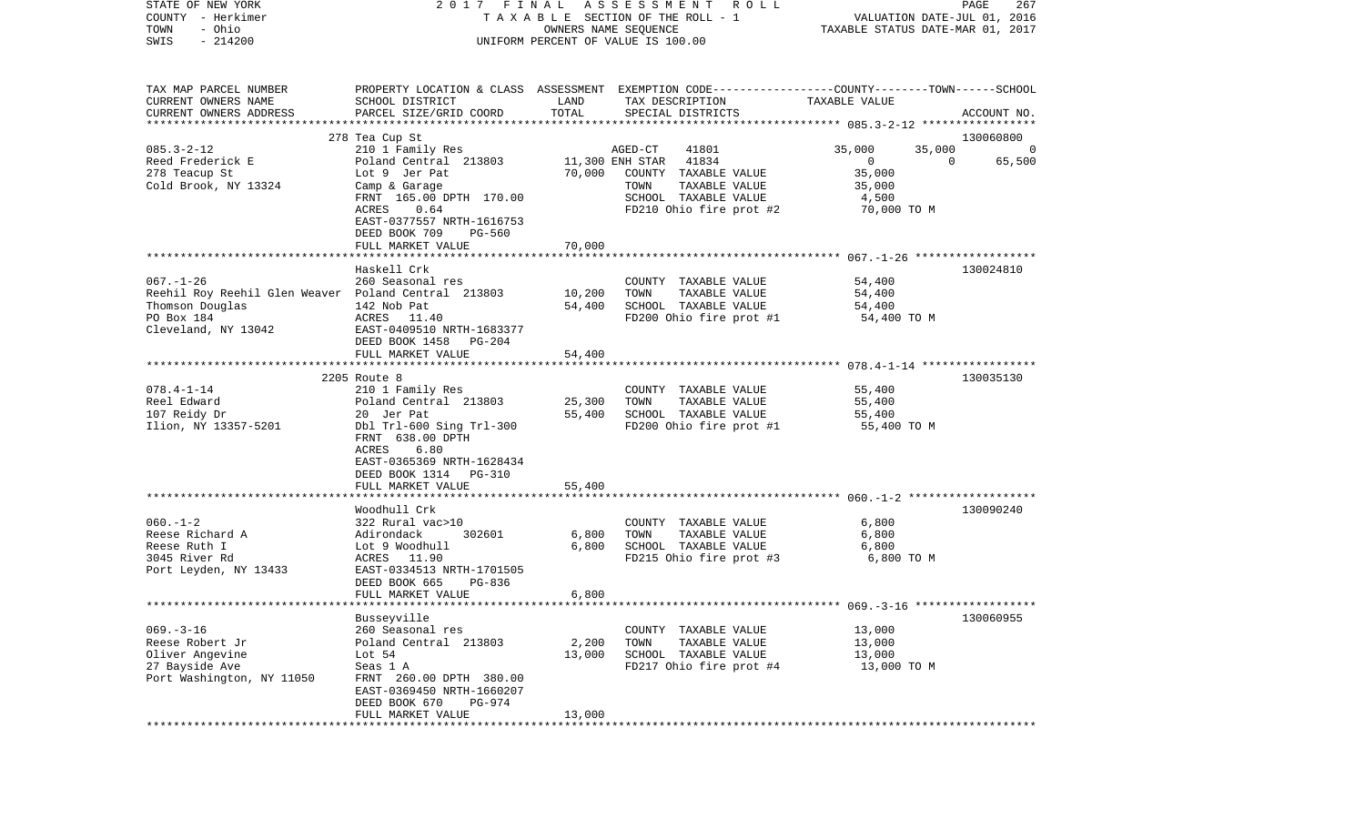| STATE OF NEW YORK<br>COUNTY - Herkimer<br>- Ohio<br>TOWN<br>$-214200$<br>SWIS                                                  | 2017 FINAL                                                                                                                                                                                     |                                                  | A S S E S S M E N T R O L L<br>TAXABLE SECTION OF THE ROLL - 1<br>OWNERS NAME SEQUENCE<br>UNIFORM PERCENT OF VALUE IS 100.00                     | VALUATION DATE-JUL 01, 2016<br>TAXABLE STATUS DATE-MAR 01, 2017                | PAGE<br>267                   |
|--------------------------------------------------------------------------------------------------------------------------------|------------------------------------------------------------------------------------------------------------------------------------------------------------------------------------------------|--------------------------------------------------|--------------------------------------------------------------------------------------------------------------------------------------------------|--------------------------------------------------------------------------------|-------------------------------|
| TAX MAP PARCEL NUMBER<br>CURRENT OWNERS NAME<br>CURRENT OWNERS ADDRESS<br>***********************                              | SCHOOL DISTRICT<br>PARCEL SIZE/GRID COORD                                                                                                                                                      | LAND<br>TOTAL                                    | PROPERTY LOCATION & CLASS ASSESSMENT EXEMPTION CODE---------------COUNTY-------TOWN------SCHOOL<br>TAX DESCRIPTION<br>SPECIAL DISTRICTS          | TAXABLE VALUE                                                                  | ACCOUNT NO.                   |
|                                                                                                                                | 278 Tea Cup St                                                                                                                                                                                 |                                                  |                                                                                                                                                  |                                                                                | 130060800                     |
| $085.3 - 2 - 12$<br>Reed Frederick E<br>278 Teacup St<br>Cold Brook, NY 13324                                                  | 210 1 Family Res<br>Poland Central 213803<br>Lot 9 Jer Pat<br>Camp & Garage<br>FRNT 165.00 DPTH 170.00<br>ACRES<br>0.64<br>EAST-0377557 NRTH-1616753                                           | 70,000                                           | AGED-CT<br>41801<br>41834<br>11,300 ENH STAR<br>COUNTY TAXABLE VALUE<br>TAXABLE VALUE<br>TOWN<br>SCHOOL TAXABLE VALUE<br>FD210 Ohio fire prot #2 | 35,000<br>35,000<br>$\overline{0}$<br>35,000<br>35,000<br>4,500<br>70,000 TO M | 0<br>$\overline{0}$<br>65,500 |
|                                                                                                                                | DEED BOOK 709<br>PG-560                                                                                                                                                                        |                                                  |                                                                                                                                                  |                                                                                |                               |
|                                                                                                                                | FULL MARKET VALUE<br>Haskell Crk                                                                                                                                                               | 70,000                                           |                                                                                                                                                  |                                                                                | 130024810                     |
| $067. - 1 - 26$<br>Reehil Roy Reehil Glen Weaver Poland Central 213803<br>Thomson Douglas<br>PO Box 184<br>Cleveland, NY 13042 | 260 Seasonal res<br>142 Nob Pat<br>ACRES 11.40<br>EAST-0409510 NRTH-1683377<br>DEED BOOK 1458<br>PG-204                                                                                        | 10,200<br>54,400                                 | COUNTY TAXABLE VALUE<br>TOWN<br>TAXABLE VALUE<br>SCHOOL TAXABLE VALUE<br>FD200 Ohio fire prot #1                                                 | 54,400<br>54,400<br>54,400<br>54,400 TO M                                      |                               |
|                                                                                                                                | FULL MARKET VALUE                                                                                                                                                                              | 54,400                                           |                                                                                                                                                  |                                                                                |                               |
|                                                                                                                                |                                                                                                                                                                                                |                                                  |                                                                                                                                                  |                                                                                |                               |
| $078.4 - 1 - 14$<br>Reel Edward<br>107 Reidy Dr<br>Ilion, NY 13357-5201                                                        | 2205 Route 8<br>210 1 Family Res<br>Poland Central 213803<br>20 Jer Pat<br>Dbl Trl-600 Sing Trl-300<br>FRNT 638.00 DPTH<br>6.80<br>ACRES<br>EAST-0365369 NRTH-1628434<br>DEED BOOK 1314 PG-310 | 25,300<br>55,400                                 | COUNTY TAXABLE VALUE<br>TAXABLE VALUE<br>TOWN<br>SCHOOL TAXABLE VALUE<br>FD200 Ohio fire prot #1                                                 | 55,400<br>55,400<br>55,400<br>55,400 TO M                                      | 130035130                     |
|                                                                                                                                | FULL MARKET VALUE                                                                                                                                                                              | 55,400                                           |                                                                                                                                                  |                                                                                |                               |
| $060. -1 - 2$<br>Reese Richard A<br>Reese Ruth I<br>3045 River Rd<br>Port Leyden, NY 13433                                     | ********************<br>Woodhull Crk<br>322 Rural vac>10<br>Adirondack<br>302601<br>Lot 9 Woodhull<br>ACRES 11.90<br>EAST-0334513 NRTH-1701505<br>DEED BOOK 665<br>PG-836<br>FULL MARKET VALUE | * * * * * * * * * * *<br>6,800<br>6,800<br>6,800 | COUNTY TAXABLE VALUE<br>TOWN<br>TAXABLE VALUE<br>SCHOOL TAXABLE VALUE<br>FD215 Ohio fire prot #3                                                 | 6,800<br>6,800<br>6,800<br>6,800 TO M                                          | 130090240                     |
|                                                                                                                                |                                                                                                                                                                                                |                                                  |                                                                                                                                                  |                                                                                |                               |
| $069. -3 - 16$<br>Reese Robert Jr<br>Oliver Angevine<br>27 Bayside Ave<br>Port Washington, NY 11050                            | Busseyville<br>260 Seasonal res<br>Poland Central 213803<br>Lot $54$<br>Seas 1 A<br>FRNT 260.00 DPTH 380.00<br>EAST-0369450 NRTH-1660207<br>PG-974<br>DEED BOOK 670<br>FULL MARKET VALUE       | 2,200<br>13,000<br>13,000                        | COUNTY TAXABLE VALUE<br>TOWN<br>TAXABLE VALUE<br>SCHOOL TAXABLE VALUE<br>FD217 Ohio fire prot #4                                                 | 13,000<br>13,000<br>13,000<br>13,000 TO M                                      | 130060955                     |
|                                                                                                                                |                                                                                                                                                                                                |                                                  |                                                                                                                                                  |                                                                                |                               |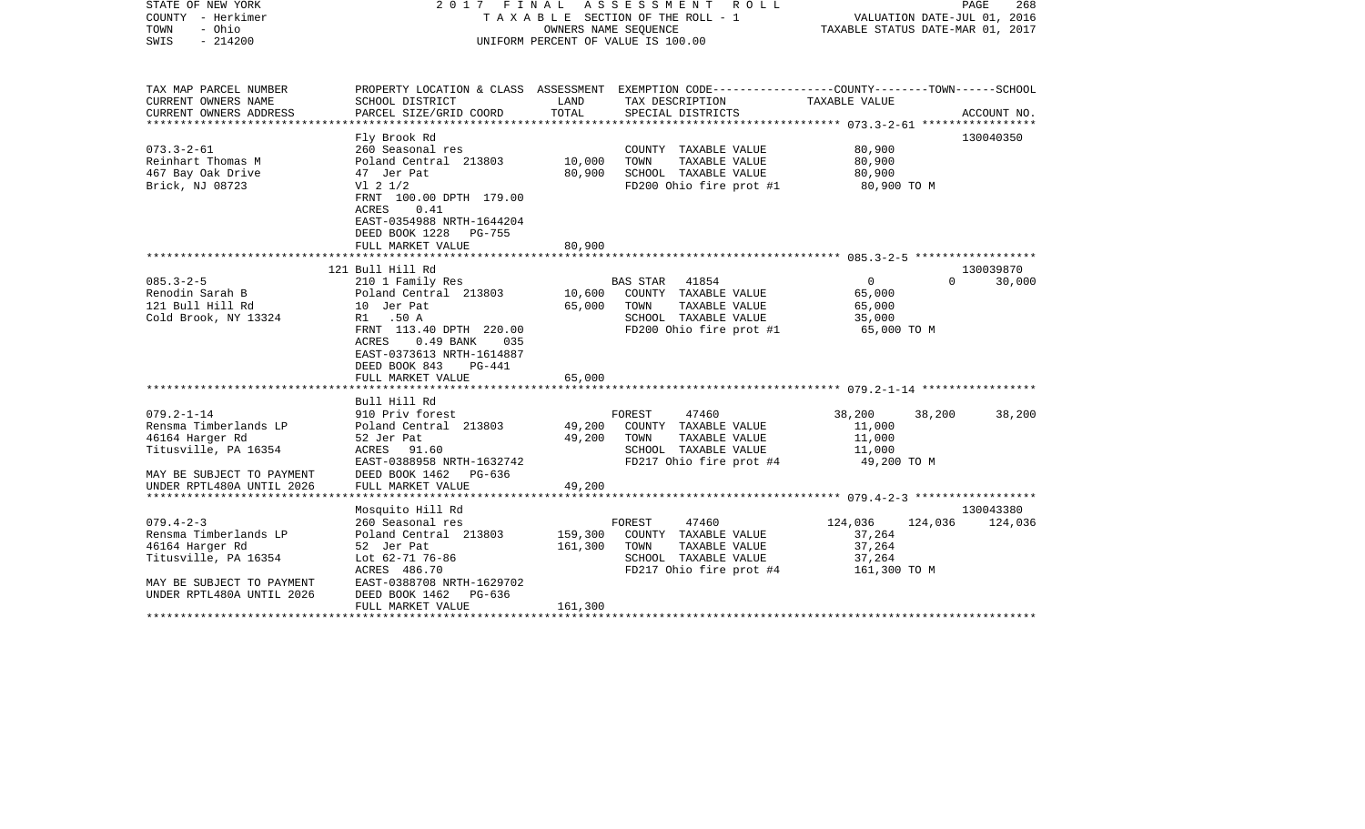| STATE OF NEW YORK<br>COUNTY - Herkimer<br>- Ohio<br>TOWN<br>$-214200$<br>SWIS                                                                 |                                                                                                                                                                                                                                | OWNERS NAME SEQUENCE       | 2017 FINAL ASSESSMENT<br>R O L L<br>T A X A B L E SECTION OF THE ROLL - 1<br>UNIFORM PERCENT OF VALUE IS 100.00                         | VALUATION DATE-JUL 01, 2016<br>TAXABLE STATUS DATE-MAR 01, 2017      | PAGE<br>268         |
|-----------------------------------------------------------------------------------------------------------------------------------------------|--------------------------------------------------------------------------------------------------------------------------------------------------------------------------------------------------------------------------------|----------------------------|-----------------------------------------------------------------------------------------------------------------------------------------|----------------------------------------------------------------------|---------------------|
| TAX MAP PARCEL NUMBER<br>CURRENT OWNERS NAME<br>CURRENT OWNERS ADDRESS                                                                        | SCHOOL DISTRICT<br>PARCEL SIZE/GRID COORD                                                                                                                                                                                      | LAND<br>TOTAL              | PROPERTY LOCATION & CLASS ASSESSMENT EXEMPTION CODE---------------COUNTY-------TOWN------SCHOOL<br>TAX DESCRIPTION<br>SPECIAL DISTRICTS | TAXABLE VALUE                                                        | ACCOUNT NO.         |
| ***********************                                                                                                                       |                                                                                                                                                                                                                                |                            |                                                                                                                                         |                                                                      |                     |
| $073.3 - 2 - 61$<br>Reinhart Thomas M<br>467 Bay Oak Drive<br>Brick, NJ 08723                                                                 | Fly Brook Rd<br>260 Seasonal res<br>Poland Central 213803<br>47 Jer Pat<br>$VI$ 2 $1/2$<br>FRNT 100.00 DPTH 179.00<br>ACRES<br>0.41                                                                                            | 10,000<br>80,900           | COUNTY TAXABLE VALUE<br>TAXABLE VALUE<br>TOWN<br>SCHOOL TAXABLE VALUE<br>FD200 Ohio fire prot #1                                        | 80,900<br>80,900<br>80,900<br>80,900 TO M                            | 130040350           |
|                                                                                                                                               | EAST-0354988 NRTH-1644204<br>DEED BOOK 1228<br>PG-755<br>FULL MARKET VALUE                                                                                                                                                     | 80,900                     |                                                                                                                                         |                                                                      |                     |
|                                                                                                                                               |                                                                                                                                                                                                                                |                            |                                                                                                                                         |                                                                      |                     |
| $085.3 - 2 - 5$<br>Renodin Sarah B<br>121 Bull Hill Rd<br>Cold Brook, NY 13324                                                                | 121 Bull Hill Rd<br>210 1 Family Res<br>Poland Central 213803<br>10 Jer Pat<br>R1 .50 A<br>FRNT 113.40 DPTH 220.00<br>ACRES<br>$0.49$ BANK<br>035<br>EAST-0373613 NRTH-1614887<br>DEED BOOK 843<br>PG-441<br>FULL MARKET VALUE | 10,600<br>65,000<br>65,000 | BAS STAR<br>41854<br>COUNTY TAXABLE VALUE<br>TAXABLE VALUE<br>TOWN<br>SCHOOL TAXABLE VALUE<br>FD200 Ohio fire prot #1                   | $\mathbf 0$<br>$\Omega$<br>65,000<br>65,000<br>35,000<br>65,000 TO M | 130039870<br>30,000 |
|                                                                                                                                               |                                                                                                                                                                                                                                |                            |                                                                                                                                         |                                                                      |                     |
| $079.2 - 1 - 14$<br>Rensma Timberlands LP<br>46164 Harger Rd<br>Titusville, PA 16354                                                          | Bull Hill Rd<br>910 Priv forest<br>Poland Central 213803<br>52 Jer Pat<br>ACRES 91.60<br>EAST-0388958 NRTH-1632742                                                                                                             | 49,200<br>49,200           | 47460<br>FOREST<br>COUNTY TAXABLE VALUE<br>TOWN<br>TAXABLE VALUE<br>SCHOOL TAXABLE VALUE<br>FD217 Ohio fire prot #4                     | 38,200<br>38,200<br>11,000<br>11,000<br>11,000<br>49,200 TO M        | 38,200              |
| MAY BE SUBJECT TO PAYMENT<br>UNDER RPTL480A UNTIL 2026                                                                                        | DEED BOOK 1462 PG-636<br>FULL MARKET VALUE                                                                                                                                                                                     | 49,200                     |                                                                                                                                         |                                                                      |                     |
|                                                                                                                                               | Mosquito Hill Rd                                                                                                                                                                                                               |                            |                                                                                                                                         |                                                                      | 130043380           |
| $079.4 - 2 - 3$<br>Rensma Timberlands LP<br>46164 Harger Rd<br>Titusville, PA 16354<br>MAY BE SUBJECT TO PAYMENT<br>UNDER RPTL480A UNTIL 2026 | 260 Seasonal res<br>Poland Central 213803<br>52 Jer Pat<br>Lot 62-71 76-86<br>ACRES 486.70<br>EAST-0388708 NRTH-1629702<br>DEED BOOK 1462<br>PG-636                                                                            | 159,300<br>161,300         | FOREST<br>47460<br>COUNTY TAXABLE VALUE<br>TOWN<br>TAXABLE VALUE<br>SCHOOL TAXABLE VALUE<br>FD217 Ohio fire prot #4                     | 124,036<br>124,036<br>37,264<br>37,264<br>37,264<br>161,300 TO M     | 124,036             |
|                                                                                                                                               | FULL MARKET VALUE                                                                                                                                                                                                              | 161,300                    |                                                                                                                                         |                                                                      |                     |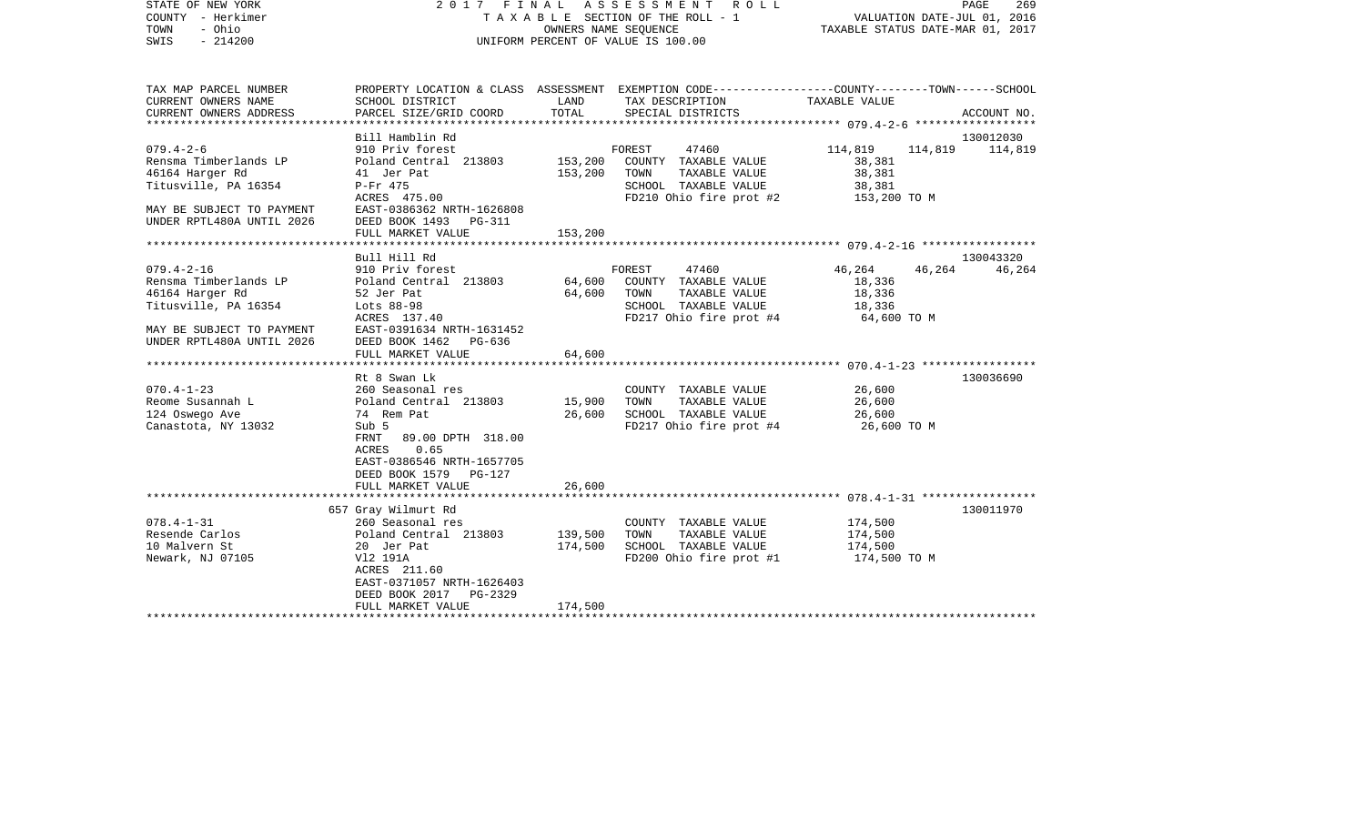| STATE OF NEW YORK<br>COUNTY - Herkimer<br>- Ohio<br>TOWN<br>$-214200$<br>SWIS                                                                                                                                                                                |                                                                                                                                                                                                                                                                                                                                                |                                                | 2017 FINAL ASSESSMENT<br>R O L L<br>T A X A B L E SECTION OF THE ROLL - 1<br>OWNERS NAME SEQUENCE<br>UNIFORM PERCENT OF VALUE IS 100.00                                                                                 | VALUATION DATE-JUL 01, 2016<br>TAXABLE STATUS DATE-MAR 01, 2017                                            | PAGE<br>269                      |
|--------------------------------------------------------------------------------------------------------------------------------------------------------------------------------------------------------------------------------------------------------------|------------------------------------------------------------------------------------------------------------------------------------------------------------------------------------------------------------------------------------------------------------------------------------------------------------------------------------------------|------------------------------------------------|-------------------------------------------------------------------------------------------------------------------------------------------------------------------------------------------------------------------------|------------------------------------------------------------------------------------------------------------|----------------------------------|
| TAX MAP PARCEL NUMBER<br>CURRENT OWNERS NAME<br>CURRENT OWNERS ADDRESS                                                                                                                                                                                       | SCHOOL DISTRICT<br>PARCEL SIZE/GRID COORD                                                                                                                                                                                                                                                                                                      | LAND<br>TOTAL                                  | PROPERTY LOCATION & CLASS ASSESSMENT EXEMPTION CODE---------------COUNTY-------TOWN------SCHOOL<br>TAX DESCRIPTION<br>SPECIAL DISTRICTS                                                                                 | TAXABLE VALUE                                                                                              | ACCOUNT NO.                      |
|                                                                                                                                                                                                                                                              |                                                                                                                                                                                                                                                                                                                                                |                                                |                                                                                                                                                                                                                         |                                                                                                            |                                  |
| $079.4 - 2 - 6$                                                                                                                                                                                                                                              | Bill Hamblin Rd<br>910 Priv forest                                                                                                                                                                                                                                                                                                             |                                                | FOREST<br>47460                                                                                                                                                                                                         | 114,819<br>114,819                                                                                         | 130012030<br>114,819             |
| Rensma Timberlands LP<br>46164 Harger Rd<br>Titusville, PA 16354<br>MAY BE SUBJECT TO PAYMENT<br>UNDER RPTL480A UNTIL 2026                                                                                                                                   | Poland Central 213803<br>41 Jer Pat<br>P-Fr 475<br>ACRES 475.00<br>EAST-0386362 NRTH-1626808<br>DEED BOOK 1493<br><b>PG-311</b>                                                                                                                                                                                                                | 153,200<br>153,200                             | COUNTY TAXABLE VALUE<br>TOWN<br>TAXABLE VALUE<br>SCHOOL TAXABLE VALUE<br>FD210 Ohio fire prot #2                                                                                                                        | 38,381<br>38,381<br>38,381<br>153,200 TO M                                                                 |                                  |
|                                                                                                                                                                                                                                                              | FULL MARKET VALUE                                                                                                                                                                                                                                                                                                                              | 153,200                                        |                                                                                                                                                                                                                         |                                                                                                            |                                  |
| ***********************                                                                                                                                                                                                                                      | *************************                                                                                                                                                                                                                                                                                                                      |                                                |                                                                                                                                                                                                                         |                                                                                                            |                                  |
| $079.4 - 2 - 16$<br>Rensma Timberlands LP<br>46164 Harger Rd<br>Titusville, PA 16354<br>MAY BE SUBJECT TO PAYMENT<br>UNDER RPTL480A UNTIL 2026<br>*************************<br>$070.4 - 1 - 23$<br>Reome Susannah L<br>124 Oswego Ave<br>Canastota, NY 13032 | Bull Hill Rd<br>910 Priv forest<br>Poland Central 213803<br>52 Jer Pat<br>Lots 88-98<br>ACRES 137.40<br>EAST-0391634 NRTH-1631452<br>DEED BOOK 1462 PG-636<br>FULL MARKET VALUE<br>Rt 8 Swan Lk<br>260 Seasonal res<br>Poland Central 213803<br>74 Rem Pat<br>Sub 5<br>89.00 DPTH 318.00<br>FRNT<br>0.65<br>ACRES<br>EAST-0386546 NRTH-1657705 | 64,600<br>64,600<br>64,600<br>15,900<br>26,600 | FOREST<br>47460<br>COUNTY TAXABLE VALUE<br>TOWN<br>TAXABLE VALUE<br>SCHOOL TAXABLE VALUE<br>FD217 Ohio fire prot #4<br>COUNTY TAXABLE VALUE<br>TOWN<br>TAXABLE VALUE<br>SCHOOL TAXABLE VALUE<br>FD217 Ohio fire prot #4 | 46,264<br>46,264<br>18,336<br>18,336<br>18,336<br>64,600 TO M<br>26,600<br>26,600<br>26,600<br>26,600 TO M | 130043320<br>46,264<br>130036690 |
| $078.4 - 1 - 31$<br>Resende Carlos<br>10 Malvern St<br>Newark, NJ 07105                                                                                                                                                                                      | DEED BOOK 1579 PG-127<br>FULL MARKET VALUE<br>657 Gray Wilmurt Rd<br>260 Seasonal res<br>Poland Central 213803<br>20 Jer Pat<br>V12 191A<br>ACRES 211.60<br>EAST-0371057 NRTH-1626403<br>DEED BOOK 2017 PG-2329                                                                                                                                | 26,600<br>139,500<br>174,500                   | COUNTY TAXABLE VALUE<br>TOWN<br>TAXABLE VALUE<br>SCHOOL TAXABLE VALUE<br>FD200 Ohio fire prot #1                                                                                                                        | 174,500<br>174,500<br>174,500<br>174,500 TO M                                                              | 130011970                        |
|                                                                                                                                                                                                                                                              | FULL MARKET VALUE                                                                                                                                                                                                                                                                                                                              | 174,500                                        |                                                                                                                                                                                                                         |                                                                                                            |                                  |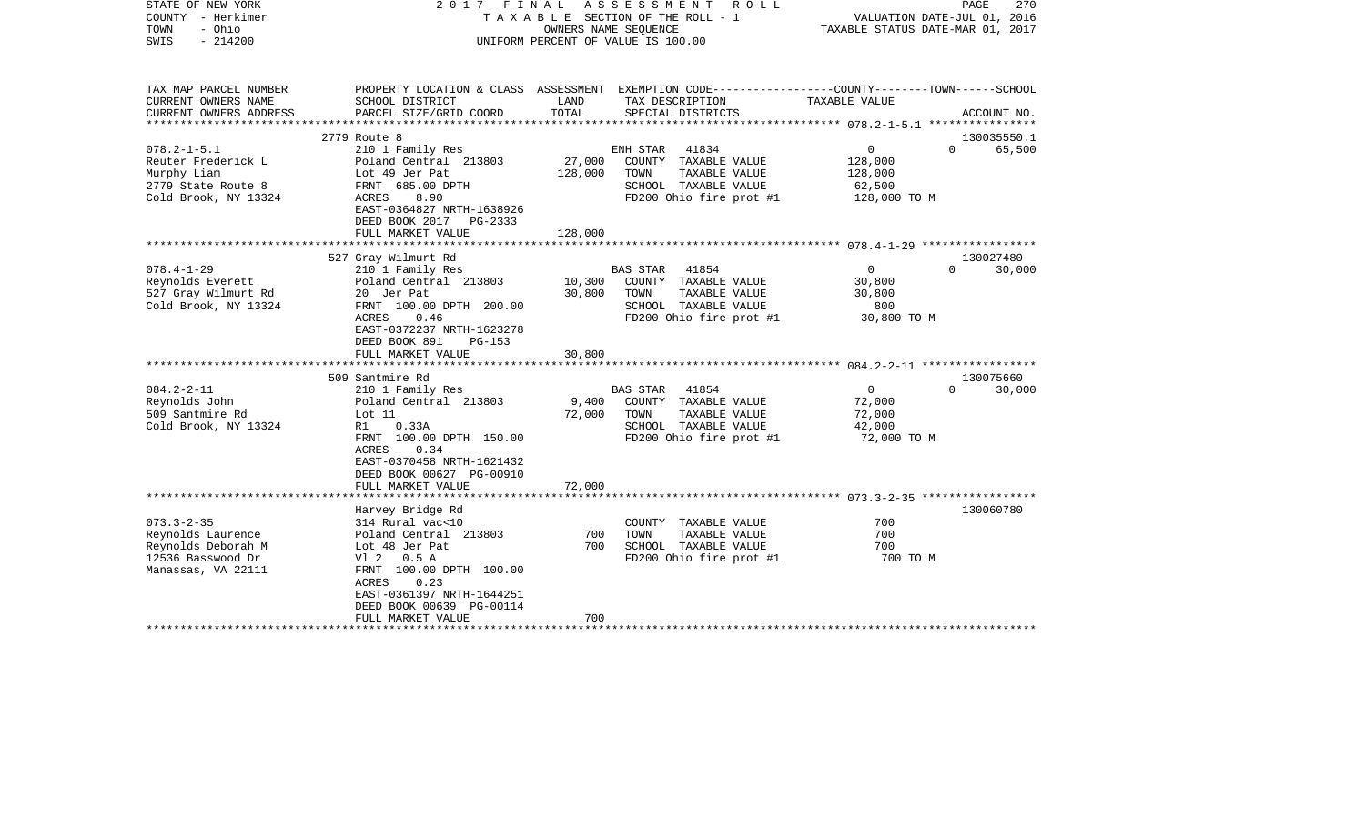| TAX MAP PARCEL NUMBER<br>PROPERTY LOCATION & CLASS ASSESSMENT EXEMPTION CODE---------------COUNTY-------TOWN------SCHOOL<br>CURRENT OWNERS NAME<br>SCHOOL DISTRICT<br>LAND<br>TAX DESCRIPTION<br>TAXABLE VALUE<br>TOTAL<br>CURRENT OWNERS ADDRESS<br>PARCEL SIZE/GRID COORD<br>SPECIAL DISTRICTS<br>ACCOUNT NO.<br>********************* 078.2-1-5.1 *****************                                                                                                                                                                          |  |
|-------------------------------------------------------------------------------------------------------------------------------------------------------------------------------------------------------------------------------------------------------------------------------------------------------------------------------------------------------------------------------------------------------------------------------------------------------------------------------------------------------------------------------------------------|--|
|                                                                                                                                                                                                                                                                                                                                                                                                                                                                                                                                                 |  |
|                                                                                                                                                                                                                                                                                                                                                                                                                                                                                                                                                 |  |
| 2779 Route 8<br>130035550.1                                                                                                                                                                                                                                                                                                                                                                                                                                                                                                                     |  |
| $078.2 - 1 - 5.1$<br>41834<br>$\overline{0}$<br>$\Omega$<br>65,500<br>210 1 Family Res<br>ENH STAR<br>Reuter Frederick L<br>Poland Central 213803<br>27,000<br>COUNTY TAXABLE VALUE<br>128,000<br>Lot 49 Jer Pat<br>128,000<br>TAXABLE VALUE<br>Murphy Liam<br>TOWN<br>128,000<br>2779 State Route 8<br>FRNT 685.00 DPTH<br>SCHOOL TAXABLE VALUE<br>62,500<br>FD200 Ohio fire prot #1<br>Cold Brook, NY 13324<br>ACRES<br>8.90<br>128,000 TO M<br>EAST-0364827 NRTH-1638926<br>DEED BOOK 2017<br>PG-2333<br>FULL MARKET VALUE<br>128,000        |  |
|                                                                                                                                                                                                                                                                                                                                                                                                                                                                                                                                                 |  |
| 527 Gray Wilmurt Rd<br>130027480<br>$078.4 - 1 - 29$<br>210 1 Family Res<br>$\circ$<br>$\Omega$<br>30,000<br>BAS STAR<br>41854<br>Reynolds Everett<br>Poland Central 213803<br>10,300<br>COUNTY TAXABLE VALUE<br>30,800<br>527 Gray Wilmurt Rd<br>20 Jer Pat<br>30,800<br>TOWN<br>TAXABLE VALUE<br>30,800<br>Cold Brook, NY 13324<br>FRNT 100.00 DPTH 200.00<br>SCHOOL TAXABLE VALUE<br>800<br>FD200 Ohio fire prot #1<br>ACRES<br>0.46<br>30,800 TO M<br>EAST-0372237 NRTH-1623278<br>DEED BOOK 891<br>$PG-153$<br>FULL MARKET VALUE<br>30,800 |  |
| 130075660<br>509 Santmire Rd                                                                                                                                                                                                                                                                                                                                                                                                                                                                                                                    |  |
| $084.2 - 2 - 11$<br>$\mathbf 0$<br>210 1 Family Res<br>41854<br>$\Omega$<br>30,000<br>BAS STAR<br>Reynolds John<br>Poland Central 213803<br>9,400<br>COUNTY TAXABLE VALUE<br>72,000<br>509 Santmire Rd<br>TOWN<br>TAXABLE VALUE<br>Lot 11<br>72,000<br>72,000<br>Cold Brook, NY 13324<br>0.33A<br>SCHOOL TAXABLE VALUE<br>42,000<br>R1<br>FRNT 100.00 DPTH 150.00<br>FD200 Ohio fire prot #1<br>72,000 TO M<br><b>ACRES</b><br>0.34<br>EAST-0370458 NRTH-1621432<br>DEED BOOK 00627 PG-00910<br>FULL MARKET VALUE<br>72,000                     |  |
| *********************                                                                                                                                                                                                                                                                                                                                                                                                                                                                                                                           |  |
| 130060780<br>Harvey Bridge Rd<br>$073.3 - 2 - 35$<br>700<br>314 Rural vac<10<br>COUNTY TAXABLE VALUE<br>Reynolds Laurence<br>Poland Central 213803<br>700<br>TOWN<br>TAXABLE VALUE<br>700<br>700<br>SCHOOL TAXABLE VALUE<br>700<br>Reynolds Deborah M<br>Lot 48 Jer Pat<br>12536 Basswood Dr<br>FD200 Ohio fire prot #1<br>700 TO M<br>V1 2 0.5 A<br>FRNT 100.00 DPTH 100.00<br>Manassas, VA 22111<br>ACRES<br>0.23<br>EAST-0361397 NRTH-1644251<br>DEED BOOK 00639 PG-00114                                                                    |  |
| 700<br>FULL MARKET VALUE                                                                                                                                                                                                                                                                                                                                                                                                                                                                                                                        |  |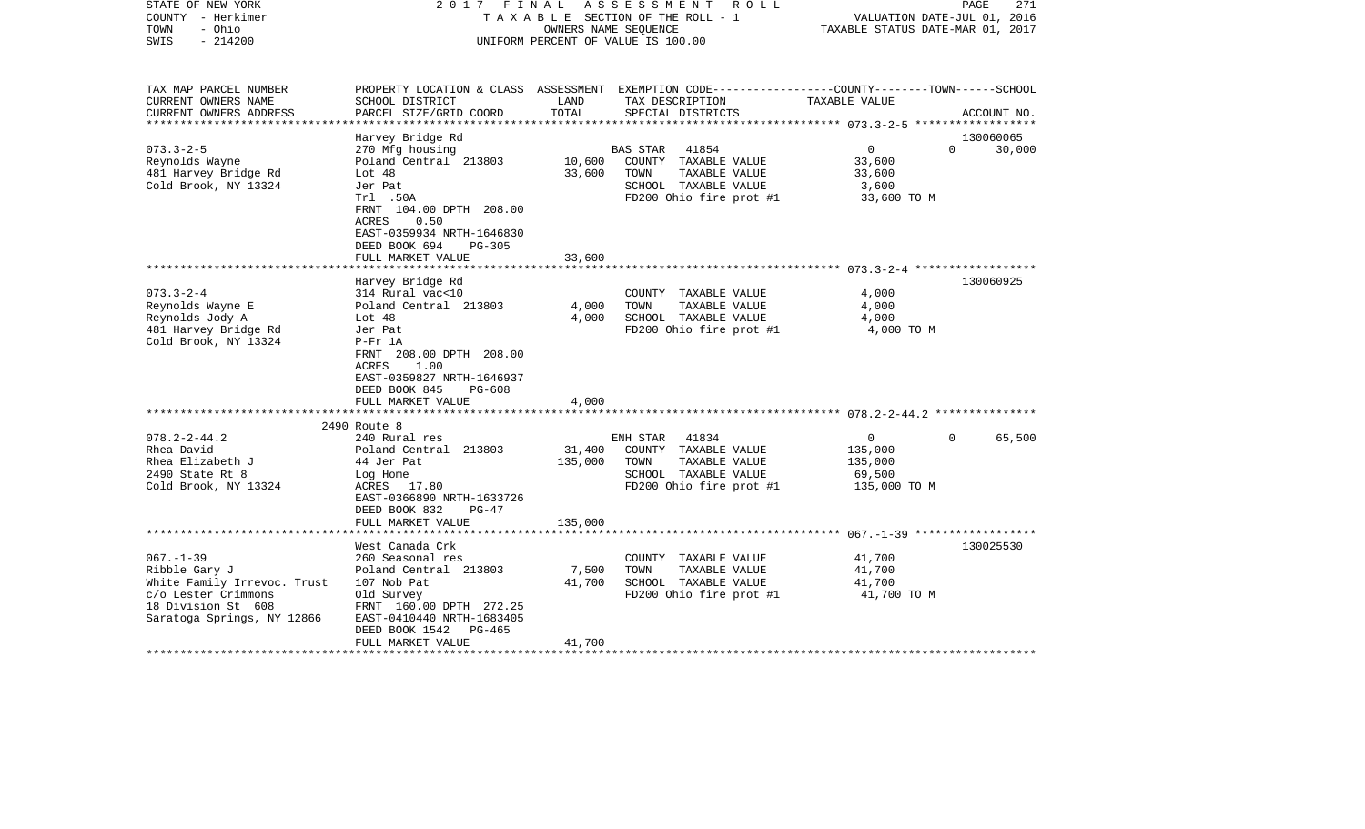| STATE OF NEW YORK<br>COUNTY - Herkimer<br>TOWN<br>- Ohio<br>$-214200$<br>SWIS                                           |                                                                                                                                                                                                                          | OWNERS NAME SEOUENCE      | 2017 FINAL ASSESSMENT ROLL<br>TAXABLE SECTION OF THE ROLL - 1<br>UNIFORM PERCENT OF VALUE IS 100.00                                     | VALUATION DATE-JUL 01, 2016<br>TAXABLE STATUS DATE-MAR 01, 2017            | PAGE<br>271         |
|-------------------------------------------------------------------------------------------------------------------------|--------------------------------------------------------------------------------------------------------------------------------------------------------------------------------------------------------------------------|---------------------------|-----------------------------------------------------------------------------------------------------------------------------------------|----------------------------------------------------------------------------|---------------------|
| TAX MAP PARCEL NUMBER<br>CURRENT OWNERS NAME<br>CURRENT OWNERS ADDRESS                                                  | SCHOOL DISTRICT<br>PARCEL SIZE/GRID COORD                                                                                                                                                                                | LAND<br>TOTAL             | PROPERTY LOCATION & CLASS ASSESSMENT EXEMPTION CODE----------------COUNTY-------TOWN-----SCHOOL<br>TAX DESCRIPTION<br>SPECIAL DISTRICTS | TAXABLE VALUE                                                              | ACCOUNT NO.         |
| $073.3 - 2 - 5$<br>Reynolds Wayne<br>481 Harvey Bridge Rd<br>Cold Brook, NY 13324                                       | Harvey Bridge Rd<br>270 Mfg housing<br>Poland Central 213803<br>Lot 48<br>Jer Pat<br>Trl .50A<br>FRNT 104.00 DPTH 208.00<br>0.50<br>ACRES<br>EAST-0359934 NRTH-1646830<br>DEED BOOK 694<br>PG-305                        | 10,600<br>33,600          | BAS STAR<br>41854<br>COUNTY TAXABLE VALUE<br>TOWN<br>TAXABLE VALUE<br>SCHOOL TAXABLE VALUE<br>FD200 Ohio fire prot #1                   | $\overline{0}$<br>$\Omega$<br>33,600<br>33,600<br>3,600<br>33,600 TO M     | 130060065<br>30,000 |
|                                                                                                                         | FULL MARKET VALUE                                                                                                                                                                                                        | 33,600                    |                                                                                                                                         |                                                                            |                     |
| $073.3 - 2 - 4$<br>Reynolds Wayne E<br>Reynolds Jody A<br>481 Harvey Bridge Rd<br>Cold Brook, NY 13324                  | Harvey Bridge Rd<br>314 Rural vac<10<br>Poland Central 213803<br>Lot 48<br>Jer Pat<br>$P-Fr$ 1A<br>FRNT 208.00 DPTH 208.00<br>ACRES<br>1.00<br>EAST-0359827 NRTH-1646937<br>DEED BOOK 845<br>PG-608<br>FULL MARKET VALUE | 4,000<br>4,000<br>4,000   | COUNTY TAXABLE VALUE<br>TOWN<br>TAXABLE VALUE<br>SCHOOL TAXABLE VALUE<br>FD200 Ohio fire prot #1                                        | 4,000<br>4,000<br>4,000<br>4,000 TO M                                      | 130060925           |
|                                                                                                                         |                                                                                                                                                                                                                          |                           |                                                                                                                                         |                                                                            |                     |
| $078.2 - 2 - 44.2$<br>Rhea David<br>Rhea Elizabeth J<br>2490 State Rt 8<br>Cold Brook, NY 13324                         | 2490 Route 8<br>240 Rural res<br>Poland Central 213803<br>44 Jer Pat<br>Log Home<br>ACRES 17.80<br>EAST-0366890 NRTH-1633726<br>DEED BOOK 832<br>$PG-47$                                                                 | 31,400<br>135,000         | ENH STAR<br>41834<br>COUNTY TAXABLE VALUE<br>TAXABLE VALUE<br>TOWN<br>SCHOOL TAXABLE VALUE<br>FD200 Ohio fire prot #1                   | $\Omega$<br>$\overline{0}$<br>135,000<br>135,000<br>69,500<br>135,000 TO M | 65,500              |
|                                                                                                                         | FULL MARKET VALUE                                                                                                                                                                                                        | 135,000                   |                                                                                                                                         |                                                                            |                     |
| $067. - 1 - 39$                                                                                                         | West Canada Crk<br>260 Seasonal res                                                                                                                                                                                      |                           | COUNTY TAXABLE VALUE                                                                                                                    | 41,700                                                                     | 130025530           |
| Ribble Gary J<br>White Family Irrevoc. Trust<br>c/o Lester Crimmons<br>18 Division St 608<br>Saratoga Springs, NY 12866 | Poland Central 213803<br>107 Nob Pat<br>Old Survey<br>FRNT 160.00 DPTH 272.25<br>EAST-0410440 NRTH-1683405<br>DEED BOOK 1542 PG-465<br>FULL MARKET VALUE                                                                 | 7,500<br>41,700<br>41,700 | TOWN<br>TAXABLE VALUE<br>SCHOOL TAXABLE VALUE<br>FD200 Ohio fire prot #1                                                                | 41,700<br>41,700<br>41,700 TO M                                            |                     |
|                                                                                                                         |                                                                                                                                                                                                                          |                           |                                                                                                                                         |                                                                            |                     |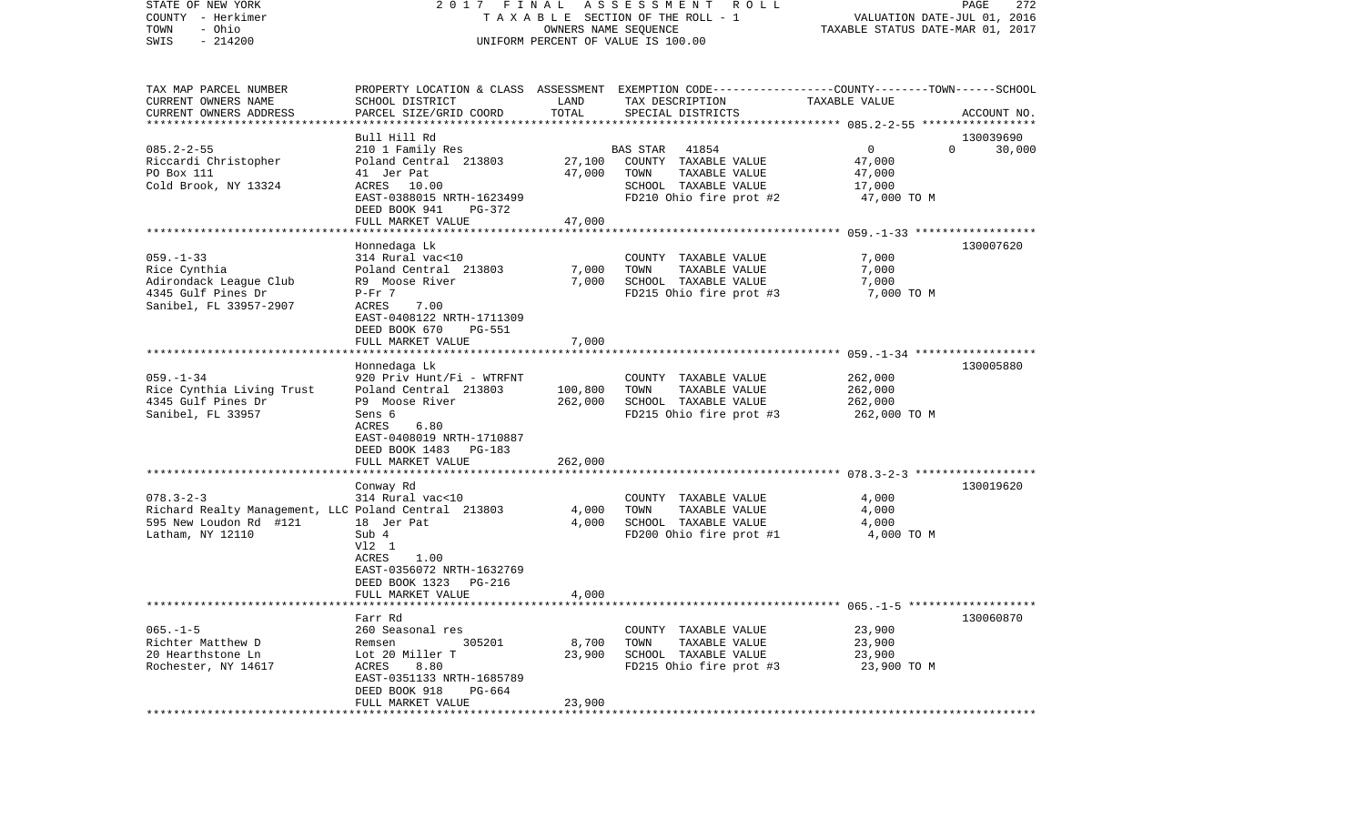| STATE OF NEW YORK<br>COUNTY - Herkimer<br>- Ohio<br>TOWN<br>$-214200$<br>SWIS                                         | 2017 FINAL                                                                                                                                                                                                      |                               | A S S E S S M E N T R O L L<br>TAXABLE SECTION OF THE ROLL - 1<br>OWNERS NAME SEQUENCE<br>UNIFORM PERCENT OF VALUE IS 100.00             | VALUATION DATE-JUL 01, 2016<br>TAXABLE STATUS DATE-MAR 01, 2017 | PAGE<br>272                     |
|-----------------------------------------------------------------------------------------------------------------------|-----------------------------------------------------------------------------------------------------------------------------------------------------------------------------------------------------------------|-------------------------------|------------------------------------------------------------------------------------------------------------------------------------------|-----------------------------------------------------------------|---------------------------------|
| TAX MAP PARCEL NUMBER<br>CURRENT OWNERS NAME<br>CURRENT OWNERS ADDRESS<br>**********************                      | SCHOOL DISTRICT<br>PARCEL SIZE/GRID COORD                                                                                                                                                                       | LAND<br>TOTAL                 | PROPERTY LOCATION & CLASS ASSESSMENT EXEMPTION CODE----------------COUNTY-------TOWN------SCHOOL<br>TAX DESCRIPTION<br>SPECIAL DISTRICTS | TAXABLE VALUE                                                   | ACCOUNT NO.                     |
| $085.2 - 2 - 55$<br>Riccardi Christopher<br>PO Box 111<br>Cold Brook, NY 13324                                        | Bull Hill Rd<br>210 1 Family Res<br>Poland Central 213803<br>41 Jer Pat<br>ACRES<br>10.00<br>EAST-0388015 NRTH-1623499<br>DEED BOOK 941<br>PG-372<br>FULL MARKET VALUE                                          | 27,100<br>47,000<br>47,000    | <b>BAS STAR</b><br>41854<br>COUNTY TAXABLE VALUE<br>TAXABLE VALUE<br>TOWN<br>SCHOOL TAXABLE VALUE<br>FD210 Ohio fire prot #2             | $\mathbf 0$<br>47,000<br>47,000<br>17,000<br>47,000 TO M        | 130039690<br>$\Omega$<br>30,000 |
| $059. - 1 - 33$<br>Rice Cynthia<br>Adirondack League Club<br>4345 Gulf Pines Dr<br>Sanibel, FL 33957-2907             | Honnedaga Lk<br>314 Rural vac<10<br>Poland Central 213803<br>R9 Moose River<br>$P-Fr$ 7<br>7.00<br><b>ACRES</b><br>EAST-0408122 NRTH-1711309<br>DEED BOOK 670<br><b>PG-551</b>                                  | 7,000<br>7,000<br>7,000       | COUNTY TAXABLE VALUE<br>TAXABLE VALUE<br>TOWN<br>SCHOOL TAXABLE VALUE<br>FD215 Ohio fire prot #3                                         | 7,000<br>7,000<br>7,000<br>7,000 TO M                           | 130007620                       |
| $059. - 1 - 34$<br>Rice Cynthia Living Trust<br>4345 Gulf Pines Dr<br>Sanibel, FL 33957                               | FULL MARKET VALUE<br>Honnedaga Lk<br>920 Priv Hunt/Fi - WTRFNT<br>Poland Central 213803<br>P9 Moose River<br>Sens 6<br>ACRES<br>6.80<br>EAST-0408019 NRTH-1710887<br>DEED BOOK 1483 PG-183<br>FULL MARKET VALUE | 100,800<br>262,000<br>262,000 | COUNTY TAXABLE VALUE<br>TAXABLE VALUE<br>TOWN<br>SCHOOL TAXABLE VALUE<br>FD215 Ohio fire prot #3                                         | 262,000<br>262,000<br>262,000<br>262,000 TO M                   | 130005880                       |
| $078.3 - 2 - 3$<br>Richard Realty Management, LLC Poland Central 213803<br>595 New Loudon Rd #121<br>Latham, NY 12110 | ********************<br>Conway Rd<br>314 Rural vac<10<br>18 Jer Pat<br>Sub 4<br>V12 1<br>1.00<br>ACRES<br>EAST-0356072 NRTH-1632769<br>DEED BOOK 1323<br>PG-216<br>FULL MARKET VALUE                            | 4,000<br>4,000<br>4,000       | COUNTY TAXABLE VALUE<br>TOWN<br>TAXABLE VALUE<br>SCHOOL TAXABLE VALUE<br>FD200 Ohio fire prot #1                                         | 4,000<br>4,000<br>4,000<br>4,000 TO M                           | 130019620                       |
| $065. -1 - 5$<br>Richter Matthew D<br>20 Hearthstone Ln<br>Rochester, NY 14617                                        | Farr Rd<br>260 Seasonal res<br>305201<br>Remsen<br>Lot 20 Miller T<br>ACRES<br>8.80<br>EAST-0351133 NRTH-1685789<br>DEED BOOK 918<br>PG-664<br>FULL MARKET VALUE<br>*******************                         | 8,700<br>23,900<br>23,900     | COUNTY TAXABLE VALUE<br>TOWN<br>TAXABLE VALUE<br>SCHOOL TAXABLE VALUE<br>FD215 Ohio fire prot #3                                         | 23,900<br>23,900<br>23,900<br>23,900 TO M                       | 130060870                       |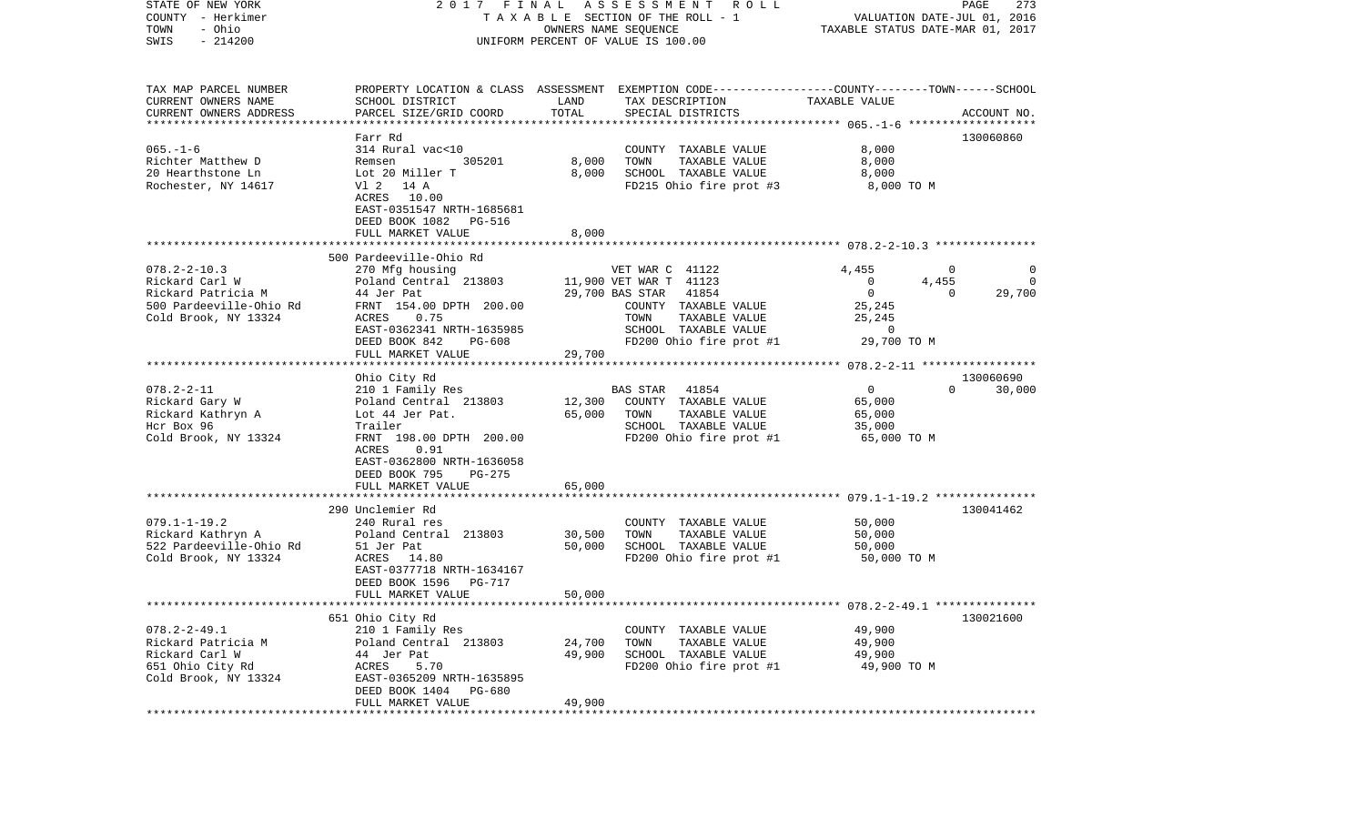| STATE OF NEW YORK                                | 2017                                       | FINAL                  | A S S E S S M E N T A O L L                                                                     |                                                        | PAGE<br>273            |
|--------------------------------------------------|--------------------------------------------|------------------------|-------------------------------------------------------------------------------------------------|--------------------------------------------------------|------------------------|
| COUNTY - Herkimer                                |                                            |                        | TAXABLE SECTION OF THE ROLL - 1                                                                 | VALUATION DATE-JUL 01, 2016                            |                        |
| - Ohio<br>TOWN<br>$-214200$<br>SWIS              |                                            |                        | OWNERS NAME SEQUENCE<br>UNIFORM PERCENT OF VALUE IS 100.00                                      | TAXABLE STATUS DATE-MAR 01, 2017                       |                        |
|                                                  |                                            |                        |                                                                                                 |                                                        |                        |
| TAX MAP PARCEL NUMBER                            |                                            |                        | PROPERTY LOCATION & CLASS ASSESSMENT EXEMPTION CODE---------------COUNTY-------TOWN------SCHOOL |                                                        |                        |
| CURRENT OWNERS NAME                              | SCHOOL DISTRICT                            | LAND                   | TAX DESCRIPTION                                                                                 | TAXABLE VALUE                                          |                        |
| CURRENT OWNERS ADDRESS<br>********************** | PARCEL SIZE/GRID COORD                     | TOTAL                  | SPECIAL DISTRICTS                                                                               |                                                        | ACCOUNT NO.            |
|                                                  | Farr Rd                                    |                        |                                                                                                 |                                                        | 130060860              |
| $065. - 1 - 6$                                   | 314 Rural vac<10                           |                        | COUNTY TAXABLE VALUE                                                                            | 8,000                                                  |                        |
| Richter Matthew D                                | 305201<br>Remsen                           | 8,000                  | TOWN<br>TAXABLE VALUE                                                                           | 8,000                                                  |                        |
| 20 Hearthstone Ln                                | Lot 20 Miller T                            | 8.000                  | SCHOOL TAXABLE VALUE                                                                            | 8,000                                                  |                        |
| Rochester, NY 14617                              | V1 2 14 A                                  |                        | FD215 Ohio fire prot #3                                                                         | 8,000 TO M                                             |                        |
|                                                  | ACRES 10.00                                |                        |                                                                                                 |                                                        |                        |
|                                                  | EAST-0351547 NRTH-1685681                  |                        |                                                                                                 |                                                        |                        |
|                                                  | DEED BOOK 1082<br>PG-516                   |                        |                                                                                                 |                                                        |                        |
|                                                  | FULL MARKET VALUE                          | 8,000                  |                                                                                                 |                                                        |                        |
|                                                  | 500 Pardeeville-Ohio Rd                    |                        |                                                                                                 |                                                        |                        |
| $078.2 - 2 - 10.3$                               | 270 Mfg housing                            |                        | VET WAR C 41122                                                                                 | 4,455                                                  | $\mathbf 0$<br>0       |
| Rickard Carl W                                   | Poland Central 213803                      |                        | 11,900 VET WAR T 41123                                                                          | $\mathbf 0$<br>4,455                                   | $\mathbf 0$            |
| Rickard Patricia M                               | 44 Jer Pat                                 |                        | 41854<br>29,700 BAS STAR                                                                        | $\mathbf{0}$                                           | 29,700<br>$\mathbf{0}$ |
| 500 Pardeeville-Ohio Rd                          | FRNT 154.00 DPTH 200.00                    |                        | COUNTY TAXABLE VALUE                                                                            | 25,245                                                 |                        |
| Cold Brook, NY 13324                             | 0.75<br>ACRES                              |                        | TAXABLE VALUE<br>TOWN                                                                           | 25,245                                                 |                        |
|                                                  | EAST-0362341 NRTH-1635985                  |                        | SCHOOL TAXABLE VALUE                                                                            | $\overline{0}$                                         |                        |
|                                                  | DEED BOOK 842<br>PG-608                    |                        | FD200 Ohio fire prot #1                                                                         | 29,700 TO M                                            |                        |
|                                                  | FULL MARKET VALUE                          | 29,700                 |                                                                                                 |                                                        |                        |
|                                                  | Ohio City Rd                               |                        |                                                                                                 |                                                        | 130060690              |
| $078.2 - 2 - 11$                                 | 210 1 Family Res                           |                        | 41854<br>BAS STAR                                                                               | 0                                                      | $\Omega$<br>30,000     |
| Rickard Gary W                                   | Poland Central 213803                      | 12,300                 | COUNTY TAXABLE VALUE                                                                            | 65,000                                                 |                        |
| Rickard Kathryn A                                | Lot 44 Jer Pat.                            | 65,000                 | TAXABLE VALUE<br>TOWN                                                                           | 65,000                                                 |                        |
| Hcr Box 96                                       | Trailer                                    |                        | SCHOOL TAXABLE VALUE                                                                            | 35,000                                                 |                        |
| Cold Brook, NY 13324                             | FRNT 198.00 DPTH 200.00                    |                        | FD200 Ohio fire prot #1                                                                         | 65,000 TO M                                            |                        |
|                                                  | ACRES<br>0.91                              |                        |                                                                                                 |                                                        |                        |
|                                                  | EAST-0362800 NRTH-1636058                  |                        |                                                                                                 |                                                        |                        |
|                                                  | DEED BOOK 795<br>PG-275                    |                        |                                                                                                 |                                                        |                        |
|                                                  | FULL MARKET VALUE<br>********************* | 65,000                 |                                                                                                 | ************************* 079.1-1-19.2 *************** |                        |
|                                                  | 290 Unclemier Rd                           |                        |                                                                                                 |                                                        | 130041462              |
| $079.1 - 1 - 19.2$                               | 240 Rural res                              |                        | COUNTY TAXABLE VALUE                                                                            | 50,000                                                 |                        |
| Rickard Kathryn A                                | Poland Central 213803                      | 30,500                 | TOWN<br>TAXABLE VALUE                                                                           | 50,000                                                 |                        |
| 522 Pardeeville-Ohio Rd                          | 51 Jer Pat                                 | 50,000                 | SCHOOL TAXABLE VALUE                                                                            | 50,000                                                 |                        |
| Cold Brook, NY 13324                             | ACRES 14.80                                |                        | FD200 Ohio fire prot #1                                                                         | 50,000 TO M                                            |                        |
|                                                  | EAST-0377718 NRTH-1634167                  |                        |                                                                                                 |                                                        |                        |
|                                                  | DEED BOOK 1596<br>PG-717                   |                        |                                                                                                 |                                                        |                        |
|                                                  | FULL MARKET VALUE                          | 50,000                 |                                                                                                 |                                                        |                        |
|                                                  | 651 Ohio City Rd                           |                        |                                                                                                 |                                                        | 130021600              |
| $078.2 - 2 - 49.1$                               | 210 1 Family Res                           |                        | COUNTY TAXABLE VALUE                                                                            | 49,900                                                 |                        |
| Rickard Patricia M                               | Poland Central 213803                      | 24,700                 | TOWN<br>TAXABLE VALUE                                                                           | 49,900                                                 |                        |
| Rickard Carl W                                   | 44 Jer Pat                                 | 49,900                 | SCHOOL TAXABLE VALUE                                                                            | 49,900                                                 |                        |
| 651 Ohio City Rd                                 | ACRES<br>5.70                              |                        | FD200 Ohio fire prot #1                                                                         | 49,900 TO M                                            |                        |
| Cold Brook, NY 13324                             | EAST-0365209 NRTH-1635895                  |                        |                                                                                                 |                                                        |                        |
|                                                  | DEED BOOK 1404<br>PG-680                   |                        |                                                                                                 |                                                        |                        |
|                                                  | FULL MARKET VALUE<br>********************  | 49,900<br>************ |                                                                                                 |                                                        |                        |
|                                                  |                                            |                        |                                                                                                 |                                                        |                        |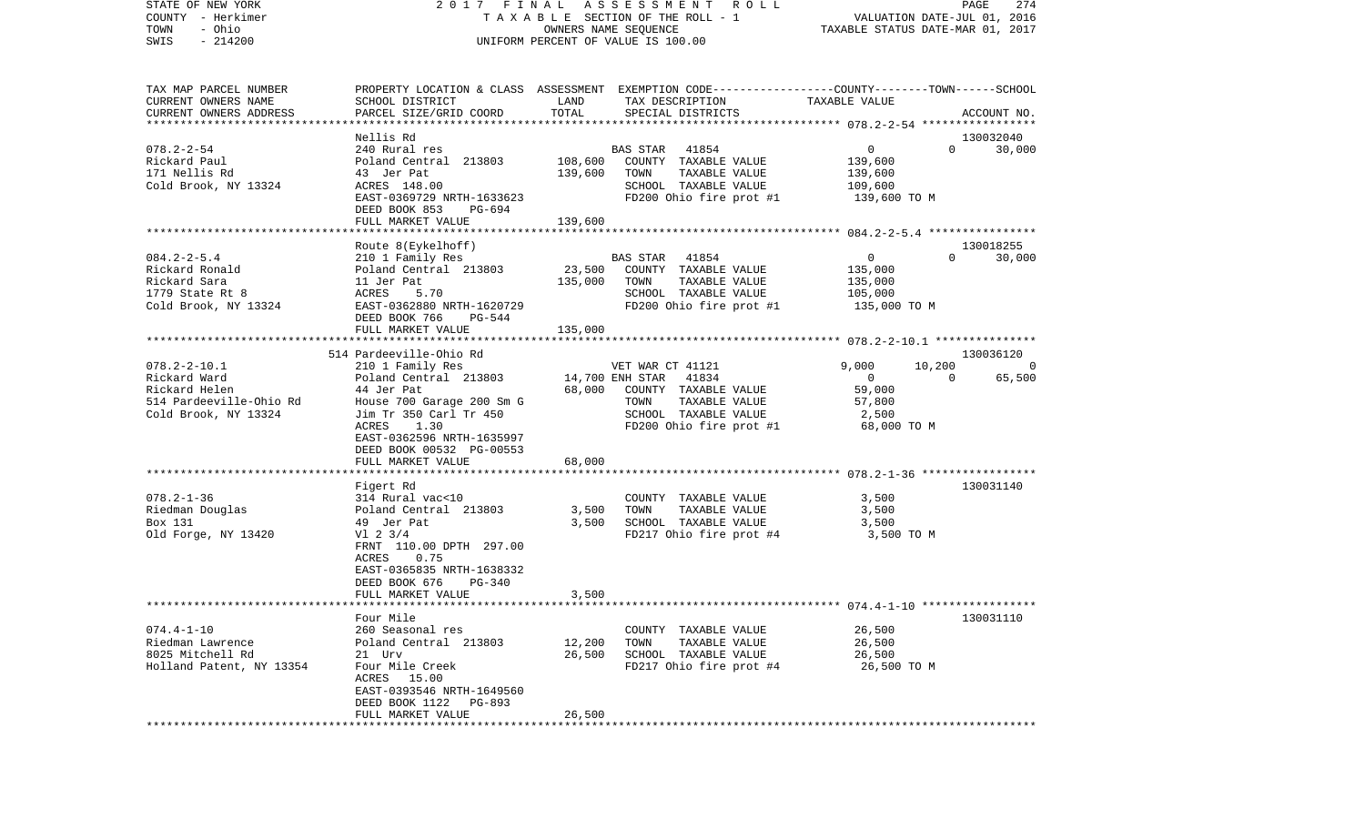| STATE OF NEW YORK<br>COUNTY - Herkimer<br>TOWN<br>- Ohio |                                                                                                                            |              | 2017 FINAL ASSESSMENT ROLL<br>OWNERS NAME SEQUENCE              | TAXABLE STATUS DATE-MAR 01, 2017 | PAGE<br>274             |
|----------------------------------------------------------|----------------------------------------------------------------------------------------------------------------------------|--------------|-----------------------------------------------------------------|----------------------------------|-------------------------|
| SWIS - 214200                                            |                                                                                                                            |              | UNIFORM PERCENT OF VALUE IS 100.00                              |                                  |                         |
| TAX MAP PARCEL NUMBER                                    | PROPERTY LOCATION & CLASS ASSESSMENT EXEMPTION CODE----------------COUNTY-------TOWN-----SCHOOL<br>SCHOOL DISTRICT         | LAND         |                                                                 |                                  |                         |
| CURRENT OWNERS NAME<br>CURRENT OWNERS ADDRESS            | PARCEL SIZE/GRID COORD                                                                                                     | TOTAL        | TAX DESCRIPTION TAXABLE VALUE<br>SPECIAL DISTRICTS              |                                  | ACCOUNT NO.             |
|                                                          |                                                                                                                            |              |                                                                 |                                  |                         |
|                                                          | Nellis Rd                                                                                                                  |              |                                                                 |                                  | 130032040               |
| 078.2-2-54<br>Rickard Paul                               |                                                                                                                            |              | BAS STAR 41854                                                  | $\overline{0}$<br>139,600        | $0 \t 30,000$           |
|                                                          |                                                                                                                            | 139,600 TOWN | COUNTY TAXABLE VALUE<br>TAXABLE VALUE                           | 139,600                          |                         |
|                                                          |                                                                                                                            |              | SCHOOL TAXABLE VALUE                                            | 109,600                          |                         |
|                                                          | EAST-0369729 NRTH-1633623                                                                                                  |              | FD200 Ohio fire prot #1                                         | 139,600 ТО М                     |                         |
|                                                          | DEED BOOK 853<br>PG-694                                                                                                    |              |                                                                 |                                  |                         |
|                                                          | FULL MARKET VALUE                                                                                                          | 139,600      |                                                                 |                                  |                         |
|                                                          |                                                                                                                            |              |                                                                 |                                  |                         |
|                                                          | Route 8(Eykelhoff)                                                                                                         |              |                                                                 | $\Omega$                         | 130018255               |
| 084.2-2-5.4<br>Rickard Ronald                            | 210 1 Family Res<br>Poland Central 213803<br>11 Jer Pat<br>ACRES 5.70                                                      |              | BAS STAR 41854<br>23,500 COUNTY TAXABLE VALUE<br>BAS STAR 41854 | $\overline{0}$<br>135,000        | 30,000                  |
|                                                          |                                                                                                                            | 135,000      | TOWN<br>TAXABLE VALUE                                           | 135,000                          |                         |
| nichard nomard<br>Rickard Sara<br>1779 State Rt 8        |                                                                                                                            |              | SCHOOL TAXABLE VALUE                                            | 105,000                          |                         |
|                                                          | Cold Brook, NY 13324 EAST-0362880 NRTH-1620729                                                                             |              | $FD200$ Ohio fire prot #1 $135,000$ TO M                        |                                  |                         |
|                                                          | DEED BOOK 766 PG-544                                                                                                       |              |                                                                 |                                  |                         |
|                                                          | FULL MARKET VALUE                                                                                                          | 135,000      |                                                                 |                                  |                         |
|                                                          |                                                                                                                            |              |                                                                 |                                  |                         |
| 078.2-2-10.1                                             | 514 Pardeeville-Ohio Rd<br>210 1 Family Res                                                                                |              | VET WAR CT 41121                                                | 9,000                            | 130036120<br>$10,200$ 0 |
| Rickard Ward                                             | Poland Central 213803 14,700 ENH STAR 41834                                                                                |              |                                                                 | $\overline{0}$<br>$\sim$ 0       | 65,500                  |
| Rickard Helen                                            | 44 Jer Pat                                                                                                                 |              | 68,000 COUNTY TAXABLE VALUE                                     | 59,000                           |                         |
|                                                          | 514 Pardeeville-Ohio Rd               House 700 Garage 200 Sm G<br>Cold Brook, NY 13324             Jim Tr 350 Carl Tr 450 |              | TOWN<br>TAXABLE VALUE                                           | 57,800                           |                         |
| Cold Brook, NY 13324                                     |                                                                                                                            |              | SCHOOL TAXABLE VALUE                                            | 2,500                            |                         |
|                                                          | ACRES<br>1.30                                                                                                              |              | FD200 Ohio fire prot #1                                         | 68,000 TO M                      |                         |
|                                                          | EAST-0362596 NRTH-1635997                                                                                                  |              |                                                                 |                                  |                         |
|                                                          | DEED BOOK 00532 PG-00553                                                                                                   | 68,000       |                                                                 |                                  |                         |
|                                                          | FULL MARKET VALUE                                                                                                          |              |                                                                 |                                  |                         |
|                                                          | Figert Rd                                                                                                                  |              |                                                                 |                                  | 130031140               |
|                                                          |                                                                                                                            |              | COUNTY TAXABLE VALUE                                            | 3,500                            |                         |
|                                                          |                                                                                                                            | 3,500        | TAXABLE VALUE<br>TOWN                                           | 3,500                            |                         |
| Box 131                                                  | 49 Jer Pat                                                                                                                 | 3,500        | SCHOOL TAXABLE VALUE                                            | 3,500                            |                         |
| Old Forge, NY 13420 V1 2 3/4                             |                                                                                                                            |              | FD217 Ohio fire prot #4                                         | 3,500 TO M                       |                         |
|                                                          | FRNT 110.00 DPTH 297.00                                                                                                    |              |                                                                 |                                  |                         |
|                                                          | ACRES<br>0.75<br>EAST-0365835 NRTH-1638332                                                                                 |              |                                                                 |                                  |                         |
|                                                          | DEED BOOK 676<br>PG-340                                                                                                    |              |                                                                 |                                  |                         |
|                                                          | FULL MARKET VALUE                                                                                                          | 3,500        |                                                                 |                                  |                         |
|                                                          |                                                                                                                            |              |                                                                 |                                  |                         |
|                                                          | Four Mile                                                                                                                  |              |                                                                 |                                  | 130031110               |
| $074.4 - 1 - 10$                                         | 260 Seasonal res                                                                                                           |              | COUNTY TAXABLE VALUE                                            | 26,500                           |                         |
| Riedman Lawrence                                         | Poland Central 213803                                                                                                      | 12,200       | TOWN<br>TAXABLE VALUE                                           | 26,500                           |                         |
| 8025 Mitchell Rd<br>Holland Patent, NY 13354             | 21 Urv<br>Four Mile Creek                                                                                                  | 26,500       | SCHOOL TAXABLE VALUE<br>FD217 Ohio fire prot #4                 | 26,500<br>26,500 TO M            |                         |
|                                                          | ACRES 15.00                                                                                                                |              |                                                                 |                                  |                         |
|                                                          | EAST-0393546 NRTH-1649560                                                                                                  |              |                                                                 |                                  |                         |
|                                                          | DEED BOOK 1122<br>PG-893                                                                                                   |              |                                                                 |                                  |                         |
|                                                          | FULL MARKET VALUE                                                                                                          | 26,500       |                                                                 |                                  |                         |
|                                                          |                                                                                                                            |              |                                                                 |                                  |                         |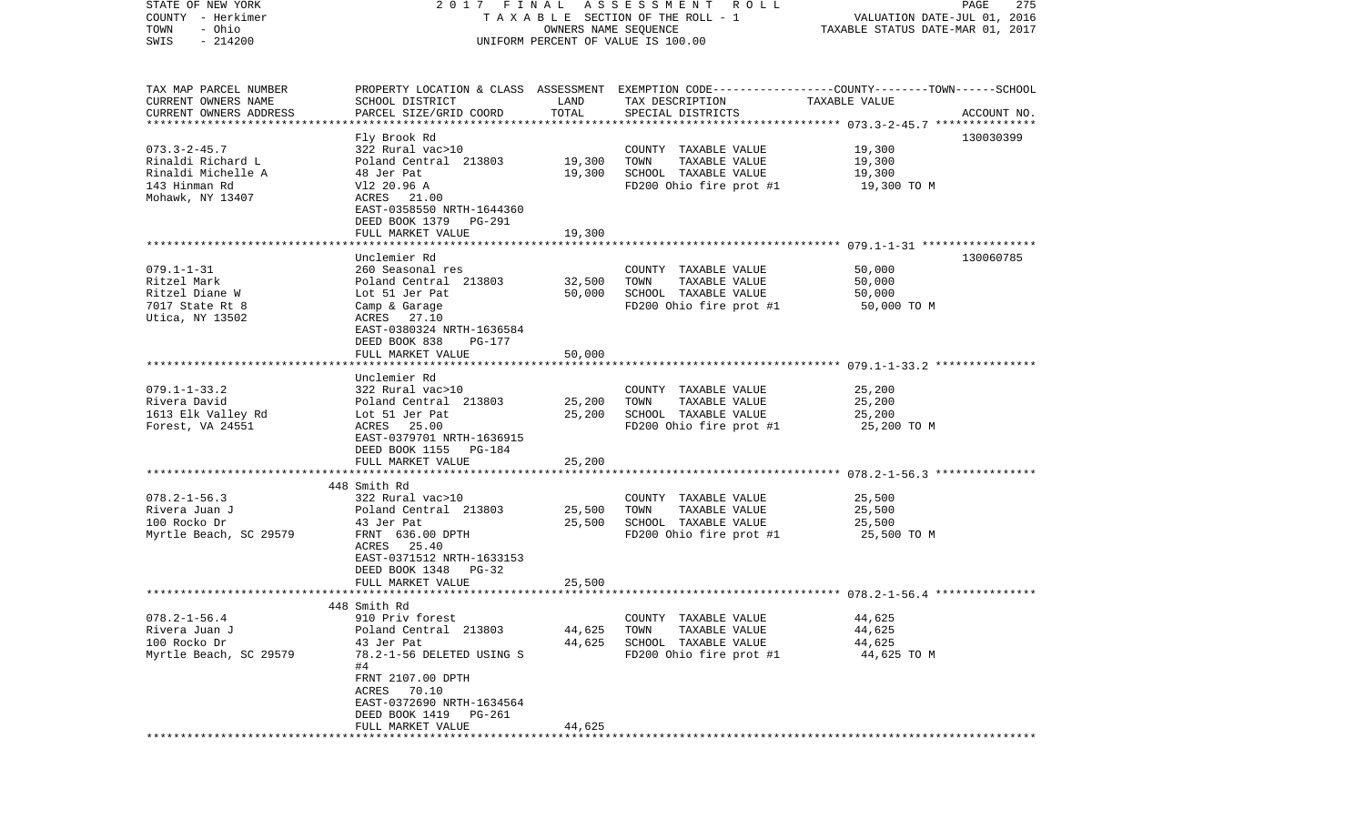| STATE OF NEW YORK                             | 2017 FINAL                                |                      | A S S E S S M E N T R O L L                     | PAGE                                                                                            | 275         |
|-----------------------------------------------|-------------------------------------------|----------------------|-------------------------------------------------|-------------------------------------------------------------------------------------------------|-------------|
| COUNTY - Herkimer                             |                                           |                      | T A X A B L E SECTION OF THE ROLL - 1           | VALUATION DATE-JUL 01, 2016                                                                     |             |
| TOWN<br>- Ohio<br>$-214200$<br>SWIS           |                                           | OWNERS NAME SEQUENCE |                                                 | TAXABLE STATUS DATE-MAR 01, 2017                                                                |             |
|                                               |                                           |                      | UNIFORM PERCENT OF VALUE IS 100.00              |                                                                                                 |             |
|                                               |                                           |                      |                                                 |                                                                                                 |             |
|                                               |                                           |                      |                                                 |                                                                                                 |             |
| TAX MAP PARCEL NUMBER                         |                                           |                      |                                                 | PROPERTY LOCATION & CLASS ASSESSMENT EXEMPTION CODE---------------COUNTY-------TOWN------SCHOOL |             |
| CURRENT OWNERS NAME<br>CURRENT OWNERS ADDRESS | SCHOOL DISTRICT<br>PARCEL SIZE/GRID COORD | LAND<br>TOTAL        | TAX DESCRIPTION<br>SPECIAL DISTRICTS            | TAXABLE VALUE                                                                                   | ACCOUNT NO. |
| ************************                      |                                           |                      |                                                 |                                                                                                 |             |
|                                               | Fly Brook Rd                              |                      |                                                 |                                                                                                 | 130030399   |
| $073.3 - 2 - 45.7$                            | 322 Rural vac>10                          |                      | COUNTY TAXABLE VALUE                            | 19,300                                                                                          |             |
| Rinaldi Richard L                             | Poland Central 213803                     | 19,300               | TOWN<br>TAXABLE VALUE                           | 19,300                                                                                          |             |
| Rinaldi Michelle A                            | 48 Jer Pat                                | 19,300               | SCHOOL TAXABLE VALUE                            | 19,300                                                                                          |             |
| 143 Hinman Rd                                 | V12 20.96 A                               |                      | FD200 Ohio fire prot #1                         | 19,300 TO M                                                                                     |             |
| Mohawk, NY 13407                              | ACRES 21.00                               |                      |                                                 |                                                                                                 |             |
|                                               | EAST-0358550 NRTH-1644360                 |                      |                                                 |                                                                                                 |             |
|                                               | DEED BOOK 1379<br>PG-291                  |                      |                                                 |                                                                                                 |             |
|                                               | FULL MARKET VALUE                         | 19,300               |                                                 |                                                                                                 |             |
|                                               | Unclemier Rd                              |                      |                                                 |                                                                                                 | 130060785   |
| $079.1 - 1 - 31$                              | 260 Seasonal res                          |                      | COUNTY TAXABLE VALUE                            | 50,000                                                                                          |             |
| Ritzel Mark                                   | Poland Central 213803                     | 32,500               | TOWN<br>TAXABLE VALUE                           | 50,000                                                                                          |             |
| Ritzel Diane W                                | Lot 51 Jer Pat                            | 50,000               | SCHOOL TAXABLE VALUE                            | 50,000                                                                                          |             |
| 7017 State Rt 8                               | Camp & Garage                             |                      | FD200 Ohio fire prot #1                         | 50,000 TO M                                                                                     |             |
| Utica, NY 13502                               | ACRES 27.10                               |                      |                                                 |                                                                                                 |             |
|                                               | EAST-0380324 NRTH-1636584                 |                      |                                                 |                                                                                                 |             |
|                                               | DEED BOOK 838<br>PG-177                   |                      |                                                 |                                                                                                 |             |
|                                               | FULL MARKET VALUE                         | 50,000               |                                                 |                                                                                                 |             |
|                                               | Unclemier Rd                              |                      |                                                 |                                                                                                 |             |
| $079.1 - 1 - 33.2$                            | 322 Rural vac>10                          |                      | COUNTY TAXABLE VALUE                            | 25,200                                                                                          |             |
| Rivera David                                  | Poland Central 213803                     | 25,200               | TOWN<br>TAXABLE VALUE                           | 25,200                                                                                          |             |
| 1613 Elk Valley Rd                            | Lot 51 Jer Pat                            | 25,200               | SCHOOL TAXABLE VALUE                            | 25,200                                                                                          |             |
| Forest, VA 24551                              | ACRES 25.00                               |                      | FD200 Ohio fire prot #1                         | 25,200 TO M                                                                                     |             |
|                                               | EAST-0379701 NRTH-1636915                 |                      |                                                 |                                                                                                 |             |
|                                               | DEED BOOK 1155<br>PG-184                  |                      |                                                 |                                                                                                 |             |
|                                               | FULL MARKET VALUE                         | 25,200               |                                                 |                                                                                                 |             |
|                                               | **************************                |                      |                                                 |                                                                                                 |             |
|                                               | 448 Smith Rd                              |                      |                                                 |                                                                                                 |             |
| $078.2 - 1 - 56.3$<br>Rivera Juan J           | 322 Rural vac>10<br>Poland Central 213803 | 25,500               | COUNTY TAXABLE VALUE<br>TOWN<br>TAXABLE VALUE   | 25,500<br>25,500                                                                                |             |
| 100 Rocko Dr                                  | 43 Jer Pat                                | 25,500               | SCHOOL TAXABLE VALUE                            | 25,500                                                                                          |             |
| Myrtle Beach, SC 29579                        | FRNT 636.00 DPTH                          |                      | FD200 Ohio fire prot #1                         | 25,500 TO M                                                                                     |             |
|                                               | ACRES 25.40                               |                      |                                                 |                                                                                                 |             |
|                                               | EAST-0371512 NRTH-1633153                 |                      |                                                 |                                                                                                 |             |
|                                               | DEED BOOK 1348<br>$PG-32$                 |                      |                                                 |                                                                                                 |             |
|                                               | FULL MARKET VALUE                         | 25,500               |                                                 |                                                                                                 |             |
|                                               |                                           |                      |                                                 |                                                                                                 |             |
|                                               | 448 Smith Rd                              |                      |                                                 |                                                                                                 |             |
| $078.2 - 1 - 56.4$                            | 910 Priv forest                           |                      | COUNTY TAXABLE VALUE                            | 44,625                                                                                          |             |
| Rivera Juan J                                 | Poland Central 213803<br>43 Jer Pat       | 44,625               | TOWN<br>TAXABLE VALUE                           | 44,625                                                                                          |             |
| 100 Rocko Dr<br>Myrtle Beach, SC 29579        | 78.2-1-56 DELETED USING S                 | 44,625               | SCHOOL TAXABLE VALUE<br>FD200 Ohio fire prot #1 | 44,625<br>44,625 TO M                                                                           |             |
|                                               | #4                                        |                      |                                                 |                                                                                                 |             |
|                                               | FRNT 2107.00 DPTH                         |                      |                                                 |                                                                                                 |             |
|                                               | ACRES 70.10                               |                      |                                                 |                                                                                                 |             |
|                                               | EAST-0372690 NRTH-1634564                 |                      |                                                 |                                                                                                 |             |
|                                               | DEED BOOK 1419<br>PG-261                  |                      |                                                 |                                                                                                 |             |
|                                               | FULL MARKET VALUE                         | 44,625               |                                                 |                                                                                                 |             |
|                                               |                                           |                      |                                                 |                                                                                                 |             |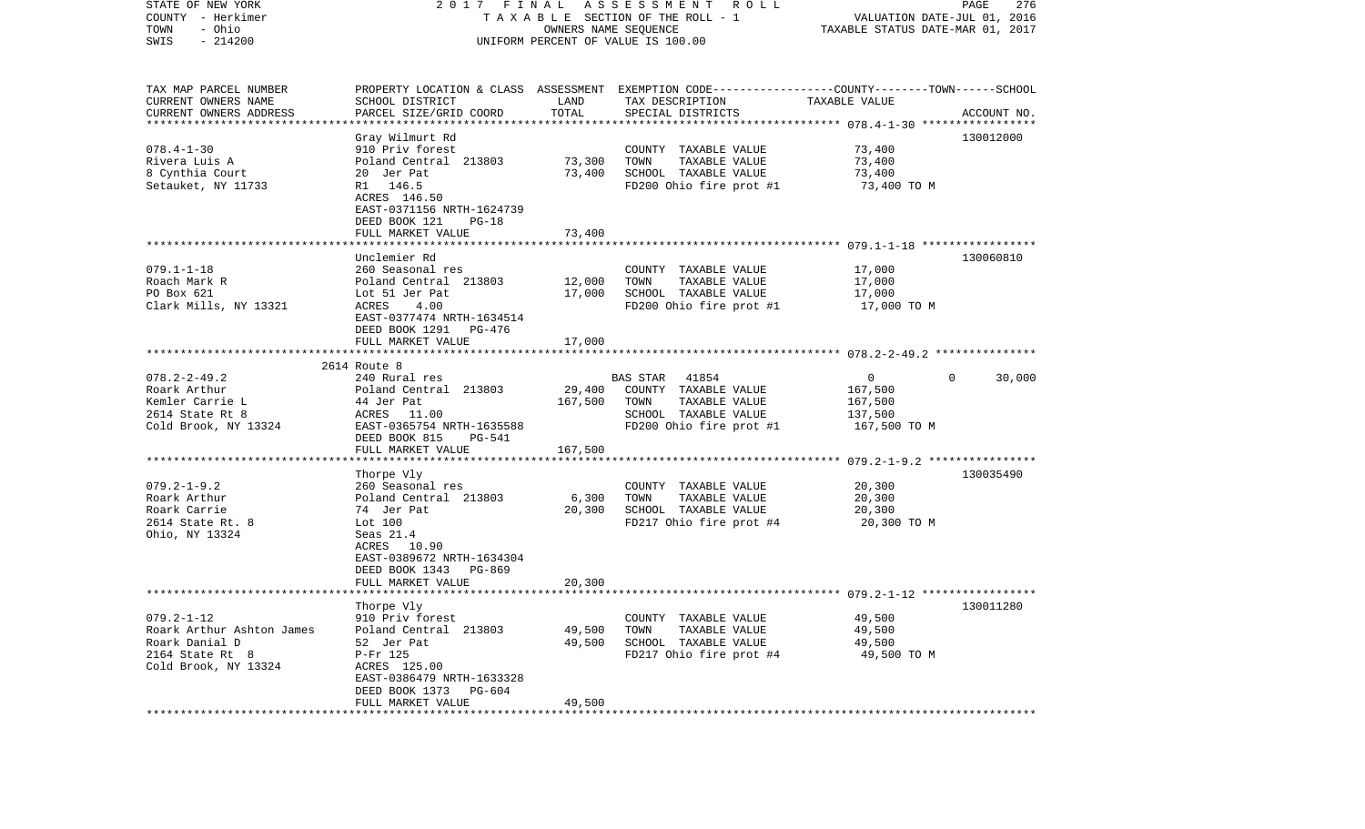| STATE OF NEW YORK<br>COUNTY - Herkimer<br>- Ohio<br>TOWN<br>$-214200$<br>SWIS | 2017 FINAL ASSESSMENT<br>R O L L<br>T A X A B L E SECTION OF THE ROLL - 1<br>OWNERS NAME SEQUENCE<br>UNIFORM PERCENT OF VALUE IS 100.00 |         |                                                                                                                     | PAGE<br>276<br>VALUATION DATE-JUL 01, 2016<br>TAXABLE STATUS DATE-MAR 01, 2017 |                    |  |
|-------------------------------------------------------------------------------|-----------------------------------------------------------------------------------------------------------------------------------------|---------|---------------------------------------------------------------------------------------------------------------------|--------------------------------------------------------------------------------|--------------------|--|
| TAX MAP PARCEL NUMBER<br>CURRENT OWNERS NAME                                  | SCHOOL DISTRICT                                                                                                                         | LAND    | PROPERTY LOCATION & CLASS ASSESSMENT EXEMPTION CODE----------------COUNTY-------TOWN------SCHOOL<br>TAX DESCRIPTION | TAXABLE VALUE                                                                  |                    |  |
| CURRENT OWNERS ADDRESS                                                        | PARCEL SIZE/GRID COORD                                                                                                                  | TOTAL   | SPECIAL DISTRICTS                                                                                                   |                                                                                | ACCOUNT NO.        |  |
| *************************                                                     |                                                                                                                                         |         |                                                                                                                     |                                                                                | 130012000          |  |
| $078.4 - 1 - 30$                                                              | Gray Wilmurt Rd<br>910 Priv forest                                                                                                      |         | COUNTY TAXABLE VALUE                                                                                                | 73,400                                                                         |                    |  |
| Rivera Luis A                                                                 | Poland Central 213803                                                                                                                   | 73,300  | TOWN<br>TAXABLE VALUE                                                                                               | 73,400                                                                         |                    |  |
| 8 Cynthia Court                                                               | 20 Jer Pat                                                                                                                              | 73,400  | SCHOOL TAXABLE VALUE                                                                                                | 73,400                                                                         |                    |  |
| Setauket, NY 11733                                                            | R1 146.5                                                                                                                                |         | FD200 Ohio fire prot #1                                                                                             | 73,400 TO M                                                                    |                    |  |
|                                                                               | ACRES 146.50                                                                                                                            |         |                                                                                                                     |                                                                                |                    |  |
|                                                                               | EAST-0371156 NRTH-1624739<br>DEED BOOK 121<br>$PG-18$                                                                                   |         |                                                                                                                     |                                                                                |                    |  |
|                                                                               | FULL MARKET VALUE                                                                                                                       | 73,400  |                                                                                                                     |                                                                                |                    |  |
|                                                                               |                                                                                                                                         |         |                                                                                                                     |                                                                                |                    |  |
|                                                                               | Unclemier Rd                                                                                                                            |         |                                                                                                                     |                                                                                | 130060810          |  |
| $079.1 - 1 - 18$<br>Roach Mark R                                              | 260 Seasonal res<br>Poland Central 213803                                                                                               | 12,000  | COUNTY TAXABLE VALUE<br>TAXABLE VALUE<br>TOWN                                                                       | 17,000<br>17,000                                                               |                    |  |
| PO Box 621                                                                    | Lot 51 Jer Pat                                                                                                                          | 17,000  | SCHOOL TAXABLE VALUE                                                                                                | 17,000                                                                         |                    |  |
| Clark Mills, NY 13321                                                         | ACRES<br>4.00                                                                                                                           |         | FD200 Ohio fire prot #1                                                                                             | 17,000 TO M                                                                    |                    |  |
|                                                                               | EAST-0377474 NRTH-1634514                                                                                                               |         |                                                                                                                     |                                                                                |                    |  |
|                                                                               | DEED BOOK 1291 PG-476                                                                                                                   |         |                                                                                                                     |                                                                                |                    |  |
|                                                                               | FULL MARKET VALUE                                                                                                                       | 17,000  |                                                                                                                     |                                                                                |                    |  |
|                                                                               | 2614 Route 8                                                                                                                            |         |                                                                                                                     |                                                                                |                    |  |
| $078.2 - 2 - 49.2$                                                            | 240 Rural res                                                                                                                           |         | BAS STAR<br>41854                                                                                                   | $\overline{0}$                                                                 | 30,000<br>$\Omega$ |  |
| Roark Arthur                                                                  | Poland Central 213803                                                                                                                   | 29,400  | COUNTY TAXABLE VALUE                                                                                                | 167,500                                                                        |                    |  |
| Kemler Carrie L                                                               | 44 Jer Pat                                                                                                                              | 167,500 | TAXABLE VALUE<br>TOWN                                                                                               | 167,500                                                                        |                    |  |
| 2614 State Rt 8<br>Cold Brook, NY 13324                                       | ACRES 11.00<br>EAST-0365754 NRTH-1635588                                                                                                |         | SCHOOL TAXABLE VALUE<br>FD200 Ohio fire prot #1                                                                     | 137,500<br>167,500 TO M                                                        |                    |  |
|                                                                               | DEED BOOK 815<br>PG-541                                                                                                                 |         |                                                                                                                     |                                                                                |                    |  |
|                                                                               | FULL MARKET VALUE                                                                                                                       | 167,500 |                                                                                                                     |                                                                                |                    |  |
|                                                                               |                                                                                                                                         |         |                                                                                                                     |                                                                                |                    |  |
|                                                                               | Thorpe Vly                                                                                                                              |         |                                                                                                                     |                                                                                | 130035490          |  |
| $079.2 - 1 - 9.2$<br>Roark Arthur                                             | 260 Seasonal res<br>Poland Central 213803                                                                                               | 6,300   | COUNTY TAXABLE VALUE<br>TAXABLE VALUE<br>TOWN                                                                       | 20,300<br>20,300                                                               |                    |  |
| Roark Carrie                                                                  | 74 Jer Pat                                                                                                                              | 20,300  | SCHOOL TAXABLE VALUE                                                                                                | 20,300                                                                         |                    |  |
| 2614 State Rt. 8                                                              | Lot 100                                                                                                                                 |         | FD217 Ohio fire prot #4                                                                                             | 20,300 TO M                                                                    |                    |  |
| Ohio, NY 13324                                                                | Seas 21.4                                                                                                                               |         |                                                                                                                     |                                                                                |                    |  |
|                                                                               | ACRES 10.90                                                                                                                             |         |                                                                                                                     |                                                                                |                    |  |
|                                                                               | EAST-0389672 NRTH-1634304<br>DEED BOOK 1343 PG-869                                                                                      |         |                                                                                                                     |                                                                                |                    |  |
|                                                                               | FULL MARKET VALUE                                                                                                                       | 20,300  |                                                                                                                     |                                                                                |                    |  |
|                                                                               |                                                                                                                                         |         |                                                                                                                     |                                                                                |                    |  |
|                                                                               | Thorpe Vly                                                                                                                              |         |                                                                                                                     |                                                                                | 130011280          |  |
| $079.2 - 1 - 12$                                                              | 910 Priv forest                                                                                                                         |         | COUNTY TAXABLE VALUE                                                                                                | 49,500                                                                         |                    |  |
| Roark Arthur Ashton James<br>Roark Danial D                                   | Poland Central 213803                                                                                                                   | 49,500  | TAXABLE VALUE<br>TOWN<br>SCHOOL TAXABLE VALUE                                                                       | 49,500                                                                         |                    |  |
| 2164 State Rt 8                                                               | 52 Jer Pat<br>P-Fr 125                                                                                                                  | 49,500  | FD217 Ohio fire prot #4                                                                                             | 49,500<br>49,500 TO M                                                          |                    |  |
| Cold Brook, NY 13324                                                          | ACRES 125.00                                                                                                                            |         |                                                                                                                     |                                                                                |                    |  |
|                                                                               | EAST-0386479 NRTH-1633328                                                                                                               |         |                                                                                                                     |                                                                                |                    |  |
|                                                                               | DEED BOOK 1373<br>PG-604                                                                                                                |         |                                                                                                                     |                                                                                |                    |  |
|                                                                               | FULL MARKET VALUE                                                                                                                       | 49,500  |                                                                                                                     |                                                                                |                    |  |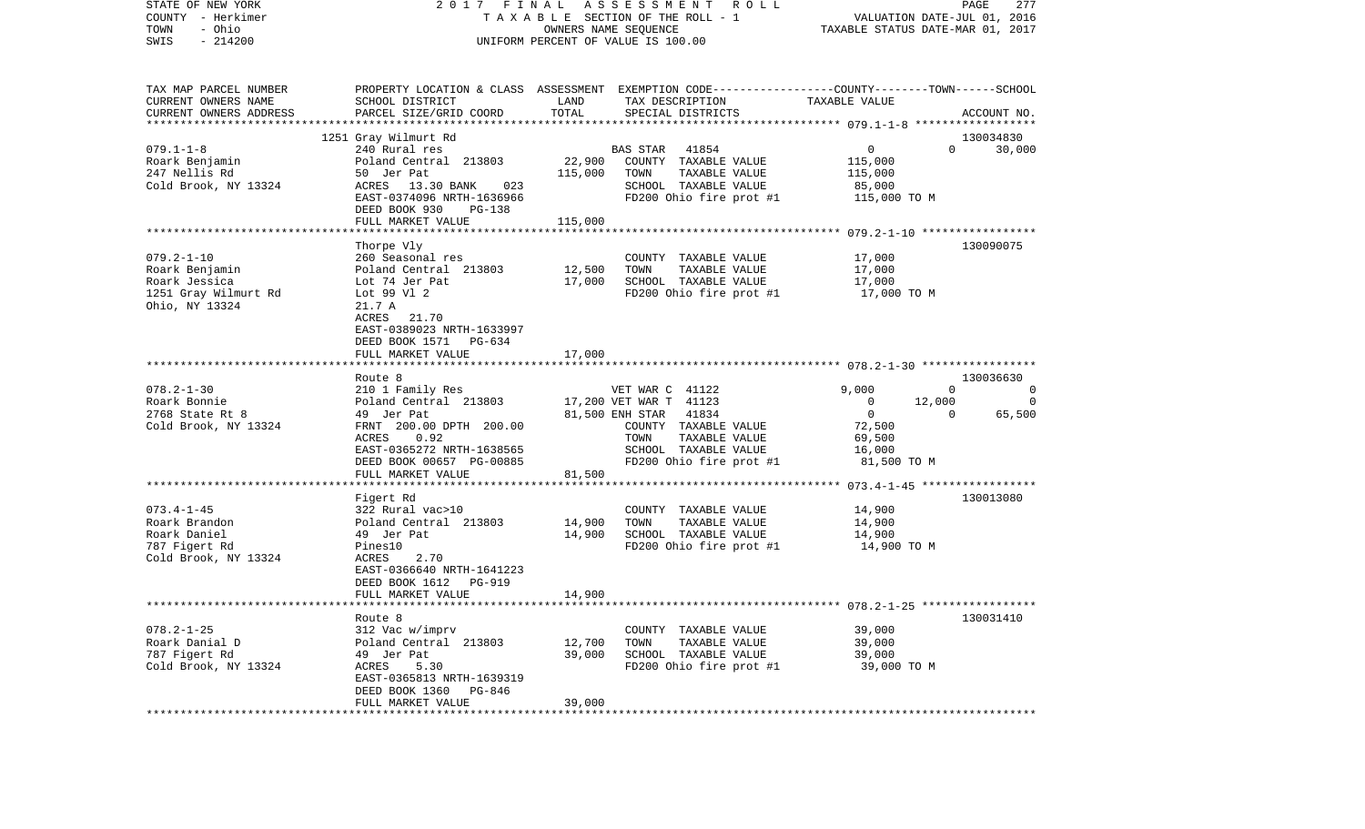| STATE OF NEW YORK<br>COUNTY - Herkimer<br>- Ohio<br>TOWN<br>$-214200$<br>SWIS                 | 2017 FINAL ASSESSMENT ROLL<br>TAXABLE SECTION OF THE ROLL - 1<br>OWNERS NAME SEQUENCE<br>UNIFORM PERCENT OF VALUE IS 100.00                                                                  |                            |                                                                                                                                                                        | PAGE<br>277<br>VALUATION DATE-JUL 01, 2016<br>TAXABLE STATUS DATE-MAR 01, 2017       |                                                                              |  |
|-----------------------------------------------------------------------------------------------|----------------------------------------------------------------------------------------------------------------------------------------------------------------------------------------------|----------------------------|------------------------------------------------------------------------------------------------------------------------------------------------------------------------|--------------------------------------------------------------------------------------|------------------------------------------------------------------------------|--|
| TAX MAP PARCEL NUMBER<br>CURRENT OWNERS NAME<br>CURRENT OWNERS ADDRESS                        | SCHOOL DISTRICT<br>PARCEL SIZE/GRID COORD                                                                                                                                                    | LAND<br>TOTAL              | PROPERTY LOCATION & CLASS ASSESSMENT EXEMPTION CODE----------------COUNTY-------TOWN------SCHOOL<br>TAX DESCRIPTION<br>SPECIAL DISTRICTS                               | TAXABLE VALUE                                                                        | ACCOUNT NO.                                                                  |  |
| $079.1 - 1 - 8$<br>Roark Benjamin<br>247 Nellis Rd<br>Cold Brook, NY 13324                    | 1251 Gray Wilmurt Rd<br>240 Rural res<br>Poland Central 213803<br>50 Jer Pat<br>ACRES 13.30 BANK 023<br>EAST-0374096 NRTH-1636966<br>DEED BOOK 930<br>PG-138<br>FULL MARKET VALUE            | 115,000<br>115,000         | BAS STAR<br>41854<br>22,900 COUNTY TAXABLE VALUE<br>TAXABLE VALUE<br>TOWN<br>SCHOOL TAXABLE VALUE<br>FD200 Ohio fire prot #1                                           | $\mathsf{O}$<br>115,000<br>115,000<br>85,000<br>115,000 TO M                         | 130034830<br>$\Omega$<br>30,000                                              |  |
| $079.2 - 1 - 10$<br>Roark Benjamin<br>Roark Jessica<br>1251 Gray Wilmurt Rd<br>Ohio, NY 13324 | Thorpe Vly<br>260 Seasonal res<br>Poland Central 213803<br>Lot 74 Jer Pat<br>Lot 99 Vl 2<br>21.7 A<br>ACRES<br>21.70<br>EAST-0389023 NRTH-1633997<br>DEED BOOK 1571<br>PG-634                | 12,500<br>17,000           | COUNTY TAXABLE VALUE<br>TAXABLE VALUE<br>TOWN<br>SCHOOL TAXABLE VALUE<br>FD200 Ohio fire prot #1                                                                       | 17,000<br>17,000<br>17,000<br>17,000 TO M                                            | 130090075                                                                    |  |
|                                                                                               | FULL MARKET VALUE                                                                                                                                                                            | 17,000                     |                                                                                                                                                                        |                                                                                      |                                                                              |  |
| $078.2 - 1 - 30$<br>Roark Bonnie<br>2768 State Rt 8<br>Cold Brook, NY 13324                   | Route 8<br>210 1 Family Res<br>Poland Central 213803<br>49 Jer Pat<br>FRNT 200.00 DPTH 200.00<br>ACRES<br>0.92<br>EAST-0365272 NRTH-1638565<br>DEED BOOK 00657 PG-00885<br>FULL MARKET VALUE | 81,500                     | VET WAR C 41122<br>17,200 VET WAR T 41123<br>81,500 ENH STAR 41834<br>COUNTY TAXABLE VALUE<br>TOWN<br>TAXABLE VALUE<br>SCHOOL TAXABLE VALUE<br>FD200 Ohio fire prot #1 | 9,000<br>$\mathbf{0}$<br>$\overline{0}$<br>72,500<br>69,500<br>16,000<br>81,500 TO M | 130036630<br>$\Omega$<br>0<br>12,000<br>$\Omega$<br>$\overline{0}$<br>65,500 |  |
| $073.4 - 1 - 45$<br>Roark Brandon<br>Roark Daniel<br>787 Figert Rd<br>Cold Brook, NY 13324    | *************************<br>Figert Rd<br>322 Rural vac>10<br>Poland Central 213803<br>49 Jer Pat<br>Pines10<br>2.70<br>ACRES<br>EAST-0366640 NRTH-1641223<br>DEED BOOK 1612<br>PG-919       | 14,900<br>14,900           | COUNTY TAXABLE VALUE<br>TOWN<br>TAXABLE VALUE<br>SCHOOL TAXABLE VALUE<br>FD200 Ohio fire prot #1                                                                       | 14,900<br>14,900<br>14,900<br>14,900 TO M                                            | 130013080                                                                    |  |
| $078.2 - 1 - 25$<br>Roark Danial D<br>787 Figert Rd<br>Cold Brook, NY 13324                   | FULL MARKET VALUE<br>Route 8<br>312 Vac w/imprv<br>Poland Central 213803<br>49 Jer Pat<br>ACRES<br>5.30                                                                                      | 14,900<br>12,700<br>39,000 | COUNTY TAXABLE VALUE<br>TOWN<br>TAXABLE VALUE<br>SCHOOL TAXABLE VALUE<br>FD200 Ohio fire prot #1                                                                       | 39,000<br>39,000<br>39,000<br>39,000 TO M                                            | 130031410                                                                    |  |
|                                                                                               | EAST-0365813 NRTH-1639319<br>DEED BOOK 1360<br>PG-846<br>FULL MARKET VALUE<br>* * * * * * * * * * * * * * * * *                                                                              | 39,000                     |                                                                                                                                                                        |                                                                                      |                                                                              |  |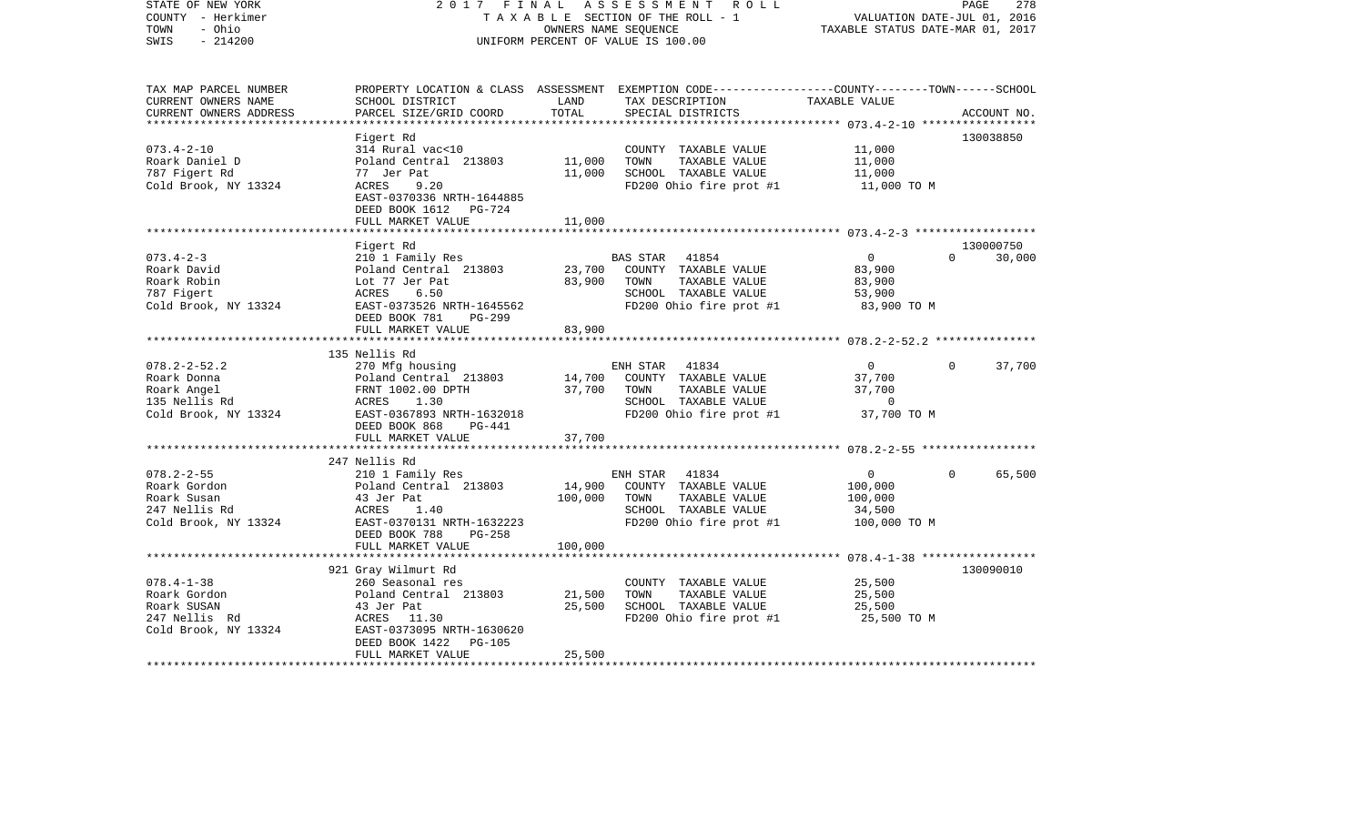| STATE OF NEW YORK<br>COUNTY - Herkimer<br>- Ohio<br>TOWN<br>$-214200$<br>SWIS             |                                                                                                                                                       | OWNERS NAME SEQUENCE | 2017 FINAL ASSESSMENT ROLL<br>TAXABLE SECTION OF THE ROLL - 1<br>UNIFORM PERCENT OF VALUE IS 100.00                                      | VALUATION DATE-JUL 01, 2016<br>TAXABLE STATUS DATE-MAR 01, 2017 | PAGE<br>278                     |
|-------------------------------------------------------------------------------------------|-------------------------------------------------------------------------------------------------------------------------------------------------------|----------------------|------------------------------------------------------------------------------------------------------------------------------------------|-----------------------------------------------------------------|---------------------------------|
| TAX MAP PARCEL NUMBER<br>CURRENT OWNERS NAME<br>CURRENT OWNERS ADDRESS                    | SCHOOL DISTRICT<br>PARCEL SIZE/GRID COORD                                                                                                             | LAND<br>TOTAL        | PROPERTY LOCATION & CLASS ASSESSMENT EXEMPTION CODE----------------COUNTY-------TOWN------SCHOOL<br>TAX DESCRIPTION<br>SPECIAL DISTRICTS | TAXABLE VALUE                                                   | ACCOUNT NO.                     |
|                                                                                           |                                                                                                                                                       |                      |                                                                                                                                          |                                                                 | 130038850                       |
| $073.4 - 2 - 10$<br>Roark Daniel D<br>787 Figert Rd<br>Cold Brook, NY 13324               | Figert Rd<br>314 Rural vac<10<br>Poland Central 213803 11,000<br>77 Jer Pat<br>ACRES<br>9.20<br>EAST-0370336 NRTH-1644885<br>DEED BOOK 1612    PG-724 | 11,000               | COUNTY TAXABLE VALUE<br>TOWN<br>TAXABLE VALUE<br>SCHOOL TAXABLE VALUE<br>FD200 Ohio fire prot #1                                         | 11,000<br>11,000<br>11,000<br>11,000 TO M                       |                                 |
|                                                                                           | FULL MARKET VALUE                                                                                                                                     | 11,000               |                                                                                                                                          |                                                                 |                                 |
| $073.4 - 2 - 3$<br>Roark David                                                            | Figert Rd<br>210 1 Family Res                                                                                                                         |                      | BAS STAR 41854<br>COUNTY TAXABLE VALUE                                                                                                   | $\overline{0}$<br>83,900                                        | 130000750<br>30,000<br>$\Omega$ |
| Roark Robin<br>787 Figert<br>Cold Brook, NY 13324                                         | Poland Central 213803<br>Lot 77 Jer Pat<br>ACRES<br>6.50<br>EAST-0373526 NRTH-1645562<br>DEED BOOK 781<br>PG-299                                      | 23,700<br>83,900     | TOWN<br>TAXABLE VALUE<br>SCHOOL TAXABLE VALUE<br>FD200 Ohio fire prot $#1$ 83,900 TO M                                                   | 83,900<br>53,900                                                |                                 |
|                                                                                           | FULL MARKET VALUE                                                                                                                                     | 83,900               |                                                                                                                                          |                                                                 |                                 |
|                                                                                           | 135 Nellis Rd                                                                                                                                         |                      |                                                                                                                                          |                                                                 |                                 |
| $078.2 - 2 - 52.2$<br>Roark Donna<br>Roark Angel<br>135 Nellis Rd<br>Cold Brook, NY 13324 | 270 Mfg housing<br>Poland Central 213803<br>FRNT 1002.00 DPTH<br>ACRES<br>1.30<br>EAST-0367893 NRTH-1632018<br>DEED BOOK 868<br>PG-441                | 14,700<br>37,700     | ENH STAR 41834<br>COUNTY TAXABLE VALUE<br>TOWN<br>TAXABLE VALUE<br>SCHOOL TAXABLE VALUE<br>FD200 Ohio fire prot $#1$ 37,700 TO M         | $\overline{0}$<br>37,700<br>37,700<br>$\overline{0}$            | $\Omega$<br>37,700              |
|                                                                                           | FULL MARKET VALUE<br>*****************                                                                                                                | 37,700               |                                                                                                                                          |                                                                 |                                 |
| $078.2 - 2 - 55$<br>Roark Gordon<br>Roark Susan<br>247 Nellis Rd<br>Cold Brook, NY 13324  | 247 Nellis Rd<br>210 1 Family Res<br>Poland Central 213803<br>43 Jer Pat<br>ACRES<br>1.40<br>EAST-0370131 NRTH-1632223<br>DEED BOOK 788<br>PG-258     | 14,900<br>100,000    | ENH STAR 41834<br>COUNTY TAXABLE VALUE<br>TOWN<br>TAXABLE VALUE<br>SCHOOL TAXABLE VALUE<br>FD200 Ohio fire prot #1 100,000 TO M          | $\overline{0}$<br>100,000<br>100,000<br>34,500                  | $\Omega$<br>65,500              |
|                                                                                           | FULL MARKET VALUE                                                                                                                                     | 100,000              |                                                                                                                                          |                                                                 |                                 |
|                                                                                           | 921 Gray Wilmurt Rd                                                                                                                                   |                      |                                                                                                                                          |                                                                 | 130090010                       |
| $078.4 - 1 - 38$<br>Roark Gordon<br>Roark SUSAN<br>247 Nellis Rd<br>Cold Brook, NY 13324  | 260 Seasonal res<br>Poland Central 213803<br>43 Jer Pat<br>ACRES 11.30<br>EAST-0373095 NRTH-1630620<br>DEED BOOK 1422<br>PG-105                       | 21,500<br>25,500     | COUNTY TAXABLE VALUE<br>TOWN<br>TAXABLE VALUE<br>SCHOOL TAXABLE VALUE<br>FD200 Ohio fire prot $#1$ 25,500 TO M                           | 25,500<br>25,500<br>25,500                                      |                                 |
|                                                                                           | FULL MARKET VALUE                                                                                                                                     | 25,500               |                                                                                                                                          |                                                                 |                                 |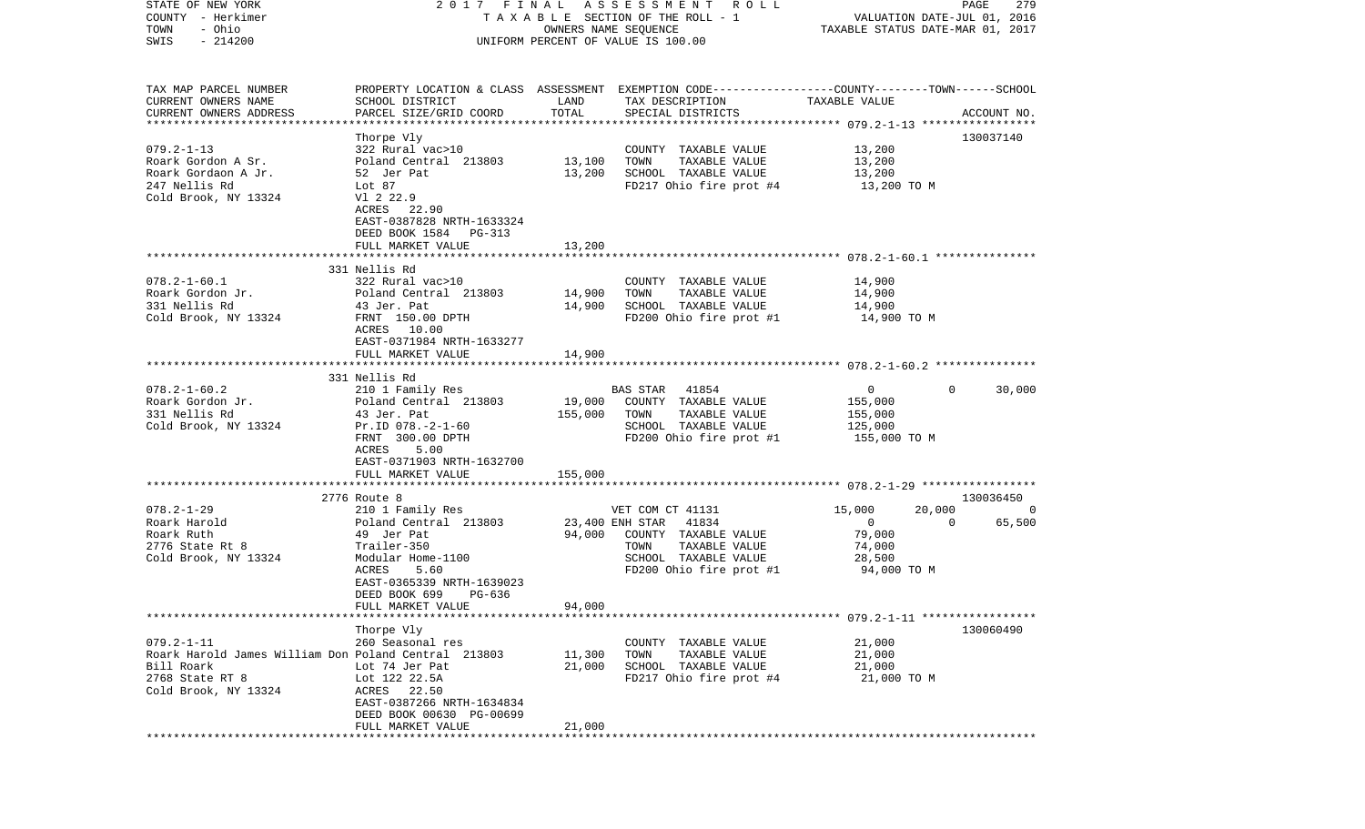| STATE OF NEW YORK                                    |                                                                                                 |                      | 2017 FINAL ASSESSMENT ROLL                    |                                  | PAGE     | 279         |
|------------------------------------------------------|-------------------------------------------------------------------------------------------------|----------------------|-----------------------------------------------|----------------------------------|----------|-------------|
| COUNTY - Herkimer                                    |                                                                                                 |                      | TAXABLE SECTION OF THE ROLL - 1               | VALUATION DATE-JUL 01, 2016      |          |             |
| - Ohio<br>TOWN                                       |                                                                                                 | OWNERS NAME SEQUENCE |                                               | TAXABLE STATUS DATE-MAR 01, 2017 |          |             |
| $-214200$<br>SWIS                                    |                                                                                                 |                      | UNIFORM PERCENT OF VALUE IS 100.00            |                                  |          |             |
|                                                      |                                                                                                 |                      |                                               |                                  |          |             |
|                                                      |                                                                                                 |                      |                                               |                                  |          |             |
| TAX MAP PARCEL NUMBER                                | PROPERTY LOCATION & CLASS ASSESSMENT EXEMPTION CODE---------------COUNTY-------TOWN------SCHOOL |                      |                                               |                                  |          |             |
| CURRENT OWNERS NAME                                  | SCHOOL DISTRICT                                                                                 | LAND                 | TAX DESCRIPTION                               | TAXABLE VALUE                    |          |             |
| CURRENT OWNERS ADDRESS<br>*************************  | PARCEL SIZE/GRID COORD                                                                          | TOTAL                | SPECIAL DISTRICTS                             |                                  |          | ACCOUNT NO. |
|                                                      | Thorpe Vly                                                                                      |                      |                                               |                                  |          | 130037140   |
| $079.2 - 1 - 13$                                     | 322 Rural vac>10                                                                                |                      | COUNTY TAXABLE VALUE                          | 13,200                           |          |             |
| Roark Gordon A Sr.                                   | Poland Central 213803                                                                           | 13,100               | TOWN<br>TAXABLE VALUE                         | 13,200                           |          |             |
| Roark Gordaon A Jr.                                  | 52 Jer Pat                                                                                      | 13,200               | SCHOOL TAXABLE VALUE                          | 13,200                           |          |             |
| 247 Nellis Rd                                        | Lot 87                                                                                          |                      | FD217 Ohio fire prot #4                       | 13,200 TO M                      |          |             |
| Cold Brook, NY 13324                                 | V1 2 22.9                                                                                       |                      |                                               |                                  |          |             |
|                                                      | ACRES 22.90                                                                                     |                      |                                               |                                  |          |             |
|                                                      | EAST-0387828 NRTH-1633324                                                                       |                      |                                               |                                  |          |             |
|                                                      | DEED BOOK 1584 PG-313                                                                           |                      |                                               |                                  |          |             |
|                                                      | FULL MARKET VALUE                                                                               | 13,200               |                                               |                                  |          |             |
|                                                      |                                                                                                 |                      |                                               |                                  |          |             |
|                                                      | 331 Nellis Rd                                                                                   |                      |                                               |                                  |          |             |
| $078.2 - 1 - 60.1$                                   | 322 Rural vac>10                                                                                |                      | COUNTY TAXABLE VALUE                          | 14,900                           |          |             |
| Roark Gordon Jr.                                     | Poland Central 213803                                                                           | 14,900               | TAXABLE VALUE<br>TOWN                         | 14,900                           |          |             |
| 331 Nellis Rd                                        | 43 Jer. Pat                                                                                     | 14,900               | SCHOOL TAXABLE VALUE                          | 14,900                           |          |             |
| Cold Brook, NY 13324                                 | FRNT 150.00 DPTH                                                                                |                      | FD200 Ohio fire prot #1                       | 14,900 TO M                      |          |             |
|                                                      | ACRES 10.00<br>EAST-0371984 NRTH-1633277                                                        |                      |                                               |                                  |          |             |
|                                                      | FULL MARKET VALUE                                                                               | 14,900               |                                               |                                  |          |             |
|                                                      |                                                                                                 |                      |                                               |                                  |          |             |
|                                                      | 331 Nellis Rd                                                                                   |                      |                                               |                                  |          |             |
| $078.2 - 1 - 60.2$                                   | 210 1 Family Res                                                                                |                      | BAS STAR 41854                                | $\overline{0}$                   | $\Omega$ | 30,000      |
| Roark Gordon Jr.                                     | Poland Central 213803                                                                           | 19,000               | COUNTY TAXABLE VALUE                          | 155,000                          |          |             |
| 331 Nellis Rd                                        | 43 Jer. Pat                                                                                     | 155,000              | TOWN<br>TAXABLE VALUE                         | 155,000                          |          |             |
| Cold Brook, NY 13324                                 | $Pr.ID 078. -2-1-60$                                                                            |                      | SCHOOL TAXABLE VALUE                          | 125,000                          |          |             |
|                                                      | FRNT 300.00 DPTH                                                                                |                      | FD200 Ohio fire prot #1                       | 155,000 TO M                     |          |             |
|                                                      | ACRES<br>5.00                                                                                   |                      |                                               |                                  |          |             |
|                                                      | EAST-0371903 NRTH-1632700                                                                       |                      |                                               |                                  |          |             |
|                                                      | FULL MARKET VALUE                                                                               | 155,000              |                                               |                                  |          |             |
|                                                      |                                                                                                 |                      |                                               |                                  |          |             |
|                                                      | 2776 Route 8                                                                                    |                      |                                               |                                  |          | 130036450   |
| $078.2 - 1 - 29$                                     | 210 1 Family Res                                                                                |                      | VET COM CT 41131                              | 15,000                           | 20,000   | $\circ$     |
| Roark Harold                                         | Poland Central 213803                                                                           | 23,400 ENH STAR      | 41834                                         | $\overline{0}$                   | $\Omega$ | 65,500      |
| Roark Ruth<br>2776 State Rt 8                        | 49 Jer Pat<br>Trailer-350                                                                       | 94,000               | COUNTY TAXABLE VALUE<br>TOWN<br>TAXABLE VALUE | 79,000<br>74,000                 |          |             |
| Cold Brook, NY 13324                                 | Modular Home-1100                                                                               |                      | SCHOOL TAXABLE VALUE                          | 28,500                           |          |             |
|                                                      | ACRES<br>5.60                                                                                   |                      | FD200 Ohio fire prot #1                       | 94,000 TO M                      |          |             |
|                                                      | EAST-0365339 NRTH-1639023                                                                       |                      |                                               |                                  |          |             |
|                                                      | DEED BOOK 699<br>$PG-636$                                                                       |                      |                                               |                                  |          |             |
|                                                      | FULL MARKET VALUE                                                                               | 94,000               |                                               |                                  |          |             |
|                                                      |                                                                                                 |                      |                                               |                                  |          |             |
|                                                      | Thorpe Vly                                                                                      |                      |                                               |                                  |          | 130060490   |
| $079.2 - 1 - 11$                                     | 260 Seasonal res                                                                                |                      | COUNTY TAXABLE VALUE                          | 21,000                           |          |             |
| Roark Harold James William Don Poland Central 213803 |                                                                                                 | 11,300               | TOWN<br>TAXABLE VALUE                         | 21,000                           |          |             |
| Bill Roark                                           | Lot 74 Jer Pat                                                                                  | 21,000               | SCHOOL TAXABLE VALUE                          | 21,000                           |          |             |
| 2768 State RT 8                                      | Lot 122 22.5A                                                                                   |                      | FD217 Ohio fire prot #4                       | 21,000 TO M                      |          |             |
| Cold Brook, NY 13324                                 | ACRES 22.50                                                                                     |                      |                                               |                                  |          |             |
|                                                      | EAST-0387266 NRTH-1634834                                                                       |                      |                                               |                                  |          |             |
|                                                      | DEED BOOK 00630 PG-00699                                                                        |                      |                                               |                                  |          |             |
|                                                      | FULL MARKET VALUE                                                                               | 21,000               |                                               |                                  |          |             |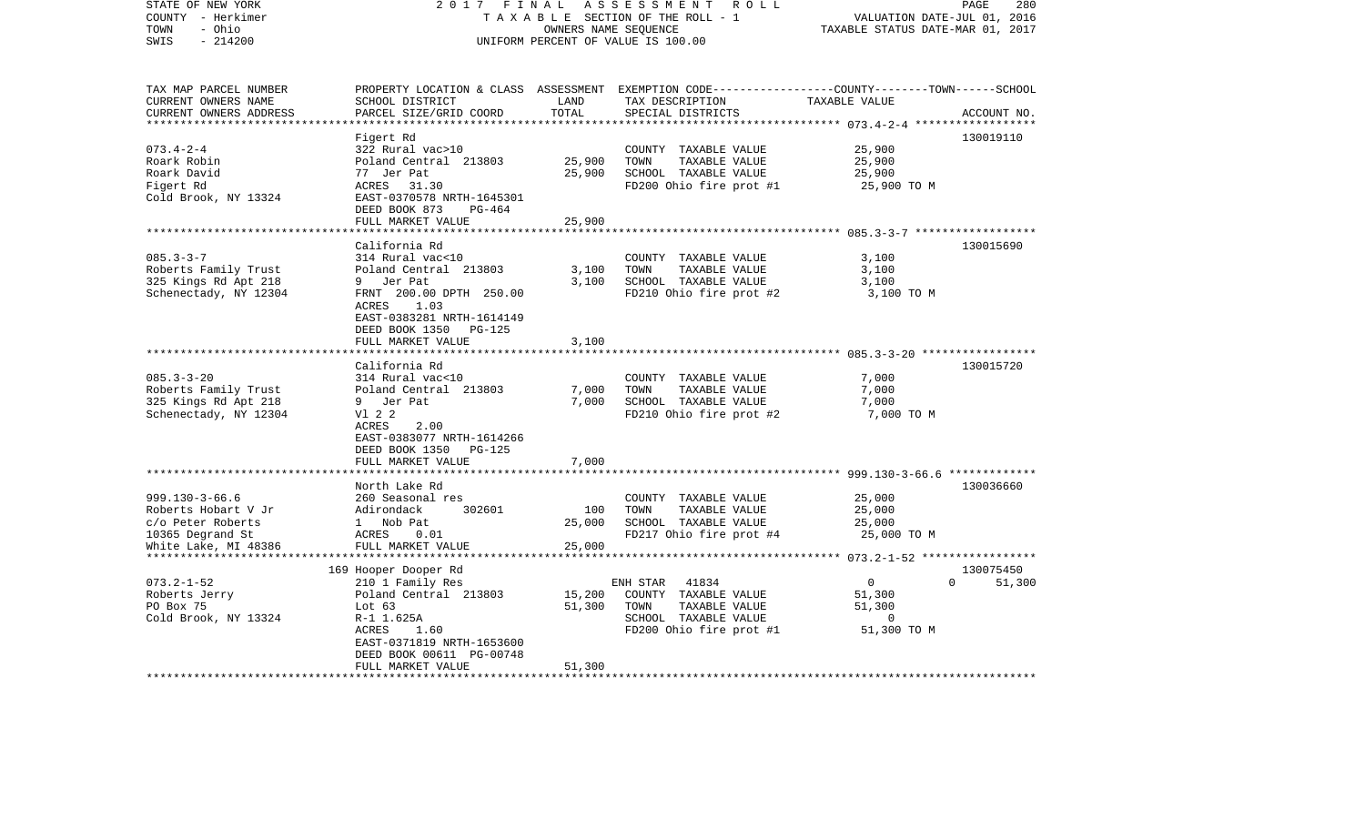| STATE OF NEW YORK<br>COUNTY - Herkimer<br>- Ohio<br>TOWN<br>SWIS<br>$-214200$                                | 2017 FINAL                                                                                                                                                                                                                |                                            | ASSESSMENT<br>ROLL<br>TAXABLE SECTION OF THE ROLL - 1<br>OWNERS NAME SEQUENCE<br>UNIFORM PERCENT OF VALUE IS 100.00                      | VALUATION DATE-JUL 01, 2016<br>TAXABLE STATUS DATE-MAR 01, 2017                                                                                  | PAGE<br>280         |
|--------------------------------------------------------------------------------------------------------------|---------------------------------------------------------------------------------------------------------------------------------------------------------------------------------------------------------------------------|--------------------------------------------|------------------------------------------------------------------------------------------------------------------------------------------|--------------------------------------------------------------------------------------------------------------------------------------------------|---------------------|
| TAX MAP PARCEL NUMBER<br>CURRENT OWNERS NAME<br>CURRENT OWNERS ADDRESS                                       | SCHOOL DISTRICT<br>PARCEL SIZE/GRID COORD                                                                                                                                                                                 | LAND<br>TOTAL<br>* * * * * * * * * * * * * | PROPERTY LOCATION & CLASS ASSESSMENT EXEMPTION CODE----------------COUNTY-------TOWN------SCHOOL<br>TAX DESCRIPTION<br>SPECIAL DISTRICTS | TAXABLE VALUE                                                                                                                                    | ACCOUNT NO.         |
| $073.4 - 2 - 4$<br>Roark Robin<br>Roark David<br>Figert Rd<br>Cold Brook, NY 13324                           | Figert Rd<br>322 Rural vac>10<br>Poland Central 213803<br>77 Jer Pat<br>ACRES<br>31.30<br>EAST-0370578 NRTH-1645301<br>DEED BOOK 873<br>$PG-464$<br>FULL MARKET VALUE                                                     | 25,900<br>25,900<br>25,900                 | COUNTY TAXABLE VALUE<br>TOWN<br>TAXABLE VALUE<br>SCHOOL TAXABLE VALUE<br>FD200 Ohio fire prot #1                                         | 25,900<br>25,900<br>25,900<br>25,900 TO M                                                                                                        | 130019110           |
| $085.3 - 3 - 7$<br>Roberts Family Trust<br>325 Kings Rd Apt 218<br>Schenectady, NY 12304                     | ********************<br>California Rd<br>314 Rural vac<10<br>Poland Central 213803<br>9 Jer Pat<br>FRNT 200.00 DPTH 250.00<br>1.03<br>ACRES<br>EAST-0383281 NRTH-1614149<br>DEED BOOK 1350<br>PG-125<br>FULL MARKET VALUE | 3,100<br>3,100<br>3,100                    | COUNTY TAXABLE VALUE<br>TOWN<br>TAXABLE VALUE<br>SCHOOL TAXABLE VALUE<br>FD210 Ohio fire prot #2                                         | ********************** 085.3-3-7 *******************<br>3,100<br>3,100<br>3,100<br>3,100 TO M                                                    | 130015690           |
| $085.3 - 3 - 20$<br>Roberts Family Trust<br>325 Kings Rd Apt 218<br>Schenectady, NY 12304                    | *******************<br>California Rd<br>314 Rural vac<10<br>Poland Central 213803<br>9 Jer Pat<br>V1 2 2<br>ACRES<br>2.00<br>EAST-0383077 NRTH-1614266<br>DEED BOOK 1350<br>$PG-125$<br>FULL MARKET VALUE                 | ********<br>7,000<br>7,000<br>7,000        | COUNTY TAXABLE VALUE<br>TOWN<br>TAXABLE VALUE<br>SCHOOL TAXABLE VALUE<br>FD210 Ohio fire prot #2                                         | 7,000<br>7,000<br>7,000<br>7,000 TO M                                                                                                            | 130015720           |
| $999.130 - 3 - 66.6$<br>Roberts Hobart V Jr<br>c/o Peter Roberts<br>10365 Degrand St<br>White Lake, MI 48386 | North Lake Rd<br>260 Seasonal res<br>Adirondack<br>302601<br>1 Nob Pat<br>ACRES<br>0.01<br>FULL MARKET VALUE<br>****************                                                                                          | 100<br>25,000<br>25,000<br>*********       | COUNTY TAXABLE VALUE<br>TOWN<br>TAXABLE VALUE<br>SCHOOL TAXABLE VALUE<br>FD217 Ohio fire prot #4                                         | ************ 999.130-3-66.6 **************<br>25,000<br>25,000<br>25,000<br>25,000 TO M<br>*********************** 073.2-1-52 ****************** | 130036660           |
| $073.2 - 1 - 52$<br>Roberts Jerry<br>PO Box 75<br>Cold Brook, NY 13324<br>************************           | 169 Hooper Dooper Rd<br>210 1 Family Res<br>Poland Central 213803<br>Lot $63$<br>R-1 1.625A<br>ACRES<br>1.60<br>EAST-0371819 NRTH-1653600<br>DEED BOOK 00611 PG-00748<br>FULL MARKET VALUE<br>************************    | 15,200<br>51,300<br>51,300<br>**********   | ENH STAR<br>41834<br>COUNTY TAXABLE VALUE<br>TAXABLE VALUE<br>TOWN<br>SCHOOL TAXABLE VALUE<br>FD200 Ohio fire prot #1                    | $\mathbf{0}$<br>$\Omega$<br>51,300<br>51,300<br>$\mathbf 0$<br>51,300 TO M                                                                       | 130075450<br>51,300 |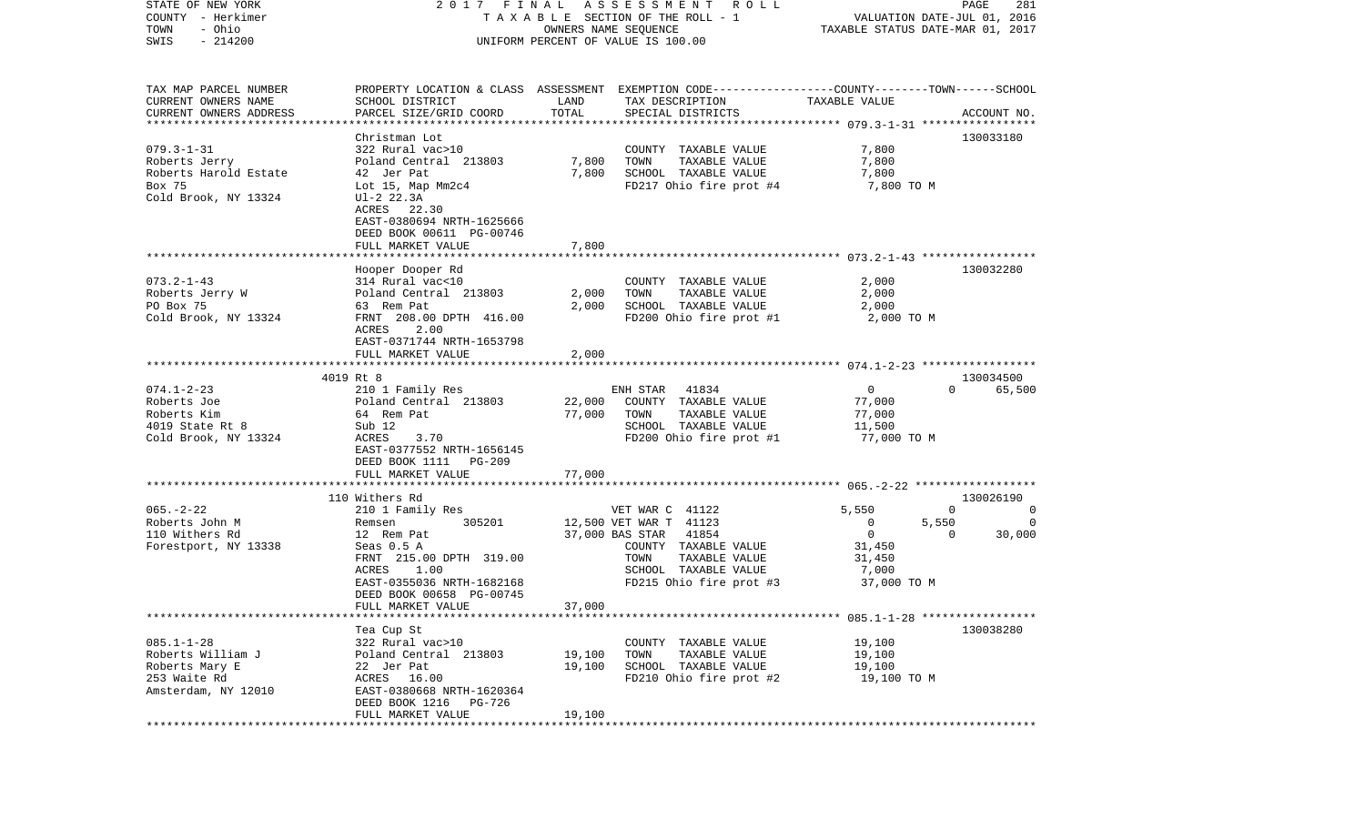| STATE OF NEW YORK              | 2017 FINAL                                           |                                  | A S S E S S M E N T R O L L                                                                     |                | PAGE<br>281             |
|--------------------------------|------------------------------------------------------|----------------------------------|-------------------------------------------------------------------------------------------------|----------------|-------------------------|
| COUNTY - Herkimer              | T A X A B L E SECTION OF THE ROLL - 1                | VALUATION DATE-JUL 01, 2016      |                                                                                                 |                |                         |
| - Ohio<br>TOWN                 |                                                      | TAXABLE STATUS DATE-MAR 01, 2017 |                                                                                                 |                |                         |
| $-214200$<br>SWIS              |                                                      |                                  | UNIFORM PERCENT OF VALUE IS 100.00                                                              |                |                         |
| TAX MAP PARCEL NUMBER          |                                                      |                                  | PROPERTY LOCATION & CLASS ASSESSMENT EXEMPTION CODE---------------COUNTY-------TOWN------SCHOOL |                |                         |
| CURRENT OWNERS NAME            | SCHOOL DISTRICT                                      | LAND                             | TAX DESCRIPTION                                                                                 | TAXABLE VALUE  |                         |
| CURRENT OWNERS ADDRESS         | PARCEL SIZE/GRID COORD                               | TOTAL                            | SPECIAL DISTRICTS                                                                               |                | ACCOUNT NO.             |
| *************************      |                                                      |                                  |                                                                                                 |                |                         |
|                                | Christman Lot                                        |                                  |                                                                                                 |                | 130033180               |
| $079.3 - 1 - 31$               | 322 Rural vac>10                                     |                                  | COUNTY TAXABLE VALUE                                                                            | 7,800          |                         |
| Roberts Jerry                  | Poland Central 213803                                | 7,800                            | TOWN<br>TAXABLE VALUE                                                                           | 7,800          |                         |
| Roberts Harold Estate          | 42 Jer Pat                                           | 7,800                            | SCHOOL TAXABLE VALUE                                                                            | 7,800          |                         |
| Box 75<br>Cold Brook, NY 13324 | Lot 15, Map Mm2c4<br>$UI-2 22.3A$                    |                                  | FD217 Ohio fire prot #4                                                                         | 7,800 TO M     |                         |
|                                | ACRES 22.30                                          |                                  |                                                                                                 |                |                         |
|                                | EAST-0380694 NRTH-1625666                            |                                  |                                                                                                 |                |                         |
|                                | DEED BOOK 00611 PG-00746                             |                                  |                                                                                                 |                |                         |
|                                | FULL MARKET VALUE                                    | 7,800                            |                                                                                                 |                |                         |
|                                |                                                      |                                  |                                                                                                 |                |                         |
|                                | Hooper Dooper Rd                                     |                                  |                                                                                                 |                | 130032280               |
| $073.2 - 1 - 43$               | 314 Rural vac<10                                     |                                  | COUNTY TAXABLE VALUE                                                                            | 2,000          |                         |
| Roberts Jerry W                | Poland Central 213803                                | 2,000                            | TOWN<br>TAXABLE VALUE                                                                           | 2,000          |                         |
| PO Box 75                      | 63 Rem Pat                                           | 2,000                            | SCHOOL TAXABLE VALUE                                                                            | 2,000          |                         |
| Cold Brook, NY 13324           | FRNT 208.00 DPTH 416.00                              |                                  | FD200 Ohio fire prot #1                                                                         | 2,000 TO M     |                         |
|                                | 2.00<br>ACRES<br>EAST-0371744 NRTH-1653798           |                                  |                                                                                                 |                |                         |
|                                | FULL MARKET VALUE                                    | 2,000                            |                                                                                                 |                |                         |
|                                |                                                      |                                  |                                                                                                 |                |                         |
|                                | 4019 Rt 8                                            |                                  |                                                                                                 |                | 130034500               |
| $074.1 - 2 - 23$               | 210 1 Family Res                                     |                                  | 41834<br>ENH STAR                                                                               | $\mathbf 0$    | $\Omega$<br>65,500      |
| Roberts Joe                    | Poland Central 213803                                | 22,000                           | COUNTY TAXABLE VALUE                                                                            | 77,000         |                         |
| Roberts Kim                    | 64 Rem Pat                                           | 77,000                           | TAXABLE VALUE<br>TOWN                                                                           | 77,000         |                         |
| 4019 State Rt 8                | Sub 12                                               |                                  | SCHOOL TAXABLE VALUE                                                                            | 11,500         |                         |
| Cold Brook, NY 13324           | 3.70<br>ACRES                                        |                                  | FD200 Ohio fire prot #1                                                                         | 77,000 TO M    |                         |
|                                | EAST-0377552 NRTH-1656145                            |                                  |                                                                                                 |                |                         |
|                                | DEED BOOK 1111 PG-209                                | 77,000                           |                                                                                                 |                |                         |
|                                | FULL MARKET VALUE<br>******************************* |                                  |                                                                                                 |                |                         |
|                                | 110 Withers Rd                                       |                                  |                                                                                                 |                | 130026190               |
| $065. - 2 - 22$                | 210 1 Family Res                                     |                                  | VET WAR C 41122                                                                                 | 5,550          | $\mathbf{0}$<br>$\circ$ |
| Roberts John M                 | 305201<br>Remsen                                     |                                  | 12,500 VET WAR T 41123                                                                          | 0              | 5,550<br>0              |
| 110 Withers Rd                 | 12 Rem Pat                                           |                                  | 37,000 BAS STAR<br>41854                                                                        | $\overline{0}$ | $\mathbf{0}$<br>30,000  |
| Forestport, NY 13338           | Seas 0.5 A                                           |                                  | COUNTY TAXABLE VALUE                                                                            | 31,450         |                         |
|                                | FRNT 215.00 DPTH 319.00                              |                                  | TAXABLE VALUE<br>TOWN                                                                           | 31,450         |                         |
|                                | ACRES<br>1.00                                        |                                  | SCHOOL TAXABLE VALUE                                                                            | 7,000          |                         |
|                                | EAST-0355036 NRTH-1682168                            |                                  | FD215 Ohio fire prot #3                                                                         | 37,000 TO M    |                         |
|                                | DEED BOOK 00658 PG-00745                             |                                  |                                                                                                 |                |                         |
|                                | FULL MARKET VALUE                                    | 37,000                           |                                                                                                 |                |                         |
|                                | Tea Cup St                                           |                                  |                                                                                                 |                | 130038280               |
| $085.1 - 1 - 28$               | 322 Rural vac>10                                     |                                  | COUNTY TAXABLE VALUE                                                                            | 19,100         |                         |
| Roberts William J              | Poland Central 213803                                | 19,100                           | TOWN<br>TAXABLE VALUE                                                                           | 19,100         |                         |
| Roberts Mary E                 | 22 Jer Pat                                           | 19,100                           | SCHOOL TAXABLE VALUE                                                                            | 19,100         |                         |
| 253 Waite Rd                   | ACRES 16.00                                          |                                  | FD210 Ohio fire prot #2                                                                         | 19,100 TO M    |                         |
| Amsterdam, NY 12010            | EAST-0380668 NRTH-1620364                            |                                  |                                                                                                 |                |                         |
|                                | DEED BOOK 1216<br>PG-726                             |                                  |                                                                                                 |                |                         |
|                                | FULL MARKET VALUE                                    | 19,100                           |                                                                                                 |                |                         |
| **************                 |                                                      |                                  |                                                                                                 |                |                         |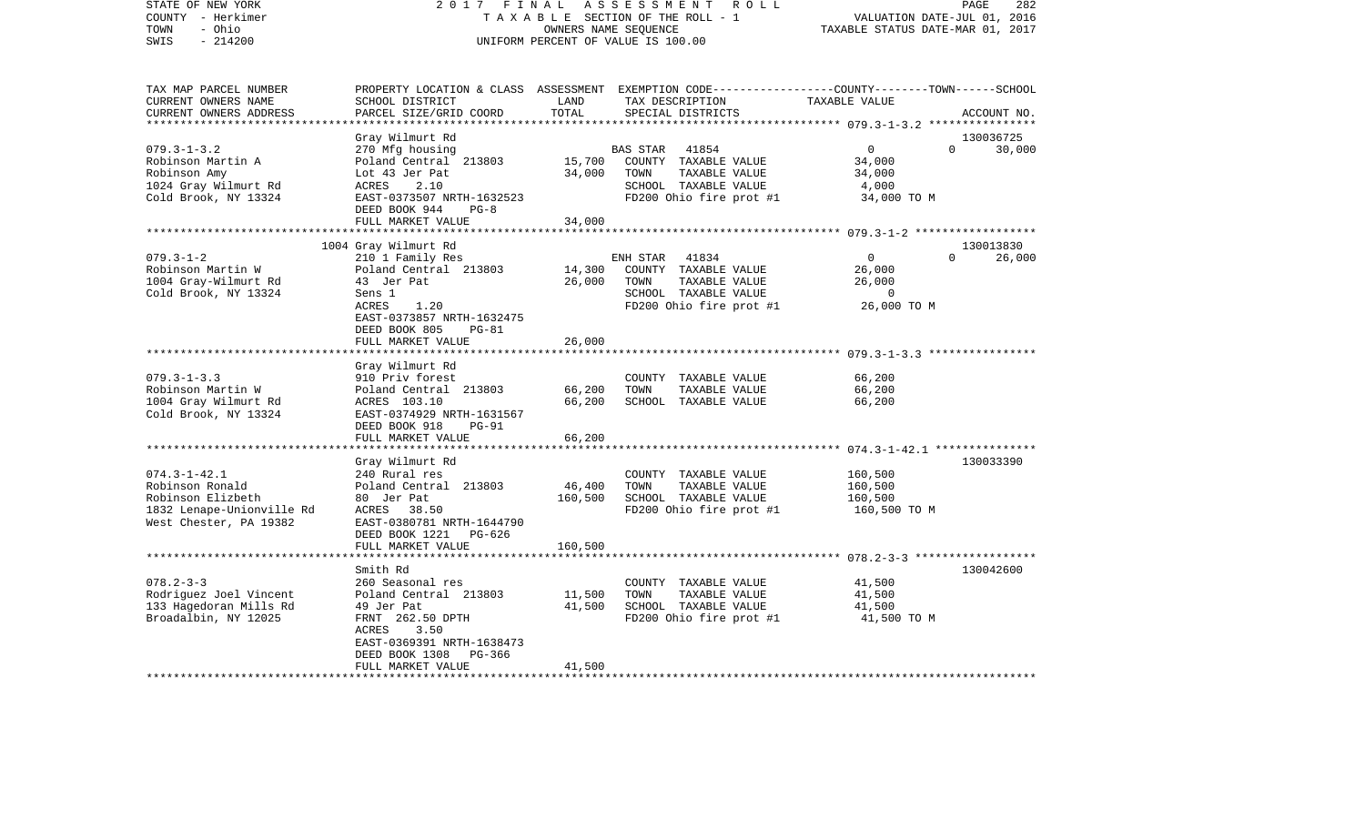| STATE OF NEW YORK<br>COUNTY - Herkimer<br>- Ohio<br>TOWN<br>SWIS<br>$-214200$                                     | 2017<br>FINAL                                                                                                                                                                            | OWNERS NAME SEQUENCE         | ASSESSMENT<br>ROLL<br>TAXABLE SECTION OF THE ROLL - 1<br>UNIFORM PERCENT OF VALUE IS 100.00                                              | VALUATION DATE-JUL 01, 2016<br>TAXABLE STATUS DATE-MAR 01, 2017                                                      | PAGE<br>282         |
|-------------------------------------------------------------------------------------------------------------------|------------------------------------------------------------------------------------------------------------------------------------------------------------------------------------------|------------------------------|------------------------------------------------------------------------------------------------------------------------------------------|----------------------------------------------------------------------------------------------------------------------|---------------------|
| TAX MAP PARCEL NUMBER<br>CURRENT OWNERS NAME<br>CURRENT OWNERS ADDRESS                                            | SCHOOL DISTRICT<br>PARCEL SIZE/GRID COORD                                                                                                                                                | LAND<br>TOTAL                | PROPERTY LOCATION & CLASS ASSESSMENT EXEMPTION CODE----------------COUNTY-------TOWN------SCHOOL<br>TAX DESCRIPTION<br>SPECIAL DISTRICTS | TAXABLE VALUE                                                                                                        | ACCOUNT NO.         |
|                                                                                                                   | Gray Wilmurt Rd                                                                                                                                                                          |                              |                                                                                                                                          |                                                                                                                      | 130036725           |
| $079.3 - 1 - 3.2$<br>Robinson Martin A<br>Robinson Amy<br>1024 Gray Wilmurt Rd<br>Cold Brook, NY 13324            | 270 Mfg housing<br>Poland Central 213803<br>Lot 43 Jer Pat<br>ACRES<br>2.10<br>EAST-0373507 NRTH-1632523<br>DEED BOOK 944<br>$PG-8$                                                      | 15,700<br>34,000             | 41854<br>BAS STAR<br>COUNTY TAXABLE VALUE<br>TOWN<br>TAXABLE VALUE<br>SCHOOL TAXABLE VALUE<br>FD200 Ohio fire prot #1                    | $\mathbf{0}$<br>$\Omega$<br>34,000<br>34,000<br>4,000<br>34,000 TO M                                                 | 30,000              |
|                                                                                                                   | FULL MARKET VALUE                                                                                                                                                                        | 34,000                       |                                                                                                                                          |                                                                                                                      |                     |
| $079.3 - 1 - 2$<br>Robinson Martin W<br>1004 Gray-Wilmurt Rd<br>Cold Brook, NY 13324                              | 1004 Gray Wilmurt Rd<br>210 1 Family Res<br>Poland Central 213803<br>43 Jer Pat<br>Sens 1<br>1.20<br>ACRES<br>EAST-0373857 NRTH-1632475<br>DEED BOOK 805<br>$PG-81$<br>FULL MARKET VALUE | 14,300<br>26,000<br>26,000   | ENH STAR<br>41834<br>COUNTY TAXABLE VALUE<br>TOWN<br>TAXABLE VALUE<br>SCHOOL TAXABLE VALUE<br>FD200 Ohio fire prot #1                    | ************ 079.3-1-2 *******************<br>$\mathbf{0}$<br>0<br>26,000<br>26,000<br>$\overline{0}$<br>26,000 TO M | 130013830<br>26,000 |
|                                                                                                                   | ******************                                                                                                                                                                       | **********                   |                                                                                                                                          |                                                                                                                      |                     |
| $079.3 - 1 - 3.3$<br>Robinson Martin W<br>1004 Gray Wilmurt Rd<br>Cold Brook, NY 13324                            | Gray Wilmurt Rd<br>910 Priv forest<br>Poland Central 213803<br>ACRES 103.10<br>EAST-0374929 NRTH-1631567<br>DEED BOOK 918<br>$PG-91$<br>FULL MARKET VALUE                                | 66,200<br>66,200<br>66,200   | COUNTY TAXABLE VALUE<br>TOWN<br>TAXABLE VALUE<br>SCHOOL TAXABLE VALUE                                                                    | 66,200<br>66,200<br>66,200                                                                                           |                     |
|                                                                                                                   |                                                                                                                                                                                          |                              |                                                                                                                                          |                                                                                                                      |                     |
| $074.3 - 1 - 42.1$<br>Robinson Ronald<br>Robinson Elizbeth<br>1832 Lenape-Unionville Rd<br>West Chester, PA 19382 | Gray Wilmurt Rd<br>240 Rural res<br>Poland Central 213803<br>80 Jer Pat<br>ACRES<br>38.50<br>EAST-0380781 NRTH-1644790<br>DEED BOOK 1221<br>PG-626<br>FULL MARKET VALUE                  | 46,400<br>160,500<br>160,500 | COUNTY TAXABLE VALUE<br>TOWN<br>TAXABLE VALUE<br>SCHOOL TAXABLE VALUE<br>FD200 Ohio fire prot #1                                         | 160,500<br>160,500<br>160,500<br>160,500 TO M                                                                        | 130033390           |
|                                                                                                                   | **********************                                                                                                                                                                   |                              |                                                                                                                                          |                                                                                                                      |                     |
| $078.2 - 3 - 3$<br>Rodriguez Joel Vincent<br>133 Hagedoran Mills Rd<br>Broadalbin, NY 12025                       | Smith Rd<br>260 Seasonal res<br>Poland Central 213803<br>49 Jer Pat<br>FRNT 262.50 DPTH<br>3.50<br>ACRES<br>EAST-0369391 NRTH-1638473<br>DEED BOOK 1308<br>PG-366<br>FULL MARKET VALUE   | 11,500<br>41,500<br>41,500   | COUNTY TAXABLE VALUE<br>TOWN<br>TAXABLE VALUE<br>SCHOOL TAXABLE VALUE<br>FD200 Ohio fire prot #1                                         | 41,500<br>41,500<br>41,500<br>41,500 TO M                                                                            | 130042600           |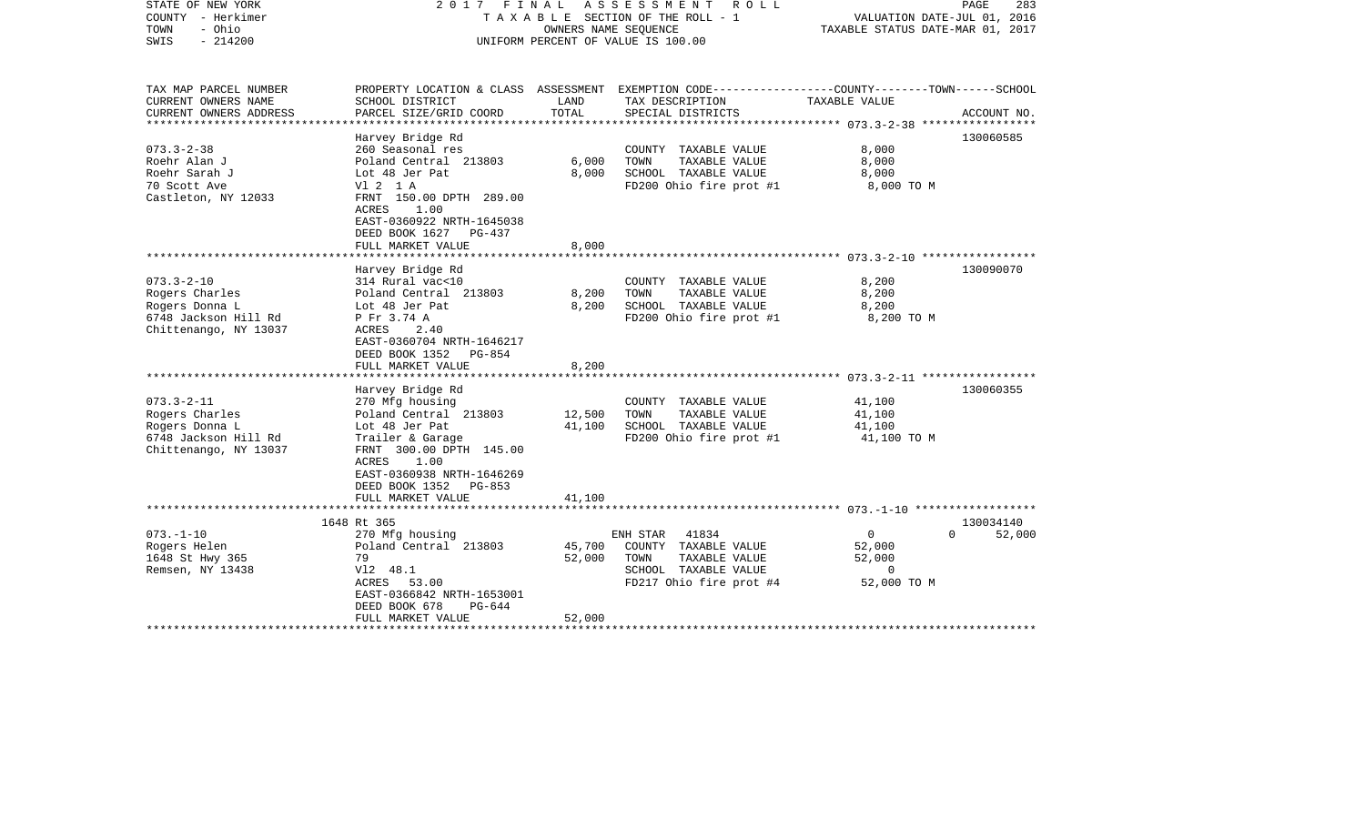| STATE OF NEW YORK<br>COUNTY - Herkimer<br>- Ohio<br>TOWN<br>$-214200$<br>SWIS                         | 2017 FINAL ASSESSMENT ROLL<br>T A X A B L E SECTION OF THE ROLL - 1<br>OWNERS NAME SEOUENCE<br>UNIFORM PERCENT OF VALUE IS 100.00                                                                                  |                            |                                                                                                                                          | PAGE<br>283<br>VALUATION DATE-JUL 01, 2016<br>TAXABLE STATUS DATE-MAR 01, 2017 |                    |
|-------------------------------------------------------------------------------------------------------|--------------------------------------------------------------------------------------------------------------------------------------------------------------------------------------------------------------------|----------------------------|------------------------------------------------------------------------------------------------------------------------------------------|--------------------------------------------------------------------------------|--------------------|
| TAX MAP PARCEL NUMBER<br>CURRENT OWNERS NAME<br>CURRENT OWNERS ADDRESS                                | SCHOOL DISTRICT<br>PARCEL SIZE/GRID COORD                                                                                                                                                                          | LAND<br>TOTAL              | PROPERTY LOCATION & CLASS ASSESSMENT EXEMPTION CODE----------------COUNTY-------TOWN------SCHOOL<br>TAX DESCRIPTION<br>SPECIAL DISTRICTS | TAXABLE VALUE                                                                  | ACCOUNT NO.        |
| $073.3 - 2 - 38$<br>Roehr Alan J<br>Roehr Sarah J<br>70 Scott Ave<br>Castleton, NY 12033              | Harvey Bridge Rd<br>260 Seasonal res<br>Poland Central 213803<br>Lot 48 Jer Pat<br>V1 2 1 A<br>FRNT 150.00 DPTH 289.00<br>1.00<br>ACRES<br>EAST-0360922 NRTH-1645038<br>DEED BOOK 1627 PG-437<br>FULL MARKET VALUE | 6,000<br>8,000<br>8,000    | COUNTY TAXABLE VALUE<br>TOWN<br>TAXABLE VALUE<br>SCHOOL TAXABLE VALUE<br>FD200 Ohio fire prot #1                                         | 8,000<br>8,000<br>8,000<br>8,000 TO M                                          | 130060585          |
|                                                                                                       |                                                                                                                                                                                                                    |                            |                                                                                                                                          |                                                                                |                    |
| $073.3 - 2 - 10$<br>Rogers Charles<br>Rogers Donna L<br>6748 Jackson Hill Rd<br>Chittenango, NY 13037 | Harvey Bridge Rd<br>314 Rural vac<10<br>Poland Central 213803<br>Lot 48 Jer Pat<br>P Fr 3.74 A<br>ACRES<br>2.40<br>EAST-0360704 NRTH-1646217<br>DEED BOOK 1352 PG-854<br>FULL MARKET VALUE                         | 8,200<br>8,200<br>8,200    | COUNTY TAXABLE VALUE<br>TAXABLE VALUE<br>TOWN<br>SCHOOL TAXABLE VALUE<br>FD200 Ohio fire prot #1                                         | 8,200<br>8,200<br>8,200<br>8,200 TO M                                          | 130090070          |
|                                                                                                       | Harvey Bridge Rd                                                                                                                                                                                                   |                            |                                                                                                                                          |                                                                                | 130060355          |
| $073.3 - 2 - 11$<br>Rogers Charles<br>Rogers Donna L<br>6748 Jackson Hill Rd<br>Chittenango, NY 13037 | 270 Mfg housing<br>Poland Central 213803<br>Lot 48 Jer Pat<br>Trailer & Garage<br>FRNT 300.00 DPTH 145.00<br>1.00<br>ACRES<br>EAST-0360938 NRTH-1646269<br>DEED BOOK 1352 PG-853                                   | 12,500<br>41,100           | COUNTY TAXABLE VALUE<br>TOWN<br>TAXABLE VALUE<br>SCHOOL TAXABLE VALUE<br>FD200 Ohio fire prot #1                                         | 41,100<br>41,100<br>41,100<br>41,100 TO M                                      |                    |
|                                                                                                       | FULL MARKET VALUE                                                                                                                                                                                                  | 41,100                     |                                                                                                                                          |                                                                                |                    |
|                                                                                                       | 1648 Rt 365                                                                                                                                                                                                        |                            |                                                                                                                                          |                                                                                | 130034140          |
| $073. - 1 - 10$<br>Rogers Helen<br>1648 St Hwy 365<br>Remsen, NY 13438                                | 270 Mfg housing<br>Poland Central 213803<br>79<br>V12 48.1<br>ACRES 53.00<br>EAST-0366842 NRTH-1653001<br>DEED BOOK 678<br>PG-644<br>FULL MARKET VALUE                                                             | 45,700<br>52,000<br>52,000 | 41834<br>ENH STAR<br>COUNTY TAXABLE VALUE<br>TOWN<br>TAXABLE VALUE<br>SCHOOL TAXABLE VALUE<br>FD217 Ohio fire prot #4                    | $\overline{0}$<br>52,000<br>52,000<br>$\Omega$<br>52,000 TO M                  | $\Omega$<br>52,000 |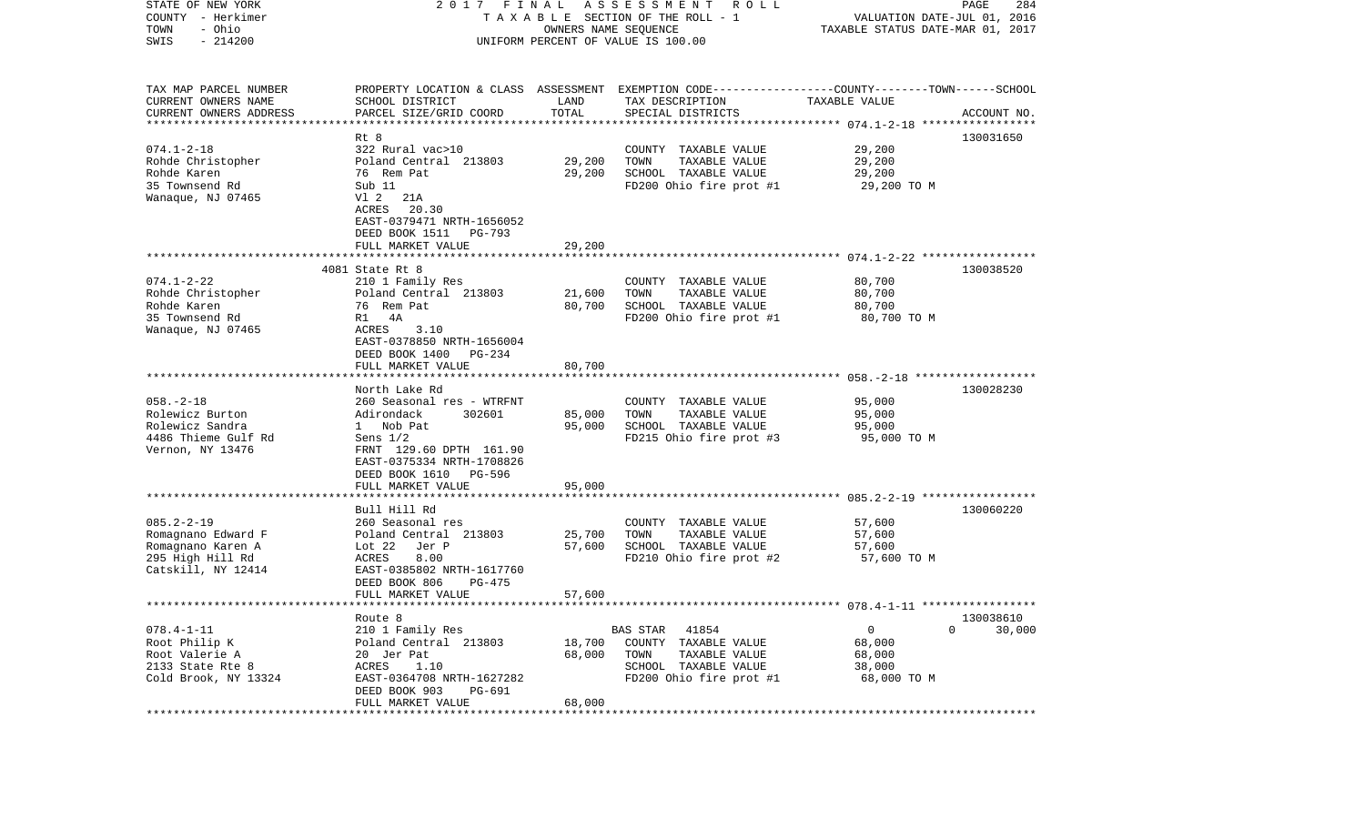| STATE OF NEW YORK<br>COUNTY - Herkimer       | 2017                                      | FINAL                            | A S S E S S M E N T<br>R O L L<br>TAXABLE SECTION OF THE ROLL - 1                                                  | VALUATION DATE-JUL 01, 2016 | PAGE<br>284 |
|----------------------------------------------|-------------------------------------------|----------------------------------|--------------------------------------------------------------------------------------------------------------------|-----------------------------|-------------|
| - Ohio<br>TOWN                               |                                           | TAXABLE STATUS DATE-MAR 01, 2017 |                                                                                                                    |                             |             |
| $-214200$<br>SWIS                            |                                           |                                  | OWNERS NAME SEQUENCE<br>UNIFORM PERCENT OF VALUE IS 100.00                                                         |                             |             |
|                                              |                                           |                                  |                                                                                                                    |                             |             |
| TAX MAP PARCEL NUMBER<br>CURRENT OWNERS NAME | SCHOOL DISTRICT                           | LAND                             | PROPERTY LOCATION & CLASS ASSESSMENT EXEMPTION CODE---------------COUNTY-------TOWN------SCHOOL<br>TAX DESCRIPTION | TAXABLE VALUE               |             |
| CURRENT OWNERS ADDRESS                       | PARCEL SIZE/GRID COORD                    | TOTAL                            | SPECIAL DISTRICTS                                                                                                  |                             | ACCOUNT NO. |
| **********************                       |                                           |                                  |                                                                                                                    |                             |             |
|                                              | Rt 8                                      |                                  |                                                                                                                    |                             | 130031650   |
| $074.1 - 2 - 18$                             | 322 Rural vac>10                          |                                  | COUNTY TAXABLE VALUE                                                                                               | 29,200                      |             |
| Rohde Christopher                            | Poland Central 213803                     | 29,200                           | TOWN<br>TAXABLE VALUE                                                                                              | 29,200                      |             |
| Rohde Karen                                  | 76 Rem Pat                                | 29,200                           | SCHOOL TAXABLE VALUE                                                                                               | 29,200                      |             |
| 35 Townsend Rd                               | Sub 11                                    |                                  | FD200 Ohio fire prot #1                                                                                            | 29,200 TO M                 |             |
| Wanaque, NJ 07465                            | V1 2<br>21A                               |                                  |                                                                                                                    |                             |             |
|                                              | ACRES<br>20.30                            |                                  |                                                                                                                    |                             |             |
|                                              | EAST-0379471 NRTH-1656052                 |                                  |                                                                                                                    |                             |             |
|                                              | DEED BOOK 1511<br>PG-793                  |                                  |                                                                                                                    |                             |             |
|                                              | FULL MARKET VALUE                         | 29,200                           |                                                                                                                    |                             |             |
|                                              |                                           |                                  |                                                                                                                    |                             |             |
|                                              | 4081 State Rt 8                           |                                  |                                                                                                                    |                             | 130038520   |
| $074.1 - 2 - 22$                             | 210 1 Family Res<br>Poland Central 213803 |                                  | COUNTY TAXABLE VALUE                                                                                               | 80,700                      |             |
| Rohde Christopher<br>Rohde Karen             | 76 Rem Pat                                | 21,600<br>80,700                 | TOWN<br>TAXABLE VALUE<br>SCHOOL TAXABLE VALUE                                                                      | 80,700                      |             |
| 35 Townsend Rd                               | R1 4A                                     |                                  | FD200 Ohio fire prot #1                                                                                            | 80,700<br>80,700 TO M       |             |
| Wanaque, NJ 07465                            | ACRES<br>3.10                             |                                  |                                                                                                                    |                             |             |
|                                              | EAST-0378850 NRTH-1656004                 |                                  |                                                                                                                    |                             |             |
|                                              | DEED BOOK 1400<br>PG-234                  |                                  |                                                                                                                    |                             |             |
|                                              | FULL MARKET VALUE                         | 80,700                           |                                                                                                                    |                             |             |
|                                              |                                           |                                  |                                                                                                                    |                             |             |
|                                              | North Lake Rd                             |                                  |                                                                                                                    |                             | 130028230   |
| $058. - 2 - 18$                              | 260 Seasonal res - WTRFNT                 |                                  | COUNTY TAXABLE VALUE                                                                                               | 95,000                      |             |
| Rolewicz Burton                              | Adirondack<br>302601                      | 85,000                           | TOWN<br>TAXABLE VALUE                                                                                              | 95,000                      |             |
| Rolewicz Sandra                              | 1 Nob Pat                                 | 95,000                           | SCHOOL TAXABLE VALUE                                                                                               | 95,000                      |             |
| 4486 Thieme Gulf Rd                          | Sens $1/2$                                |                                  | FD215 Ohio fire prot #3                                                                                            | 95,000 TO M                 |             |
| Vernon, NY 13476                             | FRNT 129.60 DPTH 161.90                   |                                  |                                                                                                                    |                             |             |
|                                              | EAST-0375334 NRTH-1708826                 |                                  |                                                                                                                    |                             |             |
|                                              | DEED BOOK 1610<br>PG-596                  |                                  |                                                                                                                    |                             |             |
|                                              | FULL MARKET VALUE<br>******************   | 95,000                           |                                                                                                                    |                             |             |
|                                              |                                           |                                  |                                                                                                                    |                             |             |
| $085.2 - 2 - 19$                             | Bull Hill Rd                              |                                  |                                                                                                                    |                             | 130060220   |
| Romagnano Edward F                           | 260 Seasonal res<br>Poland Central 213803 | 25,700                           | COUNTY TAXABLE VALUE<br>TOWN<br>TAXABLE VALUE                                                                      | 57,600<br>57,600            |             |
| Romagnano Karen A                            | Lot 22<br>Jer P                           | 57,600                           | SCHOOL TAXABLE VALUE                                                                                               | 57,600                      |             |
| 295 High Hill Rd                             | 8.00<br>ACRES                             |                                  | FD210 Ohio fire prot #2                                                                                            | 57,600 TO M                 |             |
| Catskill, NY 12414                           | EAST-0385802 NRTH-1617760                 |                                  |                                                                                                                    |                             |             |
|                                              | DEED BOOK 806<br>$PG-475$                 |                                  |                                                                                                                    |                             |             |
|                                              | FULL MARKET VALUE                         | 57,600                           |                                                                                                                    |                             |             |
|                                              |                                           |                                  |                                                                                                                    |                             |             |
|                                              | Route 8                                   |                                  |                                                                                                                    |                             | 130038610   |
| $078.4 - 1 - 11$                             | 210 1 Family Res                          |                                  | 41854<br>BAS STAR                                                                                                  | 0                           | 30,000<br>0 |
| Root Philip K                                | Poland Central 213803                     | 18,700                           | COUNTY<br>TAXABLE VALUE                                                                                            | 68,000                      |             |
| Root Valerie A                               | 20 Jer Pat                                | 68,000                           | TOWN<br>TAXABLE VALUE                                                                                              | 68,000                      |             |
| 2133 State Rte 8                             | ACRES<br>1.10                             |                                  | SCHOOL TAXABLE VALUE                                                                                               | 38,000                      |             |
| Cold Brook, NY 13324                         | EAST-0364708 NRTH-1627282                 |                                  | FD200 Ohio fire prot #1                                                                                            | 68,000 TO M                 |             |
|                                              | DEED BOOK 903<br>PG-691                   |                                  |                                                                                                                    |                             |             |
|                                              | FULL MARKET VALUE                         | 68,000                           |                                                                                                                    |                             |             |
|                                              |                                           |                                  |                                                                                                                    |                             |             |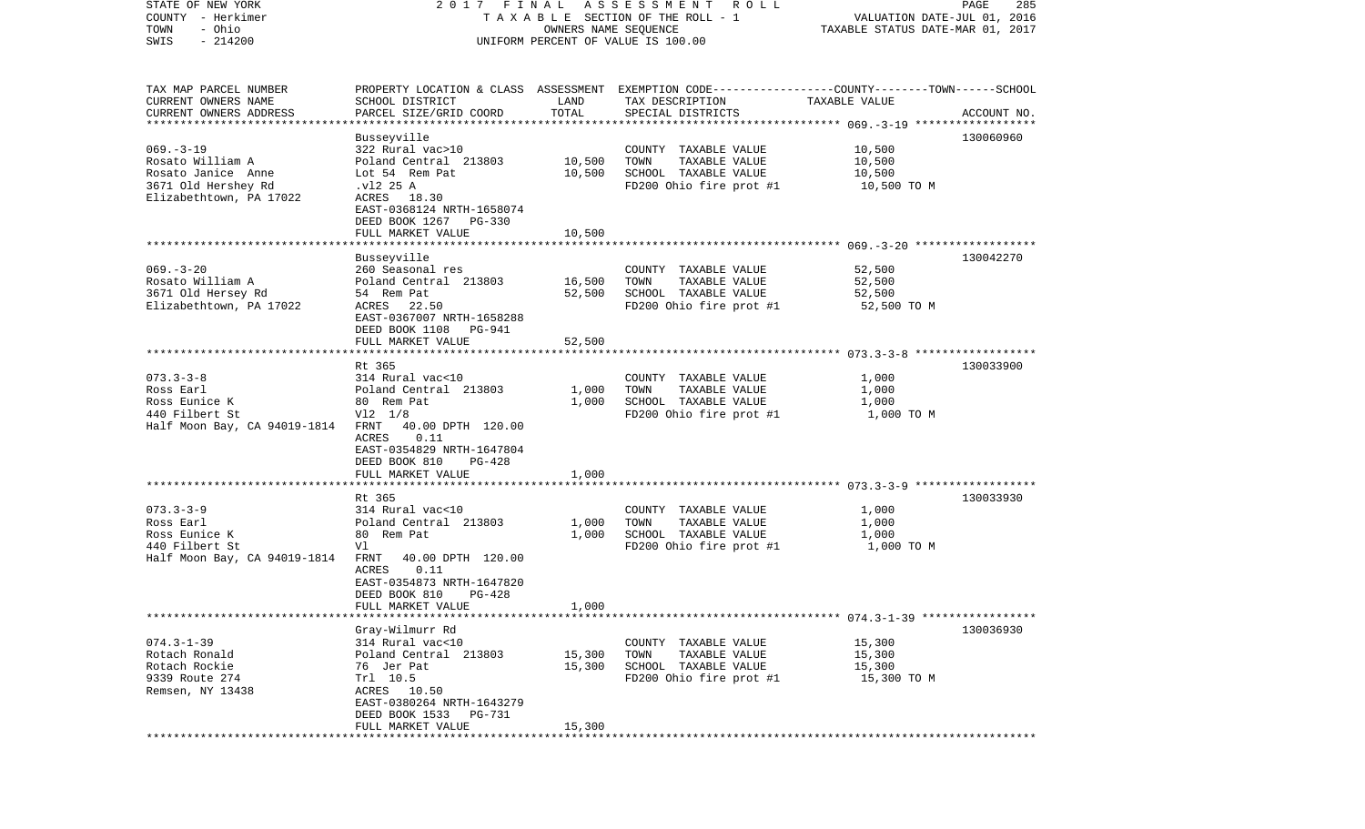| STATE OF NEW YORK                   |                                                                                                  |                      | 2017 FINAL ASSESSMENT ROLL            |                                                                 | PAGE<br>285 |
|-------------------------------------|--------------------------------------------------------------------------------------------------|----------------------|---------------------------------------|-----------------------------------------------------------------|-------------|
| COUNTY - Herkimer<br>- Ohio<br>TOWN |                                                                                                  | OWNERS NAME SEQUENCE | T A X A B L E SECTION OF THE ROLL - 1 | VALUATION DATE-JUL 01, 2016<br>TAXABLE STATUS DATE-MAR 01, 2017 |             |
| $-214200$<br>SWIS                   |                                                                                                  |                      | UNIFORM PERCENT OF VALUE IS 100.00    |                                                                 |             |
|                                     |                                                                                                  |                      |                                       |                                                                 |             |
|                                     |                                                                                                  |                      |                                       |                                                                 |             |
| TAX MAP PARCEL NUMBER               | PROPERTY LOCATION & CLASS ASSESSMENT EXEMPTION CODE----------------COUNTY-------TOWN------SCHOOL |                      |                                       |                                                                 |             |
| CURRENT OWNERS NAME                 | SCHOOL DISTRICT                                                                                  | LAND                 | TAX DESCRIPTION                       | TAXABLE VALUE                                                   |             |
| CURRENT OWNERS ADDRESS              | PARCEL SIZE/GRID COORD                                                                           | TOTAL                | SPECIAL DISTRICTS                     |                                                                 | ACCOUNT NO. |
| *************************           |                                                                                                  |                      |                                       |                                                                 |             |
|                                     | Busseyville                                                                                      |                      |                                       |                                                                 | 130060960   |
| $069. -3 - 19$                      | 322 Rural vac>10                                                                                 |                      | COUNTY TAXABLE VALUE                  | 10,500                                                          |             |
| Rosato William A                    | Poland Central 213803                                                                            | 10,500               | TOWN<br>TAXABLE VALUE                 | 10,500                                                          |             |
| Rosato Janice Anne                  | Lot 54 Rem Pat                                                                                   | 10,500               | SCHOOL TAXABLE VALUE                  | 10,500                                                          |             |
| 3671 Old Hershey Rd                 | .vl2 25 A                                                                                        |                      | FD200 Ohio fire prot #1               | 10,500 TO M                                                     |             |
| Elizabethtown, PA 17022             | ACRES 18.30<br>EAST-0368124 NRTH-1658074                                                         |                      |                                       |                                                                 |             |
|                                     | DEED BOOK 1267 PG-330                                                                            |                      |                                       |                                                                 |             |
|                                     | FULL MARKET VALUE                                                                                | 10,500               |                                       |                                                                 |             |
|                                     |                                                                                                  |                      |                                       |                                                                 |             |
|                                     | Busseyville                                                                                      |                      |                                       |                                                                 | 130042270   |
| $069. -3 - 20$                      | 260 Seasonal res                                                                                 |                      | COUNTY TAXABLE VALUE                  | 52,500                                                          |             |
| Rosato William A                    | Poland Central 213803                                                                            | 16,500               | TAXABLE VALUE<br>TOWN                 | 52,500                                                          |             |
| 3671 Old Hersey Rd                  | 54 Rem Pat                                                                                       | 52,500               | SCHOOL TAXABLE VALUE                  | 52,500                                                          |             |
| Elizabethtown, PA 17022             | ACRES 22.50                                                                                      |                      | FD200 Ohio fire prot #1               | 52,500 TO M                                                     |             |
|                                     | EAST-0367007 NRTH-1658288                                                                        |                      |                                       |                                                                 |             |
|                                     | DEED BOOK 1108<br>PG-941                                                                         |                      |                                       |                                                                 |             |
|                                     | FULL MARKET VALUE                                                                                | 52,500               |                                       |                                                                 |             |
|                                     |                                                                                                  |                      |                                       |                                                                 |             |
|                                     | Rt 365                                                                                           |                      |                                       |                                                                 | 130033900   |
| $073.3 - 3 - 8$                     | 314 Rural vac<10                                                                                 |                      | COUNTY TAXABLE VALUE                  | 1,000                                                           |             |
| Ross Earl                           | Poland Central 213803                                                                            | 1,000                | TAXABLE VALUE<br>TOWN                 | 1,000                                                           |             |
| Ross Eunice K                       | 80 Rem Pat                                                                                       | 1,000                | SCHOOL TAXABLE VALUE                  | 1,000                                                           |             |
| 440 Filbert St                      | $V12 \t1/8$                                                                                      |                      | FD200 Ohio fire prot #1               | 1,000 TO M                                                      |             |
| Half Moon Bay, CA 94019-1814        | 40.00 DPTH 120.00<br>FRNT                                                                        |                      |                                       |                                                                 |             |
|                                     | 0.11<br>ACRES<br>EAST-0354829 NRTH-1647804                                                       |                      |                                       |                                                                 |             |
|                                     | DEED BOOK 810<br>PG-428                                                                          |                      |                                       |                                                                 |             |
|                                     | FULL MARKET VALUE                                                                                | 1,000                |                                       |                                                                 |             |
|                                     | *****************************                                                                    |                      |                                       |                                                                 |             |
|                                     | Rt 365                                                                                           |                      |                                       |                                                                 | 130033930   |
| $073.3 - 3 - 9$                     | 314 Rural vac<10                                                                                 |                      | COUNTY TAXABLE VALUE                  | 1,000                                                           |             |
| Ross Earl                           | Poland Central 213803                                                                            | 1,000                | TOWN<br>TAXABLE VALUE                 | 1,000                                                           |             |
| Ross Eunice K                       | 80 Rem Pat                                                                                       | 1,000                | SCHOOL TAXABLE VALUE                  | 1,000                                                           |             |
| 440 Filbert St                      | Vl                                                                                               |                      | FD200 Ohio fire prot #1               | 1,000 TO M                                                      |             |
| Half Moon Bay, CA 94019-1814        | FRNT 40.00 DPTH 120.00                                                                           |                      |                                       |                                                                 |             |
|                                     | 0.11<br>ACRES                                                                                    |                      |                                       |                                                                 |             |
|                                     | EAST-0354873 NRTH-1647820                                                                        |                      |                                       |                                                                 |             |
|                                     | DEED BOOK 810<br>$PG-428$                                                                        |                      |                                       |                                                                 |             |
|                                     | FULL MARKET VALUE                                                                                | 1,000                |                                       |                                                                 |             |
|                                     |                                                                                                  |                      |                                       |                                                                 |             |
|                                     | Gray-Wilmurr Rd                                                                                  |                      |                                       |                                                                 | 130036930   |
| $074.3 - 1 - 39$                    | 314 Rural vac<10                                                                                 |                      | COUNTY TAXABLE VALUE                  | 15,300                                                          |             |
| Rotach Ronald                       | Poland Central 213803                                                                            | 15,300               | TOWN<br>TAXABLE VALUE                 | 15,300                                                          |             |
| Rotach Rockie                       | 76 Jer Pat                                                                                       | 15,300               | SCHOOL TAXABLE VALUE                  | 15,300                                                          |             |
| 9339 Route 274<br>Remsen, NY 13438  | Trl 10.5                                                                                         |                      | FD200 Ohio fire prot #1               | 15,300 TO M                                                     |             |
|                                     | ACRES 10.50<br>EAST-0380264 NRTH-1643279                                                         |                      |                                       |                                                                 |             |
|                                     | DEED BOOK 1533 PG-731                                                                            |                      |                                       |                                                                 |             |
|                                     | FULL MARKET VALUE                                                                                | 15,300               |                                       |                                                                 |             |
|                                     |                                                                                                  |                      |                                       |                                                                 |             |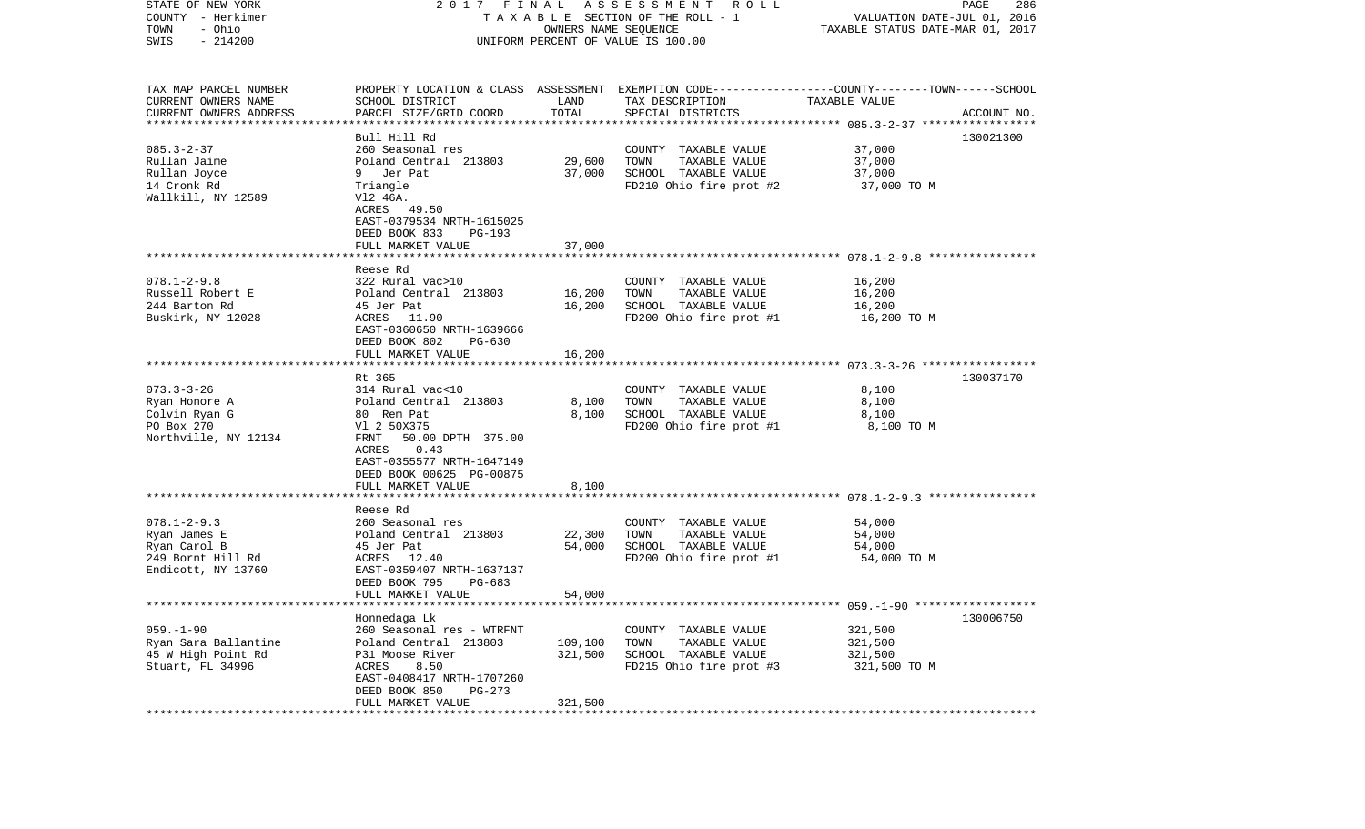| STATE OF NEW YORK<br>COUNTY - Herkimer<br>- Ohio | 2017 FINAL<br>TAXABLE SECTION OF THE ROLL - 1                         | PAGE<br>286<br>VALUATION DATE-JUL 01, 2016<br>TAXABLE STATUS DATE-MAR 01, 2017 |                                                                                                                    |                                                |             |
|--------------------------------------------------|-----------------------------------------------------------------------|--------------------------------------------------------------------------------|--------------------------------------------------------------------------------------------------------------------|------------------------------------------------|-------------|
| TOWN<br>SWIS<br>$-214200$                        |                                                                       | OWNERS NAME SEQUENCE                                                           | UNIFORM PERCENT OF VALUE IS 100.00                                                                                 |                                                |             |
| TAX MAP PARCEL NUMBER<br>CURRENT OWNERS NAME     | SCHOOL DISTRICT                                                       | LAND                                                                           | PROPERTY LOCATION & CLASS ASSESSMENT EXEMPTION CODE---------------COUNTY-------TOWN------SCHOOL<br>TAX DESCRIPTION | TAXABLE VALUE                                  |             |
| CURRENT OWNERS ADDRESS<br>********************** | PARCEL SIZE/GRID COORD                                                | TOTAL                                                                          | SPECIAL DISTRICTS                                                                                                  |                                                | ACCOUNT NO. |
|                                                  | Bull Hill Rd                                                          |                                                                                |                                                                                                                    |                                                | 130021300   |
| $085.3 - 2 - 37$                                 | 260 Seasonal res                                                      |                                                                                | COUNTY TAXABLE VALUE                                                                                               | 37,000                                         |             |
| Rullan Jaime                                     | Poland Central 213803                                                 | 29,600                                                                         | TOWN<br>TAXABLE VALUE                                                                                              | 37,000                                         |             |
| Rullan Joyce                                     | Jer Pat<br>9                                                          | 37,000                                                                         | SCHOOL TAXABLE VALUE                                                                                               | 37,000                                         |             |
| 14 Cronk Rd<br>Wallkill, NY 12589                | Triangle<br>V12 46A.<br>ACRES 49.50                                   |                                                                                | FD210 Ohio fire prot #2                                                                                            | 37,000 TO M                                    |             |
|                                                  | EAST-0379534 NRTH-1615025<br>DEED BOOK 833<br><b>PG-193</b>           |                                                                                |                                                                                                                    |                                                |             |
|                                                  | FULL MARKET VALUE                                                     | 37,000                                                                         |                                                                                                                    |                                                |             |
|                                                  |                                                                       |                                                                                |                                                                                                                    |                                                |             |
| $078.1 - 2 - 9.8$                                | Reese Rd<br>322 Rural vac>10                                          |                                                                                | COUNTY TAXABLE VALUE                                                                                               | 16,200                                         |             |
| Russell Robert E                                 | Poland Central 213803                                                 | 16,200                                                                         | TOWN<br>TAXABLE VALUE                                                                                              | 16,200                                         |             |
| 244 Barton Rd                                    | 45 Jer Pat                                                            | 16,200                                                                         | SCHOOL TAXABLE VALUE                                                                                               | 16,200                                         |             |
| Buskirk, NY 12028                                | ACRES 11.90                                                           |                                                                                | FD200 Ohio fire prot #1                                                                                            | 16,200 TO M                                    |             |
|                                                  | EAST-0360650 NRTH-1639666<br>DEED BOOK 802<br>$PG-630$                |                                                                                |                                                                                                                    |                                                |             |
|                                                  | FULL MARKET VALUE                                                     | 16,200                                                                         |                                                                                                                    |                                                |             |
|                                                  |                                                                       |                                                                                |                                                                                                                    |                                                |             |
|                                                  | Rt 365                                                                |                                                                                |                                                                                                                    |                                                | 130037170   |
| $073.3 - 3 - 26$<br>Ryan Honore A                | 314 Rural vac<10<br>Poland Central 213803                             | 8,100                                                                          | COUNTY TAXABLE VALUE<br>TOWN<br>TAXABLE VALUE                                                                      | 8,100<br>8,100                                 |             |
| Colvin Ryan G                                    | 80 Rem Pat                                                            | 8,100                                                                          | SCHOOL TAXABLE VALUE                                                                                               | 8,100                                          |             |
| PO Box 270                                       | V1 2 50X375                                                           |                                                                                | FD200 Ohio fire prot #1                                                                                            | 8,100 TO M                                     |             |
| Northville, NY 12134                             | FRNT<br>50.00 DPTH 375.00<br>0.43<br>ACRES                            |                                                                                |                                                                                                                    |                                                |             |
|                                                  | EAST-0355577 NRTH-1647149<br>DEED BOOK 00625 PG-00875                 |                                                                                |                                                                                                                    |                                                |             |
|                                                  | FULL MARKET VALUE                                                     | 8,100                                                                          |                                                                                                                    |                                                |             |
|                                                  | *****************                                                     |                                                                                |                                                                                                                    | ************************ 078.1-2-9.3 ********* |             |
|                                                  | Reese Rd                                                              |                                                                                |                                                                                                                    |                                                |             |
| $078.1 - 2 - 9.3$<br>Ryan James E                | 260 Seasonal res<br>Poland Central 213803                             | 22,300                                                                         | COUNTY TAXABLE VALUE<br>TOWN<br>TAXABLE VALUE                                                                      | 54,000<br>54,000                               |             |
| Ryan Carol B                                     | 45 Jer Pat                                                            | 54,000                                                                         | SCHOOL TAXABLE VALUE                                                                                               | 54,000                                         |             |
| 249 Bornt Hill Rd                                | ACRES 12.40                                                           |                                                                                | FD200 Ohio fire prot #1                                                                                            | 54,000 TO M                                    |             |
| Endicott, NY 13760                               | EAST-0359407 NRTH-1637137<br>DEED BOOK 795<br>PG-683                  |                                                                                |                                                                                                                    |                                                |             |
|                                                  | FULL MARKET VALUE                                                     | 54,000                                                                         |                                                                                                                    |                                                |             |
|                                                  | Honnedaga Lk                                                          |                                                                                |                                                                                                                    |                                                | 130006750   |
| $059. - 1 - 90$                                  | 260 Seasonal res - WTRFNT                                             |                                                                                | COUNTY TAXABLE VALUE                                                                                               | 321,500                                        |             |
| Ryan Sara Ballantine                             | Poland Central 213803                                                 | 109,100                                                                        | TOWN<br>TAXABLE VALUE                                                                                              | 321,500                                        |             |
| 45 W High Point Rd                               | P31 Moose River                                                       | 321,500                                                                        | SCHOOL TAXABLE VALUE                                                                                               | 321,500                                        |             |
| Stuart, FL 34996                                 | ACRES<br>8.50<br>EAST-0408417 NRTH-1707260<br>DEED BOOK 850<br>PG-273 |                                                                                | FD215 Ohio fire prot #3                                                                                            | 321,500 TO M                                   |             |
|                                                  | FULL MARKET VALUE                                                     | 321,500                                                                        |                                                                                                                    |                                                |             |
| ***********                                      |                                                                       |                                                                                |                                                                                                                    |                                                |             |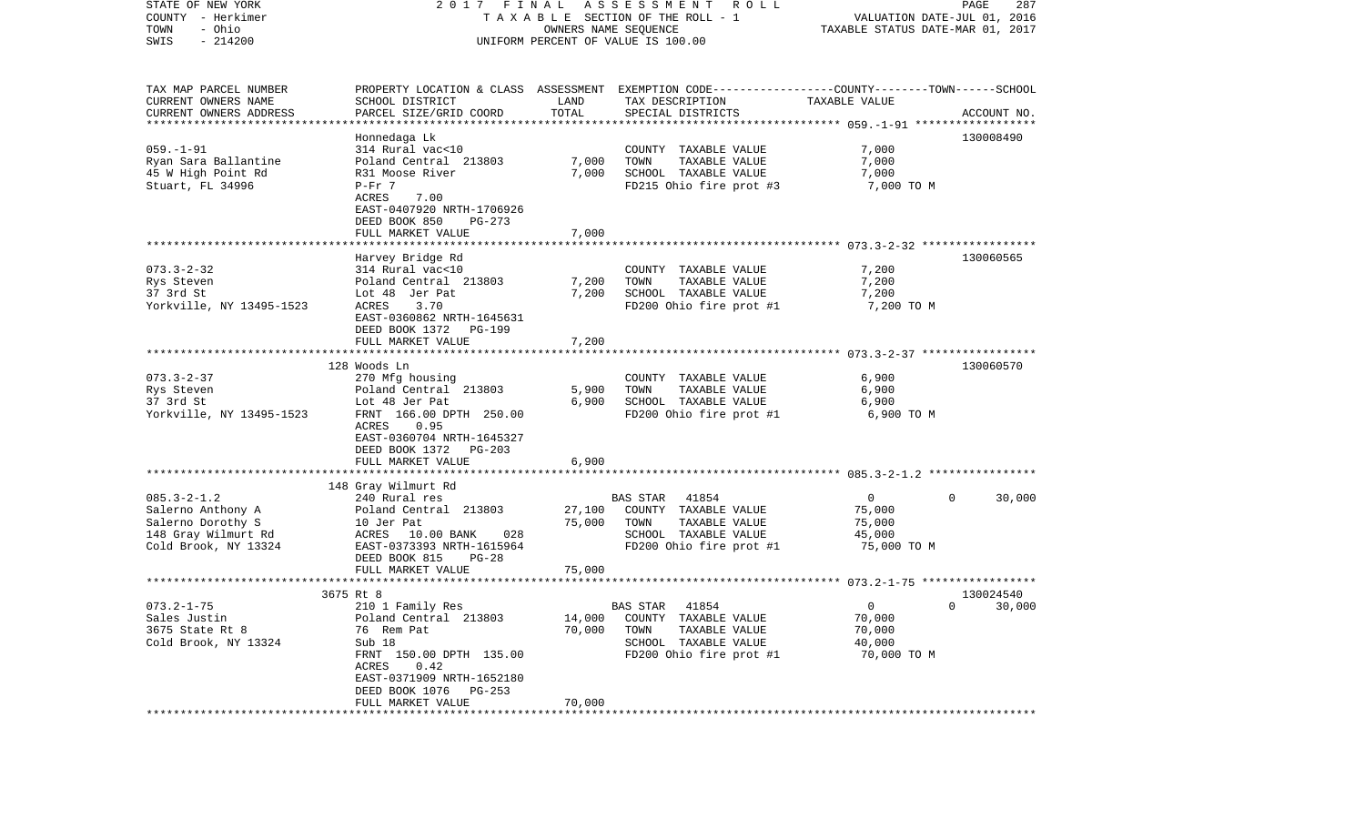| STATE OF NEW YORK<br>COUNTY - Herkimer<br>- Ohio<br>TOWN<br>$-214200$<br>SWIS                              | FINAL<br>A S S E S S M E N T R O L L<br>2017<br>TAXABLE SECTION OF THE ROLL - 1<br>OWNERS NAME SEQUENCE<br>UNIFORM PERCENT OF VALUE IS 100.00                                       |                  |                                                                                                                                          | PAGE<br>287<br>VALUATION DATE-JUL 01, 2016<br>TAXABLE STATUS DATE-MAR 01, 2017 |               |  |
|------------------------------------------------------------------------------------------------------------|-------------------------------------------------------------------------------------------------------------------------------------------------------------------------------------|------------------|------------------------------------------------------------------------------------------------------------------------------------------|--------------------------------------------------------------------------------|---------------|--|
| TAX MAP PARCEL NUMBER<br>CURRENT OWNERS NAME<br>CURRENT OWNERS ADDRESS                                     | SCHOOL DISTRICT<br>PARCEL SIZE/GRID COORD                                                                                                                                           | LAND<br>TOTAL    | PROPERTY LOCATION & CLASS ASSESSMENT EXEMPTION CODE----------------COUNTY-------TOWN------SCHOOL<br>TAX DESCRIPTION<br>SPECIAL DISTRICTS | TAXABLE VALUE                                                                  | ACCOUNT NO.   |  |
| *********************                                                                                      |                                                                                                                                                                                     |                  |                                                                                                                                          |                                                                                |               |  |
|                                                                                                            | Honnedaga Lk                                                                                                                                                                        |                  |                                                                                                                                          |                                                                                | 130008490     |  |
| $059. - 1 - 91$<br>Ryan Sara Ballantine<br>45 W High Point Rd<br>Stuart, FL 34996                          | 314 Rural vac<10<br>Poland Central 213803<br>R31 Moose River<br>$P-Fr$ 7                                                                                                            | 7,000<br>7,000   | COUNTY TAXABLE VALUE<br>TOWN<br>TAXABLE VALUE<br>SCHOOL TAXABLE VALUE<br>FD215 Ohio fire prot #3                                         | 7,000<br>7,000<br>7,000<br>7,000 TO M                                          |               |  |
|                                                                                                            | ACRES<br>7.00<br>EAST-0407920 NRTH-1706926<br>DEED BOOK 850<br>$PG-273$                                                                                                             |                  |                                                                                                                                          |                                                                                |               |  |
|                                                                                                            | FULL MARKET VALUE                                                                                                                                                                   | 7,000            |                                                                                                                                          |                                                                                |               |  |
|                                                                                                            |                                                                                                                                                                                     |                  |                                                                                                                                          |                                                                                |               |  |
| $073.3 - 2 - 32$<br>Rys Steven<br>37 3rd St<br>Yorkville, NY 13495-1523                                    | Harvey Bridge Rd<br>314 Rural vac<10<br>Poland Central 213803<br>Lot 48 Jer Pat<br>3.70<br>ACRES<br>EAST-0360862 NRTH-1645631<br>DEED BOOK 1372<br>PG-199                           | 7,200<br>7,200   | COUNTY TAXABLE VALUE<br>TOWN<br>TAXABLE VALUE<br>SCHOOL TAXABLE VALUE<br>FD200 Ohio fire prot #1                                         | 7,200<br>7,200<br>7,200<br>7,200 TO M                                          | 130060565     |  |
|                                                                                                            | FULL MARKET VALUE                                                                                                                                                                   | 7,200            |                                                                                                                                          |                                                                                |               |  |
|                                                                                                            | ******************                                                                                                                                                                  |                  |                                                                                                                                          |                                                                                |               |  |
|                                                                                                            | 128 Woods Ln                                                                                                                                                                        |                  |                                                                                                                                          |                                                                                | 130060570     |  |
| $073.3 - 2 - 37$<br>Rys Steven<br>37 3rd St<br>Yorkville, NY 13495-1523                                    | 270 Mfg housing<br>Poland Central 213803<br>Lot 48 Jer Pat<br>FRNT 166.00 DPTH 250.00<br>ACRES<br>0.95<br>EAST-0360704 NRTH-1645327<br>DEED BOOK 1372<br>PG-203                     | 5,900<br>6,900   | COUNTY TAXABLE VALUE<br>TAXABLE VALUE<br>TOWN<br>SCHOOL TAXABLE VALUE<br>FD200 Ohio fire prot #1                                         | 6,900<br>6,900<br>6,900<br>6,900 TO M                                          |               |  |
|                                                                                                            | FULL MARKET VALUE<br>***********************                                                                                                                                        | 6,900            |                                                                                                                                          |                                                                                |               |  |
|                                                                                                            | 148 Gray Wilmurt Rd                                                                                                                                                                 |                  |                                                                                                                                          |                                                                                |               |  |
| $085.3 - 2 - 1.2$<br>Salerno Anthony A<br>Salerno Dorothy S<br>148 Gray Wilmurt Rd<br>Cold Brook, NY 13324 | 240 Rural res<br>Poland Central 213803<br>10 Jer Pat<br>ACRES 10.00 BANK<br>028<br>EAST-0373393 NRTH-1615964<br>DEED BOOK 815<br>$PG-28$                                            | 27,100<br>75,000 | <b>BAS STAR</b><br>41854<br>COUNTY TAXABLE VALUE<br>TOWN<br>TAXABLE VALUE<br>SCHOOL TAXABLE VALUE<br>FD200 Ohio fire prot #1             | $\mathbf 0$<br>75,000<br>75,000<br>45,000<br>75,000 TO M                       | 0<br>30,000   |  |
|                                                                                                            | FULL MARKET VALUE                                                                                                                                                                   | 75,000           |                                                                                                                                          |                                                                                |               |  |
|                                                                                                            |                                                                                                                                                                                     |                  |                                                                                                                                          |                                                                                | 130024540     |  |
| $073.2 - 1 - 75$<br>Sales Justin<br>3675 State Rt 8<br>Cold Brook, NY 13324                                | 3675 Rt 8<br>210 1 Family Res<br>Poland Central 213803<br>76 Rem Pat<br>Sub 18<br>FRNT 150.00 DPTH 135.00<br>ACRES<br>0.42<br>EAST-0371909 NRTH-1652180<br>DEED BOOK 1076<br>PG-253 | 14,000<br>70,000 | BAS STAR<br>41854<br>COUNTY TAXABLE VALUE<br>TOWN<br>TAXABLE VALUE<br>SCHOOL TAXABLE VALUE<br>FD200 Ohio fire prot #1                    | $\Omega$<br>70,000<br>70,000<br>40,000<br>70,000 TO M                          | $0 \t 30,000$ |  |
|                                                                                                            | FULL MARKET VALUE                                                                                                                                                                   | 70,000           |                                                                                                                                          |                                                                                |               |  |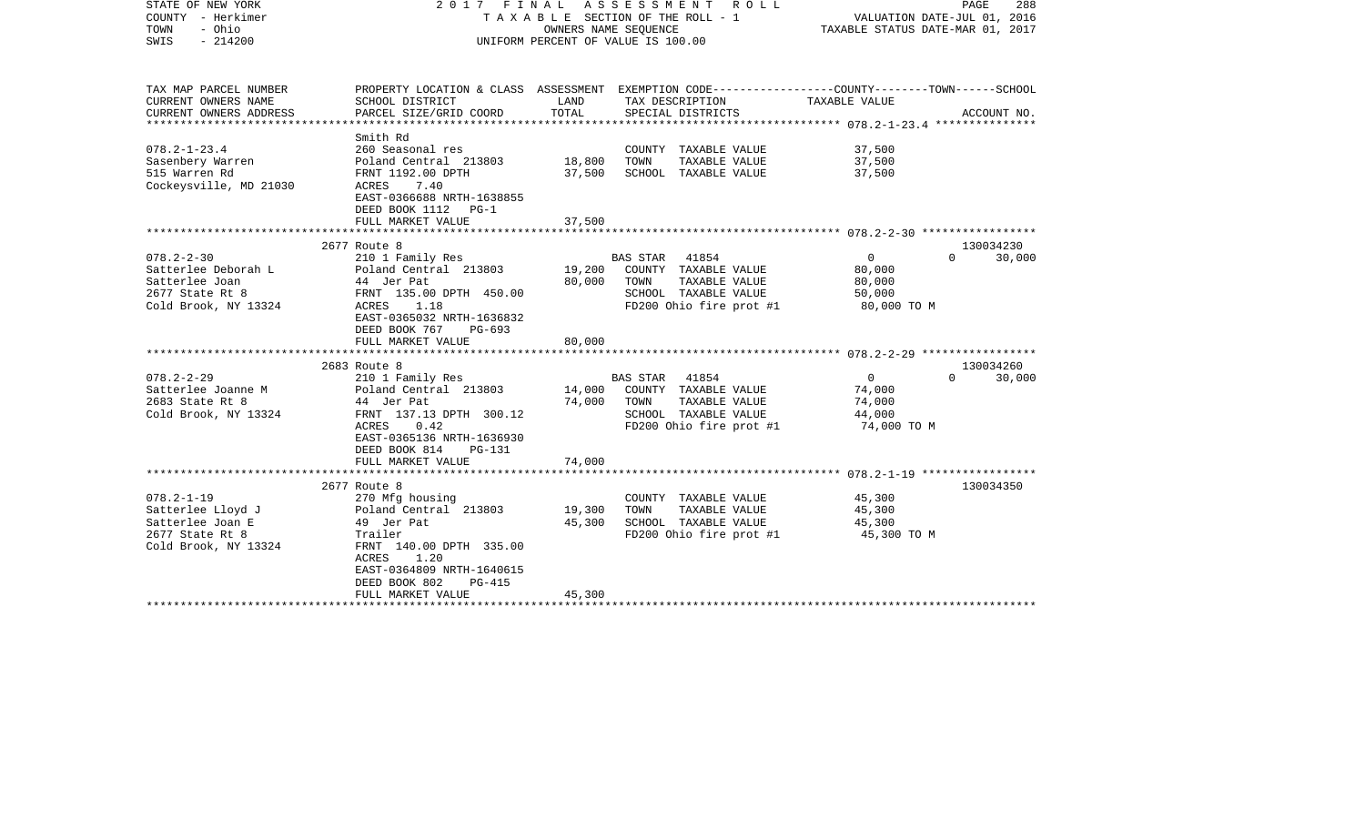| STATE OF NEW YORK<br>COUNTY - Herkimer<br>- Ohio<br>TOWN<br>$-214200$<br>SWIS | 2017 FINAL                                                                   | OWNERS NAME SEQUENCE | ASSESSMENT<br>ROLL<br>TAXABLE SECTION OF THE ROLL - 1<br>UNIFORM PERCENT OF VALUE IS 100.00                         | VALUATION DATE-JUL 01, 2016<br>TAXABLE STATUS DATE-MAR 01, 2017 | PAGE<br>288 |
|-------------------------------------------------------------------------------|------------------------------------------------------------------------------|----------------------|---------------------------------------------------------------------------------------------------------------------|-----------------------------------------------------------------|-------------|
| TAX MAP PARCEL NUMBER<br>CURRENT OWNERS NAME                                  | SCHOOL DISTRICT                                                              | LAND                 | PROPERTY LOCATION & CLASS ASSESSMENT EXEMPTION CODE----------------COUNTY-------TOWN------SCHOOL<br>TAX DESCRIPTION | TAXABLE VALUE                                                   |             |
| CURRENT OWNERS ADDRESS                                                        | PARCEL SIZE/GRID COORD                                                       | TOTAL                | SPECIAL DISTRICTS                                                                                                   |                                                                 | ACCOUNT NO. |
| *********************                                                         | *******************                                                          | ***********          |                                                                                                                     |                                                                 |             |
|                                                                               | Smith Rd                                                                     |                      |                                                                                                                     |                                                                 |             |
| $078.2 - 1 - 23.4$                                                            | 260 Seasonal res                                                             |                      | COUNTY TAXABLE VALUE                                                                                                | 37,500                                                          |             |
| Sasenbery Warren<br>515 Warren Rd                                             | Poland Central 213803<br>FRNT 1192.00 DPTH                                   | 18,800<br>37,500     | TOWN<br>TAXABLE VALUE<br>SCHOOL TAXABLE VALUE                                                                       | 37,500<br>37,500                                                |             |
| Cockeysville, MD 21030                                                        | ACRES<br>7.40<br>EAST-0366688 NRTH-1638855                                   |                      |                                                                                                                     |                                                                 |             |
|                                                                               | DEED BOOK 1112 PG-1                                                          |                      |                                                                                                                     |                                                                 |             |
|                                                                               | FULL MARKET VALUE                                                            | 37,500               |                                                                                                                     |                                                                 |             |
|                                                                               | 2677 Route 8                                                                 |                      |                                                                                                                     |                                                                 | 130034230   |
| $078.2 - 2 - 30$                                                              | 210 1 Family Res                                                             |                      | 41854<br><b>BAS STAR</b>                                                                                            | $\mathbf 0$<br>$\Omega$                                         | 30,000      |
| Satterlee Deborah L                                                           | Poland Central 213803                                                        | 19,200               | COUNTY TAXABLE VALUE                                                                                                | 80,000                                                          |             |
| Satterlee Joan                                                                | 44 Jer Pat                                                                   | 80,000               | TOWN<br>TAXABLE VALUE                                                                                               | 80,000                                                          |             |
| 2677 State Rt 8                                                               | FRNT 135.00 DPTH 450.00                                                      |                      | SCHOOL TAXABLE VALUE                                                                                                | 50,000                                                          |             |
| Cold Brook, NY 13324                                                          | 1.18<br>ACRES                                                                |                      | FD200 Ohio fire prot #1                                                                                             | 80,000 TO M                                                     |             |
|                                                                               | EAST-0365032 NRTH-1636832<br>DEED BOOK 767<br>PG-693                         |                      |                                                                                                                     |                                                                 |             |
|                                                                               | FULL MARKET VALUE                                                            | 80,000               |                                                                                                                     | *************************** 078.2-2-29 *****************        |             |
|                                                                               | 2683 Route 8                                                                 |                      |                                                                                                                     |                                                                 | 130034260   |
| $078.2 - 2 - 29$                                                              | 210 1 Family Res                                                             |                      | 41854<br><b>BAS STAR</b>                                                                                            | $\mathbf{0}$<br>$\Omega$                                        | 30,000      |
| Satterlee Joanne M                                                            | Poland Central 213803                                                        | 14,000               | COUNTY TAXABLE VALUE                                                                                                | 74,000                                                          |             |
| 2683 State Rt 8                                                               | 44 Jer Pat                                                                   | 74,000               | TOWN<br>TAXABLE VALUE                                                                                               | 74,000                                                          |             |
| Cold Brook, NY 13324                                                          | FRNT 137.13 DPTH 300.12                                                      |                      | SCHOOL TAXABLE VALUE                                                                                                | 44,000                                                          |             |
|                                                                               | ACRES<br>0.42<br>EAST-0365136 NRTH-1636930<br>DEED BOOK 814<br><b>PG-131</b> |                      | FD200 Ohio fire prot #1                                                                                             | 74,000 TO M                                                     |             |
|                                                                               | FULL MARKET VALUE                                                            | 74,000               |                                                                                                                     |                                                                 |             |
|                                                                               | 2677 Route 8                                                                 |                      |                                                                                                                     |                                                                 | 130034350   |
| $078.2 - 1 - 19$                                                              | 270 Mfg housing                                                              |                      | COUNTY TAXABLE VALUE                                                                                                | 45,300                                                          |             |
| Satterlee Lloyd J                                                             | Poland Central 213803                                                        | 19,300               | TAXABLE VALUE<br>TOWN                                                                                               | 45,300                                                          |             |
| Satterlee Joan E                                                              | 49 Jer Pat                                                                   | 45,300               | SCHOOL TAXABLE VALUE                                                                                                | 45,300                                                          |             |
| 2677 State Rt 8                                                               | Trailer                                                                      |                      | FD200 Ohio fire prot #1                                                                                             | 45,300 TO M                                                     |             |
| Cold Brook, NY 13324                                                          | FRNT 140.00 DPTH 335.00                                                      |                      |                                                                                                                     |                                                                 |             |
|                                                                               | 1.20<br>ACRES                                                                |                      |                                                                                                                     |                                                                 |             |
|                                                                               | EAST-0364809 NRTH-1640615<br>DEED BOOK 802<br>$PG-415$                       |                      |                                                                                                                     |                                                                 |             |
|                                                                               | FULL MARKET VALUE                                                            | 45,300               |                                                                                                                     |                                                                 |             |
|                                                                               |                                                                              |                      |                                                                                                                     |                                                                 |             |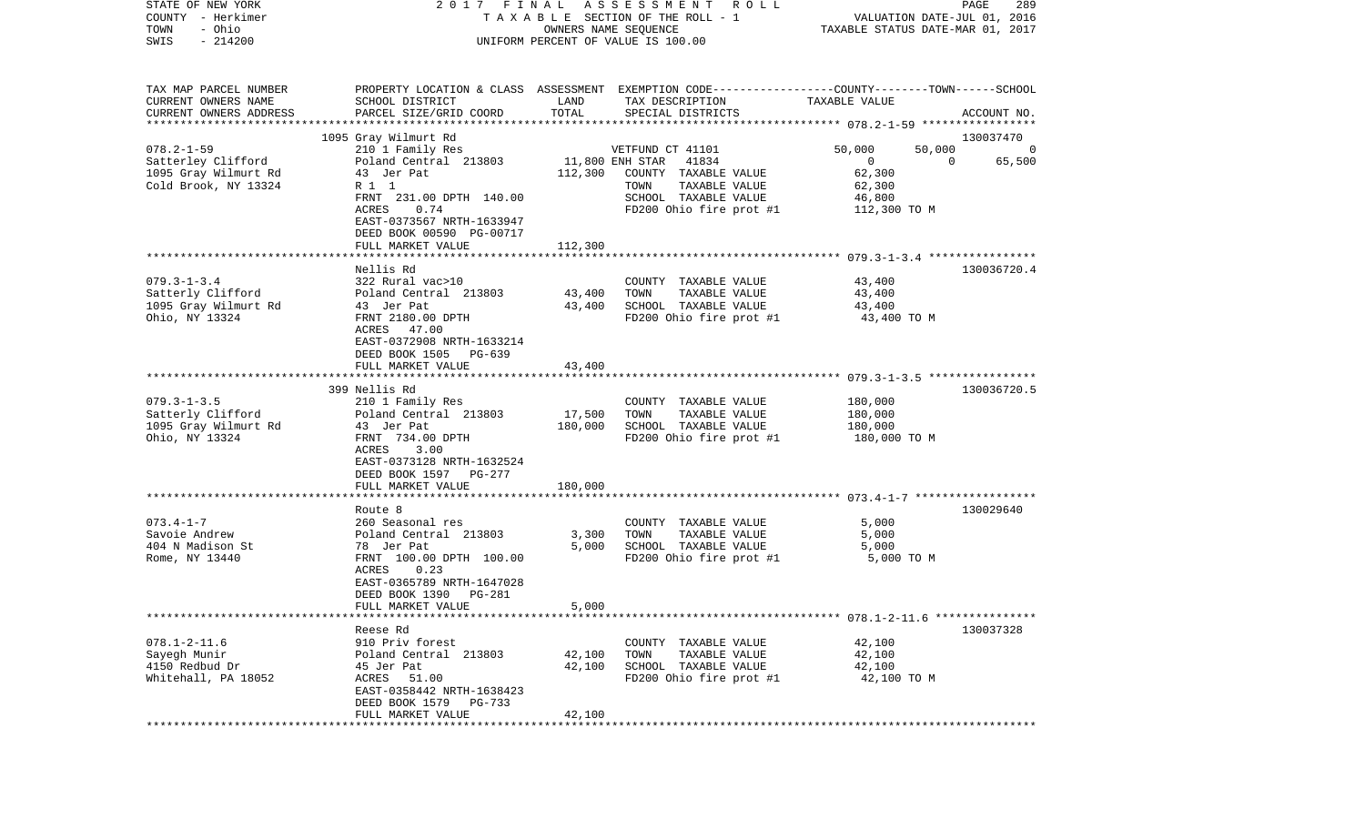|                                                                                                                                                                                |                                                                                                                                                                                         | UNIFORM PERCENT OF VALUE IS 100.00                                                                        | VALUATION DATE-JUL 01, 2016<br>TAXABLE STATUS DATE-MAR 01, 2017     |                                                                                                                     |  |
|--------------------------------------------------------------------------------------------------------------------------------------------------------------------------------|-----------------------------------------------------------------------------------------------------------------------------------------------------------------------------------------|-----------------------------------------------------------------------------------------------------------|---------------------------------------------------------------------|---------------------------------------------------------------------------------------------------------------------|--|
| SCHOOL DISTRICT                                                                                                                                                                | LAND                                                                                                                                                                                    | TAX DESCRIPTION                                                                                           | TAXABLE VALUE                                                       | ACCOUNT NO.                                                                                                         |  |
|                                                                                                                                                                                |                                                                                                                                                                                         |                                                                                                           |                                                                     |                                                                                                                     |  |
|                                                                                                                                                                                |                                                                                                                                                                                         |                                                                                                           |                                                                     | 130037470                                                                                                           |  |
| Poland Central 213803<br>43 Jer Pat<br>R 1 1<br>FRNT 231.00 DPTH 140.00<br>ACRES<br>0.74                                                                                       |                                                                                                                                                                                         | 41834<br>COUNTY TAXABLE VALUE<br>TOWN<br>TAXABLE VALUE<br>SCHOOL TAXABLE VALUE<br>FD200 Ohio fire prot #1 | 0<br>62,300<br>62,300<br>46,800<br>112,300 TO M                     | $\overline{0}$<br>$\mathbf 0$<br>65,500                                                                             |  |
| DEED BOOK 00590 PG-00717                                                                                                                                                       |                                                                                                                                                                                         |                                                                                                           |                                                                     |                                                                                                                     |  |
| FULL MARKET VALUE                                                                                                                                                              | 112,300                                                                                                                                                                                 |                                                                                                           |                                                                     |                                                                                                                     |  |
| Nellis Rd<br>322 Rural vac>10<br>43 Jer Pat<br>FRNT 2180.00 DPTH<br>ACRES<br>47.00<br>EAST-0372908 NRTH-1633214<br>PG-639                                                      | 43,400<br>43,400                                                                                                                                                                        | COUNTY TAXABLE VALUE<br>TOWN<br>TAXABLE VALUE<br>SCHOOL TAXABLE VALUE<br>FD200 Ohio fire prot #1          | 43,400<br>43,400<br>43,400<br>43,400 TO M                           | 130036720.4                                                                                                         |  |
| FULL MARKET VALUE                                                                                                                                                              | 43,400                                                                                                                                                                                  |                                                                                                           |                                                                     |                                                                                                                     |  |
|                                                                                                                                                                                |                                                                                                                                                                                         |                                                                                                           |                                                                     |                                                                                                                     |  |
| 210 1 Family Res<br>Poland Central 213803<br>43 Jer Pat<br>FRNT 734.00 DPTH<br>ACRES<br>3.00<br>EAST-0373128 NRTH-1632524                                                      | 17,500<br>180,000                                                                                                                                                                       | COUNTY TAXABLE VALUE<br>TAXABLE VALUE<br>TOWN<br>SCHOOL TAXABLE VALUE<br>FD200 Ohio fire prot #1          | 180,000<br>180,000<br>180,000<br>180,000 TO M                       | 130036720.5                                                                                                         |  |
| FULL MARKET VALUE                                                                                                                                                              | 180,000                                                                                                                                                                                 |                                                                                                           |                                                                     |                                                                                                                     |  |
| Route 8<br>260 Seasonal res<br>Poland Central 213803<br>78 Jer Pat<br>FRNT 100.00 DPTH 100.00<br>0.23<br>ACRES<br>EAST-0365789 NRTH-1647028<br>DEED BOOK 1390<br><b>PG-281</b> | 3,300<br>5,000                                                                                                                                                                          | COUNTY TAXABLE VALUE<br>TOWN<br>TAXABLE VALUE<br>SCHOOL TAXABLE VALUE<br>FD200 Ohio fire prot #1          | 5,000<br>5,000<br>5,000<br>5,000 TO M                               | 130029640                                                                                                           |  |
| FULL MARKET VALUE                                                                                                                                                              | 5,000                                                                                                                                                                                   |                                                                                                           |                                                                     |                                                                                                                     |  |
| Reese Rd                                                                                                                                                                       |                                                                                                                                                                                         |                                                                                                           |                                                                     | 130037328                                                                                                           |  |
| 910 Priv forest<br>Poland Central 213803<br>45 Jer Pat<br>ACRES<br>51.00<br>EAST-0358442 NRTH-1638423<br>DEED BOOK 1579<br>PG-733<br>FULL MARKET VALUE                         | 42,100<br>42,100<br>42,100                                                                                                                                                              | COUNTY TAXABLE VALUE<br>TAXABLE VALUE<br>TOWN<br>SCHOOL TAXABLE VALUE<br>FD200 Ohio fire prot #1          | 42,100<br>42,100<br>42,100<br>42,100 TO M                           |                                                                                                                     |  |
|                                                                                                                                                                                | PARCEL SIZE/GRID COORD<br>1095 Gray Wilmurt Rd<br>210 1 Family Res<br>EAST-0373567 NRTH-1633947<br>Poland Central 213803<br>DEED BOOK 1505<br>399 Nellis Rd<br>DEED BOOK 1597<br>PG-277 | TOTAL                                                                                                     | SPECIAL DISTRICTS<br>VETFUND CT 41101<br>11,800 ENH STAR<br>112,300 | PROPERTY LOCATION & CLASS ASSESSMENT EXEMPTION CODE---------------COUNTY-------TOWN------SCHOOL<br>50,000<br>50,000 |  |

STATE OF NEW YORK 2 0 1 7 F I N A L A S S E S S M E N T R O L L PAGE 289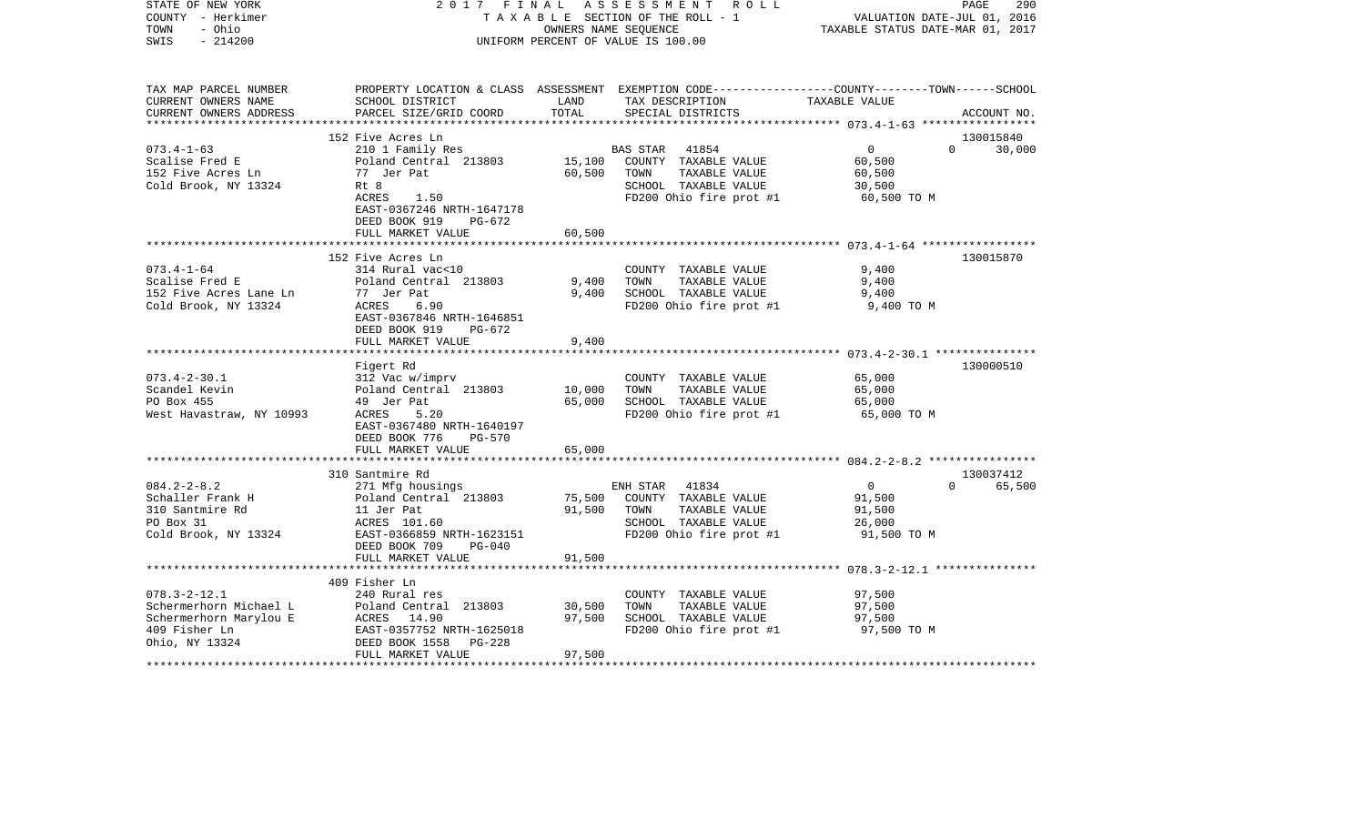| STATE OF NEW YORK<br>COUNTY - Herkimer<br>TOWN<br>- Ohio<br>$-214200$<br>SWIS | 2017 FINAL                                     | OWNERS NAME SEQUENCE | ASSESSMENT<br>R O L L<br>TAXABLE SECTION OF THE ROLL - 1<br>UNIFORM PERCENT OF VALUE IS 100.00                                         | VALUATION DATE-JUL 01, 2016<br>TAXABLE STATUS DATE-MAR 01, 2017 | PAGE<br>290 |
|-------------------------------------------------------------------------------|------------------------------------------------|----------------------|----------------------------------------------------------------------------------------------------------------------------------------|-----------------------------------------------------------------|-------------|
| TAX MAP PARCEL NUMBER<br>CURRENT OWNERS NAME<br>CURRENT OWNERS ADDRESS        | SCHOOL DISTRICT<br>PARCEL SIZE/GRID COORD      | LAND<br>TOTAL        | PROPERTY LOCATION & CLASS ASSESSMENT EXEMPTION CODE---------------COUNTY-------TOWN-----SCHOOL<br>TAX DESCRIPTION<br>SPECIAL DISTRICTS | TAXABLE VALUE                                                   | ACCOUNT NO. |
| ***********************                                                       |                                                |                      |                                                                                                                                        |                                                                 |             |
|                                                                               | 152 Five Acres Ln                              |                      |                                                                                                                                        |                                                                 | 130015840   |
| $073.4 - 1 - 63$<br>Scalise Fred E                                            | 210 1 Family Res<br>Poland Central 213803      | 15,100               | BAS STAR 41854<br>COUNTY TAXABLE VALUE                                                                                                 | $\overline{0}$<br>$\Omega$<br>60,500                            | 30,000      |
| 152 Five Acres Ln                                                             | 77 Jer Pat                                     | 60,500               | TOWN<br>TAXABLE VALUE                                                                                                                  | 60,500                                                          |             |
| Cold Brook, NY 13324                                                          | Rt 8                                           |                      | SCHOOL TAXABLE VALUE                                                                                                                   | 30,500                                                          |             |
|                                                                               | ACRES<br>1.50                                  |                      | FD200 Ohio fire prot #1                                                                                                                | 60,500 TO M                                                     |             |
|                                                                               | EAST-0367246 NRTH-1647178                      |                      |                                                                                                                                        |                                                                 |             |
|                                                                               | DEED BOOK 919<br>PG-672                        |                      |                                                                                                                                        |                                                                 |             |
|                                                                               | FULL MARKET VALUE                              | 60,500               |                                                                                                                                        |                                                                 |             |
|                                                                               | ***************************                    | ************         |                                                                                                                                        |                                                                 |             |
|                                                                               | 152 Five Acres Ln                              |                      |                                                                                                                                        |                                                                 | 130015870   |
| $073.4 - 1 - 64$                                                              | 314 Rural vac<10                               |                      | COUNTY TAXABLE VALUE                                                                                                                   | 9,400                                                           |             |
| Scalise Fred E<br>152 Five Acres Lane Ln                                      | Poland Central 213803<br>77 Jer Pat            | 9,400<br>9,400       | TOWN<br>TAXABLE VALUE<br>SCHOOL TAXABLE VALUE                                                                                          | 9,400<br>9,400                                                  |             |
| Cold Brook, NY 13324                                                          | ACRES<br>6.90                                  |                      | FD200 Ohio fire prot #1                                                                                                                | 9,400 TO M                                                      |             |
|                                                                               | EAST-0367846 NRTH-1646851                      |                      |                                                                                                                                        |                                                                 |             |
|                                                                               | DEED BOOK 919<br>PG-672                        |                      |                                                                                                                                        |                                                                 |             |
|                                                                               | FULL MARKET VALUE                              | 9,400                |                                                                                                                                        |                                                                 |             |
|                                                                               |                                                |                      |                                                                                                                                        |                                                                 |             |
|                                                                               | Figert Rd                                      |                      |                                                                                                                                        |                                                                 | 130000510   |
| $073.4 - 2 - 30.1$                                                            | 312 Vac w/imprv                                |                      | COUNTY TAXABLE VALUE                                                                                                                   | 65,000                                                          |             |
| Scandel Kevin                                                                 | Poland Central 213803                          | 10,000               | TOWN<br>TAXABLE VALUE                                                                                                                  | 65,000                                                          |             |
| PO Box 455                                                                    | 49 Jer Pat                                     | 65,000               | SCHOOL TAXABLE VALUE                                                                                                                   | 65,000                                                          |             |
| West Havastraw, NY 10993                                                      | 5.20<br>ACRES<br>EAST-0367480 NRTH-1640197     |                      | FD200 Ohio fire prot #1                                                                                                                | 65,000 TO M                                                     |             |
|                                                                               | DEED BOOK 776<br><b>PG-570</b>                 |                      |                                                                                                                                        |                                                                 |             |
|                                                                               | FULL MARKET VALUE                              | 65,000               |                                                                                                                                        |                                                                 |             |
|                                                                               | *********************                          |                      |                                                                                                                                        |                                                                 |             |
|                                                                               | 310 Santmire Rd                                |                      |                                                                                                                                        |                                                                 | 130037412   |
| $084.2 - 2 - 8.2$                                                             | 271 Mfg housings                               |                      | ENH STAR<br>41834                                                                                                                      | $\overline{0}$<br>$\Omega$                                      | 65,500      |
| Schaller Frank H                                                              | Poland Central 213803                          | 75,500               | COUNTY TAXABLE VALUE                                                                                                                   | 91,500                                                          |             |
| 310 Santmire Rd                                                               | 11 Jer Pat                                     | 91,500               | TAXABLE VALUE<br>TOWN                                                                                                                  | 91,500                                                          |             |
| PO Box 31                                                                     | ACRES 101.60                                   |                      | SCHOOL TAXABLE VALUE                                                                                                                   | 26,000                                                          |             |
| Cold Brook, NY 13324                                                          | EAST-0366859 NRTH-1623151                      |                      | FD200 Ohio fire prot #1                                                                                                                | 91,500 TO M                                                     |             |
|                                                                               | DEED BOOK 709<br>$PG-040$<br>FULL MARKET VALUE | 91,500               |                                                                                                                                        |                                                                 |             |
|                                                                               |                                                |                      |                                                                                                                                        |                                                                 |             |
|                                                                               | 409 Fisher Ln                                  |                      |                                                                                                                                        |                                                                 |             |
| $078.3 - 2 - 12.1$                                                            | 240 Rural res                                  |                      | COUNTY TAXABLE VALUE                                                                                                                   | 97,500                                                          |             |
| Schermerhorn Michael L                                                        | Poland Central 213803                          | 30,500               | TOWN<br>TAXABLE VALUE                                                                                                                  | 97,500                                                          |             |
| Schermerhorn Marylou E                                                        | ACRES 14.90                                    | 97,500               | SCHOOL TAXABLE VALUE                                                                                                                   | 97,500                                                          |             |
| 409 Fisher Ln                                                                 | EAST-0357752 NRTH-1625018                      |                      | FD200 Ohio fire prot #1                                                                                                                | 97,500 TO M                                                     |             |
| Ohio, NY 13324                                                                | $PG-228$<br>DEED BOOK 1558                     |                      |                                                                                                                                        |                                                                 |             |
|                                                                               | FULL MARKET VALUE                              | 97,500               |                                                                                                                                        |                                                                 |             |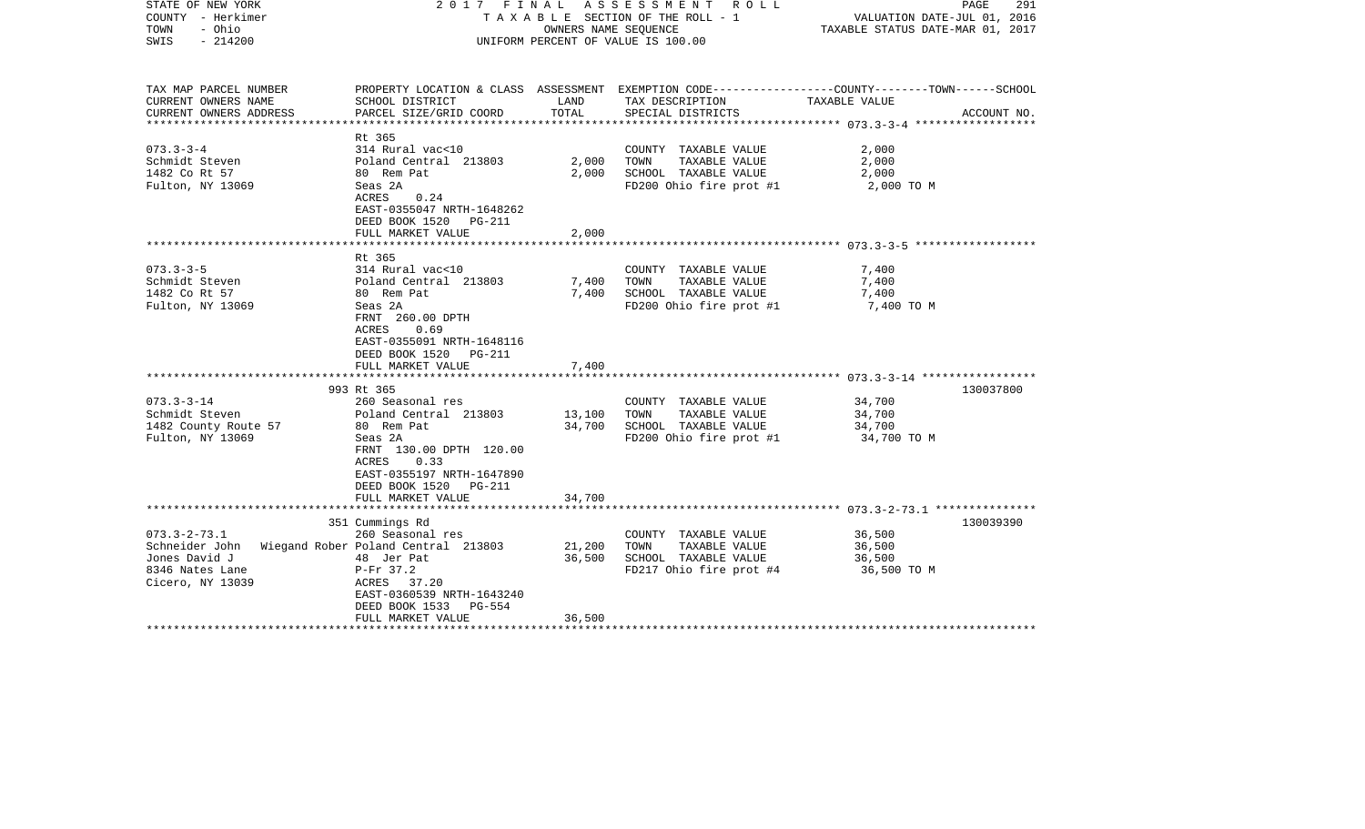| STATE OF NEW YORK<br>COUNTY - Herkimer<br>- Ohio<br>TOWN<br>$-214200$<br>SWIS |                                                                                                           | OWNERS NAME SEQUENCE | 2017 FINAL ASSESSMENT ROLL<br>TAXABLE SECTION OF THE ROLL - 1<br>UNIFORM PERCENT OF VALUE IS 100.00 | PAGE<br>291<br>VALUATION DATE-JUL 01, 2016<br>TAXABLE STATUS DATE-MAR 01, 2017                                  |
|-------------------------------------------------------------------------------|-----------------------------------------------------------------------------------------------------------|----------------------|-----------------------------------------------------------------------------------------------------|-----------------------------------------------------------------------------------------------------------------|
| TAX MAP PARCEL NUMBER<br>CURRENT OWNERS NAME                                  | SCHOOL DISTRICT                                                                                           | LAND                 | TAX DESCRIPTION                                                                                     | PROPERTY LOCATION & CLASS ASSESSMENT EXEMPTION CODE---------------COUNTY-------TOWN-----SCHOOL<br>TAXABLE VALUE |
| CURRENT OWNERS ADDRESS                                                        | PARCEL SIZE/GRID COORD                                                                                    | TOTAL                | SPECIAL DISTRICTS                                                                                   | ACCOUNT NO.                                                                                                     |
|                                                                               | Rt 365                                                                                                    |                      |                                                                                                     |                                                                                                                 |
| $073.3 - 3 - 4$                                                               | 314 Rural vac<10                                                                                          |                      | COUNTY TAXABLE VALUE                                                                                | 2,000                                                                                                           |
| Schmidt Steven                                                                | Poland Central 213803                                                                                     | 2,000                | TOWN<br>TAXABLE VALUE                                                                               | 2,000                                                                                                           |
| 1482 Co Rt 57                                                                 | 80 Rem Pat                                                                                                | 2,000                | SCHOOL TAXABLE VALUE                                                                                | 2,000                                                                                                           |
| Fulton, NY 13069                                                              | Seas 2A<br>ACRES<br>0.24<br>EAST-0355047 NRTH-1648262<br>DEED BOOK 1520 PG-211                            |                      | FD200 Ohio fire prot #1                                                                             | 2,000 TO M                                                                                                      |
|                                                                               | FULL MARKET VALUE                                                                                         | 2,000                |                                                                                                     |                                                                                                                 |
|                                                                               | Rt 365                                                                                                    |                      |                                                                                                     |                                                                                                                 |
| $073.3 - 3 - 5$                                                               | 314 Rural vac<10                                                                                          |                      | COUNTY TAXABLE VALUE                                                                                | 7,400                                                                                                           |
| Schmidt Steven                                                                | Poland Central 213803                                                                                     | 7,400                | TOWN<br>TAXABLE VALUE                                                                               | 7,400                                                                                                           |
| 1482 Co Rt 57                                                                 | 80 Rem Pat                                                                                                | 7,400                | SCHOOL TAXABLE VALUE                                                                                | 7,400                                                                                                           |
| Fulton, NY 13069                                                              | Seas 2A<br>FRNT 260.00 DPTH<br>ACRES<br>0.69<br>EAST-0355091 NRTH-1648116<br>DEED BOOK 1520 PG-211        |                      | FD200 Ohio fire prot #1                                                                             | 7,400 TO M                                                                                                      |
|                                                                               | FULL MARKET VALUE                                                                                         | 7,400                |                                                                                                     |                                                                                                                 |
|                                                                               | 993 Rt 365                                                                                                |                      |                                                                                                     | 130037800                                                                                                       |
| $073.3 - 3 - 14$                                                              | 260 Seasonal res                                                                                          |                      | COUNTY TAXABLE VALUE                                                                                | 34,700                                                                                                          |
| Schmidt Steven                                                                | Poland Central 213803                                                                                     | 13,100               | TOWN<br>TAXABLE VALUE                                                                               | 34,700                                                                                                          |
| 1482 County Route 57                                                          | 80 Rem Pat                                                                                                | 34,700               | SCHOOL TAXABLE VALUE                                                                                | 34,700                                                                                                          |
| Fulton, NY 13069                                                              | Seas 2A<br>FRNT 130.00 DPTH 120.00<br>0.33<br>ACRES<br>EAST-0355197 NRTH-1647890<br>DEED BOOK 1520 PG-211 |                      | FD200 Ohio fire prot #1                                                                             | 34,700 TO M                                                                                                     |
|                                                                               | FULL MARKET VALUE                                                                                         | 34,700               |                                                                                                     |                                                                                                                 |
|                                                                               | 351 Cummings Rd                                                                                           |                      |                                                                                                     | 130039390                                                                                                       |
| $073.3 - 2 - 73.1$                                                            | 260 Seasonal res                                                                                          |                      | COUNTY TAXABLE VALUE                                                                                | 36,500                                                                                                          |
| Schneider John Wiegand Rober Poland Central 213803                            |                                                                                                           | 21,200               | TAXABLE VALUE<br>TOWN                                                                               | 36,500                                                                                                          |
| Jones David J                                                                 | 48 Jer Pat                                                                                                | 36,500               | SCHOOL TAXABLE VALUE                                                                                | 36,500                                                                                                          |
| 8346 Nates Lane<br>Cicero, NY 13039                                           | $P-Fr$ 37.2<br>ACRES 37.20<br>EAST-0360539 NRTH-1643240<br>DEED BOOK 1533 PG-554                          |                      | FD217 Ohio fire prot #4                                                                             | 36,500 TO M                                                                                                     |
|                                                                               | FULL MARKET VALUE                                                                                         | 36,500               |                                                                                                     |                                                                                                                 |
|                                                                               |                                                                                                           |                      |                                                                                                     |                                                                                                                 |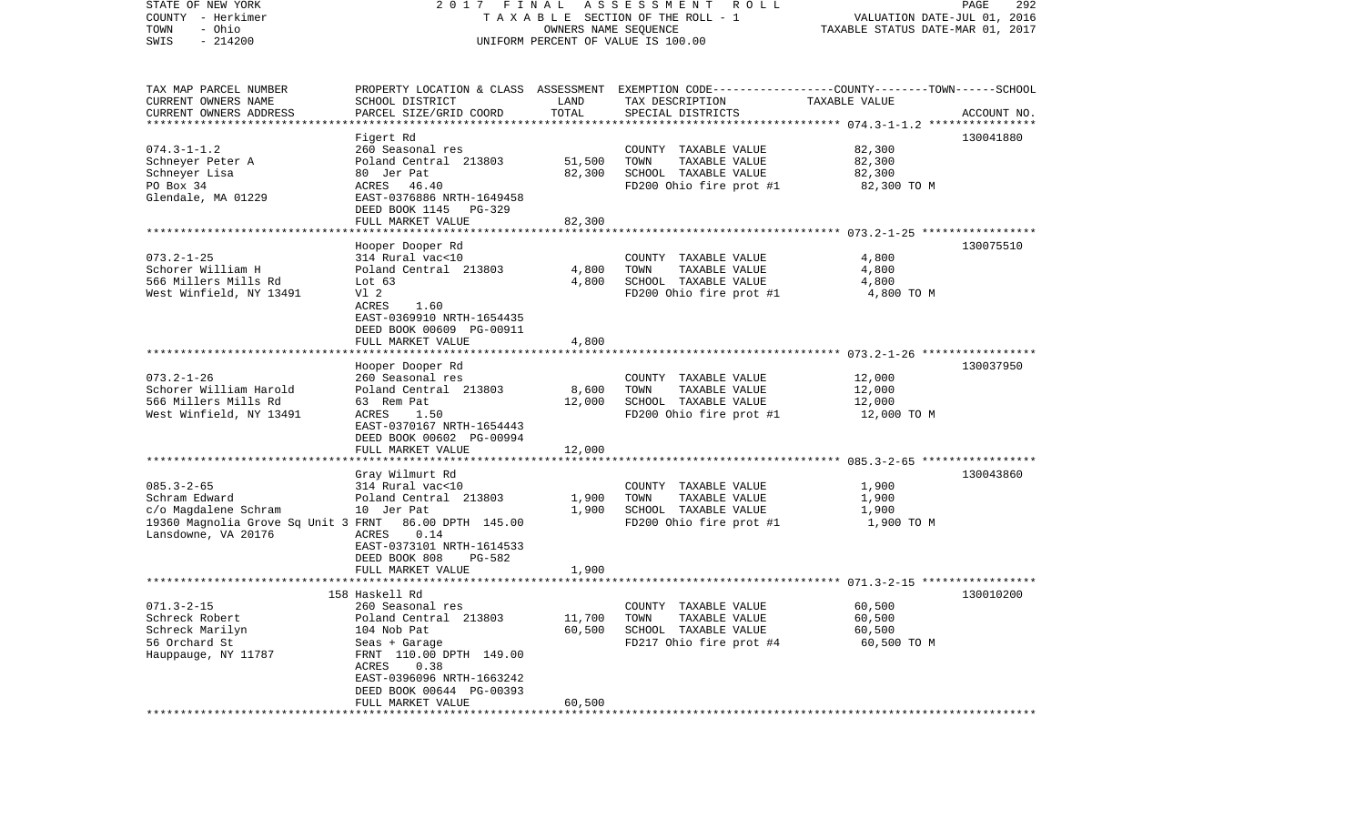| STATE OF NEW YORK<br>COUNTY - Herkimer<br>- Ohio<br>TOWN<br>$-214200$<br>SWIS                                                             | 2017 FINAL                                                                                                                                                                                                            | OWNERS NAME SEQUENCE       | A S S E S S M E N T<br>R O L L<br>TAXABLE SECTION OF THE ROLL - 1<br>UNIFORM PERCENT OF VALUE IS 100.00                                  | VALUATION DATE-JUL 01, 2016<br>TAXABLE STATUS DATE-MAR 01, 2017 | PAGE<br>292 |
|-------------------------------------------------------------------------------------------------------------------------------------------|-----------------------------------------------------------------------------------------------------------------------------------------------------------------------------------------------------------------------|----------------------------|------------------------------------------------------------------------------------------------------------------------------------------|-----------------------------------------------------------------|-------------|
| TAX MAP PARCEL NUMBER<br>CURRENT OWNERS NAME<br>CURRENT OWNERS ADDRESS                                                                    | SCHOOL DISTRICT<br>PARCEL SIZE/GRID COORD                                                                                                                                                                             | LAND<br>TOTAL              | PROPERTY LOCATION & CLASS ASSESSMENT EXEMPTION CODE----------------COUNTY-------TOWN------SCHOOL<br>TAX DESCRIPTION<br>SPECIAL DISTRICTS | TAXABLE VALUE                                                   | ACCOUNT NO. |
| ************************<br>$074.3 - 1 - 1.2$<br>Schneyer Peter A<br>Schneyer Lisa<br>PO Box 34<br>Glendale, MA 01229                     | Figert Rd<br>260 Seasonal res<br>Poland Central 213803<br>80 Jer Pat<br>ACRES 46.40<br>EAST-0376886 NRTH-1649458<br>DEED BOOK 1145 PG-329<br>FULL MARKET VALUE                                                        | 51,500<br>82,300<br>82,300 | COUNTY TAXABLE VALUE<br>TOWN<br>TAXABLE VALUE<br>SCHOOL TAXABLE VALUE<br>FD200 Ohio fire prot #1                                         | 82,300<br>82,300<br>82,300<br>82,300 TO M                       | 130041880   |
| $073.2 - 1 - 25$<br>Schorer William H<br>566 Millers Mills Rd<br>West Winfield, NY 13491                                                  | Hooper Dooper Rd<br>314 Rural vac<10<br>Poland Central 213803<br>Lot $63$<br>Vl 2<br>ACRES<br>1.60<br>EAST-0369910 NRTH-1654435<br>DEED BOOK 00609 PG-00911<br>FULL MARKET VALUE                                      | 4,800<br>4,800<br>4,800    | COUNTY TAXABLE VALUE<br>TAXABLE VALUE<br>TOWN<br>SCHOOL TAXABLE VALUE<br>FD200 Ohio fire prot #1                                         | 4,800<br>4,800<br>4,800<br>4,800 TO M                           | 130075510   |
| ************************<br>$073.2 - 1 - 26$<br>Schorer William Harold<br>566 Millers Mills Rd<br>West Winfield, NY 13491                 | Hooper Dooper Rd<br>260 Seasonal res<br>Poland Central 213803<br>63 Rem Pat<br>ACRES<br>1.50<br>EAST-0370167 NRTH-1654443<br>DEED BOOK 00602 PG-00994<br>FULL MARKET VALUE                                            | 8,600<br>12,000<br>12,000  | COUNTY TAXABLE VALUE<br>TOWN<br>TAXABLE VALUE<br>SCHOOL TAXABLE VALUE<br>FD200 Ohio fire prot #1                                         | 12,000<br>12,000<br>12,000<br>12,000 TO M                       | 130037950   |
| $085.3 - 2 - 65$<br>Schram Edward<br>c/o Magdalene Schram<br>19360 Magnolia Grove Sq Unit 3 FRNT 86.00 DPTH 145.00<br>Lansdowne, VA 20176 | Gray Wilmurt Rd<br>314 Rural vac<10<br>Poland Central 213803<br>10 Jer Pat<br>ACRES<br>0.14<br>EAST-0373101 NRTH-1614533<br>DEED BOOK 808<br>PG-582<br>FULL MARKET VALUE                                              | 1,900<br>1,900<br>1,900    | COUNTY TAXABLE VALUE<br>TAXABLE VALUE<br>TOWN<br>SCHOOL TAXABLE VALUE<br>FD200 Ohio fire prot #1                                         | 1,900<br>1,900<br>1,900<br>1,900 TO M                           | 130043860   |
| $071.3 - 2 - 15$<br>Schreck Robert<br>Schreck Marilyn<br>56 Orchard St<br>Hauppauge, NY 11787                                             | 158 Haskell Rd<br>260 Seasonal res<br>Poland Central 213803<br>104 Nob Pat<br>Seas + Garage<br>FRNT 110.00 DPTH 149.00<br>ACRES<br>0.38<br>EAST-0396096 NRTH-1663242<br>DEED BOOK 00644 PG-00393<br>FULL MARKET VALUE | 11,700<br>60,500<br>60,500 | COUNTY TAXABLE VALUE<br>TAXABLE VALUE<br>TOWN<br>SCHOOL TAXABLE VALUE<br>FD217 Ohio fire prot #4                                         | 60,500<br>60,500<br>60,500<br>60,500 TO M                       | 130010200   |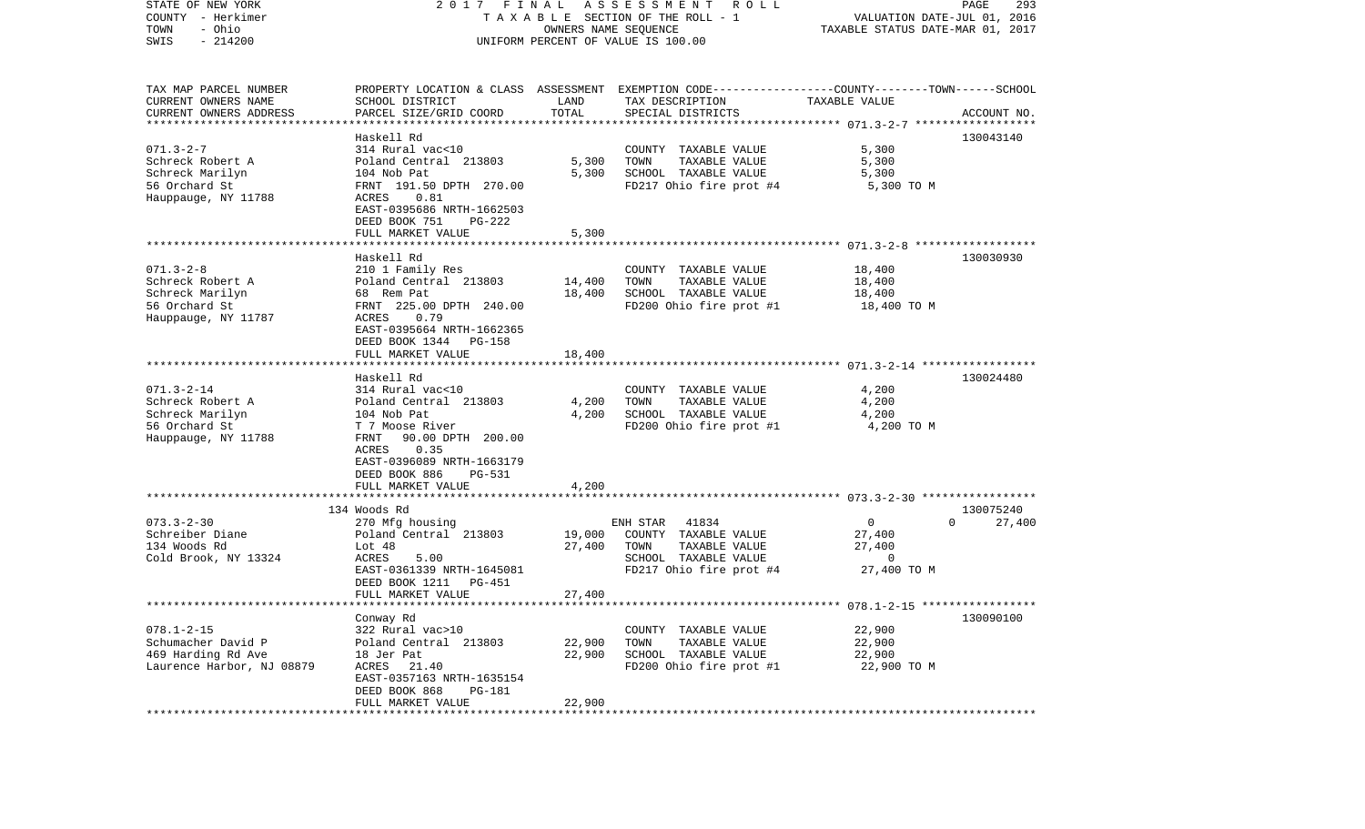| STATE OF NEW YORK<br>COUNTY - Herkimer   | 2017 FINAL                                |                  | A S S E S S M E N T A O L L<br>TAXABLE SECTION OF THE ROLL - 1                                   | VALUATION DATE-JUL 01, 2016      | PAGE<br>293                     |
|------------------------------------------|-------------------------------------------|------------------|--------------------------------------------------------------------------------------------------|----------------------------------|---------------------------------|
| - Ohio<br>TOWN<br>$-214200$<br>SWIS      |                                           |                  | OWNERS NAME SEQUENCE<br>UNIFORM PERCENT OF VALUE IS 100.00                                       | TAXABLE STATUS DATE-MAR 01, 2017 |                                 |
| TAX MAP PARCEL NUMBER                    |                                           |                  | PROPERTY LOCATION & CLASS ASSESSMENT EXEMPTION CODE----------------COUNTY-------TOWN------SCHOOL |                                  |                                 |
| CURRENT OWNERS NAME                      | SCHOOL DISTRICT                           | LAND             | TAX DESCRIPTION                                                                                  | TAXABLE VALUE                    |                                 |
| CURRENT OWNERS ADDRESS                   | PARCEL SIZE/GRID COORD                    | TOTAL            | SPECIAL DISTRICTS                                                                                |                                  | ACCOUNT NO.                     |
| **********************                   |                                           |                  |                                                                                                  |                                  |                                 |
| $071.3 - 2 - 7$                          | Haskell Rd<br>314 Rural vac<10            |                  | COUNTY TAXABLE VALUE                                                                             | 5,300                            | 130043140                       |
| Schreck Robert A                         | Poland Central 213803                     | 5,300            | TOWN<br>TAXABLE VALUE                                                                            | 5,300                            |                                 |
| Schreck Marilyn                          | 104 Nob Pat                               | 5,300            | SCHOOL TAXABLE VALUE                                                                             | 5,300                            |                                 |
| 56 Orchard St                            | FRNT 191.50 DPTH 270.00                   |                  | FD217 Ohio fire prot #4                                                                          | 5,300 TO M                       |                                 |
| Hauppauge, NY 11788                      | 0.81<br>ACRES                             |                  |                                                                                                  |                                  |                                 |
|                                          | EAST-0395686 NRTH-1662503                 |                  |                                                                                                  |                                  |                                 |
|                                          | DEED BOOK 751<br>PG-222                   |                  |                                                                                                  |                                  |                                 |
|                                          | FULL MARKET VALUE                         | 5,300            |                                                                                                  |                                  |                                 |
|                                          |                                           |                  |                                                                                                  |                                  |                                 |
|                                          | Haskell Rd                                |                  |                                                                                                  |                                  | 130030930                       |
| $071.3 - 2 - 8$<br>Schreck Robert A      | 210 1 Family Res<br>Poland Central 213803 | 14,400           | COUNTY TAXABLE VALUE<br>TOWN<br>TAXABLE VALUE                                                    | 18,400<br>18,400                 |                                 |
| Schreck Marilyn                          | 68 Rem Pat                                | 18,400           | SCHOOL TAXABLE VALUE                                                                             | 18,400                           |                                 |
| 56 Orchard St                            | FRNT 225.00 DPTH 240.00                   |                  | FD200 Ohio fire prot #1                                                                          | 18,400 TO M                      |                                 |
| Hauppauge, NY 11787                      | ACRES<br>0.79                             |                  |                                                                                                  |                                  |                                 |
|                                          | EAST-0395664 NRTH-1662365                 |                  |                                                                                                  |                                  |                                 |
|                                          | DEED BOOK 1344<br>PG-158                  |                  |                                                                                                  |                                  |                                 |
|                                          | FULL MARKET VALUE                         | 18,400           |                                                                                                  |                                  |                                 |
|                                          |                                           |                  |                                                                                                  |                                  |                                 |
| $071.3 - 2 - 14$                         | Haskell Rd                                |                  |                                                                                                  |                                  | 130024480                       |
| Schreck Robert A                         | 314 Rural vac<10<br>Poland Central 213803 | 4,200            | COUNTY TAXABLE VALUE<br>TAXABLE VALUE<br>TOWN                                                    | 4,200<br>4,200                   |                                 |
| Schreck Marilyn                          | 104 Nob Pat                               | 4,200            | SCHOOL TAXABLE VALUE                                                                             | 4,200                            |                                 |
| 56 Orchard St                            | T 7 Moose River                           |                  | FD200 Ohio fire prot #1                                                                          | 4,200 TO M                       |                                 |
| Hauppauge, NY 11788                      | 90.00 DPTH 200.00<br>FRNT                 |                  |                                                                                                  |                                  |                                 |
|                                          | 0.35<br>ACRES                             |                  |                                                                                                  |                                  |                                 |
|                                          | EAST-0396089 NRTH-1663179                 |                  |                                                                                                  |                                  |                                 |
|                                          | DEED BOOK 886<br>PG-531                   |                  |                                                                                                  |                                  |                                 |
|                                          | FULL MARKET VALUE                         | 4,200            |                                                                                                  |                                  |                                 |
|                                          | ***********************                   | **********       |                                                                                                  |                                  |                                 |
| $073.3 - 2 - 30$                         | 134 Woods Rd                              |                  | ENH STAR<br>41834                                                                                | 0                                | 130075240<br>$\Omega$<br>27,400 |
| Schreiber Diane                          | 270 Mfg housing<br>Poland Central 213803  | 19,000           | COUNTY TAXABLE VALUE                                                                             | 27,400                           |                                 |
| 134 Woods Rd                             | Lot 48                                    | 27,400           | TAXABLE VALUE<br>TOWN                                                                            | 27,400                           |                                 |
| Cold Brook, NY 13324                     | 5.00<br>ACRES                             |                  | SCHOOL TAXABLE VALUE                                                                             | $\mathbf 0$                      |                                 |
|                                          | EAST-0361339 NRTH-1645081                 |                  | FD217 Ohio fire prot #4                                                                          | 27,400 TO M                      |                                 |
|                                          | DEED BOOK 1211<br>PG-451                  |                  |                                                                                                  |                                  |                                 |
|                                          | FULL MARKET VALUE                         | 27,400           |                                                                                                  |                                  |                                 |
|                                          |                                           |                  |                                                                                                  |                                  |                                 |
|                                          | Conway Rd                                 |                  |                                                                                                  |                                  | 130090100                       |
| $078.1 - 2 - 15$                         | 322 Rural vac>10                          |                  | COUNTY TAXABLE VALUE                                                                             | 22,900                           |                                 |
| Schumacher David P<br>469 Harding Rd Ave | Poland Central 213803                     | 22,900<br>22,900 | TOWN<br>TAXABLE VALUE<br>SCHOOL TAXABLE VALUE                                                    | 22,900<br>22,900                 |                                 |
| Laurence Harbor, NJ 08879                | 18 Jer Pat<br>ACRES 21.40                 |                  | FD200 Ohio fire prot #1                                                                          | 22,900 TO M                      |                                 |
|                                          | EAST-0357163 NRTH-1635154                 |                  |                                                                                                  |                                  |                                 |
|                                          | DEED BOOK 868<br><b>PG-181</b>            |                  |                                                                                                  |                                  |                                 |
|                                          | FULL MARKET VALUE                         | 22,900           |                                                                                                  |                                  |                                 |
|                                          |                                           |                  |                                                                                                  |                                  |                                 |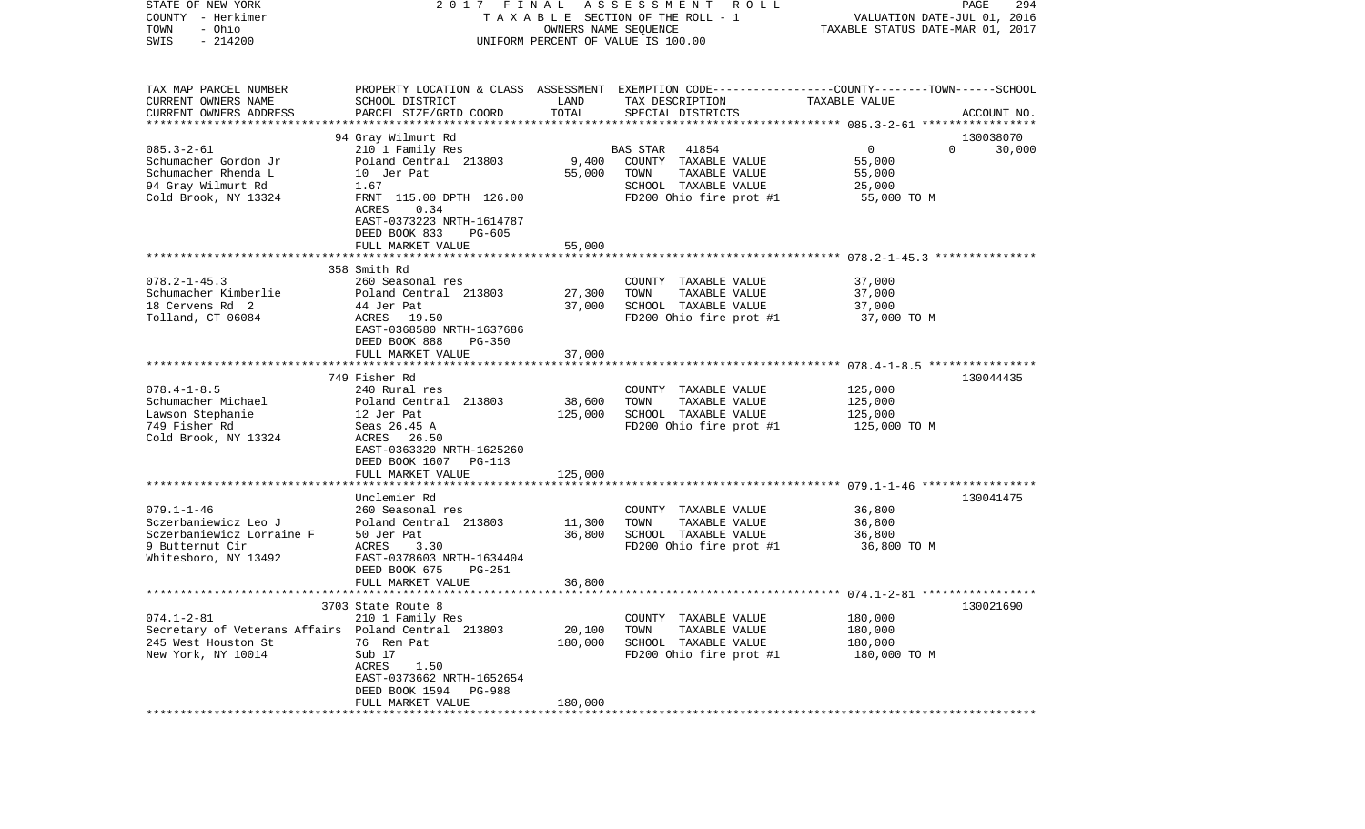| STATE OF NEW YORK<br>COUNTY - Herkimer<br>- Ohio<br>TOWN<br>$-214200$<br>SWIS                                        | 2017 FINAL                                                                                                                                                                                                                 | OWNERS NAME SEQUENCE                  | A S S E S S M E N T<br>R O L L<br>TAXABLE SECTION OF THE ROLL - 1<br>UNIFORM PERCENT OF VALUE IS 100.00                                 | VALUATION DATE-JUL 01, 2016<br>TAXABLE STATUS DATE-MAR 01, 2017 | 294<br>PAGE                     |
|----------------------------------------------------------------------------------------------------------------------|----------------------------------------------------------------------------------------------------------------------------------------------------------------------------------------------------------------------------|---------------------------------------|-----------------------------------------------------------------------------------------------------------------------------------------|-----------------------------------------------------------------|---------------------------------|
| TAX MAP PARCEL NUMBER<br>CURRENT OWNERS NAME<br>CURRENT OWNERS ADDRESS<br>*************************                  | SCHOOL DISTRICT<br>PARCEL SIZE/GRID COORD                                                                                                                                                                                  | LAND<br>TOTAL                         | PROPERTY LOCATION & CLASS ASSESSMENT EXEMPTION CODE---------------COUNTY-------TOWN------SCHOOL<br>TAX DESCRIPTION<br>SPECIAL DISTRICTS | TAXABLE VALUE                                                   | ACCOUNT NO.                     |
| $085.3 - 2 - 61$<br>Schumacher Gordon Jr<br>Schumacher Rhenda L<br>94 Gray Wilmurt Rd<br>Cold Brook, NY 13324        | 94 Gray Wilmurt Rd<br>210 1 Family Res<br>Poland Central 213803<br>10 Jer Pat<br>1.67<br>FRNT 115.00 DPTH 126.00<br>ACRES<br>0.34<br>EAST-0373223 NRTH-1614787<br>DEED BOOK 833<br>PG-605                                  | 9,400<br>55,000                       | <b>BAS STAR</b><br>41854<br>COUNTY TAXABLE VALUE<br>TAXABLE VALUE<br>TOWN<br>SCHOOL TAXABLE VALUE<br>FD200 Ohio fire prot #1            | $\mathbf 0$<br>55,000<br>55,000<br>25,000<br>55,000 TO M        | 130038070<br>$\Omega$<br>30,000 |
| $078.2 - 1 - 45.3$<br>Schumacher Kimberlie<br>18 Cervens Rd 2<br>Tolland, CT 06084                                   | FULL MARKET VALUE<br>358 Smith Rd<br>260 Seasonal res<br>Poland Central 213803<br>44 Jer Pat<br>ACRES 19.50<br>EAST-0368580 NRTH-1637686<br>DEED BOOK 888<br>PG-350                                                        | 55,000<br>27,300<br>37,000            | COUNTY TAXABLE VALUE<br>TAXABLE VALUE<br>TOWN<br>SCHOOL TAXABLE VALUE<br>FD200 Ohio fire prot #1                                        | 37,000<br>37,000<br>37,000<br>37,000 TO M                       |                                 |
| $078.4 - 1 - 8.5$<br>Schumacher Michael<br>Lawson Stephanie<br>749 Fisher Rd<br>Cold Brook, NY 13324                 | FULL MARKET VALUE<br>749 Fisher Rd<br>240 Rural res<br>Poland Central 213803<br>12 Jer Pat<br>Seas 26.45 A<br>ACRES 26.50<br>EAST-0363320 NRTH-1625260<br>DEED BOOK 1607 PG-113                                            | 37,000<br>38,600<br>125,000           | COUNTY TAXABLE VALUE<br>TOWN<br>TAXABLE VALUE<br>SCHOOL TAXABLE VALUE<br>FD200 Ohio fire prot #1                                        | 125,000<br>125,000<br>125,000<br>125,000 TO M                   | 130044435                       |
| $079.1 - 1 - 46$<br>Sczerbaniewicz Leo J<br>Sczerbaniewicz Lorraine F<br>9 Butternut Cir<br>Whitesboro, NY 13492     | FULL MARKET VALUE<br>****************************<br>Unclemier Rd<br>260 Seasonal res<br>Poland Central 213803<br>50 Jer Pat<br>ACRES<br>3.30<br>EAST-0378603 NRTH-1634404<br>DEED BOOK 675<br>PG-251<br>FULL MARKET VALUE | 125,000<br>11,300<br>36,800<br>36,800 | COUNTY TAXABLE VALUE<br>TOWN<br>TAXABLE VALUE<br>SCHOOL TAXABLE VALUE<br>FD200 Ohio fire prot #1                                        | 36,800<br>36,800<br>36,800<br>36,800 TO M                       | 130041475                       |
| $074.1 - 2 - 81$<br>Secretary of Veterans Affairs Poland Central 213803<br>245 West Houston St<br>New York, NY 10014 | 3703 State Route 8<br>210 1 Family Res<br>76 Rem Pat<br>Sub 17<br>ACRES<br>1.50<br>EAST-0373662 NRTH-1652654<br>DEED BOOK 1594<br>PG-988<br>FULL MARKET VALUE                                                              | 20,100<br>180,000<br>180,000          | COUNTY TAXABLE VALUE<br>TOWN<br>TAXABLE VALUE<br>SCHOOL TAXABLE VALUE<br>FD200 Ohio fire prot #1                                        | 180,000<br>180,000<br>180,000<br>180,000 TO M                   | 130021690                       |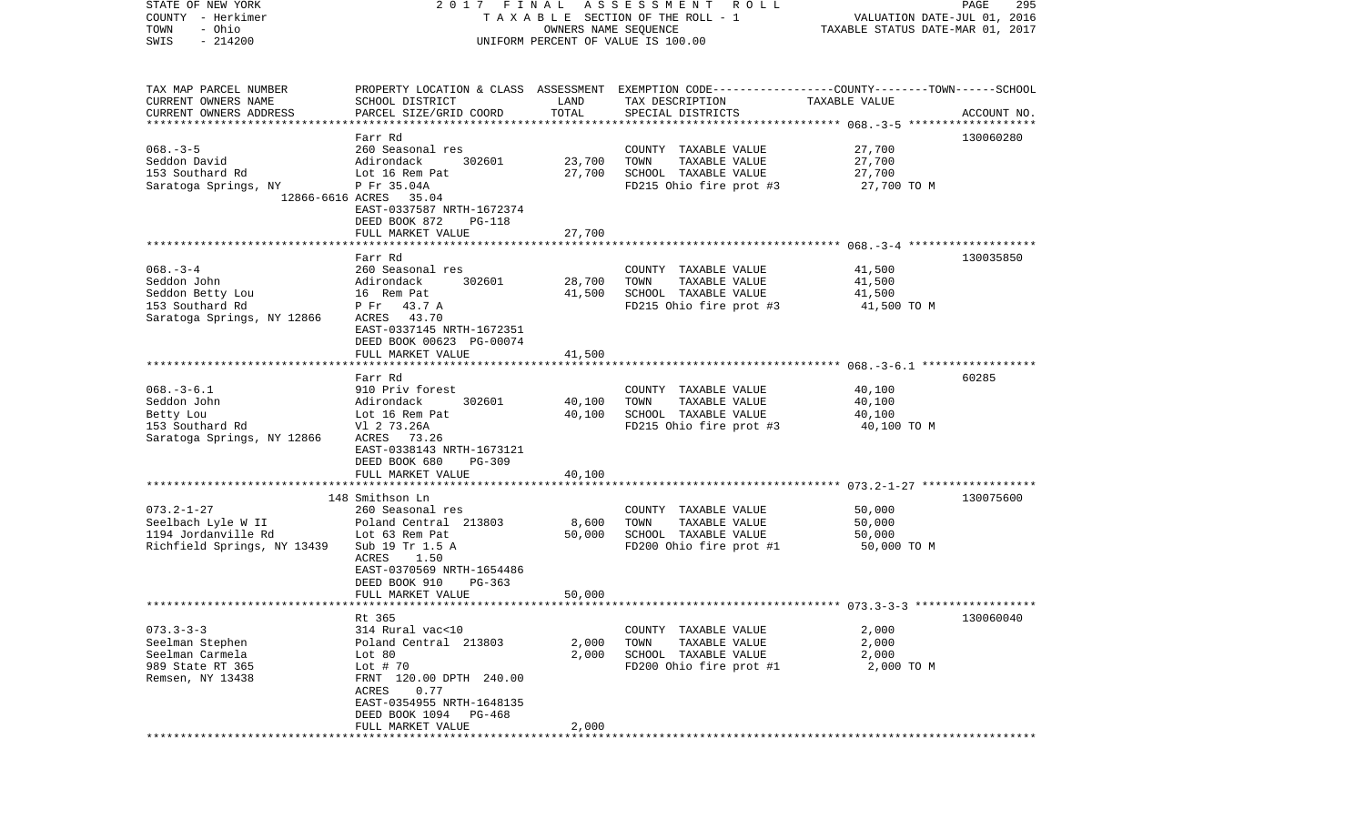| STATE OF NEW YORK<br>COUNTY - Herkimer<br>- Ohio<br>TOWN | 2017 FINAL                                          |                      | A S S E S S M E N T R O L L<br>TAXABLE SECTION OF THE ROLL - 1                                  | VALUATION DATE-JUL 01, 2016      | PAGE<br>295 |
|----------------------------------------------------------|-----------------------------------------------------|----------------------|-------------------------------------------------------------------------------------------------|----------------------------------|-------------|
| $-214200$<br>SWIS                                        |                                                     | OWNERS NAME SEQUENCE | UNIFORM PERCENT OF VALUE IS 100.00                                                              | TAXABLE STATUS DATE-MAR 01, 2017 |             |
|                                                          |                                                     |                      |                                                                                                 |                                  |             |
| TAX MAP PARCEL NUMBER                                    |                                                     |                      | PROPERTY LOCATION & CLASS ASSESSMENT EXEMPTION CODE---------------COUNTY-------TOWN------SCHOOL |                                  |             |
| CURRENT OWNERS NAME                                      | SCHOOL DISTRICT                                     | LAND<br>TOTAL        | TAX DESCRIPTION                                                                                 | TAXABLE VALUE                    |             |
| CURRENT OWNERS ADDRESS                                   | PARCEL SIZE/GRID COORD                              |                      | SPECIAL DISTRICTS                                                                               |                                  | ACCOUNT NO. |
|                                                          | Farr Rd                                             |                      |                                                                                                 |                                  | 130060280   |
| $068. - 3 - 5$                                           | 260 Seasonal res                                    |                      | COUNTY TAXABLE VALUE                                                                            | 27,700                           |             |
| Seddon David                                             | Adirondack<br>302601                                | 23,700               | TOWN<br>TAXABLE VALUE                                                                           | 27,700                           |             |
| 153 Southard Rd                                          | Lot 16 Rem Pat                                      | 27,700               | SCHOOL TAXABLE VALUE                                                                            | 27,700                           |             |
| Saratoga Springs, NY                                     | P Fr 35.04A<br>12866-6616 ACRES 35.04               |                      | FD215 Ohio fire prot #3                                                                         | 27,700 TO M                      |             |
|                                                          | EAST-0337587 NRTH-1672374                           |                      |                                                                                                 |                                  |             |
|                                                          | DEED BOOK 872<br><b>PG-118</b><br>FULL MARKET VALUE | 27,700               |                                                                                                 |                                  |             |
|                                                          |                                                     |                      |                                                                                                 |                                  |             |
|                                                          | Farr Rd                                             |                      |                                                                                                 |                                  | 130035850   |
| $068. -3 -4$                                             | 260 Seasonal res                                    |                      | COUNTY TAXABLE VALUE                                                                            | 41,500                           |             |
| Seddon John                                              | 302601<br>Adirondack                                | 28,700               | TOWN<br>TAXABLE VALUE                                                                           | 41,500                           |             |
| Seddon Betty Lou                                         | 16 Rem Pat                                          | 41,500               | SCHOOL TAXABLE VALUE                                                                            | 41,500                           |             |
| 153 Southard Rd                                          | P Fr 43.7 A<br>ACRES 43.70                          |                      | FD215 Ohio fire prot #3                                                                         | 41,500 TO M                      |             |
| Saratoga Springs, NY 12866                               | EAST-0337145 NRTH-1672351                           |                      |                                                                                                 |                                  |             |
|                                                          | DEED BOOK 00623 PG-00074                            |                      |                                                                                                 |                                  |             |
|                                                          | FULL MARKET VALUE                                   | 41,500               |                                                                                                 |                                  |             |
|                                                          |                                                     |                      |                                                                                                 |                                  |             |
|                                                          | Farr Rd                                             |                      |                                                                                                 |                                  | 60285       |
| $068. -3 - 6.1$<br>Seddon John                           | 910 Priv forest<br>302601<br>Adirondack             | 40,100               | COUNTY TAXABLE VALUE<br>TOWN<br>TAXABLE VALUE                                                   | 40,100<br>40,100                 |             |
| Betty Lou                                                | Lot 16 Rem Pat                                      | 40,100               | SCHOOL TAXABLE VALUE                                                                            | 40,100                           |             |
| 153 Southard Rd                                          | V1 2 73.26A                                         |                      | FD215 Ohio fire prot #3                                                                         | 40,100 TO M                      |             |
| Saratoga Springs, NY 12866                               | ACRES 73.26                                         |                      |                                                                                                 |                                  |             |
|                                                          | EAST-0338143 NRTH-1673121                           |                      |                                                                                                 |                                  |             |
|                                                          | DEED BOOK 680<br><b>PG-309</b>                      |                      |                                                                                                 |                                  |             |
|                                                          | FULL MARKET VALUE                                   | 40,100               |                                                                                                 |                                  |             |
|                                                          | 148 Smithson Ln                                     |                      |                                                                                                 |                                  | 130075600   |
| $073.2 - 1 - 27$                                         | 260 Seasonal res                                    |                      | COUNTY TAXABLE VALUE                                                                            | 50,000                           |             |
| Seelbach Lyle W II                                       | Poland Central 213803                               | 8,600                | TOWN<br>TAXABLE VALUE                                                                           | 50,000                           |             |
| 1194 Jordanville Rd                                      | Lot 63 Rem Pat                                      | 50,000               | SCHOOL TAXABLE VALUE                                                                            | 50,000                           |             |
| Richfield Springs, NY 13439                              | Sub 19 Tr 1.5 A                                     |                      | FD200 Ohio fire prot #1                                                                         | 50,000 TO M                      |             |
|                                                          | ACRES<br>1.50<br>EAST-0370569 NRTH-1654486          |                      |                                                                                                 |                                  |             |
|                                                          | DEED BOOK 910<br>PG-363                             |                      |                                                                                                 |                                  |             |
|                                                          | FULL MARKET VALUE                                   | 50,000               |                                                                                                 |                                  |             |
|                                                          |                                                     |                      |                                                                                                 |                                  |             |
|                                                          | Rt 365                                              |                      |                                                                                                 |                                  | 130060040   |
| $073.3 - 3 - 3$                                          | 314 Rural vac<10                                    |                      | TAXABLE VALUE<br>COUNTY                                                                         | 2,000                            |             |
| Seelman Stephen<br>Seelman Carmela                       | Poland Central 213803<br>Lot $80$                   | 2,000<br>2,000       | TOWN<br>TAXABLE VALUE<br>SCHOOL TAXABLE VALUE                                                   | 2,000<br>2,000                   |             |
| 989 State RT 365                                         | Lot $# 70$                                          |                      | FD200 Ohio fire prot #1                                                                         | 2,000 TO M                       |             |
| Remsen, NY 13438                                         | FRNT 120.00 DPTH 240.00                             |                      |                                                                                                 |                                  |             |
|                                                          | 0.77<br>ACRES                                       |                      |                                                                                                 |                                  |             |
|                                                          | EAST-0354955 NRTH-1648135                           |                      |                                                                                                 |                                  |             |
|                                                          | DEED BOOK 1094<br>PG-468                            |                      |                                                                                                 |                                  |             |
|                                                          | FULL MARKET VALUE                                   | 2,000                |                                                                                                 |                                  |             |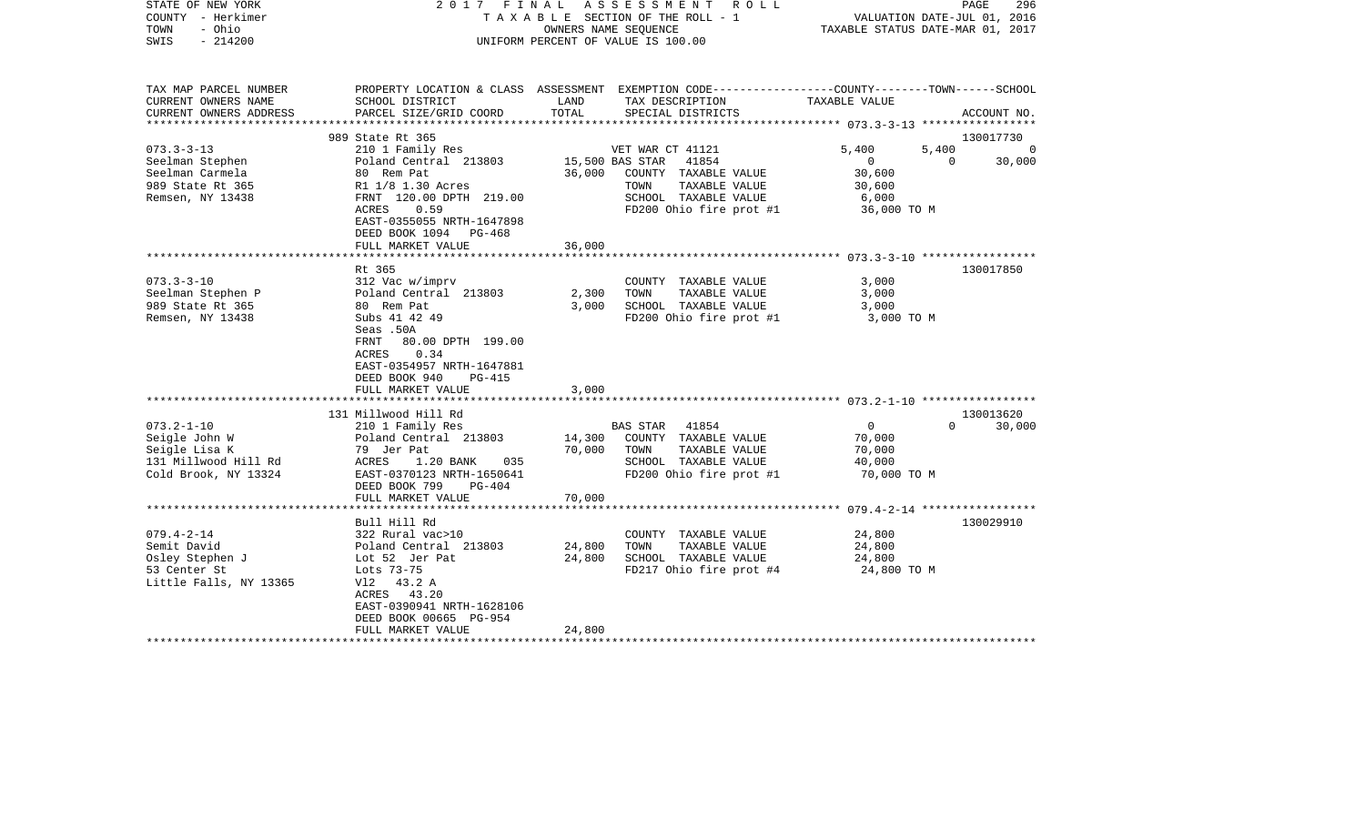| STATE OF NEW YORK<br>COUNTY - Herkimer<br>- Ohio<br>TOWN<br>$-214200$<br>SWIS | 2017 FINAL                                                                                                                                  |                  | ASSESSMENT<br>R O L L<br>TAXABLE SECTION OF THE ROLL - 1<br>OWNERS NAME SEOUENCE<br>UNIFORM PERCENT OF VALUE IS 100.00 | VALUATION DATE-JUL 01, 2016<br>TAXABLE STATUS DATE-MAR 01, 2017 | PAGE<br>296        |
|-------------------------------------------------------------------------------|---------------------------------------------------------------------------------------------------------------------------------------------|------------------|------------------------------------------------------------------------------------------------------------------------|-----------------------------------------------------------------|--------------------|
| TAX MAP PARCEL NUMBER<br>CURRENT OWNERS NAME                                  | SCHOOL DISTRICT                                                                                                                             | LAND             | PROPERTY LOCATION & CLASS ASSESSMENT EXEMPTION CODE---------------COUNTY-------TOWN------SCHOOL<br>TAX DESCRIPTION     | TAXABLE VALUE                                                   |                    |
| CURRENT OWNERS ADDRESS                                                        | PARCEL SIZE/GRID COORD                                                                                                                      | TOTAL            | SPECIAL DISTRICTS                                                                                                      |                                                                 | ACCOUNT NO.        |
| ******************                                                            |                                                                                                                                             |                  |                                                                                                                        |                                                                 |                    |
|                                                                               | 989 State Rt 365                                                                                                                            |                  |                                                                                                                        |                                                                 | 130017730          |
| $073.3 - 3 - 13$                                                              | 210 1 Family Res                                                                                                                            |                  | VET WAR CT 41121                                                                                                       | 5,400<br>5,400                                                  | $\Omega$           |
| Seelman Stephen                                                               | Poland Central 213803                                                                                                                       |                  | 15,500 BAS STAR<br>41854                                                                                               | $\mathbf{0}$                                                    | $\Omega$<br>30,000 |
| Seelman Carmela<br>989 State Rt 365                                           | 80 Rem Pat<br>R1 1/8 1.30 Acres                                                                                                             | 36,000           | COUNTY TAXABLE VALUE<br>TOWN<br>TAXABLE VALUE                                                                          | 30,600<br>30,600                                                |                    |
| Remsen, NY 13438                                                              | FRNT 120.00 DPTH 219.00                                                                                                                     |                  | SCHOOL TAXABLE VALUE                                                                                                   | 6,000                                                           |                    |
|                                                                               | <b>ACRES</b><br>0.59                                                                                                                        |                  | FD200 Ohio fire prot #1                                                                                                | 36,000 TO M                                                     |                    |
|                                                                               | EAST-0355055 NRTH-1647898<br>DEED BOOK 1094 PG-468                                                                                          |                  |                                                                                                                        |                                                                 |                    |
|                                                                               | FULL MARKET VALUE                                                                                                                           | 36,000           |                                                                                                                        |                                                                 |                    |
|                                                                               |                                                                                                                                             |                  |                                                                                                                        |                                                                 |                    |
| $073.3 - 3 - 10$                                                              | Rt 365                                                                                                                                      |                  |                                                                                                                        |                                                                 | 130017850          |
| Seelman Stephen P                                                             | 312 Vac w/imprv<br>Poland Central 213803                                                                                                    | 2,300            | COUNTY TAXABLE VALUE<br>TOWN<br>TAXABLE VALUE                                                                          | 3,000<br>3,000                                                  |                    |
| 989 State Rt 365                                                              | 80 Rem Pat                                                                                                                                  | 3,000            | SCHOOL TAXABLE VALUE                                                                                                   | 3,000                                                           |                    |
| Remsen, NY 13438                                                              | Subs 41 42 49                                                                                                                               |                  | FD200 Ohio fire prot #1                                                                                                | 3,000 TO M                                                      |                    |
|                                                                               | Seas .50A<br>FRNT<br>80.00 DPTH 199.00<br>0.34<br>ACRES<br>EAST-0354957 NRTH-1647881<br>DEED BOOK 940<br><b>PG-415</b><br>FULL MARKET VALUE | 3,000            |                                                                                                                        |                                                                 |                    |
|                                                                               |                                                                                                                                             |                  |                                                                                                                        |                                                                 |                    |
|                                                                               | 131 Millwood Hill Rd                                                                                                                        |                  |                                                                                                                        |                                                                 | 130013620          |
| $073.2 - 1 - 10$<br>Seigle John W                                             | 210 1 Family Res                                                                                                                            | 14,300           | <b>BAS STAR</b><br>41854<br>COUNTY TAXABLE VALUE                                                                       | $\mathbf 0$                                                     | $\Omega$<br>30,000 |
| Seigle Lisa K                                                                 | Poland Central 213803<br>79 Jer Pat                                                                                                         | 70,000           | TOWN<br>TAXABLE VALUE                                                                                                  | 70,000<br>70,000                                                |                    |
| 131 Millwood Hill Rd                                                          | ACRES<br>1.20 BANK<br>035                                                                                                                   |                  | SCHOOL TAXABLE VALUE                                                                                                   | 40,000                                                          |                    |
| Cold Brook, NY 13324                                                          | EAST-0370123 NRTH-1650641                                                                                                                   |                  | FD200 Ohio fire prot #1                                                                                                | 70,000 TO M                                                     |                    |
|                                                                               | DEED BOOK 799<br>$PG-404$                                                                                                                   |                  |                                                                                                                        |                                                                 |                    |
|                                                                               | FULL MARKET VALUE                                                                                                                           | 70,000           |                                                                                                                        |                                                                 |                    |
|                                                                               |                                                                                                                                             | ********         |                                                                                                                        | ******** 079.4-2-14 *****************                           |                    |
|                                                                               | Bull Hill Rd                                                                                                                                |                  |                                                                                                                        |                                                                 | 130029910          |
| $079.4 - 2 - 14$                                                              | 322 Rural vac>10                                                                                                                            |                  | COUNTY TAXABLE VALUE                                                                                                   | 24,800                                                          |                    |
| Semit David<br>Osley Stephen J                                                | Poland Central 213803<br>Lot 52 Jer Pat                                                                                                     | 24,800<br>24,800 | TOWN<br>TAXABLE VALUE<br>SCHOOL TAXABLE VALUE                                                                          | 24,800<br>24,800                                                |                    |
| 53 Center St                                                                  | Lots 73-75                                                                                                                                  |                  | FD217 Ohio fire prot #4                                                                                                | 24,800 TO M                                                     |                    |
| Little Falls, NY 13365                                                        | Vl2<br>43.2 A                                                                                                                               |                  |                                                                                                                        |                                                                 |                    |
|                                                                               | ACRES 43.20                                                                                                                                 |                  |                                                                                                                        |                                                                 |                    |
|                                                                               | EAST-0390941 NRTH-1628106                                                                                                                   |                  |                                                                                                                        |                                                                 |                    |
|                                                                               | DEED BOOK 00665 PG-954                                                                                                                      |                  |                                                                                                                        |                                                                 |                    |
|                                                                               | FULL MARKET VALUE                                                                                                                           | 24,800           |                                                                                                                        |                                                                 |                    |
|                                                                               |                                                                                                                                             |                  |                                                                                                                        |                                                                 |                    |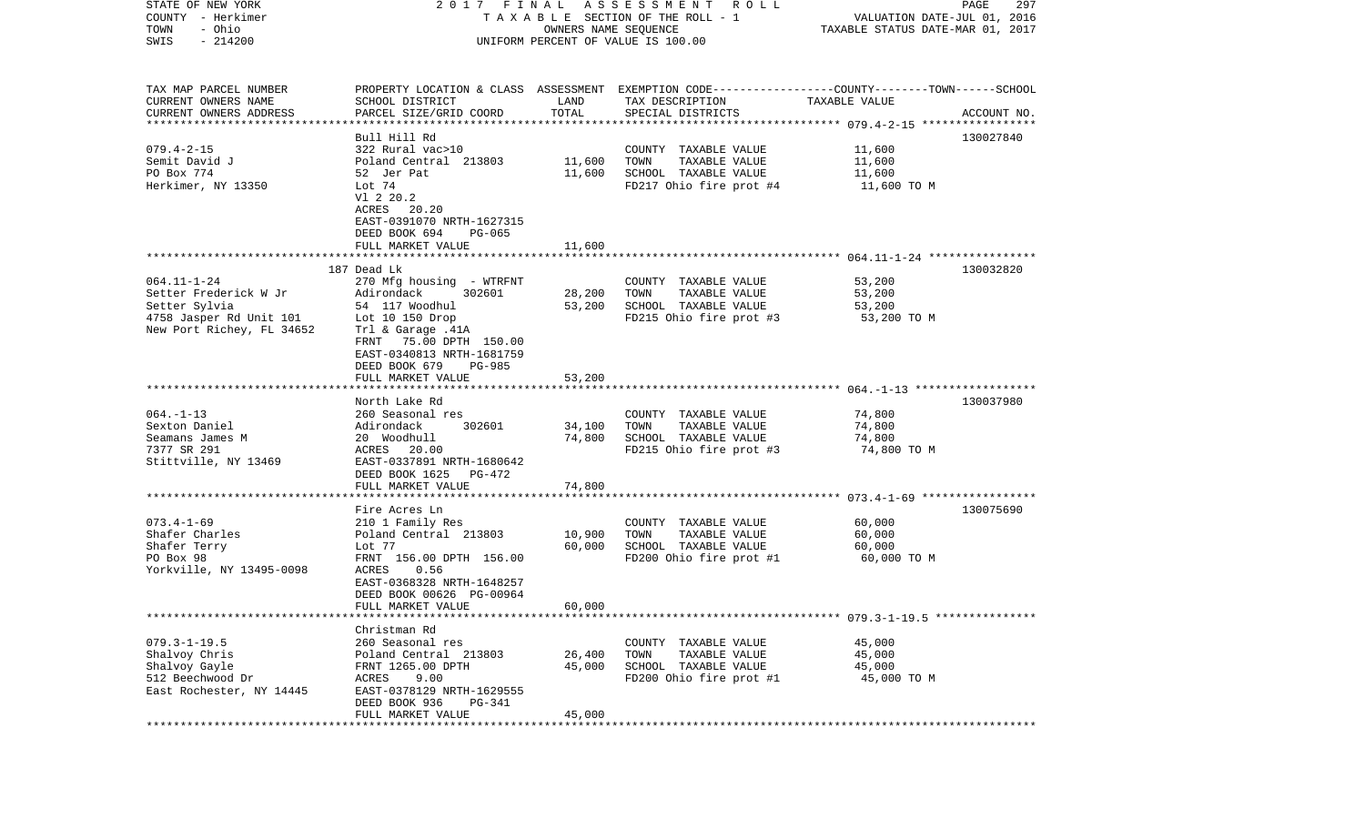| STATE OF NEW YORK<br>COUNTY - Herkimer              |                                                             |                      | 2017 FINAL ASSESSMENT ROLL<br>TAXABLE SECTION OF THE ROLL - 1                                   | VALUATION DATE-JUL 01, 2016                             | PAGE<br>297 |
|-----------------------------------------------------|-------------------------------------------------------------|----------------------|-------------------------------------------------------------------------------------------------|---------------------------------------------------------|-------------|
| - Ohio<br>TOWN                                      |                                                             | OWNERS NAME SEQUENCE |                                                                                                 | TAXABLE STATUS DATE-MAR 01, 2017                        |             |
| $-214200$<br>SWIS                                   |                                                             |                      | UNIFORM PERCENT OF VALUE IS 100.00                                                              |                                                         |             |
|                                                     |                                                             |                      |                                                                                                 |                                                         |             |
| TAX MAP PARCEL NUMBER                               |                                                             |                      | PROPERTY LOCATION & CLASS ASSESSMENT EXEMPTION CODE---------------COUNTY-------TOWN------SCHOOL |                                                         |             |
| CURRENT OWNERS NAME                                 | SCHOOL DISTRICT                                             | LAND                 | TAX DESCRIPTION                                                                                 | TAXABLE VALUE                                           |             |
| CURRENT OWNERS ADDRESS<br>************************* | PARCEL SIZE/GRID COORD                                      | TOTAL                | SPECIAL DISTRICTS                                                                               |                                                         | ACCOUNT NO. |
|                                                     | Bull Hill Rd                                                |                      |                                                                                                 |                                                         | 130027840   |
| $079.4 - 2 - 15$                                    | 322 Rural vac>10                                            |                      | COUNTY TAXABLE VALUE                                                                            | 11,600                                                  |             |
| Semit David J                                       | Poland Central 213803                                       | 11,600               | TOWN<br>TAXABLE VALUE                                                                           | 11,600                                                  |             |
| PO Box 774                                          | 52 Jer Pat                                                  | 11,600               | SCHOOL TAXABLE VALUE                                                                            | 11,600                                                  |             |
| Herkimer, NY 13350                                  | Lot 74                                                      |                      | FD217 Ohio fire prot #4                                                                         | 11,600 TO M                                             |             |
|                                                     | V1 2 20.2                                                   |                      |                                                                                                 |                                                         |             |
|                                                     | ACRES<br>20.20                                              |                      |                                                                                                 |                                                         |             |
|                                                     | EAST-0391070 NRTH-1627315                                   |                      |                                                                                                 |                                                         |             |
|                                                     | DEED BOOK 694<br>PG-065<br>FULL MARKET VALUE                | 11,600               |                                                                                                 |                                                         |             |
|                                                     |                                                             |                      |                                                                                                 |                                                         |             |
|                                                     | 187 Dead Lk                                                 |                      |                                                                                                 |                                                         | 130032820   |
| $064.11 - 1 - 24$                                   | 270 Mfg housing - WTRFNT                                    |                      | COUNTY TAXABLE VALUE                                                                            | 53,200                                                  |             |
| Setter Frederick W Jr                               | Adirondack<br>302601                                        | 28,200               | TOWN<br>TAXABLE VALUE                                                                           | 53,200                                                  |             |
| Setter Sylvia                                       | 54 117 Woodhul                                              | 53,200               | SCHOOL TAXABLE VALUE                                                                            | 53,200                                                  |             |
| 4758 Jasper Rd Unit 101                             | Lot 10 150 Drop                                             |                      | FD215 Ohio fire prot #3                                                                         | 53,200 TO M                                             |             |
| New Port Richey, FL 34652                           | Trl & Garage .41A                                           |                      |                                                                                                 |                                                         |             |
|                                                     | FRNT 75.00 DPTH 150.00                                      |                      |                                                                                                 |                                                         |             |
|                                                     | EAST-0340813 NRTH-1681759<br>DEED BOOK 679<br><b>PG-985</b> |                      |                                                                                                 |                                                         |             |
|                                                     | FULL MARKET VALUE                                           | 53,200               |                                                                                                 |                                                         |             |
|                                                     |                                                             |                      |                                                                                                 |                                                         |             |
|                                                     | North Lake Rd                                               |                      |                                                                                                 |                                                         | 130037980   |
| $064. -1 - 13$                                      | 260 Seasonal res                                            |                      | COUNTY TAXABLE VALUE                                                                            | 74,800                                                  |             |
| Sexton Daniel                                       | 302601<br>Adirondack                                        | 34,100               | TOWN<br>TAXABLE VALUE                                                                           | 74,800                                                  |             |
| Seamans James M                                     | 20 Woodhull                                                 | 74,800               | SCHOOL TAXABLE VALUE                                                                            | 74,800                                                  |             |
| 7377 SR 291                                         | ACRES 20.00                                                 |                      | FD215 Ohio fire prot #3                                                                         | 74,800 TO M                                             |             |
| Stittville, NY 13469                                | EAST-0337891 NRTH-1680642<br>DEED BOOK 1625<br>PG-472       |                      |                                                                                                 |                                                         |             |
|                                                     | FULL MARKET VALUE                                           | 74,800               |                                                                                                 |                                                         |             |
|                                                     | *********************                                       |                      |                                                                                                 | ************************* 073.4-1-69 ****************** |             |
|                                                     | Fire Acres Ln                                               |                      |                                                                                                 |                                                         | 130075690   |
| $073.4 - 1 - 69$                                    | 210 1 Family Res                                            |                      | COUNTY TAXABLE VALUE                                                                            | 60,000                                                  |             |
| Shafer Charles                                      | Poland Central 213803                                       | 10,900               | TOWN<br>TAXABLE VALUE                                                                           | 60,000                                                  |             |
| Shafer Terry                                        | Lot 77                                                      | 60,000               | SCHOOL TAXABLE VALUE                                                                            | 60,000                                                  |             |
| PO Box 98                                           | FRNT 156.00 DPTH 156.00                                     |                      | FD200 Ohio fire prot #1                                                                         | 60,000 TO M                                             |             |
| Yorkville, NY 13495-0098                            | ACRES<br>0.56<br>EAST-0368328 NRTH-1648257                  |                      |                                                                                                 |                                                         |             |
|                                                     | DEED BOOK 00626 PG-00964                                    |                      |                                                                                                 |                                                         |             |
|                                                     | FULL MARKET VALUE                                           | 60,000               |                                                                                                 |                                                         |             |
|                                                     |                                                             |                      |                                                                                                 |                                                         |             |
|                                                     | Christman Rd                                                |                      |                                                                                                 |                                                         |             |
| $079.3 - 1 - 19.5$                                  | 260 Seasonal res                                            |                      | COUNTY TAXABLE VALUE                                                                            | 45,000                                                  |             |
| Shalvoy Chris                                       | Poland Central 213803                                       | 26,400               | TOWN<br>TAXABLE VALUE                                                                           | 45,000                                                  |             |
| Shalvoy Gayle                                       | FRNT 1265.00 DPTH                                           | 45,000               | SCHOOL TAXABLE VALUE                                                                            | 45,000                                                  |             |
| 512 Beechwood Dr                                    | ACRES<br>9.00                                               |                      | FD200 Ohio fire prot #1                                                                         | 45,000 TO M                                             |             |
| East Rochester, NY 14445                            | EAST-0378129 NRTH-1629555<br>DEED BOOK 936                  |                      |                                                                                                 |                                                         |             |
|                                                     | PG-341<br>FULL MARKET VALUE                                 | 45,000               |                                                                                                 |                                                         |             |
| ************                                        |                                                             |                      |                                                                                                 |                                                         |             |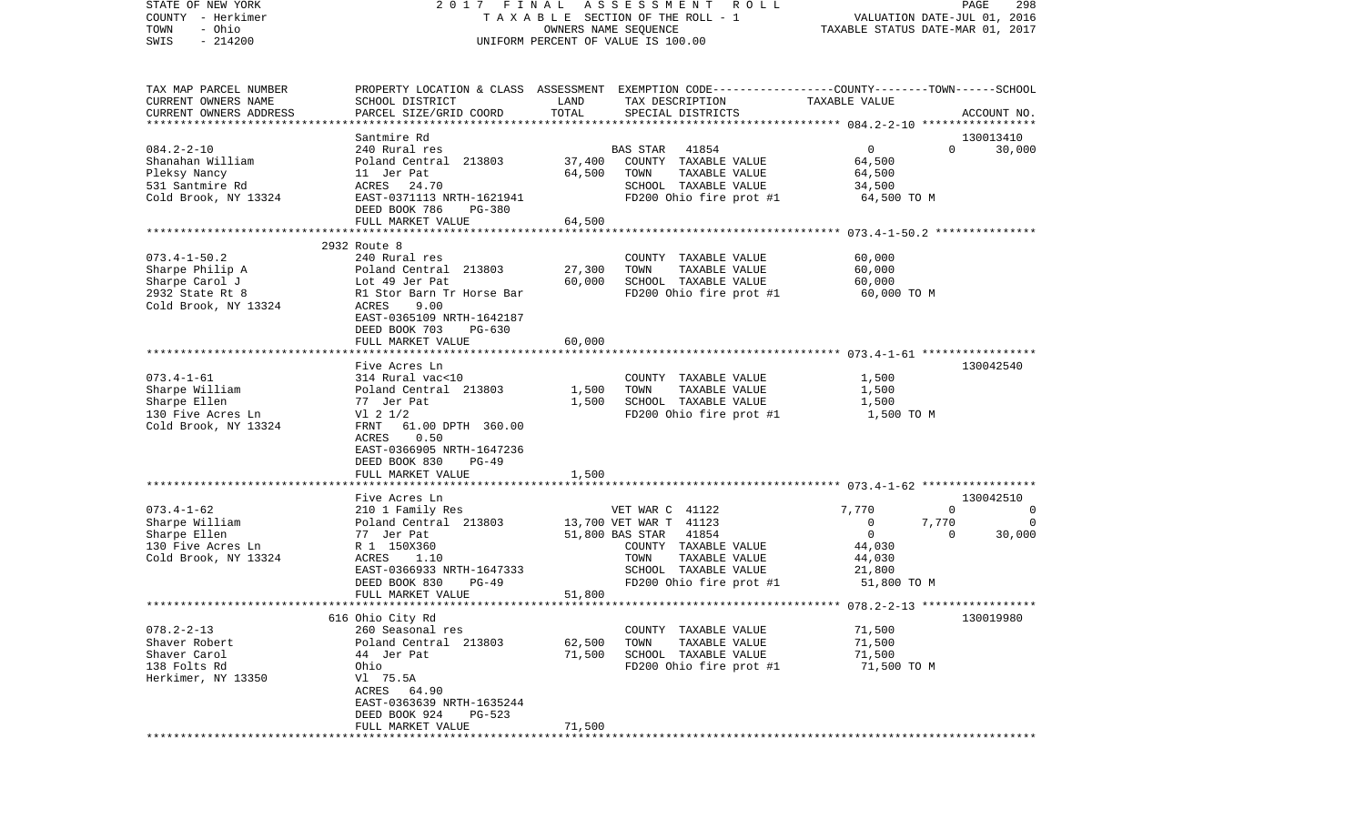| STATE OF NEW YORK                                  | FINAL<br>2017                                    |                      | A S S E S S M E N T R O L L                                                                      |                                  | PAGE<br>298                    |
|----------------------------------------------------|--------------------------------------------------|----------------------|--------------------------------------------------------------------------------------------------|----------------------------------|--------------------------------|
| COUNTY - Herkimer                                  |                                                  |                      | TAXABLE SECTION OF THE ROLL - 1                                                                  |                                  | VALUATION DATE-JUL 01, 2016    |
| - Ohio<br>TOWN                                     |                                                  | OWNERS NAME SEQUENCE |                                                                                                  | TAXABLE STATUS DATE-MAR 01, 2017 |                                |
| $-214200$<br>SWIS                                  |                                                  |                      | UNIFORM PERCENT OF VALUE IS 100.00                                                               |                                  |                                |
|                                                    |                                                  |                      |                                                                                                  |                                  |                                |
|                                                    |                                                  |                      |                                                                                                  |                                  |                                |
| TAX MAP PARCEL NUMBER                              |                                                  |                      | PROPERTY LOCATION & CLASS ASSESSMENT EXEMPTION CODE----------------COUNTY-------TOWN------SCHOOL |                                  |                                |
| CURRENT OWNERS NAME                                | SCHOOL DISTRICT                                  | LAND                 | TAX DESCRIPTION                                                                                  | TAXABLE VALUE                    |                                |
| CURRENT OWNERS ADDRESS<br>************************ | PARCEL SIZE/GRID COORD                           | TOTAL                | SPECIAL DISTRICTS                                                                                |                                  | ACCOUNT NO.                    |
|                                                    | Santmire Rd                                      |                      |                                                                                                  |                                  | 130013410                      |
| $084.2 - 2 - 10$                                   | 240 Rural res                                    |                      | <b>BAS STAR</b><br>41854                                                                         | $\mathbf 0$                      | $\Omega$<br>30,000             |
| Shanahan William                                   | Poland Central 213803                            | 37,400               | COUNTY TAXABLE VALUE                                                                             | 64,500                           |                                |
| Pleksy Nancy                                       | 11 Jer Pat                                       | 64,500               | TAXABLE VALUE<br>TOWN                                                                            | 64,500                           |                                |
| 531 Santmire Rd                                    | ACRES<br>24.70                                   |                      | SCHOOL TAXABLE VALUE                                                                             | 34,500                           |                                |
| Cold Brook, NY 13324                               | EAST-0371113 NRTH-1621941                        |                      | FD200 Ohio fire prot #1                                                                          | 64,500 TO M                      |                                |
|                                                    | DEED BOOK 786<br>PG-380                          |                      |                                                                                                  |                                  |                                |
|                                                    | FULL MARKET VALUE                                | 64,500               |                                                                                                  |                                  |                                |
|                                                    | *************************************            |                      |                                                                                                  |                                  |                                |
|                                                    | 2932 Route 8                                     |                      |                                                                                                  |                                  |                                |
| $073.4 - 1 - 50.2$                                 | 240 Rural res                                    |                      | COUNTY TAXABLE VALUE                                                                             | 60,000                           |                                |
| Sharpe Philip A                                    | Poland Central 213803                            | 27,300               | TAXABLE VALUE<br>TOWN                                                                            | 60,000                           |                                |
| Sharpe Carol J                                     | Lot 49 Jer Pat                                   | 60,000               | SCHOOL TAXABLE VALUE                                                                             | 60,000                           |                                |
| 2932 State Rt 8                                    | R1 Stor Barn Tr Horse Bar                        |                      | FD200 Ohio fire prot #1                                                                          | 60,000 TO M                      |                                |
| Cold Brook, NY 13324                               | <b>ACRES</b><br>9.00                             |                      |                                                                                                  |                                  |                                |
|                                                    | EAST-0365109 NRTH-1642187                        |                      |                                                                                                  |                                  |                                |
|                                                    | DEED BOOK 703<br>$PG-630$                        |                      |                                                                                                  |                                  |                                |
|                                                    | FULL MARKET VALUE                                | 60,000               |                                                                                                  |                                  |                                |
|                                                    | Five Acres Ln                                    |                      |                                                                                                  |                                  | 130042540                      |
| $073.4 - 1 - 61$                                   | 314 Rural vac<10                                 |                      | COUNTY TAXABLE VALUE                                                                             | 1,500                            |                                |
| Sharpe William                                     | Poland Central 213803                            | 1,500                | TAXABLE VALUE<br>TOWN                                                                            | 1,500                            |                                |
| Sharpe Ellen                                       | 77 Jer Pat                                       | 1,500                | SCHOOL TAXABLE VALUE                                                                             | 1,500                            |                                |
| 130 Five Acres Ln                                  | $VI$ 2 $1/2$                                     |                      | FD200 Ohio fire prot #1                                                                          | 1,500 TO M                       |                                |
| Cold Brook, NY 13324                               | 61.00 DPTH 360.00<br>FRNT                        |                      |                                                                                                  |                                  |                                |
|                                                    | 0.50<br>ACRES                                    |                      |                                                                                                  |                                  |                                |
|                                                    | EAST-0366905 NRTH-1647236                        |                      |                                                                                                  |                                  |                                |
|                                                    | DEED BOOK 830<br>PG-49                           |                      |                                                                                                  |                                  |                                |
|                                                    | FULL MARKET VALUE                                | 1,500                |                                                                                                  |                                  |                                |
|                                                    | **********************                           |                      |                                                                                                  |                                  |                                |
|                                                    | Five Acres Ln                                    |                      |                                                                                                  |                                  | 130042510                      |
| $073.4 - 1 - 62$                                   | 210 1 Family Res                                 |                      | VET WAR C 41122                                                                                  | 7,770                            | $\overline{0}$<br>$\mathbf{0}$ |
| Sharpe William                                     | Poland Central 213803                            |                      | 13,700 VET WAR T 41123                                                                           | 0<br>7,770                       | 0                              |
| Sharpe Ellen                                       | 77 Jer Pat                                       |                      | 51,800 BAS STAR<br>41854                                                                         | $\mathbf 0$                      | $\Omega$<br>30,000             |
| 130 Five Acres Ln                                  | R 1 150X360                                      |                      | COUNTY TAXABLE VALUE                                                                             | 44,030                           |                                |
| Cold Brook, NY 13324                               | ACRES<br>1.10                                    |                      | TAXABLE VALUE<br>TOWN                                                                            | 44,030                           |                                |
|                                                    | EAST-0366933 NRTH-1647333                        |                      | SCHOOL TAXABLE VALUE                                                                             | 21,800                           |                                |
|                                                    | DEED BOOK 830<br>$PG-49$                         |                      | FD200 Ohio fire prot #1                                                                          | 51,800 TO M                      |                                |
| ************************                           | FULL MARKET VALUE<br>*************************** | 51,800               |                                                                                                  |                                  |                                |
|                                                    | 616 Ohio City Rd                                 |                      |                                                                                                  |                                  | 130019980                      |
| $078.2 - 2 - 13$                                   | 260 Seasonal res                                 |                      | COUNTY TAXABLE VALUE                                                                             | 71,500                           |                                |
| Shaver Robert                                      | Poland Central 213803                            | 62,500               | TOWN<br>TAXABLE VALUE                                                                            | 71,500                           |                                |
| Shaver Carol                                       | 44 Jer Pat                                       | 71,500               | SCHOOL TAXABLE VALUE                                                                             | 71,500                           |                                |
| 138 Folts Rd                                       | Ohio                                             |                      | FD200 Ohio fire prot #1                                                                          | 71,500 TO M                      |                                |
| Herkimer, NY 13350                                 | V1 75.5A                                         |                      |                                                                                                  |                                  |                                |
|                                                    | ACRES<br>64.90                                   |                      |                                                                                                  |                                  |                                |
|                                                    | EAST-0363639 NRTH-1635244                        |                      |                                                                                                  |                                  |                                |
|                                                    | DEED BOOK 924<br>$PG-523$                        |                      |                                                                                                  |                                  |                                |
|                                                    | FULL MARKET VALUE                                | 71,500               |                                                                                                  |                                  |                                |
|                                                    |                                                  |                      |                                                                                                  |                                  |                                |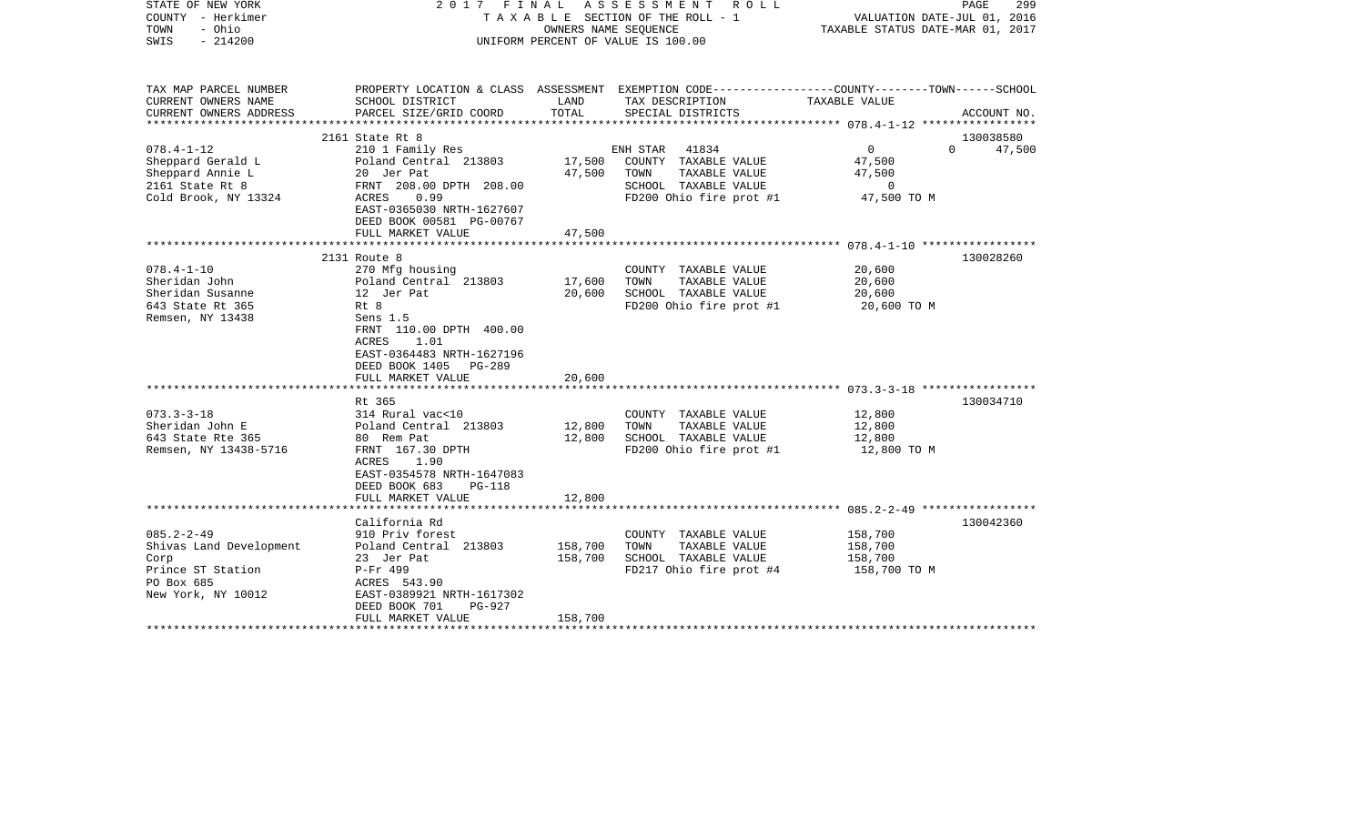| STATE OF NEW YORK<br>COUNTY - Herkimer<br>- Ohio<br>TOWN<br>SWIS<br>$-214200$ |                                                                                                                       | OWNERS NAME SEQUENCE | 2017 FINAL ASSESSMENT ROLL<br>TAXABLE SECTION OF THE ROLL - 1<br>UNIFORM PERCENT OF VALUE IS 100.00               | VALUATION DATE-JUL 01, 2016<br>TAXABLE STATUS DATE-MAR 01, 2017 | PAGE<br>299        |
|-------------------------------------------------------------------------------|-----------------------------------------------------------------------------------------------------------------------|----------------------|-------------------------------------------------------------------------------------------------------------------|-----------------------------------------------------------------|--------------------|
| TAX MAP PARCEL NUMBER<br>CURRENT OWNERS NAME                                  | SCHOOL DISTRICT                                                                                                       | LAND                 | PROPERTY LOCATION & CLASS ASSESSMENT EXEMPTION CODE---------------COUNTY-------TOWN-----SCHOOL<br>TAX DESCRIPTION | TAXABLE VALUE                                                   |                    |
| CURRENT OWNERS ADDRESS                                                        | PARCEL SIZE/GRID COORD                                                                                                | TOTAL                | SPECIAL DISTRICTS                                                                                                 |                                                                 | ACCOUNT NO.        |
|                                                                               | 2161 State Rt 8                                                                                                       |                      |                                                                                                                   |                                                                 | 130038580          |
| $078.4 - 1 - 12$                                                              | 210 1 Family Res                                                                                                      |                      | 41834<br>ENH STAR                                                                                                 | $\overline{0}$                                                  | $\Omega$<br>47,500 |
| Sheppard Gerald L                                                             | Poland Central 213803                                                                                                 | 17,500               | COUNTY TAXABLE VALUE                                                                                              | 47,500                                                          |                    |
| Sheppard Annie L                                                              | 20 Jer Pat                                                                                                            | 47,500               | TAXABLE VALUE<br>TOWN                                                                                             | 47,500                                                          |                    |
| 2161 State Rt 8                                                               | FRNT 208.00 DPTH 208.00                                                                                               |                      | SCHOOL TAXABLE VALUE                                                                                              | $\mathbf 0$                                                     |                    |
| Cold Brook, NY 13324                                                          | 0.99<br>ACRES                                                                                                         |                      | FD200 Ohio fire prot #1                                                                                           | 47,500 TO M                                                     |                    |
|                                                                               | EAST-0365030 NRTH-1627607<br>DEED BOOK 00581 PG-00767                                                                 |                      |                                                                                                                   |                                                                 |                    |
|                                                                               | FULL MARKET VALUE                                                                                                     | 47,500               |                                                                                                                   |                                                                 |                    |
|                                                                               |                                                                                                                       |                      |                                                                                                                   |                                                                 |                    |
|                                                                               | 2131 Route 8                                                                                                          |                      |                                                                                                                   |                                                                 | 130028260          |
| $078.4 - 1 - 10$                                                              | 270 Mfg housing                                                                                                       |                      | COUNTY TAXABLE VALUE                                                                                              | 20,600                                                          |                    |
| Sheridan John                                                                 | Poland Central 213803                                                                                                 | 17,600               | TAXABLE VALUE<br>TOWN                                                                                             | 20,600                                                          |                    |
| Sheridan Susanne<br>643 State Rt 365                                          | 12 Jer Pat<br>Rt 8                                                                                                    | 20,600               | SCHOOL TAXABLE VALUE                                                                                              | 20,600                                                          |                    |
| Remsen, NY 13438                                                              | Sens 1.5<br>FRNT 110.00 DPTH 400.00<br><b>ACRES</b><br>1.01<br>EAST-0364483 NRTH-1627196<br>DEED BOOK 1405 PG-289     |                      | FD200 Ohio fire prot #1                                                                                           | 20,600 TO M                                                     |                    |
|                                                                               | FULL MARKET VALUE                                                                                                     | 20,600               |                                                                                                                   |                                                                 |                    |
|                                                                               | Rt 365                                                                                                                |                      |                                                                                                                   |                                                                 | 130034710          |
| $073.3 - 3 - 18$                                                              | 314 Rural vac<10                                                                                                      |                      | COUNTY TAXABLE VALUE                                                                                              | 12,800                                                          |                    |
| Sheridan John E                                                               | Poland Central 213803                                                                                                 | 12,800               | TOWN<br>TAXABLE VALUE                                                                                             | 12,800                                                          |                    |
| 643 State Rte 365                                                             | 80 Rem Pat                                                                                                            | 12,800               | SCHOOL TAXABLE VALUE                                                                                              | 12,800                                                          |                    |
| Remsen, NY 13438-5716                                                         | FRNT 167.30 DPTH<br>1.90<br>ACRES<br>EAST-0354578 NRTH-1647083<br>DEED BOOK 683<br><b>PG-118</b><br>FULL MARKET VALUE | 12,800               | FD200 Ohio fire prot #1                                                                                           | 12,800 TO M                                                     |                    |
|                                                                               |                                                                                                                       |                      |                                                                                                                   |                                                                 |                    |
|                                                                               | California Rd                                                                                                         |                      |                                                                                                                   |                                                                 | 130042360          |
| $085.2 - 2 - 49$                                                              | 910 Priv forest                                                                                                       |                      | COUNTY TAXABLE VALUE                                                                                              | 158,700                                                         |                    |
| Shivas Land Development                                                       | Poland Central 213803                                                                                                 | 158,700              | TAXABLE VALUE<br>TOWN                                                                                             | 158,700                                                         |                    |
| Corp<br>Prince ST Station<br>PO Box 685<br>New York, NY 10012                 | 23 Jer Pat<br>P-Fr 499<br>ACRES 543.90<br>EAST-0389921 NRTH-1617302<br>DEED BOOK 701<br>PG-927                        | 158,700              | SCHOOL TAXABLE VALUE<br>FD217 Ohio fire prot #4                                                                   | 158,700<br>158,700 TO M                                         |                    |
|                                                                               | FULL MARKET VALUE                                                                                                     | 158,700              |                                                                                                                   |                                                                 |                    |
|                                                                               |                                                                                                                       |                      |                                                                                                                   |                                                                 |                    |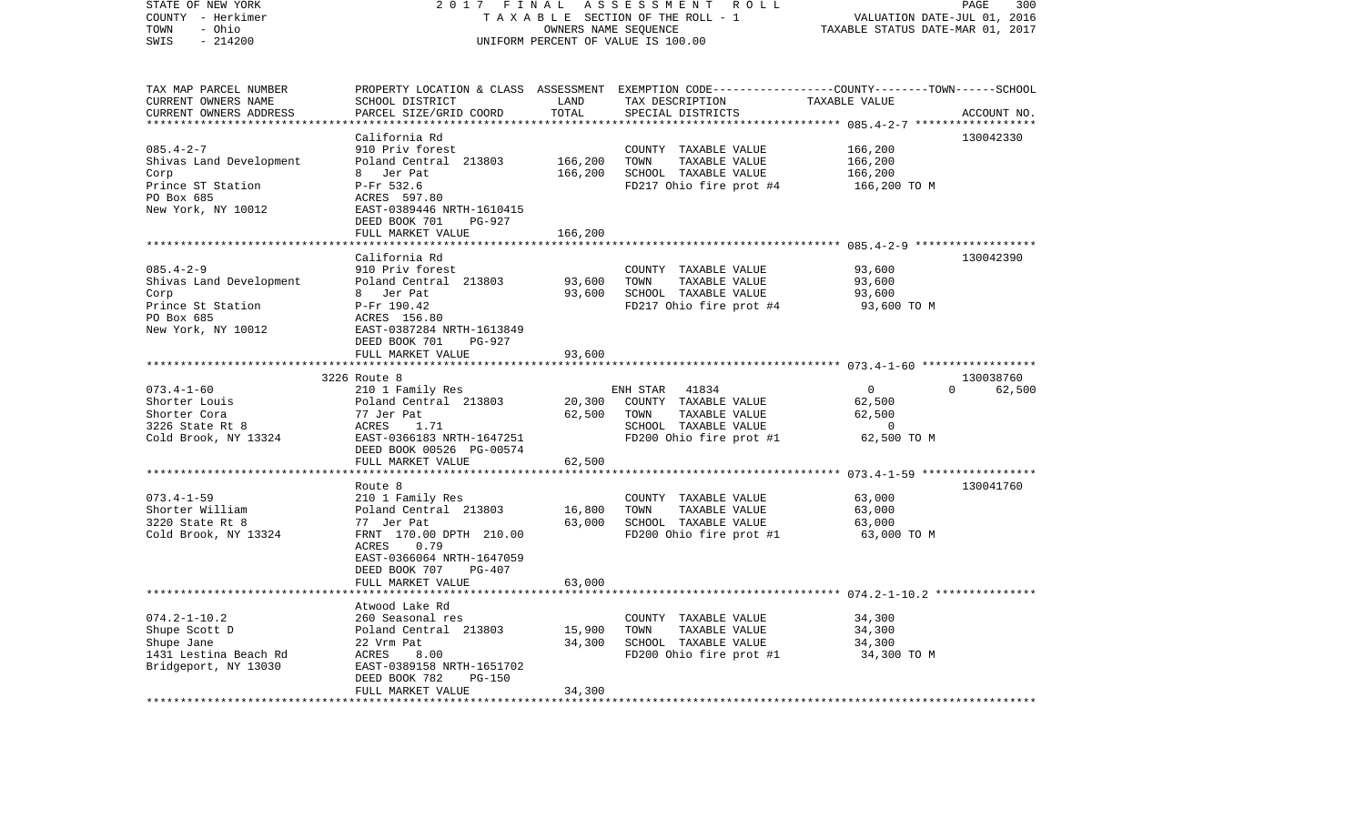| STATE OF NEW YORK<br>COUNTY - Herkimer<br>- Ohio<br>TOWN<br>SWIS<br>$-214200$ | 2017 FINAL                                           | OWNERS NAME SEQUENCE | ASSESSMENT ROLL<br>TAXABLE SECTION OF THE ROLL - 1<br>UNIFORM PERCENT OF VALUE IS 100.00        | VALUATION DATE-JUL 01, 2016<br>TAXABLE STATUS DATE-MAR 01, 2017 | PAGE<br>300        |
|-------------------------------------------------------------------------------|------------------------------------------------------|----------------------|-------------------------------------------------------------------------------------------------|-----------------------------------------------------------------|--------------------|
| TAX MAP PARCEL NUMBER                                                         |                                                      |                      | PROPERTY LOCATION & CLASS ASSESSMENT EXEMPTION CODE----------------COUNTY-------TOWN-----SCHOOL |                                                                 |                    |
| CURRENT OWNERS NAME                                                           | SCHOOL DISTRICT                                      | LAND                 | TAX DESCRIPTION                                                                                 | TAXABLE VALUE                                                   |                    |
| CURRENT OWNERS ADDRESS                                                        | PARCEL SIZE/GRID COORD                               | TOTAL                | SPECIAL DISTRICTS                                                                               |                                                                 | ACCOUNT NO.        |
|                                                                               |                                                      |                      |                                                                                                 |                                                                 |                    |
| $085.4 - 2 - 7$                                                               | California Rd                                        |                      |                                                                                                 | 166,200                                                         | 130042330          |
|                                                                               | 910 Priv forest<br>Poland Central 213803             | 166,200              | COUNTY TAXABLE VALUE<br>TOWN                                                                    | 166,200                                                         |                    |
| Shivas Land Development<br>Corp                                               | 8 Jer Pat                                            | 166,200              | TAXABLE VALUE<br>SCHOOL TAXABLE VALUE                                                           | 166,200                                                         |                    |
| Prince ST Station                                                             | P-Fr 532.6                                           |                      | FD217 Ohio fire prot #4                                                                         | 166,200 то м                                                    |                    |
| PO Box 685                                                                    | ACRES 597.80                                         |                      |                                                                                                 |                                                                 |                    |
| New York, NY 10012                                                            | EAST-0389446 NRTH-1610415                            |                      |                                                                                                 |                                                                 |                    |
|                                                                               | DEED BOOK 701<br>$PG-927$                            |                      |                                                                                                 |                                                                 |                    |
|                                                                               | FULL MARKET VALUE                                    | 166,200              |                                                                                                 |                                                                 |                    |
|                                                                               |                                                      |                      |                                                                                                 |                                                                 |                    |
|                                                                               | California Rd                                        |                      |                                                                                                 |                                                                 | 130042390          |
| $085.4 - 2 - 9$                                                               | 910 Priv forest                                      |                      | COUNTY TAXABLE VALUE                                                                            | 93,600                                                          |                    |
| Shivas Land Development                                                       | Poland Central 213803                                | 93,600               | TOWN<br>TAXABLE VALUE                                                                           | 93,600                                                          |                    |
| Corp                                                                          | 8 Jer Pat                                            | 93,600               | SCHOOL TAXABLE VALUE                                                                            | 93,600                                                          |                    |
| Prince St Station                                                             | P-Fr 190.42                                          |                      | FD217 Ohio fire prot #4                                                                         | 93,600 TO M                                                     |                    |
| PO Box 685                                                                    | ACRES 156.80                                         |                      |                                                                                                 |                                                                 |                    |
| New York, NY 10012                                                            | EAST-0387284 NRTH-1613849<br>DEED BOOK 701<br>PG-927 |                      |                                                                                                 |                                                                 |                    |
|                                                                               | FULL MARKET VALUE                                    | 93,600               |                                                                                                 |                                                                 |                    |
|                                                                               |                                                      |                      |                                                                                                 |                                                                 |                    |
|                                                                               | 3226 Route 8                                         |                      |                                                                                                 |                                                                 | 130038760          |
| $073.4 - 1 - 60$                                                              | 210 1 Family Res                                     |                      | ENH STAR<br>41834                                                                               | $\overline{0}$                                                  | 62,500<br>$\Omega$ |
| Shorter Louis                                                                 | Poland Central 213803                                | 20,300               | COUNTY TAXABLE VALUE                                                                            | 62,500                                                          |                    |
| Shorter Cora                                                                  | 77 Jer Pat                                           | 62,500               | TOWN<br>TAXABLE VALUE                                                                           | 62,500                                                          |                    |
| 3226 State Rt 8                                                               | ACRES<br>1.71                                        |                      | SCHOOL TAXABLE VALUE                                                                            | $\overline{0}$                                                  |                    |
| Cold Brook, NY 13324                                                          | EAST-0366183 NRTH-1647251                            |                      | FD200 Ohio fire prot #1                                                                         | 62,500 TO M                                                     |                    |
|                                                                               | DEED BOOK 00526 PG-00574                             |                      |                                                                                                 |                                                                 |                    |
|                                                                               | FULL MARKET VALUE                                    | 62,500               |                                                                                                 |                                                                 |                    |
|                                                                               |                                                      |                      |                                                                                                 |                                                                 |                    |
| $073.4 - 1 - 59$                                                              | Route 8<br>210 1 Family Res                          |                      | COUNTY TAXABLE VALUE                                                                            | 63,000                                                          | 130041760          |
| Shorter William                                                               | Poland Central 213803                                | 16,800               | TOWN<br>TAXABLE VALUE                                                                           | 63,000                                                          |                    |
| 3220 State Rt 8                                                               | 77 Jer Pat                                           | 63,000               | SCHOOL TAXABLE VALUE                                                                            | 63,000                                                          |                    |
| Cold Brook, NY 13324                                                          | FRNT 170.00 DPTH 210.00                              |                      | FD200 Ohio fire prot #1                                                                         | 63,000 TO M                                                     |                    |
|                                                                               | ACRES<br>0.79                                        |                      |                                                                                                 |                                                                 |                    |
|                                                                               | EAST-0366064 NRTH-1647059                            |                      |                                                                                                 |                                                                 |                    |
|                                                                               | DEED BOOK 707<br>PG-407                              |                      |                                                                                                 |                                                                 |                    |
|                                                                               | FULL MARKET VALUE                                    | 63,000               |                                                                                                 |                                                                 |                    |
|                                                                               |                                                      |                      |                                                                                                 | ************************** 074.2-1-10.2 ****************        |                    |
|                                                                               | Atwood Lake Rd                                       |                      |                                                                                                 |                                                                 |                    |
| $074.2 - 1 - 10.2$                                                            | 260 Seasonal res                                     |                      | COUNTY TAXABLE VALUE                                                                            | 34,300                                                          |                    |
| Shupe Scott D                                                                 | Poland Central 213803                                | 15,900               | TOWN<br>TAXABLE VALUE                                                                           | 34,300                                                          |                    |
| Shupe Jane                                                                    | 22 Vrm Pat                                           | 34,300               | SCHOOL TAXABLE VALUE                                                                            | 34,300                                                          |                    |
| 1431 Lestina Beach Rd<br>Bridgeport, NY 13030                                 | ACRES<br>8.00<br>EAST-0389158 NRTH-1651702           |                      | FD200 Ohio fire prot #1                                                                         | 34,300 TO M                                                     |                    |
|                                                                               | DEED BOOK 782<br><b>PG-150</b>                       |                      |                                                                                                 |                                                                 |                    |
|                                                                               | FULL MARKET VALUE                                    | 34,300               |                                                                                                 |                                                                 |                    |
|                                                                               |                                                      |                      |                                                                                                 |                                                                 |                    |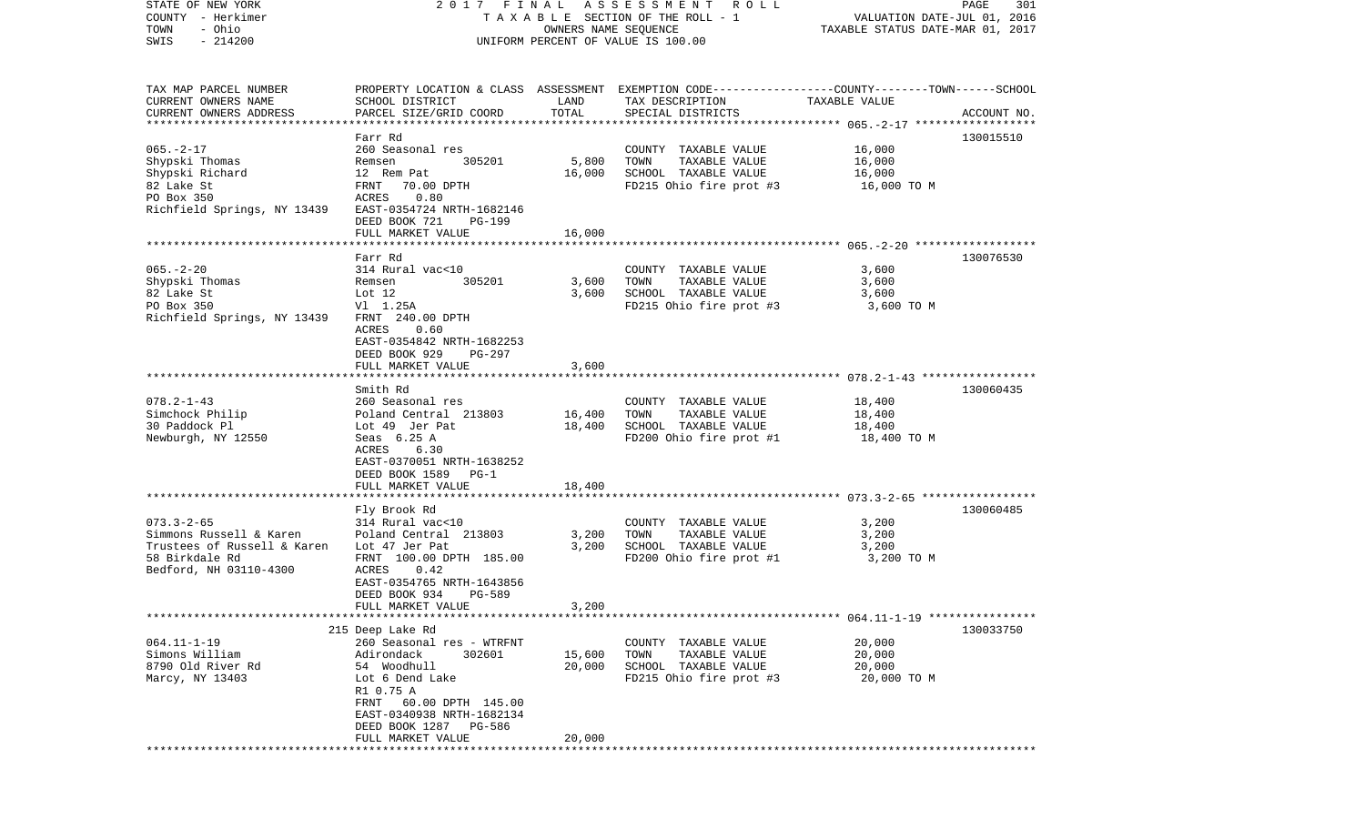| STATE OF NEW YORK<br>COUNTY - Herkimer                 |                                                   |                | 2017 FINAL ASSESSMENT ROLL<br>TAXABLE SECTION OF THE ROLL - 1                                   | VALUATION DATE-JUL 01, 2016      | PAGE<br>301 |
|--------------------------------------------------------|---------------------------------------------------|----------------|-------------------------------------------------------------------------------------------------|----------------------------------|-------------|
| - Ohio<br>TOWN                                         |                                                   |                | OWNERS NAME SEQUENCE                                                                            | TAXABLE STATUS DATE-MAR 01, 2017 |             |
| $-214200$<br>SWIS                                      |                                                   |                | UNIFORM PERCENT OF VALUE IS 100.00                                                              |                                  |             |
|                                                        |                                                   |                |                                                                                                 |                                  |             |
| TAX MAP PARCEL NUMBER                                  |                                                   |                | PROPERTY LOCATION & CLASS ASSESSMENT EXEMPTION CODE---------------COUNTY-------TOWN------SCHOOL |                                  |             |
| CURRENT OWNERS NAME                                    | SCHOOL DISTRICT                                   | LAND           | TAX DESCRIPTION                                                                                 | TAXABLE VALUE                    |             |
| CURRENT OWNERS ADDRESS                                 | PARCEL SIZE/GRID COORD                            | TOTAL          | SPECIAL DISTRICTS                                                                               |                                  | ACCOUNT NO. |
|                                                        | Farr Rd                                           |                |                                                                                                 |                                  |             |
| $065. - 2 - 17$                                        | 260 Seasonal res                                  |                | COUNTY TAXABLE VALUE                                                                            | 16,000                           | 130015510   |
| Shypski Thomas                                         | 305201<br>Remsen                                  | 5,800          | TOWN<br>TAXABLE VALUE                                                                           | 16,000                           |             |
| Shypski Richard                                        | 12 Rem Pat                                        | 16,000         | SCHOOL TAXABLE VALUE                                                                            | 16,000                           |             |
| 82 Lake St                                             | FRNT<br>70.00 DPTH                                |                | FD215 Ohio fire prot #3                                                                         | 16,000 TO M                      |             |
| PO Box 350                                             | ACRES<br>0.80                                     |                |                                                                                                 |                                  |             |
| Richfield Springs, NY 13439                            | EAST-0354724 NRTH-1682146                         |                |                                                                                                 |                                  |             |
|                                                        | DEED BOOK 721<br>PG-199                           |                |                                                                                                 |                                  |             |
|                                                        | FULL MARKET VALUE                                 | 16,000         |                                                                                                 |                                  |             |
|                                                        | Farr Rd                                           |                |                                                                                                 |                                  | 130076530   |
| $065. - 2 - 20$                                        | 314 Rural vac<10                                  |                | COUNTY TAXABLE VALUE                                                                            | 3,600                            |             |
| Shypski Thomas                                         | 305201<br>Remsen                                  | 3,600          | TOWN<br>TAXABLE VALUE                                                                           | 3,600                            |             |
| 82 Lake St                                             | Lot $12$                                          | 3,600          | SCHOOL TAXABLE VALUE                                                                            | 3,600                            |             |
| PO Box 350                                             | V1 1.25A                                          |                | FD215 Ohio fire prot #3                                                                         | 3,600 TO M                       |             |
| Richfield Springs, NY 13439                            | FRNT 240.00 DPTH                                  |                |                                                                                                 |                                  |             |
|                                                        | 0.60<br>ACRES<br>EAST-0354842 NRTH-1682253        |                |                                                                                                 |                                  |             |
|                                                        | DEED BOOK 929<br>PG-297                           |                |                                                                                                 |                                  |             |
|                                                        | FULL MARKET VALUE                                 | 3,600          |                                                                                                 |                                  |             |
|                                                        |                                                   |                |                                                                                                 |                                  |             |
|                                                        | Smith Rd                                          |                |                                                                                                 |                                  | 130060435   |
| $078.2 - 1 - 43$                                       | 260 Seasonal res                                  |                | COUNTY TAXABLE VALUE                                                                            | 18,400                           |             |
| Simchock Philip                                        | Poland Central 213803                             | 16,400         | TOWN<br>TAXABLE VALUE                                                                           | 18,400                           |             |
| 30 Paddock Pl                                          | Lot 49 Jer Pat                                    | 18,400         | SCHOOL TAXABLE VALUE                                                                            | 18,400                           |             |
| Newburgh, NY 12550                                     | Seas 6.25 A<br>ACRES<br>6.30                      |                | FD200 Ohio fire prot #1                                                                         | 18,400 TO M                      |             |
|                                                        | EAST-0370051 NRTH-1638252                         |                |                                                                                                 |                                  |             |
|                                                        | DEED BOOK 1589<br>$PG-1$                          |                |                                                                                                 |                                  |             |
|                                                        | FULL MARKET VALUE                                 | 18,400         |                                                                                                 |                                  |             |
|                                                        | **********************                            |                |                                                                                                 |                                  |             |
|                                                        | Fly Brook Rd                                      |                |                                                                                                 |                                  | 130060485   |
| $073.3 - 2 - 65$                                       | 314 Rural vac<10                                  |                | COUNTY TAXABLE VALUE                                                                            | 3,200                            |             |
| Simmons Russell & Karen<br>Trustees of Russell & Karen | Poland Central 213803<br>Lot 47 Jer Pat           | 3,200<br>3,200 | TOWN<br>TAXABLE VALUE<br>SCHOOL TAXABLE VALUE                                                   | 3,200<br>3,200                   |             |
| 58 Birkdale Rd                                         | FRNT 100.00 DPTH 185.00                           |                | FD200 Ohio fire prot #1                                                                         | 3,200 TO M                       |             |
| Bedford, NH 03110-4300                                 | ACRES<br>0.42                                     |                |                                                                                                 |                                  |             |
|                                                        | EAST-0354765 NRTH-1643856                         |                |                                                                                                 |                                  |             |
|                                                        | DEED BOOK 934<br>PG-589                           |                |                                                                                                 |                                  |             |
|                                                        | FULL MARKET VALUE                                 | 3,200          |                                                                                                 |                                  |             |
|                                                        |                                                   |                |                                                                                                 |                                  |             |
| $064.11 - 1 - 19$                                      | 215 Deep Lake Rd                                  |                |                                                                                                 |                                  | 130033750   |
| Simons William                                         | 260 Seasonal res - WTRFNT<br>Adirondack<br>302601 | 15,600         | COUNTY TAXABLE VALUE<br>TAXABLE VALUE<br>TOWN                                                   | 20,000<br>20,000                 |             |
| 8790 Old River Rd                                      | 54 Woodhull                                       | 20,000         | SCHOOL TAXABLE VALUE                                                                            | 20,000                           |             |
| Marcy, NY 13403                                        | Lot 6 Dend Lake                                   |                | FD215 Ohio fire prot #3                                                                         | 20,000 TO M                      |             |
|                                                        | R1 0.75 A                                         |                |                                                                                                 |                                  |             |
|                                                        | 60.00 DPTH 145.00<br>FRNT                         |                |                                                                                                 |                                  |             |
|                                                        | EAST-0340938 NRTH-1682134                         |                |                                                                                                 |                                  |             |
|                                                        | DEED BOOK 1287 PG-586                             | 20,000         |                                                                                                 |                                  |             |
|                                                        | FULL MARKET VALUE                                 |                |                                                                                                 |                                  |             |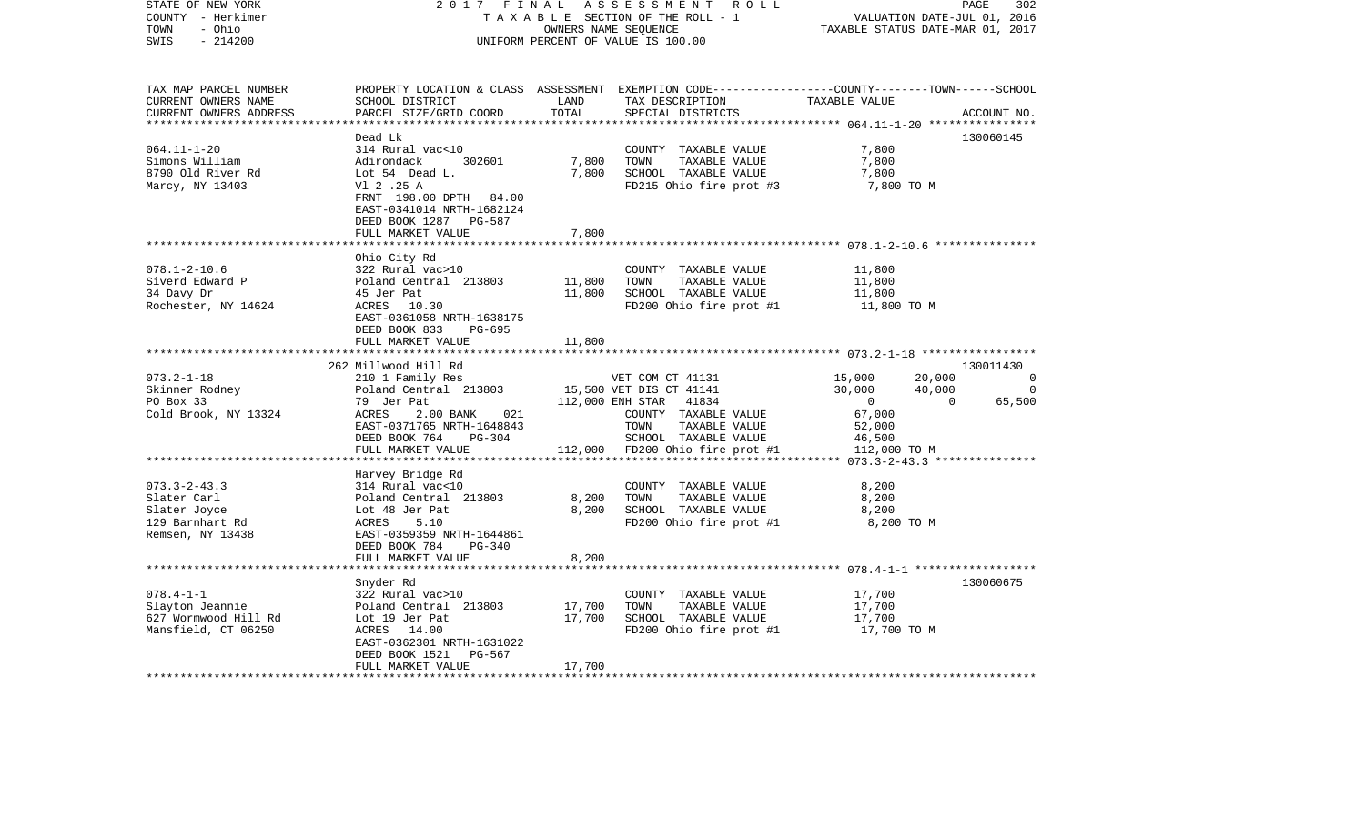| STATE OF NEW YORK<br>COUNTY - Herkimer<br>- Ohio<br>TOWN<br>$-214200$<br>SWIS                       | 2017 FINAL<br>TAXABLE SECTION OF THE ROLL - 1<br>UNIFORM PERCENT OF VALUE IS 100.00 | PAGE<br>302<br>VALUATION DATE-JUL 01, 2016<br>TAXABLE STATUS DATE-MAR 01, 2017 |                                                                                                                                                      |                                  |                |
|-----------------------------------------------------------------------------------------------------|-------------------------------------------------------------------------------------|--------------------------------------------------------------------------------|------------------------------------------------------------------------------------------------------------------------------------------------------|----------------------------------|----------------|
| TAX MAP PARCEL NUMBER<br>CURRENT OWNERS NAME<br>CURRENT OWNERS ADDRESS<br>************************* | SCHOOL DISTRICT<br>PARCEL SIZE/GRID COORD                                           | LAND<br>TOTAL                                                                  | PROPERTY LOCATION & CLASS ASSESSMENT EXEMPTION CODE---------------COUNTY-------TOWN-----SCHOOL<br>TAX DESCRIPTION TAXABLE VALUE<br>SPECIAL DISTRICTS |                                  | ACCOUNT NO.    |
|                                                                                                     | Dead Lk                                                                             |                                                                                |                                                                                                                                                      |                                  | 130060145      |
| $064.11 - 1 - 20$                                                                                   | 314 Rural vac<10                                                                    |                                                                                | COUNTY TAXABLE VALUE                                                                                                                                 | 7,800                            |                |
| Simons William                                                                                      | Adirondack<br>302601                                                                | 7,800                                                                          | TOWN<br>TAXABLE VALUE                                                                                                                                | 7,800                            |                |
| 8790 Old River Rd                                                                                   | Lot 54 Dead L.                                                                      | 7,800                                                                          | SCHOOL TAXABLE VALUE                                                                                                                                 | 7,800                            |                |
| Marcy, NY 13403                                                                                     | Vl 2 .25 A                                                                          |                                                                                | FD215 Ohio fire prot #3                                                                                                                              | 7,800 TO M                       |                |
|                                                                                                     | FRNT 198.00 DPTH 84.00                                                              |                                                                                |                                                                                                                                                      |                                  |                |
|                                                                                                     | EAST-0341014 NRTH-1682124                                                           |                                                                                |                                                                                                                                                      |                                  |                |
|                                                                                                     | DEED BOOK 1287 PG-587                                                               |                                                                                |                                                                                                                                                      |                                  |                |
|                                                                                                     | FULL MARKET VALUE                                                                   | 7,800                                                                          |                                                                                                                                                      |                                  |                |
|                                                                                                     |                                                                                     |                                                                                |                                                                                                                                                      |                                  |                |
|                                                                                                     | Ohio City Rd                                                                        |                                                                                |                                                                                                                                                      |                                  |                |
| $078.1 - 2 - 10.6$                                                                                  | 322 Rural vac>10                                                                    |                                                                                | COUNTY TAXABLE VALUE                                                                                                                                 | 11,800                           |                |
| Siverd Edward P                                                                                     | Poland Central 213803                                                               | 11,800                                                                         | TOWN<br>TAXABLE VALUE                                                                                                                                | 11,800                           |                |
| 34 Davy Dr                                                                                          | 45 Jer Pat                                                                          | 11,800                                                                         | SCHOOL TAXABLE VALUE                                                                                                                                 | 11,800                           |                |
| Rochester, NY 14624                                                                                 | ACRES 10.30                                                                         |                                                                                | FD200 Ohio fire prot #1                                                                                                                              | 11,800 TO M                      |                |
|                                                                                                     | EAST-0361058 NRTH-1638175                                                           |                                                                                |                                                                                                                                                      |                                  |                |
|                                                                                                     | DEED BOOK 833<br>PG-695                                                             |                                                                                |                                                                                                                                                      |                                  |                |
|                                                                                                     | FULL MARKET VALUE                                                                   | 11,800                                                                         |                                                                                                                                                      |                                  |                |
|                                                                                                     | 262 Millwood Hill Rd                                                                |                                                                                |                                                                                                                                                      |                                  | 130011430      |
| $073.2 - 1 - 18$                                                                                    | 210 1 Family Res                                                                    |                                                                                | VET COM CT 41131                                                                                                                                     | 15,000<br>20,000                 | $\overline{0}$ |
| Skinner Rodney                                                                                      | Poland Central 213803                                                               |                                                                                | 15,500 VET DIS CT 41141                                                                                                                              | 30,000<br>40,000                 | $\overline{0}$ |
| PO Box 33                                                                                           | 79 Jer Pat                                                                          |                                                                                | 112,000 ENH STAR 41834                                                                                                                               | $\overline{0}$<br>$\overline{0}$ | 65,500         |
| Cold Brook, NY 13324                                                                                | 021<br>ACRES<br>2.00 BANK                                                           |                                                                                | COUNTY TAXABLE VALUE                                                                                                                                 | 67,000                           |                |
|                                                                                                     | EAST-0371765 NRTH-1648843                                                           |                                                                                | TOWN<br>TAXABLE VALUE                                                                                                                                | 52,000                           |                |
|                                                                                                     | DEED BOOK 764<br>PG-304                                                             |                                                                                | SCHOOL TAXABLE VALUE                                                                                                                                 | 46,500                           |                |
|                                                                                                     | FULL MARKET VALUE                                                                   |                                                                                | 112,000 FD200 Ohio fire prot #1                                                                                                                      | 112,000 TO M                     |                |
|                                                                                                     |                                                                                     |                                                                                |                                                                                                                                                      |                                  |                |
|                                                                                                     | Harvey Bridge Rd                                                                    |                                                                                |                                                                                                                                                      |                                  |                |
| $073.3 - 2 - 43.3$                                                                                  | 314 Rural vac<10                                                                    |                                                                                | COUNTY TAXABLE VALUE                                                                                                                                 | 8,200                            |                |
| Slater Carl                                                                                         | Poland Central 213803                                                               | 8,200                                                                          | TAXABLE VALUE<br>TOWN                                                                                                                                | 8,200                            |                |
| Slater Joyce                                                                                        | Lot 48 Jer Pat                                                                      | 8,200                                                                          | SCHOOL TAXABLE VALUE                                                                                                                                 | 8,200                            |                |
| 129 Barnhart Rd                                                                                     | ACRES<br>5.10                                                                       |                                                                                | FD200 Ohio fire prot #1                                                                                                                              | 8,200 TO M                       |                |
| Remsen, NY 13438                                                                                    | EAST-0359359 NRTH-1644861                                                           |                                                                                |                                                                                                                                                      |                                  |                |
|                                                                                                     | DEED BOOK 784<br>PG-340                                                             |                                                                                |                                                                                                                                                      |                                  |                |
|                                                                                                     | FULL MARKET VALUE                                                                   | 8,200                                                                          |                                                                                                                                                      |                                  |                |
|                                                                                                     |                                                                                     |                                                                                |                                                                                                                                                      |                                  |                |
|                                                                                                     | Snyder Rd                                                                           |                                                                                |                                                                                                                                                      |                                  | 130060675      |
| $078.4 - 1 - 1$                                                                                     | 322 Rural vac>10                                                                    |                                                                                | COUNTY TAXABLE VALUE                                                                                                                                 | 17,700                           |                |
| Slayton Jeannie                                                                                     | Poland Central 213803                                                               | 17,700                                                                         | TOWN<br>TAXABLE VALUE                                                                                                                                | 17,700                           |                |
| 627 Wormwood Hill Rd                                                                                | Lot 19 Jer Pat                                                                      | 17,700                                                                         | SCHOOL TAXABLE VALUE                                                                                                                                 | 17,700                           |                |
| Mansfield, CT 06250                                                                                 | ACRES 14.00                                                                         |                                                                                | FD200 Ohio fire prot #1                                                                                                                              | 17,700 TO M                      |                |
|                                                                                                     | EAST-0362301 NRTH-1631022                                                           |                                                                                |                                                                                                                                                      |                                  |                |
|                                                                                                     | DEED BOOK 1521<br>PG-567                                                            |                                                                                |                                                                                                                                                      |                                  |                |
|                                                                                                     | FULL MARKET VALUE                                                                   | 17,700                                                                         |                                                                                                                                                      |                                  |                |
|                                                                                                     |                                                                                     |                                                                                |                                                                                                                                                      |                                  |                |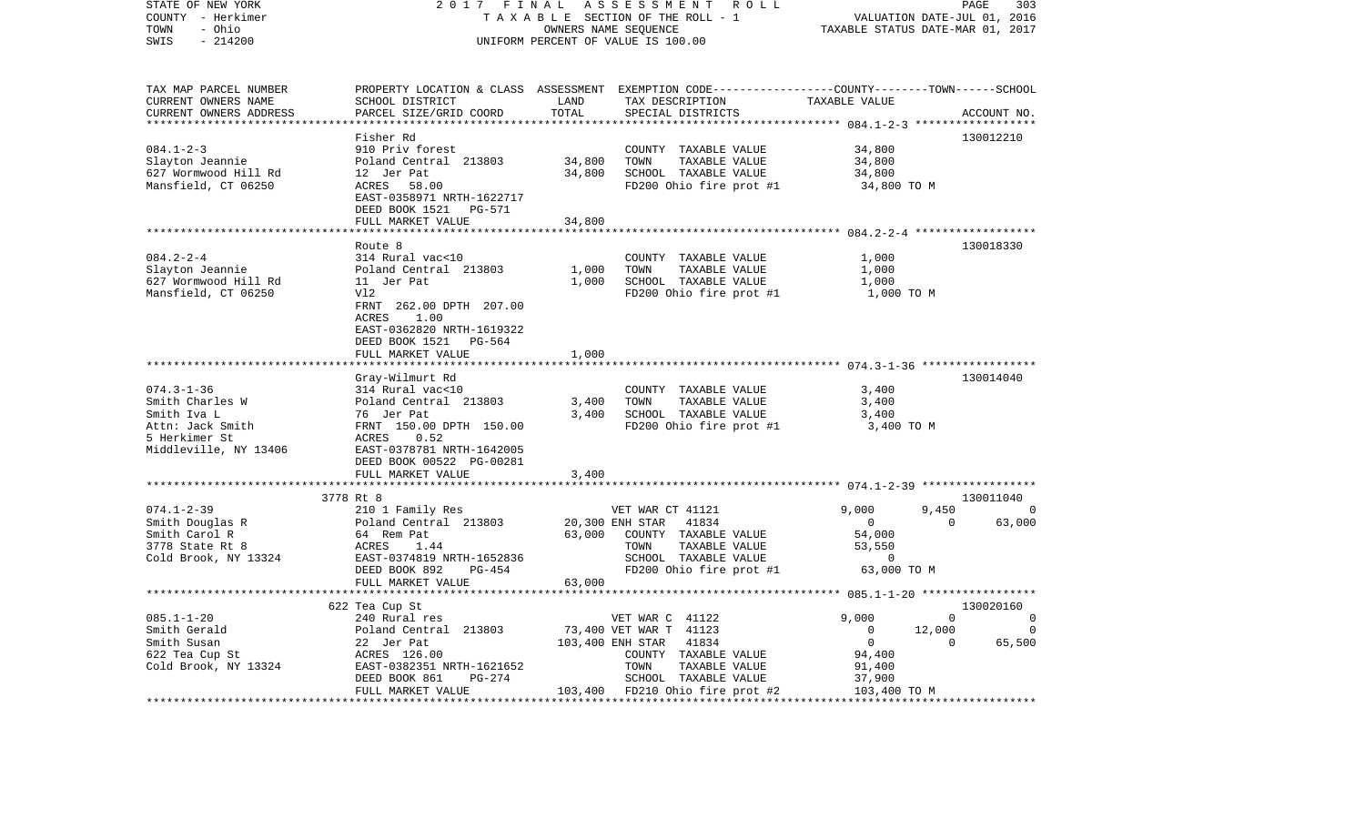| STATE OF NEW YORK<br>COUNTY - Herkimer<br>- Ohio<br>TOWN<br>SWIS<br>$-214200$                                    | 2017 FINAL                                                                                                                                                                                        |                              | ASSESSMENT ROLL<br>TAXABLE SECTION OF THE ROLL - 1<br>OWNERS NAME SEQUENCE<br>UNIFORM PERCENT OF VALUE IS 100.00                                                                   | VALUATION DATE-JUL 01, 2016<br>TAXABLE STATUS DATE-MAR 01, 2017                                     | PAGE<br>303                                      |
|------------------------------------------------------------------------------------------------------------------|---------------------------------------------------------------------------------------------------------------------------------------------------------------------------------------------------|------------------------------|------------------------------------------------------------------------------------------------------------------------------------------------------------------------------------|-----------------------------------------------------------------------------------------------------|--------------------------------------------------|
| TAX MAP PARCEL NUMBER<br>CURRENT OWNERS NAME<br>CURRENT OWNERS ADDRESS                                           | SCHOOL DISTRICT<br>PARCEL SIZE/GRID COORD                                                                                                                                                         | LAND<br>TOTAL<br>*********** | PROPERTY LOCATION & CLASS ASSESSMENT EXEMPTION CODE---------------COUNTY-------TOWN-----SCHOOL<br>TAX DESCRIPTION<br>SPECIAL DISTRICTS                                             | TAXABLE VALUE                                                                                       | ACCOUNT NO.                                      |
|                                                                                                                  | Fisher Rd                                                                                                                                                                                         |                              |                                                                                                                                                                                    |                                                                                                     | 130012210                                        |
| $084.1 - 2 - 3$<br>Slayton Jeannie<br>627 Wormwood Hill Rd<br>Mansfield, CT 06250                                | 910 Priv forest<br>Poland Central 213803<br>12 Jer Pat<br>ACRES 58.00<br>EAST-0358971 NRTH-1622717<br>DEED BOOK 1521 PG-571<br>FULL MARKET VALUE                                                  | 34,800<br>34,800<br>34,800   | COUNTY TAXABLE VALUE<br>TOWN<br>TAXABLE VALUE<br>SCHOOL TAXABLE VALUE<br>FD200 Ohio fire prot #1                                                                                   | 34,800<br>34,800<br>34,800<br>34,800 TO M                                                           |                                                  |
|                                                                                                                  |                                                                                                                                                                                                   |                              |                                                                                                                                                                                    |                                                                                                     |                                                  |
| $084.2 - 2 - 4$<br>Slayton Jeannie<br>627 Wormwood Hill Rd<br>Mansfield, CT 06250                                | Route 8<br>314 Rural vac<10<br>Poland Central 213803<br>11 Jer Pat<br>Vl2<br>FRNT 262.00 DPTH 207.00<br>ACRES<br>1.00<br>EAST-0362820 NRTH-1619322<br>DEED BOOK 1521 PG-564<br>FULL MARKET VALUE  | 1,000<br>1,000<br>1,000      | COUNTY TAXABLE VALUE<br>TOWN<br>TAXABLE VALUE<br>SCHOOL TAXABLE VALUE<br>$FD200$ Ohio fire prot #1 $1,000$ TO M                                                                    | 1,000<br>1,000<br>1,000                                                                             | 130018330                                        |
|                                                                                                                  |                                                                                                                                                                                                   |                              |                                                                                                                                                                                    |                                                                                                     |                                                  |
| $074.3 - 1 - 36$<br>Smith Charles W<br>Smith Iva L<br>Attn: Jack Smith<br>5 Herkimer St<br>Middleville, NY 13406 | Gray-Wilmurt Rd<br>314 Rural vac<10<br>Poland Central 213803<br>76 Jer Pat<br>FRNT 150.00 DPTH 150.00<br>ACRES 0.52<br>EAST-0378781 NRTH-1642005<br>DEED BOOK 00522 PG-00281<br>FULL MARKET VALUE | 3,400<br>3,400<br>3,400      | COUNTY TAXABLE VALUE<br>TOWN<br>TAXABLE VALUE<br>SCHOOL TAXABLE VALUE<br>FD200 Ohio fire prot #1                                                                                   | 3,400<br>3,400<br>3,400<br>3,400 TO M                                                               | 130014040                                        |
|                                                                                                                  | ***********************                                                                                                                                                                           |                              |                                                                                                                                                                                    |                                                                                                     |                                                  |
| $074.1 - 2 - 39$                                                                                                 | 3778 Rt 8<br>210 1 Family Res                                                                                                                                                                     |                              | VET WAR CT 41121                                                                                                                                                                   | 9,000<br>9,450                                                                                      | 130011040<br>0                                   |
| Smith Douglas R<br>Smith Carol R<br>3778 State Rt 8<br>Cold Brook, NY 13324                                      | Poland Central 213803<br>64 Rem Pat<br>ACRES<br>1.44<br>EAST-0374819 NRTH-1652836<br>DEED BOOK 892<br>PG-454                                                                                      | 63,000                       | 20,300 ENH STAR<br>41834<br>COUNTY TAXABLE VALUE<br>TOWN<br>TAXABLE VALUE<br>SCHOOL TAXABLE VALUE<br>FD200 Ohio fire prot #1                                                       | $\overline{0}$<br>54,000<br>53,550<br>$\Omega$<br>63,000 TO M                                       | 63,000<br>$\overline{0}$                         |
|                                                                                                                  | FULL MARKET VALUE                                                                                                                                                                                 | 63,000                       |                                                                                                                                                                                    |                                                                                                     |                                                  |
|                                                                                                                  | **********************<br>622 Tea Cup St                                                                                                                                                          |                              |                                                                                                                                                                                    | 9,000                                                                                               | 130020160<br>$\Omega$                            |
| $085.1 - 1 - 20$<br>Smith Gerald<br>Smith Susan<br>$622$ Tea Cup St<br>Cold Brook, NY 13324                      | 240 Rural res<br>Poland Central 213803<br>22 Jer Pat<br>ACRES 126.00<br>EAST-0382351 NRTH-1621652<br>PG-274<br>DEED BOOK 861<br>FULL MARKET VALUE                                                 |                              | VET WAR C 41122<br>73,400 VET WAR T 41123<br>41834<br>103,400 ENH STAR<br>COUNTY TAXABLE VALUE<br>TOWN<br>TAXABLE VALUE<br>SCHOOL TAXABLE VALUE<br>103,400 FD210 Ohio fire prot #2 | $\overline{0}$<br>12,000<br>$\overline{0}$<br>94,400<br>91,400<br>37,900<br>103,400<br>103,400 TO M | $\overline{0}$<br>$\Omega$<br>$\Omega$<br>65,500 |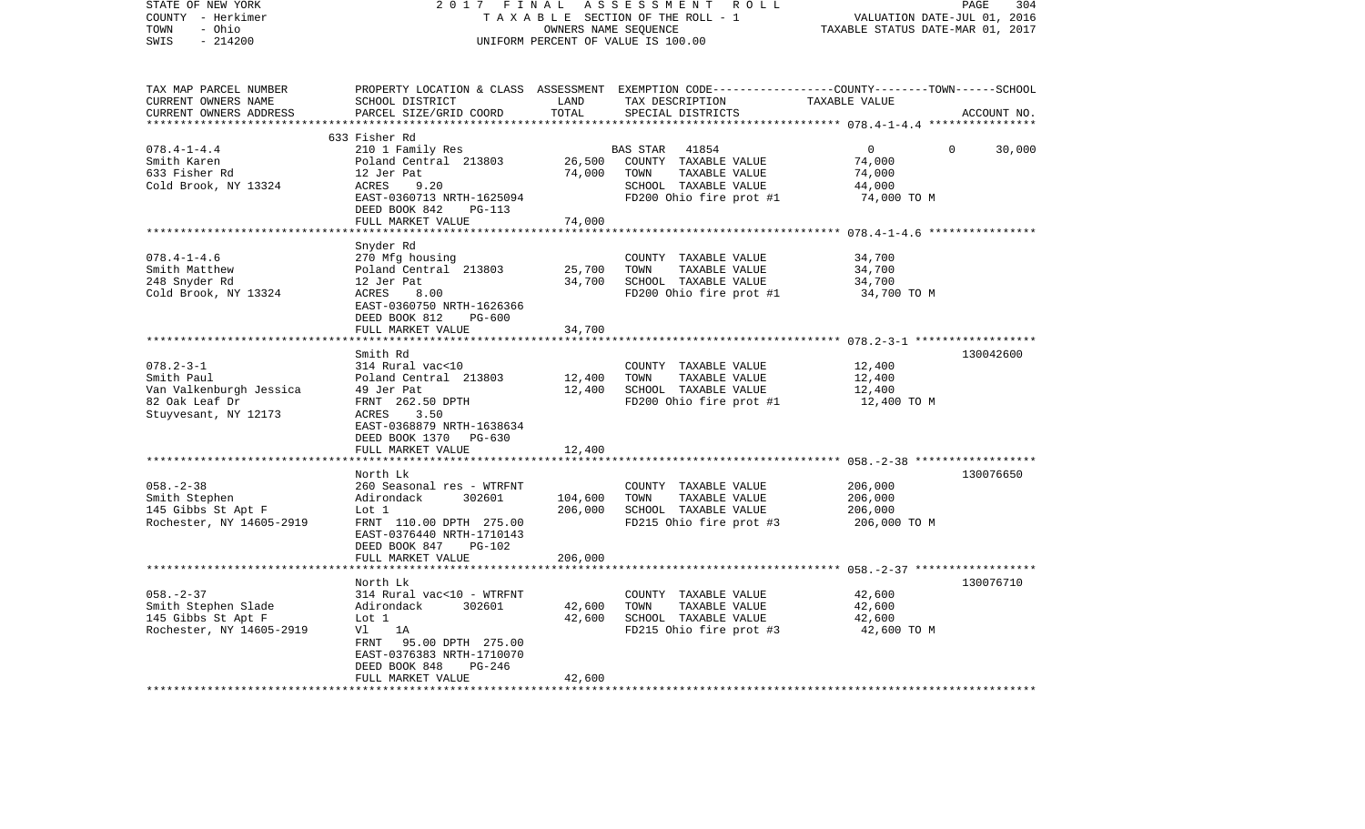| OWNERS NAME SEQUENCE<br>$-214200$<br>SWIS<br>UNIFORM PERCENT OF VALUE IS 100.00<br>TAX MAP PARCEL NUMBER<br>PROPERTY LOCATION & CLASS<br>ASSESSMENT EXEMPTION CODE-----------------COUNTY-------TOWN------SCHOOL<br>CURRENT OWNERS NAME<br>SCHOOL DISTRICT<br>LAND<br>TAX DESCRIPTION<br>TAXABLE VALUE<br>TOTAL<br>CURRENT OWNERS ADDRESS<br>PARCEL SIZE/GRID COORD<br>SPECIAL DISTRICTS<br>ACCOUNT NO.<br>***********************<br>633 Fisher Rd<br>$078.4 - 1 - 4.4$<br>210 1 Family Res<br>0<br>30,000<br>BAS STAR<br>41854<br>$\Omega$<br>Smith Karen<br>Poland Central 213803<br>26,500<br>COUNTY TAXABLE VALUE<br>74,000<br>633 Fisher Rd<br>12 Jer Pat<br>74,000<br>TOWN<br>TAXABLE VALUE<br>74,000<br>Cold Brook, NY 13324<br>ACRES<br>9.20<br>SCHOOL TAXABLE VALUE<br>44,000<br>FD200 Ohio fire prot #1<br>74,000 TO M<br>EAST-0360713 NRTH-1625094<br>DEED BOOK 842<br><b>PG-113</b><br>FULL MARKET VALUE<br>74,000<br>***********<br>*******************<br>Snyder Rd<br>$078.4 - 1 - 4.6$<br>270 Mfg housing<br>34,700<br>COUNTY TAXABLE VALUE<br>Smith Matthew<br>Poland Central 213803<br>25,700<br>TAXABLE VALUE<br>34,700<br>TOWN<br>248 Snyder Rd<br>34,700<br>SCHOOL TAXABLE VALUE<br>34,700<br>12 Jer Pat<br>Cold Brook, NY 13324<br>ACRES<br>8.00<br>FD200 Ohio fire prot #1<br>34,700 TO M<br>EAST-0360750 NRTH-1626366<br>DEED BOOK 812<br>PG-600<br>34,700<br>FULL MARKET VALUE<br>Smith Rd<br>130042600<br>$078.2 - 3 - 1$<br>314 Rural vac<10<br>12,400<br>COUNTY TAXABLE VALUE<br>12,400<br>TAXABLE VALUE<br>12,400<br>Smith Paul<br>Poland Central 213803<br>TOWN<br>12,400<br>SCHOOL TAXABLE VALUE<br>Van Valkenburgh Jessica<br>49 Jer Pat<br>12,400<br>FRNT 262.50 DPTH<br>FD200 Ohio fire prot #1<br>82 Oak Leaf Dr<br>12,400 TO M<br>Stuyvesant, NY 12173<br>ACRES<br>3.50<br>EAST-0368879 NRTH-1638634<br>DEED BOOK 1370 PG-630<br>12,400<br>FULL MARKET VALUE<br>*******************<br>*********************************** 058.-2-38 *******************<br>130076650<br>North Lk<br>$058. - 2 - 38$<br>260 Seasonal res - WTRFNT<br>COUNTY TAXABLE VALUE<br>206,000<br>TOWN<br>Smith Stephen<br>Adirondack<br>302601<br>104,600<br>TAXABLE VALUE<br>206,000<br>145 Gibbs St Apt F<br>206,000<br>SCHOOL TAXABLE VALUE<br>Lot 1<br>206,000<br>Rochester, NY 14605-2919<br>FD215 Ohio fire prot #3<br>206,000 TO M<br>FRNT 110.00 DPTH 275.00<br>EAST-0376440 NRTH-1710143<br>DEED BOOK 847<br><b>PG-102</b><br>206,000<br>FULL MARKET VALUE<br>130076710<br>North Lk<br>$058. - 2 - 37$<br>314 Rural vac<10 - WTRFNT<br>COUNTY TAXABLE VALUE<br>42,600<br>42,600<br>Smith Stephen Slade<br>Adirondack<br>302601<br>42,600<br>TOWN<br>TAXABLE VALUE<br>145 Gibbs St Apt F<br>Lot 1<br>42,600<br>SCHOOL TAXABLE VALUE<br>42,600<br>Rochester, NY 14605-2919<br>FD215 Ohio fire prot #3<br>Vl<br>1A<br>42,600 TO M<br>FRNT<br>95.00 DPTH 275.00<br>EAST-0376383 NRTH-1710070<br>DEED BOOK 848<br>PG-246<br>FULL MARKET VALUE<br>42,600 | STATE OF NEW YORK<br>COUNTY - Herkimer | 2017<br>FINAL<br>TAXABLE SECTION OF THE ROLL - 1 | PAGE<br>304<br>VALUATION DATE-JUL 01, 2016<br>TAXABLE STATUS DATE-MAR 01, 2017 |  |  |
|-------------------------------------------------------------------------------------------------------------------------------------------------------------------------------------------------------------------------------------------------------------------------------------------------------------------------------------------------------------------------------------------------------------------------------------------------------------------------------------------------------------------------------------------------------------------------------------------------------------------------------------------------------------------------------------------------------------------------------------------------------------------------------------------------------------------------------------------------------------------------------------------------------------------------------------------------------------------------------------------------------------------------------------------------------------------------------------------------------------------------------------------------------------------------------------------------------------------------------------------------------------------------------------------------------------------------------------------------------------------------------------------------------------------------------------------------------------------------------------------------------------------------------------------------------------------------------------------------------------------------------------------------------------------------------------------------------------------------------------------------------------------------------------------------------------------------------------------------------------------------------------------------------------------------------------------------------------------------------------------------------------------------------------------------------------------------------------------------------------------------------------------------------------------------------------------------------------------------------------------------------------------------------------------------------------------------------------------------------------------------------------------------------------------------------------------------------------------------------------------------------------------------------------------------------------------------------------------------------------------------------------------------------------------------------------------------------------------------------------------------------------------------------------------------------------------------------------------------------------------------------------------------------------------------------------------------------------------------|----------------------------------------|--------------------------------------------------|--------------------------------------------------------------------------------|--|--|
|                                                                                                                                                                                                                                                                                                                                                                                                                                                                                                                                                                                                                                                                                                                                                                                                                                                                                                                                                                                                                                                                                                                                                                                                                                                                                                                                                                                                                                                                                                                                                                                                                                                                                                                                                                                                                                                                                                                                                                                                                                                                                                                                                                                                                                                                                                                                                                                                                                                                                                                                                                                                                                                                                                                                                                                                                                                                                                                                                                         | - Ohio<br>TOWN                         |                                                  |                                                                                |  |  |
|                                                                                                                                                                                                                                                                                                                                                                                                                                                                                                                                                                                                                                                                                                                                                                                                                                                                                                                                                                                                                                                                                                                                                                                                                                                                                                                                                                                                                                                                                                                                                                                                                                                                                                                                                                                                                                                                                                                                                                                                                                                                                                                                                                                                                                                                                                                                                                                                                                                                                                                                                                                                                                                                                                                                                                                                                                                                                                                                                                         |                                        |                                                  |                                                                                |  |  |
|                                                                                                                                                                                                                                                                                                                                                                                                                                                                                                                                                                                                                                                                                                                                                                                                                                                                                                                                                                                                                                                                                                                                                                                                                                                                                                                                                                                                                                                                                                                                                                                                                                                                                                                                                                                                                                                                                                                                                                                                                                                                                                                                                                                                                                                                                                                                                                                                                                                                                                                                                                                                                                                                                                                                                                                                                                                                                                                                                                         |                                        |                                                  |                                                                                |  |  |
|                                                                                                                                                                                                                                                                                                                                                                                                                                                                                                                                                                                                                                                                                                                                                                                                                                                                                                                                                                                                                                                                                                                                                                                                                                                                                                                                                                                                                                                                                                                                                                                                                                                                                                                                                                                                                                                                                                                                                                                                                                                                                                                                                                                                                                                                                                                                                                                                                                                                                                                                                                                                                                                                                                                                                                                                                                                                                                                                                                         |                                        |                                                  |                                                                                |  |  |
|                                                                                                                                                                                                                                                                                                                                                                                                                                                                                                                                                                                                                                                                                                                                                                                                                                                                                                                                                                                                                                                                                                                                                                                                                                                                                                                                                                                                                                                                                                                                                                                                                                                                                                                                                                                                                                                                                                                                                                                                                                                                                                                                                                                                                                                                                                                                                                                                                                                                                                                                                                                                                                                                                                                                                                                                                                                                                                                                                                         |                                        |                                                  |                                                                                |  |  |
|                                                                                                                                                                                                                                                                                                                                                                                                                                                                                                                                                                                                                                                                                                                                                                                                                                                                                                                                                                                                                                                                                                                                                                                                                                                                                                                                                                                                                                                                                                                                                                                                                                                                                                                                                                                                                                                                                                                                                                                                                                                                                                                                                                                                                                                                                                                                                                                                                                                                                                                                                                                                                                                                                                                                                                                                                                                                                                                                                                         |                                        |                                                  |                                                                                |  |  |
|                                                                                                                                                                                                                                                                                                                                                                                                                                                                                                                                                                                                                                                                                                                                                                                                                                                                                                                                                                                                                                                                                                                                                                                                                                                                                                                                                                                                                                                                                                                                                                                                                                                                                                                                                                                                                                                                                                                                                                                                                                                                                                                                                                                                                                                                                                                                                                                                                                                                                                                                                                                                                                                                                                                                                                                                                                                                                                                                                                         |                                        |                                                  |                                                                                |  |  |
|                                                                                                                                                                                                                                                                                                                                                                                                                                                                                                                                                                                                                                                                                                                                                                                                                                                                                                                                                                                                                                                                                                                                                                                                                                                                                                                                                                                                                                                                                                                                                                                                                                                                                                                                                                                                                                                                                                                                                                                                                                                                                                                                                                                                                                                                                                                                                                                                                                                                                                                                                                                                                                                                                                                                                                                                                                                                                                                                                                         |                                        |                                                  |                                                                                |  |  |
|                                                                                                                                                                                                                                                                                                                                                                                                                                                                                                                                                                                                                                                                                                                                                                                                                                                                                                                                                                                                                                                                                                                                                                                                                                                                                                                                                                                                                                                                                                                                                                                                                                                                                                                                                                                                                                                                                                                                                                                                                                                                                                                                                                                                                                                                                                                                                                                                                                                                                                                                                                                                                                                                                                                                                                                                                                                                                                                                                                         |                                        |                                                  |                                                                                |  |  |
|                                                                                                                                                                                                                                                                                                                                                                                                                                                                                                                                                                                                                                                                                                                                                                                                                                                                                                                                                                                                                                                                                                                                                                                                                                                                                                                                                                                                                                                                                                                                                                                                                                                                                                                                                                                                                                                                                                                                                                                                                                                                                                                                                                                                                                                                                                                                                                                                                                                                                                                                                                                                                                                                                                                                                                                                                                                                                                                                                                         |                                        |                                                  |                                                                                |  |  |
|                                                                                                                                                                                                                                                                                                                                                                                                                                                                                                                                                                                                                                                                                                                                                                                                                                                                                                                                                                                                                                                                                                                                                                                                                                                                                                                                                                                                                                                                                                                                                                                                                                                                                                                                                                                                                                                                                                                                                                                                                                                                                                                                                                                                                                                                                                                                                                                                                                                                                                                                                                                                                                                                                                                                                                                                                                                                                                                                                                         |                                        |                                                  |                                                                                |  |  |
|                                                                                                                                                                                                                                                                                                                                                                                                                                                                                                                                                                                                                                                                                                                                                                                                                                                                                                                                                                                                                                                                                                                                                                                                                                                                                                                                                                                                                                                                                                                                                                                                                                                                                                                                                                                                                                                                                                                                                                                                                                                                                                                                                                                                                                                                                                                                                                                                                                                                                                                                                                                                                                                                                                                                                                                                                                                                                                                                                                         |                                        |                                                  |                                                                                |  |  |
|                                                                                                                                                                                                                                                                                                                                                                                                                                                                                                                                                                                                                                                                                                                                                                                                                                                                                                                                                                                                                                                                                                                                                                                                                                                                                                                                                                                                                                                                                                                                                                                                                                                                                                                                                                                                                                                                                                                                                                                                                                                                                                                                                                                                                                                                                                                                                                                                                                                                                                                                                                                                                                                                                                                                                                                                                                                                                                                                                                         |                                        |                                                  |                                                                                |  |  |
|                                                                                                                                                                                                                                                                                                                                                                                                                                                                                                                                                                                                                                                                                                                                                                                                                                                                                                                                                                                                                                                                                                                                                                                                                                                                                                                                                                                                                                                                                                                                                                                                                                                                                                                                                                                                                                                                                                                                                                                                                                                                                                                                                                                                                                                                                                                                                                                                                                                                                                                                                                                                                                                                                                                                                                                                                                                                                                                                                                         |                                        |                                                  |                                                                                |  |  |
|                                                                                                                                                                                                                                                                                                                                                                                                                                                                                                                                                                                                                                                                                                                                                                                                                                                                                                                                                                                                                                                                                                                                                                                                                                                                                                                                                                                                                                                                                                                                                                                                                                                                                                                                                                                                                                                                                                                                                                                                                                                                                                                                                                                                                                                                                                                                                                                                                                                                                                                                                                                                                                                                                                                                                                                                                                                                                                                                                                         |                                        |                                                  |                                                                                |  |  |
|                                                                                                                                                                                                                                                                                                                                                                                                                                                                                                                                                                                                                                                                                                                                                                                                                                                                                                                                                                                                                                                                                                                                                                                                                                                                                                                                                                                                                                                                                                                                                                                                                                                                                                                                                                                                                                                                                                                                                                                                                                                                                                                                                                                                                                                                                                                                                                                                                                                                                                                                                                                                                                                                                                                                                                                                                                                                                                                                                                         |                                        |                                                  |                                                                                |  |  |
|                                                                                                                                                                                                                                                                                                                                                                                                                                                                                                                                                                                                                                                                                                                                                                                                                                                                                                                                                                                                                                                                                                                                                                                                                                                                                                                                                                                                                                                                                                                                                                                                                                                                                                                                                                                                                                                                                                                                                                                                                                                                                                                                                                                                                                                                                                                                                                                                                                                                                                                                                                                                                                                                                                                                                                                                                                                                                                                                                                         |                                        |                                                  |                                                                                |  |  |
|                                                                                                                                                                                                                                                                                                                                                                                                                                                                                                                                                                                                                                                                                                                                                                                                                                                                                                                                                                                                                                                                                                                                                                                                                                                                                                                                                                                                                                                                                                                                                                                                                                                                                                                                                                                                                                                                                                                                                                                                                                                                                                                                                                                                                                                                                                                                                                                                                                                                                                                                                                                                                                                                                                                                                                                                                                                                                                                                                                         |                                        |                                                  |                                                                                |  |  |
|                                                                                                                                                                                                                                                                                                                                                                                                                                                                                                                                                                                                                                                                                                                                                                                                                                                                                                                                                                                                                                                                                                                                                                                                                                                                                                                                                                                                                                                                                                                                                                                                                                                                                                                                                                                                                                                                                                                                                                                                                                                                                                                                                                                                                                                                                                                                                                                                                                                                                                                                                                                                                                                                                                                                                                                                                                                                                                                                                                         |                                        |                                                  |                                                                                |  |  |
|                                                                                                                                                                                                                                                                                                                                                                                                                                                                                                                                                                                                                                                                                                                                                                                                                                                                                                                                                                                                                                                                                                                                                                                                                                                                                                                                                                                                                                                                                                                                                                                                                                                                                                                                                                                                                                                                                                                                                                                                                                                                                                                                                                                                                                                                                                                                                                                                                                                                                                                                                                                                                                                                                                                                                                                                                                                                                                                                                                         |                                        |                                                  |                                                                                |  |  |
|                                                                                                                                                                                                                                                                                                                                                                                                                                                                                                                                                                                                                                                                                                                                                                                                                                                                                                                                                                                                                                                                                                                                                                                                                                                                                                                                                                                                                                                                                                                                                                                                                                                                                                                                                                                                                                                                                                                                                                                                                                                                                                                                                                                                                                                                                                                                                                                                                                                                                                                                                                                                                                                                                                                                                                                                                                                                                                                                                                         |                                        |                                                  |                                                                                |  |  |
|                                                                                                                                                                                                                                                                                                                                                                                                                                                                                                                                                                                                                                                                                                                                                                                                                                                                                                                                                                                                                                                                                                                                                                                                                                                                                                                                                                                                                                                                                                                                                                                                                                                                                                                                                                                                                                                                                                                                                                                                                                                                                                                                                                                                                                                                                                                                                                                                                                                                                                                                                                                                                                                                                                                                                                                                                                                                                                                                                                         |                                        |                                                  |                                                                                |  |  |
|                                                                                                                                                                                                                                                                                                                                                                                                                                                                                                                                                                                                                                                                                                                                                                                                                                                                                                                                                                                                                                                                                                                                                                                                                                                                                                                                                                                                                                                                                                                                                                                                                                                                                                                                                                                                                                                                                                                                                                                                                                                                                                                                                                                                                                                                                                                                                                                                                                                                                                                                                                                                                                                                                                                                                                                                                                                                                                                                                                         |                                        |                                                  |                                                                                |  |  |
|                                                                                                                                                                                                                                                                                                                                                                                                                                                                                                                                                                                                                                                                                                                                                                                                                                                                                                                                                                                                                                                                                                                                                                                                                                                                                                                                                                                                                                                                                                                                                                                                                                                                                                                                                                                                                                                                                                                                                                                                                                                                                                                                                                                                                                                                                                                                                                                                                                                                                                                                                                                                                                                                                                                                                                                                                                                                                                                                                                         |                                        |                                                  |                                                                                |  |  |
|                                                                                                                                                                                                                                                                                                                                                                                                                                                                                                                                                                                                                                                                                                                                                                                                                                                                                                                                                                                                                                                                                                                                                                                                                                                                                                                                                                                                                                                                                                                                                                                                                                                                                                                                                                                                                                                                                                                                                                                                                                                                                                                                                                                                                                                                                                                                                                                                                                                                                                                                                                                                                                                                                                                                                                                                                                                                                                                                                                         |                                        |                                                  |                                                                                |  |  |
|                                                                                                                                                                                                                                                                                                                                                                                                                                                                                                                                                                                                                                                                                                                                                                                                                                                                                                                                                                                                                                                                                                                                                                                                                                                                                                                                                                                                                                                                                                                                                                                                                                                                                                                                                                                                                                                                                                                                                                                                                                                                                                                                                                                                                                                                                                                                                                                                                                                                                                                                                                                                                                                                                                                                                                                                                                                                                                                                                                         |                                        |                                                  |                                                                                |  |  |
|                                                                                                                                                                                                                                                                                                                                                                                                                                                                                                                                                                                                                                                                                                                                                                                                                                                                                                                                                                                                                                                                                                                                                                                                                                                                                                                                                                                                                                                                                                                                                                                                                                                                                                                                                                                                                                                                                                                                                                                                                                                                                                                                                                                                                                                                                                                                                                                                                                                                                                                                                                                                                                                                                                                                                                                                                                                                                                                                                                         |                                        |                                                  |                                                                                |  |  |
|                                                                                                                                                                                                                                                                                                                                                                                                                                                                                                                                                                                                                                                                                                                                                                                                                                                                                                                                                                                                                                                                                                                                                                                                                                                                                                                                                                                                                                                                                                                                                                                                                                                                                                                                                                                                                                                                                                                                                                                                                                                                                                                                                                                                                                                                                                                                                                                                                                                                                                                                                                                                                                                                                                                                                                                                                                                                                                                                                                         |                                        |                                                  |                                                                                |  |  |
|                                                                                                                                                                                                                                                                                                                                                                                                                                                                                                                                                                                                                                                                                                                                                                                                                                                                                                                                                                                                                                                                                                                                                                                                                                                                                                                                                                                                                                                                                                                                                                                                                                                                                                                                                                                                                                                                                                                                                                                                                                                                                                                                                                                                                                                                                                                                                                                                                                                                                                                                                                                                                                                                                                                                                                                                                                                                                                                                                                         |                                        |                                                  |                                                                                |  |  |
|                                                                                                                                                                                                                                                                                                                                                                                                                                                                                                                                                                                                                                                                                                                                                                                                                                                                                                                                                                                                                                                                                                                                                                                                                                                                                                                                                                                                                                                                                                                                                                                                                                                                                                                                                                                                                                                                                                                                                                                                                                                                                                                                                                                                                                                                                                                                                                                                                                                                                                                                                                                                                                                                                                                                                                                                                                                                                                                                                                         |                                        |                                                  |                                                                                |  |  |
|                                                                                                                                                                                                                                                                                                                                                                                                                                                                                                                                                                                                                                                                                                                                                                                                                                                                                                                                                                                                                                                                                                                                                                                                                                                                                                                                                                                                                                                                                                                                                                                                                                                                                                                                                                                                                                                                                                                                                                                                                                                                                                                                                                                                                                                                                                                                                                                                                                                                                                                                                                                                                                                                                                                                                                                                                                                                                                                                                                         |                                        |                                                  |                                                                                |  |  |
|                                                                                                                                                                                                                                                                                                                                                                                                                                                                                                                                                                                                                                                                                                                                                                                                                                                                                                                                                                                                                                                                                                                                                                                                                                                                                                                                                                                                                                                                                                                                                                                                                                                                                                                                                                                                                                                                                                                                                                                                                                                                                                                                                                                                                                                                                                                                                                                                                                                                                                                                                                                                                                                                                                                                                                                                                                                                                                                                                                         |                                        |                                                  |                                                                                |  |  |
|                                                                                                                                                                                                                                                                                                                                                                                                                                                                                                                                                                                                                                                                                                                                                                                                                                                                                                                                                                                                                                                                                                                                                                                                                                                                                                                                                                                                                                                                                                                                                                                                                                                                                                                                                                                                                                                                                                                                                                                                                                                                                                                                                                                                                                                                                                                                                                                                                                                                                                                                                                                                                                                                                                                                                                                                                                                                                                                                                                         |                                        |                                                  |                                                                                |  |  |
|                                                                                                                                                                                                                                                                                                                                                                                                                                                                                                                                                                                                                                                                                                                                                                                                                                                                                                                                                                                                                                                                                                                                                                                                                                                                                                                                                                                                                                                                                                                                                                                                                                                                                                                                                                                                                                                                                                                                                                                                                                                                                                                                                                                                                                                                                                                                                                                                                                                                                                                                                                                                                                                                                                                                                                                                                                                                                                                                                                         |                                        |                                                  |                                                                                |  |  |
|                                                                                                                                                                                                                                                                                                                                                                                                                                                                                                                                                                                                                                                                                                                                                                                                                                                                                                                                                                                                                                                                                                                                                                                                                                                                                                                                                                                                                                                                                                                                                                                                                                                                                                                                                                                                                                                                                                                                                                                                                                                                                                                                                                                                                                                                                                                                                                                                                                                                                                                                                                                                                                                                                                                                                                                                                                                                                                                                                                         |                                        |                                                  |                                                                                |  |  |
|                                                                                                                                                                                                                                                                                                                                                                                                                                                                                                                                                                                                                                                                                                                                                                                                                                                                                                                                                                                                                                                                                                                                                                                                                                                                                                                                                                                                                                                                                                                                                                                                                                                                                                                                                                                                                                                                                                                                                                                                                                                                                                                                                                                                                                                                                                                                                                                                                                                                                                                                                                                                                                                                                                                                                                                                                                                                                                                                                                         |                                        |                                                  |                                                                                |  |  |
|                                                                                                                                                                                                                                                                                                                                                                                                                                                                                                                                                                                                                                                                                                                                                                                                                                                                                                                                                                                                                                                                                                                                                                                                                                                                                                                                                                                                                                                                                                                                                                                                                                                                                                                                                                                                                                                                                                                                                                                                                                                                                                                                                                                                                                                                                                                                                                                                                                                                                                                                                                                                                                                                                                                                                                                                                                                                                                                                                                         |                                        |                                                  |                                                                                |  |  |
|                                                                                                                                                                                                                                                                                                                                                                                                                                                                                                                                                                                                                                                                                                                                                                                                                                                                                                                                                                                                                                                                                                                                                                                                                                                                                                                                                                                                                                                                                                                                                                                                                                                                                                                                                                                                                                                                                                                                                                                                                                                                                                                                                                                                                                                                                                                                                                                                                                                                                                                                                                                                                                                                                                                                                                                                                                                                                                                                                                         |                                        |                                                  |                                                                                |  |  |
|                                                                                                                                                                                                                                                                                                                                                                                                                                                                                                                                                                                                                                                                                                                                                                                                                                                                                                                                                                                                                                                                                                                                                                                                                                                                                                                                                                                                                                                                                                                                                                                                                                                                                                                                                                                                                                                                                                                                                                                                                                                                                                                                                                                                                                                                                                                                                                                                                                                                                                                                                                                                                                                                                                                                                                                                                                                                                                                                                                         |                                        |                                                  |                                                                                |  |  |
|                                                                                                                                                                                                                                                                                                                                                                                                                                                                                                                                                                                                                                                                                                                                                                                                                                                                                                                                                                                                                                                                                                                                                                                                                                                                                                                                                                                                                                                                                                                                                                                                                                                                                                                                                                                                                                                                                                                                                                                                                                                                                                                                                                                                                                                                                                                                                                                                                                                                                                                                                                                                                                                                                                                                                                                                                                                                                                                                                                         |                                        |                                                  |                                                                                |  |  |
|                                                                                                                                                                                                                                                                                                                                                                                                                                                                                                                                                                                                                                                                                                                                                                                                                                                                                                                                                                                                                                                                                                                                                                                                                                                                                                                                                                                                                                                                                                                                                                                                                                                                                                                                                                                                                                                                                                                                                                                                                                                                                                                                                                                                                                                                                                                                                                                                                                                                                                                                                                                                                                                                                                                                                                                                                                                                                                                                                                         |                                        |                                                  |                                                                                |  |  |
|                                                                                                                                                                                                                                                                                                                                                                                                                                                                                                                                                                                                                                                                                                                                                                                                                                                                                                                                                                                                                                                                                                                                                                                                                                                                                                                                                                                                                                                                                                                                                                                                                                                                                                                                                                                                                                                                                                                                                                                                                                                                                                                                                                                                                                                                                                                                                                                                                                                                                                                                                                                                                                                                                                                                                                                                                                                                                                                                                                         |                                        |                                                  |                                                                                |  |  |
|                                                                                                                                                                                                                                                                                                                                                                                                                                                                                                                                                                                                                                                                                                                                                                                                                                                                                                                                                                                                                                                                                                                                                                                                                                                                                                                                                                                                                                                                                                                                                                                                                                                                                                                                                                                                                                                                                                                                                                                                                                                                                                                                                                                                                                                                                                                                                                                                                                                                                                                                                                                                                                                                                                                                                                                                                                                                                                                                                                         |                                        |                                                  |                                                                                |  |  |
|                                                                                                                                                                                                                                                                                                                                                                                                                                                                                                                                                                                                                                                                                                                                                                                                                                                                                                                                                                                                                                                                                                                                                                                                                                                                                                                                                                                                                                                                                                                                                                                                                                                                                                                                                                                                                                                                                                                                                                                                                                                                                                                                                                                                                                                                                                                                                                                                                                                                                                                                                                                                                                                                                                                                                                                                                                                                                                                                                                         |                                        |                                                  |                                                                                |  |  |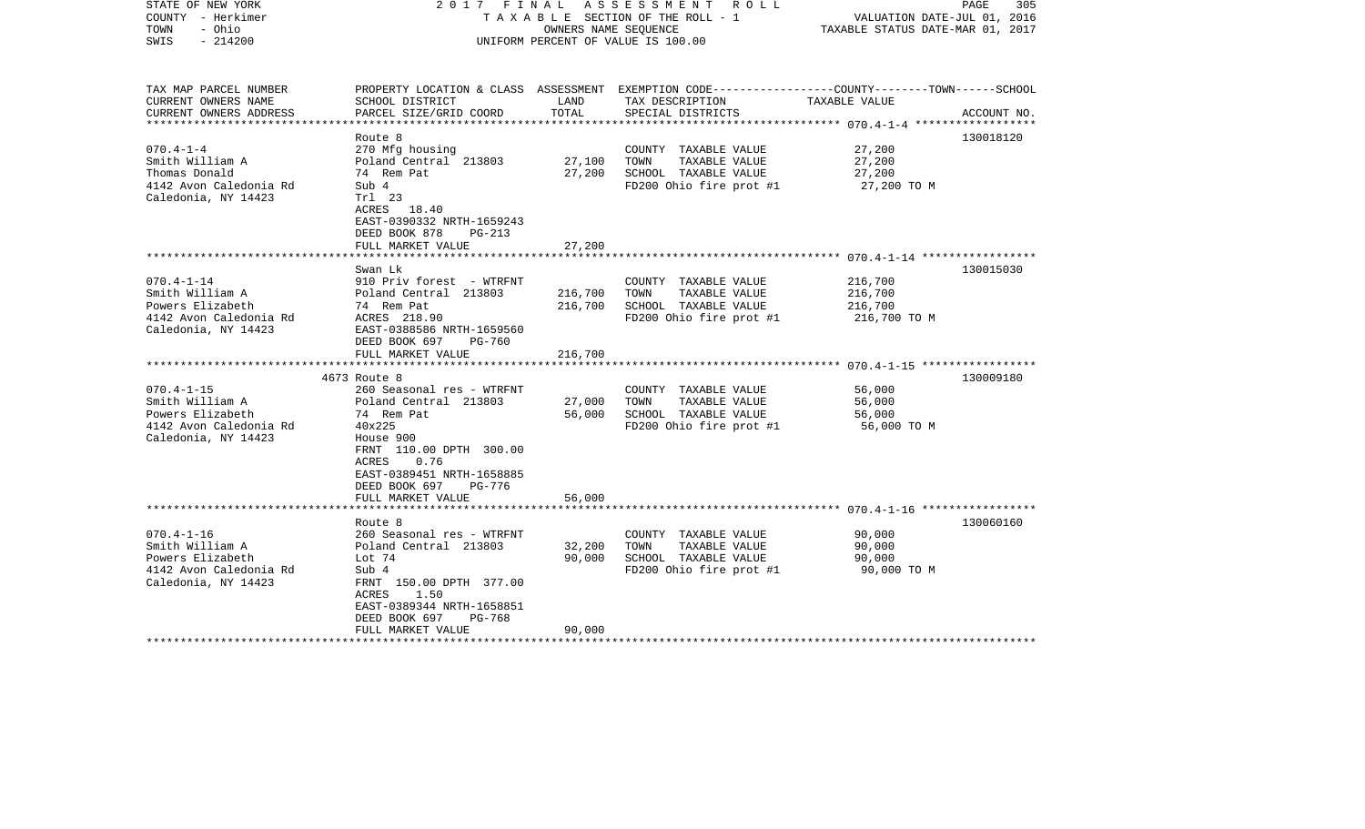| STATE OF NEW YORK<br>COUNTY - Herkimer<br>- Ohio<br>TOWN<br>$-214200$<br>SWIS                            |                                                                                                                                                                                                                                  | OWNERS NAME SEOUENCE       | 2017 FINAL ASSESSMENT ROLL<br>T A X A B L E SECTION OF THE ROLL - 1<br>UNIFORM PERCENT OF VALUE IS 100.00          | VALUATION DATE-JUL 01, 2016<br>TAXABLE STATUS DATE-MAR 01, 2017 | PAGE<br>305 |
|----------------------------------------------------------------------------------------------------------|----------------------------------------------------------------------------------------------------------------------------------------------------------------------------------------------------------------------------------|----------------------------|--------------------------------------------------------------------------------------------------------------------|-----------------------------------------------------------------|-------------|
| TAX MAP PARCEL NUMBER<br>CURRENT OWNERS NAME                                                             | SCHOOL DISTRICT                                                                                                                                                                                                                  | LAND                       | PROPERTY LOCATION & CLASS ASSESSMENT EXEMPTION CODE---------------COUNTY-------TOWN------SCHOOL<br>TAX DESCRIPTION | TAXABLE VALUE                                                   |             |
| CURRENT OWNERS ADDRESS<br>***********************                                                        | PARCEL SIZE/GRID COORD                                                                                                                                                                                                           | TOTAL                      | SPECIAL DISTRICTS                                                                                                  |                                                                 | ACCOUNT NO. |
|                                                                                                          | Route 8                                                                                                                                                                                                                          |                            |                                                                                                                    |                                                                 | 130018120   |
| $070.4 - 1 - 4$<br>Smith William A<br>Thomas Donald<br>4142 Avon Caledonia Rd<br>Caledonia, NY 14423     | 270 Mfg housing<br>Poland Central 213803<br>74 Rem Pat<br>Sub 4<br>Trl 23<br>ACRES 18.40<br>EAST-0390332 NRTH-1659243<br>DEED BOOK 878<br>$PG-213$                                                                               | 27,100<br>27,200           | COUNTY TAXABLE VALUE<br>TOWN<br>TAXABLE VALUE<br>SCHOOL TAXABLE VALUE<br>FD200 Ohio fire prot #1                   | 27,200<br>27,200<br>27,200<br>27,200 TO M                       |             |
|                                                                                                          | FULL MARKET VALUE                                                                                                                                                                                                                | 27,200                     |                                                                                                                    |                                                                 |             |
|                                                                                                          |                                                                                                                                                                                                                                  |                            |                                                                                                                    |                                                                 |             |
| $070.4 - 1 - 14$<br>Smith William A<br>Powers Elizabeth<br>4142 Avon Caledonia Rd<br>Caledonia, NY 14423 | Swan Lk<br>910 Priv forest - WTRFNT<br>Poland Central 213803<br>74 Rem Pat<br>ACRES 218.90<br>EAST-0388586 NRTH-1659560<br>DEED BOOK 697<br>PG-760                                                                               | 216,700<br>216,700         | COUNTY TAXABLE VALUE<br>TOWN<br>TAXABLE VALUE<br>SCHOOL TAXABLE VALUE<br>FD200 Ohio fire prot #1                   | 216,700<br>216,700<br>216,700<br>216,700 TO M                   | 130015030   |
|                                                                                                          | FULL MARKET VALUE                                                                                                                                                                                                                | 216,700                    |                                                                                                                    |                                                                 |             |
|                                                                                                          | ********************                                                                                                                                                                                                             |                            |                                                                                                                    |                                                                 |             |
| $070.4 - 1 - 15$<br>Smith William A<br>Powers Elizabeth<br>4142 Avon Caledonia Rd<br>Caledonia, NY 14423 | 4673 Route 8<br>260 Seasonal res - WTRFNT<br>Poland Central 213803<br>74 Rem Pat<br>40x225<br>House 900<br>FRNT 110.00 DPTH 300.00<br>ACRES<br>0.76<br>EAST-0389451 NRTH-1658885<br>DEED BOOK 697<br>PG-776<br>FULL MARKET VALUE | 27,000<br>56,000<br>56,000 | COUNTY TAXABLE VALUE<br>TAXABLE VALUE<br>TOWN<br>SCHOOL TAXABLE VALUE<br>FD200 Ohio fire prot #1                   | 56,000<br>56,000<br>56,000<br>56,000 TO M                       | 130009180   |
| *************************                                                                                | ****************************                                                                                                                                                                                                     |                            |                                                                                                                    |                                                                 |             |
| $070.4 - 1 - 16$<br>Smith William A<br>Powers Elizabeth<br>4142 Avon Caledonia Rd<br>Caledonia, NY 14423 | Route 8<br>260 Seasonal res - WTRFNT<br>Poland Central 213803<br>Lot 74<br>Sub 4<br>FRNT 150.00 DPTH 377.00<br>ACRES<br>1.50<br>EAST-0389344 NRTH-1658851<br>DEED BOOK 697<br>PG-768                                             | 32,200<br>90,000           | COUNTY TAXABLE VALUE<br>TOWN<br>TAXABLE VALUE<br>SCHOOL TAXABLE VALUE<br>FD200 Ohio fire prot #1                   | 90,000<br>90,000<br>90,000<br>90,000 TO M                       | 130060160   |
|                                                                                                          | FULL MARKET VALUE                                                                                                                                                                                                                | 90,000                     |                                                                                                                    |                                                                 |             |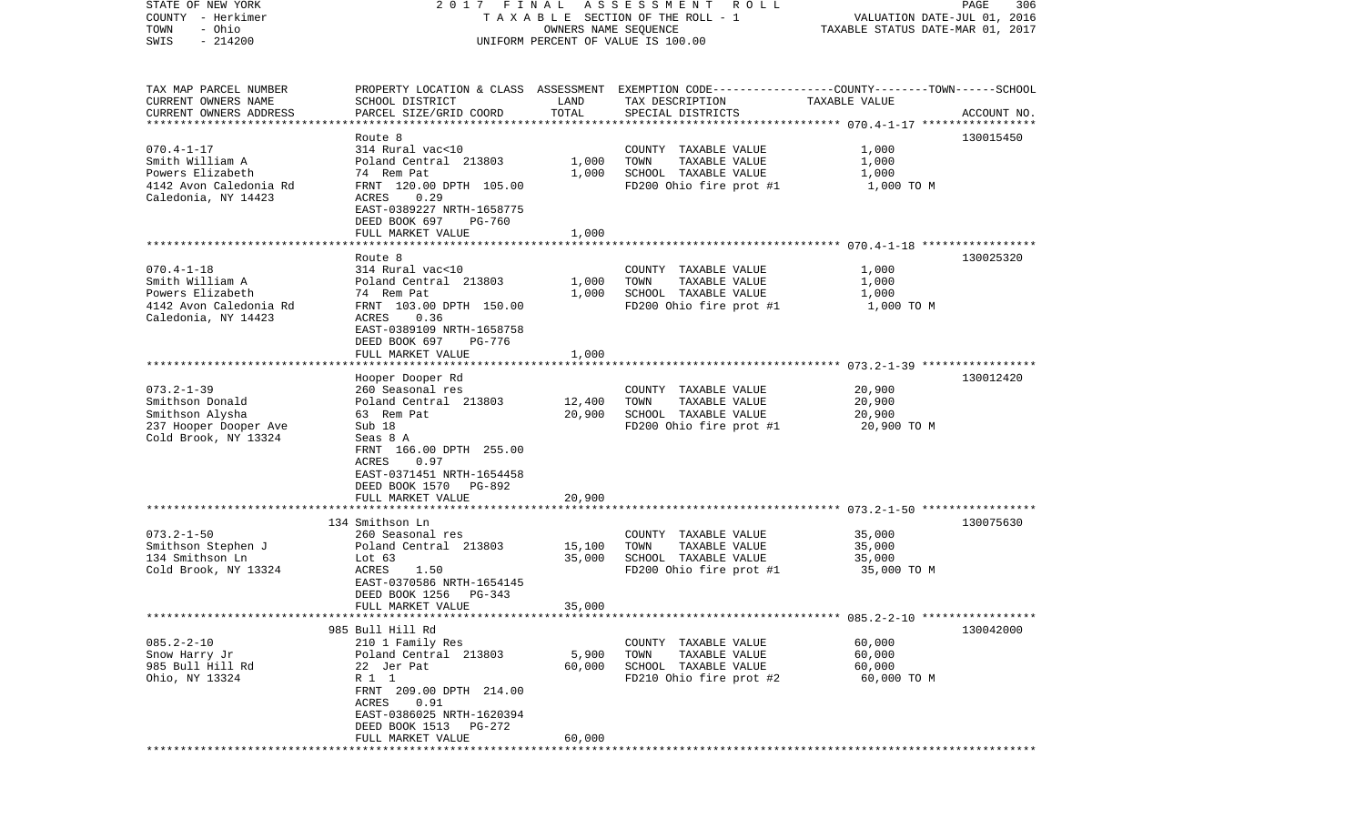| STATE OF NEW YORK                  |                                     |                      | 2017 FINAL ASSESSMENT ROLL                                                                      |                                  | PAGE<br>306 |
|------------------------------------|-------------------------------------|----------------------|-------------------------------------------------------------------------------------------------|----------------------------------|-------------|
| COUNTY - Herkimer                  |                                     |                      | TAXABLE SECTION OF THE ROLL - 1                                                                 | VALUATION DATE-JUL 01, 2016      |             |
| - Ohio<br>TOWN                     |                                     | OWNERS NAME SEQUENCE |                                                                                                 | TAXABLE STATUS DATE-MAR 01, 2017 |             |
| $-214200$<br>SWIS                  |                                     |                      | UNIFORM PERCENT OF VALUE IS 100.00                                                              |                                  |             |
|                                    |                                     |                      |                                                                                                 |                                  |             |
| TAX MAP PARCEL NUMBER              |                                     |                      | PROPERTY LOCATION & CLASS ASSESSMENT EXEMPTION CODE---------------COUNTY-------TOWN------SCHOOL |                                  |             |
| CURRENT OWNERS NAME                | SCHOOL DISTRICT                     | LAND                 | TAX DESCRIPTION                                                                                 | TAXABLE VALUE                    |             |
| CURRENT OWNERS ADDRESS             | PARCEL SIZE/GRID COORD              | TOTAL                | SPECIAL DISTRICTS                                                                               |                                  | ACCOUNT NO. |
|                                    |                                     |                      |                                                                                                 |                                  |             |
|                                    | Route 8                             |                      |                                                                                                 |                                  | 130015450   |
| $070.4 - 1 - 17$                   | 314 Rural vac<10                    |                      | COUNTY TAXABLE VALUE                                                                            | 1,000                            |             |
| Smith William A                    | Poland Central 213803               | 1,000                | TOWN<br>TAXABLE VALUE                                                                           | 1,000                            |             |
| Powers Elizabeth                   | 74 Rem Pat                          | 1,000                | SCHOOL TAXABLE VALUE                                                                            | 1,000                            |             |
| 4142 Avon Caledonia Rd             | FRNT 120.00 DPTH 105.00             |                      | FD200 Ohio fire prot #1                                                                         | 1,000 TO M                       |             |
| Caledonia, NY 14423                | ACRES<br>0.29                       |                      |                                                                                                 |                                  |             |
|                                    | EAST-0389227 NRTH-1658775<br>PG-760 |                      |                                                                                                 |                                  |             |
|                                    | DEED BOOK 697<br>FULL MARKET VALUE  | 1,000                |                                                                                                 |                                  |             |
|                                    |                                     |                      |                                                                                                 |                                  |             |
|                                    | Route 8                             |                      |                                                                                                 |                                  | 130025320   |
| $070.4 - 1 - 18$                   | 314 Rural vac<10                    |                      | COUNTY TAXABLE VALUE                                                                            | 1,000                            |             |
| Smith William A                    | Poland Central 213803               | 1,000                | TOWN<br>TAXABLE VALUE                                                                           | 1,000                            |             |
| Powers Elizabeth                   | 74 Rem Pat                          | 1,000                | SCHOOL TAXABLE VALUE                                                                            | 1,000                            |             |
| 4142 Avon Caledonia Rd             | FRNT 103.00 DPTH 150.00             |                      | FD200 Ohio fire prot #1                                                                         | 1,000 TO M                       |             |
| Caledonia, NY 14423                | 0.36<br>ACRES                       |                      |                                                                                                 |                                  |             |
|                                    | EAST-0389109 NRTH-1658758           |                      |                                                                                                 |                                  |             |
|                                    | DEED BOOK 697<br>PG-776             |                      |                                                                                                 |                                  |             |
|                                    | FULL MARKET VALUE                   | 1,000                |                                                                                                 |                                  |             |
|                                    |                                     |                      |                                                                                                 |                                  |             |
|                                    | Hooper Dooper Rd                    |                      |                                                                                                 |                                  | 130012420   |
| $073.2 - 1 - 39$                   | 260 Seasonal res                    |                      | COUNTY TAXABLE VALUE                                                                            | 20,900                           |             |
| Smithson Donald                    | Poland Central 213803               | 12,400               | TOWN<br>TAXABLE VALUE                                                                           | 20,900                           |             |
| Smithson Alysha                    | 63 Rem Pat                          | 20,900               | SCHOOL TAXABLE VALUE                                                                            | 20,900                           |             |
| 237 Hooper Dooper Ave              | Sub 18                              |                      | FD200 Ohio fire prot #1                                                                         | 20,900 TO M                      |             |
| Cold Brook, NY 13324               | Seas 8 A<br>FRNT 166.00 DPTH 255.00 |                      |                                                                                                 |                                  |             |
|                                    | ACRES<br>0.97                       |                      |                                                                                                 |                                  |             |
|                                    | EAST-0371451 NRTH-1654458           |                      |                                                                                                 |                                  |             |
|                                    | DEED BOOK 1570 PG-892               |                      |                                                                                                 |                                  |             |
|                                    | FULL MARKET VALUE                   | 20,900               |                                                                                                 |                                  |             |
|                                    |                                     |                      |                                                                                                 |                                  |             |
|                                    | 134 Smithson Ln                     |                      |                                                                                                 |                                  | 130075630   |
| $073.2 - 1 - 50$                   | 260 Seasonal res                    |                      | COUNTY TAXABLE VALUE                                                                            | 35,000                           |             |
| Smithson Stephen J                 | Poland Central 213803               | 15,100               | TAXABLE VALUE<br>TOWN                                                                           | 35,000                           |             |
| 134 Smithson Ln                    | Lot $63$                            | 35,000               | SCHOOL TAXABLE VALUE                                                                            | 35,000                           |             |
| Cold Brook, NY 13324               | ACRES<br>1.50                       |                      | FD200 Ohio fire prot #1                                                                         | 35,000 TO M                      |             |
|                                    | EAST-0370586 NRTH-1654145           |                      |                                                                                                 |                                  |             |
|                                    | DEED BOOK 1256<br>PG-343            |                      |                                                                                                 |                                  |             |
|                                    | FULL MARKET VALUE                   | 35,000               |                                                                                                 |                                  |             |
|                                    |                                     |                      |                                                                                                 |                                  |             |
|                                    | 985 Bull Hill Rd                    |                      |                                                                                                 |                                  | 130042000   |
| $085.2 - 2 - 10$                   | 210 1 Family Res                    |                      | COUNTY TAXABLE VALUE                                                                            | 60,000                           |             |
| Snow Harry Jr                      | Poland Central 213803               | 5,900                | TOWN<br>TAXABLE VALUE                                                                           | 60,000                           |             |
| 985 Bull Hill Rd<br>Ohio, NY 13324 | 22 Jer Pat<br>R 1 1                 | 60,000               | SCHOOL TAXABLE VALUE<br>FD210 Ohio fire prot #2                                                 | 60,000<br>60,000 TO M            |             |
|                                    | FRNT 209.00 DPTH 214.00             |                      |                                                                                                 |                                  |             |
|                                    | 0.91<br>ACRES                       |                      |                                                                                                 |                                  |             |
|                                    | EAST-0386025 NRTH-1620394           |                      |                                                                                                 |                                  |             |
|                                    | DEED BOOK 1513 PG-272               |                      |                                                                                                 |                                  |             |
|                                    | FULL MARKET VALUE                   | 60,000               |                                                                                                 |                                  |             |
|                                    |                                     |                      |                                                                                                 |                                  |             |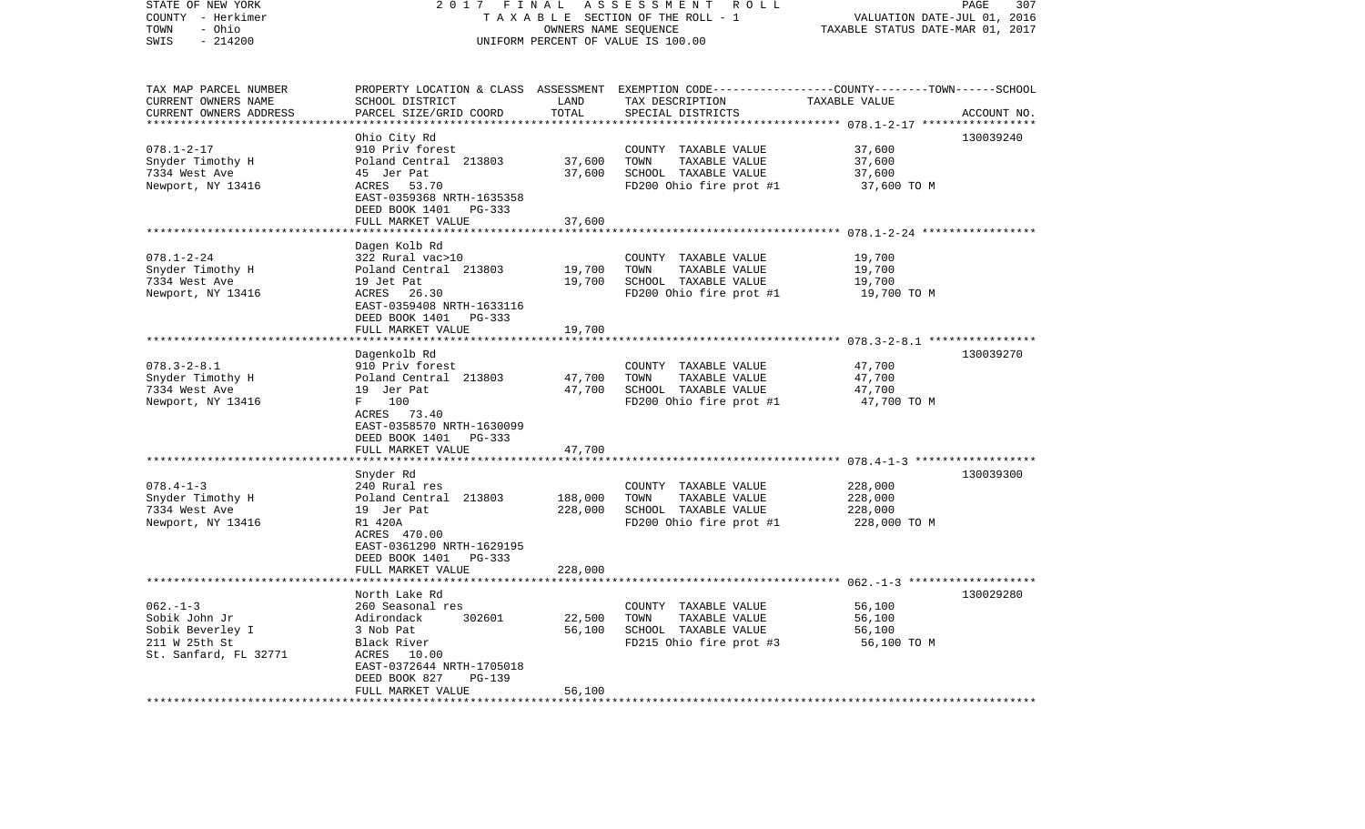| STATE OF NEW YORK<br>COUNTY - Herkimer<br>- Ohio<br>TOWN<br>SWIS<br>$-214200$               | 2017<br>FINAL<br>ASSESSMENT ROLL<br>TAXABLE SECTION OF THE ROLL - 1<br>OWNERS NAME SEQUENCE<br>UNIFORM PERCENT OF VALUE IS 100.00                                                        |                                      |                                                                                                                                         | PAGE<br>307<br>VALUATION DATE-JUL 01, 2016<br>TAXABLE STATUS DATE-MAR 01, 2017 |             |  |
|---------------------------------------------------------------------------------------------|------------------------------------------------------------------------------------------------------------------------------------------------------------------------------------------|--------------------------------------|-----------------------------------------------------------------------------------------------------------------------------------------|--------------------------------------------------------------------------------|-------------|--|
| TAX MAP PARCEL NUMBER<br>CURRENT OWNERS NAME<br>CURRENT OWNERS ADDRESS                      | SCHOOL DISTRICT<br>PARCEL SIZE/GRID COORD                                                                                                                                                | LAND<br>TOTAL<br>* * * * * * * * * * | PROPERTY LOCATION & CLASS ASSESSMENT EXEMPTION CODE---------------COUNTY-------TOWN------SCHOOL<br>TAX DESCRIPTION<br>SPECIAL DISTRICTS | TAXABLE VALUE<br>*********** 078.1-2-17 ******************                     | ACCOUNT NO. |  |
|                                                                                             | Ohio City Rd                                                                                                                                                                             |                                      |                                                                                                                                         |                                                                                | 130039240   |  |
| $078.1 - 2 - 17$<br>Snyder Timothy H<br>7334 West Ave<br>Newport, NY 13416                  | 910 Priv forest<br>Poland Central 213803<br>45 Jer Pat<br>53.70<br>ACRES<br>EAST-0359368 NRTH-1635358<br>DEED BOOK 1401 PG-333<br>FULL MARKET VALUE                                      | 37,600<br>37,600<br>37,600           | COUNTY TAXABLE VALUE<br>TAXABLE VALUE<br>TOWN<br>SCHOOL TAXABLE VALUE<br>FD200 Ohio fire prot #1                                        | 37,600<br>37,600<br>37,600<br>37,600 TO M                                      |             |  |
|                                                                                             | **************************************                                                                                                                                                   |                                      |                                                                                                                                         |                                                                                |             |  |
| $078.1 - 2 - 24$<br>Snyder Timothy H<br>7334 West Ave<br>Newport, NY 13416                  | Dagen Kolb Rd<br>322 Rural vac>10<br>Poland Central 213803<br>19 Jet Pat<br>ACRES 26.30<br>EAST-0359408 NRTH-1633116<br>DEED BOOK 1401 PG-333                                            | 19,700<br>19,700                     | COUNTY TAXABLE VALUE<br>TOWN<br>TAXABLE VALUE<br>SCHOOL TAXABLE VALUE<br>FD200 Ohio fire prot #1                                        | 19,700<br>19,700<br>19,700<br>19,700 TO M                                      |             |  |
|                                                                                             | FULL MARKET VALUE<br>************************                                                                                                                                            | 19,700                               |                                                                                                                                         |                                                                                |             |  |
| $078.3 - 2 - 8.1$<br>Snyder Timothy H<br>7334 West Ave<br>Newport, NY 13416                 | Dagenkolb Rd<br>910 Priv forest<br>Poland Central 213803<br>19 Jer Pat<br>F<br>100<br>ACRES 73.40<br>EAST-0358570 NRTH-1630099<br>DEED BOOK 1401<br>PG-333                               | 47,700<br>47,700                     | COUNTY TAXABLE VALUE<br>TOWN<br>TAXABLE VALUE<br>SCHOOL TAXABLE VALUE<br>FD200 Ohio fire prot #1                                        | 47,700<br>47,700<br>47,700<br>47,700 TO M                                      | 130039270   |  |
|                                                                                             | FULL MARKET VALUE                                                                                                                                                                        | 47,700                               |                                                                                                                                         |                                                                                |             |  |
| $078.4 - 1 - 3$<br>Snyder Timothy H<br>7334 West Ave<br>Newport, NY 13416                   | Snyder Rd<br>240 Rural res<br>Poland Central 213803<br>19 Jer Pat<br>R1 420A<br>ACRES 470.00<br>EAST-0361290 NRTH-1629195<br>DEED BOOK 1401 PG-333                                       | 188,000<br>228,000                   | COUNTY TAXABLE VALUE<br>TAXABLE VALUE<br>TOWN<br>SCHOOL TAXABLE VALUE<br>FD200 Ohio fire prot #1                                        | 228,000<br>228,000<br>228,000<br>228,000 TO M                                  | 130039300   |  |
|                                                                                             | FULL MARKET VALUE<br>************************                                                                                                                                            | 228,000                              |                                                                                                                                         |                                                                                |             |  |
| $062. -1 -3$<br>Sobik John Jr<br>Sobik Beverley I<br>211 W 25th St<br>St. Sanfard, FL 32771 | North Lake Rd<br>260 Seasonal res<br>302601<br>Adirondack<br>3 Nob Pat<br>Black River<br>ACRES 10.00<br>EAST-0372644 NRTH-1705018<br>DEED BOOK 827<br><b>PG-139</b><br>FULL MARKET VALUE | 22,500<br>56,100<br>56,100           | COUNTY TAXABLE VALUE<br>TOWN<br>TAXABLE VALUE<br>SCHOOL TAXABLE VALUE<br>FD215 Ohio fire prot #3                                        | 56,100<br>56,100<br>56,100<br>56,100 TO M                                      | 130029280   |  |
|                                                                                             | ************************                                                                                                                                                                 | ***********                          |                                                                                                                                         |                                                                                |             |  |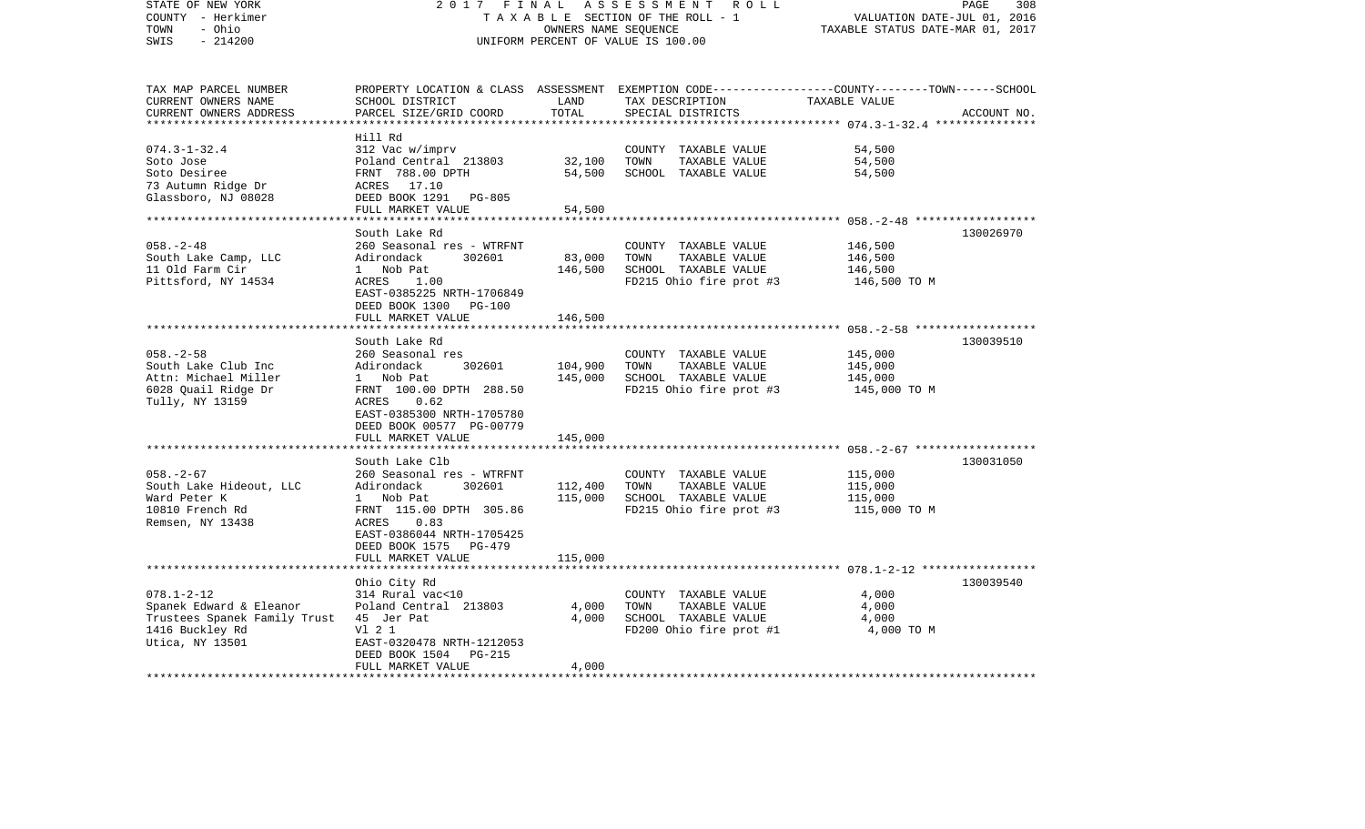| STATE OF NEW YORK<br>COUNTY - Herkimer<br>- Ohio<br>TOWN<br>$-214200$<br>SWIS                                     | 2017 FINAL                                                                                                                                                                                                 |                                                     | ASSESSMENT<br>ROLL<br>TAXABLE SECTION OF THE ROLL - 1<br>OWNERS NAME SEQUENCE<br>UNIFORM PERCENT OF VALUE IS 100.00 | VALUATION DATE-JUL 01, 2016<br>TAXABLE STATUS DATE-MAR 01, 2017                                                  | PAGE<br>308 |
|-------------------------------------------------------------------------------------------------------------------|------------------------------------------------------------------------------------------------------------------------------------------------------------------------------------------------------------|-----------------------------------------------------|---------------------------------------------------------------------------------------------------------------------|------------------------------------------------------------------------------------------------------------------|-------------|
| TAX MAP PARCEL NUMBER<br>CURRENT OWNERS NAME<br>CURRENT OWNERS ADDRESS<br>***********************                 | SCHOOL DISTRICT<br>PARCEL SIZE/GRID COORD                                                                                                                                                                  | LAND<br>TOTAL                                       | TAX DESCRIPTION<br>SPECIAL DISTRICTS                                                                                | PROPERTY LOCATION & CLASS ASSESSMENT EXEMPTION CODE---------------COUNTY-------TOWN------SCHOOL<br>TAXABLE VALUE | ACCOUNT NO. |
| $074.3 - 1 - 32.4$<br>Soto Jose<br>Soto Desiree<br>73 Autumn Ridge Dr<br>Glassboro, NJ 08028                      | Hill Rd<br>312 Vac w/imprv<br>Poland Central 213803<br>FRNT 788.00 DPTH<br>ACRES 17.10<br>DEED BOOK 1291<br>PG-805<br>FULL MARKET VALUE                                                                    | 32,100<br>54,500<br>54,500<br>* * * * * * * * * * * | COUNTY TAXABLE VALUE<br>TOWN<br>TAXABLE VALUE<br>SCHOOL TAXABLE VALUE                                               | 54,500<br>54,500<br>54,500                                                                                       |             |
| $058. - 2 - 48$<br>South Lake Camp, LLC<br>11 Old Farm Cir<br>Pittsford, NY 14534                                 | South Lake Rd<br>260 Seasonal res - WTRFNT<br>302601<br>Adirondack<br>1 Nob Pat<br>ACRES<br>1.00<br>EAST-0385225 NRTH-1706849<br>DEED BOOK 1300<br>PG-100<br>FULL MARKET VALUE                             | 83,000<br>146,500<br>146,500                        | COUNTY TAXABLE VALUE<br>TOWN<br>TAXABLE VALUE<br>SCHOOL TAXABLE VALUE<br>FD215 Ohio fire prot #3                    | 146,500<br>146,500<br>146,500<br>146,500 TO M                                                                    | 130026970   |
| $058. - 2 - 58$<br>South Lake Club Inc<br>Attn: Michael Miller<br>6028 Quail Ridge Dr<br>Tully, NY 13159          | South Lake Rd<br>260 Seasonal res<br>Adirondack<br>302601<br>1 Nob Pat<br>FRNT 100.00 DPTH 288.50<br>ACRES<br>0.62<br>EAST-0385300 NRTH-1705780<br>DEED BOOK 00577 PG-00779<br>FULL MARKET VALUE           | 104,900<br>145,000<br>145,000                       | COUNTY TAXABLE VALUE<br>TOWN<br>TAXABLE VALUE<br>SCHOOL TAXABLE VALUE<br>FD215 Ohio fire prot #3                    | 145,000<br>145,000<br>145,000<br>145,000 TO M                                                                    | 130039510   |
| $058. - 2 - 67$<br>South Lake Hideout, LLC<br>Ward Peter K<br>10810 French Rd<br>Remsen, NY 13438                 | South Lake Clb<br>260 Seasonal res - WTRFNT<br>302601<br>Adirondack<br>1 Nob Pat<br>FRNT 115.00 DPTH 305.86<br>ACRES<br>0.83<br>EAST-0386044 NRTH-1705425<br>DEED BOOK 1575<br>PG-479<br>FULL MARKET VALUE | 112,400<br>115,000<br>115,000                       | COUNTY TAXABLE VALUE<br>TOWN<br>TAXABLE VALUE<br>SCHOOL TAXABLE VALUE<br>FD215 Ohio fire prot #3                    | 115,000<br>115,000<br>115,000<br>115,000 TO M                                                                    | 130031050   |
| $078.1 - 2 - 12$<br>Spanek Edward & Eleanor<br>Trustees Spanek Family Trust<br>1416 Buckley Rd<br>Utica, NY 13501 | Ohio City Rd<br>314 Rural vac<10<br>Poland Central 213803<br>45 Jer Pat<br>V1 2 1<br>EAST-0320478 NRTH-1212053<br>DEED BOOK 1504<br><b>PG-215</b><br>FULL MARKET VALUE                                     | 4,000<br>4,000<br>4,000                             | COUNTY TAXABLE VALUE<br>TOWN<br>TAXABLE VALUE<br>SCHOOL TAXABLE VALUE<br>FD200 Ohio fire prot #1                    | 4,000<br>4,000<br>4,000<br>4,000 TO M                                                                            | 130039540   |
|                                                                                                                   |                                                                                                                                                                                                            |                                                     |                                                                                                                     |                                                                                                                  |             |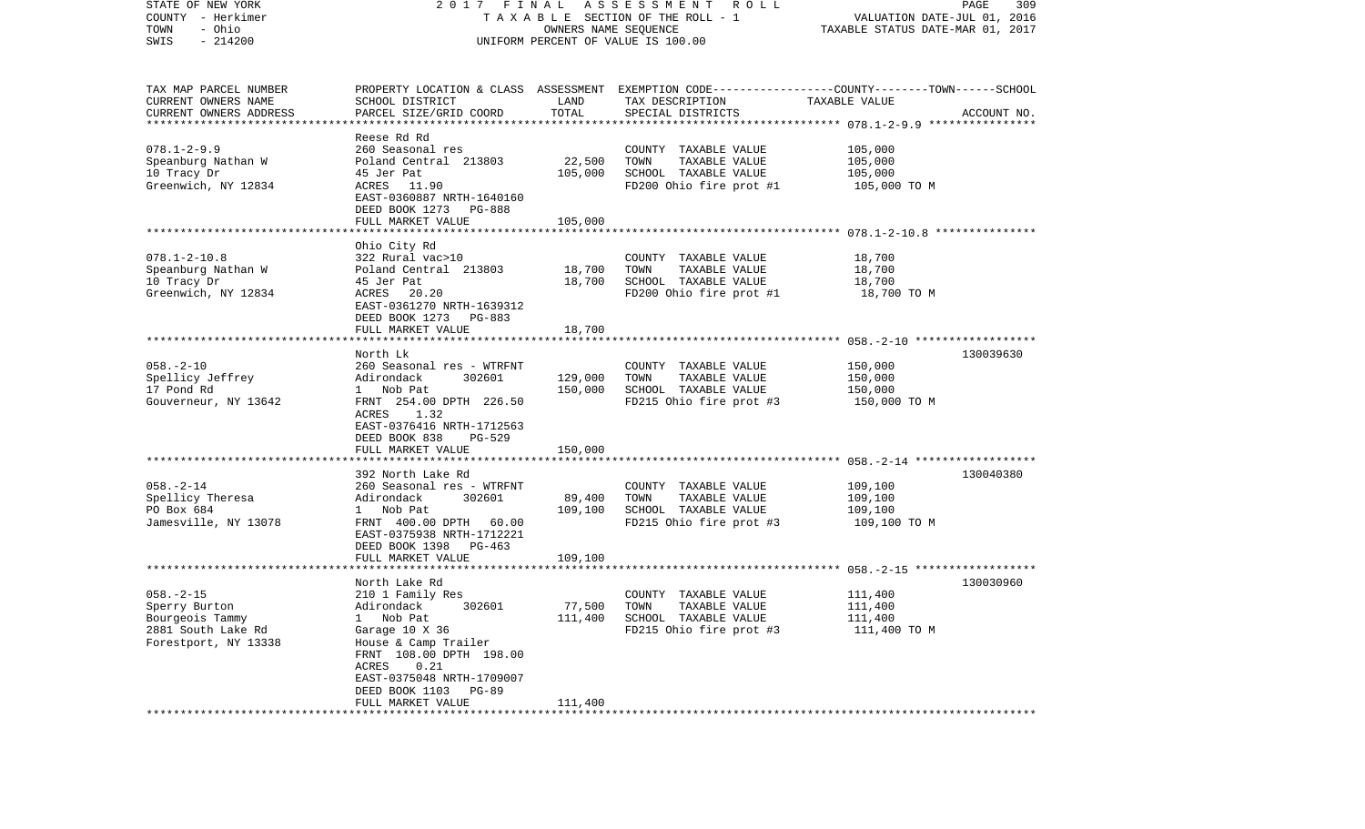| STATE OF NEW YORK<br>COUNTY - Herkimer<br>- Ohio<br>TOWN<br>$-214200$<br>SWIS |                                            | OWNERS NAME SEQUENCE | 2017 FINAL ASSESSMENT ROLL<br>TAXABLE SECTION OF THE ROLL - 1<br>UNIFORM PERCENT OF VALUE IS 100.00 | VALUATION DATE-JUL 01, 2016<br>TAXABLE STATUS DATE-MAR 01, 2017 | PAGE<br>309 |
|-------------------------------------------------------------------------------|--------------------------------------------|----------------------|-----------------------------------------------------------------------------------------------------|-----------------------------------------------------------------|-------------|
| TAX MAP PARCEL NUMBER                                                         |                                            |                      | PROPERTY LOCATION & CLASS ASSESSMENT EXEMPTION CODE---------------COUNTY-------TOWN------SCHOOL     |                                                                 |             |
| CURRENT OWNERS NAME<br>CURRENT OWNERS ADDRESS                                 | SCHOOL DISTRICT<br>PARCEL SIZE/GRID COORD  | LAND<br>TOTAL        | TAX DESCRIPTION<br>SPECIAL DISTRICTS                                                                | TAXABLE VALUE                                                   | ACCOUNT NO. |
|                                                                               |                                            |                      |                                                                                                     |                                                                 |             |
|                                                                               | Reese Rd Rd                                |                      |                                                                                                     |                                                                 |             |
| $078.1 - 2 - 9.9$                                                             | 260 Seasonal res                           |                      | COUNTY TAXABLE VALUE                                                                                | 105,000                                                         |             |
| Speanburg Nathan W                                                            | Poland Central 213803                      | 22,500               | TAXABLE VALUE<br>TOWN                                                                               | 105,000                                                         |             |
| 10 Tracy Dr                                                                   | 45 Jer Pat                                 | 105,000              | SCHOOL TAXABLE VALUE                                                                                | 105,000                                                         |             |
| Greenwich, NY 12834                                                           | ACRES 11.90                                |                      | FD200 Ohio fire prot #1                                                                             | 105,000 TO M                                                    |             |
|                                                                               | EAST-0360887 NRTH-1640160                  |                      |                                                                                                     |                                                                 |             |
|                                                                               | DEED BOOK 1273 PG-888<br>FULL MARKET VALUE | 105,000              |                                                                                                     |                                                                 |             |
|                                                                               |                                            |                      |                                                                                                     |                                                                 |             |
|                                                                               | Ohio City Rd                               |                      |                                                                                                     |                                                                 |             |
| $078.1 - 2 - 10.8$                                                            | 322 Rural vac>10                           |                      | COUNTY TAXABLE VALUE                                                                                | 18,700                                                          |             |
| Speanburg Nathan W                                                            | Poland Central 213803                      | 18,700               | TAXABLE VALUE<br>TOWN                                                                               | 18,700                                                          |             |
| 10 Tracy Dr                                                                   | 45 Jer Pat                                 | 18,700               | SCHOOL TAXABLE VALUE                                                                                | 18,700                                                          |             |
| Greenwich, NY 12834                                                           | ACRES 20.20                                |                      | FD200 Ohio fire prot #1                                                                             | 18,700 TO M                                                     |             |
|                                                                               | EAST-0361270 NRTH-1639312                  |                      |                                                                                                     |                                                                 |             |
|                                                                               | DEED BOOK 1273 PG-883                      |                      |                                                                                                     |                                                                 |             |
|                                                                               | FULL MARKET VALUE                          | 18,700               |                                                                                                     |                                                                 |             |
|                                                                               |                                            |                      |                                                                                                     |                                                                 |             |
|                                                                               | North Lk                                   |                      |                                                                                                     |                                                                 | 130039630   |
| $058. - 2 - 10$                                                               | 260 Seasonal res - WTRFNT                  |                      | COUNTY TAXABLE VALUE                                                                                | 150,000                                                         |             |
| Spellicy Jeffrey<br>17 Pond Rd                                                | 302601<br>Adirondack<br>1 Nob Pat          | 129,000<br>150,000   | TAXABLE VALUE<br>TOWN<br>SCHOOL TAXABLE VALUE                                                       | 150,000<br>150,000                                              |             |
| Gouverneur, NY 13642                                                          | FRNT 254.00 DPTH 226.50                    |                      | FD215 Ohio fire prot #3                                                                             | 150,000 TO M                                                    |             |
|                                                                               | ACRES 1.32                                 |                      |                                                                                                     |                                                                 |             |
|                                                                               | EAST-0376416 NRTH-1712563                  |                      |                                                                                                     |                                                                 |             |
|                                                                               | DEED BOOK 838<br>PG-529                    |                      |                                                                                                     |                                                                 |             |
|                                                                               | FULL MARKET VALUE                          | 150,000              |                                                                                                     |                                                                 |             |
|                                                                               |                                            |                      |                                                                                                     |                                                                 |             |
|                                                                               | 392 North Lake Rd                          |                      |                                                                                                     |                                                                 | 130040380   |
| $058. - 2 - 14$                                                               | 260 Seasonal res - WTRFNT                  |                      | COUNTY TAXABLE VALUE                                                                                | 109,100                                                         |             |
| Spellicy Theresa                                                              | Adirondack<br>302601                       | 89,400               | TAXABLE VALUE<br>TOWN                                                                               | 109,100                                                         |             |
| PO Box 684                                                                    | 1 Nob Pat                                  | 109,100              | SCHOOL TAXABLE VALUE                                                                                | 109,100                                                         |             |
| Jamesville, NY 13078                                                          | FRNT 400.00 DPTH 60.00                     |                      | FD215 Ohio fire prot #3                                                                             | 109,100 TO M                                                    |             |
|                                                                               | EAST-0375938 NRTH-1712221                  |                      |                                                                                                     |                                                                 |             |
|                                                                               | DEED BOOK 1398 PG-463                      |                      |                                                                                                     |                                                                 |             |
|                                                                               | FULL MARKET VALUE                          | 109,100              |                                                                                                     |                                                                 |             |
|                                                                               | North Lake Rd                              |                      |                                                                                                     |                                                                 | 130030960   |
| $058. - 2 - 15$                                                               | 210 1 Family Res                           |                      | COUNTY TAXABLE VALUE                                                                                | 111,400                                                         |             |
| Sperry Burton                                                                 | Adirondack 302601                          | 77,500               | TOWN<br>TAXABLE VALUE                                                                               | 111,400                                                         |             |
| Bourgeois Tammy                                                               | 1 Nob Pat                                  | 111,400              | SCHOOL TAXABLE VALUE                                                                                | 111,400                                                         |             |
| 2881 South Lake Rd                                                            | Garage 10 X 36                             |                      | FD215 Ohio fire prot #3                                                                             | 111,400 TO M                                                    |             |
| Forestport, NY 13338                                                          | House & Camp Trailer                       |                      |                                                                                                     |                                                                 |             |
|                                                                               | FRNT 108.00 DPTH 198.00                    |                      |                                                                                                     |                                                                 |             |
|                                                                               | ACRES<br>0.21                              |                      |                                                                                                     |                                                                 |             |
|                                                                               | EAST-0375048 NRTH-1709007                  |                      |                                                                                                     |                                                                 |             |
|                                                                               | DEED BOOK 1103<br>PG-89                    |                      |                                                                                                     |                                                                 |             |
|                                                                               | FULL MARKET VALUE                          | 111,400              |                                                                                                     |                                                                 |             |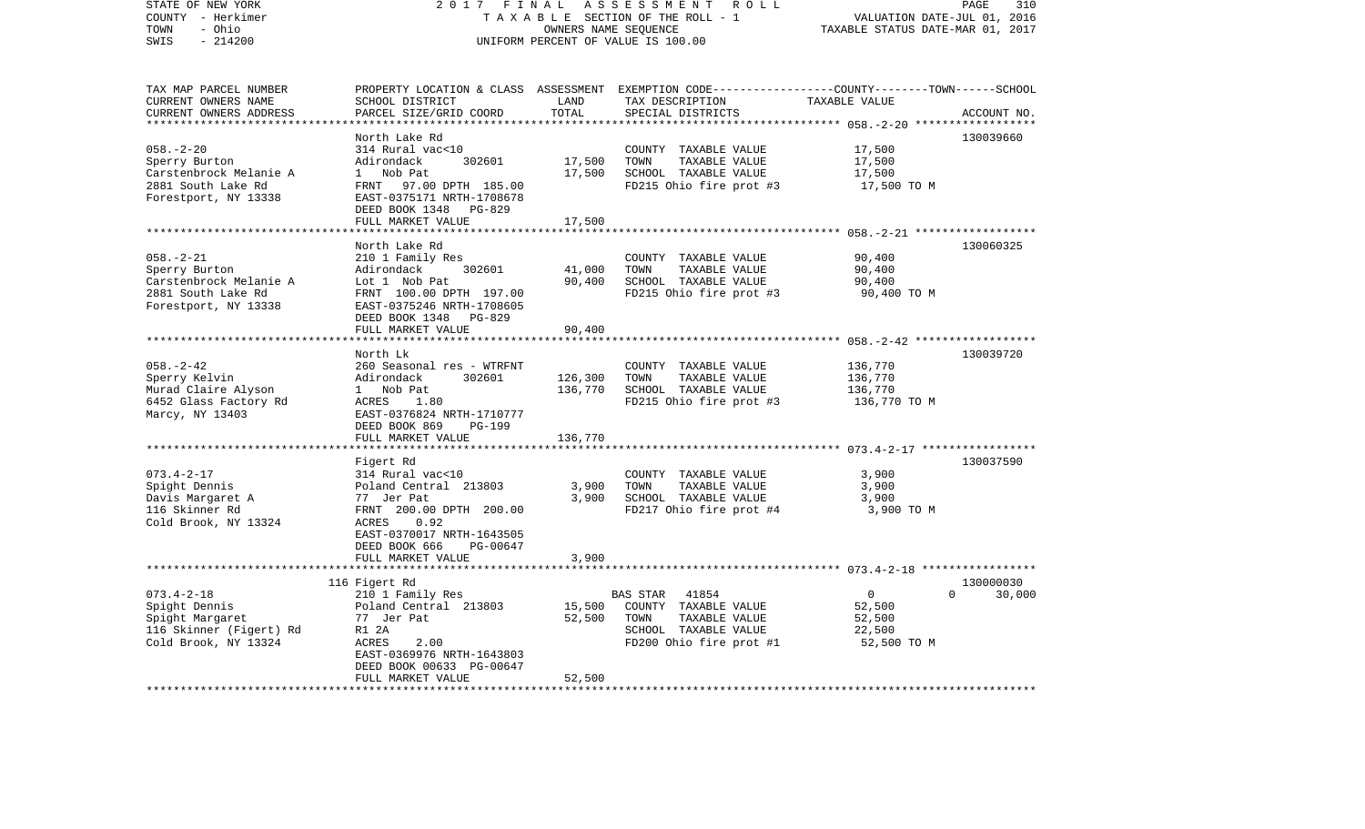| STATE OF NEW YORK                                 | 2017<br>FINAL                                                | PAGE<br>310                      |                                                                                                  |                      |             |
|---------------------------------------------------|--------------------------------------------------------------|----------------------------------|--------------------------------------------------------------------------------------------------|----------------------|-------------|
| COUNTY - Herkimer                                 | TAXABLE SECTION OF THE ROLL - 1                              | VALUATION DATE-JUL 01, 2016      |                                                                                                  |                      |             |
| TOWN<br>- Ohio                                    |                                                              | TAXABLE STATUS DATE-MAR 01, 2017 |                                                                                                  |                      |             |
| $-214200$<br>SWIS                                 |                                                              |                                  | UNIFORM PERCENT OF VALUE IS 100.00                                                               |                      |             |
|                                                   |                                                              |                                  |                                                                                                  |                      |             |
| TAX MAP PARCEL NUMBER                             |                                                              |                                  | PROPERTY LOCATION & CLASS ASSESSMENT EXEMPTION CODE----------------COUNTY-------TOWN------SCHOOL |                      |             |
| CURRENT OWNERS NAME                               | SCHOOL DISTRICT                                              | LAND                             | TAX DESCRIPTION                                                                                  | TAXABLE VALUE        |             |
| CURRENT OWNERS ADDRESS<br>*********************** | PARCEL SIZE/GRID COORD<br>**************************         | TOTAL<br>**************          | SPECIAL DISTRICTS                                                                                |                      | ACCOUNT NO. |
|                                                   | North Lake Rd                                                |                                  |                                                                                                  |                      | 130039660   |
| $058. - 2 - 20$                                   | 314 Rural vac<10                                             |                                  |                                                                                                  | 17,500               |             |
| Sperry Burton                                     | Adirondack<br>302601                                         | 17,500                           | COUNTY TAXABLE VALUE<br>TOWN<br>TAXABLE VALUE                                                    | 17,500               |             |
| Carstenbrock Melanie A                            | Nob Pat<br>$1 \quad$                                         | 17,500                           | SCHOOL TAXABLE VALUE                                                                             | 17,500               |             |
| 2881 South Lake Rd                                | FRNT 97.00 DPTH 185.00                                       |                                  | FD215 Ohio fire prot #3                                                                          | 17,500 TO M          |             |
| Forestport, NY 13338                              | EAST-0375171 NRTH-1708678                                    |                                  |                                                                                                  |                      |             |
|                                                   |                                                              |                                  |                                                                                                  |                      |             |
|                                                   | DEED BOOK 1348<br><b>PG-829</b><br>FULL MARKET VALUE         |                                  |                                                                                                  |                      |             |
|                                                   |                                                              | 17,500<br>***********            |                                                                                                  |                      |             |
|                                                   | North Lake Rd                                                |                                  |                                                                                                  |                      | 130060325   |
| $058. - 2 - 21$                                   | 210 1 Family Res                                             |                                  | COUNTY TAXABLE VALUE                                                                             | 90,400               |             |
| Sperry Burton                                     | Adirondack<br>302601                                         | 41,000                           | TOWN<br>TAXABLE VALUE                                                                            | 90,400               |             |
|                                                   | Lot 1 Nob Pat                                                | 90,400                           | SCHOOL TAXABLE VALUE                                                                             | 90,400               |             |
| Carstenbrock Melanie A<br>2881 South Lake Rd      | FRNT 100.00 DPTH 197.00                                      |                                  | FD215 Ohio fire prot #3                                                                          |                      |             |
|                                                   |                                                              |                                  |                                                                                                  | 90,400 TO M          |             |
| Forestport, NY 13338                              | EAST-0375246 NRTH-1708605<br>DEED BOOK 1348<br><b>PG-829</b> |                                  |                                                                                                  |                      |             |
|                                                   | FULL MARKET VALUE                                            | 90,400                           |                                                                                                  |                      |             |
|                                                   |                                                              |                                  |                                                                                                  |                      |             |
|                                                   | North Lk                                                     |                                  |                                                                                                  |                      | 130039720   |
| $058. - 2 - 42$                                   | 260 Seasonal res - WTRFNT                                    |                                  | COUNTY TAXABLE VALUE                                                                             | 136,770              |             |
| Sperry Kelvin                                     | Adirondack<br>302601                                         | 126,300                          | TAXABLE VALUE<br>TOWN                                                                            | 136,770              |             |
| Murad Claire Alyson                               | $\mathbf{1}$<br>Nob Pat                                      | 136,770                          | SCHOOL TAXABLE VALUE                                                                             | 136,770              |             |
| 6452 Glass Factory Rd                             | ACRES<br>1.80                                                |                                  | FD215 Ohio fire prot #3                                                                          | 136,770 TO M         |             |
| Marcy, NY 13403                                   | EAST-0376824 NRTH-1710777                                    |                                  |                                                                                                  |                      |             |
|                                                   | DEED BOOK 869<br>PG-199                                      |                                  |                                                                                                  |                      |             |
|                                                   | FULL MARKET VALUE                                            | 136,770                          |                                                                                                  |                      |             |
|                                                   |                                                              |                                  |                                                                                                  |                      |             |
|                                                   | Figert Rd                                                    |                                  |                                                                                                  |                      | 130037590   |
| $073.4 - 2 - 17$                                  | 314 Rural vac<10                                             |                                  | COUNTY TAXABLE VALUE                                                                             | 3,900                |             |
| Spight Dennis                                     | Poland Central 213803                                        | 3,900                            | TAXABLE VALUE<br>TOWN                                                                            | 3,900                |             |
| Davis Margaret A                                  | 77 Jer Pat                                                   | 3,900                            | SCHOOL TAXABLE VALUE                                                                             | 3,900                |             |
| 116 Skinner Rd                                    | FRNT 200.00 DPTH 200.00                                      |                                  | FD217 Ohio fire prot #4                                                                          | 3,900 TO M           |             |
| Cold Brook, NY 13324                              | 0.92<br>ACRES                                                |                                  |                                                                                                  |                      |             |
|                                                   | EAST-0370017 NRTH-1643505                                    |                                  |                                                                                                  |                      |             |
|                                                   | DEED BOOK 666<br>PG-00647                                    |                                  |                                                                                                  |                      |             |
|                                                   | FULL MARKET VALUE                                            | 3,900                            |                                                                                                  |                      |             |
|                                                   |                                                              |                                  |                                                                                                  |                      |             |
|                                                   | 116 Figert Rd                                                |                                  |                                                                                                  |                      | 130000030   |
| $073.4 - 2 - 18$                                  | 210 1 Family Res                                             |                                  | <b>BAS STAR</b><br>41854                                                                         | $\Omega$<br>$\Omega$ | 30,000      |
| Spight Dennis                                     | Poland Central 213803                                        | 15,500                           | COUNTY TAXABLE VALUE                                                                             | 52,500               |             |
| Spight Margaret                                   | 77 Jer Pat                                                   | 52,500                           | TOWN<br>TAXABLE VALUE                                                                            | 52,500               |             |
| 116 Skinner (Figert) Rd                           | R1 2A                                                        |                                  | SCHOOL TAXABLE VALUE                                                                             | 22,500               |             |
| Cold Brook, NY 13324                              | <b>ACRES</b><br>2.00                                         |                                  | FD200 Ohio fire prot #1                                                                          | 52,500 TO M          |             |
|                                                   | EAST-0369976 NRTH-1643803                                    |                                  |                                                                                                  |                      |             |
|                                                   | DEED BOOK 00633 PG-00647                                     |                                  |                                                                                                  |                      |             |
|                                                   | FULL MARKET VALUE                                            | 52,500                           |                                                                                                  |                      |             |
|                                                   |                                                              |                                  |                                                                                                  |                      |             |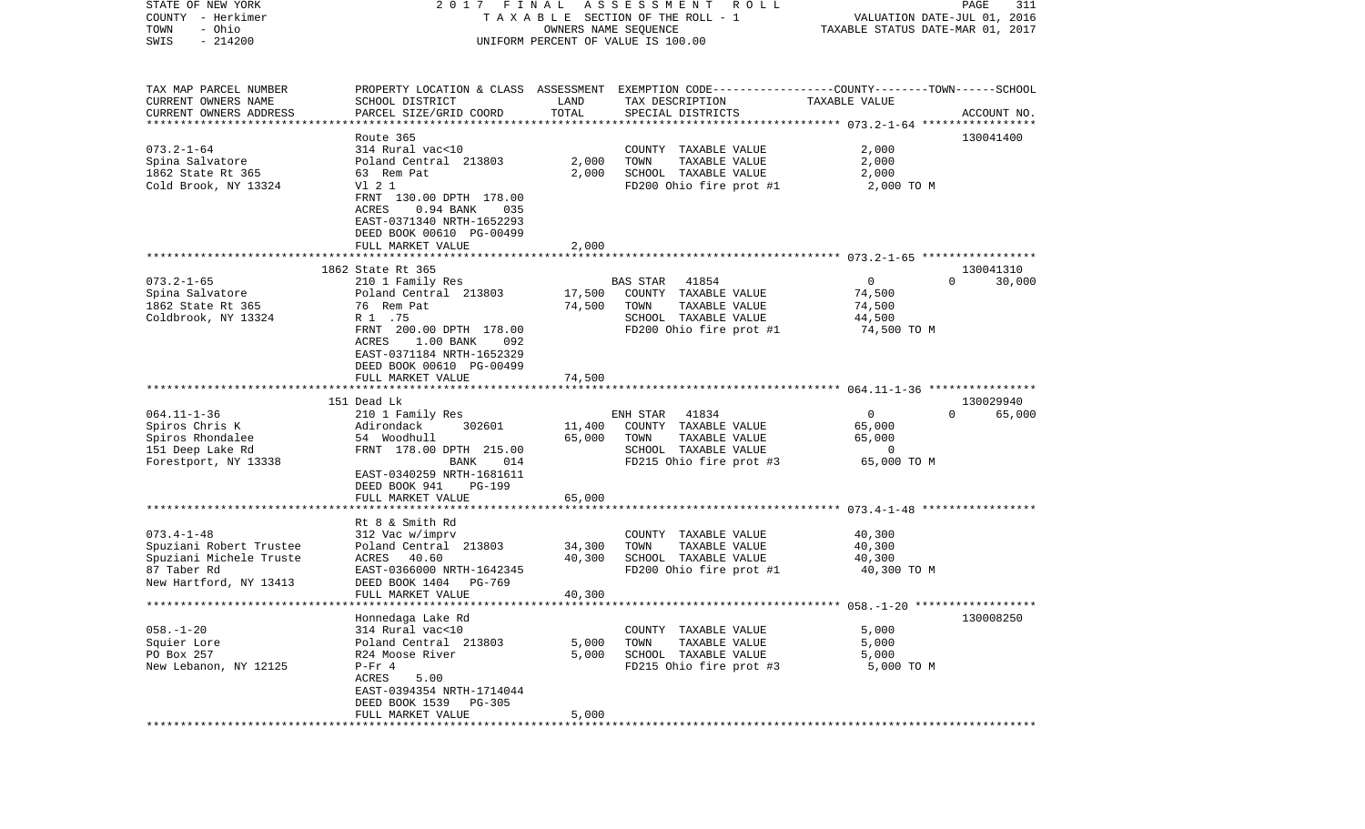| STATE OF NEW YORK<br>COUNTY - Herkimer<br>- Ohio<br>TOWN<br>$-214200$<br>SWIS | 2017 FINAL<br>TAXABLE SECTION OF THE ROLL - 1<br>UNIFORM PERCENT OF VALUE IS 100.00 | R O L L<br>PAGE<br>311<br>VALUATION DATE-JUL 01, 2016<br>TAXABLE STATUS DATE-MAR 01, 2017 |                                                                                                 |                       |                    |
|-------------------------------------------------------------------------------|-------------------------------------------------------------------------------------|-------------------------------------------------------------------------------------------|-------------------------------------------------------------------------------------------------|-----------------------|--------------------|
|                                                                               |                                                                                     |                                                                                           |                                                                                                 |                       |                    |
| TAX MAP PARCEL NUMBER                                                         |                                                                                     |                                                                                           | PROPERTY LOCATION & CLASS ASSESSMENT EXEMPTION CODE---------------COUNTY-------TOWN------SCHOOL |                       |                    |
| CURRENT OWNERS NAME<br>CURRENT OWNERS ADDRESS                                 | SCHOOL DISTRICT<br>PARCEL SIZE/GRID COORD                                           | LAND<br>TOTAL                                                                             | TAX DESCRIPTION<br>SPECIAL DISTRICTS                                                            | TAXABLE VALUE         | ACCOUNT NO.        |
| *************************                                                     |                                                                                     |                                                                                           |                                                                                                 |                       |                    |
|                                                                               | Route 365                                                                           |                                                                                           |                                                                                                 |                       | 130041400          |
| $073.2 - 1 - 64$                                                              | 314 Rural vac<10                                                                    |                                                                                           | COUNTY TAXABLE VALUE                                                                            | 2,000                 |                    |
| Spina Salvatore                                                               | Poland Central 213803                                                               | 2,000                                                                                     | TOWN<br>TAXABLE VALUE                                                                           | 2,000                 |                    |
| 1862 State Rt 365                                                             | 63 Rem Pat                                                                          | 2,000                                                                                     | SCHOOL TAXABLE VALUE                                                                            | 2,000                 |                    |
| Cold Brook, NY 13324                                                          | V1 2 1<br>FRNT 130.00 DPTH 178.00                                                   |                                                                                           | FD200 Ohio fire prot #1                                                                         | 2,000 TO M            |                    |
|                                                                               | ACRES<br>$0.94$ BANK<br>035                                                         |                                                                                           |                                                                                                 |                       |                    |
|                                                                               | EAST-0371340 NRTH-1652293                                                           |                                                                                           |                                                                                                 |                       |                    |
|                                                                               | DEED BOOK 00610 PG-00499                                                            |                                                                                           |                                                                                                 |                       |                    |
|                                                                               | FULL MARKET VALUE                                                                   | 2,000                                                                                     |                                                                                                 |                       |                    |
|                                                                               | 1862 State Rt 365                                                                   |                                                                                           |                                                                                                 |                       | 130041310          |
| $073.2 - 1 - 65$                                                              | 210 1 Family Res                                                                    |                                                                                           | 41854<br>BAS STAR                                                                               | $\mathbf{0}$          | 30,000<br>$\Omega$ |
| Spina Salvatore                                                               | Poland Central 213803                                                               | 17,500                                                                                    | COUNTY TAXABLE VALUE                                                                            | 74,500                |                    |
| 1862 State Rt 365                                                             | 76 Rem Pat                                                                          | 74,500                                                                                    | TOWN<br>TAXABLE VALUE                                                                           | 74,500                |                    |
| Coldbrook, NY 13324                                                           | R 1 .75<br>FRNT 200.00 DPTH 178.00                                                  |                                                                                           | SCHOOL TAXABLE VALUE<br>FD200 Ohio fire prot #1                                                 | 44,500<br>74,500 TO M |                    |
|                                                                               | ACRES<br>1.00 BANK<br>092                                                           |                                                                                           |                                                                                                 |                       |                    |
|                                                                               | EAST-0371184 NRTH-1652329                                                           |                                                                                           |                                                                                                 |                       |                    |
|                                                                               | DEED BOOK 00610 PG-00499                                                            |                                                                                           |                                                                                                 |                       |                    |
|                                                                               | FULL MARKET VALUE                                                                   | 74,500                                                                                    |                                                                                                 |                       |                    |
|                                                                               | 151 Dead Lk                                                                         |                                                                                           |                                                                                                 |                       | 130029940          |
| $064.11 - 1 - 36$                                                             | 210 1 Family Res                                                                    |                                                                                           | 41834<br>ENH STAR                                                                               | $\mathbf 0$           | $\Omega$<br>65,000 |
| Spiros Chris K                                                                | 302601<br>Adirondack                                                                | 11,400                                                                                    | COUNTY TAXABLE VALUE                                                                            | 65,000                |                    |
| Spiros Rhondalee                                                              | 54 Woodhull                                                                         | 65,000                                                                                    | TAXABLE VALUE<br>TOWN                                                                           | 65,000                |                    |
| 151 Deep Lake Rd                                                              | FRNT 178.00 DPTH 215.00                                                             |                                                                                           | SCHOOL TAXABLE VALUE                                                                            | 0                     |                    |
| Forestport, NY 13338                                                          | BANK<br>014<br>EAST-0340259 NRTH-1681611                                            |                                                                                           | FD215 Ohio fire prot #3                                                                         | 65,000 TO M           |                    |
|                                                                               | DEED BOOK 941<br><b>PG-199</b>                                                      |                                                                                           |                                                                                                 |                       |                    |
|                                                                               | FULL MARKET VALUE                                                                   | 65,000                                                                                    |                                                                                                 |                       |                    |
|                                                                               |                                                                                     |                                                                                           |                                                                                                 |                       |                    |
|                                                                               | Rt 8 & Smith Rd                                                                     |                                                                                           |                                                                                                 |                       |                    |
| $073.4 - 1 - 48$                                                              | 312 Vac w/imprv                                                                     |                                                                                           | COUNTY TAXABLE VALUE                                                                            | 40,300                |                    |
| Spuziani Robert Trustee<br>Spuziani Michele Truste                            | Poland Central 213803<br>ACRES 40.60                                                | 34,300<br>40,300                                                                          | TAXABLE VALUE<br>TOWN<br>SCHOOL TAXABLE VALUE                                                   | 40,300<br>40,300      |                    |
| 87 Taber Rd                                                                   | EAST-0366000 NRTH-1642345                                                           |                                                                                           | FD200 Ohio fire prot #1                                                                         | 40,300 TO M           |                    |
| New Hartford, NY 13413                                                        | DEED BOOK 1404<br>PG-769                                                            |                                                                                           |                                                                                                 |                       |                    |
|                                                                               | FULL MARKET VALUE                                                                   | 40,300                                                                                    |                                                                                                 |                       |                    |
| *************************                                                     |                                                                                     |                                                                                           |                                                                                                 |                       |                    |
| $058. - 1 - 20$                                                               | Honnedaga Lake Rd<br>314 Rural vac<10                                               |                                                                                           | COUNTY TAXABLE VALUE                                                                            | 5,000                 | 130008250          |
| Squier Lore                                                                   | Poland Central 213803                                                               | 5,000                                                                                     | TOWN<br>TAXABLE VALUE                                                                           | 5,000                 |                    |
| PO Box 257                                                                    | R24 Moose River                                                                     | 5,000                                                                                     | SCHOOL TAXABLE VALUE                                                                            | 5,000                 |                    |
| New Lebanon, NY 12125                                                         | $P-Fr 4$                                                                            |                                                                                           | FD215 Ohio fire prot #3                                                                         | 5,000 TO M            |                    |
|                                                                               | ACRES<br>5.00                                                                       |                                                                                           |                                                                                                 |                       |                    |
|                                                                               | EAST-0394354 NRTH-1714044<br>DEED BOOK 1539<br>PG-305                               |                                                                                           |                                                                                                 |                       |                    |
|                                                                               | FULL MARKET VALUE                                                                   | 5,000                                                                                     |                                                                                                 |                       |                    |
| ************                                                                  |                                                                                     |                                                                                           |                                                                                                 |                       |                    |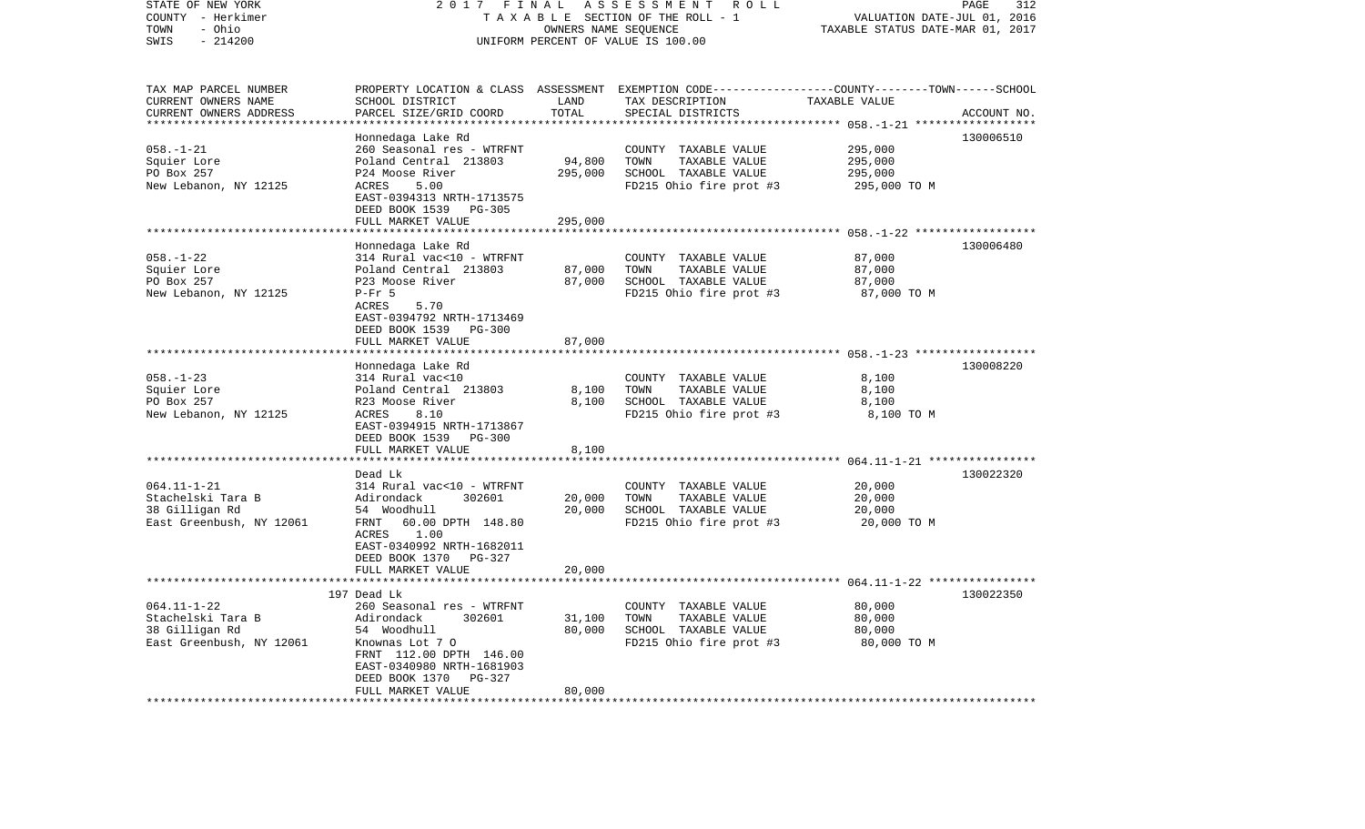| STATE OF NEW YORK<br>COUNTY - Herkimer<br>- Ohio<br>TOWN<br>SWIS<br>$-214200$ | 2017<br>F I N A L                                    | OWNERS NAME SEOUENCE | ASSESSMENT<br>R O L L<br>TAXABLE SECTION OF THE ROLL - 1<br>UNIFORM PERCENT OF VALUE IS 100.00                      | VALUATION DATE-JUL 01, 2016<br>TAXABLE STATUS DATE-MAR 01, 2017 | PAGE<br>312 |
|-------------------------------------------------------------------------------|------------------------------------------------------|----------------------|---------------------------------------------------------------------------------------------------------------------|-----------------------------------------------------------------|-------------|
|                                                                               |                                                      |                      |                                                                                                                     |                                                                 |             |
| TAX MAP PARCEL NUMBER<br>CURRENT OWNERS NAME                                  | SCHOOL DISTRICT                                      | LAND                 | PROPERTY LOCATION & CLASS ASSESSMENT EXEMPTION CODE----------------COUNTY-------TOWN------SCHOOL<br>TAX DESCRIPTION | TAXABLE VALUE                                                   |             |
| CURRENT OWNERS ADDRESS                                                        | PARCEL SIZE/GRID COORD                               | TOTAL                | SPECIAL DISTRICTS                                                                                                   |                                                                 | ACCOUNT NO. |
|                                                                               |                                                      | ******               |                                                                                                                     | ******** 058.-1-21 ****                                         |             |
|                                                                               | Honnedaga Lake Rd                                    |                      |                                                                                                                     |                                                                 | 130006510   |
| $058. - 1 - 21$                                                               | 260 Seasonal res - WTRFNT                            |                      | COUNTY TAXABLE VALUE<br>TOWN                                                                                        | 295,000                                                         |             |
| Squier Lore<br>PO Box 257                                                     | Poland Central 213803<br>P24 Moose River             | 94,800<br>295,000    | TAXABLE VALUE<br>SCHOOL TAXABLE VALUE                                                                               | 295,000<br>295,000                                              |             |
| New Lebanon, NY 12125                                                         | ACRES<br>5.00                                        |                      | FD215 Ohio fire prot #3                                                                                             | 295,000 TO M                                                    |             |
|                                                                               | EAST-0394313 NRTH-1713575                            |                      |                                                                                                                     |                                                                 |             |
|                                                                               | DEED BOOK 1539<br>PG-305                             |                      |                                                                                                                     |                                                                 |             |
|                                                                               | FULL MARKET VALUE                                    | 295,000              |                                                                                                                     |                                                                 |             |
|                                                                               | * * * * * * * * * * * * * * * * * * *                |                      |                                                                                                                     |                                                                 | 130006480   |
| $058. - 1 - 22$                                                               | Honnedaga Lake Rd<br>314 Rural vac<10 - WTRFNT       |                      | COUNTY TAXABLE VALUE                                                                                                | 87,000                                                          |             |
| Squier Lore                                                                   | Poland Central 213803                                | 87,000               | TOWN<br>TAXABLE VALUE                                                                                               | 87,000                                                          |             |
| PO Box 257                                                                    | P23 Moose River                                      | 87,000               | SCHOOL TAXABLE VALUE                                                                                                | 87,000                                                          |             |
| New Lebanon, NY 12125                                                         | $P-Fr$ 5                                             |                      | FD215 Ohio fire prot #3                                                                                             | 87,000 TO M                                                     |             |
|                                                                               | ACRES<br>5.70                                        |                      |                                                                                                                     |                                                                 |             |
|                                                                               | EAST-0394792 NRTH-1713469                            |                      |                                                                                                                     |                                                                 |             |
|                                                                               | DEED BOOK 1539<br>$PG-300$<br>FULL MARKET VALUE      | 87,000               |                                                                                                                     |                                                                 |             |
|                                                                               |                                                      |                      |                                                                                                                     |                                                                 |             |
|                                                                               | Honnedaga Lake Rd                                    |                      |                                                                                                                     |                                                                 | 130008220   |
| $058. - 1 - 23$                                                               | 314 Rural vac<10                                     |                      | COUNTY TAXABLE VALUE                                                                                                | 8,100                                                           |             |
| Squier Lore                                                                   | Poland Central 213803                                | 8,100                | TOWN<br>TAXABLE VALUE                                                                                               | 8,100                                                           |             |
| PO Box 257                                                                    | R23 Moose River                                      | 8,100                | SCHOOL TAXABLE VALUE                                                                                                | 8,100                                                           |             |
| New Lebanon, NY 12125                                                         | ACRES<br>8.10<br>EAST-0394915 NRTH-1713867           |                      | FD215 Ohio fire prot #3                                                                                             | 8,100 TO M                                                      |             |
|                                                                               | DEED BOOK 1539<br><b>PG-300</b>                      |                      |                                                                                                                     |                                                                 |             |
|                                                                               | FULL MARKET VALUE                                    | 8,100                |                                                                                                                     |                                                                 |             |
|                                                                               | ******************                                   | *******              |                                                                                                                     | ********************** 064.11-1-21 ****************             |             |
|                                                                               | Dead Lk                                              |                      |                                                                                                                     |                                                                 | 130022320   |
| $064.11 - 1 - 21$                                                             | 314 Rural vac<10 - WTRFNT                            |                      | COUNTY TAXABLE VALUE                                                                                                | 20,000                                                          |             |
| Stachelski Tara B                                                             | Adirondack<br>302601                                 | 20,000               | TAXABLE VALUE<br>TOWN                                                                                               | 20,000                                                          |             |
| 38 Gilligan Rd<br>East Greenbush, NY 12061                                    | 54 Woodhull<br>FRNT<br>60.00 DPTH 148.80             | 20,000               | SCHOOL TAXABLE VALUE<br>FD215 Ohio fire prot #3                                                                     | 20,000<br>20,000 TO M                                           |             |
|                                                                               | ACRES<br>1.00                                        |                      |                                                                                                                     |                                                                 |             |
|                                                                               | EAST-0340992 NRTH-1682011                            |                      |                                                                                                                     |                                                                 |             |
|                                                                               | DEED BOOK 1370<br>PG-327                             |                      |                                                                                                                     |                                                                 |             |
|                                                                               | FULL MARKET VALUE                                    | 20,000               |                                                                                                                     |                                                                 |             |
|                                                                               | ******************                                   |                      |                                                                                                                     | *************** 064.11-1-22 *****************                   |             |
| $064.11 - 1 - 22$                                                             | 197 Dead Lk<br>260 Seasonal res - WTRFNT             |                      | COUNTY TAXABLE VALUE                                                                                                | 80,000                                                          | 130022350   |
| Stachelski Tara B                                                             | Adirondack<br>302601                                 | 31,100               | TOWN<br>TAXABLE VALUE                                                                                               | 80,000                                                          |             |
| 38 Gilligan Rd                                                                | 54 Woodhull                                          | 80,000               | SCHOOL TAXABLE VALUE                                                                                                | 80,000                                                          |             |
| East Greenbush, NY 12061                                                      | Knownas Lot 7 0                                      |                      | FD215 Ohio fire prot #3                                                                                             | 80,000 TO M                                                     |             |
|                                                                               | FRNT 112.00 DPTH 146.00                              |                      |                                                                                                                     |                                                                 |             |
|                                                                               | EAST-0340980 NRTH-1681903                            |                      |                                                                                                                     |                                                                 |             |
|                                                                               | <b>PG-327</b><br>DEED BOOK 1370<br>FULL MARKET VALUE | 80,000               |                                                                                                                     |                                                                 |             |
| ***********************                                                       | *****************                                    |                      |                                                                                                                     |                                                                 |             |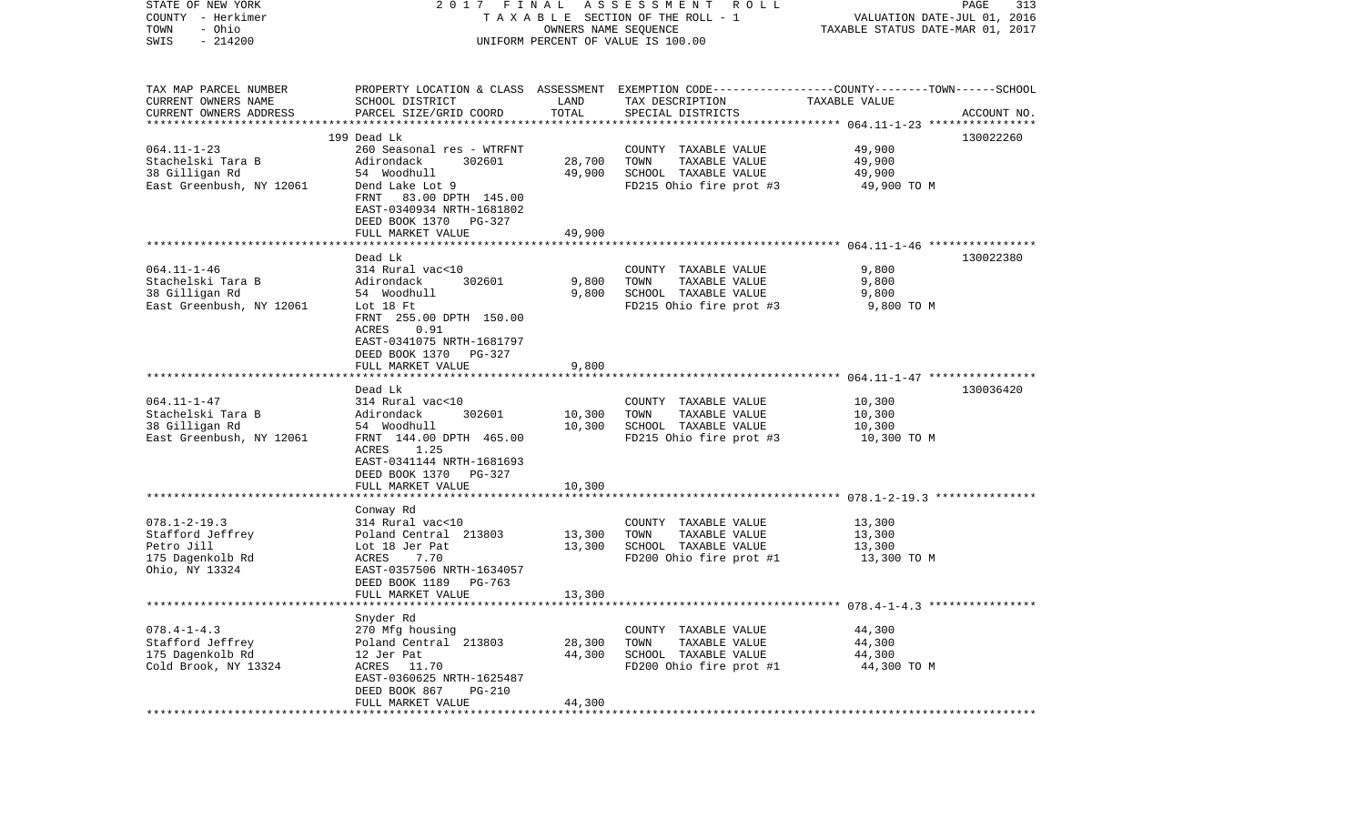| STATE OF NEW YORK                        | 2017 FINAL                                             |                      | A S S E S S M E N T<br>R O L L                                                                  |                                                          | PAGE<br>313 |
|------------------------------------------|--------------------------------------------------------|----------------------|-------------------------------------------------------------------------------------------------|----------------------------------------------------------|-------------|
| COUNTY - Herkimer                        |                                                        |                      | TAXABLE SECTION OF THE ROLL - 1                                                                 | VALUATION DATE-JUL 01, 2016                              |             |
| - Ohio<br>TOWN                           |                                                        | OWNERS NAME SEQUENCE |                                                                                                 | TAXABLE STATUS DATE-MAR 01, 2017                         |             |
| $-214200$<br>SWIS                        |                                                        |                      | UNIFORM PERCENT OF VALUE IS 100.00                                                              |                                                          |             |
| TAX MAP PARCEL NUMBER                    |                                                        |                      | PROPERTY LOCATION & CLASS ASSESSMENT EXEMPTION CODE---------------COUNTY-------TOWN------SCHOOL |                                                          |             |
| CURRENT OWNERS NAME                      | SCHOOL DISTRICT                                        | LAND                 | TAX DESCRIPTION                                                                                 | TAXABLE VALUE                                            |             |
| CURRENT OWNERS ADDRESS                   | PARCEL SIZE/GRID COORD                                 | TOTAL                | SPECIAL DISTRICTS                                                                               |                                                          | ACCOUNT NO. |
| *************************                |                                                        |                      |                                                                                                 |                                                          |             |
|                                          | 199 Dead Lk                                            |                      |                                                                                                 |                                                          | 130022260   |
| $064.11 - 1 - 23$<br>Stachelski Tara B   | 260 Seasonal res - WTRFNT<br>Adirondack<br>302601      | 28,700               | COUNTY TAXABLE VALUE<br>TOWN<br>TAXABLE VALUE                                                   | 49,900<br>49,900                                         |             |
| 38 Gilligan Rd                           | 54 Woodhull                                            | 49,900               | SCHOOL TAXABLE VALUE                                                                            | 49,900                                                   |             |
| East Greenbush, NY 12061                 | Dend Lake Lot 9                                        |                      | FD215 Ohio fire prot #3                                                                         | 49,900 TO M                                              |             |
|                                          | 83.00 DPTH 145.00<br>FRNT<br>EAST-0340934 NRTH-1681802 |                      |                                                                                                 |                                                          |             |
|                                          | DEED BOOK 1370 PG-327                                  |                      |                                                                                                 |                                                          |             |
|                                          | FULL MARKET VALUE                                      | 49,900               |                                                                                                 |                                                          |             |
|                                          | Dead Lk                                                |                      |                                                                                                 |                                                          | 130022380   |
| $064.11 - 1 - 46$                        | 314 Rural vac<10                                       |                      | COUNTY TAXABLE VALUE                                                                            | 9,800                                                    |             |
| Stachelski Tara B                        | 302601<br>Adirondack                                   | 9,800                | TOWN<br>TAXABLE VALUE                                                                           | 9,800                                                    |             |
| 38 Gilligan Rd                           | 54 Woodhull                                            | 9,800                | SCHOOL TAXABLE VALUE                                                                            | 9,800                                                    |             |
| East Greenbush, NY 12061                 | Lot 18 Ft                                              |                      | FD215 Ohio fire prot #3                                                                         | 9,800 TO M                                               |             |
|                                          | FRNT 255.00 DPTH 150.00                                |                      |                                                                                                 |                                                          |             |
|                                          | 0.91<br>ACRES                                          |                      |                                                                                                 |                                                          |             |
|                                          | EAST-0341075 NRTH-1681797                              |                      |                                                                                                 |                                                          |             |
|                                          | DEED BOOK 1370<br>PG-327                               |                      |                                                                                                 |                                                          |             |
|                                          | FULL MARKET VALUE                                      | 9,800                |                                                                                                 |                                                          |             |
|                                          | Dead Lk                                                |                      |                                                                                                 |                                                          | 130036420   |
| $064.11 - 1 - 47$                        | 314 Rural vac<10                                       |                      | COUNTY TAXABLE VALUE                                                                            | 10,300                                                   |             |
| Stachelski Tara B                        | Adirondack<br>302601                                   | 10,300               | TAXABLE VALUE<br>TOWN                                                                           | 10,300                                                   |             |
| 38 Gilligan Rd                           | 54 Woodhull                                            | 10,300               | SCHOOL TAXABLE VALUE                                                                            | 10,300                                                   |             |
| East Greenbush, NY 12061                 | FRNT 144.00 DPTH 465.00                                |                      | FD215 Ohio fire prot #3                                                                         | 10,300 TO M                                              |             |
|                                          | ACRES<br>1.25                                          |                      |                                                                                                 |                                                          |             |
|                                          | EAST-0341144 NRTH-1681693                              |                      |                                                                                                 |                                                          |             |
|                                          | DEED BOOK 1370<br>PG-327                               |                      |                                                                                                 |                                                          |             |
|                                          | FULL MARKET VALUE                                      | 10,300               |                                                                                                 |                                                          |             |
|                                          |                                                        |                      |                                                                                                 | *************************** 078.1-2-19.3 *************** |             |
| $078.1 - 2 - 19.3$                       | Conway Rd<br>314 Rural vac<10                          |                      | COUNTY TAXABLE VALUE                                                                            | 13,300                                                   |             |
| Stafford Jeffrey                         | Poland Central 213803                                  | 13,300               | TOWN<br>TAXABLE VALUE                                                                           | 13,300                                                   |             |
| Petro Jill                               | Lot 18 Jer Pat                                         | 13,300               | SCHOOL TAXABLE VALUE                                                                            | 13,300                                                   |             |
| 175 Dagenkolb Rd                         | 7.70<br>ACRES                                          |                      | FD200 Ohio fire prot #1                                                                         | 13,300 TO M                                              |             |
| Ohio, NY 13324                           | EAST-0357506 NRTH-1634057                              |                      |                                                                                                 |                                                          |             |
|                                          | DEED BOOK 1189<br>PG-763                               |                      |                                                                                                 |                                                          |             |
|                                          | FULL MARKET VALUE                                      | 13,300               |                                                                                                 |                                                          |             |
|                                          |                                                        |                      |                                                                                                 |                                                          |             |
|                                          | Snyder Rd                                              |                      |                                                                                                 |                                                          |             |
| $078.4 - 1 - 4.3$                        | 270 Mfg housing                                        |                      | COUNTY TAXABLE VALUE                                                                            | 44,300                                                   |             |
| Stafford Jeffrey                         | Poland Central 213803                                  | 28,300               | TOWN<br>TAXABLE VALUE                                                                           | 44,300<br>44,300                                         |             |
| 175 Dagenkolb Rd<br>Cold Brook, NY 13324 | 12 Jer Pat<br>ACRES 11.70                              | 44,300               | SCHOOL TAXABLE VALUE<br>FD200 Ohio fire prot #1                                                 | 44,300 TO M                                              |             |
|                                          | EAST-0360625 NRTH-1625487                              |                      |                                                                                                 |                                                          |             |
|                                          | DEED BOOK 867<br>PG-210                                |                      |                                                                                                 |                                                          |             |
|                                          | FULL MARKET VALUE                                      | 44,300               |                                                                                                 |                                                          |             |
|                                          |                                                        |                      |                                                                                                 |                                                          |             |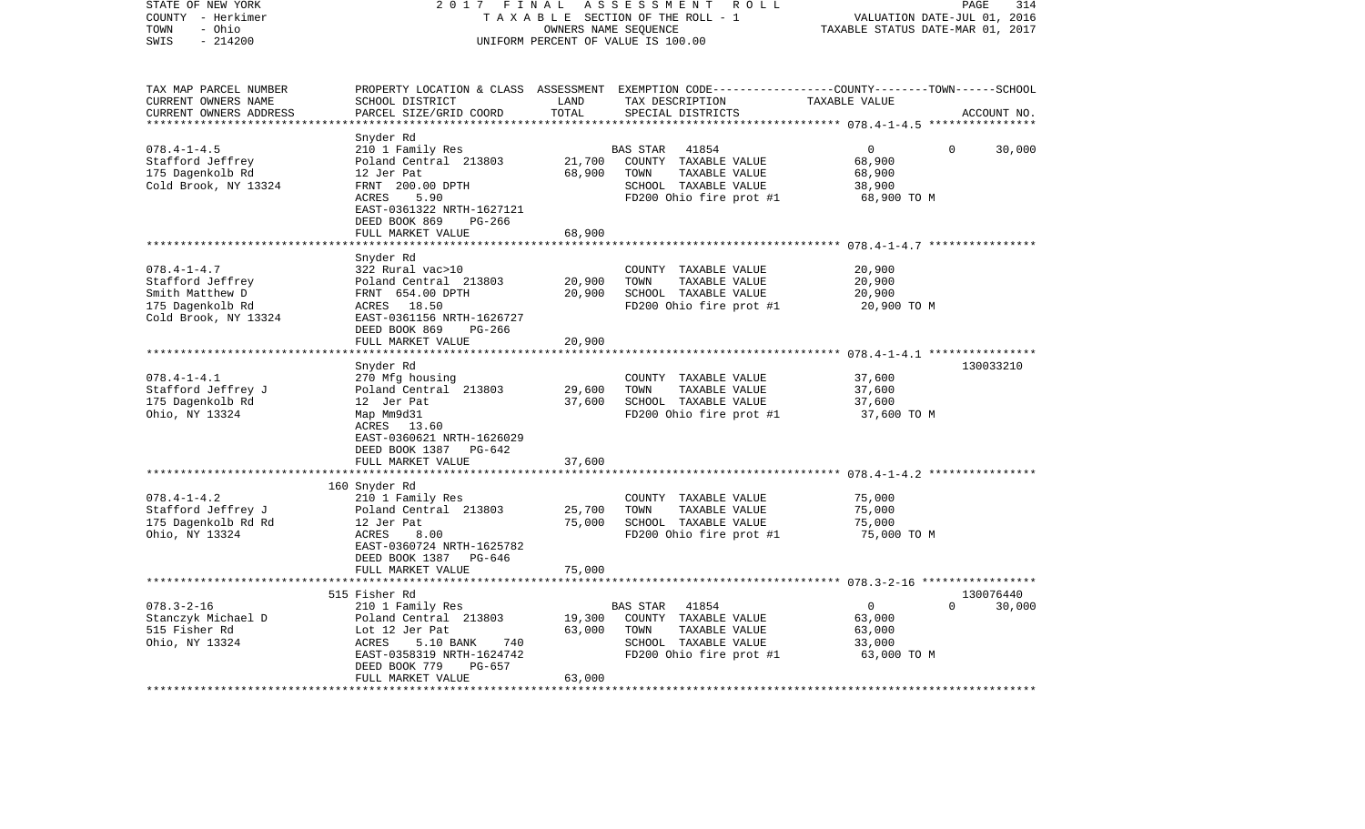| STATE OF NEW YORK<br>COUNTY - Herkimer<br>- Ohio<br>TOWN<br>$-214200$<br>SWIS                        | 2017<br>FINAL<br>ASSESSMENT ROLL<br>TAXABLE SECTION OF THE ROLL - 1<br>OWNERS NAME SEQUENCE<br>UNIFORM PERCENT OF VALUE IS 100.00                                                      |                            |                                                                                                                                          | PAGE<br>314<br>VALUATION DATE-JUL 01, 2016<br>TAXABLE STATUS DATE-MAR 01, 2017 |                     |  |
|------------------------------------------------------------------------------------------------------|----------------------------------------------------------------------------------------------------------------------------------------------------------------------------------------|----------------------------|------------------------------------------------------------------------------------------------------------------------------------------|--------------------------------------------------------------------------------|---------------------|--|
| TAX MAP PARCEL NUMBER<br>CURRENT OWNERS NAME<br>CURRENT OWNERS ADDRESS<br>**********************     | SCHOOL DISTRICT<br>PARCEL SIZE/GRID COORD                                                                                                                                              | LAND<br>TOTAL              | PROPERTY LOCATION & CLASS ASSESSMENT EXEMPTION CODE----------------COUNTY-------TOWN------SCHOOL<br>TAX DESCRIPTION<br>SPECIAL DISTRICTS | TAXABLE VALUE                                                                  | ACCOUNT NO.         |  |
| $078.4 - 1 - 4.5$<br>Stafford Jeffrey<br>175 Dagenkolb Rd<br>Cold Brook, NY 13324                    | Snyder Rd<br>210 1 Family Res<br>Poland Central 213803<br>12 Jer Pat<br>FRNT 200.00 DPTH<br>ACRES<br>5.90<br>EAST-0361322 NRTH-1627121<br>DEED BOOK 869<br>PG-266<br>FULL MARKET VALUE | 21,700<br>68,900<br>68,900 | BAS STAR<br>41854<br>COUNTY TAXABLE VALUE<br>TOWN<br>TAXABLE VALUE<br>SCHOOL TAXABLE VALUE<br>FD200 Ohio fire prot #1                    | $\mathbf{0}$<br>$\mathbf 0$<br>68,900<br>68,900<br>38,900<br>68,900 TO M       | 30,000              |  |
|                                                                                                      |                                                                                                                                                                                        |                            |                                                                                                                                          |                                                                                |                     |  |
| $078.4 - 1 - 4.7$<br>Stafford Jeffrey<br>Smith Matthew D<br>175 Dagenkolb Rd<br>Cold Brook, NY 13324 | Snyder Rd<br>322 Rural vac>10<br>Poland Central 213803<br>FRNT 654.00 DPTH<br>ACRES 18.50<br>EAST-0361156 NRTH-1626727<br>DEED BOOK 869<br>PG-266                                      | 20,900<br>20,900           | COUNTY TAXABLE VALUE<br>TOWN<br>TAXABLE VALUE<br>SCHOOL TAXABLE VALUE<br>FD200 Ohio fire prot #1                                         | 20,900<br>20,900<br>20,900<br>20,900 TO M                                      |                     |  |
|                                                                                                      | FULL MARKET VALUE                                                                                                                                                                      | 20,900                     |                                                                                                                                          |                                                                                |                     |  |
|                                                                                                      | ********************                                                                                                                                                                   |                            |                                                                                                                                          |                                                                                |                     |  |
| $078.4 - 1 - 4.1$<br>Stafford Jeffrey J<br>175 Dagenkolb Rd<br>Ohio, NY 13324                        | Snyder Rd<br>270 Mfg housing<br>Poland Central 213803<br>12 Jer Pat<br>Map Mm9d31<br>ACRES 13.60<br>EAST-0360621 NRTH-1626029<br>DEED BOOK 1387 PG-642                                 | 29,600<br>37,600           | COUNTY TAXABLE VALUE<br>TOWN<br>TAXABLE VALUE<br>SCHOOL TAXABLE VALUE<br>FD200 Ohio fire prot #1                                         | 37,600<br>37,600<br>37,600<br>37,600 TO M                                      | 130033210           |  |
|                                                                                                      | FULL MARKET VALUE                                                                                                                                                                      | 37,600                     |                                                                                                                                          |                                                                                |                     |  |
|                                                                                                      | *************************                                                                                                                                                              | * * * * * * * * * * * *    |                                                                                                                                          |                                                                                |                     |  |
| $078.4 - 1 - 4.2$<br>Stafford Jeffrey J<br>175 Dagenkolb Rd Rd<br>Ohio, NY 13324                     | 160 Snyder Rd<br>210 1 Family Res<br>Poland Central 213803<br>12 Jer Pat<br>ACRES<br>8.00<br>EAST-0360724 NRTH-1625782<br>DEED BOOK 1387<br>PG-646                                     | 25,700<br>75,000           | COUNTY TAXABLE VALUE<br>TAXABLE VALUE<br>TOWN<br>SCHOOL TAXABLE VALUE<br>FD200 Ohio fire prot #1                                         | 75,000<br>75,000<br>75,000<br>75,000 TO M                                      |                     |  |
|                                                                                                      | FULL MARKET VALUE                                                                                                                                                                      | 75,000                     |                                                                                                                                          |                                                                                |                     |  |
|                                                                                                      |                                                                                                                                                                                        |                            |                                                                                                                                          |                                                                                |                     |  |
| $078.3 - 2 - 16$<br>Stanczyk Michael D<br>515 Fisher Rd<br>Ohio, NY 13324                            | 515 Fisher Rd<br>210 1 Family Res<br>Poland Central 213803<br>Lot 12 Jer Pat<br>ACRES<br>5.10 BANK<br>740<br>EAST-0358319 NRTH-1624742<br>DEED BOOK 779<br>PG-657<br>FULL MARKET VALUE | 19,300<br>63,000<br>63,000 | 41854<br>BAS STAR<br>COUNTY TAXABLE VALUE<br>TOWN<br>TAXABLE VALUE<br>SCHOOL TAXABLE VALUE<br>FD200 Ohio fire prot #1                    | $\mathsf{O}$<br>$\Omega$<br>63,000<br>63,000<br>33,000<br>63,000 TO M          | 130076440<br>30,000 |  |
|                                                                                                      |                                                                                                                                                                                        |                            |                                                                                                                                          |                                                                                |                     |  |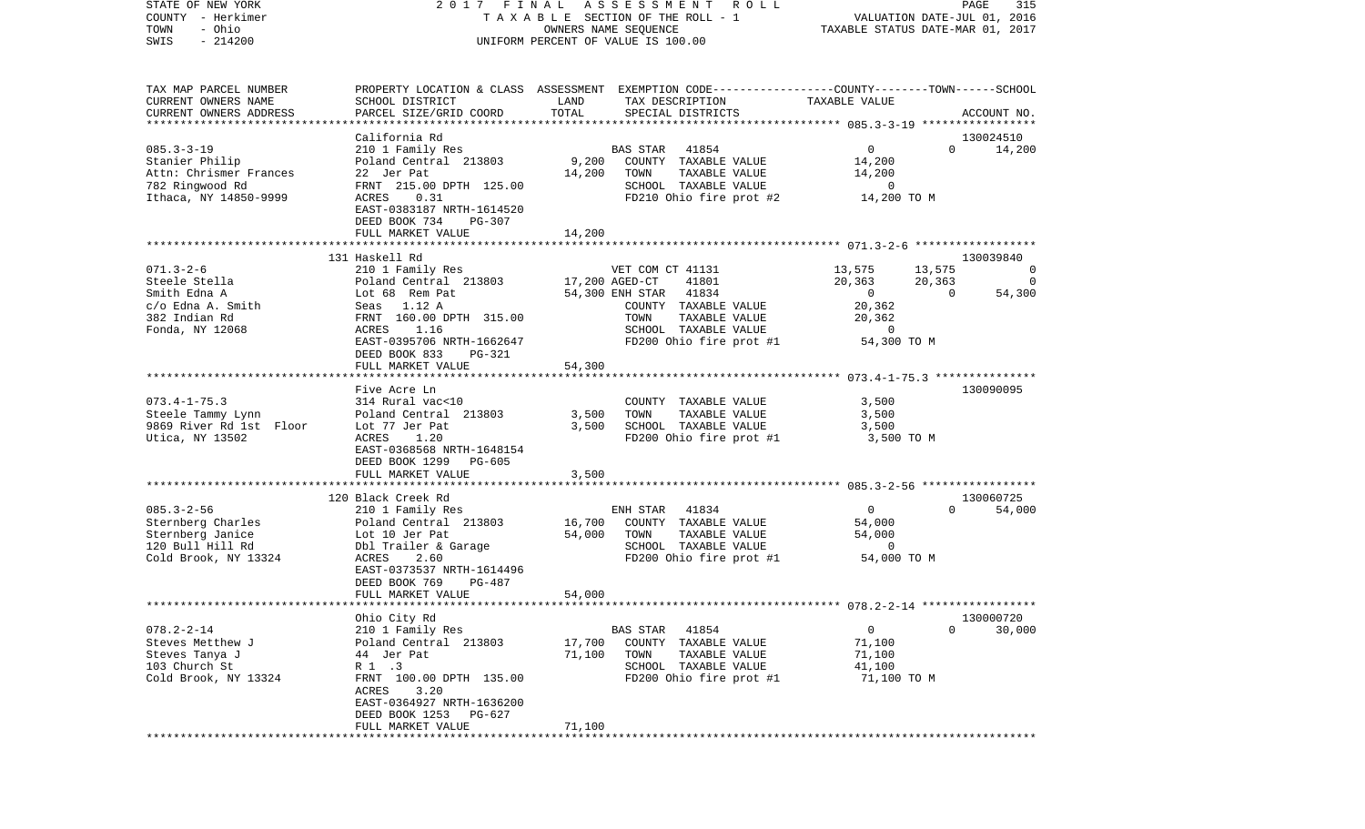STATE OF NEW YORK 2 0 1 7 F I N A L A S S E S S M E N T R O L L PAGE 315VALUATION DATE-JUL 01, 2016 COUNTY - Herkimer T A X A B L E SECTION OF THE ROLL - 1 TOWN - Ohio OWNERS NAME SEQUENCE TAXABLE STATUS DATE-MAR 01, 2017 SWIS - 214200 UNIFORM PERCENT OF VALUE IS 100.00TAX MAP PARCEL NUMBER PROPERTY LOCATION & CLASS ASSESSMENT EXEMPTION CODE------------------COUNTY--------TOWN------SCHOOL CURRENT OWNERS NAME SCHOOL DISTRICT LAND TAX DESCRIPTION TAXABLE VALUECURRENT OWNERS ADDRESS PARCEL SIZE/GRID COORD TOTAL SPECIAL DISTRICTS ACCOUNT NO. \*\*\*\*\*\*\*\*\*\*\*\*\*\*\*\*\*\*\*\*\*\*\*\*\*\*\*\*\*\*\*\*\*\*\*\*\*\*\*\*\*\*\*\*\*\*\*\*\*\*\*\*\*\*\*\*\*\*\*\*\*\*\*\*\*\*\*\*\*\*\*\*\*\*\*\*\*\*\*\*\*\*\*\*\*\*\*\*\*\*\*\*\*\*\*\*\*\*\*\*\*\*\* 085.3-3-19 \*\*\*\*\*\*\*\*\*\*\*\*\*\*\*\*\* California Rd 13002451014,200 085.3-3-19 210 1 Family Res BAS STAR 41854 0 0 14,200 Stanier Philip Poland Central 213803 9,200 COUNTY TAXABLE VALUE 14,200 Attn: Chrismer Frances 22 Jer Pat 14,200 TOWN TAXABLE VALUE 14,200 782 Ringwood Rd FRNT 215.00 DPTH 125.00 SCHOOL TAXABLE VALUE 0 ACRES 0.31 **If the ST 200 TO M** FD210 Ohio fire prot #2 14,200 TO M EAST-0383187 NRTH-1614520 DEED BOOK 734 PG-307 FULL MARKET VALUE 14,200 \*\*\*\*\*\*\*\*\*\*\*\*\*\*\*\*\*\*\*\*\*\*\*\*\*\*\*\*\*\*\*\*\*\*\*\*\*\*\*\*\*\*\*\*\*\*\*\*\*\*\*\*\*\*\*\*\*\*\*\*\*\*\*\*\*\*\*\*\*\*\*\*\*\*\*\*\*\*\*\*\*\*\*\*\*\*\*\*\*\*\*\*\*\*\*\*\*\*\*\*\*\*\* 071.3-2-6 \*\*\*\*\*\*\*\*\*\*\*\*\*\*\*\*\*\* 131 Haskell Rd 130039840071.3-2-6 210 1 Family Res VET COM CT 41131 13,575 13,575 0 Steele Stella Poland Central 213803 17,200 AGED-CT 41801 20,363 20,363 0 Smith Edna A Cot 68 Rem Pat 54,300 ENH STAR 41834 0 0 54,300 c/o Edna A. Smith Seas 1.12 A COUNTY TAXABLE VALUE 20,362 382 Indian Rd FRNT 160.00 DPTH 315.00 TOWN TAXABLE VALUE 20,362 Fonda, NY 12068 ACRES 1.16 SCHOOL TAXABLE VALUE 0 EAST-0395706 NRTH-1662647 FD200 Ohio fire prot #1 54,300 TO M DEED BOOK 833 PG-321FULL MARKET VALUE 54,300 \*\*\*\*\*\*\*\*\*\*\*\*\*\*\*\*\*\*\*\*\*\*\*\*\*\*\*\*\*\*\*\*\*\*\*\*\*\*\*\*\*\*\*\*\*\*\*\*\*\*\*\*\*\*\*\*\*\*\*\*\*\*\*\*\*\*\*\*\*\*\*\*\*\*\*\*\*\*\*\*\*\*\*\*\*\*\*\*\*\*\*\*\*\*\*\*\*\*\*\*\*\*\* 073.4-1-75.3 \*\*\*\*\*\*\*\*\*\*\*\*\*\*\* Five Acre Ln 130090095073.4-1-75.3 314 Rural vac<10 COUNTY TAXABLE VALUE 3,500 Steele Tammy Lynn Poland Central 213803 3,500 TOWN TAXABLE VALUE 3,500 9869 River Rd 1st Floor Utica, NY 13502 ACRES 1.20 FD200 Ohio fire prot #1 3,500 TO M EAST-0368568 NRTH-1648154 DEED BOOK 1299 PG-605FULL MARKET VALUE 3,500 \*\*\*\*\*\*\*\*\*\*\*\*\*\*\*\*\*\*\*\*\*\*\*\*\*\*\*\*\*\*\*\*\*\*\*\*\*\*\*\*\*\*\*\*\*\*\*\*\*\*\*\*\*\*\*\*\*\*\*\*\*\*\*\*\*\*\*\*\*\*\*\*\*\*\*\*\*\*\*\*\*\*\*\*\*\*\*\*\*\*\*\*\*\*\*\*\*\*\*\*\*\*\* 085.3-2-56 \*\*\*\*\*\*\*\*\*\*\*\*\*\*\*\*\* 120 Black Creek Rd 130060725085.3-2-56 210 1 Family Res ENH STAR 41834 0 0 54,000 Sternberg Charles Poland Central 213803 16,700 COUNTY TAXABLE VALUE 54,000 Sternberg Janice  $Lot 10$  Jer Pat  $54,000$  TOWN TAXABLE VALUE 54,000 120 Bull Hill Rd Dbl Trailer & Garage SCHOOL TAXABLE VALUE 0 Cold Brook, NY 13324  $ACRES$  2.60  $FD200$  Ohio fire prot #1 54,000 TO M EAST-0373537 NRTH-1614496 DEED BOOK 769 PG-487 FULL MARKET VALUE 54,000 \*\*\*\*\*\*\*\*\*\*\*\*\*\*\*\*\*\*\*\*\*\*\*\*\*\*\*\*\*\*\*\*\*\*\*\*\*\*\*\*\*\*\*\*\*\*\*\*\*\*\*\*\*\*\*\*\*\*\*\*\*\*\*\*\*\*\*\*\*\*\*\*\*\*\*\*\*\*\*\*\*\*\*\*\*\*\*\*\*\*\*\*\*\*\*\*\*\*\*\*\*\*\* 078.2-2-14 \*\*\*\*\*\*\*\*\*\*\*\*\*\*\*\*\* Ohio City Rd 130000720 078.2-2-14 210 1 Family Res BAS STAR 41854 0 0 30,000 Steves Metthew J **Poland Central 213803** 17,700 COUNTY TAXABLE VALUE Steves Tanya J 44 Jer Pat 71,100 TOWN TAXABLE VALUE 71,100 103 Church St R 1 .3 SCHOOL TAXABLE VALUE 41,100 Cold Brook, NY 13324 FRNT 100.00 DPTH 135.00 FD200 Ohio fire prot #1 71,100 TO M ACRES 3.20 EAST-0364927 NRTH-1636200 DEED BOOK 1253 PG-627FULL MARKET VALUE 71,100 \*\*\*\*\*\*\*\*\*\*\*\*\*\*\*\*\*\*\*\*\*\*\*\*\*\*\*\*\*\*\*\*\*\*\*\*\*\*\*\*\*\*\*\*\*\*\*\*\*\*\*\*\*\*\*\*\*\*\*\*\*\*\*\*\*\*\*\*\*\*\*\*\*\*\*\*\*\*\*\*\*\*\*\*\*\*\*\*\*\*\*\*\*\*\*\*\*\*\*\*\*\*\*\*\*\*\*\*\*\*\*\*\*\*\*\*\*\*\*\*\*\*\*\*\*\*\*\*\*\*\*\*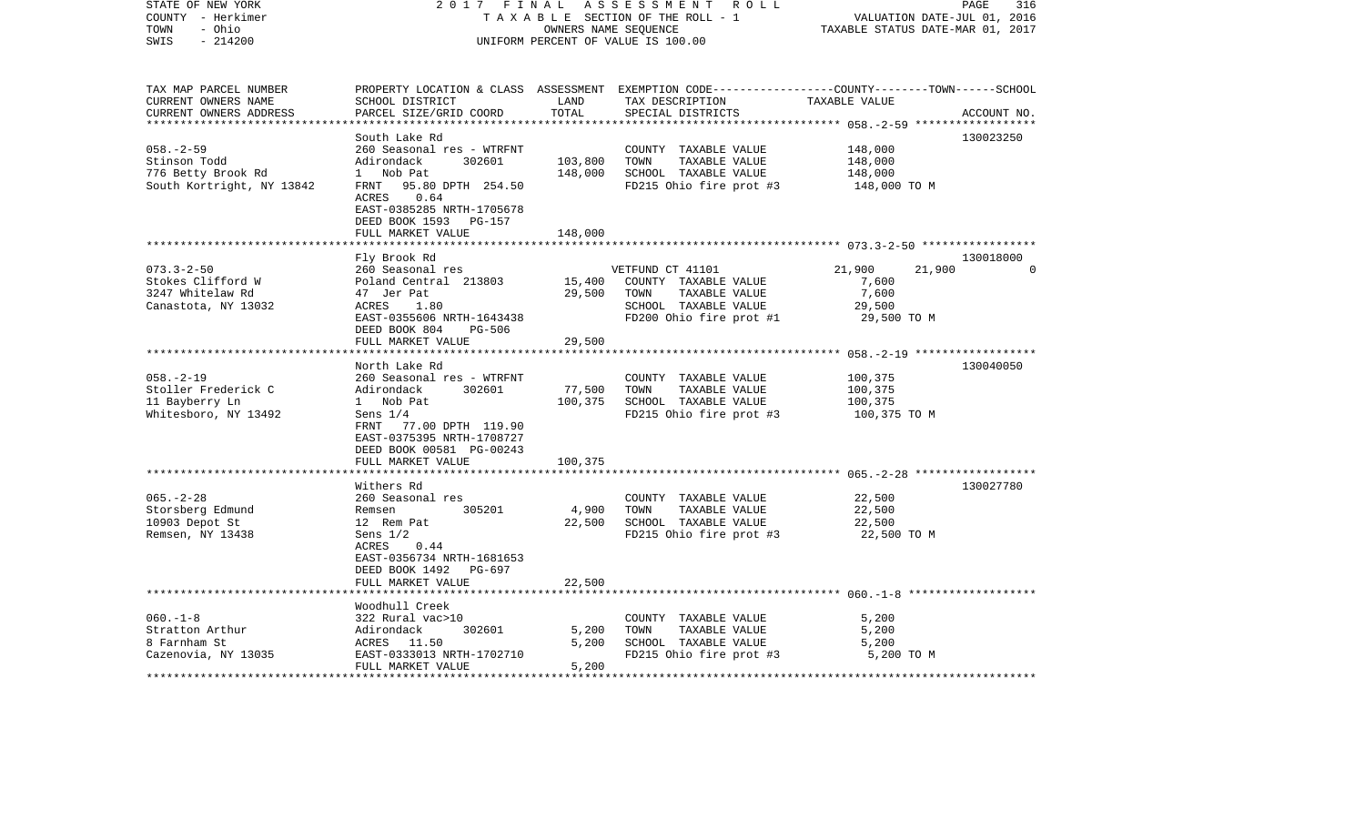| STATE OF NEW YORK<br>COUNTY - Herkimer<br>- Ohio<br>TOWN<br>$-214200$<br>SWIS                     | 2017 FINAL ASSESSMENT ROLL<br>TAXABLE SECTION OF THE ROLL - 1<br>OWNERS NAME SEQUENCE<br>UNIFORM PERCENT OF VALUE IS 100.00                                                |                           |                                                                                                                      | PAGE<br>316<br>VALUATION DATE-JUL 01, 2016<br>TAXABLE STATUS DATE-MAR 01, 2017                                                 |  |  |
|---------------------------------------------------------------------------------------------------|----------------------------------------------------------------------------------------------------------------------------------------------------------------------------|---------------------------|----------------------------------------------------------------------------------------------------------------------|--------------------------------------------------------------------------------------------------------------------------------|--|--|
| TAX MAP PARCEL NUMBER<br>CURRENT OWNERS NAME<br>CURRENT OWNERS ADDRESS<br>*********************** | SCHOOL DISTRICT<br>PARCEL SIZE/GRID COORD                                                                                                                                  | LAND<br>TOTAL             | TAX DESCRIPTION<br>SPECIAL DISTRICTS                                                                                 | PROPERTY LOCATION & CLASS ASSESSMENT EXEMPTION CODE---------------COUNTY-------TOWN-----SCHOOL<br>TAXABLE VALUE<br>ACCOUNT NO. |  |  |
|                                                                                                   | South Lake Rd                                                                                                                                                              |                           |                                                                                                                      | 130023250                                                                                                                      |  |  |
| $058. - 2 - 59$<br>Stinson Todd<br>776 Betty Brook Rd<br>South Kortright, NY 13842                | 260 Seasonal res - WTRFNT<br>Adirondack<br>302601<br>1 Nob Pat<br>95.80 DPTH 254.50<br>FRNT<br>ACRES<br>0.64                                                               | 103,800<br>148,000        | COUNTY TAXABLE VALUE<br>TOWN<br>TAXABLE VALUE<br>SCHOOL TAXABLE VALUE<br>FD215 Ohio fire prot #3                     | 148,000<br>148,000<br>148,000<br>148,000 TO M                                                                                  |  |  |
|                                                                                                   | EAST-0385285 NRTH-1705678<br>DEED BOOK 1593 PG-157<br>FULL MARKET VALUE                                                                                                    | 148,000                   |                                                                                                                      |                                                                                                                                |  |  |
|                                                                                                   |                                                                                                                                                                            |                           |                                                                                                                      |                                                                                                                                |  |  |
| $073.3 - 2 - 50$<br>Stokes Clifford W<br>3247 Whitelaw Rd<br>Canastota, NY 13032                  | Fly Brook Rd<br>260 Seasonal res<br>Poland Central 213803<br>47 Jer Pat<br>ACRES<br>1.80<br>EAST-0355606 NRTH-1643438<br>DEED BOOK 804<br>PG-506                           | 15,400<br>29,500          | VETFUND CT 41101<br>COUNTY TAXABLE VALUE<br>TOWN<br>TAXABLE VALUE<br>SCHOOL TAXABLE VALUE<br>FD200 Ohio fire prot #1 | 130018000<br>21,900<br>21,900<br>$\Omega$<br>7,600<br>7,600<br>29,500<br>29,500 TO M                                           |  |  |
|                                                                                                   | FULL MARKET VALUE                                                                                                                                                          | 29,500                    |                                                                                                                      |                                                                                                                                |  |  |
|                                                                                                   |                                                                                                                                                                            |                           |                                                                                                                      |                                                                                                                                |  |  |
| $058. - 2 - 19$<br>Stoller Frederick C<br>11 Bayberry Ln<br>Whitesboro, NY 13492                  | North Lake Rd<br>260 Seasonal res - WTRFNT<br>Adirondack<br>302601<br>1 Nob Pat<br>Sens $1/4$<br>FRNT 77.00 DPTH 119.90<br>EAST-0375395 NRTH-1708727                       | 77,500<br>100,375         | COUNTY TAXABLE VALUE<br>TOWN<br>TAXABLE VALUE<br>SCHOOL TAXABLE VALUE<br>FD215 Ohio fire prot #3                     | 130040050<br>100,375<br>100,375<br>100,375<br>100,375 TO M                                                                     |  |  |
|                                                                                                   | DEED BOOK 00581 PG-00243                                                                                                                                                   |                           |                                                                                                                      |                                                                                                                                |  |  |
|                                                                                                   | FULL MARKET VALUE                                                                                                                                                          | 100,375                   |                                                                                                                      |                                                                                                                                |  |  |
| $065. - 2 - 28$<br>Storsberg Edmund<br>10903 Depot St<br>Remsen, NY 13438                         | Withers Rd<br>260 Seasonal res<br>Remsen<br>305201<br>12 Rem Pat<br>Sens $1/2$<br>ACRES<br>0.44<br>EAST-0356734 NRTH-1681653<br>DEED BOOK 1492 PG-697<br>FULL MARKET VALUE | 4,900<br>22,500<br>22,500 | COUNTY TAXABLE VALUE<br>TAXABLE VALUE<br>TOWN<br>SCHOOL TAXABLE VALUE<br>FD215 Ohio fire prot #3                     | 130027780<br>22,500<br>22,500<br>22,500<br>22,500 TO M                                                                         |  |  |
|                                                                                                   |                                                                                                                                                                            |                           |                                                                                                                      |                                                                                                                                |  |  |
| $060. -1 - 8$<br>Stratton Arthur<br>8 Farnham St<br>Cazenovia, NY 13035                           | Woodhull Creek<br>322 Rural vac>10<br>Adirondack<br>302601<br>ACRES 11.50<br>EAST-0333013 NRTH-1702710<br>FULL MARKET VALUE                                                | 5,200<br>5,200<br>5,200   | COUNTY TAXABLE VALUE<br>TOWN<br>TAXABLE VALUE<br>SCHOOL TAXABLE VALUE<br>FD215 Ohio fire prot #3                     | 5,200<br>5,200<br>5,200<br>5,200 TO M                                                                                          |  |  |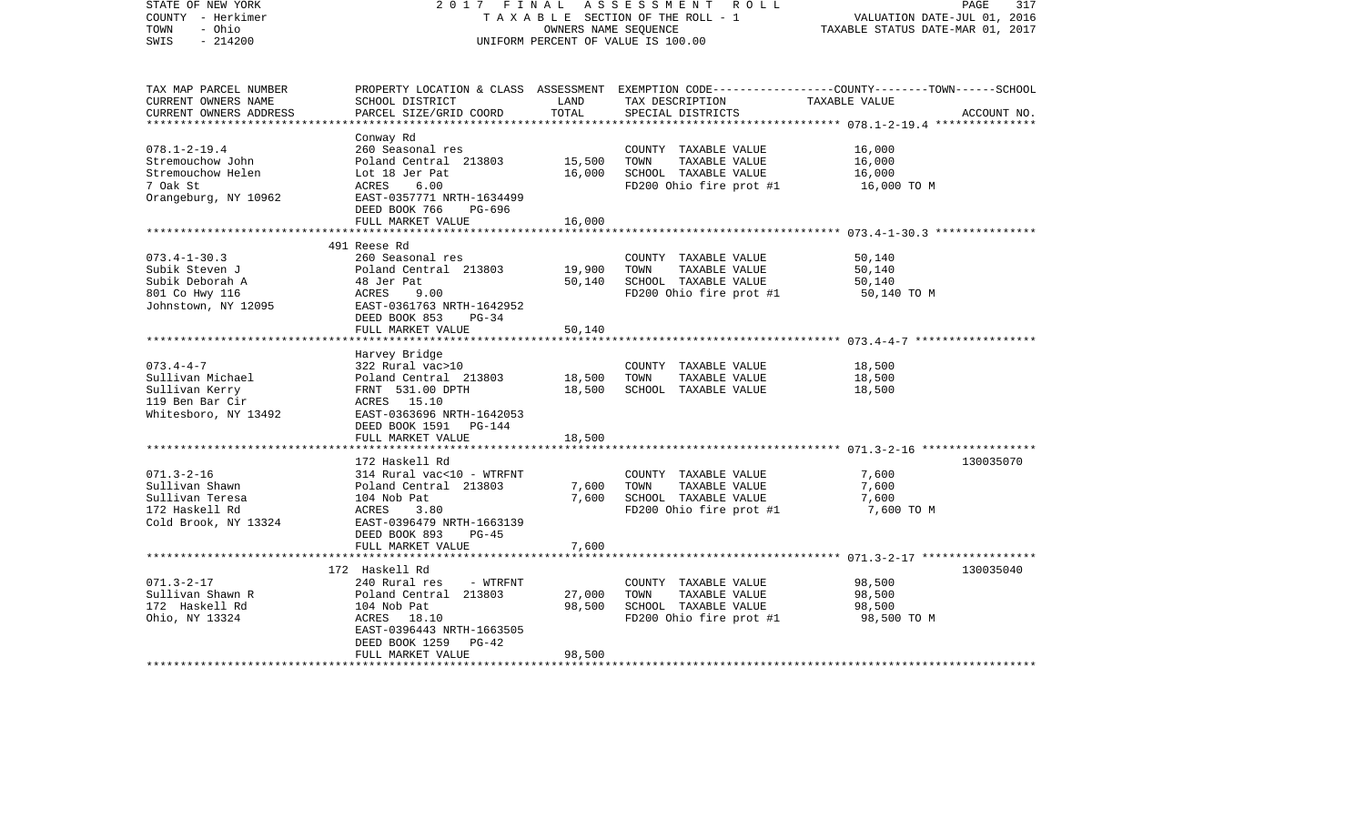| STATE OF NEW YORK<br>COUNTY - Herkimer<br>TOWN<br>- Ohio<br>$-214200$<br>SWIS                    | 2017 FINAL<br>TAXABLE SECTION OF THE ROLL - 1<br>UNIFORM PERCENT OF VALUE IS 100.00                                                                                          | PAGE<br>317<br>VALUATION DATE-JUL 01, 2016<br>TAXABLE STATUS DATE-MAR 01, 2017 |                                                                                                                                         |                                           |             |
|--------------------------------------------------------------------------------------------------|------------------------------------------------------------------------------------------------------------------------------------------------------------------------------|--------------------------------------------------------------------------------|-----------------------------------------------------------------------------------------------------------------------------------------|-------------------------------------------|-------------|
| TAX MAP PARCEL NUMBER<br>CURRENT OWNERS NAME<br>CURRENT OWNERS ADDRESS                           | SCHOOL DISTRICT<br>PARCEL SIZE/GRID COORD                                                                                                                                    | LAND<br>TOTAL                                                                  | PROPERTY LOCATION & CLASS ASSESSMENT EXEMPTION CODE---------------COUNTY-------TOWN------SCHOOL<br>TAX DESCRIPTION<br>SPECIAL DISTRICTS | TAXABLE VALUE                             | ACCOUNT NO. |
| $078.1 - 2 - 19.4$<br>Stremouchow John<br>Stremouchow Helen<br>7 Oak St<br>Orangeburg, NY 10962  | Conway Rd<br>260 Seasonal res<br>Poland Central 213803<br>Lot 18 Jer Pat<br>ACRES<br>6.00<br>EAST-0357771 NRTH-1634499<br>DEED BOOK 766<br>PG-696<br>FULL MARKET VALUE       | 15,500<br>16,000<br>16,000                                                     | COUNTY TAXABLE VALUE<br>TOWN<br>TAXABLE VALUE<br>SCHOOL TAXABLE VALUE<br>FD200 Ohio fire prot #1                                        | 16,000<br>16,000<br>16,000<br>16,000 TO M |             |
|                                                                                                  |                                                                                                                                                                              |                                                                                |                                                                                                                                         |                                           |             |
| $073.4 - 1 - 30.3$<br>Subik Steven J<br>Subik Deborah A<br>801 Co Hwy 116<br>Johnstown, NY 12095 | 491 Reese Rd<br>260 Seasonal res<br>Poland Central 213803<br>48 Jer Pat<br>ACRES<br>9.00<br>EAST-0361763 NRTH-1642952<br>$PG-34$                                             | 19,900<br>50,140                                                               | COUNTY TAXABLE VALUE<br>TOWN<br>TAXABLE VALUE<br>SCHOOL TAXABLE VALUE<br>FD200 Ohio fire prot #1                                        | 50,140<br>50,140<br>50,140<br>50,140 TO M |             |
|                                                                                                  | DEED BOOK 853<br>FULL MARKET VALUE                                                                                                                                           | 50,140                                                                         |                                                                                                                                         |                                           |             |
|                                                                                                  |                                                                                                                                                                              |                                                                                |                                                                                                                                         |                                           |             |
| $073.4 - 4 - 7$<br>Sullivan Michael<br>Sullivan Kerry<br>119 Ben Bar Cir<br>Whitesboro, NY 13492 | Harvey Bridge<br>322 Rural vac>10<br>Poland Central 213803<br>FRNT 531.00 DPTH<br>ACRES 15.10<br>EAST-0363696 NRTH-1642053<br>DEED BOOK 1591 PG-144                          | 18,500<br>18,500                                                               | COUNTY TAXABLE VALUE<br>TOWN<br>TAXABLE VALUE<br>SCHOOL TAXABLE VALUE                                                                   | 18,500<br>18,500<br>18,500                |             |
|                                                                                                  | FULL MARKET VALUE                                                                                                                                                            | 18,500                                                                         |                                                                                                                                         |                                           |             |
| $071.3 - 2 - 16$<br>Sullivan Shawn<br>Sullivan Teresa                                            | 172 Haskell Rd<br>314 Rural vac<10 - WTRFNT<br>Poland Central 213803<br>104 Nob Pat                                                                                          | 7,600<br>7,600                                                                 | COUNTY TAXABLE VALUE<br>TOWN<br>TAXABLE VALUE<br>SCHOOL TAXABLE VALUE                                                                   | 7,600<br>7,600<br>7,600                   | 130035070   |
| 172 Haskell Rd<br>Cold Brook, NY 13324                                                           | ACRES<br>3.80<br>EAST-0396479 NRTH-1663139<br>DEED BOOK 893<br>$PG-45$<br>FULL MARKET VALUE                                                                                  | 7,600                                                                          | FD200 Ohio fire prot #1                                                                                                                 | 7,600 TO M                                |             |
|                                                                                                  | **************                                                                                                                                                               |                                                                                |                                                                                                                                         |                                           |             |
| $071.3 - 2 - 17$<br>Sullivan Shawn R<br>172 Haskell Rd<br>Ohio, NY 13324                         | 172 Haskell Rd<br>240 Rural res<br>- WTRFNT<br>Poland Central 213803<br>104 Nob Pat<br>ACRES 18.10<br>EAST-0396443 NRTH-1663505<br>DEED BOOK 1259 PG-42<br>FULL MARKET VALUE | 27,000<br>98,500<br>98,500                                                     | COUNTY TAXABLE VALUE<br>TOWN<br>TAXABLE VALUE<br>SCHOOL TAXABLE VALUE<br>FD200 Ohio fire prot #1                                        | 98,500<br>98,500<br>98,500<br>98,500 TO M | 130035040   |
|                                                                                                  |                                                                                                                                                                              |                                                                                |                                                                                                                                         |                                           |             |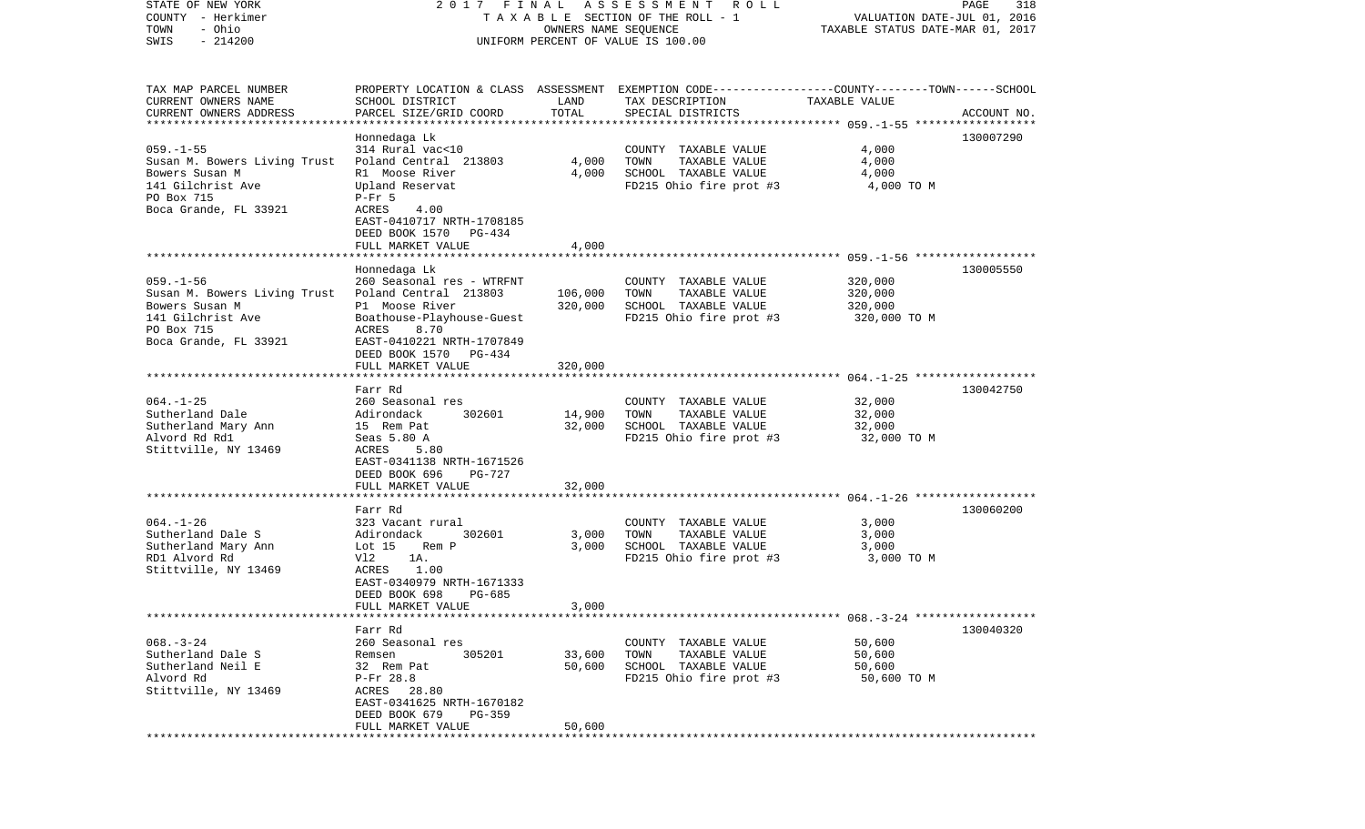| COUNTY<br>– Herkimer<br>TOWN<br>- Ohio<br>$-214200$<br>SWIS | T A X A B L E SECTION OF THE ROLL - 1<br>OWNERS NAME SEQUENCE<br>UNIFORM PERCENT OF VALUE IS 100.00 |                    |                                                                                                 | VALUATION DATE-JUL 01, 2016<br>TAXABLE STATUS DATE-MAR 01, 2017 |             |  |
|-------------------------------------------------------------|-----------------------------------------------------------------------------------------------------|--------------------|-------------------------------------------------------------------------------------------------|-----------------------------------------------------------------|-------------|--|
| TAX MAP PARCEL NUMBER                                       |                                                                                                     |                    | PROPERTY LOCATION & CLASS ASSESSMENT EXEMPTION CODE---------------COUNTY-------TOWN------SCHOOL |                                                                 |             |  |
| CURRENT OWNERS NAME<br>CURRENT OWNERS ADDRESS               | SCHOOL DISTRICT<br>PARCEL SIZE/GRID COORD                                                           | LAND<br>TOTAL      | TAX DESCRIPTION<br>SPECIAL DISTRICTS                                                            | TAXABLE VALUE                                                   | ACCOUNT NO. |  |
| *************************                                   |                                                                                                     |                    |                                                                                                 |                                                                 |             |  |
|                                                             | Honnedaga Lk                                                                                        |                    |                                                                                                 |                                                                 | 130007290   |  |
| $059. -1 - 55$                                              | 314 Rural vac<10                                                                                    |                    | COUNTY TAXABLE VALUE                                                                            | 4,000                                                           |             |  |
| Susan M. Bowers Living Trust                                | Poland Central 213803                                                                               | 4,000              | TOWN<br>TAXABLE VALUE                                                                           | 4,000                                                           |             |  |
| Bowers Susan M                                              | R1 Moose River                                                                                      | 4,000              | SCHOOL TAXABLE VALUE                                                                            | 4,000                                                           |             |  |
| 141 Gilchrist Ave                                           | Upland Reservat                                                                                     |                    | FD215 Ohio fire prot #3                                                                         | 4,000 TO M                                                      |             |  |
| PO Box 715                                                  | $P-Fr$ 5                                                                                            |                    |                                                                                                 |                                                                 |             |  |
| Boca Grande, FL 33921                                       | 4.00<br>ACRES<br>EAST-0410717 NRTH-1708185<br>DEED BOOK 1570<br>PG-434                              |                    |                                                                                                 |                                                                 |             |  |
|                                                             | FULL MARKET VALUE                                                                                   | 4,000              |                                                                                                 |                                                                 |             |  |
|                                                             |                                                                                                     |                    |                                                                                                 |                                                                 |             |  |
|                                                             | Honnedaga Lk                                                                                        |                    |                                                                                                 |                                                                 | 130005550   |  |
| $059. - 1 - 56$                                             | 260 Seasonal res - WTRFNT<br>Poland Central 213803                                                  |                    | COUNTY TAXABLE VALUE                                                                            | 320,000                                                         |             |  |
| Susan M. Bowers Living Trust<br>Bowers Susan M              | P1 Moose River                                                                                      | 106,000<br>320,000 | TAXABLE VALUE<br>TOWN<br>SCHOOL TAXABLE VALUE                                                   | 320,000<br>320,000                                              |             |  |
| 141 Gilchrist Ave                                           | Boathouse-Playhouse-Guest                                                                           |                    | FD215 Ohio fire prot #3                                                                         | 320,000 TO M                                                    |             |  |
| PO Box 715                                                  | ACRES<br>8.70                                                                                       |                    |                                                                                                 |                                                                 |             |  |
| Boca Grande, FL 33921                                       | EAST-0410221 NRTH-1707849                                                                           |                    |                                                                                                 |                                                                 |             |  |
|                                                             | DEED BOOK 1570<br>PG-434                                                                            |                    |                                                                                                 |                                                                 |             |  |
|                                                             | FULL MARKET VALUE                                                                                   | 320,000            |                                                                                                 |                                                                 |             |  |
|                                                             |                                                                                                     | ***************    |                                                                                                 |                                                                 |             |  |
|                                                             | Farr Rd<br>260 Seasonal res                                                                         |                    |                                                                                                 |                                                                 | 130042750   |  |
| $064. -1 - 25$<br>Sutherland Dale                           | Adirondack<br>302601                                                                                | 14,900             | COUNTY TAXABLE VALUE<br>TOWN<br>TAXABLE VALUE                                                   | 32,000<br>32,000                                                |             |  |
| Sutherland Mary Ann                                         | 15 Rem Pat                                                                                          | 32,000             | SCHOOL TAXABLE VALUE                                                                            | 32,000                                                          |             |  |
| Alvord Rd Rd1                                               | Seas 5.80 A                                                                                         |                    | FD215 Ohio fire prot #3                                                                         | 32,000 TO M                                                     |             |  |
| Stittville, NY 13469                                        | 5.80<br>ACRES                                                                                       |                    |                                                                                                 |                                                                 |             |  |
|                                                             | EAST-0341138 NRTH-1671526                                                                           |                    |                                                                                                 |                                                                 |             |  |
|                                                             | DEED BOOK 696<br>$PG-727$                                                                           |                    |                                                                                                 |                                                                 |             |  |
|                                                             | FULL MARKET VALUE                                                                                   | 32,000             |                                                                                                 |                                                                 |             |  |
|                                                             |                                                                                                     |                    |                                                                                                 |                                                                 |             |  |
| $064. - 1 - 26$                                             | Farr Rd<br>323 Vacant rural                                                                         |                    | COUNTY TAXABLE VALUE                                                                            | 3,000                                                           | 130060200   |  |
| Sutherland Dale S                                           | 302601<br>Adirondack                                                                                | 3,000              | TOWN<br>TAXABLE VALUE                                                                           | 3,000                                                           |             |  |
| Sutherland Mary Ann                                         | Lot 15<br>Rem P                                                                                     | 3,000              | SCHOOL TAXABLE VALUE                                                                            | 3,000                                                           |             |  |
| RD1 Alvord Rd                                               | Vl2<br>1A.                                                                                          |                    | FD215 Ohio fire prot #3                                                                         | 3,000 TO M                                                      |             |  |
| Stittville, NY 13469                                        | 1.00<br>ACRES                                                                                       |                    |                                                                                                 |                                                                 |             |  |
|                                                             | EAST-0340979 NRTH-1671333                                                                           |                    |                                                                                                 |                                                                 |             |  |
|                                                             | DEED BOOK 698<br>$PG-685$                                                                           |                    |                                                                                                 |                                                                 |             |  |
|                                                             | FULL MARKET VALUE                                                                                   | 3,000              |                                                                                                 |                                                                 |             |  |
|                                                             | Farr Rd                                                                                             |                    |                                                                                                 |                                                                 | 130040320   |  |
| $068. - 3 - 24$                                             | 260 Seasonal res                                                                                    |                    | COUNTY<br>TAXABLE VALUE                                                                         | 50,600                                                          |             |  |
| Sutherland Dale S                                           | 305201<br>Remsen                                                                                    | 33,600             | TOWN<br>TAXABLE VALUE                                                                           | 50,600                                                          |             |  |
| Sutherland Neil E                                           | 32 Rem Pat                                                                                          | 50,600             | SCHOOL TAXABLE VALUE                                                                            | 50,600                                                          |             |  |
| Alvord Rd                                                   | P-Fr 28.8                                                                                           |                    | FD215 Ohio fire prot #3                                                                         | 50,600 TO M                                                     |             |  |
| Stittville, NY 13469                                        | ACRES<br>28.80                                                                                      |                    |                                                                                                 |                                                                 |             |  |
|                                                             | EAST-0341625 NRTH-1670182                                                                           |                    |                                                                                                 |                                                                 |             |  |
|                                                             | DEED BOOK 679<br>PG-359                                                                             |                    |                                                                                                 |                                                                 |             |  |
|                                                             | FULL MARKET VALUE<br>***************                                                                | 50,600             |                                                                                                 |                                                                 |             |  |

STATE OF NEW YORK 2 0 1 7 F I N A L A S S E S S M E N T R O L L PAGE 318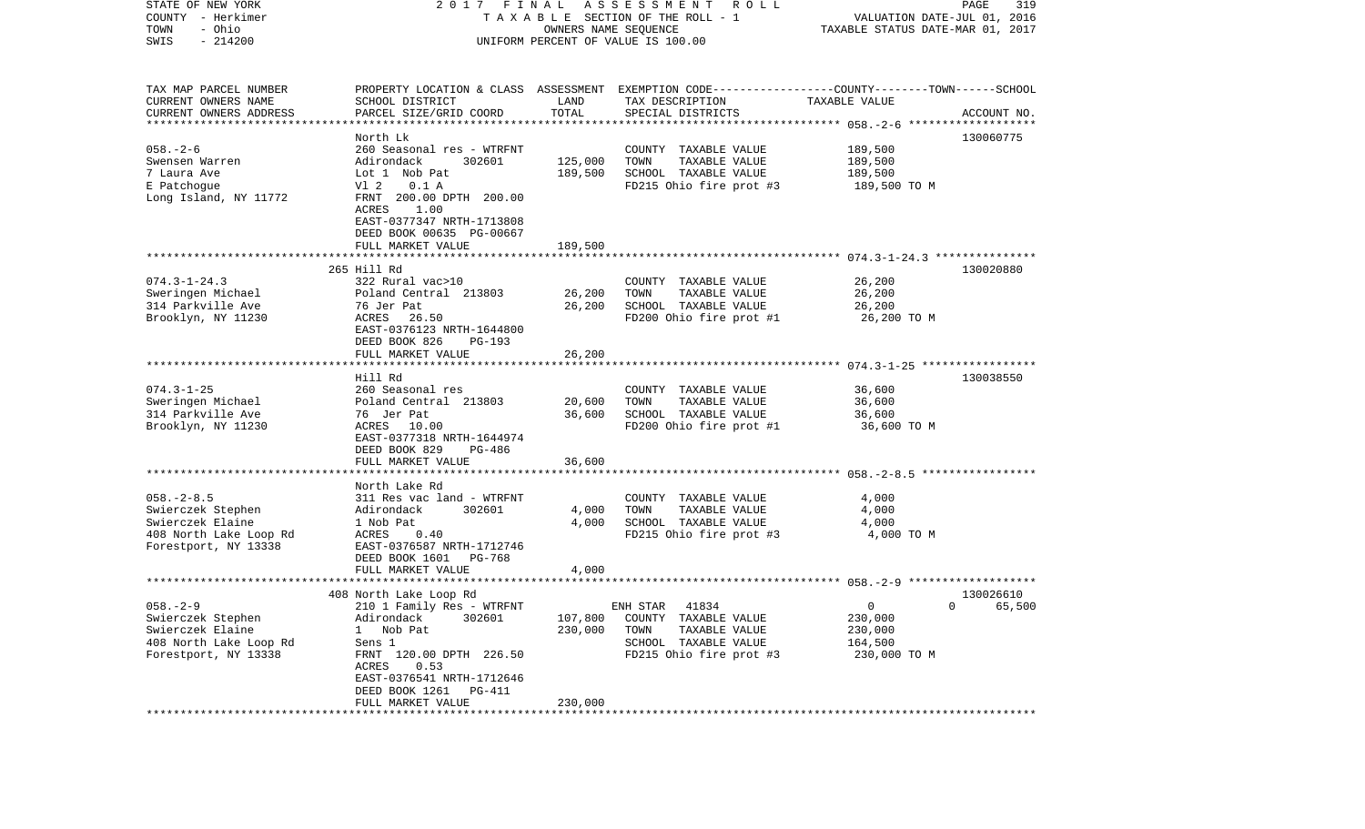| STATE OF NEW YORK<br>COUNTY - Herkimer<br>- Ohio<br>TOWN<br>$-214200$<br>SWIS | 2017 FINAL                                 | OWNERS NAME SEQUENCE | A S S E S S M E N T<br>ROLL<br>TAXABLE SECTION OF THE ROLL - 1<br>UNIFORM PERCENT OF VALUE IS 100.00 | VALUATION DATE-JUL 01, 2016<br>TAXABLE STATUS DATE-MAR 01, 2017 | PAGE<br>319 |
|-------------------------------------------------------------------------------|--------------------------------------------|----------------------|------------------------------------------------------------------------------------------------------|-----------------------------------------------------------------|-------------|
|                                                                               |                                            |                      |                                                                                                      |                                                                 |             |
| TAX MAP PARCEL NUMBER                                                         |                                            |                      | PROPERTY LOCATION & CLASS ASSESSMENT EXEMPTION CODE----------------COUNTY-------TOWN------SCHOOL     |                                                                 |             |
| CURRENT OWNERS NAME                                                           | SCHOOL DISTRICT                            | LAND                 | TAX DESCRIPTION                                                                                      | TAXABLE VALUE                                                   |             |
| CURRENT OWNERS ADDRESS<br>*************************                           | PARCEL SIZE/GRID COORD                     | TOTAL                | SPECIAL DISTRICTS                                                                                    |                                                                 | ACCOUNT NO. |
|                                                                               |                                            |                      |                                                                                                      |                                                                 |             |
| $058. - 2 - 6$                                                                | North Lk<br>260 Seasonal res - WTRFNT      |                      | COUNTY TAXABLE VALUE                                                                                 | 189,500                                                         | 130060775   |
| Swensen Warren                                                                | Adirondack<br>302601                       | 125,000              | TAXABLE VALUE<br>TOWN                                                                                | 189,500                                                         |             |
| 7 Laura Ave                                                                   | Lot 1 Nob Pat                              | 189,500              | SCHOOL TAXABLE VALUE                                                                                 | 189,500                                                         |             |
| E Patchoque                                                                   | V1 2<br>0.1 A                              |                      | FD215 Ohio fire prot #3                                                                              | 189,500 TO M                                                    |             |
| Long Island, NY 11772                                                         | FRNT 200.00 DPTH 200.00                    |                      |                                                                                                      |                                                                 |             |
|                                                                               | ACRES<br>1.00                              |                      |                                                                                                      |                                                                 |             |
|                                                                               | EAST-0377347 NRTH-1713808                  |                      |                                                                                                      |                                                                 |             |
|                                                                               | DEED BOOK 00635 PG-00667                   |                      |                                                                                                      |                                                                 |             |
|                                                                               | FULL MARKET VALUE                          | 189,500              |                                                                                                      |                                                                 |             |
|                                                                               |                                            |                      |                                                                                                      |                                                                 |             |
|                                                                               | 265 Hill Rd                                |                      |                                                                                                      |                                                                 | 130020880   |
| $074.3 - 1 - 24.3$                                                            | 322 Rural vac>10                           |                      | COUNTY TAXABLE VALUE                                                                                 | 26,200                                                          |             |
| Sweringen Michael                                                             | Poland Central 213803                      | 26,200               | TOWN<br>TAXABLE VALUE                                                                                | 26,200                                                          |             |
| 314 Parkville Ave                                                             | 76 Jer Pat                                 | 26,200               | SCHOOL TAXABLE VALUE                                                                                 | 26,200                                                          |             |
| Brooklyn, NY 11230                                                            | ACRES<br>26.50                             |                      | FD200 Ohio fire prot #1                                                                              | 26,200 TO M                                                     |             |
|                                                                               | EAST-0376123 NRTH-1644800<br>DEED BOOK 826 |                      |                                                                                                      |                                                                 |             |
|                                                                               | PG-193<br>FULL MARKET VALUE                | 26,200               |                                                                                                      |                                                                 |             |
|                                                                               |                                            |                      |                                                                                                      |                                                                 |             |
|                                                                               | Hill Rd                                    |                      |                                                                                                      |                                                                 | 130038550   |
| $074.3 - 1 - 25$                                                              | 260 Seasonal res                           |                      | COUNTY TAXABLE VALUE                                                                                 | 36,600                                                          |             |
| Sweringen Michael                                                             | Poland Central 213803                      | 20,600               | TOWN<br>TAXABLE VALUE                                                                                | 36,600                                                          |             |
| 314 Parkville Ave                                                             | 76 Jer Pat                                 | 36,600               | SCHOOL TAXABLE VALUE                                                                                 | 36,600                                                          |             |
| Brooklyn, NY 11230                                                            | ACRES 10.00                                |                      | FD200 Ohio fire prot #1                                                                              | 36,600 TO M                                                     |             |
|                                                                               | EAST-0377318 NRTH-1644974                  |                      |                                                                                                      |                                                                 |             |
|                                                                               | DEED BOOK 829<br>PG-486                    |                      |                                                                                                      |                                                                 |             |
|                                                                               | FULL MARKET VALUE                          | 36,600               |                                                                                                      |                                                                 |             |
|                                                                               | ***********************                    |                      |                                                                                                      |                                                                 |             |
|                                                                               | North Lake Rd                              |                      |                                                                                                      |                                                                 |             |
| $058. - 2 - 8.5$                                                              | 311 Res vac land - WTRFNT                  |                      | COUNTY TAXABLE VALUE                                                                                 | 4,000                                                           |             |
| Swierczek Stephen                                                             | Adirondack<br>302601                       | 4,000                | TOWN<br>TAXABLE VALUE                                                                                | 4,000                                                           |             |
| Swierczek Elaine<br>408 North Lake Loop Rd                                    | 1 Nob Pat<br>ACRES<br>0.40                 | 4,000                | SCHOOL TAXABLE VALUE<br>FD215 Ohio fire prot #3                                                      | 4,000<br>4,000 TO M                                             |             |
| Forestport, NY 13338                                                          | EAST-0376587 NRTH-1712746                  |                      |                                                                                                      |                                                                 |             |
|                                                                               | DEED BOOK 1601<br><b>PG-768</b>            |                      |                                                                                                      |                                                                 |             |
|                                                                               | FULL MARKET VALUE                          | 4,000                |                                                                                                      |                                                                 |             |
|                                                                               |                                            |                      |                                                                                                      |                                                                 |             |
|                                                                               | 408 North Lake Loop Rd                     |                      |                                                                                                      |                                                                 | 130026610   |
| $058. - 2 - 9$                                                                | 210 1 Family Res - WTRFNT                  |                      | ENH STAR<br>41834                                                                                    | $\Omega$                                                        | 0 65,500    |
| Swierczek Stephen                                                             | 302601<br>Adirondack                       | 107,800              | COUNTY TAXABLE VALUE                                                                                 | 230,000                                                         |             |
| Swierczek Elaine                                                              | Nob Pat<br>$\mathbf{1}$                    | 230,000              | TAXABLE VALUE<br>TOWN                                                                                | 230,000                                                         |             |
| 408 North Lake Loop Rd                                                        | Sens 1                                     |                      | SCHOOL TAXABLE VALUE                                                                                 | 164,500                                                         |             |
| Forestport, NY 13338                                                          | FRNT 120.00 DPTH 226.50                    |                      | FD215 Ohio fire prot #3                                                                              | 230,000 TO M                                                    |             |
|                                                                               | ACRES<br>0.53                              |                      |                                                                                                      |                                                                 |             |
|                                                                               | EAST-0376541 NRTH-1712646                  |                      |                                                                                                      |                                                                 |             |
|                                                                               | DEED BOOK 1261<br>PG-411                   |                      |                                                                                                      |                                                                 |             |
|                                                                               | FULL MARKET VALUE                          | 230,000              |                                                                                                      |                                                                 |             |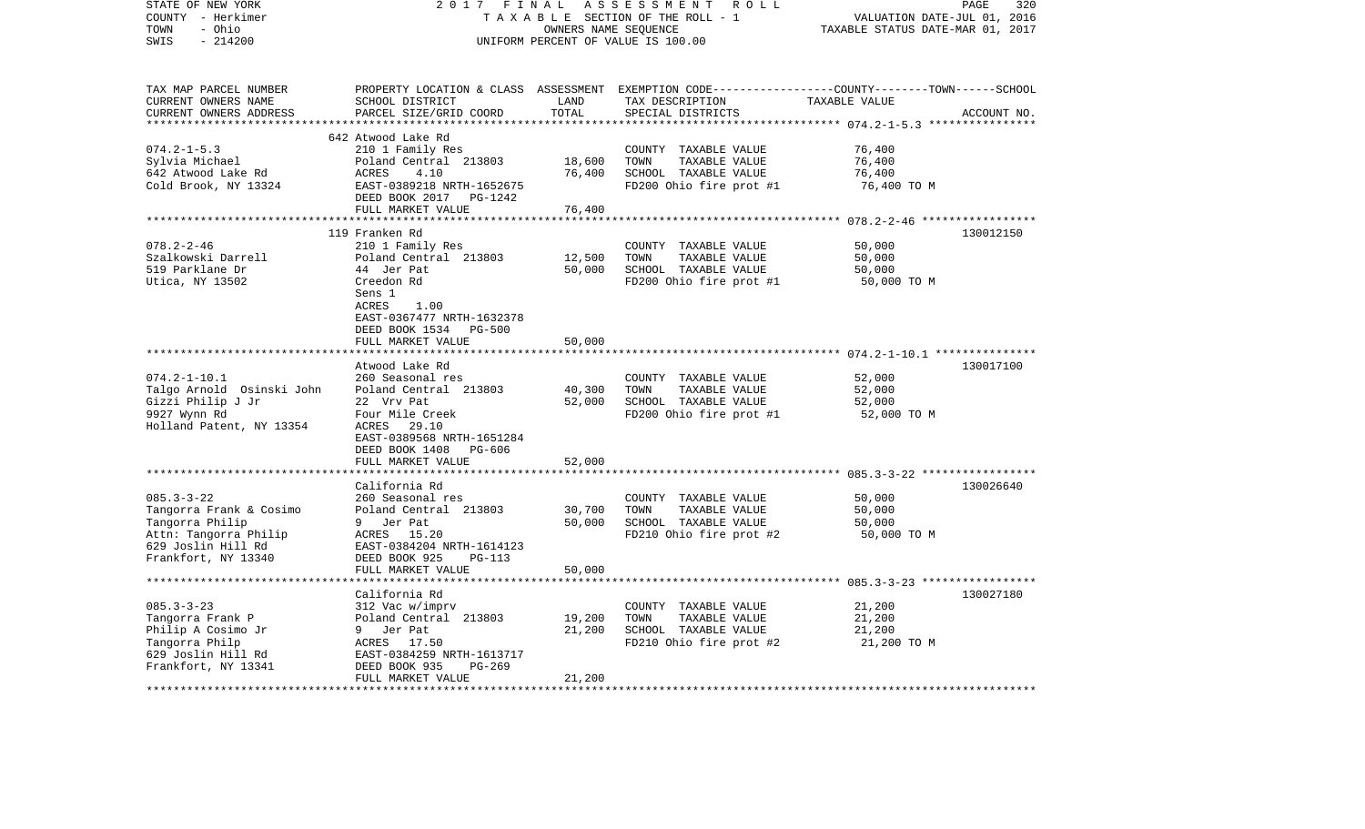| STATE OF NEW YORK                          | 2017<br>FINAL                                 | PAGE<br>320<br>VALUATION DATE-JUL 01, 2016 |                                                                         |                                             |             |
|--------------------------------------------|-----------------------------------------------|--------------------------------------------|-------------------------------------------------------------------------|---------------------------------------------|-------------|
| COUNTY - Herkimer<br>- Ohio<br>TOWN        | TAXABLE SECTION OF THE ROLL - 1               | TAXABLE STATUS DATE-MAR 01, 2017           |                                                                         |                                             |             |
| $-214200$<br>SWIS                          |                                               | OWNERS NAME SEQUENCE                       | UNIFORM PERCENT OF VALUE IS 100.00                                      |                                             |             |
|                                            |                                               |                                            |                                                                         |                                             |             |
|                                            |                                               |                                            |                                                                         |                                             |             |
| TAX MAP PARCEL NUMBER                      | PROPERTY LOCATION & CLASS                     |                                            | ASSESSMENT EXEMPTION CODE-----------------COUNTY-------TOWN------SCHOOL |                                             |             |
| CURRENT OWNERS NAME                        | SCHOOL DISTRICT                               | LAND                                       | TAX DESCRIPTION                                                         | TAXABLE VALUE                               |             |
| CURRENT OWNERS ADDRESS                     | PARCEL SIZE/GRID COORD                        | TOTAL                                      | SPECIAL DISTRICTS                                                       |                                             | ACCOUNT NO. |
| ***********************                    | *********************************             |                                            |                                                                         |                                             |             |
|                                            | 642 Atwood Lake Rd                            |                                            |                                                                         |                                             |             |
| $074.2 - 1 - 5.3$<br>Sylvia Michael        | 210 1 Family Res<br>Poland Central 213803     | 18,600                                     | COUNTY TAXABLE VALUE<br>TOWN<br>TAXABLE VALUE                           | 76,400<br>76,400                            |             |
| 642 Atwood Lake Rd                         | ACRES<br>4.10                                 | 76,400                                     | SCHOOL TAXABLE VALUE                                                    | 76,400                                      |             |
| Cold Brook, NY 13324                       | EAST-0389218 NRTH-1652675                     |                                            | FD200 Ohio fire prot #1                                                 | 76,400 TO M                                 |             |
|                                            | DEED BOOK 2017 PG-1242                        |                                            |                                                                         |                                             |             |
|                                            | FULL MARKET VALUE                             | 76,400                                     |                                                                         |                                             |             |
|                                            |                                               |                                            |                                                                         |                                             |             |
|                                            | 119 Franken Rd                                |                                            |                                                                         |                                             | 130012150   |
| $078.2 - 2 - 46$                           | 210 1 Family Res                              |                                            | COUNTY TAXABLE VALUE                                                    | 50,000                                      |             |
| Szalkowski Darrell                         | Poland Central 213803                         | 12,500                                     | TOWN<br>TAXABLE VALUE                                                   | 50,000                                      |             |
| 519 Parklane Dr                            | 44 Jer Pat                                    | 50,000                                     | SCHOOL TAXABLE VALUE                                                    | 50,000                                      |             |
| Utica, NY 13502                            | Creedon Rd                                    |                                            | FD200 Ohio fire prot #1                                                 | 50,000 TO M                                 |             |
|                                            | Sens 1                                        |                                            |                                                                         |                                             |             |
|                                            | ACRES<br>1.00                                 |                                            |                                                                         |                                             |             |
|                                            | EAST-0367477 NRTH-1632378                     |                                            |                                                                         |                                             |             |
|                                            | DEED BOOK 1534 PG-500<br>FULL MARKET VALUE    | 50,000                                     |                                                                         |                                             |             |
|                                            |                                               |                                            |                                                                         | ********** 074.2-1-10.1 ****************    |             |
|                                            | Atwood Lake Rd                                |                                            |                                                                         |                                             | 130017100   |
| $074.2 - 1 - 10.1$                         | 260 Seasonal res                              |                                            | COUNTY TAXABLE VALUE                                                    | 52,000                                      |             |
| Talgo Arnold Osinski John                  | Poland Central 213803                         | 40,300                                     | TOWN<br>TAXABLE VALUE                                                   | 52,000                                      |             |
| Gizzi Philip J Jr                          | 22 Vrv Pat                                    | 52,000                                     | SCHOOL TAXABLE VALUE                                                    | 52,000                                      |             |
| 9927 Wynn Rd                               | Four Mile Creek                               |                                            | FD200 Ohio fire prot #1                                                 | 52,000 TO M                                 |             |
| Holland Patent, NY 13354                   | ACRES<br>29.10                                |                                            |                                                                         |                                             |             |
|                                            | EAST-0389568 NRTH-1651284                     |                                            |                                                                         |                                             |             |
|                                            | DEED BOOK 1408 PG-606                         |                                            |                                                                         |                                             |             |
|                                            | FULL MARKET VALUE                             | 52,000                                     |                                                                         |                                             |             |
|                                            |                                               |                                            |                                                                         | ************* 085.3-3-22 ****************** |             |
|                                            | California Rd                                 |                                            |                                                                         |                                             | 130026640   |
| $085.3 - 3 - 22$                           | 260 Seasonal res<br>Poland Central 213803     | 30,700                                     | COUNTY TAXABLE VALUE<br>TOWN<br>TAXABLE VALUE                           | 50,000<br>50,000                            |             |
| Tangorra Frank & Cosimo<br>Tangorra Philip | 9 Jer Pat                                     | 50,000                                     | SCHOOL TAXABLE VALUE                                                    | 50,000                                      |             |
| Attn: Tangorra Philip                      | ACRES 15.20                                   |                                            | FD210 Ohio fire prot #2                                                 | 50,000 TO M                                 |             |
| 629 Joslin Hill Rd                         | EAST-0384204 NRTH-1614123                     |                                            |                                                                         |                                             |             |
| Frankfort, NY 13340                        | DEED BOOK 925<br>$PG-113$                     |                                            |                                                                         |                                             |             |
|                                            | FULL MARKET VALUE                             | 50,000                                     |                                                                         |                                             |             |
|                                            | *******************                           | * * * * * * * * *                          |                                                                         |                                             |             |
|                                            | California Rd                                 |                                            |                                                                         |                                             | 130027180   |
| $085.3 - 3 - 23$                           | 312 Vac w/imprv                               |                                            | COUNTY TAXABLE VALUE                                                    | 21,200                                      |             |
| Tangorra Frank P                           | Poland Central 213803                         | 19,200                                     | TOWN<br>TAXABLE VALUE                                                   | 21,200                                      |             |
| Philip A Cosimo Jr                         | 9 Jer Pat                                     | 21,200                                     | SCHOOL TAXABLE VALUE                                                    | 21,200                                      |             |
| Tangorra Philp                             | ACRES<br>17.50                                |                                            | FD210 Ohio fire prot #2                                                 | 21,200 TO M                                 |             |
| 629 Joslin Hill Rd                         | EAST-0384259 NRTH-1613717                     |                                            |                                                                         |                                             |             |
| Frankfort, NY 13341                        | DEED BOOK 935<br>$PG-269$                     |                                            |                                                                         |                                             |             |
|                                            | FULL MARKET VALUE<br>************************ | 21,200<br>**********                       |                                                                         |                                             |             |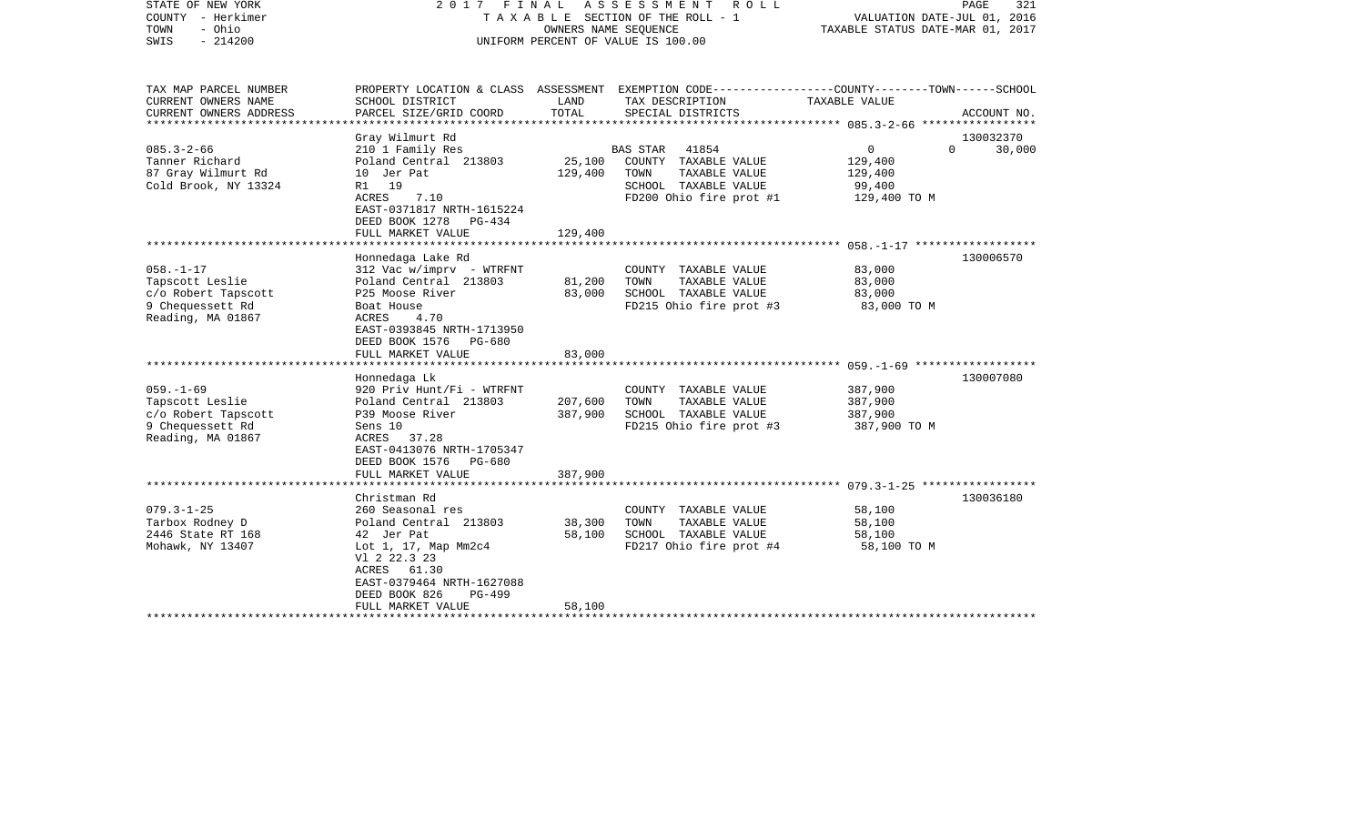| STATE OF NEW YORK<br>COUNTY - Herkimer<br>- Ohio<br>TOWN<br>$-214200$<br>SWIS                                                                                                                           | FINAL<br>A S S E S S M E N T<br>2017<br>R O L L<br>TAXABLE SECTION OF THE ROLL - 1<br>OWNERS NAME SEQUENCE<br>UNIFORM PERCENT OF VALUE IS 100.00                                                                                                                                                                                                                                        |                                                             |                                                                                                                                                                                                      | PAGE<br>321<br>VALUATION DATE-JUL 01, 2016<br>TAXABLE STATUS DATE-MAR 01, 2017             |                        |  |
|---------------------------------------------------------------------------------------------------------------------------------------------------------------------------------------------------------|-----------------------------------------------------------------------------------------------------------------------------------------------------------------------------------------------------------------------------------------------------------------------------------------------------------------------------------------------------------------------------------------|-------------------------------------------------------------|------------------------------------------------------------------------------------------------------------------------------------------------------------------------------------------------------|--------------------------------------------------------------------------------------------|------------------------|--|
| TAX MAP PARCEL NUMBER<br>CURRENT OWNERS NAME                                                                                                                                                            | SCHOOL DISTRICT                                                                                                                                                                                                                                                                                                                                                                         | LAND                                                        | PROPERTY LOCATION & CLASS ASSESSMENT EXEMPTION CODE----------------COUNTY-------TOWN------SCHOOL<br>TAX DESCRIPTION                                                                                  | TAXABLE VALUE                                                                              |                        |  |
| CURRENT OWNERS ADDRESS<br>**********************                                                                                                                                                        | PARCEL SIZE/GRID COORD                                                                                                                                                                                                                                                                                                                                                                  | TOTAL                                                       | SPECIAL DISTRICTS                                                                                                                                                                                    |                                                                                            | ACCOUNT NO.            |  |
|                                                                                                                                                                                                         | Gray Wilmurt Rd                                                                                                                                                                                                                                                                                                                                                                         |                                                             |                                                                                                                                                                                                      |                                                                                            | 130032370              |  |
| $085.3 - 2 - 66$<br>Tanner Richard<br>87 Gray Wilmurt Rd<br>Cold Brook, NY 13324                                                                                                                        | 210 1 Family Res<br>Poland Central 213803<br>10 Jer Pat<br>R1<br>19<br>7.10<br>ACRES<br>EAST-0371817 NRTH-1615224<br>DEED BOOK 1278<br>PG-434                                                                                                                                                                                                                                           | 25,100<br>129,400                                           | <b>BAS STAR</b><br>41854<br>COUNTY TAXABLE VALUE<br>TOWN<br>TAXABLE VALUE<br>SCHOOL TAXABLE VALUE<br>FD200 Ohio fire prot #1                                                                         | 0<br>$\Omega$<br>129,400<br>129,400<br>99,400<br>129,400 TO M                              | 30,000                 |  |
|                                                                                                                                                                                                         | FULL MARKET VALUE                                                                                                                                                                                                                                                                                                                                                                       | 129,400                                                     |                                                                                                                                                                                                      |                                                                                            |                        |  |
| $058. - 1 - 17$<br>Tapscott Leslie<br>c/o Robert Tapscott<br>9 Chequessett Rd<br>Reading, MA 01867<br>$059. -1 - 69$<br>Tapscott Leslie<br>c/o Robert Tapscott<br>9 Chequessett Rd<br>Reading, MA 01867 | Honnedaga Lake Rd<br>$312$ Vac w/imprv - WTRFNT<br>Poland Central 213803<br>P25 Moose River<br>Boat House<br>ACRES<br>4.70<br>EAST-0393845 NRTH-1713950<br>DEED BOOK 1576<br>PG-680<br>FULL MARKET VALUE<br>Honnedaga Lk<br>920 Priv Hunt/Fi - WTRFNT<br>Poland Central 213803<br>P39 Moose River<br>Sens 10<br>ACRES<br>37.28<br>EAST-0413076 NRTH-1705347<br>DEED BOOK 1576<br>PG-680 | 81,200<br>83,000<br>83,000<br>207,600<br>387,900<br>387,900 | COUNTY TAXABLE VALUE<br>TOWN<br>TAXABLE VALUE<br>SCHOOL TAXABLE VALUE<br>FD215 Ohio fire prot #3<br>COUNTY TAXABLE VALUE<br>TAXABLE VALUE<br>TOWN<br>SCHOOL TAXABLE VALUE<br>FD215 Ohio fire prot #3 | 83,000<br>83,000<br>83,000<br>83,000 TO M<br>387,900<br>387,900<br>387,900<br>387,900 TO M | 130006570<br>130007080 |  |
|                                                                                                                                                                                                         | FULL MARKET VALUE                                                                                                                                                                                                                                                                                                                                                                       |                                                             |                                                                                                                                                                                                      |                                                                                            |                        |  |
| $079.3 - 1 - 25$<br>Tarbox Rodney D<br>2446 State RT 168<br>Mohawk, NY 13407                                                                                                                            | Christman Rd<br>260 Seasonal res<br>Poland Central 213803<br>42 Jer Pat<br>Lot 1, 17, Map Mm2c4<br>V1 2 22.3 23<br>ACRES 61.30<br>EAST-0379464 NRTH-1627088<br>DEED BOOK 826<br><b>PG-499</b><br>FULL MARKET VALUE                                                                                                                                                                      | 38,300<br>58,100<br>58,100                                  | COUNTY TAXABLE VALUE<br>TOWN<br>TAXABLE VALUE<br>SCHOOL TAXABLE VALUE<br>FD217 Ohio fire prot #4                                                                                                     | 58,100<br>58,100<br>58,100<br>58,100 TO M                                                  | 130036180              |  |
|                                                                                                                                                                                                         |                                                                                                                                                                                                                                                                                                                                                                                         |                                                             |                                                                                                                                                                                                      |                                                                                            |                        |  |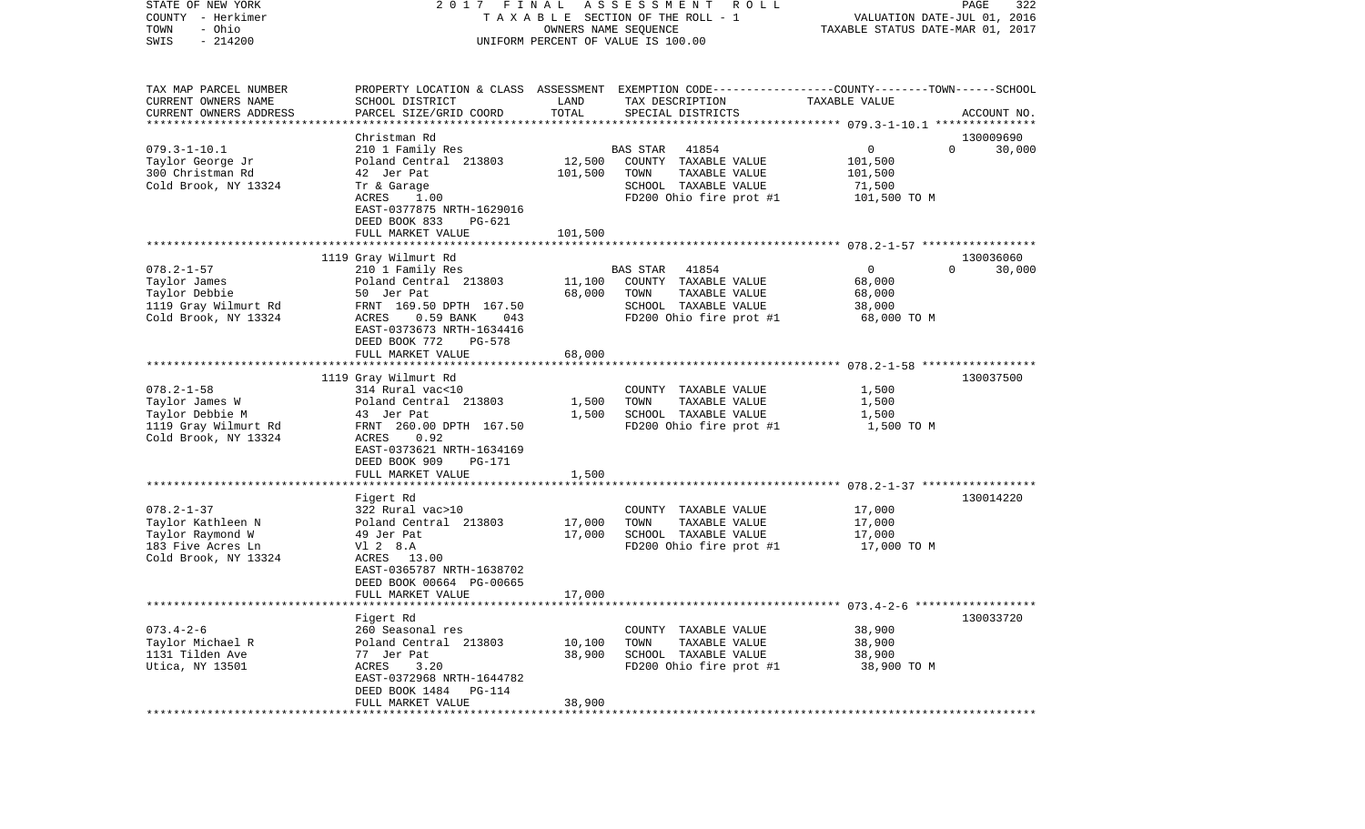| COUNTY<br>- Herkimer                      |                                               | T A X A B L E SECTION OF THE ROLL - 1 | VALUATION DATE-JUL 01, 2016<br>TAXABLE STATUS DATE-MAR 01, 2017                                |                                                        |             |
|-------------------------------------------|-----------------------------------------------|---------------------------------------|------------------------------------------------------------------------------------------------|--------------------------------------------------------|-------------|
| - Ohio<br>TOWN                            |                                               | OWNERS NAME SEQUENCE                  |                                                                                                |                                                        |             |
| SWIS<br>$-214200$                         | UNIFORM PERCENT OF VALUE IS 100.00            |                                       |                                                                                                |                                                        |             |
|                                           |                                               |                                       |                                                                                                |                                                        |             |
| TAX MAP PARCEL NUMBER                     |                                               |                                       | PROPERTY LOCATION & CLASS ASSESSMENT EXEMPTION CODE---------------COUNTY-------TOWN-----SCHOOL |                                                        |             |
| CURRENT OWNERS NAME                       | SCHOOL DISTRICT                               | LAND                                  | TAX DESCRIPTION                                                                                | TAXABLE VALUE                                          |             |
| CURRENT OWNERS ADDRESS                    | PARCEL SIZE/GRID COORD                        | TOTAL                                 | SPECIAL DISTRICTS                                                                              |                                                        | ACCOUNT NO. |
|                                           |                                               |                                       |                                                                                                |                                                        |             |
|                                           | Christman Rd                                  |                                       |                                                                                                |                                                        | 130009690   |
| $079.3 - 1 - 10.1$                        | 210 1 Family Res                              |                                       | <b>BAS STAR</b><br>41854                                                                       | 0<br>$\Omega$                                          | 30,000      |
| Taylor George Jr                          | Poland Central 213803                         | 12,500                                | COUNTY TAXABLE VALUE                                                                           | 101,500                                                |             |
| 300 Christman Rd                          | 42 Jer Pat                                    | 101,500                               | TOWN<br>TAXABLE VALUE                                                                          | 101,500                                                |             |
| Cold Brook, NY 13324                      | Tr & Garage                                   |                                       | SCHOOL TAXABLE VALUE                                                                           | 71,500                                                 |             |
|                                           | ACRES<br>1.00                                 |                                       | FD200 Ohio fire prot #1                                                                        | 101,500 TO M                                           |             |
|                                           | EAST-0377875 NRTH-1629016                     |                                       |                                                                                                |                                                        |             |
|                                           | DEED BOOK 833<br>$PG-621$                     |                                       |                                                                                                |                                                        |             |
|                                           | FULL MARKET VALUE                             | 101,500                               |                                                                                                |                                                        |             |
|                                           |                                               |                                       |                                                                                                |                                                        |             |
|                                           | 1119 Gray Wilmurt Rd                          |                                       |                                                                                                |                                                        | 130036060   |
| $078.2 - 1 - 57$                          | 210 1 Family Res                              |                                       | <b>BAS STAR</b><br>41854                                                                       | $\mathbf 0$<br>$\Omega$                                | 30,000      |
| Taylor James                              | Poland Central 213803                         | 11,100                                | COUNTY TAXABLE VALUE                                                                           | 68,000                                                 |             |
| Taylor Debbie                             | 50 Jer Pat                                    | 68,000                                | TOWN<br>TAXABLE VALUE                                                                          | 68,000                                                 |             |
| 1119 Gray Wilmurt Rd                      | FRNT 169.50 DPTH 167.50                       |                                       | SCHOOL TAXABLE VALUE                                                                           | 38,000                                                 |             |
| Cold Brook, NY 13324                      | ACRES<br>0.59 BANK<br>043                     |                                       | FD200 Ohio fire prot #1                                                                        | 68,000 TO M                                            |             |
|                                           | EAST-0373673 NRTH-1634416                     |                                       |                                                                                                |                                                        |             |
|                                           | DEED BOOK 772<br>$PG-578$                     |                                       |                                                                                                |                                                        |             |
|                                           | FULL MARKET VALUE                             | 68,000                                |                                                                                                |                                                        |             |
|                                           |                                               |                                       |                                                                                                | ************************ 078.2-1-58 ****************** |             |
|                                           | 1119 Gray Wilmurt Rd                          |                                       |                                                                                                |                                                        | 130037500   |
| $078.2 - 1 - 58$                          | 314 Rural vac<10                              |                                       | COUNTY TAXABLE VALUE                                                                           | 1,500                                                  |             |
| Taylor James W                            | Poland Central 213803                         | 1,500                                 | TOWN<br>TAXABLE VALUE                                                                          | 1,500                                                  |             |
| Taylor Debbie M                           | 43 Jer Pat                                    | 1,500                                 | SCHOOL TAXABLE VALUE                                                                           | 1,500                                                  |             |
| 1119 Gray Wilmurt Rd                      | FRNT 260.00 DPTH 167.50                       |                                       | FD200 Ohio fire prot #1                                                                        | 1,500 TO M                                             |             |
| Cold Brook, NY 13324                      | 0.92<br>ACRES                                 |                                       |                                                                                                |                                                        |             |
|                                           | EAST-0373621 NRTH-1634169                     |                                       |                                                                                                |                                                        |             |
|                                           | DEED BOOK 909<br>PG-171                       |                                       |                                                                                                |                                                        |             |
|                                           | FULL MARKET VALUE                             | 1,500                                 |                                                                                                |                                                        |             |
|                                           |                                               |                                       |                                                                                                |                                                        |             |
| $078.2 - 1 - 37$                          | Figert Rd<br>322 Rural vac>10                 |                                       | COUNTY TAXABLE VALUE                                                                           | 17,000                                                 | 130014220   |
|                                           |                                               |                                       | TOWN                                                                                           |                                                        |             |
| Taylor Kathleen N<br>Taylor Raymond W     | Poland Central 213803                         | 17,000<br>17,000                      | TAXABLE VALUE                                                                                  | 17,000                                                 |             |
|                                           | 49 Jer Pat<br>V1 2 8.A                        |                                       | SCHOOL TAXABLE VALUE                                                                           | 17,000                                                 |             |
| 183 Five Acres Ln<br>Cold Brook, NY 13324 | ACRES 13.00                                   |                                       | FD200 Ohio fire prot #1                                                                        | 17,000 TO M                                            |             |
|                                           | EAST-0365787 NRTH-1638702                     |                                       |                                                                                                |                                                        |             |
|                                           |                                               |                                       |                                                                                                |                                                        |             |
|                                           | DEED BOOK 00664 PG-00665<br>FULL MARKET VALUE |                                       |                                                                                                |                                                        |             |
|                                           |                                               | 17,000                                |                                                                                                |                                                        |             |
|                                           | Figert Rd                                     |                                       |                                                                                                |                                                        | 130033720   |
| $073.4 - 2 - 6$                           | 260 Seasonal res                              |                                       | COUNTY TAXABLE VALUE                                                                           | 38,900                                                 |             |
| Taylor Michael R                          | Poland Central 213803                         | 10,100                                | TAXABLE VALUE<br>TOWN                                                                          | 38,900                                                 |             |
| 1131 Tilden Ave                           | 77 Jer Pat                                    | 38,900                                | SCHOOL TAXABLE VALUE                                                                           | 38,900                                                 |             |
| Utica, NY 13501                           | ACRES<br>3.20                                 |                                       | FD200 Ohio fire prot #1                                                                        | 38,900 TO M                                            |             |
|                                           | EAST-0372968 NRTH-1644782                     |                                       |                                                                                                |                                                        |             |
|                                           | DEED BOOK 1484<br>PG-114                      |                                       |                                                                                                |                                                        |             |
|                                           | FULL MARKET VALUE                             | 38,900                                |                                                                                                |                                                        |             |
|                                           |                                               |                                       |                                                                                                |                                                        |             |

STATE OF NEW YORK 2 0 1 7 F I N A L A S S E S S M E N T R O L L PAGE 322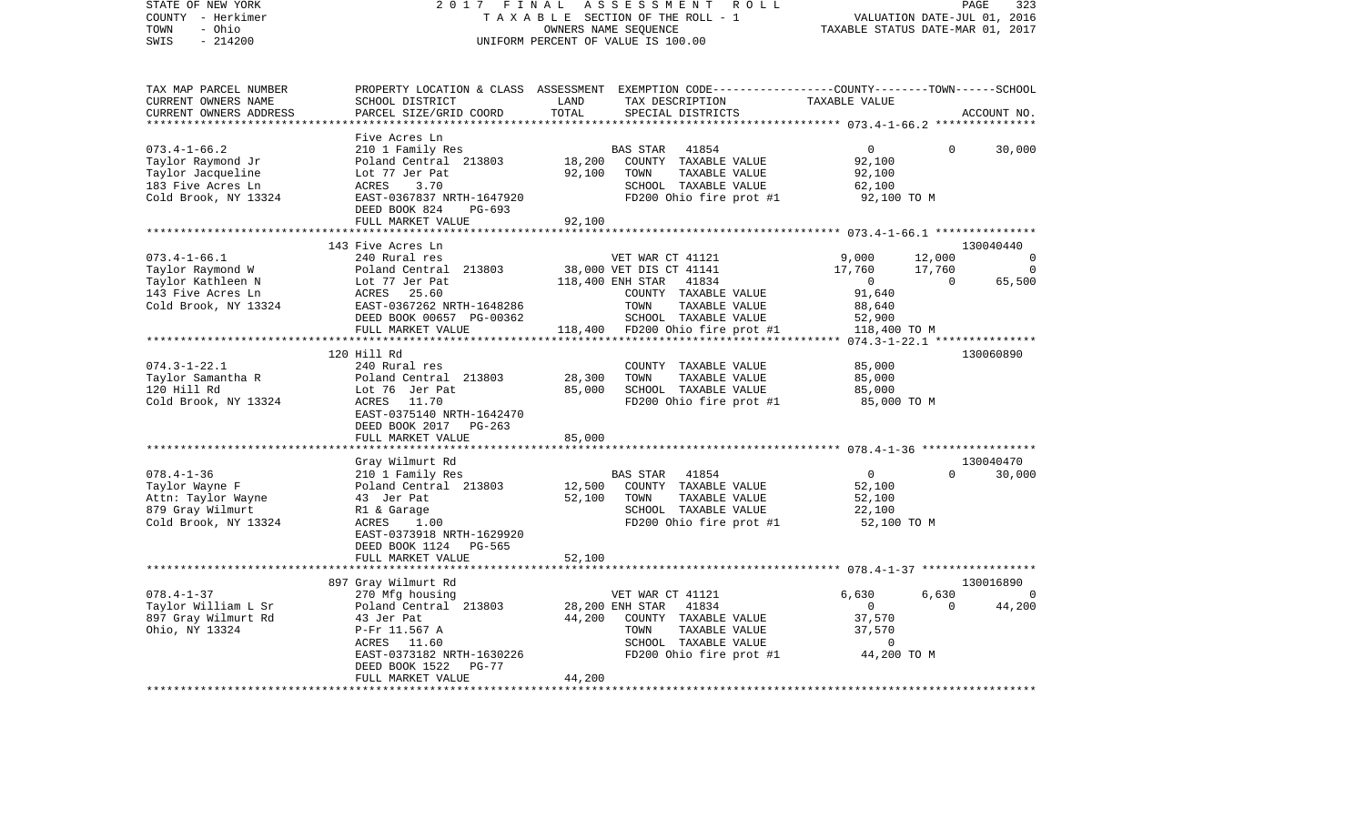| STATE OF NEW YORK       | 2017 FINAL                |        | ASSESSMENT<br>R O L L                                                                           |                                          |                | PAGE<br>323                 |
|-------------------------|---------------------------|--------|-------------------------------------------------------------------------------------------------|------------------------------------------|----------------|-----------------------------|
| COUNTY - Herkimer       |                           |        | TAXABLE SECTION OF THE ROLL - 1                                                                 |                                          |                | VALUATION DATE-JUL 01, 2016 |
| - Ohio<br>TOWN          |                           |        | OWNERS NAME SEQUENCE                                                                            | TAXABLE STATUS DATE-MAR 01, 2017         |                |                             |
| SWIS<br>$-214200$       |                           |        | UNIFORM PERCENT OF VALUE IS 100.00                                                              |                                          |                |                             |
|                         |                           |        |                                                                                                 |                                          |                |                             |
|                         |                           |        |                                                                                                 |                                          |                |                             |
|                         |                           |        |                                                                                                 |                                          |                |                             |
|                         |                           |        |                                                                                                 |                                          |                |                             |
| TAX MAP PARCEL NUMBER   |                           |        | PROPERTY LOCATION & CLASS ASSESSMENT EXEMPTION CODE---------------COUNTY-------TOWN------SCHOOL |                                          |                |                             |
| CURRENT OWNERS NAME     | SCHOOL DISTRICT           | LAND   | TAX DESCRIPTION                                                                                 | TAXABLE VALUE                            |                |                             |
| CURRENT OWNERS ADDRESS  | PARCEL SIZE/GRID COORD    | TOTAL  | SPECIAL DISTRICTS                                                                               |                                          |                | ACCOUNT NO.                 |
| *********************** |                           |        |                                                                                                 |                                          |                |                             |
|                         | Five Acres Ln             |        |                                                                                                 |                                          |                |                             |
| $073.4 - 1 - 66.2$      | 210 1 Family Res          |        | <b>BAS STAR</b><br>41854                                                                        | $\overline{0}$                           | $\Omega$       | 30,000                      |
|                         |                           |        |                                                                                                 |                                          |                |                             |
| Taylor Raymond Jr       | Poland Central 213803     | 18,200 | COUNTY TAXABLE VALUE                                                                            | 92,100                                   |                |                             |
| Taylor Jacqueline       | Lot 77 Jer Pat            | 92,100 | TAXABLE VALUE<br>TOWN                                                                           | 92,100                                   |                |                             |
| 183 Five Acres Ln       | ACRES<br>3.70             |        | SCHOOL TAXABLE VALUE                                                                            | 62,100                                   |                |                             |
| Cold Brook, NY 13324    | EAST-0367837 NRTH-1647920 |        | FD200 Ohio fire prot #1                                                                         | 92,100 TO M                              |                |                             |
|                         | DEED BOOK 824<br>PG-693   |        |                                                                                                 |                                          |                |                             |
|                         | FULL MARKET VALUE         | 92,100 |                                                                                                 |                                          |                |                             |
|                         |                           |        |                                                                                                 |                                          |                |                             |
|                         | 143 Five Acres Ln         |        |                                                                                                 |                                          |                | 130040440                   |
| $073.4 - 1 - 66.1$      | 240 Rural res             |        | VET WAR CT 41121                                                                                | 9,000                                    | 12,000         | $\Omega$                    |
|                         |                           |        |                                                                                                 |                                          |                |                             |
| Taylor Raymond W        | Poland Central 213803     |        | 38,000 VET DIS CT 41141                                                                         | 17,760                                   | 17,760         | $\Omega$                    |
| Taylor Kathleen N       | Lot 77 Jer Pat            |        | 118,400 ENH STAR<br>41834                                                                       | $\overline{0}$                           | $\overline{0}$ | 65,500                      |
| 143 Five Acres Ln       | ACRES<br>25.60            |        | COUNTY TAXABLE VALUE                                                                            | 91,640                                   |                |                             |
| Cold Brook, NY 13324    | EAST-0367262 NRTH-1648286 |        | TOWN<br>TAXABLE VALUE                                                                           | 88,640                                   |                |                             |
|                         | DEED BOOK 00657 PG-00362  |        | SCHOOL TAXABLE VALUE                                                                            | 52,900                                   |                |                             |
|                         | FULL MARKET VALUE         |        | 118,400 FD200 Ohio fire prot #1                                                                 | 118,400 TO M                             |                |                             |
|                         | *******************       |        |                                                                                                 | *********** 074.3-1-22.1 *************** |                |                             |
|                         | 120 Hill Rd               |        |                                                                                                 |                                          |                | 130060890                   |
|                         |                           |        |                                                                                                 |                                          |                |                             |
| $074.3 - 1 - 22.1$      | 240 Rural res             |        | COUNTY TAXABLE VALUE                                                                            | 85,000                                   |                |                             |
| Taylor Samantha R       | Poland Central 213803     | 28,300 | TOWN<br>TAXABLE VALUE                                                                           | 85,000                                   |                |                             |
| 120 Hill Rd             | Lot 76 Jer Pat            | 85,000 | SCHOOL TAXABLE VALUE                                                                            | 85,000                                   |                |                             |
| Cold Brook, NY 13324    | ACRES 11.70               |        | FD200 Ohio fire prot #1                                                                         | 85,000 TO M                              |                |                             |
|                         | EAST-0375140 NRTH-1642470 |        |                                                                                                 |                                          |                |                             |
|                         | DEED BOOK 2017 PG-263     |        |                                                                                                 |                                          |                |                             |
|                         | FULL MARKET VALUE         | 85,000 |                                                                                                 |                                          |                |                             |
|                         | ********************      |        |                                                                                                 |                                          |                |                             |
|                         | Gray Wilmurt Rd           |        |                                                                                                 |                                          |                | 130040470                   |
| $078.4 - 1 - 36$        |                           |        | 41854                                                                                           | $\overline{0}$                           | $\Omega$       | 30,000                      |
|                         | 210 1 Family Res          |        | BAS STAR                                                                                        |                                          |                |                             |
| Taylor Wayne F          | Poland Central 213803     | 12,500 | COUNTY TAXABLE VALUE                                                                            | 52,100                                   |                |                             |
| Attn: Taylor Wayne      | 43 Jer Pat                | 52,100 | TOWN<br>TAXABLE VALUE                                                                           | 52,100                                   |                |                             |
| 879 Gray Wilmurt        | R1 & Garage               |        | SCHOOL TAXABLE VALUE                                                                            | 22,100                                   |                |                             |
| Cold Brook, NY 13324    | ACRES<br>1.00             |        | FD200 Ohio fire prot #1                                                                         | 52,100 TO M                              |                |                             |
|                         | EAST-0373918 NRTH-1629920 |        |                                                                                                 |                                          |                |                             |
|                         | DEED BOOK 1124<br>PG-565  |        |                                                                                                 |                                          |                |                             |
|                         | FULL MARKET VALUE         | 52,100 |                                                                                                 |                                          |                |                             |
|                         | ************************* |        |                                                                                                 |                                          |                |                             |
|                         |                           |        |                                                                                                 |                                          |                | 130016890                   |
|                         | 897 Gray Wilmurt Rd       |        |                                                                                                 |                                          |                |                             |
| $078.4 - 1 - 37$        | 270 Mfg housing           |        | VET WAR CT 41121                                                                                | 6,630                                    | 6,630          | 0                           |
| Taylor William L Sr     | Poland Central 213803     |        | 28,200 ENH STAR<br>41834                                                                        | $\overline{0}$                           | $\mathbf 0$    | 44,200                      |
| 897 Gray Wilmurt Rd     | 43 Jer Pat                | 44,200 | COUNTY TAXABLE VALUE                                                                            | 37,570                                   |                |                             |
| Ohio, NY 13324          | P-Fr 11.567 A             |        | TAXABLE VALUE<br>TOWN                                                                           | 37,570                                   |                |                             |
|                         | ACRES 11.60               |        | SCHOOL TAXABLE VALUE                                                                            | 0                                        |                |                             |
|                         | EAST-0373182 NRTH-1630226 |        | FD200 Ohio fire prot #1                                                                         | 44,200 TO M                              |                |                             |
|                         | DEED BOOK 1522<br>$PG-77$ |        |                                                                                                 |                                          |                |                             |
|                         | FULL MARKET VALUE         | 44,200 |                                                                                                 |                                          |                |                             |
|                         |                           |        |                                                                                                 |                                          |                |                             |
|                         |                           |        |                                                                                                 |                                          |                |                             |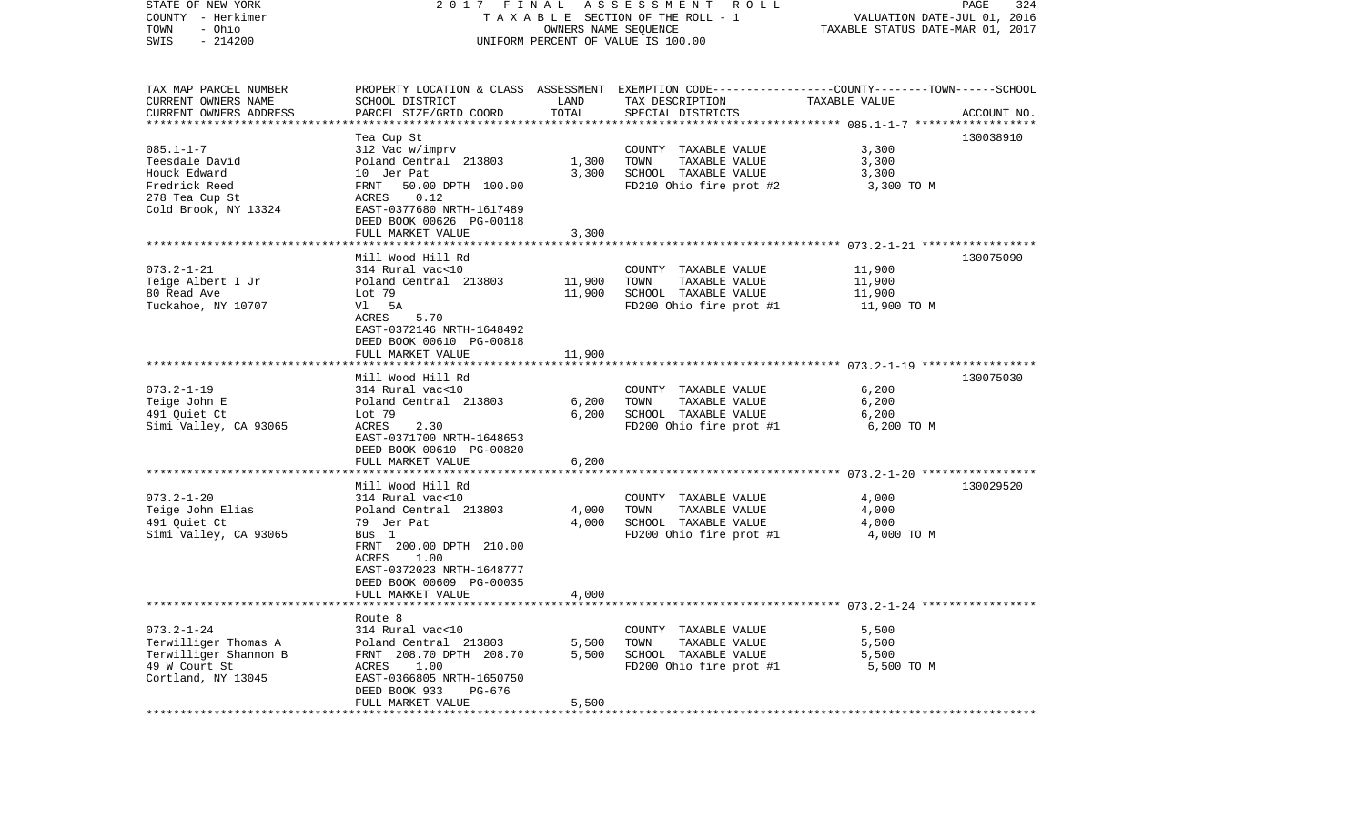| STATE OF NEW YORK<br>COUNTY - Herkimer<br>TOWN<br>- Ohio<br>SWIS<br>$-214200$                                                       | 2017 FINAL<br>TAXABLE SECTION OF THE ROLL - 1<br>UNIFORM PERCENT OF VALUE IS 100.00                                                                                                        | PAGE<br>324<br>VALUATION DATE-JUL 01, 2016<br>TAXABLE STATUS DATE-MAR 01, 2017 |                                                                                                                                         |                                                         |             |
|-------------------------------------------------------------------------------------------------------------------------------------|--------------------------------------------------------------------------------------------------------------------------------------------------------------------------------------------|--------------------------------------------------------------------------------|-----------------------------------------------------------------------------------------------------------------------------------------|---------------------------------------------------------|-------------|
| TAX MAP PARCEL NUMBER<br>CURRENT OWNERS NAME<br>CURRENT OWNERS ADDRESS<br>***********************                                   | SCHOOL DISTRICT<br>PARCEL SIZE/GRID COORD                                                                                                                                                  | LAND<br>TOTAL                                                                  | PROPERTY LOCATION & CLASS ASSESSMENT EXEMPTION CODE---------------COUNTY-------TOWN------SCHOOL<br>TAX DESCRIPTION<br>SPECIAL DISTRICTS | TAXABLE VALUE                                           | ACCOUNT NO. |
| $085.1 - 1 - 7$<br>Teesdale David<br>Houck Edward<br>Fredrick Reed<br>278 Tea Cup St<br>Cold Brook, NY 13324                        | Tea Cup St<br>312 Vac w/imprv<br>Poland Central 213803<br>10 Jer Pat<br>FRNT<br>50.00 DPTH 100.00<br>0.12<br>ACRES<br>EAST-0377680 NRTH-1617489<br>DEED BOOK 00626 PG-00118                | 1,300<br>3,300                                                                 | COUNTY TAXABLE VALUE<br>TOWN<br>TAXABLE VALUE<br>SCHOOL TAXABLE VALUE<br>FD210 Ohio fire prot #2                                        | 3,300<br>3,300<br>3,300<br>3,300 TO M                   | 130038910   |
|                                                                                                                                     | FULL MARKET VALUE                                                                                                                                                                          | 3,300                                                                          |                                                                                                                                         |                                                         |             |
| $073.2 - 1 - 21$<br>Teige Albert I Jr<br>80 Read Ave<br>Tuckahoe, NY 10707                                                          | Mill Wood Hill Rd<br>314 Rural vac<10<br>Poland Central 213803<br>Lot 79<br>5A<br>Vl<br>ACRES<br>5.70<br>EAST-0372146 NRTH-1648492<br>DEED BOOK 00610 PG-00818                             | 11,900<br>11,900                                                               | COUNTY TAXABLE VALUE<br>TAXABLE VALUE<br>TOWN<br>SCHOOL TAXABLE VALUE<br>FD200 Ohio fire prot #1                                        | 11,900<br>11,900<br>11,900<br>11,900 TO M               | 130075090   |
|                                                                                                                                     | FULL MARKET VALUE                                                                                                                                                                          | 11,900                                                                         |                                                                                                                                         |                                                         |             |
| $073.2 - 1 - 19$<br>Teige John E<br>491 Quiet Ct<br>Simi Valley, CA 93065                                                           | Mill Wood Hill Rd<br>314 Rural vac<10<br>Poland Central 213803<br>Lot 79<br>ACRES<br>2.30<br>EAST-0371700 NRTH-1648653<br>DEED BOOK 00610 PG-00820<br>FULL MARKET VALUE                    | 6,200<br>6,200<br>6,200                                                        | COUNTY TAXABLE VALUE<br>TOWN<br>TAXABLE VALUE<br>SCHOOL TAXABLE VALUE<br>FD200 Ohio fire prot #1                                        | 6,200<br>6,200<br>6,200<br>6,200 TO M                   | 130075030   |
|                                                                                                                                     |                                                                                                                                                                                            |                                                                                |                                                                                                                                         | ************************* 073.2-1-20 ****************** |             |
| $073.2 - 1 - 20$<br>Teige John Elias<br>491 Quiet Ct<br>Simi Valley, CA 93065                                                       | Mill Wood Hill Rd<br>314 Rural vac<10<br>Poland Central 213803<br>79 Jer Pat<br>Bus 1<br>FRNT 200.00 DPTH 210.00<br>1.00<br>ACRES<br>EAST-0372023 NRTH-1648777<br>DEED BOOK 00609 PG-00035 | 4,000<br>4,000                                                                 | COUNTY TAXABLE VALUE<br>TOWN<br>TAXABLE VALUE<br>SCHOOL TAXABLE VALUE<br>FD200 Ohio fire prot #1                                        | 4,000<br>4,000<br>4,000<br>4,000 TO M                   | 130029520   |
|                                                                                                                                     | FULL MARKET VALUE                                                                                                                                                                          | 4,000                                                                          |                                                                                                                                         |                                                         |             |
| ***********************<br>$073.2 - 1 - 24$<br>Terwilliger Thomas A<br>Terwilliger Shannon B<br>49 W Court St<br>Cortland, NY 13045 | Route 8<br>314 Rural vac<10<br>Poland Central 213803<br>FRNT 208.70 DPTH 208.70<br>ACRES<br>1.00<br>EAST-0366805 NRTH-1650750<br>DEED BOOK 933<br>PG-676<br>FULL MARKET VALUE              | 5,500<br>5,500<br>5,500                                                        | COUNTY TAXABLE VALUE<br>TOWN<br>TAXABLE VALUE<br>SCHOOL TAXABLE VALUE<br>FD200 Ohio fire prot #1                                        | 5,500<br>5,500<br>5,500<br>5,500 TO M                   |             |
|                                                                                                                                     |                                                                                                                                                                                            |                                                                                |                                                                                                                                         |                                                         |             |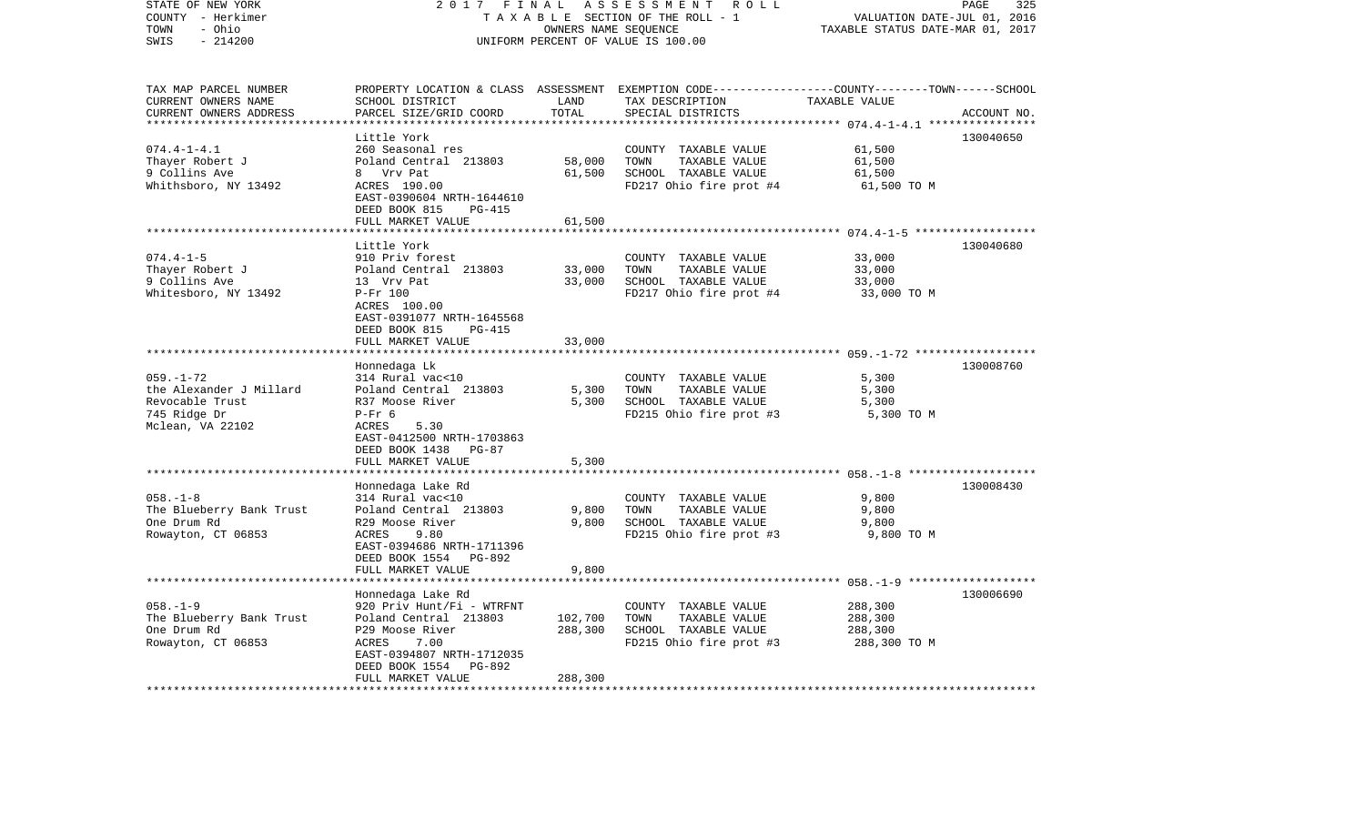| STATE OF NEW YORK<br>COUNTY - Herkimer<br>- Ohio<br>TOWN | 2017<br>FINAL<br>TAXABLE SECTION OF THE ROLL - 1 | PAGE<br>325<br>VALUATION DATE-JUL 01, 2016<br>TAXABLE STATUS DATE-MAR 01, 2017 |                                                                                                                    |                                                 |             |
|----------------------------------------------------------|--------------------------------------------------|--------------------------------------------------------------------------------|--------------------------------------------------------------------------------------------------------------------|-------------------------------------------------|-------------|
| SWIS<br>$-214200$                                        |                                                  |                                                                                | UNIFORM PERCENT OF VALUE IS 100.00                                                                                 |                                                 |             |
| TAX MAP PARCEL NUMBER<br>CURRENT OWNERS NAME             | SCHOOL DISTRICT                                  | LAND                                                                           | PROPERTY LOCATION & CLASS ASSESSMENT EXEMPTION CODE---------------COUNTY-------TOWN------SCHOOL<br>TAX DESCRIPTION | TAXABLE VALUE                                   |             |
| CURRENT OWNERS ADDRESS                                   | PARCEL SIZE/GRID COORD                           | TOTAL                                                                          | SPECIAL DISTRICTS                                                                                                  |                                                 | ACCOUNT NO. |
| ***********************                                  | *****************************<br>Little York     |                                                                                |                                                                                                                    |                                                 | 130040650   |
| $074.4 - 1 - 4.1$                                        | 260 Seasonal res                                 |                                                                                | COUNTY TAXABLE VALUE                                                                                               | 61,500                                          |             |
| Thayer Robert J                                          | Poland Central 213803                            | 58,000                                                                         | TOWN<br>TAXABLE VALUE                                                                                              | 61,500                                          |             |
| 9 Collins Ave                                            | 8 Vrv Pat                                        | 61,500                                                                         | SCHOOL TAXABLE VALUE                                                                                               | 61,500                                          |             |
| Whithsboro, NY 13492                                     | ACRES 190.00                                     |                                                                                | FD217 Ohio fire prot #4                                                                                            | 61,500 TO M                                     |             |
|                                                          | EAST-0390604 NRTH-1644610                        |                                                                                |                                                                                                                    |                                                 |             |
|                                                          | DEED BOOK 815<br><b>PG-415</b>                   |                                                                                |                                                                                                                    |                                                 |             |
|                                                          | FULL MARKET VALUE                                | 61,500                                                                         |                                                                                                                    |                                                 |             |
|                                                          |                                                  |                                                                                |                                                                                                                    | ********** 074.4-1-5 *******************        |             |
| $074.4 - 1 - 5$                                          | Little York<br>910 Priv forest                   |                                                                                | COUNTY TAXABLE VALUE                                                                                               | 33,000                                          | 130040680   |
| Thayer Robert J                                          | Poland Central 213803                            | 33,000                                                                         | TOWN<br>TAXABLE VALUE                                                                                              | 33,000                                          |             |
| 9 Collins Ave                                            | 13 Vrv Pat                                       | 33,000                                                                         | SCHOOL TAXABLE VALUE                                                                                               | 33,000                                          |             |
| Whitesboro, NY 13492                                     | $P-Fr$ 100                                       |                                                                                | FD217 Ohio fire prot #4                                                                                            | 33,000 TO M                                     |             |
|                                                          | ACRES 100.00                                     |                                                                                |                                                                                                                    |                                                 |             |
|                                                          | EAST-0391077 NRTH-1645568                        |                                                                                |                                                                                                                    |                                                 |             |
|                                                          | DEED BOOK 815<br>PG-415                          |                                                                                |                                                                                                                    |                                                 |             |
|                                                          | FULL MARKET VALUE                                | 33,000                                                                         |                                                                                                                    |                                                 |             |
|                                                          |                                                  |                                                                                |                                                                                                                    | ***************** 059.-1-72 ******************* |             |
|                                                          | Honnedaga Lk                                     |                                                                                |                                                                                                                    |                                                 | 130008760   |
| $059. - 1 - 72$<br>the Alexander J Millard               | 314 Rural vac<10<br>Poland Central 213803        | 5,300                                                                          | COUNTY TAXABLE VALUE<br>TOWN<br>TAXABLE VALUE                                                                      | 5,300<br>5,300                                  |             |
| Revocable Trust                                          | R37 Moose River                                  | 5,300                                                                          | SCHOOL TAXABLE VALUE                                                                                               | 5,300                                           |             |
| 745 Ridge Dr                                             | $P-Fr$ 6                                         |                                                                                | FD215 Ohio fire prot #3                                                                                            | 5,300 TO M                                      |             |
| Mclean, VA 22102                                         | 5.30<br>ACRES                                    |                                                                                |                                                                                                                    |                                                 |             |
|                                                          | EAST-0412500 NRTH-1703863                        |                                                                                |                                                                                                                    |                                                 |             |
|                                                          | DEED BOOK 1438<br><b>PG-87</b>                   |                                                                                |                                                                                                                    |                                                 |             |
|                                                          | FULL MARKET VALUE                                | 5,300                                                                          |                                                                                                                    |                                                 |             |
|                                                          |                                                  | *******                                                                        |                                                                                                                    |                                                 |             |
|                                                          | Honnedaga Lake Rd                                |                                                                                |                                                                                                                    |                                                 | 130008430   |
| $058. - 1 - 8$                                           | 314 Rural vac<10                                 |                                                                                | COUNTY TAXABLE VALUE                                                                                               | 9,800                                           |             |
| The Blueberry Bank Trust                                 | Poland Central 213803                            | 9,800                                                                          | TOWN<br>TAXABLE VALUE                                                                                              | 9,800                                           |             |
| One Drum Rd                                              | R29 Moose River<br>ACRES                         | 9,800                                                                          | SCHOOL TAXABLE VALUE                                                                                               | 9,800                                           |             |
| Rowayton, CT 06853                                       | 9.80<br>EAST-0394686 NRTH-1711396                |                                                                                | FD215 Ohio fire prot #3                                                                                            | 9,800 TO M                                      |             |
|                                                          | DEED BOOK 1554<br>PG-892                         |                                                                                |                                                                                                                    |                                                 |             |
|                                                          | FULL MARKET VALUE                                | 9,800                                                                          |                                                                                                                    |                                                 |             |
|                                                          | *******************                              |                                                                                |                                                                                                                    |                                                 |             |
|                                                          | Honnedaga Lake Rd                                |                                                                                |                                                                                                                    |                                                 | 130006690   |
| $058. - 1 - 9$                                           | 920 Priv Hunt/Fi - WTRFNT                        |                                                                                | COUNTY TAXABLE VALUE                                                                                               | 288,300                                         |             |
| The Blueberry Bank Trust                                 | Poland Central 213803                            | 102,700                                                                        | TOWN<br>TAXABLE VALUE                                                                                              | 288,300                                         |             |
| One Drum Rd                                              | P29 Moose River                                  | 288,300                                                                        | SCHOOL TAXABLE VALUE                                                                                               | 288,300                                         |             |
| Rowayton, CT 06853                                       | 7.00<br><b>ACRES</b>                             |                                                                                | FD215 Ohio fire prot #3                                                                                            | 288,300 TO M                                    |             |
|                                                          | EAST-0394807 NRTH-1712035                        |                                                                                |                                                                                                                    |                                                 |             |
|                                                          | PG-892<br>DEED BOOK 1554                         |                                                                                |                                                                                                                    |                                                 |             |
| *************************                                | FULL MARKET VALUE<br>************************    | 288,300<br>**********                                                          |                                                                                                                    |                                                 |             |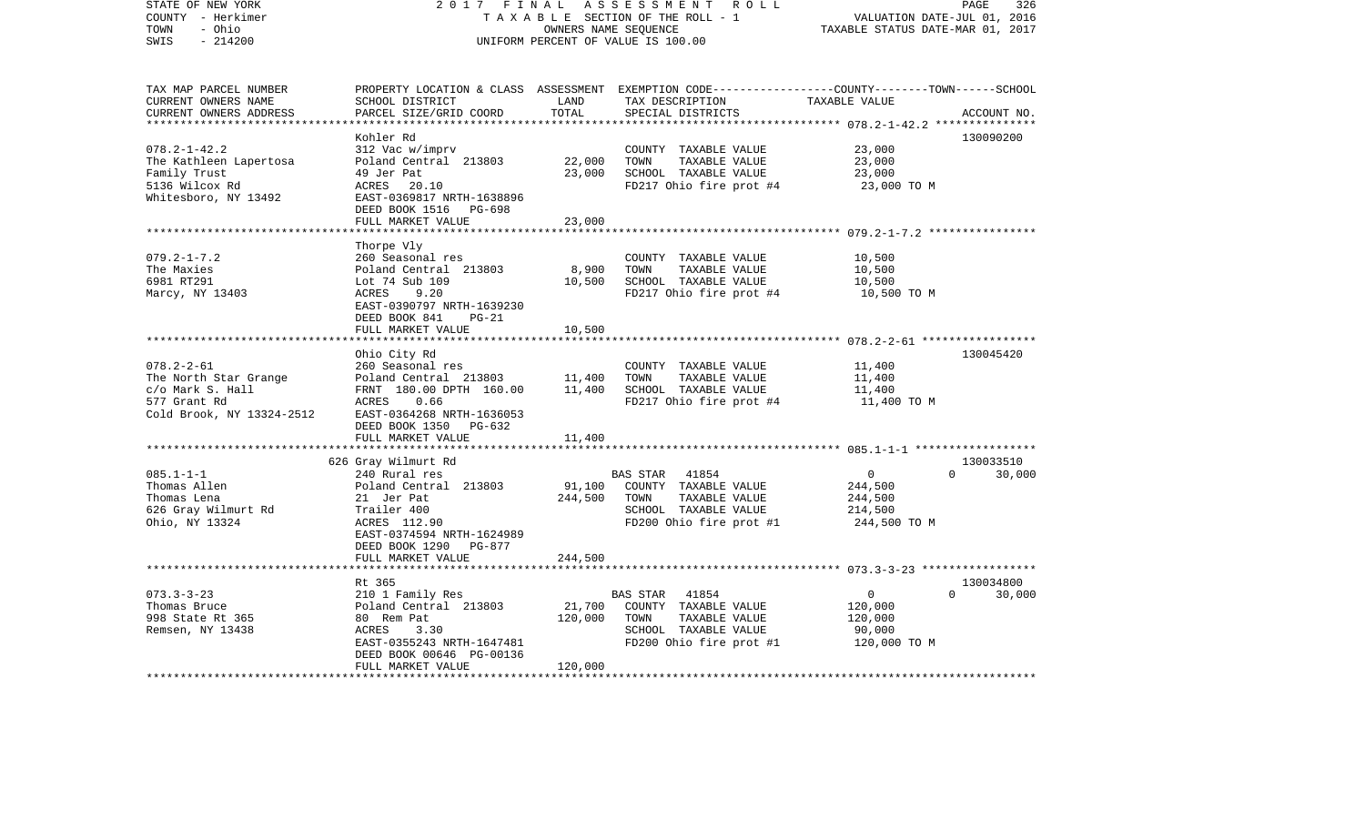| STATE OF NEW YORK<br>COUNTY - Herkimer       | 2017<br>FINAL<br>TAXABLE SECTION OF THE ROLL - 1 | ASSESSMENT ROLL<br>326<br>PAGE<br>VALUATION DATE-JUL 01, 2016<br>TAXABLE STATUS DATE-MAR 01, 2017 |                                                                                                                     |                  |                    |
|----------------------------------------------|--------------------------------------------------|---------------------------------------------------------------------------------------------------|---------------------------------------------------------------------------------------------------------------------|------------------|--------------------|
| - Ohio<br>TOWN<br>$-214200$<br>SWIS          | UNIFORM PERCENT OF VALUE IS 100.00               |                                                                                                   |                                                                                                                     |                  |                    |
| TAX MAP PARCEL NUMBER<br>CURRENT OWNERS NAME | SCHOOL DISTRICT                                  | LAND                                                                                              | PROPERTY LOCATION & CLASS ASSESSMENT EXEMPTION CODE----------------COUNTY-------TOWN------SCHOOL<br>TAX DESCRIPTION | TAXABLE VALUE    |                    |
| CURRENT OWNERS ADDRESS                       | PARCEL SIZE/GRID COORD                           | TOTAL                                                                                             | SPECIAL DISTRICTS                                                                                                   |                  | ACCOUNT NO.        |
|                                              |                                                  |                                                                                                   |                                                                                                                     |                  |                    |
|                                              | Kohler Rd                                        |                                                                                                   |                                                                                                                     |                  | 130090200          |
| $078.2 - 1 - 42.2$                           | 312 Vac w/imprv                                  |                                                                                                   | COUNTY TAXABLE VALUE                                                                                                | 23,000           |                    |
| The Kathleen Lapertosa<br>Family Trust       | Poland Central 213803<br>49 Jer Pat              | 22,000<br>23,000                                                                                  | TOWN<br>TAXABLE VALUE<br>SCHOOL TAXABLE VALUE                                                                       | 23,000<br>23,000 |                    |
| 5136 Wilcox Rd                               | ACRES 20.10                                      |                                                                                                   | FD217 Ohio fire prot #4                                                                                             | 23,000 TO M      |                    |
| Whitesboro, NY 13492                         | EAST-0369817 NRTH-1638896                        |                                                                                                   |                                                                                                                     |                  |                    |
|                                              | DEED BOOK 1516<br>PG-698                         |                                                                                                   |                                                                                                                     |                  |                    |
|                                              | FULL MARKET VALUE                                | 23,000                                                                                            |                                                                                                                     |                  |                    |
|                                              |                                                  |                                                                                                   |                                                                                                                     |                  |                    |
|                                              | Thorpe Vly                                       |                                                                                                   |                                                                                                                     |                  |                    |
| $079.2 - 1 - 7.2$                            | 260 Seasonal res                                 |                                                                                                   | COUNTY TAXABLE VALUE                                                                                                | 10,500           |                    |
| The Maxies                                   | Poland Central 213803                            | 8,900                                                                                             | TOWN<br>TAXABLE VALUE                                                                                               | 10,500           |                    |
| 6981 RT291                                   | Lot 74 Sub 109                                   | 10,500                                                                                            | SCHOOL TAXABLE VALUE                                                                                                | 10,500           |                    |
| Marcy, NY 13403                              | ACRES<br>9.20                                    |                                                                                                   | FD217 Ohio fire prot #4                                                                                             | 10,500 TO M      |                    |
|                                              | EAST-0390797 NRTH-1639230                        |                                                                                                   |                                                                                                                     |                  |                    |
|                                              | DEED BOOK 841<br>$PG-21$                         |                                                                                                   |                                                                                                                     |                  |                    |
|                                              | FULL MARKET VALUE                                | 10,500                                                                                            |                                                                                                                     |                  |                    |
|                                              |                                                  |                                                                                                   |                                                                                                                     |                  |                    |
| $078.2 - 2 - 61$                             | Ohio City Rd                                     |                                                                                                   |                                                                                                                     |                  | 130045420          |
| The North Star Grange                        | 260 Seasonal res<br>Poland Central 213803        | 11,400                                                                                            | COUNTY TAXABLE VALUE<br>TOWN<br>TAXABLE VALUE                                                                       | 11,400<br>11,400 |                    |
| c/o Mark S. Hall                             | FRNT 180.00 DPTH 160.00                          | 11,400                                                                                            | SCHOOL TAXABLE VALUE                                                                                                | 11,400           |                    |
| 577 Grant Rd                                 | ACRES<br>0.66                                    |                                                                                                   | FD217 Ohio fire prot #4                                                                                             | 11,400 TO M      |                    |
| Cold Brook, NY 13324-2512                    | EAST-0364268 NRTH-1636053                        |                                                                                                   |                                                                                                                     |                  |                    |
|                                              | DEED BOOK 1350<br>PG-632                         |                                                                                                   |                                                                                                                     |                  |                    |
|                                              | FULL MARKET VALUE                                | 11,400                                                                                            |                                                                                                                     |                  |                    |
|                                              | ******************************                   |                                                                                                   |                                                                                                                     |                  |                    |
|                                              | 626 Gray Wilmurt Rd                              |                                                                                                   |                                                                                                                     |                  | 130033510          |
| $085.1 - 1 - 1$                              | 240 Rural res                                    |                                                                                                   | <b>BAS STAR</b><br>41854                                                                                            | 0                | $\Omega$<br>30,000 |
| Thomas Allen                                 | Poland Central 213803                            | 91,100                                                                                            | COUNTY TAXABLE VALUE                                                                                                | 244,500          |                    |
| Thomas Lena                                  | 21 Jer Pat                                       | 244,500                                                                                           | TOWN<br>TAXABLE VALUE                                                                                               | 244,500          |                    |
| 626 Gray Wilmurt Rd                          | Trailer 400                                      |                                                                                                   | SCHOOL TAXABLE VALUE                                                                                                | 214,500          |                    |
| Ohio, NY 13324                               | ACRES 112.90                                     |                                                                                                   | FD200 Ohio fire prot #1                                                                                             | 244,500 TO M     |                    |
|                                              | EAST-0374594 NRTH-1624989                        |                                                                                                   |                                                                                                                     |                  |                    |
|                                              | DEED BOOK 1290<br>PG-877                         |                                                                                                   |                                                                                                                     |                  |                    |
|                                              | FULL MARKET VALUE<br>*********************       | 244,500                                                                                           |                                                                                                                     |                  |                    |
|                                              | Rt 365                                           |                                                                                                   |                                                                                                                     |                  | 130034800          |
| $073.3 - 3 - 23$                             | 210 1 Family Res                                 |                                                                                                   | <b>BAS STAR</b><br>41854                                                                                            | $\mathbf 0$      | $\Omega$<br>30,000 |
| Thomas Bruce                                 | Poland Central 213803                            | 21,700                                                                                            | COUNTY TAXABLE VALUE                                                                                                | 120,000          |                    |
| 998 State Rt 365                             | 80 Rem Pat                                       | 120,000                                                                                           | TOWN<br>TAXABLE VALUE                                                                                               | 120,000          |                    |
| Remsen, NY 13438                             | ACRES<br>3.30                                    |                                                                                                   | SCHOOL TAXABLE VALUE                                                                                                | 90,000           |                    |
|                                              | EAST-0355243 NRTH-1647481                        |                                                                                                   | FD200 Ohio fire prot #1                                                                                             | 120,000 TO M     |                    |
|                                              | DEED BOOK 00646 PG-00136                         |                                                                                                   |                                                                                                                     |                  |                    |
|                                              | FULL MARKET VALUE                                | 120,000                                                                                           |                                                                                                                     |                  |                    |
|                                              |                                                  |                                                                                                   |                                                                                                                     |                  |                    |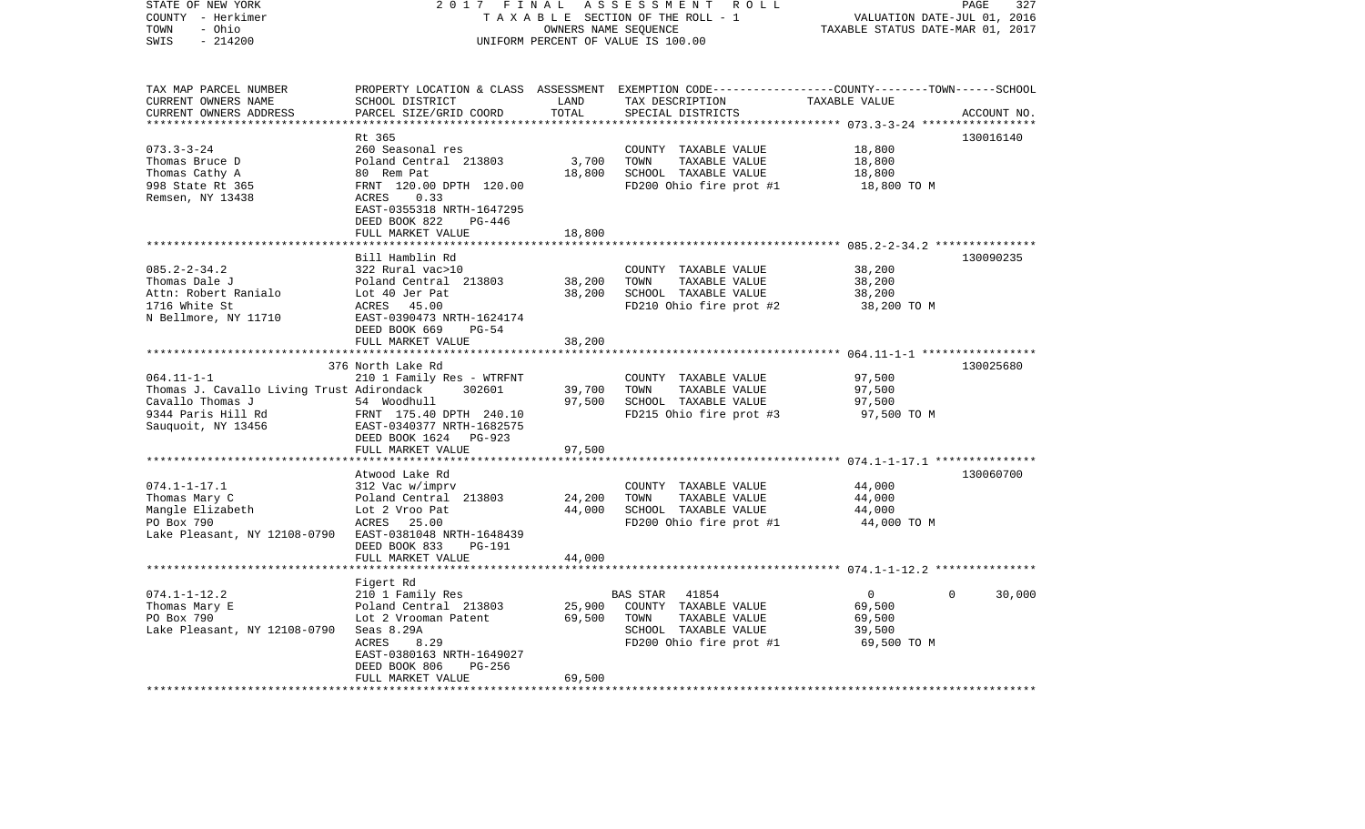| STATE OF NEW YORK<br>COUNTY - Herkimer<br>- Ohio<br>TOWN<br>$-214200$<br>SWIS                                                 | 2017<br>FINAL<br>TAXABLE SECTION OF THE ROLL - 1<br>UNIFORM PERCENT OF VALUE IS 100.00                                                                                                     | PAGE<br>327<br>VALUATION DATE-JUL 01, 2016<br>TAXABLE STATUS DATE-MAR 01, 2017 |                                                                                                                       |                                                                       |             |
|-------------------------------------------------------------------------------------------------------------------------------|--------------------------------------------------------------------------------------------------------------------------------------------------------------------------------------------|--------------------------------------------------------------------------------|-----------------------------------------------------------------------------------------------------------------------|-----------------------------------------------------------------------|-------------|
| TAX MAP PARCEL NUMBER<br>CURRENT OWNERS NAME<br>CURRENT OWNERS ADDRESS<br>********************                                | PROPERTY LOCATION & CLASS<br>SCHOOL DISTRICT<br>PARCEL SIZE/GRID COORD                                                                                                                     | LAND<br>TOTAL<br>************                                                  | ASSESSMENT EXEMPTION CODE-----------------COUNTY-------TOWN------SCHOOL<br>TAX DESCRIPTION<br>SPECIAL DISTRICTS       | TAXABLE VALUE                                                         | ACCOUNT NO. |
| $073.3 - 3 - 24$<br>Thomas Bruce D<br>Thomas Cathy A<br>998 State Rt 365<br>Remsen, NY 13438                                  | Rt 365<br>260 Seasonal res<br>Poland Central 213803<br>80 Rem Pat<br>FRNT 120.00 DPTH 120.00<br>0.33<br>ACRES<br>EAST-0355318 NRTH-1647295<br>DEED BOOK 822<br>PG-446<br>FULL MARKET VALUE | 3,700<br>18,800<br>18,800                                                      | COUNTY TAXABLE VALUE<br>TOWN<br>TAXABLE VALUE<br>SCHOOL TAXABLE VALUE<br>FD200 Ohio fire prot #1                      | 18,800<br>18,800<br>18,800<br>18,800 TO M                             | 130016140   |
|                                                                                                                               |                                                                                                                                                                                            |                                                                                |                                                                                                                       | **************** 085.2-2-34.2 ****************                        |             |
| $085.2 - 2 - 34.2$<br>Thomas Dale J<br>Attn: Robert Ranialo<br>1716 White St<br>N Bellmore, NY 11710                          | Bill Hamblin Rd<br>322 Rural vac>10<br>Poland Central 213803<br>Lot 40 Jer Pat<br>ACRES<br>45.00<br>EAST-0390473 NRTH-1624174<br>$PG-54$<br>DEED BOOK 669                                  | 38,200<br>38,200                                                               | COUNTY TAXABLE VALUE<br>TOWN<br>TAXABLE VALUE<br>SCHOOL TAXABLE VALUE<br>FD210 Ohio fire prot #2                      | 38,200<br>38,200<br>38,200<br>38,200 TO M                             | 130090235   |
|                                                                                                                               | FULL MARKET VALUE                                                                                                                                                                          | 38,200                                                                         |                                                                                                                       |                                                                       |             |
| $064.11 - 1 - 1$<br>Thomas J. Cavallo Living Trust Adirondack<br>Cavallo Thomas J<br>9344 Paris Hill Rd<br>Sauquoit, NY 13456 | *******************<br>376 North Lake Rd<br>210 1 Family Res - WTRFNT<br>302601<br>54 Woodhull<br>FRNT 175.40 DPTH 240.10<br>EAST-0340377 NRTH-1682575<br>DEED BOOK 1624<br>PG-923         | ***********<br>39,700<br>97,500<br>97,500                                      | COUNTY TAXABLE VALUE<br>TOWN<br>TAXABLE VALUE<br>SCHOOL TAXABLE VALUE<br>FD215 Ohio fire prot #3                      | 97,500<br>97,500<br>97,500<br>97,500 TO M                             | 130025680   |
|                                                                                                                               | FULL MARKET VALUE<br>***********************                                                                                                                                               |                                                                                |                                                                                                                       |                                                                       |             |
| $074.1 - 1 - 17.1$<br>Thomas Mary C<br>Mangle Elizabeth<br>PO Box 790<br>Lake Pleasant, NY 12108-0790                         | Atwood Lake Rd<br>312 Vac w/imprv<br>Poland Central<br>213803<br>Lot 2 Vroo Pat<br>ACRES<br>25.00<br>EAST-0381048 NRTH-1648439<br>DEED BOOK 833<br>PG-191                                  | 24,200<br>44,000                                                               | COUNTY TAXABLE VALUE<br>TOWN<br>TAXABLE VALUE<br>SCHOOL TAXABLE VALUE<br>FD200 Ohio fire prot #1                      | 44,000<br>44,000<br>44,000<br>44,000 TO M                             | 130060700   |
|                                                                                                                               | FULL MARKET VALUE                                                                                                                                                                          | 44,000                                                                         |                                                                                                                       |                                                                       |             |
| $074.1 - 1 - 12.2$<br>Thomas Mary E<br>PO Box 790<br>Lake Pleasant, NY 12108-0790                                             | Figert Rd<br>210 1 Family Res<br>Poland Central 213803<br>Lot 2 Vrooman Patent<br>Seas 8.29A<br><b>ACRES</b><br>8.29<br>EAST-0380163 NRTH-1649027                                          | 25,900<br>69,500                                                               | BAS STAR<br>41854<br>COUNTY TAXABLE VALUE<br>TOWN<br>TAXABLE VALUE<br>SCHOOL TAXABLE VALUE<br>FD200 Ohio fire prot #1 | $\mathbf{0}$<br>$\Omega$<br>69,500<br>69,500<br>39,500<br>69,500 TO M | 30,000      |
| ********************                                                                                                          | DEED BOOK 806<br>PG-256<br>FULL MARKET VALUE                                                                                                                                               | 69,500                                                                         |                                                                                                                       |                                                                       |             |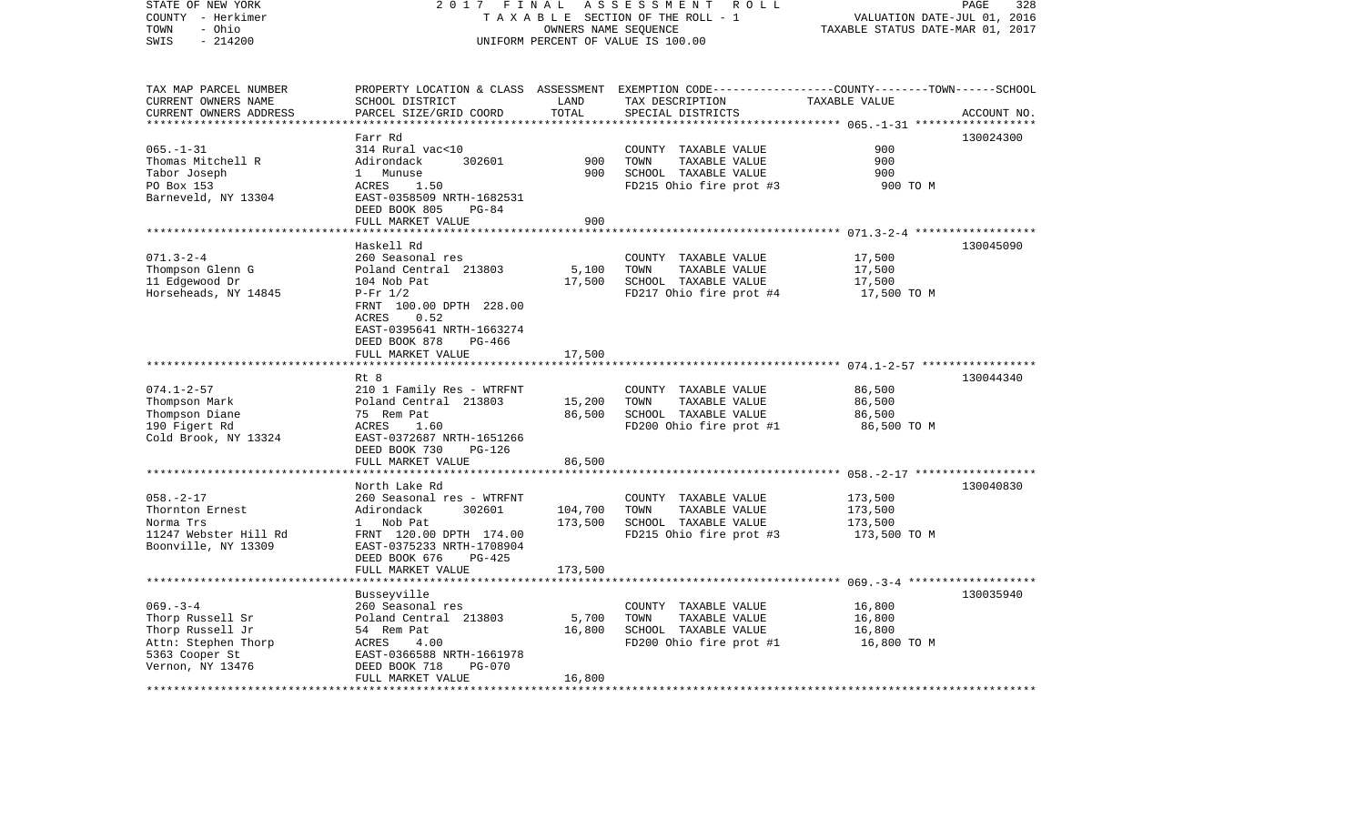| STATE OF NEW YORK       | 2017 FINAL                                   |                             | ASSESSMENT<br>R O L L                                                                            |                                                     | PAGE<br>328 |
|-------------------------|----------------------------------------------|-----------------------------|--------------------------------------------------------------------------------------------------|-----------------------------------------------------|-------------|
| COUNTY - Herkimer       | TAXABLE SECTION OF THE ROLL - 1              | VALUATION DATE-JUL 01, 2016 |                                                                                                  |                                                     |             |
| - Ohio<br>TOWN          |                                              | OWNERS NAME SEQUENCE        |                                                                                                  | TAXABLE STATUS DATE-MAR 01, 2017                    |             |
| $-214200$<br>SWIS       |                                              |                             | UNIFORM PERCENT OF VALUE IS 100.00                                                               |                                                     |             |
|                         |                                              |                             |                                                                                                  |                                                     |             |
| TAX MAP PARCEL NUMBER   |                                              |                             | PROPERTY LOCATION & CLASS ASSESSMENT EXEMPTION CODE----------------COUNTY-------TOWN------SCHOOL |                                                     |             |
| CURRENT OWNERS NAME     | SCHOOL DISTRICT                              | LAND                        | TAX DESCRIPTION                                                                                  | TAXABLE VALUE                                       |             |
| CURRENT OWNERS ADDRESS  | PARCEL SIZE/GRID COORD                       | TOTAL                       | SPECIAL DISTRICTS                                                                                |                                                     | ACCOUNT NO. |
| *********************** |                                              |                             |                                                                                                  |                                                     |             |
|                         | Farr Rd                                      |                             |                                                                                                  |                                                     | 130024300   |
| $065. - 1 - 31$         | 314 Rural vac<10                             |                             |                                                                                                  | 900                                                 |             |
|                         | 302601                                       | 900                         | COUNTY TAXABLE VALUE<br>TOWN                                                                     | 900                                                 |             |
| Thomas Mitchell R       | Adirondack                                   |                             | TAXABLE VALUE                                                                                    |                                                     |             |
| Tabor Joseph            | 1 Munuse                                     | 900                         | SCHOOL TAXABLE VALUE                                                                             | 900                                                 |             |
| PO Box 153              | 1.50<br>ACRES                                |                             | FD215 Ohio fire prot #3                                                                          | 900 TO M                                            |             |
| Barneveld, NY 13304     | EAST-0358509 NRTH-1682531                    |                             |                                                                                                  |                                                     |             |
|                         | DEED BOOK 805<br>$PG-84$                     |                             |                                                                                                  |                                                     |             |
|                         | FULL MARKET VALUE                            | 900                         |                                                                                                  |                                                     |             |
|                         |                                              |                             |                                                                                                  | ****************** 071.3-2-4 *******************    |             |
|                         | Haskell Rd                                   |                             |                                                                                                  |                                                     | 130045090   |
| $071.3 - 2 - 4$         | 260 Seasonal res                             |                             | COUNTY TAXABLE VALUE                                                                             | 17,500                                              |             |
| Thompson Glenn G        | Poland Central 213803                        | 5,100                       | TOWN<br>TAXABLE VALUE                                                                            | 17,500                                              |             |
| 11 Edgewood Dr          | 104 Nob Pat                                  | 17,500                      | SCHOOL TAXABLE VALUE                                                                             | 17,500                                              |             |
| Horseheads, NY 14845    | $P-Fr 1/2$                                   |                             | FD217 Ohio fire prot #4                                                                          | 17,500 TO M                                         |             |
|                         | FRNT 100.00 DPTH 228.00                      |                             |                                                                                                  |                                                     |             |
|                         | 0.52<br>ACRES                                |                             |                                                                                                  |                                                     |             |
|                         | EAST-0395641 NRTH-1663274                    |                             |                                                                                                  |                                                     |             |
|                         | DEED BOOK 878<br>PG-466                      |                             |                                                                                                  |                                                     |             |
|                         | FULL MARKET VALUE                            | 17,500                      |                                                                                                  |                                                     |             |
|                         |                                              |                             |                                                                                                  |                                                     |             |
|                         | Rt 8                                         |                             |                                                                                                  |                                                     | 130044340   |
| $074.1 - 2 - 57$        | 210 1 Family Res - WTRFNT                    |                             | COUNTY TAXABLE VALUE                                                                             | 86,500                                              |             |
| Thompson Mark           | Poland Central 213803                        | 15,200                      | TOWN<br>TAXABLE VALUE                                                                            | 86,500                                              |             |
| Thompson Diane          | 75 Rem Pat                                   | 86,500                      | SCHOOL TAXABLE VALUE                                                                             | 86,500                                              |             |
| 190 Figert Rd           | ACRES<br>1.60                                |                             | FD200 Ohio fire prot #1                                                                          | 86,500 TO M                                         |             |
| Cold Brook, NY 13324    | EAST-0372687 NRTH-1651266                    |                             |                                                                                                  |                                                     |             |
|                         |                                              |                             |                                                                                                  |                                                     |             |
|                         | DEED BOOK 730<br>PG-126<br>FULL MARKET VALUE | 86,500                      |                                                                                                  |                                                     |             |
|                         |                                              |                             |                                                                                                  | ********************* 058.-2-17 ******************* |             |
|                         | North Lake Rd                                |                             |                                                                                                  |                                                     |             |
|                         |                                              |                             |                                                                                                  |                                                     | 130040830   |
| $058. - 2 - 17$         | 260 Seasonal res - WTRFNT                    |                             | COUNTY TAXABLE VALUE                                                                             | 173,500                                             |             |
| Thornton Ernest         | Adirondack<br>302601                         | 104,700                     | TOWN<br>TAXABLE VALUE                                                                            | 173,500                                             |             |
| Norma Trs               | 1 Nob Pat                                    | 173,500                     | SCHOOL TAXABLE VALUE                                                                             | 173,500                                             |             |
| 11247 Webster Hill Rd   | FRNT 120.00 DPTH 174.00                      |                             | FD215 Ohio fire prot #3                                                                          | 173,500 TO M                                        |             |
| Boonville, NY 13309     | EAST-0375233 NRTH-1708904                    |                             |                                                                                                  |                                                     |             |
|                         | DEED BOOK 676<br>$PG-425$                    |                             |                                                                                                  |                                                     |             |
|                         | FULL MARKET VALUE                            | 173,500                     |                                                                                                  |                                                     |             |
| *******************     | *******************                          |                             |                                                                                                  |                                                     |             |
|                         | Busseyville                                  |                             |                                                                                                  |                                                     | 130035940   |
| $069. -3 - 4$           | 260 Seasonal res                             |                             | COUNTY TAXABLE VALUE                                                                             | 16,800                                              |             |
| Thorp Russell Sr        | Poland Central 213803                        | 5,700                       | TOWN<br>TAXABLE VALUE                                                                            | 16,800                                              |             |
| Thorp Russell Jr        | 54 Rem Pat                                   | 16,800                      | SCHOOL TAXABLE VALUE                                                                             | 16,800                                              |             |
| Attn: Stephen Thorp     | ACRES<br>4.00                                |                             | FD200 Ohio fire prot #1                                                                          | 16,800 TO M                                         |             |
| 5363 Cooper St          | EAST-0366588 NRTH-1661978                    |                             |                                                                                                  |                                                     |             |
| Vernon, NY 13476        | <b>PG-070</b><br>DEED BOOK 718               |                             |                                                                                                  |                                                     |             |
|                         | FULL MARKET VALUE                            | 16,800                      |                                                                                                  |                                                     |             |
|                         |                                              | ************                |                                                                                                  |                                                     |             |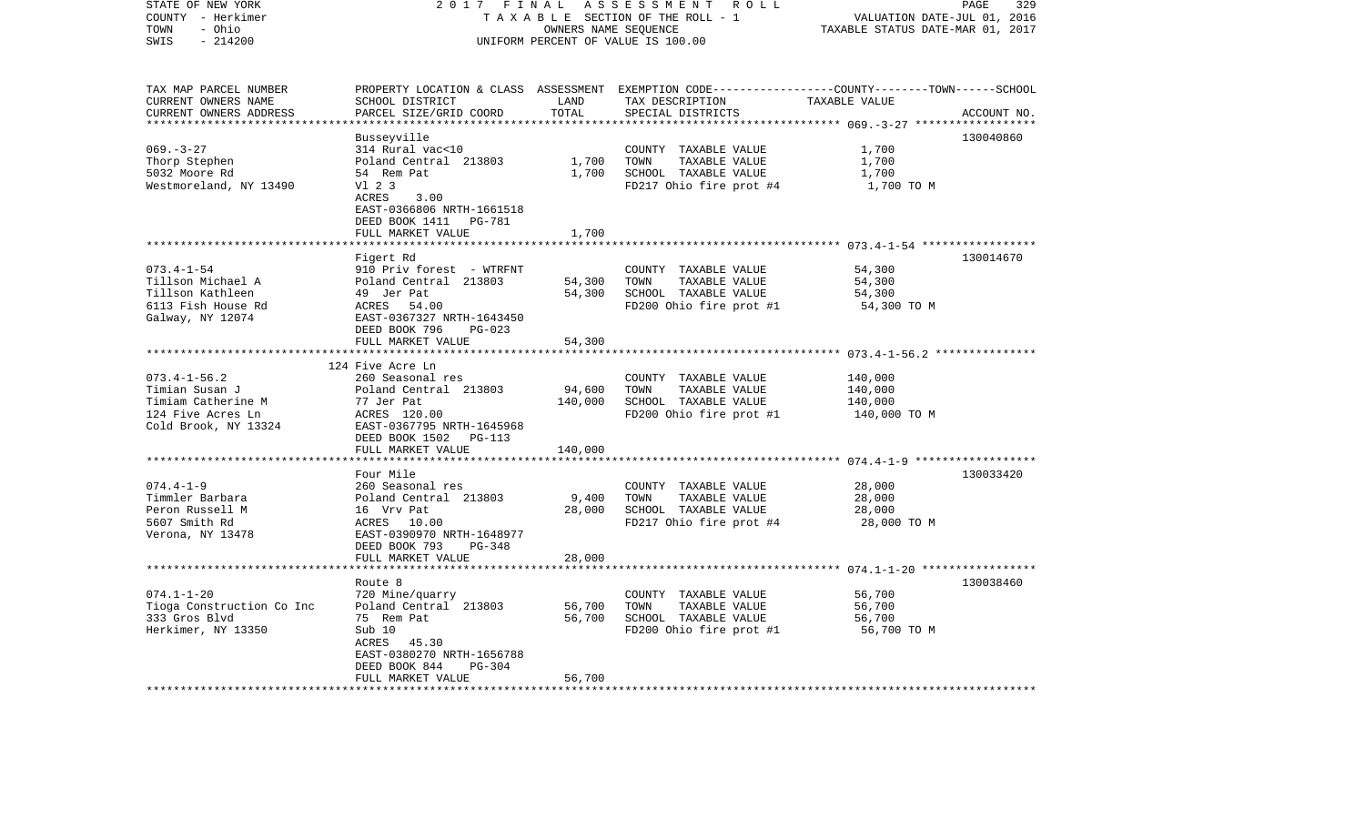| STATE OF NEW YORK<br>COUNTY - Herkimer<br>- Ohio<br>TOWN<br>$-214200$<br>SWIS                           | 2017 FINAL<br>TAXABLE SECTION OF THE ROLL - 1<br>UNIFORM PERCENT OF VALUE IS 100.00                                                                                             | PAGE<br>329<br>VALUATION DATE-JUL 01, 2016<br>TAXABLE STATUS DATE-MAR 01, 2017 |                                                                                                                                                                 |                                                    |             |
|---------------------------------------------------------------------------------------------------------|---------------------------------------------------------------------------------------------------------------------------------------------------------------------------------|--------------------------------------------------------------------------------|-----------------------------------------------------------------------------------------------------------------------------------------------------------------|----------------------------------------------------|-------------|
| TAX MAP PARCEL NUMBER<br>CURRENT OWNERS NAME<br>CURRENT OWNERS ADDRESS<br>**********************        | PROPERTY LOCATION & CLASS<br>SCHOOL DISTRICT<br>PARCEL SIZE/GRID COORD                                                                                                          | LAND<br>TOTAL<br>***********                                                   | ASSESSMENT EXEMPTION CODE-----------------COUNTY-------TOWN------SCHOOL<br>TAX DESCRIPTION<br>SPECIAL DISTRICTS                                                 | TAXABLE VALUE                                      | ACCOUNT NO. |
| $069. - 3 - 27$<br>Thorp Stephen<br>5032 Moore Rd<br>Westmoreland, NY 13490                             | Busseyville<br>314 Rural vac<10<br>Poland Central 213803<br>54 Rem Pat<br>V1 2 3<br>ACRES<br>3.00<br>EAST-0366806 NRTH-1661518<br>DEED BOOK 1411<br>PG-781<br>FULL MARKET VALUE | 1,700<br>1,700<br>1,700                                                        | COUNTY TAXABLE VALUE<br>TOWN<br>TAXABLE VALUE<br>SCHOOL TAXABLE VALUE<br>FD217 Ohio fire prot #4                                                                | 1,700<br>1,700<br>1,700<br>1,700 TO M              | 130040860   |
|                                                                                                         |                                                                                                                                                                                 |                                                                                |                                                                                                                                                                 | ******************** 073.4-1-54 ****************** |             |
| $073.4 - 1 - 54$<br>Tillson Michael A<br>Tillson Kathleen<br>6113 Fish House Rd<br>Galway, NY 12074     | Figert Rd<br>910 Priv forest - WTRFNT<br>Poland Central 213803<br>49 Jer Pat<br>ACRES<br>54.00<br>EAST-0367327 NRTH-1643450<br>DEED BOOK 796<br>$PG-023$                        | 54,300<br>54,300                                                               | COUNTY TAXABLE VALUE<br>TOWN<br>TAXABLE VALUE<br>SCHOOL TAXABLE VALUE<br>FD200 Ohio fire prot #1                                                                | 54,300<br>54,300<br>54,300<br>54,300 TO M          | 130014670   |
|                                                                                                         | FULL MARKET VALUE                                                                                                                                                               | 54,300                                                                         |                                                                                                                                                                 |                                                    |             |
| $073.4 - 1 - 56.2$<br>Timian Susan J<br>Timiam Catherine M<br>124 Five Acres Ln<br>Cold Brook, NY 13324 | *********************<br>124 Five Acre Ln<br>260 Seasonal res<br>Poland Central 213803<br>77 Jer Pat<br>ACRES 120.00<br>EAST-0367795 NRTH-1645968<br>DEED BOOK 1502<br>PG-113   | * * * * * * * * * * * *<br>94,600<br>140,000                                   | ****************************** 073.4-1-56.2 ***************<br>COUNTY TAXABLE VALUE<br>TOWN<br>TAXABLE VALUE<br>SCHOOL TAXABLE VALUE<br>FD200 Ohio fire prot #1 | 140,000<br>140,000<br>140,000<br>140,000 TO M      |             |
|                                                                                                         | FULL MARKET VALUE<br>**********************                                                                                                                                     | 140,000                                                                        |                                                                                                                                                                 |                                                    |             |
| $074.4 - 1 - 9$<br>Timmler Barbara<br>Peron Russell M<br>5607 Smith Rd<br>Verona, NY 13478              | Four Mile<br>260 Seasonal res<br>Poland Central 213803<br>16 Vrv Pat<br>ACRES<br>10.00<br>EAST-0390970 NRTH-1648977<br>DEED BOOK 793<br>PG-348<br>FULL MARKET VALUE             | 9,400<br>28,000<br>28,000                                                      | COUNTY TAXABLE VALUE<br>TOWN<br>TAXABLE VALUE<br>SCHOOL TAXABLE VALUE<br>FD217 Ohio fire prot #4                                                                | 28,000<br>28,000<br>28,000<br>28,000 TO M          | 130033420   |
|                                                                                                         |                                                                                                                                                                                 |                                                                                |                                                                                                                                                                 |                                                    |             |
| $074.1 - 1 - 20$<br>Tioga Construction Co Inc<br>333 Gros Blvd<br>Herkimer, NY 13350                    | Route 8<br>720 Mine/quarry<br>Poland Central 213803<br>75 Rem Pat<br>Sub 10<br>ACRES<br>45.30<br>EAST-0380270 NRTH-1656788<br>PG-304<br>DEED BOOK 844                           | 56,700<br>56,700                                                               | COUNTY TAXABLE VALUE<br>TOWN<br>TAXABLE VALUE<br>SCHOOL TAXABLE VALUE<br>FD200 Ohio fire prot #1                                                                | 56,700<br>56,700<br>56,700<br>56,700 TO M          | 130038460   |
|                                                                                                         | FULL MARKET VALUE                                                                                                                                                               | 56,700                                                                         |                                                                                                                                                                 |                                                    |             |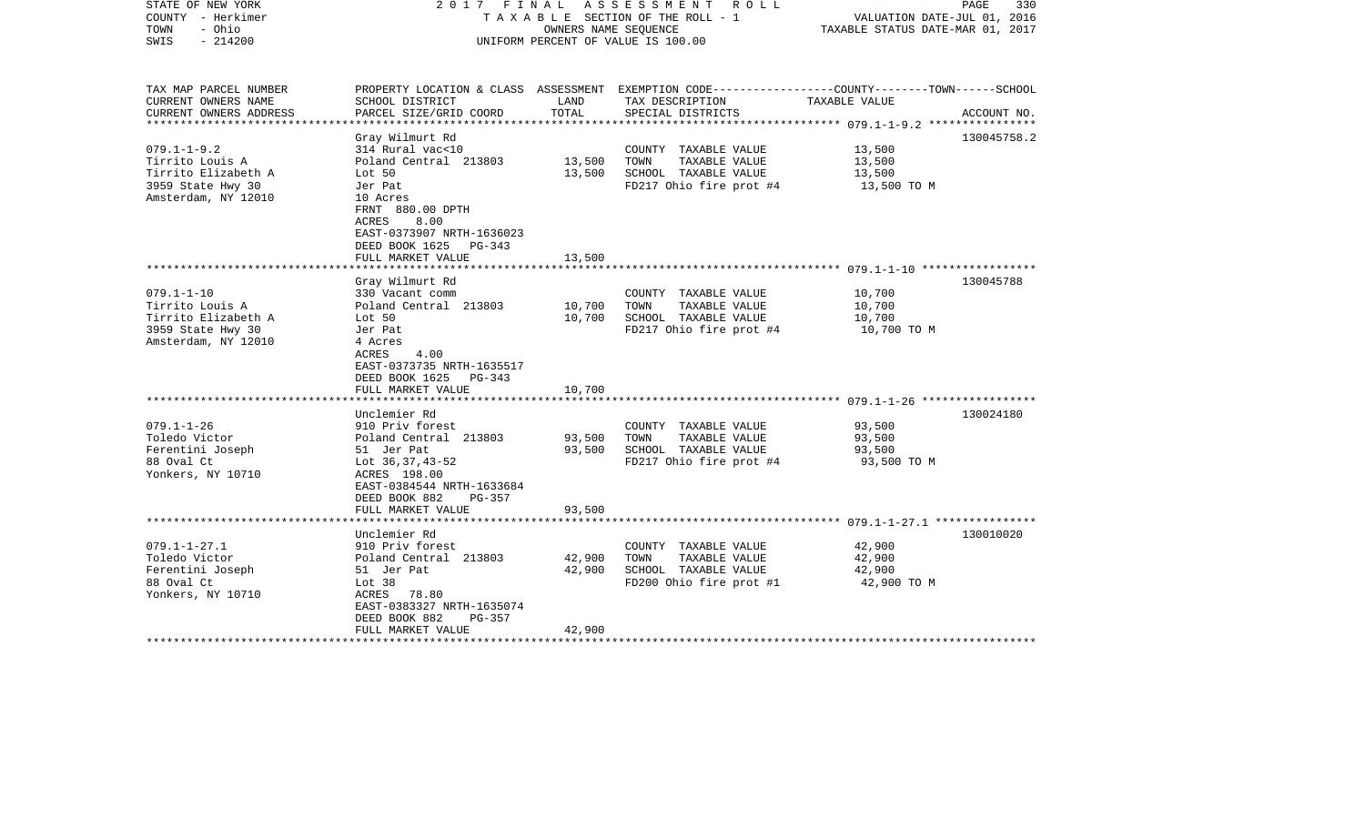| STATE OF NEW YORK<br>COUNTY - Herkimer<br>- Ohio<br>TOWN<br>$-214200$<br>SWIS                           | 2017 FINAL                                                                                                                                                                                             |                            | A S S E S S M E N T R O L L<br>TAXABLE SECTION OF THE ROLL - 1<br>OWNERS NAME SEQUENCE<br>UNIFORM PERCENT OF VALUE IS 100.00 | VALUATION DATE-JUL 01, 2016<br>TAXABLE STATUS DATE-MAR 01, 2017 | PAGE<br>330 |
|---------------------------------------------------------------------------------------------------------|--------------------------------------------------------------------------------------------------------------------------------------------------------------------------------------------------------|----------------------------|------------------------------------------------------------------------------------------------------------------------------|-----------------------------------------------------------------|-------------|
| TAX MAP PARCEL NUMBER<br>CURRENT OWNERS NAME                                                            | SCHOOL DISTRICT                                                                                                                                                                                        | LAND                       | PROPERTY LOCATION & CLASS ASSESSMENT EXEMPTION CODE----------------COUNTY-------TOWN------SCHOOL<br>TAX DESCRIPTION          | TAXABLE VALUE                                                   |             |
| CURRENT OWNERS ADDRESS<br>*********************                                                         | PARCEL SIZE/GRID COORD                                                                                                                                                                                 | TOTAL                      | SPECIAL DISTRICTS                                                                                                            |                                                                 | ACCOUNT NO. |
| $079.1 - 1 - 9.2$<br>Tirrito Louis A<br>Tirrito Elizabeth A<br>3959 State Hwy 30<br>Amsterdam, NY 12010 | Gray Wilmurt Rd<br>314 Rural vac<10<br>Poland Central 213803<br>Lot 50<br>Jer Pat<br>10 Acres<br>FRNT 880.00 DPTH<br>8.00<br>ACRES<br>EAST-0373907 NRTH-1636023<br>DEED BOOK 1625<br>$PG-343$          | 13,500<br>13,500           | COUNTY TAXABLE VALUE<br>TAXABLE VALUE<br>TOWN<br>SCHOOL TAXABLE VALUE<br>FD217 Ohio fire prot #4                             | 13,500<br>13,500<br>13,500<br>13,500 TO M                       | 130045758.2 |
|                                                                                                         | FULL MARKET VALUE                                                                                                                                                                                      | 13,500                     |                                                                                                                              |                                                                 |             |
|                                                                                                         |                                                                                                                                                                                                        |                            |                                                                                                                              |                                                                 |             |
| $079.1 - 1 - 10$<br>Tirrito Louis A<br>Tirrito Elizabeth A<br>3959 State Hwy 30<br>Amsterdam, NY 12010  | Gray Wilmurt Rd<br>330 Vacant comm<br>Poland Central 213803<br>Lot 50<br>Jer Pat<br>4 Acres<br>4.00<br>ACRES<br>EAST-0373735 NRTH-1635517<br>DEED BOOK 1625<br>PG-343<br>FULL MARKET VALUE             | 10,700<br>10,700<br>10,700 | COUNTY TAXABLE VALUE<br>TOWN<br>TAXABLE VALUE<br>SCHOOL TAXABLE VALUE<br>FD217 Ohio fire prot #4                             | 10,700<br>10,700<br>10,700<br>10,700 TO M                       | 130045788   |
|                                                                                                         |                                                                                                                                                                                                        |                            |                                                                                                                              |                                                                 |             |
| $079.1 - 1 - 26$<br>Toledo Victor<br>Ferentini Joseph<br>88 Oval Ct<br>Yonkers, NY 10710                | Unclemier Rd<br>910 Priv forest<br>Poland Central 213803<br>51 Jer Pat<br>Lot 36, 37, 43-52<br>ACRES 198.00<br>EAST-0384544 NRTH-1633684<br>DEED BOOK 882<br>$PG-357$                                  | 93,500<br>93,500           | COUNTY TAXABLE VALUE<br>TOWN<br>TAXABLE VALUE<br>SCHOOL TAXABLE VALUE<br>FD217 Ohio fire prot #4                             | 93,500<br>93,500<br>93,500<br>93,500 TO M                       | 130024180   |
|                                                                                                         | FULL MARKET VALUE                                                                                                                                                                                      | 93,500                     |                                                                                                                              |                                                                 |             |
| $079.1 - 1 - 27.1$<br>Toledo Victor<br>Ferentini Joseph<br>88 Oval Ct<br>Yonkers, NY 10710              | *******************<br>Unclemier Rd<br>910 Priv forest<br>Poland Central 213803<br>51 Jer Pat<br>Lot 38<br>ACRES<br>78.80<br>EAST-0383327 NRTH-1635074<br>DEED BOOK 882<br>PG-357<br>FULL MARKET VALUE | 42,900<br>42,900<br>42,900 | COUNTY TAXABLE VALUE<br>TOWN<br>TAXABLE VALUE<br>SCHOOL TAXABLE VALUE<br>FD200 Ohio fire prot #1                             | 42,900<br>42,900<br>42,900<br>42,900 TO M                       | 130010020   |
|                                                                                                         |                                                                                                                                                                                                        |                            |                                                                                                                              |                                                                 |             |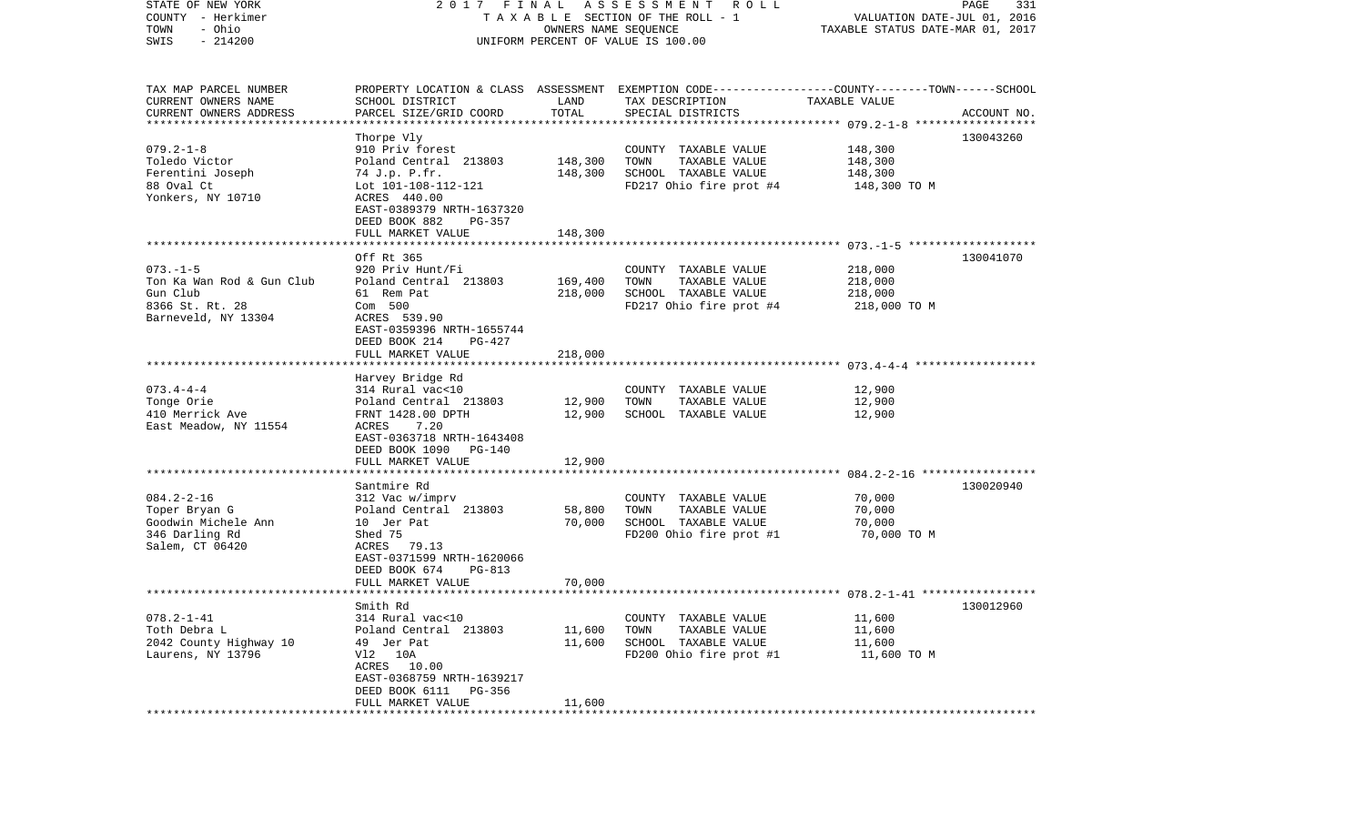| STATE OF NEW YORK<br>COUNTY - Herkimer<br>- Ohio<br>TOWN<br>$-214200$<br>SWIS                     | 2017 FINAL<br>A S S E S S M E N T<br>R O L L<br>TAXABLE SECTION OF THE ROLL - 1<br>OWNERS NAME SEQUENCE<br>UNIFORM PERCENT OF VALUE IS 100.00                                |                            |                                                                                                                    | PAGE<br>331<br>VALUATION DATE-JUL 01, 2016<br>TAXABLE STATUS DATE-MAR 01, 2017 |             |  |
|---------------------------------------------------------------------------------------------------|------------------------------------------------------------------------------------------------------------------------------------------------------------------------------|----------------------------|--------------------------------------------------------------------------------------------------------------------|--------------------------------------------------------------------------------|-------------|--|
| TAX MAP PARCEL NUMBER<br>CURRENT OWNERS NAME                                                      | SCHOOL DISTRICT                                                                                                                                                              | LAND                       | PROPERTY LOCATION & CLASS ASSESSMENT EXEMPTION CODE---------------COUNTY-------TOWN------SCHOOL<br>TAX DESCRIPTION | TAXABLE VALUE                                                                  |             |  |
| CURRENT OWNERS ADDRESS<br>*************************                                               | PARCEL SIZE/GRID COORD                                                                                                                                                       | TOTAL                      | SPECIAL DISTRICTS                                                                                                  |                                                                                | ACCOUNT NO. |  |
|                                                                                                   | Thorpe Vly                                                                                                                                                                   |                            |                                                                                                                    |                                                                                | 130043260   |  |
| $079.2 - 1 - 8$<br>Toledo Victor<br>Ferentini Joseph<br>88 Oval Ct<br>Yonkers, NY 10710           | 910 Priv forest<br>Poland Central 213803<br>74 J.p. P.fr.<br>Lot 101-108-112-121<br>ACRES 440.00<br>EAST-0389379 NRTH-1637320                                                | 148,300<br>148,300         | COUNTY TAXABLE VALUE<br>TOWN<br>TAXABLE VALUE<br>SCHOOL TAXABLE VALUE<br>FD217 Ohio fire prot #4                   | 148,300<br>148,300<br>148,300<br>148,300 TO M                                  |             |  |
|                                                                                                   | DEED BOOK 882<br>PG-357                                                                                                                                                      |                            |                                                                                                                    |                                                                                |             |  |
|                                                                                                   | FULL MARKET VALUE                                                                                                                                                            | 148,300                    |                                                                                                                    |                                                                                |             |  |
| $073. - 1 - 5$<br>Ton Ka Wan Rod & Gun Club<br>Gun Club<br>8366 St. Rt. 28<br>Barneveld, NY 13304 | Off Rt 365<br>920 Priv Hunt/Fi<br>Poland Central 213803<br>61 Rem Pat<br>Com 500<br>ACRES 539.90<br>EAST-0359396 NRTH-1655744<br>DEED BOOK 214<br>PG-427                     | 169,400<br>218,000         | COUNTY TAXABLE VALUE<br>TOWN<br>TAXABLE VALUE<br>SCHOOL TAXABLE VALUE<br>FD217 Ohio fire prot #4                   | 218,000<br>218,000<br>218,000<br>218,000 TO M                                  | 130041070   |  |
|                                                                                                   | FULL MARKET VALUE                                                                                                                                                            | 218,000                    |                                                                                                                    |                                                                                |             |  |
| $073.4 - 4 - 4$<br>Tonge Orie<br>410 Merrick Ave<br>East Meadow, NY 11554                         | Harvey Bridge Rd<br>314 Rural vac<10<br>Poland Central 213803<br>FRNT 1428.00 DPTH<br>ACRES<br>7.20<br>EAST-0363718 NRTH-1643408                                             | 12,900<br>12,900           | COUNTY TAXABLE VALUE<br>TOWN<br>TAXABLE VALUE<br>SCHOOL TAXABLE VALUE                                              | 12,900<br>12,900<br>12,900                                                     |             |  |
|                                                                                                   | DEED BOOK 1090<br>PG-140<br>FULL MARKET VALUE                                                                                                                                | 12,900                     |                                                                                                                    |                                                                                |             |  |
|                                                                                                   | ******************                                                                                                                                                           |                            |                                                                                                                    |                                                                                |             |  |
| $084.2 - 2 - 16$<br>Toper Bryan G<br>Goodwin Michele Ann<br>346 Darling Rd<br>Salem, CT 06420     | Santmire Rd<br>312 Vac w/imprv<br>Poland Central 213803<br>10 Jer Pat<br>Shed 75<br>ACRES 79.13<br>EAST-0371599 NRTH-1620066<br>DEED BOOK 674<br>PG-813<br>FULL MARKET VALUE | 58,800<br>70,000<br>70,000 | COUNTY TAXABLE VALUE<br>TOWN<br>TAXABLE VALUE<br>SCHOOL TAXABLE VALUE<br>FD200 Ohio fire prot #1                   | 70,000<br>70,000<br>70,000<br>70,000 TO M                                      | 130020940   |  |
|                                                                                                   |                                                                                                                                                                              |                            |                                                                                                                    |                                                                                |             |  |
| $078.2 - 1 - 41$<br>Toth Debra L<br>2042 County Highway 10<br>Laurens, NY 13796                   | Smith Rd<br>314 Rural vac<10<br>Poland Central 213803<br>49 Jer Pat<br>V12 10A<br>ACRES 10.00<br>EAST-0368759 NRTH-1639217<br>DEED BOOK 6111<br>PG-356<br>FULL MARKET VALUE  | 11,600<br>11,600<br>11,600 | COUNTY TAXABLE VALUE<br>TOWN<br>TAXABLE VALUE<br>SCHOOL TAXABLE VALUE<br>FD200 Ohio fire prot #1                   | 11,600<br>11,600<br>11,600<br>11,600 TO M                                      | 130012960   |  |
|                                                                                                   | ***********************                                                                                                                                                      |                            |                                                                                                                    |                                                                                |             |  |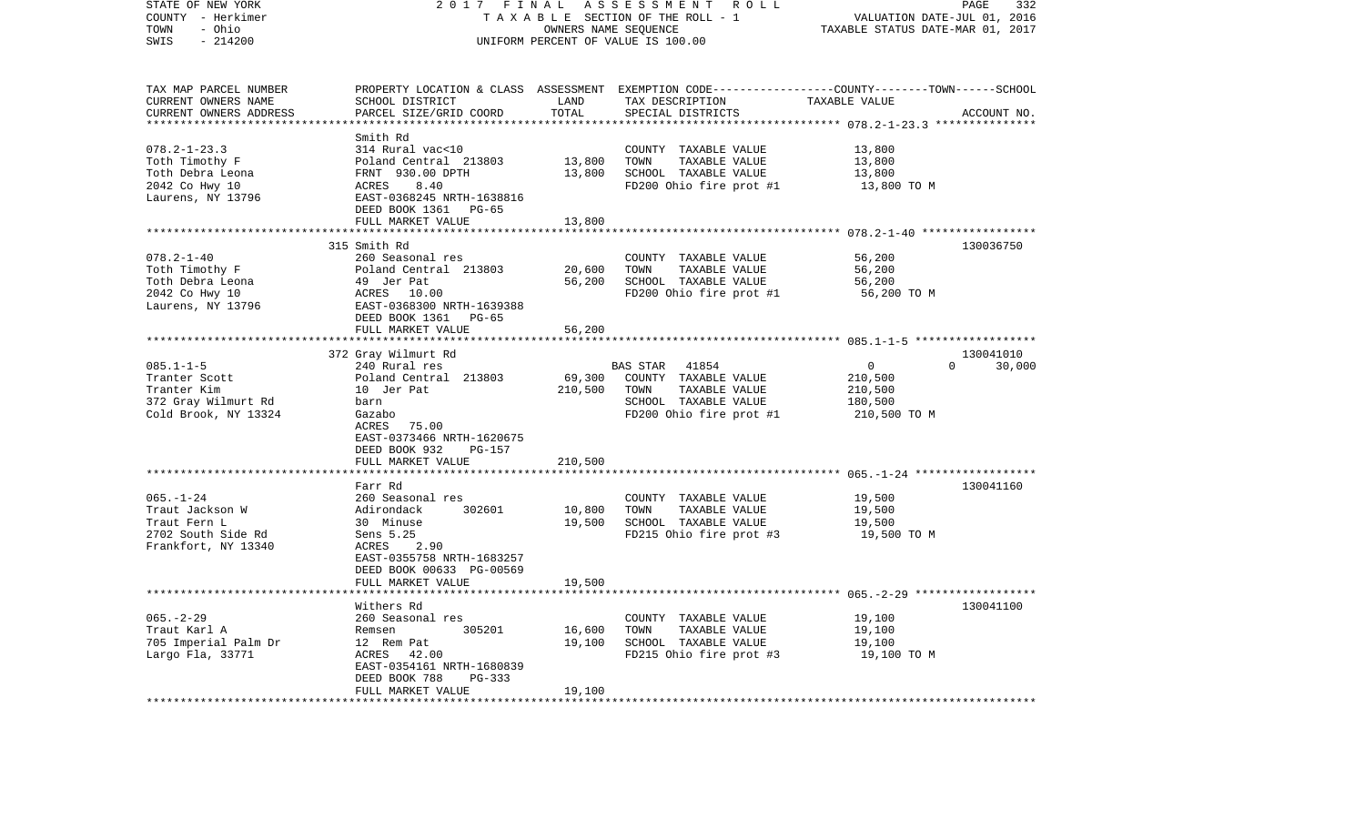| STATE OF NEW YORK<br>COUNTY - Herkimer<br>- Ohio<br>TOWN | 2017 FINAL<br>TAXABLE SECTION OF THE ROLL - 1                         | PAGE<br>332<br>VALUATION DATE-JUL 01, 2016<br>TAXABLE STATUS DATE-MAR 01, 2017 |                                                                                                 |                |               |
|----------------------------------------------------------|-----------------------------------------------------------------------|--------------------------------------------------------------------------------|-------------------------------------------------------------------------------------------------|----------------|---------------|
| $-214200$<br>SWIS                                        |                                                                       |                                                                                | UNIFORM PERCENT OF VALUE IS 100.00                                                              |                |               |
| TAX MAP PARCEL NUMBER                                    |                                                                       |                                                                                | PROPERTY LOCATION & CLASS ASSESSMENT EXEMPTION CODE---------------COUNTY-------TOWN------SCHOOL |                |               |
| CURRENT OWNERS NAME<br>CURRENT OWNERS ADDRESS            | SCHOOL DISTRICT<br>PARCEL SIZE/GRID COORD                             | LAND<br>TOTAL                                                                  | TAX DESCRIPTION<br>SPECIAL DISTRICTS                                                            | TAXABLE VALUE  | ACCOUNT NO.   |
|                                                          |                                                                       |                                                                                |                                                                                                 |                |               |
|                                                          | Smith Rd                                                              |                                                                                |                                                                                                 |                |               |
| $078.2 - 1 - 23.3$                                       | 314 Rural vac<10                                                      |                                                                                | COUNTY TAXABLE VALUE                                                                            | 13,800         |               |
| Toth Timothy F                                           | Poland Central 213803                                                 | 13,800                                                                         | TOWN<br>TAXABLE VALUE                                                                           | 13,800         |               |
| Toth Debra Leona                                         | FRNT 930.00 DPTH                                                      | 13,800                                                                         | SCHOOL TAXABLE VALUE                                                                            | 13,800         |               |
| 2042 Co Hwy 10                                           | ACRES<br>8.40                                                         |                                                                                | FD200 Ohio fire prot #1                                                                         | 13,800 TO M    |               |
| Laurens, NY 13796                                        | EAST-0368245 NRTH-1638816                                             |                                                                                |                                                                                                 |                |               |
|                                                          | DEED BOOK 1361 PG-65                                                  |                                                                                |                                                                                                 |                |               |
|                                                          | FULL MARKET VALUE                                                     | 13,800                                                                         |                                                                                                 |                |               |
|                                                          | ***************************                                           |                                                                                |                                                                                                 |                |               |
| $078.2 - 1 - 40$                                         | 315 Smith Rd<br>260 Seasonal res                                      |                                                                                |                                                                                                 | 56,200         | 130036750     |
|                                                          | Poland Central 213803                                                 | 20,600                                                                         | COUNTY TAXABLE VALUE<br>TOWN<br>TAXABLE VALUE                                                   | 56,200         |               |
| Toth Timothy F<br>Toth Debra Leona                       |                                                                       | 56,200                                                                         | SCHOOL TAXABLE VALUE                                                                            | 56,200         |               |
|                                                          |                                                                       |                                                                                | FD200 Ohio fire prot #1                                                                         | 56,200 ТО М    |               |
| Toth Debra Leona<br>2042 Co Hwy 10<br>Laurens, NY 13796  | 49 Jersey<br>ACRES 10.00<br>-- 0368300 J<br>EAST-0368300 NRTH-1639388 |                                                                                |                                                                                                 |                |               |
|                                                          | DEED BOOK 1361 PG-65                                                  |                                                                                |                                                                                                 |                |               |
|                                                          | FULL MARKET VALUE                                                     | 56,200                                                                         |                                                                                                 |                |               |
|                                                          |                                                                       | ***********                                                                    |                                                                                                 |                |               |
|                                                          | 372 Gray Wilmurt Rd                                                   |                                                                                |                                                                                                 |                | 130041010     |
| $085.1 - 1 - 5$                                          | 240 Rural res                                                         |                                                                                | BAS STAR<br>41854                                                                               | $\overline{0}$ | $0 \t 30,000$ |
| Tranter Scott                                            | Poland Central 213803                                                 | 69,300                                                                         | COUNTY TAXABLE VALUE                                                                            | 210,500        |               |
| Tranter Kim                                              | 10 Jer Pat                                                            | 210,500                                                                        | TOWN<br>TAXABLE VALUE                                                                           | 210,500        |               |
| 372 Gray Wilmurt Rd                                      | barn                                                                  |                                                                                | SCHOOL TAXABLE VALUE                                                                            | 180,500        |               |
| Cold Brook, NY 13324                                     | Gazabo                                                                |                                                                                | FD200 Ohio fire prot #1                                                                         | 210,500 TO M   |               |
|                                                          | ACRES<br>75.00                                                        |                                                                                |                                                                                                 |                |               |
|                                                          | EAST-0373466 NRTH-1620675                                             |                                                                                |                                                                                                 |                |               |
|                                                          | DEED BOOK 932<br>PG-157<br>FULL MARKET VALUE                          | 210,500                                                                        |                                                                                                 |                |               |
|                                                          | ***********************                                               |                                                                                |                                                                                                 |                |               |
|                                                          | Farr Rd                                                               |                                                                                |                                                                                                 |                | 130041160     |
| $065. - 1 - 24$                                          | 260 Seasonal res                                                      |                                                                                | COUNTY TAXABLE VALUE                                                                            | 19,500         |               |
| Traut Jackson W                                          | Adirondack<br>302601                                                  | 10,800                                                                         | TOWN<br>TAXABLE VALUE                                                                           | 19,500         |               |
| Traut Fern L                                             | 30 Minuse                                                             | 19,500                                                                         | SCHOOL TAXABLE VALUE                                                                            | 19,500         |               |
| 2702 South Side Rd                                       | Sens 5.25                                                             |                                                                                | FD215 Ohio fire prot #3                                                                         | 19,500 TO M    |               |
| Frankfort, NY 13340                                      | ACRES<br>2.90                                                         |                                                                                |                                                                                                 |                |               |
|                                                          | EAST-0355758 NRTH-1683257                                             |                                                                                |                                                                                                 |                |               |
|                                                          | DEED BOOK 00633 PG-00569                                              |                                                                                |                                                                                                 |                |               |
|                                                          | FULL MARKET VALUE                                                     | 19,500                                                                         |                                                                                                 |                |               |
|                                                          |                                                                       |                                                                                |                                                                                                 |                |               |
|                                                          | Withers Rd                                                            |                                                                                |                                                                                                 |                | 130041100     |
| $065. - 2 - 29$                                          | 260 Seasonal res                                                      |                                                                                | COUNTY TAXABLE VALUE                                                                            | 19,100         |               |
| Traut Karl A                                             | 305201<br>Remsen                                                      | 16,600                                                                         | TOWN<br>TAXABLE VALUE                                                                           | 19,100         |               |
| 705 Imperial Palm Dr                                     | 12 Rem Pat                                                            | 19,100                                                                         | SCHOOL TAXABLE VALUE                                                                            | 19,100         |               |
| Largo Fla, 33771                                         | ACRES 42.00                                                           |                                                                                | FD215 Ohio fire prot #3                                                                         | 19,100 TO M    |               |
|                                                          | EAST-0354161 NRTH-1680839                                             |                                                                                |                                                                                                 |                |               |
|                                                          | DEED BOOK 788<br>PG-333<br>FULL MARKET VALUE                          | 19,100                                                                         |                                                                                                 |                |               |
|                                                          |                                                                       |                                                                                |                                                                                                 |                |               |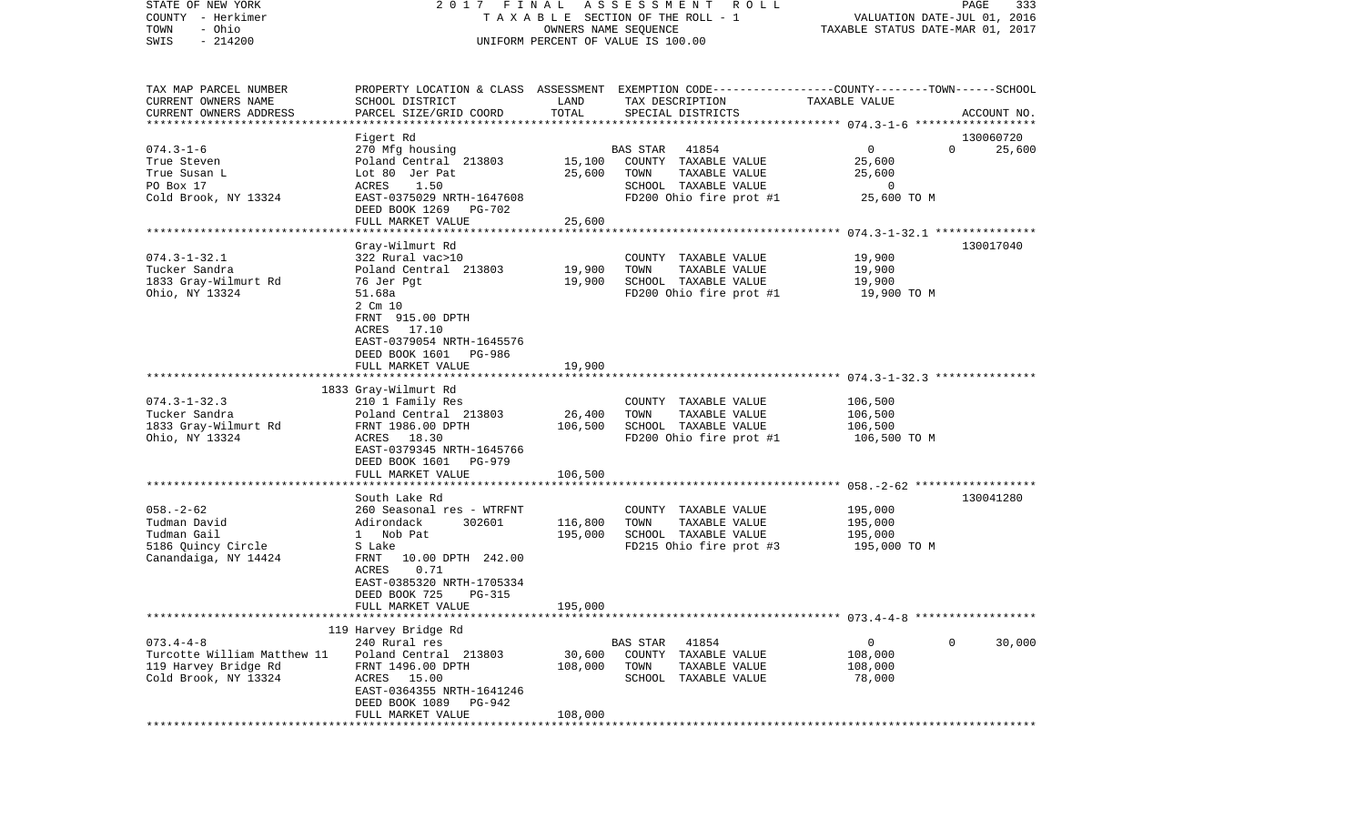| STATE OF NEW YORK<br>COUNTY - Herkimer<br>- Ohio<br>TOWN<br>$-214200$<br>SWIS                       |                                                    | OWNERS NAME SEQUENCE | 2017 FINAL ASSESSMENT ROLL<br>TAXABLE SECTION OF THE ROLL - 1<br>UNIFORM PERCENT OF VALUE IS 100.00                                    | VALUATION DATE-JUL 01, 2016<br>TAXABLE STATUS DATE-MAR 01, 2017 | PAGE<br>333        |
|-----------------------------------------------------------------------------------------------------|----------------------------------------------------|----------------------|----------------------------------------------------------------------------------------------------------------------------------------|-----------------------------------------------------------------|--------------------|
| TAX MAP PARCEL NUMBER<br>CURRENT OWNERS NAME<br>CURRENT OWNERS ADDRESS<br>************************* | SCHOOL DISTRICT<br>PARCEL SIZE/GRID COORD          | LAND<br>TOTAL        | PROPERTY LOCATION & CLASS ASSESSMENT EXEMPTION CODE---------------COUNTY-------TOWN-----SCHOOL<br>TAX DESCRIPTION<br>SPECIAL DISTRICTS | TAXABLE VALUE                                                   | ACCOUNT NO.        |
|                                                                                                     | Figert Rd                                          |                      |                                                                                                                                        |                                                                 | 130060720          |
| $074.3 - 1 - 6$                                                                                     | 270 Mfg housing                                    |                      | 41854<br><b>BAS STAR</b>                                                                                                               | $\mathbf{0}$                                                    | $\Omega$<br>25,600 |
| True Steven                                                                                         | Poland Central 213803                              | 15,100               | COUNTY TAXABLE VALUE                                                                                                                   | 25,600                                                          |                    |
| True Susan L                                                                                        | Lot 80 Jer Pat                                     | 25,600               | TAXABLE VALUE<br>TOWN                                                                                                                  | 25,600                                                          |                    |
| PO Box 17                                                                                           | 1.50<br>ACRES                                      |                      | SCHOOL TAXABLE VALUE                                                                                                                   | $\overline{0}$                                                  |                    |
| Cold Brook, NY 13324                                                                                | EAST-0375029 NRTH-1647608<br>DEED BOOK 1269 PG-702 |                      | FD200 Ohio fire prot #1                                                                                                                | 25,600 TO M                                                     |                    |
|                                                                                                     | FULL MARKET VALUE                                  | 25,600               |                                                                                                                                        |                                                                 |                    |
|                                                                                                     |                                                    |                      |                                                                                                                                        |                                                                 |                    |
|                                                                                                     | Gray-Wilmurt Rd                                    |                      |                                                                                                                                        |                                                                 | 130017040          |
| $074.3 - 1 - 32.1$<br>Tucker Sandra                                                                 | 322 Rural vac>10                                   |                      | COUNTY TAXABLE VALUE                                                                                                                   | 19,900                                                          |                    |
| 1833 Gray-Wilmurt Rd                                                                                | Poland Central 213803<br>76 Jer Pgt                | 19,900<br>19,900     | TAXABLE VALUE<br>TOWN<br>SCHOOL TAXABLE VALUE                                                                                          | 19,900<br>19,900                                                |                    |
| Ohio, NY 13324                                                                                      | 51.68a                                             |                      | FD200 Ohio fire prot #1                                                                                                                | 19,900 TO M                                                     |                    |
|                                                                                                     | 2 Cm 10                                            |                      |                                                                                                                                        |                                                                 |                    |
|                                                                                                     | FRNT 915.00 DPTH                                   |                      |                                                                                                                                        |                                                                 |                    |
|                                                                                                     | ACRES 17.10                                        |                      |                                                                                                                                        |                                                                 |                    |
|                                                                                                     | EAST-0379054 NRTH-1645576                          |                      |                                                                                                                                        |                                                                 |                    |
|                                                                                                     | DEED BOOK 1601 PG-986                              |                      |                                                                                                                                        |                                                                 |                    |
|                                                                                                     | FULL MARKET VALUE                                  | 19,900               |                                                                                                                                        |                                                                 |                    |
|                                                                                                     |                                                    |                      |                                                                                                                                        |                                                                 |                    |
|                                                                                                     | 1833 Gray-Wilmurt Rd                               |                      |                                                                                                                                        |                                                                 |                    |
| $074.3 - 1 - 32.3$                                                                                  | 210 1 Family Res                                   |                      | COUNTY TAXABLE VALUE                                                                                                                   | 106,500                                                         |                    |
| Tucker Sandra<br>1833 Gray-Wilmurt Rd                                                               | Poland Central 213803<br>FRNT 1986.00 DPTH         | 26,400<br>106,500    | TOWN<br>TAXABLE VALUE<br>SCHOOL TAXABLE VALUE                                                                                          | 106,500<br>106,500                                              |                    |
| Ohio, NY 13324                                                                                      | ACRES 18.30                                        |                      | FD200 Ohio fire prot #1                                                                                                                | 106,500 ТО М                                                    |                    |
|                                                                                                     | EAST-0379345 NRTH-1645766                          |                      |                                                                                                                                        |                                                                 |                    |
|                                                                                                     | DEED BOOK 1601 PG-979                              |                      |                                                                                                                                        |                                                                 |                    |
|                                                                                                     | FULL MARKET VALUE                                  | 106,500              |                                                                                                                                        |                                                                 |                    |
|                                                                                                     |                                                    |                      |                                                                                                                                        |                                                                 |                    |
|                                                                                                     | South Lake Rd                                      |                      |                                                                                                                                        |                                                                 | 130041280          |
| $058. - 2 - 62$                                                                                     | 260 Seasonal res - WTRFNT                          |                      | COUNTY TAXABLE VALUE                                                                                                                   | 195,000                                                         |                    |
| Tudman David                                                                                        | Adirondack<br>302601                               | 116,800              | TOWN<br>TAXABLE VALUE                                                                                                                  | 195,000                                                         |                    |
| Tudman Gail                                                                                         | 1 Nob Pat                                          | 195,000              | SCHOOL TAXABLE VALUE                                                                                                                   | 195,000                                                         |                    |
| 5186 Quincy Circle                                                                                  | S Lake<br>FRNT 10.00 DPTH 242.00                   |                      | FD215 Ohio fire prot #3                                                                                                                | 195,000 TO M                                                    |                    |
| Canandaiga, NY 14424                                                                                | ACRES<br>0.71                                      |                      |                                                                                                                                        |                                                                 |                    |
|                                                                                                     | EAST-0385320 NRTH-1705334                          |                      |                                                                                                                                        |                                                                 |                    |
|                                                                                                     | DEED BOOK 725<br>PG-315                            |                      |                                                                                                                                        |                                                                 |                    |
|                                                                                                     | FULL MARKET VALUE                                  | 195,000              |                                                                                                                                        |                                                                 |                    |
|                                                                                                     |                                                    |                      |                                                                                                                                        |                                                                 |                    |
|                                                                                                     | 119 Harvey Bridge Rd                               |                      |                                                                                                                                        |                                                                 |                    |
| $073.4 - 4 - 8$                                                                                     | 240 Rural res                                      |                      | <b>BAS STAR</b><br>41854                                                                                                               | $\mathbf 0$                                                     | $\circ$<br>30,000  |
| Turcotte William Matthew 11                                                                         | Poland Central 213803                              | 30,600               | COUNTY TAXABLE VALUE                                                                                                                   | 108,000                                                         |                    |
| 119 Harvey Bridge Rd                                                                                | FRNT 1496.00 DPTH                                  | 108,000              | TOWN<br>TAXABLE VALUE                                                                                                                  | 108,000                                                         |                    |
| Cold Brook, NY 13324                                                                                | ACRES 15.00                                        |                      | SCHOOL TAXABLE VALUE                                                                                                                   | 78,000                                                          |                    |
|                                                                                                     | EAST-0364355 NRTH-1641246                          |                      |                                                                                                                                        |                                                                 |                    |
|                                                                                                     | DEED BOOK 1089 PG-942                              |                      |                                                                                                                                        |                                                                 |                    |
|                                                                                                     | FULL MARKET VALUE                                  | 108,000              |                                                                                                                                        |                                                                 |                    |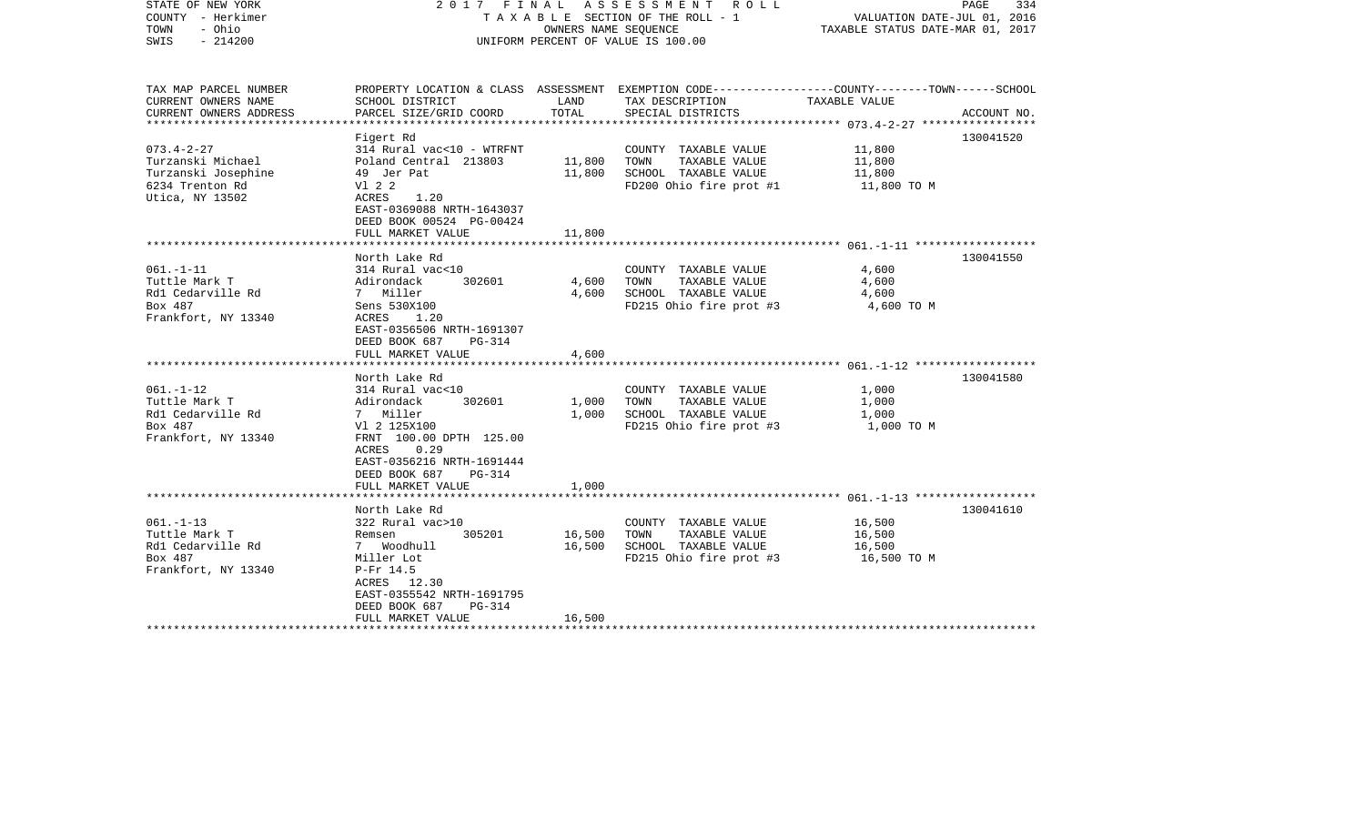| STATE OF NEW YORK<br>COUNTY - Herkimer<br>- Ohio<br>TOWN<br>$-214200$<br>SWIS                      |                                                                                                                                                                                                | OWNERS NAME SEQUENCE       | 2017 FINAL ASSESSMENT ROLL<br>TAXABLE SECTION OF THE ROLL - 1<br>UNIFORM PERCENT OF VALUE IS 100.00                                      | VALUATION DATE-JUL 01, 2016<br>TAXABLE STATUS DATE-MAR 01, 2017 | PAGE<br>334 |
|----------------------------------------------------------------------------------------------------|------------------------------------------------------------------------------------------------------------------------------------------------------------------------------------------------|----------------------------|------------------------------------------------------------------------------------------------------------------------------------------|-----------------------------------------------------------------|-------------|
| TAX MAP PARCEL NUMBER<br>CURRENT OWNERS NAME<br>CURRENT OWNERS ADDRESS                             | SCHOOL DISTRICT<br>PARCEL SIZE/GRID COORD                                                                                                                                                      | LAND<br>TOTAL              | PROPERTY LOCATION & CLASS ASSESSMENT EXEMPTION CODE----------------COUNTY-------TOWN------SCHOOL<br>TAX DESCRIPTION<br>SPECIAL DISTRICTS | TAXABLE VALUE                                                   | ACCOUNT NO. |
| $073.4 - 2 - 27$<br>Turzanski Michael<br>Turzanski Josephine<br>6234 Trenton Rd<br>Utica, NY 13502 | Figert Rd<br>314 Rural vac<10 - WTRFNT<br>Poland Central 213803<br>49 Jer Pat<br>V1 2 2<br>ACRES<br>1.20<br>EAST-0369088 NRTH-1643037<br>DEED BOOK 00524 PG-00424<br>FULL MARKET VALUE         | 11,800<br>11,800<br>11,800 | COUNTY TAXABLE VALUE<br>TAXABLE VALUE<br>TOWN<br>SCHOOL TAXABLE VALUE<br>FD200 Ohio fire prot #1                                         | 11,800<br>11,800<br>11,800<br>11,800 TO M                       | 130041520   |
|                                                                                                    |                                                                                                                                                                                                |                            |                                                                                                                                          |                                                                 |             |
| $061. - 1 - 11$<br>Tuttle Mark T<br>Rd1 Cedarville Rd<br>Box 487<br>Frankfort, NY 13340            | North Lake Rd<br>314 Rural vac<10<br>Adirondack<br>302601<br>7 Miller<br>Sens 530X100<br>ACRES<br>1.20<br>EAST-0356506 NRTH-1691307<br>DEED BOOK 687<br>$PG-314$<br>FULL MARKET VALUE          | 4,600<br>4,600<br>4,600    | COUNTY TAXABLE VALUE<br>TAXABLE VALUE<br>TOWN<br>SCHOOL TAXABLE VALUE<br>FD215 Ohio fire prot #3                                         | 4,600<br>4,600<br>4,600<br>4,600 TO M                           | 130041550   |
|                                                                                                    | North Lake Rd                                                                                                                                                                                  |                            |                                                                                                                                          |                                                                 | 130041580   |
| $061. - 1 - 12$<br>Tuttle Mark T<br>Rd1 Cedarville Rd<br>Box 487<br>Frankfort, NY 13340            | 314 Rural vac<10<br>Adirondack<br>302601<br>7 Miller<br>V1 2 125X100<br>FRNT 100.00 DPTH 125.00<br>0.29<br>ACRES<br>EAST-0356216 NRTH-1691444<br>DEED BOOK 687<br>PG-314<br>FULL MARKET VALUE  | 1,000<br>1,000<br>1,000    | COUNTY TAXABLE VALUE<br>TOWN<br>TAXABLE VALUE<br>SCHOOL TAXABLE VALUE<br>FD215 Ohio fire prot #3                                         | 1,000<br>1,000<br>1,000<br>1,000 TO M                           |             |
|                                                                                                    |                                                                                                                                                                                                |                            |                                                                                                                                          |                                                                 |             |
| $061. - 1 - 13$<br>Tuttle Mark T<br>Rd1 Cedarville Rd<br>Box 487<br>Frankfort, NY 13340            | North Lake Rd<br>322 Rural vac>10<br>Remsen<br>305201<br>7 Woodhull<br>Miller Lot<br>$P-Fr$ 14.5<br>ACRES 12.30<br>EAST-0355542 NRTH-1691795<br>DEED BOOK 687<br>$PG-314$<br>FULL MARKET VALUE | 16,500<br>16,500<br>16,500 | COUNTY TAXABLE VALUE<br>TAXABLE VALUE<br>TOWN<br>SCHOOL TAXABLE VALUE<br>FD215 Ohio fire prot #3                                         | 16,500<br>16,500<br>16,500<br>16,500 TO M                       | 130041610   |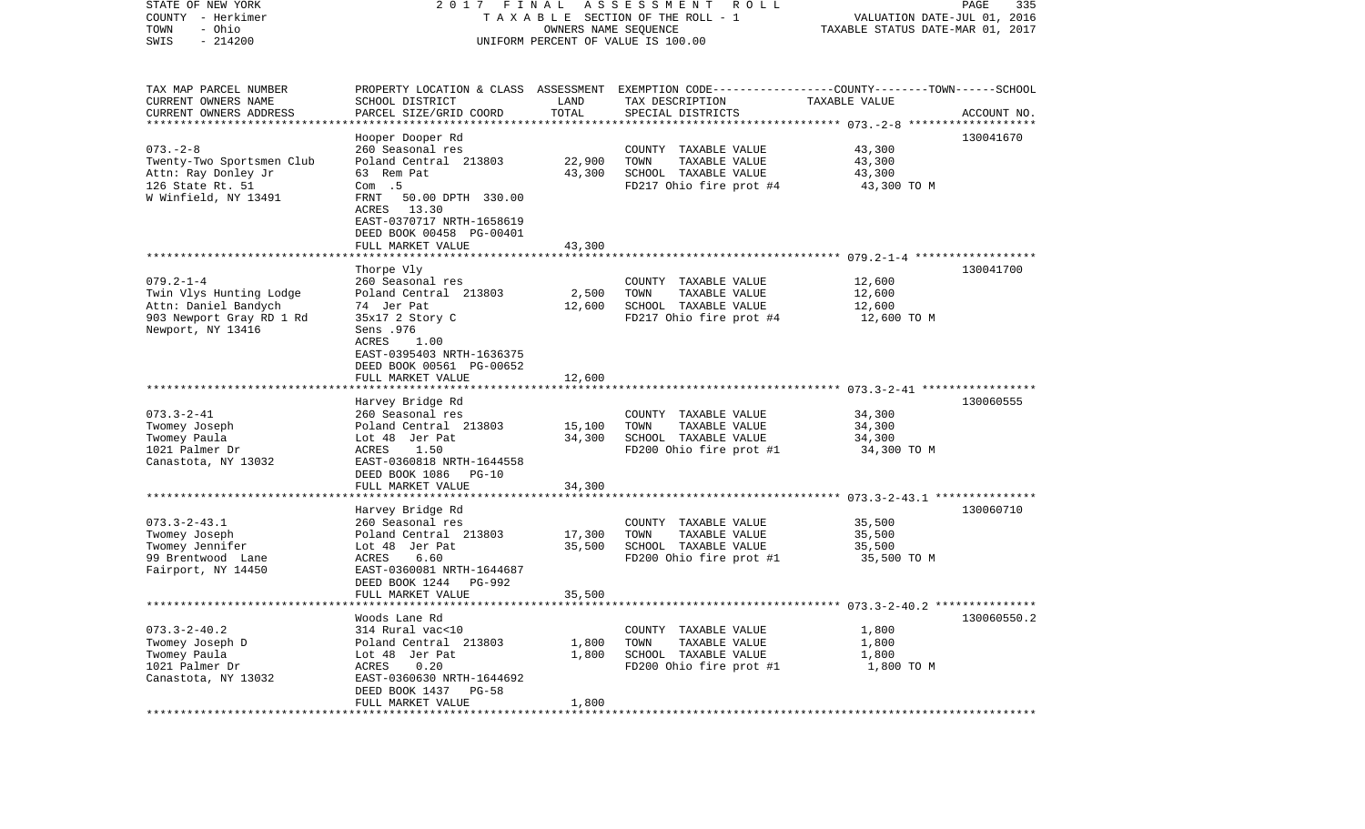| COUNTY<br>- Herkimer<br>TOWN<br>- Ohio<br>SWIS<br>$-214200$                                                         | TAXABLE SECTION OF THE ROLL - 1<br>UNIFORM PERCENT OF VALUE IS 100.00                                                                                                                     | VALUATION DATE-JUL 01, 2016<br>TAXABLE STATUS DATE-MAR 01, 2017 |                                                                                                                    |                                                        |              |
|---------------------------------------------------------------------------------------------------------------------|-------------------------------------------------------------------------------------------------------------------------------------------------------------------------------------------|-----------------------------------------------------------------|--------------------------------------------------------------------------------------------------------------------|--------------------------------------------------------|--------------|
| TAX MAP PARCEL NUMBER<br>CURRENT OWNERS NAME                                                                        | SCHOOL DISTRICT                                                                                                                                                                           | LAND                                                            | PROPERTY LOCATION & CLASS ASSESSMENT EXEMPTION CODE---------------COUNTY-------TOWN------SCHOOL<br>TAX DESCRIPTION | TAXABLE VALUE                                          |              |
| CURRENT OWNERS ADDRESS                                                                                              | PARCEL SIZE/GRID COORD                                                                                                                                                                    | TOTAL                                                           | SPECIAL DISTRICTS                                                                                                  |                                                        | ACCOUNT NO.  |
| **********************                                                                                              | ************************                                                                                                                                                                  |                                                                 |                                                                                                                    |                                                        | ************ |
| $073. - 2 - 8$<br>Twenty-Two Sportsmen Club<br>Attn: Ray Donley Jr<br>126 State Rt. 51<br>W Winfield, NY 13491      | Hooper Dooper Rd<br>260 Seasonal res<br>Poland Central 213803<br>63 Rem Pat<br>Com.5<br>FRNT<br>50.00 DPTH 330.00<br>ACRES<br>13.30                                                       | 22,900<br>43,300                                                | COUNTY TAXABLE VALUE<br>TOWN<br>TAXABLE VALUE<br>SCHOOL TAXABLE VALUE<br>FD217 Ohio fire prot #4                   | 43,300<br>43,300<br>43,300<br>43,300 TO M              | 130041670    |
|                                                                                                                     | EAST-0370717 NRTH-1658619<br>DEED BOOK 00458 PG-00401<br>FULL MARKET VALUE                                                                                                                | 43,300                                                          |                                                                                                                    |                                                        |              |
|                                                                                                                     | Thorpe Vly                                                                                                                                                                                |                                                                 |                                                                                                                    |                                                        | 130041700    |
| $079.2 - 1 - 4$<br>Twin Vlys Hunting Lodge<br>Attn: Daniel Bandych<br>903 Newport Gray RD 1 Rd<br>Newport, NY 13416 | 260 Seasonal res<br>Poland Central 213803<br>74 Jer Pat<br>35x17 2 Story C<br>Sens .976<br>ACRES<br>1.00                                                                                  | 2,500<br>12,600                                                 | COUNTY TAXABLE VALUE<br>TOWN<br>TAXABLE VALUE<br>SCHOOL TAXABLE VALUE<br>FD217 Ohio fire prot #4                   | 12,600<br>12,600<br>12,600<br>12,600 TO M              |              |
|                                                                                                                     | EAST-0395403 NRTH-1636375<br>DEED BOOK 00561 PG-00652<br>FULL MARKET VALUE                                                                                                                | 12,600                                                          |                                                                                                                    |                                                        |              |
|                                                                                                                     | Harvey Bridge Rd                                                                                                                                                                          |                                                                 |                                                                                                                    |                                                        | 130060555    |
| $073.3 - 2 - 41$<br>Twomey Joseph<br>Twomey Paula<br>1021 Palmer Dr<br>Canastota, NY 13032                          | 260 Seasonal res<br>Poland Central 213803<br>Lot 48 Jer Pat<br>1.50<br>ACRES<br>EAST-0360818 NRTH-1644558<br>DEED BOOK 1086<br>$PG-10$<br>FULL MARKET VALUE<br>************************** | 15,100<br>34,300<br>34,300                                      | COUNTY TAXABLE VALUE<br>TOWN<br>TAXABLE VALUE<br>SCHOOL TAXABLE VALUE<br>FD200 Ohio fire prot #1                   | 34,300<br>34,300<br>34,300<br>34,300 TO M              |              |
|                                                                                                                     | Harvey Bridge Rd                                                                                                                                                                          |                                                                 |                                                                                                                    |                                                        | 130060710    |
| $073.3 - 2 - 43.1$<br>Twomey Joseph<br>Twomey Jennifer<br>99 Brentwood Lane<br>Fairport, NY 14450                   | 260 Seasonal res<br>Poland Central 213803<br>Lot 48 Jer Pat<br>6.60<br>ACRES<br>EAST-0360081 NRTH-1644687<br>DEED BOOK 1244<br>PG-992                                                     | 17,300<br>35,500                                                | COUNTY TAXABLE VALUE<br>TOWN<br>TAXABLE VALUE<br>SCHOOL TAXABLE VALUE<br>FD200 Ohio fire prot #1                   | 35,500<br>35,500<br>35,500<br>35,500 TO M              |              |
|                                                                                                                     | FULL MARKET VALUE                                                                                                                                                                         | 35,500                                                          |                                                                                                                    |                                                        |              |
|                                                                                                                     | ****************                                                                                                                                                                          | ********                                                        |                                                                                                                    | ************************* 073.3-2-40.2 *************** |              |
| $073.3 - 2 - 40.2$<br>Twomey Joseph D<br>Twomey Paula<br>1021 Palmer Dr<br>Canastota, NY 13032                      | Woods Lane Rd<br>314 Rural vac<10<br>Poland Central 213803<br>Lot 48 Jer Pat<br>0.20<br>ACRES<br>EAST-0360630 NRTH-1644692<br>DEED BOOK 1437<br>$PG-58$                                   | 1,800<br>1,800                                                  | COUNTY TAXABLE VALUE<br>TOWN<br>TAXABLE VALUE<br>SCHOOL TAXABLE VALUE<br>FD200 Ohio fire prot #1                   | 1,800<br>1,800<br>1,800<br>1,800 TO M                  | 130060550.2  |
| ***********************                                                                                             | FULL MARKET VALUE<br>********************************                                                                                                                                     | 1,800                                                           |                                                                                                                    |                                                        |              |

STATE OF NEW YORK 2 0 1 7 F I N A L A S S E S S M E N T R O L L PAGE 335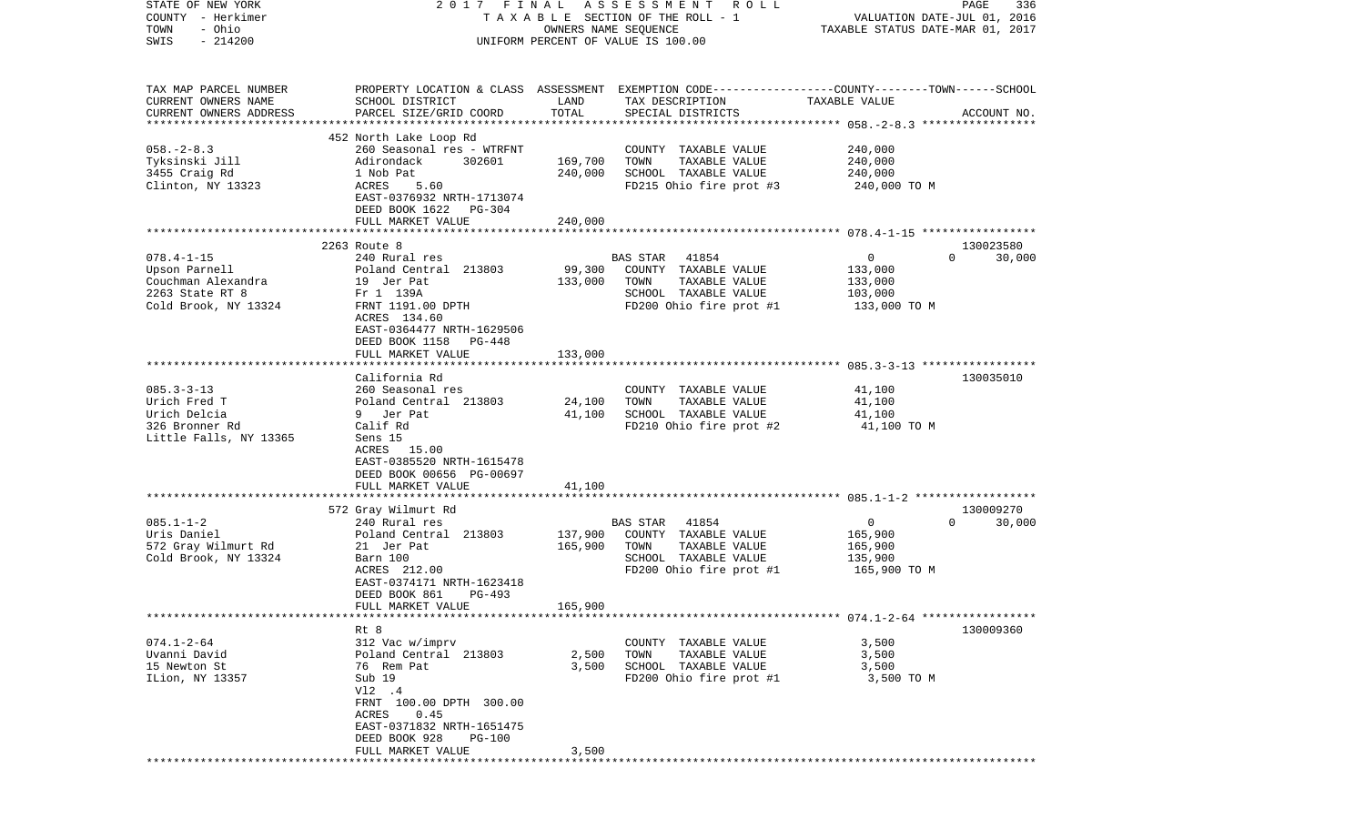| STATE OF NEW YORK<br>COUNTY - Herkimer<br>- Ohio<br>TOWN<br>$-214200$<br>SWIS                      |                                                                                                                                                                                                      |                               | 2017 FINAL ASSESSMENT ROLL<br>TAXABLE SECTION OF THE ROLL - 1<br>OWNERS NAME SEQUENCE<br>UNIFORM PERCENT OF VALUE IS 100.00 | VALUATION DATE-JUL 01, 2016<br>TAXABLE STATUS DATE-MAR 01, 2017 | PAGE<br>336                     |
|----------------------------------------------------------------------------------------------------|------------------------------------------------------------------------------------------------------------------------------------------------------------------------------------------------------|-------------------------------|-----------------------------------------------------------------------------------------------------------------------------|-----------------------------------------------------------------|---------------------------------|
| TAX MAP PARCEL NUMBER<br>CURRENT OWNERS NAME<br>CURRENT OWNERS ADDRESS                             | PROPERTY LOCATION & CLASS ASSESSMENT EXEMPTION CODE----------------COUNTY-------TOWN------SCHOOL<br>SCHOOL DISTRICT<br>PARCEL SIZE/GRID COORD                                                        | LAND<br>TOTAL                 | TAX DESCRIPTION<br>SPECIAL DISTRICTS                                                                                        | TAXABLE VALUE                                                   | ACCOUNT NO.                     |
| $058. - 2 - 8.3$<br>Tyksinski Jill<br>3455 Craig Rd<br>Clinton, NY 13323                           | 452 North Lake Loop Rd<br>260 Seasonal res - WTRFNT<br>302601<br>Adirondack<br>1 Nob Pat<br>ACRES<br>5.60<br>EAST-0376932 NRTH-1713074<br>DEED BOOK 1622 PG-304<br>FULL MARKET VALUE                 | 169,700<br>240,000<br>240,000 | COUNTY TAXABLE VALUE<br>TOWN<br>TAXABLE VALUE<br>SCHOOL TAXABLE VALUE<br>FD215 Ohio fire prot #3                            | 240,000<br>240,000<br>240,000<br>240,000 TO M                   |                                 |
|                                                                                                    |                                                                                                                                                                                                      |                               |                                                                                                                             |                                                                 |                                 |
| $078.4 - 1 - 15$<br>Upson Parnell<br>Couchman Alexandra<br>2263 State RT 8<br>Cold Brook, NY 13324 | 2263 Route 8<br>240 Rural res<br>Poland Central 213803<br>19 Jer Pat<br>Fr 1 139A<br>FRNT 1191.00 DPTH<br>ACRES 134.60<br>EAST-0364477 NRTH-1629506<br>DEED BOOK 1158<br>PG-448<br>FULL MARKET VALUE | 99,300<br>133,000<br>133,000  | BAS STAR 41854<br>COUNTY TAXABLE VALUE<br>TAXABLE VALUE<br>TOWN<br>SCHOOL TAXABLE VALUE<br>FD200 Ohio fire prot #1          | $\mathbf{0}$<br>133,000<br>133,000<br>103,000<br>133,000 TO M   | 130023580<br>$\Omega$<br>30,000 |
|                                                                                                    |                                                                                                                                                                                                      |                               |                                                                                                                             |                                                                 |                                 |
| $085.3 - 3 - 13$<br>Urich Fred T<br>Urich Delcia<br>326 Bronner Rd<br>Little Falls, NY 13365       | California Rd<br>260 Seasonal res<br>Poland Central 213803<br>9 Jer Pat<br>Calif Rd<br>Sens 15<br>ACRES 15.00<br>EAST-0385520 NRTH-1615478<br>DEED BOOK 00656 PG-00697<br>FULL MARKET VALUE          | 24,100<br>41,100<br>41,100    | COUNTY TAXABLE VALUE<br>TAXABLE VALUE<br>TOWN<br>SCHOOL TAXABLE VALUE<br>FD210 Ohio fire prot #2                            | 41,100<br>41,100<br>41,100<br>41,100 TO M                       | 130035010                       |
|                                                                                                    | 572 Gray Wilmurt Rd                                                                                                                                                                                  |                               |                                                                                                                             |                                                                 | 130009270                       |
| $085.1 - 1 - 2$<br>Uris Daniel<br>572 Gray Wilmurt Rd<br>Cold Brook, NY 13324                      | 240 Rural res<br>Poland Central 213803<br>21 Jer Pat<br>Barn 100<br>ACRES 212.00<br>EAST-0374171 NRTH-1623418<br>DEED BOOK 861<br>$PG-493$                                                           | 137,900<br>165,900            | BAS STAR<br>41854<br>COUNTY TAXABLE VALUE<br>TAXABLE VALUE<br>TOWN<br>SCHOOL TAXABLE VALUE<br>FD200 Ohio fire prot #1       | 0<br>165,900<br>165,900<br>135,900<br>165,900 TO M              | $\Omega$<br>30,000              |
|                                                                                                    | FULL MARKET VALUE                                                                                                                                                                                    | 165,900                       |                                                                                                                             |                                                                 |                                 |
| $074.1 - 2 - 64$<br>Uvanni David<br>15 Newton St<br>ILion, NY 13357                                | Rt 8<br>312 Vac w/imprv<br>Poland Central 213803<br>76 Rem Pat<br>Sub 19<br>V12 .4<br>FRNT 100.00 DPTH 300.00<br>ACRES 0.45<br>EAST-0371832 NRTH-1651475<br>DEED BOOK 928<br>PG-100                  | 2,500<br>3,500                | COUNTY TAXABLE VALUE<br>TOWN<br>TAXABLE VALUE<br>SCHOOL TAXABLE VALUE<br>FD200 Ohio fire prot #1                            | 3,500<br>3,500<br>3,500<br>3,500 TO M                           | 130009360                       |
|                                                                                                    | FULL MARKET VALUE                                                                                                                                                                                    | 3,500                         |                                                                                                                             |                                                                 |                                 |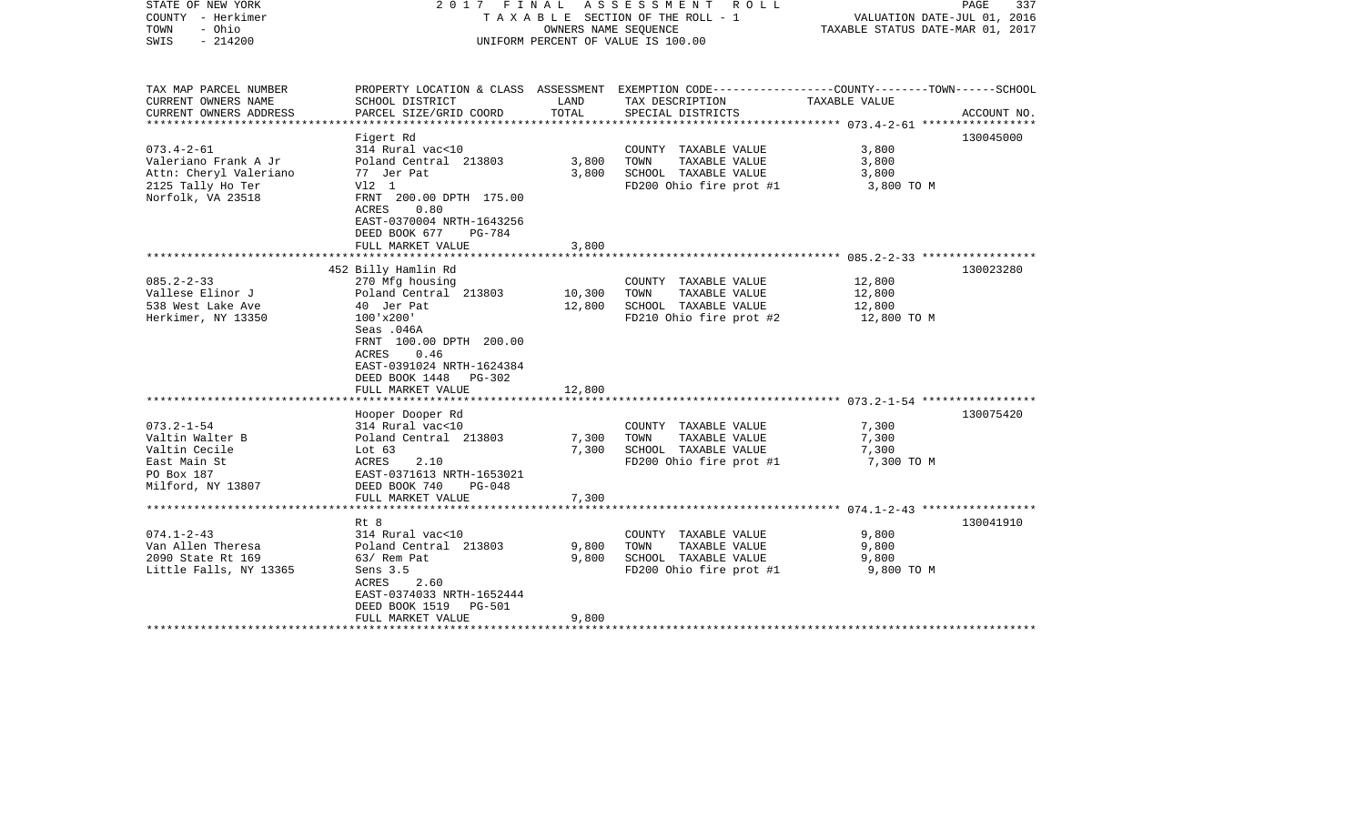| STATE OF NEW YORK<br>COUNTY - Herkimer<br>- Ohio<br>TOWN<br>$-214200$<br>SWIS |                                                      | OWNERS NAME SEQUENCE | 2017 FINAL ASSESSMENT ROLL<br>T A X A B L E SECTION OF THE ROLL - 1<br>UNIFORM PERCENT OF VALUE IS 100.00         | VALUATION DATE-JUL 01, 2016<br>TAXABLE STATUS DATE-MAR 01, 2017 | PAGE<br>337 |
|-------------------------------------------------------------------------------|------------------------------------------------------|----------------------|-------------------------------------------------------------------------------------------------------------------|-----------------------------------------------------------------|-------------|
| TAX MAP PARCEL NUMBER<br>CURRENT OWNERS NAME                                  | SCHOOL DISTRICT                                      | LAND                 | PROPERTY LOCATION & CLASS ASSESSMENT EXEMPTION CODE---------------COUNTY-------TOWN-----SCHOOL<br>TAX DESCRIPTION | TAXABLE VALUE                                                   |             |
| CURRENT OWNERS ADDRESS                                                        | PARCEL SIZE/GRID COORD                               | TOTAL                | SPECIAL DISTRICTS                                                                                                 |                                                                 | ACCOUNT NO. |
|                                                                               | Figert Rd                                            |                      |                                                                                                                   |                                                                 | 130045000   |
| $073.4 - 2 - 61$                                                              | 314 Rural vac<10                                     |                      | COUNTY TAXABLE VALUE                                                                                              | 3,800                                                           |             |
| Valeriano Frank A Jr                                                          | Poland Central 213803                                | 3,800                | TOWN<br>TAXABLE VALUE                                                                                             | 3,800                                                           |             |
| Attn: Cheryl Valeriano                                                        | 77 Jer Pat                                           | 3,800                | SCHOOL TAXABLE VALUE                                                                                              | 3,800                                                           |             |
| 2125 Tally Ho Ter                                                             | V12 1                                                |                      | FD200 Ohio fire prot #1                                                                                           | 3,800 TO M                                                      |             |
| Norfolk, VA 23518                                                             | FRNT 200.00 DPTH 175.00                              |                      |                                                                                                                   |                                                                 |             |
|                                                                               | 0.80<br>ACRES                                        |                      |                                                                                                                   |                                                                 |             |
|                                                                               | EAST-0370004 NRTH-1643256<br>DEED BOOK 677<br>PG-784 |                      |                                                                                                                   |                                                                 |             |
|                                                                               | FULL MARKET VALUE                                    | 3,800                |                                                                                                                   |                                                                 |             |
|                                                                               |                                                      |                      |                                                                                                                   |                                                                 |             |
|                                                                               | 452 Billy Hamlin Rd                                  |                      |                                                                                                                   |                                                                 | 130023280   |
| $085.2 - 2 - 33$                                                              | 270 Mfg housing                                      |                      | COUNTY TAXABLE VALUE                                                                                              | 12,800                                                          |             |
| Vallese Elinor J                                                              | Poland Central 213803                                | 10,300               | TOWN<br>TAXABLE VALUE                                                                                             | 12,800                                                          |             |
| 538 West Lake Ave                                                             | 40 Jer Pat                                           | 12,800               | SCHOOL TAXABLE VALUE                                                                                              | 12,800                                                          |             |
| Herkimer, NY 13350                                                            | $100'$ x $200'$                                      |                      | FD210 Ohio fire prot #2                                                                                           | 12,800 TO M                                                     |             |
|                                                                               | Seas .046A                                           |                      |                                                                                                                   |                                                                 |             |
|                                                                               | FRNT 100.00 DPTH 200.00                              |                      |                                                                                                                   |                                                                 |             |
|                                                                               | 0.46<br>ACRES<br>EAST-0391024 NRTH-1624384           |                      |                                                                                                                   |                                                                 |             |
|                                                                               | DEED BOOK 1448 PG-302                                |                      |                                                                                                                   |                                                                 |             |
|                                                                               | FULL MARKET VALUE                                    | 12,800               |                                                                                                                   |                                                                 |             |
|                                                                               |                                                      |                      |                                                                                                                   |                                                                 |             |
|                                                                               | Hooper Dooper Rd                                     |                      |                                                                                                                   |                                                                 | 130075420   |
| $073.2 - 1 - 54$                                                              | 314 Rural vac<10                                     |                      | COUNTY TAXABLE VALUE                                                                                              | 7,300                                                           |             |
| Valtin Walter B                                                               | Poland Central 213803                                | 7,300                | TOWN<br>TAXABLE VALUE                                                                                             | 7,300                                                           |             |
| Valtin Cecile                                                                 | Lot $63$                                             | 7,300                | SCHOOL TAXABLE VALUE                                                                                              | 7,300                                                           |             |
| East Main St                                                                  | ACRES<br>2.10                                        |                      | FD200 Ohio fire prot #1                                                                                           | 7,300 TO M                                                      |             |
| PO Box 187                                                                    | EAST-0371613 NRTH-1653021                            |                      |                                                                                                                   |                                                                 |             |
| Milford, NY 13807                                                             | DEED BOOK 740<br>PG-048<br>FULL MARKET VALUE         | 7,300                |                                                                                                                   |                                                                 |             |
|                                                                               |                                                      |                      |                                                                                                                   |                                                                 |             |
|                                                                               | Rt 8                                                 |                      |                                                                                                                   |                                                                 | 130041910   |
| $074.1 - 2 - 43$                                                              | 314 Rural vac<10                                     |                      | COUNTY TAXABLE VALUE                                                                                              | 9,800                                                           |             |
| Van Allen Theresa                                                             | Poland Central 213803                                | 9,800                | TOWN<br>TAXABLE VALUE                                                                                             | 9,800                                                           |             |
| 2090 State Rt 169                                                             | 63/ Rem Pat                                          | 9,800                | SCHOOL TAXABLE VALUE                                                                                              | 9,800                                                           |             |
| Little Falls, NY 13365                                                        | Sens 3.5                                             |                      | FD200 Ohio fire prot #1                                                                                           | 9,800 TO M                                                      |             |
|                                                                               | ACRES<br>2.60                                        |                      |                                                                                                                   |                                                                 |             |
|                                                                               | EAST-0374033 NRTH-1652444                            |                      |                                                                                                                   |                                                                 |             |
|                                                                               | DEED BOOK 1519<br>PG-501                             | 9,800                |                                                                                                                   |                                                                 |             |
| ************************                                                      | FULL MARKET VALUE                                    |                      |                                                                                                                   |                                                                 |             |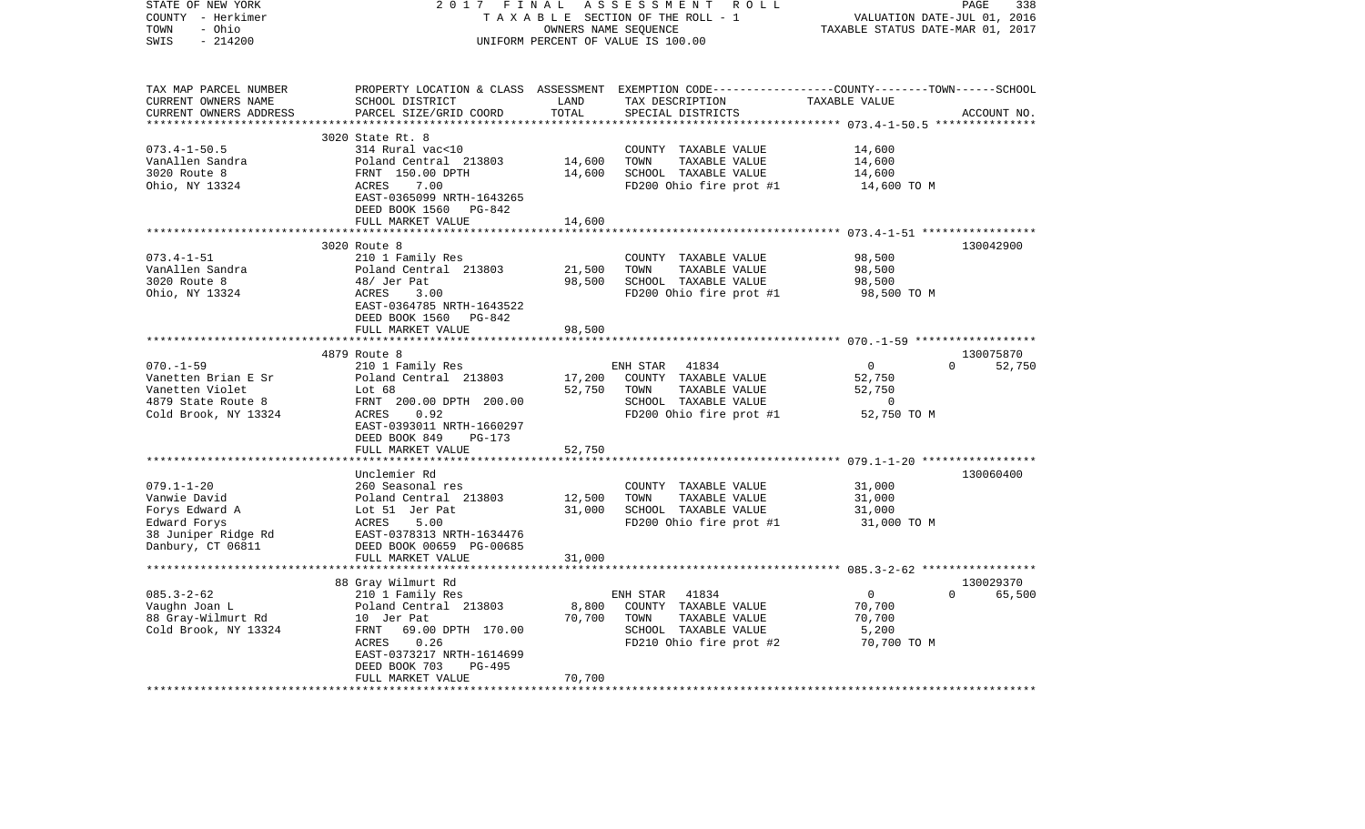| STATE OF NEW YORK<br>COUNTY - Herkimer            | 2017<br>FINAL<br>TAXABLE SECTION OF THE ROLL - 1 | PAGE<br>338<br>VALUATION DATE-JUL 01, 2016 |                                                                                                 |                                                |                                 |
|---------------------------------------------------|--------------------------------------------------|--------------------------------------------|-------------------------------------------------------------------------------------------------|------------------------------------------------|---------------------------------|
| TOWN<br>- Ohio                                    |                                                  | TAXABLE STATUS DATE-MAR 01, 2017           |                                                                                                 |                                                |                                 |
| $-214200$<br>SWIS                                 |                                                  | UNIFORM PERCENT OF VALUE IS 100.00         |                                                                                                 |                                                |                                 |
| TAX MAP PARCEL NUMBER                             |                                                  |                                            | PROPERTY LOCATION & CLASS ASSESSMENT EXEMPTION CODE---------------COUNTY-------TOWN------SCHOOL |                                                |                                 |
| CURRENT OWNERS NAME                               | SCHOOL DISTRICT                                  | LAND                                       | TAX DESCRIPTION                                                                                 | TAXABLE VALUE                                  |                                 |
| CURRENT OWNERS ADDRESS<br>*********************** | PARCEL SIZE/GRID COORD                           | TOTAL                                      | SPECIAL DISTRICTS                                                                               |                                                | ACCOUNT NO.                     |
|                                                   | 3020 State Rt. 8                                 |                                            |                                                                                                 |                                                |                                 |
| $073.4 - 1 - 50.5$                                | 314 Rural vac<10                                 |                                            | COUNTY TAXABLE VALUE                                                                            | 14,600                                         |                                 |
| VanAllen Sandra                                   | Poland Central 213803                            | 14,600                                     | TAXABLE VALUE<br>TOWN                                                                           | 14,600                                         |                                 |
| 3020 Route 8                                      | FRNT 150.00 DPTH                                 | 14,600                                     | SCHOOL TAXABLE VALUE                                                                            | 14,600                                         |                                 |
| Ohio, NY 13324                                    | ACRES<br>7.00                                    |                                            | FD200 Ohio fire prot #1                                                                         | 14,600 TO M                                    |                                 |
|                                                   | EAST-0365099 NRTH-1643265                        |                                            |                                                                                                 |                                                |                                 |
|                                                   | DEED BOOK 1560<br>PG-842                         |                                            |                                                                                                 |                                                |                                 |
|                                                   | FULL MARKET VALUE                                | 14,600                                     |                                                                                                 |                                                |                                 |
|                                                   | 3020 Route 8                                     |                                            |                                                                                                 |                                                | 130042900                       |
| $073.4 - 1 - 51$                                  | 210 1 Family Res                                 |                                            | COUNTY TAXABLE VALUE                                                                            | 98,500                                         |                                 |
| VanAllen Sandra                                   | Poland Central 213803                            | 21,500                                     | TOWN<br>TAXABLE VALUE                                                                           | 98,500                                         |                                 |
| 3020 Route 8                                      | 48/ Jer Pat                                      | 98,500                                     | SCHOOL TAXABLE VALUE                                                                            | 98,500                                         |                                 |
| Ohio, NY 13324                                    | ACRES<br>3.00                                    |                                            | FD200 Ohio fire prot #1                                                                         | 98,500 TO M                                    |                                 |
|                                                   | EAST-0364785 NRTH-1643522                        |                                            |                                                                                                 |                                                |                                 |
|                                                   | DEED BOOK 1560<br>PG-842                         |                                            |                                                                                                 |                                                |                                 |
|                                                   | FULL MARKET VALUE                                | 98,500                                     |                                                                                                 |                                                |                                 |
|                                                   | **************************                       |                                            |                                                                                                 |                                                |                                 |
| $070. - 1 - 59$                                   | 4879 Route 8<br>210 1 Family Res                 |                                            | 41834<br>ENH STAR                                                                               | $\Omega$                                       | 130075870<br>$\Omega$<br>52,750 |
| Vanetten Brian E Sr                               | Poland Central 213803                            | 17,200                                     | COUNTY TAXABLE VALUE                                                                            | 52,750                                         |                                 |
| Vanetten Violet                                   | Lot 68                                           | 52,750                                     | TOWN<br>TAXABLE VALUE                                                                           | 52,750                                         |                                 |
| 4879 State Route 8                                | FRNT 200.00 DPTH 200.00                          |                                            | SCHOOL TAXABLE VALUE                                                                            | $\mathbf 0$                                    |                                 |
| Cold Brook, NY 13324                              | 0.92<br>ACRES                                    |                                            | FD200 Ohio fire prot #1                                                                         | 52,750 TO M                                    |                                 |
|                                                   | EAST-0393011 NRTH-1660297                        |                                            |                                                                                                 |                                                |                                 |
|                                                   | DEED BOOK 849<br>PG-173                          |                                            |                                                                                                 |                                                |                                 |
|                                                   | FULL MARKET VALUE                                | 52,750                                     |                                                                                                 |                                                |                                 |
|                                                   |                                                  |                                            |                                                                                                 | **************** 079.1-1-20 ****************** |                                 |
| $079.1 - 1 - 20$                                  | Unclemier Rd<br>260 Seasonal res                 |                                            | COUNTY TAXABLE VALUE                                                                            | 31,000                                         | 130060400                       |
| Vanwie David                                      | Poland Central 213803                            | 12,500                                     | TOWN<br>TAXABLE VALUE                                                                           | 31,000                                         |                                 |
| Forys Edward A                                    | Lot 51 Jer Pat                                   | 31,000                                     | SCHOOL TAXABLE VALUE                                                                            | 31,000                                         |                                 |
| Edward Forys                                      | ACRES<br>5.00                                    |                                            | FD200 Ohio fire prot #1                                                                         | 31,000 TO M                                    |                                 |
| 38 Juniper Ridge Rd                               | EAST-0378313 NRTH-1634476                        |                                            |                                                                                                 |                                                |                                 |
| Danbury, CT 06811                                 | DEED BOOK 00659 PG-00685                         |                                            |                                                                                                 |                                                |                                 |
|                                                   | FULL MARKET VALUE                                | 31,000                                     |                                                                                                 |                                                |                                 |
|                                                   |                                                  | **************                             |                                                                                                 |                                                |                                 |
|                                                   | 88 Gray Wilmurt Rd                               |                                            |                                                                                                 |                                                | 130029370                       |
| $085.3 - 2 - 62$                                  | 210 1 Family Res                                 |                                            | ENH STAR<br>41834<br>COUNTY TAXABLE VALUE                                                       | $\overline{0}$                                 | $\Omega$<br>65,500              |
| Vaughn Joan L<br>88 Gray-Wilmurt Rd               | Poland Central 213803<br>10 Jer Pat              | 8,800<br>70,700                            | TOWN<br>TAXABLE VALUE                                                                           | 70,700<br>70,700                               |                                 |
| Cold Brook, NY 13324                              | 69.00 DPTH 170.00<br>FRNT                        |                                            | SCHOOL TAXABLE VALUE                                                                            | 5,200                                          |                                 |
|                                                   | 0.26<br>ACRES                                    |                                            | FD210 Ohio fire prot #2                                                                         | 70,700 TO M                                    |                                 |
|                                                   | EAST-0373217 NRTH-1614699                        |                                            |                                                                                                 |                                                |                                 |
|                                                   | DEED BOOK 703<br>PG-495                          |                                            |                                                                                                 |                                                |                                 |
|                                                   | FULL MARKET VALUE                                | 70,700                                     |                                                                                                 |                                                |                                 |
|                                                   |                                                  |                                            |                                                                                                 |                                                |                                 |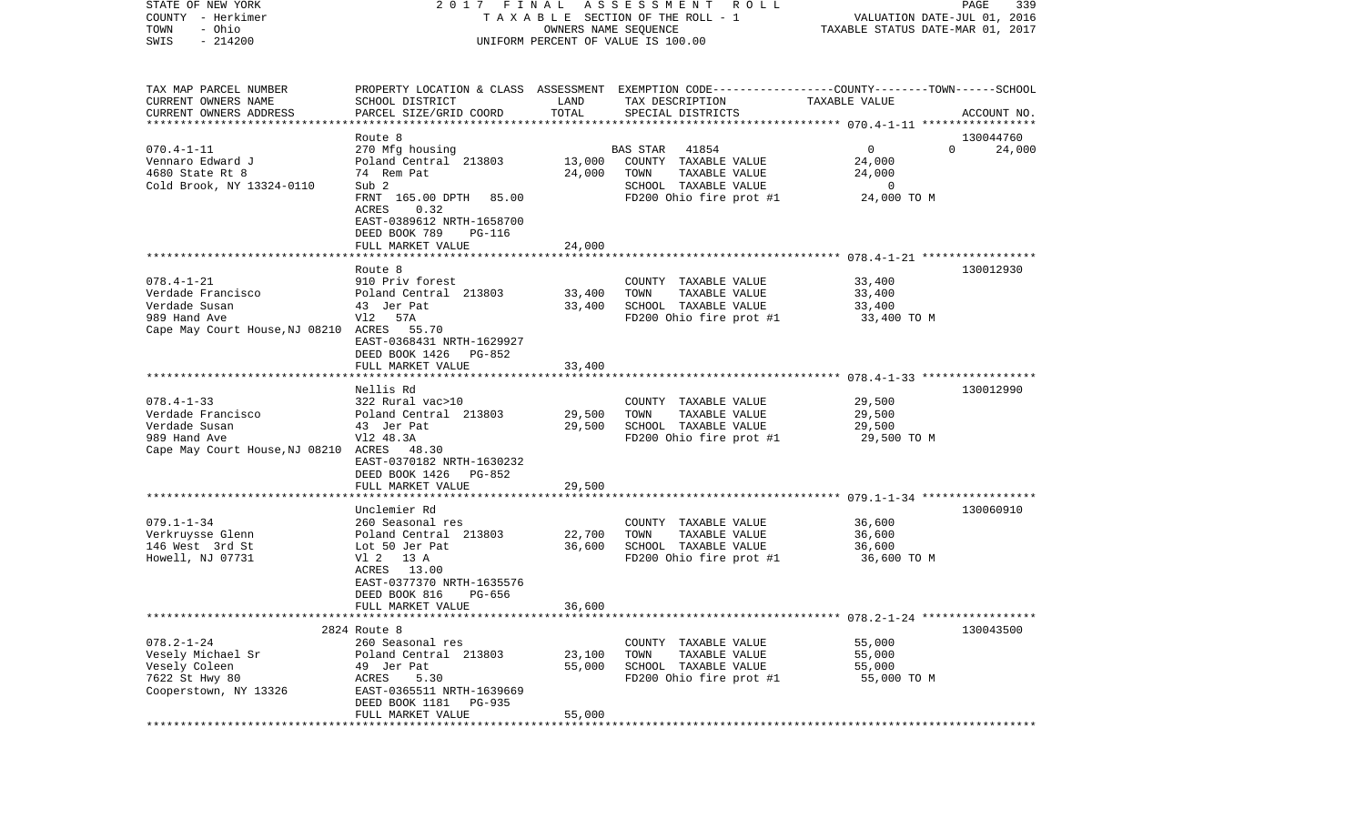| STATE OF NEW YORK<br>COUNTY - Herkimer     | 2017                                                  | FINAL                | A S S E S S M E N T A O L L<br>TAXABLE SECTION OF THE ROLL - 1                                  | VALUATION DATE-JUL 01, 2016      | 339<br>PAGE        |
|--------------------------------------------|-------------------------------------------------------|----------------------|-------------------------------------------------------------------------------------------------|----------------------------------|--------------------|
| - Ohio<br>TOWN                             |                                                       | OWNERS NAME SEQUENCE |                                                                                                 | TAXABLE STATUS DATE-MAR 01, 2017 |                    |
| SWIS<br>$-214200$                          |                                                       |                      | UNIFORM PERCENT OF VALUE IS 100.00                                                              |                                  |                    |
|                                            |                                                       |                      |                                                                                                 |                                  |                    |
| TAX MAP PARCEL NUMBER                      |                                                       |                      | PROPERTY LOCATION & CLASS ASSESSMENT EXEMPTION CODE---------------COUNTY-------TOWN------SCHOOL |                                  |                    |
| CURRENT OWNERS NAME                        | SCHOOL DISTRICT                                       | LAND                 | TAX DESCRIPTION                                                                                 | <b>TAXABLE VALUE</b>             |                    |
| CURRENT OWNERS ADDRESS                     | PARCEL SIZE/GRID COORD                                | TOTAL                | SPECIAL DISTRICTS                                                                               |                                  | ACCOUNT NO.        |
|                                            | Route 8                                               |                      |                                                                                                 |                                  | 130044760          |
| $070.4 - 1 - 11$                           | 270 Mfg housing                                       |                      | 41854<br>BAS STAR                                                                               | $\mathbf{0}$                     | $\Omega$<br>24,000 |
| Vennaro Edward J                           | Poland Central 213803                                 | 13,000               | COUNTY TAXABLE VALUE                                                                            | 24,000                           |                    |
| 4680 State Rt 8                            | 74 Rem Pat                                            | 24,000               | TOWN<br>TAXABLE VALUE                                                                           | 24,000                           |                    |
| Cold Brook, NY 13324-0110                  | Sub 2                                                 |                      | SCHOOL TAXABLE VALUE                                                                            | $\overline{0}$                   |                    |
|                                            | FRNT 165.00 DPTH<br>85.00                             |                      | FD200 Ohio fire prot #1                                                                         | 24,000 TO M                      |                    |
|                                            | ACRES<br>0.32                                         |                      |                                                                                                 |                                  |                    |
|                                            | EAST-0389612 NRTH-1658700<br>DEED BOOK 789            |                      |                                                                                                 |                                  |                    |
|                                            | PG-116<br>FULL MARKET VALUE                           | 24,000               |                                                                                                 |                                  |                    |
|                                            |                                                       |                      |                                                                                                 |                                  |                    |
|                                            | Route 8                                               |                      |                                                                                                 |                                  | 130012930          |
| $078.4 - 1 - 21$                           | 910 Priv forest                                       |                      | COUNTY TAXABLE VALUE                                                                            | 33,400                           |                    |
| Verdade Francisco                          | Poland Central 213803                                 | 33,400               | TOWN<br>TAXABLE VALUE                                                                           | 33,400                           |                    |
| Verdade Susan<br>989 Hand Ave              | 43 Jer Pat<br>V12 57A                                 | 33,400               | SCHOOL TAXABLE VALUE<br>FD200 Ohio fire prot #1                                                 | 33,400<br>33,400 TO M            |                    |
| Cape May Court House, NJ 08210 ACRES 55.70 |                                                       |                      |                                                                                                 |                                  |                    |
|                                            | EAST-0368431 NRTH-1629927                             |                      |                                                                                                 |                                  |                    |
|                                            | DEED BOOK 1426<br>PG-852                              |                      |                                                                                                 |                                  |                    |
|                                            | FULL MARKET VALUE                                     | 33,400               |                                                                                                 |                                  |                    |
|                                            | Nellis Rd                                             |                      |                                                                                                 |                                  | 130012990          |
| $078.4 - 1 - 33$                           | 322 Rural vac>10                                      |                      | COUNTY TAXABLE VALUE                                                                            | 29,500                           |                    |
| Verdade Francisco                          | Poland Central 213803                                 | 29,500               | TOWN<br>TAXABLE VALUE                                                                           | 29,500                           |                    |
| Verdade Susan                              | 43 Jer Pat                                            | 29,500               | SCHOOL TAXABLE VALUE                                                                            | 29,500                           |                    |
| 989 Hand Ave                               | V12 48.3A                                             |                      | FD200 Ohio fire prot #1                                                                         | 29,500 TO M                      |                    |
| Cape May Court House, NJ 08210 ACRES 48.30 |                                                       |                      |                                                                                                 |                                  |                    |
|                                            | EAST-0370182 NRTH-1630232<br>DEED BOOK 1426<br>PG-852 |                      |                                                                                                 |                                  |                    |
|                                            | FULL MARKET VALUE                                     | 29,500               |                                                                                                 |                                  |                    |
|                                            |                                                       |                      |                                                                                                 |                                  |                    |
|                                            | Unclemier Rd                                          |                      |                                                                                                 |                                  | 130060910          |
| $079.1 - 1 - 34$                           | 260 Seasonal res                                      |                      | COUNTY TAXABLE VALUE                                                                            | 36,600                           |                    |
| Verkruysse Glenn                           | Poland Central 213803                                 | 22,700               | TAXABLE VALUE<br>TOWN                                                                           | 36,600                           |                    |
| 146 West 3rd St<br>Howell, NJ 07731        | Lot 50 Jer Pat<br>V1 2 13 A                           | 36,600               | SCHOOL TAXABLE VALUE<br>FD200 Ohio fire prot #1                                                 | 36,600<br>36,600 TO M            |                    |
|                                            | ACRES<br>13.00                                        |                      |                                                                                                 |                                  |                    |
|                                            | EAST-0377370 NRTH-1635576                             |                      |                                                                                                 |                                  |                    |
|                                            | DEED BOOK 816<br>PG-656                               |                      |                                                                                                 |                                  |                    |
|                                            | FULL MARKET VALUE                                     | 36,600               |                                                                                                 |                                  |                    |
|                                            |                                                       |                      |                                                                                                 |                                  |                    |
| $078.2 - 1 - 24$                           | 2824 Route 8<br>260 Seasonal res                      |                      | COUNTY TAXABLE VALUE                                                                            | 55,000                           | 130043500          |
| Vesely Michael Sr                          | Poland Central 213803                                 | 23,100               | TOWN<br>TAXABLE VALUE                                                                           | 55,000                           |                    |
| Vesely Coleen                              | 49 Jer Pat                                            | 55,000               | SCHOOL TAXABLE VALUE                                                                            | 55,000                           |                    |
| 7622 St Hwy 80                             | ACRES<br>5.30                                         |                      | FD200 Ohio fire prot #1                                                                         | 55,000 TO M                      |                    |
| Cooperstown, NY 13326                      | EAST-0365511 NRTH-1639669                             |                      |                                                                                                 |                                  |                    |
|                                            | DEED BOOK 1181<br>PG-935                              |                      |                                                                                                 |                                  |                    |
|                                            | FULL MARKET VALUE                                     | 55,000               |                                                                                                 |                                  |                    |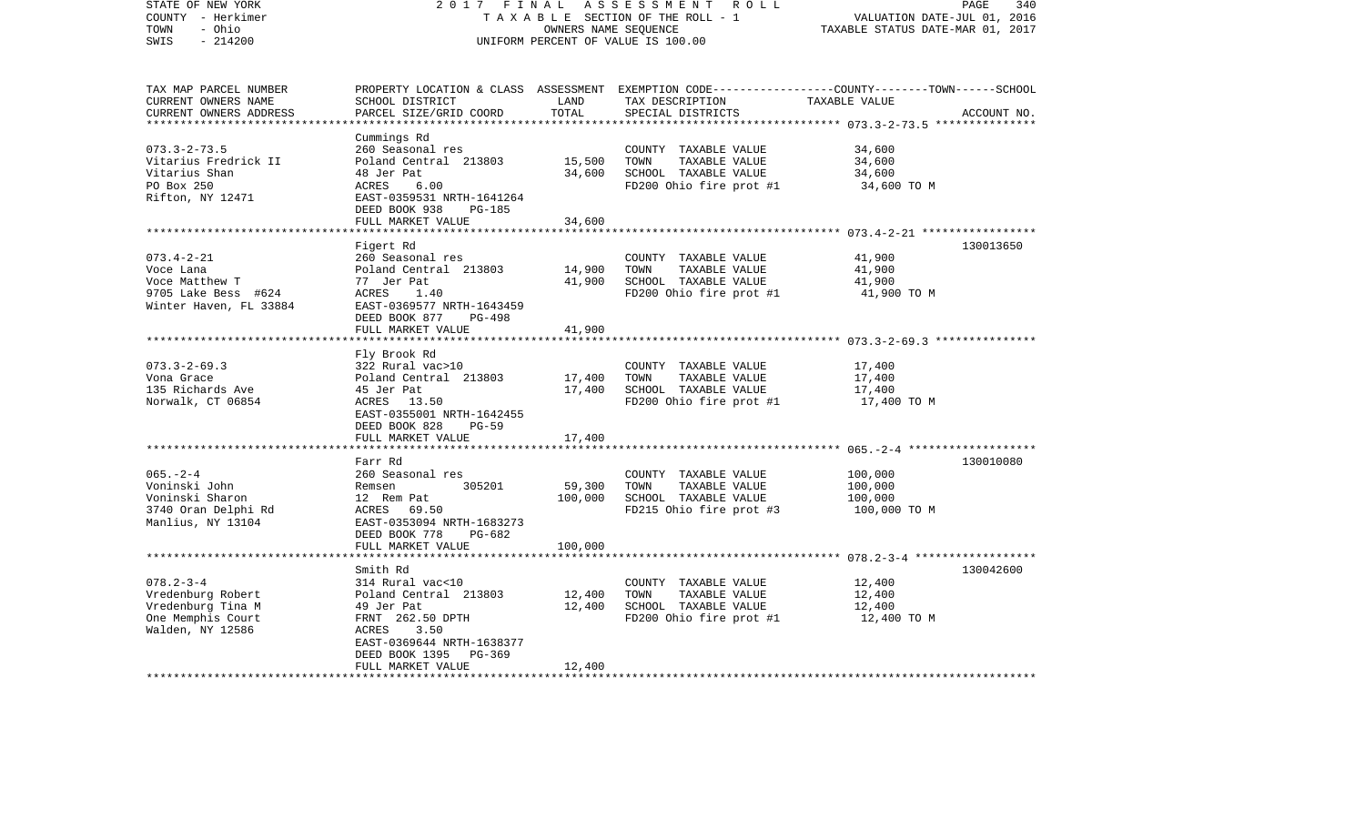| STATE OF NEW YORK<br>COUNTY - Herkimer<br>- Ohio<br>TOWN                                           | 2 0 1 7<br>FINAL<br>TAXABLE SECTION OF THE ROLL - 1                                                                                                               | 340<br>PAGE<br>VALUATION DATE-JUL 01, 2016<br>TAXABLE STATUS DATE-MAR 01, 2017 |                                                                                                  |                                                                                                                                  |
|----------------------------------------------------------------------------------------------------|-------------------------------------------------------------------------------------------------------------------------------------------------------------------|--------------------------------------------------------------------------------|--------------------------------------------------------------------------------------------------|----------------------------------------------------------------------------------------------------------------------------------|
| $-214200$<br>SWIS                                                                                  |                                                                                                                                                                   |                                                                                | UNIFORM PERCENT OF VALUE IS 100.00                                                               |                                                                                                                                  |
| TAX MAP PARCEL NUMBER<br>CURRENT OWNERS NAME<br>CURRENT OWNERS ADDRESS                             | SCHOOL DISTRICT<br>PARCEL SIZE/GRID COORD                                                                                                                         | LAND<br>TOTAL                                                                  | TAX DESCRIPTION<br>SPECIAL DISTRICTS                                                             | PROPERTY LOCATION & CLASS ASSESSMENT EXEMPTION CODE----------------COUNTY-------TOWN------SCHOOL<br>TAXABLE VALUE<br>ACCOUNT NO. |
| *******************                                                                                |                                                                                                                                                                   | *************                                                                  |                                                                                                  |                                                                                                                                  |
| $073.3 - 2 - 73.5$<br>Vitarius Fredrick II<br>Vitarius Shan<br>PO Box 250<br>Rifton, NY 12471      | Cummings Rd<br>260 Seasonal res<br>Poland Central 213803<br>48 Jer Pat<br>ACRES<br>6.00<br>EAST-0359531 NRTH-1641264<br>DEED BOOK 938<br><b>PG-185</b>            | 15,500<br>34,600                                                               | COUNTY TAXABLE VALUE<br>TOWN<br>TAXABLE VALUE<br>SCHOOL TAXABLE VALUE<br>FD200 Ohio fire prot #1 | 34,600<br>34,600<br>34,600<br>34,600 TO M                                                                                        |
|                                                                                                    | FULL MARKET VALUE                                                                                                                                                 | 34,600                                                                         |                                                                                                  |                                                                                                                                  |
| $073.4 - 2 - 21$<br>Voce Lana<br>Voce Matthew T<br>9705 Lake Bess #624<br>Winter Haven, FL 33884   | Figert Rd<br>260 Seasonal res<br>Poland Central 213803<br>77 Jer Pat<br>ACRES<br>1.40<br>EAST-0369577 NRTH-1643459<br>DEED BOOK 877<br>PG-498                     | 14,900<br>41,900                                                               | COUNTY TAXABLE VALUE<br>TOWN<br>TAXABLE VALUE<br>SCHOOL TAXABLE VALUE<br>FD200 Ohio fire prot #1 | 130013650<br>41,900<br>41,900<br>41,900<br>41,900 TO M                                                                           |
|                                                                                                    | FULL MARKET VALUE                                                                                                                                                 | 41,900                                                                         |                                                                                                  |                                                                                                                                  |
|                                                                                                    | * * * * * * * * * * * * * * * * * * *<br>Fly Brook Rd                                                                                                             |                                                                                |                                                                                                  | ************************* 073.3-2-69.3 ***************                                                                           |
| $073.3 - 2 - 69.3$<br>Vona Grace<br>135 Richards Ave<br>Norwalk, CT 06854                          | 322 Rural vac>10<br>Poland Central 213803<br>45 Jer Pat<br>ACRES 13.50<br>EAST-0355001 NRTH-1642455<br>DEED BOOK 828<br>$PG-59$<br>FULL MARKET VALUE              | 17,400<br>17,400<br>17,400                                                     | COUNTY TAXABLE VALUE<br>TOWN<br>TAXABLE VALUE<br>SCHOOL TAXABLE VALUE<br>FD200 Ohio fire prot #1 | 17,400<br>17,400<br>17,400<br>17,400 TO M                                                                                        |
|                                                                                                    | *********************                                                                                                                                             | *********                                                                      |                                                                                                  |                                                                                                                                  |
| $065. - 2 - 4$<br>Voninski John<br>Voninski Sharon<br>3740 Oran Delphi Rd<br>Manlius, NY 13104     | Farr Rd<br>260 Seasonal res<br>305201<br>Remsen<br>12 Rem Pat<br>ACRES<br>69.50<br>EAST-0353094 NRTH-1683273<br>DEED BOOK 778<br>PG-682<br>FULL MARKET VALUE      | 59,300<br>100,000<br>100,000                                                   | COUNTY TAXABLE VALUE<br>TOWN<br>TAXABLE VALUE<br>SCHOOL TAXABLE VALUE<br>FD215 Ohio fire prot #3 | 130010080<br>100,000<br>100,000<br>100,000<br>100,000 TO M                                                                       |
|                                                                                                    |                                                                                                                                                                   |                                                                                |                                                                                                  | $078.2 - 3 - 4$ *******************                                                                                              |
| $078.2 - 3 - 4$<br>Vredenburg Robert<br>Vredenburg Tina M<br>One Memphis Court<br>Walden, NY 12586 | Smith Rd<br>314 Rural vac<10<br>Poland Central 213803<br>49 Jer Pat<br>FRNT 262.50 DPTH<br>ACRES<br>3.50<br>EAST-0369644 NRTH-1638377<br>DEED BOOK 1395<br>PG-369 | 12,400<br>12,400                                                               | COUNTY TAXABLE VALUE<br>TOWN<br>TAXABLE VALUE<br>SCHOOL TAXABLE VALUE<br>FD200 Ohio fire prot #1 | 130042600<br>12,400<br>12,400<br>12,400<br>12,400 TO M                                                                           |
|                                                                                                    | FULL MARKET VALUE                                                                                                                                                 | 12,400                                                                         |                                                                                                  |                                                                                                                                  |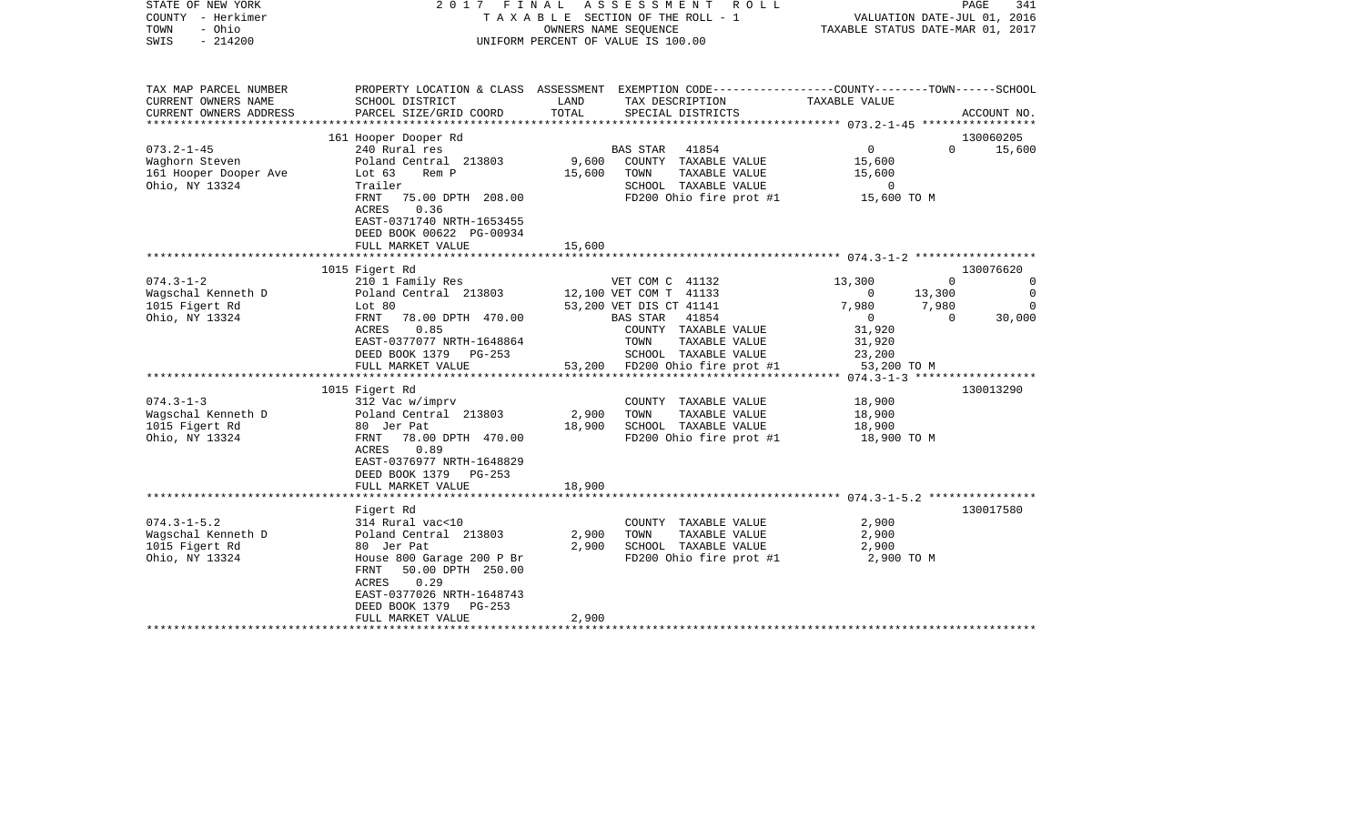| STATE OF NEW YORK<br>COUNTY - Herkimer<br>- Ohio<br>TOWN<br>SWIS<br>$-214200$ |                                                                                                                                               | 2017 FINAL ASSESSMENT ROLL<br>T A X A B L E SECTION OF THE ROLL - 1<br>OWNERS NAME SEQUENCE<br>UNIFORM PERCENT OF VALUE IS 100.00 |                                                                                | VALUATION DATE-JUL 01, 2016<br>TAXABLE STATUS DATE-MAR 01, 2017 | PAGE                                     |
|-------------------------------------------------------------------------------|-----------------------------------------------------------------------------------------------------------------------------------------------|-----------------------------------------------------------------------------------------------------------------------------------|--------------------------------------------------------------------------------|-----------------------------------------------------------------|------------------------------------------|
| TAX MAP PARCEL NUMBER<br>CURRENT OWNERS NAME<br>CURRENT OWNERS ADDRESS        | PROPERTY LOCATION & CLASS ASSESSMENT EXEMPTION CODE----------------COUNTY-------TOWN------SCHOOL<br>SCHOOL DISTRICT<br>PARCEL SIZE/GRID COORD | LAND<br>TOTAL<br>SPECIAL DISTRICTS                                                                                                | TAX DESCRIPTION<br>SERCIAL DISTRICTS                                           |                                                                 | ACCOUNT NO.                              |
|                                                                               |                                                                                                                                               |                                                                                                                                   |                                                                                |                                                                 |                                          |
| $073.2 - 1 - 45$                                                              | 161 Hooper Dooper Rd<br>240 Rural res                                                                                                         | BAS STAR 41854                                                                                                                    |                                                                                | $\overline{0}$                                                  | 130060205<br>15,600<br>$\Omega$          |
| Waghorn Steven<br>161 Hooper Dooper Ave<br>Ohio, NY 13324                     | Poland Central 213803<br>Poland Ce<br>Lot 63<br>Rem P<br>Trailer<br>FRNT 75.00 DPTH 208.00                                                    | 9,600 COUNTY TAXABLE VALUE<br>15,600 TOWN                                                                                         | TAXABLE VALUE<br>SCHOOL TAXABLE VALUE<br>FD200 Ohio fire prot #1 $15,600$ TO M | 15,600<br>15,600<br>$\overline{0}$                              |                                          |
|                                                                               | ACRES<br>0.36<br>EAST-0371740 NRTH-1653455<br>DEED BOOK 00622 PG-00934<br>FULL MARKET VALUE                                                   | 15,600                                                                                                                            |                                                                                |                                                                 |                                          |
|                                                                               |                                                                                                                                               |                                                                                                                                   |                                                                                |                                                                 |                                          |
|                                                                               | 1015 Figert Rd                                                                                                                                |                                                                                                                                   |                                                                                |                                                                 | 130076620                                |
| $074.3 - 1 - 2$<br>Wagschal Kenneth D<br>1015 Figert Rd<br>Ohio, NY 13324     | 210 1 Family Res<br>Poland Central 213803<br>Lot 80<br>FRNT 78.00 DPTH 470.00                                                                 | 12,100 VET COM T 41133<br>53,200 VET DIS CT 41141<br>BAS STAR 41854                                                               | VET COM C 41132                                                                | 13,300<br>$\sim$ 0<br>13,300<br>7,980 7,980<br>$\overline{0}$   | $\mathbf{0}$<br>30,000<br>$\overline{0}$ |
|                                                                               | 0.85<br>ACRES<br>EAST-0377077 NRTH-1648864<br>DEED BOOK 1379 PG-253                                                                           | TOWN                                                                                                                              | COUNTY TAXABLE VALUE<br>TAXABLE VALUE<br>SCHOOL TAXABLE VALUE                  | 31,920<br>31,920<br>23,200                                      |                                          |
|                                                                               | FULL MARKET VALUE                                                                                                                             |                                                                                                                                   | 53,200 FD200 Ohio fire prot #1 53,200 TO M                                     |                                                                 |                                          |
|                                                                               |                                                                                                                                               |                                                                                                                                   |                                                                                |                                                                 |                                          |
| $074.3 - 1 - 3$                                                               | 1015 Figert Rd<br>312 Vac w/imprv                                                                                                             |                                                                                                                                   | COUNTY TAXABLE VALUE                                                           | 18,900                                                          | 130013290                                |
| Wagschal Kenneth D                                                            | Poland Central 213803                                                                                                                         | 2,900<br>TOWN                                                                                                                     | TAXABLE VALUE                                                                  | 18,900                                                          |                                          |
| 1015 Figert Rd                                                                | 80 Jer Pat                                                                                                                                    | 18,900 SCHOOL TAXABLE VALUE                                                                                                       |                                                                                | 18,900                                                          |                                          |
| Ohio, NY 13324                                                                | FRNT 78.00 DPTH 470.00<br>0.89<br>ACRES<br>EAST-0376977 NRTH-1648829<br>DEED BOOK 1379 PG-253                                                 |                                                                                                                                   | FD200 Ohio fire prot #1                                                        | 18,900 TO M                                                     |                                          |
|                                                                               | FULL MARKET VALUE                                                                                                                             | 18,900                                                                                                                            |                                                                                |                                                                 |                                          |
|                                                                               | Figert Rd                                                                                                                                     |                                                                                                                                   |                                                                                |                                                                 | 130017580                                |
| $074.3 - 1 - 5.2$                                                             | 314 Rural vac<10                                                                                                                              |                                                                                                                                   | COUNTY TAXABLE VALUE                                                           | 2,900                                                           |                                          |
| Wagschal Kenneth D                                                            | Poland Central 213803                                                                                                                         | TOWN<br>2,900                                                                                                                     | TAXABLE VALUE                                                                  | 2,900                                                           |                                          |
| 1015 Figert Rd<br>Ohio, NY 13324                                              | 80 Jer Pat<br>House 800 Garage 200 P Br<br>FRNT 50.00 DPTH 250.00<br>ACRES<br>0.29<br>EAST-0377026 NRTH-1648743<br>DEED BOOK 1379 PG-253      | 2,900                                                                                                                             | SCHOOL TAXABLE VALUE<br>FD200 Ohio fire prot #1                                | 2,900<br>2,900 TO M                                             |                                          |
|                                                                               | FULL MARKET VALUE                                                                                                                             | 2,900                                                                                                                             |                                                                                |                                                                 |                                          |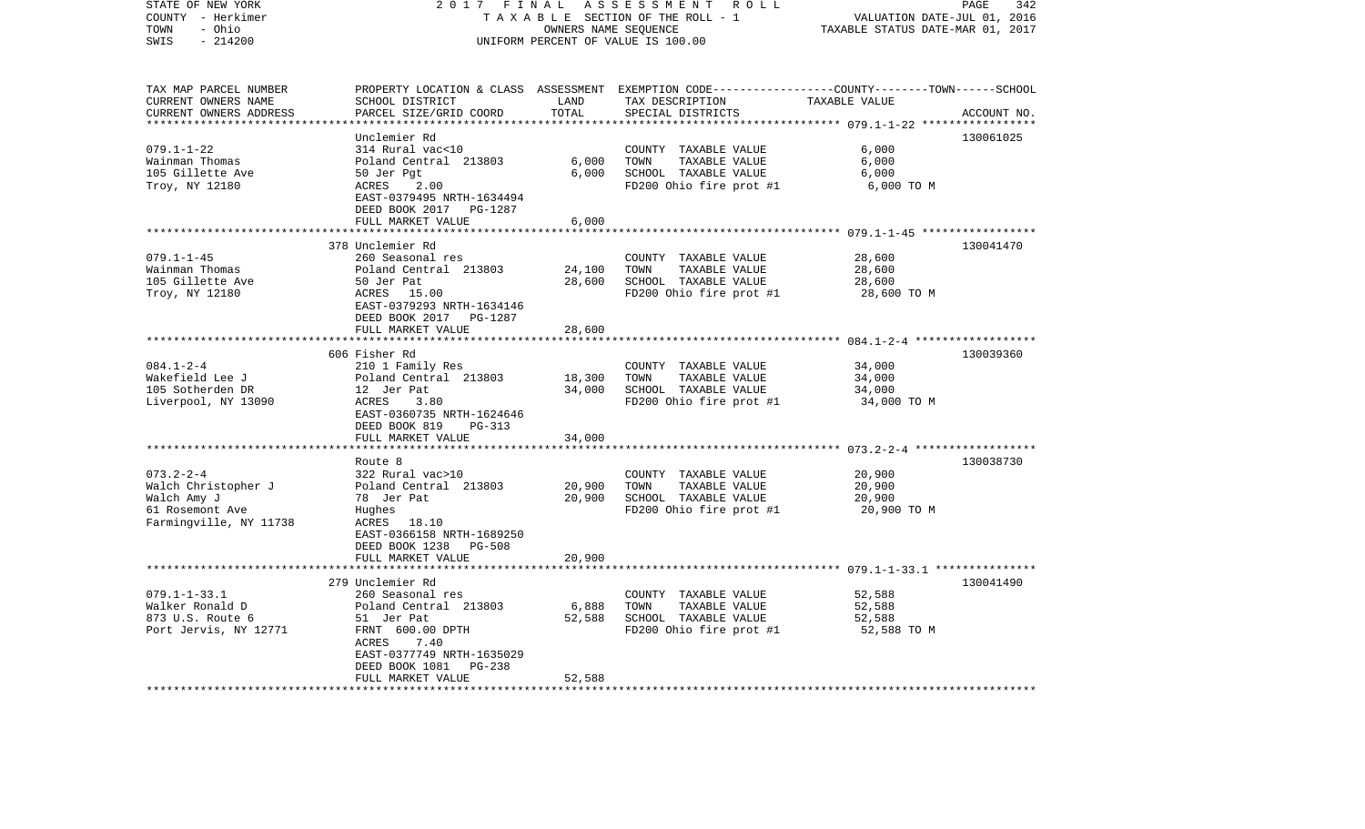| STATE OF NEW YORK        | 2017 FINAL                           |                                  | ASSESSMENT<br>R O L L                                                                            |                                          | PAGE<br>342 |
|--------------------------|--------------------------------------|----------------------------------|--------------------------------------------------------------------------------------------------|------------------------------------------|-------------|
| COUNTY - Herkimer        | TAXABLE SECTION OF THE ROLL - 1      | VALUATION DATE-JUL 01, 2016      |                                                                                                  |                                          |             |
| - Ohio<br>TOWN           |                                      | TAXABLE STATUS DATE-MAR 01, 2017 |                                                                                                  |                                          |             |
| SWIS<br>$-214200$        |                                      |                                  | UNIFORM PERCENT OF VALUE IS 100.00                                                               |                                          |             |
|                          |                                      |                                  |                                                                                                  |                                          |             |
| TAX MAP PARCEL NUMBER    |                                      |                                  | PROPERTY LOCATION & CLASS ASSESSMENT EXEMPTION CODE----------------COUNTY-------TOWN------SCHOOL |                                          |             |
| CURRENT OWNERS NAME      | SCHOOL DISTRICT                      | LAND                             | TAX DESCRIPTION                                                                                  | TAXABLE VALUE                            |             |
| CURRENT OWNERS ADDRESS   | PARCEL SIZE/GRID COORD               | TOTAL                            | SPECIAL DISTRICTS                                                                                |                                          | ACCOUNT NO. |
| ***********************  |                                      |                                  |                                                                                                  |                                          |             |
|                          | Unclemier Rd                         |                                  |                                                                                                  |                                          | 130061025   |
| $079.1 - 1 - 22$         | 314 Rural vac<10                     |                                  | COUNTY TAXABLE VALUE                                                                             | 6,000                                    |             |
| Wainman Thomas           | Poland Central 213803                | 6,000                            | TOWN<br>TAXABLE VALUE                                                                            | 6,000                                    |             |
| 105 Gillette Ave         | 50 Jer Pgt                           | 6,000                            | SCHOOL TAXABLE VALUE                                                                             | 6,000                                    |             |
| Troy, NY 12180           | 2.00<br>ACRES                        |                                  | FD200 Ohio fire prot #1                                                                          | 6,000 TO M                               |             |
|                          | EAST-0379495 NRTH-1634494            |                                  |                                                                                                  |                                          |             |
|                          | DEED BOOK 2017 PG-1287               |                                  |                                                                                                  |                                          |             |
|                          | FULL MARKET VALUE                    | 6,000                            |                                                                                                  |                                          |             |
|                          |                                      | ******                           |                                                                                                  | ********** 079.1-1-45 ****************** |             |
|                          | 378 Unclemier Rd                     |                                  |                                                                                                  |                                          | 130041470   |
| $079.1 - 1 - 45$         | 260 Seasonal res                     |                                  | COUNTY TAXABLE VALUE                                                                             | 28,600                                   |             |
| Wainman Thomas           | Poland Central 213803                | 24,100                           | TOWN<br>TAXABLE VALUE                                                                            | 28,600                                   |             |
| 105 Gillette Ave         | 50 Jer Pat                           | 28,600                           | SCHOOL TAXABLE VALUE                                                                             | 28,600                                   |             |
| Troy, NY 12180           | ACRES 15.00                          |                                  | FD200 Ohio fire prot #1                                                                          | 28,600 TO M                              |             |
|                          | EAST-0379293 NRTH-1634146            |                                  |                                                                                                  |                                          |             |
|                          | DEED BOOK 2017 PG-1287               |                                  |                                                                                                  |                                          |             |
|                          | FULL MARKET VALUE                    | 28,600                           |                                                                                                  |                                          |             |
|                          | **********************               | **********                       |                                                                                                  |                                          |             |
|                          | 606 Fisher Rd                        |                                  |                                                                                                  |                                          | 130039360   |
| $084.1 - 2 - 4$          | 210 1 Family Res                     |                                  | COUNTY TAXABLE VALUE                                                                             | 34,000                                   |             |
| Wakefield Lee J          | Poland Central 213803                | 18,300                           | TAXABLE VALUE<br>TOWN                                                                            | 34,000                                   |             |
| 105 Sotherden DR         | 12 Jer Pat                           | 34,000                           | SCHOOL TAXABLE VALUE                                                                             | 34,000                                   |             |
| Liverpool, NY 13090      | ACRES<br>3.80                        |                                  | FD200 Ohio fire prot #1                                                                          | 34,000 TO M                              |             |
|                          | EAST-0360735 NRTH-1624646            |                                  |                                                                                                  |                                          |             |
|                          | DEED BOOK 819<br>PG-313              |                                  |                                                                                                  |                                          |             |
|                          | FULL MARKET VALUE                    | 34,000                           |                                                                                                  |                                          |             |
|                          |                                      |                                  |                                                                                                  |                                          |             |
|                          | Route 8                              |                                  |                                                                                                  |                                          | 130038730   |
| $073.2 - 2 - 4$          | 322 Rural vac>10                     |                                  | COUNTY TAXABLE VALUE                                                                             | 20,900                                   |             |
| Walch Christopher J      | Poland Central 213803                | 20,900                           | TAXABLE VALUE<br>TOWN                                                                            | 20,900                                   |             |
| Walch Amy J              | 78 Jer Pat                           | 20,900                           | SCHOOL TAXABLE VALUE                                                                             | 20,900                                   |             |
| 61 Rosemont Ave          | Hughes                               |                                  | FD200 Ohio fire prot #1                                                                          | 20,900 TO M                              |             |
| Farmingville, NY 11738   | ACRES 18.10                          |                                  |                                                                                                  |                                          |             |
|                          | EAST-0366158 NRTH-1689250            |                                  |                                                                                                  |                                          |             |
|                          | DEED BOOK 1238<br>PG-508             |                                  |                                                                                                  |                                          |             |
|                          | FULL MARKET VALUE<br>*************** | 20,900                           |                                                                                                  |                                          |             |
|                          |                                      |                                  |                                                                                                  | ********** 079.1-1-33.1 ***************  |             |
| $079.1 - 1 - 33.1$       | 279 Unclemier Rd<br>260 Seasonal res |                                  | COUNTY TAXABLE VALUE                                                                             | 52,588                                   | 130041490   |
| Walker Ronald D          | Poland Central 213803                | 6,888                            | TOWN<br>TAXABLE VALUE                                                                            | 52,588                                   |             |
| 873 U.S. Route 6         | 51 Jer Pat                           | 52,588                           | SCHOOL TAXABLE VALUE                                                                             | 52,588                                   |             |
| Port Jervis, NY 12771    | FRNT 600.00 DPTH                     |                                  | FD200 Ohio fire prot #1                                                                          | 52,588 TO M                              |             |
|                          | 7.40<br>ACRES                        |                                  |                                                                                                  |                                          |             |
|                          | EAST-0377749 NRTH-1635029            |                                  |                                                                                                  |                                          |             |
|                          | PG-238<br>DEED BOOK 1081             |                                  |                                                                                                  |                                          |             |
|                          | FULL MARKET VALUE                    | 52,588                           |                                                                                                  |                                          |             |
| ************************ | **********************               | * * * * * * * * * *              |                                                                                                  |                                          |             |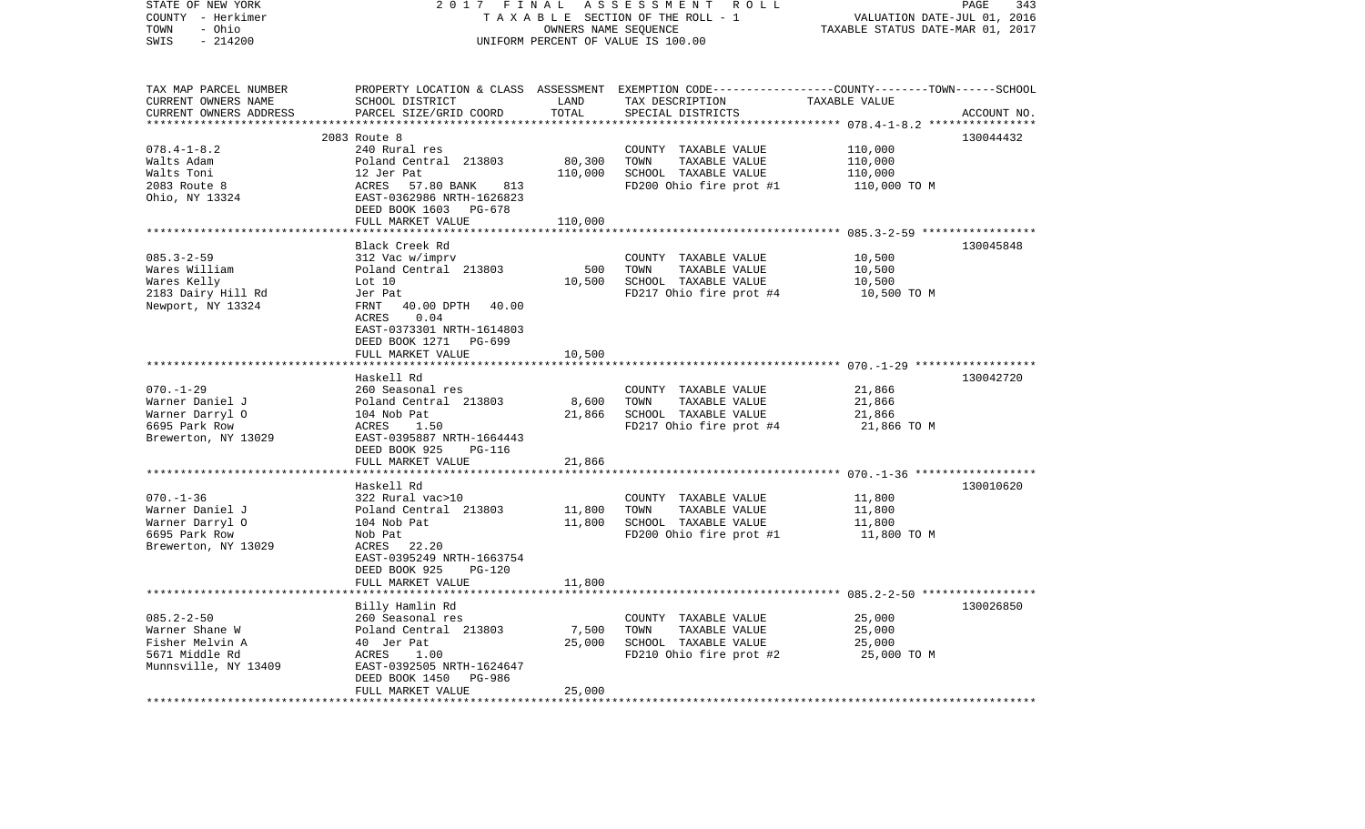| STATE OF NEW YORK<br>COUNTY - Herkimer<br>- Ohio<br>TOWN | 2017                                                                                            | FINAL<br>OWNERS NAME SEQUENCE    | ASSESSMENT ROLL<br>TAXABLE SECTION OF THE ROLL - 1                                                                 | VALUATION DATE-JUL 01, 2016                | PAGE<br>343 |
|----------------------------------------------------------|-------------------------------------------------------------------------------------------------|----------------------------------|--------------------------------------------------------------------------------------------------------------------|--------------------------------------------|-------------|
| SWIS<br>$-214200$                                        | UNIFORM PERCENT OF VALUE IS 100.00                                                              | TAXABLE STATUS DATE-MAR 01, 2017 |                                                                                                                    |                                            |             |
| TAX MAP PARCEL NUMBER<br>CURRENT OWNERS NAME             | SCHOOL DISTRICT                                                                                 | LAND                             | PROPERTY LOCATION & CLASS ASSESSMENT EXEMPTION CODE---------------COUNTY-------TOWN------SCHOOL<br>TAX DESCRIPTION | TAXABLE VALUE                              |             |
| CURRENT OWNERS ADDRESS                                   | PARCEL SIZE/GRID COORD                                                                          | TOTAL                            | SPECIAL DISTRICTS                                                                                                  |                                            | ACCOUNT NO. |
|                                                          |                                                                                                 |                                  |                                                                                                                    | ************ 078.4-1-8.2 ***************** |             |
|                                                          | 2083 Route 8                                                                                    |                                  |                                                                                                                    |                                            | 130044432   |
| $078.4 - 1 - 8.2$                                        | 240 Rural res                                                                                   |                                  | COUNTY TAXABLE VALUE                                                                                               | 110,000                                    |             |
| Walts Adam                                               | Poland Central 213803                                                                           | 80,300                           | TOWN<br>TAXABLE VALUE                                                                                              | 110,000                                    |             |
| Walts Toni<br>2083 Route 8                               | 12 Jer Pat<br>ACRES<br>57.80 BANK<br>813                                                        | 110,000                          | SCHOOL TAXABLE VALUE                                                                                               | 110,000                                    |             |
| Ohio, NY 13324                                           | EAST-0362986 NRTH-1626823<br>DEED BOOK 1603 PG-678                                              |                                  | FD200 Ohio fire prot #1                                                                                            | 110,000 TO M                               |             |
|                                                          | FULL MARKET VALUE                                                                               | 110,000                          |                                                                                                                    |                                            |             |
|                                                          |                                                                                                 |                                  |                                                                                                                    |                                            |             |
|                                                          | Black Creek Rd                                                                                  |                                  |                                                                                                                    |                                            | 130045848   |
| $085.3 - 2 - 59$                                         | 312 Vac w/imprv                                                                                 |                                  | COUNTY TAXABLE VALUE                                                                                               | 10,500                                     |             |
| Wares William<br>Wares Kelly                             | Poland Central 213803<br>Lot 10                                                                 | 500<br>10,500                    | TOWN<br>TAXABLE VALUE<br>SCHOOL TAXABLE VALUE                                                                      | 10,500<br>10,500                           |             |
| 2183 Dairy Hill Rd                                       | Jer Pat                                                                                         |                                  | FD217 Ohio fire prot #4                                                                                            | 10,500 TO M                                |             |
| Newport, NY 13324                                        | 40.00 DPTH 40.00<br>FRNT<br>ACRES<br>0.04<br>EAST-0373301 NRTH-1614803<br>DEED BOOK 1271 PG-699 |                                  |                                                                                                                    |                                            |             |
|                                                          | FULL MARKET VALUE                                                                               | 10,500                           |                                                                                                                    |                                            |             |
|                                                          | Haskell Rd                                                                                      |                                  |                                                                                                                    |                                            | 130042720   |
| $070. - 1 - 29$                                          | 260 Seasonal res                                                                                |                                  | COUNTY TAXABLE VALUE                                                                                               | 21,866                                     |             |
| Warner Daniel J                                          | Poland Central 213803                                                                           | 8,600                            | TOWN<br>TAXABLE VALUE                                                                                              | 21,866                                     |             |
| Warner Darryl O                                          | 104 Nob Pat                                                                                     | 21,866                           | SCHOOL TAXABLE VALUE                                                                                               | 21,866                                     |             |
| 6695 Park Row                                            | ACRES<br>1.50                                                                                   |                                  | FD217 Ohio fire prot #4                                                                                            | 21,866 TO M                                |             |
| Brewerton, NY 13029                                      | EAST-0395887 NRTH-1664443<br>DEED BOOK 925<br>PG-116                                            |                                  |                                                                                                                    |                                            |             |
|                                                          | FULL MARKET VALUE                                                                               | 21,866                           |                                                                                                                    |                                            |             |
|                                                          |                                                                                                 |                                  |                                                                                                                    |                                            |             |
|                                                          | Haskell Rd                                                                                      |                                  |                                                                                                                    |                                            | 130010620   |
| $070. - 1 - 36$                                          | 322 Rural vac>10                                                                                |                                  | COUNTY TAXABLE VALUE                                                                                               | 11,800                                     |             |
| Warner Daniel J                                          | Poland Central 213803                                                                           | 11,800                           | TOWN<br>TAXABLE VALUE                                                                                              | 11,800                                     |             |
| Warner Darryl O<br>6695 Park Row                         | 104 Nob Pat<br>Nob Pat                                                                          | 11,800                           | SCHOOL TAXABLE VALUE<br>FD200 Ohio fire prot #1                                                                    | 11,800<br>11,800 TO M                      |             |
| Brewerton, NY 13029                                      | ACRES<br>22.20                                                                                  |                                  |                                                                                                                    |                                            |             |
|                                                          | EAST-0395249 NRTH-1663754<br>DEED BOOK 925<br>PG-120                                            |                                  |                                                                                                                    |                                            |             |
|                                                          | FULL MARKET VALUE                                                                               | 11,800                           |                                                                                                                    |                                            |             |
|                                                          |                                                                                                 | *********                        |                                                                                                                    |                                            |             |
|                                                          | Billy Hamlin Rd                                                                                 |                                  |                                                                                                                    |                                            | 130026850   |
| $085.2 - 2 - 50$<br>Warner Shane W                       | 260 Seasonal res                                                                                | 7,500                            | COUNTY TAXABLE VALUE<br>TOWN<br>TAXABLE VALUE                                                                      | 25,000<br>25,000                           |             |
| Fisher Melvin A                                          | Poland Central 213803<br>40 Jer Pat                                                             | 25,000                           | SCHOOL TAXABLE VALUE                                                                                               | 25,000                                     |             |
| 5671 Middle Rd                                           | ACRES<br>1.00                                                                                   |                                  | FD210 Ohio fire prot #2                                                                                            | 25,000 TO M                                |             |
| Munnsville, NY 13409                                     | EAST-0392505 NRTH-1624647<br>DEED BOOK 1450<br>PG-986                                           |                                  |                                                                                                                    |                                            |             |
| ***********************                                  | FULL MARKET VALUE<br>******************                                                         | 25,000<br>* * * * * * * * *      |                                                                                                                    |                                            |             |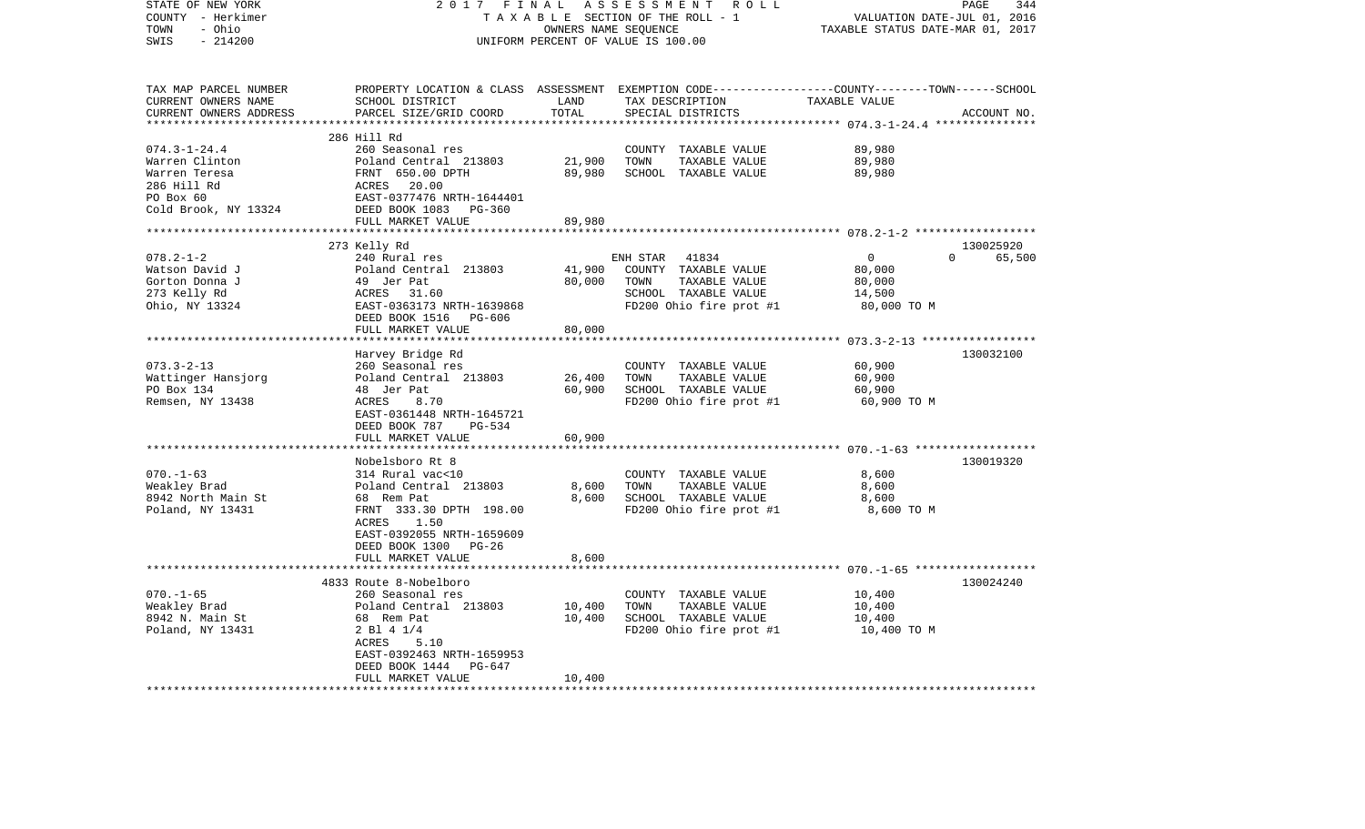| TAXABLE SECTION OF THE ROLL - 1<br>VALUATION DATE-JUL 01, 2016<br>- Ohio<br>TAXABLE STATUS DATE-MAR 01, 2017<br>OWNERS NAME SEQUENCE<br>$-214200$<br>UNIFORM PERCENT OF VALUE IS 100.00<br>PROPERTY LOCATION & CLASS ASSESSMENT EXEMPTION CODE---------------COUNTY-------TOWN------SCHOOL<br>LAND<br>CURRENT OWNERS NAME<br>SCHOOL DISTRICT<br>TAX DESCRIPTION<br>TAXABLE VALUE<br>CURRENT OWNERS ADDRESS<br>TOTAL<br>PARCEL SIZE/GRID COORD<br>SPECIAL DISTRICTS<br>ACCOUNT NO.<br>************************<br>286 Hill Rd<br>$074.3 - 1 - 24.4$<br>260 Seasonal res<br>89,980<br>COUNTY TAXABLE VALUE<br>Poland Central 213803<br>21,900<br>TOWN<br>89,980<br>Warren Clinton<br>TAXABLE VALUE<br>Warren Teresa<br>FRNT 650.00 DPTH<br>89,980<br>SCHOOL TAXABLE VALUE<br>89,980<br>286 Hill Rd<br>ACRES<br>20.00<br>PO Box 60<br>EAST-0377476 NRTH-1644401<br>Cold Brook, NY 13324<br>DEED BOOK 1083<br>$PG-360$<br>FULL MARKET VALUE<br>89,980<br>***************<br>130025920<br>273 Kelly Rd<br>$078.2 - 1 - 2$<br>$\overline{0}$<br>$\Omega$<br>65,500<br>240 Rural res<br>ENH STAR<br>41834<br>Watson David J<br>Poland Central 213803<br>41,900<br>COUNTY TAXABLE VALUE<br>80,000<br>80,000<br>49 Jer Pat<br>TOWN<br>TAXABLE VALUE<br>80,000<br>31.60<br>SCHOOL TAXABLE VALUE<br>14,500<br>ACRES<br>EAST-0363173 NRTH-1639868<br>FD200 Ohio fire prot #1<br>80,000 TO M<br>DEED BOOK 1516<br>PG-606<br>FULL MARKET VALUE<br>80,000<br>Harvey Bridge Rd<br>130032100<br>$073.3 - 2 - 13$<br>60,900<br>260 Seasonal res<br>COUNTY TAXABLE VALUE<br>TAXABLE VALUE<br>60,900<br>Poland Central 213803<br>26,400<br>TOWN<br>Wattinger Hansjorg<br>60,900<br>SCHOOL TAXABLE VALUE<br>PO Box 134<br>48 Jer Pat<br>60,900<br>8.70<br>FD200 Ohio fire prot #1<br>60,900 TO M<br>Remsen, NY 13438<br>ACRES<br>EAST-0361448 NRTH-1645721<br>DEED BOOK 787<br>PG-534<br>FULL MARKET VALUE<br>60,900<br>Nobelsboro Rt 8<br>130019320<br>$070. - 1 - 63$<br>314 Rural vac<10<br>COUNTY TAXABLE VALUE<br>8,600<br>8,600<br>Weakley Brad<br>Poland Central 213803<br>TOWN<br>TAXABLE VALUE<br>8,600<br>SCHOOL TAXABLE VALUE<br>8942 North Main St<br>68 Rem Pat<br>8,600<br>8,600<br>Poland, NY 13431<br>FRNT 333.30 DPTH 198.00<br>FD200 Ohio fire prot #1<br>8,600 TO M<br>1.50<br>ACRES<br>EAST-0392055 NRTH-1659609<br>DEED BOOK 1300<br>$PG-26$<br>8,600<br>FULL MARKET VALUE<br>4833 Route 8-Nobelboro<br>130024240<br>260 Seasonal res<br>COUNTY TAXABLE VALUE<br>10,400<br>Poland Central 213803<br>10,400<br>TOWN<br>TAXABLE VALUE<br>10,400<br>68 Rem Pat<br>10,400<br>SCHOOL TAXABLE VALUE<br>10,400<br>2 Bl 4 1/4<br>FD200 Ohio fire prot #1<br>10,400 TO M<br>5.10<br>ACRES<br>EAST-0392463 NRTH-1659953<br>DEED BOOK 1444<br>PG-647<br>10,400<br>FULL MARKET VALUE | STATE OF NEW YORK     | 2017 | FINAL | ASSESSMENT ROLL | 344<br>PAGE |
|--------------------------------------------------------------------------------------------------------------------------------------------------------------------------------------------------------------------------------------------------------------------------------------------------------------------------------------------------------------------------------------------------------------------------------------------------------------------------------------------------------------------------------------------------------------------------------------------------------------------------------------------------------------------------------------------------------------------------------------------------------------------------------------------------------------------------------------------------------------------------------------------------------------------------------------------------------------------------------------------------------------------------------------------------------------------------------------------------------------------------------------------------------------------------------------------------------------------------------------------------------------------------------------------------------------------------------------------------------------------------------------------------------------------------------------------------------------------------------------------------------------------------------------------------------------------------------------------------------------------------------------------------------------------------------------------------------------------------------------------------------------------------------------------------------------------------------------------------------------------------------------------------------------------------------------------------------------------------------------------------------------------------------------------------------------------------------------------------------------------------------------------------------------------------------------------------------------------------------------------------------------------------------------------------------------------------------------------------------------------------------------------------------------------------------------------------------------------------------------------------------------------------------------------------------------------------------------------------------------------------------------------------------------------------------------------------------------------------------------------------------------------------|-----------------------|------|-------|-----------------|-------------|
|                                                                                                                                                                                                                                                                                                                                                                                                                                                                                                                                                                                                                                                                                                                                                                                                                                                                                                                                                                                                                                                                                                                                                                                                                                                                                                                                                                                                                                                                                                                                                                                                                                                                                                                                                                                                                                                                                                                                                                                                                                                                                                                                                                                                                                                                                                                                                                                                                                                                                                                                                                                                                                                                                                                                                                          | COUNTY - Herkimer     |      |       |                 |             |
|                                                                                                                                                                                                                                                                                                                                                                                                                                                                                                                                                                                                                                                                                                                                                                                                                                                                                                                                                                                                                                                                                                                                                                                                                                                                                                                                                                                                                                                                                                                                                                                                                                                                                                                                                                                                                                                                                                                                                                                                                                                                                                                                                                                                                                                                                                                                                                                                                                                                                                                                                                                                                                                                                                                                                                          | TOWN                  |      |       |                 |             |
|                                                                                                                                                                                                                                                                                                                                                                                                                                                                                                                                                                                                                                                                                                                                                                                                                                                                                                                                                                                                                                                                                                                                                                                                                                                                                                                                                                                                                                                                                                                                                                                                                                                                                                                                                                                                                                                                                                                                                                                                                                                                                                                                                                                                                                                                                                                                                                                                                                                                                                                                                                                                                                                                                                                                                                          | SWIS                  |      |       |                 |             |
|                                                                                                                                                                                                                                                                                                                                                                                                                                                                                                                                                                                                                                                                                                                                                                                                                                                                                                                                                                                                                                                                                                                                                                                                                                                                                                                                                                                                                                                                                                                                                                                                                                                                                                                                                                                                                                                                                                                                                                                                                                                                                                                                                                                                                                                                                                                                                                                                                                                                                                                                                                                                                                                                                                                                                                          |                       |      |       |                 |             |
|                                                                                                                                                                                                                                                                                                                                                                                                                                                                                                                                                                                                                                                                                                                                                                                                                                                                                                                                                                                                                                                                                                                                                                                                                                                                                                                                                                                                                                                                                                                                                                                                                                                                                                                                                                                                                                                                                                                                                                                                                                                                                                                                                                                                                                                                                                                                                                                                                                                                                                                                                                                                                                                                                                                                                                          | TAX MAP PARCEL NUMBER |      |       |                 |             |
|                                                                                                                                                                                                                                                                                                                                                                                                                                                                                                                                                                                                                                                                                                                                                                                                                                                                                                                                                                                                                                                                                                                                                                                                                                                                                                                                                                                                                                                                                                                                                                                                                                                                                                                                                                                                                                                                                                                                                                                                                                                                                                                                                                                                                                                                                                                                                                                                                                                                                                                                                                                                                                                                                                                                                                          |                       |      |       |                 |             |
|                                                                                                                                                                                                                                                                                                                                                                                                                                                                                                                                                                                                                                                                                                                                                                                                                                                                                                                                                                                                                                                                                                                                                                                                                                                                                                                                                                                                                                                                                                                                                                                                                                                                                                                                                                                                                                                                                                                                                                                                                                                                                                                                                                                                                                                                                                                                                                                                                                                                                                                                                                                                                                                                                                                                                                          |                       |      |       |                 |             |
|                                                                                                                                                                                                                                                                                                                                                                                                                                                                                                                                                                                                                                                                                                                                                                                                                                                                                                                                                                                                                                                                                                                                                                                                                                                                                                                                                                                                                                                                                                                                                                                                                                                                                                                                                                                                                                                                                                                                                                                                                                                                                                                                                                                                                                                                                                                                                                                                                                                                                                                                                                                                                                                                                                                                                                          |                       |      |       |                 |             |
|                                                                                                                                                                                                                                                                                                                                                                                                                                                                                                                                                                                                                                                                                                                                                                                                                                                                                                                                                                                                                                                                                                                                                                                                                                                                                                                                                                                                                                                                                                                                                                                                                                                                                                                                                                                                                                                                                                                                                                                                                                                                                                                                                                                                                                                                                                                                                                                                                                                                                                                                                                                                                                                                                                                                                                          |                       |      |       |                 |             |
|                                                                                                                                                                                                                                                                                                                                                                                                                                                                                                                                                                                                                                                                                                                                                                                                                                                                                                                                                                                                                                                                                                                                                                                                                                                                                                                                                                                                                                                                                                                                                                                                                                                                                                                                                                                                                                                                                                                                                                                                                                                                                                                                                                                                                                                                                                                                                                                                                                                                                                                                                                                                                                                                                                                                                                          |                       |      |       |                 |             |
|                                                                                                                                                                                                                                                                                                                                                                                                                                                                                                                                                                                                                                                                                                                                                                                                                                                                                                                                                                                                                                                                                                                                                                                                                                                                                                                                                                                                                                                                                                                                                                                                                                                                                                                                                                                                                                                                                                                                                                                                                                                                                                                                                                                                                                                                                                                                                                                                                                                                                                                                                                                                                                                                                                                                                                          |                       |      |       |                 |             |
|                                                                                                                                                                                                                                                                                                                                                                                                                                                                                                                                                                                                                                                                                                                                                                                                                                                                                                                                                                                                                                                                                                                                                                                                                                                                                                                                                                                                                                                                                                                                                                                                                                                                                                                                                                                                                                                                                                                                                                                                                                                                                                                                                                                                                                                                                                                                                                                                                                                                                                                                                                                                                                                                                                                                                                          |                       |      |       |                 |             |
|                                                                                                                                                                                                                                                                                                                                                                                                                                                                                                                                                                                                                                                                                                                                                                                                                                                                                                                                                                                                                                                                                                                                                                                                                                                                                                                                                                                                                                                                                                                                                                                                                                                                                                                                                                                                                                                                                                                                                                                                                                                                                                                                                                                                                                                                                                                                                                                                                                                                                                                                                                                                                                                                                                                                                                          |                       |      |       |                 |             |
|                                                                                                                                                                                                                                                                                                                                                                                                                                                                                                                                                                                                                                                                                                                                                                                                                                                                                                                                                                                                                                                                                                                                                                                                                                                                                                                                                                                                                                                                                                                                                                                                                                                                                                                                                                                                                                                                                                                                                                                                                                                                                                                                                                                                                                                                                                                                                                                                                                                                                                                                                                                                                                                                                                                                                                          |                       |      |       |                 |             |
|                                                                                                                                                                                                                                                                                                                                                                                                                                                                                                                                                                                                                                                                                                                                                                                                                                                                                                                                                                                                                                                                                                                                                                                                                                                                                                                                                                                                                                                                                                                                                                                                                                                                                                                                                                                                                                                                                                                                                                                                                                                                                                                                                                                                                                                                                                                                                                                                                                                                                                                                                                                                                                                                                                                                                                          |                       |      |       |                 |             |
|                                                                                                                                                                                                                                                                                                                                                                                                                                                                                                                                                                                                                                                                                                                                                                                                                                                                                                                                                                                                                                                                                                                                                                                                                                                                                                                                                                                                                                                                                                                                                                                                                                                                                                                                                                                                                                                                                                                                                                                                                                                                                                                                                                                                                                                                                                                                                                                                                                                                                                                                                                                                                                                                                                                                                                          |                       |      |       |                 |             |
|                                                                                                                                                                                                                                                                                                                                                                                                                                                                                                                                                                                                                                                                                                                                                                                                                                                                                                                                                                                                                                                                                                                                                                                                                                                                                                                                                                                                                                                                                                                                                                                                                                                                                                                                                                                                                                                                                                                                                                                                                                                                                                                                                                                                                                                                                                                                                                                                                                                                                                                                                                                                                                                                                                                                                                          |                       |      |       |                 |             |
|                                                                                                                                                                                                                                                                                                                                                                                                                                                                                                                                                                                                                                                                                                                                                                                                                                                                                                                                                                                                                                                                                                                                                                                                                                                                                                                                                                                                                                                                                                                                                                                                                                                                                                                                                                                                                                                                                                                                                                                                                                                                                                                                                                                                                                                                                                                                                                                                                                                                                                                                                                                                                                                                                                                                                                          |                       |      |       |                 |             |
|                                                                                                                                                                                                                                                                                                                                                                                                                                                                                                                                                                                                                                                                                                                                                                                                                                                                                                                                                                                                                                                                                                                                                                                                                                                                                                                                                                                                                                                                                                                                                                                                                                                                                                                                                                                                                                                                                                                                                                                                                                                                                                                                                                                                                                                                                                                                                                                                                                                                                                                                                                                                                                                                                                                                                                          |                       |      |       |                 |             |
|                                                                                                                                                                                                                                                                                                                                                                                                                                                                                                                                                                                                                                                                                                                                                                                                                                                                                                                                                                                                                                                                                                                                                                                                                                                                                                                                                                                                                                                                                                                                                                                                                                                                                                                                                                                                                                                                                                                                                                                                                                                                                                                                                                                                                                                                                                                                                                                                                                                                                                                                                                                                                                                                                                                                                                          | Gorton Donna J        |      |       |                 |             |
|                                                                                                                                                                                                                                                                                                                                                                                                                                                                                                                                                                                                                                                                                                                                                                                                                                                                                                                                                                                                                                                                                                                                                                                                                                                                                                                                                                                                                                                                                                                                                                                                                                                                                                                                                                                                                                                                                                                                                                                                                                                                                                                                                                                                                                                                                                                                                                                                                                                                                                                                                                                                                                                                                                                                                                          | 273 Kelly Rd          |      |       |                 |             |
|                                                                                                                                                                                                                                                                                                                                                                                                                                                                                                                                                                                                                                                                                                                                                                                                                                                                                                                                                                                                                                                                                                                                                                                                                                                                                                                                                                                                                                                                                                                                                                                                                                                                                                                                                                                                                                                                                                                                                                                                                                                                                                                                                                                                                                                                                                                                                                                                                                                                                                                                                                                                                                                                                                                                                                          | Ohio, NY 13324        |      |       |                 |             |
|                                                                                                                                                                                                                                                                                                                                                                                                                                                                                                                                                                                                                                                                                                                                                                                                                                                                                                                                                                                                                                                                                                                                                                                                                                                                                                                                                                                                                                                                                                                                                                                                                                                                                                                                                                                                                                                                                                                                                                                                                                                                                                                                                                                                                                                                                                                                                                                                                                                                                                                                                                                                                                                                                                                                                                          |                       |      |       |                 |             |
|                                                                                                                                                                                                                                                                                                                                                                                                                                                                                                                                                                                                                                                                                                                                                                                                                                                                                                                                                                                                                                                                                                                                                                                                                                                                                                                                                                                                                                                                                                                                                                                                                                                                                                                                                                                                                                                                                                                                                                                                                                                                                                                                                                                                                                                                                                                                                                                                                                                                                                                                                                                                                                                                                                                                                                          |                       |      |       |                 |             |
|                                                                                                                                                                                                                                                                                                                                                                                                                                                                                                                                                                                                                                                                                                                                                                                                                                                                                                                                                                                                                                                                                                                                                                                                                                                                                                                                                                                                                                                                                                                                                                                                                                                                                                                                                                                                                                                                                                                                                                                                                                                                                                                                                                                                                                                                                                                                                                                                                                                                                                                                                                                                                                                                                                                                                                          |                       |      |       |                 |             |
|                                                                                                                                                                                                                                                                                                                                                                                                                                                                                                                                                                                                                                                                                                                                                                                                                                                                                                                                                                                                                                                                                                                                                                                                                                                                                                                                                                                                                                                                                                                                                                                                                                                                                                                                                                                                                                                                                                                                                                                                                                                                                                                                                                                                                                                                                                                                                                                                                                                                                                                                                                                                                                                                                                                                                                          |                       |      |       |                 |             |
|                                                                                                                                                                                                                                                                                                                                                                                                                                                                                                                                                                                                                                                                                                                                                                                                                                                                                                                                                                                                                                                                                                                                                                                                                                                                                                                                                                                                                                                                                                                                                                                                                                                                                                                                                                                                                                                                                                                                                                                                                                                                                                                                                                                                                                                                                                                                                                                                                                                                                                                                                                                                                                                                                                                                                                          |                       |      |       |                 |             |
|                                                                                                                                                                                                                                                                                                                                                                                                                                                                                                                                                                                                                                                                                                                                                                                                                                                                                                                                                                                                                                                                                                                                                                                                                                                                                                                                                                                                                                                                                                                                                                                                                                                                                                                                                                                                                                                                                                                                                                                                                                                                                                                                                                                                                                                                                                                                                                                                                                                                                                                                                                                                                                                                                                                                                                          |                       |      |       |                 |             |
|                                                                                                                                                                                                                                                                                                                                                                                                                                                                                                                                                                                                                                                                                                                                                                                                                                                                                                                                                                                                                                                                                                                                                                                                                                                                                                                                                                                                                                                                                                                                                                                                                                                                                                                                                                                                                                                                                                                                                                                                                                                                                                                                                                                                                                                                                                                                                                                                                                                                                                                                                                                                                                                                                                                                                                          |                       |      |       |                 |             |
|                                                                                                                                                                                                                                                                                                                                                                                                                                                                                                                                                                                                                                                                                                                                                                                                                                                                                                                                                                                                                                                                                                                                                                                                                                                                                                                                                                                                                                                                                                                                                                                                                                                                                                                                                                                                                                                                                                                                                                                                                                                                                                                                                                                                                                                                                                                                                                                                                                                                                                                                                                                                                                                                                                                                                                          |                       |      |       |                 |             |
|                                                                                                                                                                                                                                                                                                                                                                                                                                                                                                                                                                                                                                                                                                                                                                                                                                                                                                                                                                                                                                                                                                                                                                                                                                                                                                                                                                                                                                                                                                                                                                                                                                                                                                                                                                                                                                                                                                                                                                                                                                                                                                                                                                                                                                                                                                                                                                                                                                                                                                                                                                                                                                                                                                                                                                          |                       |      |       |                 |             |
|                                                                                                                                                                                                                                                                                                                                                                                                                                                                                                                                                                                                                                                                                                                                                                                                                                                                                                                                                                                                                                                                                                                                                                                                                                                                                                                                                                                                                                                                                                                                                                                                                                                                                                                                                                                                                                                                                                                                                                                                                                                                                                                                                                                                                                                                                                                                                                                                                                                                                                                                                                                                                                                                                                                                                                          |                       |      |       |                 |             |
|                                                                                                                                                                                                                                                                                                                                                                                                                                                                                                                                                                                                                                                                                                                                                                                                                                                                                                                                                                                                                                                                                                                                                                                                                                                                                                                                                                                                                                                                                                                                                                                                                                                                                                                                                                                                                                                                                                                                                                                                                                                                                                                                                                                                                                                                                                                                                                                                                                                                                                                                                                                                                                                                                                                                                                          |                       |      |       |                 |             |
|                                                                                                                                                                                                                                                                                                                                                                                                                                                                                                                                                                                                                                                                                                                                                                                                                                                                                                                                                                                                                                                                                                                                                                                                                                                                                                                                                                                                                                                                                                                                                                                                                                                                                                                                                                                                                                                                                                                                                                                                                                                                                                                                                                                                                                                                                                                                                                                                                                                                                                                                                                                                                                                                                                                                                                          |                       |      |       |                 |             |
|                                                                                                                                                                                                                                                                                                                                                                                                                                                                                                                                                                                                                                                                                                                                                                                                                                                                                                                                                                                                                                                                                                                                                                                                                                                                                                                                                                                                                                                                                                                                                                                                                                                                                                                                                                                                                                                                                                                                                                                                                                                                                                                                                                                                                                                                                                                                                                                                                                                                                                                                                                                                                                                                                                                                                                          |                       |      |       |                 |             |
|                                                                                                                                                                                                                                                                                                                                                                                                                                                                                                                                                                                                                                                                                                                                                                                                                                                                                                                                                                                                                                                                                                                                                                                                                                                                                                                                                                                                                                                                                                                                                                                                                                                                                                                                                                                                                                                                                                                                                                                                                                                                                                                                                                                                                                                                                                                                                                                                                                                                                                                                                                                                                                                                                                                                                                          |                       |      |       |                 |             |
|                                                                                                                                                                                                                                                                                                                                                                                                                                                                                                                                                                                                                                                                                                                                                                                                                                                                                                                                                                                                                                                                                                                                                                                                                                                                                                                                                                                                                                                                                                                                                                                                                                                                                                                                                                                                                                                                                                                                                                                                                                                                                                                                                                                                                                                                                                                                                                                                                                                                                                                                                                                                                                                                                                                                                                          |                       |      |       |                 |             |
|                                                                                                                                                                                                                                                                                                                                                                                                                                                                                                                                                                                                                                                                                                                                                                                                                                                                                                                                                                                                                                                                                                                                                                                                                                                                                                                                                                                                                                                                                                                                                                                                                                                                                                                                                                                                                                                                                                                                                                                                                                                                                                                                                                                                                                                                                                                                                                                                                                                                                                                                                                                                                                                                                                                                                                          |                       |      |       |                 |             |
|                                                                                                                                                                                                                                                                                                                                                                                                                                                                                                                                                                                                                                                                                                                                                                                                                                                                                                                                                                                                                                                                                                                                                                                                                                                                                                                                                                                                                                                                                                                                                                                                                                                                                                                                                                                                                                                                                                                                                                                                                                                                                                                                                                                                                                                                                                                                                                                                                                                                                                                                                                                                                                                                                                                                                                          |                       |      |       |                 |             |
|                                                                                                                                                                                                                                                                                                                                                                                                                                                                                                                                                                                                                                                                                                                                                                                                                                                                                                                                                                                                                                                                                                                                                                                                                                                                                                                                                                                                                                                                                                                                                                                                                                                                                                                                                                                                                                                                                                                                                                                                                                                                                                                                                                                                                                                                                                                                                                                                                                                                                                                                                                                                                                                                                                                                                                          |                       |      |       |                 |             |
|                                                                                                                                                                                                                                                                                                                                                                                                                                                                                                                                                                                                                                                                                                                                                                                                                                                                                                                                                                                                                                                                                                                                                                                                                                                                                                                                                                                                                                                                                                                                                                                                                                                                                                                                                                                                                                                                                                                                                                                                                                                                                                                                                                                                                                                                                                                                                                                                                                                                                                                                                                                                                                                                                                                                                                          |                       |      |       |                 |             |
|                                                                                                                                                                                                                                                                                                                                                                                                                                                                                                                                                                                                                                                                                                                                                                                                                                                                                                                                                                                                                                                                                                                                                                                                                                                                                                                                                                                                                                                                                                                                                                                                                                                                                                                                                                                                                                                                                                                                                                                                                                                                                                                                                                                                                                                                                                                                                                                                                                                                                                                                                                                                                                                                                                                                                                          |                       |      |       |                 |             |
|                                                                                                                                                                                                                                                                                                                                                                                                                                                                                                                                                                                                                                                                                                                                                                                                                                                                                                                                                                                                                                                                                                                                                                                                                                                                                                                                                                                                                                                                                                                                                                                                                                                                                                                                                                                                                                                                                                                                                                                                                                                                                                                                                                                                                                                                                                                                                                                                                                                                                                                                                                                                                                                                                                                                                                          |                       |      |       |                 |             |
|                                                                                                                                                                                                                                                                                                                                                                                                                                                                                                                                                                                                                                                                                                                                                                                                                                                                                                                                                                                                                                                                                                                                                                                                                                                                                                                                                                                                                                                                                                                                                                                                                                                                                                                                                                                                                                                                                                                                                                                                                                                                                                                                                                                                                                                                                                                                                                                                                                                                                                                                                                                                                                                                                                                                                                          |                       |      |       |                 |             |
|                                                                                                                                                                                                                                                                                                                                                                                                                                                                                                                                                                                                                                                                                                                                                                                                                                                                                                                                                                                                                                                                                                                                                                                                                                                                                                                                                                                                                                                                                                                                                                                                                                                                                                                                                                                                                                                                                                                                                                                                                                                                                                                                                                                                                                                                                                                                                                                                                                                                                                                                                                                                                                                                                                                                                                          | $070. - 1 - 65$       |      |       |                 |             |
|                                                                                                                                                                                                                                                                                                                                                                                                                                                                                                                                                                                                                                                                                                                                                                                                                                                                                                                                                                                                                                                                                                                                                                                                                                                                                                                                                                                                                                                                                                                                                                                                                                                                                                                                                                                                                                                                                                                                                                                                                                                                                                                                                                                                                                                                                                                                                                                                                                                                                                                                                                                                                                                                                                                                                                          | Weakley Brad          |      |       |                 |             |
|                                                                                                                                                                                                                                                                                                                                                                                                                                                                                                                                                                                                                                                                                                                                                                                                                                                                                                                                                                                                                                                                                                                                                                                                                                                                                                                                                                                                                                                                                                                                                                                                                                                                                                                                                                                                                                                                                                                                                                                                                                                                                                                                                                                                                                                                                                                                                                                                                                                                                                                                                                                                                                                                                                                                                                          | 8942 N. Main St       |      |       |                 |             |
|                                                                                                                                                                                                                                                                                                                                                                                                                                                                                                                                                                                                                                                                                                                                                                                                                                                                                                                                                                                                                                                                                                                                                                                                                                                                                                                                                                                                                                                                                                                                                                                                                                                                                                                                                                                                                                                                                                                                                                                                                                                                                                                                                                                                                                                                                                                                                                                                                                                                                                                                                                                                                                                                                                                                                                          | Poland, NY 13431      |      |       |                 |             |
|                                                                                                                                                                                                                                                                                                                                                                                                                                                                                                                                                                                                                                                                                                                                                                                                                                                                                                                                                                                                                                                                                                                                                                                                                                                                                                                                                                                                                                                                                                                                                                                                                                                                                                                                                                                                                                                                                                                                                                                                                                                                                                                                                                                                                                                                                                                                                                                                                                                                                                                                                                                                                                                                                                                                                                          |                       |      |       |                 |             |
|                                                                                                                                                                                                                                                                                                                                                                                                                                                                                                                                                                                                                                                                                                                                                                                                                                                                                                                                                                                                                                                                                                                                                                                                                                                                                                                                                                                                                                                                                                                                                                                                                                                                                                                                                                                                                                                                                                                                                                                                                                                                                                                                                                                                                                                                                                                                                                                                                                                                                                                                                                                                                                                                                                                                                                          |                       |      |       |                 |             |
|                                                                                                                                                                                                                                                                                                                                                                                                                                                                                                                                                                                                                                                                                                                                                                                                                                                                                                                                                                                                                                                                                                                                                                                                                                                                                                                                                                                                                                                                                                                                                                                                                                                                                                                                                                                                                                                                                                                                                                                                                                                                                                                                                                                                                                                                                                                                                                                                                                                                                                                                                                                                                                                                                                                                                                          |                       |      |       |                 |             |
|                                                                                                                                                                                                                                                                                                                                                                                                                                                                                                                                                                                                                                                                                                                                                                                                                                                                                                                                                                                                                                                                                                                                                                                                                                                                                                                                                                                                                                                                                                                                                                                                                                                                                                                                                                                                                                                                                                                                                                                                                                                                                                                                                                                                                                                                                                                                                                                                                                                                                                                                                                                                                                                                                                                                                                          | ********************  |      |       |                 |             |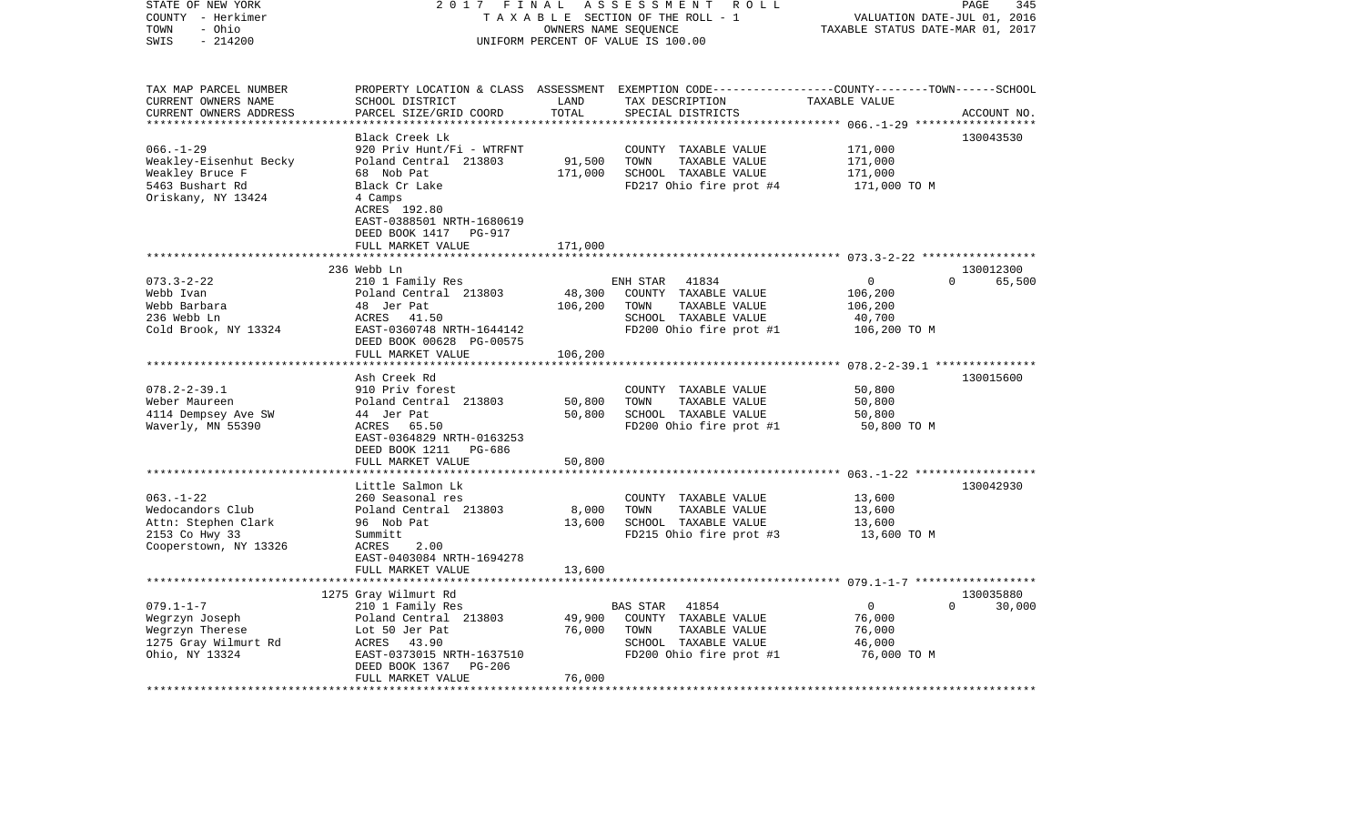| STATE OF NEW YORK<br>COUNTY - Herkimer           | 2017<br>FINAL<br>TAXABLE SECTION OF THE ROLL - 1 | 345<br>PAGE<br>VALUATION DATE-JUL 01, 2016 |                                                                                                  |                                         |                    |
|--------------------------------------------------|--------------------------------------------------|--------------------------------------------|--------------------------------------------------------------------------------------------------|-----------------------------------------|--------------------|
| TOWN<br>- Ohio<br>$-214200$<br>SWIS              | UNIFORM PERCENT OF VALUE IS 100.00               | TAXABLE STATUS DATE-MAR 01, 2017           |                                                                                                  |                                         |                    |
|                                                  |                                                  |                                            |                                                                                                  |                                         |                    |
| TAX MAP PARCEL NUMBER                            |                                                  |                                            | PROPERTY LOCATION & CLASS ASSESSMENT EXEMPTION CODE----------------COUNTY-------TOWN------SCHOOL |                                         |                    |
| CURRENT OWNERS NAME                              | SCHOOL DISTRICT                                  | LAND                                       | TAX DESCRIPTION                                                                                  | TAXABLE VALUE                           |                    |
| CURRENT OWNERS ADDRESS<br>********************** | PARCEL SIZE/GRID COORD                           | TOTAL                                      | SPECIAL DISTRICTS                                                                                |                                         | ACCOUNT NO.        |
|                                                  | Black Creek Lk                                   |                                            |                                                                                                  |                                         | 130043530          |
| $066. - 1 - 29$                                  | 920 Priv Hunt/Fi - WTRFNT                        |                                            | COUNTY TAXABLE VALUE                                                                             | 171,000                                 |                    |
| Weakley-Eisenhut Becky                           | Poland Central 213803                            | 91,500                                     | TOWN<br>TAXABLE VALUE                                                                            | 171,000                                 |                    |
| Weakley Bruce F                                  | 68 Nob Pat                                       | 171,000                                    | SCHOOL TAXABLE VALUE                                                                             | 171,000                                 |                    |
| 5463 Bushart Rd                                  | Black Cr Lake                                    |                                            | FD217 Ohio fire prot #4                                                                          | 171,000 TO M                            |                    |
| Oriskany, NY 13424                               | 4 Camps                                          |                                            |                                                                                                  |                                         |                    |
|                                                  | ACRES 192.80                                     |                                            |                                                                                                  |                                         |                    |
|                                                  | EAST-0388501 NRTH-1680619                        |                                            |                                                                                                  |                                         |                    |
|                                                  | DEED BOOK 1417<br>PG-917                         |                                            |                                                                                                  |                                         |                    |
|                                                  | FULL MARKET VALUE                                | 171,000                                    |                                                                                                  |                                         |                    |
|                                                  | 236 Webb Ln                                      |                                            |                                                                                                  |                                         | 130012300          |
| $073.3 - 2 - 22$                                 | 210 1 Family Res                                 |                                            | ENH STAR<br>41834                                                                                | $\mathbf{0}$                            | 65,500<br>$\Omega$ |
| Webb Ivan                                        | Poland Central 213803                            | 48,300                                     | COUNTY TAXABLE VALUE                                                                             | 106,200                                 |                    |
| Webb Barbara                                     | 48 Jer Pat                                       | 106,200                                    | TOWN<br>TAXABLE VALUE                                                                            | 106,200                                 |                    |
| 236 Webb Ln                                      | ACRES 41.50                                      |                                            | SCHOOL TAXABLE VALUE                                                                             | 40,700                                  |                    |
| Cold Brook, NY 13324                             | EAST-0360748 NRTH-1644142                        |                                            | FD200 Ohio fire prot #1                                                                          | 106,200 TO M                            |                    |
|                                                  | DEED BOOK 00628 PG-00575                         |                                            |                                                                                                  |                                         |                    |
|                                                  | FULL MARKET VALUE                                | 106,200                                    |                                                                                                  |                                         |                    |
|                                                  |                                                  | ********                                   |                                                                                                  | ********** 078.2-2-39.1 *************** |                    |
|                                                  | Ash Creek Rd                                     |                                            |                                                                                                  |                                         | 130015600          |
| $078.2 - 2 - 39.1$                               | 910 Priv forest                                  |                                            | COUNTY TAXABLE VALUE                                                                             | 50,800                                  |                    |
| Weber Maureen                                    | Poland Central 213803                            | 50,800                                     | TOWN<br>TAXABLE VALUE                                                                            | 50,800                                  |                    |
| 4114 Dempsey Ave SW                              | 44 Jer Pat                                       | 50,800                                     | SCHOOL TAXABLE VALUE                                                                             | 50,800                                  |                    |
| Waverly, MN 55390                                | ACRES 65.50<br>EAST-0364829 NRTH-0163253         |                                            | FD200 Ohio fire prot #1                                                                          | 50,800 TO M                             |                    |
|                                                  | DEED BOOK 1211<br>PG-686                         |                                            |                                                                                                  |                                         |                    |
|                                                  | FULL MARKET VALUE                                | 50,800                                     |                                                                                                  |                                         |                    |
|                                                  | ********************                             |                                            |                                                                                                  |                                         |                    |
|                                                  | Little Salmon Lk                                 |                                            |                                                                                                  |                                         | 130042930          |
| $063. -1 - 22$                                   | 260 Seasonal res                                 |                                            | COUNTY TAXABLE VALUE                                                                             | 13,600                                  |                    |
| Wedocandors Club                                 | Poland Central 213803                            | 8,000                                      | TOWN<br>TAXABLE VALUE                                                                            | 13,600                                  |                    |
| Attn: Stephen Clark                              | 96 Nob Pat                                       | 13,600                                     | SCHOOL TAXABLE VALUE                                                                             | 13,600                                  |                    |
| 2153 Co Hwy 33                                   | Summitt                                          |                                            | FD215 Ohio fire prot #3                                                                          | 13,600 TO M                             |                    |
| Cooperstown, NY 13326                            | ACRES<br>2.00                                    |                                            |                                                                                                  |                                         |                    |
|                                                  | EAST-0403084 NRTH-1694278                        |                                            |                                                                                                  |                                         |                    |
|                                                  | FULL MARKET VALUE                                | 13,600                                     |                                                                                                  |                                         |                    |
|                                                  | 1275 Gray Wilmurt Rd                             |                                            |                                                                                                  |                                         | 130035880          |
| $079.1 - 1 - 7$                                  | 210 1 Family Res                                 |                                            | BAS STAR<br>41854                                                                                | $\mathbf{0}$                            | $\Omega$<br>30,000 |
| Wegrzyn Joseph                                   | Poland Central 213803                            | 49,900                                     | COUNTY TAXABLE VALUE                                                                             | 76,000                                  |                    |
| Wegrzyn Therese                                  | Lot 50 Jer Pat                                   | 76,000                                     | TOWN<br>TAXABLE VALUE                                                                            | 76,000                                  |                    |
| 1275 Gray Wilmurt Rd                             | ACRES<br>43.90                                   |                                            | SCHOOL TAXABLE VALUE                                                                             | 46,000                                  |                    |
| Ohio, NY 13324                                   | EAST-0373015 NRTH-1637510                        |                                            | FD200 Ohio fire prot #1                                                                          | 76,000 TO M                             |                    |
|                                                  | DEED BOOK 1367<br><b>PG-206</b>                  |                                            |                                                                                                  |                                         |                    |
|                                                  | FULL MARKET VALUE                                | 76,000                                     |                                                                                                  |                                         |                    |
|                                                  |                                                  |                                            |                                                                                                  |                                         |                    |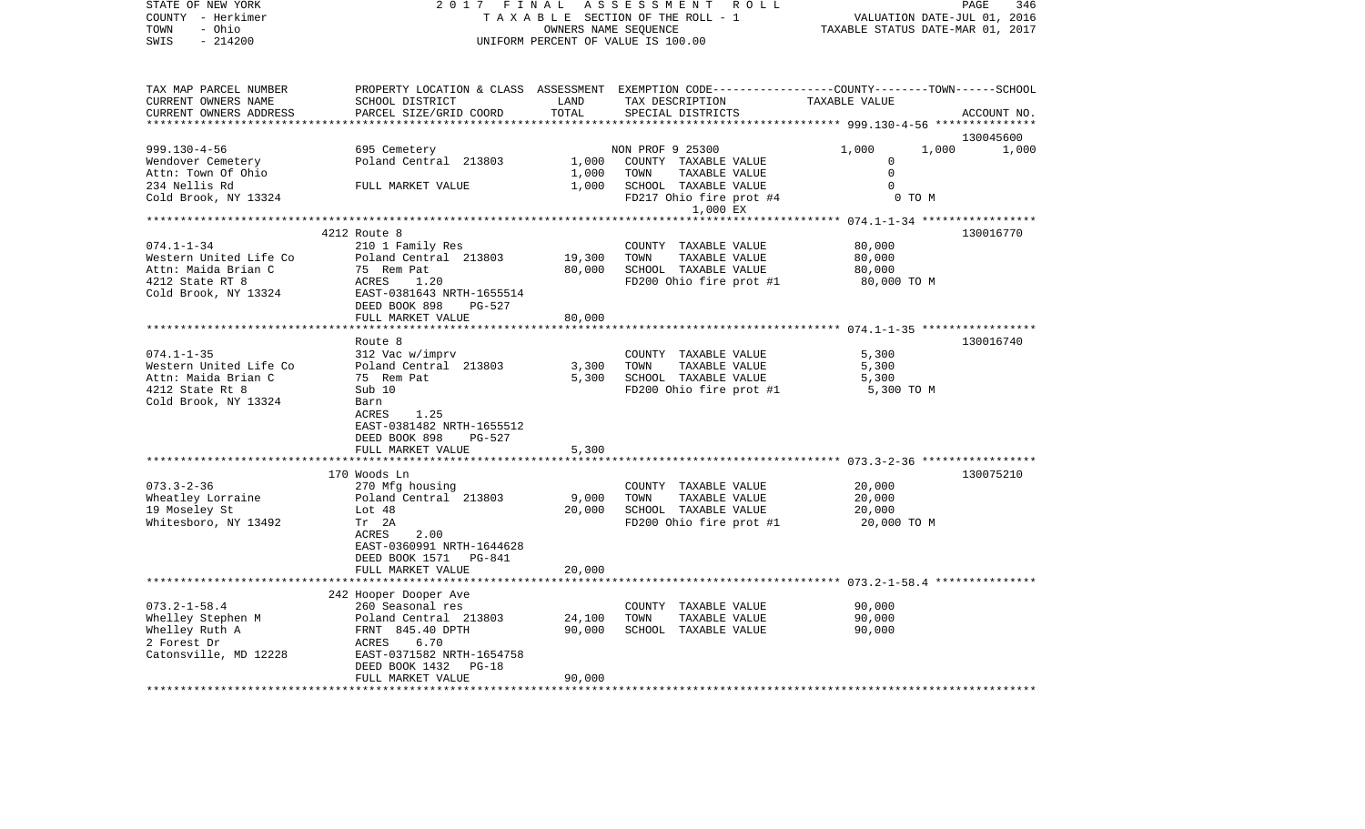| STATE OF NEW YORK<br>COUNTY - Herkimer<br>- Ohio<br>TOWN                                                     | 2017 FINAL<br>TAXABLE SECTION OF THE ROLL - 1                                                                                                                                                                       | PAGE<br>346<br>VALUATION DATE-JUL 01, 2016<br>TAXABLE STATUS DATE-MAR 01, 2017 |                                                                                                                                         |                                                          |             |
|--------------------------------------------------------------------------------------------------------------|---------------------------------------------------------------------------------------------------------------------------------------------------------------------------------------------------------------------|--------------------------------------------------------------------------------|-----------------------------------------------------------------------------------------------------------------------------------------|----------------------------------------------------------|-------------|
| SWIS<br>$-214200$                                                                                            |                                                                                                                                                                                                                     |                                                                                | UNIFORM PERCENT OF VALUE IS 100.00                                                                                                      |                                                          |             |
| TAX MAP PARCEL NUMBER<br>CURRENT OWNERS NAME<br>CURRENT OWNERS ADDRESS<br>***********************            | SCHOOL DISTRICT<br>PARCEL SIZE/GRID COORD                                                                                                                                                                           | LAND<br>TOTAL                                                                  | PROPERTY LOCATION & CLASS ASSESSMENT EXEMPTION CODE---------------COUNTY-------TOWN------SCHOOL<br>TAX DESCRIPTION<br>SPECIAL DISTRICTS | TAXABLE VALUE                                            | ACCOUNT NO. |
|                                                                                                              |                                                                                                                                                                                                                     |                                                                                |                                                                                                                                         |                                                          | 130045600   |
| $999.130 - 4 - 56$<br>Wendover Cemetery<br>Attn: Town Of Ohio<br>234 Nellis Rd                               | 695 Cemetery<br>Poland Central 213803<br>FULL MARKET VALUE                                                                                                                                                          | 1,000<br>1,000<br>1,000                                                        | NON PROF 9 25300<br>COUNTY TAXABLE VALUE<br>TOWN<br>TAXABLE VALUE<br>SCHOOL TAXABLE VALUE                                               | 1,000<br>1,000<br>$\mathbf 0$<br>$\mathbf 0$<br>$\Omega$ | 1,000       |
| Cold Brook, NY 13324                                                                                         |                                                                                                                                                                                                                     |                                                                                | FD217 Ohio fire prot #4<br>1,000 EX                                                                                                     | 0 TO M                                                   |             |
|                                                                                                              |                                                                                                                                                                                                                     |                                                                                |                                                                                                                                         |                                                          |             |
| $074.1 - 1 - 34$<br>Western United Life Co<br>Attn: Maida Brian C<br>4212 State RT 8<br>Cold Brook, NY 13324 | 4212 Route 8<br>210 1 Family Res<br>Poland Central 213803<br>75 Rem Pat<br>ACRES<br>1.20<br>EAST-0381643 NRTH-1655514<br>DEED BOOK 898<br>PG-527                                                                    | 19,300<br>80,000                                                               | COUNTY TAXABLE VALUE<br>TOWN<br>TAXABLE VALUE<br>SCHOOL TAXABLE VALUE<br>FD200 Ohio fire prot #1                                        | 80,000<br>80,000<br>80,000<br>80,000 TO M                | 130016770   |
|                                                                                                              | FULL MARKET VALUE                                                                                                                                                                                                   | 80,000                                                                         |                                                                                                                                         |                                                          |             |
| $074.1 - 1 - 35$<br>Western United Life Co<br>Attn: Maida Brian C<br>4212 State Rt 8<br>Cold Brook, NY 13324 | ******************************<br>Route 8<br>312 Vac w/imprv<br>Poland Central 213803<br>75 Rem Pat<br>Sub 10<br>Barn<br>1.25<br>ACRES<br>EAST-0381482 NRTH-1655512<br>DEED BOOK 898<br>PG-527<br>FULL MARKET VALUE | *************<br>3,300<br>5,300<br>5,300                                       | COUNTY TAXABLE VALUE<br>TOWN<br>TAXABLE VALUE<br>SCHOOL TAXABLE VALUE<br>FD200 Ohio fire prot #1                                        | 5,300<br>5,300<br>5,300<br>5,300 TO M                    | 130016740   |
|                                                                                                              |                                                                                                                                                                                                                     |                                                                                |                                                                                                                                         | ************************ 073.3-2-36 ******************   |             |
| $073.3 - 2 - 36$<br>Wheatley Lorraine<br>19 Moseley St<br>Whitesboro, NY 13492                               | 170 Woods Ln<br>270 Mfg housing<br>Poland Central 213803<br>Lot $48$<br>Tr 2A<br>2.00<br>ACRES<br>EAST-0360991 NRTH-1644628<br>DEED BOOK 1571 PG-841<br>FULL MARKET VALUE                                           | 9,000<br>20,000<br>20,000                                                      | COUNTY TAXABLE VALUE<br>TOWN<br>TAXABLE VALUE<br>SCHOOL TAXABLE VALUE<br>FD200 Ohio fire prot #1                                        | 20,000<br>20,000<br>20,000<br>20,000 TO M                | 130075210   |
|                                                                                                              | **********************                                                                                                                                                                                              |                                                                                |                                                                                                                                         | ************************** 073.2-1-58.4 **************** |             |
| $073.2 - 1 - 58.4$<br>Whelley Stephen M<br>Whelley Ruth A<br>2 Forest Dr<br>Catonsville, MD 12228            | 242 Hooper Dooper Ave<br>260 Seasonal res<br>Poland Central 213803<br>FRNT 845.40 DPTH<br>ACRES<br>6.70<br>EAST-0371582 NRTH-1654758<br>DEED BOOK 1432<br>$PG-18$                                                   | 24,100<br>90,000                                                               | COUNTY TAXABLE VALUE<br>TOWN<br>TAXABLE VALUE<br>SCHOOL TAXABLE VALUE                                                                   | 90,000<br>90,000<br>90,000                               |             |
|                                                                                                              | FULL MARKET VALUE                                                                                                                                                                                                   | 90,000                                                                         |                                                                                                                                         |                                                          |             |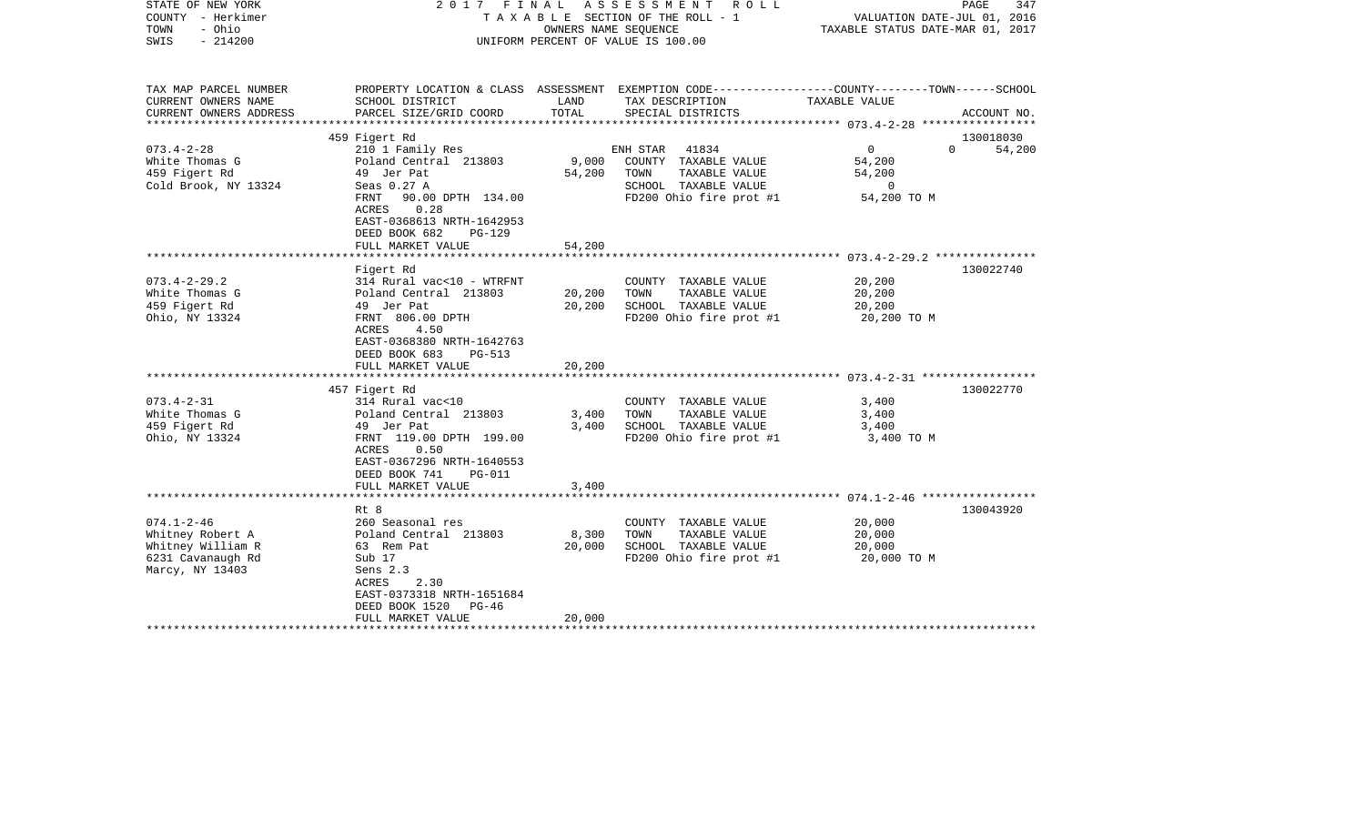| STATE OF NEW YORK<br>COUNTY - Herkimer<br>- Ohio<br>TOWN<br>$-214200$<br>SWIS |                                                        | 2017 FINAL ASSESSMENT ROLL<br>T A X A B L E SECTION OF THE ROLL - 1<br>OWNERS NAME SEQUENCE<br>UNIFORM PERCENT OF VALUE IS 100.00 |                                                                                                                     |                       | PAGE<br>347<br>VALUATION DATE-JUL 01, 2016<br>TAXABLE STATUS DATE-MAR 01, 2017 |
|-------------------------------------------------------------------------------|--------------------------------------------------------|-----------------------------------------------------------------------------------------------------------------------------------|---------------------------------------------------------------------------------------------------------------------|-----------------------|--------------------------------------------------------------------------------|
| TAX MAP PARCEL NUMBER<br>CURRENT OWNERS NAME                                  | SCHOOL DISTRICT                                        | LAND                                                                                                                              | PROPERTY LOCATION & CLASS ASSESSMENT EXEMPTION CODE----------------COUNTY-------TOWN------SCHOOL<br>TAX DESCRIPTION | TAXABLE VALUE         |                                                                                |
| CURRENT OWNERS ADDRESS                                                        | PARCEL SIZE/GRID COORD                                 | TOTAL                                                                                                                             | SPECIAL DISTRICTS                                                                                                   |                       | ACCOUNT NO.                                                                    |
|                                                                               |                                                        |                                                                                                                                   |                                                                                                                     |                       |                                                                                |
| $073.4 - 2 - 28$                                                              | 459 Figert Rd                                          |                                                                                                                                   |                                                                                                                     | $\overline{0}$        | 130018030<br>$\Omega$                                                          |
| White Thomas G                                                                | 210 1 Family Res<br>Poland Central 213803              | 9,000                                                                                                                             | ENH STAR 41834<br>COUNTY TAXABLE VALUE                                                                              | 54,200                | 54,200                                                                         |
| 459 Figert Rd                                                                 | 49 Jer Pat                                             | 54,200                                                                                                                            | TOWN<br>TAXABLE VALUE                                                                                               | 54,200                |                                                                                |
| Cold Brook, NY 13324                                                          | Seas 0.27 A                                            |                                                                                                                                   | SCHOOL TAXABLE VALUE                                                                                                | $\circ$               |                                                                                |
|                                                                               | FRNT 90.00 DPTH 134.00<br>ACRES<br>0.28                |                                                                                                                                   | FD200 Ohio fire prot #1                                                                                             | 54,200 TO M           |                                                                                |
|                                                                               | EAST-0368613 NRTH-1642953<br>DEED BOOK 682<br>$PG-129$ |                                                                                                                                   |                                                                                                                     |                       |                                                                                |
|                                                                               | FULL MARKET VALUE                                      | 54,200                                                                                                                            |                                                                                                                     |                       |                                                                                |
|                                                                               |                                                        |                                                                                                                                   |                                                                                                                     |                       |                                                                                |
|                                                                               | Figert Rd                                              |                                                                                                                                   |                                                                                                                     |                       | 130022740                                                                      |
| $073.4 - 2 - 29.2$                                                            | 314 Rural vac<10 - WTRFNT                              |                                                                                                                                   | COUNTY TAXABLE VALUE                                                                                                | 20,200                |                                                                                |
| White Thomas G                                                                | Poland Central 213803                                  | 20,200                                                                                                                            | TOWN<br>TAXABLE VALUE                                                                                               | 20,200                |                                                                                |
| 459 Figert Rd<br>Ohio, NY 13324                                               | 49 Jer Pat<br>FRNT 806.00 DPTH                         | 20,200                                                                                                                            | SCHOOL TAXABLE VALUE<br>FD200 Ohio fire prot #1                                                                     | 20,200<br>20,200 TO M |                                                                                |
|                                                                               | ACRES<br>4.50                                          |                                                                                                                                   |                                                                                                                     |                       |                                                                                |
|                                                                               | EAST-0368380 NRTH-1642763                              |                                                                                                                                   |                                                                                                                     |                       |                                                                                |
|                                                                               | DEED BOOK 683<br>PG-513                                |                                                                                                                                   |                                                                                                                     |                       |                                                                                |
|                                                                               | FULL MARKET VALUE                                      | 20,200                                                                                                                            |                                                                                                                     |                       |                                                                                |
|                                                                               |                                                        |                                                                                                                                   |                                                                                                                     |                       |                                                                                |
|                                                                               | 457 Figert Rd                                          |                                                                                                                                   |                                                                                                                     |                       | 130022770                                                                      |
| $073.4 - 2 - 31$<br>White Thomas G                                            | 314 Rural vac<10<br>Poland Central 213803              | 3,400                                                                                                                             | COUNTY TAXABLE VALUE<br>TOWN<br>TAXABLE VALUE                                                                       | 3,400<br>3,400        |                                                                                |
| 459 Figert Rd                                                                 | 49 Jer Pat                                             | 3,400                                                                                                                             | SCHOOL TAXABLE VALUE                                                                                                | 3,400                 |                                                                                |
| Ohio, NY 13324                                                                | FRNT 119.00 DPTH 199.00                                |                                                                                                                                   | FD200 Ohio fire prot #1                                                                                             | 3,400 TO M            |                                                                                |
|                                                                               | ACRES<br>0.50                                          |                                                                                                                                   |                                                                                                                     |                       |                                                                                |
|                                                                               | EAST-0367296 NRTH-1640553                              |                                                                                                                                   |                                                                                                                     |                       |                                                                                |
|                                                                               | DEED BOOK 741<br>$PG-011$                              |                                                                                                                                   |                                                                                                                     |                       |                                                                                |
|                                                                               | FULL MARKET VALUE                                      | 3,400                                                                                                                             |                                                                                                                     |                       |                                                                                |
|                                                                               | Rt 8                                                   |                                                                                                                                   |                                                                                                                     |                       | 130043920                                                                      |
| $074.1 - 2 - 46$                                                              | 260 Seasonal res                                       |                                                                                                                                   | COUNTY TAXABLE VALUE                                                                                                | 20,000                |                                                                                |
| Whitney Robert A                                                              | Poland Central 213803                                  | 8,300                                                                                                                             | TAXABLE VALUE<br>TOWN                                                                                               | 20,000                |                                                                                |
| Whitney William R                                                             | 63 Rem Pat                                             | 20,000                                                                                                                            | SCHOOL TAXABLE VALUE                                                                                                | 20,000                |                                                                                |
| 6231 Cavanaugh Rd                                                             | Sub 17                                                 |                                                                                                                                   | FD200 Ohio fire prot #1                                                                                             | 20,000 TO M           |                                                                                |
| Marcy, NY 13403                                                               | Sens 2.3                                               |                                                                                                                                   |                                                                                                                     |                       |                                                                                |
|                                                                               | 2.30<br>ACRES<br>EAST-0373318 NRTH-1651684             |                                                                                                                                   |                                                                                                                     |                       |                                                                                |
|                                                                               | DEED BOOK 1520<br>PG-46                                |                                                                                                                                   |                                                                                                                     |                       |                                                                                |
|                                                                               | FULL MARKET VALUE                                      | 20,000                                                                                                                            |                                                                                                                     |                       |                                                                                |
|                                                                               |                                                        |                                                                                                                                   |                                                                                                                     |                       |                                                                                |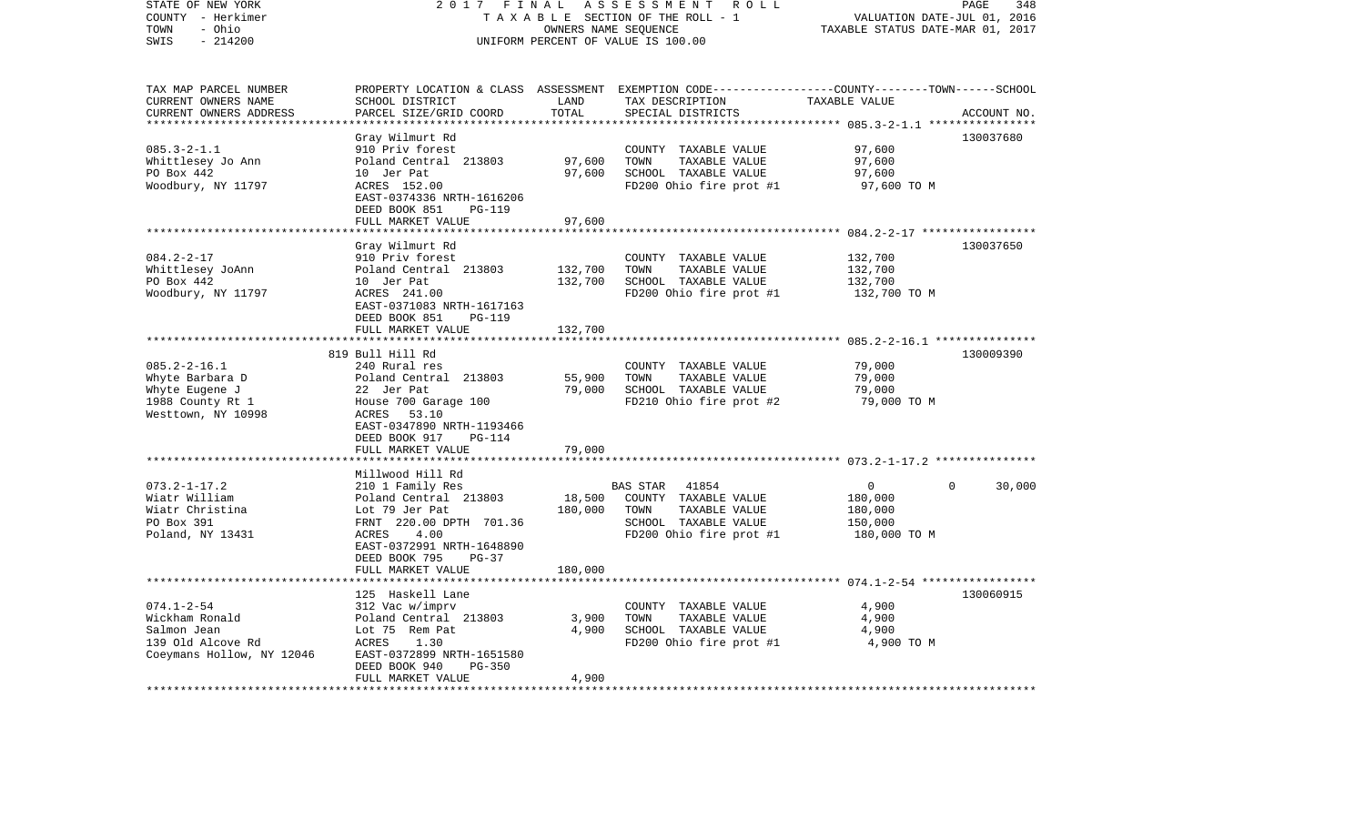| STATE OF NEW YORK<br>COUNTY - Herkimer<br>- Ohio<br>TOWN                 | 2017 FINAL                                                                  | OWNERS NAME SEQUENCE | ASSESSMENT ROLL<br>TAXABLE SECTION OF THE ROLL - 1                                               | VALUATION DATE-JUL 01, 2016<br>TAXABLE STATUS DATE-MAR 01, 2017 | PAGE<br>348 |
|--------------------------------------------------------------------------|-----------------------------------------------------------------------------|----------------------|--------------------------------------------------------------------------------------------------|-----------------------------------------------------------------|-------------|
| $-214200$<br>SWIS                                                        |                                                                             |                      | UNIFORM PERCENT OF VALUE IS 100.00                                                               |                                                                 |             |
| TAX MAP PARCEL NUMBER                                                    |                                                                             |                      | PROPERTY LOCATION & CLASS ASSESSMENT EXEMPTION CODE----------------COUNTY-------TOWN------SCHOOL |                                                                 |             |
| CURRENT OWNERS NAME<br>CURRENT OWNERS ADDRESS<br>*********************** | SCHOOL DISTRICT<br>PARCEL SIZE/GRID COORD                                   | LAND<br>TOTAL        | TAX DESCRIPTION<br>SPECIAL DISTRICTS                                                             | TAXABLE VALUE                                                   | ACCOUNT NO. |
|                                                                          | Gray Wilmurt Rd                                                             |                      |                                                                                                  |                                                                 | 130037680   |
| $085.3 - 2 - 1.1$                                                        | 910 Priv forest                                                             |                      | COUNTY TAXABLE VALUE                                                                             | 97,600                                                          |             |
| Whittlesey Jo Ann                                                        | Poland Central 213803                                                       | 97,600               | TOWN<br>TAXABLE VALUE                                                                            | 97,600                                                          |             |
| PO Box 442                                                               | 10 Jer Pat                                                                  | 97,600               | SCHOOL TAXABLE VALUE                                                                             | 97,600                                                          |             |
| Woodbury, NY 11797                                                       | ACRES 152.00<br>EAST-0374336 NRTH-1616206<br>DEED BOOK 851<br><b>PG-119</b> |                      | FD200 Ohio fire prot #1                                                                          | 97,600 TO M                                                     |             |
|                                                                          | FULL MARKET VALUE                                                           | 97,600               |                                                                                                  |                                                                 |             |
|                                                                          |                                                                             | ********             |                                                                                                  | ******************** 084.2-2-17 ******************              |             |
| $084.2 - 2 - 17$                                                         | Gray Wilmurt Rd<br>910 Priv forest                                          |                      |                                                                                                  | 132,700                                                         | 130037650   |
| Whittlesey JoAnn                                                         | Poland Central 213803                                                       | 132,700              | COUNTY TAXABLE VALUE<br>TAXABLE VALUE<br>TOWN                                                    | 132,700                                                         |             |
| PO Box 442                                                               | 10 Jer Pat                                                                  | 132,700              | SCHOOL TAXABLE VALUE                                                                             | 132,700                                                         |             |
| Woodbury, NY 11797                                                       | ACRES 241.00                                                                |                      | FD200 Ohio fire prot #1                                                                          | 132,700 TO M                                                    |             |
|                                                                          | EAST-0371083 NRTH-1617163<br>DEED BOOK 851<br><b>PG-119</b>                 |                      |                                                                                                  |                                                                 |             |
|                                                                          | FULL MARKET VALUE<br>*********************************                      | 132,700              |                                                                                                  |                                                                 |             |
|                                                                          | 819 Bull Hill Rd                                                            |                      |                                                                                                  |                                                                 | 130009390   |
| $085.2 - 2 - 16.1$                                                       | 240 Rural res                                                               |                      | COUNTY TAXABLE VALUE                                                                             | 79,000                                                          |             |
| Whyte Barbara D                                                          | Poland Central 213803                                                       | 55,900               | TOWN<br>TAXABLE VALUE                                                                            | 79,000                                                          |             |
| Whyte Eugene J                                                           | 22 Jer Pat                                                                  | 79,000               | SCHOOL TAXABLE VALUE                                                                             | 79,000                                                          |             |
| 1988 County Rt 1                                                         | House 700 Garage 100                                                        |                      | FD210 Ohio fire prot #2                                                                          | 79,000 TO M                                                     |             |
| Westtown, NY 10998                                                       | ACRES 53.10                                                                 |                      |                                                                                                  |                                                                 |             |
|                                                                          | EAST-0347890 NRTH-1193466                                                   |                      |                                                                                                  |                                                                 |             |
|                                                                          | DEED BOOK 917<br><b>PG-114</b>                                              |                      |                                                                                                  |                                                                 |             |
|                                                                          | FULL MARKET VALUE                                                           | 79,000               |                                                                                                  |                                                                 |             |
|                                                                          | ******************************                                              |                      |                                                                                                  |                                                                 |             |
|                                                                          | Millwood Hill Rd                                                            |                      |                                                                                                  |                                                                 |             |
| $073.2 - 1 - 17.2$                                                       | 210 1 Family Res                                                            |                      | 41854<br>BAS STAR                                                                                | $\Omega$<br>$\overline{0}$                                      | 30,000      |
| Wiatr William<br>Wiatr Christina                                         | Poland Central 213803                                                       | 18,500<br>180,000    | COUNTY TAXABLE VALUE<br>TOWN                                                                     | 180,000                                                         |             |
| PO Box 391                                                               | Lot 79 Jer Pat<br>FRNT 220.00 DPTH 701.36                                   |                      | TAXABLE VALUE<br>SCHOOL TAXABLE VALUE                                                            | 180,000<br>150,000                                              |             |
| Poland, NY 13431                                                         | ACRES<br>4.00                                                               |                      | FD200 Ohio fire prot #1                                                                          | 180,000 TO M                                                    |             |
|                                                                          | EAST-0372991 NRTH-1648890<br>DEED BOOK 795<br>$PG-37$                       |                      |                                                                                                  |                                                                 |             |
|                                                                          | FULL MARKET VALUE                                                           | 180,000              |                                                                                                  |                                                                 |             |
|                                                                          |                                                                             |                      |                                                                                                  |                                                                 |             |
|                                                                          | 125 Haskell Lane                                                            |                      |                                                                                                  |                                                                 | 130060915   |
| $074.1 - 2 - 54$                                                         | 312 Vac w/imprv                                                             |                      | COUNTY TAXABLE VALUE                                                                             | 4,900                                                           |             |
| Wickham Ronald                                                           | Poland Central 213803                                                       | 3,900                | TOWN<br>TAXABLE VALUE                                                                            | 4,900                                                           |             |
| Salmon Jean                                                              | Lot 75 Rem Pat                                                              | 4,900                | SCHOOL TAXABLE VALUE                                                                             | 4,900                                                           |             |
| 139 Old Alcove Rd                                                        | ACRES<br>1.30                                                               |                      | FD200 Ohio fire prot #1                                                                          | 4,900 TO M                                                      |             |
| Coeymans Hollow, NY 12046                                                | EAST-0372899 NRTH-1651580<br>DEED BOOK 940<br>PG-350<br>FULL MARKET VALUE   | 4,900                |                                                                                                  |                                                                 |             |
| *******************                                                      |                                                                             |                      |                                                                                                  |                                                                 |             |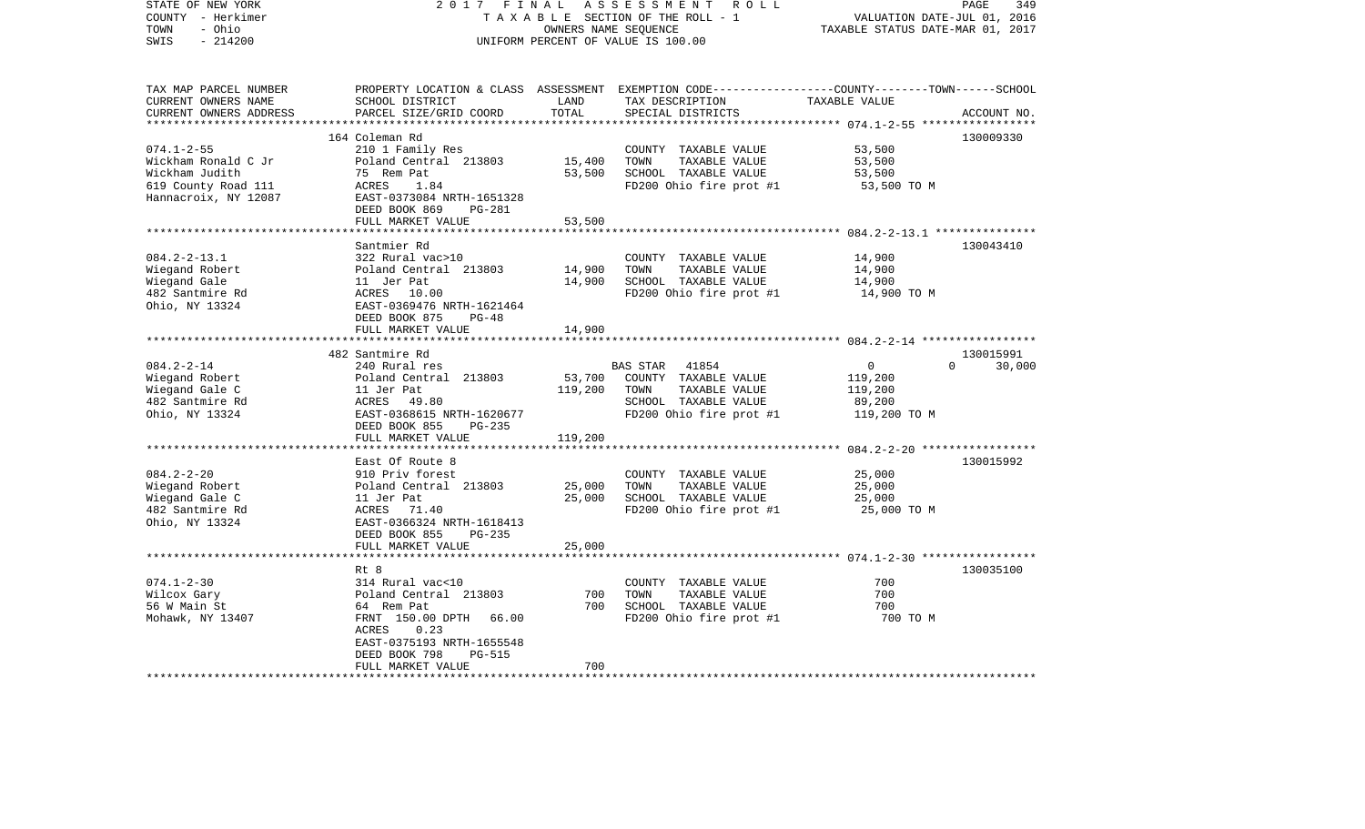| STATE OF NEW YORK<br>COUNTY - Herkimer<br>- Ohio<br>TOWN<br>$-214200$<br>SWIS                            | 2017                                                                                                                                                                         | FINAL<br>OWNERS NAME SEQUENCE | ASSESSMENT<br>R O L L<br>TAXABLE SECTION OF THE ROLL - 1<br>UNIFORM PERCENT OF VALUE IS 100.00                               | VALUATION DATE-JUL 01,<br>TAXABLE STATUS DATE-MAR 01, 2017               | PAGE<br>349<br>2016 |
|----------------------------------------------------------------------------------------------------------|------------------------------------------------------------------------------------------------------------------------------------------------------------------------------|-------------------------------|------------------------------------------------------------------------------------------------------------------------------|--------------------------------------------------------------------------|---------------------|
| TAX MAP PARCEL NUMBER<br>CURRENT OWNERS NAME<br>CURRENT OWNERS ADDRESS<br>********************           | PROPERTY LOCATION & CLASS<br>SCHOOL DISTRICT<br>PARCEL SIZE/GRID COORD                                                                                                       | LAND<br>TOTAL                 | ASSESSMENT EXEMPTION CODE-----------------COUNTY-------TOWN------SCHOOL<br>TAX DESCRIPTION<br>SPECIAL DISTRICTS              | TAXABLE VALUE                                                            | ACCOUNT NO.         |
|                                                                                                          |                                                                                                                                                                              |                               |                                                                                                                              |                                                                          |                     |
| $074.1 - 2 - 55$<br>Wickham Ronald C Jr<br>Wickham Judith<br>619 County Road 111<br>Hannacroix, NY 12087 | 164 Coleman Rd<br>210 1 Family Res<br>Poland Central 213803<br>75 Rem Pat<br>ACRES<br>1.84<br>EAST-0373084 NRTH-1651328<br>DEED BOOK 869<br>PG-281                           | 15,400<br>53,500              | COUNTY TAXABLE VALUE<br>TOWN<br>TAXABLE VALUE<br>SCHOOL TAXABLE VALUE<br>FD200 Ohio fire prot #1                             | 53,500<br>53,500<br>53,500<br>53,500 TO M                                | 130009330           |
|                                                                                                          | FULL MARKET VALUE                                                                                                                                                            | 53,500                        |                                                                                                                              |                                                                          |                     |
| $084.2 - 2 - 13.1$<br>Wiegand Robert<br>Wiegand Gale<br>482 Santmire Rd<br>Ohio, NY 13324                | Santmier Rd<br>322 Rural vac>10<br>Poland Central 213803<br>11 Jer Pat<br>ACRES 10.00<br>EAST-0369476 NRTH-1621464<br>DEED BOOK 875<br>$PG-48$                               | 14,900<br>14,900              | COUNTY<br>TAXABLE VALUE<br>TOWN<br>TAXABLE VALUE<br>SCHOOL TAXABLE VALUE<br>FD200 Ohio fire prot #1                          | 14,900<br>14,900<br>14,900<br>14,900 TO M                                | 130043410           |
|                                                                                                          | FULL MARKET VALUE                                                                                                                                                            | 14,900                        |                                                                                                                              |                                                                          |                     |
|                                                                                                          | **********************                                                                                                                                                       |                               |                                                                                                                              | ********************* 084.2-2-14 ******************                      |                     |
|                                                                                                          | 482 Santmire Rd                                                                                                                                                              |                               |                                                                                                                              |                                                                          | 130015991           |
| $084.2 - 2 - 14$<br>Wiegand Robert<br>Wiegand Gale C<br>482 Santmire Rd<br>Ohio, NY 13324                | 240 Rural res<br>Poland Central 213803<br>11 Jer Pat<br>ACRES<br>49.80<br>EAST-0368615 NRTH-1620677<br>DEED BOOK 855<br>$PG-235$                                             | 53,700<br>119,200             | <b>BAS STAR</b><br>41854<br>COUNTY TAXABLE VALUE<br>TOWN<br>TAXABLE VALUE<br>SCHOOL TAXABLE VALUE<br>FD200 Ohio fire prot #1 | $\Omega$<br>0<br>119,200<br>119,200<br>89,200<br>119,200 TO M            | 30,000              |
|                                                                                                          | FULL MARKET VALUE                                                                                                                                                            | 119,200                       |                                                                                                                              |                                                                          |                     |
|                                                                                                          | *************************                                                                                                                                                    |                               |                                                                                                                              |                                                                          |                     |
| $084.2 - 2 - 20$<br>Wiegand Robert<br>Wiegand Gale C<br>482 Santmire Rd<br>Ohio, NY 13324                | East Of Route 8<br>910 Priv forest<br>Poland Central 213803<br>11 Jer Pat<br>ACRES<br>71.40<br>EAST-0366324 NRTH-1618413<br>DEED BOOK 855<br>$PG-235$                        | 25,000<br>25,000              | COUNTY TAXABLE VALUE<br>TOWN<br>TAXABLE VALUE<br>SCHOOL TAXABLE VALUE<br>FD200 Ohio fire prot #1                             | 25,000<br>25,000<br>25,000<br>25,000 TO M                                | 130015992           |
|                                                                                                          | FULL MARKET VALUE                                                                                                                                                            | 25,000                        |                                                                                                                              |                                                                          |                     |
| $074.1 - 2 - 30$<br>Wilcox Gary<br>56 W Main St<br>Mohawk, NY 13407                                      | Rt 8<br>314 Rural vac<10<br>Poland Central 213803<br>64 Rem Pat<br>FRNT 150.00 DPTH<br>66.00<br>ACRES<br>0.23<br>EAST-0375193 NRTH-1655548<br>DEED BOOK 798<br><b>PG-515</b> | 700<br>700                    | COUNTY TAXABLE VALUE<br>TOWN<br>TAXABLE VALUE<br>SCHOOL TAXABLE VALUE<br>FD200 Ohio fire prot #1                             | ********** 074.1-2-30 *****************<br>700<br>700<br>700<br>700 TO M | 130035100           |
|                                                                                                          | FULL MARKET VALUE                                                                                                                                                            | 700                           |                                                                                                                              |                                                                          |                     |
|                                                                                                          |                                                                                                                                                                              |                               |                                                                                                                              |                                                                          |                     |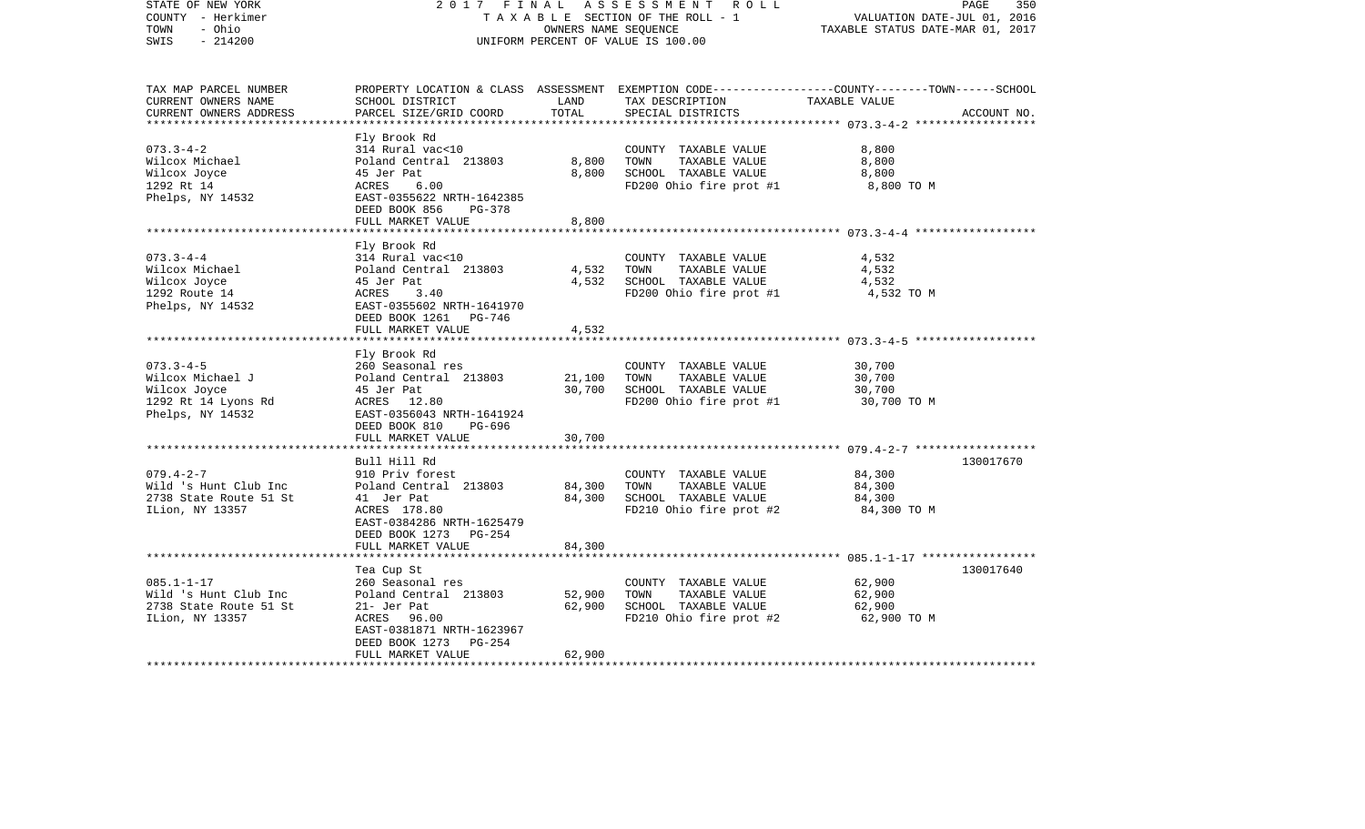| STATE OF NEW YORK<br>COUNTY - Herkimer<br>- Ohio<br>TOWN<br>$-214200$<br>SWIS                  | 2017 FINAL                                                                                                                                                            | OWNERS NAME SEQUENCE       | ASSESSMENT ROLL<br>TAXABLE SECTION OF THE ROLL - 1<br>UNIFORM PERCENT OF VALUE IS 100.00                                                | VALUATION DATE-JUL 01, 2016<br>TAXABLE STATUS DATE-MAR 01, 2017 | 350<br>PAGE |
|------------------------------------------------------------------------------------------------|-----------------------------------------------------------------------------------------------------------------------------------------------------------------------|----------------------------|-----------------------------------------------------------------------------------------------------------------------------------------|-----------------------------------------------------------------|-------------|
| TAX MAP PARCEL NUMBER<br>CURRENT OWNERS NAME<br>CURRENT OWNERS ADDRESS                         | SCHOOL DISTRICT<br>PARCEL SIZE/GRID COORD                                                                                                                             | LAND<br>TOTAL              | PROPERTY LOCATION & CLASS ASSESSMENT EXEMPTION CODE---------------COUNTY-------TOWN------SCHOOL<br>TAX DESCRIPTION<br>SPECIAL DISTRICTS | TAXABLE VALUE                                                   | ACCOUNT NO. |
| $073.3 - 4 - 2$<br>Wilcox Michael<br>Wilcox Joyce<br>1292 Rt 14<br>Phelps, NY 14532            | Fly Brook Rd<br>314 Rural vac<10<br>Poland Central 213803<br>45 Jer Pat<br>ACRES<br>6.00<br>EAST-0355622 NRTH-1642385<br>DEED BOOK 856<br>PG-378<br>FULL MARKET VALUE | 8,800<br>8,800<br>8,800    | COUNTY TAXABLE VALUE<br>TOWN<br>TAXABLE VALUE<br>SCHOOL TAXABLE VALUE<br>FD200 Ohio fire prot #1                                        | 8,800<br>8,800<br>8,800<br>8,800 TO M                           |             |
|                                                                                                |                                                                                                                                                                       |                            |                                                                                                                                         |                                                                 |             |
| $073.3 - 4 - 4$<br>Wilcox Michael<br>Wilcox Joyce<br>1292 Route 14<br>Phelps, NY 14532         | Fly Brook Rd<br>314 Rural vac<10<br>Poland Central 213803<br>45 Jer Pat<br>ACRES<br>3.40<br>EAST-0355602 NRTH-1641970                                                 | 4,532<br>4,532             | COUNTY TAXABLE VALUE<br>TOWN<br>TAXABLE VALUE<br>SCHOOL TAXABLE VALUE<br>FD200 Ohio fire prot #1                                        | 4,532<br>4,532<br>4,532<br>4,532 TO M                           |             |
|                                                                                                | DEED BOOK 1261 PG-746<br>FULL MARKET VALUE                                                                                                                            | 4,532                      |                                                                                                                                         |                                                                 |             |
|                                                                                                |                                                                                                                                                                       |                            |                                                                                                                                         |                                                                 |             |
| $073.3 - 4 - 5$<br>Wilcox Michael J<br>Wilcox Joyce<br>1292 Rt 14 Lyons Rd<br>Phelps, NY 14532 | Fly Brook Rd<br>260 Seasonal res<br>Poland Central 213803<br>45 Jer Pat<br>ACRES 12.80<br>EAST-0356043 NRTH-1641924<br>DEED BOOK 810<br>PG-696                        | 21,100<br>30,700           | COUNTY TAXABLE VALUE<br>TOWN<br>TAXABLE VALUE<br>SCHOOL TAXABLE VALUE<br>FD200 Ohio fire prot #1                                        | 30,700<br>30,700<br>30,700<br>30,700 TO M                       |             |
|                                                                                                | FULL MARKET VALUE                                                                                                                                                     | 30,700                     |                                                                                                                                         |                                                                 |             |
|                                                                                                | Bull Hill Rd                                                                                                                                                          |                            |                                                                                                                                         |                                                                 | 130017670   |
| $079.4 - 2 - 7$<br>Wild 's Hunt Club Inc<br>2738 State Route 51 St<br>ILion, NY 13357          | 910 Priv forest<br>Poland Central 213803<br>41 Jer Pat<br>ACRES 178.80<br>EAST-0384286 NRTH-1625479<br>DEED BOOK 1273 PG-254<br>FULL MARKET VALUE                     | 84,300<br>84,300<br>84,300 | COUNTY TAXABLE VALUE<br>TOWN<br>TAXABLE VALUE<br>SCHOOL TAXABLE VALUE<br>FD210 Ohio fire prot #2                                        | 84,300<br>84,300<br>84,300<br>84,300 TO M                       |             |
|                                                                                                |                                                                                                                                                                       |                            |                                                                                                                                         |                                                                 |             |
| $085.1 - 1 - 17$<br>Wild 's Hunt Club Inc<br>2738 State Route 51 St<br>ILion, NY 13357         | Tea Cup St<br>260 Seasonal res<br>Poland Central 213803<br>21- Jer Pat<br>ACRES 96.00<br>EAST-0381871 NRTH-1623967<br>DEED BOOK 1273 PG-254<br>FULL MARKET VALUE      | 52,900<br>62,900<br>62,900 | COUNTY TAXABLE VALUE<br>TOWN<br>TAXABLE VALUE<br>SCHOOL TAXABLE VALUE<br>FD210 Ohio fire prot #2                                        | 62,900<br>62,900<br>62,900<br>62,900 TO M                       | 130017640   |
|                                                                                                |                                                                                                                                                                       |                            |                                                                                                                                         |                                                                 |             |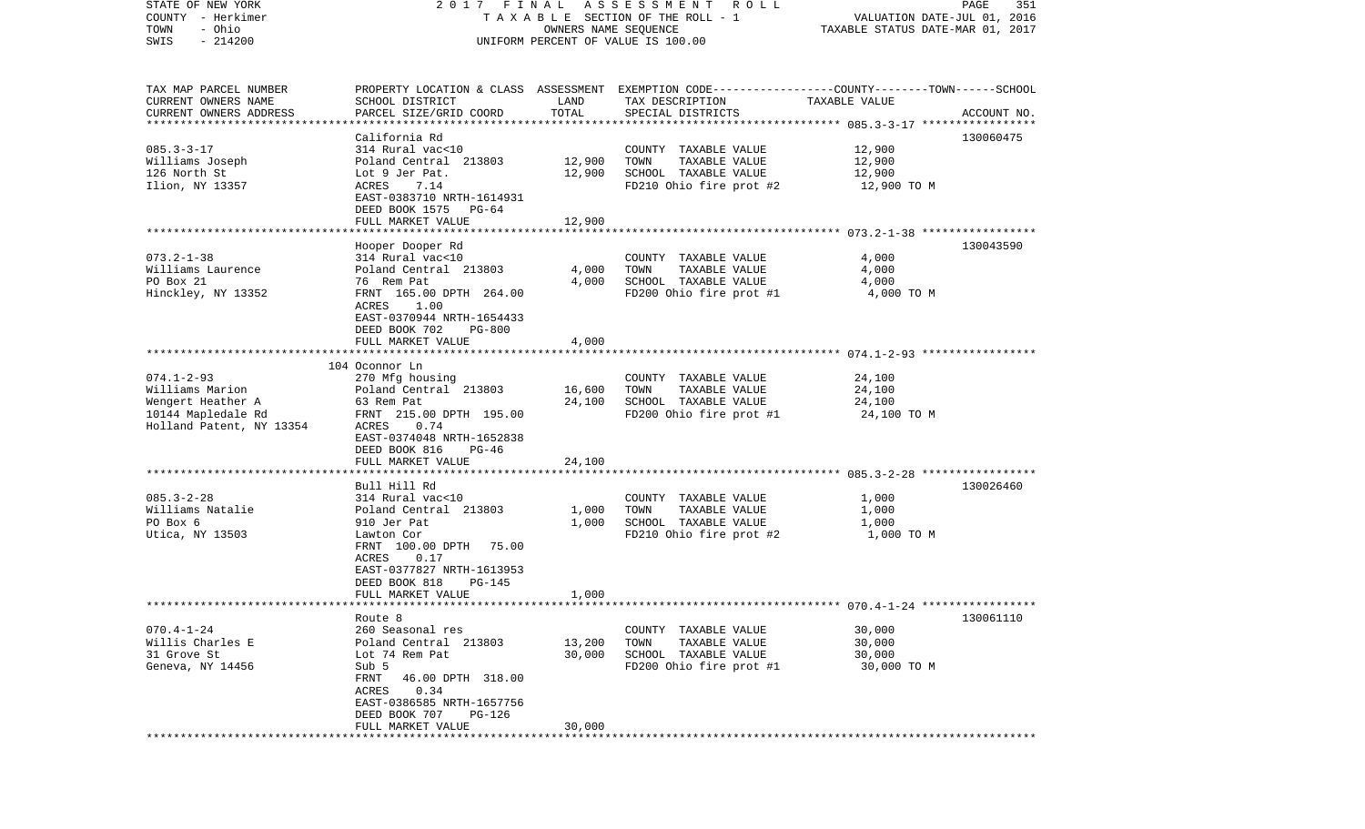| STATE OF NEW YORK<br>COUNTY - Herkimer | 2017 FINAL                                                                                       |                      | ASSESSMENT<br>R O L L<br>TAXABLE SECTION OF THE ROLL - 1 | VALUATION DATE-JUL 01, 2016      | PAGE<br>351 |
|----------------------------------------|--------------------------------------------------------------------------------------------------|----------------------|----------------------------------------------------------|----------------------------------|-------------|
| - Ohio<br>TOWN                         |                                                                                                  | OWNERS NAME SEQUENCE |                                                          | TAXABLE STATUS DATE-MAR 01, 2017 |             |
| $-214200$<br>SWIS                      |                                                                                                  |                      | UNIFORM PERCENT OF VALUE IS 100.00                       |                                  |             |
|                                        |                                                                                                  |                      |                                                          |                                  |             |
| TAX MAP PARCEL NUMBER                  | PROPERTY LOCATION & CLASS ASSESSMENT EXEMPTION CODE----------------COUNTY-------TOWN------SCHOOL |                      |                                                          |                                  |             |
| CURRENT OWNERS NAME                    | SCHOOL DISTRICT                                                                                  | LAND                 | TAX DESCRIPTION                                          | TAXABLE VALUE                    |             |
| CURRENT OWNERS ADDRESS                 | PARCEL SIZE/GRID COORD                                                                           | TOTAL                | SPECIAL DISTRICTS                                        |                                  | ACCOUNT NO. |
| **********************                 |                                                                                                  |                      |                                                          |                                  |             |
|                                        | California Rd                                                                                    |                      |                                                          |                                  | 130060475   |
| $085.3 - 3 - 17$                       | 314 Rural vac<10                                                                                 |                      | COUNTY TAXABLE VALUE                                     | 12,900                           |             |
| Williams Joseph                        | Poland Central 213803                                                                            | 12,900               | TOWN<br>TAXABLE VALUE                                    | 12,900                           |             |
| 126 North St                           | Lot 9 Jer Pat.                                                                                   | 12,900               | SCHOOL TAXABLE VALUE                                     | 12,900                           |             |
| Ilion, NY 13357                        | ACRES<br>7.14                                                                                    |                      | FD210 Ohio fire prot #2                                  | 12,900 TO M                      |             |
|                                        | EAST-0383710 NRTH-1614931<br>DEED BOOK 1575<br>PG-64                                             |                      |                                                          |                                  |             |
|                                        | FULL MARKET VALUE                                                                                | 12,900               |                                                          |                                  |             |
|                                        |                                                                                                  |                      |                                                          |                                  |             |
|                                        | Hooper Dooper Rd                                                                                 |                      |                                                          |                                  | 130043590   |
| $073.2 - 1 - 38$                       | 314 Rural vac<10                                                                                 |                      | COUNTY TAXABLE VALUE                                     | 4,000                            |             |
| Williams Laurence                      | Poland Central 213803                                                                            | 4,000                | TAXABLE VALUE<br>TOWN                                    | 4,000                            |             |
| PO Box 21                              | 76 Rem Pat                                                                                       | 4,000                | SCHOOL TAXABLE VALUE                                     | 4,000                            |             |
| Hinckley, NY 13352                     | FRNT 165.00 DPTH 264.00                                                                          |                      | FD200 Ohio fire prot #1                                  | 4,000 TO M                       |             |
|                                        | 1.00<br>ACRES                                                                                    |                      |                                                          |                                  |             |
|                                        | EAST-0370944 NRTH-1654433                                                                        |                      |                                                          |                                  |             |
|                                        | DEED BOOK 702<br><b>PG-800</b>                                                                   |                      |                                                          |                                  |             |
|                                        | FULL MARKET VALUE                                                                                | 4,000                |                                                          |                                  |             |
|                                        | 104 Oconnor Ln                                                                                   |                      |                                                          |                                  |             |
| $074.1 - 2 - 93$                       | 270 Mfg housing                                                                                  |                      | COUNTY TAXABLE VALUE                                     | 24,100                           |             |
| Williams Marion                        | Poland Central 213803                                                                            | 16,600               | TOWN<br>TAXABLE VALUE                                    | 24,100                           |             |
| Wengert Heather A                      | 63 Rem Pat                                                                                       | 24,100               | SCHOOL TAXABLE VALUE                                     | 24,100                           |             |
| 10144 Mapledale Rd                     | FRNT 215.00 DPTH 195.00                                                                          |                      | FD200 Ohio fire prot #1                                  | 24,100 TO M                      |             |
| Holland Patent, NY 13354               | 0.74<br>ACRES                                                                                    |                      |                                                          |                                  |             |
|                                        | EAST-0374048 NRTH-1652838                                                                        |                      |                                                          |                                  |             |
|                                        | DEED BOOK 816<br>PG-46                                                                           |                      |                                                          |                                  |             |
|                                        | FULL MARKET VALUE                                                                                | 24,100               |                                                          |                                  |             |
|                                        | Bull Hill Rd                                                                                     |                      |                                                          |                                  | 130026460   |
| $085.3 - 2 - 28$                       | 314 Rural vac<10                                                                                 |                      | COUNTY TAXABLE VALUE                                     | 1,000                            |             |
| Williams Natalie                       | Poland Central 213803                                                                            | 1,000                | TOWN<br>TAXABLE VALUE                                    | 1,000                            |             |
| PO Box 6                               | 910 Jer Pat                                                                                      | 1,000                | SCHOOL TAXABLE VALUE                                     | 1,000                            |             |
| Utica, NY 13503                        | Lawton Cor                                                                                       |                      | FD210 Ohio fire prot #2                                  | 1,000 TO M                       |             |
|                                        | FRNT 100.00 DPTH 75.00                                                                           |                      |                                                          |                                  |             |
|                                        | 0.17<br>ACRES                                                                                    |                      |                                                          |                                  |             |
|                                        | EAST-0377827 NRTH-1613953                                                                        |                      |                                                          |                                  |             |
|                                        | DEED BOOK 818<br>PG-145                                                                          |                      |                                                          |                                  |             |
| *******************                    | FULL MARKET VALUE                                                                                | 1,000                |                                                          |                                  |             |
|                                        | Route 8                                                                                          |                      |                                                          |                                  | 130061110   |
| $070.4 - 1 - 24$                       | 260 Seasonal res                                                                                 |                      | COUNTY TAXABLE VALUE                                     | 30,000                           |             |
| Willis Charles E                       | Poland Central 213803                                                                            | 13,200               | TOWN<br>TAXABLE VALUE                                    | 30,000                           |             |
| 31 Grove St                            | Lot 74 Rem Pat                                                                                   | 30,000               | SCHOOL TAXABLE VALUE                                     | 30,000                           |             |
| Geneva, NY 14456                       | Sub 5                                                                                            |                      | FD200 Ohio fire prot #1                                  | 30,000 TO M                      |             |
|                                        | FRNT<br>46.00 DPTH 318.00                                                                        |                      |                                                          |                                  |             |
|                                        | 0.34<br>ACRES                                                                                    |                      |                                                          |                                  |             |
|                                        | EAST-0386585 NRTH-1657756                                                                        |                      |                                                          |                                  |             |
|                                        | DEED BOOK 707<br>PG-126                                                                          |                      |                                                          |                                  |             |
|                                        | FULL MARKET VALUE                                                                                | 30,000               |                                                          |                                  |             |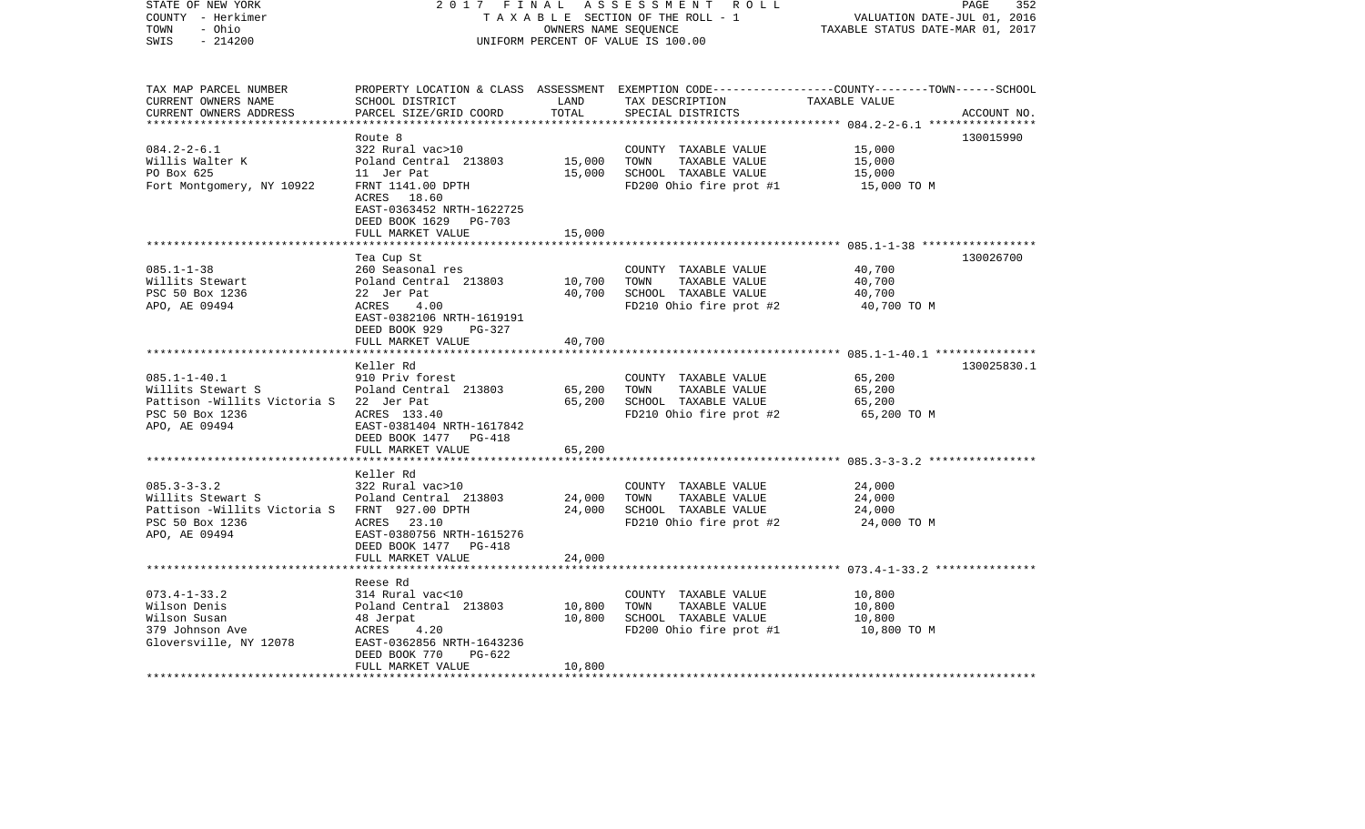| STATE OF NEW YORK<br>COUNTY - Herkimer<br>- Ohio<br>TOWN<br>$-214200$<br>SWIS                                               | 2017 FINAL                                                                                                                                                       |                            | ASSESSMENT ROLL<br>TAXABLE SECTION OF THE ROLL - 1<br>OWNERS NAME SEQUENCE<br>UNIFORM PERCENT OF VALUE IS 100.00 | PAGE<br>352<br>VALUATION DATE-JUL 01, 2016<br>TAXABLE STATUS DATE-MAR 01, 2017                                                  |
|-----------------------------------------------------------------------------------------------------------------------------|------------------------------------------------------------------------------------------------------------------------------------------------------------------|----------------------------|------------------------------------------------------------------------------------------------------------------|---------------------------------------------------------------------------------------------------------------------------------|
| TAX MAP PARCEL NUMBER<br>CURRENT OWNERS NAME<br>CURRENT OWNERS ADDRESS<br>*************************                         | SCHOOL DISTRICT<br>PARCEL SIZE/GRID COORD                                                                                                                        | LAND<br>TOTAL              | TAX DESCRIPTION<br>SPECIAL DISTRICTS                                                                             | PROPERTY LOCATION & CLASS ASSESSMENT EXEMPTION CODE---------------COUNTY-------TOWN------SCHOOL<br>TAXABLE VALUE<br>ACCOUNT NO. |
| $084.2 - 2 - 6.1$<br>Willis Walter K<br>PO Box 625<br>Fort Montgomery, NY 10922                                             | Route 8<br>322 Rural vac>10<br>Poland Central 213803<br>11 Jer Pat<br>FRNT 1141.00 DPTH<br>ACRES 18.60<br>EAST-0363452 NRTH-1622725<br>DEED BOOK 1629<br>PG-703  | 15,000<br>15,000           | COUNTY TAXABLE VALUE<br>TOWN<br>TAXABLE VALUE<br>SCHOOL TAXABLE VALUE<br>FD200 Ohio fire prot #1                 | 130015990<br>15,000<br>15,000<br>15,000<br>15,000 TO M                                                                          |
| $085.1 - 1 - 38$<br>Willits Stewart                                                                                         | FULL MARKET VALUE<br>Tea Cup St<br>260 Seasonal res<br>Poland Central 213803                                                                                     | 15,000<br>10,700<br>40,700 | COUNTY TAXABLE VALUE<br>TAXABLE VALUE<br>TOWN                                                                    | 130026700<br>40,700<br>40,700<br>40,700                                                                                         |
| PSC 50 Box 1236<br>APO, AE 09494                                                                                            | 22 Jer Pat<br>ACRES<br>4.00<br>EAST-0382106 NRTH-1619191<br>DEED BOOK 929<br>PG-327<br>FULL MARKET VALUE                                                         | 40,700                     | SCHOOL TAXABLE VALUE<br>FD210 Ohio fire prot #2                                                                  | 40,700 TO M                                                                                                                     |
| $085.1 - 1 - 40.1$<br>Willits Stewart S<br>Pattison -Willits Victoria S 22 Jer Pat<br>PSC 50 Box 1236<br>APO, AE 09494      | Keller Rd<br>910 Priv forest<br>Poland Central 213803<br>ACRES 133.40<br>EAST-0381404 NRTH-1617842<br>DEED BOOK 1477 PG-418                                      | 65,200<br>65,200           | COUNTY TAXABLE VALUE<br>TAXABLE VALUE<br>TOWN<br>SCHOOL TAXABLE VALUE<br>FD210 Ohio fire prot #2                 | 130025830.1<br>65,200<br>65,200<br>65,200<br>65,200 TO M                                                                        |
|                                                                                                                             | FULL MARKET VALUE                                                                                                                                                | 65,200                     |                                                                                                                  |                                                                                                                                 |
| $085.3 - 3 - 3.2$<br>Willits Stewart S<br>Pattison -Willits Victoria S FRNT 927.00 DPTH<br>PSC 50 Box 1236<br>APO, AE 09494 | Keller Rd<br>322 Rural vac>10<br>Poland Central 213803<br>ACRES 23.10<br>EAST-0380756 NRTH-1615276<br>DEED BOOK 1477 PG-418                                      | 24,000<br>24,000           | COUNTY TAXABLE VALUE<br>TOWN<br>TAXABLE VALUE<br>SCHOOL TAXABLE VALUE<br>FD210 Ohio fire prot #2                 | 24,000<br>24,000<br>24,000<br>24,000 TO M                                                                                       |
|                                                                                                                             | FULL MARKET VALUE                                                                                                                                                | 24,000                     |                                                                                                                  |                                                                                                                                 |
| $073.4 - 1 - 33.2$<br>Wilson Denis<br>Wilson Susan<br>379 Johnson Ave<br>Gloversville, NY 12078                             | Reese Rd<br>314 Rural vac<10<br>Poland Central 213803<br>48 Jerpat<br>ACRES<br>4.20<br>EAST-0362856 NRTH-1643236<br>DEED BOOK 770<br>PG-622<br>FULL MARKET VALUE | 10,800<br>10,800<br>10,800 | COUNTY TAXABLE VALUE<br>TOWN<br>TAXABLE VALUE<br>SCHOOL TAXABLE VALUE<br>FD200 Ohio fire prot #1                 | 10,800<br>10,800<br>10,800<br>10,800 TO M                                                                                       |
|                                                                                                                             |                                                                                                                                                                  |                            |                                                                                                                  |                                                                                                                                 |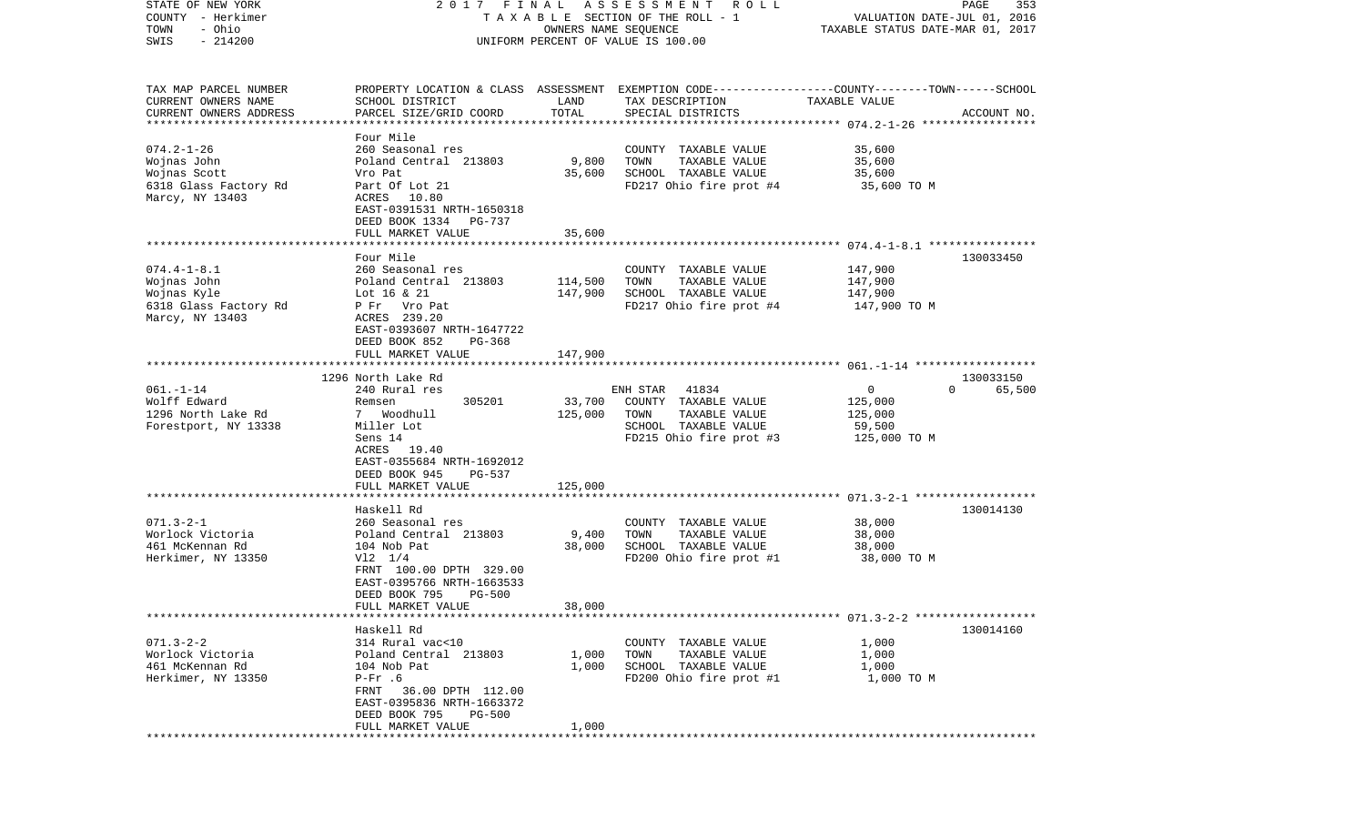| STATE OF NEW YORK<br>COUNTY - Herkimer<br>- Ohio<br>TOWN<br>$-214200$<br>SWIS |                                              | OWNERS NAME SEQUENCE  | 2017 FINAL ASSESSMENT<br>R O L L<br>TAXABLE SECTION OF THE ROLL - 1<br>UNIFORM PERCENT OF VALUE IS 100.00           | VALUATION DATE-JUL 01, 2016<br>TAXABLE STATUS DATE-MAR 01, 2017 | PAGE<br>353        |
|-------------------------------------------------------------------------------|----------------------------------------------|-----------------------|---------------------------------------------------------------------------------------------------------------------|-----------------------------------------------------------------|--------------------|
|                                                                               |                                              |                       |                                                                                                                     |                                                                 |                    |
| TAX MAP PARCEL NUMBER<br>CURRENT OWNERS NAME                                  | SCHOOL DISTRICT                              | LAND                  | PROPERTY LOCATION & CLASS ASSESSMENT EXEMPTION CODE----------------COUNTY-------TOWN------SCHOOL<br>TAX DESCRIPTION | TAXABLE VALUE                                                   |                    |
| CURRENT OWNERS ADDRESS                                                        | PARCEL SIZE/GRID COORD                       | TOTAL                 | SPECIAL DISTRICTS                                                                                                   |                                                                 | ACCOUNT NO.        |
|                                                                               | Four Mile                                    |                       |                                                                                                                     |                                                                 |                    |
| $074.2 - 1 - 26$                                                              | 260 Seasonal res                             |                       | COUNTY TAXABLE VALUE                                                                                                | 35,600                                                          |                    |
| Wojnas John                                                                   | Poland Central 213803                        | 9,800                 | TOWN<br>TAXABLE VALUE                                                                                               | 35,600                                                          |                    |
| Wojnas Scott                                                                  | Vro Pat                                      | 35,600                | SCHOOL TAXABLE VALUE                                                                                                | 35,600                                                          |                    |
| 6318 Glass Factory Rd                                                         | Part Of Lot 21                               |                       | FD217 Ohio fire prot #4                                                                                             | 35,600 TO M                                                     |                    |
| Marcy, NY 13403                                                               | ACRES 10.80<br>EAST-0391531 NRTH-1650318     |                       |                                                                                                                     |                                                                 |                    |
|                                                                               | DEED BOOK 1334 PG-737                        |                       |                                                                                                                     |                                                                 |                    |
|                                                                               | FULL MARKET VALUE                            | 35,600                |                                                                                                                     |                                                                 |                    |
|                                                                               |                                              |                       |                                                                                                                     |                                                                 |                    |
|                                                                               | Four Mile                                    |                       |                                                                                                                     |                                                                 | 130033450          |
| $074.4 - 1 - 8.1$                                                             | 260 Seasonal res                             |                       | COUNTY TAXABLE VALUE                                                                                                | 147,900                                                         |                    |
| Wojnas John                                                                   | Poland Central 213803                        | 114,500               | TAXABLE VALUE<br>TOWN                                                                                               | 147,900                                                         |                    |
| Wojnas Kyle                                                                   | Lot 16 & 21                                  | 147,900               | SCHOOL TAXABLE VALUE                                                                                                | 147,900                                                         |                    |
| 6318 Glass Factory Rd                                                         | P Fr Vro Pat                                 |                       | FD217 Ohio fire prot #4                                                                                             | 147,900 TO M                                                    |                    |
| Marcy, NY 13403                                                               | ACRES 239.20                                 |                       |                                                                                                                     |                                                                 |                    |
|                                                                               | EAST-0393607 NRTH-1647722                    |                       |                                                                                                                     |                                                                 |                    |
|                                                                               | DEED BOOK 852<br>PG-368<br>FULL MARKET VALUE |                       |                                                                                                                     |                                                                 |                    |
|                                                                               |                                              | 147,900               |                                                                                                                     |                                                                 |                    |
|                                                                               | 1296 North Lake Rd                           |                       |                                                                                                                     |                                                                 | 130033150          |
| $061. - 1 - 14$                                                               | 240 Rural res                                |                       | ENH STAR 41834                                                                                                      | $\mathsf{O}$                                                    | $\Omega$<br>65,500 |
| Wolff Edward                                                                  | 305201<br>Remsen                             | 33,700                | COUNTY TAXABLE VALUE                                                                                                | 125,000                                                         |                    |
| 1296 North Lake Rd                                                            | 7 Woodhull                                   | 125,000               | TAXABLE VALUE<br>TOWN                                                                                               | 125,000                                                         |                    |
| Forestport, NY 13338                                                          | Miller Lot                                   |                       | SCHOOL TAXABLE VALUE                                                                                                | 59,500                                                          |                    |
|                                                                               | Sens 14                                      |                       | FD215 Ohio fire prot #3                                                                                             | 125,000 TO M                                                    |                    |
|                                                                               | ACRES 19.40                                  |                       |                                                                                                                     |                                                                 |                    |
|                                                                               | EAST-0355684 NRTH-1692012                    |                       |                                                                                                                     |                                                                 |                    |
|                                                                               | DEED BOOK 945<br>PG-537                      |                       |                                                                                                                     |                                                                 |                    |
|                                                                               | FULL MARKET VALUE<br>********************    | 125,000<br>********** |                                                                                                                     |                                                                 |                    |
|                                                                               | Haskell Rd                                   |                       |                                                                                                                     |                                                                 | 130014130          |
| $071.3 - 2 - 1$                                                               | 260 Seasonal res                             |                       | COUNTY TAXABLE VALUE                                                                                                | 38,000                                                          |                    |
| Worlock Victoria                                                              | Poland Central 213803                        | 9,400                 | TOWN<br>TAXABLE VALUE                                                                                               | 38,000                                                          |                    |
| 461 McKennan Rd                                                               | 104 Nob Pat                                  | 38,000                | SCHOOL TAXABLE VALUE                                                                                                | 38,000                                                          |                    |
| Herkimer, NY 13350                                                            | $V12 \t1/4$                                  |                       | FD200 Ohio fire prot #1                                                                                             | 38,000 TO M                                                     |                    |
|                                                                               | FRNT 100.00 DPTH 329.00                      |                       |                                                                                                                     |                                                                 |                    |
|                                                                               | EAST-0395766 NRTH-1663533                    |                       |                                                                                                                     |                                                                 |                    |
|                                                                               | DEED BOOK 795<br><b>PG-500</b>               |                       |                                                                                                                     |                                                                 |                    |
|                                                                               | FULL MARKET VALUE                            | 38,000                |                                                                                                                     |                                                                 |                    |
|                                                                               |                                              |                       |                                                                                                                     |                                                                 |                    |
|                                                                               | Haskell Rd                                   |                       |                                                                                                                     |                                                                 | 130014160          |
| $071.3 - 2 - 2$<br>Worlock Victoria                                           | 314 Rural vac<10<br>Poland Central 213803    | 1,000                 | COUNTY TAXABLE VALUE<br>TOWN<br>TAXABLE VALUE                                                                       | 1,000<br>1,000                                                  |                    |
| 461 McKennan Rd                                                               | 104 Nob Pat                                  | 1,000                 | SCHOOL TAXABLE VALUE                                                                                                | 1,000                                                           |                    |
| Herkimer, NY 13350                                                            | $P-Fr$ .6                                    |                       | FD200 Ohio fire prot #1                                                                                             | 1,000 TO M                                                      |                    |
|                                                                               | FRNT 36.00 DPTH 112.00                       |                       |                                                                                                                     |                                                                 |                    |
|                                                                               | EAST-0395836 NRTH-1663372                    |                       |                                                                                                                     |                                                                 |                    |
|                                                                               | DEED BOOK 795 PG-500                         |                       |                                                                                                                     |                                                                 |                    |
|                                                                               | FULL MARKET VALUE                            | 1,000                 |                                                                                                                     |                                                                 |                    |
|                                                                               |                                              |                       |                                                                                                                     |                                                                 |                    |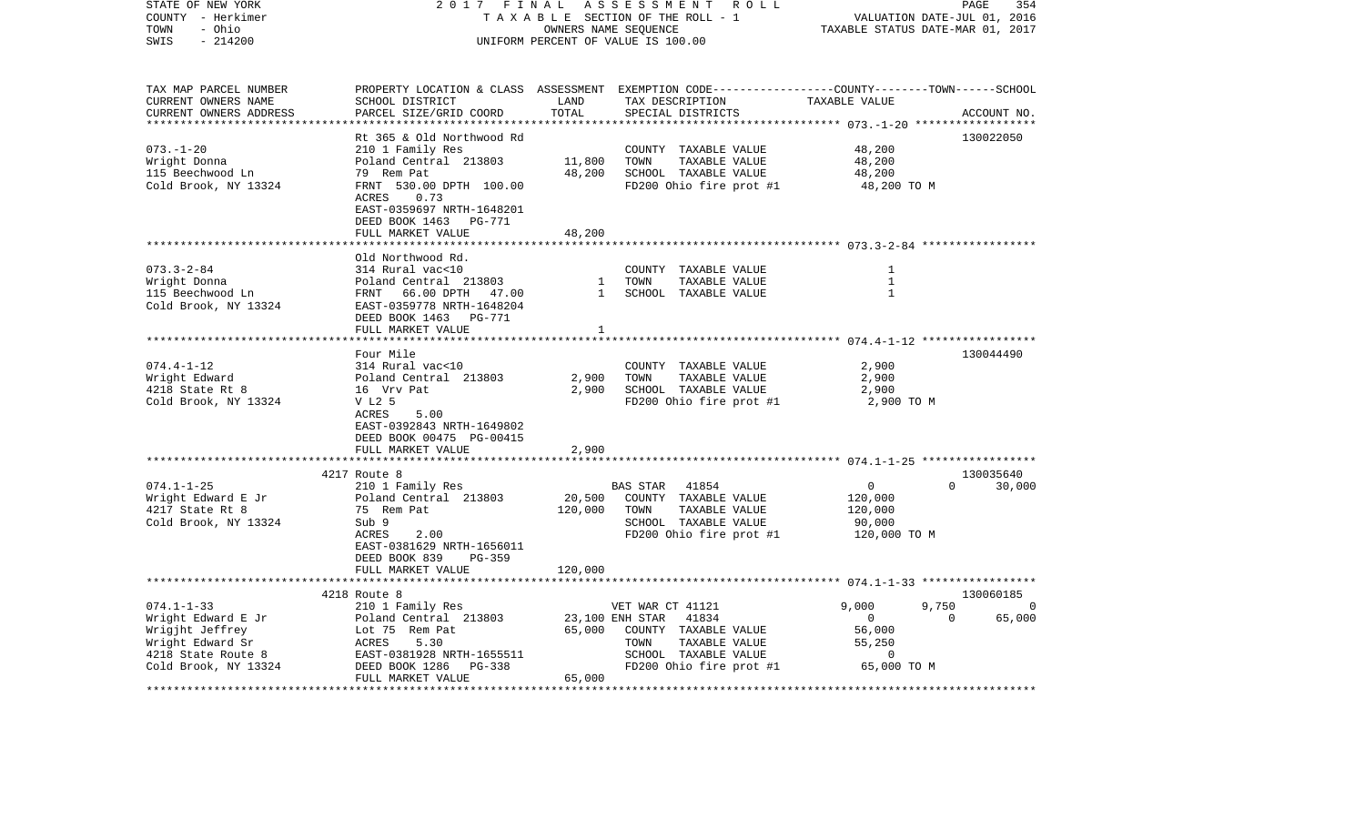| STATE OF NEW YORK<br>COUNTY - Herkimer<br>- Ohio<br>TOWN<br>$-214200$<br>SWIS                      | 2017<br>FINAL<br>TAXABLE SECTION OF THE ROLL - 1<br>UNIFORM PERCENT OF VALUE IS 100.00                                                                                                                      | PAGE<br>354<br>VALUATION DATE-JUL 01, 2016<br>TAXABLE STATUS DATE-MAR 01, 2017 |                                                                                                                                          |                                                             |                                                      |
|----------------------------------------------------------------------------------------------------|-------------------------------------------------------------------------------------------------------------------------------------------------------------------------------------------------------------|--------------------------------------------------------------------------------|------------------------------------------------------------------------------------------------------------------------------------------|-------------------------------------------------------------|------------------------------------------------------|
| TAX MAP PARCEL NUMBER<br>CURRENT OWNERS NAME<br>CURRENT OWNERS ADDRESS<br>************************ | SCHOOL DISTRICT<br>PARCEL SIZE/GRID COORD                                                                                                                                                                   | LAND<br>TOTAL                                                                  | PROPERTY LOCATION & CLASS ASSESSMENT EXEMPTION CODE----------------COUNTY-------TOWN------SCHOOL<br>TAX DESCRIPTION<br>SPECIAL DISTRICTS | TAXABLE VALUE                                               | ACCOUNT NO.                                          |
| $073. - 1 - 20$<br>Wright Donna<br>115 Beechwood Ln<br>Cold Brook, NY 13324                        | Rt 365 & Old Northwood Rd<br>210 1 Family Res<br>Poland Central 213803<br>79 Rem Pat<br>FRNT 530.00 DPTH 100.00<br>0.73<br>ACRES<br>EAST-0359697 NRTH-1648201<br>DEED BOOK 1463 PG-771<br>FULL MARKET VALUE | 11,800<br>48,200<br>48,200                                                     | COUNTY TAXABLE VALUE<br>TOWN<br>TAXABLE VALUE<br>SCHOOL TAXABLE VALUE<br>FD200 Ohio fire prot #1                                         | 48,200<br>48,200<br>48,200<br>48,200 TO M                   | 130022050                                            |
|                                                                                                    |                                                                                                                                                                                                             |                                                                                |                                                                                                                                          |                                                             |                                                      |
| $073.3 - 2 - 84$<br>Wright Donna<br>115 Beechwood Ln<br>Cold Brook, NY 13324                       | Old Northwood Rd.<br>314 Rural vac<10<br>Poland Central 213803<br>FRNT 66.00 DPTH 47.00<br>EAST-0359778 NRTH-1648204<br>DEED BOOK 1463<br>PG-771<br>FULL MARKET VALUE                                       | 1<br>$\mathbf{1}$<br>1                                                         | COUNTY TAXABLE VALUE<br>TOWN<br>TAXABLE VALUE<br>SCHOOL TAXABLE VALUE                                                                    | 1<br>$\mathbf{1}$<br>$\mathbf{1}$                           |                                                      |
|                                                                                                    | **********************                                                                                                                                                                                      |                                                                                |                                                                                                                                          |                                                             |                                                      |
| $074.4 - 1 - 12$<br>Wright Edward<br>4218 State Rt 8<br>Cold Brook, NY 13324                       | Four Mile<br>314 Rural vac<10<br>Poland Central 213803<br>16 Vrv Pat<br>V L2 5<br>ACRES<br>5.00<br>EAST-0392843 NRTH-1649802<br>DEED BOOK 00475 PG-00415                                                    | 2,900<br>2,900                                                                 | COUNTY TAXABLE VALUE<br>TAXABLE VALUE<br>TOWN<br>SCHOOL TAXABLE VALUE<br>FD200 Ohio fire prot #1                                         | 2,900<br>2,900<br>2,900<br>2,900 TO M                       | 130044490                                            |
|                                                                                                    | FULL MARKET VALUE                                                                                                                                                                                           | 2,900                                                                          |                                                                                                                                          |                                                             |                                                      |
|                                                                                                    |                                                                                                                                                                                                             |                                                                                |                                                                                                                                          |                                                             |                                                      |
| $074.1 - 1 - 25$<br>Wright Edward E Jr<br>4217 State Rt 8<br>Cold Brook, NY 13324                  | 4217 Route 8<br>210 1 Family Res<br>Poland Central 213803<br>75 Rem Pat<br>Sub 9<br>ACRES<br>2.00<br>EAST-0381629 NRTH-1656011<br>DEED BOOK 839<br>$PG-359$                                                 | 20,500<br>120,000                                                              | 41854<br>BAS STAR<br>COUNTY TAXABLE VALUE<br>TOWN<br>TAXABLE VALUE<br>SCHOOL TAXABLE VALUE<br>FD200 Ohio fire prot #1                    | $\mathbf 0$<br>120,000<br>120,000<br>90,000<br>120,000 TO M | 130035640<br>30,000<br>$\Omega$                      |
|                                                                                                    | FULL MARKET VALUE<br>*************************                                                                                                                                                              | 120,000                                                                        |                                                                                                                                          |                                                             |                                                      |
| $074.1 - 1 - 33$<br>Wright Edward E Jr                                                             | 4218 Route 8<br>210 1 Family Res<br>Poland Central 213803                                                                                                                                                   |                                                                                | VET WAR CT 41121<br>23,100 ENH STAR<br>41834                                                                                             | 9,000<br>$\overline{0}$                                     | 130060185<br>9,750<br>$\Omega$<br>$\Omega$<br>65,000 |
| Wrigjht Jeffrey<br>Wright Edward Sr<br>4218 State Route 8<br>Cold Brook, NY 13324                  | Lot 75 Rem Pat<br>5.30<br>ACRES<br>EAST-0381928 NRTH-1655511<br>DEED BOOK 1286<br>PG-338                                                                                                                    | 65,000                                                                         | COUNTY TAXABLE VALUE<br>TOWN<br>TAXABLE VALUE<br>SCHOOL TAXABLE VALUE<br>FD200 Ohio fire prot #1                                         | 56,000<br>55,250<br>0<br>65,000 TO M                        |                                                      |
|                                                                                                    | FULL MARKET VALUE<br>******************************                                                                                                                                                         | 65,000<br>********************                                                 |                                                                                                                                          |                                                             |                                                      |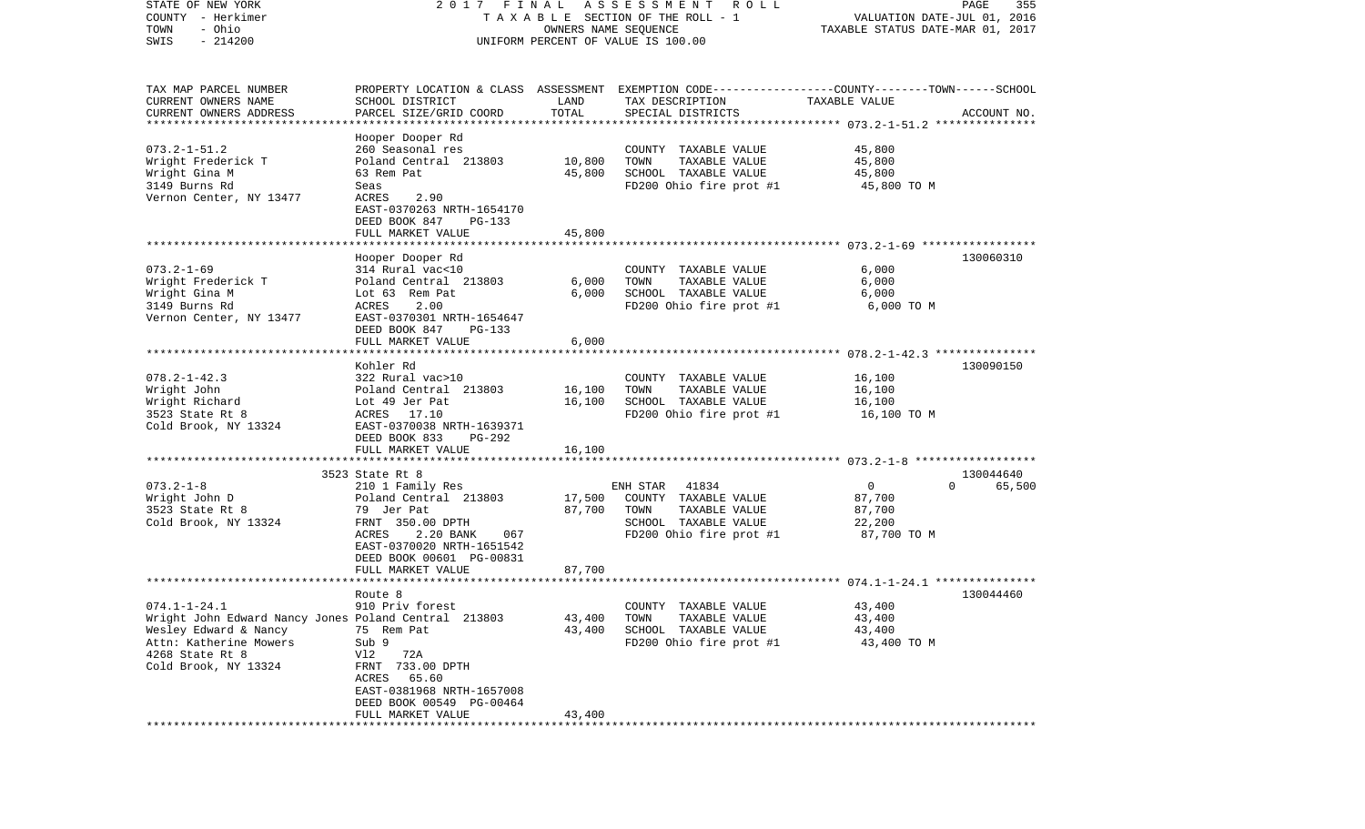| STATE OF NEW YORK                                    |                           |                      | 2017 FINAL ASSESSMENT<br>ROLL                                                                    |                                  | PAGE<br>355        |
|------------------------------------------------------|---------------------------|----------------------|--------------------------------------------------------------------------------------------------|----------------------------------|--------------------|
| COUNTY - Herkimer<br>- Ohio                          |                           |                      | T A X A B L E SECTION OF THE ROLL - 1                                                            | VALUATION DATE-JUL 01, 2016      |                    |
| TOWN<br>$-214200$                                    |                           | OWNERS NAME SEQUENCE |                                                                                                  | TAXABLE STATUS DATE-MAR 01, 2017 |                    |
| SWIS                                                 |                           |                      | UNIFORM PERCENT OF VALUE IS 100.00                                                               |                                  |                    |
|                                                      |                           |                      |                                                                                                  |                                  |                    |
|                                                      |                           |                      |                                                                                                  |                                  |                    |
| TAX MAP PARCEL NUMBER                                |                           |                      | PROPERTY LOCATION & CLASS ASSESSMENT EXEMPTION CODE----------------COUNTY-------TOWN------SCHOOL |                                  |                    |
| CURRENT OWNERS NAME                                  | SCHOOL DISTRICT           | LAND                 | TAX DESCRIPTION                                                                                  | TAXABLE VALUE                    |                    |
| CURRENT OWNERS ADDRESS                               | PARCEL SIZE/GRID COORD    | TOTAL                | SPECIAL DISTRICTS                                                                                |                                  | ACCOUNT NO.        |
| *************************                            |                           |                      |                                                                                                  |                                  |                    |
|                                                      | Hooper Dooper Rd          |                      |                                                                                                  |                                  |                    |
| $073.2 - 1 - 51.2$                                   | 260 Seasonal res          |                      | COUNTY TAXABLE VALUE                                                                             | 45,800                           |                    |
| Wright Frederick T                                   | Poland Central 213803     | 10,800               | TOWN<br>TAXABLE VALUE                                                                            | 45,800                           |                    |
| Wright Gina M                                        | 63 Rem Pat                | 45,800               | SCHOOL TAXABLE VALUE                                                                             | 45,800                           |                    |
| 3149 Burns Rd                                        | Seas                      |                      | FD200 Ohio fire prot #1                                                                          | 45,800 TO M                      |                    |
| Vernon Center, NY 13477                              | ACRES<br>2.90             |                      |                                                                                                  |                                  |                    |
|                                                      | EAST-0370263 NRTH-1654170 |                      |                                                                                                  |                                  |                    |
|                                                      | DEED BOOK 847<br>PG-133   |                      |                                                                                                  |                                  |                    |
|                                                      | FULL MARKET VALUE         | 45,800               |                                                                                                  |                                  |                    |
|                                                      |                           |                      |                                                                                                  |                                  |                    |
|                                                      | Hooper Dooper Rd          |                      |                                                                                                  |                                  | 130060310          |
| $073.2 - 1 - 69$                                     | 314 Rural vac<10          |                      | COUNTY TAXABLE VALUE                                                                             | 6,000                            |                    |
| Wright Frederick T                                   | Poland Central 213803     | 6,000                | TAXABLE VALUE<br>TOWN                                                                            | 6,000                            |                    |
| Wright Gina M                                        | Lot 63 Rem Pat            | 6,000                | SCHOOL TAXABLE VALUE                                                                             | 6,000                            |                    |
| 3149 Burns Rd                                        | ACRES<br>2.00             |                      | FD200 Ohio fire prot #1                                                                          | 6,000 TO M                       |                    |
| Vernon Center, NY 13477                              | EAST-0370301 NRTH-1654647 |                      |                                                                                                  |                                  |                    |
|                                                      | DEED BOOK 847<br>PG-133   |                      |                                                                                                  |                                  |                    |
|                                                      | FULL MARKET VALUE         | 6,000                |                                                                                                  |                                  |                    |
|                                                      |                           |                      |                                                                                                  |                                  |                    |
|                                                      | Kohler Rd                 |                      |                                                                                                  |                                  | 130090150          |
| $078.2 - 1 - 42.3$                                   | 322 Rural vac>10          |                      | COUNTY TAXABLE VALUE                                                                             | 16,100                           |                    |
| Wright John                                          | Poland Central 213803     | 16,100               | TAXABLE VALUE<br>TOWN                                                                            | 16,100                           |                    |
| Wright Richard                                       | Lot 49 Jer Pat            | 16,100               | SCHOOL TAXABLE VALUE                                                                             | 16,100                           |                    |
| 3523 State Rt 8                                      | ACRES 17.10               |                      | FD200 Ohio fire prot #1                                                                          | 16,100 TO M                      |                    |
| Cold Brook, NY 13324                                 | EAST-0370038 NRTH-1639371 |                      |                                                                                                  |                                  |                    |
|                                                      | DEED BOOK 833<br>PG-292   |                      |                                                                                                  |                                  |                    |
|                                                      | FULL MARKET VALUE         | 16,100               |                                                                                                  |                                  |                    |
|                                                      |                           |                      |                                                                                                  |                                  |                    |
|                                                      | 3523 State Rt 8           |                      |                                                                                                  |                                  | 130044640          |
| $073.2 - 1 - 8$                                      | 210 1 Family Res          |                      | ENH STAR 41834                                                                                   | $\mathbf{0}$                     | $\Omega$<br>65,500 |
| Wright John D                                        | Poland Central 213803     | 17,500               | COUNTY TAXABLE VALUE                                                                             | 87,700                           |                    |
| 3523 State Rt 8                                      | 79 Jer Pat                | 87,700               | TOWN<br>TAXABLE VALUE                                                                            | 87,700                           |                    |
| Cold Brook, NY 13324                                 | FRNT 350.00 DPTH          |                      | SCHOOL TAXABLE VALUE                                                                             | 22,200                           |                    |
|                                                      | ACRES<br>2.20 BANK<br>067 |                      | FD200 Ohio fire prot #1                                                                          | 87,700 TO M                      |                    |
|                                                      | EAST-0370020 NRTH-1651542 |                      |                                                                                                  |                                  |                    |
|                                                      |                           |                      |                                                                                                  |                                  |                    |
|                                                      | DEED BOOK 00601 PG-00831  |                      |                                                                                                  |                                  |                    |
|                                                      | FULL MARKET VALUE         | 87,700               |                                                                                                  |                                  |                    |
|                                                      |                           |                      |                                                                                                  |                                  | 130044460          |
|                                                      | Route 8                   |                      |                                                                                                  |                                  |                    |
| $074.1 - 1 - 24.1$                                   | 910 Priv forest           |                      | COUNTY TAXABLE VALUE                                                                             | 43,400                           |                    |
| Wright John Edward Nancy Jones Poland Central 213803 |                           | 43,400               | TAXABLE VALUE<br>TOWN                                                                            | 43,400                           |                    |
| Wesley Edward & Nancy                                | 75 Rem Pat                | 43,400               | SCHOOL TAXABLE VALUE                                                                             | 43,400                           |                    |
| Attn: Katherine Mowers                               | Sub 9                     |                      | FD200 Ohio fire prot #1                                                                          | 43,400 TO M                      |                    |
| 4268 State Rt 8                                      | Vl2<br>72A                |                      |                                                                                                  |                                  |                    |
| Cold Brook, NY 13324                                 | FRNT 733.00 DPTH          |                      |                                                                                                  |                                  |                    |
|                                                      | ACRES<br>65.60            |                      |                                                                                                  |                                  |                    |
|                                                      | EAST-0381968 NRTH-1657008 |                      |                                                                                                  |                                  |                    |
|                                                      | DEED BOOK 00549 PG-00464  |                      |                                                                                                  |                                  |                    |
|                                                      | FULL MARKET VALUE         | 43,400               |                                                                                                  |                                  |                    |
|                                                      |                           |                      |                                                                                                  |                                  |                    |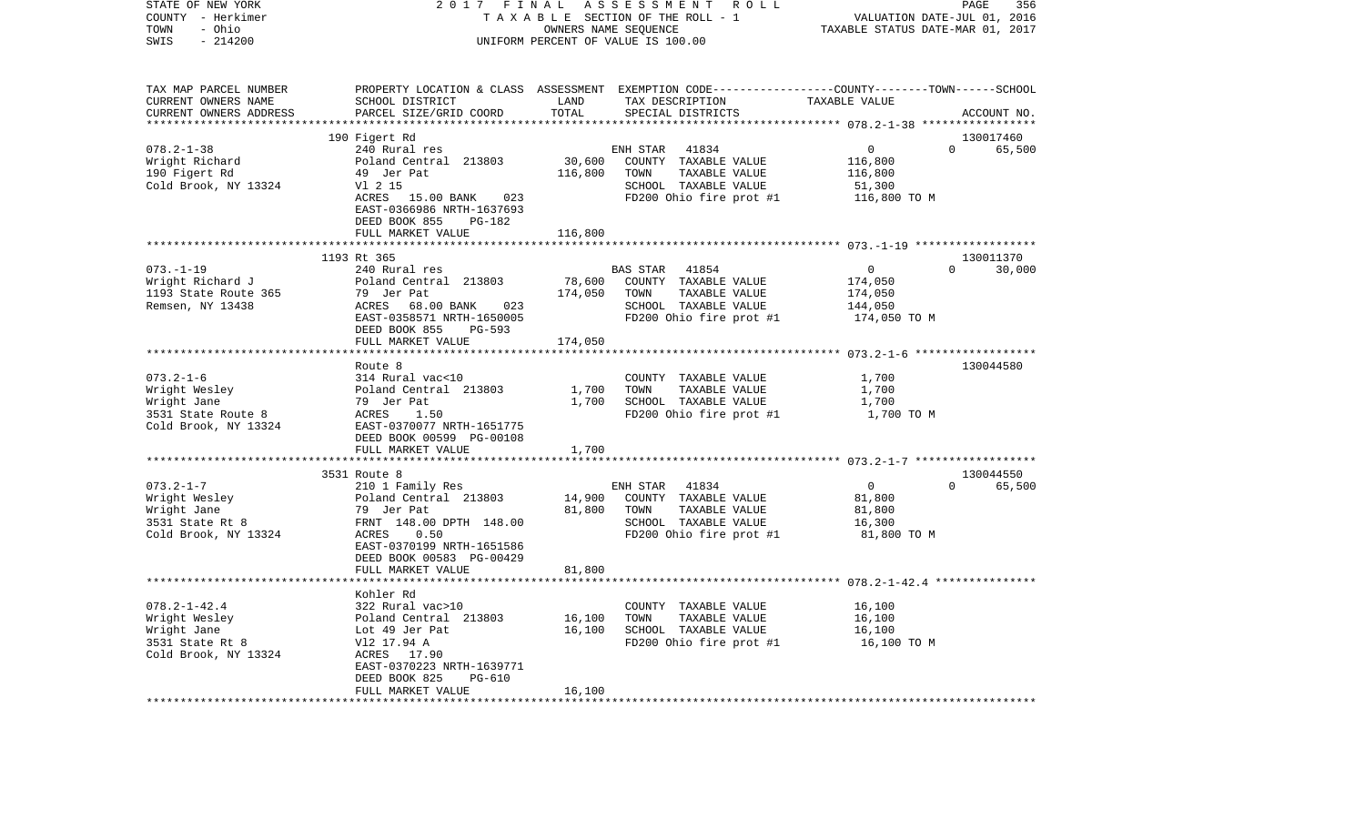| COUNTY - Herkimer      |                                         |         | TAXABLE SECTION OF THE ROLL - 1                                                                | VALUATION DATE-JUL 01, 2016      |                    |
|------------------------|-----------------------------------------|---------|------------------------------------------------------------------------------------------------|----------------------------------|--------------------|
| TOWN<br>- Ohio         |                                         |         | OWNERS NAME SEQUENCE                                                                           | TAXABLE STATUS DATE-MAR 01, 2017 |                    |
| SWIS<br>$-214200$      |                                         |         | UNIFORM PERCENT OF VALUE IS 100.00                                                             |                                  |                    |
|                        |                                         |         |                                                                                                |                                  |                    |
|                        |                                         |         |                                                                                                |                                  |                    |
| TAX MAP PARCEL NUMBER  |                                         |         | PROPERTY LOCATION & CLASS ASSESSMENT EXEMPTION CODE---------------COUNTY-------TOWN-----SCHOOL |                                  |                    |
| CURRENT OWNERS NAME    | SCHOOL DISTRICT                         | LAND    | TAX DESCRIPTION TAXABLE VALUE                                                                  |                                  |                    |
| CURRENT OWNERS ADDRESS | PARCEL SIZE/GRID COORD                  | TOTAL   | SPECIAL DISTRICTS                                                                              |                                  | ACCOUNT NO.        |
|                        |                                         |         |                                                                                                |                                  |                    |
|                        | 190 Figert Rd                           |         |                                                                                                |                                  | 130017460          |
| $078.2 - 1 - 38$       | 240 Rural res                           |         | 41834<br>ENH STAR                                                                              | $\overline{0}$<br>$\Omega$       | 65,500             |
| Wright Richard         | Poland Central 213803                   | 30,600  | COUNTY TAXABLE VALUE                                                                           | 116,800                          |                    |
| 190 Figert Rd          | 49 Jer Pat                              | 116,800 | TOWN<br>TAXABLE VALUE                                                                          | 116,800                          |                    |
| Cold Brook, NY 13324   | V1 2 15                                 |         | SCHOOL TAXABLE VALUE                                                                           | 51,300                           |                    |
|                        | ACRES 15.00 BANK 023                    |         | FD200 Ohio fire prot #1                                                                        | 116,800 TO M                     |                    |
|                        | EAST-0366986 NRTH-1637693               |         |                                                                                                |                                  |                    |
|                        | DEED BOOK 855<br>PG-182                 |         |                                                                                                |                                  |                    |
|                        | FULL MARKET VALUE                       | 116,800 |                                                                                                |                                  |                    |
|                        |                                         |         |                                                                                                |                                  |                    |
|                        | 1193 Rt 365                             |         |                                                                                                |                                  | 130011370          |
| $073. - 1 - 19$        | 240 Rural res                           |         | BAS STAR 41854                                                                                 | $\overline{0}$                   | $\Omega$<br>30,000 |
| Wright Richard J       | Poland Central 213803                   |         | 78,600 COUNTY TAXABLE VALUE                                                                    | 174,050                          |                    |
| 1193 State Route 365   | 79 Jer Pat                              | 174,050 | TOWN<br>TAXABLE VALUE                                                                          | 174,050                          |                    |
| Remsen, NY 13438       | 023<br>ACRES 68.00 BANK                 |         | SCHOOL TAXABLE VALUE                                                                           | 144,050                          |                    |
|                        | EAST-0358571 NRTH-1650005               |         | FD200 Ohio fire prot #1                                                                        | 174,050 TO M                     |                    |
|                        | DEED BOOK 855<br>PG-593                 |         |                                                                                                |                                  |                    |
|                        | FULL MARKET VALUE                       | 174,050 |                                                                                                |                                  |                    |
|                        |                                         |         |                                                                                                |                                  |                    |
|                        | Route 8                                 |         |                                                                                                |                                  | 130044580          |
| $073.2 - 1 - 6$        | 314 Rural vac<10                        |         | COUNTY TAXABLE VALUE                                                                           | 1,700                            |                    |
| Wright Wesley          | Poland Central 213803                   | 1,700   | TOWN<br>TAXABLE VALUE                                                                          | 1,700                            |                    |
| Wright Jane            |                                         | 1,700   | SCHOOL TAXABLE VALUE                                                                           | 1,700                            |                    |
| 3531 State Route 8     | 79 Jer Pat<br>ACRES 1.5<br>1.50         |         | FD200 Ohio fire prot #1                                                                        | 1,700 TO M                       |                    |
| Cold Brook, NY 13324   | EAST-0370077 NRTH-1651775               |         |                                                                                                |                                  |                    |
|                        | DEED BOOK 00599 PG-00108                |         |                                                                                                |                                  |                    |
|                        | FULL MARKET VALUE                       | 1,700   |                                                                                                |                                  |                    |
|                        |                                         |         |                                                                                                |                                  |                    |
|                        | 3531 Route 8                            |         |                                                                                                |                                  | 130044550          |
| $073.2 - 1 - 7$        | 210 1 Family Res                        |         | ENH STAR<br>41834                                                                              | $\overline{0}$<br>$\Omega$       | 65,500             |
| Wright Wesley          | Poland Central 213803                   | 14,900  | COUNTY TAXABLE VALUE                                                                           | 81,800                           |                    |
| Wright Jane            | 79 Jer Pat                              | 81,800  | TOWN<br>TAXABLE VALUE                                                                          | 81,800                           |                    |
| 3531 State Rt 8        | FRNT 148.00 DPTH 148.00                 |         | SCHOOL TAXABLE VALUE                                                                           | 16,300                           |                    |
| Cold Brook, NY 13324   | 0.50<br>ACRES                           |         | FD200 Ohio fire prot #1                                                                        | 81,800 TO M                      |                    |
|                        | EAST-0370199 NRTH-1651586               |         |                                                                                                |                                  |                    |
|                        | DEED BOOK 00583 PG-00429                |         |                                                                                                |                                  |                    |
|                        | FULL MARKET VALUE                       | 81,800  |                                                                                                |                                  |                    |
|                        |                                         |         |                                                                                                |                                  |                    |
|                        | Kohler Rd                               |         |                                                                                                |                                  |                    |
| $078.2 - 1 - 42.4$     | 322 Rural vac>10                        |         | COUNTY TAXABLE VALUE                                                                           | 16,100                           |                    |
| Wright Wesley          |                                         | 16,100  | TOWN<br>TAXABLE VALUE                                                                          | 16,100                           |                    |
| Wright Jane            | Poland Central 213803<br>Lot 49 Jer Pat | 16,100  | SCHOOL TAXABLE VALUE                                                                           | 16,100                           |                    |
| 3531 State Rt 8        | V12 17.94 A                             |         | FD200 Ohio fire prot #1                                                                        | 16,100 TO M                      |                    |
| Cold Brook, NY 13324   | ACRES 17.90                             |         |                                                                                                |                                  |                    |
|                        | EAST-0370223 NRTH-1639771               |         |                                                                                                |                                  |                    |
|                        | PG-610<br>DEED BOOK 825                 |         |                                                                                                |                                  |                    |
|                        | FULL MARKET VALUE                       | 16,100  |                                                                                                |                                  |                    |
|                        |                                         |         |                                                                                                |                                  |                    |

STATE OF NEW YORK 2 0 1 7 F I N A L A S S E S S M E N T R O L L PAGE 356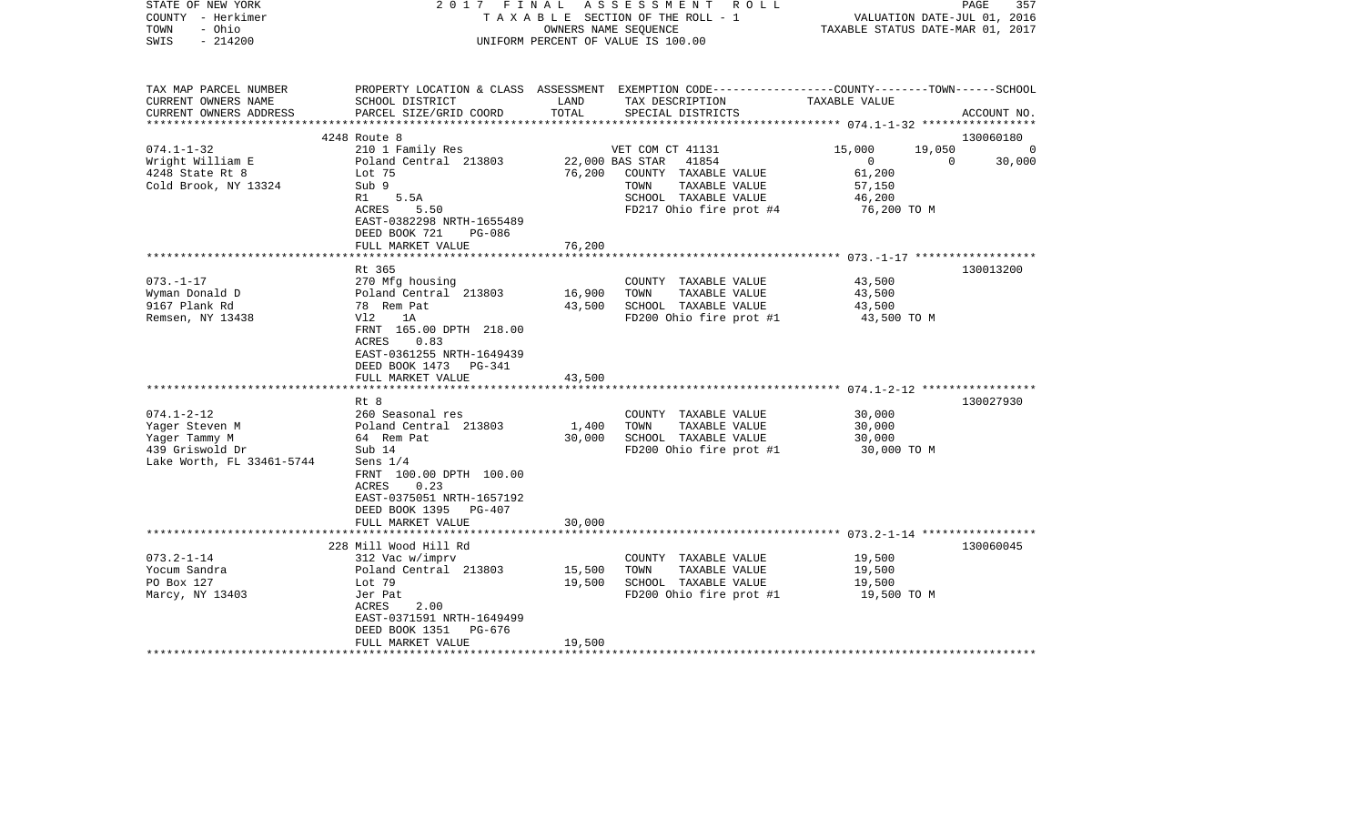| STATE OF NEW YORK<br>COUNTY - Herkimer<br>- Ohio<br>TOWN<br>$-214200$<br>SWIS | 2017 FINAL                                                                                     | OWNERS NAME SEQUENCE | ASSESSMENT ROLL<br>TAXABLE SECTION OF THE ROLL - 1<br>UNIFORM PERCENT OF VALUE IS 100.00                                                              | VALUATION DATE-JUL 01, 2016<br>TAXABLE STATUS DATE-MAR 01, 2017 | PAGE<br>357    |
|-------------------------------------------------------------------------------|------------------------------------------------------------------------------------------------|----------------------|-------------------------------------------------------------------------------------------------------------------------------------------------------|-----------------------------------------------------------------|----------------|
| TAX MAP PARCEL NUMBER<br>CURRENT OWNERS NAME<br>CURRENT OWNERS ADDRESS        | SCHOOL DISTRICT<br>PARCEL SIZE/GRID COORD                                                      | LAND<br>TOTAL        | PROPERTY LOCATION & CLASS ASSESSMENT EXEMPTION CODE---------------COUNTY-------TOWN------SCHOOL<br>TAX DESCRIPTION TAXABLE VALUE<br>SPECIAL DISTRICTS |                                                                 | ACCOUNT NO.    |
|                                                                               | 4248 Route 8                                                                                   |                      |                                                                                                                                                       |                                                                 | 130060180      |
| $074.1 - 1 - 32$                                                              | 210 1 Family Res                                                                               |                      | VET COM CT 41131                                                                                                                                      | 15,000<br>19,050                                                | $\overline{a}$ |
| Wright William E                                                              | Poland Central 213803                                                                          |                      | 22,000 BAS STAR 41854                                                                                                                                 | $\overline{0}$<br>$\overline{0}$                                | 30,000         |
| 4248 State Rt 8                                                               | Lot 75                                                                                         |                      | 76,200 COUNTY TAXABLE VALUE                                                                                                                           | 61,200                                                          |                |
| Cold Brook, NY 13324                                                          | Sub 9                                                                                          |                      | TAXABLE VALUE<br>TOWN                                                                                                                                 | 57,150                                                          |                |
|                                                                               | R1<br>5.5A                                                                                     |                      | SCHOOL TAXABLE VALUE                                                                                                                                  | 46,200                                                          |                |
|                                                                               | ACRES<br>5.50                                                                                  |                      | FD217 Ohio fire prot #4                                                                                                                               | 76,200 TO M                                                     |                |
|                                                                               | EAST-0382298 NRTH-1655489                                                                      |                      |                                                                                                                                                       |                                                                 |                |
|                                                                               | DEED BOOK 721<br>PG-086                                                                        |                      |                                                                                                                                                       |                                                                 |                |
|                                                                               | FULL MARKET VALUE                                                                              | 76,200               |                                                                                                                                                       |                                                                 |                |
|                                                                               |                                                                                                | *********            |                                                                                                                                                       |                                                                 |                |
|                                                                               | Rt 365                                                                                         |                      |                                                                                                                                                       |                                                                 | 130013200      |
| $073. - 1 - 17$                                                               | 270 Mfg housing                                                                                |                      | COUNTY TAXABLE VALUE                                                                                                                                  | 43,500                                                          |                |
| Wyman Donald D                                                                | Poland Central 213803                                                                          | 16,900               | TOWN<br>TAXABLE VALUE                                                                                                                                 | 43,500                                                          |                |
| 9167 Plank Rd                                                                 | 78 Rem Pat                                                                                     | 43,500               | SCHOOL TAXABLE VALUE                                                                                                                                  | 43,500                                                          |                |
| Remsen, NY 13438                                                              | Vl2<br>1A                                                                                      |                      | FD200 Ohio fire prot #1                                                                                                                               | 43,500 TO M                                                     |                |
|                                                                               | FRNT 165.00 DPTH 218.00<br>ACRES<br>0.83<br>EAST-0361255 NRTH-1649439<br>DEED BOOK 1473 PG-341 |                      |                                                                                                                                                       |                                                                 |                |
|                                                                               | FULL MARKET VALUE                                                                              | 43,500<br>********** |                                                                                                                                                       |                                                                 |                |
|                                                                               | Rt 8                                                                                           |                      |                                                                                                                                                       |                                                                 | 130027930      |
| $074.1 - 2 - 12$                                                              | 260 Seasonal res                                                                               |                      | COUNTY TAXABLE VALUE                                                                                                                                  | 30,000                                                          |                |
| Yager Steven M                                                                | Poland Central 213803                                                                          | 1,400                | TAXABLE VALUE<br>TOWN                                                                                                                                 | 30,000                                                          |                |
| Yager Tammy M                                                                 | 64 Rem Pat                                                                                     | 30,000               | SCHOOL TAXABLE VALUE                                                                                                                                  | 30,000                                                          |                |
| 439 Griswold Dr                                                               | Sub 14                                                                                         |                      | FD200 Ohio fire prot #1                                                                                                                               | 30,000 TO M                                                     |                |
| Lake Worth, FL 33461-5744                                                     | Sens $1/4$                                                                                     |                      |                                                                                                                                                       |                                                                 |                |
|                                                                               | FRNT 100.00 DPTH 100.00<br>0.23<br>ACRES                                                       |                      |                                                                                                                                                       |                                                                 |                |
|                                                                               | EAST-0375051 NRTH-1657192                                                                      |                      |                                                                                                                                                       |                                                                 |                |
|                                                                               | DEED BOOK 1395 PG-407                                                                          |                      |                                                                                                                                                       |                                                                 |                |
|                                                                               | FULL MARKET VALUE<br>*************************                                                 | 30,000               |                                                                                                                                                       |                                                                 |                |
|                                                                               | 228 Mill Wood Hill Rd                                                                          |                      |                                                                                                                                                       |                                                                 | 130060045      |
| $073.2 - 1 - 14$                                                              | 312 Vac w/imprv                                                                                |                      | COUNTY TAXABLE VALUE                                                                                                                                  | 19,500                                                          |                |
| Yocum Sandra                                                                  | Poland Central 213803                                                                          | 15,500               | TOWN<br>TAXABLE VALUE                                                                                                                                 | 19,500                                                          |                |
| PO Box 127                                                                    | Lot 79                                                                                         | 19,500               | SCHOOL TAXABLE VALUE                                                                                                                                  | 19,500                                                          |                |
| Marcy, NY 13403                                                               | Jer Pat                                                                                        |                      | FD200 Ohio fire prot #1                                                                                                                               | 19,500 TO M                                                     |                |
|                                                                               | ACRES<br>2.00                                                                                  |                      |                                                                                                                                                       |                                                                 |                |
|                                                                               | EAST-0371591 NRTH-1649499                                                                      |                      |                                                                                                                                                       |                                                                 |                |
|                                                                               | DEED BOOK 1351 PG-676                                                                          |                      |                                                                                                                                                       |                                                                 |                |
|                                                                               | FULL MARKET VALUE                                                                              | 19,500               |                                                                                                                                                       |                                                                 |                |
| *********************                                                         | ***********************                                                                        |                      |                                                                                                                                                       |                                                                 |                |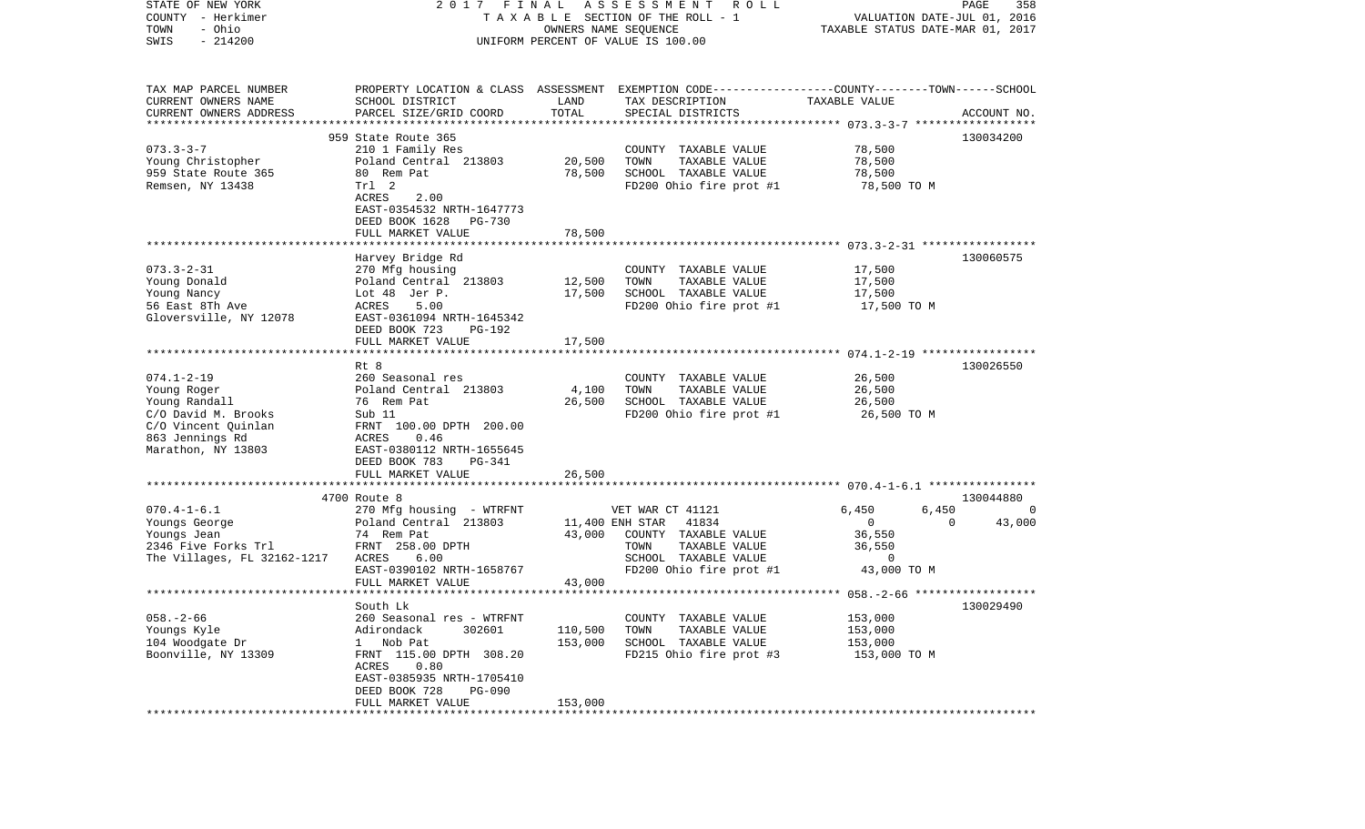| STATE OF NEW YORK<br>COUNTY - Herkimer<br>- Ohio<br>TOWN<br>$-214200$<br>SWIS                                                           | 2017 FINAL                                                                                                                                                                                                        | OWNERS NAME SEQUENCE          | A S S E S S M E N T<br>R O L L<br>TAXABLE SECTION OF THE ROLL - 1<br>UNIFORM PERCENT OF VALUE IS 100.00                                          | TAXABLE STATUS DATE-MAR 01, 2017                                         | PAGE<br>358<br>VALUATION DATE-JUL 01, 2016 |
|-----------------------------------------------------------------------------------------------------------------------------------------|-------------------------------------------------------------------------------------------------------------------------------------------------------------------------------------------------------------------|-------------------------------|--------------------------------------------------------------------------------------------------------------------------------------------------|--------------------------------------------------------------------------|--------------------------------------------|
| TAX MAP PARCEL NUMBER<br>CURRENT OWNERS NAME<br>CURRENT OWNERS ADDRESS<br>************************                                      | SCHOOL DISTRICT<br>PARCEL SIZE/GRID COORD                                                                                                                                                                         | LAND<br>TOTAL                 | PROPERTY LOCATION & CLASS ASSESSMENT EXEMPTION CODE---------------COUNTY-------TOWN------SCHOOL<br>TAX DESCRIPTION<br>SPECIAL DISTRICTS          | TAXABLE VALUE                                                            | ACCOUNT NO.                                |
| $073.3 - 3 - 7$<br>Young Christopher<br>959 State Route 365<br>Remsen, NY 13438                                                         | 959 State Route 365<br>210 1 Family Res<br>Poland Central 213803<br>80 Rem Pat<br>Trl 2<br>ACRES<br>2.00<br>EAST-0354532 NRTH-1647773<br>DEED BOOK 1628 PG-730                                                    | 20,500<br>78,500              | COUNTY TAXABLE VALUE<br>TOWN<br>TAXABLE VALUE<br>SCHOOL TAXABLE VALUE<br>FD200 Ohio fire prot #1                                                 | 78,500<br>78,500<br>78,500<br>78,500 TO M                                | 130034200                                  |
|                                                                                                                                         | FULL MARKET VALUE                                                                                                                                                                                                 | 78,500                        |                                                                                                                                                  |                                                                          |                                            |
| $073.3 - 2 - 31$<br>Young Donald<br>Young Nancy<br>56 East 8Th Ave<br>Gloversville, NY 12078                                            | Harvey Bridge Rd<br>270 Mfg housing<br>Poland Central 213803<br>Lot 48 Jer P.<br>5.00<br>ACRES<br>EAST-0361094 NRTH-1645342<br>DEED BOOK 723<br><b>PG-192</b>                                                     | 12,500<br>17,500              | COUNTY TAXABLE VALUE<br>TAXABLE VALUE<br>TOWN<br>SCHOOL TAXABLE VALUE<br>FD200 Ohio fire prot #1                                                 | 17,500<br>17,500<br>17,500<br>17,500 TO M                                | 130060575                                  |
|                                                                                                                                         | FULL MARKET VALUE                                                                                                                                                                                                 | 17,500                        |                                                                                                                                                  |                                                                          |                                            |
|                                                                                                                                         |                                                                                                                                                                                                                   |                               |                                                                                                                                                  |                                                                          |                                            |
| $074.1 - 2 - 19$<br>Young Roger<br>Young Randall<br>C/O David M. Brooks<br>C/O Vincent Quinlan<br>863 Jennings Rd<br>Marathon, NY 13803 | Rt 8<br>260 Seasonal res<br>Poland Central 213803<br>76 Rem Pat<br>Sub 11<br>FRNT 100.00 DPTH 200.00<br>ACRES<br>0.46<br>EAST-0380112 NRTH-1655645<br>DEED BOOK 783<br>PG-341                                     | 4,100<br>26,500               | COUNTY TAXABLE VALUE<br>TOWN<br>TAXABLE VALUE<br>SCHOOL TAXABLE VALUE<br>FD200 Ohio fire prot #1                                                 | 26,500<br>26,500<br>26,500<br>26,500 TO M                                | 130026550                                  |
|                                                                                                                                         | FULL MARKET VALUE                                                                                                                                                                                                 | 26,500                        |                                                                                                                                                  |                                                                          |                                            |
|                                                                                                                                         | *******************************<br>4700 Route 8                                                                                                                                                                   |                               |                                                                                                                                                  |                                                                          | 130044880                                  |
| $070.4 - 1 - 6.1$<br>Youngs George<br>Youngs Jean<br>2346 Five Forks Trl<br>The Villages, FL 32162-1217                                 | 270 Mfg housing - WTRFNT<br>Poland Central 213803<br>74 Rem Pat<br>FRNT 258.00 DPTH<br>6.00<br>ACRES<br>EAST-0390102 NRTH-1658767<br>FULL MARKET VALUE                                                            | 43,000<br>43,000              | VET WAR CT 41121<br>11,400 ENH STAR<br>41834<br>COUNTY TAXABLE VALUE<br>TOWN<br>TAXABLE VALUE<br>SCHOOL TAXABLE VALUE<br>FD200 Ohio fire prot #1 | 6,450<br>6,450<br>0<br>36,550<br>36,550<br>$\overline{0}$<br>43,000 TO M | $\overline{0}$<br>$\Omega$<br>43,000       |
|                                                                                                                                         |                                                                                                                                                                                                                   |                               |                                                                                                                                                  |                                                                          |                                            |
| $058. - 2 - 66$<br>Youngs Kyle<br>104 Woodgate Dr<br>Boonville, NY 13309                                                                | South Lk<br>260 Seasonal res - WTRFNT<br>Adirondack<br>302601<br>Nob Pat<br>$\mathbf{1}$<br>FRNT 115.00 DPTH 308.20<br>ACRES<br>0.80<br>EAST-0385935 NRTH-1705410<br>DEED BOOK 728<br>PG-090<br>FULL MARKET VALUE | 110,500<br>153,000<br>153,000 | COUNTY TAXABLE VALUE<br>TAXABLE VALUE<br>TOWN<br>SCHOOL TAXABLE VALUE<br>FD215 Ohio fire prot #3                                                 | 153,000<br>153,000<br>153,000<br>153,000 TO M                            | 130029490                                  |
|                                                                                                                                         |                                                                                                                                                                                                                   |                               |                                                                                                                                                  |                                                                          |                                            |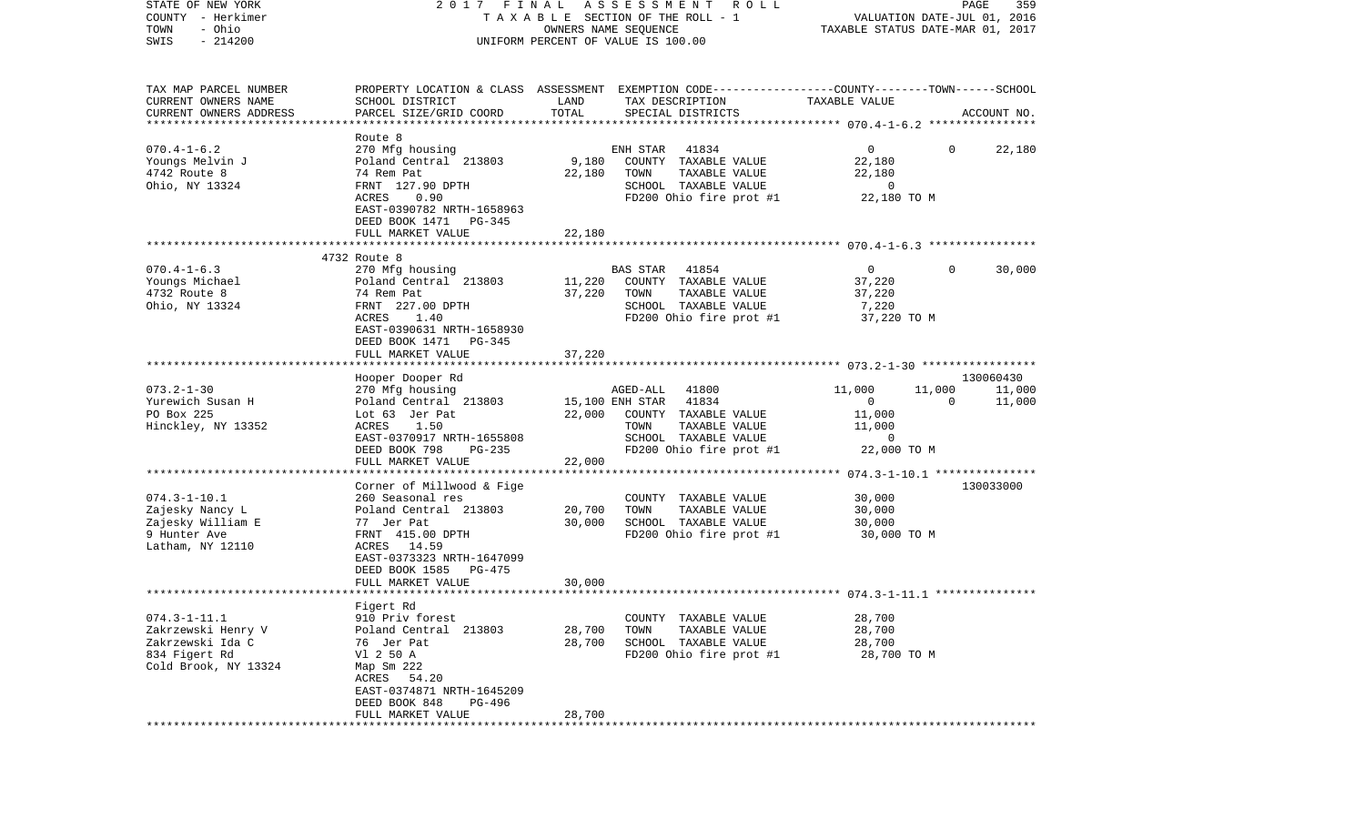| STATE OF NEW YORK         | 2017 FINAL                |        | A S S E S S M E N T R O L L                                                                     |                                  | PAGE         | 359         |
|---------------------------|---------------------------|--------|-------------------------------------------------------------------------------------------------|----------------------------------|--------------|-------------|
| COUNTY - Herkimer         |                           |        | TAXABLE SECTION OF THE ROLL - 1                                                                 | VALUATION DATE-JUL 01, 2016      |              |             |
| - Ohio<br>TOWN            |                           |        | OWNERS NAME SEQUENCE                                                                            | TAXABLE STATUS DATE-MAR 01, 2017 |              |             |
| $-214200$<br>SWIS         |                           |        | UNIFORM PERCENT OF VALUE IS 100.00                                                              |                                  |              |             |
|                           |                           |        |                                                                                                 |                                  |              |             |
| TAX MAP PARCEL NUMBER     |                           |        | PROPERTY LOCATION & CLASS ASSESSMENT EXEMPTION CODE---------------COUNTY-------TOWN------SCHOOL |                                  |              |             |
| CURRENT OWNERS NAME       | SCHOOL DISTRICT           | LAND   | TAX DESCRIPTION                                                                                 | TAXABLE VALUE                    |              |             |
| CURRENT OWNERS ADDRESS    | PARCEL SIZE/GRID COORD    | TOTAL  | SPECIAL DISTRICTS                                                                               |                                  |              | ACCOUNT NO. |
| ************************* |                           |        |                                                                                                 |                                  |              |             |
|                           | Route 8                   |        |                                                                                                 |                                  |              |             |
| $070.4 - 1 - 6.2$         | 270 Mfg housing           |        | ENH STAR<br>41834                                                                               | $\mathbf{0}$                     | $\mathbf{0}$ | 22,180      |
| Youngs Melvin J           | Poland Central 213803     | 9,180  | COUNTY TAXABLE VALUE                                                                            | 22,180                           |              |             |
| 4742 Route 8              | 74 Rem Pat                | 22,180 | TAXABLE VALUE<br>TOWN                                                                           | 22,180                           |              |             |
| Ohio, NY 13324            | FRNT 127.90 DPTH          |        | SCHOOL TAXABLE VALUE                                                                            | $\overline{0}$                   |              |             |
|                           | ACRES<br>0.90             |        | FD200 Ohio fire prot #1                                                                         | 22,180 TO M                      |              |             |
|                           | EAST-0390782 NRTH-1658963 |        |                                                                                                 |                                  |              |             |
|                           | DEED BOOK 1471 PG-345     |        |                                                                                                 |                                  |              |             |
|                           | FULL MARKET VALUE         | 22,180 |                                                                                                 |                                  |              |             |
|                           |                           |        |                                                                                                 |                                  |              |             |
|                           | 4732 Route 8              |        |                                                                                                 |                                  |              |             |
| $070.4 - 1 - 6.3$         | 270 Mfg housing           |        | BAS STAR<br>41854                                                                               | $\overline{0}$                   | $\Omega$     | 30,000      |
| Youngs Michael            | Poland Central 213803     | 11,220 | COUNTY TAXABLE VALUE                                                                            | 37,220                           |              |             |
| 4732 Route 8              | 74 Rem Pat                | 37,220 | TOWN<br>TAXABLE VALUE                                                                           | 37,220                           |              |             |
| Ohio, NY 13324            | FRNT 227.00 DPTH          |        | SCHOOL TAXABLE VALUE                                                                            | 7,220                            |              |             |
|                           | ACRES<br>1.40             |        | FD200 Ohio fire prot #1                                                                         | 37,220 TO M                      |              |             |
|                           | EAST-0390631 NRTH-1658930 |        |                                                                                                 |                                  |              |             |
|                           | DEED BOOK 1471 PG-345     |        |                                                                                                 |                                  |              |             |
|                           | FULL MARKET VALUE         | 37,220 |                                                                                                 |                                  |              |             |
|                           |                           |        |                                                                                                 |                                  |              |             |
|                           | Hooper Dooper Rd          |        |                                                                                                 |                                  |              | 130060430   |
| $073.2 - 1 - 30$          | 270 Mfg housing           |        | AGED-ALL 41800                                                                                  | 11,000                           | 11,000       | 11,000      |
| Yurewich Susan H          | Poland Central 213803     |        | 41834<br>15,100 ENH STAR                                                                        | $\overline{0}$                   | $\Omega$     | 11,000      |
| PO Box 225                | Lot 63 Jer Pat            | 22,000 | COUNTY TAXABLE VALUE                                                                            | 11,000                           |              |             |
| Hinckley, NY 13352        | ACRES<br>1.50             |        | TOWN<br>TAXABLE VALUE                                                                           | 11,000                           |              |             |
|                           | EAST-0370917 NRTH-1655808 |        | SCHOOL TAXABLE VALUE                                                                            | $\mathbf 0$                      |              |             |
|                           | DEED BOOK 798<br>PG-235   |        | FD200 Ohio fire prot #1                                                                         | 22,000 TO M                      |              |             |
|                           | FULL MARKET VALUE         | 22,000 |                                                                                                 |                                  |              |             |
|                           |                           |        |                                                                                                 |                                  |              |             |
|                           | Corner of Millwood & Fige |        |                                                                                                 |                                  |              | 130033000   |
| $074.3 - 1 - 10.1$        | 260 Seasonal res          |        | COUNTY TAXABLE VALUE                                                                            | 30,000                           |              |             |
| Zajesky Nancy L           | Poland Central 213803     | 20,700 | TOWN<br>TAXABLE VALUE                                                                           | 30,000                           |              |             |
| Zajesky William E         | 77 Jer Pat                | 30,000 | SCHOOL TAXABLE VALUE                                                                            | 30,000                           |              |             |
| 9 Hunter Ave              | FRNT 415.00 DPTH          |        | FD200 Ohio fire prot #1                                                                         | 30,000 TO M                      |              |             |
| Latham, NY 12110          | ACRES 14.59               |        |                                                                                                 |                                  |              |             |
|                           | EAST-0373323 NRTH-1647099 |        |                                                                                                 |                                  |              |             |
|                           | DEED BOOK 1585<br>PG-475  |        |                                                                                                 |                                  |              |             |
|                           | FULL MARKET VALUE         | 30,000 |                                                                                                 |                                  |              |             |
|                           |                           |        |                                                                                                 |                                  |              |             |
|                           | Figert Rd                 |        |                                                                                                 |                                  |              |             |
| $074.3 - 1 - 11.1$        | 910 Priv forest           |        | COUNTY TAXABLE VALUE                                                                            | 28,700                           |              |             |
| Zakrzewski Henry V        | Poland Central 213803     | 28,700 | TOWN<br>TAXABLE VALUE                                                                           | 28,700                           |              |             |
| Zakrzewski Ida C          | 76 Jer Pat                | 28,700 | SCHOOL TAXABLE VALUE                                                                            | 28,700                           |              |             |
| 834 Figert Rd             | V1 2 50 A                 |        |                                                                                                 | 28,700 TO M                      |              |             |
|                           |                           |        | FD200 Ohio fire prot #1                                                                         |                                  |              |             |
| Cold Brook, NY 13324      | Map Sm 222                |        |                                                                                                 |                                  |              |             |
|                           | 54.20<br>ACRES            |        |                                                                                                 |                                  |              |             |
|                           | EAST-0374871 NRTH-1645209 |        |                                                                                                 |                                  |              |             |
|                           | DEED BOOK 848<br>PG-496   |        |                                                                                                 |                                  |              |             |
|                           | FULL MARKET VALUE         | 28,700 |                                                                                                 |                                  |              |             |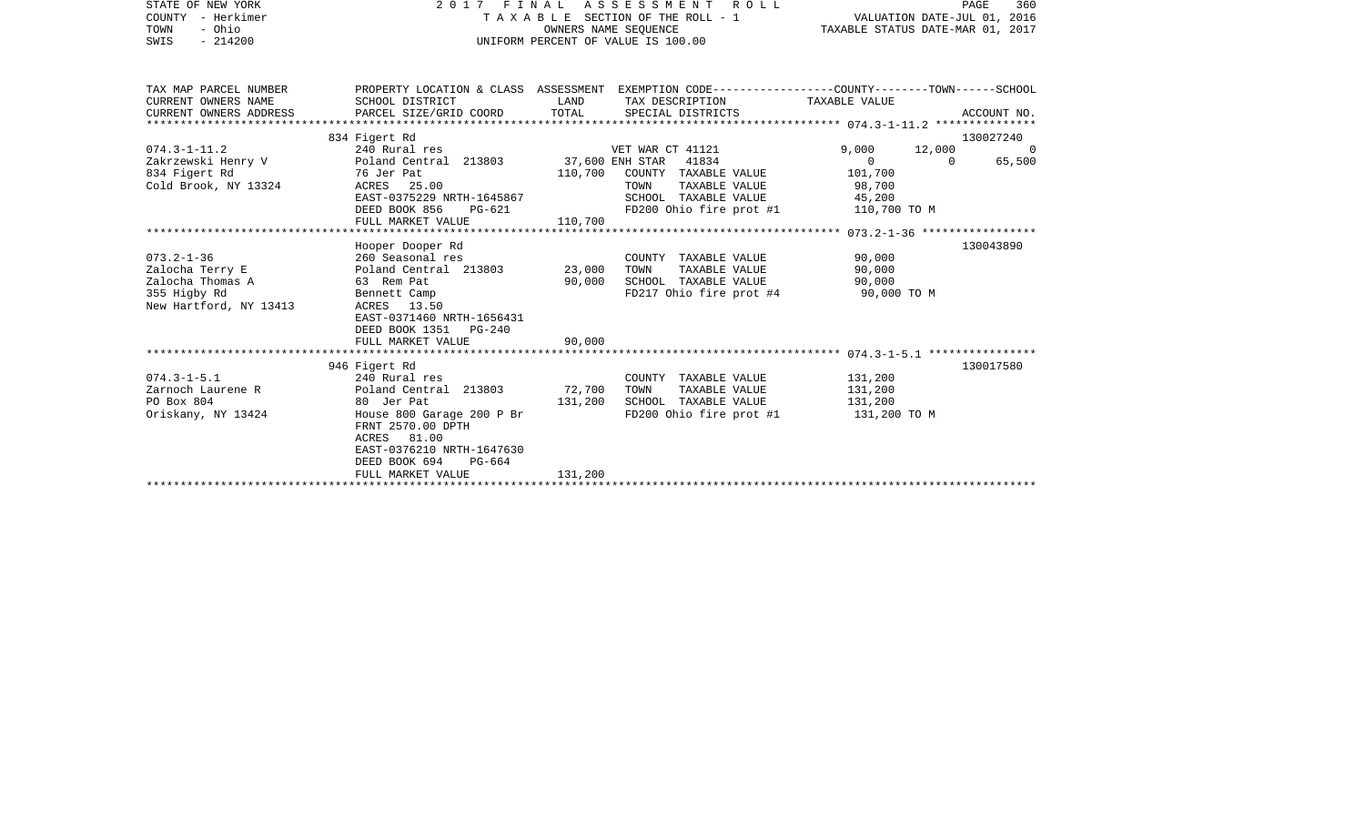| STATE OF NEW YORK<br>COUNTY - Herkimer<br>- Ohio<br>TOWN<br>SWIS<br>$-214200$                     | FINAL<br>2017                                                                                                                                                                                                | OWNERS NAME SEOUENCE       | A S S E S S M E N T<br>ROLL<br>TAXABLE SECTION OF THE ROLL - 1<br>UNIFORM PERCENT OF VALUE IS 100.00                          | VALUATION DATE-JUL 01, 2016<br>TAXABLE STATUS DATE-MAR 01, 2017                        | 360<br>PAGE        |
|---------------------------------------------------------------------------------------------------|--------------------------------------------------------------------------------------------------------------------------------------------------------------------------------------------------------------|----------------------------|-------------------------------------------------------------------------------------------------------------------------------|----------------------------------------------------------------------------------------|--------------------|
|                                                                                                   |                                                                                                                                                                                                              |                            |                                                                                                                               |                                                                                        |                    |
| TAX MAP PARCEL NUMBER<br>CURRENT OWNERS NAME<br>CURRENT OWNERS ADDRESS                            | PROPERTY LOCATION & CLASS ASSESSMENT EXEMPTION CODE----------------COUNTY-------TOWN------SCHOOL<br>SCHOOL DISTRICT<br>PARCEL SIZE/GRID COORD                                                                | LAND<br>TOTAL              | TAX DESCRIPTION<br>SPECIAL DISTRICTS                                                                                          | TAXABLE VALUE                                                                          | ACCOUNT NO.        |
|                                                                                                   |                                                                                                                                                                                                              |                            |                                                                                                                               |                                                                                        |                    |
|                                                                                                   | 834 Figert Rd                                                                                                                                                                                                |                            |                                                                                                                               |                                                                                        | 130027240          |
| $074.3 - 1 - 11.2$<br>834 Figert Rd<br>Cold Brook, NY 13324                                       | 240 Rural res<br>Zakrzewski Henry V               Poland Central 213803          37,600 ENH STAR<br>76 Jer Pat<br>ACRES 25.00<br>EAST-0375229 NRTH-1645867<br>DEED BOOK 856<br>$PG-621$<br>FULL MARKET VALUE | 110,700<br>110,700         | VET WAR CT 41121<br>41834<br>COUNTY TAXABLE VALUE<br>TOWN<br>TAXABLE VALUE<br>SCHOOL TAXABLE VALUE<br>FD200 Ohio fire prot #1 | 9,000<br>12,000<br>$\Omega$<br>$\Omega$<br>101,700<br>98,700<br>45,200<br>110,700 TO M | $\Omega$<br>65,500 |
|                                                                                                   | Hooper Dooper Rd                                                                                                                                                                                             |                            |                                                                                                                               |                                                                                        | 130043890          |
| $073.2 - 1 - 36$<br>Zalocha Terry E<br>Zalocha Thomas A<br>355 Higby Rd<br>New Hartford, NY 13413 | 260 Seasonal res<br>Poland Central 213803<br>63 Rem Pat<br>Bennett Camp<br>ACRES 13.50<br>EAST-0371460 NRTH-1656431<br>DEED BOOK 1351 PG-240<br>FULL MARKET VALUE                                            | 23,000<br>90,000<br>90,000 | COUNTY TAXABLE VALUE<br>TAXABLE VALUE<br>TOWN<br>SCHOOL TAXABLE VALUE<br>FD217 Ohio fire prot #4                              | 90,000<br>90,000<br>90,000<br>90,000 TO M                                              |                    |
|                                                                                                   |                                                                                                                                                                                                              |                            |                                                                                                                               |                                                                                        |                    |
| $074.3 - 1 - 5.1$<br>Zarnoch Laurene R<br>PO Box 804<br>Oriskany, NY 13424                        | 946 Figert Rd<br>240 Rural res<br>Poland Central 213803 72,700<br>80 Jer Pat<br>House 800 Garage 200 P Br<br>FRNT 2570.00 DPTH<br>81.00<br>ACRES<br>EAST-0376210 NRTH-1647630                                | 131,200                    | COUNTY TAXABLE VALUE<br>TAXABLE VALUE<br>TOWN<br>SCHOOL TAXABLE VALUE<br>FD200 Ohio fire prot #1                              | 131,200<br>131,200<br>131,200<br>131,200 TO M                                          | 130017580          |

FULL MARKET VALUE 131,200 \*\*\*\*\*\*\*\*\*\*\*\*\*\*\*\*\*\*\*\*\*\*\*\*\*\*\*\*\*\*\*\*\*\*\*\*\*\*\*\*\*\*\*\*\*\*\*\*\*\*\*\*\*\*\*\*\*\*\*\*\*\*\*\*\*\*\*\*\*\*\*\*\*\*\*\*\*\*\*\*\*\*\*\*\*\*\*\*\*\*\*\*\*\*\*\*\*\*\*\*\*\*\*\*\*\*\*\*\*\*\*\*\*\*\*\*\*\*\*\*\*\*\*\*\*\*\*\*\*\*\*\*

DEED BOOK 694 PG-664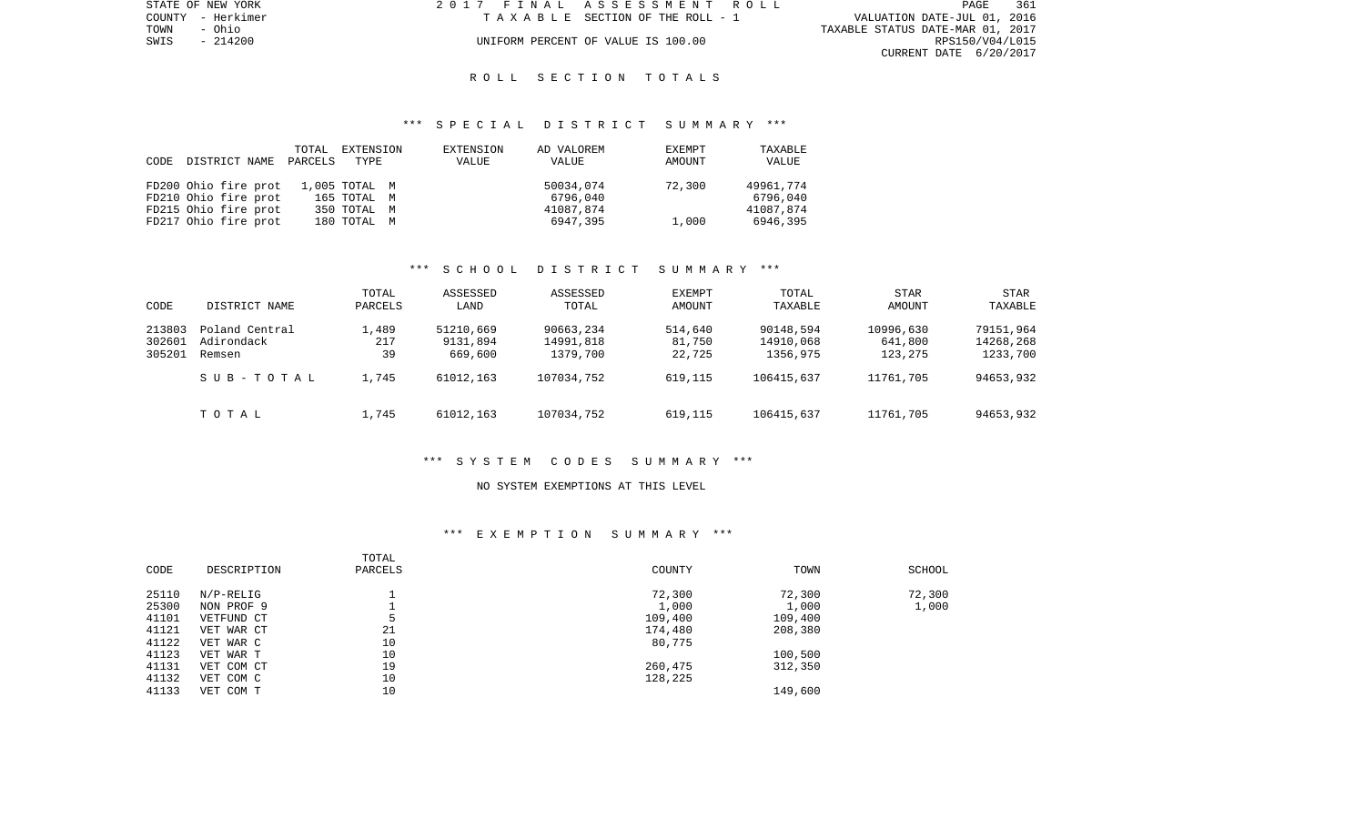| STATE OF NEW YORK | 2017 FINAL ASSESSMENT ROLL         | 361<br>PAGE                      |
|-------------------|------------------------------------|----------------------------------|
| COUNTY - Herkimer | TAXABLE SECTION OF THE ROLL - 1    | VALUATION DATE-JUL 01, 2016      |
| TOWN<br>- Ohio    |                                    | TAXABLE STATUS DATE-MAR 01, 2017 |
| SWIS - 214200     | UNIFORM PERCENT OF VALUE IS 100.00 | RPS150/V04/L015                  |
|                   |                                    | CURRENT DATE 6/20/2017           |

# R O L L S E C T I O N T O T A L S

### \*\*\* S P E C I A L D I S T R I C T S U M M A R Y \*\*\*

|      |                      | TOTAL   | EXTENSION     | EXTENSION | AD VALOREM | EXEMPT | TAXABLE   |
|------|----------------------|---------|---------------|-----------|------------|--------|-----------|
| CODE | DISTRICT NAME        | PARCELS | TYPE          | VALUE     | VALUE      | AMOUNT | VALUE     |
|      |                      |         |               |           |            |        |           |
|      | FD200 Ohio fire prot |         | 1,005 TOTAL M |           | 50034,074  | 72,300 | 49961,774 |
|      | FD210 Ohio fire prot |         | 165 TOTAL M   |           | 6796,040   |        | 6796,040  |
|      | FD215 Ohio fire prot |         | 350 TOTAL M   |           | 41087,874  |        | 41087,874 |
|      | FD217 Ohio fire prot |         | 180 TOTAL M   |           | 6947,395   | 1,000  | 6946,395  |

# \*\*\* S C H O O L D I S T R I C T S U M M A R Y \*\*\*

| CODE                       | DISTRICT NAME                          | TOTAL<br>PARCELS   | ASSESSED<br>LAND                 | ASSESSED<br>TOTAL                  | <b>EXEMPT</b><br>AMOUNT     | TOTAL<br>TAXABLE                   | <b>STAR</b><br>AMOUNT           | STAR<br>TAXABLE                    |
|----------------------------|----------------------------------------|--------------------|----------------------------------|------------------------------------|-----------------------------|------------------------------------|---------------------------------|------------------------------------|
| 213803<br>302601<br>305201 | Poland Central<br>Adirondack<br>Remsen | 1,489<br>217<br>39 | 51210,669<br>9131,894<br>669,600 | 90663,234<br>14991,818<br>1379,700 | 514,640<br>81,750<br>22,725 | 90148,594<br>14910,068<br>1356,975 | 10996,630<br>641,800<br>123,275 | 79151,964<br>14268,268<br>1233,700 |
|                            | SUB-TOTAL                              | 1,745              | 61012,163                        | 107034,752                         | 619,115                     | 106415,637                         | 11761,705                       | 94653,932                          |
|                            | TOTAL                                  | 1,745              | 61012,163                        | 107034,752                         | 619,115                     | 106415,637                         | 11761,705                       | 94653,932                          |

#### \*\*\* S Y S T E M C O D E S S U M M A R Y \*\*\*

#### NO SYSTEM EXEMPTIONS AT THIS LEVEL

# \*\*\* E X E M P T I O N S U M M A R Y \*\*\*

| CODE  | DESCRIPTION | TOTAL<br>PARCELS | COUNTY  | TOWN    | SCHOOL |
|-------|-------------|------------------|---------|---------|--------|
|       |             |                  |         |         |        |
| 25110 | $N/P-RELIG$ |                  | 72,300  | 72,300  | 72,300 |
| 25300 | NON PROF 9  |                  | 1,000   | 1,000   | 1,000  |
| 41101 | VETFUND CT  |                  | 109,400 | 109,400 |        |
| 41121 | VET WAR CT  | 21               | 174,480 | 208,380 |        |
| 41122 | VET WAR C   | 10               | 80,775  |         |        |
| 41123 | VET WAR T   | 10               |         | 100,500 |        |
| 41131 | VET COM CT  | 19               | 260,475 | 312,350 |        |
| 41132 | VET COM C   | 10               | 128,225 |         |        |
| 41133 | VET COM T   | 10               |         | 149,600 |        |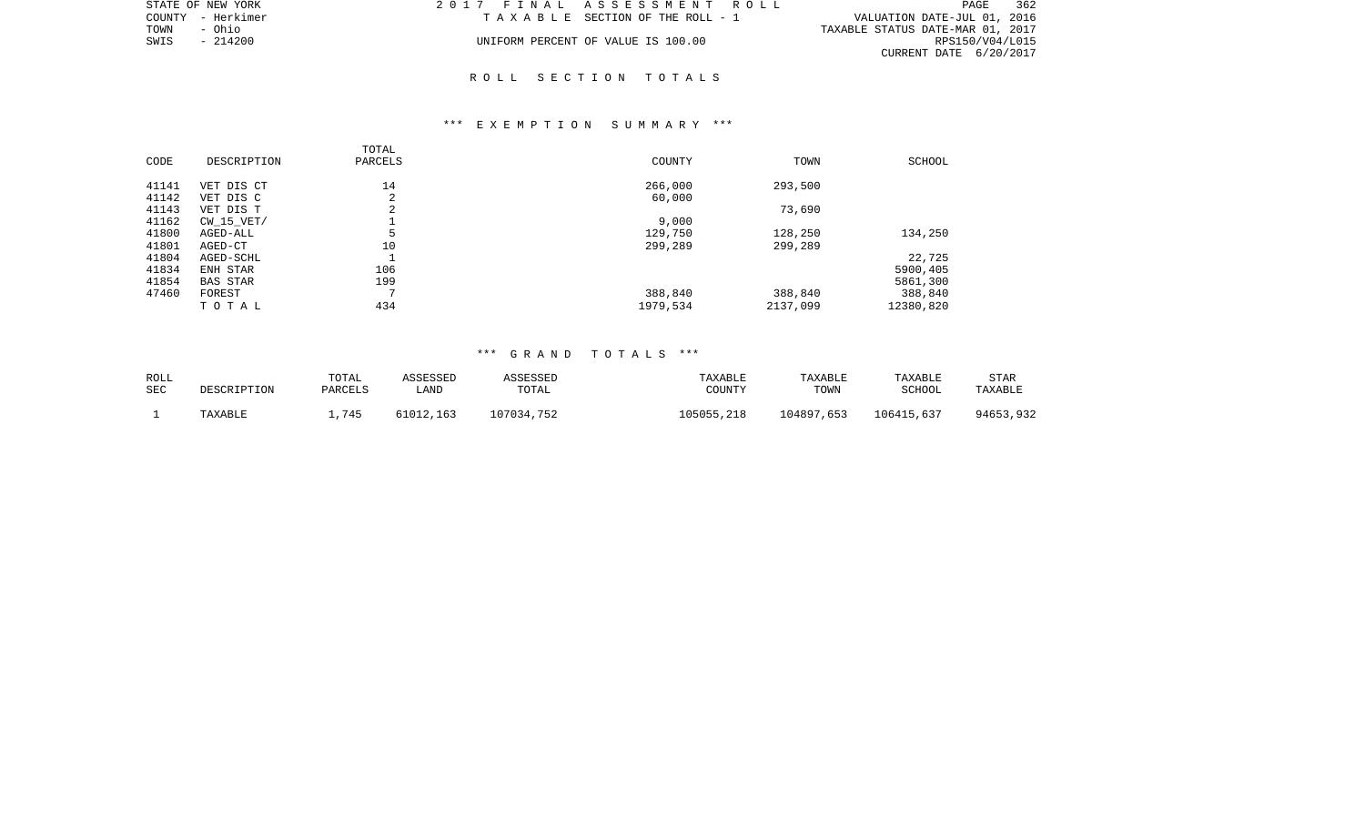|      | STATE OF NEW YORK | 2017 FINAL ASSESSMENT ROLL         |                                  | PAGE            | 362 |
|------|-------------------|------------------------------------|----------------------------------|-----------------|-----|
|      | COUNTY - Herkimer | TAXABLE SECTION OF THE ROLL - 1    | VALUATION DATE-JUL 01, 2016      |                 |     |
| TOWN | – Ohio            |                                    | TAXABLE STATUS DATE-MAR 01, 2017 |                 |     |
| SWIS | - 214200          | UNIFORM PERCENT OF VALUE IS 100.00 |                                  | RPS150/V04/L015 |     |
|      |                   |                                    | CURRENT DATE 6/20/2017           |                 |     |

# R O L L S E C T I O N T O T A L S

# \*\*\* E X E M P T I O N S U M M A R Y \*\*\*

| CODE           | DESCRIPTION             | TOTAL<br>PARCELS | COUNTY            | TOWN     | SCHOOL    |
|----------------|-------------------------|------------------|-------------------|----------|-----------|
| 41141<br>41142 | VET DIS CT<br>VET DIS C | 14<br>◠<br>4     | 266,000<br>60,000 | 293,500  |           |
| 41143          | VET DIS T               | 2                |                   | 73,690   |           |
| 41162          | CW 15 VET/              |                  | 9,000             |          |           |
| 41800          | AGED-ALL                | 5                | 129,750           | 128,250  | 134,250   |
| 41801          | AGED-CT                 | 10               | 299,289           | 299,289  |           |
| 41804          | AGED-SCHL               |                  |                   |          | 22,725    |
| 41834          | ENH STAR                | 106              |                   |          | 5900,405  |
| 41854          | <b>BAS STAR</b>         | 199              |                   |          | 5861,300  |
| 47460          | FOREST                  | $\overline{ }$   | 388,840           | 388,840  | 388,840   |
|                | TOTAL                   | 434              | 1979,534          | 2137,099 | 12380,820 |

# \*\*\* G R A N D T O T A L S \*\*\*

| ROLL<br>SEC | DESCRIPTION | TOTAL<br>PARCELS | <b><i>ASSESSED</i></b><br>LAND | ASSESSED<br>TOTAL | TAXABLE<br>COUNTY | TAXABLE<br>TOWN | TAXABLE<br>SCHOOL | STAR<br>TAXABLE |
|-------------|-------------|------------------|--------------------------------|-------------------|-------------------|-----------------|-------------------|-----------------|
|             | TAXABLE     | .745             | 61012,163                      | 107034,752        | 105055,218        | 104897,653      | 106415,637        | 94653,932       |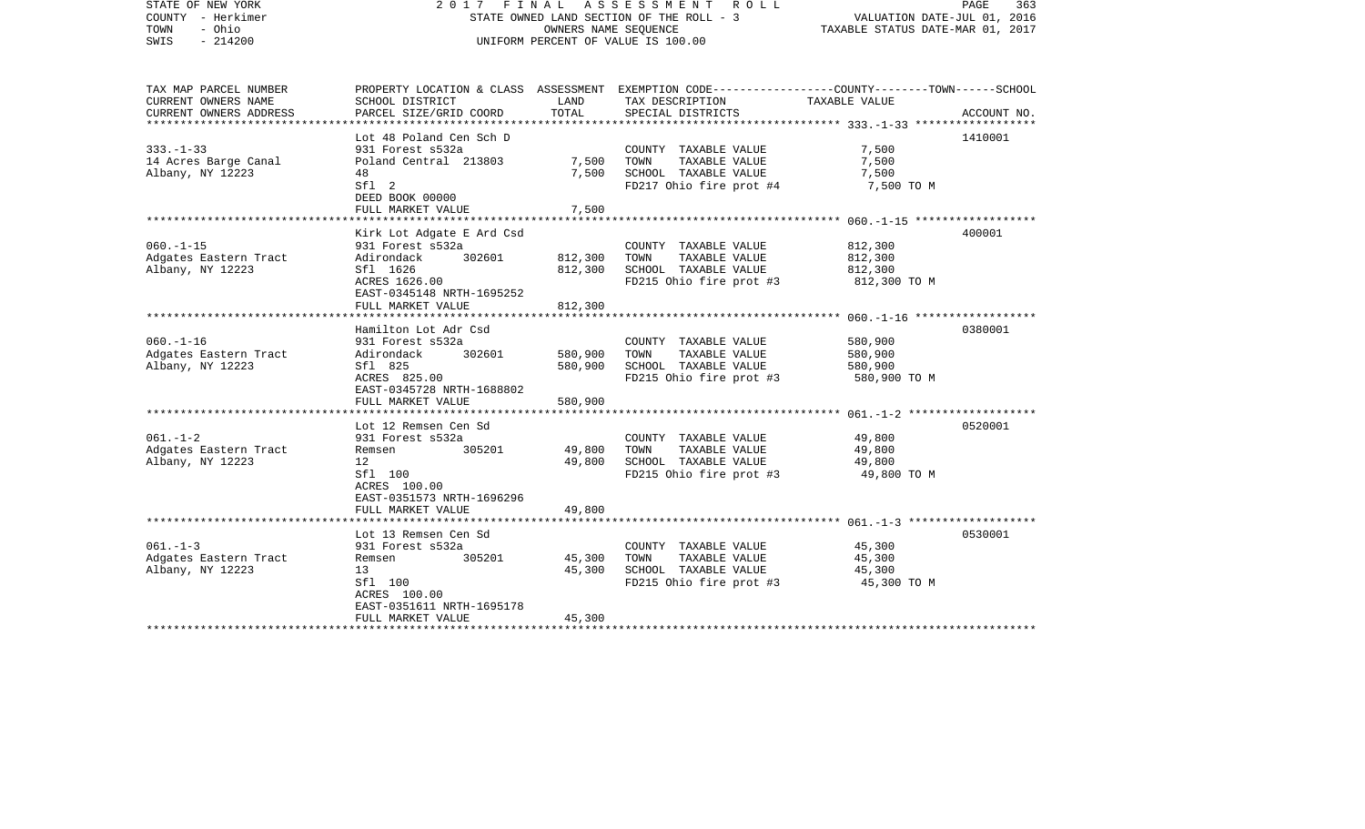| STATE OF NEW YORK<br>COUNTY - Herkimer<br>- Ohio<br>TOWN<br>SWIS<br>$-214200$ | FINAL<br>2017                                                                                                                                                         | OWNERS NAME SEQUENCE          | A S S E S S M E N T A O L L<br>STATE OWNED LAND SECTION OF THE ROLL - 3<br>UNIFORM PERCENT OF VALUE IS 100.00                           | PAGE<br>363<br>VALUATION DATE-JUL 01, 2016<br>TAXABLE STATUS DATE-MAR 01, 2017 |             |
|-------------------------------------------------------------------------------|-----------------------------------------------------------------------------------------------------------------------------------------------------------------------|-------------------------------|-----------------------------------------------------------------------------------------------------------------------------------------|--------------------------------------------------------------------------------|-------------|
| TAX MAP PARCEL NUMBER<br>CURRENT OWNERS NAME<br>CURRENT OWNERS ADDRESS        | SCHOOL DISTRICT<br>PARCEL SIZE/GRID COORD                                                                                                                             | LAND<br>TOTAL                 | PROPERTY LOCATION & CLASS ASSESSMENT EXEMPTION CODE---------------COUNTY-------TOWN------SCHOOL<br>TAX DESCRIPTION<br>SPECIAL DISTRICTS | TAXABLE VALUE                                                                  | ACCOUNT NO. |
| $333. - 1 - 33$<br>14 Acres Barge Canal<br>Albany, NY 12223                   | Lot 48 Poland Cen Sch D<br>931 Forest s532a<br>Poland Central 213803<br>48<br>Sfl <sub>2</sub><br>DEED BOOK 00000<br>FULL MARKET VALUE                                | 7,500<br>7,500<br>7,500       | COUNTY TAXABLE VALUE<br>TAXABLE VALUE<br>TOWN<br>SCHOOL TAXABLE VALUE<br>FD217 Ohio fire prot #4                                        | 7,500<br>7,500<br>7,500<br>7,500 TO M                                          | 1410001     |
| $060. -1 - 15$<br>Adgates Eastern Tract<br>Albany, NY 12223                   | Kirk Lot Adgate E Ard Csd<br>931 Forest s532a<br>302601<br>Adirondack<br>Sfl 1626<br>ACRES 1626.00<br>EAST-0345148 NRTH-1695252<br>FULL MARKET VALUE                  | 812,300<br>812,300<br>812,300 | COUNTY TAXABLE VALUE<br>TOWN<br>TAXABLE VALUE<br>SCHOOL TAXABLE VALUE<br>FD215 Ohio fire prot #3                                        | 812,300<br>812,300<br>812,300<br>812,300 TO M                                  | 400001      |
| $060. -1 - 16$<br>Adgates Eastern Tract<br>Albany, NY 12223                   | Hamilton Lot Adr Csd<br>931 Forest s532a<br>302601<br>Adirondack<br>Sfl 825<br>ACRES 825.00<br>EAST-0345728 NRTH-1688802<br>FULL MARKET VALUE                         | 580,900<br>580,900<br>580,900 | COUNTY TAXABLE VALUE<br>TOWN<br>TAXABLE VALUE<br>SCHOOL TAXABLE VALUE<br>FD215 Ohio fire prot #3                                        | 580,900<br>580,900<br>580,900<br>580,900 TO M                                  | 0380001     |
| $061. - 1 - 2$<br>Adgates Eastern Tract<br>Albany, NY 12223                   | Lot 12 Remsen Cen Sd<br>931 Forest s532a<br>Remsen<br>305201<br>12<br>Sfl 100<br>ACRES 100.00<br>EAST-0351573 NRTH-1696296<br>FULL MARKET VALUE                       | 49,800<br>49,800<br>49,800    | COUNTY TAXABLE VALUE<br>TAXABLE VALUE<br>TOWN<br>SCHOOL TAXABLE VALUE<br>FD215 Ohio fire prot #3                                        | 49,800<br>49,800<br>49,800<br>49,800 TO M                                      | 0520001     |
| $061. -1 -3$<br>Adgates Eastern Tract<br>Albany, NY 12223                     | ******************<br>Lot 13 Remsen Cen Sd<br>931 Forest s532a<br>Remsen<br>305201<br>13<br>Sfl 100<br>ACRES 100.00<br>EAST-0351611 NRTH-1695178<br>FULL MARKET VALUE | 45,300<br>45,300<br>45,300    | COUNTY TAXABLE VALUE<br>TOWN<br>TAXABLE VALUE<br>SCHOOL TAXABLE VALUE<br>FD215 Ohio fire prot #3                                        | 45,300<br>45,300<br>45,300<br>45,300 TO M                                      | 0530001     |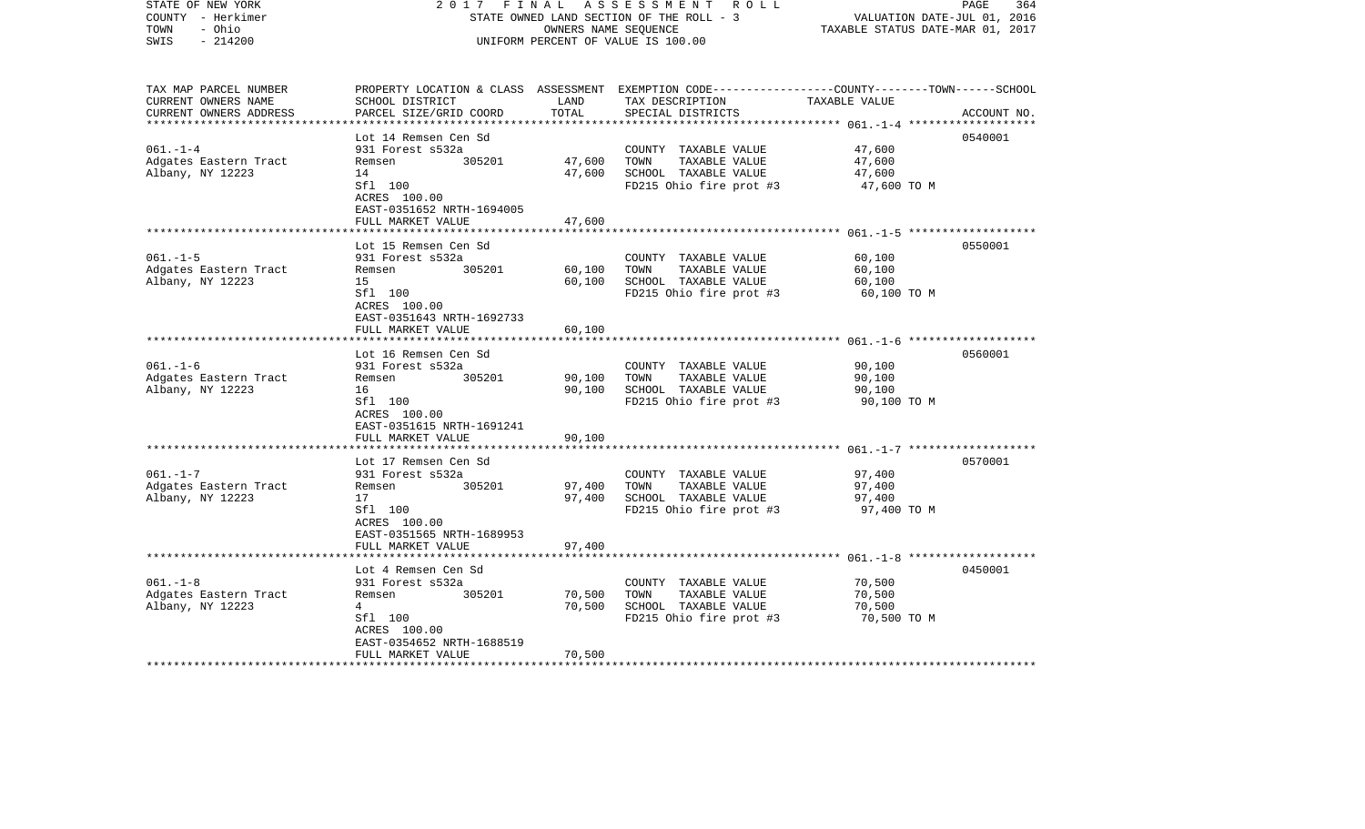| STATE OF NEW YORK<br>COUNTY - Herkimer<br>TOWN<br>- Ohio<br>$-214200$<br>SWIS | 2017                                                                      | FINAL         | A S S E S S M E N T R O L L<br>STATE OWNED LAND SECTION OF THE ROLL - 3<br>OWNERS NAME SEQUENCE<br>UNIFORM PERCENT OF VALUE IS 100.00   | VALUATION DATE-JUL 01, 2016<br>TAXABLE STATUS DATE-MAR 01, 2017 | PAGE<br>364 |
|-------------------------------------------------------------------------------|---------------------------------------------------------------------------|---------------|-----------------------------------------------------------------------------------------------------------------------------------------|-----------------------------------------------------------------|-------------|
| TAX MAP PARCEL NUMBER<br>CURRENT OWNERS NAME<br>CURRENT OWNERS ADDRESS        | SCHOOL DISTRICT<br>PARCEL SIZE/GRID COORD                                 | LAND<br>TOTAL | PROPERTY LOCATION & CLASS ASSESSMENT EXEMPTION CODE---------------COUNTY-------TOWN------SCHOOL<br>TAX DESCRIPTION<br>SPECIAL DISTRICTS | TAXABLE VALUE                                                   | ACCOUNT NO. |
|                                                                               | Lot 14 Remsen Cen Sd                                                      |               |                                                                                                                                         |                                                                 | 0540001     |
| $061. - 1 - 4$                                                                | 931 Forest s532a                                                          |               | COUNTY TAXABLE VALUE                                                                                                                    | 47,600                                                          |             |
| Adgates Eastern Tract                                                         | 305201<br>Remsen                                                          | 47,600        | TOWN<br>TAXABLE VALUE                                                                                                                   | 47,600                                                          |             |
| Albany, NY 12223                                                              | 14                                                                        | 47,600        | SCHOOL TAXABLE VALUE                                                                                                                    | 47,600                                                          |             |
|                                                                               | Sfl 100<br>ACRES 100.00<br>EAST-0351652 NRTH-1694005<br>FULL MARKET VALUE | 47,600        | FD215 Ohio fire prot #3                                                                                                                 | 47,600 TO M                                                     |             |
|                                                                               |                                                                           |               |                                                                                                                                         |                                                                 |             |
|                                                                               | Lot 15 Remsen Cen Sd                                                      |               |                                                                                                                                         |                                                                 | 0550001     |
| $061. -1 - 5$                                                                 | 931 Forest s532a                                                          |               | COUNTY TAXABLE VALUE                                                                                                                    | 60,100                                                          |             |
| Adgates Eastern Tract                                                         | 305201<br>Remsen                                                          | 60,100        | TOWN<br>TAXABLE VALUE                                                                                                                   | 60,100                                                          |             |
| Albany, NY 12223                                                              | 15<br>Sfl 100                                                             | 60,100        | SCHOOL TAXABLE VALUE<br>FD215 Ohio fire prot #3                                                                                         | 60,100<br>60,100 TO M                                           |             |
|                                                                               | ACRES 100.00<br>EAST-0351643 NRTH-1692733                                 |               |                                                                                                                                         |                                                                 |             |
|                                                                               | FULL MARKET VALUE                                                         | 60,100        |                                                                                                                                         |                                                                 |             |
|                                                                               | Lot 16 Remsen Cen Sd                                                      |               |                                                                                                                                         |                                                                 | 0560001     |
| $061. - 1 - 6$                                                                | 931 Forest s532a                                                          |               | COUNTY TAXABLE VALUE                                                                                                                    | 90,100                                                          |             |
| Adgates Eastern Tract                                                         | 305201<br>Remsen                                                          | 90,100        | TOWN<br>TAXABLE VALUE                                                                                                                   | 90,100                                                          |             |
| Albany, NY 12223                                                              | 16                                                                        | 90,100        | SCHOOL TAXABLE VALUE                                                                                                                    | 90,100                                                          |             |
|                                                                               | Sfl 100<br>ACRES 100.00<br>EAST-0351615 NRTH-1691241                      |               | FD215 Ohio fire prot #3                                                                                                                 | 90,100 TO M                                                     |             |
|                                                                               | FULL MARKET VALUE                                                         | 90,100        |                                                                                                                                         |                                                                 |             |
|                                                                               | Lot 17 Remsen Cen Sd                                                      |               |                                                                                                                                         |                                                                 | 0570001     |
| $061. - 1 - 7$                                                                | 931 Forest s532a                                                          |               | COUNTY TAXABLE VALUE                                                                                                                    | 97,400                                                          |             |
| Adgates Eastern Tract                                                         | 305201<br>Remsen                                                          | 97,400        | TOWN<br>TAXABLE VALUE                                                                                                                   | 97,400                                                          |             |
| Albany, NY 12223                                                              | 17                                                                        | 97,400        | SCHOOL TAXABLE VALUE                                                                                                                    | 97,400                                                          |             |
|                                                                               | Sfl 100<br>ACRES 100.00<br>EAST-0351565 NRTH-1689953                      |               | FD215 Ohio fire prot #3                                                                                                                 | 97,400 TO M                                                     |             |
|                                                                               | FULL MARKET VALUE                                                         | 97,400        |                                                                                                                                         |                                                                 |             |
|                                                                               | Lot 4 Remsen Cen Sd                                                       |               |                                                                                                                                         |                                                                 | 0450001     |
| $061. - 1 - 8$                                                                | 931 Forest s532a                                                          |               | COUNTY TAXABLE VALUE                                                                                                                    | 70,500                                                          |             |
| Adgates Eastern Tract                                                         | 305201<br>Remsen                                                          | 70,500        | TOWN<br>TAXABLE VALUE                                                                                                                   | 70,500                                                          |             |
| Albany, NY 12223                                                              | 4                                                                         | 70,500        | SCHOOL TAXABLE VALUE                                                                                                                    | 70,500                                                          |             |
|                                                                               | Sfl 100                                                                   |               | FD215 Ohio fire prot #3                                                                                                                 | 70,500 TO M                                                     |             |
|                                                                               | ACRES 100.00<br>EAST-0354652 NRTH-1688519                                 |               |                                                                                                                                         |                                                                 |             |
|                                                                               | FULL MARKET VALUE                                                         | 70,500        |                                                                                                                                         |                                                                 |             |
|                                                                               |                                                                           |               |                                                                                                                                         |                                                                 |             |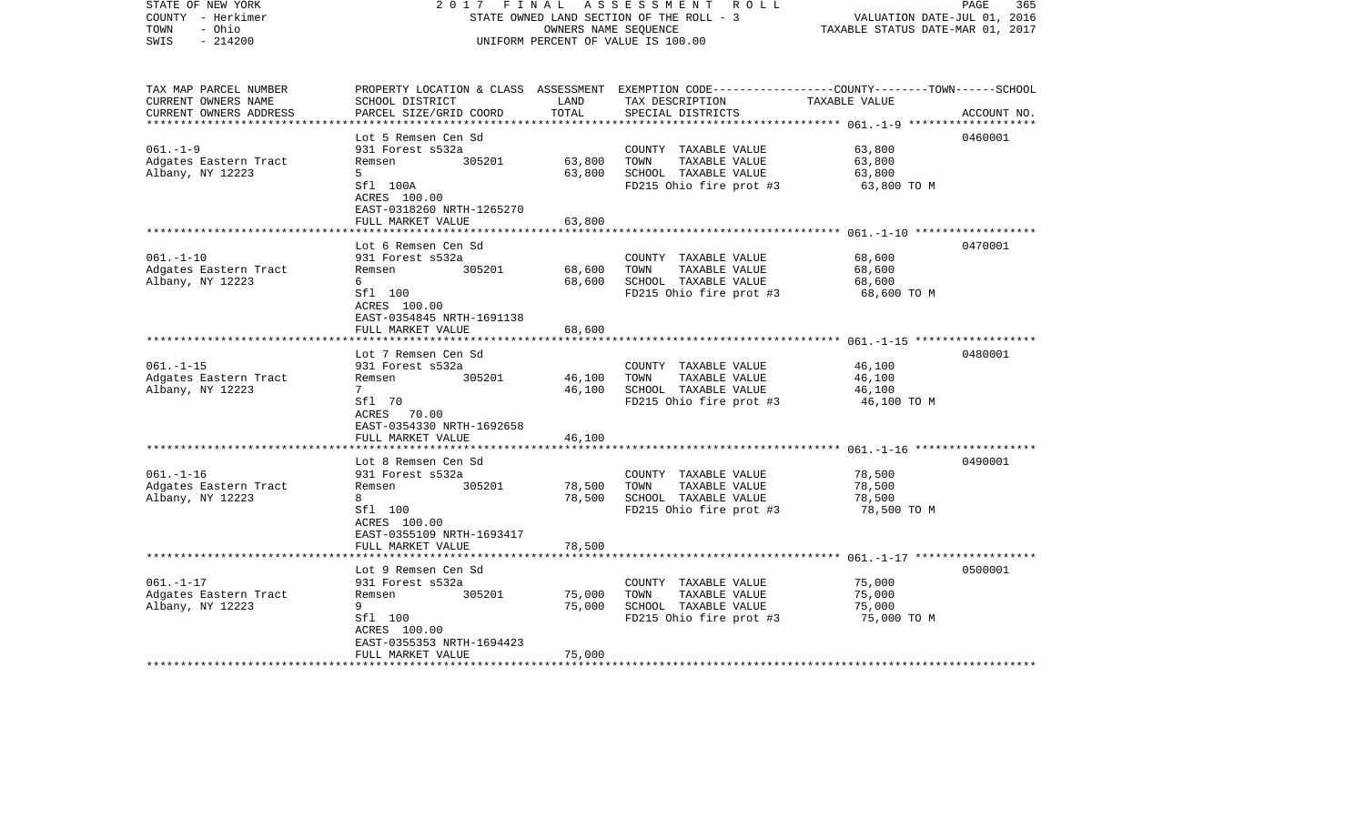| STATE OF NEW YORK<br>COUNTY - Herkimer<br>- Ohio<br>TOWN<br>$-214200$<br>SWIS | FINAL<br>2017                                         | OWNERS NAME SEQUENCE | A S S E S S M E N T R O L L<br>STATE OWNED LAND SECTION OF THE ROLL - 3<br>UNIFORM PERCENT OF VALUE IS 100.00                          | VALUATION DATE-JUL 01, 2016<br>TAXABLE STATUS DATE-MAR 01, 2017 | PAGE<br>365 |
|-------------------------------------------------------------------------------|-------------------------------------------------------|----------------------|----------------------------------------------------------------------------------------------------------------------------------------|-----------------------------------------------------------------|-------------|
| TAX MAP PARCEL NUMBER<br>CURRENT OWNERS NAME<br>CURRENT OWNERS ADDRESS        | SCHOOL DISTRICT<br>PARCEL SIZE/GRID COORD             | LAND<br>TOTAL        | PROPERTY LOCATION & CLASS ASSESSMENT EXEMPTION CODE--------------COUNTY-------TOWN------SCHOOL<br>TAX DESCRIPTION<br>SPECIAL DISTRICTS | TAXABLE VALUE                                                   | ACCOUNT NO. |
|                                                                               | Lot 5 Remsen Cen Sd                                   |                      |                                                                                                                                        |                                                                 | 0460001     |
| $061. - 1 - 9$                                                                | 931 Forest s532a                                      |                      | COUNTY TAXABLE VALUE                                                                                                                   | 63,800                                                          |             |
| Adgates Eastern Tract                                                         | 305201<br>Remsen                                      | 63,800               | TOWN<br>TAXABLE VALUE                                                                                                                  | 63,800                                                          |             |
| Albany, NY 12223                                                              | 5                                                     | 63,800               | SCHOOL TAXABLE VALUE                                                                                                                   | 63,800                                                          |             |
|                                                                               | Sfl 100A<br>ACRES 100.00<br>EAST-0318260 NRTH-1265270 |                      | FD215 Ohio fire prot #3                                                                                                                | 63,800 TO M                                                     |             |
|                                                                               | FULL MARKET VALUE                                     | 63,800               |                                                                                                                                        |                                                                 |             |
|                                                                               | Lot 6 Remsen Cen Sd                                   |                      |                                                                                                                                        |                                                                 | 0470001     |
| $061. - 1 - 10$                                                               | 931 Forest s532a                                      |                      | COUNTY TAXABLE VALUE                                                                                                                   | 68,600                                                          |             |
| Adgates Eastern Tract                                                         | 305201<br>Remsen                                      | 68,600               | TOWN<br>TAXABLE VALUE                                                                                                                  | 68,600                                                          |             |
| Albany, NY 12223                                                              | 6                                                     | 68,600               | SCHOOL TAXABLE VALUE                                                                                                                   | 68,600                                                          |             |
|                                                                               | Sfl 100<br>ACRES 100.00<br>EAST-0354845 NRTH-1691138  |                      | FD215 Ohio fire prot #3                                                                                                                | 68,600 TO M                                                     |             |
|                                                                               | FULL MARKET VALUE                                     | 68,600               |                                                                                                                                        |                                                                 |             |
|                                                                               | Lot 7 Remsen Cen Sd                                   |                      |                                                                                                                                        |                                                                 | 0480001     |
| $061. - 1 - 15$                                                               | 931 Forest s532a                                      |                      | COUNTY TAXABLE VALUE                                                                                                                   | 46,100                                                          |             |
| Adgates Eastern Tract                                                         | Remsen<br>305201                                      | 46,100               | TOWN<br>TAXABLE VALUE                                                                                                                  | 46,100                                                          |             |
| Albany, NY 12223                                                              | $7^{\circ}$                                           | 46,100               | SCHOOL TAXABLE VALUE                                                                                                                   | 46,100                                                          |             |
|                                                                               | Sfl 70<br>ACRES 70.00<br>EAST-0354330 NRTH-1692658    |                      | FD215 Ohio fire prot #3                                                                                                                | 46,100 TO M                                                     |             |
|                                                                               | FULL MARKET VALUE                                     | 46,100               |                                                                                                                                        |                                                                 |             |
|                                                                               | Lot 8 Remsen Cen Sd                                   |                      |                                                                                                                                        |                                                                 | 0490001     |
| $061. - 1 - 16$                                                               | 931 Forest s532a                                      |                      | COUNTY TAXABLE VALUE                                                                                                                   | 78,500                                                          |             |
| Adgates Eastern Tract                                                         | 305201<br>Remsen                                      | 78,500               | TOWN<br>TAXABLE VALUE                                                                                                                  | 78,500                                                          |             |
| Albany, NY 12223                                                              | 8                                                     | 78,500               | SCHOOL TAXABLE VALUE                                                                                                                   | 78,500                                                          |             |
|                                                                               | Sfl 100<br>ACRES 100.00<br>EAST-0355109 NRTH-1693417  |                      | FD215 Ohio fire prot #3                                                                                                                | 78,500 TO M                                                     |             |
|                                                                               | FULL MARKET VALUE                                     | 78,500               |                                                                                                                                        |                                                                 |             |
|                                                                               | Lot 9 Remsen Cen Sd                                   |                      |                                                                                                                                        |                                                                 | 0500001     |
| $061. - 1 - 17$                                                               | 931 Forest s532a                                      |                      | COUNTY TAXABLE VALUE                                                                                                                   | 75,000                                                          |             |
| Adgates Eastern Tract                                                         | 305201<br>Remsen                                      | 75,000               | TOWN<br>TAXABLE VALUE                                                                                                                  | 75,000                                                          |             |
| Albany, NY 12223                                                              | 9                                                     | 75,000               | SCHOOL TAXABLE VALUE                                                                                                                   | 75,000                                                          |             |
|                                                                               | Sfl 100<br>ACRES 100.00                               |                      | FD215 Ohio fire prot #3                                                                                                                | 75,000 TO M                                                     |             |
|                                                                               | EAST-0355353 NRTH-1694423<br>FULL MARKET VALUE        | 75,000               |                                                                                                                                        |                                                                 |             |
|                                                                               |                                                       |                      |                                                                                                                                        |                                                                 |             |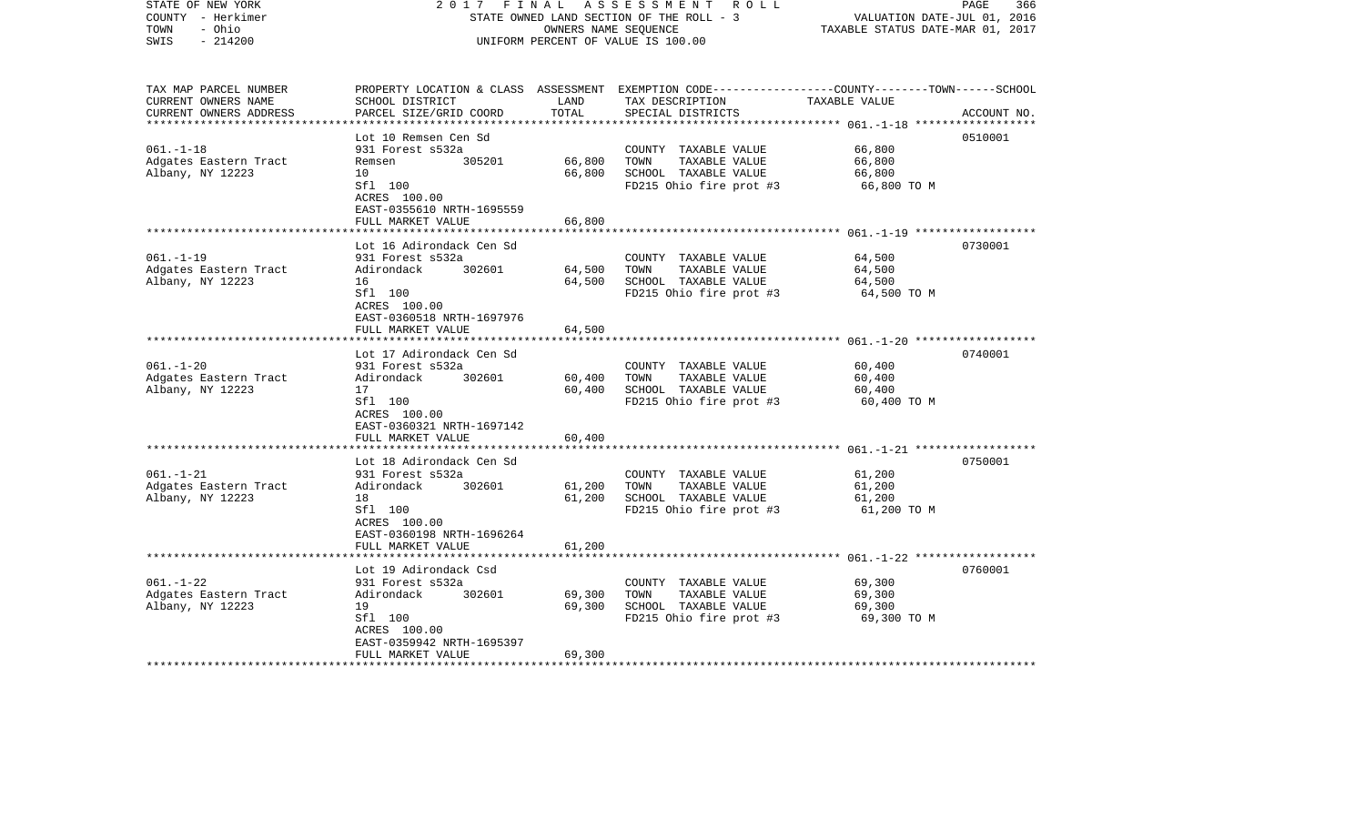| STATE OF NEW YORK<br>COUNTY - Herkimer<br>- Ohio<br>TOWN<br>$-214200$<br>SWIS | 2017                                                 | FINAL         | A S S E S S M E N T R O L L<br>STATE OWNED LAND SECTION OF THE ROLL - 3<br>OWNERS NAME SEQUENCE<br>UNIFORM PERCENT OF VALUE IS 100.00   | VALUATION DATE-JUL 01, 2016<br>TAXABLE STATUS DATE-MAR 01, 2017 | PAGE<br>366 |
|-------------------------------------------------------------------------------|------------------------------------------------------|---------------|-----------------------------------------------------------------------------------------------------------------------------------------|-----------------------------------------------------------------|-------------|
| TAX MAP PARCEL NUMBER<br>CURRENT OWNERS NAME<br>CURRENT OWNERS ADDRESS        | SCHOOL DISTRICT<br>PARCEL SIZE/GRID COORD            | LAND<br>TOTAL | PROPERTY LOCATION & CLASS ASSESSMENT EXEMPTION CODE---------------COUNTY-------TOWN------SCHOOL<br>TAX DESCRIPTION<br>SPECIAL DISTRICTS | TAXABLE VALUE                                                   | ACCOUNT NO. |
|                                                                               | Lot 10 Remsen Cen Sd                                 |               |                                                                                                                                         |                                                                 | 0510001     |
| $061. - 1 - 18$                                                               | 931 Forest s532a                                     |               | COUNTY TAXABLE VALUE                                                                                                                    | 66,800                                                          |             |
| Adgates Eastern Tract                                                         | 305201<br>Remsen                                     | 66,800        | TOWN<br>TAXABLE VALUE                                                                                                                   | 66,800                                                          |             |
| Albany, NY 12223                                                              | 10                                                   | 66,800        | SCHOOL TAXABLE VALUE                                                                                                                    | 66,800                                                          |             |
|                                                                               | Sfl 100<br>ACRES 100.00<br>EAST-0355610 NRTH-1695559 |               | FD215 Ohio fire prot #3                                                                                                                 | 66,800 TO M                                                     |             |
|                                                                               | FULL MARKET VALUE                                    | 66,800        |                                                                                                                                         |                                                                 |             |
|                                                                               | Lot 16 Adirondack Cen Sd                             |               |                                                                                                                                         |                                                                 | 0730001     |
| $061. - 1 - 19$                                                               | 931 Forest s532a                                     |               | COUNTY TAXABLE VALUE                                                                                                                    | 64,500                                                          |             |
| Adgates Eastern Tract                                                         | Adirondack<br>302601                                 | 64,500        | TOWN<br>TAXABLE VALUE                                                                                                                   | 64,500                                                          |             |
| Albany, NY 12223                                                              | 16                                                   | 64,500        | SCHOOL TAXABLE VALUE                                                                                                                    | 64,500                                                          |             |
|                                                                               | Sfl 100<br>ACRES 100.00<br>EAST-0360518 NRTH-1697976 |               | FD215 Ohio fire prot #3                                                                                                                 | 64,500 TO M                                                     |             |
|                                                                               | FULL MARKET VALUE                                    | 64,500        |                                                                                                                                         |                                                                 |             |
|                                                                               |                                                      |               |                                                                                                                                         |                                                                 |             |
| $061. - 1 - 20$                                                               | Lot 17 Adirondack Cen Sd<br>931 Forest s532a         |               | COUNTY TAXABLE VALUE                                                                                                                    | 60,400                                                          | 0740001     |
| Adgates Eastern Tract                                                         | 302601<br>Adirondack                                 | 60,400        | TAXABLE VALUE<br>TOWN                                                                                                                   | 60,400                                                          |             |
| Albany, NY 12223                                                              | 17                                                   | 60,400        | SCHOOL TAXABLE VALUE                                                                                                                    | 60,400                                                          |             |
|                                                                               | Sfl 100<br>ACRES 100.00<br>EAST-0360321 NRTH-1697142 |               | FD215 Ohio fire prot #3                                                                                                                 | 60,400 TO M                                                     |             |
|                                                                               | FULL MARKET VALUE                                    | 60,400        |                                                                                                                                         |                                                                 |             |
|                                                                               | Lot 18 Adirondack Cen Sd                             |               |                                                                                                                                         |                                                                 | 0750001     |
| $061. - 1 - 21$                                                               | 931 Forest s532a                                     |               | COUNTY TAXABLE VALUE                                                                                                                    | 61,200                                                          |             |
| Adgates Eastern Tract                                                         | Adirondack<br>302601                                 | 61,200        | TOWN<br>TAXABLE VALUE                                                                                                                   | 61,200                                                          |             |
| Albany, NY 12223                                                              | 18                                                   | 61,200        | SCHOOL TAXABLE VALUE                                                                                                                    | 61,200                                                          |             |
|                                                                               | Sfl 100<br>ACRES 100.00<br>EAST-0360198 NRTH-1696264 |               | FD215 Ohio fire prot #3                                                                                                                 | 61,200 TO M                                                     |             |
|                                                                               | FULL MARKET VALUE                                    | 61,200        |                                                                                                                                         |                                                                 |             |
|                                                                               |                                                      |               |                                                                                                                                         |                                                                 |             |
| $061. - 1 - 22$                                                               | Lot 19 Adirondack Csd<br>931 Forest s532a            |               | COUNTY TAXABLE VALUE                                                                                                                    | 69,300                                                          | 0760001     |
| Adgates Eastern Tract                                                         | 302601<br>Adirondack                                 | 69,300        | TOWN<br>TAXABLE VALUE                                                                                                                   | 69,300                                                          |             |
| Albany, NY 12223                                                              | 19                                                   | 69,300        | SCHOOL TAXABLE VALUE                                                                                                                    | 69,300                                                          |             |
|                                                                               | Sfl 100                                              |               | FD215 Ohio fire prot #3                                                                                                                 | 69,300 TO M                                                     |             |
|                                                                               | ACRES 100.00                                         |               |                                                                                                                                         |                                                                 |             |
|                                                                               | EAST-0359942 NRTH-1695397                            |               |                                                                                                                                         |                                                                 |             |
|                                                                               | FULL MARKET VALUE                                    | 69,300        |                                                                                                                                         |                                                                 |             |
|                                                                               |                                                      |               |                                                                                                                                         |                                                                 |             |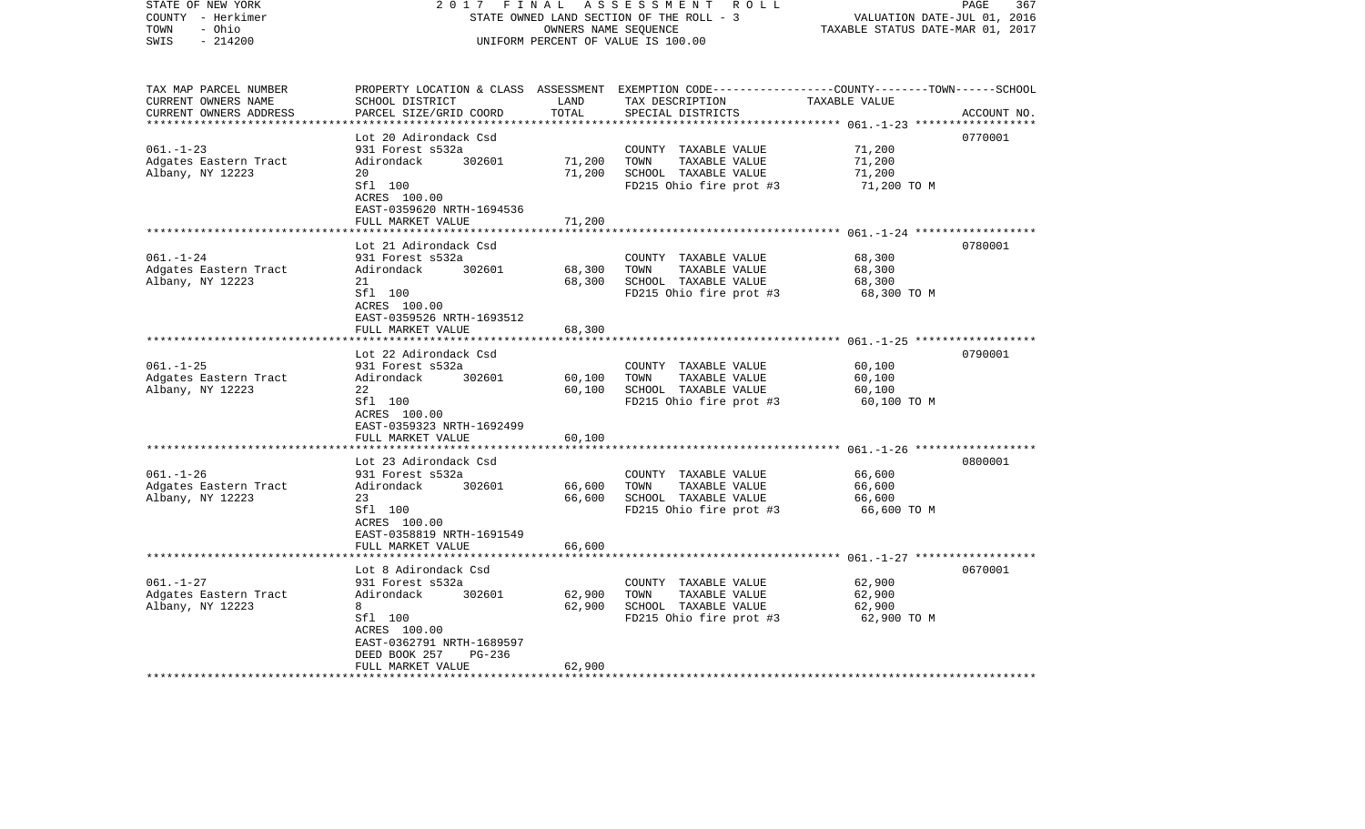| STATE OF NEW YORK<br>COUNTY - Herkimer<br>- Ohio<br>TOWN<br>$-214200$<br>SWIS | 2 0 1 7<br>FINAL<br>STATE OWNED LAND SECTION OF THE ROLL - 3<br>UNIFORM PERCENT OF VALUE IS 100.00                                                       | 367<br>PAGE<br>VALUATION DATE-JUL 01, 2016<br>TAXABLE STATUS DATE-MAR 01, 2017 |                                                                                                                                          |                                           |             |
|-------------------------------------------------------------------------------|----------------------------------------------------------------------------------------------------------------------------------------------------------|--------------------------------------------------------------------------------|------------------------------------------------------------------------------------------------------------------------------------------|-------------------------------------------|-------------|
| TAX MAP PARCEL NUMBER<br>CURRENT OWNERS NAME<br>CURRENT OWNERS ADDRESS        | SCHOOL DISTRICT<br>PARCEL SIZE/GRID COORD                                                                                                                | LAND<br>TOTAL                                                                  | PROPERTY LOCATION & CLASS ASSESSMENT EXEMPTION CODE----------------COUNTY-------TOWN------SCHOOL<br>TAX DESCRIPTION<br>SPECIAL DISTRICTS | TAXABLE VALUE                             | ACCOUNT NO. |
|                                                                               | ************************<br>Lot 20 Adirondack Csd                                                                                                        | * * * * * * * * * * * * * *                                                    |                                                                                                                                          |                                           | 0770001     |
| $061. - 1 - 23$<br>Adgates Eastern Tract<br>Albany, NY 12223                  | 931 Forest s532a<br>Adirondack<br>302601<br>20<br>Sfl 100<br>ACRES 100.00                                                                                | 71,200<br>71,200                                                               | COUNTY TAXABLE VALUE<br>TOWN<br>TAXABLE VALUE<br>SCHOOL TAXABLE VALUE<br>FD215 Ohio fire prot #3                                         | 71,200<br>71,200<br>71,200<br>71,200 TO M |             |
|                                                                               | EAST-0359620 NRTH-1694536                                                                                                                                |                                                                                |                                                                                                                                          |                                           |             |
|                                                                               | FULL MARKET VALUE                                                                                                                                        | 71,200                                                                         |                                                                                                                                          |                                           |             |
| $061. - 1 - 24$<br>Adgates Eastern Tract<br>Albany, NY 12223                  | Lot 21 Adirondack Csd<br>931 Forest s532a<br>Adirondack<br>302601<br>21<br>Sfl 100<br>ACRES 100.00<br>EAST-0359526 NRTH-1693512                          | 68,300<br>68,300                                                               | COUNTY TAXABLE VALUE<br>TOWN<br>TAXABLE VALUE<br>SCHOOL TAXABLE VALUE<br>FD215 Ohio fire prot #3                                         | 68,300<br>68,300<br>68,300<br>68,300 TO M | 0780001     |
|                                                                               | FULL MARKET VALUE                                                                                                                                        | 68,300                                                                         |                                                                                                                                          |                                           |             |
|                                                                               | ****************                                                                                                                                         |                                                                                |                                                                                                                                          | $061, -1 - 25$ *******************        |             |
| $061. -1 - 25$                                                                | Lot 22 Adirondack Csd<br>931 Forest s532a                                                                                                                |                                                                                | COUNTY TAXABLE VALUE                                                                                                                     | 60,100                                    | 0790001     |
| Adgates Eastern Tract<br>Albany, NY 12223                                     | Adirondack<br>302601<br>22<br>Sfl 100<br>ACRES 100.00<br>EAST-0359323 NRTH-1692499                                                                       | 60,100<br>60,100                                                               | TOWN<br>TAXABLE VALUE<br>SCHOOL TAXABLE VALUE<br>FD215 Ohio fire prot #3                                                                 | 60,100<br>60,100<br>60,100 TO M           |             |
|                                                                               | FULL MARKET VALUE<br>******************                                                                                                                  | 60,100<br>**********                                                           |                                                                                                                                          |                                           |             |
| $061. - 1 - 26$<br>Adgates Eastern Tract<br>Albany, NY 12223                  | Lot 23 Adirondack Csd<br>931 Forest s532a<br>Adirondack<br>302601<br>23<br>Sfl 100<br>ACRES 100.00<br>EAST-0358819 NRTH-1691549<br>FULL MARKET VALUE     | 66,600<br>66,600<br>66,600                                                     | COUNTY TAXABLE VALUE<br>TAXABLE VALUE<br>TOWN<br>SCHOOL TAXABLE VALUE<br>FD215 Ohio fire prot #3                                         | 66,600<br>66,600<br>66,600<br>66,600 TO M | 0800001     |
|                                                                               |                                                                                                                                                          |                                                                                |                                                                                                                                          | $061, -1 - 27$ *******************        |             |
| $061. - 1 - 27$<br>Adgates Eastern Tract<br>Albany, NY 12223                  | Lot 8 Adirondack Csd<br>931 Forest s532a<br>Adirondack<br>302601<br>8<br>Sfl 100<br>ACRES 100.00<br>EAST-0362791 NRTH-1689597<br>DEED BOOK 257<br>PG-236 | 62,900<br>62,900                                                               | COUNTY TAXABLE VALUE<br>TOWN<br>TAXABLE VALUE<br>SCHOOL TAXABLE VALUE<br>FD215 Ohio fire prot #3                                         | 62,900<br>62,900<br>62,900<br>62,900 TO M | 0670001     |
|                                                                               | FULL MARKET VALUE                                                                                                                                        | 62,900                                                                         |                                                                                                                                          |                                           |             |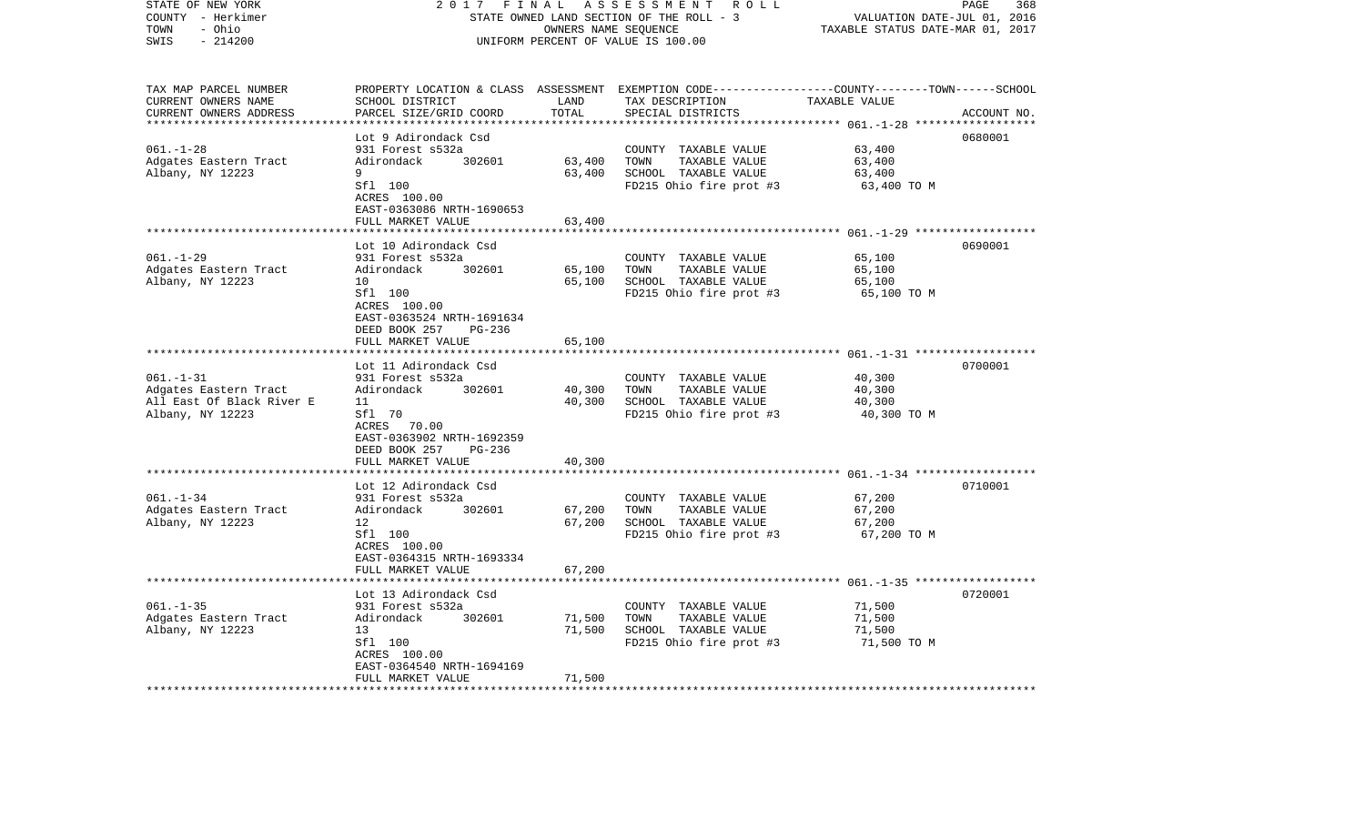| STATE OF NEW YORK<br>COUNTY - Herkimer | 2017                                      | FINAL                            | ASSESSMENT ROLL<br>STATE OWNED LAND SECTION OF THE ROLL - 3                                     | VALUATION DATE-JUL 01, 2016               | 368<br>PAGE |
|----------------------------------------|-------------------------------------------|----------------------------------|-------------------------------------------------------------------------------------------------|-------------------------------------------|-------------|
| - Ohio<br>TOWN                         |                                           | TAXABLE STATUS DATE-MAR 01, 2017 |                                                                                                 |                                           |             |
| SWIS<br>$-214200$                      |                                           |                                  | OWNERS NAME SEQUENCE<br>UNIFORM PERCENT OF VALUE IS 100.00                                      |                                           |             |
|                                        |                                           |                                  |                                                                                                 |                                           |             |
| TAX MAP PARCEL NUMBER                  |                                           |                                  | PROPERTY LOCATION & CLASS ASSESSMENT EXEMPTION CODE---------------COUNTY-------TOWN------SCHOOL |                                           |             |
| CURRENT OWNERS NAME                    | SCHOOL DISTRICT                           | LAND                             | TAX DESCRIPTION                                                                                 | TAXABLE VALUE                             |             |
| CURRENT OWNERS ADDRESS                 | PARCEL SIZE/GRID COORD                    | TOTAL                            | SPECIAL DISTRICTS                                                                               |                                           | ACCOUNT NO. |
|                                        | ***********************                   | ***********                      |                                                                                                 |                                           |             |
|                                        | Lot 9 Adirondack Csd                      |                                  |                                                                                                 |                                           | 0680001     |
| $061. - 1 - 28$                        | 931 Forest s532a                          |                                  | COUNTY TAXABLE VALUE                                                                            | 63,400                                    |             |
| Adgates Eastern Tract                  | Adirondack<br>302601                      | 63,400                           | TOWN<br>TAXABLE VALUE                                                                           | 63,400                                    |             |
| Albany, NY 12223                       | 9                                         | 63,400                           | SCHOOL TAXABLE VALUE                                                                            | 63,400                                    |             |
|                                        | Sfl 100                                   |                                  | FD215 Ohio fire prot #3                                                                         | 63,400 ТО М                               |             |
|                                        | ACRES 100.00                              |                                  |                                                                                                 |                                           |             |
|                                        | EAST-0363086 NRTH-1690653                 |                                  |                                                                                                 |                                           |             |
|                                        | FULL MARKET VALUE                         | 63,400                           |                                                                                                 |                                           |             |
|                                        |                                           |                                  |                                                                                                 | $061. - 1 - 29$ ****************          |             |
|                                        | Lot 10 Adirondack Csd                     |                                  |                                                                                                 |                                           | 0690001     |
| $061. - 1 - 29$                        | 931 Forest s532a                          |                                  | COUNTY TAXABLE VALUE                                                                            | 65,100                                    |             |
| Adgates Eastern Tract                  | Adirondack<br>302601<br>10                | 65,100<br>65,100                 | TOWN<br>TAXABLE VALUE<br>SCHOOL TAXABLE VALUE                                                   | 65,100                                    |             |
| Albany, NY 12223                       | Sfl 100                                   |                                  | FD215 Ohio fire prot #3                                                                         | 65,100                                    |             |
|                                        | ACRES 100.00                              |                                  |                                                                                                 | 65,100 TO M                               |             |
|                                        | EAST-0363524 NRTH-1691634                 |                                  |                                                                                                 |                                           |             |
|                                        | DEED BOOK 257<br>PG-236                   |                                  |                                                                                                 |                                           |             |
|                                        | FULL MARKET VALUE                         | 65,100                           |                                                                                                 |                                           |             |
|                                        |                                           |                                  |                                                                                                 | *************** 061.-1-31 *************** |             |
|                                        | Lot 11 Adirondack Csd                     |                                  |                                                                                                 |                                           | 0700001     |
| $061. - 1 - 31$                        | 931 Forest s532a                          |                                  | COUNTY TAXABLE VALUE                                                                            | 40,300                                    |             |
| Adgates Eastern Tract                  | Adirondack<br>302601                      | 40,300                           | TOWN<br>TAXABLE VALUE                                                                           | 40,300                                    |             |
| All East Of Black River E              | 11                                        | 40,300                           | SCHOOL TAXABLE VALUE                                                                            | 40,300                                    |             |
| Albany, NY 12223                       | Sfl 70                                    |                                  | FD215 Ohio fire prot #3                                                                         | 40,300 TO M                               |             |
|                                        | ACRES 70.00                               |                                  |                                                                                                 |                                           |             |
|                                        | EAST-0363902 NRTH-1692359                 |                                  |                                                                                                 |                                           |             |
|                                        | DEED BOOK 257<br>PG-236                   |                                  |                                                                                                 |                                           |             |
|                                        | FULL MARKET VALUE                         | 40,300                           |                                                                                                 |                                           |             |
|                                        |                                           |                                  |                                                                                                 |                                           |             |
|                                        | Lot 12 Adirondack Csd                     |                                  |                                                                                                 |                                           | 0710001     |
| $061. - 1 - 34$                        | 931 Forest s532a                          |                                  | COUNTY TAXABLE VALUE                                                                            | 67,200                                    |             |
| Adgates Eastern Tract                  | Adirondack<br>302601                      | 67,200                           | TOWN<br>TAXABLE VALUE                                                                           | 67,200                                    |             |
| Albany, NY 12223                       | 12                                        | 67,200                           | SCHOOL TAXABLE VALUE                                                                            | 67,200                                    |             |
|                                        | Sfl 100                                   |                                  | FD215 Ohio fire prot #3                                                                         | 67,200 TO M                               |             |
|                                        | ACRES 100.00<br>EAST-0364315 NRTH-1693334 |                                  |                                                                                                 |                                           |             |
|                                        | FULL MARKET VALUE                         | 67,200                           |                                                                                                 |                                           |             |
|                                        | *******************                       |                                  |                                                                                                 |                                           |             |
|                                        | Lot 13 Adirondack Csd                     |                                  |                                                                                                 |                                           | 0720001     |
| $061. -1 -35$                          | 931 Forest s532a                          |                                  | COUNTY TAXABLE VALUE                                                                            | 71,500                                    |             |
| Adgates Eastern Tract                  | Adirondack<br>302601                      | 71,500                           | TOWN<br>TAXABLE VALUE                                                                           | 71,500                                    |             |
| Albany, NY 12223                       | 13                                        | 71,500                           | SCHOOL TAXABLE VALUE                                                                            | 71,500                                    |             |
|                                        | Sfl 100                                   |                                  | FD215 Ohio fire prot #3                                                                         | 71,500 TO M                               |             |
|                                        | ACRES 100.00                              |                                  |                                                                                                 |                                           |             |
|                                        | EAST-0364540 NRTH-1694169                 |                                  |                                                                                                 |                                           |             |
|                                        | FULL MARKET VALUE                         | 71,500                           |                                                                                                 |                                           |             |
| *************************              | ***********************                   | ***************                  |                                                                                                 |                                           |             |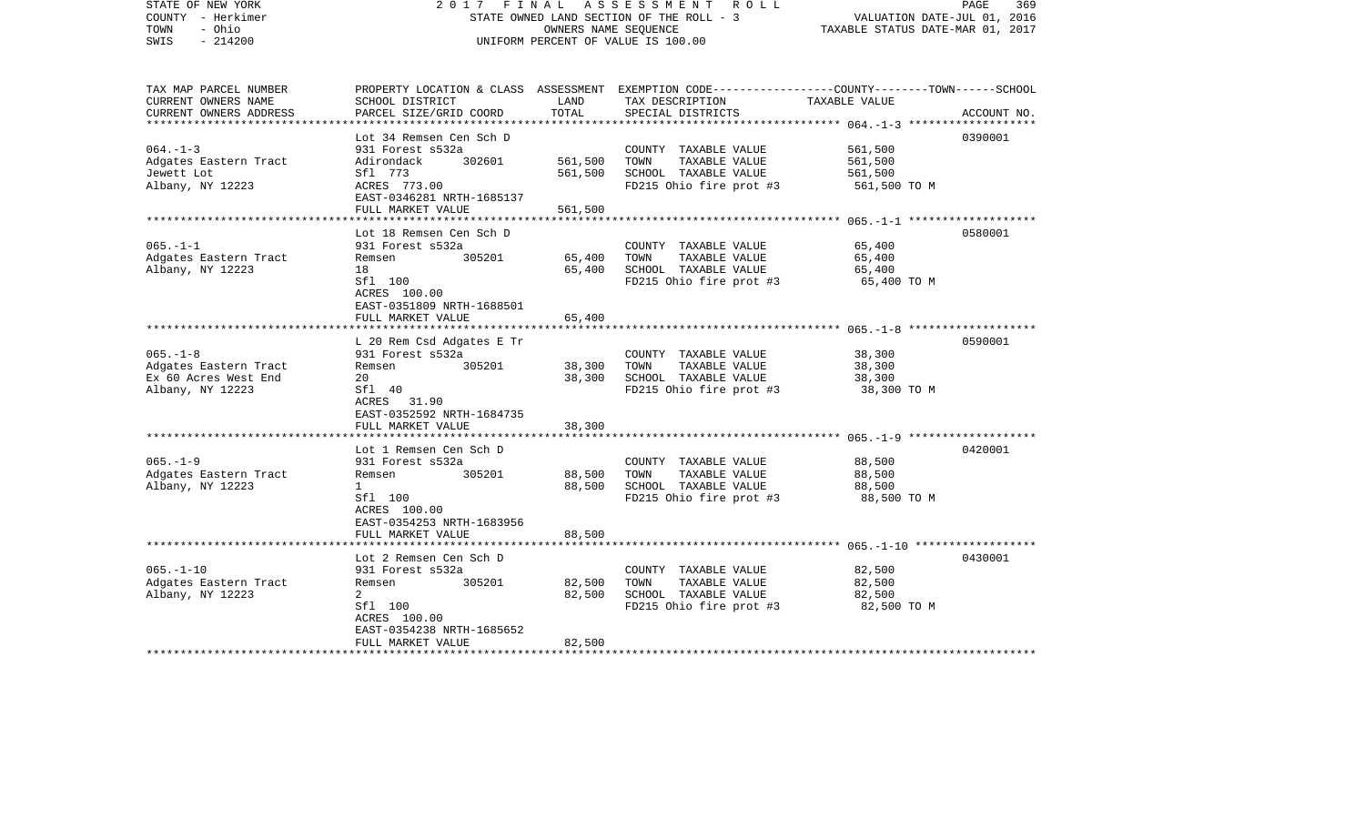| STATE OF NEW YORK<br>COUNTY - Herkimer<br>- Ohio<br>TOWN<br>$-214200$<br>SWIS      | 2017<br>FINAL                                                                                                                                               | OWNERS NAME SEQUENCE          | ASSESSMENT<br>R O L L<br>STATE OWNED LAND SECTION OF THE ROLL - 3<br>UNIFORM PERCENT OF VALUE IS 100.00                                 | VALUATION DATE-JUL 01, 2016<br>TAXABLE STATUS DATE-MAR 01, 2017 | PAGE<br>369 |
|------------------------------------------------------------------------------------|-------------------------------------------------------------------------------------------------------------------------------------------------------------|-------------------------------|-----------------------------------------------------------------------------------------------------------------------------------------|-----------------------------------------------------------------|-------------|
| TAX MAP PARCEL NUMBER<br>CURRENT OWNERS NAME<br>CURRENT OWNERS ADDRESS             | SCHOOL DISTRICT<br>PARCEL SIZE/GRID COORD                                                                                                                   | LAND<br>TOTAL                 | PROPERTY LOCATION & CLASS ASSESSMENT EXEMPTION CODE---------------COUNTY-------TOWN------SCHOOL<br>TAX DESCRIPTION<br>SPECIAL DISTRICTS | TAXABLE VALUE                                                   | ACCOUNT NO. |
| $064. -1 - 3$<br>Adgates Eastern Tract<br>Jewett Lot<br>Albany, NY 12223           | Lot 34 Remsen Cen Sch D<br>931 Forest s532a<br>302601<br>Adirondack<br>Sfl 773<br>ACRES 773.00<br>EAST-0346281 NRTH-1685137<br>FULL MARKET VALUE            | 561,500<br>561,500<br>561,500 | COUNTY TAXABLE VALUE<br>TOWN<br>TAXABLE VALUE<br>SCHOOL TAXABLE VALUE<br>FD215 Ohio fire prot #3                                        | 561,500<br>561,500<br>561,500<br>561,500 TO M                   | 0390001     |
| $065. -1 -1$<br>Adgates Eastern Tract<br>Albany, NY 12223                          | Lot 18 Remsen Cen Sch D<br>931 Forest s532a<br>305201<br>Remsen<br>18<br>Sfl 100<br>ACRES 100.00<br>EAST-0351809 NRTH-1688501                               | 65,400<br>65,400              | COUNTY TAXABLE VALUE<br>TOWN<br>TAXABLE VALUE<br>SCHOOL TAXABLE VALUE<br>FD215 Ohio fire prot #3                                        | 65,400<br>65,400<br>65,400<br>65,400 TO M                       | 0580001     |
|                                                                                    | FULL MARKET VALUE<br>**********************                                                                                                                 | 65,400                        |                                                                                                                                         |                                                                 |             |
| $065. -1 - 8$<br>Adgates Eastern Tract<br>Ex 60 Acres West End<br>Albany, NY 12223 | L 20 Rem Csd Adgates E Tr<br>931 Forest s532a<br>305201<br>Remsen<br>20<br>Sfl 40<br>ACRES 31.90<br>EAST-0352592 NRTH-1684735                               | 38,300<br>38,300              | COUNTY TAXABLE VALUE<br>TOWN<br>TAXABLE VALUE<br>SCHOOL TAXABLE VALUE<br>FD215 Ohio fire prot #3                                        | 38,300<br>38,300<br>38,300<br>38,300 TO M                       | 0590001     |
|                                                                                    | FULL MARKET VALUE<br>*******************                                                                                                                    | 38,300                        |                                                                                                                                         |                                                                 |             |
| $065. -1 - 9$<br>Adgates Eastern Tract<br>Albany, NY 12223                         | Lot 1 Remsen Cen Sch D<br>931 Forest s532a<br>Remsen<br>305201<br>$\mathbf{1}$<br>Sfl 100<br>ACRES 100.00<br>EAST-0354253 NRTH-1683956<br>FULL MARKET VALUE | 88,500<br>88,500<br>88,500    | COUNTY TAXABLE VALUE<br>TOWN<br>TAXABLE VALUE<br>SCHOOL TAXABLE VALUE<br>FD215 Ohio fire prot #3                                        | 88,500<br>88,500<br>88,500<br>88,500 TO M                       | 0420001     |
|                                                                                    |                                                                                                                                                             |                               |                                                                                                                                         |                                                                 |             |
| $065. - 1 - 10$<br>Adgates Eastern Tract<br>Albany, NY 12223                       | Lot 2 Remsen Cen Sch D<br>931 Forest s532a<br>Remsen<br>305201<br>2<br>Sfl 100<br>ACRES 100.00<br>EAST-0354238 NRTH-1685652<br>FULL MARKET VALUE            | 82,500<br>82,500<br>82,500    | COUNTY TAXABLE VALUE<br>TOWN<br>TAXABLE VALUE<br>SCHOOL TAXABLE VALUE<br>FD215 Ohio fire prot #3                                        | 82,500<br>82,500<br>82,500<br>82,500 TO M                       | 0430001     |
| ********************                                                               |                                                                                                                                                             |                               |                                                                                                                                         |                                                                 |             |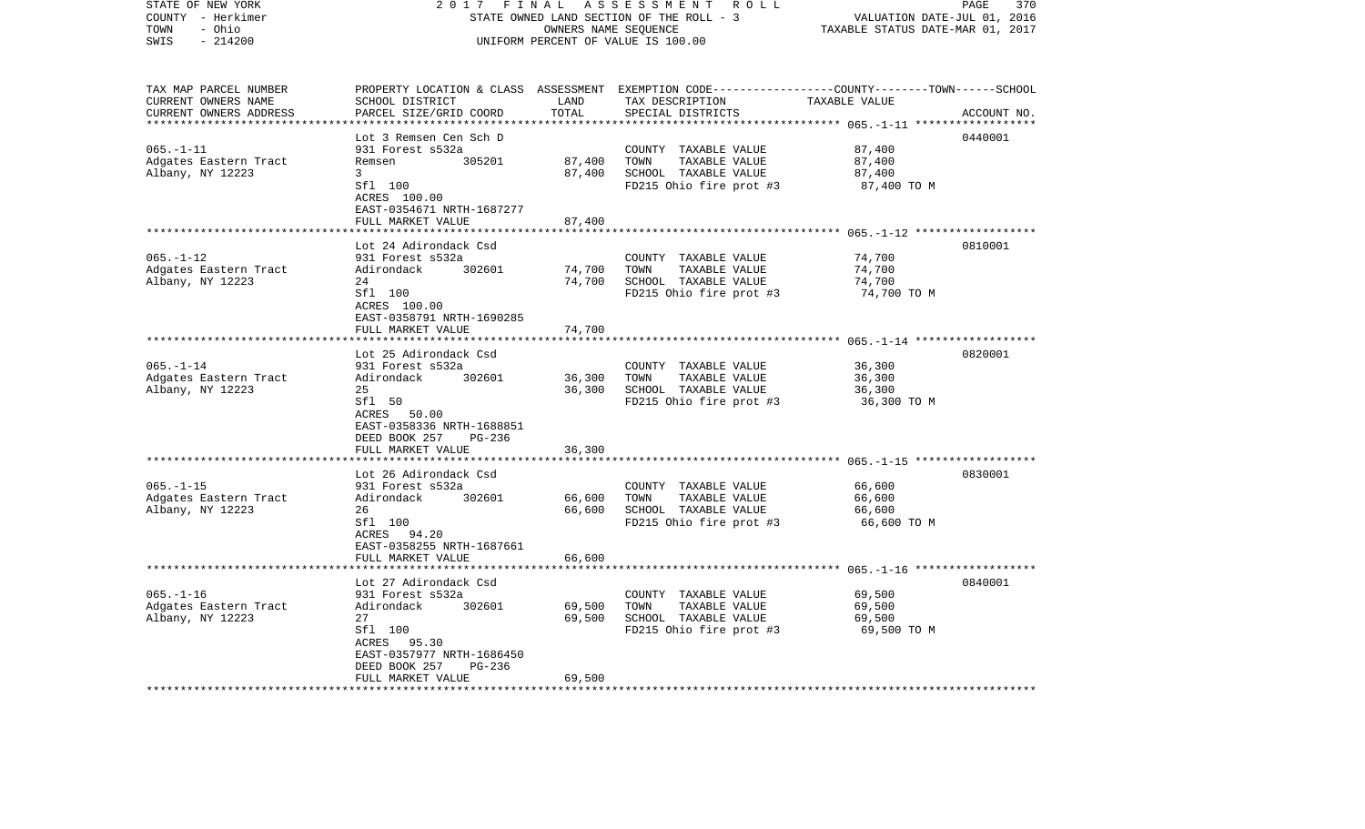| STATE OF NEW YORK<br>COUNTY - Herkimer<br>- Ohio<br>TOWN<br>$-214200$<br>SWIS | 2017<br>FINAL<br>STATE OWNED LAND SECTION OF THE ROLL - 3<br>UNIFORM PERCENT OF VALUE IS 100.00                                                          | 370<br>PAGE<br>VALUATION DATE-JUL 01, 2016<br>TAXABLE STATUS DATE-MAR 01, 2017 |                                                                                                                                          |                                            |             |
|-------------------------------------------------------------------------------|----------------------------------------------------------------------------------------------------------------------------------------------------------|--------------------------------------------------------------------------------|------------------------------------------------------------------------------------------------------------------------------------------|--------------------------------------------|-------------|
| TAX MAP PARCEL NUMBER<br>CURRENT OWNERS NAME<br>CURRENT OWNERS ADDRESS        | SCHOOL DISTRICT<br>PARCEL SIZE/GRID COORD                                                                                                                | LAND<br>TOTAL                                                                  | PROPERTY LOCATION & CLASS ASSESSMENT EXEMPTION CODE----------------COUNTY-------TOWN------SCHOOL<br>TAX DESCRIPTION<br>SPECIAL DISTRICTS | TAXABLE VALUE                              | ACCOUNT NO. |
| ***********************                                                       | ************************                                                                                                                                 | *************                                                                  |                                                                                                                                          |                                            |             |
| $065. -1 - 11$<br>Adgates Eastern Tract<br>Albany, NY 12223                   | Lot 3 Remsen Cen Sch D<br>931 Forest s532a<br>Remsen<br>305201<br>3                                                                                      | 87,400<br>87,400                                                               | COUNTY TAXABLE VALUE<br>TAXABLE VALUE<br>TOWN<br>SCHOOL TAXABLE VALUE                                                                    | 87,400<br>87,400<br>87,400                 | 0440001     |
|                                                                               | Sfl 100<br>ACRES 100.00<br>EAST-0354671 NRTH-1687277<br>FULL MARKET VALUE                                                                                | 87,400                                                                         | FD215 Ohio fire prot #3                                                                                                                  | 87,400 TO M                                |             |
|                                                                               |                                                                                                                                                          |                                                                                |                                                                                                                                          | ************ 065.-1-12 ******************* |             |
| $065. - 1 - 12$<br>Adgates Eastern Tract<br>Albany, NY 12223                  | Lot 24 Adirondack Csd<br>931 Forest s532a<br>Adirondack<br>302601<br>24<br>Sfl 100<br>ACRES 100.00                                                       | 74,700<br>74,700                                                               | COUNTY TAXABLE VALUE<br>TOWN<br>TAXABLE VALUE<br>SCHOOL TAXABLE VALUE<br>FD215 Ohio fire prot #3                                         | 74,700<br>74,700<br>74,700<br>74,700 TO M  | 0810001     |
|                                                                               | EAST-0358791 NRTH-1690285<br>FULL MARKET VALUE                                                                                                           | 74,700                                                                         |                                                                                                                                          |                                            |             |
|                                                                               |                                                                                                                                                          |                                                                                |                                                                                                                                          |                                            |             |
| $065. - 1 - 14$<br>Adgates Eastern Tract<br>Albany, NY 12223                  | Lot 25 Adirondack Csd<br>931 Forest s532a<br>Adirondack<br>302601<br>25<br>Sfl 50<br>ACRES 50.00<br>EAST-0358336 NRTH-1688851<br>DEED BOOK 257<br>PG-236 | 36,300<br>36,300                                                               | COUNTY TAXABLE VALUE<br>TOWN<br>TAXABLE VALUE<br>SCHOOL TAXABLE VALUE<br>FD215 Ohio fire prot #3                                         | 36,300<br>36,300<br>36,300<br>36,300 TO M  | 0820001     |
|                                                                               | FULL MARKET VALUE<br>*************************                                                                                                           | 36,300                                                                         |                                                                                                                                          |                                            |             |
| $065. -1 -15$<br>Adgates Eastern Tract<br>Albany, NY 12223                    | Lot 26 Adirondack Csd<br>931 Forest s532a<br>Adirondack<br>302601<br>26<br>Sfl 100<br>ACRES 94.20                                                        | 66,600<br>66,600                                                               | COUNTY TAXABLE VALUE<br>TOWN<br>TAXABLE VALUE<br>SCHOOL TAXABLE VALUE<br>FD215 Ohio fire prot #3                                         | 66,600<br>66,600<br>66,600<br>66,600 TO M  | 0830001     |
|                                                                               | EAST-0358255 NRTH-1687661<br>FULL MARKET VALUE<br>*************************                                                                              | 66,600                                                                         |                                                                                                                                          |                                            |             |
|                                                                               | Lot 27 Adirondack Csd                                                                                                                                    |                                                                                |                                                                                                                                          |                                            | 0840001     |
| $065. - 1 - 16$<br>Adgates Eastern Tract<br>Albany, NY 12223                  | 931 Forest s532a<br>Adirondack<br>302601<br>27<br>Sfl 100<br>ACRES 95.30<br>EAST-0357977 NRTH-1686450<br>DEED BOOK 257<br>PG-236                         | 69,500<br>69,500                                                               | COUNTY TAXABLE VALUE<br>TOWN<br>TAXABLE VALUE<br>SCHOOL TAXABLE VALUE<br>FD215 Ohio fire prot #3                                         | 69,500<br>69,500<br>69,500<br>69,500 TO M  |             |
|                                                                               | FULL MARKET VALUE                                                                                                                                        | 69,500                                                                         |                                                                                                                                          |                                            |             |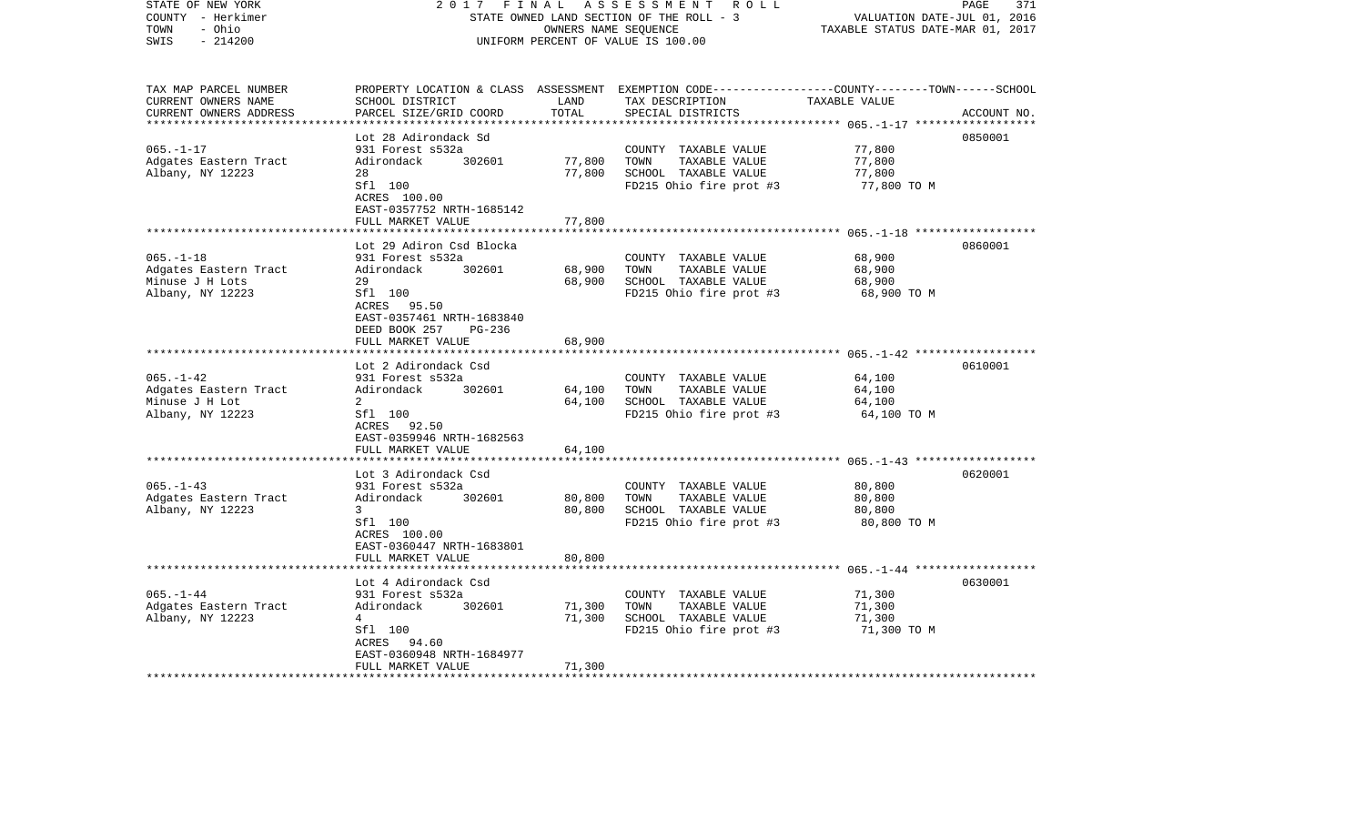| STATE OF NEW YORK<br>COUNTY - Herkimer<br>- Ohio<br>TOWN<br>$-214200$<br>SWIS                       | 2 0 1 7<br>FINAL<br>STATE OWNED LAND SECTION OF THE ROLL - 3<br>UNIFORM PERCENT OF VALUE IS 100.00 | PAGE<br>371<br>VALUATION DATE-JUL 01, 2016<br>TAXABLE STATUS DATE-MAR 01, 2017 |                                                                                                                                         |               |             |
|-----------------------------------------------------------------------------------------------------|----------------------------------------------------------------------------------------------------|--------------------------------------------------------------------------------|-----------------------------------------------------------------------------------------------------------------------------------------|---------------|-------------|
| TAX MAP PARCEL NUMBER<br>CURRENT OWNERS NAME<br>CURRENT OWNERS ADDRESS<br>************************* | SCHOOL DISTRICT<br>PARCEL SIZE/GRID COORD                                                          | LAND<br>TOTAL                                                                  | PROPERTY LOCATION & CLASS ASSESSMENT EXEMPTION CODE---------------COUNTY-------TOWN------SCHOOL<br>TAX DESCRIPTION<br>SPECIAL DISTRICTS | TAXABLE VALUE | ACCOUNT NO. |
|                                                                                                     | Lot 28 Adirondack Sd                                                                               |                                                                                |                                                                                                                                         |               | 0850001     |
| $065. - 1 - 17$                                                                                     | 931 Forest s532a                                                                                   |                                                                                | COUNTY TAXABLE VALUE                                                                                                                    | 77,800        |             |
| Adgates Eastern Tract                                                                               | Adirondack<br>302601                                                                               | 77,800                                                                         | TOWN<br>TAXABLE VALUE                                                                                                                   | 77,800        |             |
| Albany, NY 12223                                                                                    | 28                                                                                                 | 77,800                                                                         | SCHOOL TAXABLE VALUE                                                                                                                    | 77,800        |             |
|                                                                                                     | Sfl 100                                                                                            |                                                                                | FD215 Ohio fire prot #3                                                                                                                 | 77,800 TO M   |             |
|                                                                                                     | ACRES 100.00                                                                                       |                                                                                |                                                                                                                                         |               |             |
|                                                                                                     | EAST-0357752 NRTH-1685142                                                                          | 77,800                                                                         |                                                                                                                                         |               |             |
|                                                                                                     | FULL MARKET VALUE<br>*****************************                                                 |                                                                                |                                                                                                                                         |               |             |
|                                                                                                     | Lot 29 Adiron Csd Blocka                                                                           |                                                                                |                                                                                                                                         |               | 0860001     |
| $065. - 1 - 18$                                                                                     | 931 Forest s532a                                                                                   |                                                                                | COUNTY TAXABLE VALUE                                                                                                                    | 68,900        |             |
| Adgates Eastern Tract                                                                               | Adirondack<br>302601                                                                               | 68,900                                                                         | TOWN<br>TAXABLE VALUE                                                                                                                   | 68,900        |             |
| Minuse J H Lots                                                                                     | 29                                                                                                 | 68,900                                                                         | SCHOOL TAXABLE VALUE                                                                                                                    | 68,900        |             |
| Albany, NY 12223                                                                                    | Sfl 100                                                                                            |                                                                                | FD215 Ohio fire prot #3                                                                                                                 | 68,900 TO M   |             |
|                                                                                                     | ACRES 95.50                                                                                        |                                                                                |                                                                                                                                         |               |             |
|                                                                                                     | EAST-0357461 NRTH-1683840<br>DEED BOOK 257<br>PG-236                                               |                                                                                |                                                                                                                                         |               |             |
|                                                                                                     | FULL MARKET VALUE                                                                                  | 68,900                                                                         |                                                                                                                                         |               |             |
|                                                                                                     |                                                                                                    |                                                                                |                                                                                                                                         |               |             |
|                                                                                                     | Lot 2 Adirondack Csd                                                                               |                                                                                |                                                                                                                                         |               | 0610001     |
| $065. - 1 - 42$                                                                                     | 931 Forest s532a                                                                                   |                                                                                | COUNTY TAXABLE VALUE                                                                                                                    | 64,100        |             |
| Adgates Eastern Tract                                                                               | Adirondack<br>302601                                                                               | 64,100                                                                         | TAXABLE VALUE<br>TOWN                                                                                                                   | 64,100        |             |
| Minuse J H Lot                                                                                      | $\mathbf{2}$                                                                                       | 64,100                                                                         | SCHOOL TAXABLE VALUE                                                                                                                    | 64,100        |             |
| Albany, NY 12223                                                                                    | Sfl 100                                                                                            |                                                                                | FD215 Ohio fire prot #3                                                                                                                 | 64,100 TO M   |             |
|                                                                                                     | ACRES 92.50<br>EAST-0359946 NRTH-1682563                                                           |                                                                                |                                                                                                                                         |               |             |
|                                                                                                     | FULL MARKET VALUE                                                                                  | 64,100                                                                         |                                                                                                                                         |               |             |
|                                                                                                     |                                                                                                    |                                                                                |                                                                                                                                         |               |             |
|                                                                                                     | Lot 3 Adirondack Csd                                                                               |                                                                                |                                                                                                                                         |               | 0620001     |
| $065. -1 - 43$                                                                                      | 931 Forest s532a                                                                                   |                                                                                | COUNTY TAXABLE VALUE                                                                                                                    | 80,800        |             |
| Adgates Eastern Tract                                                                               | Adirondack<br>302601                                                                               | 80,800                                                                         | TAXABLE VALUE<br>TOWN                                                                                                                   | 80,800        |             |
| Albany, NY 12223                                                                                    | 3 <sup>7</sup>                                                                                     | 80,800                                                                         | SCHOOL TAXABLE VALUE                                                                                                                    | 80,800        |             |
|                                                                                                     | Sfl 100                                                                                            |                                                                                | FD215 Ohio fire prot #3                                                                                                                 | 80,800 TO M   |             |
|                                                                                                     | ACRES 100.00<br>EAST-0360447 NRTH-1683801                                                          |                                                                                |                                                                                                                                         |               |             |
|                                                                                                     | FULL MARKET VALUE                                                                                  | 80,800                                                                         |                                                                                                                                         |               |             |
|                                                                                                     |                                                                                                    |                                                                                |                                                                                                                                         |               |             |
|                                                                                                     | Lot 4 Adirondack Csd                                                                               |                                                                                |                                                                                                                                         |               | 0630001     |
| $065. - 1 - 44$                                                                                     | 931 Forest s532a                                                                                   |                                                                                | COUNTY TAXABLE VALUE                                                                                                                    | 71,300        |             |
| Adgates Eastern Tract                                                                               | Adirondack<br>302601                                                                               | 71,300                                                                         | TAXABLE VALUE<br>TOWN                                                                                                                   | 71,300        |             |
| Albany, NY 12223                                                                                    | $4\overline{ }$                                                                                    | 71,300                                                                         | SCHOOL TAXABLE VALUE                                                                                                                    | 71,300        |             |
|                                                                                                     | Sfl 100                                                                                            |                                                                                | FD215 Ohio fire prot #3                                                                                                                 | 71,300 TO M   |             |
|                                                                                                     | ACRES 94.60                                                                                        |                                                                                |                                                                                                                                         |               |             |
|                                                                                                     | EAST-0360948 NRTH-1684977<br>FULL MARKET VALUE                                                     | 71,300                                                                         |                                                                                                                                         |               |             |
|                                                                                                     |                                                                                                    |                                                                                |                                                                                                                                         |               |             |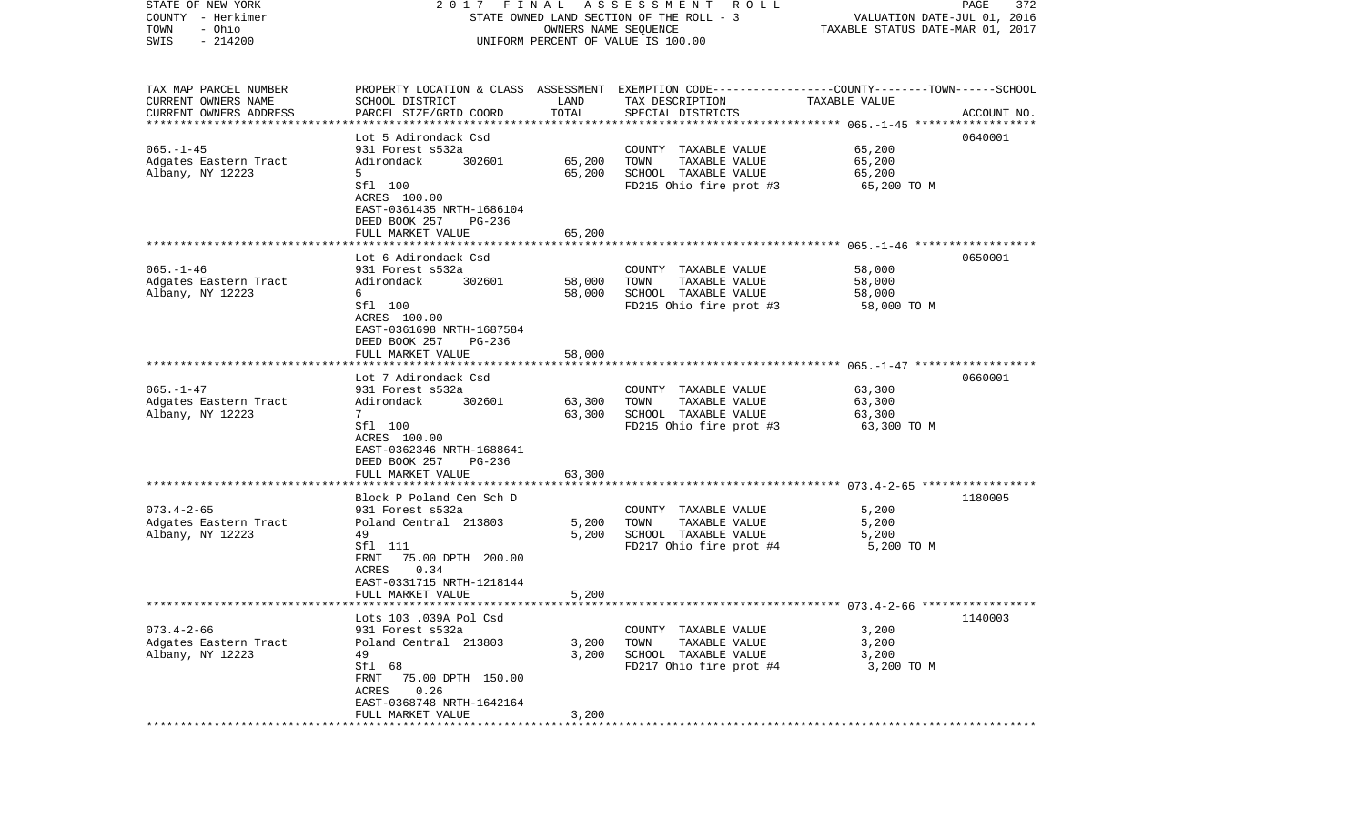| STATE OF NEW YORK         |                                                      |                      | 2017 FINAL ASSESSMENT ROLL                                                                     |                                  | PAGE<br>372 |
|---------------------------|------------------------------------------------------|----------------------|------------------------------------------------------------------------------------------------|----------------------------------|-------------|
| COUNTY - Herkimer         |                                                      |                      | STATE OWNED LAND SECTION OF THE ROLL - 3                                                       | VALUATION DATE-JUL 01, 2016      |             |
| TOWN<br>- Ohio            |                                                      | OWNERS NAME SEQUENCE |                                                                                                | TAXABLE STATUS DATE-MAR 01, 2017 |             |
| SWIS<br>$-214200$         |                                                      |                      | UNIFORM PERCENT OF VALUE IS 100.00                                                             |                                  |             |
|                           |                                                      |                      |                                                                                                |                                  |             |
| TAX MAP PARCEL NUMBER     |                                                      |                      | PROPERTY LOCATION & CLASS ASSESSMENT EXEMPTION CODE---------------COUNTY-------TOWN-----SCHOOL |                                  |             |
| CURRENT OWNERS NAME       | SCHOOL DISTRICT                                      | LAND                 | TAX DESCRIPTION                                                                                | TAXABLE VALUE                    |             |
| CURRENT OWNERS ADDRESS    | PARCEL SIZE/GRID COORD                               | TOTAL                | SPECIAL DISTRICTS                                                                              |                                  | ACCOUNT NO. |
| ************************* |                                                      |                      |                                                                                                |                                  |             |
|                           | Lot 5 Adirondack Csd                                 |                      |                                                                                                |                                  | 0640001     |
| $065. -1 - 45$            | 931 Forest s532a                                     |                      | COUNTY TAXABLE VALUE                                                                           | 65,200                           |             |
| Adgates Eastern Tract     | 302601<br>Adirondack                                 | 65,200               | TOWN<br>TAXABLE VALUE                                                                          | 65,200                           |             |
| Albany, NY 12223          | 5.                                                   | 65,200               | SCHOOL TAXABLE VALUE                                                                           | 65,200                           |             |
|                           | Sfl 100                                              |                      | FD215 Ohio fire prot #3                                                                        | 65,200 TO M                      |             |
|                           | ACRES 100.00                                         |                      |                                                                                                |                                  |             |
|                           | EAST-0361435 NRTH-1686104                            |                      |                                                                                                |                                  |             |
|                           | DEED BOOK 257<br>PG-236                              |                      |                                                                                                |                                  |             |
|                           | FULL MARKET VALUE                                    | 65,200               |                                                                                                |                                  |             |
|                           |                                                      |                      |                                                                                                |                                  |             |
|                           | Lot 6 Adirondack Csd                                 |                      |                                                                                                |                                  | 0650001     |
| $065. - 1 - 46$           | 931 Forest s532a                                     |                      | COUNTY TAXABLE VALUE                                                                           | 58,000                           |             |
| Adgates Eastern Tract     | 302601<br>Adirondack                                 | 58,000               | TAXABLE VALUE<br>TOWN                                                                          | 58,000                           |             |
| Albany, NY 12223          | 6                                                    | 58,000               | SCHOOL TAXABLE VALUE                                                                           | 58,000                           |             |
|                           | Sfl 100                                              |                      | FD215 Ohio fire prot #3                                                                        | 58,000 TO M                      |             |
|                           | ACRES 100.00                                         |                      |                                                                                                |                                  |             |
|                           | EAST-0361698 NRTH-1687584<br>DEED BOOK 257<br>PG-236 |                      |                                                                                                |                                  |             |
|                           | FULL MARKET VALUE                                    | 58,000               |                                                                                                |                                  |             |
|                           |                                                      |                      |                                                                                                |                                  |             |
|                           | Lot 7 Adirondack Csd                                 |                      |                                                                                                |                                  | 0660001     |
| $065. - 1 - 47$           | 931 Forest s532a                                     |                      | COUNTY TAXABLE VALUE                                                                           | 63,300                           |             |
| Adgates Eastern Tract     | 302601<br>Adirondack                                 | 63,300               | TOWN<br>TAXABLE VALUE                                                                          | 63,300                           |             |
| Albany, NY 12223          | $7^{\circ}$                                          | 63,300               | SCHOOL TAXABLE VALUE                                                                           | 63,300                           |             |
|                           | Sfl 100                                              |                      | FD215 Ohio fire prot #3                                                                        | 63,300 TO M                      |             |
|                           | ACRES 100.00                                         |                      |                                                                                                |                                  |             |
|                           | EAST-0362346 NRTH-1688641                            |                      |                                                                                                |                                  |             |
|                           | DEED BOOK 257<br>PG-236                              |                      |                                                                                                |                                  |             |
|                           | FULL MARKET VALUE                                    | 63,300               |                                                                                                |                                  |             |
|                           | ***********************                              |                      |                                                                                                |                                  |             |
|                           | Block P Poland Cen Sch D                             |                      |                                                                                                |                                  | 1180005     |
| $073.4 - 2 - 65$          | 931 Forest s532a                                     |                      | COUNTY TAXABLE VALUE                                                                           | 5,200                            |             |
| Adgates Eastern Tract     | Poland Central 213803                                | 5,200                | TOWN<br>TAXABLE VALUE                                                                          | 5,200                            |             |
| Albany, NY 12223          | 49                                                   | 5,200                | SCHOOL TAXABLE VALUE                                                                           | 5,200                            |             |
|                           | Sfl 111                                              |                      | FD217 Ohio fire prot #4                                                                        | 5,200 TO M                       |             |
|                           | 75.00 DPTH 200.00<br>FRNT                            |                      |                                                                                                |                                  |             |
|                           | 0.34<br>ACRES                                        |                      |                                                                                                |                                  |             |
|                           | EAST-0331715 NRTH-1218144                            |                      |                                                                                                |                                  |             |
|                           | FULL MARKET VALUE                                    | 5,200                |                                                                                                |                                  |             |
|                           | Lots 103 .039A Pol Csd                               |                      |                                                                                                |                                  | 1140003     |
| $073.4 - 2 - 66$          | 931 Forest s532a                                     |                      | COUNTY TAXABLE VALUE                                                                           | 3,200                            |             |
| Adgates Eastern Tract     | Poland Central 213803                                | 3,200                | TOWN<br>TAXABLE VALUE                                                                          | 3,200                            |             |
| Albany, NY 12223          | 49                                                   | 3,200                | SCHOOL TAXABLE VALUE                                                                           | 3,200                            |             |
|                           | Sfl 68                                               |                      | FD217 Ohio fire prot #4                                                                        | 3,200 TO M                       |             |
|                           | FRNT<br>75.00 DPTH 150.00                            |                      |                                                                                                |                                  |             |
|                           | ACRES<br>0.26                                        |                      |                                                                                                |                                  |             |
|                           | EAST-0368748 NRTH-1642164                            |                      |                                                                                                |                                  |             |
|                           | FULL MARKET VALUE                                    | 3,200                |                                                                                                |                                  |             |
| *************             |                                                      |                      |                                                                                                |                                  |             |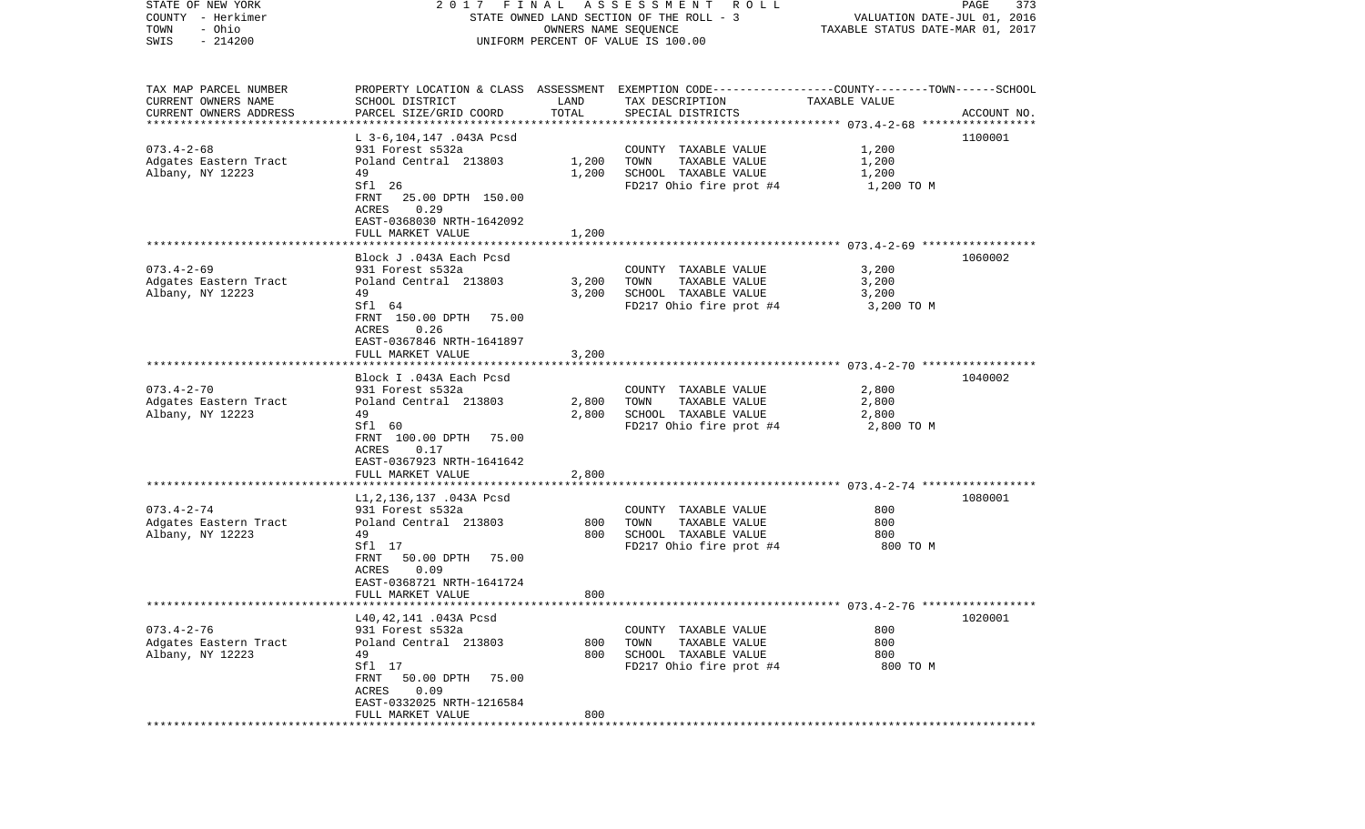| STATE OF NEW YORK      | 2017                        | FINAL | A S S E S S M E N T A O L L                                                                     |                                  | PAGE<br>373 |
|------------------------|-----------------------------|-------|-------------------------------------------------------------------------------------------------|----------------------------------|-------------|
| COUNTY - Herkimer      |                             |       | STATE OWNED LAND SECTION OF THE ROLL - 3                                                        | VALUATION DATE-JUL 01, 2016      |             |
| TOWN<br>- Ohio         |                             |       | OWNERS NAME SEQUENCE                                                                            | TAXABLE STATUS DATE-MAR 01, 2017 |             |
| SWIS<br>$-214200$      |                             |       | UNIFORM PERCENT OF VALUE IS 100.00                                                              |                                  |             |
|                        |                             |       |                                                                                                 |                                  |             |
| TAX MAP PARCEL NUMBER  |                             |       | PROPERTY LOCATION & CLASS ASSESSMENT EXEMPTION CODE---------------COUNTY-------TOWN------SCHOOL |                                  |             |
| CURRENT OWNERS NAME    | SCHOOL DISTRICT             | LAND  | TAX DESCRIPTION                                                                                 | TAXABLE VALUE                    |             |
| CURRENT OWNERS ADDRESS | PARCEL SIZE/GRID COORD      | TOTAL | SPECIAL DISTRICTS                                                                               |                                  | ACCOUNT NO. |
| ********************** |                             |       |                                                                                                 |                                  |             |
|                        | L 3-6,104,147 .043A Pcsd    |       |                                                                                                 |                                  | 1100001     |
| $073.4 - 2 - 68$       | 931 Forest s532a            |       | COUNTY TAXABLE VALUE                                                                            | 1,200                            |             |
| Adgates Eastern Tract  | Poland Central 213803       | 1,200 | TOWN<br>TAXABLE VALUE                                                                           | 1,200                            |             |
| Albany, NY 12223       | 49                          | 1,200 | SCHOOL TAXABLE VALUE                                                                            | 1,200                            |             |
|                        | Sfl 26                      |       | FD217 Ohio fire prot #4                                                                         | 1,200 TO M                       |             |
|                        | 25.00 DPTH 150.00<br>FRNT   |       |                                                                                                 |                                  |             |
|                        | 0.29<br>ACRES               |       |                                                                                                 |                                  |             |
|                        | EAST-0368030 NRTH-1642092   |       |                                                                                                 |                                  |             |
|                        | FULL MARKET VALUE           | 1,200 |                                                                                                 |                                  |             |
|                        |                             |       |                                                                                                 |                                  |             |
|                        | Block J .043A Each Pcsd     |       |                                                                                                 |                                  | 1060002     |
| $073.4 - 2 - 69$       | 931 Forest s532a            |       | COUNTY TAXABLE VALUE                                                                            | 3,200                            |             |
| Adgates Eastern Tract  | Poland Central 213803       | 3,200 | TAXABLE VALUE<br>TOWN                                                                           | 3,200                            |             |
| Albany, NY 12223       | 49                          | 3,200 | SCHOOL TAXABLE VALUE                                                                            | 3,200                            |             |
|                        | Sfl 64                      |       | FD217 Ohio fire prot #4                                                                         | 3,200 TO M                       |             |
|                        | FRNT 150.00 DPTH 75.00      |       |                                                                                                 |                                  |             |
|                        | 0.26<br>ACRES               |       |                                                                                                 |                                  |             |
|                        | EAST-0367846 NRTH-1641897   |       |                                                                                                 |                                  |             |
|                        | FULL MARKET VALUE           | 3,200 |                                                                                                 |                                  |             |
|                        |                             |       |                                                                                                 |                                  |             |
|                        | Block I .043A Each Pcsd     |       |                                                                                                 |                                  | 1040002     |
| $073.4 - 2 - 70$       | 931 Forest s532a            |       | COUNTY TAXABLE VALUE                                                                            | 2,800                            |             |
| Adgates Eastern Tract  | Poland Central 213803       | 2,800 | TOWN<br>TAXABLE VALUE                                                                           | 2,800                            |             |
| Albany, NY 12223       | 49                          | 2,800 | SCHOOL TAXABLE VALUE                                                                            | 2,800                            |             |
|                        | Sfl 60                      |       | FD217 Ohio fire prot #4                                                                         | 2,800 TO M                       |             |
|                        | FRNT 100.00 DPTH<br>75.00   |       |                                                                                                 |                                  |             |
|                        | 0.17<br>ACRES               |       |                                                                                                 |                                  |             |
|                        | EAST-0367923 NRTH-1641642   |       |                                                                                                 |                                  |             |
|                        | FULL MARKET VALUE           | 2,800 |                                                                                                 |                                  |             |
|                        |                             |       |                                                                                                 |                                  |             |
|                        | L1, 2, 136, 137.043A Pcsd   |       |                                                                                                 |                                  | 1080001     |
| $073.4 - 2 - 74$       | 931 Forest s532a            |       | COUNTY TAXABLE VALUE                                                                            | 800                              |             |
| Adgates Eastern Tract  | Poland Central 213803       | 800   | TOWN<br>TAXABLE VALUE                                                                           | 800                              |             |
| Albany, NY 12223       | 49                          | 800   | SCHOOL TAXABLE VALUE                                                                            | 800                              |             |
|                        | Sfl 17                      |       | FD217 Ohio fire prot #4                                                                         | 800 TO M                         |             |
|                        | 50.00 DPTH<br>FRNT<br>75.00 |       |                                                                                                 |                                  |             |
|                        | ACRES<br>0.09               |       |                                                                                                 |                                  |             |
|                        | EAST-0368721 NRTH-1641724   |       |                                                                                                 |                                  |             |
|                        | FULL MARKET VALUE           | 800   |                                                                                                 |                                  |             |
|                        |                             |       |                                                                                                 |                                  |             |
|                        | L40, 42, 141 .043A Pcsd     |       |                                                                                                 |                                  | 1020001     |
| $073.4 - 2 - 76$       | 931 Forest s532a            |       | COUNTY TAXABLE VALUE                                                                            | 800                              |             |
| Adgates Eastern Tract  | Poland Central 213803       | 800   | TOWN<br>TAXABLE VALUE                                                                           | 800                              |             |
| Albany, NY 12223       | 49                          | 800   | SCHOOL TAXABLE VALUE                                                                            | 800                              |             |
|                        | Sfl 17                      |       | FD217 Ohio fire prot #4                                                                         | 800 TO M                         |             |
|                        | 50.00 DPTH<br>75.00<br>FRNT |       |                                                                                                 |                                  |             |
|                        | 0.09<br>ACRES               |       |                                                                                                 |                                  |             |
|                        | EAST-0332025 NRTH-1216584   |       |                                                                                                 |                                  |             |
|                        | FULL MARKET VALUE           | 800   |                                                                                                 |                                  |             |
| ************           |                             |       |                                                                                                 |                                  |             |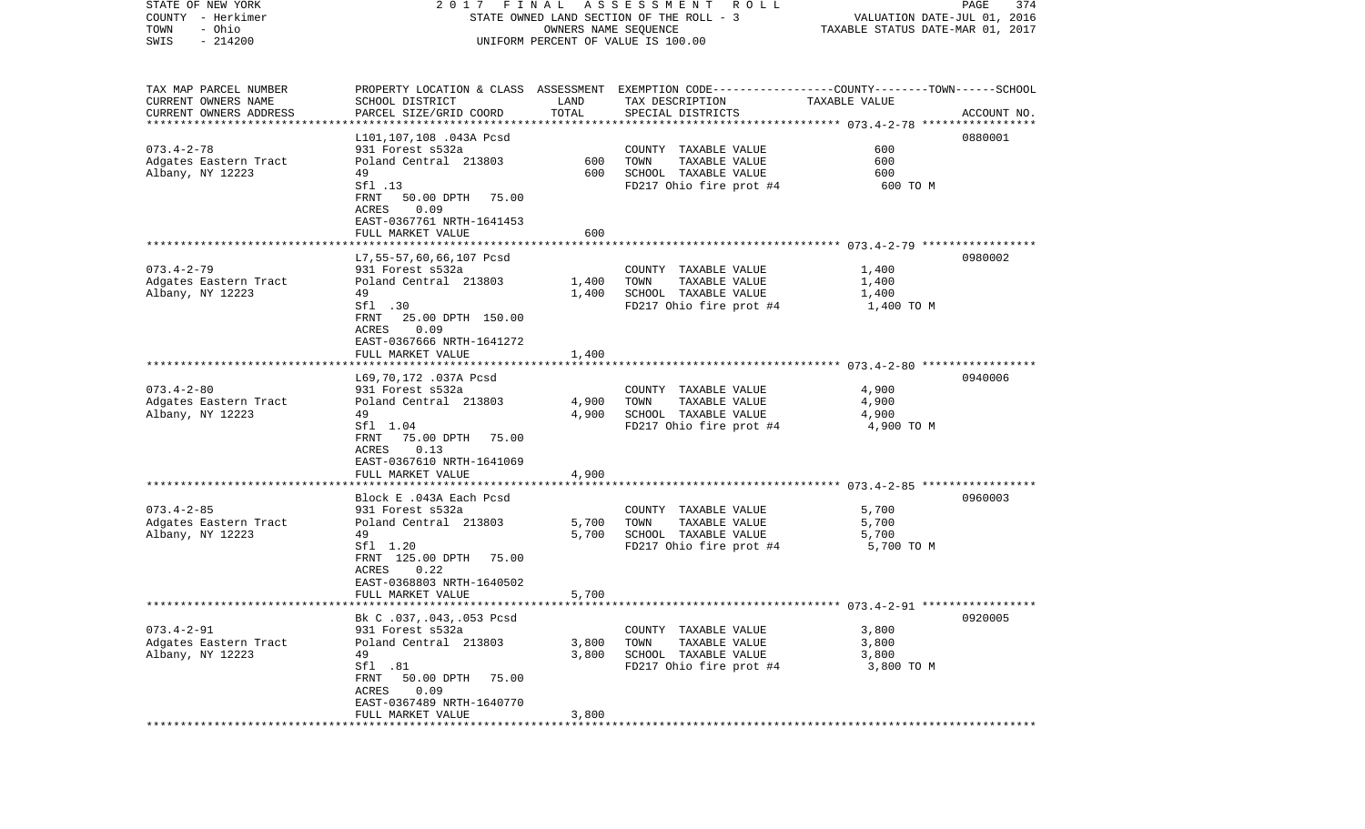| STATE OF NEW YORK      | 2017                                           | FINAL | A S S E S S M E N T     R O L L                                                                 |                                  | PAGE<br>374 |
|------------------------|------------------------------------------------|-------|-------------------------------------------------------------------------------------------------|----------------------------------|-------------|
| COUNTY - Herkimer      |                                                |       | STATE OWNED LAND SECTION OF THE ROLL - 3                                                        | VALUATION DATE-JUL 01, 2016      |             |
| TOWN<br>- Ohio         |                                                |       | OWNERS NAME SEQUENCE                                                                            | TAXABLE STATUS DATE-MAR 01, 2017 |             |
| SWIS<br>$-214200$      |                                                |       | UNIFORM PERCENT OF VALUE IS 100.00                                                              |                                  |             |
|                        |                                                |       |                                                                                                 |                                  |             |
|                        |                                                |       |                                                                                                 |                                  |             |
| TAX MAP PARCEL NUMBER  |                                                |       | PROPERTY LOCATION & CLASS ASSESSMENT EXEMPTION CODE---------------COUNTY-------TOWN------SCHOOL |                                  |             |
| CURRENT OWNERS NAME    | SCHOOL DISTRICT                                | LAND  | TAX DESCRIPTION                                                                                 | TAXABLE VALUE                    |             |
| CURRENT OWNERS ADDRESS | PARCEL SIZE/GRID COORD                         | TOTAL | SPECIAL DISTRICTS                                                                               |                                  | ACCOUNT NO. |
| ********************** |                                                |       |                                                                                                 |                                  |             |
|                        | L101,107,108 .043A Pcsd                        |       |                                                                                                 |                                  | 0880001     |
| $073.4 - 2 - 78$       | 931 Forest s532a                               |       | COUNTY TAXABLE VALUE                                                                            | 600                              |             |
| Adgates Eastern Tract  | Poland Central 213803                          | 600   | TOWN<br>TAXABLE VALUE                                                                           | 600                              |             |
| Albany, NY 12223       | 49                                             | 600   | SCHOOL TAXABLE VALUE                                                                            | 600                              |             |
|                        | Sfl .13<br>50.00 DPTH<br>FRNT<br>75.00         |       | FD217 Ohio fire prot #4                                                                         | 600 TO M                         |             |
|                        | ACRES<br>0.09                                  |       |                                                                                                 |                                  |             |
|                        | EAST-0367761 NRTH-1641453                      |       |                                                                                                 |                                  |             |
|                        | FULL MARKET VALUE                              | 600   |                                                                                                 |                                  |             |
|                        |                                                |       |                                                                                                 |                                  |             |
|                        | L7, 55-57, 60, 66, 107 Pcsd                    |       |                                                                                                 |                                  | 0980002     |
| $073.4 - 2 - 79$       | 931 Forest s532a                               |       | COUNTY TAXABLE VALUE                                                                            | 1,400                            |             |
| Adgates Eastern Tract  | Poland Central 213803                          | 1,400 | TAXABLE VALUE<br>TOWN                                                                           | 1,400                            |             |
| Albany, NY 12223       | 49                                             | 1,400 | SCHOOL TAXABLE VALUE                                                                            | 1,400                            |             |
|                        | Sfl .30                                        |       | FD217 Ohio fire prot #4                                                                         | 1,400 TO M                       |             |
|                        | FRNT<br>25.00 DPTH 150.00                      |       |                                                                                                 |                                  |             |
|                        | 0.09<br>ACRES                                  |       |                                                                                                 |                                  |             |
|                        | EAST-0367666 NRTH-1641272                      |       |                                                                                                 |                                  |             |
|                        | FULL MARKET VALUE                              | 1,400 |                                                                                                 |                                  |             |
|                        |                                                |       |                                                                                                 |                                  |             |
|                        | L69,70,172 .037A Pcsd                          |       |                                                                                                 |                                  | 0940006     |
| $073.4 - 2 - 80$       | 931 Forest s532a                               |       | COUNTY TAXABLE VALUE                                                                            | 4,900                            |             |
| Adgates Eastern Tract  | Poland Central 213803                          | 4,900 | TOWN<br>TAXABLE VALUE                                                                           | 4,900                            |             |
| Albany, NY 12223       | 49                                             | 4,900 | SCHOOL TAXABLE VALUE                                                                            | 4,900                            |             |
|                        | Sfl 1.04                                       |       | FD217 Ohio fire prot #4                                                                         | 4,900 TO M                       |             |
|                        | FRNT<br>75.00 DPTH<br>75.00                    |       |                                                                                                 |                                  |             |
|                        | 0.13<br>ACRES                                  |       |                                                                                                 |                                  |             |
|                        | EAST-0367610 NRTH-1641069                      |       |                                                                                                 |                                  |             |
|                        | FULL MARKET VALUE                              | 4,900 |                                                                                                 |                                  |             |
|                        |                                                |       |                                                                                                 |                                  |             |
|                        | Block E .043A Each Pcsd                        |       |                                                                                                 |                                  | 0960003     |
| $073.4 - 2 - 85$       | 931 Forest s532a                               |       | COUNTY TAXABLE VALUE                                                                            | 5,700                            |             |
| Adgates Eastern Tract  | Poland Central 213803                          | 5,700 | TOWN<br>TAXABLE VALUE                                                                           | 5,700                            |             |
| Albany, NY 12223       | 49                                             | 5,700 | SCHOOL TAXABLE VALUE                                                                            | 5,700                            |             |
|                        | Sfl 1.20                                       |       | FD217 Ohio fire prot #4                                                                         | 5,700 TO M                       |             |
|                        | FRNT 125.00 DPTH<br>75.00                      |       |                                                                                                 |                                  |             |
|                        | 0.22<br>ACRES                                  |       |                                                                                                 |                                  |             |
|                        | EAST-0368803 NRTH-1640502<br>FULL MARKET VALUE |       |                                                                                                 |                                  |             |
|                        |                                                | 5,700 |                                                                                                 |                                  |             |
|                        | Bk C .037, .043, .053 Pcsd                     |       |                                                                                                 |                                  | 0920005     |
| $073.4 - 2 - 91$       | 931 Forest s532a                               |       | COUNTY TAXABLE VALUE                                                                            | 3,800                            |             |
| Adgates Eastern Tract  | Poland Central 213803                          | 3,800 | TOWN<br>TAXABLE VALUE                                                                           | 3,800                            |             |
| Albany, NY 12223       | 49                                             | 3,800 | SCHOOL TAXABLE VALUE                                                                            | 3,800                            |             |
|                        | Sfl .81                                        |       | FD217 Ohio fire prot #4                                                                         | 3,800 TO M                       |             |
|                        | FRNT<br>50.00 DPTH<br>75.00                    |       |                                                                                                 |                                  |             |
|                        | 0.09<br>ACRES                                  |       |                                                                                                 |                                  |             |
|                        | EAST-0367489 NRTH-1640770                      |       |                                                                                                 |                                  |             |
|                        | FULL MARKET VALUE                              | 3,800 |                                                                                                 |                                  |             |
| ***********            |                                                |       |                                                                                                 |                                  |             |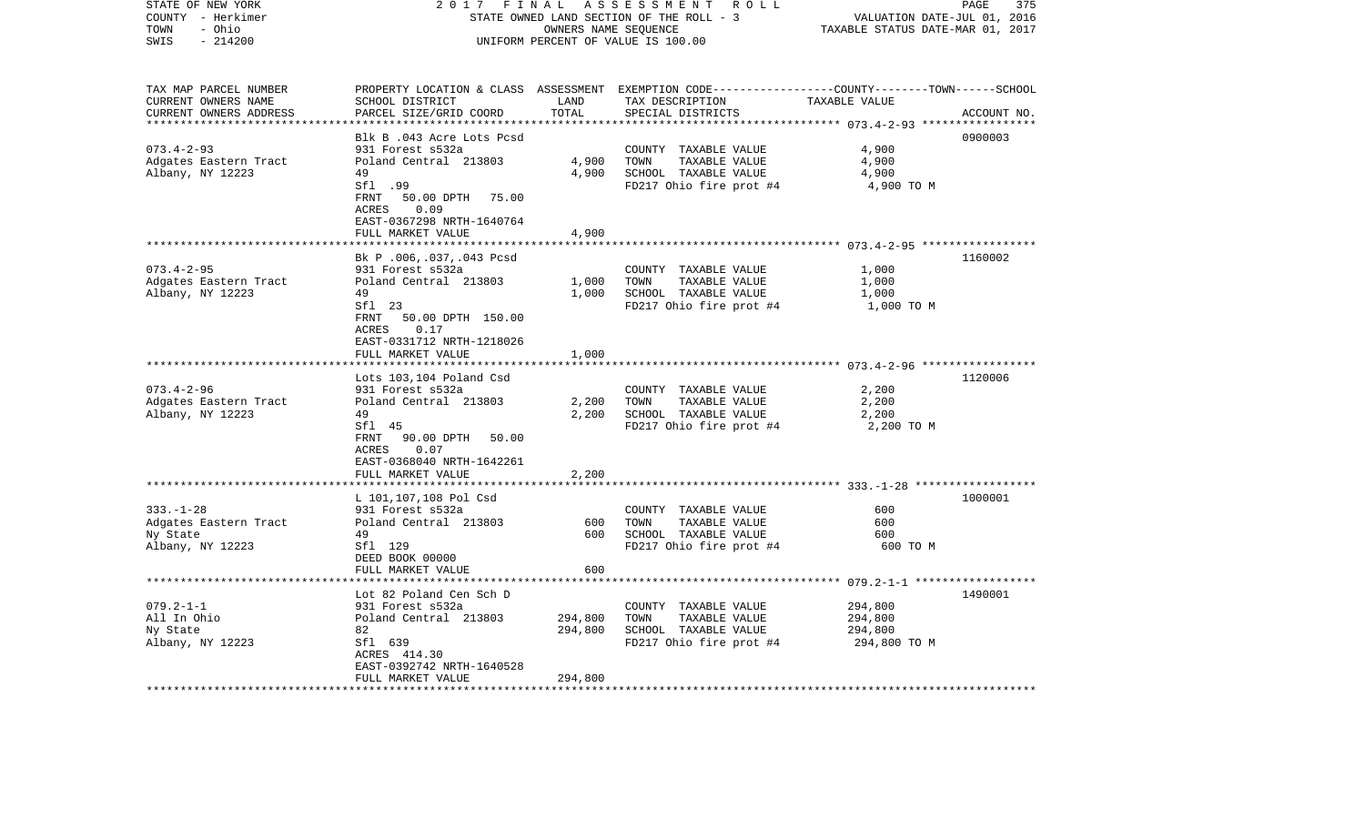| STATE OF NEW YORK<br>COUNTY - Herkimer<br>- Ohio<br>TOWN<br>$-214200$<br>SWIS                     | 2 0 1 7<br>FINAL<br>STATE OWNED LAND SECTION OF THE ROLL - 3<br>UNIFORM PERCENT OF VALUE IS 100.00                                                                                        | PAGE<br>375<br>VALUATION DATE-JUL 01, 2016<br>TAXABLE STATUS DATE-MAR 01, 2017 |                                                                                                                                          |                                                          |             |
|---------------------------------------------------------------------------------------------------|-------------------------------------------------------------------------------------------------------------------------------------------------------------------------------------------|--------------------------------------------------------------------------------|------------------------------------------------------------------------------------------------------------------------------------------|----------------------------------------------------------|-------------|
| TAX MAP PARCEL NUMBER<br>CURRENT OWNERS NAME<br>CURRENT OWNERS ADDRESS<br>*********************** | SCHOOL DISTRICT<br>PARCEL SIZE/GRID COORD                                                                                                                                                 | LAND<br>TOTAL                                                                  | PROPERTY LOCATION & CLASS ASSESSMENT EXEMPTION CODE----------------COUNTY-------TOWN------SCHOOL<br>TAX DESCRIPTION<br>SPECIAL DISTRICTS | TAXABLE VALUE                                            | ACCOUNT NO. |
| $073.4 - 2 - 93$<br>Adgates Eastern Tract<br>Albany, NY 12223                                     | Blk B .043 Acre Lots Pcsd<br>931 Forest s532a<br>Poland Central 213803<br>49<br>Sfl .99<br>FRNT<br>50.00 DPTH<br>75.00<br>ACRES<br>0.09<br>EAST-0367298 NRTH-1640764<br>FULL MARKET VALUE | 4,900<br>4,900<br>4,900                                                        | COUNTY TAXABLE VALUE<br>TOWN<br>TAXABLE VALUE<br>SCHOOL TAXABLE VALUE<br>FD217 Ohio fire prot #4                                         | 4,900<br>4,900<br>4,900<br>4,900 TO M                    | 0900003     |
|                                                                                                   |                                                                                                                                                                                           | ***************                                                                |                                                                                                                                          | ************************** 073.4-2-95 ****************** |             |
| $073.4 - 2 - 95$<br>Adgates Eastern Tract<br>Albany, NY 12223                                     | Bk P.006,.037,.043 Pcsd<br>931 Forest s532a<br>Poland Central 213803<br>49<br>Sfl 23<br>FRNT<br>50.00 DPTH 150.00<br>ACRES<br>0.17<br>EAST-0331712 NRTH-1218026                           | 1,000<br>1,000                                                                 | COUNTY TAXABLE VALUE<br>TOWN<br>TAXABLE VALUE<br>SCHOOL TAXABLE VALUE<br>FD217 Ohio fire prot #4                                         | 1,000<br>1,000<br>1,000<br>1,000 TO M                    | 1160002     |
|                                                                                                   | FULL MARKET VALUE                                                                                                                                                                         | 1,000                                                                          |                                                                                                                                          |                                                          |             |
| $073.4 - 2 - 96$<br>Adgates Eastern Tract<br>Albany, NY 12223                                     | * * * * * * * * * * * * * * * * * * *<br>Lots 103,104 Poland Csd<br>931 Forest s532a<br>Poland Central 213803<br>49<br>Sfl 45<br>FRNT<br>90.00 DPTH<br>50.00<br>0.07<br>ACRES             | 2,200<br>2,200                                                                 | COUNTY TAXABLE VALUE<br>TOWN<br>TAXABLE VALUE<br>SCHOOL TAXABLE VALUE<br>FD217 Ohio fire prot #4                                         | 2,200<br>2,200<br>2,200<br>2,200 TO M                    | 1120006     |
|                                                                                                   | EAST-0368040 NRTH-1642261                                                                                                                                                                 |                                                                                |                                                                                                                                          |                                                          |             |
| $333. - 1 - 28$<br>Adgates Eastern Tract<br>Ny State<br>Albany, NY 12223                          | FULL MARKET VALUE<br>L 101,107,108 Pol Csd<br>931 Forest s532a<br>Poland Central 213803<br>49<br>Sfl 129<br>DEED BOOK 00000<br>FULL MARKET VALUE                                          | 2,200<br>600<br>600<br>600                                                     | COUNTY TAXABLE VALUE<br>TAXABLE VALUE<br>TOWN<br>SCHOOL TAXABLE VALUE<br>FD217 Ohio fire prot #4                                         | 600<br>600<br>600<br>600 TO M                            | 1000001     |
| $079.2 - 1 - 1$<br>All In Ohio<br>Ny State<br>Albany, NY 12223                                    | Lot 82 Poland Cen Sch D<br>931 Forest s532a<br>Poland Central 213803<br>82<br>Sfl 639<br>ACRES 414.30<br>EAST-0392742 NRTH-1640528<br>FULL MARKET VALUE                                   | 294,800<br>294,800<br>294,800                                                  | COUNTY TAXABLE VALUE<br>TOWN<br>TAXABLE VALUE<br>SCHOOL TAXABLE VALUE<br>FD217 Ohio fire prot #4                                         | 294,800<br>294,800<br>294,800<br>294,800 TO M            | 1490001     |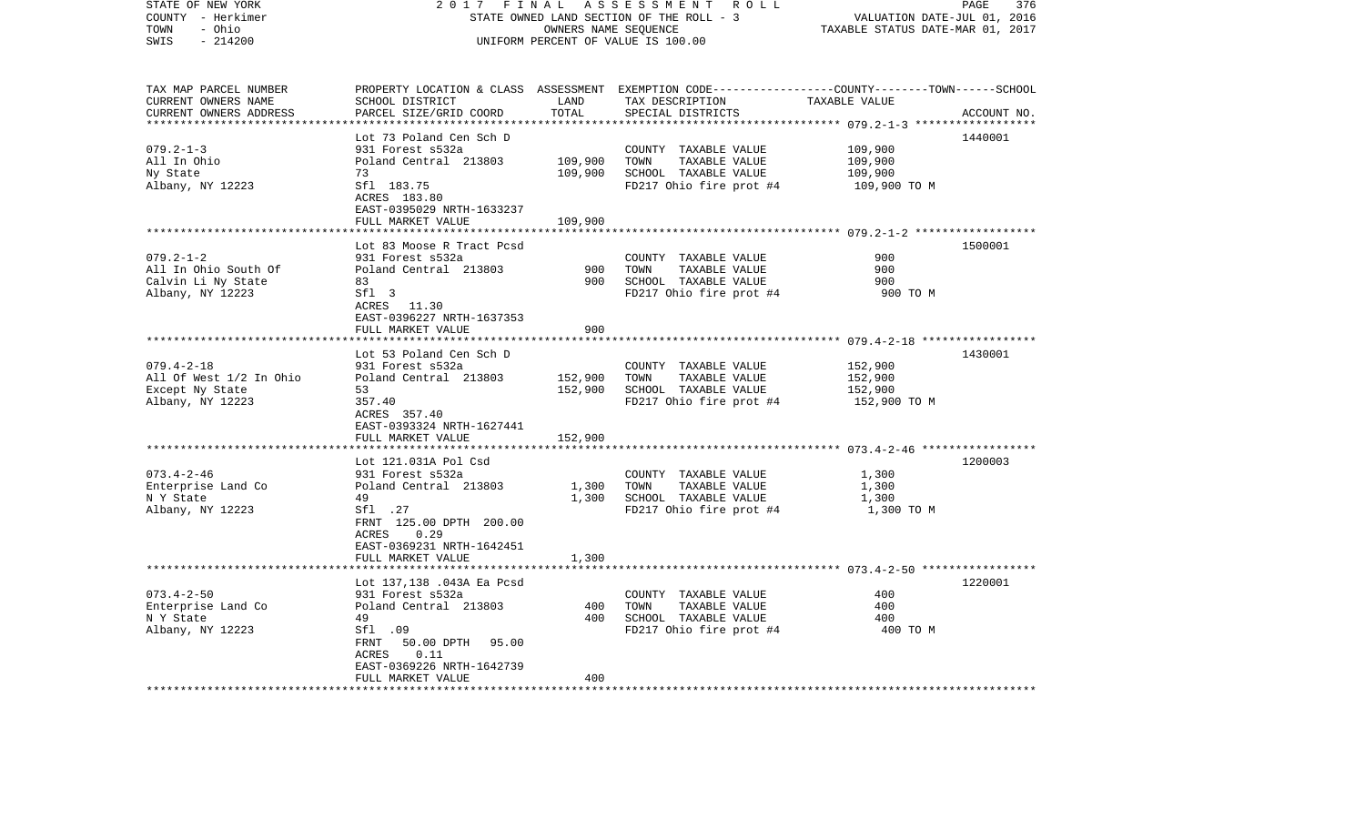| STATE OF NEW YORK                      | 2017                                        | FINAL                            | A S S E S S M E N T R O L L                                                                     |                 | PAGE<br>376 |  |  |
|----------------------------------------|---------------------------------------------|----------------------------------|-------------------------------------------------------------------------------------------------|-----------------|-------------|--|--|
| COUNTY - Herkimer                      | STATE OWNED LAND SECTION OF THE ROLL - 3    | VALUATION DATE-JUL 01, 2016      |                                                                                                 |                 |             |  |  |
| - Ohio<br>TOWN                         |                                             | TAXABLE STATUS DATE-MAR 01, 2017 |                                                                                                 |                 |             |  |  |
| SWIS<br>$-214200$                      | UNIFORM PERCENT OF VALUE IS 100.00          |                                  |                                                                                                 |                 |             |  |  |
| TAX MAP PARCEL NUMBER                  |                                             |                                  | PROPERTY LOCATION & CLASS ASSESSMENT EXEMPTION CODE---------------COUNTY-------TOWN------SCHOOL |                 |             |  |  |
| CURRENT OWNERS NAME                    | SCHOOL DISTRICT                             | LAND                             | TAX DESCRIPTION                                                                                 | TAXABLE VALUE   |             |  |  |
| CURRENT OWNERS ADDRESS                 | PARCEL SIZE/GRID COORD                      | TOTAL                            | SPECIAL DISTRICTS                                                                               |                 | ACCOUNT NO. |  |  |
| *************************              |                                             |                                  |                                                                                                 |                 |             |  |  |
|                                        | Lot 73 Poland Cen Sch D                     |                                  |                                                                                                 |                 | 1440001     |  |  |
| $079.2 - 1 - 3$                        | 931 Forest s532a                            |                                  | COUNTY TAXABLE VALUE                                                                            | 109,900         |             |  |  |
| All In Ohio                            | Poland Central 213803                       | 109,900                          | TOWN<br>TAXABLE VALUE                                                                           | 109,900         |             |  |  |
| Ny State                               | 73                                          | 109,900                          | SCHOOL TAXABLE VALUE                                                                            | 109,900         |             |  |  |
| Albany, NY 12223                       | Sfl 183.75                                  |                                  | FD217 Ohio fire prot #4                                                                         | 109,900 ТО М    |             |  |  |
|                                        | ACRES 183.80                                |                                  |                                                                                                 |                 |             |  |  |
|                                        | EAST-0395029 NRTH-1633237                   |                                  |                                                                                                 |                 |             |  |  |
|                                        | FULL MARKET VALUE                           | 109,900<br>***********           |                                                                                                 |                 |             |  |  |
|                                        | Lot 83 Moose R Tract Pcsd                   |                                  |                                                                                                 |                 | 1500001     |  |  |
| $079.2 - 1 - 2$                        | 931 Forest s532a                            |                                  | COUNTY TAXABLE VALUE                                                                            | 900             |             |  |  |
| All In Ohio South Of                   | Poland Central 213803                       | 900                              | TOWN<br>TAXABLE VALUE                                                                           | 900             |             |  |  |
| Calvin Li Ny State                     | 83                                          | 900                              | SCHOOL TAXABLE VALUE                                                                            | 900             |             |  |  |
| Albany, NY 12223                       | Sfl 3                                       |                                  | FD217 Ohio fire prot #4                                                                         | 900 TO M        |             |  |  |
|                                        | ACRES 11.30                                 |                                  |                                                                                                 |                 |             |  |  |
|                                        | EAST-0396227 NRTH-1637353                   |                                  |                                                                                                 |                 |             |  |  |
|                                        | FULL MARKET VALUE                           | 900                              |                                                                                                 |                 |             |  |  |
|                                        |                                             |                                  |                                                                                                 |                 | 1430001     |  |  |
| $079.4 - 2 - 18$                       | Lot 53 Poland Cen Sch D<br>931 Forest s532a |                                  | COUNTY TAXABLE VALUE                                                                            | 152,900         |             |  |  |
| All Of West 1/2 In Ohio                | Poland Central 213803                       | 152,900                          | TAXABLE VALUE<br>TOWN                                                                           | 152,900         |             |  |  |
| Except Ny State                        | 53                                          | 152,900                          | SCHOOL TAXABLE VALUE                                                                            | 152,900         |             |  |  |
| Albany, NY 12223                       | 357.40                                      |                                  | FD217 Ohio fire prot #4                                                                         | 152,900 TO M    |             |  |  |
|                                        | ACRES 357.40                                |                                  |                                                                                                 |                 |             |  |  |
|                                        | EAST-0393324 NRTH-1627441                   |                                  |                                                                                                 |                 |             |  |  |
|                                        | FULL MARKET VALUE                           | 152,900                          |                                                                                                 |                 |             |  |  |
|                                        |                                             |                                  |                                                                                                 |                 |             |  |  |
|                                        | Lot 121.031A Pol Csd                        |                                  |                                                                                                 |                 | 1200003     |  |  |
| $073.4 - 2 - 46$<br>Enterprise Land Co | 931 Forest s532a<br>Poland Central 213803   | 1,300                            | COUNTY TAXABLE VALUE<br>TAXABLE VALUE<br>TOWN                                                   | 1,300<br>1,300  |             |  |  |
| N Y State                              | 49                                          | 1,300                            | SCHOOL TAXABLE VALUE                                                                            | 1,300           |             |  |  |
| Albany, NY 12223                       | Sfl .27                                     |                                  | FD217 Ohio fire prot #4                                                                         | 1,300 TO M      |             |  |  |
|                                        | FRNT 125.00 DPTH 200.00                     |                                  |                                                                                                 |                 |             |  |  |
|                                        | ACRES 0.29                                  |                                  |                                                                                                 |                 |             |  |  |
|                                        | EAST-0369231 NRTH-1642451                   |                                  |                                                                                                 |                 |             |  |  |
|                                        | FULL MARKET VALUE                           | 1,300                            |                                                                                                 |                 |             |  |  |
|                                        | **************************                  |                                  |                                                                                                 |                 |             |  |  |
|                                        | Lot 137,138 .043A Ea Pcsd                   |                                  |                                                                                                 |                 | 1220001     |  |  |
| $073.4 - 2 - 50$                       | 931 Forest s532a                            |                                  | COUNTY TAXABLE VALUE                                                                            | 400             |             |  |  |
| Enterprise Land Co                     | Poland Central 213803                       | 400                              | TOWN<br>TAXABLE VALUE                                                                           | 400             |             |  |  |
| N Y State<br>Albany, NY 12223          | 49<br>Sfl .09                               | 400                              | SCHOOL TAXABLE VALUE<br>FD217 Ohio fire prot #4                                                 | 400<br>400 TO M |             |  |  |
|                                        | 50.00 DPTH 95.00<br>FRNT                    |                                  |                                                                                                 |                 |             |  |  |
|                                        | ACRES<br>0.11                               |                                  |                                                                                                 |                 |             |  |  |
|                                        | EAST-0369226 NRTH-1642739                   |                                  |                                                                                                 |                 |             |  |  |
|                                        | FULL MARKET VALUE                           | 400                              |                                                                                                 |                 |             |  |  |
|                                        |                                             |                                  |                                                                                                 |                 |             |  |  |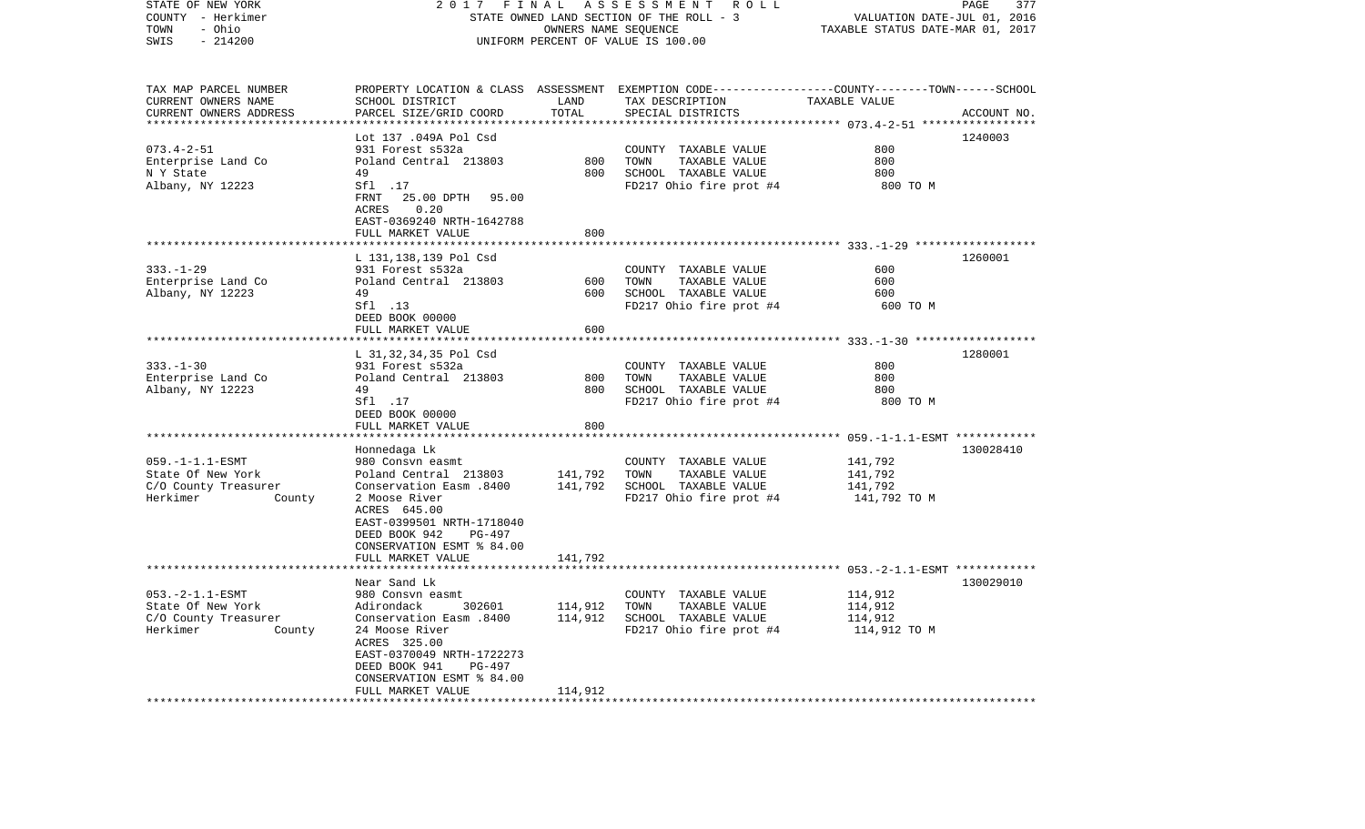| STATE OF NEW YORK<br>COUNTY - Herkimer<br>- Ohio<br>TOWN<br>SWIS<br>$-214200$                                         | 2017                                                                                                                                                                                                                                                  | FINAL<br>OWNERS NAME SEQUENCE                 | A S S E S S M E N T R O L L<br>STATE OWNED LAND SECTION OF THE ROLL - 3<br>UNIFORM PERCENT OF VALUE IS 100.00                            | VALUATION DATE-JUL 01, 2016<br>TAXABLE STATUS DATE-MAR 01, 2017 | PAGE<br>377 |
|-----------------------------------------------------------------------------------------------------------------------|-------------------------------------------------------------------------------------------------------------------------------------------------------------------------------------------------------------------------------------------------------|-----------------------------------------------|------------------------------------------------------------------------------------------------------------------------------------------|-----------------------------------------------------------------|-------------|
| TAX MAP PARCEL NUMBER<br>CURRENT OWNERS NAME<br>CURRENT OWNERS ADDRESS                                                | SCHOOL DISTRICT<br>PARCEL SIZE/GRID COORD                                                                                                                                                                                                             | LAND<br>TOTAL                                 | PROPERTY LOCATION & CLASS ASSESSMENT EXEMPTION CODE----------------COUNTY-------TOWN------SCHOOL<br>TAX DESCRIPTION<br>SPECIAL DISTRICTS | TAXABLE VALUE                                                   | ACCOUNT NO. |
| $073.4 - 2 - 51$<br>Enterprise Land Co<br>N Y State<br>Albany, NY 12223                                               | Lot 137 .049A Pol Csd<br>931 Forest s532a<br>Poland Central 213803<br>49<br>Sf1 .17<br>FRNT 25.00 DPTH<br>95.00<br>ACRES<br>0.20<br>EAST-0369240 NRTH-1642788<br>FULL MARKET VALUE                                                                    | 800<br>800<br>800                             | COUNTY TAXABLE VALUE<br>TOWN<br>TAXABLE VALUE<br>SCHOOL TAXABLE VALUE<br>FD217 Ohio fire prot #4                                         | 800<br>800<br>800<br>800 TO M                                   | 1240003     |
| $333. - 1 - 29$<br>Enterprise Land Co<br>Albany, NY 12223                                                             | L 131,138,139 Pol Csd<br>931 Forest s532a<br>Poland Central 213803<br>49<br>Sf1 .13<br>DEED BOOK 00000<br>FULL MARKET VALUE                                                                                                                           | 600<br>600<br>600                             | COUNTY TAXABLE VALUE<br>TOWN<br>TAXABLE VALUE<br>SCHOOL TAXABLE VALUE<br>FD217 Ohio fire prot #4                                         | 600<br>600<br>600<br>600 TO M                                   | 1260001     |
| $333. - 1 - 30$<br>Enterprise Land Co<br>Albany, NY 12223                                                             | L 31,32,34,35 Pol Csd<br>931 Forest s532a<br>Poland Central 213803<br>49<br>Sfl .17<br>DEED BOOK 00000<br>FULL MARKET VALUE                                                                                                                           | 800<br>800<br>800                             | COUNTY TAXABLE VALUE<br>TOWN<br>TAXABLE VALUE<br>SCHOOL TAXABLE VALUE<br>FD217 Ohio fire prot #4                                         | 800<br>800<br>800<br>800 TO M                                   | 1280001     |
| $059. -1 - 1.1 - ESMT$<br>State Of New York<br>C/O County Treasurer<br>Herkimer<br>County                             | Honnedaga Lk<br>980 Consvn easmt<br>Poland Central 213803<br>Conservation Easm .8400<br>2 Moose River<br>ACRES 645.00<br>EAST-0399501 NRTH-1718040<br>DEED BOOK 942<br>PG-497<br>CONSERVATION ESMT % 84.00<br>FULL MARKET VALUE                       | 141,792<br>141,792<br>141,792                 | COUNTY TAXABLE VALUE<br>TOWN<br>TAXABLE VALUE<br>SCHOOL TAXABLE VALUE<br>FD217 Ohio fire prot #4                                         | 141,792<br>141,792<br>141,792<br>141,792 TO M                   | 130028410   |
| $053. -2 - 1.1 - ESMT$<br>State Of New York<br>C/O County Treasurer<br>Herkimer<br>County<br>************************ | Near Sand Lk<br>980 Consvn easmt<br>302601<br>Adirondack<br>Conservation Easm .8400<br>24 Moose River<br>ACRES 325.00<br>EAST-0370049 NRTH-1722273<br>DEED BOOK 941<br>PG-497<br>CONSERVATION ESMT % 84.00<br>FULL MARKET VALUE<br>****************** | ************<br>114,912<br>114,912<br>114,912 | COUNTY TAXABLE VALUE<br>TAXABLE VALUE<br>TOWN<br>SCHOOL TAXABLE VALUE<br>FD217 Ohio fire prot #4                                         | 114,912<br>114,912<br>114,912<br>114,912 TO M                   | 130029010   |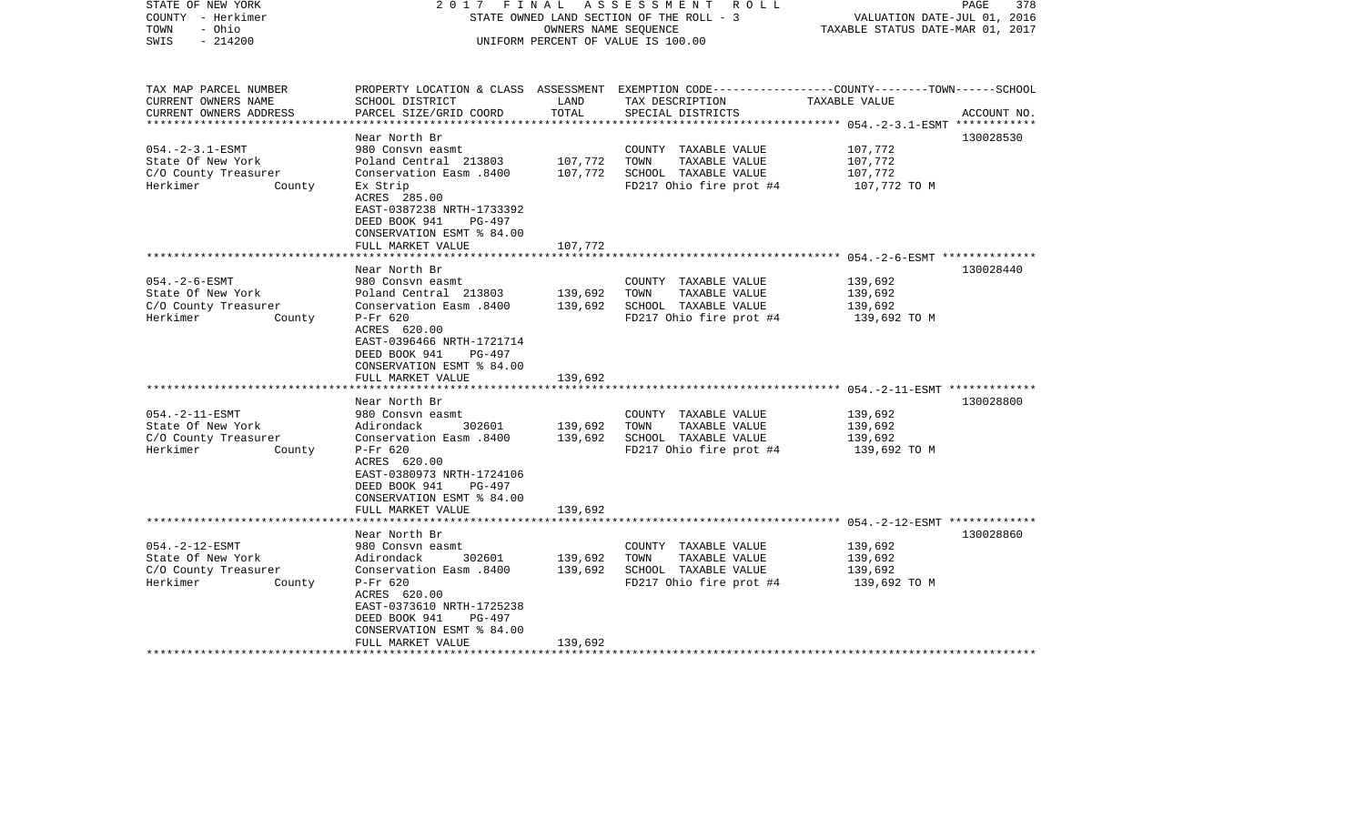| STATE OF NEW YORK<br>COUNTY - Herkimer<br>TOWN<br>- Ohio<br>$-214200$<br>SWIS                                                                                                        | FINAL<br>2017                                                                                                                                                                                                                                                                                                                                                                                                                                        | OWNERS NAME SEOUENCE                                | A S S E S S M E N T<br>R O L L<br>STATE OWNED LAND SECTION OF THE ROLL - 3<br>UNIFORM PERCENT OF VALUE IS 100.00                                                                                     | VALUATION DATE-JUL 01, 2016<br>TAXABLE STATUS DATE-MAR 01, 2017                                                                                                 | 378<br>PAGE  |
|--------------------------------------------------------------------------------------------------------------------------------------------------------------------------------------|------------------------------------------------------------------------------------------------------------------------------------------------------------------------------------------------------------------------------------------------------------------------------------------------------------------------------------------------------------------------------------------------------------------------------------------------------|-----------------------------------------------------|------------------------------------------------------------------------------------------------------------------------------------------------------------------------------------------------------|-----------------------------------------------------------------------------------------------------------------------------------------------------------------|--------------|
| TAX MAP PARCEL NUMBER<br>CURRENT OWNERS NAME<br>CURRENT OWNERS ADDRESS<br>**********************                                                                                     | SCHOOL DISTRICT<br>PARCEL SIZE/GRID COORD                                                                                                                                                                                                                                                                                                                                                                                                            | LAND<br>TOTAL                                       | PROPERTY LOCATION & CLASS ASSESSMENT EXEMPTION CODE----------------COUNTY-------TOWN------SCHOOL<br>TAX DESCRIPTION<br>SPECIAL DISTRICTS                                                             | TAXABLE VALUE                                                                                                                                                   | ACCOUNT NO.  |
|                                                                                                                                                                                      | ************************                                                                                                                                                                                                                                                                                                                                                                                                                             | ***************                                     |                                                                                                                                                                                                      |                                                                                                                                                                 | ************ |
| $054. -2 - 3.1 - ESMT$<br>State Of New York<br>C/O County Treasurer<br>Herkimer<br>County                                                                                            | Near North Br<br>980 Consyn easmt<br>Poland Central 213803<br>Conservation Easm .8400<br>Ex Strip<br>ACRES 285.00<br>EAST-0387238 NRTH-1733392<br>DEED BOOK 941<br>$PG-497$                                                                                                                                                                                                                                                                          | 107,772<br>107,772                                  | COUNTY TAXABLE VALUE<br>TOWN<br>TAXABLE VALUE<br>SCHOOL TAXABLE VALUE<br>FD217 Ohio fire prot #4                                                                                                     | 107,772<br>107,772<br>107,772<br>107,772 TO M                                                                                                                   | 130028530    |
|                                                                                                                                                                                      | CONSERVATION ESMT % 84.00                                                                                                                                                                                                                                                                                                                                                                                                                            |                                                     |                                                                                                                                                                                                      |                                                                                                                                                                 |              |
|                                                                                                                                                                                      | FULL MARKET VALUE                                                                                                                                                                                                                                                                                                                                                                                                                                    | 107,772                                             |                                                                                                                                                                                                      | ************************** 054.-2-6-ESMT **************                                                                                                         |              |
|                                                                                                                                                                                      | Near North Br                                                                                                                                                                                                                                                                                                                                                                                                                                        |                                                     |                                                                                                                                                                                                      |                                                                                                                                                                 | 130028440    |
| $054. - 2 - 6 - ESMT$<br>State Of New York<br>C/O County Treasurer<br>Herkimer<br>County<br>$054. -2 - 11 - ESMT$<br>State Of New York<br>C/O County Treasurer<br>Herkimer<br>County | 980 Consyn easmt<br>Poland Central 213803<br>Conservation Easm .8400<br>P-Fr 620<br>ACRES 620.00<br>EAST-0396466 NRTH-1721714<br>DEED BOOK 941<br>PG-497<br>CONSERVATION ESMT % 84.00<br>FULL MARKET VALUE<br>****************************<br>Near North Br<br>980 Consyn easmt<br>302601<br>Adirondack<br>Conservation Easm.8400<br>$P-Fr$ 620<br>ACRES 620.00<br>EAST-0380973 NRTH-1724106<br>DEED BOOK 941<br>PG-497<br>CONSERVATION ESMT % 84.00 | 139,692<br>139,692<br>139,692<br>139,692<br>139,692 | COUNTY TAXABLE VALUE<br>TOWN<br>TAXABLE VALUE<br>SCHOOL TAXABLE VALUE<br>FD217 Ohio fire prot #4<br>COUNTY TAXABLE VALUE<br>TAXABLE VALUE<br>TOWN<br>SCHOOL TAXABLE VALUE<br>FD217 Ohio fire prot #4 | 139,692<br>139,692<br>139,692<br>139,692 TO M<br>******************************** 054.-2-11-ESMT *************<br>139,692<br>139,692<br>139,692<br>139,692 TO M | 130028800    |
|                                                                                                                                                                                      | FULL MARKET VALUE<br>********************                                                                                                                                                                                                                                                                                                                                                                                                            | 139,692                                             |                                                                                                                                                                                                      |                                                                                                                                                                 |              |
|                                                                                                                                                                                      | Near North Br                                                                                                                                                                                                                                                                                                                                                                                                                                        |                                                     |                                                                                                                                                                                                      |                                                                                                                                                                 | 130028860    |
| $054. -2 - 12 - ESMT$<br>State Of New York<br>C/O County Treasurer<br>Herkimer<br>County                                                                                             | 980 Consvn easmt<br>302601<br>Adirondack<br>Conservation Easm .8400<br>$P-Fr$ 620<br>ACRES 620.00<br>EAST-0373610 NRTH-1725238<br>DEED BOOK 941<br>PG-497<br>CONSERVATION ESMT % 84.00<br>FULL MARKET VALUE                                                                                                                                                                                                                                          | 139,692<br>139,692<br>139,692                       | COUNTY TAXABLE VALUE<br>TOWN<br>TAXABLE VALUE<br>SCHOOL TAXABLE VALUE<br>FD217 Ohio fire prot #4                                                                                                     | 139,692<br>139,692<br>139,692<br>139,692 TO M                                                                                                                   |              |
|                                                                                                                                                                                      |                                                                                                                                                                                                                                                                                                                                                                                                                                                      |                                                     |                                                                                                                                                                                                      |                                                                                                                                                                 |              |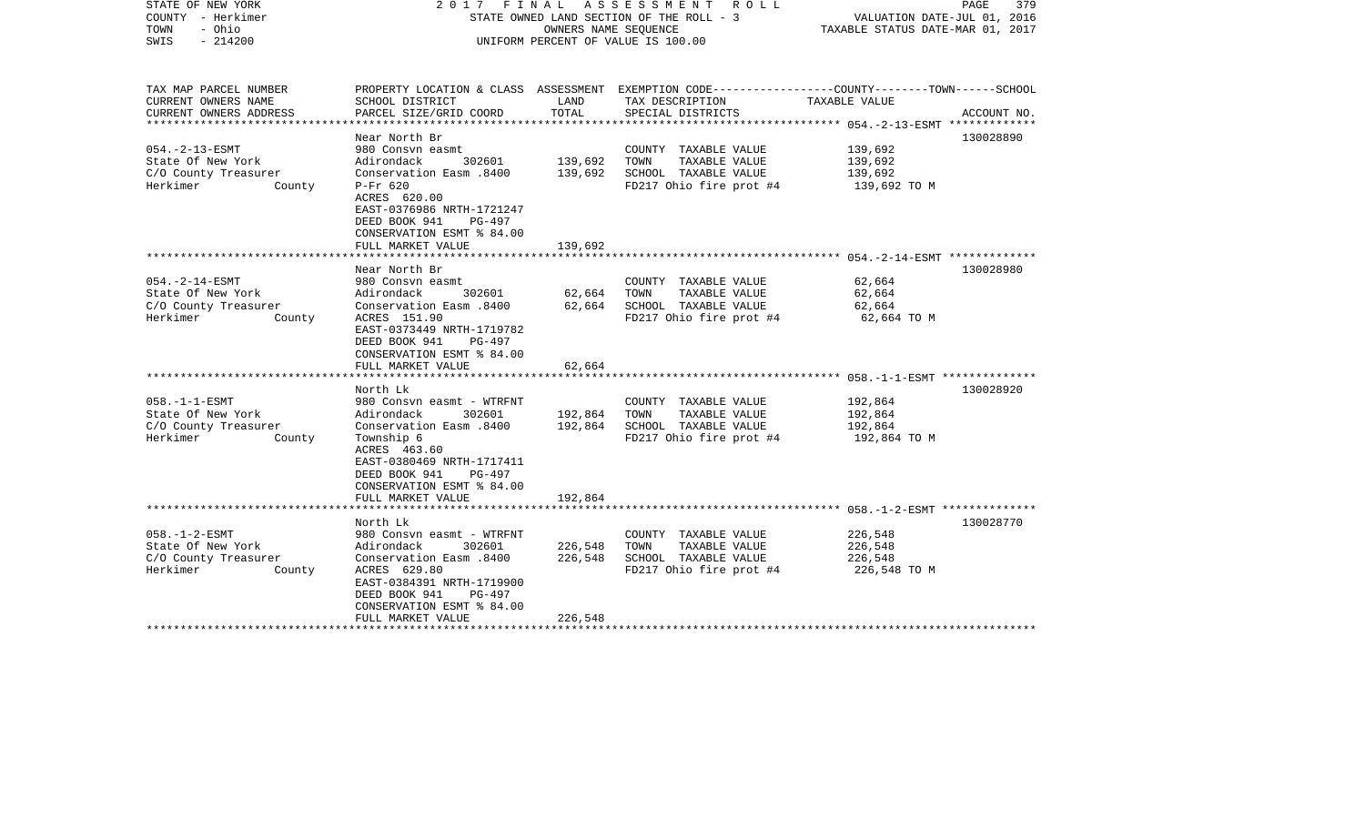| STATE OF NEW YORK<br>COUNTY - Herkimer<br>- Ohio<br>TOWN<br>SWIS<br>$-214200$            | A S S E S S M E N T<br>FINAL<br>R O L L<br>2017<br>STATE OWNED LAND SECTION OF THE ROLL - 3<br>OWNERS NAME SEQUENCE<br>UNIFORM PERCENT OF VALUE IS 100.00                                                          |                               |                                                                                                  | PAGE<br>379<br>VALUATION DATE-JUL 01, 2016<br>TAXABLE STATUS DATE-MAR 01, 2017                                   |  |
|------------------------------------------------------------------------------------------|--------------------------------------------------------------------------------------------------------------------------------------------------------------------------------------------------------------------|-------------------------------|--------------------------------------------------------------------------------------------------|------------------------------------------------------------------------------------------------------------------|--|
| TAX MAP PARCEL NUMBER<br>CURRENT OWNERS NAME                                             | SCHOOL DISTRICT                                                                                                                                                                                                    | LAND                          | TAX DESCRIPTION                                                                                  | PROPERTY LOCATION & CLASS ASSESSMENT EXEMPTION CODE---------------COUNTY-------TOWN------SCHOOL<br>TAXABLE VALUE |  |
| CURRENT OWNERS ADDRESS<br>* * * * * * * * * * * * * * * * *                              | PARCEL SIZE/GRID COORD                                                                                                                                                                                             | TOTAL                         | SPECIAL DISTRICTS                                                                                | ACCOUNT NO.<br>*************** 054.-2-13-ESMT *************                                                      |  |
|                                                                                          | Near North Br                                                                                                                                                                                                      |                               |                                                                                                  | 130028890                                                                                                        |  |
| $054. -2 - 13 - ESMT$<br>State Of New York<br>C/O County Treasurer<br>Herkimer<br>County | 980 Consyn easmt<br>302601<br>Adirondack<br>Conservation Easm .8400<br>$P-Fr$ 620<br>ACRES 620.00<br>EAST-0376986 NRTH-1721247                                                                                     | 139,692<br>139,692            | COUNTY TAXABLE VALUE<br>TAXABLE VALUE<br>TOWN<br>SCHOOL TAXABLE VALUE<br>FD217 Ohio fire prot #4 | 139,692<br>139,692<br>139,692<br>139,692 TO M                                                                    |  |
|                                                                                          | DEED BOOK 941<br>PG-497<br>CONSERVATION ESMT % 84.00<br>FULL MARKET VALUE                                                                                                                                          | 139,692                       |                                                                                                  |                                                                                                                  |  |
|                                                                                          |                                                                                                                                                                                                                    |                               |                                                                                                  |                                                                                                                  |  |
| $054. -2 - 14 - ESMT$<br>State Of New York<br>C/O County Treasurer<br>Herkimer<br>County | Near North Br<br>980 Consvn easmt<br>Adirondack<br>302601<br>Conservation Easm .8400<br>ACRES 151.90<br>EAST-0373449 NRTH-1719782<br>DEED BOOK 941<br>PG-497<br>CONSERVATION ESMT % 84.00                          | 62,664<br>62,664              | COUNTY TAXABLE VALUE<br>TOWN<br>TAXABLE VALUE<br>SCHOOL TAXABLE VALUE<br>FD217 Ohio fire prot #4 | 130028980<br>62,664<br>62,664<br>62,664<br>62,664 TO M                                                           |  |
|                                                                                          | FULL MARKET VALUE                                                                                                                                                                                                  | 62,664                        |                                                                                                  |                                                                                                                  |  |
|                                                                                          | North Lk                                                                                                                                                                                                           |                               |                                                                                                  | 130028920                                                                                                        |  |
| $058. -1 -1 - ESMT$<br>State Of New York<br>C/O County Treasurer<br>Herkimer<br>County   | 980 Consvn easmt - WTRFNT<br>Adirondack<br>302601<br>Conservation Easm .8400<br>Township 6<br>ACRES 463.60<br>EAST-0380469 NRTH-1717411<br>DEED BOOK 941<br>PG-497<br>CONSERVATION ESMT % 84.00                    | 192,864<br>192,864            | COUNTY TAXABLE VALUE<br>TOWN<br>TAXABLE VALUE<br>SCHOOL TAXABLE VALUE<br>FD217 Ohio fire prot #4 | 192,864<br>192,864<br>192,864<br>192,864 TO M                                                                    |  |
|                                                                                          | FULL MARKET VALUE<br>*******************                                                                                                                                                                           | 192,864                       |                                                                                                  |                                                                                                                  |  |
| $058. - 1 - 2 - ESMT$<br>State Of New York<br>C/O County Treasurer<br>Herkimer<br>County | North Lk<br>980 Consvn easmt - WTRFNT<br>302601<br>Adirondack<br>Conservation Easm .8400<br>ACRES 629.80<br>EAST-0384391 NRTH-1719900<br>DEED BOOK 941<br>PG-497<br>CONSERVATION ESMT % 84.00<br>FULL MARKET VALUE | 226,548<br>226,548<br>226,548 | COUNTY TAXABLE VALUE<br>TOWN<br>TAXABLE VALUE<br>SCHOOL TAXABLE VALUE<br>FD217 Ohio fire prot #4 | 130028770<br>226,548<br>226,548<br>226,548<br>226,548 TO M                                                       |  |
|                                                                                          |                                                                                                                                                                                                                    |                               |                                                                                                  |                                                                                                                  |  |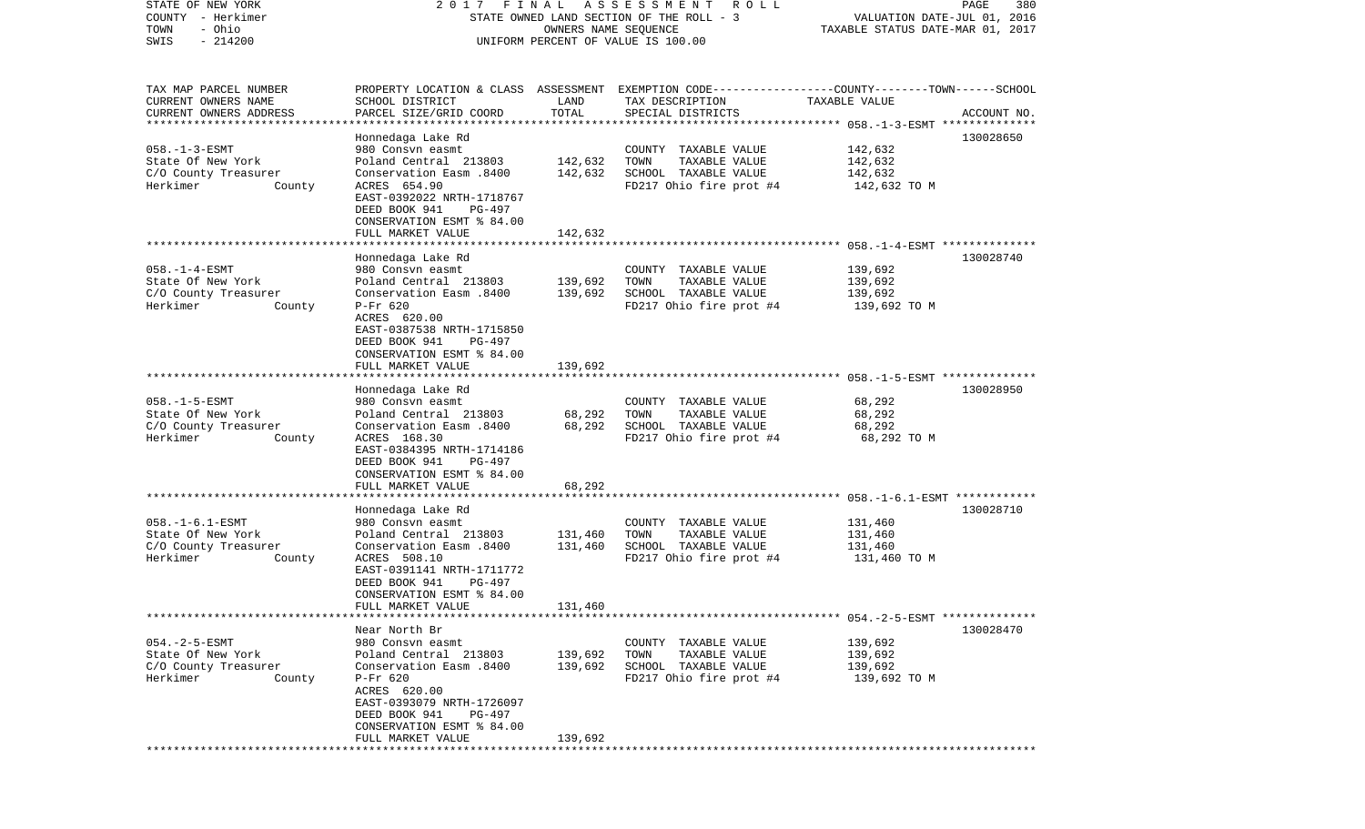COUNTY - Herkimer STATE OWNED LAND SECTION OF THE ROLL - 3 WALUATION DATE-JUL 01, 2016 TOWN - Ohio OWNERS NAME SEQUENCE TAXABLE STATUS DATE-MAR 01, 2017 SWIS - 214200 UNIFORM PERCENT OF VALUE IS 100.00TAX MAP PARCEL NUMBER PROPERTY LOCATION & CLASS ASSESSMENT EXEMPTION CODE------------------COUNTY--------TOWN------SCHOOL CURRENT OWNERS NAME SCHOOL DISTRICT LAND TAX DESCRIPTION TAXABLE VALUECURRENT OWNERS ADDRESS PARCEL SIZE/GRID COORD TOTAL SPECIAL DISTRICTS ACCOUNT NO. \*\*\*\*\*\*\*\*\*\*\*\*\*\*\*\*\*\*\*\*\*\*\*\*\*\*\*\*\*\*\*\*\*\*\*\*\*\*\*\*\*\*\*\*\*\*\*\*\*\*\*\*\*\*\*\*\*\*\*\*\*\*\*\*\*\*\*\*\*\*\*\*\*\*\*\*\*\*\*\*\*\*\*\*\*\*\*\*\*\*\*\*\*\*\*\*\*\*\*\*\*\*\* 058.-1-3-ESMT \*\*\*\*\*\*\*\*\*\*\*\*\*\* Honnedaga Lake Rd 130028650 058.-1-3-ESMT 980 Consvn easmt COUNTY TAXABLE VALUE 142,632 State Of New York Poland Central 213803 142,632 TOWN TAXABLE VALUE 142,632 C/O County Treasurer Conservation Easm .8400 142,632 SCHOOL TAXABLE VALUE 142,632 Herkimer County ACRES 654.90 FD217 Ohio fire prot #4 142,632 TO M EAST-0392022 NRTH-1718767 DEED BOOK 941 PG-497 CONSERVATION ESMT % 84.00 FULL MARKET VALUE 142,632 \*\*\*\*\*\*\*\*\*\*\*\*\*\*\*\*\*\*\*\*\*\*\*\*\*\*\*\*\*\*\*\*\*\*\*\*\*\*\*\*\*\*\*\*\*\*\*\*\*\*\*\*\*\*\*\*\*\*\*\*\*\*\*\*\*\*\*\*\*\*\*\*\*\*\*\*\*\*\*\*\*\*\*\*\*\*\*\*\*\*\*\*\*\*\*\*\*\*\*\*\*\*\* 058.-1-4-ESMT \*\*\*\*\*\*\*\*\*\*\*\*\*\* Honnedaga Lake Rd 130028740 058.-1-4-ESMT 980 Consvn easmt COUNTY TAXABLE VALUE 139,692 State Of New York Poland Central 213803 139,692 TOWN TAXABLE VALUE 139,692 C/O County Treasurer Conservation Easm .8400 139,692 SCHOOL TAXABLE VALUE 139,692 Herkimer County P-Fr 620 FORD RD217 Ohio fire prot #4 139,692 TO M ACRES 620.00 EAST-0387538 NRTH-1715850 DEED BOOK 941 PG-497 CONSERVATION ESMT % 84.00FULL MARKET VALUE 139,692 \*\*\*\*\*\*\*\*\*\*\*\*\*\*\*\*\*\*\*\*\*\*\*\*\*\*\*\*\*\*\*\*\*\*\*\*\*\*\*\*\*\*\*\*\*\*\*\*\*\*\*\*\*\*\*\*\*\*\*\*\*\*\*\*\*\*\*\*\*\*\*\*\*\*\*\*\*\*\*\*\*\*\*\*\*\*\*\*\*\*\*\*\*\*\*\*\*\*\*\*\*\*\* 058.-1-5-ESMT \*\*\*\*\*\*\*\*\*\*\*\*\*\* Honnedaga Lake Rd 130028950 058.-1-5-ESMT 980 Consvn easmt COUNTY TAXABLE VALUE 68,292 State Of New York **Poland Central 213803** 68,292 TOWN TAXABLE VALUE 68,292 C/O County Treasurer Conservation Easm .8400 68,292 SCHOOL TAXABLE VALUE 68,292 Herkimer County ACRES 168.30 FD217 Ohio fire prot #4 68,292 TO M EAST-0384395 NRTH-1714186 DEED BOOK 941 PG-497 CONSERVATION ESMT % 84.00 FULL MARKET VALUE 68,292 \*\*\*\*\*\*\*\*\*\*\*\*\*\*\*\*\*\*\*\*\*\*\*\*\*\*\*\*\*\*\*\*\*\*\*\*\*\*\*\*\*\*\*\*\*\*\*\*\*\*\*\*\*\*\*\*\*\*\*\*\*\*\*\*\*\*\*\*\*\*\*\*\*\*\*\*\*\*\*\*\*\*\*\*\*\*\*\*\*\*\*\*\*\*\*\*\*\*\*\*\*\*\* 058.-1-6.1-ESMT \*\*\*\*\*\*\*\*\*\*\*\* Honnedaga Lake Rd 130028710 058.-1-6.1-ESMT 980 Consvn easmt COUNTY TAXABLE VALUE 131,460 State Of New York **Poland Central 213803** 131,460 TOWN TAXABLE VALUE 131,460 C/O County Treasurer Conservation Easm .8400 131,460 SCHOOL TAXABLE VALUE 131,460 Herkimer County ACRES 508.10 FD217 Ohio fire prot #4 131,460 TO M EAST-0391141 NRTH-1711772 DEED BOOK 941 PG-497 CONSERVATION ESMT % 84.00 FULL MARKET VALUE 131,460 \*\*\*\*\*\*\*\*\*\*\*\*\*\*\*\*\*\*\*\*\*\*\*\*\*\*\*\*\*\*\*\*\*\*\*\*\*\*\*\*\*\*\*\*\*\*\*\*\*\*\*\*\*\*\*\*\*\*\*\*\*\*\*\*\*\*\*\*\*\*\*\*\*\*\*\*\*\*\*\*\*\*\*\*\*\*\*\*\*\*\*\*\*\*\*\*\*\*\*\*\*\*\* 054.-2-5-ESMT \*\*\*\*\*\*\*\*\*\*\*\*\*\* Near North Br 130028470054.-2-5-ESMT 980 Consvn easmt COUNTY TAXABLE VALUE 139,692 State Of New York Poland Central 213803 139,692 TOWN TAXABLE VALUE 139,692 C/O County Treasurer Conservation Easm .8400 139,692 SCHOOL TAXABLE VALUE 139,692 Herkimer County P-Fr 620 FORD RD217 Ohio fire prot #4 139,692 TO M ACRES 620.00 EAST-0393079 NRTH-1726097 DEED BOOK 941 PG-497 CONSERVATION ESMT % 84.00FULL MARKET VALUE 139,692 \*\*\*\*\*\*\*\*\*\*\*\*\*\*\*\*\*\*\*\*\*\*\*\*\*\*\*\*\*\*\*\*\*\*\*\*\*\*\*\*\*\*\*\*\*\*\*\*\*\*\*\*\*\*\*\*\*\*\*\*\*\*\*\*\*\*\*\*\*\*\*\*\*\*\*\*\*\*\*\*\*\*\*\*\*\*\*\*\*\*\*\*\*\*\*\*\*\*\*\*\*\*\*\*\*\*\*\*\*\*\*\*\*\*\*\*\*\*\*\*\*\*\*\*\*\*\*\*\*\*\*\*

STATE OF NEW YORK 2 0 1 7 F I N A L A S S E S S M E N T R O L L PAGE 380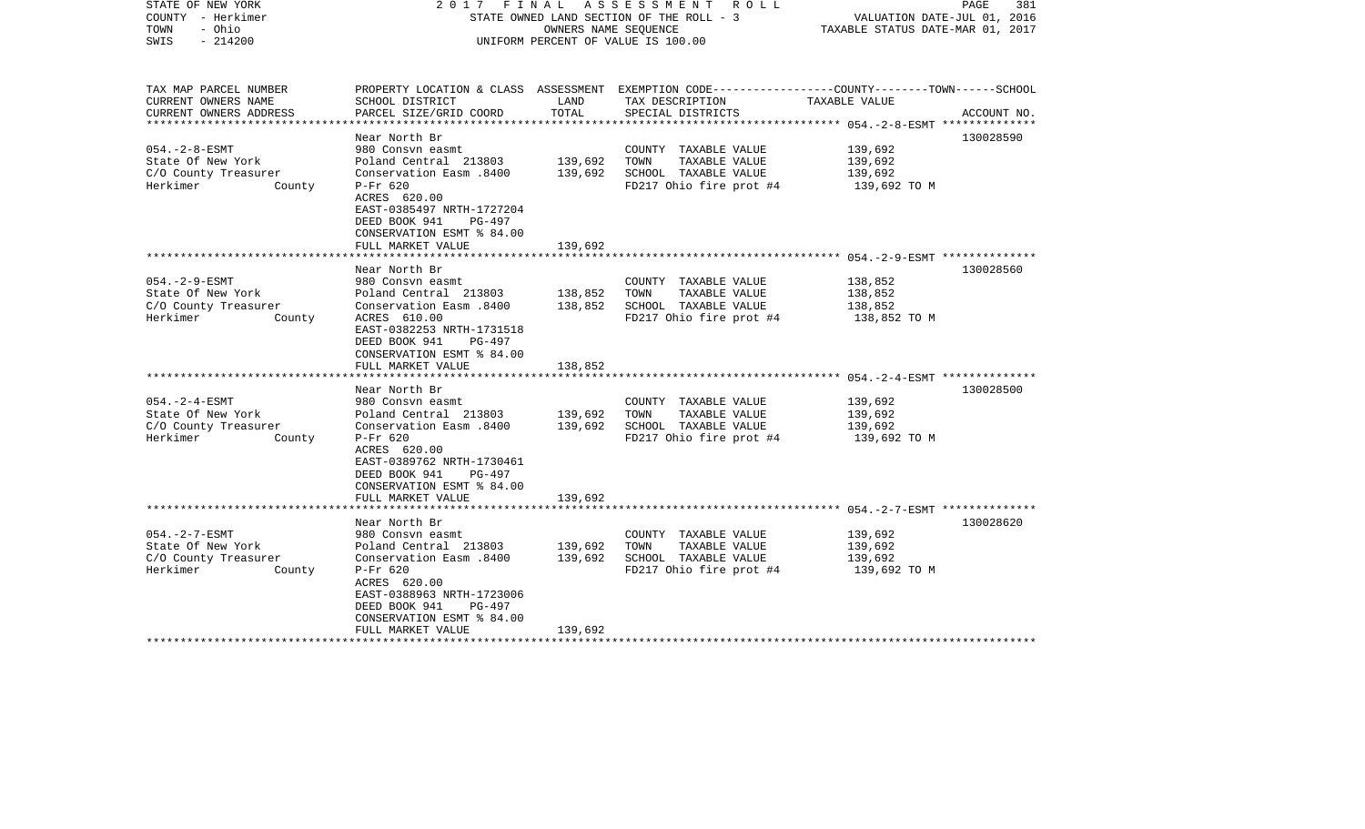| PROPERTY LOCATION & CLASS ASSESSMENT EXEMPTION CODE----------------COUNTY-------TOWN------SCHOOL<br>CURRENT OWNERS NAME<br>SCHOOL DISTRICT<br>LAND<br>TAX DESCRIPTION<br>TAXABLE VALUE<br>TOTAL<br>CURRENT OWNERS ADDRESS<br>PARCEL SIZE/GRID COORD<br>SPECIAL DISTRICTS<br>ACCOUNT NO.<br>***************** 054.-2-8-ESMT **************<br>Near North Br<br>130028590<br>980 Consyn easmt<br>139,692<br>COUNTY TAXABLE VALUE<br>State Of New York<br>Poland Central 213803<br>139,692<br>TOWN<br>TAXABLE VALUE<br>139,692<br>139,692<br>C/O County Treasurer<br>Conservation Easm .8400<br>SCHOOL TAXABLE VALUE<br>139,692<br>$P-Fr$ 620<br>FD217 Ohio fire prot #4<br>139,692 TO M<br>County<br>ACRES 620.00<br>EAST-0385497 NRTH-1727204<br>DEED BOOK 941<br>PG-497<br>CONSERVATION ESMT % 84.00<br>139,692<br>FULL MARKET VALUE<br>130028560<br>Near North Br<br>$054. -2 - 9 - ESMT$<br>980 Consvn easmt<br>COUNTY TAXABLE VALUE<br>138,852<br>Poland Central 213803<br>138,852<br>TOWN<br>State Of New York<br>TAXABLE VALUE<br>138,852<br>C/O County Treasurer<br>Conservation Easm .8400<br>138,852<br>SCHOOL TAXABLE VALUE<br>138,852<br>Herkimer<br>County<br>ACRES 610.00<br>FD217 Ohio fire prot #4<br>138,852 TO M<br>EAST-0382253 NRTH-1731518<br>DEED BOOK 941<br>PG-497<br>CONSERVATION ESMT % 84.00<br>138,852<br>FULL MARKET VALUE<br>130028500<br>Near North Br<br>$054. -2 - 4 - ESMT$<br>980 Consvn easmt<br>COUNTY TAXABLE VALUE<br>139,692<br>Poland Central 213803<br>139,692<br>TOWN<br>TAXABLE VALUE<br>139,692<br>Conservation Easm .8400<br>139,692<br>SCHOOL TAXABLE VALUE<br>139,692<br>$P-Fr$ 620<br>FD217 Ohio fire prot #4<br>139,692 TO M<br>County<br>ACRES 620.00<br>EAST-0389762 NRTH-1730461<br>DEED BOOK 941<br>PG-497<br>CONSERVATION ESMT % 84.00<br>FULL MARKET VALUE<br>139,692<br>************************** 054.-2-7-ESMT **************<br>130028620<br>Near North Br<br>$054. - 2 - 7 - ESMT$<br>139,692<br>980 Consyn easmt<br>COUNTY TAXABLE VALUE<br>State Of New York<br>Poland Central 213803<br>139,692<br>TOWN<br>TAXABLE VALUE<br>139,692<br>139,692<br>SCHOOL TAXABLE VALUE<br>C/O County Treasurer<br>Conservation Easm .8400<br>139,692<br>Herkimer<br>$P-Fr$ 620<br>FD217 Ohio fire prot #4<br>139,692 TO M<br>County<br>ACRES 620.00<br>EAST-0388963 NRTH-1723006<br>DEED BOOK 941<br>PG-497<br>CONSERVATION ESMT % 84.00<br>FULL MARKET VALUE<br>139,692 | STATE OF NEW YORK<br>COUNTY - Herkimer<br>TOWN<br>- Ohio<br>$-214200$<br>SWIS | FINAL<br>A S S E S S M E N T A O L L<br>2017<br>STATE OWNED LAND SECTION OF THE ROLL - 3<br>OWNERS NAME SEQUENCE<br>UNIFORM PERCENT OF VALUE IS 100.00 |  | PAGE<br>381<br>VALUATION DATE-JUL 01, 2016<br>TAXABLE STATUS DATE-MAR 01, 2017 |  |
|------------------------------------------------------------------------------------------------------------------------------------------------------------------------------------------------------------------------------------------------------------------------------------------------------------------------------------------------------------------------------------------------------------------------------------------------------------------------------------------------------------------------------------------------------------------------------------------------------------------------------------------------------------------------------------------------------------------------------------------------------------------------------------------------------------------------------------------------------------------------------------------------------------------------------------------------------------------------------------------------------------------------------------------------------------------------------------------------------------------------------------------------------------------------------------------------------------------------------------------------------------------------------------------------------------------------------------------------------------------------------------------------------------------------------------------------------------------------------------------------------------------------------------------------------------------------------------------------------------------------------------------------------------------------------------------------------------------------------------------------------------------------------------------------------------------------------------------------------------------------------------------------------------------------------------------------------------------------------------------------------------------------------------------------------------------------------------------------------------------------------------------------------------------------------------------------------------------------------------------------------------------------------------------------------------------------------------------------------------------------------------------------------------------------|-------------------------------------------------------------------------------|--------------------------------------------------------------------------------------------------------------------------------------------------------|--|--------------------------------------------------------------------------------|--|
|                                                                                                                                                                                                                                                                                                                                                                                                                                                                                                                                                                                                                                                                                                                                                                                                                                                                                                                                                                                                                                                                                                                                                                                                                                                                                                                                                                                                                                                                                                                                                                                                                                                                                                                                                                                                                                                                                                                                                                                                                                                                                                                                                                                                                                                                                                                                                                                                                        | TAX MAP PARCEL NUMBER                                                         |                                                                                                                                                        |  |                                                                                |  |
|                                                                                                                                                                                                                                                                                                                                                                                                                                                                                                                                                                                                                                                                                                                                                                                                                                                                                                                                                                                                                                                                                                                                                                                                                                                                                                                                                                                                                                                                                                                                                                                                                                                                                                                                                                                                                                                                                                                                                                                                                                                                                                                                                                                                                                                                                                                                                                                                                        |                                                                               |                                                                                                                                                        |  |                                                                                |  |
|                                                                                                                                                                                                                                                                                                                                                                                                                                                                                                                                                                                                                                                                                                                                                                                                                                                                                                                                                                                                                                                                                                                                                                                                                                                                                                                                                                                                                                                                                                                                                                                                                                                                                                                                                                                                                                                                                                                                                                                                                                                                                                                                                                                                                                                                                                                                                                                                                        |                                                                               |                                                                                                                                                        |  |                                                                                |  |
|                                                                                                                                                                                                                                                                                                                                                                                                                                                                                                                                                                                                                                                                                                                                                                                                                                                                                                                                                                                                                                                                                                                                                                                                                                                                                                                                                                                                                                                                                                                                                                                                                                                                                                                                                                                                                                                                                                                                                                                                                                                                                                                                                                                                                                                                                                                                                                                                                        | $054. - 2 - 8 - ESMT$                                                         |                                                                                                                                                        |  |                                                                                |  |
|                                                                                                                                                                                                                                                                                                                                                                                                                                                                                                                                                                                                                                                                                                                                                                                                                                                                                                                                                                                                                                                                                                                                                                                                                                                                                                                                                                                                                                                                                                                                                                                                                                                                                                                                                                                                                                                                                                                                                                                                                                                                                                                                                                                                                                                                                                                                                                                                                        |                                                                               |                                                                                                                                                        |  |                                                                                |  |
|                                                                                                                                                                                                                                                                                                                                                                                                                                                                                                                                                                                                                                                                                                                                                                                                                                                                                                                                                                                                                                                                                                                                                                                                                                                                                                                                                                                                                                                                                                                                                                                                                                                                                                                                                                                                                                                                                                                                                                                                                                                                                                                                                                                                                                                                                                                                                                                                                        |                                                                               |                                                                                                                                                        |  |                                                                                |  |
|                                                                                                                                                                                                                                                                                                                                                                                                                                                                                                                                                                                                                                                                                                                                                                                                                                                                                                                                                                                                                                                                                                                                                                                                                                                                                                                                                                                                                                                                                                                                                                                                                                                                                                                                                                                                                                                                                                                                                                                                                                                                                                                                                                                                                                                                                                                                                                                                                        | Herkimer                                                                      |                                                                                                                                                        |  |                                                                                |  |
|                                                                                                                                                                                                                                                                                                                                                                                                                                                                                                                                                                                                                                                                                                                                                                                                                                                                                                                                                                                                                                                                                                                                                                                                                                                                                                                                                                                                                                                                                                                                                                                                                                                                                                                                                                                                                                                                                                                                                                                                                                                                                                                                                                                                                                                                                                                                                                                                                        |                                                                               |                                                                                                                                                        |  |                                                                                |  |
|                                                                                                                                                                                                                                                                                                                                                                                                                                                                                                                                                                                                                                                                                                                                                                                                                                                                                                                                                                                                                                                                                                                                                                                                                                                                                                                                                                                                                                                                                                                                                                                                                                                                                                                                                                                                                                                                                                                                                                                                                                                                                                                                                                                                                                                                                                                                                                                                                        |                                                                               |                                                                                                                                                        |  |                                                                                |  |
|                                                                                                                                                                                                                                                                                                                                                                                                                                                                                                                                                                                                                                                                                                                                                                                                                                                                                                                                                                                                                                                                                                                                                                                                                                                                                                                                                                                                                                                                                                                                                                                                                                                                                                                                                                                                                                                                                                                                                                                                                                                                                                                                                                                                                                                                                                                                                                                                                        |                                                                               |                                                                                                                                                        |  |                                                                                |  |
|                                                                                                                                                                                                                                                                                                                                                                                                                                                                                                                                                                                                                                                                                                                                                                                                                                                                                                                                                                                                                                                                                                                                                                                                                                                                                                                                                                                                                                                                                                                                                                                                                                                                                                                                                                                                                                                                                                                                                                                                                                                                                                                                                                                                                                                                                                                                                                                                                        |                                                                               |                                                                                                                                                        |  |                                                                                |  |
|                                                                                                                                                                                                                                                                                                                                                                                                                                                                                                                                                                                                                                                                                                                                                                                                                                                                                                                                                                                                                                                                                                                                                                                                                                                                                                                                                                                                                                                                                                                                                                                                                                                                                                                                                                                                                                                                                                                                                                                                                                                                                                                                                                                                                                                                                                                                                                                                                        |                                                                               |                                                                                                                                                        |  |                                                                                |  |
|                                                                                                                                                                                                                                                                                                                                                                                                                                                                                                                                                                                                                                                                                                                                                                                                                                                                                                                                                                                                                                                                                                                                                                                                                                                                                                                                                                                                                                                                                                                                                                                                                                                                                                                                                                                                                                                                                                                                                                                                                                                                                                                                                                                                                                                                                                                                                                                                                        |                                                                               |                                                                                                                                                        |  |                                                                                |  |
|                                                                                                                                                                                                                                                                                                                                                                                                                                                                                                                                                                                                                                                                                                                                                                                                                                                                                                                                                                                                                                                                                                                                                                                                                                                                                                                                                                                                                                                                                                                                                                                                                                                                                                                                                                                                                                                                                                                                                                                                                                                                                                                                                                                                                                                                                                                                                                                                                        |                                                                               |                                                                                                                                                        |  |                                                                                |  |
|                                                                                                                                                                                                                                                                                                                                                                                                                                                                                                                                                                                                                                                                                                                                                                                                                                                                                                                                                                                                                                                                                                                                                                                                                                                                                                                                                                                                                                                                                                                                                                                                                                                                                                                                                                                                                                                                                                                                                                                                                                                                                                                                                                                                                                                                                                                                                                                                                        |                                                                               |                                                                                                                                                        |  |                                                                                |  |
|                                                                                                                                                                                                                                                                                                                                                                                                                                                                                                                                                                                                                                                                                                                                                                                                                                                                                                                                                                                                                                                                                                                                                                                                                                                                                                                                                                                                                                                                                                                                                                                                                                                                                                                                                                                                                                                                                                                                                                                                                                                                                                                                                                                                                                                                                                                                                                                                                        |                                                                               |                                                                                                                                                        |  |                                                                                |  |
|                                                                                                                                                                                                                                                                                                                                                                                                                                                                                                                                                                                                                                                                                                                                                                                                                                                                                                                                                                                                                                                                                                                                                                                                                                                                                                                                                                                                                                                                                                                                                                                                                                                                                                                                                                                                                                                                                                                                                                                                                                                                                                                                                                                                                                                                                                                                                                                                                        |                                                                               |                                                                                                                                                        |  |                                                                                |  |
|                                                                                                                                                                                                                                                                                                                                                                                                                                                                                                                                                                                                                                                                                                                                                                                                                                                                                                                                                                                                                                                                                                                                                                                                                                                                                                                                                                                                                                                                                                                                                                                                                                                                                                                                                                                                                                                                                                                                                                                                                                                                                                                                                                                                                                                                                                                                                                                                                        |                                                                               |                                                                                                                                                        |  |                                                                                |  |
|                                                                                                                                                                                                                                                                                                                                                                                                                                                                                                                                                                                                                                                                                                                                                                                                                                                                                                                                                                                                                                                                                                                                                                                                                                                                                                                                                                                                                                                                                                                                                                                                                                                                                                                                                                                                                                                                                                                                                                                                                                                                                                                                                                                                                                                                                                                                                                                                                        |                                                                               |                                                                                                                                                        |  |                                                                                |  |
|                                                                                                                                                                                                                                                                                                                                                                                                                                                                                                                                                                                                                                                                                                                                                                                                                                                                                                                                                                                                                                                                                                                                                                                                                                                                                                                                                                                                                                                                                                                                                                                                                                                                                                                                                                                                                                                                                                                                                                                                                                                                                                                                                                                                                                                                                                                                                                                                                        |                                                                               |                                                                                                                                                        |  |                                                                                |  |
|                                                                                                                                                                                                                                                                                                                                                                                                                                                                                                                                                                                                                                                                                                                                                                                                                                                                                                                                                                                                                                                                                                                                                                                                                                                                                                                                                                                                                                                                                                                                                                                                                                                                                                                                                                                                                                                                                                                                                                                                                                                                                                                                                                                                                                                                                                                                                                                                                        |                                                                               |                                                                                                                                                        |  |                                                                                |  |
|                                                                                                                                                                                                                                                                                                                                                                                                                                                                                                                                                                                                                                                                                                                                                                                                                                                                                                                                                                                                                                                                                                                                                                                                                                                                                                                                                                                                                                                                                                                                                                                                                                                                                                                                                                                                                                                                                                                                                                                                                                                                                                                                                                                                                                                                                                                                                                                                                        |                                                                               |                                                                                                                                                        |  |                                                                                |  |
|                                                                                                                                                                                                                                                                                                                                                                                                                                                                                                                                                                                                                                                                                                                                                                                                                                                                                                                                                                                                                                                                                                                                                                                                                                                                                                                                                                                                                                                                                                                                                                                                                                                                                                                                                                                                                                                                                                                                                                                                                                                                                                                                                                                                                                                                                                                                                                                                                        | State Of New York                                                             |                                                                                                                                                        |  |                                                                                |  |
|                                                                                                                                                                                                                                                                                                                                                                                                                                                                                                                                                                                                                                                                                                                                                                                                                                                                                                                                                                                                                                                                                                                                                                                                                                                                                                                                                                                                                                                                                                                                                                                                                                                                                                                                                                                                                                                                                                                                                                                                                                                                                                                                                                                                                                                                                                                                                                                                                        | C/O County Treasurer                                                          |                                                                                                                                                        |  |                                                                                |  |
|                                                                                                                                                                                                                                                                                                                                                                                                                                                                                                                                                                                                                                                                                                                                                                                                                                                                                                                                                                                                                                                                                                                                                                                                                                                                                                                                                                                                                                                                                                                                                                                                                                                                                                                                                                                                                                                                                                                                                                                                                                                                                                                                                                                                                                                                                                                                                                                                                        | Herkimer                                                                      |                                                                                                                                                        |  |                                                                                |  |
|                                                                                                                                                                                                                                                                                                                                                                                                                                                                                                                                                                                                                                                                                                                                                                                                                                                                                                                                                                                                                                                                                                                                                                                                                                                                                                                                                                                                                                                                                                                                                                                                                                                                                                                                                                                                                                                                                                                                                                                                                                                                                                                                                                                                                                                                                                                                                                                                                        |                                                                               |                                                                                                                                                        |  |                                                                                |  |
|                                                                                                                                                                                                                                                                                                                                                                                                                                                                                                                                                                                                                                                                                                                                                                                                                                                                                                                                                                                                                                                                                                                                                                                                                                                                                                                                                                                                                                                                                                                                                                                                                                                                                                                                                                                                                                                                                                                                                                                                                                                                                                                                                                                                                                                                                                                                                                                                                        |                                                                               |                                                                                                                                                        |  |                                                                                |  |
|                                                                                                                                                                                                                                                                                                                                                                                                                                                                                                                                                                                                                                                                                                                                                                                                                                                                                                                                                                                                                                                                                                                                                                                                                                                                                                                                                                                                                                                                                                                                                                                                                                                                                                                                                                                                                                                                                                                                                                                                                                                                                                                                                                                                                                                                                                                                                                                                                        |                                                                               |                                                                                                                                                        |  |                                                                                |  |
|                                                                                                                                                                                                                                                                                                                                                                                                                                                                                                                                                                                                                                                                                                                                                                                                                                                                                                                                                                                                                                                                                                                                                                                                                                                                                                                                                                                                                                                                                                                                                                                                                                                                                                                                                                                                                                                                                                                                                                                                                                                                                                                                                                                                                                                                                                                                                                                                                        |                                                                               |                                                                                                                                                        |  |                                                                                |  |
|                                                                                                                                                                                                                                                                                                                                                                                                                                                                                                                                                                                                                                                                                                                                                                                                                                                                                                                                                                                                                                                                                                                                                                                                                                                                                                                                                                                                                                                                                                                                                                                                                                                                                                                                                                                                                                                                                                                                                                                                                                                                                                                                                                                                                                                                                                                                                                                                                        |                                                                               |                                                                                                                                                        |  |                                                                                |  |
|                                                                                                                                                                                                                                                                                                                                                                                                                                                                                                                                                                                                                                                                                                                                                                                                                                                                                                                                                                                                                                                                                                                                                                                                                                                                                                                                                                                                                                                                                                                                                                                                                                                                                                                                                                                                                                                                                                                                                                                                                                                                                                                                                                                                                                                                                                                                                                                                                        |                                                                               |                                                                                                                                                        |  |                                                                                |  |
|                                                                                                                                                                                                                                                                                                                                                                                                                                                                                                                                                                                                                                                                                                                                                                                                                                                                                                                                                                                                                                                                                                                                                                                                                                                                                                                                                                                                                                                                                                                                                                                                                                                                                                                                                                                                                                                                                                                                                                                                                                                                                                                                                                                                                                                                                                                                                                                                                        |                                                                               |                                                                                                                                                        |  |                                                                                |  |
|                                                                                                                                                                                                                                                                                                                                                                                                                                                                                                                                                                                                                                                                                                                                                                                                                                                                                                                                                                                                                                                                                                                                                                                                                                                                                                                                                                                                                                                                                                                                                                                                                                                                                                                                                                                                                                                                                                                                                                                                                                                                                                                                                                                                                                                                                                                                                                                                                        |                                                                               |                                                                                                                                                        |  |                                                                                |  |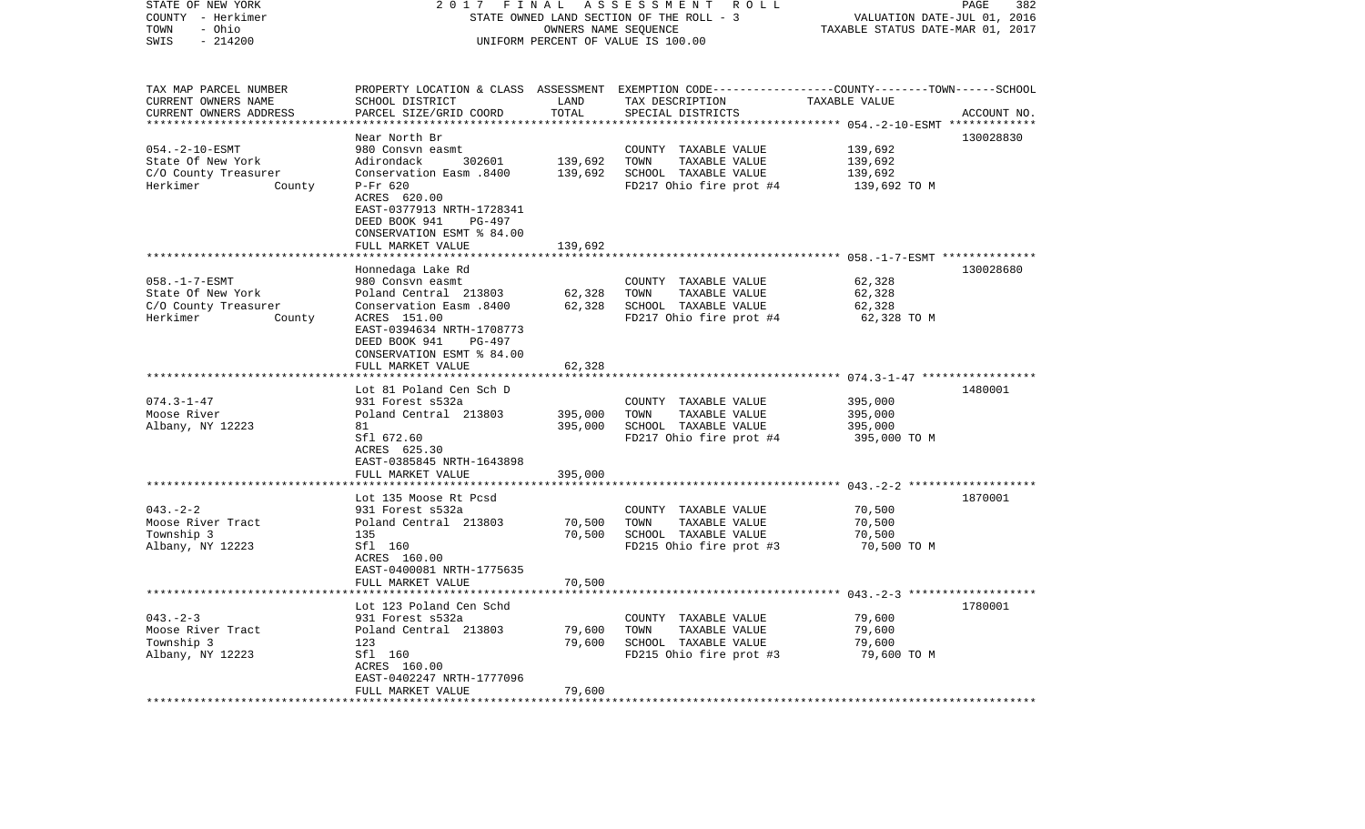| STATE OF NEW YORK<br>COUNTY - Herkimer | 2 0 1 7<br>FINAL<br>STATE OWNED LAND SECTION OF THE ROLL - 3 | 382<br>PAGE<br>VALUATION DATE-JUL 01, 2016 |                                                                                                 |                                                    |             |  |
|----------------------------------------|--------------------------------------------------------------|--------------------------------------------|-------------------------------------------------------------------------------------------------|----------------------------------------------------|-------------|--|
| - Ohio<br>TOWN<br>SWIS<br>$-214200$    | OWNERS NAME SEQUENCE<br>UNIFORM PERCENT OF VALUE IS 100.00   |                                            |                                                                                                 | TAXABLE STATUS DATE-MAR 01, 2017                   |             |  |
|                                        |                                                              |                                            |                                                                                                 |                                                    |             |  |
| TAX MAP PARCEL NUMBER                  |                                                              |                                            | PROPERTY LOCATION & CLASS ASSESSMENT EXEMPTION CODE----------------COUNTY-------TOWN-----SCHOOL |                                                    |             |  |
| CURRENT OWNERS NAME                    | SCHOOL DISTRICT                                              | LAND                                       | TAX DESCRIPTION                                                                                 | TAXABLE VALUE                                      |             |  |
| CURRENT OWNERS ADDRESS                 | PARCEL SIZE/GRID COORD                                       | TOTAL                                      | SPECIAL DISTRICTS                                                                               |                                                    | ACCOUNT NO. |  |
|                                        | Near North Br                                                |                                            |                                                                                                 | ********* 054.-2-10-ESMT *                         | 130028830   |  |
| $054. -2 - 10 - ESMT$                  | 980 Consyn easmt                                             |                                            | COUNTY TAXABLE VALUE                                                                            | 139,692                                            |             |  |
| State Of New York                      | Adirondack<br>302601                                         | 139,692                                    | TOWN<br>TAXABLE VALUE                                                                           | 139,692                                            |             |  |
| C/O County Treasurer                   | Conservation Easm .8400                                      | 139,692                                    | SCHOOL TAXABLE VALUE                                                                            | 139,692                                            |             |  |
| Herkimer<br>County                     | P-Fr 620                                                     |                                            | FD217 Ohio fire prot #4                                                                         | 139,692 TO M                                       |             |  |
|                                        | ACRES 620.00<br>EAST-0377913 NRTH-1728341                    |                                            |                                                                                                 |                                                    |             |  |
|                                        | DEED BOOK 941<br>PG-497                                      |                                            |                                                                                                 |                                                    |             |  |
|                                        | CONSERVATION ESMT % 84.00                                    |                                            |                                                                                                 |                                                    |             |  |
|                                        | FULL MARKET VALUE                                            | 139,692                                    |                                                                                                 |                                                    |             |  |
|                                        | * * * * * * * * * * * * * * * * * * * *                      |                                            |                                                                                                 |                                                    |             |  |
|                                        | Honnedaga Lake Rd                                            |                                            |                                                                                                 |                                                    | 130028680   |  |
| $058. -1 - 7 - ESMT$                   | 980 Consvn easmt                                             |                                            | COUNTY TAXABLE VALUE                                                                            | 62,328                                             |             |  |
| State Of New York                      | Poland Central 213803                                        | 62,328                                     | TOWN<br>TAXABLE VALUE                                                                           | 62,328                                             |             |  |
| C/O County Treasurer                   | Conservation Easm .8400                                      | 62,328                                     | SCHOOL TAXABLE VALUE                                                                            | 62,328                                             |             |  |
| County<br>Herkimer                     | ACRES 151.00                                                 |                                            | FD217 Ohio fire prot #4                                                                         | 62,328 TO M                                        |             |  |
|                                        | EAST-0394634 NRTH-1708773<br>PG-497                          |                                            |                                                                                                 |                                                    |             |  |
|                                        | DEED BOOK 941<br>CONSERVATION ESMT % 84.00                   |                                            |                                                                                                 |                                                    |             |  |
|                                        | FULL MARKET VALUE                                            | 62,328                                     |                                                                                                 |                                                    |             |  |
|                                        | ******************                                           | ***********                                |                                                                                                 |                                                    |             |  |
|                                        | Lot 81 Poland Cen Sch D                                      |                                            |                                                                                                 |                                                    | 1480001     |  |
| $074.3 - 1 - 47$                       | 931 Forest s532a                                             |                                            | COUNTY TAXABLE VALUE                                                                            | 395,000                                            |             |  |
| Moose River                            | Poland Central 213803                                        | 395,000                                    | TOWN<br>TAXABLE VALUE                                                                           | 395,000                                            |             |  |
| Albany, NY 12223                       | 81                                                           | 395,000                                    | SCHOOL TAXABLE VALUE                                                                            | 395,000                                            |             |  |
|                                        | Sfl 672.60                                                   |                                            | FD217 Ohio fire prot #4                                                                         | 395,000 TO M                                       |             |  |
|                                        | ACRES 625.30<br>EAST-0385845 NRTH-1643898                    |                                            |                                                                                                 |                                                    |             |  |
|                                        | FULL MARKET VALUE                                            | 395,000                                    |                                                                                                 |                                                    |             |  |
|                                        | ******************                                           |                                            |                                                                                                 |                                                    |             |  |
|                                        | Lot 135 Moose Rt Pcsd                                        |                                            |                                                                                                 |                                                    | 1870001     |  |
| $043 - 2 - 2$                          | 931 Forest s532a                                             |                                            | COUNTY TAXABLE VALUE                                                                            | 70,500                                             |             |  |
| Moose River Tract                      | Poland Central 213803                                        | 70,500                                     | TOWN<br>TAXABLE VALUE                                                                           | 70,500                                             |             |  |
| Township 3                             | 135                                                          | 70,500                                     | SCHOOL TAXABLE VALUE                                                                            | 70,500                                             |             |  |
| Albany, NY 12223                       | Sfl 160                                                      |                                            | FD215 Ohio fire prot #3                                                                         | 70,500 TO M                                        |             |  |
|                                        | ACRES 160.00                                                 |                                            |                                                                                                 |                                                    |             |  |
|                                        | EAST-0400081 NRTH-1775635<br>FULL MARKET VALUE               |                                            |                                                                                                 |                                                    |             |  |
|                                        |                                                              | 70,500                                     |                                                                                                 | ******************* 043. -2-3 ******************** |             |  |
|                                        | Lot 123 Poland Cen Schd                                      |                                            |                                                                                                 |                                                    | 1780001     |  |
| $043 - 2 - 3$                          | 931 Forest s532a                                             |                                            | COUNTY TAXABLE VALUE                                                                            | 79,600                                             |             |  |
| Moose River Tract                      | Poland Central 213803                                        | 79,600                                     | TOWN<br>TAXABLE VALUE                                                                           | 79,600                                             |             |  |
| Township 3                             | 123                                                          | 79,600                                     | SCHOOL TAXABLE VALUE                                                                            | 79,600                                             |             |  |
| Albany, NY 12223                       | Sfl 160                                                      |                                            | FD215 Ohio fire prot #3                                                                         | 79,600 TO M                                        |             |  |
|                                        | ACRES 160.00                                                 |                                            |                                                                                                 |                                                    |             |  |
|                                        | EAST-0402247 NRTH-1777096                                    |                                            |                                                                                                 |                                                    |             |  |
|                                        | FULL MARKET VALUE                                            | 79,600<br>***************                  |                                                                                                 |                                                    |             |  |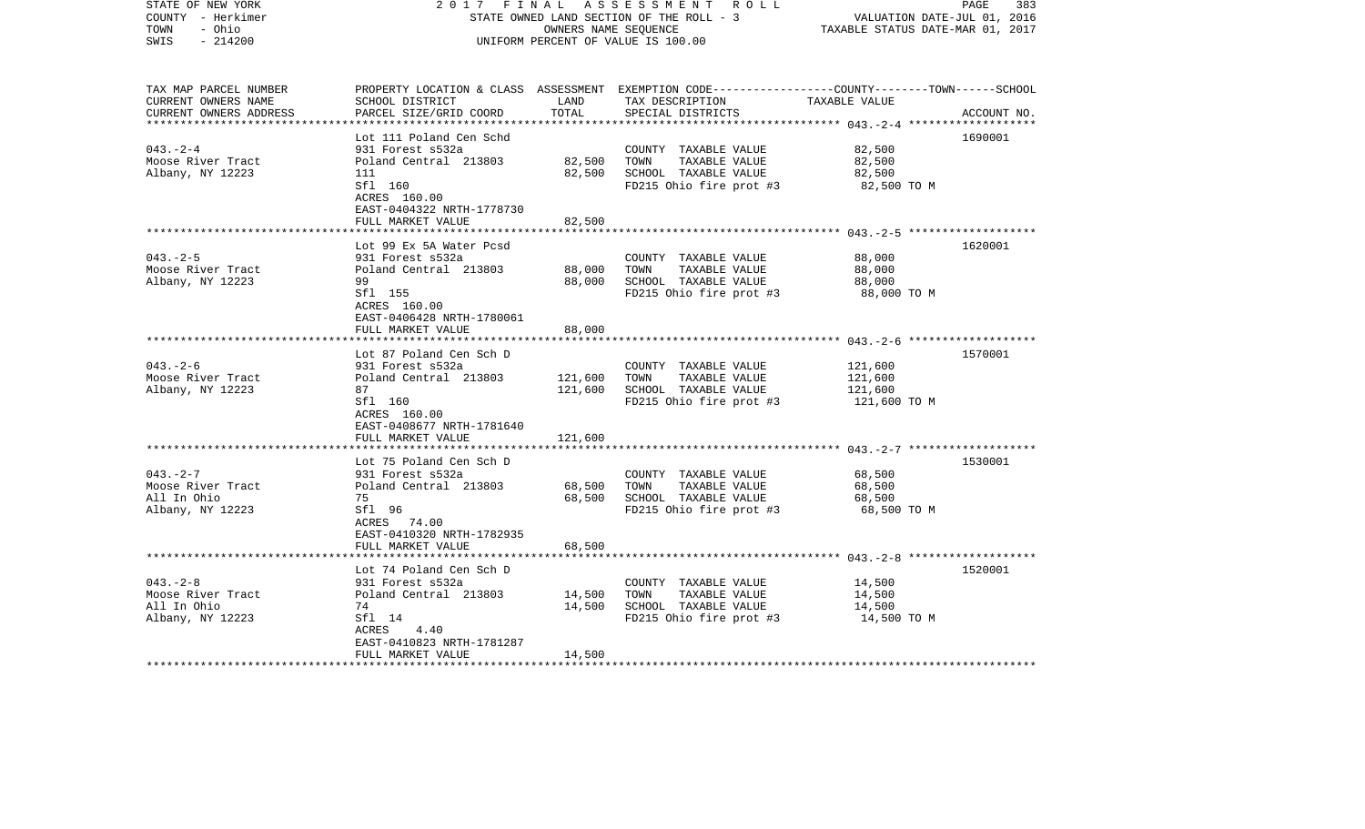| STATE OF NEW YORK<br>COUNTY - Herkimer<br>- Ohio<br>TOWN<br>$-214200$<br>SWIS | 2017<br>FINAL                                                             | OWNERS NAME SEQUENCE | A S S E S S M E N T R O L L<br>STATE OWNED LAND SECTION OF THE ROLL - 3<br>UNIFORM PERCENT OF VALUE IS 100.00                           | VALUATION DATE-JUL 01, 2016<br>TAXABLE STATUS DATE-MAR 01, 2017 | PAGE<br>383 |
|-------------------------------------------------------------------------------|---------------------------------------------------------------------------|----------------------|-----------------------------------------------------------------------------------------------------------------------------------------|-----------------------------------------------------------------|-------------|
| TAX MAP PARCEL NUMBER<br>CURRENT OWNERS NAME<br>CURRENT OWNERS ADDRESS        | SCHOOL DISTRICT<br>PARCEL SIZE/GRID COORD                                 | LAND<br>TOTAL        | PROPERTY LOCATION & CLASS ASSESSMENT EXEMPTION CODE---------------COUNTY-------TOWN------SCHOOL<br>TAX DESCRIPTION<br>SPECIAL DISTRICTS | TAXABLE VALUE                                                   | ACCOUNT NO. |
|                                                                               | Lot 111 Poland Cen Schd                                                   |                      |                                                                                                                                         |                                                                 | 1690001     |
| $043. -2 - 4$                                                                 | 931 Forest s532a                                                          |                      | COUNTY TAXABLE VALUE                                                                                                                    | 82,500                                                          |             |
| Moose River Tract                                                             | Poland Central 213803                                                     | 82,500               | TOWN<br>TAXABLE VALUE                                                                                                                   | 82,500                                                          |             |
| Albany, NY 12223                                                              | 111                                                                       | 82,500               | SCHOOL TAXABLE VALUE                                                                                                                    | 82,500                                                          |             |
|                                                                               | Sfl 160<br>ACRES 160.00<br>EAST-0404322 NRTH-1778730<br>FULL MARKET VALUE | 82,500               | FD215 Ohio fire prot #3                                                                                                                 | 82,500 TO M                                                     |             |
|                                                                               |                                                                           |                      |                                                                                                                                         |                                                                 |             |
|                                                                               | Lot 99 Ex 5A Water Pcsd                                                   |                      |                                                                                                                                         |                                                                 | 1620001     |
| $043 - 2 - 5$                                                                 | 931 Forest s532a                                                          |                      | COUNTY TAXABLE VALUE                                                                                                                    | 88,000                                                          |             |
| Moose River Tract                                                             | Poland Central 213803                                                     | 88,000               | TAXABLE VALUE<br>TOWN                                                                                                                   | 88,000                                                          |             |
| Albany, NY 12223                                                              | 99<br>Sfl 155                                                             | 88,000               | SCHOOL TAXABLE VALUE                                                                                                                    | 88,000<br>88,000 TO M                                           |             |
|                                                                               | ACRES 160.00                                                              |                      | FD215 Ohio fire prot #3                                                                                                                 |                                                                 |             |
|                                                                               | EAST-0406428 NRTH-1780061                                                 |                      |                                                                                                                                         |                                                                 |             |
|                                                                               | FULL MARKET VALUE                                                         | 88,000               |                                                                                                                                         |                                                                 |             |
|                                                                               | ***************************                                               |                      |                                                                                                                                         |                                                                 |             |
|                                                                               | Lot 87 Poland Cen Sch D                                                   |                      |                                                                                                                                         |                                                                 | 1570001     |
| $043. - 2 - 6$<br>Moose River Tract                                           | 931 Forest s532a<br>Poland Central 213803                                 | 121,600              | COUNTY TAXABLE VALUE<br>TOWN<br>TAXABLE VALUE                                                                                           | 121,600<br>121,600                                              |             |
| Albany, NY 12223                                                              | 87                                                                        | 121,600              | SCHOOL TAXABLE VALUE                                                                                                                    | 121,600                                                         |             |
|                                                                               | Sfl 160                                                                   |                      | FD215 Ohio fire prot #3                                                                                                                 | 121,600 TO M                                                    |             |
|                                                                               | ACRES 160.00                                                              |                      |                                                                                                                                         |                                                                 |             |
|                                                                               | EAST-0408677 NRTH-1781640                                                 |                      |                                                                                                                                         |                                                                 |             |
|                                                                               | FULL MARKET VALUE                                                         | 121,600              |                                                                                                                                         |                                                                 |             |
|                                                                               | Lot 75 Poland Cen Sch D                                                   |                      |                                                                                                                                         |                                                                 | 1530001     |
| $043. -2 - 7$                                                                 | 931 Forest s532a                                                          |                      | COUNTY TAXABLE VALUE                                                                                                                    | 68,500                                                          |             |
| Moose River Tract                                                             | Poland Central 213803                                                     | 68,500               | TAXABLE VALUE<br>TOWN                                                                                                                   | 68,500                                                          |             |
| All In Ohio                                                                   | 75                                                                        | 68,500               | SCHOOL TAXABLE VALUE                                                                                                                    | 68,500                                                          |             |
| Albany, NY 12223                                                              | Sfl 96                                                                    |                      | FD215 Ohio fire prot #3                                                                                                                 | 68,500 TO M                                                     |             |
|                                                                               | ACRES 74.00<br>EAST-0410320 NRTH-1782935                                  |                      |                                                                                                                                         |                                                                 |             |
|                                                                               | FULL MARKET VALUE                                                         | 68,500               |                                                                                                                                         |                                                                 |             |
|                                                                               |                                                                           |                      |                                                                                                                                         |                                                                 |             |
|                                                                               | Lot 74 Poland Cen Sch D                                                   |                      |                                                                                                                                         |                                                                 | 1520001     |
| $043. - 2 - 8$                                                                | 931 Forest s532a                                                          |                      | COUNTY TAXABLE VALUE                                                                                                                    | 14,500                                                          |             |
| Moose River Tract                                                             | Poland Central 213803                                                     | 14,500               | TOWN<br>TAXABLE VALUE                                                                                                                   | 14,500                                                          |             |
| All In Ohio<br>Albany, NY 12223                                               | 74<br>Sfl 14                                                              | 14,500               | SCHOOL TAXABLE VALUE<br>FD215 Ohio fire prot #3                                                                                         | 14,500<br>14,500 TO M                                           |             |
|                                                                               | ACRES<br>4.40                                                             |                      |                                                                                                                                         |                                                                 |             |
|                                                                               | EAST-0410823 NRTH-1781287                                                 |                      |                                                                                                                                         |                                                                 |             |
|                                                                               | FULL MARKET VALUE                                                         | 14,500               |                                                                                                                                         |                                                                 |             |
| ************************                                                      |                                                                           |                      |                                                                                                                                         |                                                                 |             |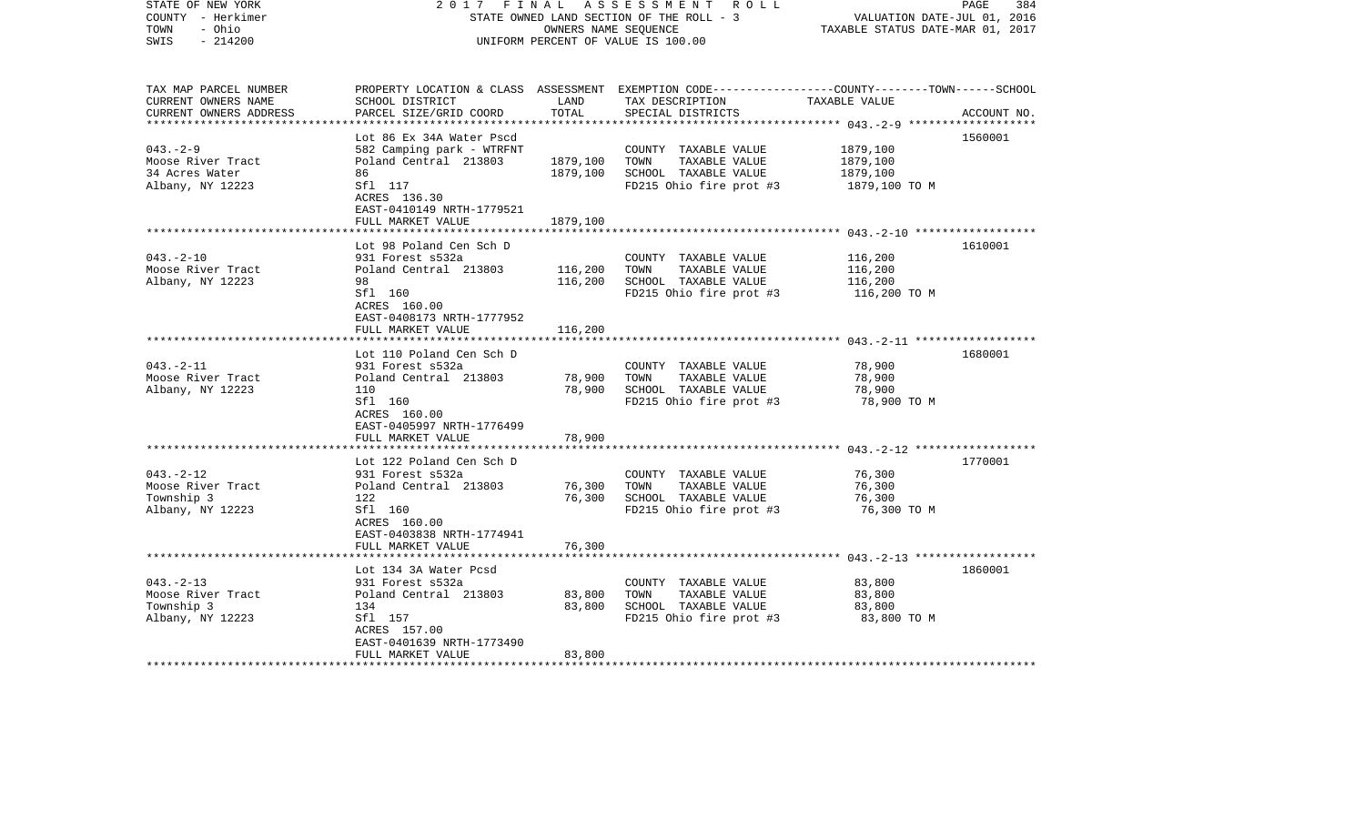| STATE OF NEW YORK<br>COUNTY - Herkimer<br>- Ohio<br>TOWN<br>$-214200$<br>SWIS                        | 2017                                                 | FINAL<br>OWNERS NAME SEQUENCE | A S S E S S M E N T R O L L<br>STATE OWNED LAND SECTION OF THE ROLL - 3<br>UNIFORM PERCENT OF VALUE IS 100.00                           | VALUATION DATE-JUL 01, 2016<br>TAXABLE STATUS DATE-MAR 01, 2017 | PAGE<br>384 |
|------------------------------------------------------------------------------------------------------|------------------------------------------------------|-------------------------------|-----------------------------------------------------------------------------------------------------------------------------------------|-----------------------------------------------------------------|-------------|
| TAX MAP PARCEL NUMBER<br>CURRENT OWNERS NAME<br>CURRENT OWNERS ADDRESS<br>************************** | SCHOOL DISTRICT<br>PARCEL SIZE/GRID COORD            | LAND<br>TOTAL                 | PROPERTY LOCATION & CLASS ASSESSMENT EXEMPTION CODE---------------COUNTY-------TOWN------SCHOOL<br>TAX DESCRIPTION<br>SPECIAL DISTRICTS | TAXABLE VALUE                                                   | ACCOUNT NO. |
|                                                                                                      | Lot 86 Ex 34A Water Pscd                             |                               |                                                                                                                                         |                                                                 | 1560001     |
| $043. - 2 - 9$                                                                                       | 582 Camping park - WTRFNT                            |                               | COUNTY TAXABLE VALUE                                                                                                                    | 1879,100                                                        |             |
| Moose River Tract                                                                                    | Poland Central 213803                                | 1879,100                      | TOWN<br>TAXABLE VALUE                                                                                                                   | 1879,100                                                        |             |
| 34 Acres Water                                                                                       | 86                                                   | 1879,100                      | SCHOOL TAXABLE VALUE                                                                                                                    | 1879,100                                                        |             |
| Albany, NY 12223                                                                                     | Sfl 117<br>ACRES 136.30<br>EAST-0410149 NRTH-1779521 |                               | FD215 Ohio fire prot #3                                                                                                                 | 1879,100 TO M                                                   |             |
|                                                                                                      | FULL MARKET VALUE                                    | 1879,100                      |                                                                                                                                         |                                                                 |             |
|                                                                                                      | Lot 98 Poland Cen Sch D                              |                               |                                                                                                                                         |                                                                 | 1610001     |
| $043. - 2 - 10$                                                                                      | 931 Forest s532a                                     |                               | COUNTY TAXABLE VALUE                                                                                                                    | 116,200                                                         |             |
| Moose River Tract                                                                                    | Poland Central 213803                                | 116,200                       | TOWN<br>TAXABLE VALUE                                                                                                                   | 116,200                                                         |             |
| Albany, NY 12223                                                                                     | 98                                                   | 116,200                       | SCHOOL TAXABLE VALUE                                                                                                                    | 116,200                                                         |             |
|                                                                                                      | Sfl 160<br>ACRES 160.00<br>EAST-0408173 NRTH-1777952 |                               | FD215 Ohio fire prot #3                                                                                                                 | 116,200 TO M                                                    |             |
|                                                                                                      | FULL MARKET VALUE                                    | 116,200                       |                                                                                                                                         |                                                                 |             |
|                                                                                                      |                                                      |                               |                                                                                                                                         |                                                                 |             |
|                                                                                                      | Lot 110 Poland Cen Sch D                             |                               |                                                                                                                                         |                                                                 | 1680001     |
| $043. -2 - 11$<br>Moose River Tract                                                                  | 931 Forest s532a<br>Poland Central 213803            |                               | COUNTY TAXABLE VALUE<br>TOWN<br>TAXABLE VALUE                                                                                           | 78,900<br>78,900                                                |             |
| Albany, NY 12223                                                                                     | 110                                                  | 78,900<br>78,900              | SCHOOL TAXABLE VALUE                                                                                                                    | 78,900                                                          |             |
|                                                                                                      | Sfl 160                                              |                               | FD215 Ohio fire prot #3                                                                                                                 | 78,900 TO M                                                     |             |
|                                                                                                      | ACRES 160.00                                         |                               |                                                                                                                                         |                                                                 |             |
|                                                                                                      | EAST-0405997 NRTH-1776499                            |                               |                                                                                                                                         |                                                                 |             |
|                                                                                                      | FULL MARKET VALUE                                    | 78,900                        |                                                                                                                                         |                                                                 |             |
|                                                                                                      |                                                      |                               |                                                                                                                                         |                                                                 |             |
| $043. -2 - 12$                                                                                       | Lot 122 Poland Cen Sch D<br>931 Forest s532a         |                               | COUNTY TAXABLE VALUE                                                                                                                    | 76,300                                                          | 1770001     |
| Moose River Tract                                                                                    | Poland Central 213803                                | 76,300                        | TAXABLE VALUE<br>TOWN                                                                                                                   | 76,300                                                          |             |
| Township 3                                                                                           | 122                                                  | 76,300                        | SCHOOL TAXABLE VALUE                                                                                                                    | 76,300                                                          |             |
| Albany, NY 12223                                                                                     | Sfl 160                                              |                               | FD215 Ohio fire prot #3                                                                                                                 | 76,300 TO M                                                     |             |
|                                                                                                      | ACRES 160.00                                         |                               |                                                                                                                                         |                                                                 |             |
|                                                                                                      | EAST-0403838 NRTH-1774941                            |                               |                                                                                                                                         |                                                                 |             |
|                                                                                                      | FULL MARKET VALUE                                    | 76,300                        |                                                                                                                                         |                                                                 |             |
|                                                                                                      |                                                      |                               |                                                                                                                                         |                                                                 |             |
| $043. -2 - 13$                                                                                       | Lot 134 3A Water Pcsd<br>931 Forest s532a            |                               | COUNTY TAXABLE VALUE                                                                                                                    | 83,800                                                          | 1860001     |
| Moose River Tract                                                                                    | Poland Central 213803                                | 83,800                        | TOWN<br>TAXABLE VALUE                                                                                                                   | 83,800                                                          |             |
| Township 3                                                                                           | 134                                                  | 83,800                        | SCHOOL TAXABLE VALUE                                                                                                                    | 83,800                                                          |             |
| Albany, NY 12223                                                                                     | Sfl 157                                              |                               | FD215 Ohio fire prot #3                                                                                                                 | 83,800 TO M                                                     |             |
|                                                                                                      | ACRES 157.00                                         |                               |                                                                                                                                         |                                                                 |             |
|                                                                                                      | EAST-0401639 NRTH-1773490                            |                               |                                                                                                                                         |                                                                 |             |
| **********************                                                                               | FULL MARKET VALUE                                    | 83,800                        |                                                                                                                                         |                                                                 |             |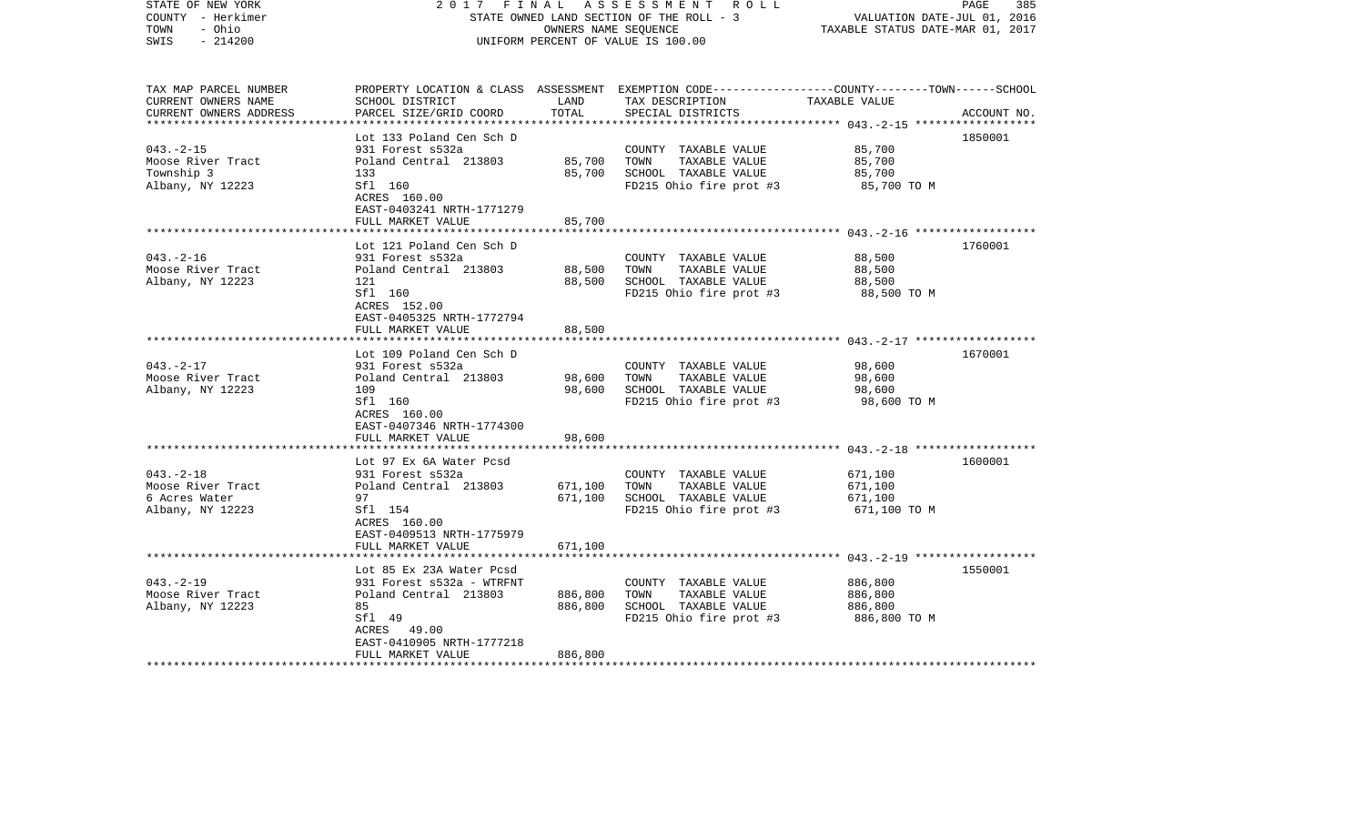| STATE OF NEW YORK<br>COUNTY - Herkimer<br>- Ohio<br>TOWN<br>$-214200$<br>SWIS                        | FINAL<br>2017                                        | OWNERS NAME SEQUENCE | A S S E S S M E N T R O L L<br>STATE OWNED LAND SECTION OF THE ROLL - 3<br>UNIFORM PERCENT OF VALUE IS 100.00                           | VALUATION DATE-JUL 01, 2016<br>TAXABLE STATUS DATE-MAR 01, 2017 | PAGE<br>385 |
|------------------------------------------------------------------------------------------------------|------------------------------------------------------|----------------------|-----------------------------------------------------------------------------------------------------------------------------------------|-----------------------------------------------------------------|-------------|
| TAX MAP PARCEL NUMBER<br>CURRENT OWNERS NAME<br>CURRENT OWNERS ADDRESS<br>************************** | SCHOOL DISTRICT<br>PARCEL SIZE/GRID COORD            | LAND<br>TOTAL        | PROPERTY LOCATION & CLASS ASSESSMENT EXEMPTION CODE---------------COUNTY-------TOWN------SCHOOL<br>TAX DESCRIPTION<br>SPECIAL DISTRICTS | TAXABLE VALUE                                                   | ACCOUNT NO. |
|                                                                                                      | Lot 133 Poland Cen Sch D                             |                      |                                                                                                                                         |                                                                 | 1850001     |
| $043. - 2 - 15$                                                                                      | 931 Forest s532a                                     |                      | COUNTY TAXABLE VALUE                                                                                                                    | 85,700                                                          |             |
| Moose River Tract                                                                                    | Poland Central 213803                                | 85,700               | TOWN<br>TAXABLE VALUE                                                                                                                   | 85,700                                                          |             |
| Township 3                                                                                           | 133                                                  | 85,700               | SCHOOL TAXABLE VALUE                                                                                                                    | 85,700                                                          |             |
| Albany, NY 12223                                                                                     | Sfl 160<br>ACRES 160.00<br>EAST-0403241 NRTH-1771279 |                      | FD215 Ohio fire prot #3                                                                                                                 | 85,700 TO M                                                     |             |
|                                                                                                      | FULL MARKET VALUE                                    | 85,700               |                                                                                                                                         |                                                                 |             |
|                                                                                                      | Lot 121 Poland Cen Sch D                             |                      |                                                                                                                                         |                                                                 | 1760001     |
| $043. - 2 - 16$                                                                                      | 931 Forest s532a                                     |                      | COUNTY TAXABLE VALUE                                                                                                                    | 88,500                                                          |             |
| Moose River Tract                                                                                    | Poland Central 213803                                | 88,500               | TOWN<br>TAXABLE VALUE                                                                                                                   | 88,500                                                          |             |
| Albany, NY 12223                                                                                     | 121                                                  | 88,500               | SCHOOL TAXABLE VALUE                                                                                                                    | 88,500                                                          |             |
|                                                                                                      | Sfl 160<br>ACRES 152.00<br>EAST-0405325 NRTH-1772794 |                      | FD215 Ohio fire prot #3                                                                                                                 | 88,500 TO M                                                     |             |
|                                                                                                      | FULL MARKET VALUE                                    | 88,500               |                                                                                                                                         |                                                                 |             |
|                                                                                                      |                                                      |                      |                                                                                                                                         |                                                                 |             |
|                                                                                                      | Lot 109 Poland Cen Sch D                             |                      |                                                                                                                                         |                                                                 | 1670001     |
| $043. -2 - 17$                                                                                       | 931 Forest s532a                                     |                      | COUNTY TAXABLE VALUE                                                                                                                    | 98,600                                                          |             |
| Moose River Tract<br>Albany, NY 12223                                                                | Poland Central 213803<br>109                         | 98,600<br>98,600     | TOWN<br>TAXABLE VALUE<br>SCHOOL TAXABLE VALUE                                                                                           | 98,600<br>98,600                                                |             |
|                                                                                                      | Sfl 160                                              |                      | FD215 Ohio fire prot #3                                                                                                                 | 98,600 TO M                                                     |             |
|                                                                                                      | ACRES 160.00                                         |                      |                                                                                                                                         |                                                                 |             |
|                                                                                                      | EAST-0407346 NRTH-1774300                            |                      |                                                                                                                                         |                                                                 |             |
|                                                                                                      | FULL MARKET VALUE                                    | 98,600               |                                                                                                                                         |                                                                 |             |
|                                                                                                      |                                                      |                      |                                                                                                                                         |                                                                 |             |
| $043. - 2 - 18$                                                                                      | Lot 97 Ex 6A Water Pcsd<br>931 Forest s532a          |                      | COUNTY TAXABLE VALUE                                                                                                                    | 671,100                                                         | 1600001     |
| Moose River Tract                                                                                    | Poland Central 213803                                | 671,100              | TOWN<br>TAXABLE VALUE                                                                                                                   | 671,100                                                         |             |
| 6 Acres Water                                                                                        | 97                                                   | 671,100              | SCHOOL TAXABLE VALUE                                                                                                                    | 671,100                                                         |             |
| Albany, NY 12223                                                                                     | Sfl 154                                              |                      | FD215 Ohio fire prot #3                                                                                                                 | 671,100 TO M                                                    |             |
|                                                                                                      | ACRES 160.00                                         |                      |                                                                                                                                         |                                                                 |             |
|                                                                                                      | EAST-0409513 NRTH-1775979                            |                      |                                                                                                                                         |                                                                 |             |
|                                                                                                      | FULL MARKET VALUE                                    | 671,100              |                                                                                                                                         |                                                                 |             |
|                                                                                                      | Lot 85 Ex 23A Water Pcsd                             |                      |                                                                                                                                         |                                                                 | 1550001     |
| $043. -2 - 19$                                                                                       | 931 Forest s532a - WTRFNT                            |                      | COUNTY TAXABLE VALUE                                                                                                                    | 886,800                                                         |             |
| Moose River Tract                                                                                    | Poland Central 213803                                | 886,800              | TAXABLE VALUE<br>TOWN                                                                                                                   | 886,800                                                         |             |
| Albany, NY 12223                                                                                     | 85                                                   | 886,800              | SCHOOL TAXABLE VALUE                                                                                                                    | 886,800                                                         |             |
|                                                                                                      | Sfl 49                                               |                      | FD215 Ohio fire prot #3                                                                                                                 | 886,800 TO M                                                    |             |
|                                                                                                      | ACRES<br>49.00                                       |                      |                                                                                                                                         |                                                                 |             |
|                                                                                                      | EAST-0410905 NRTH-1777218                            |                      |                                                                                                                                         |                                                                 |             |
| *******************                                                                                  | FULL MARKET VALUE                                    | 886,800              |                                                                                                                                         |                                                                 |             |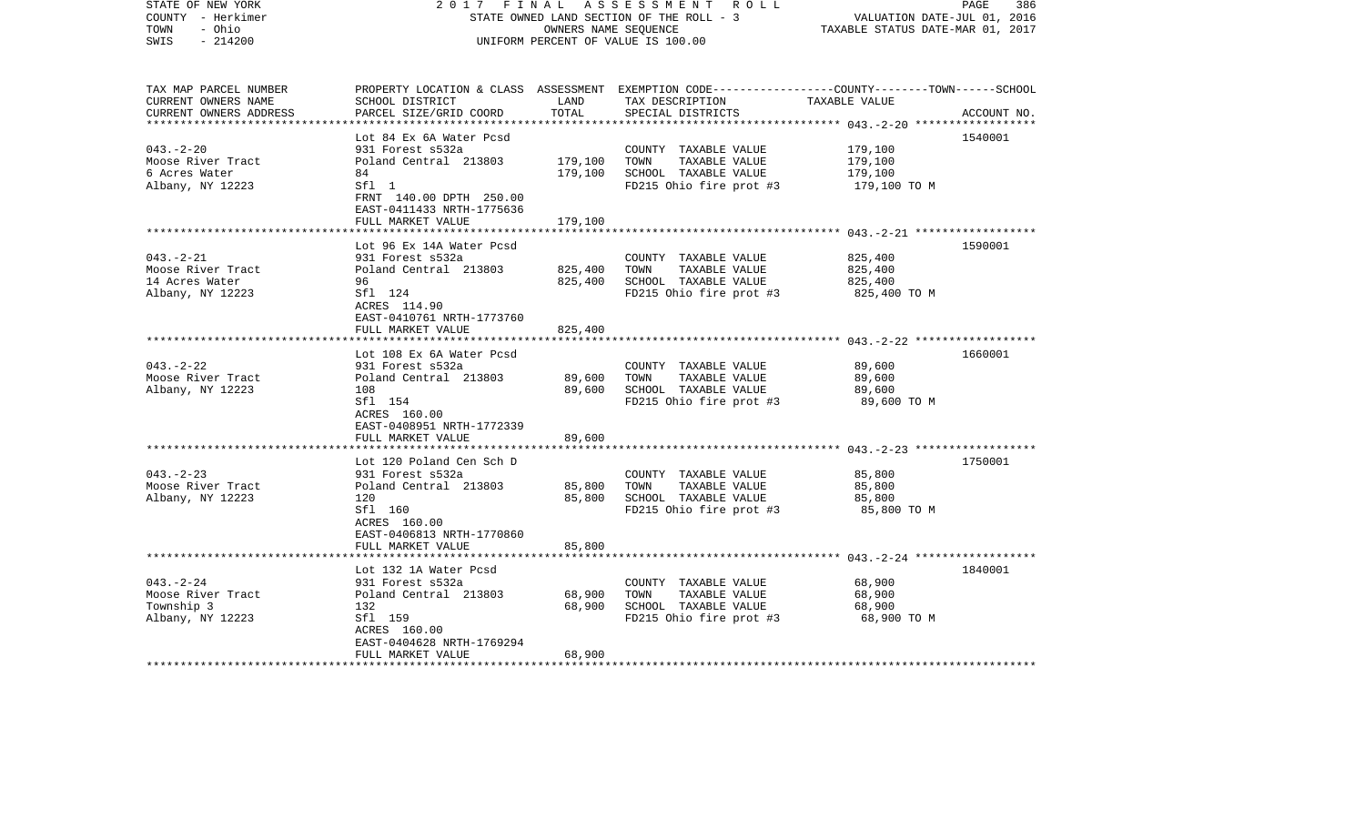| STATE OF NEW YORK<br>COUNTY - Herkimer<br>- Ohio<br>TOWN<br>$-214200$<br>SWIS | 2017                                                          | FINAL<br>OWNERS NAME SEQUENCE | A S S E S S M E N T R O L L<br>STATE OWNED LAND SECTION OF THE ROLL - 3<br>UNIFORM PERCENT OF VALUE IS 100.00                          | VALUATION DATE-JUL 01, 2016<br>TAXABLE STATUS DATE-MAR 01, 2017 | PAGE<br>386 |
|-------------------------------------------------------------------------------|---------------------------------------------------------------|-------------------------------|----------------------------------------------------------------------------------------------------------------------------------------|-----------------------------------------------------------------|-------------|
| TAX MAP PARCEL NUMBER<br>CURRENT OWNERS NAME<br>CURRENT OWNERS ADDRESS        | SCHOOL DISTRICT<br>PARCEL SIZE/GRID COORD                     | LAND<br>TOTAL                 | PROPERTY LOCATION & CLASS ASSESSMENT EXEMPTION CODE--------------COUNTY-------TOWN------SCHOOL<br>TAX DESCRIPTION<br>SPECIAL DISTRICTS | TAXABLE VALUE                                                   | ACCOUNT NO. |
|                                                                               | Lot 84 Ex 6A Water Pcsd                                       |                               |                                                                                                                                        |                                                                 | 1540001     |
| $043. - 2 - 20$                                                               | 931 Forest s532a                                              |                               | COUNTY TAXABLE VALUE                                                                                                                   | 179,100                                                         |             |
| Moose River Tract                                                             | Poland Central 213803                                         | 179,100                       | TOWN<br>TAXABLE VALUE                                                                                                                  | 179,100                                                         |             |
| 6 Acres Water                                                                 | 84                                                            | 179,100                       | SCHOOL TAXABLE VALUE                                                                                                                   | 179,100                                                         |             |
| Albany, NY 12223                                                              | Sfl 1<br>FRNT 140.00 DPTH 250.00<br>EAST-0411433 NRTH-1775636 |                               | FD215 Ohio fire prot #3                                                                                                                | 179,100 TO M                                                    |             |
|                                                                               | FULL MARKET VALUE                                             | 179,100                       |                                                                                                                                        |                                                                 |             |
|                                                                               | Lot 96 Ex 14A Water Pcsd                                      |                               |                                                                                                                                        |                                                                 | 1590001     |
| $043. -2 - 21$                                                                | 931 Forest s532a                                              |                               | COUNTY TAXABLE VALUE                                                                                                                   | 825,400                                                         |             |
| Moose River Tract                                                             | Poland Central 213803                                         | 825,400                       | TOWN<br>TAXABLE VALUE                                                                                                                  | 825,400                                                         |             |
| 14 Acres Water                                                                | 96                                                            | 825,400                       | SCHOOL TAXABLE VALUE                                                                                                                   | 825,400                                                         |             |
| Albany, NY 12223                                                              | Sfl 124<br>ACRES 114.90<br>EAST-0410761 NRTH-1773760          |                               | FD215 Ohio fire prot #3                                                                                                                | 825,400 TO M                                                    |             |
|                                                                               | FULL MARKET VALUE                                             | 825,400                       |                                                                                                                                        |                                                                 |             |
|                                                                               |                                                               |                               |                                                                                                                                        |                                                                 |             |
|                                                                               | Lot 108 Ex 6A Water Pcsd                                      |                               |                                                                                                                                        |                                                                 | 1660001     |
| $043. -2 - 22$                                                                | 931 Forest s532a                                              |                               | COUNTY TAXABLE VALUE                                                                                                                   | 89,600                                                          |             |
| Moose River Tract<br>Albany, NY 12223                                         | Poland Central 213803<br>108                                  | 89,600<br>89,600              | TOWN<br>TAXABLE VALUE<br>SCHOOL TAXABLE VALUE                                                                                          | 89,600<br>89,600                                                |             |
|                                                                               | Sfl 154                                                       |                               | FD215 Ohio fire prot #3                                                                                                                | 89,600 TO M                                                     |             |
|                                                                               | ACRES 160.00                                                  |                               |                                                                                                                                        |                                                                 |             |
|                                                                               | EAST-0408951 NRTH-1772339                                     |                               |                                                                                                                                        |                                                                 |             |
|                                                                               | FULL MARKET VALUE                                             | 89,600                        |                                                                                                                                        |                                                                 |             |
|                                                                               |                                                               |                               |                                                                                                                                        |                                                                 |             |
|                                                                               | Lot 120 Poland Cen Sch D                                      |                               |                                                                                                                                        |                                                                 | 1750001     |
| $043 - 2 - 23$                                                                | 931 Forest s532a                                              |                               | COUNTY TAXABLE VALUE                                                                                                                   | 85,800                                                          |             |
| Moose River Tract                                                             | Poland Central 213803<br>120                                  | 85,800<br>85,800              | TAXABLE VALUE<br>TOWN<br>SCHOOL TAXABLE VALUE                                                                                          | 85,800<br>85,800                                                |             |
| Albany, NY 12223                                                              | Sfl 160                                                       |                               | FD215 Ohio fire prot #3                                                                                                                | 85,800 TO M                                                     |             |
|                                                                               | ACRES 160.00                                                  |                               |                                                                                                                                        |                                                                 |             |
|                                                                               | EAST-0406813 NRTH-1770860                                     |                               |                                                                                                                                        |                                                                 |             |
|                                                                               | FULL MARKET VALUE                                             | 85,800                        |                                                                                                                                        |                                                                 |             |
|                                                                               |                                                               |                               |                                                                                                                                        |                                                                 |             |
|                                                                               | Lot 132 1A Water Pcsd                                         |                               |                                                                                                                                        |                                                                 | 1840001     |
| $043. - 2 - 24$                                                               | 931 Forest s532a                                              |                               | COUNTY TAXABLE VALUE                                                                                                                   | 68,900                                                          |             |
| Moose River Tract                                                             | Poland Central 213803                                         | 68,900                        | TOWN<br>TAXABLE VALUE                                                                                                                  | 68,900                                                          |             |
| Township 3<br>Albany, NY 12223                                                | 132<br>Sfl 159                                                | 68,900                        | SCHOOL TAXABLE VALUE<br>FD215 Ohio fire prot #3                                                                                        | 68,900<br>68,900 TO M                                           |             |
|                                                                               | ACRES 160.00                                                  |                               |                                                                                                                                        |                                                                 |             |
|                                                                               | EAST-0404628 NRTH-1769294                                     |                               |                                                                                                                                        |                                                                 |             |
|                                                                               | FULL MARKET VALUE                                             | 68,900                        |                                                                                                                                        |                                                                 |             |
| **********************                                                        |                                                               |                               |                                                                                                                                        |                                                                 |             |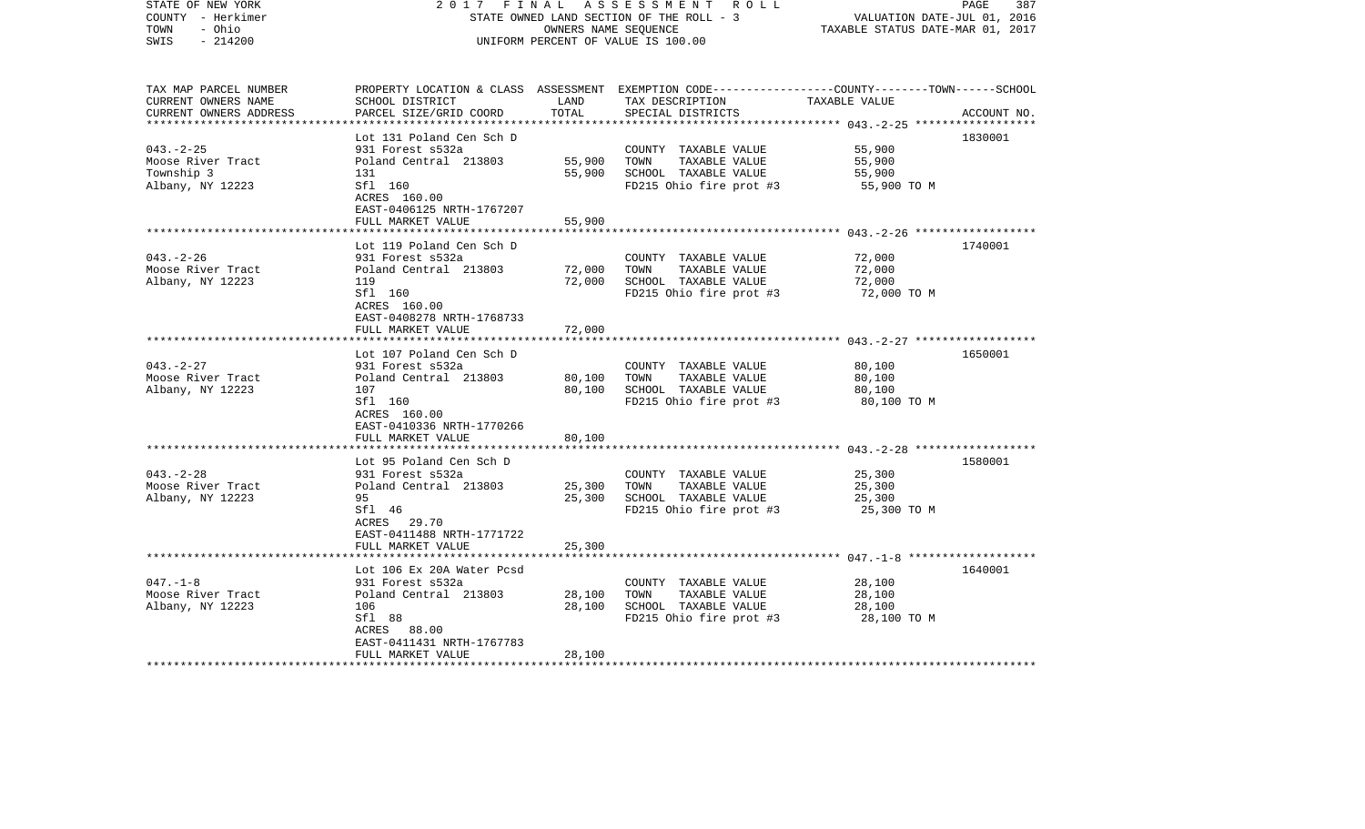| STATE OF NEW YORK<br>COUNTY - Herkimer<br>- Ohio<br>TOWN<br>$-214200$<br>SWIS | 2 0 1 7<br>FINAL                                     | OWNERS NAME SEQUENCE | A S S E S S M E N T R O L L<br>STATE OWNED LAND SECTION OF THE ROLL - 3<br>UNIFORM PERCENT OF VALUE IS 100.00                          | VALUATION DATE-JUL 01, 2016<br>TAXABLE STATUS DATE-MAR 01, 2017 | PAGE<br>387 |
|-------------------------------------------------------------------------------|------------------------------------------------------|----------------------|----------------------------------------------------------------------------------------------------------------------------------------|-----------------------------------------------------------------|-------------|
| TAX MAP PARCEL NUMBER<br>CURRENT OWNERS NAME<br>CURRENT OWNERS ADDRESS        | SCHOOL DISTRICT<br>PARCEL SIZE/GRID COORD            | LAND<br>TOTAL        | PROPERTY LOCATION & CLASS ASSESSMENT EXEMPTION CODE--------------COUNTY-------TOWN------SCHOOL<br>TAX DESCRIPTION<br>SPECIAL DISTRICTS | TAXABLE VALUE                                                   | ACCOUNT NO. |
|                                                                               | Lot 131 Poland Cen Sch D                             |                      |                                                                                                                                        |                                                                 | 1830001     |
| $043. -2 - 25$                                                                | 931 Forest s532a                                     |                      | COUNTY TAXABLE VALUE                                                                                                                   | 55,900                                                          |             |
| Moose River Tract                                                             | Poland Central 213803                                | 55,900               | TAXABLE VALUE<br>TOWN                                                                                                                  | 55,900                                                          |             |
| Township 3                                                                    | 131                                                  | 55,900               | SCHOOL TAXABLE VALUE                                                                                                                   | 55,900                                                          |             |
| Albany, NY 12223                                                              | Sfl 160<br>ACRES 160.00<br>EAST-0406125 NRTH-1767207 |                      | FD215 Ohio fire prot #3                                                                                                                | 55,900 TO M                                                     |             |
|                                                                               | FULL MARKET VALUE                                    | 55,900               |                                                                                                                                        |                                                                 |             |
|                                                                               | Lot 119 Poland Cen Sch D                             |                      |                                                                                                                                        |                                                                 | 1740001     |
| $043. - 2 - 26$                                                               | 931 Forest s532a                                     |                      | COUNTY TAXABLE VALUE                                                                                                                   | 72,000                                                          |             |
| Moose River Tract                                                             | Poland Central 213803                                | 72,000               | TOWN<br>TAXABLE VALUE                                                                                                                  | 72,000                                                          |             |
| Albany, NY 12223                                                              | 119                                                  | 72,000               | SCHOOL TAXABLE VALUE                                                                                                                   | 72,000                                                          |             |
|                                                                               | Sfl 160<br>ACRES 160.00<br>EAST-0408278 NRTH-1768733 |                      | FD215 Ohio fire prot #3                                                                                                                | 72,000 TO M                                                     |             |
|                                                                               | FULL MARKET VALUE                                    | 72,000               |                                                                                                                                        |                                                                 |             |
|                                                                               |                                                      |                      |                                                                                                                                        |                                                                 |             |
|                                                                               | Lot 107 Poland Cen Sch D                             |                      |                                                                                                                                        |                                                                 | 1650001     |
| $043. -2 - 27$                                                                | 931 Forest s532a                                     |                      | COUNTY TAXABLE VALUE                                                                                                                   | 80,100                                                          |             |
| Moose River Tract<br>Albany, NY 12223                                         | Poland Central 213803<br>107                         | 80,100<br>80,100     | TOWN<br>TAXABLE VALUE<br>SCHOOL TAXABLE VALUE                                                                                          | 80,100<br>80,100                                                |             |
|                                                                               | Sfl 160                                              |                      | FD215 Ohio fire prot #3                                                                                                                | 80,100 TO M                                                     |             |
|                                                                               | ACRES 160.00                                         |                      |                                                                                                                                        |                                                                 |             |
|                                                                               | EAST-0410336 NRTH-1770266                            |                      |                                                                                                                                        |                                                                 |             |
|                                                                               | FULL MARKET VALUE                                    | 80,100               |                                                                                                                                        |                                                                 |             |
|                                                                               |                                                      |                      |                                                                                                                                        |                                                                 |             |
| $043. - 2 - 28$                                                               | Lot 95 Poland Cen Sch D<br>931 Forest s532a          |                      | COUNTY TAXABLE VALUE                                                                                                                   | 25,300                                                          | 1580001     |
| Moose River Tract                                                             | Poland Central 213803                                | 25,300               | TAXABLE VALUE<br>TOWN                                                                                                                  | 25,300                                                          |             |
| Albany, NY 12223                                                              | 95                                                   | 25,300               | SCHOOL TAXABLE VALUE                                                                                                                   | 25,300                                                          |             |
|                                                                               | Sfl 46                                               |                      | FD215 Ohio fire prot #3                                                                                                                | 25,300 TO M                                                     |             |
|                                                                               | ACRES 29.70                                          |                      |                                                                                                                                        |                                                                 |             |
|                                                                               | EAST-0411488 NRTH-1771722                            |                      |                                                                                                                                        |                                                                 |             |
|                                                                               | FULL MARKET VALUE                                    | 25,300               |                                                                                                                                        |                                                                 |             |
|                                                                               | Lot 106 Ex 20A Water Pcsd                            |                      |                                                                                                                                        |                                                                 | 1640001     |
| $047. - 1 - 8$                                                                | 931 Forest s532a                                     |                      | COUNTY TAXABLE VALUE                                                                                                                   | 28,100                                                          |             |
| Moose River Tract                                                             | Poland Central 213803                                | 28,100               | TOWN<br>TAXABLE VALUE                                                                                                                  | 28,100                                                          |             |
| Albany, NY 12223                                                              | 106                                                  | 28,100               | SCHOOL TAXABLE VALUE                                                                                                                   | 28,100                                                          |             |
|                                                                               | Sfl 88                                               |                      | FD215 Ohio fire prot #3                                                                                                                | 28,100 TO M                                                     |             |
|                                                                               | ACRES 88.00                                          |                      |                                                                                                                                        |                                                                 |             |
|                                                                               | EAST-0411431 NRTH-1767783                            |                      |                                                                                                                                        |                                                                 |             |
| *******************                                                           | FULL MARKET VALUE                                    | 28,100               |                                                                                                                                        |                                                                 |             |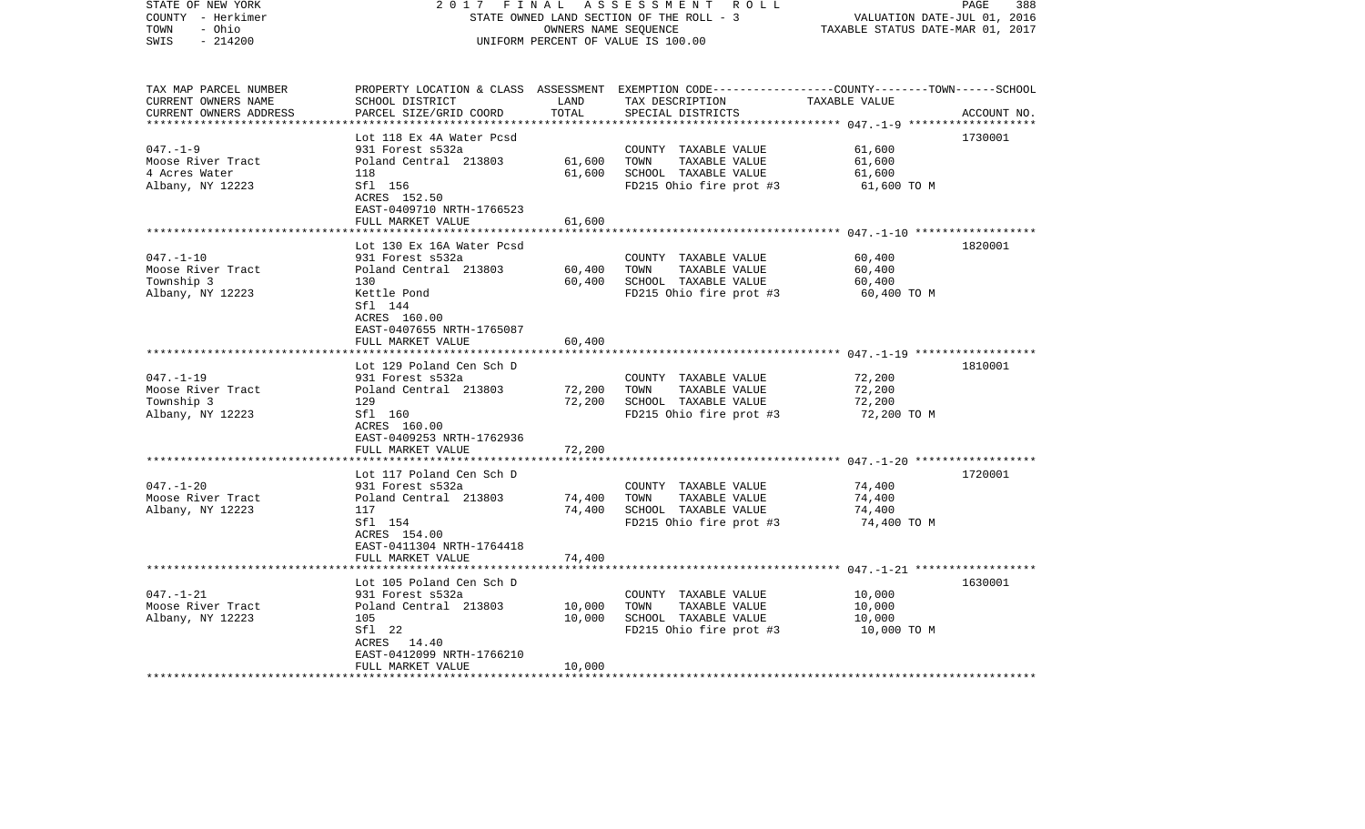| STATE OF NEW YORK<br>COUNTY - Herkimer<br>- Ohio<br>TOWN<br>$-214200$<br>SWIS | 2 0 1 7<br>FINAL                               |        | ASSESSMENT<br>R O L L<br>STATE OWNED LAND SECTION OF THE ROLL - 3<br>OWNERS NAME SEQUENCE<br>UNIFORM PERCENT OF VALUE IS 100.00 | VALUATION DATE-JUL 01, 2016<br>TAXABLE STATUS DATE-MAR 01, 2017 | PAGE<br>388 |
|-------------------------------------------------------------------------------|------------------------------------------------|--------|---------------------------------------------------------------------------------------------------------------------------------|-----------------------------------------------------------------|-------------|
|                                                                               |                                                |        |                                                                                                                                 |                                                                 |             |
| TAX MAP PARCEL NUMBER                                                         |                                                |        | PROPERTY LOCATION & CLASS ASSESSMENT EXEMPTION CODE---------------COUNTY-------TOWN------SCHOOL                                 |                                                                 |             |
| CURRENT OWNERS NAME                                                           | SCHOOL DISTRICT                                | LAND   | TAX DESCRIPTION                                                                                                                 | TAXABLE VALUE                                                   |             |
| CURRENT OWNERS ADDRESS<br>************************                            | PARCEL SIZE/GRID COORD                         | TOTAL  | SPECIAL DISTRICTS                                                                                                               |                                                                 | ACCOUNT NO. |
|                                                                               | Lot 118 Ex 4A Water Pcsd                       |        |                                                                                                                                 |                                                                 | 1730001     |
| $047. - 1 - 9$                                                                | 931 Forest s532a                               |        | COUNTY TAXABLE VALUE                                                                                                            | 61,600                                                          |             |
| Moose River Tract                                                             | Poland Central 213803                          | 61,600 | TOWN<br>TAXABLE VALUE                                                                                                           | 61,600                                                          |             |
| 4 Acres Water                                                                 | 118                                            | 61,600 | SCHOOL TAXABLE VALUE                                                                                                            | 61,600                                                          |             |
| Albany, NY 12223                                                              | Sfl 156                                        |        | FD215 Ohio fire prot #3                                                                                                         | 61,600 TO M                                                     |             |
|                                                                               | ACRES 152.50                                   |        |                                                                                                                                 |                                                                 |             |
|                                                                               | EAST-0409710 NRTH-1766523                      |        |                                                                                                                                 |                                                                 |             |
|                                                                               | FULL MARKET VALUE                              | 61,600 |                                                                                                                                 |                                                                 |             |
|                                                                               |                                                |        |                                                                                                                                 |                                                                 |             |
|                                                                               | Lot 130 Ex 16A Water Pcsd                      |        |                                                                                                                                 |                                                                 | 1820001     |
| $047. - 1 - 10$                                                               | 931 Forest s532a                               |        | COUNTY TAXABLE VALUE                                                                                                            | 60,400                                                          |             |
| Moose River Tract                                                             | Poland Central 213803                          | 60,400 | TOWN<br>TAXABLE VALUE                                                                                                           | 60,400                                                          |             |
| Township 3                                                                    | 130                                            | 60,400 | SCHOOL TAXABLE VALUE                                                                                                            | 60,400                                                          |             |
| Albany, NY 12223                                                              | Kettle Pond<br>Sfl 144                         |        | FD215 Ohio fire prot #3                                                                                                         | 60,400 TO M                                                     |             |
|                                                                               | ACRES 160.00                                   |        |                                                                                                                                 |                                                                 |             |
|                                                                               | EAST-0407655 NRTH-1765087                      |        |                                                                                                                                 |                                                                 |             |
|                                                                               | FULL MARKET VALUE                              | 60,400 |                                                                                                                                 |                                                                 |             |
|                                                                               |                                                |        |                                                                                                                                 |                                                                 |             |
|                                                                               | Lot 129 Poland Cen Sch D                       |        |                                                                                                                                 |                                                                 | 1810001     |
| $047. - 1 - 19$                                                               | 931 Forest s532a                               |        | COUNTY TAXABLE VALUE                                                                                                            | 72,200                                                          |             |
| Moose River Tract                                                             | Poland Central 213803                          | 72,200 | TAXABLE VALUE<br>TOWN                                                                                                           | 72,200                                                          |             |
| Township 3                                                                    | 129                                            | 72,200 | SCHOOL TAXABLE VALUE                                                                                                            | 72,200                                                          |             |
| Albany, NY 12223                                                              | Sfl 160                                        |        | FD215 Ohio fire prot #3                                                                                                         | 72,200 TO M                                                     |             |
|                                                                               | ACRES 160.00                                   |        |                                                                                                                                 |                                                                 |             |
|                                                                               | EAST-0409253 NRTH-1762936<br>FULL MARKET VALUE | 72,200 |                                                                                                                                 |                                                                 |             |
|                                                                               |                                                |        |                                                                                                                                 |                                                                 |             |
|                                                                               | Lot 117 Poland Cen Sch D                       |        |                                                                                                                                 |                                                                 | 1720001     |
| $047. - 1 - 20$                                                               | 931 Forest s532a                               |        | COUNTY TAXABLE VALUE                                                                                                            | 74,400                                                          |             |
| Moose River Tract                                                             | Poland Central 213803                          | 74,400 | TOWN<br>TAXABLE VALUE                                                                                                           | 74,400                                                          |             |
| Albany, NY 12223                                                              | 117                                            | 74,400 | SCHOOL TAXABLE VALUE                                                                                                            | 74,400                                                          |             |
|                                                                               | Sfl 154                                        |        | FD215 Ohio fire prot #3                                                                                                         | 74,400 TO M                                                     |             |
|                                                                               | ACRES 154.00                                   |        |                                                                                                                                 |                                                                 |             |
|                                                                               | EAST-0411304 NRTH-1764418                      |        |                                                                                                                                 |                                                                 |             |
|                                                                               | FULL MARKET VALUE                              | 74,400 |                                                                                                                                 |                                                                 |             |
|                                                                               | ****************************                   |        |                                                                                                                                 |                                                                 |             |
|                                                                               | Lot 105 Poland Cen Sch D                       |        |                                                                                                                                 |                                                                 | 1630001     |
| $047. - 1 - 21$                                                               | 931 Forest s532a                               |        | COUNTY TAXABLE VALUE                                                                                                            | 10,000                                                          |             |
| Moose River Tract                                                             | Poland Central 213803                          | 10,000 | TOWN<br>TAXABLE VALUE                                                                                                           | 10,000                                                          |             |
| Albany, NY 12223                                                              | 105                                            | 10,000 | SCHOOL TAXABLE VALUE                                                                                                            | 10,000                                                          |             |
|                                                                               | Sfl 22<br>ACRES 14.40                          |        | FD215 Ohio fire prot #3                                                                                                         | 10,000 TO M                                                     |             |
|                                                                               | EAST-0412099 NRTH-1766210                      |        |                                                                                                                                 |                                                                 |             |
|                                                                               | FULL MARKET VALUE                              | 10,000 |                                                                                                                                 |                                                                 |             |
|                                                                               |                                                |        |                                                                                                                                 |                                                                 |             |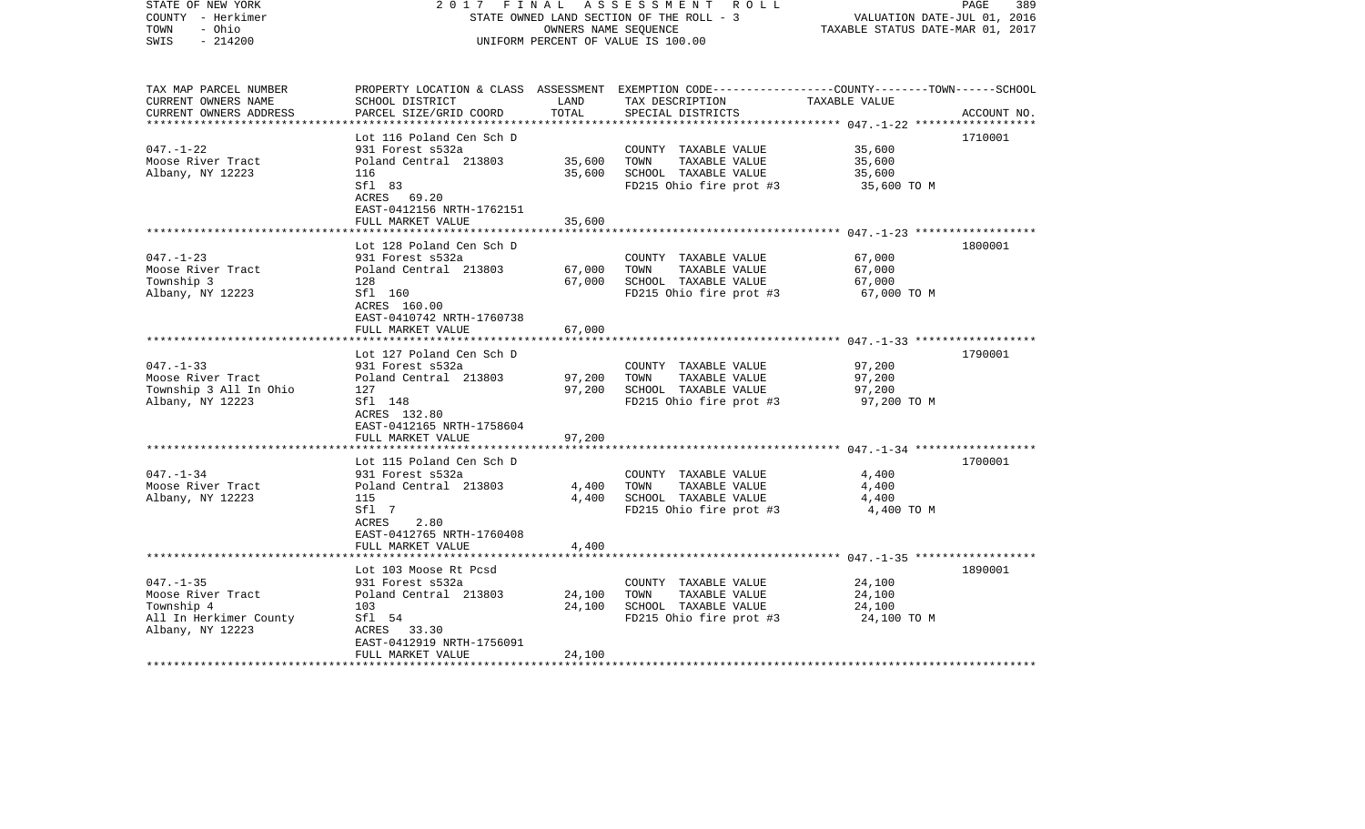| TAX MAP PARCEL NUMBER<br>PROPERTY LOCATION & CLASS ASSESSMENT EXEMPTION CODE---------------COUNTY-------TOWN------SCHOOL<br>CURRENT OWNERS NAME<br>SCHOOL DISTRICT<br>LAND<br>TAX DESCRIPTION<br>TAXABLE VALUE<br>TOTAL<br>CURRENT OWNERS ADDRESS<br>PARCEL SIZE/GRID COORD<br>SPECIAL DISTRICTS<br>ACCOUNT NO.<br>Lot 116 Poland Cen Sch D<br>1710001<br>$047. - 1 - 22$<br>931 Forest s532a<br>COUNTY TAXABLE VALUE<br>35,600 |  |
|---------------------------------------------------------------------------------------------------------------------------------------------------------------------------------------------------------------------------------------------------------------------------------------------------------------------------------------------------------------------------------------------------------------------------------|--|
|                                                                                                                                                                                                                                                                                                                                                                                                                                 |  |
|                                                                                                                                                                                                                                                                                                                                                                                                                                 |  |
|                                                                                                                                                                                                                                                                                                                                                                                                                                 |  |
| 35,600<br>Moose River Tract<br>Poland Central 213803<br>TOWN<br>TAXABLE VALUE<br>35,600                                                                                                                                                                                                                                                                                                                                         |  |
| Albany, NY 12223<br>35,600<br>SCHOOL TAXABLE VALUE<br>35,600<br>116                                                                                                                                                                                                                                                                                                                                                             |  |
| Sfl 83<br>FD215 Ohio fire prot #3<br>35,600 TO M<br>ACRES 69.20<br>EAST-0412156 NRTH-1762151                                                                                                                                                                                                                                                                                                                                    |  |
| 35,600<br>FULL MARKET VALUE                                                                                                                                                                                                                                                                                                                                                                                                     |  |
| Lot 128 Poland Cen Sch D<br>1800001                                                                                                                                                                                                                                                                                                                                                                                             |  |
| $047. - 1 - 23$<br>67,000<br>931 Forest s532a<br>COUNTY TAXABLE VALUE                                                                                                                                                                                                                                                                                                                                                           |  |
| Moose River Tract<br>Poland Central 213803<br>67,000<br>TOWN<br>TAXABLE VALUE<br>67,000                                                                                                                                                                                                                                                                                                                                         |  |
| Township 3<br>67,000<br>SCHOOL TAXABLE VALUE<br>67,000<br>128                                                                                                                                                                                                                                                                                                                                                                   |  |
| Albany, NY 12223<br>Sfl 160<br>FD215 Ohio fire prot #3<br>67,000 TO M<br>ACRES 160.00<br>EAST-0410742 NRTH-1760738                                                                                                                                                                                                                                                                                                              |  |
| 67,000<br>FULL MARKET VALUE                                                                                                                                                                                                                                                                                                                                                                                                     |  |
|                                                                                                                                                                                                                                                                                                                                                                                                                                 |  |
| Lot 127 Poland Cen Sch D<br>1790001                                                                                                                                                                                                                                                                                                                                                                                             |  |
| $047. - 1 - 33$<br>931 Forest s532a<br>COUNTY TAXABLE VALUE<br>97,200<br>97,200<br>97,200<br>Moose River Tract<br>Poland Central 213803<br>TOWN<br>TAXABLE VALUE                                                                                                                                                                                                                                                                |  |
| Township 3 All In Ohio<br>127<br>97,200<br>SCHOOL TAXABLE VALUE<br>97,200                                                                                                                                                                                                                                                                                                                                                       |  |
| Albany, NY 12223<br>FD215 Ohio fire prot #3<br>Sfl 148<br>97,200 TO M                                                                                                                                                                                                                                                                                                                                                           |  |
| ACRES 132.80                                                                                                                                                                                                                                                                                                                                                                                                                    |  |
| EAST-0412165 NRTH-1758604                                                                                                                                                                                                                                                                                                                                                                                                       |  |
| FULL MARKET VALUE<br>97,200                                                                                                                                                                                                                                                                                                                                                                                                     |  |
| *********                                                                                                                                                                                                                                                                                                                                                                                                                       |  |
| Lot 115 Poland Cen Sch D<br>1700001<br>$047. - 1 - 34$<br>931 Forest s532a<br>4,400                                                                                                                                                                                                                                                                                                                                             |  |
| COUNTY TAXABLE VALUE<br>Poland Central 213803<br>4,400<br>4,400<br>Moose River Tract<br>TOWN<br>TAXABLE VALUE                                                                                                                                                                                                                                                                                                                   |  |
| 115<br>4,400<br>SCHOOL TAXABLE VALUE<br>4,400<br>Albany, NY 12223                                                                                                                                                                                                                                                                                                                                                               |  |
| Sfl 7<br>FD215 Ohio fire prot #3<br>4,400 TO M                                                                                                                                                                                                                                                                                                                                                                                  |  |
| ACRES<br>2.80                                                                                                                                                                                                                                                                                                                                                                                                                   |  |
| EAST-0412765 NRTH-1760408                                                                                                                                                                                                                                                                                                                                                                                                       |  |
| FULL MARKET VALUE<br>4,400                                                                                                                                                                                                                                                                                                                                                                                                      |  |
|                                                                                                                                                                                                                                                                                                                                                                                                                                 |  |
| 1890001<br>Lot 103 Moose Rt Pcsd<br>$047. - 1 - 35$<br>931 Forest s532a<br>COUNTY TAXABLE VALUE<br>24,100                                                                                                                                                                                                                                                                                                                       |  |
| Moose River Tract<br>Poland Central 213803<br>24,100<br>TOWN<br>TAXABLE VALUE<br>24,100                                                                                                                                                                                                                                                                                                                                         |  |
| Township 4<br>103<br>24,100<br>SCHOOL TAXABLE VALUE<br>24,100                                                                                                                                                                                                                                                                                                                                                                   |  |
| All In Herkimer County<br>Sfl 54<br>FD215 Ohio fire prot #3<br>24,100 TO M                                                                                                                                                                                                                                                                                                                                                      |  |
| Albany, NY 12223<br>ACRES 33.30                                                                                                                                                                                                                                                                                                                                                                                                 |  |
| EAST-0412919 NRTH-1756091                                                                                                                                                                                                                                                                                                                                                                                                       |  |
| FULL MARKET VALUE<br>24,100                                                                                                                                                                                                                                                                                                                                                                                                     |  |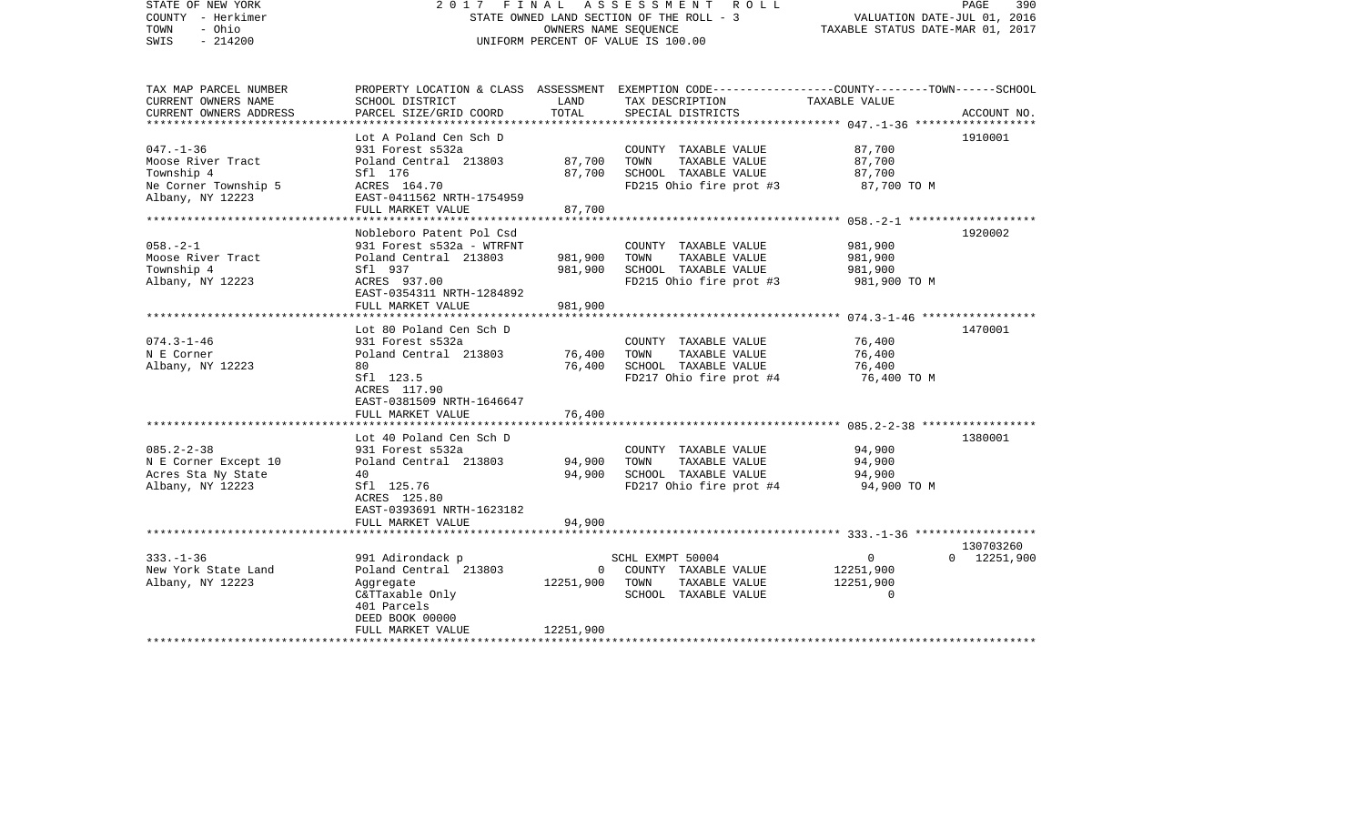| STATE OF NEW YORK<br>COUNTY - Herkimer<br>- Ohio<br>TOWN<br>$-214200$<br>SWIS                    | FINAL<br>2017                                                                                                                                               |                                    | A S S E S S M E N T<br>R O L L<br>STATE OWNED LAND SECTION OF THE ROLL - 3<br>OWNERS NAME SEOUENCE<br>UNIFORM PERCENT OF VALUE IS 100.00 | VALUATION DATE-JUL 01, 2016<br>TAXABLE STATUS DATE-MAR 01, 2017                                     | PAGE<br>390                      |
|--------------------------------------------------------------------------------------------------|-------------------------------------------------------------------------------------------------------------------------------------------------------------|------------------------------------|------------------------------------------------------------------------------------------------------------------------------------------|-----------------------------------------------------------------------------------------------------|----------------------------------|
| TAX MAP PARCEL NUMBER<br>CURRENT OWNERS NAME<br>CURRENT OWNERS ADDRESS<br>********************** | SCHOOL DISTRICT<br>PARCEL SIZE/GRID COORD                                                                                                                   | LAND<br>TOTAL                      | PROPERTY LOCATION & CLASS ASSESSMENT EXEMPTION CODE---------------COUNTY-------TOWN------SCHOOL<br>TAX DESCRIPTION<br>SPECIAL DISTRICTS  | TAXABLE VALUE                                                                                       | ACCOUNT NO.                      |
| $047. - 1 - 36$<br>Moose River Tract<br>Township 4<br>Ne Corner Township 5<br>Albany, NY 12223   | Lot A Poland Cen Sch D<br>931 Forest s532a<br>Poland Central 213803<br>Sfl 176<br>ACRES 164.70<br>EAST-0411562 NRTH-1754959<br>FULL MARKET VALUE            | 87,700<br>87,700<br>87,700         | COUNTY TAXABLE VALUE<br>TOWN<br>TAXABLE VALUE<br>SCHOOL TAXABLE VALUE<br>FD215 Ohio fire prot #3                                         | 87,700<br>87,700<br>87,700<br>87,700 TO M                                                           | 1910001                          |
| $058. - 2 - 1$<br>Moose River Tract<br>Township 4<br>Albany, NY 12223                            | Nobleboro Patent Pol Csd<br>931 Forest s532a - WTRFNT<br>Poland Central 213803<br>Sfl 937<br>ACRES 937.00<br>EAST-0354311 NRTH-1284892<br>FULL MARKET VALUE | 981,900<br>981,900<br>981,900      | COUNTY TAXABLE VALUE<br>TOWN<br>TAXABLE VALUE<br>SCHOOL TAXABLE VALUE<br>FD215 Ohio fire prot #3                                         | 981,900<br>981,900<br>981,900<br>981,900 TO M                                                       | 1920002                          |
| $074.3 - 1 - 46$<br>N E Corner<br>Albany, NY 12223                                               | Lot 80 Poland Cen Sch D<br>931 Forest s532a<br>Poland Central 213803<br>80<br>Sfl 123.5<br>ACRES 117.90<br>EAST-0381509 NRTH-1646647<br>FULL MARKET VALUE   | 76,400<br>76,400<br>76,400         | COUNTY TAXABLE VALUE<br>TAXABLE VALUE<br>TOWN<br>SCHOOL TAXABLE VALUE<br>FD217 Ohio fire prot #4                                         | ************************ 074.3-1-46 ******************<br>76,400<br>76,400<br>76,400<br>76,400 TO M | 1470001                          |
| $085.2 - 2 - 38$<br>N E Corner Except 10<br>Acres Sta Ny State<br>Albany, NY 12223               | Lot 40 Poland Cen Sch D<br>931 Forest s532a<br>Poland Central 213803<br>40<br>Sfl 125.76<br>ACRES 125.80<br>EAST-0393691 NRTH-1623182<br>FULL MARKET VALUE  | 94,900<br>94,900<br>94,900         | COUNTY TAXABLE VALUE<br>TOWN<br>TAXABLE VALUE<br>SCHOOL TAXABLE VALUE<br>FD217 Ohio fire prot #4                                         | 94,900<br>94,900<br>94,900<br>94,900 TO M                                                           | 1380001                          |
| $333. - 1 - 36$<br>New York State Land<br>Albany, NY 12223                                       | 991 Adirondack p<br>Poland Central 213803<br>Aggregate<br>C&TTaxable Only<br>401 Parcels<br>DEED BOOK 00000<br>FULL MARKET VALUE                            | $\Omega$<br>12251,900<br>12251,900 | SCHL EXMPT 50004<br>COUNTY TAXABLE VALUE<br>TOWN<br>TAXABLE VALUE<br>SCHOOL TAXABLE VALUE                                                | $\mathbf{0}$<br>12251,900<br>12251,900<br>$\mathbf 0$                                               | 130703260<br>$0 \quad 12251,900$ |
|                                                                                                  |                                                                                                                                                             |                                    |                                                                                                                                          |                                                                                                     |                                  |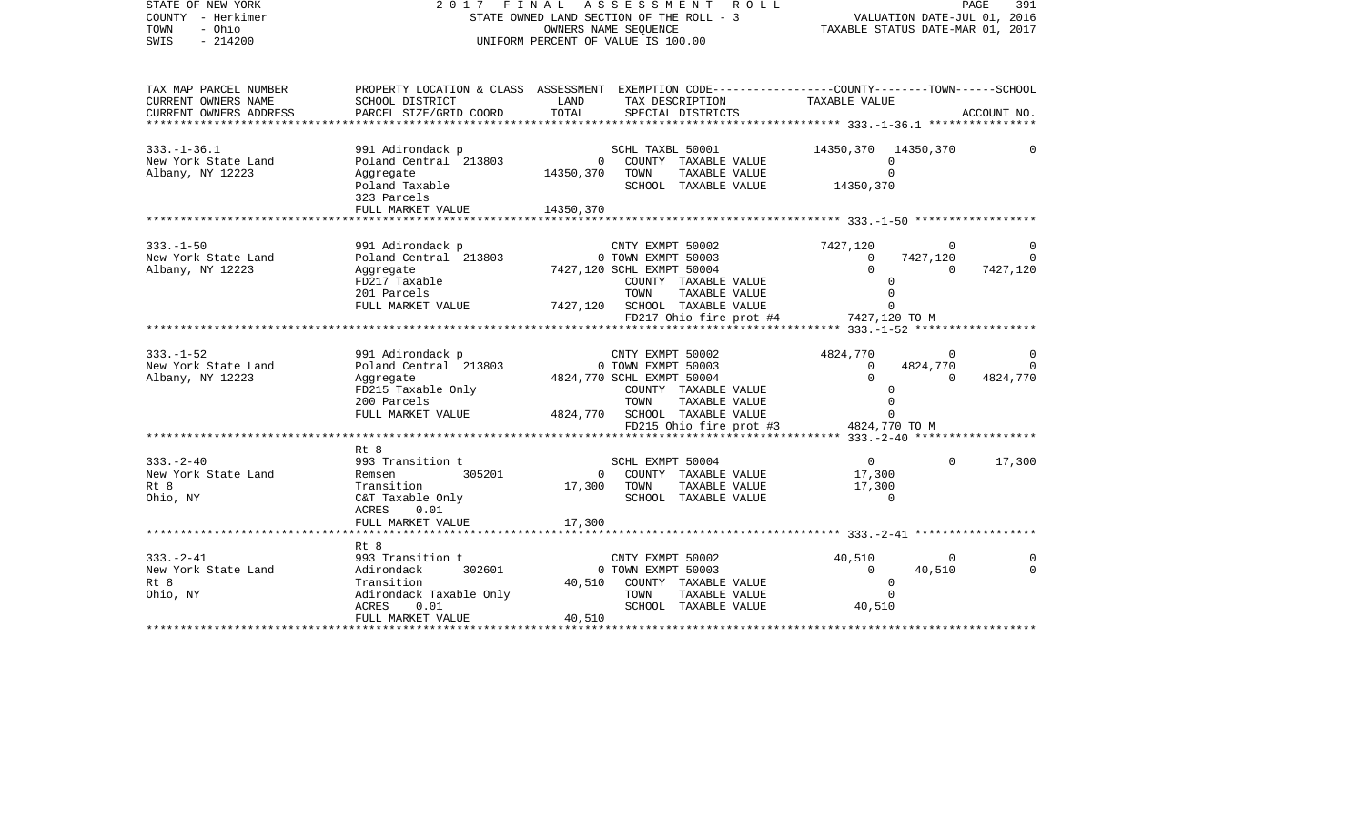| STATE OF NEW YORK<br>COUNTY - Herkimer<br>TOWN<br>- Ohio<br>SWIS<br>$-214200$                                 | 2017 FINAL ASSESSMENT ROLL<br>STATE OWNED LAND SECTION OF THE ROLL - 3<br>UNIFORM PERCENT OF VALUE IS 100.00                        | VALUATION DATE-JUL 01, 2016<br>TAXABLE STATUS DATE-MAR 01, 2017 | PAGE<br>391                                                                                                                                                                                        |                                                                                                               |                                                    |
|---------------------------------------------------------------------------------------------------------------|-------------------------------------------------------------------------------------------------------------------------------------|-----------------------------------------------------------------|----------------------------------------------------------------------------------------------------------------------------------------------------------------------------------------------------|---------------------------------------------------------------------------------------------------------------|----------------------------------------------------|
| TAX MAP PARCEL NUMBER<br>CURRENT OWNERS NAME<br>CURRENT OWNERS ADDRESS<br>* * * * * * * * * * * * * * * * * * | SCHOOL DISTRICT<br>PARCEL SIZE/GRID COORD                                                                                           | LAND<br>TOTAL                                                   | PROPERTY LOCATION & CLASS ASSESSMENT EXEMPTION CODE----------------COUNTY-------TOWN-----SCHOOL<br>TAX DESCRIPTION<br>SPECIAL DISTRICTS                                                            | TAXABLE VALUE                                                                                                 | ACCOUNT NO.                                        |
| $333. - 1 - 36.1$<br>New York State Land<br>Albany, NY 12223                                                  | 991 Adirondack p<br>Aggregate<br>Poland Taxable<br>323 Parcels<br>FULL MARKET VALUE                                                 | 14350,370 TOWN<br>14350,370                                     | SCHL TAXBL 50001<br>TAXABLE VALUE<br>SCHOOL TAXABLE VALUE                                                                                                                                          | 14350,370 14350,370<br>$\Omega$<br>$\Omega$<br>14350,370                                                      |                                                    |
|                                                                                                               |                                                                                                                                     |                                                                 |                                                                                                                                                                                                    |                                                                                                               |                                                    |
| $333. - 1 - 50$<br>New York State Land<br>Albany, NY 12223                                                    | 991 Adirondack p<br>Poland Central 213803<br>Aggregate<br>FD217 Taxable<br>201 Parcels                                              |                                                                 | CNTY EXMPT 50002<br>0 TOWN EXMPT 50003<br>7427,120 SCHL EXMPT 50004<br>COUNTY TAXABLE VALUE<br>TAXABLE VALUE<br>TOWN<br>FULL MARKET VALUE 7427,120 SCHOOL TAXABLE VALUE<br>FD217 Ohio fire prot #4 | 7427,120<br>$\overline{0}$<br>$\Omega$<br>7427,120<br>$\overline{0}$<br>$\Omega$<br>$\Omega$<br>7427,120 TO M | $\Omega$<br>7427,120<br>$\Omega$                   |
|                                                                                                               |                                                                                                                                     |                                                                 |                                                                                                                                                                                                    |                                                                                                               |                                                    |
| $333. - 1 - 52$<br>New York State Land<br>Albany, NY 12223                                                    | 991 Adirondack p<br>Poland Central 213803 0 TOWN EXMPT 50003<br>Aggregate<br>FD215 Taxable Only<br>200 Parcels<br>FULL MARKET VALUE |                                                                 | CNTY EXMPT 50002<br>4824,770 SCHL EXMPT 50004<br>COUNTY TAXABLE VALUE<br>TOWN<br>TAXABLE VALUE<br>4824,770 SCHOOL TAXABLE VALUE<br>FD215 Ohio fire prot #3                                         | 4824,770<br>$\overline{0}$<br>4824,770<br>$\Omega$<br>$\overline{0}$<br>$\Omega$<br>4824,770 TO M             | $\overline{0}$<br>$\Omega$<br>$\Omega$<br>4824,770 |
|                                                                                                               |                                                                                                                                     |                                                                 |                                                                                                                                                                                                    |                                                                                                               |                                                    |
| $333. - 2 - 40$<br>New York State Land<br>Rt 8<br>Ohio, NY                                                    | Rt 8<br>993 Transition t<br>305201<br>Remsen<br>Transition<br>C&T Taxable Only<br>ACRES<br>0.01                                     | 17,300 TOWN                                                     | SCHL EXMPT 50004<br>0 COUNTY TAXABLE VALUE<br>TAXABLE VALUE<br>SCHOOL TAXABLE VALUE                                                                                                                | $\overline{0}$<br>17,300<br>17,300<br>$\Omega$                                                                | $\Omega$<br>17,300                                 |
|                                                                                                               | FULL MARKET VALUE                                                                                                                   | 17,300                                                          |                                                                                                                                                                                                    |                                                                                                               |                                                    |
|                                                                                                               | Rt 8                                                                                                                                |                                                                 |                                                                                                                                                                                                    |                                                                                                               |                                                    |
| $333. - 2 - 41$<br>New York State Land<br>Rt 8<br>Ohio, NY                                                    | 993 Transition t<br>302601<br>Adirondack<br>Transition<br>Adirondack Taxable Only<br>ACRES<br>0.01<br>FULL MARKET VALUE             | 40,510<br>40,510                                                | CNTY EXMPT 50002<br>0 TOWN EXMPT 50003<br>COUNTY TAXABLE VALUE<br>TOWN<br>TAXABLE VALUE<br>SCHOOL TAXABLE VALUE 40,510                                                                             | 40,510<br>$\overline{0}$<br>40,510<br>$\mathbf 0$<br>$\Omega$                                                 | $\overline{0}$<br>$\Omega$<br>$\Omega$             |
|                                                                                                               |                                                                                                                                     |                                                                 |                                                                                                                                                                                                    |                                                                                                               |                                                    |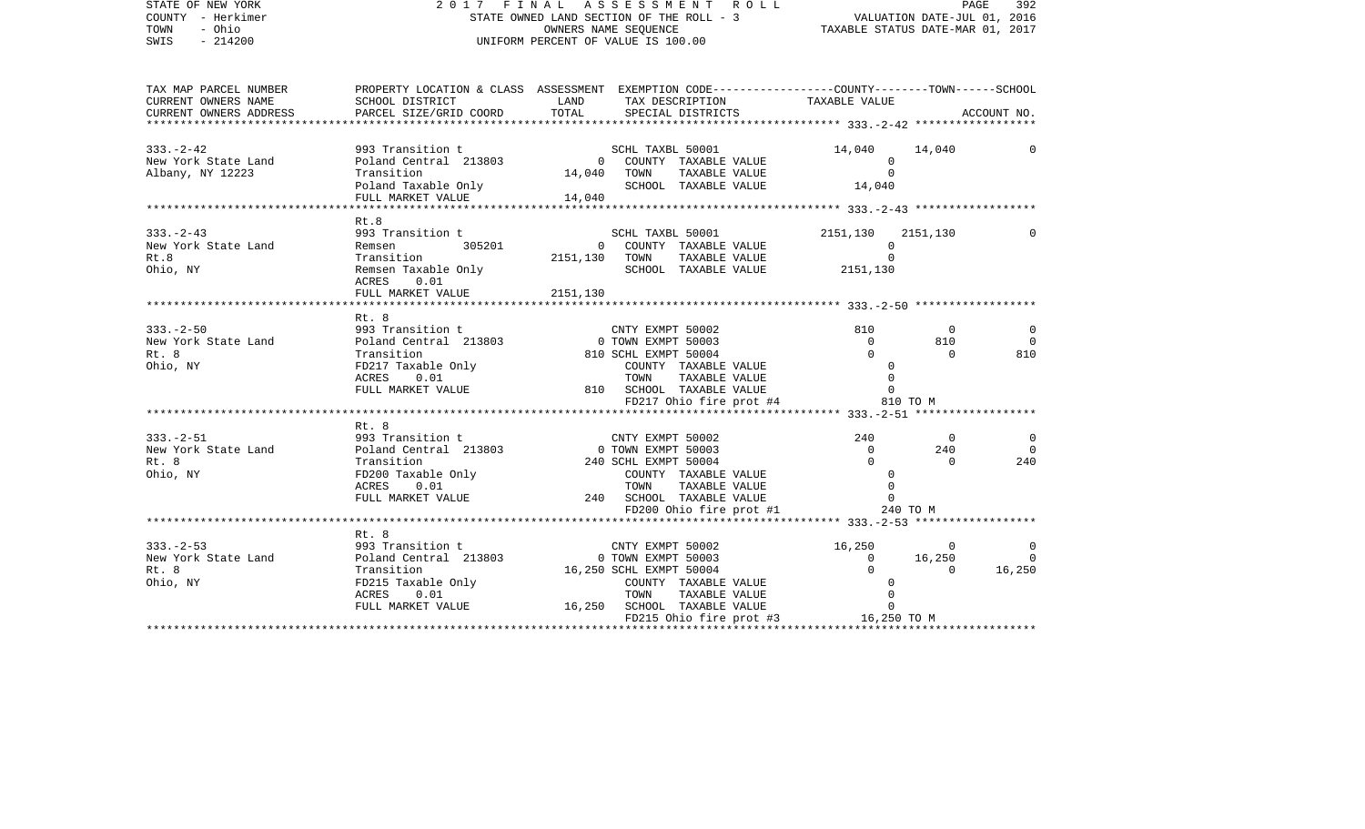| STATE OF NEW YORK<br>COUNTY - Herkimer<br>TOWN<br>- Ohio<br>SWIS - 214200 | 2 0 1 7 F I N A L A S S E S S M E N T R<br>STATE OWNED LAND SECTION OF THE ROLL - 3<br>OWNERS NAME SEQUENCE<br>UNIFORM PERCENT OF VALUE IS 100.00                                                                                                                                                                                                                                                                                         | 2017 FINAL ASSESSMENT ROLL PAGE 392<br>STATE OWNED LAND SECTION OF THE ROLL - 3<br>OWNERS NAME SEQUENCE TAXABLE STATUS DATE-MAR 01, 2017                                                                                                                                                                                 |                               |                                         |                                              |
|---------------------------------------------------------------------------|-------------------------------------------------------------------------------------------------------------------------------------------------------------------------------------------------------------------------------------------------------------------------------------------------------------------------------------------------------------------------------------------------------------------------------------------|--------------------------------------------------------------------------------------------------------------------------------------------------------------------------------------------------------------------------------------------------------------------------------------------------------------------------|-------------------------------|-----------------------------------------|----------------------------------------------|
| CURRENT OWNERS NAME                                                       | TAX MAP PARCEL NUMBER PROPERTY LOCATION & CLASS ASSESSMENT EXEMPTION CODE--------------COUNTY-------TOWN------SCHOOL<br>SCHOOL DISTRICT LAND                                                                                                                                                                                                                                                                                              | TAX DESCRIPTION                                                                                                                                                                                                                                                                                                          | TAXABLE VALUE                 |                                         |                                              |
| CURRENT OWNERS ADDRESS                                                    | PARCEL SIZE/GRID COORD TOTAL                                                                                                                                                                                                                                                                                                                                                                                                              | SPECIAL DISTRICTS                                                                                                                                                                                                                                                                                                        |                               |                                         | ACCOUNT NO.                                  |
| $333. - 2 - 42$                                                           |                                                                                                                                                                                                                                                                                                                                                                                                                                           |                                                                                                                                                                                                                                                                                                                          | 14,040                        | 14,040                                  | 0                                            |
| New York State Land<br>Albany, NY 12223                                   | Poland Taxable Only<br>FULL MARKET VALUE 14,040                                                                                                                                                                                                                                                                                                                                                                                           | 993 Transition t<br>Poland Central 213803 (COUNTY TAXABLE VALUE<br>Transition 14,040 TOWN TAXABLE VALUE                                                                                                                                                                                                                  |                               |                                         |                                              |
|                                                                           |                                                                                                                                                                                                                                                                                                                                                                                                                                           |                                                                                                                                                                                                                                                                                                                          |                               |                                         |                                              |
|                                                                           | $\begin{tabular}{lllllllllll} $\begin{smallmatrix} \texttt{N} & \texttt{N} & \texttt{N} & \texttt{N} & \texttt{N} & \texttt{N} & \texttt{N} & \texttt{N} & \texttt{N} & \texttt{N} & \texttt{N} & \texttt{N} & \texttt{N} & \texttt{N} & \texttt{N} & \texttt{N} & \texttt{N} & \texttt{N} & \texttt{N} & \texttt{N} & \texttt{N} & \texttt{N} & \texttt{N} & \texttt{N} & \texttt{N} & \texttt{N} & \texttt{N} & \texttt{N} & \texttt{N$ | 0 COUNTY TAXABLE VALUE $\begin{array}{cccc} 0 & 0 & 0 & 0 \\ 0 & 0 & 0 & 0 \\ 0 & 0 & 0 & 0 \\ 0 & 0 & 0 & 0 \\ 0 & 0 & 0 & 0 \\ 0 & 0 & 0 & 0 \\ 0 & 0 & 0 & 0 \\ 0 & 0 & 0 & 0 \\ 0 & 0 & 0 & 0 \\ 0 & 0 & 0 & 0 \\ 0 & 0 & 0 & 0 \\ 0 & 0 & 0 & 0 \\ 0 & 0 & 0 & 0 \\ 0 & 0 & 0 & 0 \\ 0 & 0 & 0 & 0 \\ 0 & 0 & 0 & $ | 2151,130 2151,130<br>$\Omega$ |                                         | $\mathbf{0}$                                 |
|                                                                           |                                                                                                                                                                                                                                                                                                                                                                                                                                           |                                                                                                                                                                                                                                                                                                                          |                               |                                         |                                              |
| $333 - 2 - 50$                                                            | Rt. 8<br>333.-2-50<br>New York State Land $\begin{array}{cccccc} 993 & \text{transition t} & & \text{CNTY EXMPT} & 50002 & & 010 \\ \text{New York State Land} & \text{Poland Central} & 213803 & & 0 & \text{TOWN EXMPT} & 50003 & & 0 \\ \text{Rt. 8} & & \text{transition} & & 810 & \text{SCHL EXMPT} & 50004 & & 0 \\ \text{Ohio, NY} & & \text{FDL1} & \text{Taxable Only} & & \text{CONTY TAXABLE VALUE} & & 0 \\ & & \text{$      | CNTY EXMPT 50002                                                                                                                                                                                                                                                                                                         |                               | $\overline{0}$<br>810<br>$\overline{0}$ | $\overline{0}$<br>$\overline{0}$<br>810      |
|                                                                           |                                                                                                                                                                                                                                                                                                                                                                                                                                           |                                                                                                                                                                                                                                                                                                                          |                               | 810 TO M                                |                                              |
|                                                                           | Rt. 8                                                                                                                                                                                                                                                                                                                                                                                                                                     |                                                                                                                                                                                                                                                                                                                          |                               |                                         |                                              |
|                                                                           | 333.-2-51<br>New York State Land $\begin{array}{ccccc} 993 & \text{Transition t} & & \text{CNTY EXMPT } 50002 & & 240 \\ 993 & \text{Transition t} & & 0 & \text{TOWN EXMPT } 50003 & & 0 \\ \text{Rt. 8} & & \text{Transition} & & 240 & \text{SCHL EXMPT } 50003 & & 0 \\ \text{Rt. 8} & & \text{Transition} & & 240 & \text{SCHL EXMPT } 50004 & & 0 \\ \text{Chio, NY} & & \text{F$                                                   | SCHOOL TAXABLE VALUE<br>FD200 Ohio fire prot #1 240 TO M                                                                                                                                                                                                                                                                 |                               | $\overline{0}$<br>240<br>$\overline{0}$ | $\overline{\mathbf{0}}$<br>$\bigcirc$<br>240 |
|                                                                           |                                                                                                                                                                                                                                                                                                                                                                                                                                           |                                                                                                                                                                                                                                                                                                                          |                               |                                         |                                              |
| $333 - 2 - 53$<br>New York State Land<br>Rt. 8<br>Rt. 8<br>Ohio, NY       | Rt. 8<br>33.-2-53<br>W York State Land 901 and Central 213803<br>PEDLI MARKET VALUE<br>TELL MARKET VALUE<br>TELL MARKET VALUE<br>TELL MARKET VALUE<br>TELL MARKET VALUE<br>TELL MARKET VALUE<br>TELL MARKET VALUE<br>TELL MARKET VALUE<br>TELL MARKET VALUE                                                                                                                                                                               |                                                                                                                                                                                                                                                                                                                          |                               |                                         |                                              |
|                                                                           |                                                                                                                                                                                                                                                                                                                                                                                                                                           |                                                                                                                                                                                                                                                                                                                          |                               |                                         |                                              |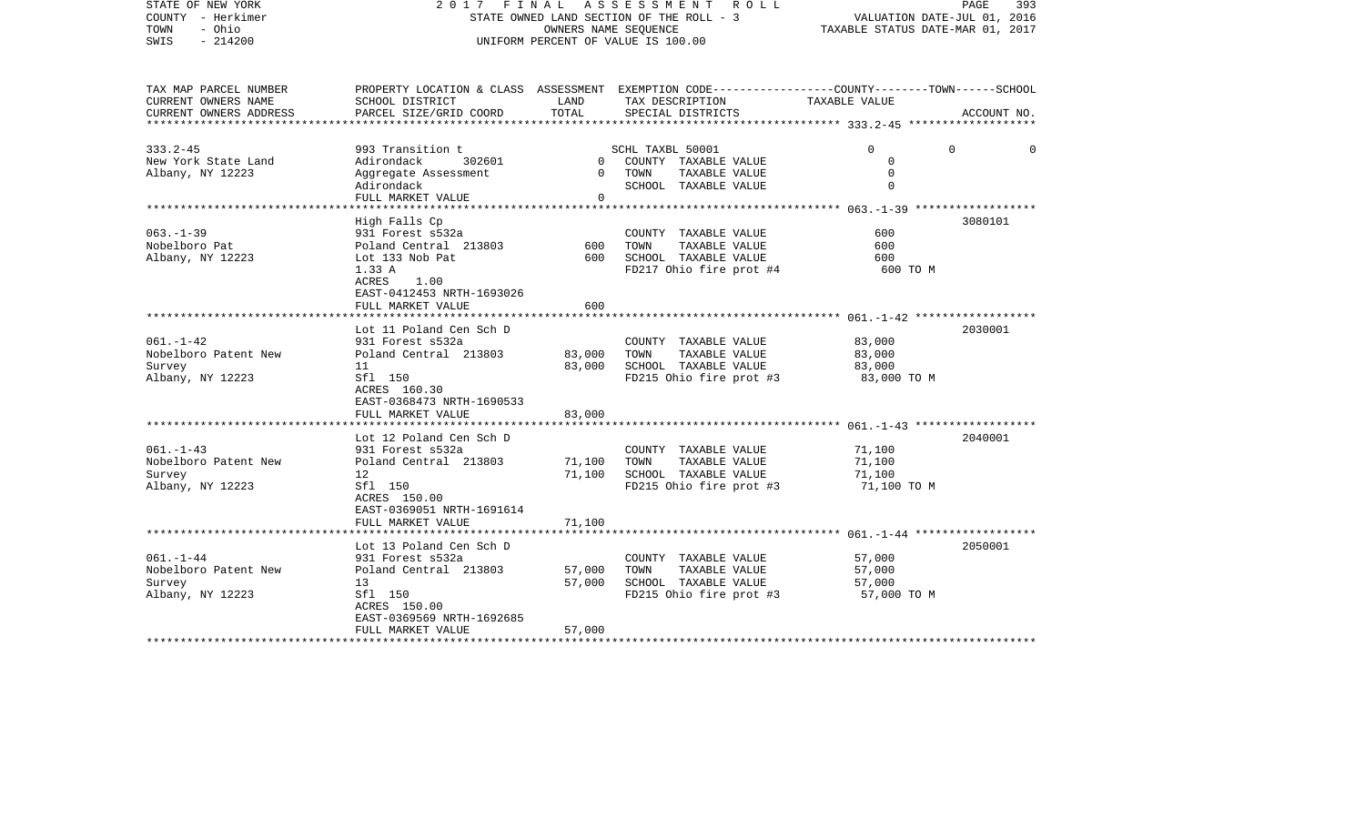| STATE OF NEW YORK<br>COUNTY - Herkimer<br>TOWN<br>- Ohio<br>$-214200$<br>SWIS                    | FINAL<br>ASSESSMENT<br>2017<br>R O L L<br>STATE OWNED LAND SECTION OF THE ROLL - 3<br>OWNERS NAME SEQUENCE<br>UNIFORM PERCENT OF VALUE IS 100.00                                        |                                 |                                                                                                                                          | PAGE<br>393<br>VALUATION DATE-JUL 01, 2016<br>TAXABLE STATUS DATE-MAR 01, 2017 |                      |  |
|--------------------------------------------------------------------------------------------------|-----------------------------------------------------------------------------------------------------------------------------------------------------------------------------------------|---------------------------------|------------------------------------------------------------------------------------------------------------------------------------------|--------------------------------------------------------------------------------|----------------------|--|
| TAX MAP PARCEL NUMBER<br>CURRENT OWNERS NAME<br>CURRENT OWNERS ADDRESS<br>********************** | SCHOOL DISTRICT<br>PARCEL SIZE/GRID COORD                                                                                                                                               | LAND<br>TOTAL                   | PROPERTY LOCATION & CLASS ASSESSMENT EXEMPTION CODE----------------COUNTY-------TOWN------SCHOOL<br>TAX DESCRIPTION<br>SPECIAL DISTRICTS | TAXABLE VALUE                                                                  | ACCOUNT NO.          |  |
| $333.2 - 45$<br>New York State Land<br>Albany, NY 12223                                          | 993 Transition t<br>302601<br>Adirondack<br>Aggregate Assessment<br>Adirondack<br>FULL MARKET VALUE                                                                                     | $\overline{0}$<br>$\Omega$<br>0 | SCHL TAXBL 50001<br>COUNTY TAXABLE VALUE<br>TAXABLE VALUE<br>TOWN<br>SCHOOL TAXABLE VALUE                                                | $\Omega$<br>0<br>$\mathbf 0$<br>$\Omega$                                       | $\Omega$<br>$\Omega$ |  |
| $063. -1 - 39$<br>Nobelboro Pat<br>Albany, NY 12223                                              | High Falls Cp<br>931 Forest s532a<br>Poland Central 213803<br>Lot 133 Nob Pat<br>1.33 A<br>ACRES<br>1.00<br>EAST-0412453 NRTH-1693026<br>FULL MARKET VALUE                              | 600<br>600<br>600               | COUNTY TAXABLE VALUE<br>TOWN<br>TAXABLE VALUE<br>SCHOOL TAXABLE VALUE<br>FD217 Ohio fire prot #4                                         | 600<br>600<br>600<br>600 TO M                                                  | 3080101              |  |
| $061. - 1 - 42$<br>Nobelboro Patent New<br>Survey<br>Albany, NY 12223                            | Lot 11 Poland Cen Sch D<br>931 Forest s532a<br>Poland Central 213803<br>11<br>Sfl 150<br>ACRES 160.30<br>EAST-0368473 NRTH-1690533<br>FULL MARKET VALUE                                 | 83,000<br>83,000<br>83,000      | COUNTY TAXABLE VALUE<br>TOWN<br>TAXABLE VALUE<br>SCHOOL TAXABLE VALUE<br>FD215 Ohio fire prot #3                                         | 83,000<br>83,000<br>83,000<br>83,000 TO M                                      | 2030001              |  |
| $061. -1 - 43$<br>Nobelboro Patent New<br>Survey<br>Albany, NY 12223                             | Lot 12 Poland Cen Sch D<br>931 Forest s532a<br>Poland Central 213803<br>12<br>Sfl 150<br>ACRES 150.00<br>EAST-0369051 NRTH-1691614<br>FULL MARKET VALUE                                 | 71,100<br>71,100<br>71,100      | COUNTY TAXABLE VALUE<br>TAXABLE VALUE<br>TOWN<br>SCHOOL TAXABLE VALUE<br>FD215 Ohio fire prot #3                                         | 71,100<br>71,100<br>71,100<br>71,100 TO M                                      | 2040001              |  |
| $061. - 1 - 44$<br>Nobelboro Patent New<br>Survey<br>Albany, NY 12223                            | ****************************<br>Lot 13 Poland Cen Sch D<br>931 Forest s532a<br>Poland Central 213803<br>13<br>Sfl 150<br>ACRES 150.00<br>EAST-0369569 NRTH-1692685<br>FULL MARKET VALUE | 57,000<br>57,000<br>57,000      | COUNTY TAXABLE VALUE<br>TOWN<br>TAXABLE VALUE<br>SCHOOL TAXABLE VALUE<br>FD215 Ohio fire prot #3                                         | 57,000<br>57,000<br>57,000<br>57,000 TO M                                      | 2050001              |  |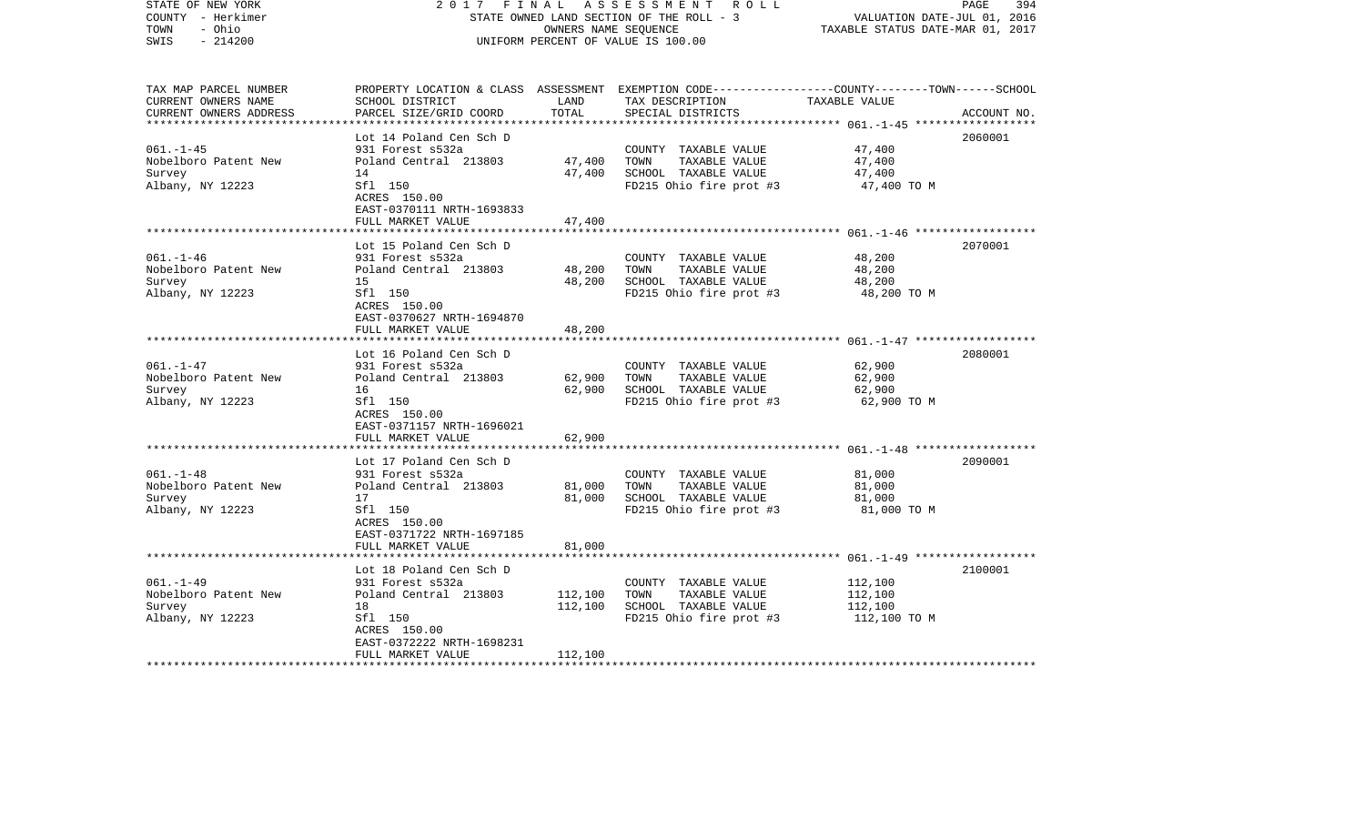| STATE OF NEW YORK<br>COUNTY - Herkimer<br>TOWN<br>- Ohio<br>$-214200$<br>SWIS | 2017<br>FINAL<br>STATE OWNED LAND SECTION OF THE ROLL - 3<br>UNIFORM PERCENT OF VALUE IS 100.00 | 394<br>PAGE<br>VALUATION DATE-JUL 01, 2016<br>TAXABLE STATUS DATE-MAR 01, 2017 |                                                                                                                                                      |              |             |
|-------------------------------------------------------------------------------|-------------------------------------------------------------------------------------------------|--------------------------------------------------------------------------------|------------------------------------------------------------------------------------------------------------------------------------------------------|--------------|-------------|
| TAX MAP PARCEL NUMBER<br>CURRENT OWNERS NAME<br>CURRENT OWNERS ADDRESS        | SCHOOL DISTRICT<br>PARCEL SIZE/GRID COORD                                                       | LAND<br>TOTAL                                                                  | PROPERTY LOCATION & CLASS ASSESSMENT EXEMPTION CODE--------------COUNTY-------TOWN------SCHOOL<br>TAX DESCRIPTION TAXABLE VALUE<br>SPECIAL DISTRICTS |              | ACCOUNT NO. |
|                                                                               | Lot 14 Poland Cen Sch D                                                                         |                                                                                |                                                                                                                                                      |              | 2060001     |
| $061. - 1 - 45$                                                               | 931 Forest s532a                                                                                |                                                                                | COUNTY TAXABLE VALUE                                                                                                                                 | 47,400       |             |
| Nobelboro Patent New                                                          | Poland Central 213803                                                                           | 47,400                                                                         | TAXABLE VALUE<br>TOWN                                                                                                                                | 47,400       |             |
| Survey                                                                        | 14                                                                                              | 47,400                                                                         | SCHOOL TAXABLE VALUE                                                                                                                                 | 47,400       |             |
| Albany, NY 12223                                                              | Sfl 150<br>ACRES 150.00<br>EAST-0370111 NRTH-1693833                                            |                                                                                | FD215 Ohio fire prot #3                                                                                                                              | 47,400 TO M  |             |
|                                                                               | FULL MARKET VALUE                                                                               | 47,400                                                                         |                                                                                                                                                      |              |             |
|                                                                               | Lot 15 Poland Cen Sch D                                                                         |                                                                                |                                                                                                                                                      |              | 2070001     |
| $061. - 1 - 46$                                                               | 931 Forest s532a                                                                                |                                                                                | COUNTY TAXABLE VALUE                                                                                                                                 | 48,200       |             |
| Nobelboro Patent New                                                          | Poland Central 213803                                                                           | 48,200                                                                         | TOWN<br>TAXABLE VALUE                                                                                                                                | 48,200       |             |
| Survey                                                                        | 15                                                                                              | 48,200                                                                         | SCHOOL TAXABLE VALUE                                                                                                                                 | 48,200       |             |
| Albany, NY 12223                                                              | Sfl 150<br>ACRES 150.00<br>EAST-0370627 NRTH-1694870                                            |                                                                                | FD215 Ohio fire prot #3                                                                                                                              | 48,200 TO M  |             |
|                                                                               | FULL MARKET VALUE                                                                               | 48,200                                                                         |                                                                                                                                                      |              |             |
|                                                                               |                                                                                                 |                                                                                |                                                                                                                                                      |              |             |
| $061. - 1 - 47$                                                               | Lot 16 Poland Cen Sch D<br>931 Forest s532a                                                     |                                                                                | COUNTY TAXABLE VALUE                                                                                                                                 | 62,900       | 2080001     |
| Nobelboro Patent New                                                          | Poland Central 213803                                                                           | 62,900                                                                         | TOWN<br>TAXABLE VALUE                                                                                                                                | 62,900       |             |
| Survey                                                                        | 16                                                                                              | 62,900                                                                         | SCHOOL TAXABLE VALUE                                                                                                                                 | 62,900       |             |
| Albany, NY 12223                                                              | Sfl 150                                                                                         |                                                                                | FD215 Ohio fire prot #3                                                                                                                              | 62,900 TO M  |             |
|                                                                               | ACRES 150.00                                                                                    |                                                                                |                                                                                                                                                      |              |             |
|                                                                               | EAST-0371157 NRTH-1696021                                                                       |                                                                                |                                                                                                                                                      |              |             |
|                                                                               | FULL MARKET VALUE                                                                               | 62,900                                                                         |                                                                                                                                                      |              |             |
|                                                                               | Lot 17 Poland Cen Sch D                                                                         |                                                                                |                                                                                                                                                      |              | 2090001     |
| $061. - 1 - 48$                                                               | 931 Forest s532a                                                                                |                                                                                | COUNTY TAXABLE VALUE                                                                                                                                 | 81,000       |             |
| Nobelboro Patent New                                                          | Poland Central 213803                                                                           | 81,000                                                                         | TAXABLE VALUE<br>TOWN                                                                                                                                | 81,000       |             |
| Survey                                                                        | 17                                                                                              | 81,000                                                                         | SCHOOL TAXABLE VALUE                                                                                                                                 | 81,000       |             |
| Albany, NY 12223                                                              | Sfl 150                                                                                         |                                                                                | FD215 Ohio fire prot #3                                                                                                                              | 81,000 TO M  |             |
|                                                                               | ACRES 150.00                                                                                    |                                                                                |                                                                                                                                                      |              |             |
|                                                                               | EAST-0371722 NRTH-1697185<br>FULL MARKET VALUE                                                  | 81,000                                                                         |                                                                                                                                                      |              |             |
|                                                                               |                                                                                                 |                                                                                |                                                                                                                                                      |              |             |
|                                                                               | Lot 18 Poland Cen Sch D                                                                         |                                                                                |                                                                                                                                                      |              | 2100001     |
| $061. - 1 - 49$                                                               | 931 Forest s532a                                                                                |                                                                                | COUNTY TAXABLE VALUE                                                                                                                                 | 112,100      |             |
| Nobelboro Patent New                                                          | Poland Central 213803                                                                           | 112,100                                                                        | TOWN<br>TAXABLE VALUE                                                                                                                                | 112,100      |             |
| Survey                                                                        | 18                                                                                              | 112,100                                                                        | SCHOOL TAXABLE VALUE                                                                                                                                 | 112,100      |             |
| Albany, NY 12223                                                              | Sfl 150                                                                                         |                                                                                | FD215 Ohio fire prot #3                                                                                                                              | 112,100 TO M |             |
|                                                                               | ACRES 150.00<br>EAST-0372222 NRTH-1698231                                                       |                                                                                |                                                                                                                                                      |              |             |
|                                                                               | FULL MARKET VALUE                                                                               | 112,100                                                                        |                                                                                                                                                      |              |             |
|                                                                               |                                                                                                 |                                                                                |                                                                                                                                                      |              |             |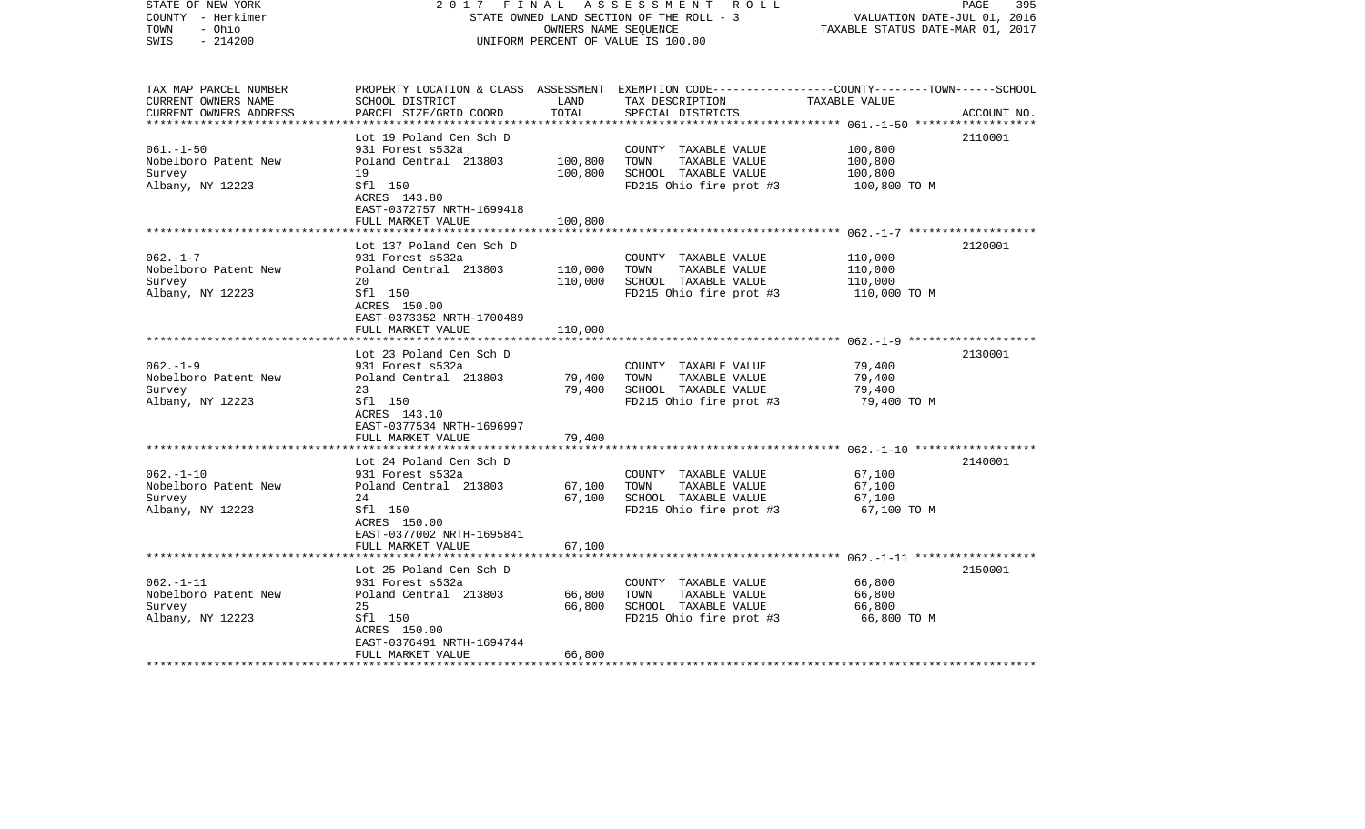| STATE OF NEW YORK<br>COUNTY - Herkimer<br>- Ohio<br>TOWN<br>$-214200$<br>SWIS | 2017<br>FINAL<br>STATE OWNED LAND SECTION OF THE ROLL - 3<br>UNIFORM PERCENT OF VALUE IS 100.00 | 395<br>PAGE<br>VALUATION DATE-JUL 01, 2016<br>TAXABLE STATUS DATE-MAR 01, 2017 |                                                                                                                                        |               |             |
|-------------------------------------------------------------------------------|-------------------------------------------------------------------------------------------------|--------------------------------------------------------------------------------|----------------------------------------------------------------------------------------------------------------------------------------|---------------|-------------|
| TAX MAP PARCEL NUMBER<br>CURRENT OWNERS NAME<br>CURRENT OWNERS ADDRESS        | SCHOOL DISTRICT<br>PARCEL SIZE/GRID COORD                                                       | LAND<br>TOTAL                                                                  | PROPERTY LOCATION & CLASS ASSESSMENT EXEMPTION CODE---------------COUNTY-------TOWN-----SCHOOL<br>TAX DESCRIPTION<br>SPECIAL DISTRICTS | TAXABLE VALUE | ACCOUNT NO. |
|                                                                               | Lot 19 Poland Cen Sch D                                                                         |                                                                                |                                                                                                                                        |               | 2110001     |
| $061. - 1 - 50$                                                               | 931 Forest s532a                                                                                |                                                                                | COUNTY TAXABLE VALUE                                                                                                                   | 100,800       |             |
| Nobelboro Patent New                                                          | Poland Central 213803                                                                           | 100,800                                                                        | TOWN<br>TAXABLE VALUE                                                                                                                  | 100,800       |             |
| Survey                                                                        | 19                                                                                              | 100,800                                                                        | SCHOOL TAXABLE VALUE                                                                                                                   | 100,800       |             |
| Albany, NY 12223                                                              | Sfl 150<br>ACRES 143.80<br>EAST-0372757 NRTH-1699418                                            |                                                                                | FD215 Ohio fire prot #3                                                                                                                | 100,800 TO M  |             |
|                                                                               | FULL MARKET VALUE                                                                               | 100,800                                                                        |                                                                                                                                        |               |             |
|                                                                               | Lot 137 Poland Cen Sch D                                                                        |                                                                                |                                                                                                                                        |               | 2120001     |
| $062. -1 - 7$                                                                 | 931 Forest s532a                                                                                |                                                                                | COUNTY TAXABLE VALUE                                                                                                                   | 110,000       |             |
| Nobelboro Patent New                                                          | Poland Central 213803                                                                           | 110,000                                                                        | TOWN<br>TAXABLE VALUE                                                                                                                  | 110,000       |             |
| Survey                                                                        | 20                                                                                              | 110,000                                                                        | SCHOOL TAXABLE VALUE                                                                                                                   | 110,000       |             |
| Albany, NY 12223                                                              | Sfl 150<br>ACRES 150.00<br>EAST-0373352 NRTH-1700489                                            |                                                                                | FD215 Ohio fire prot #3                                                                                                                | 110,000 TO M  |             |
|                                                                               | FULL MARKET VALUE                                                                               | 110,000                                                                        |                                                                                                                                        |               |             |
|                                                                               | Lot 23 Poland Cen Sch D                                                                         |                                                                                |                                                                                                                                        |               | 2130001     |
| $062. - 1 - 9$                                                                | 931 Forest s532a                                                                                |                                                                                | COUNTY TAXABLE VALUE                                                                                                                   | 79,400        |             |
| Nobelboro Patent New                                                          | Poland Central 213803                                                                           | 79,400                                                                         | TOWN<br>TAXABLE VALUE                                                                                                                  | 79,400        |             |
| Survey                                                                        | 23                                                                                              | 79,400                                                                         | SCHOOL TAXABLE VALUE                                                                                                                   | 79,400        |             |
| Albany, NY 12223                                                              | Sfl 150<br>ACRES 143.10<br>EAST-0377534 NRTH-1696997                                            |                                                                                | FD215 Ohio fire prot #3                                                                                                                | 79,400 TO M   |             |
|                                                                               | FULL MARKET VALUE                                                                               | 79,400                                                                         |                                                                                                                                        |               |             |
|                                                                               | Lot 24 Poland Cen Sch D                                                                         |                                                                                |                                                                                                                                        |               | 2140001     |
| $062. - 1 - 10$                                                               | 931 Forest s532a                                                                                |                                                                                | COUNTY TAXABLE VALUE                                                                                                                   | 67,100        |             |
| Nobelboro Patent New                                                          | Poland Central 213803                                                                           | 67,100                                                                         | TOWN<br>TAXABLE VALUE                                                                                                                  | 67,100        |             |
| Survey                                                                        | 24                                                                                              | 67,100                                                                         | SCHOOL TAXABLE VALUE                                                                                                                   | 67,100        |             |
| Albany, NY 12223                                                              | Sfl 150<br>ACRES 150.00<br>EAST-0377002 NRTH-1695841                                            |                                                                                | FD215 Ohio fire prot #3                                                                                                                | 67,100 TO M   |             |
|                                                                               | FULL MARKET VALUE                                                                               | 67,100                                                                         |                                                                                                                                        |               |             |
|                                                                               | Lot 25 Poland Cen Sch D                                                                         |                                                                                |                                                                                                                                        |               | 2150001     |
| $062. -1 - 11$                                                                | 931 Forest s532a                                                                                |                                                                                | COUNTY TAXABLE VALUE                                                                                                                   | 66,800        |             |
| Nobelboro Patent New                                                          | Poland Central 213803                                                                           | 66,800                                                                         | TAXABLE VALUE<br>TOWN                                                                                                                  | 66,800        |             |
| Survey                                                                        | 25                                                                                              | 66,800                                                                         | SCHOOL TAXABLE VALUE                                                                                                                   | 66,800        |             |
| Albany, NY 12223                                                              | Sfl 150                                                                                         |                                                                                | FD215 Ohio fire prot #3                                                                                                                | 66,800 TO M   |             |
|                                                                               | ACRES 150.00<br>EAST-0376491 NRTH-1694744                                                       |                                                                                |                                                                                                                                        |               |             |
| *************************                                                     | FULL MARKET VALUE                                                                               | 66,800                                                                         |                                                                                                                                        |               |             |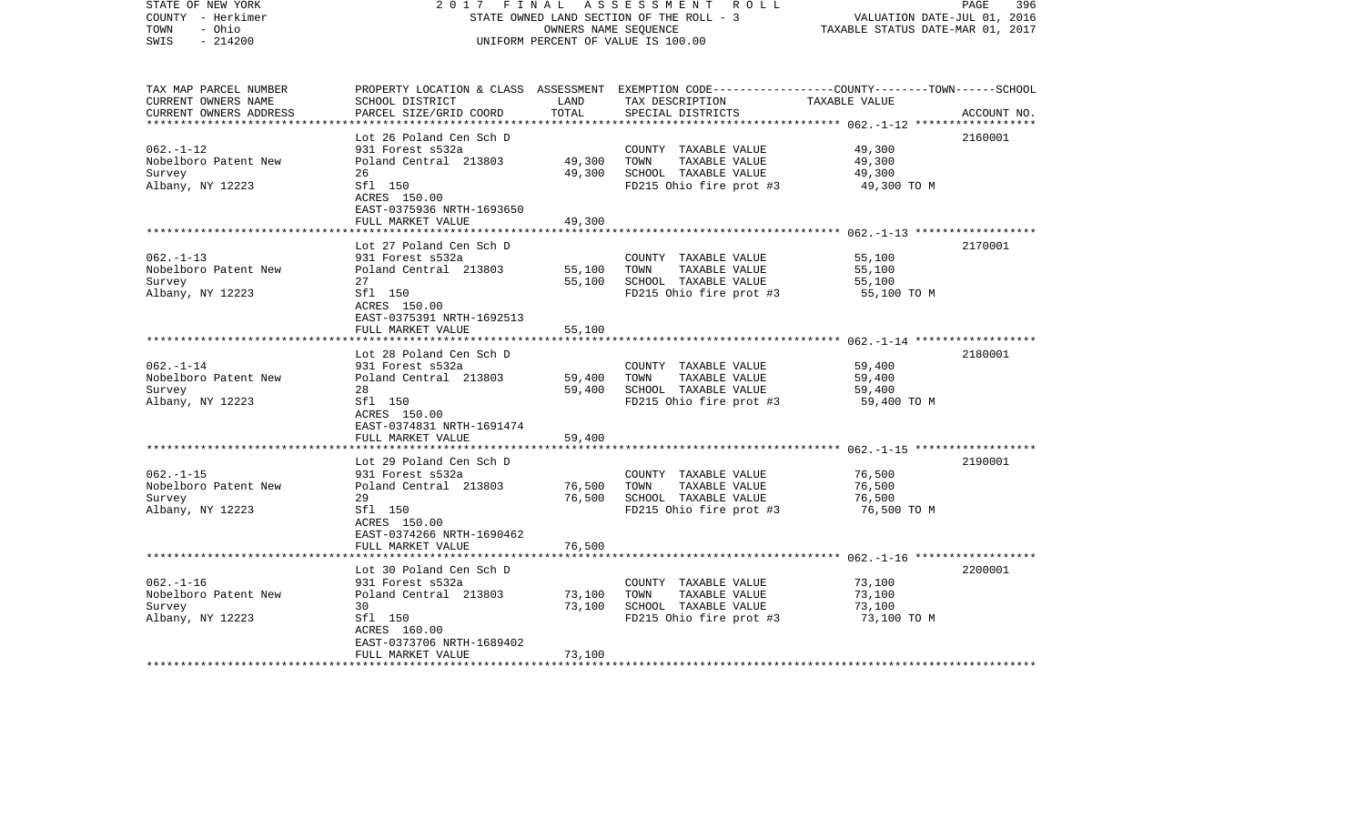| STATE OF NEW YORK<br>COUNTY - Herkimer<br>TOWN<br>- Ohio<br>$-214200$<br>SWIS | 2017<br>FINAL                                        | OWNERS NAME SEQUENCE | A S S E S S M E N T R O L L<br>STATE OWNED LAND SECTION OF THE ROLL - 3<br>UNIFORM PERCENT OF VALUE IS 100.00                                        | VALUATION DATE-JUL 01, 2016<br>TAXABLE STATUS DATE-MAR 01, 2017 | PAGE<br>396 |
|-------------------------------------------------------------------------------|------------------------------------------------------|----------------------|------------------------------------------------------------------------------------------------------------------------------------------------------|-----------------------------------------------------------------|-------------|
| TAX MAP PARCEL NUMBER<br>CURRENT OWNERS NAME<br>CURRENT OWNERS ADDRESS        | SCHOOL DISTRICT<br>PARCEL SIZE/GRID COORD            | LAND<br>TOTAL        | PROPERTY LOCATION & CLASS ASSESSMENT EXEMPTION CODE--------------COUNTY-------TOWN------SCHOOL<br>TAX DESCRIPTION TAXABLE VALUE<br>SPECIAL DISTRICTS |                                                                 | ACCOUNT NO. |
|                                                                               | Lot 26 Poland Cen Sch D                              |                      |                                                                                                                                                      |                                                                 | 2160001     |
| $062. - 1 - 12$                                                               | 931 Forest s532a                                     |                      | COUNTY TAXABLE VALUE                                                                                                                                 | 49,300                                                          |             |
| Nobelboro Patent New                                                          | Poland Central 213803                                | 49,300               | TOWN<br>TAXABLE VALUE                                                                                                                                | 49,300                                                          |             |
| Survey                                                                        | 26                                                   | 49,300               | SCHOOL TAXABLE VALUE                                                                                                                                 | 49,300                                                          |             |
| Albany, NY 12223                                                              | Sfl 150<br>ACRES 150.00<br>EAST-0375936 NRTH-1693650 |                      | FD215 Ohio fire prot #3                                                                                                                              | 49,300 TO M                                                     |             |
|                                                                               | FULL MARKET VALUE                                    | 49,300               |                                                                                                                                                      |                                                                 |             |
|                                                                               | Lot 27 Poland Cen Sch D                              |                      |                                                                                                                                                      |                                                                 | 2170001     |
| $062. -1 - 13$                                                                | 931 Forest s532a                                     |                      | COUNTY TAXABLE VALUE                                                                                                                                 | 55,100                                                          |             |
| Nobelboro Patent New                                                          | Poland Central 213803                                | 55,100               | TOWN<br>TAXABLE VALUE                                                                                                                                | 55,100                                                          |             |
| Survey                                                                        | 27                                                   | 55,100               | SCHOOL TAXABLE VALUE                                                                                                                                 | 55,100                                                          |             |
| Albany, NY 12223                                                              | Sfl 150<br>ACRES 150.00<br>EAST-0375391 NRTH-1692513 |                      | FD215 Ohio fire prot #3                                                                                                                              | 55,100 TO M                                                     |             |
|                                                                               | FULL MARKET VALUE                                    | 55,100               |                                                                                                                                                      |                                                                 |             |
|                                                                               |                                                      |                      |                                                                                                                                                      |                                                                 |             |
| $062 - 1 - 14$                                                                | Lot 28 Poland Cen Sch D<br>931 Forest s532a          |                      | COUNTY TAXABLE VALUE                                                                                                                                 | 59,400                                                          | 2180001     |
| Nobelboro Patent New                                                          | Poland Central 213803                                | 59,400               | TOWN<br>TAXABLE VALUE                                                                                                                                | 59,400                                                          |             |
| Survey                                                                        | 28                                                   | 59,400               | SCHOOL TAXABLE VALUE                                                                                                                                 | 59,400                                                          |             |
| Albany, NY 12223                                                              | Sfl 150                                              |                      | FD215 Ohio fire prot #3                                                                                                                              | 59,400 TO M                                                     |             |
|                                                                               | ACRES 150.00                                         |                      |                                                                                                                                                      |                                                                 |             |
|                                                                               | EAST-0374831 NRTH-1691474                            |                      |                                                                                                                                                      |                                                                 |             |
|                                                                               | FULL MARKET VALUE                                    | 59,400               |                                                                                                                                                      |                                                                 |             |
|                                                                               | Lot 29 Poland Cen Sch D                              |                      |                                                                                                                                                      |                                                                 | 2190001     |
| $062. -1 - 15$                                                                | 931 Forest s532a                                     |                      | COUNTY TAXABLE VALUE                                                                                                                                 | 76,500                                                          |             |
| Nobelboro Patent New                                                          | Poland Central 213803                                | 76,500               | TAXABLE VALUE<br>TOWN                                                                                                                                | 76,500                                                          |             |
| Survey                                                                        | 29                                                   | 76,500               | SCHOOL TAXABLE VALUE                                                                                                                                 | 76,500                                                          |             |
| Albany, NY 12223                                                              | Sfl 150                                              |                      | FD215 Ohio fire prot #3                                                                                                                              | 76,500 TO M                                                     |             |
|                                                                               | ACRES 150.00                                         |                      |                                                                                                                                                      |                                                                 |             |
|                                                                               | EAST-0374266 NRTH-1690462                            |                      |                                                                                                                                                      |                                                                 |             |
|                                                                               | FULL MARKET VALUE                                    | 76,500               |                                                                                                                                                      |                                                                 |             |
|                                                                               | Lot 30 Poland Cen Sch D                              |                      |                                                                                                                                                      |                                                                 | 2200001     |
| $062. -1 - 16$                                                                | 931 Forest s532a                                     |                      | COUNTY TAXABLE VALUE                                                                                                                                 | 73,100                                                          |             |
| Nobelboro Patent New                                                          | Poland Central 213803                                | 73,100               | TOWN<br>TAXABLE VALUE                                                                                                                                | 73,100                                                          |             |
| Survey                                                                        | 30                                                   | 73,100               | SCHOOL TAXABLE VALUE                                                                                                                                 | 73,100                                                          |             |
| Albany, NY 12223                                                              | Sfl 150                                              |                      | FD215 Ohio fire prot $#3$ 73,100 TO M                                                                                                                |                                                                 |             |
|                                                                               | ACRES 160.00                                         |                      |                                                                                                                                                      |                                                                 |             |
|                                                                               | EAST-0373706 NRTH-1689402<br>FULL MARKET VALUE       | 73,100               |                                                                                                                                                      |                                                                 |             |
|                                                                               |                                                      |                      |                                                                                                                                                      |                                                                 |             |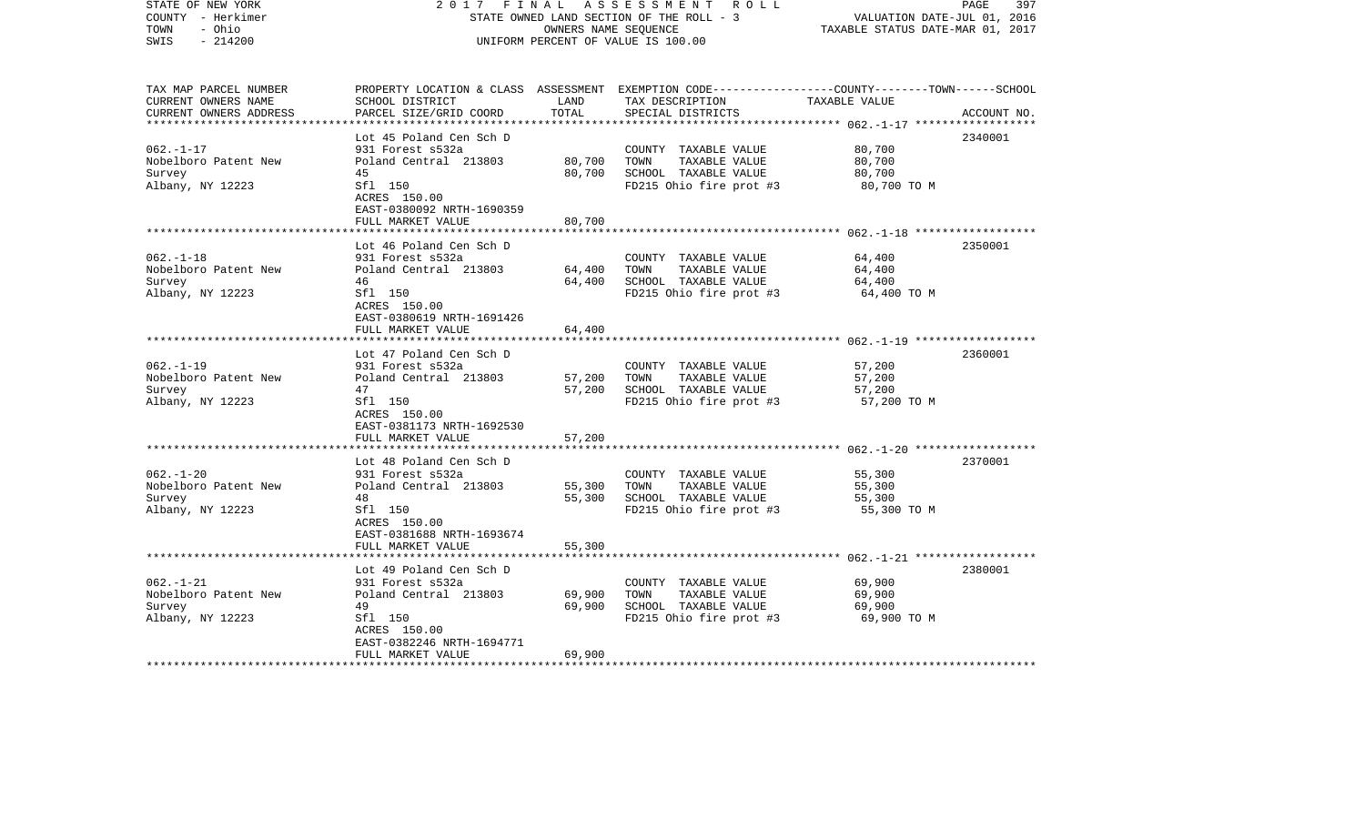| COUNTY - Herkimer<br>TOWN<br>- Ohio<br>SWIS<br>$-214200$                                     |                                                                                                                                                                                | OWNERS NAME SEQUENCE                 | STATE OWNED LAND SECTION OF THE ROLL - 3<br>UNIFORM PERCENT OF VALUE IS 100.00                   | VALUATION DATE-JUL 01, 2016<br>TAXABLE STATUS DATE-MAR 01, 2017 |             |
|----------------------------------------------------------------------------------------------|--------------------------------------------------------------------------------------------------------------------------------------------------------------------------------|--------------------------------------|--------------------------------------------------------------------------------------------------|-----------------------------------------------------------------|-------------|
| TAX MAP PARCEL NUMBER<br>CURRENT OWNERS NAME<br>CURRENT OWNERS ADDRESS                       | PROPERTY LOCATION & CLASS ASSESSMENT EXEMPTION CODE----------------COUNTY-------TOWN------SCHOOL<br>SCHOOL DISTRICT<br>PARCEL SIZE/GRID COORD                                  | LAND<br>TOTAL                        | TAX DESCRIPTION<br>SPECIAL DISTRICTS                                                             | TAXABLE VALUE<br>*********** 062.-1-17 **************           | ACCOUNT NO. |
| $062. -1 - 17$<br>Nobelboro Patent New<br>Survey<br>Albany, NY 12223                         | Lot 45 Poland Cen Sch D<br>931 Forest s532a<br>Poland Central 213803<br>45<br>Sfl 150<br>ACRES 150.00<br>EAST-0380092 NRTH-1690359<br>FULL MARKET VALUE                        | 80,700<br>80,700<br>80,700           | COUNTY TAXABLE VALUE<br>TOWN<br>TAXABLE VALUE<br>SCHOOL TAXABLE VALUE<br>FD215 Ohio fire prot #3 | 80,700<br>80,700<br>80,700<br>80,700 TO M                       | 2340001     |
| $062. -1 - 18$<br>Nobelboro Patent New<br>Survey<br>Albany, NY 12223                         | Lot 46 Poland Cen Sch D<br>931 Forest s532a<br>Poland Central 213803<br>46<br>Sfl 150<br>ACRES 150.00<br>EAST-0380619 NRTH-1691426                                             | 64,400<br>64,400                     | COUNTY TAXABLE VALUE<br>TOWN<br>TAXABLE VALUE<br>SCHOOL TAXABLE VALUE<br>FD215 Ohio fire prot #3 | 64,400<br>64,400<br>64,400<br>64,400 TO M                       | 2350001     |
| $062. -1 - 19$<br>Nobelboro Patent New<br>Survey<br>Albany, NY 12223                         | FULL MARKET VALUE<br>*******************<br>Lot 47 Poland Cen Sch D<br>931 Forest s532a<br>Poland Central 213803<br>47<br>Sfl 150<br>ACRES 150.00<br>EAST-0381173 NRTH-1692530 | 64,400<br>57,200<br>57,200           | COUNTY TAXABLE VALUE<br>TOWN<br>TAXABLE VALUE<br>SCHOOL TAXABLE VALUE<br>FD215 Ohio fire prot #3 | 57,200<br>57,200<br>57,200<br>57,200 TO M                       | 2360001     |
| $062. -1 - 20$<br>Nobelboro Patent New<br>Survey<br>Albany, NY 12223                         | FULL MARKET VALUE<br>Lot 48 Poland Cen Sch D<br>931 Forest s532a<br>Poland Central 213803<br>48<br>Sfl 150<br>ACRES 150.00<br>EAST-0381688 NRTH-1693674<br>FULL MARKET VALUE   | 57,200<br>55,300<br>55,300<br>55,300 | COUNTY TAXABLE VALUE<br>TAXABLE VALUE<br>TOWN<br>SCHOOL TAXABLE VALUE<br>FD215 Ohio fire prot #3 | 55,300<br>55,300<br>55,300<br>55,300 TO M                       | 2370001     |
| $062. -1 - 21$<br>Nobelboro Patent New<br>Survey<br>Albany, NY 12223<br>******************** | Lot 49 Poland Cen Sch D<br>931 Forest s532a<br>Poland Central 213803<br>49<br>Sfl 150<br>ACRES 150.00<br>EAST-0382246 NRTH-1694771<br>FULL MARKET VALUE                        | 69,900<br>69,900<br>69,900           | COUNTY TAXABLE VALUE<br>TOWN<br>TAXABLE VALUE<br>SCHOOL TAXABLE VALUE<br>FD215 Ohio fire prot #3 | 69,900<br>69,900<br>69,900<br>69,900 TO M                       | 2380001     |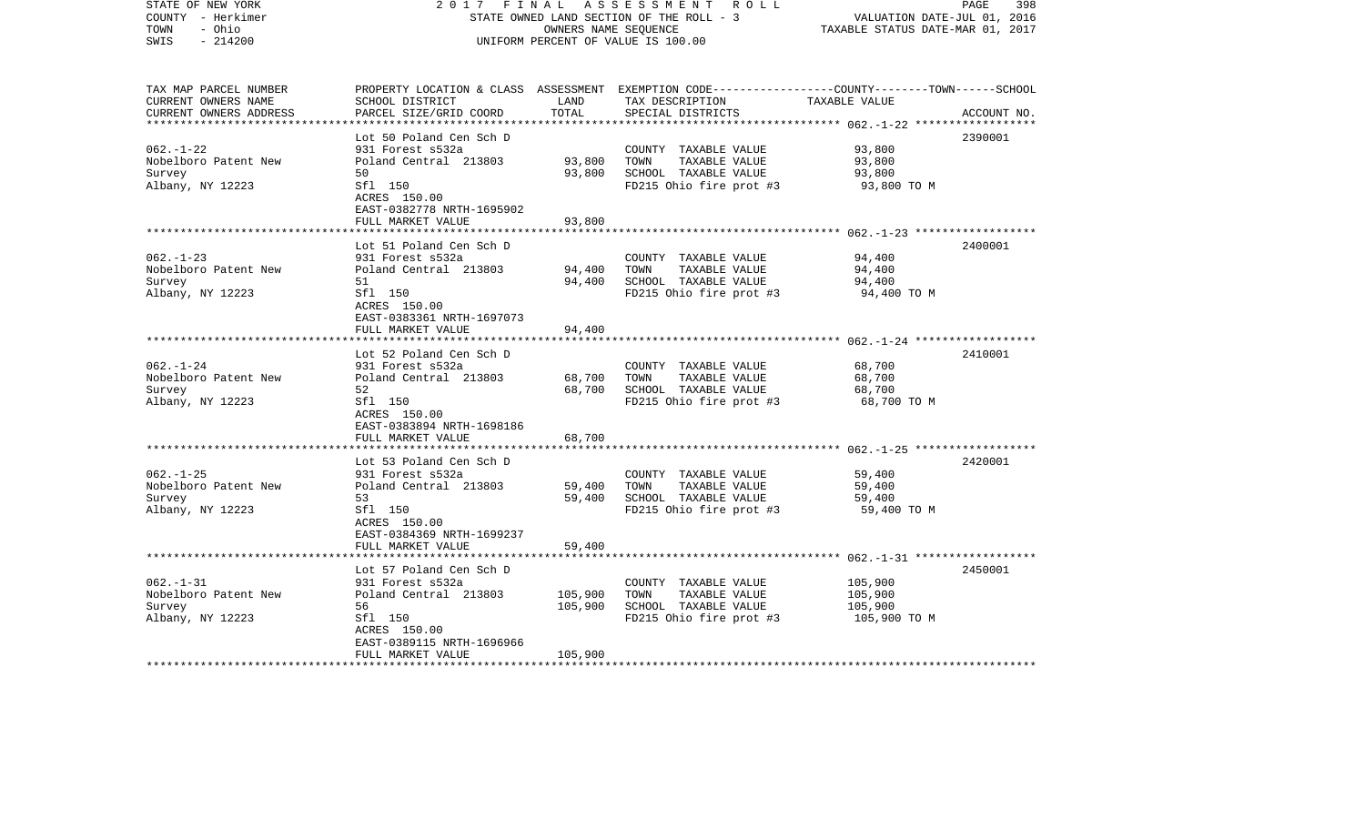| STATE OF NEW YORK<br>COUNTY - Herkimer<br>TOWN<br>- Ohio<br>$-214200$<br>SWIS | 2017                                                 | FINAL         | A S S E S S M E N T R O L L<br>STATE OWNED LAND SECTION OF THE ROLL - 3<br>OWNERS NAME SEQUENCE<br>UNIFORM PERCENT OF VALUE IS 100.00                | VALUATION DATE-JUL 01, 2016<br>TAXABLE STATUS DATE-MAR 01, 2017 | PAGE<br>398 |
|-------------------------------------------------------------------------------|------------------------------------------------------|---------------|------------------------------------------------------------------------------------------------------------------------------------------------------|-----------------------------------------------------------------|-------------|
| TAX MAP PARCEL NUMBER<br>CURRENT OWNERS NAME<br>CURRENT OWNERS ADDRESS        | SCHOOL DISTRICT<br>PARCEL SIZE/GRID COORD            | LAND<br>TOTAL | PROPERTY LOCATION & CLASS ASSESSMENT EXEMPTION CODE--------------COUNTY-------TOWN------SCHOOL<br>TAX DESCRIPTION TAXABLE VALUE<br>SPECIAL DISTRICTS |                                                                 | ACCOUNT NO. |
|                                                                               | Lot 50 Poland Cen Sch D                              |               |                                                                                                                                                      |                                                                 | 2390001     |
| $062. - 1 - 22$                                                               | 931 Forest s532a                                     |               | COUNTY TAXABLE VALUE                                                                                                                                 | 93,800                                                          |             |
| Nobelboro Patent New                                                          | Poland Central 213803                                | 93,800        | TAXABLE VALUE<br>TOWN                                                                                                                                | 93,800                                                          |             |
| Survey                                                                        | 50                                                   | 93,800        | SCHOOL TAXABLE VALUE                                                                                                                                 | 93,800                                                          |             |
| Albany, NY 12223                                                              | Sfl 150<br>ACRES 150.00<br>EAST-0382778 NRTH-1695902 |               | FD215 Ohio fire prot #3                                                                                                                              | 93,800 TO M                                                     |             |
|                                                                               | FULL MARKET VALUE                                    | 93,800        |                                                                                                                                                      |                                                                 |             |
|                                                                               | Lot 51 Poland Cen Sch D                              |               |                                                                                                                                                      |                                                                 | 2400001     |
| $062 - 1 - 23$                                                                | 931 Forest s532a                                     |               | COUNTY TAXABLE VALUE                                                                                                                                 | 94,400                                                          |             |
| Nobelboro Patent New                                                          | Poland Central 213803                                | 94,400        | TOWN<br>TAXABLE VALUE                                                                                                                                | 94,400                                                          |             |
| Survey                                                                        | 51                                                   | 94,400        | SCHOOL TAXABLE VALUE                                                                                                                                 | 94,400                                                          |             |
| Albany, NY 12223                                                              | Sfl 150<br>ACRES 150.00<br>EAST-0383361 NRTH-1697073 |               | FD215 Ohio fire prot #3                                                                                                                              | 94,400 TO M                                                     |             |
|                                                                               | FULL MARKET VALUE                                    | 94,400        |                                                                                                                                                      |                                                                 |             |
|                                                                               |                                                      |               |                                                                                                                                                      |                                                                 |             |
| $062 - 1 - 24$                                                                | Lot 52 Poland Cen Sch D<br>931 Forest s532a          |               | COUNTY TAXABLE VALUE                                                                                                                                 | 68,700                                                          | 2410001     |
| Nobelboro Patent New                                                          | Poland Central 213803                                | 68,700        | TOWN<br>TAXABLE VALUE                                                                                                                                | 68,700                                                          |             |
| Survey                                                                        | 52                                                   | 68,700        | SCHOOL TAXABLE VALUE                                                                                                                                 | 68,700                                                          |             |
| Albany, NY 12223                                                              | Sfl 150<br>ACRES 150.00                              |               | FD215 Ohio fire prot #3                                                                                                                              | 68,700 TO M                                                     |             |
|                                                                               | EAST-0383894 NRTH-1698186                            |               |                                                                                                                                                      |                                                                 |             |
|                                                                               | FULL MARKET VALUE                                    | 68,700        |                                                                                                                                                      |                                                                 |             |
|                                                                               | Lot 53 Poland Cen Sch D                              |               |                                                                                                                                                      |                                                                 | 2420001     |
| $062. -1 - 25$                                                                | 931 Forest s532a                                     |               | COUNTY TAXABLE VALUE                                                                                                                                 | 59,400                                                          |             |
| Nobelboro Patent New                                                          | Poland Central 213803                                | 59,400        | TAXABLE VALUE<br>TOWN                                                                                                                                | 59,400                                                          |             |
| Survey                                                                        | 53                                                   | 59,400        | SCHOOL TAXABLE VALUE                                                                                                                                 | 59,400                                                          |             |
| Albany, NY 12223                                                              | Sfl 150<br>ACRES 150.00<br>EAST-0384369 NRTH-1699237 |               | FD215 Ohio fire prot #3                                                                                                                              | 59,400 TO M                                                     |             |
|                                                                               | FULL MARKET VALUE                                    | 59,400        |                                                                                                                                                      |                                                                 |             |
|                                                                               |                                                      |               |                                                                                                                                                      |                                                                 |             |
|                                                                               | Lot 57 Poland Cen Sch D                              |               |                                                                                                                                                      |                                                                 | 2450001     |
| $062. -1 - 31$<br>Nobelboro Patent New                                        | 931 Forest s532a<br>Poland Central 213803            | 105,900       | COUNTY TAXABLE VALUE<br>TOWN<br>TAXABLE VALUE                                                                                                        | 105,900                                                         |             |
| Survey                                                                        | 56                                                   | 105,900       | SCHOOL TAXABLE VALUE                                                                                                                                 | 105,900<br>105,900                                              |             |
| Albany, NY 12223                                                              | Sfl 150                                              |               | FD215 Ohio fire prot #3                                                                                                                              | 105,900 TO M                                                    |             |
|                                                                               | ACRES 150.00                                         |               |                                                                                                                                                      |                                                                 |             |
|                                                                               | EAST-0389115 NRTH-1696966                            |               |                                                                                                                                                      |                                                                 |             |
| **************************                                                    | FULL MARKET VALUE                                    | 105,900       |                                                                                                                                                      |                                                                 |             |
|                                                                               |                                                      |               |                                                                                                                                                      |                                                                 |             |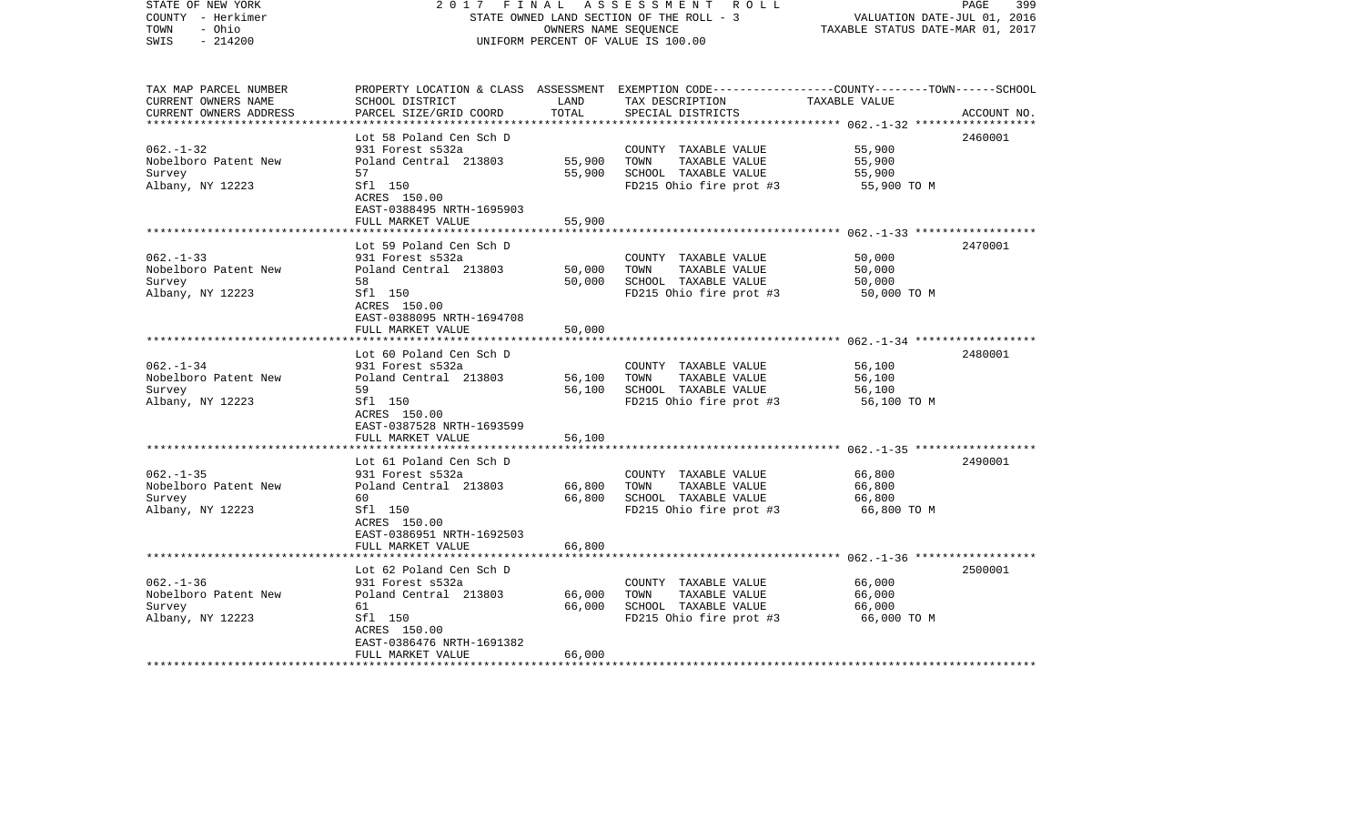| STATE OF NEW YORK<br>COUNTY - Herkimer<br>- Ohio<br>TOWN<br>$-214200$<br>SWIS | 2017                                                 | FINAL<br>OWNERS NAME SEQUENCE | A S S E S S M E N T R O L L<br>STATE OWNED LAND SECTION OF THE ROLL - 3<br>UNIFORM PERCENT OF VALUE IS 100.00                                        | VALUATION DATE-JUL 01, 2016<br>TAXABLE STATUS DATE-MAR 01, 2017 | 399<br>PAGE |
|-------------------------------------------------------------------------------|------------------------------------------------------|-------------------------------|------------------------------------------------------------------------------------------------------------------------------------------------------|-----------------------------------------------------------------|-------------|
| TAX MAP PARCEL NUMBER<br>CURRENT OWNERS NAME<br>CURRENT OWNERS ADDRESS        | SCHOOL DISTRICT<br>PARCEL SIZE/GRID COORD            | LAND<br>TOTAL                 | PROPERTY LOCATION & CLASS ASSESSMENT EXEMPTION CODE--------------COUNTY-------TOWN------SCHOOL<br>TAX DESCRIPTION TAXABLE VALUE<br>SPECIAL DISTRICTS |                                                                 | ACCOUNT NO. |
|                                                                               | Lot 58 Poland Cen Sch D                              |                               |                                                                                                                                                      |                                                                 | 2460001     |
| $062. - 1 - 32$                                                               | 931 Forest s532a                                     |                               | COUNTY TAXABLE VALUE                                                                                                                                 | 55,900                                                          |             |
| Nobelboro Patent New                                                          | Poland Central 213803                                | 55,900                        | TAXABLE VALUE<br>TOWN                                                                                                                                | 55,900                                                          |             |
| Survey                                                                        | 57                                                   | 55,900                        | SCHOOL TAXABLE VALUE                                                                                                                                 | 55,900                                                          |             |
| Albany, NY 12223                                                              | Sfl 150<br>ACRES 150.00<br>EAST-0388495 NRTH-1695903 |                               | FD215 Ohio fire prot #3                                                                                                                              | 55,900 TO M                                                     |             |
|                                                                               | FULL MARKET VALUE                                    | 55,900                        |                                                                                                                                                      |                                                                 |             |
|                                                                               | Lot 59 Poland Cen Sch D                              |                               |                                                                                                                                                      |                                                                 | 2470001     |
| $062 - 1 - 33$                                                                | 931 Forest s532a                                     |                               | COUNTY TAXABLE VALUE                                                                                                                                 | 50,000                                                          |             |
| Nobelboro Patent New                                                          | Poland Central 213803                                | 50,000                        | TOWN<br>TAXABLE VALUE                                                                                                                                | 50,000                                                          |             |
| Survey                                                                        | 58                                                   | 50,000                        | SCHOOL TAXABLE VALUE                                                                                                                                 | 50,000                                                          |             |
| Albany, NY 12223                                                              | Sfl 150<br>ACRES 150.00<br>EAST-0388095 NRTH-1694708 |                               | FD215 Ohio fire prot #3                                                                                                                              | 50,000 TO M                                                     |             |
|                                                                               | FULL MARKET VALUE                                    | 50,000                        |                                                                                                                                                      |                                                                 |             |
|                                                                               |                                                      |                               |                                                                                                                                                      |                                                                 |             |
| $062 - 1 - 34$                                                                | Lot 60 Poland Cen Sch D<br>931 Forest s532a          |                               | COUNTY TAXABLE VALUE                                                                                                                                 | 56,100                                                          | 2480001     |
| Nobelboro Patent New                                                          | Poland Central 213803                                | 56,100                        | TOWN<br>TAXABLE VALUE                                                                                                                                | 56,100                                                          |             |
| Survey                                                                        | 59                                                   | 56,100                        | SCHOOL TAXABLE VALUE                                                                                                                                 | 56,100                                                          |             |
| Albany, NY 12223                                                              | Sfl 150                                              |                               | FD215 Ohio fire prot #3                                                                                                                              | 56,100 TO M                                                     |             |
|                                                                               | ACRES 150.00                                         |                               |                                                                                                                                                      |                                                                 |             |
|                                                                               | EAST-0387528 NRTH-1693599                            |                               |                                                                                                                                                      |                                                                 |             |
|                                                                               | FULL MARKET VALUE                                    | 56,100                        |                                                                                                                                                      |                                                                 |             |
|                                                                               | Lot 61 Poland Cen Sch D                              |                               |                                                                                                                                                      |                                                                 | 2490001     |
| $062. -1 - 35$                                                                | 931 Forest s532a                                     |                               | COUNTY TAXABLE VALUE                                                                                                                                 | 66,800                                                          |             |
| Nobelboro Patent New                                                          | Poland Central 213803                                | 66,800                        | TAXABLE VALUE<br>TOWN                                                                                                                                | 66,800                                                          |             |
| Survey                                                                        | 60                                                   | 66,800                        | SCHOOL TAXABLE VALUE                                                                                                                                 | 66,800                                                          |             |
| Albany, NY 12223                                                              | Sfl 150                                              |                               | FD215 Ohio fire prot #3                                                                                                                              | 66,800 TO M                                                     |             |
|                                                                               | ACRES 150.00<br>EAST-0386951 NRTH-1692503            |                               |                                                                                                                                                      |                                                                 |             |
|                                                                               | FULL MARKET VALUE                                    | 66,800                        |                                                                                                                                                      |                                                                 |             |
|                                                                               |                                                      |                               |                                                                                                                                                      |                                                                 |             |
|                                                                               | Lot 62 Poland Cen Sch D                              |                               |                                                                                                                                                      |                                                                 | 2500001     |
| $062. - 1 - 36$                                                               | 931 Forest s532a                                     |                               | COUNTY TAXABLE VALUE                                                                                                                                 | 66,000                                                          |             |
| Nobelboro Patent New                                                          | Poland Central 213803                                | 66,000                        | TOWN<br>TAXABLE VALUE                                                                                                                                | 66,000                                                          |             |
| Survey                                                                        | 61                                                   | 66,000                        | SCHOOL TAXABLE VALUE                                                                                                                                 | 66,000                                                          |             |
| Albany, NY 12223                                                              | Sfl 150<br>ACRES 150.00                              |                               | FD215 Ohio fire prot #3                                                                                                                              | 66,000 TO M                                                     |             |
|                                                                               | EAST-0386476 NRTH-1691382                            |                               |                                                                                                                                                      |                                                                 |             |
|                                                                               | FULL MARKET VALUE                                    | 66,000                        |                                                                                                                                                      |                                                                 |             |
| **************************                                                    |                                                      |                               |                                                                                                                                                      |                                                                 |             |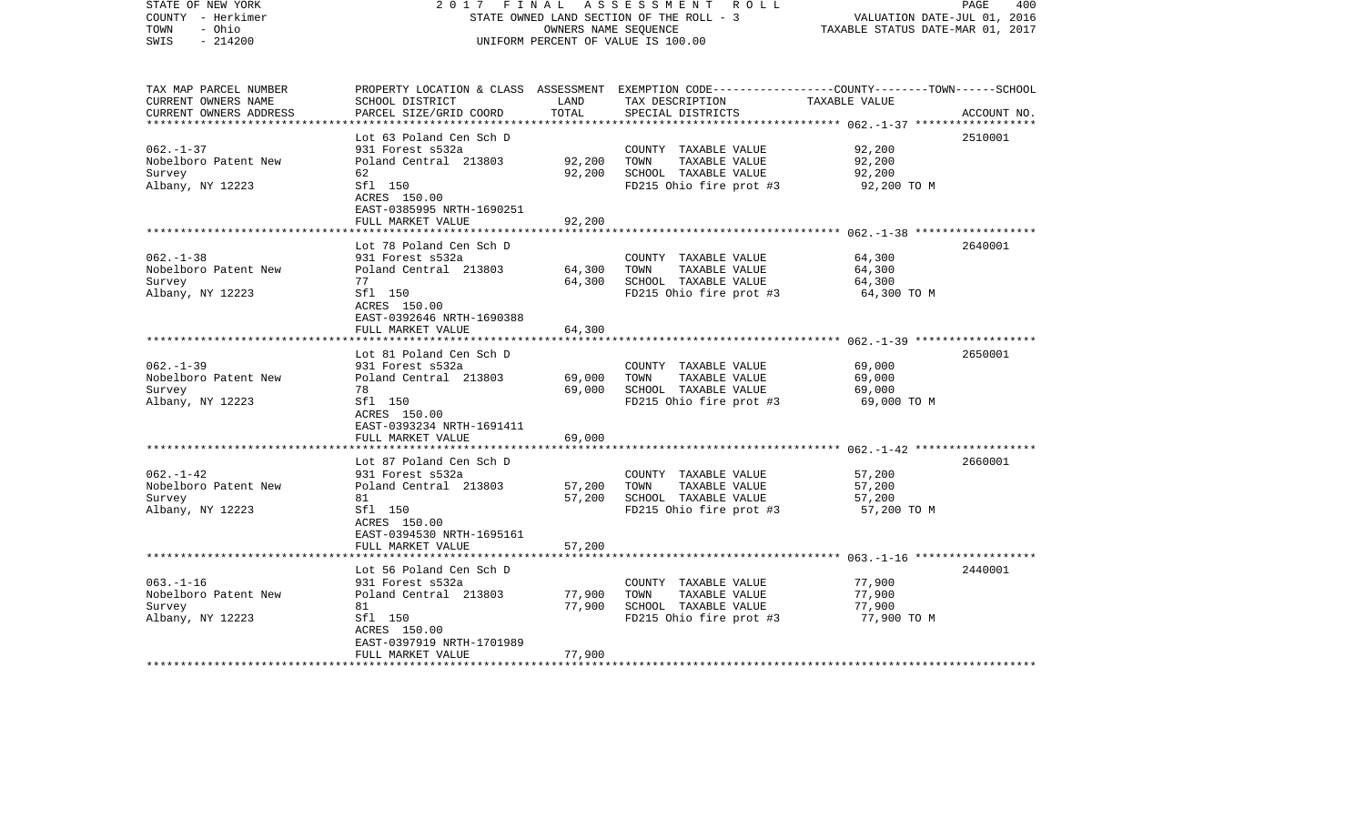| STATE OF NEW YORK<br>COUNTY - Herkimer<br>TOWN<br>- Ohio<br>$-214200$<br>SWIS | 2017<br>FINAL                                        | OWNERS NAME SEQUENCE | A S S E S S M E N T R O L L<br>STATE OWNED LAND SECTION OF THE ROLL - 3<br>UNIFORM PERCENT OF VALUE IS 100.00                                        | VALUATION DATE-JUL 01, 2016<br>TAXABLE STATUS DATE-MAR 01, 2017 | PAGE<br>400 |
|-------------------------------------------------------------------------------|------------------------------------------------------|----------------------|------------------------------------------------------------------------------------------------------------------------------------------------------|-----------------------------------------------------------------|-------------|
| TAX MAP PARCEL NUMBER<br>CURRENT OWNERS NAME<br>CURRENT OWNERS ADDRESS        | SCHOOL DISTRICT<br>PARCEL SIZE/GRID COORD            | LAND<br>TOTAL        | PROPERTY LOCATION & CLASS ASSESSMENT EXEMPTION CODE--------------COUNTY-------TOWN------SCHOOL<br>TAX DESCRIPTION TAXABLE VALUE<br>SPECIAL DISTRICTS |                                                                 | ACCOUNT NO. |
|                                                                               | Lot 63 Poland Cen Sch D                              |                      |                                                                                                                                                      |                                                                 | 2510001     |
| $062. - 1 - 37$                                                               | 931 Forest s532a                                     |                      | COUNTY TAXABLE VALUE                                                                                                                                 | 92,200                                                          |             |
| Nobelboro Patent New                                                          | Poland Central 213803                                | 92,200               | TAXABLE VALUE<br>TOWN                                                                                                                                | 92,200                                                          |             |
| Survey                                                                        | 62                                                   | 92,200               | SCHOOL TAXABLE VALUE                                                                                                                                 | 92,200                                                          |             |
| Albany, NY 12223                                                              | Sfl 150<br>ACRES 150.00<br>EAST-0385995 NRTH-1690251 |                      | FD215 Ohio fire prot #3                                                                                                                              | 92,200 TO M                                                     |             |
|                                                                               | FULL MARKET VALUE                                    | 92,200               |                                                                                                                                                      |                                                                 |             |
|                                                                               | Lot 78 Poland Cen Sch D                              |                      |                                                                                                                                                      |                                                                 | 2640001     |
| $062 - 1 - 38$                                                                | 931 Forest s532a                                     |                      | COUNTY TAXABLE VALUE                                                                                                                                 | 64,300                                                          |             |
| Nobelboro Patent New                                                          | Poland Central 213803                                | 64,300               | TOWN<br>TAXABLE VALUE                                                                                                                                | 64,300                                                          |             |
| Survey                                                                        | 77                                                   | 64,300               | SCHOOL TAXABLE VALUE                                                                                                                                 | 64,300                                                          |             |
| Albany, NY 12223                                                              | Sfl 150<br>ACRES 150.00<br>EAST-0392646 NRTH-1690388 |                      | FD215 Ohio fire prot #3                                                                                                                              | 64,300 TO M                                                     |             |
|                                                                               | FULL MARKET VALUE                                    | 64,300               |                                                                                                                                                      |                                                                 |             |
|                                                                               |                                                      |                      |                                                                                                                                                      |                                                                 |             |
| $062 - 1 - 39$                                                                | Lot 81 Poland Cen Sch D                              |                      |                                                                                                                                                      | 69,000                                                          | 2650001     |
| Nobelboro Patent New                                                          | 931 Forest s532a<br>Poland Central 213803            | 69,000               | COUNTY TAXABLE VALUE<br>TOWN<br>TAXABLE VALUE                                                                                                        | 69,000                                                          |             |
| Survey                                                                        | 78                                                   | 69,000               | SCHOOL TAXABLE VALUE                                                                                                                                 | 69,000                                                          |             |
| Albany, NY 12223                                                              | Sfl 150                                              |                      | FD215 Ohio fire prot #3                                                                                                                              | 69,000 TO M                                                     |             |
|                                                                               | ACRES 150.00<br>EAST-0393234 NRTH-1691411            |                      |                                                                                                                                                      |                                                                 |             |
|                                                                               | FULL MARKET VALUE                                    | 69,000               |                                                                                                                                                      |                                                                 |             |
|                                                                               |                                                      |                      |                                                                                                                                                      |                                                                 |             |
|                                                                               | Lot 87 Poland Cen Sch D                              |                      |                                                                                                                                                      |                                                                 | 2660001     |
| $062. - 1 - 42$<br>Nobelboro Patent New                                       | 931 Forest s532a<br>Poland Central 213803            | 57,200               | COUNTY TAXABLE VALUE<br>TAXABLE VALUE<br>TOWN                                                                                                        | 57,200<br>57,200                                                |             |
| Survey                                                                        | 81                                                   | 57,200               | SCHOOL TAXABLE VALUE                                                                                                                                 | 57,200                                                          |             |
| Albany, NY 12223                                                              | Sfl 150                                              |                      | FD215 Ohio fire prot #3                                                                                                                              | 57,200 TO M                                                     |             |
|                                                                               | ACRES 150.00                                         |                      |                                                                                                                                                      |                                                                 |             |
|                                                                               | EAST-0394530 NRTH-1695161                            |                      |                                                                                                                                                      |                                                                 |             |
|                                                                               | FULL MARKET VALUE                                    | 57,200               |                                                                                                                                                      |                                                                 |             |
|                                                                               |                                                      |                      |                                                                                                                                                      |                                                                 | 2440001     |
| $063. -1 - 16$                                                                | Lot 56 Poland Cen Sch D<br>931 Forest s532a          |                      | COUNTY TAXABLE VALUE                                                                                                                                 | 77,900                                                          |             |
| Nobelboro Patent New                                                          | Poland Central 213803                                | 77,900               | TOWN<br>TAXABLE VALUE                                                                                                                                | 77,900                                                          |             |
| Survey                                                                        | 81                                                   | 77,900               | SCHOOL TAXABLE VALUE                                                                                                                                 | 77,900                                                          |             |
| Albany, NY 12223                                                              | Sfl 150                                              |                      | FD215 Ohio fire prot #3                                                                                                                              | 77,900 TO M                                                     |             |
|                                                                               | ACRES 150.00                                         |                      |                                                                                                                                                      |                                                                 |             |
|                                                                               | EAST-0397919 NRTH-1701989                            |                      |                                                                                                                                                      |                                                                 |             |
| ************************                                                      | FULL MARKET VALUE                                    | 77,900               |                                                                                                                                                      |                                                                 |             |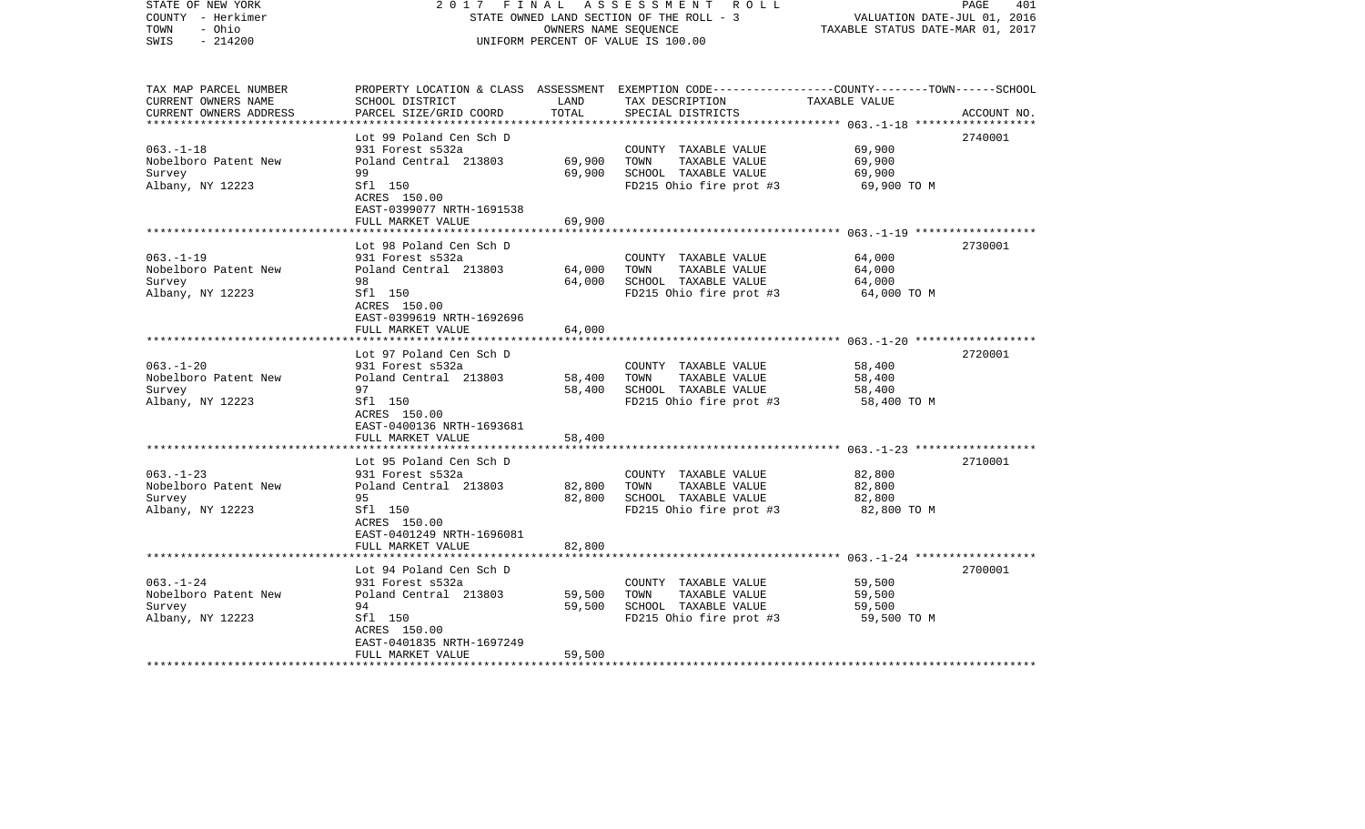| COUNTY - Herkimer<br>- Ohio<br>TOWN<br>$-214200$<br>SWIS                                         | STATE OWNED LAND SECTION OF THE ROLL - 3<br>UNIFORM PERCENT OF VALUE IS 100.00                                                                                            | VALUATION DATE-JUL 01, 2016<br>TAXABLE STATUS DATE-MAR 01, 2017 |                                                                                                  |                                                           |             |
|--------------------------------------------------------------------------------------------------|---------------------------------------------------------------------------------------------------------------------------------------------------------------------------|-----------------------------------------------------------------|--------------------------------------------------------------------------------------------------|-----------------------------------------------------------|-------------|
| TAX MAP PARCEL NUMBER<br>CURRENT OWNERS NAME<br>CURRENT OWNERS ADDRESS<br>********************** | PROPERTY LOCATION & CLASS ASSESSMENT EXEMPTION CODE---------------COUNTY-------TOWN------SCHOOL<br>SCHOOL DISTRICT<br>PARCEL SIZE/GRID COORD<br>************************* | LAND<br>TOTAL                                                   | TAX DESCRIPTION<br>SPECIAL DISTRICTS<br>********************************                         | TAXABLE VALUE<br>************** 063.-1-18 *************** | ACCOUNT NO. |
| $063. -1 - 18$<br>Nobelboro Patent New<br>Survey<br>Albany, NY 12223                             | Lot 99 Poland Cen Sch D<br>931 Forest s532a<br>Poland Central 213803<br>99<br>Sfl 150<br>ACRES 150.00<br>EAST-0399077 NRTH-1691538<br>FULL MARKET VALUE                   | 69,900<br>69,900<br>69,900                                      | COUNTY TAXABLE VALUE<br>TOWN<br>TAXABLE VALUE<br>SCHOOL TAXABLE VALUE<br>FD215 Ohio fire prot #3 | 69,900<br>69,900<br>69,900<br>69,900 TO M                 | 2740001     |
| $063. -1 - 19$<br>Nobelboro Patent New<br>Survey<br>Albany, NY 12223                             | Lot 98 Poland Cen Sch D<br>931 Forest s532a<br>Poland Central 213803<br>98<br>Sfl 150<br>ACRES 150.00                                                                     | 64,000<br>64,000                                                | COUNTY TAXABLE VALUE<br>TOWN<br>TAXABLE VALUE<br>SCHOOL TAXABLE VALUE<br>FD215 Ohio fire prot #3 | 64,000<br>64,000<br>64,000<br>64,000 TO M                 | 2730001     |
|                                                                                                  | EAST-0399619 NRTH-1692696<br>FULL MARKET VALUE<br>***************                                                                                                         | 64,000                                                          |                                                                                                  |                                                           |             |
| $063. -1 - 20$<br>Nobelboro Patent New<br>Survey<br>Albany, NY 12223                             | Lot 97 Poland Cen Sch D<br>931 Forest s532a<br>Poland Central 213803<br>97<br>Sfl 150<br>ACRES 150.00<br>EAST-0400136 NRTH-1693681                                        | 58,400<br>58,400                                                | COUNTY TAXABLE VALUE<br>TOWN<br>TAXABLE VALUE<br>SCHOOL TAXABLE VALUE<br>FD215 Ohio fire prot #3 | 58,400<br>58,400<br>58,400<br>58,400 TO M                 | 2720001     |
|                                                                                                  | FULL MARKET VALUE                                                                                                                                                         | 58,400                                                          |                                                                                                  |                                                           |             |
| $063. -1 - 23$<br>Nobelboro Patent New<br>Survey<br>Albany, NY 12223                             | Lot 95 Poland Cen Sch D<br>931 Forest s532a<br>Poland Central 213803<br>95<br>Sfl 150<br>ACRES 150.00<br>EAST-0401249 NRTH-1696081<br>FULL MARKET VALUE                   | 82,800<br>82,800<br>82,800                                      | COUNTY TAXABLE VALUE<br>TAXABLE VALUE<br>TOWN<br>SCHOOL TAXABLE VALUE<br>FD215 Ohio fire prot #3 | 82,800<br>82,800<br>82,800<br>82,800 TO M                 | 2710001     |
|                                                                                                  | *************************                                                                                                                                                 |                                                                 |                                                                                                  |                                                           |             |
| $063. - 1 - 24$<br>Nobelboro Patent New<br>Survey<br>Albany, NY 12223                            | Lot 94 Poland Cen Sch D<br>931 Forest s532a<br>Poland Central 213803<br>94<br>Sfl 150<br>ACRES 150.00<br>EAST-0401835 NRTH-1697249                                        | 59,500<br>59,500                                                | COUNTY TAXABLE VALUE<br>TOWN<br>TAXABLE VALUE<br>SCHOOL TAXABLE VALUE<br>FD215 Ohio fire prot #3 | 59,500<br>59,500<br>59,500<br>59,500 TO M                 | 2700001     |
| **********************                                                                           | FULL MARKET VALUE                                                                                                                                                         | 59,500                                                          |                                                                                                  |                                                           |             |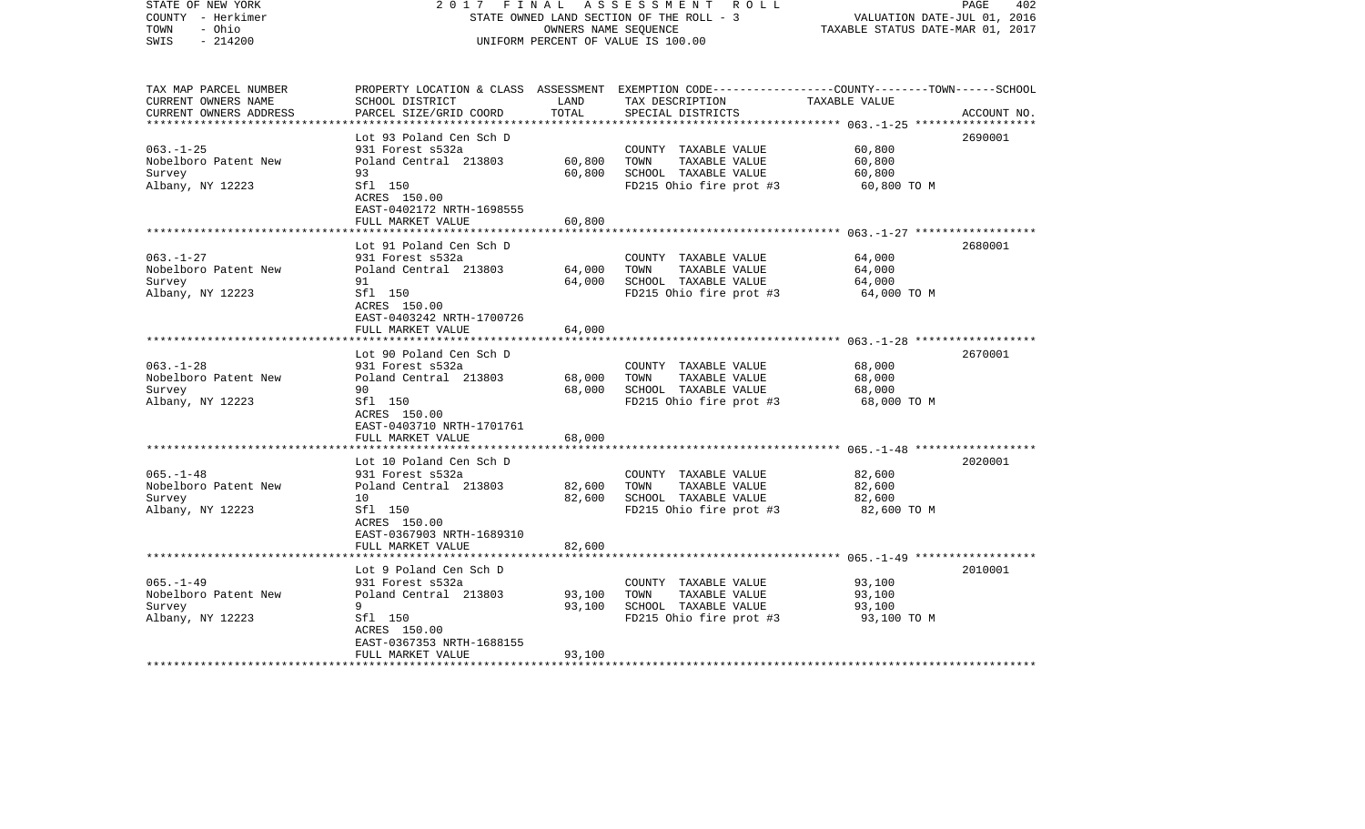| STATE OF NEW YORK<br>COUNTY - Herkimer<br>- Ohio<br>TOWN<br>$-214200$<br>SWIS | 2017<br>FINAL                                        | OWNERS NAME SEQUENCE | A S S E S S M E N T R O L L<br>STATE OWNED LAND SECTION OF THE ROLL - 3<br>UNIFORM PERCENT OF VALUE IS 100.00                                        | VALUATION DATE-JUL 01, 2016<br>TAXABLE STATUS DATE-MAR 01, 2017 | PAGE<br>402 |
|-------------------------------------------------------------------------------|------------------------------------------------------|----------------------|------------------------------------------------------------------------------------------------------------------------------------------------------|-----------------------------------------------------------------|-------------|
| TAX MAP PARCEL NUMBER<br>CURRENT OWNERS NAME<br>CURRENT OWNERS ADDRESS        | SCHOOL DISTRICT<br>PARCEL SIZE/GRID COORD            | LAND<br>TOTAL        | PROPERTY LOCATION & CLASS ASSESSMENT EXEMPTION CODE--------------COUNTY-------TOWN------SCHOOL<br>TAX DESCRIPTION TAXABLE VALUE<br>SPECIAL DISTRICTS |                                                                 | ACCOUNT NO. |
|                                                                               | Lot 93 Poland Cen Sch D                              |                      |                                                                                                                                                      |                                                                 | 2690001     |
| $063. - 1 - 25$                                                               | 931 Forest s532a                                     |                      | COUNTY TAXABLE VALUE                                                                                                                                 | 60,800                                                          |             |
| Nobelboro Patent New                                                          | Poland Central 213803                                | 60,800               | TOWN<br>TAXABLE VALUE                                                                                                                                | 60,800                                                          |             |
| Survey                                                                        | 93                                                   | 60,800               | SCHOOL TAXABLE VALUE                                                                                                                                 | 60,800                                                          |             |
| Albany, NY 12223                                                              | Sfl 150<br>ACRES 150.00<br>EAST-0402172 NRTH-1698555 |                      | FD215 Ohio fire prot #3                                                                                                                              | 60,800 TO M                                                     |             |
|                                                                               | FULL MARKET VALUE                                    | 60,800               |                                                                                                                                                      |                                                                 |             |
|                                                                               | Lot 91 Poland Cen Sch D                              |                      |                                                                                                                                                      |                                                                 | 2680001     |
| $063. -1 - 27$                                                                | 931 Forest s532a                                     |                      | COUNTY TAXABLE VALUE                                                                                                                                 | 64,000                                                          |             |
| Nobelboro Patent New                                                          | Poland Central 213803                                | 64,000               | TOWN<br>TAXABLE VALUE                                                                                                                                | 64,000                                                          |             |
| Survey                                                                        | 91                                                   | 64,000               | SCHOOL TAXABLE VALUE                                                                                                                                 | 64,000                                                          |             |
| Albany, NY 12223                                                              | Sfl 150<br>ACRES 150.00<br>EAST-0403242 NRTH-1700726 |                      | FD215 Ohio fire prot #3                                                                                                                              | 64,000 TO M                                                     |             |
|                                                                               | FULL MARKET VALUE                                    | 64,000               |                                                                                                                                                      |                                                                 |             |
|                                                                               |                                                      |                      |                                                                                                                                                      |                                                                 |             |
| $063. - 1 - 28$                                                               | Lot 90 Poland Cen Sch D                              |                      |                                                                                                                                                      | 68,000                                                          | 2670001     |
| Nobelboro Patent New                                                          | 931 Forest s532a<br>Poland Central 213803            | 68,000               | COUNTY TAXABLE VALUE<br>TOWN<br>TAXABLE VALUE                                                                                                        | 68,000                                                          |             |
| Survey                                                                        | 90                                                   | 68,000               | SCHOOL TAXABLE VALUE                                                                                                                                 | 68,000                                                          |             |
| Albany, NY 12223                                                              | Sfl 150                                              |                      | FD215 Ohio fire prot #3                                                                                                                              | 68,000 TO M                                                     |             |
|                                                                               | ACRES 150.00                                         |                      |                                                                                                                                                      |                                                                 |             |
|                                                                               | EAST-0403710 NRTH-1701761                            |                      |                                                                                                                                                      |                                                                 |             |
|                                                                               | FULL MARKET VALUE                                    | 68,000               |                                                                                                                                                      |                                                                 |             |
|                                                                               | Lot 10 Poland Cen Sch D                              |                      |                                                                                                                                                      |                                                                 | 2020001     |
| $065. - 1 - 48$                                                               | 931 Forest s532a                                     |                      | COUNTY TAXABLE VALUE                                                                                                                                 | 82,600                                                          |             |
| Nobelboro Patent New                                                          | Poland Central 213803                                | 82,600               | TAXABLE VALUE<br>TOWN                                                                                                                                | 82,600                                                          |             |
| Survey                                                                        | 10                                                   | 82,600               | SCHOOL TAXABLE VALUE                                                                                                                                 | 82,600                                                          |             |
| Albany, NY 12223                                                              | Sfl 150                                              |                      | FD215 Ohio fire prot #3                                                                                                                              | 82,600 TO M                                                     |             |
|                                                                               | ACRES 150.00                                         |                      |                                                                                                                                                      |                                                                 |             |
|                                                                               | EAST-0367903 NRTH-1689310                            |                      |                                                                                                                                                      |                                                                 |             |
|                                                                               | FULL MARKET VALUE                                    | 82,600               |                                                                                                                                                      |                                                                 |             |
|                                                                               | Lot 9 Poland Cen Sch D                               |                      |                                                                                                                                                      |                                                                 | 2010001     |
| $065. - 1 - 49$                                                               | 931 Forest s532a                                     |                      | COUNTY TAXABLE VALUE                                                                                                                                 | 93,100                                                          |             |
| Nobelboro Patent New                                                          | Poland Central 213803                                | 93,100               | TOWN<br>TAXABLE VALUE                                                                                                                                | 93,100                                                          |             |
| Survey                                                                        | 9                                                    | 93,100               | SCHOOL TAXABLE VALUE                                                                                                                                 | 93,100                                                          |             |
| Albany, NY 12223                                                              | Sfl 150                                              |                      | FD215 Ohio fire prot #3                                                                                                                              | 93,100 TO M                                                     |             |
|                                                                               | ACRES 150.00                                         |                      |                                                                                                                                                      |                                                                 |             |
|                                                                               | EAST-0367353 NRTH-1688155                            |                      |                                                                                                                                                      |                                                                 |             |
| ************************                                                      | FULL MARKET VALUE                                    | 93,100               |                                                                                                                                                      |                                                                 |             |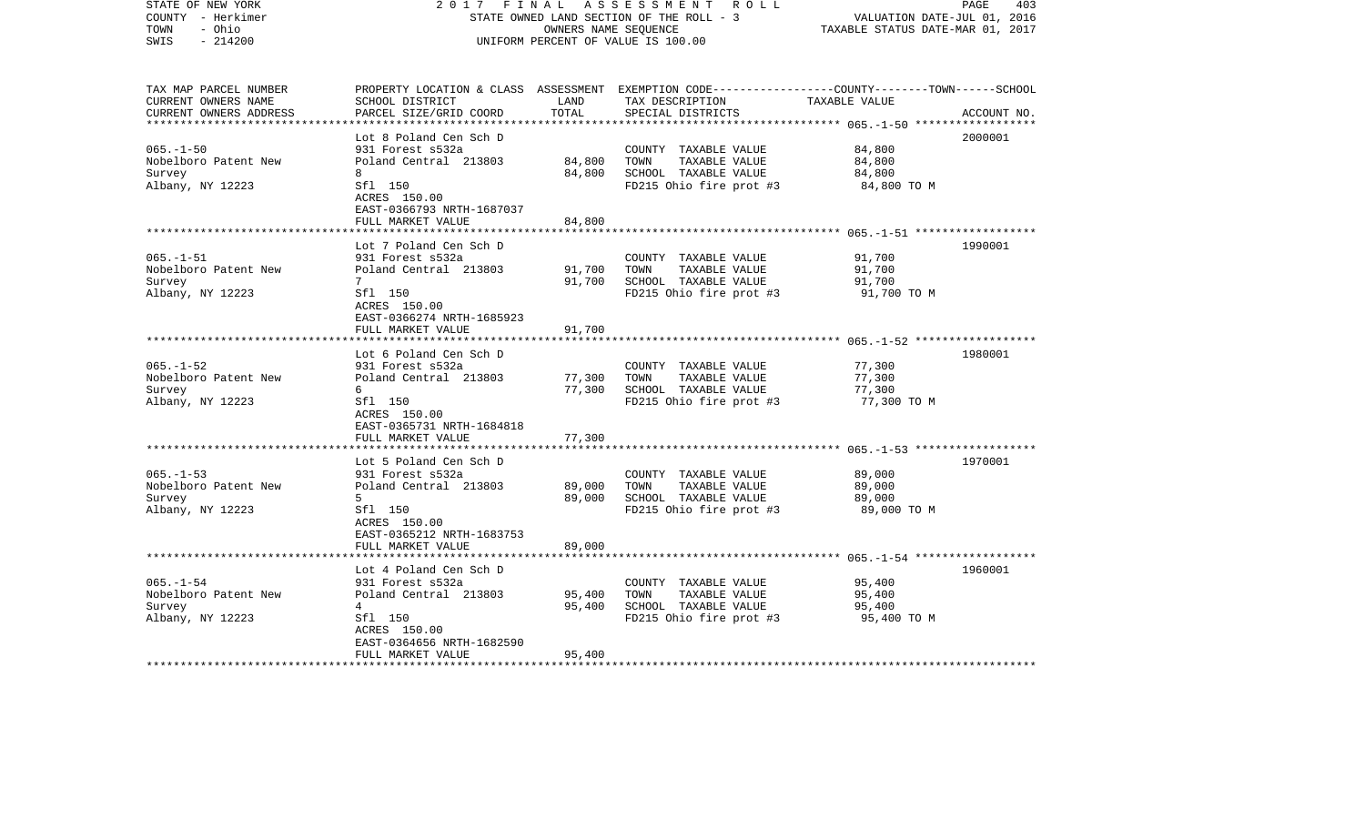| STATE OF NEW YORK<br>COUNTY - Herkimer<br>TOWN<br>- Ohio<br>$-214200$<br>SWIS | 2017<br>FINAL                                        | OWNERS NAME SEQUENCE | A S S E S S M E N T R O L L<br>STATE OWNED LAND SECTION OF THE ROLL - 3<br>UNIFORM PERCENT OF VALUE IS 100.00                           | VALUATION DATE-JUL 01, 2016<br>TAXABLE STATUS DATE-MAR 01, 2017 | PAGE<br>403 |
|-------------------------------------------------------------------------------|------------------------------------------------------|----------------------|-----------------------------------------------------------------------------------------------------------------------------------------|-----------------------------------------------------------------|-------------|
| TAX MAP PARCEL NUMBER<br>CURRENT OWNERS NAME<br>CURRENT OWNERS ADDRESS        | SCHOOL DISTRICT<br>PARCEL SIZE/GRID COORD            | LAND<br>TOTAL        | PROPERTY LOCATION & CLASS ASSESSMENT EXEMPTION CODE---------------COUNTY-------TOWN------SCHOOL<br>TAX DESCRIPTION<br>SPECIAL DISTRICTS | TAXABLE VALUE                                                   | ACCOUNT NO. |
|                                                                               | Lot 8 Poland Cen Sch D                               |                      |                                                                                                                                         |                                                                 | 2000001     |
| $065. - 1 - 50$                                                               | 931 Forest s532a                                     |                      | COUNTY TAXABLE VALUE                                                                                                                    | 84,800                                                          |             |
| Nobelboro Patent New                                                          | Poland Central 213803                                | 84,800               | TOWN<br>TAXABLE VALUE                                                                                                                   | 84,800                                                          |             |
| Survey                                                                        | 8                                                    | 84,800               | SCHOOL TAXABLE VALUE                                                                                                                    | 84,800                                                          |             |
| Albany, NY 12223                                                              | Sfl 150<br>ACRES 150.00<br>EAST-0366793 NRTH-1687037 |                      | FD215 Ohio fire prot #3                                                                                                                 | 84,800 TO M                                                     |             |
|                                                                               | FULL MARKET VALUE                                    | 84,800               |                                                                                                                                         |                                                                 |             |
|                                                                               | Lot 7 Poland Cen Sch D                               |                      |                                                                                                                                         |                                                                 | 1990001     |
| $065. -1 - 51$                                                                | 931 Forest s532a                                     |                      | COUNTY TAXABLE VALUE                                                                                                                    | 91,700                                                          |             |
| Nobelboro Patent New                                                          | Poland Central 213803                                | 91,700               | TOWN<br>TAXABLE VALUE                                                                                                                   | 91,700                                                          |             |
| Survey                                                                        | 7                                                    | 91,700               | SCHOOL TAXABLE VALUE                                                                                                                    | 91,700                                                          |             |
| Albany, NY 12223                                                              | Sfl 150<br>ACRES 150.00<br>EAST-0366274 NRTH-1685923 |                      | FD215 Ohio fire prot #3                                                                                                                 | 91,700 TO M                                                     |             |
|                                                                               | FULL MARKET VALUE                                    | 91,700               |                                                                                                                                         |                                                                 |             |
|                                                                               | Lot 6 Poland Cen Sch D                               |                      |                                                                                                                                         |                                                                 | 1980001     |
| $065. -1 - 52$                                                                | 931 Forest s532a                                     |                      | COUNTY TAXABLE VALUE                                                                                                                    | 77,300                                                          |             |
| Nobelboro Patent New                                                          | Poland Central 213803                                | 77,300               | TOWN<br>TAXABLE VALUE                                                                                                                   | 77,300                                                          |             |
| Survey                                                                        | 6                                                    | 77,300               | SCHOOL TAXABLE VALUE                                                                                                                    | 77,300                                                          |             |
| Albany, NY 12223                                                              | Sfl 150<br>ACRES 150.00<br>EAST-0365731 NRTH-1684818 |                      | FD215 Ohio fire prot #3                                                                                                                 | 77,300 TO M                                                     |             |
|                                                                               | FULL MARKET VALUE                                    | 77,300               |                                                                                                                                         |                                                                 |             |
|                                                                               | Lot 5 Poland Cen Sch D                               |                      |                                                                                                                                         |                                                                 | 1970001     |
| $065. -1 - 53$                                                                | 931 Forest s532a                                     |                      | COUNTY TAXABLE VALUE                                                                                                                    | 89,000                                                          |             |
| Nobelboro Patent New                                                          | Poland Central 213803                                | 89,000               | TOWN<br>TAXABLE VALUE                                                                                                                   | 89,000                                                          |             |
| Survey                                                                        | 5                                                    | 89,000               | SCHOOL TAXABLE VALUE                                                                                                                    | 89,000                                                          |             |
| Albany, NY 12223                                                              | Sfl 150<br>ACRES 150.00<br>EAST-0365212 NRTH-1683753 |                      | FD215 Ohio fire prot #3                                                                                                                 | 89,000 TO M                                                     |             |
|                                                                               | FULL MARKET VALUE                                    | 89,000               |                                                                                                                                         |                                                                 |             |
|                                                                               | Lot 4 Poland Cen Sch D                               |                      |                                                                                                                                         |                                                                 | 1960001     |
| $065. - 1 - 54$                                                               | 931 Forest s532a                                     |                      | COUNTY TAXABLE VALUE                                                                                                                    | 95,400                                                          |             |
| Nobelboro Patent New                                                          | Poland Central 213803                                | 95,400               | TOWN<br>TAXABLE VALUE                                                                                                                   | 95,400                                                          |             |
| Survey                                                                        | $4\overline{ }$                                      | 95,400               | SCHOOL TAXABLE VALUE                                                                                                                    | 95,400                                                          |             |
| Albany, NY 12223                                                              | Sfl 150<br>ACRES 150.00                              |                      | FD215 Ohio fire prot #3                                                                                                                 | 95,400 TO M                                                     |             |
|                                                                               | EAST-0364656 NRTH-1682590<br>FULL MARKET VALUE       | 95,400               |                                                                                                                                         |                                                                 |             |
|                                                                               |                                                      |                      |                                                                                                                                         |                                                                 |             |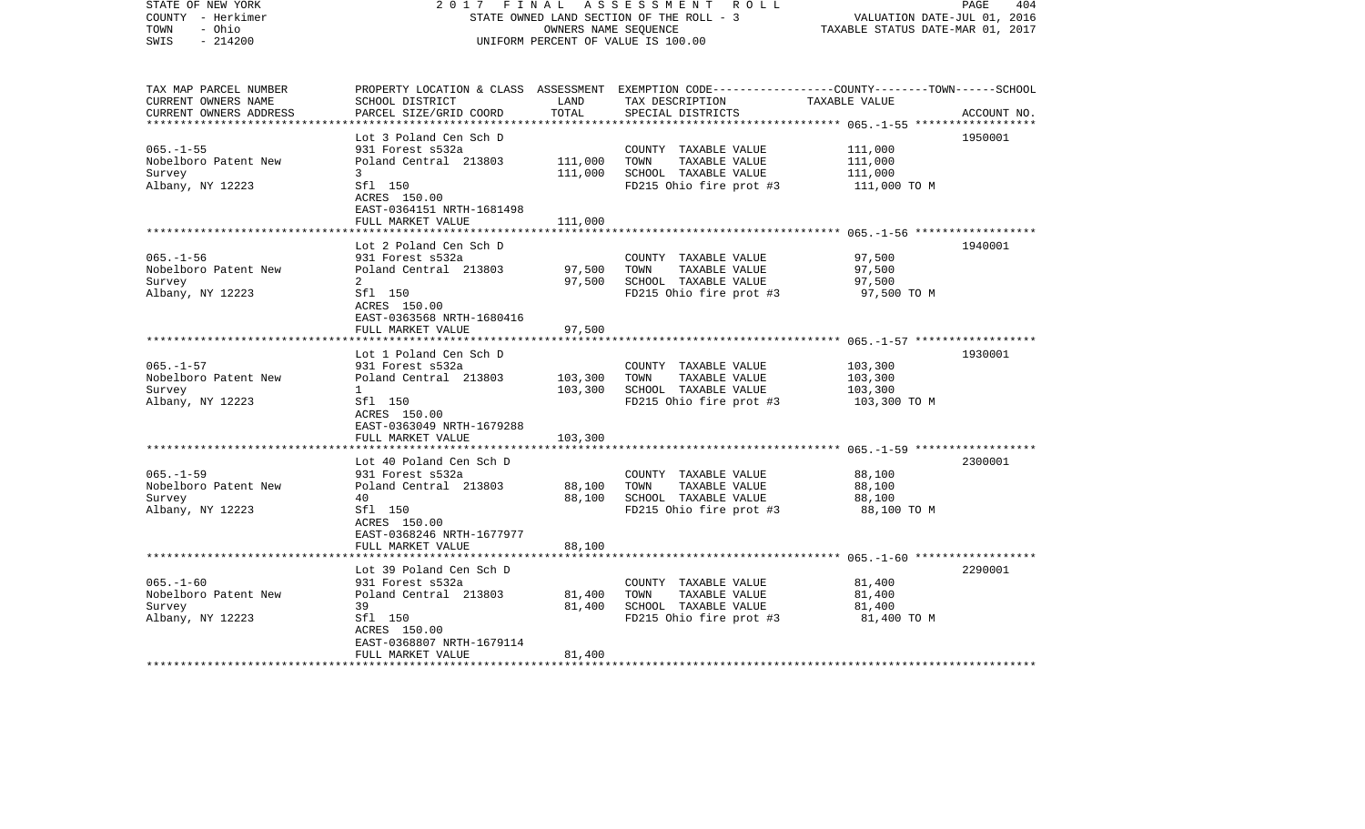| STATE OF NEW YORK<br>COUNTY - Herkimer<br>TOWN<br>- Ohio<br>$-214200$<br>SWIS | 2017<br>FINAL                                        | OWNERS NAME SEQUENCE | A S S E S S M E N T R O L L<br>STATE OWNED LAND SECTION OF THE ROLL - 3<br>UNIFORM PERCENT OF VALUE IS 100.00                          | VALUATION DATE-JUL 01, 2016<br>TAXABLE STATUS DATE-MAR 01, 2017 | 404<br>PAGE |
|-------------------------------------------------------------------------------|------------------------------------------------------|----------------------|----------------------------------------------------------------------------------------------------------------------------------------|-----------------------------------------------------------------|-------------|
| TAX MAP PARCEL NUMBER<br>CURRENT OWNERS NAME<br>CURRENT OWNERS ADDRESS        | SCHOOL DISTRICT<br>PARCEL SIZE/GRID COORD            | LAND<br>TOTAL        | PROPERTY LOCATION & CLASS ASSESSMENT EXEMPTION CODE---------------COUNTY-------TOWN-----SCHOOL<br>TAX DESCRIPTION<br>SPECIAL DISTRICTS | TAXABLE VALUE                                                   | ACCOUNT NO. |
|                                                                               |                                                      |                      |                                                                                                                                        |                                                                 |             |
| $065. -1 - 55$                                                                | Lot 3 Poland Cen Sch D<br>931 Forest s532a           |                      | COUNTY TAXABLE VALUE                                                                                                                   | 111,000                                                         | 1950001     |
| Nobelboro Patent New                                                          | Poland Central 213803                                | 111,000              | TOWN<br>TAXABLE VALUE                                                                                                                  | 111,000                                                         |             |
| Survey                                                                        | 3                                                    | 111,000              | SCHOOL TAXABLE VALUE                                                                                                                   | 111,000                                                         |             |
| Albany, NY 12223                                                              | Sfl 150<br>ACRES 150.00<br>EAST-0364151 NRTH-1681498 |                      | FD215 Ohio fire prot #3                                                                                                                | 111,000 TO M                                                    |             |
|                                                                               | FULL MARKET VALUE                                    | 111,000              |                                                                                                                                        |                                                                 |             |
|                                                                               | Lot 2 Poland Cen Sch D                               |                      |                                                                                                                                        |                                                                 | 1940001     |
| $065. -1 - 56$                                                                | 931 Forest s532a                                     |                      | COUNTY TAXABLE VALUE                                                                                                                   | 97,500                                                          |             |
| Nobelboro Patent New                                                          | Poland Central 213803                                | 97,500               | TOWN<br>TAXABLE VALUE                                                                                                                  | 97,500                                                          |             |
| Survey                                                                        | 2                                                    | 97,500               | SCHOOL TAXABLE VALUE                                                                                                                   | 97,500                                                          |             |
| Albany, NY 12223                                                              | Sfl 150<br>ACRES 150.00<br>EAST-0363568 NRTH-1680416 |                      | FD215 Ohio fire prot #3                                                                                                                | 97,500 TO M                                                     |             |
|                                                                               | FULL MARKET VALUE                                    | 97,500               |                                                                                                                                        |                                                                 |             |
|                                                                               |                                                      |                      |                                                                                                                                        |                                                                 |             |
| $065. - 1 - 57$                                                               | Lot 1 Poland Cen Sch D<br>931 Forest s532a           |                      | COUNTY TAXABLE VALUE                                                                                                                   | 103,300                                                         | 1930001     |
| Nobelboro Patent New                                                          | Poland Central 213803                                | 103,300              | TOWN<br>TAXABLE VALUE                                                                                                                  | 103,300                                                         |             |
| Survey                                                                        | $\mathbf{1}$                                         | 103,300              | SCHOOL TAXABLE VALUE                                                                                                                   | 103,300                                                         |             |
| Albany, NY 12223                                                              | Sfl 150<br>ACRES 150.00<br>EAST-0363049 NRTH-1679288 |                      | FD215 Ohio fire prot #3                                                                                                                | 103,300 TO M                                                    |             |
|                                                                               | FULL MARKET VALUE                                    | 103,300              |                                                                                                                                        |                                                                 |             |
|                                                                               | Lot 40 Poland Cen Sch D                              |                      |                                                                                                                                        |                                                                 | 2300001     |
| $065. -1 - 59$                                                                | 931 Forest s532a                                     |                      | COUNTY TAXABLE VALUE                                                                                                                   | 88,100                                                          |             |
| Nobelboro Patent New                                                          | Poland Central 213803                                | 88,100               | TOWN<br>TAXABLE VALUE                                                                                                                  | 88,100                                                          |             |
| Survey                                                                        | 40                                                   | 88,100               | SCHOOL TAXABLE VALUE                                                                                                                   | 88,100                                                          |             |
| Albany, NY 12223                                                              | Sfl 150<br>ACRES 150.00<br>EAST-0368246 NRTH-1677977 |                      | FD215 Ohio fire prot #3                                                                                                                | 88,100 TO M                                                     |             |
|                                                                               | FULL MARKET VALUE                                    | 88,100               |                                                                                                                                        |                                                                 |             |
|                                                                               | Lot 39 Poland Cen Sch D                              |                      |                                                                                                                                        |                                                                 | 2290001     |
| $065. - 1 - 60$                                                               | 931 Forest s532a                                     |                      | COUNTY TAXABLE VALUE                                                                                                                   | 81,400                                                          |             |
| Nobelboro Patent New                                                          | Poland Central 213803                                | 81,400               | TAXABLE VALUE<br>TOWN                                                                                                                  | 81,400                                                          |             |
| Survey                                                                        | 39                                                   | 81,400               | SCHOOL TAXABLE VALUE                                                                                                                   | 81,400                                                          |             |
| Albany, NY 12223                                                              | Sfl 150                                              |                      | FD215 Ohio fire prot #3                                                                                                                | 81,400 TO M                                                     |             |
|                                                                               | ACRES 150.00                                         |                      |                                                                                                                                        |                                                                 |             |
|                                                                               | EAST-0368807 NRTH-1679114<br>FULL MARKET VALUE       | 81,400               |                                                                                                                                        |                                                                 |             |
|                                                                               |                                                      |                      |                                                                                                                                        |                                                                 |             |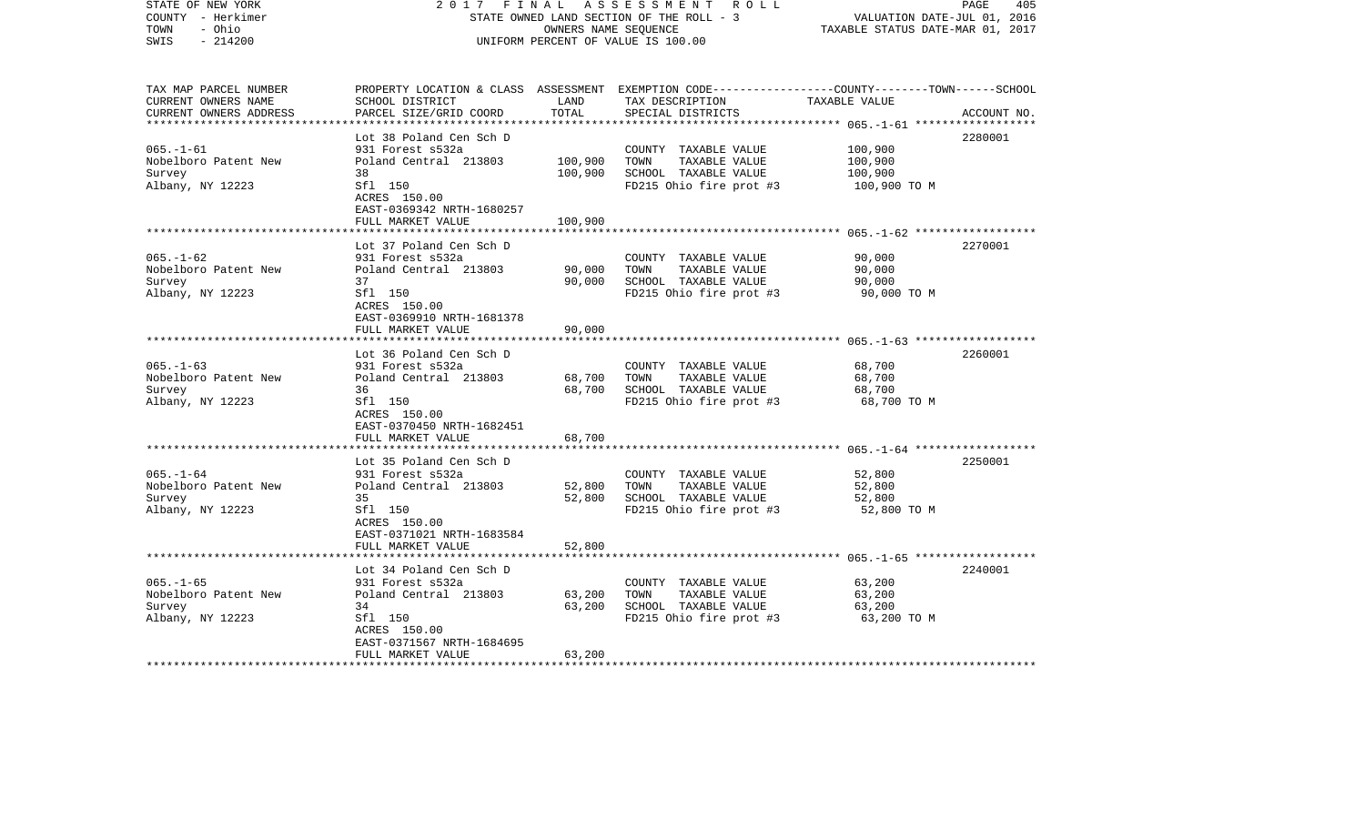| STATE OF NEW YORK<br>COUNTY - Herkimer<br>- Ohio<br>TOWN<br>$-214200$<br>SWIS | 2017                                                                      | FINAL<br>OWNERS NAME SEQUENCE | A S S E S S M E N T R O L L<br>STATE OWNED LAND SECTION OF THE ROLL - 3<br>UNIFORM PERCENT OF VALUE IS 100.00                          | VALUATION DATE-JUL 01, 2016<br>TAXABLE STATUS DATE-MAR 01, 2017 | PAGE<br>405 |
|-------------------------------------------------------------------------------|---------------------------------------------------------------------------|-------------------------------|----------------------------------------------------------------------------------------------------------------------------------------|-----------------------------------------------------------------|-------------|
| TAX MAP PARCEL NUMBER<br>CURRENT OWNERS NAME<br>CURRENT OWNERS ADDRESS        | SCHOOL DISTRICT<br>PARCEL SIZE/GRID COORD                                 | LAND<br>TOTAL                 | PROPERTY LOCATION & CLASS ASSESSMENT EXEMPTION CODE---------------COUNTY-------TOWN-----SCHOOL<br>TAX DESCRIPTION<br>SPECIAL DISTRICTS | TAXABLE VALUE                                                   | ACCOUNT NO. |
|                                                                               | Lot 38 Poland Cen Sch D                                                   |                               |                                                                                                                                        |                                                                 | 2280001     |
| $065. - 1 - 61$                                                               | 931 Forest s532a                                                          |                               | COUNTY TAXABLE VALUE                                                                                                                   | 100,900                                                         |             |
| Nobelboro Patent New                                                          | Poland Central 213803                                                     | 100,900                       | TOWN<br>TAXABLE VALUE                                                                                                                  | 100,900                                                         |             |
| Survey                                                                        | 38                                                                        | 100,900                       | SCHOOL TAXABLE VALUE                                                                                                                   | 100,900                                                         |             |
| Albany, NY 12223                                                              | Sfl 150<br>ACRES 150.00<br>EAST-0369342 NRTH-1680257<br>FULL MARKET VALUE | 100,900                       | FD215 Ohio fire prot #3                                                                                                                | 100,900 TO M                                                    |             |
|                                                                               |                                                                           |                               |                                                                                                                                        |                                                                 |             |
|                                                                               | Lot 37 Poland Cen Sch D                                                   |                               |                                                                                                                                        |                                                                 | 2270001     |
| $065. - 1 - 62$                                                               | 931 Forest s532a                                                          |                               | COUNTY TAXABLE VALUE                                                                                                                   | 90,000                                                          |             |
| Nobelboro Patent New                                                          | Poland Central 213803<br>37                                               | 90,000<br>90,000              | TOWN<br>TAXABLE VALUE<br>SCHOOL TAXABLE VALUE                                                                                          | 90,000<br>90,000                                                |             |
| Survey<br>Albany, NY 12223                                                    | Sfl 150                                                                   |                               | FD215 Ohio fire prot #3                                                                                                                | 90,000 TO M                                                     |             |
|                                                                               | ACRES 150.00<br>EAST-0369910 NRTH-1681378                                 | 90,000                        |                                                                                                                                        |                                                                 |             |
|                                                                               | FULL MARKET VALUE                                                         |                               |                                                                                                                                        |                                                                 |             |
|                                                                               | Lot 36 Poland Cen Sch D                                                   |                               |                                                                                                                                        |                                                                 | 2260001     |
| $065. - 1 - 63$                                                               | 931 Forest s532a                                                          |                               | COUNTY TAXABLE VALUE                                                                                                                   | 68,700                                                          |             |
| Nobelboro Patent New                                                          | Poland Central 213803                                                     | 68,700                        | TOWN<br>TAXABLE VALUE                                                                                                                  | 68,700                                                          |             |
| Survey                                                                        | 36                                                                        | 68,700                        | SCHOOL TAXABLE VALUE                                                                                                                   | 68,700                                                          |             |
| Albany, NY 12223                                                              | Sfl 150<br>ACRES 150.00<br>EAST-0370450 NRTH-1682451                      |                               | FD215 Ohio fire prot #3                                                                                                                | 68,700 TO M                                                     |             |
|                                                                               | FULL MARKET VALUE                                                         | 68,700                        |                                                                                                                                        |                                                                 |             |
|                                                                               | Lot 35 Poland Cen Sch D                                                   |                               |                                                                                                                                        |                                                                 | 2250001     |
| $065. - 1 - 64$                                                               | 931 Forest s532a                                                          |                               | COUNTY TAXABLE VALUE                                                                                                                   | 52,800                                                          |             |
| Nobelboro Patent New                                                          | Poland Central 213803                                                     | 52,800                        | TOWN<br>TAXABLE VALUE                                                                                                                  | 52,800                                                          |             |
| Survey                                                                        | 35                                                                        | 52,800                        | SCHOOL TAXABLE VALUE                                                                                                                   | 52,800                                                          |             |
| Albany, NY 12223                                                              | Sfl 150<br>ACRES 150.00<br>EAST-0371021 NRTH-1683584                      |                               | FD215 Ohio fire prot #3                                                                                                                | 52,800 TO M                                                     |             |
|                                                                               | FULL MARKET VALUE                                                         | 52,800                        |                                                                                                                                        |                                                                 |             |
|                                                                               | Lot 34 Poland Cen Sch D                                                   |                               |                                                                                                                                        |                                                                 | 2240001     |
| $065. - 1 - 65$                                                               | 931 Forest s532a                                                          |                               | COUNTY TAXABLE VALUE                                                                                                                   | 63,200                                                          |             |
| Nobelboro Patent New                                                          | Poland Central 213803                                                     | 63,200                        | TOWN<br>TAXABLE VALUE                                                                                                                  | 63,200                                                          |             |
| Survey                                                                        | 34                                                                        | 63,200                        | SCHOOL TAXABLE VALUE                                                                                                                   | 63,200                                                          |             |
| Albany, NY 12223                                                              | Sfl 150                                                                   |                               | FD215 Ohio fire prot #3                                                                                                                | 63,200 TO M                                                     |             |
|                                                                               | ACRES 150.00                                                              |                               |                                                                                                                                        |                                                                 |             |
|                                                                               | EAST-0371567 NRTH-1684695<br>FULL MARKET VALUE                            | 63,200                        |                                                                                                                                        |                                                                 |             |
| *************************                                                     |                                                                           |                               |                                                                                                                                        |                                                                 |             |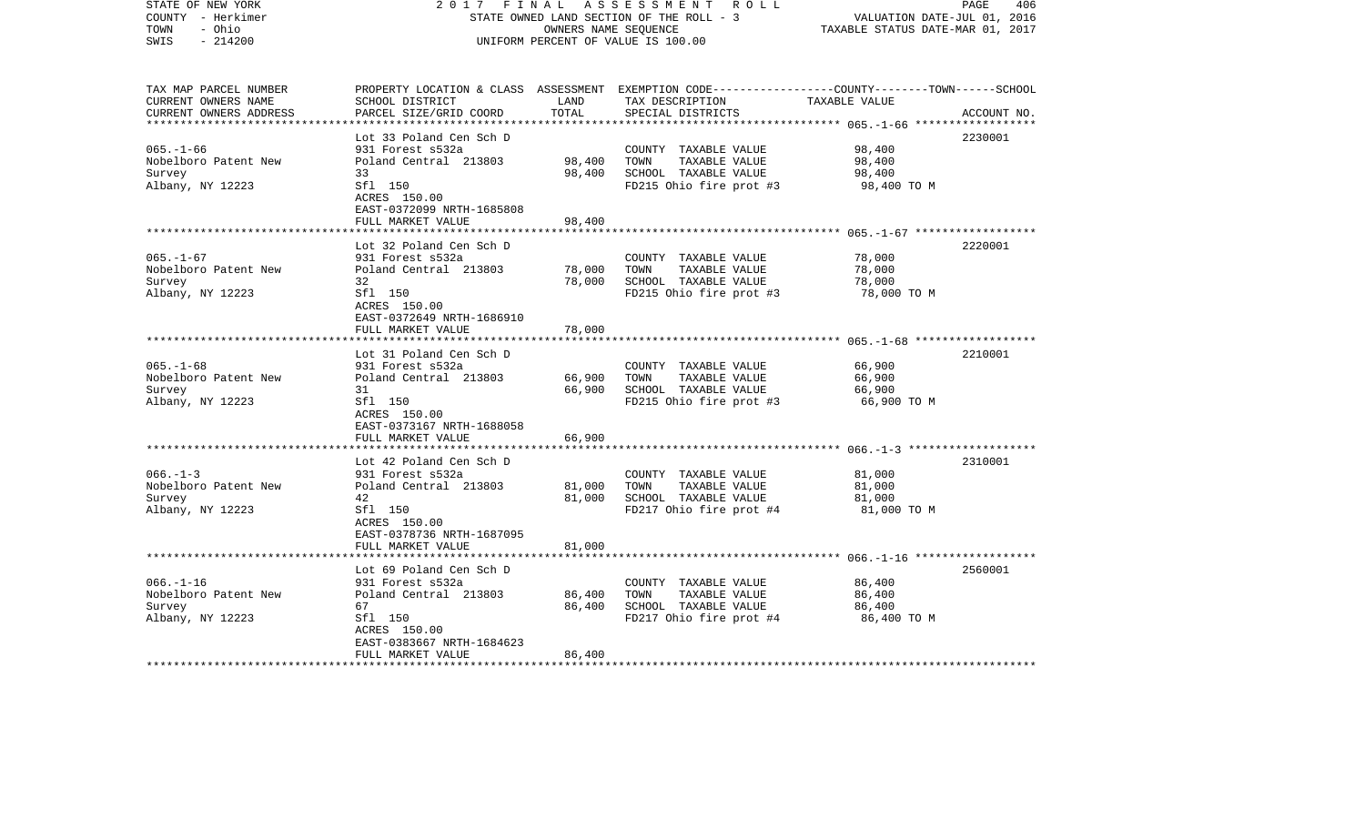| STATE OF NEW YORK<br>COUNTY - Herkimer<br>- Ohio<br>TOWN<br>$-214200$<br>SWIS | 2017                                                                      | FINAL<br>OWNERS NAME SEQUENCE | A S S E S S M E N T R O L L<br>STATE OWNED LAND SECTION OF THE ROLL - 3<br>UNIFORM PERCENT OF VALUE IS 100.00                                        | VALUATION DATE-JUL 01, 2016<br>TAXABLE STATUS DATE-MAR 01, 2017 | PAGE<br>406 |
|-------------------------------------------------------------------------------|---------------------------------------------------------------------------|-------------------------------|------------------------------------------------------------------------------------------------------------------------------------------------------|-----------------------------------------------------------------|-------------|
| TAX MAP PARCEL NUMBER<br>CURRENT OWNERS NAME<br>CURRENT OWNERS ADDRESS        | SCHOOL DISTRICT<br>PARCEL SIZE/GRID COORD                                 | LAND<br>TOTAL                 | PROPERTY LOCATION & CLASS ASSESSMENT EXEMPTION CODE--------------COUNTY-------TOWN------SCHOOL<br>TAX DESCRIPTION TAXABLE VALUE<br>SPECIAL DISTRICTS |                                                                 | ACCOUNT NO. |
|                                                                               | Lot 33 Poland Cen Sch D                                                   |                               |                                                                                                                                                      |                                                                 | 2230001     |
| $065. - 1 - 66$                                                               | 931 Forest s532a                                                          |                               | COUNTY TAXABLE VALUE                                                                                                                                 | 98,400                                                          |             |
| Nobelboro Patent New                                                          | Poland Central 213803                                                     | 98,400                        | TOWN<br>TAXABLE VALUE                                                                                                                                | 98,400                                                          |             |
| Survey                                                                        | 33                                                                        | 98,400                        | SCHOOL TAXABLE VALUE                                                                                                                                 | 98,400                                                          |             |
| Albany, NY 12223                                                              | Sfl 150<br>ACRES 150.00<br>EAST-0372099 NRTH-1685808<br>FULL MARKET VALUE | 98,400                        | FD215 Ohio fire prot #3                                                                                                                              | 98,400 TO M                                                     |             |
|                                                                               |                                                                           |                               |                                                                                                                                                      |                                                                 |             |
|                                                                               | Lot 32 Poland Cen Sch D                                                   |                               |                                                                                                                                                      |                                                                 | 2220001     |
| $065. -1 - 67$                                                                | 931 Forest s532a                                                          |                               | COUNTY TAXABLE VALUE                                                                                                                                 | 78,000                                                          |             |
| Nobelboro Patent New                                                          | Poland Central 213803                                                     | 78,000                        | TOWN<br>TAXABLE VALUE                                                                                                                                | 78,000                                                          |             |
| Survey                                                                        | 32                                                                        | 78,000                        | SCHOOL TAXABLE VALUE                                                                                                                                 | 78,000                                                          |             |
| Albany, NY 12223                                                              | Sfl 150<br>ACRES 150.00<br>EAST-0372649 NRTH-1686910                      |                               | FD215 Ohio fire prot #3                                                                                                                              | 78,000 TO M                                                     |             |
|                                                                               | FULL MARKET VALUE                                                         | 78,000                        |                                                                                                                                                      |                                                                 |             |
|                                                                               |                                                                           |                               |                                                                                                                                                      |                                                                 |             |
| $065. - 1 - 68$                                                               | Lot 31 Poland Cen Sch D<br>931 Forest s532a                               |                               | COUNTY TAXABLE VALUE                                                                                                                                 | 66,900                                                          | 2210001     |
| Nobelboro Patent New                                                          | Poland Central 213803                                                     | 66,900                        | TOWN<br>TAXABLE VALUE                                                                                                                                | 66,900                                                          |             |
| Survey                                                                        | 31                                                                        | 66,900                        | SCHOOL TAXABLE VALUE                                                                                                                                 | 66,900                                                          |             |
| Albany, NY 12223                                                              | Sfl 150                                                                   |                               | FD215 Ohio fire prot #3                                                                                                                              | 66,900 TO M                                                     |             |
|                                                                               | ACRES 150.00                                                              |                               |                                                                                                                                                      |                                                                 |             |
|                                                                               | EAST-0373167 NRTH-1688058                                                 |                               |                                                                                                                                                      |                                                                 |             |
|                                                                               | FULL MARKET VALUE                                                         | 66,900                        |                                                                                                                                                      |                                                                 |             |
|                                                                               | Lot 42 Poland Cen Sch D                                                   |                               |                                                                                                                                                      |                                                                 | 2310001     |
| $066. - 1 - 3$                                                                | 931 Forest s532a                                                          |                               | COUNTY TAXABLE VALUE                                                                                                                                 | 81,000                                                          |             |
| Nobelboro Patent New                                                          | Poland Central 213803                                                     | 81,000                        | TAXABLE VALUE<br>TOWN                                                                                                                                | 81,000                                                          |             |
| Survey                                                                        | 42                                                                        | 81,000                        | SCHOOL TAXABLE VALUE                                                                                                                                 | 81,000                                                          |             |
| Albany, NY 12223                                                              | Sfl 150                                                                   |                               | FD217 Ohio fire prot #4                                                                                                                              | 81,000 TO M                                                     |             |
|                                                                               | ACRES 150.00                                                              |                               |                                                                                                                                                      |                                                                 |             |
|                                                                               | EAST-0378736 NRTH-1687095<br>FULL MARKET VALUE                            | 81,000                        |                                                                                                                                                      |                                                                 |             |
|                                                                               |                                                                           |                               |                                                                                                                                                      |                                                                 |             |
|                                                                               | Lot 69 Poland Cen Sch D                                                   |                               |                                                                                                                                                      |                                                                 | 2560001     |
| $066. - 1 - 16$                                                               | 931 Forest s532a                                                          |                               | COUNTY TAXABLE VALUE                                                                                                                                 | 86,400                                                          |             |
| Nobelboro Patent New                                                          | Poland Central 213803                                                     | 86,400                        | TOWN<br>TAXABLE VALUE                                                                                                                                | 86,400                                                          |             |
| Survey                                                                        | 67                                                                        | 86,400                        | SCHOOL TAXABLE VALUE                                                                                                                                 | 86,400                                                          |             |
| Albany, NY 12223                                                              | Sfl 150                                                                   |                               | FD217 Ohio fire prot #4                                                                                                                              | 86,400 TO M                                                     |             |
|                                                                               | ACRES 150.00<br>EAST-0383667 NRTH-1684623                                 |                               |                                                                                                                                                      |                                                                 |             |
|                                                                               | FULL MARKET VALUE                                                         | 86,400                        |                                                                                                                                                      |                                                                 |             |
| **************************                                                    |                                                                           |                               |                                                                                                                                                      |                                                                 |             |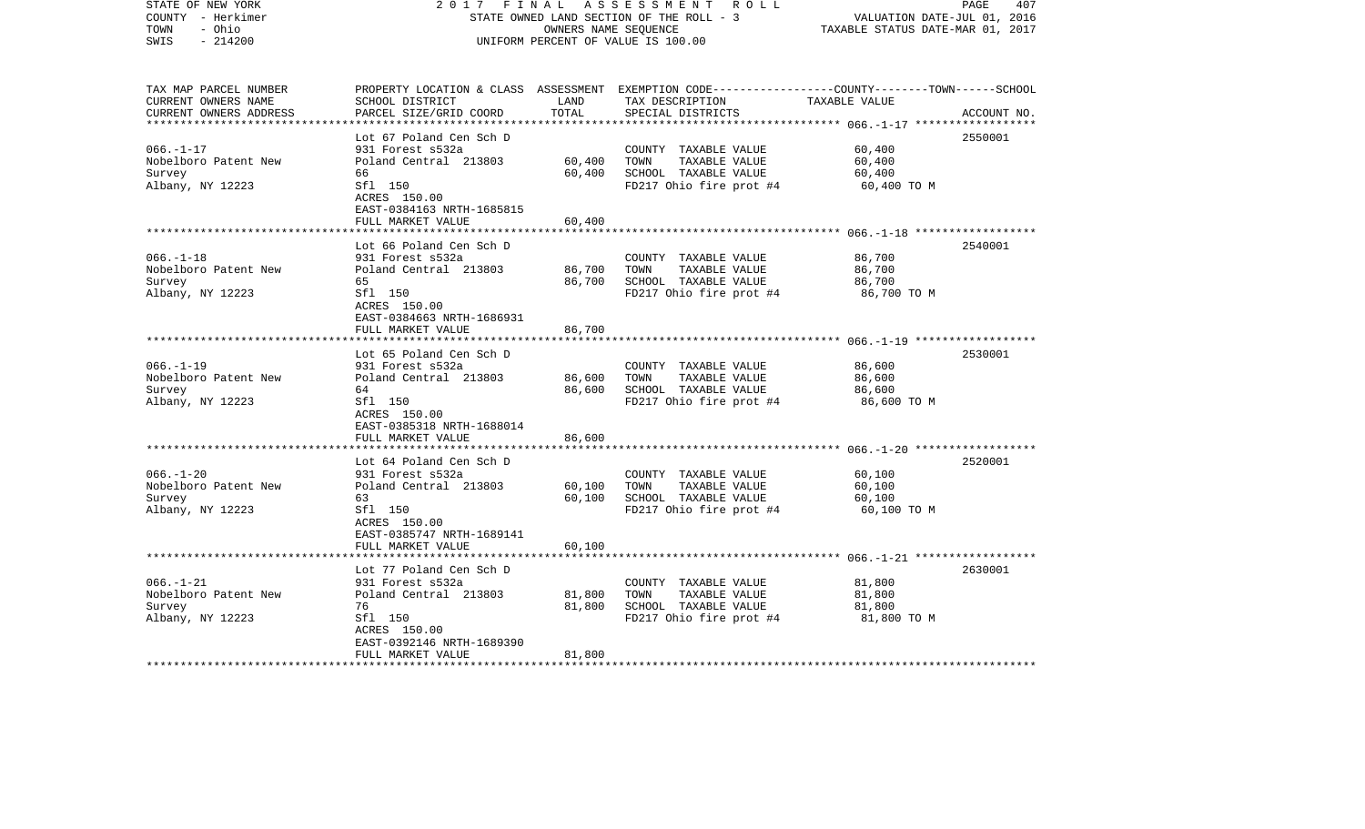| COUNTY - Herkimer<br>TOWN<br>- Ohio<br>SWIS<br>$-214200$               |                                                                                                                                                                             | OWNERS NAME SEQUENCE            | STATE OWNED LAND SECTION OF THE ROLL - 3<br>UNIFORM PERCENT OF VALUE IS 100.00                   | VALUATION DATE-JUL 01, 2016<br>TAXABLE STATUS DATE-MAR 01, 2017 |             |
|------------------------------------------------------------------------|-----------------------------------------------------------------------------------------------------------------------------------------------------------------------------|---------------------------------|--------------------------------------------------------------------------------------------------|-----------------------------------------------------------------|-------------|
| TAX MAP PARCEL NUMBER<br>CURRENT OWNERS NAME<br>CURRENT OWNERS ADDRESS | PROPERTY LOCATION & CLASS ASSESSMENT EXEMPTION CODE---------------COUNTY-------TOWN------SCHOOL<br>SCHOOL DISTRICT<br>PARCEL SIZE/GRID COORD                                | LAND<br>TOTAL                   | TAX DESCRIPTION<br>SPECIAL DISTRICTS                                                             | TAXABLE VALUE                                                   | ACCOUNT NO. |
|                                                                        |                                                                                                                                                                             |                                 |                                                                                                  | ************* 066.-1-17 ***************                         |             |
| $066. - 1 - 17$<br>Nobelboro Patent New<br>Survey<br>Albany, NY 12223  | Lot 67 Poland Cen Sch D<br>931 Forest s532a<br>Poland Central 213803<br>66<br>Sfl 150<br>ACRES 150.00                                                                       | 60,400<br>60,400                | COUNTY TAXABLE VALUE<br>TOWN<br>TAXABLE VALUE<br>SCHOOL TAXABLE VALUE<br>FD217 Ohio fire prot #4 | 60,400<br>60,400<br>60,400<br>60,400 TO M                       | 2550001     |
|                                                                        | EAST-0384163 NRTH-1685815<br>FULL MARKET VALUE                                                                                                                              | 60,400                          |                                                                                                  |                                                                 |             |
|                                                                        |                                                                                                                                                                             |                                 |                                                                                                  |                                                                 |             |
| $066. - 1 - 18$<br>Nobelboro Patent New<br>Survey<br>Albany, NY 12223  | Lot 66 Poland Cen Sch D<br>931 Forest s532a<br>Poland Central 213803<br>65<br>Sfl 150<br>ACRES 150.00<br>EAST-0384663 NRTH-1686931                                          | 86,700<br>86,700                | COUNTY TAXABLE VALUE<br>TOWN<br>TAXABLE VALUE<br>SCHOOL TAXABLE VALUE<br>FD217 Ohio fire prot #4 | 86,700<br>86,700<br>86,700<br>86,700 TO M                       | 2540001     |
|                                                                        | FULL MARKET VALUE                                                                                                                                                           | 86,700                          |                                                                                                  |                                                                 |             |
| $066. - 1 - 19$<br>Nobelboro Patent New<br>Survey<br>Albany, NY 12223  | Lot 65 Poland Cen Sch D<br>931 Forest s532a<br>Poland Central 213803<br>64<br>Sfl 150<br>ACRES 150.00<br>EAST-0385318 NRTH-1688014                                          | ***********<br>86,600<br>86,600 | COUNTY TAXABLE VALUE<br>TAXABLE VALUE<br>TOWN<br>SCHOOL TAXABLE VALUE<br>FD217 Ohio fire prot #4 | 86,600<br>86,600<br>86,600<br>86,600 TO M                       | 2530001     |
|                                                                        | FULL MARKET VALUE                                                                                                                                                           | 86,600                          |                                                                                                  |                                                                 |             |
| $066. - 1 - 20$<br>Nobelboro Patent New<br>Survey<br>Albany, NY 12223  | ****************<br>Lot 64 Poland Cen Sch D<br>931 Forest s532a<br>Poland Central 213803<br>63<br>Sfl 150<br>ACRES 150.00<br>EAST-0385747 NRTH-1689141<br>FULL MARKET VALUE | 60,100<br>60,100<br>60,100      | COUNTY TAXABLE VALUE<br>TAXABLE VALUE<br>TOWN<br>SCHOOL TAXABLE VALUE<br>FD217 Ohio fire prot #4 | 60,100<br>60,100<br>60,100<br>60,100 TO M                       | 2520001     |
|                                                                        |                                                                                                                                                                             |                                 |                                                                                                  |                                                                 |             |
| $066. - 1 - 21$<br>Nobelboro Patent New<br>Survey<br>Albany, NY 12223  | Lot 77 Poland Cen Sch D<br>931 Forest s532a<br>Poland Central 213803<br>76<br>Sfl 150<br>ACRES 150.00<br>EAST-0392146 NRTH-1689390<br>FULL MARKET VALUE                     | 81,800<br>81,800<br>81,800      | COUNTY TAXABLE VALUE<br>TOWN<br>TAXABLE VALUE<br>SCHOOL TAXABLE VALUE<br>FD217 Ohio fire prot #4 | 81,800<br>81,800<br>81,800<br>81,800 TO M                       | 2630001     |
| **********************                                                 |                                                                                                                                                                             |                                 |                                                                                                  |                                                                 |             |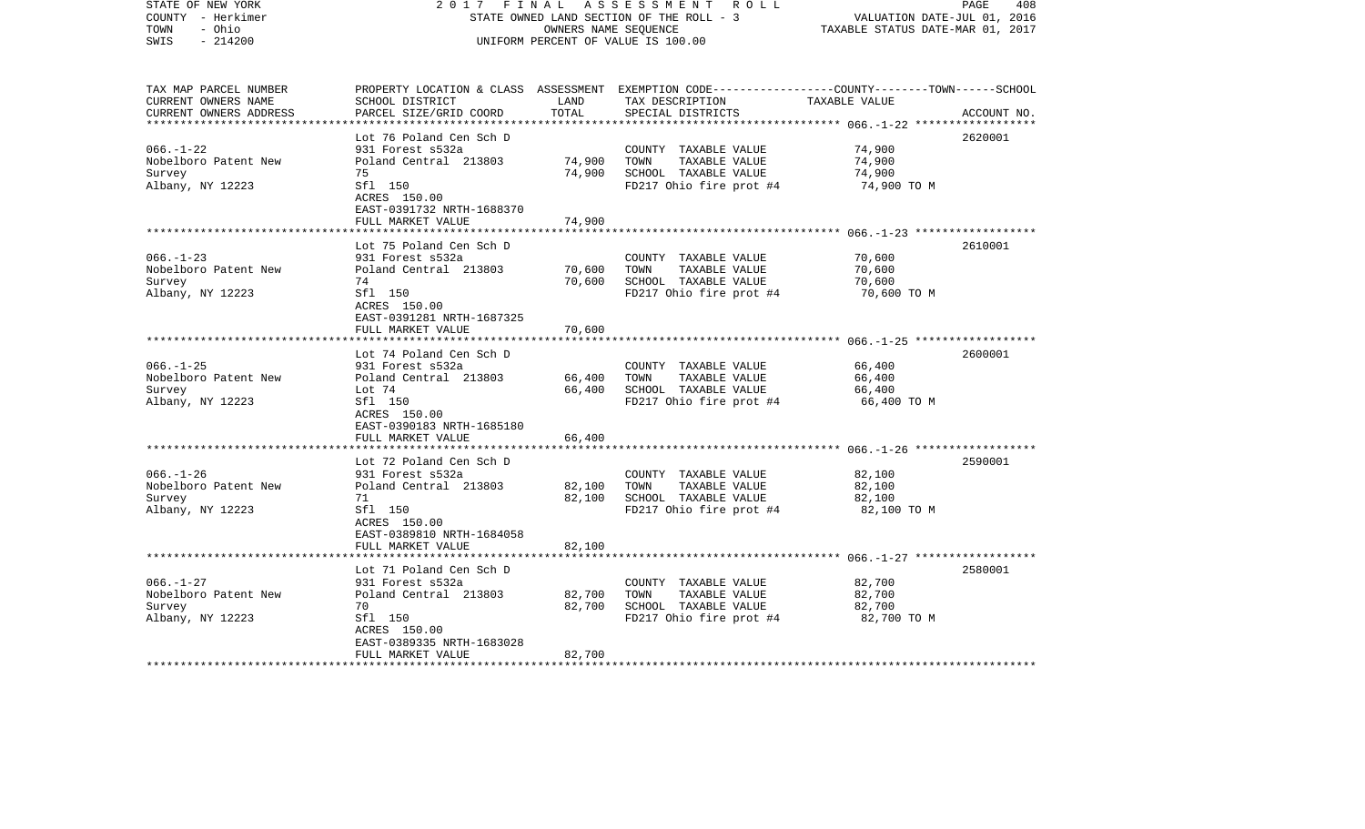| STATE OF NEW YORK<br>COUNTY - Herkimer<br>- Ohio<br>TOWN<br>$-214200$<br>SWIS | 2017<br>FINAL                                        | OWNERS NAME SEQUENCE | A S S E S S M E N T R O L L<br>STATE OWNED LAND SECTION OF THE ROLL - 3<br>UNIFORM PERCENT OF VALUE IS 100.00                                         | VALUATION DATE-JUL 01, 2016<br>TAXABLE STATUS DATE-MAR 01, 2017 | PAGE<br>408 |
|-------------------------------------------------------------------------------|------------------------------------------------------|----------------------|-------------------------------------------------------------------------------------------------------------------------------------------------------|-----------------------------------------------------------------|-------------|
| TAX MAP PARCEL NUMBER<br>CURRENT OWNERS NAME<br>CURRENT OWNERS ADDRESS        | SCHOOL DISTRICT<br>PARCEL SIZE/GRID COORD            | LAND<br>TOTAL        | PROPERTY LOCATION & CLASS ASSESSMENT EXEMPTION CODE---------------COUNTY-------TOWN------SCHOOL<br>TAX DESCRIPTION TAXABLE VALUE<br>SPECIAL DISTRICTS |                                                                 | ACCOUNT NO. |
|                                                                               |                                                      |                      |                                                                                                                                                       |                                                                 |             |
| $066. - 1 - 22$                                                               | Lot 76 Poland Cen Sch D<br>931 Forest s532a          |                      | COUNTY TAXABLE VALUE                                                                                                                                  | 74,900                                                          | 2620001     |
| Nobelboro Patent New                                                          | Poland Central 213803                                | 74,900               | TOWN<br>TAXABLE VALUE                                                                                                                                 | 74,900                                                          |             |
| Survey                                                                        | 75                                                   | 74,900               | SCHOOL TAXABLE VALUE                                                                                                                                  | 74,900                                                          |             |
| Albany, NY 12223                                                              | Sfl 150<br>ACRES 150.00<br>EAST-0391732 NRTH-1688370 |                      | FD217 Ohio fire prot #4                                                                                                                               | 74,900 TO M                                                     |             |
|                                                                               | FULL MARKET VALUE                                    | 74,900               |                                                                                                                                                       |                                                                 |             |
|                                                                               | Lot 75 Poland Cen Sch D                              |                      |                                                                                                                                                       |                                                                 | 2610001     |
| $066. -1 - 23$                                                                | 931 Forest s532a                                     |                      | COUNTY TAXABLE VALUE                                                                                                                                  | 70,600                                                          |             |
| Nobelboro Patent New                                                          | Poland Central 213803                                | 70,600               | TOWN<br>TAXABLE VALUE                                                                                                                                 | 70,600                                                          |             |
| Survey                                                                        | 74                                                   | 70,600               | SCHOOL TAXABLE VALUE                                                                                                                                  | 70,600                                                          |             |
| Albany, NY 12223                                                              | Sfl 150<br>ACRES 150.00<br>EAST-0391281 NRTH-1687325 |                      | FD217 Ohio fire prot #4                                                                                                                               | 70,600 ТО М                                                     |             |
|                                                                               | FULL MARKET VALUE                                    | 70,600               |                                                                                                                                                       |                                                                 |             |
|                                                                               |                                                      |                      |                                                                                                                                                       |                                                                 |             |
|                                                                               | Lot 74 Poland Cen Sch D                              |                      |                                                                                                                                                       |                                                                 | 2600001     |
| $066. -1 - 25$<br>Nobelboro Patent New                                        | 931 Forest s532a<br>Poland Central 213803            | 66,400               | COUNTY TAXABLE VALUE<br>TOWN<br>TAXABLE VALUE                                                                                                         | 66,400<br>66,400                                                |             |
| Survey                                                                        | Lot 74                                               | 66,400               | SCHOOL TAXABLE VALUE                                                                                                                                  | 66,400                                                          |             |
| Albany, NY 12223                                                              | Sfl 150                                              |                      | FD217 Ohio fire prot #4                                                                                                                               | 66,400 TO M                                                     |             |
|                                                                               | ACRES 150.00<br>EAST-0390183 NRTH-1685180            |                      |                                                                                                                                                       |                                                                 |             |
|                                                                               | FULL MARKET VALUE                                    | 66,400               |                                                                                                                                                       |                                                                 |             |
|                                                                               |                                                      |                      |                                                                                                                                                       |                                                                 |             |
| $066. - 1 - 26$                                                               | Lot 72 Poland Cen Sch D<br>931 Forest s532a          |                      | COUNTY TAXABLE VALUE                                                                                                                                  | 82,100                                                          | 2590001     |
| Nobelboro Patent New                                                          | Poland Central 213803                                | 82,100               | TAXABLE VALUE<br>TOWN                                                                                                                                 | 82,100                                                          |             |
| Survey                                                                        | 71                                                   | 82,100               | SCHOOL TAXABLE VALUE                                                                                                                                  | 82,100                                                          |             |
| Albany, NY 12223                                                              | Sfl 150                                              |                      | FD217 Ohio fire prot #4                                                                                                                               | 82,100 TO M                                                     |             |
|                                                                               | ACRES 150.00                                         |                      |                                                                                                                                                       |                                                                 |             |
|                                                                               | EAST-0389810 NRTH-1684058                            |                      |                                                                                                                                                       |                                                                 |             |
|                                                                               | FULL MARKET VALUE                                    | 82,100               |                                                                                                                                                       |                                                                 |             |
|                                                                               | Lot 71 Poland Cen Sch D                              |                      |                                                                                                                                                       |                                                                 | 2580001     |
| $066. - 1 - 27$                                                               | 931 Forest s532a                                     |                      | COUNTY TAXABLE VALUE                                                                                                                                  | 82,700                                                          |             |
| Nobelboro Patent New                                                          | Poland Central 213803                                | 82,700               | TOWN<br>TAXABLE VALUE                                                                                                                                 | 82,700                                                          |             |
| Survey                                                                        | 70                                                   | 82,700               | SCHOOL TAXABLE VALUE                                                                                                                                  | 82,700                                                          |             |
| Albany, NY 12223                                                              | Sfl 150                                              |                      | FD217 Ohio fire prot #4                                                                                                                               | 82,700 TO M                                                     |             |
|                                                                               | ACRES 150.00                                         |                      |                                                                                                                                                       |                                                                 |             |
|                                                                               | EAST-0389335 NRTH-1683028<br>FULL MARKET VALUE       | 82,700               |                                                                                                                                                       |                                                                 |             |
| ************************                                                      |                                                      |                      |                                                                                                                                                       |                                                                 |             |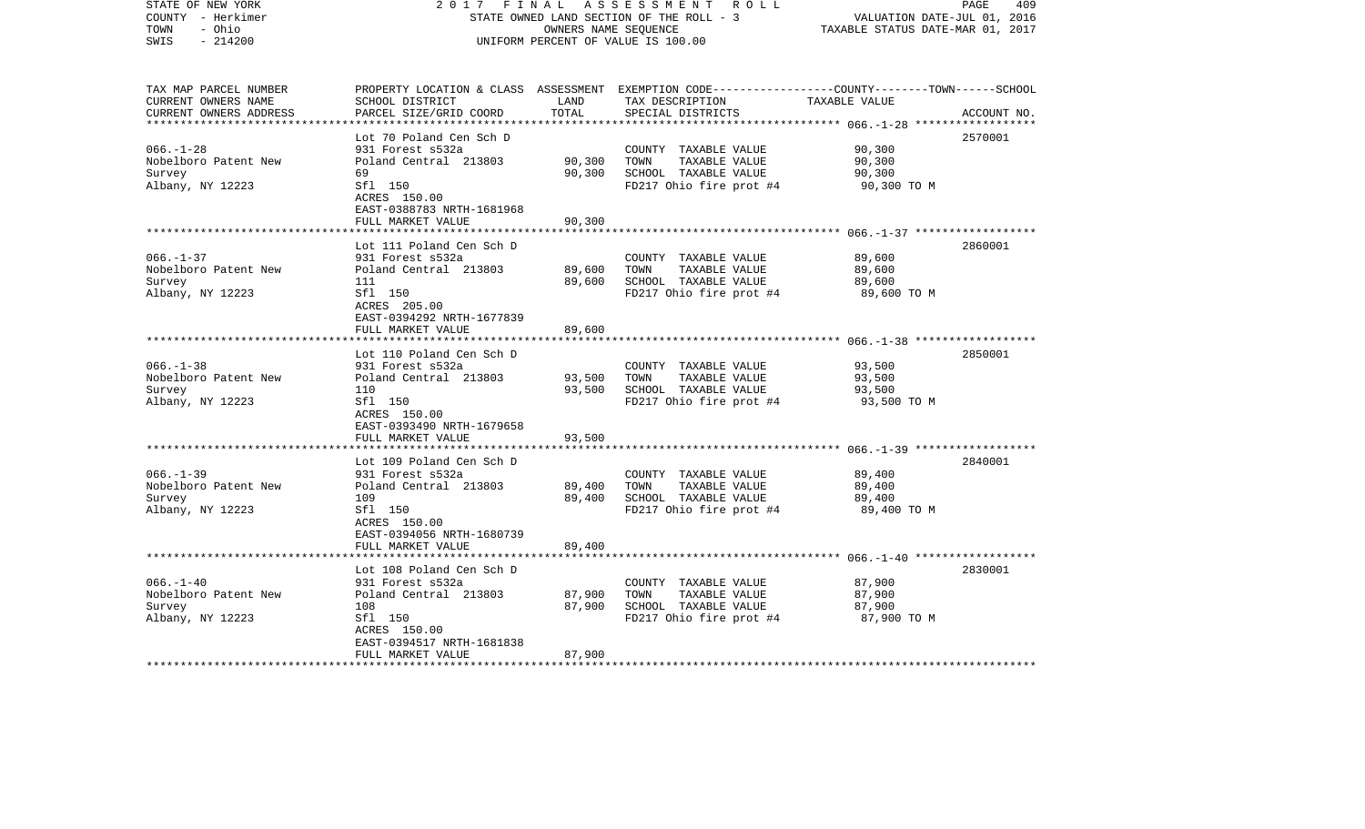| STATE OF NEW YORK<br>COUNTY - Herkimer<br>TOWN<br>- Ohio<br>$-214200$<br>SWIS | 2017                                                           | FINAL<br>OWNERS NAME SEQUENCE | A S S E S S M E N T R O L L<br>STATE OWNED LAND SECTION OF THE ROLL - 3<br>UNIFORM PERCENT OF VALUE IS 100.00                                         | VALUATION DATE-JUL 01, 2016<br>TAXABLE STATUS DATE-MAR 01, 2017 | PAGE<br>409 |
|-------------------------------------------------------------------------------|----------------------------------------------------------------|-------------------------------|-------------------------------------------------------------------------------------------------------------------------------------------------------|-----------------------------------------------------------------|-------------|
| TAX MAP PARCEL NUMBER<br>CURRENT OWNERS NAME<br>CURRENT OWNERS ADDRESS        | SCHOOL DISTRICT<br>PARCEL SIZE/GRID COORD                      | LAND<br>TOTAL                 | PROPERTY LOCATION & CLASS ASSESSMENT EXEMPTION CODE---------------COUNTY-------TOWN------SCHOOL<br>TAX DESCRIPTION TAXABLE VALUE<br>SPECIAL DISTRICTS |                                                                 | ACCOUNT NO. |
|                                                                               | Lot 70 Poland Cen Sch D                                        |                               |                                                                                                                                                       |                                                                 | 2570001     |
| $066. - 1 - 28$                                                               | 931 Forest s532a                                               |                               | COUNTY TAXABLE VALUE                                                                                                                                  | 90,300                                                          |             |
| Nobelboro Patent New                                                          | Poland Central 213803                                          | 90,300                        | TOWN<br>TAXABLE VALUE                                                                                                                                 | 90,300                                                          |             |
| Survey                                                                        | 69                                                             | 90,300                        | SCHOOL TAXABLE VALUE                                                                                                                                  | 90,300                                                          |             |
| Albany, NY 12223                                                              | Sfl 150<br>ACRES 150.00<br>EAST-0388783 NRTH-1681968           |                               | FD217 Ohio fire prot #4                                                                                                                               | 90,300 TO M                                                     |             |
|                                                                               | FULL MARKET VALUE                                              | 90,300                        |                                                                                                                                                       |                                                                 |             |
|                                                                               | Lot 111 Poland Cen Sch D                                       |                               |                                                                                                                                                       |                                                                 | 2860001     |
| $066. -1 - 37$                                                                | 931 Forest s532a                                               |                               | COUNTY TAXABLE VALUE                                                                                                                                  | 89,600                                                          |             |
| Nobelboro Patent New                                                          | Poland Central 213803                                          | 89,600                        | TOWN<br>TAXABLE VALUE                                                                                                                                 | 89,600                                                          |             |
| Survey                                                                        | 111                                                            | 89,600                        | SCHOOL TAXABLE VALUE                                                                                                                                  | 89,600                                                          |             |
| Albany, NY 12223                                                              | Sfl 150<br>ACRES 205.00<br>EAST-0394292 NRTH-1677839           |                               | FD217 Ohio fire prot #4                                                                                                                               | 89,600 TO M                                                     |             |
|                                                                               | FULL MARKET VALUE                                              | 89,600                        |                                                                                                                                                       |                                                                 |             |
|                                                                               | Lot 110 Poland Cen Sch D                                       |                               |                                                                                                                                                       |                                                                 | 2850001     |
| $066. -1 - 38$                                                                | 931 Forest s532a                                               |                               | COUNTY TAXABLE VALUE                                                                                                                                  | 93,500                                                          |             |
| Nobelboro Patent New                                                          | Poland Central 213803                                          | 93,500                        | TOWN<br>TAXABLE VALUE                                                                                                                                 | 93,500                                                          |             |
| Survey                                                                        | 110                                                            | 93,500                        | SCHOOL TAXABLE VALUE                                                                                                                                  | 93,500                                                          |             |
| Albany, NY 12223                                                              | Sfl 150<br>ACRES 150.00<br>EAST-0393490 NRTH-1679658           |                               | FD217 Ohio fire prot #4                                                                                                                               | 93,500 TO M                                                     |             |
|                                                                               | FULL MARKET VALUE                                              | 93,500                        |                                                                                                                                                       |                                                                 |             |
|                                                                               | Lot 109 Poland Cen Sch D                                       |                               |                                                                                                                                                       |                                                                 | 2840001     |
| $066. - 1 - 39$                                                               | 931 Forest s532a                                               |                               | COUNTY TAXABLE VALUE                                                                                                                                  | 89,400                                                          |             |
| Nobelboro Patent New                                                          | Poland Central 213803                                          | 89,400                        | TOWN<br>TAXABLE VALUE                                                                                                                                 | 89,400                                                          |             |
| Survey                                                                        | 109                                                            | 89,400                        | SCHOOL TAXABLE VALUE                                                                                                                                  | 89,400                                                          |             |
| Albany, NY 12223                                                              | Sfl 150<br>ACRES 150.00<br>EAST-0394056 NRTH-1680739           |                               | FD217 Ohio fire prot #4                                                                                                                               | 89,400 TO M                                                     |             |
|                                                                               | FULL MARKET VALUE                                              | 89,400                        |                                                                                                                                                       |                                                                 |             |
|                                                                               | Lot 108 Poland Cen Sch D                                       |                               |                                                                                                                                                       |                                                                 | 2830001     |
| $066. - 1 - 40$                                                               | 931 Forest s532a                                               |                               | COUNTY TAXABLE VALUE                                                                                                                                  | 87,900                                                          |             |
| Nobelboro Patent New                                                          | Poland Central 213803                                          | 87,900                        | TOWN<br>TAXABLE VALUE                                                                                                                                 | 87,900                                                          |             |
| Survey                                                                        | 108                                                            | 87,900                        | SCHOOL TAXABLE VALUE                                                                                                                                  | 87,900                                                          |             |
| Albany, NY 12223                                                              | Sfl 150                                                        |                               | FD217 Ohio fire prot #4                                                                                                                               | 87,900 TO M                                                     |             |
|                                                                               | ACRES 150.00<br>EAST-0394517 NRTH-1681838<br>FULL MARKET VALUE | 87,900                        |                                                                                                                                                       |                                                                 |             |
|                                                                               |                                                                |                               |                                                                                                                                                       |                                                                 |             |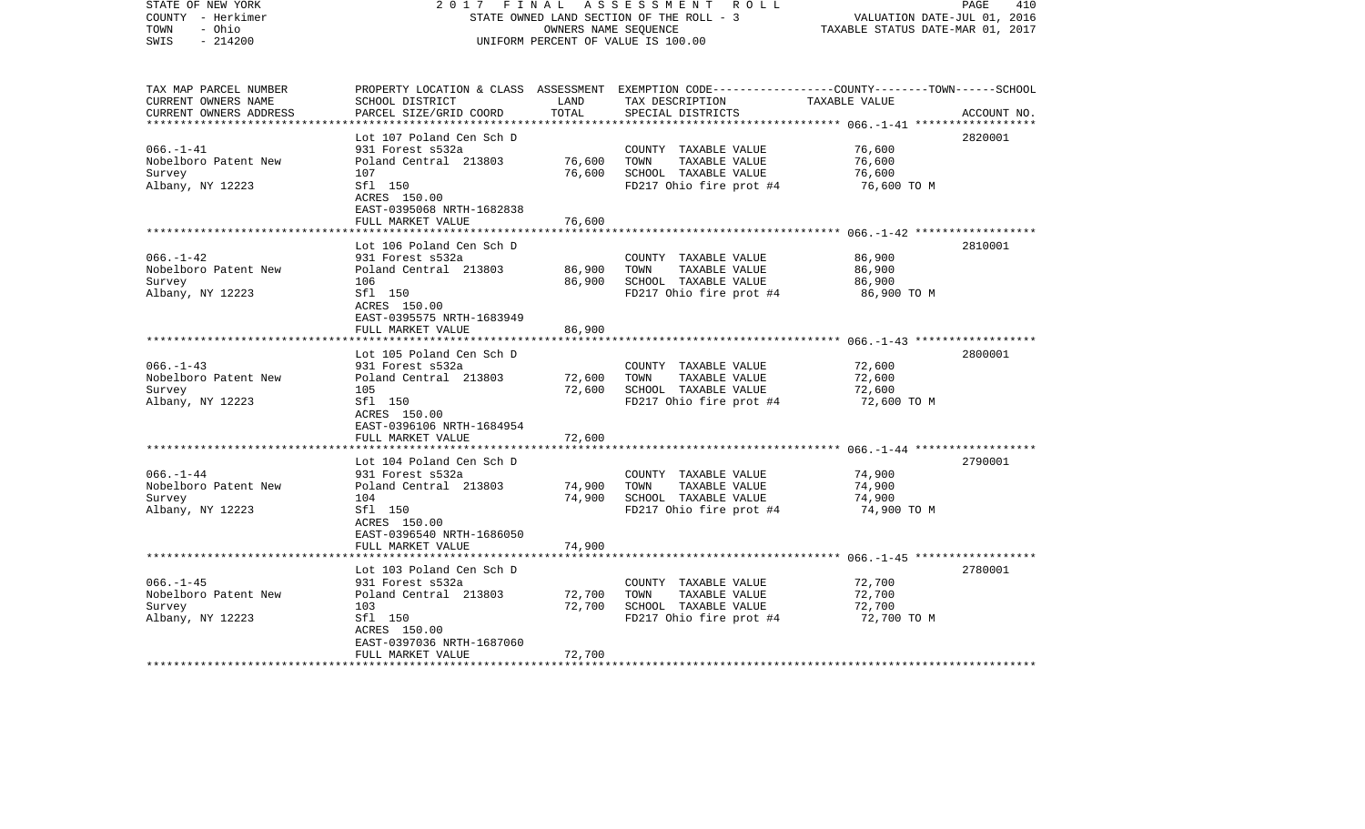| STATE OF NEW YORK<br>COUNTY - Herkimer<br>TOWN<br>- Ohio<br>$-214200$<br>SWIS | 2017                                                 | FINAL            | A S S E S S M E N T R O L L<br>STATE OWNED LAND SECTION OF THE ROLL - 3<br>OWNERS NAME SEQUENCE<br>UNIFORM PERCENT OF VALUE IS 100.00  | VALUATION DATE-JUL 01, 2016<br>TAXABLE STATUS DATE-MAR 01, 2017 | 410<br>PAGE |
|-------------------------------------------------------------------------------|------------------------------------------------------|------------------|----------------------------------------------------------------------------------------------------------------------------------------|-----------------------------------------------------------------|-------------|
| TAX MAP PARCEL NUMBER<br>CURRENT OWNERS NAME<br>CURRENT OWNERS ADDRESS        | SCHOOL DISTRICT<br>PARCEL SIZE/GRID COORD            | LAND<br>TOTAL    | PROPERTY LOCATION & CLASS ASSESSMENT EXEMPTION CODE--------------COUNTY-------TOWN------SCHOOL<br>TAX DESCRIPTION<br>SPECIAL DISTRICTS | TAXABLE VALUE                                                   | ACCOUNT NO. |
|                                                                               |                                                      |                  |                                                                                                                                        |                                                                 |             |
| $066. - 1 - 41$                                                               | Lot 107 Poland Cen Sch D                             |                  |                                                                                                                                        |                                                                 | 2820001     |
| Nobelboro Patent New                                                          | 931 Forest s532a<br>Poland Central 213803            | 76,600           | COUNTY TAXABLE VALUE<br>TAXABLE VALUE<br>TOWN                                                                                          | 76,600<br>76,600                                                |             |
| Survey                                                                        | 107                                                  | 76,600           | SCHOOL TAXABLE VALUE                                                                                                                   | 76,600                                                          |             |
| Albany, NY 12223                                                              | Sfl 150<br>ACRES 150.00<br>EAST-0395068 NRTH-1682838 |                  | FD217 Ohio fire prot #4                                                                                                                | 76,600 TO M                                                     |             |
|                                                                               | FULL MARKET VALUE                                    | 76,600           |                                                                                                                                        |                                                                 |             |
|                                                                               |                                                      |                  |                                                                                                                                        |                                                                 |             |
|                                                                               | Lot 106 Poland Cen Sch D                             |                  |                                                                                                                                        |                                                                 | 2810001     |
| $066. -1 - 42$<br>Nobelboro Patent New                                        | 931 Forest s532a<br>Poland Central 213803            | 86,900           | COUNTY TAXABLE VALUE<br>TOWN<br>TAXABLE VALUE                                                                                          | 86,900<br>86,900                                                |             |
| Survey                                                                        | 106                                                  | 86,900           | SCHOOL TAXABLE VALUE                                                                                                                   | 86,900                                                          |             |
| Albany, NY 12223                                                              | Sfl 150<br>ACRES 150.00                              |                  | FD217 Ohio fire prot #4                                                                                                                | 86,900 TO M                                                     |             |
|                                                                               | EAST-0395575 NRTH-1683949                            |                  |                                                                                                                                        |                                                                 |             |
|                                                                               | FULL MARKET VALUE                                    | 86,900           |                                                                                                                                        |                                                                 |             |
|                                                                               | Lot 105 Poland Cen Sch D                             |                  |                                                                                                                                        |                                                                 | 2800001     |
| $066. -1 - 43$                                                                | 931 Forest s532a                                     |                  | COUNTY TAXABLE VALUE                                                                                                                   | 72,600                                                          |             |
| Nobelboro Patent New                                                          | Poland Central 213803                                | 72,600           | TOWN<br>TAXABLE VALUE                                                                                                                  | 72,600                                                          |             |
| Survey                                                                        | 105                                                  | 72,600           | SCHOOL TAXABLE VALUE                                                                                                                   | 72,600                                                          |             |
| Albany, NY 12223                                                              | Sfl 150<br>ACRES 150.00                              |                  | FD217 Ohio fire prot #4                                                                                                                | 72,600 TO M                                                     |             |
|                                                                               | EAST-0396106 NRTH-1684954<br>FULL MARKET VALUE       | 72,600           |                                                                                                                                        |                                                                 |             |
|                                                                               |                                                      |                  |                                                                                                                                        |                                                                 |             |
|                                                                               | Lot 104 Poland Cen Sch D                             |                  |                                                                                                                                        |                                                                 | 2790001     |
| $066. - 1 - 44$                                                               | 931 Forest s532a                                     |                  | COUNTY TAXABLE VALUE                                                                                                                   | 74,900                                                          |             |
| Nobelboro Patent New                                                          | Poland Central 213803                                | 74,900           | TOWN<br>TAXABLE VALUE                                                                                                                  | 74,900                                                          |             |
| Survey                                                                        | 104                                                  | 74,900           | SCHOOL TAXABLE VALUE                                                                                                                   | 74,900                                                          |             |
| Albany, NY 12223                                                              | Sfl 150<br>ACRES 150.00<br>EAST-0396540 NRTH-1686050 |                  | FD217 Ohio fire prot #4                                                                                                                | 74,900 TO M                                                     |             |
|                                                                               | FULL MARKET VALUE                                    | 74,900           |                                                                                                                                        |                                                                 |             |
|                                                                               |                                                      |                  |                                                                                                                                        |                                                                 |             |
|                                                                               | Lot 103 Poland Cen Sch D                             |                  |                                                                                                                                        |                                                                 | 2780001     |
| $066. -1 - 45$                                                                | 931 Forest s532a                                     |                  | COUNTY TAXABLE VALUE                                                                                                                   | 72,700                                                          |             |
| Nobelboro Patent New                                                          | Poland Central 213803<br>103                         | 72,700<br>72,700 | TOWN<br>TAXABLE VALUE<br>SCHOOL TAXABLE VALUE                                                                                          | 72,700<br>72,700                                                |             |
| Survey<br>Albany, NY 12223                                                    | Sfl 150                                              |                  | FD217 Ohio fire prot #4                                                                                                                | 72,700 TO M                                                     |             |
|                                                                               | ACRES 150.00                                         |                  |                                                                                                                                        |                                                                 |             |
|                                                                               | EAST-0397036 NRTH-1687060                            |                  |                                                                                                                                        |                                                                 |             |
|                                                                               | FULL MARKET VALUE                                    | 72,700           |                                                                                                                                        |                                                                 |             |
| ************************                                                      |                                                      |                  |                                                                                                                                        |                                                                 |             |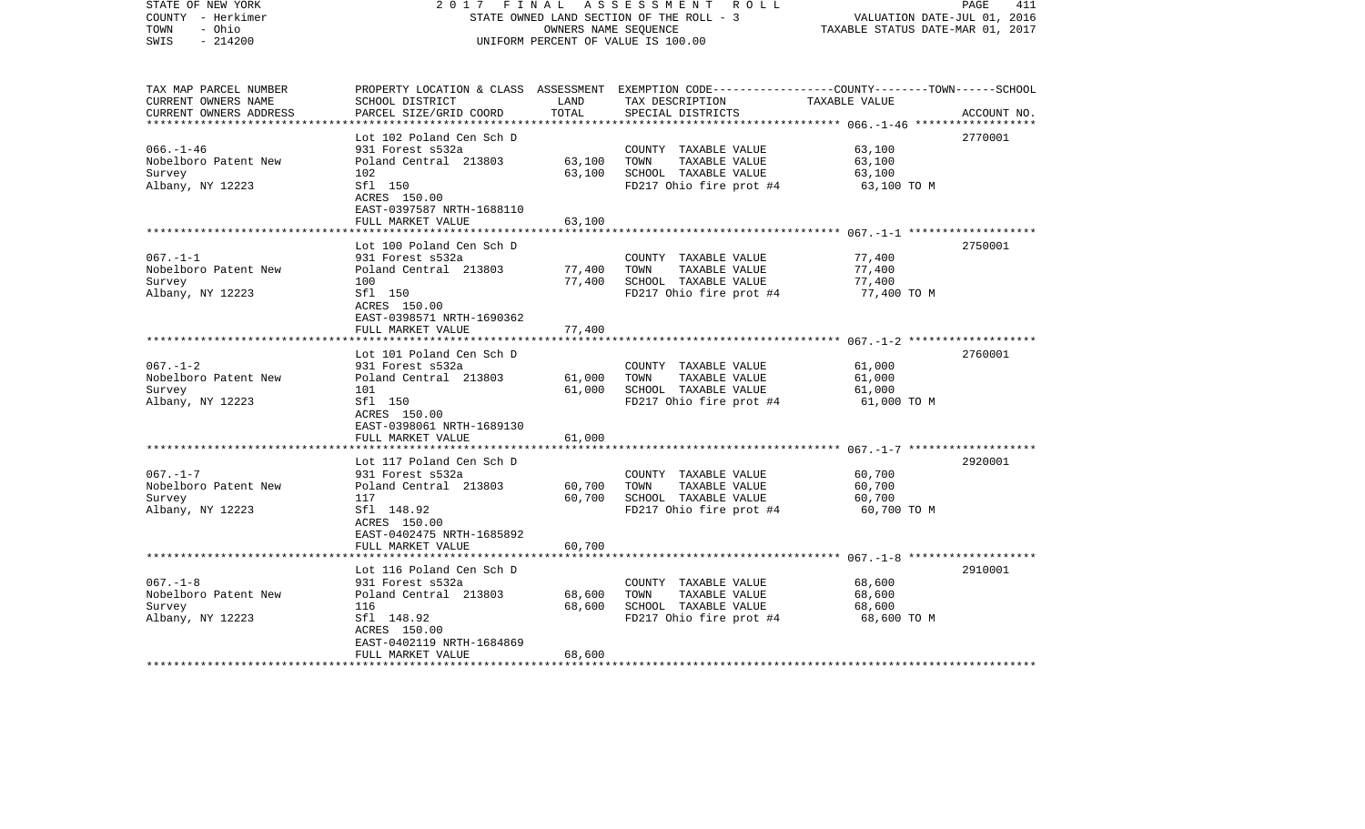| STATE OF NEW YORK<br>COUNTY - Herkimer<br>TOWN<br>- Ohio<br>$-214200$<br>SWIS | 2017<br>FINAL                                           | OWNERS NAME SEQUENCE | ASSESSMENT ROLL<br>STATE OWNED LAND SECTION OF THE ROLL - 3<br>UNIFORM PERCENT OF VALUE IS 100.00                                       | VALUATION DATE-JUL 01, 2016<br>TAXABLE STATUS DATE-MAR 01, 2017 | 411<br>PAGE |
|-------------------------------------------------------------------------------|---------------------------------------------------------|----------------------|-----------------------------------------------------------------------------------------------------------------------------------------|-----------------------------------------------------------------|-------------|
| TAX MAP PARCEL NUMBER<br>CURRENT OWNERS NAME<br>CURRENT OWNERS ADDRESS        | SCHOOL DISTRICT<br>PARCEL SIZE/GRID COORD               | LAND<br>TOTAL        | PROPERTY LOCATION & CLASS ASSESSMENT EXEMPTION CODE---------------COUNTY-------TOWN------SCHOOL<br>TAX DESCRIPTION<br>SPECIAL DISTRICTS | TAXABLE VALUE                                                   | ACCOUNT NO. |
|                                                                               |                                                         |                      |                                                                                                                                         |                                                                 |             |
| $066. - 1 - 46$                                                               | Lot 102 Poland Cen Sch D<br>931 Forest s532a            |                      | COUNTY TAXABLE VALUE                                                                                                                    | 63,100                                                          | 2770001     |
| Nobelboro Patent New                                                          | Poland Central 213803                                   | 63,100               | TOWN<br>TAXABLE VALUE                                                                                                                   | 63,100                                                          |             |
| Survey                                                                        | 102                                                     | 63,100               | SCHOOL TAXABLE VALUE                                                                                                                    | 63,100                                                          |             |
| Albany, NY 12223                                                              | Sfl 150<br>ACRES 150.00<br>EAST-0397587 NRTH-1688110    |                      | FD217 Ohio fire prot #4                                                                                                                 | 63,100 TO M                                                     |             |
|                                                                               | FULL MARKET VALUE                                       | 63,100               |                                                                                                                                         |                                                                 |             |
|                                                                               | Lot 100 Poland Cen Sch D                                |                      |                                                                                                                                         |                                                                 | 2750001     |
| $067. - 1 - 1$                                                                | 931 Forest s532a                                        |                      | COUNTY TAXABLE VALUE                                                                                                                    | 77,400                                                          |             |
| Nobelboro Patent New                                                          | Poland Central 213803                                   | 77,400               | TOWN<br>TAXABLE VALUE                                                                                                                   | 77,400                                                          |             |
| Survey                                                                        | 100                                                     | 77,400               | SCHOOL TAXABLE VALUE                                                                                                                    | 77,400                                                          |             |
| Albany, NY 12223                                                              | Sfl 150<br>ACRES 150.00<br>EAST-0398571 NRTH-1690362    |                      | FD217 Ohio fire prot #4                                                                                                                 | 77,400 TO M                                                     |             |
|                                                                               | FULL MARKET VALUE                                       | 77,400               |                                                                                                                                         |                                                                 |             |
|                                                                               |                                                         |                      |                                                                                                                                         |                                                                 |             |
| $067. - 1 - 2$                                                                | Lot 101 Poland Cen Sch D<br>931 Forest s532a            |                      | COUNTY TAXABLE VALUE                                                                                                                    | 61,000                                                          | 2760001     |
| Nobelboro Patent New                                                          | Poland Central 213803                                   | 61,000               | TOWN<br>TAXABLE VALUE                                                                                                                   | 61,000                                                          |             |
| Survey                                                                        | 101                                                     | 61,000               | SCHOOL TAXABLE VALUE                                                                                                                    | 61,000                                                          |             |
| Albany, NY 12223                                                              | Sfl 150<br>ACRES 150.00<br>EAST-0398061 NRTH-1689130    |                      | FD217 Ohio fire prot #4                                                                                                                 | 61,000 TO M                                                     |             |
|                                                                               | FULL MARKET VALUE                                       | 61,000               |                                                                                                                                         |                                                                 |             |
|                                                                               | Lot 117 Poland Cen Sch D                                |                      |                                                                                                                                         |                                                                 | 2920001     |
| $067. - 1 - 7$                                                                | 931 Forest s532a                                        |                      | COUNTY TAXABLE VALUE                                                                                                                    | 60,700                                                          |             |
| Nobelboro Patent New                                                          | Poland Central 213803                                   | 60,700               | TOWN<br>TAXABLE VALUE                                                                                                                   | 60,700                                                          |             |
| Survey                                                                        | 117                                                     | 60,700               | SCHOOL TAXABLE VALUE                                                                                                                    | 60,700                                                          |             |
| Albany, NY 12223                                                              | Sfl 148.92<br>ACRES 150.00<br>EAST-0402475 NRTH-1685892 |                      | FD217 Ohio fire prot #4                                                                                                                 | 60,700 TO M                                                     |             |
|                                                                               | FULL MARKET VALUE                                       | 60,700               |                                                                                                                                         |                                                                 |             |
|                                                                               |                                                         |                      |                                                                                                                                         |                                                                 |             |
| $067. -1 - 8$                                                                 | Lot 116 Poland Cen Sch D<br>931 Forest s532a            |                      | COUNTY TAXABLE VALUE                                                                                                                    | 68,600                                                          | 2910001     |
| Nobelboro Patent New                                                          | Poland Central 213803                                   | 68,600               | TOWN<br>TAXABLE VALUE                                                                                                                   | 68,600                                                          |             |
| Survey                                                                        | 116                                                     | 68,600               | SCHOOL TAXABLE VALUE                                                                                                                    | 68,600                                                          |             |
| Albany, NY 12223                                                              | Sfl 148.92                                              |                      | FD217 Ohio fire prot #4                                                                                                                 | 68,600 TO M                                                     |             |
|                                                                               | ACRES 150.00                                            |                      |                                                                                                                                         |                                                                 |             |
|                                                                               | EAST-0402119 NRTH-1684869                               |                      |                                                                                                                                         |                                                                 |             |
|                                                                               | FULL MARKET VALUE                                       | 68,600               |                                                                                                                                         |                                                                 |             |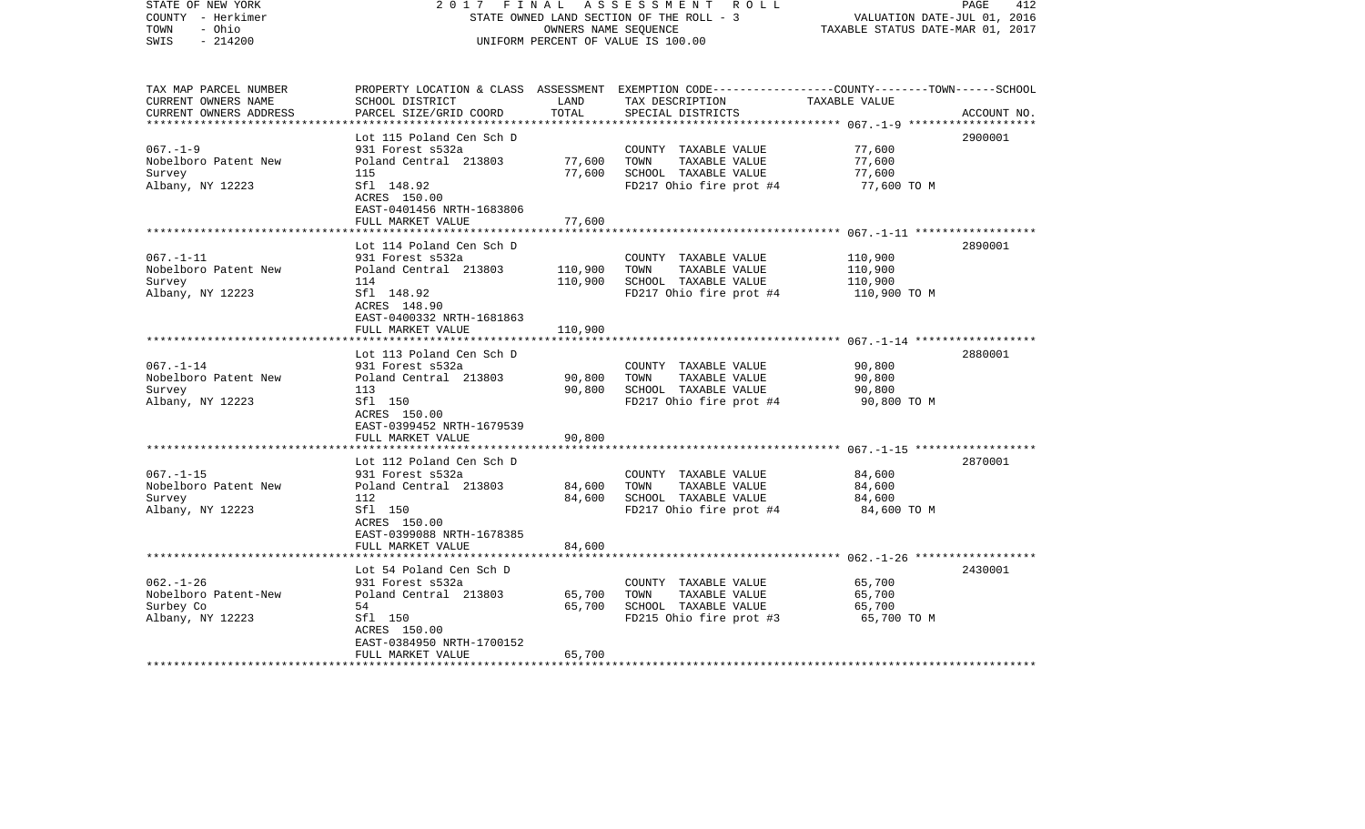| STATE OF NEW YORK<br>COUNTY - Herkimer<br>- Ohio<br>TOWN<br>$-214200$<br>SWIS | 2017                                                    | FINAL<br>OWNERS NAME SEQUENCE | A S S E S S M E N T R O L L<br>STATE OWNED LAND SECTION OF THE ROLL - 3<br>UNIFORM PERCENT OF VALUE IS 100.00                                         | VALUATION DATE-JUL 01, 2016<br>TAXABLE STATUS DATE-MAR 01, 2017 | 412<br>PAGE |
|-------------------------------------------------------------------------------|---------------------------------------------------------|-------------------------------|-------------------------------------------------------------------------------------------------------------------------------------------------------|-----------------------------------------------------------------|-------------|
| TAX MAP PARCEL NUMBER<br>CURRENT OWNERS NAME<br>CURRENT OWNERS ADDRESS        | SCHOOL DISTRICT<br>PARCEL SIZE/GRID COORD               | LAND<br>TOTAL                 | PROPERTY LOCATION & CLASS ASSESSMENT EXEMPTION CODE---------------COUNTY-------TOWN------SCHOOL<br>TAX DESCRIPTION TAXABLE VALUE<br>SPECIAL DISTRICTS |                                                                 | ACCOUNT NO. |
|                                                                               | Lot 115 Poland Cen Sch D                                |                               |                                                                                                                                                       |                                                                 | 2900001     |
| $067. - 1 - 9$                                                                | 931 Forest s532a                                        |                               | COUNTY TAXABLE VALUE                                                                                                                                  | 77,600                                                          |             |
| Nobelboro Patent New                                                          | Poland Central 213803                                   | 77,600                        | TAXABLE VALUE<br>TOWN                                                                                                                                 | 77,600                                                          |             |
| Survey                                                                        | 115                                                     | 77,600                        | SCHOOL TAXABLE VALUE                                                                                                                                  | 77,600                                                          |             |
| Albany, NY 12223                                                              | Sfl 148.92<br>ACRES 150.00<br>EAST-0401456 NRTH-1683806 |                               | FD217 Ohio fire prot #4                                                                                                                               | 77,600 TO M                                                     |             |
|                                                                               | FULL MARKET VALUE                                       | 77,600                        |                                                                                                                                                       |                                                                 |             |
|                                                                               | Lot 114 Poland Cen Sch D                                |                               |                                                                                                                                                       |                                                                 | 2890001     |
| $067. - 1 - 11$                                                               | 931 Forest s532a                                        |                               | COUNTY TAXABLE VALUE                                                                                                                                  | 110,900                                                         |             |
| Nobelboro Patent New                                                          | Poland Central 213803                                   | 110,900                       | TOWN<br>TAXABLE VALUE                                                                                                                                 | 110,900                                                         |             |
| Survey                                                                        | 114                                                     | 110,900                       | SCHOOL TAXABLE VALUE                                                                                                                                  | 110,900                                                         |             |
| Albany, NY 12223                                                              | Sfl 148.92<br>ACRES 148.90<br>EAST-0400332 NRTH-1681863 |                               | FD217 Ohio fire prot #4                                                                                                                               | 110,900 TO M                                                    |             |
|                                                                               | FULL MARKET VALUE                                       | 110,900                       |                                                                                                                                                       |                                                                 |             |
|                                                                               |                                                         |                               |                                                                                                                                                       |                                                                 |             |
| $067. - 1 - 14$                                                               | Lot 113 Poland Cen Sch D<br>931 Forest s532a            |                               | COUNTY TAXABLE VALUE                                                                                                                                  | 90,800                                                          | 2880001     |
| Nobelboro Patent New                                                          | Poland Central 213803                                   | 90,800                        | TOWN<br>TAXABLE VALUE                                                                                                                                 | 90,800                                                          |             |
| Survey                                                                        | 113                                                     | 90,800                        | SCHOOL TAXABLE VALUE                                                                                                                                  | 90,800                                                          |             |
| Albany, NY 12223                                                              | Sfl 150                                                 |                               | FD217 Ohio fire prot #4                                                                                                                               | 90,800 TO M                                                     |             |
|                                                                               | ACRES 150.00                                            |                               |                                                                                                                                                       |                                                                 |             |
|                                                                               | EAST-0399452 NRTH-1679539                               |                               |                                                                                                                                                       |                                                                 |             |
|                                                                               | FULL MARKET VALUE                                       | 90,800                        |                                                                                                                                                       |                                                                 |             |
|                                                                               | Lot 112 Poland Cen Sch D                                |                               |                                                                                                                                                       |                                                                 | 2870001     |
| $067. - 1 - 15$                                                               | 931 Forest s532a                                        |                               | COUNTY TAXABLE VALUE                                                                                                                                  | 84,600                                                          |             |
| Nobelboro Patent New                                                          | Poland Central 213803                                   | 84,600                        | TAXABLE VALUE<br>TOWN                                                                                                                                 | 84,600                                                          |             |
| Survey                                                                        | 112                                                     | 84,600                        | SCHOOL TAXABLE VALUE                                                                                                                                  | 84,600                                                          |             |
| Albany, NY 12223                                                              | Sfl 150                                                 |                               | FD217 Ohio fire prot #4                                                                                                                               | 84,600 TO M                                                     |             |
|                                                                               | ACRES 150.00                                            |                               |                                                                                                                                                       |                                                                 |             |
|                                                                               | EAST-0399088 NRTH-1678385<br>FULL MARKET VALUE          | 84,600                        |                                                                                                                                                       |                                                                 |             |
|                                                                               |                                                         |                               |                                                                                                                                                       |                                                                 |             |
|                                                                               | Lot 54 Poland Cen Sch D                                 |                               |                                                                                                                                                       |                                                                 | 2430001     |
| $062. - 1 - 26$                                                               | 931 Forest s532a                                        |                               | COUNTY TAXABLE VALUE                                                                                                                                  | 65,700                                                          |             |
| Nobelboro Patent-New                                                          | Poland Central 213803                                   | 65,700                        | TOWN<br>TAXABLE VALUE                                                                                                                                 | 65,700                                                          |             |
| Surbey Co                                                                     | 54                                                      | 65,700                        | SCHOOL TAXABLE VALUE                                                                                                                                  | 65,700                                                          |             |
| Albany, NY 12223                                                              | Sfl 150                                                 |                               | FD215 Ohio fire prot #3                                                                                                                               | 65,700 TO M                                                     |             |
|                                                                               | ACRES 150.00<br>EAST-0384950 NRTH-1700152               |                               |                                                                                                                                                       |                                                                 |             |
|                                                                               | FULL MARKET VALUE                                       | 65,700                        |                                                                                                                                                       |                                                                 |             |
| ************************                                                      |                                                         |                               |                                                                                                                                                       |                                                                 |             |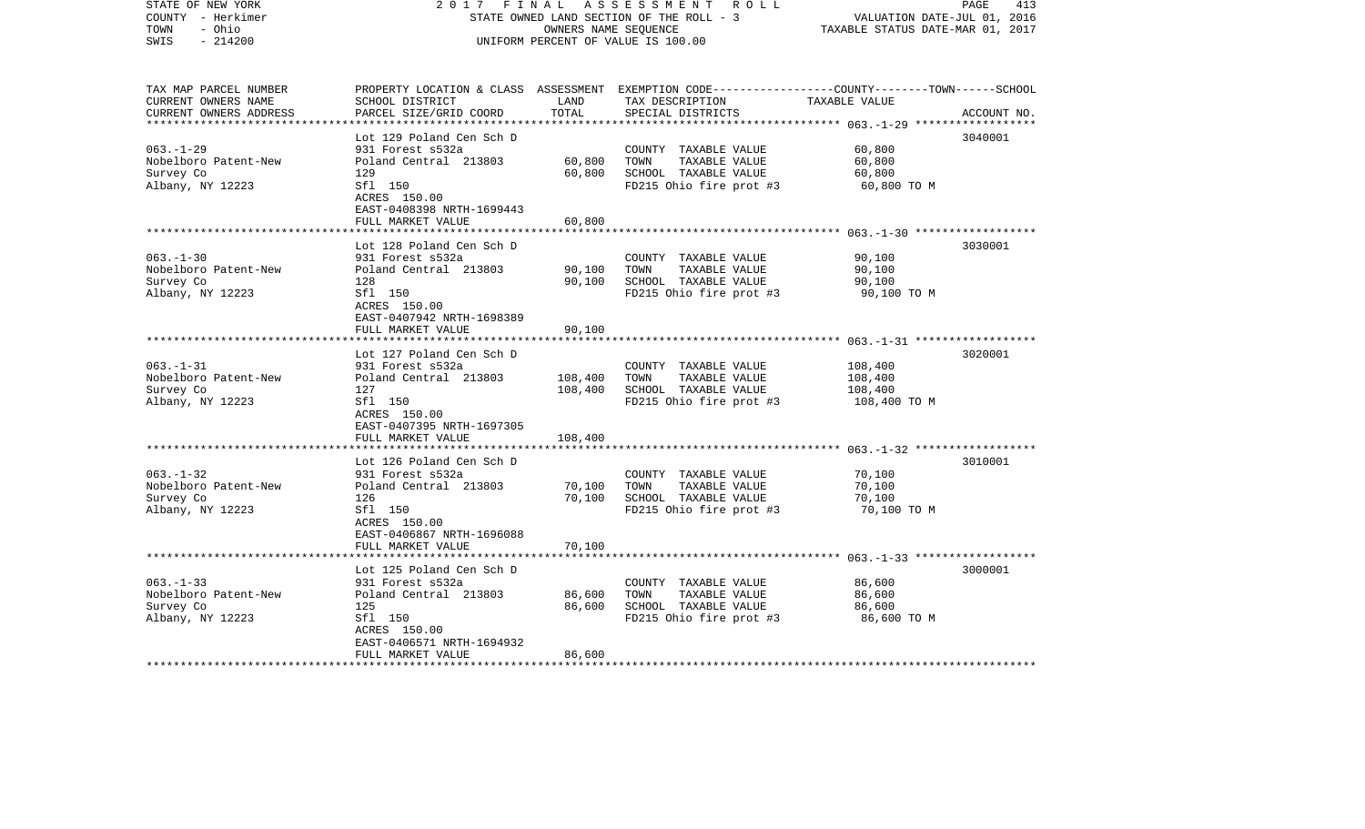| STATE OF NEW YORK<br>COUNTY - Herkimer<br>- Ohio<br>TOWN<br>$-214200$<br>SWIS | 2017                                                 | FINAL<br>OWNERS NAME SEQUENCE | A S S E S S M E N T R O L L<br>STATE OWNED LAND SECTION OF THE ROLL - 3<br>UNIFORM PERCENT OF VALUE IS 100.00                           | VALUATION DATE-JUL 01, 2016<br>TAXABLE STATUS DATE-MAR 01, 2017 | 413<br>PAGE |
|-------------------------------------------------------------------------------|------------------------------------------------------|-------------------------------|-----------------------------------------------------------------------------------------------------------------------------------------|-----------------------------------------------------------------|-------------|
| TAX MAP PARCEL NUMBER<br>CURRENT OWNERS NAME<br>CURRENT OWNERS ADDRESS        | SCHOOL DISTRICT<br>PARCEL SIZE/GRID COORD            | LAND<br>TOTAL                 | PROPERTY LOCATION & CLASS ASSESSMENT EXEMPTION CODE---------------COUNTY-------TOWN------SCHOOL<br>TAX DESCRIPTION<br>SPECIAL DISTRICTS | TAXABLE VALUE                                                   | ACCOUNT NO. |
|                                                                               | Lot 129 Poland Cen Sch D                             |                               |                                                                                                                                         |                                                                 | 3040001     |
| $063. - 1 - 29$                                                               | 931 Forest s532a                                     |                               | COUNTY TAXABLE VALUE                                                                                                                    | 60,800                                                          |             |
| Nobelboro Patent-New                                                          | Poland Central 213803                                | 60,800                        | TAXABLE VALUE<br>TOWN                                                                                                                   | 60,800                                                          |             |
| Survey Co                                                                     | 129                                                  | 60,800                        | SCHOOL TAXABLE VALUE                                                                                                                    | 60,800                                                          |             |
| Albany, NY 12223                                                              | Sfl 150<br>ACRES 150.00<br>EAST-0408398 NRTH-1699443 |                               | FD215 Ohio fire prot #3                                                                                                                 | 60,800 TO M                                                     |             |
|                                                                               | FULL MARKET VALUE                                    | 60,800                        |                                                                                                                                         |                                                                 |             |
|                                                                               | Lot 128 Poland Cen Sch D                             |                               |                                                                                                                                         |                                                                 | 3030001     |
| $063 - 1 - 30$                                                                | 931 Forest s532a                                     |                               | COUNTY TAXABLE VALUE                                                                                                                    | 90,100                                                          |             |
| Nobelboro Patent-New                                                          | Poland Central 213803                                | 90,100                        | TOWN<br>TAXABLE VALUE                                                                                                                   | 90,100                                                          |             |
| Survey Co                                                                     | 128                                                  | 90,100                        | SCHOOL TAXABLE VALUE                                                                                                                    | 90,100                                                          |             |
| Albany, NY 12223                                                              | Sfl 150<br>ACRES 150.00<br>EAST-0407942 NRTH-1698389 |                               | FD215 Ohio fire prot #3                                                                                                                 | 90,100 TO M                                                     |             |
|                                                                               | FULL MARKET VALUE                                    | 90,100                        |                                                                                                                                         |                                                                 |             |
|                                                                               |                                                      |                               |                                                                                                                                         |                                                                 |             |
|                                                                               | Lot 127 Poland Cen Sch D                             |                               |                                                                                                                                         |                                                                 | 3020001     |
| $063. -1 - 31$                                                                | 931 Forest s532a                                     |                               | COUNTY TAXABLE VALUE                                                                                                                    | 108,400                                                         |             |
| Nobelboro Patent-New<br>Survey Co                                             | Poland Central 213803<br>127                         | 108,400<br>108,400            | TOWN<br>TAXABLE VALUE<br>SCHOOL TAXABLE VALUE                                                                                           | 108,400<br>108,400                                              |             |
| Albany, NY 12223                                                              | Sfl 150                                              |                               | FD215 Ohio fire prot #3                                                                                                                 | 108,400 TO M                                                    |             |
|                                                                               | ACRES 150.00<br>EAST-0407395 NRTH-1697305            |                               |                                                                                                                                         |                                                                 |             |
|                                                                               | FULL MARKET VALUE                                    | 108,400                       |                                                                                                                                         |                                                                 |             |
|                                                                               | Lot 126 Poland Cen Sch D                             |                               |                                                                                                                                         |                                                                 | 3010001     |
| $063. -1 - 32$                                                                | 931 Forest s532a                                     |                               | COUNTY TAXABLE VALUE                                                                                                                    | 70,100                                                          |             |
| Nobelboro Patent-New                                                          | Poland Central 213803                                | 70,100                        | TAXABLE VALUE<br>TOWN                                                                                                                   | 70,100                                                          |             |
| Survey Co                                                                     | 126                                                  | 70,100                        | SCHOOL TAXABLE VALUE                                                                                                                    | 70,100                                                          |             |
| Albany, NY 12223                                                              | Sfl 150                                              |                               | FD215 Ohio fire prot #3                                                                                                                 | 70,100 TO M                                                     |             |
|                                                                               | ACRES 150.00                                         |                               |                                                                                                                                         |                                                                 |             |
|                                                                               | EAST-0406867 NRTH-1696088                            |                               |                                                                                                                                         |                                                                 |             |
|                                                                               | FULL MARKET VALUE                                    | 70,100                        |                                                                                                                                         |                                                                 |             |
|                                                                               | Lot 125 Poland Cen Sch D                             |                               |                                                                                                                                         |                                                                 | 3000001     |
| $063. -1 - 33$                                                                | 931 Forest s532a                                     |                               | COUNTY TAXABLE VALUE                                                                                                                    | 86,600                                                          |             |
| Nobelboro Patent-New                                                          | Poland Central 213803                                | 86,600                        | TOWN<br>TAXABLE VALUE                                                                                                                   | 86,600                                                          |             |
| Survey Co                                                                     | 125                                                  | 86,600                        | SCHOOL TAXABLE VALUE                                                                                                                    | 86,600                                                          |             |
| Albany, NY 12223                                                              | Sfl 150                                              |                               | FD215 Ohio fire prot #3                                                                                                                 | 86,600 то м                                                     |             |
|                                                                               | ACRES 150.00                                         |                               |                                                                                                                                         |                                                                 |             |
|                                                                               | EAST-0406571 NRTH-1694932                            | 86,600                        |                                                                                                                                         |                                                                 |             |
| **********************                                                        | FULL MARKET VALUE                                    |                               |                                                                                                                                         |                                                                 |             |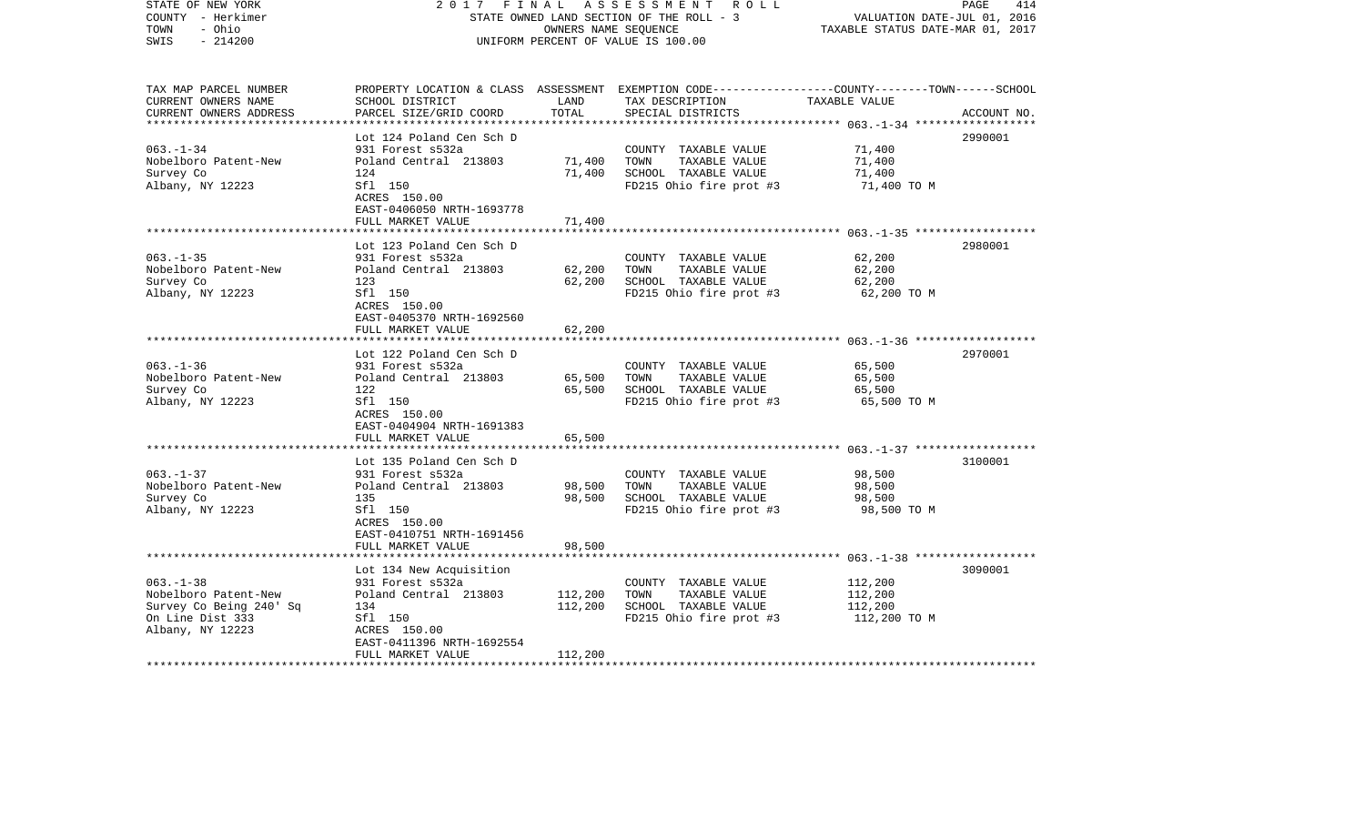| STATE OF NEW YORK<br>COUNTY - Herkimer<br>TOWN<br>- Ohio<br>$-214200$<br>SWIS | 2017                                                 | FINAL<br>OWNERS NAME SEQUENCE | A S S E S S M E N T R O L L<br>STATE OWNED LAND SECTION OF THE ROLL - 3<br>UNIFORM PERCENT OF VALUE IS 100.00                                         | VALUATION DATE-JUL 01, 2016<br>TAXABLE STATUS DATE-MAR 01, 2017 | 414<br>PAGE |
|-------------------------------------------------------------------------------|------------------------------------------------------|-------------------------------|-------------------------------------------------------------------------------------------------------------------------------------------------------|-----------------------------------------------------------------|-------------|
| TAX MAP PARCEL NUMBER<br>CURRENT OWNERS NAME<br>CURRENT OWNERS ADDRESS        | SCHOOL DISTRICT<br>PARCEL SIZE/GRID COORD            | LAND<br>TOTAL                 | PROPERTY LOCATION & CLASS ASSESSMENT EXEMPTION CODE---------------COUNTY-------TOWN------SCHOOL<br>TAX DESCRIPTION TAXABLE VALUE<br>SPECIAL DISTRICTS |                                                                 | ACCOUNT NO. |
|                                                                               | Lot 124 Poland Cen Sch D                             |                               |                                                                                                                                                       |                                                                 | 2990001     |
| $063. - 1 - 34$                                                               | 931 Forest s532a                                     |                               | COUNTY TAXABLE VALUE                                                                                                                                  | 71,400                                                          |             |
| Nobelboro Patent-New                                                          | Poland Central 213803                                | 71,400                        | TAXABLE VALUE<br>TOWN                                                                                                                                 | 71,400                                                          |             |
| Survey Co                                                                     | 124                                                  | 71,400                        | SCHOOL TAXABLE VALUE                                                                                                                                  | 71,400                                                          |             |
| Albany, NY 12223                                                              | Sfl 150<br>ACRES 150.00<br>EAST-0406050 NRTH-1693778 |                               | FD215 Ohio fire prot #3                                                                                                                               | 71,400 TO M                                                     |             |
|                                                                               | FULL MARKET VALUE                                    | 71,400                        |                                                                                                                                                       |                                                                 |             |
|                                                                               | Lot 123 Poland Cen Sch D                             |                               |                                                                                                                                                       |                                                                 | 2980001     |
| $063. -1 - 35$                                                                | 931 Forest s532a                                     |                               | COUNTY TAXABLE VALUE                                                                                                                                  | 62,200                                                          |             |
| Nobelboro Patent-New                                                          | Poland Central 213803                                | 62,200                        | TOWN<br>TAXABLE VALUE                                                                                                                                 | 62,200                                                          |             |
| Survey Co                                                                     | 123                                                  | 62,200                        | SCHOOL TAXABLE VALUE                                                                                                                                  | 62,200                                                          |             |
| Albany, NY 12223                                                              | Sfl 150<br>ACRES 150.00<br>EAST-0405370 NRTH-1692560 |                               | FD215 Ohio fire prot #3                                                                                                                               | 62,200 TO M                                                     |             |
|                                                                               | FULL MARKET VALUE                                    | 62,200                        |                                                                                                                                                       |                                                                 |             |
|                                                                               |                                                      |                               |                                                                                                                                                       |                                                                 |             |
|                                                                               | Lot 122 Poland Cen Sch D                             |                               |                                                                                                                                                       |                                                                 | 2970001     |
| $063. -1 - 36$                                                                | 931 Forest s532a                                     |                               | COUNTY TAXABLE VALUE                                                                                                                                  | 65,500                                                          |             |
| Nobelboro Patent-New<br>Survey Co                                             | Poland Central 213803<br>122                         | 65,500<br>65,500              | TOWN<br>TAXABLE VALUE<br>SCHOOL TAXABLE VALUE                                                                                                         | 65,500<br>65,500                                                |             |
| Albany, NY 12223                                                              | Sfl 150                                              |                               | FD215 Ohio fire prot #3                                                                                                                               | 65,500 TO M                                                     |             |
|                                                                               | ACRES 150.00                                         |                               |                                                                                                                                                       |                                                                 |             |
|                                                                               | EAST-0404904 NRTH-1691383                            |                               |                                                                                                                                                       |                                                                 |             |
|                                                                               | FULL MARKET VALUE                                    | 65,500                        |                                                                                                                                                       |                                                                 |             |
|                                                                               |                                                      |                               |                                                                                                                                                       |                                                                 |             |
| $063. -1 - 37$                                                                | Lot 135 Poland Cen Sch D<br>931 Forest s532a         |                               | COUNTY TAXABLE VALUE                                                                                                                                  | 98,500                                                          | 3100001     |
| Nobelboro Patent-New                                                          | Poland Central 213803                                | 98,500                        | TAXABLE VALUE<br>TOWN                                                                                                                                 | 98,500                                                          |             |
| Survey Co                                                                     | 135                                                  | 98,500                        | SCHOOL TAXABLE VALUE                                                                                                                                  | 98,500                                                          |             |
| Albany, NY 12223                                                              | Sfl 150                                              |                               | FD215 Ohio fire prot #3                                                                                                                               | 98,500 TO M                                                     |             |
|                                                                               | ACRES 150.00                                         |                               |                                                                                                                                                       |                                                                 |             |
|                                                                               | EAST-0410751 NRTH-1691456                            |                               |                                                                                                                                                       |                                                                 |             |
|                                                                               | FULL MARKET VALUE                                    | 98,500                        |                                                                                                                                                       |                                                                 |             |
|                                                                               | Lot 134 New Acquisition                              |                               |                                                                                                                                                       |                                                                 | 3090001     |
| $063. -1 - 38$                                                                | 931 Forest s532a                                     |                               | COUNTY TAXABLE VALUE                                                                                                                                  | 112,200                                                         |             |
| Nobelboro Patent-New                                                          | Poland Central 213803                                | 112,200                       | TOWN<br>TAXABLE VALUE                                                                                                                                 | 112,200                                                         |             |
| Survey Co Being 240' Sq                                                       | 134                                                  | 112,200                       | SCHOOL TAXABLE VALUE                                                                                                                                  | 112,200                                                         |             |
| On Line Dist 333                                                              | Sfl 150                                              |                               | FD215 Ohio fire prot #3                                                                                                                               | 112,200 TO M                                                    |             |
| Albany, NY 12223                                                              | ACRES 150.00                                         |                               |                                                                                                                                                       |                                                                 |             |
|                                                                               | EAST-0411396 NRTH-1692554                            |                               |                                                                                                                                                       |                                                                 |             |
|                                                                               | FULL MARKET VALUE                                    | 112,200                       |                                                                                                                                                       |                                                                 |             |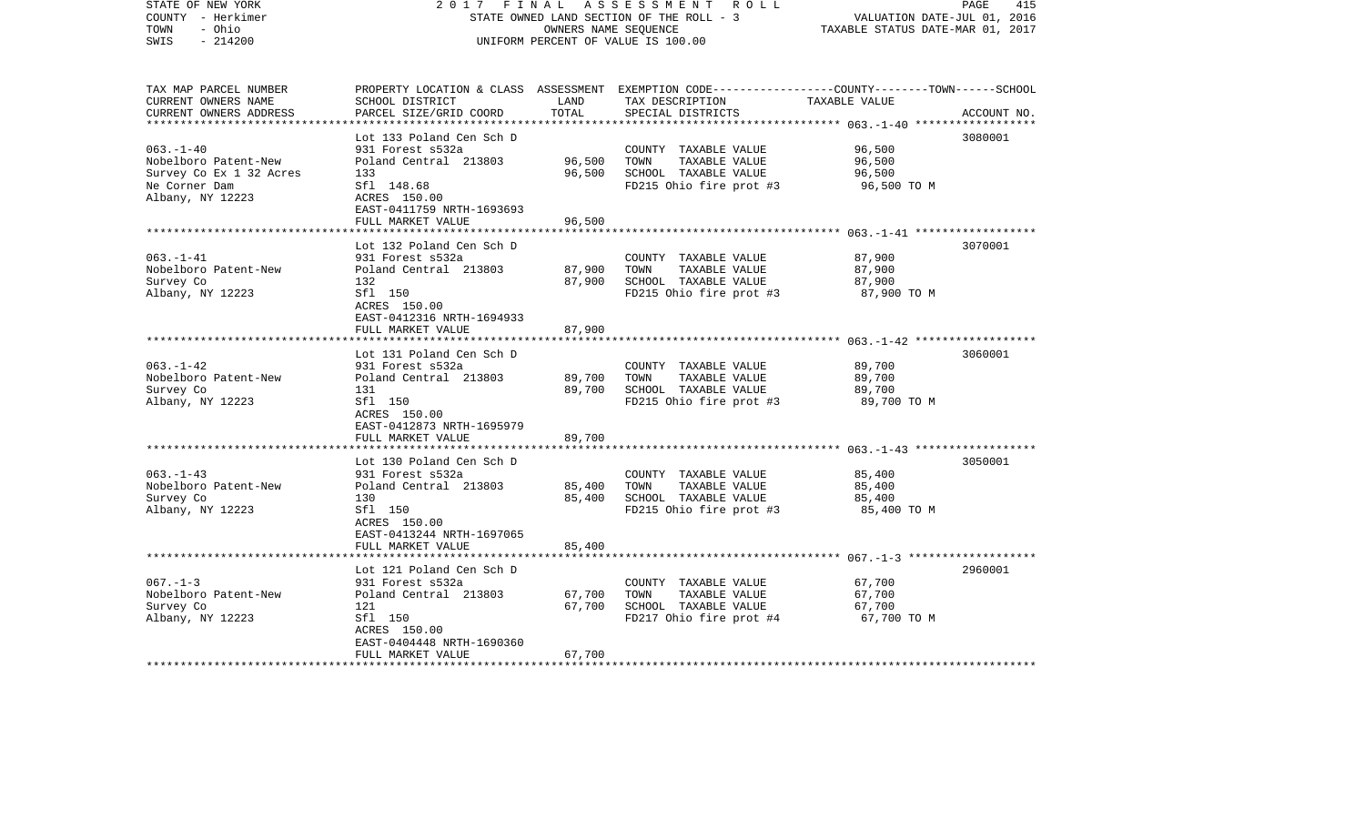| STATE OF NEW YORK<br>COUNTY - Herkimer<br>TOWN<br>- Ohio<br>$-214200$<br>SWIS | 2017<br>FINAL                                           | OWNERS NAME SEQUENCE | A S S E S S M E N T R O L L<br>STATE OWNED LAND SECTION OF THE ROLL - 3<br>UNIFORM PERCENT OF VALUE IS 100.00                           | VALUATION DATE-JUL 01, 2016<br>TAXABLE STATUS DATE-MAR 01, 2017 | 415<br>PAGE |
|-------------------------------------------------------------------------------|---------------------------------------------------------|----------------------|-----------------------------------------------------------------------------------------------------------------------------------------|-----------------------------------------------------------------|-------------|
| TAX MAP PARCEL NUMBER<br>CURRENT OWNERS NAME<br>CURRENT OWNERS ADDRESS        | SCHOOL DISTRICT<br>PARCEL SIZE/GRID COORD               | LAND<br>TOTAL        | PROPERTY LOCATION & CLASS ASSESSMENT EXEMPTION CODE---------------COUNTY-------TOWN------SCHOOL<br>TAX DESCRIPTION<br>SPECIAL DISTRICTS | TAXABLE VALUE                                                   | ACCOUNT NO. |
|                                                                               | Lot 133 Poland Cen Sch D                                |                      |                                                                                                                                         |                                                                 | 3080001     |
| $063. -1 - 40$                                                                | 931 Forest s532a                                        |                      | COUNTY TAXABLE VALUE                                                                                                                    | 96,500                                                          |             |
| Nobelboro Patent-New                                                          | Poland Central 213803                                   | 96,500               | TOWN<br>TAXABLE VALUE                                                                                                                   | 96,500                                                          |             |
| Survey Co Ex 1 32 Acres                                                       | 133                                                     | 96,500               | SCHOOL TAXABLE VALUE                                                                                                                    | 96,500                                                          |             |
| Ne Corner Dam<br>Albany, NY 12223                                             | Sfl 148.68<br>ACRES 150.00<br>EAST-0411759 NRTH-1693693 |                      | FD215 Ohio fire prot #3                                                                                                                 | 96,500 TO M                                                     |             |
|                                                                               | FULL MARKET VALUE                                       | 96,500               |                                                                                                                                         |                                                                 |             |
|                                                                               | Lot 132 Poland Cen Sch D                                |                      |                                                                                                                                         |                                                                 | 3070001     |
| $063. -1 -41$                                                                 | 931 Forest s532a                                        |                      | COUNTY TAXABLE VALUE                                                                                                                    | 87,900                                                          |             |
| Nobelboro Patent-New                                                          | Poland Central 213803                                   | 87,900               | TOWN<br>TAXABLE VALUE                                                                                                                   | 87,900                                                          |             |
| Survey Co                                                                     | 132                                                     | 87,900               | SCHOOL TAXABLE VALUE                                                                                                                    | 87,900                                                          |             |
| Albany, NY 12223                                                              | Sfl 150<br>ACRES 150.00<br>EAST-0412316 NRTH-1694933    |                      | FD215 Ohio fire prot #3                                                                                                                 | 87,900 TO M                                                     |             |
|                                                                               | FULL MARKET VALUE                                       | 87,900               |                                                                                                                                         |                                                                 |             |
|                                                                               | Lot 131 Poland Cen Sch D                                |                      |                                                                                                                                         |                                                                 | 3060001     |
| $063. -1 - 42$                                                                | 931 Forest s532a                                        |                      | COUNTY TAXABLE VALUE                                                                                                                    | 89,700                                                          |             |
| Nobelboro Patent-New                                                          | Poland Central 213803                                   | 89,700               | TOWN<br>TAXABLE VALUE                                                                                                                   | 89,700                                                          |             |
| Survey Co                                                                     | 131                                                     | 89,700               | SCHOOL TAXABLE VALUE                                                                                                                    | 89,700                                                          |             |
| Albany, NY 12223                                                              | Sfl 150<br>ACRES 150.00<br>EAST-0412873 NRTH-1695979    |                      | FD215 Ohio fire prot #3                                                                                                                 | 89,700 TO M                                                     |             |
|                                                                               | FULL MARKET VALUE                                       | 89,700               |                                                                                                                                         |                                                                 |             |
|                                                                               | Lot 130 Poland Cen Sch D                                |                      |                                                                                                                                         |                                                                 | 3050001     |
| $063. -1 - 43$                                                                | 931 Forest s532a                                        |                      | COUNTY TAXABLE VALUE                                                                                                                    | 85,400                                                          |             |
| Nobelboro Patent-New                                                          | Poland Central 213803                                   | 85,400               | TOWN<br>TAXABLE VALUE                                                                                                                   | 85,400                                                          |             |
| Survey Co                                                                     | 130                                                     | 85,400               | SCHOOL TAXABLE VALUE                                                                                                                    | 85,400                                                          |             |
| Albany, NY 12223                                                              | Sfl 150<br>ACRES 150.00<br>EAST-0413244 NRTH-1697065    |                      | FD215 Ohio fire prot #3                                                                                                                 | 85,400 TO M                                                     |             |
|                                                                               | FULL MARKET VALUE                                       | 85,400               |                                                                                                                                         |                                                                 |             |
|                                                                               | Lot 121 Poland Cen Sch D                                |                      |                                                                                                                                         |                                                                 | 2960001     |
| $067. - 1 - 3$                                                                | 931 Forest s532a                                        |                      | COUNTY TAXABLE VALUE                                                                                                                    | 67,700                                                          |             |
| Nobelboro Patent-New                                                          | Poland Central 213803                                   | 67,700               | TAXABLE VALUE<br>TOWN                                                                                                                   | 67,700                                                          |             |
| Survey Co                                                                     | 121                                                     | 67,700               | SCHOOL TAXABLE VALUE                                                                                                                    | 67,700                                                          |             |
| Albany, NY 12223                                                              | Sfl 150                                                 |                      | FD217 Ohio fire prot #4                                                                                                                 | 67,700 TO M                                                     |             |
|                                                                               | ACRES 150.00                                            |                      |                                                                                                                                         |                                                                 |             |
|                                                                               | EAST-0404448 NRTH-1690360<br>FULL MARKET VALUE          | 67,700               |                                                                                                                                         |                                                                 |             |
| ************************                                                      |                                                         |                      |                                                                                                                                         |                                                                 |             |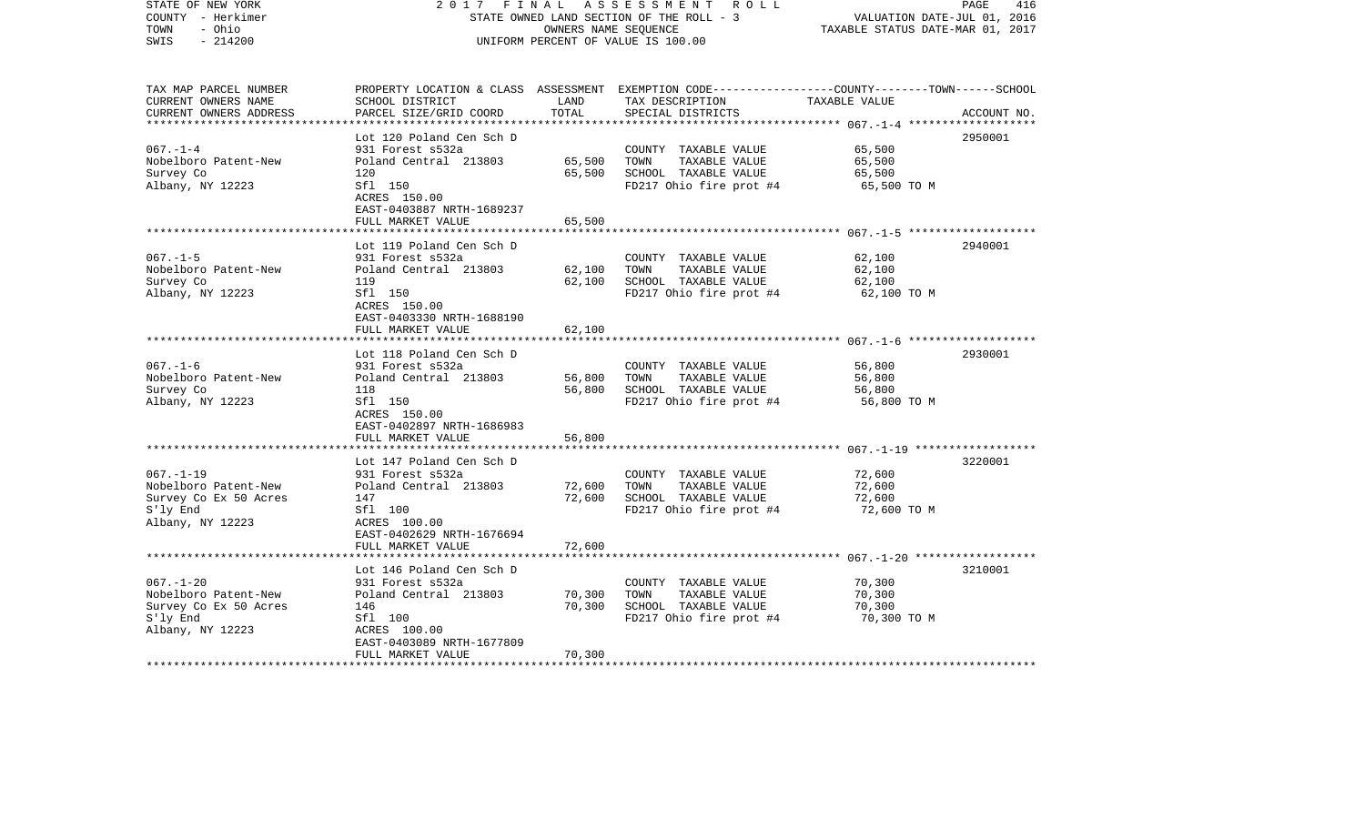| STATE OF NEW YORK<br>COUNTY - Herkimer<br>TOWN<br>- Ohio<br>$-214200$<br>SWIS | 2017<br>FINAL                                        | OWNERS NAME SEQUENCE | A S S E S S M E N T R O L L<br>STATE OWNED LAND SECTION OF THE ROLL - 3<br>UNIFORM PERCENT OF VALUE IS 100.00                           | VALUATION DATE-JUL 01, 2016<br>TAXABLE STATUS DATE-MAR 01, 2017 | 416<br>PAGE |
|-------------------------------------------------------------------------------|------------------------------------------------------|----------------------|-----------------------------------------------------------------------------------------------------------------------------------------|-----------------------------------------------------------------|-------------|
| TAX MAP PARCEL NUMBER<br>CURRENT OWNERS NAME<br>CURRENT OWNERS ADDRESS        | SCHOOL DISTRICT<br>PARCEL SIZE/GRID COORD            | LAND<br>TOTAL        | PROPERTY LOCATION & CLASS ASSESSMENT EXEMPTION CODE---------------COUNTY-------TOWN------SCHOOL<br>TAX DESCRIPTION<br>SPECIAL DISTRICTS | TAXABLE VALUE                                                   | ACCOUNT NO. |
|                                                                               | Lot 120 Poland Cen Sch D                             |                      |                                                                                                                                         |                                                                 | 2950001     |
| $067. - 1 - 4$                                                                | 931 Forest s532a                                     |                      | COUNTY TAXABLE VALUE                                                                                                                    | 65,500                                                          |             |
| Nobelboro Patent-New                                                          | Poland Central 213803                                | 65,500               | TOWN<br>TAXABLE VALUE                                                                                                                   | 65,500                                                          |             |
| Survey Co                                                                     | 120                                                  | 65,500               | SCHOOL TAXABLE VALUE                                                                                                                    | 65,500                                                          |             |
| Albany, NY 12223                                                              | Sfl 150<br>ACRES 150.00<br>EAST-0403887 NRTH-1689237 |                      | FD217 Ohio fire prot #4                                                                                                                 | 65,500 TO M                                                     |             |
|                                                                               | FULL MARKET VALUE                                    | 65,500               |                                                                                                                                         |                                                                 |             |
|                                                                               | Lot 119 Poland Cen Sch D                             |                      |                                                                                                                                         |                                                                 | 2940001     |
| $067. - 1 - 5$                                                                | 931 Forest s532a                                     |                      | COUNTY TAXABLE VALUE                                                                                                                    | 62,100                                                          |             |
| Nobelboro Patent-New                                                          | Poland Central 213803                                | 62,100               | TOWN<br>TAXABLE VALUE                                                                                                                   | 62,100                                                          |             |
| Survey Co                                                                     | 119                                                  | 62,100               | SCHOOL TAXABLE VALUE                                                                                                                    | 62,100                                                          |             |
| Albany, NY 12223                                                              | Sfl 150<br>ACRES 150.00<br>EAST-0403330 NRTH-1688190 |                      | FD217 Ohio fire prot #4                                                                                                                 | 62,100 TO M                                                     |             |
|                                                                               | FULL MARKET VALUE                                    | 62,100               |                                                                                                                                         |                                                                 |             |
|                                                                               |                                                      |                      |                                                                                                                                         |                                                                 |             |
| $067. - 1 - 6$                                                                | Lot 118 Poland Cen Sch D                             |                      |                                                                                                                                         |                                                                 | 2930001     |
| Nobelboro Patent-New                                                          | 931 Forest s532a<br>Poland Central 213803            | 56,800               | COUNTY TAXABLE VALUE<br>TOWN<br>TAXABLE VALUE                                                                                           | 56,800<br>56,800                                                |             |
| Survey Co                                                                     | 118                                                  | 56,800               | SCHOOL TAXABLE VALUE                                                                                                                    | 56,800                                                          |             |
| Albany, NY 12223                                                              | Sfl 150                                              |                      | FD217 Ohio fire prot #4                                                                                                                 | 56,800 TO M                                                     |             |
|                                                                               | ACRES 150.00                                         |                      |                                                                                                                                         |                                                                 |             |
|                                                                               | EAST-0402897 NRTH-1686983                            |                      |                                                                                                                                         |                                                                 |             |
|                                                                               | FULL MARKET VALUE                                    | 56,800               |                                                                                                                                         |                                                                 |             |
|                                                                               | Lot 147 Poland Cen Sch D                             |                      |                                                                                                                                         |                                                                 | 3220001     |
| $067. - 1 - 19$                                                               | 931 Forest s532a                                     |                      | COUNTY TAXABLE VALUE                                                                                                                    | 72,600                                                          |             |
| Nobelboro Patent-New                                                          | Poland Central 213803                                | 72,600               | TAXABLE VALUE<br>TOWN                                                                                                                   | 72,600                                                          |             |
| Survey Co Ex 50 Acres                                                         | 147                                                  | 72,600               | SCHOOL TAXABLE VALUE                                                                                                                    | 72,600                                                          |             |
| S'ly End                                                                      | Sfl 100                                              |                      | FD217 Ohio fire prot #4                                                                                                                 | 72,600 TO M                                                     |             |
| Albany, NY 12223                                                              | ACRES 100.00                                         |                      |                                                                                                                                         |                                                                 |             |
|                                                                               | EAST-0402629 NRTH-1676694                            |                      |                                                                                                                                         |                                                                 |             |
|                                                                               | FULL MARKET VALUE                                    | 72,600               |                                                                                                                                         |                                                                 |             |
|                                                                               | Lot 146 Poland Cen Sch D                             |                      |                                                                                                                                         |                                                                 | 3210001     |
| $067. - 1 - 20$                                                               | 931 Forest s532a                                     |                      | COUNTY TAXABLE VALUE                                                                                                                    | 70,300                                                          |             |
| Nobelboro Patent-New                                                          | Poland Central 213803                                | 70,300               | TOWN<br>TAXABLE VALUE                                                                                                                   | 70,300                                                          |             |
| Survey Co Ex 50 Acres                                                         | 146                                                  | 70,300               | SCHOOL TAXABLE VALUE                                                                                                                    | 70,300                                                          |             |
| S'ly End                                                                      | Sfl 100                                              |                      | FD217 Ohio fire prot #4                                                                                                                 | 70,300 TO M                                                     |             |
| Albany, NY 12223                                                              | ACRES 100.00<br>EAST-0403089 NRTH-1677809            |                      |                                                                                                                                         |                                                                 |             |
|                                                                               | FULL MARKET VALUE                                    | 70,300               |                                                                                                                                         |                                                                 |             |
|                                                                               |                                                      |                      |                                                                                                                                         |                                                                 |             |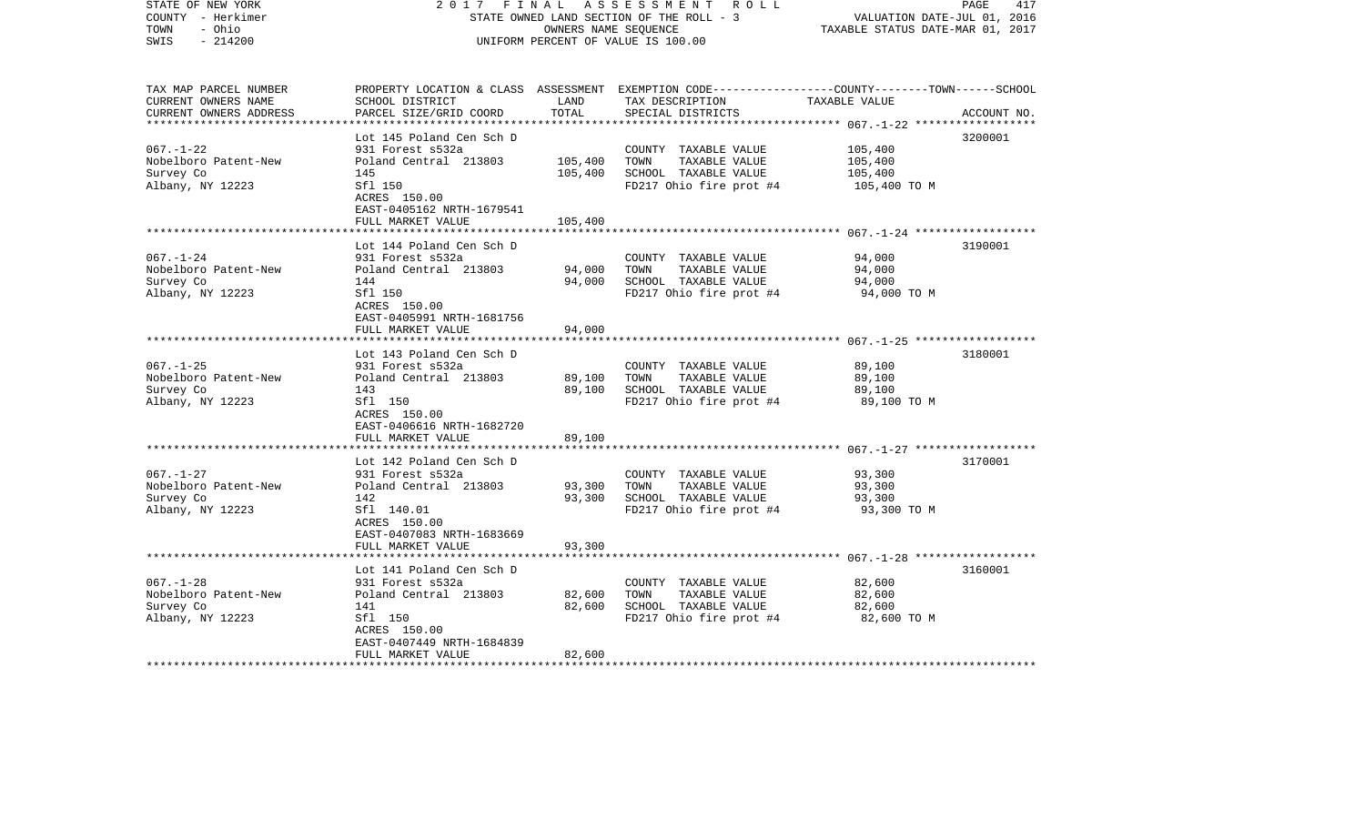| STATE OF NEW YORK<br>COUNTY - Herkimer<br>TOWN<br>- Ohio<br>$-214200$<br>SWIS | 2017                                                    | FINAL<br>OWNERS NAME SEQUENCE | A S S E S S M E N T R O L L<br>STATE OWNED LAND SECTION OF THE ROLL - 3<br>UNIFORM PERCENT OF VALUE IS 100.00                           | VALUATION DATE-JUL 01, 2016<br>TAXABLE STATUS DATE-MAR 01, 2017 | 417<br>PAGE |
|-------------------------------------------------------------------------------|---------------------------------------------------------|-------------------------------|-----------------------------------------------------------------------------------------------------------------------------------------|-----------------------------------------------------------------|-------------|
| TAX MAP PARCEL NUMBER<br>CURRENT OWNERS NAME<br>CURRENT OWNERS ADDRESS        | SCHOOL DISTRICT<br>PARCEL SIZE/GRID COORD               | LAND<br>TOTAL                 | PROPERTY LOCATION & CLASS ASSESSMENT EXEMPTION CODE---------------COUNTY-------TOWN------SCHOOL<br>TAX DESCRIPTION<br>SPECIAL DISTRICTS | TAXABLE VALUE                                                   | ACCOUNT NO. |
|                                                                               | Lot 145 Poland Cen Sch D                                |                               |                                                                                                                                         |                                                                 | 3200001     |
| $067. - 1 - 22$                                                               | 931 Forest s532a                                        |                               | COUNTY TAXABLE VALUE                                                                                                                    | 105,400                                                         |             |
| Nobelboro Patent-New                                                          | Poland Central 213803                                   | 105,400                       | TOWN<br>TAXABLE VALUE                                                                                                                   | 105,400                                                         |             |
| Survey Co                                                                     | 145                                                     | 105,400                       | SCHOOL TAXABLE VALUE                                                                                                                    | 105,400                                                         |             |
| Albany, NY 12223                                                              | Sfl 150<br>ACRES 150.00<br>EAST-0405162 NRTH-1679541    |                               | FD217 Ohio fire prot #4                                                                                                                 | 105,400 TO M                                                    |             |
|                                                                               | FULL MARKET VALUE                                       | 105,400                       |                                                                                                                                         |                                                                 |             |
|                                                                               | Lot 144 Poland Cen Sch D                                |                               |                                                                                                                                         |                                                                 | 3190001     |
| $067. - 1 - 24$                                                               | 931 Forest s532a                                        |                               | COUNTY TAXABLE VALUE                                                                                                                    | 94,000                                                          |             |
| Nobelboro Patent-New                                                          | Poland Central 213803                                   | 94,000                        | TAXABLE VALUE<br>TOWN                                                                                                                   | 94,000                                                          |             |
| Survey Co<br>Albany, NY 12223                                                 | 144<br>Sfl 150                                          | 94,000                        | SCHOOL TAXABLE VALUE<br>FD217 Ohio fire prot #4                                                                                         | 94,000<br>94,000 TO M                                           |             |
|                                                                               | ACRES 150.00<br>EAST-0405991 NRTH-1681756               |                               |                                                                                                                                         |                                                                 |             |
|                                                                               | FULL MARKET VALUE                                       | 94,000                        |                                                                                                                                         |                                                                 |             |
|                                                                               | Lot 143 Poland Cen Sch D                                |                               |                                                                                                                                         |                                                                 | 3180001     |
| $067. - 1 - 25$                                                               | 931 Forest s532a                                        |                               | COUNTY TAXABLE VALUE                                                                                                                    | 89,100                                                          |             |
| Nobelboro Patent-New                                                          | Poland Central 213803                                   | 89,100                        | TAXABLE VALUE<br>TOWN                                                                                                                   | 89,100                                                          |             |
| Survey Co                                                                     | 143                                                     | 89,100                        | SCHOOL TAXABLE VALUE                                                                                                                    | 89,100                                                          |             |
| Albany, NY 12223                                                              | Sfl 150<br>ACRES 150.00<br>EAST-0406616 NRTH-1682720    |                               | FD217 Ohio fire prot #4                                                                                                                 | 89,100 TO M                                                     |             |
|                                                                               | FULL MARKET VALUE                                       | 89,100                        |                                                                                                                                         |                                                                 |             |
|                                                                               | Lot 142 Poland Cen Sch D                                |                               |                                                                                                                                         |                                                                 | 3170001     |
| $067. - 1 - 27$                                                               | 931 Forest s532a                                        |                               | COUNTY TAXABLE VALUE                                                                                                                    | 93,300                                                          |             |
| Nobelboro Patent-New                                                          | Poland Central 213803                                   | 93,300                        | TOWN<br>TAXABLE VALUE                                                                                                                   | 93,300                                                          |             |
| Survey Co                                                                     | 142                                                     | 93,300                        | SCHOOL TAXABLE VALUE                                                                                                                    | 93,300                                                          |             |
| Albany, NY 12223                                                              | Sfl 140.01<br>ACRES 150.00<br>EAST-0407083 NRTH-1683669 |                               | FD217 Ohio fire prot #4                                                                                                                 | 93,300 TO M                                                     |             |
|                                                                               | FULL MARKET VALUE                                       | 93,300                        |                                                                                                                                         |                                                                 |             |
|                                                                               | Lot 141 Poland Cen Sch D                                |                               |                                                                                                                                         |                                                                 | 3160001     |
| $067. - 1 - 28$                                                               | 931 Forest s532a                                        |                               | COUNTY TAXABLE VALUE                                                                                                                    | 82,600                                                          |             |
| Nobelboro Patent-New                                                          | Poland Central 213803                                   | 82,600                        | TOWN<br>TAXABLE VALUE                                                                                                                   | 82,600                                                          |             |
| Survey Co                                                                     | 141                                                     | 82,600                        | SCHOOL TAXABLE VALUE                                                                                                                    | 82,600                                                          |             |
| Albany, NY 12223                                                              | Sfl 150<br>ACRES 150.00                                 |                               | FD217 Ohio fire prot #4                                                                                                                 | 82,600 TO M                                                     |             |
|                                                                               | EAST-0407449 NRTH-1684839<br>FULL MARKET VALUE          | 82,600                        |                                                                                                                                         |                                                                 |             |
| **************************                                                    |                                                         |                               |                                                                                                                                         |                                                                 |             |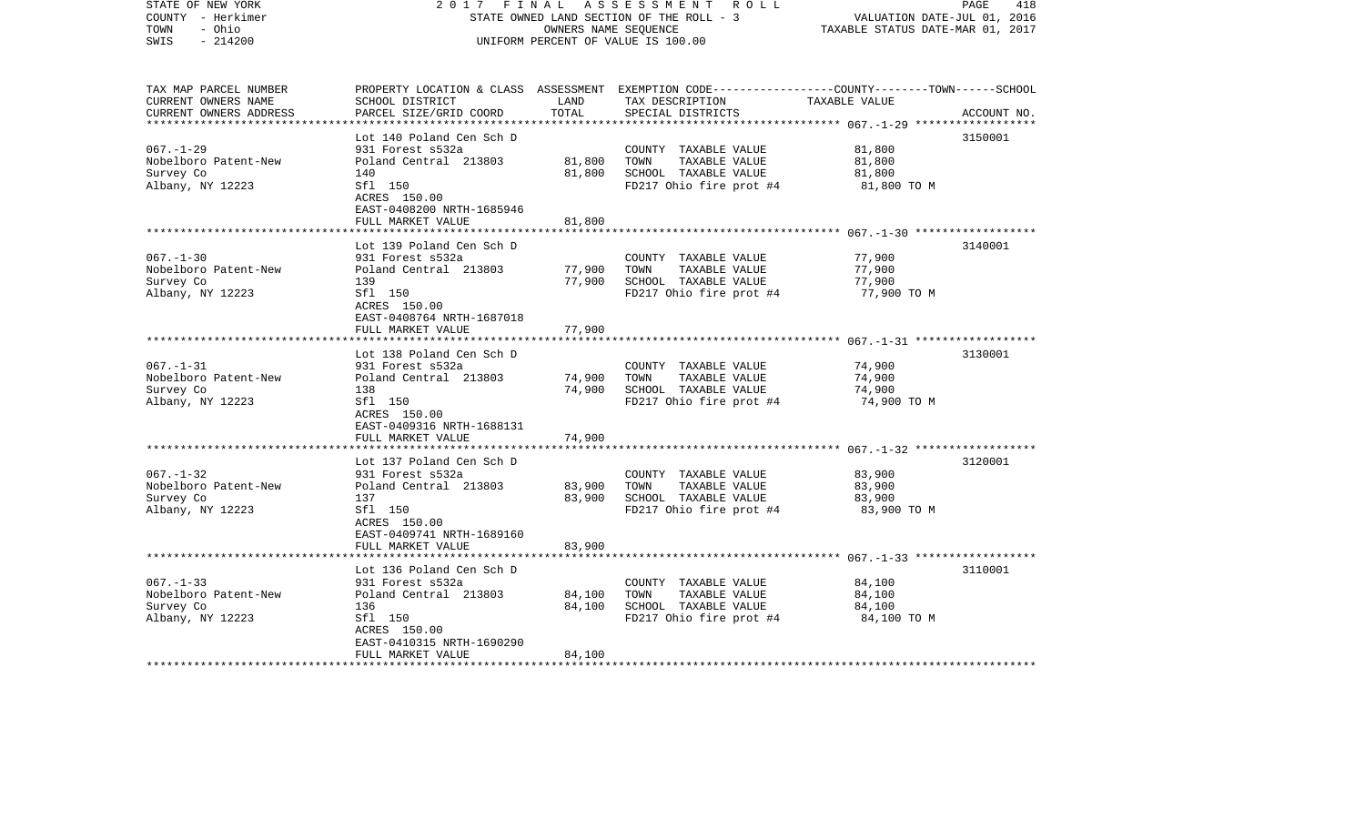| STATE OF NEW YORK<br>COUNTY - Herkimer<br>TOWN<br>- Ohio<br>$-214200$<br>SWIS | 2017                                                 | FINAL         | A S S E S S M E N T R O L L<br>STATE OWNED LAND SECTION OF THE ROLL - 3<br>OWNERS NAME SEQUENCE<br>UNIFORM PERCENT OF VALUE IS 100.00   | VALUATION DATE-JUL 01, 2016<br>TAXABLE STATUS DATE-MAR 01, 2017 | 418<br>PAGE |
|-------------------------------------------------------------------------------|------------------------------------------------------|---------------|-----------------------------------------------------------------------------------------------------------------------------------------|-----------------------------------------------------------------|-------------|
| TAX MAP PARCEL NUMBER<br>CURRENT OWNERS NAME<br>CURRENT OWNERS ADDRESS        | SCHOOL DISTRICT<br>PARCEL SIZE/GRID COORD            | LAND<br>TOTAL | PROPERTY LOCATION & CLASS ASSESSMENT EXEMPTION CODE---------------COUNTY-------TOWN------SCHOOL<br>TAX DESCRIPTION<br>SPECIAL DISTRICTS | TAXABLE VALUE                                                   | ACCOUNT NO. |
|                                                                               | Lot 140 Poland Cen Sch D                             |               |                                                                                                                                         |                                                                 | 3150001     |
| $067. - 1 - 29$                                                               | 931 Forest s532a                                     |               | COUNTY TAXABLE VALUE                                                                                                                    | 81,800                                                          |             |
| Nobelboro Patent-New                                                          | Poland Central 213803                                | 81,800        | TOWN<br>TAXABLE VALUE                                                                                                                   | 81,800                                                          |             |
| Survey Co                                                                     | 140                                                  | 81,800        | SCHOOL TAXABLE VALUE                                                                                                                    | 81,800                                                          |             |
| Albany, NY 12223                                                              | Sfl 150<br>ACRES 150.00<br>EAST-0408200 NRTH-1685946 |               | FD217 Ohio fire prot #4                                                                                                                 | 81,800 TO M                                                     |             |
|                                                                               | FULL MARKET VALUE                                    | 81,800        |                                                                                                                                         |                                                                 |             |
|                                                                               | Lot 139 Poland Cen Sch D                             |               |                                                                                                                                         |                                                                 | 3140001     |
| $067. - 1 - 30$                                                               | 931 Forest s532a                                     |               | COUNTY TAXABLE VALUE                                                                                                                    | 77,900                                                          |             |
| Nobelboro Patent-New                                                          | Poland Central 213803                                | 77,900        | TOWN<br>TAXABLE VALUE                                                                                                                   | 77,900                                                          |             |
| Survey Co                                                                     | 139                                                  | 77,900        | SCHOOL TAXABLE VALUE                                                                                                                    | 77,900                                                          |             |
| Albany, NY 12223                                                              | Sfl 150<br>ACRES 150.00<br>EAST-0408764 NRTH-1687018 |               | FD217 Ohio fire prot #4                                                                                                                 | 77,900 TO M                                                     |             |
|                                                                               | FULL MARKET VALUE                                    | 77,900        |                                                                                                                                         |                                                                 |             |
|                                                                               | Lot 138 Poland Cen Sch D                             |               |                                                                                                                                         |                                                                 | 3130001     |
| $067. - 1 - 31$                                                               | 931 Forest s532a                                     |               | COUNTY TAXABLE VALUE                                                                                                                    | 74,900                                                          |             |
| Nobelboro Patent-New                                                          | Poland Central 213803                                | 74,900        | TOWN<br>TAXABLE VALUE                                                                                                                   | 74,900                                                          |             |
| Survey Co                                                                     | 138                                                  | 74,900        | SCHOOL TAXABLE VALUE                                                                                                                    | 74,900                                                          |             |
| Albany, NY 12223                                                              | Sfl 150<br>ACRES 150.00<br>EAST-0409316 NRTH-1688131 |               | FD217 Ohio fire prot #4                                                                                                                 | 74,900 TO M                                                     |             |
|                                                                               | FULL MARKET VALUE                                    | 74,900        |                                                                                                                                         |                                                                 |             |
|                                                                               | Lot 137 Poland Cen Sch D                             |               |                                                                                                                                         |                                                                 | 3120001     |
| $067. - 1 - 32$                                                               | 931 Forest s532a                                     |               | COUNTY TAXABLE VALUE                                                                                                                    | 83,900                                                          |             |
| Nobelboro Patent-New                                                          | Poland Central 213803                                | 83,900        | TOWN<br>TAXABLE VALUE                                                                                                                   | 83,900                                                          |             |
| Survey Co                                                                     | 137                                                  | 83,900        | SCHOOL TAXABLE VALUE                                                                                                                    | 83,900                                                          |             |
| Albany, NY 12223                                                              | Sfl 150<br>ACRES 150.00<br>EAST-0409741 NRTH-1689160 |               | FD217 Ohio fire prot #4                                                                                                                 | 83,900 TO M                                                     |             |
|                                                                               | FULL MARKET VALUE                                    | 83,900        |                                                                                                                                         |                                                                 |             |
|                                                                               |                                                      |               |                                                                                                                                         |                                                                 |             |
| $067. - 1 - 33$                                                               | Lot 136 Poland Cen Sch D<br>931 Forest s532a         |               | COUNTY TAXABLE VALUE                                                                                                                    | 84,100                                                          | 3110001     |
| Nobelboro Patent-New                                                          | Poland Central 213803                                | 84,100        | TAXABLE VALUE<br>TOWN                                                                                                                   | 84,100                                                          |             |
| Survey Co                                                                     | 136                                                  | 84,100        | SCHOOL TAXABLE VALUE                                                                                                                    | 84,100                                                          |             |
| Albany, NY 12223                                                              | Sfl 150                                              |               | FD217 Ohio fire prot #4                                                                                                                 | 84,100 TO M                                                     |             |
|                                                                               | ACRES 150.00                                         |               |                                                                                                                                         |                                                                 |             |
|                                                                               | EAST-0410315 NRTH-1690290                            |               |                                                                                                                                         |                                                                 |             |
|                                                                               | FULL MARKET VALUE                                    | 84,100        |                                                                                                                                         |                                                                 |             |
| ************************                                                      |                                                      |               |                                                                                                                                         |                                                                 |             |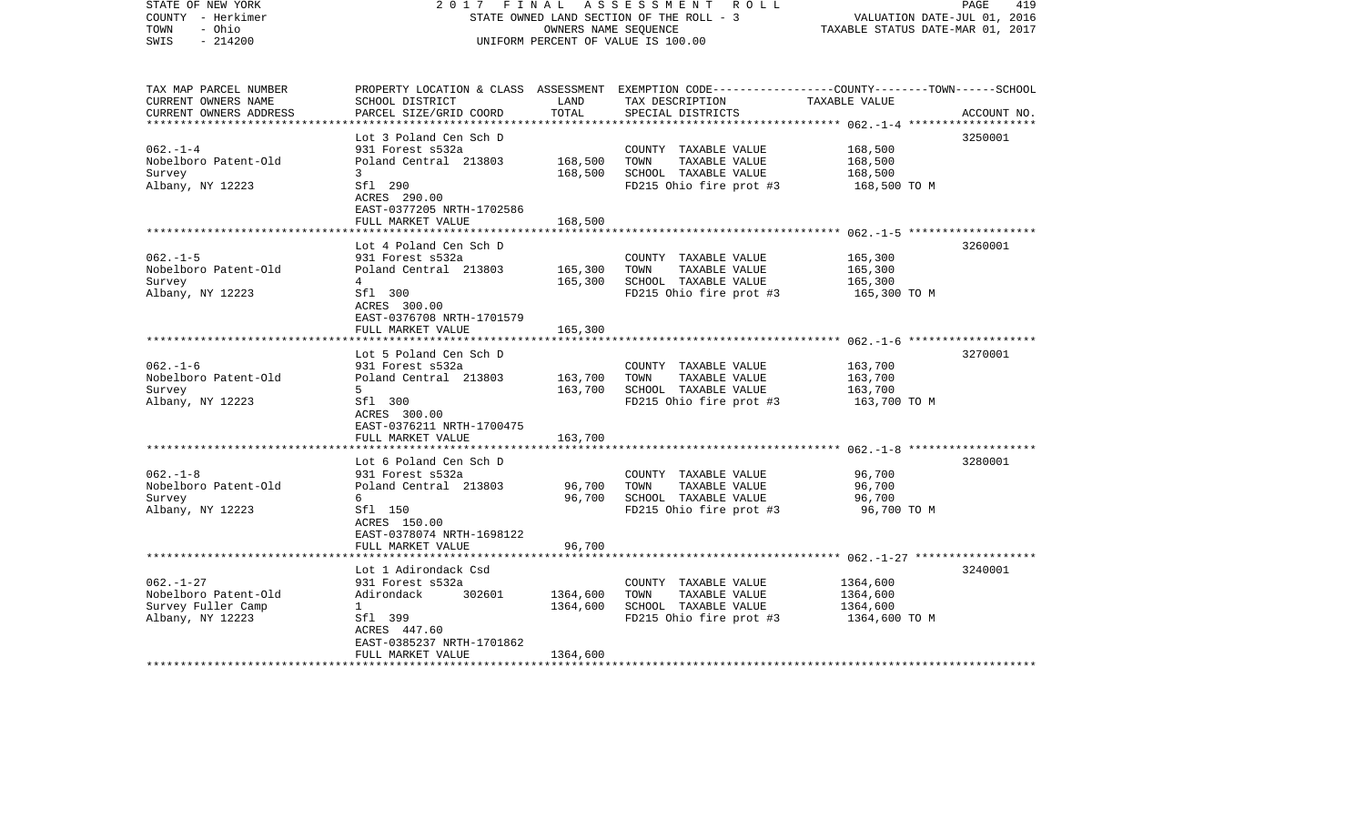| COUNTY - Herkimer<br>TOWN<br>- Ohio<br>SWIS<br>$-214200$                          |                                                                                                                                              | OWNERS NAME SEQUENCE | STATE OWNED LAND SECTION OF THE ROLL - 3<br>UNIFORM PERCENT OF VALUE IS 100.00                   | VALUATION DATE-JUL 01, 2016<br>TAXABLE STATUS DATE-MAR 01, 2017 |             |
|-----------------------------------------------------------------------------------|----------------------------------------------------------------------------------------------------------------------------------------------|----------------------|--------------------------------------------------------------------------------------------------|-----------------------------------------------------------------|-------------|
| TAX MAP PARCEL NUMBER<br>CURRENT OWNERS NAME<br>CURRENT OWNERS ADDRESS            | PROPERTY LOCATION & CLASS ASSESSMENT EXEMPTION CODE---------------COUNTY-------TOWN------SCHOOL<br>SCHOOL DISTRICT<br>PARCEL SIZE/GRID COORD | LAND<br>TOTAL        | TAX DESCRIPTION<br>SPECIAL DISTRICTS                                                             | TAXABLE VALUE                                                   | ACCOUNT NO. |
|                                                                                   |                                                                                                                                              |                      |                                                                                                  | ************* 062.-1-4 ***************                          |             |
|                                                                                   | Lot 3 Poland Cen Sch D                                                                                                                       |                      |                                                                                                  |                                                                 | 3250001     |
| $062. -1 -4$<br>Nobelboro Patent-Old                                              | 931 Forest s532a<br>Poland Central 213803                                                                                                    | 168,500              | COUNTY TAXABLE VALUE<br>TAXABLE VALUE<br>TOWN                                                    | 168,500<br>168,500                                              |             |
| Survey<br>Albany, NY 12223                                                        | 3<br>Sfl 290<br>ACRES 290.00<br>EAST-0377205 NRTH-1702586                                                                                    | 168,500              | SCHOOL TAXABLE VALUE<br>FD215 Ohio fire prot #3                                                  | 168,500<br>168,500 TO M                                         |             |
|                                                                                   | FULL MARKET VALUE                                                                                                                            | 168,500              |                                                                                                  |                                                                 |             |
|                                                                                   | Lot 4 Poland Cen Sch D                                                                                                                       |                      |                                                                                                  |                                                                 | 3260001     |
| $062. -1 - 5$<br>Nobelboro Patent-Old<br>Survey                                   | 931 Forest s532a<br>Poland Central 213803<br>4                                                                                               | 165,300<br>165,300   | COUNTY TAXABLE VALUE<br>TAXABLE VALUE<br>TOWN<br>SCHOOL TAXABLE VALUE                            | 165,300<br>165,300<br>165,300                                   |             |
| Albany, NY 12223                                                                  | Sfl 300<br>ACRES 300.00<br>EAST-0376708 NRTH-1701579                                                                                         |                      | FD215 Ohio fire prot #3                                                                          | 165,300 TO M                                                    |             |
|                                                                                   | FULL MARKET VALUE                                                                                                                            | 165,300              |                                                                                                  |                                                                 |             |
|                                                                                   | Lot 5 Poland Cen Sch D                                                                                                                       |                      |                                                                                                  |                                                                 | 3270001     |
| $062. -1 - 6$<br>Nobelboro Patent-Old<br>Survey                                   | 931 Forest s532a<br>Poland Central 213803<br>5                                                                                               | 163,700<br>163,700   | COUNTY TAXABLE VALUE<br>TOWN<br>TAXABLE VALUE<br>SCHOOL TAXABLE VALUE                            | 163,700<br>163,700<br>163,700                                   |             |
| Albany, NY 12223                                                                  | Sfl 300<br>ACRES 300.00<br>EAST-0376211 NRTH-1700475                                                                                         |                      | FD215 Ohio fire prot #3                                                                          | 163,700 TO M                                                    |             |
|                                                                                   | FULL MARKET VALUE                                                                                                                            | 163,700              |                                                                                                  |                                                                 |             |
|                                                                                   | Lot 6 Poland Cen Sch D                                                                                                                       |                      |                                                                                                  |                                                                 | 3280001     |
| $062. -1 - 8$<br>Nobelboro Patent-Old<br>Survey<br>Albany, NY 12223               | 931 Forest s532a<br>Poland Central 213803<br>6<br>Sfl 150<br>ACRES 150.00                                                                    | 96,700<br>96,700     | COUNTY TAXABLE VALUE<br>TOWN<br>TAXABLE VALUE<br>SCHOOL TAXABLE VALUE<br>FD215 Ohio fire prot #3 | 96,700<br>96,700<br>96,700<br>96,700 TO M                       |             |
|                                                                                   | EAST-0378074 NRTH-1698122<br>FULL MARKET VALUE                                                                                               | 96,700               |                                                                                                  |                                                                 |             |
|                                                                                   |                                                                                                                                              |                      |                                                                                                  |                                                                 |             |
| $062. - 1 - 27$<br>Nobelboro Patent-Old<br>Survey Fuller Camp<br>Albany, NY 12223 | Lot 1 Adirondack Csd<br>931 Forest s532a<br>Adirondack<br>302601<br>$\mathbf{1}$<br>Sfl 399<br>ACRES 447.60                                  | 1364,600<br>1364,600 | COUNTY TAXABLE VALUE<br>TOWN<br>TAXABLE VALUE<br>SCHOOL TAXABLE VALUE<br>FD215 Ohio fire prot #3 | 1364,600<br>1364,600<br>1364,600<br>1364,600 ТО М               | 3240001     |
| ***********************                                                           | EAST-0385237 NRTH-1701862<br>FULL MARKET VALUE                                                                                               | 1364,600             |                                                                                                  |                                                                 |             |

2017 FINAL ASSESSMENT ROLL

PAGE 419

STATE OF NEW YORK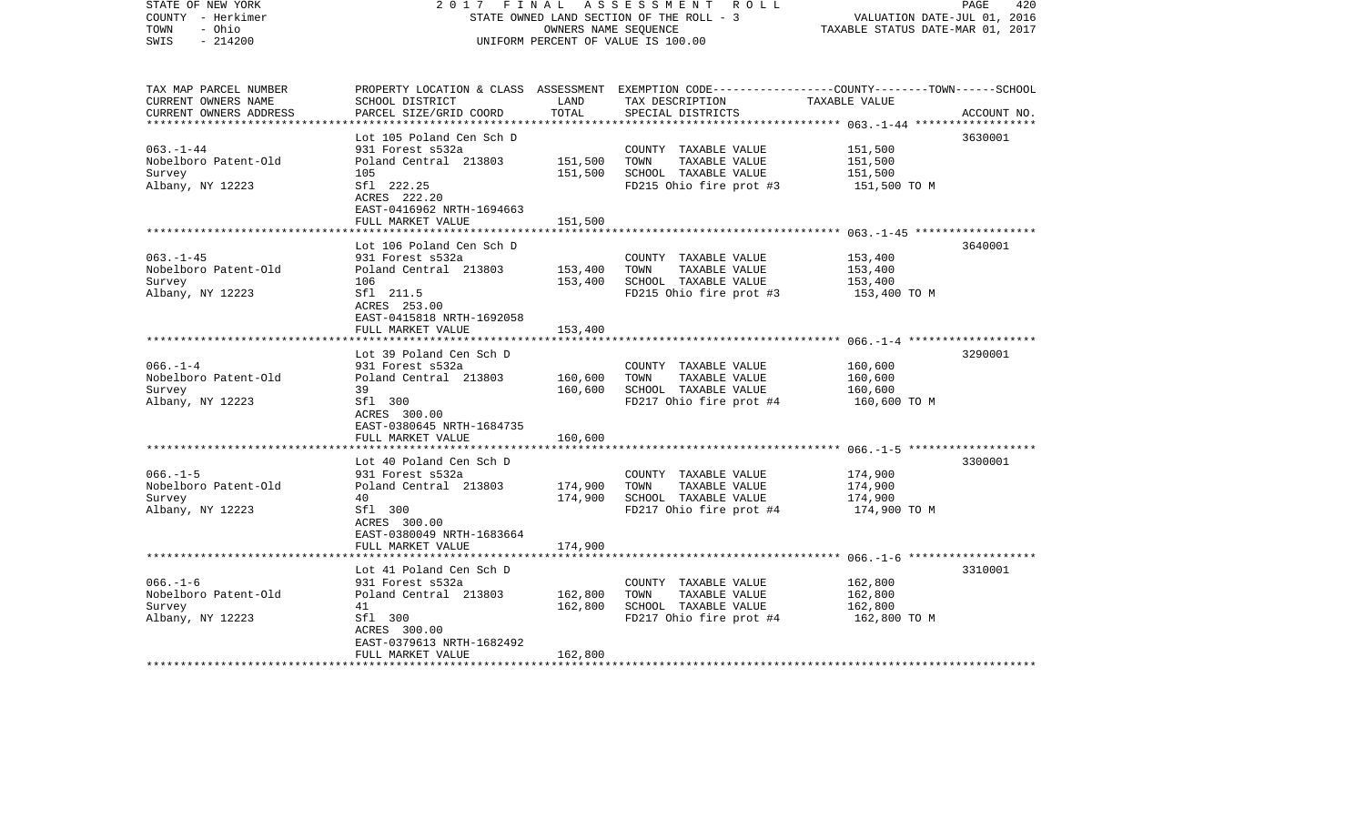| STATE OF NEW YORK<br>COUNTY - Herkimer<br>- Ohio<br>TOWN<br>$-214200$<br>SWIS | 2017<br>FINAL                                           | OWNERS NAME SEQUENCE | A S S E S S M E N T R O L L<br>STATE OWNED LAND SECTION OF THE ROLL - 3<br>UNIFORM PERCENT OF VALUE IS 100.00                                         | VALUATION DATE-JUL 01, 2016<br>TAXABLE STATUS DATE-MAR 01, 2017 | 420<br>PAGE |
|-------------------------------------------------------------------------------|---------------------------------------------------------|----------------------|-------------------------------------------------------------------------------------------------------------------------------------------------------|-----------------------------------------------------------------|-------------|
| TAX MAP PARCEL NUMBER<br>CURRENT OWNERS NAME<br>CURRENT OWNERS ADDRESS        | SCHOOL DISTRICT<br>PARCEL SIZE/GRID COORD               | LAND<br>TOTAL        | PROPERTY LOCATION & CLASS ASSESSMENT EXEMPTION CODE---------------COUNTY-------TOWN------SCHOOL<br>TAX DESCRIPTION TAXABLE VALUE<br>SPECIAL DISTRICTS |                                                                 | ACCOUNT NO. |
|                                                                               | Lot 105 Poland Cen Sch D                                |                      |                                                                                                                                                       |                                                                 | 3630001     |
| $063. - 1 - 44$                                                               | 931 Forest s532a                                        |                      | COUNTY TAXABLE VALUE                                                                                                                                  | 151,500                                                         |             |
| Nobelboro Patent-Old                                                          | Poland Central 213803                                   | 151,500              | TOWN<br>TAXABLE VALUE                                                                                                                                 | 151,500                                                         |             |
| Survey                                                                        | 105                                                     | 151,500              | SCHOOL TAXABLE VALUE                                                                                                                                  | 151,500                                                         |             |
| Albany, NY 12223                                                              | Sfl 222.25<br>ACRES 222.20<br>EAST-0416962 NRTH-1694663 |                      | FD215 Ohio fire prot #3                                                                                                                               | 151,500 TO M                                                    |             |
|                                                                               | FULL MARKET VALUE                                       | 151,500              |                                                                                                                                                       |                                                                 |             |
|                                                                               | Lot 106 Poland Cen Sch D                                |                      |                                                                                                                                                       |                                                                 | 3640001     |
| $063 - 1 - 45$                                                                | 931 Forest s532a                                        |                      | COUNTY TAXABLE VALUE                                                                                                                                  | 153,400                                                         |             |
| Nobelboro Patent-Old                                                          | Poland Central 213803                                   | 153,400              | TOWN<br>TAXABLE VALUE                                                                                                                                 | 153,400                                                         |             |
| Survey                                                                        | 106                                                     | 153,400              | SCHOOL TAXABLE VALUE                                                                                                                                  | 153,400                                                         |             |
| Albany, NY 12223                                                              | Sfl 211.5<br>ACRES 253.00<br>EAST-0415818 NRTH-1692058  |                      | FD215 Ohio fire prot #3                                                                                                                               | 153,400 TO M                                                    |             |
|                                                                               | FULL MARKET VALUE                                       | 153,400              |                                                                                                                                                       |                                                                 |             |
|                                                                               |                                                         |                      |                                                                                                                                                       |                                                                 |             |
| $066. - 1 - 4$                                                                | Lot 39 Poland Cen Sch D                                 |                      |                                                                                                                                                       |                                                                 | 3290001     |
| Nobelboro Patent-Old                                                          | 931 Forest s532a<br>Poland Central 213803               | 160,600              | COUNTY TAXABLE VALUE<br>TOWN<br>TAXABLE VALUE                                                                                                         | 160,600<br>160,600                                              |             |
| Survey                                                                        | 39                                                      | 160,600              | SCHOOL TAXABLE VALUE                                                                                                                                  | 160,600                                                         |             |
| Albany, NY 12223                                                              | Sfl 300                                                 |                      | FD217 Ohio fire prot #4                                                                                                                               | 160,600 TO M                                                    |             |
|                                                                               | ACRES 300.00<br>EAST-0380645 NRTH-1684735               |                      |                                                                                                                                                       |                                                                 |             |
|                                                                               | FULL MARKET VALUE                                       | 160,600              |                                                                                                                                                       |                                                                 |             |
|                                                                               | Lot 40 Poland Cen Sch D                                 |                      |                                                                                                                                                       |                                                                 | 3300001     |
| $066. -1 - 5$                                                                 | 931 Forest s532a                                        |                      | COUNTY TAXABLE VALUE                                                                                                                                  | 174,900                                                         |             |
| Nobelboro Patent-Old                                                          | Poland Central 213803                                   | 174,900              | TAXABLE VALUE<br>TOWN                                                                                                                                 | 174,900                                                         |             |
| Survey                                                                        | 40                                                      | 174,900              | SCHOOL TAXABLE VALUE                                                                                                                                  | 174,900                                                         |             |
| Albany, NY 12223                                                              | Sfl 300<br>ACRES 300.00<br>EAST-0380049 NRTH-1683664    |                      | FD217 Ohio fire prot #4                                                                                                                               | 174,900 TO M                                                    |             |
|                                                                               | FULL MARKET VALUE                                       | 174,900              |                                                                                                                                                       |                                                                 |             |
|                                                                               |                                                         |                      |                                                                                                                                                       |                                                                 |             |
| $066. - 1 - 6$                                                                | Lot 41 Poland Cen Sch D<br>931 Forest s532a             |                      | COUNTY TAXABLE VALUE                                                                                                                                  | 162,800                                                         | 3310001     |
| Nobelboro Patent-Old                                                          | Poland Central 213803                                   | 162,800              | TOWN<br>TAXABLE VALUE                                                                                                                                 | 162,800                                                         |             |
| Survey                                                                        | 41                                                      | 162,800              | SCHOOL TAXABLE VALUE                                                                                                                                  | 162,800                                                         |             |
| Albany, NY 12223                                                              | Sfl 300                                                 |                      | FD217 Ohio fire prot #4                                                                                                                               | 162,800 TO M                                                    |             |
|                                                                               | ACRES 300.00                                            |                      |                                                                                                                                                       |                                                                 |             |
|                                                                               | EAST-0379613 NRTH-1682492                               |                      |                                                                                                                                                       |                                                                 |             |
|                                                                               | FULL MARKET VALUE                                       | 162,800              |                                                                                                                                                       |                                                                 |             |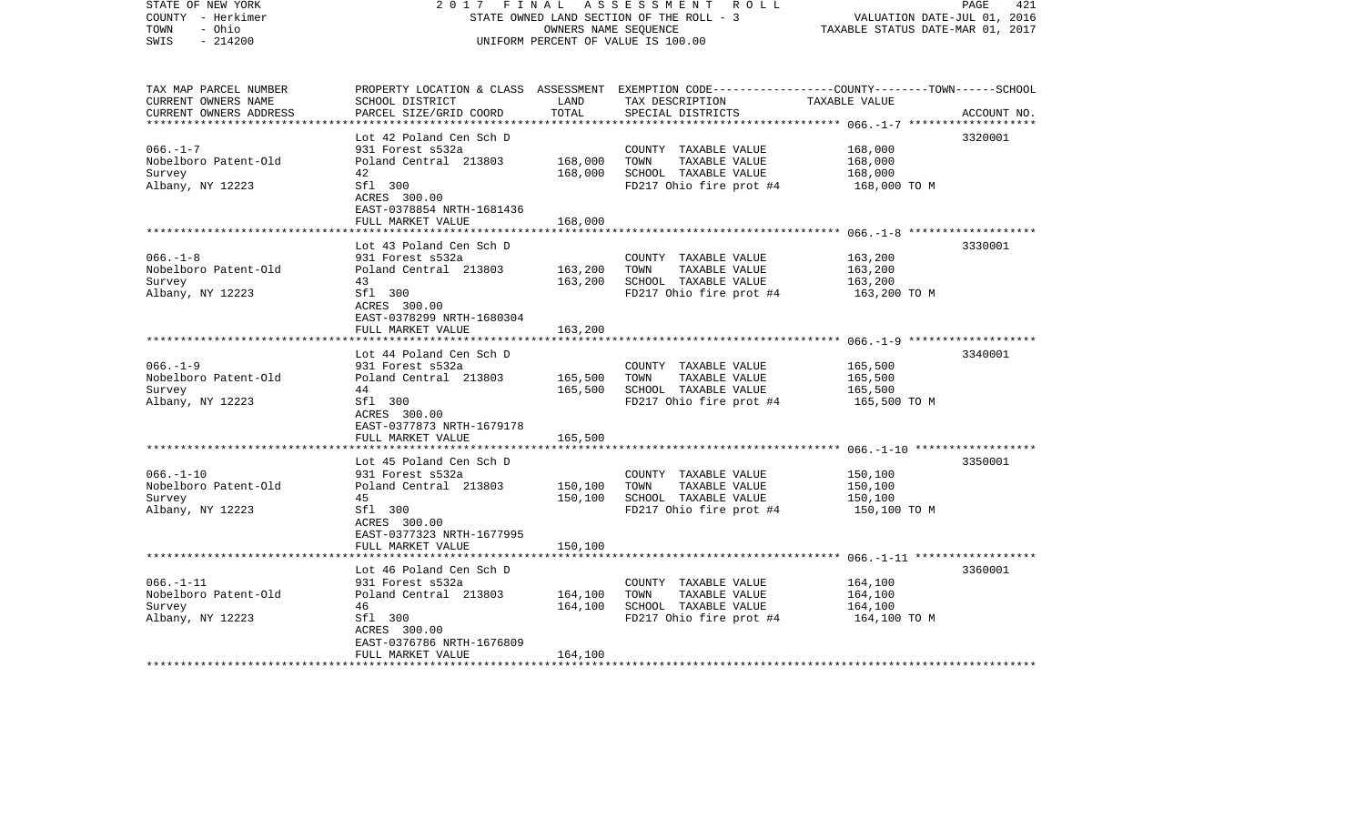| STATE OWNED LAND SECTION OF THE ROLL - 3<br>COUNTY - Herkimer<br>TOWN<br>- Ohio<br>OWNERS NAME SEQUENCE<br>SWIS<br>$-214200$<br>UNIFORM PERCENT OF VALUE IS 100.00 |                                                                                                                                                          |                                                                                                  | VALUATION DATE-JUL 01, 2016<br>TAXABLE STATUS DATE-MAR 01, 2017 |                                                                                                                                                         |
|--------------------------------------------------------------------------------------------------------------------------------------------------------------------|----------------------------------------------------------------------------------------------------------------------------------------------------------|--------------------------------------------------------------------------------------------------|-----------------------------------------------------------------|---------------------------------------------------------------------------------------------------------------------------------------------------------|
| SCHOOL DISTRICT<br>PARCEL SIZE/GRID COORD                                                                                                                          | LAND<br>TOTAL                                                                                                                                            | TAX DESCRIPTION<br>SPECIAL DISTRICTS                                                             | TAXABLE VALUE                                                   | ACCOUNT NO.                                                                                                                                             |
|                                                                                                                                                                    |                                                                                                                                                          |                                                                                                  |                                                                 |                                                                                                                                                         |
| Lot 42 Poland Cen Sch D<br>931 Forest s532a<br>Poland Central 213803<br>42<br>Sfl 300<br>ACRES 300.00                                                              | 168,000<br>168,000                                                                                                                                       | COUNTY TAXABLE VALUE<br>TOWN<br>TAXABLE VALUE<br>SCHOOL TAXABLE VALUE<br>FD217 Ohio fire prot #4 | 168,000<br>168,000<br>168,000<br>168,000 TO M                   | 3320001                                                                                                                                                 |
|                                                                                                                                                                    |                                                                                                                                                          |                                                                                                  |                                                                 |                                                                                                                                                         |
| Lot 43 Poland Cen Sch D                                                                                                                                            |                                                                                                                                                          |                                                                                                  |                                                                 | 3330001                                                                                                                                                 |
| Poland Central 213803<br>43<br>Sfl 300<br>ACRES 300.00<br>EAST-0378299 NRTH-1680304                                                                                | 163,200<br>163,200                                                                                                                                       | TOWN<br>TAXABLE VALUE<br>SCHOOL TAXABLE VALUE<br>FD217 Ohio fire prot #4                         | 163,200<br>163,200<br>163,200 TO M                              |                                                                                                                                                         |
| FULL MARKET VALUE                                                                                                                                                  | 163,200                                                                                                                                                  |                                                                                                  |                                                                 |                                                                                                                                                         |
|                                                                                                                                                                    |                                                                                                                                                          |                                                                                                  |                                                                 |                                                                                                                                                         |
| 931 Forest s532a<br>Poland Central 213803<br>44<br>Sfl 300<br>ACRES 300.00<br>EAST-0377873 NRTH-1679178                                                            | 165,500<br>165,500                                                                                                                                       | COUNTY TAXABLE VALUE<br>TOWN<br>TAXABLE VALUE<br>SCHOOL TAXABLE VALUE<br>FD217 Ohio fire prot #4 | 165,500<br>165,500<br>165,500<br>165,500 TO M                   | 3340001                                                                                                                                                 |
| FULL MARKET VALUE                                                                                                                                                  | 165,500                                                                                                                                                  |                                                                                                  |                                                                 |                                                                                                                                                         |
| Lot 45 Poland Cen Sch D<br>931 Forest s532a<br>Poland Central 213803<br>45<br>Sfl 300<br>ACRES 300.00<br>EAST-0377323 NRTH-1677995                                 | 150,100<br>150,100                                                                                                                                       | COUNTY TAXABLE VALUE<br>TOWN<br>TAXABLE VALUE<br>SCHOOL TAXABLE VALUE<br>FD217 Ohio fire prot #4 | 150,100<br>150,100<br>150,100<br>150,100 TO M                   | 3350001                                                                                                                                                 |
|                                                                                                                                                                    |                                                                                                                                                          |                                                                                                  |                                                                 |                                                                                                                                                         |
| Lot 46 Poland Cen Sch D<br>931 Forest s532a<br>Poland Central 213803<br>46<br>Sfl 300<br>ACRES 300.00<br>EAST-0376786 NRTH-1676809<br>FULL MARKET VALUE            | 164,100<br>164,100<br>164,100                                                                                                                            | COUNTY TAXABLE VALUE<br>TOWN<br>TAXABLE VALUE<br>SCHOOL TAXABLE VALUE<br>FD217 Ohio fire prot #4 | 164,100<br>164,100<br>164,100<br>164,100 TO M                   | 3360001                                                                                                                                                 |
|                                                                                                                                                                    | EAST-0378854 NRTH-1681436<br>FULL MARKET VALUE<br>931 Forest s532a<br>**************<br>Lot 44 Poland Cen Sch D<br>****************<br>FULL MARKET VALUE | 168,000<br>150,100                                                                               | COUNTY TAXABLE VALUE                                            | PROPERTY LOCATION & CLASS ASSESSMENT EXEMPTION CODE---------------COUNTY-------TOWN------SCHOOL<br>************** 066.-1-7 *****************<br>163,200 |

2017 FINAL ASSESSMENT ROLL

PAGE 421

STATE OF NEW YORK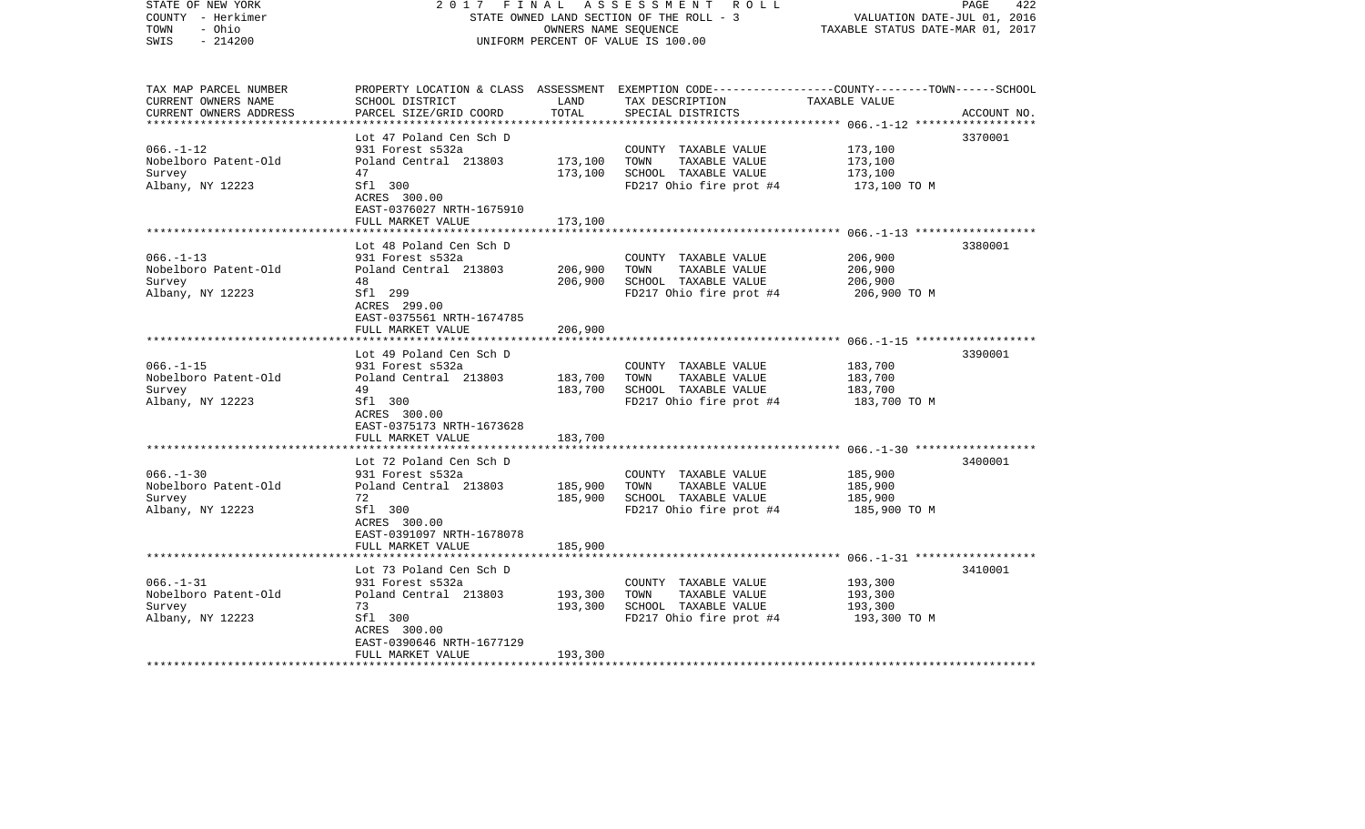| STATE OF NEW YORK<br>COUNTY - Herkimer<br>- Ohio<br>TOWN<br>$-214200$<br>SWIS | 2017<br>FINAL                                        | OWNERS NAME SEQUENCE | A S S E S S M E N T R O L L<br>STATE OWNED LAND SECTION OF THE ROLL - 3<br>UNIFORM PERCENT OF VALUE IS 100.00                                         | VALUATION DATE-JUL 01, 2016<br>TAXABLE STATUS DATE-MAR 01, 2017 | 422<br>PAGE |
|-------------------------------------------------------------------------------|------------------------------------------------------|----------------------|-------------------------------------------------------------------------------------------------------------------------------------------------------|-----------------------------------------------------------------|-------------|
| TAX MAP PARCEL NUMBER<br>CURRENT OWNERS NAME<br>CURRENT OWNERS ADDRESS        | SCHOOL DISTRICT<br>PARCEL SIZE/GRID COORD            | LAND<br>TOTAL        | PROPERTY LOCATION & CLASS ASSESSMENT EXEMPTION CODE---------------COUNTY-------TOWN------SCHOOL<br>TAX DESCRIPTION TAXABLE VALUE<br>SPECIAL DISTRICTS |                                                                 | ACCOUNT NO. |
|                                                                               |                                                      |                      |                                                                                                                                                       |                                                                 |             |
| $066. - 1 - 12$                                                               | Lot 47 Poland Cen Sch D<br>931 Forest s532a          |                      | COUNTY TAXABLE VALUE                                                                                                                                  | 173,100                                                         | 3370001     |
| Nobelboro Patent-Old                                                          | Poland Central 213803                                | 173,100              | TAXABLE VALUE<br>TOWN                                                                                                                                 | 173,100                                                         |             |
| Survey                                                                        | 47                                                   | 173,100              | SCHOOL TAXABLE VALUE                                                                                                                                  | 173,100                                                         |             |
| Albany, NY 12223                                                              | Sfl 300<br>ACRES 300.00<br>EAST-0376027 NRTH-1675910 |                      | FD217 Ohio fire prot #4                                                                                                                               | 173,100 TO M                                                    |             |
|                                                                               | FULL MARKET VALUE                                    | 173,100              |                                                                                                                                                       |                                                                 |             |
|                                                                               | Lot 48 Poland Cen Sch D                              |                      |                                                                                                                                                       |                                                                 | 3380001     |
| $066. - 1 - 13$                                                               | 931 Forest s532a                                     |                      | COUNTY TAXABLE VALUE                                                                                                                                  | 206,900                                                         |             |
| Nobelboro Patent-Old                                                          | Poland Central 213803                                | 206,900              | TOWN<br>TAXABLE VALUE                                                                                                                                 | 206,900                                                         |             |
| Survey                                                                        | 48                                                   | 206,900              | SCHOOL TAXABLE VALUE                                                                                                                                  | 206,900                                                         |             |
| Albany, NY 12223                                                              | Sfl 299<br>ACRES 299.00<br>EAST-0375561 NRTH-1674785 |                      | FD217 Ohio fire prot #4                                                                                                                               | 206,900 ТО М                                                    |             |
|                                                                               | FULL MARKET VALUE                                    | 206,900              |                                                                                                                                                       |                                                                 |             |
|                                                                               |                                                      |                      |                                                                                                                                                       |                                                                 |             |
| $066. - 1 - 15$                                                               | Lot 49 Poland Cen Sch D<br>931 Forest s532a          |                      | COUNTY TAXABLE VALUE                                                                                                                                  | 183,700                                                         | 3390001     |
| Nobelboro Patent-Old                                                          | Poland Central 213803                                | 183,700              | TOWN<br>TAXABLE VALUE                                                                                                                                 | 183,700                                                         |             |
| Survey                                                                        | 49                                                   | 183,700              | SCHOOL TAXABLE VALUE                                                                                                                                  | 183,700                                                         |             |
| Albany, NY 12223                                                              | Sfl 300<br>ACRES 300.00                              |                      | FD217 Ohio fire prot #4                                                                                                                               | 183,700 TO M                                                    |             |
|                                                                               | EAST-0375173 NRTH-1673628<br>FULL MARKET VALUE       | 183,700              |                                                                                                                                                       |                                                                 |             |
|                                                                               |                                                      |                      |                                                                                                                                                       |                                                                 |             |
|                                                                               | Lot 72 Poland Cen Sch D                              |                      |                                                                                                                                                       |                                                                 | 3400001     |
| $066. - 1 - 30$                                                               | 931 Forest s532a                                     |                      | COUNTY TAXABLE VALUE                                                                                                                                  | 185,900                                                         |             |
| Nobelboro Patent-Old                                                          | Poland Central 213803                                | 185,900              | TAXABLE VALUE<br>TOWN                                                                                                                                 | 185,900                                                         |             |
| Survey                                                                        | 72                                                   | 185,900              | SCHOOL TAXABLE VALUE                                                                                                                                  | 185,900                                                         |             |
| Albany, NY 12223                                                              | Sfl 300<br>ACRES 300.00<br>EAST-0391097 NRTH-1678078 |                      | FD217 Ohio fire prot #4                                                                                                                               | 185,900 TO M                                                    |             |
|                                                                               | FULL MARKET VALUE                                    | 185,900              |                                                                                                                                                       |                                                                 |             |
|                                                                               | Lot 73 Poland Cen Sch D                              |                      |                                                                                                                                                       |                                                                 | 3410001     |
| $066. - 1 - 31$                                                               | 931 Forest s532a                                     |                      | COUNTY TAXABLE VALUE                                                                                                                                  | 193,300                                                         |             |
| Nobelboro Patent-Old                                                          | Poland Central 213803                                | 193,300              | TOWN<br>TAXABLE VALUE                                                                                                                                 | 193,300                                                         |             |
| Survey                                                                        | 73                                                   | 193,300              | SCHOOL TAXABLE VALUE                                                                                                                                  | 193,300                                                         |             |
| Albany, NY 12223                                                              | Sfl 300                                              |                      | FD217 Ohio fire prot #4                                                                                                                               | 193,300 ТО М                                                    |             |
|                                                                               | ACRES 300.00                                         |                      |                                                                                                                                                       |                                                                 |             |
|                                                                               | EAST-0390646 NRTH-1677129                            |                      |                                                                                                                                                       |                                                                 |             |
| **************************                                                    | FULL MARKET VALUE                                    | 193,300              |                                                                                                                                                       |                                                                 |             |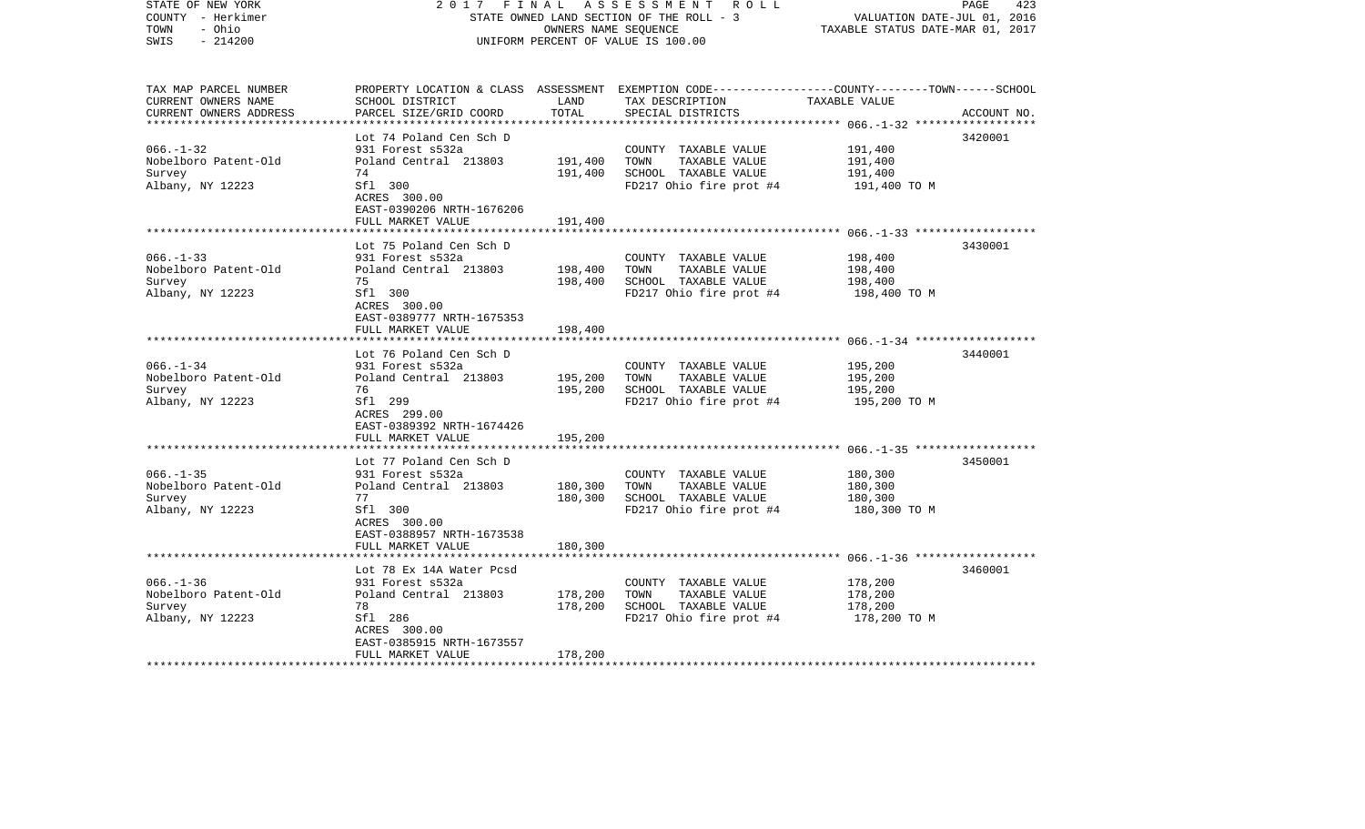| STATE OF NEW YORK<br>COUNTY - Herkimer<br>- Ohio<br>TOWN<br>$-214200$<br>SWIS | 2017<br>FINAL                                        | OWNERS NAME SEQUENCE | A S S E S S M E N T R O L L<br>STATE OWNED LAND SECTION OF THE ROLL - 3<br>UNIFORM PERCENT OF VALUE IS 100.00                                         | VALUATION DATE-JUL 01, 2016<br>TAXABLE STATUS DATE-MAR 01, 2017 | 423<br>PAGE |
|-------------------------------------------------------------------------------|------------------------------------------------------|----------------------|-------------------------------------------------------------------------------------------------------------------------------------------------------|-----------------------------------------------------------------|-------------|
| TAX MAP PARCEL NUMBER<br>CURRENT OWNERS NAME<br>CURRENT OWNERS ADDRESS        | SCHOOL DISTRICT<br>PARCEL SIZE/GRID COORD            | LAND<br>TOTAL        | PROPERTY LOCATION & CLASS ASSESSMENT EXEMPTION CODE---------------COUNTY-------TOWN------SCHOOL<br>TAX DESCRIPTION TAXABLE VALUE<br>SPECIAL DISTRICTS |                                                                 | ACCOUNT NO. |
|                                                                               |                                                      |                      |                                                                                                                                                       |                                                                 |             |
| $066. - 1 - 32$                                                               | Lot 74 Poland Cen Sch D<br>931 Forest s532a          |                      | COUNTY TAXABLE VALUE                                                                                                                                  | 191,400                                                         | 3420001     |
| Nobelboro Patent-Old                                                          | Poland Central 213803                                | 191,400              | TAXABLE VALUE<br>TOWN                                                                                                                                 | 191,400                                                         |             |
| Survey                                                                        | 74                                                   | 191,400              | SCHOOL TAXABLE VALUE                                                                                                                                  | 191,400                                                         |             |
| Albany, NY 12223                                                              | Sfl 300<br>ACRES 300.00<br>EAST-0390206 NRTH-1676206 |                      | FD217 Ohio fire prot #4                                                                                                                               | 191,400 TO M                                                    |             |
|                                                                               | FULL MARKET VALUE                                    | 191,400              |                                                                                                                                                       |                                                                 |             |
|                                                                               | Lot 75 Poland Cen Sch D                              |                      |                                                                                                                                                       |                                                                 | 3430001     |
| $066. -1 - 33$                                                                | 931 Forest s532a                                     |                      | COUNTY TAXABLE VALUE                                                                                                                                  | 198,400                                                         |             |
| Nobelboro Patent-Old                                                          | Poland Central 213803                                | 198,400              | TOWN<br>TAXABLE VALUE                                                                                                                                 | 198,400                                                         |             |
| Survey                                                                        | 75                                                   | 198,400              | SCHOOL TAXABLE VALUE                                                                                                                                  | 198,400                                                         |             |
| Albany, NY 12223                                                              | Sfl 300<br>ACRES 300.00<br>EAST-0389777 NRTH-1675353 |                      | FD217 Ohio fire prot #4                                                                                                                               | 198,400 TO M                                                    |             |
|                                                                               | FULL MARKET VALUE                                    | 198,400              |                                                                                                                                                       |                                                                 |             |
|                                                                               |                                                      |                      |                                                                                                                                                       |                                                                 |             |
| $066. - 1 - 34$                                                               | Lot 76 Poland Cen Sch D<br>931 Forest s532a          |                      | COUNTY TAXABLE VALUE                                                                                                                                  | 195,200                                                         | 3440001     |
| Nobelboro Patent-Old                                                          | Poland Central 213803                                | 195,200              | TOWN<br>TAXABLE VALUE                                                                                                                                 | 195,200                                                         |             |
| Survey                                                                        | 76                                                   | 195,200              | SCHOOL TAXABLE VALUE                                                                                                                                  | 195,200                                                         |             |
| Albany, NY 12223                                                              | Sfl 299<br>ACRES 299.00<br>EAST-0389392 NRTH-1674426 |                      | FD217 Ohio fire prot #4                                                                                                                               | 195,200 TO M                                                    |             |
|                                                                               | FULL MARKET VALUE                                    | 195,200              |                                                                                                                                                       |                                                                 |             |
|                                                                               |                                                      |                      |                                                                                                                                                       |                                                                 |             |
|                                                                               | Lot 77 Poland Cen Sch D                              |                      |                                                                                                                                                       |                                                                 | 3450001     |
| $066. -1 - 35$<br>Nobelboro Patent-Old                                        | 931 Forest s532a<br>Poland Central 213803            | 180,300              | COUNTY TAXABLE VALUE<br>TAXABLE VALUE<br>TOWN                                                                                                         | 180,300<br>180,300                                              |             |
| Survey                                                                        | 77                                                   | 180,300              | SCHOOL TAXABLE VALUE                                                                                                                                  | 180,300                                                         |             |
| Albany, NY 12223                                                              | Sfl 300<br>ACRES 300.00<br>EAST-0388957 NRTH-1673538 |                      | FD217 Ohio fire prot #4                                                                                                                               | 180,300 TO M                                                    |             |
|                                                                               | FULL MARKET VALUE                                    | 180,300              |                                                                                                                                                       |                                                                 |             |
|                                                                               |                                                      |                      |                                                                                                                                                       |                                                                 |             |
|                                                                               | Lot 78 Ex 14A Water Pcsd                             |                      |                                                                                                                                                       |                                                                 | 3460001     |
| $066. - 1 - 36$                                                               | 931 Forest s532a                                     |                      | COUNTY TAXABLE VALUE                                                                                                                                  | 178,200                                                         |             |
| Nobelboro Patent-Old                                                          | Poland Central 213803                                | 178,200              | TOWN<br>TAXABLE VALUE                                                                                                                                 | 178,200                                                         |             |
| Survey<br>Albany, NY 12223                                                    | 78<br>Sfl 286                                        | 178,200              | SCHOOL TAXABLE VALUE<br>FD217 Ohio fire prot #4                                                                                                       | 178,200<br>178,200 TO M                                         |             |
|                                                                               | ACRES 300.00                                         |                      |                                                                                                                                                       |                                                                 |             |
|                                                                               | EAST-0385915 NRTH-1673557<br>FULL MARKET VALUE       | 178,200              |                                                                                                                                                       |                                                                 |             |
| **************************                                                    |                                                      |                      |                                                                                                                                                       |                                                                 |             |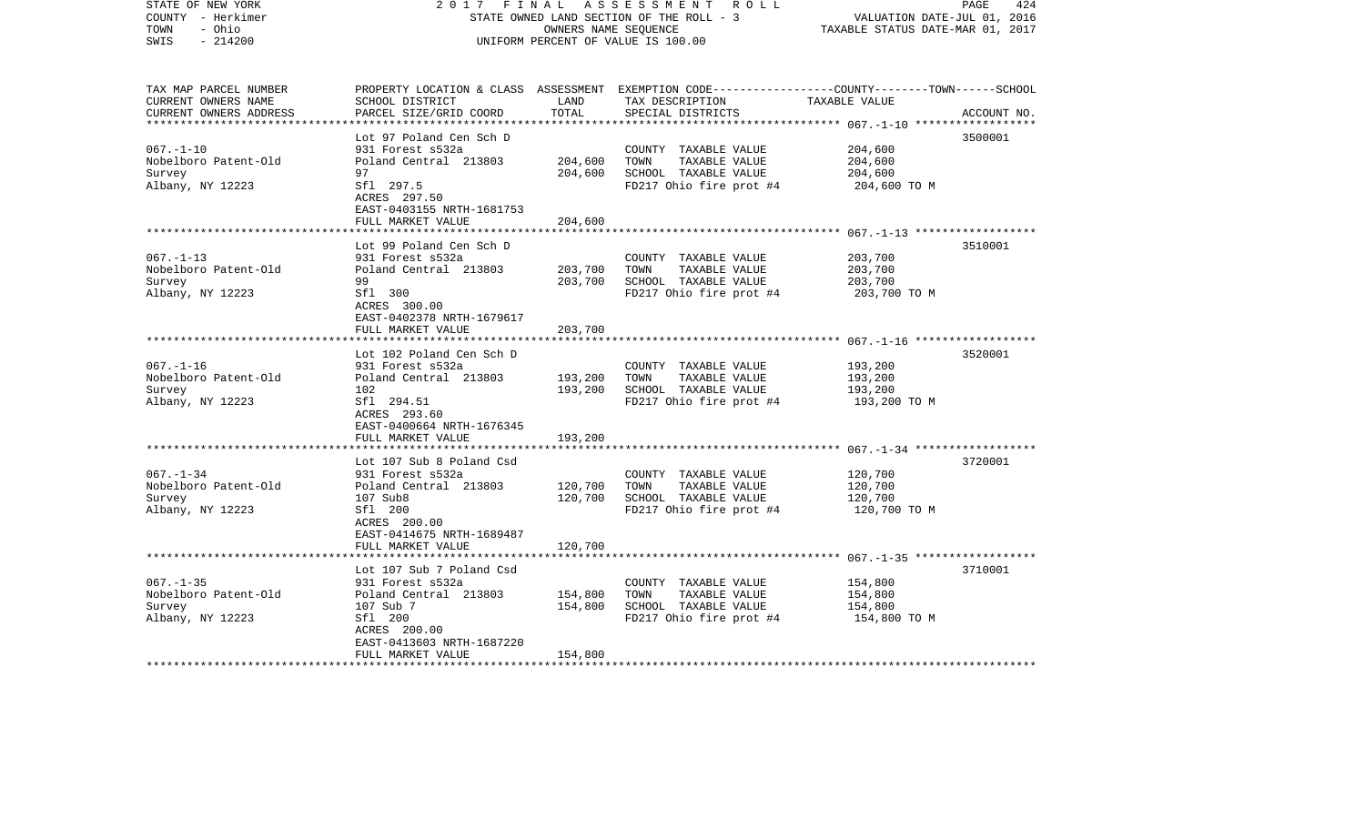| COUNTY - Herkimer<br>- Ohio<br>TOWN<br>SWIS<br>$-214200$                                      |                                                                                                                                                                                       | OWNERS NAME SEQUENCE          | STATE OWNED LAND SECTION OF THE ROLL - 3<br>UNIFORM PERCENT OF VALUE IS 100.00                                                          | VALUATION DATE-JUL 01, 2016<br>TAXABLE STATUS DATE-MAR 01, 2017 |             |
|-----------------------------------------------------------------------------------------------|---------------------------------------------------------------------------------------------------------------------------------------------------------------------------------------|-------------------------------|-----------------------------------------------------------------------------------------------------------------------------------------|-----------------------------------------------------------------|-------------|
| TAX MAP PARCEL NUMBER<br>CURRENT OWNERS NAME<br>CURRENT OWNERS ADDRESS                        | SCHOOL DISTRICT<br>PARCEL SIZE/GRID COORD                                                                                                                                             | LAND<br>TOTAL                 | PROPERTY LOCATION & CLASS ASSESSMENT EXEMPTION CODE----------------COUNTY-------TOWN-----SCHOOL<br>TAX DESCRIPTION<br>SPECIAL DISTRICTS | TAXABLE VALUE<br>*********** 067.-1-10 ******                   | ACCOUNT NO. |
| $067. - 1 - 10$<br>Nobelboro Patent-Old<br>Survey<br>Albany, NY 12223                         | Lot 97 Poland Cen Sch D<br>931 Forest s532a<br>Poland Central 213803<br>97<br>Sfl 297.5<br>ACRES 297.50<br>EAST-0403155 NRTH-1681753<br>FULL MARKET VALUE                             | 204,600<br>204,600<br>204,600 | COUNTY TAXABLE VALUE<br>TAXABLE VALUE<br>TOWN<br>SCHOOL TAXABLE VALUE<br>FD217 Ohio fire prot #4                                        | 204,600<br>204,600<br>204,600<br>204,600 TO M                   | 3500001     |
|                                                                                               | *****************                                                                                                                                                                     | ************                  |                                                                                                                                         |                                                                 |             |
| $067. - 1 - 13$<br>Nobelboro Patent-Old<br>Survey<br>Albany, NY 12223                         | Lot 99 Poland Cen Sch D<br>931 Forest s532a<br>Poland Central 213803<br>99<br>Sfl 300<br>ACRES 300.00<br>EAST-0402378 NRTH-1679617                                                    | 203,700<br>203,700            | COUNTY TAXABLE VALUE<br>TAXABLE VALUE<br>TOWN<br>SCHOOL TAXABLE VALUE<br>FD217 Ohio fire prot #4                                        | 203,700<br>203,700<br>203,700<br>203,700 TO M                   | 3510001     |
|                                                                                               | FULL MARKET VALUE                                                                                                                                                                     | 203,700                       |                                                                                                                                         |                                                                 |             |
|                                                                                               | ***************                                                                                                                                                                       |                               |                                                                                                                                         |                                                                 |             |
| $067. - 1 - 16$<br>Nobelboro Patent-Old<br>Survey<br>Albany, NY 12223                         | Lot 102 Poland Cen Sch D<br>931 Forest s532a<br>Poland Central 213803<br>102<br>Sfl 294.51<br>ACRES 293.60<br>EAST-0400664 NRTH-1676345                                               | 193,200<br>193,200            | COUNTY TAXABLE VALUE<br>TAXABLE VALUE<br>TOWN<br>SCHOOL TAXABLE VALUE<br>FD217 Ohio fire prot #4                                        | 193,200<br>193,200<br>193,200<br>193,200 TO M                   | 3520001     |
|                                                                                               | FULL MARKET VALUE                                                                                                                                                                     | 193,200                       |                                                                                                                                         |                                                                 |             |
| $067. - 1 - 34$<br>Nobelboro Patent-Old<br>Survey<br>Albany, NY 12223                         | *******************<br>Lot 107 Sub 8 Poland Csd<br>931 Forest s532a<br>Poland Central 213803<br>107 Sub8<br>Sfl 200<br>ACRES 200.00<br>EAST-0414675 NRTH-1689487<br>FULL MARKET VALUE | 120,700<br>120,700<br>120,700 | COUNTY TAXABLE VALUE<br>TOWN<br>TAXABLE VALUE<br>SCHOOL TAXABLE VALUE<br>FD217 Ohio fire prot #4                                        | 120,700<br>120,700<br>120,700<br>120,700 TO M                   | 3720001     |
|                                                                                               | *******************                                                                                                                                                                   |                               |                                                                                                                                         |                                                                 |             |
| $067. - 1 - 35$<br>Nobelboro Patent-Old<br>Survey<br>Albany, NY 12223<br>******************** | Lot 107 Sub 7 Poland Csd<br>931 Forest s532a<br>Poland Central 213803<br>107 Sub 7<br>Sfl 200<br>ACRES 200.00<br>EAST-0413603 NRTH-1687220<br>FULL MARKET VALUE                       | 154,800<br>154,800<br>154,800 | COUNTY TAXABLE VALUE<br>TOWN<br>TAXABLE VALUE<br>SCHOOL TAXABLE VALUE<br>FD217 Ohio fire prot #4                                        | 154,800<br>154,800<br>154,800<br>154,800 TO M                   | 3710001     |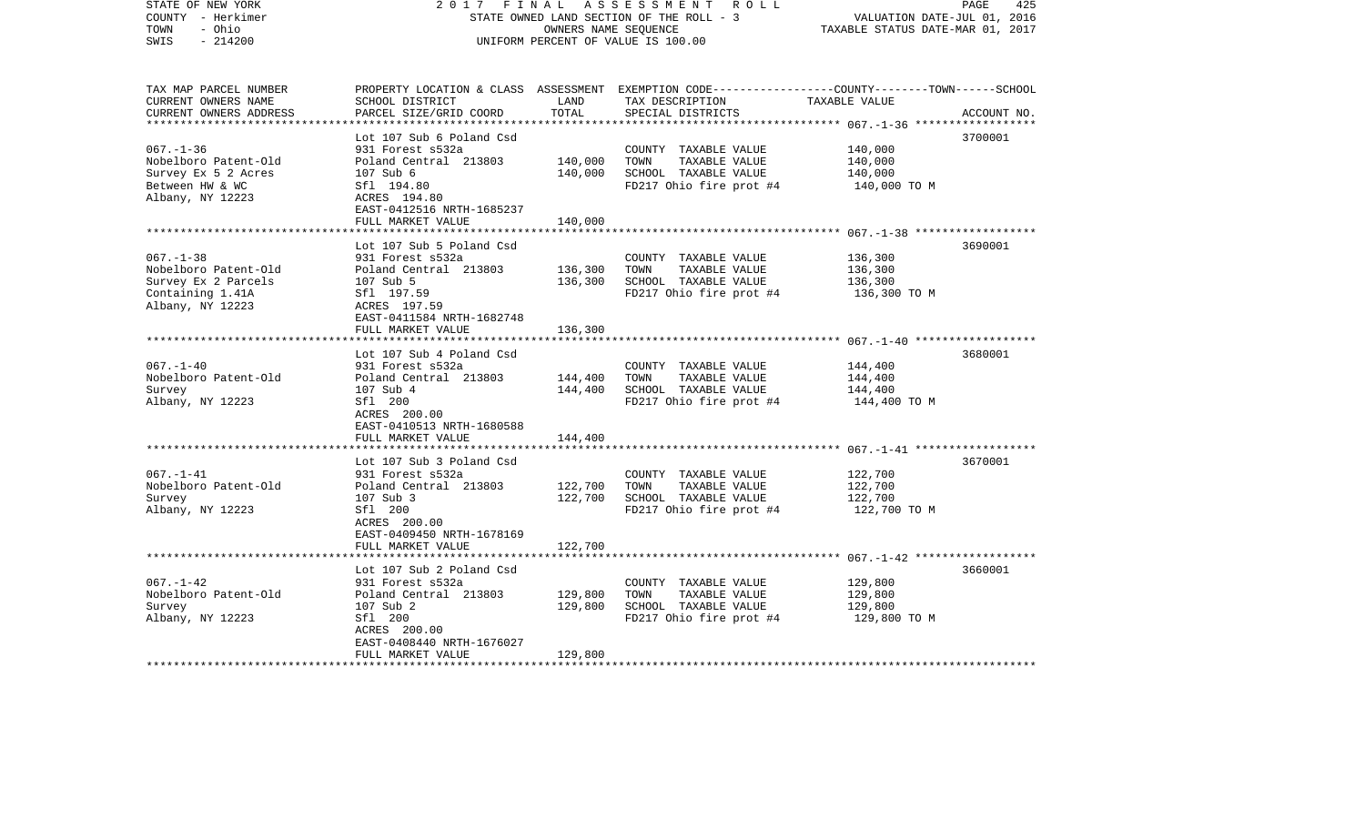| STATE OF NEW YORK<br>COUNTY - Herkimer<br>TOWN<br>- Ohio<br>$-214200$<br>SWIS | 2017                                                    | FINAL<br>OWNERS NAME SEQUENCE | A S S E S S M E N T R O L L<br>STATE OWNED LAND SECTION OF THE ROLL - 3<br>UNIFORM PERCENT OF VALUE IS 100.00                           | VALUATION DATE-JUL 01, 2016<br>TAXABLE STATUS DATE-MAR 01, 2017 | 425<br>PAGE |
|-------------------------------------------------------------------------------|---------------------------------------------------------|-------------------------------|-----------------------------------------------------------------------------------------------------------------------------------------|-----------------------------------------------------------------|-------------|
| TAX MAP PARCEL NUMBER<br>CURRENT OWNERS NAME<br>CURRENT OWNERS ADDRESS        | SCHOOL DISTRICT<br>PARCEL SIZE/GRID COORD               | LAND<br>TOTAL                 | PROPERTY LOCATION & CLASS ASSESSMENT EXEMPTION CODE---------------COUNTY-------TOWN------SCHOOL<br>TAX DESCRIPTION<br>SPECIAL DISTRICTS | TAXABLE VALUE                                                   | ACCOUNT NO. |
|                                                                               | Lot 107 Sub 6 Poland Csd                                |                               |                                                                                                                                         |                                                                 | 3700001     |
| $067. - 1 - 36$                                                               | 931 Forest s532a                                        |                               | COUNTY TAXABLE VALUE                                                                                                                    | 140,000                                                         |             |
| Nobelboro Patent-Old                                                          | Poland Central 213803                                   | 140,000                       | TOWN<br>TAXABLE VALUE                                                                                                                   | 140,000                                                         |             |
| Survey Ex 5 2 Acres                                                           | 107 Sub 6                                               | 140,000                       | SCHOOL TAXABLE VALUE                                                                                                                    | 140,000                                                         |             |
| Between HW & WC<br>Albany, NY 12223                                           | Sfl 194.80<br>ACRES 194.80<br>EAST-0412516 NRTH-1685237 |                               | FD217 Ohio fire prot #4                                                                                                                 | 140,000 TO M                                                    |             |
|                                                                               | FULL MARKET VALUE                                       | 140,000                       |                                                                                                                                         |                                                                 |             |
|                                                                               | Lot 107 Sub 5 Poland Csd                                |                               |                                                                                                                                         |                                                                 | 3690001     |
| $067. - 1 - 38$                                                               | 931 Forest s532a                                        |                               | COUNTY TAXABLE VALUE                                                                                                                    | 136,300                                                         |             |
| Nobelboro Patent-Old                                                          | Poland Central 213803                                   | 136,300                       | TOWN<br>TAXABLE VALUE                                                                                                                   | 136,300                                                         |             |
| Survey Ex 2 Parcels                                                           | 107 Sub 5                                               | 136,300                       | SCHOOL TAXABLE VALUE                                                                                                                    | 136,300                                                         |             |
| Containing 1.41A                                                              | Sfl 197.59                                              |                               | FD217 Ohio fire prot #4                                                                                                                 | 136,300 ТО М                                                    |             |
| Albany, NY 12223                                                              | ACRES 197.59<br>EAST-0411584 NRTH-1682748               |                               |                                                                                                                                         |                                                                 |             |
|                                                                               | FULL MARKET VALUE                                       | 136,300                       |                                                                                                                                         |                                                                 |             |
|                                                                               |                                                         |                               |                                                                                                                                         |                                                                 |             |
|                                                                               | Lot 107 Sub 4 Poland Csd                                |                               |                                                                                                                                         |                                                                 | 3680001     |
| $067. - 1 - 40$                                                               | 931 Forest s532a                                        |                               | COUNTY TAXABLE VALUE                                                                                                                    | 144,400                                                         |             |
| Nobelboro Patent-Old                                                          | Poland Central 213803                                   | 144,400                       | TOWN<br>TAXABLE VALUE                                                                                                                   | 144,400                                                         |             |
| Survey<br>Albany, NY 12223                                                    | 107 Sub 4<br>Sfl 200                                    | 144,400                       | SCHOOL TAXABLE VALUE<br>FD217 Ohio fire prot #4                                                                                         | 144,400<br>144,400 TO M                                         |             |
|                                                                               | ACRES 200.00<br>EAST-0410513 NRTH-1680588               |                               |                                                                                                                                         |                                                                 |             |
|                                                                               | FULL MARKET VALUE                                       | 144,400                       |                                                                                                                                         |                                                                 |             |
|                                                                               | Lot 107 Sub 3 Poland Csd                                |                               |                                                                                                                                         |                                                                 | 3670001     |
| $067. - 1 - 41$                                                               | 931 Forest s532a                                        |                               | COUNTY TAXABLE VALUE                                                                                                                    | 122,700                                                         |             |
| Nobelboro Patent-Old                                                          | Poland Central 213803                                   | 122,700                       | TOWN<br>TAXABLE VALUE                                                                                                                   | 122,700                                                         |             |
| Survey                                                                        | 107 Sub 3                                               | 122,700                       | SCHOOL TAXABLE VALUE                                                                                                                    | 122,700                                                         |             |
| Albany, NY 12223                                                              | Sfl 200                                                 |                               | FD217 Ohio fire prot #4                                                                                                                 | 122,700 TO M                                                    |             |
|                                                                               | ACRES 200.00                                            |                               |                                                                                                                                         |                                                                 |             |
|                                                                               | EAST-0409450 NRTH-1678169<br>FULL MARKET VALUE          | 122,700                       |                                                                                                                                         |                                                                 |             |
|                                                                               |                                                         |                               |                                                                                                                                         |                                                                 |             |
|                                                                               | Lot 107 Sub 2 Poland Csd                                |                               |                                                                                                                                         |                                                                 | 3660001     |
| $067. - 1 - 42$                                                               | 931 Forest s532a                                        |                               | COUNTY TAXABLE VALUE                                                                                                                    | 129,800                                                         |             |
| Nobelboro Patent-Old                                                          | Poland Central 213803                                   | 129,800                       | TAXABLE VALUE<br>TOWN                                                                                                                   | 129,800                                                         |             |
| Survey                                                                        | 107 Sub 2                                               | 129,800                       | SCHOOL TAXABLE VALUE                                                                                                                    | 129,800                                                         |             |
| Albany, NY 12223                                                              | Sfl 200                                                 |                               | FD217 Ohio fire prot #4                                                                                                                 | 129,800 TO M                                                    |             |
|                                                                               | ACRES 200.00<br>EAST-0408440 NRTH-1676027               |                               |                                                                                                                                         |                                                                 |             |
|                                                                               | FULL MARKET VALUE                                       | 129,800                       |                                                                                                                                         |                                                                 |             |
| **************************                                                    |                                                         |                               |                                                                                                                                         |                                                                 |             |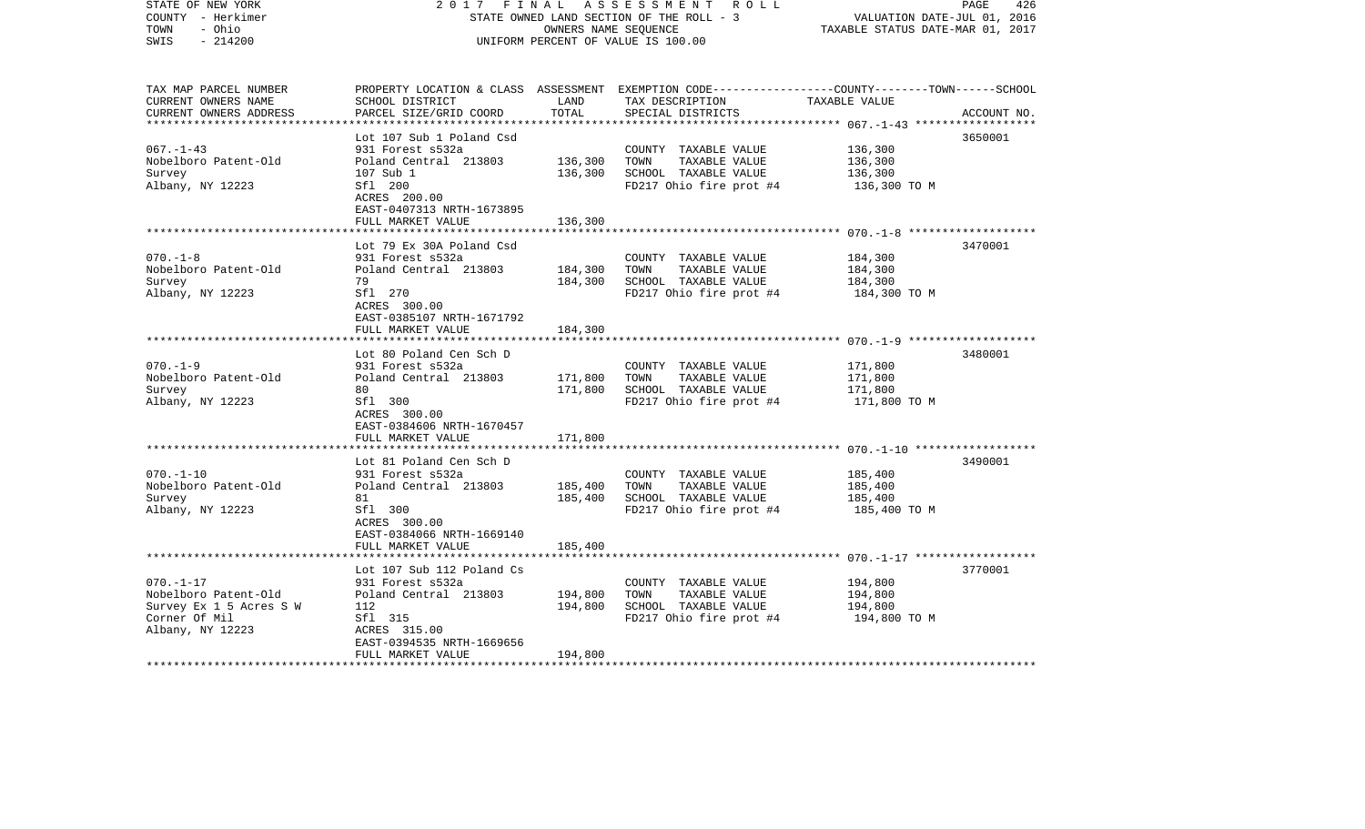| STATE OF NEW YORK<br>COUNTY - Herkimer<br>- Ohio<br>TOWN<br>$-214200$<br>SWIS | 2017                                                           | FINAL<br>OWNERS NAME SEQUENCE | A S S E S S M E N T R O L L<br>STATE OWNED LAND SECTION OF THE ROLL - 3<br>UNIFORM PERCENT OF VALUE IS 100.00                           | VALUATION DATE-JUL 01, 2016<br>TAXABLE STATUS DATE-MAR 01, 2017 | 426<br>PAGE |
|-------------------------------------------------------------------------------|----------------------------------------------------------------|-------------------------------|-----------------------------------------------------------------------------------------------------------------------------------------|-----------------------------------------------------------------|-------------|
| TAX MAP PARCEL NUMBER<br>CURRENT OWNERS NAME<br>CURRENT OWNERS ADDRESS        | SCHOOL DISTRICT<br>PARCEL SIZE/GRID COORD                      | LAND<br>TOTAL                 | PROPERTY LOCATION & CLASS ASSESSMENT EXEMPTION CODE---------------COUNTY-------TOWN------SCHOOL<br>TAX DESCRIPTION<br>SPECIAL DISTRICTS | TAXABLE VALUE                                                   | ACCOUNT NO. |
|                                                                               | Lot 107 Sub 1 Poland Csd                                       |                               |                                                                                                                                         |                                                                 | 3650001     |
| $067. - 1 - 43$                                                               | 931 Forest s532a                                               |                               | COUNTY TAXABLE VALUE                                                                                                                    | 136,300                                                         |             |
| Nobelboro Patent-Old                                                          | Poland Central 213803                                          | 136,300                       | TOWN<br>TAXABLE VALUE                                                                                                                   | 136,300                                                         |             |
| Survey                                                                        | 107 Sub 1                                                      | 136,300                       | SCHOOL TAXABLE VALUE                                                                                                                    | 136,300                                                         |             |
| Albany, NY 12223                                                              | Sfl 200<br>ACRES 200.00<br>EAST-0407313 NRTH-1673895           |                               | FD217 Ohio fire prot #4                                                                                                                 | 136,300 TO M                                                    |             |
|                                                                               | FULL MARKET VALUE                                              | 136,300                       |                                                                                                                                         |                                                                 |             |
|                                                                               | Lot 79 Ex 30A Poland Csd                                       |                               |                                                                                                                                         |                                                                 | 3470001     |
| $070. - 1 - 8$                                                                | 931 Forest s532a                                               |                               | COUNTY TAXABLE VALUE                                                                                                                    | 184,300                                                         |             |
| Nobelboro Patent-Old                                                          | Poland Central 213803                                          | 184,300                       | TOWN<br>TAXABLE VALUE                                                                                                                   | 184,300                                                         |             |
| Survey                                                                        | 79                                                             | 184,300                       | SCHOOL TAXABLE VALUE                                                                                                                    | 184,300                                                         |             |
| Albany, NY 12223                                                              | Sfl 270<br>ACRES 300.00<br>EAST-0385107 NRTH-1671792           |                               | FD217 Ohio fire prot #4                                                                                                                 | 184,300 TO M                                                    |             |
|                                                                               | FULL MARKET VALUE                                              | 184,300                       |                                                                                                                                         |                                                                 |             |
|                                                                               |                                                                |                               |                                                                                                                                         |                                                                 |             |
| $070. - 1 - 9$                                                                | Lot 80 Poland Cen Sch D                                        |                               |                                                                                                                                         | 171,800                                                         | 3480001     |
| Nobelboro Patent-Old                                                          | 931 Forest s532a<br>Poland Central 213803                      | 171,800                       | COUNTY TAXABLE VALUE<br>TAXABLE VALUE<br>TOWN                                                                                           | 171,800                                                         |             |
| Survey                                                                        | 80                                                             | 171,800                       | SCHOOL TAXABLE VALUE                                                                                                                    | 171,800                                                         |             |
| Albany, NY 12223                                                              | Sfl 300<br>ACRES 300.00                                        |                               | FD217 Ohio fire prot #4                                                                                                                 | 171,800 TO M                                                    |             |
|                                                                               | EAST-0384606 NRTH-1670457                                      |                               |                                                                                                                                         |                                                                 |             |
|                                                                               | FULL MARKET VALUE                                              | 171,800                       |                                                                                                                                         |                                                                 |             |
|                                                                               | Lot 81 Poland Cen Sch D                                        |                               |                                                                                                                                         |                                                                 | 3490001     |
| $070. - 1 - 10$                                                               | 931 Forest s532a                                               |                               | COUNTY TAXABLE VALUE                                                                                                                    | 185,400                                                         |             |
| Nobelboro Patent-Old                                                          | Poland Central 213803                                          | 185,400                       | TAXABLE VALUE<br>TOWN                                                                                                                   | 185,400                                                         |             |
| Survey                                                                        | 81                                                             | 185,400                       | SCHOOL TAXABLE VALUE                                                                                                                    | 185,400                                                         |             |
| Albany, NY 12223                                                              | Sfl 300<br>ACRES 300.00<br>EAST-0384066 NRTH-1669140           |                               | FD217 Ohio fire prot #4                                                                                                                 | 185,400 TO M                                                    |             |
|                                                                               | FULL MARKET VALUE                                              | 185,400                       |                                                                                                                                         |                                                                 |             |
|                                                                               |                                                                |                               |                                                                                                                                         |                                                                 |             |
|                                                                               | Lot 107 Sub 112 Poland Cs                                      |                               |                                                                                                                                         |                                                                 | 3770001     |
| $070. - 1 - 17$                                                               | 931 Forest s532a                                               |                               | COUNTY TAXABLE VALUE                                                                                                                    | 194,800                                                         |             |
| Nobelboro Patent-Old                                                          | Poland Central 213803                                          | 194,800                       | TOWN<br>TAXABLE VALUE                                                                                                                   | 194,800                                                         |             |
| Survey Ex 1 5 Acres S W                                                       | 112                                                            | 194,800                       | SCHOOL TAXABLE VALUE                                                                                                                    | 194,800                                                         |             |
| Corner Of Mil                                                                 | Sfl 315                                                        |                               | FD217 Ohio fire prot #4                                                                                                                 | 194,800 TO M                                                    |             |
| Albany, NY 12223                                                              | ACRES 315.00<br>EAST-0394535 NRTH-1669656<br>FULL MARKET VALUE | 194,800                       |                                                                                                                                         |                                                                 |             |
|                                                                               |                                                                |                               |                                                                                                                                         |                                                                 |             |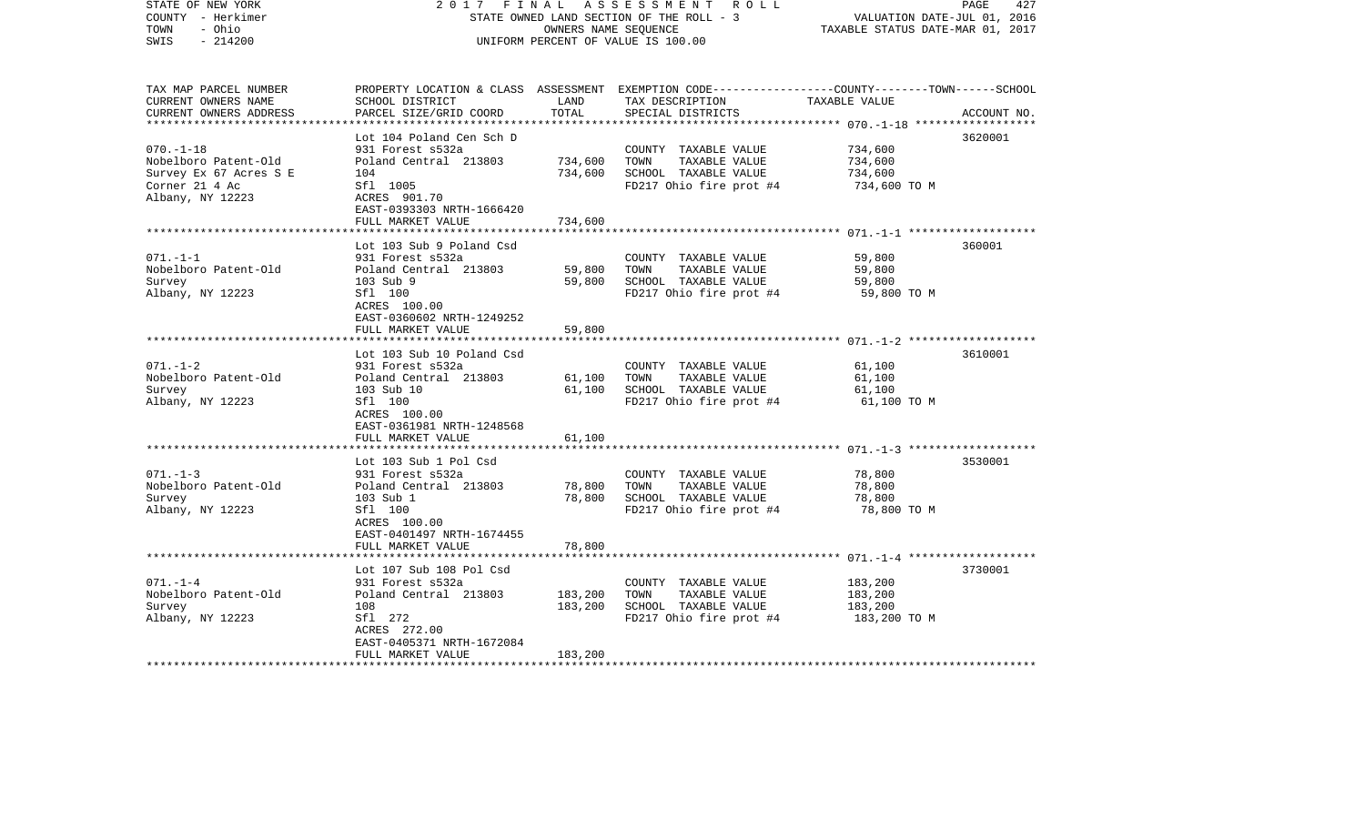| STATE OF NEW YORK<br>COUNTY - Herkimer<br>TOWN<br>- Ohio<br>$-214200$<br>SWIS                          | 2017<br>FINAL                                                                                                                                              | OWNERS NAME SEQUENCE          | ASSESSMENT ROLL<br>STATE OWNED LAND SECTION OF THE ROLL - 3<br>UNIFORM PERCENT OF VALUE IS 100.00                                      | VALUATION DATE-JUL 01, 2016<br>TAXABLE STATUS DATE-MAR 01, 2017 | 427<br>PAGE |
|--------------------------------------------------------------------------------------------------------|------------------------------------------------------------------------------------------------------------------------------------------------------------|-------------------------------|----------------------------------------------------------------------------------------------------------------------------------------|-----------------------------------------------------------------|-------------|
| TAX MAP PARCEL NUMBER<br>CURRENT OWNERS NAME<br>CURRENT OWNERS ADDRESS                                 | SCHOOL DISTRICT<br>PARCEL SIZE/GRID COORD                                                                                                                  | LAND<br>TOTAL                 | PROPERTY LOCATION & CLASS ASSESSMENT EXEMPTION CODE---------------COUNTY-------TOWN-----SCHOOL<br>TAX DESCRIPTION<br>SPECIAL DISTRICTS | TAXABLE VALUE                                                   | ACCOUNT NO. |
| $070. -1 - 18$<br>Nobelboro Patent-Old<br>Survey Ex 67 Acres S E<br>Corner 21 4 Ac<br>Albany, NY 12223 | Lot 104 Poland Cen Sch D<br>931 Forest s532a<br>Poland Central 213803<br>104<br>Sfl 1005<br>ACRES 901.70<br>EAST-0393303 NRTH-1666420<br>FULL MARKET VALUE | 734,600<br>734,600<br>734,600 | COUNTY TAXABLE VALUE<br>TOWN<br>TAXABLE VALUE<br>SCHOOL TAXABLE VALUE<br>FD217 Ohio fire prot #4                                       | 734,600<br>734,600<br>734,600<br>734,600 TO M                   | 3620001     |
|                                                                                                        |                                                                                                                                                            |                               |                                                                                                                                        |                                                                 |             |
| $071. - 1 - 1$<br>Nobelboro Patent-Old<br>Survey<br>Albany, NY 12223                                   | Lot 103 Sub 9 Poland Csd<br>931 Forest s532a<br>Poland Central 213803<br>103 Sub 9<br>Sfl 100<br>ACRES 100.00                                              | 59,800<br>59,800              | COUNTY TAXABLE VALUE<br>TOWN<br>TAXABLE VALUE<br>SCHOOL TAXABLE VALUE<br>FD217 Ohio fire prot #4                                       | 59,800<br>59,800<br>59,800<br>59,800 TO M                       | 360001      |
|                                                                                                        | EAST-0360602 NRTH-1249252<br>FULL MARKET VALUE                                                                                                             | 59,800                        |                                                                                                                                        |                                                                 |             |
| $071. - 1 - 2$<br>Nobelboro Patent-Old<br>Survey<br>Albany, NY 12223                                   | Lot 103 Sub 10 Poland Csd<br>931 Forest s532a<br>Poland Central 213803<br>103 Sub 10<br>Sfl 100<br>ACRES 100.00<br>EAST-0361981 NRTH-1248568               | 61,100<br>61,100              | COUNTY TAXABLE VALUE<br>TOWN<br>TAXABLE VALUE<br>SCHOOL TAXABLE VALUE<br>FD217 Ohio fire prot #4                                       | 61,100<br>61,100<br>61,100<br>61,100 TO M                       | 3610001     |
|                                                                                                        | FULL MARKET VALUE                                                                                                                                          | 61,100                        |                                                                                                                                        |                                                                 |             |
| $071. - 1 - 3$<br>Nobelboro Patent-Old<br>Survey<br>Albany, NY 12223                                   | Lot 103 Sub 1 Pol Csd<br>931 Forest s532a<br>Poland Central 213803<br>103 Sub 1<br>Sfl 100<br>ACRES 100.00<br>EAST-0401497 NRTH-1674455                    | 78,800<br>78,800              | COUNTY TAXABLE VALUE<br>TOWN<br>TAXABLE VALUE<br>SCHOOL TAXABLE VALUE<br>FD217 Ohio fire prot #4                                       | 78,800<br>78,800<br>78,800<br>78,800 TO M                       | 3530001     |
|                                                                                                        | FULL MARKET VALUE                                                                                                                                          | 78,800                        |                                                                                                                                        |                                                                 |             |
| $071. - 1 - 4$<br>Nobelboro Patent-Old<br>Survey<br>Albany, NY 12223<br>*************************      | Lot 107 Sub 108 Pol Csd<br>931 Forest s532a<br>Poland Central 213803<br>108<br>Sf1 272<br>ACRES 272.00<br>EAST-0405371 NRTH-1672084<br>FULL MARKET VALUE   | 183,200<br>183,200<br>183,200 | COUNTY TAXABLE VALUE<br>TOWN<br>TAXABLE VALUE<br>SCHOOL TAXABLE VALUE<br>FD217 Ohio fire prot #4                                       | 183,200<br>183,200<br>183,200<br>183,200 TO M                   | 3730001     |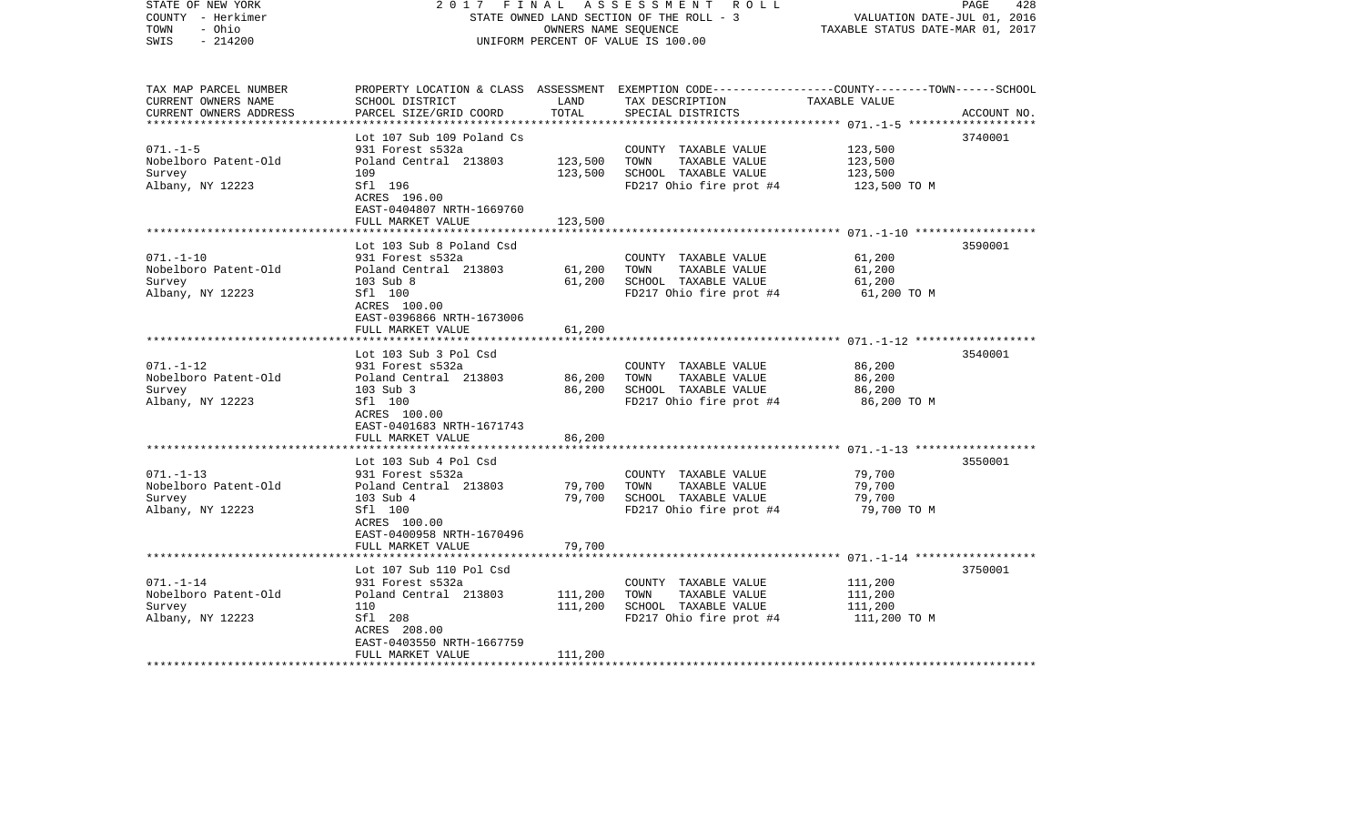| STATE OF NEW YORK<br>COUNTY - Herkimer<br>- Ohio<br>TOWN<br>$-214200$<br>SWIS | 2017<br>FINAL                                        | OWNERS NAME SEQUENCE | A S S E S S M E N T R O L L<br>STATE OWNED LAND SECTION OF THE ROLL - 3<br>UNIFORM PERCENT OF VALUE IS 100.00                                         | VALUATION DATE-JUL 01, 2016<br>TAXABLE STATUS DATE-MAR 01, 2017 | PAGE<br>428 |
|-------------------------------------------------------------------------------|------------------------------------------------------|----------------------|-------------------------------------------------------------------------------------------------------------------------------------------------------|-----------------------------------------------------------------|-------------|
| TAX MAP PARCEL NUMBER<br>CURRENT OWNERS NAME<br>CURRENT OWNERS ADDRESS        | SCHOOL DISTRICT<br>PARCEL SIZE/GRID COORD            | LAND<br>TOTAL        | PROPERTY LOCATION & CLASS ASSESSMENT EXEMPTION CODE---------------COUNTY-------TOWN------SCHOOL<br>TAX DESCRIPTION TAXABLE VALUE<br>SPECIAL DISTRICTS |                                                                 | ACCOUNT NO. |
|                                                                               | Lot 107 Sub 109 Poland Cs                            |                      |                                                                                                                                                       |                                                                 | 3740001     |
| $071. - 1 - 5$                                                                | 931 Forest s532a                                     |                      | COUNTY TAXABLE VALUE                                                                                                                                  | 123,500                                                         |             |
| Nobelboro Patent-Old                                                          | Poland Central 213803                                | 123,500              | TOWN<br>TAXABLE VALUE                                                                                                                                 | 123,500                                                         |             |
| Survey                                                                        | 109                                                  | 123,500              | SCHOOL TAXABLE VALUE                                                                                                                                  | 123,500                                                         |             |
| Albany, NY 12223                                                              | Sfl 196<br>ACRES 196.00<br>EAST-0404807 NRTH-1669760 |                      | FD217 Ohio fire prot #4                                                                                                                               | 123,500 TO M                                                    |             |
|                                                                               | FULL MARKET VALUE                                    | 123,500              |                                                                                                                                                       |                                                                 |             |
|                                                                               | Lot 103 Sub 8 Poland Csd                             |                      |                                                                                                                                                       |                                                                 | 3590001     |
| $071. - 1 - 10$                                                               | 931 Forest s532a                                     |                      | COUNTY TAXABLE VALUE                                                                                                                                  | 61,200                                                          |             |
| Nobelboro Patent-Old                                                          | Poland Central 213803                                | 61,200               | TOWN<br>TAXABLE VALUE                                                                                                                                 | 61,200                                                          |             |
| Survey                                                                        | 103 Sub 8                                            | 61,200               | SCHOOL TAXABLE VALUE                                                                                                                                  | 61,200                                                          |             |
| Albany, NY 12223                                                              | Sfl 100<br>ACRES 100.00<br>EAST-0396866 NRTH-1673006 |                      | FD217 Ohio fire prot #4                                                                                                                               | 61,200 TO M                                                     |             |
|                                                                               | FULL MARKET VALUE                                    | 61,200               |                                                                                                                                                       |                                                                 |             |
|                                                                               |                                                      |                      |                                                                                                                                                       |                                                                 |             |
|                                                                               | Lot 103 Sub 3 Pol Csd                                |                      |                                                                                                                                                       |                                                                 | 3540001     |
| $071. - 1 - 12$                                                               | 931 Forest s532a                                     |                      | COUNTY TAXABLE VALUE<br>TOWN                                                                                                                          | 86,200                                                          |             |
| Nobelboro Patent-Old<br>Survey                                                | Poland Central 213803<br>103 Sub 3                   | 86,200<br>86,200     | TAXABLE VALUE<br>SCHOOL TAXABLE VALUE                                                                                                                 | 86,200<br>86,200                                                |             |
| Albany, NY 12223                                                              | Sfl 100                                              |                      | FD217 Ohio fire prot #4                                                                                                                               | 86,200 TO M                                                     |             |
|                                                                               | ACRES 100.00                                         |                      |                                                                                                                                                       |                                                                 |             |
|                                                                               | EAST-0401683 NRTH-1671743                            |                      |                                                                                                                                                       |                                                                 |             |
|                                                                               | FULL MARKET VALUE                                    | 86,200               |                                                                                                                                                       |                                                                 |             |
|                                                                               |                                                      |                      |                                                                                                                                                       |                                                                 |             |
| $071. - 1 - 13$                                                               | Lot 103 Sub 4 Pol Csd<br>931 Forest s532a            |                      | COUNTY TAXABLE VALUE                                                                                                                                  | 79,700                                                          | 3550001     |
| Nobelboro Patent-Old                                                          | Poland Central 213803                                | 79,700               | TAXABLE VALUE<br>TOWN                                                                                                                                 | 79,700                                                          |             |
| Survey                                                                        | 103 Sub 4                                            | 79,700               | SCHOOL TAXABLE VALUE                                                                                                                                  | 79,700                                                          |             |
| Albany, NY 12223                                                              | Sfl 100                                              |                      | FD217 Ohio fire prot #4                                                                                                                               | 79,700 TO M                                                     |             |
|                                                                               | ACRES 100.00                                         |                      |                                                                                                                                                       |                                                                 |             |
|                                                                               | EAST-0400958 NRTH-1670496                            |                      |                                                                                                                                                       |                                                                 |             |
|                                                                               | FULL MARKET VALUE                                    | 79,700               |                                                                                                                                                       |                                                                 |             |
|                                                                               | Lot 107 Sub 110 Pol Csd                              |                      |                                                                                                                                                       |                                                                 | 3750001     |
| $071. - 1 - 14$                                                               | 931 Forest s532a                                     |                      | COUNTY TAXABLE VALUE                                                                                                                                  | 111,200                                                         |             |
| Nobelboro Patent-Old                                                          | Poland Central 213803                                | 111,200              | TOWN<br>TAXABLE VALUE                                                                                                                                 | 111,200                                                         |             |
| Survey                                                                        | 110                                                  | 111,200              | SCHOOL TAXABLE VALUE                                                                                                                                  | 111,200                                                         |             |
| Albany, NY 12223                                                              | Sfl 208                                              |                      | FD217 Ohio fire prot #4                                                                                                                               | 111,200 TO M                                                    |             |
|                                                                               | ACRES 208.00                                         |                      |                                                                                                                                                       |                                                                 |             |
|                                                                               | EAST-0403550 NRTH-1667759                            | 111,200              |                                                                                                                                                       |                                                                 |             |
|                                                                               | FULL MARKET VALUE                                    |                      |                                                                                                                                                       |                                                                 |             |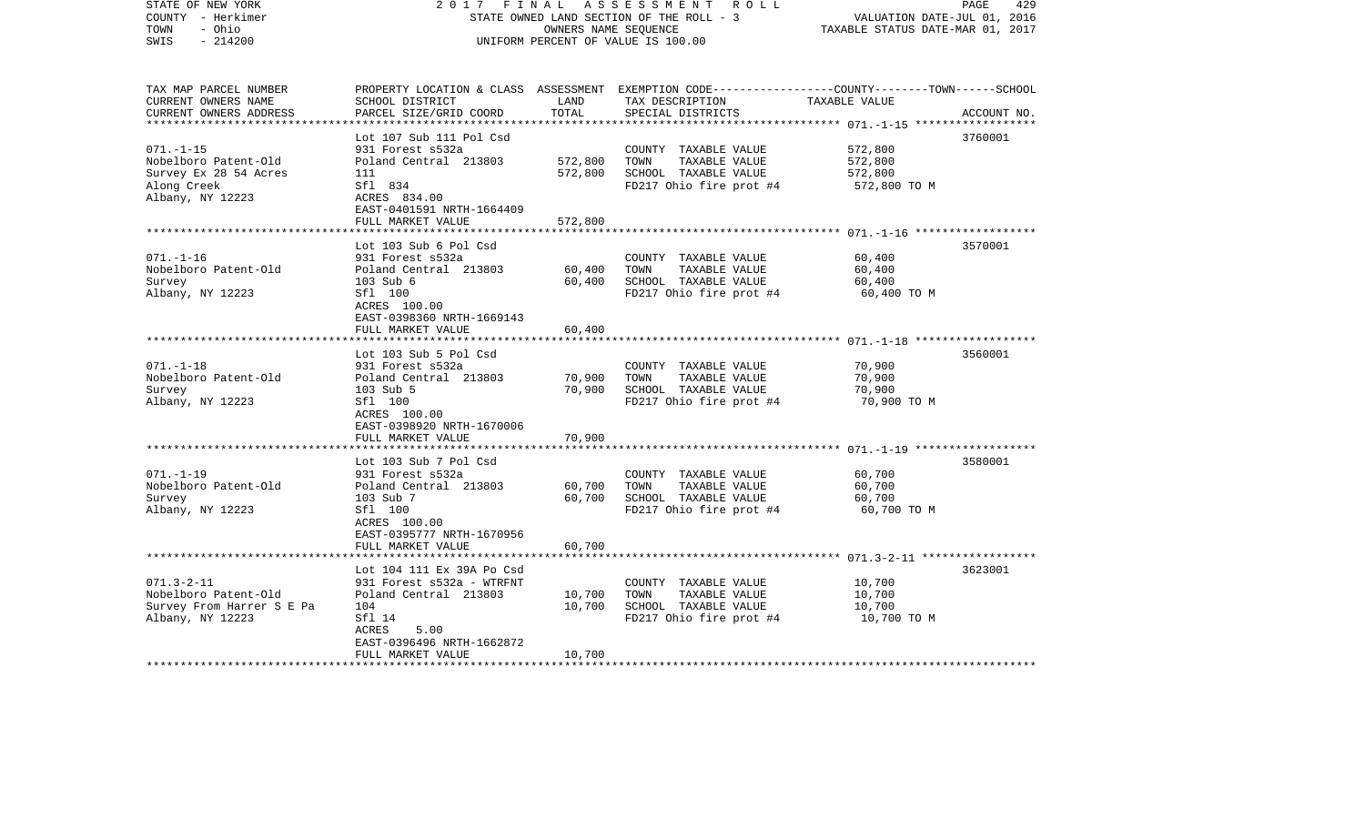| STATE OF NEW YORK<br>COUNTY - Herkimer<br>TOWN<br>- Ohio<br>$-214200$<br>SWIS                       | 2017<br>FINAL                                                                                                                                                | OWNERS NAME SEQUENCE       | ASSESSMENT ROLL<br>STATE OWNED LAND SECTION OF THE ROLL - 3<br>UNIFORM PERCENT OF VALUE IS 100.00                                       | VALUATION DATE-JUL 01, 2016<br>TAXABLE STATUS DATE-MAR 01, 2017 | 429<br>PAGE |
|-----------------------------------------------------------------------------------------------------|--------------------------------------------------------------------------------------------------------------------------------------------------------------|----------------------------|-----------------------------------------------------------------------------------------------------------------------------------------|-----------------------------------------------------------------|-------------|
| TAX MAP PARCEL NUMBER<br>CURRENT OWNERS NAME<br>CURRENT OWNERS ADDRESS                              | SCHOOL DISTRICT<br>PARCEL SIZE/GRID COORD                                                                                                                    | LAND<br>TOTAL              | PROPERTY LOCATION & CLASS ASSESSMENT EXEMPTION CODE---------------COUNTY-------TOWN------SCHOOL<br>TAX DESCRIPTION<br>SPECIAL DISTRICTS | TAXABLE VALUE                                                   | ACCOUNT NO. |
| $071. - 1 - 15$<br>Nobelboro Patent-Old<br>Survey Ex 28 54 Acres<br>Along Creek<br>Albany, NY 12223 | Lot 107 Sub 111 Pol Csd<br>931 Forest s532a<br>Poland Central 213803<br>111<br>Sfl 834<br>ACRES 834.00                                                       | 572,800<br>572,800         | COUNTY TAXABLE VALUE<br>TOWN<br>TAXABLE VALUE<br>SCHOOL TAXABLE VALUE<br>FD217 Ohio fire prot #4                                        | 572,800<br>572,800<br>572,800<br>572,800 TO M                   | 3760001     |
|                                                                                                     | EAST-0401591 NRTH-1664409<br>FULL MARKET VALUE                                                                                                               | 572,800                    |                                                                                                                                         |                                                                 |             |
| $071. - 1 - 16$<br>Nobelboro Patent-Old<br>Survey<br>Albany, NY 12223                               | Lot 103 Sub 6 Pol Csd<br>931 Forest s532a<br>Poland Central 213803<br>103 Sub 6<br>Sfl 100<br>ACRES 100.00<br>EAST-0398360 NRTH-1669143                      | 60,400<br>60,400           | COUNTY TAXABLE VALUE<br>TOWN<br>TAXABLE VALUE<br>SCHOOL TAXABLE VALUE<br>FD217 Ohio fire prot #4                                        | 60,400<br>60,400<br>60,400<br>60,400 TO M                       | 3570001     |
|                                                                                                     | FULL MARKET VALUE                                                                                                                                            | 60,400                     |                                                                                                                                         |                                                                 |             |
| $071. - 1 - 18$<br>Nobelboro Patent-Old<br>Survey<br>Albany, NY 12223                               | Lot 103 Sub 5 Pol Csd<br>931 Forest s532a<br>Poland Central 213803<br>103 Sub 5<br>Sfl 100<br>ACRES 100.00<br>EAST-0398920 NRTH-1670006<br>FULL MARKET VALUE | 70,900<br>70,900<br>70,900 | COUNTY TAXABLE VALUE<br>TOWN<br>TAXABLE VALUE<br>SCHOOL TAXABLE VALUE<br>FD217 Ohio fire prot #4                                        | 70,900<br>70,900<br>70,900<br>70,900 TO M                       | 3560001     |
|                                                                                                     |                                                                                                                                                              |                            |                                                                                                                                         |                                                                 |             |
| $071. - 1 - 19$<br>Nobelboro Patent-Old<br>Survey<br>Albany, NY 12223                               | Lot 103 Sub 7 Pol Csd<br>931 Forest s532a<br>Poland Central 213803<br>103 Sub 7<br>Sfl 100<br>ACRES 100.00<br>EAST-0395777 NRTH-1670956                      | 60,700<br>60,700           | COUNTY TAXABLE VALUE<br>TOWN<br>TAXABLE VALUE<br>SCHOOL TAXABLE VALUE<br>FD217 Ohio fire prot #4                                        | 60,700<br>60,700<br>60,700<br>60,700 TO M                       | 3580001     |
|                                                                                                     | FULL MARKET VALUE                                                                                                                                            | 60,700                     |                                                                                                                                         |                                                                 |             |
| $071.3 - 2 - 11$<br>Nobelboro Patent-Old<br>Survey From Harrer S E Pa<br>Albany, NY 12223           | Lot 104 111 Ex 39A Po Csd<br>931 Forest s532a - WTRFNT<br>Poland Central 213803<br>104<br>Sfl 14<br>ACRES<br>5.00<br>EAST-0396496 NRTH-1662872               | 10,700<br>10,700           | COUNTY TAXABLE VALUE<br>TOWN<br>TAXABLE VALUE<br>SCHOOL TAXABLE VALUE<br>FD217 Ohio fire prot #4                                        | 10,700<br>10,700<br>10,700<br>10,700 TO M                       | 3623001     |
|                                                                                                     | FULL MARKET VALUE                                                                                                                                            | 10,700                     |                                                                                                                                         |                                                                 |             |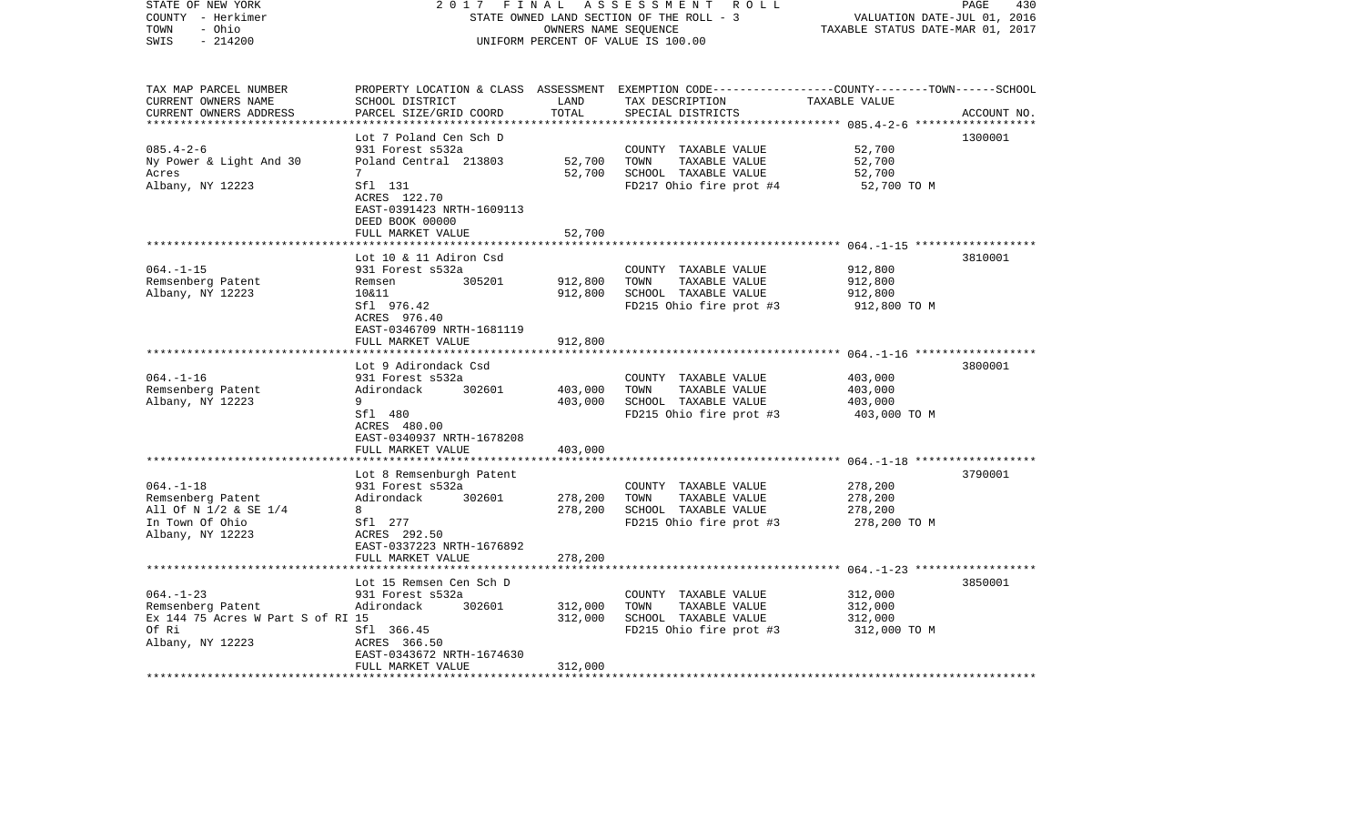| STATE OF NEW YORK<br>COUNTY - Herkimer<br>- Ohio<br>TOWN<br>$-214200$<br>SWIS                         | 2 0 1 7<br>FINAL                                                                                                                                        |                               | ASSESSMENT ROLL<br>STATE OWNED LAND SECTION OF THE ROLL - 3<br>OWNERS NAME SEQUENCE<br>UNIFORM PERCENT OF VALUE IS 100.00               | VALUATION DATE-JUL 01, 2016<br>TAXABLE STATUS DATE-MAR 01, 2017 | PAGE<br>430 |
|-------------------------------------------------------------------------------------------------------|---------------------------------------------------------------------------------------------------------------------------------------------------------|-------------------------------|-----------------------------------------------------------------------------------------------------------------------------------------|-----------------------------------------------------------------|-------------|
| TAX MAP PARCEL NUMBER<br>CURRENT OWNERS NAME<br>CURRENT OWNERS ADDRESS<br>*************************   | SCHOOL DISTRICT<br>PARCEL SIZE/GRID COORD                                                                                                               | LAND<br>TOTAL                 | PROPERTY LOCATION & CLASS ASSESSMENT EXEMPTION CODE---------------COUNTY-------TOWN------SCHOOL<br>TAX DESCRIPTION<br>SPECIAL DISTRICTS | TAXABLE VALUE                                                   | ACCOUNT NO. |
| $085.4 - 2 - 6$<br>Ny Power & Light And 30<br>Acres<br>Albany, NY 12223                               | Lot 7 Poland Cen Sch D<br>931 Forest s532a<br>Poland Central 213803<br>7<br>Sfl 131<br>ACRES 122.70<br>EAST-0391423 NRTH-1609113<br>DEED BOOK 00000     | 52,700<br>52,700              | COUNTY TAXABLE VALUE<br>TOWN<br>TAXABLE VALUE<br>SCHOOL TAXABLE VALUE<br>FD217 Ohio fire prot #4                                        | 52,700<br>52,700<br>52,700<br>52,700 TO M                       | 1300001     |
|                                                                                                       | FULL MARKET VALUE                                                                                                                                       | 52,700                        |                                                                                                                                         |                                                                 |             |
| $064. -1 -15$<br>Remsenberg Patent<br>Albany, NY 12223                                                | Lot 10 & 11 Adiron Csd<br>931 Forest s532a<br>305201<br>Remsen<br>10&11<br>Sfl 976.42<br>ACRES 976.40<br>EAST-0346709 NRTH-1681119<br>FULL MARKET VALUE | 912,800<br>912,800            | COUNTY TAXABLE VALUE<br>TAXABLE VALUE<br>TOWN<br>SCHOOL TAXABLE VALUE<br>FD215 Ohio fire prot #3                                        | 912,800<br>912,800<br>912,800<br>912,800 TO M                   | 3810001     |
|                                                                                                       |                                                                                                                                                         | 912,800                       |                                                                                                                                         |                                                                 |             |
| $064. -1 - 16$<br>Remsenberg Patent<br>Albany, NY 12223                                               | Lot 9 Adirondack Csd<br>931 Forest s532a<br>302601<br>Adirondack<br>9<br>Sfl 480<br>ACRES 480.00<br>EAST-0340937 NRTH-1678208                           | 403,000<br>403,000            | COUNTY TAXABLE VALUE<br>TOWN<br>TAXABLE VALUE<br>SCHOOL TAXABLE VALUE<br>FD215 Ohio fire prot #3                                        | 403,000<br>403,000<br>403,000<br>403,000 TO M                   | 3800001     |
|                                                                                                       | FULL MARKET VALUE                                                                                                                                       | 403,000                       |                                                                                                                                         |                                                                 |             |
| $064. -1 - 18$<br>Remsenberg Patent<br>All Of N 1/2 & SE 1/4<br>In Town Of Ohio<br>Albany, NY 12223   | Lot 8 Remsenburgh Patent<br>931 Forest s532a<br>302601<br>Adirondack<br>8<br>Sfl 277<br>ACRES 292.50<br>EAST-0337223 NRTH-1676892                       | 278,200<br>278,200            | COUNTY TAXABLE VALUE<br>TOWN<br>TAXABLE VALUE<br>SCHOOL TAXABLE VALUE<br>FD215 Ohio fire prot #3                                        | 278,200<br>278,200<br>278,200<br>278,200 TO M                   | 3790001     |
|                                                                                                       | FULL MARKET VALUE                                                                                                                                       | 278,200                       |                                                                                                                                         |                                                                 |             |
| $064. -1 - 23$<br>Remsenberg Patent<br>Ex 144 75 Acres W Part S of RI 15<br>Of Ri<br>Albany, NY 12223 | Lot 15 Remsen Cen Sch D<br>931 Forest s532a<br>Adirondack<br>302601<br>Sfl 366.45<br>ACRES 366.50<br>EAST-0343672 NRTH-1674630<br>FULL MARKET VALUE     | 312,000<br>312,000<br>312,000 | COUNTY TAXABLE VALUE<br>TOWN<br>TAXABLE VALUE<br>SCHOOL TAXABLE VALUE<br>FD215 Ohio fire prot #3                                        | 312,000<br>312,000<br>312,000<br>312,000 TO M                   | 3850001     |
|                                                                                                       |                                                                                                                                                         |                               |                                                                                                                                         |                                                                 |             |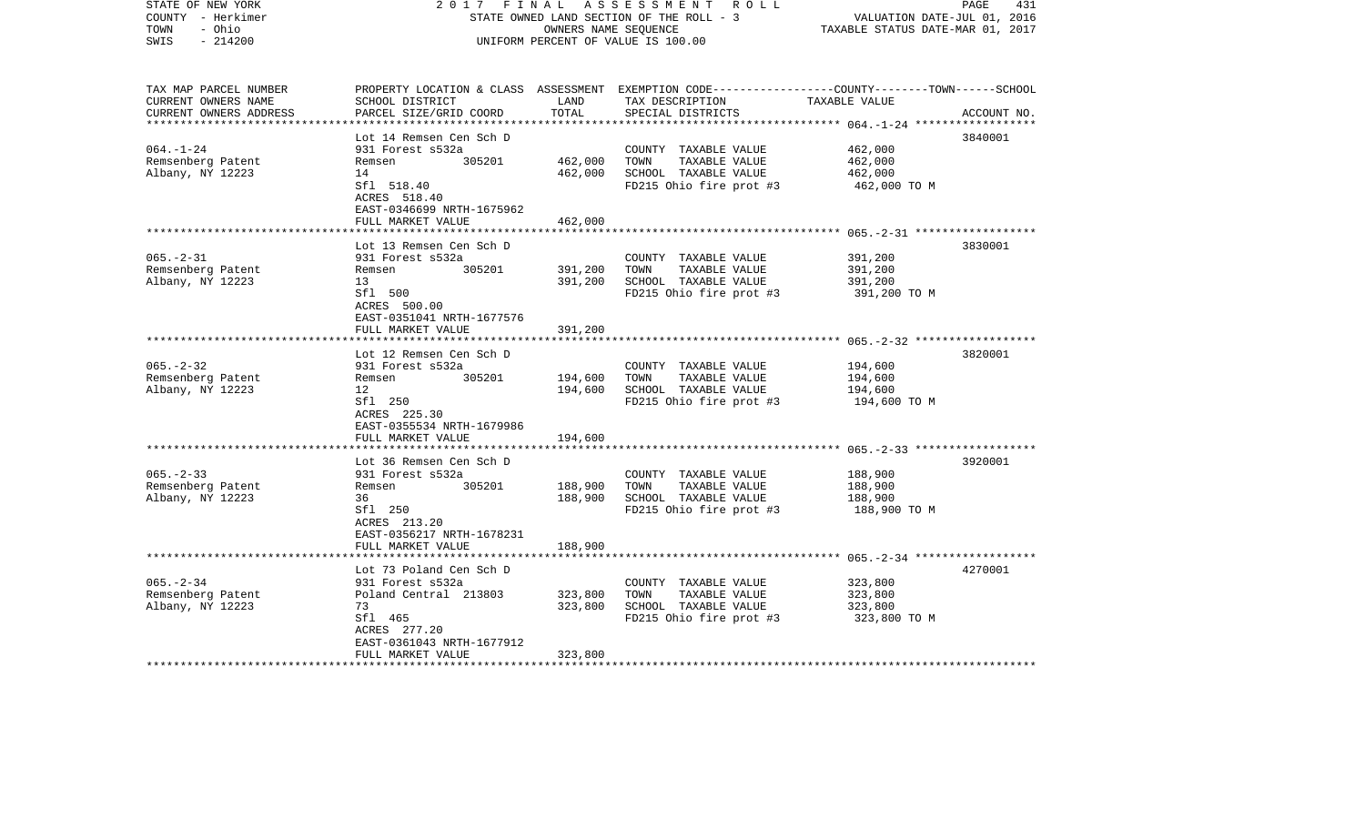| STATE OF NEW YORK<br>COUNTY - Herkimer<br>- Ohio<br>TOWN<br>$-214200$<br>SWIS | 2017<br>FINAL                                                  | OWNERS NAME SEQUENCE | A S S E S S M E N T R O L L<br>STATE OWNED LAND SECTION OF THE ROLL - 3<br>UNIFORM PERCENT OF VALUE IS 100.00                                         | VALUATION DATE-JUL 01, 2016<br>TAXABLE STATUS DATE-MAR 01, 2017 | 431<br>PAGE |
|-------------------------------------------------------------------------------|----------------------------------------------------------------|----------------------|-------------------------------------------------------------------------------------------------------------------------------------------------------|-----------------------------------------------------------------|-------------|
| TAX MAP PARCEL NUMBER<br>CURRENT OWNERS NAME<br>CURRENT OWNERS ADDRESS        | SCHOOL DISTRICT<br>PARCEL SIZE/GRID COORD                      | LAND<br>TOTAL        | PROPERTY LOCATION & CLASS ASSESSMENT EXEMPTION CODE---------------COUNTY-------TOWN------SCHOOL<br>TAX DESCRIPTION TAXABLE VALUE<br>SPECIAL DISTRICTS |                                                                 | ACCOUNT NO. |
|                                                                               |                                                                |                      |                                                                                                                                                       |                                                                 |             |
| $064. - 1 - 24$                                                               | Lot 14 Remsen Cen Sch D<br>931 Forest s532a                    |                      | COUNTY TAXABLE VALUE                                                                                                                                  | 462,000                                                         | 3840001     |
| Remsenberg Patent                                                             | 305201<br>Remsen                                               | 462,000              | TOWN<br>TAXABLE VALUE                                                                                                                                 | 462,000                                                         |             |
| Albany, NY 12223                                                              | 14                                                             | 462,000              | SCHOOL TAXABLE VALUE                                                                                                                                  | 462,000                                                         |             |
|                                                                               | Sfl 518.40<br>ACRES 518.40<br>EAST-0346699 NRTH-1675962        |                      | FD215 Ohio fire prot #3                                                                                                                               | 462,000 TO M                                                    |             |
|                                                                               | FULL MARKET VALUE                                              | 462,000              |                                                                                                                                                       |                                                                 |             |
|                                                                               | Lot 13 Remsen Cen Sch D                                        |                      |                                                                                                                                                       |                                                                 | 3830001     |
| $065. - 2 - 31$                                                               | 931 Forest s532a                                               |                      | COUNTY TAXABLE VALUE                                                                                                                                  | 391,200                                                         |             |
| Remsenberg Patent                                                             | 305201<br>Remsen                                               | 391,200              | TOWN<br>TAXABLE VALUE                                                                                                                                 | 391,200                                                         |             |
| Albany, NY 12223                                                              | 13                                                             | 391,200              | SCHOOL TAXABLE VALUE                                                                                                                                  | 391,200                                                         |             |
|                                                                               | Sfl 500<br>ACRES 500.00<br>EAST-0351041 NRTH-1677576           |                      | FD215 Ohio fire prot #3                                                                                                                               | 391,200 TO M                                                    |             |
|                                                                               | FULL MARKET VALUE                                              | 391,200              |                                                                                                                                                       |                                                                 |             |
|                                                                               | Lot 12 Remsen Cen Sch D                                        |                      |                                                                                                                                                       |                                                                 | 3820001     |
| $065. - 2 - 32$                                                               | 931 Forest s532a                                               |                      | COUNTY TAXABLE VALUE                                                                                                                                  | 194,600                                                         |             |
| Remsenberg Patent                                                             | Remsen<br>305201                                               | 194,600              | TOWN<br>TAXABLE VALUE                                                                                                                                 | 194,600                                                         |             |
| Albany, NY 12223                                                              | 12                                                             | 194,600              | SCHOOL TAXABLE VALUE                                                                                                                                  | 194,600                                                         |             |
|                                                                               | Sfl 250<br>ACRES 225.30<br>EAST-0355534 NRTH-1679986           |                      | FD215 Ohio fire prot #3                                                                                                                               | 194,600 TO M                                                    |             |
|                                                                               | FULL MARKET VALUE<br>*******************                       | 194,600              |                                                                                                                                                       |                                                                 |             |
|                                                                               | Lot 36 Remsen Cen Sch D                                        |                      |                                                                                                                                                       |                                                                 | 3920001     |
| $065. - 2 - 33$                                                               | 931 Forest s532a                                               |                      | COUNTY TAXABLE VALUE                                                                                                                                  | 188,900                                                         |             |
| Remsenberg Patent                                                             | 305201<br>Remsen                                               | 188,900              | TOWN<br>TAXABLE VALUE                                                                                                                                 | 188,900                                                         |             |
| Albany, NY 12223                                                              | 36                                                             | 188,900              | SCHOOL TAXABLE VALUE                                                                                                                                  | 188,900                                                         |             |
|                                                                               | Sfl 250<br>ACRES 213.20<br>EAST-0356217 NRTH-1678231           |                      | FD215 Ohio fire prot #3                                                                                                                               | 188,900 TO M                                                    |             |
|                                                                               | FULL MARKET VALUE                                              | 188,900              |                                                                                                                                                       |                                                                 |             |
|                                                                               | Lot 73 Poland Cen Sch D                                        |                      |                                                                                                                                                       |                                                                 | 4270001     |
| $065. - 2 - 34$                                                               | 931 Forest s532a                                               |                      | COUNTY TAXABLE VALUE                                                                                                                                  | 323,800                                                         |             |
| Remsenberg Patent                                                             | Poland Central 213803                                          | 323,800              | TOWN<br>TAXABLE VALUE                                                                                                                                 | 323,800                                                         |             |
| Albany, NY 12223                                                              | 73                                                             | 323,800              | SCHOOL TAXABLE VALUE                                                                                                                                  | 323,800                                                         |             |
|                                                                               | Sfl 465                                                        |                      | FD215 Ohio fire prot #3                                                                                                                               | 323,800 TO M                                                    |             |
|                                                                               | ACRES 277.20<br>EAST-0361043 NRTH-1677912<br>FULL MARKET VALUE | 323,800              |                                                                                                                                                       |                                                                 |             |
|                                                                               |                                                                |                      |                                                                                                                                                       |                                                                 |             |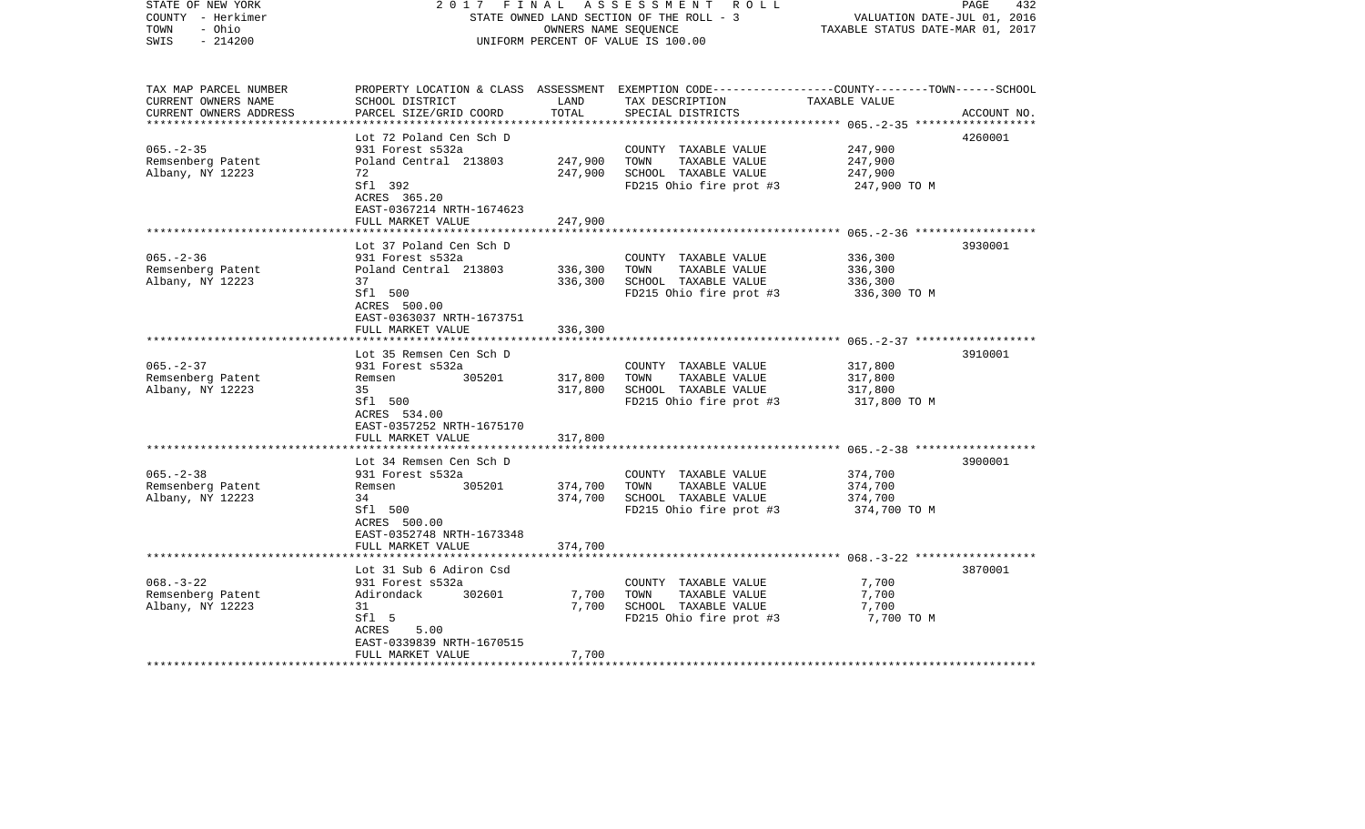| STATE OF NEW YORK<br>COUNTY - Herkimer<br>- Ohio<br>TOWN<br>$-214200$<br>SWIS                         | 2017<br>FINAL                                              | OWNERS NAME SEQUENCE | A S S E S S M E N T R O L L<br>STATE OWNED LAND SECTION OF THE ROLL - 3<br>UNIFORM PERCENT OF VALUE IS 100.00                            | VALUATION DATE-JUL 01, 2016<br>TAXABLE STATUS DATE-MAR 01, 2017 | PAGE<br>432 |
|-------------------------------------------------------------------------------------------------------|------------------------------------------------------------|----------------------|------------------------------------------------------------------------------------------------------------------------------------------|-----------------------------------------------------------------|-------------|
| TAX MAP PARCEL NUMBER<br>CURRENT OWNERS NAME<br>CURRENT OWNERS ADDRESS<br>*************************** | SCHOOL DISTRICT<br>PARCEL SIZE/GRID COORD                  | LAND<br>TOTAL        | PROPERTY LOCATION & CLASS ASSESSMENT EXEMPTION CODE----------------COUNTY-------TOWN------SCHOOL<br>TAX DESCRIPTION<br>SPECIAL DISTRICTS | TAXABLE VALUE                                                   | ACCOUNT NO. |
|                                                                                                       | Lot 72 Poland Cen Sch D                                    |                      |                                                                                                                                          |                                                                 | 4260001     |
| $065. - 2 - 35$                                                                                       | 931 Forest s532a                                           |                      | COUNTY TAXABLE VALUE                                                                                                                     | 247,900                                                         |             |
| Remsenberg Patent                                                                                     | Poland Central 213803                                      | 247,900              | TOWN<br>TAXABLE VALUE                                                                                                                    | 247,900                                                         |             |
| Albany, NY 12223                                                                                      | 72<br>Sfl 392<br>ACRES 365.20<br>EAST-0367214 NRTH-1674623 | 247,900              | SCHOOL TAXABLE VALUE<br>FD215 Ohio fire prot #3                                                                                          | 247,900<br>247,900 TO M                                         |             |
|                                                                                                       | FULL MARKET VALUE                                          | 247,900              |                                                                                                                                          |                                                                 |             |
|                                                                                                       | Lot 37 Poland Cen Sch D                                    |                      |                                                                                                                                          |                                                                 | 3930001     |
| $065. - 2 - 36$                                                                                       | 931 Forest s532a                                           |                      | COUNTY TAXABLE VALUE                                                                                                                     | 336,300                                                         |             |
| Remsenberg Patent                                                                                     | Poland Central 213803                                      | 336,300              | TAXABLE VALUE<br>TOWN                                                                                                                    | 336,300                                                         |             |
| Albany, NY 12223                                                                                      | 37                                                         | 336,300              | SCHOOL TAXABLE VALUE                                                                                                                     | 336,300                                                         |             |
|                                                                                                       | Sfl 500<br>ACRES 500.00<br>EAST-0363037 NRTH-1673751       |                      | FD215 Ohio fire prot #3                                                                                                                  | 336,300 TO M                                                    |             |
|                                                                                                       | FULL MARKET VALUE                                          | 336,300              |                                                                                                                                          |                                                                 |             |
|                                                                                                       | ************************                                   |                      |                                                                                                                                          |                                                                 |             |
|                                                                                                       | Lot 35 Remsen Cen Sch D                                    |                      |                                                                                                                                          |                                                                 | 3910001     |
| $065. - 2 - 37$                                                                                       | 931 Forest s532a                                           |                      | COUNTY TAXABLE VALUE                                                                                                                     | 317,800                                                         |             |
| Remsenberg Patent<br>Albany, NY 12223                                                                 | 305201<br>Remsen<br>35                                     | 317,800<br>317,800   | TAXABLE VALUE<br>TOWN<br>SCHOOL TAXABLE VALUE                                                                                            | 317,800<br>317,800                                              |             |
|                                                                                                       | Sfl 500<br>ACRES 534.00<br>EAST-0357252 NRTH-1675170       |                      | FD215 Ohio fire prot #3                                                                                                                  | 317,800 TO M                                                    |             |
|                                                                                                       | FULL MARKET VALUE                                          | 317,800              |                                                                                                                                          |                                                                 |             |
|                                                                                                       |                                                            |                      | ***************************** 065.-2-38 ******************                                                                               |                                                                 |             |
|                                                                                                       | Lot 34 Remsen Cen Sch D                                    |                      |                                                                                                                                          |                                                                 | 3900001     |
| $065. - 2 - 38$                                                                                       | 931 Forest s532a                                           |                      | COUNTY TAXABLE VALUE                                                                                                                     | 374,700                                                         |             |
| Remsenberg Patent                                                                                     | 305201<br>Remsen                                           | 374,700              | TAXABLE VALUE<br>TOWN                                                                                                                    | 374,700                                                         |             |
| Albany, NY 12223                                                                                      | 34<br>Sfl 500<br>ACRES 500.00<br>EAST-0352748 NRTH-1673348 | 374,700              | SCHOOL TAXABLE VALUE<br>FD215 Ohio fire prot #3                                                                                          | 374,700<br>374,700 TO M                                         |             |
|                                                                                                       | FULL MARKET VALUE                                          | 374,700              |                                                                                                                                          |                                                                 |             |
|                                                                                                       |                                                            |                      |                                                                                                                                          |                                                                 |             |
|                                                                                                       | Lot 31 Sub 6 Adiron Csd                                    |                      |                                                                                                                                          |                                                                 | 3870001     |
| $068. - 3 - 22$                                                                                       | 931 Forest s532a                                           |                      | COUNTY TAXABLE VALUE                                                                                                                     | 7,700                                                           |             |
| Remsenberg Patent                                                                                     | Adirondack<br>302601                                       | 7,700                | TOWN<br>TAXABLE VALUE                                                                                                                    | 7,700                                                           |             |
| Albany, NY 12223                                                                                      | 31<br>Sfl 5                                                | 7,700                | SCHOOL TAXABLE VALUE<br>FD215 Ohio fire prot #3                                                                                          | 7,700<br>7,700 TO M                                             |             |
|                                                                                                       | ACRES<br>5.00                                              |                      |                                                                                                                                          |                                                                 |             |
|                                                                                                       | EAST-0339839 NRTH-1670515<br>FULL MARKET VALUE             | 7,700                |                                                                                                                                          |                                                                 |             |
| * * * * * * * * * * * * * * * * * * *                                                                 |                                                            |                      |                                                                                                                                          |                                                                 |             |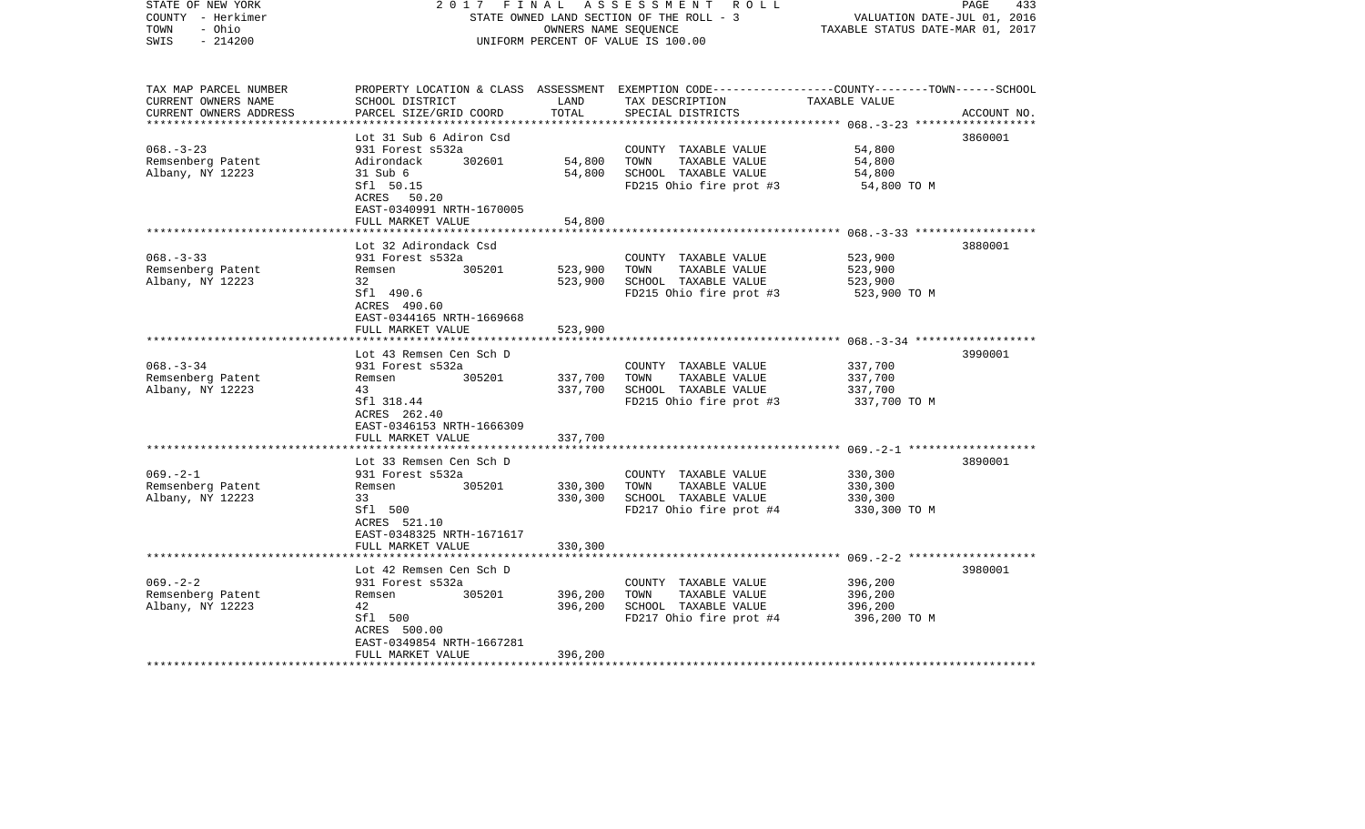| STATE OF NEW YORK<br>COUNTY - Herkimer<br>- Ohio<br>TOWN<br>$-214200$<br>SWIS | 2017                                                                       | FINAL<br>OWNERS NAME SEQUENCE | A S S E S S M E N T R O L L<br>STATE OWNED LAND SECTION OF THE ROLL - 3<br>UNIFORM PERCENT OF VALUE IS 100.00                           | VALUATION DATE-JUL 01, 2016<br>TAXABLE STATUS DATE-MAR 01, 2017 | PAGE<br>433 |
|-------------------------------------------------------------------------------|----------------------------------------------------------------------------|-------------------------------|-----------------------------------------------------------------------------------------------------------------------------------------|-----------------------------------------------------------------|-------------|
| TAX MAP PARCEL NUMBER<br>CURRENT OWNERS NAME<br>CURRENT OWNERS ADDRESS        | SCHOOL DISTRICT<br>PARCEL SIZE/GRID COORD                                  | LAND<br>TOTAL                 | PROPERTY LOCATION & CLASS ASSESSMENT EXEMPTION CODE---------------COUNTY-------TOWN------SCHOOL<br>TAX DESCRIPTION<br>SPECIAL DISTRICTS | TAXABLE VALUE                                                   | ACCOUNT NO. |
|                                                                               | Lot 31 Sub 6 Adiron Csd                                                    |                               |                                                                                                                                         |                                                                 | 3860001     |
| $068. - 3 - 23$                                                               | 931 Forest s532a                                                           |                               | COUNTY TAXABLE VALUE                                                                                                                    | 54,800                                                          |             |
| Remsenberg Patent                                                             | 302601<br>Adirondack                                                       | 54,800                        | TOWN<br>TAXABLE VALUE                                                                                                                   | 54,800                                                          |             |
| Albany, NY 12223                                                              | 31 Sub 6                                                                   | 54,800                        | SCHOOL TAXABLE VALUE                                                                                                                    | 54,800                                                          |             |
|                                                                               | Sfl 50.15<br>ACRES 50.20<br>EAST-0340991 NRTH-1670005<br>FULL MARKET VALUE | 54,800                        | FD215 Ohio fire prot #3                                                                                                                 | 54,800 TO M                                                     |             |
|                                                                               |                                                                            |                               |                                                                                                                                         |                                                                 |             |
|                                                                               | Lot 32 Adirondack Csd                                                      |                               |                                                                                                                                         |                                                                 | 3880001     |
| $068 - 3 - 33$                                                                | 931 Forest s532a                                                           |                               | COUNTY TAXABLE VALUE                                                                                                                    | 523,900                                                         |             |
| Remsenberg Patent                                                             | 305201<br>Remsen                                                           | 523,900                       | TAXABLE VALUE<br>TOWN                                                                                                                   | 523,900                                                         |             |
| Albany, NY 12223                                                              | 32                                                                         | 523,900                       | SCHOOL TAXABLE VALUE                                                                                                                    | 523,900                                                         |             |
|                                                                               | Sfl 490.6<br>ACRES 490.60<br>EAST-0344165 NRTH-1669668                     |                               | FD215 Ohio fire prot #3                                                                                                                 | 523,900 TO M                                                    |             |
|                                                                               | FULL MARKET VALUE                                                          | 523,900                       |                                                                                                                                         |                                                                 |             |
|                                                                               |                                                                            |                               |                                                                                                                                         |                                                                 |             |
| $068. - 3 - 34$                                                               | Lot 43 Remsen Cen Sch D<br>931 Forest s532a                                |                               | COUNTY TAXABLE VALUE                                                                                                                    | 337,700                                                         | 3990001     |
| Remsenberg Patent                                                             | 305201<br>Remsen                                                           | 337,700                       | TOWN<br>TAXABLE VALUE                                                                                                                   | 337,700                                                         |             |
| Albany, NY 12223                                                              | 43                                                                         | 337,700                       | SCHOOL TAXABLE VALUE                                                                                                                    | 337,700                                                         |             |
|                                                                               | Sfl 318.44<br>ACRES 262.40<br>EAST-0346153 NRTH-1666309                    |                               | FD215 Ohio fire prot #3                                                                                                                 | 337,700 TO M                                                    |             |
|                                                                               | FULL MARKET VALUE                                                          | 337,700                       |                                                                                                                                         |                                                                 |             |
|                                                                               | Lot 33 Remsen Cen Sch D                                                    |                               |                                                                                                                                         |                                                                 | 3890001     |
| $069. -2 - 1$                                                                 | 931 Forest s532a                                                           |                               | COUNTY TAXABLE VALUE                                                                                                                    | 330,300                                                         |             |
| Remsenberg Patent                                                             | 305201<br>Remsen                                                           | 330,300                       | TOWN<br>TAXABLE VALUE                                                                                                                   | 330,300                                                         |             |
| Albany, NY 12223                                                              | 33                                                                         | 330,300                       | SCHOOL TAXABLE VALUE                                                                                                                    | 330,300                                                         |             |
|                                                                               | Sfl 500<br>ACRES 521.10<br>EAST-0348325 NRTH-1671617                       |                               | FD217 Ohio fire prot #4                                                                                                                 | 330,300 TO M                                                    |             |
|                                                                               | FULL MARKET VALUE                                                          | 330,300                       |                                                                                                                                         |                                                                 |             |
|                                                                               | Lot 42 Remsen Cen Sch D                                                    |                               |                                                                                                                                         |                                                                 | 3980001     |
| $069. - 2 - 2$                                                                | 931 Forest s532a                                                           |                               | COUNTY TAXABLE VALUE                                                                                                                    | 396,200                                                         |             |
| Remsenberg Patent                                                             | 305201<br>Remsen                                                           | 396,200                       | TOWN<br>TAXABLE VALUE                                                                                                                   | 396,200                                                         |             |
| Albany, NY 12223                                                              | 42                                                                         | 396,200                       | SCHOOL TAXABLE VALUE                                                                                                                    | 396,200                                                         |             |
|                                                                               | Sfl 500                                                                    |                               | FD217 Ohio fire prot #4                                                                                                                 | 396,200 TO M                                                    |             |
|                                                                               | ACRES 500.00<br>EAST-0349854 NRTH-1667281<br>FULL MARKET VALUE             | 396,200                       |                                                                                                                                         |                                                                 |             |
|                                                                               |                                                                            |                               |                                                                                                                                         |                                                                 |             |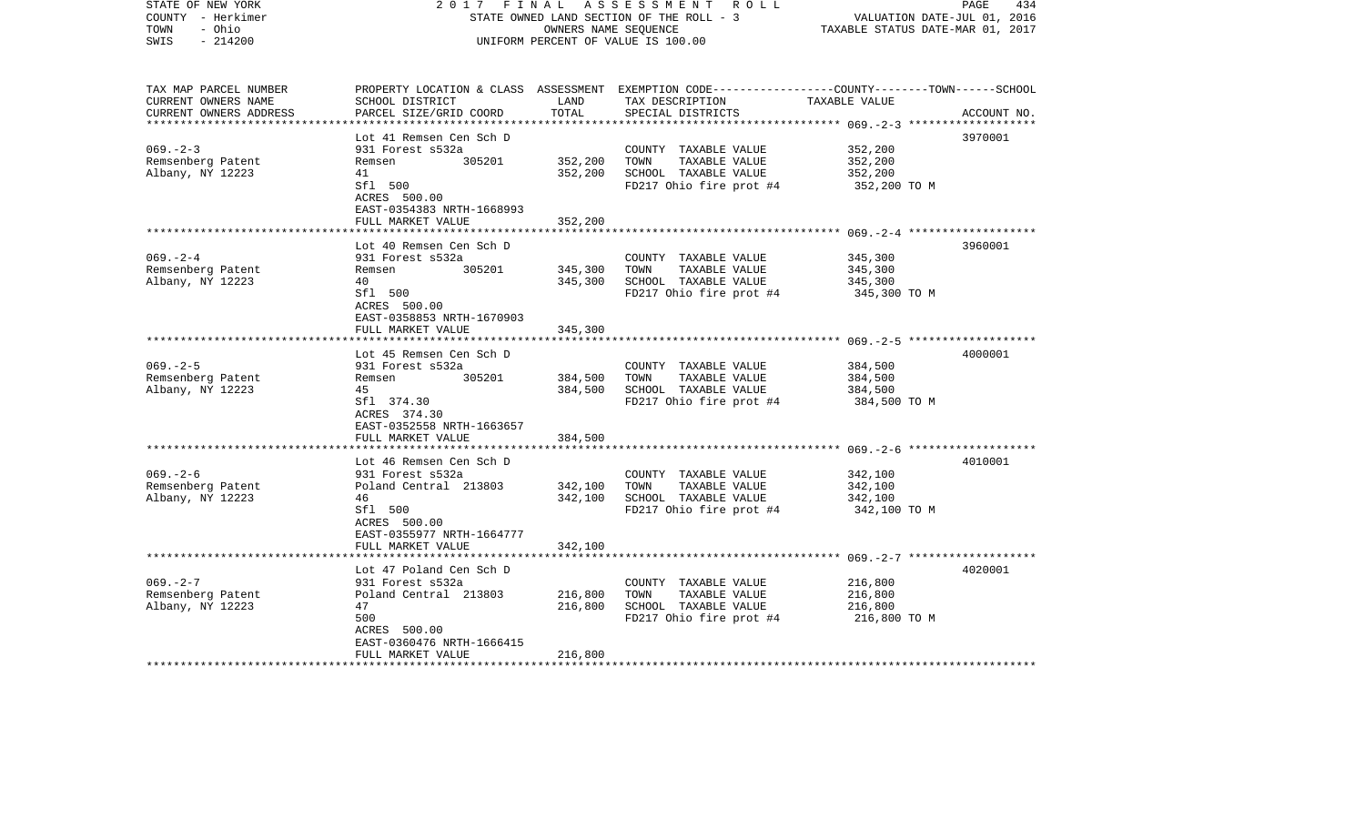| STATE OF NEW YORK<br>COUNTY - Herkimer<br>TOWN<br>- Ohio<br>$-214200$<br>SWIS | 2017                                                    | FINAL<br>OWNERS NAME SEQUENCE | A S S E S S M E N T R O L L<br>STATE OWNED LAND SECTION OF THE ROLL - 3<br>UNIFORM PERCENT OF VALUE IS 100.00                                        | VALUATION DATE-JUL 01, 2016<br>TAXABLE STATUS DATE-MAR 01, 2017 | 434<br>PAGE |
|-------------------------------------------------------------------------------|---------------------------------------------------------|-------------------------------|------------------------------------------------------------------------------------------------------------------------------------------------------|-----------------------------------------------------------------|-------------|
| TAX MAP PARCEL NUMBER<br>CURRENT OWNERS NAME<br>CURRENT OWNERS ADDRESS        | SCHOOL DISTRICT<br>PARCEL SIZE/GRID COORD               | LAND<br>TOTAL                 | PROPERTY LOCATION & CLASS ASSESSMENT EXEMPTION CODE--------------COUNTY-------TOWN------SCHOOL<br>TAX DESCRIPTION TAXABLE VALUE<br>SPECIAL DISTRICTS |                                                                 | ACCOUNT NO. |
|                                                                               | Lot 41 Remsen Cen Sch D                                 |                               |                                                                                                                                                      |                                                                 | 3970001     |
| $069. - 2 - 3$                                                                | 931 Forest s532a                                        |                               | COUNTY TAXABLE VALUE                                                                                                                                 | 352,200                                                         |             |
| Remsenberg Patent                                                             | 305201<br>Remsen                                        | 352,200                       | TAXABLE VALUE<br>TOWN                                                                                                                                | 352,200                                                         |             |
| Albany, NY 12223                                                              | 41                                                      | 352,200                       | SCHOOL TAXABLE VALUE                                                                                                                                 | 352,200                                                         |             |
|                                                                               | Sfl 500<br>ACRES 500.00<br>EAST-0354383 NRTH-1668993    |                               | FD217 Ohio fire prot #4                                                                                                                              | 352,200 TO M                                                    |             |
|                                                                               | FULL MARKET VALUE                                       | 352,200                       |                                                                                                                                                      |                                                                 |             |
|                                                                               | Lot 40 Remsen Cen Sch D                                 |                               |                                                                                                                                                      |                                                                 | 3960001     |
| $069 - 2 - 4$                                                                 | 931 Forest s532a                                        |                               | COUNTY TAXABLE VALUE                                                                                                                                 | 345,300                                                         |             |
| Remsenberg Patent                                                             | 305201<br>Remsen                                        | 345,300                       | TOWN<br>TAXABLE VALUE                                                                                                                                | 345,300                                                         |             |
| Albany, NY 12223                                                              | 40                                                      | 345,300                       | SCHOOL TAXABLE VALUE                                                                                                                                 | 345,300                                                         |             |
|                                                                               | Sfl 500<br>ACRES 500.00<br>EAST-0358853 NRTH-1670903    |                               | FD217 Ohio fire prot #4                                                                                                                              | 345,300 TO M                                                    |             |
|                                                                               | FULL MARKET VALUE                                       | 345,300                       |                                                                                                                                                      |                                                                 |             |
|                                                                               |                                                         |                               |                                                                                                                                                      |                                                                 |             |
|                                                                               | Lot 45 Remsen Cen Sch D                                 |                               |                                                                                                                                                      |                                                                 | 4000001     |
| $069. - 2 - 5$<br>Remsenberg Patent                                           | 931 Forest s532a<br>305201<br>Remsen                    | 384,500                       | COUNTY TAXABLE VALUE<br>TOWN<br>TAXABLE VALUE                                                                                                        | 384,500<br>384,500                                              |             |
| Albany, NY 12223                                                              | 45                                                      | 384,500                       | SCHOOL TAXABLE VALUE                                                                                                                                 | 384,500                                                         |             |
|                                                                               | Sfl 374.30<br>ACRES 374.30<br>EAST-0352558 NRTH-1663657 |                               | FD217 Ohio fire prot #4                                                                                                                              | 384,500 TO M                                                    |             |
|                                                                               | FULL MARKET VALUE                                       | 384,500                       |                                                                                                                                                      |                                                                 |             |
|                                                                               |                                                         |                               |                                                                                                                                                      |                                                                 |             |
|                                                                               | Lot 46 Remsen Cen Sch D                                 |                               |                                                                                                                                                      |                                                                 | 4010001     |
| $069. - 2 - 6$                                                                | 931 Forest s532a<br>Poland Central 213803               | 342,100                       | COUNTY TAXABLE VALUE<br>TOWN<br>TAXABLE VALUE                                                                                                        | 342,100<br>342,100                                              |             |
| Remsenberg Patent<br>Albany, NY 12223                                         | 46                                                      | 342,100                       | SCHOOL TAXABLE VALUE                                                                                                                                 | 342,100                                                         |             |
|                                                                               | Sfl 500<br>ACRES 500.00<br>EAST-0355977 NRTH-1664777    |                               | FD217 Ohio fire prot #4                                                                                                                              | 342,100 TO M                                                    |             |
|                                                                               | FULL MARKET VALUE                                       | 342,100                       |                                                                                                                                                      |                                                                 |             |
|                                                                               | Lot 47 Poland Cen Sch D                                 |                               |                                                                                                                                                      |                                                                 | 4020001     |
| $069. - 2 - 7$                                                                | 931 Forest s532a                                        |                               | COUNTY TAXABLE VALUE                                                                                                                                 | 216,800                                                         |             |
| Remsenberg Patent                                                             | Poland Central 213803                                   | 216,800                       | TOWN<br>TAXABLE VALUE                                                                                                                                | 216,800                                                         |             |
| Albany, NY 12223                                                              | 47                                                      | 216,800                       | SCHOOL TAXABLE VALUE                                                                                                                                 | 216,800                                                         |             |
|                                                                               | 500                                                     |                               | FD217 Ohio fire prot #4                                                                                                                              | 216,800 TO M                                                    |             |
|                                                                               | ACRES 500.00                                            |                               |                                                                                                                                                      |                                                                 |             |
|                                                                               | EAST-0360476 NRTH-1666415<br>FULL MARKET VALUE          | 216,800                       |                                                                                                                                                      |                                                                 |             |
| ***********************                                                       |                                                         |                               |                                                                                                                                                      |                                                                 |             |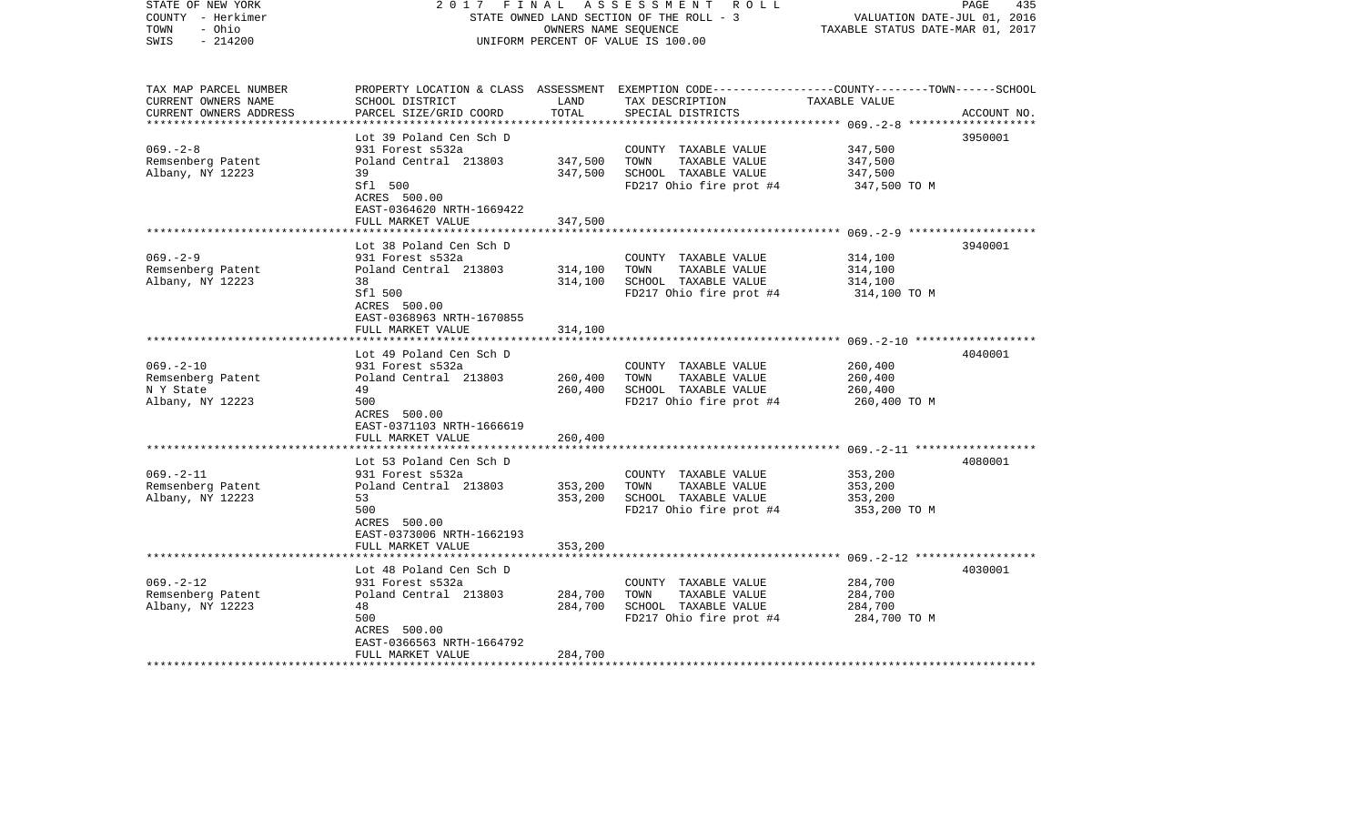| COUNTY - Herkimer<br>TOWN<br>- Ohio<br>$-214200$<br>SWIS |                                                                | OWNERS NAME SEOUENCE | STATE OWNED LAND SECTION OF THE ROLL - 3<br>UNIFORM PERCENT OF VALUE IS 100.00                                     | VALUATION DATE-JUL 01, 2016<br>TAXABLE STATUS DATE-MAR 01, 2017 |             |
|----------------------------------------------------------|----------------------------------------------------------------|----------------------|--------------------------------------------------------------------------------------------------------------------|-----------------------------------------------------------------|-------------|
|                                                          |                                                                |                      |                                                                                                                    |                                                                 |             |
| TAX MAP PARCEL NUMBER<br>CURRENT OWNERS NAME             | SCHOOL DISTRICT                                                | LAND                 | PROPERTY LOCATION & CLASS ASSESSMENT EXEMPTION CODE---------------COUNTY-------TOWN------SCHOOL<br>TAX DESCRIPTION | TAXABLE VALUE                                                   |             |
| CURRENT OWNERS ADDRESS                                   | PARCEL SIZE/GRID COORD                                         | TOTAL                | SPECIAL DISTRICTS                                                                                                  |                                                                 | ACCOUNT NO. |
|                                                          | ***************************                                    |                      |                                                                                                                    |                                                                 |             |
|                                                          | Lot 39 Poland Cen Sch D                                        |                      |                                                                                                                    |                                                                 | 3950001     |
| $069. - 2 - 8$                                           | 931 Forest s532a                                               |                      | COUNTY TAXABLE VALUE                                                                                               | 347,500                                                         |             |
| Remsenberg Patent<br>Albany, NY 12223                    | Poland Central 213803<br>39                                    | 347,500<br>347,500   | TOWN<br>TAXABLE VALUE<br>SCHOOL TAXABLE VALUE                                                                      | 347,500<br>347,500                                              |             |
|                                                          | Sfl 500                                                        |                      | FD217 Ohio fire prot #4                                                                                            | 347,500 TO M                                                    |             |
|                                                          | ACRES 500.00<br>EAST-0364620 NRTH-1669422                      |                      |                                                                                                                    |                                                                 |             |
|                                                          | FULL MARKET VALUE                                              | 347,500              |                                                                                                                    |                                                                 |             |
|                                                          |                                                                |                      |                                                                                                                    |                                                                 |             |
|                                                          | Lot 38 Poland Cen Sch D                                        |                      |                                                                                                                    |                                                                 | 3940001     |
| $069. - 2 - 9$                                           | 931 Forest s532a                                               |                      | COUNTY TAXABLE VALUE                                                                                               | 314,100                                                         |             |
| Remsenberg Patent                                        | Poland Central 213803                                          | 314,100              | TAXABLE VALUE<br>TOWN                                                                                              | 314,100                                                         |             |
| Albany, NY 12223                                         | 38                                                             | 314,100              | SCHOOL TAXABLE VALUE                                                                                               | 314,100                                                         |             |
|                                                          | Sfl 500<br>ACRES 500.00<br>EAST-0368963 NRTH-1670855           |                      | FD217 Ohio fire prot #4                                                                                            | 314,100 TO M                                                    |             |
|                                                          | FULL MARKET VALUE                                              | 314,100              |                                                                                                                    |                                                                 |             |
|                                                          | *************************                                      |                      |                                                                                                                    |                                                                 |             |
|                                                          | Lot 49 Poland Cen Sch D                                        |                      |                                                                                                                    |                                                                 | 4040001     |
| $069. - 2 - 10$                                          | 931 Forest s532a                                               |                      | COUNTY TAXABLE VALUE                                                                                               | 260,400                                                         |             |
| Remsenberg Patent<br>N Y State                           | Poland Central 213803<br>49                                    | 260,400<br>260,400   | TOWN<br>TAXABLE VALUE<br>SCHOOL TAXABLE VALUE                                                                      | 260,400<br>260,400                                              |             |
| Albany, NY 12223                                         | 500                                                            |                      | FD217 Ohio fire prot #4                                                                                            | 260,400 TO M                                                    |             |
|                                                          | ACRES 500.00<br>EAST-0371103 NRTH-1666619                      |                      |                                                                                                                    |                                                                 |             |
|                                                          | FULL MARKET VALUE                                              | 260,400              |                                                                                                                    |                                                                 |             |
|                                                          |                                                                |                      |                                                                                                                    |                                                                 |             |
|                                                          | Lot 53 Poland Cen Sch D                                        |                      |                                                                                                                    |                                                                 | 4080001     |
| $069. - 2 - 11$                                          | 931 Forest s532a                                               |                      | COUNTY TAXABLE VALUE                                                                                               | 353,200                                                         |             |
| Remsenberg Patent                                        | Poland Central 213803                                          | 353,200              | TAXABLE VALUE<br>TOWN                                                                                              | 353,200                                                         |             |
| Albany, NY 12223                                         | 53                                                             | 353,200              | SCHOOL TAXABLE VALUE                                                                                               | 353,200                                                         |             |
|                                                          | 500                                                            |                      | FD217 Ohio fire prot #4                                                                                            | 353,200 TO M                                                    |             |
|                                                          | ACRES 500.00<br>EAST-0373006 NRTH-1662193<br>FULL MARKET VALUE | 353,200              |                                                                                                                    |                                                                 |             |
|                                                          |                                                                |                      |                                                                                                                    |                                                                 |             |
|                                                          | Lot 48 Poland Cen Sch D                                        |                      |                                                                                                                    |                                                                 | 4030001     |
| $069. - 2 - 12$                                          | 931 Forest s532a                                               |                      | COUNTY TAXABLE VALUE                                                                                               | 284,700                                                         |             |
| Remsenberg Patent                                        | Poland Central 213803                                          | 284,700              | TOWN<br>TAXABLE VALUE                                                                                              | 284,700                                                         |             |
| Albany, NY 12223                                         | 48                                                             | 284,700              | SCHOOL TAXABLE VALUE                                                                                               | 284,700                                                         |             |
|                                                          | 500                                                            |                      | FD217 Ohio fire prot #4                                                                                            | 284,700 TO M                                                    |             |
|                                                          | ACRES 500.00                                                   |                      |                                                                                                                    |                                                                 |             |
|                                                          | EAST-0366563 NRTH-1664792                                      |                      |                                                                                                                    |                                                                 |             |
|                                                          | FULL MARKET VALUE                                              | 284,700              |                                                                                                                    |                                                                 |             |

2017 FINAL ASSESSMENT ROLL

PAGE 435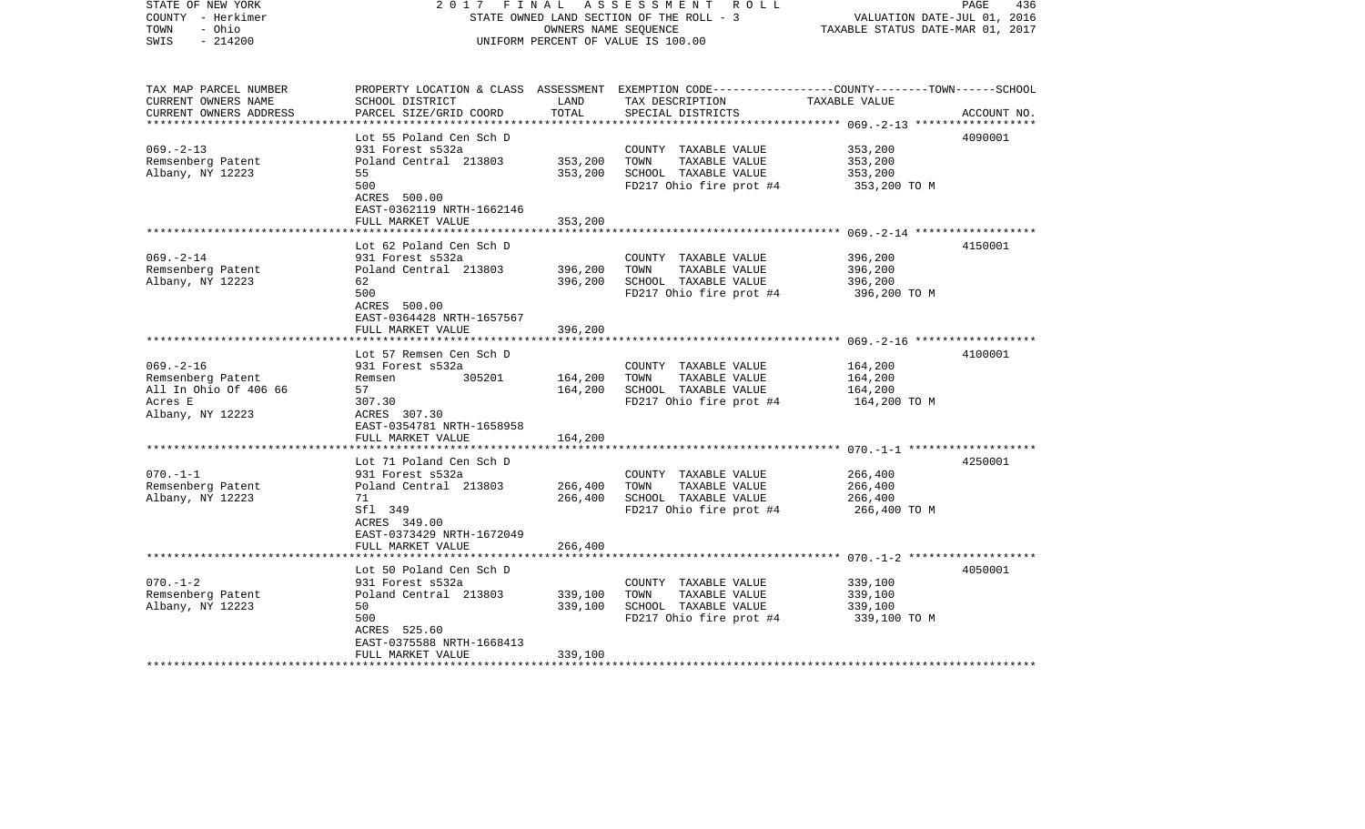| COUNTY - Herkimer<br>TOWN<br>- Ohio<br>SWIS<br>$-214200$                                    |                                                                                                                                                         | OWNERS NAME SEQUENCE          | STATE OWNED LAND SECTION OF THE ROLL - 3<br>UNIFORM PERCENT OF VALUE IS 100.00                   | VALUATION DATE-JUL 01, 2016<br>TAXABLE STATUS DATE-MAR 01, 2017 |             |
|---------------------------------------------------------------------------------------------|---------------------------------------------------------------------------------------------------------------------------------------------------------|-------------------------------|--------------------------------------------------------------------------------------------------|-----------------------------------------------------------------|-------------|
| TAX MAP PARCEL NUMBER<br>CURRENT OWNERS NAME<br>CURRENT OWNERS ADDRESS                      | PROPERTY LOCATION & CLASS ASSESSMENT EXEMPTION CODE---------------COUNTY-------TOWN------SCHOOL<br>SCHOOL DISTRICT<br>PARCEL SIZE/GRID COORD            | LAND<br>TOTAL                 | TAX DESCRIPTION<br>SPECIAL DISTRICTS                                                             | TAXABLE VALUE<br>************** 069. -2-13 ***************      | ACCOUNT NO. |
| $069. - 2 - 13$<br>Remsenberg Patent<br>Albany, NY 12223                                    | Lot 55 Poland Cen Sch D<br>931 Forest s532a<br>Poland Central 213803<br>55<br>500<br>ACRES 500.00<br>EAST-0362119 NRTH-1662146<br>FULL MARKET VALUE     | 353,200<br>353,200<br>353,200 | COUNTY TAXABLE VALUE<br>TOWN<br>TAXABLE VALUE<br>SCHOOL TAXABLE VALUE<br>FD217 Ohio fire prot #4 | 353,200<br>353,200<br>353,200<br>353,200 TO M                   | 4090001     |
| $069. - 2 - 14$<br>Remsenberg Patent<br>Albany, NY 12223                                    | Lot 62 Poland Cen Sch D<br>931 Forest s532a<br>Poland Central 213803<br>62<br>500<br>ACRES 500.00<br>EAST-0364428 NRTH-1657567                          | 396,200<br>396,200            | COUNTY TAXABLE VALUE<br>TOWN<br>TAXABLE VALUE<br>SCHOOL TAXABLE VALUE<br>FD217 Ohio fire prot #4 | 396,200<br>396,200<br>396,200<br>396,200 TO M                   | 4150001     |
|                                                                                             | FULL MARKET VALUE<br>******************<br>Lot 57 Remsen Cen Sch D                                                                                      | 396,200                       |                                                                                                  |                                                                 | 4100001     |
| $069. -2 - 16$<br>Remsenberg Patent<br>All In Ohio Of 406 66<br>Acres E<br>Albany, NY 12223 | 931 Forest s532a<br>305201<br>Remsen<br>57<br>307.30<br>ACRES 307.30<br>EAST-0354781 NRTH-1658958                                                       | 164,200<br>164,200            | COUNTY TAXABLE VALUE<br>TOWN<br>TAXABLE VALUE<br>SCHOOL TAXABLE VALUE<br>FD217 Ohio fire prot #4 | 164,200<br>164,200<br>164,200<br>164,200 TO M                   |             |
|                                                                                             | FULL MARKET VALUE                                                                                                                                       | 164,200                       |                                                                                                  |                                                                 |             |
| $070. -1 -1$<br>Remsenberg Patent<br>Albany, NY 12223                                       | Lot 71 Poland Cen Sch D<br>931 Forest s532a<br>Poland Central 213803<br>71<br>Sfl 349<br>ACRES 349.00<br>EAST-0373429 NRTH-1672049<br>FULL MARKET VALUE | 266,400<br>266,400<br>266,400 | COUNTY TAXABLE VALUE<br>TOWN<br>TAXABLE VALUE<br>SCHOOL TAXABLE VALUE<br>FD217 Ohio fire prot #4 | 266,400<br>266,400<br>266,400<br>266,400 TO M                   | 4250001     |
|                                                                                             |                                                                                                                                                         |                               |                                                                                                  |                                                                 |             |
| $070. - 1 - 2$<br>Remsenberg Patent<br>Albany, NY 12223                                     | Lot 50 Poland Cen Sch D<br>931 Forest s532a<br>Poland Central 213803<br>50<br>500<br>ACRES 525.60<br>EAST-0375588 NRTH-1668413                          | 339,100<br>339,100            | COUNTY TAXABLE VALUE<br>TOWN<br>TAXABLE VALUE<br>SCHOOL TAXABLE VALUE<br>FD217 Ohio fire prot #4 | 339,100<br>339,100<br>339,100<br>339,100 TO M                   | 4050001     |
|                                                                                             | FULL MARKET VALUE                                                                                                                                       | 339,100                       |                                                                                                  |                                                                 |             |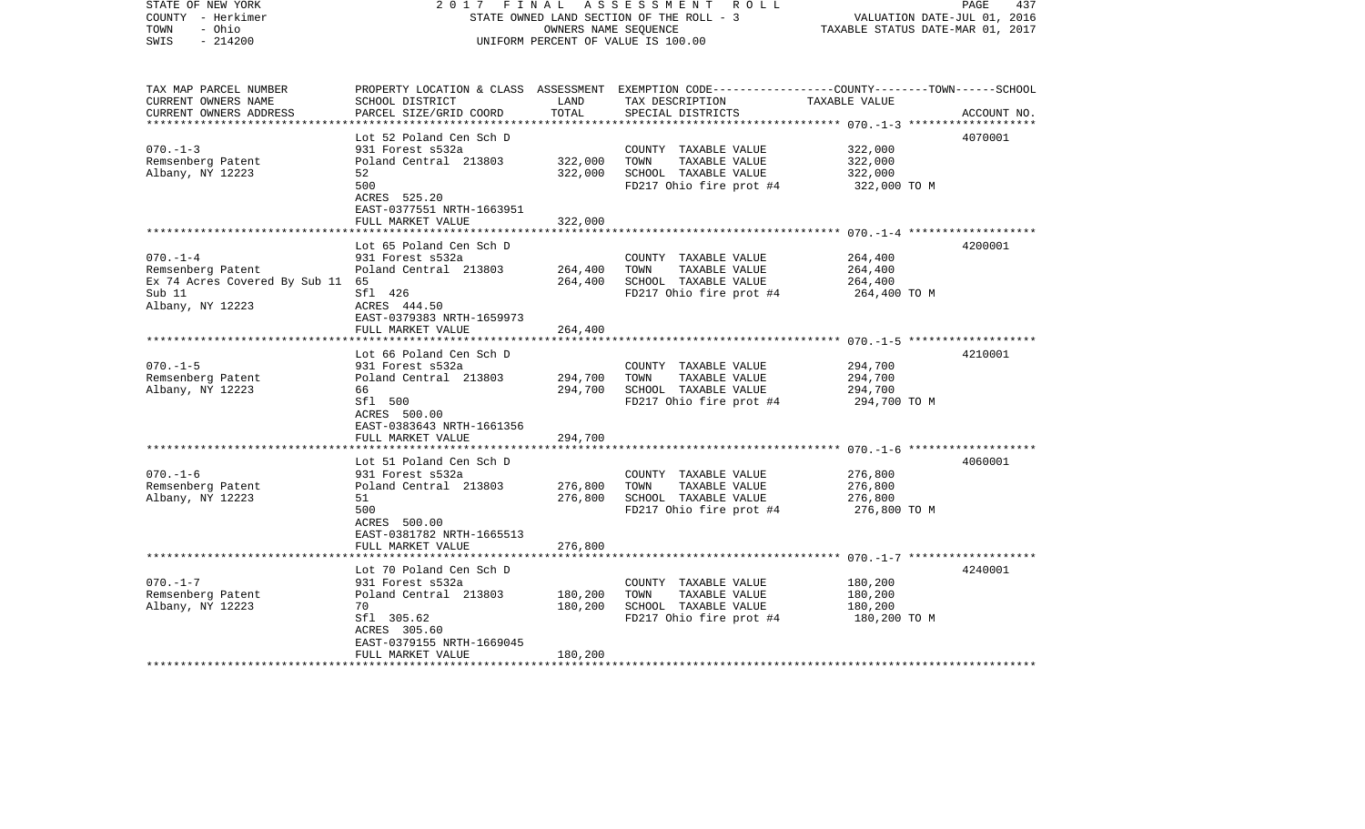| COUNTY - Herkimer<br>- Ohio<br>TOWN |                                             | OWNERS NAME SEQUENCE | STATE OWNED LAND SECTION OF THE ROLL - 3                                                         | VALUATION DATE-JUL 01, 2016<br>TAXABLE STATUS DATE-MAR 01, 2017 |             |
|-------------------------------------|---------------------------------------------|----------------------|--------------------------------------------------------------------------------------------------|-----------------------------------------------------------------|-------------|
| $-214200$<br>SWIS                   |                                             |                      | UNIFORM PERCENT OF VALUE IS 100.00                                                               |                                                                 |             |
| TAX MAP PARCEL NUMBER               |                                             |                      | PROPERTY LOCATION & CLASS ASSESSMENT EXEMPTION CODE----------------COUNTY-------TOWN------SCHOOL |                                                                 |             |
| CURRENT OWNERS NAME                 | SCHOOL DISTRICT                             | LAND                 | TAX DESCRIPTION                                                                                  | TAXABLE VALUE                                                   |             |
| CURRENT OWNERS ADDRESS              | PARCEL SIZE/GRID COORD                      | TOTAL                | SPECIAL DISTRICTS                                                                                |                                                                 | ACCOUNT NO. |
| *************************           | ****************************                |                      |                                                                                                  |                                                                 |             |
| $070. - 1 - 3$                      | Lot 52 Poland Cen Sch D<br>931 Forest s532a |                      |                                                                                                  |                                                                 | 4070001     |
| Remsenberg Patent                   | Poland Central 213803                       | 322,000              | COUNTY TAXABLE VALUE<br>TOWN<br>TAXABLE VALUE                                                    | 322,000<br>322,000                                              |             |
| Albany, NY 12223                    | 52                                          | 322,000              | SCHOOL TAXABLE VALUE                                                                             | 322,000                                                         |             |
|                                     | 500                                         |                      | FD217 Ohio fire prot #4                                                                          | 322,000 TO M                                                    |             |
|                                     | ACRES 525.20                                |                      |                                                                                                  |                                                                 |             |
|                                     | EAST-0377551 NRTH-1663951                   |                      |                                                                                                  |                                                                 |             |
|                                     | FULL MARKET VALUE                           | 322,000              |                                                                                                  |                                                                 |             |
|                                     |                                             |                      |                                                                                                  |                                                                 |             |
|                                     | Lot 65 Poland Cen Sch D                     |                      |                                                                                                  |                                                                 | 4200001     |
| $070. -1 -4$                        | 931 Forest s532a                            |                      | COUNTY TAXABLE VALUE                                                                             | 264,400                                                         |             |
| Remsenberg Patent                   | Poland Central 213803                       | 264,400              | TAXABLE VALUE<br>TOWN                                                                            | 264,400                                                         |             |
| Ex 74 Acres Covered By Sub 11 65    |                                             | 264,400              | SCHOOL TAXABLE VALUE                                                                             | 264,400                                                         |             |
| Sub 11                              | Sfl 426                                     |                      | FD217 Ohio fire prot #4                                                                          | 264,400 TO M                                                    |             |
| Albany, NY 12223                    | ACRES 444.50<br>EAST-0379383 NRTH-1659973   |                      |                                                                                                  |                                                                 |             |
|                                     | FULL MARKET VALUE                           | 264,400              |                                                                                                  |                                                                 |             |
|                                     |                                             |                      |                                                                                                  |                                                                 |             |
|                                     | Lot 66 Poland Cen Sch D                     |                      |                                                                                                  |                                                                 | 4210001     |
| $070. -1 - 5$                       | 931 Forest s532a                            |                      | COUNTY TAXABLE VALUE                                                                             | 294,700                                                         |             |
| Remsenberg Patent                   | Poland Central 213803                       | 294,700              | TOWN<br>TAXABLE VALUE                                                                            | 294,700                                                         |             |
| Albany, NY 12223                    | 66                                          | 294,700              | SCHOOL TAXABLE VALUE                                                                             | 294,700                                                         |             |
|                                     | Sfl 500                                     |                      | FD217 Ohio fire prot #4                                                                          | 294,700 TO M                                                    |             |
|                                     | ACRES 500.00                                |                      |                                                                                                  |                                                                 |             |
|                                     | EAST-0383643 NRTH-1661356                   |                      |                                                                                                  |                                                                 |             |
|                                     | FULL MARKET VALUE                           | 294,700              |                                                                                                  |                                                                 |             |
|                                     | Lot 51 Poland Cen Sch D                     |                      |                                                                                                  |                                                                 | 4060001     |
| $070. -1 - 6$                       | 931 Forest s532a                            |                      | COUNTY TAXABLE VALUE                                                                             | 276,800                                                         |             |
| Remsenberg Patent                   | Poland Central 213803                       | 276,800              | TOWN<br>TAXABLE VALUE                                                                            | 276,800                                                         |             |
| Albany, NY 12223                    | 51                                          | 276,800              | SCHOOL TAXABLE VALUE                                                                             | 276,800                                                         |             |
|                                     | 500                                         |                      | FD217 Ohio fire prot #4                                                                          | 276,800 TO M                                                    |             |
|                                     | ACRES 500.00                                |                      |                                                                                                  |                                                                 |             |
|                                     | EAST-0381782 NRTH-1665513                   |                      |                                                                                                  |                                                                 |             |
|                                     | FULL MARKET VALUE                           | 276,800              |                                                                                                  |                                                                 |             |
|                                     |                                             |                      |                                                                                                  |                                                                 |             |
|                                     | Lot 70 Poland Cen Sch D                     |                      |                                                                                                  |                                                                 | 4240001     |
| $070. -1 - 7$                       | 931 Forest s532a                            |                      | COUNTY TAXABLE VALUE                                                                             | 180,200                                                         |             |
| Remsenberg Patent                   | Poland Central 213803                       | 180,200              | TOWN<br>TAXABLE VALUE                                                                            | 180,200                                                         |             |
| Albany, NY 12223                    | 70<br>Sfl 305.62                            | 180,200              | SCHOOL TAXABLE VALUE<br>FD217 Ohio fire prot #4                                                  | 180,200                                                         |             |
|                                     | ACRES 305.60                                |                      |                                                                                                  | 180,200 TO M                                                    |             |
|                                     | EAST-0379155 NRTH-1669045                   |                      |                                                                                                  |                                                                 |             |
|                                     | FULL MARKET VALUE                           | 180,200              |                                                                                                  |                                                                 |             |
|                                     |                                             |                      |                                                                                                  |                                                                 |             |

2017 FINAL ASSESSMENT ROLL

PAGE 437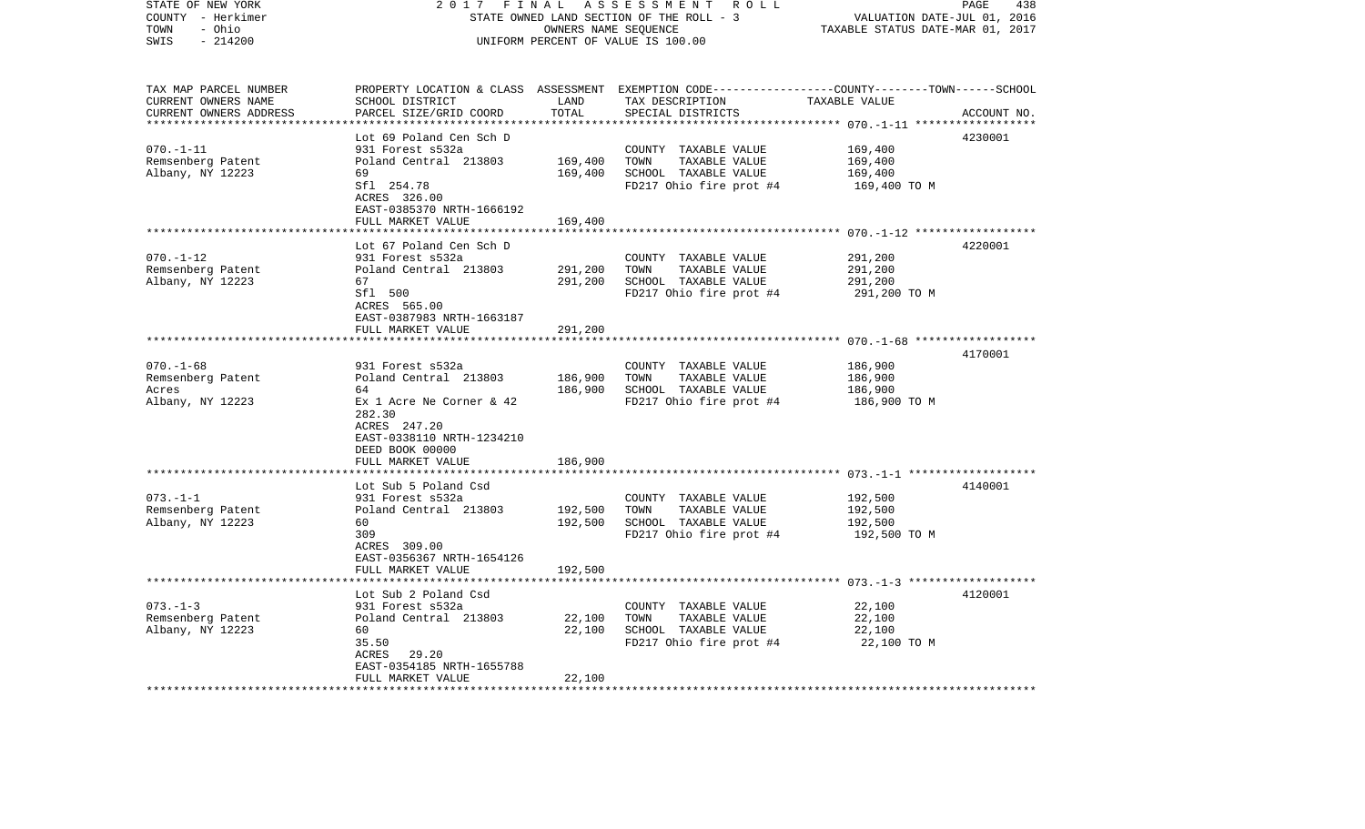| STATE OF NEW YORK<br>COUNTY - Herkimer        | 2017<br>FINAL<br>STATE OWNED LAND SECTION OF THE ROLL - 3 | A S S E S S M E N T R O L L<br>PAGE<br>438<br>VALUATION DATE-JUL 01, 2016 |                                                                                                 |                         |             |
|-----------------------------------------------|-----------------------------------------------------------|---------------------------------------------------------------------------|-------------------------------------------------------------------------------------------------|-------------------------|-------------|
| TOWN<br>- Ohio<br>$-214200$<br>SWIS           | UNIFORM PERCENT OF VALUE IS 100.00                        | TAXABLE STATUS DATE-MAR 01, 2017                                          |                                                                                                 |                         |             |
|                                               |                                                           |                                                                           |                                                                                                 |                         |             |
| TAX MAP PARCEL NUMBER                         |                                                           |                                                                           | PROPERTY LOCATION & CLASS ASSESSMENT EXEMPTION CODE---------------COUNTY-------TOWN------SCHOOL |                         |             |
| CURRENT OWNERS NAME<br>CURRENT OWNERS ADDRESS | SCHOOL DISTRICT<br>PARCEL SIZE/GRID COORD                 | LAND<br>TOTAL                                                             | TAX DESCRIPTION TAXABLE VALUE<br>SPECIAL DISTRICTS                                              |                         | ACCOUNT NO. |
| **************************                    |                                                           |                                                                           |                                                                                                 |                         |             |
|                                               | Lot 69 Poland Cen Sch D                                   |                                                                           |                                                                                                 |                         | 4230001     |
| $070. -1 - 11$                                | 931 Forest s532a                                          |                                                                           | COUNTY TAXABLE VALUE                                                                            | 169,400                 |             |
| Remsenberg Patent                             | Poland Central 213803                                     | 169,400                                                                   | TAXABLE VALUE<br>TOWN                                                                           | 169,400                 |             |
| Albany, NY 12223                              | 69                                                        | 169,400                                                                   | SCHOOL TAXABLE VALUE                                                                            | 169,400                 |             |
|                                               | Sfl 254.78                                                |                                                                           | FD217 Ohio fire prot $#4$ 169,400 TO M                                                          |                         |             |
|                                               | ACRES 326.00                                              |                                                                           |                                                                                                 |                         |             |
|                                               | EAST-0385370 NRTH-1666192<br>FULL MARKET VALUE            | 169,400                                                                   |                                                                                                 |                         |             |
|                                               |                                                           |                                                                           |                                                                                                 |                         |             |
|                                               | Lot 67 Poland Cen Sch D                                   |                                                                           |                                                                                                 |                         | 4220001     |
| $070. - 1 - 12$                               | 931 Forest s532a                                          |                                                                           | COUNTY TAXABLE VALUE                                                                            | 291,200                 |             |
| Remsenberg Patent                             | Poland Central 213803                                     | 291,200                                                                   | TOWN<br>TAXABLE VALUE                                                                           | 291,200                 |             |
| Albany, NY 12223                              | 67                                                        | 291,200                                                                   | SCHOOL TAXABLE VALUE                                                                            | 291,200                 |             |
|                                               | Sfl 500                                                   |                                                                           | FD217 Ohio fire prot #4                                                                         | 291,200 TO M            |             |
|                                               | ACRES 565.00                                              |                                                                           |                                                                                                 |                         |             |
|                                               | EAST-0387983 NRTH-1663187<br>FULL MARKET VALUE            | 291,200                                                                   |                                                                                                 |                         |             |
|                                               |                                                           |                                                                           |                                                                                                 |                         |             |
|                                               |                                                           |                                                                           |                                                                                                 |                         | 4170001     |
| $070. - 1 - 68$                               | 931 Forest s532a                                          |                                                                           | COUNTY TAXABLE VALUE                                                                            | 186,900                 |             |
| Remsenberg Patent                             | Poland Central 213803                                     | 186,900                                                                   | TAXABLE VALUE<br>TOWN                                                                           | 186,900                 |             |
| Acres                                         | 64                                                        | 186,900                                                                   | SCHOOL TAXABLE VALUE                                                                            | 186,900                 |             |
| Albany, NY 12223                              | Ex 1 Acre Ne Corner & 42                                  |                                                                           | FD217 Ohio fire prot #4                                                                         | 186,900 ТО М            |             |
|                                               | 282.30<br>ACRES 247.20                                    |                                                                           |                                                                                                 |                         |             |
|                                               | EAST-0338110 NRTH-1234210                                 |                                                                           |                                                                                                 |                         |             |
|                                               | DEED BOOK 00000                                           |                                                                           |                                                                                                 |                         |             |
|                                               | FULL MARKET VALUE                                         | 186,900                                                                   |                                                                                                 |                         |             |
|                                               |                                                           |                                                                           |                                                                                                 |                         |             |
|                                               | Lot Sub 5 Poland Csd                                      |                                                                           |                                                                                                 |                         | 4140001     |
| $073. - 1 - 1$                                | 931 Forest s532a                                          |                                                                           | COUNTY TAXABLE VALUE                                                                            | 192,500                 |             |
| Remsenberg Patent                             | Poland Central 213803                                     | 192,500                                                                   | TAXABLE VALUE<br>TOWN                                                                           | 192,500                 |             |
| Albany, NY 12223                              | 60<br>309                                                 | 192,500                                                                   | SCHOOL TAXABLE VALUE<br>FD217 Ohio fire prot #4                                                 | 192,500<br>192,500 TO M |             |
|                                               | ACRES 309.00                                              |                                                                           |                                                                                                 |                         |             |
|                                               | EAST-0356367 NRTH-1654126                                 |                                                                           |                                                                                                 |                         |             |
|                                               | FULL MARKET VALUE                                         | 192,500                                                                   |                                                                                                 |                         |             |
|                                               |                                                           |                                                                           |                                                                                                 |                         |             |
|                                               | Lot Sub 2 Poland Csd                                      |                                                                           |                                                                                                 |                         | 4120001     |
| $073. - 1 - 3$                                | 931 Forest s532a                                          |                                                                           | COUNTY TAXABLE VALUE                                                                            | 22,100                  |             |
| Remsenberg Patent                             | Poland Central 213803                                     | 22,100                                                                    | TAXABLE VALUE<br>TOWN                                                                           | 22,100                  |             |
| Albany, NY 12223                              | 60<br>35.50                                               | 22,100                                                                    | SCHOOL TAXABLE VALUE<br>FD217 Ohio fire prot #4                                                 | 22,100<br>22,100 TO M   |             |
|                                               | ACRES 29.20                                               |                                                                           |                                                                                                 |                         |             |
|                                               | EAST-0354185 NRTH-1655788                                 |                                                                           |                                                                                                 |                         |             |
|                                               | FULL MARKET VALUE                                         | 22,100                                                                    |                                                                                                 |                         |             |
|                                               |                                                           |                                                                           |                                                                                                 |                         |             |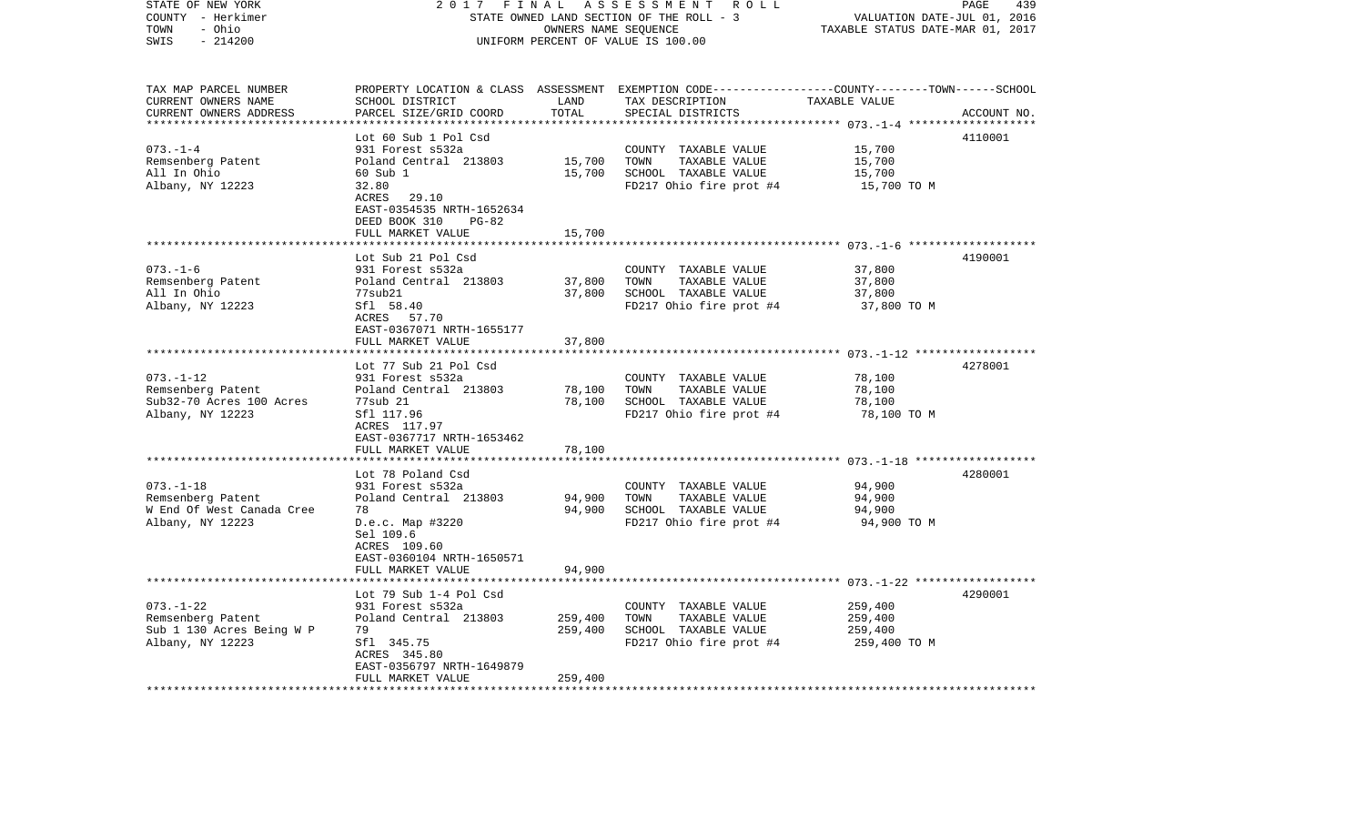| STATE OF NEW YORK<br>COUNTY - Herkimer<br>- Ohio<br>TOWN<br>$-214200$<br>SWIS                                    | 2 0 1 7<br>FINAL<br>STATE OWNED LAND SECTION OF THE ROLL - 3<br>UNIFORM PERCENT OF VALUE IS 100.00                                                                                                 | PAGE<br>439<br>VALUATION DATE-JUL 01, 2016<br>TAXABLE STATUS DATE-MAR 01, 2017 |                                                                                                                                          |                                               |             |
|------------------------------------------------------------------------------------------------------------------|----------------------------------------------------------------------------------------------------------------------------------------------------------------------------------------------------|--------------------------------------------------------------------------------|------------------------------------------------------------------------------------------------------------------------------------------|-----------------------------------------------|-------------|
| TAX MAP PARCEL NUMBER<br>CURRENT OWNERS NAME<br>CURRENT OWNERS ADDRESS<br>***********************                | SCHOOL DISTRICT<br>PARCEL SIZE/GRID COORD                                                                                                                                                          | LAND<br>TOTAL                                                                  | PROPERTY LOCATION & CLASS ASSESSMENT EXEMPTION CODE----------------COUNTY-------TOWN------SCHOOL<br>TAX DESCRIPTION<br>SPECIAL DISTRICTS | TAXABLE VALUE                                 | ACCOUNT NO. |
| $073. - 1 - 4$<br>Remsenberg Patent<br>All In Ohio<br>Albany, NY 12223                                           | Lot 60 Sub 1 Pol Csd<br>931 Forest s532a<br>Poland Central 213803<br>60 Sub 1<br>32.80<br>ACRES<br>29.10<br>EAST-0354535 NRTH-1652634<br>DEED BOOK 310<br>$PG-82$<br>FULL MARKET VALUE             | 15,700<br>15,700<br>15,700                                                     | COUNTY TAXABLE VALUE<br>TOWN<br>TAXABLE VALUE<br>SCHOOL TAXABLE VALUE<br>FD217 Ohio fire prot #4                                         | 15,700<br>15,700<br>15,700<br>15,700 TO M     | 4110001     |
|                                                                                                                  |                                                                                                                                                                                                    |                                                                                |                                                                                                                                          |                                               |             |
| $073. - 1 - 6$<br>Remsenberg Patent<br>All In Ohio<br>Albany, NY 12223                                           | Lot Sub 21 Pol Csd<br>931 Forest s532a<br>Poland Central 213803<br>77sub21<br>Sfl 58.40<br>ACRES 57.70<br>EAST-0367071 NRTH-1655177                                                                | 37,800<br>37,800                                                               | COUNTY TAXABLE VALUE<br>TAXABLE VALUE<br>TOWN<br>SCHOOL TAXABLE VALUE<br>FD217 Ohio fire prot #4                                         | 37,800<br>37,800<br>37,800<br>37,800 TO M     | 4190001     |
|                                                                                                                  | FULL MARKET VALUE                                                                                                                                                                                  | 37,800                                                                         |                                                                                                                                          |                                               |             |
| $073. - 1 - 12$<br>Remsenberg Patent<br>Sub32-70 Acres 100 Acres<br>Albany, NY 12223                             | *******************<br>Lot 77 Sub 21 Pol Csd<br>931 Forest s532a<br>Poland Central 213803<br>77sub 21<br>Sfl 117.96<br>ACRES 117.97<br>EAST-0367717 NRTH-1653462                                   | *********<br>78,100<br>78,100                                                  | COUNTY TAXABLE VALUE<br>TOWN<br>TAXABLE VALUE<br>SCHOOL TAXABLE VALUE<br>FD217 Ohio fire prot #4                                         | 78,100<br>78,100<br>78,100<br>78,100 TO M     | 4278001     |
|                                                                                                                  | FULL MARKET VALUE                                                                                                                                                                                  | 78,100                                                                         |                                                                                                                                          |                                               |             |
| $073. - 1 - 18$<br>Remsenberg Patent<br>W End Of West Canada Cree<br>Albany, NY 12223                            | Lot 78 Poland Csd<br>931 Forest s532a<br>Poland Central 213803<br>78<br>D.e.c. Map #3220                                                                                                           | 94,900<br>94,900                                                               | COUNTY TAXABLE VALUE<br>TOWN<br>TAXABLE VALUE<br>SCHOOL TAXABLE VALUE<br>FD217 Ohio fire prot #4                                         | 94,900<br>94,900<br>94,900<br>94,900 TO M     | 4280001     |
|                                                                                                                  | Sel 109.6<br>ACRES 109.60<br>EAST-0360104 NRTH-1650571<br>FULL MARKET VALUE                                                                                                                        | 94,900                                                                         |                                                                                                                                          |                                               |             |
| $073. - 1 - 22$<br>Remsenberg Patent<br>Sub 1 130 Acres Being W P<br>Albany, NY 12223<br>*********************** | Lot 79 Sub 1-4 Pol Csd<br>931 Forest s532a<br>Poland Central 213803<br>79<br>Sfl 345.75<br>ACRES 345.80<br>EAST-0356797 NRTH-1649879<br>FULL MARKET VALUE<br>* * * * * * * * * * * * * * * * * * * | 259,400<br>259,400<br>259,400                                                  | COUNTY TAXABLE VALUE<br>TOWN<br>TAXABLE VALUE<br>SCHOOL TAXABLE VALUE<br>FD217 Ohio fire prot #4                                         | 259,400<br>259,400<br>259,400<br>259,400 TO M | 4290001     |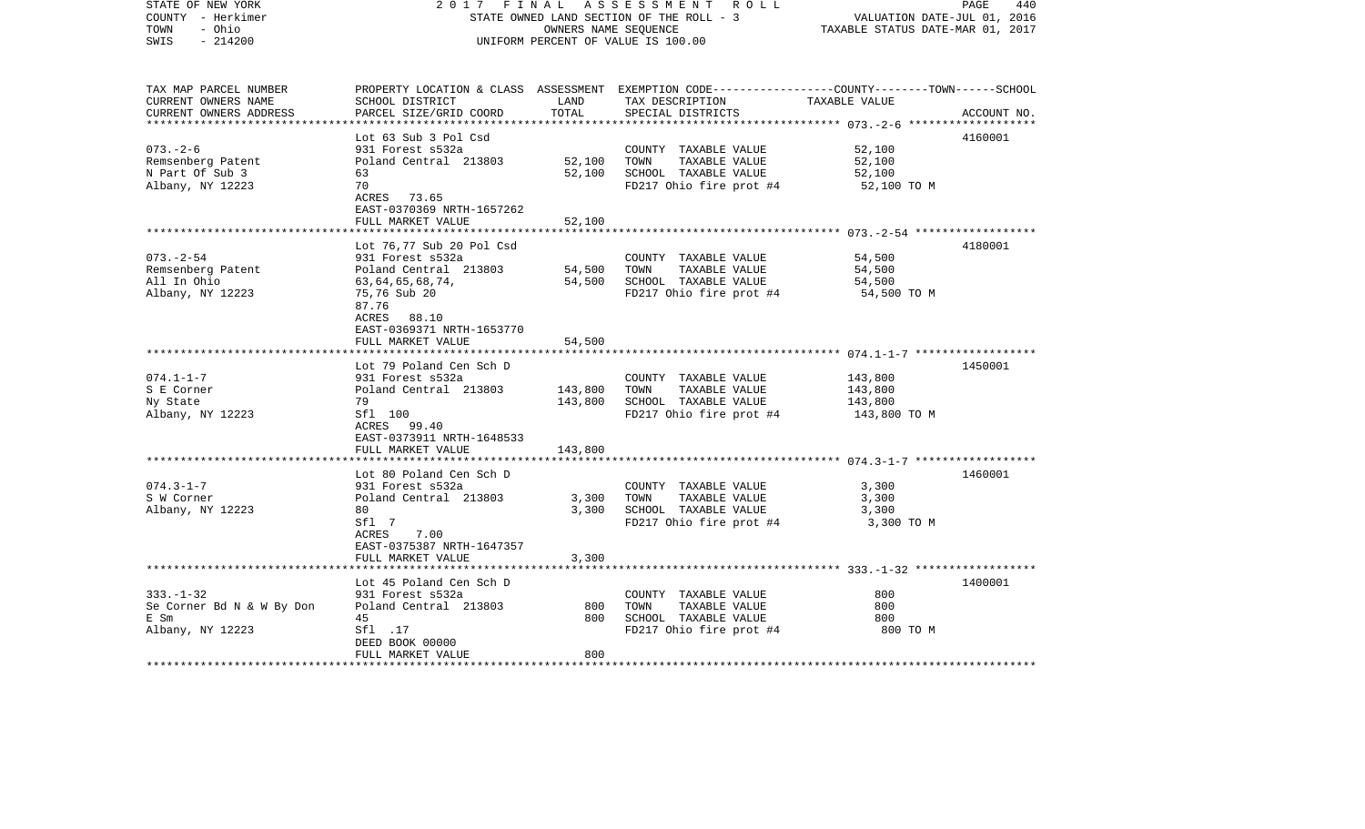| STATE OF NEW YORK<br>COUNTY - Herkimer<br>- Ohio<br>TOWN<br>$-214200$<br>SWIS | 2017                                              | OWNERS NAME SEQUENCE | FINAL ASSESSMENT ROLL<br>STATE OWNED LAND SECTION OF THE ROLL - 3<br>UNIFORM PERCENT OF VALUE IS 100.00                                  | VALUATION DATE-JUL 01, 2016<br>TAXABLE STATUS DATE-MAR 01, 2017 | PAGE<br>440 |
|-------------------------------------------------------------------------------|---------------------------------------------------|----------------------|------------------------------------------------------------------------------------------------------------------------------------------|-----------------------------------------------------------------|-------------|
| TAX MAP PARCEL NUMBER<br>CURRENT OWNERS NAME<br>CURRENT OWNERS ADDRESS        | SCHOOL DISTRICT<br>PARCEL SIZE/GRID COORD         | LAND<br>TOTAL        | PROPERTY LOCATION & CLASS ASSESSMENT EXEMPTION CODE----------------COUNTY-------TOWN------SCHOOL<br>TAX DESCRIPTION<br>SPECIAL DISTRICTS | TAXABLE VALUE                                                   | ACCOUNT NO. |
|                                                                               | Lot 63 Sub 3 Pol Csd                              |                      |                                                                                                                                          |                                                                 |             |
| $073. - 2 - 6$                                                                | 931 Forest s532a                                  |                      | COUNTY TAXABLE VALUE                                                                                                                     | 52,100                                                          | 4160001     |
| Remsenberg Patent                                                             | Poland Central 213803                             | 52,100               | TOWN<br>TAXABLE VALUE                                                                                                                    | 52,100                                                          |             |
| N Part Of Sub 3                                                               | 63                                                | 52,100               | SCHOOL TAXABLE VALUE                                                                                                                     | 52,100                                                          |             |
| Albany, NY 12223                                                              | 70                                                |                      | FD217 Ohio fire prot #4                                                                                                                  | 52,100 TO M                                                     |             |
|                                                                               | ACRES 73.65                                       |                      |                                                                                                                                          |                                                                 |             |
|                                                                               | EAST-0370369 NRTH-1657262                         |                      |                                                                                                                                          |                                                                 |             |
|                                                                               | FULL MARKET VALUE                                 | 52,100               |                                                                                                                                          |                                                                 |             |
|                                                                               |                                                   |                      |                                                                                                                                          |                                                                 |             |
|                                                                               | Lot 76,77 Sub 20 Pol Csd                          |                      |                                                                                                                                          |                                                                 | 4180001     |
| $073. - 2 - 54$                                                               | 931 Forest s532a                                  |                      | COUNTY TAXABLE VALUE                                                                                                                     | 54,500                                                          |             |
| Remsenberg Patent                                                             | Poland Central 213803                             | 54,500               | TAXABLE VALUE<br>TOWN                                                                                                                    | 54,500                                                          |             |
| All In Ohio                                                                   | 63,64,65,68,74,                                   | 54,500               | SCHOOL TAXABLE VALUE                                                                                                                     | 54,500                                                          |             |
| Albany, NY 12223                                                              | 75,76 Sub 20<br>87.76                             |                      | FD217 Ohio fire prot #4                                                                                                                  | 54,500 TO M                                                     |             |
|                                                                               | 88.10<br>ACRES                                    |                      |                                                                                                                                          |                                                                 |             |
|                                                                               | EAST-0369371 NRTH-1653770                         |                      |                                                                                                                                          |                                                                 |             |
|                                                                               | FULL MARKET VALUE                                 | 54,500               |                                                                                                                                          |                                                                 |             |
|                                                                               |                                                   |                      |                                                                                                                                          |                                                                 |             |
|                                                                               | Lot 79 Poland Cen Sch D                           |                      |                                                                                                                                          |                                                                 | 1450001     |
| $074.1 - 1 - 7$                                                               | 931 Forest s532a                                  |                      | COUNTY TAXABLE VALUE                                                                                                                     | 143,800                                                         |             |
| S E Corner                                                                    | Poland Central 213803                             | 143,800              | TOWN<br>TAXABLE VALUE                                                                                                                    | 143,800                                                         |             |
| Ny State                                                                      | 79                                                | 143,800              | SCHOOL TAXABLE VALUE                                                                                                                     | 143,800                                                         |             |
| Albany, NY 12223                                                              | Sfl 100                                           |                      | FD217 Ohio fire prot #4                                                                                                                  | 143,800 TO M                                                    |             |
|                                                                               | ACRES 99.40                                       |                      |                                                                                                                                          |                                                                 |             |
|                                                                               | EAST-0373911 NRTH-1648533                         |                      |                                                                                                                                          |                                                                 |             |
|                                                                               | FULL MARKET VALUE<br>**************************** | 143,800              |                                                                                                                                          |                                                                 |             |
|                                                                               | Lot 80 Poland Cen Sch D                           |                      |                                                                                                                                          |                                                                 | 1460001     |
| $074.3 - 1 - 7$                                                               | 931 Forest s532a                                  |                      | COUNTY TAXABLE VALUE                                                                                                                     | 3,300                                                           |             |
| S W Corner                                                                    | Poland Central 213803                             | 3,300                | TOWN<br>TAXABLE VALUE                                                                                                                    | 3,300                                                           |             |
| Albany, NY 12223                                                              | 80                                                | 3,300                | SCHOOL TAXABLE VALUE                                                                                                                     | 3,300                                                           |             |
|                                                                               | Sfl 7                                             |                      | FD217 Ohio fire prot #4                                                                                                                  | 3,300 TO M                                                      |             |
|                                                                               | ACRES<br>7.00                                     |                      |                                                                                                                                          |                                                                 |             |
|                                                                               | EAST-0375387 NRTH-1647357                         |                      |                                                                                                                                          |                                                                 |             |
|                                                                               | FULL MARKET VALUE                                 | 3,300                |                                                                                                                                          |                                                                 |             |
|                                                                               |                                                   |                      |                                                                                                                                          |                                                                 |             |
|                                                                               | Lot 45 Poland Cen Sch D                           |                      |                                                                                                                                          |                                                                 | 1400001     |
| $333. - 1 - 32$                                                               | 931 Forest s532a                                  |                      | COUNTY TAXABLE VALUE                                                                                                                     | 800                                                             |             |
| Se Corner Bd N & W By Don                                                     | Poland Central 213803                             | 800                  | TOWN<br>TAXABLE VALUE                                                                                                                    | 800                                                             |             |
| E Sm                                                                          | 45<br>Sfl .17                                     | 800                  | SCHOOL TAXABLE VALUE                                                                                                                     | 800<br>800 TO M                                                 |             |
| Albany, NY 12223                                                              | DEED BOOK 00000                                   |                      | FD217 Ohio fire prot #4                                                                                                                  |                                                                 |             |
|                                                                               | FULL MARKET VALUE                                 | 800                  |                                                                                                                                          |                                                                 |             |
|                                                                               |                                                   |                      |                                                                                                                                          |                                                                 |             |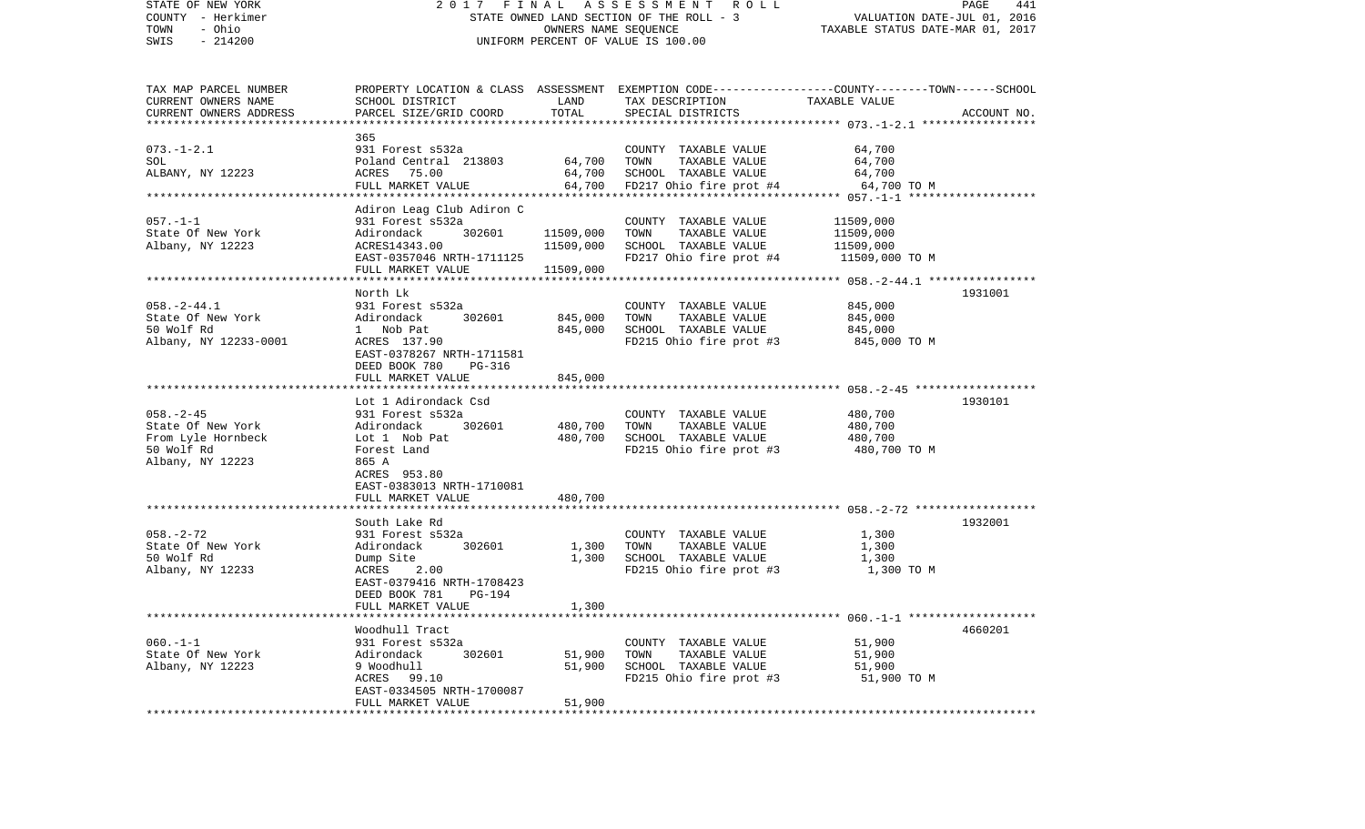| STATE OF NEW YORK<br>COUNTY - Herkimer<br>- Ohio<br>TOWN |                                              |           | 2017 FINAL ASSESSMENT ROLL<br>STATE OWNED LAND SECTION OF THE ROLL - 3<br>OWNERS NAME SEQUENCE  | VALUATION DATE-JUL 01, 2016<br>TAXABLE STATUS DATE-MAR 01, 2017 | PAGE<br>441 |
|----------------------------------------------------------|----------------------------------------------|-----------|-------------------------------------------------------------------------------------------------|-----------------------------------------------------------------|-------------|
| $-214200$<br>SWIS                                        |                                              |           | UNIFORM PERCENT OF VALUE IS 100.00                                                              |                                                                 |             |
| TAX MAP PARCEL NUMBER                                    |                                              |           | PROPERTY LOCATION & CLASS ASSESSMENT EXEMPTION CODE---------------COUNTY-------TOWN------SCHOOL |                                                                 |             |
| CURRENT OWNERS NAME                                      | SCHOOL DISTRICT                              | LAND      | TAX DESCRIPTION                                                                                 | TAXABLE VALUE                                                   |             |
| CURRENT OWNERS ADDRESS                                   | PARCEL SIZE/GRID COORD                       | TOTAL     | SPECIAL DISTRICTS                                                                               |                                                                 | ACCOUNT NO. |
|                                                          | 365                                          |           |                                                                                                 |                                                                 |             |
| $073. - 1 - 2.1$                                         | 931 Forest s532a                             |           | COUNTY TAXABLE VALUE                                                                            | 64,700                                                          |             |
| SOL                                                      | Poland Central 213803                        | 64,700    | TOWN<br>TAXABLE VALUE                                                                           | 64,700                                                          |             |
| ALBANY, NY 12223                                         | ACRES 75.00                                  | 64,700    | SCHOOL TAXABLE VALUE                                                                            | 64,700                                                          |             |
|                                                          | FULL MARKET VALUE                            |           | 64,700 FD217 Ohio fire prot #4                                                                  | 64,700 TO M                                                     |             |
|                                                          | Adiron Leag Club Adiron C                    |           |                                                                                                 |                                                                 |             |
| $057. - 1 - 1$                                           | 931 Forest s532a                             |           | COUNTY TAXABLE VALUE                                                                            | 11509,000                                                       |             |
| State Of New York                                        | Adirondack<br>302601                         | 11509,000 | TOWN<br>TAXABLE VALUE                                                                           | 11509,000                                                       |             |
| Albany, NY 12223                                         | ACRES14343.00                                | 11509,000 | SCHOOL TAXABLE VALUE                                                                            | 11509,000                                                       |             |
|                                                          | EAST-0357046 NRTH-1711125                    |           | FD217 Ohio fire prot #4                                                                         | 11509,000 TO M                                                  |             |
|                                                          | FULL MARKET VALUE                            | 11509,000 |                                                                                                 |                                                                 |             |
|                                                          | North Lk                                     |           |                                                                                                 |                                                                 | 1931001     |
| $058. - 2 - 44.1$                                        | 931 Forest s532a                             |           | COUNTY TAXABLE VALUE                                                                            | 845,000                                                         |             |
| State Of New York                                        | 302601<br>Adirondack                         | 845,000   | TAXABLE VALUE<br>TOWN                                                                           | 845,000                                                         |             |
| 50 Wolf Rd                                               | 1 Nob Pat                                    | 845,000   | SCHOOL TAXABLE VALUE                                                                            | 845,000                                                         |             |
| Albany, NY 12233-0001                                    | ACRES 137.90                                 |           | FD215 Ohio fire prot #3                                                                         | 845,000 TO M                                                    |             |
|                                                          | EAST-0378267 NRTH-1711581                    |           |                                                                                                 |                                                                 |             |
|                                                          | DEED BOOK 780<br>PG-316<br>FULL MARKET VALUE | 845,000   |                                                                                                 |                                                                 |             |
|                                                          |                                              |           |                                                                                                 |                                                                 |             |
|                                                          | Lot 1 Adirondack Csd                         |           |                                                                                                 |                                                                 | 1930101     |
| $058. - 2 - 45$                                          | 931 Forest s532a                             |           | COUNTY TAXABLE VALUE                                                                            | 480,700                                                         |             |
| State Of New York                                        | 302601<br>Adirondack                         | 480,700   | TOWN<br>TAXABLE VALUE                                                                           | 480,700                                                         |             |
| From Lyle Hornbeck                                       | Lot 1 Nob Pat                                | 480,700   | SCHOOL TAXABLE VALUE                                                                            | 480,700                                                         |             |
| 50 Wolf Rd<br>Albany, NY 12223                           | Forest Land<br>865 A                         |           | FD215 Ohio fire prot #3                                                                         | 480,700 TO M                                                    |             |
|                                                          | ACRES 953.80                                 |           |                                                                                                 |                                                                 |             |
|                                                          | EAST-0383013 NRTH-1710081                    |           |                                                                                                 |                                                                 |             |
|                                                          | FULL MARKET VALUE                            | 480,700   |                                                                                                 |                                                                 |             |
|                                                          |                                              |           |                                                                                                 |                                                                 |             |
|                                                          | South Lake Rd                                |           |                                                                                                 |                                                                 | 1932001     |
| $058. - 2 - 72$<br>State Of New York                     | 931 Forest s532a<br>302601<br>Adirondack     | 1,300     | COUNTY TAXABLE VALUE<br>TOWN<br>TAXABLE VALUE                                                   | 1,300<br>1,300                                                  |             |
| 50 Wolf Rd                                               | Dump Site                                    | 1,300     | SCHOOL TAXABLE VALUE                                                                            | 1,300                                                           |             |
| Albany, NY 12233                                         | ACRES 2.00                                   |           | FD215 Ohio fire prot #3                                                                         | 1,300 TO M                                                      |             |
|                                                          | EAST-0379416 NRTH-1708423                    |           |                                                                                                 |                                                                 |             |
|                                                          | DEED BOOK 781<br>PG-194                      |           |                                                                                                 |                                                                 |             |
|                                                          | FULL MARKET VALUE                            | 1,300     |                                                                                                 |                                                                 |             |
|                                                          |                                              |           |                                                                                                 |                                                                 | 4660201     |
| $060. -1 - 1$                                            | Woodhull Tract<br>931 Forest s532a           |           | COUNTY TAXABLE VALUE                                                                            | 51,900                                                          |             |
| State Of New York                                        | 302601<br>Adirondack                         | 51,900    | TAXABLE VALUE<br>TOWN                                                                           | 51,900                                                          |             |
| Albany, NY 12223                                         | 9 Woodhull                                   | 51,900    | SCHOOL TAXABLE VALUE                                                                            | 51,900                                                          |             |
|                                                          | ACRES 99.10                                  |           | FD215 Ohio fire prot #3                                                                         | 51,900 TO M                                                     |             |
|                                                          | EAST-0334505 NRTH-1700087                    |           |                                                                                                 |                                                                 |             |
|                                                          | FULL MARKET VALUE                            | 51,900    |                                                                                                 |                                                                 |             |
|                                                          |                                              |           |                                                                                                 |                                                                 |             |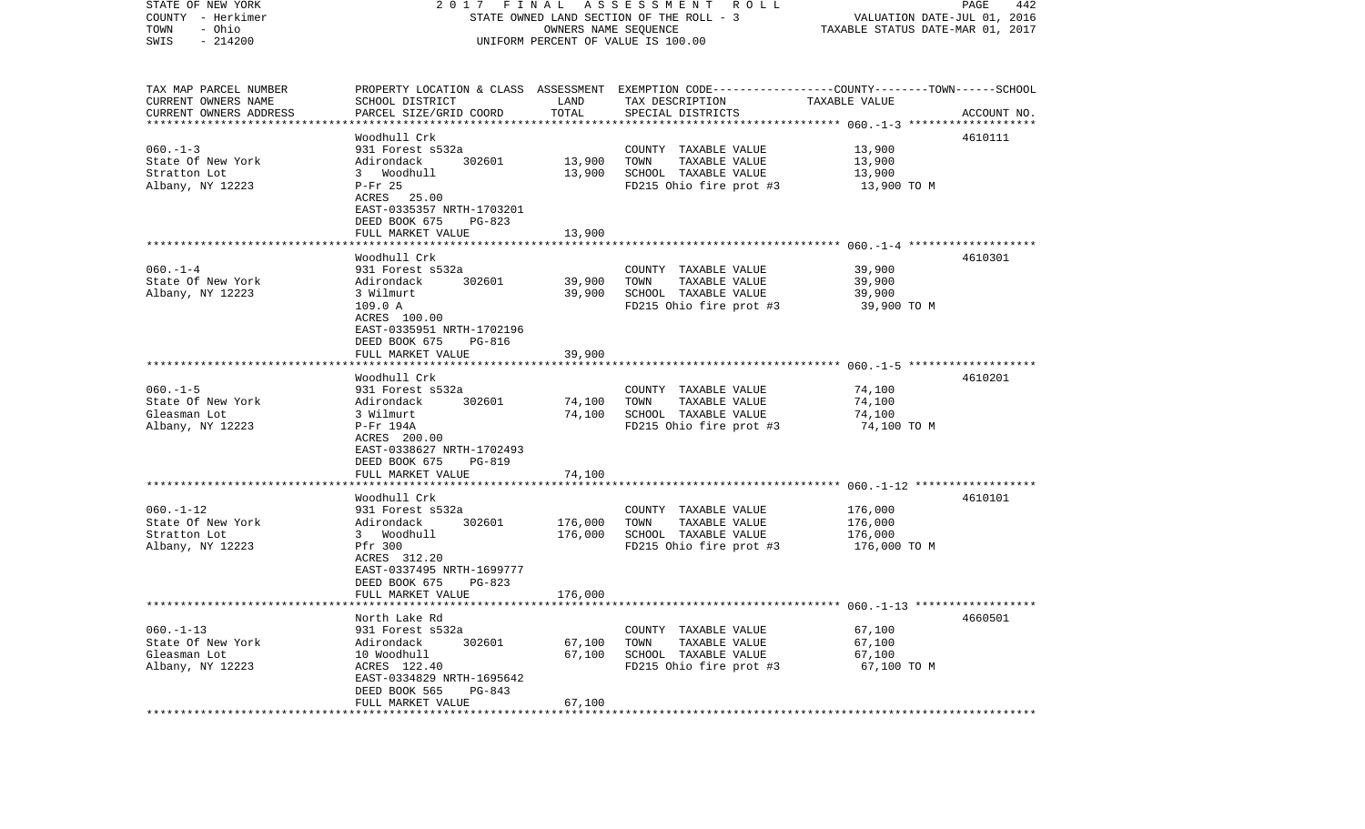| STATE OF NEW YORK<br>COUNTY - Herkimer<br>TOWN<br>- Ohio | FINAL<br>2017<br>STATE OWNED LAND SECTION OF THE ROLL - 3 | PAGE<br>442<br>VALUATION DATE-JUL 01, 2016<br>TAXABLE STATUS DATE-MAR 01, 2017 |                                                                                                                    |                         |             |
|----------------------------------------------------------|-----------------------------------------------------------|--------------------------------------------------------------------------------|--------------------------------------------------------------------------------------------------------------------|-------------------------|-------------|
| $-214200$<br>SWIS                                        |                                                           |                                                                                | UNIFORM PERCENT OF VALUE IS 100.00                                                                                 |                         |             |
| TAX MAP PARCEL NUMBER<br>CURRENT OWNERS NAME             | SCHOOL DISTRICT                                           | LAND                                                                           | PROPERTY LOCATION & CLASS ASSESSMENT EXEMPTION CODE---------------COUNTY-------TOWN------SCHOOL<br>TAX DESCRIPTION | TAXABLE VALUE           |             |
| CURRENT OWNERS ADDRESS<br>*************************      | PARCEL SIZE/GRID COORD                                    | TOTAL                                                                          | SPECIAL DISTRICTS                                                                                                  |                         | ACCOUNT NO. |
|                                                          | Woodhull Crk                                              |                                                                                |                                                                                                                    |                         | 4610111     |
| $060 - 1 - 3$                                            | 931 Forest s532a                                          |                                                                                | COUNTY TAXABLE VALUE                                                                                               | 13,900                  |             |
| State Of New York                                        | 302601<br>Adirondack                                      | 13,900                                                                         | TOWN<br>TAXABLE VALUE                                                                                              | 13,900                  |             |
| Stratton Lot<br>Albany, NY 12223                         | 3 Woodhull<br>$P-Fr$ 25                                   | 13,900                                                                         | SCHOOL TAXABLE VALUE<br>FD215 Ohio fire prot #3                                                                    | 13,900<br>13,900 TO M   |             |
|                                                          | ACRES 25.00                                               |                                                                                |                                                                                                                    |                         |             |
|                                                          | EAST-0335357 NRTH-1703201                                 |                                                                                |                                                                                                                    |                         |             |
|                                                          | DEED BOOK 675<br>PG-823                                   |                                                                                |                                                                                                                    |                         |             |
|                                                          | FULL MARKET VALUE                                         | 13,900                                                                         |                                                                                                                    |                         |             |
|                                                          | Woodhull Crk                                              |                                                                                |                                                                                                                    |                         | 4610301     |
| $060 - 1 - 4$                                            | 931 Forest s532a                                          |                                                                                | COUNTY TAXABLE VALUE                                                                                               | 39,900                  |             |
| State Of New York                                        | 302601<br>Adirondack                                      | 39,900                                                                         | TOWN<br>TAXABLE VALUE                                                                                              | 39,900                  |             |
| Albany, NY 12223                                         | 3 Wilmurt<br>109.0 A                                      | 39,900                                                                         | SCHOOL TAXABLE VALUE<br>FD215 Ohio fire prot #3                                                                    | 39,900<br>39,900 TO M   |             |
|                                                          | ACRES 100.00                                              |                                                                                |                                                                                                                    |                         |             |
|                                                          | EAST-0335951 NRTH-1702196                                 |                                                                                |                                                                                                                    |                         |             |
|                                                          | DEED BOOK 675<br>PG-816                                   |                                                                                |                                                                                                                    |                         |             |
|                                                          | FULL MARKET VALUE                                         | 39,900                                                                         |                                                                                                                    |                         |             |
|                                                          | Woodhull Crk                                              |                                                                                |                                                                                                                    |                         | 4610201     |
| $060. -1 - 5$                                            | 931 Forest s532a                                          |                                                                                | COUNTY TAXABLE VALUE                                                                                               | 74,100                  |             |
| State Of New York                                        | 302601<br>Adirondack                                      | 74,100                                                                         | TAXABLE VALUE<br>TOWN                                                                                              | 74,100                  |             |
| Gleasman Lot<br>Albany, NY 12223                         | 3 Wilmurt<br>P-Fr 194A                                    | 74,100                                                                         | SCHOOL TAXABLE VALUE<br>FD215 Ohio fire prot #3                                                                    | 74,100<br>74,100 TO M   |             |
|                                                          | ACRES 200.00                                              |                                                                                |                                                                                                                    |                         |             |
|                                                          | EAST-0338627 NRTH-1702493                                 |                                                                                |                                                                                                                    |                         |             |
|                                                          | DEED BOOK 675<br>PG-819                                   |                                                                                |                                                                                                                    |                         |             |
|                                                          | FULL MARKET VALUE<br>****************************         | 74,100                                                                         |                                                                                                                    |                         |             |
|                                                          | Woodhull Crk                                              |                                                                                |                                                                                                                    |                         | 4610101     |
| $060. -1 - 12$                                           | 931 Forest s532a                                          |                                                                                | COUNTY TAXABLE VALUE                                                                                               | 176,000                 |             |
| State Of New York                                        | 302601<br>Adirondack                                      | 176,000                                                                        | TOWN<br>TAXABLE VALUE                                                                                              | 176,000                 |             |
| Stratton Lot<br>Albany, NY 12223                         | 3 Woodhull<br>Pfr 300                                     | 176,000                                                                        | SCHOOL TAXABLE VALUE<br>FD215 Ohio fire prot #3                                                                    | 176,000<br>176,000 TO M |             |
|                                                          | ACRES 312.20                                              |                                                                                |                                                                                                                    |                         |             |
|                                                          | EAST-0337495 NRTH-1699777                                 |                                                                                |                                                                                                                    |                         |             |
|                                                          | DEED BOOK 675<br>PG-823                                   |                                                                                |                                                                                                                    |                         |             |
|                                                          | FULL MARKET VALUE                                         | 176,000                                                                        |                                                                                                                    |                         |             |
|                                                          | North Lake Rd                                             |                                                                                |                                                                                                                    |                         | 4660501     |
| $060. -1 - 13$                                           | 931 Forest s532a                                          |                                                                                | COUNTY TAXABLE VALUE                                                                                               | 67,100                  |             |
| State Of New York                                        | Adirondack<br>302601                                      | 67,100                                                                         | TOWN<br>TAXABLE VALUE                                                                                              | 67,100                  |             |
| Gleasman Lot<br>Albany, NY 12223                         | 10 Woodhull<br>ACRES 122.40                               | 67,100                                                                         | SCHOOL TAXABLE VALUE<br>FD215 Ohio fire prot #3                                                                    | 67,100<br>67,100 TO M   |             |
|                                                          | EAST-0334829 NRTH-1695642                                 |                                                                                |                                                                                                                    |                         |             |
|                                                          | DEED BOOK 565<br>PG-843                                   |                                                                                |                                                                                                                    |                         |             |
| *************                                            | FULL MARKET VALUE                                         | 67,100                                                                         |                                                                                                                    |                         |             |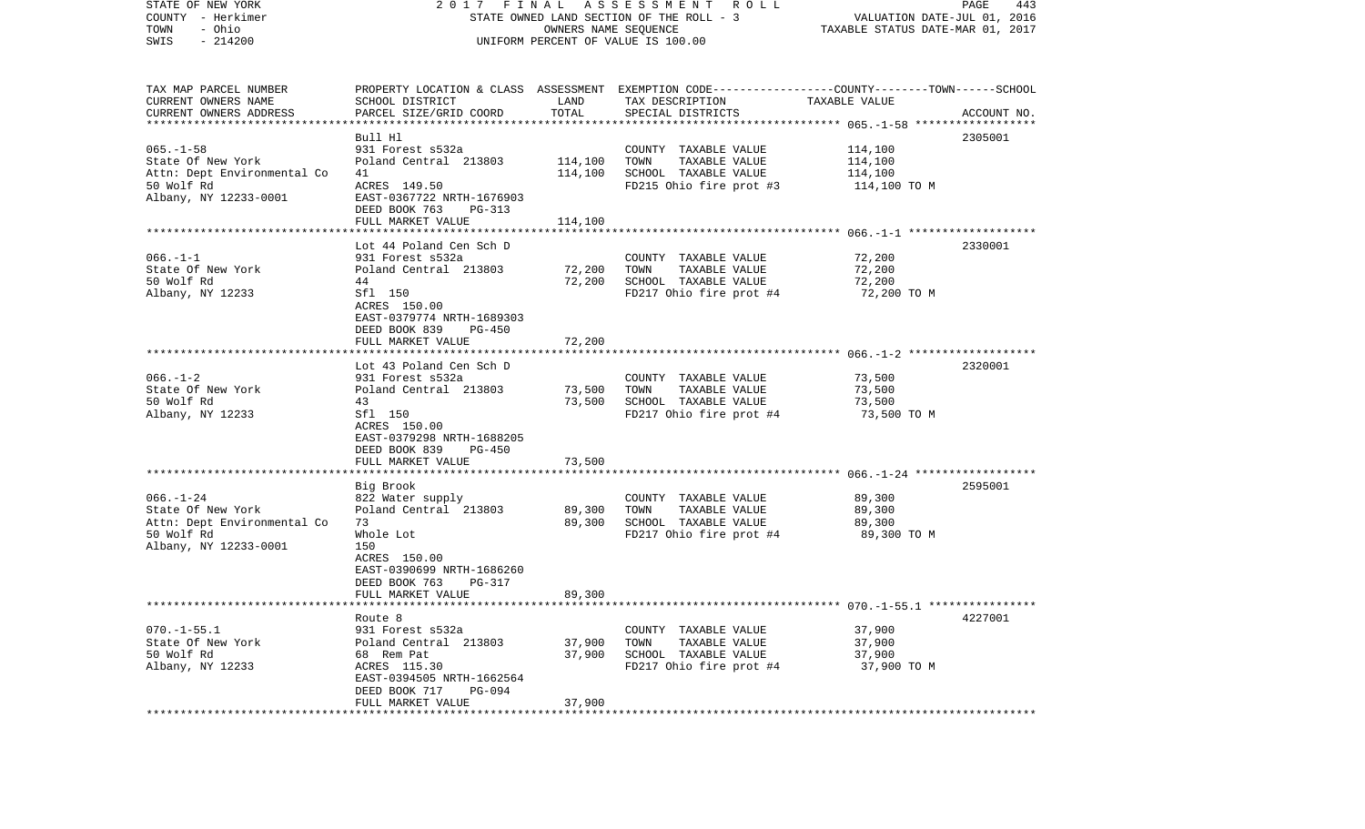| STATE OF NEW YORK<br>COUNTY - Herkimer<br>- Ohio<br>TOWN<br>$-214200$<br>SWIS | FINAL<br>A S S E S S M E N T R O L L<br>2017<br>STATE OWNED LAND SECTION OF THE ROLL - 3<br>OWNERS NAME SEQUENCE<br>UNIFORM PERCENT OF VALUE IS 100.00 |                         |                                                                                                                    | PAGE<br>443<br>VALUATION DATE-JUL 01, 2016<br>TAXABLE STATUS DATE-MAR 01, 2017 |             |  |
|-------------------------------------------------------------------------------|--------------------------------------------------------------------------------------------------------------------------------------------------------|-------------------------|--------------------------------------------------------------------------------------------------------------------|--------------------------------------------------------------------------------|-------------|--|
| TAX MAP PARCEL NUMBER<br>CURRENT OWNERS NAME                                  | SCHOOL DISTRICT                                                                                                                                        | LAND                    | PROPERTY LOCATION & CLASS ASSESSMENT EXEMPTION CODE---------------COUNTY-------TOWN------SCHOOL<br>TAX DESCRIPTION | TAXABLE VALUE                                                                  |             |  |
| CURRENT OWNERS ADDRESS                                                        | PARCEL SIZE/GRID COORD                                                                                                                                 | TOTAL                   | SPECIAL DISTRICTS                                                                                                  |                                                                                | ACCOUNT NO. |  |
| ************************                                                      | Bull Hl                                                                                                                                                |                         |                                                                                                                    |                                                                                | 2305001     |  |
| $065. -1 - 58$                                                                | 931 Forest s532a                                                                                                                                       |                         | COUNTY TAXABLE VALUE                                                                                               | 114,100                                                                        |             |  |
| State Of New York                                                             | Poland Central 213803                                                                                                                                  | 114,100                 | TOWN<br>TAXABLE VALUE                                                                                              | 114,100                                                                        |             |  |
| Attn: Dept Environmental Co                                                   | 41                                                                                                                                                     | 114,100                 | SCHOOL TAXABLE VALUE                                                                                               | 114,100                                                                        |             |  |
| 50 Wolf Rd                                                                    | ACRES 149.50                                                                                                                                           |                         | FD215 Ohio fire prot #3                                                                                            | 114,100 TO M                                                                   |             |  |
| Albany, NY 12233-0001                                                         | EAST-0367722 NRTH-1676903                                                                                                                              |                         |                                                                                                                    |                                                                                |             |  |
|                                                                               | DEED BOOK 763<br>PG-313                                                                                                                                |                         |                                                                                                                    |                                                                                |             |  |
|                                                                               | FULL MARKET VALUE                                                                                                                                      | 114,100                 |                                                                                                                    |                                                                                |             |  |
|                                                                               |                                                                                                                                                        |                         |                                                                                                                    |                                                                                |             |  |
|                                                                               | Lot 44 Poland Cen Sch D                                                                                                                                |                         |                                                                                                                    |                                                                                | 2330001     |  |
| $066. -1 - 1$                                                                 | 931 Forest s532a                                                                                                                                       |                         | COUNTY TAXABLE VALUE                                                                                               | 72,200                                                                         |             |  |
| State Of New York                                                             | Poland Central 213803                                                                                                                                  | 72,200                  | TOWN<br>TAXABLE VALUE                                                                                              | 72,200                                                                         |             |  |
| 50 Wolf Rd                                                                    | 44                                                                                                                                                     | 72,200                  | SCHOOL TAXABLE VALUE                                                                                               | 72,200                                                                         |             |  |
| Albany, NY 12233                                                              | Sfl 150                                                                                                                                                |                         | FD217 Ohio fire prot #4                                                                                            | 72,200 TO M                                                                    |             |  |
|                                                                               | ACRES 150.00                                                                                                                                           |                         |                                                                                                                    |                                                                                |             |  |
|                                                                               | EAST-0379774 NRTH-1689303<br>DEED BOOK 839<br><b>PG-450</b>                                                                                            |                         |                                                                                                                    |                                                                                |             |  |
|                                                                               | FULL MARKET VALUE                                                                                                                                      | 72,200                  |                                                                                                                    |                                                                                |             |  |
|                                                                               |                                                                                                                                                        |                         |                                                                                                                    |                                                                                |             |  |
|                                                                               | Lot 43 Poland Cen Sch D                                                                                                                                |                         |                                                                                                                    |                                                                                | 2320001     |  |
| $066. - 1 - 2$                                                                | 931 Forest s532a                                                                                                                                       |                         | COUNTY TAXABLE VALUE                                                                                               | 73,500                                                                         |             |  |
| State Of New York                                                             | Poland Central 213803                                                                                                                                  | 73,500                  | TAXABLE VALUE<br>TOWN                                                                                              | 73,500                                                                         |             |  |
| 50 Wolf Rd                                                                    | 43                                                                                                                                                     | 73,500                  | SCHOOL TAXABLE VALUE                                                                                               | 73,500                                                                         |             |  |
| Albany, NY 12233                                                              | Sfl 150                                                                                                                                                |                         | FD217 Ohio fire prot #4                                                                                            | 73,500 TO M                                                                    |             |  |
|                                                                               | ACRES 150.00                                                                                                                                           |                         |                                                                                                                    |                                                                                |             |  |
|                                                                               | EAST-0379298 NRTH-1688205                                                                                                                              |                         |                                                                                                                    |                                                                                |             |  |
|                                                                               | DEED BOOK 839<br>PG-450                                                                                                                                |                         |                                                                                                                    |                                                                                |             |  |
|                                                                               | FULL MARKET VALUE<br>******************                                                                                                                | 73,500<br>************* |                                                                                                                    |                                                                                |             |  |
|                                                                               | Big Brook                                                                                                                                              |                         |                                                                                                                    |                                                                                | 2595001     |  |
| $066. - 1 - 24$                                                               | 822 Water supply                                                                                                                                       |                         | COUNTY TAXABLE VALUE                                                                                               | 89,300                                                                         |             |  |
| State Of New York                                                             | Poland Central 213803                                                                                                                                  | 89,300                  | TOWN<br>TAXABLE VALUE                                                                                              | 89,300                                                                         |             |  |
| Attn: Dept Environmental Co                                                   | 73                                                                                                                                                     | 89,300                  | SCHOOL TAXABLE VALUE                                                                                               | 89,300                                                                         |             |  |
| 50 Wolf Rd                                                                    | Whole Lot                                                                                                                                              |                         | FD217 Ohio fire prot #4                                                                                            | 89,300 TO M                                                                    |             |  |
| Albany, NY 12233-0001                                                         | 150                                                                                                                                                    |                         |                                                                                                                    |                                                                                |             |  |
|                                                                               | ACRES 150.00                                                                                                                                           |                         |                                                                                                                    |                                                                                |             |  |
|                                                                               | EAST-0390699 NRTH-1686260                                                                                                                              |                         |                                                                                                                    |                                                                                |             |  |
|                                                                               | DEED BOOK 763<br>PG-317                                                                                                                                |                         |                                                                                                                    |                                                                                |             |  |
|                                                                               | FULL MARKET VALUE                                                                                                                                      | 89,300                  |                                                                                                                    |                                                                                |             |  |
|                                                                               |                                                                                                                                                        |                         |                                                                                                                    |                                                                                |             |  |
|                                                                               | Route 8                                                                                                                                                |                         |                                                                                                                    |                                                                                | 4227001     |  |
| $070. -1 - 55.1$<br>State Of New York                                         | 931 Forest s532a<br>Poland Central 213803                                                                                                              | 37,900                  | COUNTY TAXABLE VALUE<br>TAXABLE VALUE<br>TOWN                                                                      | 37,900<br>37,900                                                               |             |  |
| 50 Wolf Rd                                                                    | 68 Rem Pat                                                                                                                                             | 37,900                  | SCHOOL TAXABLE VALUE                                                                                               | 37,900                                                                         |             |  |
| Albany, NY 12233                                                              | ACRES 115.30                                                                                                                                           |                         | FD217 Ohio fire prot #4                                                                                            | 37,900 TO M                                                                    |             |  |
|                                                                               | EAST-0394505 NRTH-1662564                                                                                                                              |                         |                                                                                                                    |                                                                                |             |  |
|                                                                               | DEED BOOK 717<br>PG-094                                                                                                                                |                         |                                                                                                                    |                                                                                |             |  |
|                                                                               | FULL MARKET VALUE                                                                                                                                      | 37,900                  |                                                                                                                    |                                                                                |             |  |
|                                                                               | *******************                                                                                                                                    |                         |                                                                                                                    |                                                                                |             |  |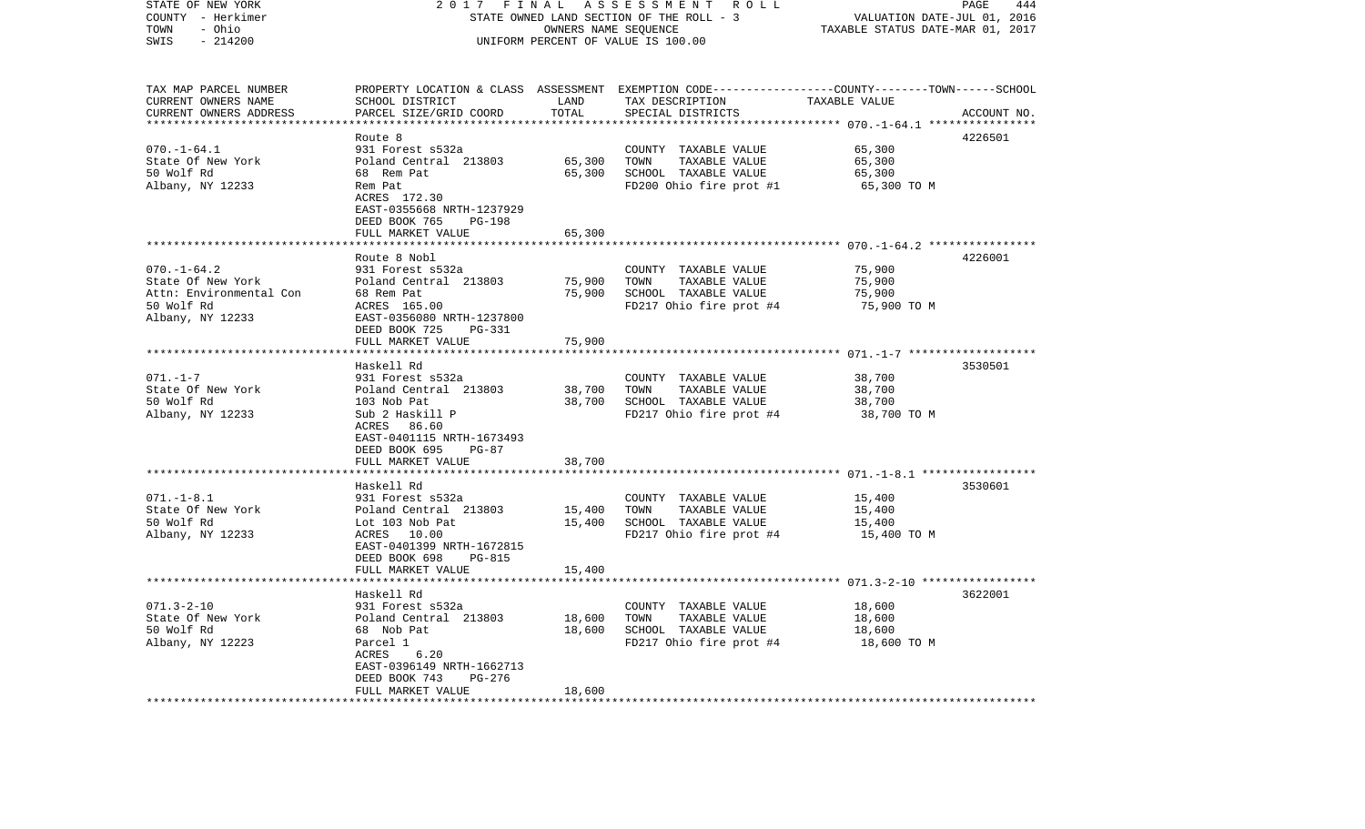| STATE OF NEW YORK<br>COUNTY - Herkimer<br>- Ohio<br>TOWN<br>SWIS<br>$-214200$                       | 2017<br>FINAL<br>A S S E S S M E N T R O L L<br>STATE OWNED LAND SECTION OF THE ROLL - 3<br>OWNERS NAME SEQUENCE<br>UNIFORM PERCENT OF VALUE IS 100.00                            |                                | PAGE<br>444<br>VALUATION DATE-JUL 01, 2016<br>TAXABLE STATUS DATE-MAR 01, 2017                                                          |                                                                 |             |
|-----------------------------------------------------------------------------------------------------|-----------------------------------------------------------------------------------------------------------------------------------------------------------------------------------|--------------------------------|-----------------------------------------------------------------------------------------------------------------------------------------|-----------------------------------------------------------------|-------------|
| TAX MAP PARCEL NUMBER<br>CURRENT OWNERS NAME<br>CURRENT OWNERS ADDRESS                              | SCHOOL DISTRICT<br>PARCEL SIZE/GRID COORD                                                                                                                                         | LAND<br>TOTAL<br>************* | PROPERTY LOCATION & CLASS ASSESSMENT EXEMPTION CODE---------------COUNTY-------TOWN------SCHOOL<br>TAX DESCRIPTION<br>SPECIAL DISTRICTS | TAXABLE VALUE<br>******************* 070.-1-64.1 ************** | ACCOUNT NO. |
|                                                                                                     | Route 8                                                                                                                                                                           |                                |                                                                                                                                         |                                                                 | 4226501     |
| $070. - 1 - 64.1$<br>State Of New York<br>50 Wolf Rd<br>Albany, NY 12233                            | 931 Forest s532a<br>Poland Central 213803<br>68 Rem Pat<br>Rem Pat<br>ACRES 172.30<br>EAST-0355668 NRTH-1237929<br>DEED BOOK 765<br>PG-198                                        | 65,300<br>65,300               | COUNTY TAXABLE VALUE<br>TOWN<br>TAXABLE VALUE<br>SCHOOL TAXABLE VALUE<br>FD200 Ohio fire prot #1                                        | 65,300<br>65,300<br>65,300<br>65,300 TO M                       |             |
|                                                                                                     | FULL MARKET VALUE<br>*****************************                                                                                                                                | 65,300                         |                                                                                                                                         |                                                                 |             |
| $070. - 1 - 64.2$<br>State Of New York<br>Attn: Environmental Con<br>50 Wolf Rd<br>Albany, NY 12233 | Route 8 Nobl<br>931 Forest s532a<br>Poland Central 213803<br>68 Rem Pat<br>ACRES 165.00<br>EAST-0356080 NRTH-1237800<br>DEED BOOK 725<br>PG-331                                   | 75,900<br>75,900               | COUNTY TAXABLE VALUE<br>TOWN<br>TAXABLE VALUE<br>SCHOOL TAXABLE VALUE<br>FD217 Ohio fire prot #4                                        | 75,900<br>75,900<br>75,900<br>75,900 ТО М                       | 4226001     |
|                                                                                                     | FULL MARKET VALUE                                                                                                                                                                 | 75,900                         |                                                                                                                                         |                                                                 |             |
|                                                                                                     | *************************<br>Haskell Rd                                                                                                                                           |                                |                                                                                                                                         |                                                                 | 3530501     |
| $071. - 1 - 7$<br>State Of New York<br>50 Wolf Rd<br>Albany, NY 12233                               | 931 Forest s532a<br>Poland Central 213803<br>103 Nob Pat<br>Sub 2 Haskill P<br>ACRES<br>86.60<br>EAST-0401115 NRTH-1673493<br>DEED BOOK 695<br>PG-87<br>FULL MARKET VALUE         | 38,700<br>38,700<br>38,700     | COUNTY TAXABLE VALUE<br>TOWN<br>TAXABLE VALUE<br>SCHOOL TAXABLE VALUE<br>FD217 Ohio fire prot #4                                        | 38,700<br>38,700<br>38,700<br>38,700 TO M                       |             |
|                                                                                                     |                                                                                                                                                                                   |                                |                                                                                                                                         |                                                                 |             |
| $071. - 1 - 8.1$<br>State Of New York<br>50 Wolf Rd<br>Albany, NY 12233                             | Haskell Rd<br>931 Forest s532a<br>Poland Central 213803<br>Lot 103 Nob Pat<br>ACRES<br>10.00<br>EAST-0401399 NRTH-1672815<br>DEED BOOK 698<br>PG-815                              | 15,400<br>15,400               | COUNTY TAXABLE VALUE<br>TOWN<br>TAXABLE VALUE<br>SCHOOL TAXABLE VALUE<br>FD217 Ohio fire prot #4                                        | 15,400<br>15,400<br>15,400<br>15,400 TO M                       | 3530601     |
|                                                                                                     | FULL MARKET VALUE<br>* * * * * * * * * * * * *                                                                                                                                    | 15,400                         |                                                                                                                                         |                                                                 |             |
| $071.3 - 2 - 10$<br>State Of New York<br>50 Wolf Rd<br>Albany, NY 12223                             | Haskell Rd<br>931 Forest s532a<br>Poland Central 213803<br>68 Nob Pat<br>Parcel 1<br>ACRES<br>6.20<br>EAST-0396149 NRTH-1662713<br>DEED BOOK 743<br>$PG-276$<br>FULL MARKET VALUE | 18,600<br>18,600<br>18,600     | COUNTY TAXABLE VALUE<br>TOWN<br>TAXABLE VALUE<br>SCHOOL TAXABLE VALUE<br>FD217 Ohio fire prot #4                                        | 18,600<br>18,600<br>18,600<br>18,600 TO M                       | 3622001     |
| ************************                                                                            | *************************                                                                                                                                                         |                                |                                                                                                                                         |                                                                 |             |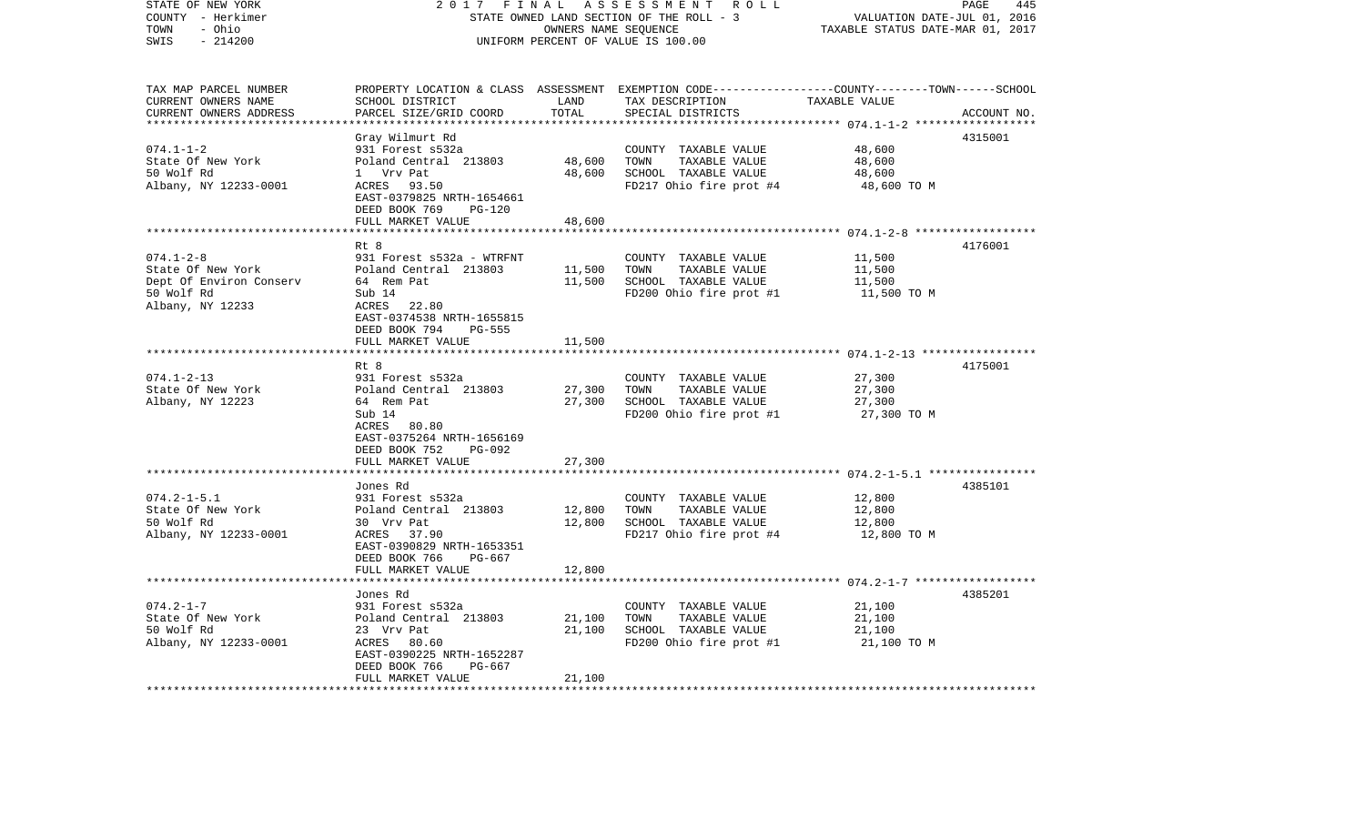| TAX MAP PARCEL NUMBER<br>PROPERTY LOCATION & CLASS ASSESSMENT EXEMPTION CODE----------------COUNTY-------TOWN------SCHOOL<br>CURRENT OWNERS NAME<br>SCHOOL DISTRICT<br>LAND<br>TAX DESCRIPTION<br>TAXABLE VALUE<br>TOTAL<br>CURRENT OWNERS ADDRESS<br>PARCEL SIZE/GRID COORD<br>SPECIAL DISTRICTS<br>***********************                                                                                                                                                       | ACCOUNT NO. |
|------------------------------------------------------------------------------------------------------------------------------------------------------------------------------------------------------------------------------------------------------------------------------------------------------------------------------------------------------------------------------------------------------------------------------------------------------------------------------------|-------------|
| Gray Wilmurt Rd<br>48,600<br>$074.1 - 1 - 2$<br>931 Forest s532a<br>COUNTY TAXABLE VALUE<br>State Of New York<br>Poland Central 213803<br>48,600<br>TOWN<br>TAXABLE VALUE<br>48,600<br>50 Wolf Rd<br>48,600<br>1 Vrv Pat<br>SCHOOL TAXABLE VALUE<br>48,600<br>Albany, NY 12233-0001<br>ACRES 93.50<br>FD217 Ohio fire prot #4<br>48,600 TO M<br>EAST-0379825 NRTH-1654661<br>DEED BOOK 769<br><b>PG-120</b><br>48,600<br>FULL MARKET VALUE                                         | 4315001     |
| ************* 074.1-2-8 *******************<br>Rt 8<br>$074.1 - 2 - 8$<br>931 Forest s532a - WTRFNT<br>11,500<br>COUNTY TAXABLE VALUE<br>State Of New York<br>Poland Central 213803<br>11,500<br>TOWN<br>TAXABLE VALUE<br>11,500<br>Dept Of Environ Conserv<br>11,500<br>SCHOOL TAXABLE VALUE<br>11,500<br>64 Rem Pat<br>50 Wolf Rd<br>Sub 14<br>FD200 Ohio fire prot #1<br>11,500 TO M<br>Albany, NY 12233<br>ACRES 22.80<br>EAST-0374538 NRTH-1655815<br>DEED BOOK 794<br>PG-555 | 4176001     |
| FULL MARKET VALUE<br>11,500<br>***************** 074.1-2-13 ******************                                                                                                                                                                                                                                                                                                                                                                                                     |             |
| Rt 8<br>$074.1 - 2 - 13$<br>931 Forest s532a<br>COUNTY TAXABLE VALUE<br>27,300<br>State Of New York<br>Poland Central 213803<br>27,300<br>TOWN<br>TAXABLE VALUE<br>27,300<br>Albany, NY 12223<br>64 Rem Pat<br>27,300<br>SCHOOL TAXABLE VALUE<br>27,300<br>Sub 14<br>FD200 Ohio fire prot #1<br>27,300 TO M<br>ACRES 80.80<br>EAST-0375264 NRTH-1656169<br>DEED BOOK 752<br><b>PG-092</b>                                                                                          | 4175001     |
| FULL MARKET VALUE<br>27,300<br>*******<br>**************************** 074.2-1-5.1 ****************                                                                                                                                                                                                                                                                                                                                                                                |             |
| Jones Rd<br>$074.2 - 1 - 5.1$<br>931 Forest s532a<br>12,800<br>COUNTY TAXABLE VALUE<br>State Of New York<br>12,800<br>12,800<br>Poland Central 213803<br>TOWN<br>TAXABLE VALUE<br>50 Wolf Rd<br>12,800<br>30 Vrv Pat<br>SCHOOL TAXABLE VALUE<br>12,800<br>Albany, NY 12233-0001<br>ACRES 37.90<br>FD217 Ohio fire prot #4<br>12,800 TO M<br>EAST-0390829 NRTH-1653351                                                                                                              | 4385101     |
| DEED BOOK 766<br>PG-667<br>FULL MARKET VALUE<br>12,800<br>********************                                                                                                                                                                                                                                                                                                                                                                                                     |             |
| Jones Rd<br>$074.2 - 1 - 7$<br>931 Forest s532a<br>COUNTY TAXABLE VALUE<br>21,100<br>State Of New York<br>Poland Central 213803<br>21,100<br>TAXABLE VALUE<br>21,100<br>TOWN<br>50 Wolf Rd<br>23 Vrv Pat<br>21,100<br>SCHOOL TAXABLE VALUE<br>21,100<br>FD200 Ohio fire prot #1<br>Albany, NY 12233-0001<br>ACRES<br>80.60<br>21,100 TO M<br>EAST-0390225 NRTH-1652287<br>DEED BOOK 766<br>PG-667<br>FULL MARKET VALUE<br>21,100<br>**************************                     | 4385201     |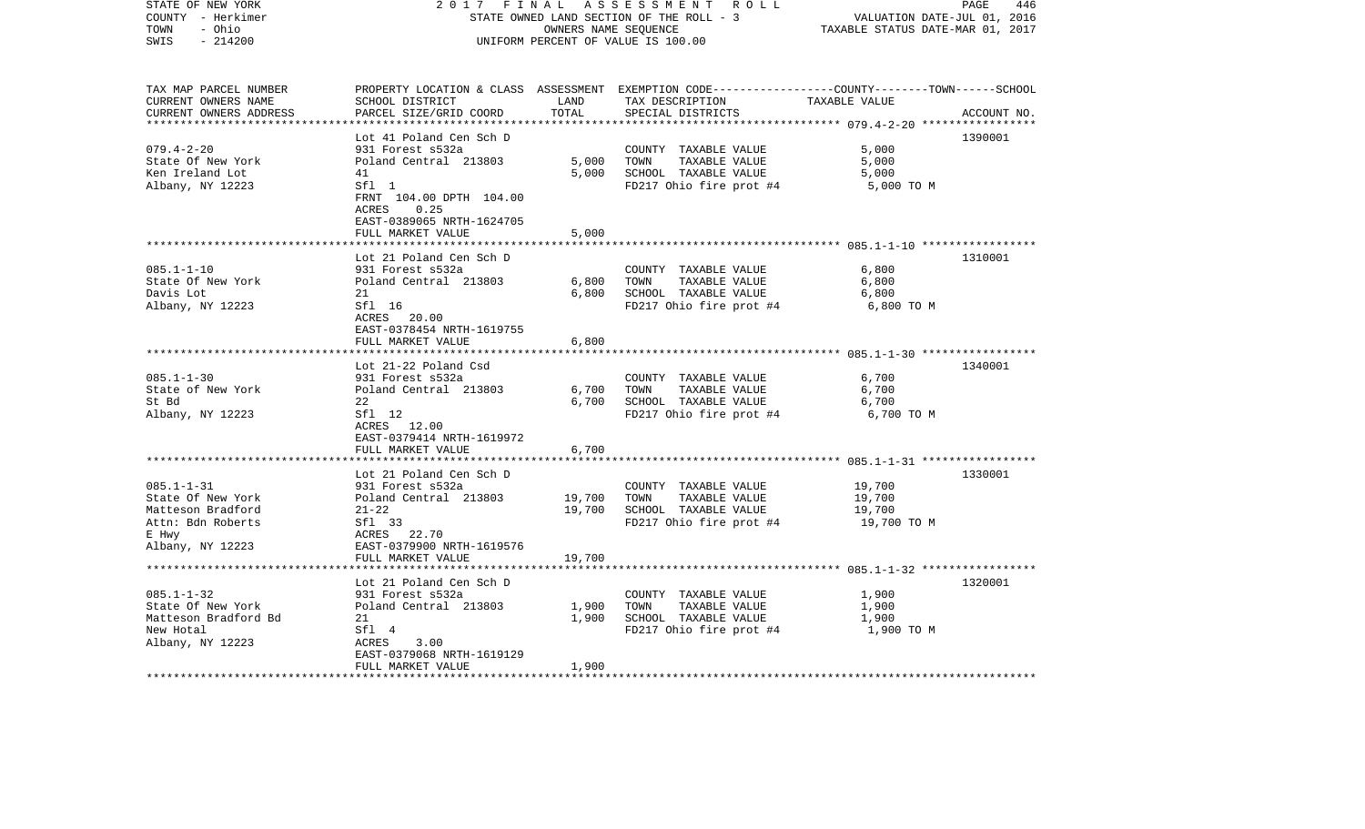| STATE OF NEW YORK<br>COUNTY - Herkimer<br>- Ohio<br>TOWN<br>$-214200$<br>SWIS                       | 2 0 1 7<br>FINAL ASSESSMENT ROLL<br>STATE OWNED LAND SECTION OF THE ROLL - 3<br>UNIFORM PERCENT OF VALUE IS 100.00 | PAGE<br>446<br>VALUATION DATE-JUL 01, 2016<br>TAXABLE STATUS DATE-MAR 01, 2017 |                                                                                                                                                       |                                       |             |
|-----------------------------------------------------------------------------------------------------|--------------------------------------------------------------------------------------------------------------------|--------------------------------------------------------------------------------|-------------------------------------------------------------------------------------------------------------------------------------------------------|---------------------------------------|-------------|
| TAX MAP PARCEL NUMBER<br>CURRENT OWNERS NAME<br>CURRENT OWNERS ADDRESS<br>************************* | SCHOOL DISTRICT<br>PARCEL SIZE/GRID COORD                                                                          | LAND<br>TOTAL                                                                  | PROPERTY LOCATION & CLASS ASSESSMENT EXEMPTION CODE---------------COUNTY-------TOWN------SCHOOL<br>TAX DESCRIPTION TAXABLE VALUE<br>SPECIAL DISTRICTS |                                       | ACCOUNT NO. |
|                                                                                                     | Lot 41 Poland Cen Sch D                                                                                            |                                                                                |                                                                                                                                                       |                                       | 1390001     |
| $079.4 - 2 - 20$                                                                                    | 931 Forest s532a                                                                                                   |                                                                                | COUNTY TAXABLE VALUE                                                                                                                                  | 5,000                                 |             |
| State Of New York                                                                                   | Poland Central 213803                                                                                              | 5,000                                                                          | TOWN<br>TAXABLE VALUE                                                                                                                                 | 5,000                                 |             |
| Ken Ireland Lot                                                                                     | 41                                                                                                                 | 5,000                                                                          | SCHOOL TAXABLE VALUE                                                                                                                                  | 5,000                                 |             |
| Albany, NY 12223                                                                                    | Sfl 1<br>FRNT 104.00 DPTH 104.00<br>ACRES<br>0.25<br>EAST-0389065 NRTH-1624705<br>FULL MARKET VALUE                | 5,000                                                                          | FD217 Ohio fire prot #4                                                                                                                               | 5,000 TO M                            |             |
|                                                                                                     |                                                                                                                    |                                                                                |                                                                                                                                                       |                                       |             |
| $085.1 - 1 - 10$<br>State Of New York<br>Davis Lot<br>Albany, NY 12223                              | Lot 21 Poland Cen Sch D<br>931 Forest s532a<br>Poland Central 213803<br>21<br>Sfl 16                               | 6,800<br>6,800                                                                 | COUNTY TAXABLE VALUE<br>TAXABLE VALUE<br>TOWN<br>SCHOOL TAXABLE VALUE<br>FD217 Ohio fire prot #4                                                      | 6,800<br>6,800<br>6,800<br>6,800 TO M | 1310001     |
|                                                                                                     | ACRES 20.00<br>EAST-0378454 NRTH-1619755<br>FULL MARKET VALUE                                                      | 6,800                                                                          |                                                                                                                                                       |                                       |             |
|                                                                                                     | Lot 21-22 Poland Csd                                                                                               |                                                                                |                                                                                                                                                       |                                       | 1340001     |
| $085.1 - 1 - 30$                                                                                    | 931 Forest s532a                                                                                                   |                                                                                | COUNTY TAXABLE VALUE                                                                                                                                  | 6,700                                 |             |
| State of New York                                                                                   | Poland Central 213803                                                                                              | 6,700                                                                          | TAXABLE VALUE<br>TOWN                                                                                                                                 | 6,700                                 |             |
| St Bd                                                                                               | 22                                                                                                                 | 6,700                                                                          | SCHOOL TAXABLE VALUE                                                                                                                                  | 6,700                                 |             |
| Albany, NY 12223                                                                                    | Sfl 12<br>ACRES 12.00<br>EAST-0379414 NRTH-1619972<br>FULL MARKET VALUE                                            | 6,700                                                                          | FD217 Ohio fire prot #4                                                                                                                               | 6,700 TO M                            |             |
|                                                                                                     |                                                                                                                    |                                                                                |                                                                                                                                                       |                                       |             |
|                                                                                                     | Lot 21 Poland Cen Sch D                                                                                            |                                                                                |                                                                                                                                                       |                                       | 1330001     |
| $085.1 - 1 - 31$                                                                                    | 931 Forest s532a                                                                                                   |                                                                                | COUNTY TAXABLE VALUE                                                                                                                                  | 19,700                                |             |
| State Of New York                                                                                   | Poland Central 213803                                                                                              | 19,700                                                                         | TOWN<br>TAXABLE VALUE                                                                                                                                 | 19,700                                |             |
| Matteson Bradford                                                                                   | $21 - 22$                                                                                                          | 19,700                                                                         | SCHOOL TAXABLE VALUE                                                                                                                                  | 19,700                                |             |
| Attn: Bdn Roberts                                                                                   | Sf1 33                                                                                                             |                                                                                | FD217 Ohio fire prot #4                                                                                                                               | 19,700 TO M                           |             |
| E Hwy<br>Albany, NY 12223                                                                           | ACRES 22.70<br>EAST-0379900 NRTH-1619576<br>FULL MARKET VALUE                                                      | 19,700                                                                         |                                                                                                                                                       |                                       |             |
|                                                                                                     |                                                                                                                    |                                                                                |                                                                                                                                                       |                                       |             |
|                                                                                                     | Lot 21 Poland Cen Sch D                                                                                            |                                                                                |                                                                                                                                                       |                                       | 1320001     |
| $085.1 - 1 - 32$                                                                                    | 931 Forest s532a                                                                                                   |                                                                                | COUNTY TAXABLE VALUE                                                                                                                                  | 1,900                                 |             |
| State Of New York                                                                                   | Poland Central 213803                                                                                              | 1,900                                                                          | TOWN<br>TAXABLE VALUE                                                                                                                                 | 1,900                                 |             |
| Matteson Bradford Bd<br>New Hotal                                                                   | 21<br>Sfl 4                                                                                                        | 1,900                                                                          | SCHOOL TAXABLE VALUE<br>FD217 Ohio fire prot #4                                                                                                       | 1,900<br>1,900 TO M                   |             |
| Albany, NY 12223                                                                                    | ACRES<br>3.00<br>EAST-0379068 NRTH-1619129                                                                         |                                                                                |                                                                                                                                                       |                                       |             |
|                                                                                                     | FULL MARKET VALUE                                                                                                  | 1,900                                                                          |                                                                                                                                                       |                                       |             |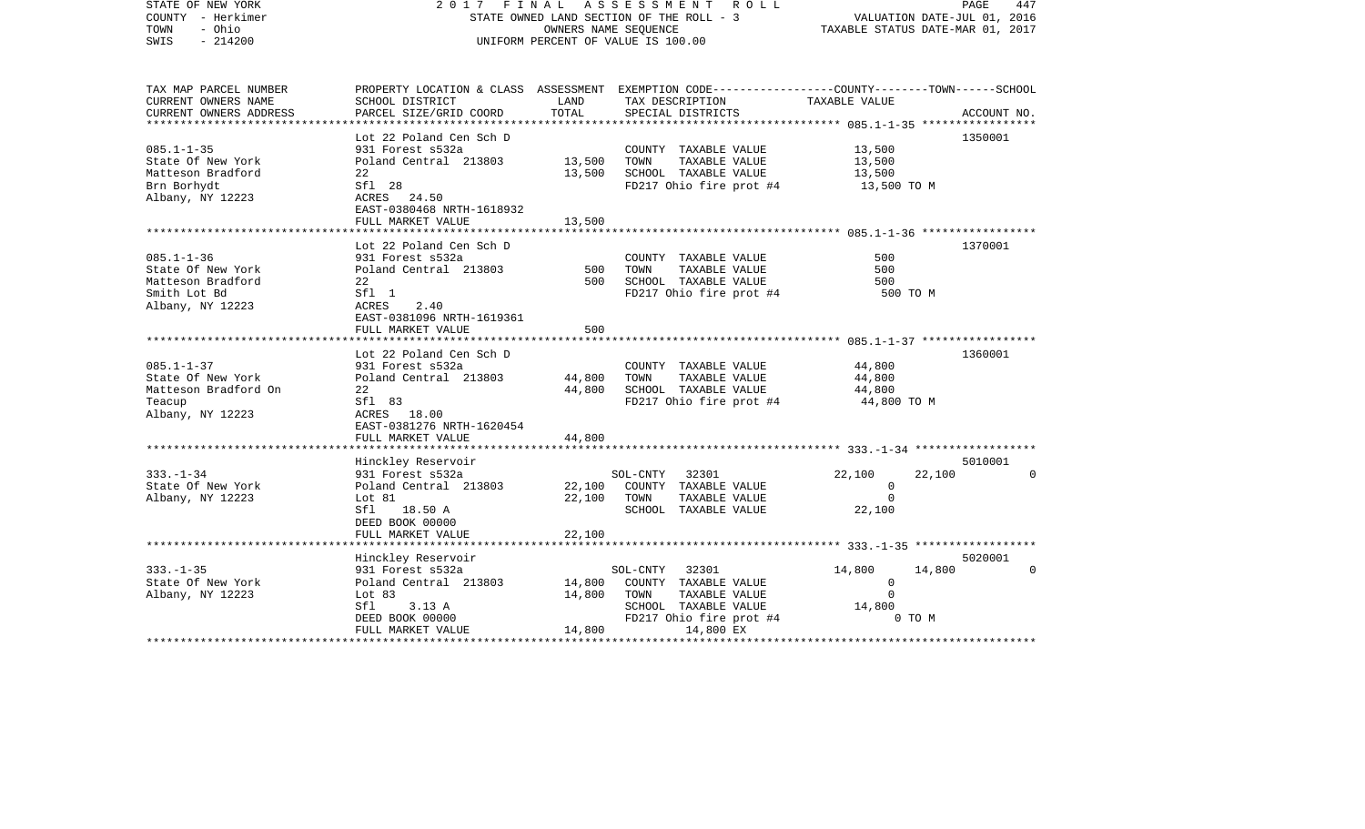| COUNTY<br>– Herkimer<br>- Ohio<br>TOWN<br>SWIS<br>$-214200$ | STATE OWNED LAND SECTION OF THE ROLL - 3<br>OWNERS NAME SEQUENCE<br>UNIFORM PERCENT OF VALUE IS 100.00 |                             |                                                                                                | VALUATION DATE-JUL 01, 2016<br>TAXABLE STATUS DATE-MAR 01, 2017 |             |
|-------------------------------------------------------------|--------------------------------------------------------------------------------------------------------|-----------------------------|------------------------------------------------------------------------------------------------|-----------------------------------------------------------------|-------------|
| TAX MAP PARCEL NUMBER                                       |                                                                                                        |                             | PROPERTY LOCATION & CLASS ASSESSMENT EXEMPTION CODE---------------COUNTY-------TOWN-----SCHOOL |                                                                 |             |
| CURRENT OWNERS NAME                                         | SCHOOL DISTRICT                                                                                        | LAND                        | TAX DESCRIPTION                                                                                | TAXABLE VALUE                                                   |             |
| CURRENT OWNERS ADDRESS<br>**********************            | PARCEL SIZE/GRID COORD                                                                                 | TOTAL                       | SPECIAL DISTRICTS                                                                              |                                                                 | ACCOUNT NO. |
|                                                             | Lot 22 Poland Cen Sch D                                                                                |                             |                                                                                                |                                                                 | 1350001     |
| $085.1 - 1 - 35$                                            | 931 Forest s532a                                                                                       |                             | COUNTY TAXABLE VALUE                                                                           | 13,500                                                          |             |
| State Of New York                                           | Poland Central 213803                                                                                  | 13,500                      | TAXABLE VALUE<br>TOWN                                                                          | 13,500                                                          |             |
| Matteson Bradford                                           | 22                                                                                                     | 13,500                      | SCHOOL TAXABLE VALUE                                                                           | 13,500                                                          |             |
| Brn Borhydt                                                 | Sfl 28                                                                                                 |                             | FD217 Ohio fire prot #4                                                                        | 13,500 TO M                                                     |             |
| Albany, NY 12223                                            | ACRES 24.50                                                                                            |                             |                                                                                                |                                                                 |             |
|                                                             | EAST-0380468 NRTH-1618932                                                                              |                             |                                                                                                |                                                                 |             |
|                                                             | FULL MARKET VALUE                                                                                      | 13,500                      |                                                                                                |                                                                 |             |
|                                                             |                                                                                                        |                             |                                                                                                |                                                                 |             |
| $085.1 - 1 - 36$                                            | Lot 22 Poland Cen Sch D<br>931 Forest s532a                                                            |                             | COUNTY TAXABLE VALUE                                                                           | 500                                                             | 1370001     |
| State Of New York                                           | Poland Central 213803                                                                                  | 500                         | TAXABLE VALUE<br>TOWN                                                                          | 500                                                             |             |
| Matteson Bradford                                           | 22                                                                                                     | 500                         | SCHOOL TAXABLE VALUE                                                                           | 500                                                             |             |
| Smith Lot Bd                                                | Sfl 1                                                                                                  |                             | FD217 Ohio fire prot #4                                                                        | 500 TO M                                                        |             |
| Albany, NY 12223                                            | 2.40<br>ACRES                                                                                          |                             |                                                                                                |                                                                 |             |
|                                                             | EAST-0381096 NRTH-1619361                                                                              |                             |                                                                                                |                                                                 |             |
|                                                             | FULL MARKET VALUE                                                                                      | 500                         |                                                                                                |                                                                 |             |
|                                                             | ***************************                                                                            |                             |                                                                                                |                                                                 |             |
|                                                             | Lot 22 Poland Cen Sch D                                                                                |                             |                                                                                                |                                                                 | 1360001     |
| $085.1 - 1 - 37$                                            | 931 Forest s532a                                                                                       |                             | COUNTY TAXABLE VALUE                                                                           | 44,800                                                          |             |
| State Of New York                                           | Poland Central 213803<br>22                                                                            | 44,800                      | TAXABLE VALUE<br>TOWN                                                                          | 44,800                                                          |             |
| Matteson Bradford On<br>Teacup                              | Sfl 83                                                                                                 | 44,800                      | SCHOOL TAXABLE VALUE<br>FD217 Ohio fire prot #4                                                | 44,800<br>44,800 TO M                                           |             |
| Albany, NY 12223                                            | ACRES 18.00                                                                                            |                             |                                                                                                |                                                                 |             |
|                                                             | EAST-0381276 NRTH-1620454                                                                              |                             |                                                                                                |                                                                 |             |
|                                                             | FULL MARKET VALUE                                                                                      | 44,800                      |                                                                                                |                                                                 |             |
|                                                             | ****************************                                                                           |                             |                                                                                                |                                                                 |             |
|                                                             | Hinckley Reservoir                                                                                     |                             |                                                                                                |                                                                 | 5010001     |
| $333. - 1 - 34$                                             | 931 Forest s532a                                                                                       |                             | 32301<br>SOL-CNTY                                                                              | 22,100<br>22,100                                                | $\Omega$    |
| State Of New York                                           | Poland Central 213803                                                                                  | 22,100                      | COUNTY TAXABLE VALUE                                                                           | $\overline{0}$                                                  |             |
| Albany, NY 12223                                            | Lot 81                                                                                                 | 22,100                      | TOWN<br>TAXABLE VALUE                                                                          | $\Omega$                                                        |             |
|                                                             | Sfl<br>18.50 A                                                                                         |                             | SCHOOL TAXABLE VALUE                                                                           | 22,100                                                          |             |
|                                                             | DEED BOOK 00000                                                                                        |                             |                                                                                                |                                                                 |             |
|                                                             | FULL MARKET VALUE                                                                                      | 22,100<br>* * * * * * * * * |                                                                                                | *********** 333. -1-35 *******************                      |             |
|                                                             | Hinckley Reservoir                                                                                     |                             |                                                                                                |                                                                 | 5020001     |
| $333. - 1 - 35$                                             | 931 Forest s532a                                                                                       |                             | 32301<br>SOL-CNTY                                                                              | 14,800<br>14,800                                                | $\Omega$    |
| State Of New York                                           | Poland Central 213803                                                                                  | 14,800                      | COUNTY TAXABLE VALUE                                                                           | $\mathbf 0$                                                     |             |
| Albany, NY 12223                                            | Lot $83$                                                                                               | 14,800                      | TAXABLE VALUE<br>TOWN                                                                          | $\Omega$                                                        |             |
|                                                             | Sfl<br>3.13A                                                                                           |                             | SCHOOL TAXABLE VALUE                                                                           | 14,800                                                          |             |
|                                                             | DEED BOOK 00000                                                                                        |                             | FD217 Ohio fire prot #4                                                                        | 0 TO M                                                          |             |
|                                                             | FULL MARKET VALUE                                                                                      | 14,800                      | 14,800 EX                                                                                      |                                                                 |             |
|                                                             |                                                                                                        |                             |                                                                                                |                                                                 |             |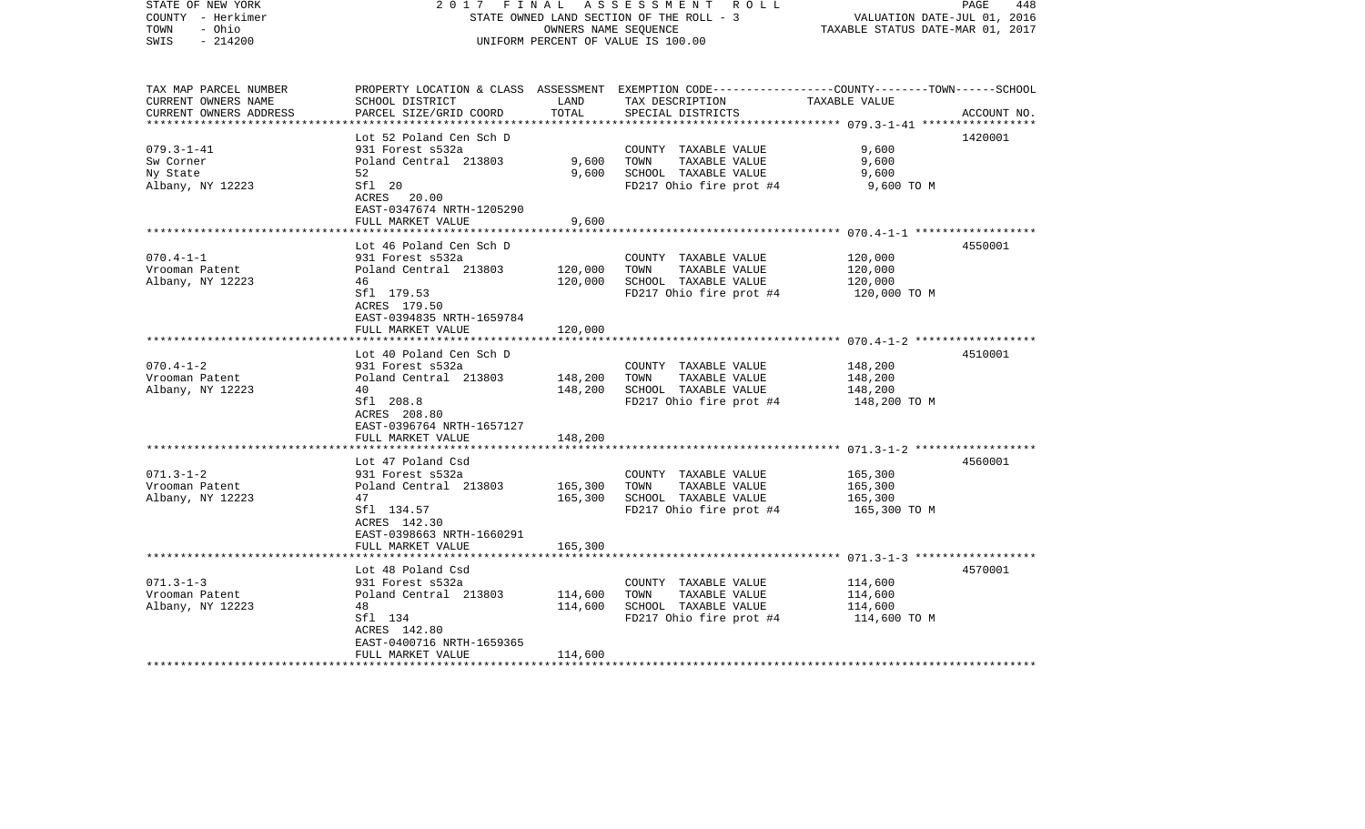| COUNTY - Herkimer<br>TOWN<br>- Ohio<br>SWIS<br>$-214200$ |                                           | STATE OWNED LAND SECTION OF THE ROLL - 3<br>OWNERS NAME SEQUENCE<br>UNIFORM PERCENT OF VALUE IS 100.00 |                                                                                                  |                                             | VALUATION DATE-JUL 01, 2016<br>TAXABLE STATUS DATE-MAR 01, 2017 |  |
|----------------------------------------------------------|-------------------------------------------|--------------------------------------------------------------------------------------------------------|--------------------------------------------------------------------------------------------------|---------------------------------------------|-----------------------------------------------------------------|--|
|                                                          |                                           |                                                                                                        |                                                                                                  |                                             |                                                                 |  |
| TAX MAP PARCEL NUMBER                                    |                                           |                                                                                                        | PROPERTY LOCATION & CLASS ASSESSMENT EXEMPTION CODE----------------COUNTY-------TOWN------SCHOOL |                                             |                                                                 |  |
| CURRENT OWNERS NAME                                      | SCHOOL DISTRICT                           | LAND                                                                                                   | TAX DESCRIPTION                                                                                  | TAXABLE VALUE                               |                                                                 |  |
| CURRENT OWNERS ADDRESS                                   | PARCEL SIZE/GRID COORD                    | TOTAL                                                                                                  | SPECIAL DISTRICTS                                                                                |                                             | ACCOUNT NO.                                                     |  |
|                                                          |                                           |                                                                                                        |                                                                                                  | **************** 079.3-1-41 *************** |                                                                 |  |
|                                                          | Lot 52 Poland Cen Sch D                   |                                                                                                        |                                                                                                  |                                             | 1420001                                                         |  |
| $079.3 - 1 - 41$                                         | 931 Forest s532a                          |                                                                                                        | COUNTY TAXABLE VALUE                                                                             | 9,600                                       |                                                                 |  |
| Sw Corner                                                | Poland Central 213803                     | 9,600                                                                                                  | TAXABLE VALUE<br>TOWN                                                                            | 9,600                                       |                                                                 |  |
| Ny State                                                 | 52                                        | 9,600                                                                                                  | SCHOOL TAXABLE VALUE                                                                             | 9,600                                       |                                                                 |  |
| Albany, NY 12223                                         | Sfl 20                                    |                                                                                                        | FD217 Ohio fire prot #4                                                                          | 9,600 TO M                                  |                                                                 |  |
|                                                          | ACRES 20.00                               |                                                                                                        |                                                                                                  |                                             |                                                                 |  |
|                                                          | EAST-0347674 NRTH-1205290                 |                                                                                                        |                                                                                                  |                                             |                                                                 |  |
|                                                          | FULL MARKET VALUE                         | 9,600                                                                                                  |                                                                                                  |                                             |                                                                 |  |
|                                                          |                                           |                                                                                                        |                                                                                                  |                                             |                                                                 |  |
|                                                          | Lot 46 Poland Cen Sch D                   |                                                                                                        |                                                                                                  |                                             | 4550001                                                         |  |
| $070.4 - 1 - 1$                                          | 931 Forest s532a                          |                                                                                                        | COUNTY TAXABLE VALUE                                                                             | 120,000                                     |                                                                 |  |
| Vrooman Patent                                           | Poland Central 213803                     | 120,000                                                                                                | TAXABLE VALUE<br>TOWN                                                                            | 120,000                                     |                                                                 |  |
| Albany, NY 12223                                         | 46                                        | 120,000                                                                                                | SCHOOL TAXABLE VALUE                                                                             | 120,000                                     |                                                                 |  |
|                                                          | Sfl 179.53                                |                                                                                                        | FD217 Ohio fire prot #4                                                                          | 120,000 TO M                                |                                                                 |  |
|                                                          | ACRES 179.50                              |                                                                                                        |                                                                                                  |                                             |                                                                 |  |
|                                                          | EAST-0394835 NRTH-1659784                 |                                                                                                        |                                                                                                  |                                             |                                                                 |  |
|                                                          | FULL MARKET VALUE                         | 120,000                                                                                                |                                                                                                  |                                             |                                                                 |  |
|                                                          | * * * * * * * * * * * * * * *             |                                                                                                        |                                                                                                  |                                             |                                                                 |  |
|                                                          | Lot 40 Poland Cen Sch D                   |                                                                                                        |                                                                                                  |                                             | 4510001                                                         |  |
| $070.4 - 1 - 2$                                          | 931 Forest s532a                          |                                                                                                        | COUNTY TAXABLE VALUE                                                                             | 148,200                                     |                                                                 |  |
| Vrooman Patent                                           | Poland Central 213803                     | 148,200                                                                                                | TAXABLE VALUE<br>TOWN                                                                            | 148,200                                     |                                                                 |  |
| Albany, NY 12223                                         | 40                                        | 148,200                                                                                                | SCHOOL TAXABLE VALUE                                                                             | 148,200                                     |                                                                 |  |
|                                                          | Sfl 208.8                                 |                                                                                                        | FD217 Ohio fire prot #4                                                                          | 148,200 TO M                                |                                                                 |  |
|                                                          | ACRES 208.80<br>EAST-0396764 NRTH-1657127 |                                                                                                        |                                                                                                  |                                             |                                                                 |  |
|                                                          | FULL MARKET VALUE                         | 148,200                                                                                                |                                                                                                  |                                             |                                                                 |  |
|                                                          | ***************************               |                                                                                                        |                                                                                                  |                                             |                                                                 |  |
|                                                          | Lot 47 Poland Csd                         |                                                                                                        |                                                                                                  |                                             | 4560001                                                         |  |
| $071.3 - 1 - 2$                                          | 931 Forest s532a                          |                                                                                                        | COUNTY TAXABLE VALUE                                                                             | 165,300                                     |                                                                 |  |
| Vrooman Patent                                           | Poland Central 213803                     | 165,300                                                                                                | TOWN<br>TAXABLE VALUE                                                                            | 165,300                                     |                                                                 |  |
|                                                          | 47                                        | 165,300                                                                                                | SCHOOL TAXABLE VALUE                                                                             | 165,300                                     |                                                                 |  |
| Albany, NY 12223                                         | Sfl 134.57                                |                                                                                                        | FD217 Ohio fire prot #4                                                                          | 165,300 TO M                                |                                                                 |  |
|                                                          | ACRES 142.30                              |                                                                                                        |                                                                                                  |                                             |                                                                 |  |
|                                                          | EAST-0398663 NRTH-1660291                 |                                                                                                        |                                                                                                  |                                             |                                                                 |  |
|                                                          | FULL MARKET VALUE                         | 165,300                                                                                                |                                                                                                  |                                             |                                                                 |  |
|                                                          |                                           |                                                                                                        |                                                                                                  |                                             |                                                                 |  |
|                                                          | Lot 48 Poland Csd                         |                                                                                                        |                                                                                                  |                                             | 4570001                                                         |  |
| $071.3 - 1 - 3$                                          | 931 Forest s532a                          |                                                                                                        | COUNTY TAXABLE VALUE                                                                             | 114,600                                     |                                                                 |  |
| Vrooman Patent                                           | Poland Central 213803                     | 114,600                                                                                                | TOWN<br>TAXABLE VALUE                                                                            | 114,600                                     |                                                                 |  |
| Albany, NY 12223                                         | 48                                        | 114,600                                                                                                | SCHOOL TAXABLE VALUE                                                                             | 114,600                                     |                                                                 |  |
|                                                          | Sfl 134                                   |                                                                                                        | FD217 Ohio fire prot #4                                                                          | 114,600 TO M                                |                                                                 |  |
|                                                          | ACRES 142.80                              |                                                                                                        |                                                                                                  |                                             |                                                                 |  |
|                                                          | EAST-0400716 NRTH-1659365                 |                                                                                                        |                                                                                                  |                                             |                                                                 |  |
|                                                          | FULL MARKET VALUE                         | 114,600                                                                                                |                                                                                                  |                                             |                                                                 |  |
|                                                          |                                           |                                                                                                        |                                                                                                  |                                             |                                                                 |  |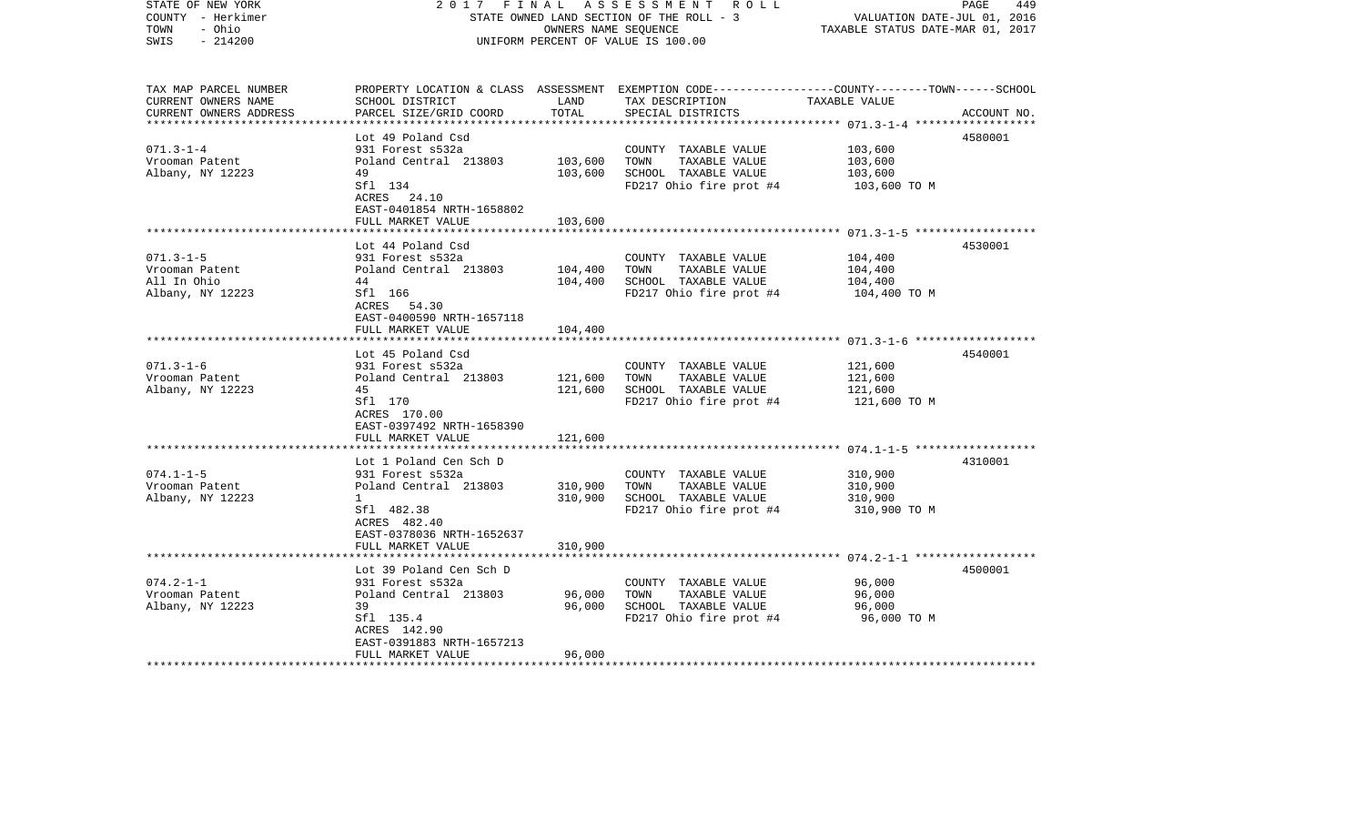| STATE OF NEW YORK<br>COUNTY - Herkimer<br>TOWN<br>- Ohio<br>$-214200$<br>SWIS | 2017<br>FINAL<br>STATE OWNED LAND SECTION OF THE ROLL - 3<br>UNIFORM PERCENT OF VALUE IS 100.00 | PAGE<br>449<br>VALUATION DATE-JUL 01, 2016<br>TAXABLE STATUS DATE-MAR 01, 2017 |                                                                                                                                         |               |             |
|-------------------------------------------------------------------------------|-------------------------------------------------------------------------------------------------|--------------------------------------------------------------------------------|-----------------------------------------------------------------------------------------------------------------------------------------|---------------|-------------|
| TAX MAP PARCEL NUMBER<br>CURRENT OWNERS NAME<br>CURRENT OWNERS ADDRESS        | SCHOOL DISTRICT<br>PARCEL SIZE/GRID COORD                                                       | LAND<br>TOTAL                                                                  | PROPERTY LOCATION & CLASS ASSESSMENT EXEMPTION CODE---------------COUNTY-------TOWN------SCHOOL<br>TAX DESCRIPTION<br>SPECIAL DISTRICTS | TAXABLE VALUE | ACCOUNT NO. |
|                                                                               | Lot 49 Poland Csd                                                                               |                                                                                |                                                                                                                                         |               | 4580001     |
| $071.3 - 1 - 4$                                                               | 931 Forest s532a                                                                                |                                                                                | COUNTY TAXABLE VALUE                                                                                                                    | 103,600       |             |
| Vrooman Patent                                                                | Poland Central 213803                                                                           | 103,600                                                                        | TOWN<br>TAXABLE VALUE                                                                                                                   | 103,600       |             |
| Albany, NY 12223                                                              | 49                                                                                              | 103,600                                                                        | SCHOOL TAXABLE VALUE                                                                                                                    | 103,600       |             |
|                                                                               | Sfl 134<br>ACRES 24.10<br>EAST-0401854 NRTH-1658802                                             |                                                                                | FD217 Ohio fire prot #4                                                                                                                 | 103,600 TO M  |             |
|                                                                               | FULL MARKET VALUE                                                                               | 103,600                                                                        |                                                                                                                                         |               |             |
|                                                                               | Lot 44 Poland Csd                                                                               |                                                                                |                                                                                                                                         |               | 4530001     |
| $071.3 - 1 - 5$                                                               | 931 Forest s532a                                                                                |                                                                                | COUNTY TAXABLE VALUE                                                                                                                    | 104,400       |             |
| Vrooman Patent                                                                | Poland Central 213803                                                                           | 104,400                                                                        | TOWN<br>TAXABLE VALUE                                                                                                                   | 104,400       |             |
| All In Ohio                                                                   | 44                                                                                              | 104,400                                                                        | SCHOOL TAXABLE VALUE                                                                                                                    | 104,400       |             |
| Albany, NY 12223                                                              | Sfl 166<br>ACRES 54.30<br>EAST-0400590 NRTH-1657118                                             |                                                                                | FD217 Ohio fire prot #4                                                                                                                 | 104,400 TO M  |             |
|                                                                               | FULL MARKET VALUE                                                                               | 104,400                                                                        |                                                                                                                                         |               |             |
|                                                                               |                                                                                                 |                                                                                |                                                                                                                                         |               |             |
| $071.3 - 1 - 6$                                                               | Lot 45 Poland Csd<br>931 Forest s532a                                                           |                                                                                | COUNTY TAXABLE VALUE                                                                                                                    | 121,600       | 4540001     |
| Vrooman Patent                                                                | Poland Central 213803                                                                           | 121,600                                                                        | TOWN<br>TAXABLE VALUE                                                                                                                   | 121,600       |             |
| Albany, NY 12223                                                              | 45                                                                                              | 121,600                                                                        | SCHOOL TAXABLE VALUE                                                                                                                    | 121,600       |             |
|                                                                               | Sfl 170<br>ACRES 170.00<br>EAST-0397492 NRTH-1658390                                            |                                                                                | FD217 Ohio fire prot #4                                                                                                                 | 121,600 TO M  |             |
|                                                                               | FULL MARKET VALUE                                                                               | 121,600                                                                        |                                                                                                                                         |               |             |
|                                                                               | Lot 1 Poland Cen Sch D                                                                          |                                                                                |                                                                                                                                         |               | 4310001     |
| $074.1 - 1 - 5$                                                               | 931 Forest s532a                                                                                |                                                                                | COUNTY TAXABLE VALUE                                                                                                                    | 310,900       |             |
| Vrooman Patent                                                                | Poland Central 213803                                                                           | 310,900                                                                        | TOWN<br>TAXABLE VALUE                                                                                                                   | 310,900       |             |
| Albany, NY 12223                                                              | $\mathbf{1}$                                                                                    | 310,900                                                                        | SCHOOL TAXABLE VALUE                                                                                                                    | 310,900       |             |
|                                                                               | Sfl 482.38<br>ACRES 482.40<br>EAST-0378036 NRTH-1652637                                         |                                                                                | FD217 Ohio fire prot #4                                                                                                                 | 310,900 TO M  |             |
|                                                                               | FULL MARKET VALUE                                                                               | 310,900                                                                        |                                                                                                                                         |               |             |
|                                                                               | Lot 39 Poland Cen Sch D                                                                         |                                                                                |                                                                                                                                         |               | 4500001     |
| $074.2 - 1 - 1$                                                               | 931 Forest s532a                                                                                |                                                                                | COUNTY TAXABLE VALUE                                                                                                                    | 96,000        |             |
| Vrooman Patent                                                                | Poland Central 213803                                                                           | 96,000                                                                         | TOWN<br>TAXABLE VALUE                                                                                                                   | 96,000        |             |
| Albany, NY 12223                                                              | 39                                                                                              | 96,000                                                                         | SCHOOL TAXABLE VALUE                                                                                                                    | 96,000        |             |
|                                                                               | Sfl 135.4                                                                                       |                                                                                | FD217 Ohio fire prot #4                                                                                                                 | 96,000 TO M   |             |
|                                                                               | ACRES 142.90<br>EAST-0391883 NRTH-1657213                                                       |                                                                                |                                                                                                                                         |               |             |
|                                                                               | FULL MARKET VALUE                                                                               | 96,000                                                                         |                                                                                                                                         |               |             |
|                                                                               |                                                                                                 |                                                                                |                                                                                                                                         |               |             |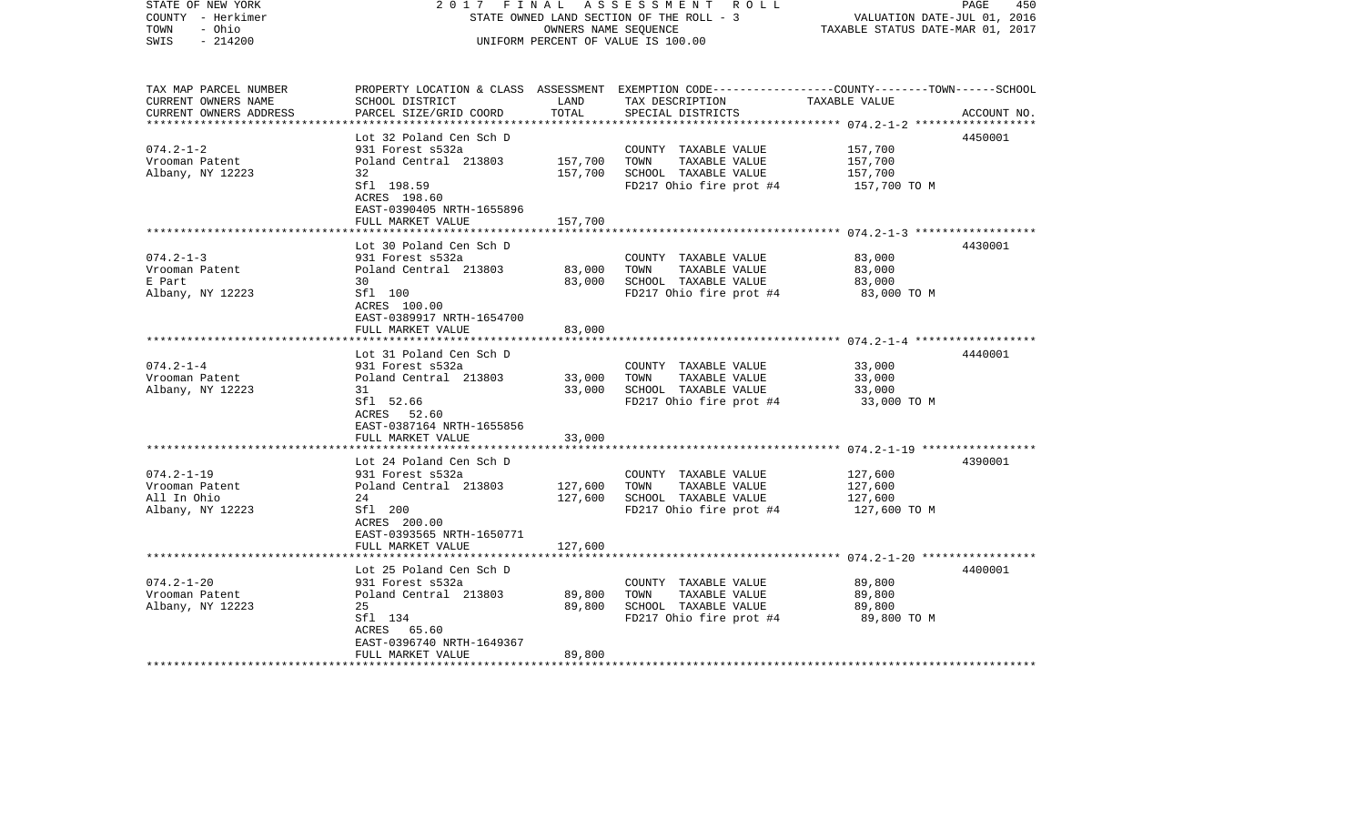| STATE OF NEW YORK<br>COUNTY - Herkimer<br>- Ohio<br>TOWN<br>$-214200$<br>SWIS | 2017<br>FINAL                                                 | OWNERS NAME SEQUENCE | A S S E S S M E N T R O L L<br>STATE OWNED LAND SECTION OF THE ROLL - 3<br>UNIFORM PERCENT OF VALUE IS 100.00                                        | VALUATION DATE-JUL 01, 2016<br>TAXABLE STATUS DATE-MAR 01, 2017 | 450<br>PAGE |
|-------------------------------------------------------------------------------|---------------------------------------------------------------|----------------------|------------------------------------------------------------------------------------------------------------------------------------------------------|-----------------------------------------------------------------|-------------|
| TAX MAP PARCEL NUMBER<br>CURRENT OWNERS NAME<br>CURRENT OWNERS ADDRESS        | SCHOOL DISTRICT<br>PARCEL SIZE/GRID COORD                     | LAND<br>TOTAL        | PROPERTY LOCATION & CLASS ASSESSMENT EXEMPTION CODE--------------COUNTY-------TOWN------SCHOOL<br>TAX DESCRIPTION TAXABLE VALUE<br>SPECIAL DISTRICTS |                                                                 | ACCOUNT NO. |
|                                                                               | Lot 32 Poland Cen Sch D                                       |                      |                                                                                                                                                      |                                                                 | 4450001     |
| $074.2 - 1 - 2$                                                               | 931 Forest s532a                                              |                      | COUNTY TAXABLE VALUE                                                                                                                                 | 157,700                                                         |             |
| Vrooman Patent                                                                | Poland Central 213803                                         | 157,700              | TAXABLE VALUE<br>TOWN                                                                                                                                | 157,700                                                         |             |
| Albany, NY 12223                                                              | 32<br>Sfl 198.59<br>ACRES 198.60<br>EAST-0390405 NRTH-1655896 | 157,700              | SCHOOL TAXABLE VALUE<br>FD217 Ohio fire prot #4                                                                                                      | 157,700<br>157,700 TO M                                         |             |
|                                                                               | FULL MARKET VALUE                                             | 157,700              |                                                                                                                                                      |                                                                 |             |
|                                                                               | Lot 30 Poland Cen Sch D                                       |                      |                                                                                                                                                      |                                                                 | 4430001     |
| $074.2 - 1 - 3$<br>Vrooman Patent                                             | 931 Forest s532a<br>Poland Central 213803                     | 83,000               | COUNTY TAXABLE VALUE<br>TOWN<br>TAXABLE VALUE                                                                                                        | 83,000<br>83,000                                                |             |
| E Part                                                                        | 30                                                            | 83,000               | SCHOOL TAXABLE VALUE                                                                                                                                 | 83,000                                                          |             |
| Albany, NY 12223                                                              | Sfl 100<br>ACRES 100.00<br>EAST-0389917 NRTH-1654700          |                      | FD217 Ohio fire prot #4                                                                                                                              | 83,000 TO M                                                     |             |
|                                                                               | FULL MARKET VALUE                                             | 83,000               |                                                                                                                                                      |                                                                 |             |
|                                                                               |                                                               |                      |                                                                                                                                                      |                                                                 |             |
| $074.2 - 1 - 4$                                                               | Lot 31 Poland Cen Sch D<br>931 Forest s532a                   |                      | COUNTY TAXABLE VALUE                                                                                                                                 | 33,000                                                          | 4440001     |
| Vrooman Patent                                                                | Poland Central 213803                                         | 33,000               | TOWN<br>TAXABLE VALUE                                                                                                                                | 33,000                                                          |             |
| Albany, NY 12223                                                              | 31                                                            | 33,000               | SCHOOL TAXABLE VALUE                                                                                                                                 | 33,000                                                          |             |
|                                                                               | Sfl 52.66<br>ACRES 52.60<br>EAST-0387164 NRTH-1655856         |                      | FD217 Ohio fire prot #4                                                                                                                              | 33,000 TO M                                                     |             |
|                                                                               | FULL MARKET VALUE                                             | 33,000               |                                                                                                                                                      |                                                                 |             |
|                                                                               | Lot 24 Poland Cen Sch D                                       |                      |                                                                                                                                                      |                                                                 | 4390001     |
| $074.2 - 1 - 19$                                                              | 931 Forest s532a                                              |                      | COUNTY TAXABLE VALUE                                                                                                                                 | 127,600                                                         |             |
| Vrooman Patent                                                                | Poland Central 213803                                         | 127,600              | TAXABLE VALUE<br>TOWN                                                                                                                                | 127,600                                                         |             |
| All In Ohio                                                                   | 24                                                            | 127,600              | SCHOOL TAXABLE VALUE                                                                                                                                 | 127,600                                                         |             |
| Albany, NY 12223                                                              | Sfl 200<br>ACRES 200.00<br>EAST-0393565 NRTH-1650771          |                      | FD217 Ohio fire prot #4                                                                                                                              | 127,600 TO M                                                    |             |
|                                                                               | FULL MARKET VALUE                                             | 127,600              |                                                                                                                                                      |                                                                 |             |
|                                                                               | Lot 25 Poland Cen Sch D                                       |                      |                                                                                                                                                      |                                                                 | 4400001     |
| $074.2 - 1 - 20$                                                              | 931 Forest s532a                                              |                      | COUNTY TAXABLE VALUE                                                                                                                                 | 89,800                                                          |             |
| Vrooman Patent                                                                | Poland Central 213803                                         | 89,800               | TOWN<br>TAXABLE VALUE                                                                                                                                | 89,800                                                          |             |
| Albany, NY 12223                                                              | 25                                                            | 89,800               | SCHOOL TAXABLE VALUE                                                                                                                                 | 89,800                                                          |             |
|                                                                               | Sfl 134                                                       |                      | FD217 Ohio fire prot #4                                                                                                                              | 89,800 TO M                                                     |             |
|                                                                               | ACRES<br>65.60<br>EAST-0396740 NRTH-1649367                   |                      |                                                                                                                                                      |                                                                 |             |
|                                                                               | FULL MARKET VALUE                                             | 89,800               |                                                                                                                                                      |                                                                 |             |
| ********************                                                          |                                                               |                      |                                                                                                                                                      |                                                                 |             |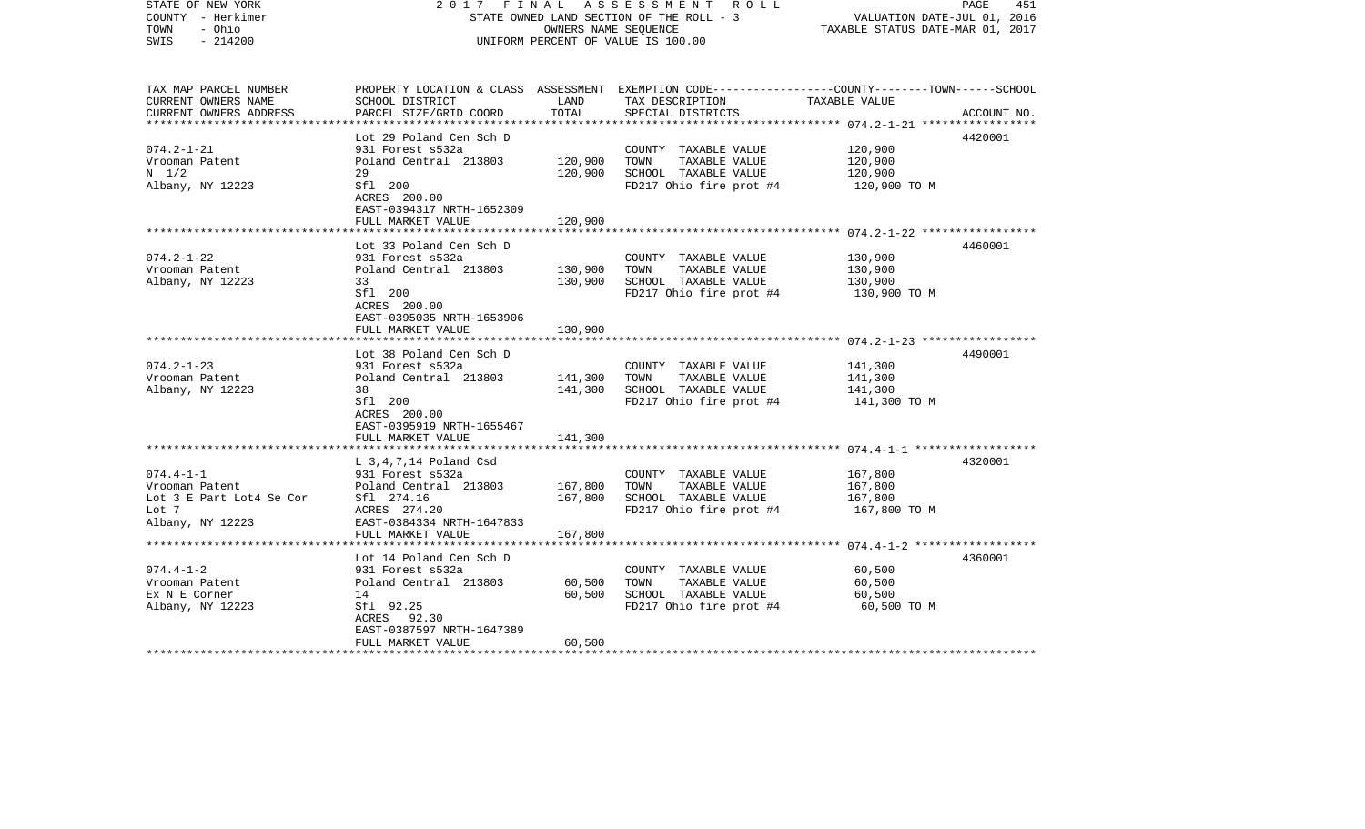| COUNTY - Herkimer<br>- Ohio<br>TOWN<br>SWIS<br>$-214200$ |                                                    | STATE OWNED LAND SECTION OF THE ROLL - 3<br>OWNERS NAME SEQUENCE<br>UNIFORM PERCENT OF VALUE IS 100.00 |                                                                                                 |                                                        | VALUATION DATE-JUL 01, 2016<br>TAXABLE STATUS DATE-MAR 01, 2017 |  |
|----------------------------------------------------------|----------------------------------------------------|--------------------------------------------------------------------------------------------------------|-------------------------------------------------------------------------------------------------|--------------------------------------------------------|-----------------------------------------------------------------|--|
| TAX MAP PARCEL NUMBER                                    |                                                    |                                                                                                        | PROPERTY LOCATION & CLASS ASSESSMENT EXEMPTION CODE---------------COUNTY-------TOWN------SCHOOL |                                                        |                                                                 |  |
| CURRENT OWNERS NAME                                      | SCHOOL DISTRICT                                    | LAND                                                                                                   | TAX DESCRIPTION                                                                                 | TAXABLE VALUE                                          |                                                                 |  |
| CURRENT OWNERS ADDRESS<br>**************************     | PARCEL SIZE/GRID COORD<br>************************ | TOTAL                                                                                                  | SPECIAL DISTRICTS                                                                               |                                                        | ACCOUNT NO.                                                     |  |
|                                                          |                                                    |                                                                                                        |                                                                                                 |                                                        | 4420001                                                         |  |
| $074.2 - 1 - 21$                                         | Lot 29 Poland Cen Sch D<br>931 Forest s532a        |                                                                                                        | COUNTY TAXABLE VALUE                                                                            | 120,900                                                |                                                                 |  |
| Vrooman Patent                                           | Poland Central 213803                              | 120,900                                                                                                | TOWN<br>TAXABLE VALUE                                                                           | 120,900                                                |                                                                 |  |
| $N = 1/2$                                                | 29                                                 | 120,900                                                                                                | SCHOOL TAXABLE VALUE                                                                            | 120,900                                                |                                                                 |  |
| Albany, NY 12223                                         | Sfl 200                                            |                                                                                                        | FD217 Ohio fire prot #4                                                                         | 120,900 TO M                                           |                                                                 |  |
|                                                          | ACRES 200.00                                       |                                                                                                        |                                                                                                 |                                                        |                                                                 |  |
|                                                          | EAST-0394317 NRTH-1652309                          |                                                                                                        |                                                                                                 |                                                        |                                                                 |  |
|                                                          | FULL MARKET VALUE                                  | 120,900                                                                                                |                                                                                                 |                                                        |                                                                 |  |
|                                                          | ****************************                       |                                                                                                        |                                                                                                 |                                                        |                                                                 |  |
| $074.2 - 1 - 22$                                         | Lot 33 Poland Cen Sch D                            |                                                                                                        |                                                                                                 |                                                        | 4460001                                                         |  |
| Vrooman Patent                                           | 931 Forest s532a<br>Poland Central 213803          | 130,900                                                                                                | COUNTY TAXABLE VALUE<br>TOWN<br>TAXABLE VALUE                                                   | 130,900<br>130,900                                     |                                                                 |  |
| Albany, NY 12223                                         | 33                                                 | 130,900                                                                                                | SCHOOL TAXABLE VALUE                                                                            | 130,900                                                |                                                                 |  |
|                                                          | Sfl 200                                            |                                                                                                        | FD217 Ohio fire prot #4                                                                         | 130,900 TO M                                           |                                                                 |  |
|                                                          | ACRES 200.00                                       |                                                                                                        |                                                                                                 |                                                        |                                                                 |  |
|                                                          | EAST-0395035 NRTH-1653906                          |                                                                                                        |                                                                                                 |                                                        |                                                                 |  |
|                                                          | FULL MARKET VALUE                                  | 130,900                                                                                                |                                                                                                 |                                                        |                                                                 |  |
|                                                          |                                                    |                                                                                                        |                                                                                                 | ***************************** 074.2-1-23 ************* |                                                                 |  |
|                                                          | Lot 38 Poland Cen Sch D                            |                                                                                                        |                                                                                                 |                                                        | 4490001                                                         |  |
| $074.2 - 1 - 23$                                         | 931 Forest s532a<br>Poland Central 213803          |                                                                                                        | COUNTY TAXABLE VALUE<br>TAXABLE VALUE<br>TOWN                                                   | 141,300<br>141,300                                     |                                                                 |  |
| Vrooman Patent<br>Albany, NY 12223                       | 38                                                 | 141,300<br>141,300                                                                                     | SCHOOL TAXABLE VALUE                                                                            | 141,300                                                |                                                                 |  |
|                                                          | Sfl 200                                            |                                                                                                        | FD217 Ohio fire prot #4                                                                         | 141,300 TO M                                           |                                                                 |  |
|                                                          | ACRES 200.00                                       |                                                                                                        |                                                                                                 |                                                        |                                                                 |  |
|                                                          | EAST-0395919 NRTH-1655467                          |                                                                                                        |                                                                                                 |                                                        |                                                                 |  |
|                                                          | FULL MARKET VALUE                                  | 141,300                                                                                                |                                                                                                 |                                                        |                                                                 |  |
|                                                          |                                                    |                                                                                                        |                                                                                                 |                                                        |                                                                 |  |
|                                                          | $L$ 3,4,7,14 Poland Csd                            |                                                                                                        |                                                                                                 |                                                        | 4320001                                                         |  |
| $074.4 - 1 - 1$<br>Vrooman Patent                        | 931 Forest s532a<br>Poland Central 213803          | 167,800                                                                                                | COUNTY TAXABLE VALUE<br>TAXABLE VALUE<br>TOWN                                                   | 167,800<br>167,800                                     |                                                                 |  |
| Lot 3 E Part Lot4 Se Cor                                 | Sfl 274.16                                         | 167,800                                                                                                | SCHOOL TAXABLE VALUE                                                                            | 167,800                                                |                                                                 |  |
| Lot 7                                                    | ACRES 274.20                                       |                                                                                                        | FD217 Ohio fire prot #4                                                                         | 167,800 TO M                                           |                                                                 |  |
| Albany, NY 12223                                         | EAST-0384334 NRTH-1647833                          |                                                                                                        |                                                                                                 |                                                        |                                                                 |  |
|                                                          | FULL MARKET VALUE                                  | 167,800                                                                                                |                                                                                                 |                                                        |                                                                 |  |
|                                                          | *******************                                |                                                                                                        |                                                                                                 |                                                        |                                                                 |  |
|                                                          | Lot 14 Poland Cen Sch D                            |                                                                                                        |                                                                                                 |                                                        | 4360001                                                         |  |
| $074.4 - 1 - 2$                                          | 931 Forest s532a                                   |                                                                                                        | COUNTY TAXABLE VALUE                                                                            | 60,500                                                 |                                                                 |  |
| Vrooman Patent                                           | Poland Central 213803                              | 60,500                                                                                                 | TAXABLE VALUE<br>TOWN                                                                           | 60,500                                                 |                                                                 |  |
| Ex N E Corner                                            | 14<br>Sfl 92.25                                    | 60,500                                                                                                 | SCHOOL TAXABLE VALUE<br>FD217 Ohio fire prot #4                                                 | 60,500                                                 |                                                                 |  |
| Albany, NY 12223                                         | ACRES 92.30                                        |                                                                                                        |                                                                                                 | 60,500 TO M                                            |                                                                 |  |
|                                                          | EAST-0387597 NRTH-1647389                          |                                                                                                        |                                                                                                 |                                                        |                                                                 |  |
|                                                          | FULL MARKET VALUE                                  | 60,500                                                                                                 |                                                                                                 |                                                        |                                                                 |  |
|                                                          |                                                    |                                                                                                        |                                                                                                 |                                                        |                                                                 |  |

2017 FINAL ASSESSMENT ROLL

PAGE 451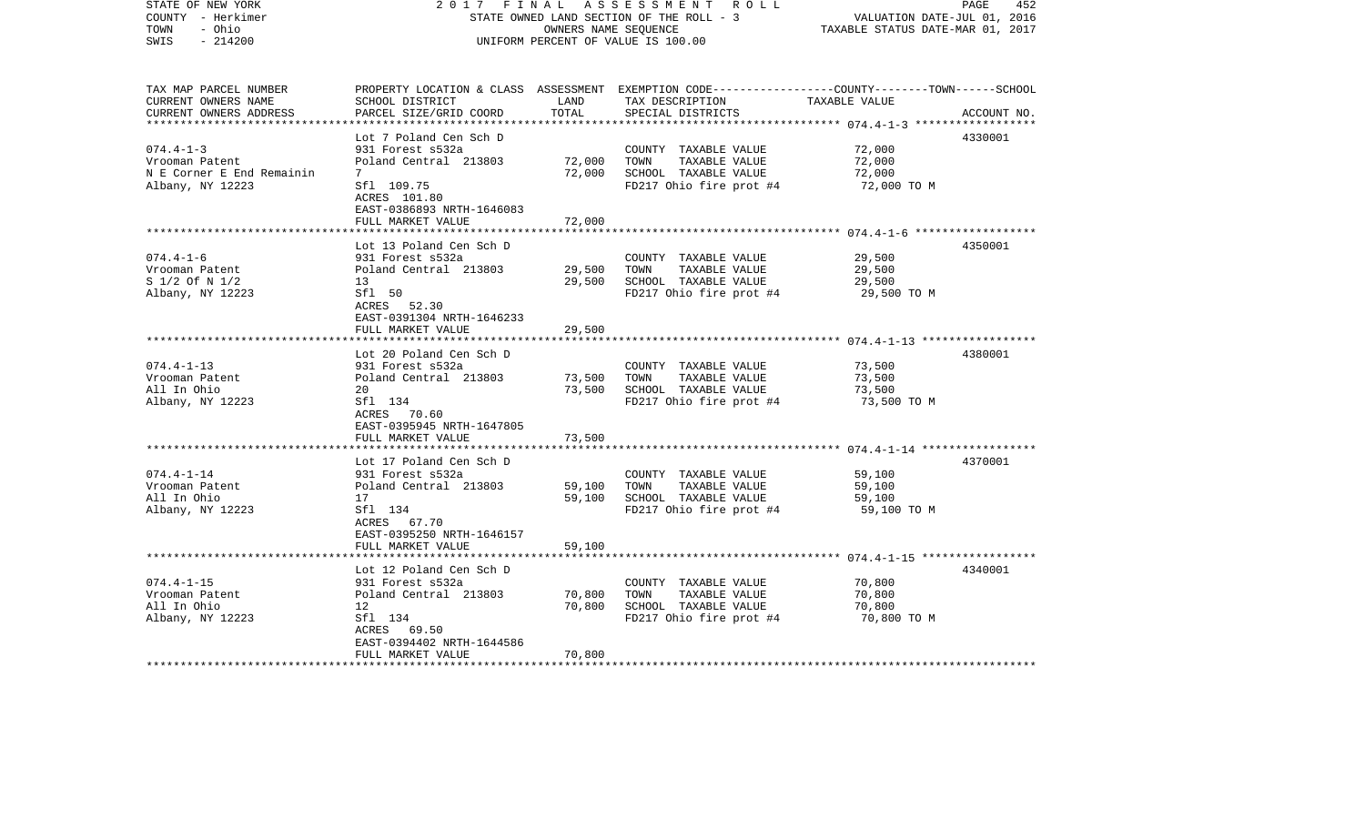| STATE OF NEW YORK<br>COUNTY - Herkimer<br>TOWN<br>- Ohio<br>$-214200$<br>SWIS                       | 2017<br>FINAL<br>STATE OWNED LAND SECTION OF THE ROLL - 3<br>UNIFORM PERCENT OF VALUE IS 100.00                                                        | PAGE<br>452<br>VALUATION DATE-JUL 01, 2016<br>TAXABLE STATUS DATE-MAR 01, 2017 |                                                                                                                                         |                                           |             |
|-----------------------------------------------------------------------------------------------------|--------------------------------------------------------------------------------------------------------------------------------------------------------|--------------------------------------------------------------------------------|-----------------------------------------------------------------------------------------------------------------------------------------|-------------------------------------------|-------------|
| TAX MAP PARCEL NUMBER<br>CURRENT OWNERS NAME<br>CURRENT OWNERS ADDRESS<br>************************* | SCHOOL DISTRICT<br>PARCEL SIZE/GRID COORD                                                                                                              | LAND<br>TOTAL                                                                  | PROPERTY LOCATION & CLASS ASSESSMENT EXEMPTION CODE---------------COUNTY-------TOWN------SCHOOL<br>TAX DESCRIPTION<br>SPECIAL DISTRICTS | TAXABLE VALUE                             | ACCOUNT NO. |
| $074.4 - 1 - 3$                                                                                     | Lot 7 Poland Cen Sch D<br>931 Forest s532a                                                                                                             |                                                                                |                                                                                                                                         |                                           | 4330001     |
| Vrooman Patent<br>N E Corner E End Remainin<br>Albany, NY 12223                                     | Poland Central 213803<br>7<br>Sfl 109.75<br>ACRES 101.80                                                                                               | 72,000<br>72,000                                                               | COUNTY TAXABLE VALUE<br>TOWN<br>TAXABLE VALUE<br>SCHOOL TAXABLE VALUE<br>FD217 Ohio fire prot #4                                        | 72,000<br>72,000<br>72,000<br>72,000 TO M |             |
|                                                                                                     | EAST-0386893 NRTH-1646083<br>FULL MARKET VALUE                                                                                                         | 72,000                                                                         |                                                                                                                                         |                                           |             |
| $074.4 - 1 - 6$<br>Vrooman Patent<br>S 1/2 Of N 1/2<br>Albany, NY 12223                             | Lot 13 Poland Cen Sch D<br>931 Forest s532a<br>Poland Central 213803<br>13<br>Sfl 50                                                                   | 29,500<br>29,500                                                               | COUNTY TAXABLE VALUE<br>TOWN<br>TAXABLE VALUE<br>SCHOOL TAXABLE VALUE<br>FD217 Ohio fire prot #4                                        | 29,500<br>29,500<br>29,500<br>29,500 TO M | 4350001     |
|                                                                                                     | ACRES 52.30<br>EAST-0391304 NRTH-1646233<br>FULL MARKET VALUE                                                                                          | 29,500                                                                         |                                                                                                                                         |                                           |             |
| $074.4 - 1 - 13$<br>Vrooman Patent<br>All In Ohio<br>Albany, NY 12223                               | Lot 20 Poland Cen Sch D<br>931 Forest s532a<br>Poland Central 213803<br>20<br>Sfl 134<br>ACRES 70.60<br>EAST-0395945 NRTH-1647805                      | 73,500<br>73,500                                                               | COUNTY TAXABLE VALUE<br>TOWN<br>TAXABLE VALUE<br>SCHOOL TAXABLE VALUE<br>FD217 Ohio fire prot #4                                        | 73,500<br>73,500<br>73,500<br>73,500 TO M | 4380001     |
|                                                                                                     | FULL MARKET VALUE<br>*************************                                                                                                         | 73,500                                                                         |                                                                                                                                         |                                           |             |
| $074.4 - 1 - 14$<br>Vrooman Patent<br>All In Ohio<br>Albany, NY 12223                               | Lot 17 Poland Cen Sch D<br>931 Forest s532a<br>Poland Central 213803<br>17<br>Sfl 134<br>ACRES 67.70<br>EAST-0395250 NRTH-1646157<br>FULL MARKET VALUE | 59,100<br>59,100<br>59,100                                                     | COUNTY TAXABLE VALUE<br>TOWN<br>TAXABLE VALUE<br>SCHOOL TAXABLE VALUE<br>FD217 Ohio fire prot #4                                        | 59,100<br>59,100<br>59,100<br>59,100 TO M | 4370001     |
|                                                                                                     |                                                                                                                                                        |                                                                                |                                                                                                                                         |                                           |             |
| $074.4 - 1 - 15$<br>Vrooman Patent<br>All In Ohio<br>Albany, NY 12223                               | Lot 12 Poland Cen Sch D<br>931 Forest s532a<br>Poland Central 213803<br>12<br>Sfl 134<br>ACRES 69.50<br>EAST-0394402 NRTH-1644586                      | 70,800<br>70,800                                                               | COUNTY TAXABLE VALUE<br>TAXABLE VALUE<br>TOWN<br>SCHOOL TAXABLE VALUE<br>FD217 Ohio fire prot #4                                        | 70,800<br>70,800<br>70,800<br>70,800 TO M | 4340001     |
|                                                                                                     | FULL MARKET VALUE                                                                                                                                      | 70,800                                                                         |                                                                                                                                         |                                           |             |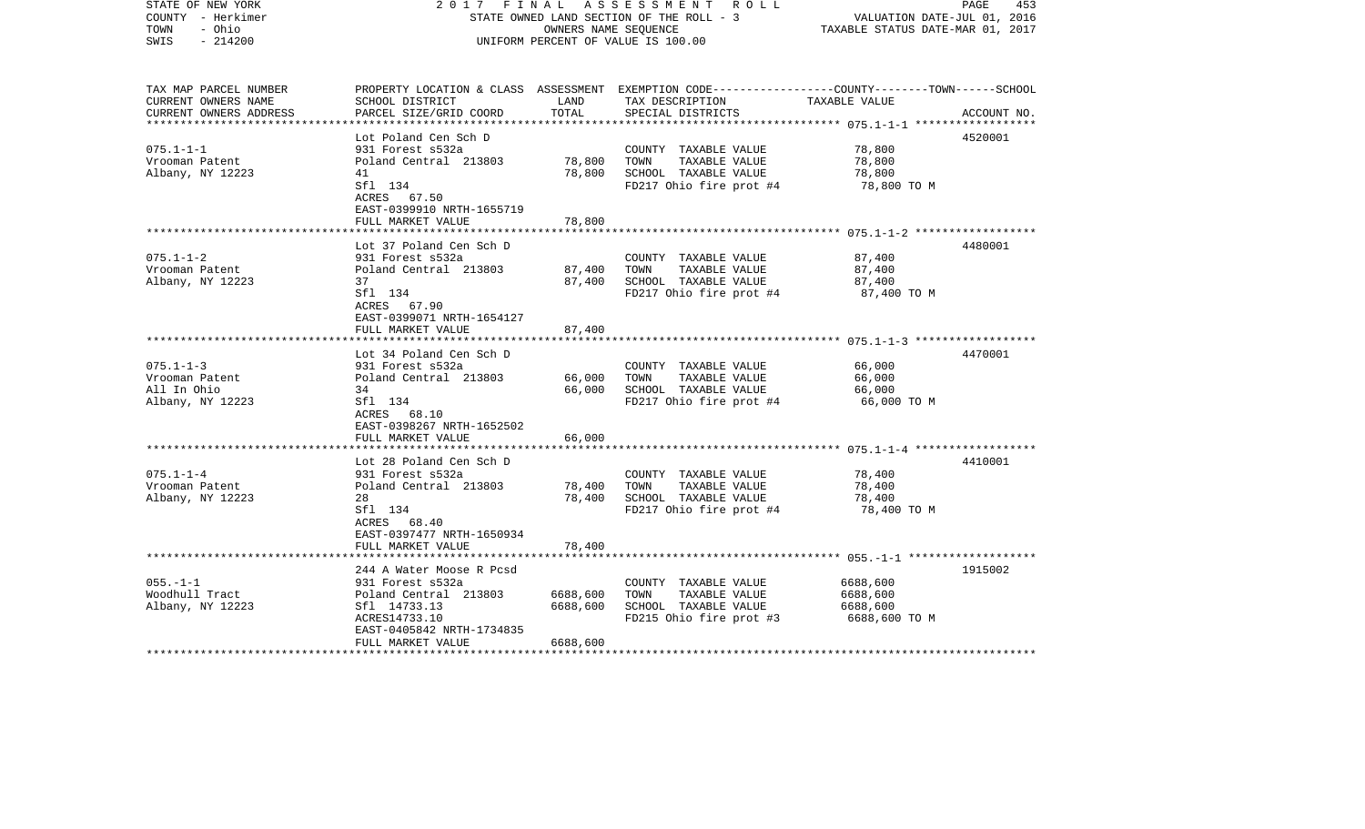| STATE OF NEW YORK<br>COUNTY - Herkimer<br>- Ohio<br>TOWN<br>SWIS<br>$-214200$ | 2017                                                            | FINAL    | A S S E S S M E N T A O L L<br>STATE OWNED LAND SECTION OF THE ROLL - 3<br>OWNERS NAME SEQUENCE<br>UNIFORM PERCENT OF VALUE IS 100.00 | VALUATION DATE-JUL 01, 2016<br>TAXABLE STATUS DATE-MAR 01, 2017 | PAGE<br>453 |
|-------------------------------------------------------------------------------|-----------------------------------------------------------------|----------|---------------------------------------------------------------------------------------------------------------------------------------|-----------------------------------------------------------------|-------------|
|                                                                               |                                                                 |          |                                                                                                                                       |                                                                 |             |
| TAX MAP PARCEL NUMBER                                                         |                                                                 |          | PROPERTY LOCATION & CLASS ASSESSMENT EXEMPTION CODE---------------COUNTY-------TOWN------SCHOOL                                       |                                                                 |             |
| CURRENT OWNERS NAME                                                           | SCHOOL DISTRICT                                                 | LAND     | TAX DESCRIPTION                                                                                                                       | TAXABLE VALUE                                                   |             |
| CURRENT OWNERS ADDRESS                                                        | PARCEL SIZE/GRID COORD                                          | TOTAL    | SPECIAL DISTRICTS                                                                                                                     | ******************* 075.1-1-1 *******************               | ACCOUNT NO. |
|                                                                               | Lot Poland Cen Sch D                                            |          |                                                                                                                                       |                                                                 | 4520001     |
| $075.1 - 1 - 1$                                                               | 931 Forest s532a                                                |          | COUNTY TAXABLE VALUE                                                                                                                  | 78,800                                                          |             |
| Vrooman Patent                                                                | Poland Central 213803                                           | 78,800   | TOWN<br>TAXABLE VALUE                                                                                                                 | 78,800                                                          |             |
| Albany, NY 12223                                                              | 41                                                              | 78,800   | SCHOOL TAXABLE VALUE                                                                                                                  | 78,800                                                          |             |
|                                                                               | Sfl 134<br>ACRES 67.50<br>EAST-0399910 NRTH-1655719             |          | FD217 Ohio fire prot #4                                                                                                               | 78,800 TO M                                                     |             |
|                                                                               | FULL MARKET VALUE                                               | 78,800   |                                                                                                                                       |                                                                 |             |
|                                                                               |                                                                 |          |                                                                                                                                       |                                                                 |             |
| $075.1 - 1 - 2$                                                               | Lot 37 Poland Cen Sch D<br>931 Forest s532a                     |          | COUNTY TAXABLE VALUE                                                                                                                  | 87,400                                                          | 4480001     |
| Vrooman Patent                                                                | Poland Central 213803                                           | 87,400   | TAXABLE VALUE<br>TOWN                                                                                                                 | 87,400                                                          |             |
| Albany, NY 12223                                                              | 37                                                              | 87,400   | SCHOOL TAXABLE VALUE                                                                                                                  | 87,400                                                          |             |
|                                                                               | Sfl 134<br>ACRES 67.90<br>EAST-0399071 NRTH-1654127             |          | FD217 Ohio fire prot #4                                                                                                               | 87,400 TO M                                                     |             |
|                                                                               | FULL MARKET VALUE                                               | 87,400   |                                                                                                                                       |                                                                 |             |
|                                                                               | ***********************                                         |          |                                                                                                                                       |                                                                 |             |
|                                                                               | Lot 34 Poland Cen Sch D                                         |          |                                                                                                                                       |                                                                 | 4470001     |
| $075.1 - 1 - 3$                                                               | 931 Forest s532a                                                |          | COUNTY TAXABLE VALUE                                                                                                                  | 66,000                                                          |             |
| Vrooman Patent                                                                | Poland Central 213803                                           | 66,000   | TOWN<br>TAXABLE VALUE                                                                                                                 | 66,000                                                          |             |
| All In Ohio                                                                   | 34                                                              | 66,000   | SCHOOL TAXABLE VALUE                                                                                                                  | 66,000                                                          |             |
| Albany, NY 12223                                                              | Sfl 134<br>ACRES 68.10<br>EAST-0398267 NRTH-1652502             |          | FD217 Ohio fire prot #4                                                                                                               | 66,000 TO M                                                     |             |
|                                                                               | FULL MARKET VALUE                                               | 66,000   |                                                                                                                                       |                                                                 |             |
|                                                                               | Lot 28 Poland Cen Sch D                                         |          |                                                                                                                                       |                                                                 | 4410001     |
| $075.1 - 1 - 4$                                                               | 931 Forest s532a                                                |          | COUNTY TAXABLE VALUE                                                                                                                  | 78,400                                                          |             |
| Vrooman Patent                                                                | Poland Central 213803                                           | 78,400   | TOWN<br>TAXABLE VALUE                                                                                                                 | 78,400                                                          |             |
| Albany, NY 12223                                                              | 28                                                              | 78,400   | SCHOOL TAXABLE VALUE                                                                                                                  | 78,400                                                          |             |
|                                                                               | Sfl 134                                                         |          | FD217 Ohio fire prot #4                                                                                                               | 78,400 TO M                                                     |             |
|                                                                               | ACRES 68.40                                                     |          |                                                                                                                                       |                                                                 |             |
|                                                                               | EAST-0397477 NRTH-1650934                                       |          |                                                                                                                                       |                                                                 |             |
|                                                                               | FULL MARKET VALUE                                               | 78,400   |                                                                                                                                       |                                                                 |             |
|                                                                               |                                                                 |          |                                                                                                                                       |                                                                 |             |
|                                                                               | 244 A Water Moose R Pcsd                                        |          |                                                                                                                                       |                                                                 | 1915002     |
| $055. - 1 - 1$                                                                | 931 Forest s532a                                                |          | COUNTY TAXABLE VALUE                                                                                                                  | 6688,600                                                        |             |
| Woodhull Tract                                                                | Poland Central 213803                                           | 6688,600 | TAXABLE VALUE<br>TOWN                                                                                                                 | 6688,600                                                        |             |
| Albany, NY 12223                                                              | Sfl 14733.13                                                    | 6688,600 | SCHOOL TAXABLE VALUE                                                                                                                  | 6688,600                                                        |             |
|                                                                               | ACRES14733.10<br>EAST-0405842 NRTH-1734835<br>FULL MARKET VALUE | 6688,600 | FD215 Ohio fire prot #3                                                                                                               | 6688,600 TO M                                                   |             |
|                                                                               |                                                                 |          |                                                                                                                                       |                                                                 |             |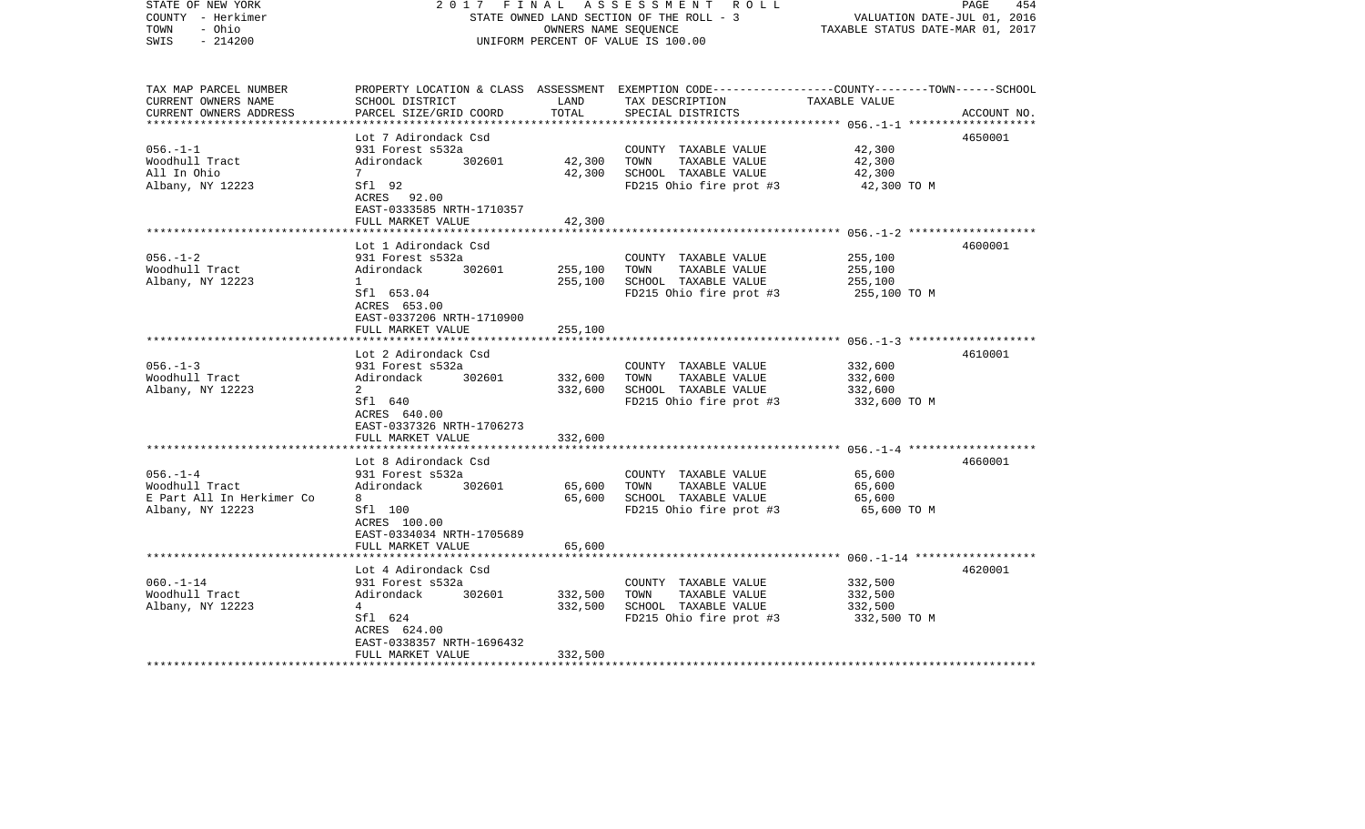| STATE OF NEW YORK<br>COUNTY - Herkimer<br>TOWN<br>- Ohio<br>$-214200$<br>SWIS | 2017<br>FINAL                                           | OWNERS NAME SEQUENCE | A S S E S S M E N T R O L L<br>STATE OWNED LAND SECTION OF THE ROLL - 3<br>UNIFORM PERCENT OF VALUE IS 100.00                                        | VALUATION DATE-JUL 01, 2016<br>TAXABLE STATUS DATE-MAR 01, 2017 | 454<br>PAGE |
|-------------------------------------------------------------------------------|---------------------------------------------------------|----------------------|------------------------------------------------------------------------------------------------------------------------------------------------------|-----------------------------------------------------------------|-------------|
| TAX MAP PARCEL NUMBER<br>CURRENT OWNERS NAME<br>CURRENT OWNERS ADDRESS        | SCHOOL DISTRICT<br>PARCEL SIZE/GRID COORD               | LAND<br>TOTAL        | PROPERTY LOCATION & CLASS ASSESSMENT EXEMPTION CODE--------------COUNTY-------TOWN------SCHOOL<br>TAX DESCRIPTION TAXABLE VALUE<br>SPECIAL DISTRICTS |                                                                 | ACCOUNT NO. |
|                                                                               | Lot 7 Adirondack Csd                                    |                      |                                                                                                                                                      |                                                                 | 4650001     |
| 056.-1-1                                                                      | 931 Forest s532a                                        |                      | COUNTY TAXABLE VALUE                                                                                                                                 | 42,300                                                          |             |
| Woodhull Tract                                                                | Adirondack 302601                                       | 42,300               | TAXABLE VALUE<br>TOWN                                                                                                                                | 42,300                                                          |             |
| All In Ohio                                                                   | $7\phantom{0}$                                          | 42,300               | SCHOOL TAXABLE VALUE                                                                                                                                 | 42,300                                                          |             |
| Albany, NY 12223                                                              | Sfl 92<br>ACRES 92.00<br>EAST-0333585 NRTH-1710357      |                      | FD215 Ohio fire prot #3                                                                                                                              | 42,300 TO M                                                     |             |
|                                                                               | FULL MARKET VALUE                                       | 42,300               |                                                                                                                                                      |                                                                 |             |
|                                                                               | Lot 1 Adirondack Csd                                    |                      |                                                                                                                                                      |                                                                 | 4600001     |
| $056. - 1 - 2$                                                                | 931 Forest s532a                                        |                      | COUNTY TAXABLE VALUE                                                                                                                                 | 255,100                                                         |             |
| Woodhull Tract                                                                | 302601<br>Adirondack                                    | 255,100              | TOWN<br>TAXABLE VALUE                                                                                                                                | 255,100                                                         |             |
| Albany, NY 12223                                                              | $\mathbf{1}$                                            | 255,100              | SCHOOL TAXABLE VALUE                                                                                                                                 | 255,100                                                         |             |
|                                                                               | Sfl 653.04<br>ACRES 653.00<br>EAST-0337206 NRTH-1710900 |                      | FD215 Ohio fire prot #3                                                                                                                              | 255,100 TO M                                                    |             |
|                                                                               | FULL MARKET VALUE                                       | 255,100              |                                                                                                                                                      |                                                                 |             |
|                                                                               |                                                         |                      |                                                                                                                                                      |                                                                 |             |
| $056. -1 - 3$                                                                 | Lot 2 Adirondack Csd<br>931 Forest s532a                |                      | COUNTY TAXABLE VALUE                                                                                                                                 | 332,600                                                         | 4610001     |
| Woodhull Tract                                                                | Adirondack 302601                                       | 332,600              | TOWN<br>TAXABLE VALUE                                                                                                                                | 332,600                                                         |             |
| Albany, NY 12223                                                              | 2                                                       | 332,600              | SCHOOL TAXABLE VALUE                                                                                                                                 | 332,600                                                         |             |
|                                                                               | Sfl 640<br>ACRES 640.00<br>EAST-0337326 NRTH-1706273    |                      | FD215 Ohio fire prot #3                                                                                                                              | 332,600 TO M                                                    |             |
|                                                                               | FULL MARKET VALUE                                       | 332,600              |                                                                                                                                                      |                                                                 |             |
|                                                                               |                                                         |                      |                                                                                                                                                      |                                                                 |             |
|                                                                               | Lot 8 Adirondack Csd                                    |                      |                                                                                                                                                      |                                                                 | 4660001     |
| $056. - 1 - 4$                                                                | 931 Forest s532a                                        |                      | COUNTY TAXABLE VALUE                                                                                                                                 | 65,600                                                          |             |
| Woodhull Tract                                                                | Adirondack 302601                                       | 65,600               | TAXABLE VALUE<br>TOWN                                                                                                                                | 65,600                                                          |             |
| E Part All In Herkimer Co<br>Albany, NY 12223                                 | 8<br>Sfl 100                                            | 65,600               | SCHOOL TAXABLE VALUE<br>FD215 Ohio fire prot #3                                                                                                      | 65,600<br>65,600 TO M                                           |             |
|                                                                               | ACRES 100.00<br>EAST-0334034 NRTH-1705689               |                      |                                                                                                                                                      |                                                                 |             |
|                                                                               | FULL MARKET VALUE                                       | 65,600               |                                                                                                                                                      |                                                                 |             |
|                                                                               | Lot 4 Adirondack Csd                                    |                      |                                                                                                                                                      |                                                                 | 4620001     |
| $060. -1 - 14$                                                                | 931 Forest s532a                                        |                      | COUNTY TAXABLE VALUE                                                                                                                                 | 332,500                                                         |             |
| Woodhull Tract                                                                | Adirondack<br>302601                                    | 332,500              | TOWN<br>TAXABLE VALUE                                                                                                                                | 332,500                                                         |             |
| Albany, NY 12223                                                              | $4\overline{ }$                                         | 332,500              | SCHOOL TAXABLE VALUE                                                                                                                                 | 332,500                                                         |             |
|                                                                               | Sfl 624                                                 |                      | FD215 Ohio fire prot #3 332,500 TO M                                                                                                                 |                                                                 |             |
|                                                                               | ACRES 624.00                                            |                      |                                                                                                                                                      |                                                                 |             |
|                                                                               | EAST-0338357 NRTH-1696432<br>FULL MARKET VALUE          | 332,500              |                                                                                                                                                      |                                                                 |             |
| *********************                                                         |                                                         |                      |                                                                                                                                                      |                                                                 |             |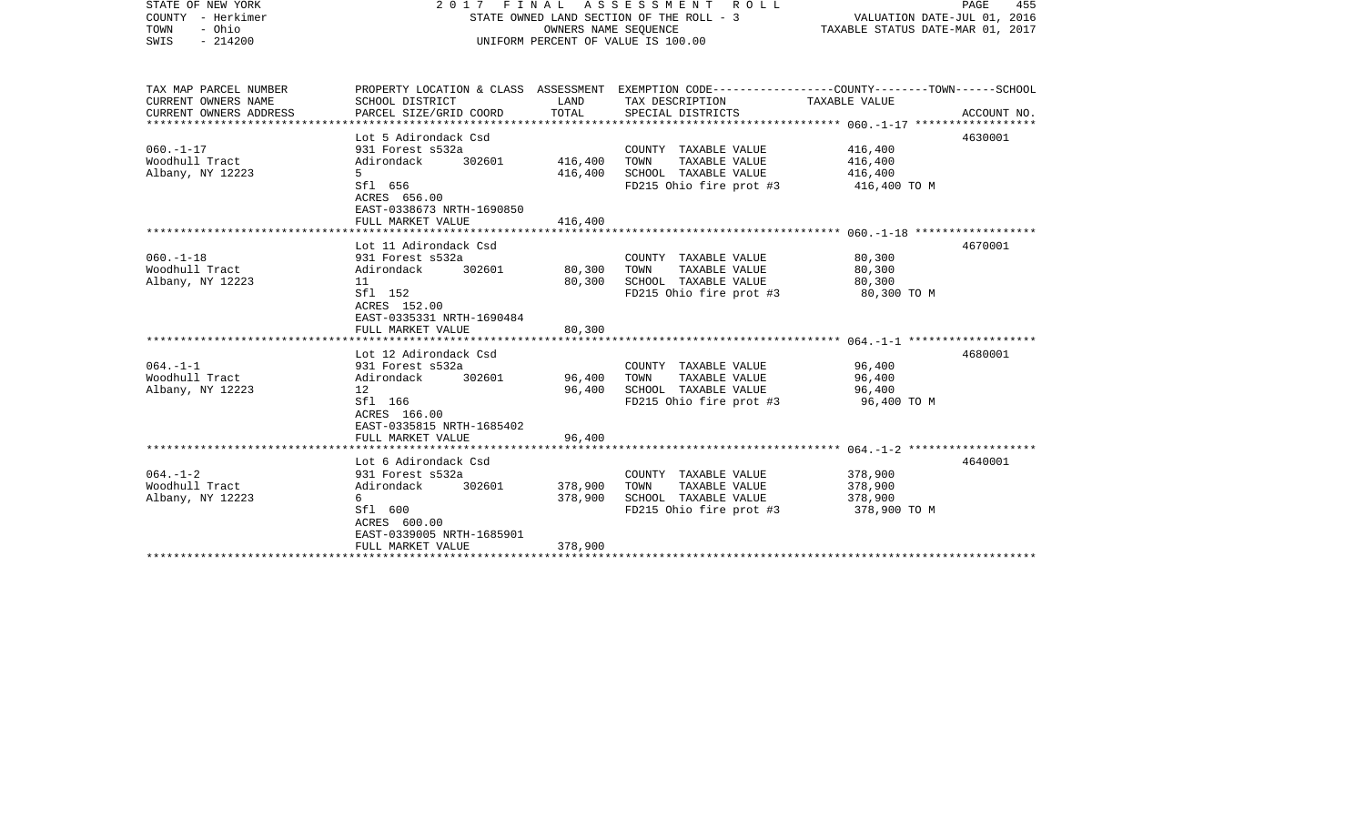| COUNTY<br>– Herkimer<br>- Ohio<br>TOWN<br>$-214200$<br>SWIS            |                                                                                                                                                      | STATE OWNED LAND SECTION OF THE ROLL - 3<br>OWNERS NAME SEOUENCE<br>UNIFORM PERCENT OF VALUE IS 100.00 |                                                                                                                                         |                                               | VALUATION DATE-JUL 01, 2016<br>TAXABLE STATUS DATE-MAR 01, 2017 |  |
|------------------------------------------------------------------------|------------------------------------------------------------------------------------------------------------------------------------------------------|--------------------------------------------------------------------------------------------------------|-----------------------------------------------------------------------------------------------------------------------------------------|-----------------------------------------------|-----------------------------------------------------------------|--|
| TAX MAP PARCEL NUMBER<br>CURRENT OWNERS NAME<br>CURRENT OWNERS ADDRESS | SCHOOL DISTRICT<br>PARCEL SIZE/GRID COORD                                                                                                            | LAND<br>TOTAL                                                                                          | PROPERTY LOCATION & CLASS ASSESSMENT EXEMPTION CODE---------------COUNTY-------TOWN------SCHOOL<br>TAX DESCRIPTION<br>SPECIAL DISTRICTS | TAXABLE VALUE                                 | ACCOUNT NO.                                                     |  |
| $060. -1 - 17$<br>Woodhull Tract<br>Albany, NY 12223                   | Lot 5 Adirondack Csd<br>931 Forest s532a<br>302601<br>Adirondack<br>$5^{\circ}$<br>Sfl 656<br>ACRES 656.00<br>EAST-0338673 NRTH-1690850              | 416,400<br>416,400                                                                                     | COUNTY TAXABLE VALUE<br>TOWN<br>TAXABLE VALUE<br>SCHOOL TAXABLE VALUE<br>FD215 Ohio fire prot #3                                        | 416,400<br>416,400<br>416,400<br>416,400 TO M | 4630001                                                         |  |
|                                                                        | FULL MARKET VALUE                                                                                                                                    | 416,400                                                                                                |                                                                                                                                         |                                               |                                                                 |  |
| $060. -1 - 18$<br>Woodhull Tract<br>Albany, NY 12223                   | Lot 11 Adirondack Csd<br>931 Forest s532a<br>Adirondack<br>302601<br>11<br>Sfl 152<br>ACRES 152.00<br>EAST-0335331 NRTH-1690484<br>FULL MARKET VALUE | 80,300<br>80,300<br>80,300                                                                             | COUNTY TAXABLE VALUE<br>TAXABLE VALUE<br>TOWN<br>SCHOOL TAXABLE VALUE<br>FD215 Ohio fire prot #3                                        | 80,300<br>80,300<br>80,300<br>80,300 TO M     | 4670001                                                         |  |
| $064. -1 -1$<br>Woodhull Tract<br>Albany, NY 12223                     | Lot 12 Adirondack Csd<br>931 Forest s532a<br>Adirondack<br>302601<br>12<br>Sfl 166<br>ACRES 166.00<br>EAST-0335815 NRTH-1685402<br>FULL MARKET VALUE | 96,400<br>96,400<br>96,400                                                                             | COUNTY TAXABLE VALUE<br>TOWN<br>TAXABLE VALUE<br>SCHOOL TAXABLE VALUE<br>FD215 Ohio fire prot #3                                        | 96,400<br>96,400<br>96,400<br>96,400 TO M     | 4680001                                                         |  |
|                                                                        | *****************************<br>Lot 6 Adirondack Csd                                                                                                |                                                                                                        |                                                                                                                                         |                                               | 4640001                                                         |  |
| $064. -1 - 2$<br>Woodhull Tract<br>Albany, NY 12223                    | 931 Forest s532a<br>Adirondack<br>302601<br>6<br>Sfl 600<br>ACRES 600.00<br>EAST-0339005 NRTH-1685901<br>FULL MARKET VALUE                           | 378,900<br>378,900<br>378,900                                                                          | COUNTY TAXABLE VALUE<br>TAXABLE VALUE<br>TOWN<br>SCHOOL TAXABLE VALUE<br>FD215 Ohio fire prot #3                                        | 378,900<br>378,900<br>378,900<br>378,900 TO M |                                                                 |  |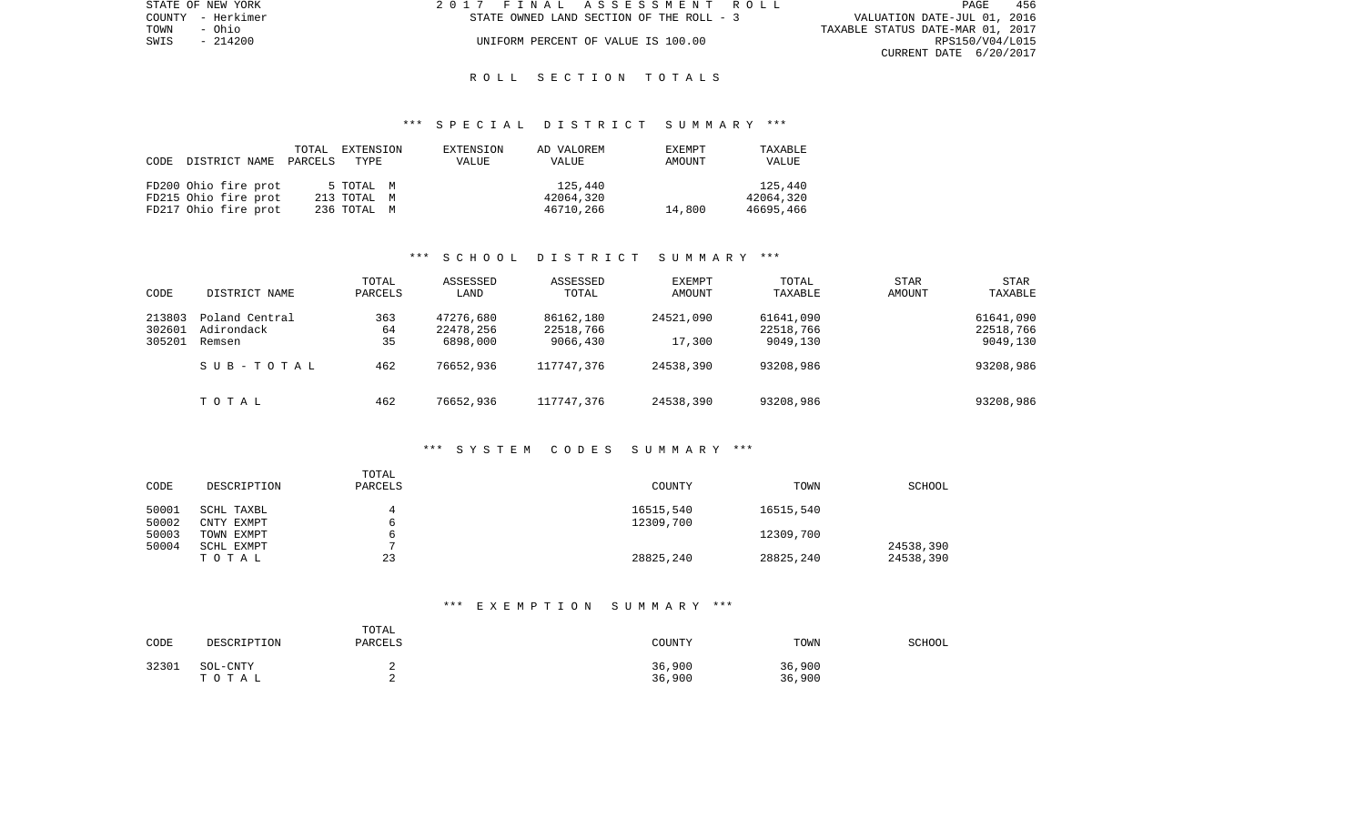| STATE OF NEW YORK | 2017 FINAL ASSESSMENT ROLL               | 456<br>PAGE                      |
|-------------------|------------------------------------------|----------------------------------|
| COUNTY - Herkimer | STATE OWNED LAND SECTION OF THE ROLL - 3 | VALUATION DATE-JUL 01, 2016      |
| TOWN<br>- Ohio    |                                          | TAXABLE STATUS DATE-MAR 01, 2017 |
| SWIS - 214200     | UNIFORM PERCENT OF VALUE IS 100.00       | RPS150/V04/L015                  |
|                   |                                          | CURRENT DATE 6/20/2017           |

#### \*\*\* S P E C I A L D I S T R I C T S U M M A R Y \*\*\*

| CODE | DISTRICT NAME        | TOTAL<br>PARCELS | EXTENSION<br>TYPE | EXTENSION<br>VALUE | AD VALOREM<br>VALUE | EXEMPT<br>AMOUNT | TAXABLE<br>VALUE |
|------|----------------------|------------------|-------------------|--------------------|---------------------|------------------|------------------|
|      | FD200 Ohio fire prot |                  | 5 TOTAL M         |                    | 125,440             |                  | 125,440          |
|      | FD215 Ohio fire prot |                  | 213 TOTAL M       |                    | 42064,320           |                  | 42064,320        |
|      | FD217 Ohio fire prot |                  | 236 ТОТАL М       |                    | 46710,266           | 14,800           | 46695,466        |

## \*\*\* S C H O O L D I S T R I C T S U M M A R Y \*\*\*

| CODE                       | DISTRICT NAME                          | TOTAL<br>PARCELS | ASSESSED<br>LAND                   | ASSESSED<br>TOTAL                  | EXEMPT<br>AMOUNT       | TOTAL<br>TAXABLE                   | <b>STAR</b><br>AMOUNT | <b>STAR</b><br>TAXABLE             |
|----------------------------|----------------------------------------|------------------|------------------------------------|------------------------------------|------------------------|------------------------------------|-----------------------|------------------------------------|
| 213803<br>302601<br>305201 | Poland Central<br>Adirondack<br>Remsen | 363<br>64<br>35  | 47276,680<br>22478,256<br>6898,000 | 86162,180<br>22518,766<br>9066,430 | 24521,090<br>17,300    | 61641,090<br>22518,766<br>9049,130 |                       | 61641,090<br>22518,766<br>9049,130 |
|                            | SUB-TOTAL<br>TOTAL                     | 462<br>462       | 76652,936<br>76652,936             | 117747.376<br>117747.376           | 24538,390<br>24538,390 | 93208,986<br>93208,986             |                       | 93208,986<br>93208,986             |

#### \*\*\* S Y S T E M C O D E S S U M M A R Y \*\*\*

| CODE           | DESCRIPTION              | TOTAL<br>PARCELS | <b>COUNTY</b>          | TOWN      | <b>SCHOOL</b>          |
|----------------|--------------------------|------------------|------------------------|-----------|------------------------|
| 50001<br>50002 | SCHL TAXBL<br>CNTY EXMPT |                  | 16515,540<br>12309,700 | 16515,540 |                        |
| 50003          | TOWN EXMPT               |                  |                        | 12309,700 |                        |
| 50004          | SCHL EXMPT<br>TOTAL      | 23               | 28825,240              | 28825,240 | 24538,390<br>24538,390 |

## \*\*\* E X E M P T I O N S U M M A R Y \*\*\*

| CODE  | DESCRIPTION       | TOTAL<br>PARCELS | COUNTY           | TOWN             | SCHOOL |
|-------|-------------------|------------------|------------------|------------------|--------|
| 32301 | SOL-CNTY<br>тотаь |                  | 36,900<br>36,900 | 36,900<br>36,900 |        |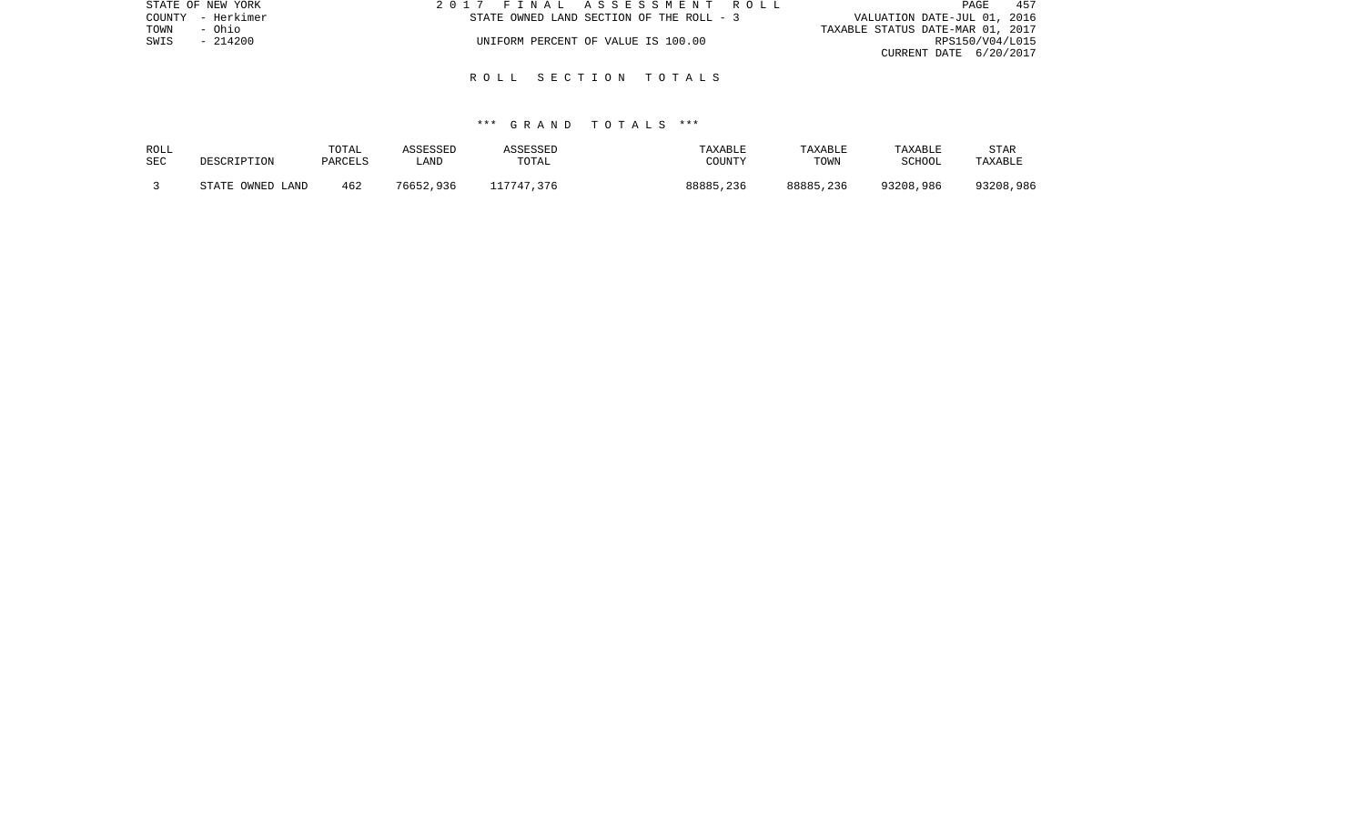| STATE OF NEW YORK | 2017 FINAL ASSESSMENT ROLL               | 457<br>PAGE                      |
|-------------------|------------------------------------------|----------------------------------|
| COUNTY - Herkimer | STATE OWNED LAND SECTION OF THE ROLL - 3 | VALUATION DATE-JUL 01, 2016      |
| TOWN<br>- Ohio    |                                          | TAXABLE STATUS DATE-MAR 01, 2017 |
| $-214200$<br>SWIS | UNIFORM PERCENT OF VALUE IS 100.00       | RPS150/V04/L015                  |
|                   |                                          | CURRENT DATE 6/20/2017           |

## \*\*\* G R A N D T O T A L S \*\*\*

| ROLL | DESCRIPTION      | TOTAL   | ASSESSED  | ASSESSED   | TAXABLE   | TAXABLE   | TAXABLE       | <b>STAR</b> |
|------|------------------|---------|-----------|------------|-----------|-----------|---------------|-------------|
| SEC  |                  | PARCELS | LAND      | TOTAL      | COUNTY    | TOWN      | <b>SCHOOL</b> | TAXABLE     |
|      | STATE OWNED LAND | 462     | 76652,936 | 117747.376 | 88885,236 | 88885,236 | 93208,986     | 93208,986   |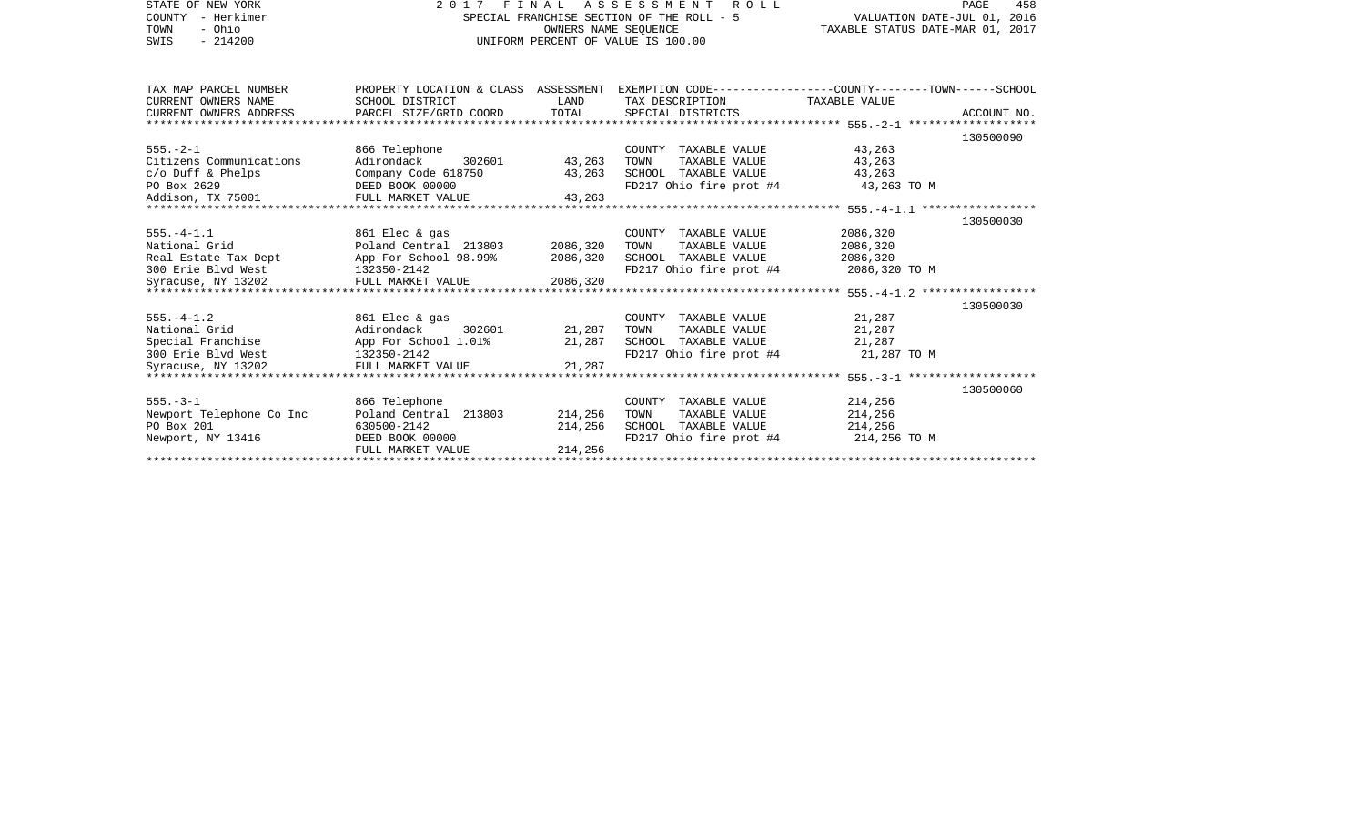| STATE OF NEW YORK              | 2017                   |                                  | FINAL ASSESSMENT ROLL                                                                           |                             | 458<br>PAGE |
|--------------------------------|------------------------|----------------------------------|-------------------------------------------------------------------------------------------------|-----------------------------|-------------|
| COUNTY - Herkimer              |                        |                                  | SPECIAL FRANCHISE SECTION OF THE ROLL - 5<br>OWNERS NAME SEOUENCE                               | VALUATION DATE-JUL 01, 2016 |             |
| TOWN<br>- Ohio                 |                        | TAXABLE STATUS DATE-MAR 01, 2017 |                                                                                                 |                             |             |
| $-214200$<br>SWIS              |                        |                                  | UNIFORM PERCENT OF VALUE IS 100.00                                                              |                             |             |
|                                |                        |                                  |                                                                                                 |                             |             |
| TAX MAP PARCEL NUMBER          |                        |                                  | PROPERTY LOCATION & CLASS ASSESSMENT EXEMPTION CODE---------------COUNTY-------TOWN------SCHOOL |                             |             |
| CURRENT OWNERS NAME            | SCHOOL DISTRICT        | LAND                             | TAX DESCRIPTION                                                                                 | TAXABLE VALUE               |             |
| CURRENT OWNERS ADDRESS         | PARCEL SIZE/GRID COORD | TOTAL                            | SPECIAL DISTRICTS                                                                               |                             | ACCOUNT NO. |
|                                |                        |                                  |                                                                                                 |                             |             |
|                                |                        |                                  |                                                                                                 |                             | 130500090   |
| $555. - 2 - 1$                 | 866 Telephone          |                                  | COUNTY TAXABLE VALUE                                                                            | 43,263                      |             |
| Citizens Communications        | 302601<br>Adirondack   | 43,263                           | TOWN<br>TAXABLE VALUE                                                                           | 43,263                      |             |
| $c/O$ Duff & Phelps            | Company Code 618750    | 43,263                           | SCHOOL TAXABLE VALUE                                                                            | 43,263                      |             |
| PO Box 2629                    | DEED BOOK 00000        |                                  | FD217 Ohio fire prot #4                                                                         | 43,263 TO M                 |             |
| Addison, TX 75001              | FULL MARKET VALUE      | 43,263                           |                                                                                                 |                             |             |
|                                |                        |                                  |                                                                                                 |                             |             |
|                                |                        |                                  |                                                                                                 |                             | 130500030   |
| $555. - 4 - 1.1$               | 861 Elec & gas         |                                  | COUNTY TAXABLE VALUE                                                                            | 2086,320                    |             |
| National Grid                  | Poland Central 213803  | 2086,320                         | TAXABLE VALUE<br>TOWN                                                                           | 2086,320                    |             |
| Real Estate Tax Dept           | App For School 98.99%  | 2086,320                         | SCHOOL TAXABLE VALUE                                                                            | 2086,320                    |             |
| 300 Erie Blvd West 132350-2142 |                        |                                  | FD217 Ohio fire prot #4 2086,320 TO M                                                           |                             |             |
| Syracuse, NY 13202             | FULL MARKET VALUE      | 2086,320                         |                                                                                                 |                             |             |
|                                |                        |                                  |                                                                                                 |                             |             |
|                                |                        |                                  |                                                                                                 |                             | 130500030   |
| $555. - 4 - 1.2$               | 861 Elec & gas         |                                  | COUNTY TAXABLE VALUE                                                                            | 21,287                      |             |
| National Grid                  | Adirondack<br>302601   | 21,287                           | TAXABLE VALUE<br>TOWN                                                                           | 21,287                      |             |
| Special Franchise              | App For School 1.01%   | 21,287                           | SCHOOL TAXABLE VALUE                                                                            | 21,287                      |             |
| 300 Erie Blvd West             | 132350-2142            |                                  | FD217 Ohio fire prot #4                                                                         | 21,287 TO M                 |             |
| Syracuse, NY 13202             | FULL MARKET VALUE      | 21,287                           |                                                                                                 |                             |             |
|                                |                        |                                  |                                                                                                 |                             |             |
|                                |                        |                                  |                                                                                                 |                             | 130500060   |
| $555. - 3 - 1$                 | 866 Telephone          |                                  | COUNTY TAXABLE VALUE                                                                            | 214,256                     |             |
| Newport Telephone Co Inc       | Poland Central 213803  | 214,256                          | TAXABLE VALUE<br>TOWN                                                                           | 214,256                     |             |
| PO Box 201                     | 630500-2142            | 214,256                          | SCHOOL TAXABLE VALUE                                                                            | 214,256                     |             |
| Newport, NY 13416              | DEED BOOK 00000        |                                  | FD217 Ohio fire prot $#4$ 214,256 TO M                                                          |                             |             |
|                                | FULL MARKET VALUE      | 214,256                          |                                                                                                 |                             |             |
|                                |                        |                                  |                                                                                                 |                             |             |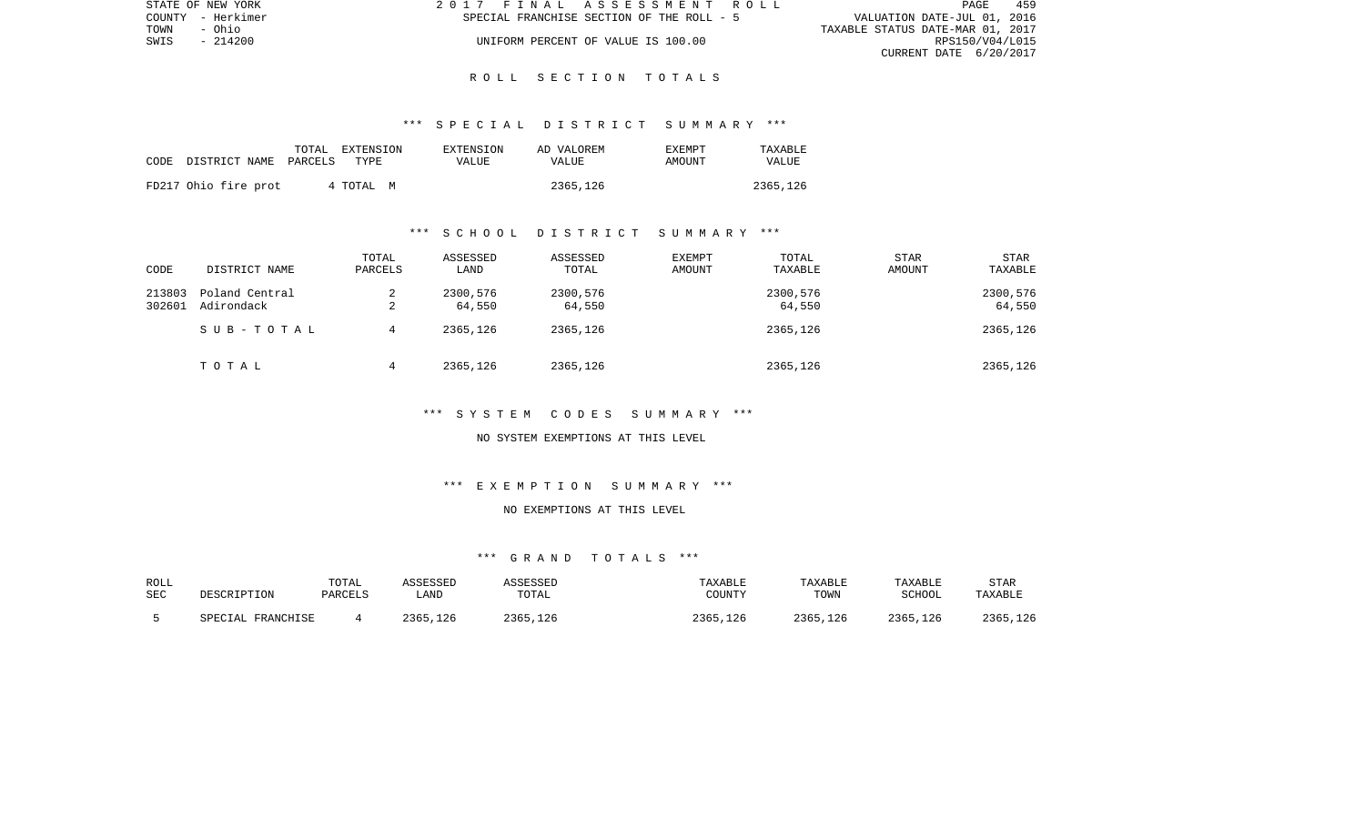| STATE OF NEW YORK | 2017 FINAL ASSESSMENT ROLL                | 459<br><b>PAGE</b>               |  |
|-------------------|-------------------------------------------|----------------------------------|--|
| COUNTY - Herkimer | SPECIAL FRANCHISE SECTION OF THE ROLL - 5 | VALUATION DATE-JUL 01, 2016      |  |
| TOWN<br>- Ohio    |                                           | TAXABLE STATUS DATE-MAR 01, 2017 |  |
| - 214200<br>SWIS  | UNIFORM PERCENT OF VALUE IS 100.00        | RPS150/V04/L015                  |  |
|                   |                                           | CURRENT DATE 6/20/2017           |  |

#### \*\*\* S P E C I A L D I S T R I C T S U M M A R Y \*\*\*

| CODE . | DISTRICT NAME PARCELS | TOTAL | EXTENSION<br>TYPE | EXTENSION<br>VALUE | AD VALOREM<br><b>VALUE</b> | <b>EXEMPT</b><br>AMOUNT | TAXABLE<br>VALUE |
|--------|-----------------------|-------|-------------------|--------------------|----------------------------|-------------------------|------------------|
|        | FD217 Ohio fire prot  |       | 4 TOTAL M         |                    | 2365,126                   |                         | 2365,126         |

## \*\*\* S C H O O L D I S T R I C T S U M M A R Y \*\*\*

| CODE             | DISTRICT NAME                | TOTAL<br>PARCELS | ASSESSED<br>LAND   | ASSESSED<br>TOTAL  | EXEMPT<br>AMOUNT | TOTAL<br>TAXABLE   | STAR<br>AMOUNT | <b>STAR</b><br>TAXABLE |
|------------------|------------------------------|------------------|--------------------|--------------------|------------------|--------------------|----------------|------------------------|
| 213803<br>302601 | Poland Central<br>Adirondack | 2<br>∠           | 2300,576<br>64,550 | 2300,576<br>64,550 |                  | 2300,576<br>64,550 |                | 2300,576<br>64,550     |
|                  | SUB-TOTAL                    | 4                | 2365,126           | 2365,126           |                  | 2365,126           |                | 2365,126               |
|                  | TOTAL                        | 4                | 2365,126           | 2365,126           |                  | 2365,126           |                | 2365,126               |

# \*\*\* S Y S T E M C O D E S S U M M A R Y \*\*\*

#### NO SYSTEM EXEMPTIONS AT THIS LEVEL

## \*\*\* E X E M P T I O N S U M M A R Y \*\*\*

# NO EXEMPTIONS AT THIS LEVEL

# \*\*\* G R A N D T O T A L S \*\*\*

| ROLL<br>SEC | DESCRIPTION       | TOTAL<br>PARCELS | ASSESSED<br>LAND | ASSESSED<br>TOTAL | TAXABLE<br>COUNTY | TAXABLE<br>TOWN | TAXABLE<br>SCHOOL | STAR<br>TAXABLE |
|-------------|-------------------|------------------|------------------|-------------------|-------------------|-----------------|-------------------|-----------------|
|             | SPECIAL FRANCHISE |                  | 2365,126         | 2365,126          | 2365,126          | 2365,126        | 2365,126          | 2365,126        |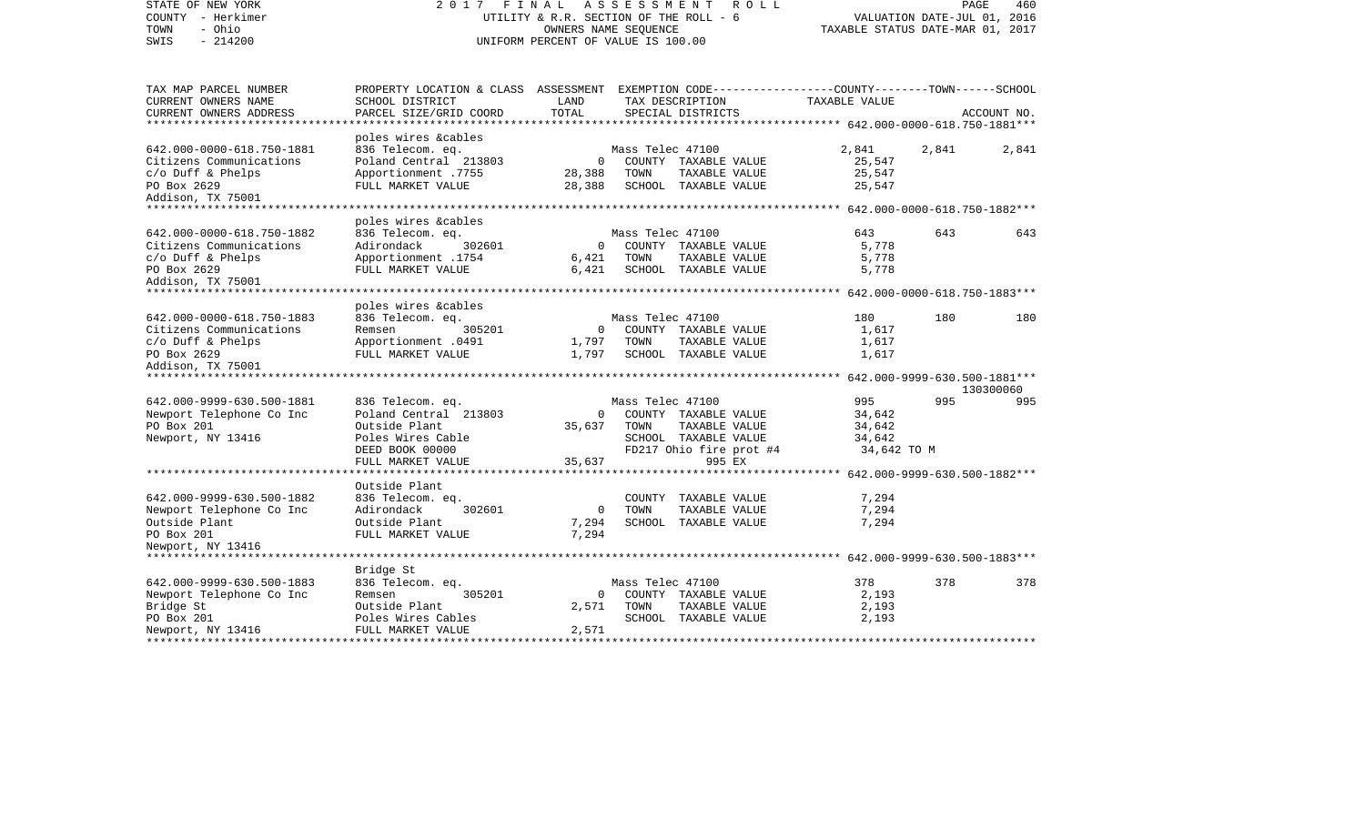| STATE OF NEW YORK<br>COUNTY - Herkimer<br>- Ohio<br>TOWN<br>$-214200$<br>SWIS | 2017 FINAL                                                                                      | UTILITY & R.R. SECTION OF THE ROLL - 6<br>OWNERS NAME SEOUENCE<br>UNIFORM PERCENT OF VALUE IS 100.00 | A S S E S S M E N T | <b>ROLL</b>             | TAXABLE STATUS DATE-MAR 01, 2017 | PAGE<br>VALUATION DATE-JUL 01, 2016 | 460         |
|-------------------------------------------------------------------------------|-------------------------------------------------------------------------------------------------|------------------------------------------------------------------------------------------------------|---------------------|-------------------------|----------------------------------|-------------------------------------|-------------|
| TAX MAP PARCEL NUMBER                                                         | PROPERTY LOCATION & CLASS ASSESSMENT EXEMPTION CODE---------------COUNTY-------TOWN------SCHOOL |                                                                                                      |                     |                         |                                  |                                     |             |
| CURRENT OWNERS NAME                                                           | SCHOOL DISTRICT                                                                                 | LAND                                                                                                 |                     | TAX DESCRIPTION         | TAXABLE VALUE                    |                                     |             |
| CURRENT OWNERS ADDRESS<br>**********************                              | PARCEL SIZE/GRID COORD                                                                          | TOTAL                                                                                                |                     | SPECIAL DISTRICTS       |                                  |                                     | ACCOUNT NO. |
|                                                                               | poles wires &cables                                                                             |                                                                                                      |                     |                         |                                  |                                     |             |
| 642.000-0000-618.750-1881                                                     | 836 Telecom. eq.                                                                                |                                                                                                      | Mass Telec 47100    |                         | 2,841                            | 2,841                               | 2,841       |
| Citizens Communications                                                       | Poland Central 213803                                                                           | $\mathbf 0$                                                                                          |                     | COUNTY TAXABLE VALUE    | 25,547                           |                                     |             |
| $c/O$ Duff & Phelps                                                           | Apportionment .7755                                                                             | 28,388                                                                                               | TOWN                | TAXABLE VALUE           | 25,547                           |                                     |             |
| PO Box 2629                                                                   | FULL MARKET VALUE                                                                               | 28,388                                                                                               |                     | SCHOOL TAXABLE VALUE    | 25,547                           |                                     |             |
| Addison, TX 75001                                                             |                                                                                                 |                                                                                                      |                     |                         |                                  |                                     |             |
|                                                                               |                                                                                                 |                                                                                                      |                     |                         |                                  |                                     |             |
| 642.000-0000-618.750-1882                                                     | poles wires &cables<br>836 Telecom. eq.                                                         |                                                                                                      | Mass Telec 47100    |                         | 643                              | 643                                 | 643         |
| Citizens Communications                                                       | Adirondack<br>302601                                                                            | $\circ$                                                                                              |                     | COUNTY TAXABLE VALUE    | 5,778                            |                                     |             |
| $c/o$ Duff & Phelps                                                           | 1754. Apportionment                                                                             | 6,421                                                                                                | TOWN                | TAXABLE VALUE           | 5,778                            |                                     |             |
| PO Box 2629                                                                   | FULL MARKET VALUE                                                                               | 6,421                                                                                                |                     | SCHOOL TAXABLE VALUE    | 5,778                            |                                     |             |
| Addison, TX 75001                                                             |                                                                                                 |                                                                                                      |                     |                         |                                  |                                     |             |
| *****************************                                                 |                                                                                                 |                                                                                                      |                     |                         |                                  |                                     |             |
|                                                                               | poles wires &cables                                                                             |                                                                                                      |                     |                         |                                  |                                     |             |
| 642.000-0000-618.750-1883                                                     | 836 Telecom. eq.                                                                                |                                                                                                      | Mass Telec 47100    |                         | 180                              | 180                                 | 180         |
| Citizens Communications                                                       | 305201<br>Remsen                                                                                | $\circ$                                                                                              |                     | COUNTY TAXABLE VALUE    | 1,617                            |                                     |             |
| $c/O$ Duff & Phelps                                                           | Apportionment .0491                                                                             | 1,797                                                                                                | TOWN                | TAXABLE VALUE           | 1,617                            |                                     |             |
| PO Box 2629                                                                   | FULL MARKET VALUE                                                                               | 1,797                                                                                                |                     | SCHOOL TAXABLE VALUE    | 1,617                            |                                     |             |
| Addison, TX 75001                                                             |                                                                                                 |                                                                                                      |                     |                         |                                  |                                     |             |
|                                                                               |                                                                                                 |                                                                                                      |                     |                         |                                  |                                     | 130300060   |
| 642.000-9999-630.500-1881                                                     | 836 Telecom. eq.                                                                                |                                                                                                      | Mass Telec 47100    |                         | 995                              | 995                                 | 995         |
| Newport Telephone Co Inc                                                      | Poland Central 213803                                                                           | $\circ$                                                                                              |                     | COUNTY TAXABLE VALUE    | 34,642                           |                                     |             |
| PO Box 201                                                                    | Outside Plant                                                                                   | 35,637                                                                                               | TOWN                | TAXABLE VALUE           | 34,642                           |                                     |             |
| Newport, NY 13416                                                             | Poles Wires Cable                                                                               |                                                                                                      |                     | SCHOOL TAXABLE VALUE    | 34,642                           |                                     |             |
|                                                                               | DEED BOOK 00000                                                                                 |                                                                                                      |                     | FD217 Ohio fire prot #4 | 34,642 TO M                      |                                     |             |
|                                                                               | FULL MARKET VALUE                                                                               | 35,637                                                                                               |                     | 995 EX                  |                                  |                                     |             |
|                                                                               | Outside Plant                                                                                   |                                                                                                      |                     |                         |                                  |                                     |             |
| 642.000-9999-630.500-1882                                                     | 836 Telecom. eq.                                                                                |                                                                                                      |                     | COUNTY TAXABLE VALUE    | 7,294                            |                                     |             |
| Newport Telephone Co Inc                                                      | Adirondack<br>302601                                                                            | $\mathbf 0$                                                                                          | TOWN                | TAXABLE VALUE           | 7,294                            |                                     |             |
| Outside Plant                                                                 | Outside Plant                                                                                   | 7,294                                                                                                |                     | SCHOOL TAXABLE VALUE    | 7,294                            |                                     |             |
| PO Box 201                                                                    | FULL MARKET VALUE                                                                               | 7,294                                                                                                |                     |                         |                                  |                                     |             |
| Newport, NY 13416                                                             |                                                                                                 |                                                                                                      |                     |                         |                                  |                                     |             |
|                                                                               |                                                                                                 |                                                                                                      |                     |                         |                                  |                                     |             |
|                                                                               | Bridge St                                                                                       |                                                                                                      |                     |                         |                                  |                                     |             |
| 642.000-9999-630.500-1883                                                     | 836 Telecom. eq.                                                                                |                                                                                                      | Mass Telec 47100    |                         | 378                              | 378                                 | 378         |
| Newport Telephone Co Inc                                                      | 305201<br>Remsen                                                                                | $\mathbf{0}$                                                                                         |                     | COUNTY TAXABLE VALUE    | 2,193                            |                                     |             |
| Bridge St                                                                     | Outside Plant                                                                                   | 2,571                                                                                                | TOWN                | TAXABLE VALUE           | 2,193                            |                                     |             |
| PO Box 201                                                                    | Poles Wires Cables<br>FULL MARKET VALUE                                                         | 2,571                                                                                                |                     | SCHOOL TAXABLE VALUE    | 2,193                            |                                     |             |
| Newport, NY 13416                                                             |                                                                                                 |                                                                                                      |                     |                         |                                  |                                     |             |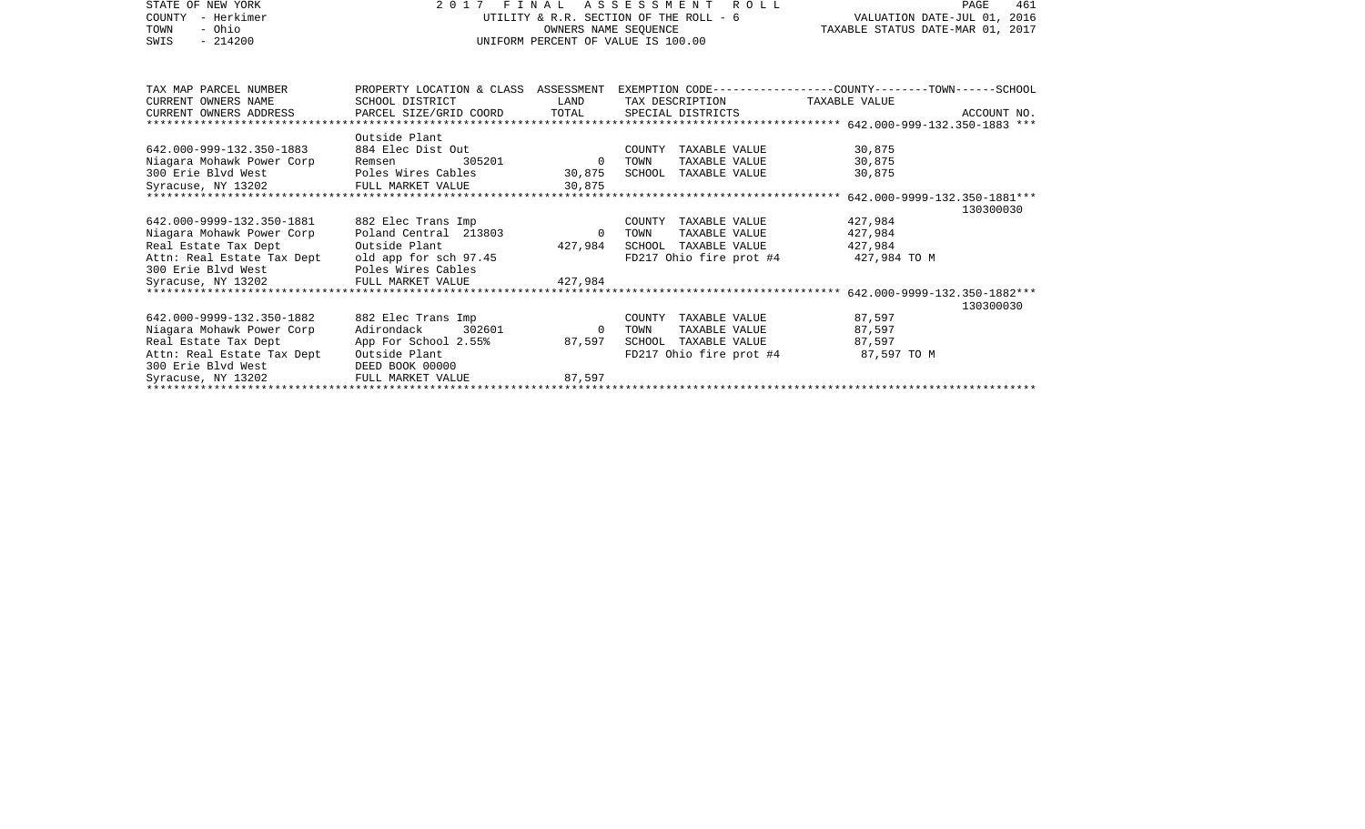| STATE OF NEW YORK<br>- Herkimer<br>COUNTY<br>- Ohio<br>TOWN | 2017 FINAL ASSESSMENT<br>UTILITY & R.R. SECTION OF THE ROLL - 6 | VALUATION DATE-JUL 01, 2016<br>TAXABLE STATUS DATE-MAR 01, 2017 | 461<br>PAGE                                                                                      |                    |             |
|-------------------------------------------------------------|-----------------------------------------------------------------|-----------------------------------------------------------------|--------------------------------------------------------------------------------------------------|--------------------|-------------|
| $-214200$<br>SWIS                                           | OWNERS NAME SEOUENCE<br>UNIFORM PERCENT OF VALUE IS 100.00      |                                                                 |                                                                                                  |                    |             |
| TAX MAP PARCEL NUMBER                                       |                                                                 |                                                                 | PROPERTY LOCATION & CLASS ASSESSMENT EXEMPTION CODE----------------COUNTY-------TOWN------SCHOOL |                    |             |
| CURRENT OWNERS NAME                                         | SCHOOL DISTRICT                                                 | LAND                                                            | TAX DESCRIPTION                                                                                  | TAXABLE VALUE      |             |
| CURRENT OWNERS ADDRESS                                      | PARCEL SIZE/GRID COORD                                          | TOTAL                                                           | SPECIAL DISTRICTS                                                                                |                    | ACCOUNT NO. |
|                                                             |                                                                 |                                                                 |                                                                                                  |                    |             |
|                                                             | Outside Plant                                                   |                                                                 |                                                                                                  |                    |             |
| 642.000-999-132.350-1883                                    | 884 Elec Dist Out                                               |                                                                 | COUNTY TAXABLE VALUE                                                                             | 30,875             |             |
| Niagara Mohawk Power Corp                                   | 305201<br>Remsen                                                | $\overline{0}$                                                  | TAXABLE VALUE<br>TOWN                                                                            | 30,875             |             |
| 300 Erie Blyd West                                          | Poles Wires Cables                                              | 30,875                                                          | SCHOOL TAXABLE VALUE                                                                             | 30,875             |             |
| Syracuse, NY 13202                                          | FULL MARKET VALUE                                               | 30,875                                                          |                                                                                                  |                    |             |
|                                                             |                                                                 |                                                                 |                                                                                                  |                    |             |
|                                                             |                                                                 |                                                                 |                                                                                                  |                    | 130300030   |
| 642.000-9999-132.350-1881                                   | 882 Elec Trans Imp<br>Poland Central 213803                     | $\overline{0}$                                                  | COUNTY TAXABLE VALUE<br>TAXABLE VALUE                                                            | 427,984            |             |
| Niagara Mohawk Power Corp<br>Real Estate Tax Dept           | Outside Plant                                                   | 427,984                                                         | TOWN<br>SCHOOL TAXABLE VALUE                                                                     | 427,984<br>427,984 |             |
| Attn: Real Estate Tax Dept                                  | old app for sch 97.45                                           |                                                                 | FD217 Ohio fire prot $#4$ 427,984 TO M                                                           |                    |             |
| 300 Erie Blvd West                                          | Poles Wires Cables                                              |                                                                 |                                                                                                  |                    |             |
| Syracuse, NY 13202                                          | FULL MARKET VALUE                                               | 427,984                                                         |                                                                                                  |                    |             |
|                                                             |                                                                 |                                                                 |                                                                                                  |                    |             |
|                                                             |                                                                 |                                                                 |                                                                                                  |                    | 130300030   |
| 642.000-9999-132.350-1882                                   | 882 Elec Trans Imp                                              |                                                                 | COUNTY TAXABLE VALUE                                                                             | 87,597             |             |
| Niagara Mohawk Power Corp                                   | Adirondack<br>302601                                            | $\circ$                                                         | TAXABLE VALUE<br>TOWN                                                                            | 87,597             |             |
| Real Estate Tax Dept                                        | App For School 2.55%                                            | 87,597                                                          | SCHOOL TAXABLE VALUE                                                                             | 87.597             |             |
| Attn: Real Estate Tax Dept                                  | Outside Plant                                                   |                                                                 | FD217 Ohio fire prot #4                                                                          | 87,597 TO M        |             |
| 300 Erie Blyd West                                          | DEED BOOK 00000                                                 |                                                                 |                                                                                                  |                    |             |
| Syracuse, NY 13202                                          | FULL MARKET VALUE                                               | 87,597                                                          |                                                                                                  |                    |             |
|                                                             |                                                                 |                                                                 |                                                                                                  |                    |             |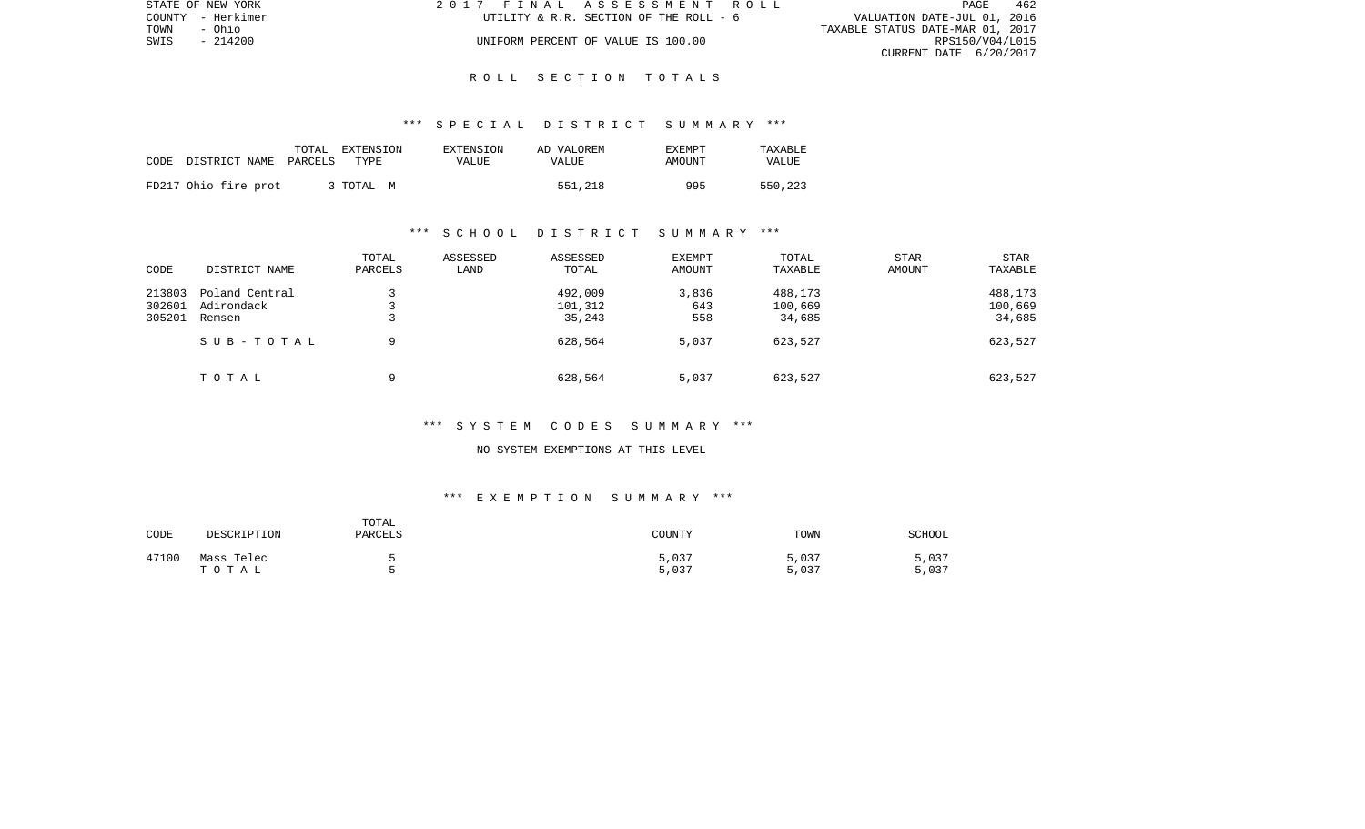| STATE OF NEW YORK | 2017 FINAL ASSESSMENT ROLL             | 462<br><b>PAGE</b>               |
|-------------------|----------------------------------------|----------------------------------|
| COUNTY - Herkimer | UTILITY & R.R. SECTION OF THE ROLL - 6 | VALUATION DATE-JUL 01, 2016      |
| TOWN<br>- Ohio    |                                        | TAXABLE STATUS DATE-MAR 01, 2017 |
| SWIS<br>- 214200  | UNIFORM PERCENT OF VALUE IS 100.00     | RPS150/V04/L015                  |
|                   |                                        | CURRENT DATE 6/20/2017           |

#### \*\*\* S P E C I A L D I S T R I C T S U M M A R Y \*\*\*

| CODE DISTRICT NAME PARCELS | TOTAL EXTENSION<br>TYPE | EXTENSION<br>VALUE | AD VALOREM<br>VALUE | <b>EXEMPT</b><br>AMOUNT | TAXABLE<br>VALUE |
|----------------------------|-------------------------|--------------------|---------------------|-------------------------|------------------|
| FD217 Ohio fire prot       | 3 TOTAL M               |                    | 551,218             | 995                     | 550,223          |

## \*\*\* S C H O O L D I S T R I C T S U M M A R Y \*\*\*

| CODE   | DISTRICT NAME  | TOTAL<br>PARCELS | ASSESSED<br>LAND | ASSESSED<br>TOTAL | <b>EXEMPT</b><br>AMOUNT | TOTAL<br>TAXABLE | <b>STAR</b><br>AMOUNT | <b>STAR</b><br>TAXABLE |
|--------|----------------|------------------|------------------|-------------------|-------------------------|------------------|-----------------------|------------------------|
| 213803 | Poland Central |                  |                  | 492,009           | 3,836                   | 488,173          |                       | 488,173                |
| 302601 | Adirondack     |                  |                  | 101,312           | 643                     | 100,669          |                       | 100,669                |
| 305201 | Remsen         | سه               |                  | 35,243            | 558                     | 34,685           |                       | 34,685                 |
|        | SUB-TOTAL      | 9                |                  | 628,564           | 5,037                   | 623,527          |                       | 623,527                |
|        | TOTAL          | a                |                  | 628,564           | 5,037                   | 623,527          |                       | 623,527                |

## \*\*\* S Y S T E M C O D E S S U M M A R Y \*\*\*

#### NO SYSTEM EXEMPTIONS AT THIS LEVEL

## \*\*\* E X E M P T I O N S U M M A R Y \*\*\*

| CODE  | DESCRIPTION         | TOTAL<br>PARCELS | COUNTY         | TOWN           | <b>SCHOOL</b>  |
|-------|---------------------|------------------|----------------|----------------|----------------|
| 47100 | Mass Telec<br>TOTAL |                  | 5,037<br>5,037 | 5,037<br>5,037 | 5,037<br>5,037 |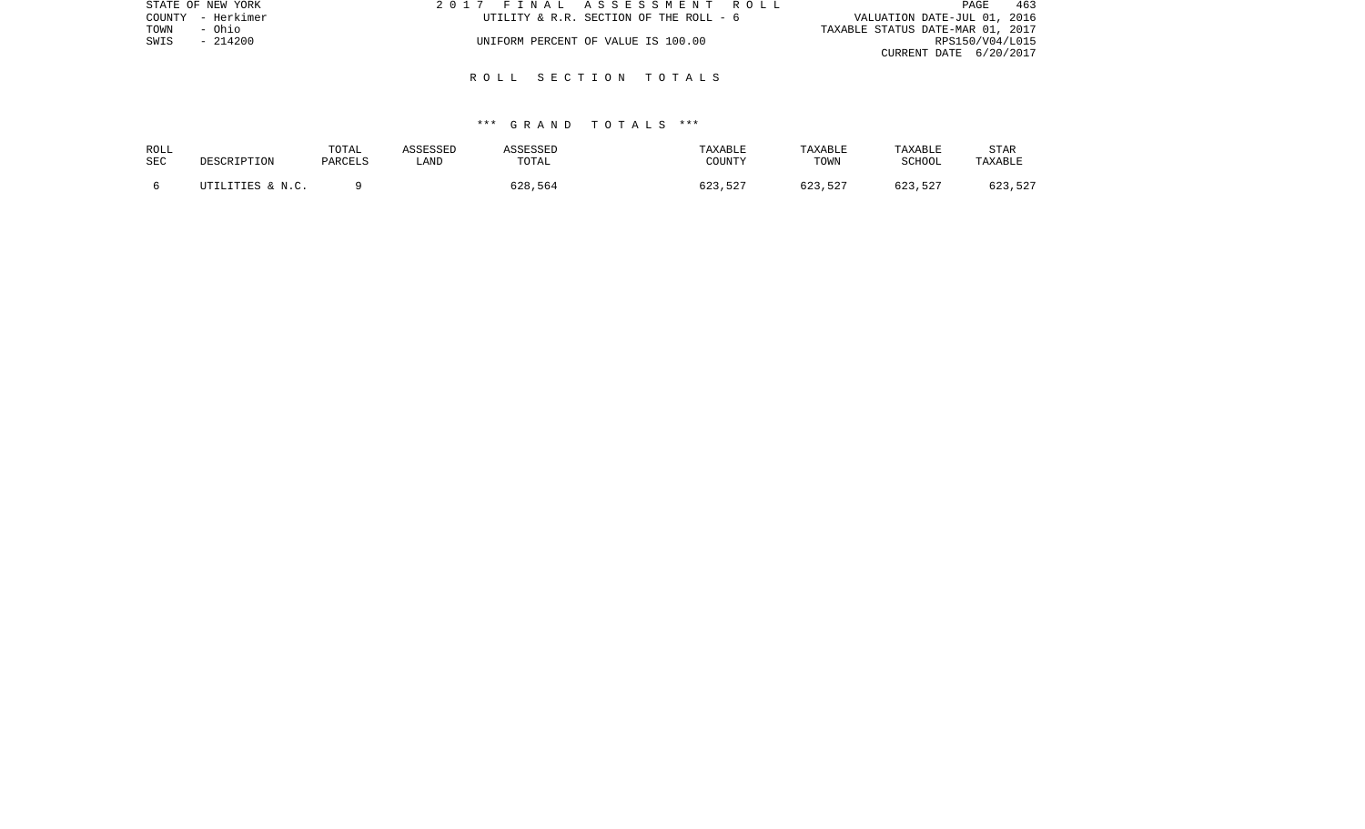| STATE OF NEW YORK | 2017 FINAL ASSESSMENT ROLL             | 463<br>PAGE                      |
|-------------------|----------------------------------------|----------------------------------|
| COUNTY - Herkimer | UTILITY & R.R. SECTION OF THE ROLL - 6 | VALUATION DATE-JUL 01, 2016      |
| TOWN<br>- Ohio    |                                        | TAXABLE STATUS DATE-MAR 01, 2017 |
| $-214200$<br>SWIS | UNIFORM PERCENT OF VALUE IS 100.00     | RPS150/V04/L015                  |
|                   |                                        | CURRENT DATE 6/20/2017           |
|                   |                                        |                                  |

### \*\*\* G R A N D T O T A L S \*\*\*

| ROLL<br>SEC | DESCRIPTION      | TOTAL<br>PARCELS | ASSESSED<br>LAND | <b>ASSESSED</b><br>TOTAL | TAXABLE<br>COUNTY | TAXABLE<br>TOWN | TAXABLE<br>SCHOOL | STAR<br>TAXABLE |
|-------------|------------------|------------------|------------------|--------------------------|-------------------|-----------------|-------------------|-----------------|
|             | UTILITIES & N.C. |                  |                  | 628,564                  | 623,527           | 623,527         | 623,527           | 623,527         |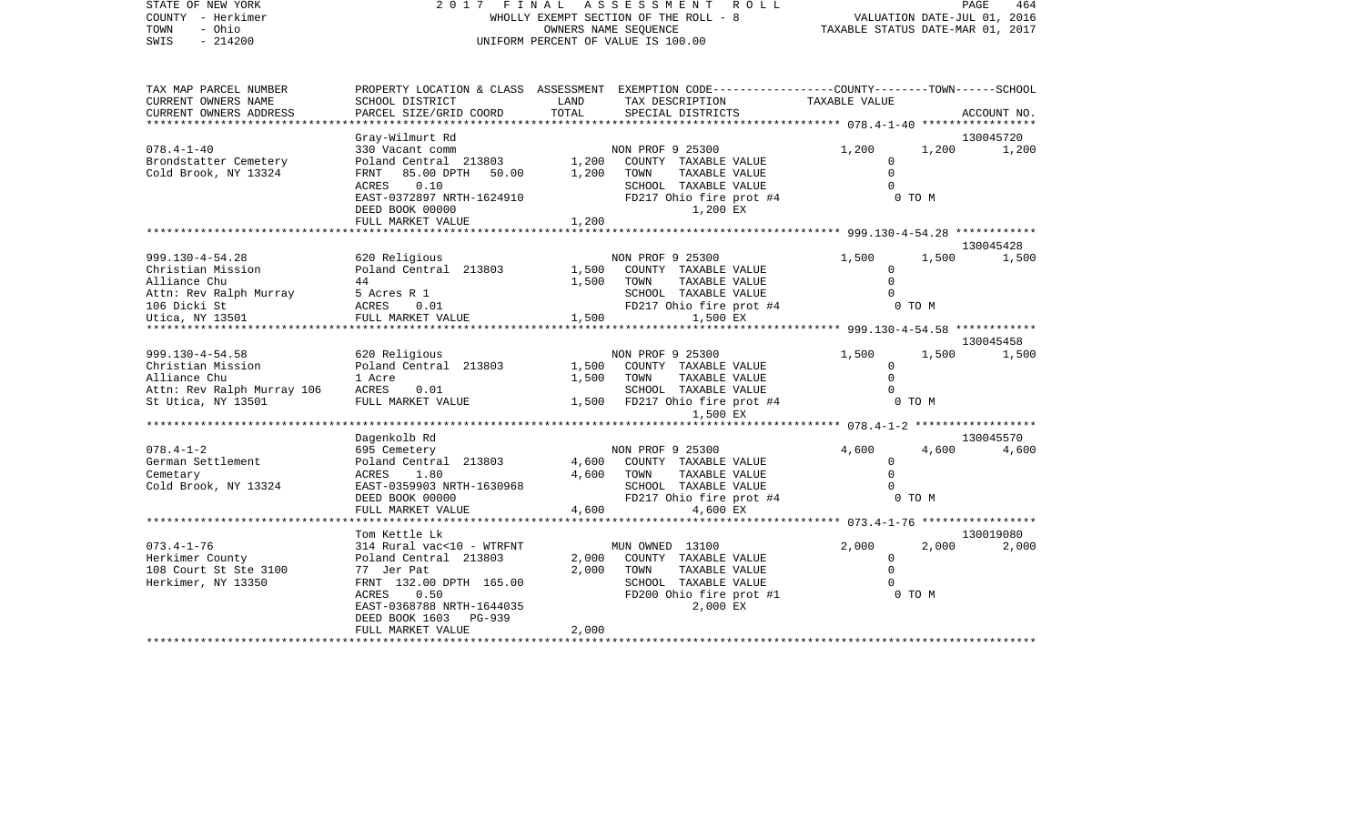STATE OF NEW YORK 2 0 1 7 F I N A L A S S E S S M E N T R O L L PAGE 464PAGE 464 COUNTY - Herkimer WHOLLY EXEMPT SECTION OF THE ROLL - 8 TOWN - Ohio OWNERS NAME SEQUENCE TAXABLE STATUS DATE-MAR 01, 2017 UNIFORM PERCENT OF VALUE IS 100.00

| TAX MAP PARCEL NUMBER           |                                                                                                                          |       | PROPERTY LOCATION & CLASS ASSESSMENT EXEMPTION CODE----------------COUNTY-------TOWN------SCHOOL |               |            |             |
|---------------------------------|--------------------------------------------------------------------------------------------------------------------------|-------|--------------------------------------------------------------------------------------------------|---------------|------------|-------------|
| CURRENT OWNERS NAME             | SCHOOL DISTRICT                                                                                                          | LAND  | TAX DESCRIPTION                                                                                  | TAXABLE VALUE |            |             |
| CURRENT OWNERS ADDRESS          | PARCEL SIZE/GRID COORD                                                                                                   | TOTAL | SPECIAL DISTRICTS                                                                                |               |            | ACCOUNT NO. |
|                                 |                                                                                                                          |       |                                                                                                  |               |            |             |
|                                 | Gray-Wilmurt Rd                                                                                                          |       |                                                                                                  |               |            | 130045720   |
| $078.4 - 1 - 40$                | 330 Vacant comm                                                                                                          |       | NON PROF 9 25300<br>NON PROF 9 25300<br>1,200 COUNTY TAXABLE VALUE                               | 1,200         | 1,200      | 1,200       |
| Brondstatter Cemetery           | Poland Central 213803                                                                                                    |       |                                                                                                  | $\Omega$      |            |             |
| Cold Brook, NY 13324            | FRNT 85.00 DPTH 50.00                                                                                                    | 1,200 | TOWN<br>TAXABLE VALUE                                                                            | $\Omega$      |            |             |
|                                 | ACRES<br>0.10                                                                                                            |       | SCHOOL TAXABLE VALUE                                                                             | $\Omega$      |            |             |
|                                 | EAST-0372897 NRTH-1624910                                                                                                |       | FD217 Ohio fire prot #4                                                                          |               | 0 TO M     |             |
|                                 | DEED BOOK 00000                                                                                                          |       | 1,200 EX                                                                                         |               |            |             |
|                                 | FULL MARKET VALUE                                                                                                        | 1,200 |                                                                                                  |               |            |             |
|                                 |                                                                                                                          |       |                                                                                                  |               |            |             |
|                                 |                                                                                                                          |       |                                                                                                  |               |            | 130045428   |
| 999.130-4-54.28                 | 620 Religious                                                                                                            |       | NON PROF 9 25300                                                                                 | 1,500         | 1,500      | 1,500       |
| Christian Mission               | Poland Central 213803                                                                                                    | 1,500 | COUNTY TAXABLE VALUE                                                                             | $\Omega$      |            |             |
| Alliance Chu                    | 44                                                                                                                       | 1,500 | TAXABLE VALUE<br>TOWN                                                                            | $\Omega$      |            |             |
| Attn: Rev Ralph Murray          | 5 Acres R 1                                                                                                              |       | SCHOOL TAXABLE VALUE                                                                             | $\cap$        |            |             |
| 106 Dicki St                    |                                                                                                                          |       | FD217 Ohio fire prot #4                                                                          |               | 0 TO M     |             |
| 106 Dicki St<br>Utica, NY 13501 | $\begin{tabular}{llll} ACRES & 0.01 & & & \texttt{FD217 O} \\ \texttt{FULL MARKET VALUE} & & & 1,500 & \\ \end{tabular}$ |       | 1,500 EX                                                                                         |               |            |             |
|                                 |                                                                                                                          |       |                                                                                                  |               |            |             |
|                                 |                                                                                                                          |       |                                                                                                  |               |            | 130045458   |
| $999.130 - 4 - 54.58$           | 620 Religious                                                                                                            |       | NON PROF 9 25300                                                                                 | 1,500         | 1,500      | 1,500       |
| Christian Mission               | Poland Central 213803                                                                                                    | 1,500 | COUNTY TAXABLE VALUE                                                                             | $\mathbf{0}$  |            |             |
| Alliance Chu                    | 1 Acre                                                                                                                   | 1,500 | TOWN<br>TAXABLE VALUE                                                                            | $\Omega$      |            |             |
| Attn: Rev Ralph Murray 106      | ACRES<br>0.01                                                                                                            |       | SCHOOL TAXABLE VALUE                                                                             |               |            |             |
| St Utica, NY 13501              | FULL MARKET VALUE                                                                                                        |       | 1,500 FD217 Ohio fire prot #4                                                                    |               | $0$ TO $M$ |             |
|                                 |                                                                                                                          |       | 1,500 EX                                                                                         |               |            |             |
|                                 |                                                                                                                          |       |                                                                                                  |               |            |             |
|                                 | Dagenkolb Rd                                                                                                             |       |                                                                                                  |               |            | 130045570   |
| $078.4 - 1 - 2$                 | 695 Cemetery                                                                                                             |       | NON PROF 9 25300                                                                                 | 4,600         | 4,600      | 4,600       |
| German Settlement               | Poland Central 213803                                                                                                    |       | 4,600 COUNTY TAXABLE VALUE                                                                       | $\mathbf 0$   |            |             |
| Cemetary                        | ACRES 1.80                                                                                                               | 4,600 | TAXABLE VALUE<br>TOWN                                                                            | $\Omega$      |            |             |
| Cold Brook, NY 13324            | EAST-0359903 NRTH-1630968                                                                                                |       | SCHOOL TAXABLE VALUE                                                                             | $\cap$        |            |             |
|                                 | DEED BOOK 00000                                                                                                          |       | FD217 Ohio fire prot #4                                                                          |               | 0 TO M     |             |
|                                 | FULL MARKET VALUE                                                                                                        | 4,600 | 4,600 EX                                                                                         |               |            |             |
|                                 |                                                                                                                          |       |                                                                                                  |               |            |             |
|                                 |                                                                                                                          |       |                                                                                                  |               |            |             |
| $073.4 - 1 - 76$                | Tom Kettle Lk                                                                                                            |       |                                                                                                  | 2,000         |            | 130019080   |
|                                 | 314 Rural vac<10 - WTRFNT                                                                                                |       | MUN OWNED 13100                                                                                  |               | 2,000      | 2,000       |
| Herkimer County                 | Poland Central 213803                                                                                                    | 2,000 | COUNTY TAXABLE VALUE                                                                             | $\mathbf{0}$  |            |             |
| 108 Court St Ste 3100           | 77 Jer Pat                                                                                                               | 2,000 | TAXABLE VALUE<br>TOWN                                                                            | $\Omega$      |            |             |
| Herkimer, NY 13350              | FRNT 132.00 DPTH 165.00                                                                                                  |       | SCHOOL TAXABLE VALUE                                                                             |               |            |             |
|                                 | ACRES 0.50                                                                                                               |       | FD200 Ohio fire prot #1                                                                          |               | 0 TO M     |             |
|                                 | EAST-0368788 NRTH-1644035                                                                                                |       | 2,000 EX                                                                                         |               |            |             |
|                                 | DEED BOOK 1603 PG-939                                                                                                    |       |                                                                                                  |               |            |             |
|                                 | FULL MARKET VALUE                                                                                                        | 2,000 |                                                                                                  |               |            |             |
|                                 |                                                                                                                          |       |                                                                                                  |               |            |             |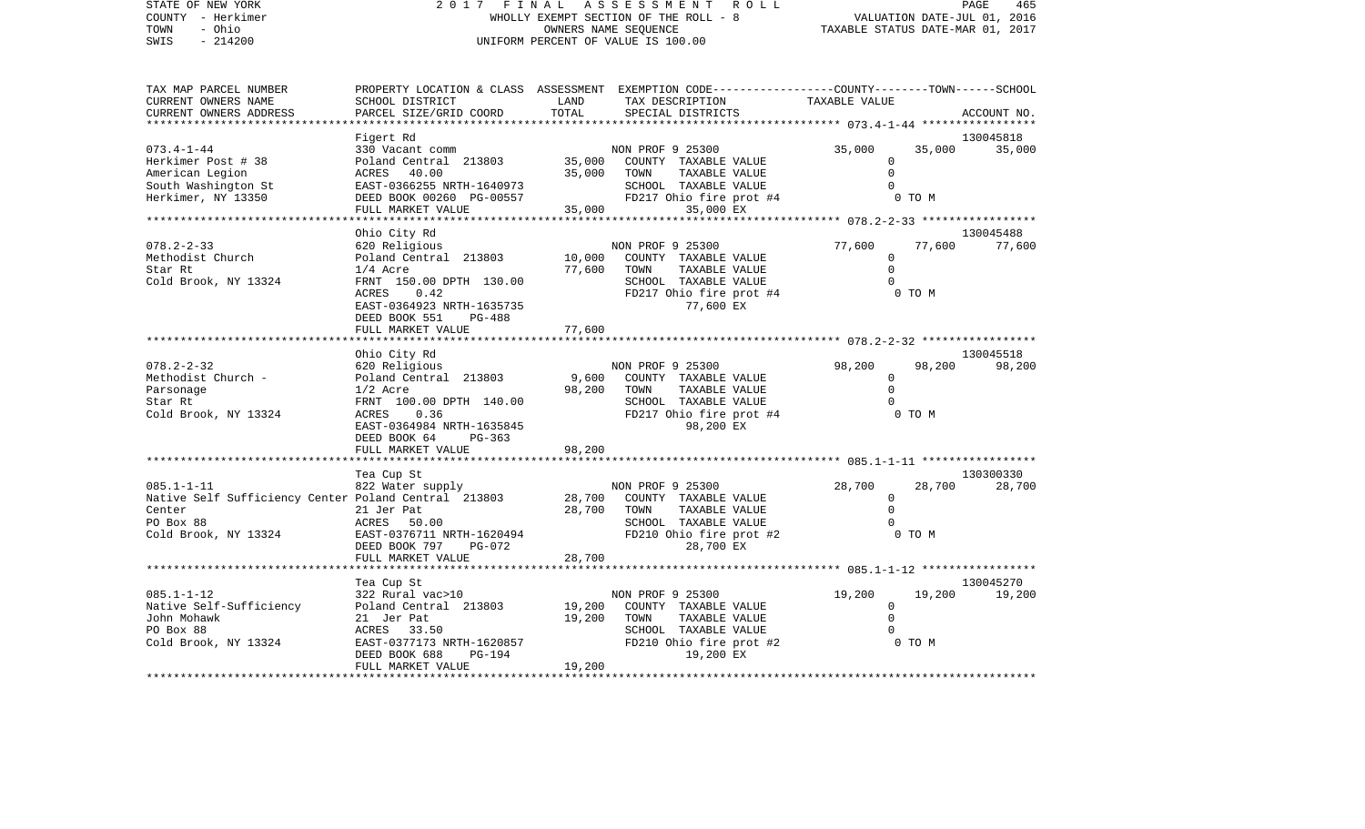STATE OF NEW YORK 2 0 1 7 F I N A L A S S E S S M E N T R O L L PAGE 465465 COUNTY - Herkimer WHOLLY EXEMPT SECTION OF THE ROLL - 8 VALUATION DATE-JUL 01, 2016 TOWN - Ohio OWNERS NAME SEQUENCE TAXABLE STATUS DATE-MAR 01, 2017 SWIS - 214200 UNIFORM PERCENT OF VALUE IS 100.00 TAX MAP PARCEL NUMBER PROPERTY LOCATION & CLASS ASSESSMENT EXEMPTION CODE------------------COUNTY--------TOWN------SCHOOL CURRENT OWNERS NAME SCHOOL DISTRICT LAND TAX DESCRIPTION TAXABLE VALUECURRENT OWNERS ADDRESS PARCEL SIZE/GRID COORD TOTAL SPECIAL DISTRICTS ACCOUNT NO. \*\*\*\*\*\*\*\*\*\*\*\*\*\*\*\*\*\*\*\*\*\*\*\*\*\*\*\*\*\*\*\*\*\*\*\*\*\*\*\*\*\*\*\*\*\*\*\*\*\*\*\*\*\*\*\*\*\*\*\*\*\*\*\*\*\*\*\*\*\*\*\*\*\*\*\*\*\*\*\*\*\*\*\*\*\*\*\*\*\*\*\*\*\*\*\*\*\*\*\*\*\*\* 073.4-1-44 \*\*\*\*\*\*\*\*\*\*\*\*\*\*\*\*\* Figert Rd 130045818 073.4-1-44 330 Vacant comm NON PROF 9 25300 35,000 35,000 35,000 35,000 35,000 Herkimer Post # 38 Poland Central 213803 35,000 COUNTY TAXABLE VALUE 0 American Legion ACRES 40.00 35,000 TOWN TAXABLE VALUE 0 South Washington St EAST-0366255 NRTH-1640973 SCHOOL TAXABLE VALUE 0 FD217 Ohio fire prot #4 FULL MARKET VALUE 35,000 35,000 EX \*\*\*\*\*\*\*\*\*\*\*\*\*\*\*\*\*\*\*\*\*\*\*\*\*\*\*\*\*\*\*\*\*\*\*\*\*\*\*\*\*\*\*\*\*\*\*\*\*\*\*\*\*\*\*\*\*\*\*\*\*\*\*\*\*\*\*\*\*\*\*\*\*\*\*\*\*\*\*\*\*\*\*\*\*\*\*\*\*\*\*\*\*\*\*\*\*\*\*\*\*\*\* 078.2-2-33 \*\*\*\*\*\*\*\*\*\*\*\*\*\*\*\*\* Ohio City Rd 130045488 078.2-2-33 620 Religious NON PROF 9 25300 77,600 77,600 77,600 10,000 COUNTY TAXABLE VALUE Star Rt 1/4 Acre 77,600 TOWN TAXABLE VALUE 0 Cold Brook, NY 13324 FRNT 150.00 DPTH 130.00 SCHOOL TAXABLE VALUE 0 ACRES 0.42 **FD217** Ohio fire prot #4 0 TO M EAST-0364923 NRTH-1635735 77,600 EX DEED BOOK 551 PG-488

|                                                      | FULL MARKET VALUE              | 77,600 |                  |                         |          |        |           |
|------------------------------------------------------|--------------------------------|--------|------------------|-------------------------|----------|--------|-----------|
|                                                      |                                |        |                  |                         |          |        |           |
|                                                      | Ohio City Rd                   |        |                  |                         |          |        | 130045518 |
| $078.2 - 2 - 32$                                     | 620 Religious                  |        | NON PROF 9 25300 |                         | 98,200   | 98,200 | 98,200    |
| Methodist Church -                                   | Poland Central 213803          | 9,600  |                  | COUNTY TAXABLE VALUE    | 0        |        |           |
| Parsonage                                            | $1/2$ Acre                     | 98,200 | TOWN             | TAXABLE VALUE           |          |        |           |
| Star Rt                                              | FRNT 100.00 DPTH 140.00        |        |                  | SCHOOL TAXABLE VALUE    |          |        |           |
| Cold Brook, NY 13324                                 | 0.36<br>ACRES                  |        |                  | FD217 Ohio fire prot #4 |          | 0 TO M |           |
|                                                      | EAST-0364984 NRTH-1635845      |        |                  | 98,200 EX               |          |        |           |
|                                                      | DEED BOOK 64<br>$PG-363$       |        |                  |                         |          |        |           |
|                                                      | FULL MARKET VALUE              | 98,200 |                  |                         |          |        |           |
|                                                      |                                |        |                  |                         |          |        |           |
|                                                      | Tea Cup St                     |        |                  |                         |          |        | 130300330 |
| $085.1 - 1 - 11$                                     | 822 Water supply               |        | NON PROF 9 25300 |                         | 28,700   | 28,700 | 28,700    |
| Native Self Sufficiency Center Poland Central 213803 |                                | 28,700 |                  | COUNTY TAXABLE VALUE    |          |        |           |
| Center                                               | 21 Jer Pat                     | 28,700 | TOWN             | TAXABLE VALUE           |          |        |           |
| PO Box 88                                            | 50.00<br>ACRES                 |        | SCHOOL           | TAXABLE VALUE           |          |        |           |
| Cold Brook, NY 13324                                 | EAST-0376711 NRTH-1620494      |        |                  | FD210 Ohio fire prot #2 |          | 0 TO M |           |
|                                                      | DEED BOOK 797<br><b>PG-072</b> |        |                  | 28,700 EX               |          |        |           |
|                                                      | FULL MARKET VALUE              | 28,700 |                  |                         |          |        |           |
|                                                      |                                |        |                  |                         |          |        |           |
|                                                      | Tea Cup St                     |        |                  |                         |          |        | 130045270 |
| $085.1 - 1 - 12$                                     | 322 Rural vac>10               |        | NON PROF 9 25300 |                         | 19,200   | 19,200 | 19,200    |
| Native Self-Sufficiency                              | Poland Central 213803          | 19,200 |                  | COUNTY TAXABLE VALUE    | $\Omega$ |        |           |
| John Mohawk                                          | 21 Jer Pat                     | 19,200 | TOWN             | TAXABLE VALUE           |          |        |           |
| PO Box 88                                            | 33.50<br>ACRES                 |        | SCHOOL           | TAXABLE VALUE           |          |        |           |
| Cold Brook, NY 13324                                 | EAST-0377173 NRTH-1620857      |        |                  | FD210 Ohio fire prot #2 |          | 0 TO M |           |
|                                                      | DEED BOOK 688<br><b>PG-194</b> |        |                  | 19,200 EX               |          |        |           |
|                                                      | FULL MARKET VALUE              | 19,200 |                  |                         |          |        |           |
|                                                      | ************************       |        |                  |                         |          |        |           |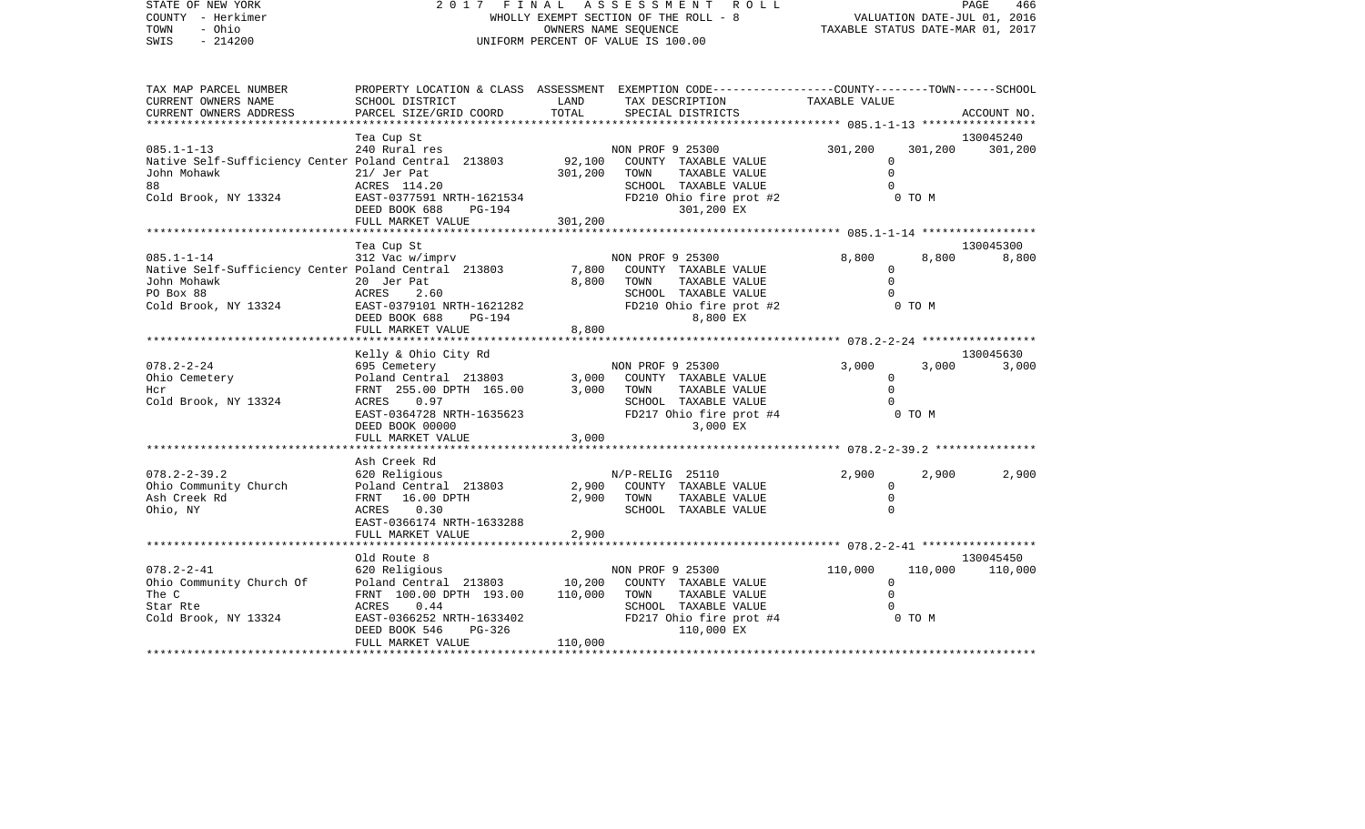| STATE OF NEW YORK<br>COUNTY - Herkimer<br>- Ohio<br>TOWN<br>$-214200$<br>SWIS                                                | 2017 FINAL                                                                                                                                       |                              | ASSESSMENT ROLL<br>WHOLLY EXEMPT SECTION OF THE ROLL - 8<br>OWNERS NAME SEQUENCE<br>UNIFORM PERCENT OF VALUE IS 100.00             | TAXABLE STATUS DATE-MAR 01, 2017             |                   | PAGE<br>466<br>VALUATION DATE-JUL 01, 2016 |
|------------------------------------------------------------------------------------------------------------------------------|--------------------------------------------------------------------------------------------------------------------------------------------------|------------------------------|------------------------------------------------------------------------------------------------------------------------------------|----------------------------------------------|-------------------|--------------------------------------------|
| TAX MAP PARCEL NUMBER<br>CURRENT OWNERS NAME                                                                                 | SCHOOL DISTRICT                                                                                                                                  | LAND                         | PROPERTY LOCATION & CLASS ASSESSMENT EXEMPTION CODE----------------COUNTY-------TOWN------SCHOOL<br>TAX DESCRIPTION                | TAXABLE VALUE                                |                   |                                            |
| CURRENT OWNERS ADDRESS                                                                                                       | PARCEL SIZE/GRID COORD                                                                                                                           | TOTAL                        | SPECIAL DISTRICTS                                                                                                                  |                                              |                   | ACCOUNT NO.                                |
|                                                                                                                              | Tea Cup St                                                                                                                                       |                              |                                                                                                                                    |                                              |                   | 130045240                                  |
| $085.1 - 1 - 13$<br>Native Self-Sufficiency Center Poland Central 213803<br>John Mohawk<br>88<br>Cold Brook, NY 13324        | 240 Rural res<br>$21/$ Jer Pat<br>ACRES 114.20<br>EAST-0377591 NRTH-1621534<br>DEED BOOK 688<br>PG-194<br>FULL MARKET VALUE                      | 92,100<br>301,200<br>301,200 | NON PROF 9 25300<br>COUNTY TAXABLE VALUE<br>TAXABLE VALUE<br>TOWN<br>SCHOOL TAXABLE VALUE<br>FD210 Ohio fire prot #2<br>301,200 EX | 301,200<br>$\Omega$<br>$\Omega$              | 301,200<br>0 TO M | 301,200                                    |
|                                                                                                                              | Tea Cup St                                                                                                                                       | ********                     |                                                                                                                                    |                                              |                   | 130045300                                  |
| $085.1 - 1 - 14$<br>Native Self-Sufficiency Center Poland Central 213803<br>John Mohawk<br>PO Box 88<br>Cold Brook, NY 13324 | 312 Vac w/imprv<br>20 Jer Pat<br>ACRES<br>2.60<br>EAST-0379101 NRTH-1621282<br>DEED BOOK 688<br>PG-194<br>FULL MARKET VALUE<br>***************** | 7,800<br>8,800<br>8,800      | NON PROF 9 25300<br>COUNTY TAXABLE VALUE<br>TAXABLE VALUE<br>TOWN<br>SCHOOL TAXABLE VALUE<br>FD210 Ohio fire prot #2<br>8,800 EX   | 8,800<br>0<br>$\Omega$                       | 8,800<br>0 TO M   | 8,800                                      |
|                                                                                                                              | Kelly & Ohio City Rd                                                                                                                             |                              |                                                                                                                                    | ************* 078.2-2-24 *****************   |                   | 130045630                                  |
| $078.2 - 2 - 24$<br>Ohio Cemetery<br>Hcr<br>Cold Brook, NY 13324                                                             | 695 Cemetery<br>Poland Central 213803<br>FRNT 255.00 DPTH 165.00<br>ACRES<br>0.97<br>EAST-0364728 NRTH-1635623<br>DEED BOOK 00000                | 3,000<br>3,000               | NON PROF 9 25300<br>COUNTY TAXABLE VALUE<br>TAXABLE VALUE<br>TOWN<br>SCHOOL TAXABLE VALUE<br>FD217 Ohio fire prot #4<br>3,000 EX   | 3,000<br>0<br>$\Omega$                       | 3,000<br>0 TO M   | 3,000                                      |
|                                                                                                                              | FULL MARKET VALUE                                                                                                                                | 3,000                        |                                                                                                                                    |                                              |                   |                                            |
|                                                                                                                              | * * * * * * * * * * * * * * * * *<br>Ash Creek Rd                                                                                                |                              |                                                                                                                                    | ************* 078.2-2-39.2 ***********       |                   |                                            |
| $078.2 - 2 - 39.2$<br>Ohio Community Church<br>Ash Creek Rd<br>Ohio, NY                                                      | 620 Religious<br>Poland Central 213803<br>FRNT<br>16.00 DPTH<br>ACRES<br>0.30<br>EAST-0366174 NRTH-1633288                                       | 2,900<br>2,900               | $N/P-RELIG$ 25110<br>COUNTY TAXABLE VALUE<br>TAXABLE VALUE<br>TOWN<br>SCHOOL TAXABLE VALUE                                         | 2,900<br>$\mathbf 0$<br>$\Omega$<br>$\Omega$ | 2,900             | 2,900                                      |
|                                                                                                                              | FULL MARKET VALUE                                                                                                                                | 2,900                        |                                                                                                                                    |                                              |                   |                                            |

|                          | Old Route 8               |                                  | 130045450                     |
|--------------------------|---------------------------|----------------------------------|-------------------------------|
| $078.2 - 2 - 41$         | 620 Religious             | NON PROF 9 25300                 | 110,000<br>110,000<br>110,000 |
| Ohio Community Church Of | Poland Central 213803     | COUNTY TAXABLE VALUE<br>10,200   |                               |
| The C                    | FRNT 100.00 DPTH 193.00   | 110,000<br>TAXABLE VALUE<br>TOWN |                               |
| Star Rte                 | 0.44<br>ACRES             | SCHOOL TAXABLE VALUE             |                               |
| Cold Brook, NY 13324     | EAST-0366252 NRTH-1633402 | FD217 Ohio fire prot #4          | 0 TO M                        |
|                          | DEED BOOK 546 PG-326      | 110,000 EX                       |                               |

FULL MARKET VALUE 110,000 \*\*\*\*\*\*\*\*\*\*\*\*\*\*\*\*\*\*\*\*\*\*\*\*\*\*\*\*\*\*\*\*\*\*\*\*\*\*\*\*\*\*\*\*\*\*\*\*\*\*\*\*\*\*\*\*\*\*\*\*\*\*\*\*\*\*\*\*\*\*\*\*\*\*\*\*\*\*\*\*\*\*\*\*\*\*\*\*\*\*\*\*\*\*\*\*\*\*\*\*\*\*\*\*\*\*\*\*\*\*\*\*\*\*\*\*\*\*\*\*\*\*\*\*\*\*\*\*\*\*\*\*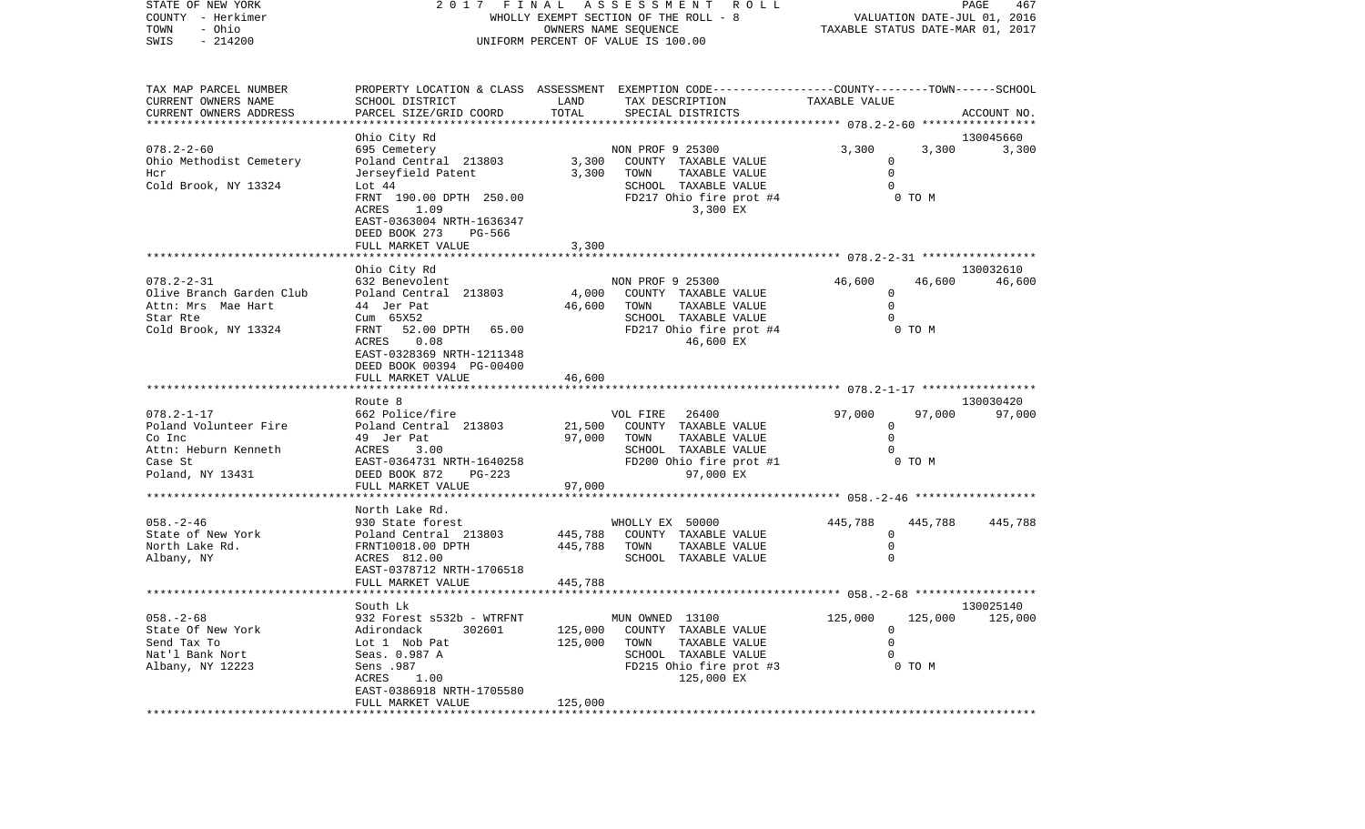STATE OF NEW YORK 2 0 1 7 F I N A L A S S E S S M E N T R O L L PAGE 467COUNTY - Herkimer WHOLLY EXEMPT SECTION OF THE ROLL - 8 VALUATION DATE-JUL 01, 2016 TOWN - Ohio OWNERS NAME SEQUENCE TAXABLE STATUS DATE-MAR 01, 2017 SWIS - 214200 UNIFORM PERCENT OF VALUE IS 100.00TAX MAP PARCEL NUMBER PROPERTY LOCATION & CLASS ASSESSMENT EXEMPTION CODE------------------COUNTY--------TOWN------SCHOOL CURRENT OWNERS NAME SCHOOL DISTRICT LAND TAX DESCRIPTION TAXABLE VALUECURRENT OWNERS ADDRESS PARCEL SIZE/GRID COORD TOTAL SPECIAL DISTRICTS ACCOUNT NO. \*\*\*\*\*\*\*\*\*\*\*\*\*\*\*\*\*\*\*\*\*\*\*\*\*\*\*\*\*\*\*\*\*\*\*\*\*\*\*\*\*\*\*\*\*\*\*\*\*\*\*\*\*\*\*\*\*\*\*\*\*\*\*\*\*\*\*\*\*\*\*\*\*\*\*\*\*\*\*\*\*\*\*\*\*\*\*\*\*\*\*\*\*\*\*\*\*\*\*\*\*\*\* 078.2-2-60 \*\*\*\*\*\*\*\*\*\*\*\*\*\*\*\*\* Ohio City Rd 130045660 078.2-2-60 695 Cemetery 19 NON PROF 9 25300 3,300 3,300 3,300 3,300 3,300 Ohio Methodist Cemetery 3,300 COUNTY TAXABLE VALUE 0 Hcr Jerseyfield Patent 3,300 TOWN TAXABLE VALUE 0 Cold Brook, NY 13324 Lot 44 Lot 2010 SCHOOL TAXABLE VALUE 0 FRNT 190.00 DPTH 250.00 FD217 Ohio fire prot #4 0 TO M ACRES 1.09 3,300 EX EAST-0363004 NRTH-1636347 DEED BOOK 273 PG-566FULL MARKET VALUE 3,300 \*\*\*\*\*\*\*\*\*\*\*\*\*\*\*\*\*\*\*\*\*\*\*\*\*\*\*\*\*\*\*\*\*\*\*\*\*\*\*\*\*\*\*\*\*\*\*\*\*\*\*\*\*\*\*\*\*\*\*\*\*\*\*\*\*\*\*\*\*\*\*\*\*\*\*\*\*\*\*\*\*\*\*\*\*\*\*\*\*\*\*\*\*\*\*\*\*\*\*\*\*\*\* 078.2-2-31 \*\*\*\*\*\*\*\*\*\*\*\*\*\*\*\*\* Ohio City Rd 130032610 078.2-2-31 632 Benevolent NON PROF 9 25300 46,600 46,600 46,600 Olive Branch Garden Club Poland Central 213803 4,000 COUNTY TAXABLE VALUE 0 Attn: Mrs Mae Hart 44 Jer Pat 46,600 TOWN TAXABLE VALUE 40 Star Rte Cum 65X52 SCHOOL TAXABLE VALUE 0Cold Brook, NY 13324 FRNT 52.00 DPTH 65.00 FD217 Ohio fire prot #4 0 TO M ACRES 0.08 46,600 EX EAST-0328369 NRTH-1211348 DEED BOOK 00394 PG-00400 FULL MARKET VALUE 46,600 \*\*\*\*\*\*\*\*\*\*\*\*\*\*\*\*\*\*\*\*\*\*\*\*\*\*\*\*\*\*\*\*\*\*\*\*\*\*\*\*\*\*\*\*\*\*\*\*\*\*\*\*\*\*\*\*\*\*\*\*\*\*\*\*\*\*\*\*\*\*\*\*\*\*\*\*\*\*\*\*\*\*\*\*\*\*\*\*\*\*\*\*\*\*\*\*\*\*\*\*\*\*\* 078.2-1-17 \*\*\*\*\*\*\*\*\*\*\*\*\*\*\*\*\* Route 8 130030420078.2-1-17 662 Police/fire VOL FIRE 26400 97,000 97,000 97,000 97,000 Poland Volunteer Fire  $P$ oland Central 213803 21,500 COUNTY TAXABLE VALUE 0 Co Inc 19 19 Jer Pat 19 97,000 TOWN TAXABLE VALUE 20 Attn: Heburn Kenneth ACRES 3.00 SCHOOL TAXABLE VALUE 0Case St 6 6 EAST-0364731 NRTH-1640258 FD200 Ohio fire prot #1 0 TO M Poland, NY 13431 DEED BOOK 872 PG-223 97,000 EX FULL MARKET VALUE 97,000 \*\*\*\*\*\*\*\*\*\*\*\*\*\*\*\*\*\*\*\*\*\*\*\*\*\*\*\*\*\*\*\*\*\*\*\*\*\*\*\*\*\*\*\*\*\*\*\*\*\*\*\*\*\*\*\*\*\*\*\*\*\*\*\*\*\*\*\*\*\*\*\*\*\*\*\*\*\*\*\*\*\*\*\*\*\*\*\*\*\*\*\*\*\*\*\*\*\*\*\*\*\*\* 058.-2-46 \*\*\*\*\*\*\*\*\*\*\*\*\*\*\*\*\*\* North Lake Rd.058.-2-46 930 State forest WHOLLY EX 50000 445,788 445,788 445,788 State of New York Poland Central 213803 445,788 COUNTY TAXABLE VALUE 0 North Lake Rd. FRNT10018.00 DPTH 445,788 TOWN TAXABLE VALUE 0 Albany, NY ACRES 812.00 SCHOOL TAXABLE VALUE 0 EAST-0378712 NRTH-1706518FULL MARKET VALUE 445,788 \*\*\*\*\*\*\*\*\*\*\*\*\*\*\*\*\*\*\*\*\*\*\*\*\*\*\*\*\*\*\*\*\*\*\*\*\*\*\*\*\*\*\*\*\*\*\*\*\*\*\*\*\*\*\*\*\*\*\*\*\*\*\*\*\*\*\*\*\*\*\*\*\*\*\*\*\*\*\*\*\*\*\*\*\*\*\*\*\*\*\*\*\*\*\*\*\*\*\*\*\*\*\* 058.-2-68 \*\*\*\*\*\*\*\*\*\*\*\*\*\*\*\*\*\* South Lk 130025140058.-2-68 215,000 125,000 932 Forest s532b - WTRFNT MUN OWNED 13100 125,000 125,000 125,000 125,000 State Of New York Adirondack 302601 125,000 COUNTY TAXABLE VALUE 0 Send Tax To Contract the Lot 1 Nob Pat 125,000 TOWN TAXABLE VALUE 10 Nat'l Bank Nort Seas. 0.987 A SCHOOL TAXABLE VALUE 0Albany, NY 12223 Sens .987 FD215 Ohio fire prot #3 0 TO M ACRES 1.00 125,000 EX EAST-0386918 NRTH-1705580FULL MARKET VALUE 125,000 \*\*\*\*\*\*\*\*\*\*\*\*\*\*\*\*\*\*\*\*\*\*\*\*\*\*\*\*\*\*\*\*\*\*\*\*\*\*\*\*\*\*\*\*\*\*\*\*\*\*\*\*\*\*\*\*\*\*\*\*\*\*\*\*\*\*\*\*\*\*\*\*\*\*\*\*\*\*\*\*\*\*\*\*\*\*\*\*\*\*\*\*\*\*\*\*\*\*\*\*\*\*\*\*\*\*\*\*\*\*\*\*\*\*\*\*\*\*\*\*\*\*\*\*\*\*\*\*\*\*\*\*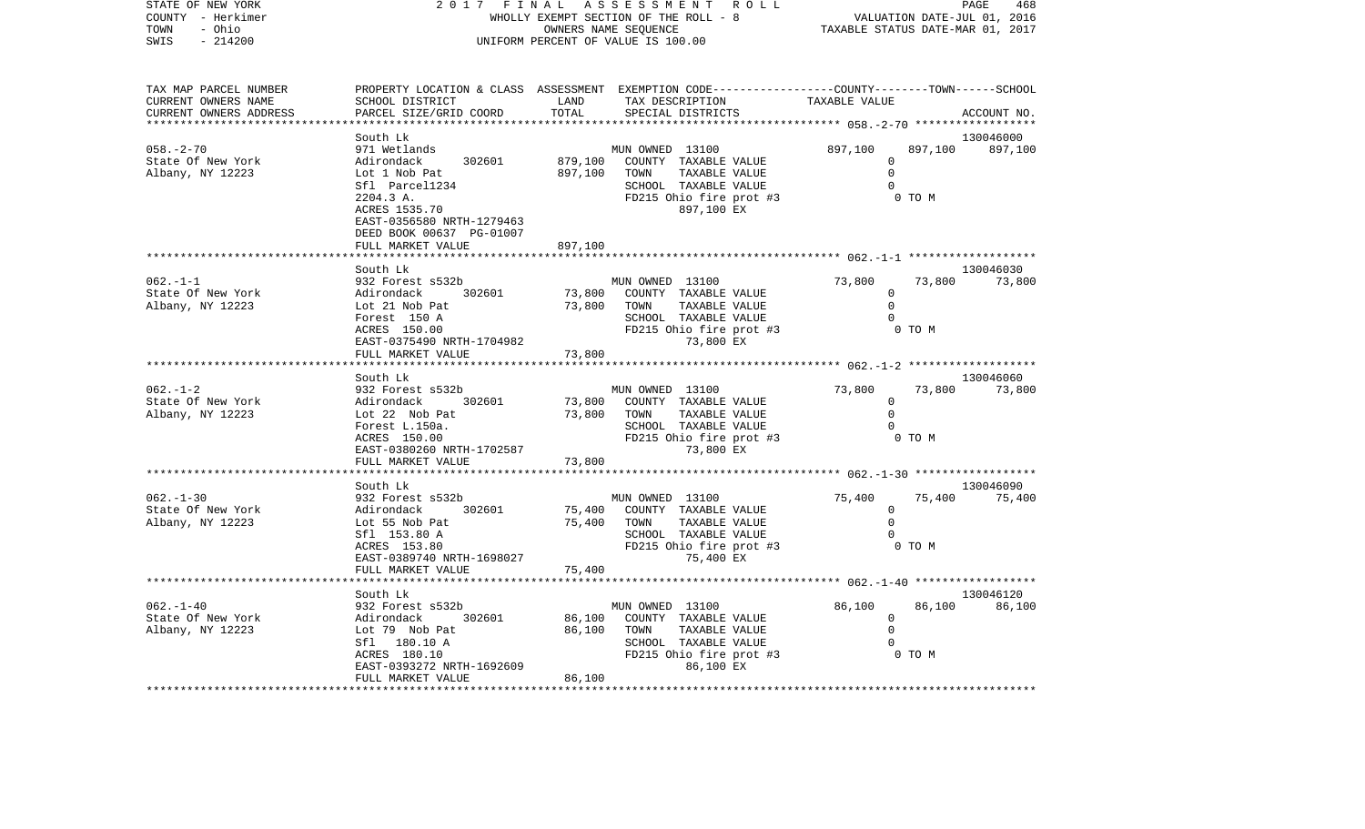| STATE OF NEW YORK<br>COUNTY - Herkimer<br>TOWN<br>- Ohio<br>SWIS<br>$-214200$                     | 2017<br>FINAL<br>WHOLLY EXEMPT SECTION OF THE ROLL - 8<br>UNIFORM PERCENT OF VALUE IS 100.00                                                                   | PAGE<br>468<br>PAGE 468<br>VALUATION DATE-JUL 01, 2016<br>TAXABLE STATUS DATE-MAR 01, 2017 |                                                                                                                                         |                                                     |                   |                     |
|---------------------------------------------------------------------------------------------------|----------------------------------------------------------------------------------------------------------------------------------------------------------------|--------------------------------------------------------------------------------------------|-----------------------------------------------------------------------------------------------------------------------------------------|-----------------------------------------------------|-------------------|---------------------|
| TAX MAP PARCEL NUMBER<br>CURRENT OWNERS NAME<br>CURRENT OWNERS ADDRESS<br>*********************** | SCHOOL DISTRICT<br>PARCEL SIZE/GRID COORD<br>*******************                                                                                               | LAND<br>TOTAL                                                                              | PROPERTY LOCATION & CLASS ASSESSMENT EXEMPTION CODE---------------COUNTY-------TOWN------SCHOOL<br>TAX DESCRIPTION<br>SPECIAL DISTRICTS | TAXABLE VALUE                                       |                   | ACCOUNT NO.         |
|                                                                                                   | South Lk                                                                                                                                                       |                                                                                            |                                                                                                                                         |                                                     |                   | 130046000           |
| $058. - 2 - 70$<br>State Of New York<br>Albany, NY 12223                                          | 971 Wetlands<br>302601<br>Adirondack<br>Lot 1 Nob Pat<br>Sfl Parcel1234<br>2204.3 A.<br>ACRES 1535.70<br>EAST-0356580 NRTH-1279463<br>DEED BOOK 00637 PG-01007 | 879,100<br>897,100                                                                         | MUN OWNED 13100<br>COUNTY TAXABLE VALUE<br>TOWN<br>TAXABLE VALUE<br>SCHOOL TAXABLE VALUE<br>FD215 Ohio fire prot #3<br>897,100 EX       | 897,100<br>$\Omega$<br>$\Omega$<br>$\Omega$         | 897,100<br>0 TO M | 897,100             |
|                                                                                                   | FULL MARKET VALUE                                                                                                                                              | 897,100                                                                                    |                                                                                                                                         |                                                     |                   |                     |
|                                                                                                   |                                                                                                                                                                |                                                                                            |                                                                                                                                         | ********************* 062.-1-1 ******************** |                   |                     |
| $062. -1 - 1$<br>State Of New York<br>Albany, NY 12223                                            | South Lk<br>932 Forest s532b<br>Adirondack<br>302601<br>Lot 21 Nob Pat<br>Forest 150 A<br>ACRES 150.00<br>EAST-0375490 NRTH-1704982                            | 73,800<br>73,800                                                                           | MUN OWNED 13100<br>COUNTY TAXABLE VALUE<br>TAXABLE VALUE<br>TOWN<br>SCHOOL TAXABLE VALUE<br>FD215 Ohio fire prot #3<br>73,800 EX        | 73,800<br>0<br>$\Omega$<br>$\Omega$                 | 73,800<br>0 TO M  | 130046030<br>73,800 |
|                                                                                                   | FULL MARKET VALUE                                                                                                                                              | 73,800<br>************                                                                     |                                                                                                                                         |                                                     |                   |                     |
|                                                                                                   | South Lk                                                                                                                                                       |                                                                                            |                                                                                                                                         |                                                     |                   | 130046060           |
| $062. - 1 - 2$<br>State Of New York<br>Albany, NY 12223                                           | 932 Forest s532b<br>Adirondack<br>302601<br>Lot 22 Nob Pat<br>Forest L.150a.<br>ACRES 150.00<br>EAST-0380260 NRTH-1702587<br>FULL MARKET VALUE                 | 73,800<br>73,800<br>73,800                                                                 | MUN OWNED 13100<br>COUNTY TAXABLE VALUE<br>TAXABLE VALUE<br>TOWN<br>SCHOOL TAXABLE VALUE<br>FD215 Ohio fire prot #3<br>73,800 EX        | 73,800<br>$\mathbf 0$<br>$\mathbf 0$<br>$\Omega$    | 73,800<br>0 TO M  | 73,800              |
|                                                                                                   |                                                                                                                                                                |                                                                                            |                                                                                                                                         |                                                     |                   |                     |
| $062 - 1 - 30$<br>State Of New York<br>Albany, NY 12223                                           | South Lk<br>932 Forest s532b<br>302601<br>Adirondack<br>Lot 55 Nob Pat<br>Sfl 153.80 A<br>ACRES 153.80<br>EAST-0389740 NRTH-1698027<br>FULL MARKET VALUE       | 75,400<br>75,400<br>75,400                                                                 | MUN OWNED 13100<br>COUNTY TAXABLE VALUE<br>TOWN<br>TAXABLE VALUE<br>SCHOOL TAXABLE VALUE<br>FD215 Ohio fire prot #3<br>75,400 EX        | 75,400<br>$\mathbf 0$<br>$\mathbf 0$<br>$\mathbf 0$ | 75,400<br>0 TO M  | 130046090<br>75,400 |
|                                                                                                   |                                                                                                                                                                |                                                                                            |                                                                                                                                         | ********************* 062.-1-40 ******************* |                   | 130046120           |
| $062. - 1 - 40$<br>State Of New York<br>Albany, NY 12223                                          | South Lk<br>932 Forest s532b<br>302601<br>Adirondack<br>Lot 79 Nob Pat<br>Sfl 180.10 A<br>ACRES 180.10<br>EAST-0393272 NRTH-1692609<br>FULL MARKET VALUE       | 86,100<br>86,100<br>86,100                                                                 | MUN OWNED 13100<br>COUNTY TAXABLE VALUE<br>TOWN<br>TAXABLE VALUE<br>SCHOOL TAXABLE VALUE<br>FD215 Ohio fire prot #3<br>86,100 EX        | 86,100<br>$\mathbf 0$<br>$\mathbf 0$<br>$\Omega$    | 86,100<br>0 TO M  | 86,100              |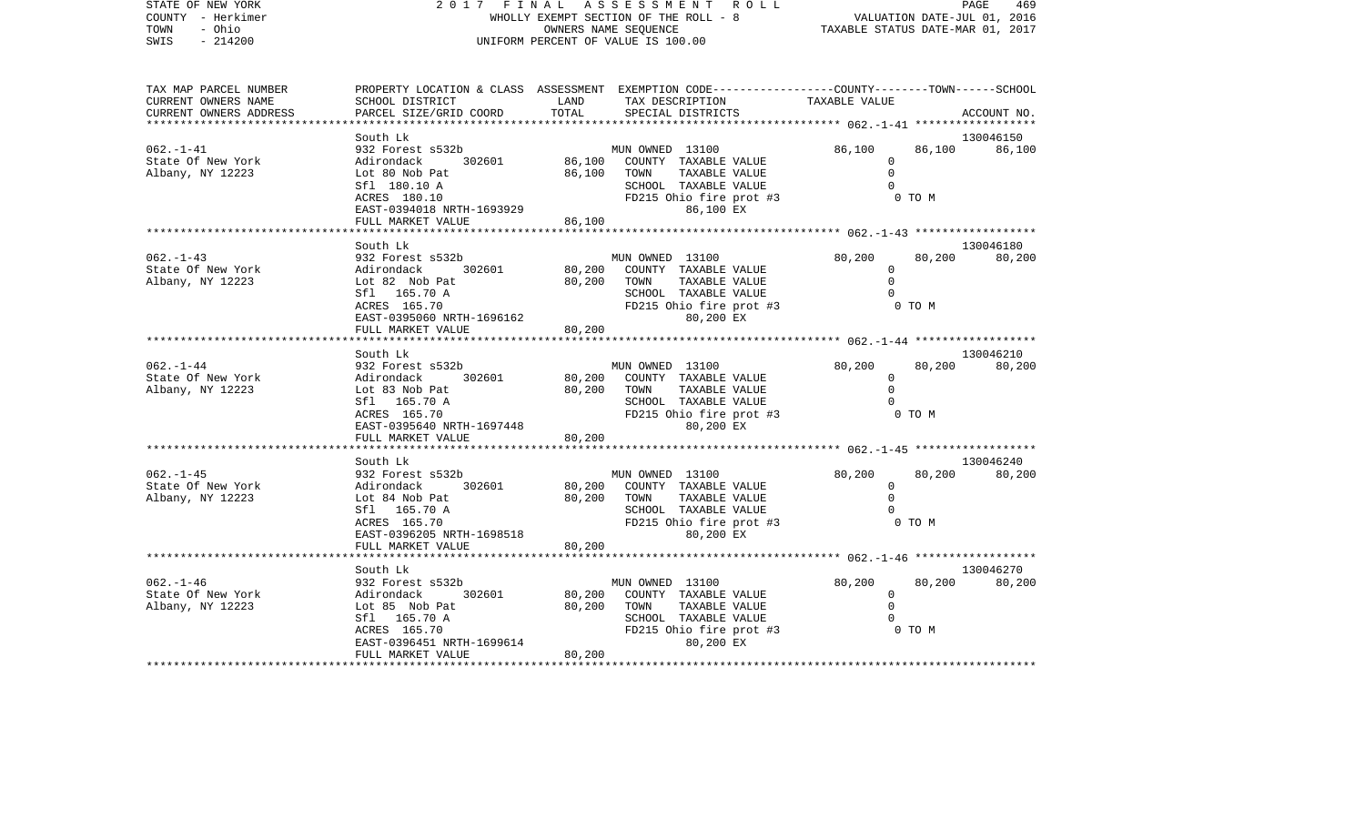| STATE OF NEW YORK<br>COUNTY - Herkimer<br>- Ohio<br>TOWN               |                                                                                                                                                          | 2017 FINAL ASSESSMENT ROLL<br>WHOLLY EXEMPT SECTION OF THE ROLL - 8<br>OWNERS NAME SEQUENCE                                                                    | PAGE<br>469<br>VALUATION DATE-JUL 01, 2016<br>TAXABLE STATUS DATE-MAR 01, 2017                                                 |
|------------------------------------------------------------------------|----------------------------------------------------------------------------------------------------------------------------------------------------------|----------------------------------------------------------------------------------------------------------------------------------------------------------------|--------------------------------------------------------------------------------------------------------------------------------|
| $-214200$<br>SWIS                                                      |                                                                                                                                                          | UNIFORM PERCENT OF VALUE IS 100.00                                                                                                                             |                                                                                                                                |
| TAX MAP PARCEL NUMBER<br>CURRENT OWNERS NAME<br>CURRENT OWNERS ADDRESS | SCHOOL DISTRICT<br>PARCEL SIZE/GRID COORD                                                                                                                | LAND<br>TAX DESCRIPTION<br>TOTAL<br>SPECIAL DISTRICTS                                                                                                          | PROPERTY LOCATION & CLASS ASSESSMENT EXEMPTION CODE---------------COUNTY-------TOWN-----SCHOOL<br>TAXABLE VALUE<br>ACCOUNT NO. |
| $062. - 1 - 41$<br>State Of New York<br>Albany, NY 12223               | South Lk<br>932 Forest s532b<br>302601<br>Adirondack<br>Lot 80 Nob Pat<br>Sfl 180.10 A<br>ACRES 180.10<br>EAST-0394018 NRTH-1693929<br>FULL MARKET VALUE | MUN OWNED 13100<br>86,100<br>COUNTY TAXABLE VALUE<br>86,100<br>TOWN<br>TAXABLE VALUE<br>SCHOOL TAXABLE VALUE<br>FD215 Ohio fire prot #3<br>86,100 EX<br>86,100 | 130046150<br>86,100<br>86,100<br>86,100<br>$\mathbf 0$<br>$\Omega$<br>$\cap$<br>$0$ TO M                                       |
| $062. - 1 - 43$<br>State Of New York<br>Albany, NY 12223               | South Lk<br>932 Forest s532b<br>Adirondack<br>302601<br>Lot 82 Nob Pat<br>Sfl 165.70 A<br>ACRES 165.70<br>EAST-0395060 NRTH-1696162<br>FULL MARKET VALUE | MUN OWNED 13100<br>80,200<br>COUNTY TAXABLE VALUE<br>80,200<br>TOWN<br>TAXABLE VALUE<br>SCHOOL TAXABLE VALUE<br>FD215 Ohio fire prot #3<br>80,200 EX<br>80,200 | 130046180<br>80,200<br>80,200<br>80,200<br>$\circ$<br>$\Omega$<br>0 TO M                                                       |
| 062.-1-44<br>State Of New York<br>Albany, NY 12223                     | South Lk<br>932 Forest s532b<br>Adirondack<br>302601<br>Lot 83 Nob Pat<br>Sfl 165.70 A<br>ACRES 165.70<br>EAST-0395640 NRTH-1697448<br>FULL MARKET VALUE | MUN OWNED 13100<br>80,200<br>COUNTY TAXABLE VALUE<br>80,200<br>TAXABLE VALUE<br>TOWN<br>SCHOOL TAXABLE VALUE<br>FD215 Ohio fire prot #3<br>80,200 EX<br>80,200 | 130046210<br>80,200<br>80,200<br>80,200<br>$\mathbf 0$<br>$\Omega$<br>0 TO M                                                   |
| 062.-1-45<br>State Of New York<br>Albany, NY 12223                     | South Lk<br>932 Forest s532b<br>Adirondack<br>302601<br>Lot 84 Nob Pat<br>Sfl 165.70 A<br>ACRES 165.70<br>EAST-0396205 NRTH-1698518<br>FULL MARKET VALUE | MUN OWNED 13100<br>80,200<br>COUNTY TAXABLE VALUE<br>80,200<br>TOWN<br>TAXABLE VALUE<br>SCHOOL TAXABLE VALUE<br>FD215 Ohio fire prot #3<br>80,200 EX<br>80,200 | 130046240<br>80,200<br>80,200<br>80,200<br>$\Omega$<br>$\mathbf 0$<br>$\Omega$<br>0 TO M                                       |
| $062. - 1 - 46$                                                        | South Lk<br>932 Forest s532b                                                                                                                             | MUN OWNED 13100                                                                                                                                                | 130046270<br>80,200<br>80,200<br>80,200                                                                                        |

 $\begin{array}{cccccccccc} \text{Lot} & 80,200 & \text{TOWN} & \text{TAXABLE VALUE} & & & & 0 \\ \text{Sf1} & 165.70 & \text{A} & & & & & \text{SCHOOL} & \text{TAXABLE VALUE} & & & & & 0 \\ \text{ACRES} & 165.70 & & & & & & & \text{FD215 Ohio fire prot #3} & & & & & & 0 \\ \end{array}$ 

\*\*\*\*\*\*\*\*\*\*\*\*\*\*\*\*\*\*\*\*\*\*\*\*\*\*\*\*\*\*\*\*\*\*\*\*\*\*\*\*\*\*\*\*\*\*\*\*\*\*\*\*\*\*\*\*\*\*\*\*\*\*\*\*\*\*\*\*\*\*\*\*\*\*\*\*\*\*\*\*\*\*\*\*\*\*\*\*\*\*\*\*\*\*\*\*\*\*\*\*\*\*\*\*\*\*\*\*\*\*\*\*\*\*\*\*\*\*\*\*\*\*\*\*\*\*\*\*\*\*\*\*

SCHOOL TAXABLE VALUE

 $FD215$  Ohio fire prot #3<br>80,200 EX

0<br>0 TO M

State Of New York Adirondack 302601 80,200 COUNTY TAXABLE VALUE 0

EAST-0396451 NRTH-1699614

FULL MARKET VALUE 80,200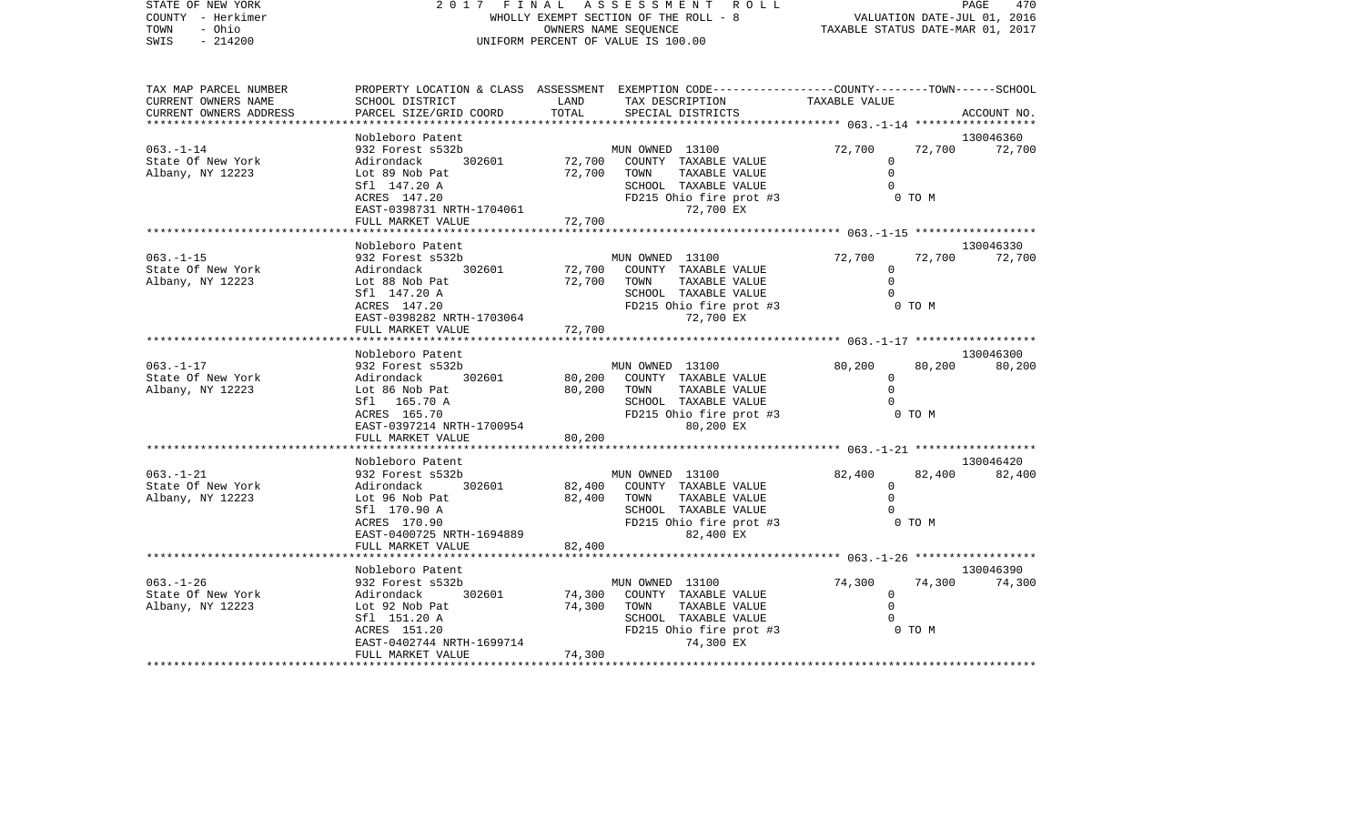| STATE OF NEW YORK      |                                                                                                  |                                       | 2017 FINAL ASSESSMENT ROLL                      |                |                                  | PAGE<br>470         |  |  |
|------------------------|--------------------------------------------------------------------------------------------------|---------------------------------------|-------------------------------------------------|----------------|----------------------------------|---------------------|--|--|
| COUNTY - Herkimer      |                                                                                                  | WHOLLY EXEMPT SECTION OF THE ROLL - 8 | VALUATION DATE-JUL 01, 2016                     |                |                                  |                     |  |  |
| TOWN<br>- Ohio         |                                                                                                  |                                       | OWNERS NAME SEOUENCE                            |                | TAXABLE STATUS DATE-MAR 01, 2017 |                     |  |  |
| $-214200$<br>SWIS      |                                                                                                  |                                       | UNIFORM PERCENT OF VALUE IS 100.00              |                |                                  |                     |  |  |
| TAX MAP PARCEL NUMBER  | PROPERTY LOCATION & CLASS ASSESSMENT EXEMPTION CODE----------------COUNTY-------TOWN------SCHOOL |                                       |                                                 |                |                                  |                     |  |  |
| CURRENT OWNERS NAME    | SCHOOL DISTRICT                                                                                  | LAND                                  | TAX DESCRIPTION                                 | TAXABLE VALUE  |                                  |                     |  |  |
| CURRENT OWNERS ADDRESS | PARCEL SIZE/GRID COORD                                                                           | TOTAL                                 | SPECIAL DISTRICTS                               |                |                                  | ACCOUNT NO.         |  |  |
|                        |                                                                                                  | * * * * * * * * * * * * * * * * *     |                                                 |                |                                  |                     |  |  |
|                        | Nobleboro Patent                                                                                 |                                       |                                                 |                |                                  | 130046360           |  |  |
| $063. - 1 - 14$        | 932 Forest s532b                                                                                 |                                       | MUN OWNED 13100                                 | 72,700         | 72,700                           | 72,700              |  |  |
| State Of New York      | 302601<br>Adirondack                                                                             | 72,700                                | COUNTY TAXABLE VALUE                            | 0              |                                  |                     |  |  |
| Albany, NY 12223       | Lot 89 Nob Pat                                                                                   | 72,700                                | TOWN<br>TAXABLE VALUE                           | $\mathbf 0$    |                                  |                     |  |  |
|                        | Sfl 147.20 A<br>ACRES 147.20                                                                     |                                       | SCHOOL TAXABLE VALUE<br>FD215 Ohio fire prot #3 | $\Omega$       | 0 TO M                           |                     |  |  |
|                        | EAST-0398731 NRTH-1704061                                                                        |                                       | 72,700 EX                                       |                |                                  |                     |  |  |
|                        | FULL MARKET VALUE                                                                                | 72,700                                |                                                 |                |                                  |                     |  |  |
|                        |                                                                                                  |                                       |                                                 |                |                                  |                     |  |  |
|                        | Nobleboro Patent                                                                                 |                                       |                                                 |                |                                  | 130046330           |  |  |
| 063.-1-15              | 932 Forest s532b                                                                                 |                                       | MUN OWNED 13100                                 | 72,700         | 72,700                           | 72,700              |  |  |
| State Of New York      | Adirondack<br>302601                                                                             | 72,700                                | COUNTY TAXABLE VALUE                            | $\overline{0}$ |                                  |                     |  |  |
| Albany, NY 12223       | Lot 88 Nob Pat                                                                                   | 72,700                                | TAXABLE VALUE<br>TOWN                           | $\mathbf 0$    |                                  |                     |  |  |
|                        | Sfl 147.20 A                                                                                     |                                       | SCHOOL TAXABLE VALUE                            | $\Omega$       |                                  |                     |  |  |
|                        | ACRES 147.20                                                                                     |                                       | FD215 Ohio fire prot #3<br>72,700 EX            |                | 0 TO M                           |                     |  |  |
|                        | EAST-0398282 NRTH-1703064<br>FULL MARKET VALUE                                                   | 72,700                                |                                                 |                |                                  |                     |  |  |
|                        | *******************************                                                                  |                                       |                                                 |                |                                  |                     |  |  |
|                        | Nobleboro Patent                                                                                 |                                       |                                                 |                |                                  | 130046300           |  |  |
| $063. - 1 - 17$        | 932 Forest s532b                                                                                 |                                       | MUN OWNED 13100                                 | 80,200         | 80,200                           | 80,200              |  |  |
| State Of New York      | 302601<br>Adirondack                                                                             | 80,200                                | COUNTY TAXABLE VALUE                            | $\mathbf 0$    |                                  |                     |  |  |
| Albany, NY 12223       | Lot 86 Nob Pat                                                                                   | 80,200                                | TAXABLE VALUE<br>TOWN                           | $\mathbf 0$    |                                  |                     |  |  |
|                        | Sfl 165.70 A                                                                                     |                                       | SCHOOL TAXABLE VALUE                            | $\Omega$       |                                  |                     |  |  |
|                        | ACRES 165.70                                                                                     |                                       | FD215 Ohio fire prot #3                         |                | 0 TO M                           |                     |  |  |
|                        | EAST-0397214 NRTH-1700954<br>FULL MARKET VALUE                                                   | 80,200                                | 80,200 EX                                       |                |                                  |                     |  |  |
|                        |                                                                                                  |                                       |                                                 |                |                                  |                     |  |  |
|                        | Nobleboro Patent                                                                                 |                                       |                                                 |                |                                  | 130046420           |  |  |
| 063.-1-21              | 932 Forest s532b                                                                                 |                                       | MUN OWNED 13100                                 | 82,400         | 82,400                           | 82,400              |  |  |
| State Of New York      | Adirondack<br>302601                                                                             | 82,400                                | COUNTY TAXABLE VALUE                            | 0              |                                  |                     |  |  |
| Albany, NY 12223       | Lot 96 Nob Pat                                                                                   | 82,400                                | TAXABLE VALUE<br>TOWN                           | $\mathbf 0$    |                                  |                     |  |  |
|                        | Sfl 170.90 A                                                                                     |                                       | SCHOOL TAXABLE VALUE                            | $\Omega$       |                                  |                     |  |  |
|                        | ACRES 170.90                                                                                     |                                       | FD215 Ohio fire prot #3                         |                | 0 TO M                           |                     |  |  |
|                        | EAST-0400725 NRTH-1694889                                                                        |                                       | 82,400 EX                                       |                |                                  |                     |  |  |
|                        | FULL MARKET VALUE                                                                                | 82,400                                |                                                 |                |                                  |                     |  |  |
|                        |                                                                                                  |                                       |                                                 |                |                                  |                     |  |  |
| $063. - 1 - 26$        | Nobleboro Patent<br>932 Forest s532b                                                             |                                       | MUN OWNED 13100                                 | 74,300         | 74,300                           | 130046390<br>74,300 |  |  |
| State Of New York      | 302601<br>Adirondack                                                                             | 74,300                                | COUNTY TAXABLE VALUE                            | $\overline{0}$ |                                  |                     |  |  |
| Albany, NY 12223       | Lot 92 Nob Pat                                                                                   | 74,300                                | TOWN<br>TAXABLE VALUE                           | $\Omega$       |                                  |                     |  |  |
|                        | Sfl 151.20 A                                                                                     |                                       | SCHOOL TAXABLE VALUE                            | 0              |                                  |                     |  |  |
|                        | ACRES 151.20                                                                                     |                                       | FD215 Ohio fire prot #3                         |                | 0 TO M                           |                     |  |  |

FULL MARKET VALUE 74,300 \*\*\*\*\*\*\*\*\*\*\*\*\*\*\*\*\*\*\*\*\*\*\*\*\*\*\*\*\*\*\*\*\*\*\*\*\*\*\*\*\*\*\*\*\*\*\*\*\*\*\*\*\*\*\*\*\*\*\*\*\*\*\*\*\*\*\*\*\*\*\*\*\*\*\*\*\*\*\*\*\*\*\*\*\*\*\*\*\*\*\*\*\*\*\*\*\*\*\*\*\*\*\*\*\*\*\*\*\*\*\*\*\*\*\*\*\*\*\*\*\*\*\*\*\*\*\*\*\*\*\*\*

EAST-0402744 NRTH-1699714

 $FD215$  Ohio fire prot #3<br>74,300 EX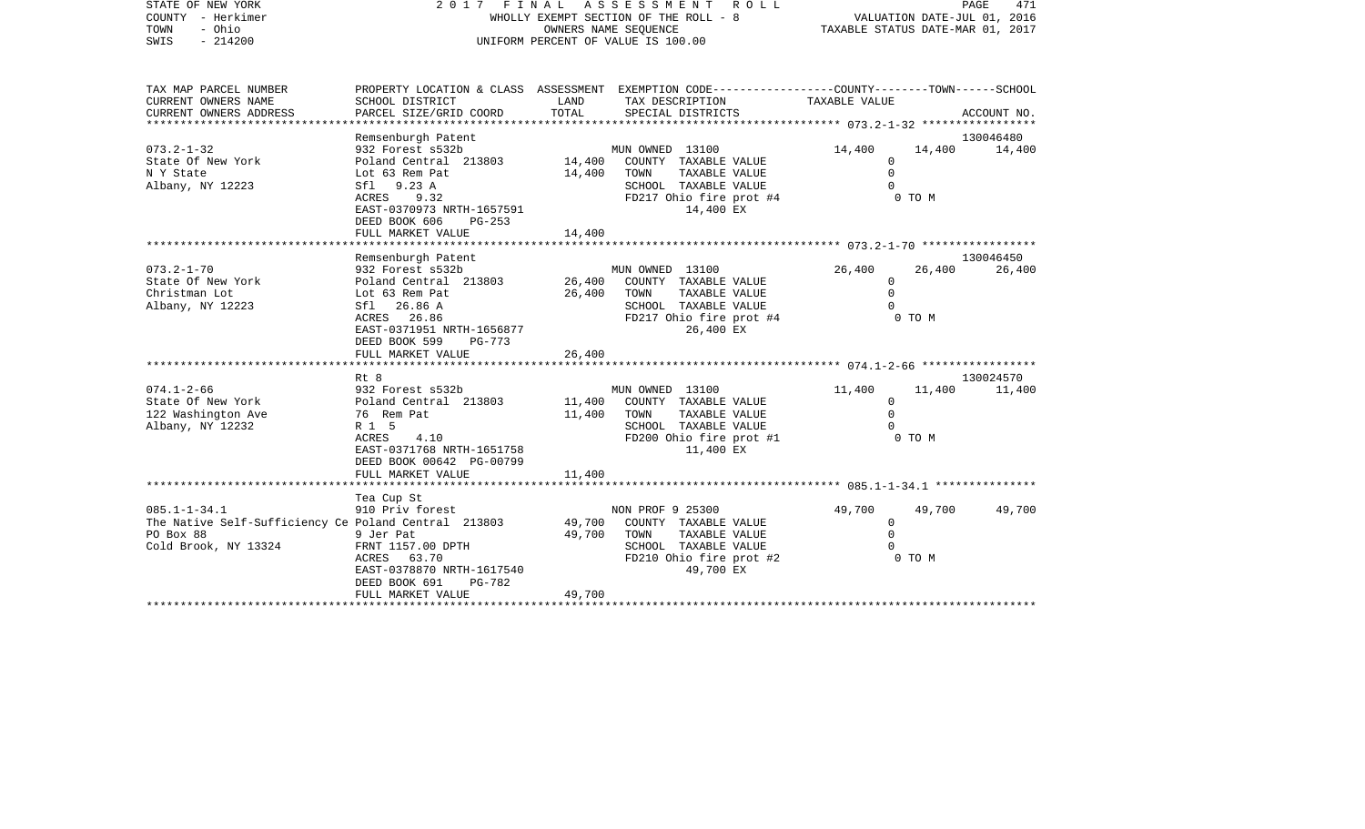| STATE OF NEW YORK<br>COUNTY - Herkimer<br>- Ohio<br>TOWN<br>$-214200$<br>SWIS                                   | A S S E S S M E N T<br>2017 FINAL<br>WHOLLY EXEMPT SECTION OF THE ROLL - 8<br>OWNERS NAME SEQUENCE<br>UNIFORM PERCENT OF VALUE IS 100.00                                                        |                            |                                                                                                                                         | VALUATION DATE-JUL 01, 2016<br>TAXABLE STATUS DATE-MAR 01, 2017 |                  | PAGE<br>471         |
|-----------------------------------------------------------------------------------------------------------------|-------------------------------------------------------------------------------------------------------------------------------------------------------------------------------------------------|----------------------------|-----------------------------------------------------------------------------------------------------------------------------------------|-----------------------------------------------------------------|------------------|---------------------|
| TAX MAP PARCEL NUMBER<br>CURRENT OWNERS NAME<br>CURRENT OWNERS ADDRESS                                          | SCHOOL DISTRICT<br>PARCEL SIZE/GRID COORD<br>*******************                                                                                                                                | LAND<br>TOTAL              | PROPERTY LOCATION & CLASS ASSESSMENT EXEMPTION CODE---------------COUNTY-------TOWN------SCHOOL<br>TAX DESCRIPTION<br>SPECIAL DISTRICTS | TAXABLE VALUE                                                   |                  | ACCOUNT NO.         |
| $073.2 - 1 - 32$<br>State Of New York<br>N Y State<br>Albany, NY 12223                                          | Remsenburgh Patent<br>932 Forest s532b<br>Poland Central 213803<br>Lot 63 Rem Pat<br>Sf1 9.23 A<br>ACRES<br>9.32<br>EAST-0370973 NRTH-1657591<br>DEED BOOK 606<br>$PG-253$<br>FULL MARKET VALUE | 14,400<br>14,400<br>14,400 | MUN OWNED 13100<br>COUNTY TAXABLE VALUE<br>TAXABLE VALUE<br>TOWN<br>SCHOOL TAXABLE VALUE<br>FD217 Ohio fire prot #4<br>14,400 EX        | 14,400<br>$\Omega$<br>$\Omega$<br>$\Omega$                      | 14,400<br>0 TO M | 130046480<br>14,400 |
|                                                                                                                 | Remsenburgh Patent                                                                                                                                                                              |                            |                                                                                                                                         |                                                                 |                  | 130046450           |
| $073.2 - 1 - 70$<br>State Of New York<br>Christman Lot<br>Albany, NY 12223                                      | 932 Forest s532b<br>Poland Central 213803<br>Lot 63 Rem Pat<br>Sfl 26.86 A<br>ACRES 26.86<br>EAST-0371951 NRTH-1656877<br>DEED BOOK 599<br>PG-773<br>FULL MARKET VALUE                          | 26,400<br>26,400<br>26,400 | MUN OWNED 13100<br>COUNTY TAXABLE VALUE<br>TAXABLE VALUE<br>TOWN<br>SCHOOL TAXABLE VALUE<br>FD217 Ohio fire prot #4<br>26,400 EX        | 26,400<br>$\Omega$<br>$\Omega$<br>$\Omega$                      | 26,400<br>0 TO M | 26,400              |
|                                                                                                                 | Rt 8                                                                                                                                                                                            |                            |                                                                                                                                         |                                                                 |                  | 130024570           |
| $074.1 - 2 - 66$<br>State Of New York<br>122 Washington Ave<br>Albany, NY 12232                                 | 932 Forest s532b<br>Poland Central 213803<br>76 Rem Pat<br>R 1 5<br>4.10<br>ACRES<br>EAST-0371768 NRTH-1651758<br>DEED BOOK 00642 PG-00799                                                      | 11,400<br>11,400           | MUN OWNED 13100<br>COUNTY TAXABLE VALUE<br>TOWN<br>TAXABLE VALUE<br>SCHOOL TAXABLE VALUE<br>FD200 Ohio fire prot #1<br>11,400 EX        | 11,400<br>0<br>$\Omega$                                         | 11,400<br>0 TO M | 11,400              |
|                                                                                                                 | FULL MARKET VALUE                                                                                                                                                                               | 11,400                     |                                                                                                                                         |                                                                 |                  |                     |
| $085.1 - 1 - 34.1$<br>The Native Self-Sufficiency Ce Poland Central 213803<br>PO Box 88<br>Cold Brook, NY 13324 | Tea Cup St<br>910 Priv forest<br>9 Jer Pat<br>FRNT 1157.00 DPTH<br>ACRES 63.70<br>EAST-0378870 NRTH-1617540<br>DEED BOOK 691<br><b>PG-782</b><br>FULL MARKET VALUE                              | 49,700<br>49,700<br>49,700 | NON PROF 9 25300<br>COUNTY TAXABLE VALUE<br>TAXABLE VALUE<br>TOWN<br>SCHOOL TAXABLE VALUE<br>FD210 Ohio fire prot #2<br>49,700 EX       | 49,700<br>$\mathbf{0}$<br>$\Omega$<br>$\Omega$                  | 49,700<br>0 TO M | 49,700              |
|                                                                                                                 |                                                                                                                                                                                                 |                            |                                                                                                                                         |                                                                 |                  |                     |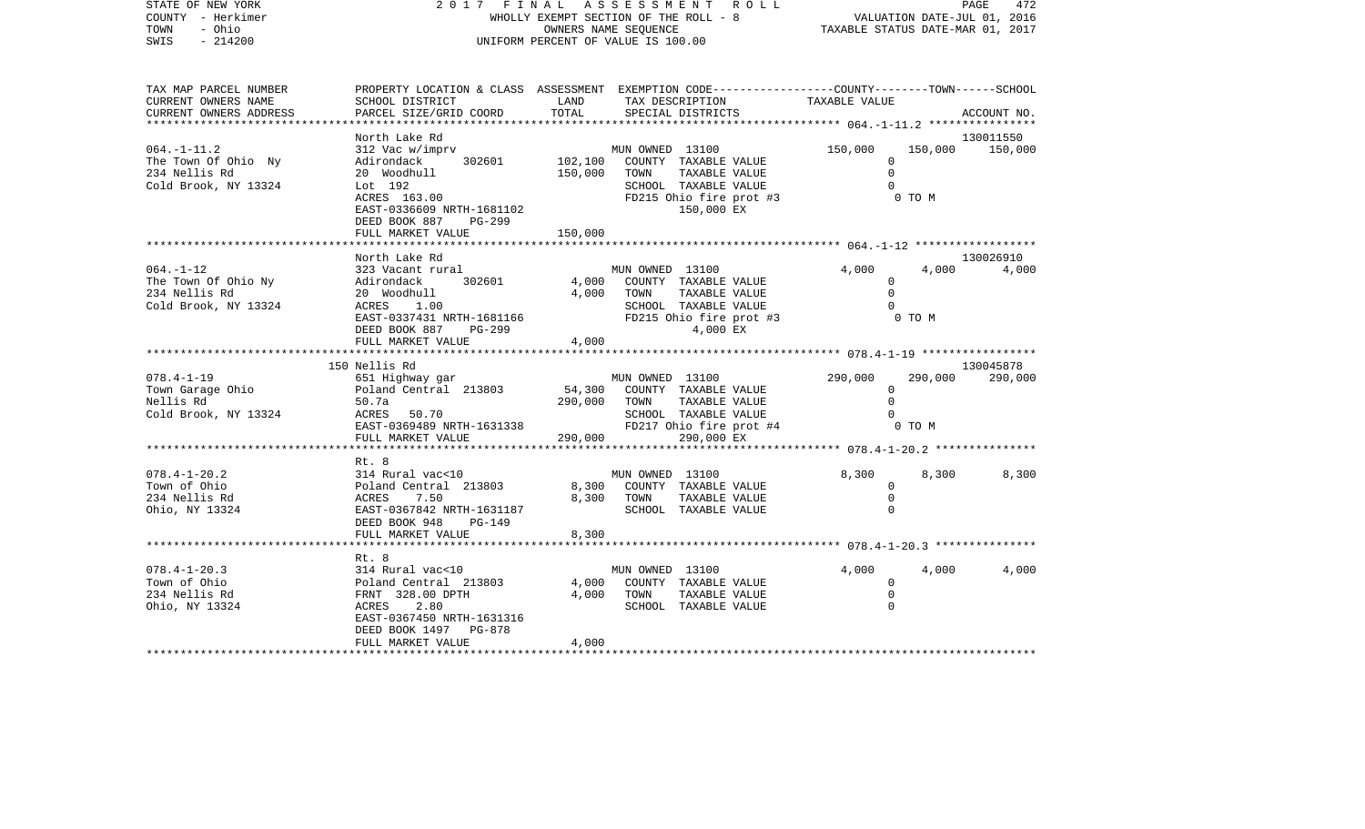| STATE OF NEW YORK<br>COUNTY - Herkimer<br>TOWN<br>- Ohio<br>SWIS<br>$-214200$    | 2017                                                                                                                                                                            | FINAL                         | A S S E S S M E N T R O L L<br>WHOLLY EXEMPT SECTION OF THE ROLL - 8<br>OWNERS NAME SEQUENCE<br>UNIFORM PERCENT OF VALUE IS 100.00 | PAGE<br>472<br>VALUATION DATE-JUL 01, 2016<br>VALUATION DATE-JUL UI, 2016<br>TAXABLE STATUS DATE-MAR 01, 2017 |                                 |  |
|----------------------------------------------------------------------------------|---------------------------------------------------------------------------------------------------------------------------------------------------------------------------------|-------------------------------|------------------------------------------------------------------------------------------------------------------------------------|---------------------------------------------------------------------------------------------------------------|---------------------------------|--|
| TAX MAP PARCEL NUMBER<br>CURRENT OWNERS NAME<br>CURRENT OWNERS ADDRESS           | PROPERTY LOCATION & CLASS ASSESSMENT EXEMPTION CODE---------------COUNTY-------TOWN------SCHOOL<br>SCHOOL DISTRICT<br>PARCEL SIZE/GRID COORD                                    | LAND<br>TOTAL                 | TAX DESCRIPTION<br>SPECIAL DISTRICTS                                                                                               | TAXABLE VALUE                                                                                                 | ACCOUNT NO.                     |  |
| $064. -1 - 11.2$<br>The Town Of Ohio Ny<br>234 Nellis Rd<br>Cold Brook, NY 13324 | North Lake Rd<br>312 Vac w/imprv<br>302601<br>Adirondack<br>20 Woodhull<br>Lot 192<br>ACRES 163.00<br>EAST-0336609 NRTH-1681102<br>DEED BOOK 887<br>PG-299<br>FULL MARKET VALUE | 102,100<br>150,000<br>150,000 | MUN OWNED 13100<br>COUNTY TAXABLE VALUE<br>TOWN<br>TAXABLE VALUE<br>SCHOOL TAXABLE VALUE<br>FD215 Ohio fire prot #3<br>150,000 EX  | ***************** 064.-1-11.2 ******************<br>150,000<br>$\Omega$<br>$\mathbf 0$<br>$\Omega$<br>0 TO M  | 130011550<br>150,000<br>150,000 |  |
|                                                                                  | ***********************                                                                                                                                                         |                               |                                                                                                                                    |                                                                                                               |                                 |  |
| $064. -1 - 12$<br>The Town Of Ohio Ny<br>234 Nellis Rd<br>Cold Brook, NY 13324   | North Lake Rd<br>323 Vacant rural<br>302601<br>Adirondack<br>20 Woodhull<br>ACRES<br>1.00<br>EAST-0337431 NRTH-1681166<br>DEED BOOK 887<br>PG-299<br>FULL MARKET VALUE          | 4,000<br>4,000<br>4,000       | MUN OWNED 13100<br>COUNTY TAXABLE VALUE<br>TAXABLE VALUE<br>TOWN<br>SCHOOL TAXABLE VALUE<br>FD215 Ohio fire prot #3<br>4,000 EX    | 4,000<br>$\Omega$<br>$\Omega$<br>$\Omega$<br>0 TO M                                                           | 130026910<br>4,000<br>4,000     |  |
|                                                                                  |                                                                                                                                                                                 |                               |                                                                                                                                    |                                                                                                               |                                 |  |
| $078.4 - 1 - 19$<br>Town Garage Ohio<br>Nellis Rd<br>Cold Brook, NY 13324        | 150 Nellis Rd<br>651 Highway gar<br>Poland Central 213803<br>50.7a<br>ACRES 50.70<br>EAST-0369489 NRTH-1631338<br>FULL MARKET VALUE                                             | 54,300<br>290,000<br>290,000  | MUN OWNED 13100<br>COUNTY TAXABLE VALUE<br>TOWN<br>TAXABLE VALUE<br>SCHOOL TAXABLE VALUE<br>FD217 Ohio fire prot #4<br>290,000 EX  | 290,000<br>$\mathbf 0$<br>$\Omega$<br>0 TO M                                                                  | 130045878<br>290,000<br>290,000 |  |
|                                                                                  |                                                                                                                                                                                 |                               |                                                                                                                                    |                                                                                                               |                                 |  |
| $078.4 - 1 - 20.2$<br>Town of Ohio<br>234 Nellis Rd<br>Ohio, NY 13324            | Rt. 8<br>314 Rural vac<10<br>Poland Central 213803<br>7.50<br>ACRES<br>EAST-0367842 NRTH-1631187<br>DEED BOOK 948<br>PG-149                                                     | 8,300<br>8,300                | MUN OWNED 13100<br>COUNTY TAXABLE VALUE<br>TOWN<br>TAXABLE VALUE<br>SCHOOL TAXABLE VALUE                                           | 8,300<br>0<br>$\mathbf 0$<br>0                                                                                | 8,300<br>8,300                  |  |
|                                                                                  | FULL MARKET VALUE                                                                                                                                                               | 8,300                         |                                                                                                                                    |                                                                                                               |                                 |  |
|                                                                                  |                                                                                                                                                                                 |                               |                                                                                                                                    |                                                                                                               |                                 |  |
| $078.4 - 1 - 20.3$<br>Town of Ohio<br>234 Nellis Rd<br>Ohio, NY 13324            | Rt. 8<br>314 Rural vac<10<br>Poland Central 213803<br>FRNT 328.00 DPTH<br>ACRES<br>2.80<br>EAST-0367450 NRTH-1631316<br>PG-878<br>DEED BOOK 1497                                | 4,000<br>4,000                | MUN OWNED 13100<br>COUNTY TAXABLE VALUE<br>TOWN<br>TAXABLE VALUE<br>SCHOOL TAXABLE VALUE                                           | 4,000<br>$\mathbf{0}$<br>0<br>$\Omega$                                                                        | 4,000<br>4,000                  |  |
| *************************                                                        | FULL MARKET VALUE                                                                                                                                                               | 4,000                         |                                                                                                                                    |                                                                                                               |                                 |  |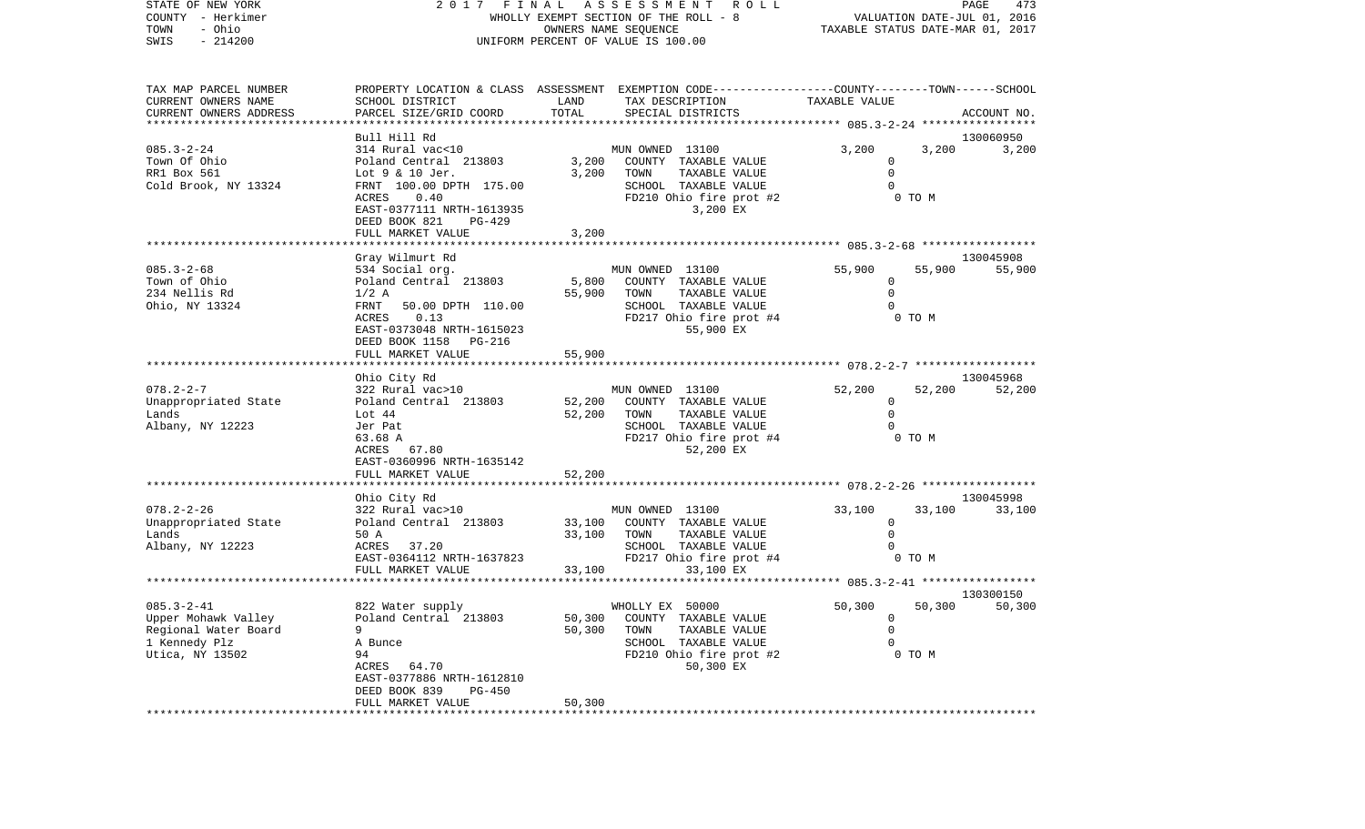| STATE OF NEW YORK                             |                                                                                                  | 2017 FINAL ASSESSMENT ROLL                        |                                  |                             |        | PAGE<br>473 |
|-----------------------------------------------|--------------------------------------------------------------------------------------------------|---------------------------------------------------|----------------------------------|-----------------------------|--------|-------------|
| COUNTY - Herkimer                             |                                                                                                  | WHOLLY EXEMPT SECTION OF THE ROLL - 8             |                                  | VALUATION DATE-JUL 01, 2016 |        |             |
| - Ohio<br>TOWN                                |                                                                                                  |                                                   | TAXABLE STATUS DATE-MAR 01, 2017 |                             |        |             |
| $-214200$<br>SWIS                             |                                                                                                  | UNIFORM PERCENT OF VALUE IS 100.00                |                                  |                             |        |             |
|                                               |                                                                                                  |                                                   |                                  |                             |        |             |
| TAX MAP PARCEL NUMBER                         | PROPERTY LOCATION & CLASS ASSESSMENT EXEMPTION CODE----------------COUNTY-------TOWN------SCHOOL |                                                   |                                  |                             |        |             |
| CURRENT OWNERS NAME<br>CURRENT OWNERS ADDRESS | SCHOOL DISTRICT<br>PARCEL SIZE/GRID COORD                                                        | LAND<br>TOTAL<br>SPECIAL DISTRICTS                | TAX DESCRIPTION                  | TAXABLE VALUE               |        | ACCOUNT NO. |
|                                               | Bull Hill Rd                                                                                     |                                                   |                                  |                             |        | 130060950   |
| $085.3 - 2 - 24$                              | 314 Rural vac<10                                                                                 | MUN OWNED 13100                                   |                                  | 3,200                       | 3,200  | 3,200       |
| Town Of Ohio                                  | Poland Central 213803                                                                            | 3,200                                             | COUNTY TAXABLE VALUE             | $\mathbf 0$                 |        |             |
| RR1 Box 561                                   | Lot 9 & 10 Jer.                                                                                  | 3,200<br>TOWN                                     | TAXABLE VALUE                    | $\mathbf 0$                 |        |             |
| Cold Brook, NY 13324                          | FRNT 100.00 DPTH 175.00                                                                          |                                                   | SCHOOL TAXABLE VALUE             | $\Omega$                    |        |             |
|                                               | ACRES<br>0.40                                                                                    |                                                   | FD210 Ohio fire prot #2          |                             | 0 TO M |             |
|                                               | EAST-0377111 NRTH-1613935<br>DEED BOOK 821<br>PG-429                                             |                                                   | 3,200 EX                         |                             |        |             |
|                                               | FULL MARKET VALUE                                                                                | 3,200                                             |                                  |                             |        |             |
|                                               |                                                                                                  |                                                   |                                  |                             |        |             |
|                                               | Gray Wilmurt Rd                                                                                  |                                                   |                                  |                             |        | 130045908   |
| 085.3-2-68                                    | 534 Social org.                                                                                  | MUN OWNED 13100                                   |                                  | 55,900                      | 55,900 | 55,900      |
| Town of Ohio                                  | Poland Central 213803                                                                            | 5,800<br>COUNTY TAXABLE VALUE                     |                                  | $\circ$                     |        |             |
| 234 Nellis Rd                                 | $1/2$ A                                                                                          | 55,900<br>TOWN                                    | TAXABLE VALUE                    | $\mathbf 0$                 |        |             |
| Ohio, NY 13324                                | FRNT<br>50.00 DPTH 110.00<br>ACRES 0.13                                                          | SCHOOL TAXABLE VALUE                              | FD217 Ohio fire prot #4          |                             | 0 TO M |             |
|                                               | EAST-0373048 NRTH-1615023                                                                        |                                                   | 55,900 EX                        |                             |        |             |
|                                               | DEED BOOK 1158<br>PG-216                                                                         |                                                   |                                  |                             |        |             |
|                                               | FULL MARKET VALUE                                                                                | 55,900                                            |                                  |                             |        |             |
|                                               |                                                                                                  |                                                   |                                  |                             |        |             |
|                                               | Ohio City Rd                                                                                     |                                                   |                                  |                             |        | 130045968   |
| $078.2 - 2 - 7$<br>Unappropriated State       | 322 Rural vac>10<br>Poland Central 213803                                                        | MUN OWNED 13100<br>52,200<br>COUNTY TAXABLE VALUE |                                  | 52,200<br>$\overline{0}$    | 52,200 | 52,200      |
| Lands                                         | Lot 44                                                                                           | 52,200<br>TOWN                                    | TAXABLE VALUE                    | $\Omega$                    |        |             |
| Albany, NY 12223                              | Jer Pat                                                                                          | SCHOOL TAXABLE VALUE                              |                                  | $\Omega$                    |        |             |
|                                               | 63.68 A                                                                                          |                                                   | FD217 Ohio fire prot #4          |                             | 0 TO M |             |
|                                               | ACRES 67.80                                                                                      |                                                   | 52,200 EX                        |                             |        |             |
|                                               | EAST-0360996 NRTH-1635142                                                                        |                                                   |                                  |                             |        |             |
|                                               | FULL MARKET VALUE                                                                                | 52,200                                            |                                  |                             |        |             |
|                                               | Ohio City Rd                                                                                     |                                                   |                                  |                             |        | 130045998   |
| 078.2-2-26                                    | 322 Rural vac>10                                                                                 | MUN OWNED 13100                                   |                                  | 33,100                      | 33,100 | 33,100      |
| Unappropriated State                          | Poland Central 213803                                                                            | 33,100<br>COUNTY TAXABLE VALUE                    |                                  | $\overline{0}$              |        |             |
| Lands                                         | 50 A                                                                                             | 33,100<br>TOWN                                    | TAXABLE VALUE                    | $\Omega$                    |        |             |
| Albany, NY 12223                              | ACRES 37.20                                                                                      | SCHOOL TAXABLE VALUE                              |                                  |                             |        |             |
|                                               | EAST-0364112 NRTH-1637823                                                                        |                                                   | FD217 Ohio fire prot #4          |                             | 0 TO M |             |
|                                               | FULL MARKET VALUE                                                                                | 33,100                                            | 33,100 EX                        |                             |        |             |
|                                               |                                                                                                  |                                                   |                                  |                             |        | 130300150   |
| $085.3 - 2 - 41$                              | 822 Water supply                                                                                 | WHOLLY EX 50000                                   |                                  | 50,300                      | 50,300 | 50,300      |
| Upper Mohawk Valley                           | Poland Central 213803                                                                            | 50,300<br>COUNTY TAXABLE VALUE                    |                                  | 0                           |        |             |
| Regional Water Board                          | 9                                                                                                | 50,300<br>TOWN                                    | TAXABLE VALUE                    | $\mathbf 0$                 |        |             |
| 1 Kennedy Plz                                 | A Bunce                                                                                          | SCHOOL TAXABLE VALUE                              |                                  | 0                           |        |             |
| Utica, NY 13502                               | 94                                                                                               |                                                   | FD210 Ohio fire prot #2          |                             | 0 TO M |             |
|                                               | ACRES<br>64.70<br>EAST-0377886 NRTH-1612810                                                      |                                                   | 50,300 EX                        |                             |        |             |
|                                               | DEED BOOK 839<br>PG-450                                                                          |                                                   |                                  |                             |        |             |
|                                               | FULL MARKET VALUE                                                                                | 50,300                                            |                                  |                             |        |             |
|                                               |                                                                                                  |                                                   |                                  |                             |        |             |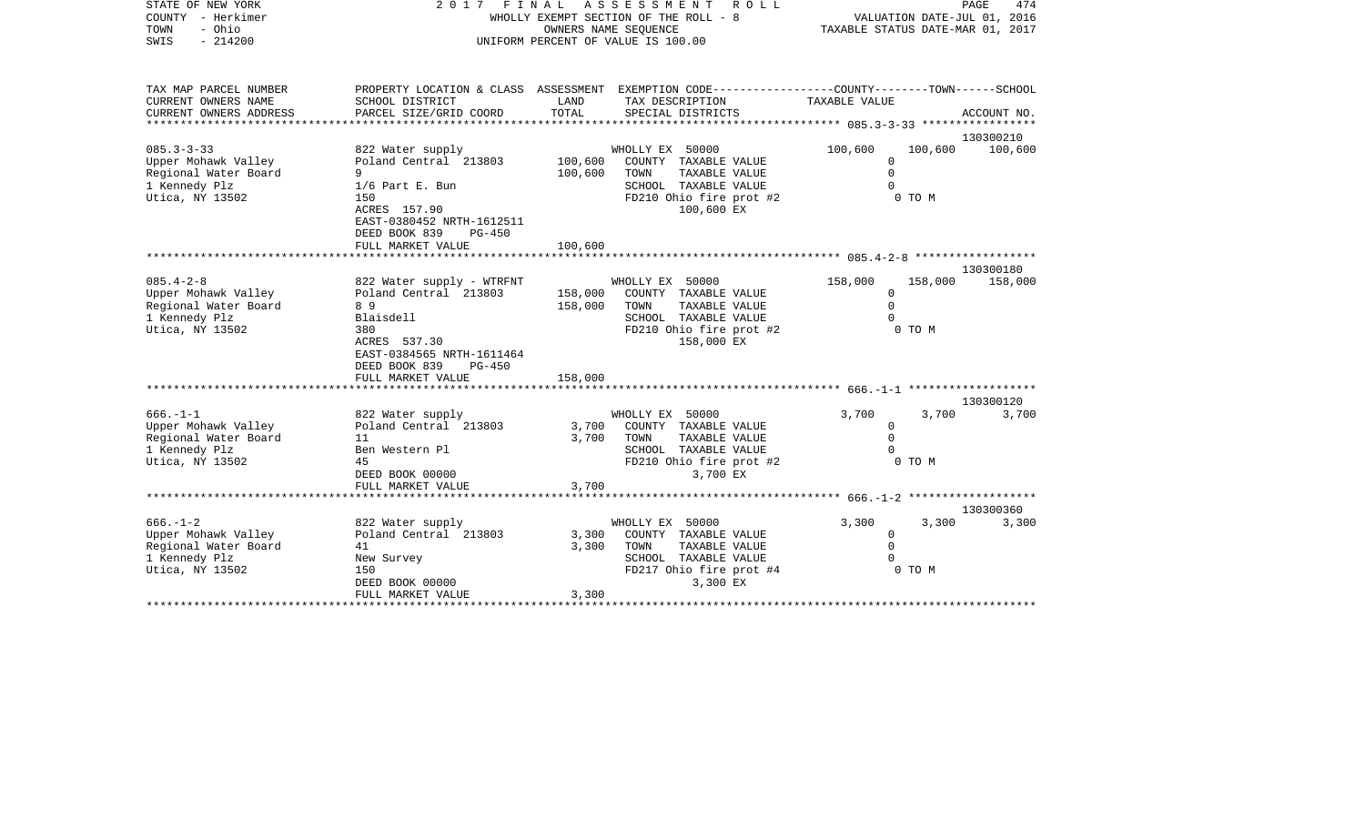| STATE OF NEW YORK<br>COUNTY - Herkimer<br>- Ohio<br>TOWN<br>SWIS<br>$-214200$                      | 2 0 1 7                                                                                                                   | FINAL                   | ASSESSMENT<br>ROLL<br>WHOLLY EXEMPT SECTION OF THE ROLL - 8<br>OWNERS NAME SEQUENCE<br>UNIFORM PERCENT OF VALUE IS 100.00                | PAGE<br>474<br>VALUATION DATE-JUL 01, 2016<br>TAXABLE STATUS DATE-MAR 01, 2017 |                   |             |
|----------------------------------------------------------------------------------------------------|---------------------------------------------------------------------------------------------------------------------------|-------------------------|------------------------------------------------------------------------------------------------------------------------------------------|--------------------------------------------------------------------------------|-------------------|-------------|
| TAX MAP PARCEL NUMBER<br>CURRENT OWNERS NAME<br>CURRENT OWNERS ADDRESS                             | SCHOOL DISTRICT<br>PARCEL SIZE/GRID COORD                                                                                 | LAND<br>TOTAL           | PROPERTY LOCATION & CLASS ASSESSMENT EXEMPTION CODE----------------COUNTY-------TOWN------SCHOOL<br>TAX DESCRIPTION<br>SPECIAL DISTRICTS | TAXABLE VALUE                                                                  |                   | ACCOUNT NO. |
|                                                                                                    |                                                                                                                           | ********                |                                                                                                                                          | ******* 085.3-3-33 *****************                                           |                   |             |
| $085.3 - 3 - 33$                                                                                   |                                                                                                                           |                         |                                                                                                                                          | 100,600                                                                        | 100,600           | 130300210   |
| Upper Mohawk Valley<br>Regional Water Board<br>1 Kennedy Plz<br>Utica, NY 13502                    | 822 Water supply<br>Poland Central 213803<br>9<br>$1/6$ Part E. Bun<br>150                                                | 100,600<br>100,600      | WHOLLY EX 50000<br>COUNTY TAXABLE VALUE<br>TOWN<br>TAXABLE VALUE<br>SCHOOL TAXABLE VALUE<br>FD210 Ohio fire prot #2                      | $\Omega$<br>$\mathbf 0$<br>$\Omega$                                            | 0 TO M            | 100,600     |
|                                                                                                    | ACRES 157.90<br>EAST-0380452 NRTH-1612511<br>DEED BOOK 839<br>$PG-450$<br>FULL MARKET VALUE                               | 100,600                 | 100,600 EX                                                                                                                               |                                                                                |                   |             |
|                                                                                                    |                                                                                                                           |                         |                                                                                                                                          |                                                                                |                   |             |
|                                                                                                    |                                                                                                                           |                         |                                                                                                                                          |                                                                                |                   | 130300180   |
| $085.4 - 2 - 8$<br>Upper Mohawk Valley<br>Regional Water Board<br>1 Kennedy Plz<br>Utica, NY 13502 | 822 Water supply - WTRFNT<br>Poland Central 213803<br>89<br>Blaisdell<br>380<br>ACRES 537.30<br>EAST-0384565 NRTH-1611464 | 158,000<br>158,000      | WHOLLY EX 50000<br>COUNTY TAXABLE VALUE<br>TOWN<br>TAXABLE VALUE<br>SCHOOL TAXABLE VALUE<br>FD210 Ohio fire prot #2<br>158,000 EX        | 158,000<br>$\Omega$<br>$\mathbf 0$<br>$\Omega$                                 | 158,000<br>0 TO M | 158,000     |
|                                                                                                    | DEED BOOK 839<br><b>PG-450</b><br>FULL MARKET VALUE                                                                       | 158,000                 |                                                                                                                                          |                                                                                |                   |             |
|                                                                                                    |                                                                                                                           |                         |                                                                                                                                          |                                                                                |                   |             |
| $666. - 1 - 1$                                                                                     |                                                                                                                           |                         |                                                                                                                                          |                                                                                |                   | 130300120   |
| Upper Mohawk Valley<br>Regional Water Board<br>1 Kennedy Plz<br>Utica, NY 13502                    | 822 Water supply<br>Poland Central 213803<br>11<br>Ben Western Pl<br>45<br>DEED BOOK 00000                                | 3,700<br>3,700          | WHOLLY EX 50000<br>COUNTY TAXABLE VALUE<br>TAXABLE VALUE<br>TOWN<br>SCHOOL TAXABLE VALUE<br>FD210 Ohio fire prot #2<br>3,700 EX          | 3,700<br>0<br>$\mathbf 0$<br>$\Omega$                                          | 3,700<br>0 TO M   | 3,700       |
|                                                                                                    | FULL MARKET VALUE<br>* * * * * * * * * * * * * * * * * * * *                                                              | 3,700<br>***********    |                                                                                                                                          | ************** 666.-1-2 ********************                                   |                   |             |
|                                                                                                    |                                                                                                                           |                         |                                                                                                                                          |                                                                                |                   | 130300360   |
| $666. - 1 - 2$<br>Upper Mohawk Valley<br>Regional Water Board<br>1 Kennedy Plz<br>Utica, NY 13502  | 822 Water supply<br>Poland Central 213803<br>41<br>New Survey<br>150<br>DEED BOOK 00000<br>FULL MARKET VALUE              | 3,300<br>3,300<br>3,300 | WHOLLY EX 50000<br>COUNTY TAXABLE VALUE<br>TOWN<br>TAXABLE VALUE<br>SCHOOL TAXABLE VALUE<br>FD217 Ohio fire prot #4<br>3,300 EX          | 3,300<br>$\mathbf 0$<br>$\mathbf 0$<br>$\Omega$                                | 3,300<br>0 TO M   | 3,300       |
|                                                                                                    |                                                                                                                           |                         |                                                                                                                                          |                                                                                |                   |             |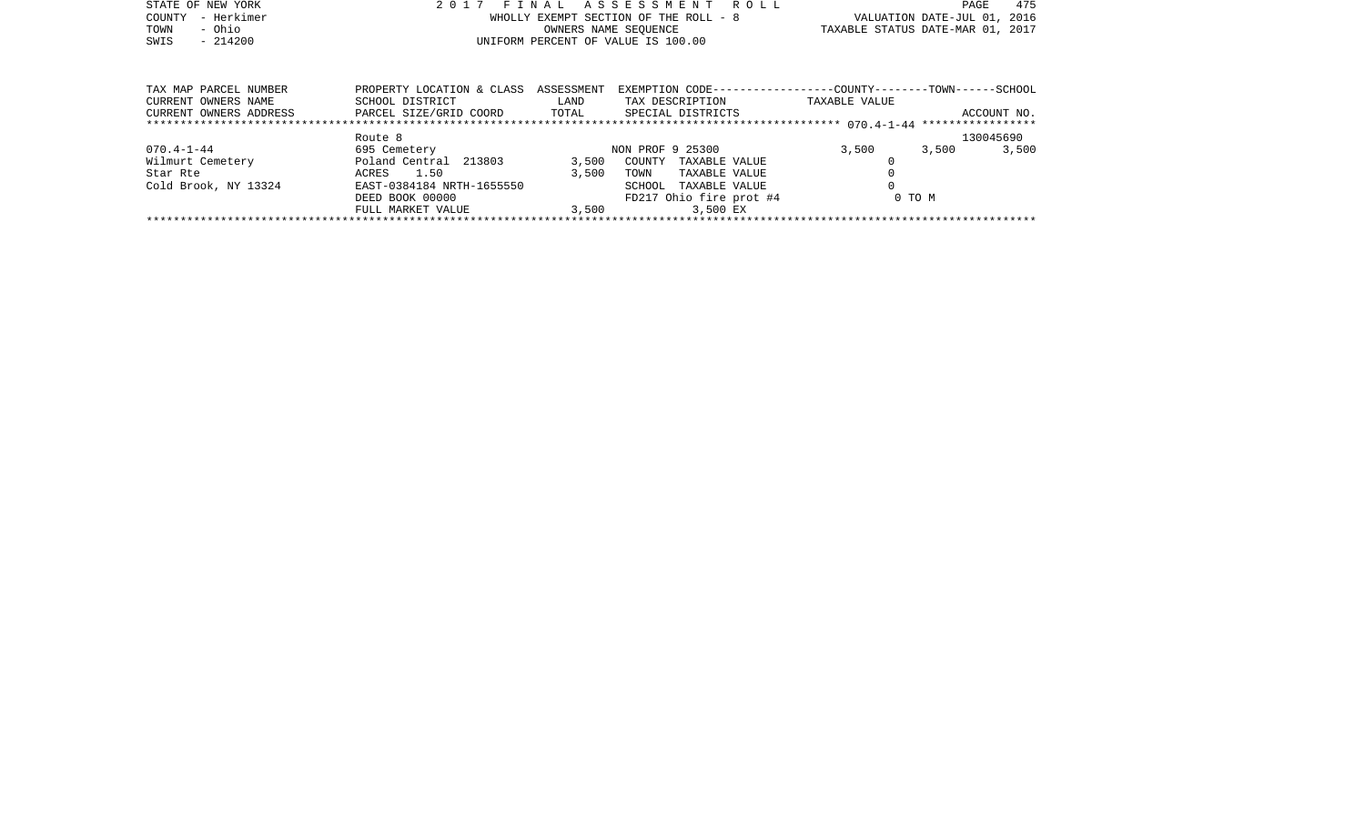| STATE OF NEW YORK<br>- Herkimer<br>COUNTY<br>- Ohio<br>TOWN<br>$-214200$<br>SWIS | 2017                                         | FINAL              | A S S E S S M E N T<br>R O L L<br>WHOLLY EXEMPT SECTION OF THE ROLL - 8<br>OWNERS NAME SEOUENCE<br>UNIFORM PERCENT OF VALUE IS 100.00 | 475<br>PAGE<br>VALUATION DATE-JUL 01, 2016<br>TAXABLE STATUS DATE-MAR 01, 2017 |  |
|----------------------------------------------------------------------------------|----------------------------------------------|--------------------|---------------------------------------------------------------------------------------------------------------------------------------|--------------------------------------------------------------------------------|--|
|                                                                                  |                                              |                    |                                                                                                                                       |                                                                                |  |
| TAX MAP PARCEL NUMBER<br>CURRENT OWNERS NAME                                     | PROPERTY LOCATION & CLASS<br>SCHOOL DISTRICT | ASSESSMENT<br>LAND | TAX DESCRIPTION                                                                                                                       | EXEMPTION CODE-----------------COUNTY-------TOWN------SCHOOL<br>TAXABLE VALUE  |  |
| CURRENT OWNERS ADDRESS                                                           | PARCEL SIZE/GRID COORD                       | TOTAL              | SPECIAL DISTRICTS                                                                                                                     | ACCOUNT NO.                                                                    |  |
|                                                                                  | Route 8                                      |                    |                                                                                                                                       | 130045690                                                                      |  |
| $070.4 - 1 - 44$                                                                 | 695 Cemetery                                 |                    | NON PROF 9 25300                                                                                                                      | 3,500<br>3,500<br>3,500                                                        |  |
| Wilmurt Cemetery                                                                 | Poland Central 213803                        | 3,500              | COUNTY<br>TAXABLE VALUE                                                                                                               |                                                                                |  |
| Star Rte                                                                         | 1.50<br>ACRES                                | 3,500              | TOWN<br>TAXABLE VALUE                                                                                                                 |                                                                                |  |
| Cold Brook, NY 13324                                                             | EAST-0384184 NRTH-1655550                    |                    | SCHOOL<br>TAXABLE VALUE                                                                                                               |                                                                                |  |

FULL MARKET VALUE 3,500 3,500 EX \*\*\*\*\*\*\*\*\*\*\*\*\*\*\*\*\*\*\*\*\*\*\*\*\*\*\*\*\*\*\*\*\*\*\*\*\*\*\*\*\*\*\*\*\*\*\*\*\*\*\*\*\*\*\*\*\*\*\*\*\*\*\*\*\*\*\*\*\*\*\*\*\*\*\*\*\*\*\*\*\*\*\*\*\*\*\*\*\*\*\*\*\*\*\*\*\*\*\*\*\*\*\*\*\*\*\*\*\*\*\*\*\*\*\*\*\*\*\*\*\*\*\*\*\*\*\*\*\*\*\*\*

DEED BOOK 00000 FD217 Ohio fire prot #4 0 TO M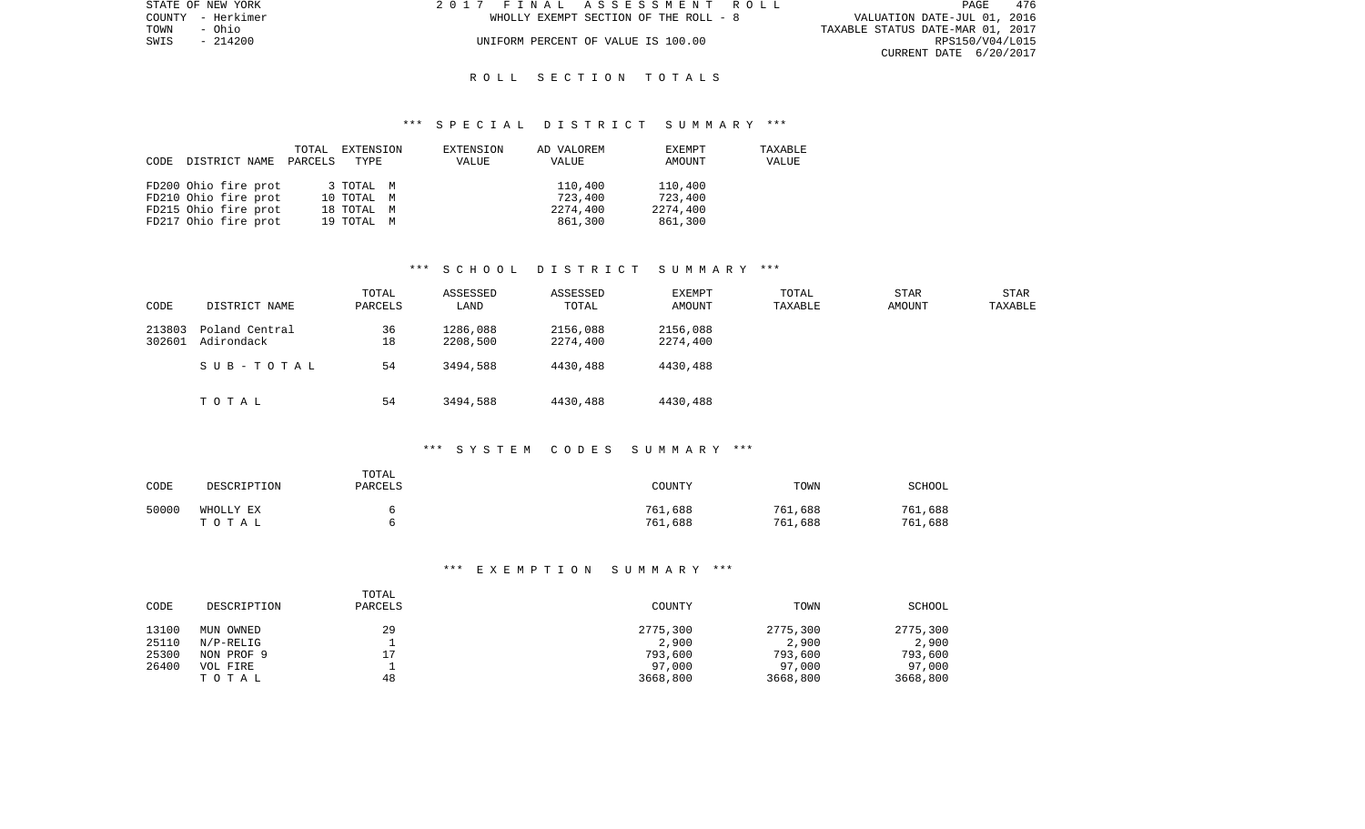| STATE OF NEW YORK | 2017 FINAL ASSESSMENT ROLL            |                                  | <b>PAGE</b>     | 476 |
|-------------------|---------------------------------------|----------------------------------|-----------------|-----|
| COUNTY - Herkimer | WHOLLY EXEMPT SECTION OF THE ROLL - 8 | VALUATION DATE-JUL 01, 2016      |                 |     |
| TOWN<br>- Ohio    |                                       | TAXABLE STATUS DATE-MAR 01, 2017 |                 |     |
| SWIS - 214200     | UNIFORM PERCENT OF VALUE IS 100.00    |                                  | RPS150/V04/L015 |     |
|                   |                                       | CURRENT DATE 6/20/2017           |                 |     |

#### R O L L S E C T I O N T O T A L S

#### \*\*\* S P E C I A L D I S T R I C T S U M M A R Y \*\*\*

|      |                      | TOTAL   | EXTENSION  | EXTENSION | AD VALOREM | EXEMPT   | TAXABLE |
|------|----------------------|---------|------------|-----------|------------|----------|---------|
| CODE | DISTRICT NAME        | PARCELS | TYPE       | VALUE     | VALUE      | AMOUNT   | VALUE   |
|      |                      |         |            |           |            |          |         |
|      | FD200 Ohio fire prot |         | 3 TOTAL M  |           | 110,400    | 110,400  |         |
|      | FD210 Ohio fire prot |         | 10 TOTAL M |           | 723,400    | 723,400  |         |
|      | FD215 Ohio fire prot |         | 18 TOTAL M |           | 2274,400   | 2274,400 |         |
|      | FD217 Ohio fire prot |         | 19 TOTAL M |           | 861,300    | 861,300  |         |

## \*\*\* S C H O O L D I S T R I C T S U M M A R Y \*\*\*

| CODE             | DISTRICT NAME                | TOTAL<br>PARCELS | ASSESSED<br>LAND     | ASSESSED<br>TOTAL    | EXEMPT<br>AMOUNT     | TOTAL<br>TAXABLE | <b>STAR</b><br><b>AMOUNT</b> | STAR<br>TAXABLE |
|------------------|------------------------------|------------------|----------------------|----------------------|----------------------|------------------|------------------------------|-----------------|
| 213803<br>302601 | Poland Central<br>Adirondack | 36<br>18         | 1286,088<br>2208,500 | 2156,088<br>2274,400 | 2156,088<br>2274,400 |                  |                              |                 |
|                  | SUB-TOTAL                    | 54               | 3494,588             | 4430,488             | 4430,488             |                  |                              |                 |
|                  | TOTAL                        | 54               | 3494,588             | 4430,488             | 4430,488             |                  |                              |                 |

#### \*\*\* S Y S T E M C O D E S S U M M A R Y \*\*\*

| CODE  | DESCRIPTION        | TOTAL<br>PARCELS | COUNTY             | TOWN               | <b>SCHOOL</b>      |
|-------|--------------------|------------------|--------------------|--------------------|--------------------|
| 50000 | WHOLLY EX<br>тотаь |                  | 761,688<br>761,688 | 761,688<br>761,688 | 761,688<br>761,688 |

## \*\*\* E X E M P T I O N S U M M A R Y \*\*\*

| CODE           | DESCRIPTION            | TOTAL<br>PARCELS | COUNTY            | TOWN              | SCHOOL            |
|----------------|------------------------|------------------|-------------------|-------------------|-------------------|
| 13100<br>25110 | MUN OWNED<br>N/P-RELIG | 29               | 2775,300<br>2,900 | 2775,300<br>2,900 | 2775,300<br>2,900 |
| 25300          | NON PROF 9             | 17               | 793,600           | 793,600           | 793,600           |
| 26400          | VOL FIRE               |                  | 97,000            | 97,000            | 97,000            |
|                | TOTAL                  | 48               | 3668,800          | 3668,800          | 3668,800          |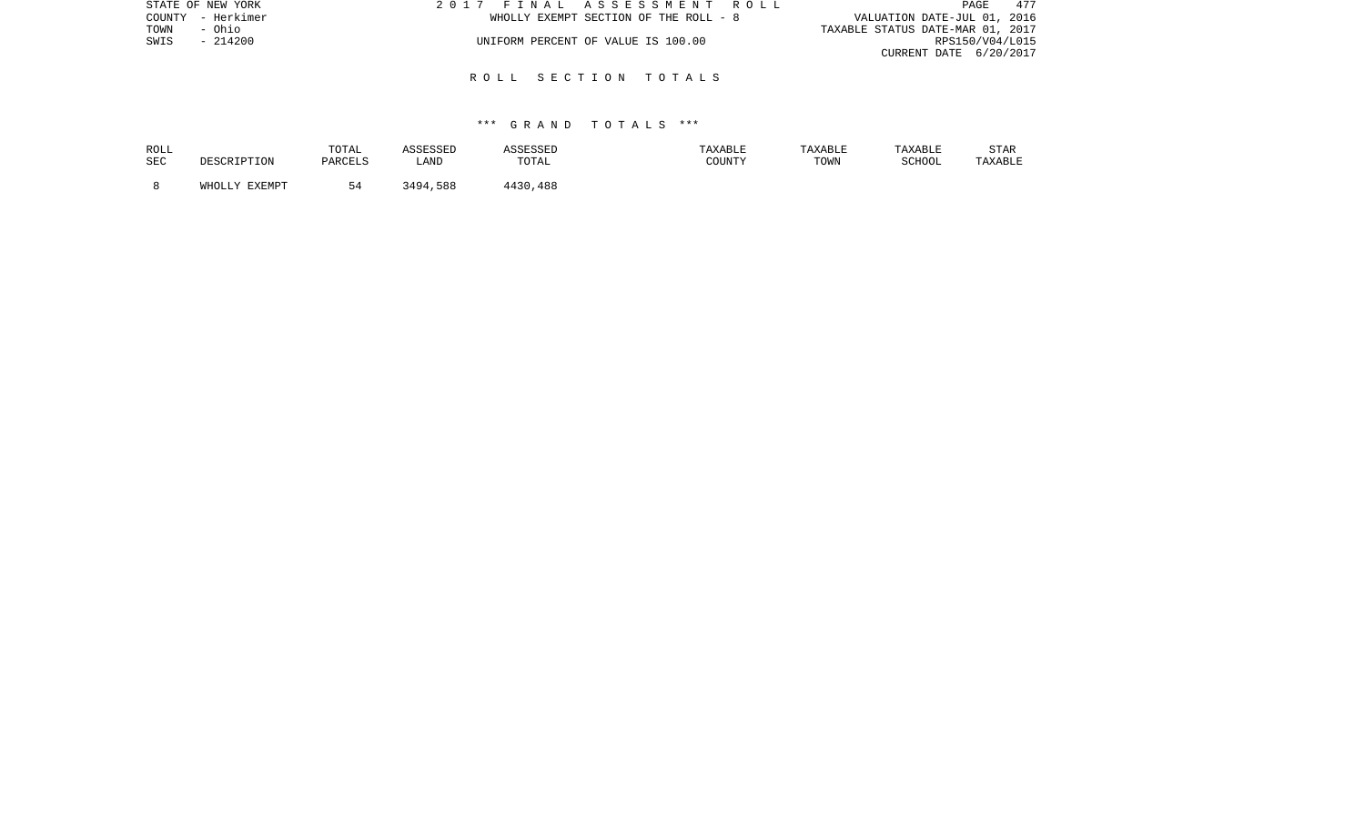| STATE OF NEW YORK | 2017 FINAL ASSESSMENT ROLL            | 477<br>PAGE                      |
|-------------------|---------------------------------------|----------------------------------|
| COUNTY - Herkimer | WHOLLY EXEMPT SECTION OF THE ROLL - 8 | VALUATION DATE-JUL 01, 2016      |
| TOWN<br>- Ohio    |                                       | TAXABLE STATUS DATE-MAR 01, 2017 |
| $-214200$<br>SWIS | UNIFORM PERCENT OF VALUE IS 100.00    | RPS150/V04/L015                  |
|                   |                                       | CURRENT DATE 6/20/2017           |
|                   |                                       |                                  |

#### R O L L S E C T I O N T O T A L S

| ROLL       | DESCRIPTION   | TOTAL   | ASSESSED | ASSESSED | TAXABLE | TAXABLE | TAXABLE | <b>STAR</b> |
|------------|---------------|---------|----------|----------|---------|---------|---------|-------------|
| <b>SEC</b> |               | PARCELS | LAND     | TOTAL    | COUNTY  | TOWN    | SCHOOL  | TAXABLE     |
|            | WHOLLY EXEMPT | 54      | 3494,588 | 4430,488 |         |         |         |             |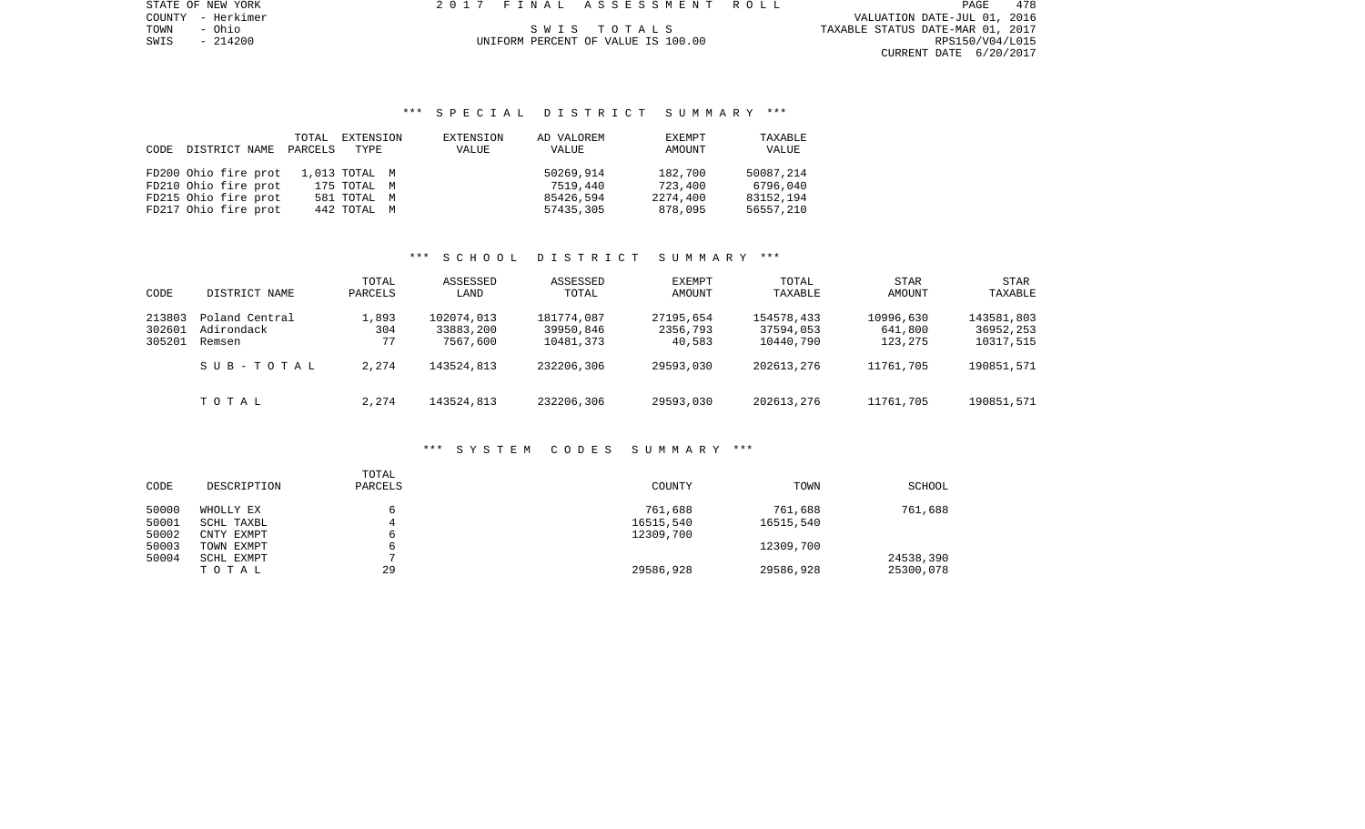PAGE 478 COUNTY - Herkimer VALUATION DATE-JUL 01, 2016 TOWN - Ohio S W I S T O T A L S TAXABLE STATUS DATE-MAR 01, 2017 SWIS - 214200 UNIFORM PERCENT OF VALUE IS 100.00 RPS150/V04/L015 CURRENT DATE 6/20/2017

STATE OF NEW YORK 2017 FINAL ASSESSMENT ROLL

# \*\*\* S P E C I A L D I S T R I C T S U M M A R Y \*\*\*

|      |                      | TOTAL   | EXTENSION     | EXTENSION | AD VALOREM | EXEMPT   | TAXABLE   |
|------|----------------------|---------|---------------|-----------|------------|----------|-----------|
| CODE | DISTRICT NAME        | PARCELS | TYPE          | VALUE     | VALUE      | AMOUNT   | VALUE     |
|      |                      |         |               |           |            |          |           |
|      | FD200 Ohio fire prot |         | 1,013 TOTAL M |           | 50269,914  | 182,700  | 50087,214 |
|      | FD210 Ohio fire prot |         | 175 TOTAL M   |           | 7519.440   | 723,400  | 6796,040  |
|      | FD215 Ohio fire prot |         | 581 TOTAL M   |           | 85426,594  | 2274,400 | 83152,194 |
|      | FD217 Ohio fire prot |         | 442 TOTAL M   |           | 57435,305  | 878,095  | 56557,210 |

## \*\*\* S C H O O L D I S T R I C T S U M M A R Y \*\*\*

| CODE                       | DISTRICT NAME                                       | TOTAL<br>PARCELS            | ASSESSED<br>LAND                                  | ASSESSED<br>TOTAL                                  | EXEMPT<br>AMOUNT                             | TOTAL<br>TAXABLE                                   | <b>STAR</b><br>AMOUNT                        | STAR<br>TAXABLE                                    |
|----------------------------|-----------------------------------------------------|-----------------------------|---------------------------------------------------|----------------------------------------------------|----------------------------------------------|----------------------------------------------------|----------------------------------------------|----------------------------------------------------|
| 213803<br>302601<br>305201 | Poland Central<br>Adirondack<br>Remsen<br>SUB-TOTAL | 1,893<br>304<br>77<br>2,274 | 102074,013<br>33883,200<br>7567,600<br>143524,813 | 181774,087<br>39950,846<br>10481,373<br>232206,306 | 27195,654<br>2356,793<br>40,583<br>29593,030 | 154578,433<br>37594,053<br>10440,790<br>202613,276 | 10996,630<br>641,800<br>123,275<br>11761,705 | 143581,803<br>36952,253<br>10317,515<br>190851,571 |
|                            | TOTAL                                               | 2,274                       | 143524,813                                        | 232206,306                                         | 29593,030                                    | 202613,276                                         | 11761,705                                    | 190851,571                                         |

#### \*\*\* S Y S T E M C O D E S S U M M A R Y \*\*\*

| CODE  | DESCRIPTION | TOTAL<br>PARCELS | COUNTY    | TOWN      | <b>SCHOOL</b> |
|-------|-------------|------------------|-----------|-----------|---------------|
| 50000 | WHOLLY EX   |                  | 761,688   | 761,688   | 761,688       |
| 50001 | SCHL TAXBL  |                  | 16515,540 | 16515,540 |               |
| 50002 | CNTY EXMPT  |                  | 12309,700 |           |               |
| 50003 | TOWN EXMPT  |                  |           | 12309,700 |               |
| 50004 | SCHL EXMPT  |                  |           |           | 24538,390     |
|       | TOTAL       | 29               | 29586,928 | 29586,928 | 25300,078     |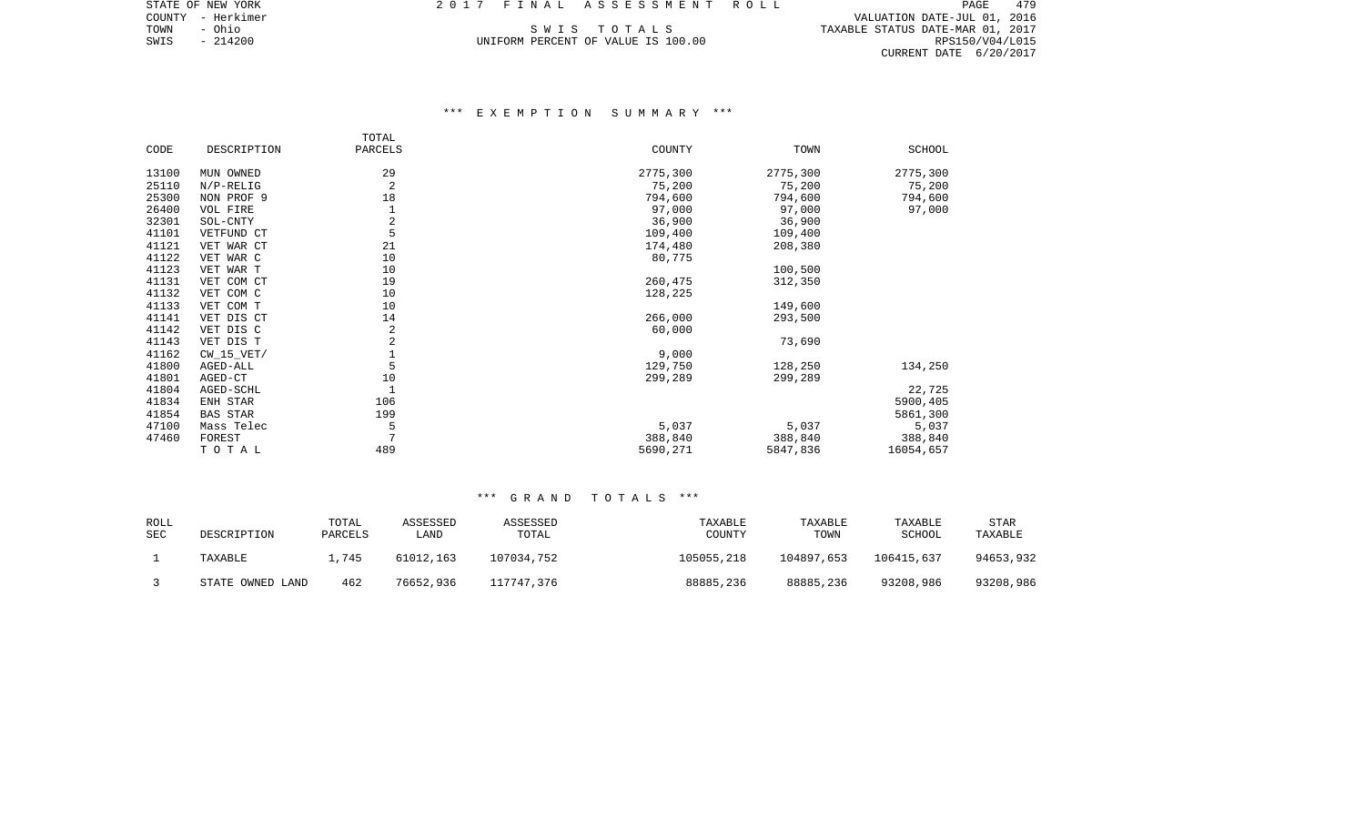COUNTY - Herkimer VALUATION DATE-JUL 01, 2016 TOWN - Ohio S W I S T O T A L S TAXABLE STATUS DATE-MAR 01, 2017 SWIS - 214200 UNIFORM PERCENT OF VALUE IS 100.00 RPS150/V04/L015 CURRENT DATE 6/20/2017

# \*\*\* E X E M P T I O N S U M M A R Y \*\*\*

|       |                 | TOTAL          |          |          |           |
|-------|-----------------|----------------|----------|----------|-----------|
| CODE  | DESCRIPTION     | PARCELS        | COUNTY   | TOWN     | SCHOOL    |
| 13100 | MUN OWNED       | 29             | 2775,300 | 2775,300 | 2775,300  |
| 25110 | $N/P-RELIG$     | 2              | 75,200   | 75,200   | 75,200    |
| 25300 | NON PROF 9      | 18             | 794,600  | 794,600  | 794,600   |
| 26400 | VOL FIRE        |                | 97,000   | 97,000   | 97,000    |
| 32301 | SOL-CNTY        | $\overline{c}$ | 36,900   | 36,900   |           |
| 41101 | VETFUND CT      | 5              | 109,400  | 109,400  |           |
| 41121 | VET WAR CT      | 21             | 174,480  | 208,380  |           |
| 41122 | VET WAR C       | 10             | 80,775   |          |           |
| 41123 | VET WAR T       | 10             |          | 100,500  |           |
| 41131 | VET COM CT      | 19             | 260,475  | 312,350  |           |
| 41132 | VET COM C       | 10             | 128,225  |          |           |
| 41133 | VET COM T       | 10             |          | 149,600  |           |
| 41141 | VET DIS CT      | 14             | 266,000  | 293,500  |           |
| 41142 | VET DIS C       | 2              | 60,000   |          |           |
| 41143 | VET DIS T       | 2              |          | 73,690   |           |
| 41162 | $CW_15_VET/$    | $1\,$          | 9,000    |          |           |
| 41800 | AGED-ALL        | 5              | 129,750  | 128,250  | 134,250   |
| 41801 | AGED-CT         | 10             | 299,289  | 299,289  |           |
| 41804 | AGED-SCHL       | $\mathbf{1}$   |          |          | 22,725    |
| 41834 | ENH STAR        | 106            |          |          | 5900,405  |
| 41854 | <b>BAS STAR</b> | 199            |          |          | 5861,300  |
| 47100 | Mass Telec      | 5              | 5,037    | 5,037    | 5,037     |
| 47460 | FOREST          | 7              | 388,840  | 388,840  | 388,840   |
|       | TOTAL           | 489            | 5690,271 | 5847,836 | 16054,657 |

| ROLL<br>SEC | DESCRIPTION      | TOTAL<br>PARCELS | ASSESSED<br>LAND | ASSESSED<br>TOTAL | TAXABLE<br>COUNTY | TAXABLE<br>TOWN | TAXABLE<br>SCHOOL | <b>STAR</b><br>TAXABLE |
|-------------|------------------|------------------|------------------|-------------------|-------------------|-----------------|-------------------|------------------------|
|             | TAXABLE          | l.745            | 61012,163        | 107034,752        | 105055,218        | 104897,653      | 106415,637        | 94653,932              |
|             | STATE OWNED LAND | 462              | 76652,936        | 117747.376        | 88885,236         | 88885,236       | 93208,986         | 93208,986              |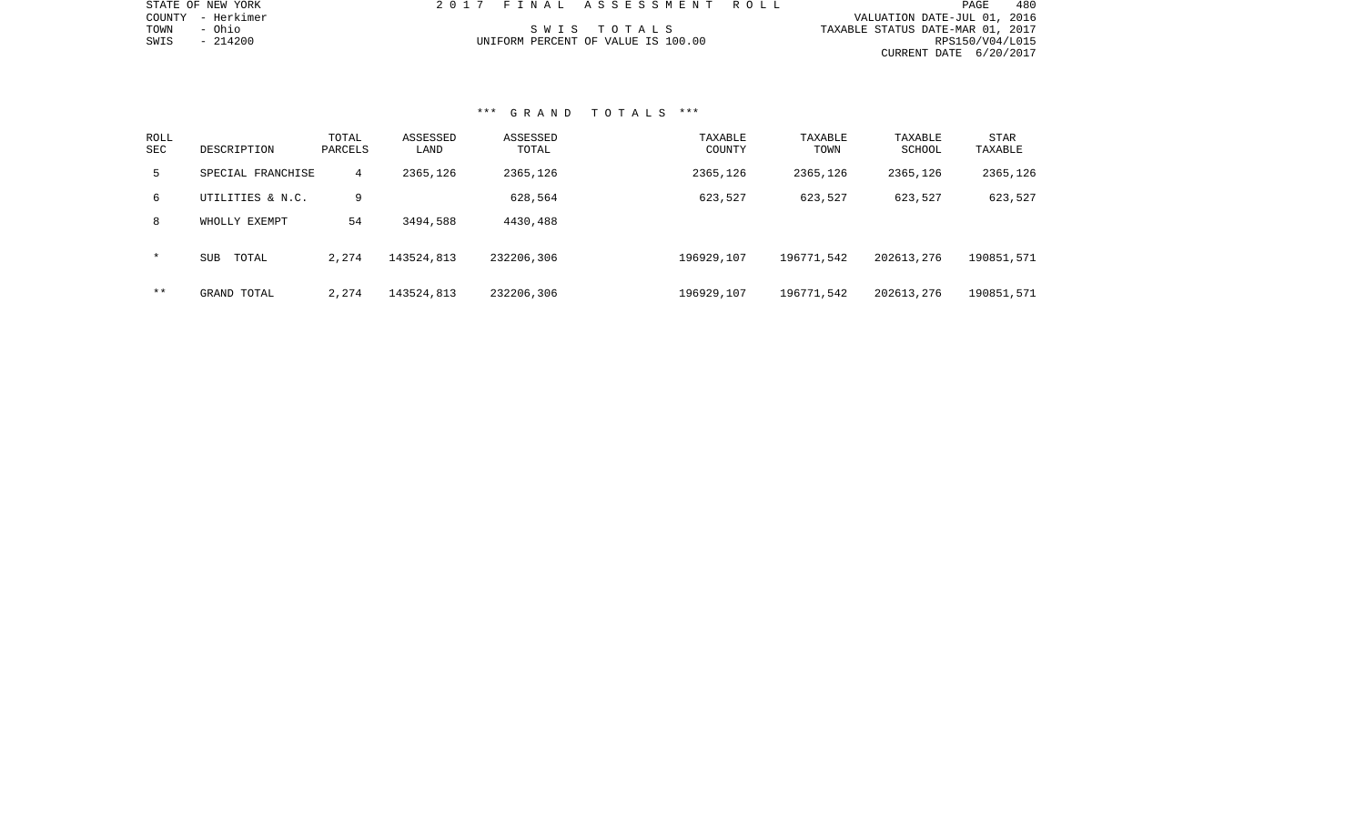| STATE OF NEW YORK    | 2017 FINAL ASSESSMENT ROLL         | 480<br>PAGE                      |
|----------------------|------------------------------------|----------------------------------|
| - Herkimer<br>COUNTY |                                    | VALUATION DATE-JUL 01, 2016      |
| - Ohio<br>TOWN       | SWIS TOTALS                        | TAXABLE STATUS DATE-MAR 01, 2017 |
| $-214200$<br>SWIS    | UNIFORM PERCENT OF VALUE IS 100.00 | RPS150/V04/L015                  |
|                      |                                    | CURRENT DATE 6/20/2017           |
|                      |                                    |                                  |
|                      |                                    |                                  |
|                      |                                    |                                  |
|                      |                                    |                                  |
|                      | *** GRAND TOTALS ***               |                                  |

# ROLL TOTAL ASSESSED ASSESSED TAXABLE TAXABLE TAXABLE STARSEC DESCRIPTION PARCELS LAND TOTAL COUNTY TOWN SCHOOL TAXABLE 5 SPECIAL FRANCHISE 4 2365,126 2365,126 2365,126 2365,126 2365,126 2365,126 6 UTILITIES & N.C. 9 628,564 623,527 623,527 623,527 623,527 8 WHOLLY EXEMPT 54 3494,588 4430,488 \* SUB TOTAL 2,274 143524,813 232206,306 196929,107 196771,542 202613,276 190851,571

\*\* GRAND TOTAL 2,274 143524,813 232206,306 196929,107 196771,542 202613,276 190851,571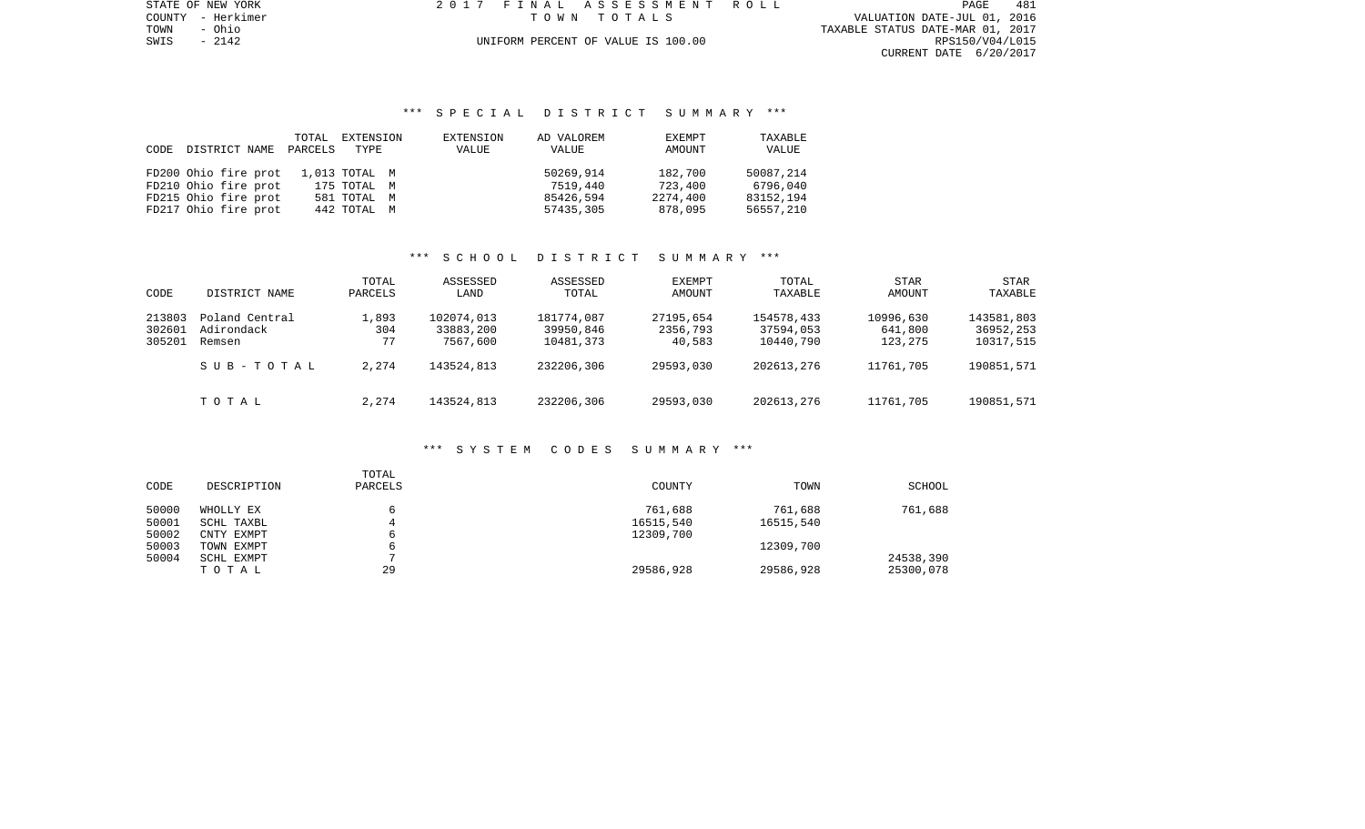PAGE 481 TOWN - Ohio TAXABLE STATUS DATE-MAR 01, 2017 SWIS - 2142<br>
SWIS - 2142<br>
SWIS - 2142<br>
SWIS - 2142<br>
UNIFORM PERCENT OF VALUE IS 100.00 RESISO/VO4/LO15 CURRENT DATE 6/20/2017

STATE OF NEW YORK 2017 FINAL ASSESSMENT ROLL COUNTY - Herkimer T O W N T O T A L S VALUATION DATE-JUL 01, 2016

# \*\*\* S P E C I A L D I S T R I C T S U M M A R Y \*\*\*

|      |                      | TOTAL   | EXTENSION     | EXTENSION | AD VALOREM | EXEMPT   | TAXABLE   |
|------|----------------------|---------|---------------|-----------|------------|----------|-----------|
| CODE | DISTRICT NAME        | PARCELS | TYPE          | VALUE     | VALUE      | AMOUNT   | VALUE     |
|      |                      |         |               |           |            |          |           |
|      | FD200 Ohio fire prot |         | 1,013 TOTAL M |           | 50269,914  | 182,700  | 50087,214 |
|      | FD210 Ohio fire prot |         | 175 TOTAL M   |           | 7519,440   | 723,400  | 6796,040  |
|      | FD215 Ohio fire prot |         | 581 TOTAL M   |           | 85426,594  | 2274,400 | 83152,194 |
|      | FD217 Ohio fire prot |         | 442 TOTAL M   |           | 57435,305  | 878,095  | 56557,210 |

# \*\*\* S C H O O L D I S T R I C T S U M M A R Y \*\*\*

| CODE                       | DISTRICT NAME                                       | TOTAL<br>PARCELS            | ASSESSED<br>LAND                                  | ASSESSED<br>TOTAL                                  | EXEMPT<br>AMOUNT                             | TOTAL<br>TAXABLE                                   | <b>STAR</b><br>AMOUNT                        | STAR<br>TAXABLE                                    |
|----------------------------|-----------------------------------------------------|-----------------------------|---------------------------------------------------|----------------------------------------------------|----------------------------------------------|----------------------------------------------------|----------------------------------------------|----------------------------------------------------|
| 213803<br>302601<br>305201 | Poland Central<br>Adirondack<br>Remsen<br>SUB-TOTAL | 1,893<br>304<br>77<br>2,274 | 102074,013<br>33883,200<br>7567,600<br>143524,813 | 181774,087<br>39950,846<br>10481,373<br>232206,306 | 27195,654<br>2356,793<br>40,583<br>29593,030 | 154578,433<br>37594,053<br>10440,790<br>202613,276 | 10996,630<br>641,800<br>123,275<br>11761,705 | 143581,803<br>36952,253<br>10317,515<br>190851,571 |
|                            | TOTAL                                               | 2,274                       | 143524,813                                        | 232206,306                                         | 29593,030                                    | 202613,276                                         | 11761,705                                    | 190851,571                                         |

#### \*\*\* S Y S T E M C O D E S S U M M A R Y \*\*\*

| CODE  | DESCRIPTION | TOTAL<br>PARCELS | COUNTY    | TOWN      | SCHOOL    |
|-------|-------------|------------------|-----------|-----------|-----------|
| 50000 | WHOLLY EX   |                  | 761,688   | 761,688   | 761,688   |
| 50001 | SCHL TAXBL  |                  | 16515,540 | 16515,540 |           |
| 50002 | CNTY EXMPT  |                  | 12309,700 |           |           |
| 50003 | TOWN EXMPT  | 6                |           | 12309,700 |           |
| 50004 | SCHL EXMPT  |                  |           |           | 24538,390 |
|       | TOTAL       | 29               | 29586,928 | 29586,928 | 25300,078 |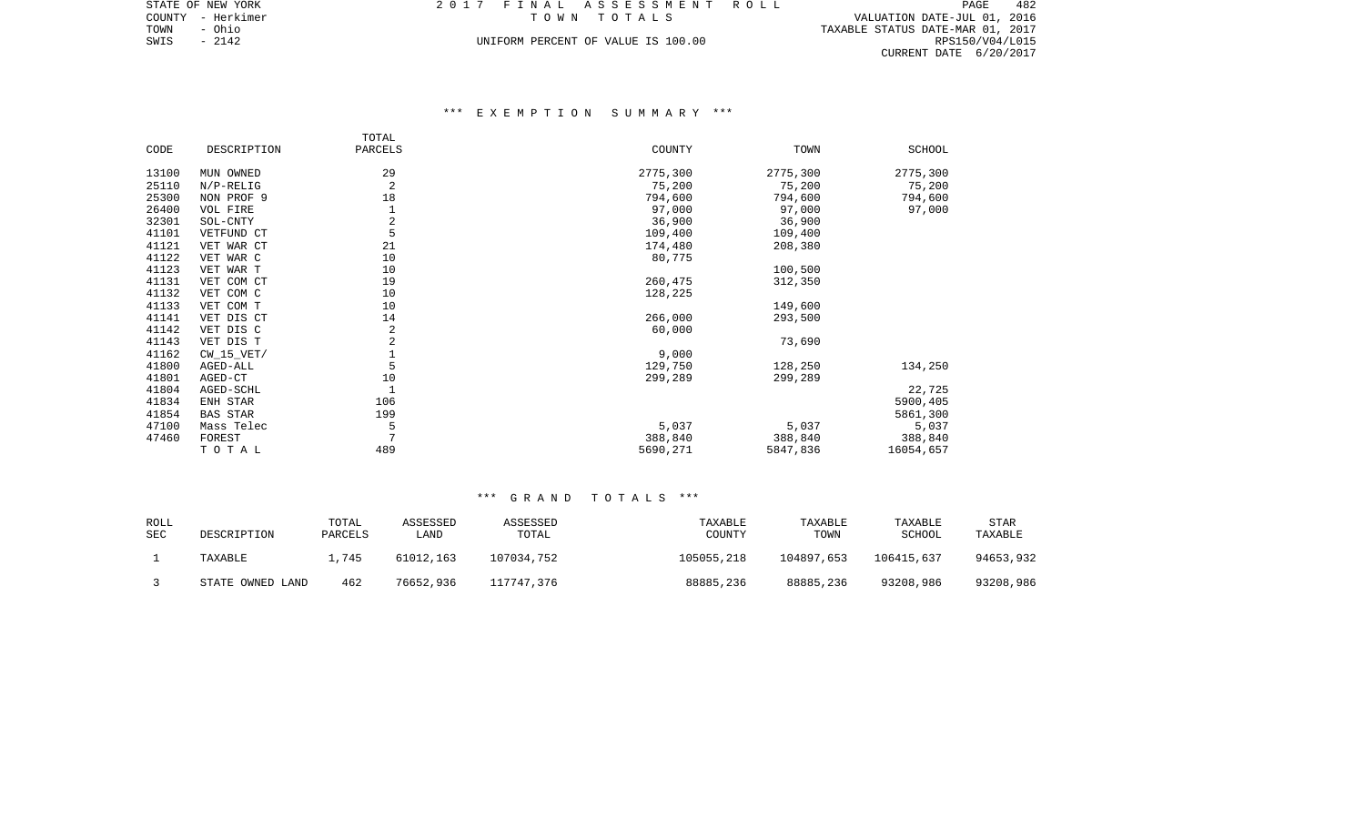| L 7 FINAL ASSESSMENT ROLL          |  |             |  |  |  |  |  |                                  |                             | PAGE. | 482             |
|------------------------------------|--|-------------|--|--|--|--|--|----------------------------------|-----------------------------|-------|-----------------|
|                                    |  | TOWN TOTALS |  |  |  |  |  |                                  | VALUATION DATE-JUL 01, 2016 |       |                 |
|                                    |  |             |  |  |  |  |  | TAXABLE STATUS DATE-MAR 01, 2017 |                             |       |                 |
| UNIFORM PERCENT OF VALUE IS 100.00 |  |             |  |  |  |  |  |                                  |                             |       | RPS150/V04/L015 |
|                                    |  |             |  |  |  |  |  |                                  | CURRENT DATE 6/20/2017      |       |                 |

# \*\*\* E X E M P T I O N S U M M A R Y \*\*\*

|       |                 | TOTAL        |          |          |           |
|-------|-----------------|--------------|----------|----------|-----------|
| CODE  | DESCRIPTION     | PARCELS      | COUNTY   | TOWN     | SCHOOL    |
| 13100 | MUN OWNED       | 29           | 2775,300 | 2775,300 | 2775,300  |
| 25110 | $N/P-RELIG$     | 2            | 75,200   | 75,200   | 75,200    |
| 25300 | NON PROF 9      | 18           | 794,600  | 794,600  | 794,600   |
| 26400 | VOL FIRE        |              | 97,000   | 97,000   | 97,000    |
| 32301 | SOL-CNTY        | 2            | 36,900   | 36,900   |           |
| 41101 | VETFUND CT      | 5            | 109,400  | 109,400  |           |
| 41121 | VET WAR CT      | 21           | 174,480  | 208,380  |           |
| 41122 | VET WAR C       | 10           | 80,775   |          |           |
| 41123 | VET WAR T       | 10           |          | 100,500  |           |
| 41131 | VET COM CT      | 19           | 260,475  | 312,350  |           |
| 41132 | VET COM C       | 10           | 128,225  |          |           |
| 41133 | VET COM T       | 10           |          | 149,600  |           |
| 41141 | VET DIS CT      | 14           | 266,000  | 293,500  |           |
| 41142 | VET DIS C       | 2            | 60,000   |          |           |
| 41143 | VET DIS T       | 2            |          | 73,690   |           |
| 41162 | $CW_15_VET/$    |              | 9,000    |          |           |
| 41800 | AGED-ALL        | 5            | 129,750  | 128,250  | 134,250   |
| 41801 | AGED-CT         | 10           | 299,289  | 299,289  |           |
| 41804 | AGED-SCHL       | $\mathbf{1}$ |          |          | 22,725    |
| 41834 | ENH STAR        | 106          |          |          | 5900,405  |
| 41854 | <b>BAS STAR</b> | 199          |          |          | 5861,300  |
| 47100 | Mass Telec      | 5            | 5,037    | 5,037    | 5,037     |
| 47460 | FOREST          | 7            | 388,840  | 388,840  | 388,840   |
|       | TOTAL           | 489          | 5690,271 | 5847,836 | 16054,657 |

| ROLL<br><b>SEC</b> | DESCRIPTION      | TOTAL<br>PARCELS | ASSESSED<br>LAND | ASSESSED<br>TOTAL | TAXABLE<br>COUNTY | TAXABLE<br>TOWN | TAXABLE<br><b>SCHOOL</b> | STAR<br>TAXABLE |
|--------------------|------------------|------------------|------------------|-------------------|-------------------|-----------------|--------------------------|-----------------|
|                    | TAXABLE          | 1,745            | 61012,163        | 107034,752        | 105055,218        | 104897,653      | 106415,637               | 94653,932       |
|                    | STATE OWNED LAND | 462              | 76652,936        | 117747,376        | 88885,236         | 88885,236       | 93208,986                | 93208,986       |